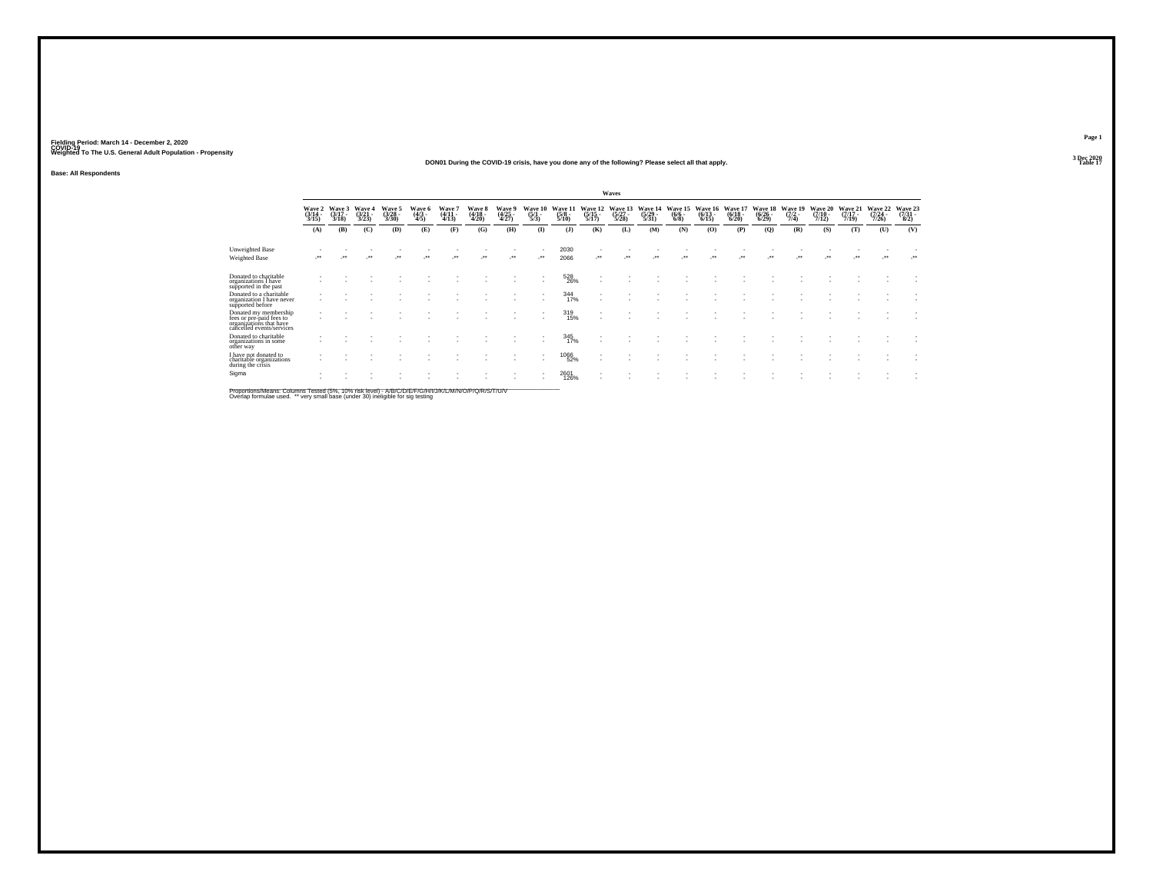### **DON01 During the COVID-19 crisis, have you done any of the following? Please select all that apply.Table 17 Table 17 Table 17 Table 17 Table 17 Table 17 Table 17 Table 17**

**Base: All Respondents**

|                                                                                                           |                                                      |                             |                |                         |                        |                         |                                  |                          |                          |                             |                                | Waves                            |                             |                                |                                  |                              |                              |                            |                            |                              |                            |                                   |
|-----------------------------------------------------------------------------------------------------------|------------------------------------------------------|-----------------------------|----------------|-------------------------|------------------------|-------------------------|----------------------------------|--------------------------|--------------------------|-----------------------------|--------------------------------|----------------------------------|-----------------------------|--------------------------------|----------------------------------|------------------------------|------------------------------|----------------------------|----------------------------|------------------------------|----------------------------|-----------------------------------|
|                                                                                                           | Wave 2<br>(3/14 -<br>3/15                            | Wave 3<br>$(3/17 -$<br>3/18 | Wave 4<br>3/23 | Waye 5<br>(3/28<br>3/30 | Wave 6<br>(4/3<br>4/5) | Wave 7<br>(4/11<br>4/13 | <b>Wave 8</b><br>(4/18 -<br>4/20 | Wave 9<br>(4/25<br>4/27) | Wave $10^{(5/1)}$<br>5/3 | Wave 11<br>$(5/8 -$<br>5/10 | Wave $12 \choose 5/15$<br>5/17 | Wave 13<br>$(5/27 -$<br>$5/28$ ) | Wave 14<br>(5/29 -<br>5/31) | Wave 15<br>$(6/6 -$<br>$6/8$ ) | Wave 16<br>$(6/13 -$<br>$6/15$ ) | Wave 17<br>$(6/18 -$<br>6/20 | Wave 18<br>$(6/26 -$<br>6/29 | Wave 19<br>$(7/2 -$<br>7/4 | Wave 20<br>(7/10 -<br>7/12 | Wave 21<br>$(7/17 -$<br>7/19 | Wave 22<br>(7/24 -<br>7/26 | Wave 23<br>$\frac{(7/31)}{(8/2)}$ |
|                                                                                                           | (A)                                                  | (B)                         | (C)            | (D)                     | (E)                    | (F)                     | (G)                              | (H)                      | $\bf{I}$                 | (1)                         | (K)                            | (L)                              | (M)                         | (N)                            | (0)                              | (P)                          | (Q)                          | (R)                        | (S)                        | (T)                          | (U)                        | (V)                               |
| Unweighted Base                                                                                           |                                                      |                             |                |                         |                        |                         |                                  |                          |                          | 2030                        |                                |                                  |                             |                                |                                  |                              |                              |                            |                            |                              |                            |                                   |
| Weighted Base                                                                                             |                                                      |                             | $\cdot$        |                         |                        |                         | $\ddot{\phantom{0}}$             |                          |                          | 2066                        |                                | $\cdot$                          | $\cdot$                     |                                |                                  |                              |                              |                            | $\ddot{\phantom{0}}$       |                              | $\cdot$                    | $\cdot$                           |
| Donated to charitable<br>organizations I have<br>supported in the past                                    |                                                      |                             |                |                         |                        |                         |                                  |                          |                          | 528<br>26%                  |                                |                                  |                             |                                |                                  |                              |                              |                            |                            |                              |                            |                                   |
| Donated to a charitable<br>organization I have never<br>supported before                                  |                                                      |                             |                |                         |                        |                         |                                  |                          | ٠                        | 344<br>17%                  |                                |                                  |                             |                                |                                  |                              |                              |                            |                            |                              |                            |                                   |
| Donated my membership<br>fees or pre-paid fees to<br>organizations that have<br>cancelled events/services | $\overline{\phantom{a}}$<br>$\overline{\phantom{a}}$ |                             |                |                         |                        |                         |                                  |                          |                          | 319<br>15%                  |                                |                                  |                             |                                |                                  |                              |                              |                            |                            |                              |                            |                                   |
| Donated to charitable<br>organizations in some<br>other way                                               |                                                      |                             |                |                         |                        |                         |                                  |                          |                          | 345<br>17%                  |                                |                                  |                             |                                |                                  |                              |                              |                            |                            |                              |                            |                                   |
| I have not donated to<br>charitable organizations<br>during the crisis                                    |                                                      |                             |                |                         |                        |                         |                                  |                          |                          | <sup>1066</sup> 52%         |                                |                                  |                             |                                |                                  |                              |                              |                            |                            |                              |                            |                                   |
| Sigma                                                                                                     |                                                      |                             |                |                         |                        |                         |                                  |                          | $\overline{\phantom{a}}$ | 2601<br>126%                |                                |                                  |                             |                                |                                  |                              |                              |                            |                            |                              |                            |                                   |

Proportions/Means: Columns Tested (5%, 10% risk level) - A/B/C/D/E/F/G/H/I/J/K/L/M/N/O/P/Q/R/S/T/U/V<br>Overlap formulae used. \*\* very small base (under 30) ineligible for sig testing

**Page 1**3 Dec 2020<br>Table 17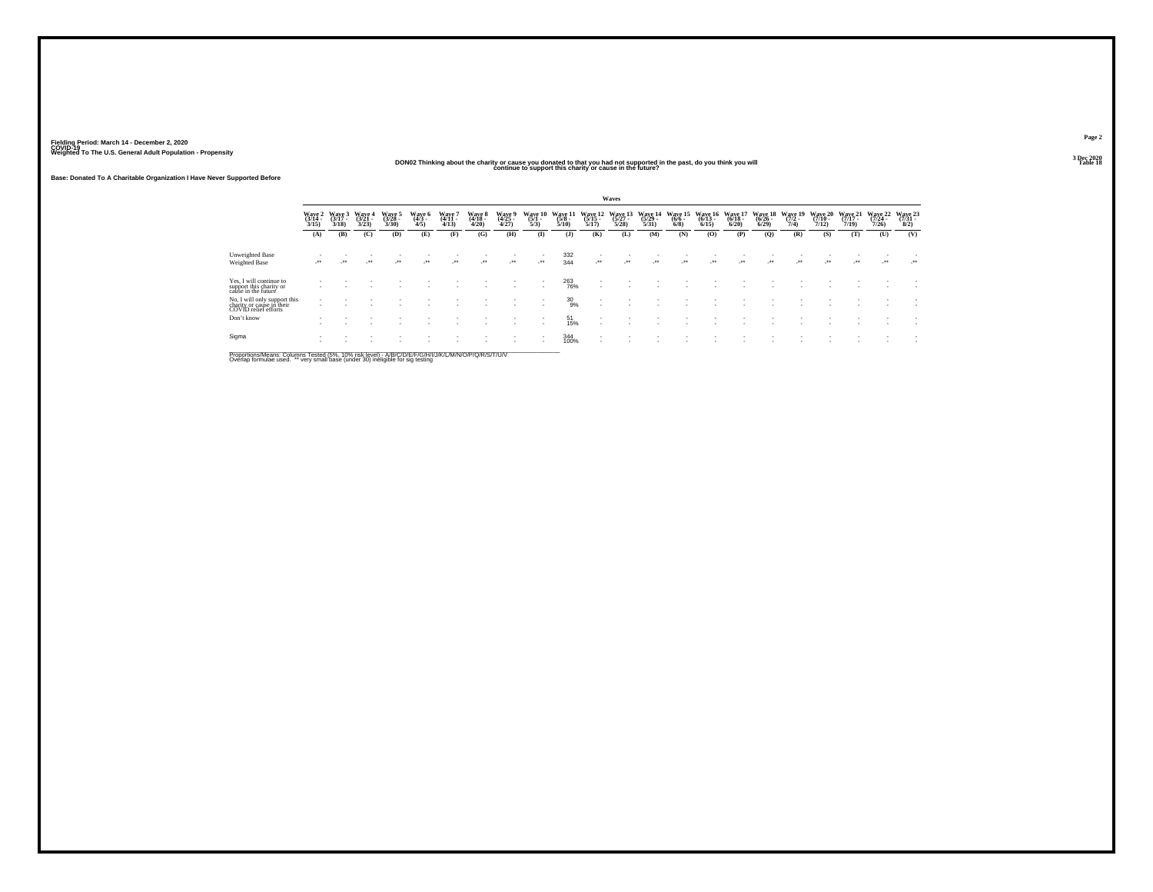### **DON02 Thinking about the charity or cause you donated to that you had not supported in the past, do you think you will continue to support this charity or cause in the future?**

**Base: Donated To A Charitable Organization I Have Never Supported Before**

|                                                                                   |                           |                             |                         |                             |                           |                             |                             |                                    |                            |                             |                              | Waves                        |                                         |                            |                              |                              |                              |                             |                              |                              |                              |                                     |
|-----------------------------------------------------------------------------------|---------------------------|-----------------------------|-------------------------|-----------------------------|---------------------------|-----------------------------|-----------------------------|------------------------------------|----------------------------|-----------------------------|------------------------------|------------------------------|-----------------------------------------|----------------------------|------------------------------|------------------------------|------------------------------|-----------------------------|------------------------------|------------------------------|------------------------------|-------------------------------------|
|                                                                                   | Wave 2<br>(3/14 -<br>3/15 | Wave 3<br>$(3/17 -$<br>3/18 | Wave 4<br>(3/21<br>3/23 | Wave 5<br>$(3/28 -$<br>3/30 | Wave 6<br>$(4/3 -$<br>4/5 | Wave 7<br>$(4/11 -$<br>4/13 | Wave 8<br>$(4/18 -$<br>4/20 | <b>Wave 9</b><br>$(4/25 -$<br>4/27 | Wave 10<br>$(5/1 -$<br>5/3 | Wave 11<br>$(5/8 -$<br>5/10 | Wave 12<br>$(5/15 -$<br>5/17 | Wave 13<br>$(5/27 -$<br>5/28 | Wave 14<br>$\frac{(5/29 - 5/31)}{5/31}$ | Wave 15<br>$(6/6 -$<br>6/8 | Wave 16<br>$(6/13 -$<br>6/15 | Wave 17<br>$(6/18 -$<br>6/20 | Wave 18<br>$(6/26 -$<br>6/29 | Wave 19<br>$(7/2 -$<br>7/4) | Wave 20<br>$(7/10 -$<br>7/12 | Wave 21<br>$(7/17 -$<br>7/19 | Wave 22<br>$(7/24 -$<br>7/26 | Wave 23<br>$\frac{(7/31 - 8)}{8/2}$ |
|                                                                                   | (A)                       | (B)                         | (C)                     | (D)                         | (E)                       | (F)                         | (G)                         | (H)                                | $\mathbf{I}$               | $($ J $)$                   | (K)                          | (L)                          | (M)                                     | (N)                        | (0)                          | (P)                          | (Q)                          | (R)                         | (S)                          | (T)                          | (U)                          | (V)                                 |
| Unweighted Base                                                                   |                           |                             |                         |                             |                           | ٠                           |                             |                                    |                            | 332                         | $\overline{\phantom{a}}$     |                              |                                         |                            |                              |                              |                              |                             |                              |                              |                              |                                     |
| Weighted Base                                                                     | ur.                       | $\bullet\bullet$            | $\cdot$                 | $\cdot$                     | $\ddot{\phantom{1}}$      | $\cdot$                     | $\overline{\phantom{a}}$    | $\mathcal{L}^{\bullet\bullet}$     | $\cdot$                    | 344                         |                              | $\cdot$                      | $\cdot$                                 |                            | $\cdot$                      | $\cdot$                      | $\cdot$                      | $\bullet\bullet$            | $\cdot$                      | $\overline{\phantom{a}}$     | $\cdot$                      | ur.                                 |
| Yes, I will continue to<br>support this charity or<br>cause in the future         |                           |                             |                         |                             |                           |                             |                             | $\overline{\phantom{a}}$           |                            | 263<br>76%                  |                              |                              |                                         |                            |                              |                              |                              |                             |                              |                              |                              |                                     |
| No, I will only support this<br>charity or cause in their<br>COVID relief efforts | $\overline{\phantom{a}}$  |                             |                         |                             |                           |                             |                             |                                    |                            | $^{30}_{9\%}$               |                              |                              |                                         |                            |                              |                              |                              |                             |                              |                              |                              |                                     |
| Don't know                                                                        |                           |                             |                         |                             |                           |                             |                             |                                    |                            | 51<br>15%                   | $\overline{\phantom{a}}$     |                              |                                         |                            |                              |                              |                              |                             |                              |                              |                              |                                     |
| Sigma                                                                             |                           |                             |                         |                             |                           |                             |                             |                                    |                            | 344<br>100%                 | $\overline{\phantom{a}}$     |                              |                                         |                            |                              |                              |                              |                             |                              |                              |                              |                                     |

Proportions/Means: Columns Tested (5%, 10% risk level) - A/B/C/D/E/F/G/H/I/J/K/L/M/N/O/P/Q/R/S/T/U/V<br>Overlap formulae used. \*\* very small base (under 30) ineligible for sig testing

**Page 2**3 Dec 2020<br>Table 18

**Table 18**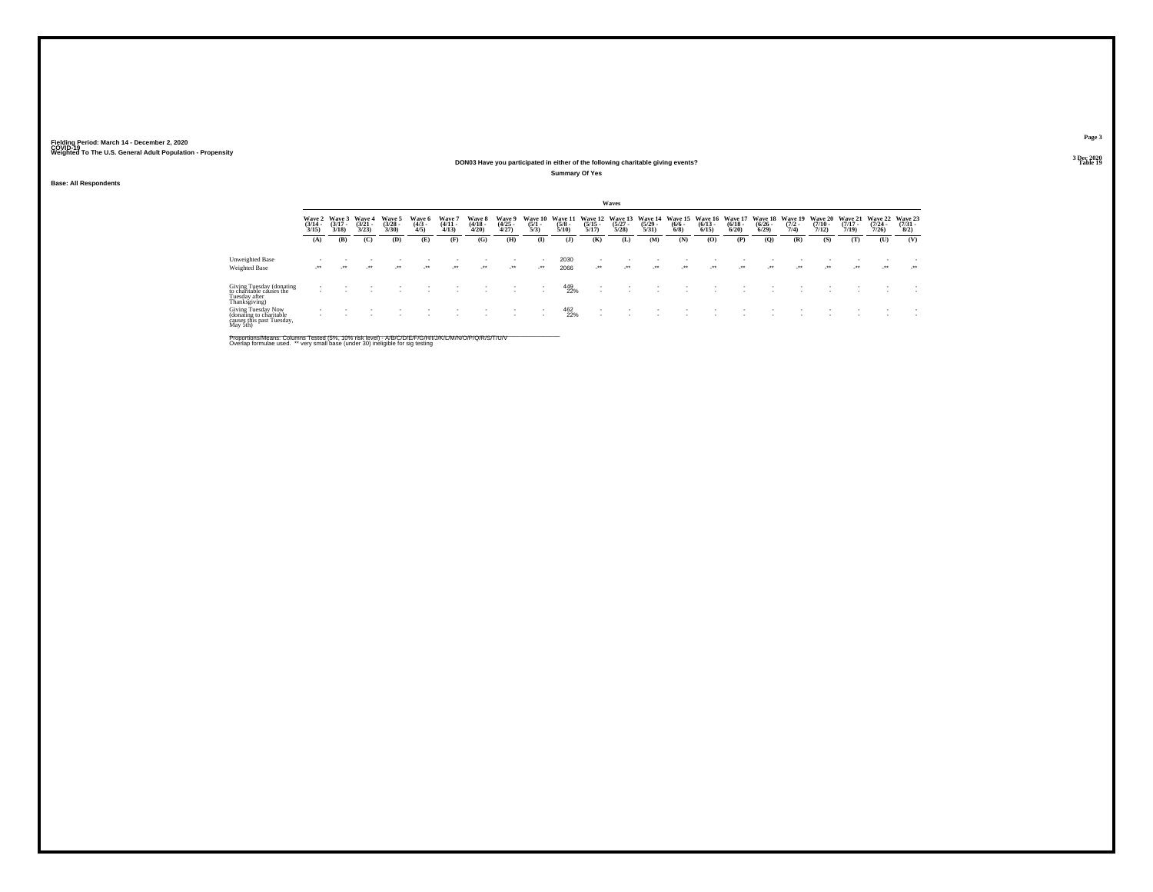### **DON03 Have you participated in either of the following charitable giving events?Table 19 Table 19 Table 19 Table 19 Table 19 Table 19 Table 19 Table 19 Table 19 Table 19**

**Summary Of Yes**

**Base: All Respondents**

|                                                                                        |                                 |                                 |                                       |                                |                              |                             |                                 |                                |                                |                                 |                                  | Waves                           |                                 |                                      |                                 |                                 |                                        |                            |                                     |                                     |                                         |                                |
|----------------------------------------------------------------------------------------|---------------------------------|---------------------------------|---------------------------------------|--------------------------------|------------------------------|-----------------------------|---------------------------------|--------------------------------|--------------------------------|---------------------------------|----------------------------------|---------------------------------|---------------------------------|--------------------------------------|---------------------------------|---------------------------------|----------------------------------------|----------------------------|-------------------------------------|-------------------------------------|-----------------------------------------|--------------------------------|
|                                                                                        | Wave 2<br>$\frac{(3/14)}{3/15}$ | Wave 3<br>$(3/17 -$<br>$3/18$ ) | <b>Wave 4</b><br>$\binom{3/21}{3/23}$ | Wave 5<br>$\binom{3/28}{3/30}$ | Wave 6<br>$\binom{4/3}{4/5}$ | Wave '<br>$(4/11 -$<br>4/13 | Wave 8<br>$\frac{(4/18)}{4/20}$ | Wave 9<br>$\binom{4/25}{4/27}$ | Wave 10<br>$\frac{(5/1)}{5/3}$ | Wave 11<br>$\frac{(5/8)}{5/10}$ | Wave 12<br>$\frac{(5/15)}{5/17}$ | Wave 13<br>$\binom{5/27}{5/28}$ | Wave 14<br>$\binom{5/29}{5/31}$ | <b>Wave 15</b><br>$\binom{6/6}{6/8}$ | Wave 16<br>$\binom{6/13}{6/15}$ | Wave 17<br>$\binom{6/18}{6/20}$ | Wave 18<br>$\frac{(6/26 - 6)}{(6/29)}$ | Wave 19<br>$(7/2 -$<br>7/4 | <b>Wave 20</b><br>$(7/10 -$<br>7/12 | <b>Wave 21</b><br>$(7/17 -$<br>7/19 | <b>Wave 22</b><br>$\frac{(7/24)}{7/26}$ | Wave 23<br>$\binom{7/31}{8/2}$ |
|                                                                                        | (A)                             | (B)                             | (C)                                   | (D)                            | Œ)                           | (F)                         | (G)                             | (H)                            | $\bf(I)$                       | $($ $\bf{J}$                    | (K)                              | (L)                             | (M)                             | (N)                                  | (0)                             | (P)                             | (Q)                                    | (R)                        | (S)                                 | (T)                                 | (U)                                     | (V)                            |
| Unweighted Base                                                                        |                                 |                                 |                                       |                                |                              |                             |                                 |                                |                                | 2030                            |                                  |                                 |                                 |                                      |                                 |                                 |                                        |                            |                                     |                                     |                                         |                                |
| <b>Weighted Base</b>                                                                   | $\cdot$                         | $\bullet\bullet$                | $^{\tiny{**}}$                        | $\bullet\bullet$               | $^{++}$                      | $\bullet\bullet$            | $\cdot$                         | $\cdot$                        | $\cdot$                        | 2066                            | $\cdot$                          | $\cdot$                         | $^{\tiny{***}}$                 | $^{\tiny{+}}$                        | $^{\tiny{++}}$                  | $^{\tiny{++}}$                  | $^{\tiny{**}}$                         | $\cdots$                   | $\cdot$                             | $\cdot$                             | $\cdot$                                 | $\mathcal{L}^{\text{max}}$     |
| Giving Tuesday (donating<br>to charitable causes the<br>Tuesday after<br>Thanksgiving) |                                 |                                 |                                       |                                |                              |                             |                                 |                                |                                | 449<br>22%                      | $\overline{\phantom{a}}$         |                                 |                                 |                                      |                                 |                                 |                                        |                            |                                     |                                     |                                         |                                |
| Giving Tuesday Now<br>(donating to charitable<br>causes this past Tuesday,<br>May 5th) |                                 |                                 |                                       |                                |                              |                             |                                 |                                |                                | 462<br>22%                      |                                  |                                 |                                 |                                      |                                 |                                 |                                        |                            |                                     |                                     |                                         |                                |

Proportions/Means: Columns Tested (5%, 10% risk level) - A/B/C/D/E/F/G/H/I/J/K/L/M/N/O/P/Q/R/S/T/U/V<br>Overlap formulae used. \*\* very small base (under 30) ineligible for sig testing

**Page 3**3 Dec 2020<br>Table 19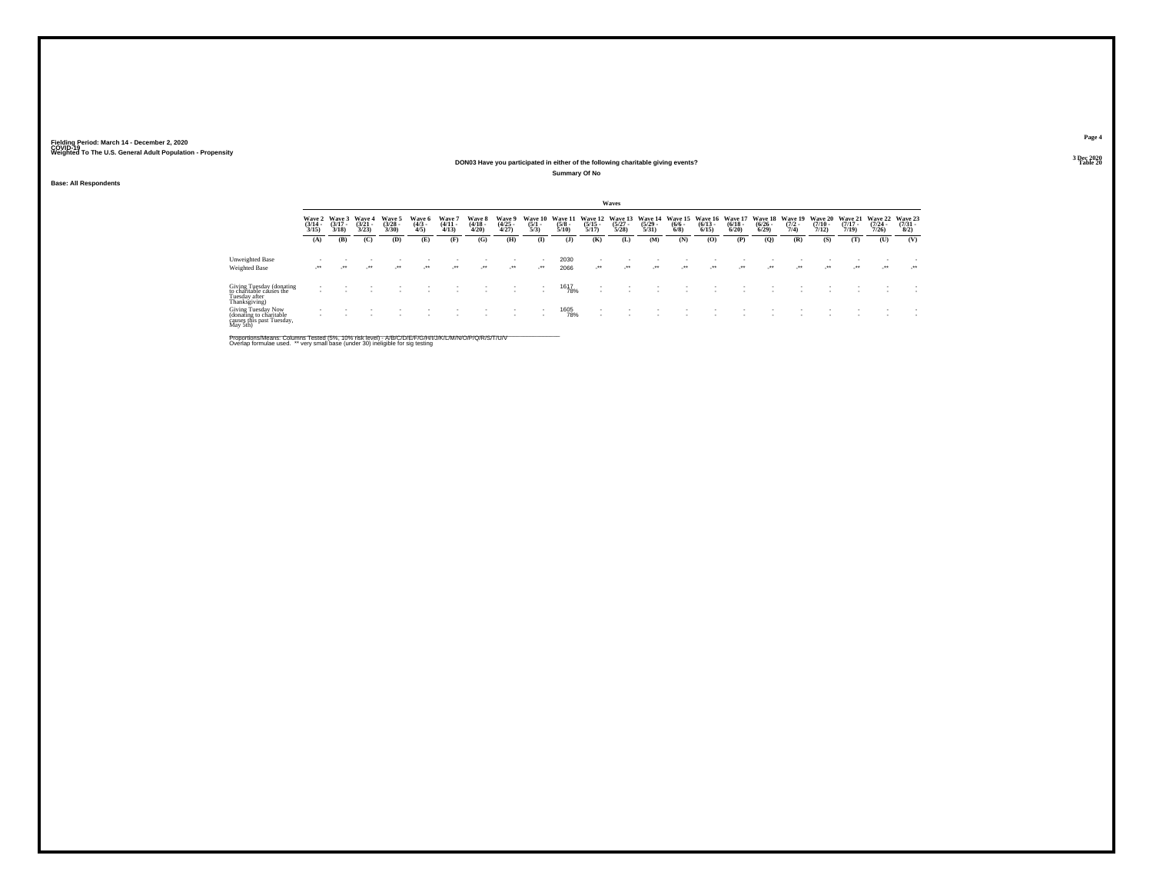## **DON03 Have you participated in either of the following charitable giving events?**

**Summary Of No**

**Base: All Respondents**

|                                                                                        |                                 |                             |                                 |                                |                              |                               |                                 |                                |                                |                                 |                                  | Waves                            |                                 |                               |                                 |                                 |                                        |                                |                                  |                                  |                              |                                |
|----------------------------------------------------------------------------------------|---------------------------------|-----------------------------|---------------------------------|--------------------------------|------------------------------|-------------------------------|---------------------------------|--------------------------------|--------------------------------|---------------------------------|----------------------------------|----------------------------------|---------------------------------|-------------------------------|---------------------------------|---------------------------------|----------------------------------------|--------------------------------|----------------------------------|----------------------------------|------------------------------|--------------------------------|
|                                                                                        | Wave 2<br>$\frac{(3/14)}{3/15}$ | Wave 3<br>$(3/17 -$<br>3/18 | Wave 4<br>$\frac{(3/21)}{3/23}$ | Wave 5<br>$\binom{3/28}{3/30}$ | Wave 6<br>$\binom{4/3}{4/5}$ | Wave<br>$\frac{(4/11)}{4/13}$ | Wave 8<br>$\frac{(4/18)}{4/20}$ | Wave 9<br>$\binom{4/25}{4/27}$ | Wave 10<br>$\frac{(5/1)}{5/3}$ | Wave 11<br>$\frac{(5/8)}{5/10}$ | Wave 12<br>$\frac{(5/15)}{5/17}$ | Wave 13<br>$\frac{(5/27)}{5/28}$ | Wave 14<br>$\binom{5/29}{5/31}$ | Wave 15<br>$\binom{6/6}{6/8}$ | Wave 16<br>$\binom{6/13}{6/15}$ | Wave 17<br>$\binom{6/18}{6/20}$ | <b>Wave 18</b><br>$\binom{6/26}{6/29}$ | Wave 19<br>$\frac{(7/2)}{7/4}$ | Wave 20<br>$\frac{(7/10)}{7/12}$ | Wave 21<br>$\frac{(7/17)}{7/19}$ | Wave 22<br>$(7/24 -$<br>7/26 | Wave 23<br>$\binom{7/31}{8/2}$ |
|                                                                                        | (A)                             | (B)                         | (C)                             | (D)                            | (E)                          | (F)                           | (G)                             | (H)                            | $\bf(I)$                       | (1)                             | (K)                              | (L)                              | (M)                             | (N)                           | (0)                             | (P)                             | (Q)                                    | (R)                            | (S)                              | (T)                              | (U)                          | (V)                            |
| Unweighted Base                                                                        |                                 |                             |                                 |                                |                              |                               |                                 | $\overline{\phantom{a}}$       | - 11                           | 2030                            | ٠                                |                                  |                                 |                               |                                 |                                 |                                        |                                |                                  |                                  |                              |                                |
| <b>Weighted Base</b>                                                                   | $\cdots$                        | $\bullet\bullet$            | $^{\tiny{***}}$                 | $\bullet\bullet$               | $\cdot$                      | $\bullet\bullet$              | $\cdot$                         | $\mathcal{L}^{\bullet\bullet}$ | $\cdot$                        | 2066                            | $\cdot$                          | $\cdot$                          | $^{\tiny{***}}$                 | $\cdot$                       | $^{\tiny{***}}$                 | $^{\tiny{++}}$                  | $^{++}$                                | $^{\tiny{++}}$                 | $^{\tiny{***}}$                  | $\mathcal{L}^{\bullet\bullet}$   | $\cdot$                      | - 280                          |
| Giving Tuesday (donating<br>to charitable causes the<br>Tuesday after<br>Thanksgiving) |                                 |                             |                                 |                                |                              |                               |                                 |                                |                                | 1617<br>78%                     |                                  |                                  |                                 |                               |                                 |                                 |                                        |                                |                                  |                                  |                              |                                |
| Giving Tuesday Now<br>(donating to charitable<br>causes this past Tuesday,<br>May 5th) |                                 |                             |                                 |                                |                              |                               |                                 | $\overline{\phantom{a}}$       | - 11                           | 1605<br>78%                     | ٠                                |                                  |                                 |                               |                                 |                                 |                                        |                                |                                  |                                  |                              |                                |

Proportions/Means: Columns Tested (5%, 10% risk level) - A/B/C/D/E/F/G/H/I/J/K/L/M/N/O/P/Q/R/S/T/U/V<br>Overlap formulae used. \*\* very small base (under 30) ineligible for sig testing

**Page 43 Dec 2020<br>Table 20** 

**Table 20 Table 20**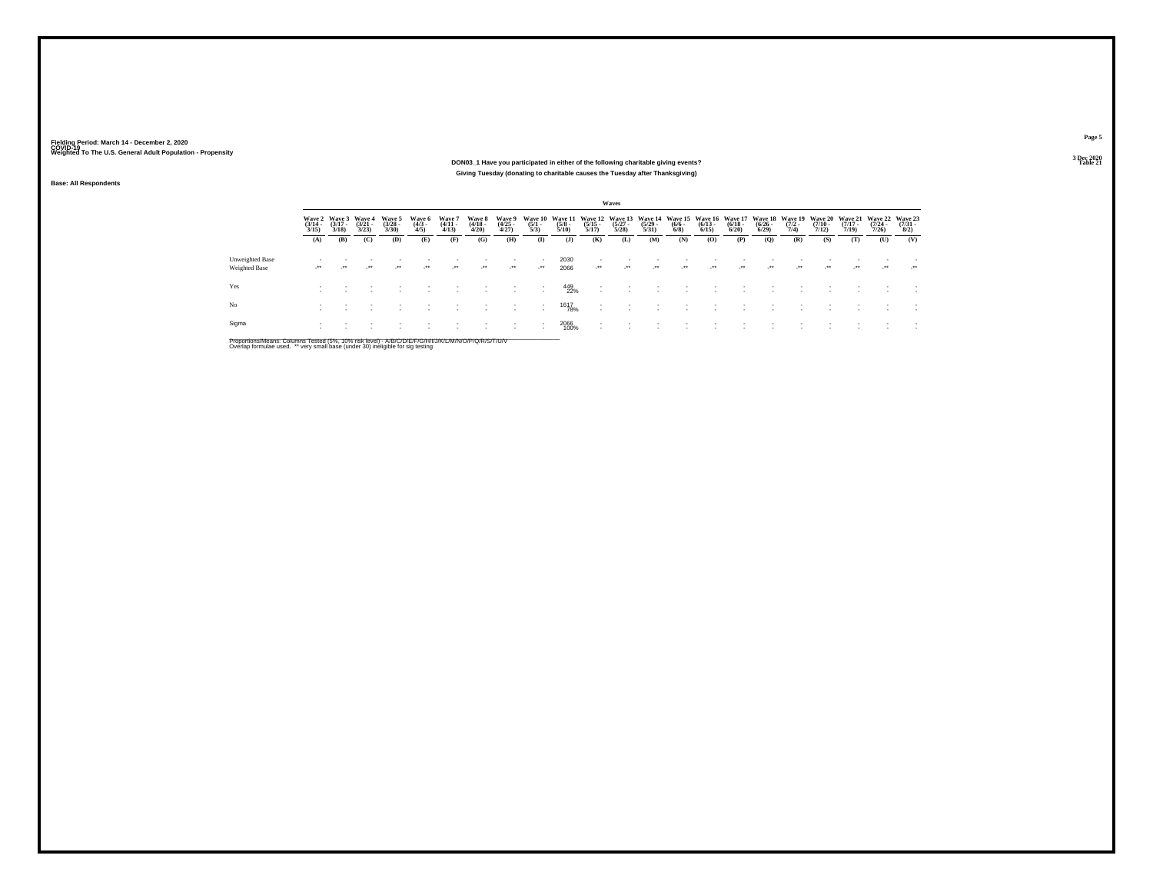### **DON03\_1 Have you participated in either of the following charitable giving events?Table 21 Table 21 Table 21 Giving Tuesday (donating to charitable causes the Tuesday after Thanksgiving)**

**Base: All Respondents**

|                                  |                       |                       |                                               |                                 |                               |                                 |                                 |                                     |                     |                                                                                                                                 |                                                      | Waves                 |                       |                     |                              |                       |                       |                     |                       |                       |                       |                                 |
|----------------------------------|-----------------------|-----------------------|-----------------------------------------------|---------------------------------|-------------------------------|---------------------------------|---------------------------------|-------------------------------------|---------------------|---------------------------------------------------------------------------------------------------------------------------------|------------------------------------------------------|-----------------------|-----------------------|---------------------|------------------------------|-----------------------|-----------------------|---------------------|-----------------------|-----------------------|-----------------------|---------------------------------|
|                                  | $\frac{(3/14)}{3/15}$ | $\frac{(3/17)}{3/18}$ | Wave 2 Wave 3 Wave 4<br>$\frac{(3/21)}{3/23}$ | Wave 5<br>$\frac{(3/28)}{3/30}$ | Wave 6<br>$\frac{(4/3)}{4/5}$ | Wave 7<br>$\frac{(4/11)}{4/13}$ | Wave 8<br>$\frac{(4/18)}{4/20}$ | Wave 9<br>$\frac{(4/25 - 4)}{4/27}$ | $\frac{(5/1)}{5/3}$ | Wave 10 Wave 11 Wave 12 Wave 13 Wave 14 Wave 15 Wave 16 Wave 17 Wave 18 Wave 19 Wave 20 Wave 21 Wave 22<br>$\frac{(5/8)}{5/10}$ | $\frac{(5/15)}{5/17}$                                | $\frac{(5/27)}{5/28}$ | $\frac{(5/29)}{5/31}$ | $\frac{(6/6)}{6/8}$ | $\frac{(6/13 - 6/15)}{6/15}$ | $\frac{(6/18)}{6/20}$ | $\frac{(6/26)}{6/29}$ | $\frac{(7/2)}{7/4}$ | $\frac{(7/10)}{7/12}$ | $\frac{(7/17)}{7/19}$ | $\frac{(7/24)}{7/26}$ | Wave 23<br>$\frac{(7/31)}{8/2}$ |
|                                  | (A)                   | (B)                   | (C)                                           | (D)                             | (E)                           | (F)                             | (G)                             | (H)                                 | $($ $\Gamma$        | $($ $)$                                                                                                                         | (K)                                                  | (L)                   | (M)                   | (N)                 | (0)                          | (P)                   | (Q)                   | (R)                 | (S)                   | (T)                   | (U)                   | (V)                             |
| Unweighted Base<br>Weighted Base | $\cdot$               | $\rightarrow$         |                                               | $\lambda$                       | $\cdot$                       | $\lambda$                       | $\cdot$                         | $\mathcal{L}^{\bullet\bullet}$      | $\cdot$             | 2030<br>2066                                                                                                                    | $\cdot$                                              | $\cdot$               | $\cdot$               | $\cdot$             | $\cdot$                      | $\rightarrow$         | $\cdot$               | $\bullet\bullet$    | $^{\tiny{++}}$        | $\cdot$               |                       |                                 |
| Yes                              |                       |                       |                                               |                                 |                               |                                 |                                 | $\sim$                              |                     | 449<br>22%                                                                                                                      | ٠<br>$\overline{\phantom{a}}$                        |                       |                       |                     |                              |                       |                       |                     |                       |                       |                       |                                 |
| No.                              |                       |                       |                                               |                                 |                               | $\sim$                          |                                 | $\overline{\phantom{a}}$            | $\sim$              | 1617<br>78%                                                                                                                     | $\overline{\phantom{a}}$<br>$\overline{\phantom{a}}$ |                       |                       |                     |                              |                       |                       |                     |                       |                       |                       |                                 |
| Sigma                            |                       |                       |                                               |                                 |                               |                                 |                                 |                                     |                     | 2066<br>100%                                                                                                                    | $\overline{\phantom{a}}$                             |                       |                       |                     |                              |                       |                       |                     |                       |                       |                       |                                 |
|                                  |                       |                       |                                               |                                 |                               |                                 |                                 |                                     |                     |                                                                                                                                 |                                                      |                       |                       |                     |                              |                       |                       |                     |                       |                       |                       |                                 |

Proportions/Means: Columns Tested (5%, 10% risk level) - A/B/C/D/E/F/G/H/I/J/K/L/M/N/O/P/Q/R/S/T/U/V<br>Overlap formulae used. \*\* very small base (under 30) ineligible for sig testing

**Page 5**3 Dec 2020<br>Table 21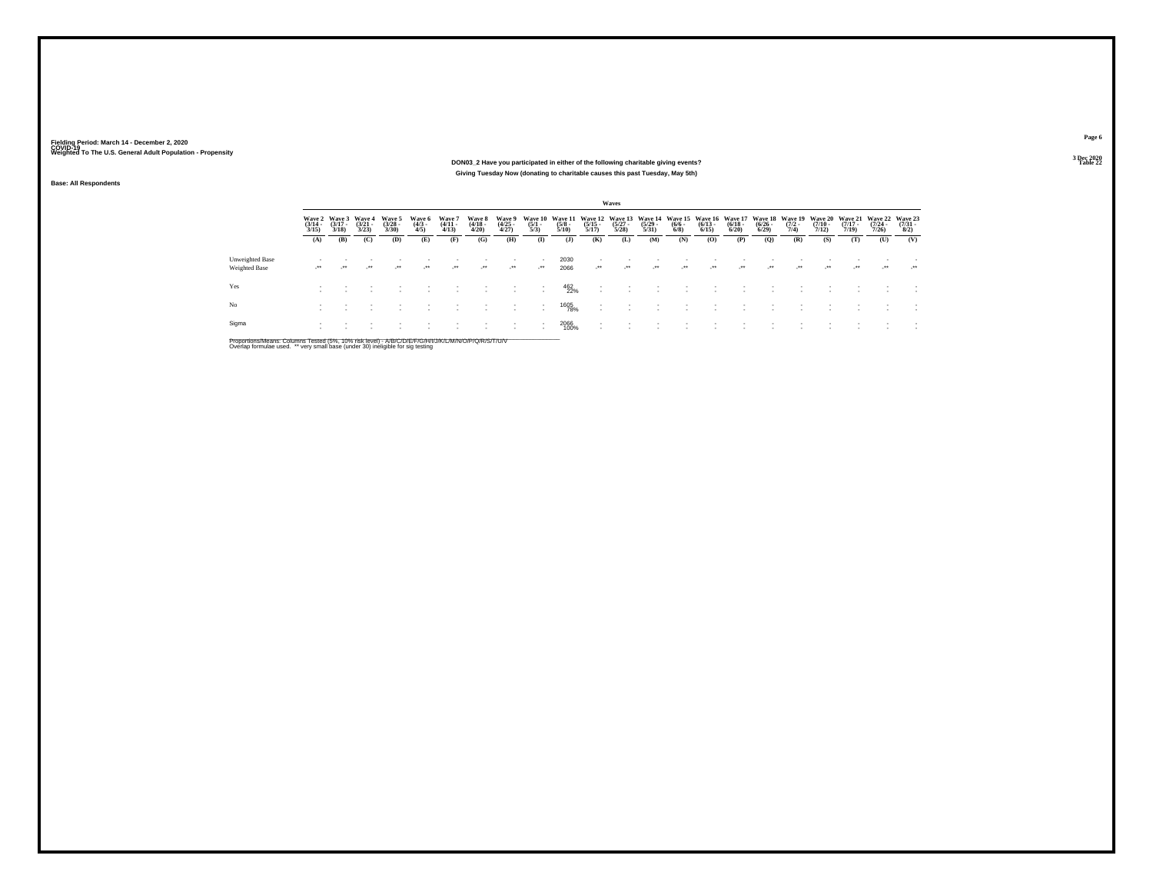### **DON03\_2 Have you participated in either of the following charitable giving events?Giving Tuesday Now (donating to charitable causes this past Tuesday, May 5th)**

**Base: All Respondents**

|                                  |                       |                                        |                                 |                                |                              |                                 |                                 |                                |                                |                                 |                                                      | Waves                                    |                                  |                     |                                                 |                       |                                           |                     |                                          |                                  |                                         |                                     |
|----------------------------------|-----------------------|----------------------------------------|---------------------------------|--------------------------------|------------------------------|---------------------------------|---------------------------------|--------------------------------|--------------------------------|---------------------------------|------------------------------------------------------|------------------------------------------|----------------------------------|---------------------|-------------------------------------------------|-----------------------|-------------------------------------------|---------------------|------------------------------------------|----------------------------------|-----------------------------------------|-------------------------------------|
|                                  | $\frac{(3/14)}{3/15}$ | Wave 2 Wave 3<br>$\frac{(3/17)}{3/18}$ | Wave 4<br>$\frac{(3/21)}{3/23}$ | Wave 5<br>$\binom{3/28}{3/30}$ | Wave 6<br>$\binom{4/3}{4/5}$ | Wave 7<br>$\frac{(4/11)}{4/13}$ | Wave 8<br>$\frac{(4/18)}{4/20}$ | Wave 9<br>$\binom{4/25}{4/27}$ | Wave 10<br>$\frac{(5/1)}{5/3}$ | Wave 11<br>$\frac{(5/8)}{5/10}$ | $\frac{(5/15)}{5/17}$                                | Wave 12 Wave 13<br>$\frac{(5/27)}{5/28}$ | Wave 14<br>$\frac{(5/29)}{5/31}$ | $\frac{(6/6)}{6/8}$ | Wave 15 Wave 16 Wave 17<br>$\binom{6/13}{6/15}$ | $\frac{(6/18)}{6/20}$ | <b>Wave 18</b><br>$\frac{(6/26)}{(6/29)}$ | $\frac{(7/2)}{7/4}$ | Wave 19 Wave 20<br>$\frac{(7/10)}{7/12}$ | Wave 21<br>$\frac{(7/17)}{7/19}$ | <b>Wave 22</b><br>$\frac{(7/24)}{7/26}$ | Wave 23<br>$\frac{(7/31 - 1)}{8/2}$ |
|                                  | (A)                   | (B)                                    | (C)                             | (D)                            | (E)                          | (F)                             | (G)                             | (H)                            | $($ $\Gamma$                   | $($ $\bf{J}$                    | (K)                                                  | (L)                                      | (M)                              | (N)                 | (O)                                             | (P)                   | (Q)                                       | (R)                 | (S)                                      | (T)                              | (U)                                     | (V)                                 |
| Unweighted Base<br>Weighted Base | $\cdot$               | $+ +$                                  | $\overline{\phantom{a}}$        | $\cdot$                        | $\cdot$                      | $\cdot$                         | $\cdot$                         | $\mathcal{L}^{\bullet\bullet}$ | $\cdot$                        | 2030<br>2066                    | $\overline{\phantom{a}}$<br>$\cdot$                  | $\cdot$                                  | $\cdot$                          | $\rightarrow$       | $\cdot$                                         | $\cdot$               | $\cdot$                                   | $\cdot$             |                                          | $\cdot$                          | $\overline{\phantom{a}}$                | $\cdot$                             |
| Yes                              |                       |                                        |                                 |                                |                              |                                 |                                 |                                |                                | 462<br>22%                      | ٠<br>$\overline{\phantom{a}}$                        |                                          |                                  |                     |                                                 |                       |                                           |                     |                                          |                                  |                                         |                                     |
| No.                              |                       |                                        |                                 |                                |                              |                                 |                                 |                                |                                | 1605<br>78%                     | $\overline{\phantom{a}}$<br>$\overline{\phantom{a}}$ |                                          |                                  |                     |                                                 |                       |                                           |                     |                                          |                                  |                                         |                                     |
| Sigma                            |                       |                                        |                                 |                                |                              |                                 |                                 |                                |                                | 2066<br>100%                    | $\sim$<br>$\overline{\phantom{a}}$                   |                                          |                                  |                     |                                                 |                       |                                           |                     |                                          |                                  |                                         |                                     |

Proportions/Means: Columns Tested (5%, 10% risk level) - A/B/C/D/E/F/G/H/I/J/K/L/M/N/O/P/Q/R/S/T/U/V<br>Overlap formulae used. \*\* very small base (under 30) ineligible for sig testing

**Page 6**3 Dec 2020<br>Table 22

**Table 22 Table 22**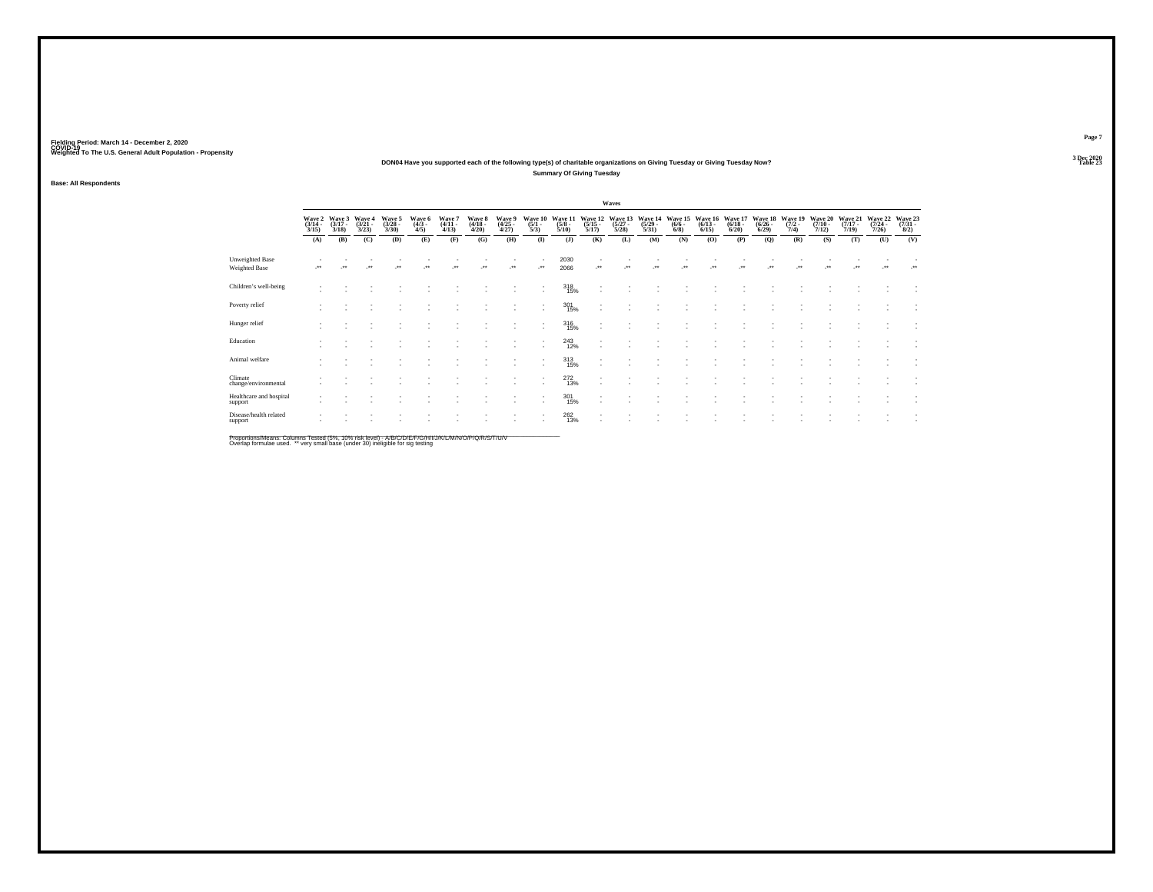### **DON04 Have you supported each of the following type(s) of charitable organizations on Giving Tuesday or Giving Tuesday Now?Summary Of Giving Tuesday**

**Base: All Respondents**

|                                    |                                 |                                 |                                 |                                 |                               |                                 |                                 |                                |                                |                                 |                                          | Waves                           |                                         |                                |                                 |                                 |                                  |                                |                                  |                                  |                                  |                                |
|------------------------------------|---------------------------------|---------------------------------|---------------------------------|---------------------------------|-------------------------------|---------------------------------|---------------------------------|--------------------------------|--------------------------------|---------------------------------|------------------------------------------|---------------------------------|-----------------------------------------|--------------------------------|---------------------------------|---------------------------------|----------------------------------|--------------------------------|----------------------------------|----------------------------------|----------------------------------|--------------------------------|
|                                    | Wave 2<br>$\frac{(3/14)}{3/15}$ | Wave 3<br>$\frac{(3/17)}{3/18}$ | Wave 4<br>$\frac{(3/21)}{3/23}$ | Wave 5<br>$\frac{(3/28)}{3/30}$ | Wave 6<br>$\frac{(4/3)}{4/5}$ | Wave 7<br>$\frac{(4/11)}{4/13}$ | Wave 8<br>$\frac{(4/18)}{4/20}$ | Wave 9<br>$\binom{4/25}{4/27}$ | Wave 10<br>$\frac{(5/1)}{5/3}$ | Wave 11<br>$\frac{(5/8)}{5/10}$ | Wave 12<br>$\frac{(5/15)}{5/17}$         | Wave 13<br>$\binom{5/27}{5/28}$ | Wave 14<br>$\frac{(5/29 - 5/31)}{5/31}$ | Wave 15<br>$\frac{(6/6)}{6/8}$ | Wave 16<br>$\binom{6/13}{6/15}$ | Wave 17<br>$\binom{6/18}{6/20}$ | Wave 18<br>$\frac{(6/26)}{6/29}$ | Wave 19<br>$\frac{(7/2)}{7/4}$ | Wave 20<br>$\frac{(7/10)}{7/12}$ | Wave 21<br>$\frac{(7/17)}{7/19}$ | Wave 22<br>$\frac{(7/24)}{7/26}$ | Wave 23<br>$\binom{7/31}{8/2}$ |
|                                    | (A)                             | (B)                             | (C)                             | (D)                             | (E)                           | (F)                             | (G)                             | (H)                            | $\bf (I)$                      | $($ $)$                         | (K)                                      | (L)                             | (M)                                     | (N)                            | (0)                             | (P)                             | (Q)                              | (R)                            | (S)                              | (T)                              | (U)                              | (V)                            |
| Unweighted Base<br>Weighted Base   |                                 |                                 |                                 | $\cdot$                         | $^{\tiny{**}}$                |                                 | $\cdot$                         | 59                             | $\cdot$                        | 2030<br>2066                    | $\mathcal{C}^{\star}$                    | ×                               |                                         | $^{\ast\ast}$                  | $\cdot$                         | $\star$                         | ٠.                               | $\bullet\bullet$               | $^{\tiny{**}}$                   | $\overline{\phantom{a}}$         | $\cdot$                          | $\cdot$                        |
| Children's well-being              |                                 |                                 |                                 |                                 |                               |                                 |                                 |                                |                                | $\frac{318}{15\%}$              | ٠<br>$\overline{\phantom{a}}$            |                                 |                                         |                                |                                 |                                 |                                  |                                |                                  |                                  |                                  |                                |
| Poverty relief                     |                                 |                                 |                                 |                                 |                               |                                 |                                 |                                |                                | $^{301}_{15\%}$                 | $\overline{\phantom{a}}$<br>$\mathbf{r}$ |                                 |                                         |                                |                                 |                                 |                                  |                                |                                  |                                  |                                  |                                |
| Hunger relief                      |                                 |                                 |                                 |                                 |                               |                                 |                                 |                                |                                | $^{316}_{15\%}$                 | ٠                                        |                                 |                                         |                                |                                 |                                 |                                  |                                |                                  |                                  |                                  |                                |
| Education                          |                                 |                                 |                                 |                                 |                               |                                 |                                 |                                |                                | $^{243}_{12\%}$                 | $\overline{\phantom{a}}$<br>٠            |                                 |                                         |                                |                                 |                                 |                                  |                                |                                  |                                  |                                  |                                |
| Animal welfare                     |                                 |                                 |                                 |                                 |                               |                                 |                                 |                                |                                | 313/15%                         | $\overline{\phantom{a}}$<br>$\sim$       |                                 |                                         |                                |                                 |                                 |                                  |                                |                                  |                                  |                                  |                                |
| Climate<br>change/environmental    |                                 |                                 |                                 |                                 |                               |                                 |                                 |                                |                                | $^{272}_{13\%}$                 | $\overline{\phantom{a}}$<br>$\mathbf{r}$ |                                 |                                         |                                |                                 |                                 |                                  |                                |                                  |                                  |                                  |                                |
| Healthcare and hospital<br>support |                                 |                                 |                                 |                                 |                               |                                 |                                 |                                |                                | $^{301}_{15\%}$                 | ٠<br>$\mathbf{r}$                        |                                 |                                         |                                |                                 |                                 |                                  |                                |                                  |                                  |                                  | $\overline{\phantom{a}}$       |
| Disease/health related<br>support  |                                 |                                 |                                 |                                 |                               |                                 |                                 |                                |                                | $^{262}_{13\%}$                 | ٠<br>$\overline{\phantom{a}}$            |                                 |                                         |                                |                                 |                                 |                                  |                                |                                  |                                  |                                  |                                |

Proportions/Means: Columns Tested (5%, 10% risk level) - A/B/C/D/E/F/G/H/I/J/K/L/M/N/O/P/Q/R/S/T/U/V<br>Overlap formulae used. \*\* very small base (under 30) ineligible for sig testing

**Page 7**3 Dec 2020<br>Table 23

**Table 23 Table 23**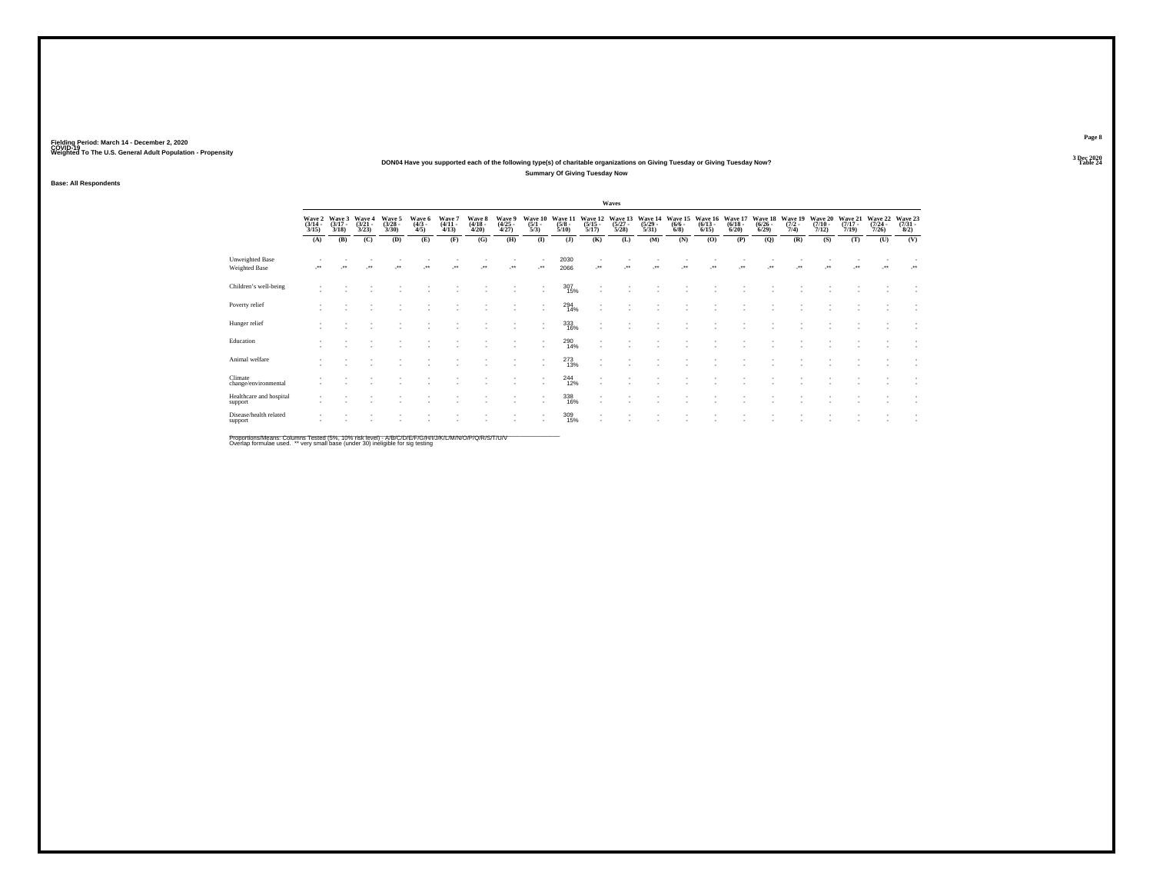### **DON04 Have you supported each of the following type(s) of charitable organizations on Giving Tuesday or Giving Tuesday Now?Summary Of Giving Tuesday Now**

**Base: All Respondents**

|                                    |                                 |                                 |                                 |                                 |                               |                                 |                                 |                                |                                |                                 |                                          | Waves                           |                                         |                                |                                 |                                 |                                  |                                |                                  |                                  |                                  |                                |
|------------------------------------|---------------------------------|---------------------------------|---------------------------------|---------------------------------|-------------------------------|---------------------------------|---------------------------------|--------------------------------|--------------------------------|---------------------------------|------------------------------------------|---------------------------------|-----------------------------------------|--------------------------------|---------------------------------|---------------------------------|----------------------------------|--------------------------------|----------------------------------|----------------------------------|----------------------------------|--------------------------------|
|                                    | Wave 2<br>$\frac{(3/14)}{3/15}$ | Wave 3<br>$\frac{(3/17)}{3/18}$ | Wave 4<br>$\frac{(3/21)}{3/23}$ | Wave 5<br>$\frac{(3/28)}{3/30}$ | Wave 6<br>$\frac{(4/3)}{4/5}$ | Wave 7<br>$\frac{(4/11)}{4/13}$ | Wave 8<br>$\frac{(4/18)}{4/20}$ | Wave 9<br>$\binom{4/25}{4/27}$ | Wave 10<br>$\frac{(5/1)}{5/3}$ | Wave 11<br>$\frac{(5/8)}{5/10}$ | Wave 12<br>$\frac{(5/15)}{5/17}$         | Wave 13<br>$\binom{5/27}{5/28}$ | Wave 14<br>$\frac{(5/29 - 5/31)}{5/31}$ | Wave 15<br>$\frac{(6/6)}{6/8}$ | Wave 16<br>$\binom{6/13}{6/15}$ | Wave 17<br>$\binom{6/18}{6/20}$ | Wave 18<br>$\frac{(6/26)}{6/29}$ | Wave 19<br>$\frac{(7/2)}{7/4}$ | Wave 20<br>$\frac{(7/10)}{7/12}$ | Wave 21<br>$\frac{(7/17)}{7/19}$ | Wave 22<br>$\frac{(7/24)}{7/26}$ | Wave 23<br>$\binom{7/31}{8/2}$ |
|                                    | (A)                             | (B)                             | (C)                             | (D)                             | (E)                           | (F)                             | (G)                             | (H)                            | $\bf (I)$                      | $($ $)$                         | (K)                                      | (L)                             | (M)                                     | (N)                            | (0)                             | (P)                             | (Q)                              | (R)                            | (S)                              | (T)                              | (U)                              | (V)                            |
| Unweighted Base<br>Weighted Base   |                                 |                                 |                                 | $\cdot$                         | $^{\tiny{**}}$                |                                 | $\cdot$                         | 59                             | $\cdot$                        | 2030<br>2066                    | $\mathcal{C}^{\star}$                    | ×                               |                                         | $^{\ast\ast}$                  | $\cdot$                         | $\star$                         | ٠.                               | $\bullet\bullet$               | $^{\tiny{**}}$                   | $\overline{\phantom{a}}$         | $\cdot$                          | $\cdot$                        |
| Children's well-being              |                                 |                                 |                                 |                                 |                               |                                 |                                 |                                |                                | $^{307}_{\phantom{1}15\%}$      | ٠<br>$\overline{\phantom{a}}$            |                                 |                                         |                                |                                 |                                 |                                  |                                |                                  |                                  |                                  |                                |
| Poverty relief                     |                                 |                                 |                                 |                                 |                               |                                 |                                 |                                |                                | 294<br>14%                      | $\overline{\phantom{a}}$<br>$\mathbf{r}$ |                                 |                                         |                                |                                 |                                 |                                  |                                |                                  |                                  |                                  |                                |
| Hunger relief                      |                                 |                                 |                                 |                                 |                               |                                 |                                 |                                |                                | $333 \over 16\%$                | $\overline{\phantom{a}}$                 |                                 |                                         |                                |                                 |                                 |                                  |                                |                                  |                                  |                                  |                                |
| Education                          |                                 |                                 |                                 |                                 |                               |                                 |                                 |                                |                                | $^{290}_{14\%}$                 | ٠<br>$\sim$                              |                                 |                                         |                                |                                 |                                 |                                  |                                |                                  |                                  |                                  |                                |
| Animal welfare                     |                                 |                                 |                                 |                                 |                               |                                 |                                 |                                |                                | $^{273}_{13\%}$                 | $\overline{\phantom{a}}$<br>$\sim$       |                                 |                                         |                                |                                 |                                 |                                  |                                |                                  |                                  |                                  |                                |
| Climate<br>change/environmental    |                                 |                                 |                                 |                                 |                               |                                 |                                 |                                |                                | $^{244}_{12\%}$                 | ٠<br>$\mathbf{r}$                        |                                 |                                         |                                |                                 |                                 |                                  |                                |                                  |                                  |                                  |                                |
| Healthcare and hospital<br>support |                                 |                                 |                                 |                                 |                               |                                 |                                 |                                |                                | 338<br>16%                      | ٠<br>$\mathbf{r}$                        |                                 |                                         |                                |                                 |                                 |                                  |                                |                                  |                                  |                                  | $\overline{\phantom{a}}$       |
| Disease/health related<br>support  |                                 |                                 |                                 |                                 |                               |                                 |                                 |                                |                                | 309/15%                         | ٠<br>$\overline{\phantom{a}}$            |                                 |                                         |                                |                                 |                                 |                                  |                                |                                  |                                  |                                  |                                |

Proportions/Means: Columns Tested (5%, 10% risk level) - A/B/C/D/E/F/G/H/I/J/K/L/M/N/O/P/Q/R/S/T/U/V<br>Overlap formulae used. \*\* very small base (under 30) ineligible for sig testing

**Page 8**3 Dec 2020<br>Table 24

**Table 24 Table 24 Table 24 Table 24 Table 24**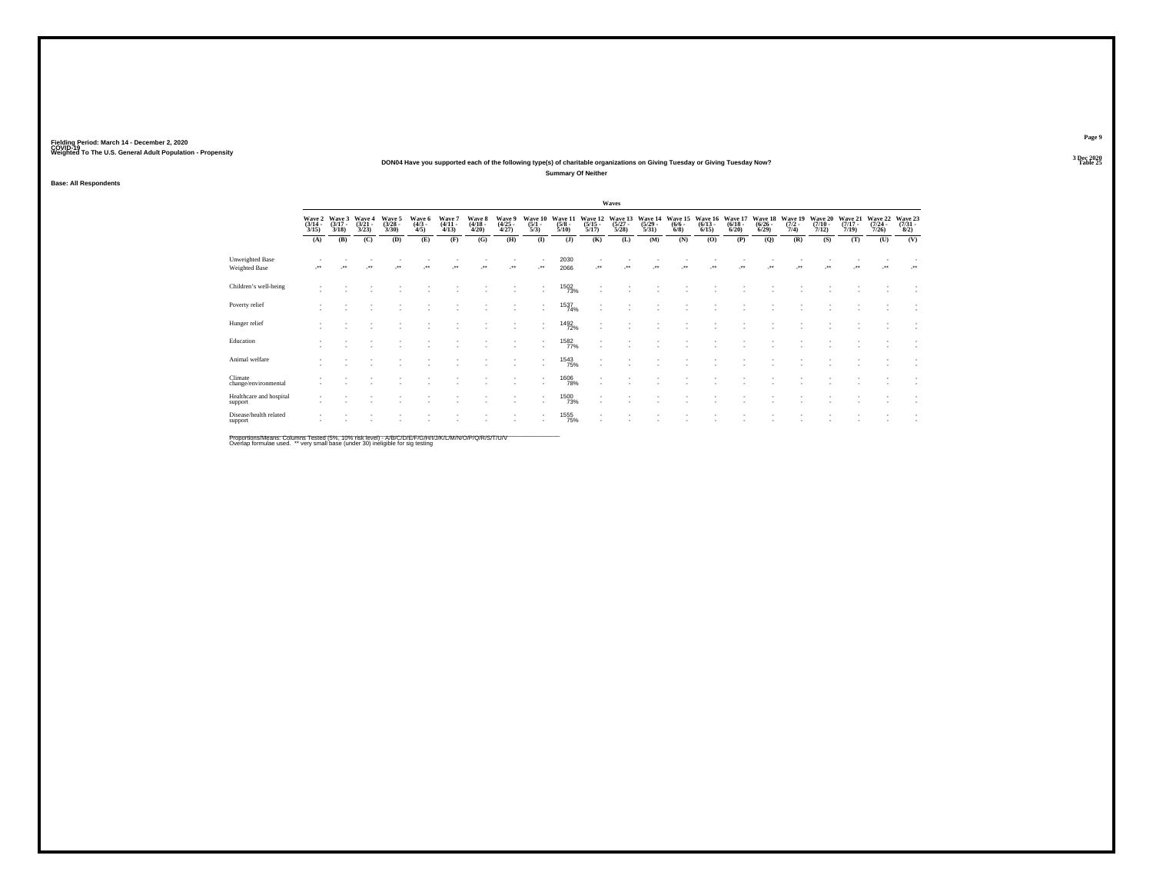### **DON04 Have you supported each of the following type(s) of charitable organizations on Giving Tuesday or Giving Tuesday Now?Summary Of Neither**

**Base: All Respondents**

|                                         |                                 |                                 |                                 |                                |                               |                                 |                                 |                                |                                |                                 |                                                      | Waves                            |                                  |                                |                                  |                                  |                                        |                                |                                  |                                  |                                  |                                |
|-----------------------------------------|---------------------------------|---------------------------------|---------------------------------|--------------------------------|-------------------------------|---------------------------------|---------------------------------|--------------------------------|--------------------------------|---------------------------------|------------------------------------------------------|----------------------------------|----------------------------------|--------------------------------|----------------------------------|----------------------------------|----------------------------------------|--------------------------------|----------------------------------|----------------------------------|----------------------------------|--------------------------------|
|                                         | Wave 2<br>$\frac{(3/14)}{3/15}$ | Wave 3<br>$\frac{(3/17)}{3/18}$ | Wave 4<br>$\frac{(3/21)}{3/23}$ | Wave 5<br>$\binom{3/28}{3/30}$ | Wave 6<br>$\frac{(4/3)}{4/5}$ | Wave 7<br>$\frac{(4/11)}{4/13}$ | Wave 8<br>$\frac{(4/18)}{4/20}$ | Wave 9<br>$\binom{4/25}{4/27}$ | Wave 10<br>$\frac{(5/1)}{5/3}$ | Wave 11<br>$\frac{(5/8)}{5/10}$ | Wave 12<br>$\frac{(5/15)}{5/17}$                     | Wave 13<br>$\frac{(5/27)}{5/28}$ | Wave 14<br>$\frac{(5/29)}{5/31}$ | Wave 15<br>$\frac{(6/6)}{6/8}$ | Wave 16<br>$\frac{(6/13)}{6/15}$ | Wave 17<br>$\frac{(6/18)}{6/20}$ | Wave 18<br>$\frac{(6/26 - 6)}{(6/29)}$ | Wave 19<br>$\frac{(7/2)}{7/4}$ | Wave 20<br>$\frac{(7/10)}{7/12}$ | Wave 21<br>$\frac{(7/17)}{7/19}$ | Wave 22<br>$\frac{(7/24)}{7/26}$ | Wave 23<br>$\binom{7/31}{8/2}$ |
|                                         | (A)                             | (B)                             | (C)                             | (D)                            | (E)                           | (F)                             | (G)                             | (H)                            | $($ $\Gamma$                   | $($ $)$                         | (K)                                                  | (L)                              | (M)                              | (N)                            | (O)                              | (P)                              | (Q)                                    | (R)                            | (S)                              | (T)                              | (U)                              | (V)                            |
| <b>Unweighted Base</b><br>Weighted Base | $\overline{\phantom{a}}$        | $\cdot$                         | -**                             | $\star$                        | $^{\tiny{**}}$                | $\cdot$                         | $\cdot$                         |                                | $\cdot$                        | 2030<br>2066                    | $\cdot$                                              |                                  | $\ddot{\phantom{1}}$             | $\ddot{\phantom{1}}$           | $\cdot$                          |                                  | $\cdot$                                | $\cdots$                       | $\cdot$                          | $\bullet\bullet$                 | $\mathcal{L}^{\bullet}$          | $\cdot$                        |
| Children's well-being                   |                                 |                                 |                                 |                                |                               |                                 |                                 |                                | ٠                              | <sup>1502</sup> 73%             | $\overline{\phantom{a}}$                             |                                  |                                  |                                |                                  |                                  |                                        |                                |                                  |                                  |                                  |                                |
| Poverty relief                          |                                 |                                 |                                 |                                |                               |                                 |                                 |                                | ٠                              | 1537<br>74%                     | ٠<br>$\overline{\phantom{a}}$                        |                                  |                                  |                                |                                  |                                  |                                        |                                |                                  |                                  |                                  |                                |
| Hunger relief                           |                                 |                                 |                                 |                                |                               |                                 |                                 |                                | ٠<br>٠                         | <sup>1492</sup> 72%             | $\overline{\phantom{a}}$<br>$\overline{\phantom{a}}$ |                                  |                                  |                                |                                  |                                  |                                        |                                |                                  |                                  |                                  |                                |
| Education                               |                                 |                                 |                                 |                                |                               |                                 |                                 |                                |                                | $\frac{1582}{77\%}$             | $\overline{\phantom{a}}$                             |                                  |                                  |                                |                                  |                                  |                                        |                                |                                  |                                  |                                  |                                |
| Animal welfare                          |                                 |                                 |                                 |                                |                               |                                 |                                 |                                | ٠                              | <sup>1543</sup> 75%             | $\overline{\phantom{a}}$                             |                                  |                                  |                                |                                  |                                  |                                        |                                |                                  |                                  |                                  |                                |
| Climate<br>change/environmental         |                                 |                                 |                                 |                                |                               |                                 |                                 |                                | ٠<br>٠                         | <sup>1606</sup> 78%             | ٠<br>$\overline{\phantom{a}}$                        |                                  |                                  |                                |                                  |                                  |                                        |                                |                                  |                                  |                                  |                                |
| Healthcare and hospital<br>support      |                                 |                                 |                                 |                                |                               |                                 |                                 | $\sim$                         | ٠                              | 1500<br>73%                     | $\overline{\phantom{a}}$<br>$\sim$                   |                                  |                                  |                                |                                  |                                  |                                        |                                |                                  |                                  |                                  | $\overline{\phantom{a}}$       |
| Disease/health related<br>support       |                                 |                                 |                                 |                                |                               |                                 |                                 |                                |                                | <sup>1555</sup> %               | $\sim$                                               |                                  |                                  |                                |                                  |                                  |                                        |                                |                                  |                                  |                                  |                                |

Proportions/Means: Columns Tested (5%, 10% risk level) - A/B/C/D/E/F/G/H/I/J/K/L/M/N/O/P/Q/R/S/T/U/V<br>Overlap formulae used. \*\* very small base (under 30) ineligible for sig testing

**Page 9**3 Dec 2020<br>Table 25

**Table 25 Table 25**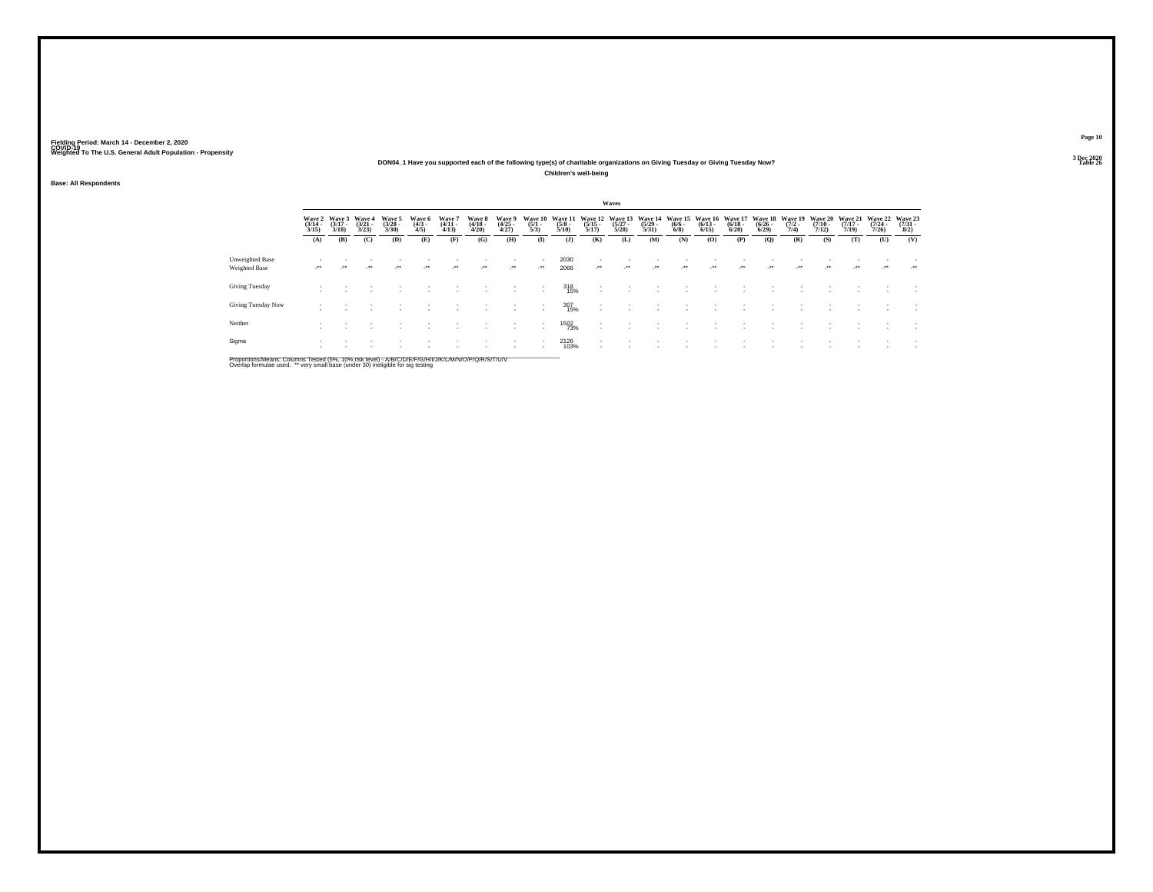### **DON04\_1 Have you supported each of the following type(s) of charitable organizations on Giving Tuesday or Giving Tuesday Now?Children's well-being**

**Base: All Respondents**

|                                  |                                 |                                 |                                 |                                |                               |                                 |                            |                                 |                                |                                 |                                  | Waves                            |                                         |                                |                                 |                                  |                                    |                                |                                  |                                         |                                         |                                |
|----------------------------------|---------------------------------|---------------------------------|---------------------------------|--------------------------------|-------------------------------|---------------------------------|----------------------------|---------------------------------|--------------------------------|---------------------------------|----------------------------------|----------------------------------|-----------------------------------------|--------------------------------|---------------------------------|----------------------------------|------------------------------------|--------------------------------|----------------------------------|-----------------------------------------|-----------------------------------------|--------------------------------|
|                                  | Wave 2<br>$\frac{(3/14)}{3/15}$ | Wave 3<br>$\frac{(3/17)}{3/18}$ | Wave 4<br>$\frac{(3/21)}{3/23}$ | Wave 5<br>$\binom{3/28}{3/30}$ | Wave 6<br>$\frac{(4/3)}{4/5}$ | Wave '<br>$\frac{(4/11)}{4/13}$ | Wave 8<br>(4/18 -<br>4/20) | Wave 9<br>$\frac{(4/25)}{4/27}$ | Wave 10<br>$\frac{(5/1)}{5/3}$ | Wave 11<br>$\frac{(5/8)}{5/10}$ | Wave 12<br>$\frac{(5/15)}{5/17}$ | Wave 13<br>$\frac{(5/27)}{5/28}$ | Wave 14<br>$\frac{(5/29 - 5/31)}{5/31}$ | Wave 15<br>$\frac{(6/6)}{6/8}$ | Wave 16<br>$\binom{6/13}{6/15}$ | Wave 17<br>$\frac{(6/18)}{6/20}$ | Wave 18<br>$\frac{(6/26)}{(6/29)}$ | Wave 19<br>$\frac{(7/2)}{7/4}$ | Wave 20<br>$\frac{(7/10)}{7/12}$ | <b>Wave 21</b><br>$\frac{(7/17)}{7/19}$ | Wave 22<br>$\frac{(7/24 - 7/26)}{7/26}$ | Wave 23<br>$\binom{7/31}{8/2}$ |
|                                  | (A)                             | (B)                             | (C)                             | (D)                            | (E)                           | (F)                             | (G)                        | (H)                             | $\bf{I}$                       | $($ J $)$                       | (K)                              | (L)                              | (M)                                     | (N)                            | (0)                             | (P)                              | $\mathbf{Q}$                       | (R)                            | (S)                              | (T)                                     | (U)                                     | (V)                            |
| Unweighted Base<br>Weighted Base | ٠.                              |                                 | $\ddot{\phantom{1}}$            | $\star$                        | $\cdot$                       | $\cdot$                         | $\cdot$                    | $\mathcal{L}^{\text{max}}$      | $\cdot$                        | 2030<br>2066                    | $\cdot$                          | $\cdot$                          | $\cdot$                                 | $\ddot{\phantom{1}}$           | $\ddot{\phantom{0}}$            | $\ddot{\phantom{1}}$             | $\bullet\,\bullet$                 | $^{\tiny{++}}$                 | $\bullet\bullet$                 | $\overline{\phantom{a}}$                | $\cdot$                                 | $\mathcal{L}^{\bullet\bullet}$ |
| <b>Giving Tuesday</b>            | ٠                               |                                 |                                 |                                |                               |                                 |                            |                                 |                                | 318<br>15%                      | $\overline{\phantom{a}}$         |                                  |                                         |                                |                                 |                                  |                                    |                                |                                  |                                         |                                         |                                |
| Giving Tuesday Now               |                                 |                                 |                                 |                                |                               |                                 |                            |                                 |                                | 307<br>15%                      |                                  |                                  |                                         |                                |                                 |                                  |                                    |                                |                                  |                                         |                                         |                                |
| Neither                          |                                 |                                 |                                 |                                |                               |                                 |                            | ٠                               |                                | 1502<br>73%                     | $\overline{\phantom{a}}$<br>٠    |                                  |                                         |                                |                                 |                                  |                                    |                                |                                  |                                         |                                         |                                |
| Sigma                            |                                 |                                 |                                 |                                |                               |                                 |                            | ٠                               | $\overline{\phantom{a}}$       | 2126<br>103%                    | ٠                                |                                  |                                         |                                |                                 |                                  |                                    |                                |                                  |                                         |                                         |                                |

Proportions/Means: Columns Tested (5%, 10% risk level) - A/B/C/D/E/F/G/H/I/J/K/L/M/N/O/P/Q/R/S/T/U/V<br>Overlap formulae used. \*\* very small base (under 30) ineligible for sig testing

**Page 103 Dec 2020<br>Table 26** 

**Table 26 Table 26 Table 26 Table 26 Table 26 Table 26**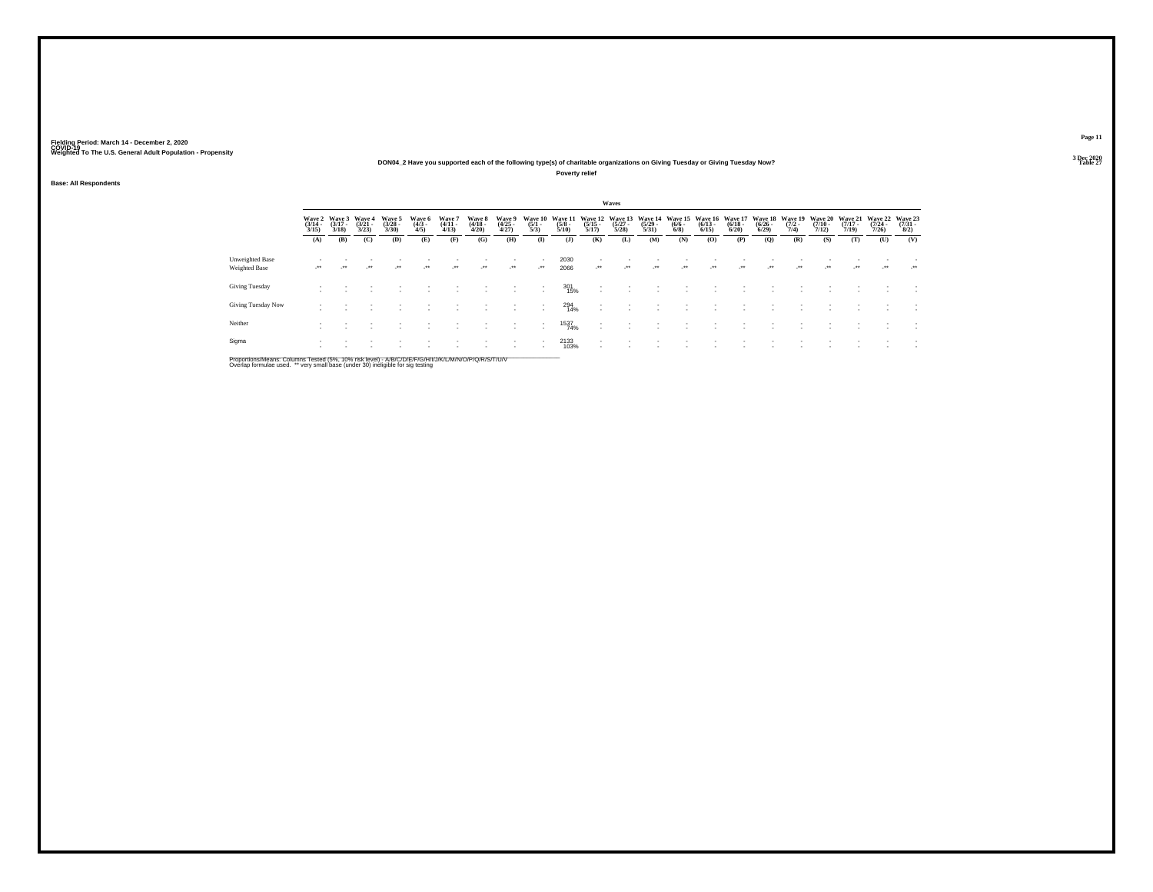## **DON04\_2 Have you supported each of the following type(s) of charitable organizations on Giving Tuesday or Giving Tuesday Now?**

**Poverty relief**

### **Base: All Respondents**

|                                  |                       |                                    |                             |                                |                              |                               |                                 |                                |                                |                                 |                                  | Waves                            |                                  |                               |                                  |                                 |                                    |                                |                                  |                                  |                              |                                     |
|----------------------------------|-----------------------|------------------------------------|-----------------------------|--------------------------------|------------------------------|-------------------------------|---------------------------------|--------------------------------|--------------------------------|---------------------------------|----------------------------------|----------------------------------|----------------------------------|-------------------------------|----------------------------------|---------------------------------|------------------------------------|--------------------------------|----------------------------------|----------------------------------|------------------------------|-------------------------------------|
|                                  | $\frac{(3/14)}{3/15}$ | Wave 2 Wave 3<br>$(3/17 -$<br>3/18 | Wave 4<br>$(3/21 -$<br>3/23 | Wave 5<br>$\binom{3/28}{3/30}$ | Wave 6<br>$\binom{4/3}{4/5}$ | Wave 7<br>$(4/11 -$<br>(4/13) | Wave 8<br>$\frac{(4/18)}{4/20}$ | Wave 9<br>$\binom{4/25}{4/27}$ | Wave 10<br>$\frac{(5/1)}{5/3}$ | Wave 11<br>$\frac{(5/8)}{5/10}$ | Wave 12<br>$\frac{(5/15)}{5/17}$ | Wave 13<br>$\frac{(5/27)}{5/28}$ | Wave 14<br>$\frac{(5/29)}{5/31}$ | Wave 15<br>$\binom{6/6}{6/8}$ | Wave 16<br>$\frac{(6/13)}{6/15}$ | Wave 17<br>$\binom{6/18}{6/20}$ | Wave 18<br>$\frac{(6/26)}{(6/29)}$ | Wave 19<br>$\frac{(7/2)}{7/4}$ | Wave 20<br>$\frac{(7/10)}{7/12}$ | Wave 21<br>$\frac{(7/17)}{7/19}$ | Wave 22<br>$(7/24 -$<br>7/26 | Wave 23<br>$\frac{(7/31 - 8)}{8/2}$ |
|                                  | (A)                   | (B)                                | (C)                         | (D)                            | (E)                          | (F)                           | (G)                             | (H)                            | $($ $\Gamma$                   | $($ $)$                         | (K)                              | (L)                              | (M)                              | (N)                           | (O)                              | (P)                             | (Q)                                | (R)                            | (S)                              | (T)                              | (U)                          | (V)                                 |
| Unweighted Base<br>Weighted Base | $\cdot$               | $\cdot$                            | $\cdot$                     | $\cdot$                        | $\cdot$                      | $\cdot$                       | $\cdot$                         | $\mathcal{L}^{\bullet\bullet}$ | $\cdot$                        | 2030<br>2066                    | $\mathcal{L}^{\bullet\bullet}$   | $\mathcal{L}^{\bullet\bullet}$   | $\cdot$                          | $\cdot$                       | $\cdot$                          | $\cdot$                         |                                    | $\cdot$                        | $\cdot$                          | $\overline{\phantom{a}}$         | $\cdot$                      | ur.                                 |
| Giving Tuesday                   | $\sim$                |                                    |                             |                                |                              |                               |                                 | $\sim$                         | $\overline{\phantom{a}}$       | 301<br>15%                      | $\sim$                           |                                  |                                  |                               |                                  |                                 |                                    |                                |                                  |                                  | ٠                            |                                     |
| Giving Tuesday Now               |                       |                                    |                             |                                |                              |                               |                                 |                                | ٠                              | 294<br>14%                      | $\sim$                           |                                  |                                  |                               |                                  |                                 |                                    |                                |                                  |                                  |                              |                                     |
| Neither                          |                       |                                    |                             |                                |                              |                               |                                 | $\overline{\phantom{a}}$       | $\overline{\phantom{a}}$       | 1537<br>74%                     |                                  |                                  |                                  |                               |                                  |                                 |                                    |                                |                                  |                                  |                              | $\mathbf{r}$                        |
| Sigma                            | $\mathbf{r}$          |                                    |                             |                                |                              |                               |                                 | $\overline{\phantom{a}}$       |                                | 2133<br>103%                    | $\sim$                           |                                  |                                  |                               |                                  |                                 |                                    |                                |                                  |                                  |                              |                                     |

Proportions/Means: Columns Tested (5%, 10% risk level) - A/B/C/D/E/F/G/H/I/J/K/L/M/N/O/P/Q/R/S/T/U/V<br>Overlap formulae used. \*\* very small base (under 30) ineligible for sig testing

**Page 11**3 Dec 2020<br>Table 27

**Table 27 Table 27 Table 27 Table 27 Table 27**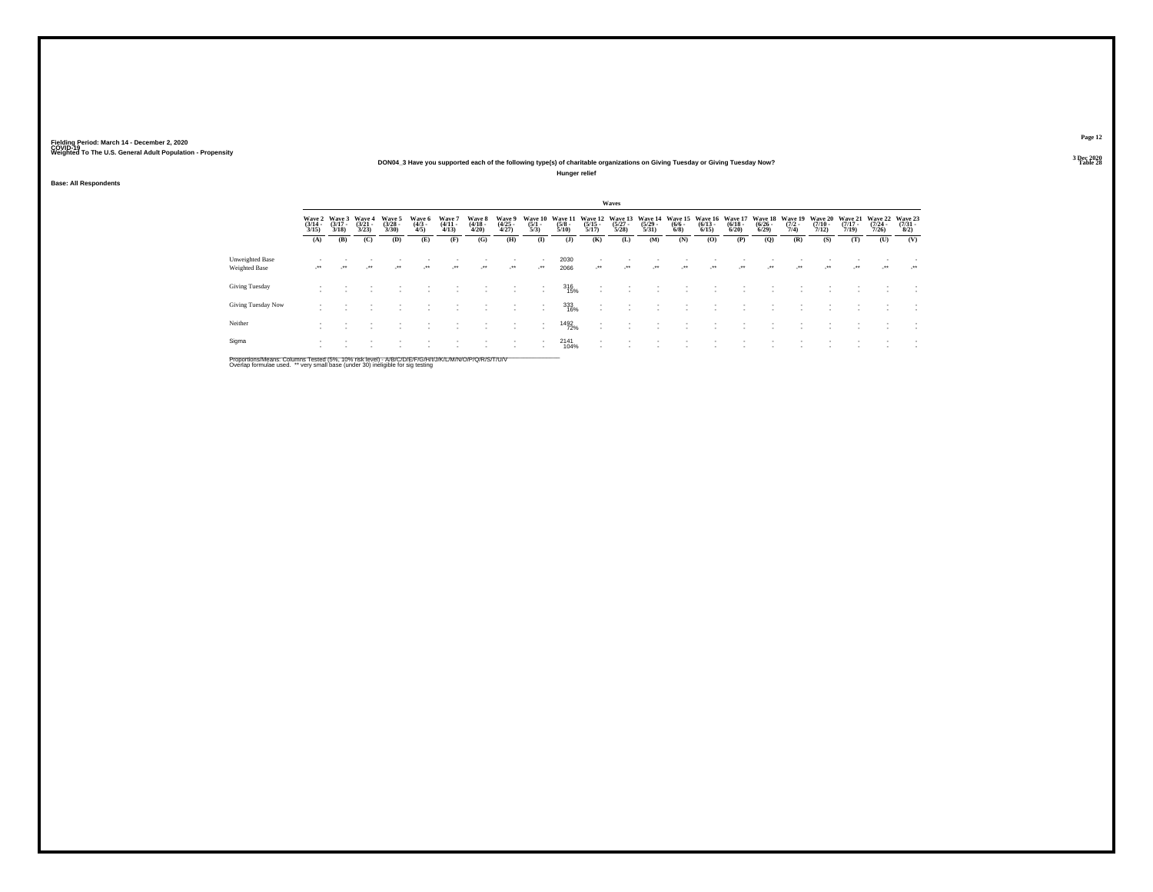## **DON04\_3 Have you supported each of the following type(s) of charitable organizations on Giving Tuesday or Giving Tuesday Now?**

**Hunger relief**

### **Base: All Respondents**

|                                  |                       |                                        |                                 |                                |                               |                                |                                 |                                |                                |                                 |                                  | Waves                           |                                  |                               |                                         |                                 |                                  |                                |                                  |                                  |                              |                                |
|----------------------------------|-----------------------|----------------------------------------|---------------------------------|--------------------------------|-------------------------------|--------------------------------|---------------------------------|--------------------------------|--------------------------------|---------------------------------|----------------------------------|---------------------------------|----------------------------------|-------------------------------|-----------------------------------------|---------------------------------|----------------------------------|--------------------------------|----------------------------------|----------------------------------|------------------------------|--------------------------------|
|                                  | $\frac{(3/14)}{3/15}$ | Wave 2 Wave 3<br>$\frac{(3/17)}{3/18}$ | Wave 4<br>$\frac{(3/21)}{3/23}$ | Wave 5<br>$\binom{3/28}{3/30}$ | Wave 6<br>$\frac{(4/3)}{4/5}$ | Wave?<br>$\frac{(4/11)}{4/13}$ | Wave 8<br>$\frac{(4/18)}{4/20}$ | Wave 9<br>$\binom{4/25}{4/27}$ | Wave 10<br>$\frac{(5/1)}{5/3}$ | Wave 11<br>$\frac{(5/8)}{5/10}$ | Wave 12<br>$\frac{(5/15)}{5/17}$ | Wave 13<br>$\binom{5/27}{5/28}$ | Wave 14<br>$\frac{(5/29)}{5/31}$ | Wave 15<br>$\binom{6/6}{6/8}$ | Wave 16<br>$\frac{(6/13 - 6/15)}{6/15}$ | Wave 17<br>$\binom{6/18}{6/20}$ | Wave 18<br>$\frac{(6/26)}{6/29}$ | Wave 19<br>$\frac{(7/2)}{7/4}$ | Wave 20<br>$\frac{(7/10)}{7/12}$ | Wave 21<br>$\frac{(7/17)}{7/19}$ | Wave 22<br>$(7/24 -$<br>7/26 | Wave 23<br>$\binom{7/31}{8/2}$ |
|                                  | (A)                   | (B)                                    | (C)                             | (D)                            | (E)                           | (F)                            | (G)                             | (H)                            | $\bf{I}$                       | (1)                             | (K)                              | (L)                             | (M)                              | (N)                           | (O)                                     | (P)                             | (Q)                              | (R)                            | (S)                              | (T)                              | (U)                          | (V)                            |
| Unweighted Base<br>Weighted Base | $\cdot$               | $\cdot$                                | $\cdot$                         | $\cdot$                        | $\cdot$                       | $\cdot$                        | $\cdot$                         | $\mathbb{R}^{n+1}$             | $\cdot$                        | 2030<br>2066                    | $\cdot$                          | $\cdot$                         | $\overline{\phantom{a}}$         | $\cdot$                       | $\cdot$                                 | $\cdot$                         | $\cdot$                          | $\ddot{\phantom{1}}$           | $\cdot$                          | $\overline{\phantom{a}}$         | $\cdot$                      | <b>Section</b>                 |
| Giving Tuesday                   |                       |                                        |                                 |                                | $\sim$                        | $\sim$                         |                                 | $\sim$                         | $\overline{\phantom{a}}$       | 316<br>15%                      | $\sim$                           |                                 |                                  | $\overline{\phantom{a}}$      |                                         |                                 |                                  |                                |                                  | $\overline{\phantom{a}}$         | $\overline{\phantom{a}}$     | $\overline{\phantom{a}}$       |
| Giving Tuesday Now               |                       |                                        |                                 |                                |                               |                                |                                 |                                |                                | 333<br>16%                      | $\sim$                           |                                 |                                  |                               |                                         |                                 |                                  |                                |                                  |                                  |                              | $\overline{\phantom{a}}$       |
| Neither                          |                       |                                        |                                 |                                |                               |                                |                                 |                                |                                | 1492<br>72%                     |                                  |                                 |                                  |                               |                                         |                                 |                                  |                                |                                  |                                  | $\overline{\phantom{a}}$     | $\overline{\phantom{a}}$       |
| Sigma                            |                       |                                        |                                 |                                |                               |                                |                                 |                                |                                | 2141<br>104%                    |                                  |                                 |                                  |                               |                                         |                                 |                                  |                                |                                  |                                  |                              | $\overline{\phantom{a}}$       |

Proportions/Means: Columns Tested (5%, 10% risk level) - A/B/C/D/E/F/G/H/I/J/K/L/M/N/O/P/Q/R/S/T/U/V<br>Overlap formulae used. \*\* very small base (under 30) ineligible for sig testing

**Page 12**3 Dec 2020<br>Table 28

**Table 28 Table 28**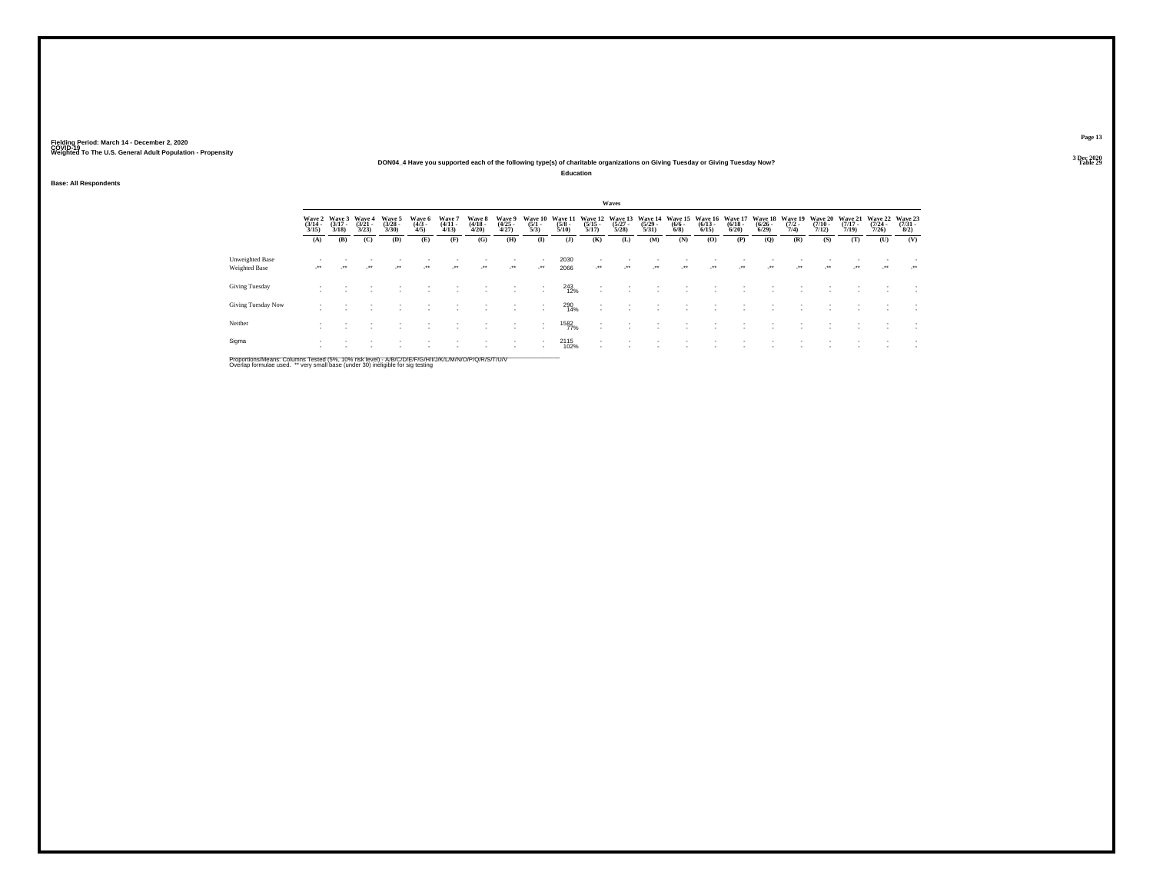### **DON04\_4 Have you supported each of the following type(s) of charitable organizations on Giving Tuesday or Giving Tuesday Now?**

**Education**

**Base: All Respondents**

|                                  |                       |                                        |                             |                                |                               |                                |                                 |                                |                                |                                |                                                      | Waves                            |                                  |                               |                                  |                                 |                                    |                                |                              |                              |                                  |                                |
|----------------------------------|-----------------------|----------------------------------------|-----------------------------|--------------------------------|-------------------------------|--------------------------------|---------------------------------|--------------------------------|--------------------------------|--------------------------------|------------------------------------------------------|----------------------------------|----------------------------------|-------------------------------|----------------------------------|---------------------------------|------------------------------------|--------------------------------|------------------------------|------------------------------|----------------------------------|--------------------------------|
|                                  | $\frac{(3/14)}{3/15}$ | Wave 2 Wave 3<br>$\frac{(3/17)}{3/18}$ | Wave 4<br>$(3/21 -$<br>3/23 | Wave 5<br>$\binom{3/28}{3/30}$ | Wave 6<br>$\frac{(4/3)}{4/5}$ | Wave?<br>$\frac{(4/11)}{4/13}$ | Wave 8<br>$\frac{(4/18)}{4/20}$ | Wave 9<br>$\binom{4/25}{4/27}$ | Wave 10<br>$\frac{(5/1)}{5/3}$ | Wave 1<br>$\frac{(5/8)}{5/10}$ | Wave 12<br>$\frac{(5/15)}{5/17}$                     | Wave 13<br>$\frac{(5/27)}{5/28}$ | Wave 14<br>$\frac{(5/29)}{5/31}$ | Wave 15<br>$\binom{6/6}{6/8}$ | Wave 16<br>$\frac{(6/13)}{6/15}$ | Wave 17<br>$\binom{6/18}{6/20}$ | Wave 18<br>$\frac{(6/26)}{(6/29)}$ | Wave 19<br>$\frac{(7/2)}{7/4}$ | Wave 20<br>$(7/10 -$<br>7/12 | Wave 21<br>$(7/17 -$<br>7/19 | Wave 22<br>$\frac{(7/24)}{7/26}$ | Wave 23<br>$\binom{7/31}{8/2}$ |
|                                  | (A)                   | (B)                                    | (C)                         | (D)                            | (E)                           | (F)                            | (G)                             | (H)                            | $\mathbf{I}$                   | $($ $\bf{J}$                   | (K)                                                  | (L)                              | (M)                              | (N)                           | (O)                              | (P)                             | (Q)                                | (R)                            | (S)                          | (T)                          | (U)                              | (V)                            |
| Unweighted Base<br>Weighted Base | $\cdot$               |                                        | $\cdot$                     | $\cdot$                        | $\cdot$                       | $\cdot$                        | $\cdot$                         | $\mathcal{L}^{\bullet\bullet}$ | $\cdot$                        | 2030<br>2066                   | $\overline{\phantom{a}}$<br>$\cdot$                  | $\cdot$                          | $\cdot$                          | $\cdot$                       | $\cdot$                          | $\cdot$                         | $\cdot$                            | $\overline{\phantom{a}}$       | $\cdot$                      | $\cdot$                      | $\mathcal{L}^{\bullet\bullet}$   | $\cdot$                        |
| Giving Tuesday                   |                       |                                        |                             |                                |                               |                                |                                 | $\overline{\phantom{a}}$       |                                | 243<br>12%                     | $\overline{\phantom{a}}$<br>$\overline{\phantom{a}}$ |                                  |                                  |                               |                                  |                                 |                                    |                                |                              |                              |                                  |                                |
| Giving Tuesday Now               |                       |                                        |                             |                                |                               |                                |                                 | ٠                              |                                | 290<br>14%                     | $\overline{\phantom{a}}$<br>$\overline{\phantom{a}}$ |                                  |                                  |                               |                                  |                                 |                                    |                                |                              |                              |                                  |                                |
| Neither                          |                       |                                        |                             |                                |                               |                                |                                 | $\overline{\phantom{a}}$       | $\sim$                         | 1582<br>77%                    | $\overline{\phantom{a}}$<br>$\overline{\phantom{a}}$ |                                  |                                  |                               |                                  |                                 |                                    |                                |                              |                              |                                  | $\overline{\phantom{a}}$       |
| Sigma                            |                       |                                        |                             |                                |                               |                                |                                 | $\overline{\phantom{a}}$       |                                | 2115<br>102%                   | $\overline{\phantom{a}}$<br>$\overline{\phantom{a}}$ |                                  |                                  |                               |                                  |                                 |                                    |                                |                              |                              |                                  | $\overline{\phantom{a}}$       |

Proportions/Means: Columns Tested (5%, 10% risk level) - A/B/C/D/E/F/G/H/I/J/K/L/M/N/O/P/Q/R/S/T/U/V<br>Overlap formulae used. \*\* very small base (under 30) ineligible for sig testing

**Page 13**3 Dec 2020<br>Table 29

**Table 29 Table 29**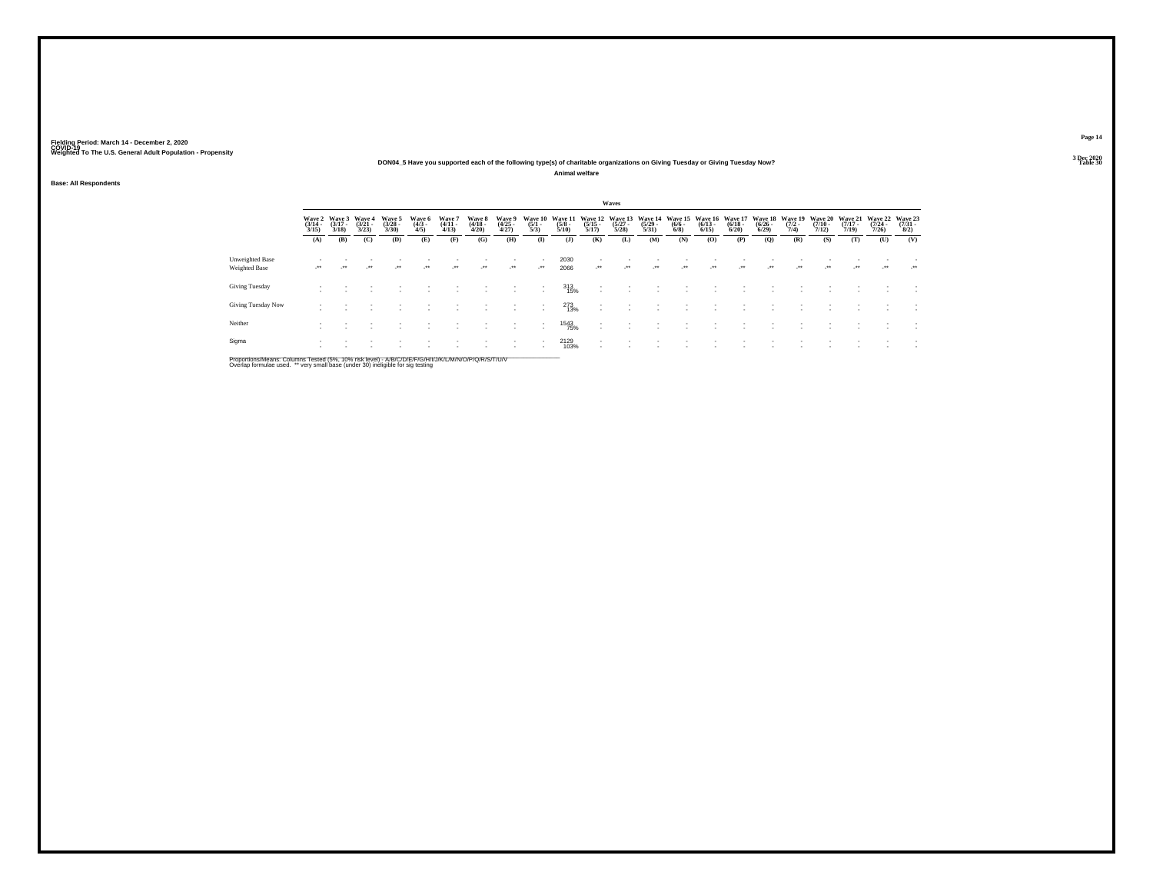## **DON04\_5 Have you supported each of the following type(s) of charitable organizations on Giving Tuesday or Giving Tuesday Now?**

**Animal welfare**

**Base: All Respondents**

|                                  |                          |                                        |                             |                                |                               |                                |                                 |                                                        |                                |                                 |                                                      | Waves                            |                                  |                                |                                 |                                 |                                        |                                |                                  |                              |                                  |                                |
|----------------------------------|--------------------------|----------------------------------------|-----------------------------|--------------------------------|-------------------------------|--------------------------------|---------------------------------|--------------------------------------------------------|--------------------------------|---------------------------------|------------------------------------------------------|----------------------------------|----------------------------------|--------------------------------|---------------------------------|---------------------------------|----------------------------------------|--------------------------------|----------------------------------|------------------------------|----------------------------------|--------------------------------|
|                                  | $\frac{(3/14)}{3/15}$    | Wave 2 Wave 3<br>$\frac{(3/17)}{3/18}$ | Wave 4<br>$(3/21 -$<br>3/23 | Wave 5<br>$\binom{3/28}{3/30}$ | Wave 6<br>$\frac{(4/3)}{4/5}$ | Wave?<br>$\frac{(4/11)}{4/13}$ | Wave 8<br>$\frac{(4/18)}{4/20}$ | Wave 9<br>$\binom{4/25}{4/27}$                         | Wave 10<br>$\frac{(5/1)}{5/3}$ | Wave 11<br>$\frac{(5/8)}{5/10}$ | Wave 12<br>$\frac{(5/15)}{5/17}$                     | Wave 13<br>$\frac{(5/27)}{5/28}$ | Wave 14<br>$\frac{(5/29)}{5/31}$ | Wave 15<br>$\frac{(6/6)}{6/8}$ | Wave 16<br>$\binom{6/13}{6/15}$ | Wave 17<br>$\binom{6/18}{6/20}$ | Wave 18<br>$\frac{(6/26 - 6)}{(6/29)}$ | Wave 19<br>$\frac{(7/2)}{7/4}$ | Wave 20<br>$\frac{(7/10)}{7/12}$ | Wave 21<br>$(7/17 -$<br>7/19 | Wave 22<br>$\frac{(7/24)}{7/26}$ | Wave 23<br>$\binom{7/31}{8/2}$ |
|                                  | (A)                      | (B)                                    | (C)                         | (D)                            | (E)                           | (F)                            | (G)                             | (H)                                                    | $($ $\Gamma$                   | $($ J $)$                       | (K)                                                  | (L)                              | (M)                              | (N)                            | (O)                             | (P)                             | (Q)                                    | (R)                            | (S)                              | (T)                          | (U)                              | (V)                            |
| Unweighted Base<br>Weighted Base | $\cdot$                  | $\cdot$                                | $\cdot$                     | $\cdot$                        | $\cdot$                       | $\lambda$                      | $\cdot$                         | $\overline{\phantom{a}}$<br>$\mathcal{L}^{\text{max}}$ | $\rightarrow$                  | 2030<br>2066                    | $\cdot$                                              | $\cdot$                          | $\cdot$                          | $\cdot$                        | $\cdot$                         | $\cdot$                         | $\overline{\phantom{a}}$               | $\overline{\phantom{a}}$       | $\cdot$                          | $\cdot$                      | $\mathcal{L}^{\bullet\bullet}$   | ur.                            |
| Giving Tuesday                   | $\overline{\phantom{a}}$ |                                        |                             |                                |                               |                                | $\overline{\phantom{a}}$        | $\overline{\phantom{a}}$                               | $\overline{\phantom{a}}$       | 313<br>15%                      | ٠<br>$\mathbf{r}$                                    |                                  |                                  |                                | ٠                               |                                 |                                        |                                |                                  |                              |                                  |                                |
| Giving Tuesday Now               |                          |                                        |                             |                                |                               |                                |                                 | $\overline{\phantom{a}}$                               | $\sim$                         | 273<br>13%                      | $\overline{\phantom{a}}$                             |                                  |                                  |                                |                                 |                                 |                                        |                                |                                  |                              |                                  |                                |
| Neither                          |                          |                                        |                             |                                |                               |                                | $\overline{\phantom{a}}$        | $\overline{\phantom{a}}$                               | $\sim$<br>$\sim$               | 1543<br>75%                     | $\overline{\phantom{a}}$<br>$\overline{\phantom{a}}$ |                                  |                                  |                                |                                 |                                 |                                        |                                |                                  |                              |                                  |                                |
| Sigma                            |                          |                                        |                             |                                |                               |                                |                                 | $\overline{\phantom{a}}$                               | $\sim$                         | 2129<br>103%                    | $\overline{\phantom{a}}$<br>٠                        |                                  |                                  |                                |                                 |                                 |                                        |                                |                                  |                              |                                  |                                |

Proportions/Means: Columns Tested (5%, 10% risk level) - A/B/C/D/E/F/G/H/I/J/K/L/M/N/O/P/Q/R/S/T/U/V<br>Overlap formulae used. \*\* very small base (under 30) ineligible for sig testing

**Page 14**3 Dec 2020<br>Table 30

**Table 30 Table 30 Table 30 Table 30 Table 30**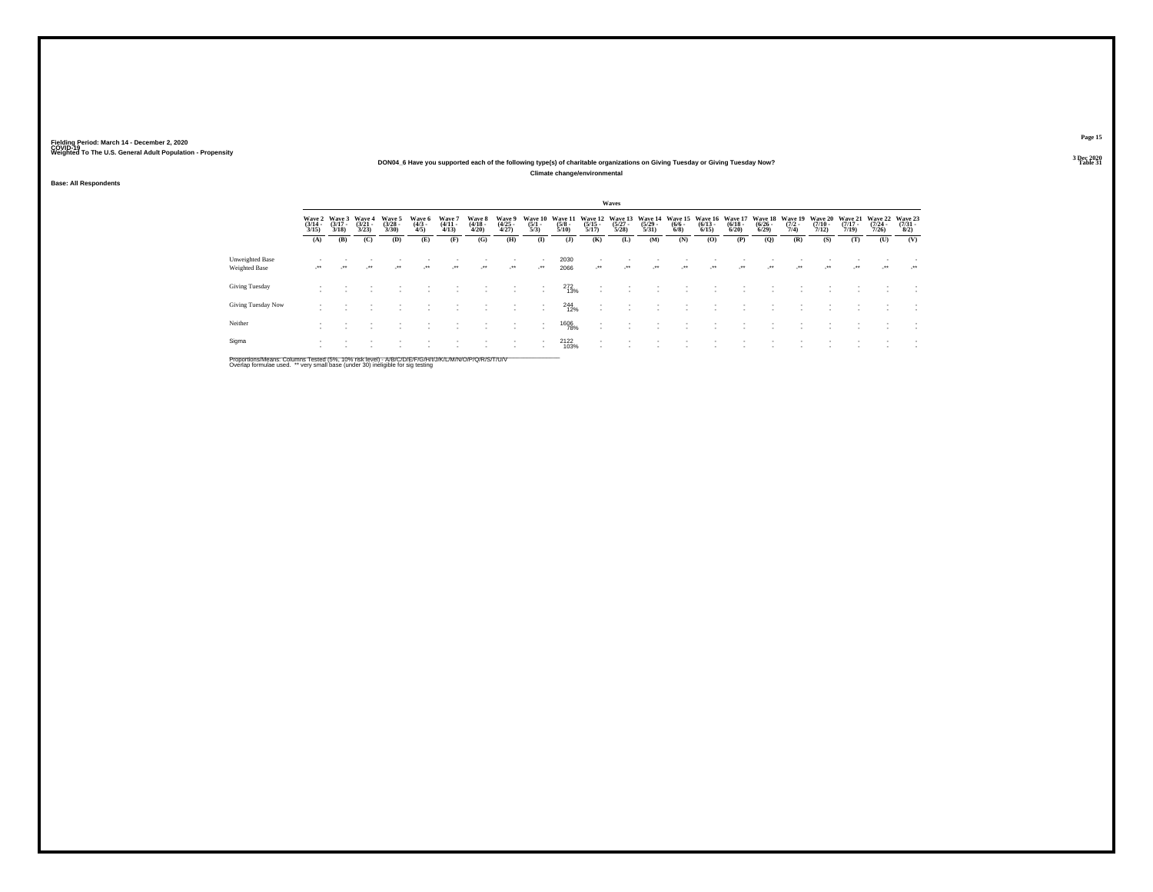## **DON04\_6 Have you supported each of the following type(s) of charitable organizations on Giving Tuesday or Giving Tuesday Now?**

**Climate change/environmental**

### **Base: All Respondents**

|                                  |                                 |                                 |                                 |                                |                               |                                |                                 |                                |                                |                                 |                                                      | Waves                            |                                  |                               |                                  |                                 |                                    |                                |                                  |                                  |                                         |                                     |
|----------------------------------|---------------------------------|---------------------------------|---------------------------------|--------------------------------|-------------------------------|--------------------------------|---------------------------------|--------------------------------|--------------------------------|---------------------------------|------------------------------------------------------|----------------------------------|----------------------------------|-------------------------------|----------------------------------|---------------------------------|------------------------------------|--------------------------------|----------------------------------|----------------------------------|-----------------------------------------|-------------------------------------|
|                                  | Wave 2<br>$\frac{(3/14)}{3/15}$ | Wave 3<br>$\frac{(3/17)}{3/18}$ | Wave 4<br>$\frac{(3/21)}{3/23}$ | Wave 5<br>$\binom{3/28}{3/30}$ | Wave 6<br>$\frac{(4/3)}{4/5}$ | Wave 7<br>$\frac{(4/11}{4/13}$ | Wave 8<br>$\frac{(4/18)}{4/20}$ | Wave 9<br>$\binom{4/25}{4/27}$ | Wave 10<br>$\frac{(5/1)}{5/3}$ | Wave 11<br>$\frac{(5/8)}{5/10}$ | Wave 12<br>$\frac{(5/15)}{5/17}$                     | Wave 13<br>$\frac{(5/27)}{5/28}$ | Wave 14<br>$\frac{(5/29)}{5/31}$ | Wave 15<br>$\binom{6/6}{6/8}$ | Wave 16<br>$\frac{(6/13)}{6/15}$ | Wave 17<br>$\binom{6/18}{6/20}$ | Wave 18<br>$\frac{(6/26)}{(6/29)}$ | Wave 19<br>$\frac{(7/2)}{7/4}$ | Wave 20<br>$\frac{(7/10)}{7/12}$ | Wave 21<br>$\frac{(7/17)}{7/19}$ | Wave 22<br>$\frac{(7/24 - 7/26)}{7/26}$ | Wave 23<br>$\frac{(7/31 - 8)}{8/2}$ |
|                                  | (A)                             | (B)                             | (C)                             | (D)                            | (E)                           | (F)                            | (G)                             | (H)                            | $\bf(I)$                       | $($ J $)$                       | (K)                                                  | (L)                              | (M)                              | (N)                           | (O)                              | (P)                             | (Q)                                | (R)                            | (S)                              | (T)                              | (U)                                     | (V)                                 |
| Unweighted Base<br>Weighted Base | $\cdot$                         | $\cdot$                         | $\cdot$                         | $\cdot$                        | $\cdot$                       | $\cdot$                        | $\cdot$                         | $\cdot$                        | $\mathcal{L}^{\bullet\bullet}$ | 2030<br>2066                    | $\overline{\phantom{a}}$<br>$\cdot$                  | $\cdot$                          | $\cdot$                          |                               | $\cdot$                          | -**                             | $\cdot$                            | $\cdot$                        | $\cdot$                          | $\cdot$                          | $\cdot$                                 | $\cdot$                             |
| Giving Tuesday                   |                                 |                                 |                                 |                                |                               |                                |                                 |                                |                                | 272<br>13%                      | ٠<br>$\overline{\phantom{a}}$                        |                                  |                                  |                               |                                  |                                 |                                    |                                |                                  |                                  |                                         |                                     |
| Giving Tuesday Now               |                                 |                                 |                                 |                                |                               |                                |                                 |                                |                                | <sup>244</sup> <sub>12%</sub>   | $\overline{\phantom{a}}$<br>$\overline{\phantom{a}}$ |                                  |                                  |                               |                                  |                                 |                                    |                                |                                  |                                  |                                         |                                     |
| Neither                          |                                 |                                 |                                 |                                |                               |                                |                                 | $\overline{\phantom{a}}$       | $\overline{\phantom{a}}$       | <sup>1606</sup> 78%             | $\overline{\phantom{a}}$<br>$\overline{\phantom{a}}$ |                                  |                                  |                               |                                  |                                 |                                    |                                |                                  |                                  |                                         | $\overline{\phantom{a}}$            |
| Sigma                            | $\sim$                          |                                 |                                 |                                |                               |                                |                                 | $\overline{\phantom{a}}$       | $\sim$                         | 2122<br>103%                    | $\overline{\phantom{a}}$                             |                                  |                                  |                               |                                  |                                 |                                    |                                |                                  |                                  |                                         |                                     |

Proportions/Means: Columns Tested (5%, 10% risk level) - A/B/C/D/E/F/G/H/I/J/K/L/M/N/O/P/Q/R/S/T/U/V<br>Overlap formulae used. \*\* very small base (under 30) ineligible for sig testing

**Page 15**3 Dec 2020<br>Table 31

**Table 31 Table 31**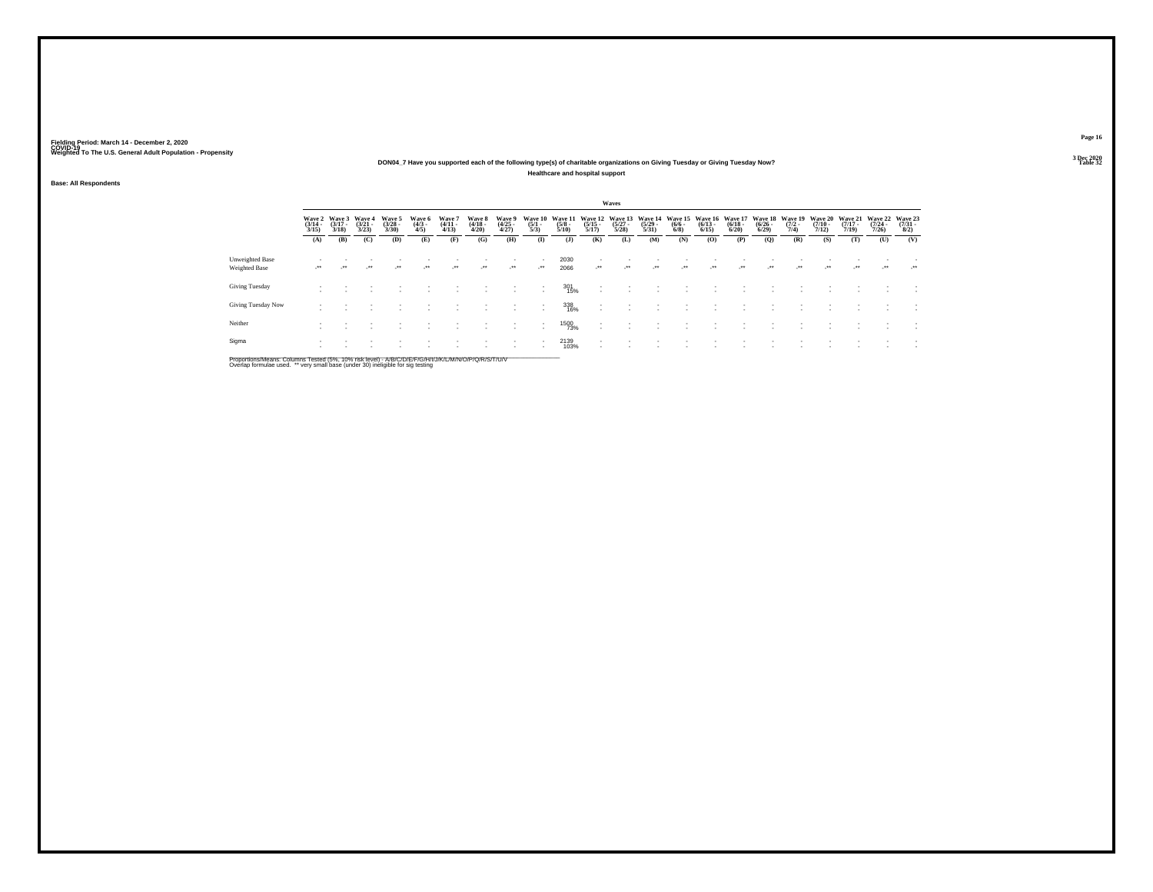### **DON04\_7 Have you supported each of the following type(s) of charitable organizations on Giving Tuesday or Giving Tuesday Now?Healthcare and hospital support**

**Base: All Respondents**

|                                         |                       |                                        |                                 |                                 |                              |                             |                                 |                                    |                                |                                |                                  | Waves                            |                                         |                                           |                                         |                                 |                                  |                                |                                         |                                  |                                  |                                |
|-----------------------------------------|-----------------------|----------------------------------------|---------------------------------|---------------------------------|------------------------------|-----------------------------|---------------------------------|------------------------------------|--------------------------------|--------------------------------|----------------------------------|----------------------------------|-----------------------------------------|-------------------------------------------|-----------------------------------------|---------------------------------|----------------------------------|--------------------------------|-----------------------------------------|----------------------------------|----------------------------------|--------------------------------|
|                                         | $\frac{(3/14)}{3/15}$ | Wave 2 Wave 3<br>$\frac{(3/17)}{3/18}$ | Wave 4<br>$\frac{(3/21)}{3/23}$ | Wave 5<br>$\frac{(3/28)}{3/30}$ | Wave 6<br>$\binom{4/3}{4/5}$ | Wave '<br>$(4/11 -$<br>4/13 | Wave 8<br>$\frac{(4/18)}{4/20}$ | Wave 9<br>$\frac{(4/25)}{4/27}$    | Wave 10<br>$\frac{(5/1)}{5/3}$ | Wave 1<br>$\frac{(5/8)}{5/10}$ | Wave 12<br>$\frac{(5/15)}{5/17}$ | Wave 13<br>$\frac{(5/27)}{5/28}$ | Wave 14<br>$\frac{(5/29 - 5/31)}{5/31}$ | <b>Wave 15</b><br>$\frac{(6/6 - 6)}{6/8}$ | Wave 16<br>$\frac{(6/13 - 6/15)}{6/15}$ | Wave 17<br>$\binom{6/18}{6/20}$ | Wave 18<br>$\frac{(6/26)}{6/29}$ | Wave 19<br>$\frac{(7/2)}{7/4}$ | <b>Wave 20</b><br>$\frac{(7/10)}{7/12}$ | Wave 21<br>$\frac{(7/17)}{7/19}$ | Wave 22<br>$\frac{(7/24)}{7/26}$ | Wave 23<br>$\binom{7/31}{8/2}$ |
|                                         | (A)                   | (B)                                    | (C)                             | (D)                             | (E)                          | (F)                         | (G)                             | (H)                                | $($ $\Gamma$                   | (1)                            | (K)                              | (L)                              | (M)                                     | (N)                                       | (O)                                     | (P)                             | (Q)                              | (R)                            | (S)                                     | (T)                              | (U)                              | (V)                            |
| <b>Unweighted Base</b><br>Weighted Base | $\cdot$               | $\mathcal{L}^{\bullet\bullet}$         | $\cdot$                         | $\cdot$                         | $\overline{\phantom{a}}$     | $\cdot$                     | $\cdot$                         | $\sim$                             | $\cdot$                        | 2030<br>2066                   | $\cdot$                          | $\overline{\phantom{a}}$         | $\cdot$                                 | $\cdot$                                   | $\cdot$                                 | $\cdot$                         | $\cdot$                          | ur.                            | $\cdot$                                 | $\cdot$                          | $\cdot$                          | $\cdot$                        |
| Giving Tuesday                          |                       |                                        |                                 |                                 |                              |                             |                                 | $\overline{\phantom{a}}$           |                                | 301<br>15%                     | $\mathbf{r}$                     |                                  |                                         |                                           |                                         |                                 |                                  |                                |                                         |                                  |                                  |                                |
| Giving Tuesday Now                      |                       |                                        |                                 |                                 |                              |                             |                                 | $\overline{\phantom{a}}$           | ٠                              | 338<br>16%                     | . .                              |                                  |                                         |                                           |                                         |                                 |                                  |                                |                                         |                                  |                                  |                                |
| Neither                                 |                       |                                        |                                 |                                 |                              |                             |                                 | $\sim$<br>$\overline{\phantom{a}}$ | $\overline{\phantom{a}}$<br>٠  | 1500<br>73%                    | . .                              |                                  |                                         |                                           |                                         |                                 |                                  |                                |                                         |                                  |                                  | ٠                              |
| Sigma                                   |                       |                                        |                                 |                                 |                              |                             |                                 | ٠                                  | ٠                              | 2139<br>103%                   |                                  |                                  |                                         |                                           |                                         |                                 |                                  |                                |                                         |                                  |                                  |                                |

Proportions/Means: Columns Tested (5%, 10% risk level) - A/B/C/D/E/F/G/H/I/J/K/L/M/N/O/P/Q/R/S/T/U/V<br>Overlap formulae used. \*\* very small base (under 30) ineligible for sig testing

**Page 16**3 Dec 2020<br>Table 32

**Table 32 Table 32**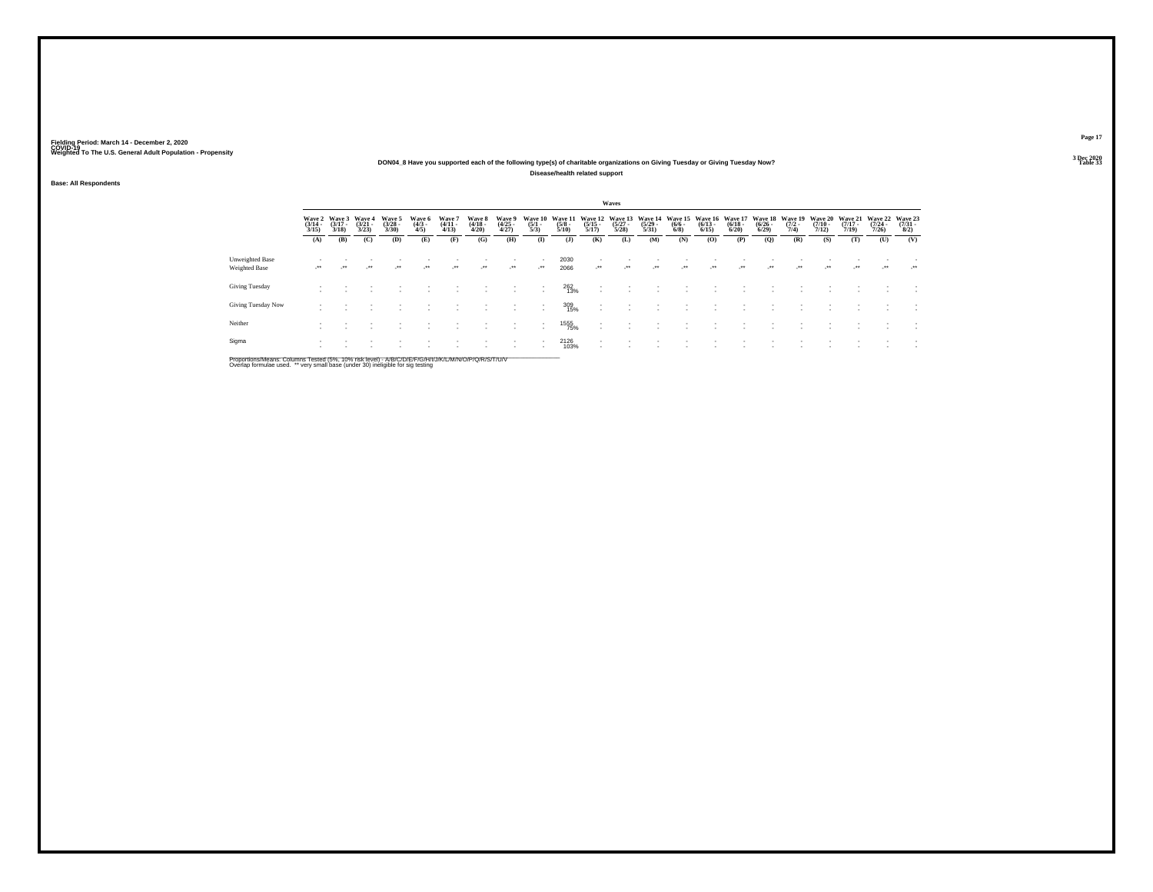## **DON04\_8 Have you supported each of the following type(s) of charitable organizations on Giving Tuesday or Giving Tuesday Now?**

**Disease/health related support**

**Base: All Respondents**

|                                  |                                     |                                 |                                 |                                |                               |                                      |                                 |                                                            |                                                      |                                 |                                    | Waves                            |                                  |                                |                                 |                                  |                                      |                                |                                  |                                  |                                         |                                |
|----------------------------------|-------------------------------------|---------------------------------|---------------------------------|--------------------------------|-------------------------------|--------------------------------------|---------------------------------|------------------------------------------------------------|------------------------------------------------------|---------------------------------|------------------------------------|----------------------------------|----------------------------------|--------------------------------|---------------------------------|----------------------------------|--------------------------------------|--------------------------------|----------------------------------|----------------------------------|-----------------------------------------|--------------------------------|
|                                  | Wave 2<br>$\frac{(3/14)}{3/15}$     | Wave 3<br>$\frac{(3/17)}{3/18}$ | Wave 4<br>$\frac{(3/21)}{3/23}$ | Wave 5<br>$\binom{3/28}{3/30}$ | Wave 6<br>$\frac{(4/3)}{4/5}$ | <b>Wave</b><br>$\frac{(4/11)}{4/13}$ | Wave 8<br>$\frac{(4/18)}{4/20}$ | Wave 9<br>$\frac{(4/25)}{4/27}$                            | Wave 10<br>$\frac{(5/1)}{5/3}$                       | Wave 11<br>$\frac{(5/8)}{5/10}$ | Wave 12<br>$\frac{(5/15)}{5/17}$   | Wave 13<br>$\frac{(5/27)}{5/28}$ | Wave 14<br>$\frac{(5/29)}{5/31}$ | Wave 15<br>$\frac{(6/6)}{6/8}$ | Wave 16<br>$\binom{6/13}{6/15}$ | Wave 17<br>$\frac{(6/18)}{6/20}$ | Wave 18<br>$\frac{(6/26 - 6)}{6/29}$ | Wave 19<br>$\frac{(7/2)}{7/4}$ | Wave 20<br>$\frac{(7/10)}{7/12}$ | Wave 21<br>$\frac{(7/17)}{7/19}$ | Wave 22<br>$\frac{(7/24 - 7/26)}{7/26}$ | Wave 23<br>$\binom{7/31}{8/2}$ |
|                                  | (A)                                 | (B)                             | (C)                             | (D)                            | (E)                           | (F)                                  | (G)                             | (H)                                                        | $\mathbf{I}$                                         | (1)                             | (K)                                | (L)                              | (M)                              | (N)                            | (O)                             | (P)                              | (Q)                                  | (R)                            | (S)                              | (T)                              | (U)                                     | (V)                            |
| Unweighted Base<br>Weighted Base | $\overline{\phantom{a}}$<br>$\cdot$ | $\cdot$                         | $\cdot$                         | $\cdot$                        | $\cdot$                       | $\cdot$                              | $\cdot$                         | $\overline{\phantom{a}}$<br>$\mathcal{L}^{\bullet\bullet}$ | $\overline{\phantom{a}}$<br>$\cdot$                  | 2030<br>2066                    | $\cdot$                            | $\cdot$                          | $\cdot$                          | $\cdot$                        | $\cdot$                         | $\cdot$                          | $\cdot$                              | $\cdot$                        | $\cdot$                          |                                  | $\cdot$                                 | $\cdot$                        |
| Giving Tuesday                   |                                     |                                 |                                 |                                |                               |                                      |                                 |                                                            | $\overline{\phantom{a}}$                             | 262<br>13%                      |                                    |                                  |                                  |                                |                                 |                                  |                                      |                                |                                  |                                  |                                         |                                |
| Giving Tuesday Now               |                                     |                                 |                                 |                                |                               |                                      |                                 |                                                            | $\overline{\phantom{a}}$                             | 309<br>15%                      | $\sim$<br>$\sim$                   |                                  |                                  |                                |                                 |                                  |                                      |                                |                                  |                                  |                                         |                                |
| Neither                          |                                     |                                 |                                 |                                |                               |                                      |                                 |                                                            | $\overline{\phantom{a}}$<br>$\overline{\phantom{a}}$ | 1555<br>75%                     | $\sim$<br>$\overline{\phantom{a}}$ |                                  | ٠                                |                                |                                 |                                  |                                      |                                |                                  |                                  |                                         |                                |
| Sigma                            |                                     |                                 |                                 |                                |                               |                                      |                                 | $\overline{\phantom{a}}$                                   |                                                      | 2126<br>103%                    | $\sim$                             |                                  |                                  |                                |                                 |                                  |                                      |                                |                                  |                                  |                                         |                                |

Proportions/Means: Columns Tested (5%, 10% risk level) - A/B/C/D/E/F/G/H/I/J/K/L/M/N/O/P/Q/R/S/T/U/V<br>Overlap formulae used. \*\* very small base (under 30) ineligible for sig testing

**Page 17**3 Dec 2020<br>Table 33

**Table 33 Table 33**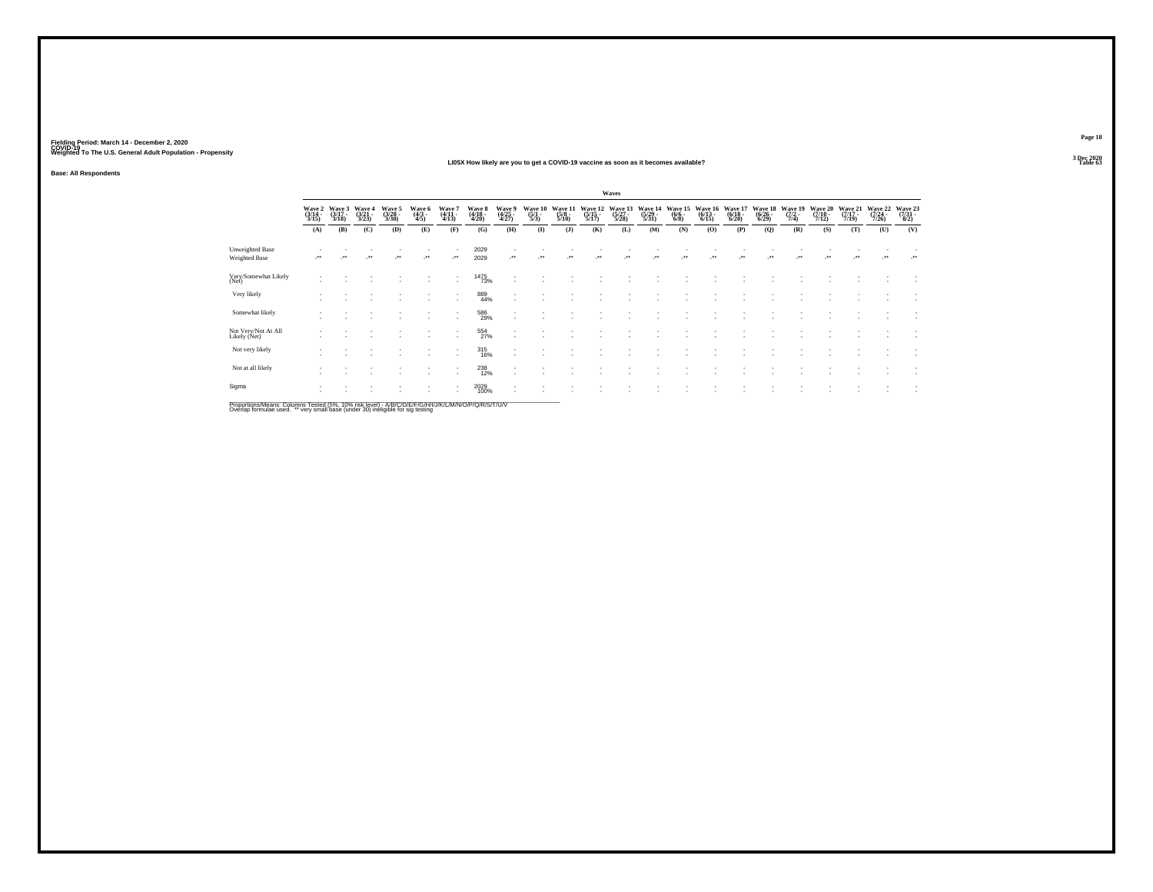### **LI05X How likely are you to get a COVID-19 vaccine as soon as it becomes available?Table 63**

**Base: All Respondents**

|                                     |                            |                                              |                          |                            |                          |                            |                            |                                    |                                      |                                   |                             | Waves                       |                             |                          |                             |                             |                             |                           |                                    |                             |                             |                                 |
|-------------------------------------|----------------------------|----------------------------------------------|--------------------------|----------------------------|--------------------------|----------------------------|----------------------------|------------------------------------|--------------------------------------|-----------------------------------|-----------------------------|-----------------------------|-----------------------------|--------------------------|-----------------------------|-----------------------------|-----------------------------|---------------------------|------------------------------------|-----------------------------|-----------------------------|---------------------------------|
|                                     | Wave 2<br>(3/14 -<br>3/15) | $\frac{\text{Wave}}{\frac{3}{17}}$ .<br>3/18 | Wave 4<br>(3/21<br>3/23) | Wave 5<br>(3/28 -<br>3/30) | Wave 6<br>(4/3 -<br>4/5) | Wave 7<br>(4/11 -<br>4/13) | Wave 8<br>(4/18 -<br>4/20) | Wave 9<br>(4/25 -<br>4/27)         | Wave 10<br>$\frac{(5/1 - 1)}{(5/3)}$ | Wave 11<br>$\frac{(5/8)}{(5/10)}$ | Wave 12<br>(5/15 -<br>5/17) | Wave 13<br>(5/27 -<br>5/28) | Wave 14<br>(5/29 -<br>5/31) | Wave 1<br>(6/6 -<br>6/8) | Wave 1.<br>(6/13 -<br>6/15) | Wave 17<br>(6/18 -<br>6/20) | Wave 18<br>(6/26 -<br>6/29) | Wave 19<br>(7/2 -<br>7/4) | Wave 20<br>$\frac{(7/10-7)}{7/12}$ | Wave 21<br>(7/17 -<br>7/19) | Wave 22<br>(7/24 -<br>7/26) | Wave 23<br>$\frac{(7/31)}{8/2}$ |
|                                     | (A)                        | (B)                                          | (C)                      | (D)                        | (E)                      | (F)                        | (G)                        | (H)                                | $($ $\Gamma$                         | $($ $)$                           | (K)                         | (L)                         | (M)                         | (N)                      | (O)                         | (P)                         | (Q)                         | (R)                       | (S)                                | (T)                         | (U)                         | (V)                             |
| Unweighted Base<br>Weighted Base    |                            |                                              |                          |                            |                          | ٠<br>$\star\star$          | 2029<br>2029               | ₩.                                 |                                      |                                   |                             |                             |                             |                          |                             |                             |                             |                           |                                    |                             | $\bullet\,\bullet$          |                                 |
| Very/Somewhat Likely<br>(Net)       |                            |                                              |                          |                            |                          | ۰                          | <sup>1475</sup> 73%        | $\overline{\phantom{a}}$           |                                      |                                   |                             |                             |                             |                          |                             |                             |                             |                           |                                    |                             |                             |                                 |
| Very likely                         |                            |                                              |                          |                            |                          | $\sim$                     | 889<br>44%                 |                                    |                                      |                                   |                             |                             |                             |                          |                             |                             |                             |                           |                                    |                             |                             |                                 |
| Somewhat likely                     |                            |                                              |                          |                            | ٠                        | ٠<br>۰                     | 586<br>29%                 | $\sim$<br>$\overline{\phantom{a}}$ |                                      |                                   |                             |                             |                             |                          |                             |                             |                             |                           |                                    |                             |                             | ×                               |
| Not Very/Not At All<br>Likely (Net) |                            |                                              |                          |                            |                          | $\mathbf{r}$<br>$\sim$     | 554<br>27%                 | $\;$<br>÷.                         |                                      |                                   |                             |                             |                             |                          |                             |                             |                             |                           |                                    |                             |                             | $\overline{\phantom{a}}$        |
| Not very likely                     |                            |                                              |                          |                            |                          | ٠                          | 315<br>16%                 |                                    |                                      |                                   |                             |                             |                             |                          |                             |                             |                             |                           |                                    |                             |                             |                                 |
| Not at all likely                   |                            |                                              |                          |                            |                          | ٠<br>٠                     | <sup>238</sup><br>12%      | $\overline{\phantom{a}}$<br>۰.     |                                      |                                   |                             |                             |                             |                          |                             |                             |                             |                           |                                    |                             |                             |                                 |
| Sigma                               |                            |                                              |                          |                            |                          | ٠<br>٠                     | 2029<br>100%               | $\overline{\phantom{a}}$           |                                      |                                   |                             |                             |                             |                          |                             |                             |                             |                           |                                    |                             |                             |                                 |

Proportions/Means: Columns Tested (5%, 10% risk level) - A/B/C/D/E/F/G/H/I/J/K/L/M/N/O/P/Q/R/S/T/U/V<br>Overlap formulae used. \*\* very small base (under 30) ineligible for sig testing

**Page 183 Dec 2020<br>Table 63**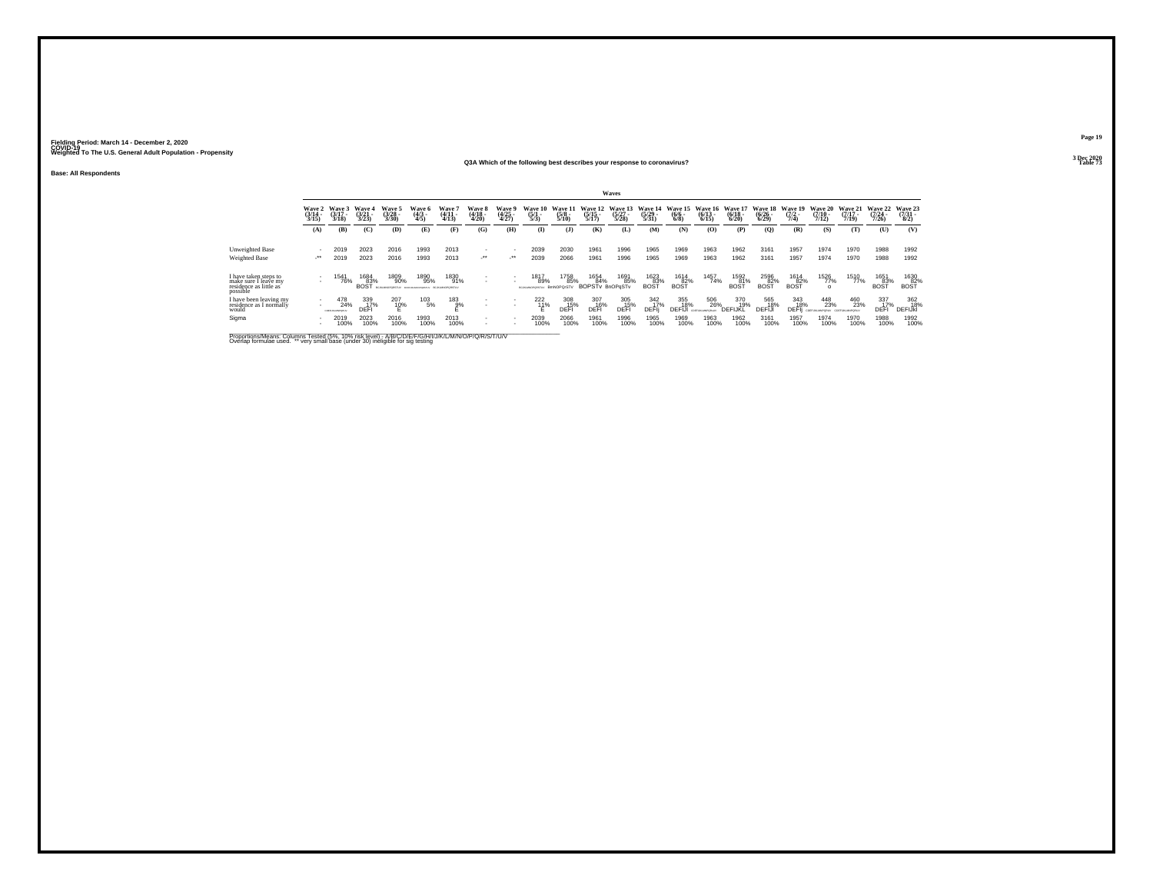### **Base: All Respondents**

### **Q3A Which of the following best describes your response to coronavirus?Table 73 Table 73**

|                                                                                     |                                 |                                 |                                 |                                 |                                                       |                                 |                                        |                          |                                |                                                            |                                       | Waves                            |                                         |                                      |                                  |                                  |                                                       |                                   |                                  |                                  |                                      |                                     |
|-------------------------------------------------------------------------------------|---------------------------------|---------------------------------|---------------------------------|---------------------------------|-------------------------------------------------------|---------------------------------|----------------------------------------|--------------------------|--------------------------------|------------------------------------------------------------|---------------------------------------|----------------------------------|-----------------------------------------|--------------------------------------|----------------------------------|----------------------------------|-------------------------------------------------------|-----------------------------------|----------------------------------|----------------------------------|--------------------------------------|-------------------------------------|
|                                                                                     | Wave 2<br>$\frac{(3/14)}{3/15}$ | Wave 3<br>$\frac{(3/17)}{3/18}$ | Wave 4<br>$\frac{(3/21)}{3/23}$ | Wave 5<br>$\frac{(3/28)}{3/30}$ | Wave 6<br>$\frac{(4/3)}{4/5}$                         | Wave '<br>$\frac{(4/11)}{4/13}$ | <b>Wave 8</b><br>$\frac{(4/18)}{4/20}$ | Wave 9<br>(4/25<br>4/27) | Wave 10<br>$\frac{(5/1)}{5/3}$ | Wave 11<br>$\frac{(5/8)}{5/10}$                            | Wave 12<br>$\frac{(5/15)}{5/17}$      | Wave 13<br>$\frac{(5/27)}{5/28}$ | Wave 14<br>$\frac{(5/29)}{5/31}$        | Wave 15<br>$\frac{(6/6 - 6)}{(6/8)}$ | Wave 16<br>$\frac{(6/13)}{6/15}$ | Wave 17<br>$\frac{(6/18)}{6/20}$ | Wave 18<br>$\frac{(6/26)}{6/29}$                      | Wave 19<br>$\frac{(7/2)}{7/4}$    | Wave 20<br>$\frac{(7/10)}{7/12}$ | Wave 21<br>$\frac{(7/17)}{7/19}$ | Wave 22<br>$\frac{(7/24 - 7)}{7/26}$ | Wave 23<br>$\frac{(7/31 - 1)}{8/2}$ |
|                                                                                     | (A)                             | (B)                             | (C)                             | (D)                             | (E)                                                   | (F)                             | (G)                                    | (H)                      | $\bf(I)$                       | (J)                                                        | (K)                                   | (L)                              | (M)                                     | (N)                                  | (0)                              | (P)                              | $\mathbf{Q}$                                          | (R)                               | (S)                              | m                                | (U)                                  | (V)                                 |
| Unweighted Base                                                                     |                                 | 2019                            | 2023                            | 2016                            | 1993                                                  | 2013                            | ٠                                      |                          | 2039                           | 2030                                                       | 1961                                  | 1996                             | 1965                                    | 1969                                 | 1963                             | 1962                             | 3161                                                  | 1957                              | 1974                             | 1970                             | 1988                                 | 1992                                |
| Weighted Base                                                                       | $\cdot$                         | 2019                            | 2023                            | 2016                            | 1993                                                  | 2013                            | $\cdot$                                | $\cdot$                  | 2039                           | 2066                                                       | 1961                                  | 1996                             | 1965                                    | 1969                                 | 1963                             | 1962                             | 3161                                                  | 1957                              | 1974                             | 1970                             | 1988                                 | 1992                                |
| I have taken steps to<br>make sure I leave my<br>residence as little as<br>possible | $\sim$                          | 154<br>76%                      | 1684<br>83%<br><b>BOST</b>      | 1809<br>90%<br>90 M MADONED IV  | 1890<br>95%<br>account recommends - 90 as services on | 1830<br>91%                     | $\overline{\phantom{a}}$               | $\sim$                   | 1817<br>89%                    | 1758<br>85%<br><b>BmNOPQrSTV</b>                           | 1654<br>84%<br><b>BOPSTy BnOPoSTy</b> | 1691<br>85%                      | <sup>1623</sup> 83%<br>BOS <sup>-</sup> | 1614<br>82%<br><b>BOST</b>           | 1457<br>74%                      | 1592<br>81%<br>BOST              | $\underset{\text{BOST}}{\overset{2596}{\text{82\%}}}$ | $\underset{\text{BOST}}{^{1614}}$ | <sup>1526</sup> 77%<br>$\circ$   | 1510<br>77%                      | 1651<br>83%<br>BOŠŤ                  | 1630<br>82%<br>BOST                 |
| I have been leaving my<br>residence as I normally<br>would                          | $\sim$<br>$\mathbf{r}$          | 478<br>24%<br>COSTUCADORU       | 339<br>17%<br>DFFI              | 207<br>10%                      | $^{103}_{-5\%}$                                       | $^{183}_{9%}$                   | ٠<br>٠                                 | $\sim$<br>$\sim$         | $^{222}_{11\%}$                | $\begin{array}{c} 308 \\ -15\% \\ \text{DEFl} \end{array}$ | 307<br>16%<br>DEFI                    | 305<br>15%<br>DEFI               | 342<br>17%<br>DEFII                     | 355<br>18%<br>DEF                    | 506<br>26%                       | 370<br>19%<br>DEFIJKI            | 565<br>18%<br>DEFIJI                                  | 343<br>18%<br>DEFI                | 448<br>23%<br>COEFUIAMINFORM     | 460<br>23%                       | 337<br>17%<br>DEF                    | 362<br>18%<br><b>DEFIJKI</b>        |
| Sigma                                                                               |                                 | 2019<br>00%                     | 2023<br>100%                    | 2016<br>100%                    | 1993<br>100%                                          | 2013<br>100%                    | ٠<br>٠                                 | $\overline{\phantom{a}}$ | 2039<br>100%                   | 2066<br>100%                                               | 1961<br>100%                          | 1996<br>100%                     | 1965<br>100%                            | 1969<br>100%                         | 1963<br>100%                     | 1962<br>100%                     | 3161<br>100%                                          | 1957<br>100%                      | 1974<br>100%                     | 1970<br>100%                     | 1988<br>100%                         | 1992<br>100%                        |

Proportions/Means: Columns Tested (5%, 10% risk level) - A/B/C/D/E/F/G/H/I/J/K/L/M/N/O/P/Q/R/S/T/U/V<br>Overlap formulae used. \*\* very small base (under 30) ineligible for sig testing

**Page 19**3 Dec 2020<br>Table 73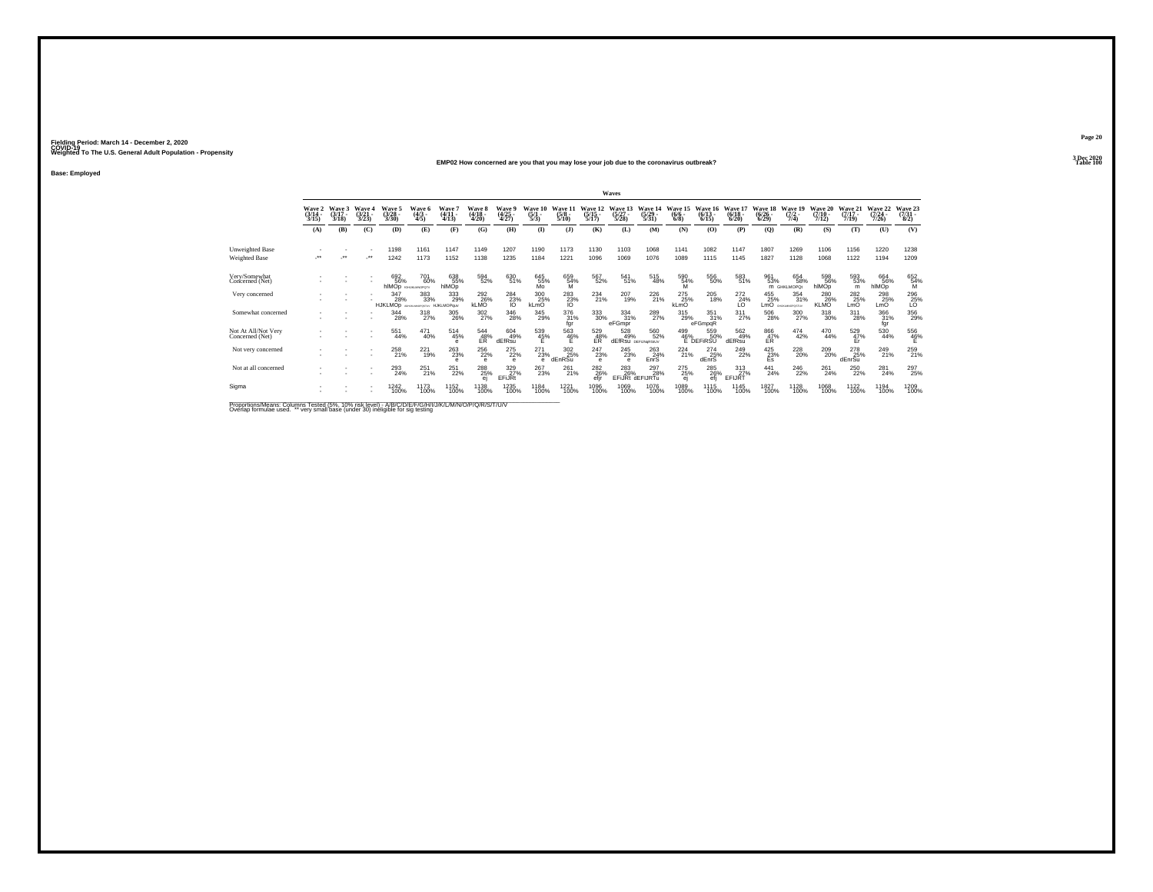### **EMP02 How concerned are you that you may lose your job due to the coronavirus outbreak?Table 100 Table 100**

**Base: Employed**

|                                                                                                   |                |                             |                               |                                 |                                 |                                            |                                 |                               |                                |                                 |                                        | Waves                            |                                  |                                |                                              |                                 |                                        |                                  |                                  |                              |                              |                                 |
|---------------------------------------------------------------------------------------------------|----------------|-----------------------------|-------------------------------|---------------------------------|---------------------------------|--------------------------------------------|---------------------------------|-------------------------------|--------------------------------|---------------------------------|----------------------------------------|----------------------------------|----------------------------------|--------------------------------|----------------------------------------------|---------------------------------|----------------------------------------|----------------------------------|----------------------------------|------------------------------|------------------------------|---------------------------------|
|                                                                                                   | Wave 2<br>3/15 | Wave 3<br>$(3/17 -$<br>3/18 | Wave<br>$\frac{(3/21)}{3/23}$ | Wave 5<br>$\binom{3/28}{3/30}$  | Wave 6<br>$\binom{4/3}{4/5}$    | Wave <sup>-</sup><br>$\frac{(4/11)}{4/13}$ | Wave 8<br>$\frac{(4/18)}{4/20}$ | Wave<br>$\frac{(4/25)}{4/27}$ | Wave 10<br>$\frac{(5/1)}{5/3}$ | Wave 11<br>$\frac{(5/8)}{5/10}$ | Wave 12<br>$\frac{(5/15)}{5/17}$       | Wave 13<br>$\frac{(5/27)}{5/28}$ | Wave 14<br>$\frac{(5/29)}{5/31}$ | Wave 15<br>$\frac{(6/6)}{6/8}$ | Wave 16<br>$(6/13 -$<br>6/15                 | Wave 17<br>$\binom{6/18}{6/20}$ | Wave 18<br>$\frac{(6/26)}{(6/29)}$     | Wave 19<br>$\frac{(7/2)}{7/4}$   | Wave 20<br>$\frac{(7/10)}{7/12}$ | Wave 21<br>$(7/17 -$<br>7/19 | Wave 22<br>$(7/24 -$<br>7/26 | Wave 23<br>$\frac{(7/31)}{8/2}$ |
|                                                                                                   | (A)            | (B)                         | (C)                           | (D)                             | (E)                             | (F)                                        | (G)                             | (H)                           | $($ $\Gamma$                   | (1)                             | (K)                                    | (L)                              | (M)                              | (N)                            | (O)                                          | (P)                             | $\mathbf{Q}$                           | (R)                              | (S)                              | (T)                          | (U)                          | (V)                             |
| <b>Unweighted Base</b><br><b>Weighted Base</b>                                                    | ٠.             | $\bullet\bullet$            | $\cdot$                       | 1198<br>1242                    | 1161<br>1173                    | 1147<br>1152                               | 1149<br>1138                    | 1207<br>1235                  | 1190<br>1184                   | 1173<br>1221                    | 1130<br>1096                           | 1103<br>1069                     | 1068<br>1076                     | 1141<br>1089                   | 1082<br>1115                                 | 1147<br>1145                    | 1807<br>1827                           | 1269<br>1128                     | 1106<br>1068                     | 1156<br>1122                 | 1220<br>1194                 | 1238<br>1209                    |
| Very/Somewhat<br>Concerned (Net)                                                                  |                |                             |                               | 692<br>56%<br>hIMOD SHUKLMOPOTY | 701<br>60%                      | 638<br>55%<br>hlMOp                        | 594<br>52%                      | 63051%                        | 645<br>55%<br>Mo               | 659<br>54%<br>M                 | 567<br>52%                             | 541<br>51%                       | 515<br>48%                       | 590<br>54%                     | 556<br>50%                                   | 583<br>51%                      | 961<br>53%                             | 654<br>58%<br><b>M</b> GHKLMOPOt | 598<br>56%<br>hIMOp              | 593<br>53%<br>m              | 664<br>56%<br>hlMOp          | 652<br>54%<br>M                 |
| Very concerned                                                                                    |                |                             |                               | 347<br>28%<br><b>HJKLMOp</b>    | 383<br>33%<br>ASA NUMBER OF STA | 333<br>29%<br><b>HJKLMOPauv</b>            | 292<br>26%<br><b>KLMO</b>       | $\frac{284}{23\%}$            | 300<br>25%<br>kLmO             | $\frac{283}{23\%}$              | 234<br>21%                             | 207<br>19%                       | 226<br>21%                       | 275<br>25%<br>kLmO             | 205<br>18%                                   | 272<br>24%<br>ĽÖ                | 455<br>25%<br>LmO <sup>ʻ</sup>         | 354<br>31%<br>GHJKJANOPOSTUV     | 280<br>26%<br><b>KLMO</b>        | 282<br>25%<br>LmO            | 298<br>25%<br>LmO            | $^{296}_{25\%}$                 |
| Somewhat concerned                                                                                |                |                             |                               | 344<br>28%                      | 318<br>27%                      | 305<br>26%                                 | 302<br>27%                      | 346<br>28%                    | 345<br>29%                     | 376<br>31%<br>fgr               | $^{333}_{\ 30\%}$                      | $334 \over 31\%$<br>eFGmpr       | 289<br>27%                       | 315<br>29%                     | $\frac{351}{31\%}$<br>eFGmpqR                | $^{311}_{27\%}$                 | 506<br>28%                             | 300<br>27%                       | 318<br>30%                       | 311<br>28%                   | 366<br>31%<br>fgr            | 356<br>29%                      |
| Not At All/Not Very<br>Concerned (Net)                                                            |                |                             |                               | 551<br>44%                      | 471<br>40%                      | $^{514}_{45\%}$<br>е                       | $^{544}_{~48\%}$                | 604<br>49%<br>dEfRsu          | 539<br>45%<br>E                | $^{563}_{~46\%}$                | $^{529}_{48\%}$                        | 528<br>49%                       | 560<br>52%<br>dEfRsu DEFUNGRSIUV |                                | 559<br>50%<br>499 55.<br>46% 50<br>E DEFIRSU | 562<br>49%<br>dEfRsu            | $^{866}_{\substack{47\%\\ \text{ER}}}$ | $^{474}_{42\%}$                  | 470<br>44%                       | $^{529}_{~47\%}$             | $\substack{530 \\ 44\%}$     | $^{556}_{~46\%}$                |
| Not very concerned                                                                                |                |                             |                               | 258<br>21%                      | 221<br>19%                      | 263<br>23%                                 | 256<br>22%                      | 275<br>22%<br>e               | 271<br>23%<br>e                | 302<br>25%<br>dEnRSu            | 247<br>23%<br>$\theta$                 | 245<br>23%<br>e                  | 263<br>24%<br>EnrS               | 224<br>21%                     | 274<br>25%<br>dEnrS                          | 249<br>22%                      | $^{425}_{\substack{23\%\\\text{Es}}}$  | 228<br>20%                       | 209<br>20%                       | 278<br>25%<br>dEnrSu         | 249<br>21%                   | 259<br>21%                      |
| Not at all concerned                                                                              |                |                             |                               | 293<br>24%                      | $^{251}_{21\%}$                 | 251<br>22%                                 | 288                             | 329 27%<br>EFiJRt             | 267<br>23%                     | 261%                            | <sup>282</sup> <sub>26</sub> %<br>efir | 283<br>26%                       | 297<br>28%<br>EFIJRt dEFIJRTu    | 275<br>25%<br>ei               | <sup>285</sup> 26%<br>efi                    | $\frac{313}{27}\%$<br>EFIJRT    | $^{441}_{24\%}$                        | <sup>246</sup> <sub>22%</sub>    | 261<br>24%                       | 250<br>22%                   | 281<br>24%                   | 297<br>25%                      |
| Sigma                                                                                             |                |                             |                               | 1242<br>100%                    | 1173<br>100%                    | 1152<br>100%                               | 1138<br>100%                    | 1235<br>100%                  | 1184<br>100%                   | 1221<br>100%                    | 1096<br>100%                           | 1069<br>100%                     | 1076<br>100%                     | 1089<br>100%                   | 1115<br>100%                                 | 1145<br>100%                    | 1827<br>100%                           | 1128<br>100%                     | 1068<br>100%                     | 1122<br>100%                 | 1194<br>100%                 | 1209<br>100%                    |
| Proportions/Means: Columns Tested (5%, 10% risk level) - MB/C/D/E/E/C/H/U/W/L/M/M/O/P/O/R/C/T/U/M |                |                             |                               |                                 |                                 |                                            |                                 |                               |                                |                                 |                                        |                                  |                                  |                                |                                              |                                 |                                        |                                  |                                  |                              |                              |                                 |

Proportions/Means: Columns Tested (5%, 10% risk level) - A/B/C/D/E/F/G/H/I/J/K/L/M/N/O/P/Q/R/S/T/U/V<br>Overlap formulae used. \*\* very small base (under 30) ineligible for sig testing

**Page 203 Dec 2020<br>Table 100**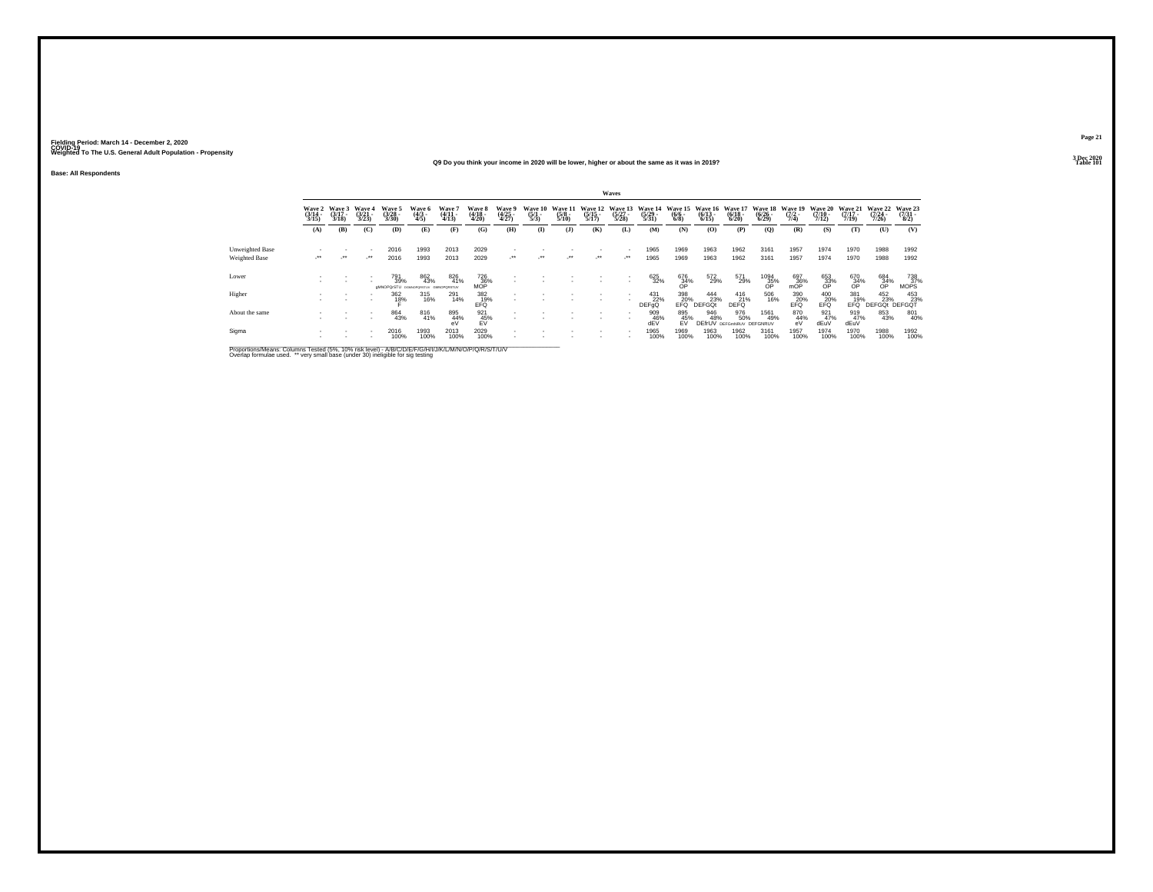### **Q9 Do you think your income in 2020 will be lower, higher or about the same as it was in 2019?Table 101 Table 101**

**Base: All Respondents**

|                                  |                       |                                    |                                 |                                      |                          |                                  |                            |                          |                                |                                 |                                  | Waves                            |                                  |                                    |                                  |                                       |                                        |                                |                                               |                                  |                              |                                 |
|----------------------------------|-----------------------|------------------------------------|---------------------------------|--------------------------------------|--------------------------|----------------------------------|----------------------------|--------------------------|--------------------------------|---------------------------------|----------------------------------|----------------------------------|----------------------------------|------------------------------------|----------------------------------|---------------------------------------|----------------------------------------|--------------------------------|-----------------------------------------------|----------------------------------|------------------------------|---------------------------------|
|                                  | $\frac{(3/14)}{3/15}$ | Wave 2 Wave 3<br>$(3/17 -$<br>3/18 | Wave 4<br>$\frac{(3/21)}{3/23}$ | Wave 5<br>(3/28 -<br>3/30)           | Wave 6<br>(4/3 -<br>4/5) | Wave 7<br>(4/11 -<br>4/13)       | Wave 8<br>(4/18 -<br>4/20) | Wave 9<br>(4/25<br>4/27) | Wave 10<br>$\frac{(5/1)}{5/3}$ | Wave 11<br>$\frac{(5/8)}{5/10}$ | Wave 12<br>$\frac{(5/15)}{5/17}$ | Wave 13<br>$\frac{(5/27)}{5/28}$ | Wave 14<br>$\frac{(5/29)}{5/31}$ | Wave 15<br>$\frac{(6/6 - 6)}{6/8}$ | Wave 16<br>$\frac{(6/13)}{6/15}$ | Wave 17<br>$\frac{(6/18)}{6/20}$      | Wave 18<br>$\frac{(6/26)}{(6/29)}$     | Wave 19<br>$\frac{(7/2)}{7/4}$ | <b>Wave 20</b><br>$\frac{(7/10)}{7/12}$       | Wave 21<br>$\frac{(7/17)}{7/19}$ | Wave 22<br>$(7/24 -$<br>7/26 | Wave 23<br>$\frac{(7/31)}{8/2}$ |
|                                  | (A)                   | (B)                                | (C)                             | (D)                                  | (E)                      | (F)                              | (G)                        | (H)                      | $\mathbf{I}$                   | (1)                             | (K)                              | (L)                              | (M)                              | (N)                                | (O)                              | (P)                                   | (Q)                                    | (R)                            | (S)                                           | (T)                              | (U)                          | (V)                             |
| Unweighted Base<br>Weighted Base | $\cdot$               | $\cdot$                            | . .<br>$\cdot$                  | 2016<br>2016                         | 1993<br>1993             | 2013<br>2013                     | 2029<br>2029               | $\cdot$                  | $\cdot$                        | $\cdot$                         | $\cdot$                          | $\mathcal{L}^{\bullet\bullet}$   | 1965<br>1965                     | 1969<br>1969                       | 1963<br>1963                     | 1962<br>1962                          | 3161<br>3161                           | 1957<br>1957                   | 1974<br>1974                                  | 1970<br>1970                     | 1988<br>1988                 | 1992<br>1992                    |
| Lower                            |                       |                                    |                                 | 791<br>39%<br>aMNOPQrSTU pawaparstuv | 862<br>43%               | 826<br>41%<br><b>GMNOPORSTUV</b> | $\frac{726}{36\%}$ MOP     |                          |                                |                                 |                                  |                                  | 625<br>32%                       | 676<br>34%<br>OP                   | 572<br>29%                       | 571<br>29%                            | $^{1094}_{\substack{35\%\\ {\sf OP}}}$ | $\frac{697}{36\%}$             | 653<br>33%<br>OP                              | 670<br>34%<br>OP                 | $^{684}_{34\%}$              | 738<br>37%<br>MOPS              |
| Higher                           |                       |                                    | . .                             | 362<br>18%                           | 315<br>16%               | 291<br>14%                       | 382<br>EFG                 |                          |                                |                                 |                                  |                                  | 431<br>22%<br><b>DEFOO</b>       | 398<br>$E$ FQ <sup>30</sup> %      | 444<br>23%<br>DEFGOt             | 416<br>21%<br>DEFO                    | 506<br>16%                             | 390<br>EFQ%                    | $^{400}_{\rule{0pt}{6pt}\scriptstyle\rm EFG}$ | 381<br>19%<br>FFŐ.               | 452 453<br>23% 23% DEFGQT    | 453<br>23%                      |
| About the same                   |                       |                                    |                                 | 864<br>43%                           | 816<br>41%               | 895<br>44%<br>eV                 | 921<br>45%<br>EV           |                          |                                |                                 |                                  |                                  | 909<br>46%<br>dEV                | 895<br>45%<br><b>FV</b>            | 946<br>48%                       | 976<br>50%<br><b>DEfrUV</b> DEFGMNRUV | 1561<br>49%<br>DEFGNRUV                | 870<br>44%<br>eV               | 921 47%<br>dEuV                               | 919<br>47%<br>dEuV               | 853<br>43%                   | 801<br>40%                      |
| Sigma                            | ×.                    |                                    |                                 | 2016<br>100%                         | 1993<br>100%             | 2013<br>100%                     | 2029<br>100%               |                          |                                |                                 |                                  |                                  | 1965<br>100%                     | 1969<br>100%                       | 1963<br>100%                     | 1962<br>100%                          | 3161<br>100%                           | 1957<br>100%                   | 1974<br>100%                                  | 1970<br>100%                     | 1988<br>100%                 | 1992<br>100%                    |

Proportions/Means: Columns Tested (5%, 10% risk level) - A/B/C/D/E/F/G/H/I/J/K/L/M/N/O/P/Q/R/S/T/U/V<br>Overlap formulae used. \*\* very small base (under 30) ineligible for sig testing

**Page 213 Dec 2020<br>Table 101**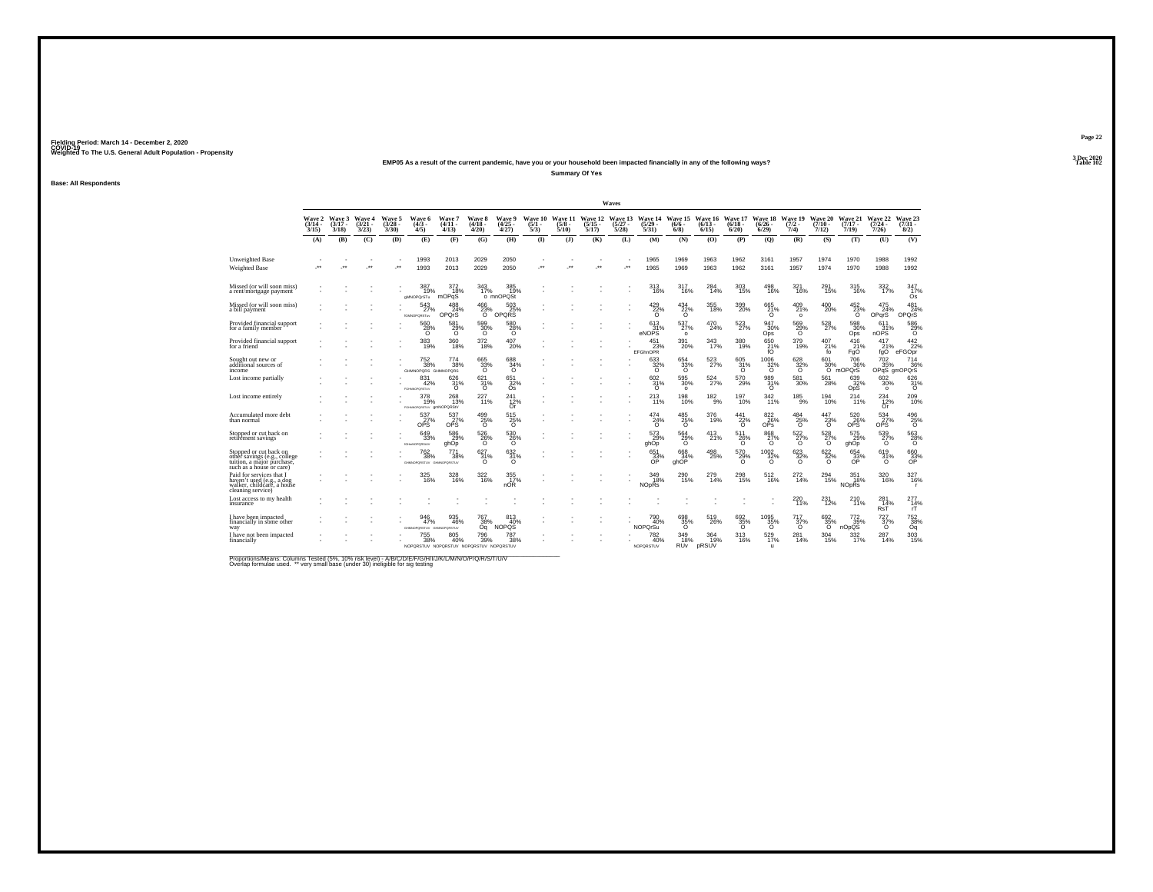### **EMP05 As a result of the current pandemic, have you or your household been impacted financially in any of the following ways?**

**Summary Of Yes**

**Base: All Respondents**

|                                                                                                                  |                             |                             |                                 |                                |                                                                     |                                                  |                                |                                           |                                |                                 |                                  | Waves                            |                                       |                                             |                              |                                            |                                   |                                       |                              |                                       |                                      |                                |
|------------------------------------------------------------------------------------------------------------------|-----------------------------|-----------------------------|---------------------------------|--------------------------------|---------------------------------------------------------------------|--------------------------------------------------|--------------------------------|-------------------------------------------|--------------------------------|---------------------------------|----------------------------------|----------------------------------|---------------------------------------|---------------------------------------------|------------------------------|--------------------------------------------|-----------------------------------|---------------------------------------|------------------------------|---------------------------------------|--------------------------------------|--------------------------------|
|                                                                                                                  | Wave 2<br>$(3/14 -$<br>3/15 | Wave 3<br>$(3/17 -$<br>3/18 | Wave 4<br>$\frac{(3/21)}{3/23}$ | Wave 5<br>$\binom{3/28}{3/30}$ | Wave 6<br>$\binom{4/3}{4/5}$                                        | <b>Wave 7</b><br>$(4/11 -$<br>(4/13)             | Wave 8<br>$(4/18 -$<br>4/20    | Wave 9<br>$\binom{4/25}{4/27}$            | Wave 10<br>$\frac{(5/1)}{5/3}$ | Wave 11<br>$\frac{(5/8)}{5/10}$ | Wave 12<br>$\frac{(5/15)}{5/17}$ | Wave 13<br>$\frac{(5/27)}{5/28}$ | Wave 14<br>$\frac{(5/29)}{5/31}$      | Wave 15<br>$(6/6 -$<br>$6/8$ )              | Wave 16<br>$(6/13 -$<br>6/15 | Wave 17<br>$(6/18 -$<br>$6/20$ )           | Wave 18<br>$\frac{(6/26)}{6/29}$  | Wave 19<br>$\frac{(7/2)}{7/4}$        | Wave 20<br>$(7/10 -$<br>7/12 | Wave 21<br>$(7/17 -$<br>7/19          | Wave 22<br>$\frac{(7/24 - 7)}{7/26}$ | Wave 23<br>$\binom{7/31}{8/2}$ |
|                                                                                                                  | (A)                         | (B)                         | (C)                             | (D)                            | (E)                                                                 | (F)                                              | (G)                            | (H)                                       | $($ $\Gamma$                   | (3)                             | (K)                              | (L)                              | (M)                                   | (N)                                         | (0)                          | (P)                                        | (0)                               | (R)                                   | (S)                          | (T)                                   | (U)                                  | (V)                            |
| Unweighted Base<br>Weighted Base                                                                                 |                             |                             | $\cdot$                         | $\star$                        | 1993<br>1993                                                        | 2013<br>2013                                     | 2029<br>2029                   | 2050<br>2050                              | $\ddot{\phantom{0}}$           | $\bullet\bullet$                | $\cdot$                          | ÷.                               | 1965<br>1965                          | 1969<br>1969                                | 1963<br>1963                 | 1962<br>1962                               | 3161<br>3161                      | 1957<br>1957                          | 1974<br>1974                 | 1970<br>1970                          | 1988<br>1988                         | 1992<br>1992                   |
| Missed (or will soon miss)<br>a rent/mortgage payment                                                            |                             |                             |                                 |                                | 387<br>19%<br>gMNOPQrSTu                                            | 372<br>18%<br>mOPqS                              | 343<br>17%                     | 385<br>19%<br>o mnOPQSt                   |                                |                                 |                                  |                                  | 313<br>16%                            | 317<br>16%                                  | 284<br>14%                   | 303<br>15%                                 | 498<br>16%                        | 321<br>16%                            | 291<br>15%                   | 315<br>16%                            | $\frac{332}{17\%}$                   | 347<br>17%<br>Ós               |
| Missed (or will soon miss)<br>a bill payment                                                                     |                             |                             |                                 |                                | 543<br>27%<br><b>IGMNOPQRSTuv</b>                                   | 24%<br>OPOrS                                     | 466<br>23%<br>ō                | 503<br>OPQRS                              |                                |                                 |                                  |                                  | 429/22%<br>$\Omega$                   | $^{434}_{\substack{22\%\\0}}$               | 355<br>18%                   | 399<br>20%                                 | 665<br>21%<br>$\circ$             | $^{409}_{21\%}$<br>$\circ$            | 400<br>20%                   | $^{452}_{\  \  \, 23\%}$              | 475<br>24%<br>OPqrS                  | 481<br>24%<br>OPOrS            |
| Provided financial support<br>for a family member                                                                |                             |                             |                                 |                                | $^{560}_{\  \  \, 28\%}$                                            | $^{581}_{\, \substack{29\% \\ \scriptstyle 0} }$ | 599<br>30%<br>Ō                | 580<br>28%<br>Ō                           |                                |                                 |                                  |                                  | 613<br>31%<br>eNOPS                   | 537%<br>$\circ$                             | 470<br>24%                   | 523<br>27%                                 | 947<br>30%<br>Ops                 | 569<br>29%<br>٦ō                      | 528<br>27%                   | 598<br>Ops                            | 611<br>31%<br>nOPS                   | $^{586}_{28\%}$                |
| Provided financial support<br>for a friend                                                                       |                             |                             |                                 |                                | 383<br>19%                                                          | 360<br>18%                                       | 372<br>18%                     | 407<br>20%                                |                                |                                 |                                  |                                  | 451<br>23%<br><b>EFGhnOPR</b>         | 391<br>20%                                  | 343<br>17%                   | 380<br>19%                                 | 650<br>$^{21\%}_{60}$             | 379<br>19%                            | 407<br>21%<br>fo             | 416<br>21%<br>FgO                     | 417<br>21%<br>fqO                    | $\frac{442}{22\%}$<br>eFGOpr   |
| Sought out new or<br>additional sources of<br>income                                                             |                             |                             |                                 |                                | $\substack{752\\38\%}$<br>GHMNOPORS GHMNOPORS                       | 774<br>38%                                       | 665<br>33%<br>$\Omega$         | 688<br>$\circ$                            |                                |                                 |                                  |                                  | $\frac{633}{32}\%$<br>$\Omega$        | 654<br>33%<br>ō                             | 523%                         | 605<br>31%<br>$\circ$                      | $^{1006}_{32\%}$<br>ō             | $\frac{628}{32\%}$<br>$\circ$         | 601<br>30%                   | <sup>706</sup> 36%<br>O mOPQrS        | 702<br>35%                           | 714<br>36%<br>OPqS gmOPQrS     |
| Lost income partially                                                                                            |                             |                             |                                 |                                | 831<br>42%<br>FGHMNOPORSTLV                                         | 626<br>$^{31\%}_{0}$                             | $\frac{621}{31}\%$             | $651$ <sub>32%</sub><br>Ōs                |                                |                                 |                                  |                                  | $^{602}_{31\%}$<br>$\circ$            | 595<br>30%<br>$\circ$                       | 524%                         | $^{570}_{29\%}$                            | $^{989}_{\substack{31\% \\ 0}}$   | $^{581}_{30\%}$                       | 561<br>28%                   | $^{639}_{32\%}$ OpS                   | 602 %<br>$\circ$                     | $\frac{626}{31}\%$             |
| Lost income entirely                                                                                             |                             |                             |                                 |                                | 378<br>19%<br>FGHMN0PORSTUV QMNOPORSIV                              | 268<br>13%                                       | $^{227}_{11\%}$                | 241<br>12%<br>Or                          |                                |                                 |                                  |                                  | 213<br>11%                            | 198<br>10%                                  | $^{182}_{9\%}$               | 197<br>10%                                 | 342 <sub>%</sub>                  | $185\over 9\%$                        | $^{194}_{10\%}$              | 214%                                  | $^{234}_{12\%}$<br>Or                | $^{209}_{10\%}$                |
| Accumulated more debt<br>than normal                                                                             |                             |                             |                                 |                                | $^{537}_{\phantom{27}\phantom{27}\phantom{27}\%}$ ops               | 537<br>27%                                       | $^{499}_{25\%}$                | $^{515}_{\phantom{5}25\%}_{\phantom{5}0}$ |                                |                                 |                                  |                                  | $^{474}_{24\%}$<br>$\circ$            | $^{485}_{\, \, 25\%}$                       | 376<br>19%                   | $\overset{441}{\underset{\text{O}}{22\%}}$ | $\underset{\mathsf{OPs}}{^{822}}$ | $^{484}_{\, 25\%}$                    | $^{447}_{23\%}$              | $^{520}_{26\%}$ ops                   | $^{534}_{\ 27\%}$ ops                | $^{496}_{\  \  \, 25\%}$       |
| Stopped or cut back on<br>retirement savings                                                                     |                             |                             |                                 |                                | 649<br>33%<br><b>IGHHNOPORSIJV</b>                                  | 586<br>%29<br>ghOp                               | 526<br>26%                     | 530<br>26%                                |                                |                                 |                                  |                                  | 573<br>29%<br>qhOp                    | 564<br>29%                                  | 413<br>21%                   | 511<br>$^{26\%}_{0}$                       | 868<br>$^{27\%}_{0}$              | $^{522}_{\  \  \, 27\%}_{\  \  \, 0}$ | 528<br>$^{27\%}_{0}$         | 575<br>29%                            | 539<br>$^{27\%}_{0}$                 | $^{563}_{\phantom{1}28\%}$     |
| Stopped or cut back on<br>other savings (e.g., college<br>tuition, a major purchase,<br>such as a house or care) |                             |                             |                                 |                                | $^{762}_{38\%}$<br>GHANOPORSTUV GHANOPORSTUV                        | 771<br>38%                                       | $\frac{627}{31\%}$<br>$\Omega$ | 632/31%<br>$\Omega$                       |                                |                                 |                                  |                                  | 651<br>33%<br>ŐP                      | 668<br>ahOP                                 | 498<br>25%                   | 570<br>29%<br>$\Omega$                     | $\frac{1002}{32\%}$               | $\frac{623}{32\%}$<br>6               | $\frac{622}{32}\%$<br>6      | 654<br>33%<br>OP                      | 619<br>$^{31\%}_{0}$                 | 660<br>33%<br>OP               |
| Paid for services that I<br>haven't used (e.g., a dog<br>walker, childcare, a house<br>cleaning service)         |                             |                             |                                 |                                | 16%                                                                 | 328<br>16%                                       | 322<br>16%                     | $\frac{355}{17\%}$<br>nOR                 |                                |                                 |                                  |                                  | 349<br>18%<br><b>NO<sub>p</sub>Rs</b> | 290<br>15%                                  | 279<br>14%                   | 298<br>15%                                 | 512%                              | 272 <sub>14%</sub>                    | 294<br>15%                   | 351<br>18%<br><b>NO<sub>DRs</sub></b> | 320<br>16%                           | 327/16%                        |
| ost access to my health.<br>insurance                                                                            |                             |                             |                                 |                                |                                                                     |                                                  |                                |                                           |                                |                                 |                                  |                                  |                                       |                                             |                              |                                            |                                   | 220<br>11%                            | 231<br>12%                   | 210 <sub>%</sub>                      | $^{281}_{14\%}$ RsT                  | $^{277}_{14\%}$                |
| have been impacted<br>inancially in some other<br>way                                                            |                             |                             |                                 |                                | 946<br>47%<br>GHMNOPORSTUV GHMNOPORSTUV                             | 935<br>46%                                       | 767<br>$\frac{38\%}{09}$       | 813<br>40%<br>NOPQS                       |                                |                                 |                                  |                                  | 790<br>40%<br><b>NOPOrSu</b>          | 698<br>35%                                  | 519<br>26%                   | 692<br>35%                                 | $\underset{\mathcal{O}}{^{1095}}$ | 717<br>37%                            | 692<br>35%                   | 772<br>nOpQS                          | 727<br>37%                           | 752<br>38%<br>Oq               |
| have not been impacted<br>financially                                                                            |                             |                             |                                 |                                | $\substack{755 \\ 38\%}$<br>NOPORSTUV NOPORSTUV NOPORSTUV NOPORSTUV | 805<br>40%                                       | 796<br>39%                     | 787<br>38%                                |                                |                                 |                                  |                                  | 782<br>40%<br>NOPORSTUV               | $\frac{349}{18\%}$<br><b>RU<sub>v</sub></b> | 364<br>19%<br>pRSUV          | $313 \atop 16\%$                           | 529<br>17%<br>$\mathbf{u}$        | 281<br>14%                            | 304<br>15%                   | 332/17%                               | 287<br>14%                           | $\frac{303}{15\%}$             |

Proportions/Means: Columns Tested (5%, 10% risk level) - A/B/C/D/E/F/G/H/I/J/K/L/M/N/O/P/Q/R/S/T/U/V<br>Overlap formulae used. \*\* very small base (under 30) ineligible for sig testing

**Page 223 Dec 2020<br>Table 102** 

**Properties and the contract of the contract of the contract of the contract of the contract of the contract of the contract of the contract of the contract of the contract of the contract of the contract of the contract o**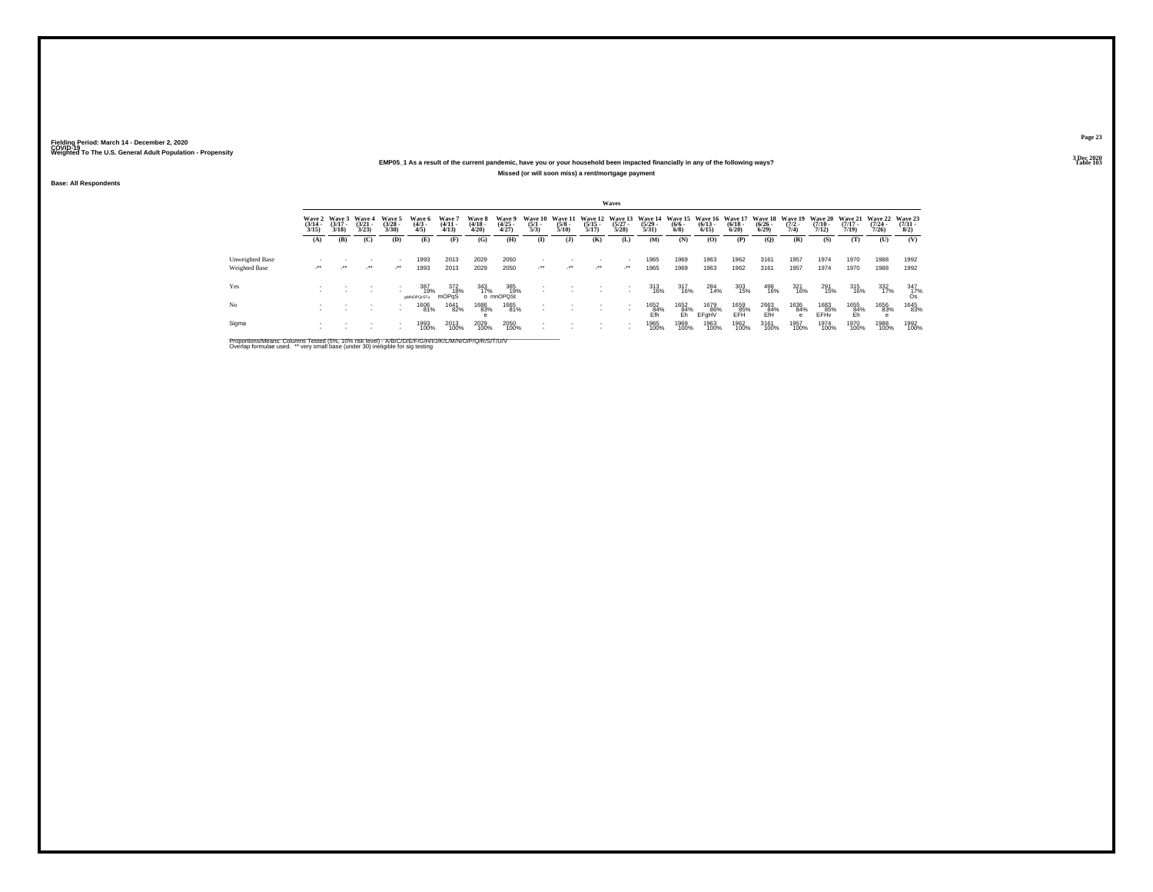### **EMP05\_1 As a result of the current pandemic, have you or your household been impacted financially in any of the following ways?Missed (or will soon miss) a rent/mortgage payment**

**Base: All Respondents**

|                 |                                 |                                 |                                 |                                |                              |                                |                                 |                                |                                |                                 |                       | Waves                           |                                                                          |                           |                       |                       |                                          |                           |                       |                                                  |                       |                                     |
|-----------------|---------------------------------|---------------------------------|---------------------------------|--------------------------------|------------------------------|--------------------------------|---------------------------------|--------------------------------|--------------------------------|---------------------------------|-----------------------|---------------------------------|--------------------------------------------------------------------------|---------------------------|-----------------------|-----------------------|------------------------------------------|---------------------------|-----------------------|--------------------------------------------------|-----------------------|-------------------------------------|
|                 | Wave 2<br>$\frac{(3/14)}{3/15}$ | Wave 3<br>$\frac{(3/17)}{3/18}$ | Wave 4<br>$\frac{(3/21)}{3/23}$ | Wave 5<br>$\binom{3/28}{3/30}$ | Wave 6<br>$\binom{4/3}{4/5}$ | Wave 7<br>$\frac{(4/11}{4/13}$ | Wave 8<br>$\frac{(4/18)}{4/20}$ | Wave 9<br>$\binom{4/25}{4/27}$ | Wave 10<br>$\frac{(5/1)}{5/3}$ | Wave 11<br>$\frac{(5/8)}{5/10}$ | $\frac{(5/15)}{5/17}$ | $\binom{5/27}{5/28}$            | Wave 12 Wave 13 Wave 14 Wave 15 Wave 16 Wave 17<br>$\frac{(5/29)}{5/31}$ | $\frac{(6/6 - 6)}{(6/8)}$ | $\frac{(6/13)}{6/15}$ | $\frac{(6/18)}{6/20}$ | Wave 18 Wave 19<br>$\frac{(6/26)}{6/29}$ | $\frac{(7/2)}{7/4}$       | $\frac{(7/10)}{7/12}$ | Wave 20 Wave 21 Wave 22<br>$\frac{(7/17)}{7/19}$ | $\frac{(7/24)}{7/26}$ | Wave 23<br>$\frac{(7/31 - 1)}{8/2}$ |
|                 | (A)                             | (B)                             | (C)                             | (D)                            | (E)                          | (F)                            | (G)                             | (H)                            | $\mathbf{I}$                   | ( <b>J</b> )                    | (K)                   | (L)                             | (M)                                                                      | (N)                       | (O)                   | (P)                   | (Q)                                      | (R)                       | (S)                   | (T)                                              | (U)                   | (V)                                 |
| Unweighted Base |                                 |                                 |                                 |                                | 1993                         | 2013                           | 2029                            | 2050                           |                                |                                 |                       | $\sim$                          | 1965                                                                     | 1969                      | 1963                  | 1962                  | 3161                                     | 1957                      | 1974                  | 1970                                             | 1988                  | 1992                                |
| Weighted Base   | $\cdot$                         | $\cdot$                         | $\cdot$                         | $\mathcal{L}^{\bullet\bullet}$ | 1993                         | 2013                           | 2029                            | 2050                           | $\cdot$                        | $\mathcal{L}^{\bullet\bullet}$  | $\cdot$               | $\cdot$                         | 1965                                                                     | 1969                      | 1963                  | 1962                  | 3161                                     | 1957                      | 1974                  | 1970                                             | 1988                  | 1992                                |
| Yes             |                                 |                                 |                                 |                                | 387<br>19%<br>aMNOPQrSTu     | 372<br>18%<br>mOPaS            | 343<br>17%                      | 385<br>19%<br>o mnOPQSt        |                                |                                 |                       | $\sim$                          | 313<br>16%                                                               | 317<br>16%                | 284<br>14%            | 303<br>15%            | 498<br>16%                               | 321<br>16%                | 291<br>15%            | 315<br>16%                                       | 332<br>17%            | $\frac{347}{17\%}$                  |
| No              |                                 |                                 |                                 | . .                            | 1606<br>81%                  | 1641<br>82%                    | 1686<br>83%                     | 1665<br>81%                    |                                |                                 |                       | $\overline{\phantom{a}}$<br>. . | 1652<br>84%<br>Ffh                                                       | 1652<br>84%<br>Eh         | 1679<br>86%<br>EFaHV  | 1659<br>85%<br>EFH    | 2663<br>84%<br>EfH                       | 1636<br>84%<br>$\epsilon$ | 1683<br>85%<br>EFHy   | 1655<br>84%<br>Eh                                | 1656<br>83%           | 1645<br>83%                         |
| Sigma           |                                 |                                 |                                 | $\overline{\phantom{a}}$       | 1993<br>100%                 | 2013<br>100%                   | 2029<br>100%                    | 2050<br>100%                   |                                |                                 |                       |                                 | 1965<br>100%                                                             | 1969<br>100%              | 1963<br>100%          | 1962<br>100%          | 3161<br>100%                             | 1957<br>100%              | 1974<br>100%          | 1970<br>100%                                     | 1988<br>100%          | 1992<br>100%                        |

Proportions/Means: Columns Tested (5%, 10% risk level) - A/B/C/D/E/F/G/H/I/J/K/L/M/N/O/P/Q/R/S/T/U/V<br>Overlap formulae used. \*\* very small base (under 30) ineligible for sig testing

**Page 233 Dec 2020<br>Table 103** 

**Table 103 Table 103**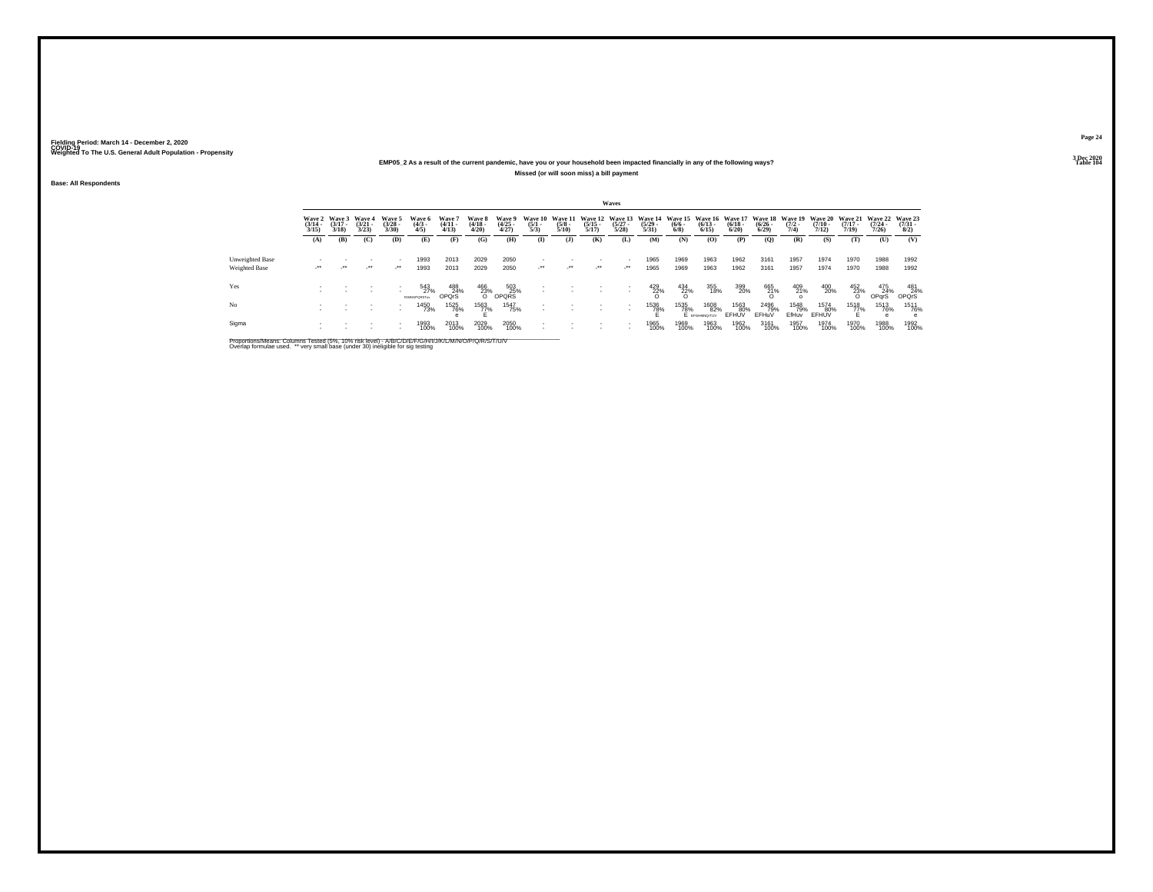### **EMP05\_2 As a result of the current pandemic, have you or your household been impacted financially in any of the following ways?Missed (or will soon miss) a bill payment**

**Base: All Respondents**

|                 |                                 |                                 |                                |                                |                                   |                                |                                 |                                |                                |                                 |                                  | Waves                               |                                  |                                              |                              |                                 |                                          |                      |                                         |                                  |                                  |                                                            |
|-----------------|---------------------------------|---------------------------------|--------------------------------|--------------------------------|-----------------------------------|--------------------------------|---------------------------------|--------------------------------|--------------------------------|---------------------------------|----------------------------------|-------------------------------------|----------------------------------|----------------------------------------------|------------------------------|---------------------------------|------------------------------------------|----------------------|-----------------------------------------|----------------------------------|----------------------------------|------------------------------------------------------------|
|                 | Wave 2<br>$\frac{(3/14)}{3/15}$ | Wave 3<br>$\frac{(3/17)}{3/18}$ | Wave 4<br>$\binom{3/21}{3/23}$ | Wave 5<br>$\binom{3/28}{3/30}$ | Wave 6<br>$\binom{4/3}{4/5}$      | Wave 7<br>$\frac{(4/11}{4/13}$ | Wave 8<br>$\frac{(4/18)}{4/20}$ | Wave 9<br>$\binom{4/25}{4/27}$ | Wave 10<br>$\frac{(5/1)}{5/3}$ | Wave 11<br>$\frac{(5/8)}{5/10}$ | Wave 12<br>$\frac{(5/15)}{5/17}$ | Wave 13<br>$\frac{(5/27)}{5/28}$    | Wave 14<br>$\frac{(5/29)}{5/31}$ | Wave 15 Wave 16<br>$\frac{(6/6 - 6)}{(6/8)}$ | $\binom{6/13}{6/15}$         | Wave 17<br>$\binom{6/18}{6/20}$ | Wave 18 Wave 19<br>$\frac{(6/26)}{6/29}$ | $\frac{(7/2)}{7/4}$  | <b>Wave 20</b><br>$\frac{(7/10)}{7/12}$ | Wave 21<br>$\frac{(7/17)}{7/19}$ | Wave 22<br>$\frac{(7/24)}{7/26}$ | Wave 23<br>$\frac{(7/31 - 1)}{8/2}$                        |
|                 | (A)                             | (B)                             | (C)                            | (D)                            | (E)                               | (F)                            | (G)                             | (H)                            | $\mathbf{I}$                   | ( <b>J</b> )                    | (K)                              | (L)                                 | (M)                              | (N)                                          | (O)                          | (P)                             | (Q)                                      | (R)                  | (S)                                     | (T)                              | (U)                              | (V)                                                        |
| Unweighted Base | $\cdot$                         | $\cdot$                         | $\cdot$                        | $\mathcal{L}^{\bullet\bullet}$ | 1993                              | 2013                           | 2029                            | 2050                           | $\cdot$                        | $\mathcal{L}^{\bullet\bullet}$  | $\cdot$                          | $\overline{\phantom{a}}$<br>$\cdot$ | 1965                             | 1969                                         | 1963                         | 1962                            | 3161                                     | 1957                 | 1974                                    | 1970                             | 1988                             | 1992                                                       |
| Weighted Base   |                                 |                                 |                                |                                | 1993                              | 2013                           | 2029                            | 2050                           |                                |                                 |                                  |                                     | 1965                             | 1969                                         | 1963                         | 1962                            | 3161                                     | 1957                 | 1974                                    | 1970                             | 1988                             | 1992                                                       |
| Yes             |                                 |                                 |                                |                                | 543<br>27%<br><b>KUMADEORST</b> W | 488<br>24%<br>OPOrS            | $\frac{466}{23\%}$              | $503$<br>OPQRS                 |                                |                                 |                                  |                                     | $^{429}_{22\%}$                  | $\frac{434}{22\%}$                           | 355<br>18%                   | 399<br>20%                      | 665<br>21%<br>O                          | 409<br>21%           | 400<br>20%                              | $\frac{452}{23\%}$               | 475<br>24%<br>OPqrS              | $\begin{array}{c} 481 \\ 24\% \\ \text{OPQrS} \end{array}$ |
| No              |                                 |                                 |                                | . .                            | 1450<br>73%                       | 1525<br>76%                    | 1563<br>77%                     | 1547<br>75%                    |                                |                                 |                                  |                                     | 1536<br>78%                      | 1535<br>78%                                  | 1608<br>82%<br>E EFGHMNO/TUV | 1563<br>80%<br>EFHUV            | 2496<br>79%<br>EFHuV                     | 1548<br>79%<br>EfHuv | 1574<br>80%<br>EFHUV                    | 1518<br>77%                      | 1513<br>76%                      | 1511<br>76%<br>e                                           |
| Sigma           |                                 |                                 |                                | $\overline{\phantom{a}}$       | 1993<br>100%                      | 2013<br>100%                   | 2029<br>100%                    | 2050<br>100%                   |                                |                                 |                                  |                                     | 1965<br>100%                     | 1969<br>100%                                 | 1963<br>100%                 | 1962<br>100%                    | 3161<br>100%                             | 1957<br>100%         | 1974<br>100%                            | 1970<br>100%                     | 1988<br>100%                     | 1992<br>100%                                               |

Proportions/Means: Columns Tested (5%, 10% risk level) - A/B/C/D/E/F/G/H/I/J/K/L/M/N/O/P/Q/R/S/T/U/V<br>Overlap formulae used. \*\* very small base (under 30) ineligible for sig testing

**Page 243 Dec 2020<br>Table 104** 

**Table 104 Table 104**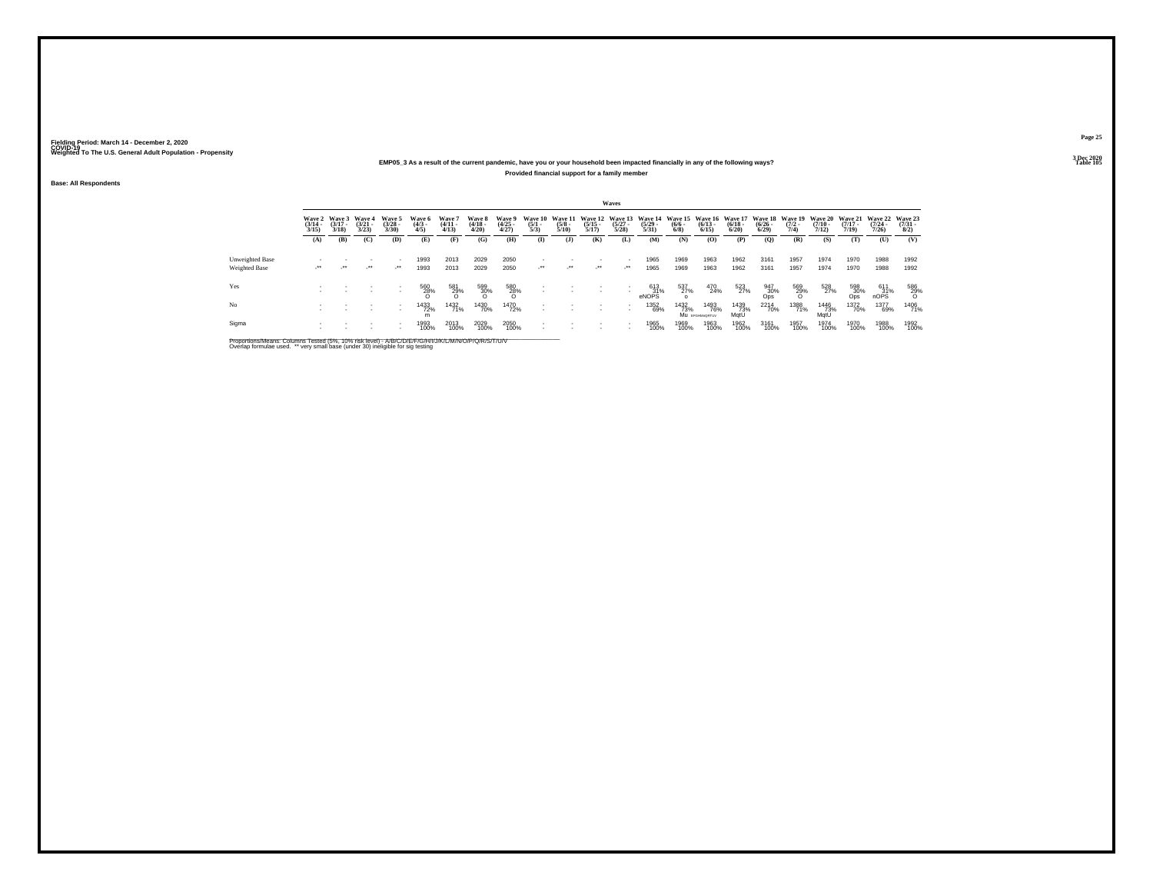### **EMP05\_3 As a result of the current pandemic, have you or your household been impacted financially in any of the following ways?Provided financial support for a family member**

**Base: All Respondents**

|                                  |                                 |                                 |                                 |                                     |                               |                                |                                 |                                |                                |                                 |                                  | Waves                                    |                                  |                                      |                                  |                                        |                                 |                                |                                  |                                  |                              |                                |
|----------------------------------|---------------------------------|---------------------------------|---------------------------------|-------------------------------------|-------------------------------|--------------------------------|---------------------------------|--------------------------------|--------------------------------|---------------------------------|----------------------------------|------------------------------------------|----------------------------------|--------------------------------------|----------------------------------|----------------------------------------|---------------------------------|--------------------------------|----------------------------------|----------------------------------|------------------------------|--------------------------------|
|                                  | Wave 2<br>$\frac{(3/14)}{3/15}$ | Wave 3<br>$\frac{(3/17)}{3/18}$ | Wave 4<br>$\frac{(3/21)}{3/23}$ | Wave 5<br>$\binom{3/28}{3/30}$      | Wave 6<br>$\frac{(4/3)}{4/5}$ | Wave '<br>$\frac{(4/11}{4/13}$ | Wave 8<br>$\frac{(4/18)}{4/20}$ | Wave 9<br>$\binom{4/25}{4/27}$ | Wave 10<br>$\frac{(5/1)}{5/3}$ | Wave 11<br>$\frac{(5/8)}{5/10}$ | Wave 12<br>$\frac{(5/15)}{5/17}$ | Wave 13<br>$\frac{(5/27)}{5/28}$         | Wave 14<br>$\frac{(5/29)}{5/31}$ | <b>Wave 15</b><br>$\binom{6/6}{6/8}$ | Wave 16<br>$\frac{(6/13)}{6/15}$ | <b>Wave 17</b><br>$\binom{6/18}{6/20}$ | Wave 18<br>$\binom{6/26}{6/29}$ | Wave 19<br>$\frac{(7/2)}{7/4}$ | Wave 20<br>$\frac{(7/10)}{7/12}$ | Wave 21<br>$\frac{(7/17)}{7/19}$ | Wave 22<br>$(7/24 -$<br>7/26 | Wave 23<br>$\binom{7/31}{8/2}$ |
|                                  | (A)                             | (B)                             | (C)                             | (D)                                 | (E)                           | (F)                            | (G)                             | (H)                            | $\bf(I)$                       | $($ $\bf{J}$                    | (K)                              | (L)                                      | (M)                              | (N)                                  | (O)                              | (P)                                    | (Q)                             | (R)                            | (S)                              | (T)                              | (U)                          | (V)                            |
| Unweighted Base<br>Weighted Base | $\cdot$                         | $\cdot$                         | $\cdot$                         | $\overline{\phantom{a}}$<br>$\cdot$ | 1993<br>1993                  | 2013<br>2013                   | 2029<br>2029                    | 2050<br>2050                   | $\cdot$                        | $\cdot$                         | $\cdot$                          | $\sim$<br>$\mathcal{L}^{\bullet\bullet}$ | 1965<br>1965                     | 1969<br>1969                         | 1963<br>1963                     | 1962<br>1962                           | 3161<br>3161                    | 1957<br>1957                   | 1974<br>1974                     | 1970<br>1970                     | 1988<br>1988                 | 1992<br>1992                   |
| Yes                              |                                 |                                 |                                 | $\overline{\phantom{a}}$<br>٠       | 560<br>28%                    | 581<br>29%<br>O                | 599<br>30%                      | $^{580}_{28\%}$                | $\overline{\phantom{a}}$       |                                 |                                  |                                          | 613<br>31%<br>eNOPS              | 537<br>27%                           | 470<br>24%                       | 523<br>27%                             | 947<br>30%<br>Ops               | 569<br>29%<br>O                | 528<br>27%                       | 598<br>30%<br>Ops                | $611\n31%$ nOPS              | 586<br>29%<br>O                |
| No                               |                                 |                                 |                                 | $\overline{\phantom{a}}$<br>٠       | 1433<br>72%<br>m              | 1432<br>71%                    | 1430<br>70%                     | <sup>1470</sup> 72%            |                                |                                 |                                  | $\sim$                                   | 1352<br>69%                      | 1432<br>73%                          | 1493<br>76%<br>Mu EFGHMORTUV     | 1439<br>73%<br>MatU                    | <sup>2214</sup> 70%             | 1388<br>71%                    | 1446<br>73%<br>MatU              | <sup>1372</sup> 70%              | 1377<br>69%                  | 1406<br>71%                    |
| Sigma                            |                                 |                                 |                                 | $\overline{\phantom{a}}$<br>٠       | 1993<br>100%                  | 2013<br>100%                   | 2029<br>100%                    | 2050<br>100%                   |                                |                                 |                                  | $\sim$                                   | 1965<br>100%                     | 1969<br>100%                         | 1963<br>100%                     | 1962<br>100%                           | 3161<br>100%                    | 1957<br>100%                   | 1974<br>100%                     | 1970<br>100%                     | 1988<br>100%                 | 1992<br>100%                   |

Proportions/Means: Columns Tested (5%, 10% risk level) - A/B/C/D/E/F/G/H/I/J/K/L/M/N/O/P/Q/R/S/T/U/V<br>Overlap formulae used. \*\* very small base (under 30) ineligible for sig testing

**Page 253 Dec 2020<br>Table 105** 

**Table 105 Table 105**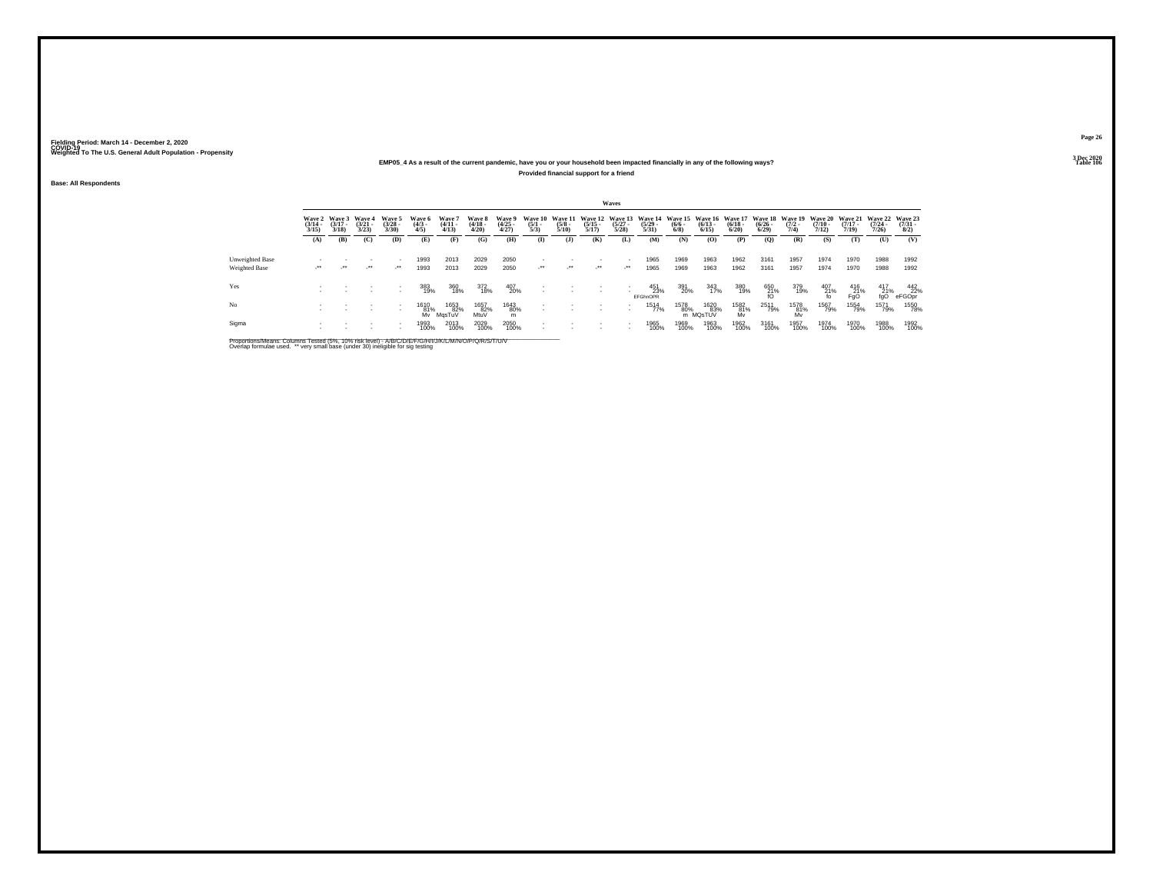### **EMP05\_4 As a result of the current pandemic, have you or your household been impacted financially in any of the following ways?Provided financial support for a friend**

**Base: All Respondents**

|                 |                       |                                        |                                 |                                |                              |                                |                                 |                                |                                |                                        |                                  | Waves                            |                                  |                           |                                                  |                       |                       |                                        |                                         |                                         |                                         |                                |
|-----------------|-----------------------|----------------------------------------|---------------------------------|--------------------------------|------------------------------|--------------------------------|---------------------------------|--------------------------------|--------------------------------|----------------------------------------|----------------------------------|----------------------------------|----------------------------------|---------------------------|--------------------------------------------------|-----------------------|-----------------------|----------------------------------------|-----------------------------------------|-----------------------------------------|-----------------------------------------|--------------------------------|
|                 | $\frac{(3/14)}{3/15}$ | Wave 2 Wave 3<br>$\frac{(3/17)}{3/18}$ | Wave 4<br>$\frac{(3/21)}{3/23}$ | Wave 5<br>$\binom{3/28}{3/30}$ | Wave 6<br>$\binom{4/3}{4/5}$ | Wave 7<br>$\frac{(4/11}{4/13}$ | Wave 8<br>$\frac{(4/18)}{4/20}$ | Wave 9<br>$\binom{4/25}{4/27}$ | Wave 10<br>$\frac{(5/1)}{5/3}$ | <b>Wave 11</b><br>$\frac{(5/8)}{5/10}$ | Wave 12<br>$\frac{(5/15)}{5/17}$ | Wave 13<br>$\frac{(5/27)}{5/28}$ | Wave 14<br>$\frac{(5/29)}{5/31}$ | $\frac{(6/6 - 6)}{(6/8)}$ | Wave 15 Wave 16 Wave 17<br>$\frac{(6/13)}{6/15}$ | $\frac{(6/18)}{6/20}$ | $\frac{(6/26)}{6/29}$ | Wave 18 Wave 19<br>$\frac{(7/2)}{7/4}$ | <b>Wave 20</b><br>$\frac{(7/10)}{7/12}$ | <b>Wave 21</b><br>$\frac{(7/17)}{7/19}$ | <b>Wave 22</b><br>$\frac{(7/24)}{7/26}$ | Wave 23<br>$\binom{7/31}{8/2}$ |
|                 | (A)                   | (B)                                    | (C)                             | (D)                            | (E)                          | (F)                            | (G)                             | (H)                            | $\mathbf{I}$                   | $($ $\bf{J}$                           | (K)                              | (L)                              | (M)                              | (N)                       | (O)                                              | (P)                   | (Q)                   | (R)                                    | (S)                                     | (T)                                     | (U)                                     | (V)                            |
| Unweighted Base |                       |                                        |                                 |                                | 1993                         | 2013                           | 2029                            | 2050                           |                                |                                        |                                  |                                  | 1965                             | 1969                      | 1963                                             | 1962                  | 3161                  | 1957                                   | 1974                                    | 1970                                    | 1988                                    | 1992                           |
| Weighted Base   | $\cdot$               | $\cdot$                                | $\cdot$                         | $\lambda$                      | 1993                         | 2013                           | 2029                            | 2050                           | $\cdot$                        | $\mathcal{L}^{\bullet\bullet}$         | $\cdot$                          | $\cdot$                          | 1965                             | 1969                      | 1963                                             | 1962                  | 3161                  | 1957                                   | 1974                                    | 1970                                    | 1988                                    | 1992                           |
| Yes             |                       |                                        |                                 | $\overline{\phantom{a}}$       | 383<br>19%                   | 360<br>18%                     | 372<br>18%                      | 407<br>20%                     |                                |                                        |                                  |                                  | 451<br>23%<br><b>EFGhnOPR</b>    | 391<br>20%                | 343<br>17%                                       | 380<br>19%            | 650<br>21%<br>fO      | 379<br>19%                             | $^{407}_{\substack{21\%\\\text{fo}}}$   | $^{416}_{Fg0}$                          | $^{417}_{21\%}$                         | 442<br>22%<br>eFGOpr           |
| No              |                       |                                        |                                 | $\overline{\phantom{a}}$       | 1610<br>81%<br>Mv            | 1653<br>82%<br>MasTuV          | 1657<br>82%<br>MtuV             | 1643<br>80%<br>m               |                                |                                        |                                  |                                  | 1514<br>77%                      | 1578<br>80%               | 1620<br>83%<br>m MQsTUV                          | 1582<br>81%<br>Mv     | 2511<br>79%           | 1578<br>81%<br>Mv                      | 1567<br>79%                             | 1554<br>79%                             | 1571<br>79%                             | 1550<br>78%                    |
| Sigma           |                       |                                        |                                 |                                | 1993<br>100%                 | 2013<br>100%                   | 2029<br>100%                    | 2050<br>100%                   |                                |                                        |                                  |                                  | 1965<br>100%                     | 1969<br>100%              | 1963<br>100%                                     | 1962<br>100%          | 3161<br>100%          | 1957<br>100%                           | 1974<br>100%                            | 1970<br>100%                            | 1988<br>100%                            | 1992<br>100%                   |

Proportions/Means: Columns Tested (5%, 10% risk level) - A/B/C/D/E/F/G/H/I/J/K/L/M/N/O/P/Q/R/S/T/U/V<br>Overlap formulae used. \*\* very small base (under 30) ineligible for sig testing

**Page 263 Dec 2020<br>Table 106** 

**Table 106 Table 106**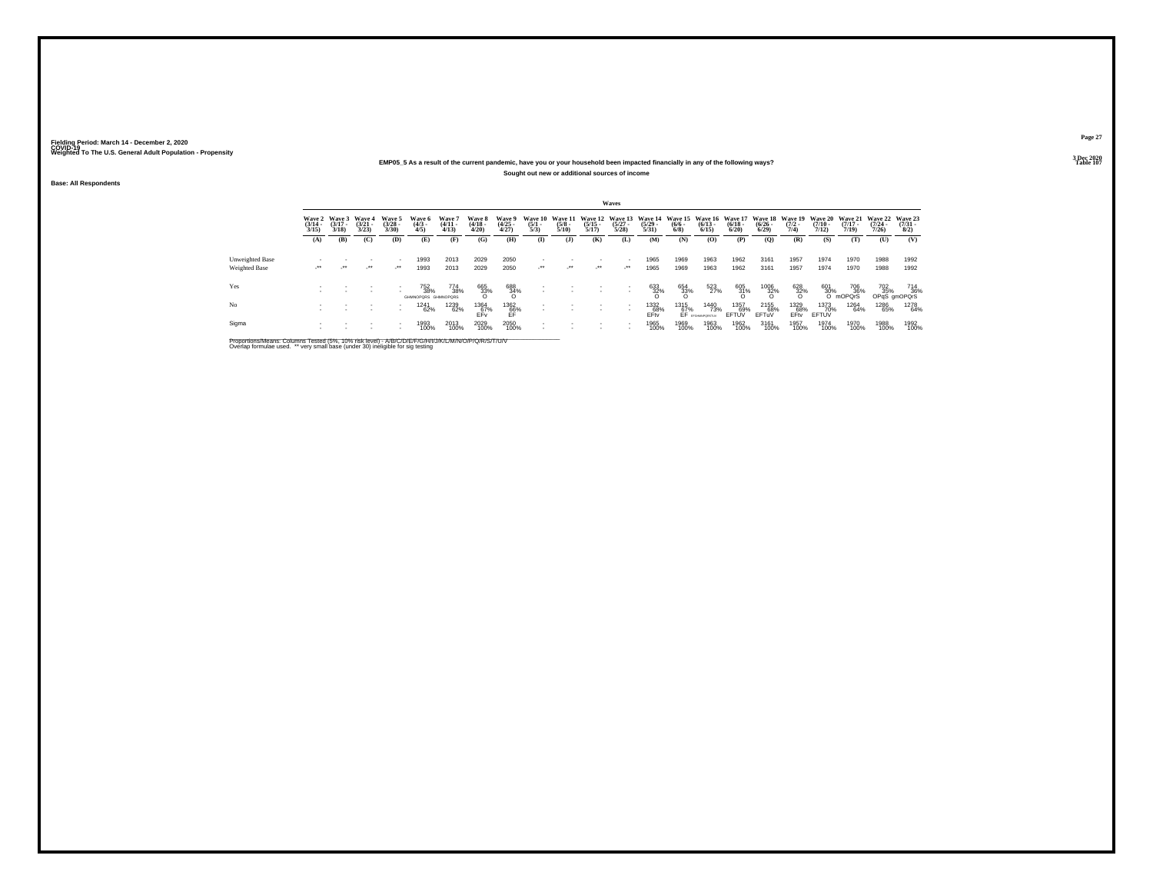### **EMP05\_5 As a result of the current pandemic, have you or your household been impacted financially in any of the following ways?Sought out new or additional sources of income**

**Base: All Respondents**

|                 |                                 |                                 |                                 |                                |                                   |                                 |                                 |                                |                                |                                 |                                  | Waves                            |                                  |                    |                                                  |                      |                                         |                                       |                                         |                                            |                                     |                                |
|-----------------|---------------------------------|---------------------------------|---------------------------------|--------------------------------|-----------------------------------|---------------------------------|---------------------------------|--------------------------------|--------------------------------|---------------------------------|----------------------------------|----------------------------------|----------------------------------|--------------------|--------------------------------------------------|----------------------|-----------------------------------------|---------------------------------------|-----------------------------------------|--------------------------------------------|-------------------------------------|--------------------------------|
|                 | Wave 2<br>$\frac{(3/14)}{3/15}$ | Wave 3<br>$\frac{(3/17)}{3/18}$ | Wave 4<br>$\frac{(3/21)}{3/23}$ | Wave 5<br>$\binom{3/28}{3/30}$ | Wave 6<br>$\binom{4/3}{4/5}$      | Wave 7<br>$\frac{(4/11)}{4/13}$ | Wave 8<br>$\frac{(4/18)}{4/20}$ | Wave 9<br>$\binom{4/25}{4/27}$ | Wave 10<br>$\frac{(5/1)}{5/3}$ | Wave 11<br>$\frac{(5/8)}{5/10}$ | Wave 12<br>$\frac{(5/15)}{5/17}$ | Wave 13<br>$\frac{(5/27)}{5/28}$ | Wave 14<br>$\frac{(5/29)}{5/31}$ | $\binom{6/6}{6/8}$ | Wave 15 Wave 16 Wave 17<br>$\frac{(6/13)}{6/15}$ | $\binom{6/18}{6/20}$ | <b>Wave 18</b><br>$\frac{(6/26)}{6/29}$ | <b>Wave 19</b><br>$\frac{(7/2)}{7/4}$ | <b>Wave 20</b><br>$\frac{(7/10)}{7/12}$ | <b>Wave 21</b><br>$\frac{(7/17)}{7/19}$    | <b>Wave 22</b><br>$(7/24 -$<br>7/26 | Wave 23<br>$\binom{7/31}{8/2}$ |
|                 | (A)                             | (B)                             | (C)                             | (D)                            | (E)                               | (F)                             | (G)                             | (H)                            | $($ $\Gamma$                   | (1)                             | (K)                              | (L)                              | (M)                              | (N)                | (O)                                              | (P)                  | (Q)                                     | (R)                                   | (S)                                     | (T)                                        | (U)                                 | (V)                            |
| Unweighted Base |                                 |                                 |                                 | ٠                              | 1993                              | 2013                            | 2029                            | 2050                           |                                |                                 |                                  |                                  | 1965                             | 1969               | 1963                                             | 1962                 | 3161                                    | 1957                                  | 1974                                    | 1970                                       | 1988                                | 1992                           |
| Weighted Base   | $\cdot$                         | $\cdot$                         | $\cdot$                         | $\cdot$                        | 1993                              | 2013                            | 2029                            | 2050                           | $\cdot$                        | $\cdot$                         | $\cdot$                          | $\cdot$                          | 1965                             | 1969               | 1963                                             | 1962                 | 3161                                    | 1957                                  | 1974                                    | 1970                                       | 1988                                | 1992                           |
| Yes             |                                 |                                 |                                 | ٠                              | 752<br>38%<br>GHMNOPORS GHMNOPORS | 774<br>38%                      | 665<br>33%                      | 688<br>34%<br>O                |                                |                                 |                                  |                                  | 633<br>32%                       | 654<br>33%         | 523<br>27%                                       | $^{605}_{31\%}$      | 1006<br>32%                             | $\frac{628}{32\%}$                    |                                         | 601 70<br>30% 36<br>O mOPQrS<br>706<br>36% | 702<br>35%                          | 714<br>36%<br>OPqS gmOPQrS     |
| No              |                                 |                                 |                                 | ٠<br>٠                         | 1241<br>62%                       | 1239<br>62%                     | 1364<br>67%<br>FFv              | 1362<br>66%<br>ĒĒ              |                                |                                 |                                  |                                  | 1332<br>68%<br>EFty              | 1315<br>67%        | 1440<br>73%<br>EF provemporatur                  | 1357<br>69%<br>EFTUV | 2155<br>68%<br>EFTuV                    | 1329<br>68%<br>EFty                   | 1373<br>70%<br>EFTUV                    | 1264<br>64%                                | 1286<br>65%                         | 1278<br>64%                    |
| Sigma           |                                 |                                 |                                 | ٠<br>٠                         | 1993<br>100%                      | 2013<br>100%                    | 2029<br>100%                    | 2050<br>100%                   |                                |                                 |                                  | $\overline{\phantom{a}}$         | 1965<br>100%                     | 1969<br>100%       | 1963<br>100%                                     | 1962<br>100%         | 3161<br>100%                            | 1957<br>100%                          | 1974<br>100%                            | 1970<br>100%                               | 1988<br>100%                        | 1992<br>100%                   |

Proportions/Means: Columns Tested (5%, 10% risk level) - A/B/C/D/E/F/G/H/I/J/K/L/M/N/O/P/Q/R/S/T/U/V<br>Overlap formulae used. \*\* very small base (under 30) ineligible for sig testing

**Page 273 Dec 2020<br>Table 107** 

**Table 107 Table 107**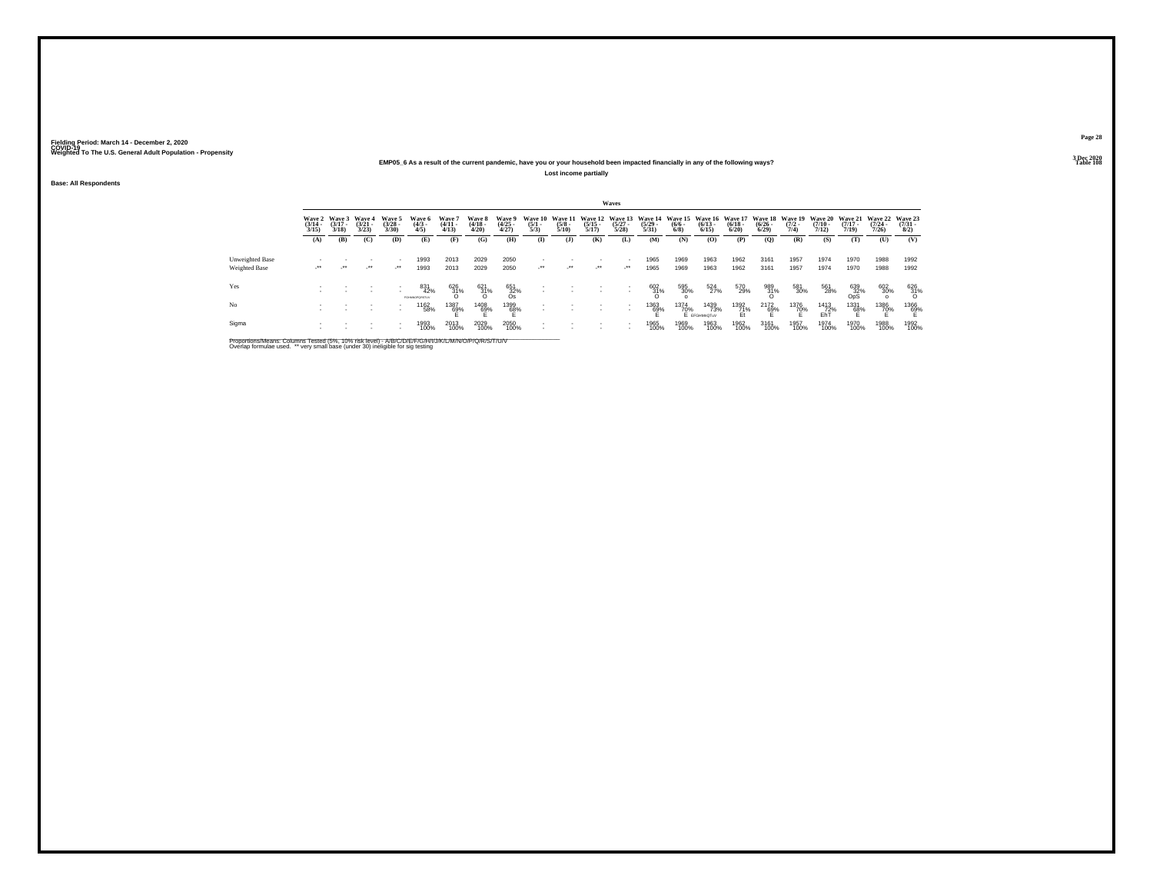### **EMP05\_6 As a result of the current pandemic, have you or your household been impacted financially in any of the following ways?Lost income partially**

**Base: All Respondents**

|                 |                                 |                                 |                                 |                                |                              |                                |                                 |                                |                                |                                 |                                  | Waves                           |                                  |                           |                                         |                                 |                                          |                      |                                         |                                         |                                         |                                |
|-----------------|---------------------------------|---------------------------------|---------------------------------|--------------------------------|------------------------------|--------------------------------|---------------------------------|--------------------------------|--------------------------------|---------------------------------|----------------------------------|---------------------------------|----------------------------------|---------------------------|-----------------------------------------|---------------------------------|------------------------------------------|----------------------|-----------------------------------------|-----------------------------------------|-----------------------------------------|--------------------------------|
|                 | Wave 2<br>$\frac{(3/14)}{3/15}$ | Wave 3<br>$\frac{(3/17)}{3/18}$ | Wave 4<br>$\frac{(3/21)}{3/23}$ | Wave 5<br>$\binom{3/28}{3/30}$ | Wave 6<br>$\binom{4/3}{4/5}$ | Wave 7<br>$\frac{(4/11}{4/13}$ | Wave 8<br>$\frac{(4/18)}{4/20}$ | Wave 9<br>$\binom{4/25}{4/27}$ | Wave 10<br>$\frac{(5/1)}{5/3}$ | Wave 11<br>$\frac{(5/8)}{5/10}$ | Wave 12<br>$\frac{(5/15)}{5/17}$ | Wave 13<br>$\binom{5/27}{5/28}$ | Wave 14<br>$\frac{(5/29)}{5/31}$ | $\frac{(6/6 - 6)}{(6/8)}$ | Wave 15 Wave 16<br>$\binom{6/13}{6/15}$ | Wave 17<br>$\binom{6/18}{6/20}$ | Wave 18 Wave 19<br>$\frac{(6/26)}{6/29}$ | $\frac{(7/2)}{7/4}$  | <b>Wave 20</b><br>$\frac{(7/10)}{7/12}$ | <b>Wave 21</b><br>$\frac{(7/17)}{7/19}$ | Wave 22<br>$\frac{(7/24 - 7/26)}{7/26}$ | Wave 23<br>$\binom{7/31}{8/2}$ |
|                 | (A)                             | (B)                             | (C)                             | (D)                            | (E)                          | (F)                            | (G)                             | (H)                            | $\mathbf{I}$                   | ( <b>J</b> )                    | (K)                              | (L)                             | (M)                              | (N)                       | (O)                                     | (P)                             | (Q)                                      | (R)                  | (S)                                     | (T)                                     | (U)                                     | (V)                            |
| Unweighted Base |                                 |                                 |                                 |                                | 1993                         | 2013                           | 2029                            | 2050                           |                                |                                 |                                  |                                 | 1965                             | 1969                      | 1963                                    | 1962                            | 3161                                     | 1957                 | 1974                                    | 1970                                    | 1988                                    | 1992                           |
| Weighted Base   | $\cdot$                         | $\cdot$                         | $\cdot$                         | $\mathcal{L}^{\bullet\bullet}$ | 1993                         | 2013                           | 2029                            | 2050                           | $\cdot$                        | $\mathcal{L}^{\bullet\bullet}$  | $\cdot$                          | $\cdot$                         | 1965                             | 1969                      | 1963                                    | 1962                            | 3161                                     | 1957                 | 1974                                    | 1970                                    | 1988                                    | 1992                           |
| Yes             |                                 |                                 |                                 |                                | 831<br>42%<br>EGANNOODSTLIV  | $^{626}_{31\%}$                | $^{621}_{31\%}$                 | 651<br>32%<br>Os               |                                |                                 |                                  |                                 | $^{602}_{31\%}$                  | 595<br>30%                | 524<br>27%                              | 570<br>29%                      | 989<br>31%<br>O                          | 581<br>30%           | 561<br>28%                              | 639<br>0pS<br>0pS                       | 602<br>30%                              | 626<br>31%<br>O                |
| No              |                                 |                                 |                                 |                                | 1162<br>58%                  | 1387<br>69%                    | 1408<br>69%                     | 1399<br>68%                    |                                |                                 |                                  | $\overline{\phantom{a}}$        | <sup>1363</sup> 69%              | 1374<br>70%               | 1439<br>73%<br>E EFGHMnOTuV             | 1392<br>71%                     | $^{2172}_{69\%}$                         | 1376<br>7 <u>0</u> % | <sup>1413</sup> 72%<br>EhT              | 1331<br>68%                             | 1386<br>70%                             | 1366<br>69%                    |
| Sigma           |                                 |                                 |                                 |                                | 1993<br>100%                 | 2013<br>100%                   | 2029<br>100%                    | 2050<br>100%                   |                                |                                 |                                  | $\overline{\phantom{a}}$        | 1965<br>100%                     | 1969<br>100%              | 1963<br>100%                            | 1962<br>100%                    | 3161<br>100%                             | 1957<br>100%         | 1974<br>100%                            | 1970<br>100%                            | 1988<br>100%                            | 1992<br>100%                   |

Proportions/Means: Columns Tested (5%, 10% risk level) - A/B/C/D/E/F/G/H/I/J/K/L/M/N/O/P/Q/R/S/T/U/V<br>Overlap formulae used. \*\* very small base (under 30) ineligible for sig testing

**Page 283 Dec 2020<br>Table 108** 

**Table 108 Table 108**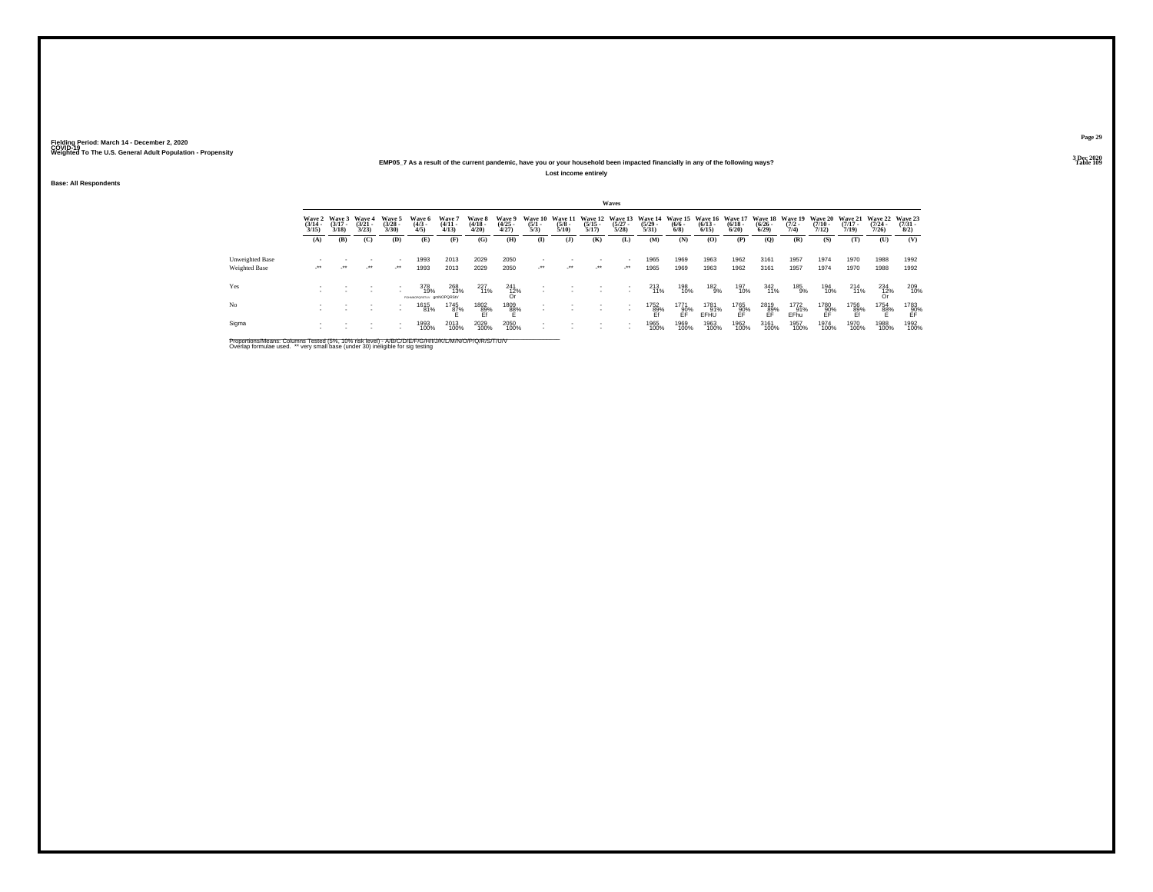### **EMP05\_7 As a result of the current pandemic, have you or your household been impacted financially in any of the following ways?Lost income entirely**

**Base: All Respondents**

|                 |                                 |                                 |                                 |                                |                                        |                                |                                 |                                        |                                |                                 |                                  | Waves                                                |                                  |                                              |                      |                                        |                                          |                     |                                         |                                         |                                         |                                     |
|-----------------|---------------------------------|---------------------------------|---------------------------------|--------------------------------|----------------------------------------|--------------------------------|---------------------------------|----------------------------------------|--------------------------------|---------------------------------|----------------------------------|------------------------------------------------------|----------------------------------|----------------------------------------------|----------------------|----------------------------------------|------------------------------------------|---------------------|-----------------------------------------|-----------------------------------------|-----------------------------------------|-------------------------------------|
|                 | Wave 2<br>$\frac{(3/14)}{3/15}$ | Wave 3<br>$\frac{(3/17)}{3/18}$ | Wave 4<br>$\frac{(3/21)}{3/23}$ | Wave 5<br>$\binom{3/28}{3/30}$ | Wave 6<br>$\binom{4/3}{4/5}$           | Wave 7<br>$\frac{(4/11}{4/13}$ | Wave 8<br>$\frac{(4/18)}{4/20}$ | Wave 9<br>$\binom{4/25}{4/27}$         | Wave 10<br>$\frac{(5/1)}{5/3}$ | Wave 11<br>$\frac{(5/8)}{5/10}$ | Wave 12<br>$\frac{(5/15)}{5/17}$ | Wave 13<br>$\binom{5/27}{5/28}$                      | Wave 14<br>$\frac{(5/29)}{5/31}$ | Wave 15 Wave 16<br>$\frac{(6/6 - 6)}{(6/8)}$ | $\binom{6/13}{6/15}$ | <b>Wave 17</b><br>$\binom{6/18}{6/20}$ | Wave 18 Wave 19<br>$\frac{(6/26)}{6/29}$ | $\frac{(7/2)}{7/4}$ | <b>Wave 20</b><br>$\frac{(7/10)}{7/12}$ | <b>Wave 21</b><br>$\frac{(7/17)}{7/19}$ | <b>Wave 22</b><br>$\frac{(7/24)}{7/26}$ | Wave 23<br>$\frac{(7/31 - 1)}{8/2}$ |
|                 | (A)                             | (B)                             | (C)                             | (D)                            | (E)                                    | (F)                            | (G)                             | (H)                                    | $\mathbf{I}$                   | ( <b>J</b> )                    | (K)                              | (L)                                                  | (M)                              | (N)                                          | (O)                  | (P)                                    | (Q)                                      | (R)                 | (S)                                     | (T)                                     | (U)                                     | (V)                                 |
| Unweighted Base |                                 |                                 |                                 |                                | 1993                                   | 2013                           | 2029                            | 2050                                   |                                |                                 |                                  |                                                      | 1965                             | 1969                                         | 1963                 | 1962                                   | 3161                                     | 1957                | 1974                                    | 1970                                    | 1988                                    | 1992                                |
| Weighted Base   | $\cdot$                         | $\cdot$                         | $\cdot$                         | $\mathcal{L}^{\bullet\bullet}$ | 1993                                   | 2013                           | 2029                            | 2050                                   | $\cdot$                        | $\mathcal{L}^{\bullet\bullet}$  | $\cdot$ .                        | $\cdot$                                              | 1965                             | 1969                                         | 1963                 | 1962                                   | 3161                                     | 1957                | 1974                                    | 1970                                    | 1988                                    | 1992                                |
| Yes             |                                 |                                 |                                 |                                | 378<br>19%<br>FGHMNOPORSTUV amNOPORSIV | 268<br>13%                     | 227<br>11%                      | $^{241}_{\substack{12\%\\ \text{Or}}}$ |                                |                                 |                                  |                                                      | 213<br>11%                       | 198<br>10%                                   | $^{182}_{9\%}$       | 197<br>10%                             | 342<br>11%                               | 185<br>9%           | 194<br>10%                              | $^{214}_{11\%}$                         | $^{234}_{\substack{12\%\\ \text{Or}}}$  | 209<br>10%                          |
| No              |                                 |                                 |                                 |                                | 1615<br>81%                            | 1745<br>87%                    | 1802<br>89%<br>Ef               | 1809<br>88%                            |                                |                                 |                                  |                                                      | 1752<br>89%<br>Ef                | 1771<br>90%<br>FF                            | 1781<br>91%<br>EFHU  | 1765<br>90%<br>FF                      | 2819<br>89%<br>EF                        | 1772<br>91%<br>EFhu | 1780<br>-- 90%<br>EF                    | 1756<br>89%<br>Ef                       | 1754<br>8 <u>8</u> %                    | $^{1783}_{90\%}$                    |
| Sigma           |                                 |                                 |                                 |                                | 1993<br>100%                           | 2013<br>100%                   | 2029<br>100%                    | 2050<br>100%                           |                                |                                 |                                  | $\overline{\phantom{a}}$<br>$\overline{\phantom{a}}$ | 1965<br>100%                     | 1969<br>100%                                 | 1963<br>100%         | 1962<br>100%                           | 3161<br>100%                             | 1957<br>100%        | 1974<br>100%                            | 1970<br>100%                            | 1988<br>100%                            | 1992<br>100%                        |

Proportions/Means: Columns Tested (5%, 10% risk level) - A/B/C/D/E/F/G/H/I/J/K/L/M/N/O/P/Q/R/S/T/U/V<br>Overlap formulae used. \*\* very small base (under 30) ineligible for sig testing

**Page 293 Dec 2020<br>Table 109** 

**Table 109 Table 109**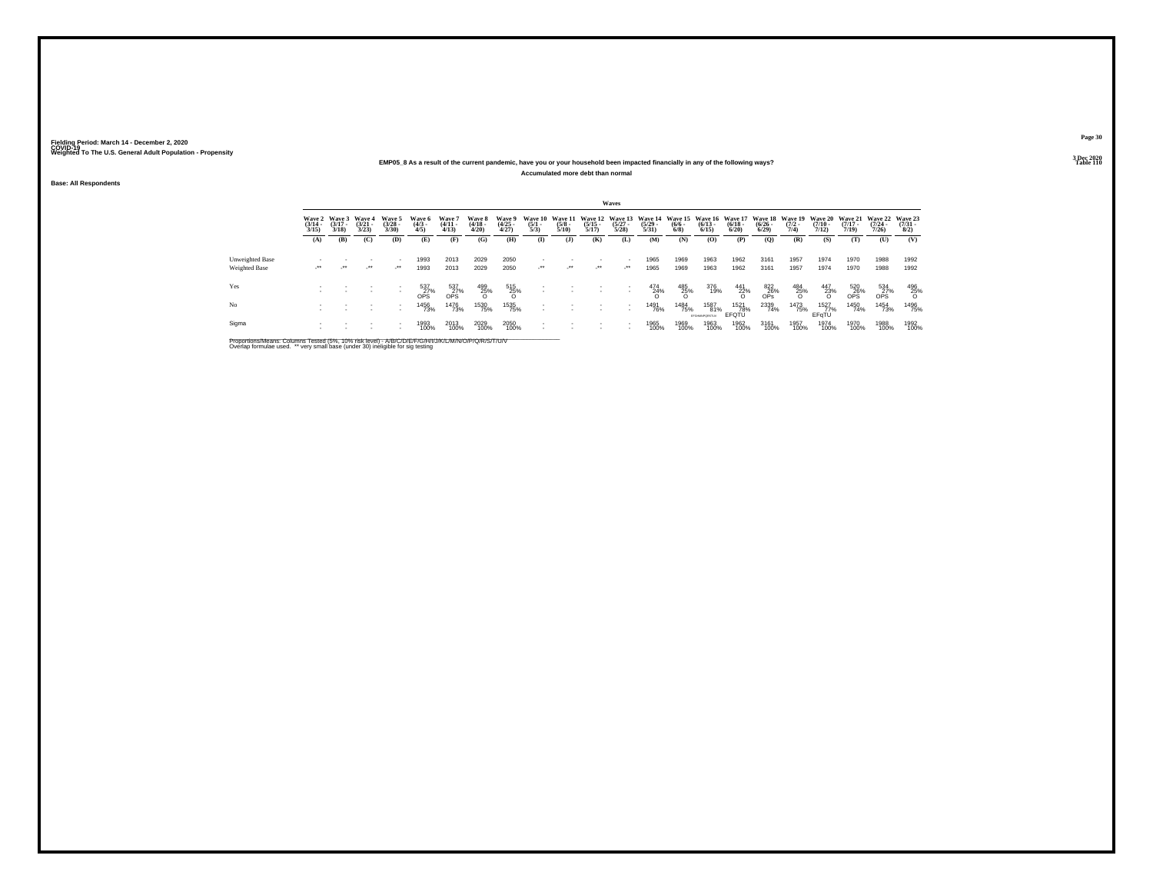### **EMP05\_8 As a result of the current pandemic, have you or your household been impacted financially in any of the following ways?Accumulated more debt than normal**

**Base: All Respondents**

|                 |                                 |                                 |                                 |                                                      |                                         |                                         |                                 |                                |                                |                                 |                       | Waves                         |                                                                                          |                           |                              |                      |                             |                     |                           |                       |                                                  |                                     |
|-----------------|---------------------------------|---------------------------------|---------------------------------|------------------------------------------------------|-----------------------------------------|-----------------------------------------|---------------------------------|--------------------------------|--------------------------------|---------------------------------|-----------------------|-------------------------------|------------------------------------------------------------------------------------------|---------------------------|------------------------------|----------------------|-----------------------------|---------------------|---------------------------|-----------------------|--------------------------------------------------|-------------------------------------|
|                 | Wave 2<br>$\frac{(3/14)}{3/15}$ | Wave 3<br>$\frac{(3/17)}{3/18}$ | Wave 4<br>$\frac{(3/21)}{3/23}$ | Wave 5<br>$\binom{3/28}{3/30}$                       | Wave 6<br>$\binom{4/3}{4/5}$            | Wave 7<br>$\frac{(4/11)}{4/13}$         | Wave 8<br>$\frac{(4/18)}{4/20}$ | Wave 9<br>$\binom{4/25}{4/27}$ | Wave 10<br>$\frac{(5/1)}{5/3}$ | Wave 11<br>$\frac{(5/8)}{5/10}$ | $\frac{(5/15)}{5/17}$ | $\binom{5/27}{5/28}$          | Wave 12 Wave 13 Wave 14 Wave 15 Wave 16 Wave 17 Wave 18 Wave 19<br>$\frac{(5/29)}{5/31}$ | $\frac{(6/6 - 6)}{(6/8)}$ | $\frac{(6/13)}{6/15}$        | $\binom{6/18}{6/20}$ | $\frac{(6/26 - 6)}{(6/29)}$ | $\frac{(7/2)}{7/4}$ | $\frac{(7/10 - 7)}{7/12}$ | $\frac{(7/17)}{7/19}$ | Wave 20 Wave 21 Wave 22<br>$\frac{(7/24)}{7/26}$ | Wave 23<br>$\frac{(7/31 - 1)}{8/2}$ |
|                 | (A)                             | (B)                             | (C)                             | (D)                                                  | (E)                                     | (F)                                     | (G)                             | (H)                            | $\mathbf{I}$                   | (1)                             | (K)                   | (L)                           | (M)                                                                                      | (N)                       | (0)                          | (P)                  | (Q)                         | (R)                 | (S)                       | (T)                   | (U)                                              | (V)                                 |
| Unweighted Base | $\cdot$                         | $\cdot$                         | $\cdot$                         | $\overline{\phantom{a}}$<br>$\cdot$                  | 1993                                    | 2013                                    | 2029                            | 2050                           | $\cdot$                        | $\cdot$                         | $\cdot$               | ٠<br>$\cdot$                  | 1965                                                                                     | 1969                      | 1963                         | 1962                 | 3161                        | 1957                | 1974                      | 1970                  | 1988                                             | 1992                                |
| Weighted Base   |                                 |                                 |                                 |                                                      | 1993                                    | 2013                                    | 2029                            | 2050                           |                                |                                 |                       |                               | 1965                                                                                     | 1969                      | 1963                         | 1962                 | 3161                        | 1957                | 1974                      | 1970                  | 1988                                             | 1992                                |
| Yes             |                                 |                                 |                                 | $\overline{\phantom{a}}$                             | $^{537}_{\substack{27\%\\ \text{OPS}}}$ | $^{537}_{\substack{27\%\\ \text{OPS}}}$ | $^{499}_{25\%}$                 | 515<br>25%<br>O                |                                |                                 |                       | ٠<br>$\overline{\phantom{a}}$ | $^{474}_{24\%}$                                                                          | $\frac{485}{25\%}$        | 376<br>19%                   | $\frac{441}{22\%}$   | $\frac{822}{26\%}$          | $^{484}_{25\%}$     | $\frac{447}{23\%}$        | $\frac{520}{0P}$ S%   | $\frac{534}{0P}$ S <sup>27%</sup>                | $^{496}_{25\%}$                     |
| N <sub>o</sub>  |                                 |                                 |                                 | $\overline{\phantom{a}}$<br>$\overline{\phantom{a}}$ | 1456<br>73%                             | 1476<br>73%                             | 1530<br>75%                     | 1535<br>75%                    |                                |                                 |                       |                               | 1491<br>76%                                                                              | 1484<br>75%               | 1587<br>81%<br>EFGHANPORSTUV | 1521<br>78%<br>EFQTU | 2339<br>74%                 | 1473<br>75%         | 1527<br>77%<br>EFGTU      | 1450<br>74%           | 1454<br>73%                                      | 1496<br>75%                         |
| Sigma           |                                 |                                 |                                 | $\overline{\phantom{a}}$                             | 1993<br>100%                            | 2013<br>100%                            | 2029<br>100%                    | 2050<br>100%                   |                                |                                 |                       |                               | 1965<br>100%                                                                             | 1969<br>100%              | 1963<br>100%                 | 1962<br>100%         | 3161<br>100%                | 1957<br>100%        | 1974<br>100%              | 1970<br>100%          | 1988<br>100%                                     | 1992<br>100%                        |

Proportions/Means: Columns Tested (5%, 10% risk level) - A/B/C/D/E/F/G/H/I/J/K/L/M/N/O/P/Q/R/S/T/U/V<br>Overlap formulae used. \*\* very small base (under 30) ineligible for sig testing

**Page 303 Dec 2020<br>Table 110** 

**Table 110 Table 110**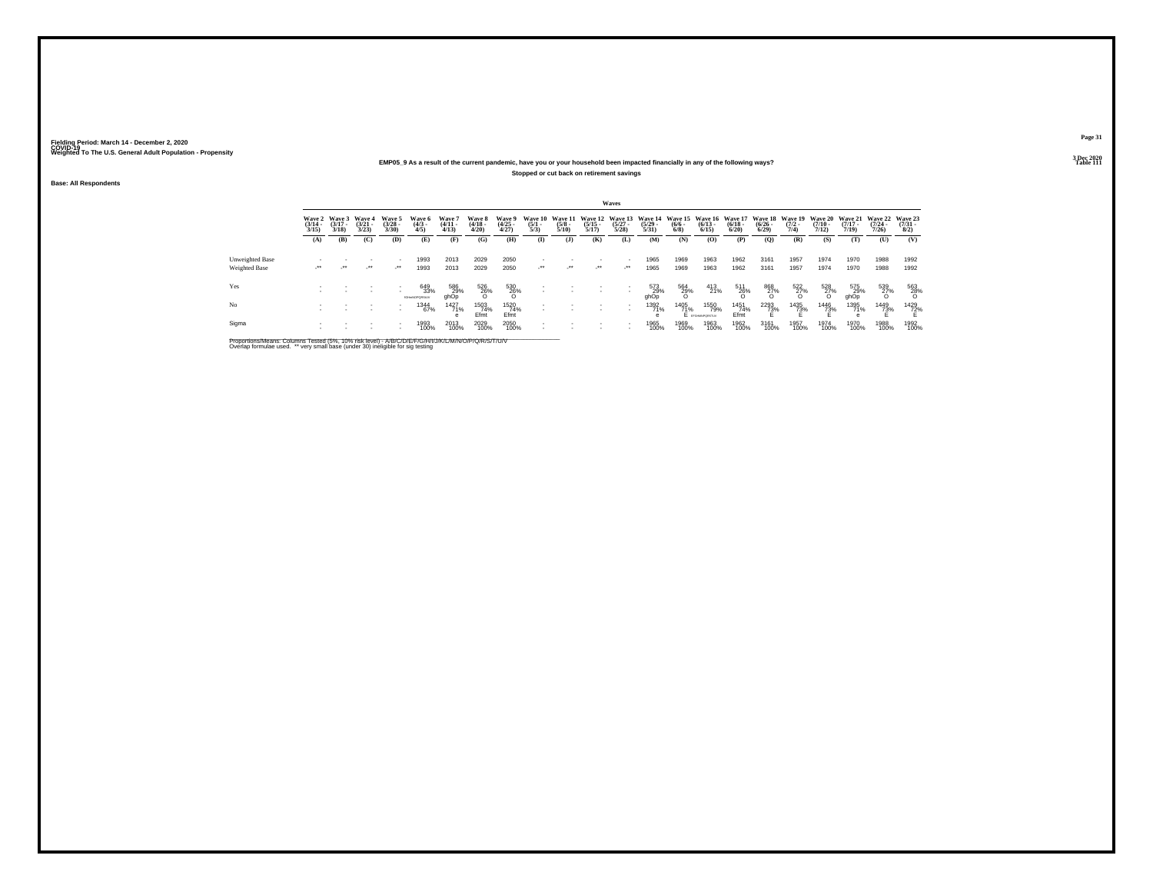### **EMP05\_9 As a result of the current pandemic, have you or your household been impacted financially in any of the following ways?Stopped or cut back on retirement savings**

**Base: All Respondents**

|                                  |                                 |                                 |                                 |                                    |                                    |                                 |                                 |                                |                                |                                 |                                  | Waves                                    |                                                                                  |                     |                                |                      |                         |                      |                                         |                                         |                                         |                                     |
|----------------------------------|---------------------------------|---------------------------------|---------------------------------|------------------------------------|------------------------------------|---------------------------------|---------------------------------|--------------------------------|--------------------------------|---------------------------------|----------------------------------|------------------------------------------|----------------------------------------------------------------------------------|---------------------|--------------------------------|----------------------|-------------------------|----------------------|-----------------------------------------|-----------------------------------------|-----------------------------------------|-------------------------------------|
|                                  | Wave 2<br>$\frac{(3/14)}{3/15}$ | Wave 3<br>$\frac{(3/17)}{3/18}$ | Wave 4<br>$\frac{(3/21)}{3/23}$ | Wave 5<br>$(3/28 -$<br>3/30        | Wave 6<br>$\binom{4/3}{4/5}$       | Wave 7<br>$\frac{(4/11)}{4/13}$ | Wave 8<br>$\frac{(4/18)}{4/20}$ | Wave 9<br>$\binom{4/25}{4/27}$ | Wave 10<br>$\frac{(5/1)}{5/3}$ | Wave 11<br>$\frac{(5/8)}{5/10}$ | Wave 12<br>$\frac{(5/15)}{5/17}$ | $\frac{(5/27)}{5/28}$                    | Wave 13 Wave 14 Wave 15 Wave 16 Wave 17 Wave 18 Wave 19<br>$\frac{(5/29)}{5/31}$ | $\frac{(6/6)}{6/8}$ | $\binom{6/13}{6/15}$           | $\binom{6/18}{6/20}$ | $\frac{(6/26)}{(6/29)}$ | $\frac{(7/2)}{7/4}$  | <b>Wave 20</b><br>$\frac{(7/10)}{7/12}$ | <b>Wave 21</b><br>$\frac{(7/17)}{7/19}$ | <b>Wave 22</b><br>$\frac{(7/24)}{7/26}$ | Wave 23<br>$\frac{(7/31 - 1)}{8/2}$ |
|                                  | (A)                             | (B)                             | (C)                             | (D)                                | (E)                                | (F)                             | (G)                             | (H)                            | $\bf{I}$                       | (1)                             | (K)                              | (L)                                      | (M)                                                                              | (N)                 | (0)                            | (P)                  | (O)                     | (R)                  | (S)                                     | (T)                                     | (U)                                     | (V)                                 |
| Unweighted Base<br>Weighted Base | $\cdot$                         | $\cdot$                         | $\cdot$                         | $\mathcal{L}^{\bullet\bullet}$     | 1993<br>1993                       | 2013<br>2013                    | 2029<br>2029                    | 2050<br>2050                   | $\cdot$                        | $\cdot$                         | $\cdot$ .                        | $\cdot$                                  | 1965<br>1965                                                                     | 1969<br>1969        | 1963<br>1963                   | 1962<br>1962         | 3161<br>3161            | 1957<br>1957         | 1974<br>1974                            | 1970<br>1970                            | 1988<br>1988                            | 1992<br>1992                        |
| Yes                              |                                 |                                 |                                 | $\overline{\phantom{a}}$<br>$\sim$ | 649<br>33%<br><b>IGHHNOPORSIJV</b> | 586<br>29%<br>ghOp              | 526<br>26%<br>O                 | $^{530}_{26\%}$                |                                |                                 |                                  |                                          | 573<br>29%<br>ghOp                                                               | 564<br>29%<br>O     | 413<br>21%                     | $^{511}_{26\%}$      | 868<br>27%<br>O         | $\frac{522}{27\%}$   | $^{528}_{27\%}$                         | 575<br>29%<br>ghOp                      | 539<br>2 <u>7</u> %                     | $^{563}_{\phantom{1}28\%}$          |
| N <sub>o</sub>                   |                                 |                                 | ٠                               | $\overline{\phantom{a}}$           | 1344<br>67%                        | 1427<br>71%<br>e                | 1503<br>74%<br>Efmt             | 1520<br>74%<br>Efmt            | $\sim$                         |                                 |                                  | $\mathbf{r}$<br>$\overline{\phantom{a}}$ | 1392<br>71%<br>е                                                                 | 1405<br>71%         | 1550<br>79%<br>E provemporatur | 1451<br>74%<br>Ffmt  | <sup>2293</sup> 73%     | 1435<br>7 <u>3</u> % | <sup>1446</sup> 73%                     | 1395<br>71%                             | 1449<br>73%                             | 1429<br>72%                         |
| Sigma                            |                                 |                                 |                                 | $\overline{\phantom{a}}$           | 1993<br>100%                       | 2013<br>100%                    | 2029<br>100%                    | 2050<br>100%                   |                                |                                 |                                  |                                          | 1965<br>100%                                                                     | 1969<br>100%        | 1963<br>100%                   | 1962<br>100%         | 3161<br>100%            | 1957<br>100%         | 1974<br>100%                            | 1970<br>100%                            | 1988<br>100%                            | 1992<br>100%                        |

Proportions/Means: Columns Tested (5%, 10% risk level) - A/B/C/D/E/F/G/H/I/J/K/L/M/N/O/P/Q/R/S/T/U/V<br>Overlap formulae used. \*\* very small base (under 30) ineligible for sig testing

**Page 313 Dec 2020<br>Table 111** 

**Properties and the contract of the contract of the contract of the contract of the contract of the contract of the contract of the contract of the contract of the contract of the contract of the contract of the contract o**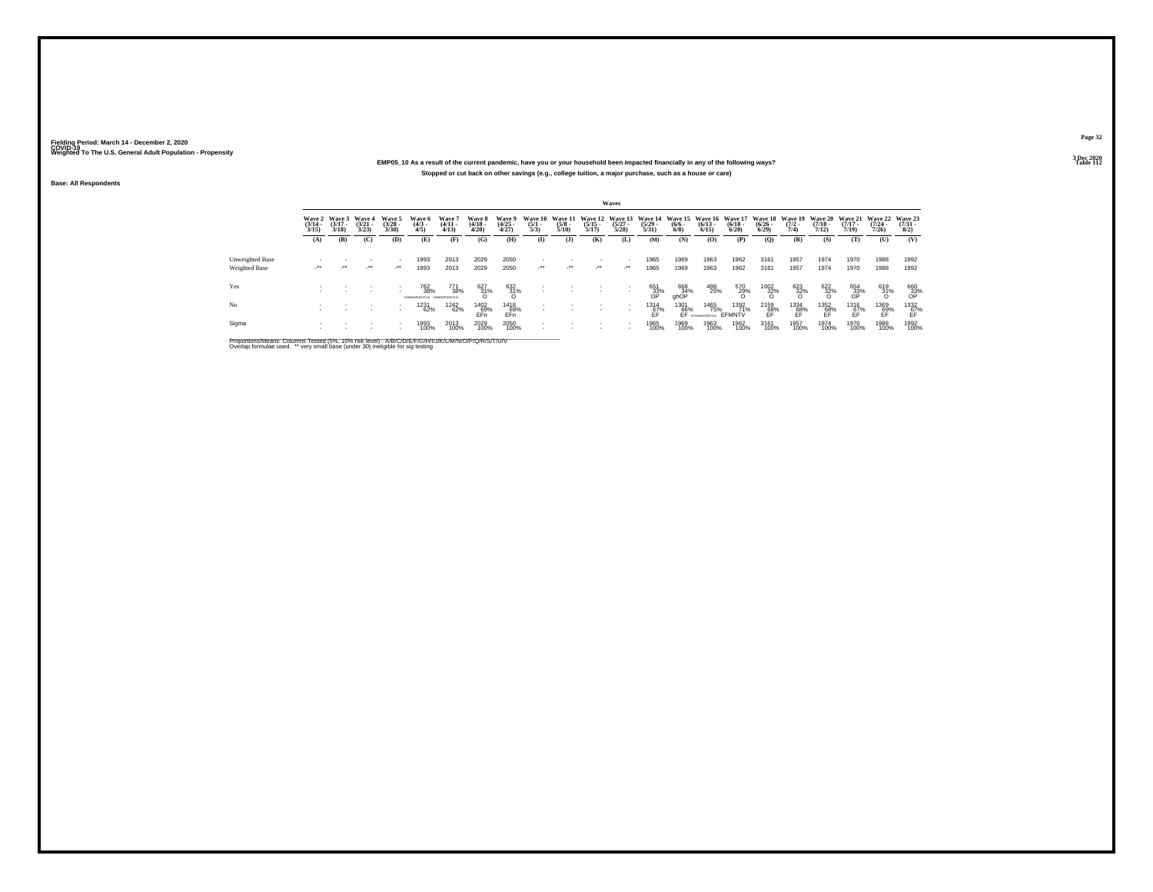### **EMP05\_10 As a result of the current pandemic, have you or your household been impacted financially in any of the following ways?Stopped or cut back on other savings (e.g., college tuition, a major purchase, such as a house or care)**

**Base: All Respondents**

|                                  |                                 |                                        |                                 |                                     |                                       |                                |                                 |                                |                                |                                 |                                  | Waves                           |                                  |                                       |                                 |                                        |                                      |                                |                                  |                                  |                                                                                         |                                |
|----------------------------------|---------------------------------|----------------------------------------|---------------------------------|-------------------------------------|---------------------------------------|--------------------------------|---------------------------------|--------------------------------|--------------------------------|---------------------------------|----------------------------------|---------------------------------|----------------------------------|---------------------------------------|---------------------------------|----------------------------------------|--------------------------------------|--------------------------------|----------------------------------|----------------------------------|-----------------------------------------------------------------------------------------|--------------------------------|
|                                  | Wave 2<br>$\frac{(3/14)}{3/15}$ | <b>Wave 3</b><br>$\frac{(3/17)}{3/18}$ | Wave 4<br>$\frac{(3/21)}{3/23}$ | Wave 5<br>$\binom{3/28}{3/30}$      | Wave 6<br>$\binom{4/3}{4/5}$          | Wave 7<br>$\binom{4/11}{4/13}$ | Wave 8<br>$\frac{(4/18)}{4/20}$ | Wave 9<br>$\binom{4/25}{4/27}$ | Wave 10<br>$\frac{(5/1)}{5/3}$ | Wave 11<br>$\frac{(5/8)}{5/10}$ | Wave 12<br>$\frac{(5/15)}{5/17}$ | Wave 13<br>$\binom{5/27}{5/28}$ | Wave 14<br>$\frac{(5/29)}{5/31}$ | <b>Wave 15</b><br>$\frac{(6/6)}{6/8}$ | Wave 16<br>$\binom{6/13}{6/15}$ | <b>Wave 17</b><br>$\binom{6/18}{6/20}$ | Wave 18<br>$\frac{(6/26 - 6)}{6/29}$ | Wave 19<br>$\frac{(7/2)}{7/4}$ | Wave 20<br>$\frac{(7/10)}{7/12}$ | Wave 21<br>$\frac{(7/17)}{7/19}$ | Wave 22<br>$(7/24 -$<br>7/26                                                            | Wave 23<br>$\binom{7/31}{8/2}$ |
|                                  | (A)                             | (B)                                    | (C)                             | (D)                                 | (E)                                   | (F)                            | (G)                             | (H)                            | $($ I)                         | $($ $\bf{J}$                    | (K)                              | (L)                             | (M)                              | (N)                                   | (O)                             | (P)                                    | (Q)                                  | (R)                            | (S)                              | (T)                              | (U)                                                                                     | (V)                            |
| Unweighted Base<br>Weighted Base |                                 | $\cdot$                                | $\cdot$                         | $\overline{\phantom{a}}$<br>$\cdot$ | 1993<br>1993                          | 2013<br>2013                   | 2029<br>2029                    | 2050<br>2050                   | $\cdot$                        | $\cdot$                         | $\cdot$                          | $\cdot$                         | 1965<br>1965                     | 1969<br>1969                          | 1963<br>1963                    | 1962<br>1962                           | 3161<br>3161                         | 1957<br>1957                   | 1974<br>1974                     | 1970<br>1970                     | 1988<br>1988                                                                            | 1992<br>1992                   |
|                                  |                                 |                                        |                                 |                                     |                                       |                                |                                 |                                |                                |                                 |                                  |                                 |                                  |                                       |                                 |                                        |                                      |                                |                                  |                                  |                                                                                         |                                |
| Yes                              |                                 |                                        |                                 | ٠                                   | 762<br>38%<br>GHMOPORSTUV GHMOPORSTUV | 771<br>38%                     | 627<br>31%                      | $\underset{\text{O}}{^{632}}$  |                                |                                 |                                  |                                 | 651<br>33%                       | 668<br>9hOP                           | 498<br>25%                      | 570<br>29%                             | $^{1002}_{32\%}$                     | $\frac{623}{32\%}$             | $\frac{622}{32\%}$               | 654<br>33%                       | $\frac{619}{31\%}$                                                                      | 660<br>33%<br>OP               |
| No                               |                                 |                                        |                                 | $\overline{\phantom{a}}$            | 1231<br>62%                           | <sup>1242</sup> 62%            | 1402<br>69%<br>FFn              | 1418<br>69%<br>EFn             |                                |                                 |                                  |                                 | 1314<br>$E_F^2$                  | 1301<br>66%                           | 1465<br>75%<br>EF EFGHANPORSTUY | 1392<br>71%<br>EFMNTV                  | $^{2159}_{68\%}$                     | 1334<br>68%<br>FF              | $^{1352}_{68\%}$                 | 1316<br>67%<br>FF                | $\underset{\substack{\mathbf{69}\ \mathbf{69}\ \mathbf{F}}{\mathbf{F}}}\{\mathbf{79}\}$ | $^{1332}_{67\%}$               |
| Sigma                            |                                 |                                        |                                 |                                     | 1993<br>100%                          | 2013<br>100%                   | 2029<br>100%                    | 2050<br>100%                   |                                |                                 |                                  |                                 | 1965<br>100%                     | 1969<br>100%                          | 1963<br>100%                    | 1962<br>100%                           | 3161<br>100%                         | 1957<br>100%                   | 1974<br>100%                     | 1970<br>100%                     | 1988<br>100%                                                                            | 1992<br>100%                   |

Proportions/Means: Columns Tested (5%, 10% risk level) - A/B/C/D/E/F/G/H/I/J/K/L/M/N/O/P/Q/R/S/T/U/V<br>Overlap formulae used. \*\* very small base (under 30) ineligible for sig testing

**Page 323 Dec 2020<br>Table 112** 

**Table 112**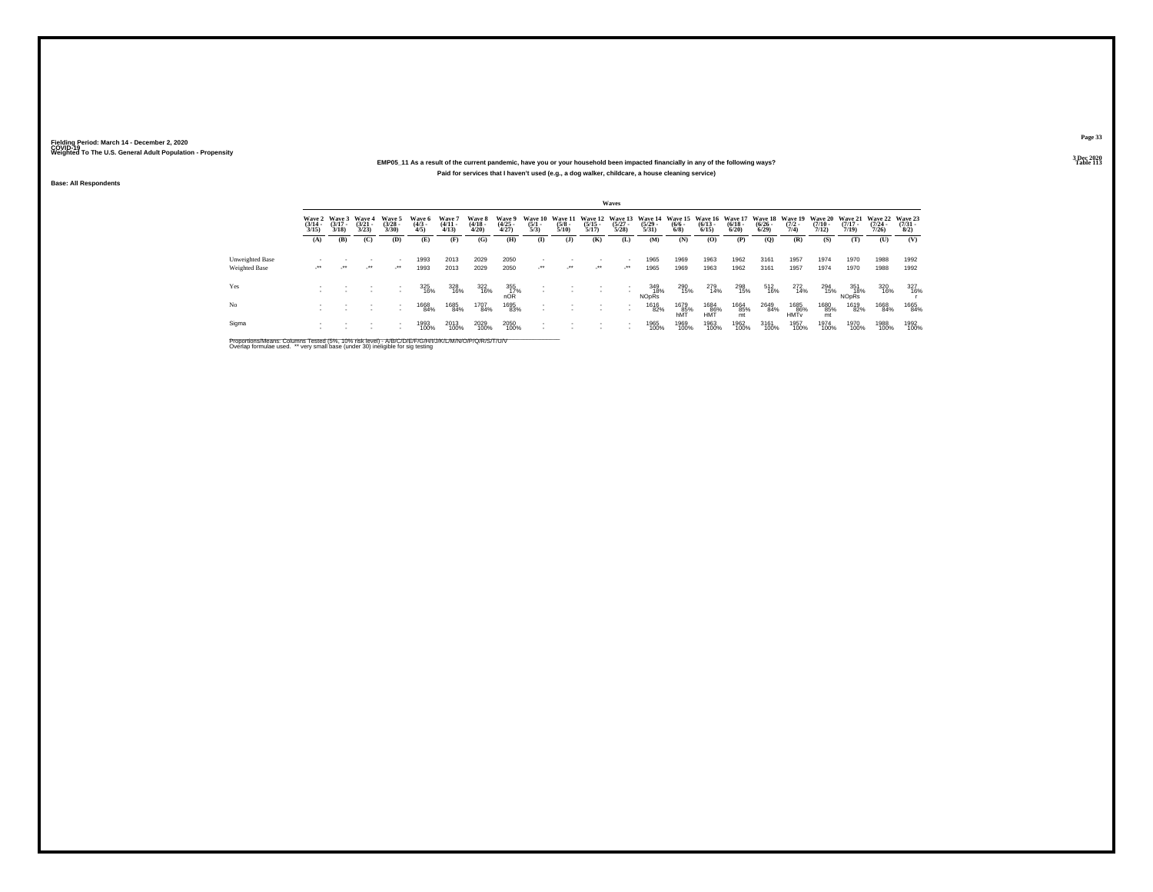### **EMP05\_11 As a result of the current pandemic, have you or your household been impacted financially in any of the following ways?Paid for services that I haven't used (e.g., a dog walker, childcare, a house cleaning service)**

**Base: All Respondents**

|                 |                                 |                             |                                 |                                |                               |                               |                                        |                                 |                                |                                 |                                  | <b>Waves</b>                       |                                  |                    |                                          |                                 |                                         |                                        |                       |                                         |                                             |                                     |
|-----------------|---------------------------------|-----------------------------|---------------------------------|--------------------------------|-------------------------------|-------------------------------|----------------------------------------|---------------------------------|--------------------------------|---------------------------------|----------------------------------|------------------------------------|----------------------------------|--------------------|------------------------------------------|---------------------------------|-----------------------------------------|----------------------------------------|-----------------------|-----------------------------------------|---------------------------------------------|-------------------------------------|
|                 | Wave 2<br>$\frac{(3/14)}{3/15}$ | Wave 3<br>$(3/17 -$<br>3/18 | Wave 4<br>$\frac{(3/21)}{3/23}$ | Wave 5<br>$\binom{3/28}{3/30}$ | Wave 6<br>$\frac{(4/3)}{4/5}$ | Wave?<br>$\binom{4/11}{4/13}$ | Wave 8<br>$\frac{(4/18 - 4/28)}{4/20}$ | Wave 9<br>$\frac{(4/25)}{4/27}$ | Wave 10<br>$\frac{(5/1)}{5/3}$ | Wave 11<br>$\frac{(5/8)}{5/10}$ | Wave 12<br>$\frac{(5/15)}{5/17}$ | Wave 13<br>$\binom{5/27}{5/28}$    | Wave 14<br>$\frac{(5/29)}{5/31}$ | $\binom{6/6}{6/8}$ | Wave 15 Wave 16<br>$\frac{(6/13)}{6/15}$ | Wave 17<br>$\binom{6/18}{6/20}$ | <b>Wave 18</b><br>$\frac{(6/26)}{6/29}$ | Wave 19 Wave 20<br>$\frac{(7/2)}{7/4}$ | $\frac{(7/10)}{7/12}$ | <b>Wave 21</b><br>$\frac{(7/17)}{7/19}$ | <b>Wave 22</b><br>$\frac{(7/24 - 7)}{7/26}$ | Wave 23<br>$\frac{(7/31 - 8)}{8/2}$ |
|                 | (A)                             | (B)                         | (C)                             | (D)                            | (E)                           | (F)                           | (G)                                    | (H)                             | $\bf{I}$                       | (1)                             | (K)                              | (L)                                | (M)                              | (N)                | (0)                                      | (P)                             | $\mathbf{Q}$                            | (R)                                    | (S)                   | (T)                                     | (U)                                         | (V)                                 |
| Unweighted Base |                                 |                             |                                 | $\overline{\phantom{a}}$       | 1993                          | 2013                          | 2029                                   | 2050                            |                                |                                 |                                  |                                    | 1965                             | 1969               | 1963                                     | 1962                            | 3161                                    | 1957                                   | 1974                  | 1970                                    | 1988                                        | 1992                                |
| Weighted Base   | $\cdot$                         | -11                         | $\cdot$                         | $\mathcal{L}^{\bullet\bullet}$ | 1993                          | 2013                          | 2029                                   | 2050                            | $\cdot$                        | $\mathcal{L}^{\bullet\bullet}$  | $\cdot$                          | $\cdot$                            | 1965                             | 1969               | 1963                                     | 1962                            | 3161                                    | 1957                                   | 1974                  | 1970                                    | 1988                                        | 1992                                |
| Yes             |                                 |                             |                                 |                                | 325<br>16%                    | 328<br>16%                    | 322<br>16%                             | $\underset{\text{nOR}}{355}$    |                                |                                 |                                  | $\sim$                             | 349<br>18%<br>NOpRs              | 290<br>15%         | 279<br>14%                               | 298<br>15%                      | 512<br>16%                              | 272<br>14%                             | 294<br>15%            | 351<br>18%<br><b>NO<sub>DRS</sub></b>   | 320<br>16%                                  | 327<br>16%                          |
| No              |                                 |                             |                                 | $\sim$                         | 1668<br>84%                   | 1685<br>84%                   | 1707<br>84%                            | 1695<br>83%                     |                                |                                 |                                  | $\sim$<br>$\overline{\phantom{a}}$ | 1616<br>82%                      | 1679<br>85%<br>hMT | 1684<br>86%<br>HMT                       | 1664<br>85%<br>mt               | 2649<br>84%                             | 1685<br>86%<br><b>HMT<sub>v</sub></b>  | 1680<br>85%<br>mt     | 1619<br>82%                             | 1668<br>84%                                 | 1665<br>84%                         |
| Sigma           |                                 |                             |                                 | $\overline{\phantom{a}}$       | 1993<br>100%                  | 2013<br>100%                  | 2029<br>100%                           | 2050<br>100%                    |                                |                                 |                                  | $\overline{\phantom{a}}$           | 1965<br>100%                     | 1969<br>100%       | 1963<br>100%                             | 1962<br>100%                    | 3161<br>100%                            | 1957<br>100%                           | 1974<br>100%          | 1970<br>100%                            | 1988<br>100%                                | 1992<br>100%                        |

Proportions/Means: Columns Tested (5%, 10% risk level) - A/B/C/D/E/F/G/H/I/J/K/L/M/N/O/P/Q/R/S/T/U/V<br>Overlap formulae used. \*\* very small base (under 30) ineligible for sig testing

**Page 33**3 Dec 2020<br>Table 113

**Table 113 Table 113**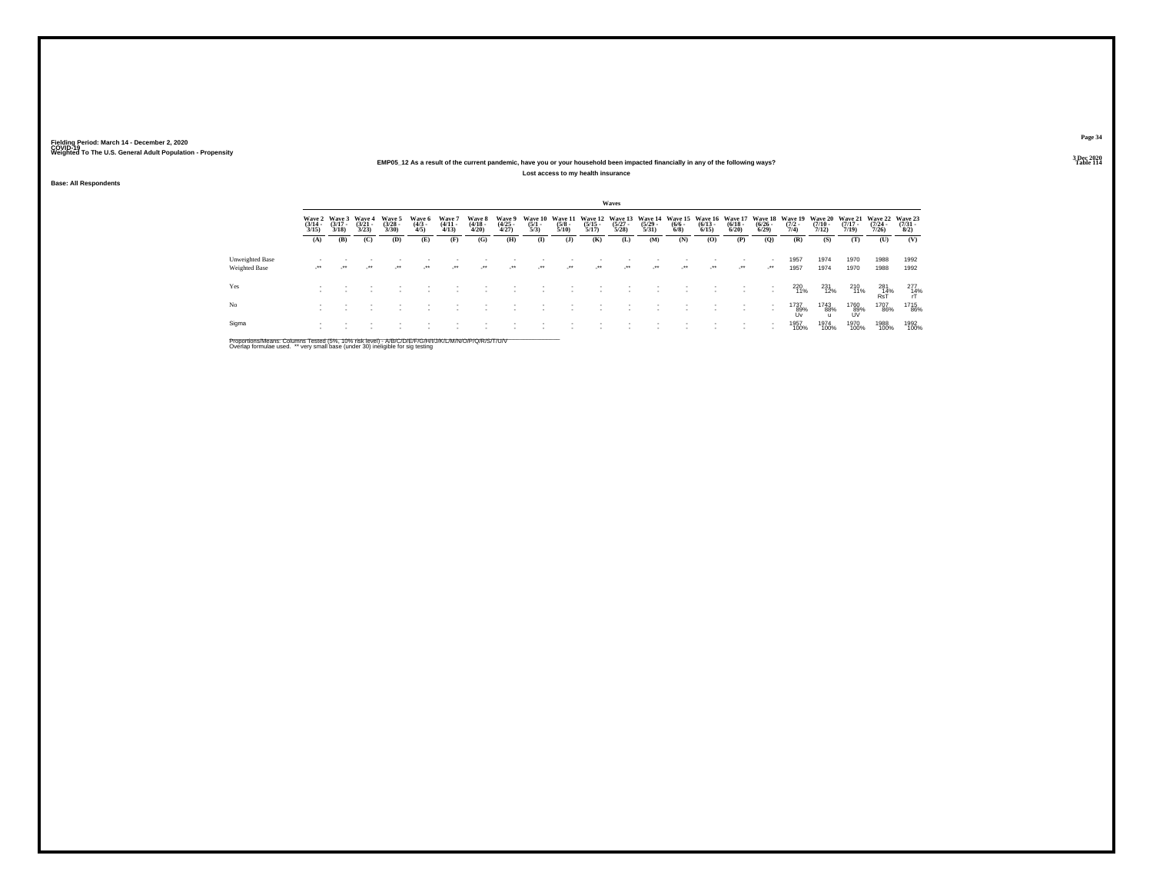### **EMP05\_12 As a result of the current pandemic, have you or your household been impacted financially in any of the following ways?Lost access to my health insurance**

**Base: All Respondents**

|                                  |                       |                                               |                       |                                |                               |                                 |                                 |                                |                                |                                 |                                         | Waves                                    |                       |                                |                                 |                                 |                                             |                                        |                       |                                     |                                         |                                     |
|----------------------------------|-----------------------|-----------------------------------------------|-----------------------|--------------------------------|-------------------------------|---------------------------------|---------------------------------|--------------------------------|--------------------------------|---------------------------------|-----------------------------------------|------------------------------------------|-----------------------|--------------------------------|---------------------------------|---------------------------------|---------------------------------------------|----------------------------------------|-----------------------|-------------------------------------|-----------------------------------------|-------------------------------------|
|                                  | $\frac{(3/14)}{3/15}$ | Wave 2 Wave 3 Wave 4<br>$\frac{(3/17)}{3/18}$ | $\frac{(3/21)}{3/23}$ | Wave 5<br>$\binom{3/28}{3/30}$ | Wave 6<br>$\frac{(4/3)}{4/5}$ | Wave 7<br>$\frac{(4/11)}{4/13}$ | Wave 8<br>$\frac{(4/18)}{4/20}$ | Wave 9<br>$\binom{4/25}{4/27}$ | Wave 10<br>$\frac{(5/1)}{5/3}$ | Wave 11<br>$\frac{(5/8)}{5/10}$ | <b>Wave 12</b><br>$\frac{(5/15)}{5/17}$ | Wave 13 Wave 14<br>$\frac{(5/27)}{5/28}$ | $\frac{(5/29)}{5/31}$ | Wave 15<br>$\frac{(6/6)}{6/8}$ | Wave 16<br>$\binom{6/13}{6/15}$ | Wave 17<br>$\binom{6/18}{6/20}$ | <b>Wave 18</b><br>$\frac{(6/26 - 6)}{6/29}$ | Wave 19 Wave 20<br>$\frac{(7/2)}{7/4}$ | $\frac{(7/10)}{7/12}$ | <b>Wave 21</b><br>$(7/17 -$<br>7/19 | <b>Wave 22</b><br>$\frac{(7/24)}{7/26}$ | Wave 23<br>$\frac{(7/31 - 8)}{8/2}$ |
|                                  | (A)                   | (B)                                           | (C)                   | (D)                            | (E)                           | (F)                             | (G)                             | (H)                            | $\mathbf{I}$                   | (1)                             | (K)                                     | (L)                                      | (M)                   | (N)                            | (0)                             | (P)                             | (O)                                         | (R)                                    | (S)                   | (T)                                 | (U)                                     | (V)                                 |
| Unweighted Base<br>Weighted Base |                       | $\bullet\bullet$                              | $^{\tiny{***}}$       | $\star$                        | $\bullet\,\bullet$            | $\cdot$                         | $\overline{\phantom{a}}$        | $\cdot$                        | $\cdot$                        | $\cdot$                         | $\overline{\phantom{a}}$                | $\cdot$                                  | $\cdot$               | $\cdot$                        | $\cdot$                         | $\cdot$                         | $\cdot$                                     | 1957<br>1957                           | 1974<br>1974          | 1970<br>1970                        | 1988<br>1988                            | 1992<br>1992                        |
| Yes                              |                       |                                               |                       |                                |                               |                                 |                                 |                                |                                |                                 |                                         |                                          |                       |                                |                                 | $\overline{\phantom{a}}$        |                                             | 220<br>11%                             | 231<br>12%            | 210<br>11%                          | $\frac{281}{R\text{sT}}$                | $^{277}_{14\%}$                     |
| No                               |                       |                                               |                       |                                |                               |                                 |                                 |                                |                                |                                 |                                         |                                          |                       |                                |                                 |                                 |                                             | 1737<br>89%<br><b>Uv</b>               | 1743<br>88%           | 1760<br>89%<br>UV                   | 1707<br>86%                             | 1715<br>86%                         |
| Sigma                            |                       |                                               |                       |                                |                               |                                 |                                 |                                |                                |                                 |                                         |                                          |                       |                                |                                 |                                 |                                             | 1957<br>100%                           | 1974<br>100%          | 1970<br>100%                        | 1988<br>100%                            | 1992<br>100%                        |

Proportions/Means: Columns Tested (5%, 10% risk level) - A/B/C/D/E/F/G/H/I/J/K/L/M/N/O/P/Q/R/S/T/U/V<br>Overlap formulae used. \*\* very small base (under 30) ineligible for sig testing

**Page 343 Dec 2020<br>Table 114** 

**Table 114 Table 114**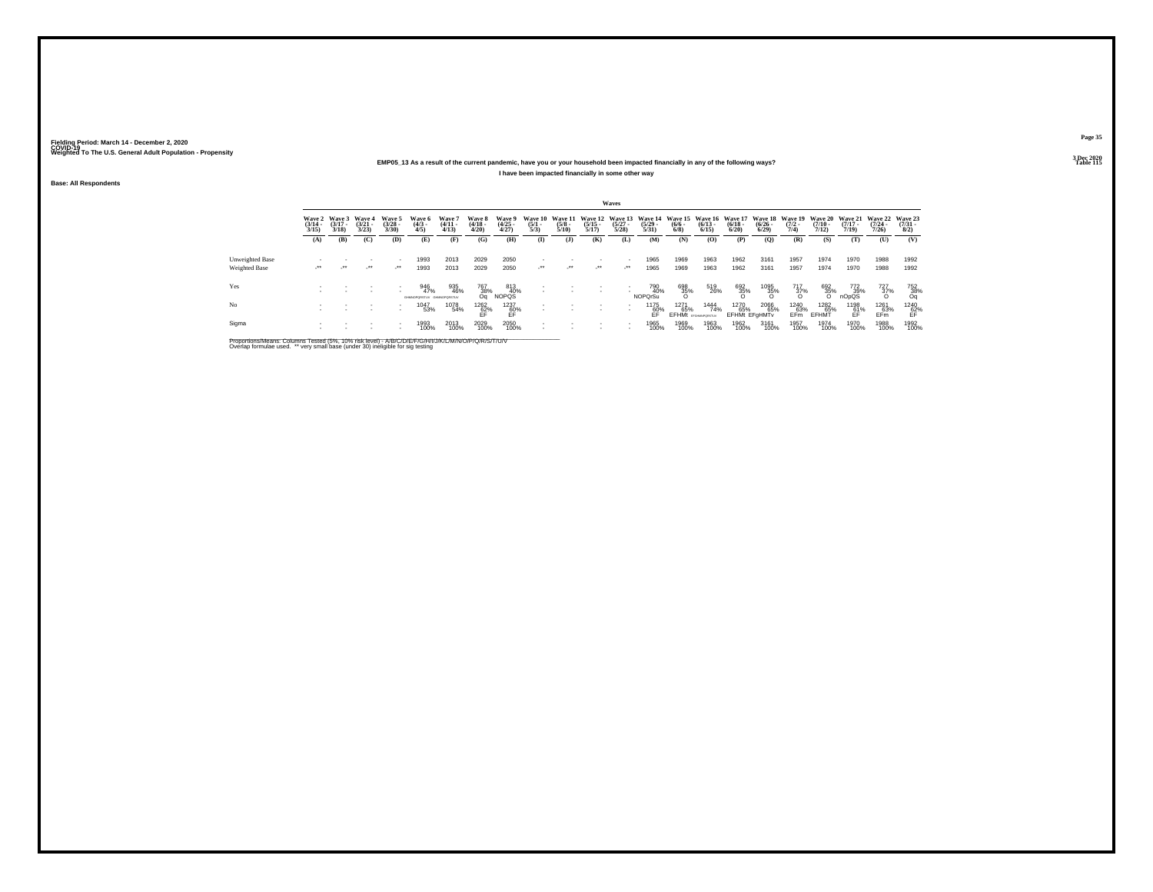## **EMP05\_13 As a result of the current pandemic, have you or your household been impacted financially in any of the following ways?**

**I have been impacted financially in some other way**

**Base: All Respondents**

|                 |                                 |                                 |                                 |                                                      |                                         |                                 |                                 |                                |                                |                                 |                       | Waves                 |                                                                                          |                                           |                      |                                     |                         |                                |                              |                                                  |                       |                                     |
|-----------------|---------------------------------|---------------------------------|---------------------------------|------------------------------------------------------|-----------------------------------------|---------------------------------|---------------------------------|--------------------------------|--------------------------------|---------------------------------|-----------------------|-----------------------|------------------------------------------------------------------------------------------|-------------------------------------------|----------------------|-------------------------------------|-------------------------|--------------------------------|------------------------------|--------------------------------------------------|-----------------------|-------------------------------------|
|                 | Wave 2<br>$\frac{(3/14)}{3/15}$ | Wave 3<br>$\frac{(3/17)}{3/18}$ | Wave 4<br>$\frac{(3/21)}{3/23}$ | Wave 5<br>$\binom{3/28}{3/30}$                       | Wave 6<br>$\binom{4/3}{4/5}$            | Wave 7<br>$\frac{(4/11)}{4/13}$ | Wave 8<br>$\frac{(4/18)}{4/20}$ | Wave 9<br>$\binom{4/25}{4/27}$ | Wave 10<br>$\frac{(5/1)}{5/3}$ | Wave 11<br>$\frac{(5/8)}{5/10}$ | $\frac{(5/15)}{5/17}$ | $\frac{(5/27)}{5/28}$ | Wave 12 Wave 13 Wave 14 Wave 15 Wave 16 Wave 17 Wave 18 Wave 19<br>$\frac{(5/29)}{5/31}$ | $\frac{(6/6 - 6)}{(6/8)}$                 | $\binom{6/13}{6/15}$ | $\binom{6/18}{6/20}$                | $\frac{(6/26)}{(6/29)}$ | $\frac{(7/2)}{7/4}$            | $\frac{(7/10)}{7/12}$        | Wave 20 Wave 21 Wave 22<br>$\frac{(7/17)}{7/19}$ | $\frac{(7/24)}{7/26}$ | Wave 23<br>$\frac{(7/31 - 1)}{8/2}$ |
|                 | (A)                             | (B)                             | (C)                             | (D)                                                  | (E)                                     | (F)                             | (G)                             | (H)                            | $\mathbf{I}$                   | (3)                             | (K)                   | (L)                   | (M)                                                                                      | (N)                                       | (O)                  | (P)                                 | (Q)                     | (R)                            | (S)                          | (T)                                              | (U)                   | (V)                                 |
| Unweighted Base |                                 |                                 |                                 |                                                      | 1993                                    | 2013                            | 2029                            | 2050                           |                                |                                 |                       | $\mathbf{r}$          | 1965                                                                                     | 1969                                      | 1963                 | 1962                                | 3161                    | 1957                           | 1974                         | 1970                                             | 1988                  | 1992                                |
| Weighted Base   | $\cdot$                         | $\cdot$                         | $\cdot$                         | $\mathcal{L}^{\bullet\bullet}$                       | 1993                                    | 2013                            | 2029                            | 2050                           | $\cdot$                        | $\mathcal{L}^{\bullet\bullet}$  | $\cdot$               | $\cdot$               | 1965                                                                                     | 1969                                      | 1963                 | 1962                                | 3161                    | 1957                           | 1974                         | 1970                                             | 1988                  | 1992                                |
| Yes             |                                 |                                 |                                 | $\sim$                                               | 946<br>47%<br>GHANOPORSTUV GHANOPORSTUV | 935<br>46%                      | 767<br>38%<br>Οa                | 813<br>40%<br>NOPQS            |                                |                                 |                       | $\mathbf{r}$          | 790<br>40%<br><b>NOPOrSu</b>                                                             | 698<br>35%<br>O                           | 519<br>26%           | 692<br>35%                          | 1095<br>35%<br>O        | $\frac{717}{37\%}$             | 692<br>35%                   | 772<br>39%<br>nOpQS                              | $\frac{727}{37\%}$    | $\frac{752}{38\%}$                  |
| N <sub>o</sub>  |                                 |                                 |                                 | $\overline{\phantom{a}}$<br>$\overline{\phantom{a}}$ | 1047<br>53%                             | 1078<br>54%                     | $^{1262}_{62\%}$ FF             | 1237<br>60%<br>EF              |                                |                                 | ٠                     |                       | 1175<br>60%<br>FF                                                                        | 1271<br>65%<br><b>EFHMt</b> EFGHAMPORSTUV | 1444<br>74%          | 1270<br>65%<br><b>EFHMt EFGHMTv</b> | 2066<br>65%             | 1240<br>63%<br>EF <sub>m</sub> | <sup>1282</sup> 65%<br>EFHMT | 1198<br>61%<br>ĒĖ                                | 1261<br>63%<br>EFm    | $^{1240}_{62\%}$                    |
| Sigma           |                                 |                                 |                                 | $\overline{\phantom{a}}$                             | 1993<br>100%                            | 2013<br>100%                    | 2029<br>100%                    | 2050<br>100%                   |                                |                                 |                       |                       | 1965<br>100%                                                                             | 1969<br>100%                              | 1963<br>100%         | 1962<br>100%                        | 3161<br>100%            | 1957<br>100%                   | 1974<br>100%                 | 1970<br>100%                                     | 1988<br>100%          | 1992<br>100%                        |

Proportions/Means: Columns Tested (5%, 10% risk level) - A/B/C/D/E/F/G/H/I/J/K/L/M/N/O/P/Q/R/S/T/U/V<br>Overlap formulae used. \*\* very small base (under 30) ineligible for sig testing

**Page 35**3 Dec 2020<br>Table 115

**Table 115 Table 115**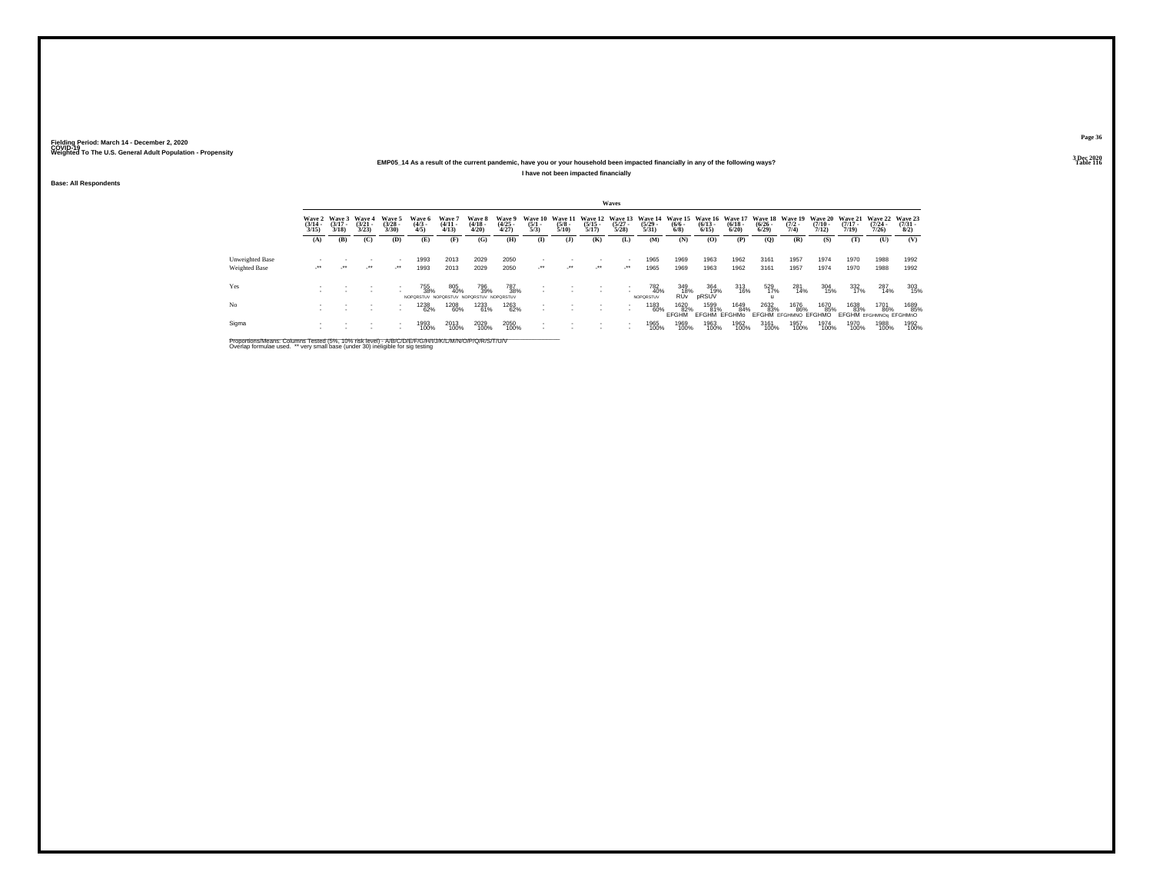### **EMP05\_14 As a result of the current pandemic, have you or your household been impacted financially in any of the following ways?I have not been impacted financially**

**Base: All Respondents**

|                 |                                 |                                 |                                 |                                    |                              |                                                       |                                 |                                |                                |                                 |                                  | Waves                            |                                  |                                              |                                    |                                    |                                         |                                       |                                         |                       |                                          |                                     |
|-----------------|---------------------------------|---------------------------------|---------------------------------|------------------------------------|------------------------------|-------------------------------------------------------|---------------------------------|--------------------------------|--------------------------------|---------------------------------|----------------------------------|----------------------------------|----------------------------------|----------------------------------------------|------------------------------------|------------------------------------|-----------------------------------------|---------------------------------------|-----------------------------------------|-----------------------|------------------------------------------|-------------------------------------|
|                 | Wave 2<br>$\frac{(3/14)}{3/15}$ | Wave 3<br>$\frac{(3/17)}{3/18}$ | Wave 4<br>$\frac{(3/21)}{3/23}$ | Wave 5<br>$\binom{3/28}{3/30}$     | Wave 6<br>$\binom{4/3}{4/5}$ | Wave 7<br>$\frac{(4/11)}{4/13}$                       | Wave 8<br>$\frac{(4/18)}{4/20}$ | Wave 9<br>$\binom{4/25}{4/27}$ | Wave 10<br>$\frac{(5/1)}{5/3}$ | Wave 11<br>$\frac{(5/8)}{5/10}$ | Wave 12<br>$\frac{(5/15)}{5/17}$ | Wave 13<br>$\frac{(5/27)}{5/28}$ | Wave 14<br>$\frac{(5/29)}{5/31}$ | Wave 15 Wave 16<br>$\frac{(6/6 - 6)}{(6/8)}$ | $\frac{(6/13)}{6/15}$              | Wave 17<br>$\frac{(6/18)}{(6/20)}$ | <b>Wave 18</b><br>$\frac{(6/26)}{6/29}$ | <b>Wave 19</b><br>$\frac{(7/2)}{7/4}$ | <b>Wave 20</b><br>$\frac{(7/10)}{7/12}$ | $\frac{(7/17)}{7/19}$ | Wave 21 Wave 22<br>$\frac{(7/24)}{7/26}$ | Wave 23<br>$\frac{(7/31 - 1)}{8/2}$ |
|                 | (A)                             | (B)                             | (C)                             | (D)                                | (E)                          | (F)                                                   | (G)                             | (H)                            | $\bf{I}$                       | ( <b>J</b> )                    | (K)                              | (L)                              | (M)                              | (N)                                          | (0)                                | (P)                                | (O)                                     | (R)                                   | (S)                                     | (T)                   | (U)                                      | (V)                                 |
| Unweighted Base |                                 |                                 |                                 |                                    | 1993                         | 2013                                                  | 2029                            | 2050                           |                                |                                 |                                  | $\sim$                           | 1965                             | 1969                                         | 1963                               | 1962                               | 3161                                    | 1957                                  | 1974                                    | 1970                  | 1988                                     | 1992                                |
| Weighted Base   | $\cdot$                         | $\mathcal{L}^{\bullet\bullet}$  | $\cdot$                         | $\cdot$                            | 1993                         | 2013                                                  | 2029                            | 2050                           | $\cdot$                        | $\mathcal{L}^{\bullet\bullet}$  | $\mathcal{L}^{\bullet\bullet}$   | $\mathcal{L}^{\bullet\bullet}$   | 1965                             | 1969                                         | 1963                               | 1962                               | 3161                                    | 1957                                  | 1974                                    | 1970                  | 1988                                     | 1992                                |
| Yes             |                                 |                                 |                                 |                                    | 755<br>38%                   | 805<br>40%<br>NOPORSTUV NOPORSTUV NOPORSTUV NOPORSTUV | 796<br>39%                      | 787<br>38%                     |                                |                                 |                                  | $\sim$                           | 782<br>40%<br>NOPORSTUV          | 349<br>18%<br><b>RUV</b>                     | 364<br>19%<br>pRSUV                | 313<br>16%                         | 529<br>17%                              | 281<br>14%                            | 304<br>15%                              | 332<br>17%            | 287<br>14%                               | 303<br>15%                          |
| N <sub>o</sub>  |                                 |                                 |                                 | $\sim$<br>$\overline{\phantom{a}}$ | 1238<br>62%                  | 1208<br>60%                                           | 1233<br>61%                     | <sup>1263</sup> 62%            |                                |                                 |                                  | $\sim$                           | 1183<br>60%                      | 1620<br>82%<br>FFGHM                         | 1599<br>81%<br><b>EFGHM EFGHMo</b> | 1649<br>84%                        | 2632<br>83%                             | 1676<br>86%<br>EFGHM EFGHMNO EFGHMO   | 1670<br>85%                             | 1638<br>83%           | 1701<br>86%<br>EFGHM EFGHMNOg EFGHMnO    | 1689<br>85%                         |
| Sigma           |                                 |                                 |                                 | $\overline{\phantom{a}}$           | 1993<br>100%                 | 2013<br>100%                                          | 2029<br>100%                    | 2050<br>100%                   |                                |                                 | $\overline{\phantom{a}}$         | $\sim$                           | 1965<br>100%                     | 1969<br>100%                                 | 1963<br>100%                       | 1962<br>100%                       | 3161<br>100%                            | 1957<br>100%                          | 1974<br>100%                            | 1970<br>100%          | 1988<br>100%                             | 1992<br>100%                        |

Proportions/Means: Columns Tested (5%, 10% risk level) - A/B/C/D/E/F/G/H/I/J/K/L/M/N/O/P/Q/R/S/T/U/V<br>Overlap formulae used. \*\* very small base (under 30) ineligible for sig testing

**Page 36**

**3 Dec 2020<br>Table 116 Table 116 Table 116**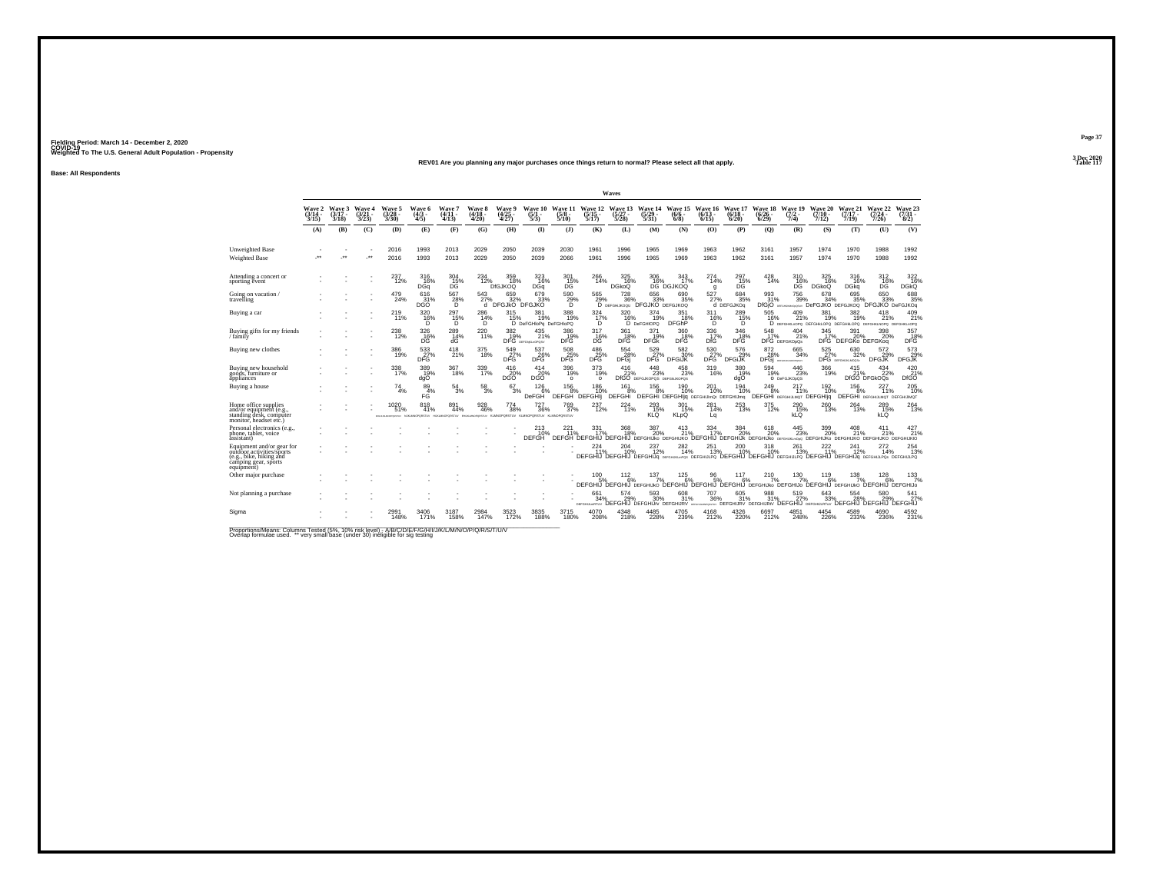#### **REV01 Are you planning any major purchases once things return to normal? Please select all that apply.Table 117**

**Base: All Respondents**

|                                                                                                                         |                                    |                             |                            |                                                                                                     |                               |                               |                                        |                                 |                                       |                                 |                                  | Waves                                                  |                                           |                                                     |                              |                              |                              |                                                                                                                                                |                                 |                                  |                                             |                                 |
|-------------------------------------------------------------------------------------------------------------------------|------------------------------------|-----------------------------|----------------------------|-----------------------------------------------------------------------------------------------------|-------------------------------|-------------------------------|----------------------------------------|---------------------------------|---------------------------------------|---------------------------------|----------------------------------|--------------------------------------------------------|-------------------------------------------|-----------------------------------------------------|------------------------------|------------------------------|------------------------------|------------------------------------------------------------------------------------------------------------------------------------------------|---------------------------------|----------------------------------|---------------------------------------------|---------------------------------|
|                                                                                                                         | <b>Wave 2</b><br>$(3/14 -$<br>3/15 | Wave 3<br>$(3/17 -$<br>3/18 | Wave 4<br>$3/21 -$<br>3/23 | Wave 5<br>$\frac{(3/28)}{3/30}$                                                                     | Wave 6<br>$\frac{(4/3)}{4/5}$ | Wave 7<br>$(4/11 -$<br>(4/13) | <b>Wave 8</b><br>$\frac{(4/18)}{4/20}$ | Wave 9<br>$\frac{(4/25)}{4/27}$ | <b>Wave 10</b><br>$\frac{(5/1)}{5/3}$ | Wave 11<br>$\frac{(5/8)}{5/10}$ | Wave 12<br>$\frac{(5/15)}{5/17}$ | Wave 13<br>(5/27 -<br>5/28                             | Wave 14<br>$\frac{(5/29)}{5/31}$          | Wave 15<br>$(6/6 -$<br>$6/8$ )                      | Wave 16<br>$(6/13 -$<br>6/15 | Wave 17<br>$(6/18 -$<br>6/20 | Wave 18<br>$(6/26 -$<br>6/29 | Wave 19<br>$\frac{(7/2)}{7/4}$                                                                                                                 | Wave 20<br>$(7/10 -$<br>7/12    | Wave 21<br>$(7/17 -$<br>7/19     | Wave 22<br>$(7/24 -$<br>7/26                | Wave 23<br>$\frac{(7/31)}{8/2}$ |
|                                                                                                                         | (A)                                | (B)                         | (C)                        | (D)                                                                                                 | (E)                           | (F)                           | (G)                                    | (H)                             | $($ $\Gamma$                          | $\mathbf{I}$                    | (K)                              | (L)                                                    | (M)                                       | (N)                                                 | (O)                          | (P)                          | (Q)                          | (R)                                                                                                                                            | (S)                             | (T)                              | (U)                                         | (V)                             |
| Unweighted Base<br>Weighted Base                                                                                        | J.                                 | -**                         | J.                         | 2016<br>2016                                                                                        | 1993<br>1993                  | 2013<br>2013                  | 2029<br>2029                           | 2050<br>2050                    | 2039<br>2039                          | 2030<br>2066                    | 1961<br>1961                     | 1996<br>1996                                           | 1965<br>1965                              | 1969<br>1969                                        | 1963<br>1963                 | 1962<br>1962                 | 3161<br>3161                 | 1957<br>1957                                                                                                                                   | 1974<br>1974                    | 1970<br>1970                     | 1988<br>1988                                | 1992<br>1992                    |
| Attending a concert or<br>sporting event                                                                                |                                    |                             |                            | 237<br>12%                                                                                          | 316<br>16%<br>DGa             | $^{304}_{\rm -15\%}$          | $^{234}_{12\%}$                        | 359 18%<br><b>DIGJKOQ</b>       | $\frac{323}{16\%}$<br>DGq             | $^{301}_{\rm \ 15\%}$ DG        | 266<br>14%                       | $\frac{325}{16\%}$<br>DGkoQ                            | 306<br>16%                                | 343<br>17%<br>DG DGJKOQ                             | 274<br>14%<br>g              | $^{297}_{15\%}$<br>DĜ        | $^{428}_{14\%}$              | 310<br>16%<br>DG                                                                                                                               | $^{325}_{16\%}$<br><b>DGkoQ</b> | 316<br>16%<br>DGka               | 312<br>16%<br>DĞ                            | 322 16%<br><b>DGkQ</b>          |
| Going on vacation<br>travelling                                                                                         |                                    |                             |                            | 479<br>24%                                                                                          | 616<br>31%<br>DGÓ             | 567<br>$^{28\%}_{D}$          | 543<br>27%<br>ď                        | 659<br>bFGJkO <sup>32%</sup>    | 679<br>33%<br>DFGJKO                  | 590<br>29%                      | 565                              | 728<br>29% 36% 33% 35%<br>D DEFGHUKOQU DFGJKO DEFGJKOQ | 656                                       | 690<br>35%                                          | 527<br>27%                   | 684<br>35%<br>d DEFGJKOg     | 993<br>31%                   | 756<br>39%<br>DfGjO assessessesses DeFGJKO DEFGJKOQ DFGJKO DeFGJKOq                                                                            | 678<br>34%                      | 695<br>35%                       | 650<br>33%                                  | 688<br>35%                      |
| Buying a car                                                                                                            |                                    |                             |                            | 219<br>11%                                                                                          | 320 16%<br>D.                 | 297<br>15%<br>D.              | 286<br>14%<br>D.                       | 315<br>15%                      | 381<br>19%<br>D DeFGHIoPq DeFGHIoPQ   | 388<br>19%                      | 324 7%<br>D                      | $\frac{320}{16\%}$                                     | 374<br>19%<br>D DeFGHIOPQ                 | 351<br>18%<br><b>DFGhP</b>                          | 311<br>16%<br>D              | 289<br>15%<br>Ď              | 505<br>16%                   | $^{409}_{21\%}$<br><b>D</b> DEFGHKLnOPQ DEFGHKLOPQ DEFGHKLOPQ DEFGHKLNOPQ DEFGHKLnOPQ                                                          | 381<br>19%                      | $\frac{382}{19\%}$               | 418<br>21%                                  | 409<br>21%                      |
| Buying gifts for my friends<br>/ family                                                                                 |                                    |                             |                            | $^{238}_{12\%}$                                                                                     | 326<br>16%<br>DG              | 289<br>14%<br>dG              | 220 11%                                | $\frac{382}{18}\%$              | $^{435}_{21\%}$<br>DFG DEFGARLAGPOSV  | 386<br>19%<br>DFG               | 317<br>DG                        | 361<br>18%<br>DFĞ                                      | 371<br>19%<br><b>DFGk</b>                 | 360<br>DFG                                          | $^{336}_{-17\%}$ DfG         | 346<br>DFG                   | $\frac{548}{17\%}$           | $^{404}_{21\%}$<br>DFG DEFGKOpQs                                                                                                               | 345<br>17%                      | 391<br>20%<br>DFG DEFGKo DEFGKog | 398<br>20%                                  | 357<br>18%<br>DFĞ               |
| Buying new clothes                                                                                                      |                                    |                             |                            | 386<br>19%                                                                                          | 533<br>DFG                    | 418<br>21%                    | 375<br>18%                             | 549<br>DFG                      | 537<br><b>26%</b>                     | 508<br>25%<br>DFG               | 486<br>25%                       | 554<br>28%<br>DFGj                                     | 529<br>27%<br>DFG                         | 582<br>30%<br><b>DFGIJK</b>                         | 530<br>DFG                   | 576<br>29%<br><b>DFGIJK</b>  | 872<br>28%<br>DFGi           | 665<br>34%<br>DEPOHLIKLMIOPOSITY                                                                                                               | 525                             | 630<br>27% 329<br>32%            | 572<br>29%<br>DFGJK                         | 573<br>29%<br>DFGJK             |
| Buying new household<br>goods, furniture or<br>appliances                                                               |                                    |                             |                            | 338<br>17%                                                                                          | 389<br>19%<br>dgO             | 367<br>18%                    | 339<br>17%                             | 416<br>20%<br><b>DGO</b>        | 414<br>20%<br>DGO                     | 396<br>19%<br>$\circ$           | 373<br>19%<br>$\circ$            | 416<br>21%                                             | 448<br>23%<br>DfGO DEFGJKOPOS DEFGNJKOPOS | 458<br>23%                                          | 319<br>16%                   | 380<br>19%<br>dgO            | 594<br>19%                   | 446<br>23%<br>O DeFGJKOpQS                                                                                                                     | 366<br>19%                      | $^{415}_{21\%}$                  | 434<br>22%<br>DfGO DFGkOQs                  | 420 %<br><b>DfGO</b>            |
| Buying a house                                                                                                          |                                    |                             |                            | 74<br>4%                                                                                            | 89<br>4%<br>FĠ                | 54<br>3%                      | 58<br>3%                               | 67<br>3%                        | 126<br><b>DeFGH</b>                   | 156<br>DEFGH DEFGHI             | 186<br>10%                       | 161<br>DEFGHi                                          | 156<br>8%                                 | 190<br>10%<br>DEFGHI DEFGHIjq DEFGHIJImQt DEFGHIJmq | 201<br>10%                   | 194<br>10%                   | 249<br>8%                    | 217<br>11%<br>DEFGHI DEFGHULMOT DEFGHIJQ                                                                                                       | 192<br>10%                      | 156<br>8%                        | 227<br>11%<br>DEFGHI DEFGHIJLMOT DEFGHIJMOT | 205<br>10%                      |
| Home office supplies<br>and/or equipment (e.g.,<br>standing desk, computer<br>monitor, headset etc.)                    |                                    |                             |                            | 1020<br>51%<br>IFOR AN AFOREST MULTIMOPOSITY HUGHNOPORSTLY EHUGHNOPORSTLY KLANCPORSTLY KLANCPORSTLY | 818<br>41%                    | 891<br>44%                    | 928<br>46%                             | 774<br>38%                      | 727<br>36%                            | 769<br>37%<br>KLMNOPORSTUV      | 237<br>12%                       | $^{224}_{11\%}$                                        | 293<br>15%<br>KLŐ                         | 301<br>15%<br><b>KLDO</b>                           | 281<br>14%<br>Lq             | 253<br>13%                   | 375<br>12%                   | 290 15%<br>kLQ                                                                                                                                 | 260<br>13%                      | 264<br>13%                       | 289<br>15%<br>kLQ                           | 264<br>13%                      |
| Personal electronics (e.g.,<br>phone, tablet, voice<br>assistant)                                                       |                                    |                             |                            |                                                                                                     |                               |                               |                                        |                                 | 213<br>10%<br><b>DEFGH</b>            | 221%                            | 331<br>17%                       | 368<br>18%                                             | 387<br>20%                                | 413<br>21%                                          | 334<br>17%                   | 384<br>20%                   | $^{618}_{20\%}$              | 445<br>23%<br>DEFGH DEFGHIJ DEFGHIJ DEFGHIJKO DEFGHIJKO DEFGHIJ DEFGHIJK DEFGHIJKO DEFGHIJKO DEFGHIJKO DEFGHIJKO DEFGHIJKO DEFGHIJKO DEFGHIJKO | 399<br>20%                      | $^{408}_{21\%}$                  | 411<br>21%                                  | 427 <sub>21%</sub>              |
| Equipment and/or gear for<br>outdoor activities/sports<br>(e.g., bike, hiking and<br>camping gear, sports<br>equipment) |                                    |                             |                            |                                                                                                     |                               |                               |                                        |                                 |                                       |                                 | 224<br>11%                       | 204<br>10%                                             | 237<br>12%                                | 282<br>14%                                          | 251<br>13%                   | 200                          | 318<br>10%                   | 261<br>13%<br>DEFGHIJ DEFGHIJ DEFGHIJG eerghustenss DEFGHIJLPQ DEFGHIJ DEFGHIJ DEFGHIJLPQ DEFGHIJG DEFGHIJG DEFGHIJPQ DEFGHIJLPQ               | 222<br>11%                      | 241<br>12%                       | 14%                                         | 254<br>13%                      |
| Other major purchase                                                                                                    |                                    |                             |                            |                                                                                                     |                               |                               |                                        |                                 |                                       |                                 | 100<br>5%                        | $\frac{112}{6%}$                                       | 137<br>7%                                 | 125<br>6%                                           | 96<br>5%                     | 117<br>6%                    | $^{210}_{7\%}$               | 130<br>7%<br>DEFGHIJ DEFGHIJ DEFGHIJKO DEFGHIJ DEFGHIJ DEFGHIJ DEFGHIJKO DEFGHIJO DEFGHIJ DEFGHIJKO DEFGHIJ DEFGHIJO                           | 119<br>6%                       | 138<br>7%                        | 128<br>6%                                   | 133/7%                          |
| Not planning a purchase                                                                                                 |                                    |                             |                            |                                                                                                     |                               |                               |                                        |                                 |                                       |                                 | 661<br>34%                       | 574<br>29%<br>DEFGHULHRTUV DEFGHIJ DEFGHIJIV DEFGHURV  | 593<br>30%                                | 608<br>31%                                          | 707<br>36%                   | 605                          | 988<br>31%                   | 519<br>36% 31% 31% 27% 33%<br>MALARY DEFGHIJRY DEFGHIJRY DEFGHIJ DEFGHIJRTUV                                                                   | 643<br>33%                      | 554<br>28%                       | 580<br>́реғсній реғсній реғсній             | 541<br>27%                      |
| Sigma                                                                                                                   |                                    |                             |                            | 148%                                                                                                | 171%                          | 158%                          | 147%                                   | 172%                            | 3835<br>188%                          | 3715<br>180%                    | 208%                             | 218%                                                   | 228%                                      | 4705<br>239%                                        | 4168<br>212%                 | 4326<br>220%                 | 6697<br>212%                 | 4851<br>248%                                                                                                                                   | 4454<br>226%                    | 4589<br>233%                     | 236%                                        | 4592<br>231%                    |

Proportions/Means: Columns Tested (5%, 10% risk level) - A/B/C/D/E/F/G/H/I/J/K/L/M/N/O/P/Q/R/S/T/U/V<br>Overlap formulae used. \*\* very small base (under 30) ineligible for sig testing

**Page 373 Dec 2020<br>Table 117**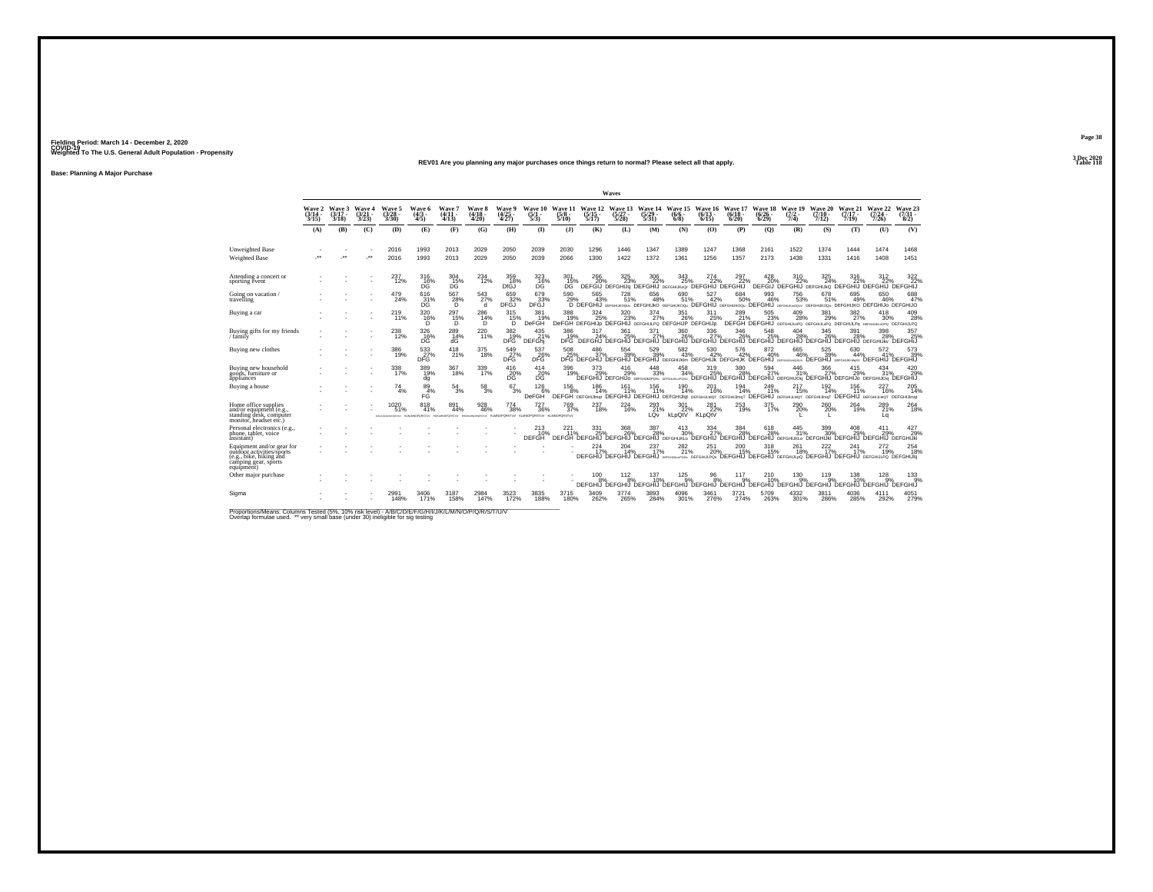#### **REV01 Are you planning any major purchases once things return to normal? Please select all that apply.Table 118**

**Base: Planning A Major Purchase**

|                                                                                                                         |                             |                             |                         |                                   |                                                                                                 |                             |                             |                                |                                  |                                 |                                  | Waves                                                          |                                  |                                                                                                                                    |                              |                              |                            |                            |                                    |                                        |                                                                                         |                                 |
|-------------------------------------------------------------------------------------------------------------------------|-----------------------------|-----------------------------|-------------------------|-----------------------------------|-------------------------------------------------------------------------------------------------|-----------------------------|-----------------------------|--------------------------------|----------------------------------|---------------------------------|----------------------------------|----------------------------------------------------------------|----------------------------------|------------------------------------------------------------------------------------------------------------------------------------|------------------------------|------------------------------|----------------------------|----------------------------|------------------------------------|----------------------------------------|-----------------------------------------------------------------------------------------|---------------------------------|
|                                                                                                                         | Wave 2<br>$(3/14 -$<br>3/15 | Wave 3<br>$(3/17 -$<br>3/18 | Wave 4<br>(3/21<br>3/23 | Wave 5<br>$\frac{(3/28)}{3/30}$   | Wave 6<br>$\frac{(4/3)}{4/5}$                                                                   | Wave 7<br>$(4/11 -$<br>4/13 | Wave 8<br>$(4/18 -$<br>4/20 | Wave 9<br>$\binom{4/25}{4/27}$ | Wave 10<br>$\frac{(5/1)}{5/3}$   | Wave 11<br>$\frac{(5/8)}{5/10}$ | Wave 12<br>$\frac{(5/15)}{5/17}$ | Wave 13<br>$\frac{(5/27)}{5/28}$                               | Wave 14<br>$\frac{(5/29)}{5/31}$ | Wave 15<br>$(6/6 -$<br>6/8                                                                                                         | Wave 16<br>$(6/13 -$<br>6/15 | Wave 17<br>$(6/18 -$<br>6/20 | Wave 18<br>(6/26 -<br>6/29 | Wave 19<br>$(7/2 -$<br>7/4 | Wave 20<br>$(7/10 -$<br>7/12       | Wave 21<br>$(7/17 -$<br>7/19           | Wave 22<br>$(7/24 -$<br>7/26                                                            | Wave 23<br>$\frac{(7/31)}{8/2}$ |
|                                                                                                                         | (A)                         | (B)                         | (C)                     | (D)                               | (E)                                                                                             | (F)                         | (G)                         | (H)                            | $($ I)                           | (1)                             | (K)                              | (L)                                                            | (M)                              | (N)                                                                                                                                | (0)                          | (P)                          | (O)                        | (R)                        | (S)                                | (T)                                    | (U)                                                                                     | (V)                             |
| Unweighted Base<br><b>Weighted Base</b>                                                                                 | $\ddot{\phantom{0}}$        | $\cdot$                     | $\cdot$                 | 2016<br>2016                      | 1993<br>1993                                                                                    | 2013<br>2013                | 2029<br>2029                | 2050<br>2050                   | 2039<br>2039                     | 2030<br>2066                    | 1296<br>1300                     | 1446<br>1422                                                   | 1347<br>1372                     | 1389<br>1361                                                                                                                       | 1247<br>1256                 | 1368<br>1357                 | 2161<br>2173               | 1522<br>1438               | 1374<br>1331                       | 1444<br>1416                           | 1474<br>1408                                                                            | 1468<br>1451                    |
| Attending a concert or<br>sporting event                                                                                |                             |                             |                         | 237<br>12%                        | $^{316}_{16\%}$                                                                                 | $^{304}_{\rm \ 15\%}$       | $^{234}_{12\%}$             | 359<br>18%<br>DfGJ             | $^{323}_{16\%}$                  | $^{301}_{15\%}$<br>DG.          | 266                              | 325                                                            | 306<br>22%                       | 343<br>25%<br>DEFGIJ DEFGHIJG DEFGHIJ DEFGHUKOG DEFGHIJ DEFGHIJ                                                                    | 274<br>22%                   | 297                          | 428                        | 310<br>22%                 | 325<br>24%                         | 316                                    | 312<br>DEFGIJ DEFGHIJ DEFGHIJKO DEFGHIJ DEFGHIJ DEFGHIJ                                 | $\frac{322}{22}\%$              |
| Going on vacation /<br>travelling                                                                                       |                             |                             |                         | 479<br>24%                        | 616<br>$^{31\%}_{DC}$                                                                           | 567<br>$^{28\%}_{D}$        | 543<br>27%<br>đ             | 659<br>DFGJ <sup>32%</sup>     | 679<br>33%<br>DFĞJ               | 590<br>29%                      | 565<br>43%                       | 728<br>51%                                                     | 656<br>48%                       | 690<br>51%<br>D DEFGHIJ DEFGHIKOQU DEFGHIJKO DEFGHIJKOQU DEFGHIJ DEFGHIJO DEFGHIJ DEFGHIJ DEFGHIJKOQU DEFGHIJKO DEFGHIJO DEFGHIJO  | 527<br>42%                   | 684<br>50%                   | 993<br>46%                 | 756<br>53%                 | 678<br>51%                         | 695<br>49%                             | 650<br>46%                                                                              | 688<br>47%                      |
| Buying a car                                                                                                            |                             |                             |                         | 219 <sub>1%</sub>                 | $320$<br>$16\%$<br>D                                                                            | 297<br>15%<br>D             | 286<br>14%<br>D             | 315<br>15%<br>D                | 381<br>19%<br>DeFGH              | 388<br>19%                      | $324_{25\%}$                     | $\frac{320}{23\%}$                                             | $\frac{374}{27\%}$               | 351<br>26%<br>DeFGH DEFGHIJp DEFGHIJ DEFGHIJPO DEFGHIJP DEFGHIJp                                                                   | 311<br>25%                   | 289<br>21%                   | 505<br>23%                 | $^{409}_{28\%}$            | 381<br>29%                         | $^{382}_{\phantom{1}27\%}$             | 418<br>30%<br>DEFGH DEFGHIJ DEFGHIJLOPO DEFGHIJLOPO DEFGHIJLPO DEFGHIJLPO DEFGHIJLPO    | 409<br>28%                      |
| Buying gifts for my friends<br>/ family                                                                                 |                             |                             |                         | 238<br>12%                        | 326<br>16%<br>DG                                                                                | $^{289}_{14\%}$<br>ďĠ       | 220<br>11%                  | $\frac{382}{19\%}$<br>DFG      | $^{435}_{21\%}$<br><b>DEFGhi</b> | 386<br>19%<br>DFG <sup>1</sup>  | 317<br>24%<br>DEFGHJ             | 361<br>25%                                                     | $\frac{371}{27\%}$               | 360<br>26%<br>`DEFGHIJ`DEFGHIJ`DEFGHIJ`DEFGHIJ`DEFGHIJ`DEFGHIJ`DEFGHIJ                                                             | 336<br>27%                   | 346<br>26%                   | 548                        | 404<br>28%                 | 345<br>26%<br><b>DEFGHIJ</b>       | 391<br>28%<br><b>DEFGHIJ DEFGHIJKV</b> | 398<br>28%                                                                              | 357<br>25%<br><b>DEFGHIJ</b>    |
| Buying new clothes                                                                                                      |                             |                             |                         | 386<br>19%                        | 533<br>DFG                                                                                      | 418<br>21%                  | 375<br>18%                  | 549<br>DFG                     | 537<br><b>26%</b>                | 508<br>25%                      | 486<br>37%                       | 554<br>39%                                                     | 529<br>39%                       | 582<br>43%<br>DFG DEFGHIJ DEFGHIJ DEFGHIJ DEFGHIJK DEFGHIJK DEFGHIJK DEFGHIJ GEFGHIJ                                               | 530<br>42%                   | 576<br>42%                   | 872<br>40%                 | 665<br>46%                 | 525<br>39%<br>DEFGHIJ DEFGHUKLM4SV | 630<br>44%                             | 572<br>41%<br><b>DEFGHIJ</b>                                                            | 573<br>39%<br><b>DEFGHIJ</b>    |
| Buying new household<br>goods, furniture or<br>appliances                                                               |                             |                             |                         | 338<br>17%                        | 389<br>19%<br>dg                                                                                | $367 \over 18\%$            | 339<br>17%                  | $^{416}_{20\%}$<br>DG          | 414<br>20%<br>DG.                | 396<br>19%                      | 373<br>29%                       | $^{416}_{29\%}$<br>DEFGHIJ DEFGHIJO DEFGHUNOPOSV DEFGHUNLOPOSV | 448<br>33%                       | 458<br>34%                                                                                                                         | $^{319}_{25\%}$              | 380<br>28%                   | $^{594}_{27\%}$            | 446<br>31%                 | 366<br>27%                         | 415<br>29%                             | $^{434}_{31\%}$<br>DEFGHIJ DEFGHIJ DEFGHIJ DEFGHIJO4 DEFGHIJ DEFGHIJO DEFGHIJO4 DEFGHIJ | 420<br>29%                      |
| Buying a house                                                                                                          |                             |                             |                         | 74<br>4%                          | 89<br>4%<br>FĠ                                                                                  | 54<br>3%                    | 58<br>3%                    | 67<br>3%                       | 126<br>6%<br><b>DeFGH</b>        | 156<br>8%                       | 186<br>14%                       | 161                                                            | 156<br>11%                       | 190<br>14%<br>DEFGH DEFGHUmat DEFGHU DEFGHU DEFGHUlat DEFGHUMOT DEFGHUmoT DEFGHU DEFGHUMOT DEFGHUmoT DEFGHUMOT DEFGHUMOT DEFGHUMOT | 201<br>16%                   | 194<br>14%                   | 249<br>11%                 | 217<br>15%                 | 192<br>14%                         | 156<br>11%                             | 227<br>16%                                                                              | 205<br>14%                      |
| Home office supplies<br>and/or equipment (e.g.,<br>standing desk, computer<br>monitor, headset etc.)                    |                             |                             |                         | 1020<br>51%<br>EFO-LIGAN/OPDRETUV | 818<br>41%<br>NUMMOROSSTUV HUKUMOROSSTUV EHUKUMOROSSTUV KLMNOROROSTUV KLMNORORSTUV KLMNORORSTUV | 891<br>44%                  | $\substack{928 \\ 46\%}$    | $^{774}_{38\%}$                | $^{727}_{36\%}$                  | $^{769}_{37\%}$                 | 237<br>18%                       | $^{224}_{16\%}$                                                | 293<br>21%<br>LQv                | 301<br>22%<br>kLpQtV                                                                                                               | $^{281}_{22\%}$<br>KLpQtV    | 253<br>19%                   | 375 17%                    | 290%                       | 260%                               | 264<br>19%                             | 289<br>21%<br>La                                                                        | $^{264}_{18\%}$                 |
| Personal electronics (e.g.,<br>phone, tablet, voice<br>assistant)                                                       |                             |                             |                         |                                   |                                                                                                 |                             |                             |                                | <b>DEFGH</b>                     | $^{221}_{11\%}$                 | 331<br>25%                       | 368<br>26%                                                     | 387<br>28%                       | 413<br>30%<br>DEFGH DEFGHIJ DEFGHIJ DEFGHIJ DEFGHIJKLO DEFGHIJ DEFGHIJ DEFGHIJ DEFGHIJKLO DEFGHIJKI DEFGHIJ DEFGHIJKI              | 334<br>27%                   | 384<br>28%                   | $618\atop-28\%$            | 445<br>31%                 | 399<br>30%                         | 29%                                    | 411<br>29%                                                                              | 427<br>29%                      |
| Equipment and/or gear for<br>outdoor activities/sports<br>(e.g., bike, hiking and<br>camping gear, sports<br>equipment) |                             |                             |                         |                                   |                                                                                                 |                             |                             |                                |                                  |                                 | 224                              | 204                                                            | 237<br>17%                       | 282<br>21%<br>DEFGHIJ DEFGHIJ DEFGHIJ DEFGHIJ DEFGHIJPOS DEFGHIJ DEFGHIJ DEFGHIJ DEFGHIJ DEFGHIJ DEFGHIJ DEFGHIJPO DEFGHIJID       | 251<br>20%                   | 200                          | 318<br>15%                 | 261<br>18%                 | 222                                | 241                                    | $^{272}_{19\%}$                                                                         | 254<br>18%                      |
| Other major purchase                                                                                                    |                             |                             |                         |                                   |                                                                                                 |                             |                             |                                |                                  |                                 | $^{100}_{8\%}$                   | 112<br>$\overline{8}$ %                                        | 137<br>10%                       | $^{125}_{9%}$<br>DEEGHIJ DEEGHIJ DEEGHIJ DEEGHIJ DEEGHIJ DEEGHIJ DEEGHIJ DEEGHIJ DEEGHIJ                                           | $\frac{96}{8\%}$             | 117<br>9%                    | 210<br>10%                 | $^{130}_{.9\%}$            | 119%                               | 138<br>10%<br>DEFGHIJ DEFGHIJ DEFGHIJ  | $^{128}_{.9\%}$                                                                         | $^{133}_{9%}$<br><b>DEFGHIJ</b> |
| Sigma                                                                                                                   |                             |                             |                         | 2991<br>148%                      | 3406<br>171%                                                                                    | 3187<br>158%                | 2984<br>147%                | 3523<br>172%                   | 3835<br>188%                     | 3715<br>180%                    | 3409<br>262%                     | 3774<br>265%                                                   | 3893<br>284%                     | 4096<br>301%                                                                                                                       | 3461<br>276%                 | 3721<br>274%                 | 5709<br>263%               | 4332<br>301%               | 3811<br>286%                       | 4036<br>285%                           | 4111<br>292%                                                                            | 4051<br>279%                    |

Proportions/Means: Columns Tested (5%, 10% risk level) - A/B/C/D/E/F/G/H/I/J/K/L/M/N/O/P/Q/R/S/T/U/V<br>Overlap formulae used. \*\* very small base (under 30) ineligible for sig testing

**Page 383 Dec 2020<br>Table 118**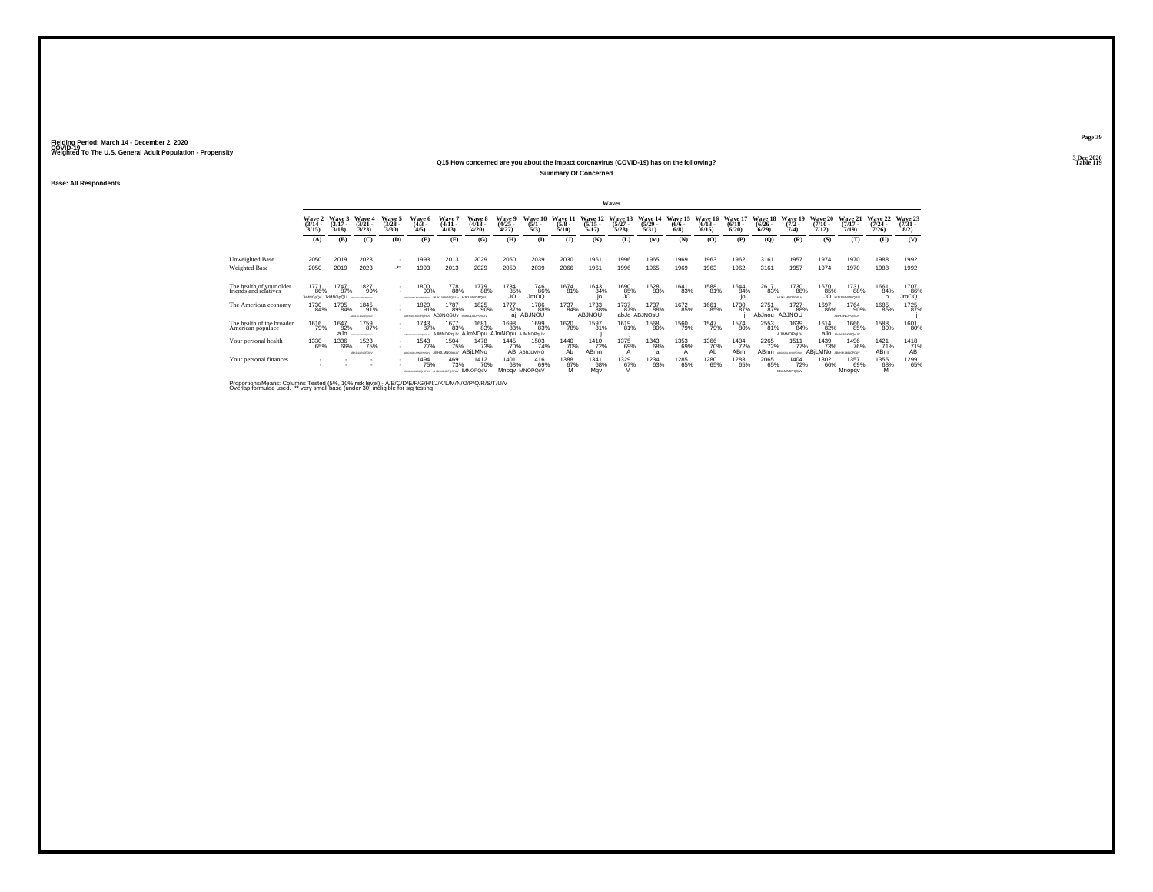#### **Q15 How concerned are you about the impact coronavirus (COVID-19) has on the following?Table 119 Table 119**

**Summary Of Concerned**

**Base: All Respondents**

|                                                   |                                 |                                |                                   |                                          |                                          |                                                    |                                        |                                |                                |                                 |                              | Waves                            |                                  |                                      |                                  |                                 |                                        |                                           |                                      |                                    |                              |                                |
|---------------------------------------------------|---------------------------------|--------------------------------|-----------------------------------|------------------------------------------|------------------------------------------|----------------------------------------------------|----------------------------------------|--------------------------------|--------------------------------|---------------------------------|------------------------------|----------------------------------|----------------------------------|--------------------------------------|----------------------------------|---------------------------------|----------------------------------------|-------------------------------------------|--------------------------------------|------------------------------------|------------------------------|--------------------------------|
|                                                   | Wave 2<br>$\frac{(3/14)}{3/15}$ | Wave 3<br>$(3/17 -$<br>3/18    | Wave 4<br>$(3/21 -$<br>3/23       | Wave 5<br>$\binom{3/28}{3/30}$           | Wave 6<br>$\frac{(4/3)}{4/5}$            | Wave 7<br>$\frac{(4/11)}{4/13}$                    | Wave 8<br>$\frac{(4/18)}{4/20}$        | Wave 9<br>$\binom{4/25}{4/27}$ | Wave 10<br>$\frac{(5/1)}{5/3}$ | Wave 11<br>$\frac{(5/8)}{5/10}$ | Wave 12<br>$(5/15 -$<br>5/17 | Wave 13<br>$\frac{(5/27)}{5/28}$ | Wave 14<br>$\frac{(5/29)}{5/31}$ | Wave 15<br>$\frac{(6/6 - 6)}{(6/8)}$ | Wave 16<br>$\frac{(6/13)}{6/15}$ | Wave 17<br>$\binom{6/18}{6/20}$ | <b>Wave 18</b><br>$\binom{6/26}{6/29}$ | Wave 19<br>$\frac{(7/2)}{7/4}$            | <b>Wave 20</b><br>$(7/10 -$<br>7/12) | Wave 21<br>$(7/17 -$<br>7/19       | Wave 22<br>$(7/24 -$<br>7/26 | Wave 23<br>$\binom{7/31}{8/2}$ |
|                                                   | (A)                             | (B)                            | (C)                               | (D)                                      | (E)                                      | (F)                                                | (G)                                    | (H)                            | $\mathbf{D}$                   | (3)                             | (K)                          | (L)                              | (M)                              | (N)                                  | (0)                              | (P)                             | (Q)                                    | (R)                                       | (S)                                  | (T)                                | (U)                          | (V)                            |
| Unweighted Base<br>Weighted Base                  | 2050<br>2050                    | 2019<br>2019                   | 2023<br>2023                      | $\overline{\phantom{a}}$<br>$\cdot$      | 1993<br>1993                             | 2013<br>2013                                       | 2029<br>2029                           | 2050<br>2050                   | 2039<br>2039                   | 2030<br>2066                    | 1961<br>1961                 | 1996<br>1996                     | 1965<br>1965                     | 1969<br>1969                         | 1963<br>1963                     | 1962<br>1962                    | 3161<br>3161                           | 1957<br>1957                              | 1974<br>1974                         | 1970<br>1970                       | 1988<br>1988                 | 1992<br>1992                   |
| The health of your older<br>friends and relatives | 1771<br>86%<br><b>JMNOpOu</b>   | 1747<br>87%<br><b>JkMNOpQU</b> | 1827<br>90%<br>ABOVERSANCING EASY | $\sim$<br>$\sim$                         | 1800<br>90%<br>VUSOROMANA MARA           | 1778<br>88%                                        | 1779<br>88%<br>H IKI MNOROSH           | 1734<br>85%                    | 1746<br>86%<br>JmOQ            | 1674<br>81%                     | 1643<br>84%                  | 1690<br>35%                      | 1628<br>83%                      | 1641<br>83%                          | 1588<br>81%                      | 1644<br>84%<br>io               | 2617<br>83%                            | 1730<br>88%<br><b>HUKLMNOPOSU</b>         | 1670<br>85%                          | 1731<br>88%<br>JO HJKLMNOPOSU      | 1661<br>84%<br>$\Omega$      | 1707<br>$\frac{86}{3}$         |
| The American economy                              | 1730<br>84%                     | 1705<br>84%                    | 1845<br>91%<br>ABFHUNLMOPORIUM    | $\overline{\phantom{a}}$<br>$\mathbf{r}$ | 1820<br>91%<br>ABFHUNLINGPORTU           | 1787<br>89%<br><b>ABJNOSUV ABHJLNOPOSUV</b>        | 1825<br>90%                            | 1777<br>87%<br>ai              | 1786<br>88%<br>ABJNOU          | 1737<br>84%                     | 1733<br>88%<br>ABJNOU        | 1737<br>87%                      | 1737<br>88%<br>abJo ABJNOsU      | 1672<br>85%                          | 1661<br>85%                      | 1700<br>87%                     | 2751<br>87%<br>AbJnou                  | 1727<br>88%<br>ABJNOU                     | 1697<br>86%                          | 1764<br>90%<br><b>ABHJINOPOSUV</b> | 1685<br>85%                  | 1725<br>87%                    |
| The health of the broader<br>American populace    | 1616<br>79%                     | 1647<br>82%<br>aJo             | 1759<br>87%<br>FON ALMAGEDATION   |                                          | 1743<br>87%<br>ARED-MAMAGEGAR            | 1677<br>83%<br>AJMNOPqUv AJmNOpu AJmNOpu AJMNOPqUv | 1681<br>83%                            | 1698<br>83%                    | 1699<br>83%                    | 1620<br>78%                     | 1597<br>81%                  | 1619<br>81%                      | 1568<br>80%                      | 1560<br>79%                          | 1547<br>79%                      | 1574<br>80%                     | 2553<br>81%                            | 1639<br>84%<br><b>AJIMNOPoUV</b>          | 1614<br>82%                          | 1666<br>85%<br>aJo ANAMORONIV      | 1588<br>80%                  | 1601<br>80%                    |
| Your personal health                              | 1330<br>65%                     | 1336<br>66%                    | 1523<br>75%<br>ABILIKLMNOPOLIV    |                                          | 1543<br>77%<br>ABSENSABILITY             | 1504<br>75%<br>ABHJLMNOppuV ABILMNO                | 1478<br>73%                            | 1445<br>70%                    | 1503<br>74%<br>AB ABhJLMNO     | 1440<br>70%<br>Ab               | 1410<br>72%<br>ABmn          | 1375<br>69%                      | 1343<br>68%<br>a                 | 1353<br>69%                          | 1366<br>70%<br>Ab                | 1404<br>72%<br><b>ABm</b>       | 2265<br>72%<br>AB <sub>mn</sub>        | 1511<br>77%<br>ABSILIARMOPOSLY            | 1439<br>73%<br>ABILMNO ABUNAMOPOLY   | 1496<br>76%                        | 1421<br>71%<br><b>ABm</b>    | 1418<br>$\frac{71}{4}$         |
| Your personal finances                            |                                 |                                |                                   |                                          | 1494<br>75%<br>GHJAMOPOSTUV GHJAMOPOSTUV | 1469<br>73%                                        | <sup>1412</sup> 70%<br><b>IMNOPOSV</b> | 1401<br>68%                    | 1416<br>69%<br>Mnogy MNOPOsV   | 1388<br>67%<br>M                | 1341<br>68%<br>May           | <sup>1329</sup> 67%<br>M         | <sup>1234</sup> 63%              | 1285<br>65%                          | 1280<br>65%                      | 1283<br>65%                     | 2065<br>65%                            | <sup>1404</sup> 72%<br><b>NALMNOPOSVV</b> | 1302<br>66%                          | 1357<br>69%<br>Mnopqv              | 1355<br>68%<br>M             | 1299<br>65%                    |

Proportions/Means: Columns Tested (5%, 10% risk level) - A/B/C/D/E/F/G/H/I/J/K/L/M/N/O/P/Q/R/S/T/U/V<br>Overlap formulae used. \*\* very small base (under 30) ineligible for sig testing

**Page 393 Dec 2020<br>Table 119**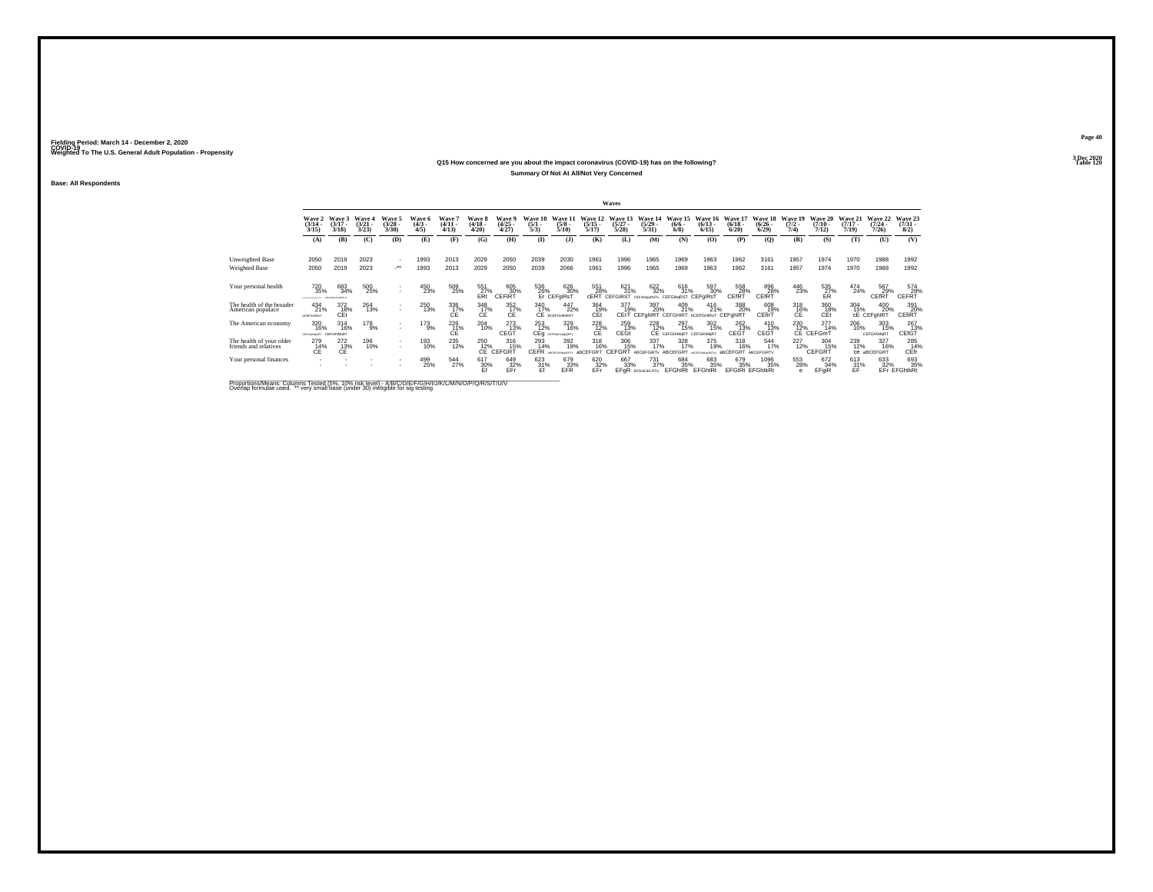## **Q15 How concerned are you about the impact coronavirus (COVID-19) has on the following?Summary Of Not At All/Not Very Concerned**

**Base: All Respondents**

|                                                   |                                                   |                                   |                             |                                          |                                     |                                  |                                 |                                              |                                |                                                |                                         | Waves                           |                                                          |                                          |                                  |                                          |                                                               |                                |                                                   |                                         |                              |                                     |
|---------------------------------------------------|---------------------------------------------------|-----------------------------------|-----------------------------|------------------------------------------|-------------------------------------|----------------------------------|---------------------------------|----------------------------------------------|--------------------------------|------------------------------------------------|-----------------------------------------|---------------------------------|----------------------------------------------------------|------------------------------------------|----------------------------------|------------------------------------------|---------------------------------------------------------------|--------------------------------|---------------------------------------------------|-----------------------------------------|------------------------------|-------------------------------------|
|                                                   | Wave 2<br>$\frac{(3/14)}{3/15}$                   | Wave 3<br>$(3/17 -$<br>3/18       | Wave 4<br>$(3/21 -$<br>3/23 | Wave 5<br>$\binom{3/28}{3/30}$           | <b>Wave 6</b><br>$\binom{4/3}{4/5}$ | <b>Wave</b><br>$(4/11 -$<br>4/13 | Wave 8<br>$\frac{(4/18)}{4/20}$ | Wave 9<br>$\binom{4/25}{4/27}$               | Wave 10<br>$\frac{(5/1)}{5/3}$ | Wave 11<br>$\frac{(5/8)}{5/10}$                | Wave 12<br>$\frac{(5/15)}{5/17}$        | Wave 13<br>$\binom{5/27}{5/28}$ | Wave 14<br>$\binom{5/29}{5/31}$                          | Wave 15<br>$\frac{(6/6)}{6/8}$           | Wave 16<br>$\frac{(6/13)}{6/15}$ | Wave 17<br>$\binom{6/18}{6/20}$          | Wave 18<br>$\binom{6/26}{6/29}$                               | Wave 19<br>$\frac{(7/2)}{7/4}$ | Wave 20<br>$\frac{(7/10)}{7/12}$                  | <b>Wave 21</b><br>$\frac{(7/17)}{7/19}$ | Wave 22<br>$(7/24 -$<br>7/26 | Wave 23<br>$\frac{(7/31 - 8)}{8/2}$ |
|                                                   | (A)                                               | (B)                               | (C)                         | (D)                                      | (E)                                 | (F)                              | (G)                             | (H)                                          | $\bf{I}$                       | (3)                                            | (K)                                     | (L)                             | (M)                                                      | (N)                                      | (0)                              | (P)                                      | (Q)                                                           | (R)                            | (S)                                               | (T)                                     | (U)                          | (V)                                 |
| <b>Unweighted Base</b><br>Weighted Base           | 2050<br>2050                                      | 2019<br>2019                      | 2023<br>2023                | $\sim$<br>$\lambda$                      | 1993<br>1993                        | 2013<br>2013                     | 2029<br>2029                    | 2050<br>2050                                 | 2039<br>2039                   | 2030<br>2066                                   | 1961<br>1961                            | 1996<br>1996                    | 1965<br>1965                                             | 1969<br>1969                             | 1963<br>1963                     | 1962<br>1962                             | 3161<br>3161                                                  | 1957<br>1957                   | 1974<br>1974                                      | 1970<br>1970                            | 1988<br>1988                 | 1992<br>1992                        |
|                                                   |                                                   |                                   |                             |                                          |                                     |                                  |                                 |                                              |                                |                                                |                                         |                                 |                                                          |                                          |                                  |                                          |                                                               |                                |                                                   |                                         |                              |                                     |
| Your personal health                              | 720<br>35%<br>PERMITTEN CERTAIN/GRENA             | 683<br>34%                        | 500<br>25%                  | $\mathbf{r}$<br>$\mathbf{r}$             | 450<br>23%                          | 509<br>25%                       | 551<br>27%<br>ERt               | 605<br>30%<br>CEFIRT                         |                                | 626<br>30%<br>536 62t<br>26% 30<br>Er CEFgIRsT | 551<br>28%<br>cERT                      | 621<br>31%<br>CEFGIRST          | 622<br>32%<br>CEFGIkpoRSTu                               | 616<br>31%<br><b>CEFGIKORST CEFGIRST</b> | 597<br>30%                       | 558<br>28%<br>CEfRT                      | $\underset{\text{CEff}}{\text{896}}\substack{8}{\text{28\%}}$ | 446<br>23%                     | $^{535}_{\substack{27}{\text{ER}} }$              | 474<br>24%                              | 567<br>29%<br>CEfRT          | 574<br>CEFRT <sup>29%</sup>         |
| The health of the broader<br>American populace    | $^{434}_{21\%}$<br><b><i><u>bCEFGHRsT</u></i></b> | 372<br>18%<br>CEt                 | 264<br>13%                  | $\overline{\phantom{a}}$<br>$\mathbf{r}$ | 250<br>13%                          | 336<br>17%<br>CE                 | 348<br>17%<br>СE                | $^{352}_{\phantom{1}17\%}_{\phantom{1}C\to}$ | 340<br>17%                     | 447<br>22%<br>CE BCEFGHINRST                   | 364<br>19%<br>CEt                       | 377<br>19%                      | 397<br>20%<br>CErT CEFGHIRT CEFGHIRT bCEFGHIRsT CEFGHIRT | 409<br>21%                               | $^{416}_{21\%}$                  | 388<br>20%                               | 608<br>19%<br>CEfirT                                          | $^{318}_{16\%}$<br>CF          | 360<br>18%<br>CEt                                 | 304<br>15%                              | 400<br>20%<br>cE CEFghIRT    | 391<br>20%<br>CEfiRT                |
| The American economy                              | 320<br>16%<br>CEFGHAGMORT                         | $\frac{314}{16\%}$<br>CEFGIKIMeRT | 178%                        | $\sim$<br>$\overline{\phantom{a}}$       | $^{173}_{9\%}$                      | $^{226}_{\rm~C}$                 | 204<br>10%                      | 273<br>13%<br>CEGT                           | $^{253}_{12\%}$                | 329<br>16%<br>CEg cEFGHALMORTY                 | $^{228}_{\substack{12 \\ \text{CE}}}$ % | 259<br>13%<br>CEGt              | 228                                                      | 297<br>15%<br>CE CEFGIKMORT CEFGIKMORT   | 302<br>15%                       | 262<br>13%<br>CEGT                       | $^{410}_{13\%}$<br>CEGŤ                                       |                                | 230 277<br>12% 14<br>CE CEFGmT<br>$^{277}_{14\%}$ | 206<br>10%                              | 303<br>15%<br>CEFGIKMqRT     | $\frac{267}{13\%}$ CEfGT            |
| The health of your older<br>friends and relatives | 279<br>C <sup>14</sup>                            | 272<br>c <sup>13%</sup>           | 196<br>10%                  | $\mathbf{r}$<br>$\mathbf{r}$             | 193<br>10%                          | $\substack{235 \\ 12\%}$         | 250                             | 316<br>12% 15<br>15%                         | 293<br>14%<br>CEFR             | 392<br>19%<br>ADDEDGAN (APET)                  | 318<br>16%<br><b>abCEEGRT</b>           | 306<br>15%<br>CEFGRT            | 337<br>17%<br>ARCEEGIRTY                                 | 328<br>17%<br>ARCEFGRT                   | 375<br>19%<br>ADPECOMM-495T/     | 318<br>16%<br><b>abCEFGRT</b> ABCEFGIRTV | 544<br>17%                                                    | $^{227}_{12\%}$                | $\frac{304}{15\%}$<br>CEFGRT                      | 239<br>12%                              | 327<br>16%<br>CB aBCEFGRT    | 285<br>14%<br>CEfr                  |
| Your personal finances                            | ٠                                                 |                                   |                             | $\sim$                                   | 499<br>25%                          | $^{544}_{27\%}$                  | 617<br>30%<br>Ef                | 649<br>32%<br>EFr                            | 623<br>31%<br>Ef               | 679<br>33%<br>EFR                              | 620<br>32%<br>EFr                       | 667<br>33%<br>EFaR              | $^{731}_{37\%}$<br>EFGHLIKLRTU                           | 684<br>35%<br>EFGhIRt                    | 683<br>35%<br>EFGhIRt            | 679<br>35%<br><b>EFGIRt EFGhIkRt</b>     | 1096<br>35%                                                   | 553<br>28%<br>e                | 672<br>34%<br>EFgiR                               | 613<br>31%<br>EF                        | 633<br>32%                   | 693<br>35%<br>EFr EFGhlkRt          |

Proportions/Means: Columns Tested (5%, 10% risk level) - A/B/C/D/E/F/G/H/I/J/K/L/M/N/O/P/Q/R/S/T/U/V<br>Overlap formulae used. \*\* very small base (under 30) ineligible for sig testing

**Page 40**

**3 Dec 2020<br>Table 120 Table 120**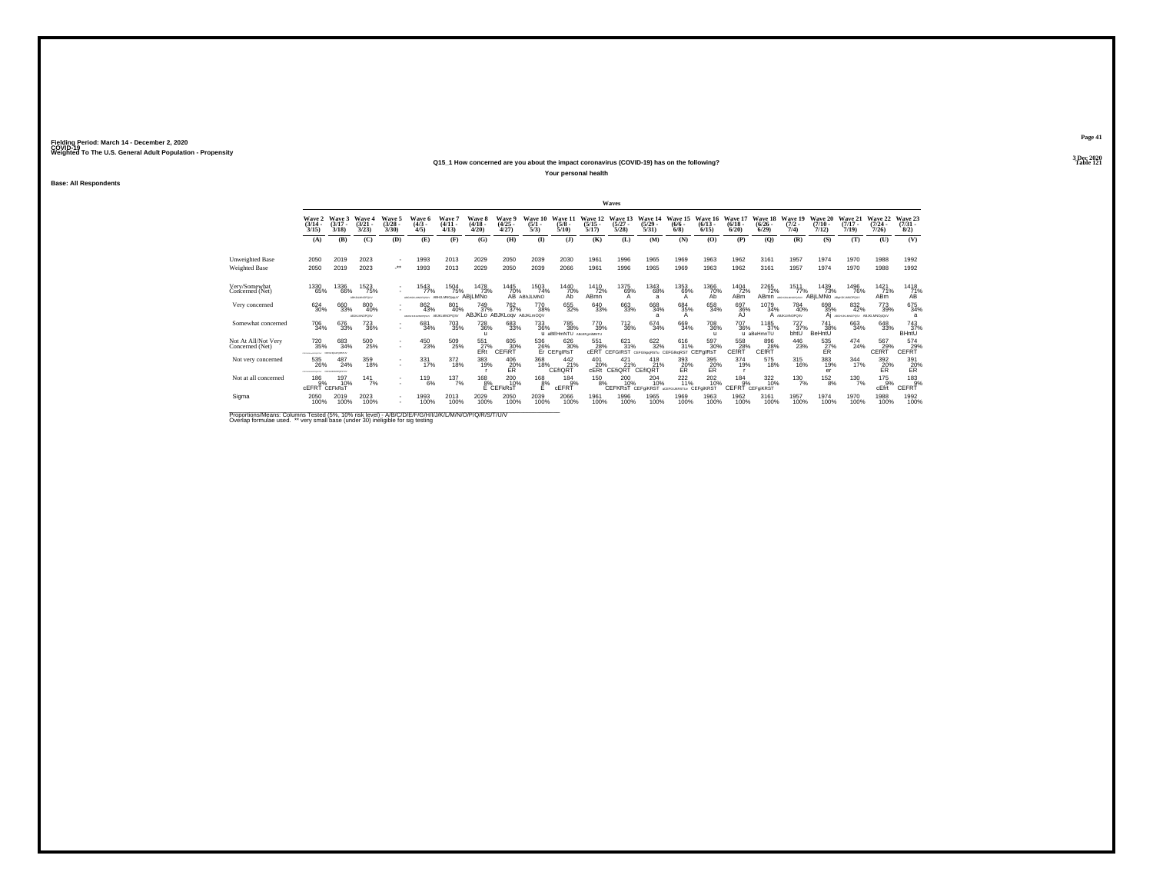#### **Q15\_1 How concerned are you about the impact coronavirus (COVID-19) has on the following?Particular Table 121**

**Your personal health**

**Base: All Respondents**

|                                        |                                   |                                |                                 |                                |                                   |                                     |                                               |                                                            |                                   |                                     |                                  | Waves                                      |                                 |                                            |                                    |                                   |                                 |                                    |                                     |                                             |                              |                                         |
|----------------------------------------|-----------------------------------|--------------------------------|---------------------------------|--------------------------------|-----------------------------------|-------------------------------------|-----------------------------------------------|------------------------------------------------------------|-----------------------------------|-------------------------------------|----------------------------------|--------------------------------------------|---------------------------------|--------------------------------------------|------------------------------------|-----------------------------------|---------------------------------|------------------------------------|-------------------------------------|---------------------------------------------|------------------------------|-----------------------------------------|
|                                        | Wave 2<br>$\frac{(3/14)}{3/15}$   | Wave 3<br>$(3/17 -$<br>3/18    | Wave o<br>$\frac{(3/21)}{3/23}$ | Wave 5<br>$\binom{3/28}{3/30}$ | Wave 6<br>$(4/3 -$<br>4/5         | Wave<br>(4/11.<br>4/13              | Wave 8<br>(4/18)<br>4/20                      | Wave 9<br>$\binom{4/25}{4/27}$                             | Wave 10<br>$\frac{(5/1)}{5/3}$    | Wave 11<br>$\frac{(5/8)}{5/10}$     | Wave 12<br>$\frac{(5/15)}{5/17}$ | Wave 13<br>$\frac{(5/27)}{5/28}$           | Wave 14<br>$\binom{5/29}{5/31}$ | Wave 15<br>$\frac{(6/6)}{6/8}$             | Wave 16<br>$\frac{(6/13)}{6/15}$   | Wave 17<br>$\frac{(6/18)}{6/20}$  | Wave 18<br>$\binom{6/26}{6/29}$ | Wave 19<br>$\frac{(7/2)}{7/4}$     | Wave 20<br>$(7/10 -$<br>7/12        | Wave 21<br>$(7/17 -$<br>7/19                | Wave 22<br>$(7/24 -$<br>7/26 | Wave 23<br>$\binom{7/31}{8/2}$          |
|                                        | (A)                               | (B)                            | (C)                             | (D)                            | (E)                               | (F)                                 | (G)                                           | (H)                                                        | $\Phi$                            | (3)                                 | (K)                              | (L)                                        | (M)                             | (N)                                        | (0)                                | (P)                               | (Q)                             | (R)                                | (S)                                 | (T)                                         | (U)                          | (V)                                     |
| Unweighted Base                        | 2050                              | 2019                           | 2023                            |                                | 1993                              | 2013                                | 2029                                          | 2050                                                       | 2039                              | 2030                                | 1961                             | 1996                                       | 1965                            | 1969                                       | 1963                               | 1962                              | 3161                            | 1957                               | 1974                                | 1970                                        | 1988                         | 1992                                    |
| Weighted Base                          | 2050                              | 2019                           | 2023                            | $\bullet\,\bullet$             | 1993                              | 2013                                | 2029                                          | 2050                                                       | 2039                              | 2066                                | 1961                             | 1996                                       | 1965                            | 1969                                       | 1963                               | 1962                              | 3161                            | 1957                               | 1974                                | 1970                                        | 1988                         | 1992                                    |
| Very/Somewhat<br>Concerned (Net)       | 1330<br>65%                       | 1336<br>66%                    | 1523<br>75%<br>ABILIKLMNOPOLIV  |                                | 1543<br>77%<br>VALUE REPORTED AND | 1504<br>75%<br>ABHJLMNOppuV ABILMNO | 1478<br>73%                                   | 1445<br>70%                                                | 1503<br>74%<br><b>AB</b> ABIJLMNO | 1440<br>70%<br>ÁБ                   | 1410<br>72%<br>ABmn              | 1375<br>$^{69%}_{A}$                       | 1343<br>68%<br>я                | 1353<br>69%<br>А                           | 1366<br>70%<br>Ab                  | 1404<br>72%<br>ABm                | 2265<br>72%                     | 1511<br>77%<br>ABmn ABSHANANOPOSLY | 1439<br>73%<br>ABILMNO ABUNAMOPOLY  | 1496<br>76%                                 | 1421<br>71%<br><b>ABm</b>    | $^{1418}_{\substack{71\% \ \text{AB}}}$ |
| Very concerned                         | 624 30%                           | 660<br>33%                     | 800<br>40%<br>ABJKLMNOPOSV      |                                | 862<br>43%<br>WIDOWS AREA         | 801<br>40%<br>ABJKLMNOPQSV          | 749<br>37%                                    | <sup>762</sup> <sub>37%</sub><br>ABJKLo ABJKLogv ABJKLmOQV | 770<br>38%                        | 655<br>32%                          | 640<br>33%                       | 663<br>33%                                 | 668<br>34%                      | 684<br>35%                                 | 658<br>34%                         | 697<br>36%<br>AJ                  | 1079<br>34%                     | 784<br>40%<br>A ABJIGAMOPOSV       | 698<br>35%                          | 832<br>42%<br>AI ABGHUNUMOPOSY ABJKLMNOxOxV | 773<br>39%                   | 675<br>34%                              |
| Somewhat concerned                     | 706<br>34%                        | 676<br>33%                     | 723<br>36%                      | $\sim$                         | 681<br>34%                        | 703<br>35%                          | <sup>728</sup> <sub>36%</sub><br>$\mathbf{u}$ | 683<br>33%                                                 | 733<br>36%<br>$\mathbf{u}$        | 785<br>38%<br>aBEHmNTU ABcEFoHMNTU  | 770<br>39%                       | <sup>712</sup> <sub>36%</sub>              | $^{674}_{34\%}$                 | 669<br>34%                                 | <sup>708</sup> 36%<br>$\mathbf{u}$ | <sup>707</sup> 36%                | 1185<br>37%<br>u aBeHmnTU       | 727 <sub>9%</sub><br>bhtU          | 741<br>38%<br>BeHntU                | 663<br>34%                                  | 648<br>33%                   | 743<br>37%<br><b>BHntU</b>              |
| Not At All/Not Very<br>Concerned (Net) | 720<br>35%<br>-------------       | 683<br>34%<br>CEFOHIA FORETUL  | 500<br>25%                      | ٠<br>٠                         | 450<br>23%                        | 509<br>25%                          | 551<br>E <sub>Rt</sub> <sup>27%</sup>         | 605<br>30%<br>CEFIRT                                       | 536                               | 626<br>30%<br>26% 30<br>Er CEFgIRsT | 551<br>28%                       | $\frac{621}{31\%}$<br><b>CERT CEFGIRST</b> | 622<br>32%<br>CEEGIMARST:       | 616<br>31%<br>CEFGIkoRST                   | 597<br>30%<br>CEFgIRs1             | 558<br>28%<br>CEfRT               | 896<br>28%<br>CEfRT             | 446<br>23%                         | $^{535}_{\substack{27}{\text{ER}}}$ | 474<br>24%                                  | 567<br>29%<br>CEfRT          | 574<br>CEFRT <sup>29%</sup>             |
| Not very concerned                     | 535<br>26%<br>------------        | 487<br>24%<br>CEFO-MONOPORTERY | 359<br>18%                      | ٠<br>٠                         | 331<br>17%                        | 372<br>18%                          | 383<br>19%                                    | 406<br>20%<br>ER                                           | 368<br>18%                        | $^{442}_{21\%}$<br>CEfIQRT          | 401<br>20%<br>cERt               | 421<br>21%<br>CEfiQRT                      | 418<br>21%<br>CEfIQR7           | 393<br>20%<br>ER                           | 395<br>20%<br>ER                   | 374<br>19%                        | 575<br>18%                      | $^{315}_{16\%}$                    | 383<br>19%<br>er                    | $\frac{344}{17\%}$                          | 392<br>20%<br>ER             | 391<br>20%<br>ER                        |
| Not at all concerned                   | 186<br>9%<br><b>CEFRT CEFKRST</b> | 197<br>10%                     | $141$ <sub>7%</sub>             | ٠<br>٠                         | $^{119}_{6\%}$                    | 137/7%                              | $^{168}_{8\%}$                                | 200 10%<br>E CEFKRST                                       | $\mathring{e}_{\vec{E}}^{8\%}$    | $\frac{184}{9%}$<br>cEFRT           | 150 8%                           | 20010%<br>CEFKRsT CEFGKRST                 | 204<br>10%                      | $^{222}_{11\%}$<br>acercuicestuy CEFGIKRST | 202<br>10%                         | $^{184}_{-9\%}$<br>CEFRT CEFGKRST | 322<br>10%                      | $^{130}_{7\%}$                     | $^{152}_{8\%}$                      | $^{130}_{7\%}$                              | 175<br>9%<br>cEfrt           | $^{183}_{.9\%}$<br>CEFRT                |
| Sigma                                  | 2050<br>100%                      | 2019<br>100%                   | 2023<br>100%                    | $\mathbf{r}$                   | 1993<br>100%                      | 2013<br>100%                        | 2029<br>100%                                  | 2050<br>100%                                               | 2039<br>100%                      | 2066<br>100%                        | 1961<br>100%                     | 1996<br>100%                               | 1965<br>100%                    | 1969<br>100%                               | 1963<br>100%                       | 1962<br>100%                      | 3161<br>100%                    | 1957<br>100%                       | 1974<br>100%                        | 1970<br>100%                                | 1988<br>100%                 | 1992<br>100%                            |

Proportions/Means: Columns Tested (5%, 10% risk level) - A/B/C/D/E/F/G/H/I/J/K/L/M/N/O/P/Q/R/S/T/U/V<br>Overlap formulae used. \*\* very small base (under 30) ineligible for sig testing

**Page 413 Dec 2020<br>Table 121**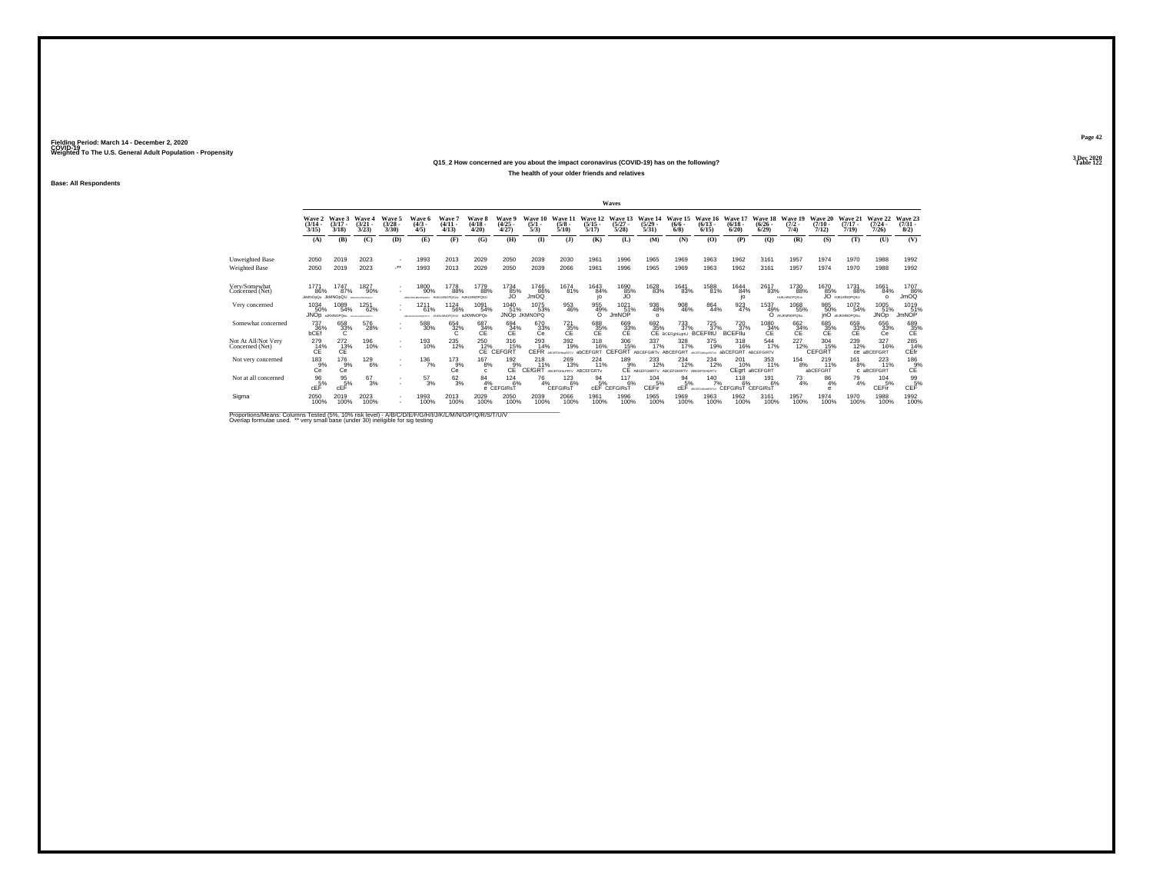#### **Q15\_2 How concerned are you about the impact coronavirus (COVID-19) has on the following?Particular Table 122 Table 122**

**The health of your older friends and relatives**

**Base: All Respondents**

|                                        |                                 |                                      |                                             |                                    |                                              |                                              |                                |                                     |                                |                                 |                                  | Waves                                 |                                                                         |                                                     |                                      |                                            |                                  |                                |                                  |                                      |                                  |                                              |
|----------------------------------------|---------------------------------|--------------------------------------|---------------------------------------------|------------------------------------|----------------------------------------------|----------------------------------------------|--------------------------------|-------------------------------------|--------------------------------|---------------------------------|----------------------------------|---------------------------------------|-------------------------------------------------------------------------|-----------------------------------------------------|--------------------------------------|--------------------------------------------|----------------------------------|--------------------------------|----------------------------------|--------------------------------------|----------------------------------|----------------------------------------------|
|                                        | Wave 2<br>$\frac{(3/14)}{3/15}$ | Wave 3<br>$(3/17 -$<br>3/18          | Wave 4<br>(3/21)<br>3/23                    | Wave 5<br>$\binom{3/28}{3/30}$     | Wave 6<br>$(4/3 -$<br>4/5                    | Wave 7<br>(4/11)<br>(4/13)                   | Wave 8<br>$(4/18 -$<br>4/20    | Wave 9<br>$\binom{4/25}{4/27}$      | Wave 10<br>$\frac{(5/1)}{5/3}$ | Wave 11<br>$\frac{(5/8)}{5/10}$ | Wave 12<br>$\frac{(5/15)}{5/17}$ | Wave 13<br>$\frac{(5/27)}{5/28}$      | Wave 14<br>$\frac{(5/29)}{5/31}$                                        | Wave 15<br>$(6/6 -$<br>6/8                          | Wave 16<br>$\binom{6/13}{6/15}$      | Wave 17<br>$\binom{6/18}{6/20}$            | Wave 18<br>$\binom{6/26}{6/29}$  | Wave 19<br>$\frac{(7/2)}{7/4}$ | Wave 20<br>$\frac{(7/10)}{7/12}$ | Wave 21<br>$(7/17 -$<br>7/19         | Wave 22<br>$\frac{(7/24)}{7/26}$ | Wave 23<br>$\binom{7/31}{8/2}$               |
|                                        | (A)                             | (B)                                  | (C)                                         | (D)                                | (E)                                          | (F)                                          | (G)                            | (H)                                 | $($ I)                         | (1)                             | (K)                              | (L)                                   | (M)                                                                     | (N)                                                 | (O)                                  | (P)                                        | (Q)                              | (R)                            | (S)                              | (T)                                  | (U)                              | (V)                                          |
| Unweighted Base                        | 2050                            | 2019                                 | 2023                                        | $\overline{\phantom{a}}$           | 1993                                         | 2013                                         | 2029                           | 2050                                | 2039                           | 2030                            | 1961                             | 1996                                  | 1965                                                                    | 1969                                                | 1963                                 | 1962                                       | 3161                             | 1957                           | 1974                             | 1970                                 | 1988                             | 1992                                         |
| Weighted Base                          | 2050                            | 2019                                 | 2023                                        |                                    | 1993                                         | 2013                                         | 2029                           | 2050                                | 2039                           | 2066                            | 1961                             | 1996                                  | 1965                                                                    | 1969                                                | 1963                                 | 1962                                       | 3161                             | 1957                           | 1974                             | 1970                                 | 1988                             | 1992                                         |
| Very/Somewhat<br>Concerned (Net)       | 177'<br>86%<br><b>JMMOpQu</b>   | 1747<br>87%<br><b>JkMNOpQU</b>       | 1827<br>90%<br>BOILKIMONICUL                |                                    | 1800<br>90%<br>A British for NAVY-Writer for | 1778<br>88%<br>HUKUMOPOSUv HJKLMNOPOSU       | 1779<br>88%                    | 1734<br>85%                         | 1746<br>86%<br>JmOQ            | 1674<br>81%                     | 1643<br>84%<br>io                | 1690<br>85%                           | 1628<br>83%                                                             | 1641<br>83%                                         | 1588<br>81%                          | 1644<br>84%<br>io                          | 2617<br>83%                      | 1730<br>88%<br>HUKLMNOPOSUv    | 1670<br>85%                      | 1731<br>88%<br><b>JO</b> HJKLMNOPOSU | 1661<br>84%<br>$\Omega$          | 1707<br>86%<br>JmOQ                          |
| Very concerned                         | 1034<br>50%                     | 1089<br>54%<br>JNOD AJKMNOPOAU       | 1251<br>62%<br><b>MATCHERS AND REPORTED</b> | ×.                                 | 121<br>61%<br>AREPEALMOFORETAY               | <sup>1124</sup> 56%<br>AHAMMOPOSUV aJKMNOPOs | 1091<br>54%                    | 1040<br>51%                         | 1075<br>53%<br>JNOp JKMNOPQ    | 953<br>46%                      | 955<br>49%<br>$\Omega$           | $1021$ <sub>51%</sub><br><b>JmNOP</b> | 936<br>48%<br>$\Omega$                                                  | 908<br>46%                                          | 864<br>44%                           | 923<br>47%                                 | 1537<br>49%                      | 1068<br>55%<br>O ANJKMNOPOSu   | 985<br>50%                       | 1072<br>54%<br>inO anJKMNOPOSu       | 1005<br>51%<br><b>JNOp</b>       | 1019<br>51%<br><b>JmNOP</b>                  |
| Somewhat concerned                     | 737<br>36%<br>bCEf              | 658<br>33%<br>C                      | 576<br>28%                                  | ٠                                  | 588<br>30%                                   | 654<br>32%                                   | $^{687}_{34\%}$ CE             | $^{694}_{\substack{34}{\text{C}} }$ | 670<br>33%<br>Сė               | $\frac{721}{35}\%$              | 688<br>35%<br>CE                 | $^{669}_{33\%}$ CE                    |                                                                         | 692 733<br>35% 37%<br>CE BCEFghlLqrtU<br>733<br>37% | 725<br>37%<br><b>BCEFIItU</b>        | 720 37%<br><b>BCFFII</b>                   | $^{1080}_{34\%}$<br>ĆΕ           | $^{662}_{34\%}$                | 685<br>35%<br>CE                 | 659<br>33%<br>CE                     | 656<br>33%<br>Сė                 | $^{689}_{35\%}$                              |
| Not At All/Not Very<br>Concerned (Net) | 279<br>14%<br>ĆÉ                | 272<br>C <sub>E</sub> <sup>13%</sup> | 196<br>10%                                  | ٠<br>٠                             | 193<br>10%                                   | 235<br>12%                                   | 250<br>12%<br>CE <sup>-</sup>  | 316<br>15%<br>CEFGRT                | 293<br>14%<br>CEFR             | 392<br>19%                      | 318<br>16%<br><b>abCEEGRT</b>    | 306<br>15%<br>CEFGRT                  | 337<br>17%<br>ABCEFGIRTy ABCEFGRT                                       | 328<br>17%                                          | 375<br>19%<br>400                    | 318<br>16%<br>abCEFGRT                     | $\frac{544}{17\%}$<br>ARCEEGIRTY | 227<br>12%                     | 304<br>15%<br>CEFGRT             | 239<br>12%                           | 327<br>16%<br>CB aBCEFGRT        | 285<br>14%<br>CEfr                           |
| Not very concerned                     | $^{183}_{9%}$<br>Ce             | $^{176}_{9\%}$<br>Сe                 | <sup>129</sup> <sub>6%</sub>                | $\overline{\phantom{a}}$<br>$\sim$ | $^{136}_{7\%}$                               | $^{173}_{9\%}$<br>Сe                         | $^{167}_{8\%}$<br>$\mathbf{c}$ | $192_{9\%}$<br>CE                   | 218<br>11%<br>CEfGRT           | 269<br>13%<br>ABCEFGHLPRTV      | 224<br>11%<br>ABCEFGRTv          | 189<br>9%                             | <sup>233</sup> <sub>12%</sub><br>CE ABCEFGHIRTV ABCEFGHIRTV ABCEFGHLRTV | 234<br>12%                                          | <sup>234</sup><br>12%                | 201<br>10%                                 | 353<br>11%<br>CEgrt aBCEFGRT     | $^{154}_{8\%}$                 | 219<br>$-11%$<br>abCEFGRT        | 161<br>8%                            | 223<br>11%<br>C aBCEFGRT         | 186 9%<br>CE                                 |
| Not at all concerned                   | $\frac{96}{5%}$<br>cEF          | $\frac{95}{5}\%$<br>cEF              | $^{67}_{3\%}$                               | ×.                                 | $^{57}_{3\%}$                                | $6^{2}_{3\%}$                                | $^{84}_{4\%}$                  | $^{124}_{6\%}$<br>e CEFGIRsT        | 76<br>4%                       | 123<br>6%<br>CEFGIRsT           | $\frac{94}{5\%}$                 | 117<br>6%<br><b>CEF CEFGIRST</b>      | $^{104}_{-5\%}$<br>CEFir                                                | $^{94}_{5\%}$<br>cEF                                | $140$ <sub>7%</sub><br>AD/CCOMMADST/ | $^{118}_{6\%}$<br><b>CEFGIRST CEFGIRST</b> | 191<br>6%                        | $^{73}_{4\%}$                  | $^{86}_{4\%}$<br>А               | $^{79}_{4\%}$                        | 104<br>5%<br>CEFir               | $\mathop{\mathsf{GEF}}\limits^{\mathsf{99}}$ |
| Sigma                                  | 2050<br>100%                    | 2019<br>100%                         | 2023<br>100%                                | $\mathbf{r}$                       | 1993<br>100%                                 | 2013<br>100%                                 | 2029<br>100%                   | 2050<br>100%                        | 2039<br>100%                   | 2066<br>100%                    | 1961<br>100%                     | 1996<br>100%                          | 1965<br>100%                                                            | 1969<br>100%                                        | 1963<br>100%                         | 1962<br>100%                               | 3161<br>100%                     | 1957<br>100%                   | 1974<br>100%                     | 1970<br>100%                         | 1988<br>100%                     | 1992<br>100%                                 |

Proportions/Means: Columns Tested (5%, 10% risk level) - A/B/C/D/E/F/G/H/I/J/K/L/M/N/O/P/Q/R/S/T/U/V<br>Overlap formulae used. \*\* very small base (under 30) ineligible for sig testing

**Page 423 Dec 2020<br>Table 122**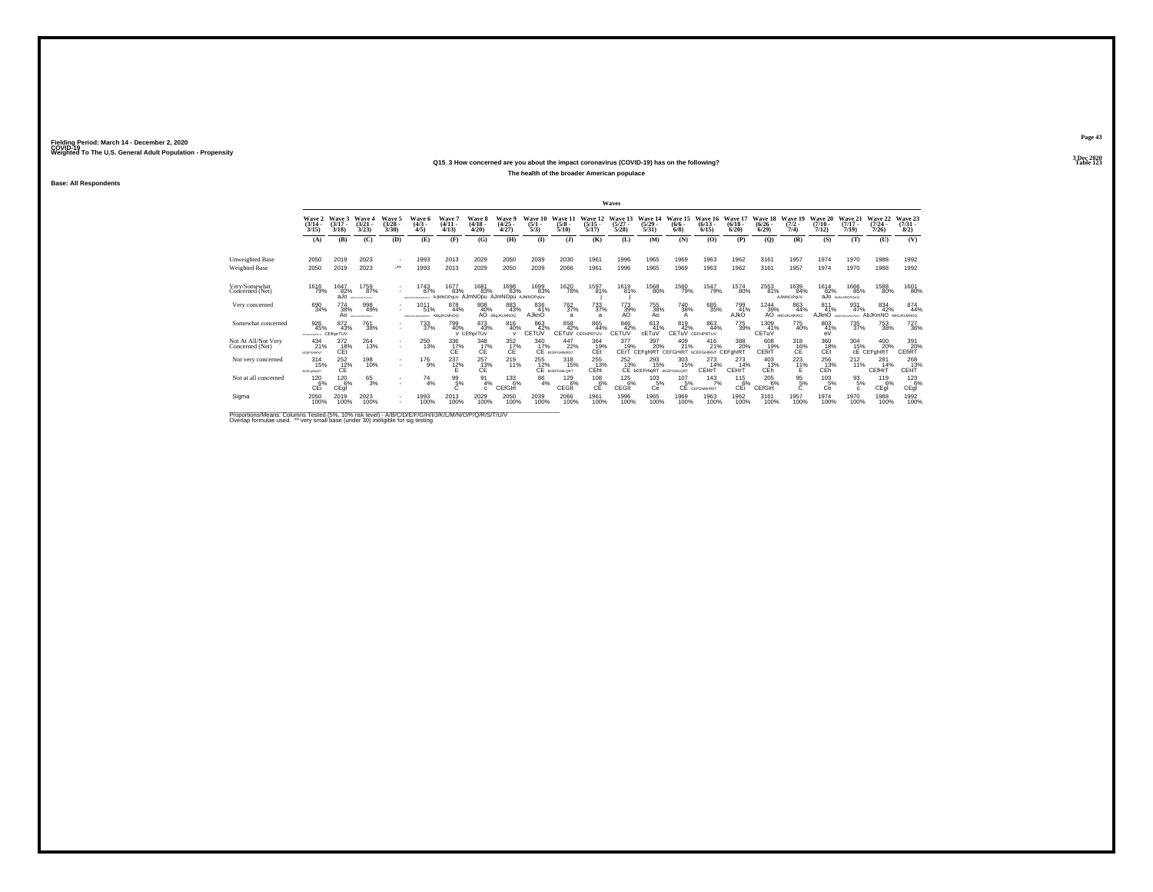#### **Q15\_3 How concerned are you about the impact coronavirus (COVID-19) has on the following?Table 123**

**The health of the broader American populace**

**Base: All Respondents**

|                                        |                                              |                                |                                                 |                                          |                                                |                                                    |                                      |                                          |                                |                                     |                                  | Waves                            |                                               |                                                   |                                  |                                 |                                  |                             |                              |                                 |                                      |                                |
|----------------------------------------|----------------------------------------------|--------------------------------|-------------------------------------------------|------------------------------------------|------------------------------------------------|----------------------------------------------------|--------------------------------------|------------------------------------------|--------------------------------|-------------------------------------|----------------------------------|----------------------------------|-----------------------------------------------|---------------------------------------------------|----------------------------------|---------------------------------|----------------------------------|-----------------------------|------------------------------|---------------------------------|--------------------------------------|--------------------------------|
|                                        | Wave 2<br>$\frac{(3/14)}{3/15}$              | Wave 3<br>$(3/17 -$<br>3/18    | Wave 4<br>(3/21)<br>3/23                        | Wave 5<br>$\frac{(3/28)}{3/30}$          | Wave 6<br>$\binom{4/3}{4/5}$                   | Wave 7<br>$(4/11 -$<br>(4/13)                      | Wave 8<br>$(4/18 -$<br>4/20          | Wave 9<br>$\binom{4/25}{4/27}$           | Wave 10<br>$\frac{(5/1)}{5/3}$ | Wave 11<br>$\frac{(5/8)}{5/10}$     | Wave 12<br>$\frac{(5/15)}{5/17}$ | Wave 13<br>$\frac{(5/27)}{5/28}$ | Wave 14<br>$\frac{(5/29)}{5/31}$              | Wave 15<br>$\frac{(6/6)}{6/8}$                    | Wave 16<br>$\frac{(6/13)}{6/15}$ | Wave 17<br>$\binom{6/18}{6/20}$ | Wave 18<br>$\frac{(6/26)}{6/29}$ | Wave 19<br>$(7/2 -$<br>7/4) | Wave 20<br>$(7/10 -$<br>7/12 | Wave 21<br>$(7/17 -$<br>7/19    | Wave 22<br>$\frac{(7/24 - 7)}{7/26}$ | Wave 23<br>$\binom{7/31}{8/2}$ |
|                                        | (A)                                          | (B)                            | (C)                                             | (D)                                      | (E)                                            | (F)                                                | (G)                                  | (H)                                      | $\bf{I}$                       | $($ $)$                             | (K)                              | (L)                              | (M)                                           | (N)                                               | (O)                              | (P)                             | $\mathbf{Q}$                     | (R)                         | (S)                          | (T)                             | (U)                                  | (V)                            |
| Unweighted Base                        | 2050                                         | 2019                           | 2023                                            | $\overline{\phantom{a}}$                 | 1993                                           | 2013                                               | 2029                                 | 2050                                     | 2039                           | 2030                                | 1961                             | 1996                             | 1965                                          | 1969                                              | 1963                             | 1962                            | 3161                             | 1957                        | 1974                         | 1970                            | 1988                                 | 1992                           |
| Weighted Base                          | 2050                                         | 2019                           | 2023                                            |                                          | 1993                                           | 2013                                               | 2029                                 | 2050                                     | 2039                           | 2066                                | 1961                             | 1996                             | 1965                                          | 1969                                              | 1963                             | 1962                            | 3161                             | 1957                        | 1974                         | 1970                            | 1988                                 | 1992                           |
| Very/Somewhat<br>Concerned (Net)       | 1616<br>79%                                  | 1647<br>82%<br>aJo             | 1759<br>87%<br><b>MATCHERS IN AN ORDER FALL</b> | ٠<br>٠                                   | 1743<br>87%<br><b><i>ARCHEMI MACHINERY</i></b> | 1677<br>83%<br>AJMNOPqUv AJmNOpu AJmNOpu AJMNOPqUv | 1681<br>83%                          | 1698<br>83%                              | 1699<br>83%                    | 1620<br>78%                         | 1597<br>81%                      | 1619<br>81%                      | 1568<br>80%                                   | 1560<br>79%                                       | 1547<br>79%                      | 1574<br>80%                     | 2553<br>81%                      | 1639<br>84%<br>AJIMNOPoUV   | 1614<br>82%                  | 1666<br>85%<br>aJo ANALIMOPONIV | 1588<br>80%                          | 1601<br>80%                    |
| Very concerned                         | 690<br>34%                                   | 774<br>38%<br>Ao               | 998<br>49%<br>ARFONALMONDEEV                    | ٠                                        | $101 -$<br>51%<br>ARPOHASING/CRISIA            | 878<br>44%<br>ABaJKLMNOQ                           | 808<br>40%                           | 883<br>43%<br>AO ABOJKLMNOQ              | 836<br>41%<br>AJknO            | <sup>762</sup> <sub>37%</sub>       | 733<br>37%<br>a                  | 773<br>39%<br>AO                 | 755<br>38%<br>A٥                              | <sup>740</sup> <sub>38%</sub><br>А                | 685<br>35%                       | 799<br>41%<br>AJkO              | 1244<br>39%                      | 863<br>44%<br>AO ABGJKLMNOQ | 811<br>41%<br>AJknO          | 931<br>47%                      | 834<br>42%<br>AbJKmNO                | 874<br>44%<br>ABGJKLMNOQ       |
| Somewhat concerned                     | 926<br>45%<br>CEPHANPORETY/                  | 872<br>43%<br>CEfhorTUV        | <sup>761</sup> 38%                              | ٠                                        | 733<br>37%                                     | 799<br>40%                                         | 873<br>43%<br>V CEfhorTUV            | $\substack{816 \\ 40\%}$<br>$\mathbf{v}$ | 863<br>42%<br>CETUV            | 858<br>42%<br>CETuV CEFHPRTUV       | 865<br>44%                       | 846<br>42%<br>CETUV              | 813<br>41%<br>cETuV                           | 819<br>42%<br><b>CETUV CEFHPRTUV</b>              | 863<br>44%                       | 775<br>39%                      | 1309<br>41%<br>CETUV             | 775<br>40%                  | 803<br>41%<br>eV             | <sup>735</sup> <sub>37%</sub>   | 753<br>38%                           | <sup>727</sup> <sub>36%</sub>  |
| Not At All/Not Very<br>Concerned (Net) | 434<br>21%<br><b><i><u>BCEFGHRAT</u></i></b> | 372<br>18%<br>CEt <sup>1</sup> | 264<br>13%                                      | $\mathbf{r}$<br>$\overline{\phantom{a}}$ | 250<br>13%                                     | 336<br>17%<br>CÊ.                                  | 348<br>C <sub>E</sub> <sup>17%</sup> | 352<br>C <sub>E</sub> <sup>17%</sup>     | 340<br>17%                     | 447<br>22%<br><b>CE</b> BCEFGHIMRST | 364<br>19%<br>CEt                | 377<br>19%                       | 397<br>20%<br>CErT CEFONRT                    | 409<br>21%<br>CEFGHIRT <b>bCEFGHIRST</b> CEFGhIRT | 416<br>21%                       | 388<br>20%                      | 608<br>19%<br>CEfirT             | 318<br>$CE^{\frac{16}{6}}$  | 360<br>18%<br>CEt            | 304<br>15%                      | 400<br>20%<br>CE CEFGhIRT            | 391<br>20%<br>CEfiRT           |
| Not very concerned                     | $^{314}_{15\%}$<br><b>BCEF@HIGRT</b>         | $^{252}_{12\%}$<br>CE          | 198<br>10%                                      | ٠<br>$\sim$                              | $^{176}_{9\%}$                                 | $^{237}_{12\%}$                                    | $\frac{257}{13%}$<br>CE              | $^{219}_{11\%}$                          | 255<br>12%                     | $^{318}_{15\%}$<br>CE BCEFGHILORT   | 255<br>13%<br>CEht               | 252<br>13%                       | 293<br>15%<br>CE <b>bCEFHIGRT</b> BCEFGHILDRT | 303<br>15%                                        | $^{273}_{14\%}$<br>CEHrT         | 273<br>14%<br>CEHrT             | 403<br>13%<br>CEh                | $^{223}_{11\%}$<br>F        | $^{256}_{13\%}$<br>CEh       | $^{212}_{11\%}$                 | 281<br>14%<br>CEfHrT                 | 268<br>13%<br>CEHT             |
| Not at all concerned                   | $^{120}_{6\%}$<br>CEi                        | 120 6%<br>CEqi                 | $^{65}_{3%}$                                    | $\mathbf{r}$<br>٠                        | 74<br>4%                                       | 99%<br>c                                           | 91<br>4%<br>c.                       | $^{133}_{6\%}$<br>CEfGIrt                | $^{86}_{4\%}$                  | $^{129}_{6\%}$<br>CEGIt             | $^{108}_{6\%}$<br>СĔ             | $^{125}_{6\%}$<br><b>CEGIt</b>   | $^{103}_{-5\%}$<br>Ce                         | 107                                               | $^{143}_{7\%}$<br>5% 79          | $^{115}_{-6\%}$<br>CEi          | $^{205}_{6\%}$<br>CEfGIrt        | $\frac{95}{5%}$             | $^{103}_{-5\%}$<br>Ce        | $\frac{93}{5%}$<br>c.           | $^{119}_{6\%}$<br>CEql               | $^{123}_{6\%}$<br>CEgi         |
| Sigma                                  | 2050<br>100%                                 | 2019<br>100%                   | 2023<br>100%                                    | $\sim$<br>٠                              | 1993<br>100%                                   | 2013<br>100%                                       | 2029<br>100%                         | 2050<br>100%                             | 2039<br>100%                   | 2066<br>100%                        | 1961<br>100%                     | 1996<br>100%                     | 1965<br>100%                                  | 1969<br>100%                                      | 1963<br>100%                     | 1962<br>100%                    | 3161<br>100%                     | 1957<br>100%                | 1974<br>100%                 | 1970<br>100%                    | 1988<br>100%                         | 1992<br>100%                   |

Proportions/Means: Columns Tested (5%, 10% risk level) - A/B/C/D/E/F/G/H/I/J/K/L/M/N/O/P/Q/R/S/T/U/V<br>Overlap formulae used. \*\* very small base (under 30) ineligible for sig testing

**Page 43**3 Dec 2020<br>Table 123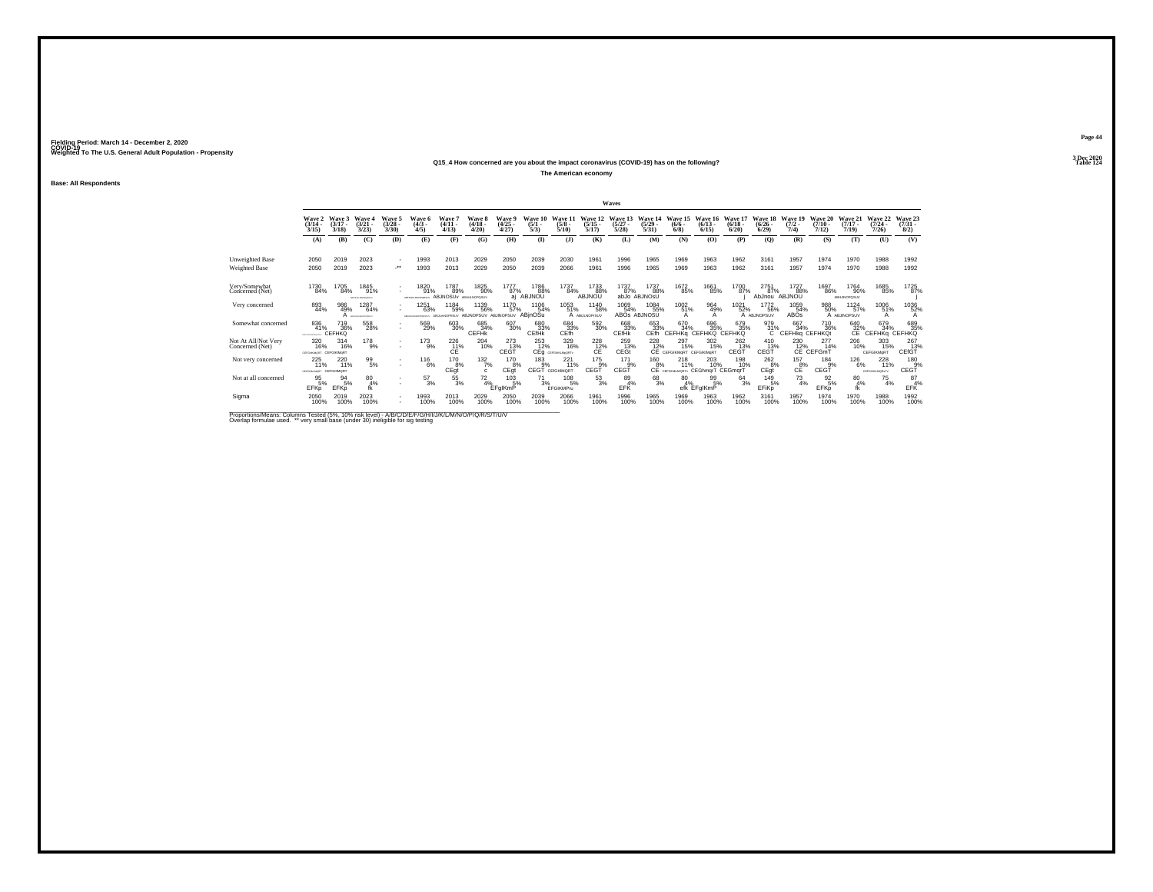#### **Q15\_4 How concerned are you about the impact coronavirus (COVID-19) has on the following?Table 124 Table 124**

**The American economy**

**Base: All Respondents**

|                                        |                                              |                             |                                     |                             |                                  |                                                   |                             |                             |                                          |                                 |                                      | Waves                        |                                  |                                                     |                                  |                                  |                                    |                              |                               |                                     |                              |                                |
|----------------------------------------|----------------------------------------------|-----------------------------|-------------------------------------|-----------------------------|----------------------------------|---------------------------------------------------|-----------------------------|-----------------------------|------------------------------------------|---------------------------------|--------------------------------------|------------------------------|----------------------------------|-----------------------------------------------------|----------------------------------|----------------------------------|------------------------------------|------------------------------|-------------------------------|-------------------------------------|------------------------------|--------------------------------|
|                                        | Wave 2<br>$\frac{(3/14)}{3/15}$              | Wave 3<br>$(3/17 -$<br>3/18 | Wave 4<br>$(3/21 -$<br>3/23         | Wave 5<br>$(3/28 -$<br>3/30 | <b>Wave 6</b><br>$(4/3 -$<br>4/5 | Wave<br>$(4/11 -$<br>4/13                         | Wave 8<br>$(4/18 -$<br>4/20 | Wave 9<br>$(4/25 -$<br>4/27 | Wave 10<br>$\frac{(5/1)}{5/3}$           | Wave 1<br>$(5/8 -$<br>5/10      | Wave 12<br>$(5/15 -$<br>5/17         | Wave 13<br>$(5/27 -$<br>5/28 | Wave 14<br>$\frac{(5/29)}{5/31}$ | Wave 15<br>$\frac{(6/6 - 6)}{(6/8)}$                | Wave 16<br>$\frac{(6/13)}{6/15}$ | Wave 17<br>$\frac{(6/18)}{6/20}$ | Wave 18<br>$\frac{(6/26)}{6/29}$   | Wave 19<br>$(7/2 -$<br>7/4)  | Wave 20<br>$(7/10 -$<br>7/12  | Wave 21<br>$(7/17 -$<br>7/19        | Wave 22<br>$(7/24 -$<br>7/26 | Wave 23<br>$\binom{7/31}{8/2}$ |
|                                        | (A)                                          | (B)                         | (C)                                 | (D)                         | (E)                              | (F)                                               | (G)                         | (H)                         | (1)                                      | $($ $)$                         | (K)                                  | (L)                          | (M)                              | (N)                                                 | (0)                              | (P)                              | (Q)                                | (R)                          | (S)                           | (T)                                 | (U)                          | (V)                            |
| Unweighted Base                        | 2050                                         | 2019                        | 2023                                | $\overline{\phantom{a}}$    | 1993                             | 2013                                              | 2029                        | 2050                        | 2039                                     | 2030                            | 1961                                 | 1996                         | 1965                             | 1969                                                | 1963                             | 1962                             | 3161                               | 1957                         | 1974                          | 1970                                | 1988                         | 1992                           |
| Weighted Base                          | 2050                                         | 2019                        | 2023                                | $\star\star$                | 1993                             | 2013                                              | 2029                        | 2050                        | 2039                                     | 2066                            | 1961                                 | 1996                         | 1965                             | 1969                                                | 1963                             | 1962                             | 3161                               | 1957                         | 1974                          | 1970                                | 1988                         | 1992                           |
| Very/Somewhat<br>Concerned (Net)       | 1730<br>84%                                  | 1705<br>84%                 | 1845<br>91%<br>ABFHUNLMOPORIUM      |                             | 1820<br>91%<br>ARPHAULINGPORTUN  | 1787<br>89%<br><b>ABJNOSUV ABHJLNOPOSUV</b>       | 1825<br>90%                 | 1777<br>87%<br>ai           | 1786<br>88%<br>ABJNOU                    | 1737<br>84%                     | 1733<br>88%<br>ABJNOU                | 1737<br>87%                  | 1737<br>88%<br>abJo ABJNOSU      | 1672<br>85%                                         | 1661<br>85%                      | 1700<br>87%                      | 2751<br>87%<br>AbJnou ABJNOU       | 1727<br>88%                  | 1697<br>86%                   | 1764<br>90%<br><b>ABHJINOPOSUV</b>  | 1685<br>85%                  | 1725<br>87%                    |
| Very concerned                         | 893<br>44%                                   | 986<br>49%                  | 1287<br>64%<br>A <i>aroundrativ</i> |                             | 1251<br>63%<br>ARFOHALMOPORETAY  | 1184<br>59%<br>ABLE/NOPRSUV ABJINOPSUV ABJINOPSUV | 1139<br>56%                 | 1170<br>57%                 | 1106<br>54%<br>ABjnOSu                   | 1053<br>51%                     | 1140<br>58%<br>A ABULNOPISUV         | 1069<br>54%                  | 1084<br>55%<br>ABOS ABJNOSU      | 1002<br>51%                                         | 964<br>49%<br>А                  | 1021<br>52%                      | <sup>1772</sup> 56%<br>A ABJNOPSUV | 1059<br>54%<br>ABOs          | 988<br>50%                    | <sup>1124</sup> 57%<br>A ABJINOPSUV | 1006<br>51%<br>А             | 1036<br>52%                    |
| Somewhat concerned                     | 836<br>41%<br><b>CONTRACTOR</b>              | 719<br>36%<br>CEFHKQ        | 558<br>28%                          | $\overline{\phantom{a}}$    | 569<br>29%                       | 603<br>30%                                        | 685<br>34%<br><b>CEFHK</b>  | 607<br>30%                  | 680<br>33%<br>CEfHk                      | 684<br>33%<br>CEfh              | 592<br>30%                           | 668<br>33%<br><b>CEfHk</b>   | 653<br>33%<br>CEfh               | 670<br>34%<br>CEFHKq CEFHKQ CEFHKQ                  | 696<br>35%                       | 679<br>35%                       | 979<br>31%<br>$\mathbf{C}$         | 667<br>34%<br>CEFHKg CEFHKQt | <sup>710</sup> <sub>36%</sub> | $^{640}_{32\%}$                     | 679<br>34%<br>CEFHKq CEFHKQ  | 689<br>35%                     |
| Not At All/Not Very<br>Concerned (Net) | 320<br>16%<br><b>CEFGHAOMORT CEFGIKIMsRT</b> | 314<br>16%                  | 178<br>9%                           | $\overline{\phantom{a}}$    | 173<br>9%                        | 226<br>$CE^{\frac{11}{6}}$                        | 204<br>10%                  | 273<br>13%<br>CEGT          | 253<br>12%                               | 329<br>16%<br>CEg cEFGHALMpORTV | 228<br>C <sub>E</sub> <sup>12%</sup> | 259<br>13%<br>CEGt           | 228<br>12%                       | 297<br>15%<br>CE CEFGIKMORT CEFGIKMORT              | 302<br>15%                       | 262<br>13%<br>CEGT               | 410<br>13%<br>CEGT                 | 230<br>12%                   | 277<br>14%<br>CE CEFGmT       | 206<br>10%                          | 303<br>15%<br>CEFGIKMoRT     | 267<br>13%<br>CEfGT            |
| Not very concerned                     | 225<br>11%<br>CEFGHALMORT CEFGHIMORT         | 220<br>11%                  | 99%                                 | $\sim$<br>$\mathbf{r}$      | 116<br>6%                        | 170 8%<br>CEqt                                    | 132/7%                      | 170 8%<br>CEgt              | $^{183}_{9\%}$<br><b>CEGT</b> CEIGHIMORT | $^{221}_{11\%}$                 | 175%<br>CEGT                         | 171<br>9%<br>CEGT            | $^{160}_{8\%}$                   | $^{218}_{11\%}$<br>CE CEFGHILMORTY CEGhmqrT CEGmqrT | 203<br>10%                       | 198<br>10%                       | 2628%<br>CEgt                      | $^{157}_{8\%}$<br>CE         | 184<br>9%<br>CEGT             | <sup>126</sup> 6%                   | 228<br>CEFGHIAMORATY         | $^{180}_{9%}$<br>CEGT          |
| Not at all concerned                   | $\frac{95}{5%}$<br>EFKp                      | $\frac{94}{5\%}$<br>EFKD    | 80<br>4%                            | $\mathbf{r}$                | $^{57}_{3\%}$                    | $^{55}_{3\%}$                                     | $\frac{72}{4\%}$ EFgIKmP    | $^{103}_{-5\%}$             | $^{71}_{3\%}$                            | 1085%<br>EFGIKMPru              | $\frac{53}{3%}$                      | 89 4%<br>EFK                 | $^{68}_{3\%}$                    | 80<br>4%                                            | 99<br>5%<br>efk EFgIKmP          | $^{64}_{3\%}$                    | 149<br>5%<br>EFiKp                 | $^{73}_{4\%}$                | $^{92}_{5\%}$<br><b>EFKp</b>  | $^{80}_{4\%}$<br>fk                 | $^{75}_{4\%}$                | $^{87}_{4\%}$<br>EFK           |
| Sigma                                  | 2050<br>100%                                 | 2019<br>100%                | 2023<br>100%                        | $\sim$                      | 1993<br>100%                     | 2013<br>100%                                      | 2029<br>100%                | 2050<br>100%                | 2039<br>100%                             | 2066<br>100%                    | 1961<br>100%                         | 1996<br>100%                 | 1965<br>100%                     | 1969<br>100%                                        | 1963<br>100%                     | 1962<br>100%                     | 3161<br>100%                       | 1957<br>100%                 | 1974<br>100%                  | 1970<br>100%                        | 1988<br>100%                 | 1992<br>100%                   |

Proportions/Means: Columns Tested (5%, 10% risk level) - A/B/C/D/E/F/G/H/I/J/K/L/M/N/O/P/Q/R/S/T/U/V<br>Overlap formulae used. \*\* very small base (under 30) ineligible for sig testing

**Page 44**3 Dec 2020<br>Table 124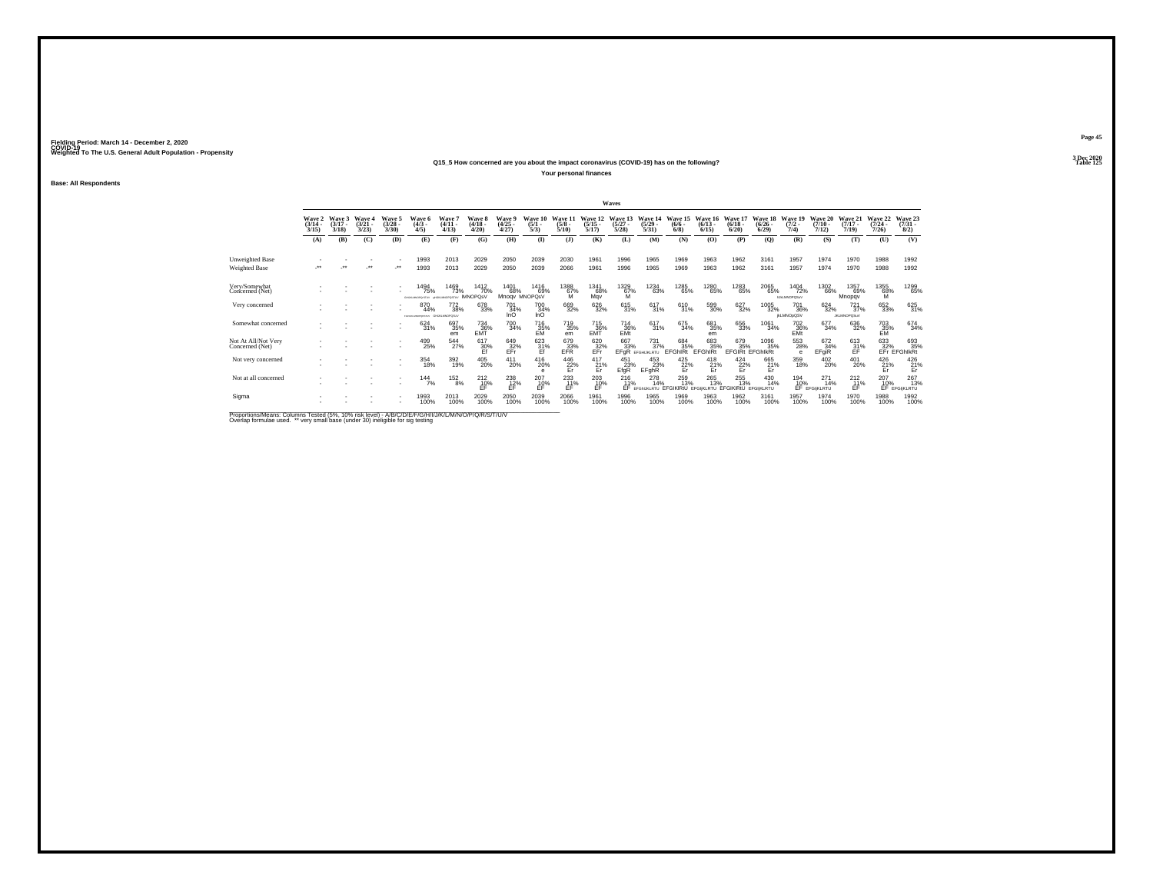#### **Q15\_5 How concerned are you about the impact coronavirus (COVID-19) has on the following?Particular Table 125 Table 125**

**Your personal finances**

**Base: All Respondents**

|                                                                                                                        |                                 |                             |                                |                          |                                            |                                          |                                 |                                      |                                |                                     |                                      | Waves                            |                                  |                                                                      |                                                                                                                                                                                                                                                 |                                 |                                  |                                    |                                 |                                |                                         |                                    |
|------------------------------------------------------------------------------------------------------------------------|---------------------------------|-----------------------------|--------------------------------|--------------------------|--------------------------------------------|------------------------------------------|---------------------------------|--------------------------------------|--------------------------------|-------------------------------------|--------------------------------------|----------------------------------|----------------------------------|----------------------------------------------------------------------|-------------------------------------------------------------------------------------------------------------------------------------------------------------------------------------------------------------------------------------------------|---------------------------------|----------------------------------|------------------------------------|---------------------------------|--------------------------------|-----------------------------------------|------------------------------------|
|                                                                                                                        | Wave 2<br>$\frac{(3/14)}{3/15}$ | Wave 3<br>$(3/17 -$<br>3/18 | Wave 4<br>$\binom{3/21}{3/23}$ | Wave 5<br>(3/28)<br>3/30 | Wave 6<br>$(4/3 -$<br>4/5                  | Wave 7<br>$(4/11 -$<br>4/13              | Wave 8<br>$\frac{(4/18)}{4/20}$ | Wave 9<br>$\frac{(4/25)}{4/27}$      | Wave 10<br>$\frac{(5/1)}{5/3}$ | Wave 11<br>$\frac{(5/8)}{5/10}$     | Wave 12<br>$\frac{(5/15)}{5/17}$     | Wave 13<br>$\frac{(5/27)}{5/28}$ | Wave 14<br>$\frac{(5/29)}{5/31}$ | Wave 15<br>$\frac{(6/6)}{6/8}$                                       | Wave 16<br>$\frac{(6/13)}{6/15}$                                                                                                                                                                                                                | Wave 17<br>$\binom{6/18}{6/20}$ | Wave 18<br>$\frac{(6/26)}{6/29}$ | Wave 19<br>$\frac{(7/2)}{7/4}$     | Wave 20<br>$(7/10 -$<br>7/12    | Wave 21<br>$(7/17 -$<br>7/19)  | Wave 22<br>$\frac{(7/24 - 7/26)}{7/26}$ | Wave 23<br>$\binom{7/31}{8/2}$     |
|                                                                                                                        | (A)                             | (B)                         | (C)                            | (D)                      | (E)                                        | (F)                                      | (G)                             | (H)                                  | $\bf{I}$                       | (1)                                 | (K)                                  | (L)                              | (M)                              | (N)                                                                  | (O)                                                                                                                                                                                                                                             | (P)                             | $\mathbf{Q}$                     | (R)                                | (S)                             | (T)                            | (U)                                     | (V)                                |
| <b>Unweighted Base</b>                                                                                                 |                                 |                             |                                |                          | 1993                                       | 2013                                     | 2029                            | 2050                                 | 2039                           | 2030                                | 1961                                 | 1996                             | 1965                             | 1969                                                                 | 1963                                                                                                                                                                                                                                            | 1962                            | 3161                             | 1957                               | 1974                            | 1970                           | 1988                                    | 1992                               |
| Weighted Base                                                                                                          | $\bullet\bullet$                |                             |                                | $\cdot$                  | 1993                                       | 2013                                     | 2029                            | 2050                                 | 2039                           | 2066                                | 1961                                 | 1996                             | 1965                             | 1969                                                                 | 1963                                                                                                                                                                                                                                            | 1962                            | 3161                             | 1957                               | 1974                            | 1970                           | 1988                                    | 1992                               |
| Very/Somewhat<br>Concerned (Net)                                                                                       |                                 |                             |                                |                          | 1494<br>75%<br>das en secretarismes        | 1469<br>73%<br><b>GENERATOR IMNOPOSV</b> | 1412<br>70%                     | 1401<br>68%                          | 1416<br>69%<br>Mnogy MNOPOsV   | 1388<br>$^{67%}_{M}$                | 1341<br>68%<br>May                   | 1329<br>67%<br>M                 | 1234<br>63%                      | 1285<br>65%                                                          | 1280<br>65%                                                                                                                                                                                                                                     | 1283<br>65%                     | 2065<br>65%                      | 1404<br>72%<br><b>INJUMIOROS/V</b> | 1302<br>66%                     | 1357<br>69%<br>Mnopqv          | 1355<br>68%                             | 1299<br>65%                        |
| Very concerned                                                                                                         |                                 |                             |                                |                          | 870<br>44%<br>FOXUSAMOPORTER GHLALMADPOSUV | <sup>772</sup> <sub>38%</sub>            | 678<br>33%                      | <sup>701</sup> <sub>34%</sub><br>InO | 700<br>34%<br>InO              | 669<br>32%                          | 626<br>32%                           | 615<br>31%                       | 617<br>31%                       | 610<br>31%                                                           | 599<br>30%                                                                                                                                                                                                                                      | 627<br>32%                      | 1005<br>32%                      | 701<br>36%<br><b>IKLMNOpQSV</b>    | $624 \over 32\%$                | $^{721}_{37\%}$<br>JKLMNOPQSuV | 652<br>33%                              | 625 31%                            |
| Somewhat concerned                                                                                                     |                                 |                             |                                |                          | 624<br>31%                                 | 697<br>35%<br>em                         | $^{734}_{36\%}$                 | <sup>700</sup> 34%                   | 716<br>35%<br>EM               | <sup>719</sup> <sub>35%</sub><br>em | 715<br>36%<br>EMT                    | $^{714}_{36\%}$<br>EMt           | $^{617}_{31\%}$                  | 675<br>34%                                                           | 681<br>35%<br>em                                                                                                                                                                                                                                | 656<br>33%                      | 1061<br>34%                      | 702<br>36%<br>EMt                  | 677<br>34%                      | 636<br>32%                     | 703<br>35%<br>EM                        | 674 34%                            |
| Not At All/Not Very<br>Concerned (Net)                                                                                 |                                 |                             |                                | $\overline{\phantom{a}}$ | 499<br>25%                                 | 544<br>27%                               | 617<br>30%                      | 649<br>EFr                           | 623<br>$\frac{31}{5}$          | 679<br>EFR                          | 620<br>EFr                           | 667<br>EFGR                      | 731<br>37%<br>EFGHLKLRTU         | 684<br>35%<br>EFGhIRt                                                | 683<br>35%<br><b>EFGhIRt</b>                                                                                                                                                                                                                    | 679<br>35%                      | 1096<br>35%<br>EFGIRI EFGhlkRt   | 553<br>28%<br>e                    | 672<br>34%<br>EFgiR             | 613<br>$\frac{31}{5}$          |                                         | 633 693<br>32% 35%<br>EFr EFGhlkRt |
| Not very concerned                                                                                                     |                                 |                             |                                | $\mathbf{r}$             | 354<br>18%                                 | 392<br>19%                               | 405<br>20%                      | 411<br>20%                           | 416<br>20%                     | $^{446}_{22\%}$ Er                  | $^{417}_{\hbox{\small{21}}}$ %<br>Er | 451<br>23%<br>EfgR               | 453<br>23%<br>EFghR              | $\frac{425}{22\%}$                                                   | $^{418}_{\hphantom{1}21\%}_{\hphantom{1}\hphantom{1}\hphantom{1}\hphantom{1}}_{\hphantom{1}\hphantom{1}\hphantom{1}\hphantom{1}\hphantom{1}\hphantom{1}}_{\hphantom{1}\hphantom{1}\hphantom{1}\hphantom{1}\hphantom{1}\hphantom{1}\hphantom{1}$ | $\frac{424}{22\%}$              | 665<br>21%<br>Er                 | 359<br>18%                         | 402<br>20%                      | 401<br>20%                     | $^{426}_{\substack{21\% \\Er}}$         | $^{426}_{\substack{21\% \\Er}}$    |
| Not at all concerned                                                                                                   |                                 |                             |                                | $\sim$<br>$\sim$         | $144$<br>$7%$                              | $^{152}_{8\%}$                           | $^{212}_{10\%}$                 | $^{238}_{12\%}$                      | $^{207}_{10\%}$                | 233<br>11%<br>ÉĖ                    | $^{203}_{10\%}$                      | $^{216}_{11\%}$                  | 278<br>14%                       | 259<br>13%<br>EF EFGINJKLRTU EFGIKIRtÜ EFGIKLRTU EFGIKIRtÜ EFGIKLRTU | 265<br>13%                                                                                                                                                                                                                                      | 255<br>13%                      | 430<br>14%                       | 194<br>10%                         | $^{271}_{14\%}$<br>EF EFGIKLRTU | $^{212}_{11\%}$<br>ÉĖ          | $^{207}_{10\%}$<br>EF                   | $^{267}_{13\%}$<br>EFGIKLRTU       |
| Sigma                                                                                                                  |                                 |                             |                                | ٠                        | 1993<br>100%                               | 2013<br>100%                             | 2029<br>100%                    | 2050<br>100%                         | 2039<br>100%                   | 2066<br>100%                        | 1961<br>100%                         | 1996<br>100%                     | 1965<br>100%                     | 1969<br>100%                                                         | 1963<br>100%                                                                                                                                                                                                                                    | 1962<br>100%                    | 3161<br>100%                     | 1957<br>100%                       | 1974<br>100%                    | 1970<br>100%                   | 1988<br>100%                            | 1992<br>100%                       |
| <b>Print and Print Print and the Contract Construction of the Construction of the Construction of the Construction</b> |                                 |                             |                                |                          |                                            |                                          |                                 |                                      |                                |                                     |                                      |                                  |                                  |                                                                      |                                                                                                                                                                                                                                                 |                                 |                                  |                                    |                                 |                                |                                         |                                    |

Proportions/Means: Columns Tested (5%, 10% risk level) - A/B/C/D/E/F/G/H/I/J/K/L/M/N/O/P/Q/R/S/T/U/V<br>Overlap formulae used. \*\* very small base (under 30) ineligible for sig testing

**Page 453 Dec 2020<br>Table 125**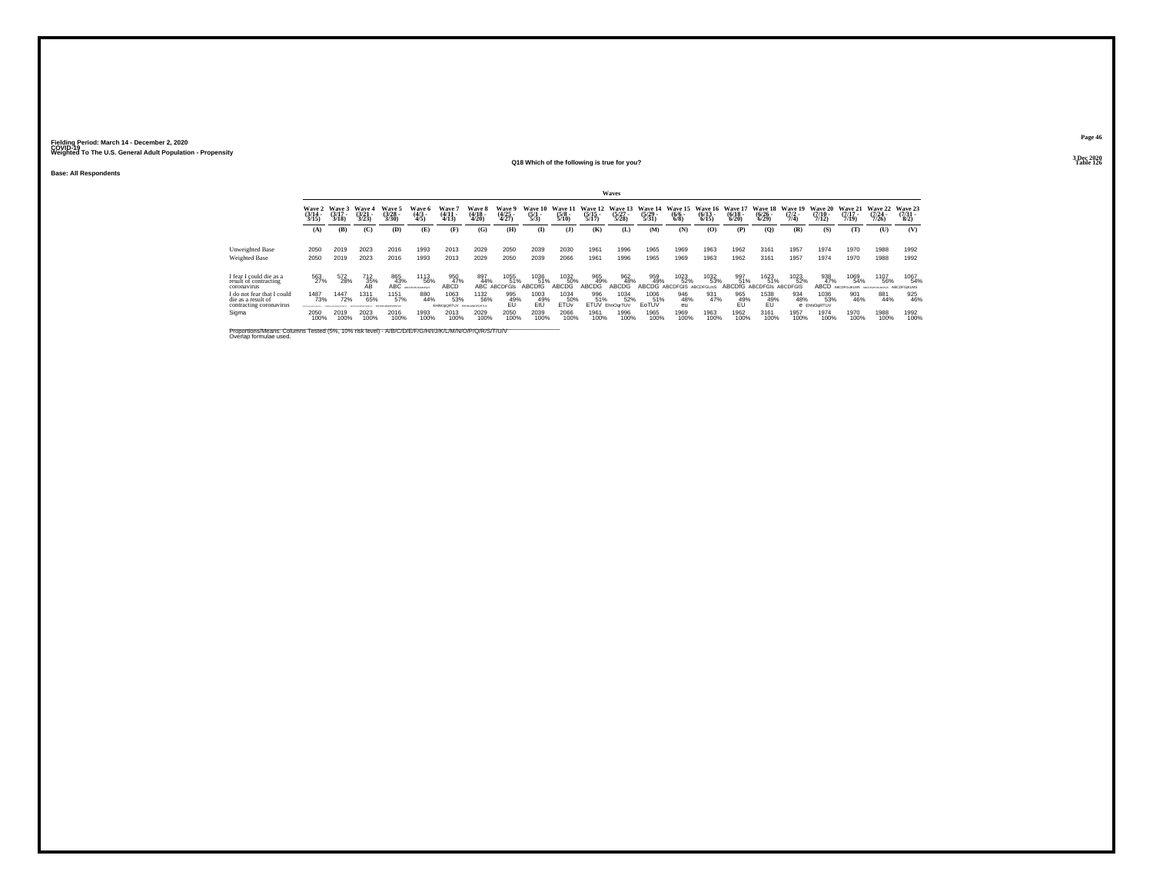**Base: All Respondents**

## **Q18 Which of the following is true for you?**

**Waves**

**Page 46**

**3 Dec 2020<br>Table 126 Table 126**

|                                                                                                                                | Wave 2<br>$\frac{(3/14)}{3/15}$                | Wave 3<br>$(3/17 -$<br>3/18 | Wave 4<br>$\frac{(3/21)}{3/23}$ | Wave 5<br>$\frac{(3/28)}{3/30}$ | Wave 6<br>$\frac{(4/3)}{4/5}$ | Wave 7<br>$\frac{(4/11)}{4/13}$ | Wave 8<br>$\frac{(4/18)}{4/20}$ | <b>Wave 9</b><br>$\frac{(4/25)}{4/27}$ | Wave 10<br>$\frac{(5/1)}{5/3}$ | Wave 11<br>$\frac{(5/8)}{5/10}$ | Wave 12<br>$\frac{(5/15)}{5/17}$ | Wave 13<br>$\frac{(5/27)}{5/28}$ | Wave 14<br>$\frac{(5/29)}{5/31}$ | Wave 15<br>$\frac{(6/6 - 6)}{(6/8)}$ | Wave 16<br>$\frac{(6/13)}{6/15}$ | Wave 17<br>$\frac{(6/18)}{6/20}$ | <b>Wave 18</b><br>$\frac{(6/26)}{(6/29)}$ | Wave 19<br>$\frac{(7/2)}{7/4}$ | <b>Wave 20</b><br>$\frac{(7/10)}{7/12}$ | <b>Wave 21</b><br>$\frac{(7/17)}{7/19}$ | Wave 22<br>$\frac{(7/24)}{7/26}$ | Wave 23<br>$\binom{7/31}{8/2}$ |
|--------------------------------------------------------------------------------------------------------------------------------|------------------------------------------------|-----------------------------|---------------------------------|---------------------------------|-------------------------------|---------------------------------|---------------------------------|----------------------------------------|--------------------------------|---------------------------------|----------------------------------|----------------------------------|----------------------------------|--------------------------------------|----------------------------------|----------------------------------|-------------------------------------------|--------------------------------|-----------------------------------------|-----------------------------------------|----------------------------------|--------------------------------|
|                                                                                                                                | (A)                                            | (B)                         | (C)                             | (D)                             | Œ)                            | (F)                             | (G)                             | (H)                                    | <b>(I)</b>                     | $($ $)$                         | (K)                              | (L)                              | (M)                              | (N)                                  | (0)                              | (P)                              | $\rm (Q)$                                 | (R)                            | (S)                                     | (T)                                     | (U)                              | (V)                            |
| Unweighted Base<br>Weighted Base                                                                                               | 2050<br>2050                                   | 2019<br>2019                | 2023<br>2023                    | 2016<br>2016                    | 1993<br>1993                  | 2013<br>2013                    | 2029<br>2029                    | 2050<br>2050                           | 2039<br>2039                   | 2030<br>2066                    | 1961<br>1961                     | 1996<br>1996                     | 1965<br>1965                     | 1969<br>1969                         | 1963<br>1963                     | 1962<br>1962                     | 3161<br>3161                              | 1957<br>1957                   | 1974<br>1974                            | 1970<br>1970                            | 1988<br>1988                     | 1992<br>1992                   |
| I fear I could die as a<br>result of contracting<br>coronavirus                                                                | 563<br>27%                                     | 572<br>28%                  | 712<br>35%<br>AB                | 865<br>43%<br>ABC               | <sup>1113</sup> 56%           | 950<br>47%<br>ABCD              | 897<br>44%<br>ABC               | 1055<br>51%<br><b>ABCDEGIS</b>         | 1036<br>51%<br><b>ABCDIG</b>   | 1032<br>50%<br>ABCDG            | 965<br>49%<br>ABCDG              | 962<br>48%<br>ABCDG              | 959<br>49%<br>ABCDG              | 1023<br>52%<br>ARCDEGIS              | 1032<br>53%<br>ABOBEC            | 997<br>51%<br>ARCDIG             | 1623<br>51%<br><b>ABCDEGIS</b>            | 1023<br>52%<br><b>ABCDEGIS</b> | 938<br>47%<br><b>ABCD</b>               | 1069<br>54%<br>ARCOFOLIO MS             | 1107<br>56%                      | 1067<br>54%<br>ABCDFGIKLMS     |
| do not fear that I could<br>die as a result of<br>contracting coronavirus                                                      | 1487<br>73%<br><b><i>ISTUARINE CONTACT</i></b> | 1447<br>72%                 | 1311<br>65%                     | 1151<br>57%                     | 880<br>44%                    | 1063<br>53%<br>EHNOpORTUV       | 1132<br>56%<br>EM MIMMORORTIA   | 995<br>$EU^{49}$                       | 1003<br>49%<br>EtÜ             | 1034<br>50%<br><b>ETÜV</b>      | 996<br>51%<br><b>ETUV</b>        | 1034<br>52%<br>EhnOgrTUV         | 1006<br>51%<br>EoTUV             | 946<br>48%<br>eu                     | 931<br>47%                       | 965<br>49%                       | 1538<br>$^{49\%}_{EU}$                    | 934<br>48%                     | 1036<br>53%<br>e EhNOgRTUV              | 901<br>46%                              | 881<br>44%                       | 925<br>46%                     |
| Sigma                                                                                                                          | 2050<br>100%                                   | 2019<br>100%                | 2023<br>100%                    | 2016<br>100%                    | 1993<br>100%                  | 2013<br>100%                    | 2029<br>100%                    | 2050<br>100%                           | 2039<br>100%                   | 2066<br>100%                    | 1961<br>100%                     | 1996<br>100%                     | 1965<br>100%                     | 1969<br>100%                         | 1963<br>100%                     | 1962<br>100%                     | 3161<br>100%                              | 1957<br>100%                   | 1974<br>100%                            | 1970<br>100%                            | 1988<br>100%                     | 1992<br>100%                   |
| Proportions/Means: Columns Tested (5%, 10% risk level) - A/B/C/D/E/F/G/H/I/J/K/L/M/N/O/P/Q/R/S/T/U/V<br>Overlap formulae used. |                                                |                             |                                 |                                 |                               |                                 |                                 |                                        |                                |                                 |                                  |                                  |                                  |                                      |                                  |                                  |                                           |                                |                                         |                                         |                                  |                                |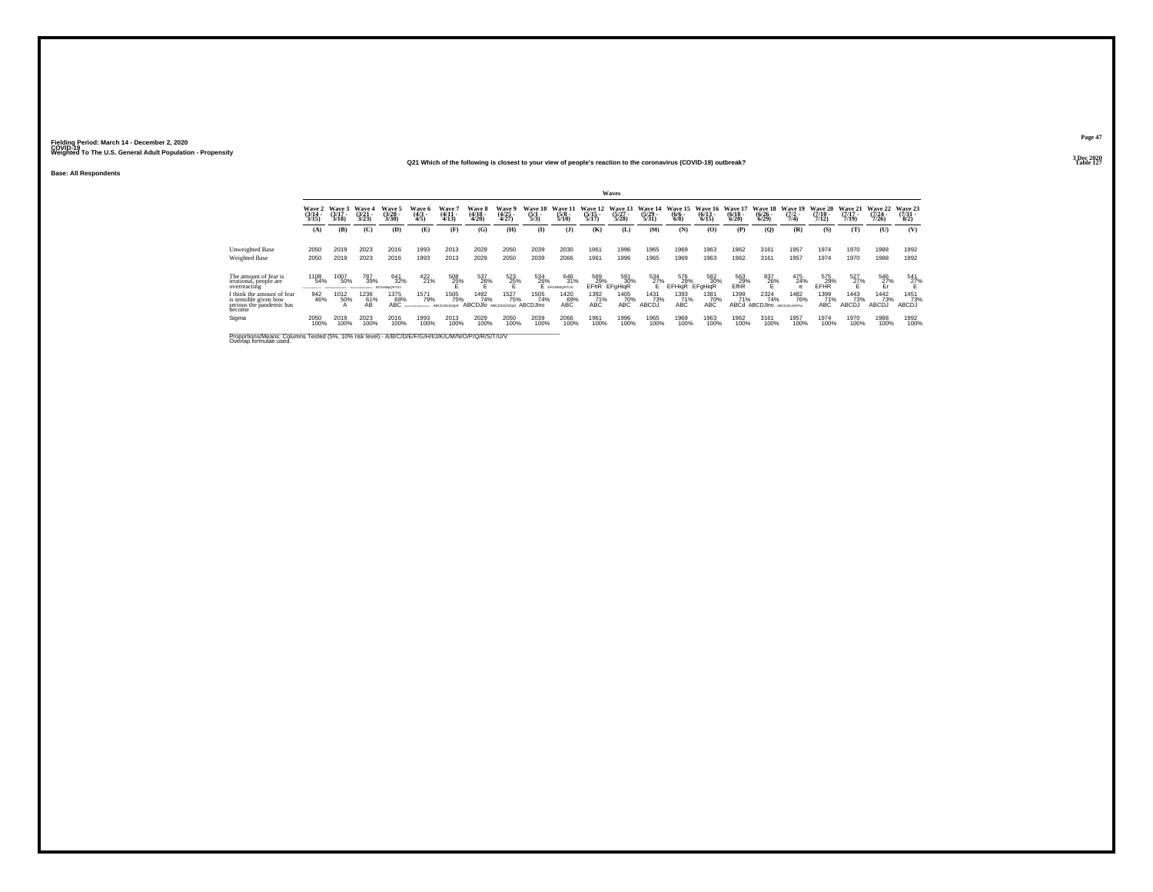## **Q21 Which of the following is closest to your view of people's reaction to the coronavirus (COVID-19) outbreak?**

**Base: All Respondents**

|                                                                                                                                |                                                            |                             |                        |                                 |                                      |                                      |                                    |                                 |                                |                                                                                                              |                                | Waves                            |                                  |                                      |                                  |                                 |                                      |                                |                              |                                  |                              |                                     |
|--------------------------------------------------------------------------------------------------------------------------------|------------------------------------------------------------|-----------------------------|------------------------|---------------------------------|--------------------------------------|--------------------------------------|------------------------------------|---------------------------------|--------------------------------|--------------------------------------------------------------------------------------------------------------|--------------------------------|----------------------------------|----------------------------------|--------------------------------------|----------------------------------|---------------------------------|--------------------------------------|--------------------------------|------------------------------|----------------------------------|------------------------------|-------------------------------------|
|                                                                                                                                | Wave<br>(3/14)<br>3/15                                     | Wave 3<br>$(3/17 -$<br>3/18 | Wave<br>(3/21)<br>3/23 | Wave:<br>$\frac{(3/28)}{3/30}$  | <b>Wave 6</b><br>$\frac{(4/3)}{4/5}$ | <b>Wave</b><br>$\frac{(4/11)}{4/13}$ | Wave 8<br>(4/18 -<br>4/20)         | Wave 9<br>$\frac{(4/25)}{4/27}$ | Wave 10<br>$\frac{(5/1)}{5/3}$ | Wave 1<br>$(5/8 -$<br>5/10                                                                                   | Wave 12<br>$(5/15 -$<br>5/17   | Wave 13<br>$\frac{(5/27)}{5/28}$ | Wave 14<br>$\frac{(5/29)}{5/31}$ | Wave 15<br>$\frac{(6/6 - 6)}{(6/8)}$ | Wave 16<br>$\frac{(6/13)}{6/15}$ | Wave 1<br>$\frac{(6/18)}{6/20}$ | Wave 18<br>$\binom{6/26}{6/29}$      | Wave 19<br>$\frac{(7/2)}{7/4}$ | Wave 20<br>$(7/10 -$<br>7/12 | Wave 21<br>$\frac{(7/17)}{7/19}$ | Wave 22<br>$(7/24 -$<br>7/26 | Wave 23<br>$\frac{(7/31 - 1)}{8/2}$ |
|                                                                                                                                | (A)                                                        | (B)                         | (C)                    | (D)                             | (E)                                  | Œ                                    | (G)                                | (H)                             | <b>(I)</b>                     | $($ $)$                                                                                                      | (K)                            | (L)                              | (M)                              | (N)                                  | (0)                              | (P)                             | (Q)                                  | (R)                            | (S)                          | m                                | (U)                          | (V)                                 |
| <b>Unweighted Base</b><br><b>Weighted Base</b>                                                                                 | 2050<br>2050                                               | 2019<br>2019                | 2023<br>2023           | 2016<br>2016                    | 1993<br>1993                         | 2013<br>2013                         | 2029<br>2029                       | 2050<br>2050                    | 2039<br>2039                   | 2030<br>2066                                                                                                 | 1961<br>1961                   | 1996<br>1996                     | 1965<br>1965                     | 1969<br>1969                         | 1963<br>1963                     | 1962<br>1962                    | 3161<br>3161                         | 1957<br>1957                   | 1974<br>1974                 | 1970<br>1970                     | 1988<br>1988                 | 1992<br>1992                        |
| The amount of fear is<br>irrational, people are<br>overreacting                                                                | 1108<br>54%<br><b><i><u>PERSONAL PROPERTY AND </u></i></b> | 1007<br>50%                 | 787<br>39%             | 641<br>32%<br><b>FFOHM-ORTH</b> | $422$ <sub>21%</sub>                 | 508<br>25%                           | 537<br>26%                         | 523<br>25%                      |                                | $\underset{\mathsf{E}}{534} \underset{\mathsf{eff} \, \mathsf{D}}{6} \underset{\mathsf{D}}{6}$<br>646<br>31% | 569<br>29%<br>EFR <sub>R</sub> | 591<br>30%<br><b>EFgHigR</b>     | 534<br>27%                       | 576<br>29%<br><b>EFHigR</b>          | 582<br>30%<br><b>EFgHigR</b>     | 563<br>29%<br>EfhR              | 837<br>26%                           | 475<br>24%                     | 575<br>29%<br>EFHR           | $^{527}_{27\%}$                  | 546<br>27%<br>Er             | $^{541}_{27\%}$                     |
| I think the amount of fear<br>is sensible given how<br>serious the pandemic has<br>become                                      | 942<br>46%                                                 | 1012<br>50%<br>А            | 1236<br>61%<br>ÁВ      | 1375<br>68%<br>ABC              | 1571<br>79%                          | 1505<br>75%<br><b>ABCDJKLNOoS</b>    | 1492<br>74%<br>ABCDJIO ABCDJKLNOOS | 1527<br>75%                     | 1505<br>74%<br>ABCDJIno        | 1420<br>ABC <sup>%</sup>                                                                                     | 1392<br>71%<br>ABC             | 1405<br>70%<br>ABC               | 1431<br>73%<br>ABCDJ             | 1393<br>71%<br>ABC                   | 1381<br>70%<br>ABC               | 1399<br>71%<br>ABCd             | 2324<br>74%<br>ABCDJIno ABCDJKLNOPSu | 1482<br>76%                    | 1399<br>71%<br>ABC           | 1443<br>73%<br>ABCDJ             | 1442<br>73%<br>ABCĎĴ         | 1451<br>73%<br>ABCDJ                |
| Sigma                                                                                                                          | 2050<br>100%                                               | 2019<br>100%                | 2023<br>100%           | 2016<br>100%                    | 1993<br>100%                         | 2013<br>100%                         | 2029<br>100%                       | 2050<br>100%                    | 2039<br>100%                   | 2066<br>100%                                                                                                 | 1961<br>100%                   | 1996<br>100%                     | 1965<br>100%                     | 1969<br>100%                         | 1963<br>100%                     | 1962<br>100%                    | 3161<br>100%                         | 1957<br>100%                   | 1974<br>100%                 | 1970<br>100%                     | 1988<br>100%                 | 1992<br>100%                        |
| Proportions/Means: Columns Tested (5%, 10% risk level) - A/B/C/D/E/F/G/H/I/J/K/L/M/N/O/P/Q/R/S/T/U/V<br>Overlap formulae used. |                                                            |                             |                        |                                 |                                      |                                      |                                    |                                 |                                |                                                                                                              |                                |                                  |                                  |                                      |                                  |                                 |                                      |                                |                              |                                  |                              |                                     |

**Page 473 Dec 2020<br>Table 127** 

**Properties and the contract of the contract of the contract of the contract of the contract of the contract of the contract of the contract of the contract of the contract of the contract of the contract of the contract o**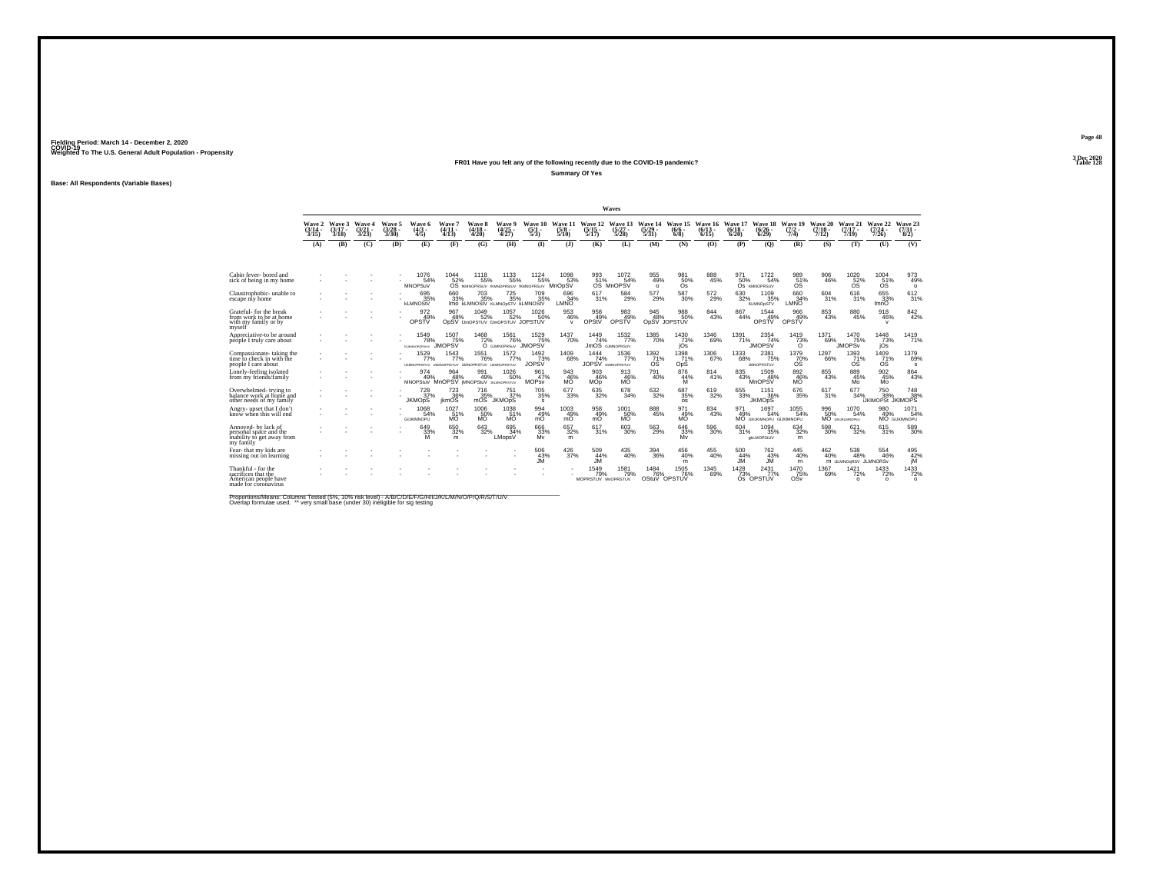#### **FR01 Have you felt any of the following recently due to the COVID-19 pandemic? Table 128 Summary Of Yes**

**Base: All Respondents (Variable Bases)**

|                                                                                           |                                    |                             |                                 |                                |                                                     |                              |                             |                                                       |                               |                                  |                                   | Waves                                   |                                                  |                                |                            |                              |                                       |                                 |                              |                                         |                                                |                                              |
|-------------------------------------------------------------------------------------------|------------------------------------|-----------------------------|---------------------------------|--------------------------------|-----------------------------------------------------|------------------------------|-----------------------------|-------------------------------------------------------|-------------------------------|----------------------------------|-----------------------------------|-----------------------------------------|--------------------------------------------------|--------------------------------|----------------------------|------------------------------|---------------------------------------|---------------------------------|------------------------------|-----------------------------------------|------------------------------------------------|----------------------------------------------|
|                                                                                           | <b>Wave 2</b><br>$(3/14 -$<br>3/15 | Wave 3<br>$(3/17 -$<br>3/18 | Wave 4<br>$\frac{(3/21)}{3/23}$ | Wave 5<br>$\binom{3/28}{3/30}$ | Wave 6<br>$\binom{4/3}{4/5}$                        | Wave 7<br>$(4/11 -$<br>4/13  | Wave 8<br>$(4/18 -$<br>4/20 | Wave 9<br>$\binom{4/25}{4/27}$                        | Wave 10<br>(5/1<br>5/3        | Wave 11<br>$\frac{(5/8)}{5/10}$  | Wave 12<br>(5/15 -<br>5/17        | Wave 13<br>$(5/27 -$<br>$5/28$ )        | Wave 14<br>$\frac{(5/29)}{5/31}$                 | Wave 15<br>$(6/6 -$<br>$6/8$ ) | Wave 16<br>(6/13 -<br>6/15 | Wave 17<br>$(6/18 -$<br>6/20 | Wave 18<br>$\binom{6/26}{6/29}$       | Wave 19<br>$\frac{(7/2)}{7/4}$  | Wave 20<br>$(7/10 -$<br>7/12 | Wave 21<br>$(7/17 -$<br>7/19            | Wave 22<br>$(7/24 -$<br>7/26                   | Wave 23<br>$(7/31 -$<br>8/2)                 |
|                                                                                           | (A)                                | (B)                         | (C)                             | (D)                            | (E)                                                 | (F)                          | (G)                         | <b>(H)</b>                                            | $\Phi$                        | (3)                              | (K)                               | (L)                                     | (M)                                              | (N)                            | (0)                        | (P)                          | (O)                                   | (R)                             | (S)                          | (T)                                     | (U)                                            | (V)                                          |
| Cabin fever-bored and<br>sick of being in my home                                         |                                    |                             |                                 |                                | 1076<br>54%<br><b>MNOPSuV</b>                       | 1044<br>52%<br><b>OS</b>     | 1118<br>55%                 | $^{1133}_{55\%}$<br>fKMNOPRSUV fKMNOPRS/UV fKMNOPRSUV | 1124<br>55%                   | 1098<br>53%<br>MnOpSV            | 993<br>51%<br><b>OS</b>           | 1072<br>54%<br><b>MnOPSV</b>            | 955<br>49%<br>$\circ$                            | 98150%<br>Os                   | 888<br>45%                 | 50%                          | 1722<br>54%<br>OS KMNOPRSUV           | 989<br>51%<br><b>OS</b>         | 906<br>46%                   | 1020<br>52%<br><b>OS</b>                | $^{1004}_{51\%}$<br><b>OS</b>                  | 973<br>49%<br>$\circ$                        |
| Claustrophobic-unable to<br>escape mv home                                                |                                    |                             |                                 |                                | 695%<br><b>kLMNOStV</b>                             | 660<br>33%                   | $^{703}_{35\%}$             | $^{725}_{35\%}$<br>IMO KLMNOStV KLMNObSTV KLMNOStV    | 709<br>35%                    | 696<br>34%<br>LMNO               | 617<br>31%                        | 584<br>29%                              | 577<br>29%                                       | $^{587}_{\ 30\%}$              | $^{572}_{29\%}$            | $\substack{630\\32\%}$       | 1109<br>35%<br><b>KLMNOpSTV</b>       | 660<br>34%<br>LMNO              | $^{604}_{31\%}$              | 616<br>31%                              | 655<br>33%<br>ImnO                             | 612/31%                                      |
| Grateful-for the break<br>from work to be at home<br>with my family or by<br>mvself       |                                    |                             |                                 |                                | 972<br>49%<br>OPSTV                                 | 967<br>48%                   | 1049<br>52%                 | 1057<br>52%<br>ODSV IJmOPSTUV IJmOPSTUV JOPSTUV       | 1026<br>50%                   | 953<br>46%<br>$\mathsf{v}$       | 958<br>49%<br>OPStV               | $\frac{983}{49\%}$<br>OPSTV             | 945<br>48%                                       | 988<br>50%<br>OpSV JOPSTUV     | $\substack{844 \\ 43\%}$   | 867<br>44%                   | 1544<br>49%<br>OPSTV                  | 966<br>49%<br>OPSTV             | $\substack{853 \\ 43\%}$     | 880<br>45%                              | 918<br>46%<br>$\mathbf{v}$                     | 842%                                         |
| Appreciative-to be around<br>péóple I truly care about                                    |                                    |                             |                                 |                                | 1549<br>78%<br><b>AS MAINFORD SEAV</b>              | 1507<br>75%<br><b>JMOPSV</b> | $\frac{1468}{72\%}$         | <sup>1561</sup> 76%<br>O GJMNOPRSuV JMOPSV            | 1529<br>75%                   | 1437<br>70%                      | 1449<br>74%                       | 1532<br>77%<br><b>JMOS</b> GJMNOPRSUV   | 1385<br>70%                                      | $\frac{1430}{73\%}$<br>jOs     | $^{1346}_{69\%}$           | 1391<br>71%                  | 2354<br>74%<br><b>JMOPSV</b>          | $\frac{1419}{73\%}$<br>$\Omega$ | 1371<br>69%                  | 1470<br>75%<br><b>JMOPS<sub>v</sub></b> | $\frac{1448}{73\%}$<br>jOs                     | 1419<br>71%                                  |
| Compassionate-taking the<br>time to check in with the<br>people I care about              |                                    |                             |                                 |                                | 1529<br>77%<br>UM/NOPRSTUV LM/INOPRSTUV UMNOPRSTUV  | 1543<br>77%                  | <sup>1551</sup> 76%         | 1572%<br><b>LM/NOPRSTUV</b>                           | $^{1492}_{73\%}$<br>JOPSV     | 1409<br>68%                      | 1444<br>74%<br>JOPSV              | 1536<br>77%<br><b>LIMNOPRSTUV</b>       | $\frac{1392}{71}\%$<br>ÓŚ                        | 1398<br>71%<br>OpS             | <sup>1306</sup> 67%        | 1333<br>68%                  | 2381<br>75%<br><b>JMNOPRSTUV</b>      | $^{1379}_{-70\%}$               | 1297<br>66%                  | $^{1393}_{71\%}$<br>ÓŚ                  | $^{1409}_{71\%}$                               | 1379<br>69%<br>s                             |
| Lonely-feeling isolated<br>from my friends/family                                         |                                    |                             |                                 |                                | 974<br>49%<br>MNOPStuV MnOPSV MNOPStuV JILMNOPRSTUV | 964<br>48%                   | 991<br>49%                  | 1026<br>50%                                           | 961<br>47%<br><b>MOPsy</b>    | 943<br>$^{46\%}_{M{\rm O}}$      | 903<br>46%<br><b>MOp</b>          | 913<br>46%<br>мö                        | 791<br>40%                                       | 876<br>44%<br>M                | 814<br>41%                 | 835<br>43%                   | 1509<br>48%<br><b>MnOPSV</b>          | 892<br>46%<br>MÖ <sup>"</sup>   | 855<br>43%                   | 889<br>45%<br>Mo                        | 902<br>45%<br>Mo                               | 864<br>43%                                   |
| Overwhelmed-trying to<br>balance work at home and<br>other needs of my family             |                                    |                             |                                 |                                | $^{728}_{37\%}$<br><b>JKMOpS</b>                    | 723<br>36%<br><i>ikmOS</i>   | 716<br>35%<br>mOS           | $^{751}_{37\%}$<br><b>JKMOpS</b>                      | $\substack{705 \\ 35\%}$<br>s | $677 \choose 33\%$               | $\substack{635 \\ 32\%}$          | $^{678}_{34\%}$                         | $\frac{632}{32\%}$                               | $^{687}_{35\%}$<br><b>OS</b>   | 619<br>32%                 | $\substack{655 \\ 33\%}$     | $^{1151}_{36\%}$<br><b>JKMOpS</b>     | $^{676}_{35\%}$                 | 617/31%                      | 677<br>34%                              | <sup>750</sup> 38%<br><b>IJKIMOPSt JKIMOPS</b> | 748<br>38%                                   |
| Anery-upset that I don't<br>know when this will end                                       |                                    |                             |                                 |                                | 1068<br>54%<br><b>GIJKIMNOPU</b>                    | 1027<br>51%<br>MÖ            | 1006<br>50%<br>MŎ           | $^{1038}_{51\%}$<br>MÖ <sup>*</sup>                   | 994<br>49%<br>mÖ              | $^{1003}_{\substack{49\% \ mO}}$ | 958<br>49%<br>mÕ                  | $^{1001}_{\substack{50\%\\ \text{MO}}}$ | 888<br>45%                                       | 971<br>49%<br>МÕ               | $\substack{834 \\ 43\%}$   | 971<br>49%                   | 1697<br>54%<br>MO GNUKMNOPU GUKIMNOPU | $^{1055}_{-54\%}$               | 996<br>50%                   | 1070<br>54%<br>MO GHJKLMNOPSU           | 980<br>49%                                     | $1071$<br>54%<br>MO GUKIMNOPU                |
| Annoved- by lack of<br>personal space and the<br>inability to get away from<br>my family  |                                    |                             |                                 |                                | 649<br>33%<br>M                                     | $\substack{650\\32\%}$<br>m  | $\substack{643 \\ 32\%}$    | 695<br>34%<br>LMopsV                                  | 666<br>33%<br>Mv              | $\substack{657\\32\%}$<br>m      | 617<br>31%                        | $^{603}_{30\%}$                         | 563<br>29%                                       | $\substack{646\\33\%}$<br>Mv   | 596<br>30%                 | 604<br>31%                   | 1094<br>35%<br>dkLMOPStUV             | $\substack{634 \\ 32\%}$<br>m   | 598<br>30%                   | 621<br>32%                              | 615<br>31%                                     | 589<br>30%                                   |
| Fear- that my kids are<br>missing out on learning                                         |                                    |                             |                                 |                                |                                                     |                              |                             |                                                       | 506<br>43%<br>.IM             | $^{426}_{\phantom{1}37\%}$       | 509<br>44%<br><b>JM</b>           | 435<br>40%                              | $^{394}_{\phantom{1}\phantom{1}\phantom{1}36\%}$ | 456<br>40%<br>m                | 455<br>40%                 | 500<br>44%<br><b>JM</b>      | 762<br>43%<br><b>JM</b>               | 445<br>40%<br>m                 | 462<br>40%                   | 538<br>48%<br>M IJLMNOGRSV JLMNORSv     | 554<br>46%                                     | $^{495}_{\hphantom{1}42\%}_{\hphantom{1}jM}$ |
| Thankful - for the<br>sacrifices that the<br>American people have<br>made for coronavirus |                                    |                             |                                 |                                |                                                     |                              |                             |                                                       |                               |                                  | 1549<br>79%<br>MOPRSTUV MnOPRSTUV | 1581<br>79%                             | 1484<br>OStuV                                    | 1505<br>OPSTUV                 | 1345<br>69%                | 1428<br>73%                  | $\frac{2431}{77\%}$<br>Os OPSTUV      | 1470<br>75%<br>OSv              | 1367<br>69%                  | $\frac{1421}{72\%}$<br>$\Omega$         | $\frac{1433}{72\%}$<br>$\Omega$                | $\frac{1433}{72\%}$<br>$\Omega$              |

Proportions/Means: Columns Tested (5%, 10% risk level) - A/B/C/D/E/F/G/H/I/J/K/L/M/N/O/P/Q/R/S/T/U/V<br>Overlap formulae used. \*\* very small base (under 30) ineligible for sig testing

**Page 483 Dec 2020<br>Table 128**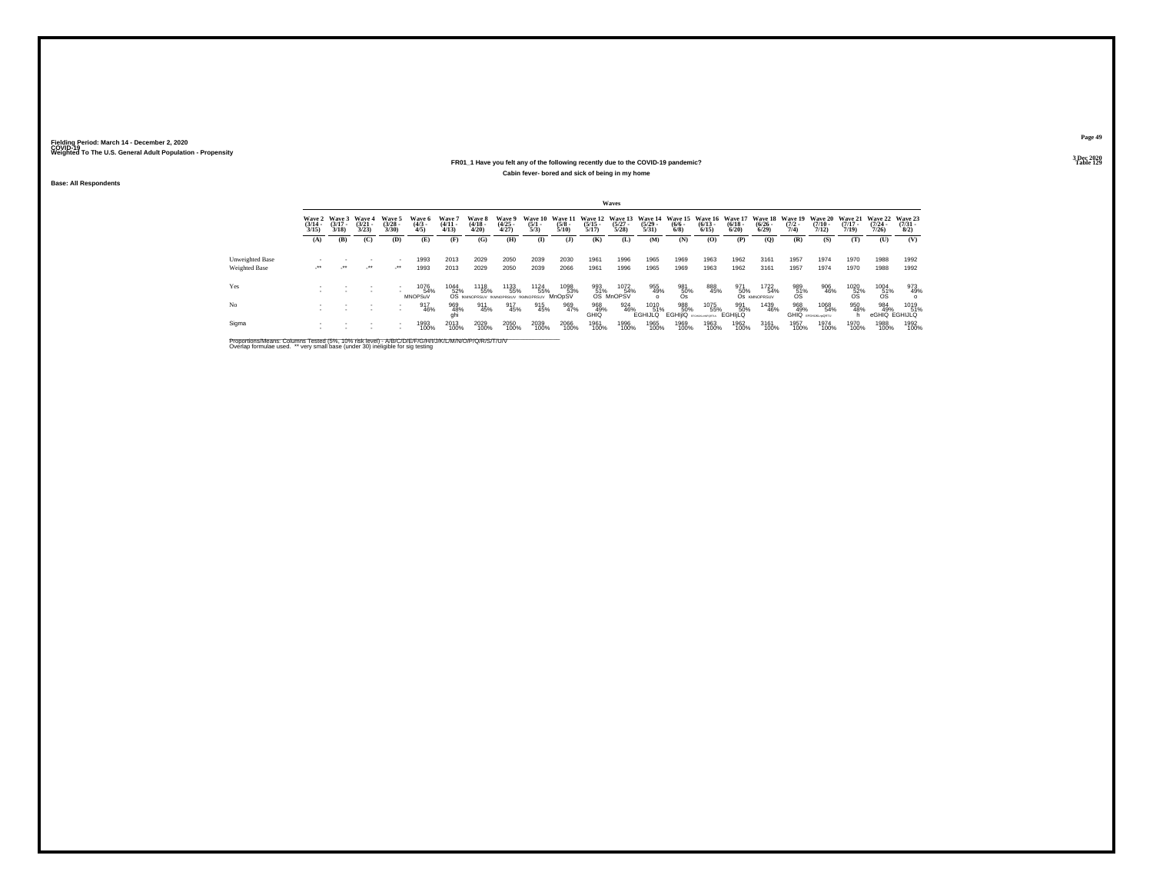#### **FR01\_1 Have you felt any of the following recently due to the COVID-19 pandemic? Table 129 Cabin fever- bored and sick of being in my home**

**Base: All Respondents**

|                        |                                 |                                 |                                 |                                    |                               |                                |                                                     |                                |                     |                       |                       | <b>Waves</b>             |                                                                                          |                                                  |                      |                      |                             |                                        |                                          |                                 |                                     |                                |
|------------------------|---------------------------------|---------------------------------|---------------------------------|------------------------------------|-------------------------------|--------------------------------|-----------------------------------------------------|--------------------------------|---------------------|-----------------------|-----------------------|--------------------------|------------------------------------------------------------------------------------------|--------------------------------------------------|----------------------|----------------------|-----------------------------|----------------------------------------|------------------------------------------|---------------------------------|-------------------------------------|--------------------------------|
|                        | Wave 2<br>$\frac{(3/14)}{3/15}$ | Wave 3<br>$\frac{(3/17)}{3/18}$ | Wave 4<br>$\frac{(3/21)}{3/23}$ | Wave 5<br>$(3/28 -$<br>3/30        | Wave 6<br>$\frac{(4/3)}{4/5}$ | Wave 7<br>$\frac{(4/11}{4/13}$ | Wave 8<br>$\frac{(4/18)}{4/20}$                     | Wave 9<br>$\binom{4/25}{4/27}$ | $\frac{(5/1)}{5/3}$ | $\frac{(5/8)}{5/10}$  | $\frac{(5/15)}{5/17}$ | $\binom{5/27}{5/28}$     | Wave 10 Wave 11 Wave 12 Wave 13 Wave 14 Wave 15 Wave 16 Wave 17<br>$\frac{(5/29)}{5/31}$ | $\binom{6/6}{6/8}$                               | $\binom{6/13}{6/15}$ | $\binom{6/18}{6/20}$ | $\frac{(6/26)}{6/29}$       | Wave 18 Wave 19<br>$\frac{(7/2)}{7/4}$ | Wave 20 Wave 21<br>$\frac{(7/10)}{7/12}$ | $\frac{(7/17)}{7/19}$           | <b>Wave 22</b><br>$(7/24 -$<br>7/26 | Wave 23<br>$\binom{7/31}{8/2}$ |
|                        | (A)                             | (B)                             | (C)                             | (D)                                | (E)                           | (F)                            | (G)                                                 | (H)                            | $\mathbf{I}$        | (1)                   | (K)                   | (L)                      | (M)                                                                                      | (N)                                              | (0)                  | (P)                  | (Q)                         | (R)                                    | (S)                                      | (T)                             | (U)                                 | (V)                            |
|                        |                                 |                                 |                                 |                                    |                               |                                |                                                     |                                |                     |                       |                       |                          |                                                                                          |                                                  |                      |                      |                             |                                        |                                          |                                 |                                     |                                |
| <b>Unweighted Base</b> |                                 |                                 |                                 |                                    | 1993                          | 2013                           | 2029                                                | 2050                           | 2039                | 2030                  | 1961                  | 1996                     | 1965                                                                                     | 1969                                             | 1963                 | 1962                 | 3161                        | 1957                                   | 1974                                     | 1970                            | 1988                                | 1992                           |
| Weighted Base          | $\cdot$                         | -11                             | $\cdot$                         | $\mathcal{L}^{\bullet\bullet}$     | 1993                          | 2013                           | 2029                                                | 2050                           | 2039                | 2066                  | 1961                  | 1996                     | 1965                                                                                     | 1969                                             | 1963                 | 1962                 | 3161                        | 1957                                   | 1974                                     | 1970                            | 1988                                | 1992                           |
| Yes                    |                                 |                                 |                                 |                                    | 1076<br>54%<br><b>MNOPSuV</b> | 1044<br>52%                    | 1118<br>55%<br>OS IKMNOPRSUV IKMNOPRSIUV IKMNOPRSUV | 1133<br>55%                    | 1124<br>55%         | 1098<br>53%<br>MnOpSV | 993<br>51%            | 1072<br>54%<br>OS MnOPSV | 955<br>49%                                                                               | 981<br>50%<br>Os                                 | 888<br>45%           | 971<br>50%           | 1722<br>54%<br>OS KMNOPRSUV | $^{989}_{51\%}$                        | 906<br>46%                               | $^{1020}_{\substack{52\%\\08}}$ | $^{1004}_{\substack{51\%\\08}}$     | 973<br>49%                     |
| No                     |                                 |                                 |                                 | $\sim$<br>$\overline{\phantom{a}}$ | 917<br>46%                    | 969<br>48%<br>ghi              | 911<br>45%                                          | 917<br>45%                     | 915<br>45%          | 969<br>47%            | 968<br>49%<br>GHIQ    | 924<br>46%               | 1010<br>51%<br><b>EGHIJLQ</b>                                                            | 988<br>50%<br><b>EGHIJQ</b> <i>EFGHULMPORTUN</i> | 1075<br>55%          | 991<br>50%<br>EGHILO | 1439<br>46%                 | 968<br>49%                             | 1068<br>54%<br><b>GHIQ</b> EFGHURLHORTU  | 950<br>48%                      | 984<br>49%                          | 1019<br>51%<br>eGHIQ EGHIJLQ   |
| Sigma                  |                                 |                                 |                                 | $\sim$                             | 1993<br>100%                  | 2013<br>100%                   | 2029<br>100%                                        | 2050<br>100%                   | 2039<br>100%        | 2066<br>100%          | 1961<br>100%          | 1996<br>100%             | 1965<br>100%                                                                             | 1969<br>100%                                     | 1963<br>100%         | 1962<br>100%         | 3161<br>100%                | 1957<br>100%                           | 1974<br>100%                             | 1970<br>100%                    | 1988<br>100%                        | 1992<br>100%                   |

Proportions/Means: Columns Tested (5%, 10% risk level) - A/B/C/D/E/F/G/H/I/J/K/L/M/N/O/P/Q/R/S/T/U/V<br>Overlap formulae used. \*\* very small base (under 30) ineligible for sig testing

**Page 493 Dec 2020<br>Table 129**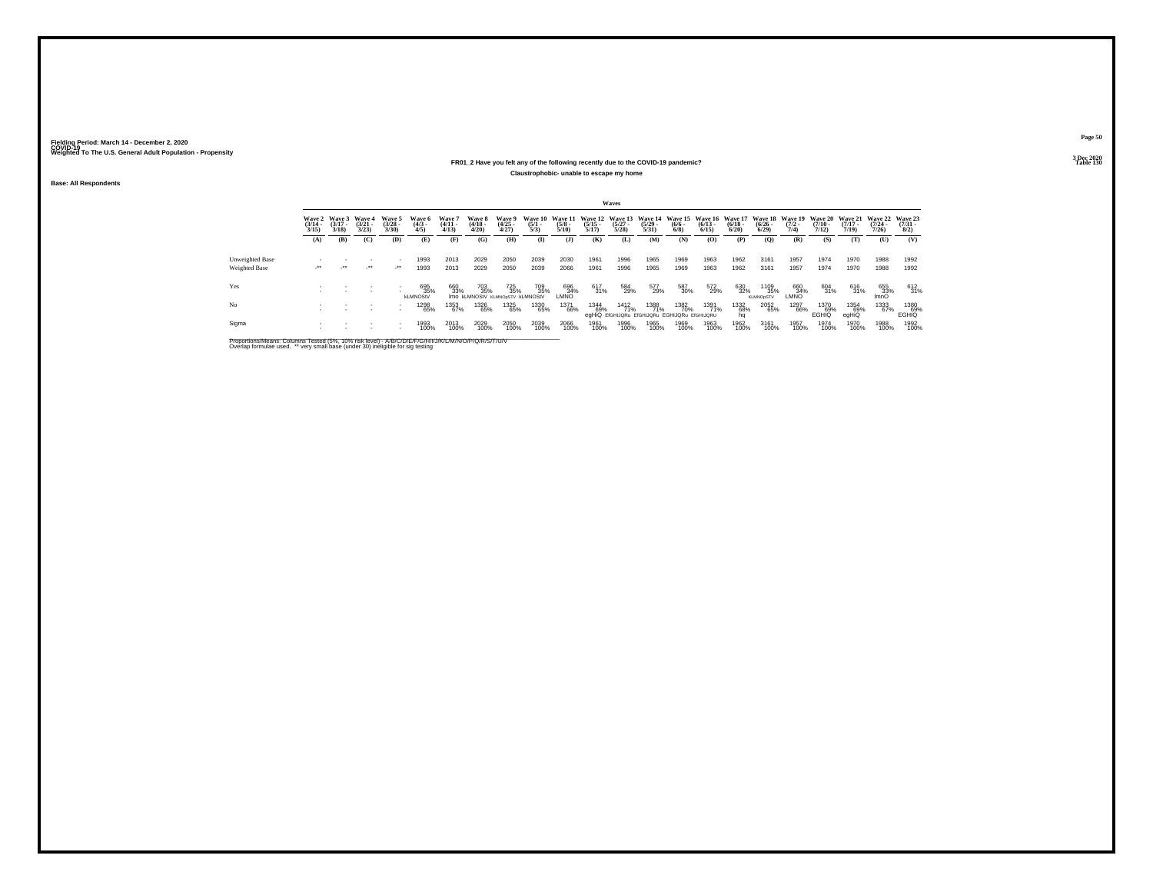#### **FR01\_2 Have you felt any of the following recently due to the COVID-19 pandemic? Table 130 Claustrophobic- unable to escape my home**

**Base: All Respondents**

|                                         |                                 |                                 |                             |                                    |                               |                                |                                               |                                |                     |                      |                       | Waves                |                                                                                          |                    |                      |                       |                                 |                                        |                                         |                                         |                                     |                                |
|-----------------------------------------|---------------------------------|---------------------------------|-----------------------------|------------------------------------|-------------------------------|--------------------------------|-----------------------------------------------|--------------------------------|---------------------|----------------------|-----------------------|----------------------|------------------------------------------------------------------------------------------|--------------------|----------------------|-----------------------|---------------------------------|----------------------------------------|-----------------------------------------|-----------------------------------------|-------------------------------------|--------------------------------|
|                                         | Wave 2<br>$\frac{(3/14)}{3/15}$ | Wave 3<br>$\frac{(3/17)}{3/18}$ | Wave 4<br>$(3/21 -$<br>3/23 | Wave 5<br>$(3/28 -$<br>3/30        | Wave 6<br>$\frac{(4/3)}{4/5}$ | Wave 7<br>$\frac{(4/11}{4/13}$ | Wave 8<br>$\frac{(4/18)}{4/20}$               | Wave 9<br>$\binom{4/25}{4/27}$ | $\frac{(5/1)}{5/3}$ | $\frac{(5/8)}{5/10}$ | $\frac{(5/15)}{5/17}$ | $\binom{5/27}{5/28}$ | Wave 10 Wave 11 Wave 12 Wave 13 Wave 14 Wave 15 Wave 16 Wave 17<br>$\frac{(5/29)}{5/31}$ | $\binom{6/6}{6/8}$ | $\binom{6/13}{6/15}$ | $\frac{(6/18)}{6/20}$ | $\frac{(6/26)}{6/29}$           | Wave 18 Wave 19<br>$\frac{(7/2)}{7/4}$ | <b>Wave 20</b><br>$\frac{(7/10)}{7/12}$ | <b>Wave 21</b><br>$\frac{(7/17)}{7/19}$ | <b>Wave 22</b><br>$(7/24 -$<br>7/26 | Wave 23<br>$\binom{7/31}{8/2}$ |
|                                         | (A)                             | (B)                             | (C)                         | (D)                                | (E)                           | (F)                            | (G)                                           | (H)                            | $\mathbf{I}$        | (1)                  | (K)                   | (L)                  | (M)                                                                                      | (N)                | (O)                  | (P)                   | (Q)                             | (R)                                    | (S)                                     | (T)                                     | (U)                                 | (V)                            |
| <b>Unweighted Base</b><br>Weighted Base | $\cdot$                         | $\cdot$                         | $\cdot$                     | $\mathcal{L}^{\bullet\bullet}$     | 1993<br>1993                  | 2013<br>2013                   | 2029<br>2029                                  | 2050<br>2050                   | 2039<br>2039        | 2030<br>2066         | 1961<br>1961          | 1996<br>1996         | 1965<br>1965                                                                             | 1969<br>1969       | 1963<br>1963         | 1962<br>1962          | 3161<br>3161                    | 1957<br>1957                           | 1974<br>1974                            | 1970<br>1970                            | 1988<br>1988                        | 1992<br>1992                   |
| Yes                                     |                                 |                                 |                             | $\sim$                             | 695<br>35%<br><b>kLMNOStV</b> | 660<br>33%                     | 703<br>35%<br>IMO KLMNOStV KLMNOpSTV KLMNOStV | 725<br>35%                     | 709<br>35%          | 696<br>34%<br>LMNO   | 617<br>31%            | 584<br>29%           | 577<br>29%                                                                               | 587<br>30%         | 572<br>29%           | 630<br>32%            | 1109<br>35%<br><b>KLMNOpSTV</b> | 660<br>34%<br>LMNO                     | 604<br>31%                              | 616<br>31%                              | 655<br>33%<br>ImnO                  | 612<br>31%                     |
| No                                      |                                 |                                 |                             | $\sim$<br>$\overline{\phantom{a}}$ | 1298<br>65%                   | 1353<br>67%                    | 1326<br>65%                                   | 1325<br>65%                    | 1330<br>65%         | 1371<br>66%          | 1344<br>69%           | <sup>1412</sup> 71%  | 1388<br>71%<br>egHiQ EfGHIJQRu EfGHIJQRu EGHIJQRu EfGHIJQRU                              | 1382<br>70%        | 1391<br>71%          | 1332<br>68%<br>ha     | 2052<br>65%                     | 1297<br>66%                            | 1370<br>69%<br><b>EGHIQ</b>             | 1354<br>69%<br>egHiQ                    | 1333<br>67%                         | 1380<br>69%<br><b>EGHIQ</b>    |
| Sigma                                   |                                 |                                 |                             | $\overline{\phantom{a}}$           | 1993<br>100%                  | 2013<br>100%                   | 2029<br>100%                                  | 2050<br>100%                   | 2039<br>100%        | 2066<br>100%         | 1961<br>100%          | 1996<br>100%         | 1965<br>100%                                                                             | 1969<br>100%       | 1963<br>100%         | 1962<br>100%          | 3161<br>100%                    | 1957<br>100%                           | 1974<br>100%                            | 1970<br>100%                            | 1988<br>100%                        | 1992<br>100%                   |

Proportions/Means: Columns Tested (5%, 10% risk level) - A/B/C/D/E/F/G/H/I/J/K/L/M/N/O/P/Q/R/S/T/U/V<br>Overlap formulae used. \*\* very small base (under 30) ineligible for sig testing

**Page 503 Dec 2020<br>Table 130**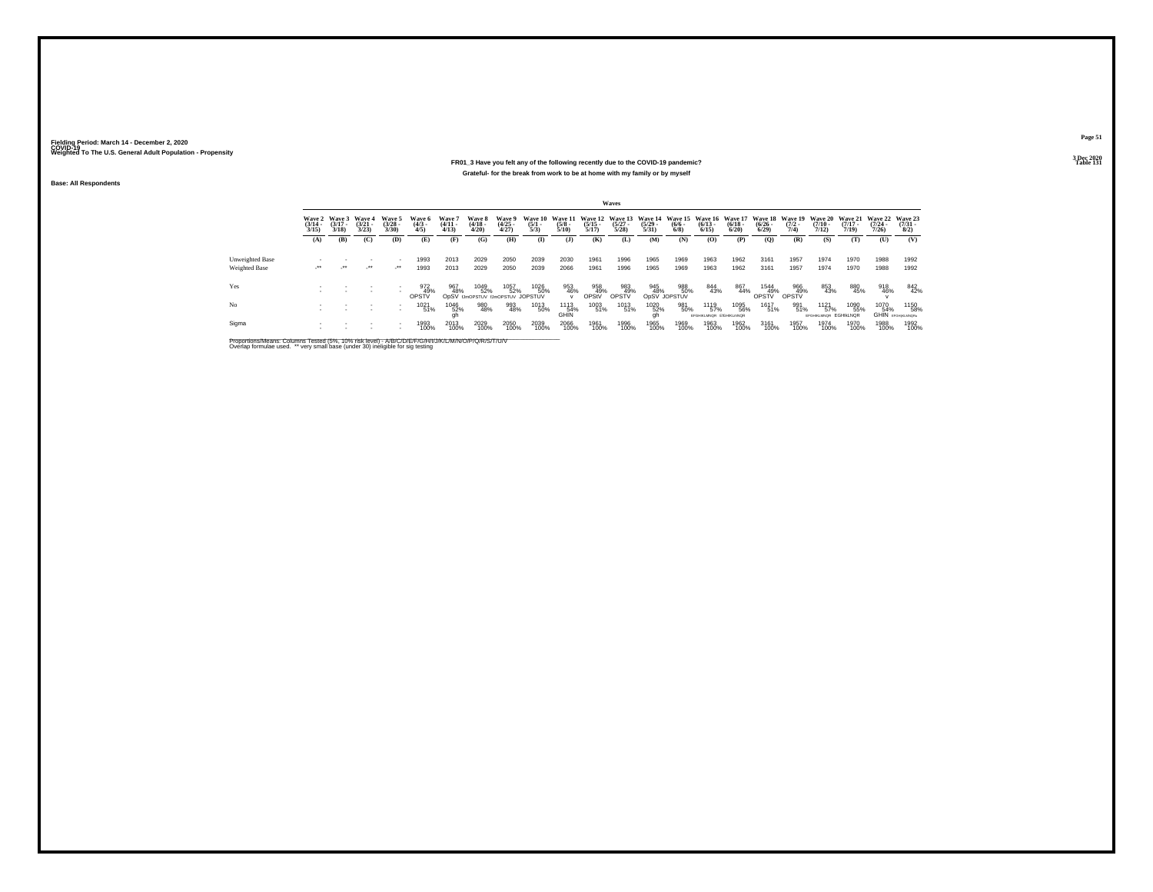### **FR01\_3 Have you felt any of the following recently due to the COVID-19 pandemic?Particular Table 131 Table 131 Table 131 Grateful- for the break from work to be at home with my family or by myself**

**Base: All Respondents**

|                 |                       |                                        |                                 |                                |                              |                                |                                 |                                                 |                                |                            |                       | Waves                                                   |                       |                                                      |                                        |                       |                       |                                        |                                           |                                         |                                          |                                  |
|-----------------|-----------------------|----------------------------------------|---------------------------------|--------------------------------|------------------------------|--------------------------------|---------------------------------|-------------------------------------------------|--------------------------------|----------------------------|-----------------------|---------------------------------------------------------|-----------------------|------------------------------------------------------|----------------------------------------|-----------------------|-----------------------|----------------------------------------|-------------------------------------------|-----------------------------------------|------------------------------------------|----------------------------------|
|                 | $\frac{(3/14)}{3/15}$ | Wave 2 Wave 3<br>$\frac{(3/17)}{3/18}$ | Wave 4<br>$\frac{(3/21)}{3/23}$ | Wave 5<br>$\binom{3/28}{3/30}$ | Wave 6<br>$\binom{4/3}{4/5}$ | Wave 7<br>$\frac{(4/11}{4/13}$ | Wave 8<br>$\frac{(4/18)}{4/20}$ | Wave 9<br>$\binom{4/25}{4/27}$                  | Wave 10<br>$\frac{(5/1)}{5/3}$ | $\frac{(5/8)}{5/10}$       | $\frac{(5/15)}{5/17}$ | Wave 11 Wave 12 Wave 13 Wave 14<br>$\binom{5/27}{5/28}$ | $\frac{(5/29)}{5/31}$ | Wave 15 Wave 16 Wave 17<br>$\frac{(6/6 - 6)}{(6/8)}$ | $\frac{(6/13)}{6/15}$                  | $\frac{(6/18)}{6/20}$ | $\frac{(6/26)}{6/29}$ | Wave 18 Wave 19<br>$\frac{(7/2)}{7/4}$ | Wave 20<br>$\frac{(7/10)}{7/12}$          | <b>Wave 21</b><br>$\frac{(7/17)}{7/19}$ | Wave 22 Wave 23<br>$\frac{(7/24)}{7/26}$ | $\frac{(7/31 - 1)}{8/2}$         |
|                 | (A)                   | (B)                                    | (C)                             | (D)                            | (E)                          | (F)                            | (G)                             | (H)                                             | $\mathbf{I}$                   | $($ $)$                    | (K)                   | (L)                                                     | (M)                   | (N)                                                  | (O)                                    | (P)                   | (Q)                   | (R)                                    | (S)                                       | (T)                                     | (U)                                      | (V)                              |
| Unweighted Base |                       |                                        |                                 | ٠                              | 1993                         | 2013                           | 2029                            | 2050                                            | 2039                           | 2030                       | 1961                  | 1996                                                    | 1965                  | 1969                                                 | 1963                                   | 1962                  | 3161                  | 1957                                   | 1974                                      | 1970                                    | 1988                                     | 1992                             |
| Weighted Base   | ur.                   | $\mathcal{L}^{\star\star}$             | $\cdot$                         | ur.                            | 1993                         | 2013                           | 2029                            | 2050                                            | 2039                           | 2066                       | 1961                  | 1996                                                    | 1965                  | 1969                                                 | 1963                                   | 1962                  | 3161                  | 1957                                   | 1974                                      | 1970                                    | 1988                                     | 1992                             |
| Yes             |                       |                                        |                                 |                                | 972<br>49%<br>OPSTV          | 967<br>48%                     | 1049<br>52%                     | 1057<br>52%<br>ODSV IJmOPSTUV IJmOPSTUV JOPSTUV | 1026<br>50%                    | 953<br>46%<br>$\mathbf{v}$ | 958<br>49%<br>OPStV   | 983<br>49%<br><b>OPSTV</b>                              | 945<br>48%            | 988<br>50%<br>OpSV JOPSTUV                           | 844<br>43%                             | 867<br>44%            | 1544<br>49%<br>OPSTV  | 966<br>49%<br>OPSTV                    | 853<br>43%                                | 880<br>45%                              | 918<br>46%                               | 842<br>42%                       |
| No              |                       |                                        |                                 |                                | 1021<br>51%                  | 1046<br>52%                    | 980<br>48%                      | 993<br>48%                                      | 1013<br>50%                    | 1113<br>54%<br>GHIN        | 1003<br>51%           | 1013<br>51%                                             | 1020<br>52%           | 981<br>50%                                           | 1119<br>57%<br>EFGHIKLMNOR EIGHIKLmNOR | 1095<br>56%           | 1617<br>51%           | 991<br>51%                             | $^{1121}_{57\%}$<br>EFGHIKLMNOR EGHIKLNOR | 1090<br>55%                             | 1070<br>54%                              | 1150<br>58%<br>GHIN EFGHIKLANGRU |
| Sigma           |                       |                                        |                                 | ٠                              | 1993<br>100%                 | 2013<br>100%                   | 2029<br>100%                    | 2050<br>100%                                    | 2039<br>100%                   | 2066<br>100%               | 1961<br>100%          | 1996<br>100%                                            | 1965<br>100%          | 1969<br>100%                                         | 1963<br>100%                           | 1962<br>100%          | 3161<br>100%          | 1957<br>100%                           | 1974<br>100%                              | 1970<br>100%                            | 1988<br>100%                             | 1992<br>100%                     |

Proportions/Means: Columns Tested (5%, 10% risk level) - A/B/C/D/E/F/G/H/I/J/K/L/M/N/O/P/Q/R/S/T/U/V<br>Overlap formulae used. \*\* very small base (under 30) ineligible for sig testing

**Page 513 Dec 2020<br>Table 131**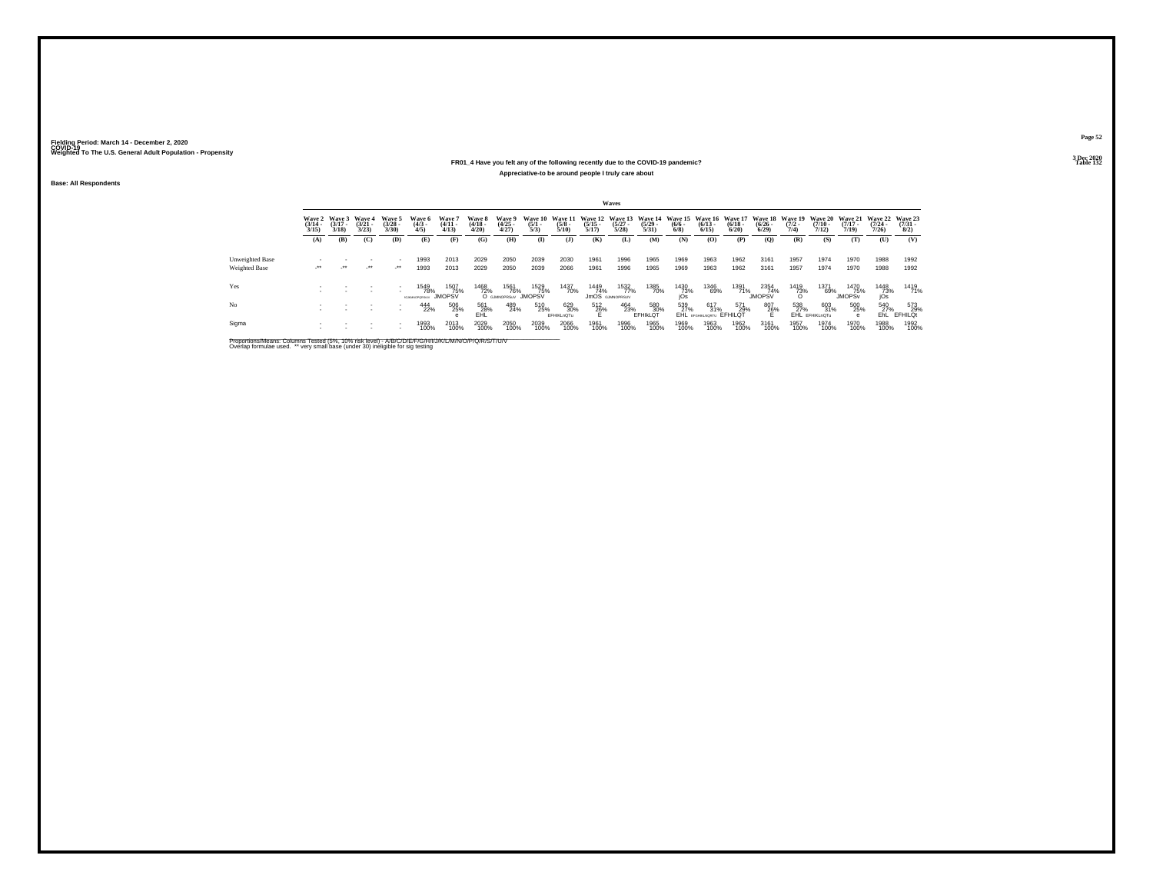### **FR01\_4 Have you felt any of the following recently due to the COVID-19 pandemic?Particular Table 132 Table 132 Appreciative-to be around people I truly care about**

**Base: All Respondents**

|                        |                                 |                                        |                                 |                                |                                |                                 |                                 |                                    |                                |                      |                       | Waves                                 |                       |                                                                                       |                          |                      |                              |                                                        |                       |                                         |                       |                                       |
|------------------------|---------------------------------|----------------------------------------|---------------------------------|--------------------------------|--------------------------------|---------------------------------|---------------------------------|------------------------------------|--------------------------------|----------------------|-----------------------|---------------------------------------|-----------------------|---------------------------------------------------------------------------------------|--------------------------|----------------------|------------------------------|--------------------------------------------------------|-----------------------|-----------------------------------------|-----------------------|---------------------------------------|
|                        | Wave 2<br>$\frac{(3/14)}{3/15}$ | <b>Wave 3</b><br>$\frac{(3/17)}{3/18}$ | Wave 4<br>$\frac{(3/21)}{3/23}$ | Wave 5<br>$(3/28 -$<br>3/30    | Wave 6<br>$\binom{4/3}{4/5}$   | Wave 7<br>$\frac{(4/11)}{4/13}$ | Wave 8<br>$\frac{(4/18)}{4/20}$ | Wave 9<br>$\binom{4/25}{4/27}$     | Wave 10<br>$\frac{(5/1)}{5/3}$ | $\frac{(5/8)}{5/10}$ | $\frac{(5/15)}{5/17}$ | $\binom{5/27}{5/28}$                  | $\frac{(5/29)}{5/31}$ | Wave 11 Wave 12 Wave 13 Wave 14 Wave 15 Wave 16 Wave 17 Wave 18<br>$\binom{6/6}{6/8}$ | $\binom{6/13}{6/15}$     | $\binom{6/18}{6/20}$ | $\frac{(6/26)}{6/29}$        | Wave 19 Wave 20 Wave 21 Wave 22<br>$\frac{(7/2)}{7/4}$ | $\frac{(7/10)}{7/12}$ | $\frac{(7/17)}{7/19}$                   | $\frac{(7/24)}{7/26}$ | <b>Wave 23</b><br>$\binom{7/31}{8/2}$ |
|                        | (A)                             | (B)                                    | (C)                             | (D)                            | (E)                            | (F)                             | (G)                             | (H)                                | $\mathbf{I}$                   | $($ $)$              | (K)                   | (L)                                   | (M)                   | (N)                                                                                   | (0)                      | (P)                  | (0)                          | (R)                                                    | (S)                   | (T)                                     | (U)                   | (V)                                   |
|                        |                                 |                                        |                                 |                                |                                |                                 |                                 |                                    |                                |                      |                       |                                       |                       |                                                                                       |                          |                      |                              |                                                        |                       |                                         |                       |                                       |
| <b>Unweighted Base</b> |                                 |                                        |                                 |                                | 1993                           | 2013                            | 2029                            | 2050                               | 2039                           | 2030                 | 1961                  | 1996                                  | 1965                  | 1969                                                                                  | 1963                     | 1962                 | 3161                         | 1957                                                   | 1974                  | 1970                                    | 1988                  | 1992                                  |
| Weighted Base          | $\cdot$                         | $\cdot$                                | $\cdot$                         | $\mathcal{L}^{\bullet\bullet}$ | 1993                           | 2013                            | 2029                            | 2050                               | 2039                           | 2066                 | 1961                  | 1996                                  | 1965                  | 1969                                                                                  | 1963                     | 1962                 | 3161                         | 1957                                                   | 1974                  | 1970                                    | 1988                  | 1992                                  |
| Yes                    |                                 |                                        |                                 |                                | 1549<br>78%<br>45 MINUTEDD SEN | 1507<br>75%<br><b>JMOPSV</b>    | 1468<br>72%                     | 1561<br>76%<br>O GJMNOPRSuV JMOPSV | 1529<br>75%                    | 1437<br>70%          | 1449<br>74%           | 1532<br>77%<br><b>JMOS</b> GJMNOPRSUV | 1385<br>70%           | 1430<br>73%<br>iOs                                                                    | 1346<br>69%              | 1391<br>71%          | 2354<br>74%<br><b>JMOPSV</b> | 1419<br>73%                                            | 1371<br>69%           | 1470<br>75%<br><b>JMOPS<sub>v</sub></b> | 1448<br>73%<br>jÓs    | 1419<br>71%                           |
| No                     |                                 |                                        | $\sim$                          | $\sim$<br>$\sim$               | 444<br>22%                     | 506<br>25%                      | 561<br>28%                      | 489<br>24%                         | 510<br>25%                     | 629<br>30%           | 512<br>26%            | 464<br>23%                            | 580<br>30%            | 539<br>27%                                                                            | 617<br>31%               | 571<br>29%           | 807<br>26%                   | 538<br>27%                                             | 603<br>31%            | 500<br>25%                              | 540<br>27%            | 573<br>29%                            |
|                        |                                 |                                        |                                 |                                |                                |                                 | <b>EHL</b>                      |                                    |                                | EFHIKLnOTu           | н.                    |                                       | EFHIKLOT              |                                                                                       | EHL EFGHIKLNORTU EFHILQT |                      | Е                            |                                                        | EHL EFHIKLnOTu        |                                         | EhL.                  | EFHILOt                               |
| Sigma                  |                                 |                                        |                                 | $\overline{\phantom{a}}$       | 1993<br>100%                   | 2013<br>100%                    | 2029<br>100%                    | 2050<br>100%                       | 2039<br>100%                   | 2066<br>100%         | 1961<br>100%          | 1996<br>100%                          | 1965<br>100%          | 1969<br>100%                                                                          | 1963<br>100%             | 1962<br>100%         | 3161<br>100%                 | 1957<br>100%                                           | 1974<br>100%          | 1970<br>100%                            | 1988<br>100%          | 1992<br>100%                          |

Proportions/Means: Columns Tested (5%, 10% risk level) - A/B/C/D/E/F/G/H/I/J/K/L/M/N/O/P/Q/R/S/T/U/V<br>Overlap formulae used. \*\* very small base (under 30) ineligible for sig testing

**Page 523 Dec 2020<br>Table 132**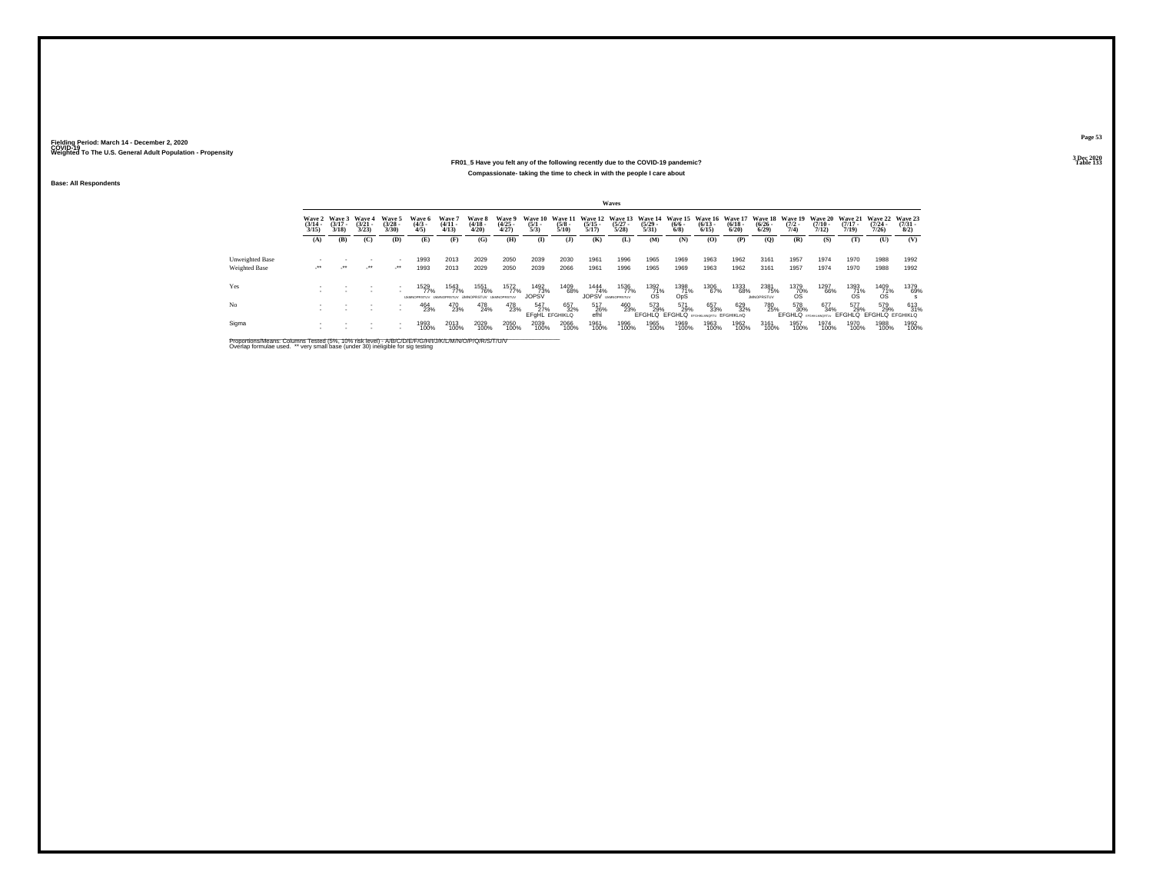### **FR01\_5 Have you felt any of the following recently due to the COVID-19 pandemic? Table 133 Compassionate- taking the time to check in with the people I care about**

**Base: All Respondents**

|                 |                                 |                             |                             |                                |                               |                                                    |                                 |                                |                                     |                                 |                                          | Waves                |                                 |                    |                                                                                                                 |                      |                                   |                     |                       |                                   |                                                         |                                |
|-----------------|---------------------------------|-----------------------------|-----------------------------|--------------------------------|-------------------------------|----------------------------------------------------|---------------------------------|--------------------------------|-------------------------------------|---------------------------------|------------------------------------------|----------------------|---------------------------------|--------------------|-----------------------------------------------------------------------------------------------------------------|----------------------|-----------------------------------|---------------------|-----------------------|-----------------------------------|---------------------------------------------------------|--------------------------------|
|                 | Wave 2<br>$\frac{(3/14)}{3/15}$ | Wave 3<br>$(3/17 -$<br>3/18 | Wave 4<br>$(3/21 -$<br>3/23 | Wave 5<br>$\binom{3/28}{3/30}$ | Wave 6<br>$\frac{(4/3)}{4/5}$ | Wave 7<br>$\frac{(4/11)}{4/13}$                    | Wave 8<br>$\frac{(4/18)}{4/20}$ | Wave 9<br>$\binom{4/25}{4/27}$ | Wave 10<br>$\frac{(5/1)}{5/3}$      | Wave 11<br>$\frac{(5/8)}{5/10}$ | $\frac{(5/15)}{5/17}$                    | $\binom{5/27}{5/28}$ | $\frac{(5/29 - 5/31)}{5/31}$    | $\binom{6/6}{6/8}$ | Wave 12 Wave 13 Wave 14 Wave 15 Wave 16 Wave 17 Wave 18 Wave 19 Wave 20 Wave 21 Wave 22<br>$\binom{6/13}{6/15}$ | $\binom{6/18}{6/20}$ | $\frac{(6/26 - 6)}{6/29}$         | $\frac{(7/2)}{7/4}$ | $\frac{(7/10)}{7/12}$ | $(7/17 -$<br>7/19                 | $(7/24 -$<br>7/26                                       | Wave 23<br>$\binom{7/31}{8/2}$ |
|                 | (A)                             | (B)                         | (C)                         | (D)                            | (E)                           | (F)                                                | (G)                             | (H)                            | $\mathbf{I}$                        | $($ J $)$                       | (K)                                      | (L)                  | <b>(M)</b>                      | (N)                | (O)                                                                                                             | (P)                  | (O)                               | (R)                 | (S)                   | (T)                               | (U)                                                     | (V)                            |
| Unweighted Base |                                 |                             |                             |                                | 1993                          | 2013                                               | 2029                            | 2050                           | 2039                                | 2030                            | 1961                                     | 1996                 | 1965                            | 1969               | 1963                                                                                                            | 1962                 | 3161                              | 1957                | 1974                  | 1970                              | 1988                                                    | 1992                           |
| Weighted Base   | $\sim$                          | $\cdot$                     | $\cdot$                     | $\mathcal{L}^{\bullet\bullet}$ | 1993                          | 2013                                               | 2029                            | 2050                           | 2039                                | 2066                            | 1961                                     | 1996                 | 1965                            | 1969               | 1963                                                                                                            | 1962                 | 3161                              | 1957                | 1974                  | 1970                              | 1988                                                    | 1992                           |
| Yes             |                                 |                             |                             |                                | 1529<br>77%                   | 1543<br>77%<br>UMMORRED UMMORRED UMMORRED UMMORRED | 1551<br>76%                     | 1572<br>77%                    | 1492<br>73%<br><b>JOPSV</b>         | 1409<br>68%                     | 1444<br>74%<br><b>JOPSV LIMINOPRSTUV</b> | 1536<br>77%          | $^{1392}_{\substack{71\% \ 0}}$ | 1398<br>71%<br>OpS | 1306<br>67%                                                                                                     | 1333<br>68%          | 2381<br>75%<br><b>IMMORRSTLIV</b> | $^{1379}_{-70\%}$   | 1297<br>66%           | $^{1393}_{\substack{71\% \\ 08}}$ | $^{1409}_{71\%}$                                        | 1379<br>69%                    |
| No              |                                 |                             |                             |                                | 464<br>23%                    | 470<br>23%                                         | 478<br>24%                      | 478<br>23%                     | 547<br>27%<br><b>EFGHL EFGHIKLO</b> | 657<br>32%                      | 517<br>26%<br>efhl                       | 460<br>23%           | 573<br>29%                      | 571<br>29%         | 657<br>33%<br>EFGHLQ EFGHLQ EFGHIKUNGETU EFGHIKLNQ                                                              | 629<br>32%           | 780<br>25%                        | 578<br>30%          | 677<br>34%            | 577<br>29%                        | 579<br>29%<br>EFGHLQ BROWNWORTUN EFGHLQ EFGHLQ EFGHIKLQ | 613<br>31%                     |
| Sigma           |                                 |                             |                             |                                | 1993<br>100%                  | 2013<br>100%                                       | 2029<br>100%                    | 2050<br>100%                   | 2039<br>100%                        | 2066<br>100%                    | 1961<br>100%                             | 1996<br>100%         | 1965<br>100%                    | 1969<br>100%       | 1963<br>100%                                                                                                    | 1962<br>100%         | 3161<br>100%                      | 1957<br>100%        | 1974<br>100%          | 1970<br>100%                      | 1988<br>100%                                            | 1992<br>100%                   |

Proportions/Means: Columns Tested (5%, 10% risk level) - A/B/C/D/E/F/G/H/I/J/K/L/M/N/O/P/Q/R/S/T/U/V<br>Overlap formulae used. \*\* very small base (under 30) ineligible for sig testing

**Page 53**3 Dec 2020<br>Table 133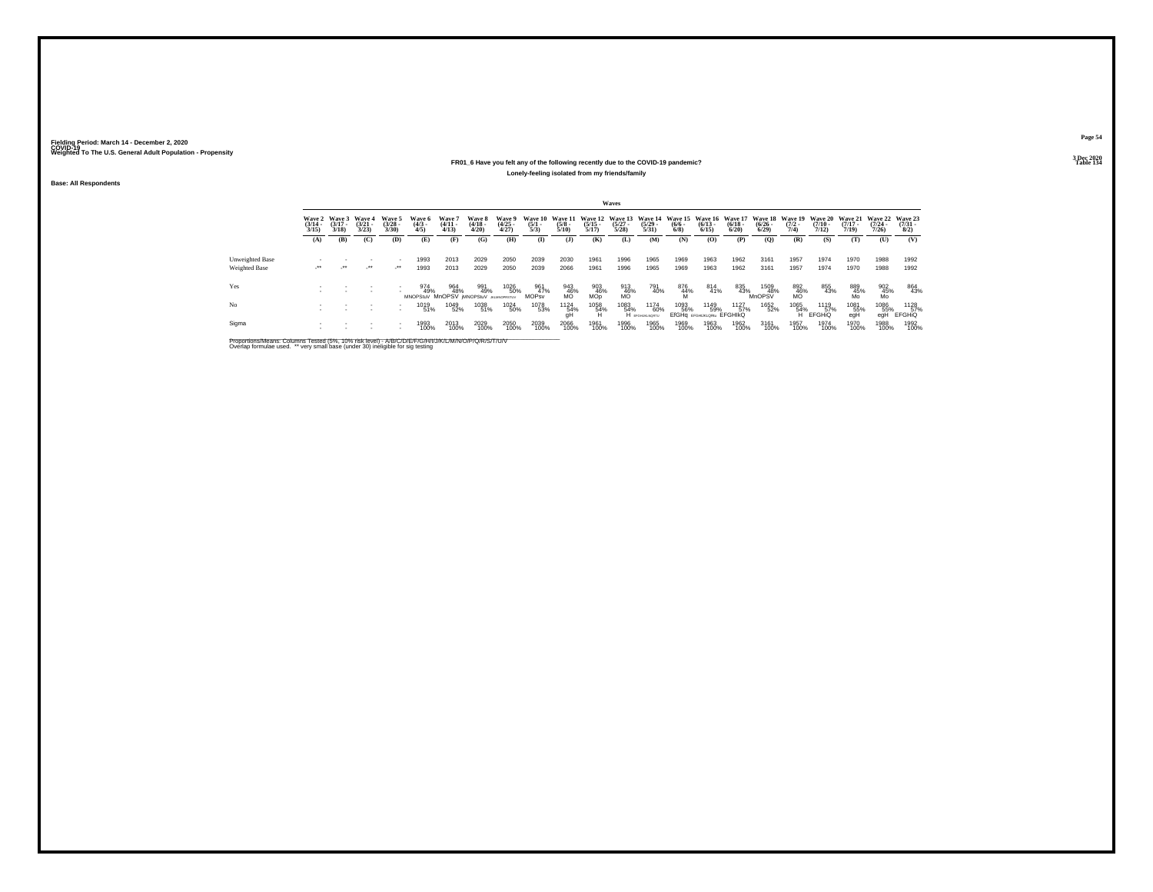### **FR01\_6 Have you felt any of the following recently due to the COVID-19 pandemic?Table 134 Lonely-feeling isolated from my friends/family**

**Base: All Respondents**

|                        |                       |                                        |                                 |                                |                                                                              |                                 |                                 |                                |                                                        |                      |                               | Waves                |                               |                                                              |                                          |                       |                         |                                        |                                         |                                         |                                         |                                     |
|------------------------|-----------------------|----------------------------------------|---------------------------------|--------------------------------|------------------------------------------------------------------------------|---------------------------------|---------------------------------|--------------------------------|--------------------------------------------------------|----------------------|-------------------------------|----------------------|-------------------------------|--------------------------------------------------------------|------------------------------------------|-----------------------|-------------------------|----------------------------------------|-----------------------------------------|-----------------------------------------|-----------------------------------------|-------------------------------------|
|                        | $\frac{(3/14)}{3/15}$ | Wave 2 Wave 3<br>$\frac{(3/17)}{3/18}$ | Wave 4<br>$\frac{(3/21)}{3/23}$ | Wave 5<br>$\binom{3/28}{3/30}$ | Wave 6<br>$\binom{4/3}{4/5}$                                                 | Wave 7<br>$\frac{(4/11)}{4/13}$ | Wave 8<br>$\frac{(4/18)}{4/20}$ | Wave 9<br>$\binom{4/25}{4/27}$ | Wave 10 Wave 11 Wave 12 Wave 13<br>$\frac{(5/1)}{5/3}$ | $\frac{(5/8)}{5/10}$ | $\frac{(5/15)}{5/17}$         | $\binom{5/27}{5/28}$ | $\frac{(5/29)}{5/31}$         | Wave 14 Wave 15 Wave 16 Wave 17<br>$\frac{(6/6 - 6)}{(6/8)}$ | $\frac{(6/13)}{6/15}$                    | $\frac{(6/18)}{6/20}$ | $\frac{(6/26)}{(6/29)}$ | Wave 18 Wave 19<br>$\frac{(7/2)}{7/4}$ | <b>Wave 20</b><br>$\frac{(7/10)}{7/12}$ | <b>Wave 21</b><br>$\frac{(7/17)}{7/19}$ | <b>Wave 22</b><br>$\frac{(7/24)}{7/26}$ | Wave 23<br>$\frac{(7/31 - 1)}{8/2}$ |
|                        | (A)                   | (B)                                    | (C)                             | (D)                            | (E)                                                                          | (F)                             | (G)                             | (H)                            | $\mathbf{I}$                                           | (1)                  | (K)                           | (L)                  | (M)                           | (N)                                                          | (O)                                      | (P)                   | (Q)                     | (R)                                    | (S)                                     | (T)                                     | (U)                                     | (V)                                 |
| <b>Unweighted Base</b> |                       |                                        |                                 | $\sim$                         | 1993                                                                         | 2013                            | 2029                            | 2050                           | 2039                                                   | 2030                 | 1961                          | 1996                 | 1965                          | 1969                                                         | 1963                                     | 1962                  | 3161                    | 1957                                   | 1974                                    | 1970                                    | 1988                                    | 1992                                |
| Weighted Base          | ur.                   | $\cdot$                                | $\cdot$                         | $\cdot$                        | 1993                                                                         | 2013                            | 2029                            | 2050                           | 2039                                                   | 2066                 | 1961                          | 1996                 | 1965                          | 1969                                                         | 1963                                     | 1962                  | 3161                    | 1957                                   | 1974                                    | 1970                                    | 1988                                    | 1992                                |
| Yes                    |                       |                                        |                                 | $\sim$                         | 974 964 991 1026<br>49% 48% 49% 50%<br>MNOPStuV MnOPSV (MNOPStuV JALANOPSTUV |                                 |                                 | 1026<br>50%                    | 961<br>47%<br><b>MOPsv</b>                             | 943<br>46%<br>MO     | 903<br>46%<br>MO <sub>p</sub> | 913<br>46%<br>MO     | 791<br>40%                    | 876<br>44%                                                   | 814<br>41%                               | 835<br>43%            | 1509<br>48%<br>MnOPSV   | 892<br>46%<br>MO                       | 855<br>43%                              | 889<br>45%<br>Mo                        | $^{902}_{\substack{45\% \ \text{Mo}}}$  | 864<br>43%                          |
| N <sub>o</sub>         |                       |                                        | . .                             | $\mathbf{r}$<br>$\sim$         | 1019<br>51%                                                                  | 1049<br>52%                     | 1038<br>51%                     | 1024<br>50%                    | 1078<br>53%                                            | 1124<br>54%<br>qH    | 1058<br>54%                   | 1083<br>54%          | 1174<br>60%<br>H EFGHUKLNORTU | 1093<br>56%                                                  | 1149<br>59%<br>EfGHq EFGHUKLQRIN EFGHIKQ | 1127<br>57%           | 1652<br>52%             | 1065<br>54%<br>н                       | 1119<br>57%<br><b>EFGHIO</b>            | 1081<br>55%<br>egH                      | 1086<br>55%<br>eaH                      | 1128<br>57%<br><b>EFGHIO</b>        |
| Sigma                  |                       |                                        |                                 |                                | 1993<br>100%                                                                 | 2013<br>100%                    | 2029<br>100%                    | 2050<br>100%                   | 2039<br>100%                                           | 2066<br>100%         | 1961<br>100%                  | 1996<br>100%         | 1965<br>100%                  | 1969<br>100%                                                 | 1963<br>100%                             | 1962<br>100%          | 3161<br>100%            | 1957<br>100%                           | 1974<br>100%                            | 1970<br>100%                            | 1988<br>100%                            | 1992<br>100%                        |

Proportions/Means: Columns Tested (5%, 10% risk level) - A/B/C/D/E/F/G/H/I/J/K/L/M/N/O/P/Q/R/S/T/U/V<br>Overlap formulae used. \*\* very small base (under 30) ineligible for sig testing

**Page 54**3 Dec 2020<br>Table 134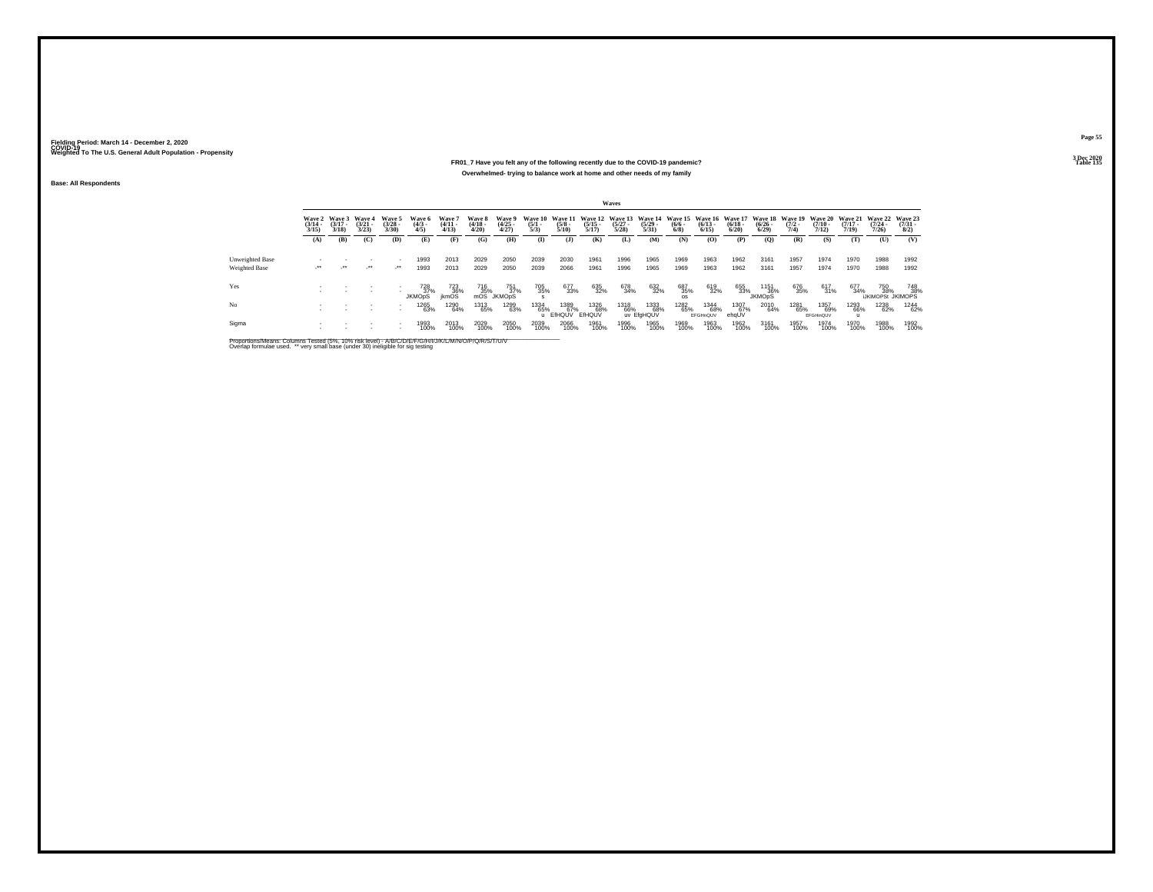#### **FR01\_7 Have you felt any of the following recently due to the COVID-19 pandemic?Table 135 Table 135 Overwhelmed- trying to balance work at home and other needs of my family**

**Base: All Respondents**

|                 |                                        |                             |                                    |                                |                              |                                |                                 |                                               |                     |                         |                       | Waves                |                           |                                                                                                                       |                         |                      |                                    |                     |                          |                       |                                         |                                          |
|-----------------|----------------------------------------|-----------------------------|------------------------------------|--------------------------------|------------------------------|--------------------------------|---------------------------------|-----------------------------------------------|---------------------|-------------------------|-----------------------|----------------------|---------------------------|-----------------------------------------------------------------------------------------------------------------------|-------------------------|----------------------|------------------------------------|---------------------|--------------------------|-----------------------|-----------------------------------------|------------------------------------------|
|                 | <b>Wave 2</b><br>$\frac{(3/14)}{3/15}$ | Wave 3<br>$(3/17 -$<br>3/18 | <b>Wave 4</b><br>$(3/21 -$<br>3/23 | Wave 5<br>$\binom{3/28}{3/30}$ | Wave 6<br>$\binom{4/3}{4/5}$ | Wave 7<br>$\frac{(4/11}{4/13}$ | Wave 8<br>$\frac{(4/18)}{4/20}$ | Wave 9<br>$\binom{4/25}{4/27}$                | $\frac{(5/1)}{5/3}$ | $\frac{(5/8)}{5/10}$    | $\frac{(5/15)}{5/17}$ | $\binom{5/27}{5/28}$ | $\frac{(5/29)}{5/31}$     | Wave 10 Wave 11 Wave 12 Wave 13 Wave 14 Wave 15 Wave 16 Wave 17 Wave 18 Wave 19 Wave 20 Wave 21<br>$\binom{6/6}{6/8}$ | $\binom{6/13}{6/15}$    | $\binom{6/18}{6/20}$ | $\frac{(6/26)}{6/29}$              | $\frac{(7/2)}{7/4}$ | $\frac{(7/10)}{7/12}$    | $\frac{(7/17)}{7/19}$ | <b>Wave 22</b><br>$\frac{(7/24)}{7/26}$ | Wave 23<br>$\frac{(7/31 - 8)}{8/2}$      |
|                 | (A)                                    | (B)                         | (C)                                | (D)                            | (E)                          | (F)                            | (G)                             | (H)                                           | $\mathbf{I}$        | (1)                     | (K)                   | (L)                  | (M)                       | (N)                                                                                                                   | (O)                     | (P)                  | (Q)                                | (R)                 | (S)                      | (T)                   | (U)                                     | (V)                                      |
| Unweighted Base |                                        |                             |                                    |                                | 1993                         | 2013                           | 2029                            | 2050                                          | 2039                | 2030                    | 1961                  | 1996                 | 1965                      | 1969                                                                                                                  | 1963                    | 1962                 | 3161                               | 1957                | 1974                     | 1970                  | 1988                                    | 1992                                     |
| Weighted Base   | ur.                                    | $\mathcal{L}^{\star\star}$  | $\cdot$                            | $\cdot$                        | 1993                         | 2013                           | 2029                            | 2050                                          | 2039                | 2066                    | 1961                  | 1996                 | 1965                      | 1969                                                                                                                  | 1963                    | 1962                 | 3161                               | 1957                | 1974                     | 1970                  | 1988                                    | 1992                                     |
| Yes             |                                        |                             |                                    |                                | 728<br>37%<br><b>JKMODS</b>  | 723<br>36%<br>ikmOS            | 716<br>35%                      | 751<br>3 <u>7</u> %<br>mOS JKMO <sub>pS</sub> | 705<br>35%          | 677<br>33%              | 635<br>32%            | 678<br>34%           | 632<br>32%                | 687<br>35%<br>os.                                                                                                     | 619<br>32%              | 655<br>33%           | 1151<br>36%<br>JKMO <sub>D</sub> S | 676<br>35%          | 617<br>31%               | 677<br>34%            |                                         | 750 748<br>% 38% 38%<br>UKIMOPSt JKIMOPS |
| No              |                                        |                             |                                    | ٠                              | <sup>1265</sup> 63%          | 1290<br>64%                    | 1313<br>65%                     | 1299<br>63%                                   | 1334<br>65%         | 1389<br>67%<br>u EfHQUV | 1326<br>68%<br>EfHQUV | 1318<br>66%          | 1333<br>68%<br>uv EfgHQUV | 1282<br>65%                                                                                                           | 1344<br>68%<br>EFGHnQUV | 1307<br>67%<br>ehqUV | 2010<br>64%                        | 1281<br>65%         | 1357<br>69%<br>EFGHinQUV | 1293<br>66%           | 1238<br>62%                             | 1244<br>62%                              |
| Sigma           |                                        |                             |                                    | ٠                              | 1993<br>100%                 | 2013<br>100%                   | 2029<br>100%                    | 2050<br>100%                                  | 2039<br>100%        | 2066<br>100%            | 1961<br>100%          | 1996<br>100%         | 1965<br>100%              | 1969<br>100%                                                                                                          | 1963<br>100%            | 1962<br>100%         | 3161<br>100%                       | 1957<br>100%        | 1974<br>100%             | 1970<br>100%          | 1988<br>100%                            | 1992<br>100%                             |

Proportions/Means: Columns Tested (5%, 10% risk level) - A/B/C/D/E/F/G/H/I/J/K/L/M/N/O/P/Q/R/S/T/U/V<br>Overlap formulae used. \*\* very small base (under 30) ineligible for sig testing

**Page 55**3 Dec 2020<br>Table 135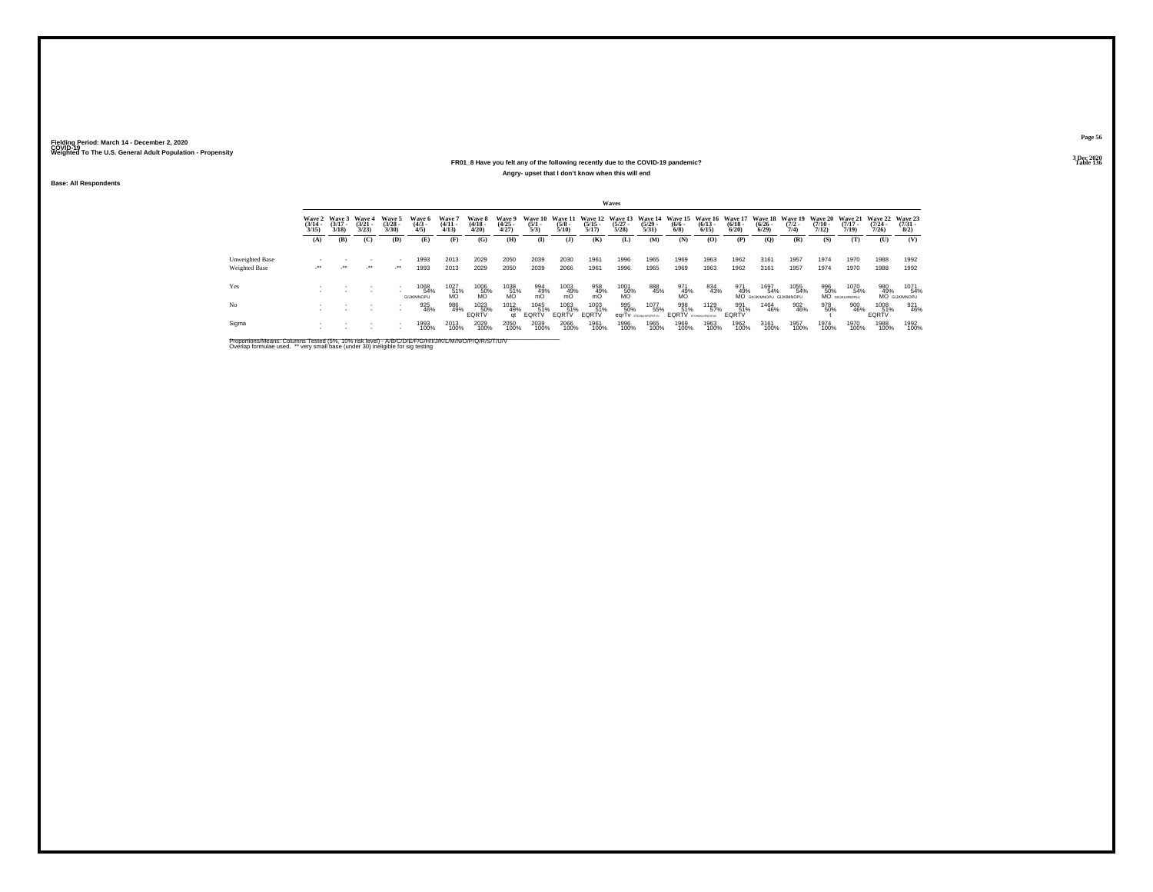### **FR01\_8 Have you felt any of the following recently due to the COVID-19 pandemic?Table 136 Table 136 Angry- upset that I don't know when this will end**

**Base: All Respondents**

|                                  |                                 |                             |                                 |                                          |                              |                                 |                                 |                                |                                |                          |                                          | Waves                |                                   |                                                               |                        |                            |                                       |                                       |                                         |                                         |                              |                                    |
|----------------------------------|---------------------------------|-----------------------------|---------------------------------|------------------------------------------|------------------------------|---------------------------------|---------------------------------|--------------------------------|--------------------------------|--------------------------|------------------------------------------|----------------------|-----------------------------------|---------------------------------------------------------------|------------------------|----------------------------|---------------------------------------|---------------------------------------|-----------------------------------------|-----------------------------------------|------------------------------|------------------------------------|
|                                  | Wave 2<br>$\frac{(3/14)}{3/15}$ | Wave 3<br>$(3/17 -$<br>3/18 | Wave 4<br>$\frac{(3/21)}{3/23}$ | Wave 5<br>$\binom{3/28}{3/30}$           | Wave 6<br>$\binom{4/3}{4/5}$ | Wave 7<br>$\frac{(4/11)}{4/13}$ | Wave 8<br>$\frac{(4/18)}{4/20}$ | Wave 9<br>$\binom{4/25}{4/27}$ | Wave 10<br>$\frac{(5/1)}{5/3}$ | $\frac{(5/8)}{5/10}$     | Wave 11 Wave 12<br>$\frac{(5/15)}{5/17}$ | $\binom{5/27}{5/28}$ | $\frac{(5/29)}{5/31}$             | Wave 13 Wave 14 Wave 15 Wave 16 Wave 17<br>$\binom{6/6}{6/8}$ | $\binom{6/13}{6/15}$   | $\frac{(6/18)}{6/20}$      | Wave 18<br>$\frac{(6/26)}{6/29}$      | <b>Wave 19</b><br>$\frac{(7/2)}{7/4}$ | <b>Wave 20</b><br>$\frac{(7/10)}{7/12}$ | <b>Wave 21</b><br>$\frac{(7/17)}{7/19}$ | Wave 22<br>$(7/24 -$<br>7/26 | Wave 23<br>$\binom{7/31}{8/2}$     |
|                                  | (A)                             | (B)                         | (C)                             | (D)                                      | (E)                          | (F)                             | (G)                             | (H)                            | $\bf{I}$                       | (1)                      | (K)                                      | (L)                  | (M)                               | (N)                                                           | (O)                    | (P)                        | (Q)                                   | (R)                                   | (S)                                     | (T)                                     | (U)                          | (V)                                |
| Unweighted Base<br>Weighted Base | e.                              | $\cdot$                     | $\cdot$                         | $\sim$<br>$\mathcal{L}^{\bullet\bullet}$ | 1993<br>1993                 | 2013<br>2013                    | 2029<br>2029                    | 2050<br>2050                   | 2039<br>2039                   | 2030<br>2066             | 1961<br>1961                             | 1996<br>1996         | 1965<br>1965                      | 1969<br>1969                                                  | 1963<br>1963           | 1962<br>1962               | 3161<br>3161                          | 1957<br>1957                          | 1974<br>1974                            | 1970<br>1970                            | 1988<br>1988                 | 1992<br>1992                       |
| Yes                              |                                 |                             |                                 | $\sim$                                   | 1068<br>54%<br>GIJKIMNOPU    | 1027<br>$\frac{51}{10}$         | 1006<br>50%<br>MO               | 1038<br>$\frac{51}{100}$       | 994<br>49%<br>mO               | 1003<br>m <sup>49%</sup> | 958<br>49%<br>mO                         | 1001<br>50%<br>MO    | 888<br>45%                        | 971<br>49%                                                    | 834<br>43%             | 971<br>49%                 | 1697<br>54%<br>MO GNUKMNOPU GUKIMNOPU | 1055<br>54%                           | 996<br>50%                              | 1070<br>54%<br>MO GNJKLMNOPSU           | 980<br>49%                   | 1071<br>54%<br><b>MO</b> GUKIMNOPU |
| No                               |                                 |                             | $\sim$<br><b>1999</b>           | $\overline{\phantom{a}}$                 | 925<br>46%                   | 986<br>49%                      | 1023<br>50%<br>EQRTV            | 1012<br>49%<br>at              | 1045<br>51%<br>EQRTV           | 1063<br>51%<br>EQRTV     | 1003<br>51%<br>EQRTV                     | 995<br>50%           | 1077<br>55%<br>earTv provessional | 998<br>51%<br><b>EQRTV</b> <i>SPORANDORTIV</i>                | <sup>1129</sup><br>57% | 991<br>51%<br><b>EQRTV</b> | 1464<br>46%                           | 902<br>46%                            | 978<br>50%                              | 900<br>46%                              | 1008<br>51%<br>EQRTV         | 921<br>46%                         |
| Sigma                            |                                 |                             |                                 |                                          | 1993<br>100%                 | 2013<br>100%                    | 2029<br>100%                    | 2050<br>100%                   | 2039<br>100%                   | 2066<br>100%             | 1961<br>100%                             | 1996<br>100%         | 1965<br>100%                      | 1969<br>100%                                                  | 1963<br>100%           | 1962<br>100%               | 3161<br>100%                          | 1957<br>100%                          | 1974<br>100%                            | 1970<br>100%                            | 1988<br>100%                 | 1992<br>100%                       |

Proportions/Means: Columns Tested (5%, 10% risk level) - A/B/C/D/E/F/G/H/I/J/K/L/M/N/O/P/Q/R/S/T/U/V<br>Overlap formulae used. \*\* very small base (under 30) ineligible for sig testing

**Page 563 Dec 2020<br>Table 136**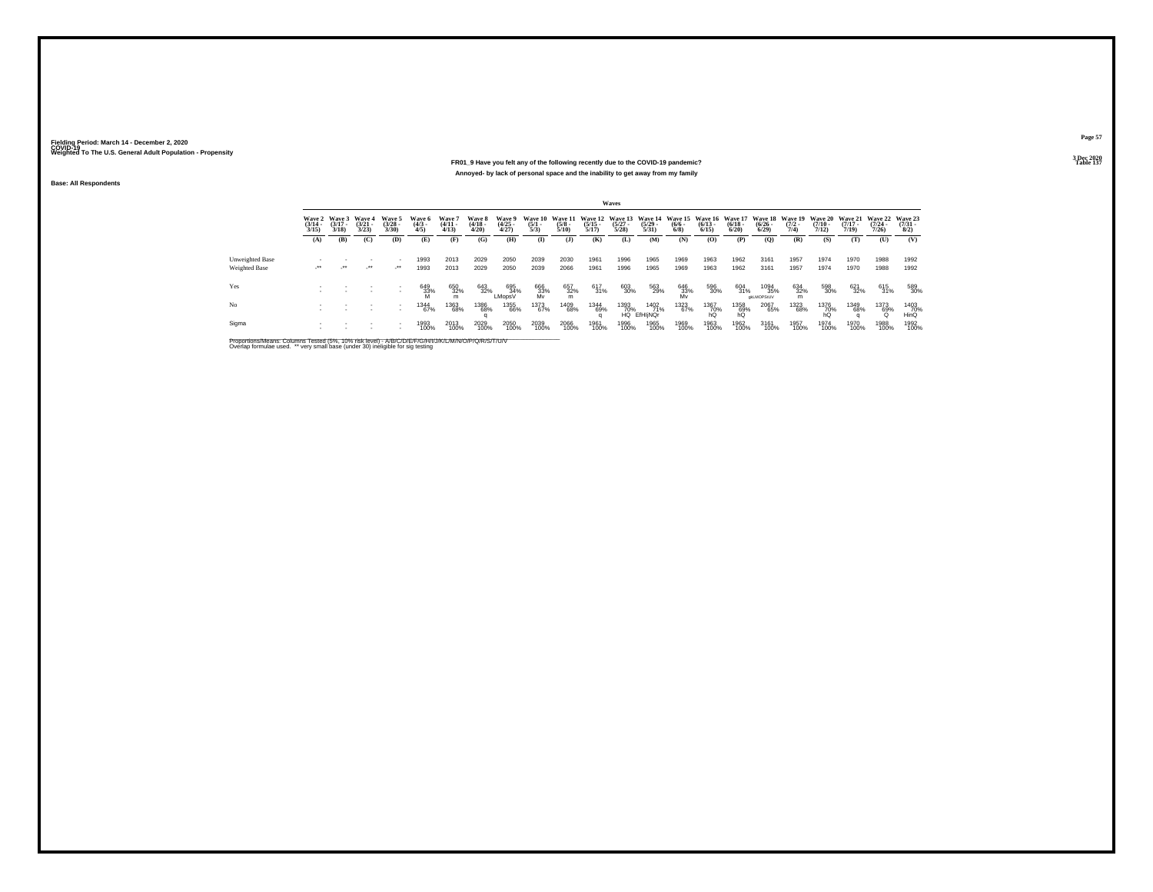#### **FR01\_9 Have you felt any of the following recently due to the COVID-19 pandemic?Particular Table 137 Table 137 Table 137 Annoyed- by lack of personal space and the inability to get away from my family**

**Base: All Respondents**

|                 |                                 |                                 |                                 |                                |                              |                                |                                 |                                       |                                |                                 |                       | <b>Waves</b>                                     |                            |                           |                                                  |                      |                                          |                     |                                         |                                  |                                          |                     |
|-----------------|---------------------------------|---------------------------------|---------------------------------|--------------------------------|------------------------------|--------------------------------|---------------------------------|---------------------------------------|--------------------------------|---------------------------------|-----------------------|--------------------------------------------------|----------------------------|---------------------------|--------------------------------------------------|----------------------|------------------------------------------|---------------------|-----------------------------------------|----------------------------------|------------------------------------------|---------------------|
|                 | Wave 2<br>$\frac{(3/14)}{3/15}$ | Wave 3<br>$\frac{(3/17)}{3/18}$ | Wave 4<br>$\frac{(3/21)}{3/23}$ | Wave 5<br>$\binom{3/28}{3/30}$ | Wave 6<br>$\binom{4/3}{4/5}$ | Wave 7<br>$\frac{(4/11}{4/13}$ | Wave 8<br>$\frac{(4/18)}{4/20}$ | <b>Wave 9</b><br>$\binom{4/25}{4/27}$ | Wave 10<br>$\frac{(5/1)}{5/3}$ | Wave 11<br>$\frac{(5/8)}{5/10}$ | $\frac{(5/15)}{5/17}$ | Wave 12 Wave 13 Wave 14<br>$\frac{(5/27)}{5/28}$ | $\frac{(5/29)}{5/31}$      | $\frac{(6/6 - 6)}{(6/8)}$ | Wave 15 Wave 16 Wave 17<br>$\frac{(6/13)}{6/15}$ | $\binom{6/18}{6/20}$ | Wave 18 Wave 19<br>$\frac{(6/26)}{6/29}$ | $\frac{(7/2)}{7/4}$ | <b>Wave 20</b><br>$\frac{(7/10)}{7/12}$ | Wave 21<br>$\frac{(7/17)}{7/19}$ | Wave 22 Wave 23<br>$\frac{(7/24)}{7/26}$ | $\binom{7/31}{8/2}$ |
|                 | (A)                             | (B)                             | (C)                             | (D)                            | (E)                          | (F)                            | (G)                             | (H)                                   | $\mathbf{I}$                   | ( <b>J</b> )                    | (K)                   | (L)                                              | (M)                        | (N)                       | (O)                                              | (P)                  | (O)                                      | (R)                 | (S)                                     | (T)                              | (U)                                      | (V)                 |
| Unweighted Base |                                 |                                 |                                 | ٠                              | 1993                         | 2013                           | 2029                            | 2050                                  | 2039                           | 2030                            | 1961                  | 1996                                             | 1965                       | 1969                      | 1963                                             | 1962                 | 3161                                     | 1957                | 1974                                    | 1970                             | 1988                                     | 1992                |
| Weighted Base   | $\cdot$                         | - 11                            | $\mathcal{L}^{\bullet\bullet}$  | $\cdot$                        | 1993                         | 2013                           | 2029                            | 2050                                  | 2039                           | 2066                            | 1961                  | 1996                                             | 1965                       | 1969                      | 1963                                             | 1962                 | 3161                                     | 1957                | 1974                                    | 1970                             | 1988                                     | 1992                |
| Yes             |                                 |                                 |                                 | ٠                              | 649<br>33%                   | 650<br>32%<br>m                | 643<br>32%                      | 695<br>34%<br>LMopsV                  | 666<br>33%<br>Mv               | 657<br>32%<br>m                 | 617<br>31%            | 603<br>30%                                       | 563<br>29%                 | 646<br>33%<br>Mv          | 596<br>30%                                       | 604<br>31%           | 1094<br>35%<br>gkLMOPStUV                | 634<br>32%<br>m     | 598<br>30%                              | 621<br>32%                       | 615<br>31%                               | 589<br>30%          |
| No              |                                 |                                 |                                 | ٠                              | 1344<br>67%                  | <sup>1363</sup> 68%            | 1386<br>68%                     | <sup>1355</sup> 66%                   | 1373<br>67%                    | 1409<br>68%                     | 1344<br>69%           | 1393<br>70%                                      | 1402<br>71%<br>HQ EfHIINQr | 1323<br>67%               | 1367<br>70%<br>hQ                                | 1358<br>69%<br>hQ    | 2067<br>65%                              | 1323<br>68%         | 1376<br>70%<br>hQ                       | 1349<br>68%                      | 1373<br>69%<br>Ö                         | 1403<br>70%<br>HinQ |
| Sigma           | $\mathbf{r}$                    |                                 |                                 |                                | 1993<br>100%                 | 2013<br>100%                   | 2029<br>100%                    | 2050<br>100%                          | 2039<br>100%                   | 2066<br>100%                    | 1961<br>100%          | 1996<br>100%                                     | 1965<br>100%               | 1969<br>100%              | 1963<br>100%                                     | 1962<br>100%         | 3161<br>100%                             | 1957<br>100%        | 1974<br>100%                            | 1970<br>100%                     | 1988<br>100%                             | 1992<br>100%        |

Proportions/Means: Columns Tested (5%, 10% risk level) - A/B/C/D/E/F/G/H/I/J/K/L/M/N/O/P/Q/R/S/T/U/V<br>Overlap formulae used. \*\* very small base (under 30) ineligible for sig testing

**Page 57**3 Dec 2020<br>Table 137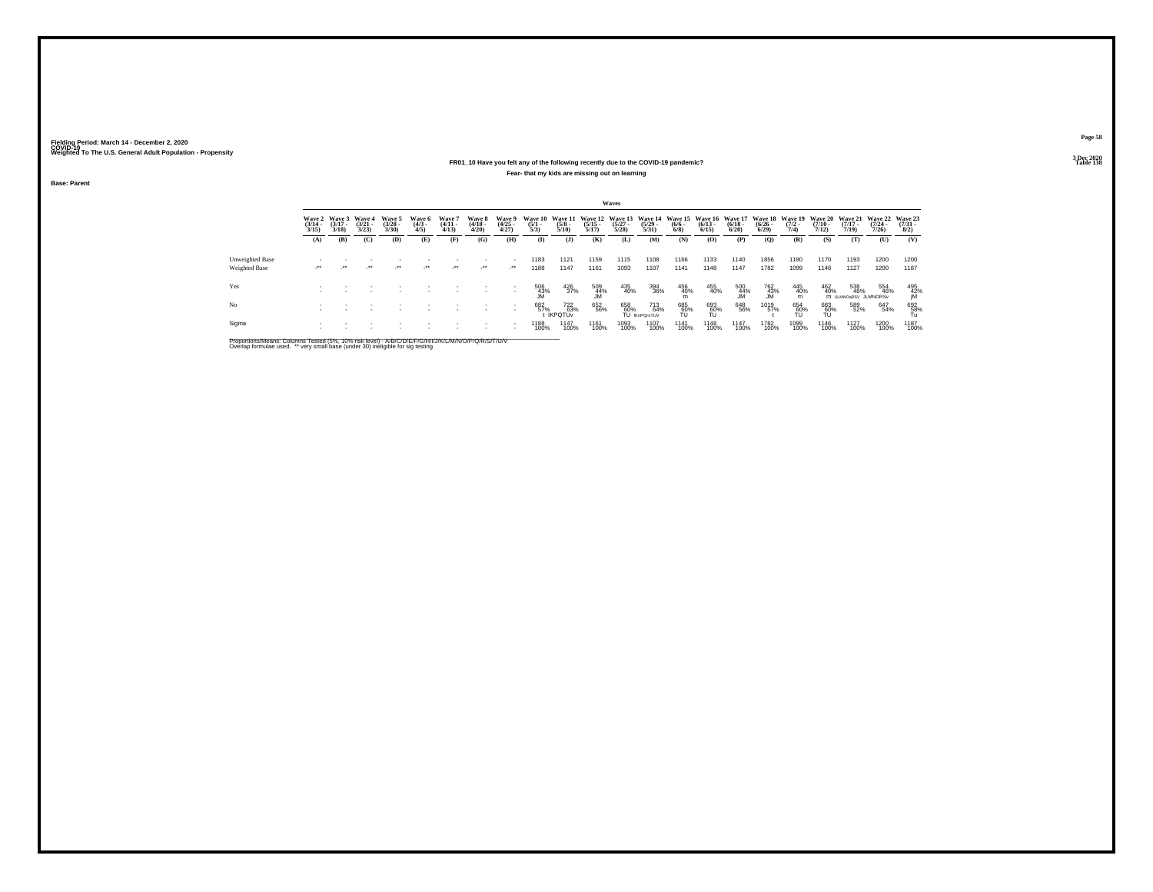#### **FR01\_10 Have you felt any of the following recently due to the COVID-19 pandemic? Table 138 Fear- that my kids are missing out on learning**

**Base: Parent**

|                 |                                 |                                 |                                |                                |                              |                                 |                                 |                                |                                |                                                 |                                          | Waves                |                                                              |                           |                      |                         |                       |                                        |                                         |                                         |                                      |                                     |
|-----------------|---------------------------------|---------------------------------|--------------------------------|--------------------------------|------------------------------|---------------------------------|---------------------------------|--------------------------------|--------------------------------|-------------------------------------------------|------------------------------------------|----------------------|--------------------------------------------------------------|---------------------------|----------------------|-------------------------|-----------------------|----------------------------------------|-----------------------------------------|-----------------------------------------|--------------------------------------|-------------------------------------|
|                 | Wave 2<br>$\frac{(3/14)}{3/15}$ | Wave 3<br>$\frac{(3/17)}{3/18}$ | Wave 4<br>$\binom{3/21}{3/23}$ | Wave 5<br>$\binom{3/28}{3/30}$ | Wave 6<br>$\binom{4/3}{4/5}$ | Wave 7<br>$\frac{(4/11)}{4/13}$ | Wave 8<br>$\frac{(4/18)}{4/20}$ | Wave 9<br>$\binom{4/25}{4/27}$ | Wave 10<br>$\frac{(5/1)}{5/3}$ | <b>Wave 11</b><br>$\frac{(5/8)}{5/10}$          | Wave 12 Wave 13<br>$\frac{(5/15)}{5/17}$ | $\binom{5/27}{5/28}$ | Wave 14 Wave 15 Wave 16 Wave 17<br>$\frac{(5/29 - 5)}{5/31}$ | $\frac{(6/6 - 6)}{(6/8)}$ | $\binom{6/13}{6/15}$ | $\frac{(6/18)}{6/20}$   | $\frac{(6/26)}{6/29}$ | Wave 18 Wave 19<br>$\frac{(7/2)}{7/4}$ | <b>Wave 20</b><br>$\frac{(7/10)}{7/12}$ | <b>Wave 21</b><br>$\frac{(7/17)}{7/19}$ | Wave 22<br>$\frac{(7/24 - 7)}{7/26}$ | Wave 23<br>$\frac{(7/31 - 1)}{8/2}$ |
|                 | (A)                             | (B)                             | (C)                            | (D)                            | Œ)                           | (F)                             | (G)                             | (H)                            | $\bf{I}$                       | $($ J $)$                                       | (K)                                      | (L)                  | (M)                                                          | (N)                       | (O)                  | (P)                     | (Q)                   | (R)                                    | (S)                                     | (T)                                     | (U)                                  | (V)                                 |
| Unweighted Base |                                 |                                 |                                |                                |                              |                                 |                                 |                                | 1183                           | 1121                                            | 1159                                     | 1115                 | 1108                                                         | 1166                      | 1133                 | 1140                    | 1856                  | 1180                                   | 1170                                    | 1193                                    | 1200                                 | 1200                                |
| Weighted Base   | $\cdot$                         | $\bullet\bullet$                | $^{\tiny{++}}$                 | $\rightarrow$                  | $\cdot$                      | $\cdot$                         | $\cdot$                         | $\cdot$                        | 1188                           | 1147                                            | 1161                                     | 1093                 | 1107                                                         | 1141                      | 1148                 | 1147                    | 1782                  | 1099                                   | 1146                                    | 1127                                    | 1200                                 | 1187                                |
| Yes             |                                 |                                 |                                |                                |                              |                                 |                                 |                                | $^{506}_{~43\%}$               | $^{426}_{37\%}$                                 | 509<br>44%<br>JM                         | 435<br>40%           | 394<br>36%                                                   | 456<br>40%                | 455<br>40%           | $\frac{500}{44\%}$      | 762<br>43%<br>JM      | 445<br>40%<br>m                        | 462<br>40%                              | 538<br>48%<br>M JLMNOGRSV JLMNORSV      | 554<br>46%                           | $495$<br>$42\%$<br>$10$             |
| No              |                                 |                                 |                                |                                |                              |                                 |                                 |                                | 682<br>57%                     | <sup>722</sup> <sub>63%</sub><br><b>IKPOTUV</b> | 652<br>56%                               | 658<br>60%           | 713<br>64%<br>TU IKnPOrsTUV                                  | 685<br>60%<br>ΤU          | 693<br>60%<br>TU     | 648<br>56%              | 1019<br>57%           | 654<br>60%<br>TU                       | 683<br>60%<br>TU                        | 589<br>52%                              | 647<br>54%                           | $^{692}_{\substack{58\%\\Tu}}$      |
| Sigma           |                                 |                                 |                                |                                |                              |                                 |                                 |                                | 1188<br>100%                   | <sup>1147</sup><br>100%                         | 1161<br>100%                             | 1093<br>100%         | 1107<br>100%                                                 | 1141<br>100%              | 1148<br>100%         | <sup>1147</sup><br>100% | 1782<br>100%          | 1099<br>100%                           | 1146<br>100%                            | <sup>1127</sup><br>100%                 | 1200<br>100%                         | 1187<br>100%                        |

Proportions/Means: Columns Tested (5%, 10% risk level) - A/B/C/D/E/F/G/H/I/J/K/L/M/N/O/P/Q/R/S/T/U/V<br>Overlap formulae used. \*\* very small base (under 30) ineligible for sig testing

**Page 583 Dec 2020<br>Table 138**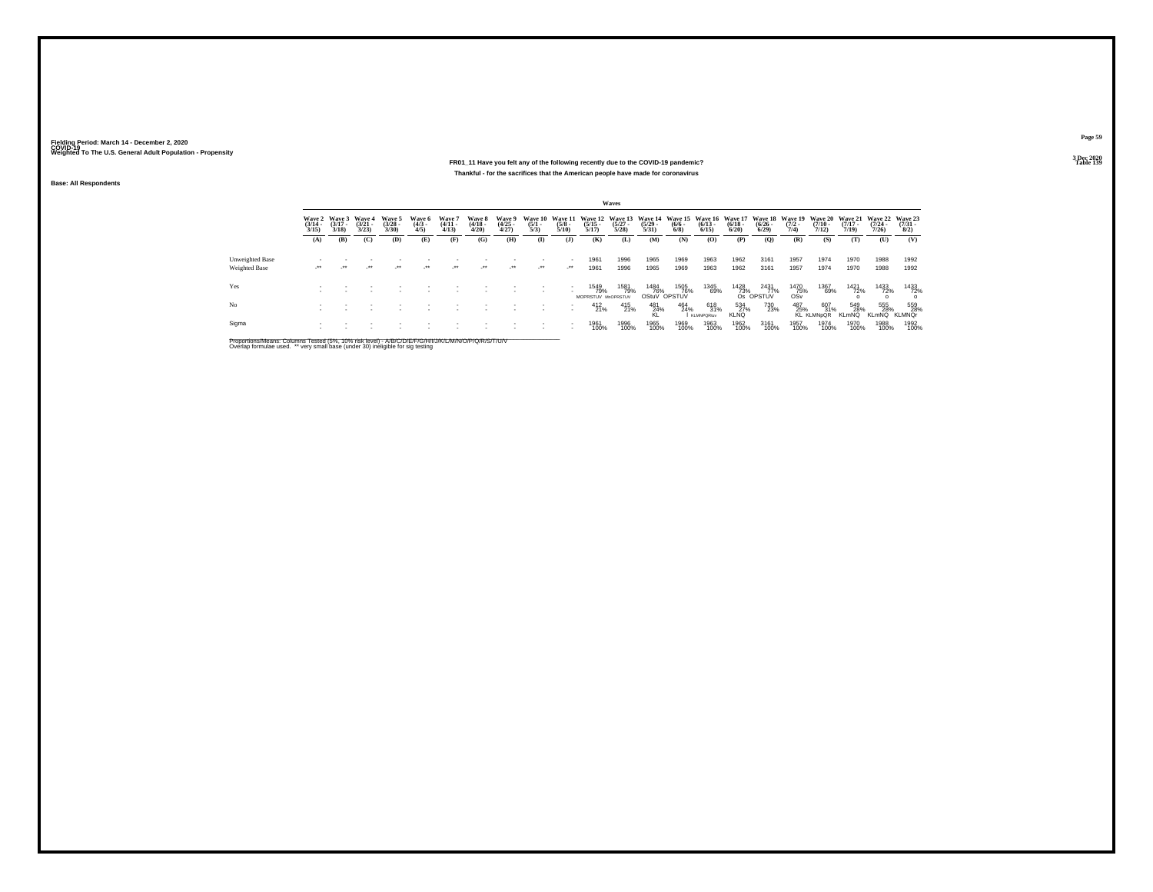### **FR01\_11 Have you felt any of the following recently due to the COVID-19 pandemic? Table 139 Thankful - for the sacrifices that the American people have made for coronavirus**

**Base: All Respondents**

|                      |                                 |                                 |                                 |                                |                              |                                |                                 |                                |                                |                          |                                   | <b>Waves</b>          |                       |                                                                                                                                      |                                 |                           |                           |                     |                                 |                            |                            |                             |
|----------------------|---------------------------------|---------------------------------|---------------------------------|--------------------------------|------------------------------|--------------------------------|---------------------------------|--------------------------------|--------------------------------|--------------------------|-----------------------------------|-----------------------|-----------------------|--------------------------------------------------------------------------------------------------------------------------------------|---------------------------------|---------------------------|---------------------------|---------------------|---------------------------------|----------------------------|----------------------------|-----------------------------|
|                      | Wave 2<br>$\frac{(3/14)}{3/15}$ | Wave 3<br>$\frac{(3/17)}{3/18}$ | Wave 4<br>$\frac{(3/21)}{3/23}$ | Wave 5<br>$\binom{3/28}{3/30}$ | Wave 6<br>$\binom{4/3}{4/5}$ | Wave 7<br>$\frac{(4/11}{4/13}$ | Wave 8<br>$\frac{(4/18)}{4/20}$ | Wave 9<br>$\binom{4/25}{4/27}$ | Wave 10<br>$\frac{(5/1)}{5/3}$ | $\frac{(5/8)}{5/10}$     | $\frac{(5/15)}{5/17}$             | $\frac{(5/27)}{5/28}$ | $\frac{(5/29)}{5/31}$ | Wave 11 Wave 12 Wave 13 Wave 14 Wave 15 Wave 16 Wave 17 Wave 18 Wave 19 Wave 20 Wave 21 Wave 22 Wave 23<br>$\frac{(6/6 - 6)}{(6/8)}$ | $\frac{(6/13)}{6/15}$           | $\frac{(6/18)}{6/20}$     | $\frac{(6/26 - 6)}{6/29}$ | $\frac{(7/2)}{7/4}$ | $\frac{(7/10)}{7/12}$           | $\frac{(7/17)}{7/19}$      | $\frac{(7/24)}{7/26}$      | $\binom{7/31}{8/2}$         |
|                      | (A)                             | (B)                             | (C)                             | (D)                            | (E)                          | (F)                            | (G)                             | (H)                            | (I)                            | $($ $)$                  | (K)                               | (L)                   | (M)                   | (N)                                                                                                                                  | (O)                             | (P)                       | (Q)                       | (R)                 | (S)                             | (T)                        | (U)                        | (V)                         |
| Unweighted Base      |                                 |                                 |                                 |                                |                              |                                |                                 |                                |                                | $\sim$                   | 1961                              | 1996                  | 1965                  | 1969                                                                                                                                 | 1963                            | 1962                      | 3161                      | 1957                | 1974                            | 1970                       | 1988                       | 1992                        |
| <b>Weighted Base</b> | $\cdot$                         | $\cdot$                         | $\cdot$                         | $\star$                        | $\cdot$                      | $\lambda$                      | $\cdot$                         | $\cdot$                        | $\cdot$                        | $\cdot$                  | 1961                              | 1996                  | 1965                  | 1969                                                                                                                                 | 1963                            | 1962                      | 3161                      | 1957                | 1974                            | 1970                       | 1988                       | 1992                        |
| Yes                  |                                 |                                 |                                 |                                |                              |                                |                                 |                                |                                |                          | 1549<br>79%<br>MOPRSTUV MnOPRSTUV | 1581<br>79%           | 1484<br>76%           | 1505<br>76%<br>OStuV OPSTUV                                                                                                          | 1345<br>69%                     | $\frac{1428}{73\%}$       | 2431<br>77%<br>Os OPSTUV  | 1470<br>75%<br>OSv  | 1367<br>69%                     | 1421<br>72%                | 1433<br>72%                | 1433<br>72%                 |
| No                   |                                 |                                 |                                 |                                |                              |                                |                                 |                                |                                |                          | $^{412}_{21\%}$                   | 415<br>21%            | 481<br>24%            | 464<br>24%                                                                                                                           | 618<br>31%<br><b>KLMNPQRtuv</b> | 534<br>27%<br><b>KLNQ</b> | 730<br>23%                | 487<br>25%          | 607<br>31%<br><b>KL KLMNpQR</b> | 549<br>28%<br><b>KLmNQ</b> | 555<br>28%<br><b>KLmNQ</b> | 559<br>28%<br><b>KLMNQr</b> |
| Sigma                |                                 |                                 |                                 |                                |                              |                                |                                 |                                |                                | $\overline{\phantom{a}}$ | 1961<br>100%                      | 1996<br>100%          | 1965<br>100%          | 1969<br>100%                                                                                                                         | 1963<br>100%                    | 1962<br>100%              | 3161<br>100%              | 1957<br>100%        | 1974<br>100%                    | 1970<br>100%               | 1988<br>100%               | 1992<br>100%                |

Proportions/Means: Columns Tested (5%, 10% risk level) - A/B/C/D/E/F/G/H/I/J/K/L/M/N/O/P/Q/R/S/T/U/V<br>Overlap formulae used. \*\* very small base (under 30) ineligible for sig testing

**Page 59**3 Dec 2020<br>Table 139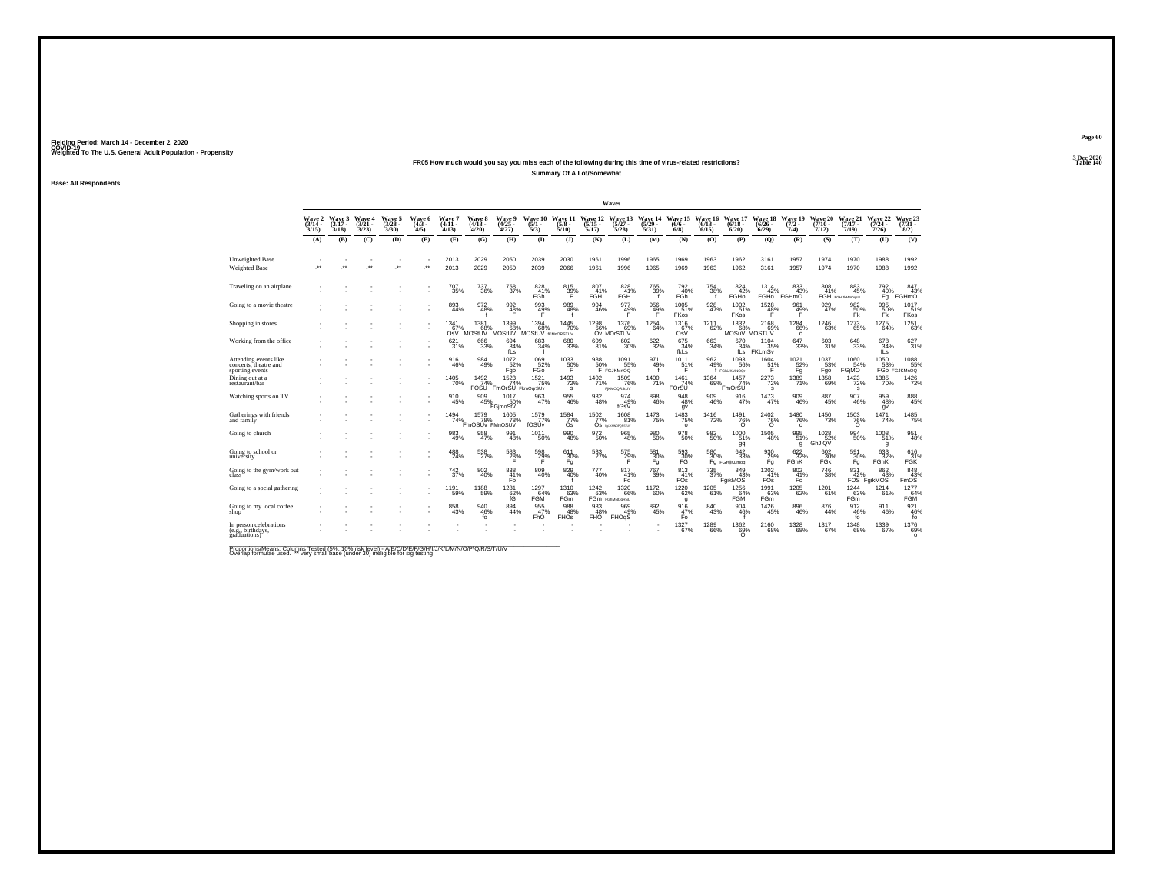### **FR05 How much would you say you miss each of the following during this time of virus-related restrictions?Summary Of A Lot/Somewhat**

**Base: All Respondents**

|                                                                   |                                  |                                 |                                 |                                 |                              |                               |                                        |                                       |                                       |                                 |                                         | Waves                                     |                      |                                        |                              |                                  |                                  |                                  |                               |                                       |                                         |                                                           |
|-------------------------------------------------------------------|----------------------------------|---------------------------------|---------------------------------|---------------------------------|------------------------------|-------------------------------|----------------------------------------|---------------------------------------|---------------------------------------|---------------------------------|-----------------------------------------|-------------------------------------------|----------------------|----------------------------------------|------------------------------|----------------------------------|----------------------------------|----------------------------------|-------------------------------|---------------------------------------|-----------------------------------------|-----------------------------------------------------------|
|                                                                   | <b>Wave 2</b><br>(3/14 -<br>3/15 | Wave 3<br>$\frac{(3/17)}{3/18}$ | Wave 4<br>$\frac{(3/21)}{3/23}$ | Wave 5<br>$\frac{(3/28)}{3/30}$ | Wave 6<br>$\binom{4/3}{4/5}$ | Wave 7<br>$(4/11 -$<br>4/13   | <b>Wave 8</b><br>$\frac{(4/18)}{4/20}$ | Wave 9<br>$\frac{(4/25)}{4/27}$       | Wave 10<br>$\frac{(5/1)}{5/3}$        | Wave 11<br>$\frac{(5/8)}{5/10}$ | Wave 12<br>$\frac{(5/15)}{5/17}$        | Wave 13<br>$\frac{(5/27)}{5/28}$          | $\binom{5/29}{5/31}$ | Wave 14 Wave 15<br>$(6/6 -$<br>$6/8$ ) | Wave 16<br>$(6/13 -$<br>6/15 | Wave 17<br>$(6/18 -$<br>6/20     | Wave 18<br>$\frac{(6/26)}{6/29}$ | Wave 19<br>$\frac{(7/2)}{7/4}$   | Wave 20<br>$(7/10 -$<br>7/12) | Wave 21<br>$\frac{(7/17)}{7/19}$      | Wave 22<br>$\frac{(7/24 - 7/26)}{7/26}$ | Wave 23<br>$(7/31 -$<br>8/2)                              |
|                                                                   | (A)                              | (B)                             | (C)                             | (D)                             | (E)                          | (F)                           | (G)                                    | (H)                                   | $\bf{I}$                              | (3)                             | (K)                                     | (L)                                       | (M)                  | (N)                                    | (O)                          | (P)                              | (Q)                              | (R)                              | (S)                           | (T)                                   | (U)                                     | (V)                                                       |
| Unweighted Base<br>Weighted Base                                  |                                  |                                 | $\ddot{\phantom{1}}$            | $\overline{\phantom{a}}$        | $\cdot$                      | 2013<br>2013                  | 2029<br>2029                           | 2050<br>2050                          | 2039<br>2039                          | 2030<br>2066                    | 1961<br>1961                            | 1996<br>1996                              | 1965<br>1965         | 1969<br>1969                           | 1963<br>1963                 | 1962<br>1962                     | 3161<br>3161                     | 1957<br>1957                     | 1974<br>1974                  | 1970<br>1970                          | 1988<br>1988                            | 1992<br>1992                                              |
| Traveling on an airplane                                          |                                  |                                 |                                 |                                 |                              | 707<br>35%                    | 737<br>36%                             | 758<br>37%                            | 828<br>41%<br>FGh                     | 815<br>39%                      | 807<br>41%<br>FGH                       | 828<br>41%<br>FGH                         | 765<br>39%           | 792<br>40%<br>FGh                      | 754<br>38%                   | 824<br>42%<br>FGHO               | 1314<br>42%<br>FGH <sub>o</sub>  | 833<br>43%<br>FGHmO              | 808<br>41%                    | 883<br>45%<br>FGH FGHLMMOgIU          | 792<br>40%<br>Fq                        | 847<br>43%<br>FGHmO                                       |
| Going to a movie theatre                                          |                                  |                                 |                                 |                                 |                              | 893                           | 972<br>48%                             | 992%                                  | 993<br>49%                            | 989<br>48%                      | 904<br>46%                              | 977<br>49%                                | $\frac{956}{49\%}$   | $1005$<br>$51\%$<br>FKos               | 928<br>47%                   | 1002<br>51%<br>FKos              | 1528<br>48%<br>F                 | 961<br>49%<br>Е                  | 929<br>47%                    | $^{982}_{\substack{50\%\\\text{Fk}}}$ | 995<br>50%<br>FK <sup>1</sup>           | 1017<br>51%<br><b>FKos</b>                                |
| Shopping in stores                                                |                                  |                                 |                                 |                                 |                              | 1341<br>67%<br>OsV            | 1381<br>68%<br>MOStUV                  | 13996<br><b>MOStUV</b>                | $^{1394}_{68\%}$<br>MOStUV framorsTuv | $1445$<br>$70\%$                |                                         | 1298 1376<br>66% 69%<br>Ov MOrSTUV<br>69% | $^{1254}_{64\%}$     | $\frac{1316}{67\%}$                    | $^{1211}_{62\%}$             | $^{1332}_{68\%}$<br>MOSuV MOSTUV | 2168<br>69%                      | 1284<br>66%<br>$\circ$           | $^{1246}_{63\%}$              | $\substack{1273 \\ 65\%}$             | $\substack{1275 \\ 64\%}$               | 1251<br>63%                                               |
| Working from the office                                           |                                  |                                 |                                 |                                 |                              | 621<br>31%                    | 666<br>33%                             | 694<br>34%<br>fLs                     | 683<br>34%                            | 680<br>33%                      | 609<br>31%                              | 602<br>30%                                | 622<br>32%           | 675<br>34%<br>fkLs                     | 663<br>34%                   | 670<br>34%<br>fLs                | 1104<br>35%<br>FKLmŠv            | 647<br>33%                       | 603<br>31%                    | 648<br>33%                            | 678<br>34%<br>fLs                       | 627<br>31%                                                |
| Attending events like<br>concerts, theatre and<br>sporting events |                                  |                                 |                                 |                                 |                              | 916<br>46%                    | 984<br>49%                             | $1072 \atop 52\%$<br>Fgo              | 1069<br>52%<br>FGo                    | $^{1033}_{-50\%}$<br>F          | 988<br>50%                              | $1091$ <sub>55%</sub><br>F FGJKMnOQ       | 971<br>49%           | $^{1011}_{51\%}$<br>F                  | 962 %                        | 1093<br>56%<br>f FGNJKMNOGr      | $^{1604}_{51\%}$<br>F            | $1021$ <sub>52%</sub><br>Fq      | 1037<br>53%<br>Fgo            | 1060<br>54%<br>FGIMO                  | 1050<br>53%                             | 1088<br>FGo FGJKMnOQ                                      |
| Dining out at a<br>restaurant/bar                                 |                                  |                                 |                                 |                                 |                              | <sup>1405</sup> 70%           | $\frac{1492}{74\%}$<br><b>FOSU</b>     | $\frac{74}{74}$ %<br>FmOrSU FkmOgrSUv | $1521$<br>$75%$                       | $\frac{1493}{72\%}$<br>s        | $\frac{1402}{71\%}$                     | 1509<br>76%<br><b>FIKMOGRStUV</b>         | 1400<br>71%          | $\frac{1461}{74\%}$<br>FOrŠU           | $^{1364}_{69\%}$             | $1457$<br>$74\%$<br>FmOrSU       | 2273<br>s                        | $\frac{1389}{71\%}$              | 1358<br>69%                   | $\frac{1423}{72\%}$<br>s              | 1385<br>70%                             | 1426                                                      |
| Watching sports on TV                                             |                                  |                                 |                                 |                                 |                              | 910<br>45%                    | 909<br>45%                             | 1017<br>50%<br>FGimoStV               | 963<br>47%                            | 955<br>46%                      | $\frac{932}{48\%}$                      | 974<br>49%<br>fGsV                        | $^{898}_{46\%}$      | 948<br>48%<br>gv                       | 909<br>46%                   | 916<br>47%                       | $\frac{1473}{47\%}$              | $\frac{909}{46\%}$               | 887<br>45%                    | 907<br>46%                            | 959<br>48%<br>qv                        | 888<br>45%                                                |
| Gatherings with friends<br>and family                             |                                  |                                 |                                 |                                 |                              | $1494 \atop 74\%$             | $^{1579}_{78\%}$<br>FmOSUv FMnOSUV     | $\frac{1605}{78\%}$                   | 1579<br>77%<br>fOSÚv                  | $\frac{1584}{77\%}$<br>Os       | $\frac{1502}{77\%}$<br>Os <sub>fs</sub> | $1608 \over 81\%$<br>MOPORSTLIV           | <sup>1473</sup> 75%  | $\frac{1483}{75\%}$<br>$\circ$         | 1416<br>72%                  | $\frac{1491}{76\%}$              | $\frac{^{2402}}{76\%}$           | 1480<br>76%<br>$\circ$           | 1450<br>73%                   | $\frac{1503}{76\%}$                   | $\frac{1471}{74\%}$                     | 1485<br>75%                                               |
| Going to church                                                   |                                  |                                 |                                 |                                 |                              | $\underset{49\%}{^{983}}$     | $\frac{958}{47\%}$                     | 991<br>48%                            | 1011<br>50%                           | 990<br>48%                      | 972<br>50%                              | 965<br>48%                                | 980<br>50%           | 978<br>50%                             | 982<br>50%                   | $^{1000}_{51\%}$<br>gq           | 1505<br>48%                      | 995<br>51%<br>q                  | 1028<br>GhJIQV                | $\substack{994 \\ 50\%}$              | 1008<br>51%<br>g                        | 951<br>48%                                                |
| Going to school or<br>university                                  |                                  |                                 |                                 |                                 |                              | 488<br>24%                    | 538<br>27%                             | $^{583}_{28\%}$                       | 598<br>29%<br>F                       | 611<br>30%<br>Fg                | 533                                     | 575<br>29%                                | 581<br>30%<br>Fq     | 593<br>30%<br>FĞ                       | 580<br>30%                   | 642<br>33%<br>Fg FGHijKLmog      | 930<br>29%<br>Fg                 | 622/32%<br><b>FGhK</b>           | 602<br>30%<br>FĞK             | 591<br>30%<br>Fg                      | 633<br>FGhK                             | 616<br>31%<br><b>FGK</b>                                  |
| Going to the gym/work out<br>class'                               |                                  |                                 |                                 |                                 |                              | <sup>742</sup> <sub>37%</sub> | 802<br>40%                             | 838<br>$\frac{41}{5}$                 | 809<br>40%                            | 829 %                           | 777<br>40%                              | 817<br>$\frac{41\%}{F}$                   | <sup>767</sup> 39%   | $^{813}_{41\%}$ FOs                    |                              | 735<br>37% FgikMOS               | 1302<br>41%<br>FÖ <sub>s</sub>   | $^{802}_{\substack{41\% \\ Fo}}$ | <sup>746</sup> 38%            | 831                                   | 862<br>42% 43%<br>FOS FgikMOS           | $\begin{array}{r} 848 \\ 43\% \\ \text{FmOS} \end{array}$ |
| Going to a social gathering                                       |                                  |                                 |                                 |                                 |                              | 1191<br>59%                   | 1188<br>59%                            | $^{1281}_{62\%}$<br>fG                | $^{1297}_{64\%}$<br>FGM               | 1310<br>63%<br>FGm              | $^{1242}_{63\%}$                        | $^{1320}_{66\%}$<br>FGm FGMMOQRSU         | 1172<br>60%          | $1220 \over 62\%$<br>g                 | 1205<br>61%                  | 1256<br>64%<br><b>FGM</b>        | 1991<br>63%<br>FGm               | $\substack{1205 \\ 62\%}$        | 1201 <sub>%</sub>             | $1244 \over 63\%$<br>FGm              | 1214<br>61%                             | 1277<br>64%<br><b>FGM</b>                                 |
| Going to my local coffee<br>shop'                                 |                                  |                                 |                                 |                                 |                              | 858<br>43%                    | 940<br>46%<br>fo                       | 894<br>44%                            | 955<br>47%<br>FhO                     | 988<br>48%<br><b>FHOS</b>       | 933<br>48%<br>FHO <sup>'</sup>          | 969<br>49%<br><b>FHOgS</b>                | 892<br>45%           | 916<br>47%<br>Fo.                      | 840<br>43%                   | 904<br>46%                       | $\substack{1426 \\ 45\%}$        | $\substack{896 \\ 46\%}$         | 876<br>44%                    | $\frac{912}{46\%}$<br>fo              | 911<br>46%                              | $\frac{921}{46\%}$                                        |
| In person celebrations<br>(e.g., birthdays,<br>graduations)       |                                  |                                 |                                 |                                 |                              |                               |                                        |                                       |                                       |                                 |                                         |                                           |                      | 1327<br>67%                            | 1289<br>66%                  | 1362<br>69%                      | 2160<br>68%                      | 1328<br>68%                      | 1317<br>67%                   | 1348<br>68%                           | 1339<br>67%                             | 1376<br>69%<br>$\Omega$                                   |

Proportions/Means: Columns Tested (5%, 10% risk level) - A/B/C/D/E/F/G/H/I/J/K/L/M/N/O/P/Q/R/S/T/U/V<br>Overlap formulae used. \*\* very small base (under 30) ineligible for sig testing

**Page 603 Dec 2020<br>Table 140** 

**Table 140**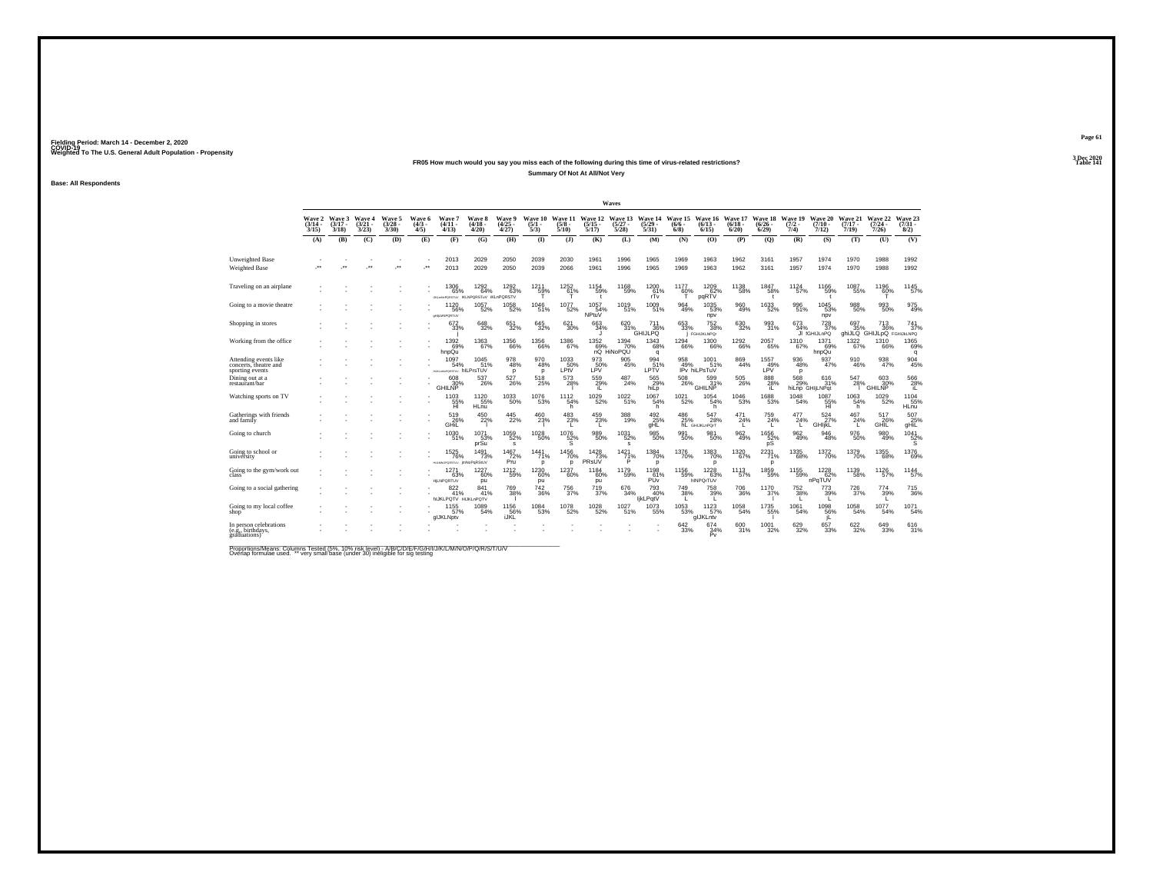## **FR05 How much would you say you miss each of the following during this time of virus-related restrictions?Summary Of Not At All/Not Very**

**Base: All Respondents**

|                                                                   |                                    |                             |                                 |                                |                              |                                         |                                                    |                                       |                                |                                 |                                  | Waves                                |                                  |                                |                                                         |                              |                                  |                                |                                    |                                  |                                                             |                                |
|-------------------------------------------------------------------|------------------------------------|-----------------------------|---------------------------------|--------------------------------|------------------------------|-----------------------------------------|----------------------------------------------------|---------------------------------------|--------------------------------|---------------------------------|----------------------------------|--------------------------------------|----------------------------------|--------------------------------|---------------------------------------------------------|------------------------------|----------------------------------|--------------------------------|------------------------------------|----------------------------------|-------------------------------------------------------------|--------------------------------|
|                                                                   | <b>Wave 2</b><br>$(3/14 -$<br>3/15 | Wave 3<br>$(3/17 -$<br>3/18 | Wave 4<br>$\frac{(3/21)}{3/23}$ | Wave 5<br>$\binom{3/28}{3/30}$ | Wave 6<br>$\binom{4/3}{4/5}$ | Wave 7<br>$(4/11 -$<br>(4/13)           | Wave 8<br>$\frac{(4/18)}{4/20}$                    | <b>Wave 9</b><br>$\binom{4/25}{4/27}$ | Wave 10<br>$\frac{(5/1)}{5/3}$ | Wave 11<br>$\frac{(5/8)}{5/10}$ | Wave 12<br>$\frac{(5/15)}{5/17}$ | Wave 13<br>$\frac{(5/27)}{5/28}$     | Wave 14<br>$\frac{(5/29)}{5/31}$ | Wave 15<br>$(6/6 -$<br>$6/8$ ) | Wave 16<br>$(6/13 -$<br>6/15                            | Wave 17<br>$(6/18 -$<br>6/20 | Wave 18<br>$\frac{(6/26)}{6/29}$ | Wave 19<br>$\frac{(7/2)}{7/4}$ | Wave 20<br>$(7/10 -$<br>7/12       | Wave 21<br>$\frac{(7/17)}{7/19}$ | Wave 22<br>$\frac{(7/24 - 7/26)}{7/26}$                     | Wave 23<br>$\binom{7/31}{8/2}$ |
|                                                                   | (A)                                | (B)                         | (C)                             | (D)                            | (E)                          | (F)                                     | (G)                                                | (H)                                   | $\Phi$                         | (3)                             | (K)                              | (L)                                  | (M)                              | (N)                            | (0)                                                     | (P)                          | (O)                              | (R)                            | (S)                                | (T)                              | (U)                                                         | (V)                            |
| Unweighted Base<br>Weighted Base                                  | $\ddot{\phantom{0}}$               | $\cdot$                     | $\cdot$                         | $\cdot$                        | $\ddot{\phantom{1}}$         | 2013<br>2013                            | 2029<br>2029                                       | 2050<br>2050                          | 2039<br>2039                   | 2030<br>2066                    | 1961<br>1961                     | 1996<br>1996                         | 1965<br>1965                     | 1969<br>1969                   | 1963<br>1963                                            | 1962<br>1962                 | 3161<br>3161                     | 1957<br>1957                   | 1974<br>1974                       | 1970<br>1970                     | 1988<br>1988                                                | 1992<br>1992                   |
| Traveling on an airplane                                          |                                    |                             |                                 |                                |                              | 1306<br>65%<br>UKL: NORGROSTLIV         | $1292 \atop 64\%$<br><b>IKLNPORSTuV IKLnPORSTV</b> | 1292<br>63%                           | 1211<br>59%                    | 1252<br>61%                     | 1154<br>59%                      | 1168<br>59%                          | 1200<br>$\frac{61}{r}$           | 1177<br>60%                    | 1209<br>62%<br>paRTV                                    | 1138<br>58%                  | 1847<br>58%                      | 1124<br>57%                    | 1166<br>59%                        | 1087<br>55%                      | 1196<br>60%                                                 | 1145<br>57%                    |
| Going to a movie theatre                                          |                                    |                             |                                 |                                |                              | 1120<br>56%<br>eHILMNPORTUV             | $^{1057}_{-52\%}$                                  | $^{1058}_{-52\%}$                     | 1046<br>51%                    | $1077 \atop 52\%$               | $1057$<br>$54\%$<br>NPtuV        | 1019<br>51%                          | $^{1009}_{51\%}$                 | $\frac{964}{49\%}$             | $1035$<br>$53\%$<br>npv                                 | 960<br>49%                   | 1633<br>52%                      | 996<br>51%                     | 1045<br>53%<br>npv                 | $^{988}_{50\%}$                  | 993<br>50%                                                  | 975<br>49%                     |
| Shopping in stores                                                |                                    |                             |                                 |                                |                              | 672<br>33%                              | 648<br>32%                                         | $\substack{651 \\ 32\%}$              | 645<br>32%                     | 621<br>30%                      | 663<br>34%                       | 620<br>31%                           | 711<br>36%<br><b>GHIJLPO</b>     | $\substack{653 \\ 33\%}$       | $\substack{752\\38\%}$<br><b>FGHIJKLNPOr</b>            | 630<br>32%                   | 993<br>31%                       | $673 \atop 34\%$               | $^{728}_{37\%}$<br>JI fGHIJLnPQ    | 35%                              | <sup>713</sup> <sub>36</sub> %<br>ahiJLQ GHIJLpQ FGHIJKLNPQ | 741 <sub>37%</sub>             |
| Working from the office                                           |                                    |                             |                                 |                                |                              | 1392<br>69%<br>hnpQu                    | 1363<br>67%                                        | 1356<br>66%                           | 1356<br>66%                    | 1386<br>67%                     | 1352                             | 1394<br>69% 70%<br>nQ HiNoPQU<br>70% | 1343<br>68%<br>q                 | 1294<br>66%                    | 1300<br>66%                                             | 1292<br>66%                  | 2057<br>65%                      | 1310<br>67%                    | 1371<br>69%<br>hnpQu               | $\frac{1322}{67\%}$              | 1310<br>66%                                                 | 1365<br>69%<br>q               |
| Attending events like<br>concerts, theatre and<br>sporting events |                                    |                             |                                 |                                |                              | 1097<br>54%<br>HURANGPORSTUV hILPrsTUV  | $1045$<br>51%                                      | $^{978}_{48\%}$<br>p                  | $\substack{970 \\ 48\%}$<br>p  | $^{1033}_{50\%}$<br>LPtV        | 973<br>50%<br>LPV                | $\frac{905}{45\%}$                   | 994<br>51%<br>LPTV               | 958<br>49%                     | 1001 <sub>%</sub><br>IPv hiLPsTuV                       | 869<br>44%                   | $1557$<br>$49\%$<br>I PV         | $\underset{48\%}{^{936}}$<br>P | $\frac{937}{47\%}$                 | $\frac{910}{46\%}$               | 938<br>47%                                                  | 904<br>45%                     |
| Dining out at a<br>restaurant/bar                                 |                                    |                             |                                 |                                |                              | 608<br>30%<br>GHILNP                    | 537<br>26%                                         | 527/26%                               | 518                            | $^{573}_{28\%}$                 | $^{559}_{29\%}$                  | 487<br>24%                           | 565<br>29%<br>hiLp               | 508<br>26%                     | 599<br>31%<br><b>GHILNP</b>                             | 505<br>26%                   | $\frac{888}{28\%}$               | 568<br>29%                     | 616<br>31%<br>hiLnp GHILNPqt       | 547<br>28%                       | 603<br>30%<br><b>GHILNP</b>                                 | $^{566}_{\hbox{28\%}}$         |
| Watching sports on TV                                             |                                    |                             |                                 |                                |                              | $^{1103}_{\substack{55\%\\ \text{HI}}}$ | $1120$<br>55%<br><b>HLnu</b>                       | $^{1033}_{-50\%}$                     | 1076<br>53%                    | $1112 \atop 54\%$<br>h          | 1029<br>52%                      | $\frac{1022}{51\%}$                  | $1067$<br>54%<br>h               | $1021$<br>$52\%$               | $1054$<br>$54\%$<br>h                                   | $\substack{1046 \\ 53\%}$    | 1688<br>53%                      | $\frac{1048}{54\%}$            | $1087$ 55%<br>HI                   | $^{1063}_{-54\%}$<br>h           | 1029<br>52%                                                 | 1104<br>55%<br><b>HLnu</b>     |
| Gatherings with friends<br>and family                             |                                    |                             |                                 |                                |                              | $^{519}_{26\%}$                         | $^{450}_{22\%}$                                    | $^{445}_{\  \, 22\%}$                 | $^{460}_{23\%}$                | $^{483}_{-23\%}$                | $^{459}_{23\%}$                  | $\frac{388}{19\%}$                   | $^{492}_{25\%}$ gHL              |                                | 486 547<br>25% 28% hL GHIJKLnPQrT<br>$\frac{547}{28\%}$ | 471<br>24%                   | $^{759}_{24\%}$                  | 477<br>24%                     | $\underset{\text{GHIjKL}}{^{524}}$ | $^{467}_{\phantom{1}24\%}$       | 517<br>26%<br>GHIL                                          | 507<br>25%<br>gHiL             |
| Going to church                                                   |                                    |                             |                                 |                                |                              | 1030<br>51%                             | 1071<br>53%<br>prSu                                | 1059<br>52%<br>s                      | 1028<br>50%                    | 1076<br>$\frac{52}{S}$          | 989<br>50%                       | 1031<br>52%<br>s                     | 985<br>50%                       | 991<br>50%                     | 981<br>50%                                              | 962<br>49%                   | 1656<br>52%                      | 962<br>49%                     | 946<br>48%                         | 976<br>50%                       | 980<br>49%                                                  | 1041<br>$\frac{52}{5}$ %       |
| Going to school or<br>university                                  |                                    |                             |                                 |                                |                              | <sup>1525</sup> 76%<br>HULMNOPORSTUV    | 1491<br>73%<br>imNoPoRStUV                         | $1467$<br>$72%$<br>Pru                | $1441$<br>$71%$<br>D           | 1456<br>70%<br>$\mathbf{D}$     | $\frac{1428}{73\%}$<br>PRsUV     | $1421$<br>$71%$<br>P                 | 1384<br>70%<br>D                 | <sup>1376</sup> 70%            | 1383<br>70%<br>p                                        | 1320<br>67%                  | 2231<br>71%<br>D                 | $^{1335}_{\  \  \, 68\%}$      | 1372<br>70%                        | 1379<br>70%                      | $^{1355}_{68\%}$                                            | 1376<br>69%                    |
| Going to the gym/work out                                         |                                    |                             |                                 |                                |                              | 1271<br>63%<br><b>HILNPORTUV</b>        | 1227<br>60%<br>pu                                  | 1212<br>59%                           | $1230$<br>60%<br>pu            | 1237<br>60%                     | $1184$<br>$60\%$<br>pu           | 1179<br>59%                          | 1198<br>61%<br>PU <sub>V</sub>   | $^{1156}_{-59\%}$              | $1228$<br>63%<br>hINPOrTUV                              | 1113<br>57%                  | 1859<br>59%                      | 1155<br>59%                    | $1228$<br>$-62%$<br>nPaTUV         | 1139<br>58%                      | 1126<br>57%                                                 | 1144<br>57%                    |
| Going to a social gathering                                       |                                    |                             |                                 |                                |                              | 822/41%<br><b>hIJKLPQTV HIJKLnPQTV</b>  | 841<br>41%                                         | 769<br>38%                            | $\substack{742\\36\%}$         | 756<br>37%                      | $^{719}_{37\%}$                  | 676<br>34%                           | 793<br>40%<br>ljkLPqtV           | 749<br>38%                     | 758<br>39%                                              | 706<br>36%                   | $^{1170}_{37\%}$                 | $^{752}_{38\%}$                | 773<br>39%                         | 726<br>37%                       | 774<br>39%                                                  | 715<br>36%                     |
| Going to my local coffee<br>shop'                                 |                                    |                             |                                 |                                |                              | $1155$<br>$57\%$<br>alJKLNptv           | 1089<br>54%                                        | 1156<br>56%<br>iJKL                   | $^{1084}_{-53\%}$              | $^{1078}_{-52\%}$               | 1028<br>52%                      | $\substack{1027 \\ 51\%}$            | 1073<br>55%                      | $\underset{53\%}{^{1053}}$     | 1123<br>57%<br>alJKLntv                                 | $^{1058}_{-54\%}$            | 1735<br>55%                      | $^{1061}_{-54\%}$              | 1098<br>56%                        | $^{1058}_{-54\%}$                | 1077<br>54%                                                 | 1071<br>54%                    |
| In person celebrations<br>(e.g., birthdays,<br>graduations)       |                                    |                             |                                 |                                |                              |                                         |                                                    |                                       |                                |                                 |                                  |                                      |                                  | 642<br>33%                     | 674<br>34%<br>Ρv                                        | 600<br>31%                   | 1001<br>32%                      | 629<br>32%                     | 657<br>33%                         | $\substack{622 \\ 32\%}$         | 649<br>33%                                                  | 616<br>31%                     |

Proportions/Means: Columns Tested (5%, 10% risk level) - A/B/C/D/E/F/G/H/I/J/K/L/M/N/O/P/Q/R/S/T/U/V<br>Overlap formulae used. \*\* very small base (under 30) ineligible for sig testing

**Page 613 Dec 2020<br>Table 141** 

**Table 141 Table 141**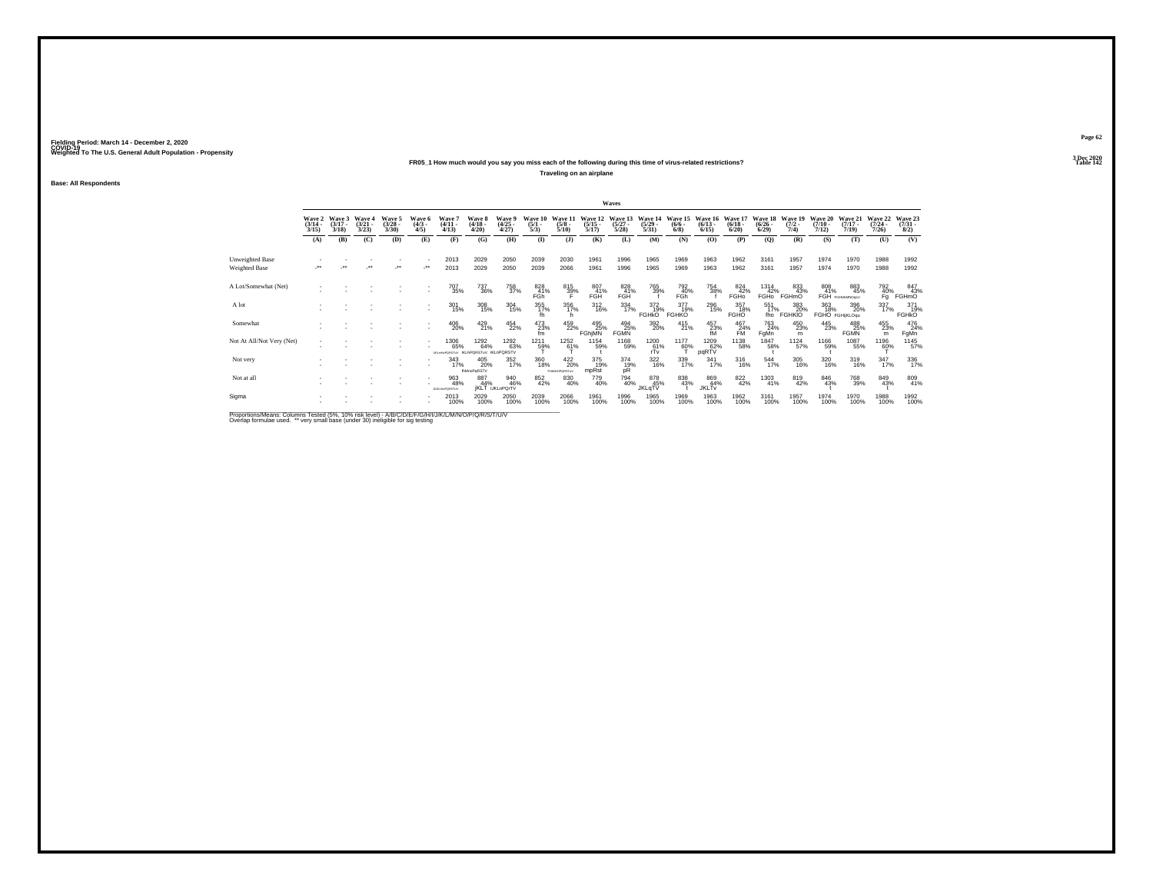## **FR05\_1 How much would you say you miss each of the following during this time of virus-related restrictions?**

**Traveling on an airplane**

**Base: All Respondents**

|                           |                                 |                                 |                                        |                                 |                               |                                   |                                     |                                      |                                |                                 |                                  | Waves                            |                                  |                                |                                 |                                  |                                       |                                |                                  |                                  |                                  |                                |
|---------------------------|---------------------------------|---------------------------------|----------------------------------------|---------------------------------|-------------------------------|-----------------------------------|-------------------------------------|--------------------------------------|--------------------------------|---------------------------------|----------------------------------|----------------------------------|----------------------------------|--------------------------------|---------------------------------|----------------------------------|---------------------------------------|--------------------------------|----------------------------------|----------------------------------|----------------------------------|--------------------------------|
|                           | Wave 2<br>$\frac{(3/14)}{3/15}$ | Wave 3<br>$\frac{(3/17)}{3/18}$ | <b>Wave 4</b><br>$\frac{(3/21)}{3/23}$ | Wave 5<br>$\frac{(3/28)}{3/30}$ | Wave 6<br>$\frac{(4/3)}{4/5}$ | Wave?<br>$\binom{4/11}{4/13}$     | Wave 8<br>$\frac{(4/18)}{4/20}$     | Wave 9<br>$\binom{4/25}{4/27}$       | Wave 10<br>$\frac{(5/1)}{5/3}$ | Wave 11<br>$\frac{(5/8)}{5/10}$ | Wave 12<br>$\frac{(5/15)}{5/17}$ | Wave 13<br>$\frac{(5/27)}{5/28}$ | Wave 14<br>$\frac{(5/29)}{5/31}$ | Wave 15<br>$\frac{(6/6)}{6/8}$ | Wave 16<br>$\binom{6/13}{6/15}$ | Wave 17<br>$\frac{(6/18)}{6/20}$ | Wave 18<br>$\frac{(6/26)}{6/29}$      | Wave 19<br>$\frac{(7/2)}{7/4}$ | Wave 20<br>$\frac{(7/10)}{7/12}$ | Wave 21<br>$\frac{(7/17)}{7/19}$ | Wave 22<br>$\frac{(7/24)}{7/26}$ | Wave 23<br>$\binom{7/31}{8/2}$ |
|                           | (A)                             | (B)                             | (C)                                    | (D)                             | (E)                           | (F)                               | (G)                                 | (H)                                  | $($ $\Gamma$                   | $($ $)$                         | (K)                              | (L)                              | (M)                              | (N)                            | (O)                             | (P)                              | (Q)                                   | (R)                            | (S)                              | (T)                              | (U)                              | (V)                            |
| Unweighted Base           |                                 |                                 |                                        |                                 |                               | 2013                              | 2029                                | 2050                                 | 2039                           | 2030                            | 1961                             | 1996                             | 1965                             | 1969                           | 1963                            | 1962                             | 3161                                  | 1957                           | 1974                             | 1970                             | 1988                             | 1992                           |
| Weighted Base             |                                 |                                 |                                        | $\ddot{\phantom{0}}$            | $\cdot$                       | 2013                              | 2029                                | 2050                                 | 2039                           | 2066                            | 1961                             | 1996                             | 1965                             | 1969                           | 1963                            | 1962                             | 3161                                  | 1957                           | 1974                             | 1970                             | 1988                             | 1992                           |
| A Lot/Somewhat (Net)      |                                 |                                 |                                        |                                 |                               | 707<br>35%                        | 737<br>36%                          | 758<br>37%                           | 828<br>41%<br>FGh              | 815<br>39%                      | 807<br>41%<br>FGH                | 828<br>41%<br>FGH                | 765<br>39%                       | 792<br>40%<br>FGh              | 754<br>38%                      | 824<br>42%<br>FGHO               | 1314<br>42%<br><b>FGH<sub>0</sub></b> | 833<br>43%<br>FGHmO            | 808<br>41%                       | 883<br>45%<br>FGH FGHLMMOgsU     | 792<br>$\frac{40}{9}$            | 847<br>43%<br><b>FGHmO</b>     |
| A lot                     |                                 |                                 |                                        |                                 |                               | 301<br>15%                        | 308<br>15%                          | $\frac{304}{15\%}$                   | 355<br>17%<br>fh.              | 356<br>17%                      | $^{312}_{16\%}$                  | 334<br>17%                       | 372 19%<br><b>FGHKO</b>          | 377<br>19%<br><b>FGHKO</b>     | 296<br>15%                      | 357<br>18%<br><b>FGHO</b>        | 551<br>17%<br>fho                     | 383<br>20%<br><b>FGHKIO</b>    | 363<br>18%                       | 396<br>20%<br>FGHO FGHijKLOgu    | 337/17%                          | 371<br>19%<br><b>FGHKO</b>     |
| Somewhat                  |                                 |                                 |                                        |                                 |                               | 406<br>20%                        | 429<br>21%                          | 454<br>22%                           | 473<br>23%<br>fm               | 459<br>22%                      | 495<br>25%<br>FGhiMN             | 494<br>25%<br><b>FGMN</b>        | 392<br>20%                       | 415<br>21%                     | $^{457}_{23\%}$ fM              | $^{467}_{-24\%}$ FM              | 763<br>24%<br>FgMn                    | $^{450}_{23\%}$<br>m           | 445<br>23%                       | 488<br>25%<br><b>FGMN</b>        | 455<br>23%<br>m                  | 476<br>24%<br>FgMn             |
| Not At All/Not Very (Net) |                                 |                                 |                                        |                                 |                               | 1306<br>65%<br>UID HAVDDRETTIN    | 1292<br>64%<br><b>IKI NPORSTIAL</b> | 1292<br>63%<br>ikl nPORSTV           | 1211<br>59%                    | 1252<br>61%                     | 1154<br>59%                      | 1168<br>59%                      | 1200<br>$\frac{61}{11}$          | 1177<br>60%                    | 1209<br>62%<br>pqRTV            | 1138<br>58%                      | 1847<br>58%                           | 1124<br>57%                    | 1166<br>59%                      | 1087<br>55%                      | 1196<br>60%                      | 1145<br>57%                    |
| Not very                  |                                 |                                 |                                        |                                 |                               | 343<br>17%                        | 405<br>20%<br><b>thMnoPoRSTV</b>    | $\frac{352}{17\%}$                   | 360<br>18%                     | 422<br>20%<br>PHMNOPORSTWV      | 375<br>19%<br>mpRst              | 374<br>19%<br>pR                 | $\frac{322}{16\%}$               | 339<br>17%                     | $341$<br>17%                    | 316<br>16%                       | $^{544}_{17\%}$                       | 305<br>16%                     | 320<br>16%                       | $^{319}_{16\%}$                  | $347_{17\%}$                     | 336<br>17%                     |
| Not at all                |                                 |                                 |                                        |                                 |                               | 963<br>48%<br><b>GUILN:PORSTU</b> | 887<br>44%                          | 940<br>46%<br><b>IKLT</b> IJKLnPQrTV | 852<br>42%                     | 830<br>40%                      | 779<br>40%                       | 794<br>40%                       | 878<br>45%<br>JKLqTV             | 838<br>43%                     | 869<br>44%<br><b>JKLTv</b>      | 822 42%                          | 1303<br>41%                           | 819<br>42%                     | 846<br>43%                       | 768<br>39%                       | 849<br>43%                       | 809<br>41%                     |
| Sigma                     |                                 |                                 |                                        |                                 |                               | 2013<br>100%                      | 2029<br>100%                        | 2050<br>100%                         | 2039<br>100%                   | 2066<br>100%                    | 1961<br>100%                     | 1996<br>100%                     | 1965<br>100%                     | 1969<br>100%                   | 1963<br>100%                    | 1962<br>100%                     | 3161<br>100%                          | 1957<br>100%                   | 1974<br>100%                     | 1970<br>100%                     | 1988<br>100%                     | 1992<br>100%                   |
|                           |                                 |                                 |                                        |                                 |                               |                                   |                                     |                                      |                                |                                 |                                  |                                  |                                  |                                |                                 |                                  |                                       |                                |                                  |                                  |                                  |                                |

Proportions/Means: Columns Tested (5%, 10% risk level) - A/B/C/D/E/F/G/H/I/J/K/L/M/N/O/P/Q/R/S/T/U/V<br>Overlap formulae used. \*\* very small base (under 30) ineligible for sig testing

**Page 623 Dec 2020<br>Table 142** 

**Particular Table 142 Table 142**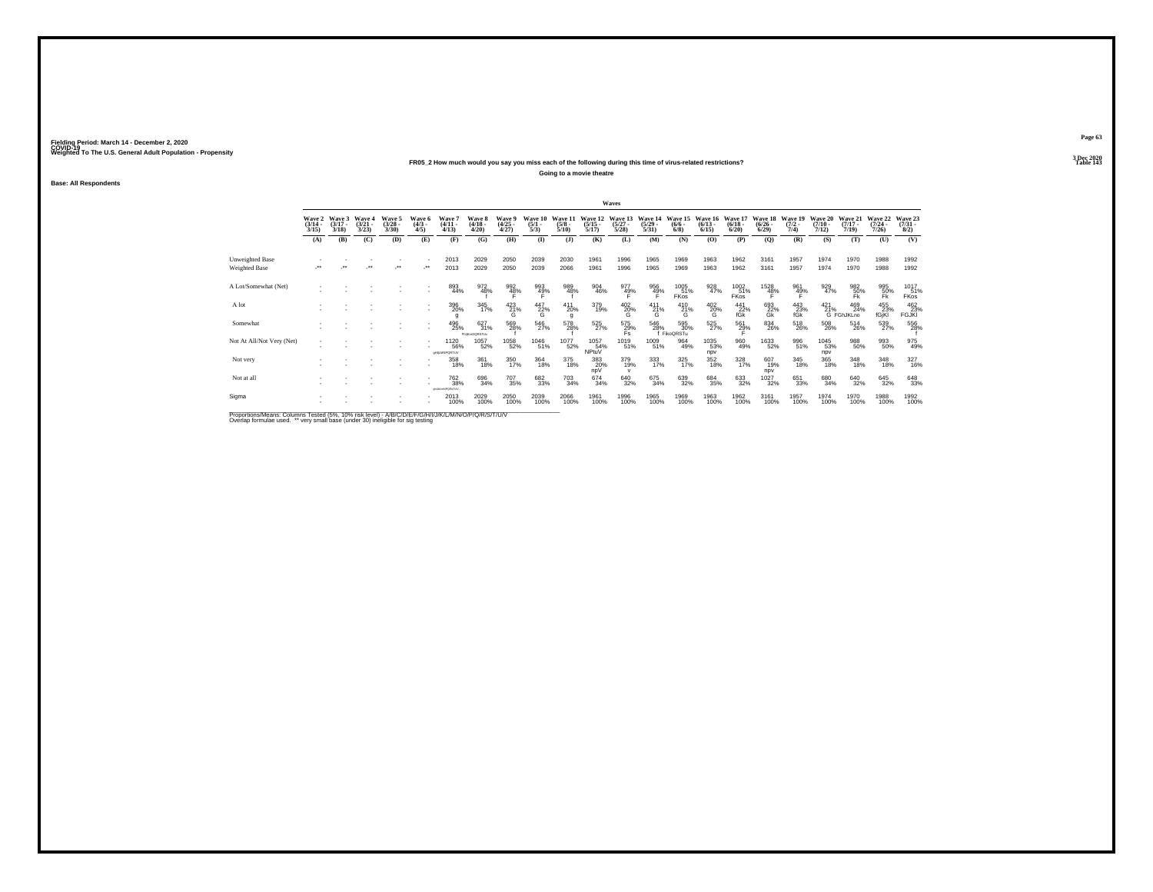## **FR05\_2 How much would you say you miss each of the following during this time of virus-related restrictions?**

**Going to a movie theatre**

**Base: All Respondents**

|                                                                                                      |                                 |                                 |                                |                                |                              |                                                       |                                   |                                |                                |                                |                                  | Waves                                  |                                  |                                |                                  |                                 |                                    |                                |                                  |                                       |                                  |                                |
|------------------------------------------------------------------------------------------------------|---------------------------------|---------------------------------|--------------------------------|--------------------------------|------------------------------|-------------------------------------------------------|-----------------------------------|--------------------------------|--------------------------------|--------------------------------|----------------------------------|----------------------------------------|----------------------------------|--------------------------------|----------------------------------|---------------------------------|------------------------------------|--------------------------------|----------------------------------|---------------------------------------|----------------------------------|--------------------------------|
|                                                                                                      | Wave 2<br>$\frac{(3/14)}{3/15}$ | Wave 3<br>$\frac{(3/17)}{3/18}$ | Wave 4<br>$\binom{3/21}{3/23}$ | Wave 5<br>$\binom{3/28}{3/30}$ | Wave 6<br>$\binom{4/3}{4/5}$ | Wave 7<br>$\frac{(4/11)}{4/13}$                       | Wave 8<br>$\frac{(4/18)}{4/20}$   | Wave 9<br>$\binom{4/25}{4/27}$ | Wave 10<br>$\frac{(5/1)}{5/3}$ | Wave 1<br>$\frac{(5/8)}{5/10}$ | Wave 12<br>$\frac{(5/15)}{5/17}$ | Wave 13<br>$\frac{(5/27)}{5/28}$       | Wave 14<br>$\frac{(5/29)}{5/31}$ | Wave 15<br>$\frac{(6/6)}{6/8}$ | Wave 16<br>$\frac{(6/13)}{6/15}$ | Wave 17<br>$\binom{6/18}{6/20}$ | Wave 18<br>$\frac{(6/26)}{(6/29)}$ | Wave 19<br>$\frac{(7/2)}{7/4}$ | Wave 20<br>$\frac{(7/10)}{7/12}$ | Wave 21<br>$\frac{(7/17)}{7/19}$      | Wave 22<br>$\frac{(7/24)}{7/26}$ | Wave 23<br>$\binom{7/31}{8/2}$ |
|                                                                                                      | (A)                             | (B)                             | (C)                            | (D)                            | (E)                          | (F)                                                   | (G)                               | (H)                            | $\bf{I}$                       | (3)                            | (K)                              | (L)                                    | (M)                              | (N)                            | (O)                              | (P)                             | $\mathbf{Q}$                       | (R)                            | (S)                              | (T)                                   | (U)                              | (V)                            |
| Unweighted Base                                                                                      |                                 | $\bullet\bullet$                | $\ddot{\phantom{0}}$           |                                |                              | 2013                                                  | 2029                              | 2050                           | 2039                           | 2030                           | 1961                             | 1996                                   | 1965                             | 1969                           | 1963                             | 1962                            | 3161                               | 1957                           | 1974                             | 1970                                  | 1988                             | 1992                           |
| Weighted Base                                                                                        |                                 |                                 |                                | $\cdot$                        |                              | 2013                                                  | 2029                              | 2050                           | 2039                           | 2066                           | 1961                             | 1996                                   | 1965                             | 1969                           | 1963                             | 1962                            | 3161                               | 1957                           | 1974                             | 1970                                  | 1988                             | 1992                           |
| A Lot/Somewhat (Net)                                                                                 |                                 |                                 |                                |                                |                              | 893<br>44%                                            | 972<br>48%                        | 992<br>48%                     | 993<br>49%<br>F                | 989<br>48%                     | 904<br>46%                       | 977<br>49%                             | 956<br>49%                       | 1005<br>51%<br><b>FKos</b>     | 928<br>47%                       | 1002<br>51%<br><b>FKos</b>      | 1528<br>48%                        | 961<br>49%                     | 929<br>47%                       | $^{982}_{50\%}$ Fk                    | 995<br>50%<br>Fk                 | 1017<br>51%<br>FKos            |
| A lot                                                                                                |                                 |                                 |                                |                                |                              | 396<br>20%                                            | 345<br>17%                        | $^{423}_{21\%}$<br>G           | $^{447}_{22\%}$                | 411<br>20%<br>g                | 379<br>19%                       | 402<br>20%                             | $^{411}_{21\%}$<br>G             | 410<br>21%<br>G                | 4020%<br>G                       | 441<br>22%<br>fGk               | 693<br>22%<br>Gk                   | 443<br>23%<br>fGk              | $^{421}_{21\%}$                  | 469<br>24%<br>G FGhJKLno              | 455<br>23%<br>fGjKl              | 462<br>23%<br><b>FGJKI</b>     |
| Somewhat                                                                                             |                                 |                                 |                                |                                |                              | 496<br>25%                                            | 627<br>31%<br><b>FNIKHOORSTUV</b> | 569<br>28%                     | 546<br>27%                     | 578<br>28%                     | 525<br>27%                       | $^{575}_{\substack{29\%\\ \text{Fs}}}$ | 546<br>28%                       | 595<br>30%<br>FikoQRSTu        | 525<br>27%                       | 561<br>29%                      | 834<br>26%                         | $^{518}_{26\%}$                | 508<br>26%                       | $^{514}_{\phantom{1}\phantom{1}26\%}$ | 539<br>27%                       | 556                            |
| Not At All/Not Very (Net)                                                                            |                                 |                                 |                                |                                |                              | 1120<br>56%<br><b>cHILMNPORTUV</b>                    | 1057<br>52%                       | 1058<br>52%                    | 1046<br>51%                    | 1077<br>52%                    | 1057<br>54%<br>NPtuV             | 1019<br>51%                            | 1009<br>51%                      | 964<br>49%                     | 1035<br>53%<br>npv               | 960<br>49%                      | 1633<br>52%                        | 996<br>51%                     | 1045<br>53%<br>npv               | 988<br>50%                            | 993<br>50%                       | 975<br>49%                     |
| Not very                                                                                             |                                 |                                 |                                |                                |                              | 358<br>18%                                            | 361<br>18%                        | 350<br>17%                     | 364<br>18%                     | 375<br>18%                     | 383<br>20%<br>npV                | 379<br>19%                             | 333<br>17%                       | 325<br>17%                     | 352<br>18%                       | 328<br>17%                      | 607<br>19%<br>npv                  | 345<br>18%                     | 365<br>18%                       | 348<br>18%                            | 348<br>18%                       | 327<br>16%                     |
| Not at all                                                                                           |                                 |                                 |                                |                                |                              | <sup>762</sup> <sub>38%</sub><br><b>WURLINFOR TUV</b> | 696<br>34%                        | <sup>707</sup> 35%             | 682<br>33%                     | $^{703}_{34\%}$                | 674<br>34%                       | 640<br>32%                             | 675<br>34%                       | 639<br>32%                     | 684<br>35%                       | $\substack{633 \\ 32\%}$        | 1027<br>32%                        | 651<br>33%                     | 680<br>34%                       | 640<br>32%                            | 645<br>32%                       | 648<br>33%                     |
| Sigma                                                                                                |                                 |                                 |                                |                                |                              | 2013<br>100%                                          | 2029<br>100%                      | 2050<br>100%                   | 2039<br>100%                   | 2066<br>100%                   | 1961<br>100%                     | 1996<br>100%                           | 1965<br>100%                     | 1969<br>100%                   | 1963<br>100%                     | 1962<br>100%                    | 3161<br>100%                       | 1957<br>100%                   | 1974<br>100%                     | 1970<br>100%                          | 1988<br>100%                     | 1992<br>100%                   |
| Proportions/Means: Columns Tested (5%, 10% risk level) - A/B/C/D/F/F/G/H/I/J/K/L/M/N/O/P/Q/R/S/T/U/V |                                 |                                 |                                |                                |                              |                                                       |                                   |                                |                                |                                |                                  |                                        |                                  |                                |                                  |                                 |                                    |                                |                                  |                                       |                                  |                                |

Proportions/Means: Columns Tested (5%, 10% risk level) - A/B/C/D/E/F/G/H/I/J/K/L/M/N/O/P/Q/R/S/T/U/V<br>Overlap formulae used. \*\* very small base (under 30) ineligible for sig testing

**Page 63**3 Dec 2020<br>Table 143

**Particular Table 143**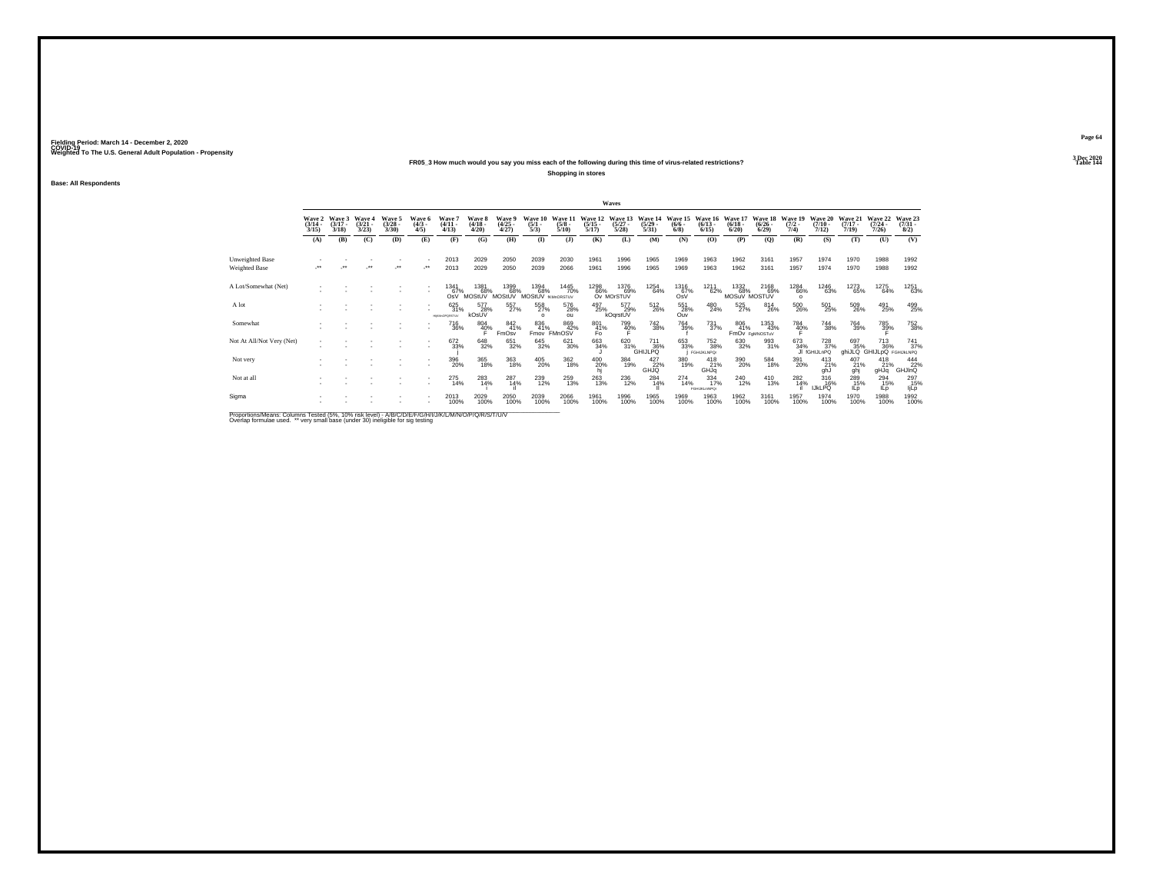## **FR05\_3 How much would you say you miss each of the following during this time of virus-related restrictions?**

**Shopping in stores**

**Base: All Respondents**

|                                                                                                              |                                 |                             |                                 |                                |                              |                                    |                                        |                                |                                  |                                 |                                  | Waves                           |                                  |                                |                                  |                                 |                                 |                                |                                               |                                  |                                  |                                         |
|--------------------------------------------------------------------------------------------------------------|---------------------------------|-----------------------------|---------------------------------|--------------------------------|------------------------------|------------------------------------|----------------------------------------|--------------------------------|----------------------------------|---------------------------------|----------------------------------|---------------------------------|----------------------------------|--------------------------------|----------------------------------|---------------------------------|---------------------------------|--------------------------------|-----------------------------------------------|----------------------------------|----------------------------------|-----------------------------------------|
|                                                                                                              | Wave 2<br>$\frac{(3/14)}{3/15}$ | Wave 3<br>$(3/17 -$<br>3/18 | Wave 4<br>$\frac{(3/21)}{3/23}$ | Wave 5<br>$\binom{3/28}{3/30}$ | Wave 6<br>$\binom{4/3}{4/5}$ | Wave 7<br>$\binom{4/11}{4/13}$     | Wave 8<br>$\frac{(4/18 - 4/28)}{4/20}$ | Wave 9<br>$\binom{4/25}{4/27}$ | Wave 10<br>$\frac{(5/1)}{5/3}$   | Wave 11<br>$\frac{(5/8)}{5/10}$ | Wave 12<br>$\frac{(5/15)}{5/17}$ | Wave 13<br>$\binom{5/27}{5/28}$ | Wave 14<br>$\frac{(5/29)}{5/31}$ | Wave 15<br>$\frac{(6/6)}{6/8}$ | Wave 16<br>$\frac{(6/13)}{6/15}$ | Wave 17<br>$\binom{6/18}{6/20}$ | Wave 18<br>$\binom{6/26}{6/29}$ | Wave 19<br>$\frac{(7/2)}{7/4}$ | Wave 20<br>$\frac{(7/10)}{7/12}$              | Wave 21<br>$\frac{(7/17)}{7/19}$ | Wave 22<br>$\frac{(7/24)}{7/26}$ | Wave 23<br>$\binom{7/31}{8/2}$          |
|                                                                                                              | (A)                             | (B)                         | (C)                             | (D)                            | (E)                          | (F)                                | (G)                                    | (H)                            | $\bf(I)$                         | (1)                             | (K)                              | (L)                             | (M)                              | (N)                            | (0)                              | (P)                             | (Q)                             | (R)                            | (S)                                           | (T)                              | (U)                              | (V)                                     |
| Unweighted Base                                                                                              |                                 |                             |                                 |                                |                              | 2013                               | 2029                                   | 2050                           | 2039                             | 2030                            | 1961                             | 1996                            | 1965                             | 1969                           | 1963                             | 1962                            | 3161                            | 1957                           | 1974                                          | 1970                             | 1988                             | 1992                                    |
| Weighted Base                                                                                                |                                 |                             |                                 | $\bullet\bullet$               |                              | 2013                               | 2029                                   | 2050                           | 2039                             | 2066                            | 1961                             | 1996                            | 1965                             | 1969                           | 1963                             | 1962                            | 3161                            | 1957                           | 1974                                          | 1970                             | 1988                             | 1992                                    |
| A Lot/Somewhat (Net)                                                                                         |                                 |                             |                                 |                                |                              | 1341<br>67%<br>OsV                 | 1381<br>68%<br>MOStUV                  | 1399<br>68%<br>MOStUV          | 1394<br>68%<br>MOStUV framorsTuv | 1445<br>70%                     | 1298<br>66%                      | 1376<br>69%<br>Ov MOrSTUV       | 1254<br>64%                      | 1316<br>67%<br>OsV             | 1211<br>62%                      | 1332<br>68%<br>MOSuV MOSTUV     | 2168<br>69%                     | 1284<br>66%<br>$\Omega$        | 1246<br>63%                                   | 1273<br>65%                      | 1275<br>64%                      | 1251<br>63%                             |
| A lot                                                                                                        |                                 |                             |                                 |                                |                              | 625<br>31%<br><b>HIKM-OPGRSTUV</b> | 577<br>28%<br>kOsUV                    | 557%                           | 558<br>27%                       | 576<br>28%<br>ou                | 497<br>25%                       | 577<br>29%<br>kOqrstUV          | 512<br>26%                       | 551<br>28%<br>Ouv              | 480<br>24%                       | 525<br>27%                      | 814<br>26%                      | $^{500}_{\,26\%}$              | $^{501}_{25\%}$                               | 509<br>26%                       | 491<br>25%                       | 499<br>25%                              |
| Somewhat                                                                                                     |                                 |                             |                                 |                                | ٠                            | <sup>716</sup> 36%                 | 804<br>40%                             | 842<br>41%<br>FmOsv            | 836<br>41%<br>Fmov               | 869<br>42%<br>FMnOSV            | 801<br>41%<br>Fo                 | 799<br>40%                      | <sup>742</sup> 38%               | 764<br>39%                     | $\frac{731}{37\%}$               | 806<br>41%                      | 1353<br>43%<br>FmOv FoMNOSTuV   | 784<br>40%                     | <sup>744</sup> 38%                            | $\substack{764 \\ 39\%}$         | 785<br>39%                       | <sup>752</sup> <sub>38%</sub>           |
| Not At All/Not Very (Net)                                                                                    |                                 |                             |                                 |                                | ٠                            | 672<br>33%                         | 648<br>32%                             | 651<br>32%                     | 645<br>32%                       | 621<br>30%                      | 663<br>34%                       |                                 | 620<br>31%<br>GHIJLPQ            | 653<br>33%                     | 752<br>38%<br><b>FGHIJKLNPQr</b> | 630<br>32%                      | 993<br>31%                      | 673<br>34%                     | <sup>728</sup> <sub>37%</sub><br>JI fGHIJLnPQ | 697<br>35%<br>ahiJLQ GHIJLpQ     | 713<br>36%                       | $\frac{741}{37\%}$<br><b>FGHIJKLNPQ</b> |
| Not very                                                                                                     |                                 |                             |                                 |                                | ٠                            | 396<br>20%                         | 365<br>18%                             | 363<br>18%                     | 405<br>20%                       | 362<br>18%                      | 400<br>20%                       | 384<br>19%                      | 427<br>22%<br>GHJQ               | 380<br>19%                     | $^{418}_{21\%}$<br>GHJq          | 390<br>20%                      | 584<br>18%                      | 391<br>20%                     | $^{413}_{21\%}$<br>ghJ                        | 407<br>21%<br>ghj                | $^{418}_{21\%}$<br>pLHp          | 444<br>22%<br><b>GHJInQ</b>             |
| Not at all                                                                                                   |                                 |                             |                                 |                                | ٠                            | 275<br>14%                         | 283<br>14%                             | $^{287}_{14\%}$                | 239<br>12%                       | 259<br>13%                      | 263<br>13%                       | 236<br>12%                      | 284 14%                          | 274<br>14%                     | $334 \atop 17\%$<br>FGHLKLmNPQr  | 240<br>12%                      | $^{410}_{13\%}$                 | 282<br>14%                     | 316%<br><b>IJKLPQ</b>                         | 289<br>15%<br>ILp                | 294<br>15%<br>IL p               | 297<br>15%<br>ljLp                      |
| Sigma                                                                                                        |                                 |                             |                                 |                                | ٠                            | 2013<br>100%                       | 2029<br>100%                           | 2050<br>100%                   | 2039<br>100%                     | 2066<br>100%                    | 1961<br>100%                     | 1996<br>100%                    | 1965<br>100%                     | 1969<br>100%                   | 1963<br>100%                     | 1962<br>100%                    | 3161<br>100%                    | 1957<br>100%                   | 1974<br>100%                                  | 1970<br>100%                     | 1988<br>100%                     | 1992<br>100%                            |
| Bronortiona Magna: Columna Toptad (59/ - 109/ -riok Joyal) A IBIC IDIC IDIC NJIJI IM INJIO IDIO IDIC (TJIJI) |                                 |                             |                                 |                                |                              |                                    |                                        |                                |                                  |                                 |                                  |                                 |                                  |                                |                                  |                                 |                                 |                                |                                               |                                  |                                  |                                         |

Proportions/Means: Columns Tested (5%, 10% risk level) - A/B/C/D/E/F/G/H/I/J/K/L/M/N/O/P/Q/R/S/T/U/V<br>Overlap formulae used. \*\* very small base (under 30) ineligible for sig testing

**Page 643 Dec 2020<br>Table 144** 

**Particular Table 144**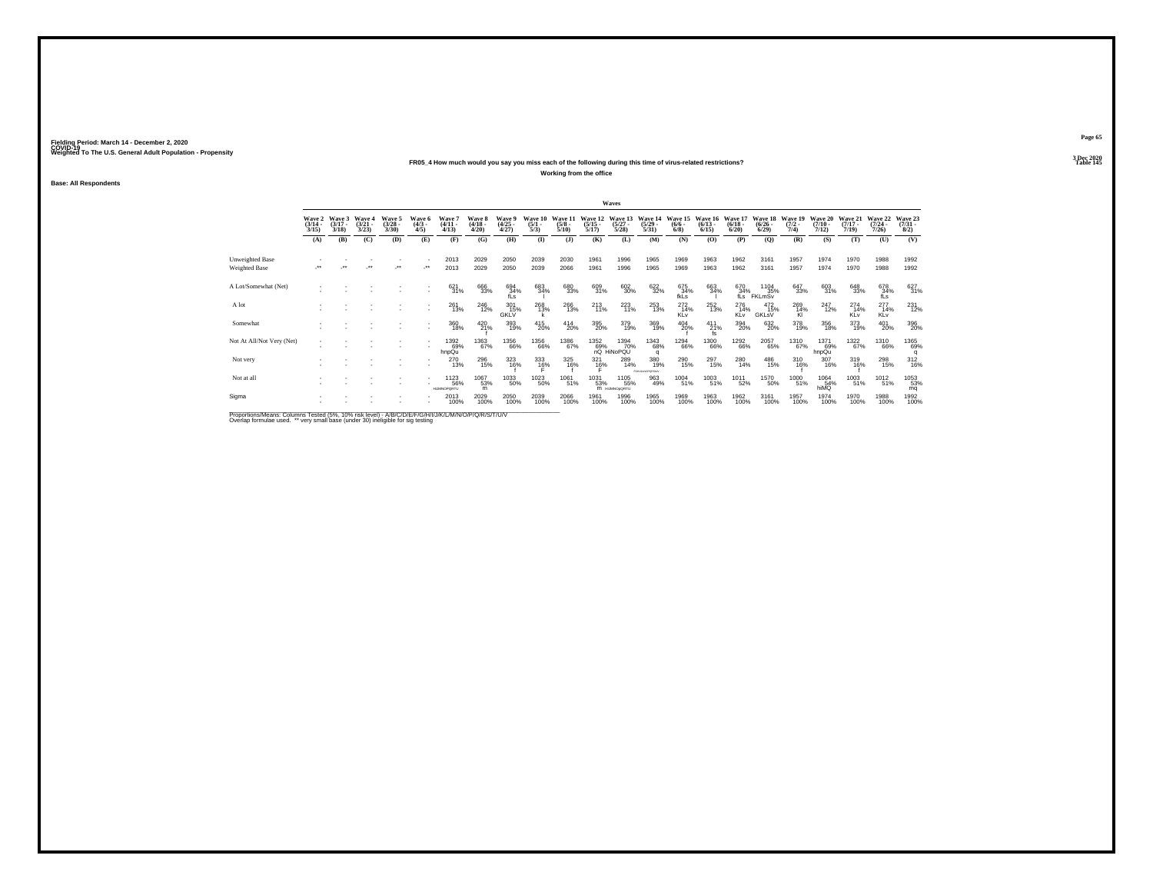## **FR05\_4 How much would you say you miss each of the following during this time of virus-related restrictions?**

**Working from the office**

**Base: All Respondents**

|                                                                                                       |                                 |                             |                                 |                                |                              |                                          |                             |                                       |                                |                                 |                                  | Waves                                            |                                  |                                |                              |                                                            |                                      |                            |                              |                              |                                         |                                |
|-------------------------------------------------------------------------------------------------------|---------------------------------|-----------------------------|---------------------------------|--------------------------------|------------------------------|------------------------------------------|-----------------------------|---------------------------------------|--------------------------------|---------------------------------|----------------------------------|--------------------------------------------------|----------------------------------|--------------------------------|------------------------------|------------------------------------------------------------|--------------------------------------|----------------------------|------------------------------|------------------------------|-----------------------------------------|--------------------------------|
|                                                                                                       | Wave 2<br>$\frac{(3/14)}{3/15}$ | Wave 3<br>$(3/17 -$<br>3/18 | Wave 4<br>$\frac{(3/21)}{3/23}$ | Wave 5<br>$\binom{3/28}{3/30}$ | Wave 6<br>$\binom{4/3}{4/5}$ | Wave'<br>$(4/11 -$<br>4/13               | Wave 8<br>$(4/18 -$<br>4/20 | <b>Wave 9</b><br>$\binom{4/25}{4/27}$ | Wave 10<br>$\frac{(5/1)}{5/3}$ | Wave 11<br>$\frac{(5/8)}{5/10}$ | Wave 12<br>$\frac{(5/15)}{5/17}$ | Wave 13<br>$\frac{(5/27)}{5/28}$                 | Wave 14<br>$\frac{(5/29)}{5/31}$ | Wave 15<br>$(6/6 -$<br>$6/8$ ) | Wave 16<br>$(6/13 -$<br>6/15 | Wave 17<br>$(6/18 -$<br>6/20                               | Wave 18<br>$\frac{(6/26 - 6)}{6/29}$ | Wave 19<br>$(7/2 -$<br>7/4 | Wave 20<br>$(7/10 -$<br>7/12 | Wave 21<br>$(7/17 -$<br>7/19 | Wave 22<br>$\frac{(7/24 - 7/26)}{7/26}$ | Wave 23<br>$\binom{7/31}{8/2}$ |
|                                                                                                       | (A)                             | (B)                         | (C)                             | (D)                            | (E)                          | (F)                                      | (G)                         | (H)                                   | $($ $\Gamma$                   | (3)                             | (K)                              | (L)                                              | (M)                              | (N)                            | (O)                          | (P)                                                        | (Q)                                  | (R)                        | (S)                          | (T)                          | (U)                                     | (V)                            |
| Unweighted Base<br>Weighted Base                                                                      |                                 |                             | $\ddot{\phantom{0}}$            | $\bullet\bullet$               | $\cdot$                      | 2013<br>2013                             | 2029<br>2029                | 2050<br>2050                          | 2039<br>2039                   | 2030<br>2066                    | 1961<br>1961                     | 1996<br>1996                                     | 1965<br>1965                     | 1969<br>1969                   | 1963<br>1963                 | 1962<br>1962                                               | 3161<br>3161                         | 1957<br>1957               | 1974<br>1974                 | 1970<br>1970                 | 1988<br>1988                            | 1992<br>1992                   |
| A Lot/Somewhat (Net)                                                                                  |                                 |                             |                                 |                                |                              | 621<br>31%                               | 666<br>33%                  | 694<br>34%<br>$f\ddot{s}$             | 683<br>34%                     | 680<br>33%                      | 609<br>31%                       | 602<br>30%                                       | 622<br>32%                       | 675<br>34%<br>fkLs             | 663<br>34%                   | $\begin{array}{c} 670 \\ 34\% \\ \mathrm{fLs} \end{array}$ | 1104<br>35%<br>FKLmSv                | 647<br>33%                 | 603<br>31%                   | $\substack{648\\33\%}$       | 678<br>34%<br>fĹs                       | 627<br>31%                     |
| A lot                                                                                                 |                                 |                             |                                 |                                |                              | 261<br>13%                               | <sup>246</sup> 12%          | 301<br>15%<br>GKLV                    | 268<br>13%                     | 266<br>13%                      | $^{213}_{11\%}$                  | 223                                              | 253<br>13%                       | $^{272}_{14\%}$<br>KLv         | 252 13%                      | 276<br>14%<br>KLv                                          | $^{472}_{15\%}$<br>GKLsV             | 269<br>14%<br>KI           | $^{247}_{12\%}$              | $^{274}_{14\%}$<br>KLv       | $^{277}_{14\%}$<br>KLv                  | 231<br>12%                     |
| Somewhat                                                                                              |                                 |                             |                                 |                                |                              | 360<br>18%                               | 420 21%                     | 393<br>19%                            | 415<br>20%                     | 414<br>20%                      | 395<br>20%                       | 379<br>19%                                       | 369<br>19%                       | 404<br>20%                     | $^{411}_{21\%}$<br>fs        | 394<br>20%                                                 | 632<br>20%                           | 378<br>19%                 | 356<br>18%                   | 373<br>19%                   | 401<br>20%                              | 396<br>20%                     |
| Not At All/Not Very (Net)                                                                             |                                 |                             |                                 |                                |                              | 1392<br>69%<br>hnpQu                     | 1363<br>67%                 | 1356<br>66%                           | 1356<br>66%                    | $\substack{1386 \\ 67\%}$       |                                  | 1352 1394<br>69% 70<br>nQ HiNoPQU<br>1394<br>70% | 1343<br>68%<br>$\alpha$          | 1294<br>66%                    | 1300<br>66%                  | 1292<br>66%                                                | 2057<br>65%                          | 1310<br>67%                | 1371<br>69%<br>hnpQu         | $\frac{1322}{67\%}$          | 1310<br>66%                             | 1365<br>69%<br>q               |
| Not very                                                                                              |                                 |                             |                                 |                                |                              | 270<br>13%                               | 296<br>15%                  | 323<br>16%                            | 333<br>1 <u>6</u> %            | 325<br>16%                      | $\frac{321}{16\%}$               | 289<br>14%                                       | 380<br>19%<br>FGHJALNOPORSIUV    | 290<br>15%                     | 297<br>15%                   | 280<br>14%                                                 | 486<br>15%                           | 310<br>16%                 | 307<br>16%                   | 319<br>16%                   | 298<br>15%                              | 312<br>16%                     |
| Not at all                                                                                            |                                 |                             |                                 |                                |                              | <sup>1123</sup> 56%<br><b>HUMNOPORTU</b> | 1067<br>53%<br>m            | 1033<br>50%                           | <sup>1023</sup> <sub>50%</sub> | 1061<br>51%                     | 1031<br>53%                      | 1105<br>55%<br>M HUMNOoQRTU                      | 963<br>49%                       | 1004<br>51%                    | 1003<br>51%                  | <sup>1011</sup> 52%                                        | <sup>1570</sup><br>50%               | 1000<br>51%                | 1064<br>54%<br>hiMQ          | 1003<br>51%                  | 1012<br>51%                             | 1053<br>53%<br>mq              |
| Sigma                                                                                                 |                                 |                             |                                 |                                |                              | 2013<br>100%                             | 2029<br>100%                | 2050<br>100%                          | 2039<br>100%                   | 2066<br>100%                    | 1961<br>100%                     | 1996<br>100%                                     | 1965<br>100%                     | 1969<br>100%                   | 1963<br>100%                 | 1962<br>100%                                               | 3161<br>100%                         | 1957<br>100%               | 1974<br>100%                 | 1970<br>100%                 | 1988<br>100%                            | 1992<br>100%                   |
| Proportions/Means: Columns Tested (5%, 10% risk level) - A/R/C/D/F/F/G/H/J/J/K/L/M/N/O/P/O/R/S/T/LI/V |                                 |                             |                                 |                                |                              |                                          |                             |                                       |                                |                                 |                                  |                                                  |                                  |                                |                              |                                                            |                                      |                            |                              |                              |                                         |                                |

Proportions/Means: Columns Tested (5%, 10% risk level) - A/B/C/D/E/F/G/H/I/J/K/L/M/N/O/P/Q/R/S/T/U/V<br>Overlap formulae used. \*\* very small base (under 30) ineligible for sig testing

**Page 653 Dec 2020<br>Table 145** 

**Particular Table 145 Table 145**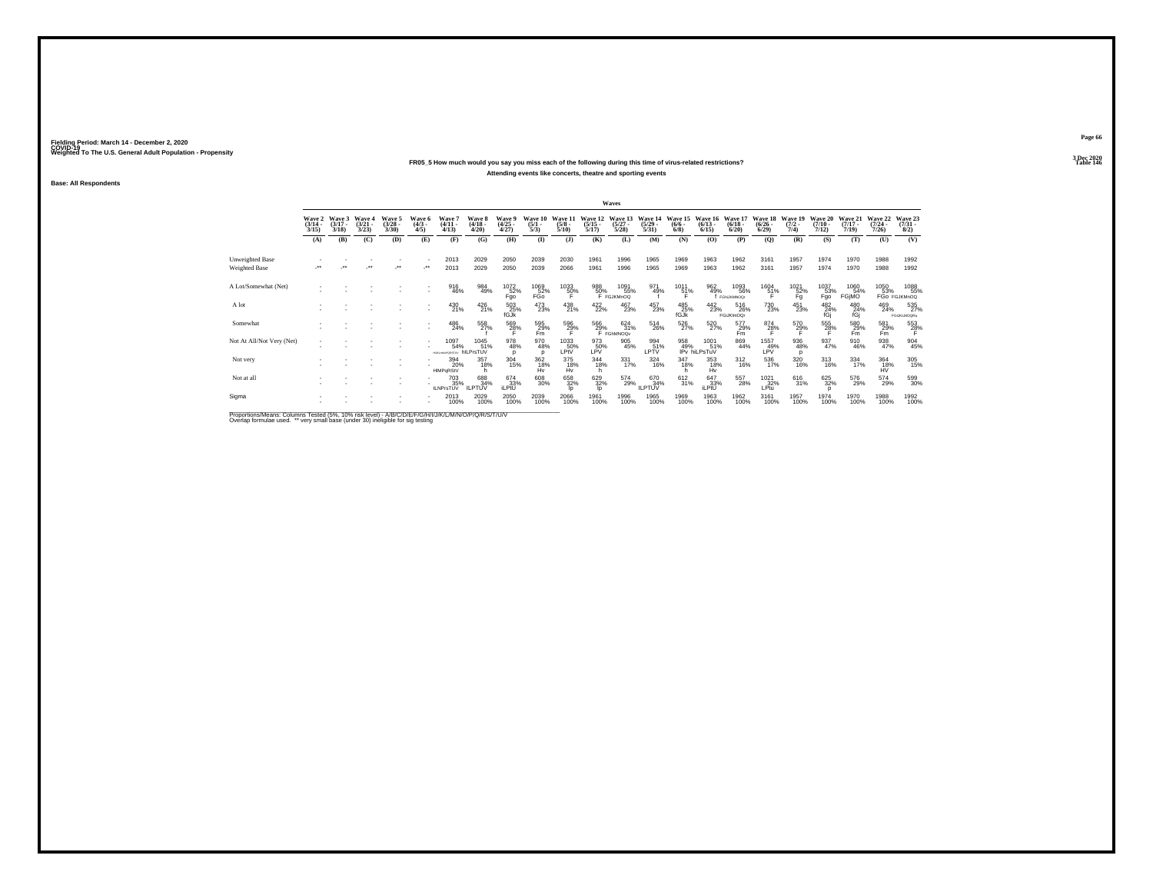## **FR05\_5 How much would you say you miss each of the following during this time of virus-related restrictions?Attending events like concerts, theatre and sporting events**

**Base: All Respondents**

|                                                                                                                                                                                                                                   |                                 |                             |                                 |                                 |                              |                                               |                                 |                                     |                                |                                 |                               | Waves                            |                                  |                               |                                 |                                 |                                  |                                 |                                  |                                  |                                  |                                |
|-----------------------------------------------------------------------------------------------------------------------------------------------------------------------------------------------------------------------------------|---------------------------------|-----------------------------|---------------------------------|---------------------------------|------------------------------|-----------------------------------------------|---------------------------------|-------------------------------------|--------------------------------|---------------------------------|-------------------------------|----------------------------------|----------------------------------|-------------------------------|---------------------------------|---------------------------------|----------------------------------|---------------------------------|----------------------------------|----------------------------------|----------------------------------|--------------------------------|
|                                                                                                                                                                                                                                   | Wave 2<br>$\frac{(3/14)}{3/15}$ | Wave 3<br>$(3/17 -$<br>3/18 | Wave 4<br>$\frac{(3/21)}{3/23}$ | Wave 5<br>$\frac{(3/28)}{3/30}$ | Wave 6<br>$\binom{4/3}{4/5}$ | Wave 7<br>$\frac{(4/11)}{4/13}$               | Wave 8<br>$\frac{(4/18)}{4/20}$ | Wave 9<br>$\frac{(4/25 - 4)}{4/27}$ | Wave 10<br>$\frac{(5/1)}{5/3}$ | Wave 11<br>$\frac{(5/8)}{5/10}$ | Wave 12<br>$\frac{5}{17}$     | Wave 13<br>$\frac{(5/27)}{5/28}$ | Wave 14<br>$\frac{(5/29)}{5/31}$ | Wave 15<br>$\binom{6/6}{6/8}$ | Wave 16<br>$\binom{6/13}{6/15}$ | Wave 17<br>$\binom{6/18}{6/20}$ | Wave 18<br>$\frac{(6/26)}{6/29}$ | Wave 19<br>$\frac{(7/2)}{7/4}$  | Wave 20<br>$\frac{(7/10)}{7/12}$ | Wave 21<br>$\frac{(7/17)}{7/19}$ | Wave 22<br>$\frac{(7/24)}{7/26}$ | Wave 23<br>$\binom{7/31}{8/2}$ |
|                                                                                                                                                                                                                                   | (A)                             | (B)                         | (C)                             | (D)                             | (E)                          | (F)                                           | (G)                             | (H)                                 | $($ $\Gamma$                   | $($ $)$                         | (K)                           | (L)                              | (M)                              | (N)                           | (O)                             | (P)                             | (Q)                              | (R)                             | (S)                              | (T)                              | (U)                              | (V)                            |
| Unweighted Base                                                                                                                                                                                                                   |                                 |                             |                                 |                                 |                              | 2013                                          | 2029                            | 2050                                | 2039                           | 2030                            | 1961                          | 1996                             | 1965                             | 1969                          | 1963                            | 1962                            | 3161                             | 1957                            | 1974                             | 1970                             | 1988                             | 1992                           |
| Weighted Base                                                                                                                                                                                                                     | $\bullet\bullet$                |                             | $\ddot{\phantom{0}}$            | $\ddot{\phantom{0}}$            |                              | 2013                                          | 2029                            | 2050                                | 2039                           | 2066                            | 1961                          | 1996                             | 1965                             | 1969                          | 1963                            | 1962                            | 3161                             | 1957                            | 1974                             | 1970                             | 1988                             | 1992                           |
| A Lot/Somewhat (Net)                                                                                                                                                                                                              |                                 |                             |                                 |                                 |                              | 916<br>46%                                    | 984<br>49%                      | 1072<br>52%<br>Fgo                  | $^{1069}_{52\%}$ FGo           | 1033<br>50%                     | 988<br>50%                    | 1091<br>55%<br>F FGJKMnOQ        | 971<br>49%                       | 1011<br>51%                   | 962<br>49%                      | 1093<br>56%<br>f FGNJKMNOG      | $^{1604}_{51\%}$                 | $^{1021}_{\substack{52\%\\Fg}}$ | $^\mathrm{1037}_\mathrm{Fgo}$    | 1060<br>54%<br>FGIMO             | 1050                             | 1088<br>55%<br>53% 55%         |
| A lot                                                                                                                                                                                                                             |                                 |                             |                                 |                                 | ٠<br>٠                       | $^{430}_{21\%}$                               | $^{426}_{21\%}$                 | 503<br>25%<br>fGJk                  | 473<br>23%                     | 438<br>21%                      | $422/22$ %                    | 467<br>23%                       | 457<br>23%                       | 485<br>25%<br>fGJk            | $^{442}_{23\%}$                 | 516<br>26%<br>FGiJKImOQr        | <sup>730</sup> <sub>23%</sub>    | $^{451}_{23\%}$                 | $^{482}_{24\%}$ fGj              | 480<br>24%<br>fGi                | 469<br>24%                       | 535<br>FGIJKLMOQRu             |
| Somewhat                                                                                                                                                                                                                          |                                 |                             |                                 |                                 | ٠                            | $^{486}_{24\%}$                               | 558<br>27%                      | $^{569}_{28\%}$                     | 595<br>29%<br>Fm               | 596<br>29%                      | $\frac{566}{29\%}$ F FGhMNOQv | $\frac{624}{31\%}$               | 514<br>26%                       | 526<br>27%                    | 520<br>27%                      | 577<br>29%<br>Fm                | $^{874}_{28\%}$                  | $^{570}_{29\%}$                 | 555<br>28%                       | 580<br>Fm                        | $^{581}_{29\%}$ Fm               | $^{553}_{28\%}$                |
| Not At All/Not Very (Net)                                                                                                                                                                                                         |                                 |                             |                                 |                                 | ٠                            | 1097<br>54%<br><b>HJRJNGPORSTUV hILPrsTUV</b> | 1045<br>51%                     | 978<br>48%<br>n                     | 970<br>48%                     | 1033<br>50%<br>LPIV             | 973<br>LPV%                   | $\underset{45\%}{905}$           | 994<br>51%<br>LPTV               | 958<br>49%                    | 1001<br>51%<br>IPv hiLPsTuV     | 869<br>44%                      | 1557<br>LPV                      | $\underset{48\%}{^{936}}$<br>n  | 937<br>47%                       | 910<br>46%                       | 938<br>47%                       | 904<br>45%                     |
| Not very                                                                                                                                                                                                                          |                                 |                             |                                 |                                 |                              | 394<br>20%<br>HIMPaRStV                       | 357<br>18%                      | $\frac{304}{15\%}$                  | 362<br>18%<br>Hv               | 375<br>18%<br>Hv                | $344 \over 18\%$<br>h         | $\frac{331}{17\%}$               | 324<br>16%                       | 347<br>18%                    | 353<br>18%<br>Hv                | $^{312}_{16\%}$                 | 536<br>17%                       | 320<br>16%                      | $^{313}_{16\%}$                  | 334<br>17%                       | 364<br>18%<br>HV                 | 305<br>15%                     |
| Not at all                                                                                                                                                                                                                        |                                 |                             |                                 |                                 |                              | 703<br>35%<br><b>ILNPrsTUV</b>                | 688<br>34%<br><b>ILPTUV</b>     | $674 \over 33\%$ iLPtU              | 608<br>30%                     | 658<br>32%<br>In                | 629<br>32%<br><b>l</b>        | 574<br>29%                       | 670<br>34%<br><b>ILPTUV</b>      | 612<br>31%                    | 647<br>33%<br>iLPtU             | 557<br>28%                      | $^{1021}_{32\%}$<br>LPtu         | 616<br>31%                      | 625<br>32%                       | 576<br>29%                       | 574<br>29%                       | 599<br>30%                     |
| Sigma                                                                                                                                                                                                                             |                                 |                             |                                 |                                 |                              | 2013<br>100%                                  | 2029<br>100%                    | 2050<br>100%                        | 2039<br>100%                   | 2066<br>100%                    | 1961<br>100%                  | 1996<br>100%                     | 1965<br>100%                     | 1969<br>100%                  | 1963<br>100%                    | 1962<br>100%                    | 3161<br>100%                     | 1957<br>100%                    | 1974<br>100%                     | 1970<br>100%                     | 1988<br>100%                     | 1992<br>100%                   |
| $\mathbb{R}$ . The state of the state of the state of the state of the state of the state of the state of the state of the state of the state of the state of the state of the state of the state of the state of the state of th |                                 |                             |                                 |                                 |                              |                                               |                                 |                                     |                                |                                 |                               |                                  |                                  |                               |                                 |                                 |                                  |                                 |                                  |                                  |                                  |                                |

Proportions/Means: Columns Tested (5%, 10% risk level) - A/B/C/D/E/F/G/H/I/J/K/L/M/N/O/P/Q/R/S/T/U/V<br>Overlap formulae used. \*\* very small base (under 30) ineligible for sig testing

**Page 663 Dec 2020<br>Table 146** 

**Particular Table 146 Particular Table 146 Particular Table 146**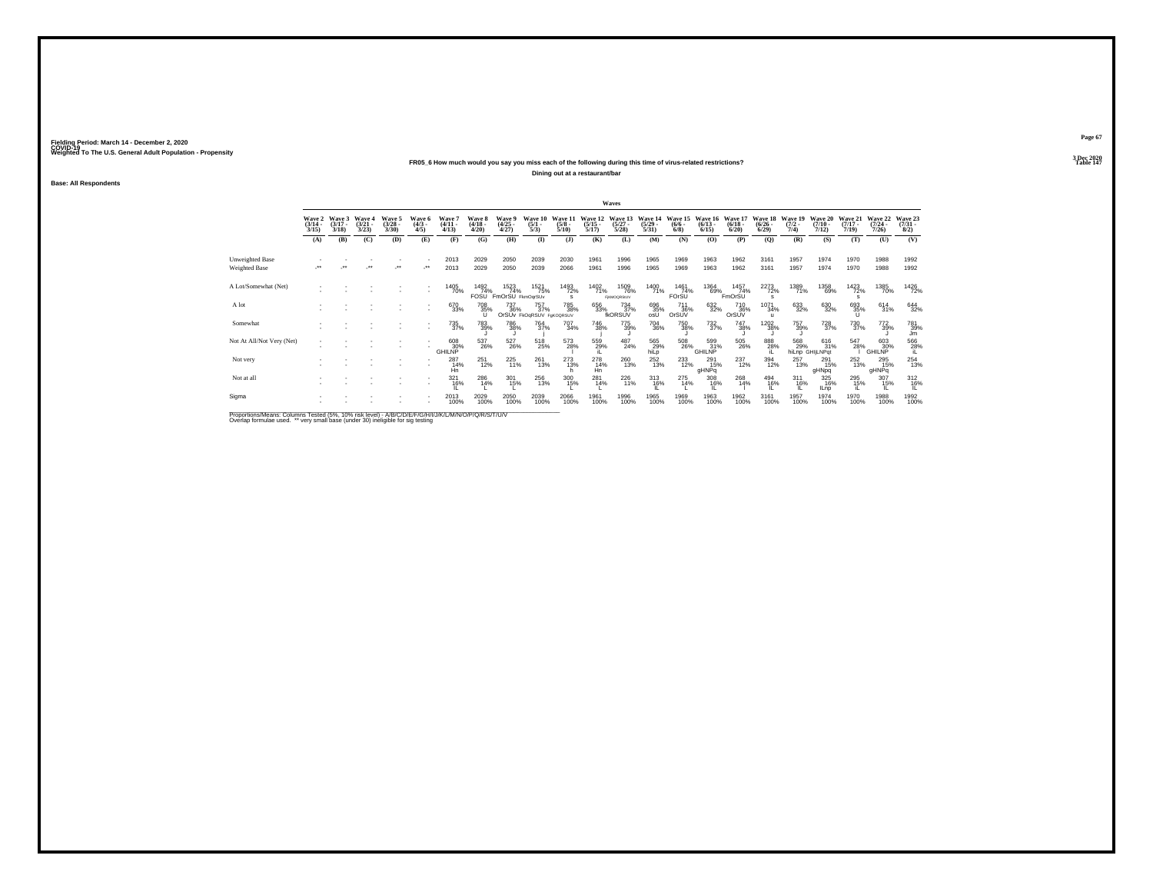## **FR05\_6 How much would you say you miss each of the following during this time of virus-related restrictions?**

**Dining out at a restaurant/bar**

**Base: All Respondents**

|                                                                                                     |                                 |                             |                                 |                                |                              |                                 |                                 |                                 |                                        |                                 |                                  | Waves                             |                                  |                                       |                                  |                                        |                                 |                                |                                  |                                  |                                         |                                |
|-----------------------------------------------------------------------------------------------------|---------------------------------|-----------------------------|---------------------------------|--------------------------------|------------------------------|---------------------------------|---------------------------------|---------------------------------|----------------------------------------|---------------------------------|----------------------------------|-----------------------------------|----------------------------------|---------------------------------------|----------------------------------|----------------------------------------|---------------------------------|--------------------------------|----------------------------------|----------------------------------|-----------------------------------------|--------------------------------|
|                                                                                                     | Wave 2<br>$\frac{(3/14)}{3/15}$ | Wave 3<br>$(3/17 -$<br>3/18 | Wave 4<br>$\frac{(3/21)}{3/23}$ | Wave 5<br>$\binom{3/28}{3/30}$ | Wave 6<br>$\binom{4/3}{4/5}$ | Wave 7<br>$\frac{(4/11)}{4/13}$ | Wave 8<br>$\frac{(4/18)}{4/20}$ | Wave 9<br>$\binom{4/25}{4/27}$  | Wave 10<br>$\frac{(5/1)}{5/3}$         | Wave 11<br>$\frac{(5/8)}{5/10}$ | Wave 12<br>$\frac{(5/15)}{5/17}$ | Wave 13<br>$\frac{(5/27)}{5/28}$  | Wave 14<br>$\frac{(5/29)}{5/31}$ | Wave 15<br>$\frac{(6/6 - 6)}{(6/8)}$  | Wave 16<br>$\frac{(6/13)}{6/15}$ | Wave 17<br>$\frac{(6/18)}{6/20}$       | Wave 18<br>$\binom{6/26}{6/29}$ | Wave 19<br>$\frac{(7/2)}{7/4}$ | Wave 20<br>$\frac{(7/10)}{7/12}$ | Wave 21<br>$\frac{(7/17)}{7/19}$ | Wave 22<br>$\frac{(7/24 - 7/26)}{7/26}$ | Wave 23<br>$\binom{7/31}{8/2}$ |
|                                                                                                     | (A)                             | (B)                         | (C)                             | (D)                            | (E)                          | (F)                             | (G)                             | (H)                             | $($ $\Gamma$                           | (1)                             | (K)                              | (L)                               | (M)                              | (N)                                   | (O)                              | (P)                                    | $\mathbf{Q}$                    | (R)                            | (S)                              | (T)                              | (U)                                     | (V)                            |
| Unweighted Base                                                                                     |                                 |                             |                                 |                                |                              | 2013                            | 2029                            | 2050                            | 2039                                   | 2030                            | 1961                             | 1996                              | 1965                             | 1969                                  | 1963                             | 1962                                   | 3161                            | 1957                           | 1974                             | 1970                             | 1988                                    | 1992                           |
| Weighted Base                                                                                       |                                 |                             |                                 | $\ddot{\phantom{0}}$           |                              | 2013                            | 2029                            | 2050                            | 2039                                   | 2066                            | 1961                             | 1996                              | 1965                             | 1969                                  | 1963                             | 1962                                   | 3161                            | 1957                           | 1974                             | 1970                             | 1988                                    | 1992                           |
| A Lot/Somewhat (Net)                                                                                |                                 |                             |                                 |                                | $\sim$                       | 1405<br>70%                     | 1492<br>74%<br>FOSU             | 1523<br>74%<br>FmOrSU FkmOgrSUv | 1521<br>75%                            | 1493<br>72%<br>s                | 1402<br>71%                      | 1509<br>76%<br><b>FIKMOGRStUV</b> | 1400<br>71%                      | 1461<br>74%<br>FOrSU <sup>®</sup>     | 1364<br>69%                      | 1457<br>74%<br>FmOrSU                  | 2273<br>72%                     | 1389<br>71%                    | 1358<br>69%                      | 1423<br>72%                      | 1385<br>70%                             | 1426<br>72%                    |
| A lot                                                                                               |                                 |                             |                                 |                                | $\sim$                       | 670<br>33%                      | <sup>708</sup> 35%              | 737<br>36%                      | 757<br>37%<br>OrSUv FkOqRSUV FgKOQRSUV | 785<br>38%                      | 656<br>33%                       | 734<br>37%<br>fkORSUV             | 696<br>35%<br>osU                | <sup>711</sup> 36%<br>OrSUV           | 632%                             | <sup>710</sup> <sub>36%</sub><br>OrSUV | 1071<br>34%<br>$\mathbf{u}$     | $\substack{633 \\ 32\%}$       | 630<br>32%                       | 693<br>35%<br>Ü                  | $^{614}_{31\%}$                         | 644<br>32%                     |
| Somewhat                                                                                            |                                 |                             |                                 |                                | ٠                            | 735<br>37%                      | <sup>783</sup> <sub>39%</sub>   | 786<br>38%                      | <sup>764</sup> <sub>37%</sub>          | $^{707}_{34\%}$                 | 746<br>38%                       | 775<br>39%                        | 704<br>36%                       | 750<br>38%                            | $^{732}_{37\%}$                  | 747<br>38%                             | 1202<br>38%                     | 757<br>39%                     | <sup>728</sup> <sub>37%</sub>    | <sup>730</sup> <sub>37%</sub>    | 772<br>39%                              | 781<br>39%<br>Jm               |
| Not At All/Not Very (Net)                                                                           |                                 |                             |                                 |                                |                              | 608<br>GHILNP <sup>30%</sup>    | 537<br>26%                      | $^{527}_{\phantom{2}26\%}$      | 518<br>25%                             | 573<br>28%                      | 559<br>29%                       | $^{487}_{24\%}$                   | 565<br>29%<br>hiLp               | $^{508}_{\phantom{1}\phantom{1}26\%}$ | 599<br>31%<br><b>GHILNP</b>      | $^{505}_{\phantom{2}26\%}$             | 888<br>28%                      | 568<br>29%                     | 616<br>31%<br>hiLnp GHILNPqt     | 547<br>28%                       | 603<br>30%<br>GHILNP                    | $^{566}_{28\%}$                |
| Not very                                                                                            |                                 |                             |                                 |                                |                              | $^{287}_{14\%}$<br>Hn           | 251<br>12%                      | $^{225}_{11\%}$                 | $^{261}_{13\%}$                        | $^{273}_{13\%}$                 | 278<br>14%<br>Hn                 | 260<br>13%                        | $^{252}_{13\%}$                  | 233                                   | $^{291}_{15\%}$<br>gHNPq         | 237<br>12%                             | 394<br>12%                      | 257<br>13%                     | 291<br>15%<br>gHNpq              | $^{252}_{13\%}$                  | 295<br>15%<br>gHNPq                     | 254<br>13%                     |
| Not at all                                                                                          |                                 |                             |                                 |                                |                              | $321$<br>$16%$                  | 286<br>14%                      | $^{301}_{15\%}$                 | 256<br>13%                             | 300<br>15%                      | 281<br>14%                       | 226<br>11%                        | $^{313}_{16\%}$                  | 275<br>14%                            | 308<br>16%                       | 268<br>14%                             | 494<br>16%                      | $^{311}_{16\%}$                | 325<br>16%<br><b>ILnp</b>        | 295 15%                          | 307<br>15%                              | 312/16%                        |
| Sigma                                                                                               |                                 |                             |                                 |                                |                              | 2013<br>100%                    | 2029<br>100%                    | 2050<br>100%                    | 2039<br>100%                           | 2066<br>100%                    | 1961<br>100%                     | 1996<br>100%                      | 1965<br>100%                     | 1969<br>100%                          | 1963<br>100%                     | 1962<br>100%                           | 3161<br>100%                    | 1957<br>100%                   | 1974<br>100%                     | 1970<br>100%                     | 1988<br>100%                            | 1992<br>100%                   |
| Proportions Means: Columns Tested (5%, 10% risk level) - A/R/C/D/E/E/C/H/J/J/K/L/M/N/O/D/O/R/T/LIA/ |                                 |                             |                                 |                                |                              |                                 |                                 |                                 |                                        |                                 |                                  |                                   |                                  |                                       |                                  |                                        |                                 |                                |                                  |                                  |                                         |                                |

Proportions/Means: Columns Tested (5%, 10% risk level) - A/B/C/D/E/F/G/H/I/J/K/L/M/N/O/P/Q/R/S/T/U/V<br>Overlap formulae used. \*\* very small base (under 30) ineligible for sig testing

**Page 673 Dec 2020<br>Table 147** 

**Properties and the contract of the contract of the contract of the contract of the contract of the contract of the contract of the contract of the contract of the contract of the contract of the contract of the contract o**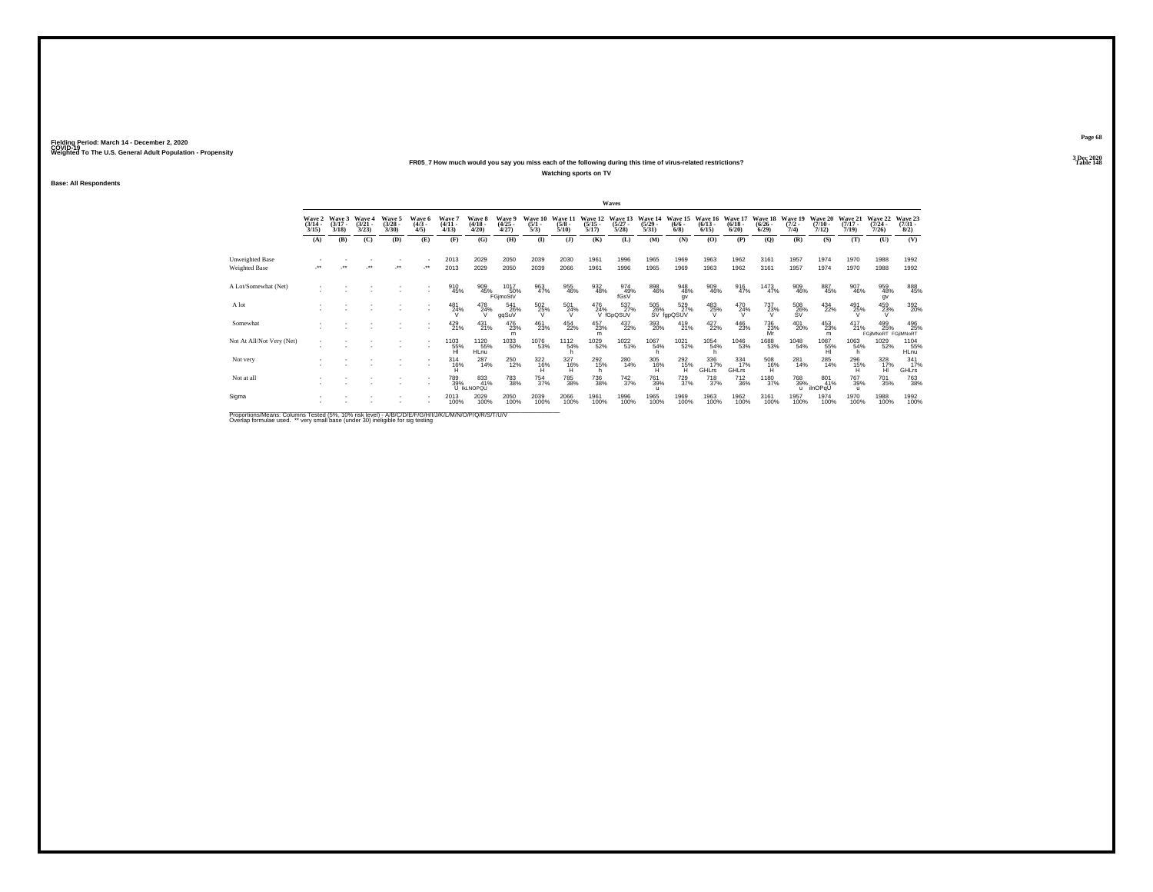## **FR05\_7 How much would you say you miss each of the following during this time of virus-related restrictions?**

**Watching sports on TV**

**Base: All Respondents**

| Wave 2<br>$\frac{(3/14)}{3/15}$<br>(A)<br>Unweighted Base<br>Weighted Base<br>A Lot/Somewhat (Net)<br>A lot | Wave 3<br>$(3/17 -$ | Wave 4                |                                |                              |                                  |                                        |                                |                                |                                 |                                  |                                 |                                  |                                |                                 |                                    |                                 |                                                     |                              |                                    |                                   |                                |
|-------------------------------------------------------------------------------------------------------------|---------------------|-----------------------|--------------------------------|------------------------------|----------------------------------|----------------------------------------|--------------------------------|--------------------------------|---------------------------------|----------------------------------|---------------------------------|----------------------------------|--------------------------------|---------------------------------|------------------------------------|---------------------------------|-----------------------------------------------------|------------------------------|------------------------------------|-----------------------------------|--------------------------------|
|                                                                                                             | 3/18                | $\frac{(3/21)}{3/23}$ | Wave 5<br>$\binom{3/28}{3/30}$ | Wave 6<br>$\binom{4/3}{4/5}$ | <b>Wave</b><br>$(4/11 -$<br>4/13 | <b>Wave 8</b><br>$\frac{(4/18)}{4/20}$ | Wave 9<br>$\binom{4/25}{4/27}$ | Wave 10<br>$\frac{(5/1)}{5/3}$ | Wave 11<br>$\frac{(5/8)}{5/10}$ | Wave 12<br>$\frac{(5/15)}{5/17}$ | Wave 13<br>$\binom{5/27}{5/28}$ | Wave 14<br>$\frac{(5/29)}{5/31}$ | Wave 15<br>$\frac{(6/6)}{6/8}$ | Wave 16<br>$\binom{6/13}{6/15}$ | Wave 17<br>$\frac{(6/18)}{(6/20)}$ | Wave 18<br>$\binom{6/26}{6/29}$ | Wave 19<br>$\frac{(7/2)}{7/4}$                      | Wave 20<br>$(7/10 -$<br>7/12 | Wave 21<br>$(7/17 -$<br>7/19       | Wave 22<br>(7/24)<br>7/26         | Wave 23<br>$\binom{7/31}{8/2}$ |
|                                                                                                             | (B)                 | (C)                   | (D)                            | (E)                          | (F)                              | (G)                                    | (H)                            | $\mathbf{I}$                   | $($ $)$                         | (K)                              | (L)                             | (M)                              | (N)                            | (O)                             | (P)                                | (Q)                             | (R)                                                 | (S)                          | (T)                                | (U)                               | (V)                            |
|                                                                                                             |                     |                       |                                |                              | 2013                             | 2029                                   | 2050                           | 2039                           | 2030                            | 1961                             | 1996                            | 1965                             | 1969                           | 1963                            | 1962                               | 3161                            | 1957                                                | 1974                         | 1970                               | 1988                              | 1992                           |
|                                                                                                             |                     |                       | $\ddot{\phantom{0}}$           | $\ddot{\phantom{1}}$         | 2013                             | 2029                                   | 2050                           | 2039                           | 2066                            | 1961                             | 1996                            | 1965                             | 1969                           | 1963                            | 1962                               | 3161                            | 1957                                                | 1974                         | 1970                               | 1988                              | 1992                           |
|                                                                                                             |                     |                       |                                |                              | 910<br>45%                       | 909<br>45%                             | 1017<br>50%<br>FGjmoStV        | 963<br>47%                     | 955<br>46%                      | 932<br>48%                       | 974<br>49%<br>fGsV              | 898<br>46%                       | 948<br>48%<br>gv               | 909<br>46%                      | 916<br>47%                         | 1473<br>47%                     | 909<br>46%                                          | 887<br>45%                   | 907<br>46%                         | 959<br>48%<br>qv                  | 888<br>45%                     |
|                                                                                                             |                     |                       |                                |                              | 481<br>24%                       | 478<br>24%                             | 541<br>26%<br>ggSuV            | 502<br>25%<br>v                | 501<br>24%                      | 476<br>24%                       | 537%<br>V fGpQSUV               | 505<br>26%                       | 529<br>27%<br>SV fgpQSUV       | 483<br>25%                      | $^{470}_{24\%}$                    | 737<br>23%<br>v                 | $^{508}_{\phantom{5}26\%}_{\phantom{5}8\mathrm{V}}$ | 434<br>22%                   | 491<br>25%                         | 459<br>23%                        | 392 <sub>0%</sub>              |
| Somewhat                                                                                                    |                     |                       |                                |                              | 429<br>21%                       | $^{431}_{21\%}$                        | 476<br>23%<br>m                | 461<br>23%                     | 454<br>22%                      | 457<br>23%<br>m                  | 437<br>22%                      | 393<br>20%                       | $^{419}_{21\%}$                | 427<br>22%                      | 446<br>23%                         | 736<br>23%<br>Mr                | 401<br>20%                                          | 453<br>23%<br>m              | $^{417}_{21\%}$                    | 499<br>25%<br>FGIIMNoRT FGIIMNoRT | 496<br>25%                     |
| Not At All/Not Very (Net)                                                                                   |                     |                       |                                |                              | 1103<br>$\frac{55}{H}$           | 1120<br>55%<br><b>HLnu</b>             | 1033<br>50%                    | 1076<br>53%                    | 1112<br>54%                     | 1029<br>52%                      | 1022<br>51%                     | 1067<br>54%                      | 1021<br>52%                    | 1054<br>54%                     | 1046<br>53%                        | 1688<br>53%                     | 1048<br>54%                                         | $^{1087}_{-55\%}$            | 1063<br>54%<br>h                   | 1029<br>52%                       | 1104<br>55%<br>HLnu            |
| Not very                                                                                                    |                     |                       |                                |                              | $314$<br>$16%$                   | 287<br>14%                             | <sup>250</sup> 12%             | $\frac{322}{16\%}$             | 327<br>16%                      | 292<br>15%<br>h                  | 280<br>14%                      | 305<br>16%<br>н                  | 2926<br>н                      | 336<br>17%<br>GHLrs             | $\frac{334}{17\%}$<br><b>GHLrs</b> | 508<br>16%<br>н                 | 281<br>14%                                          | 285<br>14%                   | 296<br>15%                         | 328<br>17%<br>н                   | 341<br>17%<br><b>GHLrs</b>     |
| Not at all                                                                                                  |                     |                       |                                |                              | 789%                             | 833<br>41%<br>U IKLNOPQU               | <sup>783</sup> 38%             | 754<br>37%                     | <sup>785</sup> 38%              | 736<br>38%                       | $^{742}_{37\%}$                 | <sup>761</sup> 39%               | $^{729}_{37\%}$                | <sup>718</sup> <sub>37%</sub>   | $^{712}_{36\%}$                    | 1180<br>37%                     | <sup>768</sup> 39%<br>$\mathbf{u}$                  | 801<br>41%<br>ilnOPqU        | <sup>767</sup> 39%<br>$\mathbf{u}$ | <sup>701</sup> 35%                | <sup>763</sup> 38%             |
| Sigma                                                                                                       |                     |                       |                                |                              | 2013<br>100%                     | 2029<br>100%                           | 2050<br>100%                   | 2039<br>100%                   | 2066<br>100%                    | 1961<br>100%                     | 1996<br>100%                    | 1965<br>100%                     | 1969<br>100%                   | 1963<br>100%                    | 1962<br>100%                       | 3161<br>100%                    | 1957<br>100%                                        | 1974<br>100%                 | 1970<br>100%                       | 1988<br>100%                      | 1992<br>100%                   |

Proportions/Means: Columns Tested (5%, 10% risk level) - A/B/C/D/E/F/G/H/I/J/K/L/M/N/O/P/Q/R/S/T/U/V<br>Overlap formulae used. \*\* very small base (under 30) ineligible for sig testing

**Page 683 Dec 2020<br>Table 148** 

**Particular Table 148**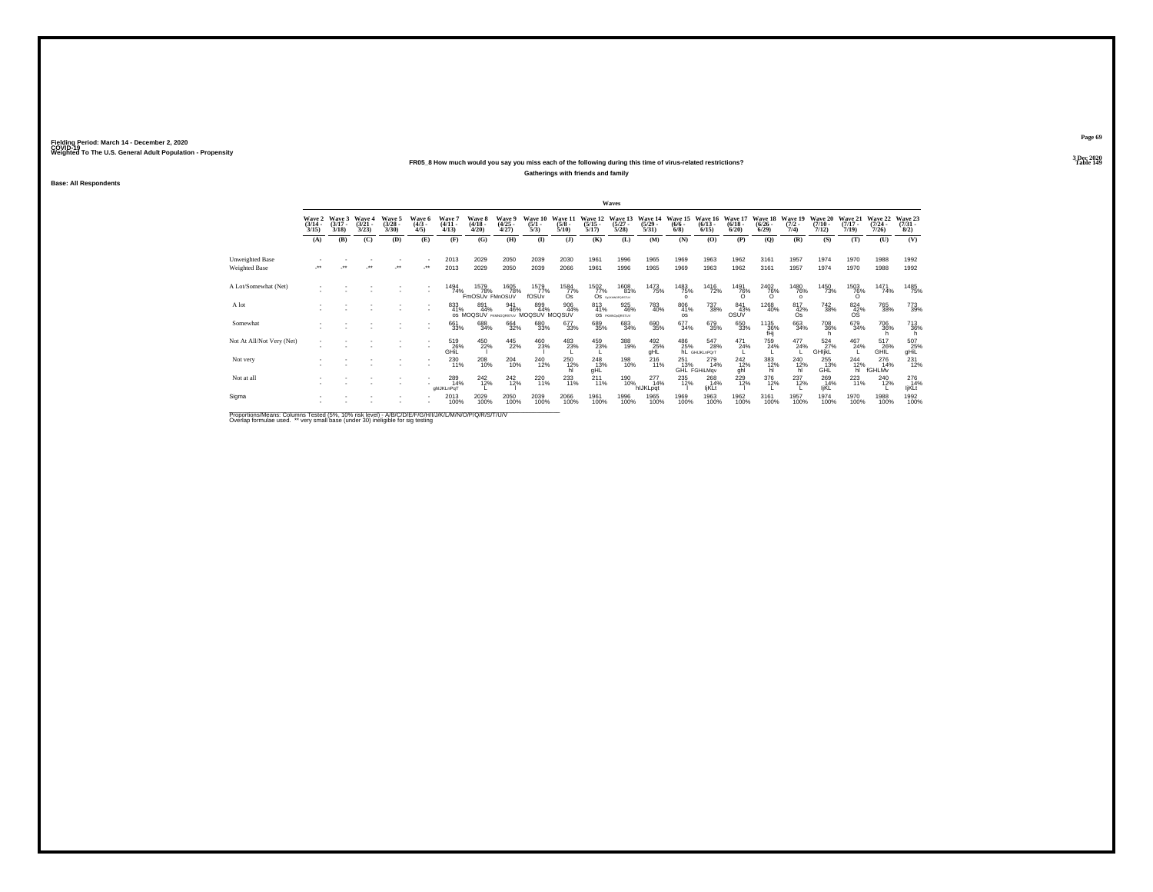## **FR05\_8 How much would you say you miss each of the following during this time of virus-related restrictions?**

**Gatherings with friends and family**

**Base: All Respondents**

|                                                                                                                |                                 |                             |                                 |                                 |                              |                                 |                                     |                                |                                |                                 |                                  | Waves                                     |                                  |                                |                                             |                                    |                                    |                                |                                  |                                  |                                      |                                |
|----------------------------------------------------------------------------------------------------------------|---------------------------------|-----------------------------|---------------------------------|---------------------------------|------------------------------|---------------------------------|-------------------------------------|--------------------------------|--------------------------------|---------------------------------|----------------------------------|-------------------------------------------|----------------------------------|--------------------------------|---------------------------------------------|------------------------------------|------------------------------------|--------------------------------|----------------------------------|----------------------------------|--------------------------------------|--------------------------------|
|                                                                                                                | Wave 2<br>$\frac{(3/14)}{3/15}$ | Wave 3<br>$(3/17 -$<br>3/18 | Wave 4<br>$\frac{(3/21)}{3/23}$ | Wave 5<br>$\frac{(3/28)}{3/30}$ | Wave 6<br>$\binom{4/3}{4/5}$ | Wave 7<br>$\frac{(4/11)}{4/13}$ | Wave 8<br>$\frac{(4/18)}{4/20}$     | Wave 9<br>$\binom{4/25}{4/27}$ | Wave 10<br>$\frac{(5/1)}{5/3}$ | Wave 11<br>$\frac{(5/8)}{5/10}$ | Wave 12<br>$\frac{(5/15)}{5/17}$ | Wave 13<br>$\frac{(5/27)}{5/28}$          | Wave 14<br>$\frac{(5/29)}{5/31}$ | Wave 15<br>$\frac{(6/6)}{6/8}$ | Wave 16<br>$\frac{(6/13)}{6/15}$            | Wave 17<br>$\frac{(6/18)}{(6/20)}$ | Wave 18<br>$\frac{(6/26)}{(6/29)}$ | Wave 19<br>$\frac{(7/2)}{7/4}$ | Wave 20<br>$\frac{(7/10)}{7/12}$ | Wave 21<br>$\frac{(7/17)}{7/19}$ | Wave 22<br>$\frac{(7/24 - 7)}{7/26}$ | Wave 23<br>$\binom{7/31}{8/2}$ |
|                                                                                                                | (A)                             | (B)                         | (C)                             | (D)                             | (E)                          | (F)                             | (G)                                 | (H)                            | $\bf(I)$                       | (1)                             | (K)                              | (L)                                       | (M)                              | (N)                            | (0)                                         | (P)                                | (Q)                                | (R)                            | (S)                              | (T)                              | (U)                                  | (V)                            |
| Unweighted Base                                                                                                |                                 |                             |                                 |                                 |                              | 2013                            | 2029                                | 2050                           | 2039                           | 2030                            | 1961                             | 1996                                      | 1965                             | 1969                           | 1963                                        | 1962                               | 3161                               | 1957                           | 1974                             | 1970                             | 1988                                 | 1992                           |
| Weighted Base                                                                                                  |                                 |                             |                                 | $\ddot{\phantom{0}}$            | ٠.                           | 2013                            | 2029                                | 2050                           | 2039                           | 2066                            | 1961                             | 1996                                      | 1965                             | 1969                           | 1963                                        | 1962                               | 3161                               | 1957                           | 1974                             | 1970                             | 1988                                 | 1992                           |
| A Lot/Somewhat (Net)                                                                                           |                                 |                             |                                 |                                 |                              | 1494<br>74%                     | 1579<br>78%<br>FmOSUv FMnOSUV       | 1605<br>78%                    | 1579<br>77%<br>fOSUv           | 1584<br>77%<br>Ωs               | 1502<br>77%<br>Os                | 1608<br>81%<br><b>FAUKMOPORSTLV</b>       | 1473<br>75%                      | 1483<br>75%<br>$\Omega$        | 1416<br>72%                                 | 1491<br>76%                        | $\frac{^{2402}}{76\%}$             | 1480<br>76%<br>$\sim$          | 1450<br>73%                      | 1503<br>76%                      | 1471<br>74%                          | 1485<br>75%                    |
| A lot                                                                                                          |                                 |                             |                                 |                                 | ٠                            | 833<br>41%                      | 891<br>44%<br>OS MOQSUV FRANCORSTUY | 941<br>46%                     | 899<br>44%<br>MOQSUV MOQSUV    | 906<br>44%                      | 813<br>41%<br><b>OS</b>          | 925<br>46%<br><b><i>PRINCEDRISTUV</i></b> | 783<br>40%                       | 806<br>41%<br><b>OS</b>        | 737<br>38%                                  | 841<br>43%<br>OSUV                 | 1268<br>40%                        | 817<br>42%<br>Os               | <sup>742</sup> 38%               | $824 \over 42\%$<br><b>OS</b>    | <sup>765</sup> 38%                   | 773<br>39%                     |
| Somewhat                                                                                                       |                                 |                             |                                 |                                 | ٠                            | 661<br>33%                      | 688<br>34%                          | 664<br>32%                     | 680<br>33%                     | 677<br>33%                      | 689<br>35%                       | 683<br>34%                                | 690<br>35%                       | 677<br>34%                     | 679<br>35%                                  | 650<br>33%                         | 1135<br>36%<br>fHj                 | 663<br>34%                     | 708<br>36%                       | 679<br>34%                       | <sup>706</sup> 36%                   | <sup>713</sup> <sub>36%</sub>  |
| Not At All/Not Very (Net)                                                                                      |                                 |                             |                                 |                                 |                              | 519<br>36%<br>GHIL              | 450<br>22%                          | $^{445}_{22\%}$                | 460<br>23%                     | 483<br>23%                      | 459<br>23%                       | 388<br>19%                                | $\underset{\text{gHL}}{^{492}}$  |                                | 486 547<br>25% 28:<br>hL GHIJKLnPOrt<br>28% | 471<br>24%                         | 759<br>24%                         | $^{477}_{24\%}$                | 524<br>27%<br>GHIjkL             | 467<br>24%                       | 517<br>36%<br>GHIL                   | $507$<br>gHiL                  |
| Not very                                                                                                       |                                 |                             |                                 |                                 |                              | 230<br>11%                      | 208<br>10%                          | $^{204}_{10\%}$                | 240<br>12%                     | 250<br>12%                      | 248<br>13%<br>gHL                | 198<br>10%                                | $^{216}_{11\%}$                  | 251<br>13%                     | 279<br>14%<br>GHL FGHiLMqv                  | $^{242}_{12\%}$<br>ahl             | 383<br>12%<br>hl                   | <sup>240</sup> <sub>12%</sub>  | 255<br>13%<br>GHL                | $^{244}_{12\%}$<br>hl            | 276<br>14%<br>fGHLMv                 | 231<br>12%                     |
| Not at all                                                                                                     |                                 |                             |                                 |                                 |                              | 289<br>14%<br>ghlJKLnPgT        | 242%                                | $^{242}_{12\%}$                | 220<br>11%                     | 233<br>11%                      | $^{211}_{11\%}$                  | 190<br>10%                                | 277<br>14%<br>hIJKLpqt           | 235<br>12%                     | 268<br>14%<br>ljKLt                         | 229<br>12%                         | 376<br>12%                         | $^{237}_{12\%}$                | 269<br>14%<br>IjKL               | 223                              | 240<br>12%                           | 276<br>14%<br>ljKLt            |
| Sigma                                                                                                          |                                 |                             |                                 |                                 |                              | 2013<br>100%                    | 2029<br>100%                        | 2050<br>100%                   | 2039<br>100%                   | 2066<br>100%                    | 1961<br>100%                     | 1996<br>100%                              | 1965<br>100%                     | 1969<br>100%                   | 1963<br>100%                                | 1962<br>100%                       | 3161<br>100%                       | 1957<br>100%                   | 1974<br>100%                     | 1970<br>100%                     | 1988<br>100%                         | 1992<br>100%                   |
| Description & Logics, Columnial Trade of COL 1400 Columnia & COLORATION INTERNATIONAL INTERNATIONAL CONTRACTOR |                                 |                             |                                 |                                 |                              |                                 |                                     |                                |                                |                                 |                                  |                                           |                                  |                                |                                             |                                    |                                    |                                |                                  |                                  |                                      |                                |

Proportions/Means: Columns Tested (5%, 10% risk level) - A/B/C/D/E/F/G/H/I/J/K/L/M/N/O/P/Q/R/S/T/U/V<br>Overlap formulae used. \*\* very small base (under 30) ineligible for sig testing

**Page 693 Dec 2020<br>Table 149** 

**Particular Table 149**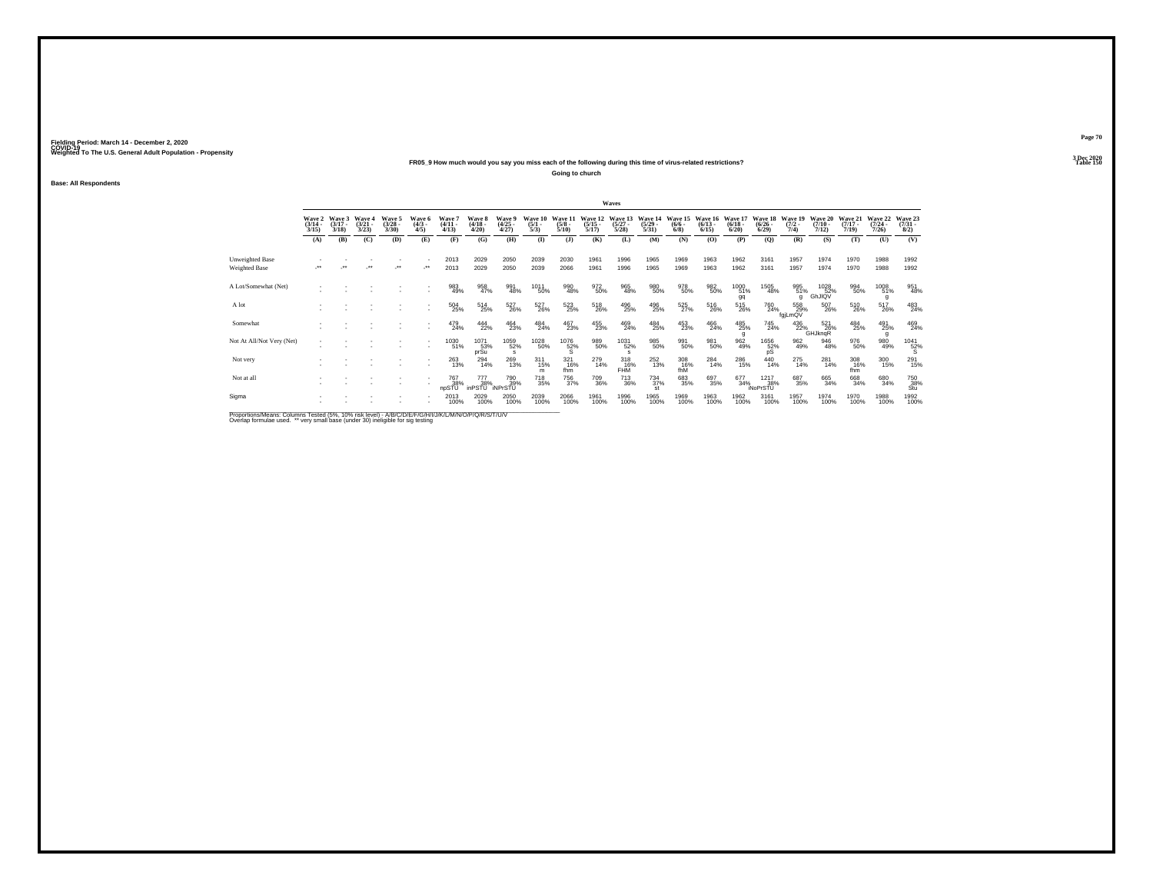## **FR05\_9 How much would you say you miss each of the following during this time of virus-related restrictions?**

**Going to church**

**Base: All Respondents**

|                           |                                 |                             |                                |                                |                              |                               |                                        |                                |                                |                                 |                                  | Waves                           |                                  |                                |                                 |                                 |                                 |                                |                               |                              |                              |                                |
|---------------------------|---------------------------------|-----------------------------|--------------------------------|--------------------------------|------------------------------|-------------------------------|----------------------------------------|--------------------------------|--------------------------------|---------------------------------|----------------------------------|---------------------------------|----------------------------------|--------------------------------|---------------------------------|---------------------------------|---------------------------------|--------------------------------|-------------------------------|------------------------------|------------------------------|--------------------------------|
|                           | Wave 2<br>$\frac{(3/14)}{3/15}$ | Wave 3<br>$(3/17 -$<br>3/18 | Wave 4<br>$\binom{3/21}{3/23}$ | Wave 5<br>$\binom{3/28}{3/30}$ | Wave 6<br>$\binom{4/3}{4/5}$ | <b>Wave</b><br>(4/11.<br>4/13 | <b>Wave 8</b><br>$\frac{(4/18)}{4/20}$ | Wave 9<br>$\binom{4/25}{4/27}$ | Wave 10<br>$\frac{(5/1)}{5/3}$ | Wave 11<br>$\frac{(5/8)}{5/10}$ | Wave 12<br>$\frac{(5/15)}{5/17}$ | Wave 13<br>$\binom{5/27}{5/28}$ | Wave 14<br>$\frac{(5/29)}{5/31}$ | Wave 15<br>$\frac{(6/6)}{6/8}$ | Wave 16<br>$\binom{6/13}{6/15}$ | Wave 17<br>$\binom{6/18}{6/20}$ | Wave 18<br>$\binom{6/26}{6/29}$ | Wave 19<br>$\frac{(7/2)}{7/4}$ | Wave 20<br>$(7/10 -$<br>7/12) | Wave 21<br>$(7/17 -$<br>7/19 | Wave 22<br>$(7/24 -$<br>7/26 | Wave 23<br>$\binom{7/31}{8/2}$ |
|                           | (A)                             | (B)                         | (C)                            | (D)                            | (E)                          | (F)                           | (G)                                    | (H)                            | $\mathbf{I}$                   | (3)                             | (K)                              | (L)                             | (M)                              | (N)                            | (O)                             | (P)                             | (Q)                             | (R)                            | (S)                           | (T)                          | (U)                          | (V)                            |
| Unweighted Base           |                                 |                             |                                |                                |                              | 2013                          | 2029                                   | 2050                           | 2039                           | 2030                            | 1961                             | 1996                            | 1965                             | 1969                           | 1963                            | 1962                            | 3161                            | 1957                           | 1974                          | 1970                         | 1988                         | 1992                           |
| Weighted Base             |                                 |                             |                                | $\ddot{\phantom{0}}$           |                              | 2013                          | 2029                                   | 2050                           | 2039                           | 2066                            | 1961                             | 1996                            | 1965                             | 1969                           | 1963                            | 1962                            | 3161                            | 1957                           | 1974                          | 1970                         | 1988                         | 1992                           |
| A Lot/Somewhat (Net)      |                                 |                             |                                |                                |                              | 983<br>49%                    | 958<br>47%                             | 991<br>48%                     | 1011<br>50%                    | 990<br>48%                      | 972<br>50%                       | 965<br>48%                      | 980<br>50%                       | 978<br>50%                     | 982<br>50%                      | 1000<br>51%<br>gq               | 1505<br>48%                     | 995<br>51%<br>q                | 1028<br>52%<br>GhJIQV         | 994<br>50%                   | 1008<br>51%                  | 951<br>48%                     |
| A lot                     |                                 |                             |                                |                                |                              | $^{504}_{25\%}$               | 514<br>25%                             | 527<br>26%                     | 527<br>26%                     | 523%                            | 518<br>26%                       | 496<br>25%                      | 496<br>25%                       | 525<br>27%                     | 516<br>26%                      | 515<br>26%                      | 760<br>24%                      | 558<br>29%<br>fgiLmQV          | 507<br>26%                    | 510<br>26%                   | 517<br>26%                   | 483<br>24%                     |
| Somewhat                  |                                 |                             |                                |                                |                              | 479<br>24%                    | 444<br>22%                             | 464<br>23%                     | 484<br>24%                     | 467<br>23%                      | 455<br>23%                       | 469<br>24%                      | 484<br>25%                       | 453<br>23%                     | 466<br>24%                      | 485<br>25%                      | 745<br>24%                      | $^{436}_{22\%}$                | 521<br>26%<br><b>GHJknqR</b>  | 484<br>25%                   | 491<br>25%                   | 469<br>24%                     |
| Not At All/Not Very (Net) |                                 |                             |                                |                                |                              | 1030<br>51%                   | 1071<br>53%<br>prŠu                    | 1059<br>52%<br>s               | 1028<br>50%                    | $^{1076}_{52\%}$                | 989<br>50%                       | 1031<br>52%                     | 985<br>50%                       | 991<br>50%                     | 981<br>50%                      | 962<br>49%                      | $^{1656}_{\substack{52\%\\pS}}$ | 962<br>49%                     | 946<br>48%                    | 976<br>50%                   | 980<br>49%                   | $^{1041}_{~~~\,52\%}$          |
| Not very                  |                                 |                             |                                |                                |                              | 263<br>13%                    | 294<br>14%                             | 269<br>13%                     | $^{311}_{15\%}$<br>m           | $321$<br>16%<br>fhm             | 279<br>14%                       | $318 \atop 16\%$<br><b>FHM</b>  | 252<br>13%                       | 308<br>16%<br>fhM              | 284<br>14%                      | 286<br>15%                      | $^{440}_{14\%}$                 | $^{275}_{14\%}$                | 281<br>14%                    | 308<br>16%<br>fhm            | 300<br>15%                   | 291<br>15%                     |
| Not at all                |                                 |                             |                                |                                |                              | 767<br>38%<br>npSTU           | 777<br>38%<br>inPSTU NPrSTU            | 790<br>39%                     | <sup>718</sup> <sub>35%</sub>  | <sup>756</sup> <sub>37%</sub>   | 709<br>36%                       | $^{713}_{36\%}$                 | $^{734}_{37\%}$<br><b>st</b>     | 683<br>35%                     | 697<br>35%                      | 677<br>34%                      | 1217<br>38%<br>iNoPrSTU         | 687<br>35%                     | 665<br>34%                    | 668<br>34%                   | 680<br>34%                   | $\frac{750}{38\%}$ Stu         |
| Sigma                     |                                 |                             |                                |                                |                              | 2013<br>100%                  | 2029<br>100%                           | 2050<br>100%                   | 2039<br>100%                   | 2066<br>100%                    | 1961<br>100%                     | 1996<br>100%                    | 1965<br>100%                     | 1969<br>100%                   | 1963<br>100%                    | 1962<br>100%                    | 3161<br>100%                    | 1957<br>100%                   | 1974<br>100%                  | 1970<br>100%                 | 1988<br>100%                 | 1992<br>100%                   |
|                           |                                 |                             |                                |                                |                              |                               |                                        |                                |                                |                                 |                                  |                                 |                                  |                                |                                 |                                 |                                 |                                |                               |                              |                              |                                |

Proportions/Means: Columns Tested (5%, 10% risk level) - A/B/C/D/E/F/G/H/I/J/K/L/M/N/O/P/Q/R/S/T/U/V<br>Overlap formulae used. \*\* very small base (under 30) ineligible for sig testing

**Page 703 Dec 2020<br>Table 150** 

**Table 150 Table 150**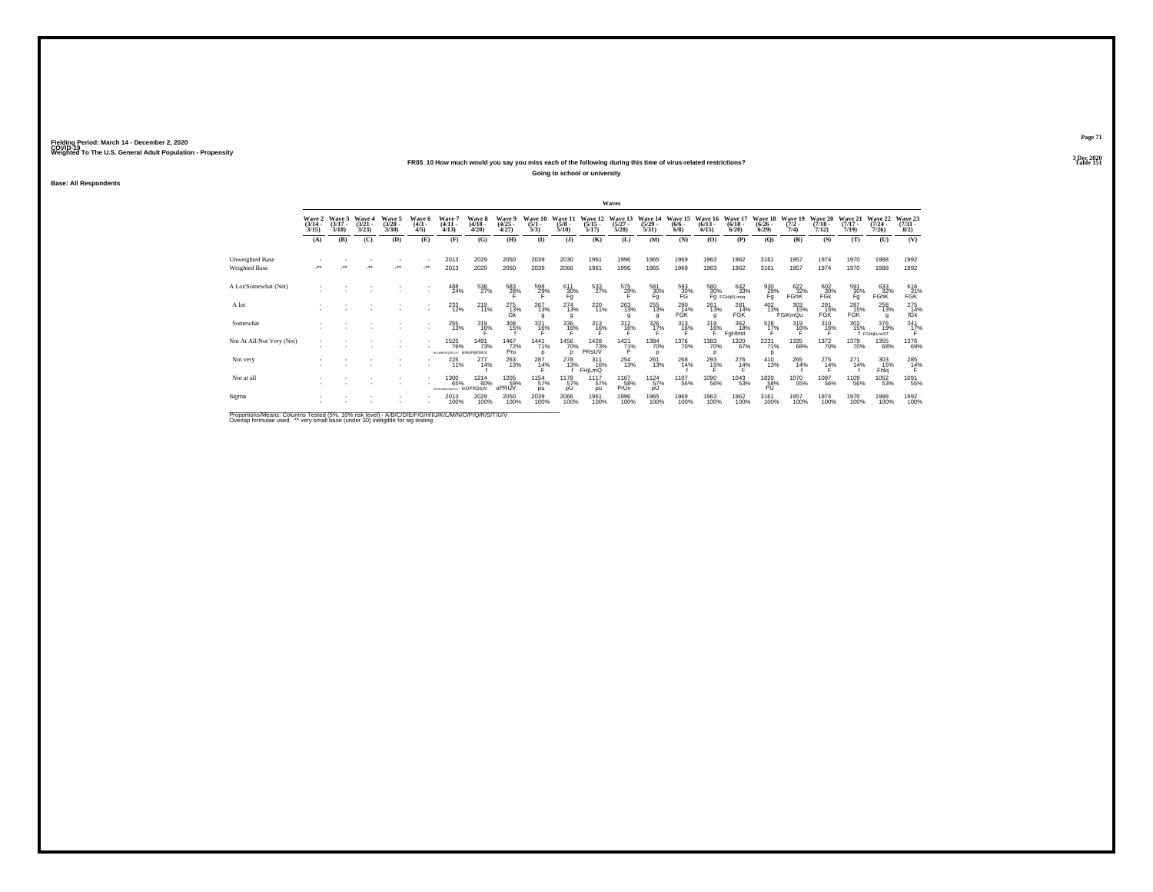## **FR05\_10 How much would you say you miss each of the following during this time of virus-related restrictions?**

**Going to school or university**

**Base: All Respondents**

|                                                                                                             |                                 |                             |                                        |                                |                              |                                                 |                                   |                                |                                |                                 |                                       | Waves                            |                                  |                               |                                  |                                                                                                                    |                                  |                                |                                  |                              |                                  |                                |
|-------------------------------------------------------------------------------------------------------------|---------------------------------|-----------------------------|----------------------------------------|--------------------------------|------------------------------|-------------------------------------------------|-----------------------------------|--------------------------------|--------------------------------|---------------------------------|---------------------------------------|----------------------------------|----------------------------------|-------------------------------|----------------------------------|--------------------------------------------------------------------------------------------------------------------|----------------------------------|--------------------------------|----------------------------------|------------------------------|----------------------------------|--------------------------------|
|                                                                                                             | Wave 2<br>$\frac{(3/14)}{3/15}$ | Wave 3<br>$(3/17 -$<br>3/18 | <b>Wave 4</b><br>$\frac{(3/21)}{3/23}$ | Wave 5<br>$\binom{3/28}{3/30}$ | Wave 6<br>$\binom{4/3}{4/5}$ | Wave 7<br>$\frac{(4/11)}{4/13}$                 | Wave 8<br>$\frac{(4/18)}{4/20}$   | Wave 9<br>$\binom{4/25}{4/27}$ | Wave 10<br>$\frac{(5/1)}{5/3}$ | Wave 11<br>$\frac{(5/8)}{5/10}$ | Wave 12<br>$\frac{(5/15)}{5/17}$      | Wave 13<br>$\frac{(5/27)}{5/28}$ | Wave 14<br>$\frac{(5/29)}{5/31}$ | Wave 15<br>$\binom{6/6}{6/8}$ | Wave 16<br>$\frac{(6/13)}{6/15}$ | Wave 17<br>$\binom{6/18}{6/20}$                                                                                    | Wave 18<br>$\frac{(6/26)}{6/29}$ | Wave 19<br>$\frac{(7/2)}{7/4}$ | Wave 20<br>$\frac{(7/10)}{7/12}$ | Wave 21<br>$(7/17 -$<br>7/19 | Wave 22<br>$\frac{(7/24)}{7/26}$ | Wave 23<br>$\binom{7/31}{8/2}$ |
|                                                                                                             | (A)                             | (B)                         | (C)                                    | (D)                            | (E)                          | (F)                                             | (G)                               | (H)                            | $($ I                          | (1)                             | (K)                                   | (L)                              | (M)                              | (N)                           | (O)                              | (P)                                                                                                                | $\mathbf{Q}$                     | (R)                            | (S)                              | (T)                          | (U)                              | (V)                            |
| Unweighted Base                                                                                             |                                 |                             |                                        |                                |                              | 2013                                            | 2029                              | 2050                           | 2039                           | 2030                            | 1961                                  | 1996                             | 1965                             | 1969                          | 1963                             | 1962                                                                                                               | 3161                             | 1957                           | 1974                             | 1970                         | 1988                             | 1992                           |
| Weighted Base                                                                                               |                                 |                             |                                        | $\ddot{\phantom{0}}$           |                              | 2013                                            | 2029                              | 2050                           | 2039                           | 2066                            | 1961                                  | 1996                             | 1965                             | 1969                          | 1963                             | 1962                                                                                                               | 3161                             | 1957                           | 1974                             | 1970                         | 1988                             | 1992                           |
| A Lot/Somewhat (Net)                                                                                        |                                 |                             |                                        |                                |                              | $^{488}_{24\%}$                                 | 538<br>27%                        | $\frac{583}{28\%}$             | 598<br>29%                     | $^{611}_{30\%}$ Fg              | $\frac{533}{27\%}$                    | 575<br>29%                       | 581<br>30%<br>Fg                 | $^{593}_{30\%}$ FG            |                                  | $\begin{array}{r} 580 & 642 \\ 30\% & 33 \\ \hline \text{Fg } \text{FGHijkLmoq} \end{array}$<br>$\frac{642}{33\%}$ | 930<br>29%<br>Fg                 | 622<br>32%<br>FGhK             | $^{602}_{-30\%}$ FGk             | 591<br>30%                   | $^{633}_{32\%}$ FGhK             | $^{616}_{31\%}$ FGK            |
| A lot                                                                                                       |                                 |                             |                                        |                                | ٠<br>$\sim$                  | $^{233}_{12\%}$                                 | $^{219}_{11\%}$                   | $^{275}_{13\%}$<br>Gk          | 267<br>13%                     | $^{274}_{13\%}$                 | 220 11%                               | 263<br>13%                       | $^{255}_{\phantom{1}13\%}$<br>q  | 280<br>14%<br><b>FGK</b>      | 261<br>13%                       | 281<br>14%<br>FGK                                                                                                  | $^{402}_{13\%}$                  | 303<br>15%<br>FGiKmQu          | 291<br>15%<br>FGK                | $^{287}_{15\%}$<br>FGK       | 258<br>13%                       | 275<br>14%<br>fGk              |
| Somewhat                                                                                                    |                                 |                             |                                        |                                | $\sim$                       | 255<br>13%                                      | 319<br>16%                        | 308<br>15%                     | 331<br>16%                     | 336<br>16%                      | $^{313}_{16\%}$                       | $^{312}_{16\%}$                  | $\frac{326}{17}\%$               | 313<br>16%                    | $^{319}_{16\%}$                  | $\frac{362}{18\%}$<br>FaHlnst                                                                                      | $^{528}_{17\%}$                  | $^{319}_{16\%}$                | $^{310}_{16\%}$                  | $\frac{303}{15\%}$           | 376<br>19%<br>FGHijkLnoST        | $^{341}_{17\%}$                |
| Not At All/Not Very (Net)                                                                                   |                                 |                             |                                        |                                |                              | <sup>1525</sup> 76%<br>HUMNOPORSTUV IMNOPORSIUV | 1491<br>73%                       | 1467<br>72%<br>Pru             | 1441<br>71%                    | 1456<br>70%                     | 1428<br>73%<br>PRsUV                  | 1421<br>71%                      | 1384<br>70%<br>$\Omega$          | <sup>1376</sup> 70%           | 1383<br>70%                      | 1320<br>67%                                                                                                        | 2231<br>71%                      | 1335<br>68%                    | 1372<br>70%                      | 1379<br>70%                  | 1355<br>68%                      | 1376<br>69%                    |
| Not very                                                                                                    |                                 |                             |                                        |                                |                              | 225<br>11%                                      | $^{277}_{14\%}$                   | $^{263}_{13\%}$                | $^{287}_{14\%}$                | 278<br>13%                      | $^{311}_{16\%}$<br>FHjLmQ             | 254<br>13%                       | 261<br>13%                       | 268<br>14%                    | $^{293}_{15\%}$                  | $^{276}_{14\%}$                                                                                                    | $^{410}_{13\%}$                  | $^{265}_{14\%}$                | $^{275}_{14\%}$                  | 271<br>14%                   | 303<br>15%<br>Fhla               | $^{285}_{14\%}$                |
| Not at all                                                                                                  |                                 |                             |                                        |                                |                              | <sup>1300</sup> 65%                             | <sup>1214</sup> 60%<br>inOPRStLIV | 1205<br>59%<br>oPRUV           | 1154<br>57%<br>pu              | 1178<br>57%<br>pU               | <sup>11</sup> 17 <sub>57%</sub><br>pu | 1167<br>58%<br>PrÜv              | 1124<br>57%<br>pÛ                | <sup>1107</sup> 56%           | 1090<br>56%                      | 1043<br>53%                                                                                                        | 1820<br>58%<br>PU                | 1070<br>55%                    | 1097<br>56%                      | 1109<br>56%                  | 1052<br>53%                      | 1091<br>55%                    |
| Sigma                                                                                                       |                                 |                             |                                        |                                |                              | 2013<br>100%                                    | 2029<br>100%                      | 2050<br>100%                   | 2039<br>100%                   | 2066<br>100%                    | 1961<br>100%                          | 1996<br>100%                     | 1965<br>100%                     | 1969<br>100%                  | 1963<br>100%                     | 1962<br>100%                                                                                                       | 3161<br>100%                     | 1957<br>100%                   | 1974<br>100%                     | 1970<br>100%                 | 1988<br>100%                     | 1992<br>100%                   |
| Bronortiona Magna: Columna Toptad (59/ - 109/ -riok Joyal) A IBIC IDIC IDIC AUTH IN A ANICO IDIO IDIO TALIN |                                 |                             |                                        |                                |                              |                                                 |                                   |                                |                                |                                 |                                       |                                  |                                  |                               |                                  |                                                                                                                    |                                  |                                |                                  |                              |                                  |                                |

Proportions/Means: Columns Tested (5%, 10% risk level) - A/B/C/D/E/F/G/H/I/J/K/L/M/N/O/P/Q/R/S/T/U/V<br>Overlap formulae used. \*\* very small base (under 30) ineligible for sig testing

**Page 713 Dec 2020<br>Table 151** 

**Table 151 Table 151**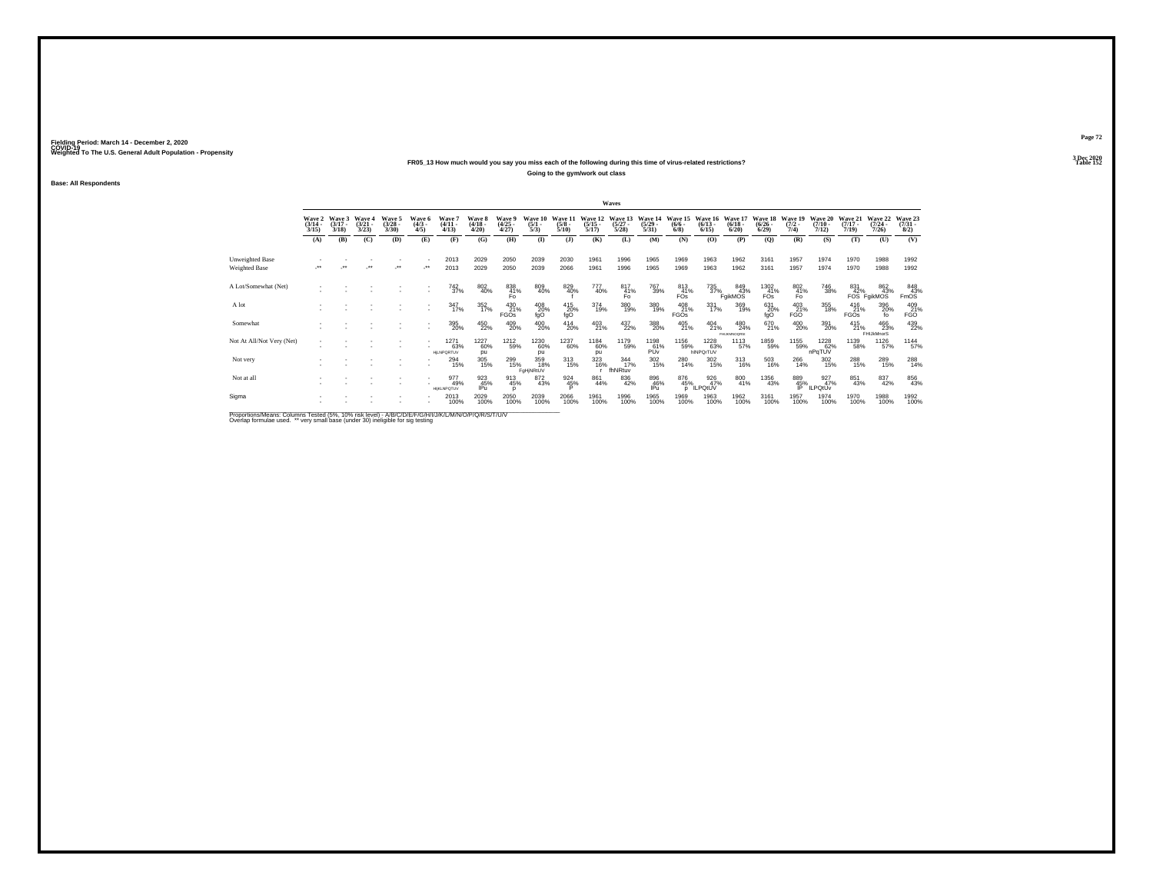## **FR05\_13 How much would you say you miss each of the following during this time of virus-related restrictions?**

**Going to the gym/work out class**

**Base: All Respondents**

|                                                                                                        |                                 |                             |                                 |                                 |                              |                                  |                                 |                                |                                |                                 |                                  | Waves                            |                                  |                                |                                  |                                       |                                      |                                |                              |                                  |                                  |                                                    |
|--------------------------------------------------------------------------------------------------------|---------------------------------|-----------------------------|---------------------------------|---------------------------------|------------------------------|----------------------------------|---------------------------------|--------------------------------|--------------------------------|---------------------------------|----------------------------------|----------------------------------|----------------------------------|--------------------------------|----------------------------------|---------------------------------------|--------------------------------------|--------------------------------|------------------------------|----------------------------------|----------------------------------|----------------------------------------------------|
|                                                                                                        | Wave 2<br>$\frac{(3/14)}{3/15}$ | Wave 3<br>$(3/17 -$<br>3/18 | Wave 4<br>$\frac{(3/21)}{3/23}$ | Wave 5<br>$\frac{(3/28)}{3/30}$ | Wave 6<br>$\binom{4/3}{4/5}$ | Wave?<br>$(4/11 -$<br>4/13       | Wave 8<br>$\frac{(4/18)}{4/20}$ | Wave 9<br>$\binom{4/25}{4/27}$ | Wave 10<br>$\frac{(5/1)}{5/3}$ | Wave 11<br>$\frac{(5/8)}{5/10}$ | Wave 12<br>$\frac{(5/15)}{5/17}$ | Wave 13<br>$\frac{(5/27)}{5/28}$ | Wave 14<br>$\frac{(5/29)}{5/31}$ | Wave 15<br>$\frac{(6/6)}{6/8}$ | Wave 16<br>$\frac{(6/13)}{6/15}$ | Wave 17<br>$\frac{(6/18)}{6/20}$      | Wave 18<br>$\frac{(6/26)}{6/29}$     | Wave 19<br>$\frac{(7/2)}{7/4}$ | Wave 20<br>$(7/10 -$<br>7/12 | Wave 21<br>$\frac{(7/17)}{7/19}$ | Wave 22<br>$\frac{(7/24)}{7/26}$ | Wave 23<br>$\binom{7/31}{8/2}$                     |
|                                                                                                        | (A)                             | (B)                         | (C)                             | (D)                             | (E)                          | (F)                              | (G)                             | (H)                            | $($ $\Gamma$                   | $($ $\bf{J}$                    | (K)                              | (L)                              | (M)                              | (N)                            | (O)                              | (P)                                   | $\mathbf{Q}$                         | (R)                            | (S)                          | (T)                              | (U)                              | (V)                                                |
| Unweighted Base                                                                                        |                                 | $^{\tiny{++}}$              |                                 |                                 |                              | 2013                             | 2029                            | 2050                           | 2039                           | 2030                            | 1961                             | 1996                             | 1965                             | 1969                           | 1963                             | 1962                                  | 3161                                 | 1957                           | 1974                         | 1970                             | 1988                             | 1992                                               |
| Weighted Base                                                                                          |                                 |                             |                                 | $\cdot$                         | $\mathcal{L}^{\star\star}$   | 2013                             | 2029                            | 2050                           | 2039                           | 2066                            | 1961                             | 1996                             | 1965                             | 1969                           | 1963                             | 1962                                  | 3161                                 | 1957                           | 1974                         | 1970                             | 1988                             | 1992                                               |
| A Lot/Somewhat (Net)                                                                                   |                                 |                             |                                 |                                 |                              | 742<br>37%                       | 802<br>40%                      | 838<br>41%<br>Fo.              | 809<br>40%                     | 829<br>40%                      | 777<br>40%                       | 817<br>41%<br>Fo.                | 767<br>39%                       | 813<br>41%<br>FO <sub>S</sub>  | 735<br>37%                       | 849<br>43%<br>FgikMOS                 | 1302<br>41%<br><b>FO<sub>S</sub></b> | 802<br>41%<br>Fo               | 746<br>38%                   | 831<br>42%                       | 862<br>43%<br>FOS FgikMOS        | $\begin{array}{r} 848 \\ 43\% \\ FmOS \end{array}$ |
| A lot                                                                                                  |                                 |                             |                                 |                                 |                              | 347/17%                          | $\frac{352}{17\%}$              | 430<br>21%<br><b>FGOs</b>      | 408<br>20%<br>fgO              | 415<br>20%<br>fgO               | 374<br>19%                       | 380<br>19%                       | 380<br>19%                       | 408<br>21%<br><b>FGOs</b>      | 331<br>17%                       | 369<br>19%                            | 631<br>20%<br>fgO                    | 403<br>21%<br><b>FGO</b>       | 355<br>18%                   | 416<br>21%<br>FGOs               | 396<br>20%<br>fo                 | 409<br>21%<br><b>FGO</b>                           |
| Somewhat                                                                                               |                                 |                             |                                 |                                 |                              | 395<br>20%                       | 450<br>22%                      | 409<br>20%                     | 400<br>20%                     | $^{414}_{20\%}$                 | $^{403}_{21\%}$                  | 437<br>22%                       | 388<br>20%                       | $^{405}_{21\%}$                | $^{404}_{21\%}$                  | $^{480}_{24\%}$<br><b>FHUKMNOGRS:</b> | 670<br>21%                           | $^{400}_{20\%}$                | 391<br>20%                   | $^{415}_{21\%}$                  | 466<br>23%<br>FHIJkMnorS         | 439<br>22%                                         |
| Not At All/Not Very (Net)                                                                              |                                 |                             |                                 |                                 |                              | 1271<br>63%<br><b>HILNPORTUV</b> | 1227<br>60%<br>pu               | 1212<br>59%                    | 1230<br>60%<br>pu              | 1237<br>60%                     | 1184<br>60%<br>pu                | 1179<br>59%                      | 1198<br>61%<br>PŮv               | 1156<br>59%                    | 1228<br>63%<br>hINPOrTUV         | 1113<br>57%                           | 1859<br>59%                          | 1155<br>59%                    | 1228<br>62%<br>nPqTUV        | 1139<br>58%                      | 1126<br>57%                      | 1144<br>57%                                        |
| Not very                                                                                               |                                 |                             |                                 |                                 |                              | <sup>294</sup> <sub>15%</sub>    | 305<br>15%                      | 299<br>15%                     | 359<br>18%<br>FaHiNRtUV        | 313<br>15%                      | 323<br>16%                       | $\frac{344}{17\%}$<br>fhNRtuv    | 302<br>15%                       | 280<br>14%                     | 302<br>15%                       | $^{313}_{16\%}$                       | 503<br>16%                           | 266<br>14%                     | 302<br>15%                   | 288<br>15%                       | 289<br>15%                       | 288<br>14%                                         |
| Not at all                                                                                             |                                 |                             |                                 |                                 |                              | 977<br>49%<br><b>HIKLNPOTUV</b>  | 923<br>45%<br>IPu               | 913<br>45%                     | 872<br>43%                     | $\frac{924}{45\%}$              | 861<br>44%                       | $\substack{836 \\ 42\%}$         | 896<br>46%<br>IPu                | 876<br>45%<br>D                | 926<br>47%<br><b>ILPOIUV</b>     | 800<br>41%                            | <sup>1356</sup> 43%                  | 889<br>$\frac{45}{9}$          | 927%<br><b>ILPOtÚv</b>       | 851<br>43%                       | 837<br>42%                       | 856<br>43%                                         |
| Sigma                                                                                                  |                                 |                             |                                 |                                 |                              | 2013<br>100%                     | 2029<br>100%                    | 2050<br>100%                   | 2039<br>100%                   | 2066<br>100%                    | 1961<br>100%                     | 1996<br>100%                     | 1965<br>100%                     | 1969<br>100%                   | 1963<br>100%                     | 1962<br>100%                          | 3161<br>100%                         | 1957<br>100%                   | 1974<br>100%                 | 1970<br>100%                     | 1988<br>100%                     | 1992<br>100%                                       |
| <b>Bronoriona Magne: Columna Tested (59/ 109/ riok love)) AIBIC/DIE/C/NJ/U/AI/MAJ/O/D/O/D/C/T/U/L/</b> |                                 |                             |                                 |                                 |                              |                                  |                                 |                                |                                |                                 |                                  |                                  |                                  |                                |                                  |                                       |                                      |                                |                              |                                  |                                  |                                                    |

Proportions/Means: Columns Tested (5%, 10% risk level) - A/B/C/D/E/F/G/H/I/J/K/L/M/N/O/P/Q/R/S/T/U/V<br>Overlap formulae used. \*\* very small base (under 30) ineligible for sig testing

**Page 723 Dec 2020<br>Table 152** 

**Table 152**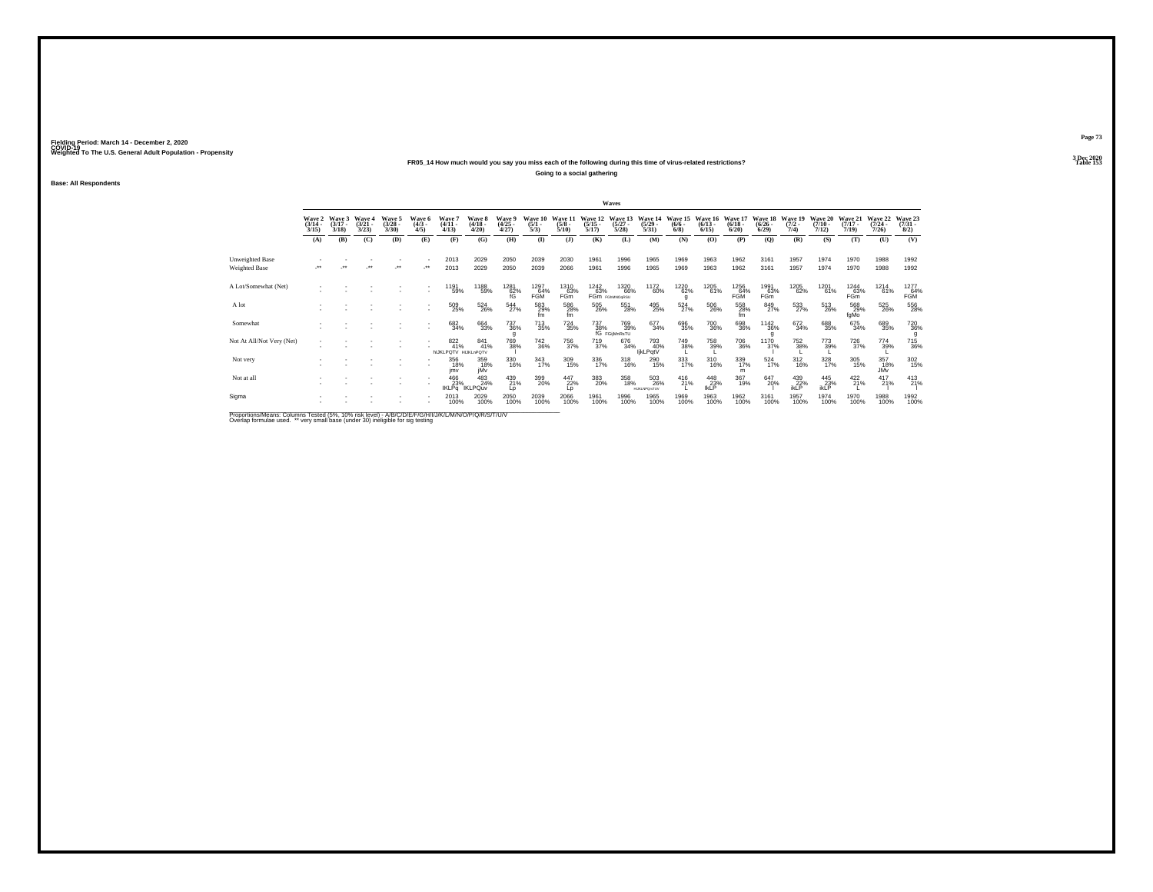#### **FR05\_14 How much would you say you miss each of the following during this time of virus-related restrictions?**

**Going to a social gathering**

**Base: All Respondents**

|                           |                                 |                             |                                 |                                |                              |                                            |                                 |                                |                                |                                 |                                  | Waves                                                                |                                   |                                      |                                          |                              |                                  |                                |                                  |                                  |                                  |                                    |
|---------------------------|---------------------------------|-----------------------------|---------------------------------|--------------------------------|------------------------------|--------------------------------------------|---------------------------------|--------------------------------|--------------------------------|---------------------------------|----------------------------------|----------------------------------------------------------------------|-----------------------------------|--------------------------------------|------------------------------------------|------------------------------|----------------------------------|--------------------------------|----------------------------------|----------------------------------|----------------------------------|------------------------------------|
|                           | Wave 2<br>$\frac{(3/14)}{3/15}$ | Wave 3<br>$(3/17 -$<br>3/18 | Wave 4<br>$\frac{(3/21)}{3/23}$ | Wave 5<br>$\binom{3/28}{3/30}$ | Wave 6<br>$\binom{4/3}{4/5}$ | <b>Wave</b><br>$\frac{(4/11)}{4/13}$       | Wave 8<br>$\frac{(4/18)}{4/20}$ | Wave 9<br>$\binom{4/25}{4/27}$ | Wave 10<br>$\frac{(5/1)}{5/3}$ | Wave 11<br>$\frac{(5/8)}{5/10}$ | Wave 12<br>$\frac{(5/15)}{5/17}$ | Wave 13<br>$\frac{(5/27)}{5/28}$                                     | Wave 14<br>$\frac{(5/29)}{5/31}$  | Wave 15<br>$\frac{(6/6 - 6)}{(6/8)}$ | Wave 16 Wave 17<br>$\frac{(6/13)}{6/15}$ | $\frac{(6/18 - 6/20)}{6/20}$ | Wave 18<br>$\frac{(6/26)}{6/29}$ | Wave 19<br>$\frac{(7/2)}{7/4}$ | Wave 20<br>$\frac{(7/10)}{7/12}$ | Wave 21<br>$\frac{(7/17)}{7/19}$ | Wave 22<br>$\frac{(7/24)}{7/26}$ | Wave 23<br>$\binom{7/31}{8/2}$     |
|                           | (A)                             | (B)                         | (C)                             | (D)                            | (E)                          | (F)                                        | (G)                             | (H)                            | (1)                            | (1)                             | (K)                              | (L)                                                                  | (M)                               | (N)                                  | (0)                                      | (P)                          | (Q)                              | (R)                            | (S)                              | (T)                              | (U)                              | (V)                                |
| Unweighted Base           |                                 |                             |                                 |                                |                              | 2013                                       | 2029                            | 2050                           | 2039                           | 2030                            | 1961                             | 1996                                                                 | 1965                              | 1969                                 | 1963                                     | 1962                         | 3161                             | 1957                           | 1974                             | 1970                             | 1988                             | 1992                               |
| Weighted Base             |                                 |                             |                                 |                                | $\bullet\bullet$             | 2013                                       | 2029                            | 2050                           | 2039                           | 2066                            | 1961                             | 1996                                                                 | 1965                              | 1969                                 | 1963                                     | 1962                         | 3161                             | 1957                           | 1974                             | 1970                             | 1988                             | 1992                               |
| A Lot/Somewhat (Net)      |                                 |                             |                                 |                                |                              | 1191<br>59%                                | 1188<br>59%                     | 1281<br>62%                    | 1297<br>64%<br><b>FGM</b>      | 1310<br>63%<br><b>FGm</b>       | 1242<br>63%                      | 1320<br>66%<br>FGm FGMMOORSU                                         | 1172<br>60%                       | 1220<br>62%<br>q                     | 1205<br>61%                              | 1256<br>64%<br>FGM           | 1991<br>63%<br>FGm               | 1205<br>62%                    | 1201<br>61%                      | 1244<br>63%<br>FGm               | 1214<br>61%                      | 1277<br>64%<br>FGM                 |
| A lot                     |                                 |                             |                                 |                                |                              | 509<br>25%                                 | $^{524}_{26\%}$                 | $^{544}_{27\%}$                | 583<br>29%<br>fm               | 586<br>28%<br>fm                | 505<br>26%                       | 551<br>28%                                                           | 495<br>25%                        | $^{524}_{27\%}$                      | 506<br>26%                               | 558<br>28%<br>fm             | 849<br>27%                       | 533                            | 513<br>26%                       | 568<br>29%<br>fgMo               | 525<br>26%                       | 556                                |
| Somewhat                  |                                 |                             |                                 |                                |                              | 682<br>34%                                 | 664<br>33%                      | $^{737}_{\ 36\%}$              | 713<br>35%                     | $^{724}_{35\%}$                 |                                  | 737 769<br>38% 39%<br>fG FGijMnRsTU<br><sup>769</sup> <sub>39%</sub> | 677<br>34%                        | 696<br>35%                           | 700<br>36%                               | 698<br>36%                   | <sup>1142</sup> 36%              | 672<br>34%                     | 688<br>35%                       | 675<br>34%                       | 689<br>35%                       | <sup>720</sup> <sub>36%</sub><br>g |
| Not At All/Not Very (Net) |                                 |                             |                                 |                                |                              | $\frac{822}{41\%}$<br>hijkLPQTV HijkLnPQTV | 841<br>41%                      | 769<br>38%                     | 742<br>36%                     | 756<br>37%                      | 719<br>37%                       | 676<br>34%                                                           | 793<br>40%<br>ljkLPqtV            | 749<br>38%                           | 758<br>39%                               | <sup>706</sup> 36%           | 1170<br>37%                      | 752<br>38%                     | 773<br>39%                       | 726<br>37%                       | 774<br>39%                       | 715<br>36%                         |
| Not very                  |                                 |                             |                                 |                                |                              | 356<br>18%<br>imv                          | 359<br>18%<br>iMv               | 330<br>16%                     | 343<br>17%                     | 309<br>15%                      | 336<br>17%                       | $^{318}_{16\%}$                                                      | 290<br>15%                        | 333<br>17%                           | 310<br>16%                               | 339<br>17%<br>m              | $\frac{524}{17\%}$               | $^{312}_{16\%}$                | 328<br>17%                       | 305<br>15%                       | 357<br>18%<br><b>JMv</b>         | 302<br>15%                         |
| Not at all                |                                 |                             |                                 |                                |                              | 466<br>23%<br><b>IKLPq</b>                 | 483<br>24%<br><b>IKLPQuv</b>    | 439<br>21%<br>Lp               | 399<br>20%                     | 447<br>22%<br>Lp                | 383<br>20%                       | 358<br>18%                                                           | 503<br>26%<br><b>HUKUNPOsITUV</b> | $^{416}_{21\%}$                      | $^{448}_{23\%}$ lkLP                     | 367<br>19%                   | 647<br>20%                       | $^{439}_{22\%}$ ikLP           | $^{445}_{23\%}$ ikLP             | $^{422}_{21\%}$                  | $^{417}_{21\%}$                  | $^{413}_{21\%}$                    |
| Sigma                     |                                 |                             |                                 |                                |                              | 2013<br>100%                               | 2029<br>100%                    | 2050<br>100%                   | 2039<br>100%                   | 2066<br>100%                    | 1961<br>100%                     | 1996<br>100%                                                         | 1965<br>100%                      | 1969<br>100%                         | 1963<br>100%                             | 1962<br>100%                 | 3161<br>100%                     | 1957<br>100%                   | 1974<br>100%                     | 1970<br>100%                     | 1988<br>100%                     | 1992<br>100%                       |

Proportions/Means: Columns Tested (5%, 10% risk level) - A/B/C/D/E/F/G/H/I/J/K/L/M/N/O/P/Q/R/S/T/U/V<br>Overlap formulae used. \*\* very small base (under 30) ineligible for sig testing

**Page 73**3 Dec 2020<br>Table 153

**Table 153**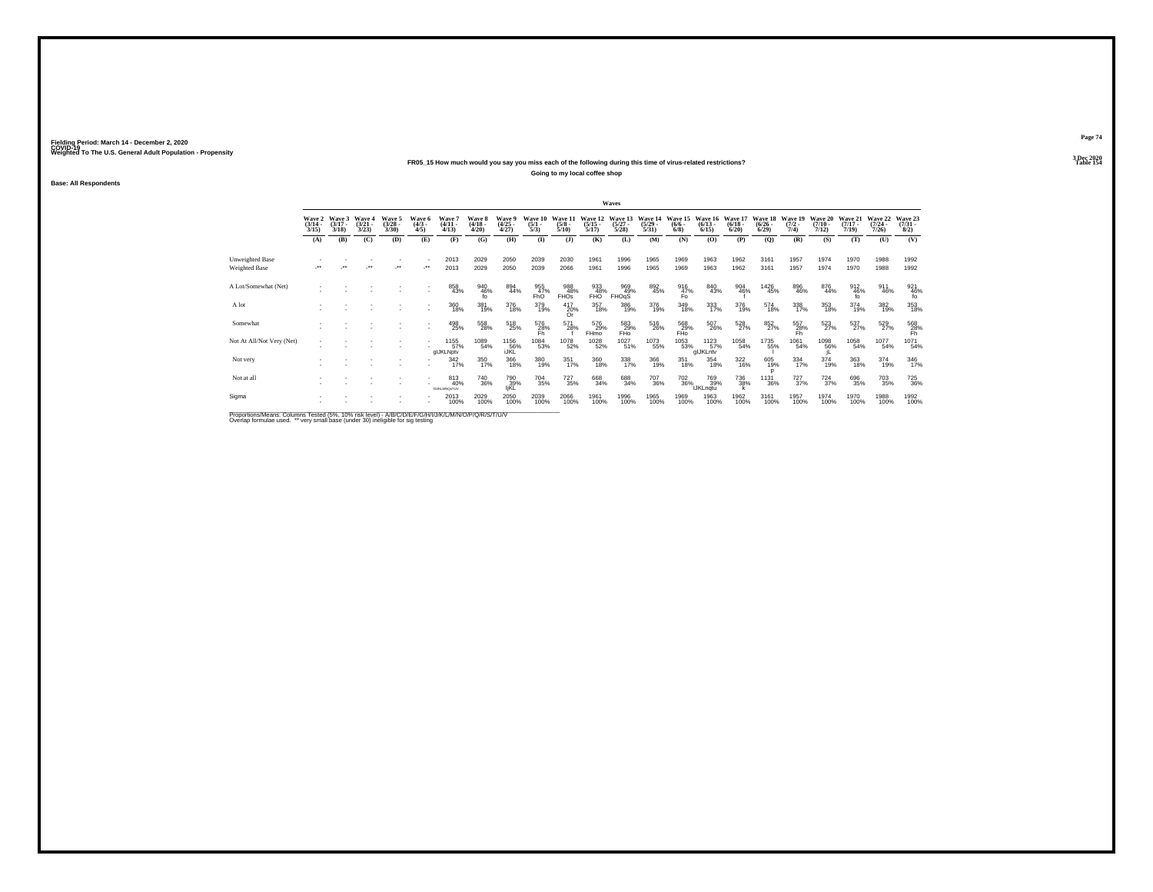#### **FR05\_15 How much would you say you miss each of the following during this time of virus-related restrictions?**

**Going to my local coffee shop**

**Base: All Respondents**

|                                  |                                 |                                 |                                 |                                 |                              |                                        |                             |                                |                                |                                 |                                  | Waves                            |                                  |                                         |                               |                                 |                                  |                                |                              |                              |                                  |                                |
|----------------------------------|---------------------------------|---------------------------------|---------------------------------|---------------------------------|------------------------------|----------------------------------------|-----------------------------|--------------------------------|--------------------------------|---------------------------------|----------------------------------|----------------------------------|----------------------------------|-----------------------------------------|-------------------------------|---------------------------------|----------------------------------|--------------------------------|------------------------------|------------------------------|----------------------------------|--------------------------------|
|                                  | Wave 2<br>$\frac{(3/14)}{3/15}$ | Wave 3<br>$\frac{(3/17)}{3/18}$ | Wave 4<br>$\frac{(3/21)}{3/23}$ | Wave 5<br>$\frac{(3/28)}{3/30}$ | Wave 6<br>$\binom{4/3}{4/5}$ | Wave <sup>-</sup><br>$(4/11 -$<br>4/13 | Wave 8<br>$(4/18 -$<br>4/20 | Wave 9<br>$\binom{4/25}{4/27}$ | Wave 10<br>$\frac{(5/1)}{5/3}$ | Wave 11<br>$\frac{(5/8)}{5/10}$ | Wave 12<br>$\frac{(5/15)}{5/17}$ | Wave 13<br>$\frac{(5/27)}{5/28}$ | Wave 14<br>$\frac{(5/29)}{5/31}$ | Wave 15<br>$(6/6 -$<br>$6/8$ )          | Wave 16<br>$(6/13 -$<br>6/15  | Wave 17<br>$\binom{6/18}{6/20}$ | Wave 18<br>$\frac{(6/26)}{6/29}$ | Wave 19<br>$\frac{(7/2)}{7/4}$ | Wave 20<br>$(7/10 -$<br>7/12 | Wave 21<br>$(7/17 -$<br>7/19 | Wave 22<br>$\frac{(7/24)}{7/26}$ | Wave 23<br>$\binom{7/31}{8/2}$ |
|                                  | (A)                             | (B)                             | (C)                             | (D)                             | (E)                          | (F)                                    | (G)                         | (H)                            | $($ $\Gamma$                   | $\mathbf{J}$                    | (K)                              | (L)                              | (M)                              | (N)                                     | (O)                           | (P)                             | (Q)                              | (R)                            | (S)                          | (T)                          | (U)                              | (V)                            |
| Unweighted Base<br>Weighted Base | $\ddot{\phantom{0}}$            | $^{\tiny{++}}$                  |                                 | $\mathcal{F}^{\bullet}$         |                              | 2013<br>2013                           | 2029<br>2029                | 2050<br>2050                   | 2039<br>2039                   | 2030<br>2066                    | 1961<br>1961                     | 1996<br>1996                     | 1965<br>1965                     | 1969<br>1969                            | 1963<br>1963                  | 1962<br>1962                    | 3161<br>3161                     | 1957<br>1957                   | 1974<br>1974                 | 1970<br>1970                 | 1988<br>1988                     | 1992<br>1992                   |
| A Lot/Somewhat (Net)             |                                 |                                 |                                 |                                 |                              | 858<br>43%                             | 940<br>46%<br>fo            | 894<br>44%                     | 955<br>47%<br>FhO              | 988<br>48%<br><b>FHOS</b>       | 933<br>48%<br>FHO                | 969<br>49%<br>FHOgS              | 892<br>45%                       | $^{916}_{\substack{47\% \\ \text{Fo}}}$ | 840<br>43%                    | 904<br>46%                      | 1426<br>45%                      | 896<br>46%                     | 876<br>44%                   | 912<br>46%<br>fo             | 911<br>46%                       | 921<br>46%<br>fo               |
| A lot                            |                                 |                                 |                                 |                                 |                              | 360<br>18%                             | 381<br>19%                  | 376<br>18%                     | 379<br>19%                     | $^{417}_{20\%}$<br>Or.          | 357<br>18%                       | 386<br>19%                       | 376<br>19%                       | 349<br>18%                              | 333<br>17%                    | 376<br>19%                      | 574<br>18%                       | 338<br>17%                     | 353<br>18%                   | 374<br>19%                   | 382%                             | 353<br>18%                     |
| Somewhat                         |                                 |                                 |                                 |                                 |                              | 498<br>25%                             | 558<br>28%                  | $^{518}_{25\%}$                | 576<br>28%<br>Fh               | 571<br>28%                      | 576<br>29%<br>FHmo               | $^{583}_{29\%}$ FHo              | 516<br>26%                       | 568<br>29%<br>FHo                       | 507<br>26%                    | 528<br>27%                      | 852%                             | 557<br>28%<br>Fh               | 523                          | $^{537}_{27\%}$              | 529%                             | $^{568}_{28\%}$                |
| Not At All/Not Very (Net)        |                                 |                                 |                                 |                                 |                              | 1155<br>57%<br>glJKLNptv               | 1089<br>54%                 | 1156<br>56%<br>IJKL            | 1084<br>53%                    | 1078<br>52%                     | 1028<br>52%                      | 1027<br>51%                      | 1073<br>55%                      | 1053<br>53%                             | 1123<br>57%<br>glJKLntv       | 1058<br>54%                     | 1735<br>55%                      | 1061<br>54%                    | 1098<br>56%                  | 1058<br>54%                  | 1077<br>54%                      | 1071<br>54%                    |
| Not very                         |                                 |                                 |                                 |                                 |                              | $\frac{342}{17\%}$                     | 350<br>17%                  | 366<br>18%                     | 380<br>19%                     | 351<br>17%                      | 360<br>18%                       | 338<br>17%                       | 366<br>19%                       | 351<br>18%                              | 354<br>18%                    | $\frac{322}{16\%}$              | 605<br>19%                       | 334<br>17%                     | 374<br>19%                   | 363<br>18%                   | 374<br>19%                       | 346                            |
| Not at all                       |                                 |                                 |                                 |                                 |                              | 813<br>40%<br><b>GUKLMNOsTUV</b>       | 740<br>36%                  | 790<br>139%<br>IjKL            | <sup>704</sup> 35%             | <sup>727</sup> <sub>35%</sub>   | 668<br>34%                       | 688<br>34%                       | 707<br>36%                       | <sup>702</sup> <sub>36%</sub>           | 769<br>39%<br><b>IJKLngtu</b> | 736<br>38%                      | <sup>1131</sup> 36%              | $^{727}_{37\%}$                | $^{724}_{37\%}$              | 696<br>35%                   | 703<br>35%                       | 725<br>36%                     |
| Sigma                            |                                 |                                 |                                 |                                 |                              | 2013<br>100%                           | 2029<br>100%                | 2050<br>100%                   | 2039<br>100%                   | 2066<br>100%                    | 1961<br>100%                     | 1996<br>100%                     | 1965<br>100%                     | 1969<br>100%                            | 1963<br>100%                  | 1962<br>100%                    | 3161<br>100%                     | 1957<br>100%                   | 1974<br>100%                 | 1970<br>100%                 | 1988<br>100%                     | 1992<br>100%                   |

Proportions/Means: Columns Tested (5%, 10% risk level) - A/B/C/D/E/F/G/H/I/J/K/L/M/N/O/P/Q/R/S/T/U/V<br>Overlap formulae used. \*\* very small base (under 30) ineligible for sig testing

**Page 743 Dec 2020<br>Table 154** 

**Table 154 Table 154**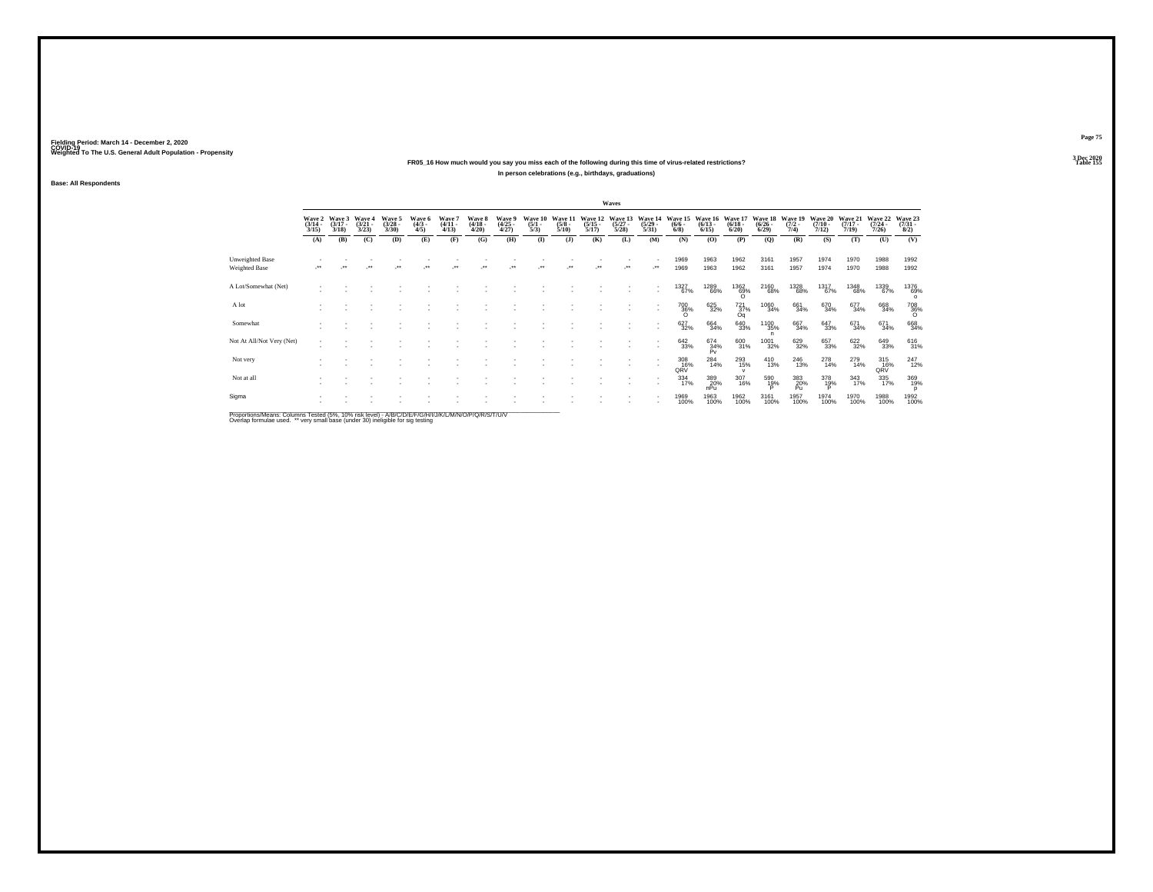#### **FR05\_16 How much would you say you miss each of the following during this time of virus-related restrictions?In person celebrations (e.g., birthdays, graduations)**

**Base: All Respondents**

|                           |                                 |                                 |                                 |                                |                              |                                |                                 |                                |                                |                                 |                                  | Waves                            |                                  |                                |                                 |                                  |                                  |                                |                                  |                                  |                                         |                                |
|---------------------------|---------------------------------|---------------------------------|---------------------------------|--------------------------------|------------------------------|--------------------------------|---------------------------------|--------------------------------|--------------------------------|---------------------------------|----------------------------------|----------------------------------|----------------------------------|--------------------------------|---------------------------------|----------------------------------|----------------------------------|--------------------------------|----------------------------------|----------------------------------|-----------------------------------------|--------------------------------|
|                           | Wave 2<br>$\frac{(3/14)}{3/15}$ | Wave 3<br>$\frac{(3/17)}{3/18}$ | Wave 4<br>$\frac{(3/21)}{3/23}$ | Wave 5<br>$\binom{3/28}{3/30}$ | Wave 6<br>$\binom{4/3}{4/5}$ | Wave?<br>$\frac{(4/11)}{4/13}$ | Wave 8<br>$\frac{(4/18)}{4/20}$ | Wave 9<br>$\binom{4/25}{4/27}$ | Wave 10<br>$\frac{(5/1)}{5/3}$ | Wave 11<br>$\frac{(5/8)}{5/10}$ | Wave 12<br>$\frac{(5/15)}{5/17}$ | Wave 13<br>$\frac{(5/27)}{5/28}$ | Wave 14<br>$\frac{(5/29)}{5/31}$ | Wave 15<br>$\frac{(6/6)}{6/8}$ | Wave 16<br>$\binom{6/13}{6/15}$ | Wave 17<br>$\frac{(6/18)}{6/20}$ | Wave 18<br>$\frac{(6/26)}{6/29}$ | Wave 19<br>$\frac{(7/2)}{7/4}$ | Wave 20<br>$\frac{(7/10)}{7/12}$ | Wave 21<br>$\frac{(7/17)}{7/19}$ | Wave 22<br>$\frac{(7/24 - 7/24)}{7/26}$ | Wave 23<br>$\binom{7/31}{8/2}$ |
|                           | (A)                             | (B)                             | (C)                             | (D)                            | (E)                          | (F)                            | (G)                             | (H)                            | $($ $\Gamma$                   | (1)                             | (K)                              | (L)                              | (M)                              | (N)                            | (O)                             | (P)                              | (Q)                              | (R)                            | (S)                              | (T)                              | (U)                                     | (V)                            |
| Unweighted Base           |                                 |                                 |                                 |                                |                              |                                |                                 |                                |                                |                                 |                                  |                                  | ٠                                | 1969                           | 1963                            | 1962                             | 3161                             | 1957                           | 1974                             | 1970                             | 1988                                    | 1992                           |
| Weighted Base             | $\ddot{\phantom{1}}$            |                                 | $\bullet\bullet$                | $\bullet\,\bullet$             | ٠                            | $\bullet\bullet$               | $\ddot{\phantom{0}}$            | $\bullet\bullet$               | $^{\tiny{+}}$                  |                                 | $\ddot{\phantom{0}}$             | ×                                | $\cdot$                          | 1969                           | 1963                            | 1962                             | 3161                             | 1957                           | 1974                             | 1970                             | 1988                                    | 1992                           |
| A Lot/Somewhat (Net)      |                                 |                                 |                                 |                                |                              |                                |                                 |                                |                                |                                 |                                  |                                  | ٠                                | 1327<br>67%                    | 1289<br>66%                     | $^{1362}_{69\%}$                 | 2160<br>68%                      | 1328<br>68%                    | 1317<br>67%                      | 1348<br>68%                      | 1339<br>67%                             | 1376<br>69%<br>$\circ$         |
| A lot                     |                                 |                                 |                                 |                                |                              |                                |                                 |                                |                                |                                 |                                  |                                  | $\overline{\phantom{a}}$         | <sup>700</sup> 36%<br>$\Omega$ | 625<br>32%                      | $^{721}_{37\%}$<br>Oq            | 1060<br>34%                      | 661<br>34%                     | 670<br>34%                       | 677<br>34%                       | 668<br>34%                              | $\frac{708}{36\%}$             |
| Somewhat                  |                                 |                                 |                                 |                                |                              |                                |                                 |                                |                                |                                 |                                  |                                  | ٠                                | 627<br>32%                     | 664<br>34%                      | 64033%                           | 1100<br>35%<br>$\mathsf{n}$      | 667<br>34%                     | 647<br>33%                       | 671<br>34%                       | 671<br>34%                              | 668<br>34%                     |
| Not At All/Not Very (Net) |                                 |                                 |                                 |                                |                              |                                |                                 |                                |                                |                                 |                                  |                                  |                                  | $\substack{642\\33\%}$         | 674<br>34%<br>Pv                | 600<br>31%                       | 1001<br>32%                      | 629<br>32%                     | 657<br>33%                       | $\substack{622 \\ 32\%}$         | 649<br>33%                              | 616<br>31%                     |
| Not very                  |                                 |                                 |                                 |                                |                              |                                |                                 |                                |                                |                                 |                                  |                                  | ٠<br>٠                           | 308<br>16%<br>QRV              | 284<br>14%                      | 293<br>15%<br>$\mathbf{v}$       | $^{410}_{13\%}$                  | 246<br>13%                     | 278<br>14%                       | 279<br>14%                       | $^{315}_{16\%}$<br>QRV                  | 247<br>12%                     |
| Not at all                |                                 |                                 |                                 |                                |                              |                                |                                 |                                |                                |                                 |                                  |                                  | ٠                                | 334<br>17%                     | 389<br>20%<br>nPu               | 307<br>16%                       | 590<br>19%                       | $\frac{383}{20\%}$             | 378<br>19%                       | 343<br>17%                       | 335<br>17%                              | 369<br>19%<br>D                |
| Sigma                     |                                 |                                 |                                 |                                |                              |                                |                                 |                                |                                |                                 |                                  | ٠                                |                                  | 1969<br>100%                   | 1963<br>100%                    | 1962<br>100%                     | 3161<br>100%                     | 1957<br>100%                   | 1974<br>100%                     | 1970<br>100%                     | 1988<br>100%                            | 1992<br>100%                   |

Proportions/Means: Columns Tested (5%, 10% risk level) - A/B/C/D/E/F/G/H/I/J/K/L/M/N/O/P/Q/R/S/T/U/V<br>Overlap formulae used. \*\* very small base (under 30) ineligible for sig testing

**Page 75**3 Dec 2020<br>Table 155

**Table 155 Table 155**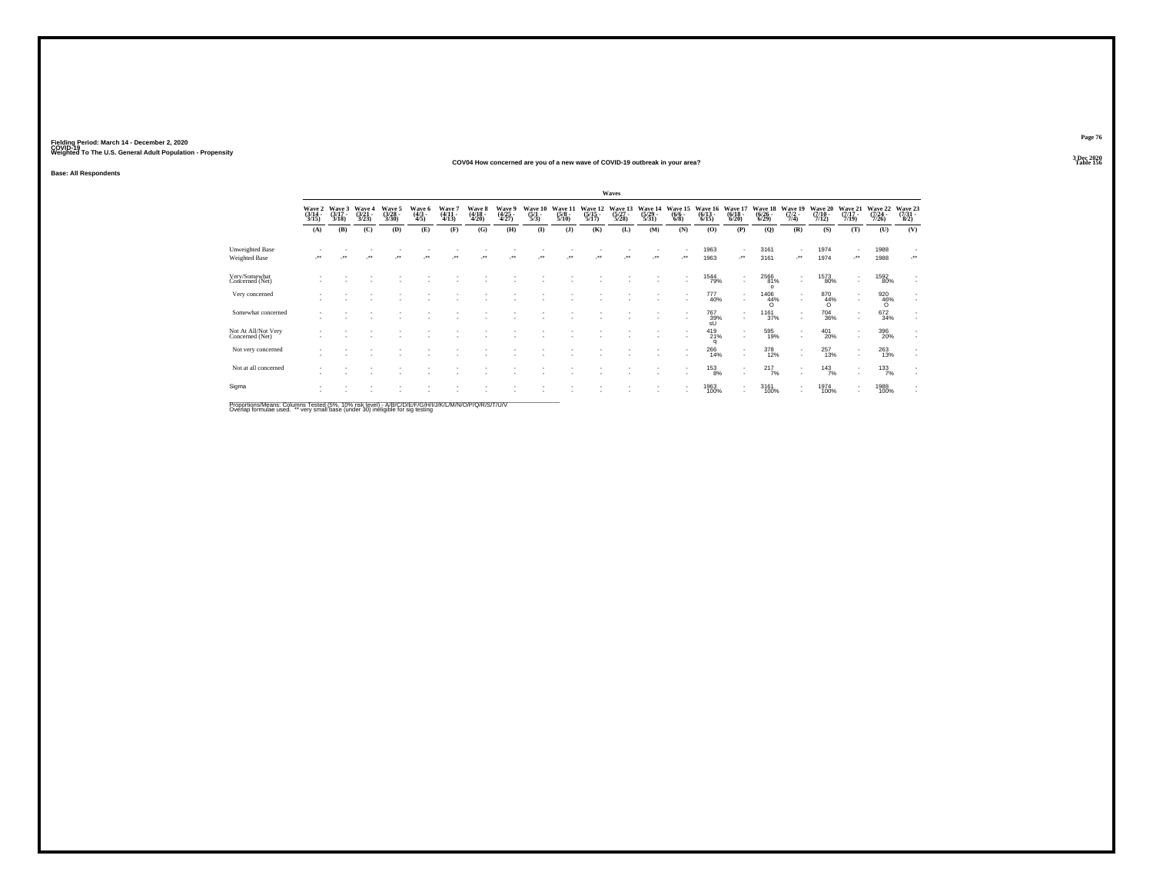#### **COV04 How concerned are you of a new wave of COVID-19 outbreak in your area?Table 156 Table 156**

**Base: All Respondents**

|                                        |                               |                |                       |                           |                         |                           |                            |                          |                                      |                                 |                             | Waves                       |                            |                             |                                        |                                                      |                         |                                          |                            |                              |                             |                                          |
|----------------------------------------|-------------------------------|----------------|-----------------------|---------------------------|-------------------------|---------------------------|----------------------------|--------------------------|--------------------------------------|---------------------------------|-----------------------------|-----------------------------|----------------------------|-----------------------------|----------------------------------------|------------------------------------------------------|-------------------------|------------------------------------------|----------------------------|------------------------------|-----------------------------|------------------------------------------|
|                                        | Wave 2<br>(3/14 -<br>$3/15$ ) | Wave 3<br>3/18 | Waye<br>(3/21<br>3/23 | Wave 5<br>(3/28 -<br>3/30 | Waye 6<br>(4/3 -<br>4/5 | Wave 7<br>(4/11 -<br>4/13 | Wave 8<br>(4/18 -<br>4/20) | Wave 9<br>(4/25<br>4/27) | Wave 10<br>$\frac{(5/1 - 1)}{(5/3)}$ | Wave 11<br>$\frac{(5/8)}{5/10}$ | Wave 12<br>(5/15 -<br>5/17) | Wave 13<br>(5/27 -<br>5/28) | Wave 1<br>(5/29 -<br>5/31) | Wave<br>$\frac{(6/6)}{6/8}$ | Wave 1.<br>$(6/13 -$<br>16<br>$6/15$ ) | Wave 17<br>$\frac{(6/18)}{6/20}$                     | Wave 18<br>6/29         | $\frac{Wave}{(7/2 - 19)}$<br>7/4)        | Wave 20<br>(7/10 -<br>7/12 | Wave 21<br>$(7/17 -$<br>7/19 | Wave 22<br>(7/24 -<br>7/26) | Wave 23<br>(7/31<br>8/2)                 |
|                                        | (A)                           | (B)            | (C)                   | (D)                       | (E)                     | (F)                       | (G)                        | (H)                      | $\mathbf{I}$                         | (1)                             | (K)                         | (L)                         | (M)                        | (N)                         | (O)                                    | (P)                                                  | (Q)                     | (R)                                      | (S)                        | (T)                          | (U)                         | (V)                                      |
| Unweighted Base<br>Weighted Base       | $^{\tiny{++}}$                |                |                       |                           |                         |                           |                            |                          |                                      |                                 |                             |                             |                            | $\ddot{\phantom{1}}$        | 1963<br>1963                           | 59                                                   | 3161<br>3161            | -<br>٠.                                  | 1974<br>1974               |                              | 1988<br>1988                | $\mathcal{L}^{\text{max}}$               |
| Very/Somewhat<br>Concerned (Net)       |                               |                |                       |                           |                         |                           |                            |                          |                                      |                                 |                             |                             |                            | ۰                           | 1544<br>79%                            | $\mathbf{r}$<br>$\mathbf{r}$                         | 2566<br>81%<br>$\Omega$ | ٠<br>$\mathbf{r}$                        | 1573<br>80%                | $\mathbf{r}$                 | 1592<br>80%                 | $\mathbf{r}$                             |
| Very concerned                         |                               |                |                       |                           |                         |                           |                            |                          |                                      |                                 |                             |                             |                            | $\sim$                      | 777<br>40%                             | $\overline{\phantom{a}}$<br>$\mathbf{r}$             | 1406<br>44%<br>$\Omega$ | ٠<br>$\mathbf{r}$                        | 870<br>44%<br>$\Omega$     | $\sim$                       | 920<br>46%<br>$\Omega$      | $\sim$                                   |
| Somewhat concerned                     |                               |                |                       |                           |                         |                           |                            |                          |                                      |                                 |                             |                             |                            | $\mathbf{r}$<br>۰           | <sup>767</sup> 39%<br>sU               | $\sim$<br>$\mathbf{r}$                               | 1161<br>37%             | $\sim$<br>$\overline{\phantom{a}}$       | <sup>704</sup> 36%         | $\;$<br>×                    | 672<br>34%                  | $\overline{\phantom{a}}$<br>$\mathbf{r}$ |
| Not At All/Not Very<br>Concerned (Net) |                               |                |                       |                           |                         |                           |                            |                          |                                      |                                 |                             |                             |                            | $\overline{\phantom{a}}$    | 419<br>21%<br>o                        | $\overline{\phantom{a}}$<br>$\mathbf{r}$             | 595<br>19%              | $\sim$<br>$\mathbf{r}$                   | 401<br>20%                 | $\sim$<br>×.                 | 396<br>20%                  | $\sim$<br>$\sim$                         |
| Not very concerned                     |                               |                |                       |                           |                         |                           |                            |                          |                                      |                                 |                             |                             |                            |                             | 266<br>14%                             | $\overline{\phantom{a}}$<br>$\overline{\phantom{a}}$ | 378<br>12%              | $\overline{\phantom{a}}$<br>٠            | 257<br>13%                 |                              | 263<br>13%                  | ٠<br>$\sim$                              |
| Not at all concerned                   |                               |                |                       |                           |                         |                           |                            |                          |                                      |                                 |                             |                             |                            | ٠                           | $^{153}_{8\%}$                         | $\overline{\phantom{a}}$<br>$\mathbf{r}$             | $^{217}_{7\%}$          | $\overline{\phantom{a}}$<br>$\mathbf{r}$ | $143$ <sub>7%</sub>        | $\mathbf{r}$                 | 133/7%                      | $\sim$<br>$\sim$                         |
| Sigma                                  |                               |                |                       |                           |                         |                           |                            |                          |                                      |                                 |                             |                             |                            |                             | 1963<br>100%                           | $\overline{\phantom{a}}$<br>$\mathbf{r}$             | 3161<br>100%            | $\overline{\phantom{a}}$                 | 1974<br>100%               | $\overline{\phantom{a}}$     | 1988<br>100%                | $\mathbf{r}$<br>$\sim$                   |

Proportions/Means: Columns Tested (5%, 10% risk level) - A/B/C/D/E/F/G/H/I/J/K/L/M/N/O/P/Q/R/S/T/U/V<br>Overlap formulae used. \*\* very small base (under 30) ineligible for sig testing

**Page 763 Dec 2020<br>Table 156**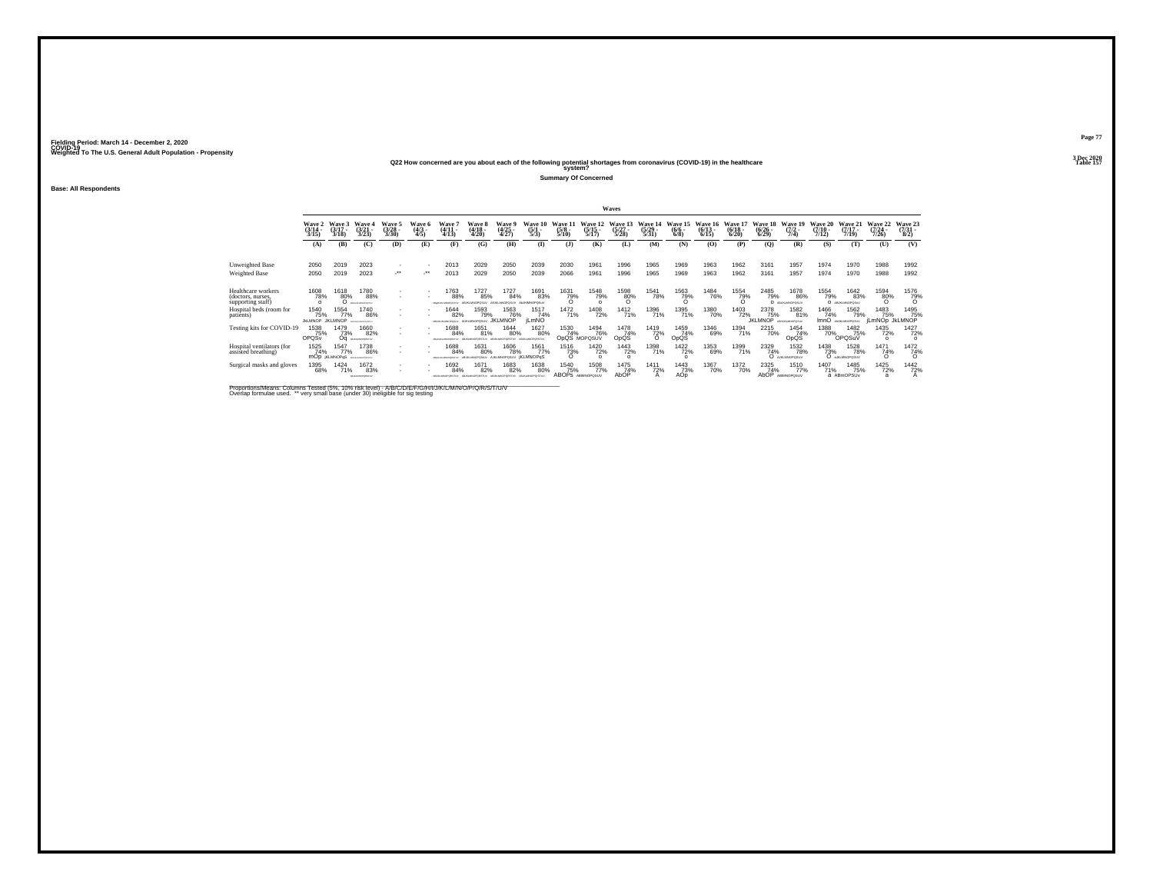#### **Q22 How concerned are you about each of the following potential shortages from coronavirus (COVID-19) in the healthcare Table 157 system?**

**Summary Of Concerned**

**Base: All Respondents**

|                                                              |                                       |                                    |                                                     |                             |                           |                                      |                                    |                                               |                             |                                        |                                 | Waves                         |                           |                                |                              |                                  |                                  |                                     |                               |                                        |                                 |                                |
|--------------------------------------------------------------|---------------------------------------|------------------------------------|-----------------------------------------------------|-----------------------------|---------------------------|--------------------------------------|------------------------------------|-----------------------------------------------|-----------------------------|----------------------------------------|---------------------------------|-------------------------------|---------------------------|--------------------------------|------------------------------|----------------------------------|----------------------------------|-------------------------------------|-------------------------------|----------------------------------------|---------------------------------|--------------------------------|
|                                                              | Wave 2<br>(3/14 -<br>3/15             | Wave 3<br>$(3/17 -$<br>3/18        | Wave 4<br>$(3/21 -$<br>3/23                         | Wave 5<br>$(3/28 -$<br>3/30 | Wave 6<br>$(4/3 -$<br>4/5 | Wave<br>$(4/11 -$<br>4/13            | <b>Wave 8</b><br>$(4/18 -$<br>4/20 | Wave 9<br>(4/25<br>4/27)                      | Wave 10<br>$(5/1 -$<br>5/3  | Wave 11<br>$(5/8 -$<br>5/10            | Wave 12<br>$(5/15 -$<br>5/17    | Wave 13<br>$(5/27 -$<br>5/28  | Wave 14<br>(5/29)<br>5/31 | Wave 15<br>$\frac{(6/6)}{6/8}$ | Wave 16<br>$(6/13 -$<br>6/15 | Wave 17<br>$\frac{(6/18)}{6/20}$ | Wave 18<br>$(6/26 -$<br>6/29     | Wave 19<br>$(7/2 -$<br>7/4          | Wave 20<br>$(7/10 -$<br>7/12) | Wave 21<br>$(7/17 -$<br>7/19           | Wave 22<br>$(7/24 -$<br>7/26    | Wave 23<br>$(7/31 -$<br>8/2    |
|                                                              | (A)                                   | (B)                                | (C)                                                 | (D)                         | (E)                       | (F)                                  | (G)                                | (H)                                           | $\bf{I}$                    | (3)                                    | (K)                             | (L)                           | (M)                       | (N)                            | (O)                          | (P)                              | $\mathbf{Q}$                     | (R)                                 | (S)                           | (T)                                    | (U)                             | (V)                            |
| Unweighted Base                                              | 2050                                  | 2019                               | 2023                                                | $\sim$                      |                           | 2013                                 | 2029                               | 2050                                          | 2039                        | 2030                                   | 1961                            | 1996                          | 1965                      | 1969                           | 1963                         | 1962                             | 3161                             | 1957                                | 1974                          | 1970                                   | 1988                            | 1992                           |
| Weighted Base                                                | 2050                                  | 2019                               | 2023                                                | $\cdot$                     |                           | 2013                                 | 2029                               | 2050                                          | 2039                        | 2066                                   | 1961                            | 1996                          | 1965                      | 1969                           | 1963                         | 1962                             | 3161                             | 1957                                | 1974                          | 1970                                   | 1988                            | 1992                           |
| Healthcare workers<br>(doctors, nurses,<br>supporting staff) | 1608<br>78%<br>$\Omega$               | 1618<br>80%                        | 1780<br>88%<br>PEALMONDERN                          | $\sim$                      |                           | 1763<br>88%                          | 1727<br>85%                        | 1727<br>84%                                   | 1691<br>83%                 | 1631<br>79%<br>$\Omega$                | 1548<br>79%                     | 1598<br>80%                   | <sup>1541</sup> 78%       | 1563<br>79%                    | <sup>1484</sup> 76%          | 1554<br>79%                      | 2485<br>79%                      | 1678<br>86%<br>O ABUILIMOPOSUV      | <sup>1554</sup> 79%           | <sup>1642</sup> 83%<br>O ABJILIMOPOSAV | 1594<br>80%<br>$\Omega$         | 1576<br>79%                    |
| Hospital beds (room for<br>patients)                         | 1540<br>75%<br><b>JKLMNOP JKLMNOP</b> | 1554<br>77%                        | 1740<br>86%<br><b><i>REGISTER AND REGISTERS</i></b> | $\sim$                      |                           | 1644<br>82%<br>AGO LA BO SAVOIETO EL | 1593<br>79%<br>AUKLMNOPOSUV        | 1563<br>76%<br><b>JKLMNOP</b>                 | 1517<br>74%<br><b>iLmNO</b> | 1472<br>71%                            | 1408<br>72%                     | 1412<br>71%                   | 1396<br>71%               | 1395<br>71%                    | 1380<br>70%                  | 1403<br>72%                      | 2378<br>75%<br><b>JKLMNOP</b>    | 1582<br>81%<br>ABHJALMNOPOSUV       | 1466<br>74%                   | 1562<br>79%<br>ImnO ANALINOPOSUV       | 1483<br>75%<br>jLmNOp JkLMNOP   | 1495<br>75%                    |
| Testing kits for COVID-19                                    | 1538<br>75%<br>OPQSv                  | 1479<br>73%<br>Οa                  | 1660<br>82%<br>ABJANCED/RETUR                       | $\sim$<br>$\sim$            | $\sim$                    | 1688<br>84%<br>Mieski Microstav      | 1651<br>81%                        | <sup>1644</sup> 80%                           | 1627<br>80%                 | 1530<br>74%                            | 1494<br>76%<br>OpQS MOPQSUV     | 1478<br>74%<br>OpQS           | <sup>1419</sup><br>72%    | 1459<br>74%<br>OpQS            | 1346<br>69%                  | 1394<br>71%                      | <sup>2215</sup> 70%              | 1454<br>74%<br>OpQS                 | <sup>1388</sup> 70%           | 1482<br>75%<br>OPOSuV                  | <sup>1435</sup> 72%<br>$\Omega$ | <sup>1427</sup> 72%<br>$\circ$ |
| Hospital ventilators (for<br>assisted breathing)             | 1525<br>74%                           | 1547<br>77%<br><b>MOD KLMNOPoS</b> | 1738<br>86%<br>ABDIGALMONISTLY                      | $\overline{\phantom{a}}$    |                           | 1688<br>84%                          | 1631<br>80%                        | <sup>1606</sup> 78%<br>AIKLMNOPOSUV İKLMNOPOS | 1561<br>77%                 | $\frac{1516}{73\%}$                    | <sup>1420</sup> 72%<br>$\Omega$ | <sup>1443</sup> 72%<br>$\sim$ | 1398<br>71%               | 1422<br>72%                    | 1353<br>69%                  | 1399<br>71%                      | 2329<br>74%                      | <sup>1532</sup> 78%<br>O ARLMOPOSUV | 1438<br>73%                   | <sup>1528</sup> 78%<br>O ARLINOPOSLY   | 1471<br>74%<br>ö                | $\frac{1472}{74\%}$            |
| Surgical masks and gloves                                    | 1395<br>68%                           | 1424<br>71%                        | 1672<br>83%<br>AS AGAIN OF GRETIAL                  | $\sim$<br>$\mathbf{r}$      |                           | 1692<br>84%                          | 1671<br>82%                        | 1683<br>82%                                   | 1638<br>80%                 | 1540<br>75%<br><b>ABOPS ABIMOPOSUV</b> | 1508<br>77%                     | 1475<br>74%<br>AbOP           | 1411<br>72%               | 1443<br>73%<br>AÓD             | 1367<br>70%                  | 1372<br>70%                      | 2325<br>74%<br>AbÓP <sup>'</sup> | 1510<br>77%<br>ABIMNOPOSUV          | 1407<br>71%                   | 1485<br>75%<br>a ABmOPSUv              | 1425<br>72%<br>a                | 1442<br>72%                    |

Proportions/Means: Columns Tested (5%, 10% risk level) - A/B/C/D/E/F/G/H/I/J/K/L/M/N/O/P/Q/R/S/T/U/V<br>Overlap formulae used. \*\* very small base (under 30) ineligible for sig testing

**Page 773 Dec 2020<br>Table 157**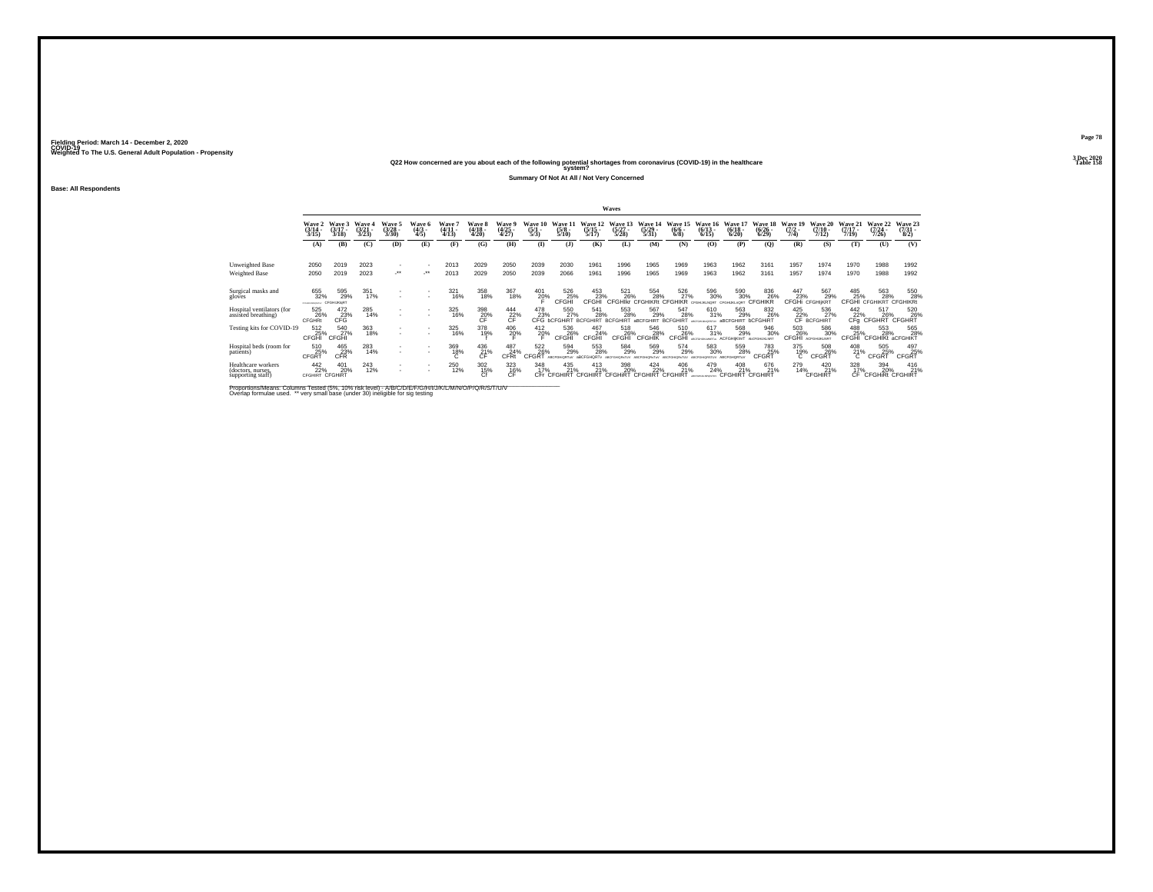#### **Q22 How concerned are you about each of the following potential shortages from coronavirus (COVID-19) in the healthcare Table 158 system?**

**Summary Of Not At All / Not Very Concerned**

**Base: All Respondents**

|                                                              |                                       |                                       |                                 |                                 |                              |                                      |                                 |                          |                                |                                 |                                                          | <b>Waves</b>                                                                              |                                  |                                |                                     |                                           |                                    |                                |                                         |                                  |                                          |                                         |
|--------------------------------------------------------------|---------------------------------------|---------------------------------------|---------------------------------|---------------------------------|------------------------------|--------------------------------------|---------------------------------|--------------------------|--------------------------------|---------------------------------|----------------------------------------------------------|-------------------------------------------------------------------------------------------|----------------------------------|--------------------------------|-------------------------------------|-------------------------------------------|------------------------------------|--------------------------------|-----------------------------------------|----------------------------------|------------------------------------------|-----------------------------------------|
|                                                              | Wave 2<br>$\frac{(3/14)}{3/15}$       | Wave 3<br>$(3/17 -$<br>3/18           | Wave 4<br>$\frac{(3/21)}{3/23}$ | Wave 5<br>$\frac{(3/28)}{3/30}$ | Wave 6<br>$\binom{4/3}{4/5}$ | <b>Wave</b><br>$\frac{(4/11)}{4/13}$ | Wave 8<br>$\frac{(4/18)}{4/20}$ | Wave 9<br>(4/25<br>4/27) | Wave 10<br>$\frac{(5/1)}{5/3}$ | Wave 11<br>$\frac{(5/8)}{5/10}$ | Wave 12<br>$\frac{(5/15)}{5/17}$                         | Wave 13<br>$\frac{(5/27)}{5/28}$                                                          | Wave 14<br>$\frac{(5/29)}{5/31}$ | Wave 15<br>$\frac{(6/6)}{6/8}$ | Wave 16<br>$\frac{(6/13)}{6/15}$    | Wave 17<br>$\frac{(6/18)}{6/20}$          | Wave 18<br>$\binom{6/26}{6/29}$    | Wave 19<br>$\frac{(7/2)}{7/4}$ | Wave 20<br>$\frac{(7/10)}{7/12}$        | Wave 21<br>$\frac{(7/17)}{7/19}$ | Wave 22<br>$(7/24 -$<br>7/26             | Wave 23<br>$\binom{7/31}{8/2}$          |
|                                                              | (A)                                   | (B)                                   | (C)                             | (D)                             | (E)                          | (F)                                  | (G)                             | (H)                      | $\bf{I}$                       | $($ $)$                         | (K)                                                      | (L)                                                                                       | (M)                              | (N)                            | (O)                                 | (P)                                       | (Q)                                | (R)                            | (S)                                     | (T)                              | (U)                                      | (V)                                     |
| Unweighted Base<br>Weighted Base                             | 2050<br>2050                          | 2019<br>2019                          | 2023<br>2023                    | $\cdot$                         | $\cdot$                      | 2013<br>2013                         | 2029<br>2029                    | 2050<br>2050             | 2039<br>2039                   | 2030<br>2066                    | 1961<br>1961                                             | 1996<br>1996                                                                              | 1965<br>1965                     | 1969<br>1969                   | 1963<br>1963                        | 1962<br>1962                              | 3161<br>3161                       | 1957<br>1957                   | 1974<br>1974                            | 1970<br>1970                     | 1988<br>1988                             | 1992<br>1992                            |
| Surgical masks and<br>gloves                                 | 655<br>32%<br>CFD/ENGINGINEAL         | 595<br>29%<br>CFGHIJKIgRT             | $351$<br>$17%$                  | $\overline{\phantom{a}}$        | $\sim$                       | 321<br>16%                           | 358<br>18%                      | 367<br>18%               | 401<br>20%                     | 526<br>25%<br>CFGHI             | 453<br>23%<br>CFGHI                                      | 521<br>26%<br><b>CFGHIkr</b>                                                              | 554<br>28%<br><b>CFGHIKRt</b>    | 526<br>27%<br>CEGHI            | 596<br>30%                          | 590 30%<br>CEGHLIKI «ORT                  | 836<br>26%<br>CFGH                 | $^{447}_{23\%}$ CFGHi          | 567<br>29%<br>CFGHIKRT                  | 485<br>25%<br>CFGHI              | 563<br>28%<br><b>CFGHIKRT CFGHIKRt</b>   | 550<br>28%                              |
| Hospital ventilators (for<br>assisted breathing)             | 525<br>26%<br><b>CFGHRt</b>           | $^{472}_{\substack{23\\ \text{CFG}}}$ | 285<br>14%                      | $\mathbf{r}$                    | $\sim$                       | 325<br>16%                           | 398<br>20%                      | 444<br>$22\%$            | 478                            | 550                             | 541<br>23% 27% 28% 28%<br>CFG bCFGHIRT BCFGHIRT BCFGHIRT | 553<br>28%                                                                                | 567<br>29%<br><b>aBCFGHIRT</b>   | 547<br>28%<br><b>BCFGHIRT</b>  | 610<br>31%<br>ARCFOHLAINORSTU       | 563<br>29%<br><b>aBCFGHIRT bCFGHIRT</b>   | 832<br>26%                         |                                | 425 536<br>22% 27<br>CF BCFGHIRT<br>27% | 442                              | 517                                      | 520<br>22% 26% 26%<br>CFg CFGHRT CFGHRT |
| Testing kits for COVID-19                                    | 512<br>25%<br>CFGHI                   | 540<br>27%<br>CFGHI                   | 363<br>18%                      | $\sim$                          |                              | 325<br>16%                           | 378<br>19%                      | 406<br>20%               | $^{412}_{20\%}$                | 536<br>26%<br>CFGHI             | 467<br>24%<br>CFGHI                                      | 518<br>26%<br>CFGHI                                                                       | 546<br>28%<br><b>CFGHIK</b>      | 510<br>26%<br>CFGHI            | $^{617}_{31\%}$<br>ARCOGAINS MARTIN | 568<br>29%<br><b>ACFGHIKInrT</b>          | 946<br>30%<br><b>ANCEIGHUKLNRT</b> | 503<br>26%<br>CFGHI            | 586<br>30%<br><b>ACFGHUKLNRT</b>        | 488<br>CFGHI                     | 553<br>28%<br>CFGHIKt aCFGHIKT           | 565<br>28%                              |
| Hospital beds (room for<br>patients)                         | 510<br>25%<br>CFGRT                   | $^{465}_{23\%}$ CFR                   | 283<br>14%                      | $\mathbf{r}$                    | . .                          | 369<br>18%                           | $^{436}_{\hbox{21}\%}$          | 487<br>24%<br>CFRI       | 5226%<br>CEGRT                 | 594<br>29%<br>ABORDNIART-AL     | 553<br>28%<br>ARCEGHORTY                                 | 584<br>29%                                                                                | 569<br>29%                       | 574<br>29%                     | 583<br>30%                          | 559<br>28%                                | 783<br>25%<br>CEGRT                | $\overset{375}{\phantom{1}7}$  | 508<br>26%<br>CFGRT                     | $^{408}_{21\%}$                  | 505<br>25%<br>CFGRT                      | 497<br>25%<br>CFGRT                     |
| Healthcare workers<br>(doctors, nurses,<br>supporting staff) | $\frac{442}{22\%}$<br>CFGHIRT CFGHIRT | 401<br>20%                            | 243<br>12%                      | $\mathbf{r}$                    | $\sim$                       | 250<br>12%                           | $\frac{302}{15\%}$              | 323<br>$C_F^{16\%}$      |                                |                                 |                                                          | 348 435 413 398 424 406<br>17% 21% 21% 20% 22% 21%<br>CFr CFGHIRT CFGHIRT CFGHIRT CFGHIRT |                                  | $^{406}_{21\%}$                | 479<br>24%                          | 408 676<br>21% 21% 21%<br>CFGHIRT CFGHIRT | 676<br>21%                         | 279<br>14%                     | $^{420}_{21\%}$<br>CFGHIRT              | 328                              | 394<br>17% 20% 21°<br>CF CFGHIRt CFGHIRT | $^{416}_{21\%}$                         |

Proportions/Means: Columns Tested (5%, 10% risk level) - A/B/C/D/E/F/G/H/I/J/K/L/M/N/O/P/Q/R/S/T/U/V<br>Overlap formulae used. \*\* very small base (under 30) ineligible for sig testing

**Page 783 Dec 2020<br>Table 158**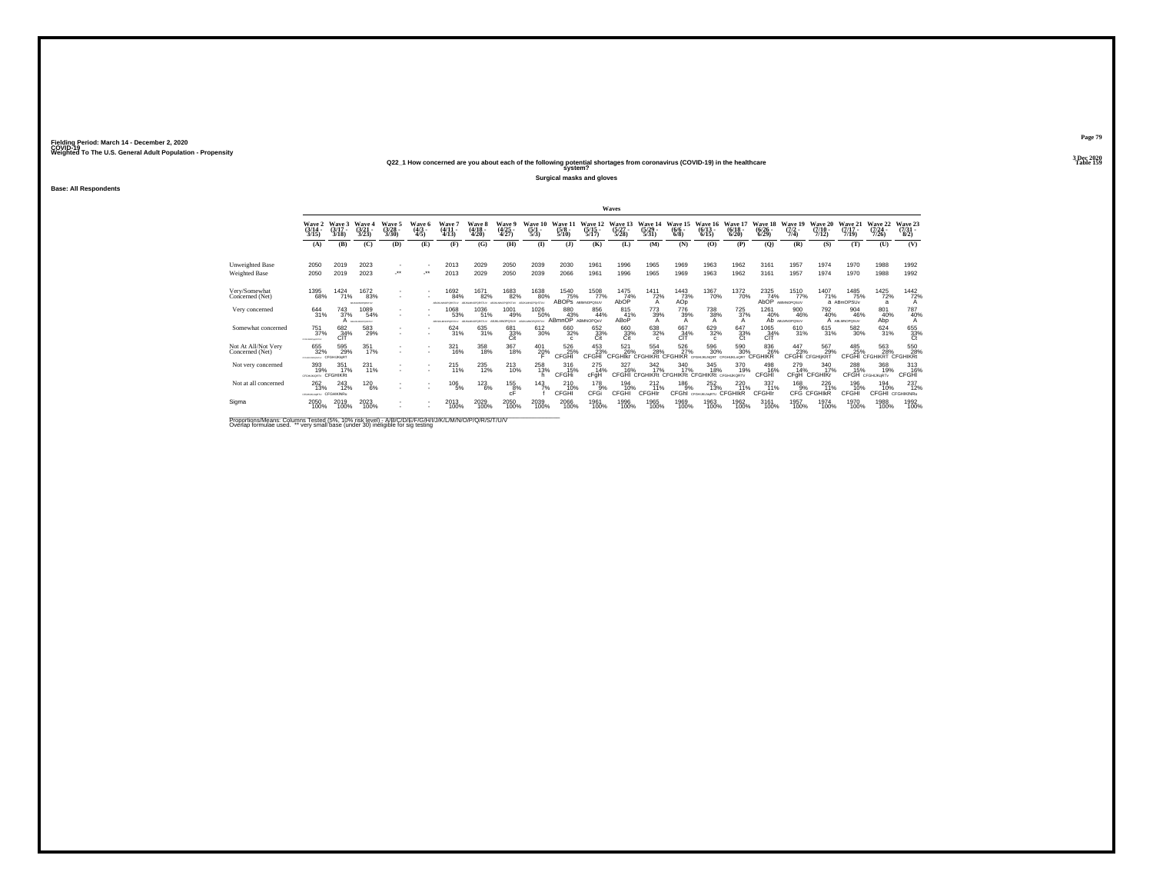### **Q22\_1 How concerned are you about each of the following potential shortages from coronavirus (COVID-19) in the healthcare Table 159 system?**

**Surgical masks and gloves**

**Base: All Respondents**

|                                         |                                  |                                    |                                    |                          |                                     |                                        |                                |                                        |                                |                                 |                                  | Waves                          |                                  |                                                     |                                    |                                        |                                  |                                 |                              |                              |                                |                               |
|-----------------------------------------|----------------------------------|------------------------------------|------------------------------------|--------------------------|-------------------------------------|----------------------------------------|--------------------------------|----------------------------------------|--------------------------------|---------------------------------|----------------------------------|--------------------------------|----------------------------------|-----------------------------------------------------|------------------------------------|----------------------------------------|----------------------------------|---------------------------------|------------------------------|------------------------------|--------------------------------|-------------------------------|
|                                         | Wave 2<br>$(3/14 -$<br>3/15      | Wave 3<br>$(3/17 -$<br>3/18        | Wave 4<br>$(3/21 -$<br>3/23        | Wave 5<br>(3/28)<br>3/30 | <b>Wave 6</b><br>$(4/3 -$<br>4/5    | Wave 7<br>(4/11 -<br>4/13              | Wave 8<br>$(4/18 -$<br>4/20    | Wave 9<br>(4/25<br>4/27)               | Wave 10<br>$\frac{(5/1)}{5/3}$ | Wave 11<br>$\frac{(5/8)}{5/10}$ | Wave 12<br>$\frac{(5/15)}{5/17}$ | Wave 13<br>(5/27<br>5/28)      | Wave 14<br>$\frac{(5/29)}{5/31}$ | Wave 15<br>$\frac{(6/6 - 6)}{(6/8)}$                | Wave<br>$(6/13 -$<br>6/15          | <b>Wave 1</b><br>$\frac{(6/18)}{6/20}$ | Wave 18<br>$(6/26 -$<br>6/29     | Wave 19<br>$(7/2 -$<br>7/4)     | Wave 20<br>$(7/10 -$<br>7/12 | Wave 21<br>$(7/17 -$<br>7/19 | Wave 22<br>$(7/24 -$<br>7/26   | Wave 23<br>$(7/31 -$<br>8/2)  |
|                                         | (A)                              | (B)                                | (C)                                | (D)                      | (E)                                 | (F)                                    | (G)                            | (H)                                    | $($ I                          | (1)                             | (K)                              | (L)                            | (M)                              | (N)                                                 | (0)                                | (P)                                    | $\mathbf{Q}$                     | (R)                             | (S)                          | (T)                          | (U)                            | (V)                           |
| <b>Unweighted Base</b><br>Weighted Base | 2050<br>2050                     | 2019<br>2019                       | 2023<br>2023                       | $\sim$<br>$\cdot$        | ٠<br>$\mathcal{L}^{\bullet\bullet}$ | 2013<br>2013                           | 2029<br>2029                   | 2050<br>2050                           | 2039<br>2039                   | 2030<br>2066                    | 1961<br>1961                     | 1996<br>1996                   | 1965<br>1965                     | 1969<br>1969                                        | 1963<br>1963                       | 1962<br>1962                           | 3161<br>3161                     | 1957<br>1957                    | 1974<br>1974                 | 1970<br>1970                 | 1988<br>1988                   | 1992<br>1992                  |
| Very/Somewhat<br>Concerned (Net)        | 1395<br>68%                      | 1424<br>71%                        | 1672<br>83%<br>ASANANCPORTER       | $\sim$<br>٠              | $\sim$                              | 1692<br>84%<br>ASUKLAINOPORSTLY        | 1671<br>82%<br>ABJIGMNOPORSTLY | <sup>1683</sup> 82%<br>ABJALMNOPORSTLV | 1638<br>80%<br>ABJKLMNOPOSTUV  | 1540<br>75%<br>ABOPS            | 1508<br>77%<br>ABIMNOPOSUV       | 1475<br>74%<br>AbOP            | 1411<br>72%<br>А                 | $\frac{1443}{73\%}$<br>AÓp                          | 1367<br>70%                        | <sup>1372</sup> 70%                    | 2325<br>74%                      | 1510<br>77%<br>AbOP ABIMNOPOSUV | 1407<br>71%                  | 1485<br>75%<br>a ABmOPSUv    | 1425<br>72%<br>a               | $\frac{1442}{72\%}$           |
| Very concerned                          | 644<br>31%                       | 743<br>37%                         | 1089<br>54%<br>A <i>avancesson</i> | ٠<br>٠                   |                                     | 1068<br>53%<br><b>VEHICLE CHECKERS</b> | 1036<br>51%<br>ABJIEMMOPORSTLY | 1001<br>49%<br>ABJIG MNOPOSLIV         | 1026<br>50%<br>ABJIGMNOPORSTUV | 880<br>43%<br>ABmnOP            | 856<br>44%<br>ABMNOPOsV          | 815<br>41%<br>ABOP             | 773<br>39%<br>А                  | 776<br>39%                                          | 738<br>38%<br>A                    | 725<br>37%<br>А                        | 1261<br>40%                      | 900<br>46%<br>Ab ABLMNOPOSUV    | 792<br>40%                   | 904<br>46%<br>A ABLMNOPOSUV  | 801<br>40%<br>Abp              | 787<br>40%<br>$\mathsf{A}$    |
| Somewhat concerned                      | 751<br>37%<br>CFDGAMGHAETU       | 682<br>34%<br>CIT                  | 583<br>29%                         | ٠<br>٠                   |                                     | $624 \over 31\%$                       | 635<br>31%                     | 681<br>33%<br>Cit                      | 612<br>30%                     | 660<br>32%                      | 652 %<br>Cit                     | 660<br>33%<br>Cit              | 638<br>32%<br>c.                 | 667<br>34%<br>CIT                                   | 629<br>32%<br>$\mathbf{c}$         | 647<br>33%<br>Ct                       | $\frac{1065}{34\%}$<br>CIT       | 610<br>31%                      | 615<br>31%                   | $^{582}_{\ 30\%}$            | $624 \over 31\%$               | 655<br>33%<br>Ct              |
| Not At All/Not Very<br>Concerned (Net)  | 655<br>32%<br>CFD/ENGINGINEAL    | 595<br>29%<br>CFGHIJKIgRT          | 351<br>17%                         | ٠<br>$\sim$              | ٠                                   | 321<br>16%                             | 358<br>18%                     | $367 \over 18\%$                       | $^{401}_{20\%}$                | 526<br>25%<br>CFGFII            | 453%<br>CFGHI                    | 521<br>26%<br>CEGHIKE CEGHIKRE | 554<br>28%                       | 526<br>27%<br>CFGH<br>IKR.                          | 596<br>30%<br>CEOHLIKI NORT        | 590<br>30%<br>CEGHLIKI «ORT            | 836<br>26%<br>CFGH<br><b>IKR</b> | $^{447}_{23\%}$                 | 567<br>29%<br>CFGHI CFGHIKRT | 485<br>25%<br>CEGHI          | 563<br>28%<br><b>CEGHIKRT</b>  | 550<br>28%<br><b>CFGHIKRt</b> |
| Not very concerned                      | 393<br>19%<br><b>CFGHLHODRTV</b> | 351<br>17%<br><b>CFGHIKRI</b>      | 231<br>11%                         | $\sim$<br>$\sim$         | $\sim$<br>٠                         | 215<br>11%                             | 235<br>12%                     | 213<br>10%                             | 258<br>13%                     | 316<br>15%<br>CFGHi             | 275<br>14%<br>cFgH               | 327<br>16%<br>CFGHĪ            | 342<br>17%                       | 340<br>17%<br>CFGHIKRt CFGHIKRt CFGHIKRt CFGHUKORTV | 345<br>18%                         | 370<br>19%                             | 498<br>16%<br>CFGHI              | 279<br>14%                      | 340<br>17%<br>CFqH CFGHIKr   | 288<br>15%                   | 368<br>19%<br>CFGH CFGHIJKQRTV | 313<br>16%<br><b>CFGHI</b>    |
| Not at all concerned                    | 262<br>13%<br>CREHUKLNATU        | $^{243}_{12\%}$<br><b>CEGHKNRU</b> | 1206%                              | ٠<br>٠                   |                                     | $^{106}_{-5\%}$                        | $^{123}_{6\%}$                 | $\frac{155}{8\%}$<br>cF                | $^{143}_{7\%}$                 | 210 %<br>CFGHI                  | $^{178}_{9\%}$<br>CFGi           | 194<br>10%<br>CFGHI            | $^{212}_{11\%}$<br>CFGHIr        | 186<br>9%<br>CFGhl                                  | 252<br>13%<br>CIGHUKUNGRTU CFGHIKR | 2201%                                  | 337<br>11%<br>CFGHIr             | $^{168}_{-9\%}$                 | 226<br>11%<br>CFG CFGHIKR    | 196<br>10%<br>CFGHI          | 194<br>10%<br>CFGHI            | 237<br>12%<br>CFGHIKINRu      |
| Sigma                                   | 2050<br>100%                     | 2019<br>100%                       | 2023<br>100%                       | ٠<br>٠                   |                                     | 2013<br>100%                           | 2029<br>100%                   | 2050<br>100%                           | 2039<br>100%                   | 2066<br>100%                    | 1961<br>100%                     | 1996<br>100%                   | 1965<br>100%                     | 1969<br>100%                                        | 1963<br>100%                       | 1962<br>100%                           | 3161<br>100%                     | 1957<br>100%                    | 1974<br>100%                 | 1970<br>100%                 | 1988<br>100%                   | 1992<br>100%                  |

Proportions/Means: Columns Tested (5%, 10% risk level) - A/B/C/D/E/F/G/H/I/J/K/L/M/N/O/P/Q/R/S/T/U/V<br>Overlap formulae used. \*\* very small base (under 30) ineligible for sig testing

**Page 793 Dec 2020<br>Table 159**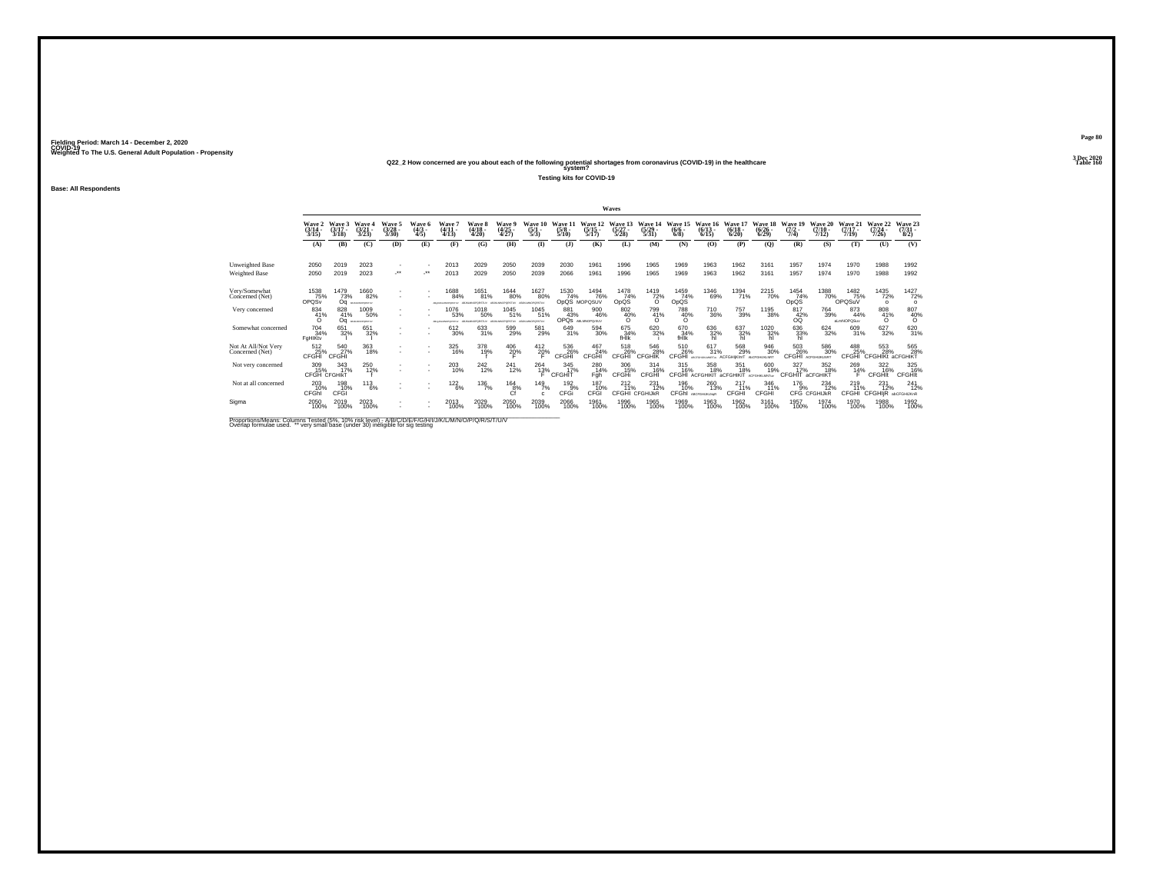### **Q22\_2 How concerned are you about each of the following potential shortages from coronavirus (COVID-19) in the healthcare Table 160 system?**

**Testing kits for COVID-19**

**Base: All Respondents**

|                                        |                                 |                          |                                   |                                 |                               |                                      |                                               |                                       |                                |                                 |                                     | Waves                            |                                    |                               |                                         |                                 |                                                              |                                |                                  |                                      |                                         |                                |
|----------------------------------------|---------------------------------|--------------------------|-----------------------------------|---------------------------------|-------------------------------|--------------------------------------|-----------------------------------------------|---------------------------------------|--------------------------------|---------------------------------|-------------------------------------|----------------------------------|------------------------------------|-------------------------------|-----------------------------------------|---------------------------------|--------------------------------------------------------------|--------------------------------|----------------------------------|--------------------------------------|-----------------------------------------|--------------------------------|
|                                        | Wave 2<br>$\frac{(3/14)}{3/15}$ | Wave 3<br>(3/17)<br>3/18 | Wave 4<br>$\frac{3/21}{3/23}$     | Wave 5<br>$\frac{(3/28)}{3/30}$ | Wave 6<br>$\frac{(4/3)}{4/5}$ | Wave<br>$\frac{(4/11)}{4/13}$        | <b>Wave 8</b><br>$\frac{(4/18 - 4/20)}{4/20}$ | Wave 9<br>$\frac{(4/25)}{4/27}$       | Wave 10<br>$\frac{(5/1)}{5/3}$ | Wave 11<br>$\frac{(5/8)}{5/10}$ | Wave 12<br>$\frac{(5/15)}{5/17}$    | Wave 13<br>$\frac{(5/27)}{5/28}$ | Wave 14<br>(5/29)<br>5/31)         | Wave 15<br>$\binom{6/6}{6/8}$ | Wave 16<br>$(6/13 -$<br>6/15            | Wave 17<br>$\binom{6/18}{6/20}$ | Wave 18<br>$\frac{(6/26)}{6/29}$                             | Wave 19<br>$\frac{(7/2)}{7/4}$ | Wave 20<br>$\frac{(7/10)}{7/12}$ | Wave 21<br>$\frac{(7/17 - 7)}{7/19}$ | Wave 22<br>$\frac{(7/24 - 7/26)}{7/26}$ | Wave 23<br>$\binom{7/31}{8/2}$ |
|                                        | (A)                             | (B)                      | (C)                               | (D)                             | (E)                           | (F)                                  | (G)                                           | <b>(H)</b>                            | $\bf{D}$                       | (3)                             | (K)                                 | (L)                              | (M)                                | (N)                           | (0)                                     | (P)                             | (Q)                                                          | (R)                            | (S)                              | (T)                                  | (U)                                     | (V)                            |
| Unweighted Base<br>Weighted Base       | 2050<br>2050                    | 2019<br>2019             | 2023<br>2023                      | $\mathcal{L}^{\bullet\bullet}$  |                               | 2013<br>2013                         | 2029<br>2029                                  | 2050<br>2050                          | 2039<br>2039                   | 2030<br>2066                    | 1961<br>1961                        | 1996<br>1996                     | 1965<br>1965                       | 1969<br>1969                  | 1963<br>1963                            | 1962<br>1962                    | 3161<br>3161                                                 | 1957<br>1957                   | 1974<br>1974                     | 1970<br>1970                         | 1988<br>1988                            | 1992<br>1992                   |
| Very/Somewhat<br>Concerned (Net)       | 1538<br>OPQSv                   | 1479<br>73%<br>Oa        | 1660<br>82%<br>ABJANCES/RITULE    |                                 |                               | 1688<br>84%<br>ABANDA MAPAPAINTAN    | 1651<br>81%<br>A B AS MAY BY BY THE           | <sup>1644</sup> 80%<br>MAIN GOOD MAIL | 1627<br>80%<br>ABJIGMNOPORSTUY | 1530<br>74%                     | <sup>1494</sup> 76%<br>OpQS MOPQSUV | $\frac{1478}{74\%}$<br>OpQS      | 1419<br>72%<br>$\Omega$            | 1459<br>74%<br>OpQS           | 1346<br>69%                             | 1394<br>71%                     | 2215<br>70%                                                  | 1454<br>74%<br>OpQS            | 1388<br>70%_                     | 1482<br>75%<br>OPOSuV                | <sup>1435</sup> 72%<br>$\circ$          | 1427<br>72%<br>$\Omega$        |
| Very concerned                         | 834<br>41%<br>$\Omega$          | 828<br>41%<br>Oa         | 1009<br>50%<br><b>MALMOFORTUV</b> |                                 |                               | 1076<br>53%<br>Allow MT MAPWITHSTEIN | 1018<br>50%<br>AR MINNINGHASTING              | 1045<br>51%<br><b>MITOSYS</b>         | 1045<br>51%<br>ABJIGMNOPORSTUY | 881<br>43%<br>OPQS ABLANOPOrSUV | 900<br>46%                          | 802<br>40%<br>$\Omega$           | 799<br>41%<br>ö                    | 788<br>40%                    | 710<br>36%                              | 757<br>39%                      | 1195<br>38%                                                  | 817<br>42%<br>оō               | 764<br>39%                       | 873<br>44%<br>aLmNOPQSuv             | 808<br>41%<br>$\Omega$                  | $\frac{807}{40\%}$             |
| Somewhat concerned                     | 704<br>34%<br>FaHIKty           | 651<br>32%               | 651<br>32%                        |                                 |                               | 612<br>30%                           | 633<br>31%                                    | 599<br>29%                            | 581<br>29%                     | 649<br>31%                      | 594<br>30%                          | 675<br>34%<br>fHik               | 620 32%                            | 670<br>34%<br>fHik            | 636<br>32%<br>hl                        | 637<br>32%                      | $\underset{\substack{1020\\ \text{h}1}}{\text{--}}\text{--}$ | 636<br>33%<br>hĪ               | 624<br>32%                       | 609<br>31%                           | 627<br>32%                              | 620<br>31%                     |
| Not At All/Not Very<br>Concerned (Net) | 512<br><sup>25</sup> %<br>CFGHI | 540<br>27%<br>CFGHI      | 363<br>18%                        |                                 |                               | 325<br>16%                           | 378<br>19%                                    | $^{406}_{20\%}$                       | $^{412}_{20\%}$                | 536 <sub>26%</sub><br>CFGHI     | 467<br>24%<br>CFGHI                 | 518<br>CFGH <sup>1</sup>         | 546<br>28%<br>CEGHIK               | 510<br>26%<br>CEGHI           | 617<br>31%<br>ARCOGAING MARC            | 568<br>29%<br><b>ACEGHIKINT</b> | 946<br>30%<br><b>ANCIFICIALISTS</b>                          | 503<br>26%<br>CFGHI            | 586<br>30%<br>ACFOHLIKE NRT      | 488<br>25%<br>CFGHI                  | 553<br>28%<br><b>CFGHIKt aCFGHIKT</b>   | 565<br>28%                     |
| Not very concerned                     | 309<br>15%<br>CFGH CFGHIKT      | 343<br>17%               | 250<br>12%                        |                                 | ٠                             | 203<br>10%                           | 242<br>12%                                    | 241<br>12%                            | 264<br>13%                     | 345<br>17%<br>CFGHIT            | 280<br>14%<br>Fgh                   | 306<br>15%<br>CFGHi              | 314<br>16%<br>CFGHI                | 315<br>16%                    | 358<br>18%<br>CFGHI ACFGHIKIT aCFGHIKIT | 351<br>18%                      | 600<br>19%<br>ACFGHRLMNTuv                                   | 327<br>17%<br>CFGHIT aCFGHIKT  | 352<br>18%                       | 269<br>$^{14\%}$                     | 322<br>16%<br><b>CFGHIt</b>             | 325<br>16%<br><b>CFGHIt</b>    |
| Not at all concerned                   | 203<br>10%<br>CFGhl             | 198<br>10%<br>CFGI       | $^{113}_{6\%}$                    |                                 |                               | $122_{6\%}$                          | $^{136}_{7\%}$                                | $^{164}_{8\%}$<br>Cf                  | 149/7%<br>c.                   | $^{192}_{9%}$<br>CFGi           | 187<br>10%<br>CFGI                  | $^{212}_{11\%}$<br>CFGHI         | $^{231}_{12\%}$<br><b>CFGHIJKR</b> | 196<br>10%                    | 260<br>13%<br>CFGhI ABCFGHUKLNgR        | 217<br>11%<br><b>CFGHI</b>      | 346<br>11%<br>CFGHI                                          | $^{176}_{9%}$                  | $^{234}_{12\%}$<br>CFG CFGHIJkR  | $^{219}_{11\%}$<br>CFGHI             | $^{231}_{12\%}$<br>CFGHIjR abCFGHIJKnR  | $^{241}_{12\%}$                |
| Sigma                                  | 2050<br>100%                    | 2019<br>100%             | 2023<br>100%                      |                                 |                               | 2013<br>100%                         | 2029<br>100%                                  | 2050<br>100%                          | 2039<br>100%                   | 2066<br>100%                    | 1961<br>100%                        | 1996<br>100%                     | 1965<br>100%                       | 1969<br>100%                  | 1963<br>100%                            | 1962<br>100%                    | 3161<br>100%                                                 | 1957<br>100%                   | 1974<br>100%                     | 1970<br>100%                         | 1988<br>100%                            | 1992<br>100%                   |

Proportions/Means: Columns Tested (5%, 10% risk level) - A/B/C/D/E/F/G/H/I/J/K/L/M/N/O/P/Q/R/S/T/U/V<br>Overlap formulae used. \*\* very small base (under 30) ineligible for sig testing

**Page 803 Dec 2020<br>Table 160**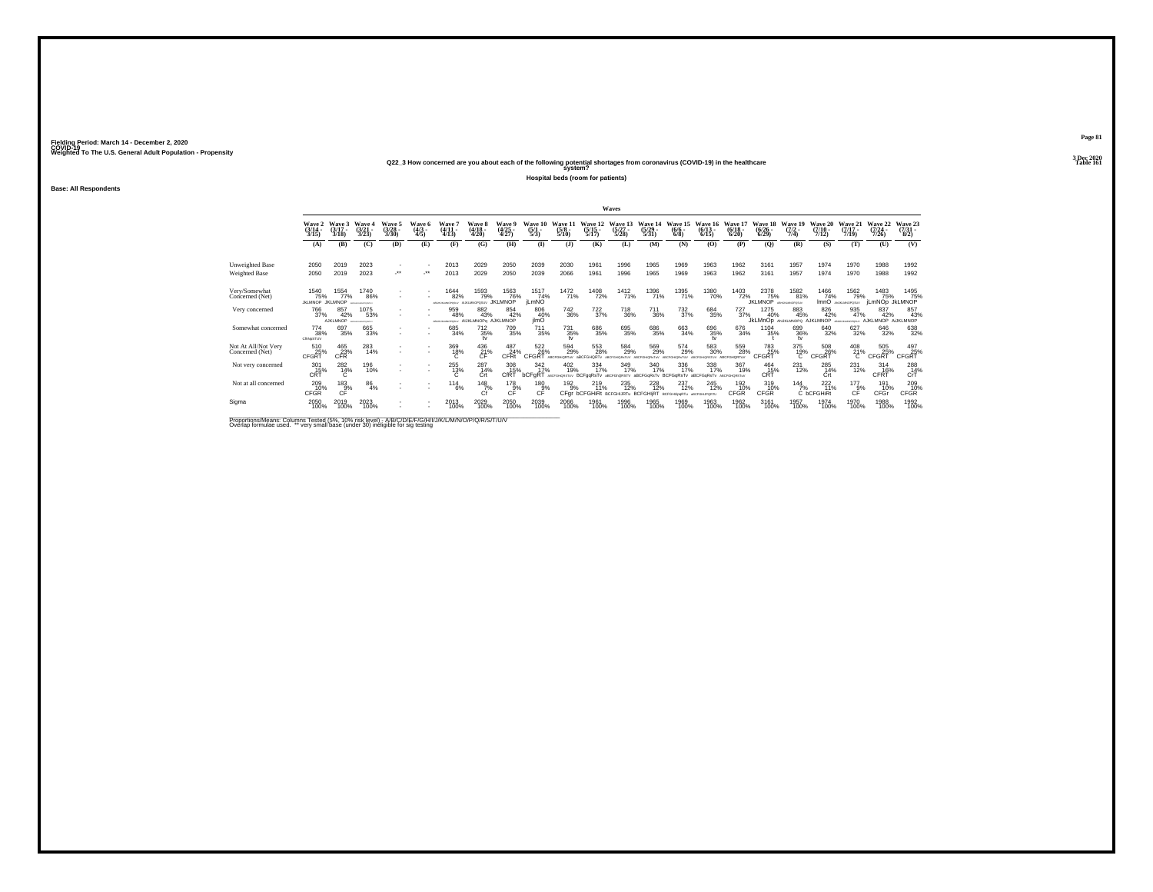### **Q22\_3 How concerned are you about each of the following potential shortages from coronavirus (COVID-19) in the healthcare Table 161 system?**

**Hospital beds (room for patients)**

**Base: All Respondents**

|                                         |                                       |                               |                                                 |                                                      |                               |                                               |                                  |                                       |                                 |                                 |                                  | Waves                                                                             |                                  |                                                                                               |                                           |                                  |                                               |                                           |                               |                                           |                               |                                     |
|-----------------------------------------|---------------------------------------|-------------------------------|-------------------------------------------------|------------------------------------------------------|-------------------------------|-----------------------------------------------|----------------------------------|---------------------------------------|---------------------------------|---------------------------------|----------------------------------|-----------------------------------------------------------------------------------|----------------------------------|-----------------------------------------------------------------------------------------------|-------------------------------------------|----------------------------------|-----------------------------------------------|-------------------------------------------|-------------------------------|-------------------------------------------|-------------------------------|-------------------------------------|
|                                         | Wave 2<br>$\frac{(3/14)}{3/15}$       | Wave 3<br>$(3/17 -$<br>3/18   | Wave 4<br>$\frac{(3/21)}{3/23}$                 | Wave 5<br>$\binom{3/28}{3/30}$                       | Wave 6<br>$\frac{(4/3)}{4/5}$ | Wave '<br>$(4/11 -$<br>4/13                   | Wave 8<br>$(4/18 -$<br>4/20      | Wave 9<br>$\frac{(4/25)}{4/27}$       | Wave 10<br>$\frac{(5/1)}{5/3}$  | Wave 11<br>$\frac{(5/8)}{5/10}$ | Wave 12<br>$\frac{(5/15)}{5/17}$ | Wave 13<br>$\frac{(5/27)}{5/28}$                                                  | Wave 14<br>$\frac{(5/29)}{5/31}$ | Wave 15<br>$\frac{(6/6)}{6/8}$                                                                | Wave 16<br>$(6/13 -$<br>6/15              | Wave 17<br>$\frac{(6/18)}{6/20}$ | Wave 18<br>$\frac{(6/26)}{6/29}$              | Wave 19<br>$(7/2 -$<br>7/4)               | Wave 20<br>$(7/10 -$<br>7/12  | Wave 21<br>$(7/17 -$<br>7/19              | Wave 22<br>$(7/24 -$<br>7/26  | Wave 23<br>$\frac{(7/31 - 1)}{8/2}$ |
|                                         | (A)                                   | (B)                           | (C)                                             | (D)                                                  | (E)                           | (F)                                           | (G)                              | (H)                                   | $\bf(I)$                        | (1)                             | (K)                              | (L)                                                                               | (M)                              | (N)                                                                                           | (0)                                       | (P)                              | $\mathbf{Q}$                                  | (R)                                       | (S)                           | (T)                                       | (U)                           | (V)                                 |
| Unweighted Base<br><b>Weighted Base</b> | 2050<br>2050                          | 2019<br>2019                  | 2023<br>2023                                    | ٠<br>$\cdot$                                         | -**                           | 2013<br>2013                                  | 2029<br>2029                     | 2050<br>2050                          | 2039<br>2039                    | 2030<br>2066                    | 1961<br>1961                     | 1996<br>1996                                                                      | 1965<br>1965                     | 1969<br>1969                                                                                  | 1963<br>1963                              | 1962<br>1962                     | 3161<br>3161                                  | 1957<br>1957                              | 1974<br>1974                  | 1970<br>1970                              | 1988<br>1988                  | 1992<br>1992                        |
| Very/Somewhat<br>Concerned (Net)        | 1540<br>75%<br><b>JKLMNOP JKLMNOP</b> | 1554<br>77%                   | <sup>1740</sup> 86%<br><b><i>CONTRACTOR</i></b> | ٠<br>$\overline{\phantom{a}}$                        |                               | <sup>1644</sup> 82%<br>Michael an advertising | 1593<br>79%<br>AUKLAINOPOSUV     | <sup>1563</sup> 76%<br><b>JKLMNOP</b> | 1517<br>74%<br><b>iLmNO</b>     | 1472<br>71%                     | <sup>1408</sup> 72%              | 1412<br>71%                                                                       | 1396<br>71%                      | <sup>1395</sup> 71%                                                                           | <sup>1380</sup> 70%                       | 1403<br>72%                      | 2378<br>75%<br><b>JKLMNOP</b> ABELIEVINOPOSUA | 1582<br>81%                               | 1466<br>74%                   | <sup>1562</sup> 79%<br>ImnO ANARANOPOSLY  | 1483<br>75%<br>iLmNOD JKLMNOP | 1495<br>75%                         |
| Very concerned                          | 766<br>37%                            | 857<br>42%<br><b>AJKLMNOP</b> | 1075<br>53%<br><b>MATCHEN HAVENSTEIN</b>        | $\sim$                                               |                               | 959<br>48%<br><b>ARCHITECT REPORTED</b>       | 882<br>43%<br>AUKLMNOPa AJKLMNOP | 854<br>42%                            | 806<br>40%<br>ilmO              | $\substack{742\\36\%}$          | 722<br>37%                       | 718<br>36%                                                                        | 711<br>36%                       | $\frac{732}{37\%}$                                                                            | 684<br>35%                                | 727<br>37%                       | 1275<br>40%                                   | 883<br>45%<br>JKLMnOD ANJKLMNOPO AJKLMNOP | 826<br>42%                    | 935<br>47%<br><b>CALL NO MAINTAINS FU</b> | 837<br>42%<br><b>AJKLMNOP</b> | 857<br>43%<br>AUKLMNOP              |
| Somewhat concerned                      | 774<br>38%<br>CRNoSTUV                | 697<br>35%                    | 665<br>33%                                      | $\overline{\phantom{a}}$                             |                               | 685<br>34%                                    | $^{712}_{35\%}$<br>tv            | 709<br>35%                            | $^{711}_{35\%}$                 | $^{731}_{35\%}$<br>tv           | 686<br>35%                       | 695<br>35%                                                                        | 686<br>35%                       | 663<br>34%                                                                                    | 696<br>35%<br>tv                          | 676<br>34%                       | $\substack{1104\\35\%}$                       | 699<br>36%<br>tv                          | 640<br>32%                    | $627 \over 32\%$                          | 646<br>32%                    | 638<br>32%                          |
| Not At All/Not Very<br>Concerned (Net)  | 510<br>25%<br>CFGRT                   | $^{465}_{23\%}$ CFR           | 283<br>14%                                      | $\sim$<br>$\overline{\phantom{a}}$                   | $\sim$                        | $^{369}_{18\%}$                               | 436<br>$\frac{21}{c}$            | 487<br>24%<br>CFRt                    | 522<br>26%<br>CFGR <sup>-</sup> | 594<br>29%                      | 553<br>28%<br><b>ARCEGHORT</b>   | 584<br>29%                                                                        | 569<br>29%                       | 574<br>29%                                                                                    | 583<br>30%                                | 559<br>28%                       | 783<br>25%<br>CFGRT                           | 375<br>19%<br>Ō.                          | 508<br>26%<br>CFGRT           | $^{408}_{21\%}$                           | 505<br>25%<br>CFGRT           | $\frac{497}{25\%}$ CFGRT            |
| Not very concerned                      | 301<br>CRT                            | 282<br>$^{14\%}_{C}$          | 196<br>10%                                      | $\overline{\phantom{a}}$<br>$\overline{\phantom{a}}$ | $\sim$                        | 255<br>$^{13\%}_{C}$                          | 287<br>14%<br>Ćrt                | 308<br>15%<br>CfRT <sup>®</sup>       | 342<br>17%<br>bCFgRT            | 402<br>19%                      | 334<br>17%                       | 349<br>17%                                                                        | 340<br>17%                       | 336<br>17%<br>ABCROIGNSTUV BCFgqRsTV aBCFGAQRSTV aBCFGqRsTV BCFGqRsTV aBCFGqRsTV ABCroicestuv | 338<br>17%                                | 367<br>19%                       | 464<br>CRT                                    | 231<br>12%                                | 285<br>$14%$                  | 231<br>12%                                | 314<br>CFRT                   | $^{288}_{CrT}$                      |
| Not at all concerned                    | 209<br>10%<br>CFGR                    | $^{183}_{-9\%}$<br>CF         | 86<br>4%                                        | ٠                                                    |                               | $^{114}_{6\%}$                                | $^{148}_{7\%}$<br>Cf             | $^{178}_{9%}$<br>CF                   | 180<br>9%<br>CF                 | $192_{9\%}$<br>CFgr             | 219<br>11%                       | <sup>235</sup> <sub>12%</sub><br><b>bCFGHiRt BCFGHIJRTu BCFGHIIRT BCFGHJbgRTu</b> | 228                              | 237<br>12%                                                                                    | <sup>245</sup> 12%<br><b>ABCFGHUPORTU</b> | 192<br>10%<br>CFGR               | 319<br>10%<br>CFGR                            | $\frac{144}{7\%}$                         | $^{222}_{11\%}$<br>C bCFGHiRt | $177_{9\%}$<br>CF                         | 191<br>10%<br>CFGr            | 209 10%<br><b>CFGR</b>              |
| Sigma                                   | 2050<br>100%                          | 2019<br>100%                  | 2023<br>100%                                    | ٠<br>٠                                               |                               | 2013<br>100%                                  | 2029<br>100%                     | 2050<br>100%                          | 2039<br>100%                    | 2066<br>100%                    | 1961<br>100%                     | 1996<br>100%                                                                      | 1965<br>100%                     | 1969<br>100%                                                                                  | 1963<br>100%                              | 1962<br>100%                     | 3161<br>100%                                  | 1957<br>100%                              | 1974<br>100%                  | 1970<br>100%                              | 1988<br>100%                  | 1992<br>100%                        |

Proportions/Means: Columns Tested (5%, 10% risk level) - A/B/C/D/E/F/G/H/I/J/K/L/M/N/O/P/Q/R/S/T/U/V<br>Overlap formulae used. \*\* very small base (under 30) ineligible for sig testing

**Page 813 Dec 2020<br>Table 161**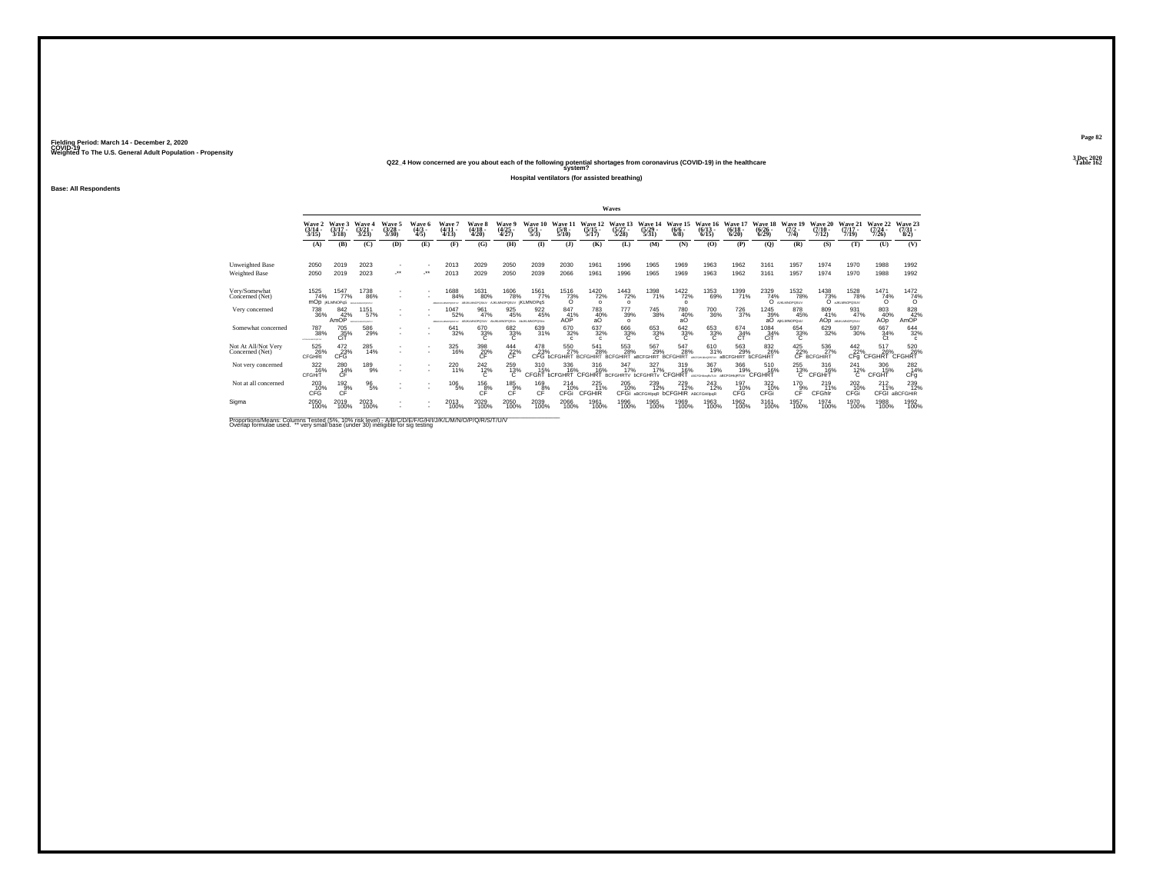**Q22\_4 How concerned are you about each of the following potential shortages from coronavirus (COVID-19) in the healthcare Table 162 system?**

**Hospital ventilators (for assisted breathing)**

**Base: All Respondents**

|                                        |                                   |                                    |                                  |                            |                           |                                             |                                             |                             |                                 |                                   |                                             | Waves                                  |                                |                                          |                                           |                                         |                              |                                       |                                  |                                      |                               |                                                |
|----------------------------------------|-----------------------------------|------------------------------------|----------------------------------|----------------------------|---------------------------|---------------------------------------------|---------------------------------------------|-----------------------------|---------------------------------|-----------------------------------|---------------------------------------------|----------------------------------------|--------------------------------|------------------------------------------|-------------------------------------------|-----------------------------------------|------------------------------|---------------------------------------|----------------------------------|--------------------------------------|-------------------------------|------------------------------------------------|
|                                        | Wave 2<br>$(3/14 -$<br>3/15       | Wave 3<br>$(3/17 -$<br>3/18        | Wave<br>(3/21)<br>3/23           | Wave:<br>$(3/28 -$<br>3/30 | Wave 6<br>$(4/3 -$<br>4/5 | Wave<br>$(4/11 -$<br>4/13                   | Wave 8<br>(4/18 -<br>4/20                   | Wave 9<br>$(4/25 -$<br>4/27 | Wave<br>(5/1)<br>5/3            | Wave 1<br>$(5/8 -$<br>5/10        | Wave 12<br>$(5/15 -$<br>5/17                | Vave 13<br>(5/27)<br>5/28              | Wave 14<br>(5/29)<br>5/31      | Wave!<br>$(6/6 -$<br>6/8                 | Wave<br>$(6/13 -$<br>6/15                 | $(6/18 -$<br>6/20                       | Wave 18<br>$(6/26 -$<br>6/29 | Wave 19<br>7/4)                       | Wave 20<br>$(7/10 -$<br>7/12     | Wave 21<br>$(7/17 -$<br>7/19         | Wave 22<br>$(7/24 -$<br>(126) | Wave 23<br>$\frac{(7/31)}{8/2}$                |
|                                        | (A)                               | (B)                                | (C)                              | (D)                        | (E)                       | (F)                                         | (G)                                         | (H)                         | $($ I                           | (3)                               | (K)                                         | (L)                                    | (M)                            | (N)                                      | (0)                                       | (P)                                     | (Q)                          | (R)                                   | (S)                              | (T)                                  | (U)                           | (V)                                            |
| Unweighted Base<br>Weighted Base       | 2050<br>2050                      | 2019<br>2019                       | 2023<br>2023                     | $\sim$<br>                 | ٠<br>                     | 2013<br>2013                                | 2029<br>2029                                | 2050<br>2050                | 2039<br>2039                    | 2030<br>2066                      | 1961<br>1961                                | 1996<br>1996                           | 1965<br>1965                   | 1969<br>1969                             | 1963<br>1963                              | 1962<br>1962                            | 3161<br>3161                 | 1957<br>1957                          | 1974<br>1974                     | 1970<br>1970                         | 1988<br>1988                  | 1992<br>1992                                   |
| Very/Somewhat<br>Concerned (Net)       | 1525<br>74%                       | 1547<br>77%<br><b>MOD KLMNOPGS</b> | 1738<br>86%<br>ABDIGALMONISTLY   |                            |                           | 1688<br>84%<br>ABOVE BOARD WAS STRIKE       | 1631<br>80%<br>ABUILIANOPOSIUV AJKLMNOPOSUV | <sup>1606</sup> 78%         | 1561<br>77%<br><b>iKLMNOPaS</b> | $\frac{7516}{73\%}$               | 1420<br>72%<br>$\Omega$                     | <sup>1443</sup> 72%<br>$\Omega$        | 1398<br>71%                    | <sup>1422</sup> 72%<br>$\Omega$          | 1353<br>69%                               | 1399<br>71%                             | 2329<br>74%                  | <sup>1532</sup> 78%<br>O AISLINOPOSUV | 1438<br>73%                      | <sup>1528</sup> 78%<br>O ARLINOPOSUV | 1471<br>74%<br>$\Omega$       | $\frac{1472}{74\%}$                            |
| Very concerned                         | 738<br>36%                        | 842<br>42%<br>AmOP                 | 1151<br>57%<br>ARTICHLAND CASTLY |                            |                           | 047<br>52%<br>ARDHAMADYORETAV ABJKLMNOPOSUV | 961<br>47%                                  | 925<br>45%<br>ANJKLMNOPOSUv | 922<br>45%<br>ANJKLMNOPOSU      | 847<br>41%<br>AOP                 | 783<br>40%<br>aO                            | 777<br>39%<br>$\Omega$                 | 745<br>38%                     | 780<br>40%<br>aО                         | 700<br>36%                                | 726<br>37%                              | 1245<br>39%                  | 878<br>45%<br>aO AIKLMNOPOSU          | 809<br>41%                       | 931<br>47%<br>AOD ABJOURNMENSELV     | 803<br>40%<br>AOp             | 828<br>42%<br>AmOP                             |
| Somewhat concerned                     | <sup>787</sup> 38%<br>----------- | 705<br>35%<br>CiT                  | 586<br>29%                       |                            |                           | 641<br>32%                                  | 670<br>33%                                  | 682 33%<br>c                | 639<br>31%                      | 670<br>32%<br>$\epsilon$          | 637<br>32%<br>$\epsilon$                    | 666<br>33%<br>C                        | 653<br>33%<br>C                | 642<br>33%<br>C                          | 653<br>33%<br>C                           | 674<br>34%<br>CT                        | 1084<br>34%<br>CiT           | 654<br>33%                            | 629<br>32%                       | 597<br>30%                           | 667<br>34%<br>Ct              | 644<br>32%<br>$\Omega$                         |
| Not At All/Not Very<br>Concerned (Net) | 525<br>26%<br><b>CFGHRt</b>       | $^{472}_{\phantom{2}23\%}$ CFG     | 285<br>14%                       | $\mathbf{r}$               | ×                         | 325<br>16%                                  | $\underset{\mathsf{CF}}{^{398}}$            | $^{444}_{22\%}$             | 478<br>23%                      | 550<br>27%<br>CEG <b>hCEGHIRT</b> | 541<br>28%<br><b><i><u>PCCCHIPT</u></i></b> | 553<br>28%<br><b>RCEGHIRT</b>          | 567<br>29%<br><b>ARCEGHIRT</b> | 547<br>28%<br><b>RCEGHIRT</b>            | 610<br>31%                                | 563<br>29%<br><b>aBCFGHIRT bCFGHIRT</b> | 832<br>26%                   | 425<br>22%                            | 536<br>27%<br><b>CF BCFGHIRT</b> | $442$<br>$22%$                       | 517<br>22% 26%<br>CFg CFGHRT  | 520<br>26%<br><b>CFGHRT</b>                    |
| Not very concerned                     | 322<br>16%<br>CFGHrT              | 280<br>$CF^{\frac{14}{14}}$        | 189<br>9%                        | $\sim$                     | ٠<br>٠                    | 220<br>11%                                  | 242<br>$\frac{12}{6}$                       | 259<br>$^{13\%}_{C}$        | 310<br>15%<br>CFGhT             | 336<br>16%<br><b>bCFGHRT</b>      | 316<br>16%<br><b>CFGHRT</b>                 | 347<br>17%<br><b>BCFGHRTV bCFGHRTv</b> | 327<br>17%                     | 319<br>16%<br>CFGHRT                     | 367<br>19%<br>ABCFGHlesksTUV aBCFGHlgRTUV | 366<br>19%                              | 510<br>16%<br><b>CFGHRT</b>  | 255<br>$^{13\%}$                      | 316<br>16%<br><b>CFGHrT</b>      | 241<br>$^{12\%}_{C}$                 | 306<br>15%<br>CFGHT           | 282<br>14%<br>CFq                              |
| Not at all concerned                   | 203<br>CFG                        | $^{192}_{9\%}$<br>CF               | $^{96}_{5\%}$                    |                            |                           | $^{106}_{-5\%}$                             | $^{156}_{8\%}$<br>CF                        | 185<br>9%<br>CF             | 169%<br>CF                      | $^{214}_{10\%}$<br><b>CFGi</b>    | 225<br>11%<br>CFGHIR                        | 205<br>10%<br>CFGi                     | 239<br>12%<br>aBCFGHlpgR       | 229<br>12%<br><b>bCFGHIR ABCFGHIIpqR</b> | 243<br>12%                                | 197<br>10%<br>CFG                       | 322<br>10%<br>CFGi           | 170 9%<br>CF                          | $^{219}_{11\%}$<br>CFGhir        | 202<br>10%<br>CFGi                   | $^{212}_{11\%}$               | <sup>239</sup> <sub>12%</sub><br>CFGI aBCFGHIR |
| Sigma                                  | 2050<br>100%                      | 2019<br>100%                       | 2023<br>100%                     | $\sim$                     |                           | 2013<br>100%                                | 2029<br>100%                                | 2050<br>100%                | 2039<br>100%                    | 2066<br>100%                      | 1961<br>100%                                | 1996<br>100%                           | 1965<br>100%                   | 1969<br>100%                             | 1963<br>100%                              | 1962<br>100%                            | 3161<br>100%                 | 1957<br>100%                          | 1974<br>100%                     | 1970<br>100%                         | 1988<br>100%                  | 1992<br>100%                                   |

Proportions/Means: Columns Tested (5%, 10% risk level) - A/B/C/D/E/F/G/H/I/J/K/L/M/N/O/P/Q/R/S/T/U/V<br>Overlap formulae used. \*\* very small base (under 30) ineligible for sig testing

**Page 823 Dec 2020<br>Table 162**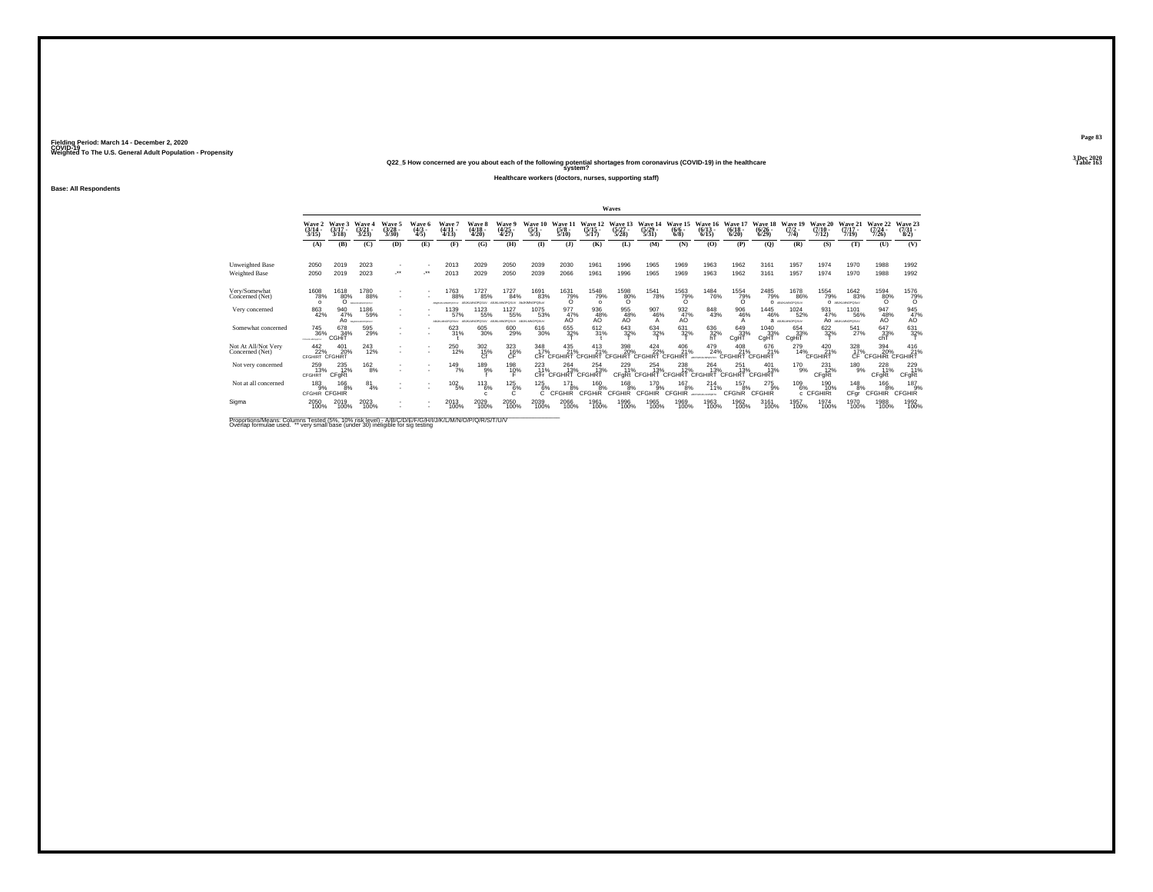**Q22\_5 How concerned are you about each of the following potential shortages from coronavirus (COVID-19) in the healthcare Table 163 system?**

**Healthcare workers (doctors, nurses, supporting staff)**

**Base: All Respondents**

|                                        |                                                        |                             |                                              |                           |                         |                                |                              |                                |                                   |                                 |                                    | Waves                      |                                |                                                       |                               |                              |                                 |                                 |                                   |                                |                                      |                                |
|----------------------------------------|--------------------------------------------------------|-----------------------------|----------------------------------------------|---------------------------|-------------------------|--------------------------------|------------------------------|--------------------------------|-----------------------------------|---------------------------------|------------------------------------|----------------------------|--------------------------------|-------------------------------------------------------|-------------------------------|------------------------------|---------------------------------|---------------------------------|-----------------------------------|--------------------------------|--------------------------------------|--------------------------------|
|                                        | Wave 2<br>$(3/14 -$<br>3/15                            | Wave 3<br>$(3/17 -$<br>3/18 | Wave<br>$(3/21 -$<br>3/23                    | Waye 5<br>(3/28 -<br>3/30 | Wave<br>$(4/3 -$<br>4/5 | Wave<br>$(4/11 -$<br>4/13      | Wave 8<br>(4/18 -<br>4/20    | Wave 9<br>(4/25<br>4/27)       | <b>Wave 10</b><br>(5/1<br>5/3)    | Wave 1<br>$(5/8 -$<br>5/10      | Wave 12<br>$(5/15 -$<br>5/17       | Wave 13<br>5/28            | Wave 14<br>$(5/29 -$<br>5/31   | Wave 15<br>$(6/6 -$<br>6/8                            | Wave<br>$(6/13 -$<br>6/15     | Wave 17<br>$(6/18 -$<br>6/20 | Wave 18<br>$(6/26 -$<br>6/29    | Wave 19<br>$(7/2 -$<br>7/4)     | Wave 20<br>$(7/10 -$<br>7/12      | Wave 21<br>$(7/17 -$<br>7/19   | Wave 22<br>$(7/24 -$<br>7/26         | Wave 23<br>8/2                 |
|                                        | (A)                                                    | (B)                         | (C)                                          | (D)                       | (E)                     | (F)                            | (G)                          | (H)                            | $\bf{I}$                          | $($ J $)$                       | (K)                                | (L)                        | (M)                            | (N)                                                   | (0)                           | (P)                          | (Q)                             | (R)                             | (S)                               | (T)                            | (U)                                  | (V)                            |
| Unweighted Base<br>Weighted Base       | 2050<br>2050                                           | 2019<br>2019                | 2023<br>2023                                 | $\mathbf{r}$<br>          | ٠<br>-**                | 2013<br>2013                   | 2029<br>2029                 | 2050<br>2050                   | 2039<br>2039                      | 2030<br>2066                    | 1961<br>1961                       | 1996<br>1996               | 1965<br>1965                   | 1969<br>1969                                          | 1963<br>1963                  | 1962<br>1962                 | 3161<br>3161                    | 1957<br>1957                    | 1974<br>1974                      | 1970<br>1970                   | 1988<br>1988                         | 1992<br>1992                   |
| Very/Somewhat<br>Concerned (Net)       | 1608<br>78%<br>$\Omega$                                | 1618<br>80%<br>$\circ$      | 1780<br>88%<br>BOILBARONSTAV                 | ٠<br>٠                    | ٠                       | 1763<br>88%<br>BANKMANOPOSTLY  | 1727<br>85%<br>ABJKLMNOPOSU/ | 1727<br>84%<br>ABJIG MNOPOSLIV | 1691<br>83%<br><b>ALUKMNOPOSU</b> | $\frac{1631}{79\%}$             | <sup>1548</sup> 79%<br>$\Omega$    | $^{1598}_{80\%}$           | <sup>1541</sup> 78%            | 1563<br>79%                                           | <sup>1484</sup> 76%           | 1554<br>79%<br>$\Omega$      | 2485<br>79%                     | 1678<br>86%<br>O ABUILIANOPOSUV | <sup>1554</sup> 79%               | 1642<br>83%<br>O ABJILIMOPOSUV | $^{1594}_{80\%}$                     | $^{1576}_{79\%}$               |
| Very concerned                         | 863<br>42%                                             | 940<br>47%                  | 1186<br>59%<br>AO <i><i>Bellingwords</i></i> | ٠<br>٠                    |                         | 1139<br>57%<br>ABLIKLMNOPORSUV | 1123<br>55%<br>ABJKLMNOPOSU/ | 1127<br>55%<br>ABJIG MNOPOSLIV | 1075<br>53%<br>ABJKLMNOPOSUV      | 977<br>47%<br>AO                | 936<br>48%<br>AÖ                   | 955<br>48%                 | 907<br>46%<br>А                | 932<br>47%<br>AO                                      | 848<br>43%                    | 906<br>46%                   | 1445<br>46%                     | 1024<br>52%<br>a ABJKLMNOPOSLIV | 931<br>47%                        | 1101<br>56%<br>AO ABJOUNDPOSUV | 947<br>48%<br>AÖ                     | 945<br>47%<br>AO               |
| Somewhat concerned                     | <sup>745</sup> <sub>36%</sub><br><b>Chicagondwiths</b> | 678<br>34%<br>CGHIT         | 595<br>29%                                   | ٠<br>٠                    | ٠                       | $623/31\%$                     | 605<br>30%                   | 600<br>29%                     | 616<br>30%                        | 655<br>32%                      | 612/31%                            | $\frac{643}{32\%}$         | 634<br>32%                     | 631<br>32%                                            | $^{636}_{32\%}$ hT            | 649<br>33%<br>CgHT           | 1040<br>33%<br>CgHT             | 654<br>33%<br>CgHiT             | 622%                              | 541<br>27%                     | 647<br>33%<br>chT                    | $631 \over 32\%$               |
| Not At All/Not Very<br>Concerned (Net) | 442<br>22%<br><b>CFGHIRT CFGHIRT</b>                   | 401<br>20%                  | <sup>243</sup> <sub>12%</sub>                | ٠                         | ٠<br>٠                  | 250<br>12%                     | $^{302}_{\hbox{15\%}}$       | $^{323}_{-16\%}$               | 348<br>17%                        | 435<br>21%<br>CFr CFGHIRT       | $^{413}_{21\%}$<br>CEGHIRT         | 398<br>20%<br>CFGHIRT      | $424$<br>$22%$<br>CEGHIRT CEGH | 406<br>21%<br><b>IRT</b>                              | 479<br>24%<br>ARCFORMAN-WATCH | $^{408}_{21\%}$<br>CFGH      | 676<br>21%<br>IIRT CFGHIRT      | 279<br>14%                      | $^{420}_{21\%}$<br><b>CFGHIRT</b> | $\frac{328}{17\%}$<br>ĆÊ.      | 394<br>20%<br><b>CFGHIRI CFGHIRT</b> | $^{416}_{21\%}$                |
| Not very concerned                     | 259<br>13%<br>CFGHRT                                   | 235<br>12%<br>CFqRt         | 162<br>8%                                    | ٠<br>٠                    | $\sim$<br>$\sim$        | 149<br>7%                      | 189<br>9%                    | 198<br>10%                     | 223<br>11%                        | 264<br>13%<br>CFr CFGHRT CFGHRT | 254<br>13%                         | 229                        | 254                            | 238<br>T1% 13% 12% 13%<br>CFgRt CFGHRT CFGHRT CFGHIRT | 264<br>13%                    | 251<br>13%<br><b>CFGHRT</b>  | 401<br>13%<br><b>CFGHRT</b>     | 170<br>9%                       | 231<br>12%<br>CFgRt               | 180<br>9%                      | 228<br>11%<br>CFgRt                  | 229<br>11%<br><b>CFgRt</b>     |
| Not at all concerned                   | 183<br>9%<br>CFGHIR CFGHIR                             | 166<br>8%                   | 81<br>4%                                     |                           |                         | $^{102}_{-5\%}$                | $^{113}_{6\%}$               | $^{125}_{6\%}$<br>C            | 125%                              | 171<br>8%<br><b>CFGHIR</b>      | <sup>160</sup> 8%<br><b>CFGHIR</b> | 168<br>8%<br><b>CFGHIR</b> | 170<br>9%<br><b>CFGHIR</b>     | 167<br>8%<br>CFGHIR                                   | 214<br>11%<br>ARCFORD/GAPORTS | 157<br>8%<br><b>CFGhiR</b>   | $^{275}_{9\%}$<br><b>CFGHIR</b> | $^{109}_{6\%}$<br>c.            | 190<br>10%<br><b>CFGHIRt</b>      | $^{148}_{8\%}$<br>CFar         | 166 8%<br><b>CFGHIR</b>              | $^{187}_{9%}$<br><b>CFGHIR</b> |
| Sigma                                  | 2050<br>100%                                           | 2019<br>100%                | 2023<br>100%                                 | $\mathbf{r}$              |                         | 2013<br>100%                   | 2029<br>100%                 | 2050<br>100%                   | 2039<br>100%                      | 2066<br>100%                    | 1961<br>100%                       | 1996<br>100%               | 1965<br>100%                   | 1969<br>100%                                          | 1963<br>100%                  | 1962<br>100%                 | 3161<br>100%                    | 1957<br>100%                    | 1974<br>100%                      | 1970<br>100%                   | 1988<br>100%                         | 1992<br>100%                   |

Proportions/Means: Columns Tested (5%, 10% risk level) - A/B/C/D/E/F/G/H/I/J/K/L/M/N/O/P/Q/R/S/T/U/V<br>Overlap formulae used. \*\* very small base (under 30) ineligible for sig testing

**Page 833 Dec 2020<br>Table 163**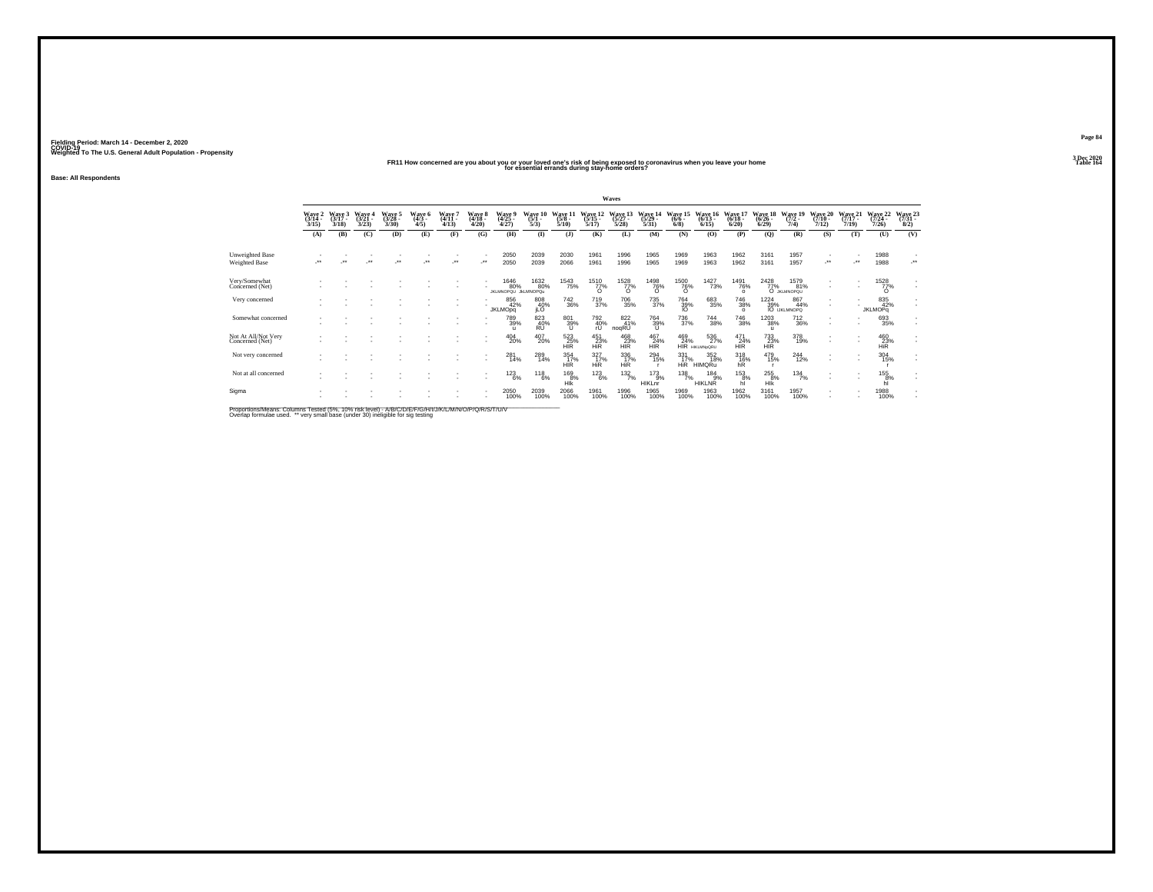#### **FR11 How concerned are you about you or your loved one's risk of being exposed to coronavirus when you leave your home Table 164 for essential errands during stay-home orders?**

**Base: All Respondents**

|                                         |                                              |                          |                             |                           |                       |                          |                                |                                            |                          |                                  |                                 | Waves                     |                                 |                            |                                   |                                |                              |                                                                                                    |                              |                              |                              |                                 |
|-----------------------------------------|----------------------------------------------|--------------------------|-----------------------------|---------------------------|-----------------------|--------------------------|--------------------------------|--------------------------------------------|--------------------------|----------------------------------|---------------------------------|---------------------------|---------------------------------|----------------------------|-----------------------------------|--------------------------------|------------------------------|----------------------------------------------------------------------------------------------------|------------------------------|------------------------------|------------------------------|---------------------------------|
|                                         | $\frac{\text{Wave}}{\frac{3}{14}}$ .<br>3/15 | Waye 3<br>(3/17)<br>3/18 | Wave 4<br>$(3/21 -$<br>3/23 | Wave 5<br>(3/28 -<br>3/30 | Wave 6<br>(4/3<br>4/5 | Wave 7<br>(4/11<br>4/13  | <b>Wave 8</b><br>(4/18<br>4/20 | Waye 5<br>(4/25<br>4/27                    | Wave 10<br>(5/1 -<br>5/3 | Wave 1<br>$(5/8 -$<br>5/10       | Wave 12<br>(5/15)<br>5/17       | Wave 13<br>(5/27)<br>5/28 | Wave 14<br>$(5/29 -$<br>5/31    | Wave 15<br>$(6/6 -$<br>6/8 | Wave 16<br>$(6/13 -$<br>6/15      | Wave 17<br>$(6/18 -$<br>6/20   | Wave 18<br>$(6/26 -$<br>6/29 | Wave 19<br>$(7/2 -$<br>7/4)                                                                        | Wave 20<br>$(7/10 -$<br>7/12 | Wave 21<br>$(7/17 -$<br>7/19 | Wave 22<br>(7/24 -<br>7/26   | Wave 23<br>8/2)                 |
|                                         | (A)                                          | (B)                      | (C)                         | (D)                       | (E)                   | (F)                      | (G)                            | (H)                                        | $($ $\Gamma$             | (1)                              | (K)                             | (L)                       | (M)                             | (N)                        | (O)                               | (P)                            | (Q)                          | (R)                                                                                                | (S)                          | (T)                          | (U)                          | (V)                             |
| Unweighted Base<br><b>Weighted Base</b> | $\bullet\bullet$                             | $\bullet\bullet$         | $^{\tiny{**}}$              | $\star$                   | $\cdot$               | $\overline{\phantom{a}}$ | $\overline{\phantom{a}}$       | 2050<br>2050                               | 2039<br>2039             | 2030<br>2066                     | 1961<br>1961                    | 1996<br>1996              | 1965<br>1965                    | 1969<br>1969               | 1963<br>1963                      | 1962<br>1962                   | 3161<br>3161                 | 1957<br>1957                                                                                       | $\cdot$                      | $\bullet\bullet$             | 1988<br>1988                 | $\overline{\phantom{a}}$<br>-** |
| Very/Somewhat<br>Concerned (Net)        |                                              |                          |                             |                           |                       |                          |                                | <sup>1646</sup> 80%<br>JKLMNOPQU JkLMNOPQu | 1632<br>80%              | <sup>1543</sup> 75%              | <sup>1510</sup> 77%<br>$\Omega$ | 1528<br>77%               | <sup>1498</sup> 76%<br>$\Omega$ | 1500<br>76%<br>$\Omega$    | 1427<br>73%                       | 1491<br>76%<br>$\Omega$        | 2428                         | 1579<br>81%<br>O JKLMNOPQU                                                                         | ٠                            |                              | 1528<br>77%<br>$\Omega$      | ٠<br>×                          |
| Very concerned                          |                                              |                          |                             |                           |                       |                          |                                | 856<br>42%<br><b>JKLMOpg</b>               | 808<br>40%<br>iLÖ        | $\substack{742\\36\%}$           | <sup>719</sup> <sub>37%</sub>   | <sup>706</sup> 35%        | 735<br>37%                      | $\frac{764}{39\%}$         | 683<br>35%                        | <sup>746</sup> 38%<br>$\Omega$ |                              | $\begin{array}{r} 1224 & 86, \\ 39\% & 44 \\ \text{IO}\ \text{UKLMNOPQ} \end{array}$<br>867<br>44% |                              |                              | 835<br>42%<br><b>JKLMOPq</b> | ÷                               |
| Somewhat concerned                      |                                              |                          |                             |                           |                       |                          |                                | 789<br>39%                                 | 823<br>$RU^{40\%}$       | 801<br>39%<br>υ                  | 792<br>40%<br>rU                | 822<br>41%<br>noqRU       | 764<br>39%<br>u                 | 736<br>37%                 | 744<br>38%                        | <sup>746</sup> 38%             | 1203<br>38%<br><b>U</b>      | 712<br>36%                                                                                         | ٠                            |                              | 693<br>35%                   | ٠<br>٠                          |
| Not At All/Not Very<br>Concerned (Net)  |                                              |                          |                             |                           |                       |                          |                                | $^{404}_{20\%}$                            | 407<br>20%               | 523<br>25%<br><b>HIR</b>         | 451<br>23%<br><b>HiR</b>        | 468<br>23%<br><b>HIR</b>  | 467<br>24%<br><b>HIR</b>        | 469<br>24%                 | 536<br>27%<br><b>HIR HKLMNORU</b> | $^{471}_{24\%}$<br><b>HIR</b>  | 733%<br><b>HIR</b>           | 378<br>19%                                                                                         | ٠                            |                              | 460<br>23%<br><b>HiR</b>     | ÷                               |
| Not very concerned                      |                                              |                          |                             |                           |                       |                          |                                | $^{281}_{14\%}$                            | 289<br>14%               | $\frac{354}{17\%}$<br><b>HIR</b> | 327%<br><b>HiR</b>              | $\frac{336}{17}\%$<br>HİR | $^{294}_{15\%}$                 | $\frac{331}{17\%}$         | 352<br>18%<br>HIR HIMORU          | $\frac{318}{16\%}$ hR          | 479<br>15%                   | $^{244}_{12\%}$                                                                                    |                              | $\sim$                       | $^{304}_{15\%}$              | ٠<br>×.                         |
| Not at all concerned                    |                                              |                          |                             |                           |                       |                          |                                | 123<br>6%                                  | $^{118}_{6\%}$           | 169<br>8%<br>HIK                 | $^{123}_{6\%}$                  | $\frac{132}{7\%}$         | 173<br>9%<br><b>HIKLnr</b>      | $^{138}_{7\%}$             | 184<br>9%<br><b>HIKLNR</b>        | 153<br>8%<br>hì                | 255<br>$-8%$<br>HIK          | 134<br>7%                                                                                          |                              |                              | 155<br>8%                    | ٠<br>$\mathbf{r}$               |
| Sigma                                   |                                              |                          |                             |                           |                       |                          |                                | 2050<br>100%                               | 2039<br>100%             | 2066<br>100%                     | 1961<br>100%                    | 1996<br>100%              | 1965<br>100%                    | 1969<br>100%               | 1963<br>100%                      | 1962<br>100%                   | 3161<br>100%                 | 1957<br>100%                                                                                       | ٠                            |                              | 1988<br>100%                 | ٠<br>×.                         |

Proportions/Means: Columns Tested (5%, 10% risk level) - A/B/C/D/E/F/G/H/I/J/K/L/M/N/O/P/Q/R/S/T/U/V<br>Overlap formulae used. \*\* very small base (under 30) ineligible for sig testing

**Page 843 Dec 2020<br>Table 164**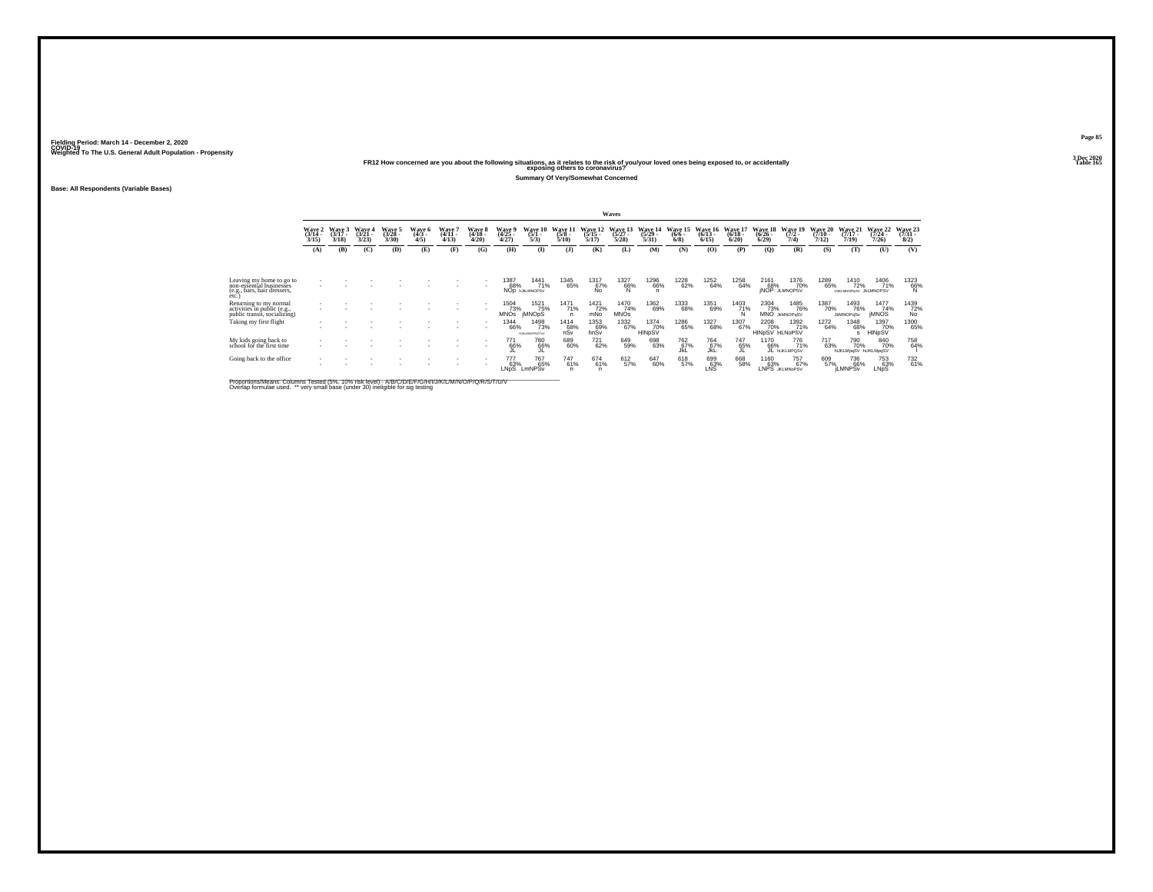# Weighted To The U.S. General Adult Population - Propensity<br>Table 165 Pape 1221 Propensity<br>Table 165 Pape 1672 Propensity Propensity Propensity Propensity Propensity Propensity Propensity Propensity Propensity Propensity P

**Summary Of Very/Somewhat Concerned**

**Base: All Respondents (Variable Bases)**

|                                                                                             |                                 |                             |                             |                             |                           |                                        |                             |                                               |                                      |                             |                              | Waves                            |                              |                            |                              |                              |                                       |                                     |                              |                                      |                              |                              |
|---------------------------------------------------------------------------------------------|---------------------------------|-----------------------------|-----------------------------|-----------------------------|---------------------------|----------------------------------------|-----------------------------|-----------------------------------------------|--------------------------------------|-----------------------------|------------------------------|----------------------------------|------------------------------|----------------------------|------------------------------|------------------------------|---------------------------------------|-------------------------------------|------------------------------|--------------------------------------|------------------------------|------------------------------|
|                                                                                             | Wave 2<br>$\frac{(3/14)}{3/15}$ | Wave 3<br>$(3/17 -$<br>3/18 | Wave 4<br>$(3/21 -$<br>3/23 | Wave 5<br>$(3/28 -$<br>3/30 | Wave 6<br>$(4/3 -$<br>4/5 | Wave <sup>*</sup><br>$(4/11 -$<br>4/13 | Wave 8<br>$(4/18 -$<br>4/20 | <b>Wave</b> 9<br>$\frac{(4/25 - 4/27)}{4/27}$ | Wave 10<br>$(5/1 -$<br>5/3)          | Wave 11<br>$(5/8 -$<br>5/10 | Wave 12<br>$(5/15 -$<br>5/17 | Wave 13<br>$\frac{(5/27)}{5/28}$ | Wave 1.<br>$(5/29 -$<br>5/31 | Wave 15<br>$(6/6 -$<br>6/8 | Wave 16<br>$(6/13 -$<br>6/15 | Wave 17<br>$(6/18 -$<br>6/20 | <b>Wave 18</b><br>$(6/26 -$<br>6/29   | Wave 19<br>$(7/2 -$<br>7/4)         | Wave 20<br>$(7/10 -$<br>7/12 | Wave 21<br>$(7/17 -$<br>7/19         | Wave 22<br>$(7/24 -$<br>7/26 | Wave 23<br>$(7/31 -$<br>8/2) |
|                                                                                             | (A)                             | (B)                         | (C)                         | (D)                         | (E)                       | (F)                                    | (G)                         | (H)                                           | $($ I                                | (3)                         | (K)                          | (L)                              | (M)                          | (N)                        | (O)                          | (P)                          | $\mathbf{Q}$                          | (R)                                 | (S)                          | (T)                                  | (U)                          | (V)                          |
|                                                                                             |                                 |                             |                             |                             |                           |                                        |                             |                                               |                                      |                             |                              |                                  |                              |                            |                              |                              |                                       |                                     |                              |                                      |                              |                              |
| Leaving my home to go to<br>non-essential businesses<br>(e.g., bars, hair dressers,<br>etc. |                                 |                             |                             |                             |                           |                                        |                             | 1387<br>68%                                   | 1441<br>71%<br>NOD <b>INALMNOPSV</b> | 1345<br>65%                 | 1317<br>67%                  | 1327<br>66%                      | 1296<br>66%<br>'n            | 1228<br>62%                | 1252<br>64%                  | 1258<br>64%                  | 2161<br>68%                           | 1376<br>70%<br><b>INOP JLMNOPSV</b> | 1289<br>65%                  | 1410<br>72%<br>HJKLMNOPqSV JkLMNOPSV | 1406<br>71%                  | 1323<br>66%                  |
| Returning to my normal<br>activities in public (e.g.,<br>public transit, socializing)       |                                 |                             |                             |                             |                           |                                        |                             | 1504<br>73%<br><b>MNOS</b>                    | 1521<br>75%<br><b>IMNOpS</b>         | 1471<br>71%                 | 1421<br>72%<br>mNo           | 1470<br>74%<br><b>MNOs</b>       | 1362<br>69%                  | 1333<br>68%                | 1351<br>69%                  | 1403<br>71%<br>N             | 2304<br>73%                           | 1485<br>76%<br><b>MNO</b> JMMOPoSV  | 1387<br>70%                  | 1493<br>76%<br><b>JkMNOPqSv</b>      | 1477<br>74%<br><b>IMNOS</b>  | 1439<br>72%<br>No            |
| Taking my first flight                                                                      | ٠                               |                             |                             |                             |                           |                                        |                             | <sup>1344</sup> 66%                           | 1498<br>73%<br><b>HJKLMNOPOSTUV</b>  | $^{1414}_{68\%}$ nSv        | 1353<br>69%<br>hnŠv          | 1332<br>67%                      | 1374<br>70%<br>HINpSV        | 1286<br>65%                | 1327<br>68%                  | 1307<br>67%                  | <sup>2208</sup> 70%<br>HINpSV HLNoPSV | 1392<br>71%                         | 1272<br>64%                  | <sup>1348</sup> 68%<br>s             | 1397<br>70%<br>HINpSV        | 1300<br>65%                  |
| My kids going back to<br>school for the first time                                          |                                 |                             |                             |                             |                           |                                        |                             | 771<br>66%                                    | 780<br>66%                           | 689<br>60%                  | 721<br>62%                   | 649<br>59%                       | 698<br>63%                   | 762<br>67%<br>JkL          | 764<br>67%<br>JkL            | 747<br>65%                   | 1170<br>66%                           | 776<br>71%<br>JL HUKLMPOSV          | 717<br>63%                   | 790<br>70%<br>hiJKLMpqSV hiJKLMpqSV  | 840<br>70%                   | 758<br>64%                   |
| Going back to the office                                                                    |                                 |                             |                             |                             |                           |                                        |                             | 777<br>63%<br>LNpS                            | <sup>767</sup> 65%<br>LmNPSv         | 747<br>61%                  | $^{674}_{61\%}$<br>n         | 612<br>57%                       | 647<br>60%                   | 618<br>57%                 | 699<br>63%<br>LNS            | 668<br>58%                   | 1160<br>63%                           | 757 <sub>%</sub><br>LNPS JKLMNoPSV  | 609<br>57%                   | 736<br>66%<br><b>LMNPSv</b>          | 753<br>63%<br>LNpS           | 732<br>61%                   |

Proportions/Means: Columns Tested (5%, 10% risk level) - A/B/C/D/E/F/G/H/I/J/K/L/M/N/O/P/Q/R/S/T/U/V<br>Overlap formulae used. \*\* very small base (under 30) ineligible for sig testing

**Page 85**3 Dec 2020<br>Table 165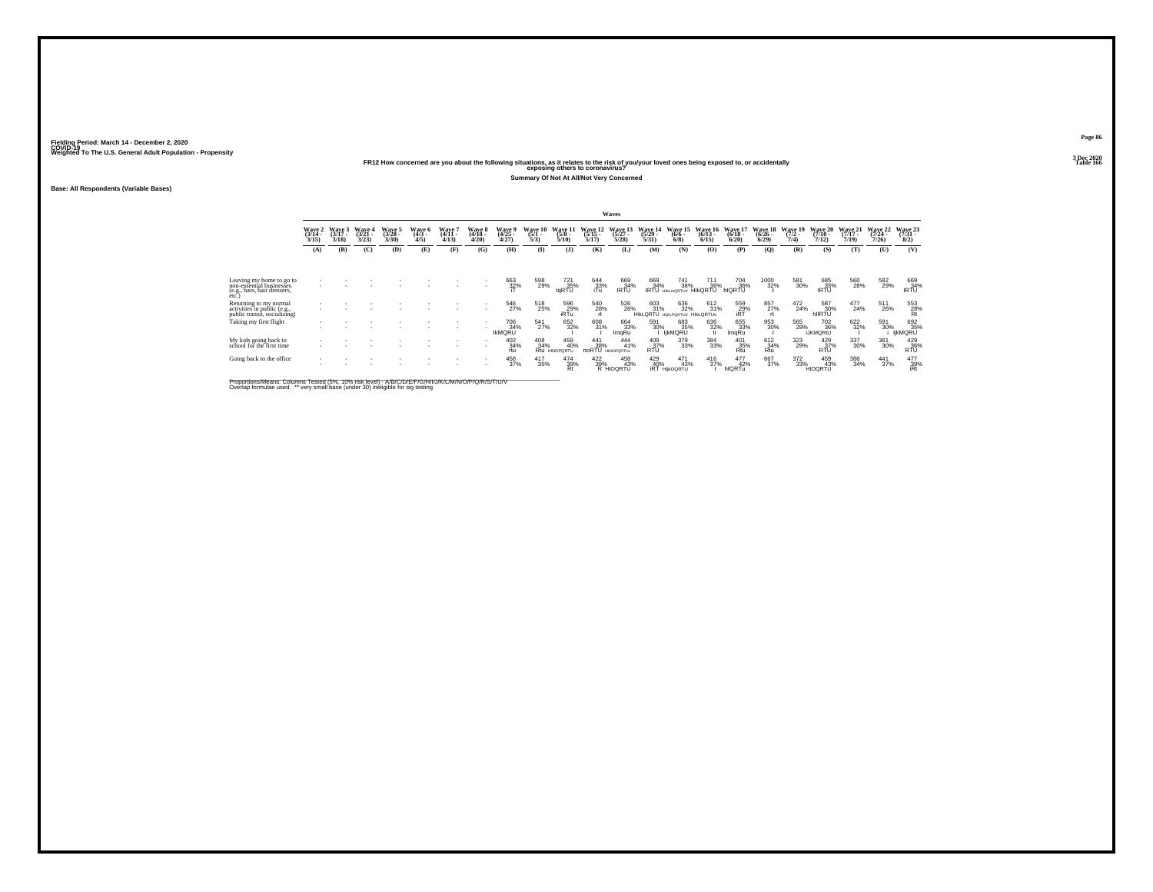# Weighted To The U.S. General Adult Population - Propensity<br>Table 166<br>Table 166 and the following situations, as it relates to the risk of you/your loved ones being exposed to, or accidentally<br>Table 166

**Summary Of Not At All/Not Very Concerned**

**Base: All Respondents (Variable Bases)**

|                                                                                             |                                 |                             |                             |                             |                                  |                             |                             |                                     |                            |                             |                              | Waves                                 |                                                    |                                      |                              |                              |                              |                            |                                                  |                              |                              |                                                           |
|---------------------------------------------------------------------------------------------|---------------------------------|-----------------------------|-----------------------------|-----------------------------|----------------------------------|-----------------------------|-----------------------------|-------------------------------------|----------------------------|-----------------------------|------------------------------|---------------------------------------|----------------------------------------------------|--------------------------------------|------------------------------|------------------------------|------------------------------|----------------------------|--------------------------------------------------|------------------------------|------------------------------|-----------------------------------------------------------|
|                                                                                             | Wave 2<br>$\frac{(3/14)}{3/15}$ | Wave 3<br>$(3/17 -$<br>3/18 | Wave 4<br>$(3/21 -$<br>3/23 | Wave 5<br>$(3/28 -$<br>3/30 | <b>Wave 6</b><br>$(4/3 -$<br>4/5 | Wave 7<br>$(4/11 -$<br>4/13 | Wave 8<br>$(4/18 -$<br>4/20 | Wave 9<br>$(4/25 -$<br>4/27         | Wave 10<br>$(5/1 -$<br>5/3 | Wave 11<br>$(5/8 -$<br>5/10 | Wave 12<br>$(5/15 -$<br>5/17 | Wave 13<br>$\frac{(5/27 - 5)}{5/28}$  | Wave 14<br>$(5/29 -$<br>5/31                       | Wave 15<br>$(6/6 -$<br>6/8           | Wave 16<br>$(6/13 -$<br>6/15 | Wave 17<br>$(6/18 -$<br>6/20 | Wave 18<br>$(6/26 -$<br>6/29 | Wave 19<br>$(7/2 -$<br>7/4 | Wave 20<br>$(7/10 -$<br>7/12                     | Wave 21<br>$(7/17 -$<br>7/19 | Wave 22<br>$(7/24 -$<br>7/26 | Wave 23<br>$\frac{(7/31 - 8)}{8/2}$                       |
|                                                                                             | (A)                             | (B)                         | (C)                         | (D)                         | (E)                              | (F)                         | (G)                         | (H)                                 | $\mathbf{D}$               | $\mathbf{I}$                | (K)                          | (L)                                   | (M)                                                | (N)                                  | (0)                          | (P)                          | (Q)                          | (R)                        | (S)                                              | (T)                          | (U)                          | (V)                                                       |
|                                                                                             |                                 |                             |                             |                             |                                  |                             |                             |                                     |                            |                             |                              |                                       |                                                    |                                      |                              |                              |                              |                            |                                                  |                              |                              |                                                           |
| Leaving my home to go to<br>non-essential businesses<br>(e.g., bars, hair dressers,<br>etc. |                                 |                             |                             |                             |                                  |                             |                             | 663<br>32%                          | 598<br>29%                 | 721<br>IqRTU                | 644<br>$\frac{33\%}{11}$     | 669<br>34%<br><b>IRTU</b>             | 669<br>34%                                         | 741<br>38%<br><b>IRTU HIKLMORTUV</b> | 711<br>36%<br><b>HIKORTU</b> | 704<br>36%<br>hIQRTU         | 1000<br>32%                  | 581<br>30%                 | 685<br>35%<br>IRTU                               | 560<br>28%                   | 582<br>29%                   | $\begin{array}{c} 669 \\ 34\% \\ \text{IRTU} \end{array}$ |
| Returning to my normal<br>activities in public (e.g., public transit, socializing)          |                                 |                             |                             |                             |                                  |                             |                             | 546<br>27%                          | 518<br>25%                 | 596<br>iRTu                 | 540<br>28%                   | 526<br>26%                            | 603<br>31%<br><b>HIKLORTU HIKLPORTUV HIKLORTUV</b> | 636<br>32%                           | 612<br>31%                   | 559<br>i <sup>29%</sup>      | 857<br>27%<br>rt.            | $^{472}_{24\%}$            | 587<br>30%<br>hllRTŰ                             | 477<br>24%                   | 511<br>26%                   | $^{553}_{\substack{28\%\\Rt}}$                            |
| Taking my first flight                                                                      |                                 |                             |                             |                             |                                  |                             |                             | <sup>706</sup> 34%<br><b>IKMORU</b> | 541<br>27%                 | 652%                        | 608<br>31%                   | 664<br>33%<br>ImaRu                   | 591<br>30%                                         | 683<br>35%<br><b>IKMORU</b>          | 636<br>32%                   | 655<br>33%<br>ImaRu          | 953<br>30%                   | 565<br>29%                 | <sup>702</sup> <sub>36%</sub><br><b>IJKMORtU</b> | 622 %                        | 591<br>30%                   | 692<br>35%<br>ljkMQRU                                     |
| My kids going back to<br>school for the first time                                          |                                 |                             |                             |                             |                                  |                             |                             | 402<br>34%<br>rtu                   | 408<br>34%                 | 459<br>40%<br>Rtu HINOPORTU | $\frac{441}{38\%}$           | 444<br>41%<br><b>noRTU</b> HINOPORTUV | 409<br>37%<br>RŤÚ                                  | 379<br>33%                           | 384<br>33%                   | 401<br>35%<br>Rtu            | 612<br>34%<br>Rtu            | 323<br>29%                 | $\substack{429\\-37\%\\R\overline{1}U}$          | $\substack{337 \\ 30\%}$     | 361<br>30%                   | $\overset{429}{_{\check{1}06\%}}$ RTU                     |
| Going back to the office                                                                    |                                 |                             |                             |                             |                                  |                             |                             | 458<br>37%                          | 417<br>35%                 | 474<br>39%<br>Rt            | $^{422}_{39\%}$              | 458<br>43%<br>R HIOQRTU               | 429<br>40%                                         | 471<br>43%<br><b>IRT HIKOGRTU</b>    | $^{416}_{37\%}$              | 477<br>42%<br>hIQRTu         | 667<br>37%                   | 372<br>33%                 | 459<br>43%<br><b>HIOQRTU</b>                     | 386<br>34%                   | $^{441}_{37\%}$              | 477<br>39%<br>iRt                                         |

Proportions/Means: Columns Tested (5%, 10% risk level) - A/B/C/D/E/F/G/H/I/J/K/L/M/N/O/P/Q/R/S/T/U/V<br>Overlap formulae used. \*\* very small base (under 30) ineligible for sig testing

**Page 863 Dec 2020<br>Table 166**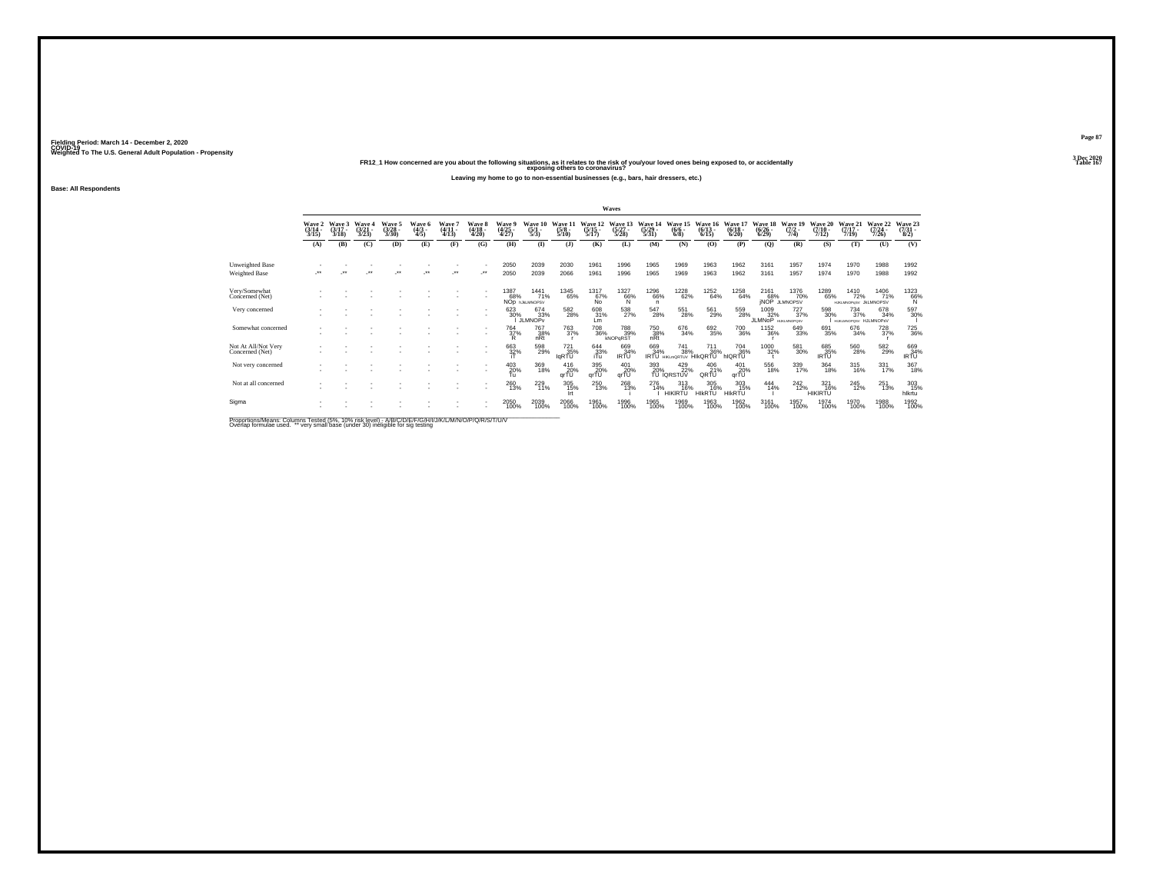**FR12\_1 How concerned are you about the following situations, as it relates to the risk of you/your loved ones being exposed to, or accidentally Table 167 exposing others to coronavirus?Leaving my home to go to non-essential businesses (e.g., bars, hair dressers, etc.)**

**Base: All Respondents**

|                                        |                             |                             |                          |                             |                               |                           |                                 |                                    |                                              |                                       |                                  | Waves                                     |                                  |                                            |                              |                                  |                                    |                                                              |                                  |                                              |                                  |                                                           |
|----------------------------------------|-----------------------------|-----------------------------|--------------------------|-----------------------------|-------------------------------|---------------------------|---------------------------------|------------------------------------|----------------------------------------------|---------------------------------------|----------------------------------|-------------------------------------------|----------------------------------|--------------------------------------------|------------------------------|----------------------------------|------------------------------------|--------------------------------------------------------------|----------------------------------|----------------------------------------------|----------------------------------|-----------------------------------------------------------|
|                                        | Wave 2<br>$(3/14 -$<br>3/15 | Wave 3<br>$(3/17 -$<br>3/18 | Wave 4<br>(3/21)<br>3/23 | Wave 5<br>$(3/28 -$<br>3/30 | Wave 6<br>$\frac{(4/3)}{4/5}$ | Wave<br>$(4/11 -$<br>4/13 | Wave 8<br>$\frac{(4/18)}{4/20}$ | Wave 5<br>(4/25<br>4/27)           | Wave 10<br>$\frac{(5/1)}{5/3}$               | Wave 11<br>$\frac{(5/8)}{5/10}$       | Wave 12<br>$\frac{(5/15)}{5/17}$ | Wave 13<br>$\frac{(5/27)}{5/28}$          | Wave 14<br>$\frac{(5/29)}{5/31}$ | Wave 15<br>$\binom{6/6}{6/8}$              | Wave 16<br>$(6/13 -$<br>6/15 | Wave 17<br>$\frac{(6/18)}{6/20}$ | Wave 18<br>$\frac{(6/26)}{(6/29)}$ | Wave 19<br>$(7/2 -$<br>7/4)                                  | Wave 20<br>$\frac{(7/10)}{7/12}$ | Wave 21<br>$(7/17 -$<br>7/19                 | Wave 22<br>$\frac{(7/24)}{7/26}$ | Wave 23<br>$\frac{(7/31)}{8/2}$                           |
|                                        | (A)                         | (B)                         | (C)                      | (D)                         | (E)                           | (F)                       | (G)                             | (H)                                | $\bf{I}$                                     | (3)                                   | (K)                              | (L)                                       | (M)                              | (N)                                        | (O)                          | (P)                              | (Q)                                | (R)                                                          | (S)                              | (T)                                          | (U)                              | (V)                                                       |
| Unweighted Base<br>Weighted Base       |                             | $\ddot{\phantom{1}}$        | $\ddot{\phantom{1}}$     | $\star\star$                | $\bullet\,\bullet$            | $\cdot$                   | $\cdot$                         | 2050<br>2050                       | 2039<br>2039                                 | 2030<br>2066                          | 1961<br>1961                     | 1996<br>1996                              | 1965<br>1965                     | 1969<br>1969                               | 1963<br>1963                 | 1962<br>1962                     | 3161<br>3161                       | 1957<br>1957                                                 | 1974<br>1974                     | 1970<br>1970                                 | 1988<br>1988                     | 1992<br>1992                                              |
| Very/Somewhat<br>Concerned (Net)       |                             |                             |                          |                             |                               |                           |                                 | 1387<br>68%                        | <sup>1441</sup> 71%<br>NOD <b>INALMNOPSV</b> | <sup>1345</sup> 65%                   | 1317<br>67%<br>No                | $^{1327}_{66\%}$                          | <sup>1296</sup> 66%<br>n.        | <sup>1228</sup> 62%                        | 1252<br>64%                  | 1258<br>64%                      |                                    | <sup>1376</sup> 70%<br>2161 1376<br>68% 70%<br>JNOP JLMNOPSV | 1289<br>65%                      | <sup>1410</sup> 72%<br>HJKLMNOPuSV JkLMNOPSV | 1406<br>71%                      | $^{1323}_{66\%}$                                          |
| Very concerned                         |                             |                             |                          |                             |                               |                           |                                 | 623<br>30%                         | 674<br>33%<br>JLMNOP <sub>V</sub>            | $^{582}_{\phantom{1}\phantom{1}28\%}$ | 608<br>31%<br>Lm                 | $\frac{538}{27\%}$                        | 547<br>28%                       | 551<br>28%                                 | 561<br>29%                   | 559<br>28%                       | 1009<br>JLMNOP <sup>32%</sup>      | 727<br>37%<br><b>HUKLMNOPOSV</b>                             | 598<br>30%                       | 734<br>37%<br><b>HUKLMNOPOSV</b>             | 678<br>34%<br><b>H.II MNOPEV</b> | 597<br>30%                                                |
| Somewhat concerned                     |                             |                             |                          |                             |                               |                           | $\overline{\phantom{a}}$        | <sup>764</sup> <sub>37%</sub><br>R | <sup>767</sup> 38%<br>nRt                    | 763<br>37%                            | <sup>708</sup> 36%               | <sup>788</sup> <sub>39%</sub><br>kNOPaRST | 750<br>38%<br>nRt                | 676<br>34%                                 | 692<br>35%                   | 700<br>36%                       | 1152<br>36%                        | $\substack{649 \\ 33\%}$                                     | 691<br>35%                       | $^{676}_{34\%}$                              | 728<br>37%                       | <sup>725</sup> <sub>36%</sub>                             |
| Not At All/Not Very<br>Concerned (Net) |                             |                             |                          |                             |                               |                           | $\overline{\phantom{a}}$        | 663<br>32%                         | 598<br>29%                                   | 721<br>35%<br><b>IgRTU</b>            | 644<br>33%<br>iTu                | 669<br>34%<br>IRTU                        | 669<br>34%                       | 741<br>38%<br>IRTU HIKLMORTUV              | 711<br>36%<br><b>HIKORTU</b> | 704 36%<br>IQRTU                 | 1000<br>32%                        | $^{581}_{\ 30\%}$                                            | 685<br>35%<br>IRTU               | 560<br>28%                                   | 582<br>29%                       | $\begin{array}{c} 669 \\ 34\% \\ \text{IRTU} \end{array}$ |
| Not very concerned                     |                             |                             |                          |                             |                               |                           |                                 | 403<br>20%<br>Tυ                   | 369<br>18%                                   | 416<br>qrTU                           | 395<br>$qr\overline{10}$ %       | 401<br>20%<br>qrTU                        | 393                              | 429<br>$\overline{20}$ % $\overline{22}$ % | 406<br>21%<br>QRTU           | 401<br>20%<br>qrTU               | 556<br>18%                         | 339<br>17%                                                   | 364<br>18%                       | 315<br>16%                                   | 331<br>17%                       | 367<br>18%                                                |
| Not at all concerned                   |                             |                             |                          |                             |                               |                           |                                 | 260<br>13%                         | 229<br>11%                                   | 305<br>15%<br>Irt                     | 250<br>13%                       | 268<br>13%                                | 276<br>14%                       | $313 \over 16\%$<br><b>HIKIRTU</b>         | 305<br>16%<br><b>HIKRTU</b>  | 303<br>15%<br><b>HIKRTU</b>      | 444%                               | $^{242}_{12\%}$                                              | 321<br>16%<br><b>HIKIRTU</b>     | $^{245}_{12\%}$                              | 251<br>13%                       | 303<br>15%<br>hlkrtu                                      |
| Sigma                                  |                             |                             |                          |                             |                               |                           |                                 | 2050<br>100%                       | 2039<br>100%                                 | 2066<br>100%                          | 1961<br>100%                     | 1996<br>100%                              | 1965<br>100%                     | 1969<br>100%                               | 1963<br>100%                 | 1962<br>100%                     | 3161<br>100%                       | 1957<br>100%                                                 | 1974<br>100%                     | 1970<br>100%                                 | 1988<br>100%                     | 1992<br>100%                                              |

Proportions/Means: Columns Tested (5%, 10% risk level) - A/B/C/D/E/F/G/H/I/J/K/L/M/N/O/P/Q/R/S/T/U/V<br>Overlap formulae used. \*\* very small base (under 30) ineligible for sig testing

**Page 87**3 Dec 2020<br>Table 167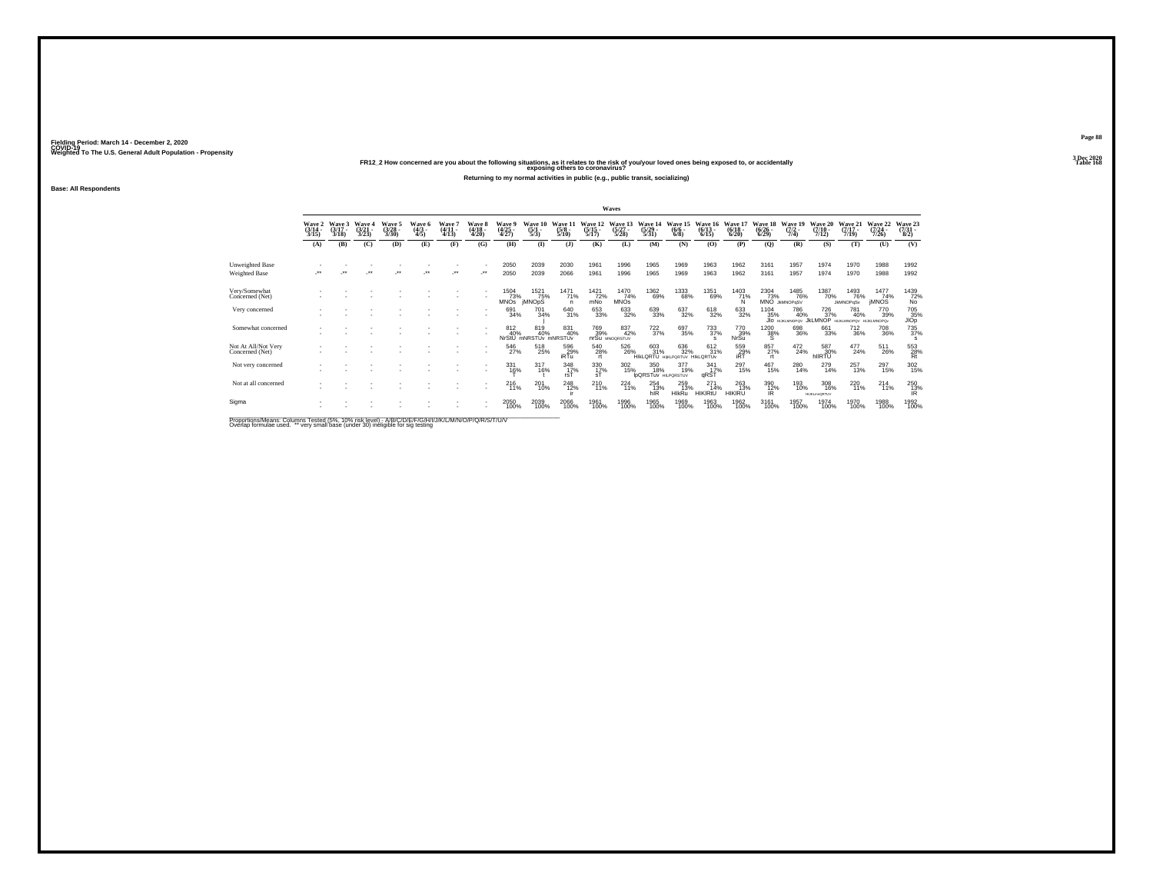# Weighted To The U.S. General Adult Population - Propensity<br>FR12\_2 How concerned are you about the following situations, as it relates to the risk of you/your loved ones being exposed to, or accidentally<br>Table 168

**Returning to my normal activities in public (e.g., public transit, socializing)**

**Base: All Respondents**

|                                         |                           |                             |                               |                                |                               |                               |                            |                            |                                     |                                 |                                  | Waves                            |                                          |                                    |                                   |                                  |                                    |                                      |                                   |                                 |                                            |                                   |
|-----------------------------------------|---------------------------|-----------------------------|-------------------------------|--------------------------------|-------------------------------|-------------------------------|----------------------------|----------------------------|-------------------------------------|---------------------------------|----------------------------------|----------------------------------|------------------------------------------|------------------------------------|-----------------------------------|----------------------------------|------------------------------------|--------------------------------------|-----------------------------------|---------------------------------|--------------------------------------------|-----------------------------------|
|                                         | Wave 2<br>(3/14 -<br>3/15 | Wave 3<br>$(3/17 -$<br>3/18 | Wave<br>$\frac{(3/21)}{3/23}$ | Wave 5<br>$\binom{3/28}{3/30}$ | Wave 6<br>$\frac{(4/3)}{4/5}$ | Wave '<br>$(4/11 -$<br>(4/13) | Wave 8<br>(4/18 -<br>4/20) | Wave 5<br>(4/25<br>4/27)   | Wave 10<br>$\frac{(5/1)}{5/3}$      | Wave 11<br>$\frac{(5/8)}{5/10}$ | Wave 12<br>$\frac{(5/15)}{5/17}$ | Wave 13<br>$\frac{(5/27)}{5/28}$ | Wave 14<br>$\frac{(5/29)}{5/31}$         | Wave 15<br>$\frac{(6/6)}{6/8}$     | Wave 16<br>$(6/13 -$<br>6/15      | Wave 17<br>$\frac{(6/18)}{6/20}$ | Wave 18<br>$\frac{(6/26)}{(6/29)}$ | Wave 19<br>$\frac{(7/2)}{7/4}$       | Wave 20<br>$(7/10 -$<br>7/12      | Wave 21<br>$(7/17 -$<br>7/19    | Wave 22<br>$(7/24 -$<br>7/26               | Wave 23<br>$\frac{(7/31)}{(8/2)}$ |
|                                         | (A)                       | (B)                         | (C)                           | (D)                            | (E)                           | (F)                           | (G)                        | (H)                        | $($ $\Gamma$                        | (1)                             | (K)                              | (L)                              | (M)                                      | (N)                                | (O)                               | (P)                              | $\mathbf{Q}$                       | (R)                                  | (S)                               | (T)                             | (U)                                        | (V)                               |
| <b>Unweighted Base</b><br>Weighted Base | $\cdot$                   |                             | $\ddot{\phantom{0}}$          | $\bullet\bullet$               | $\ddot{\phantom{1}}$          | $\star$                       |                            | 2050<br>2050               | 2039<br>2039                        | 2030<br>2066                    | 1961<br>1961                     | 1996<br>1996                     | 1965<br>1965                             | 1969<br>1969                       | 1963<br>1963                      | 1962<br>1962                     | 3161<br>3161                       | 1957<br>1957                         | 1974<br>1974                      | 1970<br>1970                    | 1988<br>1988                               | 1992<br>1992                      |
| Very/Somewhat<br>Concerned (Net)        |                           |                             |                               |                                |                               |                               |                            | 1504<br>73%<br><b>MNOS</b> | 1521<br>75%<br><b>IMNOpS</b>        | <sup>1471</sup> 71%<br>n        | $\frac{1421}{72\%}$<br>mŃo       | $^{1470}_{74\%}$<br><b>MNOs</b>  | <sup>1362</sup> 69%                      | 1333<br>68%                        | 1351<br>69%                       | 1403<br>71%                      | 2304<br>73%                        | 1485<br>76%<br>MNO JKMNOPqSV         | 1387<br>70%                       | 1493<br>76%<br><b>JkMNOPqSv</b> | $\frac{1477}{74\%}$<br><b><i>IMNOS</i></b> | 1439<br>72%<br>No                 |
| Very concerned                          |                           |                             |                               |                                |                               |                               |                            | 691<br>34%                 | 701<br>34%                          | 640<br>31%                      | 653<br>33%                       | 633<br>32%                       | 639<br>33%                               | 637<br>32%                         | 618<br>32%                        | 633<br>32%                       | 1104<br>35%                        | 786<br>40%<br>JIO HUKLMNOPOV JKLMNOP | 726<br>37%                        | 781<br>40%<br>HUKUMNOPOV        | 770<br>39%<br><b>HIJKLMNOPOv</b>           | 705<br>35%<br>JIOp                |
| Somewhat concerned                      |                           |                             |                               |                                |                               |                               |                            | 812<br>40%                 | 819<br>40%<br>NrStU mNRSTUv mNRSTUv | 831<br>40%                      | 769<br>39%                       | 837<br>42%<br>nrSu MNOGRSTUV     | $\frac{722}{37%}$                        | 697<br>35%                         | $^{733}_{37\%}$<br>s              | 770<br>39%<br>NrSu               | <sup>1200</sup> 38%<br>s           | 698<br>36%                           | 661<br>33%                        | $\substack{712 \\ 36\%}$        | <sup>708</sup> 36%                         | $^{735}_{37\%}$<br>s              |
| Not At All/Not Very<br>Concerned (Net)  |                           |                             |                               |                                |                               |                               | ٠                          | 546<br>27%                 | 518<br>25%                          | $^{596}_{29\%}$ iRTu            | 540<br>28%                       | 526<br>26%                       | 603<br>31%<br><b>HIKLORTU</b>            | 636<br>32%<br>HIKLPORTUV HIKLORTUV | 612 %                             | 559<br>29%<br>iRT                | 857%<br>rt.                        | $^{472}_{24\%}$                      | 587<br>30%<br>hllRTU <sup>®</sup> | $^{477}_{24\%}$                 | 511<br>26%                                 | 553<br>28%<br>Rt                  |
| Not very concerned                      |                           |                             |                               |                                |                               |                               | $\sim$                     | 331<br>16%                 | 317<br>16%                          | 348<br>$\frac{17}{15}$          | 330<br>17%<br>sT                 | 302<br>15%                       | 350<br>18%<br><b>IDQRSTUV HILPORSTUV</b> | 377<br>19%                         | 341<br>17%<br>qRST                | 297<br>15%                       | 467<br>15%                         | 280<br>14%                           | 279<br>14%                        | 257<br>13%                      | 297<br>15%                                 | $\frac{302}{15\%}$                |
| Not at all concerned                    |                           |                             |                               |                                |                               |                               |                            | $^{216}_{11\%}$            | 201<br>10%                          | 248<br>12%                      | $^{210}_{11\%}$                  | $^{224}_{11\%}$                  | $^{254}_{13\%}$<br>hIR                   | 259<br>13%<br><b>HIkRu</b>         | $^{271}_{14\%}$<br><b>HIKIRtU</b> | 263<br>13%<br><b>HIKIRU</b>      | 390<br>12%<br>IR                   | 193<br>10%                           | 308<br>16%<br><b>HUKLmnQRTUV</b>  | 220<br>11%                      | $^{214}_{11\%}$                            | 250<br>13%<br>IR.                 |
| Sigma                                   |                           |                             |                               |                                |                               |                               | ٠                          | 2050<br>100%               | 2039<br>100%                        | 2066<br>100%                    | 1961<br>100%                     | 1996<br>100%                     | 1965<br>100%                             | 1969<br>100%                       | 1963<br>100%                      | 1962<br>100%                     | 3161<br>100%                       | 1957<br>100%                         | 1974<br>100%                      | 1970<br>100%                    | 1988<br>100%                               | 1992<br>100%                      |

Proportions/Means: Columns Tested (5%, 10% risk level) - A/B/C/D/E/F/G/H/I/J/K/L/M/N/O/P/Q/R/S/T/U/V<br>Overlap formulae used. \*\* very small base (under 30) ineligible for sig testing

**Page 883 Dec 2020<br>Table 168**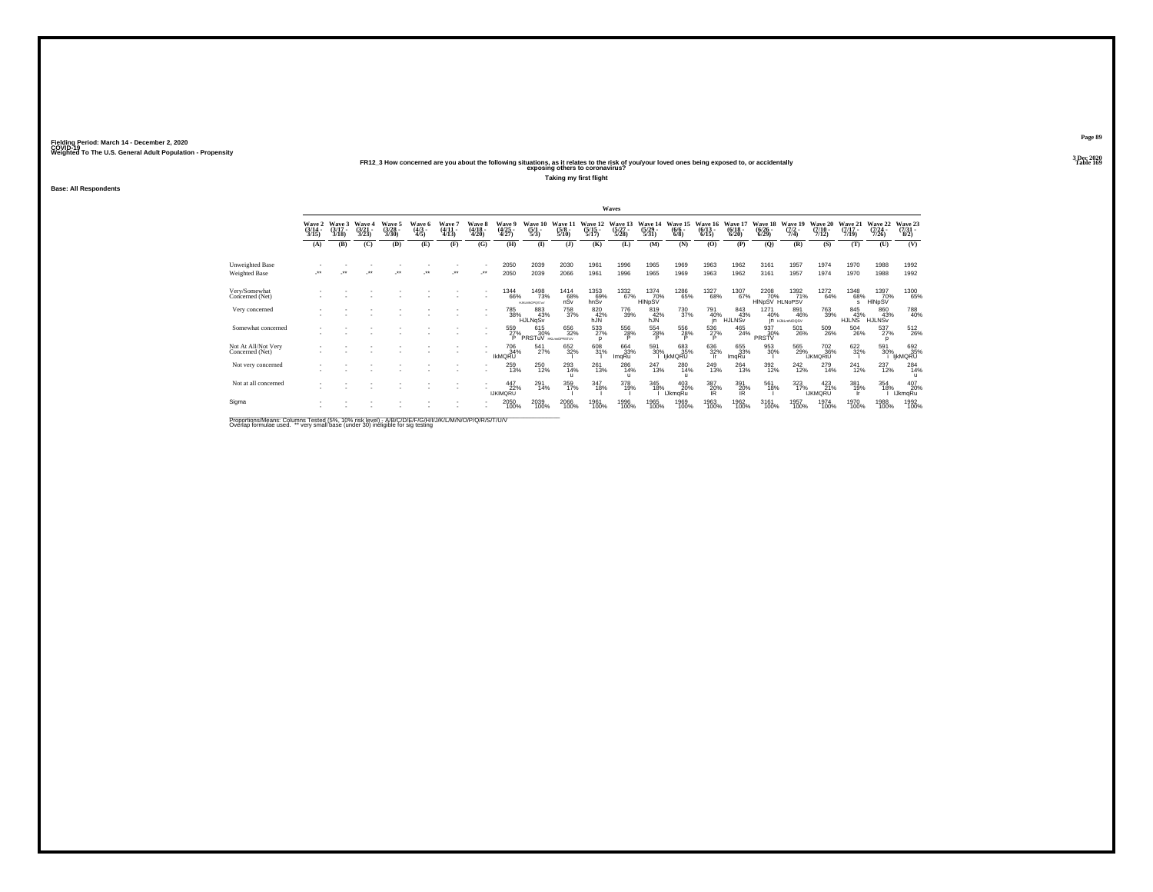**Base: All Respondents**

Weighted To The U.S. General Adult Population - Propensity<br>FR12\_3 How concerned are you about the following situations, as it relates to the risk of you/your loved ones being exposed to, or accidentally<br>Table 169

**Taking my first flight**

|                                         |                             |                             |                                 |                             |                               |                             |                            |                                     |                                             |                                |                                  | Waves                          |                                  |                              |                                 |                              |                                    |                                    |                                       |                                  |                                  |                                     |
|-----------------------------------------|-----------------------------|-----------------------------|---------------------------------|-----------------------------|-------------------------------|-----------------------------|----------------------------|-------------------------------------|---------------------------------------------|--------------------------------|----------------------------------|--------------------------------|----------------------------------|------------------------------|---------------------------------|------------------------------|------------------------------------|------------------------------------|---------------------------------------|----------------------------------|----------------------------------|-------------------------------------|
|                                         | Wave 2<br>$(3/14 -$<br>3/15 | Wave 3<br>$(3/17 -$<br>3/18 | Wave 4<br>$\frac{(3/21)}{3/23}$ | Wave 5<br>$(3/28 -$<br>3/30 | Wave 6<br>$\frac{(4/3)}{4/5}$ | Wave 7<br>$(4/11 -$<br>4/13 | Wave 8<br>(4/18 -<br>4/20) | Wave 9<br>$\frac{(4/25)}{4/27}$     | Wave 10<br>$\frac{(5/1)}{5/3}$              | Wave 1<br>$\frac{(5/8)}{5/10}$ | Wave 12<br>$\frac{(5/15)}{5/17}$ | Wave:<br>$\frac{(5/27)}{5/28}$ | Wave 14<br>$\frac{(5/29)}{5/31}$ | Wave 15<br>$(6/6 -$<br>6/8   | Wave 16<br>$\binom{6/13}{6/15}$ | Wave 17<br>$(6/18 -$<br>6/20 | Wave 18<br>$\frac{(6/26)}{(6/29)}$ | Wave 19<br>$(7/2 -$<br>7/4)        | Wave 20<br>$(7/10 -$<br>7/12          | Wave 21<br>$\frac{(7/17)}{7/19}$ | Wave 22<br>$\frac{(7/24)}{7/26}$ | Wave 23<br>$\frac{(7/31 - 8)}{8/2}$ |
|                                         | (A)                         | (B)                         | (C)                             | (D)                         | (E)                           | (F)                         | (G)                        | (H)                                 | $\bf{I}$                                    | $($ $)$                        | (K)                              | (L)                            | (M)                              | (N)                          | (O)                             | (P)                          | (Q)                                | (R)                                | (S)                                   | (T)                              | (U)                              | (V)                                 |
| Unweighted Base<br><b>Weighted Base</b> | $\cdot$                     | $\bullet\bullet$            | $\ddot{\phantom{1}}$            | $\bullet\,\bullet$          | $^{\tiny{**}}$                | $\star\star$                | $\cdot$                    | 2050<br>2050                        | 2039<br>2039                                | 2030<br>2066                   | 1961<br>1961                     | 1996<br>1996                   | 1965<br>1965                     | 1969<br>1969                 | 1963<br>1963                    | 1962<br>1962                 | 3161<br>3161                       | 1957<br>1957                       | 1974<br>1974                          | 1970<br>1970                     | 1988<br>1988                     | 1992<br>1992                        |
| Very/Somewhat<br>Concerned (Net)        |                             |                             |                                 |                             |                               |                             |                            | <sup>1344</sup> 66%                 | <sup>1498</sup> 73%<br><b>HJKLMNOPOSTUV</b> | $^{1414}_{68\%}$ nSv           | 1353<br>69%<br>hnSv              | 1332<br>67%                    | 1374<br>70%<br>HINpSV            | <sup>1286</sup> 65%          | <sup>1327</sup> 68%             | 1307%                        | 2208<br>70%<br>HINpSV HLNoPSV      | $\frac{1392}{71\%}$                | 1272<br>64%                           | 1348<br>68%<br>s                 | 1397<br>70%<br>HINpSV            | 1300<br>65%                         |
| Very concerned                          |                             |                             |                                 |                             |                               |                             |                            | 785<br>38%                          | 883<br>43%<br>HJLNqSv                       | 758<br>37%                     | 820<br>42%<br>hJÑ                | 776<br>39%                     | 819<br>42%<br>hJÑ                | 730<br>37%                   | 791<br>40%<br>in.               | 843<br>43%<br><b>HJLNSV</b>  | 1271<br>40%                        | 891<br>46%<br><b>IN HJKLMNOQSV</b> | 763<br>39%                            | 845<br>43%<br>HJLNS <sup>®</sup> | 860<br>43%<br><b>HJLNSV</b>      | 788<br>40%                          |
| Somewhat concerned                      |                             |                             |                                 |                             |                               |                             |                            | 559<br>27%<br>P                     | 615<br>30%<br>PRSTuV                        | 656<br>32%<br>HIGHNOPRSTUV     | 533<br>n                         | 556<br>28%<br>D                | 554<br>28%<br>P                  | 556<br>28%                   | $\frac{536}{27\%}$              | $^{465}_{24\%}$              | 937<br>30%<br>PRSTV                | 501<br>26%                         | 509<br>26%                            | $^{504}_{\ 26\%}$                | 537%                             | 512<br>26%                          |
| Not At All/Not Very<br>Concerned (Net)  |                             |                             |                                 |                             |                               |                             |                            | <sup>706</sup> 34%<br><b>IKMQRU</b> | $^{541}_{27\%}$                             | 652<br>32%                     | 608<br>31%                       | 664<br>33%<br>ImqRu            | 591<br>30%                       | 683<br>35%<br>IjkMQRU        | $\frac{636}{32\%}$              | 655<br>33%<br>ImqRu          | 953<br>30%                         | 565<br>29%                         | <sup>702</sup> 36%<br><b>IJKMORtU</b> | 622 %                            | 591<br>30%                       | 692<br>35%<br>ijkMQRU               |
| Not very concerned                      |                             |                             |                                 |                             |                               |                             |                            | 259<br>13%                          | 250<br>12%                                  | 293<br>14%<br>$\mathbf{u}$     | 261<br>13%                       | 286<br>14%<br>$\mathbf{u}$     | 247<br>13%                       | $^{280}_{14\%}$              | 249<br>13%                      | $^{264}_{13\%}$              | 392<br>12%                         | $^{242}_{12\%}$                    | 279<br>14%                            | $^{241}_{12\%}$                  | 237<br>12%                       | 284<br>14%                          |
| Not at all concerned                    |                             |                             |                                 |                             |                               |                             |                            | 447<br>22%<br><b>IJKIMQRU</b>       | 291<br>14%                                  | 359<br>17%                     | 347<br>18%                       | 378<br>19%                     | 345<br>18%                       | 403<br>20%<br><b>IJkmaRu</b> | 387<br>20%<br>IR                | 391<br>20%<br>IR.            | 561<br>18%                         | 323<br>17%                         | $^{423}_{21\%}$<br><b>IJKMORU</b>     | 381<br>19%                       | 354<br>18%                       | 407<br>20%<br><b>IJkmqRu</b>        |
| Sigma                                   |                             |                             |                                 |                             |                               |                             |                            | 2050<br>100%                        | 2039<br>100%                                | 2066<br>100%                   | 1961<br>100%                     | 1996<br>100%                   | 1965<br>100%                     | 1969<br>100%                 | 1963<br>100%                    | 1962<br>100%                 | 3161<br>100%                       | 1957<br>100%                       | 1974<br>100%                          | 1970<br>100%                     | 1988<br>100%                     | 1992<br>100%                        |

Proportions/Means: Columns Tested (5%, 10% risk level) - A/B/C/D/E/F/G/H/I/J/K/L/M/N/O/P/Q/R/S/T/U/V<br>Overlap formulae used. \*\* very small base (under 30) ineligible for sig testing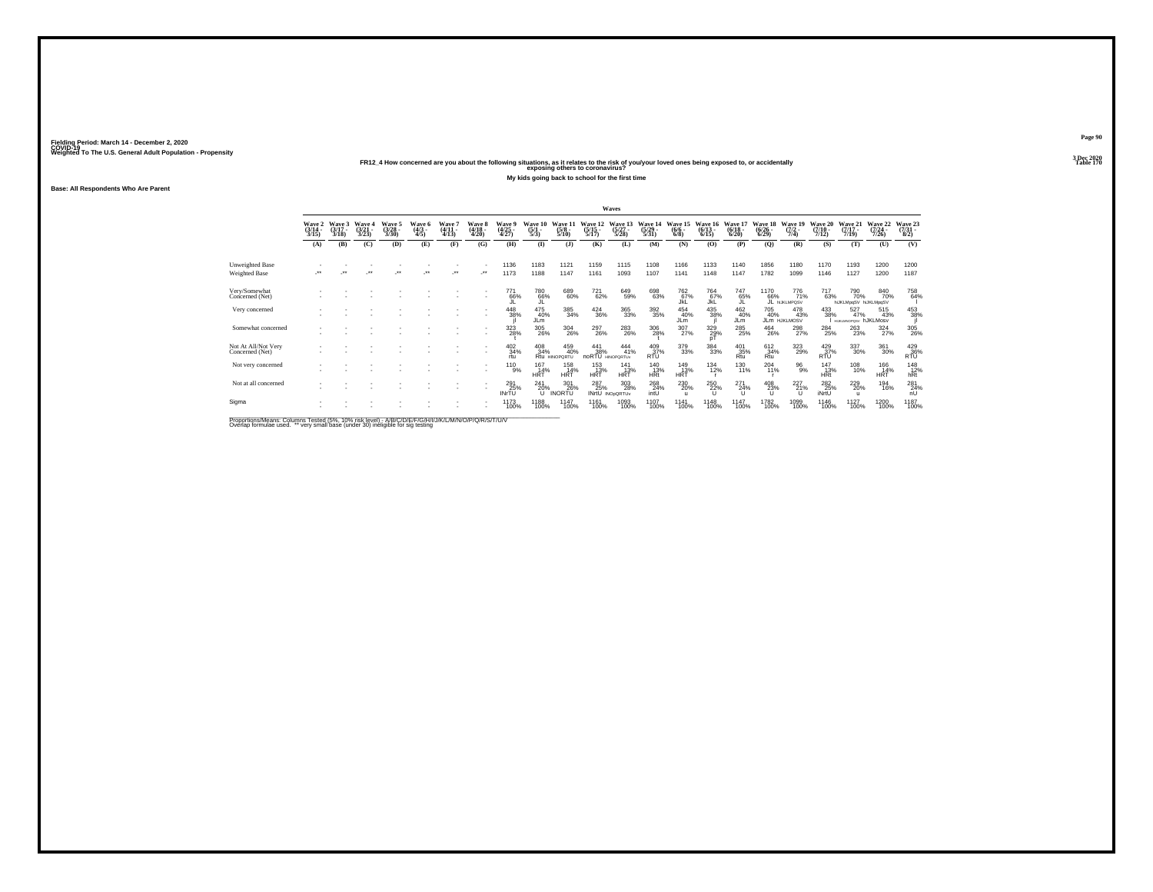**Page 903 Dec 2020<br>Table 170** 

# Weighted To The U.S. General Adult Population - Propensity<br>Table 170<br>Table 170 FR12\_4 How concerned are you about the following situations, as it relates to the risk of you/your loved ones being exposed to, or accidentall

**My kids going back to school for the first time**

**Base: All Respondents Who Are Parent**

|                                         |                          |                             |                          |                                |                           |                                |                             |                                 |                                |                                 |                                     | Waves                                |                                  |                                         |                              |                                  |                                 |                             |                                       |                                           |                              |                                      |
|-----------------------------------------|--------------------------|-----------------------------|--------------------------|--------------------------------|---------------------------|--------------------------------|-----------------------------|---------------------------------|--------------------------------|---------------------------------|-------------------------------------|--------------------------------------|----------------------------------|-----------------------------------------|------------------------------|----------------------------------|---------------------------------|-----------------------------|---------------------------------------|-------------------------------------------|------------------------------|--------------------------------------|
|                                         | Wave 2<br>(3/14)<br>3/15 | Wave 3<br>$(3/17 -$<br>3/18 | Waye 4<br>(3/21)<br>3/23 | Wave 5<br>$\binom{3/28}{3/30}$ | Wave 6<br>$(4/3 -$<br>4/5 | Wave?<br>$\frac{(4/11)}{4/13}$ | Wave 8<br>$(4/18 -$<br>4/20 | Wave 9<br>$\frac{(4/25)}{4/27}$ | Wave 10<br>$\frac{(5/1)}{5/3}$ | Wave 11<br>$\frac{(5/8)}{5/10}$ | Wave 12<br>$\frac{(5/15)}{5/17}$    | Wave 13<br>$\frac{(5/27)}{5/28}$     | Wave 14<br>$\frac{(5/29)}{5/31}$ | Wave 15<br>$\frac{(6/6)}{6/8}$          | Wave 16<br>$(6/13 -$<br>6/15 | Wave 17<br>$\frac{(6/18)}{6/20}$ | Wave 18<br>$\binom{6/26}{6/29}$ | Wave 19<br>$(7/2 -$<br>7/4) | Wave 20<br>$(7/10 -$<br>7/12          | Wave 21<br>$(7/17 -$<br>7/19              | Wave 22<br>$(7/24 -$<br>7/26 | Wave 23<br>$\frac{(7/31)}{8/2}$      |
|                                         | (A)                      | (B)                         | (C)                      | (D)                            | (E)                       | (F)                            | (G)                         | (H)                             | $($ $\Gamma$                   | (1)                             | (K)                                 | (L)                                  | (M)                              | (N)                                     | (O)                          | (P)                              | $\mathbf{Q}$                    | (R)                         | (S)                                   | (T)                                       | (U)                          | (V)                                  |
| <b>Unweighted Base</b><br>Weighted Base | $\cdot$                  |                             | $\ddot{\phantom{0}}$     | $\bullet\bullet$               | $\ddot{\phantom{0}}$      | $\star$                        | $\mathcal{L}^{\star\star}$  | 1136<br>1173                    | 1183<br>1188                   | 1121<br>1147                    | 1159<br>1161                        | 1115<br>1093                         | 1108<br>1107                     | 1166<br>1141                            | 1133<br>1148                 | 1140<br>1147                     | 1856<br>1782                    | 1180<br>1099                | 1170<br>1146                          | 1193<br>1127                              | 1200<br>1200                 | 1200<br>1187                         |
| Very/Somewhat<br>Concerned (Net)        |                          |                             |                          |                                |                           |                                | ٠                           | 771<br>66%                      | 780<br>66%                     | 689<br>60%                      | <sup>721</sup> 62%                  | 649<br>59%                           | 698<br>63%                       | <sup>762</sup> <sub>67%</sub><br>JķĹ    | 764 67%<br>JŘĹ               | 747<br>65%<br>JL                 | 1170<br>66%                     | 776<br>71%<br>JL HIJKLMPOSV | <sup>717</sup> 63%                    | 790 <sub>%</sub><br>hiJKLMpgSV hiJKLMpgSV | 840<br>70%                   | 758<br>64%                           |
| Very concerned                          |                          |                             |                          |                                |                           |                                |                             | 448<br>38%                      | 475<br>40%<br>JLm              | $\substack{385 \\ 34\%}$        | $\frac{424}{36\%}$                  | $\frac{365}{33\%}$                   | 392<br>35%                       | 454<br>40%<br>JLm                       | 435<br>38%                   | 462<br>40%<br>JLm                | 705<br>40%                      | 478<br>43%<br>JLM HJKLMOSV  | 433<br>38%                            | 527<br>47%<br><b>HUKLMNOPOSY DJKLMOSV</b> | 515<br>43%                   | $^{453}_{38\%}$                      |
| Somewhat concerned                      |                          |                             |                          |                                |                           |                                |                             | 323<br>28%                      | 305<br>26%                     | 304<br>26%                      | 297<br>26%                          | 283<br>26%                           | 306<br>28%                       | 307%                                    | 329%<br>pŤ                   | 285<br>25%                       | $^{464}_{26\%}$                 | 298<br>27%                  | $^{284}_{\phantom{1}\phantom{1}25\%}$ | $^{263}_{23\%}$                           | $\frac{324}{27\%}$           | 305<br>26%                           |
| Not At All/Not Very<br>Concerned (Net)  |                          |                             |                          |                                |                           |                                | ٠<br>٠                      | $^{402}_{34\%}$<br>rtu          | 408<br>34%                     | 459<br>40%<br>Rtu HINOPORTU     | $^{441}_{38\%}$<br>noRTU HINOPORTUV | $^{444}_{41\%}$                      | $^{409}_{37\%}$ RTU              | 379<br>33%                              | 384<br>33%                   | 401<br>35%<br>Rtu                | 612<br>34%<br>Rtu               | 323<br>29%                  | $^{429}_{37\%}$ RTU                   | $\substack{337 \\ 30\%}$                  | 361<br>30%                   | $^{429}_{36\%}$ RTU                  |
| Not very concerned                      |                          |                             |                          |                                |                           |                                | ٠                           | 110<br>9%                       | 167<br>14%<br>HRT              | 158<br>14%<br>HRT               | 153<br>13%<br>HRT                   | 141<br>13%<br>HRT                    | 140<br>13%<br><b>HRt</b>         | 149<br>13%<br>HRT                       | 134<br>12%                   | 130<br>11%                       | 204<br>11%                      | $\frac{96}{9\%}$            | 147<br>13%<br><b>HRt</b>              | 108<br>10%                                | 166<br>14%<br>HRT            | <sup>148</sup> <sup>12%</sup><br>hRt |
| Not at all concerned                    |                          |                             |                          |                                |                           |                                | ٠                           | 291<br>25%<br><b>INrTU</b>      | 241<br>20%<br>u                | 301<br>26%<br><b>INORTU</b>     | 287<br>25%                          | 303<br>28%<br><b>INrtU INOpORTUV</b> | 268<br>24%<br>intU               | $^{230}_{\color{red}20\%}$<br><b>II</b> | 250<br>22%<br>$\cup$         | 271<br>24%                       | 408<br>23%<br>$\cup$            | 227 <sub>21%</sub>          | 282<br>25%<br>iNrtU                   | 229<br>20%<br>$\mathbf{u}$                | <sup>194</sup><br>16%        | $^{281}_{24\%}$<br>nU                |
| Sigma                                   |                          |                             |                          |                                |                           |                                |                             | 1173<br>100%                    | 1188<br>100%                   | 1147<br>100%                    | 1161<br>100%                        | 1093<br>100%                         | 1107<br>100%                     | 1141<br>100%                            | 1148<br>100%                 | 1147<br>100%                     | 1782<br>100%                    | 1099<br>100%                | 1146<br>100%                          | 1127<br>100%                              | 1200<br>100%                 | 1187<br>100%                         |

Proportions/Means: Columns Tested (5%, 10% risk level) - A/B/C/D/E/F/G/H/I/J/K/L/M/N/O/P/Q/R/S/T/U/V<br>Overlap formulae used. \*\* very small base (under 30) ineligible for sig testing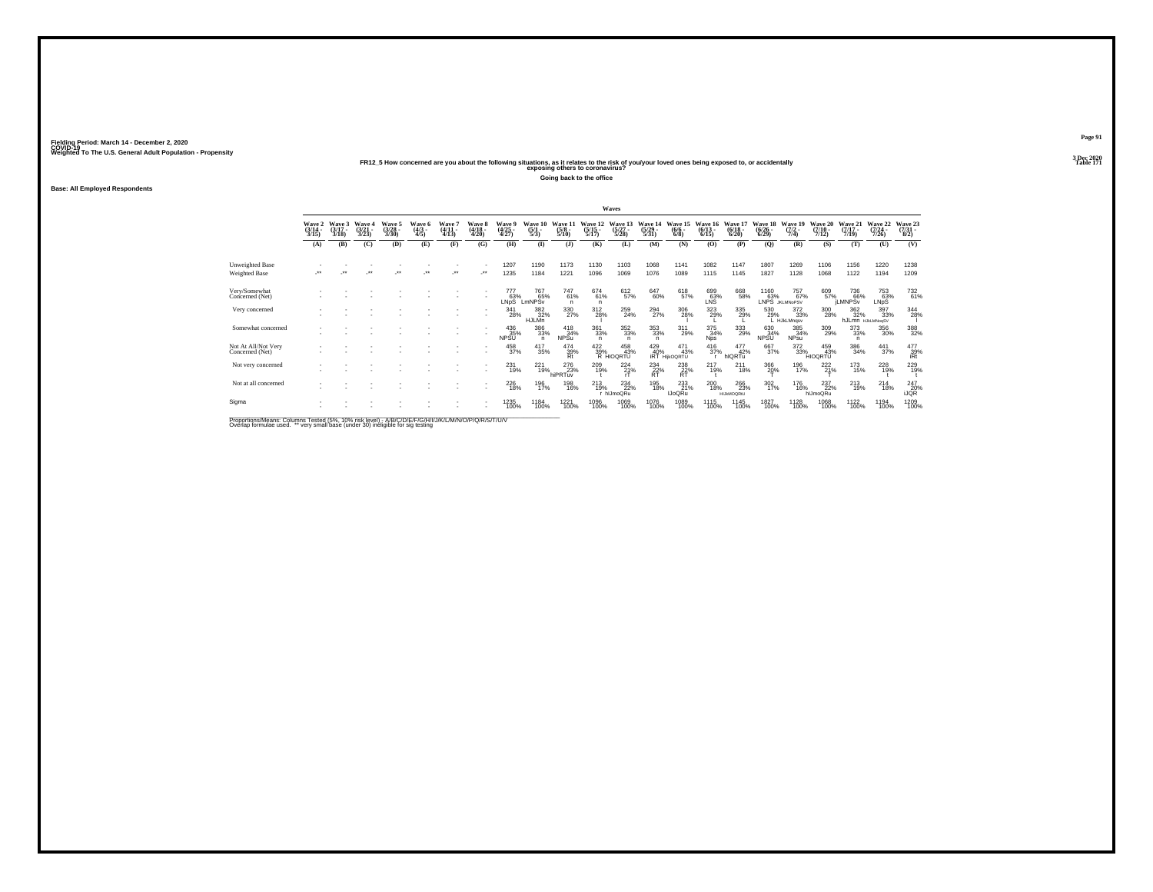Weighted To The U.S. General Adult Population - Propensity<br>Table 171 PR12\_5 How concerned are you about the following situations, as it relates to the risk of you/your loved ones being exposed to, or accidentally<br>Table 17

**Going back to the office**

**Base: All Employed Respondents**

| Wave 6<br>Wave 8<br>Wave 5<br>Wave 3<br>Wave 4<br>Wave?<br>Waye 9<br>Wave 11<br>Wave 21<br>Wave 22<br>Wave 10<br>Wave 20<br>Wave 12<br>Wave 14<br>Wave 19<br>Wave 13<br>Wave 15<br>Wave 16<br>Wave 17<br>Wave 18<br>Wave 2<br>$\frac{(4/25)}{4/27}$<br>$(4/11 -$<br>$(4/18 -$<br>$\frac{(3/14)}{3/15}$<br>$\frac{(3/21)}{3/23}$<br>$\frac{(3/28)}{3/30}$<br>$\frac{(4/3)}{4/5}$<br>$(3/17 -$<br>$\frac{(5/1)}{5/3}$<br>$\frac{(5/15)}{5/17}$<br>$\binom{5/27}{5/28}$<br>$\frac{(5/29)}{5/31}$<br>$\frac{(6/13)}{6/15}$<br>$\frac{(6/18)}{6/20}$<br>$\frac{(7/2)}{7/4}$<br>(7/10.<br>$(7/17 -$<br>$\frac{(6/26)}{(6/29)}$<br>$(7/24 -$<br>$\frac{(5/8)}{5/10}$<br>$\binom{6/6}{6/8}$<br>4/13<br>4/20<br>7/19<br>3/18<br>7/12<br>7/26<br>(C)<br>(E)<br>(F)<br>(G)<br>(H)<br>(K)<br>(L)<br>(0)<br>(U)<br>(B)<br>(D)<br>(1)<br>(M)<br>(N)<br>(P)<br>(Q)<br>(R)<br>(S)<br>(T)<br>$\mathbf{I}$<br>(A)<br>1173<br>1220<br>1207<br>1190<br>1130<br>1103<br>1068<br>1082<br>1807<br>1269<br>1106<br>Unweighted Base<br>1141<br>1147<br>1156 | Wave 23<br>$\binom{7/31}{8/2}$<br>(V)<br>1238 |
|------------------------------------------------------------------------------------------------------------------------------------------------------------------------------------------------------------------------------------------------------------------------------------------------------------------------------------------------------------------------------------------------------------------------------------------------------------------------------------------------------------------------------------------------------------------------------------------------------------------------------------------------------------------------------------------------------------------------------------------------------------------------------------------------------------------------------------------------------------------------------------------------------------------------------------------------------------------------------------------------------------------------------------|-----------------------------------------------|
|                                                                                                                                                                                                                                                                                                                                                                                                                                                                                                                                                                                                                                                                                                                                                                                                                                                                                                                                                                                                                                    |                                               |
|                                                                                                                                                                                                                                                                                                                                                                                                                                                                                                                                                                                                                                                                                                                                                                                                                                                                                                                                                                                                                                    |                                               |
| 1076<br>$^{\tiny{**}}$<br>-**<br>1235<br>1184<br>1221<br>1096<br>1069<br>1089<br>1827<br>1068<br>1194<br>ur.<br>$\ddot{\phantom{0}}$<br>$\bullet\,\bullet$<br>÷<br>1115<br>1145<br>1128<br>1122<br>$^{\tiny{++}}$<br><b>Weighted Base</b>                                                                                                                                                                                                                                                                                                                                                                                                                                                                                                                                                                                                                                                                                                                                                                                          | 1209                                          |
| 767<br>Very/Somewhat<br>747<br>61%<br>$^{674}_{61\%}$<br>612<br>57%<br>647<br>60%<br>618<br>57%<br>609<br>57%<br>777<br>63%<br>699<br>63%<br>LNS<br>668<br>58%<br>1160<br>63%<br>757<br>67%<br>753<br>63%<br>736<br>66%<br>65%<br>Concerned (Net)<br>LNpS<br>LmNPSv<br>LNPS JKLMNoPSV<br>LMNPSv<br>LNpS <sup>1</sup><br>n<br>$\mathsf{n}$                                                                                                                                                                                                                                                                                                                                                                                                                                                                                                                                                                                                                                                                                          | $^{732}_{61\%}$                               |
| 323<br>29%<br>397<br>33%<br>330<br>27%<br>$^{294}_{27\%}$<br>$\frac{306}{28\%}$<br>382<br>32%<br>312<br>28%<br>259<br>335<br>29%<br>372<br>33%<br>300<br>28%<br>341<br>530<br>$\substack{362\\32\%}$<br>Very concerned<br>28%<br>24%<br>29%<br>HJLMn<br>hJLmn HJKLMNogSV<br>L HJkLMngsv                                                                                                                                                                                                                                                                                                                                                                                                                                                                                                                                                                                                                                                                                                                                            | 344<br>28%                                    |
| 386<br>33%<br>$\substack{361 \\ 33\%}$<br>$\substack{352\\33\%}$<br>$^{353}_{33\%}$<br>$^{311}_{29\%}$<br>375<br>34%<br>309<br>29%<br>$\frac{373}{33\%}$<br>356<br>30%<br>436<br>35%<br>$^{418}_{34\%}$<br>333<br>29%<br>630<br>34%<br>Somewhat concerned<br>385<br>34%<br><b>NPSU</b><br><b>NPSu</b><br><b>NPsu</b><br><b>Nps</b><br><b>NPSU</b><br>$\overline{p}$<br>n<br>n                                                                                                                                                                                                                                                                                                                                                                                                                                                                                                                                                                                                                                                      | $\underset{32\%}{^{388}}$                     |
| $^{372}_{33\%}$<br>$\overset{422}{\underset{39\%}{\text{39\%}}} \overset{45\chi}{\underset{\text{R HIOQRTU}}{\text{43}}}$<br>$^{416}_{37\%}$<br>667<br>37%<br>386<br>34%<br>Not At All/Not Very<br>458<br>37%<br>417<br>35%<br>474<br>$^{429}_{40\%}$ irt<br>471<br>43%<br>$\frac{477}{42\%}$<br>459<br>43%<br>$\frac{441}{37\%}$<br>458<br>43%<br>Rt<br>Concerned (Net)<br>hIQRTu<br><b>HIOQRTU</b><br>HIKOQRTU                                                                                                                                                                                                                                                                                                                                                                                                                                                                                                                                                                                                                   | $\frac{477}{39\%}$<br>iRt                     |
| 231<br>221<br>276<br>222<br>173<br>209<br>$^{234}_{\substack{22 \\ \text{RT}}}$<br>217<br>366<br>228<br>224<br>238<br>211<br>196<br>Not very concerned<br>15%<br>19%<br>19%<br>23%<br>19%<br>21%<br>$RT^2$<br>20%<br>17%<br>21%<br>19%<br>19%<br>18%<br>hiPRTuv<br>rT                                                                                                                                                                                                                                                                                                                                                                                                                                                                                                                                                                                                                                                                                                                                                              | 229<br>19%                                    |
| <sup>226</sup> 18%<br>233<br>200<br>18%<br>$^{302}_{17\%}$<br>237<br>22%<br>Not at all concerned<br>$^{213}_{19\%}$<br>$^{234}_{22\%}$<br>195<br>18%<br>266<br>23%<br><sup>176</sup><br>16%<br>$^{213}_{19\%}$<br>$^{214}_{18\%}$<br>196<br>17%<br>198<br>16%<br><b>IJoQRu</b><br>r hlJmoQRu<br>hlJmoQRu<br><b>HIJKMOQRtU</b>                                                                                                                                                                                                                                                                                                                                                                                                                                                                                                                                                                                                                                                                                                      | 247<br>20%<br><b>IJOR</b>                     |
| 1221<br>1076<br>1089<br>1827<br>1068<br>1122<br>1194<br>1235<br>1184<br>1096<br>1069<br>1115<br>1128<br>Sigma<br>1145<br>100%<br>100%<br>100%<br>100%<br>100%<br>100%<br>100%<br>100%<br>100%<br>100%<br>100%<br>100%<br>100%<br>100%                                                                                                                                                                                                                                                                                                                                                                                                                                                                                                                                                                                                                                                                                                                                                                                              | 1209<br>100%                                  |

Proportions/Means: Columns Tested (5%, 10% risk level) - A/B/C/D/E/F/G/H/I/J/K/L/M/N/O/P/Q/R/S/T/U/V<br>Overlap formulae used. \*\* very small base (under 30) ineligible for sig testing

**Page 913 Dec 2020<br>Table 171**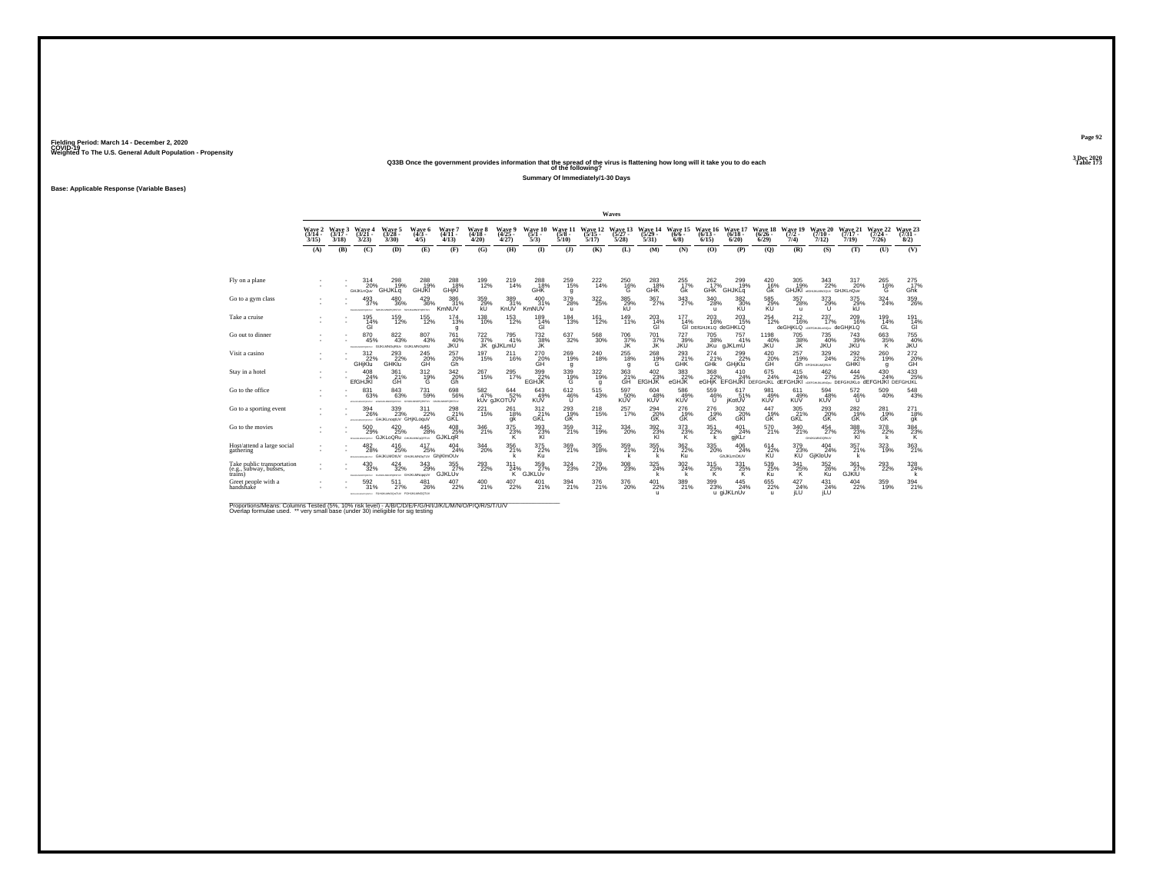### **Q33B Once the government provides information that the spread of the virus is flattening how long will it take you to do each Table 173 of the following?**

**Summary Of Immediately/1-30 Days**

**Base: Applicable Response (Variable Bases)**

|                                                                 |                             |                             |                                            |                                                             |                                               |                                      |                             |                                 |                             |                                       |                              | Waves                        |                                 |                               |                                                  |                                                                                       |                                     |                                              |                                           |                              |                              |                                     |
|-----------------------------------------------------------------|-----------------------------|-----------------------------|--------------------------------------------|-------------------------------------------------------------|-----------------------------------------------|--------------------------------------|-----------------------------|---------------------------------|-----------------------------|---------------------------------------|------------------------------|------------------------------|---------------------------------|-------------------------------|--------------------------------------------------|---------------------------------------------------------------------------------------|-------------------------------------|----------------------------------------------|-------------------------------------------|------------------------------|------------------------------|-------------------------------------|
|                                                                 | Wave 2<br>$(3/14 -$<br>3/15 | Wave 3<br>$(3/17 -$<br>3/18 | Wave 4<br>$(3/21 -$<br>3/23                | Wave 5<br>$(3/28 -$<br>3/30                                 | <b>Wave 6</b><br>$(4/3 -$<br>4/5              | Wave 7<br>$(4/11 -$<br>4/13          | Wave 8<br>$(4/18 -$<br>4/20 | Wave 9<br>$(4/25 -$<br>4/27     | Wave 10<br>$(5/1 -$<br>5/3  | Wave 11<br>$(5/8 -$<br>5/10           | Wave 12<br>$(5/15 -$<br>5/17 | Wave 13<br>$(5/27 -$<br>5/28 | Wave 14<br>(5/29.<br>5/31       | Wave 15<br>$(6/6 -$<br>6/8    | Wave 16<br>$(6/13 -$<br>6/15                     | Wave 17<br>$(6/18 -$<br>6/20                                                          | <b>Wave 18</b><br>$(6/26 -$<br>6/29 | Wave 19<br>$(7/2 -$<br>7/4                   | Wave 20<br>$(7/10 -$<br>7/12              | Wave 21<br>$(7/17 -$<br>7/19 | Wave 22<br>$(7/24 -$<br>7/26 | <b>Wave 23</b><br>$(7/31 -$<br>8/2) |
|                                                                 | (A)                         | (B)                         | (C)                                        | (D)                                                         | (E)                                           | (F)                                  | (G)                         | (H)                             | $\mathbf{D}$                | (3)                                   | (K)                          | (L)                          | (M)                             | (N)                           | (0)                                              | (P)                                                                                   | (Q)                                 | (R)                                          | (S)                                       | (T)                          | (U)                          | (V)                                 |
|                                                                 |                             |                             |                                            |                                                             |                                               |                                      |                             |                                 |                             |                                       |                              |                              |                                 |                               |                                                  |                                                                                       |                                     |                                              |                                           |                              |                              |                                     |
| Fly on a plane                                                  |                             |                             | 314<br>20%<br><b>GHJKLnQuv</b>             | 298<br>19%<br><b>GHJKLq</b>                                 | 288<br>19%<br>GHJKI                           | 288<br>18%<br>GHjKI                  | 199<br>12%                  | 219<br>14%                      | 288<br>18%<br>GHK           | 259<br>15%<br>g                       | $^{222}_{14\%}$              | 250<br>$\frac{16}{9}$        | 283<br>18%<br>GHK               | 255<br>17%<br>Gk              | 262<br>17%                                       | 299<br>19%<br>GHK GHJKLG                                                              | 420<br>16%<br>ĠŘ                    | 305<br>19%                                   | 343<br>22%<br>GHJKI «GHUKIMOQU/ GHJKLnQuv | 317<br>20%                   | 265<br>$^{16\%}$             | 275<br>17%<br>Ghk <sup>'</sup>      |
| Go to a gym class                                               |                             |                             | 493<br>37%<br>FENANSYONES/ ISLAMINOPORTEX/ | 480<br>36%                                                  | $^{429}_{36\%}$<br><b>SENSATION CHORS TEN</b> | 386<br>31%<br>KmNUV                  | 359%<br>kU                  | 389<br>31%<br>KnUV              | 400<br>31%<br>KmNUV         | $^{379}_{28\%}$<br>$\mathbf{u}$       | $^{322}_{25\%}$              | $\frac{385}{29\%}$<br>kÚ     | 367%                            | $\frac{343}{27\%}$            | $^{340}_{\phantom{1}\phantom{1}28\%}$<br>u       | 382 30%<br>KU                                                                         | 585<br>29%<br>KÚ                    | $^{357}_{28\%}$<br>$\mathbf{u}$              | 373<br>29%<br>U                           | $^{375}_{29\%}$<br>kU        | 324%                         | 359<br>26%                          |
| Take a cruise                                                   |                             |                             | 195<br>14%<br>ĠÌ                           | 159<br>12%                                                  | 155<br>12%                                    | 174<br>13%<br>g                      | 138<br>10%                  | 153<br>12%                      | 189<br>$\frac{14}{9}$       | 184<br>13%                            | 161<br>12%                   | 149<br>11%                   | 203<br>$^{14\%}_{GI}$           | 177<br>14%                    | 203<br>16%<br>GI DEIGHJKLO deGHKLO               | 203<br>15%                                                                            | 254<br>12%                          | 212<br>16%<br>deGHiKLQ corresponded deGHiKLQ | 237<br>17%                                | 209<br>16%                   | 199<br>14%<br>ĠĹ             | 191<br>$\frac{14}{9}$               |
| Go out to dinner                                                |                             |                             | 870<br>45%<br><b>STALM MACADEMAN</b>       | $\underset{43\%}{^{822}}$<br>GUICLMNOsRIUV GUIKLMNOsRIU     | 807<br>43%                                    | <sup>761</sup> <sub>40%</sub><br>JKÜ | $^{722}_{37\%}$             | $795$<br>$41\%$<br>JK giJKLmU   | 732<br>38%<br>JK            | $\substack{637\\32\%}$                | $^{568}_{30\%}$              | $^{706}_{37\%}$<br>JK        | 701 <sub>37%</sub><br>JK        | $^{727}_{39\%}$<br><b>JKU</b> | 705<br>38%<br><b>JKu</b>                         | 757<br>41%<br>gJKLmU                                                                  | 1198<br>40%<br><b>JKU</b>           | 705<br>38%<br><b>JK</b>                      | 735<br>40%<br><b>JKU</b>                  | $^{743}_{39\%}$<br>JKŪ       | 663 %<br>κ                   | 755<br>40%<br>JKÜ                   |
| Visit a casino                                                  |                             |                             | $\frac{312}{22}\%$<br><b>GHjKlu</b>        | 293<br>22%<br>GHKlu                                         | 245<br>20%<br>GH                              | $^{257}_{\substack{20\%\\6h}}$       | 197<br>15%                  | $^{211}_{16\%}$                 | $^{270}_{20\%}$             | $^{269}_{19\%}$<br>g                  | 240<br>18%                   | $^{255}_{18\%}$<br>q         | $^{268}_{~19\%}$                | $^{293}_{21\%}$ GHK           | $^{274}_{21\%}$<br>GHK                           | 299<br>GHjKlu                                                                         | $^{420}_{20\%}$                     | $^{257}_{19\%}$                              | 329<br>24%<br><b>Gh</b> provisionary      | $^{292}_{22\%}$<br>GHKI      | 260<br>19%<br>q              | 272<br>20%<br>GH                    |
| Stay in a hotel                                                 |                             |                             | 408<br>24%<br><b>EfGHJKI</b>               | 361<br>$\overset{21}{\text{GH}}$                            | 312<br>$^{19%}_{G}$                           | 342<br>20%<br>Ğĥ                     | 267<br>15%                  | $^{295}_{17\%}$                 | 399<br>22%<br>EGHJK         | 339<br>19%<br>G                       | 322<br>19%<br>g              | 363<br>21%<br>GH             | 402<br>23%<br>EfGHJK            | 383<br>22%<br>eGHJK           | 368<br>22%                                       | 410<br>24%<br>eGHIK EFGHJKI DEFGHJKL dEFGHJKI acronumator DEFGHJKLo dEFGHJKI DEFGHJKL | 675<br>24%                          | 415<br>24%                                   | 462<br>27%                                | 444<br>25%                   | 430<br>24%                   | 433<br>25%                          |
| Go to the office                                                |                             |                             | 831<br>63%<br><b>ATMOSPHATOLIC</b>         | $843 \over 63\%$<br>with a bearing provided                 | 731<br>59%<br>GRUSSMOPORERLY GIUKLIAOPORERLY  | 698<br>56%                           | 582 47%                     | $644 \over 52\%$<br>kUv gJKOTUV | 643<br>49%<br><b>KUV</b>    | $612\phantom{.}46\%$<br>$\mathbf{U}$  | $^{515}_{\ 43\%}$            | 597<br>50%<br><b>KUV</b>     | $604 \over 48\%$<br><b>KUV</b>  | 586<br>49%<br><b>KUV</b>      | 559<br>46%<br>Ü                                  | 617<br>51%<br>jKotUV                                                                  | 981<br>49%<br><b>KUV</b>            | 611<br>49%<br><b>KUV</b>                     | 594<br>48%<br><b>KUV</b>                  | $\frac{572}{46\%}$<br>U      | $^{509}_{40\%}$              | 548<br>43%                          |
| Go to a sporting event                                          |                             |                             | 394<br>26%                                 | $^{339}_{\,\,23\%}$<br>anassassessman GHJKLnogtUV GHjKLoguV | $^{311}_{22\%}$                               | 298<br>GKL                           | $^{221}_{15\%}$             | 261<br>18%<br>gk                | $^{312}_{-21\%}$ GKL        | $^{293}_{\substack{19\%\\\text{GK}}}$ | $^{218}_{15\%}$              | 257<br>17%                   | $^{294}_{20\%}$ GK              | $^{276}_{19\%}$ GK            | $^{276}_{~19\%}$                                 | $\frac{302}{20\%}$ GKI                                                                | 447<br>$\frac{19}{6}$               | $\frac{305}{21\%}$<br>GŘĽ                    | $^{293}_{\substack{20\%\\\text{GK}}}$     | $^{282}_{19\%}$ GK           | $^{281}_{19\%}$ GK           | $^{271}_{18\%}$<br>gk               |
| Go to the movies                                                |                             |                             | 500<br>29%<br><b>DOM NO</b>                | $^{420}_{25\%}$<br><b>GJKLoQRu</b>                          | 445<br>28%<br>GHUALMADoQRTUV                  | 408 25%<br><b>GJKLaR</b>             | 346<br>21%                  | $\frac{375}{23\%}$<br>к         | 393%<br>KI                  | 359<br>21%                            | $^{312}_{19\%}$              | 334<br>20%                   | 392%<br>KI                      | 373%<br>ĸ                     | $351 \over 22\%$<br>$\mathsf{k}$                 | $^{401}_{24\%}$<br>gjKLr                                                              | $^{570}_{21\%}$                     | $\frac{340}{21\%}$                           | $^{454}_{27\%}$<br>GHJKLMNOGRAF/          | $\frac{388}{23\%}$<br>KI     | 378<br>22%<br>k              | $\underset{\mathsf{K}}{^{384}}$     |
| Host/attend a large social<br>gathering                         |                             |                             | 482<br>28%                                 | 416<br>25%<br>PRIMING AND GHJKLMOUV GHJAJMOSTUV GhiKIMOUV   | 417<br>25%                                    | 404<br>24%                           | 344<br>20%                  | $^{356}_{21\%}$                 | $\frac{375}{22\%}$          | $\frac{369}{21\%}$                    | 305<br>18%                   | 359<br>21%                   | 355 21%                         | $\frac{362}{22\%}$<br>Ku      | $^{335}_{\phantom{1}\phantom{1}\phantom{1}20\%}$ | $^{406}_{\phantom{1}\phantom{1}24\%}$<br>GhJKLmOtUV                                   | $^{614}_{22\%}$                     | $\frac{379}{64}$ %                           | $^{404}_{24\%}$<br>GiKloŪv                | $\frac{357}{21\%}$           | 323<br>19%                   | 363<br>21%                          |
| Take public transportation<br>(e.g., subway, busses,<br>trains) |                             |                             | 430<br>32%                                 | 424<br>32%<br>rosausorgety, rosausecronity, GHJKLMNopoLIV   | 343<br>29%                                    | 355<br>27%<br>GJKLUV                 | 293<br>22%                  | 311<br>24%<br>ΤK.               | 359<br>27%<br><b>GJKLUv</b> | 324<br>23%                            | 279<br>20%                   | 308<br>23%                   | 325<br>24%                      | 302<br>24%                    | 315<br>$^{25\%}_{K}$                             | 331<br>$^{25\%}_{K}$                                                                  | 539<br>25%<br>Ku                    | 341<br>$^{25\%}_{K}$                         | 352<br>26%                                | 361<br>27%<br><b>GJKĪU</b>   | 293<br>22%                   | 328<br>$\frac{24}{k}$               |
| Greet people with a<br>handshake                                |                             |                             | 592<br>31%                                 | 511<br>27%<br>INTONIAMOVOMEW FORUMANOQUEEV FORUMLMNOQTUV    | 481<br>26%                                    | $^{407}_{22\%}$                      | 400<br>21%                  | 407<br>22%                      | 21%                         | 394<br>21%                            | 376<br>21%                   | $^{376}_{\,20\%}$            | $^{401}_{22\%}$<br>$\mathbf{u}$ | $\frac{389}{21\%}$            | $^{399}_{\phantom{1}\phantom{1}23\%}$            | $\frac{445}{24\%}$<br>u giJKLnUv                                                      | $^{655}_{22\%}$<br>$\mathbf{u}$     | 427<br>24%<br><b>ILU</b>                     | $^{431}_{24\%}$<br><b>iLU</b>             | $^{404}_{\phantom{1}22\%}$   | 359<br>19%                   | $^{394}_{21\%}$                     |

Proportions/Means: Columns Tested (5%, 10% risk level) - A/B/C/D/E/F/G/H/I/J/K/L/M/N/O/P/Q/R/S/T/U/V<br>Overlap formulae used. \*\* very small base (under 30) ineligible for sig testing

**Page 92**3 Dec 2020<br>Table 173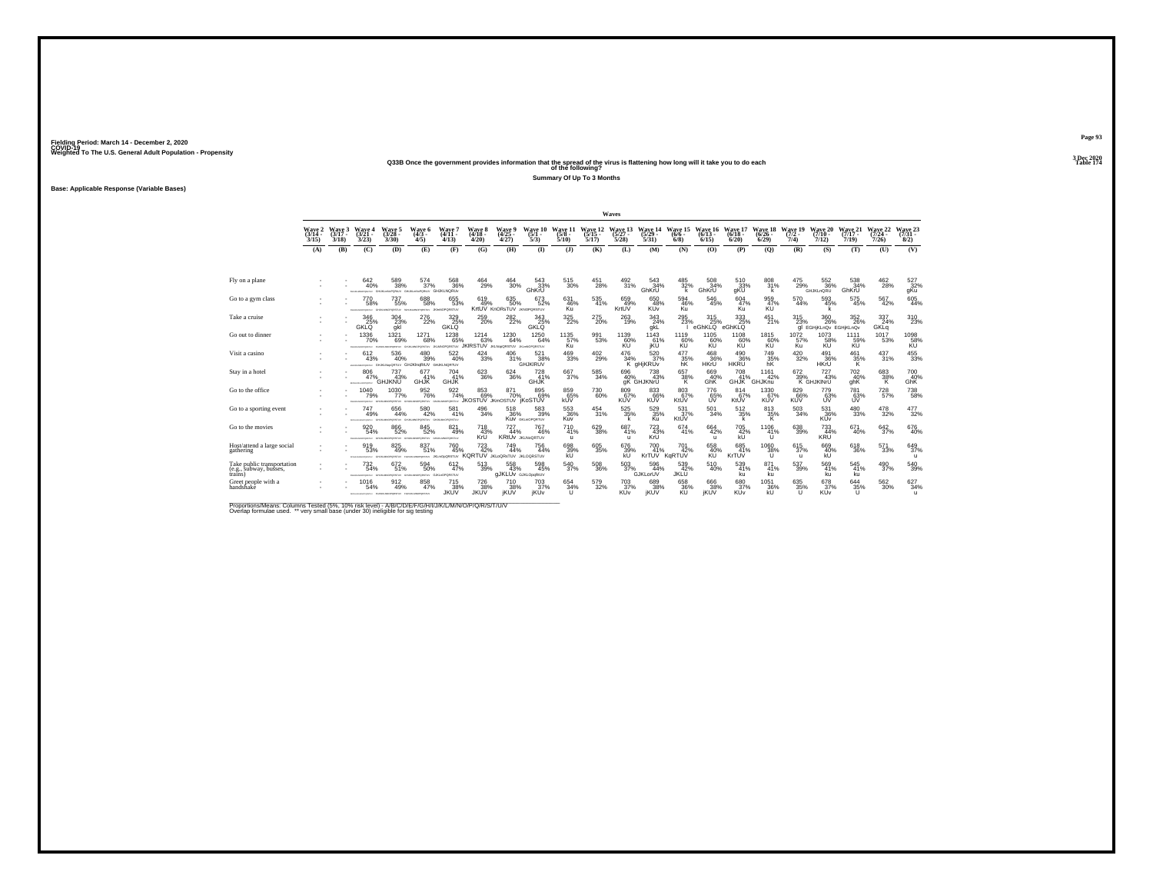#### **Q33B Once the government provides information that the spread of the virus is flattening how long will it take you to do each Table 174 of the following?**

**Summary Of Up To 3 Months**

**Base: Applicable Response (Variable Bases)**

|                                                                 |                             |                             |                                             |                                                                             |                                            |                                                 |                                                               |                                            |                                                         |                            |                              | Waves                                    |                            |                                |                              |                                 |                              |                            |                                        |                              |                              |                                        |
|-----------------------------------------------------------------|-----------------------------|-----------------------------|---------------------------------------------|-----------------------------------------------------------------------------|--------------------------------------------|-------------------------------------------------|---------------------------------------------------------------|--------------------------------------------|---------------------------------------------------------|----------------------------|------------------------------|------------------------------------------|----------------------------|--------------------------------|------------------------------|---------------------------------|------------------------------|----------------------------|----------------------------------------|------------------------------|------------------------------|----------------------------------------|
|                                                                 | Wave 2<br>$(3/14 -$<br>3/15 | Wave 3<br>$(3/17 -$<br>3/18 | Wave 4<br>$(3/21 -$<br>3/23                 | Wave 5<br>$(3/28 -$<br>3/30                                                 | Wave 6<br>$(4/3 -$<br>4/5                  | Wave 7<br>$(4/11 -$<br>4/13                     | Wave 8<br>$(4/18 -$<br>4/20                                   | Wave 9<br>(4/25<br>4/27                    | Wave 10<br>$(5/1 -$<br>5/3                              | Wave 11<br>(5/8 -<br>5/10  | Wave 12<br>$(5/15 -$<br>5/17 | Wave 13<br>$(5/27 -$<br>5/28             | Wave 14<br>(5/29)<br>5/31  | Wave 15<br>$(6/6 -$<br>6/8     | Wave 16<br>$(6/13 -$<br>6/15 | Wave 17<br>$(6/18 -$<br>6/20    | Wave 18<br>$(6/26 -$<br>6/29 | Wave 19<br>$(7/2 -$<br>7/4 | Wave 20<br>$(7/10 -$<br>7/12           | Wave 21<br>$(7/17 -$<br>7/19 | Wave 22<br>$(7/24 -$<br>7/26 | Wave 23<br>$(7/31 -$<br>8/2)           |
|                                                                 | (A)                         | (B)                         | (C)                                         | (D)                                                                         | (E)                                        | (F)                                             | (G)                                                           | (H)                                        | $\Phi$                                                  | (3)                        | (K)                          | (L)                                      | (M)                        | (N)                            | (0)                          | (P)                             | (O)                          | (R)                        | (S)                                    | (T)                          | (U)                          | (V)                                    |
|                                                                 |                             |                             |                                             |                                                                             |                                            |                                                 |                                                               |                                            |                                                         |                            |                              |                                          |                            |                                |                              |                                 |                              |                            |                                        |                              |                              |                                        |
| Fly on a plane                                                  |                             |                             | 642<br>40%                                  | 589<br>38%<br>BARAMOPONIU GHUKLINGPORAJV GHUKLINGPORAJV GHUKLNORUV          | 574<br>37%                                 | 568<br>36%                                      | 464<br>29%                                                    | 464<br>30%                                 | 543<br>33%<br>GhKrU                                     | 515<br>30%                 | 451<br>28%                   | 492<br>31%                               | 543<br>34%<br>GhKrU        | 485<br>32%<br>k                | 508<br>34%<br>GhKrU          | 510<br>33%<br>gKU               | 808<br>31%<br>$\mathbf{k}$   | 475<br>29%                 | 552<br>36%<br><b>GHJKLnQRU</b>         | 538<br>34%<br>GhKrU          | 462<br>28%                   | 527<br>32%<br>gKu                      |
| Go to a gym class                                               |                             |                             | 770<br>58%<br>FEHALMACPORTER                | $737\phantom{1}55\%$<br>CHERO                                               | 688<br>58%<br><b>VATERS'N</b>              | $\substack{655 \\ 53\%}$<br><b>JOHNOPORSTUV</b> | 619<br>49%                                                    | 635<br>50%<br>KrtUV KnORsTUV JKNOPQRSTUV   | 673<br>52%                                              | 631<br>46%<br>Ku           | 535<br>41%                   | 659<br>49%<br>KrtUV                      | 650<br>48%<br>KUv          | $\substack{594 \\ 46\%}$<br>Ku | $\substack{546 \\ 45\%}$     | 604<br>47%<br>Ku                | 959<br>47%<br>KU             | 570<br>44%                 | 593<br>45%<br>k                        | $^{575}_{45\%}$              | 567<br>42%                   | $\substack{605 \\ 44\%}$               |
| Take a cruise                                                   |                             |                             | 346<br>25%<br><b>GKLO</b>                   | 304<br>$\frac{23}{9}$ kl                                                    | 276<br>22%                                 | 329<br>34g<br>25%<br>GKLQ                       | 259<br>20%                                                    | 282<br>22%                                 | 343<br>25%<br><b>GKLO</b>                               | 325<br>22%                 | 275<br>20%                   | 263<br>19%                               | 343<br>24%<br>qkL          | 295<br>23%                     | 315<br>eGhKLQ<br>eGhKLQ      | 333<br>% 25%<br>eGhKLQ          | 451<br>21%                   | 315<br>23%                 | 360<br>26%<br>al EGHiKLnQv EGHiKLnQv   | 352<br>26%                   | 337<br>24%<br>GKLq           | 310<br>23%                             |
| Go out to dinner                                                |                             |                             | 1336<br>70%<br>THE RESERVATION OF           | 1321<br>69%                                                                 | 1271<br>68%<br>PORSTUV                     | $^{1238}_{65\%}$<br><b>JIG MNOPORSTUV</b>       | $^{1214}_{63\%}$<br><b>JKIRSTUV</b> JKLNopORSTUV JKLMOPORSTUV | $^{1230}_{64\%}$                           | 1250<br>64%                                             | 1135<br>57%<br>Ku          | 991<br>53%                   | 1139<br>60%<br><b>KU</b>                 | 1143<br>61%<br>jKU         | 1119<br>60%<br>KÜ              | 1105<br>60%<br>KU            | 1108<br>60%<br>KU               | 1815<br>60%<br>KU            | $^{1072}_{57\%}$<br>Ku     | 1073<br>58%<br>KU                      | 1111<br>59%<br>KÜ            | 1017<br>53%                  | 1098<br><b>KU</b>                      |
| Visit a casino                                                  |                             |                             | 612<br>43%                                  | $^{536}_{\ 40\%}$<br>ensuroramy Gruszkegetuy GHJKIngRtUV                    | $^{480}_{39\%}$                            | $\frac{522}{40\%}$<br>GHJKLNORTUV               | $\frac{424}{33\%}$                                            | 406<br>31%                                 | 521<br>38%<br><b>GHJKIRUV</b>                           | $^{469}_{33\%}$            | $^{402}_{29\%}$              | 476<br>34%                               | 520 37%<br>K gHjKRUv       | 477<br>35%<br>hK               | 468<br>36%<br>HKrU           | 490<br>36%<br><b>HKRU</b>       | $^{749}_{35\%}$ hK           | $\substack{420 \\ 32\%}$   | 491<br>36%<br>HKrU                     | 461<br>35%<br>ĩκ.            | $^{437}_{31\%}$              | $^{455}_{\phantom{1}\phantom{1}33\%}$  |
| Stay in a hotel                                                 |                             |                             | 806<br>47%<br>ARRAIGNMENT                   | 737<br>43%<br><b>GHJKNU</b>                                                 | 677<br>41%<br><b>GHJK</b>                  | 704<br>41%<br><b>GHJK</b>                       | 623<br>36%                                                    | 624<br>36%                                 | 728<br>41%<br><b>GHJK</b>                               | 667<br>37%                 | 585<br>34%                   | 696<br>40%                               | 738<br>43%<br>gK GHJKNrU   | 657<br>38%                     | 669<br>40%<br>GhK            | 708<br>41%                      | 1161<br>42%<br>GHJK GHJKnu   | 672                        | 727<br>$39\%$ $43\%$ K GHJKINrU<br>43% | 702<br>40%<br>ghK            | 683<br>$\frac{38}{K}$        | 700<br>40%<br><b>GhK</b>               |
| Go to the office                                                |                             |                             | 1040<br>79%<br><b>STALM MACADEMA</b>        | 1030<br>77%<br>GHJAMOPORETUV                                                | $\frac{952}{76\%}$<br>VUTBROPORTER         | $\frac{922}{74\%}$<br>www.ne                    | 853<br>69%<br>JKOSTUV JKmOSTUV                                | 871<br>70%                                 | 895<br>69%<br><b>iKoSTUV</b>                            | 859<br>65%<br>kUV          | <sup>730</sup> 60%           | 80967%<br><b>KUV</b>                     | 8336%<br><b>KUV</b>        | $^{803}_{67\%}$<br>KtUV        | <sup>776</sup> 65%<br>UV     | 814<br>67%<br>KtUV              | 1330<br>67%<br>KUV           | 829<br>66%<br><b>KUV</b>   | 779<br>63%<br><b>UV</b>                | 781<br>63%<br>UV             | $^{728}_{\ 57\%}$            | $\substack{738 \\ 58\%}$               |
| Go to a sporting event                                          |                             |                             | 747<br>49%                                  | 656<br>44%<br>GHJKLMKOPORETUV                                               | 580<br>42%<br>Whitehorn                    | 581<br>41%<br>PORSTLV                           | $^{496}_{34\%}$                                               | 518<br>36%                                 | 583<br>39%<br>KUV GKLHOPORTUV                           | 553<br>36%<br>Kuv          | $^{454}_{31\%}$              | $\frac{525}{35\%}$                       | 529 35%<br>Ku              | $\frac{531}{37\%}$<br>KtUV     | 501 <sub>34%</sub>           | $^{512}_{35\%}$                 | $\frac{813}{35\%}$           | $\substack{503 \\ 34\%}$   | 531<br>36%<br>KŨv                      | $^{480}_{33\%}$              | $^{478}_{32\%}$              | $\frac{477}{32\%}$                     |
| Go to the movies                                                |                             |                             | 920<br>54%                                  | $866\atop52\%$<br>RHAMMONSKTU: GHUKLMOPORETU: GHUKLMOPORETU: GHUKLMOPORETU/ | 845<br>52%                                 | 821<br>49%                                      | 718<br>43%<br>KrÚ                                             | $^{727}_{44\%}$<br><b>KRIUV JKLNOQRTUV</b> | 767<br>46%                                              | 710<br>41%<br>$\mathbf{u}$ | 629<br>38%                   | 687<br>41%<br>$\mathbf{u}$               | $^{723}_{43\%}$<br>KrU     | 674<br>41%                     | $^{664}_{42\%}$<br>u         | 705<br>42%<br>kU                | 1106<br>41%<br>U             | $^{638}_{39\%}$            | $^{733}_{44\%}$<br><b>KRU</b>          | 671<br>40%                   | $^{642}_{37\%}$              | $^{676}_{40\%}$                        |
| Host/attend a large social<br>gathering                         |                             |                             | 919<br>53%                                  | 825<br>49%<br>CRITIN                                                        | 837<br>51%<br><b>UKANOPORTEV</b>           | 760<br>45%<br>JO HOHORSTLIV                     | $^{723}_{42\%}$<br>KQRTUV JKLOQRSTUV JKLOQRSTUV               | 749<br>44%                                 | 756<br>44%                                              | 698<br>39%<br>kU           | 605<br>35%                   | 676<br>39%<br>kU                         | 700<br>41%<br>KrTUV KaRTUV | 701<br>42%                     | 658<br>40%<br>KŨ             | 685<br>41%<br>KrTUV             | 1060<br>38%<br>Tī.           | 615<br>37%<br>$\mathbf{u}$ | 669<br>40%<br>kŨ                       | 618<br>36%                   | 571<br>33%                   | 649/37%<br>$\mathbf{u}$                |
| Take public transportation<br>(e.g., subway, busses,<br>trains) |                             |                             | 732<br>54%<br>FENALLMONETAY GHUKLMICPORTERY | 672<br>51%                                                                  | 594<br>50%<br>GAUKAROPORSTLY GJALKOPORSTLY | 612<br>47%                                      | 513<br>39%                                                    | 558<br>43%<br><b>GJKLUV</b> GJKLODGRIUV    | 598<br>45%                                              | 540<br>37%                 | $^{508}_{\ 36\%}$            | 503<br>37%                               | 596<br>44%<br>GJKLorUV     | 539<br>42%<br>JKLÜ             | 510<br>40%                   | 539<br>41%<br>ku                | 871<br>41%<br>ku             | 537<br>39%                 | 569<br>41%<br>ku                       | 545<br>41%<br>ku             | 490<br>37%                   | 540<br>39%                             |
| Greet people with a<br>handshake                                |                             |                             | 1016<br>54%                                 | 912<br>49%<br>SPINNAMONSKY FORDSJROPORSTVY FORDSJROPORSTVY                  | 858<br>47%                                 | $^{715}_{38\%}$<br><b>JKUV</b>                  | 726<br>38%<br><b>JKUV</b>                                     | 710<br>38%<br><b>IKUV</b>                  | <sup>703</sup> <sub>37%</sub><br><b>iKU<sub>V</sub></b> | 654<br>34%                 | $\substack{579 \\ 32\%}$     | $^{703}_{37\%}$<br><b>KU<sub>V</sub></b> | 689<br>38%<br><b>IKUV</b>  | 658 36%<br>KU                  | 666<br>38%<br><b>IKUV</b>    | 68037%<br><b>KU<sub>V</sub></b> | 1051<br>36%<br>kU            | 635%<br>$\mathbf{H}$       | 678<br>37%<br>KÚv                      | 644<br>35%<br>ш              | $^{562}_{30\%}$              | $\substack{627\\34\%}$<br>$\mathbf{u}$ |

Proportions/Means: Columns Tested (5%, 10% risk level) - A/B/C/D/E/F/G/H/I/J/K/L/M/N/O/P/Q/R/S/T/U/V<br>Overlap formulae used. \*\* very small base (under 30) ineligible for sig testing

**Page 93**3 Dec 2020<br>Table 174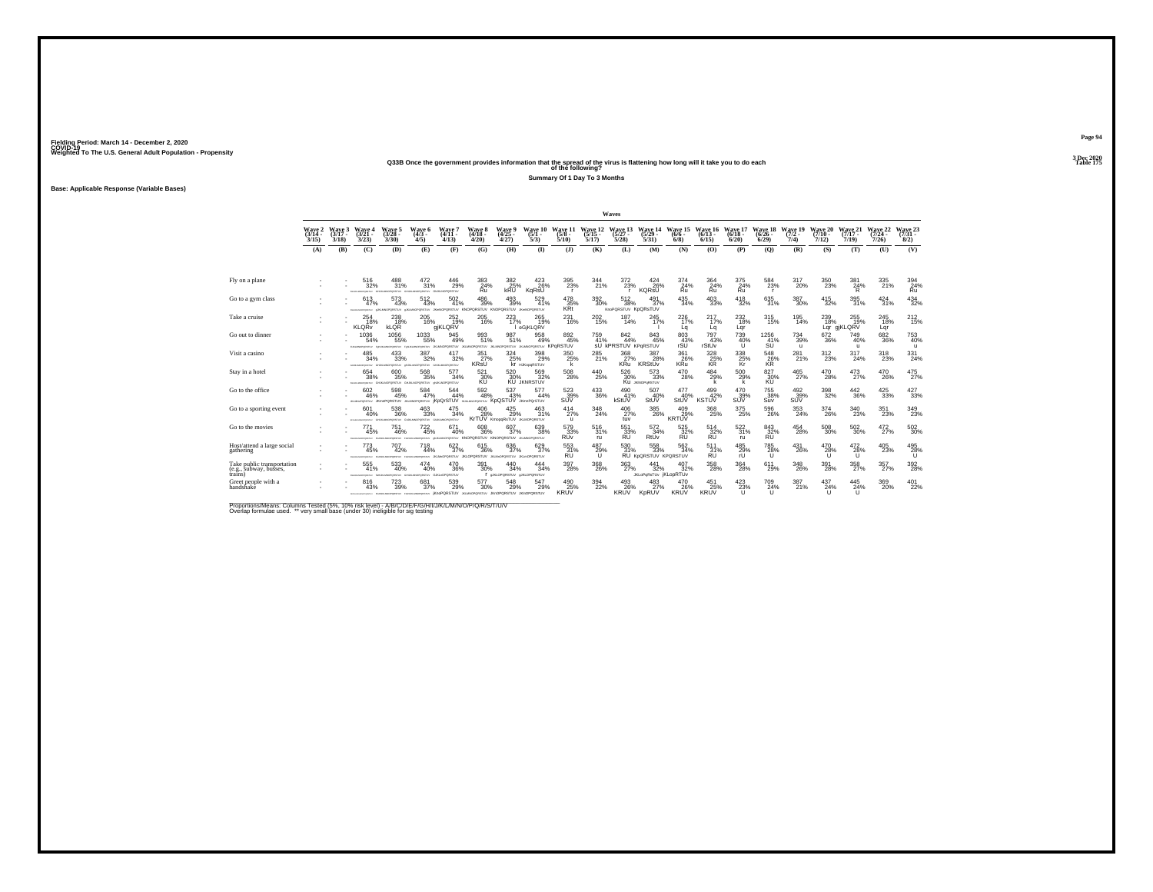#### **Q33B Once the government provides information that the spread of the virus is flattening how long will it take you to do each Table 175 of the following?**

**Summary Of 1 Day To 3 Months**

**Base: Applicable Response (Variable Bases)**

|                                                                 |                             |                             |                                         |                                                                            |                                              |                                                                                                           |                                                     |                                                  |                                              |                                     |                              | Waves                                    |                                                |                            |                                |                                |                                      |                            |                              |                              |                              |                                  |
|-----------------------------------------------------------------|-----------------------------|-----------------------------|-----------------------------------------|----------------------------------------------------------------------------|----------------------------------------------|-----------------------------------------------------------------------------------------------------------|-----------------------------------------------------|--------------------------------------------------|----------------------------------------------|-------------------------------------|------------------------------|------------------------------------------|------------------------------------------------|----------------------------|--------------------------------|--------------------------------|--------------------------------------|----------------------------|------------------------------|------------------------------|------------------------------|----------------------------------|
|                                                                 | Wave 2<br>$(3/14 -$<br>3/15 | Wave 3<br>$(3/17 -$<br>3/18 | Wave 4<br>$(3/21 -$<br>3/23             | Wave 5<br>$(3/28 -$<br>3/30                                                | Wave 6<br>$(4/3 -$<br>4/5                    | Wave 7<br>$(4/11 -$<br>4/13                                                                               | Wave 8<br>$(4/18 -$<br>4/20                         | Wave 9<br>$(4/25 -$<br>4/27                      | Wave 10<br>$(5/1 -$<br>5/3                   | Wave 11<br>$(5/8 -$<br>5/10         | Wave 12<br>$(5/15 -$<br>5/17 | Wave 13<br>(5/27 -<br>5/28               | Wave 14<br>$(5/29 -$<br>5/31                   | Wave 15<br>$(6/6 -$<br>6/8 | Wave 16<br>$(6/13 -$<br>6/15   | Wave 17<br>$(6/18 -$<br>6/20   | Wave 18 Wave 19<br>$(6/26 -$<br>6/29 | $(7/2 -$<br>7/4)           | Wave 20<br>$(7/10 -$<br>7/12 | Wave 21<br>$(7/17 -$<br>7/19 | Wave 22<br>$(7/24 -$<br>7/26 | Wave 23<br>$(7/31 -$<br>8/2)     |
|                                                                 | (A)                         | (B)                         | (C)                                     | (D)                                                                        | (E)                                          | (F)                                                                                                       | (G)                                                 | (H)                                              | $\mathbf{D}$                                 | (3)                                 | (K)                          | (L)                                      | (M)                                            | (N)                        | (0)                            | (P)                            | (O)                                  | (R)                        | (S)                          | (T)                          | (U)                          | (V)                              |
|                                                                 |                             |                             |                                         |                                                                            |                                              |                                                                                                           |                                                     |                                                  |                                              |                                     |                              |                                          |                                                |                            |                                |                                |                                      |                            |                              |                              |                              |                                  |
| Fly on a plane                                                  |                             |                             | 516<br>32%<br>Chairman March 1979 For   | 488<br>31%<br>das en teorientempo                                          | 472<br>31%<br>GHALMOPOISTUV GIULINOPORSTUV   | 446<br>29%                                                                                                | 383<br>24%<br>Ru                                    | 382<br>25%                                       | 423<br>26%<br>KaRsŪ                          | 395<br>23%<br>$\mathbf{r}$          | 344<br>21%                   | 372<br>23%                               | 424<br>26%<br>KQRsU                            | 374<br>24%<br>Ru           | 364<br>$Ru$ <sup>24%</sup>     | 375<br>24%<br>Ru               | 584<br>23%                           | 317<br>20%                 | 350<br>23%                   | 381<br>$\frac{24}{R}$        | 335<br>21%                   | $\underset{\mathsf{Ru}}{^{394}}$ |
| Go to a gym class                                               |                             |                             | 613<br>47%<br><b>EDUCATION CONTRACT</b> | $^{573}_{43\%}$<br>PORSTUV                                                 | $^{512}_{\ 43\%}$<br>PORSTUV                 | $^{502}_{\ 41\%}$<br>ORSTUV KNO                                                                           | 486<br>39%<br><b>GRSTUV KN</b>                      | $^{493}_{\phantom{1}39\%}$<br><b>ORSTUV</b>      | 529<br>41%<br><b>JKHNOPORSTUV</b>            | 478<br>35%<br><b>KRt</b>            | $^{392}_{\ 30\%}$            | $^{512}_{38\%}$<br>KnoPQRSTUV KpQRsTUV   | 491<br>37%                                     | $^{435}_{34\%}$            | $^{403}_{\phantom{1}33\%}$     | $^{418}_{32\%}$                | $\substack{635 \\ 31\%}$             | $^{387}_{\ 30\%}$          | $^{415}_{32\%}$              | 395<br>31%                   | 424 31%                      | 434<br>32%                       |
| Take a cruise                                                   |                             |                             | 254<br>18%<br><b>KLORV</b>              | 238<br>18%<br><b>KLOR</b>                                                  | 205<br>16%                                   | 252<br>19%<br>giKLQRV                                                                                     | 205<br>16%                                          | 223<br>17%                                       | 265<br>19%<br>eGjKLQRV                       | 231<br>16%                          | 202<br>15%                   | 187<br>14%                               | 245<br>17%                                     | 226<br>17%<br>La           | 217<br>17%<br>Lq               | 232<br>18%<br>Lar              | 315<br>15%                           | 195<br>14%                 | 239<br>18%                   | 255<br>19%<br>Lar giKLQRV    | 245<br>18%<br>Lar            | $^{212}_{15\%}$                  |
| Go out to dinner                                                |                             |                             | 1036<br>54%<br>FUILMEDPORTER            | 1056<br>55%<br>Fergal MacPORSTLIV                                          | 1033<br>55%                                  | 945<br>49%<br>Feracuscross.nv JIGUNOPORSTUV JIGUNOPORSTUV                                                 | 993<br>51%                                          | 987<br>51%<br><b>JIG MNOPORSTUV</b>              | 958<br>49%<br><b>JILMINOPORSTUV KPGRSTUV</b> | 892<br>45%                          | 759<br>41%                   | 842<br>44%<br><b>SU KPRSTUV KPORSTUV</b> | $843 \over 45\%$                               | 803 43%<br>rSU             | 797<br>43%<br>rStUv            | 739<br>40%<br>$\mathbf{U}$     | $1256$<br>$41%$<br>SU                | 734<br>39%<br>$\mathbf{u}$ | $^{672}_{36\%}$              | 749<br>40%<br>$\mathbf{u}$   | $^{682}_{36\%}$              | 753<br>40%<br>$\mathbf{u}$       |
| Visit a casino                                                  |                             |                             | 485<br>34%<br>Chairman MacPatrick (PD)  | 433<br>33%<br>PORSTLIV<br>CALIFORNIA                                       | 387<br>32%<br>WORDSTON                       | 417<br>32%<br>GAUGANOPORSTUV                                                                              | $\frac{351}{27\%}$<br><b>KRSU</b>                   | 324/25%                                          | 398<br>29%<br><b>KI</b> HJKopgRSTUV          | 350<br>25%<br>k                     | 285<br>21%                   | 368<br>27%<br><b>KRU</b>                 | 387<br>28%<br><b>KRStUv</b>                    | 361<br>26%<br>KRu          | $\frac{328}{25\%}$             | 338<br>25%<br>Κř               | 548<br>26%<br>KR                     | $^{281}_{21\%}$            | 312<br>23%                   | 317<br>24%                   | 318<br>23%                   | 331<br>24%                       |
| Stay in a hotel                                                 |                             |                             | 654<br>38%                              | 600<br>35%<br>IDIANAMOVORTAV GHJALNOPORSTUV GHJALNOPORSTUV (INJALNOPORSTUV | 568<br>35%                                   | 577<br>34%                                                                                                | 521<br>30%<br>ΚŨ                                    | 520<br>30%                                       | 569<br>32%<br><b>KU JKNRSTUV</b>             | 508<br>28%                          | 440<br>25%                   | 526<br>30%                               | 573<br>33%<br>Ku JONOPORSTUV                   | 470<br>28%                 | 484<br>29%<br>k                | 500<br>29%                     | 827<br>30%                           | 465<br>27%                 | 470<br>28%                   | 473<br>27%                   | 470<br>26%                   | $^{475}_{27\%}$                  |
| Go to the office                                                |                             |                             | 602<br>46%<br>JAMINGPORSTUV JKWIPORSTUV | $^{598}_{45\%}$                                                            | $\frac{584}{47\%}$                           | 544<br>44%<br>JILIMICPORSTUV IKDQrSTUV SUAJMOPORSTUV KDQSTUV JKmnPQrSTUV                                  | 592<br>48%                                          | 537<br>43%                                       | 577<br>44%                                   | 523 %<br>SUV                        | $^{433}_{\phantom{1}36\%}$   | 490<br>41%<br>kStUV                      | 507<br>40%<br>StUV                             | 477<br>40%<br>StUV         | 499 42%<br><b>KSTUV</b>        | 470<br>39%<br>SUV              | <sup>755</sup> 38%<br>Suv            | $^{492}_{39\%}$<br>SUV     | 398<br>32%                   | $\substack{442 \\ 36\%}$     | 425<br>33%                   | 427<br>33%                       |
| Go to a sporting event                                          |                             |                             | 601<br>40%<br><b>EXCHANGEMENT</b>       | 538<br>36%<br>GHJAMOPORETUV                                                | 463<br>33%<br>GIUGUNDPORSTUV GIUGUNIOPORSTUV | 475<br>34%                                                                                                | 406<br>28%                                          | $^{425}_{29\%}$<br>KrTUV KmopqRsTUV JILMOPORSTUV | 463<br>31%                                   | $^{414}_{27\%}$<br>u                | $\frac{348}{24\%}$           | $^{406}_{27\%}$<br>tuv                   | 385<br>26%                                     | 409<br>29%<br>KRTÚV        | 368<br>25%                     | $^{375}_{\phantom{1}25\%}$     | $^{596}_{\ 26\%}$                    | $\substack{353 \\ 24\%}$   | 374<br>26%                   | $\substack{340 \\ 23\%}$     | 351<br>23%                   | 349<br>23%                       |
| Go to the movies                                                |                             |                             | 771<br>45%<br><b>STALM MACADEMAN</b>    | 751<br>46%<br><b>STAR OF SAFATAFRICAL</b>                                  | $^{722}_{45\%}$<br><b>CONTRACTOR</b>         | 671<br>40%                                                                                                | 608<br>36%<br><b>PORSTUV KNOPORSTUV KINOPORSTUV</b> | 607<br>37%                                       | 639<br>38%<br><b>JIG MNOPORSTUV</b>          | 579<br>33%<br><b>RU<sub>v</sub></b> | $^{516}_{31\%}$<br>ru        | 551<br>33%<br><b>RU</b>                  | $\frac{572}{34\%}$<br>RtUv                     | 525 32%<br><b>RU</b>       | 514<br>32%<br><b>RU</b>        | $\substack{522 \\ 31\%}$<br>ru | 843<br>32%<br><b>RU</b>              | $^{454}_{28\%}$            | $^{508}_{30\%}$              | $^{502}_{\ 30\%}$            | 472%                         | $^{502}_{\ 30\%}$                |
| Host/attend a large social<br>gathering                         |                             |                             | 773<br>45%<br><b>STALM MACADEMA</b>     | $^{707}_{42\%}$<br><b>REAL OF MACHINERY</b>                                | $^{718}_{44\%}$<br><b>ROMAN MACHINERY</b>    | 622/37%<br>JKLMHOPORSTUV JKLOPORSTUV                                                                      | $\substack{615 \\ 36\%}$                            | $^{636}_{37\%}$<br>an te-congernar               | 629<br>37%<br>JKI HORORSTLIN                 | 553<br>31%<br>RU                    | 487<br>29%<br>u              | $\frac{530}{31\%}$                       | $\substack{558\\33\%}$<br>RU KpQRSTUV KPQRSTUV | $\frac{562}{34\%}$         | $^{511}_{\substack{31\%\\RU}}$ | 485<br>29%<br>rl               | $\overset{785}{\substack{28\%}}$     | 431<br>26%                 | 470<br>28%<br>u              | $^{472}_{28\%}$<br>u         | 405<br>23%                   | $^{495}_{28\%}$                  |
| Take public transportation<br>(e.g., subway, busses,<br>trains) |                             |                             | 555<br>41%                              | 533<br>40%<br>FINANCYCRETA: SHAKLMOPOKETA: GHAKLMOPOKETA: GJKLKOPORSTLY    | 474<br>40%                                   | 470<br>36%                                                                                                | 391<br>30%                                          | 440<br>34%<br>I UKLOPORSTUV UKLOPORSTUV          | 444<br>34%                                   | 397<br>28%                          | 368<br>26%                   | 363<br>27%                               | 441<br>32%<br><b>JKLoPqRsTUv  KLopRTUv</b>     | 407<br>32%                 | 358<br>28%                     | 364<br>28%                     | 611<br>29%                           | 348<br>26%                 | 391<br>28%                   | 358<br>27%                   | 357<br>27%                   | $^{392}_{\phantom{1}28\%}$       |
| Greet people with a<br>handshake                                |                             |                             | 816<br>43%                              | 723<br>39%                                                                 | 681<br>37%                                   | 539<br>29%<br>announcement resusancement resusancements: KnoPQRSTUV JKJMOPQRSTUV JKJOPQRSTUV JKJIOPQRSTUV | 577<br>30%                                          | 548<br>29%                                       | 547<br>29%                                   | $^{490}_{25\%}$<br><b>KRUV</b>      | $\frac{394}{22\%}$           | 493<br>26%<br>KRUV                       | $^{483}_{27\%}$<br>KpRUV                       | 470<br>26%<br><b>KRUV</b>  | $^{451}_{25\%}$<br><b>KRUV</b> | 423/23%<br>$\mathbf{H}$        | 709<br>24%<br>$\cup$                 | 387<br>21%                 | 437<br>24%                   | 445<br>24%<br>u              | 369<br>20%                   | $^{401}_{22\%}$                  |

Proportions/Means: Columns Tested (5%, 10% risk level) - A/B/C/D/E/F/G/H/I/J/K/L/M/N/O/P/Q/R/S/T/U/V<br>Overlap formulae used. \*\* very small base (under 30) ineligible for sig testing

**Page 94**3 Dec 2020<br>Table 175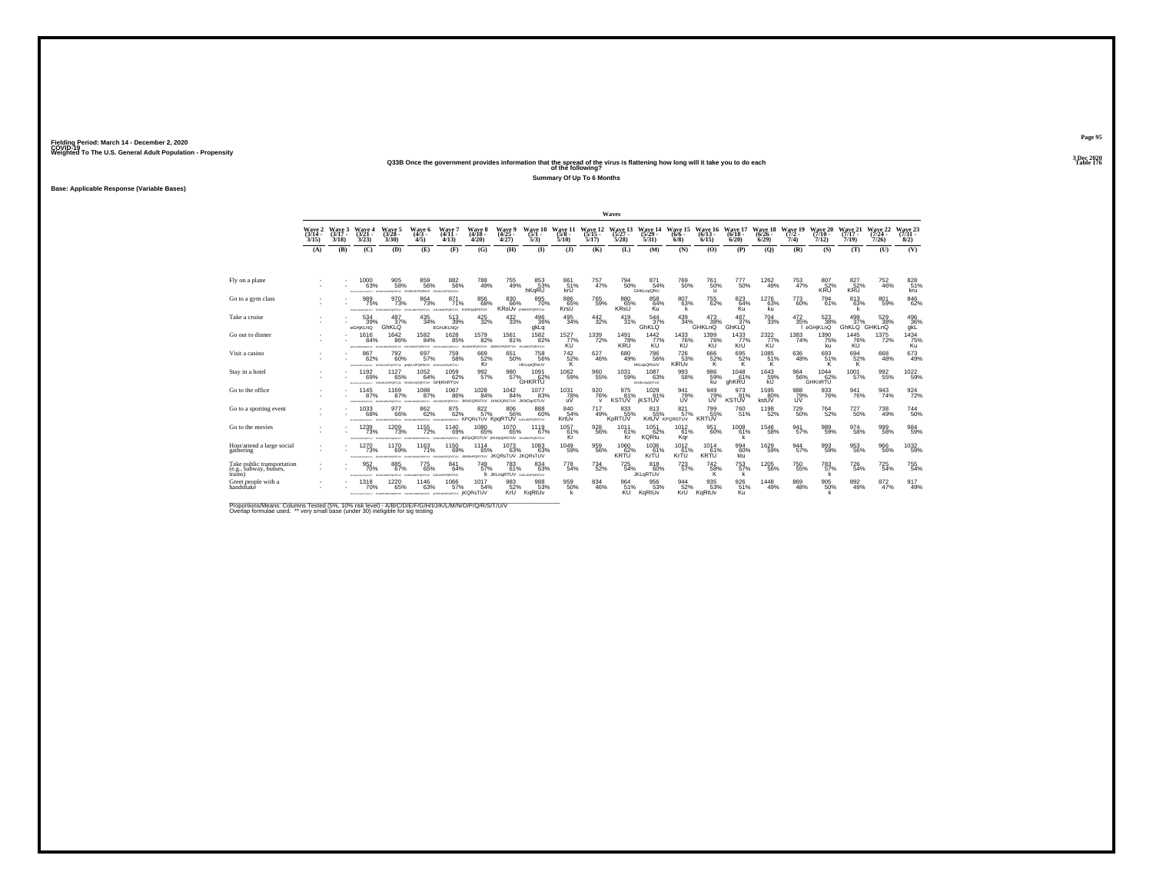### **Q33B Once the government provides information that the spread of the virus is flattening how long will it take you to do each Table 176 of the following?**

**Summary Of Up To 6 Months**

**Base: Applicable Response (Variable Bases)**

|                                                                 |                                    |                   |                                                     |                                                                        |                                       |                                                                                               |                                     |                                                |                                     |                                     |                         | Waves                           |                                          |                                    |                             |                              |                              |                            |                              |                              |                              |                              |
|-----------------------------------------------------------------|------------------------------------|-------------------|-----------------------------------------------------|------------------------------------------------------------------------|---------------------------------------|-----------------------------------------------------------------------------------------------|-------------------------------------|------------------------------------------------|-------------------------------------|-------------------------------------|-------------------------|---------------------------------|------------------------------------------|------------------------------------|-----------------------------|------------------------------|------------------------------|----------------------------|------------------------------|------------------------------|------------------------------|------------------------------|
|                                                                 | Wave 2 Wave 3<br>$(3/14 -$<br>3/15 | $(3/17 -$<br>3/18 | Wave 4<br>$(3/21 -$<br>3/23                         | Wave 5<br>$(3/28 -$<br>3/30                                            | Wave 6<br>$(4/3 -$<br>4/5             | Wave 7<br>$(4/11 -$<br>4/13                                                                   | Wave 8<br>$(4/18 -$<br>4/20         | Wave 9<br>$(4/25 -$<br>4/27                    | Wave 10<br>$(5/1 -$<br>5/3)         | Wave 11 Wave 12<br>$(5/8 -$<br>5/10 | $(5/15 -$<br>5/17       | $(5/27 -$<br>5/28               | Wave 13 Wave 14<br>$(5/29 -$<br>5/31     | Wave 15 Wave 16<br>$(6/6 -$<br>6/8 | $(6/13 -$<br>6/15           | Wave 17<br>$(6/18 -$<br>6/20 | Wave 18<br>$(6/26 -$<br>6/29 | Wave 19<br>$(7/2 -$<br>7/4 | Wave 20<br>$(7/10 -$<br>7/12 | Wave 21<br>$(7/17 -$<br>7/19 | Wave 22<br>$(7/24 -$<br>7/26 | Wave 23<br>$(7/31 -$<br>8/2) |
|                                                                 | (A)                                | (B)               | (C)                                                 | (D)                                                                    | (E)                                   | (F)                                                                                           | (G)                                 | (H)                                            | $\Phi$                              | (3)                                 | (K)                     | (L)                             | (M)                                      | (N)                                | (0)                         | (P)                          | (0)                          | (R)                        | (S)                          | (T)                          | (U)                          | (V)                          |
|                                                                 |                                    |                   |                                                     |                                                                        |                                       |                                                                                               |                                     |                                                |                                     |                                     |                         |                                 |                                          |                                    |                             |                              |                              |                            |                              |                              |                              |                              |
| Fly on a plane                                                  |                                    |                   | 1000<br>63%                                         | 905<br>58%<br>GAUKLANDPORTRY GHUKLNOPORKAY GAUKLNOPOR/TUV              | 859<br>56%                            | 882<br>56%                                                                                    | 788<br>49%                          | 755<br>49%                                     | 853<br>53%<br>hKaRU                 | 861<br>51%<br>krU                   | 757<br>47%              | 794<br>50%                      | 871<br>54%<br>GHKLnpQRU                  | 769<br>50%                         | 761<br>50%<br>$\mathbf{u}$  | 777<br>50%                   | 1262<br>49%                  | 753<br>47%                 | 807<br>$52%$ KRU             | 827<br>52%<br>KRU            | 752<br>46%                   | 828<br>51%<br>kru            |
| Go to a gym class                                               |                                    |                   | 989<br>75%<br>CHARLES CREW TO                       | 970<br>73%<br>PORSTUV                                                  | 864<br>73%<br><b>VUTERON</b>          | 871<br>71%                                                                                    | 856<br>68%<br>SPORSTLIV KmNOoQRSTUV | 830 66%<br>KRSUV <i>KRANDPORSTUV</i>           | 895<br>70%                          | 886<br>65%<br>KrsU                  | 765<br>59%              | 880 65%<br><b>KRsU</b>          | 858<br>64%<br>Ku                         | 807<br>63%<br>k                    | $^{755}_{\ 62\%}$           | 823<br>64%<br>Ku             | 1276<br>63%<br>ku            | 773<br>60%                 | 794<br>61%                   | $813 \over 63\%$             | 801<br>59%                   | $\underset{62\%}{^{846}}$    |
| Take a cruise                                                   |                                    |                   | 534<br>39%<br>eGHjKLNQ                              | 487<br>37%<br>GhKLQ                                                    | 435<br>34%                            | 513<br>39%<br><b>EGHJKLNOr</b>                                                                | 425<br>32%                          | 432<br>33%                                     | 496<br>36%<br>gkLq                  | 495<br>34%                          | 442<br>32%              | 419<br>31%                      | 544<br>37%<br><b>GhKLQ</b>               | 439<br>34%                         | 473<br>38%<br><b>GHKLnQ</b> | 487<br>37%<br><b>GhKLQ</b>   | 704<br>33%                   | 472<br>35%                 | 523<br>38%<br>eGHjKLnQ       | 499<br>37%<br>GhKLQ GHKLnQ   | 529<br>38%                   | 496<br>36%<br>qkL            |
| Go out to dinner                                                |                                    |                   | 1616<br>84%<br>ALSO MATERIALS - GALIAS MATERIALS IN | 1642<br>86%                                                            | 1582<br>84%<br>HJKLMNOPORSTUY         | 1628<br>85%<br>GAUKLMOPORTIV JILMAOPORSTUV JKIMOPORSTUV                                       | 1579<br>82%                         | 1561<br>81%                                    | 1582<br>82%<br><b>JIGMNOPORSTUV</b> | $1527 \atop 77\%$<br>KU             | 1339<br>72%             | 1491<br>78%<br><b>KRU</b>       | $\frac{1442}{77\%}$<br>KU                | 1433<br>KU                         | 1399<br>76%<br>KU           | $\frac{1433}{77\%}$<br>KrU   | 2322%<br>KU                  | $\frac{1383}{74\%}$        | 1390<br>75%<br>ku            | 1445<br>76%<br>KÚ            | 1375<br>72%                  | $\frac{1434}{75\%}$<br>Ku    |
| Visit a casino                                                  |                                    |                   | 867<br>62%                                          | 792<br>60%<br>ANALISONDRUTHY GHANAGROBSTUV OMIKLOPORSIUV GHANAGROBSTUV | 697<br>57%                            | 759<br>58%                                                                                    | 669<br>52%<br>Kr                    | 651<br>50%                                     | 758<br>56%<br><b>HKLooQRsUV</b>     | $^{742}_{~52\%}$                    | 627<br>46%              | 680<br>49%                      | 786<br>56%<br><b>HKLopQRsUV</b>          | 726<br>53%<br>KIRUV                | $^{666}_{52\%}$             | $\frac{695}{52\%}$           | 1085<br>51%<br>'K.           | 636<br>48%                 | 693<br>51%                   | 694<br>52%                   | 668<br>48%                   | $^{673}_{49\%}$              |
| Stay in a hotel                                                 |                                    |                   | 1192<br>69%<br>ARRESTS AND ARRESTS FOR              | 1127<br>65%<br>GHJKINDPORTUV GHJKINDORTUV GHjKINRTUV                   | 1052<br>64%                           | 1059<br>62%                                                                                   | 992<br>57%                          | 980<br>57%                                     | 1091<br>62%<br><b>GHKRTU</b>        | 1062<br>59%                         | 960<br>55%              | 1031<br>59%                     | 1087<br>63%<br>GHJKLNoQRTUV              | 993<br>58%                         | 986<br>59%<br>ku            | 1048<br>61%<br>ghKRU         | 1643<br>59%<br>kU            | 964<br>56%                 | 1044<br>62%<br>GHKnRTU       | 1001<br>57%                  | 992<br>55%                   | 1022<br>59%                  |
| Go to the office                                                |                                    |                   | 1145<br>87%<br><b>DATA MAYARATULU</b>               | 1169<br>87%                                                            | 1088<br>87%                           | 1067<br>86%<br>GIURLINOPORSTUV GHUNLINOPORSTUV UKLANOPORSTUV JKNOQRSTUV JKNOQRSTUV JKNOQrSTUV | $^{1028}_{\,\,84\%}$                | $^{1042}_{84\%}$                               | 1077<br>83%                         | $^{1031}_{78\%}$<br>uV              | 920 76%<br>$\mathsf{v}$ | 975<br>81%<br><b>KSTUV</b>      | $^{1029}_{81\%}$<br><b><i>IKSTUV</i></b> | 941<br>79%<br><b>LIV</b>           | 949<br>79%<br>UV            | 973<br>81%<br><b>KSTUV</b>   | 1595<br>80%<br>kstUV         | 988<br>79%<br>UV           | 933<br>76%                   | $\frac{941}{76\%}$           | $\frac{943}{74\%}$           | 924                          |
| Go to a sporting event                                          |                                    |                   | 1033<br>68%<br>PERMISSION CHARGESTS!                | 977<br>66%                                                             | 862<br>62%                            | $875\atop 62\%$<br>GIULINOPORITUV GIULINOPORITUV KPORSTUV KPORTUV NICLINOPORITUV              | 822%                                | 806<br>56%                                     | 888<br>60%                          | 84054%<br>KrtUv                     | 717<br>49%              | 833<br>55%<br>KpRTUV            | 8135%                                    | 821 57%<br>KrtUV KPORSTUV          | 799<br>55%<br><b>KRTUV</b>  | <sup>760</sup> 51%           | 1198<br>52%                  | 729<br>50%                 | <sup>764</sup> 52%           | $^{727}_{50\%}$              | 738<br>49%                   | 744<br>50%                   |
| Go to the movies                                                |                                    |                   | 1239<br>73%<br><b>STANDARD REPORT</b>               | 1209<br>73%<br><b>REAL OF MACHINERY</b>                                | 1155<br>72%<br>doubled and management | 1140<br>69%<br>GUILLIMOPORSTLY IKIODQRSTLIV KIYODQRSTLIV                                      | 1080<br>65%                         | 1070<br>65%                                    | 1119<br>67%<br><b>JIGMNOPORSTUV</b> | 1057<br>61%<br>Kr                   | 928<br>56%              | 1011<br>61%<br>Kr               | 1051<br>62%<br><b>KQRtu</b>              | 1012<br>61%<br>Kqr                 | 951<br>60%                  | 1008<br>61%                  | 1546<br>58%                  | 941<br>57%                 | 989<br>59%                   | 974<br>58%                   | 999<br>58%                   | $\frac{984}{59\%}$           |
| Host/attend a large social<br>gathering                         |                                    |                   | 1270<br>73%<br>WARRAN                               | 1170<br>69%<br>GAUKLMOPORTRY GAUKLINOPORTRY                            | 1163<br>71%                           | 1150<br>69%<br>HAMMOPORSTLY JKMNsPORSTUV JKQRSTUV JKQRSTUV                                    | 1114<br>65%                         | $^{1073}_{63\%}$                               | 1083<br>63%                         | $^{1049}_{59\%}$                    | 959<br>56%              | $^{1060}_{62\%}$<br><b>KRTU</b> | 1036<br>61%<br>KrŤÚ                      | 1012<br>61%<br>KrŤÚ                | 1014<br>61%<br>KRTU         | 99460%<br>ktu <sup>-</sup>   | 1629<br>59%                  | $\frac{944}{57\%}$         | 993<br>59%                   | $\substack{953 \\ 56\%}$     | 966<br>56%                   | $^{1032}_{-59\%}$            |
| Take public transportation<br>(e.g., subway, busses,<br>trains) |                                    |                   | 952<br>70%                                          | 885<br>67%<br>YOREY GHALMOPOKETUV GIJALMOPORETUV GJALMOPORETUV         | 775<br>65%                            | 841<br>64%                                                                                    | 749<br>57%                          | 783<br>61%<br><b>K JKLnaRTUV</b> GJALNOPORSTUV | 834<br>63%                          | 778<br>54%                          | 734<br>52%              | 725<br>54%                      | 818<br>60%<br><b>JKLaRTUV</b>            | $^{723}_{57\%}$                    | 742<br>58%                  | 753<br>57%                   | 1205<br>56%                  | 750<br>55%                 | 783<br>57%                   | 726<br>54%                   | 725<br>54%                   | 755<br>54%                   |
| Greet people with a<br>handshaké                                |                                    |                   | 1318<br>70%                                         | 1220<br>65%                                                            | 1146<br>63%                           | 1066<br>57%<br>SPONSMOVIEW PORSIZEPORTLY PORSUMOPORTLY SEALINOPORTLY IKORSTUV                 | 1017<br>54%                         | 983<br>52%<br>KrU                              | 988<br>53%<br>KaRtUv                | 959 60%                             | 834<br>46%              | 964<br>51%<br><b>KU</b>         | 956<br>53%<br>KgRtUv                     | 944<br>52%<br>KrU                  | 935<br>53%<br>KaRtUv        | 926<br>51%<br>Ku             | 1448<br>49%                  | 869<br>48%                 | 905<br>50%                   | 892<br>49%                   | $\substack{872 \\ 47\%}$     | 917<br>49%                   |

Proportions/Means: Columns Tested (5%, 10% risk level) - A/B/C/D/E/F/G/H/I/J/K/L/M/N/O/P/Q/R/S/T/U/V<br>Overlap formulae used. \*\* very small base (under 30) ineligible for sig testing

**Page 953 Dec 2020<br>Table 176**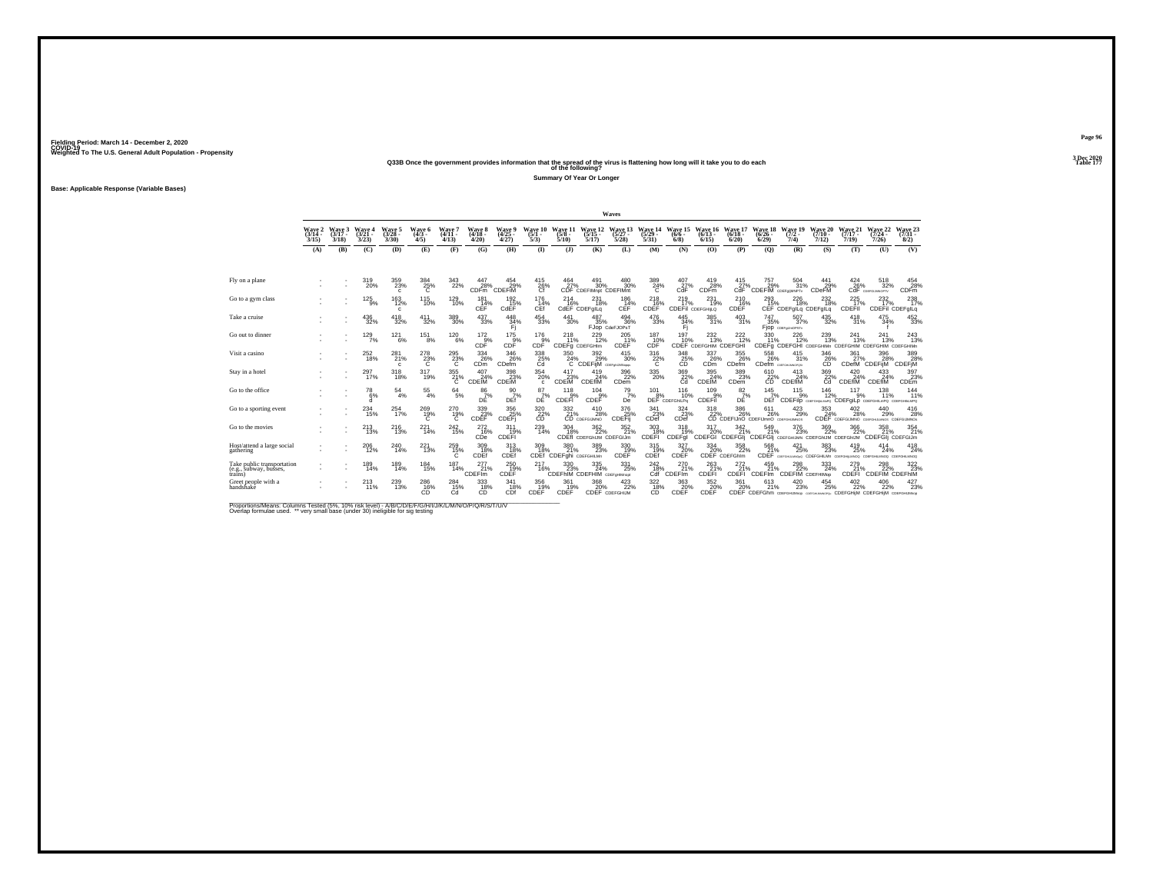#### **Q33B Once the government provides information that the spread of the virus is flattening how long will it take you to do each Table 177 of the following?**

**Summary Of Year Or Longer**

**Base: Applicable Response (Variable Bases)**

|                                                                 |                             |                             |                             |                                 |                                                   |                               |                                  |                             |                                                                      |                                                    |                                                      | Waves                            |                                                      |                                  |                                            |                                  |                                                                |                                     |                                       |                              |                                                                                    |                                |
|-----------------------------------------------------------------|-----------------------------|-----------------------------|-----------------------------|---------------------------------|---------------------------------------------------|-------------------------------|----------------------------------|-----------------------------|----------------------------------------------------------------------|----------------------------------------------------|------------------------------------------------------|----------------------------------|------------------------------------------------------|----------------------------------|--------------------------------------------|----------------------------------|----------------------------------------------------------------|-------------------------------------|---------------------------------------|------------------------------|------------------------------------------------------------------------------------|--------------------------------|
|                                                                 | Wave 2<br>$(3/14 -$<br>3/15 | Wave 3<br>$(3/17 -$<br>3/18 | Wave 4<br>$(3/21 -$<br>3/23 | Wave 5<br>$(3/28 -$<br>3/30     | Wave 6<br>$(4/3 -$<br>4/5                         | Wave 7<br>$(4/11 -$<br>4/13   | Wave 8<br>$(4/18 -$<br>4/20      | Wave 9<br>$(4/25 -$<br>4/27 | Wave 10<br>$(5/1 -$<br>5/3                                           | Wave 11<br>$(5/8 -$<br>5/10                        | Wave 12<br>$(5/15 -$<br>5/17                         | Wave 13<br>$(5/27 -$<br>5/28     | Wave 14<br>(5/29<br>5/31                             | Wave 15<br>$(6/6 -$<br>6/8       | Wave 16<br>$(6/13 -$<br>6/15               | Wave 17<br>$(6/18 -$<br>6/20     | Wave 18<br>$(6/26 -$<br>6/29                                   | Wave 19<br>$(7/2 -$<br>7/4          | Wave 20<br>$(7/10 -$<br>7/12          | Wave 21<br>$(7/17 -$<br>7/19 | Wave 22<br>$(7/24 -$<br>7/26                                                       | Wave 23<br>$(7/31 -$<br>8/2)   |
|                                                                 | (A)                         | (B)                         | (C)                         | (D)                             | (E)                                               | (F)                           | (G)                              | (H)                         | $\mathbf{D}$                                                         | (3)                                                | (K)                                                  | (L)                              | (M)                                                  | (N)                              | (0)                                        | (P)                              | (O)                                                            | (R)                                 | (S)                                   | (T)                          | (U)                                                                                | (V)                            |
|                                                                 |                             |                             |                             |                                 |                                                   |                               |                                  |                             |                                                                      |                                                    |                                                      |                                  |                                                      |                                  |                                            |                                  |                                                                |                                     |                                       |                              |                                                                                    |                                |
| Fly on a plane                                                  |                             |                             | 319<br>20%                  | 359<br>23%<br>$\mathbf{c}$      | $\frac{384}{25\%}$                                | 343<br>22%                    | 447<br>28%<br>CDF <sub>m</sub>   | 454<br>29%<br>CDEFIM        | 415<br>26%                                                           | 464<br>27%                                         | 491<br>30%<br>CDF CDEFIMnot CDEFIMnt                 | 480<br>30%                       | $\frac{389}{24\%}$                                   | 407<br>27%<br>CdF                | 419<br>28%<br><b>CDFm</b>                  | 415<br>27%<br>CdF                | 757<br>29%<br>CDEFIM CDEFORMNPTY                               | 504<br>31%                          | 441<br>29%<br>CDeFM                   | 424<br>26%<br>CdF            | 518<br>32%<br>COEFGUMOPTY                                                          | 454<br>28%<br>CDF <sub>m</sub> |
| Go to a gym class                                               |                             |                             | $^{125}_{9\%}$              | $^{163}_{12\%}$<br>c            | <sup>115</sup> <sub>10%</sub>                     | <sup>129</sup> <sub>10%</sub> | $^{181}_{14\%}$<br>CEF           | $\frac{192}{15\%}$<br>CdEF  | $^{176}_{14\%}$<br>CEf                                               | 214<br>16%                                         | $^{231}_{18\%}$<br>CdEF CDEFgILg                     | 186<br>14%<br>CEF                | $^{218}_{16\%}$<br>CDEF                              | $^{219}_{17\%}$                  | $^{231}_{19\%}$<br><b>CDEFII</b> CDEFGHILQ | $^{210}_{16\%}$<br>CDEF          | 293%                                                           | 226<br>18%<br>CEF CDEFgILq CDEFgILq | $^{232}_{18\%}$                       | $^{225}_{17\%}$<br>CDEFII    | 232 <sub>%</sub><br>CDEFil CDEFglLq                                                | 238<br>17%                     |
| Take a cruise                                                   |                             |                             | $\substack{436 \\ 32\%}$    | 418<br>32%                      | 411<br>32%                                        | $^{389}_{\phantom{1}30\%}$    | 437<br>33%                       | 448<br>34%                  | 454<br>33%                                                           | 441<br>30%                                         | 487<br>35%                                           | 494<br>36%<br>FJOD CdeFJOPsT     | 476<br>33%                                           | 445<br>34%<br>Fi                 | 385<br>31%                                 | 403<br>31%                       | 747<br>35%                                                     | 507<br>37%<br>Fjop coergumorstv     | 435<br>32%                            | 418<br>31%                   | 475<br>34%                                                                         | $\frac{452}{33\%}$             |
| Go out to dinner                                                |                             |                             | 129/7%                      | $^{12}$ <sup>12</sup> $^{16}$ % | $^{151}_{8\%}$                                    | $^{120}_{6\%}$                | $\frac{172}{9\%}$<br>CDF         | $\frac{175}{9\%}$<br>CDF    | $^{176}_{9\%}$<br>CDF                                                | 218<br>11%<br>CDEFg CDEFGHIm                       | 229<br>12%                                           | 205<br>11%<br>CDEF               | 187<br>10%<br>CDF                                    | 197<br>10%                       | $^{232}_{13\%}$<br>CDEF CDEFGHIM CDEFGHI   | 222<br>12%                       | 330<br>11%                                                     | 226<br>12%                          | 239<br>13%                            | 241<br>13%                   | 241<br>13%<br>CDEFg CDEFGHI CDEFGHIMn CDEFGHIM CDEFGHIM CDEFGHIMn                  | 243<br>13%                     |
| Visit a casino                                                  |                             |                             | $^{252}_{18\%}$             | 281%<br>c                       | $^{278}_{23\%}$                                   | $^{295}_{23\%}$               | 334<br>26%<br>CDm                | 346<br>26%<br>CDefm         | $\overset{338}{\underset{\text{Cd}}{\text{25\%}}}$                   | 350<br>24%<br>C                                    | $\frac{392}{29}\%$<br><b>CDEFIM</b> COEF ON APPROPER | 415<br>30%                       | $\frac{316}{22\%}$                                   | $\underset{\text{CD}}{^{348}}$   | $\frac{337}{26\%}$<br>CDm                  | 355%<br>CDefm                    | 558<br>26%<br>CDefm COSFGHAMOPOSI                              | 415<br>31%                          | 346<br>26%<br>CĎ                      | 361<br><b>CDefM</b>          | 396<br>28%<br>CDEFijM                                                              | 389<br>28%<br>CDEFIM           |
| Stay in a hotel                                                 |                             |                             | 297<br>17%                  | 318<br>18%                      | 317<br>19%                                        | $^{355}_{21\%}$               | 407<br>24%<br><b>CDEIM</b>       | 398<br>23%<br>CDEIM         | 354<br>20%<br>$\mathbf{c}$                                           | 417<br>23%<br><b>CDEIM</b>                         | 419<br>24%<br><b>CDEfIM</b>                          | 396<br>22%<br>CDem               | $^{335}_{\phantom{1}\phantom{1}20\%}$                | 369<br>22%                       | 395<br>24%<br>CDEIM                        | 389<br>23%<br>CD <sub>em</sub>   | 610<br>$22\%$                                                  | 413<br>24%<br>CDEflM                | 369<br>$\frac{22}{c}$                 | 420<br>24%<br>CDEflM         | 433<br>24%<br>CDEfIM                                                               | 397<br>23%<br>CDEm             |
| Go to the office                                                |                             |                             | $^{78}_{6\%}$<br>d          | $^{54}_{\ 4\%}$                 | $^{55}_{4\%}$                                     | $^{64}_{5\%}$                 | 86/7%<br>DĖ                      | $\frac{90}{7\%}$<br>DEf     | $^{87}_{7\%}$<br>DE                                                  | 118<br>CDEFI                                       | 104<br>9%<br>CDEF                                    | $^{79}_{7\%}$<br>De              | $^{101}_{\underline{8}\%}$                           | 116<br>10%<br>DEF CDEFGhILPo     | $^{109}_{-9\%}$<br>CDEFil                  | $8^{2}_{7\%}$<br>DE              | $^{145}_{7\%}$<br>DEf                                          | 115                                 | 146<br>12%                            | 117<br>9%                    | 138<br>CDEFIIp совтаниемно CDEFgiLp совтание по совтаниемно                        | 144<br>11%                     |
| Go to a sporting event                                          |                             |                             | $^{234}_{15\%}$             | 254<br>17%                      | $^{269}_{19\%}$                                   | 270<br>$^{19\%}$              | 339<br>23%<br>CDEF               | 356<br>CDEF                 | $\overset{320}{\underset{\mathsf{CD}}{\mathsf{22}}} \hspace{-0.5mm}$ | 332<br>21%                                         | 410<br>28%<br>CD CDEFGIJMNO                          | 376<br>25%<br><b>CDEFij</b>      | $\overset{341}{\underset{\text{CDef}}{\text{23\%}}}$ | 324<br>23%<br>CDef               | 318                                        | 386                              | 611<br>22% 26% 26% 29%<br>CD CDEFIJnO CDEFIJmnO coercituations | 423<br>29%                          | 353<br>24%                            | 402<br>28%                   | 440<br>29%<br>CDEF CDEFGIJMNO COEFGIJIANOS CDEFGIJMNOS                             | 416<br>28%                     |
| Go to the movies                                                |                             |                             | $^{213}_{13\%}$             | <sup>216</sup> <sub>13%</sub>   | 221<br>14%                                        | $^{242}_{15\%}$               | $^{272}_{16\%}$<br>CDe           | 311<br>19%<br>CDEFI         | $^{239}_{14\%}$                                                      | 304<br>18%                                         | $\frac{362}{22\%}$<br>CDEfl CDEFGhIJM CDEFGIJm       | 352 <sub>%</sub>                 | $\frac{303}{18}\%$<br>CDEFI                          | 318<br>19%<br>CDEFgl             | 317<br>20%<br>CDEFGI CDEFGII               | 342<br>21%                       | 549<br>21%<br>CDEFGI CDEFGHUMN CDEFGHUM CDEFGHUM               | 376<br>23%                          | 369<br>22%                            | 366<br>22%                   | 358<br>21%<br>CDEFGIj CDEFGIJm                                                     | 354<br>21%                     |
| Host/attend a large social<br>gathering                         |                             |                             | $^{206}_{\ 12\%}$           | 240<br>14%                      | 221<br>13%                                        | $^{259}_{15\%}$               | 309 18%<br>CDEf                  | $313 \atop 18\%$<br>CDEf    | 309<br>18%                                                           | 380<br>21%<br>CDEf <sup>"</sup> CDEFghi CDEFGHILMn | 389<br>23%                                           | $^{330}_{19\%}$<br>CDEF          | $^{315}_{19\%}$<br>CDEf                              | $\frac{327}{20\%}$<br>CDEF       | 334<br>20%                                 | 358<br>22%<br>CDEF CDEFGhim      | 568<br>21%                                                     | $^{421}_{25\%}$                     | $^{383}_{\phantom{1}\phantom{1}23\%}$ | 419<br>25%                   | 414<br>24%<br>CDEF COSTGHULMOND CDEFGHILMn COEFGHILMNOG COEFGHILMNOG COEFGHILMNOG  | 418<br>24%                     |
| Take public transportation<br>(e.g., subway, busses,<br>trains) |                             |                             | 189<br>14%                  | 189<br>14%                      | 184<br>15%                                        | 187<br>14%                    | 277<br>21%<br>CDEF <sup>Im</sup> | 250<br>19%<br>CDEF          | 217<br>16%                                                           | 330<br>23%                                         | 335<br>24%<br>CDEFhIM CDEFHIM CDEFgHIMnopt           | 331<br>25%                       | 242<br>18%<br>Cdf                                    | 270<br>21%<br>CDEF <sup>Im</sup> | 263<br>21%<br>CDEFI                        | 272<br>21%<br>CDEFI <sup>®</sup> | 459<br>21%<br><b>CDEFIm</b>                                    | 298<br>22%<br>CDEFIM CDEFHIMOP      | 333<br>24%                            | 279<br>21%<br>CDEFI          | 298<br>CDEFIM CDEFHIM                                                              | 322<br>23%                     |
| Greet people with a<br>handshake                                |                             |                             | $^{213}_{11\%}$             | 239<br>13%                      | $^{286}_{\phantom{16}\phantom{16}\phantom{16}\%}$ | 284<br>15%<br>Cd              | 333<br>18%<br>CD                 | 341<br>18%<br>CDf           | 356<br>19%<br>CDEF                                                   | 361<br>19%<br>CDEF                                 | 368<br>20%                                           | 423/22%<br><b>CDEF</b> CDEFGHIJM | $\frac{322}{18}\%$<br>CD                             | 363<br>CDEF                      | 352 %<br>CDEF                              | 361<br>20%                       | 613<br>21%                                                     | 420<br>23%                          | 454<br>25%                            | 402<br>22%                   | 406<br>22%<br>CDEF CDEFGhm CDEFGHUMnop CDEFGHUMnOPOL CDEFGHIM CDEFGHIM CDEFGHUMnop | 427<br>23%                     |

Proportions/Means: Columns Tested (5%, 10% risk level) - A/B/C/D/E/F/G/H/I/J/K/L/M/N/O/P/Q/R/S/T/U/V<br>Overlap formulae used. \*\* very small base (under 30) ineligible for sig testing

**Page 96**3 Dec 2020<br>Table 177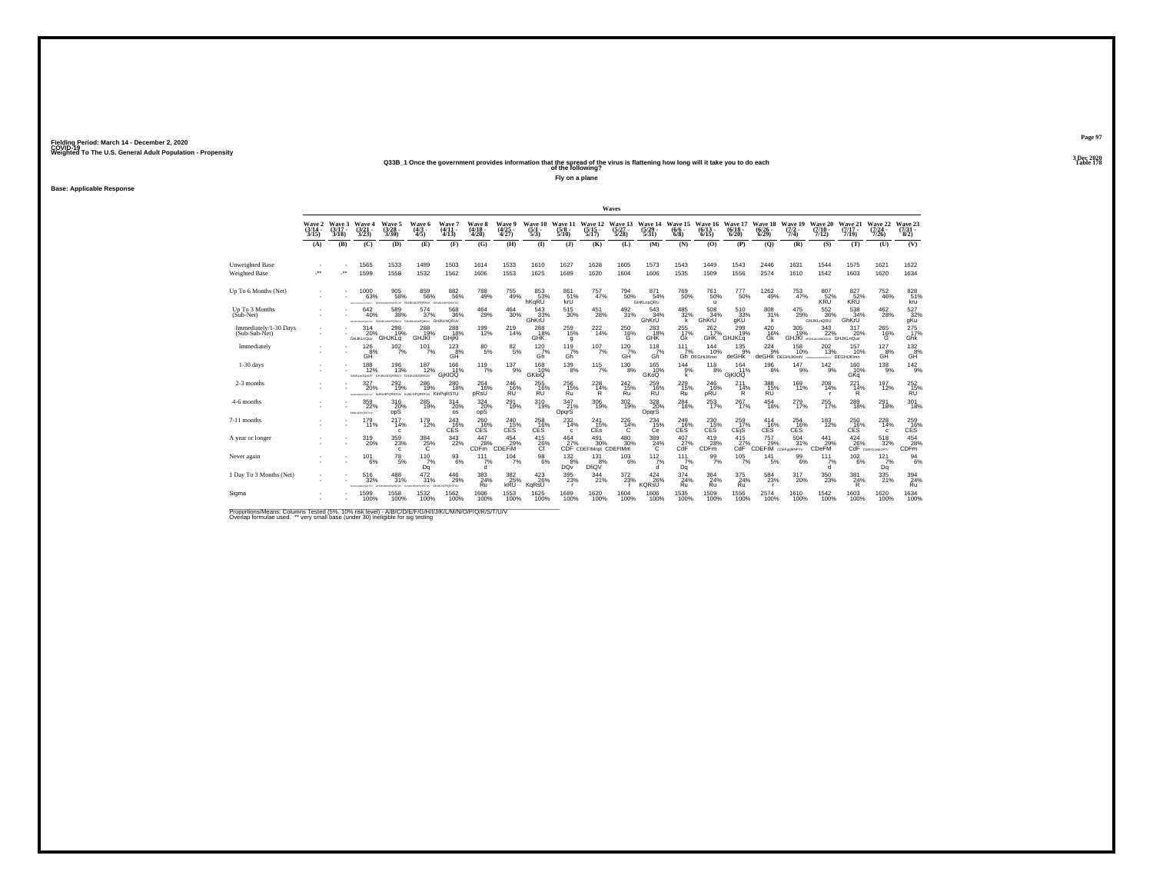#### **Q33B\_1 Once the government provides information that the spread of the virus is flattening how long will it take you to do each Table 178 of the following?**

**Fly on a plane**

**Base: Applicable Response**

|                                        |                                    |                             |                                 |                                                                                                                                                                                                                                                   |                         |                                          |                             |                                 |                                |                                 |                                           | Waves                            |                                 |                          |                                    |                                     |                                             |                                |                                                 |                               |                                  |                                           |
|----------------------------------------|------------------------------------|-----------------------------|---------------------------------|---------------------------------------------------------------------------------------------------------------------------------------------------------------------------------------------------------------------------------------------------|-------------------------|------------------------------------------|-----------------------------|---------------------------------|--------------------------------|---------------------------------|-------------------------------------------|----------------------------------|---------------------------------|--------------------------|------------------------------------|-------------------------------------|---------------------------------------------|--------------------------------|-------------------------------------------------|-------------------------------|----------------------------------|-------------------------------------------|
|                                        | <b>Wave 2</b><br>$(3/14 -$<br>3/15 | Wave 3<br>$(3/17 -$<br>3/18 | Wave 4<br>$\frac{(3/21)}{3/23}$ | Wave 5<br>$\frac{(3/28)}{3/30}$                                                                                                                                                                                                                   | Wave 6<br>(4/3 -<br>4/5 | Wave 7<br>$\frac{(4/11)}{4/13}$          | Wave 8<br>$(4/18 -$<br>4/20 | Wave 9<br>$\frac{(4/25)}{4/27}$ | Wave 10<br>$\frac{(5/1)}{5/3}$ | Wave 11<br>$\frac{(5/8)}{5/10}$ | Wave 12<br>$\frac{(5/15)}{5/17}$          | Wave 13<br>$\frac{(5/27)}{5/28}$ | Wave 14<br>5/29<br>5/31)        | Wave 15<br>(6/6)<br>6/8  | Wave 16<br>$(6/13 -$<br>6/15       | Wave 17<br>$(6/18 -$<br>6/20        | Wave 18<br>$(6/26 -$<br>6/29                | Wave 19<br>$\frac{(7/2)}{7/4}$ | Wave 20<br>$(7/10 -$<br>7/12)                   | Wave 21<br>$(7/17 -$<br>7/19  | Wave 22<br>$\frac{(7/24)}{7/26}$ | Wave 23<br>$\binom{7/31}{8/2}$            |
|                                        | (A)                                | (B)                         | (C)                             | (D)                                                                                                                                                                                                                                               | (E)                     | (F)                                      | (G)                         | (H)                             | $\Phi$                         | (1)                             | (K)                                       | (L)                              | (M)                             | (N)                      | (O)                                | (P)                                 | $\mathbf{Q}$                                | (R)                            | (S)                                             | (T)                           | (U)                              | (V)                                       |
| Unweighted Base<br>Weighted Base       | $\cdots$                           | $^{\tiny{**}}$              | 1565<br>1599                    | 1533<br>1558                                                                                                                                                                                                                                      | 1489<br>1532            | 1503<br>1562                             | 1614<br>1606                | 1533<br>1553                    | 1610<br>1625                   | 1627<br>1689                    | 1628<br>1620                              | 1605<br>1604                     | 1573<br>1606                    | 1543<br>1535             | 1449<br>1509                       | 1543<br>1556                        | 2446<br>2574                                | 1631<br>1610                   | 1544<br>1542                                    | 1575<br>1603                  | 1621<br>1620                     | 1622<br>1634                              |
| Up To 6 Months (Net)                   |                                    |                             | 1000<br>63%                     | $\substack{905 \\ 58\%}$<br>nesnu                                                                                                                                                                                                                 | 859<br>56%<br>VURSION   | 882<br>56%<br>GHJKUNOPORsTUV             | 788<br>49%                  | $^{755}_{49\%}$                 | 853%<br>hKaRU                  | 861 <sub>%</sub><br>křÚ         | 757<br>47%                                | 794<br>50%                       | 871<br>54%<br>GHKLnpQRU         | 769<br>50%               | <sup>761</sup> 50%<br>$\mathbf{u}$ | 777<br>50%                          | $^{1262}_{49\%}$                            | $^{753}_{47\%}$                | 807<br>52%<br>KŘŨ                               | 827<br>52%<br>KRU             | 752<br>46%                       | 828<br>51%<br>kru                         |
| Up To 3 Months<br>(Sub-Net)            |                                    |                             | 642<br>40%                      | 589<br>38%<br>BARAMOPONIU GHUKLINGPORAJV GHUKLINGPORAJV GHUKLNORUV                                                                                                                                                                                | 574<br>37%              | 568<br>36%                               | 464<br>29%                  | 464<br>30%                      | 543<br>33%<br>GhKrU            | 515<br>30%                      | 451<br>28%                                | 492<br>31%                       | 543<br>34%<br>GhKrU             | 485<br>32%               | 508<br>34%<br>GhKrU                | 510<br>33%<br>gKU                   | 808<br>31%<br>k                             | 475<br>29%                     | 552<br>36%<br><b>GHJKLnQRU</b>                  | 538<br>34%<br>GhKrU           | 462<br>28%                       | 527<br>32%<br>gKu                         |
| Immediately/1-30 Days<br>(Sub-Sub-Net) |                                    |                             | 314<br>20%<br><b>GHJKLnQuv</b>  | 298<br>19%<br>GHJKLq                                                                                                                                                                                                                              | 288<br><b>GHJKI</b>     | 288<br>18%<br>GHjKI                      | 199<br>12%                  | $^{219}_{14\%}$                 | $^{288}_{18\%}$<br><b>GHK</b>  | $^{259}_{15\%}$<br>q            | 222<br>14%                                | $^{250}_{16\%}$<br>G             | $^{283}_{18\%}$<br>GHK          | 255<br>17%<br>Ġk         | 262 <sub>17%</sub><br><b>GHK</b>   | $^{299}_{19\%}$<br>GHJKLq           | $^{420}_{16\%}$<br>Gk                       | $\frac{305}{19\%}$             | $343 \atop 22\%$<br>GHJKI «GHUKIMOOU/ GHJKLnQuv | 317<br>20%                    | $^{265}_{16\%}$<br>G             | $^{275}_{17\%}$<br>Ghk                    |
| Immediately                            |                                    |                             | $^{126}_{8\%}$<br>GĤ            | $10^{2}_{7\%}$                                                                                                                                                                                                                                    | $101$ <sub>7%</sub>     | $^{123}_{\  \  \, \mathrm{GHz}}$         | $^{80}_{5\%}$               | $8^{2}_{5\%}$                   | $^{120}_{7\%}$<br>Gh           | $^{119}_{7\%}$<br>Gĥ            | $107/7\%$                                 | $^{120}$ <sub>7%</sub><br>GĤ     | $^{118}_{7\%}$<br>Gh            | 111<br>7%                | 144<br>10%<br>Gh DEGHIJKmn         | $^{135}_{.9\%}$<br>deGHk            | $^{224}_{9\%}$<br>deGHK DEGHIJKImN          | <sup>158</sup><br>10%          | $^{202}_{13\%}$                                 | 157<br>10%<br>oromy DEGHUKImn | $^{127}_{8\%}$<br>GĤ             | $^{132}_{8\%}$<br>GĤ                      |
| $1-30$ days                            |                                    |                             | 188<br>12%                      | 196<br>13%<br>WERDONIAN GRANDGREEN GHALNOORSLV                                                                                                                                                                                                    | 187<br>12%              | 166<br>11%<br>GIKIOQ                     | $\frac{119}{7%}$            | 137<br>9%                       | 168<br>10%<br>GKIOO            | 139<br>8%                       | $\frac{115}{7\%}$                         | 130<br>8%                        | 165<br>10%<br>GKoQ              | 144<br>9%                | 118<br>8%                          | 164<br>11%<br>GIKIOQ                | 196<br>8%                                   | 147<br>9%                      | 142<br>9%                                       | 160<br>10%<br>GKa             | 138<br>9%                        | $\frac{142}{9%}$                          |
| 2-3 months                             |                                    |                             | $^{327}_{20\%}$                 | $^{292}_{19\%}$<br>INVESTIGATION NUMBER OF THE MELTIPLE WAS CITED FOR THE MAIN CONTROL AND IN A CONTROL OF STATE OF A CONTROL OF THE CONTROL OF THE CONTROL OF THE CONTROL OF THE CONTROL OF THE CONTROL OF THE CONTROL OF THE CONTROL OF THE CON | 286<br>19%              | $^{280}_{\color{red}\textbf{18\%}}$      | 264<br>16%<br>pRsU          | $^{246}_{16\%}$<br><b>RU</b>    | 255<br>16%<br><b>RU</b>        | $^{256}_{15\%}$<br>Ru           | $^{228}_{14\%}$<br>R                      | $^{242}_{15\%}$<br>Ru            | $^{259}_{16\%}$<br><b>RU</b>    | $^{229}_{15\%}$<br>Ru    | 246<br>16%<br>pRU                  | $^{211}_{14\%}$<br>R                | 388<br>15%<br><b>RU</b>                     | 169<br>11%                     | $^{208}_{14\%}$                                 | $^{221}_{14\%}$<br>R          | 197<br>12%                       | $^{252}_{15\%}$<br><b>RU</b>              |
| 4-6 months                             |                                    |                             | 359<br>22%<br>EHILNOPORETUV     | 316<br>20%<br>opS                                                                                                                                                                                                                                 | 285<br>19%              | 314<br>20%<br><b>os</b>                  | 324<br>$\frac{20}{95}$      | 291<br>19%                      | 310<br>19%                     | 347<br>21%<br>OpqrS             | $\frac{306}{19\%}$                        | 302<br>19%                       | 328<br>20%<br>OpqrS             | 284<br>18%               | $^{253}_{17\%}$                    | 267<br>17%                          | 454<br>18%                                  | 279<br>17%                     | 255<br>17%                                      | 289<br>18%                    | 291<br>18%                       | 301<br>18%                                |
| 7-11 months                            |                                    |                             | $^{179}_{11\%}$                 | $^{217}_{14\%}$<br>c                                                                                                                                                                                                                              | 179<br>12%              | $^{243}_{16\%}$<br>CES                   | 260 16%<br>CES              | 240 15%<br>CES                  | 258<br><b>CES</b>              | $^{232}_{14\%}$<br>c            | 241<br>15%<br>CEs                         | $^{226}_{14\%}$<br>C             | $^{234}_{15\%}$<br>Ce           | 249 16%<br>CES           | 230<br>15%<br><b>CES</b>           | 259<br>17%<br>CEjS                  | $^{414}_{16\%}$<br>CES                      | $^{254}_{16\%}$<br><b>CES</b>  | $^{183}_{12\%}$                                 | 250<br>16%<br>CES             | $^{228}_{14\%}$<br>$\mathbf{c}$  | 259 16%<br><b>CES</b>                     |
| A year or longer                       |                                    |                             | $^{319}_{20\%}$                 | $^{359}_{23\%}$<br>c.                                                                                                                                                                                                                             | $\frac{384}{25\%}$      | $\frac{343}{22\%}$                       | 447<br>28%<br>CDFm          | 454<br>29%<br>CDEFIM            | $^{415}_{26\%}$                | $\frac{464}{27}\%$              | $^{491}_{30\%}$<br>CDF CDEFIMnot CDEFIMnt | 480 30%                          | $\frac{389}{24\%}$              | $^{407}_{27\%}$<br>CdF   | 419<br>28%<br><b>CDFm</b>          | $^{415}_{27\%}$<br>CdF <sup>1</sup> | 757<br>S15<br>CDEFIM CDEF <sub>99MNPT</sub> | 504<br>31%                     | $^{441}_{29\%}$<br><b>CDeFM</b>                 | $^{424}_{26\%}$               | $^{518}_{32\%}$<br>CdF consumery | $^{454}_{\  \, 28\%}$<br>CDF <sub>m</sub> |
| Never again                            |                                    |                             | 101<br>6%                       | 78<br>5%                                                                                                                                                                                                                                          | 110<br>7%<br>Dq         | 93<br>6%                                 | 111<br>7%<br>ď              | 104<br>7%                       | 98<br>6%                       | 132<br>8%<br>DQv                | 131<br>8%<br>DfiQV                        | 103<br>6%                        | 112<br>7%<br>d                  | 111<br>7%<br>Dq          | 99<br>7%                           | 105<br>7%                           | 141<br>5%                                   | 99<br>6%                       | 111<br>7%<br><sub>d</sub>                       | 102<br>6%                     | 121<br>7%<br>Dq                  | 94<br>6%                                  |
| 1 Day To 3 Months (Net)                |                                    |                             | 516<br>32%                      | $^{488}_{31\%}$<br>mesni                                                                                                                                                                                                                          | 472<br>31%              | $^{446}_{\,\,29\%}$<br><b>LNOPORSTUV</b> | $\frac{383}{24\%}$<br>Ru    | 382<br>25%<br>kRU               | $^{423}_{26\%}$<br>KqRsU       | $^{395}_{\ 23\%}$               | 344<br>21%                                | $^{372}_{23\%}$                  | $^{424}_{26\%}$<br><b>KORSU</b> | $\frac{374}{24\%}$<br>Ru | 364 <sub>24%</sub><br>Ru           | 375<br>24%<br>Ru                    | 584<br>23%<br><b>r</b>                      | 317<br>20%                     | 350<br>23%                                      | 381<br>24%<br>R               | $^{335}_{\ 21\%}$                | $\frac{394}{24\%}$<br>Ru                  |
| Sigma                                  |                                    |                             | 1599<br>100%                    | 1558<br>100%                                                                                                                                                                                                                                      | 1532<br>100%            | 1562<br>100%                             | 1606<br>100%                | 1553<br>100%                    | 1625<br>100%                   | 1689<br>100%                    | 1620<br>100%                              | 1604<br>100%                     | 1606<br>100%                    | 1535<br>100%             | 1509<br>100%                       | 1556<br>100%                        | 2574<br>100%                                | 1610<br>100%                   | 1542<br>100%                                    | 1603<br>100%                  | 1620<br>100%                     | 1634<br>100%                              |

Proportions/Means: Columns Tested (5%, 10% risk level) - A/B/C/D/E/F/G/H/I/J/K/L/M/N/O/P/Q/R/S/T/U/V<br>Overlap formulae used. \*\* very small base (under 30) ineligible for sig testing

**Page 973 Dec 2020<br>Table 178**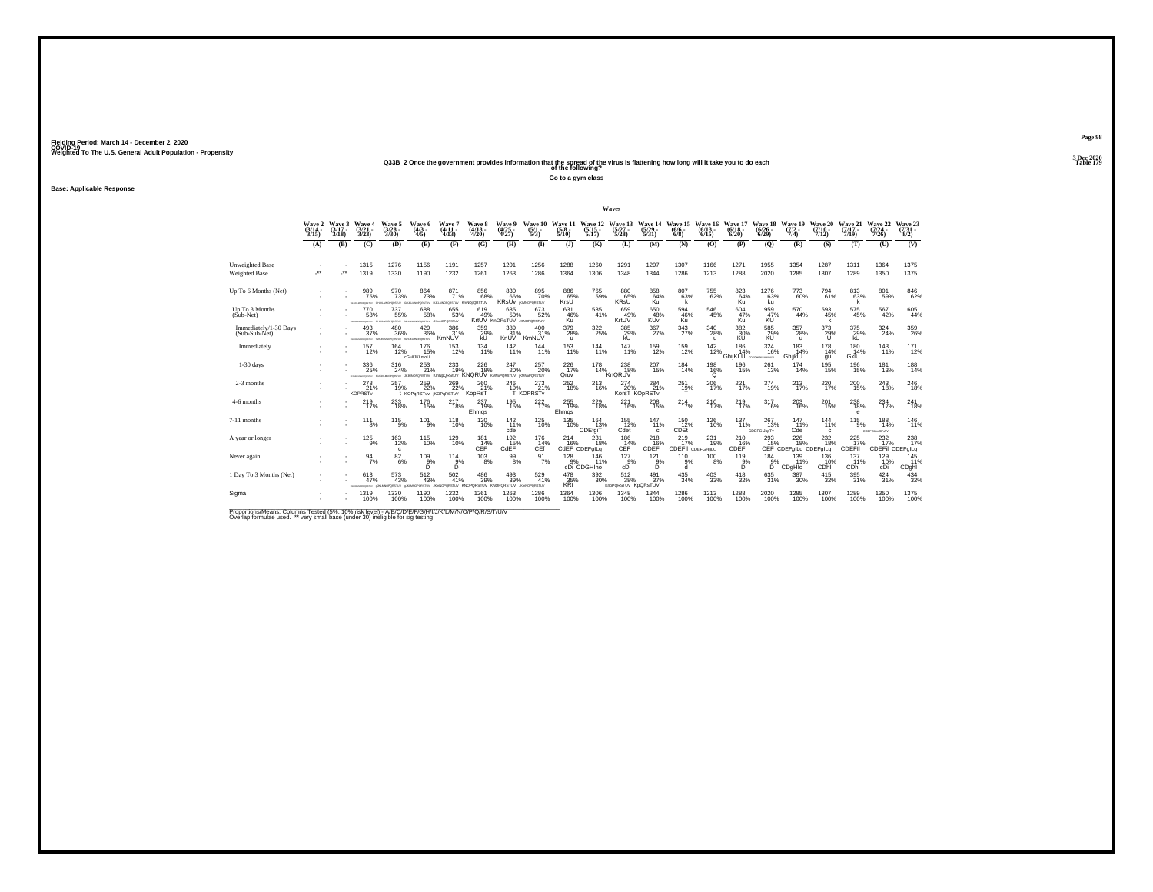# Weighted To The U.S. General Adult Population - Propensity<br>2013 - Q33B\_2 Once the government provides information that the spread of the virus is flattening how long will it take you to do each<br>Table 179

**Go to a gym class**

**Base: Applicable Response**

|                                         |                             |                             |                                         |                                                                             |                                           |                                                              |                             |                                           |                                   |                                 |                                        | Waves                             |                                  |                                |                              |                                   |                                |                                     |                                 |                              |                                 |                                |
|-----------------------------------------|-----------------------------|-----------------------------|-----------------------------------------|-----------------------------------------------------------------------------|-------------------------------------------|--------------------------------------------------------------|-----------------------------|-------------------------------------------|-----------------------------------|---------------------------------|----------------------------------------|-----------------------------------|----------------------------------|--------------------------------|------------------------------|-----------------------------------|--------------------------------|-------------------------------------|---------------------------------|------------------------------|---------------------------------|--------------------------------|
|                                         | Wave 2<br>$(3/14 -$<br>3/15 | Wave 3<br>$(3/17 -$<br>3/18 | Wave 4<br>$\frac{(3/21)}{3/23}$         | Wave 5<br>$\frac{(3/28)}{3/30}$                                             | Wave 6<br>$\frac{(4/3)}{4/5}$             | Wave 7<br>$(4/11 -$<br>4/13                                  | Wave 8<br>$(4/18 -$<br>4/20 | <b>Wave 9</b><br>$\frac{(4/25)}{4/27}$    | Wave 10<br>$\frac{(5/1)}{5/3}$    | Wave 11<br>$\frac{(5/8)}{5/10}$ | Wave 12<br>$\frac{(5/15)}{5/17}$       | Wave 13<br>$\frac{(5/27)}{5/28}$  | Wave 14<br>$\frac{(5/29)}{5/31}$ | Wave 15<br>$(6/6 -$<br>$6/8$ ) | Wave 16<br>$(6/13 -$<br>6/15 | Wave 17<br>$(6/18 -$<br>6/20      | Wave 18<br>$(6/26 -$<br>6/29   | Wave 19<br>$(7/2 -$<br>7/4)         | Wave 20<br>$(7/10 -$<br>7/12    | Wave 21<br>$(7/17 -$<br>7/19 | Wave 22<br>$(7/24 -$<br>7/26    | Wave 23<br>$\binom{7/31}{8/2}$ |
|                                         | (A)                         | (B)                         | (C)                                     | (D)                                                                         | (E)                                       | (F)                                                          | (G)                         | (H)                                       | $\bf{I}$                          | $($ J $)$                       | (K)                                    | (L)                               | (M)                              | (N)                            | (O)                          | (P)                               | (Q)                            | (R)                                 | (S)                             | (T)                          | (U)                             | (V)                            |
| Unweighted Base<br><b>Weighted Base</b> | $\overline{\phantom{a}}$    | -**                         | 1315<br>1319                            | 1276<br>1330                                                                | 1156<br>1190                              | 1191<br>1232                                                 | 1257<br>1261                | 1201<br>1263                              | 1256<br>1286                      | 1288<br>1364                    | 1260<br>1306                           | 1291<br>1348                      | 1297<br>1344                     | 1307<br>1286                   | 1166<br>1213                 | 1271<br>1288                      | 1955<br>2020                   | 1354<br>1285                        | 1287<br>1307                    | 1311<br>1289                 | 1364<br>1350                    | 1375<br>1375                   |
| Up To 6 Months (Net)                    |                             |                             | 989<br>75%<br>CHARLES CONTRACT          | $\frac{970}{73\%}$<br><b>PORSTLY</b>                                        | $\frac{864}{73%}$<br>NOPORSTUV HUKLM      | 871<br>71%<br>NOPORSTLIV KmNOoQRSTLIV                        | 856<br>68%                  | 83068%<br><b>KRSUV</b> <i>KRNOPORSTUV</i> | 895<br>70%                        | 886<br>65%<br>KrsU              | 765<br>59%                             | 88065%<br><b>KRsU</b>             | 858<br>64%<br>Ku                 | 80763%                         | <sup>755</sup> 62%           | 823<br>64%<br>Ku                  | $^{1276}_{63\%}$<br>ku.        | 773<br>60%                          | 794<br>61%                      | $813 \over 63\%$             | 801<br>59%                      | $\substack{846 \\ 62\%}$       |
| Up To 3 Months<br>$(Sub-Net)$           |                             |                             | 770<br>58%<br>PORTAY                    | 737<br>55%<br>vutises<br>CALIFORNIA                                         | 688<br>58%<br>PORTLY JOHNO                | 655<br>53%<br>PORSTUN                                        | 619<br>49%                  | 635<br>50%<br>KrtUV KnORsTUV JKNOPORSTUV  | 673<br>52%                        | 631<br>46%<br>Kü                | 535<br>41%                             | 659<br>49%<br>KrtUV               | 650<br>48%<br>KUv                | 594<br>46%<br>Κü               | $^{546}_{\ 45\%}$            | 604<br>47%<br>Ku                  | 959<br>47%                     | 570<br>44%                          | 593<br>45%                      | $\substack{575 \\ 45\%}$     | 567<br>42%                      | $605$<br>$44\%$                |
| Immediately/1-30 Days<br>(Sub-Sub-Net)  |                             |                             | 493<br>37%                              | $^{480}_{\phantom{1}36\%}$<br>FORMANDPORTAY ISHUALMOPORTEXY ISHUALMOPORTEXY | $^{429}_{36\%}$                           | 386<br>31%<br>KmNUV                                          | 359%<br>kÜ                  | 389<br>31%<br>KnUV                        | $^{400}_{31\%}$<br>KmNUV          | $^{379}_{28\%}$<br>$\mathbf{u}$ | 322%                                   | 385<br>29%<br>kU                  | $^{367}_{27\%}$                  | 343<br>27%                     | $^{340}_{28\%}$<br>u         | $\frac{382}{30\%}$<br>KU          | 585<br>29%<br>KÚ               | 357<br>28%<br>$\mathbf{u}$          | $^{373}_{29\%}$<br>u            | 375<br>29%<br>kÜ             | $^{324}_{24\%}$                 | 359<br>26%                     |
| Immediately                             |                             |                             | 157<br>12%                              | $^{164}_{12\%}$                                                             | 176<br>15%<br>cGHIJKLmoU                  | $^{153}_{12\%}$                                              | 134<br>11%                  | $142_{11\%}$                              | 144<br>11%                        | 153<br>11%                      | $^{144}_{11\%}$                        | 147<br>11%                        | 159<br>12%                       | 159<br>12%                     | $^{142}_{12\%}$              | 186<br>14%<br>GhijKLU corGHJAMOUV | 324<br>16%                     | 183<br>14%<br>GhijkIU               | $^{178}_{14\%}$<br>qu           | 180<br>14%<br>GkİU           | 143<br>11%                      | $^{171}_{12\%}$                |
| $1-30$ days                             |                             |                             | 336<br>25%<br>EFOHLMANOPORETAY          | 316<br>24%                                                                  | 253<br>21%                                | 233<br>19%<br><b>PORTAL JRINNOPORSTLY KmNoQRStLIV KNORUV</b> | 226<br>18%                  | 247<br>20%<br>KMNoPORSTUV KMNoPORSTUV     | 257<br>20%                        | 226<br>17%<br>Qruv              | 178<br>14%                             | 238<br>18%<br>KnQRUV              | 207<br>15%                       | 184<br>14%                     | 198<br>16%<br>Ö              | 196<br>15%                        | 261<br>13%                     | 174<br>14%                          | 195<br>15%                      | 196<br>15%                   | 181<br>13%                      | 188<br>14%                     |
| 2-3 months                              |                             |                             | 278<br>21%<br><b>KOPRST<sub>v</sub></b> | 257<br>19%                                                                  | $^{259}_{22\%}$<br>t KOPGRSTuv iKOPGRSTuV | $^{269}_{22\%}$                                              | 260<br>21%<br>KopRsT        | $^{246}_{19\%}$                           | 273<br>21%<br>T KOPRSTv           | $^{252}_{18\%}$                 | <sup>213</sup> <sub>16%</sub>          | $^{274}_{20\%}$                   | 284<br>21%<br>KorsT KOpRSTv      | $^{251}_{19\%}$                | 206<br>17%                   | $^{221}_{17\%}$                   | 374<br>19%                     | $^{213}_{17\%}$                     | 220 <sub>17%</sub>              | $^{200}_{15\%}$              | 243<br>18%                      | 246                            |
| 4-6 months                              |                             |                             | 219<br>17%                              | 233<br>18%                                                                  | 176<br>15%                                | 217<br>18%                                                   | 237<br>19%<br>Ehmqs         | 195<br>15%                                | 222<br>17%                        | 255<br>19%<br>Ehmqs             | 229<br>18%                             | 221<br>16%                        | 208<br>15%                       | 214<br>17%                     | 210<br>17%                   | 219<br>17%                        | 317<br>16%                     | 203<br>16%                          | 201<br>15%                      | 238<br>18%<br>е              | 234<br>17%                      | 241<br>18%                     |
| 7-11 months                             |                             |                             | 111<br>8%                               | $^{115}_{9\%}$                                                              | $^{101}_{9\%}$                            | $^{118}_{10\%}$                                              | 120<br>10%                  | $^{142}_{11\%}$<br>cde                    | $^{125}_{10\%}$                   | $^{135}_{10\%}$                 | $\frac{164}{13\%}$<br>CDEfgiT          | $155$<br>12%<br>Cdet              | $^{147}_{11\%}$<br>c             | $^{150}_{12\%}$<br>CDEt        | $^{126}_{10\%}$              | 137<br>11%                        | $^{267}_{13\%}$<br>CDEFGIJopTv | 147<br>11%<br>Cde                   | $^{144}_{11\%}$<br>$\mathbf{c}$ | $^{115}_{9\%}$               | $^{188}_{14\%}$<br>COEFGUHOPsTV | 146<br>11%                     |
| A year or longer                        |                             |                             | $^{125}_{9\%}$                          | $\frac{163}{12\%}$<br>$\mathbf{c}$                                          | $^{115}_{10\%}$                           | $^{129}_{10\%}$                                              | 181<br>14%<br>CEF           | $^{192}_{-15\%}$ CdEF                     | 176<br>14%<br>CEf                 | 214                             | 231<br>16% 16%<br>CdEF CDEFglLq<br>18% | $^{186}_{14\%}$<br>CEF            | 218<br>CDEF <sup>%</sup>         | 219<br>17%<br>CDEFII CDEFGHILO | 231<br>19%                   | 210<br>CDEF                       | $^{293}_{15\%}$                | 226<br>18%<br>CEF CDEFglLq CDEFglLq | $^{232}_{18\%}$                 | 225<br>17%<br>CDEFII         | 232<br>17%<br>CDEFII CDEFglLq   | 238                            |
| Never again                             |                             |                             | 94<br>7%                                | $\frac{82}{6\%}$                                                            | 109<br>5%                                 | 114<br>$5\%$                                                 | 103<br>8%                   | 99<br>8%                                  | 91<br>7%                          | 128                             | 146<br>11%<br>9% 11%<br>cDi CDGHIno    | 127<br>9%<br>cDi                  | 121<br>$5\%$                     | 110<br>9%<br>d                 | 100<br>8%                    | 119<br>$5\%$                      | 184<br>$5\%$                   | 139<br>11%<br>CDgHIo                | 136<br>10%<br>CDhi              | 137<br>11%<br>CDhi           | 129<br>10%<br>cDi               | 145<br>11%<br>CDghi            |
| 1 Day To 3 Months (Net)                 |                             |                             | 613<br>47%                              | $^{573}_{\ 43\%}$<br><b>PORSTUV</b>                                         | 512<br>43%<br>PORSTUV                     | 502<br>41%<br>PORSTUV KNOP                                   | 486<br>39%<br><b>QRSTUV</b> | $^{493}_{\phantom{1}39\%}$<br>KNOPORSTUV  | 529<br>41%<br><b>JKWADPORSTLV</b> | $\frac{478}{35\%}$<br>KRt       | $^{392}_{\ 30\%}$                      | 512<br>38%<br>KnoPQRSTUV KpQRsTUV | $^{491}_{37\%}$                  | 435<br>34%                     | $^{403}_{\phantom{1}33\%}$   | $^{418}_{32\%}$                   | 635<br>31%                     | 387<br>30%                          | $^{415}_{32\%}$                 | $\substack{395 \\ 31\%}$     | 424<br>31%                      | $\frac{434}{32\%}$             |
| Sigma                                   |                             |                             | 1319<br>100%                            | 1330<br>100%                                                                | 1190<br>100%                              | 1232<br>100%                                                 | 1261<br>100%                | 1263<br>100%                              | 1286<br>100%                      | 1364<br>100%                    | 1306<br>100%                           | 1348<br>100%                      | 1344<br>100%                     | 1286<br>100%                   | 1213<br>100%                 | 1288<br>100%                      | 2020<br>100%                   | 1285<br>100%                        | 1307<br>100%                    | 1289<br>100%                 | 1350<br>100%                    | 1375<br>100%                   |

Proportions/Means: Columns Tested (5%, 10% risk level) - A/B/C/D/E/F/G/H/I/J/K/L/M/N/O/P/Q/R/S/T/U/V<br>Overlap formulae used. \*\* very small base (under 30) ineligible for sig testing

**Page 983 Dec 2020<br>Table 179**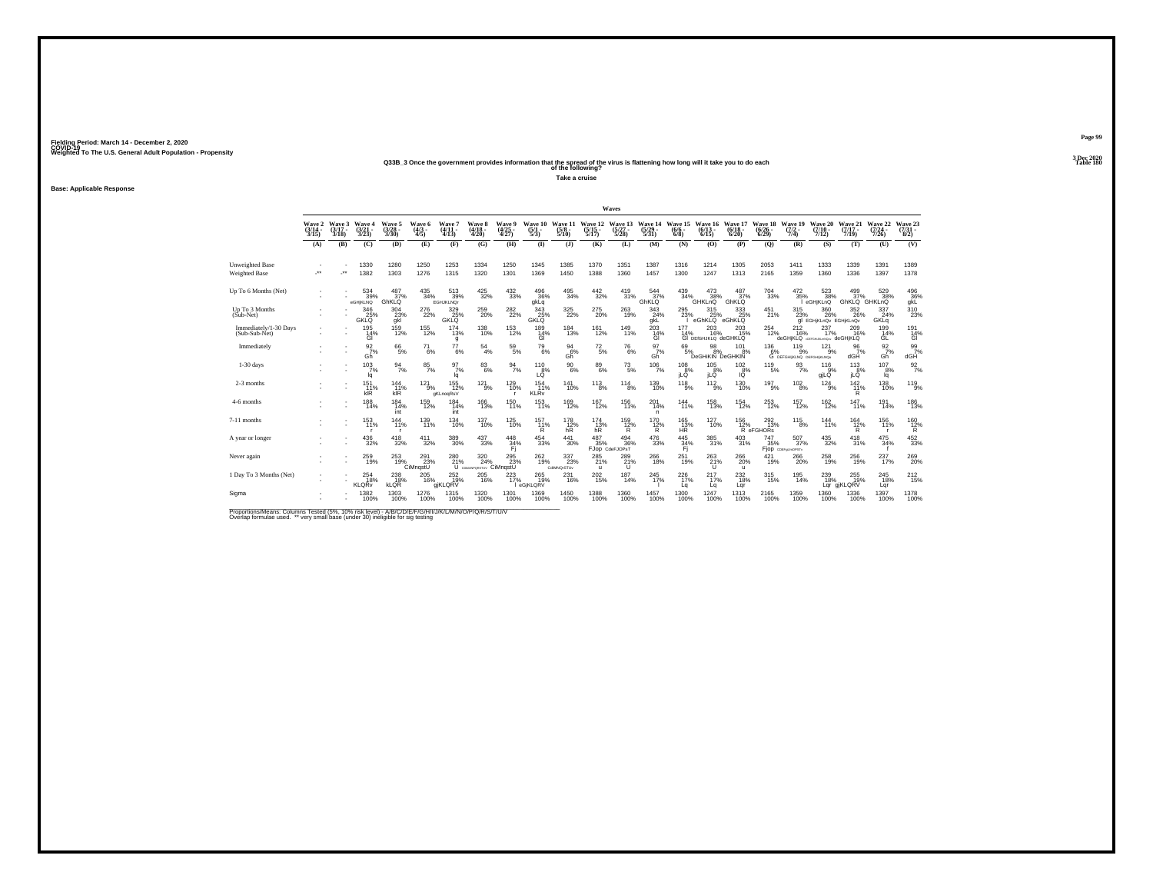# Weighted To The U.S. General Adult Population - Propensity<br>Q33B\_3 Once the government provides information that the spread of the virus is flattening how long will it take you to do each<br>Table 180

**Take a cruise**

**Base: Applicable Response**

|                                         |                                    |                             |                                 |                                 |                                             |                                        |                                              |                                        |                                            |                                  |                                  | Waves                             |                                  |                                    |                                         |                                            |                              |                                                      |                                      |                              |                              |                                                                                |
|-----------------------------------------|------------------------------------|-----------------------------|---------------------------------|---------------------------------|---------------------------------------------|----------------------------------------|----------------------------------------------|----------------------------------------|--------------------------------------------|----------------------------------|----------------------------------|-----------------------------------|----------------------------------|------------------------------------|-----------------------------------------|--------------------------------------------|------------------------------|------------------------------------------------------|--------------------------------------|------------------------------|------------------------------|--------------------------------------------------------------------------------|
|                                         | <b>Wave 2</b><br>$(3/14 -$<br>3/15 | Wave 3<br>$(3/17 -$<br>3/18 | Wave 4<br>$\frac{(3/21)}{3/23}$ | Wave 5<br>$\frac{(3/28)}{3/30}$ | Wave 6<br>$\frac{(4/3)}{4/5}$               | Wave 7<br>$(4/11 -$<br>4/13            | Wave 8<br>$\frac{(4/18)}{4/20}$              | <b>Wave 9</b><br>$\frac{(4/25)}{4/27}$ | Wave 10<br>$\frac{(5/1)}{5/3}$             | Wave 11<br>$\frac{(5/8)}{5/10}$  | Wave 12<br>$\frac{(5/15)}{5/17}$ | Wave 13<br>$\frac{(5/27)}{5/28}$  | Wave 14<br>$\frac{(5/29)}{5/31}$ | Wave 15<br>$(6/6 -$<br>6/8         | Wave 16<br>(6/13)<br>6/15               | Wave 17<br>(6/18)<br>6/20                  | Wave 18<br>$(6/26 -$<br>6/29 | Wave 19<br>$(7/2 -$<br>7/4)                          | Wave 20<br>$(7/10 -$<br>7/12         | Wave 21<br>$(7/17 -$<br>7/19 | Wave 22<br>$(7/24 -$<br>7/26 | Wave 23<br>$(7/31 -$<br>8/2)                                                   |
|                                         | (A)                                | (B)                         | (C)                             | (D)                             | (E)                                         | (F)                                    | (G)                                          | (H)                                    | $\bf{I}$                                   | (3)                              | (K)                              | (L)                               | (M)                              | (N)                                | (0)                                     | (P)                                        | $\mathbf{Q}$                 | (R)                                                  | (S)                                  | (T)                          | (U)                          | (V)                                                                            |
| Unweighted Base<br><b>Weighted Base</b> |                                    |                             | 1330<br>1382                    | 1280<br>1303                    | 1250<br>1276                                | 1253<br>1315                           | 1334<br>1320                                 | 1250<br>1301                           | 1345<br>1369                               | 1385<br>1450                     | 1370<br>1388                     | 1351<br>1360                      | 1387<br>1457                     | 1316<br>1300                       | 1214<br>1247                            | 1305<br>1313                               | 2053<br>2165                 | 1411<br>1359                                         | 1333<br>1360                         | 1339<br>1336                 | 1391<br>1397                 | 1389<br>1378                                                                   |
| Up To 6 Months (Net)                    |                                    |                             | 534<br>39%<br>eGHiKLNQ          | 487<br>37%<br>GhKLQ             | $^{435}_{34\%}$                             | $\frac{513}{39\%}$<br><b>EGHJKLNQr</b> | $^{425}_{32\%}$                              | $^{432}_{\phantom{1}33\%}$             | 496<br>36%<br>gkLq                         | $^{495}_{34\%}$                  | $\frac{442}{32\%}$               | $^{419}_{31\%}$                   | $\frac{544}{37}\%$<br>GhKLQ      | $^{439}_{34\%}$                    | $^{473}_{38\%}$<br>GHKLnQ               | 37%<br>GhKLQ                               | $^{704}_{\ 33\%}$            | $\frac{472}{35\%}$                                   | $\frac{523}{38\%}$<br>eGHjKLnQ       | GhKLQ GHKLnQ                 | 529<br>38%                   | $\begin{array}{c} 496 \\ 36\% \\ \mathrm{g} \mathrm{k} \mathrm{L} \end{array}$ |
| Up To 3 Months<br>$(Sub-Net)$           |                                    |                             | 346<br>340<br>25%<br>GKLQ       | 304<br>$\frac{23}{9}$           | 276<br>22%                                  | 329<br>348%<br>GKLQ                    | $^{259}_{\  \, 20\%}$                        | $^{282}_{\,\,22\%}$                    | 343<br>GKLQ                                | $^{325}_{\,\,22\%}$              | $^{275}_{\  \, 20\%}$            | $^{263}_{\phantom{1}19\%}$        | 343<br>$24\%$ gkL                | 295<br>23%                         | 315<br>eGhKLQ <sup>%</sup>              | 333<br>25%<br>eGhKLQ                       | $^{451}_{21\%}$              | 315<br>23%                                           | 360<br>26%<br>al EGHiKLnQv EGHiKLnQv | 352<br>26%                   | 337<br>24%<br>GKLa           | $\frac{310}{23\%}$                                                             |
| Immediately/1-30 Days<br>(Sub-Sub-Net)  |                                    |                             | $^{195}_{14\%}$<br>GI           | 159<br>12%                      | $^{155}_{12\%}$                             | $^{174}_{13\%}$<br>g                   | $^{138}_{10\%}$                              | $^{153}_{12\%}$                        | 189<br>14%<br>GI                           | $^{184}_{13\%}$                  | 161<br>12%                       | $^{149}_{11\%}$                   | $^{203}_{14\%}$<br>GI            | $\frac{177}{14\%}$                 | $^{203}_{16\%}$<br>GI DEIGHJKLQ deGHKLQ | $^{203}_{15\%}$                            | $^{254}_{\ 12\%}$            | $^{212}_{16\%}$<br>deGHiKLQ deraiun.mow deGHiKLQ     | $^{237}_{17\%}$                      | $^{209}_{16\%}$              | 199 14%<br>GL                | 191<br>14%<br>GI                                                               |
| Immediately                             |                                    |                             | $\frac{92}{7}\%$<br>Gh          | $^{66}_{5\%}$                   | $^{71}_{6\%}$                               | $^{77}_{6\%}$                          | $^{54}_{\ 4\%}$                              | $^{59}_{\ 5\%}$                        | $^{79}_{6\%}$                              | $^{94}_{6\%}$<br>Gh <sup>"</sup> | $^{72}_{\ 5\%}$                  | $^{76}_{\ 6\%}$                   | $\frac{97}{7}\%$<br>Gh           | $^{69}_{5\%}$                      | 98<br>8%<br>DeGHIKIN DeGHKIN            | 101<br>8%                                  |                              | 136 119 121<br>6% 9% 9% 9<br>С регоникимо регоникимо | $^{12}1_{9\%}$                       | $\frac{96}{7}\%$<br>dGH      | $\frac{92}{7}\%$<br>Gĥ       | $\frac{99}{7\%}$<br>dGH                                                        |
| $1-30$ days                             |                                    |                             | 103<br>7%<br>la.                | 94<br>7%                        | 85<br>7%                                    | 97<br>7%<br>lq                         | 83<br>6%                                     | $\frac{94}{7\%}$                       | 110<br>$L^{8%}_{Q}$                        | 90<br>6%                         | 89<br>6%                         | $^{73}_{\ 5\%}$                   | 106<br>7%                        | 108<br>8%<br>iLÖ                   | 105<br>8%<br>jLĞ                        | 102<br>$-8%$<br>IŐ                         | 119<br>5%                    | 93<br>7%                                             | 116<br>9%<br>giLQ                    | 113<br>8%<br>iLĞ             | 107<br>8%<br>lq              | $\frac{92}{7\%}$                                                               |
| 2-3 months                              |                                    |                             | $^{151}_{.11\%}$<br>kIR         | 144<br>11%<br>kIR               | $^{121}_{9\%}$                              | $155$ <sub>12%</sub><br>gKLnogRsV      | $^{12}1_{9\%}$                               | 129<br>10%                             | $^{154}_{11\%}$<br><b>KLR</b> <sub>v</sub> | $\frac{141}{10\%}$               | $^{113}_{8\%}$                   | $^{114}_{8\%}$                    | 139<br>10%                       | 118<br>$-9%$                       | $^{112}_{9\%}$                          | $^{130}_{10\%}$                            | $^{197}_{9\%}$               | $^{102}_{8\%}$                                       | 124<br>9%                            | $^{142}_{11\%}$<br>R         | 138<br>10%                   | 119 <sub>9%</sub>                                                              |
| 4-6 months                              |                                    |                             | 188<br>14%                      | 184<br>14%<br>int               | 159<br>12%                                  | 184<br>14%<br>int                      | 166<br>13%                                   | 150<br>11%                             | 153<br>11%                                 | 169<br>12%                       | 167<br>12%                       | 156<br>11%                        | 201<br>14%<br>n.                 | 144<br>11%                         | 158<br>13%                              | 154<br>12%                                 | 253<br>12%                   | 157<br>12%                                           | 162<br>12%                           | 147<br>11%                   | 191<br>14%                   | 186<br>13%                                                                     |
| 7-11 months                             |                                    |                             | 153<br>11%                      | 144<br>11%<br>- 0               | $^{139}_{11\%}$                             | $^{134}_{10\%}$                        | $^{137}_{10\%}$                              | 125<br>10%                             | $^{157}_{11\%}$<br>$\mathsf{R}$            | 178<br>12%<br>hR                 | 174<br>13%<br>hR                 | 159<br>12%<br>R                   | $^{170}_{12\%}$<br>R             | $^{165}_{13\%}$<br>HR <sup>1</sup> | $^{127}_{10\%}$                         | $^{156}_{12\%}$                            | 292<br>13%<br>R eFGHORs      | $^{115}_{8\%}$                                       | 144%                                 | $\frac{164}{12\%}$<br>R      | 156<br>11%<br><b>r</b>       | 160<br>12%<br>Ŕ.                                                               |
| A year or longer                        |                                    |                             | $^{436}_{32\%}$                 | 418<br>32%                      | $^{411}_{32\%}$                             | $^{389}_{\phantom{1}\phantom{1}30\%}$  | 437<br>33%                                   | $^{448}_{34\%}$<br>Fi                  | $^{454}_{\phantom{1}\phantom{1}33\%}$      | $\frac{441}{30\%}$               | 487<br>35%                       | $^{494}_{36\%}$<br>FJOD CdeFJOPsT | $^{476}_{\phantom{1}33\%}$       | $\frac{445}{34\%}$<br>Fi.          | 385<br>31%                              | $^{403}_{\phantom{1}31\%}$                 | $^{747}_{35\%}$              | 507%<br>Fjop coergumorsty                            | $^{435}_{32\%}$                      | 418<br>31%                   | $\frac{475}{34\%}$           | $^{452}_{\phantom{1}33\%}$                                                     |
| Never again                             |                                    |                             | 259<br>19%                      | 253                             | 291<br>23%<br>$\frac{19\%}{200\%}$ CiMngstU | 280                                    | 320<br>21% 24% 23%<br>U COMMPORSTUY CIMNQSIU | 295<br>23%                             | $^{262}_{19\%}$                            | 337<br>23%<br>CdMNQrSTUv         | 285<br>21%<br>u                  | 289<br>$^{21\%}$                  | 266<br>18%                       | 251<br>19%                         | $^{263}_{\phantom{1}21\%}$              | 266<br>20%<br>$\mathbf{u}$                 | 421<br>19%                   | 266<br>20%                                           | 258<br>19%                           | 256<br>19%                   | 237<br>17%                   | $^{269}_{20\%}$                                                                |
| 1 Day To 3 Months (Net)                 |                                    |                             | $^{254}_{18\%}$<br><b>KLQRv</b> | 238<br>18%<br><b>kLQR</b>       | $^{205}_{16\%}$                             | 252 19%<br>giKLQRV                     | $^{205}_{16\%}$                              | 223<br>17%                             | $^{265}_{19\%}$<br>eGjKLQRV                | $^{231}_{16\%}$                  | 202<br>15%                       | $^{187}_{14\%}$                   | 245<br>17%                       | $^{226}_{17\%}$<br>Lq              | $^{217}_{17\%}$<br>Lq                   | $^{232}_{\color{red}\textbf{18\%}}$<br>Lar | 315 <sub>%</sub>             | $^{195}_{14\%}$                                      | 239<br>18%                           | 255<br>Lgr giKLQRV           | $^{245}_{18\%}$<br>Lar       | $^{212}_{15\%}$                                                                |
| Sigma                                   |                                    |                             | 1382<br>100%                    | 1303<br>100%                    | 1276<br>100%                                | 1315<br>100%                           | 1320<br>100%                                 | 1301<br>100%                           | 1369<br>100%                               | 1450<br>100%                     | 1388<br>100%                     | 1360<br>100%                      | 1457<br>100%                     | 1300<br>100%                       | 1247<br>100%                            | 1313<br>100%                               | 2165<br>100%                 | 1359<br>100%                                         | 1360<br>100%                         | 1336<br>100%                 | 1397<br>100%                 | 1378<br>100%                                                                   |

Proportions/Means: Columns Tested (5%, 10% risk level) - A/B/C/D/E/F/G/H/I/J/K/L/M/N/O/P/Q/R/S/T/U/V<br>Overlap formulae used. \*\* very small base (under 30) ineligible for sig testing

**Page 993 Dec 2020<br>Table 180**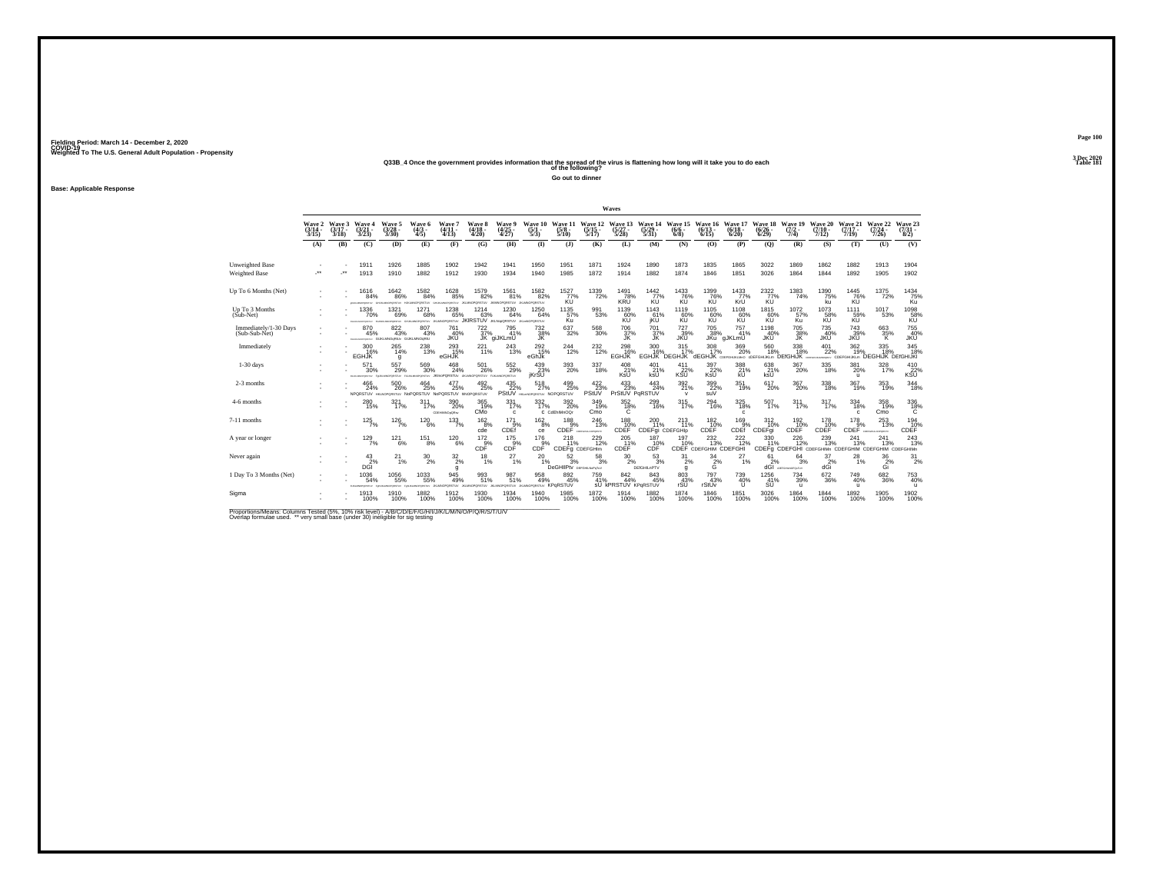# Weighted To The U.S. General Adult Population - Propensity<br>233B\_4 Once the government provides information that the spread of the virus is flattening how long will it take you to do each<br>Table 181

**Go out to dinner**

**Base: Applicable Response**

|                                        |                             |                             |                                             |                                                                      |                                                             |                                     |                                          |                                           |                                                 |                                            |                                  | Waves                                    |                                      |                                                    |                                          |                              |                              |                                                     |                               |                                       |                                         |                                             |
|----------------------------------------|-----------------------------|-----------------------------|---------------------------------------------|----------------------------------------------------------------------|-------------------------------------------------------------|-------------------------------------|------------------------------------------|-------------------------------------------|-------------------------------------------------|--------------------------------------------|----------------------------------|------------------------------------------|--------------------------------------|----------------------------------------------------|------------------------------------------|------------------------------|------------------------------|-----------------------------------------------------|-------------------------------|---------------------------------------|-----------------------------------------|---------------------------------------------|
|                                        | Wave 2<br>$(3/14 -$<br>3/15 | Wave 3<br>$(3/17 -$<br>3/18 | Wave 4<br>$\frac{(3/21)}{3/23}$             | Wave 5<br>$\frac{(3/28)}{3/30}$                                      | Wave 6<br>$(4/3 -$<br>4/5                                   | Wave 7<br>$(4/11 -$<br>4/13         | Wave 8<br>$\frac{(4/18)}{4/20}$          | <b>Wave 9</b><br>$\frac{(4/25)}{4/27}$    | Wave 10<br>$\frac{(5/1)}{5/3}$                  | Wave 11<br>$\frac{(5/8)}{5/10}$            | Wave 12<br>$\frac{(5/15)}{5/17}$ | Wave 13<br>$\frac{(5/27)}{5/28}$         | Wave 14<br>$\frac{(5/29)}{5/31}$     | Wave 15<br>(6/6 -<br>$6/8$ )                       | Wave 16<br>$(6/13 -$<br>6/15             | Wave 17<br>$(6/18 -$<br>6/20 | Wave 18<br>$(6/26 -$<br>6/29 | Wave 19<br>$(7/2 -$<br>7/4)                         | Wave 20<br>$(7/10 -$<br>7/12  | Wave 21<br>$(7/17 -$<br>7/19          | Wave 22<br>$(7/24 -$<br>7/26            | Wave 23<br>$(7/31 -$<br>8/2)                |
|                                        | (A)                         | (B)                         | (C)                                         | (D)                                                                  | (E)                                                         | (F)                                 | (G)                                      | (H)                                       | $\bf{I}$                                        | (3)                                        | (K)                              | (L)                                      | (M)                                  | (N)                                                | (O)                                      | (P)                          | (Q)                          | (R)                                                 | (S)                           | (T)                                   | (U)                                     | (V)                                         |
| Unweighted Base<br>Weighted Base       | J.                          |                             | 1911<br>1913                                | 1926<br>1910                                                         | 1885<br>1882                                                | 1902<br>1912                        | 1942<br>1930                             | 1941<br>1934                              | 1950<br>1940                                    | 1951<br>1985                               | 1871<br>1872                     | 1924<br>1914                             | 1890<br>1882                         | 1873<br>1874                                       | 1835<br>1846                             | 1865<br>1851                 | 3022<br>3026                 | 1869<br>1864                                        | 1862<br>1844                  | 1882<br>1892                          | 1913<br>1905                            | 1904<br>1902                                |
| Up To 6 Months (Net)                   |                             |                             | 1616<br>84%<br>eusancronzur GHJ/LM/OPORETUV | 1642<br>86%                                                          | $^{1582}_{\  \  \, 84\%}$<br>HJKLMNOPORSTLY GHJKLMNOPORSTLY | 1628<br>85%                         | 1579<br>82%<br>JILMADPORSTUV             | 1561<br>81%<br><b>IOPORSTUV</b>           | 1582 <sub>%</sub><br><b>JIGMNOPORSTUV</b>       | $\frac{1527}{77\%}$<br>KU                  | 1339<br>72%                      | $\frac{1491}{78\%}$<br>KRŬ               | $^{1442}_{77\%}$                     | 1433<br>76%<br>KÜ                                  | 1399<br>76%<br>KU                        | 1433<br>KrU                  | $\frac{2322}{77\%}$          | $\frac{1383}{74\%}$                                 | 1390<br>75%<br>ku             | 1445<br>76%<br>KU                     | $^{1375}_{\  \, 72\%}$                  | 1434<br>75%<br>Kü                           |
| Up To 3 Months<br>(Sub-Net)            |                             |                             | 1336<br>70%<br><b>FEHALMORPHTAL</b>         | 1321<br>69%<br>FEHAMLINGPORTER                                       | 1271<br>68%<br>ORGRETUV JALMA                               | 1238<br>65%                         | 1214<br>63%<br>PORSTUV JKIRSTUV          | 1230<br>64%<br>JKLNopQRSTUV JKLmNOPQRSTUV | 1250<br>64%                                     | 1135<br>57%<br>Ku                          | 991<br>53%                       | 1139<br>60%<br>KU                        | 1143<br>61%<br>jKU                   | 1119<br>60%<br>KU                                  | 1105<br>60%<br>KU                        | 1108<br>60%                  | 1815<br>60%<br>KU            | 1072<br>57%<br>Ku                                   | 1073<br>58%<br>KU             | 1111<br>59%<br>KU                     | 1017<br>53%                             | 1098<br>58%                                 |
| Immediately/1-30 Days<br>(Sub-Sub-Net) |                             |                             | 870<br>45%                                  | $822\over 43\%$<br>researcrowny GUIGLMNOgRIUv GUIGLMNOgRIU           | $\substack{807 \\ 43\%}$                                    | 761<br>40%<br><b>JKU</b>            | $^{722}_{37\%}$                          | 795<br>41%<br>JK giJKLmU                  | <sup>732</sup> <sub>38%</sub><br>JK             | $\substack{637\\32\%}$                     | 568<br>30%                       | 706<br>37%<br>JК                         | 701 37%<br><b>JK</b>                 | <sup>727</sup> 39%<br><b>JKU</b>                   | <sup>705</sup> 38%<br>JKu                | 757<br>41%<br>gJKLmU         | 1198<br>40%<br><b>JKU</b>    | 705 38%<br>JK                                       | 735<br>40%<br><b>JKU</b>      | 743<br>39%<br><b>JKU</b>              | 663<br>35%<br>К                         | <sup>755</sup> <sub>40%</sub><br><b>JKU</b> |
| Immediately                            |                             |                             | 300<br>16%<br><b>EGHJK</b>                  | 265<br>14%<br>g                                                      | 238<br>13%                                                  | 293%<br>eGHJK                       | 221<br>11%                               | 243<br>13%                                | $^{292}_{15\%}$<br>eGhJk                        | $^{244}_{12\%}$                            | $^{232}_{12\%}$                  | 298<br>EGHJK                             | 300 16%                              | 315<br>17%<br>EGHJK DEGHJK dEGHJK COEFGHURLMO CDEF | $^{308}_{17\%}$                          | 369<br>20%                   | 560<br>18%                   | 338/18%<br>IUKLIN DEfGHIJK                          | $^{401}_{22\%}$<br>www. CDEEG | 362<br>19%<br><b>HIJKLm</b>           | 335<br>18%<br><b>DEGHIJK DEIGHIJKI</b>  | 345<br>18%                                  |
| $1-30$ days                            |                             |                             | 571<br>30%<br>FOUNDROPORTER FAUNTUM         | 557<br>29%<br><b>VUTBRON</b>                                         | 569<br>30%                                                  | 468<br>24%<br>proximur JKImpPQRSTUv | 501<br>26%<br>UKUWOPORSTUV FUKUWOPORSTUV | 552<br>29%                                | 439<br>23%<br>iKrSU                             | 393<br>20%                                 | 337<br>18%                       | 408<br>$x$ <sup>21%</sup>                | 401<br>21%<br>ksÜ                    | 411<br>$\kappa$ 32%                                | 397<br>22%<br>KsU                        | 388<br>21%<br>kU             | 638<br>21%<br>ksÜ            | 367<br>20%                                          | 335<br>18%                    | 381<br>20%<br>$\mathbf{u}$            | 328<br>17%                              | 410<br>$\kappa$ <sub>SU</sub> %             |
| 2-3 months                             |                             |                             | 466<br>24%                                  | 500<br>26%<br>NPORSTUV HIGAGRORISTUV NoPORSTUV NoPORSTUV HINOPORSTUV | $^{464}_{25\%}$                                             | 477<br>25%                          | $^{492}_{25\%}$                          | $435$<br>$22\%$<br>PStUV                  | 518<br>27%<br>HIGHNOPORSTUV NOPORSTUV           | $^{499}_{25\%}$                            | $\frac{422}{23\%}$<br>PStUV      | $^{433}_{23\%}$<br>PrStUV PqRSTUV        | 443<br>24%                           | 392/21%                                            | 399 22%<br>suV                           | $351$<br>19%                 | $617_{20\%}$                 | $^{367}_{20\%}$                                     | 338<br>18%                    | $\frac{367}{19\%}$                    | 353<br>19%                              | 344<br>18%                                  |
| 4-6 months                             |                             |                             | 280<br>15%                                  | 321<br>17%                                                           | 311<br>17%                                                  | 390<br>20%<br>CDEHMANOpQRsv         | 365<br>19%<br>CMo                        | 331<br>17%<br>c                           | 332<br>17%                                      | 392<br>20%<br>C CdEhiMnOQr                 | 349<br>19%<br>Cmo                | 352<br>18%<br>C                          | 299<br>16%                           | 315<br>17%                                         | 294<br>16%                               | 325<br>18%<br>c              | 507<br>17%                   | 311<br>17%                                          | 317<br>17%                    | 334<br>18%<br>c                       | 358<br>19%<br>Cmo                       | 336<br>$^{18\%}$                            |
| 7-11 months                            |                             |                             | $125$ <sub>7%</sub>                         | 126/7%                                                               | $^{120}_{6\%}$                                              | 133/7%                              | $^{162}_{8\%}$<br>cde                    | $^{171}_{.9\%}$<br>CDEf                   | $^{162}_{8\%}$<br>ce                            | 188<br>9%                                  | 246<br>13%<br>CDEF COMPOSITION   | $^{188}_{19\%}$<br>CDEF                  | 200<br>11%<br><b>CDEFai CDEFGHID</b> | $^{213}_{11\%}$                                    | $^{182}_{10\%}$<br>CDEF                  | $^{169}_{-9\%}$<br>CDEf      | 312<br>10%<br>CDEFai         | $^{192}_{10\%}$<br>CDEF                             | $^{178}_{10\%}$<br>CDEF       | $^{178}_{.9\%}$<br>CDEF GEFORLOPORETY | $^{253}_{13\%}$                         | 194<br>10%<br>CDEF                          |
| A year or longer                       |                             |                             | 129/7%                                      | $121_{6\%}$                                                          | $^{151}_{8\%}$                                              | $^{120}_{6\%}$                      | $\frac{172}{9\%}$<br>CDF                 | $^{175}_{9\%}$<br>CDF                     | $^{176}_{9\%}$<br>CDF                           | 218<br>11%<br>CDEFg CDEFGHIm               | $^{229}_{12\%}$                  | 205<br>11%<br>CDEF                       | 187<br>10%<br>CDF                    | 197<br>10%                                         | $^{232}_{13\%}$<br>CDEF CDEFGHIM CDEFGHI | $^{222}_{12\%}$              | 330<br>11%                   | $^{226}_{12\%}$<br>CDEFg CDEFGHI CDEFGHIMn CDEFGHIM | 239<br>13%                    | 241<br>13%                            | 241<br>13%<br><b>CDEFGHIM CDEFGHIMn</b> | 243                                         |
| Never again                            |                             |                             | 43<br>$D\ddot{S}^2$                         | 21<br>1%                                                             | $^{30}_{\phantom{1}2\%}$                                    | $\frac{32}{2\%}$<br>a               | 18<br>1%                                 | 27<br>1%                                  | 20<br>1%                                        | 52<br>3%<br><b>DeGHIPty</b> DEFGHIJNOPSTVY | 58<br>3%                         | 30<br>2%                                 | 53<br>3%<br><b>DEIGHILAPTV</b>       | 31<br>2%<br>a                                      | 34<br>$\frac{2}{6}$                      | 27<br>1%                     | 61                           | 64<br>3%<br>$\frac{2\%}{dGI}$ $\frac{3\%}{dGI}$     | 37<br>dGi                     | 28<br>1%                              | 36<br>$\frac{2\%}{\text{Gi}}$           | 31<br>2%                                    |
| 1 Day To 3 Months (Net)                |                             |                             | 1036<br>54%<br><b>B. M. MARTHERETH AV</b>   | $^{1056}_{-55\%}$<br><b>MILANOVANO</b> E                             | $^{1033}_{\phantom{1}55\%}$<br><b>ACADEMIC</b>              | 945<br>49%<br>PORSTUV               | $\frac{993}{51\%}$<br>PORSTUV            | 987<br>51%<br><b>VUTZRONC</b>             | $^{958}_{49\%}$<br><b>JILMOPORSTUY KPORSTUV</b> | $\underset{45\%}{^{892}}$                  | 759<br>41%                       | 842<br>44%<br><b>SU KPRSTUV KPGRSTUV</b> | 843<br>45%                           | 803<br>43%<br>rSU                                  | 797<br>43%<br>rStUv                      | 739<br>40%<br>$\mathbf{U}$   | 1256<br>41%<br><b>SU</b>     | $\substack{734 \\ 39\%}$<br>$\mathbf{u}$            | 672<br>36%                    | $^{749}_{40\%}$<br>$\mathbf{u}$       | 682<br>36%                              | $^{753}_{40\%}$<br>$\mathbf{u}$             |
| Sigma                                  |                             |                             | 1913<br>100%                                | 1910<br>100%                                                         | 1882<br>100%                                                | 1912<br>100%                        | 1930<br>100%                             | 1934<br>100%                              | 1940<br>100%                                    | 1985<br>100%                               | 1872<br>100%                     | 1914<br>100%                             | 1882<br>100%                         | 1874<br>100%                                       | 1846<br>100%                             | 1851<br>100%                 | 3026<br>100%                 | 1864<br>100%                                        | 1844<br>100%                  | 1892<br>100%                          | 1905<br>100%                            | 1902<br>100%                                |

Proportions/Means: Columns Tested (5%, 10% risk level) - A/B/C/D/E/F/G/H/I/J/K/L/M/N/O/P/Q/R/S/T/U/V<br>Overlap formulae used. \*\* very small base (under 30) ineligible for sig testing

**Page 1003 Dec 2020<br>Table 181**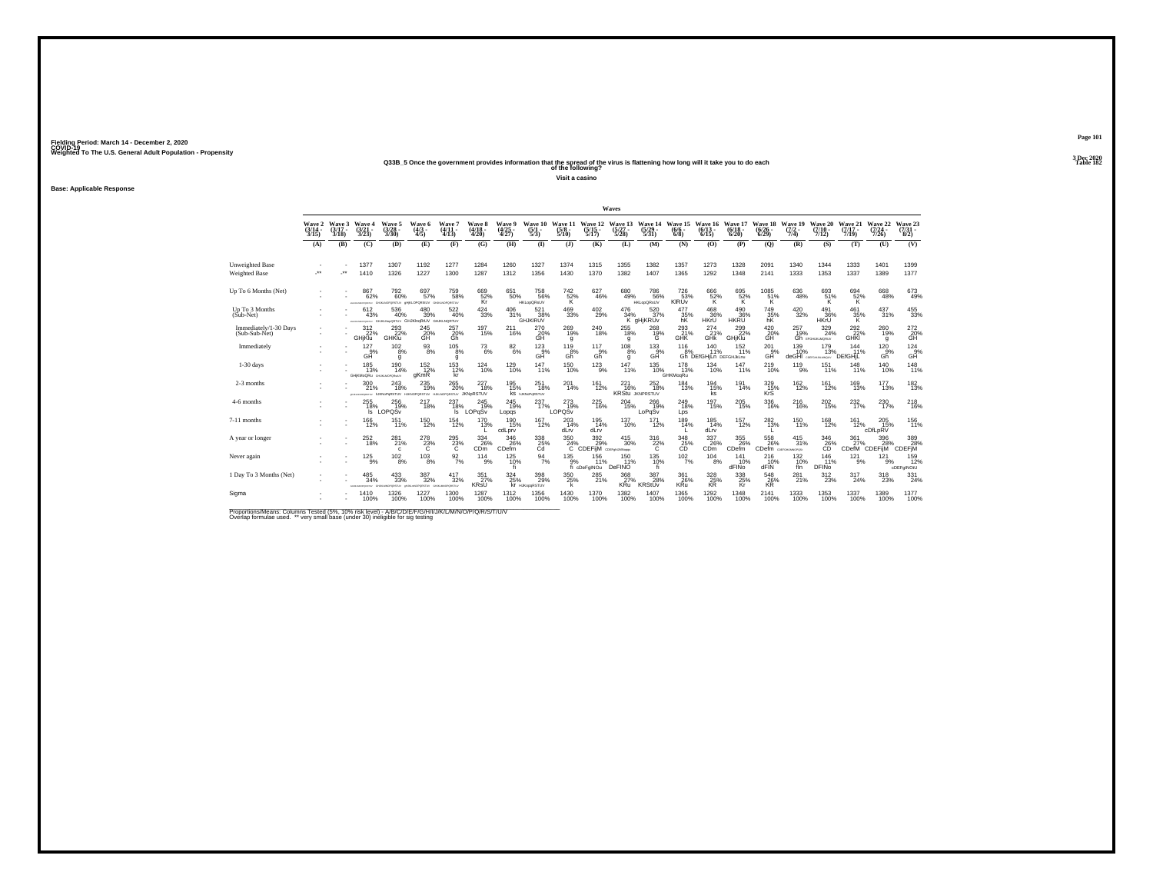# Weighted To The U.S. General Adult Population - Propensity<br>238B\_5 Once the government provides information that the spread of the virus is flattening how long will it take you to do each<br>Table 182

**Visit a casino**

**Base: Applicable Response**

|                                         |                             |                             |                                     |                                                                  |                                            |                                 |                                      |                                 |                                                  |                                 |                                            | Waves                           |                                                      |                                                  |                                       |                               |                                        |                                |                                 |                                |                                      |                                                     |
|-----------------------------------------|-----------------------------|-----------------------------|-------------------------------------|------------------------------------------------------------------|--------------------------------------------|---------------------------------|--------------------------------------|---------------------------------|--------------------------------------------------|---------------------------------|--------------------------------------------|---------------------------------|------------------------------------------------------|--------------------------------------------------|---------------------------------------|-------------------------------|----------------------------------------|--------------------------------|---------------------------------|--------------------------------|--------------------------------------|-----------------------------------------------------|
|                                         | Wave 2<br>$(3/14 -$<br>3/15 | Wave 3<br>$(3/17 -$<br>3/18 | Wave 4<br>$\frac{(3/21)}{3/23}$     | Wave 5<br>$\frac{(3/28)}{3/30}$                                  | Wave 6<br>$\frac{(4/3)}{4/5}$              | Wave 7<br>$\frac{(4/11)}{4/13}$ | Wave 8<br>$(4/18 -$<br>4/20          | Wave 9<br>$\frac{(4/25)}{4/27}$ | Wave 10<br>$\frac{(5/1)}{5/3}$                   | Wave 11<br>$\frac{(5/8)}{5/10}$ | Wave 12<br>$\frac{(5/15)}{5/17}$           | Wave 13<br>(5/27 -<br>5/28)     | Wave 14<br>$\frac{(5/29)}{5/31}$                     | Wave 15<br>$(6/6 -$<br>6/8                       | Wave 16<br>$(6/13 -$<br>6/15          | Wave 17<br>$(6/18 -$<br>6/20  | Wave 18<br>$\frac{(6/26 - 6)}{(6/29)}$ | Wave 19<br>$\frac{(7/2)}{7/4}$ | Wave 20<br>$(7/10 -$<br>7/12    | Wave 21<br>$(7/17 -$<br>7/19   | Wave 22<br>$\frac{(7/24 - 7)}{7/26}$ | Wave 23<br>$\binom{7/31}{8/2}$                      |
|                                         | (A)                         | (B)                         | (C)                                 | (D)                                                              | (E)                                        | (F)                             | (G)                                  | (H)                             | $\mathbf{D}$                                     | (3)                             | (K)                                        | (L)                             | (M)                                                  | (N)                                              | (O)                                   | (P)                           | (Q)                                    | (R)                            | (S)                             | (T)                            | (U)                                  | (V)                                                 |
| Unweighted Base<br><b>Weighted Base</b> | $\ddot{\phantom{1}}$        | $\cdot$                     | 1377<br>1410                        | 1307<br>1326                                                     | 1192<br>1227                               | 1277<br>1300                    | 1284<br>1287                         | 1260<br>1312                    | 1327<br>1356                                     | 1374<br>1430                    | 1315<br>1370                               | 1355<br>1382                    | 1382<br>1407                                         | 1357<br>1365                                     | 1273<br>1292                          | 1328<br>1348                  | 2091<br>2141                           | 1340<br>1333                   | 1344<br>1353                    | 1333<br>1337                   | 1401<br>1389                         | 1399<br>1377                                        |
| Up To 6 Months (Net)                    |                             |                             | 867<br>62%<br>ONENA                 | 792 <sub>60%</sub><br>VUTERO                                     | 697<br>57%<br><b>UPORSUV GIULIOPORSTUV</b> | 759<br>58%                      | 669<br>52%<br>Kr                     | $\substack{651 \\ 50\%}$        | 758<br>56%<br><b>HKLopQRsUV</b>                  | 742%<br>ΪŘ.                     |                                            | 680<br>49%                      | 786<br>56%<br><b>HKLopQRsUV</b>                      | 726<br>53%<br>KIRUV                              | 666<br>52%<br>K                       | $^{695}_{\substack{52\%\\K}}$ | 1085<br>51%<br>K.                      | $^{636}_{48\%}$                | 693<br>51%<br>K                 | $^{694}_{\substack{52\%\\K}}$  | 668<br>48%                           | 673<br>49%                                          |
| Up To 3 Months<br>(Sub-Net)             |                             |                             | 612<br>43%                          | 536<br>40%<br>ANAUNOVALTIV GHUKLNAKORTUV GHJKINGATUV GHJKLNQRTUV | 480<br>39%                                 | 522<br>40%                      | 424<br>33%                           | 406<br>31%                      | 521<br>38%<br><b>GHJKIRUV</b>                    | 469<br>33%                      | $^{402}_{29\%}$                            | 476<br>34%                      | 520<br>37%<br>K gHjKRUv                              | 477<br>35%                                       | 468<br>36%<br>HKrU                    | 490<br>36%<br>HKRU            | 749<br>35%                             | 420<br>32%                     | 491<br>36%<br><b>HKrU</b>       | 461<br>$\frac{35\%}{K}$        | 437<br>31%                           | $^{455}_{\phantom{1}33\%}$                          |
| Immediately/1-30 Days<br>(Sub-Sub-Net)  |                             |                             | $\frac{312}{22\%}$<br><b>GHjKlu</b> | $^{293}_{22\%}$<br>GHKlu                                         | 245<br>20%<br>GH                           | 257<br>20%<br>Gh                | <sup>197</sup> <sub>15%</sub>        | $^{211}_{16\%}$                 | 270<br>20%<br>GĤ                                 | $^{269}_{19\%}$<br>g            | 240<br>18%                                 | $^{255}_{\phantom{1}18\%}$<br>q | 268%<br>Ġ                                            | 293<br>21%<br>GHK                                | $^{274}_{21\%}$<br>GHK                | $^{299}_{22\%}$<br>GHiKlu     | 420%<br>GĤ                             | 257<br>19%                     | 329/24%<br>Gh provisionalism    | $^{292}_{22\%}$<br><b>GHKI</b> | 260<br>19%<br>g                      | 272<br>20%<br>GH                                    |
| Immediately                             |                             |                             | 127<br>$-9%$<br>GĤ                  | $^{102}_{8\%}$<br>g                                              | $\frac{93}{8%}$                            | $^{105}_{8\%}$<br>g             | $^{73}_{6\%}$                        | $\substack{82\\6\%}$            | $^{123}_{9\%}$ GH                                | 119 8%<br>Gĥ                    | $^{117}_{-9\%}$                            | $^{108}_{8\%}$<br>q             | $\overset{133}{\underset{\text{GH}}{\mathcal{B}\%}}$ | $^{116}_{-8\%}$                                  | 140<br>11%<br>Gh DEfGHiLn DEFGHJKLnu  | $152$<br>$11%$                | $^{201}_{\rm GH}$                      | $^{139}_{19\%}$<br>deGHI       | 179<br>13%<br>COEFGHUKLMOUV     | 144<br>11%<br>DEfGHIL          | $^{120}_{.9\%}$<br>Gĥ                | $\overset{124}{\underset{\text{GH}}{\mathsf{9\%}}}$ |
| $1-30$ days                             |                             |                             | 185<br>13%<br>GHKMoQRu GHJKMOPOReUV | 190<br>14%                                                       | $^{152}_{12\%}$<br>aKmR                    | 153<br>12%<br>kr                | 124<br>10%                           | 129<br>10%                      | 147<br>11%                                       | 150<br>10%                      | 123<br>9%                                  | 147<br>11%                      | 135<br>10%                                           | 178<br>13%<br>GHKMoqRu                           | 134<br>10%                            | 147<br>11%                    | 219<br>10%                             | 119<br>9%                      | 151<br>11%                      | 148<br>11%                     | 140<br>10%                           | 148<br>11%                                          |
| 2-3 months                              |                             |                             | $^{300}_{\,21\%}$                   | $^{243}_{18\%}$<br>economy NKNoPoRSTUV HJKNOPORSTUV HJKNO        | $^{235}_{\color{red}\textbf{19\%}}$        | $^{265}_{\,20\%}$               | $^{227}_{18\%}$<br>PORSTUV JKNORSTUV | $^{195}_{15\%}$                 | 251<br>18%<br><b>KS NJKNOPORSTUV</b>             | $^{201}_{14\%}$                 | $^{161}_{12\%}$                            | 221<br>16%                      | 252<br>18%<br><b>KRStu JKNPRSTUV</b>                 | $^{184}_{13\%}$                                  | 194<br>15%<br>ks                      | $^{191}_{14\%}$               | 329<br>15%<br>KrS                      | $^{162}_{12\%}$                | $^{161}_{12\%}$                 | $^{169}_{13\%}$                | 177<br>13%                           | $\frac{182}{13\%}$                                  |
| 4-6 months                              |                             |                             | 255<br>$\frac{18\%}{\mathrm{s}}$    | 256<br>19%<br>LOPQSv                                             | 217<br>18%                                 | 237<br>$\frac{18\%}{\text{ls}}$ | 245<br>19%<br>LOPgSv                 | 245<br>19%<br>Lopgs             | 237<br>17%                                       | 273<br>19%<br>LOPOSV            | 225<br>16%                                 | 204<br>15%                      | 266<br>19%<br>LoPaSy                                 | 249<br>18%<br>Lps                                | 197<br>15%                            | 205<br>15%                    | 336<br>16%                             | 216<br>16%                     | 202<br>15%                      | 232<br>17%                     | 230<br>17%                           | 218<br>16%                                          |
| 7-11 months                             |                             |                             | <sup>166</sup><br>12%               | 151%                                                             | $^{150}_{12\%}$                            | $154 \over 12\%$                | 170<br>13%                           | 190<br>15%<br>cdLprv            | $^{167}_{12\%}$                                  | 203<br>14%<br>dLrv              | 195<br>14%<br>dLrv                         | $^{137}_{10\%}$                 | $^{171}_{12\%}$                                      | 189<br>14%                                       | $^{185}_{14\%}$<br>dLrv               | $^{157}_{12\%}$               | 282%                                   | $^{150}_{11\%}$                | <sup>168</sup> <sub>12%</sub>   | $^{161}_{12\%}$                | 205<br>15%<br>cDfLpRV                | $^{156}_{11\%}$                                     |
| A year or longer                        |                             |                             | $^{252}_{18\%}$                     | 281%<br>$\mathbf{c}$                                             | $^{278}_{-23\%}$                           | $^{295}_{23\%}$                 | $^{334}_{26\%}$<br>CD <sub>m</sub>   | 346 26%<br>CDefm                | $\overset{338}{\underset{\text{Cd}}{\text{25}}}$ | $\frac{350}{24\%}$<br>70        | $\frac{392}{29}\%$<br>CDEFIM COEF PLANNING | $^{415}_{30\%}$                 | $\frac{316}{22\%}$                                   | $\overset{348}{\phantom{1}25\%}_{\phantom{1}CD}$ | $\frac{337}{26\%}$<br>C <sub>Dm</sub> | 355<br>26%<br>CDefm           | 558<br>26%<br>CDefm corroumoros        | $^{415}_{31\%}$                | $^{346}_{26\%}$                 | $\frac{361}{27\%}$<br>CDefM    | 396<br>28%<br>CDEFIM                 | 389%<br>CDEFIM                                      |
| Never again                             |                             |                             | 125<br>9%                           | $^{102}_{8\%}$                                                   | 103<br>8%                                  | $\frac{92}{7\%}$                | 114<br>9%                            | 125<br>10%                      | 94<br>7%                                         | 135<br>9%                       | 156<br>11%<br>fi cDeFgINOu                 | 150<br>11%<br>DeFINO            | 135<br>$^{10\%}$                                     | 102<br>7%                                        | 104<br>8%                             | 141<br>10%<br>dFINo           | 216<br>$d$ FIN $d$                     | 132<br>10%<br>fln              | 146<br>11%<br>DFIN <sub>o</sub> | 121<br>9%                      | 121<br>9%                            | 159<br>12%<br>cDEFgINOtU                            |
| 1 Day To 3 Months (Net)                 |                             |                             | 485<br>34%                          | 433%<br>PORSTLIV                                                 | 387<br>32%<br>PORSTUY                      | 417<br>32%<br>KOPORSTUV         | $\frac{351}{27\%}$<br><b>KRsU</b>    | 324<br>25%<br>kr                | 398<br>29%<br><b>HJKopoRSTUV</b>                 | 350<br>25%<br>k                 | $^{285}_{21\%}$                            | 368<br>27%<br><b>KRu</b>        | 387<br>28%<br><b>KRStUv</b>                          | $\frac{361}{26\%}$<br><b>KRu</b>                 | 328%<br><b>KR</b>                     | 338<br>25%<br>Kr              | 548<br>26%<br><b>KR</b>                | $^{281}_{21\%}$                | $^{312}_{23\%}$                 | 317<br>24%                     | $^{318}_{\phantom{1}23\%}$           | 331<br>24%                                          |
| Sigma                                   |                             |                             | 1410<br>100%                        | 1326<br>100%                                                     | 1227<br>100%                               | 1300<br>100%                    | 1287<br>100%                         | 1312<br>100%                    | 1356<br>100%                                     | 1430<br>100%                    | 1370<br>100%                               | 1382<br>100%                    | 1407<br>100%                                         | 1365<br>100%                                     | 1292<br>100%                          | 1348<br>100%                  | 2141<br>100%                           | 1333<br>100%                   | 1353<br>100%                    | 1337<br>100%                   | 1389<br>100%                         | 1377<br>100%                                        |

Proportions/Means: Columns Tested (5%, 10% risk level) - A/B/C/D/E/F/G/H/I/J/K/L/M/N/O/P/Q/R/S/T/U/V<br>Overlap formulae used. \*\* very small base (under 30) ineligible for sig testing

**Page 1013 Dec 2020<br>Table 182**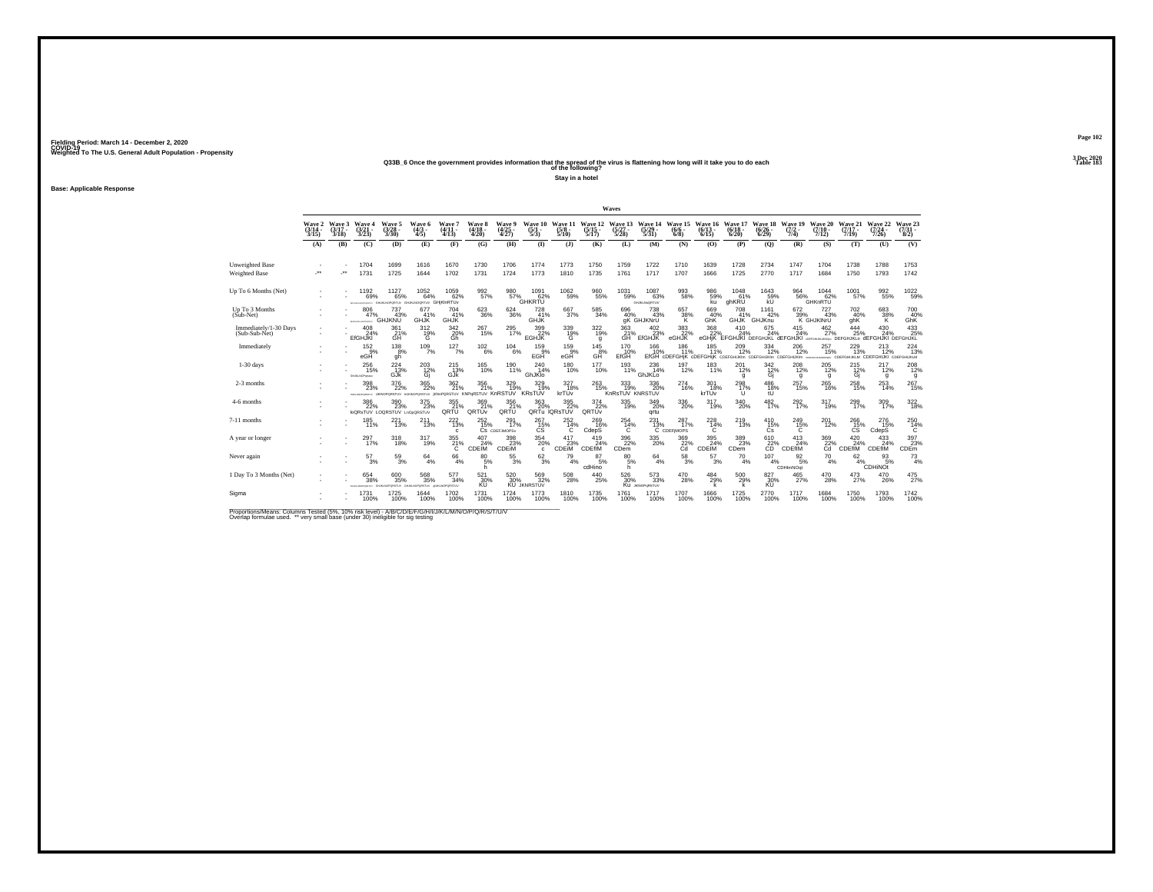# Weighted To The U.S. General Adult Population - Propensity<br>Q33B\_6 Once the government provides information that the spread of the virus is flattening how long will it take you to do each<br>Table 183

**Stay in a hotel**

**Base: Applicable Response**

|                                         |                                 |                                 |                                                         |                                            |                                         |                                    |                                               |                                  |                                 |                                       |                                  | Waves                                 |                                       |                                                                             |                                |                                                                                       |                                        |                                       |                                |                                                                                   |                                  |                                 |
|-----------------------------------------|---------------------------------|---------------------------------|---------------------------------------------------------|--------------------------------------------|-----------------------------------------|------------------------------------|-----------------------------------------------|----------------------------------|---------------------------------|---------------------------------------|----------------------------------|---------------------------------------|---------------------------------------|-----------------------------------------------------------------------------|--------------------------------|---------------------------------------------------------------------------------------|----------------------------------------|---------------------------------------|--------------------------------|-----------------------------------------------------------------------------------|----------------------------------|---------------------------------|
|                                         | Wave 2<br>$\frac{(3/14)}{3/15}$ | Wave 3<br>$\frac{(3/17)}{3/18}$ | Wave 4<br>$\frac{(3/21)}{3/23}$                         | Wave 5<br>$\frac{(3/28)}{3/30}$            | Wave 6<br>$\frac{(4/3)}{4/5}$           | Wave 7<br>$\frac{(4/11)}{4/13}$    | Wave 8<br>$\frac{(4/18)}{4/20}$               | Wave 9<br>$\frac{(4/25)}{4/27}$  | Wave 10<br>$\frac{(5/1)}{5/3}$  | Wave 11<br>$\frac{(5/8)}{5/10}$       | Wave 12<br>$\frac{(5/15)}{5/17}$ | Wave 13<br>$\frac{(5/27)}{5/28}$      | Wave 14<br>$\frac{(5/29)}{5/31}$      | Wave 15<br>$(6/6 -$<br>6/8                                                  | Wave 16<br>$(6/13 -$<br>6/15   | Wave 17<br>$\binom{6/18}{6/20}$                                                       | Wave 18<br>$\frac{(6/26 - 6)}{(6/29)}$ | Wave 19<br>$(7/2 -$<br>7/4)           | Wave 20<br>$(7/10 -$<br>7/12)  | Wave 21<br>$(7/17 -$<br>7/19                                                      | Wave 22<br>$\frac{(7/24)}{7/26}$ | Wave 23<br>$\frac{(7/31)}{8/2}$ |
|                                         | (A)                             | (B)                             | (C)                                                     | (D)                                        | (E)                                     | (F)                                | (G)                                           | (H)                              | $($ $\Gamma$                    | $($ $)$                               | (K)                              | (L)                                   | (M)                                   | (N)                                                                         | (O)                            | (P)                                                                                   | (Q)                                    | (R)                                   | (S)                            | (T)                                                                               | (U)                              | (V)                             |
| Unweighted Base<br><b>Weighted Base</b> | $\ddot{\phantom{1}}$            | $\cdot$                         | 1704<br>1731                                            | 1699<br>1725                               | 1616<br>1644                            | 1670<br>1702                       | 1730<br>1731                                  | 1706<br>1724                     | 1774<br>1773                    | 1773<br>1810                          | 1750<br>1735                     | 1759<br>1761                          | 1722<br>1717                          | 1710<br>1707                                                                | 1639<br>1666                   | 1728<br>1725                                                                          | 2734<br>2770                           | 1747<br>1717                          | 1704<br>1684                   | 1738<br>1750                                                                      | 1788<br>1793                     | 1753<br>1742                    |
| Up To 6 Months (Net)                    |                                 |                                 | 1192<br>69%<br><b>CARACTERS</b>                         | 1127<br>65%<br>GHJALNOPORTUV               | $^{1052}_{64\%}$<br>GHJKLNOGRTUV        | 1059<br>62%<br>GHjKInRTUv          | 992<br>57%                                    | 980<br>57%                       | 1091<br>62%<br><b>GHKRTU</b>    | $^{1062}_{-59\%}$                     | 960<br>55%                       | $^{1031}_{-59\%}$                     | 1087<br>63%<br>GHJKLNoQRTUV           | 993<br>58%                                                                  | 986<br>59%<br>kü               | 1048<br>61%<br>ghKRU                                                                  | 1643<br>59%<br>kU                      | $\frac{964}{56\%}$                    | 1044<br>62%<br>GHKnRTU         | 1001<br>57%                                                                       | 992<br>55%                       | $^{1022}_{-59\%}$               |
| Up To 3 Months<br>(Sub-Net)             |                                 |                                 | 806<br>47%<br>AREA HOWARDS                              | 737<br>43%<br>GHJKNU                       | 677<br>41%<br>GHJK                      | 704<br>41%<br><b>GHJK</b>          | 623<br>36%                                    | 624<br>36%                       | 728<br>41%<br>GHJK              | 667<br>37%                            | 585<br>34%                       | 696<br>40%                            | 738<br>43%<br>aK GHJKNrU              | 657<br>38%                                                                  | 669<br>40%<br>GhK              | 708<br>41%                                                                            | 1161<br>42%<br>GHJK GHJKnu             | 672<br>39%                            | 727<br>43%<br>K GHJKINrU       | 702<br>40%<br>ahK                                                                 | 683<br>38%<br>K                  | 700<br>40%<br><b>GhK</b>        |
| Immediately/1-30 Days<br>(Sub-Sub-Net)  |                                 |                                 | $^{408}_{24\%}$<br><b>EfGHJKI</b>                       | 361%<br>GH                                 | $^{312}_{19\%}$                         | $\frac{342}{20\%}$<br>Gh           | 267<br>15%                                    | $^{295}_{17\%}$                  | 399<br>22%<br><b>EGHJK</b>      | 339%<br>G                             | $322_{19\%}$<br>g                | 363<br>21%<br>GH                      | $^{402}_{23\%}$<br><b>EfGHJK</b>      | 383<br>eGHJK                                                                | 368<br>22%                     | 410<br>24%<br>eGHIK EFGHJKI DEFGHJKL dEFGHJKI GEFGHJKJWON DEFGHJKLO dEFGHJKI DEFGHJKL | 675<br>24%                             | 415<br>24%                            | $^{462}_{27\%}$                | 444<br>25%                                                                        | 430<br>24%                       | $^{433}_{25\%}$                 |
| Immediately                             |                                 |                                 | $^{152}_{.9\%}$<br>eGH                                  | $^{138}_{8\%}$<br>gh                       | $^{109}_{7\%}$                          | 127/7%                             | $^{102}_{6\%}$                                | $^{104}_{6\%}$                   | 159%<br>EGH                     | $^{159}_{9\%}$ eGH                    | 145<br>$GH^{\overset{3}{8}\%}$   | 170<br>10%<br>EfGH                    | 166<br>10%                            | $^{186}_{11\%}$<br>EfGH cDEFGHiK cDEFGHilK среганции среганции среганции с- | $^{185}_{11\%}$                | $^{209}_{12\%}$                                                                       | $334 \atop 12\%$                       | $^{206}_{12\%}$                       | $^{257}_{15\%}$                | $^{229}_{\phantom{1}13\%}$<br><b>HARMOPORU CDEFGHIJKLM CDEFGHIJKI CDEFGHIJKLM</b> | $^{213}_{12\%}$                  | $^{224}_{13\%}$                 |
| $1-30$ days                             |                                 |                                 | 256<br>15%<br>GHJKLNOPombar                             | 224<br>13%<br>GJK                          | 203<br>$^{12\%}_{Gi}$                   | 215<br>13%<br>GJK                  | 165<br>10%                                    | 190<br>11%                       | 240<br>14%<br>GhJKlo            | 180<br>10%                            | 177<br>10%                       | 193<br>11%                            | 236<br>14%<br>GhJKLo                  | 197<br>12%                                                                  | 183<br>11%                     | 201<br>12%<br>a                                                                       | 342<br>$^{12\%}_{Gj}$                  | 208<br>12%<br>g                       | 205<br>12%<br>g                | 215<br>$\frac{12\%}{G}$                                                           | 217<br>12%<br>q                  | $^{208}_{12\%}$<br>g            |
| 2-3 months                              |                                 |                                 | $^{398}_{\phantom{1}23\%}$<br><b>MARINE ARRANGEMENT</b> | 376<br>22%<br>UKNOPORSTUV                  | 365<br>22%<br>NJKNOPORSTUV IKNOF        | $362_{21\%}$                       | 356<br>21%<br><b>GRSTUV KNPGRSTUV KnRSTUV</b> | 329/19%                          | 329 19%<br><b>KRsTUV</b>        | 327<br>18%<br>krTUv                   | $^{263}_{15\%}$                  | 333/19%<br>KnRsTUV KNRSTUV            | $^{336}_{\phantom{1}\phantom{1}20\%}$ | $^{274}_{16\%}$                                                             | $^{301}_{18\%}$<br>krTUv       | 298<br>$\mathbf{U}$                                                                   | 486<br>18%<br>tŪ                       | $^{257}_{15\%}$                       | 265<br>16%                     | 258<br>15%                                                                        | 253<br>14%                       | $^{267}_{15\%}$                 |
| 4-6 months                              |                                 |                                 | 386<br>22%                                              | 390<br>23%<br>loQRsTUV LOQRSTUV LnOpQRSTUV | 375<br>23%                              | 355<br>QRTU <sup>21%</sup>         | 369<br>21%<br>QRTUv                           | 356<br>QRTU <sup>21%</sup>       | 363                             | 395<br>20% 22%<br>QRTu IQRsTUV        | 374<br>22%<br>QRTUV              | 335<br>19%                            | 349<br>20%<br>grtu                    | 336<br>20%                                                                  | 317<br>19%                     | 340<br>20%                                                                            | 482<br>17%                             | 292<br>17%                            | 317<br>19%                     | 299<br>17%                                                                        | 309<br>17%                       | $\frac{322}{18\%}$              |
| 7-11 months                             |                                 |                                 | $^{185}_{11\%}$                                         | 221<br>13%                                 | $^{211}_{13\%}$                         | $^{222}_{13\%}$<br>c               | $^{252}_{15\%}$                               | $^{291}_{17\%}$<br>CS CDEFJMOPSv | $^{267}_{15\%}$<br>CS           | $^{252}_{14\%}$<br>C                  | 269 16%<br>CdepS                 | $^{254}_{14\%}$<br>C                  | $^{231}_{13\%}$                       | 287 <sub>17%</sub><br>C CDEFIMOPS                                           | 228<br>14%<br>C                | $^{219}_{13\%}$                                                                       | $^{410}_{15\%}$<br>Cs                  | $^{249}_{15\%}$<br>C                  | $^{201}_{12\%}$                | $^{266}_{15\%}$<br><b>CS</b>                                                      | $^{276}_{15\%}$<br>CdepS         | 250<br>14%<br>C                 |
| A year or longer                        |                                 |                                 | 297 <sub>06</sub>                                       | 318 <sub>0%</sub>                          | $^{317}_{19\%}$                         | $^{355}_{21\%}$                    | 407<br>24%<br><b>CDEIM</b>                    | 398<br>23%<br>CDEIM              | $^{354}_{20\%}$<br>$\mathbf{c}$ | $\frac{417}{23\%}$<br><b>CDEIM</b>    | 419<br>24%<br><b>CDEfiM</b>      | 396<br>22%<br>CD <sub>em</sub>        | 335<br>20%                            | $\overset{369}{\underset{\text{Cd}}{\text{22}\%}}$                          | $\frac{395}{34\%}$<br>CDEM     | $\frac{389}{23\%}$<br>CD <sub>em</sub>                                                | 610<br>22%<br>CD                       | 413<br>24%<br>CDEfIM                  | $\underset{\text{Cd}}{^{369}}$ | 420<br>24%<br>CDEfiM                                                              | 433<br>24%<br>CDEfIM             | 397<br>23%<br>CDEm              |
| Never again                             |                                 |                                 | 57<br>3%                                                | $^{59}_{\ 3\%}$                            | 64<br>4%                                | 66<br>4%                           | 80<br>5%<br>h                                 | 55<br>3%                         | $\frac{62}{3\%}$                | 79<br>4%                              | 87<br>5%<br>cdHino               | 80<br>5%<br>h                         | 64<br>4%                              | $^{58}_{\ 3\%}$                                                             | 57<br>3%                       | 70<br>4%                                                                              | 107<br>4%                              | $\frac{92}{5\%}$<br>CDHImNOqt         | 70<br>4%                       | 62                                                                                | 93<br>5%<br>$4\%$ CDHINOT        | $^{73}_{4\%}$                   |
| 1 Day To 3 Months (Net)                 |                                 |                                 | 654<br>38%                                              | 600<br>35%<br>GIUKUKOPORSTUV               | $\substack{568\\35\%}$<br>VUTBRORSEN AN | 577<br>34%<br><b>GUILNOPORSTUV</b> | 521<br>30%<br>KÜ                              | 520 30%<br><b>KU</b>             | 569<br>32%<br><b>JKNRSTUV</b>   | $^{508}_{\phantom{1}\phantom{1}28\%}$ | $^{440}_{25\%}$                  | $^{526}_{\phantom{1}\phantom{1}30\%}$ | $^{573}_{33\%}$<br>Ku JONOPORSTUV     | $^{470}_{28\%}$                                                             | $^{484}_{29\%}$<br>$\mathbf k$ | $^{500}_{29\%}$                                                                       | 827<br>30%<br>KÜ                       | $^{465}_{\phantom{1}\phantom{1}27\%}$ | 470<br>28%                     | $^{473}_{27\%}$                                                                   | 470<br>26%                       | $^{475}_{27\%}$                 |
| Sigma                                   |                                 |                                 | 1731<br>100%                                            | 1725<br>100%                               | 1644<br>100%                            | 1702<br>100%                       | 1731<br>100%                                  | 1724<br>100%                     | 1773<br>100%                    | 1810<br>100%                          | 1735<br>100%                     | 1761<br>100%                          | 1717<br>100%                          | 1707<br>100%                                                                | 1666<br>100%                   | 1725<br>100%                                                                          | 2770<br>100%                           | 1717<br>100%                          | 1684<br>100%                   | 1750<br>100%                                                                      | 1793<br>100%                     | 1742<br>100%                    |

Proportions/Means: Columns Tested (5%, 10% risk level) - A/B/C/D/E/F/G/H/I/J/K/L/M/N/O/P/Q/R/S/T/U/V<br>Overlap formulae used. \*\* very small base (under 30) ineligible for sig testing

**Page 102**3 Dec 2020<br>Table 183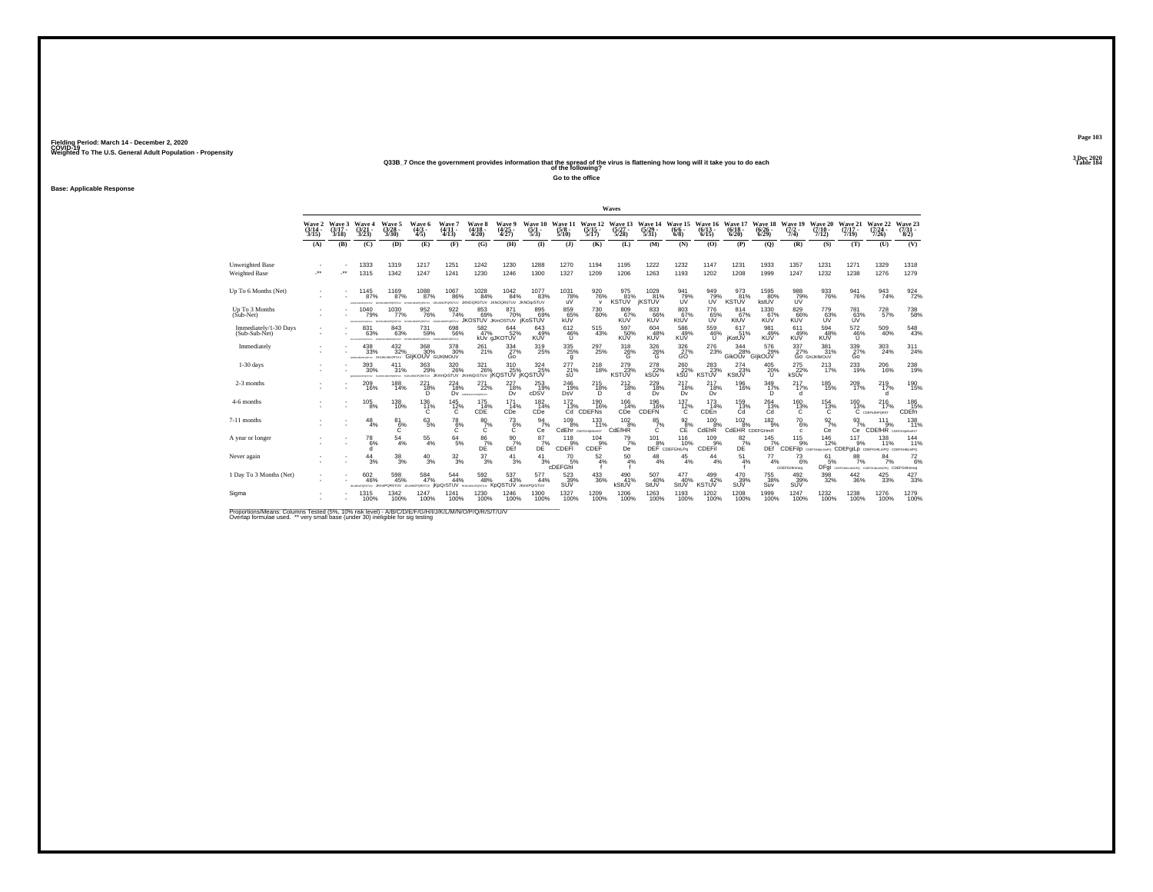# Weighted To The U.S. General Adult Population - Propensity<br>233B\_7 Once the government provides information that the spread of the virus is flattening how long will it take you to do each<br>Table 154

**Go to the office**

**Base: Applicable Response**

|                                         |                             |                             |                                           |                                                                              |                                               |                                                    |                                                      |                                   |                                |                                 |                                       | Waves                            |                                     |                                |                                     |                                  |                              |                                   |                                |                                                                       |                                             |                                |
|-----------------------------------------|-----------------------------|-----------------------------|-------------------------------------------|------------------------------------------------------------------------------|-----------------------------------------------|----------------------------------------------------|------------------------------------------------------|-----------------------------------|--------------------------------|---------------------------------|---------------------------------------|----------------------------------|-------------------------------------|--------------------------------|-------------------------------------|----------------------------------|------------------------------|-----------------------------------|--------------------------------|-----------------------------------------------------------------------|---------------------------------------------|--------------------------------|
|                                         | Wave 2<br>$(3/14 -$<br>3/15 | Wave 3<br>$(3/17 -$<br>3/18 | Wave 4<br>$(3/21 -$<br>3/23               | Wave 5<br>$\frac{(3/28)}{3/30}$                                              | Wave 6<br>$(4/3 -$<br>4/5                     | Wave?<br>$(4/11 -$<br>(4/13)                       | Wave 8<br>$(4/18 -$<br>4/20                          | Wave 9<br>$\binom{4/25}{4/27}$    | Wave 10<br>$\frac{(5/1)}{5/3}$ | Wave 11<br>$\frac{(5/8)}{5/10}$ | Wave 12<br>$\frac{(5/15)}{5/17}$      | Wave 13<br>$\frac{(5/27)}{5/28}$ | Wave 14<br>$\frac{(5/29)}{5/31}$    | Wave 15<br>$(6/6 -$<br>$6/8$ ) | Wave 16<br>$(6/13 -$<br>6/15        | Wave 17<br>$(6/18 -$<br>6/20     | Wave 18<br>$(6/26 -$<br>6/29 | Wave 19<br>$\frac{(7/2)}{7/4}$    | Wave 20<br>$(7/10 -$<br>7/12   | Wave 21<br>$(7/17 -$<br>7/19                                          | Wave 22<br>$\frac{(7/24 - 7)}{7/26}$        | Wave 23<br>$\binom{7/31}{8/2}$ |
|                                         | (A)                         | (B)                         | (C)                                       | (D)                                                                          | (E)                                           | (F)                                                | (G)                                                  | (H)                               | $($ $\Gamma$                   | $($ J $)$                       | (K)                                   | (L)                              | (M)                                 | (N)                            | (O)                                 | (P)                              | (Q)                          | (R)                               | (S)                            | (T)                                                                   | (U)                                         | (V)                            |
| Unweighted Base<br><b>Weighted Base</b> | $\cdot$                     | -**                         | 1333<br>1315                              | 1319<br>1342                                                                 | 1217<br>1247                                  | 1251<br>1241                                       | 1242<br>1230                                         | 1230<br>1246                      | 1288<br>1300                   | 1270<br>1327                    | 1194<br>1209                          | 1195<br>1206                     | 1222<br>1263                        | 1232<br>1193                   | 1147<br>1202                        | 1231<br>1208                     | 1933<br>1999                 | 1357<br>1247                      | 1231<br>1232                   | 1271<br>1238                                                          | 1329<br>1276                                | 1318<br>1279                   |
| Up To 6 Months (Net)                    |                             |                             | 1145<br>87%<br>Chairman MacPowler (Print) | 1169<br>87%                                                                  | 1088<br>87%<br><b>University</b>              | $^{1067}_{\  \  \, 86\%}$<br>WIGPORSTUV            | $^{1028}_{84\%}$<br>JKNOQRSTUV JKNOQRSTUV JKNOqrSTUV | $^{1042}_{84\%}$                  | 1077<br>83%                    | $\frac{1031}{78\%}$<br>uV       | 920<br>76%<br>$\mathsf{v}$            | 975<br>81%<br><b>KSTUV</b>       | 1029<br>81%<br><b><i>IKSTUV</i></b> | 941<br>79%<br>UV               | 949%<br>ÚŬ                          | 973<br>81%<br>KSTŪV              | 1595<br>80%<br>kstUV         | 988<br>79%<br>UV                  | 933<br>76%                     | $\frac{941}{76\%}$                                                    | 943<br>74%                                  | $\frac{924}{72\%}$             |
| Up To 3 Months<br>(Sub-Net)             |                             |                             | 1040<br>79%                               | 1030<br>77%<br>FINANCYCRETA: GHJALMACPORETAY GHJALMACPORETAY GNJALMACPORETAY | 952<br>76%                                    | 922<br>74%                                         | 853<br>69%<br>JKOSTUV JKmOSTUV IKOSTUV               | 871<br>70%                        | 895<br>69%                     | 859<br>65%<br>kUV               | 730<br>60%                            | 809<br>KUV                       | 833<br>66%<br>KUV                   | 803<br>67%<br>KtUV             | 776<br>65%                          | 814<br>KtUV                      | 1330<br>67%<br>KUV           | 829<br>66%<br>KŬŸ                 | 779<br>63%                     | 781<br>63%                                                            | 728<br>57%                                  | $\substack{738 \\ 58\%}$       |
| Immediately/1-30 Days<br>(Sub-Sub-Net)  |                             |                             | 831<br>63%<br><b>PERSONATORISTS</b>       | 843<br>63%<br>workseprostry dragancrostry dragancrostry                      | <sup>731</sup> 59%                            | 698<br>56%                                         | 582 <sub>9%</sub>                                    | $644 \over 52\%$<br>kUv gJKOTUV   | 643<br>49%<br><b>KUV</b>       | 612/46%<br>U                    | 515<br>43%                            | 597<br>50%<br><b>KUV</b>         | 604<br>48%<br>KUV                   | 586<br>49%<br><b>KUV</b>       | 559<br>46%<br>U                     | 617<br>51%<br>jKotUV             | 981<br>49%<br><b>KUV</b>     | 611<br>49%<br><b>KUV</b>          | 594<br>48%<br><b>KUV</b>       | 572<br>46%<br>U                                                       | 509<br>40%                                  | $^{548}_{43\%}$                |
| Immediately                             |                             |                             | 438<br>33%                                | $^{432}_{32\%}$<br>SUSIMOUT GILIKLANDRTUV GIJKOUV GIJKIMOUV                  | 368<br>30%                                    | 378<br>30%                                         | 261<br>21%                                           | $\frac{334}{27\%}$                | $^{319}_{25\%}$                | $\substack{335 \\ 25\%}$<br>g   | 297 <sub>25%</sub>                    | 318<br>$^{26}_{6}$               | $^{326}_{-26\%}$                    | 326<br>$\frac{27}{60}$         | $^{276}_{23\%}$                     | 344<br>28%<br>GikOUv GljkOUV     | 576<br>29%                   | $\frac{337}{27}\%$                | 381/31%<br><b>GO GHUKIMOUV</b> | $\frac{339}{27\%}$<br>Go                                              | 303<br>24%                                  | 311<br>24%                     |
| $1-30$ days                             |                             |                             | 393<br>30%<br>OPORZELV                    | 411<br>31%<br><b>CRETZ!</b>                                                  | 363<br>29%                                    | 320<br>26%<br>KUKLINGPORSTUV JKmnQrSTUV JKmNQrSTUV | 321<br>26%                                           | 310<br>25%<br>`iKQSTUV`iKQSTUV    | 324<br>25%                     | 277<br>21%<br>sU                | 218<br>18%                            | 279<br>23%<br><b>KSTUV</b>       | 278<br>22%<br>kSUv                  | 260<br>kSU                     | 283<br>KSTUV <sup>23%</sup>         | 274<br>23%<br>KStUV              | 405<br>20%<br>U              | 275<br>22%<br>kSUv                | 213<br>17%                     | 233<br>19%                                                            | 206<br>16%                                  | $^{238}_{19\%}$                |
| 2-3 months                              |                             |                             | $^{209}_{16\%}$                           | $^{188}_{14\%}$                                                              | $^{221}_{18\%}$<br>D                          | <sup>224</sup> <sub>18%</sub>                      | $^{271}_{22\%}$<br>DV consumersement                 | 227<br>18%<br>Dv                  | 253<br>19%<br>cDSV             | $^{246}_{19\%}$<br>DsV          | $^{215}_{18\%}$<br>D.                 | $^{212}_{18\%}$<br>d             | 229 18%<br>Dv                       | $^{217}_{18\%}$<br>Dv          | <sup>217</sup> <sub>18%</sub><br>Dv | 196<br>16%                       | 349<br>17%<br>D              | $^{217}_{17\%}$<br>d              | 185<br>15%                     | 209<br>17%                                                            | 219 17%<br>d                                | 190<br>15%                     |
| 4-6 months                              |                             |                             | 105<br>8%                                 | 138<br>10%                                                                   | 136<br>$^{11\%}$                              | 145<br>$^{12\%}_{C}$                               | 175<br>14%<br>CDE                                    | 171<br>14%<br>CDe                 | 182<br>14%<br>CDe <sup>1</sup> | 172                             | 190<br>16%<br>13% 16%<br>Cd CDEFNs    | 166<br>14%<br>CDe                | 196<br>16%<br><b>CDEFN</b>          | 137<br>$^{12\%}_{C}$           | 173<br>14%<br>CDEn                  | 159<br>13%<br>Ćď                 | 264<br>$^{13\%}_{\text{Cd}}$ | 160<br>$^{13\%}$                  | 154<br>$^{13\%}$               | 160                                                                   | 216<br>$13\%$ $17\%$ C copy in Point<br>17% | 186<br>15%<br>CDEfn            |
| 7-11 months                             |                             |                             | $^{48}_{4\%}$                             | $^{81}_{6\%}$<br>Ċ                                                           | 63/5%                                         | $^{78}_{6\%}$<br>Ċ                                 | $^{80}_{7\%}$<br>C                                   | $^{73}_{6\%}$<br>C                | $\frac{94}{7\%}$<br>Сe         | $^{109}_{8\%}$                  | $^{133}_{11\%}$<br>CdEhr corronancest | $^{102}_{8\%}$<br>CdEfHR         | $\frac{85}{7}\%$<br>C               | $\frac{92}{8%}$<br>CE          | $^{100}_{8\%}$<br>CdEhR             | $^{102}_{8\%}$<br>CdEHR CDEFGHmR | $^{182}_{9\%}$               | <sup>70</sup> <sub>6%</sub><br>c. | $\frac{92}{7}\%$<br>Сe         | $\frac{93}{7}\%$<br>Ce                                                | 111<br>9%<br><b>CDEfHR</b> COEFGHANGRST     | 138<br>11%                     |
| A year or longer                        |                             |                             | $^{78}_{6\%}$<br>d                        | $^{54}_{\ 4\%}$                                                              | 55<br>4%                                      | $^{64}_{5\%}$                                      | $\frac{86}{7}\%$ DE                                  | $\frac{90}{7}\%$<br>DEf           | 87<br>$D$ E <sup>7%</sup>      | 118<br>CDEFI                    | 104<br>9%<br>CDEF                     | $^{79}_{7\%}$<br>De              | 101<br>8%                           | 116<br>10%<br>DEF CDEFGhILPg   | $^{109}_{-9\%}$<br>CDEFil           | $\frac{82}{7}\%$<br>DĖ           | 145<br>DEf <sup>1</sup>      | $^{115}_{9\%}$                    | 146<br>12%                     | 117<br>9%<br>CDEFIID COEFGIBLINERS CDEFGILD CDEFGHILIMPO CDEFGHILLMPO | 138<br>11%                                  | 144%                           |
| Never again                             |                             |                             | 44<br>3%                                  | 38<br>3%                                                                     | 40<br>3%                                      | $\frac{32}{3\%}$                                   | 37<br>3%                                             | 41<br>3%                          | 41<br>3%                       | 70<br>5%<br>cDEFGhi             | 52<br>4%                              | 50<br>4%                         | 48<br>4%                            | 45<br>4%                       | 44<br>4%                            | 51<br>4%                         | 77<br>4%                     | 73<br>6%<br>CDEFGHImnog           | 61<br>5%                       | 88<br>7%<br>DFgi согланились соглавшимого СDEFGHImnog                 | 84<br>7%                                    | $^{72}_{6\%}$                  |
| 1 Day To 3 Months (Net)                 |                             |                             | 602<br>46%<br>WTERPORAMUS.                | 598<br>45%<br><b>JKmnPQRSTUV</b>                                             | 584<br>47%<br><b>JILMNOPORSTUV IKDQI'STUV</b> | $^{544}_{44\%}$                                    | 592<br>48%<br>WITERORDMAN AVE                        | 537<br>43%<br>KpQSTUV JKmnPQrSTUV | 577<br>44%                     | $\frac{523}{39\%}$<br>SUV       | 433<br>36%                            | 490<br>41%<br>kStUV              | 507<br>40%<br>StUV                  | 477<br>40%<br>StUV             | 499 42%<br><b>KSTUV</b>             | 470<br>39%<br>SUV                | <sup>755</sup> 38%<br>Suv    | 492/39%<br>SUV                    | $^{398}_{\ 32\%}$              | $^{442}_{\ 36\%}$                                                     | $^{425}_{33\%}$                             | 427/33%                        |
| Sigma                                   |                             |                             | 1315<br>100%                              | 1342<br>100%                                                                 | 1247<br>100%                                  | 1241<br>100%                                       | 1230<br>100%                                         | 1246<br>100%                      | 1300<br>100%                   | 1327<br>100%                    | 1209<br>100%                          | 1206<br>100%                     | 1263<br>100%                        | 1193<br>100%                   | 1202<br>100%                        | 1208<br>100%                     | 1999<br>100%                 | 1247<br>100%                      | 1232<br>100%                   | 1238<br>100%                                                          | 1276<br>100%                                | 1279<br>100%                   |

Proportions/Means: Columns Tested (5%, 10% risk level) - A/B/C/D/E/F/G/H/I/J/K/L/M/N/O/P/Q/R/S/T/U/V<br>Overlap formulae used. \*\* very small base (under 30) ineligible for sig testing

**Page 1033 Dec 2020<br>Table 184**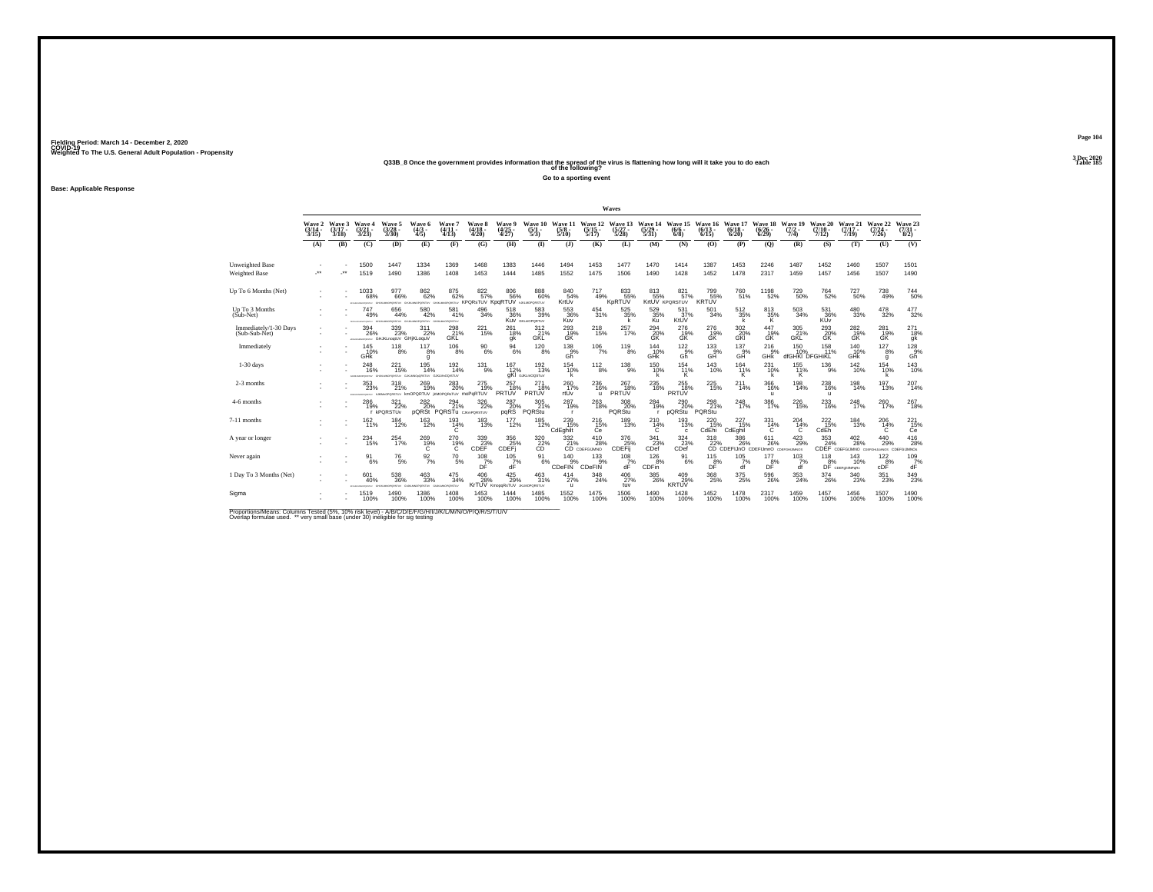# Weighted To The U.S. General Adult Population - Propensity<br>Q33B\_8 Once the government provides information that the spread of the virus is flattening how long will it take you to do each<br>Table 185

**Go to a sporting event**

**Base: Applicable Response**

|                                        |                                 |                                 |                                                                            |                                                 |                                                                           |                                     |                                                      |                                 |                                   |                                 |                                  | Waves                            |                                                                                   |                                 |                                 |                                                                                     |                                  |                                |                                  |                                                   |                                      |                                         |
|----------------------------------------|---------------------------------|---------------------------------|----------------------------------------------------------------------------|-------------------------------------------------|---------------------------------------------------------------------------|-------------------------------------|------------------------------------------------------|---------------------------------|-----------------------------------|---------------------------------|----------------------------------|----------------------------------|-----------------------------------------------------------------------------------|---------------------------------|---------------------------------|-------------------------------------------------------------------------------------|----------------------------------|--------------------------------|----------------------------------|---------------------------------------------------|--------------------------------------|-----------------------------------------|
|                                        | Wave 2<br>$\frac{(3/14)}{3/15}$ | Wave 3<br>$\frac{(3/17)}{3/18}$ | Wave 4<br>$\frac{(3/21)}{3/23}$                                            | Wave 5<br>$\frac{(3/28)}{3/30}$                 | Wave 6<br>$\frac{(4/3)}{4/5}$                                             | Wave 7<br>$\frac{(4/11)}{4/13}$     | Wave 8<br>$\frac{(4/18)}{4/20}$                      | Wave 9<br>$\frac{(4/25)}{4/27}$ | Wave 10<br>$\frac{(5/1)}{5/3}$    | Wave 11<br>$\frac{(5/8)}{5/10}$ | Wave 12<br>$\frac{(5/15)}{5/17}$ | Wave 13<br>$\frac{(5/27)}{5/28}$ | Wave 14<br>$\frac{(5/29)}{5/31}$                                                  | Wave 15<br>$(6/6 -$<br>6/8      | Wave 16<br>$(6/13 -$<br>6/15    | Wave 17<br>$\binom{6/18}{6/20}$                                                     | Wave 18<br>$\frac{(6/26)}{6/29}$ | Wave 19<br>$\frac{(7/2)}{7/4}$ | Wave 20<br>$\frac{(7/10)}{7/12}$ | Wave 21<br>$(7/17 -$<br>7/19                      | Wave 22<br>$\frac{(7/24 - 7)}{7/26}$ | Wave 23<br>$\frac{(7/31)}{8/2}$         |
|                                        | (A)                             | (B)                             | (C)                                                                        | (D)                                             | (E)                                                                       | (F)                                 | (G)                                                  | (H)                             | $\bf{I}$                          | $($ $)$                         | (K)                              | (L)                              | (M)                                                                               | (N)                             | (0)                             | (P)                                                                                 | (Q)                              | (R)                            | (S)                              | (T)                                               | (U)                                  | (V)                                     |
| Unweighted Base<br>Weighted Base       | $\ddot{\phantom{1}}$            | $\cdot$                         | 1500<br>1519                                                               | 1447<br>1490                                    | 1334<br>1386                                                              | 1369<br>1408                        | 1468<br>1453                                         | 1383<br>1444                    | 1446<br>1485                      | 1494<br>1552                    | 1453<br>1475                     | 1477<br>1506                     | 1470<br>1490                                                                      | 1414<br>1428                    | 1387<br>1452                    | 1453<br>1478                                                                        | 2246<br>2317                     | 1487<br>1459                   | 1452<br>1457                     | 1460<br>1456                                      | 1507<br>1507                         | 1501<br>1490                            |
| Up To 6 Months (Net)                   |                                 |                                 | 1033<br>68%<br>www.                                                        | 977<br>66%<br>CRITIN                            | 862 <sub>%</sub><br>ORSTOV                                                | $875\atop62\%$                      | 822%<br>KPORSTUV KDORTUV                             | 806<br>56%                      | $888\atop 60\%$<br>NAME OR STRA   | 84054%<br>KrtUv                 | $^{717}_{49\%}$                  | 8335%<br>KpRTUV                  | 813<br>55%                                                                        | 821%<br>KrtUV KPORSTUV          | 799 55%<br><b>KRTUV</b>         | 760<br>51%                                                                          | 1198<br>52%                      | <sup>729</sup> 50%             | <sup>764</sup> <sub>52%</sub>    | $^{727}_{50\%}$                                   | 738<br>49%                           | 744<br>50%                              |
| Up To 3 Months<br>(Sub-Net)            |                                 |                                 | 747<br>49%                                                                 | 656<br>44%<br>GHJAMOPORETUV                     | 580<br>42%<br>GRASSMOPORETUV                                              | 581<br>41%<br>CPORSTUV              | 496<br>34%                                           | 518<br>36%                      | 583<br>39%<br>KUV GIG HOPORTUV    | 553<br>36%<br>Kuv               | 454<br>31%                       | $\frac{525}{35\%}$               | 529<br>35%<br>Ku                                                                  | 531<br>37%<br>KtUV              | 501<br>34%                      | $^{512}_{35\%}$                                                                     | 813<br>35%<br>K                  | $^{503}_{\phantom{1}34\%}$     | 531<br>36%<br><b>KUV</b>         | 480<br>33%                                        | 478<br>32%                           | $\frac{477}{32\%}$                      |
| Immediately/1-30 Days<br>(Sub-Sub-Net) |                                 |                                 | 394<br>26%                                                                 | 339/23%<br>announcements: GHJKLnogtUV GHjKLoquV | 311<br>22%                                                                | 298<br>21%<br>GKL                   | $^{221}_{15\%}$                                      | 261<br>18%<br>gk                | 312%<br>GKL                       | 293<br>GK                       | $^{218}_{15\%}$                  | 257<br>17%                       | $^{294}_{20\%}$<br>ĞŘ                                                             | 276<br>19%<br>GK                | 276<br>19%<br>GK                | $\frac{302}{20\%}$<br>GKI                                                           | 447<br>19%<br>GK                 | 305<br>21%<br><b>GKL</b>       | 293<br>20%<br>ĞŘ                 | $^{282}_{19\%}$<br>GK                             | 281<br>19%<br>GK                     | 271<br>18%<br>gk                        |
| Immediately                            |                                 |                                 | 145<br>10%<br><b>GHK</b>                                                   | $^{118}_{8\%}$                                  | $^{117}_{8\%}$<br>g                                                       | $^{106}_{8\%}$                      | $^{90}_{6\%}$                                        | $^{94}_{\ 6\%}$                 | $^{120}_{8\%}$                    | $^{138}_{-9\%}$<br>Gĥ           | $^{106}_{7\%}$                   | $^{119}_{8\%}$                   | $\underset{\mathsf{GHK}}{^{144}}$                                                 | $122_{9\%}$<br>Gĥ               | $^{133}_{\  \  \, \mathrm{GH}}$ | 137<br>9%<br>GH                                                                     | 216%<br>GHK                      | 150<br>dfGHKI DFGHiKL          | 158<br>11%                       | 140<br>10%<br>GHK                                 | $^{127}_{8\%}$<br>g                  | $^{128}_{.9\%}$<br>Gh                   |
| $1-30$ days                            |                                 |                                 | 248<br>16%<br><b>CARDON</b>                                                | 221<br>15%<br><b>MARINA</b>                     | 195<br>14%<br>Michiganny                                                  | 192<br>14%<br>GJGMnOQrSTUV          | 131<br>9%                                            | 167<br>12%                      | 192<br>13%<br>gKI GJKLmOQSTuV     | 154<br>10%<br>k                 | $^{112}_{8\%}$                   | $^{138}_{-9\%}$                  | 150<br>10%<br>k                                                                   | 154<br>11%<br>Κ                 | 143<br>10%                      | 164<br>11%<br>к                                                                     | 231<br>10%<br>k                  | 155<br>11%<br>κ                | 136<br>9%                        | 142<br>10%                                        | 154<br>10%<br>k                      | 143<br>10%                              |
| 2-3 months                             |                                 |                                 | $^{353}_{\phantom{1}\phantom{1}23\%}$<br>EDUCATIONS IN VEHICLE AND ARRESTS | 318<br>21%                                      | 269<br>19%<br>kmOPQRTUV iKMOPQRsTUV MOPQRTUV                              | $^{283}_{\,20\%}$                   | $^{275}_{19\%}$                                      | $^{257}_{18\%}$<br>PRTUV        | 271<br>18%<br>PRTUV               | $^{260}_{17\%}$<br>rtUv         | 236<br>16%<br>$\mathbf{u}$       | $^{267}_{18\%}$<br><b>PRTUV</b>  | 235<br>16%                                                                        | 255<br><b>PRTUV</b>             | 225<br>15%                      | $^{211}_{14\%}$                                                                     | 366<br>16%<br>$\mathbf{u}$       | $^{198}_{14\%}$                | $^{238}_{16\%}$<br>$\mathbf{u}$  | $^{198}_{14\%}$                                   | 197<br>13%                           | 207<br>14%                              |
| 4-6 months                             |                                 |                                 | 286<br>19%                                                                 | 321<br>22%<br>r kPQRSTUv                        | 282                                                                       | 294<br>229 PQRSt PQRSTu CJK PQRSTUV | 326<br>22%                                           | 287<br>20%<br>pqRS              | 305<br>21%<br>PQRStu              | 287<br>19%<br><b>r</b>          | 263<br>18%                       | 308<br>20%<br>PQRStu             | 284<br>19%                                                                        | 290<br>20%<br><b>pQRStu</b>     | 298<br>21%<br>PQRStu            | 248<br>17%                                                                          | 386<br>17%                       | 226<br>15%                     | 233<br>16%                       | 248<br>17%                                        | 260<br>17%                           | 267<br>18%                              |
| 7-11 months                            |                                 |                                 | $^{162}_{11\%}$                                                            | $^{184}_{12\%}$                                 | $^{163}_{12\%}$                                                           | $^{193}_{14\%}$<br>C                | 183<br>13%                                           | $^{177}_{12\%}$                 | $^{185}_{12\%}$                   | 239 15%<br>CdEghilt             | $^{216}_{15\%}$<br>Ce            | $^{189}_{13\%}$                  | 210 4%<br>C                                                                       | 193<br>13%<br>c                 | 220<br>15%<br>CdEhi             | $^{227}_{15\%}$<br>CdEghil                                                          | 331<br>14%<br>c                  | 204<br>14%<br>C                | $^{222}_{15\%}$<br>CdEh          | $\frac{184}{13\%}$                                | 206<br>14%<br>C                      | 221<br>15%<br>Ce                        |
| A year or longer                       |                                 |                                 | $^{234}_{15\%}$                                                            | 254<br>17%                                      | $^{269}_{19\%}$                                                           | $^{270}_{19\%}$                     | $\overset{339}{\underset{\text{CDEF}}{\text{23\%}}}$ | 356<br>25%<br>CDEF <sub>j</sub> |                                   | $\frac{332}{21}\%$              | $^{410}_{28\%}$<br>CD CDEFGIJMNO | $^{376}_{25\%}$<br>CDEFij        | $\frac{341}{23\%}$<br>CDef                                                        | $324_{23\%}$<br>CDef            |                                 | 318 386 611 423<br>22% 26% 26% 29%<br>CD CDEFIJnO CDEFIJmnO contra univers<br>386 % | $611_{26\%}$                     | $^{423}_{29\%}$                | $^{353}_{24\%}$                  | $^{402}_{\phantom{1}28\%}$<br>CDEF CDEFGIJMNO CDE | $^{440}_{29\%}$<br>JUMOS CDE         | $^{416}_{28\%}$<br><b>UMNOs</b>         |
| Never again                            |                                 |                                 | 91<br>6%                                                                   | $^{76}_{\ 5\%}$                                 | $\frac{92}{7\%}$                                                          | $^{70}_{\ 5\%}$                     | 108<br>$DT$ %                                        | 105<br>$dF^{\%}$                | 91<br>6%                          | 140<br>9%<br>CDeFIN             | 133<br>9%<br>CDeFIN              | 108<br>7%<br>dÊ                  | 126<br>8%<br>CDFin                                                                | 91<br>6%                        | 115<br>$D_F^{\underline{8}\%}$  | 105<br>df                                                                           | 177<br>$D_F^{\frac{1}{8}\%}$     | 103<br>7%<br>df                | 118                              | 143<br>8% 10%<br>DF CDEFghilNPgRv<br>10%          | $^{122}_{\rm cDF}$                   | $\frac{109}{\text{d} \bar{\text{F}}}$ % |
| 1 Day To 3 Months (Net)                |                                 |                                 | 601<br>40%                                                                 | $^{538}_{36\%}$<br>GHJKLMKOPORSTLV              | $^{463}_{33\%}$<br>GUICUMOPORETUV GIUKLIMOPORETUV                         | $\substack{475 \\ 34\%}$            | $^{406}_{28\%}$<br>KrTUV KmopaRsTUV                  | $^{425}_{29\%}$                 | 463<br>31%<br><b>JKLMOPORSTUV</b> | $^{414}_{27\%}$<br>$\mathbf{u}$ | 348<br>24%                       | $^{406}_{27\%}$<br>tuv           | $^{385}_{\phantom{1}\phantom{1}\phantom{1}\phantom{1}\phantom{1}\phantom{1}26\%}$ | $^{409}_{29\%}$<br><b>KRTUV</b> | $^{368}_{25\%}$                 | $^{375}_{25\%}$                                                                     | 596<br>26%                       | $\substack{353 \\ 24\%}$       | $^{374}_{26\%}$                  | 340<br>23%                                        | 351<br>23%                           | $\frac{349}{23\%}$                      |
| Sigma                                  |                                 |                                 | 1519<br>100%                                                               | 1490<br>100%                                    | 1386<br>100%<br>The second continues of the continues of the state of the | 1408<br>100%                        | 1453<br>100%                                         | 1444<br>100%                    | 1485<br>100%                      | 1552<br>100%                    | 1475<br>100%                     | 1506<br>100%                     | 1490<br>100%                                                                      | 1428<br>100%                    | 1452<br>100%                    | 1478<br>100%                                                                        | 2317<br>100%                     | 1459<br>100%                   | 1457<br>100%                     | 1456<br>100%                                      | 1507<br>100%                         | 1490<br>100%                            |

Proportions/Means: Columns Tested (5%, 10% risk level) - A/B/C/D/E/F/G/H/I/J/K/L/M/N/O/P/Q/R/S/T/U/V<br>Overlap formulae used. \*\* very small base (under 30) ineligible for sig testing

**Page 1043 Dec 2020<br>Table 185**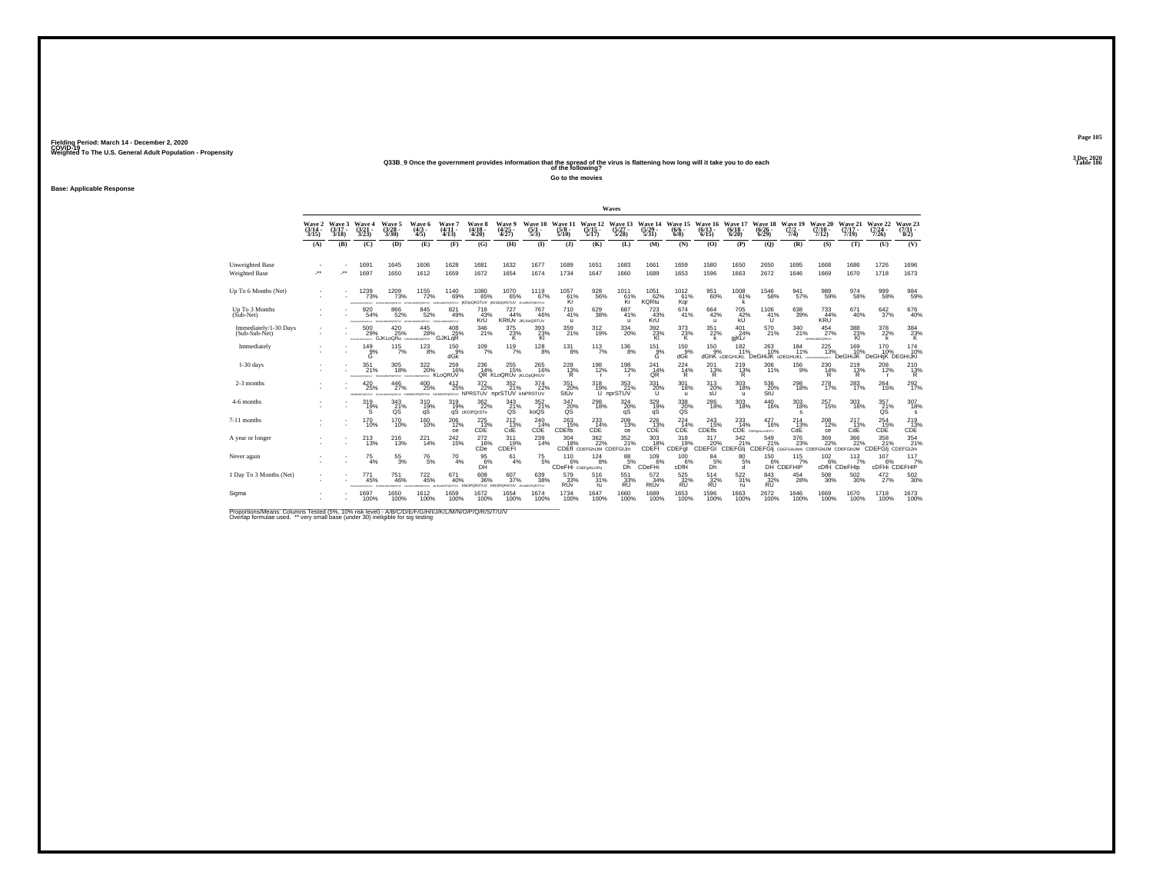# Weighted To The U.S. General Adult Population - Propensity<br>233B\_9 Once the government provides information that the spread of the virus is flattening how long will it take you to do each<br>Table 186

**Go to the movies**

**Base: Applicable Response**

|                                         |                             |                             |                                                |                                                  |                                              |                                                      |                                   |                                           |                                       |                                 |                                             | Waves                            |                                            |                                       |                                 |                                                |                                         |                                                                                                   |                                   |                              |                               |                                 |
|-----------------------------------------|-----------------------------|-----------------------------|------------------------------------------------|--------------------------------------------------|----------------------------------------------|------------------------------------------------------|-----------------------------------|-------------------------------------------|---------------------------------------|---------------------------------|---------------------------------------------|----------------------------------|--------------------------------------------|---------------------------------------|---------------------------------|------------------------------------------------|-----------------------------------------|---------------------------------------------------------------------------------------------------|-----------------------------------|------------------------------|-------------------------------|---------------------------------|
|                                         | Wave 2<br>$(3/14 -$<br>3/15 | Wave 3<br>$(3/17 -$<br>3/18 | Wave 4<br>$\frac{(3/21)}{3/23}$                | Wave 5<br>$\frac{(3/28)}{3/30}$                  | Wave 6<br>$(4/3 -$<br>4/5)                   | Wave 7<br>$(4/11 -$<br>4/13                          | Wave 8<br>$(4/18 -$<br>4/20       | <b>Wave 9</b><br>$\frac{(4/25)}{4/27}$    | Wave 10<br>$\frac{(5/1)}{5/3}$        | Wave 11<br>$\frac{(5/8)}{5/10}$ | Wave 12<br>$\frac{(5/15)}{5/17}$            | Wave 13<br>$\frac{(5/27)}{5/28}$ | Wave 14<br>$\frac{(5/29)}{5/31}$           | Wave 15<br>$(6/6 -$<br>6/8            | Wave 16<br>(6/13)<br>6/15       | Wave 17<br>(6/18)<br>6/20                      | <b>Wave 18</b><br>$(6/26 -$<br>6/29     | Wave 19<br>$(7/2 -$<br>7/4)                                                                       | Wave 20<br>$(7/10 -$<br>7/12)     | Wave 21<br>$(7/17 -$<br>7/19 | Wave 22<br>$(7/24 -$<br>7/26  | Wave 23<br>$\frac{(7/31)}{8/2}$ |
|                                         | (A)                         | (B)                         | (C)                                            | (D)                                              | (E)                                          | (F)                                                  | (G)                               | (H)                                       | $\bf{I}$                              | $($ $)$                         | (K)                                         | (L)                              | (M)                                        | (N)                                   | (0)                             | (P)                                            | (Q)                                     | (R)                                                                                               | (S)                               | (T)                          | (U)                           | (V)                             |
| Unweighted Base<br><b>Weighted Base</b> | $\cdot$                     | -**                         | 1691<br>1697                                   | 1645<br>1650                                     | 1606<br>1612                                 | 1628<br>1659                                         | 1681<br>1672                      | 1632<br>1654                              | 1677<br>1674                          | 1689<br>1734                    | 1651<br>1647                                | 1683<br>1660                     | 1661<br>1689                               | 1659<br>1653                          | 1580<br>1596                    | 1650<br>1663                                   | 2650<br>2672                            | 1695<br>1646                                                                                      | 1668<br>1669                      | 1686<br>1670                 | 1726<br>1718                  | 1696<br>1673                    |
| Up To 6 Months (Net)                    |                             |                             | 1239<br>73%<br><b>ATM NOW</b><br><b>ACATES</b> | <sup>1209</sup> 73%<br><b>CASTLES</b>            | $^{1155}_{-72\%}$                            | 1140<br>69%<br>OPORSTLY GIUSLINGPORSTLY IKIODORSTLIV | 1080<br>65%                       | 1070<br>65%<br>IKInOpORSTUV JILMNOPORSTUV | 1119<br>67%                           | $^{1057}_{61\%}$<br>Kr          | $^{928}_{56\%}$                             | 1011<br>61%<br>Κr                | $1051$ 62%<br><b>KQRtu</b>                 | $^{1012}_{61\%}$<br>Kar               | $^{951}_{60\%}$                 | $^{1008}_{61\%}$                               | <sup>1546</sup> 58%                     | $\frac{941}{57\%}$                                                                                | 989<br>59%                        | $\frac{974}{58\%}$           | 999<br>58%                    | $\frac{984}{59\%}$              |
| Up To 3 Months<br>(Sub-Net)             |                             |                             | 920<br>54%                                     | 866<br>52%<br><b>PORSTLIV</b>                    | 845<br>52%<br>CRETUY ON                      | 821<br>49%<br>LMNOPORSTUV                            | 718<br>43%<br>KrÜ                 | 727<br>44%                                | 767<br>46%<br><b>KRIUV JKLNOQRTUV</b> | 710<br>41%<br>$\mathbf{u}$      | 629<br>38%                                  | 687<br>41%<br>$\mathbf{u}$       | 723<br>43%<br>KrÜ                          | 674<br>41%                            | 664<br>42%<br>u                 | 705<br>42%<br>kŪ                               | 1106<br>41%<br>π                        | 638<br>39%                                                                                        | 733<br>44%<br><b>KRU</b>          | 671<br>40%                   | 642<br>37%                    | $^{676}_{40\%}$                 |
| Immediately/1-30 Days<br>(Sub-Sub-Net)  |                             |                             | $^{500}_{29\%}$<br>DISHAMARKEEN                | $^{420}_{25\%}$<br><b>GJKLoQRU</b> GHUNLMOLORTUY | $^{445}_{28\%}$                              | $^{408}_{25\%}$<br>GJKLqR                            | 346<br>21%                        | $\frac{375}{23\%}$<br>к                   | $393 \atop 23\%$<br>KI                | 359/21%                         | $^{312}_{19\%}$                             | $\frac{334}{20\%}$               | 392 %<br>KI                                | $\frac{373}{23\%}$<br>K               | $^{351}_{22\%}$<br>k            | $^{401}_{24\%}$<br>gjKLr                       | 570<br>21%                              | 340<br>21%                                                                                        | $^{454}_{27\%}$<br>GILBOARNOORSUV | 388<br>23%<br>KI             | 378<br>22%                    | $\frac{384}{23\%}$ K            |
| Immediately                             |                             |                             | $\frac{149}{9\%}$                              | $115$ <sub>7%</sub>                              | $^{123}_{8\%}$                               | $^{150}_{9\%}$<br>dGK                                | $^{109}_{7\%}$                    | 119/7%                                    | $^{128}_{8\%}$                        | $^{131}_{8\%}$                  | $113 \atop 7\%$                             | $^{136}_{\phantom{1}8\%}$        | $\overset{151}{\overset{9}{\phantom{1}8}}$ | 150<br>dGk                            | $^{150}_{.9\%}$                 | 182<br>11%<br>dGhK cDEGHIJKL DeGHIJK cDEGHIJKL | $^{263}_{10\%}$                         | 184<br>11%                                                                                        | 225<br>13%<br>MOVEMY.             | 169<br>DeGHiJK               | 170<br>DeGHiiK DEGHIJKI       | 174<br>10%                      |
| $1-30$ days                             |                             |                             | 351<br>21%<br>FEHALMOPORTAY TELEVISIOPORSTLY   | 305<br>18%                                       | 322<br>20%<br><b>FORLASHOPORTIVE KLOQRUV</b> | 259<br>16%                                           | 236<br>14%                        | 255<br>15%<br>QR KLoQRUV IKLODQRIUV       | 265<br>16%                            | 228<br>$\frac{13}{8}$           | 198<br>12%                                  | 198<br>12%                       | 241<br>14%<br>QR.                          | 224<br>14%<br>R                       | 201<br>$\frac{13}{R}$           | $^{219}_{13\%}$                                | 306<br>11%                              | 156<br>9%                                                                                         | 230<br>$\frac{14}{8}$             | 219<br>$\frac{13\%}{R}$      | 208<br>12%                    | $^{210}_{13\%}$                 |
| 2-3 months                              |                             |                             | $^{420}_{25\%}$<br>IMMINOPORATUV               | 446<br>27%<br>PORTUV                             | $^{400}_{25\%}$<br>CRSTUY                    | $^{412}_{25\%}$<br>VUTZRO                            | $\frac{372}{22\%}$<br>NPRSTUV     | 352<br>21%<br>nprSTUV kNPRSTUV            | 374<br>22%                            | 351<br>20%<br>StUv              | $^{318}_{19\%}$                             | $\frac{353}{21\%}$<br>U nprSTUV  | 331<br>20%<br>U                            | 301<br>18%<br>$\mathbf{u}$            | $^{313}_{20\%}$<br>sU           | $^{303}_{\phantom{1}18\%}$<br>$\mathbf{u}$     | 536<br>20%<br>StÚ                       | 298<br>18%                                                                                        | 278<br>17%                        | $^{283}_{17\%}$              | $^{264}_{\phantom{1}15\%}$    | 292%                            |
| 4-6 months                              |                             |                             | 319<br>$\frac{19}{s}$                          | 343<br>$\frac{21}{9}$ %                          | 310<br>19%<br>qS                             | 319<br>19%                                           | 362<br>22%<br>qS cKOPQrSTv        | 343<br>$\frac{21}{9}$ %                   | 352<br>21%<br>koQS                    | 347<br>20%                      | 298<br>18%                                  | 324<br>20%<br>qS                 | 329<br>19%<br>qS                           | 338<br>20%<br>σš                      | 286<br>18%                      | 303<br>18%                                     | 440<br>16%                              | 303<br>18%<br>s                                                                                   | 257<br>15%                        | 303<br>18%                   | 357<br>21%<br>QS              | 307<br>18%<br>s                 |
| 7-11 months                             |                             |                             | <sup>170</sup> 10%                             | $^{170}_{10\%}$                                  | $^{160}_{10\%}$                              | 206 12%<br>ce                                        | 225<br>CDE                        | $^{212}_{13\%}$<br>CdE                    | 240<br>14%<br>CDE                     | $^{263}_{15\%}$<br>CDEfis       | 233<br>14%<br>CDE                           | 209<br>13%<br>ce                 | $^{226}_{13\%}$<br>CDE                     | 224<br>14%<br>CDE                     | $^{243}_{15\%}$<br>CDEfis       | $^{233}_{14\%}$                                | 427<br>16%<br><b>CDE</b> CDEFORLIVIRSTY | $^{214}_{13\%}$<br>CdE                                                                            | $^{208}_{12\%}$<br>ce             | $^{217}_{13\%}$<br>CdE       | $^{254}_{15\%}$<br>CDE        | $^{219}_{13\%}$ CDE             |
| A year or longer                        |                             |                             | $^{213}_{13\%}$                                | 216<br>13%                                       | $^{221}_{14\%}$                              | $^{242}_{15\%}$                                      | 2726%<br>CDe                      | 311<br>19%<br><b>CDEFI</b>                | $^{239}_{14\%}$                       | $^{304}_{18\%}$                 | $^{362}_{22\%}$<br>CDEfl CDEFGhIJM CDEFGIJm | $\frac{352}{21\%}$               | $^{303}_{18\%}$<br>CDEFI                   | 318<br>CDEFgl                         | 317<br>CDEFGI CDEFGI            | 342                                            |                                         | $\frac{376}{23\%}$<br>549 376 369 366<br>6 21% 23% 22% 22%<br>CDEFGIj срегонцим срегонци срегонци | $\frac{369}{22\%}$                | $\frac{366}{22\%}$           | $\frac{358}{21\%}$<br>CDEFGIj | 354 %<br>CDEFGIJm               |
| Never again                             |                             |                             | 75<br>4%                                       | $^{55}_{3\%}$                                    | $^{76}_{5\%}$                                | 70<br>4%                                             | 95<br>6%<br>DĤ                    | 61<br>4%                                  | 75<br>5%                              | 110<br>6%<br>CDeFHi CDEFGHILOPG | 124<br>8%                                   | 88<br>5%<br>Dh'                  | 109<br>6%<br>CDeFH                         | 100<br>cDfH                           | 84<br>5%<br>Dh                  | 80<br>5%<br>a                                  | 150                                     | 115<br>DH CDEFHIP<br>7%                                                                           | 102                               | 113<br>cDfH CDeFHIp          | 107<br>cDFHi CDEFHIP          | 117<br>7%                       |
| 1 Day To 3 Months (Net)                 |                             |                             | 771<br>45%                                     | 751<br>46%                                       | $^{722}_{45\%}$<br><b>CONTRACT</b>           | 671<br>40%                                           | 608<br>36%<br>GPORSTLV KNOPORSTUV | $^{607}_{37\%}$<br>KINOPORSTUV            | 639<br>38%<br><b>JILMNOPORSTUV</b>    | 579<br>33%<br>RUv               | 516<br>31%<br>ru                            | 551<br>33%<br><b>RU</b>          | $\frac{572}{34\%}$<br>RtÚv                 | $\substack{525 \\ 32\%}$<br><b>RU</b> | $\frac{514}{32\%}$<br><b>RU</b> | $522_{31\%}$<br>ru                             | 843<br>32%<br><b>RU</b>                 | $^{454}_{\  \, 28\%}$                                                                             | $^{508}_{30\%}$                   | $\frac{502}{30\%}$           | $^{472}_{27\%}$               | $^{502}_{30\%}$                 |
| Sigma                                   |                             |                             | 1697<br>100%                                   | 1650<br>100%                                     | 1612<br>100%                                 | 1659<br>100%                                         | 1672<br>100%                      | 1654<br>100%                              | 1674<br>100%                          | 1734<br>100%                    | 1647<br>100%                                | 1660<br>100%                     | 1689<br>100%                               | 1653<br>100%                          | 1596<br>100%                    | 1663<br>100%                                   | 2672<br>100%                            | 1646<br>100%                                                                                      | 1669<br>100%                      | 1670<br>100%                 | 1718<br>100%                  | 1673<br>100%                    |

Proportions/Means: Columns Tested (5%, 10% risk level) - A/B/C/D/E/F/G/H/I/J/K/L/M/N/O/P/Q/R/S/T/U/V<br>Overlap formulae used. \*\* very small base (under 30) ineligible for sig testing

**Page 1053 Dec 2020<br>Table 186**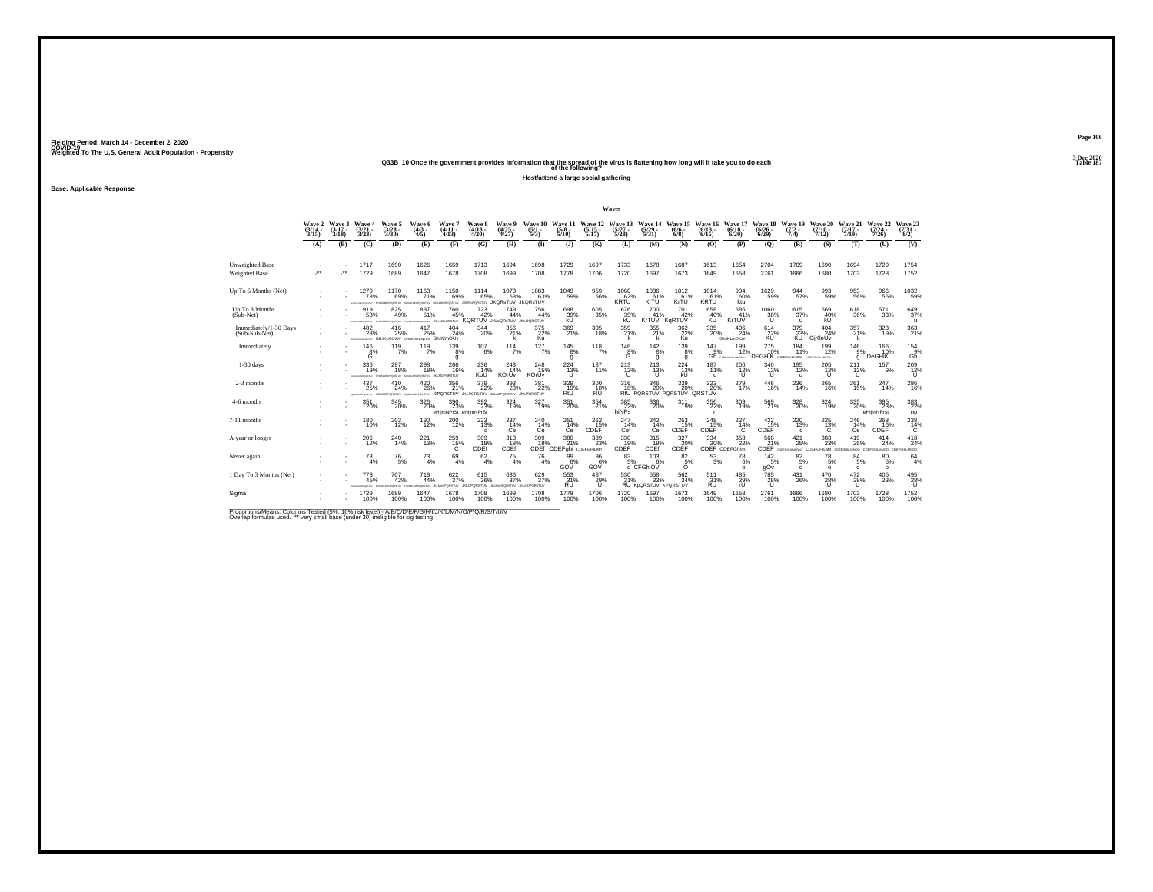Weighted To The U.S. General Adult Population - Propensity<br>Q33B\_10 Once the government provides information that the spread of the virus is flattening how long will it take you to do each<br>Table 187

**Host/attend a large social gathering**

**Base: Applicable Response**

**Page 106**3 Dec 2020<br>Table 187

|                                         |                             |                             |                                        |                                                                  |                                      |                                            |                                            |                                              |                                  |                                          |                                       | Waves                                     |                                         |                                                                     |                                 |                                                        |                                    |                                                            |                               |                                                               |                                  |                                   |
|-----------------------------------------|-----------------------------|-----------------------------|----------------------------------------|------------------------------------------------------------------|--------------------------------------|--------------------------------------------|--------------------------------------------|----------------------------------------------|----------------------------------|------------------------------------------|---------------------------------------|-------------------------------------------|-----------------------------------------|---------------------------------------------------------------------|---------------------------------|--------------------------------------------------------|------------------------------------|------------------------------------------------------------|-------------------------------|---------------------------------------------------------------|----------------------------------|-----------------------------------|
|                                         | Wave 2<br>$(3/14 -$<br>3/15 | Wave 3<br>$(3/17 -$<br>3/18 | Wave 4<br>(3/21<br>3/23)               | Wave 5<br>$\frac{(3/28)}{3/30}$                                  | Wave 6<br>$(4/3 -$<br>4/5            | Wave 7<br>$(4/11 -$<br>4/13                | Wave 8<br>$\frac{(4/18)}{4/20}$            | Wave 9<br>$\frac{(4/25)}{4/27}$              | Wave 10<br>$\frac{(5/1)}{5/3}$   | Wave 11<br>$\frac{(5/8)}{5/10}$          | Wave 12<br>$\frac{(5/15)}{5/17}$      | Wave 13<br>$(5/27 -$<br>5/28              | Wave 14<br>$\frac{(5/29)}{5/31}$        | Wave 15<br>$(6/6 -$<br>6/8                                          | Wave 16<br>$(6/13 -$<br>6/15    | Wave 17<br>$(6/18 -$<br>6/20                           | Wave 18<br>$\frac{(6/26)}{(6/29)}$ | Wave 19<br>$(7/2 -$<br>7/4)                                | Wave 20<br>$(7/10 -$<br>7/12) | Wave 21<br>$(7/17 -$<br>7/19                                  | Wave 22<br>$\frac{(7/24)}{7/26}$ | Wave 23<br>$\binom{7/31}{8/2}$    |
|                                         | (A)                         | (B)                         | (C)                                    | (D)                                                              | (E)                                  | (F)                                        | (G)                                        | (H)                                          | $($ $\Gamma$                     | $($ $)$                                  | (K)                                   | (L)                                       | (M)                                     | (N)                                                                 | (O)                             | (P)                                                    | (Q)                                | (R)                                                        | (S)                           | (T)                                                           | (U)                              | (V)                               |
| Unweighted Base<br><b>Weighted Base</b> | $\cdot$                     |                             | 1717<br>1729                           | 1690<br>1689                                                     | 1626<br>1647                         | 1659<br>1678                               | 1713<br>1708                               | 1694<br>1699                                 | 1698<br>1708                     | 1729<br>1778                             | 1697<br>1706                          | 1733<br>1720                              | 1678<br>1697                            | 1687<br>1673                                                        | 1613<br>1649                    | 1654<br>1658                                           | 2704<br>2761                       | 1709<br>1666                                               | 1690<br>1680                  | 1694<br>1703                                                  | 1729<br>1728                     | 1754<br>1752                      |
| Up To 6 Months (Net)                    |                             |                             | 1270<br>73%<br><b>DOM NO</b><br>WARREN | 1170<br>69%<br><b>Norwalnut</b>                                  | 1163<br>71%<br>www.                  | 1150<br>69%<br><b>METORIO</b>              | 1114<br>65%<br>BOMM-DORETTIN               | $^{1073}_{63\%}$<br><b>JKQRsTUV JKQRsTUV</b> | 1083%                            | $^{1049}_{-59\%}$                        | 959<br>56%                            | $^{1060}_{62\%}$<br>KRTU                  | 1036<br>61%<br>KrŤÚ                     | 1012<br>61%<br>KrTU                                                 | 1014<br>61%<br>KRŤÚ             | 994<br>60%<br>ktu                                      | 1629<br>59%                        | 944<br>57%                                                 | 993<br>59%                    | $\substack{953 \\ 56\%}$                                      | 966<br>56%                       | 1032<br>59%                       |
| Up To 3 Months<br>(Sub-Net)             |                             |                             | 919<br>53%                             | 825<br>49%<br>WT2ROoCm.Dit. wrseewaysamaner wrseewaysama         | 837<br>51%                           | 760<br>45%                                 | 723<br>42%<br>KORTUV JKLOORSTUV JKLOORSTUV | 749<br>44%                                   | 756<br>44%                       | 698<br>39%                               | 605<br>35%                            | 676<br>39%<br>kU                          | 700<br>41%                              | 701<br>42%<br>KrTUV KgRTUV                                          | 658<br>40%                      | 685<br>41%<br>KrTUV                                    | 1060<br>38%<br>Tī.                 | 615<br>37%<br>$\mathbf{u}$                                 | 669<br>40%<br>kŨ              | 618<br>36%                                                    | 571<br>33%                       | 649<br>37%<br>$\mathbf{u}$        |
| Immediately/1-30 Days<br>(Sub-Sub-Net)  |                             |                             | 482<br>28%                             | 416<br>25%<br><b>PRIMING AND GHJKLMOUV GHJKLMOUTUV GhiKIMOUV</b> | 417<br>25%                           | $^{404}_{24\%}$                            | $\frac{344}{20\%}$                         | $^{356}_{21\%}$                              | 375<br>22%<br>Ku                 | $\frac{369}{21\%}$                       | 305<br>18%                            | $\frac{359}{21\%}$                        | $355$<br>$21\%$<br>k                    | $\frac{362}{22\%}$<br>Ku                                            | 335<br>20%                      | 406<br>24%<br>GhJKLmOtUV                               | 614<br>22%<br><b>KU</b>            | $\frac{379}{23\%}$<br>KÜ <sup>"</sup>                      | 404<br>24%<br>GiKloUv         | 357<br>21%                                                    | 323/19%                          | 363/21%                           |
| Immediately                             |                             |                             | $^{146}_{8\%}$                         | $^{119}_{7\%}$                                                   | $^{119}_{7\%}$                       | $^{139}_{8\%}$<br>g                        | $^{107}_{6\%}$                             | $114 \atop 7\%$                              | $127/7\%$                        | $145_{8\%}$<br>g                         | $118$ <sub>7%</sub>                   | $\overset{146}{\underset{\text{G}}{8\%}}$ | $142_{8\%}$<br>g                        | $^{139}_{8\%}$<br>a                                                 | $^{147}_{9\%}$<br>Gĥ            | 199<br>12%<br>COSPOHLIKIANOTW                          | 275<br>10%                         | $^{184}_{11\%}$<br><b>DEGHIK CDEFGHUKINN</b> CDEFGHUKUMOTY | 199<br>12%                    | $^{146}_{9\%}$<br>q                                           | 166<br>10%<br><b>DeGHiK</b>      | $^{154}_{.9\%}$<br>Gň             |
| $1-30$ days                             |                             |                             | 336<br>19%                             | 297<br>18%<br>nemu                                               | 298<br>18%                           | 266<br>16%<br><b>PORSTUV JKLMOPORSTUV</b>  | 236<br>14%<br>KoU                          | 243<br>14%<br>KOrUv                          | 248<br>15%<br>KOrÚv              | 224<br>13%<br>ũ                          | 187<br>11%                            | $^{213}_{12\%}$                           | 213<br>13%<br>ΤŪ                        | 224<br>13%<br>kŨ                                                    | 187<br>11%<br>$\mathbf{u}$      | 206<br>12%<br>π                                        | 340<br>$^{12\%}_{U}$               | 195<br>12%<br>$\mathbf{u}$                                 | 205<br>$\frac{12}{11}$        | 211<br>$^{12\%}$                                              | 157<br>9%                        | 209<br>$^{12\%}$                  |
| 2-3 months                              |                             |                             | 437<br>25%<br><b>Build Management</b>  | 410<br>24%<br>an Manpherstow                                     | $^{420}_{26\%}$<br><b>UNIVERSITY</b> | $\frac{356}{21\%}$<br>KIPORSTUV JKLPORSTUV | 379<br>22%                                 | $^{393}_{\phantom{1}\phantom{1}23\%}$        | 381<br>22%<br>PORSTUV JKLPQRSTUV | 329%<br>RtU                              | 300<br>18%<br><b>RU</b>               | $^{316}_{18\%}$                           | $^{346}_{20\%}$                         | $^{339}_{\phantom{1}\phantom{1}20\%}$<br>RtU PORSTUV PORSTUV ORSTUV | 323                             | $^{279}_{17\%}$                                        | 446<br>16%                         | 236<br>14%                                                 | 265<br>16%                    | $^{261}_{15\%}$                                               | 247<br>14%                       | <sup>286</sup> 16%                |
| 4-6 months                              |                             |                             | 351<br>20%                             | 345<br>20%                                                       | 326<br>20%                           | 390<br>23%<br>eHlimNPrSt eHlimNPrSt        | 392<br>23%                                 | 324<br>19%                                   | 327<br>19%                       | 351<br>20%                               | 354<br>21%                            | 385<br>$rac{36}{22}\%$ hiNPs              | 336<br>20%                              | 311<br>19%                                                          | 356<br>22%<br>n.                | $\frac{309}{19\%}$                                     | 569<br>21%                         | 328<br>20%                                                 | 324<br>19%                    | 335<br>20%                                                    | 395<br>23%<br>eHljmNPrst         | $\frac{383}{22\%}$<br>np          |
| 7-11 months                             |                             |                             | $^{180}_{10\%}$                        | 203<br>12%                                                       | 190<br>12%                           | $^{200}_{12\%}$                            | $^{223}_{13\%}$                            | 237<br>14%<br>Сe                             | $^{240}_{14\%}$<br>Сe            | 251<br>14%<br>Ce                         | $^{262}_{15\%}$<br>CDEF               | 247<br>14%<br>Cef                         | $^{242}_{14\%}$<br>Сe                   | $^{253}_{15\%}$<br>CDEF                                             | $^{248}_{15\%}$<br>CDEF         | $^{227}_{14\%}$<br>C                                   | $^{422}_{15\%}$<br>CDEF            | $^{220}_{\color{red}\textbf{13\%}}$<br>$\epsilon$          | $^{225}_{13\%}$<br>Ċ          | 246<br>14%<br>Сe                                              | 268<br>16%<br>CDEF               | 238<br>C                          |
| A year or longer                        |                             |                             | $^{206}_{12\%}$                        | 240<br>14%                                                       | 221<br>13%                           | $^{259}_{15\%}$                            | $^{309}_{18\%}$<br>CDEf                    | 313/18%<br>CDEf                              | 309<br>18%<br>CDEf               | $\frac{380}{21}\%$<br>CDEFghi CDEFGHILMn | $^{389}_{\phantom{1}\phantom{1}23\%}$ | 330<br>19%<br>CDEF                        | $315$<br>$19%$<br>CDEf                  | $\overset{327}{\underset{\text{CDF}}{\sum}}$                        |                                 | 334 358<br>20% 22%<br>CDEF CDEFGhlm<br>$^{358}_{22\%}$ | 568<br>21%                         | $^{421}_{25\%}$                                            | $\substack{383 \\ 23\%}$      | $^{419}_{25\%}$<br>CDEF COSFGHUMOSO CDEFGHILMn COEFGHUMOO CDE | 414<br>24%<br>GHILMNOG CDE       | $^{418}_{24\%}$<br><b>DOMMJIH</b> |
| Never again                             |                             |                             | 73<br>4%                               | $^{76}_{\ 5\%}$                                                  | $^{73}_{4\%}$                        | 69<br>4%                                   | $62 \atop 4\%$                             | $^{75}_{4\%}$                                | 76<br>4%                         | 99<br>6%<br>GOV                          | 96<br>6%<br>GOV                       | 83                                        | 103<br>5% 6%<br>0 CFGhiOV<br>6%         | 82<br>$\overline{5}$ %<br>Ō                                         | 53<br>3%                        | 78<br>5%<br>$\Omega$                                   | $142 \atop 5\%$<br>gOv             | $\substack{82\\5\%}$<br>$\Omega$                           | $^{78}_{\ 5\%}$<br>$\Omega$   | 84<br>5%<br>$\Omega$                                          | 80<br>5%<br>$\Omega$             | 64<br>4%                          |
| 1 Day To 3 Months (Net)                 |                             |                             | $^{773}_{45\%}$                        | 707<br>42%                                                       | $^{718}_{44\%}$<br><b>WARRANTE</b>   | 622/37%<br>PORSTUV                         | $^{615}_{36\%}$<br><b>JKLOPORSTUV</b>      | 636<br>37%<br>CPORSTUV                       | 629/37%<br><b>JKLHOPORSTUV</b>   | $\substack{553 \\ 31\%}$<br><b>RU</b>    | 487<br>29%<br>$\cup$                  | 530<br>31%                                | $^{558}_{33\%}$<br>RU KpQRSTUV KPQRSTUV | $\frac{562}{34\%}$                                                  | $\frac{511}{31\%}$<br><b>RU</b> | $^{485}_{29\%}$<br>rU                                  | <sup>785</sup> 28%<br>$\cup$       | $^{431}_{26\%}$                                            | 470<br>28%<br>$\cup$          | $^{472}_{28\%}$<br>$\mathbf{U}$                               | $^{405}_{23\%}$                  | 495<br>28%<br>$\mathbf{U}$        |
| Sigma                                   |                             |                             | 1729<br>100%                           | 1689<br>100%                                                     | 1647<br>100%                         | 1678<br>100%                               | 1708<br>100%                               | 1699<br>100%                                 | 1708<br>100%                     | 1778<br>100%                             | 1706<br>100%                          | 1720<br>100%                              | 1697<br>100%                            | 1673<br>100%                                                        | 1649<br>100%                    | 1658<br>100%                                           | 2761<br>100%                       | 1666<br>100%                                               | 1680<br>100%                  | 1703<br>100%                                                  | 1728<br>100%                     | 1752<br>100%                      |

Proportions/Means: Columns Tested (5%, 10% risk level) - A/B/C/D/E/F/G/H/I/J/K/L/M/N/O/P/Q/R/S/T/U/V<br>Overlap formulae used. \*\* very small base (under 30) ineligible for sig testing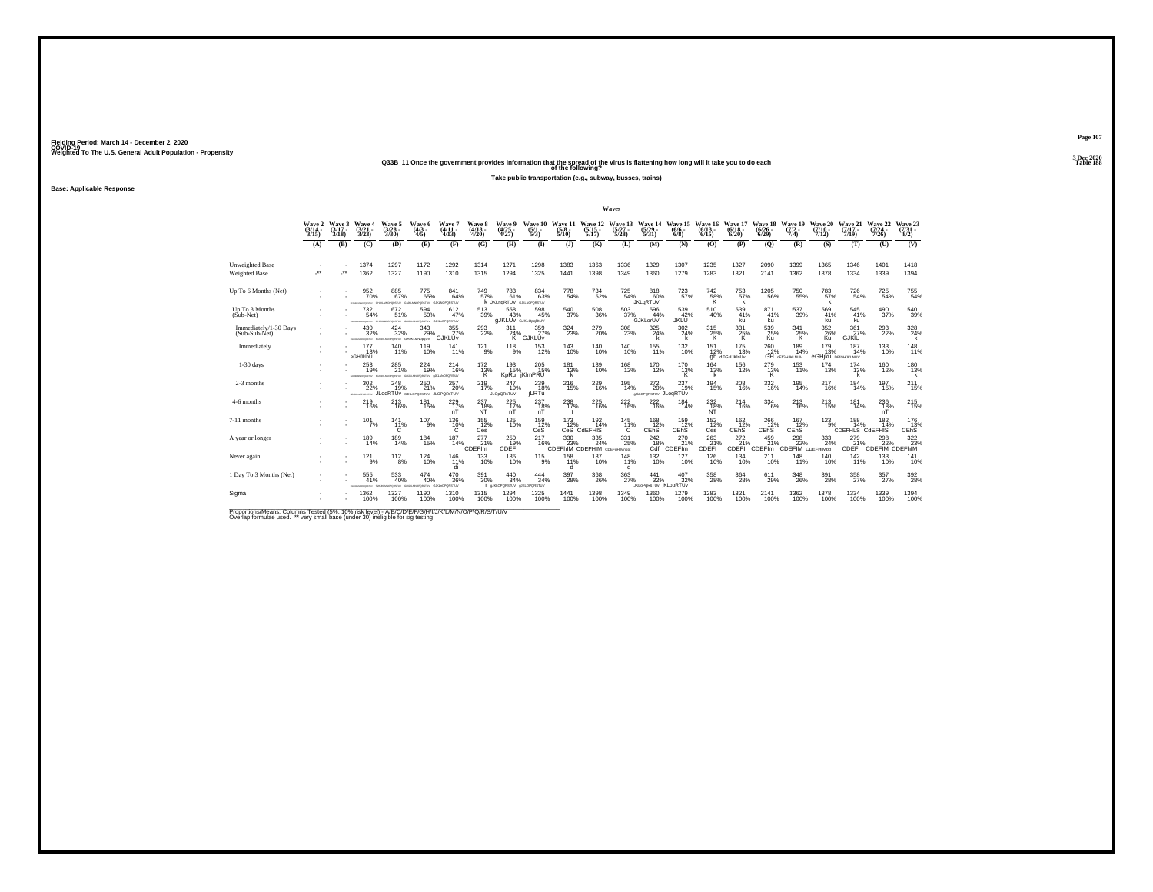**Q33B\_11 Once the government provides information that the spread of the virus is flattening how long will it take you to do each Table 188 of the following?**

**Take public transportation (e.g., subway, busses, trains)**

**Base: Applicable Response**

|                                         |                             |                             |                                         |                                                     |                                           |                                             |                                    |                                                       |                                 |                                 |                                                                                   | Waves                        |                                                    |                               |                              |                                     |                              |                                     |                                       |                                      |                              |                                |
|-----------------------------------------|-----------------------------|-----------------------------|-----------------------------------------|-----------------------------------------------------|-------------------------------------------|---------------------------------------------|------------------------------------|-------------------------------------------------------|---------------------------------|---------------------------------|-----------------------------------------------------------------------------------|------------------------------|----------------------------------------------------|-------------------------------|------------------------------|-------------------------------------|------------------------------|-------------------------------------|---------------------------------------|--------------------------------------|------------------------------|--------------------------------|
|                                         | Wave 2<br>$(3/14 -$<br>3/15 | Wave 3<br>$(3/17 -$<br>3/18 | Waye 4<br>3/23                          | Wave 5<br>(3/28 -<br>3/30)                          | Wave 6<br>$\frac{(4/3)}{4/5}$             | Wave 7<br>$(4/11 -$<br>4/13                 | <b>Wave 8</b><br>$(4/18 -$<br>4/20 | Wave 9<br>$\frac{(4725)}{4727}$                       | Wave 10<br>$\frac{(5/1)}{5/3}$  | Wave 11<br>$\frac{(5/8)}{5/10}$ | Wave 12<br>$\frac{(5/15)}{5/17}$                                                  | Wave 13<br>$(5/27 -$<br>5/28 | Wave 14<br>(5/29 -<br>5/31)                        | Wave 15<br>$(6/6 -$<br>6/8    | Wave 16<br>$(6/13 -$<br>6/15 | Wave 17<br>$(6/18 -$<br>6/20        | Wave 18<br>$(6/26 -$<br>6/29 | Wave 19<br>$(7/2 -$<br>7/4)         | Wave 20<br>$(7/10 -$<br>7/12          | Wave 21<br>$(7/17 -$<br>7/19         | Wave 22<br>$(7/24 -$<br>7/26 | Wave 23<br>$\frac{(7/3)}{8/2}$ |
|                                         | (A)                         | (B)                         | (C)                                     | (D)                                                 | (E)                                       | (F)                                         | (G)                                | (H)                                                   | $\mathbf{I}$                    | (J)                             | (K)                                                                               | (L)                          | (M)                                                | (N)                           | (O)                          | (P)                                 | (Q)                          | (R)                                 | (S)                                   | (T)                                  | (U)                          | (V)                            |
| Unweighted Base<br><b>Weighted Base</b> | $\overline{\phantom{a}}$    | -**                         | 1374<br>1362                            | 1297<br>1327                                        | 1172<br>1190                              | 1292<br>1310                                | 1314<br>1315                       | 1271<br>1294                                          | 1298<br>1325                    | 1383<br>1441                    | 1363<br>1398                                                                      | 1336<br>1349                 | 1329<br>1360                                       | 1307<br>1279                  | 1235<br>1283                 | 1327<br>1321                        | 2090<br>2141                 | 1399<br>1362                        | 1365<br>1378                          | 1346<br>1334                         | 1401<br>1339                 | 1418<br>1394                   |
| Up To 6 Months (Net)                    |                             |                             | 952<br>70%<br><b>EXPLAN MACHINERY</b>   | $^{885}_{\ 67\%}$<br>PORSTLY GILK                   | 775<br>65%                                | 841<br>64%<br>OPORTLY GJKLNOPORSTLY         | <sup>749</sup> 57%                 | $^{783}_{61\%}$<br>K JKLnaRTUV GJANOPORSTUV           | $\underset{63\%}{^{834}}$       | 778<br>54%                      | 734<br>52%                                                                        | $^{725}_{54\%}$              | 818<br>60%<br><b>JKLqRTUV</b>                      | 723<br>57%                    | $\frac{742}{58\%}$           | 753<br>57%                          | $^{1205}_{-56\%}$            | $750_{55\%}$                        | 783<br>57%                            | 726<br>54%                           | 725<br>54%                   | $^{755}_{54\%}$                |
| Up To 3 Months<br>$(Sub-Net)$           |                             |                             | 732<br>54%<br><b>CATEL</b>              | 672<br>51%<br><b>International</b>                  | 594<br>50%<br>MORGHERY GJKLADPORSTUV      | 612<br>47%                                  | 513<br>39%                         | 558<br>43%<br><b>GJKLUV</b> GJKLOpgRtUV               | 598<br>45%                      | 540<br>37%                      | $^{508}_{36\%}$                                                                   | 503<br>37%                   | 596<br>44%<br><b>GJKLorUV</b>                      | 539<br>42%<br>JKLŪ            | 510<br>40%                   | 539<br>41%<br>ku                    | 871<br>41%<br>ku             | 537<br>39%                          | 569<br>41%<br>ku                      | 545<br>41%<br>ku                     | 490<br>37%                   | 540<br>39%                     |
| Immediately/1-30 Days<br>(Sub-Sub-Net)  |                             |                             | 430<br>32%<br><b>EDUCATION CONTRACT</b> | $^{424}_{\phantom{1}\phantom{1}32\%}$               | $^{343}_{29\%}$<br>proximar GHJKLMNopoLIV | $\frac{355}{27\%}$<br>GJKLUv                | $^{293}_{22\%}$                    | 311<br>24%<br>к                                       | 359<br>27%<br>GJKLUv            | 324<br>23%                      | 279<br>20%                                                                        | $^{308}_{\phantom{1}23\%}$   | $^{325}_{\,\,24\%}$<br>k                           | $^{302}_{\phantom{1}24\%}$    | $^{315}_{25\%}$<br>K         | $331_{25\%}$<br>K.                  | 539<br>25%<br>Kü             | 341<br>25%<br>ĸ                     | 352<br>26%<br>Ku                      | 361<br>27%<br><b>GJKIU</b>           | $^{293}_{22\%}$              | $\frac{328}{24\%}$             |
| Immediately                             |                             |                             | 177<br>13%<br>eGHJklnU                  | $^{140}_{11\%}$                                     | <sup>119</sup> <sub>10%</sub>             | 141<br>11%                                  | $^{121}_{9\%}$                     | $^{118}_{9\%}$                                        | $^{153}_{12\%}$                 | 143<br>10%                      | 140%                                                                              | $^{140}_{10\%}$              | $^{155}_{11\%}$                                    | <sup>132</sup> <sub>10%</sub> | 151<br>12%                   | <sup>175</sup> 13%<br>gh dEGHJKInUv | 260<br>12%                   | 189<br>14%<br><b>GH</b> dEIGHJKLNUV | $^{179}_{13\%}$<br>eGHjku DEIGHJKLNUV | 187<br>14%                           | 133<br>10%                   | 148<br>11%                     |
| $1-30$ days                             |                             |                             | 253<br>19%<br>CALIFORNIA PROVINCIA      | 285<br>21%<br><b>STATISTICS</b>                     | 224<br>19%<br><b>VICEASORO</b>            | 214<br>16%<br><b>ARLMHOPORSIJV</b>          | 172<br>13%<br>к                    | 193<br>15%                                            | 205<br>15%<br>KpRu jKlmPRU      | 181<br>13%                      | 139<br>10%                                                                        | 168<br>12%                   | 170<br>12%                                         | 170<br>13%                    | 164<br>13%<br>k              | 156<br>12%                          | 279<br>$\frac{13\%}{K}$      | 153<br>11%                          | 174<br>13%                            | 174<br>13%                           | 160<br>12%                   | 180<br>13%                     |
| 2-3 months                              |                             |                             | $^{302}_{22\%}$<br>49 ALICEOROMY        | $^{248}_{19\%}$<br>JLOGRTUV GJKLOPORSTUV JLOPORSTUV | $^{250}_{21\%}$                           | $^{257}_{20\%}$                             | $^{219}_{17\%}$                    | 247<br>19%<br><b>JLOpQRsTUV</b>                       | $^{239}_{18\%}$<br><b>iLRTu</b> | <sup>216</sup> <sub>15%</sub>   | $^{229}_{16\%}$                                                                   | $^{195}_{14\%}$              | 272<br>20%<br><b>BALOPORSTUV JLOQRTUV</b>          | 237<br>19%                    | 194<br>15%                   | $^{208}_{16\%}$                     | 332<br>16%                   | $195$<br>$14%$                      | 217<br>16%                            | 184<br>14%                           | 197<br>15%                   | $^{211}_{15\%}$                |
| 4-6 months                              |                             |                             | 219<br>16%                              | 213<br>16%                                          | 181<br>15%                                | 229<br>$^{17\%}_{nT}$                       | 237<br>N <sup>18%</sup>            | 225<br>17%                                            | 237<br>nT                       | 238<br>17%<br>$\mathbf{r}$      | 225<br>16%                                                                        | 222<br>16%                   | 222<br>16%                                         | 184<br>14%                    | 232<br>$\frac{18}{NT}$       | 214<br>16%                          | 334<br>16%                   | 213<br>16%                          | 213<br>15%                            | 181<br>14%                           | 236<br>18%<br>nT             | 215<br>15%                     |
| 7-11 months                             |                             |                             | $101$ <sub>7%</sub>                     | 141<br>11%<br>Ğ                                     | 107<br>9%                                 | 136 10%<br>C.                               | 155<br>12%<br>Ces                  | $125$ <sub>10%</sub>                                  | 159 12%<br>CeS                  | $\frac{173}{12\%}$              | $^{192}_{14\%}$<br>CeS CdEFHIS                                                    | 145<br>11%<br>$\mathbb{C}$   | $^{168}_{12\%}$<br>CEhS                            | 159 12%<br>CEhS               | $^{152}_{12\%}$<br>Ces       | $\frac{162}{12}\%$<br>CEhS          | 266<br>12%<br>CEhS           | 167<br>12%<br>CEhS                  | $123_{9\%}$                           | 188<br>14%<br><b>CDEFHLS CdEFHIS</b> | $^{182}_{14\%}$              | 176<br>13%<br>CEhS             |
| A year or longer                        |                             |                             | 189<br>14%                              | $^{189}_{14\%}$                                     | $^{184}_{15\%}$                           | 187<br>14%                                  | 277<br>21%<br>CDEF <sup>Im</sup>   | $^{250}_{19\%}$<br>CDEF                               | 217<br>16%                      | 330<br>23%                      | $\frac{335}{24\%}$<br>CDEFhIM CDEFHIM CDEFgHIMnopt                                | $^{331}_{\phantom{1}25\%}$   | <sup>242</sup> <sub>18%</sub><br>Cdf               | 270<br>21%<br>CDEFIm          | $^{263}_{21\%}$<br>CDEFI     | $^{272}_{21\%}$<br><b>CDEFI</b>     | 459<br>21%<br>CDEFIm         | $^{298}_{22\%}$<br>CDEFIM CDEFHIMOP | $\frac{333}{24\%}$                    | 279<br>21%<br>CDEFI                  | 298<br>22%<br>CDEFIM CDEFINI | 322 23%                        |
| Never again                             |                             |                             | 121<br>9%                               | 112<br>8%                                           | 124<br>10%                                | 146<br>11%<br>di                            | 133<br>10%                         | 136<br>10%                                            | $^{115}_{9\%}$                  | 158<br>11%                      | 137<br>10%                                                                        | 148<br>11%<br>d              | 132<br>10%                                         | 127<br>10%                    | 126<br>10%                   | 134<br>10%                          | 211<br>10%                   | 148<br>11%                          | 140<br>10%                            | 142<br>11%                           | 133<br>10%                   | 141<br>10%                     |
| 1 Day To 3 Months (Net)                 |                             |                             | 555<br>41%                              | 533<br>40%                                          | $^{474}_{~40\%}$<br><b>ORESTLY</b>        | $^{470}_{\phantom{1}36\%}$<br>GJKLnOPORSTUV | 391<br>30%                         | $\substack{440 \\ 34\%}$<br>I UKLOPORSTUV UKLOPORSTUV | $\frac{444}{34\%}$              | 397<br>28%                      | $^{368}_{\phantom{1}\phantom{1}\phantom{1}\phantom{1}\phantom{1}\phantom{1}26\%}$ | $\frac{363}{27\%}$           | $\frac{441}{32\%}$<br><b>JKLOPORSTUV IKLODRTUV</b> | $^{407}_{\phantom{1}32\%}$    | 358<br>28%                   | 364<br>28%                          | 611<br>29%                   | 348<br>26%                          | 391<br>28%                            | 358                                  | $\frac{357}{27\%}$           | 392<br>28%                     |
| Sigma                                   |                             |                             | 1362<br>100%                            | 1327<br>100%                                        | 1190<br>100%                              | 1310<br>100%                                | 1315<br>100%                       | 1294<br>100%                                          | 1325<br>100%                    | 1441<br>100%                    | 1398<br>100%                                                                      | 1349<br>100%                 | 1360<br>100%                                       | 1279<br>100%                  | 1283<br>100%                 | 1321<br>100%                        | 2141<br>100%                 | 1362<br>100%                        | 1378<br>100%                          | 1334<br>100%                         | 1339<br>100%                 | 1394<br>100%                   |

Proportions/Means: Columns Tested (5%, 10% risk level) - A/B/C/D/E/F/G/H/I/J/K/L/M/N/O/P/Q/R/S/T/U/V<br>Overlap formulae used. \*\* very small base (under 30) ineligible for sig testing

**Page 1073 Dec 2020<br>Table 188**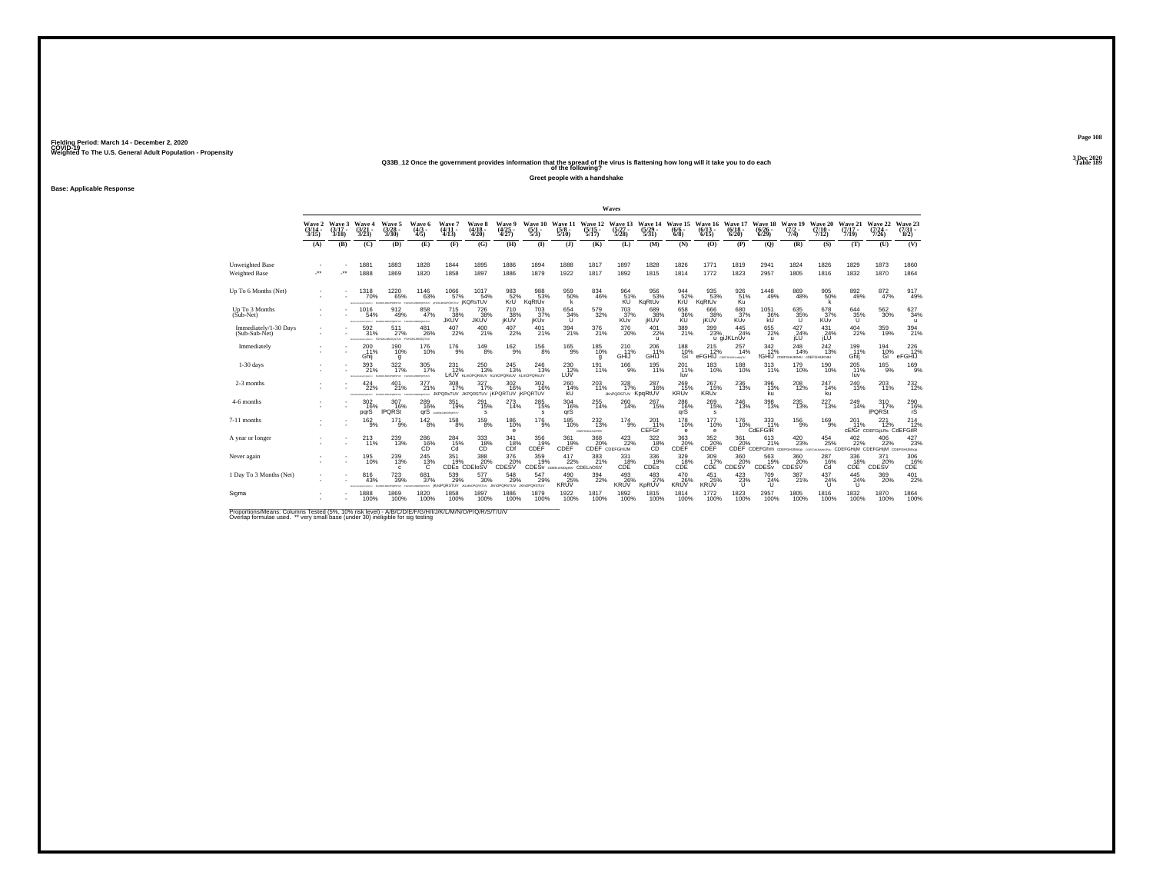# Weighted To The U.S. General Adult Population - Propensity<br>Q33B\_12 Once the government provides information that the spread of the virus is flattening how long will it take you to do each<br>Table 189

**Greet people with a handshake**

**Base: Applicable Response**

|                                         |                             |                             |                                          |                                            |                                    |                                            |                                       |                                                |                                |                                 |                                  | Waves                                        |                                                  |                                |                                               |                                 |                                 |                                                                        |                              |                                              |                                               |                                         |
|-----------------------------------------|-----------------------------|-----------------------------|------------------------------------------|--------------------------------------------|------------------------------------|--------------------------------------------|---------------------------------------|------------------------------------------------|--------------------------------|---------------------------------|----------------------------------|----------------------------------------------|--------------------------------------------------|--------------------------------|-----------------------------------------------|---------------------------------|---------------------------------|------------------------------------------------------------------------|------------------------------|----------------------------------------------|-----------------------------------------------|-----------------------------------------|
|                                         | Wave 2<br>$(3/14 -$<br>3/15 | Wave 3<br>$(3/17 -$<br>3/18 | Wave 4<br>$(3/21 -$<br>3/23              | Wave 5<br>$\frac{(3/28)}{3/30}$            | Wave 6<br>$(4/3 -$<br>4/5          | Wave 7<br>$(4/11 -$<br>(4/13)              | <b>Wave 8</b><br>$(4/18 -$<br>4/20    | <b>Wave 9</b><br>$\binom{4/25}{4/27}$          | Wave 10<br>$\frac{(5/1)}{5/3}$ | Wave 11<br>$\frac{(5/8)}{5/10}$ | Wave 12<br>$\frac{(5/15)}{5/17}$ | Wave 13<br>$\frac{(5/27)}{5/28}$             | Wave 14<br>$\frac{(5/29)}{5/31}$                 | Wave 15<br>$(6/6 -$<br>$6/8$ ) | Wave 16<br>$(6/13 -$<br>6/15                  | Wave 17<br>$(6/18 -$<br>6/20    | Wave 18<br>$(6/26 -$<br>6/29    | Wave 19<br>$\frac{(7/2)}{7/4}$                                         | Wave 20<br>$(7/10 -$<br>7/12 | Wave 21<br>$(7/17 -$<br>7/19                 | Wave 22<br>$\frac{(7/24 - 7)}{7/26}$          | Wave 23<br>$\binom{7/31}{8/2}$          |
|                                         | (A)                         | (B)                         | (C)                                      | (D)                                        | (E)                                | (F)                                        | (G)                                   | (H)                                            | $($ $\Gamma$                   | $($ J $)$                       | (K)                              | (L)                                          | (M)                                              | (N)                            | (O)                                           | (P)                             | (Q)                             | (R)                                                                    | (S)                          | (T)                                          | (U)                                           | (V)                                     |
| Unweighted Base<br><b>Weighted Base</b> | $\overline{\phantom{a}}$    | $\cdot$                     | 1881<br>1888                             | 1883<br>1869                               | 1828<br>1820                       | 1844<br>1858                               | 1895<br>1897                          | 1886<br>1886                                   | 1894<br>1879                   | 1888<br>1922                    | 1817<br>1817                     | 1897<br>1892                                 | 1828<br>1815                                     | 1826<br>1814                   | 1771<br>1772                                  | 1819<br>1823                    | 2941<br>2957                    | 1824<br>1805                                                           | 1826<br>1816                 | 1829<br>1832                                 | 1873<br>1870                                  | 1860<br>1864                            |
| Up To 6 Months (Net)                    |                             |                             | 1318<br>70%                              | $^{1220}_{65\%}$<br><b>CASTLES</b>         | 1146<br>63%<br>wrown               | $^{1066}_{-57\%}$<br><b>VUTERORISM</b>     | 1017<br>54%<br><b><i>¡KQRsTUV</i></b> | 983<br>52%<br>KrU                              | 988<br>53%<br>KqRtŪv           | 959%<br>k                       | 834<br>46%                       | 964<br>51%<br>ΚÜ                             | 956<br>53%<br>KqRtUv                             | 944<br>52%<br>KrU <sup>1</sup> | 935<br>53%<br>KgRtUv                          | 926<br>51%<br>Κü                | 1448<br>49%                     | 869<br>48%                                                             | 905<br>50%<br>k              | $892\phantom{1}49\%$                         | 872 47%                                       | $^{917}_{49\%}$                         |
| Up To 3 Months<br>$(Sub-Net)$           |                             |                             | 1016<br>54%                              | 912<br>49%<br><b>STAR OF SALTIMORPHIC</b>  | 858<br>47%<br>FORUS MICPOSITIN     | 715<br>JKUV                                | 726<br>38%<br>JKUV                    | 710<br>jKUV <sup>38%</sup>                     | 703<br>37%<br>iKUv             | 654<br>34%<br>U                 | 579<br>32%                       | 703<br>$x_0$ 37%                             | 689<br>38%<br>jKŬŸ                               | 658<br>36%                     | 666<br>38%<br>jKUV                            | 680<br>37%<br><b>KUV</b>        | 1051<br>36%                     | 635<br>35%                                                             | 678<br>KUV                   | 644<br>35%                                   | 562<br>30%                                    | 627<br>34%<br>$\mathbf{u}$              |
| Immediately/1-30 Days<br>(Sub-Sub-Net)  |                             |                             | 592<br>31%<br>construct                  | 511<br>27%<br>FGHJALMKOGNTUV FGHJALMNOGTUV | 481<br>26%                         | $^{407}_{22\%}$                            | 400<br>21%                            | $^{407}_{22\%}$                                | $^{401}_{21\%}$                | 394<br>21%                      | 376<br>21%                       | $^{376}_{20\%}$                              | $^{401}_{22\%}$<br>u                             | 389<br>21%                     | $^{399}_{\phantom{1}\phantom{1}23\%}$         | 445<br>24%<br>u giJKLnUv        | 655<br>22%<br>$\mathbf{u}$      | 427<br>24%<br><b>ILU</b>                                               | 431<br>24%<br>jLU            | $^{404}_{22\%}$                              | 359<br>19%                                    | $394_{21\%}$                            |
| Immediately                             |                             |                             | 200<br>11%<br>Ghii                       | 190%<br>g                                  | <sup>176</sup><br>10%              | $^{176}_{-9\%}$                            | $^{149}_{8\%}$                        | $^{162}_{9\%}$                                 | $^{156}_{8\%}$                 | $^{165}_{-9\%}$                 | $^{185}_{10\%}$<br>q             | 210<br>11%<br>GHÌJ                           | $^{206}_{.11\%}$<br>GHIJ                         | 188<br>10%<br>Ğì               | $^{215}_{12\%}$<br>eFGHIJ COSFGHUNLMOTU       | 257<br>14%                      | 342/12%                         | 248<br>14%<br>fGHIJ CDEFGHUKINU ODEFGHUKNU                             | 242<br>13%                   | 199<br>11%<br>Ghli                           | 194<br>10%<br>Ğì                              | $^{226}_{12\%}$<br>eFGHIJ               |
| $1-30$ days                             |                             |                             | 393<br>21%                               | 322<br>17%                                 | 305<br>17%<br><b>MANUFACTURERS</b> | 231<br>12%                                 | 250<br>13%<br>LrUV KLMOPORSUV         | 245<br>13%<br>kLmOPQRsUV kLmOPQRsUV            | 246<br>13%                     | 230<br>12%<br>LU⊽               | 191<br>11%                       | 166<br>9%                                    | 195<br>11%                                       | 201<br>11%<br>luv              | 183<br>10%                                    | 188<br>10%                      | 313<br>11%                      | 179<br>10%                                                             | 190<br>10%                   | 205<br>11%<br>luv                            | 165<br>9%                                     | 169<br>9%                               |
| 2-3 months                              |                             |                             | $^{424}_{22\%}$<br><b>STALM MACADEMA</b> | 401%<br><b>ACCAMENT</b>                    | 377<br>21%<br>wrown                | $^{308}_{17\%}$<br><b>ORSTUV JKPORSTUV</b> | 327<br>77%                            | $\frac{302}{16\%}$<br><b>IKPORTUV IKPORTUV</b> | 302<br>16%                     | $^{260}_{14\%}$<br><b>kU</b>    | 203<br>11%                       | $328$<br>17%<br><b>JKnPQRSTUV KpqRtUV</b>    | 287<br>16%                                       | 269<br>15%<br><b>KRUv</b>      | $^{267}_{15\%}$<br><b>KRUv</b>                | 236<br>13%                      | 396<br>13%<br>ku                | 208<br>12%                                                             | 247<br>14%<br>ku             | $^{240}_{13\%}$                              | 203<br>11%                                    | $^{232}_{12\%}$                         |
| 4-6 months                              |                             |                             | 302<br>16%<br>parS                       | 307<br>16%<br><b>IPQRSt</b>                | 289<br>16%<br>arS                  | 351<br>19%<br><b><i>MONEMATORITY</i></b>   | 291<br>15%<br>s                       | 273<br>14%                                     | 285<br>15%<br>s                | 304<br>16%<br>arš               | 255<br>14%                       | 260<br>14%                                   | 267<br>15%                                       | 286<br>16%<br>qrŠ              | 269<br>15%<br>s                               | 246<br>13%                      | 398<br>13%                      | 235<br>13%                                                             | 227<br>13%                   | 249<br>14%                                   | 310<br>17%<br><b>IPQRSt</b>                   | $^{290}_{\substack{16\% \\ \text{rS}}}$ |
| 7-11 months                             |                             |                             | $^{162}_{9%}$                            | $^{17}$ $^{1}_{9\%}$                       | $^{142}_{8\%}$                     | $^{158}_{8\%}$                             | $^{159}_{8\%}$                        | 186<br>10%<br>e                                | $^{176}_{9\%}$                 | $^{185}_{10\%}$                 | 232%<br>COSFGHULNOPRS            | $^{174}_{9\%}$                               | $^{201}_{11\%}$<br>CEFGr                         | <sup>178</sup><br>10%<br>e     | <sup>177</sup> <sub>10%</sub><br>$\mathbf{e}$ | <sup>176</sup> 10%              | 333<br>CdEFGIR                  | $^{156}_{-9\%}$                                                        | $^{169}_{9\%}$               | 201<br>11%                                   | 221<br>12%<br><b>CEfGr</b> CDEFGILRs CdEFGIIR | $^{214}_{12\%}$                         |
| A year or longer                        |                             |                             | $^{213}_{11\%}$                          | 239<br>13%                                 | $^{286}_{-16\%}$                   | $^{284}_{\phantom{1}15\%}_{\phantom{1}0d}$ | $^{333}_{\phantom{1}18\%}$            | 341<br>$\overline{18\%}$                       | 356<br>19%<br>CDEF             | 361<br>19%<br>CDEF              | 368<br>20%                       | 423/22%<br>CDEF CDEFGHIJM                    | $^{322}_{\substack{18 \\ {\small C\rm{D}}}}\!\!$ | 363<br>20%<br>CDĒF             | $\overset{352}{\underset{\text{CDFF}}{\sum}}$ | 361                             | 613<br>21%                      | $^{420}_{\phantom{1}\phantom{1}23\%}$<br>CDEF CDEFGhm CDEFGHUMnop CDEF | $^{454}_{25\%}$              | $^{402}_{22\%}$<br>anoro CDEFGHiJM CDEFGHiJM | 406<br>22%                                    | $427_{23\%}$<br>CDEFGHUMnop             |
| Never again                             |                             |                             | 195<br>10%                               | 239<br>13%<br>$\mathbf{c}$                 | 245<br>$^{13%}_{C}$                | 351                                        | 388<br>19% 20%<br>CDEs CDEloSV        | 376<br>CDESV                                   | 359                            | 417<br>19% 22% 21               | 383<br>21%                       | 331<br>$\widetilde{\rm CDE}^{\textrm{18\%}}$ | 336<br>19%<br>CDES                               | 329<br>18%<br>CDE              | 309<br>$CDE$ <sup>17%</sup>                   | 360<br>CDESV <sup>20%</sup>     | 563<br>19%<br>CDES <sub>v</sub> | 360<br>CDESV <sup>20%</sup>                                            | 287<br>$^{16\%}_{\text{Cd}}$ | 336<br>$CDE$ <sup>18%</sup>                  | 371<br>CDESV <sup>%</sup>                     | 306<br>$CDE$ <sup>16%</sup>             |
| 1 Day To 3 Months (Net)                 |                             |                             | 816<br>43%                               | 723<br>39%                                 | 681<br>37%<br><b>WORKER</b>        | $^{539}_{29\%}$<br><b>KnoPQRSTUV</b>       | 577<br>30%<br>JUMPORDETUV             | $^{548}_{29\%}$<br>JKnOPORSTUV JKInOPORSTUV    | 547<br>29%                     | $^{490}_{25\%}$<br><b>KRUV</b>  | 394<br>22%                       | $^{493}_{26\%}$<br><b>KRUV</b>               | $^{483}_{27\%}$<br>KpRUV                         | 470<br>26%<br><b>KRUV</b>      | $^{451}_{25\%}$<br><b>KRUV</b>                | $^{423}_{23\%}$<br>$\mathbf{U}$ | 709<br>24%<br>$\mathbf{U}$      | 387%                                                                   | $^{437}_{24\%}$<br>$\cup$    | $^{445}_{24\%}$<br>$\mathbf{U}$              | 369<br>20%                                    | $^{401}_{22\%}$                         |
| Sigma                                   |                             |                             | 1888<br>100%                             | 1869<br>100%                               | 1820<br>100%                       | 1858<br>100%                               | 1897<br>100%                          | 1886<br>100%                                   | 1879<br>100%                   | 1922<br>100%                    | 1817<br>100%                     | 1892<br>100%                                 | 1815<br>100%                                     | 1814<br>100%                   | 1772<br>100%                                  | 1823<br>100%                    | 2957<br>100%                    | 1805<br>100%                                                           | 1816<br>100%                 | 1832<br>100%                                 | 1870<br>100%                                  | 1864<br>100%                            |

Proportions/Means: Columns Tested (5%, 10% risk level) - A/B/C/D/E/F/G/H/I/J/K/L/M/N/O/P/Q/R/S/T/U/V<br>Overlap formulae used. \*\* very small base (under 30) ineligible for sig testing

**Page 1083 Dec 2020<br>Table 189**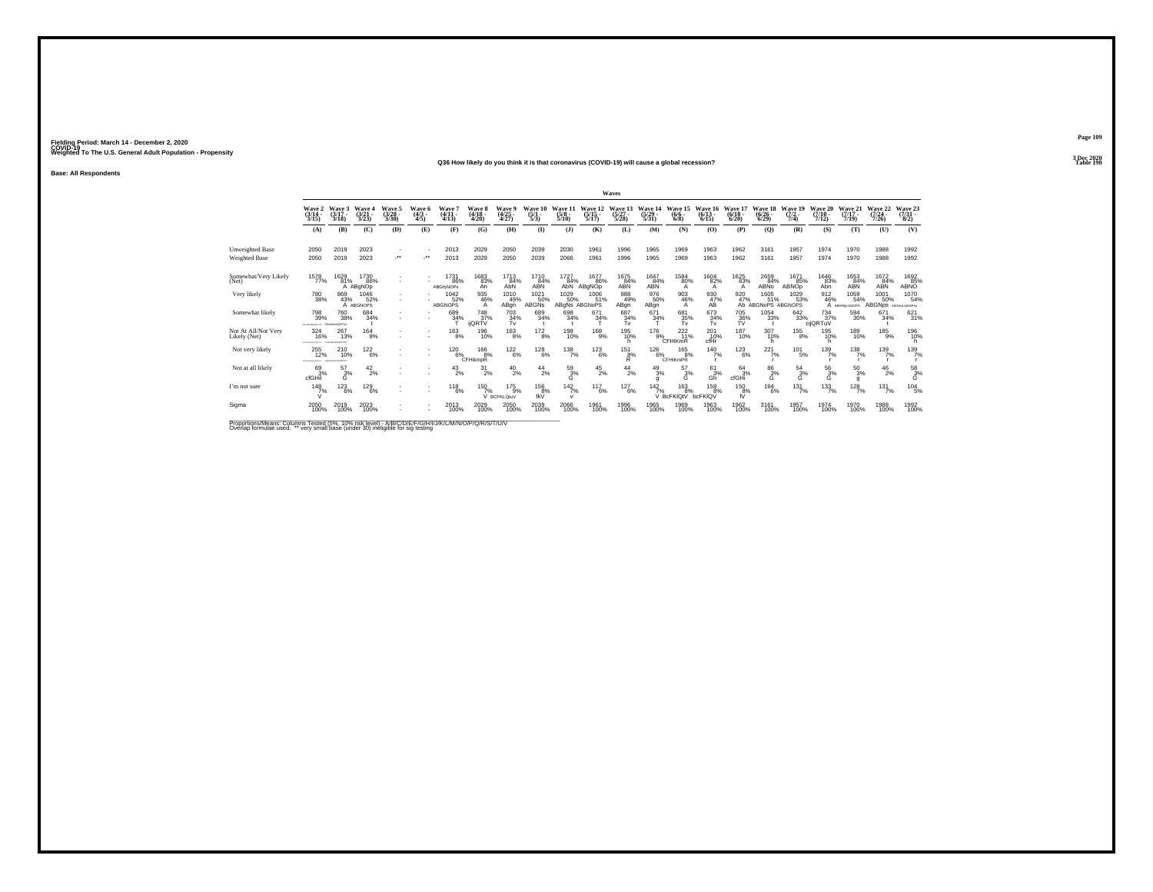#### **Q36 How likely do you think it is that coronavirus (COVID-19) will cause a global recession?Table 190**

**Base: All Respondents**

|                                                                                                      |                                         |                                |                              |                          |                               |                                         |                              |                                                    |                                   |                                     |                                  | Waves                            |                               |                               |                              |                              |                                           |                            |                             |                              |                                      |                                 |
|------------------------------------------------------------------------------------------------------|-----------------------------------------|--------------------------------|------------------------------|--------------------------|-------------------------------|-----------------------------------------|------------------------------|----------------------------------------------------|-----------------------------------|-------------------------------------|----------------------------------|----------------------------------|-------------------------------|-------------------------------|------------------------------|------------------------------|-------------------------------------------|----------------------------|-----------------------------|------------------------------|--------------------------------------|---------------------------------|
|                                                                                                      | Wave<br>(3/14<br>3/15                   | Wave 3<br>$(3/17 -$<br>3/18    | <b>Waye</b><br>(3/21<br>3/23 | Wave 5<br>(3/28<br>3/30) | $\frac{Wave}{(4/3)}$<br>$4/5$ | Wave<br>$(4/11 -$<br>4/13               | Wave 8<br>(4/18<br>4/20      | <b>Wave</b><br>$\frac{(4/25)}{4/27}$               | Wave<br>$\frac{(5)}{5/3}$         | Wave<br>$\frac{(5/8)}{5/10}$        | Wave 12<br>$\frac{(5/15)}{5/17}$ | Wave 13<br>$\frac{(5/27)}{5/28}$ | Wave<br>$\frac{(5/29)}{5/31}$ | $(6/6 -$<br>6/8               | $(6/13 -$<br>6/15            | Wave<br>$\binom{6/18}{6/20}$ | 18<br>Wave<br>$\binom{6/26}{6/29}$        | Wave 19<br>$(7/2 -$<br>7/4 | Wave<br>$(7/10 -$<br>7/12   | Wave 21<br>$(7/17 -$<br>7/19 | Wave 22<br>$\frac{(7/24 - 7)}{7/26}$ | Wave 23<br>$\frac{(7/31)}{8/2}$ |
|                                                                                                      | (A)                                     | (B)                            | (C)                          | (D)                      | (E)                           | (F)                                     | (G)                          | (H)                                                | (1)                               | $($ $)$                             | (K)                              | (L)                              | (M)                           | (N)                           | (O)                          | (P)                          | $\mathbf{Q}$                              | (R)                        | (S)                         | (T)                          | (U)                                  | (V)                             |
| Unweighted Base<br>Weighted Base                                                                     | 2050<br>2050                            | 2019<br>2019                   | 2023<br>2023                 | $\star\star$             |                               | 2013<br>2013                            | 2029<br>2029                 | 2050<br>2050                                       | 2039<br>2039                      | 2030<br>2066                        | 1961<br>1961                     | 1996<br>1996                     | 1965<br>1965                  | 1969<br>1969                  | 1963<br>1963                 | 1962<br>1962                 | 3161<br>3161                              | 1957<br>1957               | 1974<br>1974                | 1970<br>1970                 | 1988<br>1988                         | 1992<br>1992                    |
| Somewhat/Very Likely<br>(Net)                                                                        | 1578<br>77%                             | 1629<br>81%                    | 1730<br>86%<br>A ABgNOp      |                          |                               | <sup>1731</sup> 86%<br><b>ABGhiNOPs</b> | 1683<br>83%<br>An            | $^{17}$ <sup>13</sup> <sub>84%</sub><br><b>AbN</b> | 1710<br>84%<br>ABN                | $\frac{1727}{84\%}$ AbN             | 1677<br>86%<br>ABgNOp            | 1675<br>84%<br>ABN               | $\frac{1647}{84\%}$           | 1584<br>80%<br>A              | 1604<br>82%<br>$\mathsf{A}$  | 1625<br>83%<br>A             | 2659<br>84%<br>ABNO                       | 1671<br>85%<br>ABNOD       | 1646<br>83%<br>Abn          | 1653<br>84%<br>ABN           | $\frac{1672}{84\%}$                  | 1692<br>85%<br>ABNO             |
| Very likely                                                                                          | 780<br>38%                              | 869<br>43%                     | 1046<br>52%<br>A ABGNOPS     |                          |                               | 1042<br>52%<br><b>ABGNOPS</b>           | 935<br>46%                   | 1010<br>49%<br>ABgn                                | 1021<br>50%<br><b>ABGNs</b>       | 1029<br>50%<br>ABgNs ABGNoPS        | 1006<br>51%                      | 988<br>49%<br>ABgn               | 976<br>50%<br>ABgn            | 903<br>46%<br>A               | $^{930}_{\hbox{A}\rm{B}}$    | 920                          | 1605<br>47% 51% 53%<br>Ab ABGNoPS ABGNOPS | 1029<br>53%                | 912<br>46%                  | 1059<br>54%<br>A ABGHILMNOPS | 1001<br>50%<br><b>ABGNps</b>         | 1070<br>54%<br>ABGHLLMNOPSu     |
| Somewhat likely                                                                                      | 798<br>39%<br>creasespana Chi JonoDRTuV | <sup>760</sup> 38%             | 684 34%                      |                          |                               | 689<br>34%                              | 748<br>37%<br><b>iiQRTV</b>  | $703 \over 34\%$<br>Tv                             | 689<br>34%                        | 698<br>34%                          | $671 \over 34\%$                 | 687<br>34%<br>Tv                 | $^{671}_{34\%}$               | 681<br>35%<br>Tv              | $\frac{673}{34\%}$ Tv        | <sup>705</sup> 36%<br>TV     | $\substack{1054\\33\%}$                   | $\substack{642\\33\%}$     | $^{734}_{37\%}$<br>cijQRTuV | $^{594}_{30\%}$              | 671<br>34%                           | 621/31%                         |
| Not At All/Not Very<br>Likely (Net)                                                                  | 324<br>16%                              | 267<br>13%<br>CFDHUKUKOPONETVY | $^{164}_{8\%}$               |                          | ٠                             | $^{163}_{8\%}$                          | 196<br>10%                   | $^{163}_{8\%}$                                     | $^{172}_{8\%}$                    | 198<br>10%                          | <sup>168</sup> 9%                | 195<br>10%                       |                               | $^{176}_{9\%}$ CFHIKmR        | $^{201}_{\hbox{-}10\%}$ cfHr | 187<br>10%                   | 307<br>10%<br>h                           | $^{155}_{8\%}$             | 195<br>10%                  | 189<br>10%                   | $^{185}_{9\%}$                       | 196%<br>h                       |
| Not very likely                                                                                      | 255<br>12%<br>CONTRACTORES              | 210<br>10%<br>OPORETIA         | 122<br>6%                    | $\mathbf{r}$             |                               | 120<br>6%                               | 166<br>8%<br><b>CFHikmpR</b> | $^{122}_{6\%}$                                     | 128<br>6%                         | 138<br>7%                           | 123<br>6%                        | 151<br>8%<br>R                   | 126<br>6%                     | 165<br>8%<br><b>CFHIKMPR</b>  | $\frac{140}{7\%}$            | 123<br>6%                    | $^{221}_{7\%}$                            | 101<br>5%                  | $^{139}_{7\%}$              | 138<br>7%                    | 139<br>7%                            | 139/7%                          |
| Not at all likely                                                                                    | 693%<br>cfGHil                          | $^{57}_{3\%}$<br>G             | 42/2%                        |                          |                               | $^{43}_{2\%}$                           | 31<br>2%                     | $^{40}_{2\%}$                                      | $^{44}_{2\%}$                     | $^{59}_{3\%}$<br>Ġ                  | $^{45}_{2\%}$                    | $^{44}_{2\%}$                    | $^{49}_{3\%}$<br>g            | $^{57}_{3\%}$<br>G            | $^{61}_{3\%}$<br>Gh          | 64<br>3%<br>cfGHi            | $^{86}_{3%}$<br>G                         | $^{54}_{3\%}$<br>Ġ         | $^{56}_{3\%}$<br>Ġ          | $^{50}_{3\%}$<br>g           | $^{46}_{2\%}$                        | $^{58}_{3\%}$                   |
| I'm not sure                                                                                         | 148<br>7%                               | 123<br>6%                      | 129<br>6%                    |                          |                               | 118<br>6%                               | 150<br>7%                    | $^{175}_{9\%}$<br>V BCFKLOtuV                      | 156<br>$f_{\rm KV}$ <sup>8%</sup> | $142$ <sub>7%</sub><br>$\mathbf{v}$ | 117<br>6%                        | 127<br>6%                        | 42                            | 163<br>7%<br>V BcFKIQtV<br>8% | 158<br>8%<br>bcFKIQV         | 150<br>8%<br>fŨ              | $^{194}_{6\%}$                            | 131<br>7%                  | $\frac{133}{7\%}$           | $\frac{128}{7\%}$            | 131<br>7%                            | 104<br>5%                       |
| Sigma                                                                                                | 2050<br>100%                            | 2019<br>100%                   | 2023<br>100%                 |                          |                               | 2013<br>100%                            | 2029<br>100%                 | 2050<br>100%                                       | 2039<br>100%                      | 2066<br>100%                        | 1961<br>100%                     | 1996<br>100%                     | 1965<br>100%                  | 1969<br>100%                  | 1963<br>100%                 | 1962<br>100%                 | 3161<br>100%                              | 1957<br>100%               | 1974<br>100%                | 1970<br>100%                 | 1988<br>100%                         | 1992<br>100%                    |
| Proportions/Means: Columns Tested (5%, 10% risk level) - A/B/C/D/F/F/G/H/I/J/K/L/M/N/O/P/Q/R/S/T/U/V |                                         |                                |                              |                          |                               |                                         |                              |                                                    |                                   |                                     |                                  |                                  |                               |                               |                              |                              |                                           |                            |                             |                              |                                      |                                 |

Proportions/Means: Columns Tested (5%, 10% risk level) - A/B/C/D/E/F/G/H/I/J/K/L/M/N/O/P/Q/R/S/T/U/V<br>Overlap formulae used. \*\* very small base (under 30) ineligible for sig testing

**Page 1093 Dec 2020<br>Table 190**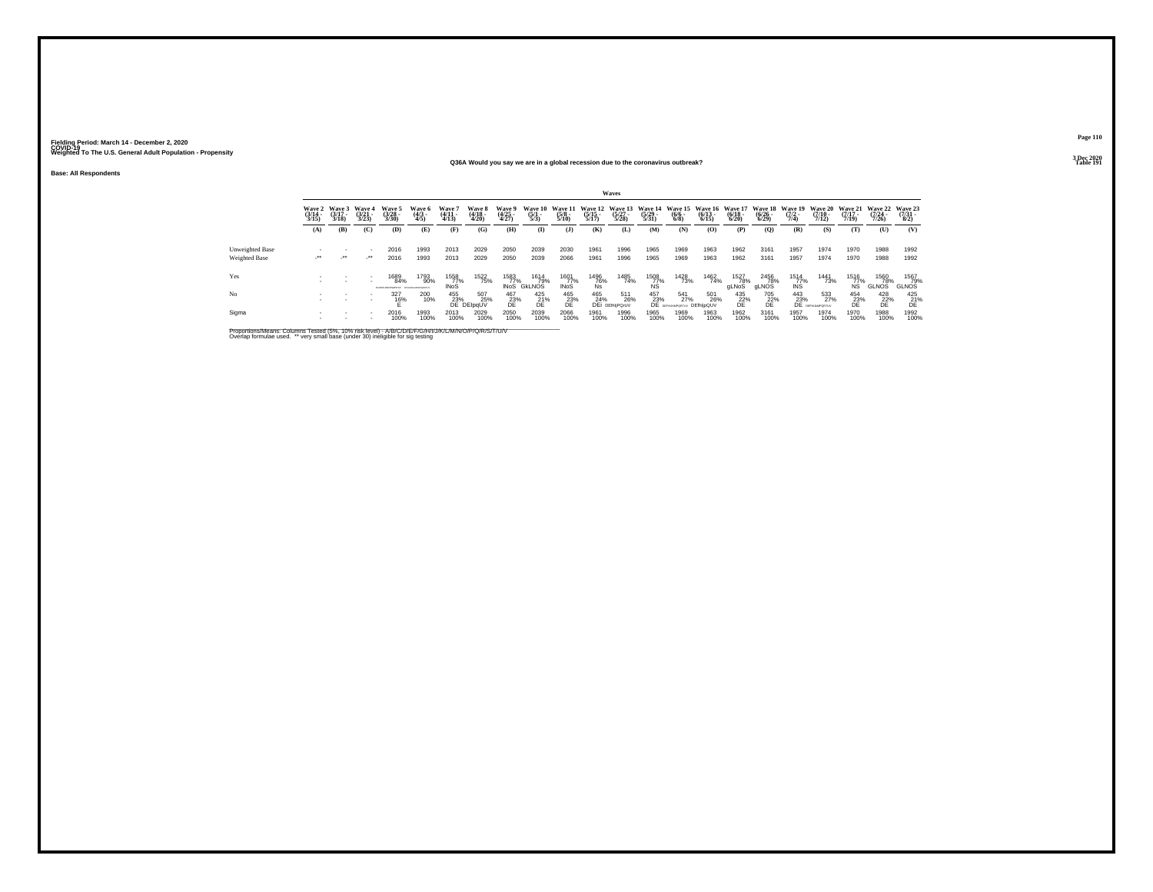### **Base: All Respondents**

#### **Q36A Would you say we are in a global recession due to the coronavirus outbreak?Table 191 Table 191**

|                                  |                                 |                                 |                                 |                                                                      |                          |                            |                                               |                            |                                |                                        |                                          | Waves                                              |                                                                 |                                                  |                                                  |                              |                       |                                        |                                                                                                   |                                  |                                     |                                 |
|----------------------------------|---------------------------------|---------------------------------|---------------------------------|----------------------------------------------------------------------|--------------------------|----------------------------|-----------------------------------------------|----------------------------|--------------------------------|----------------------------------------|------------------------------------------|----------------------------------------------------|-----------------------------------------------------------------|--------------------------------------------------|--------------------------------------------------|------------------------------|-----------------------|----------------------------------------|---------------------------------------------------------------------------------------------------|----------------------------------|-------------------------------------|---------------------------------|
|                                  | Wave 2<br>$\frac{(3/14)}{3/15}$ | Wave 3<br>$\frac{(3/17)}{3/18}$ | Wave 4<br>$\frac{(3/21)}{3/23}$ | Wave 5<br>(3/28 -<br>3/30)                                           | Wave 6<br>(4/3 -<br>4/5) | Wave 7<br>(4/11<br>4/13)   | Wave 8<br>(4/18 -<br>4/20)                    | Wave 9<br>(4/25<br>4/27)   | Wave 10<br>$\frac{(5/1)}{5/3}$ | <b>Wave 11</b><br>$\frac{(5/8)}{5/10}$ | Wave 12 Wave 13<br>$\frac{(5/15)}{5/17}$ | $\frac{(5/27)}{5/28}$                              | Wave 14<br>$\frac{(5/29)}{5/31}$                                | $\frac{(6/6 - 6)}{(6/8)}$                        | Wave 15 Wave 16 Wave 17<br>$\frac{(6/13)}{6/15}$ | $\frac{(6/18)}{6/20}$        | $\frac{(6/26)}{6/29}$ | Wave 18 Wave 19<br>$\frac{(7/2)}{7/4}$ | Wave 20<br>$\frac{(7/10)}{7/12}$                                                                  | Wave 21<br>$\frac{(7/17)}{7/19}$ | Wave 22<br>$\frac{(7/24)}{7/26}$    | Wave 23<br>$\frac{(7/31)}{8/2}$ |
|                                  | (A)                             | (B)                             | (C)                             | (D)                                                                  | (E)                      | (F)                        | (G)                                           | (H)                        | $\bf(I)$                       | (1)                                    | (K)                                      | (L)                                                | (M)                                                             | (N)                                              | (O)                                              | (P)                          | (0)                   | (R)                                    | (S)                                                                                               | (T)                              | $\sigma$                            | (V)                             |
| Unweighted Base<br>Weighted Base | $\cdot$                         | $\cdot$                         | $\cdot$                         | 2016<br>2016                                                         | 1993<br>1993             | 2013<br>2013               | 2029<br>2029                                  | 2050<br>2050               | 2039<br>2039                   | 2030<br>2066                           | 1961<br>1961                             | 1996<br>1996                                       | 1965<br>1965                                                    | 1969<br>1969                                     | 1963<br>1963                                     | 1962<br>1962                 | 3161<br>3161          | 1957<br>1957                           | 1974<br>1974                                                                                      | 1970<br>1970                     | 1988<br>1988                        | 1992<br>1992                    |
| Yes                              |                                 |                                 |                                 | 1689<br>84%<br><b>STAR OF SIMPROPRISTING - PACING MI ABUSINESSES</b> | 1793<br>90%              | 1558<br>77%<br><b>INoS</b> | 1522<br>75%                                   | 1583<br>77%<br><b>INOS</b> | 1614<br>79%<br><b>GKLNOS</b>   | 1601<br>77%<br><b>INoS</b>             | $\frac{1496}{76\%}$ Ns                   | 1485<br>74%                                        | $\begin{array}{r} 1508 \\ 77\% \\ \hline \text{NS} \end{array}$ | 1428<br>73%                                      | 1462<br>74%                                      | <sup>1527</sup> 78%<br>gLNoS | 2456<br>gLNOS         | $\frac{1514}{77\%}$                    | 1441<br>73%                                                                                       | 1516<br>77%<br>ŃŜ                | <sup>1560</sup> 78%<br><b>GLNOS</b> | 1567<br>79%<br>GLNOS            |
| No                               |                                 |                                 |                                 | 327<br>16%                                                           | 200<br>10%               |                            | 507<br>25%<br>455 507<br>23% 25<br>DE DEIpqUV | $^{467}_{23\%}$            | $^{425}_{21\%}$                | $^{465}_{23\%}$                        |                                          | 465 511<br>24% 26<br>DEi DEfhijPQrUV<br>511<br>26% |                                                                 | $\frac{457}{23\%}\n\frac{541}{27}$<br>541<br>27% | 501<br>26%<br>DEfhljpQUV                         | $^{435}_{22\%}$              | 705<br>22%<br>DE      |                                        | $\begin{array}{cc} 443 & 53: \\ 23\% & 27 \\ \text{DE} & \text{664} \\ \end{array}$<br>533<br>27% | $^{454}_{23\%}$                  | $^{428}_{22\%}$                     | 425<br>$21\%$                   |
| Sigma                            |                                 |                                 |                                 | 2016<br>100%                                                         | 1993<br>100%             | 2013<br>100%               | 2029<br>100%                                  | 2050<br>100%               | 2039<br>100%                   | 2066<br>100%                           | 1961<br>100%                             | 1996<br>100%                                       | 1965<br>100%                                                    | 1969<br>100%                                     | 1963<br>100%                                     | 1962<br>100%                 | 3161<br>100%          | 1957<br>100%                           | 1974<br>100%                                                                                      | 1970<br>100%                     | 1988<br>100%                        | 1992<br>100%                    |

Proportions/Means: Columns Tested (5%, 10% risk level) - A/B/C/D/E/F/G/H/I/J/K/L/M/N/O/P/Q/R/S/T/U/V<br>Overlap formulae used. \*\* very small base (under 30) ineligible for sig testing

**Page 1103 Dec 2020<br>Table 191**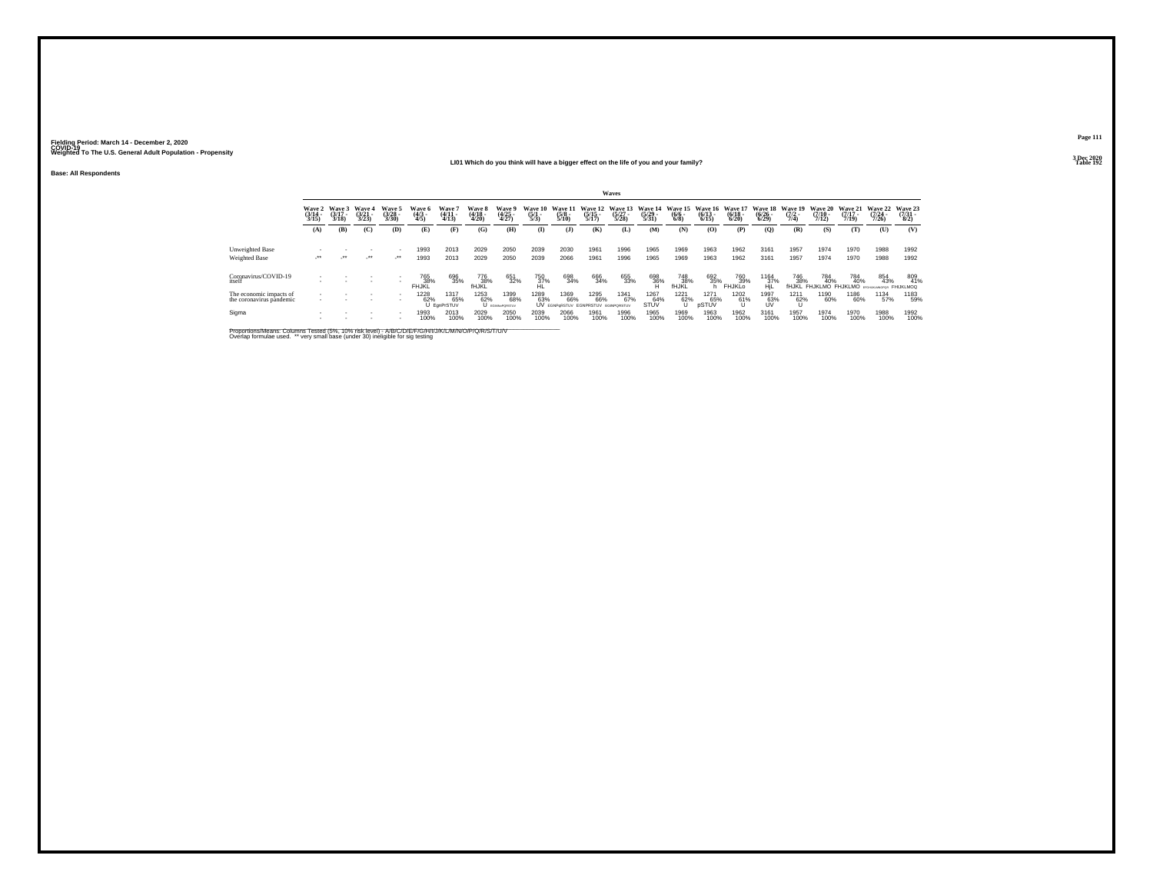**Base: All Respondents**

### **LI01 Which do you think will have a bigger effect on the life of you and your family?**

**Page 111**

|                                                     |                                 |                            |                                 |                                 |                          |                               |                            |                                |                                |                                                    |                                  | Waves                            |                                  |                                      |                                  |                                  |                                  |                                        |                                  |                                  |                                  |                                 |
|-----------------------------------------------------|---------------------------------|----------------------------|---------------------------------|---------------------------------|--------------------------|-------------------------------|----------------------------|--------------------------------|--------------------------------|----------------------------------------------------|----------------------------------|----------------------------------|----------------------------------|--------------------------------------|----------------------------------|----------------------------------|----------------------------------|----------------------------------------|----------------------------------|----------------------------------|----------------------------------|---------------------------------|
|                                                     | Wave 2<br>$\frac{(3/14)}{3/15}$ | Wave 3<br>(3/17 -<br>3/18) | Wave 4<br>$\frac{(3/21)}{3/23}$ | Wave 5<br>$\frac{(3/28)}{3/30}$ | Wave 6<br>(4/3 -<br>4/5) | Wave<br>$\frac{(4/11)}{4/13}$ | Wave 8<br>(4/18 -<br>4/20) | Wave 9<br>(4/25 -<br>4/27)     | Wave 10<br>$\frac{(5/1)}{5/3}$ | Wave 11<br>$\frac{(5/8)}{5/10}$                    | Wave 12<br>$\frac{(5/15)}{5/17}$ | Wave 13<br>$\frac{(5/27)}{5/28}$ | Wave 14<br>$\frac{(5/29)}{5/31}$ | Wave 15<br>$\frac{(6/6 - 6)}{(6/8)}$ | Wave 16<br>$\frac{(6/13)}{6/15}$ | Wave 17<br>$\frac{(6/18)}{6/20}$ | Wave 18<br>$\frac{(6/26)}{6/29}$ | Wave 19<br>$\frac{(7/2)}{7/4}$         | Wave 20<br>$\frac{(7/10)}{7/12}$ | Wave 21<br>$\frac{(7/17)}{7/19}$ | Wave 22<br>$\frac{(7/24)}{7/26}$ | Wave 23<br>$\frac{(7/31)}{8/2}$ |
|                                                     | (A)                             | (B)                        | (C)                             | (D)                             | (E)                      | (F)                           | (G)                        | (H)                            | $\mathbf{I}$                   | $\mathbf{J}$                                       | (K)                              | (L)                              | (M)                              | (N)                                  | (0)                              | (P)                              | $\mathbf{Q}$                     | (R)                                    | (S)                              | (T)                              | (U)                              | (V)                             |
| Unweighted Base<br>Weighted Base                    | $\cdot$                         | $\cdot$                    | $\cdot$                         | $\cdot$                         | 1993<br>1993             | 2013<br>2013                  | 2029<br>2029               | 2050<br>2050                   | 2039<br>2039                   | 2030<br>2066                                       | 1961<br>1961                     | 1996<br>1996                     | 1965<br>1965                     | 1969<br>1969                         | 1963<br>1963                     | 1962<br>1962                     | 3161<br>3161                     | 1957<br>1957                           | 1974<br>1974                     | 1970<br>1970                     | 1988<br>1988                     | 1992<br>1992                    |
| Coronavirus/COVID-19<br>itself                      |                                 |                            |                                 |                                 | 765<br>38%<br>FHJKL      | 696<br>35%                    | 776<br>38%<br>fHJKL        | 651<br>32%                     | 750<br>37%                     | 698<br>34%                                         | 666<br>34%                       | 655<br>33%                       | 698<br>36%                       | <sup>748</sup> 38%<br>fhjkl          | 692<br>35%                       | 760<br>39%<br>FHJKLO             | 1164<br>37%<br>HjL               | <sup>746</sup> <sub>38%</sub><br>fHJKL | 784<br>40%<br>FHJKLMO FHJKLMO    | 784<br>40%                       | 854<br>43%                       | 809<br>41%<br><b>FHIJKLMOQ</b>  |
| The economic impacts of<br>the coronavirus pandemic | $\overline{\phantom{a}}$        |                            |                                 | ٠                               | 1228<br>62%              | 1317<br>65%<br>U EgnPrSTUV    | 1253<br>62%                | 1399<br>68%<br>U EGINNAPORSTUV | 1289<br>63%                    | 1369<br>66%<br>UV EGNPORSTUV EGNPRSTUV EGINPORSTUV | 1295<br>66%                      | 1341<br>67%                      | 1267<br>64%<br>STUV              | 1221<br>62%                          | 1271<br>65%<br>pSTUV             | 1202<br>61%                      | 1997<br>63%                      | 1211<br>62%                            | 1190<br>60%                      | 1186<br>60%                      | 1134<br>57%                      | 1183<br>59%                     |
| Sigma                                               |                                 |                            |                                 |                                 | 1993<br>100%             | 2013<br>100%                  | 2029<br>100%               | 2050<br>100%                   | 2039<br>100%                   | 2066<br>100%                                       | 1961<br>100%                     | 1996<br>100%                     | 1965<br>100%                     | 1969<br>100%                         | 1963<br>100%                     | 1962<br>100%                     | 3161<br>100%                     | 1957<br>100%                           | 1974<br>100%                     | 1970<br>100%                     | 1988<br>100%                     | 1992<br>100%                    |

Proportions/Means: Columns Tested (5%, 10% risk level) - A/B/C/D/E/F/G/H/I/J/K/L/M/N/O/P/Q/R/S/T/U/V<br>Overlap formulae used. \*\* very small base (under 30) ineligible for sig testing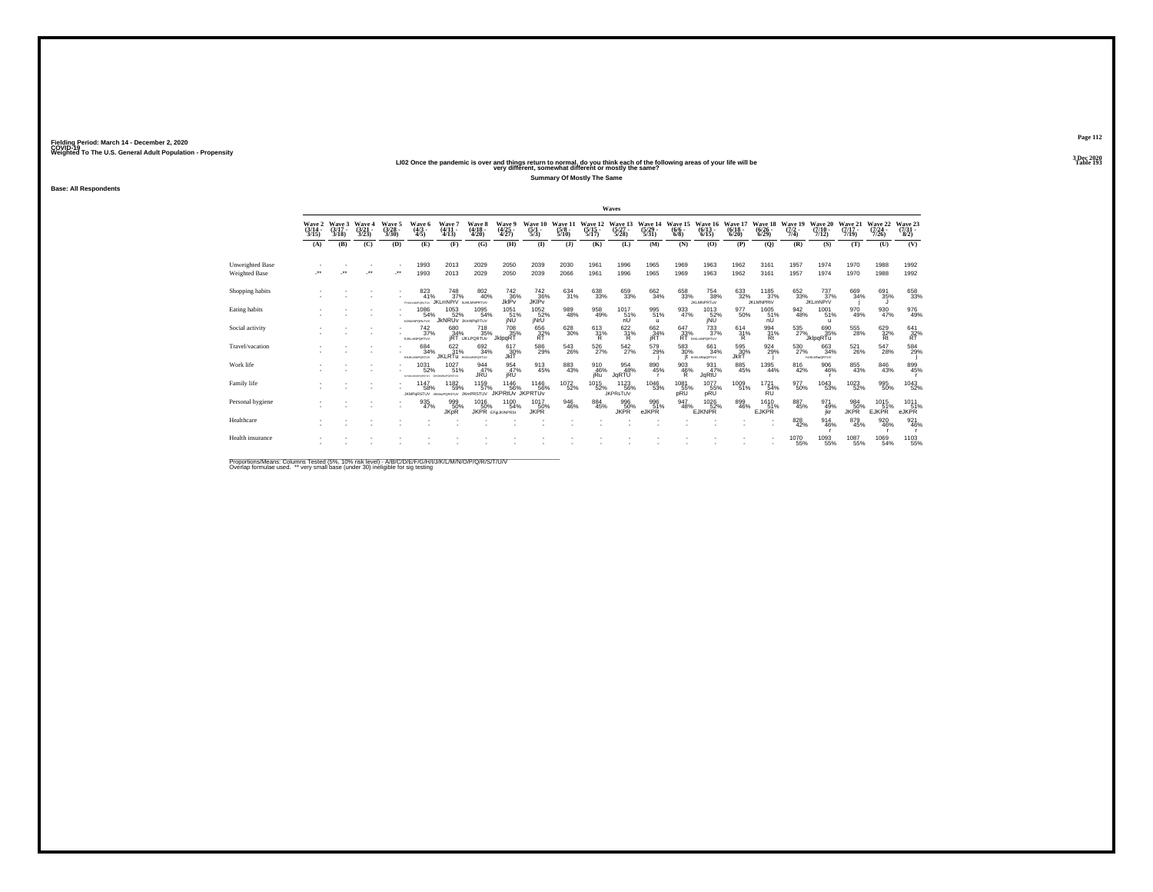|                  | Wave 2<br>$\frac{(3/14)}{3/15}$ | Waye 3<br>$(3/17 -$<br>3/18 | Waye 4<br>$\frac{(3/21)}{3/23}$ | Wave 5<br>$\frac{(3/28)}{3/30}$ | Wave 6<br>$\frac{(4/3)}{4/5}$              | Wave<br>$(4/11 -$<br>4/13                  | <b>Wave 8</b><br>$\frac{(4/18)}{4/20}$      | Wave<br>$\frac{(4/25)}{4/27}$          | Wave 10<br>$\frac{(5/1)}{5/3}$ | Wave 11<br>$\frac{(5/8)}{5/10}$ | Wave 12<br>$\frac{(5/15)}{5/17}$ . | Wave 1.<br>$\frac{(5/27)}{5/28}$       | Wave 14<br>$\frac{(5/29)}{5/31}$ | Wave 15<br>$\frac{(6/6 - 6)}{(6/8)}$ | Wave 16<br>$(6/13 -$<br>6/15            | Wave 17<br>$\frac{(6/18)}{6/20}$ | Wave 18<br>$\frac{(6/26)}{6/29}$ | Wave 19<br>$(7/2 -$<br>7/4) | Wave 20<br>$\frac{(7/10)}{7/12}$     | Wave 21<br>$(7/17 -$<br>7/19 | Wave 22<br>$(7/24 -$<br>7/26 | Wave 23<br>(7/31 -<br>8/2) |
|------------------|---------------------------------|-----------------------------|---------------------------------|---------------------------------|--------------------------------------------|--------------------------------------------|---------------------------------------------|----------------------------------------|--------------------------------|---------------------------------|------------------------------------|----------------------------------------|----------------------------------|--------------------------------------|-----------------------------------------|----------------------------------|----------------------------------|-----------------------------|--------------------------------------|------------------------------|------------------------------|----------------------------|
|                  | (A)                             | (B)                         | (C)                             | (D)                             | (E)                                        | (F)                                        | (G)                                         | (H)                                    | $\mathbf{I}$                   | $($ $\bf{J}$                    | (K)                                | (L)                                    | (M)                              | (N)                                  | (0)                                     | (P)                              | (Q)                              | (R)                         | (S)                                  | (T)                          | (U)                          | (V)                        |
| Unweighted Base  |                                 |                             |                                 |                                 | 1993                                       | 2013                                       | 2029                                        | 2050                                   | 2039                           | 2030                            | 1961                               | 1996                                   | 1965                             | 1969                                 | 1963                                    | 1962                             | 3161                             | 1957                        | 1974                                 | 1970                         | 1988                         | 1992                       |
| Weighted Base    |                                 |                             | $\bullet\bullet$                | ÷.                              | 1993                                       | 2013                                       | 2029                                        | 2050                                   | 2039                           | 2066                            | 1961                               | 1996                                   | 1965                             | 1969                                 | 1963                                    | 1962                             | 3161                             | 1957                        | 1974                                 | 1970                         | 1988                         | 1992                       |
| Shopping habits  |                                 |                             |                                 |                                 | 823<br>41%<br>Data for MADORATIVE          | <sup>748</sup> 37%<br><b>JKLmNPrV</b>      | 802<br>40%<br><b>NUKLMNPRTLIV</b>           | 742<br>36%<br>JklPv                    | 742<br>36%<br>JKIPv            | 634<br>31%                      | 638<br>33%                         | 659<br>33%                             | 662<br>34%                       | 658<br>33%                           | <sup>754</sup> 38%<br><b>JKLMNPRTuV</b> | $\substack{633 \\ 32\%}$         | 1185<br>37%<br><b>JKLMNPRIV</b>  | $\substack{652\\33\%}$      | $^{737}_{37\%}$<br><b>JKLmNPrV</b>   | 669<br>34%                   | 691<br>35%                   | 658<br>33%                 |
| Eating habits    |                                 |                             |                                 |                                 | 1086<br>54%<br><b>NJKImNPORNTUV</b>        | 1053<br>52%<br><b>JKNRUV</b> JKmNPqRTUV    | 1095<br>54%                                 | 1051<br>51%<br>jNU                     | 1052<br>52%<br>jNrU            | 989<br>48%                      | 958<br>49%                         | 1017<br>51%<br>nU                      | 995<br>51%<br>$\mathbf{u}$       | 933<br>47%                           | 1013<br>52%<br>jNU                      | 977<br>50%                       | 1605<br>$\frac{51}{n}$           | 942<br>48%                  | 1001<br>51%<br>-11                   | 970<br>49%                   | 930<br>47%                   | 976<br>49%                 |
| Social activity  |                                 |                             |                                 |                                 | $^{742}_{37\%}$<br><b>ILIQ.mNPQRTUV</b>    | 680<br>34%                                 | <sup>718</sup> 35%<br><b>IRT IJKLPORTUV</b> | <sup>708</sup> 35%<br>JklpqRT          | 656<br>32%<br><b>RT</b>        | 628<br>30%                      | 613/31%<br>R                       | 622/31%<br>R                           | 662<br>34%<br>jRT                | 647<br>33%                           | 733<br>37%<br><b>RT ERGHNPORTUV</b>     | $^{614}_{31\%}$<br>R.            | 994<br>31%<br>Rt                 | 535<br>27%                  | 690<br>35%<br>JklpqRTu               | 555<br>28%                   | 629<br>32%<br>Rt             | $^{641}_{32\%}$ RT         |
| Travel/vacation  |                                 |                             |                                 |                                 | 684<br>34%<br><b><i>DEJIGANPORTUV</i></b>  | 622/31%<br><b>JKLRTu <i>MAAAAARTUV</i></b> | 692<br>34%                                  | 617<br>30%<br>Jkit                     | 586<br>29%                     | 543<br>26%                      | 526<br>27%                         | 542<br>27%                             | 579<br>29%                       | $\frac{583}{30\%}$                   | 661<br>34%<br><b>NJKLMN&gt;ORTUV</b>    | 595 30%<br>JklrT                 | 924<br>29%                       | 530<br>27%                  | 663<br>34%<br><b>NJKLMN&gt;ORTUV</b> | 521<br>26%                   | 547<br>28%                   | 584<br>29%                 |
| Work life        |                                 |                             |                                 |                                 | 1031<br>52%<br>Statistics and Constitution | 1027<br>51%<br>GALIMAGE OVERALL            | 944<br>47%<br>JRÜ                           | 954<br>47%<br>jRU                      | 913<br>45%                     | $\substack{883 \\ 43\%}$        | 910<br>46%<br>jRu                  | 954<br>48%<br>JqRTÜ                    | 890<br>45%                       | 903<br>46%                           | 931<br>47%<br>JqRtU                     | 885<br>45%                       | 1395<br>44%                      | 816<br>42%                  | 906<br>46%                           | 855<br>43%                   | 846<br>43%                   | 899<br>45%                 |
| Family life      |                                 |                             |                                 |                                 | 1147<br>58%<br><b>JKMPgRSTUV</b>           | 1182<br>59%<br>BOAN-PORSTLIV               | 1159<br>57%<br><b>IKmPRSTLIV</b>            | <sup>1146</sup> 56%<br>JKPRtUv JKPRTUv | <sup>1146</sup> 56%            | 1072<br>52%                     | <sup>1015</sup> 52%                | <sup>1123</sup> 56%<br><b>JKPRsTUV</b> | <sup>1046</sup> 53%              | 1081<br>55%<br>pRU                   | 1077<br>55%<br>pRU                      | 1009<br>51%                      | 1721<br>54%<br><b>RU</b>         | 977<br>50%                  | <sup>1043</sup> 53%                  | 1023                         | 995<br>50%                   | 1043<br>52%                |
| Personal hygiene |                                 |                             |                                 |                                 | 935<br>47%                                 | 999<br>50%<br><b>JKpR</b>                  | 1016<br>50%<br><b>JKPR</b>                  | 1100<br>54%<br>EFQUKINPRSt             | 1017<br>50%<br>JKPR            | 946<br>46%                      | 884<br>45%                         | 996<br>50%<br><b>JKPR</b>              | 996<br>51%<br>eJKPR              | 947<br>48%                           | 1026<br>52%<br>EJKNPR                   | 899<br>46%                       | 1610<br>51%<br><b>EJKPR</b>      | 887<br>45%                  | 971<br>49%<br>ikr                    | 984<br>50%<br><b>JKPR</b>    | 1015<br>51%<br><b>EJKPR</b>  | 1011<br>6JKPR              |
| Healthcare       |                                 |                             |                                 |                                 |                                            |                                            |                                             |                                        |                                |                                 |                                    |                                        |                                  |                                      |                                         |                                  |                                  | 828<br>42%                  | 914<br>46%                           | 879<br>45%                   | 920<br>46%                   | 921<br>46%                 |
| Health insurance |                                 |                             |                                 |                                 |                                            |                                            |                                             |                                        |                                |                                 |                                    |                                        |                                  |                                      |                                         |                                  |                                  | <sup>1070</sup> 55%         | 1093<br>55%                          | 1087<br>55%                  | 1069<br>54%                  | 1103<br>55%                |

Proportions/Means: Columns Tested (5%, 10% risk level) - A/B/C/D/E/F/G/H/I/J/K/L/M/N/O/P/Q/R/S/T/U/V<br>Overlap formulae used. \*\* very small base (under 30) ineligible for sig testing

### **LI02 Once the pandemic is over and things return to normal, do you think each of the following areas of your life will be Table 193 very different, somewhat different or mostly the same?Summary Of Mostly The Same**

**Waves**

**Fielding Period: March 14 - December 2, 2020 COVID-19 Weighted To The U.S. General Adult Population - Propensity 3 Dec 2020**

**Base: All Respondents**

**Page 112**3 Dec 2020<br>Table 193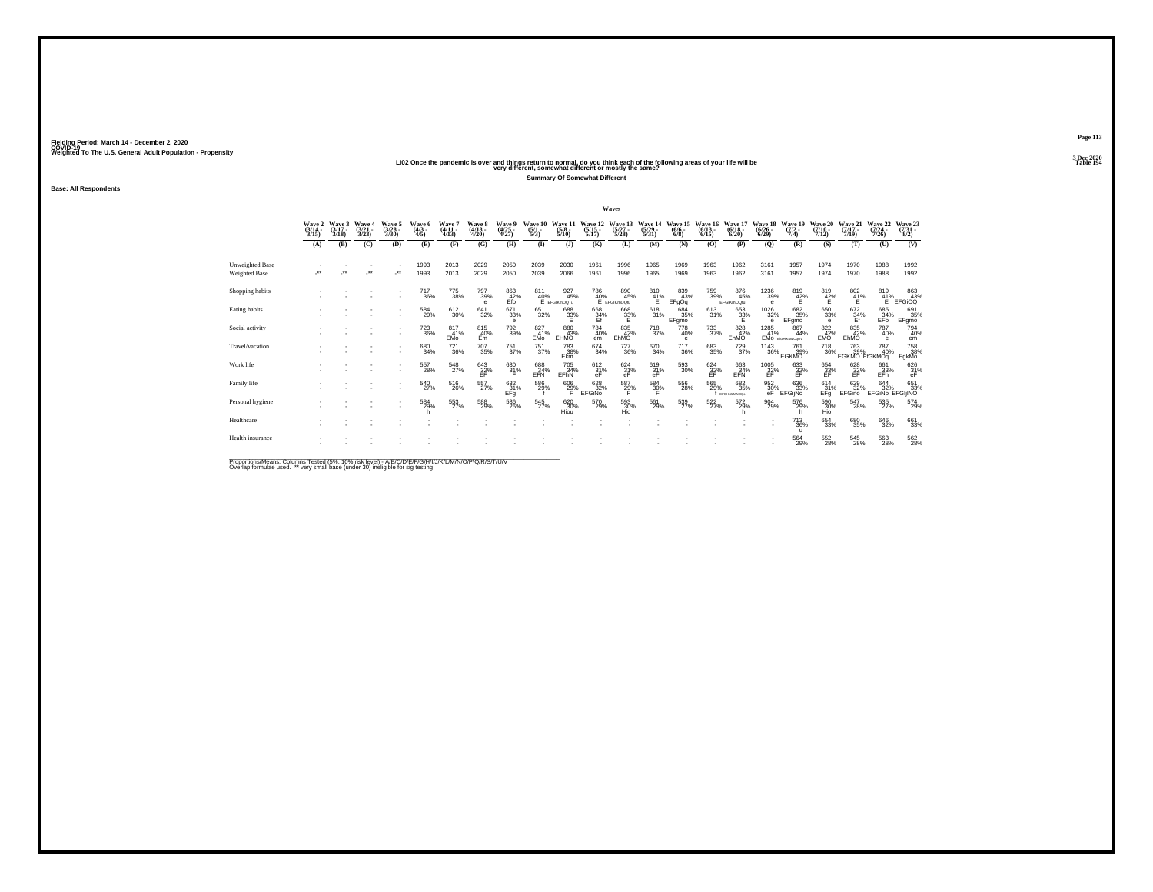|                                         | Wave 2<br>$(3/14 -$<br>3/15 | Waye 3<br>$(3/17 -$<br>3/18 | Wave 4<br>$\frac{(3/21)}{3/23}$ | Wave 5<br>$\binom{3/28}{3/30}$ | Wave 6<br>$(4/3 -$<br>4/5     | Wave<br>$(4/11 -$<br>4/13 | <b>Wave 8</b><br>$\frac{(4/18)}{4/20}$ | Wave 9<br>$\binom{4/25}{4/27}$              | Wave 10<br>$\frac{(5/1)}{5/3}$ | Wave 11<br>$\frac{(5/8)}{5/10}$ | Wave 12<br>$\frac{(5/15)}{5/17}$ . | Wave 13<br>$\frac{(5/27)}{5/28}$                 | Wave<br>$\frac{(5/29)}{5/31}$ | Wave 15<br>$\frac{(6/6 - 6)}{(6/8)}$ | Wave 16<br>$\frac{(6/13)}{6/15}$ | Wave 17<br>$\binom{6/18}{6/20}$  | Wave 18<br>$\frac{(6/26)}{6/29}$        | Wave 19<br>$(7/2 -$<br>7/4)        | Wave 20<br>$(7/10 -$<br>7/12 | Wave 21<br>$(7/17 -$<br>7/19        | Wave 22<br>$(7/24 -$<br>7/26  | Wave 23<br>$\binom{7/31}{8/2}$                              |
|-----------------------------------------|-----------------------------|-----------------------------|---------------------------------|--------------------------------|-------------------------------|---------------------------|----------------------------------------|---------------------------------------------|--------------------------------|---------------------------------|------------------------------------|--------------------------------------------------|-------------------------------|--------------------------------------|----------------------------------|----------------------------------|-----------------------------------------|------------------------------------|------------------------------|-------------------------------------|-------------------------------|-------------------------------------------------------------|
|                                         | (A)                         | (B)                         | (C)                             | (D)                            | (E)                           | (F)                       | (G)                                    | (H)                                         | $\mathbf{I}$                   | $($ $\bf{J}$                    | (K)                                | (L)                                              | (M)                           | (N)                                  | (O)                              | (P)                              | (Q)                                     | (R)                                | (S)                          | (T)                                 | (U)                           | (V)                                                         |
| Unweighted Base<br><b>Weighted Base</b> |                             |                             | $\ddot{\phantom{0}}$            | $\cdot$                        | 1993<br>1993                  | 2013<br>2013              | 2029<br>2029                           | 2050<br>2050                                | 2039<br>2039                   | 2030<br>2066                    | 1961<br>1961                       | 1996<br>1996                                     | 1965<br>1965                  | 1969<br>1969                         | 1963<br>1963                     | 1962<br>1962                     | 3161<br>3161                            | 1957<br>1957                       | 1974<br>1974                 | 1970<br>1970                        | 1988<br>1988                  | 1992<br>1992                                                |
| Shopping habits                         |                             |                             |                                 | ٠                              | <sup>717</sup> <sub>36%</sub> | 775<br>38%                | 797<br>39%<br>$\epsilon$               | $\underset{\mathsf{E} \mathsf{fo}}{^{863}}$ | 811<br>40%                     | 927<br>45%<br>E EFGIKmOOTu      |                                    | 786 890<br>40% 45°<br>E EFGIKmOQtu<br>890<br>45% | $^{810}_{41\%}$               | 839<br>43%<br>EFgOq                  | 759<br>39%                       | 876<br>45%<br>EFGIKmOQtu         | 1236<br>39%<br>$\theta$                 | $8^{19}_{42\%}$                    | $^{819}_{42\%}$              | $\frac{802}{41}\%$                  | 819<br>41%<br>Е               | $\begin{array}{c} 863 \\ 43\% \\ \text{EFGiOQ} \end{array}$ |
| Eating habits                           |                             |                             |                                 |                                | 584<br>29%                    | 612<br>30%                | 641<br>32%                             | 671<br>33%                                  | 651<br>32%                     | 688<br>33%                      | 668<br>34%<br>Ef                   | $\frac{668}{32\%}$                               | 618<br>31%                    | 684<br>35%<br>EFgmo                  | $\frac{613}{31\%}$               | $\overset{653}{\substack{33\%}}$ | 1026<br>32%<br>$\theta$                 | 682<br>35%<br>EFgmo                | 650<br>33%<br>$\theta$       | $^{672}_{34\%}$                     | 685<br>34%<br>EFO             | 691<br>35%<br>EFgmo                                         |
| Social activity                         |                             |                             |                                 |                                | <sup>723</sup> <sub>36%</sub> | 817<br>41%<br><b>EMo</b>  | 815<br>40%<br>Em                       | <sup>792</sup> <sub>39%</sub>               | 827<br>41%<br>EMo              | 880<br>43%<br>EHMO              | 784<br>40%<br>em                   | 835<br>42%<br>EhMO                               | $^{718}_{37\%}$               | 778<br>40%<br>e                      | $^{733}_{37\%}$                  | 828<br>42%<br>EhMO               | 1285<br>41%                             | 867<br>44%<br>EMO EIGHKWNOOLY      | 822%<br><b>EMO</b>           | 835<br>42%<br>EhMO                  | 787<br>40%<br>e               | 794<br>40%<br>em                                            |
| Travel/vacation                         |                             |                             |                                 |                                | 680<br>34%                    | $^{721}_{36\%}$           | $^{707}_{35\%}$                        | $^{751}_{37\%}$                             | <sup>751</sup> <sub>37%</sub>  | 783<br>38%<br>Ekm               | $^{674}_{34\%}$                    | <sup>727</sup> 36%                               | 670<br>34%                    | $\substack{717\\36\%}$               | 683<br>35%                       | $^{729}_{37\%}$                  | <sup>1143</sup> 36%                     | 761<br>39%<br><b>EGKMO</b>         | <sup>718</sup> 36%           | <sup>763</sup> 39%<br>EGKMO EIGKMOg | 787<br>40%                    | 758<br>38%<br>EgkMo                                         |
| Work life                               |                             |                             |                                 |                                | 557<br>28%                    | 548<br>27%                | $^{643}_{\substack{32\%\\E}}$          | $\frac{630}{31\%}$                          | 688<br>EFN                     | 705<br>34%<br>EFhN              | $612 \atop 31\%$                   | 624<br>31%<br>eF                                 | $^{619}_{31\%}$ eF            | $^{593}_{\ 30\%}$                    | $^{624}_{32\%}$                  | 663<br>EFN<br>EFN                | $^{1005}_{\substack{32\%\\ \text{EF}}}$ | 633<br>$\frac{32}{5}$              | 654<br>33%<br>EF             | 628<br>$\frac{32}{5}$               | 661<br>$E$ <sup>33%</sup>     | $\frac{626}{31\%}$                                          |
| Family life                             |                             |                             |                                 |                                | 540<br>27%                    | 516<br>26%                | 557%                                   | 632 %<br>EFg                                | 586<br>29%                     | $^{606}_{29\%}$                 | 628<br>32%<br>EFGINO               | 587<br>29%                                       | 584<br>30%                    | 556<br>28%                           | 565<br>29%                       | 682<br>35%<br>EFGHLLMNOON        | 952%<br>eF                              | 636<br>33%<br>EFGijNo              | $^{614}_{31\%}$<br>EFg       | 629<br>32%<br>EFGino                | 644<br>32%<br>EFGINO EFGIJINO | 651<br>33%                                                  |
| Personal hygiene                        |                             |                             |                                 |                                | 584<br>29%                    | 553<br>27%                | 588<br>29%                             | 536<br>26%                                  | 545<br>27%                     | 620<br>30%<br>Hiou              | 570<br>29%                         | 593<br>30%<br>Hio                                | 561<br>29%                    | 539<br>27%                           | 522<br>27%                       | 572<br>29%                       | 904<br>29%                              | 576<br>29%                         | 590<br>30%                   | 547<br>28%                          | 535<br>27%                    | 574<br>29%                                                  |
| Healthcare                              |                             |                             |                                 |                                |                               |                           |                                        |                                             |                                |                                 |                                    |                                                  |                               |                                      |                                  |                                  |                                         | <sup>713</sup> <sub>36%</sub><br>п | 654<br>33%                   | 680<br>35%                          | 646<br>32%                    | 661<br>33%                                                  |
| Health insurance                        |                             |                             |                                 |                                |                               |                           |                                        |                                             |                                |                                 |                                    |                                                  |                               |                                      |                                  |                                  |                                         | 564<br>29%                         | 552<br>28%                   | 545<br>28%                          | 563<br>28%                    | 562<br>28%                                                  |

Proportions/Means: Columns Tested (5%, 10% risk level) - A/B/C/D/E/F/G/H/I/J/K/L/M/N/O/P/Q/R/S/T/U/V<br>Overlap formulae used. \*\* very small base (under 30) ineligible for sig testing

Fielding Period: March 14 - December 2, 2020<br>Fielding Period: March 14 - December 2, 2020<br>Wolchind To The U.S. General Adulf Ponulation - Propensity

**Base: All Respondents**

Weighted To The U.S. General Adult Population - Propensity<br>LIO2 Once the pandemic is over and things return to normal, do you think each of the following areas of your life will be<br>Table 194 **Summary Of Somewhat Different**

**Waves**

**Page 113**3 Dec 2020<br>Table 194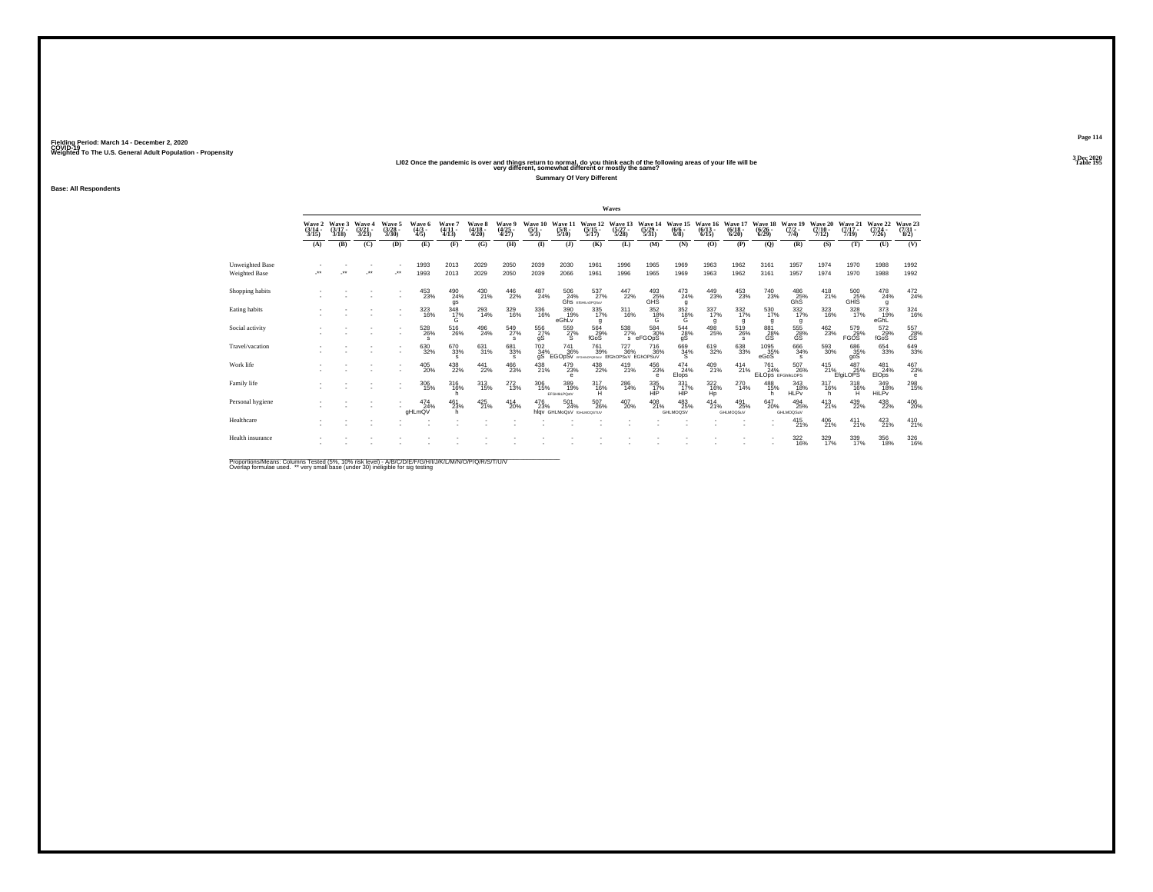Weighted To The U.S. General Adult Population - Propensity<br>LIO2 Once the pandemic is over and things return to normal, do you think each of the following areas of your life will be<br>Table 195

**Summary Of Very Different**

Fielding Period: March 14 - December 2, 2020<br>Fielding Period: March 14 - December 2, 2020<br>Wolchind To The U.S. General Adulf Ponulation - Propensity

**Base: All Respondents**

|                                  |                             |                             |                                 |                                 |                               |                                       |                                 |                            |                                |                                    |                                  | Waves                                    |                                  |                                      |                                  |                                  |                                    |                                |                              |                              |                                 |                                |
|----------------------------------|-----------------------------|-----------------------------|---------------------------------|---------------------------------|-------------------------------|---------------------------------------|---------------------------------|----------------------------|--------------------------------|------------------------------------|----------------------------------|------------------------------------------|----------------------------------|--------------------------------------|----------------------------------|----------------------------------|------------------------------------|--------------------------------|------------------------------|------------------------------|---------------------------------|--------------------------------|
|                                  | Wave 2<br>$(3/14 -$<br>3/15 | Wave 3<br>$(3/17 -$<br>3/18 | Waye 4<br>$\frac{(3/21)}{3/23}$ | Wave 5<br>$\frac{(3/28)}{3/30}$ | Wave 6<br>$\frac{(4/3)}{4/5}$ | Wave 7<br>$(4/11 -$<br>4/13           | Wave 8<br>$\frac{(4/18)}{4/20}$ | Wave 9<br>(4/25<br>4/27)   | Wave 10<br>$\frac{(5/1)}{5/3}$ | Wave 11<br>$\frac{(5/8)}{5/10}$    | Wave 12<br>$\frac{(5/15)}{5/17}$ | Wave 13<br>$\frac{(5/27)}{5/28}$         | Wave 14<br>$\frac{(5/29)}{5/31}$ | Wave 15<br>$\frac{(6/6 - 6)}{(6/8)}$ | Wave 16<br>$\frac{(6/13)}{6/15}$ | Wave 17<br>$\frac{(6/18)}{6/20}$ | Wave 18<br>$\frac{(6/26)}{(6/29)}$ | Wave 19<br>$\frac{(7/2)}{7/4}$ | Wave 20<br>$(7/10 -$<br>7/12 | Wave 21<br>$(7/17 -$<br>7/19 | Wave 22<br>(7/24)<br>7/26       | Wave 23<br>$\binom{7/31}{8/2}$ |
|                                  | (A)                         | (B)                         | (C)                             | (D)                             | (E)                           | (F)                                   | (G)                             | (H)                        | $\bf{I}$                       | (1)                                | (K)                              | (L)                                      | (M)                              | (N)                                  | (O)                              | (P)                              | (Q)                                | (R)                            | (S)                          | (T)                          | (U)                             | (V)                            |
| Unweighted Base<br>Weighted Base | $\bullet\bullet$            | $^{\tiny{**}}$              | $\bullet\bullet$                | $\star$                         | 1993<br>1993                  | 2013<br>2013                          | 2029<br>2029                    | 2050<br>2050               | 2039<br>2039                   | 2030<br>2066                       | 1961<br>1961                     | 1996<br>1996                             | 1965<br>1965                     | 1969<br>1969                         | 1963<br>1963                     | 1962<br>1962                     | 3161<br>3161                       | 1957<br>1957                   | 1974<br>1974                 | 1970<br>1970                 | 1988<br>1988                    | 1992<br>1992                   |
| Shopping habits                  |                             |                             |                                 |                                 | 453<br>23%                    | 490<br>24%<br>gs                      | 430<br>21%                      | 446<br>22%                 | 487<br>24%                     | 506<br>24%                         | 537%<br>Ghs EIGHLnOPOSuV         | $\frac{447}{22\%}$                       | $^{493}_{25\%}$<br>GHS           | $^{473}_{24\%}$<br>q                 | 449<br>23%                       | $^{453}_{23\%}$                  | <sup>740</sup> <sub>23%</sub>      | 486<br>25%<br>GhS <sup>1</sup> | $^{418}_{21\%}$              | 500<br>25%<br>GHIS           | $^{478}_{24\%}$<br>g            | $^{472}_{24\%}$                |
| Eating habits                    |                             |                             |                                 | $\overline{\phantom{a}}$        | 323<br>16%                    | $\frac{348}{17\%}$                    | $^{293}_{14\%}$                 | 329<br>16%                 | 336<br>16%                     | 390<br>19%<br>eGhLy                | $\frac{335}{17\%}$<br>g          | $\underset{16\%}{311}$                   | 352<br>$^{18}_{\circ}$           | $\frac{352}{18\%}$                   | 337<br>17%<br>q                  | $\frac{332}{17\%}$<br>q          | 530<br>17%<br>a                    | $\frac{332}{17\%}$<br>a        | 323<br>16%                   | $\frac{328}{17\%}$           | 373<br>19%<br>eGhL              | $\frac{324}{16\%}$             |
| Social activity                  |                             |                             |                                 | $\overline{\phantom{a}}$        | $^{528}_{26\%}$<br>s          | $^{516}_{\phantom{1}\phantom{1}26\%}$ | $^{496}_{24\%}$                 | 549<br>27%<br>s            | 556<br>27%<br>qS               | 559<br>27%                         | 564<br>29%<br>fGoS               | $^{538}_{27\%}$<br>$\mathbf{s}$          | 584<br>30%<br>eFGOpS             | $\frac{544}{28\%}$<br>gS             | $^{498}_{25\%}$                  | 519<br>26%<br>$\mathbf{s}$       | 881<br>28%<br>GS                   | 555<br>GS <sup>1</sup>         | 462<br>23%                   | 579<br>29%<br><b>FGOS</b>    | 572<br>29%<br>fGoS              | 557<br>28%<br>ĞŠ               |
| Travel/vacation                  |                             |                             |                                 |                                 | 630<br>32%                    | 670<br>33%<br>$\mathbf{s}$            | 631%                            | 681<br>33%<br>$\mathbf{s}$ | 702 34%<br>qS                  | 741<br>36%<br>EGOpSv EFGHNOPORSKUV | <sup>761</sup> 39%               | <sup>727</sup> 36%<br>EIGhOPSuV EGhOPSuV | <sup>716</sup> <sub>36%</sub>    | $\frac{669}{34\%}$                   | 619<br>32%                       | $^{638}_{33\%}$                  | 1095<br>35%<br>eGoS                | $\substack{666 \\ 34\%}$       | 593<br>30%                   | 686<br>35%<br>goS            | 654<br>33%                      | 649<br>33%                     |
| Work life                        |                             |                             |                                 |                                 | 405<br>20%                    | $^{438}_{22\%}$                       | 441<br>22%                      | 466<br>23%                 | $^{438}_{21\%}$                | 479<br>23%                         | 438<br>22%                       | 419<br>21%                               | 456<br>23%<br>е                  | 474<br>24%<br>Elops                  | 409<br>21%                       | 414<br>21%                       | 761<br>24%<br>EiLOps EFGhIkLOPS    | 507<br>26%                     | 415<br>21%                   | 487<br>25%<br>EfaiLOPS       | 481<br>24%<br>EIO <sub>ps</sub> | $\frac{467}{23\%}$<br>e        |
| Family life                      |                             |                             |                                 |                                 | $\frac{306}{15\%}$            | 316/16%<br>h                          | $^{313}_{15\%}$                 | $^{272}_{13\%}$            | 306<br>15%                     | 389<br>19%<br>EFGHILPOstV          | 317<br>16%<br>н                  | $^{286}_{14\%}$                          | 335<br>17%<br>HIP                | 331<br>17%<br>HIP                    | $\frac{322}{16\%}$<br>Hp         | $^{270}_{14\%}$                  | 488<br>15%<br>h                    | 343<br>18%<br><b>HLPv</b>      | $^{317}_{16\%}$<br>h         | $318 \atop 16\%$<br>н        | 349<br>18%<br>HiLPy             | 298<br>15%                     |
| Personal hygiene                 |                             |                             |                                 |                                 | 474<br>24%<br>aHLmQV          | 461<br>23%                            | 425<br>21%                      | 414<br>20%                 | 476<br>23%                     | 501<br>24%<br>hlav GHLMoQsV        | 507<br>26%<br><b>IGHLMOGSTUV</b> | 407<br>20%                               | 408<br>21%                       | 483<br>25%<br>GHLMOQSV               | 414<br>21%                       | 491<br>25%<br>GHLMOQSuV          | 647<br>20%                         | 494<br>25%<br><b>GHLMOQSuV</b> | $^{413}_{21\%}$              | 439<br>22%                   | 438<br>22%                      | $^{406}_{20\%}$                |
| Healthcare                       |                             |                             |                                 |                                 |                               |                                       |                                 |                            |                                |                                    |                                  |                                          |                                  |                                      |                                  |                                  |                                    | $^{415}_{21\%}$                | 406<br>21%                   | $^{411}_{21\%}$              | $^{423}_{21\%}$                 | $^{410}_{21\%}$                |
| Health insurance                 |                             |                             |                                 |                                 |                               |                                       |                                 |                            |                                |                                    |                                  |                                          |                                  |                                      |                                  |                                  |                                    | $\frac{322}{16\%}$             | 329/17%                      | 339/17%                      | 356<br>18%                      | $\frac{326}{16\%}$             |

Proportions/Means: Columns Tested (5%, 10% risk level) - A/B/C/D/E/F/G/H/I/J/K/L/M/N/O/P/Q/R/S/T/U/V<br>Overlap formulae used. \*\* very small base (under 30) ineligible for sig testing

**Page 114**3 Dec 2020<br>Table 195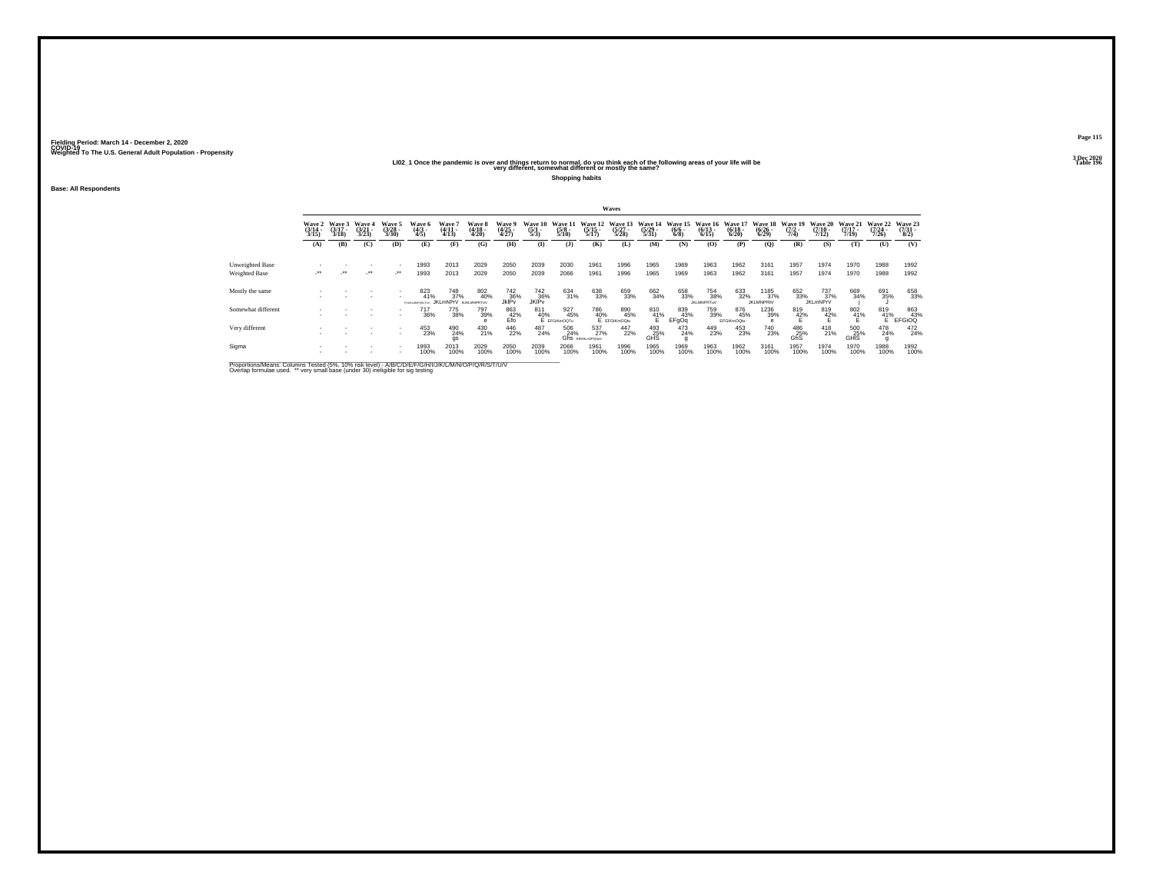### **LI02\_1 Once the pandemic is over and things return to normal, do you think each of the following areas of your life will be Table 196 very different, somewhat different or mostly the same?**

**Shopping habits**

**Base: All Respondents**

|                                  |                          |                             |                                 |                                |                                   |                                                                  |                            |                                      |                           |                                |                                  | Waves                                          |                           |                                |                                  |                                 |                                  |                                |                                  |                                  |                                  |                            |
|----------------------------------|--------------------------|-----------------------------|---------------------------------|--------------------------------|-----------------------------------|------------------------------------------------------------------|----------------------------|--------------------------------------|---------------------------|--------------------------------|----------------------------------|------------------------------------------------|---------------------------|--------------------------------|----------------------------------|---------------------------------|----------------------------------|--------------------------------|----------------------------------|----------------------------------|----------------------------------|----------------------------|
|                                  | Wave 2<br>(3/14<br>3/15) | Wave 3<br>$(3/17 -$<br>3/18 | Wave 4<br>$\frac{(3/21)}{3/23}$ | Wave 5<br>$\binom{3728}{3/30}$ | Wave 6<br>(4/3 -<br>4/5)          | Wave '<br>$(4/11 -$<br>4/13                                      | Wave 8<br>(4/18 -<br>4/20) | Wave 9<br>(4/25<br>4/27)             | Waye 10<br>(5/1 -<br>5/3) | Wave 1<br>$\frac{(5/8)}{5/10}$ | Wave 12<br>$\frac{(5/15)}{5/17}$ | Wave 13<br>$\binom{5/27}{5/28}$                | Wave 14<br>(5/29)<br>5/31 | Wave 15<br>$\frac{(6/6)}{6/8}$ | Wave 16<br>$\frac{(6/13)}{6/15}$ | Wave 1<br>$\frac{(6/18)}{6/20}$ | Wave 18<br>$\frac{(6/26)}{6/29}$ | Wave 19<br>$\frac{(7/2)}{7/4}$ | Wave 20<br>$\frac{(7/10)}{7/12}$ | Wave 21<br>$\frac{(7/17)}{7/19}$ | Wave 22<br>$\frac{(7/24)}{7/26}$ | Wave 23<br>(7/31 -<br>8/2) |
|                                  | (A)                      | (B)                         | (C)                             | (D)                            | (E)                               | (F)                                                              | (G)                        | (H)                                  | $($ $\Gamma$              | (3)                            | (K)                              | (L)                                            | (M)                       | (N)                            | (0)                              | (P)                             | (0)                              | (R)                            | (S)                              | (T)                              | (U)                              | (V)                        |
| Unweighted Base<br>Weighted Base | ur .                     | $\cdot$                     | $\cdot$                         | $\cdot$                        | 1993<br>1993                      | 2013<br>2013                                                     | 2029<br>2029               | 2050<br>2050                         | 2039<br>2039              | 2030<br>2066                   | 1961<br>1961                     | 1996<br>1996                                   | 1965<br>1965              | 1969<br>1969                   | 1963<br>1963                     | 1962<br>1962                    | 3161<br>3161                     | 1957<br>1957                   | 1974<br>1974                     | 1970<br>1970                     | 1988<br>1988                     | 1992<br>1992               |
| Mostly the same                  |                          |                             |                                 | $\sim$                         | 823<br>41%<br>Data for MADORATIVE | <sup>748</sup> <sub>37%</sub><br><b>IKI mNPrV</b> NJKI MNPRTI IV | 802<br>40%                 | 742<br>36%<br>JklPv                  | 742<br>36%<br>JKIPv       | 634<br>31%                     | 638<br>33%                       | 659<br>33%                                     | 662<br>34%                | 658<br>33%                     | 754<br>38%<br><b>JKLMNPRTuV</b>  | 633<br>32%                      | 1185<br>37%<br><b>JKLMNPRIV</b>  | 652<br>33%                     | 737%<br><b>JKLmNPrV</b>          | 669<br>34%                       | 691<br>35%                       | 658<br>33%                 |
| Somewhat different               |                          |                             |                                 |                                | 717<br>36%                        | 775<br>38%                                                       | 797<br>39%                 | $_{\rm E}^{863}$ $_{\rm Efo}^{42\%}$ | 811                       | 927<br>45%<br>40% 45           |                                  | 786 85<br>40% 45<br>E EFGIKmOQtu<br>890<br>45% | $^{810}_{41\%}$           | 839<br>43%<br>EFgOq            | 759<br>39%                       | 876<br>45%<br>EFGIKmOQtu        | 1236<br>39%                      | 819<br>42%                     | 819<br>42%                       | $\frac{802}{41\%}$               | $^{819}_{41\%}$ E                | 863<br>43%<br>EFGiOQ       |
| Very different                   |                          |                             |                                 |                                | 453<br>23%                        | 490<br>24%<br>gs                                                 | 430<br>21%                 | 446<br>22%                           | 487<br>24%                | 506<br>24%                     | 537<br>27%<br>Ghs EIGHLHOPOSUV   | 447<br>22%                                     | 493<br>25%<br><b>GHS</b>  | 473<br>24%                     | 449<br>23%                       | 453<br>23%                      | <sup>740</sup> <sub>23%</sub>    | 486<br>25%<br>GhS              | $^{418}_{21\%}$                  | 500<br>25%<br>GHIS               | 478<br>24%                       | 472<br>24%                 |
| Sigma                            |                          |                             |                                 | $\sim$<br>$\sim$               | 1993<br>100%                      | 2013<br>100%                                                     | 2029<br>100%               | 2050<br>100%                         | 2039<br>100%              | 2066<br>100%                   | 1961<br>100%                     | 1996<br>100%                                   | 1965<br>100%              | 1969<br>100%                   | 1963<br>100%                     | 1962<br>100%                    | 3161<br>100%                     | 1957<br>100%                   | 1974<br>100%                     | 1970<br>100%                     | 1988<br>100%                     | 1992<br>100%               |

Proportions/Means: Columns Tested (5%, 10% risk level) - A/B/C/D/E/F/G/H/I/J/K/L/M/N/O/P/Q/R/S/T/U/V<br>Overlap formulae used. \*\* very small base (under 30) ineligible for sig testing

**Page 1153 Dec 2020<br>Table 196**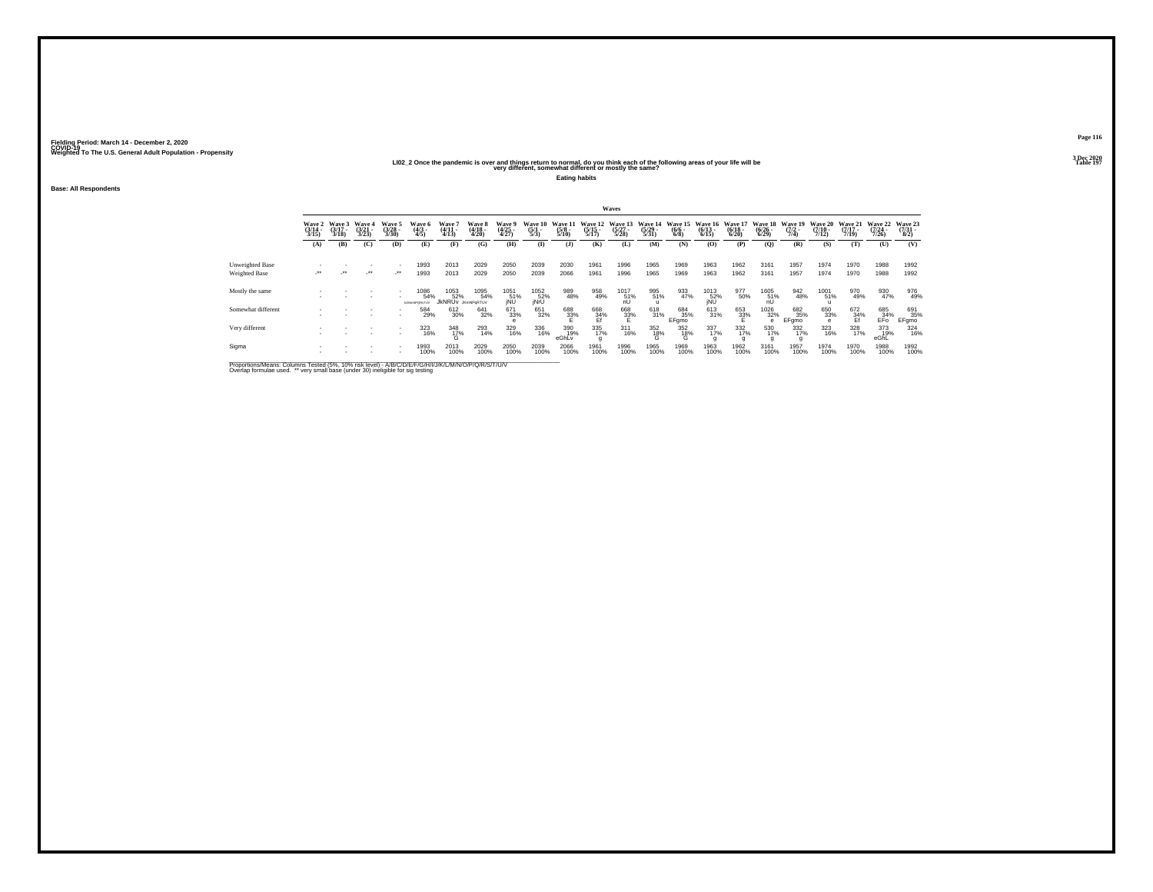### **LI02\_2 Once the pandemic is over and things return to normal, do you think each of the following areas of your life will be Table 197 very different, somewhat different or mostly the same?**

**Eating habits**

**Base: All Respondents**

|                                  |                          |                             |                             |                                 |                                      |                                         |                            |                          |                           |                                |                                  | Waves                                  |                                  |                                |                                  |                                 |                                  |                                |                                  |                                  |                             |                            |
|----------------------------------|--------------------------|-----------------------------|-----------------------------|---------------------------------|--------------------------------------|-----------------------------------------|----------------------------|--------------------------|---------------------------|--------------------------------|----------------------------------|----------------------------------------|----------------------------------|--------------------------------|----------------------------------|---------------------------------|----------------------------------|--------------------------------|----------------------------------|----------------------------------|-----------------------------|----------------------------|
|                                  | Wave 2<br>(3/14<br>3/15) | Wave 3<br>$(3/17 -$<br>3/18 | Wave 4<br>$(3/21 -$<br>3/23 | Wave 5<br>$\frac{(3/28)}{3/30}$ | Wave 6<br>(4/3 -<br>4/5)             | Wave<br>$\frac{(4/11)}{(4/13)}$         | Wave 8<br>(4/18 -<br>4/20) | Wave 5<br>(4/25<br>4/27) | Wave 10<br>(5/1 -<br>5/3) | Wave 1<br>$\frac{(5/8)}{5/10}$ | Wave 12<br>$\frac{(5/15)}{5/17}$ | <b>Wave 13</b><br>$\binom{5/27}{5/28}$ | Wave 14<br>$\frac{(5/29)}{5/31}$ | Wave 15<br>$\frac{(6/6)}{6/8}$ | Wave 16<br>$\frac{(6/13)}{6/15}$ | Wave 1<br>$\frac{(6/18)}{6/20}$ | Wave 18<br>$\frac{(6/26)}{6/29}$ | Wave 19<br>$\frac{(7/2)}{7/4}$ | Wave 20<br>$\frac{(7/10)}{7/12}$ | Wave 21<br>$\frac{(7/17)}{7/19}$ | Wave 22<br>(7/24 -<br>7/26) | Wave 23<br>(7/31 -<br>8/2) |
|                                  | (A)                      | (B)                         | (C)                         | (D)                             | (E)                                  | (F)                                     | (G)                        | (H)                      | $\bf(I)$                  | (3)                            | (K)                              | (L)                                    | (M)                              | (N)                            | (0)                              | (P)                             | (0)                              | (R)                            | (S)                              | (T)                              | (U)                         | (V)                        |
| Unweighted Base<br>Weighted Base | $\ddot{\phantom{1}}$     | $\cdot$                     | $\cdot$                     | $\cdot$                         | 1993<br>1993                         | 2013<br>2013                            | 2029<br>2029               | 2050<br>2050             | 2039<br>2039              | 2030<br>2066                   | 1961<br>1961                     | 1996<br>1996                           | 1965<br>1965                     | 1969<br>1969                   | 1963<br>1963                     | 1962<br>1962                    | 3161<br>3161                     | 1957<br>1957                   | 1974<br>1974                     | 1970<br>1970                     | 1988<br>1988                | 1992<br>1992               |
| Mostly the same                  |                          |                             |                             | $\sim$                          | 1086<br>54%<br><b>N BOWNPORNTLIV</b> | 1053<br>52%<br><b>JKNRUV</b> JKMNPQRTUV | 1095<br>54%                | 1051<br>51%<br>jNU       | 1052<br>52%<br>jNrU       | 989<br>48%                     | 958<br>49%                       | 1017<br>51%<br>nU                      | 995<br>51%                       | 933<br>47%                     | 1013<br>52%<br>jNU               | 977<br>50%                      | 1605<br>51%<br>nU                | 942<br>48%                     | 1001<br>51%                      | 970<br>49%                       | 930<br>47%                  | 976<br>49%                 |
| Somewhat different               |                          |                             |                             |                                 | 584<br>29%                           | 612<br>30%                              | 641<br>32%                 | 671<br>33%<br>e          | 651<br>32%                | 688<br>33%                     | 668<br>34%<br>Ef                 | 668<br>33%                             | $^{618}_{31\%}$                  | 684<br>35%<br>EFgmo            | 613<br>31%                       | 653<br>33%                      | 1026<br>32%                      | 682<br>35%<br>EFgmo            | 650<br>33%<br>e                  | $672 \atop \frac{34}{5}$ %       | 685<br>_34%<br>EFo          | 691<br>35%<br>EFgmo        |
| Very different                   |                          |                             |                             | $\sim$                          | 323<br>16%                           | 348<br>17%<br>G                         | 293<br>14%                 | 329<br>16%               | 336<br>16%                | 390<br>19%<br>eGhLv            | 335<br>17%                       | $311$<br>$16\%$                        | $^{352}_{18\%}$                  | 352<br>18%<br>Ġ                | 337<br>17%                       | 332<br>17%                      | 530<br>17%                       | $\frac{332}{17\%}$             | 323<br>16%                       | 328<br>17%                       | 373<br>19%<br>eGhL          | 324<br>16%                 |
| Sigma                            |                          |                             |                             |                                 | 1993<br>100%                         | 2013<br>100%                            | 2029<br>100%               | 2050<br>100%             | 2039<br>100%              | 2066<br>100%                   | 1961<br>100%                     | 1996<br>100%                           | 1965<br>100%                     | 1969<br>100%                   | 1963<br>100%                     | 1962<br>100%                    | 3161<br>100%                     | 1957<br>100%                   | 1974<br>100%                     | 1970<br>100%                     | 1988<br>100%                | 1992<br>100%               |

Proportions/Means: Columns Tested (5%, 10% risk level) - A/B/C/D/E/F/G/H/I/J/K/L/M/N/O/P/Q/R/S/T/U/V<br>Overlap formulae used. \*\* very small base (under 30) ineligible for sig testing

**Page 116**3 Dec 2020<br>Table 197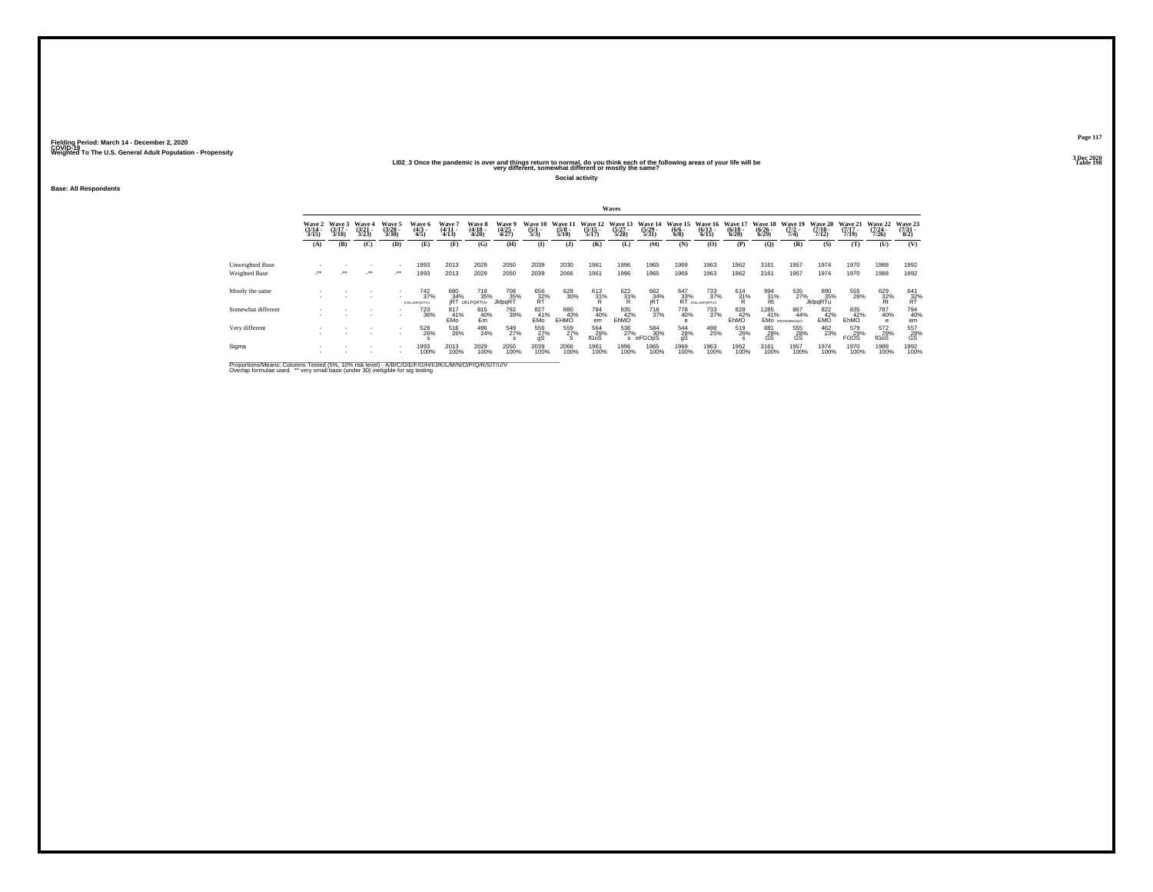## **LI02\_3 Once the pandemic is over and things return to normal, do you think each of the following areas of your life will be Table 198 very different, somewhat different or mostly the same?**

**Social activity**

**Base: All Respondents**

|                                  |                             |                             |                          |                                    |                                                       |                                  |                                                    |                                          |                                |                           |                                  | <b>Waves</b>                     |                                  |                                      |                                   |                                  |                                  |                                |                           |                              |                                      |                            |
|----------------------------------|-----------------------------|-----------------------------|--------------------------|------------------------------------|-------------------------------------------------------|----------------------------------|----------------------------------------------------|------------------------------------------|--------------------------------|---------------------------|----------------------------------|----------------------------------|----------------------------------|--------------------------------------|-----------------------------------|----------------------------------|----------------------------------|--------------------------------|---------------------------|------------------------------|--------------------------------------|----------------------------|
|                                  | Wave 2<br>$(3/14 -$<br>3/15 | Wave 3<br>$(3/17 -$<br>3/18 | Wave 4<br>(3/21)<br>3/23 | Wave 5<br>$\frac{(3/28)}{3/30}$    | Wave 6<br>$\frac{(4/3)}{4/5}$                         | <b>Wave</b><br>$(4/11 -$<br>4/13 | <b>Wave 8</b><br>$\frac{(4/18)}{4/20}$             | Wave 9<br>$\frac{(4/25)}{4/27}$          | Wave 10<br>$\frac{(5/1)}{5/3}$ | Wave 11<br>(5/8 -<br>5/10 | Wave 12<br>$\frac{(5/15)}{5/17}$ | Wave 13<br>$\frac{(5/27)}{5/28}$ | Wave 14<br>$\frac{(5/29)}{5/31}$ | Wave 15<br>$\frac{(6/6 - 6)}{(6/8)}$ | Wave 16<br>$\frac{(6/13)}{6/15}$  | Wave 17<br>$\frac{(6/18)}{6/20}$ | Wave 18<br>$\frac{(6/26)}{6/29}$ | Wave 19<br>$\frac{(7/2)}{7/4}$ | Wave 20<br>$\frac{7}{12}$ | Wave 21<br>$(7/17 -$<br>7/19 | Wave 22<br>$\frac{(7/24 - 7)}{7/26}$ | Wave 23<br>(7/31 -<br>8/2) |
|                                  | (A)                         | (B)                         | (C)                      | (D)                                | (E)                                                   | (F)                              | (G)                                                | (H)                                      | $\mathbf{D}$                   | (3)                       | (K)                              | (L)                              | (M)                              | (N)                                  | (0)                               | (P)                              | $\mathbf{Q}$                     | (R)                            | (S)                       | (T)                          | (U)                                  | (V)                        |
| Unweighted Base<br>Weighted Base | ur .                        | $\cdot$                     | $\cdot$                  | $\sim$<br>$\cdot$                  | 1993<br>1993                                          | 2013<br>2013                     | 2029<br>2029                                       | 2050<br>2050                             | 2039<br>2039                   | 2030<br>2066              | 1961<br>1961                     | 1996<br>1996                     | 1965<br>1965                     | 1969<br>1969                         | 1963<br>1963                      | 1962<br>1962                     | 3161<br>3161                     | 1957<br>1957                   | 1974<br>1974              | 1970<br>1970                 | 1988<br>1988                         | 1992<br>1992               |
| Mostly the same                  |                             |                             | ٠                        |                                    | <sup>742</sup> <sub>37%</sub><br><b>ILIG.mNPQRTUV</b> |                                  | 718<br>35%<br>680 718<br>34% 35%<br>jRT ijklportuv | <sup>708</sup> <sub>35%</sub><br>JklpqRT | 656<br>32%<br>RT               | 628<br>30%                | $^{613}_{31\%}$                  | $\frac{622}{31}\%$               | 662<br>34%<br>iRT                | $^{647}_{33\%}$ RT $^{18}_{13}$      | 733<br>37%<br><b>BJKLmNPQRTUV</b> | $^{614}_{31\%}$                  | 994<br>31%<br>Rt                 | 535<br>27%                     | 690<br>35%<br>JklpqRTu    | 555<br>28%                   | $\frac{629}{32\%}$                   | $^{641}_{32\%}$            |
| Somewhat different               |                             |                             |                          |                                    | 723<br>36%                                            | 817<br>41%<br>EMo <sup>®</sup>   | 815<br>40%<br>Em                                   | 792<br>39%                               | 827<br>41%<br>EMo              | 880<br>EHMO               | 784<br>40%<br>em                 | 835<br>42%<br>EhMO               | <sup>718</sup> <sub>37%</sub>    | 778<br>40%                           | 733<br>37%                        | 828<br>42%<br>EhMO               | 1285<br>41%                      | 867<br>44%<br>EMO EIGHKWNOOLV  | 822<br>42%<br>EMO         | 835<br>EhMO                  | 787<br>40%<br>$\theta$               | 794<br>40%<br>em           |
| Very different                   |                             |                             |                          | $\sim$<br>$\overline{\phantom{a}}$ | 528<br>26%                                            | 516<br>26%                       | 496<br>24%                                         | 549<br>27%                               | 556<br>27%<br>qS               | 559<br>27%<br>S           | 564<br>29%<br>fGoS               | 538<br>27%                       | 584<br>30%<br>eFGOpS             | 544<br>28%<br>gS                     | 498<br>25%                        | 519<br>26%                       | 881<br>28%<br>GS                 | 555<br>28%<br>GS               | 462<br>23%                | 579<br>29%<br><b>FGOS</b>    | 572<br>29%<br>fGoS                   | 557<br>28%<br>GS           |
| Sigma                            |                             |                             |                          |                                    | 1993<br>100%                                          | 2013<br>100%                     | 2029<br>100%                                       | 2050<br>100%                             | 2039<br>100%                   | 2066<br>100%              | 1961<br>100%                     | 1996<br>100%                     | 1965<br>100%                     | 1969<br>100%                         | 1963<br>100%                      | 1962<br>100%                     | 3161<br>100%                     | 1957<br>100%                   | 1974<br>100%              | 1970<br>100%                 | 1988<br>100%                         | 1992<br>100%               |

Proportions/Means: Columns Tested (5%, 10% risk level) - A/B/C/D/E/F/G/H/I/J/K/L/M/N/O/P/Q/R/S/T/U/V<br>Overlap formulae used. \*\* very small base (under 30) ineligible for sig testing

**Page 1173 Dec 2020<br>Table 198**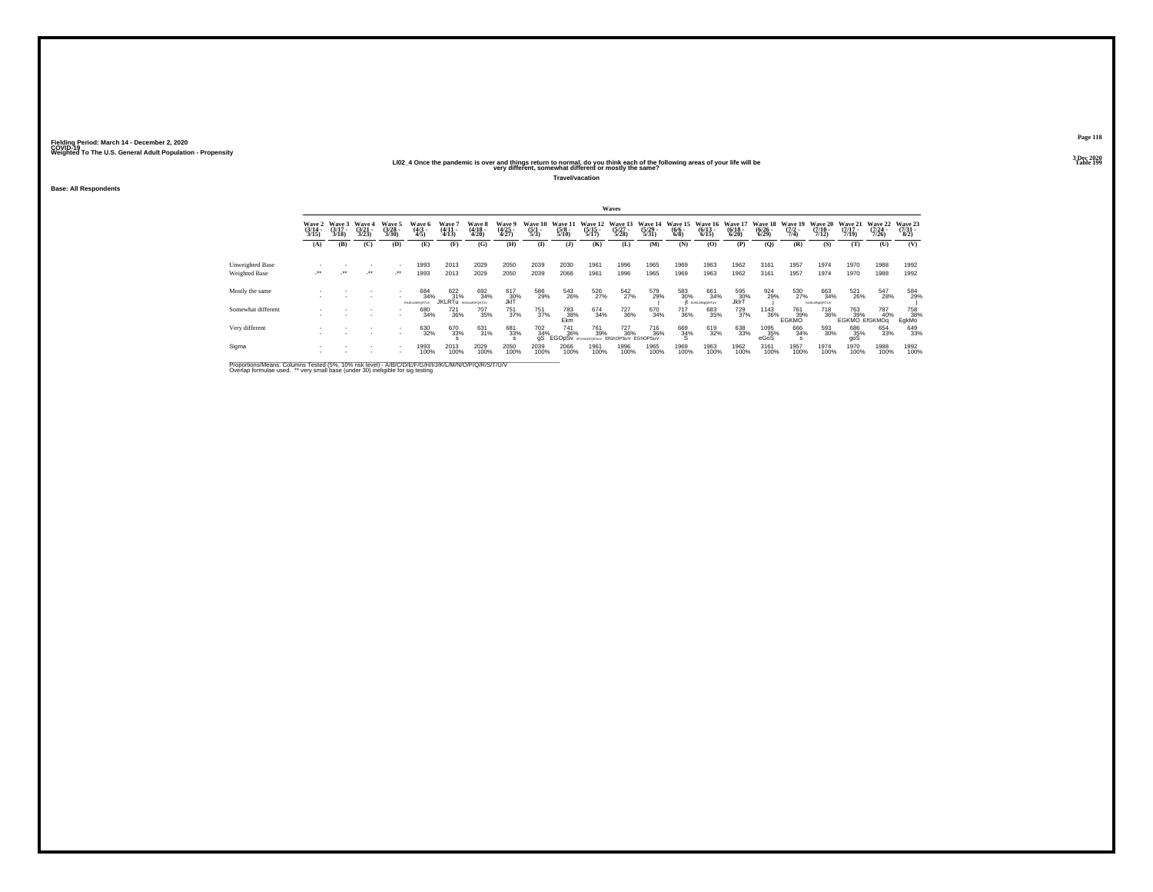## **LI02\_4 Once the pandemic is over and things return to normal, do you think each of the following areas of your life will be Table 199 very different, somewhat different or mostly the same?**

**Travel/vacation**

**Base: All Respondents**

|                                  |                            |                |                         |                            |                                         |                                       |                            |                          |                                |                                 |                                  | Waves                                      |                                           |                               |                                   |                                  |                                  |                                |                                      |                                          |                                  |                                 |
|----------------------------------|----------------------------|----------------|-------------------------|----------------------------|-----------------------------------------|---------------------------------------|----------------------------|--------------------------|--------------------------------|---------------------------------|----------------------------------|--------------------------------------------|-------------------------------------------|-------------------------------|-----------------------------------|----------------------------------|----------------------------------|--------------------------------|--------------------------------------|------------------------------------------|----------------------------------|---------------------------------|
|                                  | Wave 2<br>(3/14 -<br>3/15) | Wave 3<br>3/18 | Waye 4<br>(3/21<br>3/23 | Wave 5<br>(3/28 -<br>3/30) | Wave 6<br>(4/3 -<br>4/5)                | Wave 7<br>(4/11<br>4/13)              | Wave 8<br>(4/18 -<br>4/20) | Wave 9<br>(4/25<br>4/27) | Wave 10<br>$\frac{(5/1)}{5/3}$ | Wave 11<br>$\frac{(5/8)}{5/10}$ | Wave 12<br>$\frac{(5/15)}{5/17}$ | Wave 13<br>(5/27 -<br>5/28)                | Wave 14<br>$\frac{(5/29)}{5/31}$          | Wave 15<br>$\binom{6/6}{6/8}$ | Wave 16<br>$\binom{6/13}{6/15}$   | Wave 17<br>$\frac{(6/18)}{6/20}$ | Wave 18<br>$\frac{(6/26)}{6/29}$ | Wave 19<br>$\frac{(7/2)}{7/4}$ | Wave 20<br>$\frac{(7/10)}{7/12}$     | Wave 21<br>$\frac{(7/17)}{7/19}$         | Wave 22<br>$\frac{(7/24)}{7/26}$ | Wave 23<br>$\frac{(7/31)}{8/2}$ |
|                                  | (A)                        | (B)            | (C)                     | (D)                        | (E)                                     | (F)                                   | (G)                        | (H)                      | $($ I)                         | (1)                             | (K)                              | (L)                                        | (M)                                       | (N)                           | (0)                               | (P)                              | (0)                              | (R)                            | (S)                                  | (T)                                      | (U)                              | (V)                             |
| Unweighted Base<br>Weighted Base | $\cdot$                    |                | $\cdot$                 | $\cdot$                    | 1993<br>1993                            | 2013<br>2013                          | 2029<br>2029               | 2050<br>2050             | 2039<br>2039                   | 2030<br>2066                    | 1961<br>1961                     | 1996<br>1996                               | 1965<br>1965                              | 1969<br>1969                  | 1963<br>1963                      | 1962<br>1962                     | 3161<br>3161                     | 1957<br>1957                   | 1974<br>1974                         | 1970<br>1970                             | 1988<br>1988                     | 1992<br>1992                    |
| Mostly the same                  |                            |                |                         |                            | 684<br>34%<br><b>BE ICI MADORETI IV</b> | 622/31%<br><b>JKLRTU</b> DEJALMPORTUV | 692<br>34%                 | 617<br>30%<br>JkIT       | 586<br>29%                     | 543<br>26%                      | 526<br>27%                       | 542<br>27%                                 | 579<br>29%                                | 583<br>30%                    | 661<br>34%<br><b>NJKLMN=ORTUV</b> | 595<br>30%<br>JklrT              | 924<br>29%                       | 530<br>27%                     | 663<br>34%<br><b>NJKLMN&gt;ORTUV</b> | 521<br>26%                               | 547<br>28%                       | 584<br>29%                      |
| Somewhat different               |                            |                |                         | . .                        | 680<br>34%                              | $\substack{721 \\ 36\%}$              | 707<br>35%                 | 751<br>37%               | 751<br>37%                     | 783<br>38%<br>Ekm               | 674<br>34%                       | 727<br>36%                                 | 670<br>34%                                | 717<br>36%                    | 683<br>35%                        | 729<br>37%                       | $\frac{1143}{36\%}$              | 761<br>39%<br>EGKMO            | 718<br>36%                           | 763 787<br>109 139% 409<br>EGKMO EIGKMOq | 40%                              | 758<br>38%<br>EgkMo             |
| Very different                   |                            |                |                         |                            | 630<br>32%                              | 670<br>33%                            | 631<br>31%                 | 681<br>33%               | 702<br>34%<br>άŚ               | 741<br>36%<br><b>EGOpSy</b>     | 761<br>39%<br>EDGAM/SOD SEN      | <sup>727</sup> <sub>36%</sub><br>EIGhOPSuV | <sup>716</sup> <sub>36%</sub><br>EGhOPSuV | 669<br>34%<br>s               | 619<br>32%                        | 638<br>33%                       | 1095<br>35%<br>eGoS              | 666<br>34%                     | 593<br>30%                           | 686<br>35%<br>goS                        | 654<br>33%                       | 649<br>33%                      |
| Sigma                            |                            |                |                         |                            | 1993<br>100%                            | 2013<br>100%                          | 2029<br>100%               | 2050<br>100%             | 2039<br>100%                   | 2066<br>100%                    | 1961<br>100%                     | 1996<br>100%                               | 1965<br>100%                              | 1969<br>100%                  | 1963<br>100%                      | 1962<br>100%                     | 3161<br>100%                     | 1957<br>100%                   | 1974<br>100%                         | 1970<br>100%                             | 1988<br>100%                     | 1992<br>100%                    |

Proportions/Means: Columns Tested (5%, 10% risk level) - A/B/C/D/E/F/G/H/I/J/K/L/M/N/O/P/Q/R/S/T/U/V<br>Overlap formulae used. \*\* very small base (under 30) ineligible for sig testing

**Page 1183 Dec 2020<br>Table 199**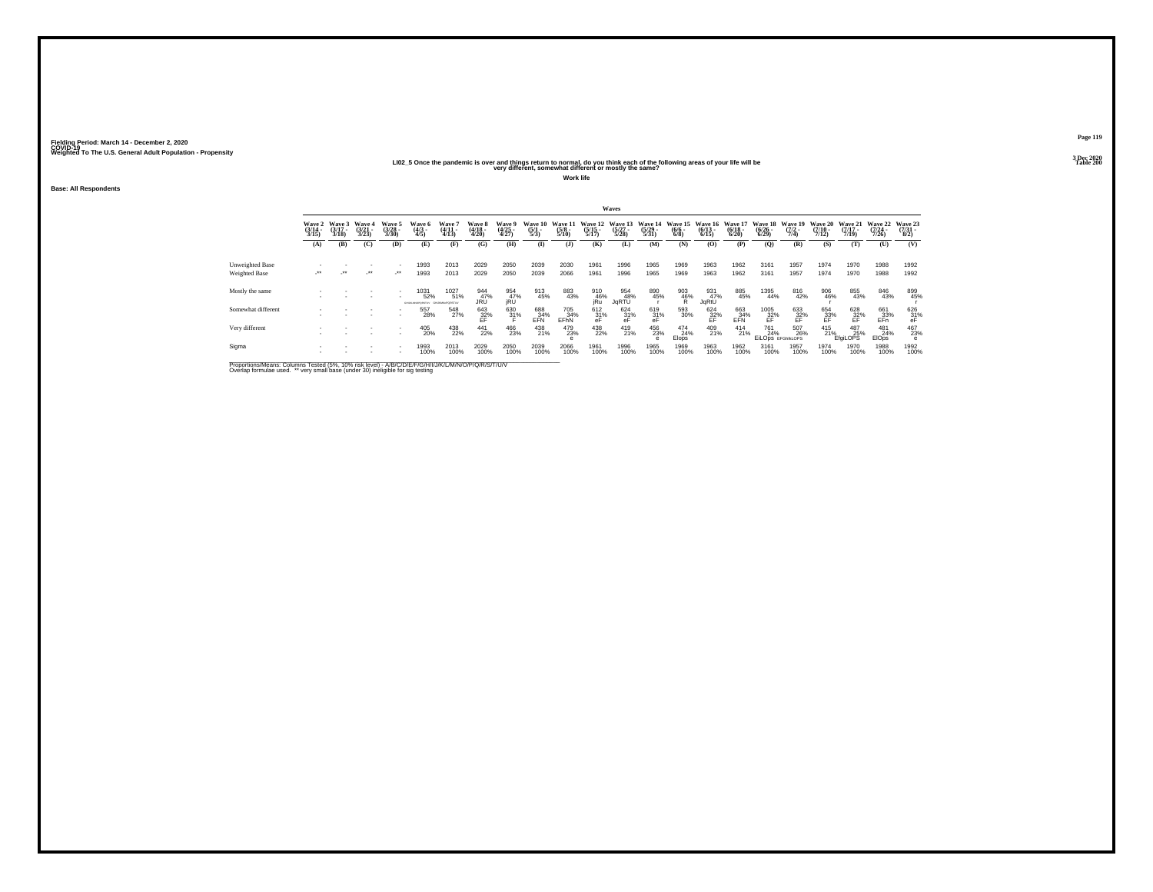### **LI02\_5 Once the pandemic is over and things return to normal, do you think each of the following areas of your life will be Table 200 very different, somewhat different or mostly the same?**

**Work life**

**Base: All Respondents**

|                                  |                            |                             |                                 |                                |                                           |                        |                            |                          |                              |                             |                                  | Waves                            |                                  |                            |                                        |                                  |                                                           |                                |                           |                                  |                                  |                            |
|----------------------------------|----------------------------|-----------------------------|---------------------------------|--------------------------------|-------------------------------------------|------------------------|----------------------------|--------------------------|------------------------------|-----------------------------|----------------------------------|----------------------------------|----------------------------------|----------------------------|----------------------------------------|----------------------------------|-----------------------------------------------------------|--------------------------------|---------------------------|----------------------------------|----------------------------------|----------------------------|
|                                  | Wave 2<br>(3/14 -<br>3/15) | Wave 3<br>$(3/17 -$<br>3/18 | Wave 4<br>$\frac{(3/21)}{3/23}$ | Wave 5<br>$\binom{3/28}{3/30}$ | Wave 6<br>(4/3 -<br>4/5)                  | Wave<br>(4/11<br>4/13) | Wave 8<br>(4/18 -<br>4/20) | Wave 9<br>(4/25<br>4/27) | Wave 10<br>$\frac{(5)}{5/3}$ | Wave 11<br>$(5/8 -$<br>5/10 | Wave 12<br>$\frac{(5/15)}{5/17}$ | Wave 13<br>$\frac{(5/27)}{5/28}$ | Wave 14<br>$\frac{(5/29)}{5/31}$ | Wave 15<br>$(6/6 -$<br>6/8 | Wave 16<br>$\frac{(6/13)}{6/15}$       | Wave 17<br>$\frac{(6/18)}{6/20}$ | Wave 18<br>$\frac{(6/26)}{6/29}$                          | Wave 19<br>$\frac{(7/2)}{7/4}$ | Wave 20<br>$\frac{7}{12}$ | Wave 21<br>$\frac{(7/17)}{7/19}$ | Wave 22<br>$\frac{(7/24)}{7/26}$ | Wave 23<br>(7/31 -<br>8/2) |
|                                  | (A)                        | (B)                         | (C)                             | (D)                            | (E)                                       | (F)                    | (G)                        | (H)                      | $($ I)                       | $($ $)$                     | (K)                              | (L)                              | (M)                              | (N)                        | (0)                                    | (P)                              | (O)                                                       | (R)                            | (S)                       | (T)                              | (U)                              | (V)                        |
| Unweighted Base<br>Weighted Base | $\cdot$                    | $\cdot$                     | ٠<br>$\cdot$                    | $\cdot$                        | 1993<br>1993                              | 2013<br>2013           | 2029<br>2029               | 2050<br>2050             | 2039<br>2039                 | 2030<br>2066                | 1961<br>1961                     | 1996<br>1996                     | 1965<br>1965                     | 1969<br>1969               | 1963<br>1963                           | 1962<br>1962                     | 3161<br>3161                                              | 1957<br>1957                   | 1974<br>1974              | 1970<br>1970                     | 1988<br>1988                     | 1992<br>1992               |
| Mostly the same                  |                            |                             |                                 | $\sim$                         | 1031<br>52%<br>GARLINOPORTLY GAUGNAPORTLY | 1027<br>51%            | 944<br>47%<br>JRÜ          | 954<br>47%<br>jRU        | 913<br>45%                   | 883<br>43%                  | 910<br>46%<br>jRu                | 954<br>48%<br>JqRTU              | 890<br>45%                       | $\frac{903}{46\%}$         | 931<br>47%<br>JqRtU                    | 885<br>45%                       | 1395<br>44%                                               | 816<br>42%                     | 906<br>46%                | 855<br>43%                       | 846<br>43%                       | 899<br>45%                 |
| Somewhat different               |                            |                             |                                 |                                | 557<br>28%                                | 548<br>27%             | $^{643}_{32\%}$            | $\substack{630 \\ 31\%}$ | 688<br>34%<br>EFN            | 705<br>34%<br>EFhN          | $612 \atop 31\%$                 | $\frac{624}{31\%}$               | $^{619}_{31\%}$                  | 593<br>30%                 | $^{624}_{\substack{32\%\\ \text{EF}}}$ | $\frac{663}{24\%}$ EFN           | 1005<br>$\frac{32}{5}$                                    | $^{633}_{32\%}$                | 654<br>33%<br>EF          | $\frac{628}{25}$ %               | 661<br>33%<br>EFn                | $^{626}_{31\%}$ eF         |
| Very different                   |                            |                             |                                 | $\sim$                         | 405<br>20%                                | 438<br>22%             | $^{441}_{22\%}$            | 466<br>23%               | 438<br>21%                   | 479<br>23%                  | 438<br>22%                       | 419<br>21%                       | 456<br>23%                       | 474<br>24%<br>Elops        | 409<br>21%                             | $^{414}_{21\%}$                  | <sup>761</sup> <sub>24%</sub><br><b>EILODS EFGHIKLOPS</b> | 507<br>26%                     | $^{415}_{21\%}$           | 487<br>25%<br><b>EfaiLOPS</b>    | 481<br>24%<br><b>EIOps</b>       | 467<br>23%                 |
| Sigma                            |                            |                             | ٠                               |                                | 1993<br>100%                              | 2013<br>100%           | 2029<br>100%               | 2050<br>100%             | 2039<br>100%                 | 2066<br>100%                | 1961<br>100%                     | 1996<br>100%                     | 1965<br>100%                     | 1969<br>100%               | 1963<br>100%                           | 1962<br>100%                     | 3161<br>100%                                              | 1957<br>100%                   | 1974<br>100%              | 1970<br>100%                     | 1988<br>100%                     | 1992<br>100%               |

Proportions/Means: Columns Tested (5%, 10% risk level) - A/B/C/D/E/F/G/H/I/J/K/L/M/N/O/P/Q/R/S/T/U/V<br>Overlap formulae used. \*\* very small base (under 30) ineligible for sig testing

**Page 1193 Dec 2020<br>Table 200**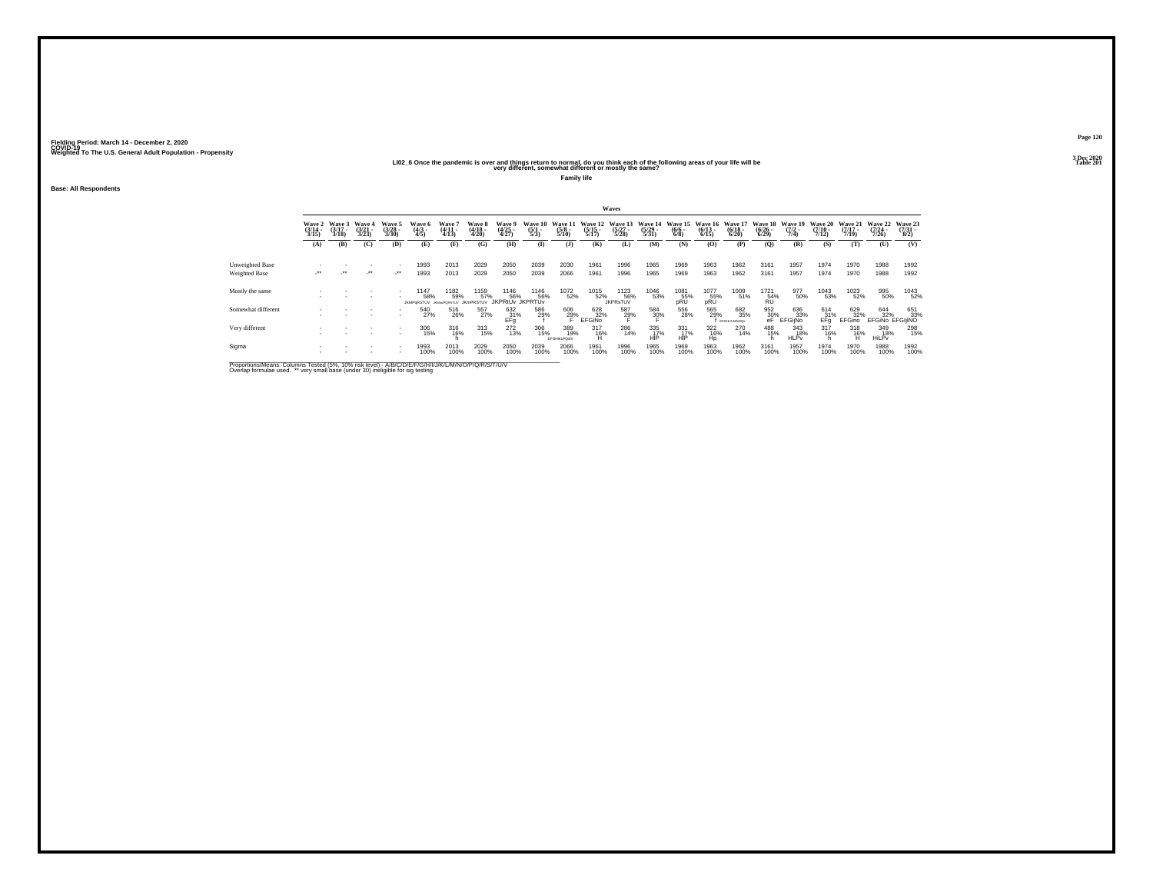### **LI02\_6 Once the pandemic is over and things return to normal, do you think each of the following areas of your life will be Table 201 very different, somewhat different or mostly the same?**

**Family life**

**Base: All Respondents**

|                                  |                          |                             |                                 |                                 |                            |                                 |                                 |                                       |                                      |                             |                                  | Waves                            |                                  |                                      |                                 |                             |                                                                         |                                |                                  |                                  |                                  |                          |
|----------------------------------|--------------------------|-----------------------------|---------------------------------|---------------------------------|----------------------------|---------------------------------|---------------------------------|---------------------------------------|--------------------------------------|-----------------------------|----------------------------------|----------------------------------|----------------------------------|--------------------------------------|---------------------------------|-----------------------------|-------------------------------------------------------------------------|--------------------------------|----------------------------------|----------------------------------|----------------------------------|--------------------------|
|                                  | Wave 2<br>(3/14<br>3/15) | Wave 3<br>$(3/17 -$<br>3/18 | Wave 4<br>$\frac{(3/21)}{3/23}$ | Wave 5<br>$\frac{(3728)}{3/30}$ | Wave 6<br>(4/3 -<br>4/5)   | Wave<br>$\frac{(4/11)}{(4/13)}$ | Wave 8<br>(4/18 -<br>4/20)      | Wave 9<br>(4/25<br>4/27)              | Wave 10<br>$\frac{(5/1 - 1)}{(5/3)}$ | Wave 11<br>$(5/8 -$<br>5/10 | Wave 12<br>$\frac{(5/15)}{5/17}$ | Wave 13<br>$\frac{(5/27)}{5/28}$ | Wave 14<br>$\frac{(5/29)}{5/31}$ | Wave 15<br>$\frac{(6/6 - 6)}{(6/8)}$ | Wave 16<br>$\binom{6/13}{6/15}$ | Wave 17<br>(6/18 -<br>6/20) | Wave 18<br>$\frac{(6/26)}{6/29}$                                        | Wave 19<br>$\frac{(7/2)}{7/4}$ | Wave 20<br>$\frac{(7/10)}{7/12}$ | Wave 21<br>$\frac{(7/17)}{7/19}$ | Wave 22<br>$\frac{(7/24)}{7/26}$ | Wave 23<br>(7/31<br>8/2) |
|                                  | (A)                      | (B)                         | (C)                             | (D)                             | (E)                        | (F)                             | (G)                             | (H)                                   | $\bf(I)$                             | $($ $)$                     | (K)                              | (L)                              | (M)                              | (N)                                  | (0)                             | (P)                         | $\mathbf{Q}$                                                            | (R)                            | (S)                              | (T)                              | (U)                              | (V)                      |
| Unweighted Base<br>Weighted Base | $\cdot$                  | $\cdot$                     | $\cdot$                         | $\cdot$                         | 1993<br>1993               | 2013<br>2013                    | 2029<br>2029                    | 2050<br>2050                          | 2039<br>2039                         | 2030<br>2066                | 1961<br>1961                     | 1996<br>1996                     | 1965<br>1965                     | 1969<br>1969                         | 1963<br>1963                    | 1962<br>1962                | 3161<br>3161                                                            | 1957<br>1957                   | 1974<br>1974                     | 1970<br>1970                     | 1988<br>1988                     | 1992<br>1992             |
| Mostly the same                  |                          |                             | ٠                               |                                 | 1147<br>58%<br>JKMPoRSTLIV | 1182<br>59%<br>JOAN-PORSTLIV    | 1159<br>57%<br><b>JKmPRSTUV</b> | 1146<br>56%<br><b>IKPRtŮv</b> JKPRTŮv | 1146<br>56%                          | 1072<br>52%                 | 1015<br>52%                      | 1123<br>56%<br><b>JKPRsTUV</b>   | 1046<br>53%                      | 1081<br>55%<br>pRU                   | 1077<br>55%<br>pRU              | 1009<br>51%                 | $^{1721}_{\substack{54\%\\RU}}$                                         | 977<br>50%                     | 1043<br>53%                      | 1023<br>52%                      | 995<br>50%                       | 1043<br>52%              |
| Somewhat different               |                          |                             |                                 |                                 | 540<br>27%                 | 516<br>26%                      | 557<br>27%                      | $^{632}_{67}$ $^{31\%}_{\rm{Efg}}$    | 586<br>29%                           | 606<br>29%                  | 628<br>32%<br><b>EFGINO</b>      | 587<br>29%                       | 584<br>3 <u>0</u> %              | 556<br>28%                           | 565<br>29%                      | 682<br>35%<br>EFGHULMNOQs   | $\begin{array}{r} 952 \\ 30\% \\ \hline \text{eF} \end{array} \text{E}$ | 636<br>33%<br><b>EFGijNo</b>   | 614<br>31%<br>EFa                | 629<br>32%<br>EFGino             | 644<br>32%<br>EFGINO EFGIJINO    | 651<br>33%               |
| Very different                   |                          |                             |                                 | $\sim$                          | 306<br>15%                 | $^{316}_{16\%}$                 | $\frac{313}{15\%}$              | 272<br>13%                            | 306<br>15%                           | 389<br>19%<br>EFGHIKLPOstV  | $\frac{317}{16\%}$<br>Н          | 286<br>14%                       | 335<br>HIP                       | 331<br>17%<br>HIP                    | 322<br>16%<br>Ho                | 270<br>14%                  | 488<br>15%                                                              | 343<br>18%<br><b>HLPv</b>      | $^{317}_{16\%}$                  | $^{318}_{16\%}$                  | 349<br>18%<br>HiLPv              | 298<br>15%               |
| Sigma                            |                          |                             | ٠                               |                                 | 1993<br>100%               | 2013<br>100%                    | 2029<br>100%                    | 2050<br>100%                          | 2039<br>100%                         | 2066<br>100%                | 1961<br>100%                     | 1996<br>100%                     | 1965<br>100%                     | 1969<br>100%                         | 1963<br>100%                    | 1962<br>100%                | 3161<br>100%                                                            | 1957<br>100%                   | 1974<br>100%                     | 1970<br>100%                     | 1988<br>100%                     | 1992<br>100%             |

Proportions/Means: Columns Tested (5%, 10% risk level) - A/B/C/D/E/F/G/H/I/J/K/L/M/N/O/P/Q/R/S/T/U/V<br>Overlap formulae used. \*\* very small base (under 30) ineligible for sig testing

**Page 1203 Dec 2020<br>Table 201**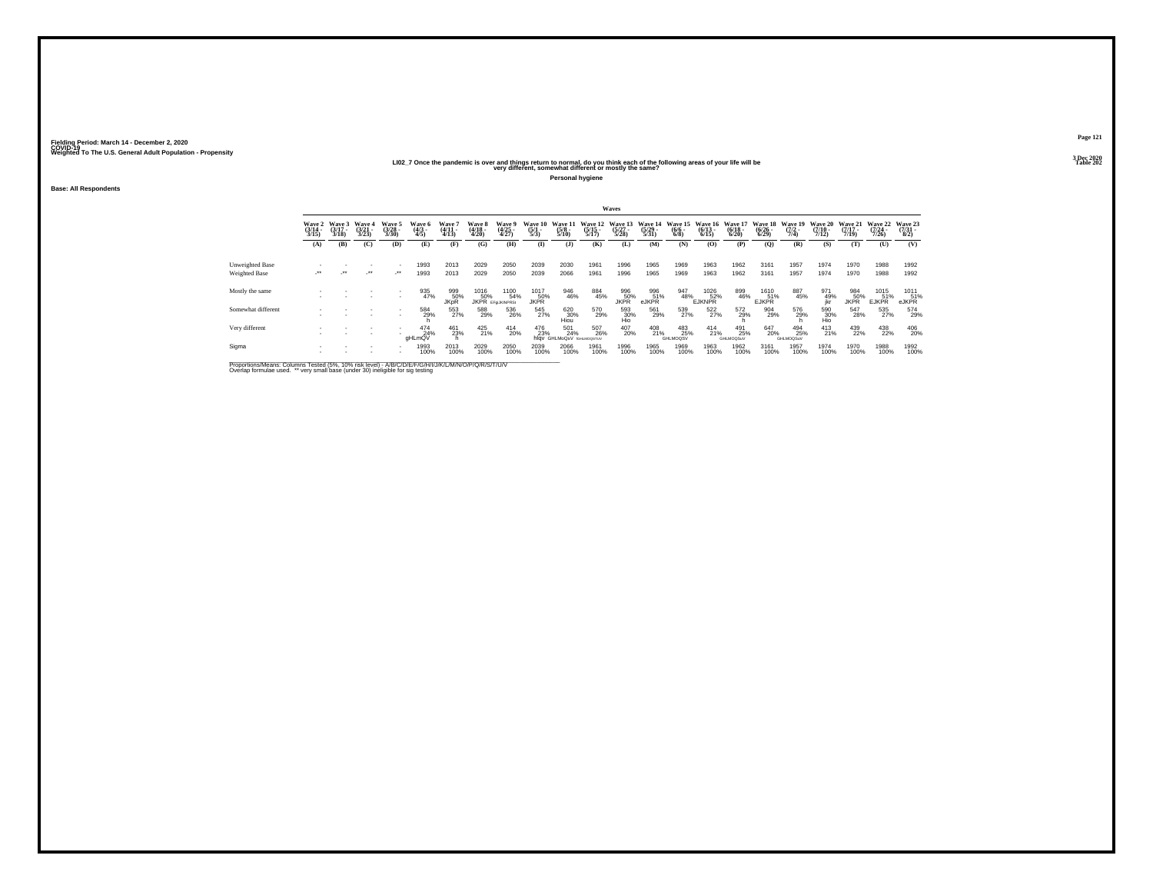### **LI02\_7 Once the pandemic is over and things return to normal, do you think each of the following areas of your life will be Table 202 very different, somewhat different or mostly the same?**

**Personal hygiene**

**Base: All Respondents**

|                                  |                           |                             |                          |                                 |                               |                           |                            |                                        |                                |                                                             |                                  | Waves                            |                                  |                                |                                  |                                  |                                  |                                |                                  |                                  |                                  |                                 |
|----------------------------------|---------------------------|-----------------------------|--------------------------|---------------------------------|-------------------------------|---------------------------|----------------------------|----------------------------------------|--------------------------------|-------------------------------------------------------------|----------------------------------|----------------------------------|----------------------------------|--------------------------------|----------------------------------|----------------------------------|----------------------------------|--------------------------------|----------------------------------|----------------------------------|----------------------------------|---------------------------------|
|                                  | Wave 2<br>(3/14 -<br>3/15 | Wave 3<br>$(3/17 -$<br>3/18 | Wave 4<br>(3/21)<br>3/23 | Wave 5<br>$\frac{(3/28)}{3/30}$ | Wave 6<br>$\frac{(4/3)}{4/5}$ | Wave '<br>(4/11)<br>4/13  | Wave 8<br>(4/18 -<br>4/20) | Wave 9<br>(4/25<br>4/27)               | Wave 10<br>$\frac{(5/1)}{5/3}$ | Wave 1<br>$\frac{(5/8)}{5/10}$                              | Wave 12<br>$\frac{(5/15)}{5/17}$ | Wave 13<br>$\frac{(5/27)}{5/28}$ | Wave 14<br>$\frac{(5/29)}{5/31}$ | Wave 15<br>$\frac{(6/6)}{6/8}$ | Wave 16<br>$\frac{(6/13)}{6/15}$ | Wave 17<br>$\frac{(6/18)}{6/20}$ | Wave 18<br>$\frac{(6/26)}{6/29}$ | Wave 19<br>$\frac{(7/2)}{7/4}$ | Wave 20<br>$\frac{(7/10)}{7/12}$ | Wave 21<br>$\frac{(7/17)}{7/19}$ | Wave 22<br>$\frac{(7/24)}{7/26}$ | Wave 23<br>$\frac{(7/31)}{8/2}$ |
|                                  | (A)                       | (B)                         | (C)                      | (D)                             | (E)                           | (F)                       | (G)                        | (H)                                    | $\bf(I)$                       | (3)                                                         | (K)                              | (L)                              | (M)                              | (N)                            | (0)                              | (P)                              | $\mathbf{Q}$                     | (R)                            | (S)                              | (T)                              | (U)                              | (V)                             |
| Unweighted Base<br>Weighted Base | $\overline{\phantom{a}}$  | $\cdot$                     | $\cdot$                  | $\sim$<br>$\cdot$               | 1993<br>1993                  | 2013<br>2013              | 2029<br>2029               | 2050<br>2050                           | 2039<br>2039                   | 2030<br>2066                                                | 1961<br>1961                     | 1996<br>1996                     | 1965<br>1965                     | 1969<br>1969                   | 1963<br>1963                     | 1962<br>1962                     | 3161<br>3161                     | 1957<br>1957                   | 1974<br>1974                     | 1970<br>1970                     | 1988<br>1988                     | 1992<br>1992                    |
| Mostly the same                  |                           |                             |                          | $\overline{\phantom{a}}$        | 935<br>47%                    | 999<br>50%<br><b>JKpR</b> | 1016<br>50%                | 1100<br>54%<br><b>JKPR</b> EFGUKINPRS: | 1017<br>50%<br><b>JKPR</b>     | 946<br>46%                                                  | 884<br>45%                       | 996<br>50%<br><b>JKPR</b>        | 996<br>51%<br>eJKPR              | 947<br>48%                     | 1026<br>52%<br><b>EJKNPR</b>     | 899<br>46%                       | 1610<br>51%<br><b>EJKPR</b>      | 887<br>45%                     | 971<br>49%<br>ikr                | 984<br>50%<br>JKPR               | 1015<br>51%<br><b>EJKPR</b>      | 1011<br>51%<br>eJKPR            |
| Somewhat different               |                           |                             |                          | $\sim$                          | 584<br>29%                    | 553<br>27%                | 588<br>29%                 | 536<br>26%                             | 545<br>27%                     | $\begin{array}{c} 620 \\ 30\% \\ \mathrm{Hiou} \end{array}$ | 570<br>29%                       | 593<br>30%<br>Hio                | 561<br>29%                       | 539<br>27%                     | 522<br>27%                       | 572<br>29%                       | 904<br>29%                       | 576<br>29%                     | 590<br>30%<br>Hio                | 547<br>28%                       | 535<br>27%                       | 574<br>29%                      |
| Very different                   |                           |                             |                          | $\sim$                          | 474%<br>aHLmQV                | 461<br>23%                | $^{425}_{21\%}$            | $^{414}_{20\%}$                        | 476<br>23%                     | 501<br>24%<br>hlqv GHLMoQsV rGHLMOQSTUV                     | 507<br>26%                       | 407<br>20%                       | 408<br>21%                       | 483<br>25%<br>GHLMOQSV         | $^{414}_{21\%}$                  | 491<br>25%<br>GHLMOQSuV          | 647<br>20%                       | 494<br>25%<br>GHLMOQSuV        | $^{413}_{21\%}$                  | 439<br>22%                       | 438<br>22%                       | 406<br>20%                      |
| Sigma                            |                           |                             |                          |                                 | 1993<br>100%                  | 2013<br>100%              | 2029<br>100%               | 2050<br>100%                           | 2039<br>100%                   | 2066<br>100%                                                | 1961<br>100%                     | 1996<br>100%                     | 1965<br>100%                     | 1969<br>100%                   | 1963<br>100%                     | 1962<br>100%                     | 3161<br>100%                     | 1957<br>100%                   | 1974<br>100%                     | 1970<br>100%                     | 1988<br>100%                     | 1992<br>100%                    |

Proportions/Means: Columns Tested (5%, 10% risk level) - A/B/C/D/E/F/G/H/I/J/K/L/M/N/O/P/Q/R/S/T/U/V<br>Overlap formulae used. \*\* very small base (under 30) ineligible for sig testing

**Page 1213 Dec 2020<br>Table 202**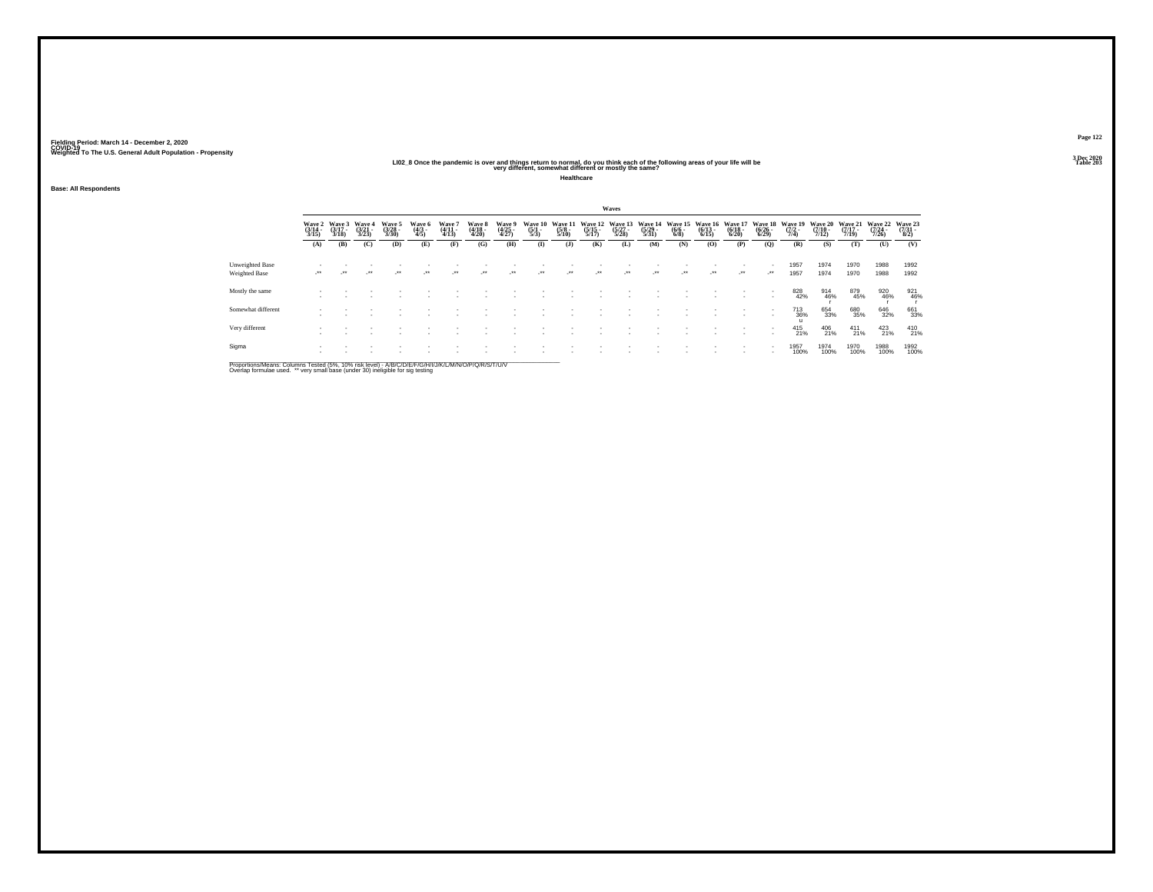## **LI02\_8 Once the pandemic is over and things return to normal, do you think each of the following areas of your life will be Table 203 very different, somewhat different or mostly the same?**

**Healthcare**

**Base: All Respondents**

|                                  |                                 |                             |                                 |                                |                          |                          |                            |                          |                                |                                        |                                  | Waves                            |                                  |                                      |                                  |                                  |                                  |                           |                           |                                  |                                  |                            |
|----------------------------------|---------------------------------|-----------------------------|---------------------------------|--------------------------------|--------------------------|--------------------------|----------------------------|--------------------------|--------------------------------|----------------------------------------|----------------------------------|----------------------------------|----------------------------------|--------------------------------------|----------------------------------|----------------------------------|----------------------------------|---------------------------|---------------------------|----------------------------------|----------------------------------|----------------------------|
|                                  | Wave 2<br>$\frac{(3/14)}{3/15}$ | Wave 3<br>$(3/17 -$<br>3/18 | Wave 4<br>$\frac{(3/21)}{3/23}$ | Wave 5<br>$\binom{3/28}{3/30}$ | Wave 6<br>(4/3 -<br>4/5) | Wave 7<br>(4/11<br>4/13) | Wave 8<br>(4/18 -<br>4/20) | Wave 9<br>(4/25<br>4/27) | Wave 10<br>$\frac{(5/1)}{5/3}$ | <b>Wave 11</b><br>$\frac{(5/8)}{5/10}$ | Wave 12<br>$\frac{(5/15)}{5/17}$ | Wave 13<br>$\frac{(5/27)}{5/28}$ | Wave 14<br>$\frac{(5/29)}{5/31}$ | Wave 15<br>$\frac{(6/6 - 6)}{(6/8)}$ | Wave 16<br>$\frac{(6/13)}{6/15}$ | Wave 17<br>$\frac{(6/18)}{6/20}$ | Wave 18<br>$\frac{(6/26)}{6/29}$ | Wave 15<br>(7/2 -<br>7/4) | Wave 20<br>$\frac{7}{12}$ | Wave 21<br>$\frac{(7/17)}{7/19}$ | Wave 22<br>$\frac{(7/24)}{7/26}$ | Wave 23<br>(7/31 -<br>8/2) |
|                                  | (A)                             | (B)                         | (C)                             | (D)                            | (E)                      | (F)                      | (G)                        | (H)                      | $($ $\Gamma$                   | $($ $)$                                | (K)                              | (L)                              | (M)                              | (N)                                  | (0)                              | (P)                              | (Q)                              | (R)                       | (S)                       | (T)                              | (U)                              | (V)                        |
| Unweighted Base<br>Weighted Base | $\cdot$                         |                             | -**                             | $\cdot$                        | $\overline{\phantom{a}}$ | ÷.                       | $\cdot$                    | -**                      | $\cdot$                        | $\cdot$                                | $\cdot$                          |                                  | $\cdot$                          | $\cdot$                              | $\cdot$                          | $\cdot$                          | $\cdot$                          | 1957<br>1957              | 1974<br>1974              | 1970<br>1970                     | 1988<br>1988                     | 1992<br>1992               |
| Mostly the same                  |                                 |                             |                                 |                                |                          |                          |                            |                          |                                |                                        |                                  |                                  |                                  |                                      |                                  |                                  |                                  | 828<br>42%                | 914<br>46%                | 879<br>45%                       | 920<br>46%                       | 921<br>46%                 |
| Somewhat different               |                                 |                             |                                 |                                |                          |                          |                            |                          |                                |                                        |                                  |                                  |                                  |                                      |                                  |                                  |                                  | 713<br>36%                | 654<br>33%                | 680<br>35%                       | 646<br>32%                       | 661<br>33%                 |
| Very different                   |                                 |                             |                                 |                                |                          |                          |                            |                          |                                |                                        |                                  |                                  |                                  |                                      |                                  |                                  |                                  | 415<br>21%                | 406<br>21%                | $^{411}_{21\%}$                  | $^{423}_{21\%}$                  | 410<br>21%                 |
| Sigma                            |                                 |                             |                                 |                                |                          |                          |                            |                          |                                |                                        |                                  |                                  |                                  |                                      |                                  |                                  |                                  | 1957<br>100%              | 1974<br>100%              | 1970<br>100%                     | 1988<br>100%                     | 1992<br>100%               |

Proportions/Means: Columns Tested (5%, 10% risk level) - A/B/C/D/E/F/G/H/I/J/K/L/M/N/O/P/Q/R/S/T/U/V<br>Overlap formulae used. \*\* very small base (under 30) ineligible for sig testing

**Page 1223 Dec 2020<br>Table 203**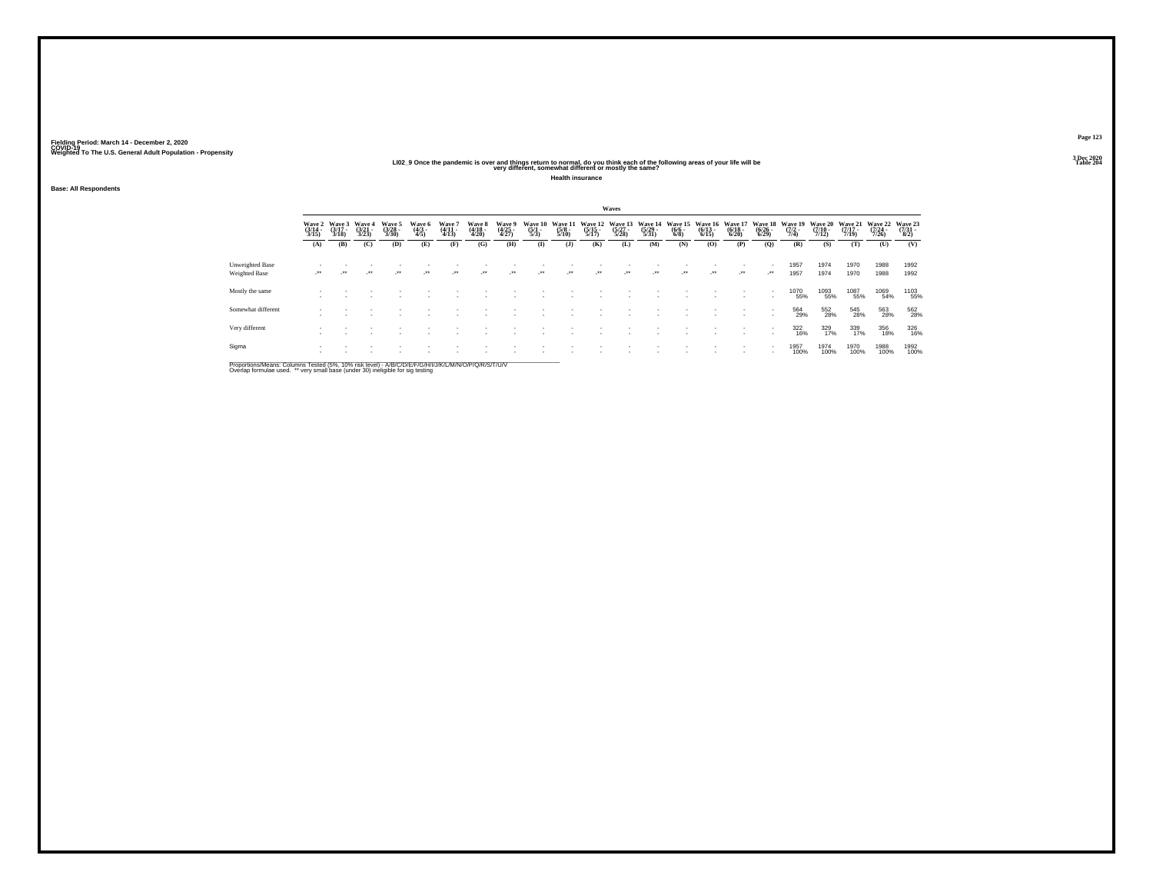## **LI02\_9 Once the pandemic is over and things return to normal, do you think each of the following areas of your life will be Table 204 very different, somewhat different or mostly the same?**

**Health insurance**

**Base: All Respondents**

|                                  |                            |                             |                                 |                            |                          |                             |                            |                          |                           |                                |                                  | Waves                            |                                  |                                |                                  |                                  |                                        |                                |                                  |                                  |                                  |                          |
|----------------------------------|----------------------------|-----------------------------|---------------------------------|----------------------------|--------------------------|-----------------------------|----------------------------|--------------------------|---------------------------|--------------------------------|----------------------------------|----------------------------------|----------------------------------|--------------------------------|----------------------------------|----------------------------------|----------------------------------------|--------------------------------|----------------------------------|----------------------------------|----------------------------------|--------------------------|
|                                  | Wave 2<br>(3/14 -<br>3/15) | Wave 3<br>$(3/17 -$<br>3/18 | Wave 4<br>$\frac{(3721)}{3723}$ | Wave 5<br>(3/28 -<br>3/30) | Wave 6<br>(4/3 -<br>4/5) | Wave '<br>$(4/11 -$<br>4/13 | Wave 8<br>(4/18 -<br>4/20) | Wave 5<br>(4/25<br>4/27) | Wave 10<br>(5/1 -<br>5/3) | Wave 1<br>$\frac{(5/8)}{5/10}$ | Wave 12<br>$\frac{(5/15)}{5/17}$ | Wave 13<br>$\frac{(5/27)}{5/28}$ | Wave 14<br>$\frac{(5/29)}{5/31}$ | Wave 15<br>$\frac{(6/6)}{6/8}$ | Wave 16<br>$\frac{(6/13)}{6/15}$ | Wave 17<br>$\frac{(6/18)}{6/20}$ | Wave 18<br>$\frac{(6/26 - 6)}{(6/29)}$ | Wave 19<br>$\frac{(7/2)}{7/4}$ | Wave 20<br>$\frac{(7/10)}{7/12}$ | Wave 21<br>$\frac{(7/17)}{7/19}$ | Wave 22<br>$\frac{(7/24)}{7/26}$ | Wave 23<br>(7/31<br>8/2) |
|                                  | (A)                        | (B)                         | (C)                             | (D)                        | (E)                      | (F)                         | (G)                        | (H)                      | $\bf{I}$                  | $($ $)$                        | (K)                              | (L)                              | (M)                              | (N)                            | (O)                              | (P)                              | (Q)                                    | (R)                            | (S)                              | (T)                              | (U)                              | (V)                      |
| Unweighted Base<br>Weighted Base | ur.                        | $\cdot$                     | $\cdot$                         | $\lambda$                  | $\cdot$                  | $\lambda$                   | $\cdot$                    | $\cdot$                  | $\cdot$                   | $\cdot$                        | $\cdot$                          |                                  | $\overline{\phantom{a}}$         | $\cdot$                        | $\cdot$                          | $\cdot$                          | $\mathcal{L}^{\star\star}$             | 1957<br>1957                   | 1974<br>1974                     | 1970<br>1970                     | 1988<br>1988                     | 1992<br>1992             |
| Mostly the same                  |                            |                             |                                 |                            |                          |                             |                            |                          |                           |                                |                                  |                                  |                                  |                                |                                  |                                  |                                        | 1070<br>55%                    | 1093<br>55%                      | 1087<br>55%                      | 1069<br>54%                      | 1103<br>55%              |
| Somewhat different               |                            |                             |                                 |                            |                          |                             |                            |                          |                           |                                |                                  |                                  |                                  |                                |                                  |                                  |                                        | 564<br>29%                     | 552<br>28%                       | 545<br>28%                       | 563<br>28%                       | 562<br>28%               |
| Very different                   |                            |                             |                                 |                            |                          |                             |                            |                          |                           |                                |                                  |                                  |                                  |                                |                                  |                                  |                                        | 322<br>16%                     | 329<br>17%                       | 339<br>17%                       | 356<br>18%                       | 326<br>16%               |
| Sigma                            |                            |                             |                                 |                            |                          |                             |                            |                          |                           |                                |                                  |                                  |                                  |                                |                                  |                                  |                                        | 1957<br>100%                   | 1974<br>100%                     | 1970<br>100%                     | 1988<br>100%                     | 1992<br>100%             |

Proportions/Means: Columns Tested (5%, 10% risk level) - A/B/C/D/E/F/G/H/I/J/K/L/M/N/O/P/Q/R/S/T/U/V<br>Overlap formulae used. \*\* very small base (under 30) ineligible for sig testing

**Page 1233 Dec 2020<br>Table 204**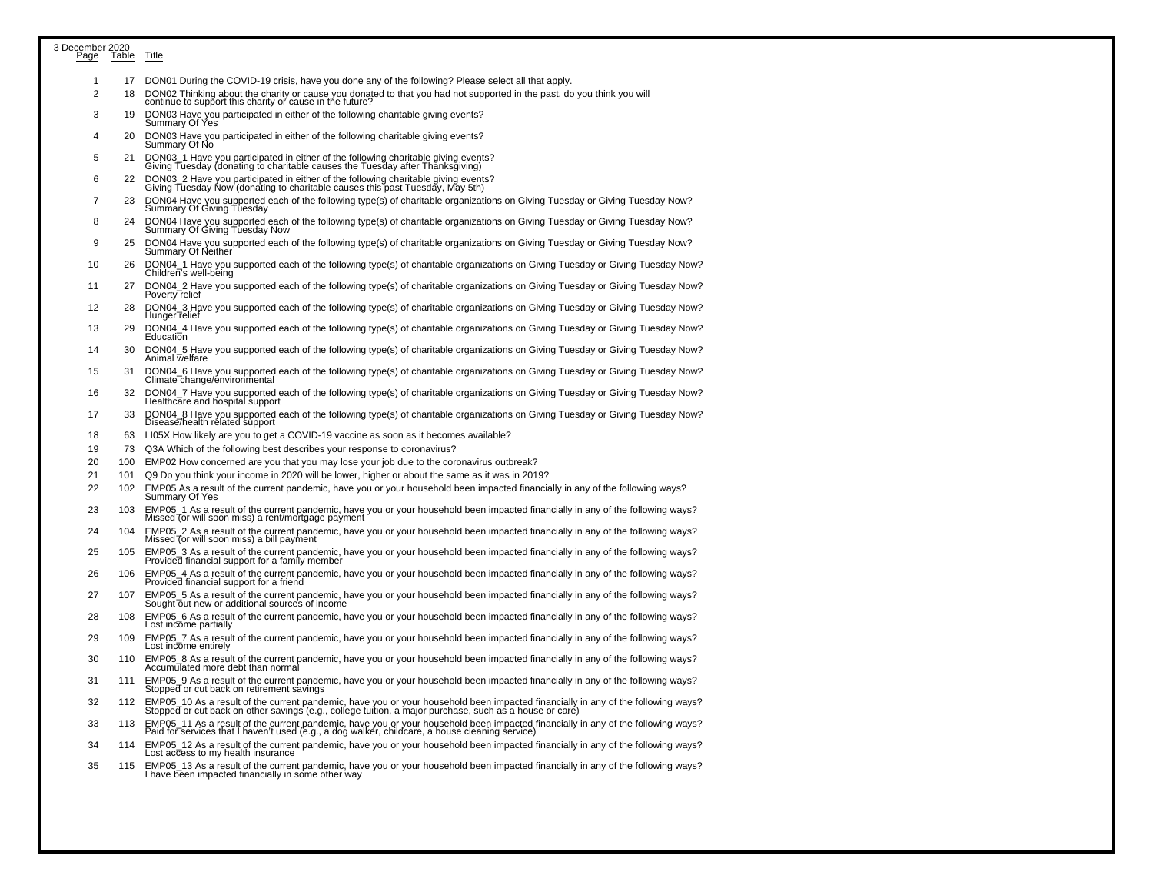| 3 December 2020<br>Page Table |     |                                                                                                                                                                                                                                                                                                                                                                       |
|-------------------------------|-----|-----------------------------------------------------------------------------------------------------------------------------------------------------------------------------------------------------------------------------------------------------------------------------------------------------------------------------------------------------------------------|
|                               |     | Title                                                                                                                                                                                                                                                                                                                                                                 |
| 1                             |     | 17 DON01 During the COVID-19 crisis, have you done any of the following? Please select all that apply.                                                                                                                                                                                                                                                                |
| $\overline{2}$                | 18  | DON02 Thinking about the charity or cause you donated to that you had not supported in the past, do you think you will<br>continue to support this charity or cause in the future?                                                                                                                                                                                    |
| 3                             | 19  | DON03 Have you participated in either of the following charitable giving events?<br>Summary Of Yes                                                                                                                                                                                                                                                                    |
| 4                             | 20  | DON03 Have you participated in either of the following charitable giving events?<br>Summary Of No                                                                                                                                                                                                                                                                     |
| 5                             | 21  | DON03_1 Have you participated in either of the following charitable giving events?                                                                                                                                                                                                                                                                                    |
| 6                             | 22  | Giving Tuesday (donating to charitable causes the Tuesday after Thanksgiving)<br>DON03 2 Have you participated in either of the following charitable giving events?                                                                                                                                                                                                   |
| 7                             | 23  | Giving Tuesday Now (donating to charitable causes this past Tuesday, May 5th)<br>DON04 Have you supported each of the following type(s) of charitable organizations on Giving Tuesday or Giving Tuesday Now?<br>Summary Of Giving Tuesday                                                                                                                             |
| 8                             | 24  | DON04 Have you supported each of the following type(s) of charitable organizations on Giving Tuesday or Giving Tuesday Now?<br>Summary Of Giving Tuesday Now                                                                                                                                                                                                          |
| 9                             | 25  | DON04 Have you supported each of the following type(s) of charitable organizations on Giving Tuesday or Giving Tuesday Now?                                                                                                                                                                                                                                           |
| 10                            | 26  | Summary Of Neither<br>DON04_1 Have you supported each of the following type(s) of charitable organizations on Giving Tuesday or Giving Tuesday Now?                                                                                                                                                                                                                   |
|                               |     | Children's well-being                                                                                                                                                                                                                                                                                                                                                 |
| 11                            | 27  | DON04_2 Have you supported each of the following type(s) of charitable organizations on Giving Tuesday or Giving Tuesday Now?<br>Poverty relief                                                                                                                                                                                                                       |
| 12                            | 28  | DON04_3 Have you supported each of the following type(s) of charitable organizations on Giving Tuesday or Giving Tuesday Now?<br>Hunger relief                                                                                                                                                                                                                        |
| 13                            | 29  | DON04_4 Have you supported each of the following type(s) of charitable organizations on Giving Tuesday or Giving Tuesday Now?<br>Education                                                                                                                                                                                                                            |
| 14                            | 30  | DON04 5 Have you supported each of the following type(s) of charitable organizations on Giving Tuesday or Giving Tuesday Now?<br>Animal welfare                                                                                                                                                                                                                       |
| 15                            | 31  | DON04_6 Have you supported each of the following type(s) of charitable organizations on Giving Tuesday or Giving Tuesday Now?<br>Climate change/environmental                                                                                                                                                                                                         |
| 16                            | 32  | DON04_7 Have you supported each of the following type(s) of charitable organizations on Giving Tuesday or Giving Tuesday Now?<br>Healthcare and hospital support                                                                                                                                                                                                      |
| 17                            | 33  | DON04_8 Have you supported each of the following type(s) of charitable organizations on Giving Tuesday or Giving Tuesday Now?<br>Disease/health rélated support                                                                                                                                                                                                       |
| 18                            | 63  | LI05X How likely are you to get a COVID-19 vaccine as soon as it becomes available?                                                                                                                                                                                                                                                                                   |
| 19                            | 73  | Q3A Which of the following best describes your response to coronavirus?                                                                                                                                                                                                                                                                                               |
| 20                            | 100 | EMP02 How concerned are you that you may lose your job due to the coronavirus outbreak?                                                                                                                                                                                                                                                                               |
| 21                            | 101 | Q9 Do you think your income in 2020 will be lower, higher or about the same as it was in 2019?                                                                                                                                                                                                                                                                        |
| 22                            | 102 | EMP05 As a result of the current pandemic, have you or your household been impacted financially in any of the following ways?<br>Summary Of Yes                                                                                                                                                                                                                       |
| 23                            | 103 | EMP05_1 As a result of the current pandemic, have you or your household been impacted financially in any of the following ways?<br>Missed (or will soon miss) a rent/mortgage payment                                                                                                                                                                                 |
| 24                            | 104 | EMP05_2 As a result of the current pandemic, have you or your household been impacted financially in any of the following ways?<br>Missed (or will soon miss) a bill payment                                                                                                                                                                                          |
| 25                            | 105 | EMP05_3 As a result of the current pandemic, have you or your household been impacted financially in any of the following ways?<br>Provided financial support for a family member                                                                                                                                                                                     |
| 26                            | 106 | EMP05_4 As a result of the current pandemic, have you or your household been impacted financially in any of the following ways?<br>Provided financial support for a friend                                                                                                                                                                                            |
| 27                            | 107 | EMP05_5 As a result of the current pandemic, have you or your household been impacted financially in any of the following ways?<br>Sought out new or additional source's of income                                                                                                                                                                                    |
| 28                            | 108 | EMP05 6 As a result of the current pandemic, have you or your household been impacted financially in any of the following ways?                                                                                                                                                                                                                                       |
| 29                            | 109 | Lost income partially<br>EMP05_7 As a result of the current pandemic, have you or your household been impacted financially in any of the following ways?                                                                                                                                                                                                              |
| 30                            | 110 | Lost income entirely<br>EMP05_8 As a result of the current pandemic, have you or your household been impacted financially in any of the following ways?                                                                                                                                                                                                               |
| 31                            | 111 | Accumulated more debt than normal<br>EMP05_9 As a result of the current pandemic, have you or your household been impacted financially in any of the following ways?                                                                                                                                                                                                  |
| 32                            | 112 | Stopped or cut back on retirement savings                                                                                                                                                                                                                                                                                                                             |
| 33                            | 113 | EMP05_10 As a result of the current pandemic, have you or your household been impacted financially in any of the following ways?<br>Stopped or cut back on other savings (e.g., college tuition, a major purchase, such as a hous                                                                                                                                     |
| 34                            | 114 | EMP05_11 As a result of the current pandemic, have you or your household been impacted financially in any of the following ways?<br>Paid for services that I haven't used (e.g., a dog walker, childcare, a house cleaning servic<br>EMP05_12 As a result of the current pandemic, have you or your household been impacted financially in any of the following ways? |
|                               |     | Lost access to my health insurance                                                                                                                                                                                                                                                                                                                                    |
| 35                            | 115 | EMP05_13 As a result of the current pandemic, have you or your household been impacted financially in any of the following ways?<br>I have been impacted financially in some other way                                                                                                                                                                                |
|                               |     |                                                                                                                                                                                                                                                                                                                                                                       |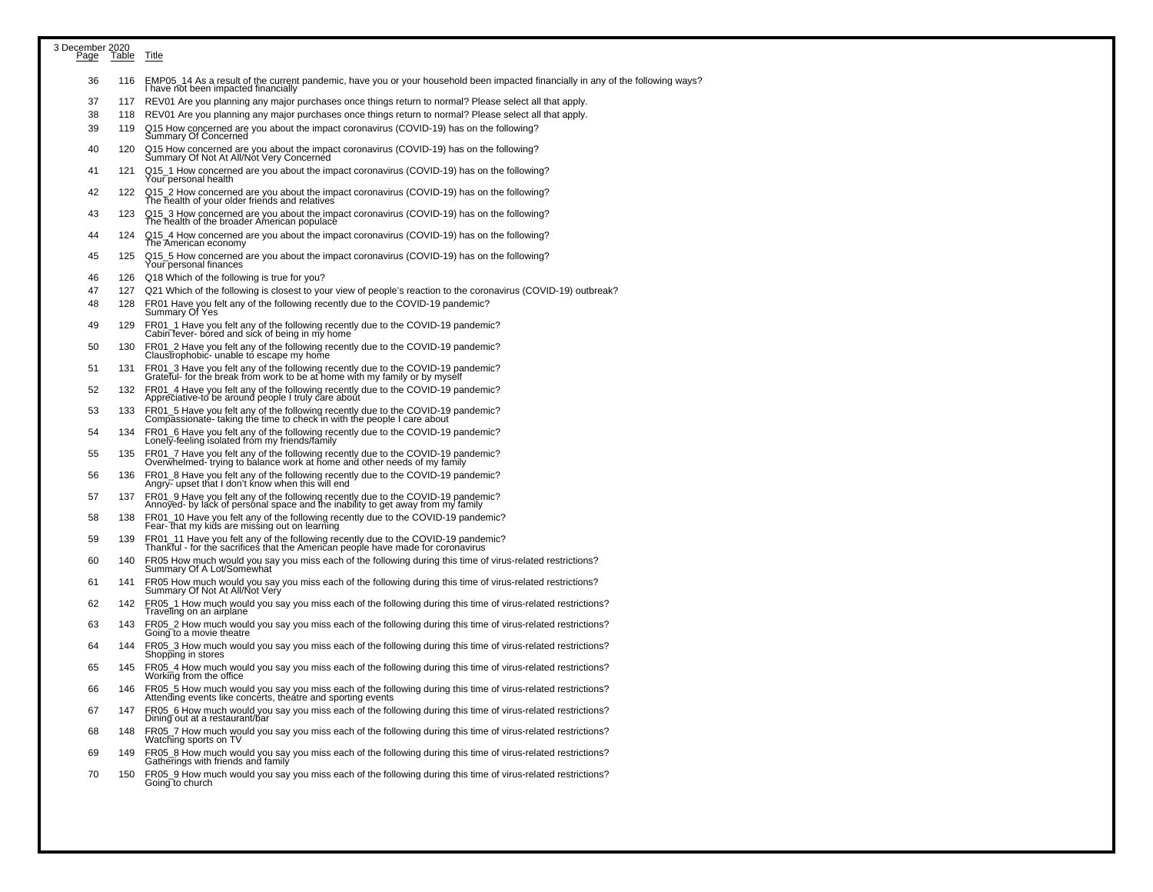| 3 December 2020<br>Page | lable | Title                                                                                                                                                                       |
|-------------------------|-------|-----------------------------------------------------------------------------------------------------------------------------------------------------------------------------|
|                         |       |                                                                                                                                                                             |
| 36                      | 116   | EMP05_14 As a result of the current pandemic, have you or your household been impacted financially in any of the following ways?<br>I have not been impacted financially    |
| 37                      | 117   | REV01 Are you planning any major purchases once things return to normal? Please select all that apply.                                                                      |
| 38                      | 118   | REV01 Are you planning any major purchases once things return to normal? Please select all that apply.                                                                      |
| 39                      | 119   | Q15 How concerned are you about the impact coronavirus (COVID-19) has on the following?<br>Summary Of Concerned                                                             |
| 40                      | 120   | Q15 How concerned are you about the impact coronavirus (COVID-19) has on the following?<br>Summary Of Not At All/Not Very Concerned                                         |
| 41                      | 121   | Q15_1 How concerned are you about the impact coronavirus (COVID-19) has on the following?<br>Your personal health                                                           |
| 42                      | 122   | Q15_2 How concerned are you about the impact coronavirus (COVID-19) has on the following?<br>The health of your older friends and relatives                                 |
| 43                      | 123   | Q15_3 How concerned are you about the impact coronavirus (COVID-19) has on the following?<br>The health of the broader American populace                                    |
| 44                      | 124   | Q15_4 How concerned are you about the impact coronavirus (COVID-19) has on the following?<br>The American economy                                                           |
| 45                      | 125   | Q15_5 How concerned are you about the impact coronavirus (COVID-19) has on the following?<br>Your personal finances                                                         |
| 46                      | 126   | Q18 Which of the following is true for you?                                                                                                                                 |
| 47                      | 127   | Q21 Which of the following is closest to your view of people's reaction to the coronavirus (COVID-19) outbreak?                                                             |
| 48                      | 128   | FR01 Have you felt any of the following recently due to the COVID-19 pandemic?<br>Summary Of Yes                                                                            |
| 49                      | 129   | FR01_1 Have you felt any of the following recently due to the COVID-19 pandemic?<br>Cabin fever- bored and sick of being in my home                                         |
| 50                      | 130   | FR01_2 Have you felt any of the following recently due to the COVID-19 pandemic?<br>Claustrophobic- unable to escape my home                                                |
| 51                      | 131   | FR01_3 Have you felt any of the following recently due to the COVID-19 pandemic?<br>Grateful- for the break from work to be at home with my family or by myself             |
| 52                      | 132   | FR01_4 Have you felt any of the following recently due to the COVID-19 pandemic?<br>Appreciative-to be around people I truly care about                                     |
| 53                      | 133   | FR01_5 Have you felt any of the following recently due to the COVID-19 pandemic?<br>Compassionate- taking the time to check in with the people I care about                 |
| 54                      | 134   | FR01_6 Have you felt any of the following recently due to the COVID-19 pandemic?<br>Lonely-feeling isolated from my friends/family                                          |
| 55                      | 135   | FR01_7 Have you felt any of the following recently due to the COVID-19 pandemic?<br>Overwhelmed- trying to balance work at home and other needs of my family                |
| 56                      | 136   | FR01_8 Have you felt any of the following recently due to the COVID-19 pandemic?<br>Angry- upset that I don't know when this will end                                       |
| 57                      | 137   | FR01_9 Have you felt any of the following recently due to the COVID-19 pandemic?<br>Annoyed- by lack of personal space and the inability to get away from my family         |
| 58                      | 138   | FR01_10 Have you felt any of the following recently due to the COVID-19 pandemic?<br>Fear-That my kids are missing out on learning                                          |
| 59                      | 139   | FR01_11 Have you felt any of the following recently due to the COVID-19 pandemic?<br>Thankful - for the sacrifices that the American people have made for coronavirus       |
| 60                      | 140   | FR05 How much would you say you miss each of the following during this time of virus-related restrictions?<br>Summary Of A Lot/Soméwhat                                     |
| 61                      | 141   | FR05 How much would you say you miss each of the following during this time of virus-related restrictions?<br>Summary Of Not At All/Not Very                                |
| 62                      | 142   | FR05_1 How much would you say you miss each of the following during this time of virus-related restrictions?<br>Traveling on an airplane                                    |
| 63                      | 143   | FR05_2 How much would you say you miss each of the following during this time of virus-related restrictions?<br>Going to a movie theatre                                    |
| 64                      | 144   | FR05_3 How much would you say you miss each of the following during this time of virus-related restrictions?<br>Shopping in stores                                          |
| 65                      | 145   | FR05_4 How much would you say you miss each of the following during this time of virus-related restrictions?<br>Working from the office                                     |
| 66                      | 146   | FR05_5 How much would you say you miss each of the following during this time of virus-related restrictions?<br>Attending events like concérts, théátre and sporting events |
| 67                      | 147   | FR05_6 How much would you say you miss each of the following during this time of virus-related restrictions?<br>Dining out at a restaurant/bar                              |
| 68                      | 148   | FR05_7 How much would you say you miss each of the following during this time of virus-related restrictions?<br>Watching sports on TV                                       |
| 69                      | 149   | FR05_8 How much would you say you miss each of the following during this time of virus-related restrictions?<br>Gatherings with friends and family                          |
| 70                      | 150   | FR05_9 How much would you say you miss each of the following during this time of virus-related restrictions?<br>Going to church                                             |
|                         |       |                                                                                                                                                                             |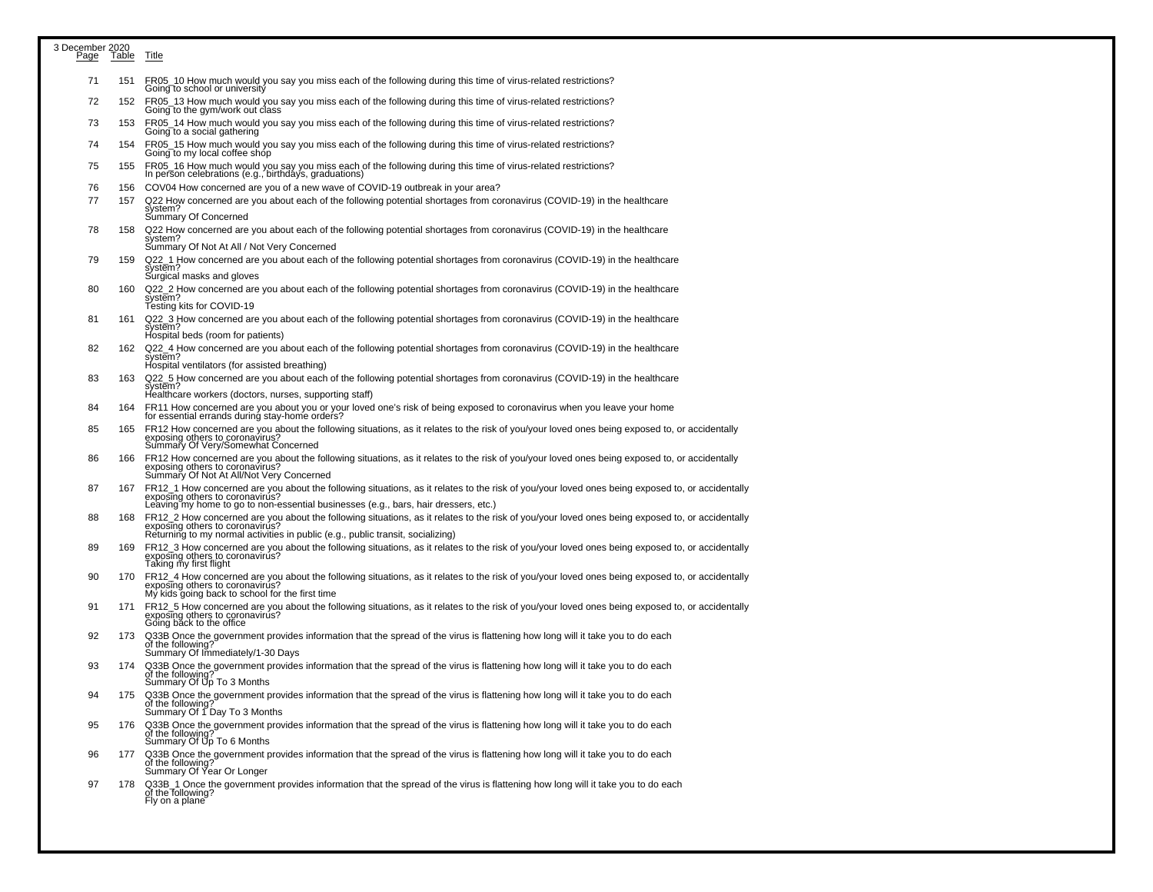| 3 December 2020<br>Page | Table | <b>Title</b>                                                                                                                                                                                                                                                              |
|-------------------------|-------|---------------------------------------------------------------------------------------------------------------------------------------------------------------------------------------------------------------------------------------------------------------------------|
| 71                      | 151   | FR05_10 How much would you say you miss each of the following during this time of virus-related restrictions?<br>Going to school or university                                                                                                                            |
| 72                      | 152   | FR05_13 How much would you say you miss each of the following during this time of virus-related restrictions?<br>Going to the gym/work out class                                                                                                                          |
| 73                      | 153   | FR05_14 How much would you say you miss each of the following during this time of virus-related restrictions?<br>Going to a social gathering                                                                                                                              |
| 74                      | 154   | FR05_15 How much would you say you miss each of the following during this time of virus-related restrictions?<br>Going to my local coffee shop                                                                                                                            |
| 75                      | 155   | FR05_16 How much would you say you miss each of the following during this time of virus-related restrictions?<br>In person celebrations (e.g., birthdays, graduations)                                                                                                    |
| 76                      | 156   | COV04 How concerned are you of a new wave of COVID-19 outbreak in your area?                                                                                                                                                                                              |
| 77                      | 157   | Q22 How concerned are you about each of the following potential shortages from coronavirus (COVID-19) in the healthcare<br>system?<br>Summary Of Concerned                                                                                                                |
| 78                      | 158   | Q22 How concerned are you about each of the following potential shortages from coronavirus (COVID-19) in the healthcare<br>system?<br>Summary Of Not At All / Not Very Concerned                                                                                          |
| 79                      | 159   | Q22_1 How concerned are you about each of the following potential shortages from coronavirus (COVID-19) in the healthcare<br>system?<br>Surgical masks and gloves                                                                                                         |
| 80                      | 160   | Q22_2 How concerned are you about each of the following potential shortages from coronavirus (COVID-19) in the healthcare<br>system?<br>Testing kits for COVID-19                                                                                                         |
| 81                      | 161   | Q22_3 How concerned are you about each of the following potential shortages from coronavirus (COVID-19) in the healthcare<br>system?<br>Hospital beds (room for patients)                                                                                                 |
| 82                      | 162   | Q22_4 How concerned are you about each of the following potential shortages from coronavirus (COVID-19) in the healthcare<br>system?<br>Hospital ventilators (for assisted breathing)                                                                                     |
| 83                      | 163   | Q22_5 How concerned are you about each of the following potential shortages from coronavirus (COVID-19) in the healthcare<br>system?<br>Healthcare workers (doctors, nurses, supporting staff)                                                                            |
| 84                      | 164   | FR11 How concerned are you about you or your loved one's risk of being exposed to coronavirus when you leave your home<br>for essential errands during stay-home orders?                                                                                                  |
| 85                      | 165   | FR12 How concerned are you about the following situations, as it relates to the risk of you/your loved ones being exposed to, or accidentally<br>exposing others to coronavirus?<br>Summary Of Very/Somewhat Concerned                                                    |
| 86                      | 166   | FR12 How concerned are you about the following situations, as it relates to the risk of you/your loved ones being exposed to, or accidentally<br>exposing others to coronavirus?<br>Summary Of Not At All/Not Very Concerned                                              |
| 87                      | 167   | FR12_1 How concerned are you about the following situations, as it relates to the risk of you/your loved ones being exposed to, or accidentally<br>exposing others to coronavirus?<br>Leaving my home to go to non-essential businesses (e.g., bars, hair dressers, etc.) |
| 88                      | 168   | FR12_2 How concerned are you about the following situations, as it relates to the risk of you/your loved ones being exposed to, or accidentally<br>exposing others to coronavirus?<br>Returning to my normal activities in public (e.g., public transit, socializing)     |
| 89                      | 169   | FR12_3 How concerned are you about the following situations, as it relates to the risk of you/your loved ones being exposed to, or accidentally<br>exposing others to coronavirus?<br>Taking my first flight                                                              |
| 90                      | 170   | FR12_4 How concerned are you about the following situations, as it relates to the risk of you/your loved ones being exposed to, or accidentally<br>exposing others to coronavirus?<br>My kids going back to school for the first time                                     |
| 91                      | 171   | FR12_5 How concerned are you about the following situations, as it relates to the risk of you/your loved ones being exposed to, or accidentally<br>exposing others to coronavirus?<br>Going back to the office                                                            |
| 92                      | 173   | Q33B Once the government provides information that the spread of the virus is flattening how long will it take you to do each of the following?<br>Summary Of Immediately/1-30 Days                                                                                       |
| 93                      | 174   | Q33B Once the government provides information that the spread of the virus is flattening how long will it take you to do each<br>of the following?<br>Summary Of Up To 3 Months                                                                                           |
| 94                      | 175   | Q33B Once the government provides information that the spread of the virus is flattening how long will it take you to do each<br>of the following?<br>Summary Of 1 Day To 3 Months                                                                                        |
| 95                      | 176   | Q33B Once the government provides information that the spread of the virus is flattening how long will it take you to do each<br>of the following?<br>Summary Of Up To 6 Months                                                                                           |
| 96                      | 177   | Q33B Once the government provides information that the spread of the virus is flattening how long will it take you to do each<br>of the following? Summary Of Year Or Longer                                                                                              |
| 97                      | 178   | Q33B_1 Once the government provides information that the spread of the virus is flattening how long will it take you to do each<br>of the following?<br>Fly on a plane                                                                                                    |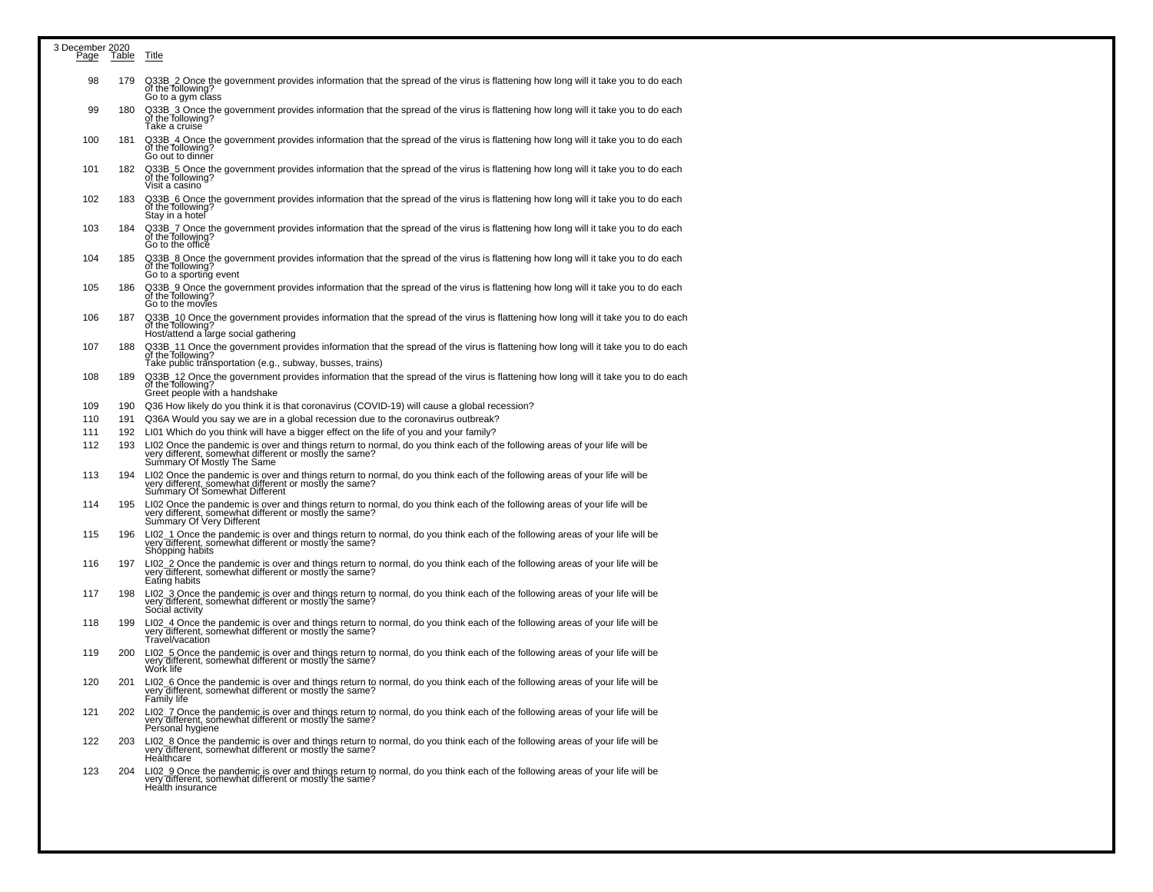| 3 December 2020 | Table | Title                                                                                                                                                                                                                |
|-----------------|-------|----------------------------------------------------------------------------------------------------------------------------------------------------------------------------------------------------------------------|
| Page            |       |                                                                                                                                                                                                                      |
| 98              | 179   | Q33B_2 Once the government provides information that the spread of the virus is flattening how long will it take you to do each<br>of the following?<br>Go to a gym class                                            |
| 99              | 180   | Q33B_3 Once the government provides information that the spread of the virus is flattening how long will it take you to do each<br>of the following?<br>Take a cruise                                                |
| 100             | 181   | Q33B_4 Once the government provides information that the spread of the virus is flattening how long will it take you to do each<br>of the following?<br>Go out to dinner                                             |
| 101             | 182   | Q33B_5 Once the government provides information that the spread of the virus is flattening how long will it take you to do each<br>of the following?<br>Visit a casino                                               |
| 102             | 183   | Q33B_6 Once the government provides information that the spread of the virus is flattening how long will it take you to do each<br>of the following?<br>Stay in a hotel                                              |
| 103             | 184   | Q33B_7 Once the government provides information that the spread of the virus is flattening how long will it take you to do each<br>of the following?<br>Go to the office                                             |
| 104             | 185   | Q33B_8 Once the government provides information that the spread of the virus is flattening how long will it take you to do each<br>of the following?<br>Go to a sporting event                                       |
| 105             | 186   | Q33B_9 Once the government provides information that the spread of the virus is flattening how long will it take you to do each<br>of the following?<br>Go to the movies                                             |
| 106             | 187   | Q33B_10 Once the government provides information that the spread of the virus is flattening how long will it take you to do each<br>of the Tollowing?<br>Host/attend a large social gathering                        |
| 107             | 188   | Q33B_11 Once the government provides information that the spread of the virus is flattening how long will it take you to do each of the following?<br>Take public transportation (e.g., subway, busses, trains)      |
| 108             | 189   | Q33B 12 Once the government provides information that the spread of the virus is flattening how long will it take you to do each<br>of the Tollowing?<br>Greet people with a handshake                               |
| 109             | 190   | Q36 How likely do you think it is that coronavirus (COVID-19) will cause a global recession?                                                                                                                         |
| 110             | 191   | Q36A Would you say we are in a global recession due to the coronavirus outbreak?                                                                                                                                     |
| 111             | 192   | LI01 Which do you think will have a bigger effect on the life of you and your family?                                                                                                                                |
| 112             | 193   | LI02 Once the pandemic is over and things return to normal, do you think each of the following areas of your life will be<br>very different, somewhat different or mostly the same?<br>Summary Of Mostly The Same    |
| 113             | 194   | LI02 Once the pandemic is over and things return to normal, do you think each of the following areas of your life will be<br>very different, somewhat different or mostly the same?<br>Summary Of Somewhat Different |
| 114             | 195   | LI02 Once the pandemic is over and things return to normal, do you think each of the following areas of your life will be very different, somewhat different or mostly the same?<br>Summary Of Very Different        |
| 115             | 196   | LI02_1 Once the pandemic is over and things return to normal, do you think each of the following areas of your life will be<br>very different, somewhat different or mostly the same?<br>Shopping habits             |
| 116             | 197   | LI02_2 Once the pandemic is over and things return to normal, do you think each of the following areas of your life will be very different, somewhat different or mostly the same?<br>Eating habits                  |
| 117             | 198   | LI02_3 Once the pandemic is over and things return to normal, do you think each of the following areas of your life will be very different, somewhat different or mostly the same?<br>Social activity                |
| 118             | 199   | LI02_4 Once the pandemic is over and things return to normal, do you think each of the following areas of your life will be vert of the following areas of your life will be<br>Travel/vacation                      |
| 119             | 200   | LI02_5 Once the pandemic is over and things return to normal, do you think each of the following areas of your life will be<br>very different, somewhat different or mostly the same?<br>Work life                   |
| 120             | 201   | LI02_6 Once the pandemic is over and things return to normal, do you think each of the following areas of your life will be<br>very different, somewhat different or mostly the same?<br>Family life                 |
| 121             | 202   | LI02_7 Once the pandemic is over and things return to normal, do you think each of the following areas of your life will be<br>very different, somewhat different or mostly the same?<br>Personal hygiene            |
| 122             | 203   | LI02_8 Once the pandemic is over and things return to normal, do you think each of the following areas of your life will be<br>very different, somewhat different or mostly the same?<br>Healthcare                  |
| 123             | 204   | LI02_9 Once the pandemic is over and things return to normal, do you think each of the following areas of your life will be<br>very different, somewhat different or mostly the same?<br>Health insurance            |
|                 |       |                                                                                                                                                                                                                      |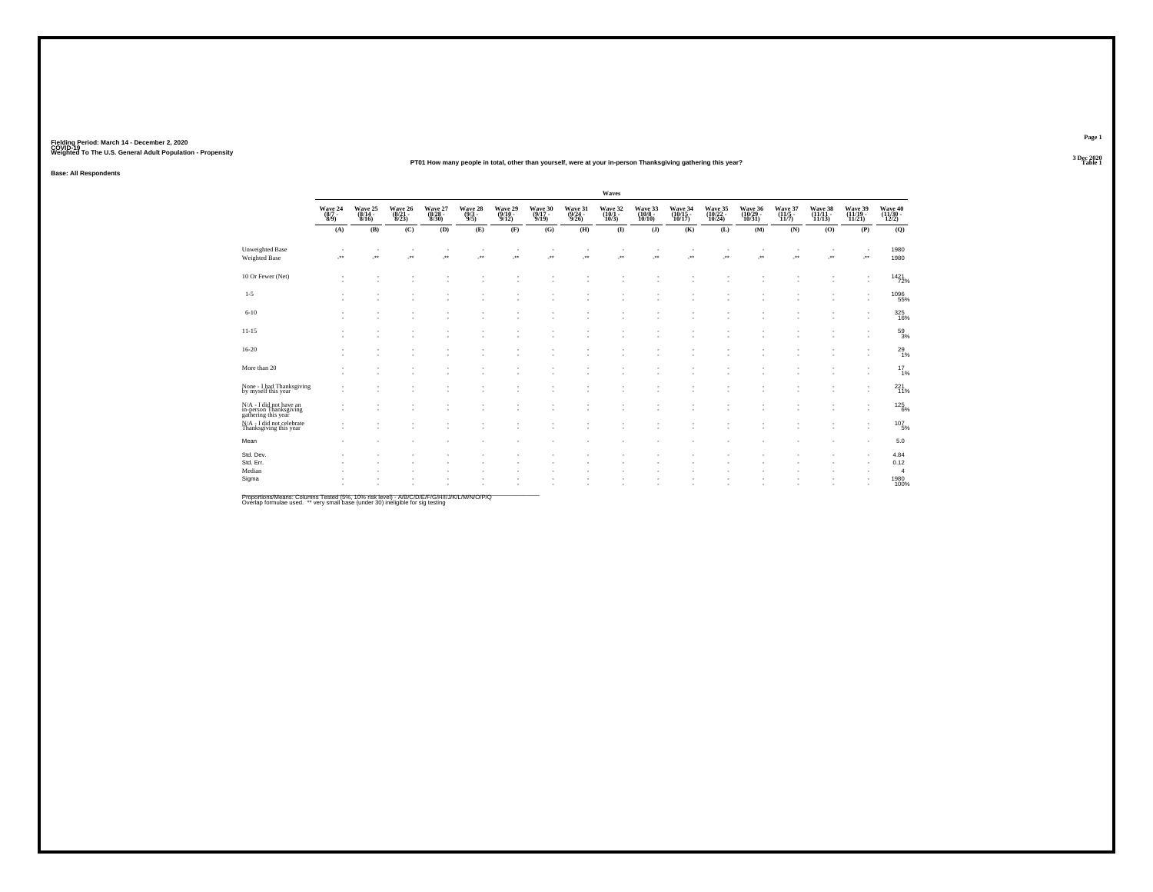#### **PT01 How many people in total, other than yourself, were at your in-person Thanksgiving gathering this year?Table 1 Table 1**

**Base: All Respondents**

|                                                                          |                           |                                     |                             |                             |                                     |                                                      |                             |                             | Waves                       |                              |                               |                                     |                               |                             |                          |                                     |                                |
|--------------------------------------------------------------------------|---------------------------|-------------------------------------|-----------------------------|-----------------------------|-------------------------------------|------------------------------------------------------|-----------------------------|-----------------------------|-----------------------------|------------------------------|-------------------------------|-------------------------------------|-------------------------------|-----------------------------|--------------------------|-------------------------------------|--------------------------------|
|                                                                          | Wave 24<br>(8/7 -<br>8/9) | Wave 25<br>(8/14 -<br>8/16)         | Wave 26<br>(8/21 -<br>8/23) | Wave 27<br>(8/28 -<br>8/30) | Wave 28 (9/3)                       | Wave 29<br>(9/10 -<br>9/12)                          | Wave 30<br>(9/17 -<br>9/19) | Wave 31<br>(9/24 -<br>9/26) | Wave 32<br>(10/1 -<br>10/3) | Wave 33<br>(10/8 -<br>10/10) | Wave 34<br>(10/15 -<br>10/17) | Wave 35<br>(10/22 -<br>10/24)       | Wave 36<br>(10/29 -<br>10/31) | Wave 37<br>(11/5 -<br>11/7) | Wave 38<br>(11/11-11/13) | Wave 39<br>(11/19 -<br>11/21)       | Wave 40<br>(11/30 -<br>12/2)   |
|                                                                          | (A)                       | (B)                                 | (C)                         | (D)                         | (E)                                 | (F)                                                  | (G)                         | (H)                         | $($ $\Gamma$                | (I)                          | (K)                           | (L)                                 | (M)                           | (N)                         | (O)                      | (P)                                 | (Q)                            |
| Unweighted Base<br>Weighted Base                                         | . .<br>÷.                 | $\overline{\phantom{a}}$<br>$\cdot$ | $\sim$<br>×                 | $\sim$<br>$\cdot$           | $\overline{\phantom{a}}$<br>$\cdot$ | $\overline{\phantom{a}}$<br>$\overline{\phantom{a}}$ | $\sim$<br>÷.                | $\cdot$                     | $\sim$<br>÷.                | J.                           | ٠<br>J.                       | $\overline{\phantom{a}}$<br>$\cdot$ | ٠<br>÷.                       | $\cdot$                     | ٠<br>J.                  | $\overline{\phantom{a}}$<br>$\cdot$ | 1980<br>1980                   |
| 10 Or Fewer (Net)                                                        | ٠<br>×,                   |                                     | ٠                           |                             |                                     |                                                      |                             |                             |                             |                              | ×.                            |                                     |                               |                             |                          |                                     | 1421<br>72%                    |
| $1 - 5$                                                                  | ٠                         |                                     | ٠<br>٠                      |                             | ٠                                   |                                                      |                             |                             | ٠                           |                              | ٠                             |                                     | ٠                             |                             |                          |                                     | 1096<br>55%                    |
| $6 - 10$                                                                 | ٠                         | ٠                                   | ٠                           |                             | ٠                                   |                                                      | ٠                           |                             | ٠                           | $\overline{\phantom{a}}$     | ٠                             |                                     |                               |                             | ٠                        | $\overline{\phantom{a}}$            | 325<br>16%                     |
| $11 - 15$                                                                |                           | ٠                                   | ٠<br>٠                      |                             | ٠<br>٠                              |                                                      | ٠                           |                             | ٠<br>٠                      | $\overline{\phantom{a}}$     | ٠<br>٠                        |                                     | ٠                             |                             |                          |                                     | $^{59}_{3\%}$                  |
| $16 - 20$                                                                |                           |                                     |                             |                             |                                     |                                                      | ×,                          |                             | ٠                           |                              | ä,                            |                                     |                               |                             |                          |                                     | $^{29}_{1\%}$                  |
| More than 20                                                             | ٠<br>٠                    | ٠                                   | ٠<br>٠                      |                             | ٠<br>٠                              |                                                      | ٠<br>٠                      |                             | $\sim$<br>٠                 |                              | ٠<br>٠                        |                                     |                               |                             |                          |                                     | $^{17}_{1\%}$                  |
| None - I had Thanksgiving<br>by myself this year                         | ٠                         | ٠                                   | ٠                           |                             |                                     |                                                      | ٠                           |                             | ٠                           | $\overline{\phantom{a}}$     | ٠                             |                                     |                               |                             |                          |                                     | 221<br>11%                     |
| N/A - I did not have an<br>in-person Thanksgiving<br>gathering this year |                           | ٠                                   | ٠                           |                             | ٠                                   |                                                      | ٠                           |                             | $\sim$<br>٠                 |                              | ٠<br>٠                        |                                     | ٠                             |                             | ٠                        |                                     | $^{125}_{6\%}$                 |
| N/A - I did not celebrate<br>Thanksgiving this year                      | ٠<br>$\sim$               |                                     |                             |                             |                                     |                                                      |                             |                             | ٠                           |                              | ٠                             |                                     |                               |                             |                          | $\overline{\phantom{a}}$            | $^{107}_{-5\%}$                |
| Mean                                                                     | ٠                         |                                     |                             |                             |                                     |                                                      |                             |                             |                             |                              |                               |                                     |                               |                             |                          |                                     | 5.0                            |
| Std. Dev.<br>Std. Err.                                                   |                           |                                     |                             |                             |                                     |                                                      |                             |                             |                             |                              |                               |                                     |                               |                             |                          |                                     | 4.84<br>0.12                   |
| Median<br>Sigma                                                          | ٠                         |                                     | ٠                           |                             | ٠                                   |                                                      |                             |                             |                             |                              |                               |                                     |                               |                             |                          |                                     | $\overline{4}$<br>1980<br>100% |

Proportions/Means: Columns Tested (5%, 10% risk level) - A/B/C/D/E/F/G/H/I/J/K/L/M/N/O/P/Q<br>Overlap formulae used. \*\* very small base (under 30) ineligible for sig testing

**Page 13 Dec 2020<br>Table 1**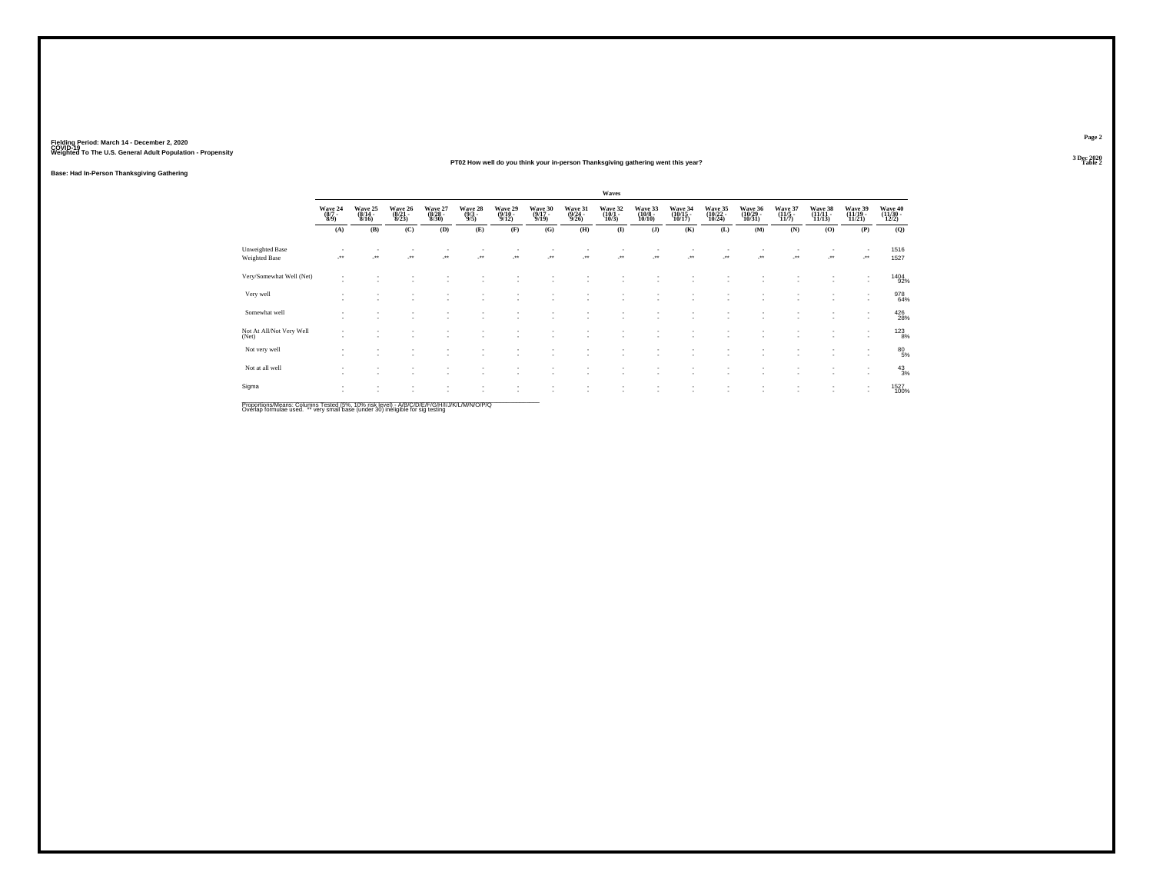#### **PT02 How well do you think your in-person Thanksgiving gathering went this year?Table 2**

**Base: Had In-Person Thanksgiving Gathering**

|                                         |                                                                |                             |                             |                             |                                |                                  |                                  |                                  | Waves                                 |                              |                               |                                                      |                               |                             |                            |                                                      |                              |
|-----------------------------------------|----------------------------------------------------------------|-----------------------------|-----------------------------|-----------------------------|--------------------------------|----------------------------------|----------------------------------|----------------------------------|---------------------------------------|------------------------------|-------------------------------|------------------------------------------------------|-------------------------------|-----------------------------|----------------------------|------------------------------------------------------|------------------------------|
|                                         | $\begin{array}{c} \text{Wave } 24 \\ (8/7 \\ 8/9) \end{array}$ | Wave 25<br>(8/14 -<br>8/16) | Wave 26<br>(8/21 -<br>8/23) | Wave 27<br>(8/28 -<br>8/30) | Wave 28<br>$\frac{(9/3)}{9/5}$ | Wave 29<br>$\frac{(9/10)}{9/12}$ | Wave 30<br>$\frac{(9/17)}{9/19}$ | Wave 31<br>$\frac{(9/24)}{9/26}$ | Wave 32<br>$\frac{(10/1 - 10)}{10/3}$ | Wave 33<br>(10/8 -<br>10/10) | Wave 34<br>(10/15 -<br>10/17) | Wave 35<br>(10/22 -<br>10/24)                        | Wave 36<br>(10/29 -<br>10/31) | Wave 37<br>(11/5 -<br>11/7) | Wave 38<br>(11/11<br>11/13 | Wave 39<br>(11/19 -<br>11/21)                        | Wave 40<br>(11/30 -<br>12/2) |
|                                         | (A)                                                            | (B)                         | (C)                         | (D)                         | (E)                            | (F)                              | (G)                              | (H)                              | $\mathbf{I}$                          | (J)                          | (K)                           | (L)                                                  | (M)                           | (N)                         | (0)                        | (P)                                                  | (Q)                          |
| <b>Unweighted Base</b><br>Weighted Base | $\star\star$                                                   | $\ddot{\phantom{1}}$        | $\bullet\bullet$            | $\bullet\bullet$            | $\bullet\,\bullet$             | $\cdot$                          | $\cdot$                          | $\cdot$                          | $\cdot$                               |                              | $\ddot{\phantom{1}}$          | $\cdot$                                              | $\cdot$                       | J.                          | $\cdot$                    | ٠<br>                                                | 1516<br>1527                 |
| Very/Somewhat Well (Net)                | $\overline{\phantom{a}}$<br>$\mathbf{r}$                       |                             |                             |                             |                                |                                  |                                  |                                  |                                       |                              |                               |                                                      |                               |                             |                            | ٠<br>٠                                               | 1404<br>92%                  |
| Very well                               |                                                                |                             |                             |                             |                                |                                  |                                  |                                  |                                       |                              |                               |                                                      |                               |                             |                            | ٠                                                    | 978<br>64%                   |
| Somewhat well                           | $\overline{\phantom{a}}$                                       |                             | ٠                           |                             |                                |                                  |                                  |                                  |                                       | ٠                            |                               | $\overline{\phantom{a}}$<br>$\overline{\phantom{a}}$ | $\sim$<br>٠                   |                             | $\sim$<br>$\sim$           | $\overline{\phantom{a}}$<br>$\overline{\phantom{a}}$ | 426<br>28%                   |
| Not At All/Not Very Well<br>(Net)       | $\overline{\phantom{a}}$                                       |                             |                             |                             |                                |                                  |                                  |                                  |                                       | ٠                            |                               | $\overline{\phantom{a}}$                             |                               |                             | $\sim$                     | ٠<br>$\sim$                                          | $123 \atop 8\%$              |
| Not very well                           |                                                                |                             |                             |                             |                                |                                  |                                  |                                  |                                       |                              |                               |                                                      |                               |                             |                            | ٠<br>$\overline{\phantom{a}}$                        | 80<br>5%                     |
| Not at all well                         |                                                                |                             |                             |                             |                                |                                  |                                  |                                  |                                       |                              |                               |                                                      | ٠                             |                             |                            | $\overline{\phantom{a}}$<br>$\sim$                   | 43/3                         |
| Sigma                                   |                                                                |                             |                             |                             |                                |                                  |                                  |                                  |                                       |                              |                               |                                                      |                               |                             | $\sim$                     | $\sim$<br>$\overline{\phantom{a}}$                   | 1527<br>100%                 |

Proportions/Means: Columns Tested (5%, 10% risk level) - A/B/C/D/E/F/G/H/I/J/K/L/M/N/O/P/Q<br>Overlap formulae used. \*\* very small base (under 30) ineligible for sig testing

**Page 23 Dec 2020<br>Table 2**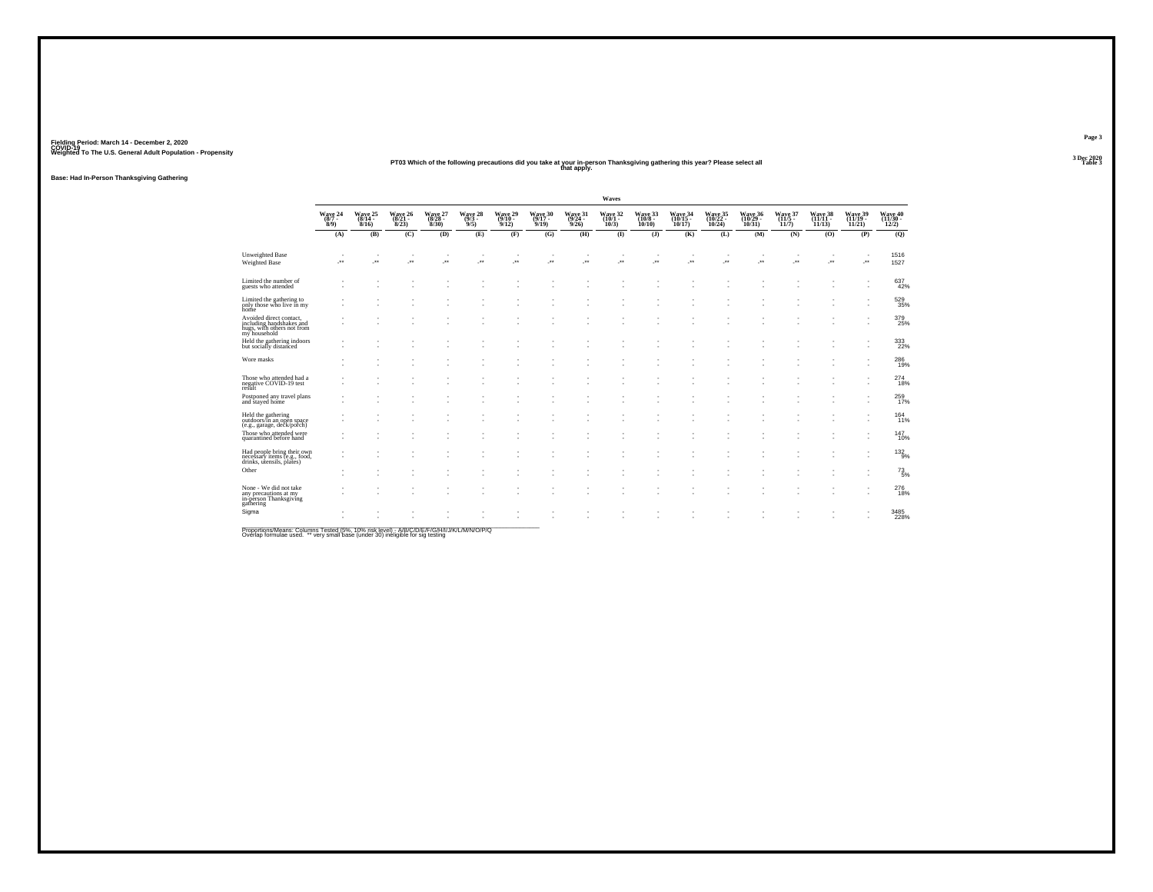## Fielding Period: March 14 - December 2, 2020<br>Fielding Period: March 14 - December 2, 2020<br>Wolchind To The U.S. General Adulf Ponulation - Propensity

# Weighted To The U.S. General Adult Population - Propensity<br>Table 3 PT03 Which of the following precautions did you take at your in-person Thanksgiving gathering this year? Please select all<br>Table 3

**Base: Had In-Person Thanksgiving Gathering**

|                                                                                                   |                    |                            |                                      |                             |                               |                 |                            |                                         | Waves                        |                              |                               |                               |                               |                 |                            |                               |                              |
|---------------------------------------------------------------------------------------------------|--------------------|----------------------------|--------------------------------------|-----------------------------|-------------------------------|-----------------|----------------------------|-----------------------------------------|------------------------------|------------------------------|-------------------------------|-------------------------------|-------------------------------|-----------------|----------------------------|-------------------------------|------------------------------|
|                                                                                                   | Wave 24<br>$8/9$ ) | Wave 25<br>(8/14 -<br>8/16 | Wave 26<br>$\frac{(8/21 - 8)}{8/23}$ | Wave 27<br>(8/28 -<br>8/30) | Wave 28<br>$(9/3 -$<br>$9/5)$ | Wave 29<br>9/12 | Wave 30<br>(9/17 -<br>9/19 | Wave 31<br>$\frac{(9/24 - 9/26)}{9/26}$ | Wave 32<br>$(10/1 -$<br>10/3 | Wave 33<br>(10/8 -<br>10/10) | Wave 34<br>(10/15 -<br>10/17) | Wave 35<br>(10/22 -<br>10/24) | Wave 36<br>(10/29 -<br>10/31) | Wave 37<br>11/7 | Wave 38<br>(11/11<br>11/13 | Wave 39<br>(11/19 -<br>11/21) | Wave 40<br>(11/30 -<br>12/2) |
|                                                                                                   | (A)                | (B)                        | (C)                                  | (D)                         | (E)                           | (F)             | (G)                        | (H)                                     | $($ $\Gamma$                 | $($ $)$                      | (K)                           | (L)                           | (M)                           | (N)             | (0)                        | (P)                           | (Q)                          |
| Unweighted Base<br>Weighted Base                                                                  | -**                | $\overline{\phantom{a}}$   | $\mathcal{L}^{\bullet}$              | J.                          | $\ddot{\phantom{1}}$          | J.              | ×                          | ×                                       | ÷.                           | $\overline{\phantom{a}}$     | J.                            | ٠<br>J.                       | ×                             | ×               | z.                         | ٠<br>$\cdot$                  | 1516<br>1527                 |
| Limited the number of<br>guests who attended                                                      |                    |                            |                                      |                             |                               |                 |                            |                                         |                              |                              |                               |                               |                               |                 |                            |                               | 637<br>42%                   |
| Limited the gathering to<br>only those who live in my<br>home                                     |                    |                            |                                      |                             |                               |                 |                            |                                         |                              |                              |                               |                               |                               |                 |                            |                               | 529<br>35%                   |
| Avoided direct contact,<br>including handshakes and<br>hugs, with others not from<br>my household |                    |                            |                                      |                             |                               |                 |                            |                                         |                              |                              |                               |                               |                               | ٠               |                            |                               | 379<br>25%                   |
| Held the gathering indoors<br>but socially distanced                                              |                    |                            |                                      |                             |                               |                 |                            |                                         |                              |                              |                               |                               |                               |                 |                            |                               | 333<br>22%                   |
| Wore masks                                                                                        |                    |                            |                                      |                             |                               |                 |                            |                                         |                              |                              |                               |                               |                               |                 |                            |                               | 286<br>19%                   |
| Those who attended had a<br>negative COVID-19 test<br>result                                      |                    |                            |                                      |                             |                               |                 |                            |                                         |                              |                              |                               |                               |                               |                 |                            |                               | 274<br>18%                   |
| Postponed any travel plans<br>and stayed home                                                     |                    |                            |                                      |                             |                               |                 |                            |                                         |                              |                              |                               |                               |                               |                 |                            |                               | 259                          |
| Held the gathering<br>outdoors/in an open space<br>(e.g., garage, deck/porch)                     |                    |                            |                                      |                             |                               |                 |                            |                                         |                              |                              |                               |                               |                               |                 |                            |                               | 164<br>11%                   |
| Those who attended were<br>quarantined before hand                                                |                    |                            |                                      |                             |                               |                 |                            |                                         |                              |                              |                               |                               |                               |                 |                            |                               | 147<br>10%                   |
| Had people bring their own<br>necessary items (e.g., food,<br>drinks, utensils, plates)           |                    |                            |                                      |                             |                               |                 |                            |                                         |                              |                              |                               |                               |                               |                 |                            |                               | $^{132}_{9%}$                |
| Other                                                                                             |                    |                            |                                      |                             |                               |                 |                            |                                         |                              |                              |                               |                               |                               |                 |                            |                               | $^{73}_{5%}$                 |
| None - We did not take<br>any precautions at my<br>in-person Thanksgiving<br>gathering            |                    |                            |                                      |                             |                               |                 |                            |                                         |                              |                              |                               |                               |                               |                 |                            |                               | 276<br>18%                   |
| Sigma                                                                                             |                    |                            |                                      |                             |                               |                 |                            |                                         |                              |                              |                               |                               |                               |                 |                            |                               | 3485<br>228%                 |
| <b>Dreportions Means: Columns Tested (59/1409) right loyal) A/D/C/D/C/D/C/H/////A/M/M/Q/D/Q</b>   |                    |                            |                                      |                             |                               |                 |                            |                                         |                              |                              |                               |                               |                               |                 |                            |                               |                              |

Proportions/Means: Columns Tested (5%, 10% risk level) - *NB/C/D/E/F/G/H/IJJ/K/L/M/N/O/P/Q*<br>Overlap formulae used. \*\* very small base (under 30) ineligible for sig testing

**Page 33 Dec 2020<br>Table 3** 

**Table 3**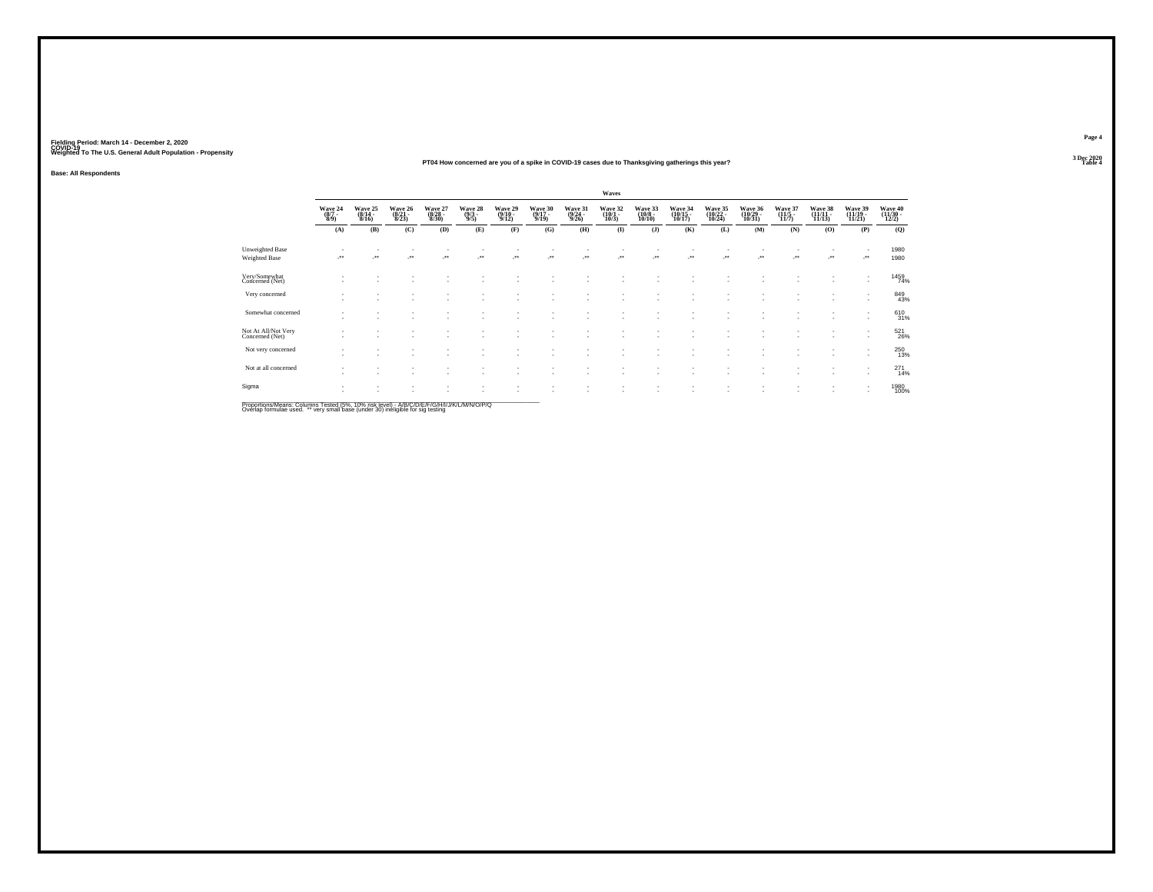#### **PT04 How concerned are you of a spike in COVID-19 cases due to Thanksgiving gatherings this year?Table 4 Table 4 Table 4 Table 4 Table 4 Table 4 Table 4 Table 4 Table 4 Table 4 Table 4 Table 4**

**Base: All Respondents**

|                                        |                                    |                             |                             |                                  |                                |                                       |                                         |                             | Waves                            |                                        |                                |                                                      |                               |                                         |                               |                                    |                              |
|----------------------------------------|------------------------------------|-----------------------------|-----------------------------|----------------------------------|--------------------------------|---------------------------------------|-----------------------------------------|-----------------------------|----------------------------------|----------------------------------------|--------------------------------|------------------------------------------------------|-------------------------------|-----------------------------------------|-------------------------------|------------------------------------|------------------------------|
|                                        | Wave 24<br>$\frac{(8/7)}{8/9}$     | Wave 25<br>(8/14 -<br>8/16) | Wave 26<br>(8/21 -<br>8/23) | Wave 27<br>$\frac{(8/28)}{8/30}$ | Wave 28<br>$\frac{(9/3)}{9/5}$ | Wave 29<br>$\frac{(9/10-9/12)}{9/12}$ | Wave 30<br>$\frac{(9/17 - 9/19)}{9/19}$ | Wave 31<br>(9/24 -<br>9/26) | Wave 32<br>$\frac{(10/1)}{10/3}$ | Wave 33<br>$\frac{(10/8 - 10)}{10/10}$ | Wave 34<br>(10/15 -<br>10/17)  | Wave 35<br>(10/22 -<br>10/24)                        | Wave 36<br>(10/29 -<br>10/31) | Wave 37<br>$\frac{(11/5 - 11)}{(11/7)}$ | Wave 38<br>(11/11 -<br>11/13) | Wave 39<br>(11/19 -<br>11/21)      | Wave 40<br>(11/30 -<br>12/2) |
|                                        | (A)                                | (B)                         | (C)                         | (D)                              | (E)                            | (F)                                   | (G)                                     | (H)                         | $($ I                            | (J)                                    | (K)                            | (L)                                                  | (M)                           | (N)                                     | (O)                           | (P)                                | (Q)                          |
| Unweighted Base<br>Weighted Base       | $\cdot$                            |                             | ×                           | $\cdot$                          | $\cdot$                        | -**                                   | $\cdot$                                 | $\mathcal{C}^{\bullet}$     | 59                               | $\cdot$                                | $\mathcal{L}^{\bullet\bullet}$ | $\cdot$                                              | ÷.                            |                                         | $\cdot$                       | $\overline{\phantom{a}}$<br>       | 1980<br>1980                 |
| Very/Somewhat<br>Concerned (Net)       |                                    |                             |                             |                                  |                                |                                       |                                         |                             |                                  | ٠                                      |                                | $\overline{\phantom{a}}$                             | ٠                             |                                         | $\sim$                        | ٠<br>$\sim$                        | 1459<br>74%                  |
| Very concerned                         |                                    |                             |                             |                                  |                                |                                       |                                         |                             |                                  | ٠                                      |                                |                                                      |                               |                                         |                               | ٠<br>$\overline{\phantom{a}}$      | 849<br>43%                   |
| Somewhat concerned                     | $\overline{\phantom{a}}$<br>$\sim$ | $\sim$                      | ٠                           |                                  |                                | ٠                                     | ٠                                       |                             |                                  | ٠<br>٠                                 |                                | $\overline{\phantom{a}}$<br>$\overline{\phantom{a}}$ | $\sim$<br>$\sim$              | $\sim$<br>٠                             | $\sim$<br>$\sim$              | $\overline{\phantom{a}}$<br>$\sim$ | 61031%                       |
| Not At All/Not Very<br>Concerned (Net) | $\sim$                             |                             |                             |                                  |                                | $\overline{\phantom{a}}$              | ٠                                       |                             |                                  | ٠                                      |                                | $\overline{\phantom{a}}$                             | ٠<br>$\sim$                   | ٠                                       | $\sim$<br>$\sim$              | ٠<br>$\sim$                        | 521<br>26%                   |
| Not very concerned                     |                                    |                             |                             |                                  |                                |                                       |                                         |                             |                                  |                                        |                                |                                                      |                               |                                         |                               | ٠<br>$\overline{\phantom{a}}$      | 250<br>13%                   |
| Not at all concerned                   | $\overline{\phantom{a}}$           |                             | $\sim$                      |                                  |                                |                                       |                                         |                             | ٠                                | ٠                                      |                                | $\overline{\phantom{a}}$                             | ٠<br>$\sim$                   |                                         | $\sim$                        | ٠<br>$\sim$                        | 271<br>14%                   |
| Sigma                                  |                                    |                             | ٠                           |                                  | ٠                              |                                       |                                         |                             |                                  | ٠<br>٠                                 |                                | $\overline{\phantom{a}}$                             | ٠<br>$\overline{\phantom{a}}$ |                                         | $\sim$<br>$\sim$              | ٠<br>$\sim$                        | 1980<br>100%                 |

Proportions/Means: Columns Tested (5%, 10% risk level) - A/B/C/D/E/F/G/H/I/J/K/L/M/N/O/P/Q<br>Overlap formulae used. \*\* very small base (under 30) ineligible for sig testing

**Page 43 Dec 2020<br>Table 4**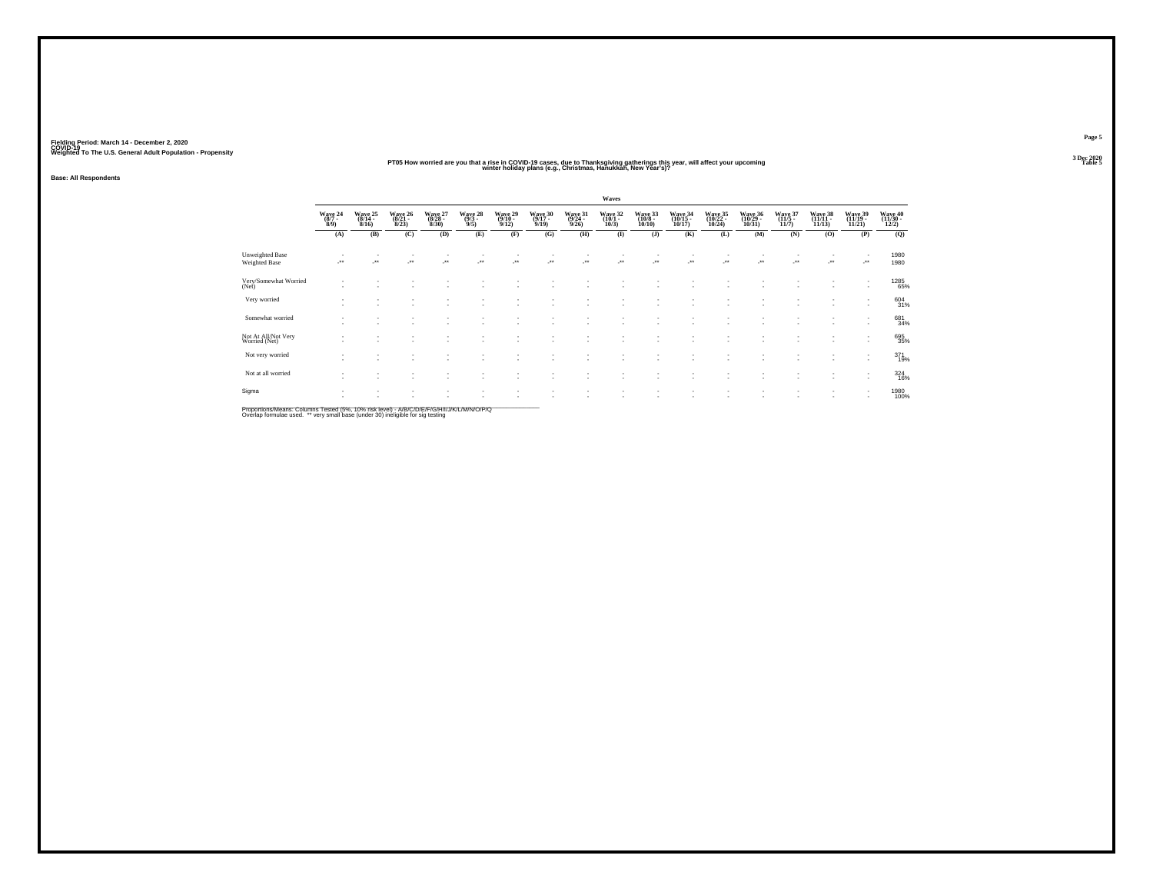## PT05 How worried are you that a rise in COVID-19 cases, due to Thanksgiving gatherings this year, will affect your upcoming<br>That was a winter holiday plans (e.g., Christmas, Hanukkah, New Year's)?

**Base: All Respondents**

|                                         |                |                 |                         |                             |                           |                               |                          |                 | Waves           |                  |                              |                              |                                  |                          |                  |                                    |                              |
|-----------------------------------------|----------------|-----------------|-------------------------|-----------------------------|---------------------------|-------------------------------|--------------------------|-----------------|-----------------|------------------|------------------------------|------------------------------|----------------------------------|--------------------------|------------------|------------------------------------|------------------------------|
|                                         | Wave 24<br>8/9 | Wave 25<br>8/16 | Wave 26<br>8/23         | Wave 27<br>(8/28 -<br>8/30) | Wave 28<br>(9/3 -<br>9/5) | Wave 29<br>(9/10 -<br>9/12)   | Wave 30<br>(9/17<br>9/19 | Wave 31<br>9/26 | Wave 32<br>10/3 | Wave 33<br>10/10 | Wave 34<br>(10/15 -<br>10/17 | Wave 35<br>(10/22 -<br>10/24 | Wave 36<br>(10/29 -<br>$10/31$ ) | Wave 37<br>(11/5<br>11/7 | Wave 38<br>11/13 | Wave 39<br>(11/19 -<br>11/21       | Wave 40<br>(11/30 -<br>12/2) |
|                                         | (A)            | (B)             | (C)                     | (D)                         | (E)                       | (F)                           | (G)                      | (H)             | $\mathbf{I}$    | $($ J $)$        | (K)                          | (L)                          | (M)                              | (N)                      | (0)              | (P)                                | (Q)                          |
| <b>Unweighted Base</b><br>Weighted Base | -**            | J.              | $\mathcal{F}^{\bullet}$ | $\cdot$                     | $\mathcal{L}^{\bullet}$   | ÷.                            | $\bullet\bullet$         | ٠<br>           | $\cdot$         |                  |                              | J.                           | ÷.                               | J.                       | J.               | $\cdot$                            | 1980<br>1980                 |
| Very/Somewhat Worried<br>(Net)          |                |                 |                         |                             |                           |                               |                          |                 |                 |                  |                              |                              |                                  |                          | ٠                |                                    | 1285<br>65%                  |
| Very worried                            |                |                 |                         |                             |                           | ٠<br>$\sim$                   |                          | ٠               |                 |                  |                              |                              | $\overline{\phantom{a}}$         | $\sim$                   | ٠<br>$\sim$      | $\overline{\phantom{a}}$           | $^{604}_{31\%}$              |
| Somewhat worried                        |                |                 |                         |                             |                           |                               |                          |                 |                 |                  |                              |                              |                                  |                          |                  |                                    | 681<br>34%                   |
| Not At All/Not Very<br>Worried (Net)    |                |                 |                         | ٠                           | $\overline{\phantom{a}}$  | ٠<br>$\sim$                   |                          |                 |                 |                  |                              |                              | $\sim$                           |                          | $\sim$           |                                    | 695<br>35%                   |
| Not very worried                        |                |                 |                         |                             |                           | $\sim$                        |                          | ٠               |                 |                  |                              |                              |                                  | $\sim$<br><b>1999</b>    | $\sim$           | $\sim$<br>$\overline{\phantom{a}}$ | 371<br>19%                   |
| Not at all worried                      |                |                 |                         |                             |                           | $\sim$                        |                          |                 |                 |                  |                              |                              |                                  |                          | ٠                |                                    | $\frac{324}{16\%}$           |
| Sigma                                   |                |                 |                         | ٠                           | $\overline{\phantom{a}}$  | ٠<br>$\overline{\phantom{a}}$ |                          |                 |                 |                  |                              |                              | $\overline{\phantom{a}}$         | $\sim$                   | ٠<br>٠           | $\overline{\phantom{a}}$           | 1980<br>100%                 |

Proportions/Means: Columns Tested (5%, 10% risk level) - A/B/C/D/E/F/G/H/I/J/K/L/M/N/O/P/Q<br>Overlap formulae used. \*\* very small base (under 30) ineligible for sig testing

**Page 53 Dec 2020<br>Table 5**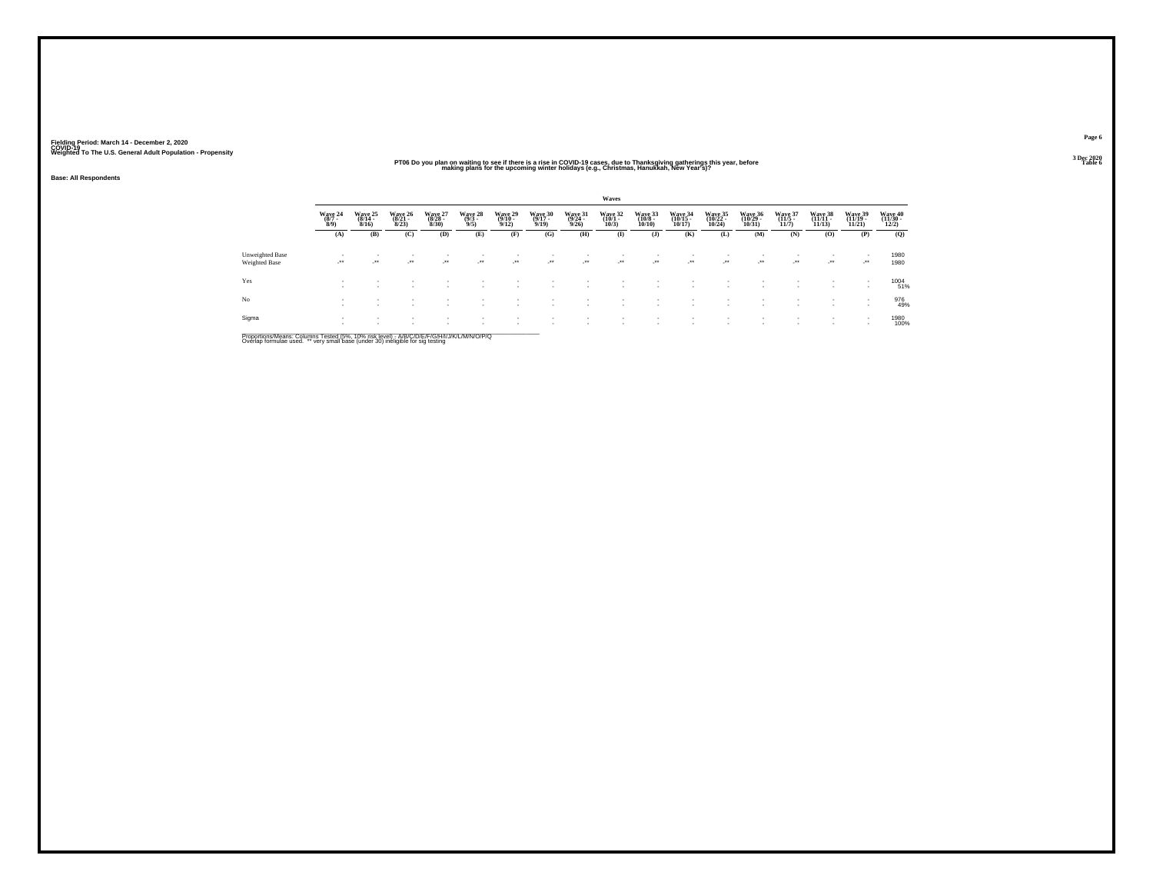## PT06 Do you plan on waiting to see if there is a rise in COVID-19 cases, due to Thanksgiving gatherings this year, before<br>The Down making plans for the upcoming winter holidays (e.g., Christmas, Hanukkah, Néw Year's)?

**Base: All Respondents**

|                                  |                           |                          |                             |                             |                                                      |                 |                          |                            | Waves                      |                  |                                    |                              |                              |                             |                  |                                    |                              |  |
|----------------------------------|---------------------------|--------------------------|-----------------------------|-----------------------------|------------------------------------------------------|-----------------|--------------------------|----------------------------|----------------------------|------------------|------------------------------------|------------------------------|------------------------------|-----------------------------|------------------|------------------------------------|------------------------------|--|
|                                  | Wave 24<br>(8/7 -<br>8/9) | Wave 25<br>8/16          | Wave 26<br>(8/21 -<br>8/23) | Wave 27<br>(8/28 -<br>8/30) | Wave 28<br>(9/3 -<br>9/5)                            | Wave 29<br>9/12 | Wave 30<br>(9/17<br>9/19 | Wave 31<br>(9/24 -<br>9/26 | Wave 32<br>(10/1 -<br>10/3 | Wave 33<br>10/10 | Wave 34<br>10/17                   | Wave 35<br>(10/22 -<br>10/24 | Wave 36<br>(10/29 -<br>10/31 | Wave 37<br>(11/5 -<br>11/7) | Wave 38<br>11/13 | Wave 39<br>(11/19 -<br>11/21       | Wave 40<br>(11/30 -<br>12/2) |  |
|                                  | (A)                       | (B)                      | (C)                         | (D)                         | (E)                                                  | (F)             | (G)                      | (H)                        | $\bf(I)$                   | (J)              | (K)                                | (L)                          | (M)                          | (N)                         | (O)              | (P)                                | (Q)                          |  |
| Unweighted Base<br>Weighted Base | - 1                       | $\cdot$                  | $\cdot$                     | $\cdot$                     | $\overline{\phantom{a}}$<br>$\overline{\phantom{a}}$ | $\rightarrow$   | $\rightarrow$            | ٠<br>$\cdot$               | ٠<br>$\cdot$               | $\cdot$          | $\overline{\phantom{a}}$<br>$\sim$ | $\cdot$                      | $\cdot$                      | ur .                        | $\cdot$          | $\cdot$                            | 1980<br>1980                 |  |
| Yes                              |                           | $\overline{\phantom{a}}$ |                             |                             |                                                      |                 |                          |                            |                            |                  |                                    |                              |                              |                             | ٠<br>٠           | $\sim$<br>$\overline{\phantom{a}}$ | 1004<br>51%                  |  |
| No                               |                           | $\overline{\phantom{a}}$ |                             |                             |                                                      |                 |                          |                            | ٠                          | $\sim$           |                                    | $\sim$                       |                              |                             | ٠<br>٠           |                                    | 976<br>49%                   |  |
| Sigma                            | $\mathbf{r}$              | ٠                        |                             |                             |                                                      |                 |                          | ٠                          |                            |                  |                                    |                              |                              |                             | ٠                | $\sim$<br>٠                        | 1980<br>100%                 |  |
|                                  |                           |                          |                             |                             |                                                      |                 |                          |                            |                            |                  |                                    |                              |                              |                             |                  |                                    |                              |  |

Proportions/Means: Columns Tested (5%, 10% risk level) - A/B/C/D/E/F/G/H/I/J/K/L/M/N/O/P/Q<br>Overlap formulae used. \*\* very small base (under 30) ineligible for sig testing

**Page 63 Dec 2020<br>Table 6**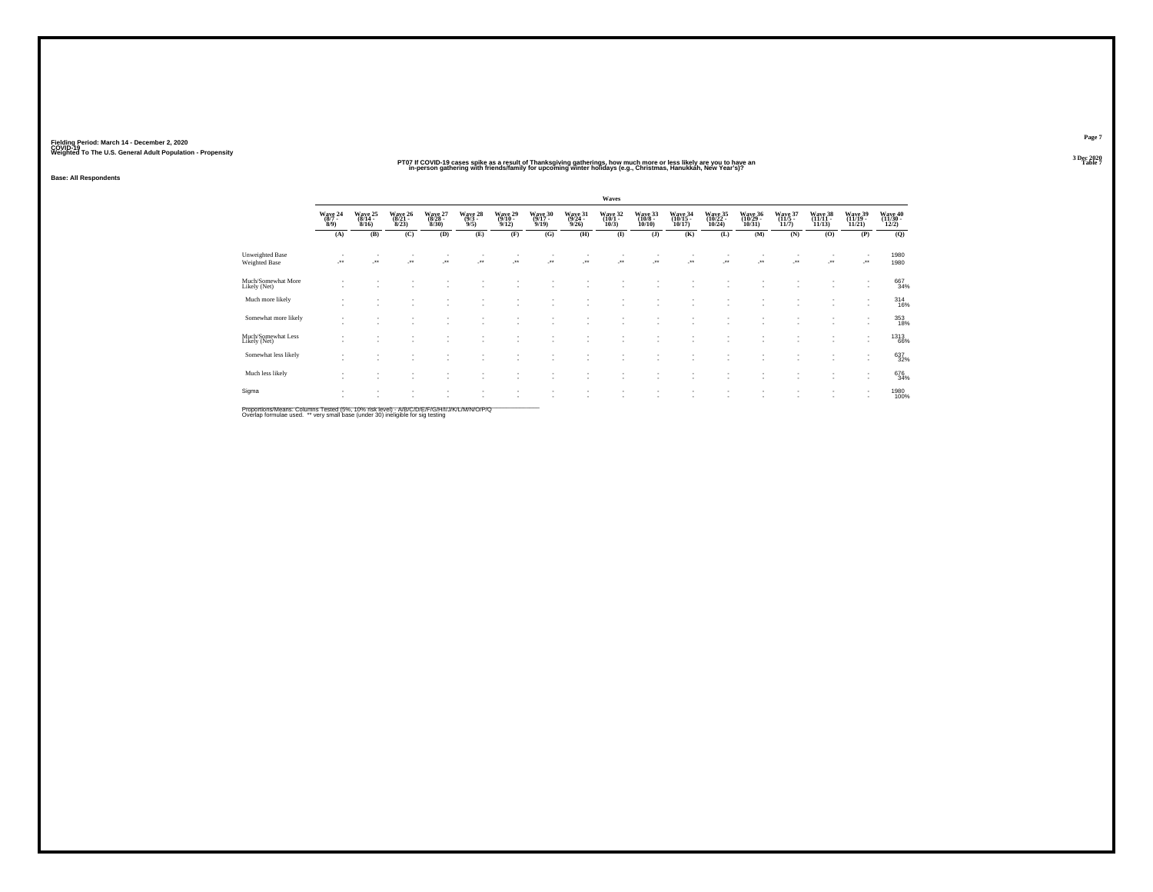## PT07 if COVID-19 cases spike as a result of Thanksgiving gatherings, how much more or less likely are you to have an<br>in-person gathering with friends/family for upcoming winter holidays (e.g., Christmas, Hanukkáh, Néw Year

**Base: All Respondents**

|                                    |                                    |                          |                      |                             |                           |                             |                 |                            | Waves                          |                               |                                                      |                                |                              |                          |                  |                              |                              |
|------------------------------------|------------------------------------|--------------------------|----------------------|-----------------------------|---------------------------|-----------------------------|-----------------|----------------------------|--------------------------------|-------------------------------|------------------------------------------------------|--------------------------------|------------------------------|--------------------------|------------------|------------------------------|------------------------------|
|                                    | Wave 24<br>8/9                     | Wave 25<br>8/16          | Wave 26<br>8/23      | Wave 27<br>(8/28 -<br>8/30) | Wave 28<br>(9/3 -<br>9/5) | Wave 29<br>(9/10 -<br>9/12) | Wave 30<br>9/19 | Wave 31<br>(9/24 -<br>9/26 | Wave 32<br>(10/1 -<br>10/3     | Wave 33<br>10/10              | Wave 34<br>(10/15<br>10/17                           | Wave 35<br>(10/22<br>$10/24$ ) | Wave 36<br>(10/29 -<br>10/31 | Wave 37<br>11/7          | Wave 38<br>11/13 | Wave 39<br>(11/19 -<br>11/21 | Wave 40<br>(11/30 -<br>12/2) |
|                                    | (A)                                | (B)                      | (C)                  | (D)                         | (E)                       | (F)                         | (G)             | (H)                        | $($ $\blacksquare$             | $($ $)$                       | (K)                                                  | (L)                            | (M)                          | (N)                      | (O)              | (P)                          | (Q)                          |
| Unweighted Base<br>Weighted Base   | $\cdot$                            | $\cdot$                  | $\ddot{\phantom{1}}$ | $\cdot$                     | $\cdot$                   | J.                          | $\cdot$         | J.                         | $\mathcal{L}^{\bullet\bullet}$ | ٠<br>$\ddot{\phantom{1}}$     | $\overline{\phantom{a}}$                             | $\overline{\phantom{a}}$       | $\cdot$                      | $\overline{\phantom{a}}$ | $\cdot$          | $\overline{\phantom{a}}$     | 1980<br>1980                 |
| Much/Somewhat More<br>Likely (Net) | $\sim$                             | $\sim$                   |                      |                             |                           |                             |                 |                            | ٠                              | ٠                             |                                                      |                                |                              |                          | $\sim$           |                              | 667<br>34%                   |
| Much more likely                   | $\mathbf{r}$<br>٠                  | ٠<br>$\sim$              | $\sim$               | ٠<br>٠                      |                           | $\overline{\phantom{a}}$    |                 | ٠                          | ٠                              | $\overline{\phantom{a}}$<br>٠ | ٠<br>$\overline{\phantom{a}}$                        | ٠<br>٠                         | ٠                            |                          | ٠<br>$\sim$      |                              | $^{314}_{16\%}$              |
| Somewhat more likely               | $\sim$<br>$\sim$                   | $\overline{\phantom{a}}$ | $\sim$               | ٠                           |                           |                             |                 | ٠.                         | ٠                              | ۰                             | $\sim$                                               | ÷.                             |                              |                          | ٠<br>$\sim$      |                              | 353<br>18%                   |
| Much/Somewhat Less<br>Likely (Net) | ٠<br>$\sim$                        | $\sim$<br>٠              | ٠<br>$\sim$          | ٠<br>٠                      |                           | $\sim$                      |                 | ٠                          | ٠<br>×.                        | ٠<br>٠                        | $\overline{\phantom{a}}$<br>$\overline{\phantom{a}}$ | ٠<br>$\sim$                    | ٠                            |                          | $\sim$           |                              | <sup>1313</sup> 66%          |
| Somewhat less likely               | $\sim$<br>$\overline{\phantom{a}}$ | ٠<br>$\sim$              |                      | $\sim$                      |                           |                             |                 | ٠.                         | ٠<br>٠                         | ٠<br>٠                        |                                                      | $\sim$                         |                              |                          | ٠<br>$\sim$      |                              | 637<br>32%                   |
| Much less likely                   | ٠<br>٠                             | ٠<br>$\sim$              |                      | ٠                           |                           |                             |                 |                            | $\sim$                         | ٠                             | ٠                                                    | ٠                              |                              |                          | $\sim$           |                              | 676<br>34%                   |
| Sigma                              | $\sim$<br>$\overline{\phantom{a}}$ | ٠<br>$\sim$              |                      |                             |                           |                             |                 | ٠                          | ٠<br>٠                         | ٠<br>٠                        |                                                      |                                |                              |                          | ٠<br>$\sim$      |                              | 1980<br>100%                 |

Proportions/Means: Columns Tested (5%, 10% risk level) - A/B/C/D/E/F/G/H/I/J/K/L/M/N/O/P/Q<br>Overlap formulae used. \*\* very small base (under 30) ineligible for sig testing

**Page 73 Dec 2020<br>Table 7**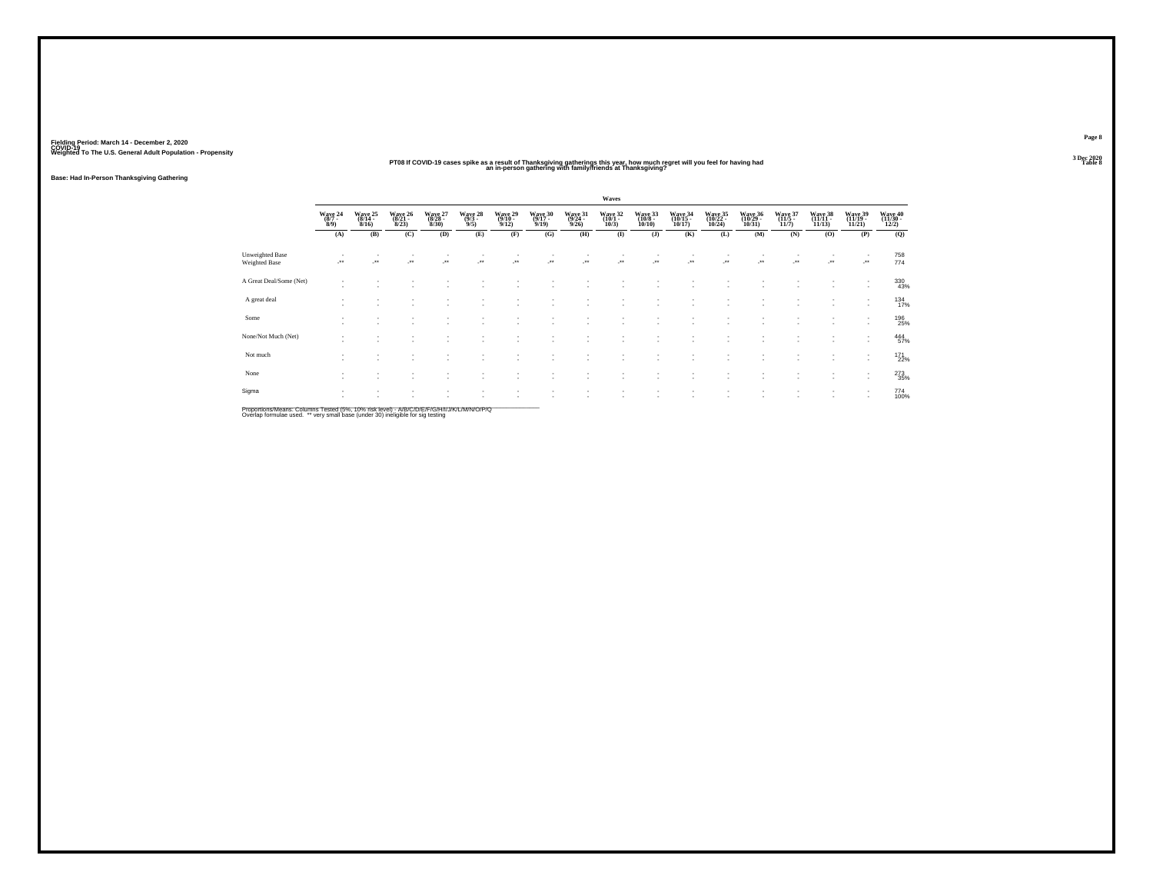## **PT08 If COVID-19 cases spike as a result of Thanksgiving gatherings this year, how much regret will you feel for having had Table 8 an in-person gathering with family/friends at Thanksgiving?**

**Base: Had In-Person Thanksgiving Gathering**

|                                                |                                      |                 |                              |                            |                                    |                          |                            |                            | Waves                      |                                   |                            |                                  |                              |                 |                              |                                    |                              |
|------------------------------------------------|--------------------------------------|-----------------|------------------------------|----------------------------|------------------------------------|--------------------------|----------------------------|----------------------------|----------------------------|-----------------------------------|----------------------------|----------------------------------|------------------------------|-----------------|------------------------------|------------------------------------|------------------------------|
|                                                | Wave 24<br>$\frac{(8/7 - 8)}{(8/9)}$ | Wave 25<br>8/16 | Wave 26<br>$(8/21 -$<br>8/23 | Wave 27<br>(8/28 -<br>8/30 | Wave 28<br>$\frac{(9/3 - 9)}{9/5}$ | Wave 29<br>9/12          | Wave 30<br>(9/17 -<br>9/19 | Wave 31<br>(9/24 -<br>9/26 | Wave 32<br>(10/1 -<br>10/3 | Wave 33<br>$(10/8 -$<br>$10/10$ ) | Wave 34<br>(10/15<br>10/17 | Wave 35<br>(10/22 -<br>$10/24$ ) | Wave 36<br>(10/29 -<br>10/31 | Wave 37<br>11/7 | Wave 38<br>(11/11 -<br>11/13 | Wave 39<br>(11/19 -<br>11/21       | Wave 40<br>(11/30 -<br>12/2) |
|                                                | (A)                                  | (B)             | (C)                          | (D)                        | (E)                                | (F)                      | (G)                        | (H)                        | $\mathbf{I}$               | (J)                               | (K)                        | (L)                              | (M)                          | (N)             | (O)                          | (P)                                | (Q)                          |
| <b>Unweighted Base</b><br><b>Weighted Base</b> | - * *                                |                 | ÷.                           | ٠.                         | ÷                                  | $\cdot$                  |                            | $\overline{\phantom{a}}$   | $\cdot$                    | $\cdot$                           | $\cdot$                    | -**                              | $\cdot$                      |                 | $\cdot$                      | $\cdot$                            | 758<br>774                   |
| A Great Deal/Some (Net)                        |                                      |                 |                              |                            | ٠                                  | $\overline{\phantom{a}}$ | ٠                          |                            |                            |                                   |                            |                                  |                              |                 | - 1                          | $\sim$                             | 330<br>43%                   |
| A great deal                                   |                                      | ٠               |                              |                            | $\overline{\phantom{a}}$<br>٠      | $\sim$<br>и.             | ٠<br>$\sim$                | $\sim$                     |                            | ٠<br>٠                            |                            |                                  |                              |                 | ۰.                           | $\,$<br>$\sim$                     | $^{134}_{17\%}$              |
| Some                                           |                                      |                 |                              |                            |                                    |                          | ٠                          |                            |                            | $\overline{\phantom{a}}$          |                            |                                  |                              |                 |                              | ٠<br>$\overline{\phantom{a}}$      | 196<br>25%                   |
| None/Not Much (Net)                            |                                      |                 |                              |                            | ٠                                  | $\overline{\phantom{a}}$ | ٠<br>٠                     | . п.                       |                            | ٠                                 |                            |                                  |                              |                 | ۰.                           | $\overline{\phantom{a}}$<br>$\sim$ | 444<br>57%                   |
| Not much                                       |                                      |                 |                              |                            | ٠<br>×                             | и.                       | ٠<br>٠                     |                            |                            | ٠                                 |                            |                                  |                              |                 | ×                            | $\sim$<br>$\overline{\phantom{a}}$ | <sup>171</sup><br>22%        |
| None                                           |                                      |                 |                              |                            |                                    |                          | ٠<br>٠                     |                            |                            |                                   |                            |                                  |                              |                 |                              | $\overline{\phantom{a}}$           | 273<br>35%                   |
| Sigma                                          |                                      |                 |                              |                            | ٠.                                 |                          | ٠<br>٠                     |                            |                            | ٠                                 |                            |                                  |                              |                 |                              | $\sim$<br>$\sim$                   | 774<br>100%                  |
|                                                |                                      |                 |                              |                            |                                    |                          |                            |                            |                            |                                   |                            |                                  |                              |                 |                              |                                    |                              |

Proportions/Means: Columns Tested (5%, 10% risk level) - A/B/C/D/E/F/G/H/I/J/K/L/M/N/O/P/Q<br>Overlap formulae used. \*\* very small base (under 30) ineligible for sig testing

**Page 83 Dec 2020<br>Table 8**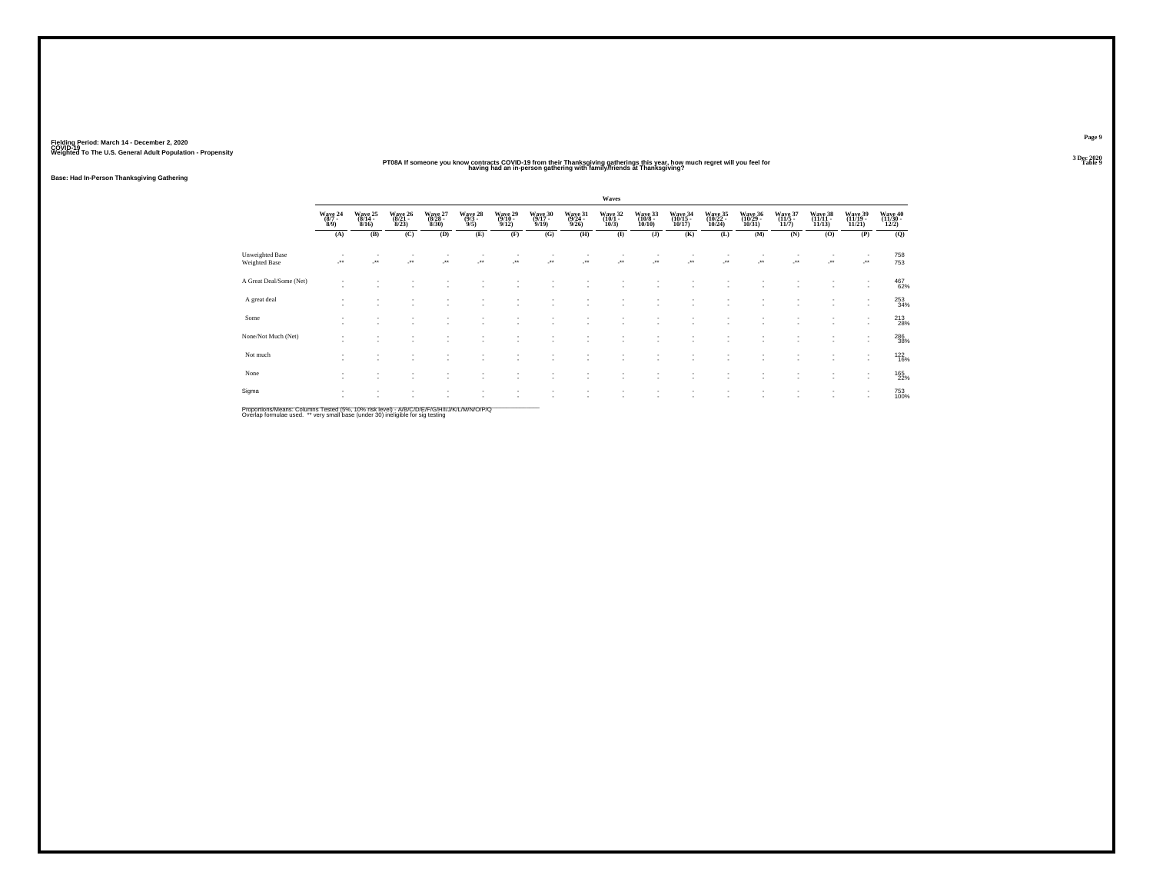#### **PT08A If someone you know contracts COVID-19 from their Thanksgiving gatherings this year, how much regret will you feel for having had an in-person gathering with family/friends at Thanksgiving?Table 9 Table 9**

**Base: Had In-Person Thanksgiving Gathering**

|                                         |                                      |                              |                              |                                  |                                    |                                         |                                         |                              | Waves                          |                                 |                              |                                  |                              |                          |                  |                                                      |                            |
|-----------------------------------------|--------------------------------------|------------------------------|------------------------------|----------------------------------|------------------------------------|-----------------------------------------|-----------------------------------------|------------------------------|--------------------------------|---------------------------------|------------------------------|----------------------------------|------------------------------|--------------------------|------------------|------------------------------------------------------|----------------------------|
|                                         | Wave 24<br>$\frac{(8/7 - 8)}{(8/9)}$ | Wave 25<br>$(8/14 -$<br>8/16 | Wave 26<br>$(8/21 -$<br>8/23 | Wave 27<br>$(8/28 -$<br>$8/30$ ) | Wave 28<br>$\frac{(9/3 - 9)}{9/5}$ | Wave 29<br>$\frac{(9/10 - 9/12)}{9/12}$ | Wave 30<br>$\frac{(9/17 - 9/19)}{9/19}$ | Wave 31<br>$(9/24 -$<br>9/26 | Wave 32<br>(10/1 -<br>$10/3$ ) | Wave 33<br>(10/8 -<br>$10/10$ ) | Wave 34<br>(10/15 -<br>10/17 | Wave 35<br>(10/22 -<br>$10/24$ ) | Wave 36<br>(10/29 -<br>10/31 | Wave 37<br>(11/5<br>11/7 | Wave 38<br>11/13 | Wave 39<br>(11/19 -<br>11/21                         | Wave 40<br>(11/30<br>12/2) |
|                                         | (A)                                  | (B)                          | (C)                          | (D)                              | (E)                                | (F)                                     | (G)                                     | (H)                          | $\bf(I)$                       | (J)                             | (K)                          | (L)                              | (M)                          | (N)                      | (0)              | (P)                                                  | (Q)                        |
| <b>Unweighted Base</b><br>Weighted Base | $\cdot$                              | $\cdot$                      | ÷.                           |                                  | ÷.                                 |                                         |                                         |                              | $\cdot$                        | $\cdot$                         | $\cdot$                      | $\cdot$                          | $\cdot$                      |                          |                  | $\cdot$                                              | 758<br>753                 |
| A Great Deal/Some (Net)                 |                                      |                              |                              |                                  |                                    |                                         |                                         |                              |                                |                                 |                              |                                  |                              |                          | $\sim$           | $\overline{\phantom{a}}$                             | 467<br>62%                 |
| A great deal                            |                                      |                              | ٠<br>٠                       |                                  | $\overline{\phantom{a}}$           | ٠                                       | и.                                      | - 1                          | ٠<br>$\sim$                    | $\overline{\phantom{a}}$        | $\overline{\phantom{a}}$     | ٠                                |                              |                          | ٠                | $\sim$                                               | 253<br>34%                 |
| Some                                    | $\mathbf{r}$                         |                              |                              |                                  |                                    |                                         |                                         | $\sim$                       | ٠                              | $\sim$                          |                              |                                  |                              |                          |                  |                                                      | 213<br>28%                 |
| None/Not Much (Net)                     | $\overline{\phantom{a}}$             |                              |                              |                                  |                                    |                                         | $\overline{\phantom{a}}$                | $\sim$                       | $\sim$                         | ٠                               |                              |                                  |                              |                          |                  | $\overline{\phantom{a}}$                             | 286<br>38%                 |
| Not much                                |                                      |                              |                              |                                  |                                    |                                         |                                         |                              |                                |                                 |                              |                                  |                              |                          |                  | ٠                                                    | $^{122}_{16\%}$            |
| None                                    |                                      |                              |                              |                                  |                                    |                                         |                                         |                              | ٠                              |                                 |                              |                                  |                              |                          |                  | ٠                                                    | 165<br>22%                 |
| Sigma                                   |                                      |                              |                              |                                  |                                    |                                         |                                         | $\sim$                       | ٠<br>٠                         |                                 |                              |                                  |                              |                          | ٠<br>٠           | $\overline{\phantom{a}}$<br>$\overline{\phantom{a}}$ | 753<br>100%                |
|                                         |                                      |                              |                              |                                  |                                    |                                         |                                         |                              |                                |                                 |                              |                                  |                              |                          |                  |                                                      |                            |

Proportions/Means: Columns Tested (5%, 10% risk level) - A/B/C/D/E/F/G/H/I/J/K/L/M/N/O/P/Q<br>Overlap formulae used. \*\* very small base (under 30) ineligible for sig testing

**Page 93 Dec 2020<br>Table 9**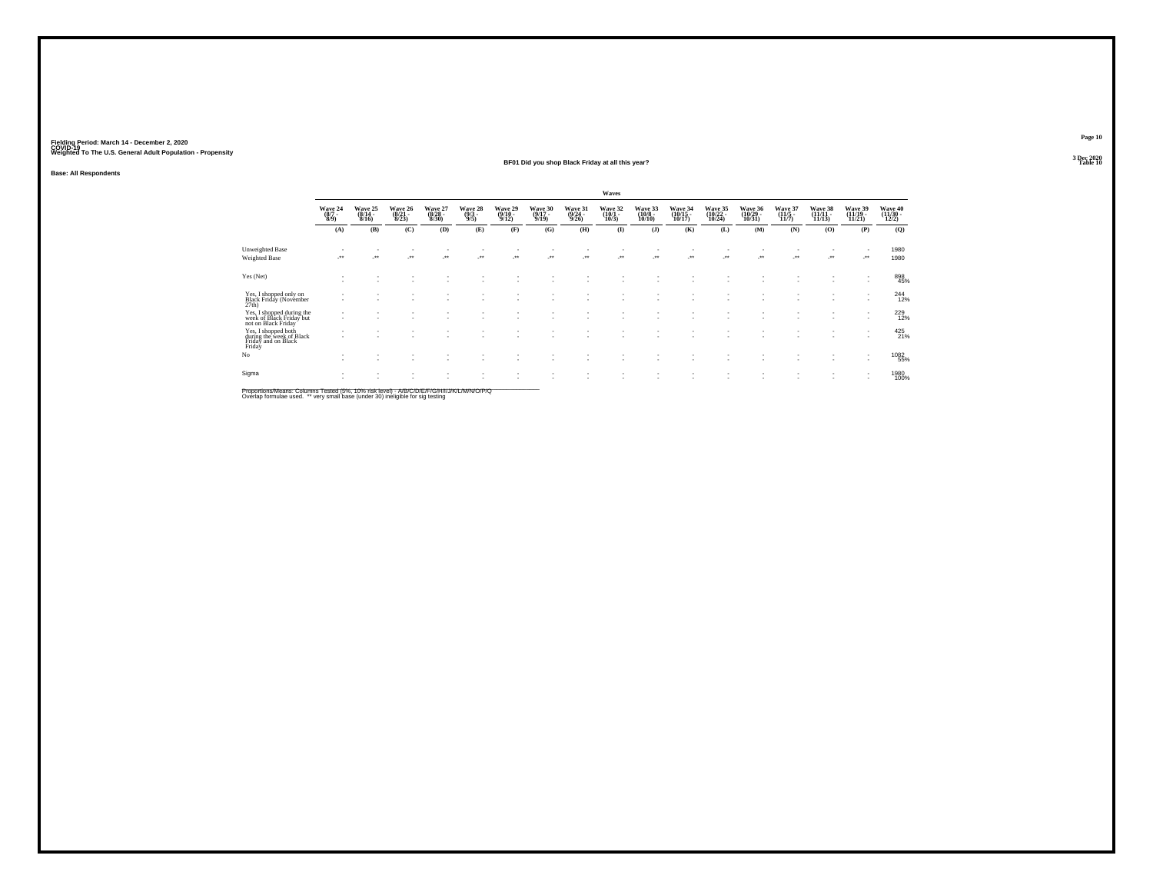### **Base: All Respondents**

#### **BF01 Did you shop Black Friday at all this year?Particular Table 10 Table 10 Table 10 Table 10 Table 10**

|                                                                                  |                                    |                              |                             |                             |                                |                             |                 |                             | Waves                        |                              |                                 |                            |                                |                          |                  |                              |                              |
|----------------------------------------------------------------------------------|------------------------------------|------------------------------|-----------------------------|-----------------------------|--------------------------------|-----------------------------|-----------------|-----------------------------|------------------------------|------------------------------|---------------------------------|----------------------------|--------------------------------|--------------------------|------------------|------------------------------|------------------------------|
|                                                                                  | Wave 24<br>$(8/7 -$<br>8/9         | Wave 25<br>$(8/14 -$<br>8/16 | Wave 26<br>(8/21 -<br>8/23) | Wave 27<br>(8/28 -<br>8/30) | Wave 28<br>$\frac{(9/3)}{9/5}$ | Wave 29<br>(9/10 -<br>9/12) | Wave 30<br>9/19 | Wave 31<br>(9/24 -<br>9/26) | Wave 32<br>$(10/1 -$<br>10/3 | Wave 33<br>(10/8 -<br>10/10) | Wave 34<br>10/17                | Wave 35<br>(10/22<br>10/24 | Wave 36<br>(10/29<br>$10/31$ ) | Wave 37<br>(11/5<br>11/7 | Wave 38<br>11/13 | Wave 39<br>(11/19 -<br>11/21 | Wave 40<br>(11/30 -<br>12/2) |
|                                                                                  | (A)                                | (B)                          | (C)                         | (D)                         | (E)                            | (F)                         | (G)             | (H)                         | $\bf{I}$                     | (J)                          | (K)                             | (L)                        | (M)                            | (N)                      | (O)              | (P)                          | (Q)                          |
| Unweighted Base<br><b>Weighted Base</b>                                          |                                    | $\ddot{\phantom{1}}$         | $\ddot{\phantom{1}}$        | $\ddot{\phantom{1}}$        | $\bullet\,\bullet$             | - 11                        |                 | $\bullet\bullet$            | $\bullet\bullet$             | - 11<br>                     | $\overline{\phantom{a}}$<br>-** |                            | $\cdot$                        | $\cdot$                  |                  | ٠<br>$\cdot$                 | 1980<br>1980                 |
| Yes (Net)                                                                        | ٠<br>٠                             |                              |                             |                             |                                |                             |                 |                             |                              |                              |                                 |                            |                                |                          |                  | ٠                            | 898<br>45%                   |
| Yes, I shopped only on<br>Black Friday (November<br>27th)                        | -<br>٠                             |                              |                             |                             |                                |                             |                 |                             |                              |                              |                                 |                            |                                |                          |                  | ٠                            | $^{244}_{12\%}$              |
| Yes, I shopped during the<br>week of Black Friday but<br>not on Black Friday     | $\sim$<br>$\overline{\phantom{a}}$ |                              |                             |                             |                                |                             |                 |                             | ٠                            | ٠<br>٠.                      | $\sim$                          | $\overline{\phantom{a}}$   | $\sim$<br>٠                    |                          | $\sim$<br>$\sim$ | $\overline{\phantom{a}}$     | 229                          |
| Yes, I shopped both<br>during the week of Black<br>Friday and on Black<br>Friday | ٠<br>٠                             |                              |                             | ٠                           |                                |                             |                 |                             | ٠                            | ٠<br>٠.                      | $\overline{\phantom{a}}$        |                            | ٠                              |                          | $\sim$           | ۰                            | 425<br>21%                   |
| No                                                                               | ٠<br>$\overline{\phantom{a}}$      |                              | -                           |                             |                                |                             |                 |                             |                              | ٠<br>٠.                      | $\sim$                          | $\overline{\phantom{a}}$   |                                |                          | ٠                | ٠<br>$\sim$                  | 1082<br>55%                  |
| Sigma                                                                            | ٠                                  |                              |                             | ٠                           |                                |                             |                 |                             |                              | ٠                            | $\overline{\phantom{a}}$        |                            | ٠                              |                          | ٠                | ٠                            | 1980<br>100%                 |

Proportions/Means: Columns Tested (5%, 10% risk level) - *NB/C/D/E/F/G/H/IJJ/K/L/M/N/O/P/Q*<br>Overlap formulae used. \*\* very small base (under 30) ineligible for sig testing

No

**Page 10**3 Dec 2020<br>Table 10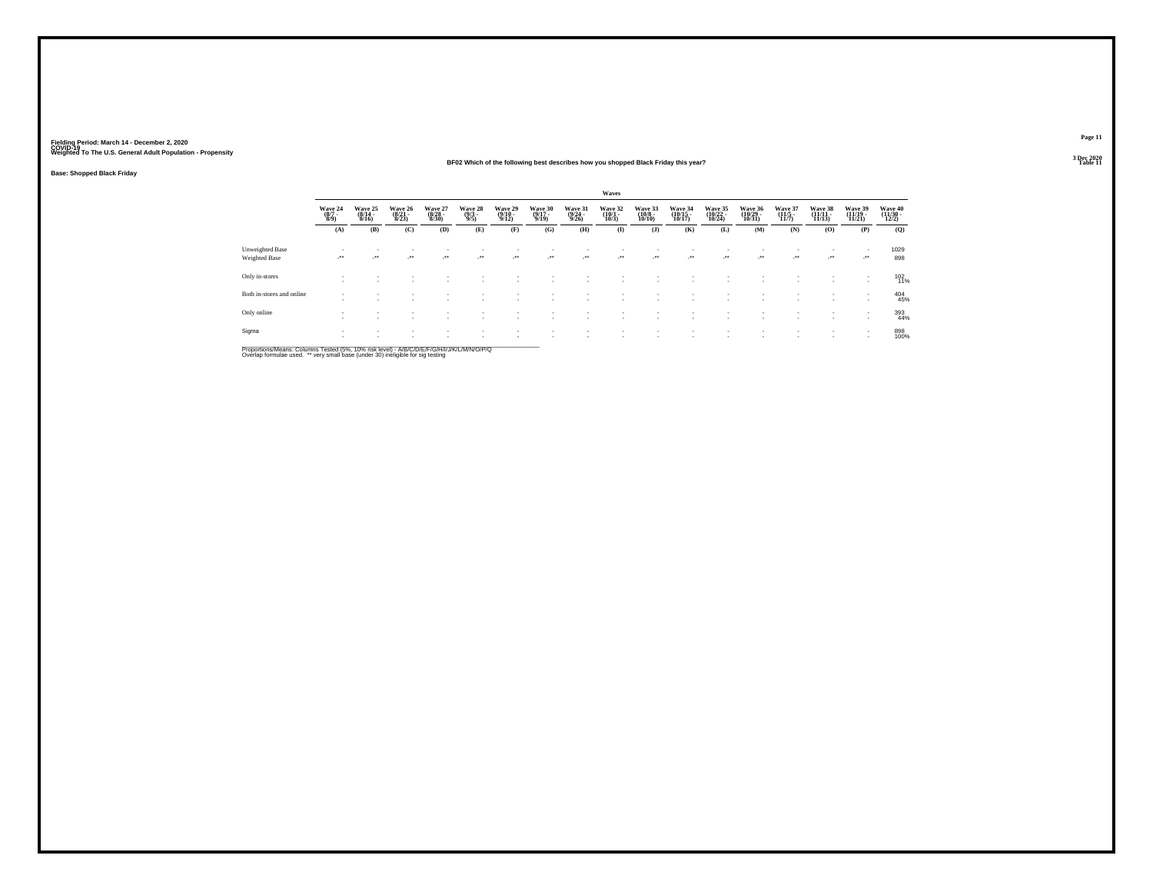### **BF02 Which of the following best describes how you shopped Black Friday this year?**

**Base: Shopped Black Friday**

|                                  |                           |                                          |                                  |                                  |                                |                                       |                                  |                             | Waves                       |                                   |                                    |                               |                               |                             |                                |                                    |                              |
|----------------------------------|---------------------------|------------------------------------------|----------------------------------|----------------------------------|--------------------------------|---------------------------------------|----------------------------------|-----------------------------|-----------------------------|-----------------------------------|------------------------------------|-------------------------------|-------------------------------|-----------------------------|--------------------------------|------------------------------------|------------------------------|
|                                  | Wave 24<br>(8/7 -<br>8/9) | Wave 25<br>$\frac{(8/14)}{8/16}$         | Wave 26<br>$\frac{(8/21)}{8/23}$ | Wave 27<br>$\frac{(8/28)}{8/30}$ | Wave 28<br>$\frac{(9/3)}{9/5}$ | Wave 29<br>$\frac{(9/10-9/12)}{9/12}$ | Wave 30<br>$\frac{(9/17)}{9/19}$ | Wave 31<br>(9/24 -<br>9/26) | Wave 32<br>(10/1 -<br>10/3) | Wave 33<br>$\frac{(10/8)}{10/10}$ | Wave 34<br>$\frac{(10/15)}{10/17}$ | Wave 35<br>(10/22 -<br>10/24) | Wave 36<br>(10/29 -<br>10/31) | Wave 37<br>(11/5 -<br>11/7) | Wave 38<br>$(11/11 -$<br>11/13 | Wave 39<br>(11/19 -<br>11/21       | Wave 40<br>(11/30 -<br>12/2) |
|                                  | (A)                       | (B)                                      | (C)                              | (D)                              | (E)                            | (F)                                   | (G)                              | (H)                         | $\bf(I)$                    | (J)                               | (K)                                | (L)                           | (M)                           | (N)                         | (O)                            | (P)                                | (Q)                          |
| Unweighted Base<br>Weighted Base | $\sim$                    | $\mathbf{r}$<br>$\overline{\phantom{a}}$ | ٠<br>ur.                         | $\mathcal{L}^{\bullet\bullet}$   |                                | <b>START</b>                          |                                  | $\cdot$                     | $\cdot$                     | $\cdot$                           | $\mathcal{L}^{\text{max}}$         | $\sim$                        | $\sim$<br>$\cdot$             | $\mathcal{L}^{\text{max}}$  | ٠<br>$\cdot$                   | $\sim$<br>$\cdot$                  | 1029<br>898                  |
| Only in-stores                   | $\overline{\phantom{a}}$  | $\sim$                                   | ٠                                | <b>1999</b>                      | $\sim$                         | $\sim$                                |                                  |                             |                             | ٠.                                | $\mathbf{r}$                       | $\overline{\phantom{a}}$      | $\overline{\phantom{a}}$      | <b>COL</b>                  | ٠<br>$\sim$                    | $\sim$<br>$\mathbf{r}$             | 102<br>11%                   |
| Both in-stores and online        | $\overline{\phantom{a}}$  |                                          |                                  |                                  |                                |                                       |                                  |                             |                             |                                   |                                    |                               |                               |                             | ٠                              | $\overline{\phantom{a}}$<br>$\sim$ | 404<br>45%                   |
| Only online                      | $\sim$<br>$\sim$          |                                          | $\sim$                           | . .                              | ٠.                             |                                       |                                  |                             |                             | ٠.                                |                                    | $\sim$                        |                               | $\sim$                      | ٠                              | $\mathbf{r}$                       | 393<br>44%                   |
| Sigma                            | $\sim$                    |                                          |                                  |                                  |                                |                                       |                                  |                             |                             |                                   |                                    | $\sim$                        | $\sim$                        |                             | $\sim$<br>٠                    | $\sim$<br>$\mathbf{r}$             | 898<br>100%                  |

Proportions/Means: Columns Tested (5%, 10% risk level) - A/B/C/D/E/F/G/H/I/J/K/L/M/N/O/P/Q<br>Overlap formulae used. \*\* very small base (under 30) ineligible for sig testing

**Page 113 Dec 2020<br>Table 11** 

**Particular Table 11 Table 11 Table 11 Table 11**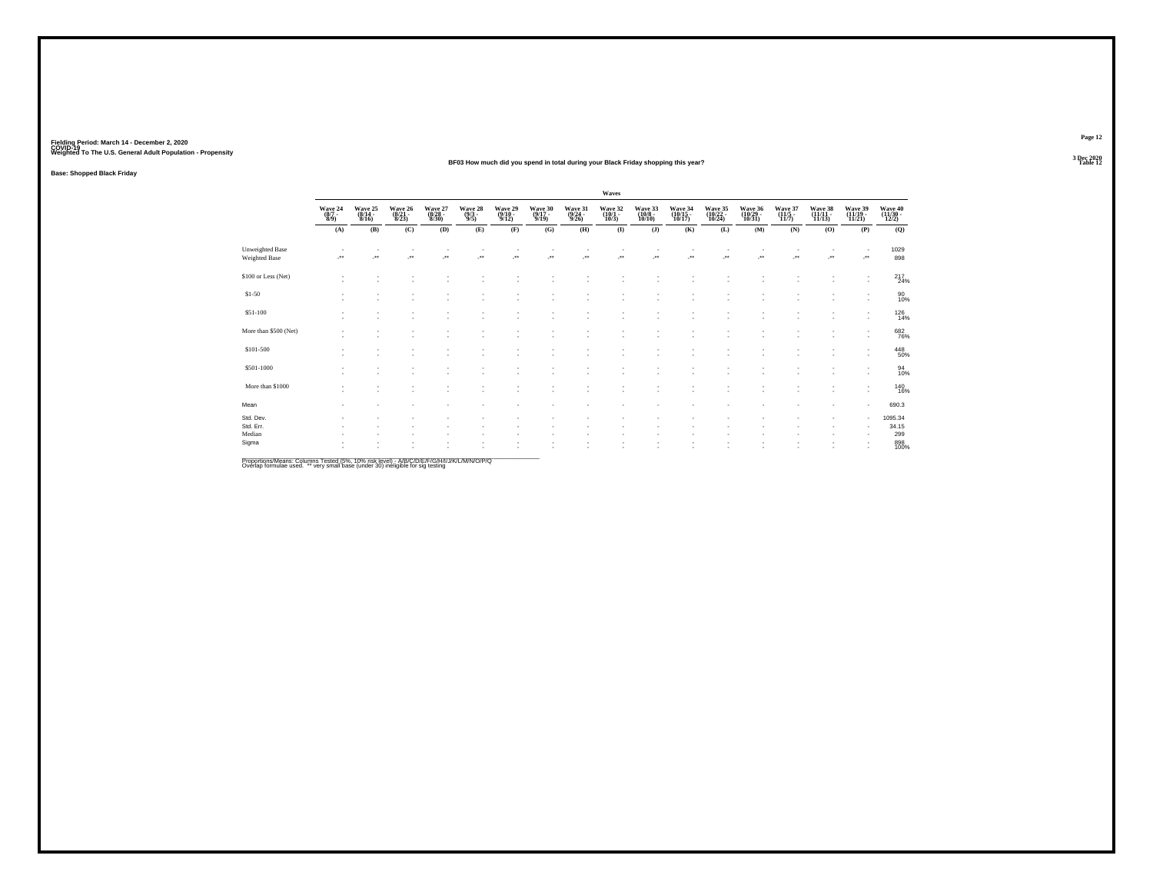#### **BF03 How much did you spend in total during your Black Friday shopping this year?Table 12 Table 12 Table 12**

**Base: Shopped Black Friday**

|                                  |                                                                |                             |                             |                                                  |                               |                             |                             |                             | Waves                       |                              |                               |                               |                               |                                        |                               |                                     |                              |
|----------------------------------|----------------------------------------------------------------|-----------------------------|-----------------------------|--------------------------------------------------|-------------------------------|-----------------------------|-----------------------------|-----------------------------|-----------------------------|------------------------------|-------------------------------|-------------------------------|-------------------------------|----------------------------------------|-------------------------------|-------------------------------------|------------------------------|
|                                  | $\begin{array}{c} \text{Wave } 24 \\ (8/7 \\ 8/9) \end{array}$ | Wave 25<br>(8/14 -<br>8/16) | Wave 26<br>(8/21 -<br>8/23) | Wave 27<br>(8/28 -<br>8/30)                      | Wave 28 $(9/3 - 9/5)$         | Wave 29<br>(9/10 -<br>9/12) | Wave 30<br>(9/17 -<br>9/19) | Wave 31<br>(9/24 -<br>9/26) | Wave 32<br>(10/1 -<br>10/3) | Wave 33<br>(10/8 -<br>10/10) | Wave 34<br>(10/15 -<br>10/17) | Wave 35<br>(10/22 -<br>10/24) | Wave 36<br>(10/29 -<br>10/31) | Wave 37<br>$\frac{(11/5 - 1)}{(11/7)}$ | Wave 38<br>(11/11 -<br>11/13) | Wave 39<br>(11/19 -<br>11/21)       | Wave 40<br>(11/30 -<br>12/2) |
|                                  | (A)                                                            | (B)                         | (C)                         | (D)                                              | (E)                           | (F)                         | (G)                         | (H)                         | $($ $\Gamma$                | (J)                          | (K)                           | (L)                           | (M)                           | (N)                                    | (0)                           | (P)                                 | (Q)                          |
| Unweighted Base<br>Weighted Base |                                                                | $\ddot{\phantom{1}}$        | $\overline{\phantom{a}}$    | $\overline{\phantom{a}}$<br>$\ddot{\phantom{1}}$ | $\bullet\,\bullet$            | $\star\star$                | $\ddot{\phantom{1}}$        | $\cdot$                     | ٠<br>$\cdot$                | $\ddot{\phantom{1}}$         | $\bullet\bullet$              | $\ddot{\phantom{1}}$          | J.                            | ٠<br>$\ddot{\phantom{1}}$              | $\cdot$                       | $\overline{\phantom{a}}$<br>$\cdot$ | 1029<br>898                  |
| \$100 or Less (Net)              |                                                                | ÷                           | i.                          | ٠                                                |                               |                             | ٠                           |                             | ٠                           |                              |                               | ×                             | ÷.                            | ٠                                      |                               |                                     | $^{217}_{24\%}$              |
| \$1-50                           |                                                                | ٠<br>٠                      |                             | ٠<br>٠                                           | ٠                             |                             | $\sim$<br>٠                 |                             | ٠<br>٠                      |                              |                               | ٠                             |                               | ٠<br>٠                                 | ٠<br>×.                       | ٠<br>$\overline{\phantom{a}}$       | 90<br>10%                    |
| \$51-100                         | ٠                                                              | ٠                           | ×.                          | ٠                                                | $\overline{\phantom{a}}$      | ٠                           | ٠                           | $\sim$                      | ٠                           | ٠                            | ٠                             | ٠                             | $\overline{\phantom{a}}$      | ٠                                      | ×.                            | $\overline{\phantom{a}}$            | $^{126}_{14\%}$              |
| More than \$500 (Net)            |                                                                |                             |                             |                                                  |                               |                             |                             |                             |                             |                              |                               |                               |                               |                                        |                               |                                     | 682<br>76%                   |
| \$101-500                        |                                                                | ٠                           |                             | $\sim$<br>٠                                      | $\overline{\phantom{a}}$<br>٠ |                             | ٠                           |                             | ٠<br>٠                      |                              |                               | ٠<br>٠                        | $\overline{\phantom{a}}$      | $\sim$<br>٠                            | ٠                             | ٠                                   | 448<br>50%                   |
| \$501-1000                       |                                                                | ٠                           | $\sim$                      | ٠                                                | $\overline{\phantom{a}}$      | ۰                           | ٠                           |                             | ٠                           |                              |                               |                               |                               | ٠                                      |                               | ٠<br>$\overline{\phantom{a}}$       | 94<br>10%                    |
| More than \$1000                 |                                                                |                             |                             | ٠                                                |                               | ٠                           | $\sim$                      |                             |                             |                              |                               |                               |                               | ٠                                      |                               | $\overline{\phantom{a}}$            | 140<br>16%                   |
| Mean                             |                                                                |                             |                             | ٠                                                |                               |                             |                             |                             |                             |                              |                               |                               |                               | ٠                                      | ٠                             | $\overline{\phantom{a}}$            | 690.3                        |
| Std. Dev.<br>Std. Err.<br>Median |                                                                |                             |                             |                                                  |                               |                             |                             |                             |                             |                              |                               |                               |                               |                                        |                               | ٠<br>$\overline{\phantom{a}}$       | 1095.34<br>34.15<br>299      |
| Sigma                            |                                                                | ٠                           |                             | ٠<br>٠                                           |                               |                             |                             |                             |                             |                              |                               |                               |                               | ٠                                      |                               | ٠<br>$\overline{\phantom{a}}$       | 898<br>100%                  |

Proportions/Means: Columns Tested (5%, 10% risk level) - *NB/C/D/E/F/G/H/IJJ/K/L/M/N/O/P/Q*<br>Overlap formulae used. \*\* very small base (under 30) ineligible for sig testing

**Page 12**3 Dec 2020<br>Table 12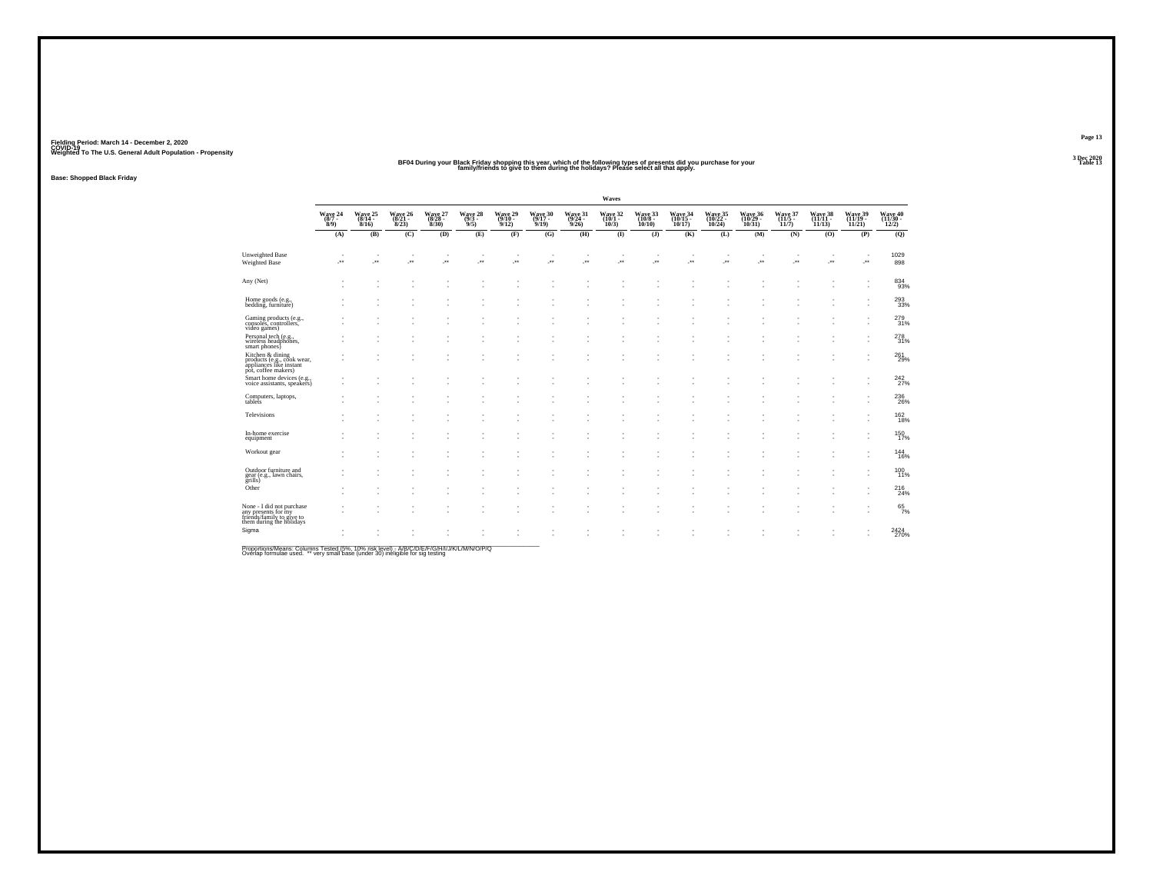#### BF04 During your Black Friday shopping this year, which of the following types of presents did you purchase for your<br>Table 1999 of a family/friends to give to them during the holidays? Please select all that apply. **Table 13 Table 13**

**Base: Shopped Black Friday**

|                                                                                                  |                              |                 |                 |                                |                                            |                            |                            |                            | Waves           |                                                        |                            |                               |                                  |                 |                              |                              |                               |
|--------------------------------------------------------------------------------------------------|------------------------------|-----------------|-----------------|--------------------------------|--------------------------------------------|----------------------------|----------------------------|----------------------------|-----------------|--------------------------------------------------------|----------------------------|-------------------------------|----------------------------------|-----------------|------------------------------|------------------------------|-------------------------------|
|                                                                                                  | Wave 24<br>$8/9$ )           | Wave 25<br>8/16 | Wave 26<br>8/23 | Wave 27<br>(8/28 -<br>$8/30$ ) | $\frac{\text{Wave}}{\frac{9}{3}}$ .<br>9/5 | Wave 29<br>(9/10 -<br>9/12 | Wave 30<br>(9/17 -<br>9/19 | Wave 31<br>(9/24 -<br>9/26 | Wave 32<br>10/3 | Wave 33<br>(10/8 -<br>$10/10$ )                        | Wave 34<br>(10/15<br>10/17 | Wave 35<br>(10/22 -<br>10/24) | Wave 36<br>(10/29 -<br>$10/31$ ) | Wave 37<br>11/7 | Wave 38<br>(11/11 -<br>11/13 | Wave 39<br>(11/19 -<br>11/21 | Wave 40<br>(11/30 -<br>12/2)  |
|                                                                                                  | (A)                          | (B)             | (C)             | (D)                            | (E)                                        | (F)                        | (G)                        | (H)                        | $\bf{I}$        | $($ $)$                                                | (K)                        | (L)                           | (M)                              | (N)             | (0)                          | (P)                          | (Q)                           |
| Unweighted Base<br>Weighted Base                                                                 | $\overline{\phantom{a}}$<br> | <b>A</b>        | ×               | J.                             | ٠<br>J.                                    | ٠<br>÷                     | $\cdot$                    | ÷                          | ÷               | $\overline{\phantom{a}}$<br>$\mathcal{L}^{\star\star}$ | ٠<br>×                     | $\cdot$                       | ٠<br>÷                           | ٠<br>÷          | $\cdot$                      | ٠<br>÷                       | 1029<br>898                   |
| Any (Net)                                                                                        | ٠<br>٠                       |                 | ٠<br>٠          | ٠                              | ٠                                          | ٠                          |                            |                            | ٠<br>٠          |                                                        | ٠                          | ٠                             | ٠                                | ٠<br>٠          |                              | $\overline{\phantom{a}}$     | 834<br>93%                    |
| Home goods (e.g.,<br>bedding, furniture)                                                         |                              |                 |                 |                                |                                            |                            |                            |                            |                 |                                                        |                            |                               |                                  |                 |                              |                              | 293<br>33%                    |
| Gaming products (e.g., consoles, controllers,<br>video games)                                    |                              |                 |                 |                                |                                            |                            |                            |                            |                 |                                                        |                            |                               |                                  |                 |                              |                              | 279<br>31%                    |
| Personal tech (e.g.,<br>wireless headphones,<br>smart phones)                                    |                              |                 |                 |                                |                                            |                            |                            |                            |                 |                                                        |                            |                               |                                  |                 |                              |                              | 278<br>31%                    |
| Kitchen & dining<br>products (e.g., cook wear,<br>appliances like instant<br>pot, coffee makers) |                              |                 |                 |                                |                                            |                            |                            |                            |                 |                                                        |                            |                               |                                  |                 |                              |                              | 261<br>29%                    |
| Smart home devices (e.g., voice assistants, speakers)                                            |                              |                 |                 |                                |                                            |                            |                            |                            |                 |                                                        |                            |                               |                                  |                 |                              |                              | $^{242}_{27\%}$               |
| Computers, laptops,<br>tablets                                                                   | ٠                            |                 |                 |                                |                                            |                            |                            |                            |                 |                                                        |                            |                               |                                  |                 |                              |                              | 236<br>26%                    |
| Televisions                                                                                      | ٠                            |                 |                 |                                |                                            |                            |                            |                            |                 |                                                        |                            |                               |                                  |                 |                              |                              | <sup>162</sup> <sub>18%</sub> |
| In-home exercise<br>equipment                                                                    |                              |                 |                 |                                |                                            |                            |                            |                            |                 |                                                        |                            |                               |                                  |                 |                              |                              | 150<br>17%                    |
| Workout gear                                                                                     |                              |                 |                 |                                |                                            |                            |                            |                            | ٠               |                                                        |                            |                               |                                  |                 |                              | $\overline{\phantom{a}}$     | 144<br>16%                    |
| Outdoor furniture and<br>gear (e.g., lawn chairs,<br>grills)                                     |                              |                 |                 |                                |                                            |                            |                            |                            |                 |                                                        |                            |                               |                                  |                 |                              | $\overline{\phantom{a}}$     | 100 11%                       |
| Other                                                                                            | ٠                            |                 | ٠               |                                |                                            | ٠                          |                            |                            | ä,              |                                                        | ٠                          | ٠                             | $\overline{\phantom{a}}$         | ٠               |                              |                              | 216<br>24%                    |
| None - I did not purchase<br>any presents for my<br>friends/family to give to                    | $\overline{\phantom{a}}$     |                 | ٠               |                                |                                            | $\sim$                     |                            |                            | ٠               |                                                        | $\overline{\phantom{a}}$   | ٠                             | $\overline{\phantom{a}}$         | ٠               | $\sim$                       | $\overline{\phantom{a}}$     | $^{65}_{7\%}$                 |
| them during the holidays<br>Sigma                                                                | ٠                            |                 |                 |                                |                                            |                            |                            |                            |                 |                                                        |                            |                               |                                  |                 |                              |                              | 2424<br>270%                  |

Proportions/Means: Columns Tested (5%, 10% risk level) - A/B/C/D/E/F/G/H/I/J/K/L/M/N/O/P/Q<br>Overlap formulae used. \*\* very small base (under 30) ineligible for sig testing

**Page 13**3 Dec 2020<br>Table 13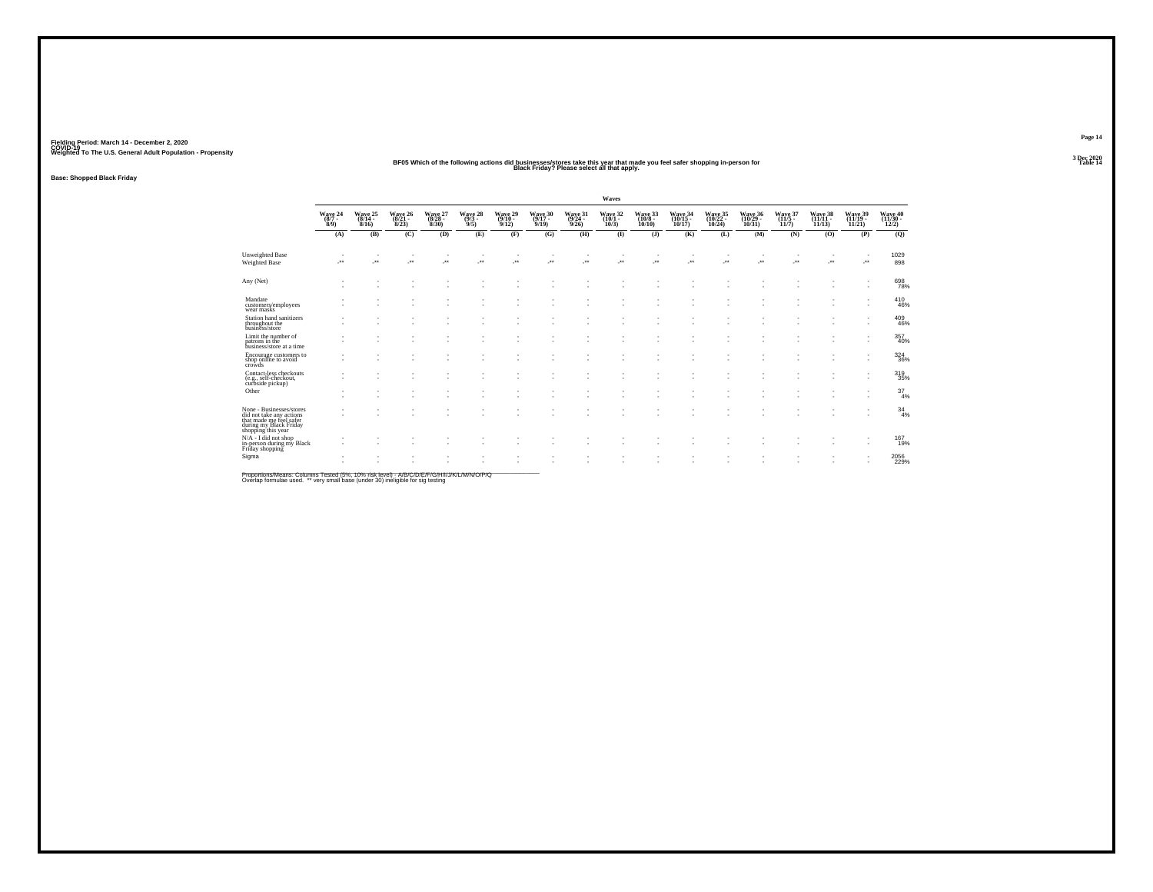## BF05 Which of the following actions did businesses/stores take this year that made you feel safer shopping in-person for<br>Table 1999 That Made that Friday? Please select all that apply.

**Base: Shopped Black Friday**

|                                                                                                                                   |                            |                              |                              |                              |                            |                              |                              |                              | Waves                        |                               |                              |                                |                                |                              |                                |                                |                                |
|-----------------------------------------------------------------------------------------------------------------------------------|----------------------------|------------------------------|------------------------------|------------------------------|----------------------------|------------------------------|------------------------------|------------------------------|------------------------------|-------------------------------|------------------------------|--------------------------------|--------------------------------|------------------------------|--------------------------------|--------------------------------|--------------------------------|
|                                                                                                                                   | Wave 24<br>$(8/7 -$<br>8/9 | Wave 25<br>$(8/14 -$<br>8/16 | Wave 26<br>$(8/21 -$<br>8/23 | Wave 27<br>$(8/28 -$<br>8/30 | Wave 28<br>$(9/3 -$<br>9/5 | Wave 29<br>$(9/10 -$<br>9/12 | Wave 30<br>$(9/17 -$<br>9/19 | Wave 31<br>$(9/24 -$<br>9/26 | Wave 32<br>$(10/1 -$<br>10/3 | Wave 33<br>$(10/8 -$<br>10/10 | Wave 34<br>(10/15 -<br>10/17 | Wave 35<br>$(10/22 -$<br>10/24 | Wave 36<br>$(10/29 -$<br>10/31 | Wave 37<br>$(11/5 -$<br>11/7 | Wave 38<br>$(11/11 -$<br>11/13 | Wave 39<br>$(11/19 -$<br>11/21 | Wave 40<br>$(11/30 -$<br>12/2) |
|                                                                                                                                   | (A)                        | (B)                          | (C)                          | (D)                          | (E)                        | (F)                          | (G)                          | (H)                          | $($ $\Gamma$                 | $($ $)$                       | (K)                          | (L)                            | (M)                            | (N)                          | (O)                            | (P)                            | (Q)                            |
| Unweighted Base<br><b>Weighted Base</b>                                                                                           | $\bullet\bullet$           | J.                           | ×                            | J.                           | $\overline{\phantom{a}}$   | $\cdot$                      | ٠<br>÷.                      | $\overline{\phantom{a}}$     | ٠<br>÷.                      | $\ddot{\phantom{1}}$          | $\cdot$                      | ÷.                             | $\overline{\phantom{a}}$       | J.                           | $\overline{\phantom{a}}$       | $\cdot$                        | 1029<br>898                    |
| Any (Net)                                                                                                                         |                            | ٠                            |                              | ٠                            | ٠                          |                              | ٠                            |                              | ٠<br>٠                       | ٠                             |                              |                                |                                |                              |                                | ٠<br>$\overline{\phantom{a}}$  | 698<br>78%                     |
| Mandate<br>customers/employees<br>wear masks                                                                                      |                            |                              |                              | ٠                            |                            |                              | ٠                            |                              | ٠<br>٠                       | ۰<br>٠                        |                              |                                |                                |                              |                                | ٠                              | 410<br>46%                     |
| Station hand sanitizers<br>throughout the<br>business/store                                                                       |                            | $\overline{\phantom{a}}$     |                              | ٠<br>٠                       | ÷                          |                              | ٠                            | $\sim$                       | $\sim$<br>٠                  | ۰<br>٠                        |                              |                                |                                |                              |                                | ٠<br>$\overline{\phantom{a}}$  | $^{409}_{~46\%}$               |
| Limit the number of<br>patrons in the<br>business/store at a time                                                                 |                            | ٠                            |                              | ٠                            |                            |                              | ٠<br>٠                       |                              | ٠<br>٠                       | $\overline{\phantom{a}}$<br>٠ |                              |                                |                                |                              |                                | ٠                              | 357<br>40%                     |
| Encourage customers to<br>shop online to avoid<br>crowds                                                                          |                            |                              |                              | ٠                            | ٠                          |                              | ٠                            | ٠                            | ٠<br>٠                       | ٠                             |                              |                                |                                |                              |                                | ٠                              | 324<br>36%                     |
| Contact-less checkouts<br>(e.g., self-checkout,<br>curbside pickup)                                                               |                            |                              |                              |                              |                            |                              |                              |                              | ٠<br>٠                       | ۰                             |                              |                                |                                |                              |                                | ٠                              | $\underset{35\%}{^{319}}$      |
| Other                                                                                                                             | ٠                          | ٠<br>$\sim$                  |                              | ٠<br>٠                       |                            |                              | ٠                            |                              | ٠<br>٠                       | ۰<br>٠                        |                              |                                |                                |                              |                                | ٠<br>$\overline{\phantom{a}}$  | $\frac{37}{4%}$                |
| None - Businesses/stores<br>Note - Businesses successi<br>that made me feel safer<br>during my Black Friday<br>shopping this year |                            |                              |                              |                              |                            |                              |                              |                              | ٠                            |                               |                              |                                |                                |                              |                                |                                | 34<br>4%                       |
| N/A - I did not shop<br>in-person during my Black<br>Friday shopping                                                              |                            |                              |                              |                              |                            |                              |                              |                              |                              |                               |                              |                                |                                |                              |                                |                                | $^{167}_{19\%}$                |
| Sigma                                                                                                                             |                            |                              |                              |                              |                            |                              | ٠                            |                              | ٠                            |                               |                              |                                |                                |                              |                                |                                | 2056<br>229%                   |

Proportions/Means: Columns Tested (5%, 10% risk level) - A/B/C/D/E/F/G/H/I/J/K/L/M/N/O/P/Q<br>Overlap formulae used. \*\* very small base (under 30) ineligible for sig testing

**Page 14**3 Dec 2020<br>Table 14

**Table 14 Table 14 Table 14 Table 14 Table 14 Table 14 Table 14 Table 14 Table 14 Table 14 Table 14 Table 14 Table 14 Table 14 Table 14 Table 14 Table 14 Table 14 Table 14 Table 14 T**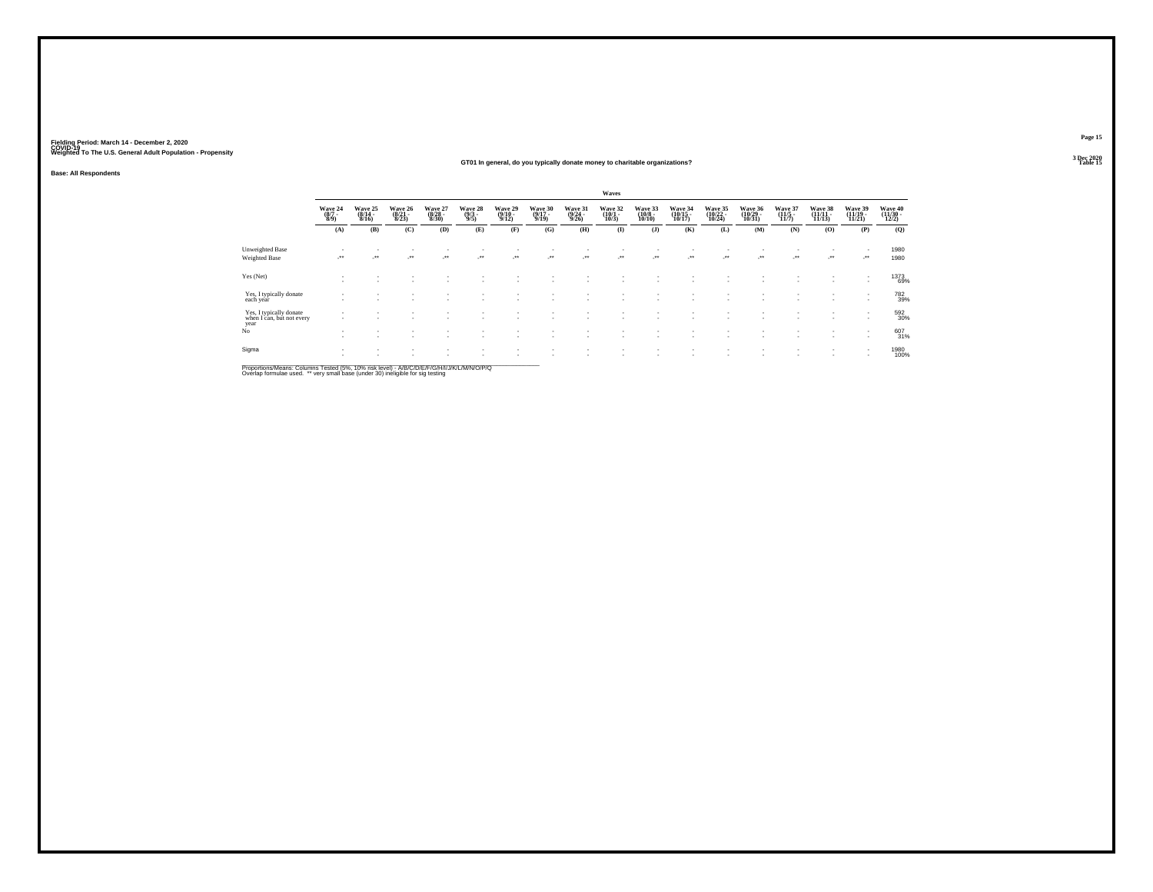**Base: All Respondents**

#### **GT01 In general, do you typically donate money to charitable organizations?Table 15 Table 15 Table 15 Table 15 Table 15 Table 15 Table 15 Table 15**

|                                                              |                                |                                  |                                  |                                  |                                |                             |                                  |                             | Waves           |                                        |                            |                              |                                    |                                  |                               |                                |                              |
|--------------------------------------------------------------|--------------------------------|----------------------------------|----------------------------------|----------------------------------|--------------------------------|-----------------------------|----------------------------------|-----------------------------|-----------------|----------------------------------------|----------------------------|------------------------------|------------------------------------|----------------------------------|-------------------------------|--------------------------------|------------------------------|
|                                                              | Wave 24<br>$\frac{(8/7)}{8/9}$ | Wave 25<br>$\frac{(8/14)}{8/16}$ | Wave 26<br>$\frac{(8/21)}{8/23}$ | Wave 27<br>$\frac{(8/28)}{8/30}$ | Wave 28<br>$\frac{(9/3)}{9/5}$ | Wave 29<br>(9/10 -<br>9/12) | Wave 30<br>$\frac{(9/17)}{9/19}$ | Wave 31<br>(9/24 -<br>9/26) | Wave 32<br>10/3 | Wave 33<br>$\frac{(10/8 - 10)}{10/10}$ | Wave 34<br>(10/15<br>10/17 | Wave 35<br>(10/22 -<br>10/24 | Wave 36<br>$\frac{(10/29)}{10/31}$ | Wave 37<br>$\frac{(11/5)}{11/7}$ | Wave 38<br>(11/11 -<br>11/13) | Wave 39<br>$(11/19 -$<br>11/21 | Wave 40<br>(11/30 -<br>12/2) |
|                                                              | (A)                            | (B)                              | (C)                              | (D)                              | (E)                            | (F)                         | (G)                              | (H)                         | $\mathbf{I}$    | $($ $)$                                | (K)                        | (L)                          | (M)                                | (N)                              | (0)                           | (P)                            | (0)                          |
| <b>Unweighted Base</b>                                       | $\overline{\phantom{a}}$       | $\sim$                           |                                  |                                  |                                |                             |                                  |                             |                 | $\sim$                                 | $\overline{\phantom{a}}$   | ٠                            |                                    |                                  |                               |                                | 1980                         |
| Weighted Base                                                | $\rightarrow$                  | ur.                              | $\cdot$                          | $\cdot$                          | $\cdot$                        | $\mathcal{L}^{\text{max}}$  | $\mathcal{L}^{\text{max}}$       |                             | $\cdot$         | $\cdot$                                | $\cdot$                    | $\sim$                       |                                    | -**                              | $\cdot$                       | $\cdot$                        | 1980                         |
| Yes (Net)                                                    |                                |                                  |                                  |                                  |                                |                             |                                  |                             |                 |                                        |                            |                              |                                    |                                  |                               |                                | 1373<br>69%                  |
| Yes, I typically donate<br>each year                         | $\overline{\phantom{a}}$       |                                  |                                  |                                  |                                |                             |                                  |                             |                 |                                        |                            |                              |                                    |                                  | ٠                             |                                | 782<br>39%                   |
| Yes, I typically donate<br>when I can, but not every<br>year |                                |                                  |                                  |                                  |                                | $\overline{\phantom{a}}$    | . .                              | ٠<br>٠                      | ٠<br>$\sim$     |                                        |                            |                              |                                    |                                  | $\sim$                        | $\sim$<br>$\sim$               | 592<br>30%                   |
| No                                                           |                                |                                  |                                  |                                  | ٠                              | ٠<br>$\sim$                 | . .                              | ٠                           | ٠<br>٠          |                                        | ٠                          | $\sim$                       |                                    |                                  | ٠                             | $\sim$                         | 607<br>31%                   |
| Sigma                                                        |                                |                                  |                                  |                                  | ٠                              | $\sim$                      | $\overline{\phantom{a}}$         | ٠                           | $\sim$          |                                        |                            |                              |                                    |                                  |                               | $\sim$                         | 1980<br>100%                 |
|                                                              |                                |                                  |                                  |                                  |                                |                             |                                  |                             |                 |                                        |                            |                              |                                    |                                  |                               |                                |                              |

Proportions/Means: Columns Tested (5%, 10% risk level) - A/B/C/D/E/F/G/H/I/J/K/L/M/N/O/P/Q<br>Overlap formulae used. \*\* very small base (under 30) ineligible for sig testing

**Page 15**3 Dec 2020<br>Table 15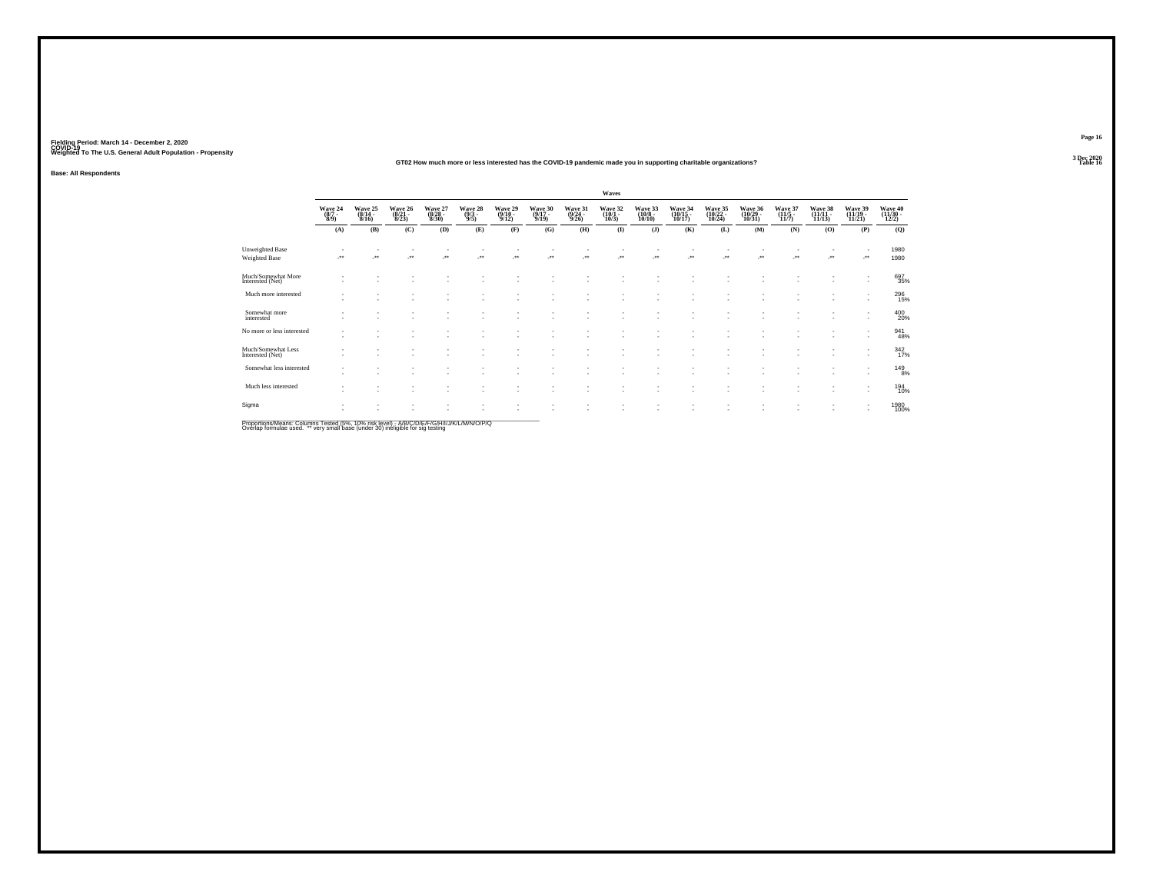### **GT02 How much more or less interested has the COVID-19 pandemic made you in supporting charitable organizations?**

**Base: All Respondents**

|                                        |                                                                |                             |                             |                             |                           |                             |                             |                             | Waves                           |                              |                               |                               |                               |                           |                            |                               |                              |
|----------------------------------------|----------------------------------------------------------------|-----------------------------|-----------------------------|-----------------------------|---------------------------|-----------------------------|-----------------------------|-----------------------------|---------------------------------|------------------------------|-------------------------------|-------------------------------|-------------------------------|---------------------------|----------------------------|-------------------------------|------------------------------|
|                                        | $\begin{array}{c} \text{Wave } 24 \\ (8/7 \\ 8/9) \end{array}$ | Wave 25<br>(8/14 -<br>8/16) | Wave 26<br>(8/21 -<br>8/23) | Wave 27<br>(8/28 -<br>8/30) | Wave 28<br>(9/3 -<br>9/5) | Wave 29<br>(9/10 -<br>9/12) | Wave 30<br>(9/17 -<br>9/19) | Wave 31<br>(9/24 -<br>9/26) | Wave 32<br>$(10/1 -$<br>$10/3)$ | Wave 33<br>(10/8 -<br>10/10) | Wave 34<br>(10/15 -<br>10/17) | Wave 35<br>(10/22 -<br>10/24) | Wave 36<br>(10/29 -<br>10/31) | Wave 37<br>(11/5<br>11/7) | Wave 38<br>(11/11<br>11/13 | Wave 39<br>(11/19 -<br>11/21) | Wave 40<br>(11/30 -<br>12/2) |
|                                        | (A)                                                            | (B)                         | (C)                         | (D)                         | (E)                       | (F)                         | (G)                         | (H)                         | $\bf(I)$                        | (J)                          | (K)                           | (L)                           | (M)                           | (N)                       | (0)                        | (P)                           | (Q)                          |
| Unweighted Base<br>Weighted Base       |                                                                | $\ddot{\phantom{1}}$        | $\overline{\phantom{a}}$    | $\ddot{\phantom{1}}$        | $\bullet\,\bullet$        | $\ddot{\phantom{0}}$        | $\ddot{\phantom{1}}$        | $\mathcal{L}^{\bullet}$     | ₩.                              | $\ddot{\phantom{1}}$         | $\overline{\phantom{a}}$      | $\overline{\phantom{a}}$      | $\cdot$                       | ÷.                        | J.                         | ٠<br>$\cdot$                  | 1980<br>1980                 |
| Much/Somewhat More<br>Interested (Net) | $\sim$                                                         | ٠                           | . п.                        | $\sim$                      | ٠                         |                             | $\overline{\phantom{a}}$    |                             | ٠                               |                              |                               | ٠                             | ۰.                            | ٠                         | $\sim$                     | $\sim$                        | 697<br>35%                   |
| Much more interested                   | ٠                                                              | ٠                           | ×.                          | ٠                           | $\overline{\phantom{a}}$  | ٠                           | ٠                           |                             | $\sim$                          |                              | $\overline{\phantom{a}}$      | ٠                             | $\overline{\phantom{a}}$      | ٠<br>٠                    | $\sim$                     | $\overline{\phantom{a}}$      | 296<br>15%                   |
| Somewhat more<br>interested            | $\overline{\phantom{a}}$                                       | ٠                           | . п.                        | ٠<br>٠                      | $\sim$                    | $\overline{\phantom{a}}$    | $\sim$<br>٠                 |                             | ٠                               |                              |                               | ×                             | и.                            | ٠<br>٠                    | ×.                         | ٠<br>$\overline{\phantom{a}}$ | 400                          |
| No more or less interested             | $\sim$<br>$\overline{\phantom{a}}$                             | и.                          | . п.                        | ٠                           | ٠                         | $\overline{\phantom{a}}$    | $\overline{\phantom{a}}$    |                             |                                 |                              |                               | ×                             | и.                            | ٠<br>٠                    | ٠                          | ٠<br>$\overline{\phantom{a}}$ | 941<br>48%                   |
| Much/Somewhat Less<br>Interested (Net) | $\sim$                                                         | $\sim$                      | $\sim$                      | ٠<br>$\sim$                 | ۰                         | $\overline{\phantom{a}}$    | $\sim$                      |                             |                                 |                              |                               | ٠                             | $\overline{\phantom{a}}$      | ٠<br>٠                    |                            | ٠<br>$\overline{\phantom{a}}$ | 342<br>17%                   |
| Somewhat less interested               | ٠<br>$\sim$                                                    | ٠                           | <b>1999</b>                 | ٠<br>٠                      | ۰                         |                             | $\overline{\phantom{a}}$    |                             | ٠                               |                              |                               | $\overline{\phantom{a}}$      | $\sim$                        | ٠<br>٠                    |                            | ٠<br>$\overline{\phantom{a}}$ | 149<br>8%                    |
| Much less interested                   | $\sim$                                                         | ٠                           | $\sim$                      | ٠                           | ۰                         |                             | $\overline{\phantom{a}}$    |                             | ٠                               |                              |                               | $\overline{\phantom{a}}$      | $\overline{\phantom{a}}$      | ٠                         | ×.                         | $\sim$                        | 194<br>10%                   |
| Sigma                                  | ٠<br>$\overline{\phantom{a}}$                                  |                             |                             |                             |                           |                             |                             |                             |                                 |                              |                               |                               |                               |                           |                            | ٠<br>٠                        | 1980<br>100%                 |
|                                        |                                                                |                             |                             |                             |                           |                             |                             |                             |                                 |                              |                               |                               |                               |                           |                            |                               |                              |

Proportions/Means: Columns Tested (5%, 10% risk level) - *NB/C/D/E/F/G/H/IJJ/K/L/M/N/O/P/Q*<br>Overlap formulae used. \*\* very small base (under 30) ineligible for sig testing

**Page 163 Dec 2020<br>Table 16** 

**Table 16 Table 16 Table 16 Table 16 Table 16 Table 16 Table 16 Table 16 Table 16**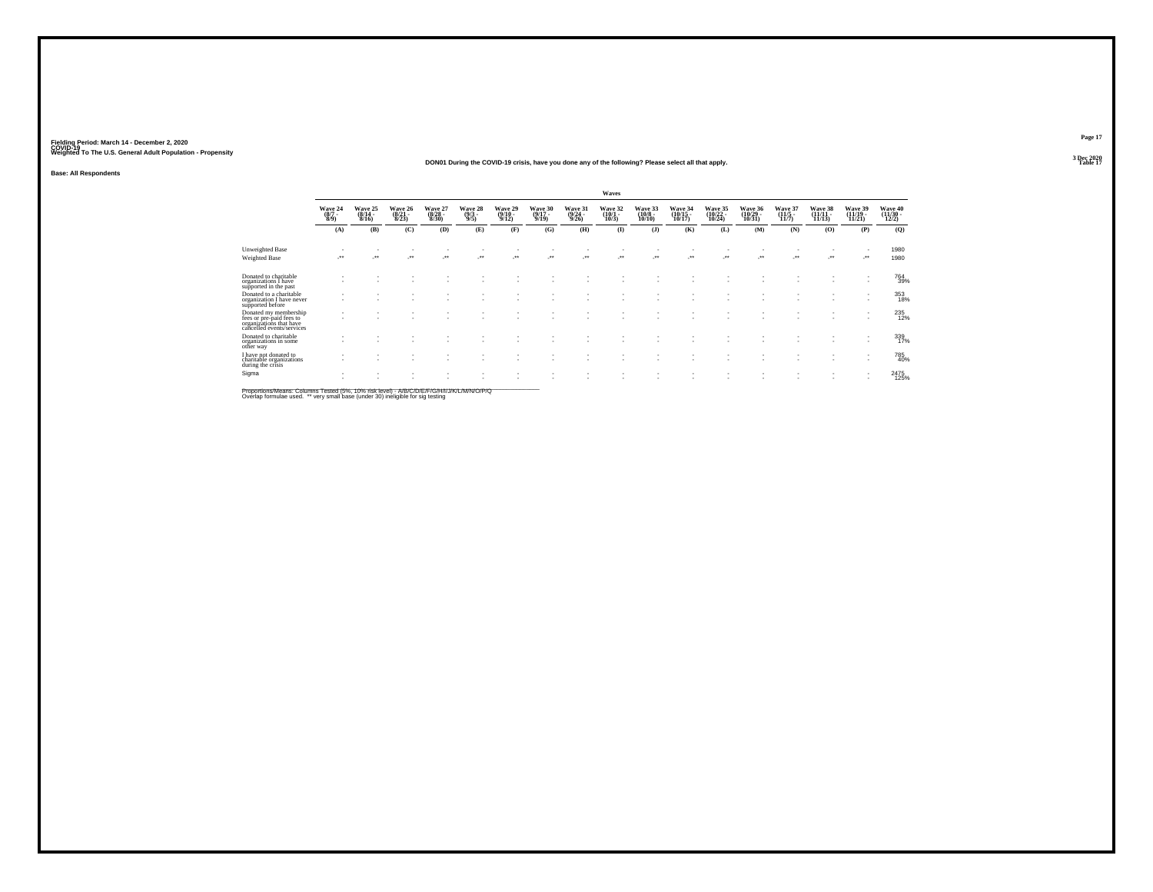#### **DON01 During the COVID-19 crisis, have you done any of the following? Please select all that apply.Table 17 Table 17 Table 17 Table 17 Table 17 Table 17 Table 17 Table 17**

**Base: All Respondents**

|                                                                                                           |                                | Waves                        |                                  |                                  |                                |                                  |                                  |                                  |                              |                                   |                                    |                                |                              |                              |                                |                                                      |                                        |
|-----------------------------------------------------------------------------------------------------------|--------------------------------|------------------------------|----------------------------------|----------------------------------|--------------------------------|----------------------------------|----------------------------------|----------------------------------|------------------------------|-----------------------------------|------------------------------------|--------------------------------|------------------------------|------------------------------|--------------------------------|------------------------------------------------------|----------------------------------------|
|                                                                                                           | Wave 24<br>$\frac{(8/7)}{8/9}$ | Wave 25<br>$(8/14 -$<br>8/16 | Wave 26<br>$\frac{(8/21)}{8/23}$ | Wave 27<br>$\frac{(8/28)}{8/30}$ | Wave 28<br>$\frac{(9/3)}{9/5}$ | Wave 29<br>$\frac{(9/10)}{9/12}$ | Wave 30<br>$\frac{(9/17)}{9/19}$ | Wave 31<br>$\frac{(9/24)}{9/26}$ | Wave 32<br>$(10/1 -$<br>10/3 | Wave 33<br>$\frac{(10/8)}{10/10}$ | Wave 34<br>$\frac{(10/15)}{10/17}$ | Wave 35<br>$(10/22 -$<br>10/24 | Wave 36<br>(10/29 -<br>10/31 | Wave 37<br>$(11/5 -$<br>11/7 | Wave 38<br>$(11/11 -$<br>11/13 | Wave 39<br>$(11/19 -$<br>11/21                       | Wave 40<br>$\frac{(11/30 - 12)}{12/2}$ |
|                                                                                                           | (A)                            | (B)                          | (C)                              | (D)                              | (E)                            | (F)                              | (G)                              | (H)                              | $\mathbf{I}$                 | $($ $)$                           | (K)                                | (L)                            | (M)                          | (N)                          | (O)                            | (P)                                                  | (Q)                                    |
| <b>Unweighted Base</b>                                                                                    |                                |                              |                                  |                                  |                                |                                  |                                  |                                  |                              |                                   |                                    |                                |                              |                              |                                |                                                      | 1980                                   |
| <b>Weighted Base</b>                                                                                      | $\bullet\bullet$               | $\overline{\phantom{a}}$     | $\mathcal{L}^{\bullet\bullet}$   |                                  | ÷.                             | $\bullet\bullet$                 | $\bullet\bullet$                 | $\ddot{\phantom{1}}$             | $\cdot$                      | ٠.                                |                                    | $\ddot{\phantom{0}}$           | $\bullet\bullet$             | $\overline{\phantom{a}}$     | $\cdot$                        | $\cdot$                                              | 1980                                   |
| Donated to charitable<br>organizations I have<br>supported in the past                                    |                                |                              |                                  |                                  |                                |                                  |                                  |                                  |                              |                                   |                                    |                                |                              |                              |                                | $\sim$                                               | 764<br>39%                             |
| Donated to a charitable<br>organization I have never<br>supported before                                  |                                |                              |                                  |                                  |                                |                                  |                                  |                                  |                              |                                   |                                    |                                |                              |                              |                                | $\overline{\phantom{a}}$<br>$\sim$                   | 353<br>18%                             |
| Donated my membership<br>fees or pre-paid fees to<br>organizations that have<br>cancelled events/services |                                |                              |                                  |                                  |                                |                                  |                                  |                                  |                              |                                   |                                    |                                |                              |                              |                                |                                                      | 235                                    |
| Donated to charitable<br>organizations in some<br>other way                                               |                                |                              |                                  |                                  |                                |                                  |                                  |                                  |                              |                                   |                                    |                                |                              |                              |                                | $\overline{\phantom{a}}$<br>$\overline{\phantom{a}}$ | 339<br>17%                             |
| I have not donated to<br>charitable organizations<br>during the crisis                                    |                                |                              |                                  |                                  |                                |                                  |                                  |                                  |                              |                                   |                                    |                                |                              |                              |                                | $\overline{\phantom{a}}$                             | 785<br>40%                             |
| Sigma                                                                                                     |                                |                              |                                  |                                  |                                |                                  |                                  |                                  |                              |                                   |                                    |                                |                              |                              |                                |                                                      | 2475<br>125%                           |

Proportions/Means: Columns Tested (5%, 10% risk level) - *NB/C/D/E/F/G/H/IJJ/K/L/M/N/O/P/Q*<br>Overlap formulae used. \*\* very small base (under 30) ineligible for sig testing

**Page 17**3 Dec 2020<br>Table 17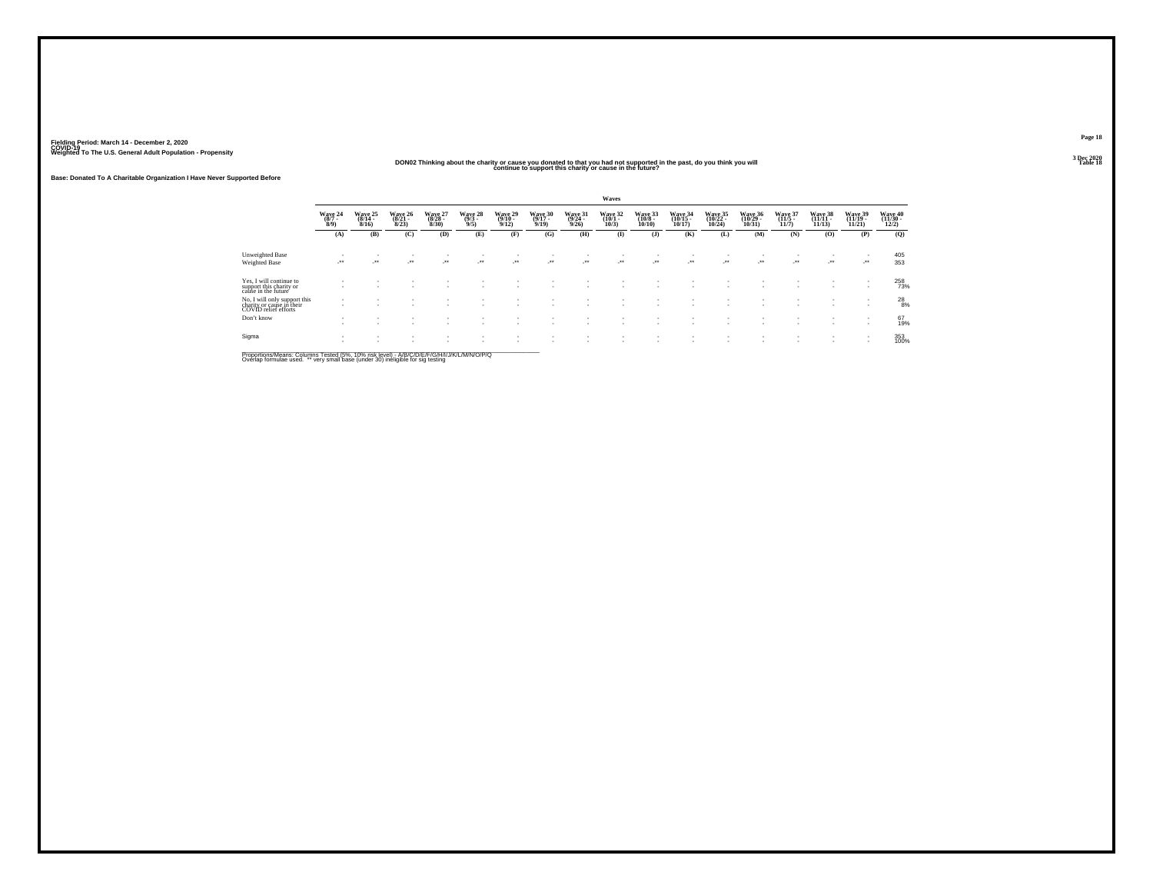#### **DON02 Thinking about the charity or cause you donated to that you had not supported in the past, do you think you will continue to support this charity or cause in the future?**

**Base: Donated To A Charitable Organization I Have Never Supported Before**

|                                                                                   |                                |                                     |                              |                            |                                |                             |                 |                 | Waves           |                               |                  |                            |                              |                          |                                |                                                      |                              |
|-----------------------------------------------------------------------------------|--------------------------------|-------------------------------------|------------------------------|----------------------------|--------------------------------|-----------------------------|-----------------|-----------------|-----------------|-------------------------------|------------------|----------------------------|------------------------------|--------------------------|--------------------------------|------------------------------------------------------|------------------------------|
|                                                                                   | Wave 24<br>$\frac{(8/7)}{8/9}$ | <b>Wave 25</b><br>$(8/14 -$<br>8/16 | Wave 26<br>$(8/21 -$<br>8/23 | Wave 27<br>(8/28 -<br>8/30 | Wave 28<br>$\frac{(9/3)}{9/5}$ | Wave 29<br>(9/10 -<br>9/12) | Wave 30<br>9/19 | Wave 31<br>9/26 | Wave 32<br>10/3 | Wave 33<br>$(10/8 -$<br>10/10 | Wave 34<br>10/17 | Wave 35<br>(10/22<br>10/24 | Wave 36<br>(10/29 -<br>10/31 | Wave 37<br>(11/5<br>11/7 | Wave 38<br>(11/11 -<br>11/13   | Wave 39<br>(11/19 -<br>11/21                         | Wave 40<br>(11/30 -<br>12/2) |
|                                                                                   | (A)                            | (B)                                 | (C)                          | (D)                        | (E)                            | (F)                         | (G)             | (H)             | $\mathbf{I}$    | $($ $)$                       | (K)              | (L)                        | (M)                          | (N)                      | (0)                            | (P)                                                  | (Q)                          |
| <b>Unweighted Base</b>                                                            |                                |                                     |                              |                            |                                | ٠                           |                 |                 |                 |                               |                  |                            |                              |                          | ٠                              | $\overline{\phantom{a}}$                             | 405                          |
| <b>Weighted Base</b>                                                              | $\bullet\bullet$<br>- 1        | $\cdot$                             | $\cdot$                      | $\cdot$                    | $\cdot$                        | $\cdot$                     |                 | $\rightarrow$   | $\cdot$         | $\cdot$                       | $\cdot$          | $\cdot$                    | $\cdot$                      | $\cdot$                  | $\mathcal{L}^{\bullet\bullet}$ | $\cdot$                                              | 353                          |
| Yes, I will continue to<br>support this charity or<br>cause in the future         |                                |                                     |                              |                            |                                |                             |                 |                 |                 |                               |                  |                            |                              |                          | $\sim$                         | ٠                                                    | 258<br>73%                   |
| No, I will only support this<br>charity or cause in their<br>COVID relief efforts |                                |                                     |                              |                            |                                |                             |                 |                 |                 |                               |                  |                            |                              |                          | $\sim$                         | $\overline{\phantom{a}}$<br>$\overline{\phantom{a}}$ | $^{28}_{8\%}$                |
| Don't know                                                                        |                                | $\sim$                              |                              |                            |                                | $\mathbf{r}$                | $\mathbf{r}$    |                 |                 |                               | ٠                |                            |                              | ٠<br>                    | $\sim$<br>$\sim$               | $\overline{\phantom{a}}$<br>$\overline{\phantom{a}}$ | 67<br>19%                    |
| Sigma                                                                             |                                |                                     |                              | ٠                          |                                | ٠<br>$\mathbf{r}$           | $\mathbf{r}$    |                 | ٠               |                               | ٠                |                            |                              |                          | ٠                              | $\overline{\phantom{a}}$<br>$\overline{\phantom{a}}$ | 353<br>100%                  |
|                                                                                   |                                |                                     |                              |                            |                                |                             |                 |                 |                 |                               |                  |                            |                              |                          |                                |                                                      |                              |

Proportions/Means: Columns Tested (5%, 10% risk level) - *NB/C/D/E/F/G/H/IJJ/K/L/M/N/O/P/Q*<br>Overlap formulae used. \*\* very small base (under 30) ineligible for sig testing

**Page 18**3 Dec 2020<br>Table 18

**Table 18**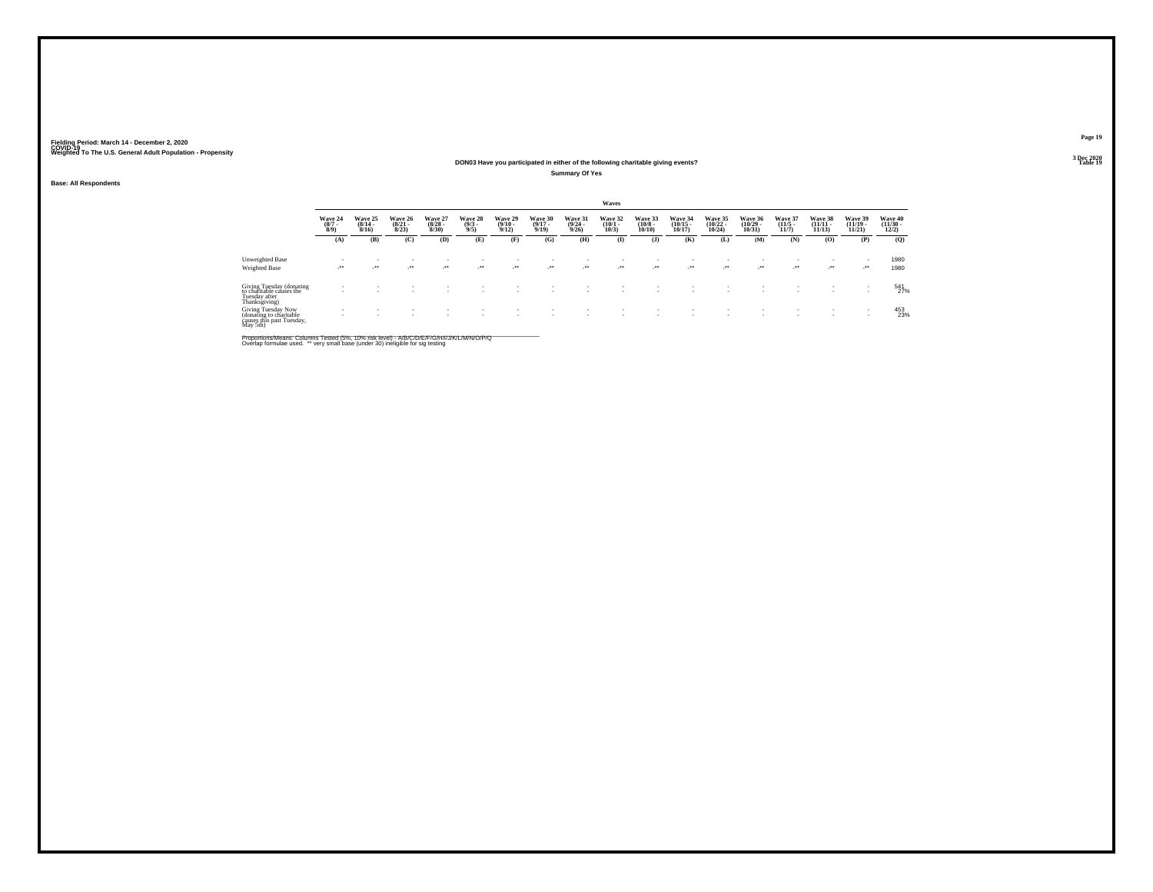#### **DON03 Have you participated in either of the following charitable giving events?Table 19 Table 19 Table 19 Table 19 Table 19 Table 19 Table 19 Table 19 Table 19 Table 19**

**Summary Of Yes**

#### **Base: All Respondents**

|                                                                                        |                           |                                  |                                  |                                 |                                |                                  |                                  |                                  | Waves                           |                                   |                                   |                                          |                                   |                                  |                                    |                                   |                                  |
|----------------------------------------------------------------------------------------|---------------------------|----------------------------------|----------------------------------|---------------------------------|--------------------------------|----------------------------------|----------------------------------|----------------------------------|---------------------------------|-----------------------------------|-----------------------------------|------------------------------------------|-----------------------------------|----------------------------------|------------------------------------|-----------------------------------|----------------------------------|
|                                                                                        | Wave 24<br>$\binom{8}{7}$ | Wave 25<br>$\frac{(8/14)}{8/16}$ | Wave 26<br>$\frac{(8/21)}{8/23}$ | Wave 27<br>$\binom{8/28}{8/30}$ | Wave 28<br>$\binom{9/3}{9/5}$  | Wave 29<br>$\frac{(9/10)}{9/12}$ | Wave 30<br>$\frac{(9/17)}{9/19}$ | Wave 31<br>$\frac{(9/24)}{9/26}$ | Wave 32<br>$\binom{10/1}{10/3}$ | Wave 33<br>$\frac{(10/8)}{10/10}$ | Wave 34<br>$\binom{10/15}{10/17}$ | <b>Wave 35</b><br>$\binom{10/22}{10/24}$ | Wave 36<br>$\binom{10/29}{10/31}$ | Wave 37<br>$\frac{(11/5)}{11/7}$ | Wave 38<br>$\frac{(11/11)}{11/13}$ | Wave 39<br>$\binom{11/19}{11/21}$ | Wave 40<br>$\binom{11/30}{12/2}$ |
|                                                                                        | (A)                       | (B)                              | (C)                              | (D)                             | (E)                            | (F)                              | (G)                              | (H)                              | $\bf(I)$                        | (J)                               | (K)                               | (L)                                      | (M)                               | (N)                              | $\bf(O)$                           | (P)                               | $\mathbf{Q}$                     |
| Unweighted Base                                                                        |                           |                                  |                                  |                                 |                                |                                  |                                  |                                  | -                               |                                   | $\overline{\phantom{a}}$          |                                          |                                   | -                                |                                    |                                   | 1980                             |
| <b>Weighted Base</b>                                                                   | $\cdot$                   | $\sim$                           | $\cdot$                          | $\cdot$                         | $\mathcal{L}^{\bullet\bullet}$ | -11                              |                                  | $\sim$                           | $\cdot$                         | $\cdot$                           | $\mathcal{L}^{\text{max}}$        | $\mathcal{L}^{\bullet\bullet}$           | $\sim$                            | $\sim$                           | $\cdot$                            | $\mathcal{L}^{\bullet\bullet}$    | 1980                             |
|                                                                                        | $\sim$                    |                                  |                                  |                                 |                                |                                  |                                  |                                  |                                 |                                   |                                   |                                          |                                   |                                  |                                    | $\overline{\phantom{a}}$          | 541                              |
| Giving Tuesday (donating<br>to charitable causes the<br>Tuesday after<br>Thanksgiving) |                           |                                  |                                  |                                 |                                |                                  |                                  |                                  |                                 |                                   |                                   |                                          |                                   |                                  |                                    |                                   | 27%                              |
| Giving Tuesday Now<br>(donating to charitable<br>causes this past Tuesday,<br>May 5th) |                           |                                  |                                  |                                 |                                |                                  |                                  |                                  |                                 |                                   |                                   |                                          |                                   |                                  |                                    | $\overline{\phantom{a}}$          | 453<br>23%                       |

Proportions/Means: Columns Tested (5%, 10% risk level) - A/B/C/D/E/F/G/H/I/J/K/L/M/N/O/P/Q<br>Overlap formulae used. \*\* very small base (under 30) ineligible for sig testing

**Page 193 Dec 2020<br>Table 19**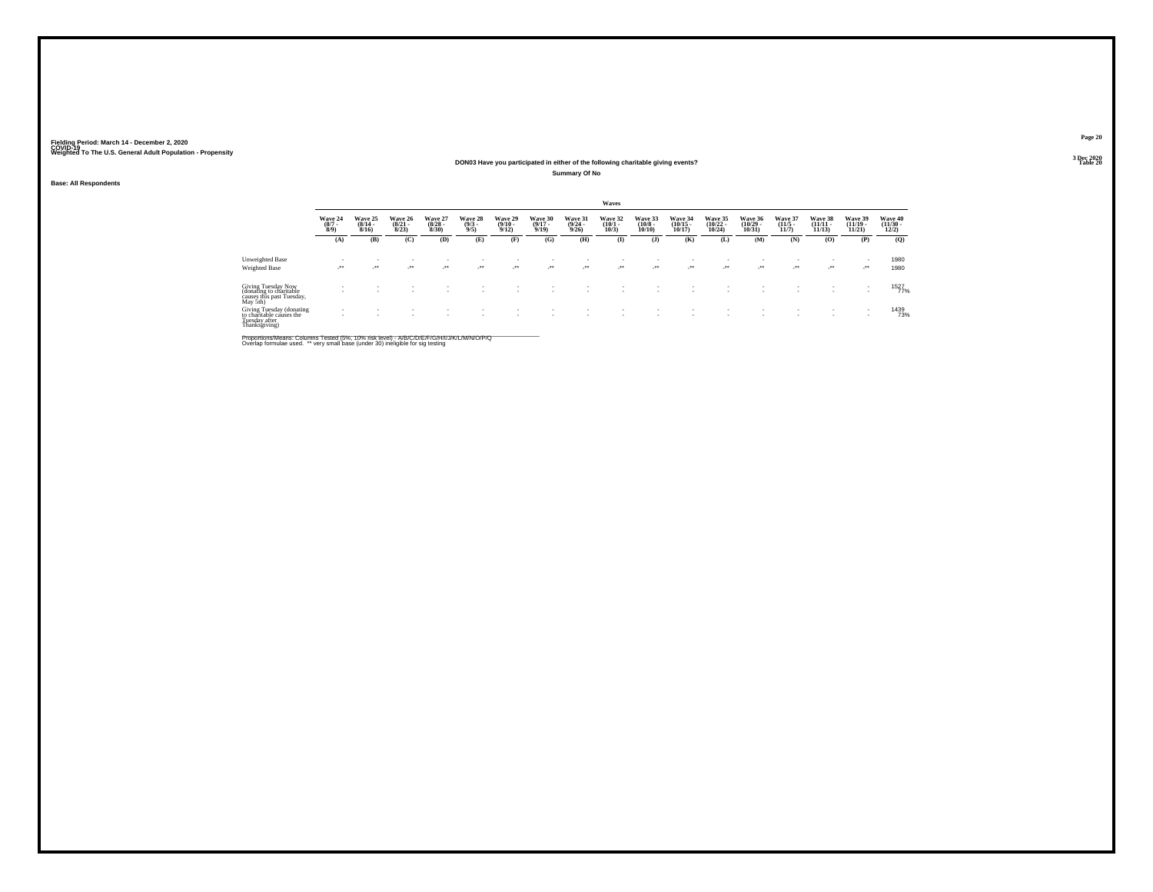**Base: All Respondents**

### **Fielding Period: March 14 - December 2, 2020 COVID-19 Weighted To The U.S. General Adult Population - Propensity 3 Dec 2020**

#### **DON03 Have you participated in either of the following charitable giving events?Summary Of No**

|                                                                                                          |                               |                              |                                  |                                 |                               |                                  |                                  |                                  | <b>Waves</b>                    |                                   |                                   |                                    |                                   |                                  |                                    |                                    |                                  |
|----------------------------------------------------------------------------------------------------------|-------------------------------|------------------------------|----------------------------------|---------------------------------|-------------------------------|----------------------------------|----------------------------------|----------------------------------|---------------------------------|-----------------------------------|-----------------------------------|------------------------------------|-----------------------------------|----------------------------------|------------------------------------|------------------------------------|----------------------------------|
|                                                                                                          | Wave 24<br>$\binom{8/7}{8/9}$ | Wave 25<br>$(8/14 -$<br>8/16 | Wave 26<br>$\frac{(8/21)}{8/23}$ | Wave 27<br>$\binom{8/28}{8/30}$ | Wave 28<br>$\binom{9/3}{9/5}$ | Wave 29<br>$\frac{(9/10)}{9/12}$ | Wave 30<br>$\frac{(9/17)}{9/19}$ | Wave 31<br>$\frac{(9/24)}{9/26}$ | Wave 32<br>$\binom{10/1}{10/3}$ | Wave 33<br>$\frac{(10/8)}{10/10}$ | Wave 34<br>$\binom{10/15}{10/17}$ | Wave 35<br>$\frac{(10/22)}{10/24}$ | Wave 36<br>$\binom{10/29}{10/31}$ | Wave 37<br>$\frac{(11/5)}{11/7}$ | Wave 38<br>$\frac{(11/11)}{11/13}$ | Wave 39<br>$\binom{11/19}{11/21}$  | Wave 40<br>$\binom{11/30}{12/2}$ |
|                                                                                                          | (A)                           | (B)                          | (C)                              | (D)                             | (E)                           | (F)                              | (G)                              | (H)                              | $\bf(I)$                        | (J)                               | (K)                               | (L)                                | (M)                               | (N)                              | (O)                                | (P)                                | (Q)                              |
| Unweighted Base                                                                                          | $\overline{\phantom{a}}$      |                              |                                  |                                 |                               |                                  |                                  |                                  |                                 |                                   | ٠                                 |                                    | ٠                                 |                                  | ٠                                  |                                    | 1980                             |
| Weighted Base                                                                                            | $\bullet\bullet$<br>×.        | $^{++}$                      | $\cdot$                          | $\bullet\bullet$                | $\cdot$                       | $\cdot$                          | $\cdot$                          | $\cdot$                          | $\cdot$                         | $\cdot$                           | $\cdot$                           | $\cdot$                            | $\cdot$                           | $\cdot$                          | $\cdot$                            | $\cdot$                            | 1980                             |
| Giving Tuesday Now<br>(donating to charitable<br>causes this past Tuesday,<br>May 5th)                   | $\overline{\phantom{a}}$<br>- |                              |                                  |                                 |                               |                                  |                                  |                                  | ٠                               |                                   | ٠                                 |                                    |                                   |                                  |                                    | $\overline{\phantom{a}}$           | 1527                             |
| Giving Tuesday (donating<br>to charitable causes the<br>to chamaoic ca<br>Tuesday after<br>Thanksgiving) | $\overline{\phantom{a}}$      |                              |                                  |                                 |                               |                                  |                                  |                                  | ٠                               |                                   |                                   |                                    |                                   |                                  | $\sim$<br>$\sim$                   | $\sim$<br>$\overline{\phantom{a}}$ | 1439<br>73%                      |

Proportions/Means: Columns Tested (5%, 10% risk level) - A/B/C/D/E/F/G/H/I/J/K/L/M/N/O/P/Q<br>Overlap formulae used. \*\* very small base (under 30) ineligible for sig testing

**Page 20**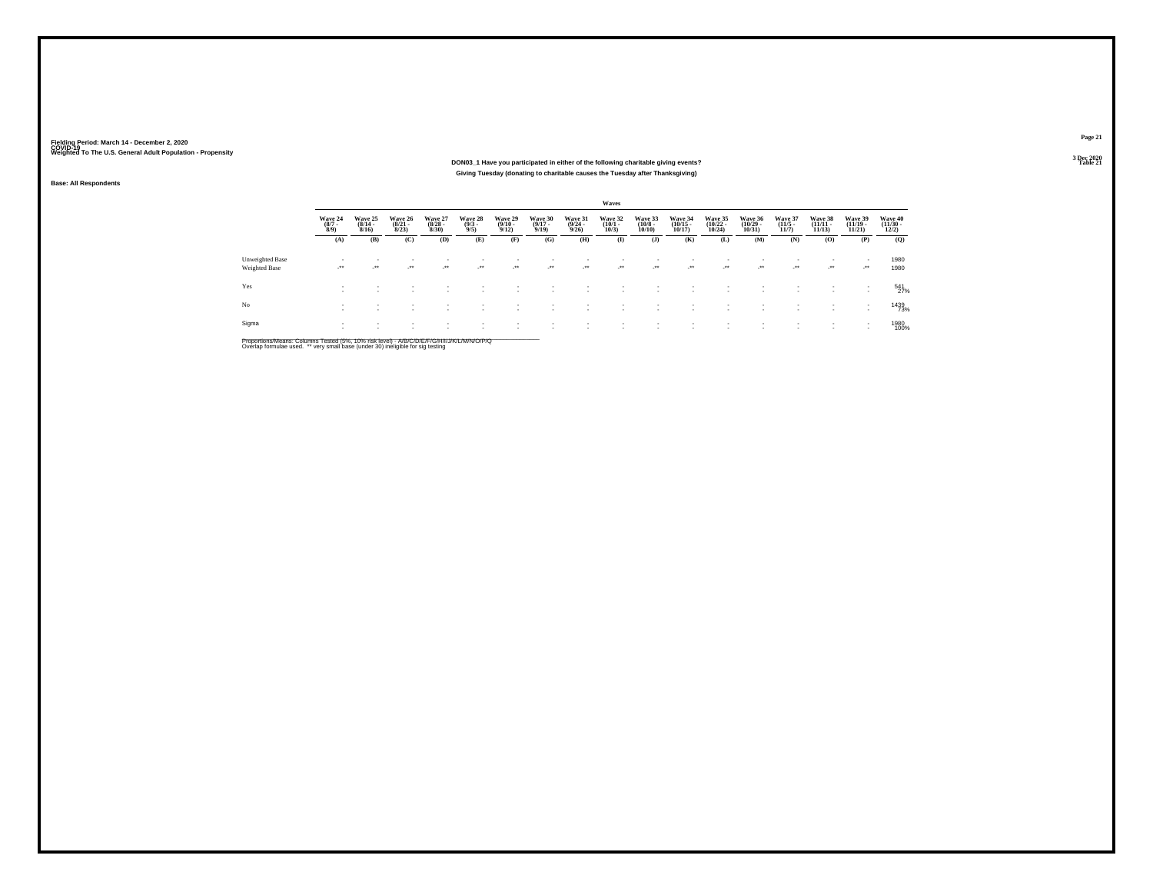#### **DON03\_1 Have you participated in either of the following charitable giving events?Table 21 Table 21 Table 21 Giving Tuesday (donating to charitable causes the Tuesday after Thanksgiving)**

**Base: All Respondents**

|                                         |                                |                                  |                                  |                                 |                                |                                         |                                  |                                  | Waves                           |                                   |                                   |                                   |                                            |                                  |                                    |                                   |                                          |
|-----------------------------------------|--------------------------------|----------------------------------|----------------------------------|---------------------------------|--------------------------------|-----------------------------------------|----------------------------------|----------------------------------|---------------------------------|-----------------------------------|-----------------------------------|-----------------------------------|--------------------------------------------|----------------------------------|------------------------------------|-----------------------------------|------------------------------------------|
|                                         | Wave 24<br>$\frac{(8/7)}{8/9}$ | Wave 25<br>$\frac{(8/14)}{8/16}$ | Wave 26<br>$\frac{(8/21)}{8/23}$ | Wave 27<br>$\binom{8/28}{8/30}$ | Wave 28<br>$\frac{(9/3)}{9/5}$ | Wave 29<br>$\frac{(9/10 - 9/12)}{9/12}$ | Wave 30<br>$\frac{(9/17)}{9/19}$ | Wave 31<br>$\frac{(9/24)}{9/26}$ | Wave 32<br>$\binom{10/1}{10/3}$ | Wave 33<br>$\frac{(10/8)}{10/10}$ | Wave 34<br>$\binom{10/15}{10/17}$ | Wave 35<br>$\binom{10/22}{10/24}$ | Wave 36<br>$\frac{(10/29 - 10/31)}{10/31}$ | Wave 37<br>$\frac{(11/5)}{11/7}$ | Wave 38<br>$\frac{(11/11)}{11/13}$ | Wave 39<br>$\binom{11/19}{11/21}$ | Wave 40<br>$\frac{(11/30 - 12/2)}{12/2}$ |
|                                         | (A)                            | (B)                              | (C)                              | (D)                             | (E)                            | (F)                                     | (G)                              | (H)                              | $\mathbf{I}$                    | (J)                               | (K)                               | (L)                               | (M)                                        | (N)                              | (0)                                | (P)                               | (Q)                                      |
| Unweighted Base<br><b>Weighted Base</b> | $\cdot$                        | $\rightarrow$                    | $\cdot$                          | $\bullet\bullet$                | ٠<br>$\overline{\phantom{a}}$  | -11                                     | $\cdot$                          | $\cdot$                          | ٠<br>$\cdot$                    | - 11<br>$\cdot$                   | - 11                              | ٠<br>$\cdot$                      | $\rightarrow$                              | ٠<br>$\overline{\phantom{a}}$    | $\cdot$                            | $\cdot$                           | 1980<br>1980                             |
| Yes                                     | $\mathbf{r}$                   |                                  |                                  |                                 |                                |                                         |                                  |                                  |                                 | ٠                                 |                                   |                                   |                                            |                                  |                                    | ٠<br>- 11                         | 541<br>27%                               |
| No                                      |                                |                                  |                                  |                                 | ٠                              |                                         |                                  |                                  | $\sim$<br>$\sim$                |                                   |                                   | ٠<br>$\mathbf{r}$                 |                                            |                                  |                                    | ٠                                 | 1439<br>73%                              |
| Sigma                                   | $\sim$                         |                                  |                                  |                                 |                                |                                         |                                  |                                  | ٠                               | ٠                                 |                                   |                                   |                                            |                                  |                                    |                                   | 1980<br>100%                             |

Proportions/Means: Columns Tested (5%, 10% risk level) - A/B/C/D/E/F/G/H/I/J/K/L/M/N/O/P/Q<br>Overlap formulae used. \*\* very small base (under 30) ineligible for sig testing

**Page 21**3 Dec 2020<br>Table 21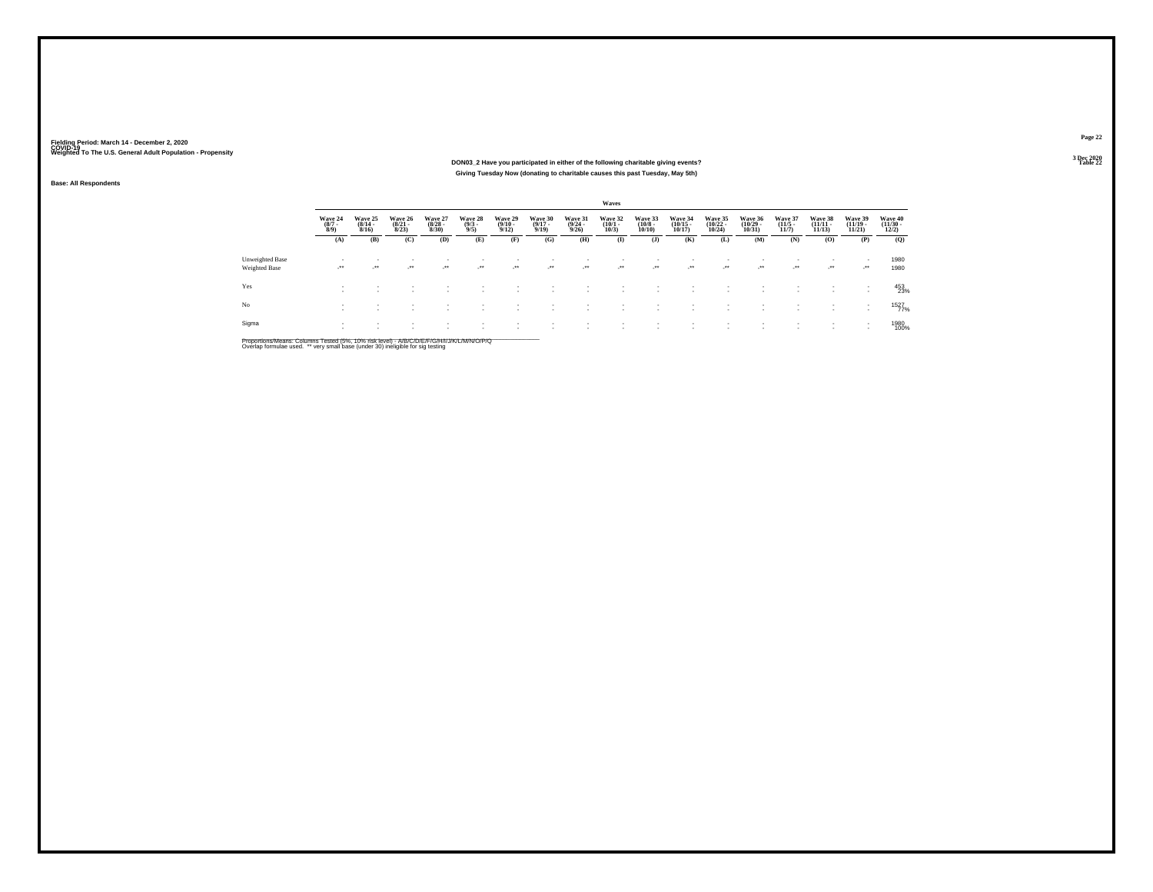#### **DON03\_2 Have you participated in either of the following charitable giving events?Table 22 Table 22 Giving Tuesday Now (donating to charitable causes this past Tuesday, May 5th)**

**Base: All Respondents**

|                                         |                                |                                  |                                  |                                 |                                |                                         |                                  |                                         | Waves                           |                                  |                                                      |                                   |                                    |                                  |                            |                                    |                                  |
|-----------------------------------------|--------------------------------|----------------------------------|----------------------------------|---------------------------------|--------------------------------|-----------------------------------------|----------------------------------|-----------------------------------------|---------------------------------|----------------------------------|------------------------------------------------------|-----------------------------------|------------------------------------|----------------------------------|----------------------------|------------------------------------|----------------------------------|
|                                         | Wave 24<br>$\frac{(8/7)}{8/9}$ | Wave 25<br>$\frac{(8/14)}{8/16}$ | Wave 26<br>$\frac{(8/21)}{8/23}$ | Wave 27<br>$\binom{8/28}{8/30}$ | Wave 28<br>$\frac{(9/3)}{9/5}$ | Wave 29<br>$\frac{(9/10 - 9/12)}{9/12}$ | Wave 30<br>$\frac{(9/17)}{9/19}$ | Wave 31<br>$\frac{(9/24 - 9/26)}{9/26}$ | Wave 32<br>$\binom{10/1}{10/3}$ | Wave 33<br>$\binom{10/8}{10/10}$ | Wave 34<br>$\binom{10/15}{10/17}$                    | Wave 35<br>$\binom{10/22}{10/24}$ | Wave 36<br>$\frac{(10/29)}{10/31}$ | Wave 37<br>$\frac{(11/5)}{11/7}$ | Wave 38<br>$\frac{11}{11}$ | Wave 39<br>$\frac{(11/19)}{11/21}$ | Wave 40<br>$\binom{11/30}{12/2}$ |
|                                         | (A)                            | (B)                              | (C)                              | (D)                             | (E)                            | (F)                                     | (G)                              | (H)                                     | $\bf (I)$                       | (J)                              | (K)                                                  | (L)                               | (M)                                | (N)                              | (O)                        | (P)                                | (Q)                              |
| Unweighted Base<br><b>Weighted Base</b> | $\sim$<br>$\cdot$              | ٠<br>$\overline{\phantom{a}}$    | $\overline{\phantom{a}}$         | $\overline{\phantom{a}}$        | ٠<br>$\bullet\bullet$          | $\rightarrow$                           | $\cdot$                          | $\cdot$                                 | ٠<br>$\cdot$                    | $\mathcal{L}^{\bullet\bullet}$   | $\overline{\phantom{a}}$<br>$\cdot$                  | $\cdot$                           | ٠<br>$\cdot$                       | $\mathcal{L}^{\bullet\bullet}$   | $\cdot$                    | $\cdot$ .                          | 1980<br>1980                     |
| Yes                                     | $\sim$<br>$\sim$               | ٠                                | ٠                                |                                 |                                |                                         |                                  |                                         |                                 |                                  | ٠                                                    |                                   |                                    |                                  |                            | $\sim$                             | 453<br>23%                       |
| No                                      | $\sim$<br>$\sim$               | $\mathbf{r}$<br>$\sim$           |                                  | ٠                               | $\overline{\phantom{a}}$       | $\mathbf{r}$                            | ٠                                |                                         | ٠                               |                                  | $\overline{\phantom{a}}$<br>$\overline{\phantom{a}}$ |                                   | ٠<br>٠                             |                                  | ٠<br>٠                     |                                    | 1527<br>77%                      |
| Sigma                                   |                                |                                  |                                  |                                 |                                |                                         |                                  |                                         |                                 |                                  |                                                      |                                   |                                    |                                  |                            |                                    | 1980<br>100%                     |

Proportions/Means: Columns Tested (5%, 10% risk level) - A/B/C/D/E/F/G/H/I/J/K/L/M/N/O/P/Q<br>Overlap formulae used. \*\* very small base (under 30) ineligible for sig testing

**Page 22**3 Dec 2020<br>Table 22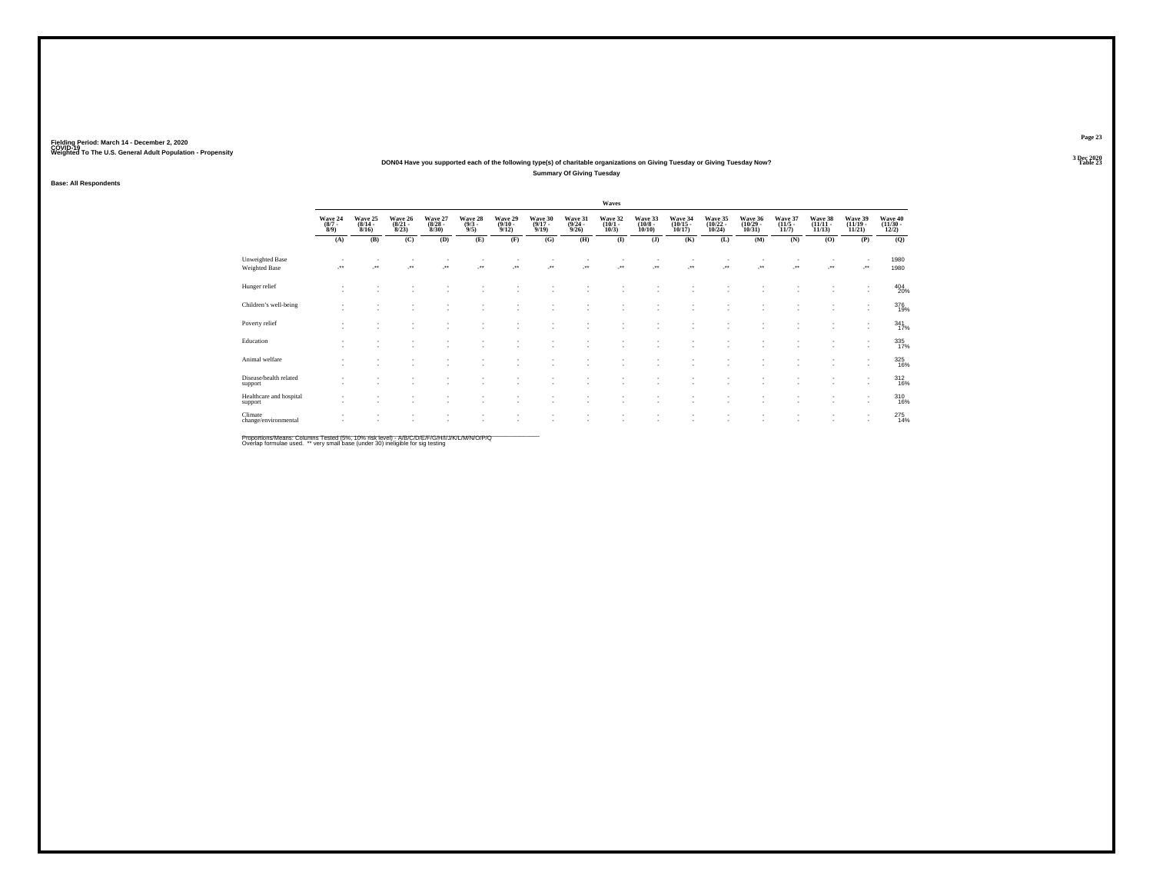#### **DON04 Have you supported each of the following type(s) of charitable organizations on Giving Tuesday or Giving Tuesday Now?Summary Of Giving Tuesday**

**Base: All Respondents**

|                                         |                               |                                         |                                  |                                 |                               |                                         |                                  |                                         | Waves                           |                                       |                                    |                                    |                                   |                                  |                                    |                                                      |                                          |
|-----------------------------------------|-------------------------------|-----------------------------------------|----------------------------------|---------------------------------|-------------------------------|-----------------------------------------|----------------------------------|-----------------------------------------|---------------------------------|---------------------------------------|------------------------------------|------------------------------------|-----------------------------------|----------------------------------|------------------------------------|------------------------------------------------------|------------------------------------------|
|                                         | Wave 24<br>$\binom{8/7}{8/9}$ | Wave 25<br>$\frac{(8/14 - 8/16)}{8/16}$ | Wave 26<br>$\frac{(8/21)}{8/23}$ | Wave 27<br>$\binom{8/28}{8/30}$ | Wave 28<br>$\binom{9/3}{9/5}$ | Wave 29<br>$\frac{(9/10 - 9/12)}{9/12}$ | Wave 30<br>$\frac{(9/17)}{9/19}$ | Wave 31<br>$\frac{(9/24 - 9/26)}{9/26}$ | Wave 32<br>$\binom{10/1}{10/3}$ | Wave 33<br>$\binom{10/8 - 10}{10/10}$ | Wave 34<br>$\frac{(10/15)}{10/17}$ | Wave 35<br>$\frac{(10/22)}{10/24}$ | Wave 36<br>$\binom{10/29}{10/31}$ | Wave 37<br>$\frac{(11/5)}{11/7}$ | Wave 38<br>$\frac{(11/11)}{11/13}$ | Wave 39<br>$\frac{(11/19)}{11/21}$                   | Wave 40<br>$\frac{(11/30 - 12/2)}{12/2}$ |
|                                         | (A)                           | (B)                                     | (C)                              | (D)                             | (E)                           | (F)                                     | (G)                              | (H)                                     | $($ $\blacksquare$              | (J)                                   | (K)                                | (L)                                | (M)                               | (N)                              | (0)                                | (P)                                                  | (Q)                                      |
| Unweighted Base<br><b>Weighted Base</b> | $\cdot$                       | ÷.                                      | ×                                | J.                              | z.                            | $\overline{\phantom{a}}$                | ÷.                               | $\mathcal{C}^{\bullet\bullet}$          | 59                              | J.                                    | 59                                 | $\cdot$                            | $\cdot$                           | J.                               | $\cdot$                            | $\overline{\phantom{a}}$<br>J.                       | 1980<br>1980                             |
| Hunger relief                           | $\sim$                        | $\overline{\phantom{a}}$                | ÷                                | ×.                              | ۰                             | $\sim$                                  | $\overline{\phantom{a}}$         |                                         |                                 |                                       |                                    | ×                                  |                                   | ÷                                |                                    | $\overline{\phantom{a}}$<br>$\overline{\phantom{a}}$ | 404<br>20%                               |
| Children's well-being                   |                               | $\overline{\phantom{a}}$                | ÷                                | ×.                              | ٠<br>٠                        |                                         | $\overline{\phantom{a}}$         | $\sim$                                  | $\sim$                          | ۰                                     |                                    | ٠                                  | и.                                | $\sim$<br>×.                     | ٠<br>a.                            | ٠<br>$\mathbf{r}$                                    | 376<br>19%                               |
| Poverty relief                          |                               |                                         | ٠<br>٠                           | ٠<br>٠                          | ٠<br>٠                        | $\mathbf{r}$                            | $\sim$                           | ÷                                       | ÷                               | ٠                                     |                                    | ٠                                  | и.                                | ٠                                | $\sim$<br>×.                       | $\overline{\phantom{a}}$<br>$\overline{\phantom{a}}$ | 341 <sub>7%</sub>                        |
| Education                               |                               | ٠                                       | - 1                              | ×.                              | ٠                             | ×.                                      | и.                               |                                         | ÷                               | ٠                                     | $\sim$                             | ٠                                  | и.                                | ٠<br>×.                          | ٠<br>a.                            | ٠<br>٠                                               | 335<br>17%                               |
| Animal welfare                          | $\sim$                        | $\overline{\phantom{a}}$                | - 1                              | ×.                              | ٠<br>٠                        |                                         | $\overline{\phantom{a}}$         | $\sim$                                  | $\sim$                          | ۰                                     |                                    | $\overline{\phantom{a}}$           | и.                                | ٠<br>٠                           | ٠<br>a.                            | ٠<br>$\overline{\phantom{a}}$                        | 325<br>16%                               |
| Disease/health related<br>support       |                               | $\sim$                                  | $\sim$                           | ٠<br>×.                         | ٠<br>٠                        | $\sim$                                  | $\sim$                           | $\sim$                                  | $\sim$                          | ٠                                     |                                    | $\sim$                             | $\overline{\phantom{a}}$          | ٠<br>٠                           | $\sim$<br>×.                       | ٠<br>$\overline{\phantom{a}}$                        | 312<br>16%                               |
| Healthcare and hospital<br>support      | $\sim$                        | $\overline{\phantom{a}}$                | ٠                                | ٠                               | ٠                             | $\sim$                                  | $\sim$                           |                                         | ÷                               | ٠                                     | $\sim$                             | ٠                                  |                                   | $\sim$<br>٠                      | ×.                                 | ٠<br>$\overline{\phantom{a}}$                        | 310<br>16%                               |
| Climate<br>change/environmental         |                               |                                         | ٠                                | ٠                               | ٠                             |                                         |                                  |                                         |                                 |                                       |                                    |                                    |                                   | ٠                                |                                    | ٠<br>$\overline{\phantom{a}}$                        | 275<br>14%                               |

Proportions/Means: Columns Tested (5%, 10% risk level) - *NB/C/D/E/F/G/H/IJJ/K/L/M/N/O/P/Q*<br>Overlap formulae used. \*\* very small base (under 30) ineligible for sig testing

**Page 23**3 Dec 2020<br>Table 23

**Table 23 Table 23**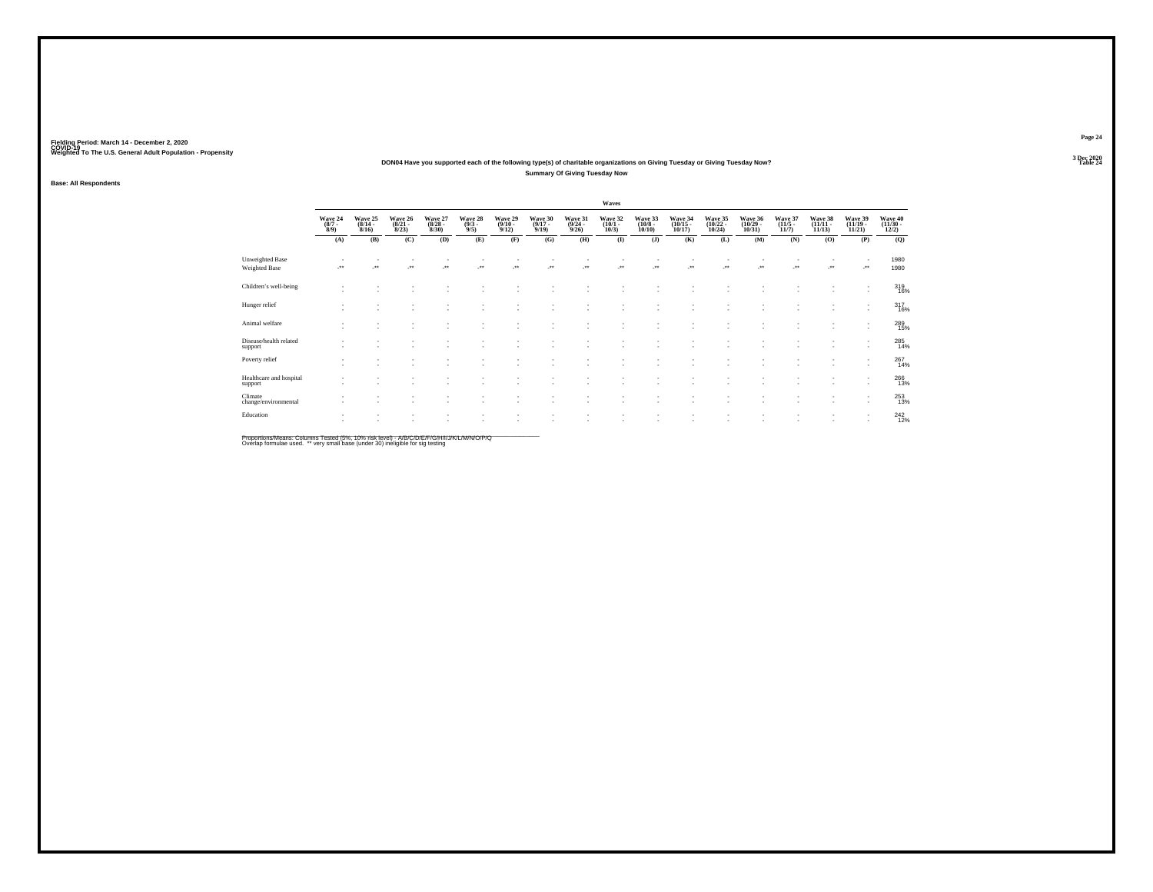#### **DON04 Have you supported each of the following type(s) of charitable organizations on Giving Tuesday or Giving Tuesday Now?Summary Of Giving Tuesday Now**

#### **Base: All Respondents**

|                                         |                               |                                  |                                  |                                        |                               |                                         |                                  |                                         | Waves                           |                                  |                                    |                                    |                                    |                                  |                                |                                    |                                          |
|-----------------------------------------|-------------------------------|----------------------------------|----------------------------------|----------------------------------------|-------------------------------|-----------------------------------------|----------------------------------|-----------------------------------------|---------------------------------|----------------------------------|------------------------------------|------------------------------------|------------------------------------|----------------------------------|--------------------------------|------------------------------------|------------------------------------------|
|                                         | Wave 24<br>$\binom{8/7}{8/9}$ | Wave 25<br>$\frac{(8/14)}{8/16}$ | Wave 26<br>$\frac{(8/21)}{8/23}$ | Wave 27<br>$\frac{(8/28 - 8)}{(8/30)}$ | Wave 28<br>$\binom{9/3}{9/5}$ | Wave 29<br>$\frac{(9/10 - 9/12)}{9/12}$ | Wave 30<br>$\frac{(9/17)}{9/19}$ | Wave 31<br>$\frac{(9/24 - 9/26)}{9/26}$ | Wave 32<br>$\binom{10/1}{10/3}$ | Wave 33<br>$\binom{10/8}{10/10}$ | Wave 34<br>$\frac{(10/15)}{10/17}$ | Wave 35<br>$\frac{(10/22)}{10/24}$ | Wave 36<br>$\frac{(10/29)}{10/31}$ | Wave 37<br>$\frac{(11/5)}{11/7}$ | Wave 38<br>$(11/11 -$<br>11/13 | Wave 39<br>$\frac{(11/19)}{11/21}$ | Wave 40<br>$\frac{(11/30 - 12/2)}{12/2}$ |
|                                         | (A)                           | (B)                              | (C)                              | (D)                                    | (E)                           | (F)                                     | (G)                              | (H)                                     | $\bf(I)$                        | $($ $)$                          | (K)                                | (L)                                | (M)                                | (N)                              | (0)                            | (P)                                | (Q)                                      |
| <b>Unweighted Base</b><br>Weighted Base | $\cdot$                       | $\overline{\phantom{a}}$         | $\overline{\phantom{a}}$         |                                        | $\ddot{\phantom{1}}$          | $\cdot$                                 | $\cdot$                          |                                         | $\cdot$                         | $\cdot$                          | $\overline{\phantom{a}}$           | $\bullet\bullet$                   | $\ddot{\phantom{1}}$               | J.                               | $\cdot$                        | $\cdot$                            | 1980<br>1980                             |
| Children's well-being                   |                               |                                  |                                  |                                        |                               |                                         |                                  |                                         |                                 |                                  |                                    |                                    |                                    |                                  |                                | $\overline{\phantom{a}}$           | 319<br>16%                               |
| Hunger relief                           |                               |                                  |                                  |                                        |                               |                                         |                                  | $\sim$                                  | $\sim$                          | ٠                                |                                    |                                    |                                    |                                  |                                | $\overline{\phantom{a}}$           | 317<br>16%                               |
| Animal welfare                          |                               |                                  |                                  |                                        |                               |                                         |                                  |                                         |                                 |                                  |                                    |                                    |                                    |                                  |                                | $\overline{\phantom{a}}$           | 289<br>15%                               |
| Disease/health related<br>support       |                               |                                  |                                  |                                        |                               |                                         |                                  |                                         |                                 |                                  |                                    |                                    |                                    |                                  |                                | $\overline{\phantom{a}}$           | 285<br>14%                               |
| Poverty relief                          | $\overline{\phantom{a}}$      |                                  |                                  |                                        |                               |                                         |                                  | $\sim$                                  | $\sim$                          | ٠                                | ٠                                  |                                    |                                    |                                  |                                | $\overline{\phantom{a}}$           | $^{267}_{14\%}$                          |
| Healthcare and hospital<br>support      |                               |                                  |                                  |                                        |                               |                                         |                                  |                                         |                                 |                                  |                                    |                                    |                                    |                                  |                                | $\overline{\phantom{a}}$           | 266<br>13%                               |
| Climate<br>change/environmental         |                               |                                  |                                  |                                        |                               |                                         |                                  |                                         |                                 |                                  |                                    |                                    |                                    |                                  |                                | $\overline{\phantom{a}}$           | 253<br>13%                               |
| Education                               |                               |                                  |                                  |                                        |                               |                                         |                                  |                                         | ٠.                              | ٠                                |                                    |                                    |                                    |                                  |                                |                                    | $^{242}_{12\%}$                          |

Proportions/Means: Columns Tested (5%, 10% risk level) - *NB/C/D/E/F/G/H/IJJ/K/L/M/N/O/P/Q*<br>Overlap formulae used. \*\* very small base (under 30) ineligible for sig testing

**Page 24**3 Dec 2020<br>Table 24

**Table 24 Table 24 Table 24 Table 24 Table 24**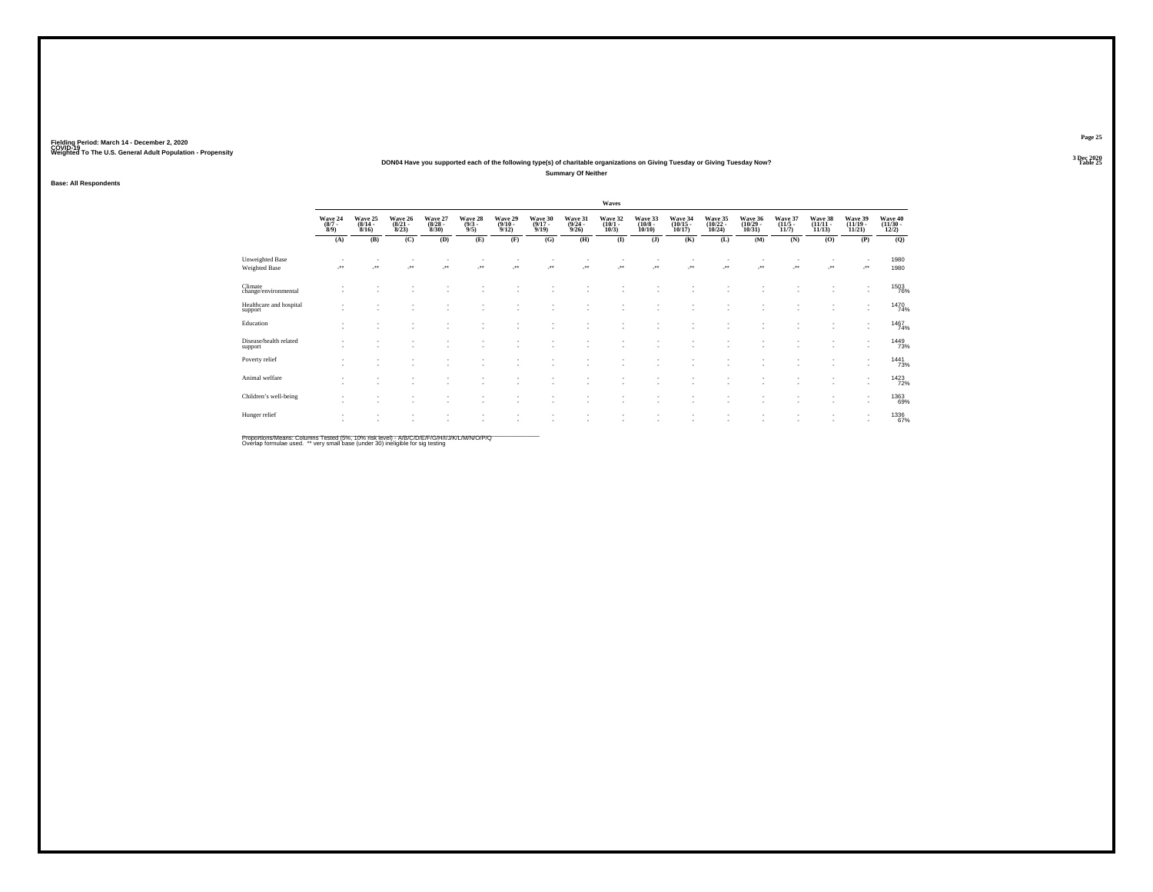#### **DON04 Have you supported each of the following type(s) of charitable organizations on Giving Tuesday or Giving Tuesday Now?Summary Of Neither**

**Base: All Respondents**

|                                         |                               |                                  |                                  |                                  |                               |                                         |                                  |                                  | Waves                           |                                  |                                    |                                    |                                    |                                  |                                    |                                                      |                              |
|-----------------------------------------|-------------------------------|----------------------------------|----------------------------------|----------------------------------|-------------------------------|-----------------------------------------|----------------------------------|----------------------------------|---------------------------------|----------------------------------|------------------------------------|------------------------------------|------------------------------------|----------------------------------|------------------------------------|------------------------------------------------------|------------------------------|
|                                         | Wave 24<br>$\binom{8/7}{8/9}$ | Wave 25<br>$\frac{(8/14)}{8/16}$ | Wave 26<br>$\frac{(8/21)}{8/23}$ | Wave 27<br>$\frac{(8/28)}{8/30}$ | Wave 28<br>$\binom{9/3}{9/5}$ | Wave 29<br>$\frac{(9/10 - 9/12)}{9/12}$ | Wave 30<br>$\frac{(9/17)}{9/19}$ | Wave 31<br>$\frac{(9/24)}{9/26}$ | Wave 32<br>$\binom{10/1}{10/3}$ | Wave 33<br>$\binom{10/8}{10/10}$ | Wave 34<br>$\frac{(10/15)}{10/17}$ | Wave 35<br>$\frac{(10/22)}{10/24}$ | Wave 36<br>$\frac{(10/29)}{10/31}$ | Wave 37<br>$\frac{(11/5)}{11/7}$ | Wave 38<br>$\frac{(11/11)}{11/13}$ | Wave 39<br>$\frac{(11/19 - 11/21)}{11/21}$           | Wave 40<br>(11/30 -<br>12/2) |
|                                         | (A)                           | (B)                              | (C)                              | (D)                              | (E)                           | (F)                                     | (G)                              | (H)                              | $\mathbf{I}$                    | (J)                              | (K)                                | (L)                                | (M)                                | (N)                              | (0)                                | (P)                                                  | (Q)                          |
| <b>Unweighted Base</b><br>Weighted Base | $\cdot$                       | $\ddot{}$                        | $\cdot$                          | $\cdot$                          | ÷                             | $\ddot{\phantom{1}}$                    | $\cdot$                          | ٠.                               |                                 | $\ddot{\phantom{1}}$             | $\cdot$                            |                                    | $\cdot$                            | J.                               | $\cdot$                            |                                                      | 1980<br>1980                 |
| Climate<br>change/environmental         |                               |                                  |                                  |                                  |                               |                                         |                                  |                                  |                                 |                                  |                                    |                                    |                                    |                                  |                                    | ٠                                                    | 1503<br>76%                  |
| Healthcare and hospital<br>support      |                               |                                  |                                  |                                  |                               |                                         |                                  |                                  |                                 |                                  | $\overline{\phantom{a}}$           |                                    |                                    |                                  |                                    | ٠<br>$\overline{\phantom{a}}$                        | 1470<br>74%                  |
| Education                               | ٠                             |                                  |                                  |                                  |                               |                                         |                                  |                                  |                                 |                                  | $\sim$                             | $\overline{\phantom{a}}$           |                                    |                                  |                                    | $\overline{\phantom{a}}$<br>$\overline{\phantom{a}}$ | 1467<br>74%                  |
| Disease/health related<br>support       |                               |                                  |                                  |                                  |                               |                                         |                                  |                                  |                                 |                                  |                                    |                                    |                                    |                                  |                                    |                                                      | 1449<br>73%                  |
| Poverty relief                          |                               |                                  |                                  |                                  |                               |                                         |                                  |                                  | ٠                               |                                  | $\sim$                             |                                    |                                    |                                  |                                    | ٠<br>$\overline{\phantom{a}}$                        | 1441<br>73%                  |
| Animal welfare                          | ٠                             |                                  |                                  |                                  |                               |                                         |                                  |                                  |                                 |                                  |                                    |                                    |                                    |                                  |                                    | $\overline{\phantom{a}}$<br>$\overline{\phantom{a}}$ | 1423                         |
| Children's well-being                   |                               |                                  |                                  |                                  |                               |                                         |                                  |                                  |                                 |                                  |                                    |                                    |                                    |                                  |                                    | ٠<br>٠                                               | 1363<br>69%                  |
| Hunger relief                           |                               |                                  |                                  |                                  |                               |                                         |                                  |                                  |                                 |                                  | $\overline{\phantom{a}}$           |                                    |                                    |                                  |                                    | ٠<br>$\overline{\phantom{a}}$                        | 1336<br>67%                  |

Proportions/Means: Columns Tested (5%, 10% risk level) - *NB/C/D/E/F/G/H/IJJ/K/L/M/N/O/P/Q*<br>Overlap formulae used. \*\* very small base (under 30) ineligible for sig testing

**Page 25**3 Dec 2020<br>Table 25

**Table 25 Table 25**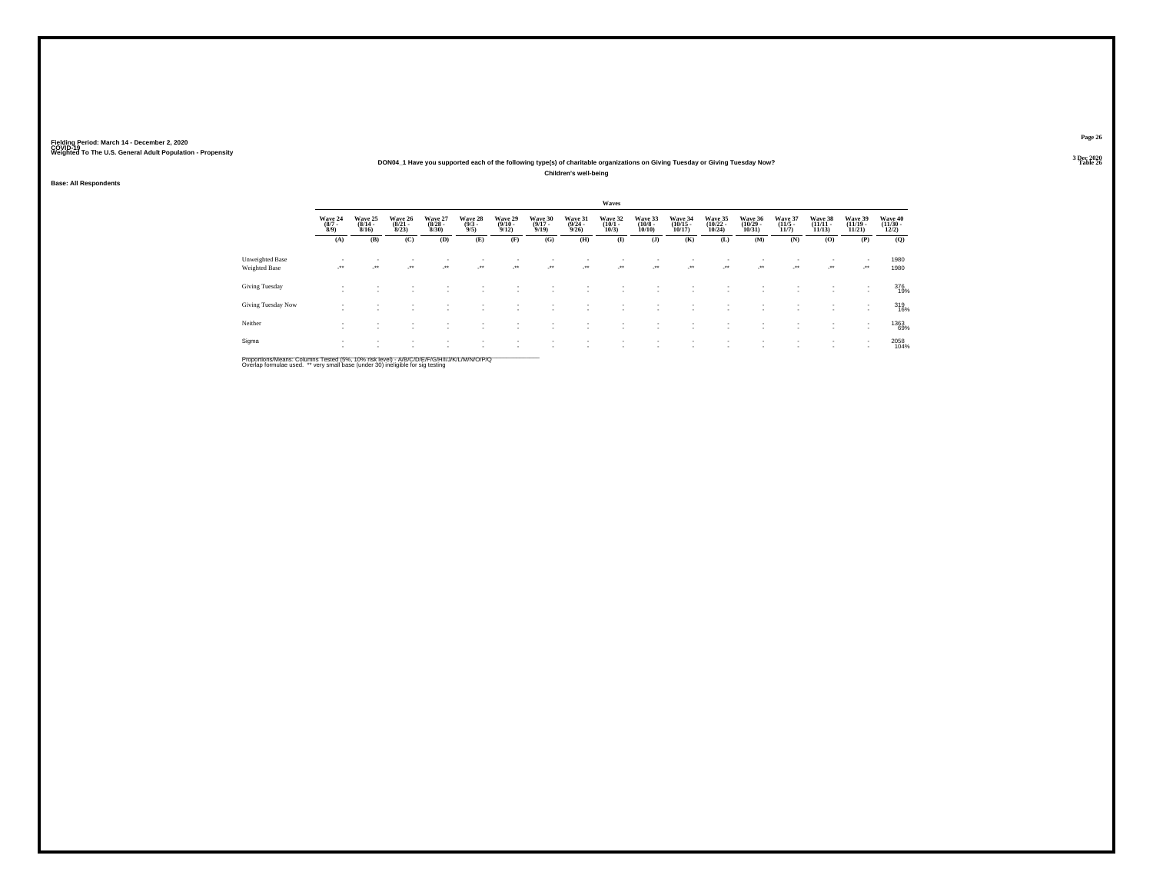#### **DON04\_1 Have you supported each of the following type(s) of charitable organizations on Giving Tuesday or Giving Tuesday Now?Children's well-being**

**Base: All Respondents**

|                                         |                                    |                             |                                  |                                  |                                |                                         |                                  |                                  | Waves                       |                                        |                                    |                                    |                                            |                                  |                                   |                                            |                                          |  |
|-----------------------------------------|------------------------------------|-----------------------------|----------------------------------|----------------------------------|--------------------------------|-----------------------------------------|----------------------------------|----------------------------------|-----------------------------|----------------------------------------|------------------------------------|------------------------------------|--------------------------------------------|----------------------------------|-----------------------------------|--------------------------------------------|------------------------------------------|--|
|                                         | Wave 24<br>$\frac{(8/7)}{8/9}$     | Wave 25<br>(8/14 -<br>8/16) | Wave 26<br>$\frac{(8/21)}{8/23}$ | Wave 27<br>$\frac{(8/28)}{8/30}$ | Wave 28<br>$\frac{(9/3)}{9/5}$ | Wave 29<br>$\frac{(9/10 - 9/12)}{9/12}$ | Wave 30<br>$\frac{(9/17)}{9/19}$ | Wave 31<br>$\frac{(9/24)}{9/26}$ | Wave 32<br>(10/1 -<br>10/3) | Wave 33<br>$\frac{(10/8 - 10)}{10/10}$ | Wave 34<br>$\frac{(10/15)}{10/17}$ | Wave 35<br>$\frac{(10/22)}{10/24}$ | Wave 36<br>$\frac{(10/29 - 10/31)}{10/31}$ | Wave 37<br>$\frac{(11/5)}{11/7}$ | Wave 38<br>$\binom{11/11}{11/13}$ | Wave 39<br>$\frac{(11/19 - 11/21)}{11/21}$ | Wave 40<br>$\frac{(11/30 - 12/2)}{12/2}$ |  |
|                                         | (A)                                | (B)                         | (C)                              | (D)                              | (E)                            | (F)                                     | (G)                              | (H)                              | $\mathbf{I}$                | $($ $\bf{J}$ )                         | (K)                                | (L)                                | (M)                                        | (N)                              | (0)                               | (P)                                        | (Q)                                      |  |
| Unweighted Base<br><b>Weighted Base</b> | $\sim$                             | $\cdot$                     | ٠<br>$\cdot$                     | $\cdot$                          | $\cdot$                        | $\cdot$                                 | -**                              | $\sim$                           | $\cdot$                     | ٠<br>                                  | $\cdot$                            | $\rightarrow$                      | ٠<br>÷.                                    | ٠<br>$\sim$                      | $\mathcal{L}^{\bullet\bullet}$    | ٠<br>$\cdot$                               | 1980<br>1980                             |  |
| Giving Tuesday                          | $\sim$<br>$\overline{\phantom{a}}$ |                             |                                  |                                  |                                |                                         |                                  |                                  |                             | ٠                                      |                                    |                                    | ٠                                          | $\sim$                           | <b>1999</b>                       | ٠<br>٠                                     | 376<br>19%                               |  |
| Giving Tuesday Now                      | $\sim$                             |                             |                                  |                                  |                                |                                         |                                  |                                  |                             | ٠                                      |                                    |                                    | ٠                                          | ٠                                |                                   | $\overline{\phantom{a}}$                   | 319<br>16%                               |  |
| Neither                                 | $\sim$<br>$\sim$                   |                             |                                  |                                  |                                |                                         |                                  |                                  |                             | ٠                                      | ٠                                  |                                    | ٠<br>٠                                     | ٠<br>٠                           | $\sim$<br>. .                     | ٠<br>$\overline{\phantom{a}}$              | 1363<br>69%                              |  |
| Sigma                                   | $\sim$<br>$\sim$                   |                             | ٠                                |                                  |                                |                                         |                                  |                                  |                             | ٠                                      | ٠                                  |                                    | ٠                                          | ٠                                |                                   |                                            | 2058<br>104%                             |  |

Proportions/Means: Columns Tested (5%, 10% risk level) - A/B/C/D/E/F/G/H/I/J/K/L/M/N/O/P/Q<br>Overlap formulae used. \*\* very small base (under 30) ineligible for sig testing

**Page 263 Dec 2020<br>Table 26** 

**Table 26 Table 26 Table 26 Table 26 Table 26 Table 26**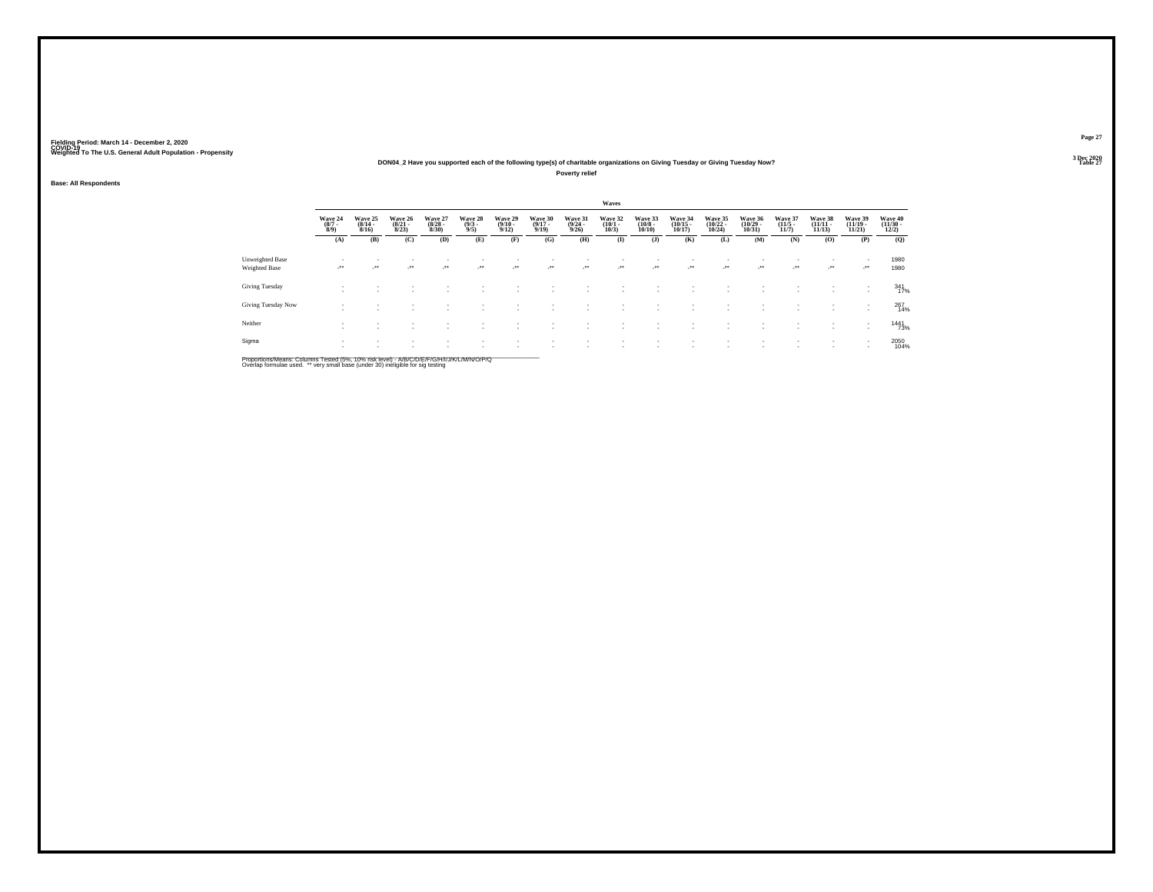#### **DON04\_2 Have you supported each of the following type(s) of charitable organizations on Giving Tuesday or Giving Tuesday Now?**

**Poverty relief**

**Base: All Respondents**

|                                         |                                |                                  |                                  |                                 |                               |                                         |                                  |                                         | Waves                           |                                  |                                   |                                   |                                    |                                  |                                   |                                                      |                                          |
|-----------------------------------------|--------------------------------|----------------------------------|----------------------------------|---------------------------------|-------------------------------|-----------------------------------------|----------------------------------|-----------------------------------------|---------------------------------|----------------------------------|-----------------------------------|-----------------------------------|------------------------------------|----------------------------------|-----------------------------------|------------------------------------------------------|------------------------------------------|
|                                         | Wave 24<br>$\frac{(8/7)}{8/9}$ | Wave 25<br>$\frac{(8/14)}{8/16}$ | Wave 26<br>$\frac{(8/21)}{8/23}$ | Wave 27<br>$\binom{8/28}{8/30}$ | Wave 28<br>$\binom{9/3}{9/5}$ | Wave 29<br>$\frac{(9/10 - 9/12)}{9/12}$ | Wave 30<br>$\frac{(9/17)}{9/19}$ | Wave 31<br>$\frac{(9/24 - 9/26)}{9/26}$ | Wave 32<br>$\binom{10/1}{10/3}$ | Wave 33<br>$\binom{10/8}{10/10}$ | Wave 34<br>$\binom{10/15}{10/17}$ | Wave 35<br>$\binom{10/22}{10/24}$ | Wave 36<br>$\frac{(10/29)}{10/31}$ | Wave 37<br>$\frac{(11/5)}{11/7}$ | Wave 38<br>$\binom{11/11}{11/13}$ | Wave 39<br>$\frac{11}{121}$                          | Wave 40<br>$\frac{(11/30 - 12/2)}{12/2}$ |
|                                         | (A)                            | (B)                              | (C)                              | (D)                             | (E)                           | (F)                                     | (G)                              | (H)                                     | $\bf(I)$                        | (J)                              | (K)                               | (L)                               | (M)                                | (N)                              | $\bf(O)$                          | (P)                                                  | (Q)                                      |
| Unweighted Base<br><b>Weighted Base</b> | $\cdot$                        | $\cdot$                          | $\sim$                           | $\mathcal{L}^{\bullet}$         | ur e                          | $\cdot$                                 | $\cdot$                          | $\mathcal{L}^{\text{max}}$              | $\cdot$                         | $\mathcal{L}^{\bullet\bullet}$   | $\sim$                            | $\sim$                            | $\mathcal{L}^{\text{max}}$         | $\mathcal{F}^{\bullet}$          | $\mathcal{L}^{\bullet\bullet}$    | $\sim$<br>$\cdot$                                    | 1980<br>1980                             |
| Giving Tuesday                          |                                |                                  |                                  |                                 |                               |                                         |                                  |                                         |                                 |                                  |                                   |                                   |                                    |                                  |                                   | $\overline{\phantom{a}}$<br>$\overline{\phantom{a}}$ | $341$<br>17%                             |
| Giving Tuesday Now                      |                                | $\sim$                           | <b>1999</b>                      | $\sim$                          | $\overline{\phantom{a}}$      |                                         | $\sim$                           | <b>1979</b>                             |                                 |                                  | $\sim$                            |                                   | $\overline{\phantom{a}}$           | ٠<br>$\sim$                      | <b>1979</b>                       | $\sim$                                               | 267<br>14%                               |
| Neither                                 |                                |                                  | . .                              | ٠                               |                               |                                         |                                  |                                         |                                 |                                  |                                   |                                   |                                    | $\sim$                           |                                   | $\sim$<br>$\sim$                                     | 1441<br>73%                              |
| Sigma                                   | $\mathbf{r}$                   |                                  | $\sim$                           |                                 |                               |                                         |                                  |                                         |                                 |                                  |                                   |                                   |                                    | ٠                                | $\sim$                            | $\overline{\phantom{a}}$<br>$\overline{\phantom{a}}$ | 2050<br>104%                             |

Proportions/Means: Columns Tested (5%, 10% risk level) - A/B/C/D/E/F/G/H/I/J/K/L/M/N/O/P/Q<br>Overlap formulae used. \*\* very small base (under 30) ineligible for sig testing

**Page 27**3 Dec 2020<br>Table 27

**Table 27 Table 27 Table 27 Table 27**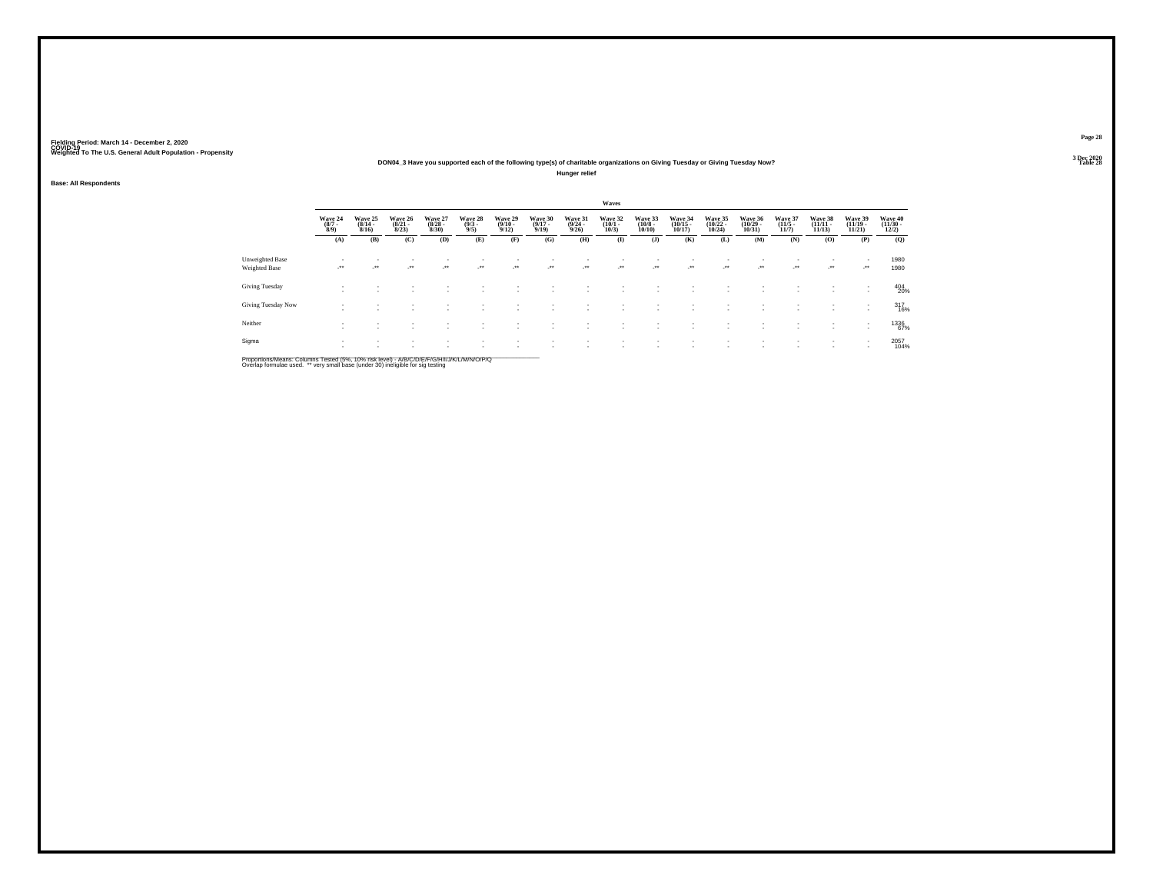#### **DON04\_3 Have you supported each of the following type(s) of charitable organizations on Giving Tuesday or Giving Tuesday Now?**

**Hunger relief**

**Base: All Respondents**

|                                  |                                |                                  |                                  |                                 |                               |                                         |                                  |                                         | Waves                           |                                  |                                   |                                   |                                    |                                  |                                   |                             |                                          |
|----------------------------------|--------------------------------|----------------------------------|----------------------------------|---------------------------------|-------------------------------|-----------------------------------------|----------------------------------|-----------------------------------------|---------------------------------|----------------------------------|-----------------------------------|-----------------------------------|------------------------------------|----------------------------------|-----------------------------------|-----------------------------|------------------------------------------|
|                                  | Wave 24<br>$\frac{(8/7)}{8/9}$ | Wave 25<br>$\frac{(8/14)}{8/16}$ | Wave 26<br>$\frac{(8/21)}{8/23}$ | Wave 27<br>$\binom{8/28}{8/30}$ | Wave 28<br>$\binom{9/3}{9/5}$ | Wave 29<br>$\frac{(9/10 - 9/12)}{9/12}$ | Wave 30<br>$\frac{(9/17)}{9/19}$ | Wave 31<br>$\frac{(9/24 - 9/26)}{9/26}$ | Wave 32<br>$\binom{10/1}{10/3}$ | Wave 33<br>$\binom{10/8}{10/10}$ | Wave 34<br>$\binom{10/15}{10/17}$ | Wave 35<br>$\binom{10/22}{10/24}$ | Wave 36<br>$\frac{(10/29)}{10/31}$ | Wave 37<br>$\frac{(11/5)}{11/7}$ | Wave 38<br>$\binom{11/11}{11/13}$ | Wave 39<br>$\frac{11}{121}$ | Wave 40<br>$\frac{(11/30 - 12/2)}{12/2}$ |
|                                  | (A)                            | (B)                              | (C)                              | (D)                             | (E)                           | (F)                                     | (G)                              | (H)                                     | $\bf(I)$                        | (J)                              | (K)                               | (L)                               | (M)                                | (N)                              | $\bf(O)$                          | (P)                         | (Q)                                      |
| Unweighted Base<br>Weighted Base | -**                            | $\cdot$                          | $\sim$                           | $\mathcal{L}^{\bullet}$         | ur e                          | - 11                                    | $\cdot$                          | $\mathcal{L}^{\text{max}}$              | $\cdot$                         | $\mathcal{L}^{\bullet\bullet}$   | $\sim$                            | $\sim$                            | $\mathcal{L}^{\text{max}}$         | $\mathcal{F}^{\bullet}$          | $\mathcal{L}^{\bullet\bullet}$    | $\sim$<br>$\cdot$           | 1980<br>1980                             |
| Giving Tuesday                   |                                |                                  |                                  |                                 |                               |                                         |                                  |                                         |                                 |                                  |                                   |                                   |                                    |                                  |                                   | $\overline{\phantom{a}}$    | 404<br>20%                               |
| Giving Tuesday Now               |                                | $\overline{\phantom{a}}$         | <b>1999</b>                      | $\sim$                          | $\overline{\phantom{a}}$      |                                         | $\sim$                           |                                         |                                 |                                  |                                   |                                   | $\overline{\phantom{a}}$           | ٠<br>$\sim$                      | <b>A</b>                          | $\sim$                      | 317<br>16%                               |
| Neither                          |                                |                                  | . .                              | ٠                               |                               |                                         |                                  |                                         |                                 |                                  |                                   |                                   |                                    | ٠                                | $\sim$                            | $\sim$                      | 1336<br>67%                              |
| Sigma                            | $\mathbf{r}$                   |                                  | $\sim$                           |                                 |                               |                                         |                                  |                                         |                                 |                                  |                                   |                                   |                                    | ٠                                | $\sim$                            | $\overline{\phantom{a}}$    | 2057<br>104%                             |

Proportions/Means: Columns Tested (5%, 10% risk level) - A/B/C/D/E/F/G/H/I/J/K/L/M/N/O/P/Q<br>Overlap formulae used. \*\* very small base (under 30) ineligible for sig testing

**Page 283 Dec 2020<br>Table 28** 

**Table 28 Table 28**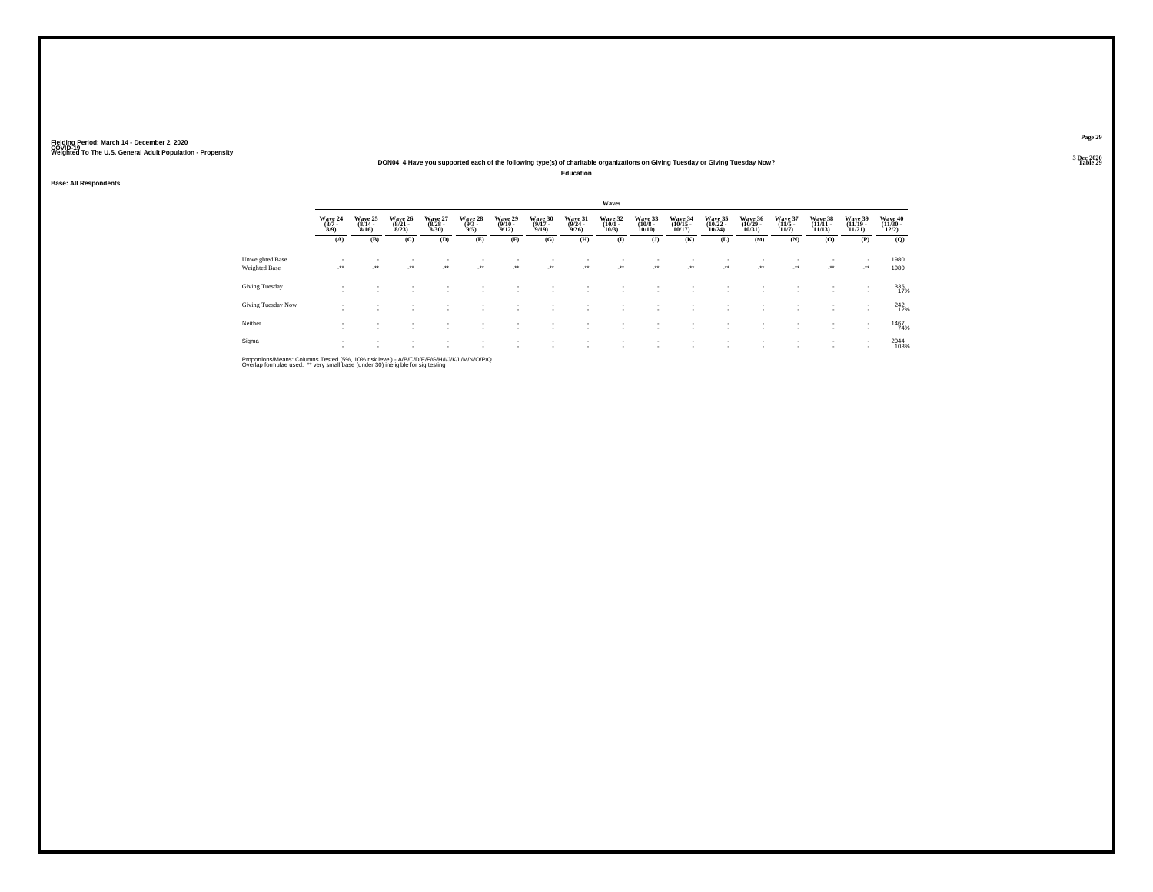#### **DON04\_4 Have you supported each of the following type(s) of charitable organizations on Giving Tuesday or Giving Tuesday Now?**

**Education**

### **Base: All Respondents**

|                                         |                                                      |                                  |                                  |                                 |                                |                                 |                                  |                                         | Waves                           |                                       |                                   |                                   |                                    |                                  |                                |                                |                                          |
|-----------------------------------------|------------------------------------------------------|----------------------------------|----------------------------------|---------------------------------|--------------------------------|---------------------------------|----------------------------------|-----------------------------------------|---------------------------------|---------------------------------------|-----------------------------------|-----------------------------------|------------------------------------|----------------------------------|--------------------------------|--------------------------------|------------------------------------------|
|                                         | Wave 24<br>(8/7 -<br>8/9)                            | Wave 25<br>$\frac{(8/14)}{8/16}$ | Wave 26<br>$\frac{(8/21)}{8/23}$ | Wave 27<br>$\binom{8/28}{8/30}$ | Wave 28<br>$\frac{(9/3)}{9/5}$ | Wave 29<br>$\binom{9/10}{9/12}$ | Wave 30<br>$\frac{(9/17)}{9/19}$ | Wave 31<br>$\frac{(9/24 - 9/26)}{9/26}$ | Wave 32<br>$\binom{10/1}{10/3}$ | Wave 33<br>$\binom{10/8 - 10}{10/10}$ | Wave 34<br>$\binom{10/15}{10/17}$ | Wave 35<br>$\binom{10/22}{10/24}$ | Wave 36<br>$\frac{(10/29)}{10/31}$ | Wave 37<br>$\frac{(11/5)}{11/7}$ | Wave 38<br>$(11/11 -$<br>11/13 | Wave 39<br>$(11/19 -$<br>11/21 | Wave 40<br>$\frac{(11/30 - 12/2)}{12/2}$ |
|                                         | (A)                                                  | (B)                              | (C)                              | (D)                             | (E)                            | (F)                             | (G)                              | (H)                                     | $\bf (I)$                       | (J)                                   | (K)                               | (L)                               | (M)                                | (N)                              | (O)                            | (P)                            | (Q)                                      |
| Unweighted Base<br><b>Weighted Base</b> |                                                      | $\cdot$                          | ur.                              | $\cdot$                         | $\cdot$                        | $\rightarrow$                   | $\cdot$                          | $\cdot$                                 | $\cdot$                         | $\mathcal{L}^{\bullet\bullet}$        | $\cdot$                           | $\cdot$                           | $\cdot$                            | ur.                              | $\cdot$                        | $\cdot$                        | 1980<br>1980                             |
| Giving Tuesday                          | $\overline{\phantom{a}}$<br>$\overline{\phantom{a}}$ |                                  |                                  |                                 |                                |                                 |                                  |                                         |                                 |                                       |                                   |                                   |                                    |                                  |                                |                                | 335<br>17%                               |
| Giving Tuesday Now                      | ٠                                                    |                                  |                                  |                                 |                                |                                 |                                  |                                         |                                 |                                       |                                   |                                   |                                    |                                  |                                | $\mathbf{r}$                   | $^{242}_{12\%}$                          |
| Neither                                 | ٠<br>$\overline{\phantom{a}}$                        | $\overline{\phantom{a}}$         | $\sim$                           |                                 |                                |                                 |                                  |                                         |                                 |                                       | $\overline{\phantom{a}}$          |                                   |                                    |                                  | ٠                              |                                | 1467<br>74%                              |
| Sigma                                   | ٠<br>$\sim$                                          |                                  |                                  |                                 |                                |                                 |                                  |                                         |                                 |                                       |                                   |                                   |                                    |                                  |                                |                                | 2044<br>103%                             |

Proportions/Means: Columns Tested (5%, 10% risk level) - A/B/C/D/E/F/G/H/I/J/K/L/M/N/O/P/Q<br>Overlap formulae used. \*\* very small base (under 30) ineligible for sig testing

**Page 29**3 Dec 2020<br>Table 29

**Table 29 Table 29**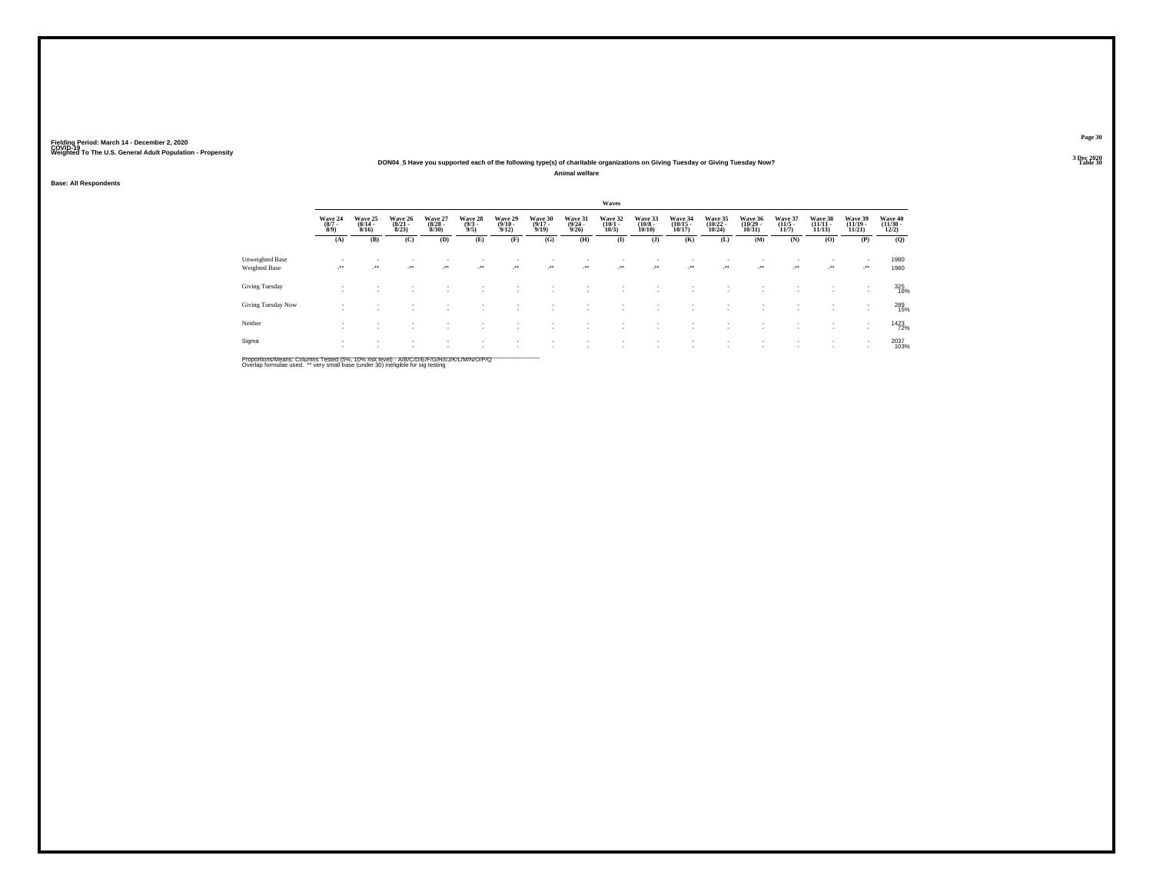#### **DON04\_5 Have you supported each of the following type(s) of charitable organizations on Giving Tuesday or Giving Tuesday Now?**

**Animal welfare**

**Base: All Respondents**

|                                         |                                |                                  |                                  |                                  |                               |                                         |                                  |                                         | Waves                           |                                  |                                    |                                    |                                    |                                  |                                |                                |                                  |
|-----------------------------------------|--------------------------------|----------------------------------|----------------------------------|----------------------------------|-------------------------------|-----------------------------------------|----------------------------------|-----------------------------------------|---------------------------------|----------------------------------|------------------------------------|------------------------------------|------------------------------------|----------------------------------|--------------------------------|--------------------------------|----------------------------------|
|                                         | Wave 24<br>$\frac{(8/7)}{8/9}$ | Wave 25<br>$\frac{(8/14)}{8/16}$ | Wave 26<br>$\frac{(8/21)}{8/23}$ | Wave 27<br>$\frac{(8/28)}{8/30}$ | Wave 28<br>$\binom{9/3}{9/5}$ | Wave 29<br>$\frac{(9/10 - 9/12)}{9/12}$ | Wave 30<br>$\frac{(9/17)}{9/19}$ | Wave 31<br>$\frac{(9/24 - 9/26)}{9/26}$ | Wave 32<br>$\binom{10/1}{10/3}$ | Wave 33<br>$\binom{10/8}{10/10}$ | Wave 34<br>$\frac{(10/15)}{10/17}$ | Wave 35<br>$\frac{(10/22)}{10/24}$ | Wave 36<br>$\frac{(10/29)}{10/31}$ | Wave 37<br>$\frac{(11/5)}{11/7}$ | Wave 38<br>$(11/11 -$<br>11/13 | Wave 39<br>$(11/19 -$<br>11/21 | Wave 40<br>$\binom{11/30}{12/2}$ |
|                                         | (A)                            | (B)                              | (C)                              | (D)                              | (E)                           | (F)                                     | (G)                              | (H)                                     | $\bf(I)$                        | $($ $\bf{J}$ )                   | (K)                                | (L)                                | (M)                                | (N)                              | (0)                            | (P)                            | (Q)                              |
| Unweighted Base<br><b>Weighted Base</b> | -**                            | ur.                              | ÷.                               |                                  | $\bullet\bullet$              | $\bullet\bullet$                        | $\cdot$                          | -**                                     | $\cdot$                         | $\cdot$                          | $\mathcal{L}^{\bullet\bullet}$     | $\mathcal{L}^{\text{max}}$         | $\cdot$                            | $\cdot$                          | -**                            | <b>Section</b>                 | 1980<br>1980                     |
| Giving Tuesday                          | ٠<br>$\overline{\phantom{a}}$  |                                  |                                  |                                  |                               |                                         |                                  |                                         |                                 |                                  |                                    |                                    |                                    |                                  |                                | ٠                              | 325<br>16%                       |
| Giving Tuesday Now                      | $\overline{\phantom{a}}$       |                                  |                                  | $\sim$                           |                               | $\overline{\phantom{a}}$                |                                  |                                         |                                 |                                  | ٠                                  |                                    | $\sim$                             |                                  | $\sim$                         | $\overline{\phantom{a}}$       | 289<br>15%                       |
| Neither                                 | $\overline{\phantom{a}}$       |                                  | ٠<br>$\sim$                      |                                  |                               |                                         |                                  |                                         |                                 |                                  |                                    |                                    |                                    |                                  |                                |                                | 1423                             |
| Sigma                                   | $\overline{\phantom{a}}$       |                                  | $\sim$                           | ٠                                |                               | ٠                                       |                                  |                                         |                                 |                                  | ٠                                  |                                    | $\mathbf{r}$                       |                                  |                                | ٠                              | 2037<br>103%                     |

Proportions/Means: Columns Tested (5%, 10% risk level) - A/B/C/D/E/F/G/H/I/J/K/L/M/N/O/P/Q<br>Overlap formulae used. \*\* very small base (under 30) ineligible for sig testing

**Page 303 Dec 2020<br>Table 30** 

**Table 30 Table 30 Table 30 Table 30 Table 30**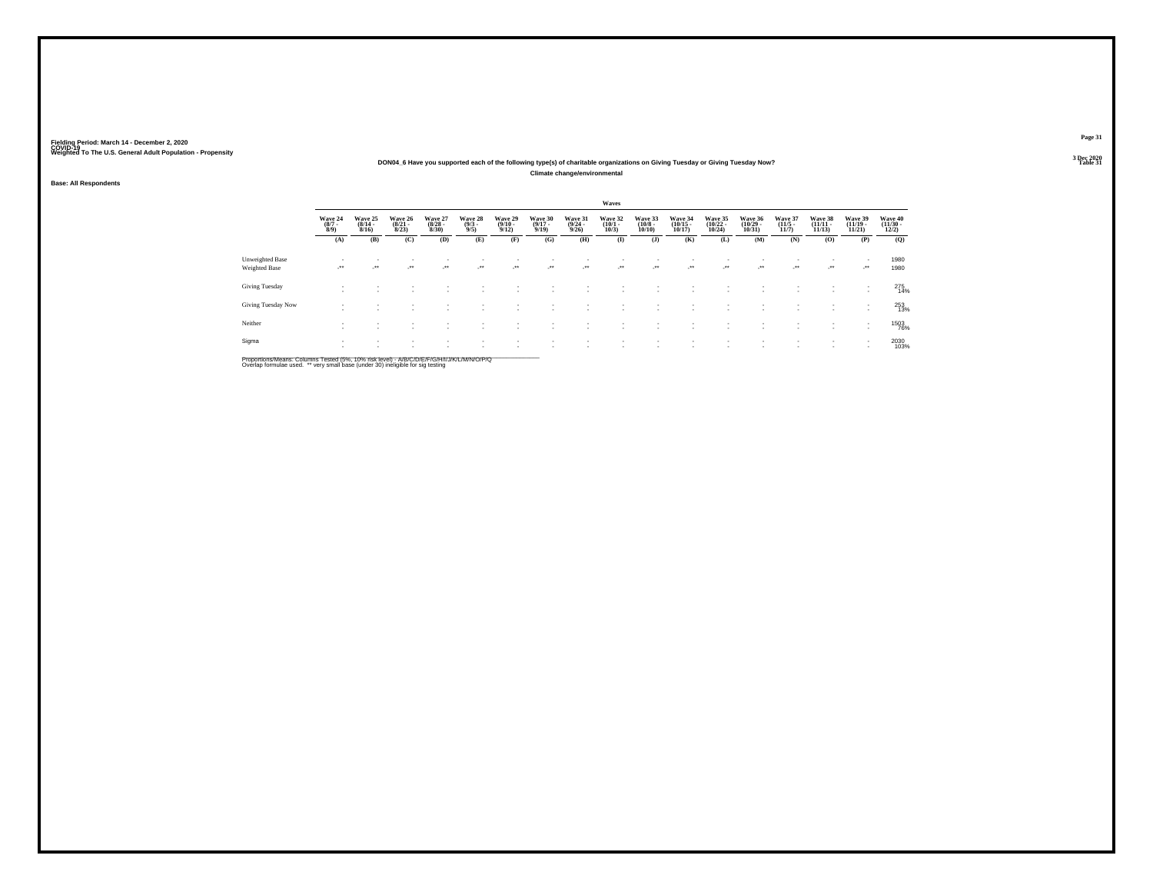#### **DON04\_6 Have you supported each of the following type(s) of charitable organizations on Giving Tuesday or Giving Tuesday Now?Climate change/environmental**

**Base: All Respondents**

|                                  |                                          |                                         |                                  |                                     |                                |                                         |                             |                                  | Waves                            |                              |                               |                                                      |                                            |                                  |                                    |                                   |                              |
|----------------------------------|------------------------------------------|-----------------------------------------|----------------------------------|-------------------------------------|--------------------------------|-----------------------------------------|-----------------------------|----------------------------------|----------------------------------|------------------------------|-------------------------------|------------------------------------------------------|--------------------------------------------|----------------------------------|------------------------------------|-----------------------------------|------------------------------|
|                                  | Wave 24<br>$\frac{(8/7)}{8/9}$           | Wave 25<br>$\frac{(8/14 - 8/16)}{8/16}$ | Wave 26<br>$\frac{(8/21)}{8/23}$ | Wave 27<br>$\frac{(8/28)}{8/30}$    | Wave 28<br>$\frac{(9/3)}{9/5}$ | Wave 29<br>$\frac{(9/10 - 9/12)}{9/12}$ | Wave 30<br>(9/17 -<br>9/19) | Wave 31<br>$\frac{(9/24)}{9/26}$ | Wave 32<br>$\frac{(10/1)}{10/3}$ | Wave 33<br>(10/8 -<br>10/10) | Wave 34<br>(10/15 -<br>10/17) | Wave 35<br>$\frac{(10/22)}{10/24}$                   | Wave 36<br>$\frac{(10/29 - 10/31)}{10/31}$ | Wave 37<br>$\frac{(11/5)}{11/7}$ | Wave 38<br>$\frac{(11/11)}{11/13}$ | Wave 39<br>$\binom{11/19}{11/21}$ | Wave 40<br>(11/30 -<br>12/2) |
|                                  | (A)                                      | (B)                                     | (C)                              | (D)                                 | (E)                            | (F)                                     | (G)                         | (H)                              | (I)                              | $($ $\bf{J}$ )               | (K)                           | (L)                                                  | (M)                                        | (N)                              | (0)                                | (P)                               | (Q)                          |
| Unweighted Base<br>Weighted Base | $\overline{\phantom{a}}$<br>$\cdot$      | $\overline{\phantom{a}}$<br>$\cdot$     | ٠<br>$\mathcal{L}^{\text{max}}$  | ٠<br>$\mathcal{L}^{\bullet\bullet}$ | $\sim$                         | $\sim$                                  | ÷.                          | $\cdot$                          | $\overline{\phantom{a}}$         | $\cdot$                      | ٠<br>$\cdot$                  | $\sim$                                               | $\cdot$                                    | ٠<br>$\mathcal{L}^{\text{max}}$  | $\sim$<br>$\cdot$                  | $\cdot$                           | 1980<br>1980                 |
| Giving Tuesday                   | ٠<br>$\overline{\phantom{a}}$            |                                         |                                  |                                     |                                |                                         | ٠                           |                                  |                                  |                              |                               | $\overline{\phantom{a}}$                             |                                            |                                  | $\sim$                             |                                   | 275<br>14%                   |
| Giving Tuesday Now               | ٠<br>٠                                   |                                         |                                  |                                     |                                |                                         | ٠                           |                                  |                                  |                              |                               | $\overline{\phantom{a}}$                             |                                            |                                  | $\sim$                             |                                   | 253<br>13%                   |
| Neither                          | $\mathbf{r}$<br>$\overline{\phantom{a}}$ |                                         |                                  |                                     |                                |                                         | ٠                           |                                  |                                  | $\overline{\phantom{a}}$     | $\overline{\phantom{a}}$      | $\overline{\phantom{a}}$<br>$\overline{\phantom{a}}$ |                                            |                                  | $\sim$<br>$\sim$                   | $\sim$                            | <sup>1503</sup> 76%          |
| Sigma                            | $\mathbf{r}$<br>$\mathbf{r}$             |                                         | ٠                                | ٠                                   |                                |                                         | ٠                           |                                  |                                  |                              | $\overline{\phantom{a}}$      | $\overline{\phantom{a}}$                             |                                            | ٠                                | $\sim$                             | $\sim$                            | 2030<br>103%                 |

Proportions/Means: Columns Tested (5%, 10% risk level) - A/B/C/D/E/F/G/H/I/J/K/L/M/N/O/P/Q<br>Overlap formulae used. \*\* very small base (under 30) ineligible for sig testing

**Page 31**3 Dec 2020<br>Table 31

**Table 31 Table 31**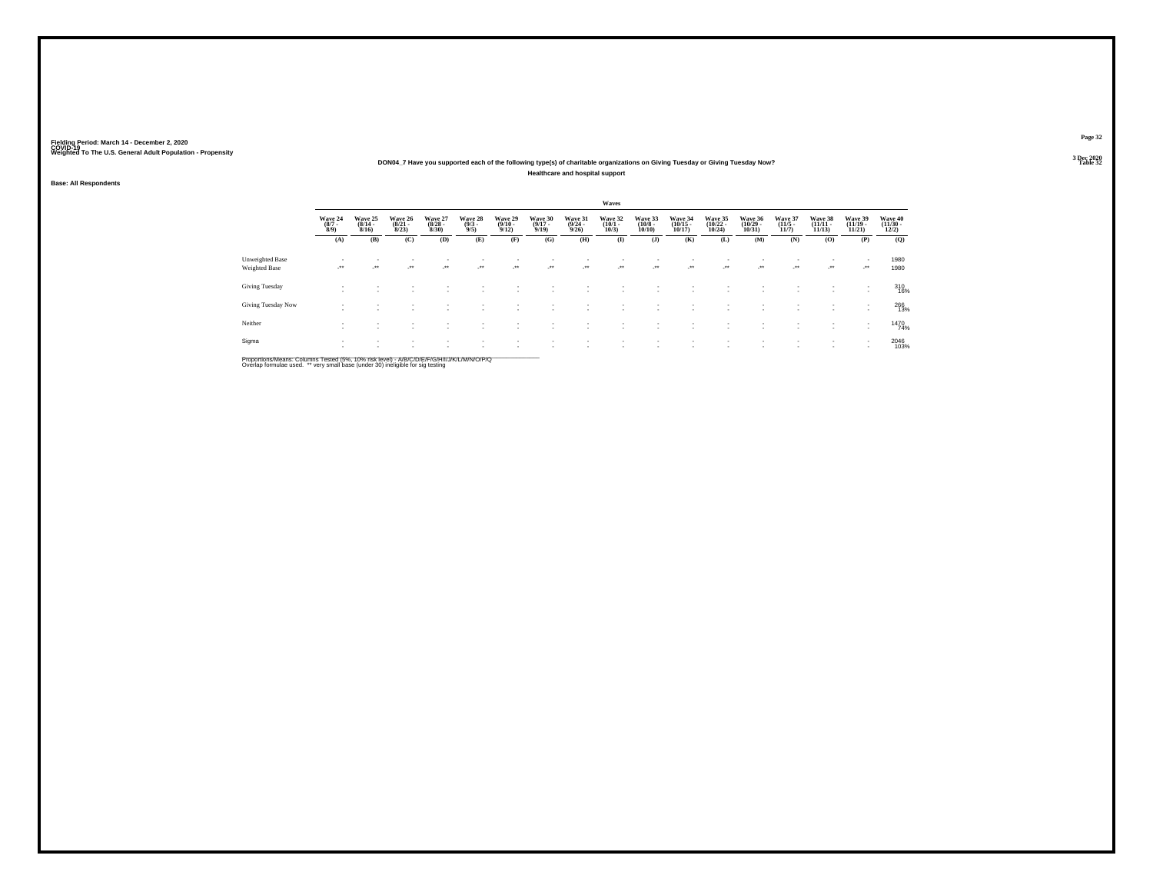#### **DON04\_7 Have you supported each of the following type(s) of charitable organizations on Giving Tuesday or Giving Tuesday Now?Healthcare and hospital support**

#### **Base: All Respondents**

|                                         |                                |                                          |                                  |                                 |                                |                                         |                                  |                                 | Waves                           |                                        |                                            |                                    |                                            |                                      |                                |                                |                                          |
|-----------------------------------------|--------------------------------|------------------------------------------|----------------------------------|---------------------------------|--------------------------------|-----------------------------------------|----------------------------------|---------------------------------|---------------------------------|----------------------------------------|--------------------------------------------|------------------------------------|--------------------------------------------|--------------------------------------|--------------------------------|--------------------------------|------------------------------------------|
|                                         | Wave 24<br>$\frac{(8/7)}{8/9}$ | Wave 25<br>$\frac{(8/14)}{8/16}$         | Wave 26<br>$\frac{(8/21)}{8/23}$ | Wave 27<br>$\binom{8/28}{8/30}$ | Wave 28<br>$\frac{(9/3)}{9/5}$ | Wave 29<br>$\frac{(9/10 - 9/12)}{9/12}$ | Wave 30<br>$\frac{(9/17)}{9/19}$ | Wave 31<br>$\binom{9/24}{9/26}$ | Wave 32<br>$\binom{10/1}{10/3}$ | Wave 33<br>$\frac{(10/8 - 10)}{10/10}$ | Wave 34<br>$\frac{(10/15 - 10/17)}{10/17}$ | Wave 35<br>$\frac{(10/22)}{10/24}$ | Wave 36<br>$\frac{(10/29 - 10/31)}{10/31}$ | Wave 37<br>$\frac{(11/5)}{11/7}$     | Wave 38<br>$(11/11 -$<br>11/13 | Wave 39<br>$(11/19 -$<br>11/21 | Wave 40<br>$\frac{(11/30 - 12/2)}{12/2}$ |
|                                         | (A)                            | (B)                                      | (C)                              | (D)                             | (E)                            | (F)                                     | (G)                              | (H)                             | $\bf(I)$                        | $($ $)$                                | (K)                                        | (L)                                | (M)                                        | (N)                                  | (O)                            | (P)                            | (Q)                                      |
| Unweighted Base<br><b>Weighted Base</b> | $\sim$                         | $\mathbf{r}$<br>$\overline{\phantom{a}}$ | ٠<br>ur.                         | $\sim$<br>$\sim$                | ٠<br>$\cdot$                   | $\rightarrow$                           |                                  | $\cdot$                         | $\cdot$                         | $\sim$                                 | $\cdot$                                    | -**                                | $\mathbf{r}$<br>$\cdot$                    | $\sim$<br>$\mathcal{L}^{\text{max}}$ | ٠<br>$\cdot$                   | $\sim$<br>$\cdot$              | 1980<br>1980                             |
| Giving Tuesday                          | $\overline{\phantom{a}}$       | $\sim$                                   | $\sim$                           | <b>1999</b>                     |                                |                                         |                                  |                                 |                                 |                                        |                                            | $\sim$                             | ٠                                          |                                      | $\sim$<br>٠                    | $\sim$<br>$\mathbf{r}$         | 310<br>16%                               |
| Giving Tuesday Now                      |                                |                                          |                                  |                                 |                                |                                         |                                  |                                 |                                 |                                        |                                            | $\overline{\phantom{a}}$           |                                            |                                      | $\sim$<br>$\sim$               | $\mathbf{r}$                   | 266<br>13%                               |
| Neither                                 | $\sim$<br>$\sim$               | $\mathbf{r}$<br>$\overline{\phantom{a}}$ | ٠<br>٠                           | $\sim$                          |                                |                                         |                                  |                                 |                                 | ٠                                      |                                            | $\overline{\phantom{a}}$           | $\mathbf{r}$                               |                                      | $\sim$<br>٠                    | $\sim$<br>$\mathbf{r}$         | 1470<br>74%                              |
| Sigma                                   | $\sim$<br>$\sim$               | $\mathbf{r}$                             | ٠                                |                                 | ٠                              |                                         |                                  |                                 |                                 |                                        |                                            | ٠                                  | ٠                                          | $\sim$                               | $\sim$                         | $\,$                           | 2046<br>103%                             |

Proportions/Means: Columns Tested (5%, 10% risk level) - A/B/C/D/E/F/G/H/I/J/K/L/M/N/O/P/Q<br>Overlap formulae used. \*\* very small base (under 30) ineligible for sig testing

**Page 32**3 Dec 2020<br>Table 32

**Table 32 Table 32**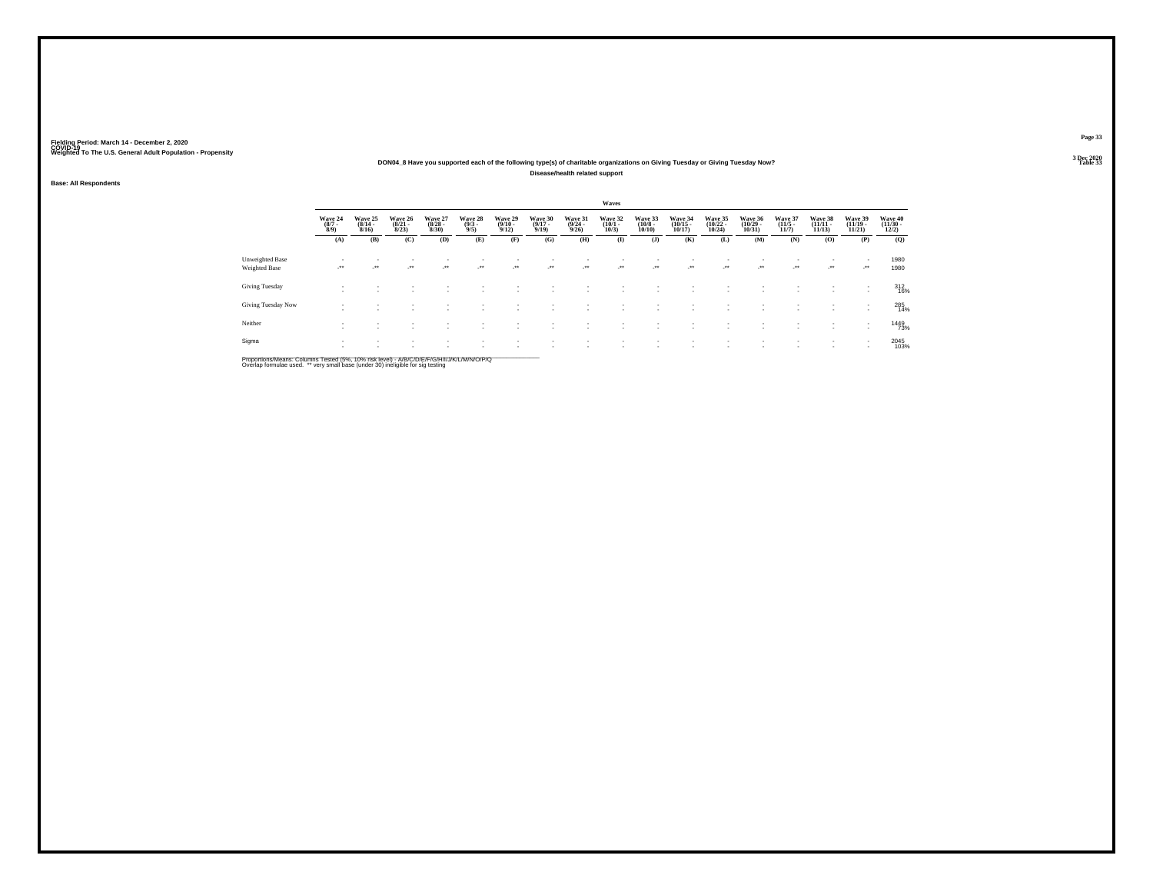#### **DON04\_8 Have you supported each of the following type(s) of charitable organizations on Giving Tuesday or Giving Tuesday Now?Disease/health related support**

**Base: All Respondents**

|                                  |                                          |                                         |                                  |                                     |                                |                                         |                             |                                  | Waves                            |                              |                               |                                    |                                            |                                  |                                    |                                   |                              |
|----------------------------------|------------------------------------------|-----------------------------------------|----------------------------------|-------------------------------------|--------------------------------|-----------------------------------------|-----------------------------|----------------------------------|----------------------------------|------------------------------|-------------------------------|------------------------------------|--------------------------------------------|----------------------------------|------------------------------------|-----------------------------------|------------------------------|
|                                  | Wave 24<br>$\frac{(8/7)}{8/9}$           | Wave 25<br>$\frac{(8/14 - 8/16)}{8/16}$ | Wave 26<br>$\frac{(8/21)}{8/23}$ | Wave 27<br>$\frac{(8/28)}{8/30}$    | Wave 28<br>$\frac{(9/3)}{9/5}$ | Wave 29<br>$\frac{(9/10 - 9/12)}{9/12}$ | Wave 30<br>(9/17 -<br>9/19) | Wave 31<br>$\frac{(9/24)}{9/26}$ | Wave 32<br>$\frac{(10/1)}{10/3}$ | Wave 33<br>(10/8 -<br>10/10) | Wave 34<br>(10/15 -<br>10/17) | Wave 35<br>$\frac{(10/22)}{10/24}$ | Wave 36<br>$\frac{(10/29 - 10/31)}{10/31}$ | Wave 37<br>$\frac{(11/5)}{11/7}$ | Wave 38<br>$\frac{(11/11)}{11/13}$ | Wave 39<br>$\binom{11/19}{11/21}$ | Wave 40<br>(11/30 -<br>12/2) |
|                                  | (A)                                      | (B)                                     | (C)                              | (D)                                 | (E)                            | (F)                                     | (G)                         | (H)                              | (I)                              | $($ $\bf{J}$ )               | (K)                           | (L)                                | (M)                                        | (N)                              | (0)                                | (P)                               | (Q)                          |
| Unweighted Base<br>Weighted Base | $\sim$<br>$\cdot$                        | $\sim$<br>$\cdot$                       | ٠<br>$\mathcal{L}^{\text{max}}$  | ٠<br>$\mathcal{L}^{\bullet\bullet}$ | $\sim$                         | $\sim$                                  | ÷.                          | ٠.<br>$\cdot$                    | $\overline{\phantom{a}}$         | $\cdot$                      | ٠<br>$\cdot$                  | $\sim$                             | $\cdot$                                    | ٠<br>$\mathcal{L}^{\text{max}}$  | $\cdot$                            | $\cdot$                           | 1980<br>1980                 |
| Giving Tuesday                   | ٠<br>$\overline{\phantom{a}}$            |                                         |                                  |                                     |                                |                                         | ٠                           |                                  |                                  |                              |                               | $\overline{\phantom{a}}$           |                                            |                                  | $\sim$                             |                                   | $\frac{312}{16\%}$           |
| Giving Tuesday Now               | ٠<br>٠                                   |                                         |                                  |                                     |                                |                                         | ٠                           |                                  |                                  |                              |                               | $\overline{\phantom{a}}$           |                                            |                                  | $\sim$                             |                                   | 285<br>14%                   |
| Neither                          | $\mathbf{r}$<br>$\overline{\phantom{a}}$ |                                         |                                  |                                     |                                |                                         | ٠                           |                                  |                                  | $\overline{\phantom{a}}$     | $\overline{\phantom{a}}$      | $\overline{\phantom{a}}$           |                                            |                                  | $\sim$<br>$\sim$                   |                                   | 1449<br>73%                  |
| Sigma                            | $\mathbf{r}$<br>$\mathbf{r}$             |                                         | ٠                                | ٠                                   |                                |                                         | ٠                           |                                  |                                  |                              | $\overline{\phantom{a}}$      | $\overline{\phantom{a}}$           |                                            | ٠                                | $\sim$                             | $\sim$                            | 2045<br>103%                 |

Proportions/Means: Columns Tested (5%, 10% risk level) - A/B/C/D/E/F/G/H/I/J/K/L/M/N/O/P/Q<br>Overlap formulae used. \*\* very small base (under 30) ineligible for sig testing

**Page 33**3 Dec 2020<br>Table 33

**Table 33 Table 33**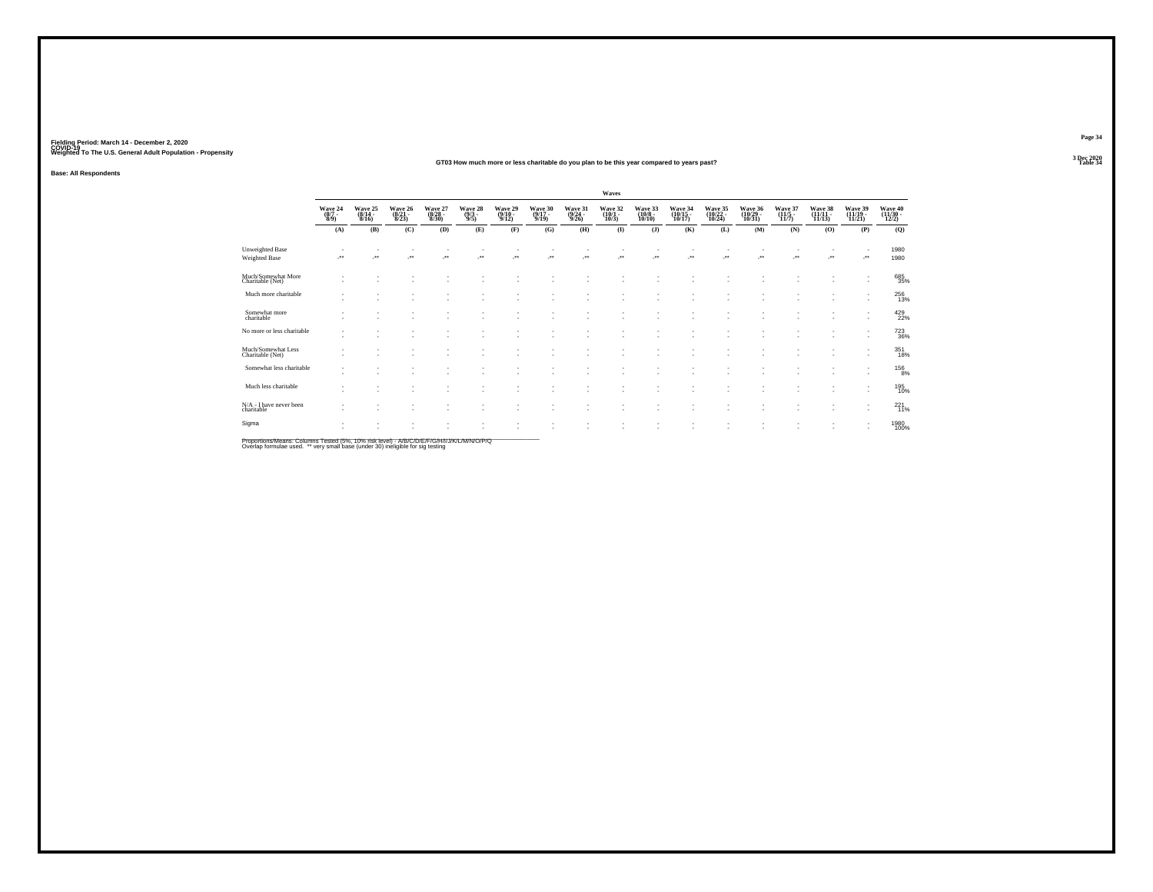#### **GT03 How much more or less charitable do you plan to be this year compared to years past?Table 34 Table 34**

**Base: All Respondents**

|                                        |                                                                |                               |                                    |                             |                                                      |                             |                                      |                                  | Waves                            |                              |                               |                                |                                                      |                           |                               |                                                      |                               |
|----------------------------------------|----------------------------------------------------------------|-------------------------------|------------------------------------|-----------------------------|------------------------------------------------------|-----------------------------|--------------------------------------|----------------------------------|----------------------------------|------------------------------|-------------------------------|--------------------------------|------------------------------------------------------|---------------------------|-------------------------------|------------------------------------------------------|-------------------------------|
|                                        | $\begin{array}{c} \text{Wave } 24 \\ (8/7 \\ 8/9) \end{array}$ | Wave 25<br>(8/14 -<br>8/16)   | Wave 26<br>$\frac{(8/21)}{8/23}$   | Wave 27<br>(8/28 -<br>8/30) | Wave 28<br>$\frac{(9/3)}{9/5}$                       | Wave 29<br>(9/10 -<br>9/12) | Wave 30<br>(9/17 -<br>9/19)          | Wave 31<br>$\frac{(9/24)}{9/26}$ | Wave 32<br>$\frac{(10/1)}{10/3}$ | Wave 33<br>(10/8 -<br>10/10) | Wave 34<br>(10/15 -<br>10/17) | Wave 35<br>(10/22 -<br>10/24)  | Wave 36<br>(10/29 -<br>10/31)                        | Wave 37<br>(11/5<br>11/7) | Wave 38<br>(11/11 -<br>11/13) | Wave 39<br>(11/19 -<br>11/21                         | Wave 40<br>(11/30 -<br>12/2)  |
|                                        | (A)                                                            | (B)                           | (C)                                | (D)                         | (E)                                                  | (F)                         | (G)                                  | (H)                              | $\bf{I}$                         | $($ $\bf{J}$ $)$             | (K)                           | (L)                            | (M)                                                  | (N)                       | (0)                           | (P)                                                  | (Q)                           |
| Unweighted Base<br>Weighted Base       |                                                                | $\overline{\phantom{a}}$      | $\sim$<br>$\overline{\phantom{a}}$ | ٠<br>J.                     | $\overline{\phantom{a}}$                             | $\sim$<br>$\cdot$           | $\overline{\phantom{a}}$<br><b>A</b> | J.                               | ٠<br>÷.                          | $\overline{\phantom{a}}$     | ٠.<br>J.                      | $\overline{\phantom{a}}$<br>J. | $\overline{\phantom{a}}$<br>J.                       | ٠<br>÷.                   | $\cdot$                       | $\cdot$                                              | 1980<br>1980                  |
| Much/Somewhat More<br>Charitable (Net) | ٠<br>$\overline{\phantom{a}}$                                  | ٠<br>$\overline{\phantom{a}}$ |                                    | ٠<br>٠                      |                                                      |                             | $\overline{\phantom{a}}$             |                                  | ٠                                |                              |                               | $\overline{\phantom{a}}$       |                                                      | ٠<br>٠                    | ٠                             | ٠.<br>$\sim$                                         | 685<br>35%                    |
| Much more charitable                   | $\sim$                                                         | ٠<br>٠                        | $\sim$                             | ٠<br>٠                      | $\sim$<br>٠                                          | $\overline{\phantom{a}}$    | $\sim$<br>$\sim$                     |                                  | ٠<br>٠                           | ٠                            |                               | ٠<br>٠                         | $\overline{\phantom{a}}$<br>٠                        | ٠<br>٠                    | ٠<br>×.                       | $\sim$<br>$\sim$                                     | 256<br>13%                    |
| Somewhat more<br>charitable            |                                                                | ÷                             | . п.                               | $\sim$<br>٠                 | ٠<br>$\sim$                                          | $\sim$                      | ٠<br>×.                              | . п.                             | ٠<br>٠                           | ×.                           | $\sim$                        | ×                              | ÷.                                                   | $\sim$<br>×               | a.                            | $\overline{\phantom{a}}$<br>$\mathbf{r}$             | 429<br>22%                    |
| No more or less charitable             | ٠<br>٠                                                         | ٠<br>$\overline{\phantom{a}}$ | ×.                                 | $\sim$<br>٠                 | $\overline{\phantom{a}}$<br>$\mathbf{r}$             | $\sim$<br>$\mathbf{r}$      | $\sim$<br>$\overline{\phantom{a}}$   | $\sim$                           | ٠<br>٠                           | $\sim$                       | $\overline{\phantom{a}}$      | ٠<br>×                         | $\overline{\phantom{a}}$<br>×                        | ٠<br>×.                   | ٠<br>$\sim$                   | $\overline{\phantom{a}}$<br>$\mathbf{r}$             | <sup>723</sup> <sub>36%</sub> |
| Much/Somewhat Less<br>Charitable (Net) |                                                                | ٠                             | ×.                                 | ٠                           | ×.                                                   | $\sim$                      | ٠                                    |                                  | ٠                                | ٠                            |                               | ٠                              | $\overline{\phantom{a}}$                             | ٠<br>٠                    | ×.                            | $\overline{\phantom{a}}$                             | 351<br>18%                    |
| Somewhat less charitable               | ٠                                                              | ٠<br>٠                        |                                    | ٠<br>٠                      | ٠<br>×.                                              | $\mathbf{r}$                | ٠<br>٠                               |                                  | ٠<br>٠                           | ٠<br>٠                       |                               | ٠<br>×                         | ٠<br>и.                                              | ٠<br>٠                    | ٠<br>a.                       | ٠<br>٠                                               | <sup>156</sup> 8%             |
| Much less charitable                   | $\sim$                                                         | ٠                             | ×.                                 | $\sim$<br>٠                 | $\overline{\phantom{a}}$<br>. .                      | ٠<br>$\sim$                 | $\sim$<br>٠                          |                                  | ٠<br>$\sim$                      | ۰.                           | $\sim$                        | ٠<br>×                         | $\overline{\phantom{a}}$                             | ٠<br>٠                    | ×.                            | ٠<br>٠                                               | 195<br>10%                    |
| N/A - I have never been<br>charitable  | $\overline{\phantom{a}}$                                       | $\overline{\phantom{a}}$      | $\sim$                             | $\sim$<br>٠                 | $\overline{\phantom{a}}$<br>$\overline{\phantom{a}}$ | $\sim$<br>$\sim$            | $\sim$<br>$\overline{\phantom{a}}$   | $\sim$                           | ٠<br>٠                           | $\overline{\phantom{a}}$     | $\overline{\phantom{a}}$      | ٠<br>$\overline{\phantom{a}}$  | $\overline{\phantom{a}}$<br>$\overline{\phantom{a}}$ | ٠<br>٠                    | ٠<br>×.                       | $\overline{\phantom{a}}$<br>$\overline{\phantom{a}}$ | 221 <sub>1%</sub>             |
| Sigma                                  | ٠<br>$\overline{\phantom{a}}$                                  |                               |                                    | ٠                           |                                                      |                             |                                      |                                  |                                  |                              |                               |                                |                                                      | ٠                         |                               | ٠.<br>$\overline{\phantom{a}}$                       | 1980<br>100%                  |

Proportions/Means: Columns Tested (5%, 10% risk level) - A/B/C/D/E/F/G/H/I/J/K/L/M/N/O/P/Q<br>Overlap formulae used. \*\* very small base (under 30) ineligible for sig testing

**Page 34**3 Dec 2020<br>Table 34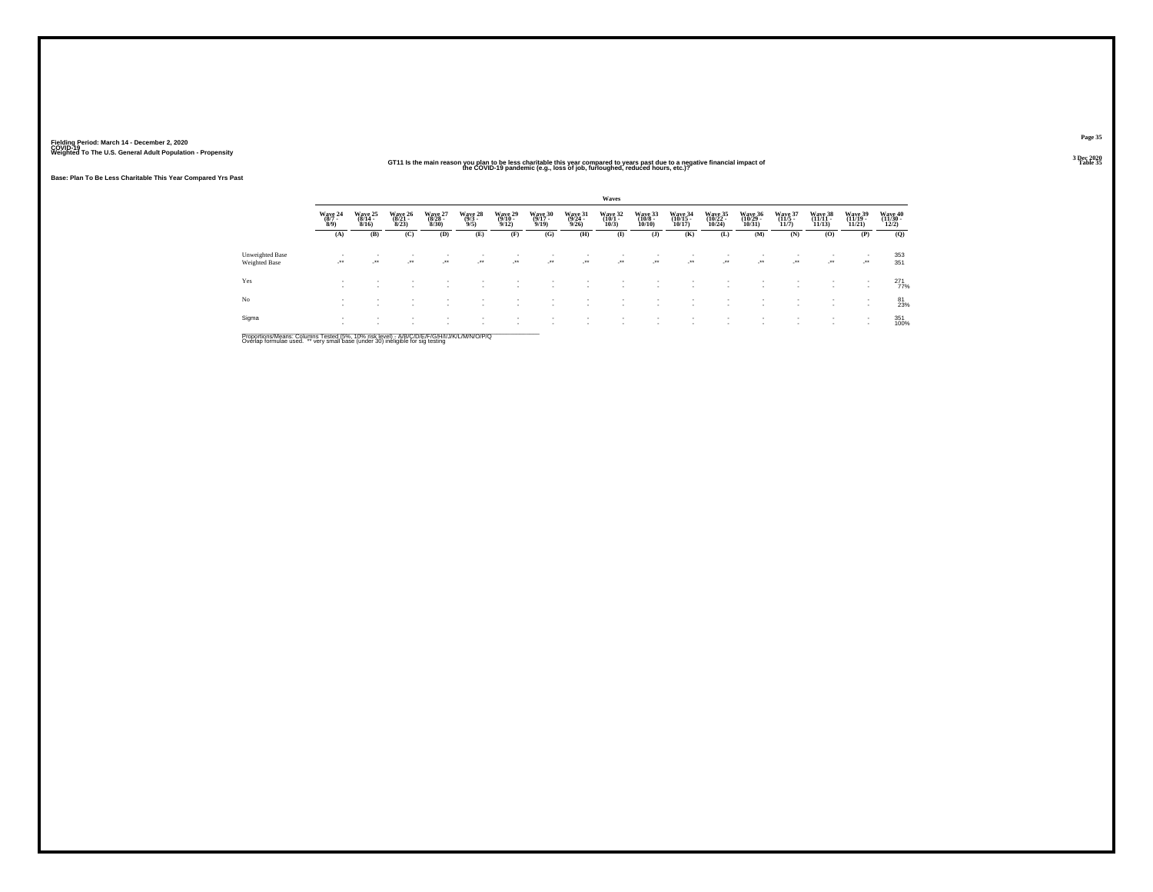#### GT11 Is the main reason you plan to be less charitable this year compared to years past due to a negative financial impact of<br>This year of the COVID-19 pandemic (e.g., loss of job, furloughed, reduced hours, etc.)?

**Base: Plan To Be Less Charitable This Year Compared Yrs Past**

|                                  |                           |                                                      |                                  |                             |                                                      |                 |                              |                 | Waves           |                  |                  |                            |                                     |                 |                  |                              |                              |
|----------------------------------|---------------------------|------------------------------------------------------|----------------------------------|-----------------------------|------------------------------------------------------|-----------------|------------------------------|-----------------|-----------------|------------------|------------------|----------------------------|-------------------------------------|-----------------|------------------|------------------------------|------------------------------|
|                                  | Wave 24<br>(8/7 -<br>8/9) | Wave 25<br>$(8/14 -$<br>8/16                         | Wave 26<br>$\frac{(8/21)}{8/23}$ | Wave 27<br>(8/28 -<br>8/30) | Wave 28<br>(9/3 -<br>9/5)                            | Wave 29<br>9/12 | Wave 30<br>$(9/17 -$<br>9/19 | Wave 31<br>9/26 | Wave 32<br>10/3 | Wave 33<br>10/10 | Wave 34<br>10/17 | Wave 35<br>(10/22<br>10/24 | Wave 36<br>(10/29 -<br>10/31        | Wave 37<br>11/7 | Wave 38<br>11/13 | Wave 39<br>(11/19 -<br>11/21 | Wave 40<br>(11/30 -<br>12/2) |
|                                  | (A)                       | (B)                                                  | (C)                              | (D)                         | (E)                                                  | (F)             | (G)                          | (H)             | $\mathbf{I}$    | (J)              | (K)              | (L)                        | (M)                                 | (N)             | $\bf{(0)}$       | (P)                          | (Q)                          |
| Unweighted Base<br>Weighted Base | $\cdot$                   | $\overline{\phantom{a}}$<br>$\cdot$                  | ٠<br>$\cdot$                     | $\bullet\bullet$            | ur e                                                 | ٠<br>$\cdot$    | $\cdot$                      | $\cdot$         | $\cdot$         | $\cdot$          | $\cdot$          | $\cdot$                    | $\overline{\phantom{a}}$<br>$\cdot$ | $\cdot$         | $\cdot$          | $\cdot$                      | 353<br>351                   |
| Yes                              |                           | $\overline{\phantom{a}}$<br>$\overline{\phantom{a}}$ | ٠                                |                             |                                                      |                 |                              |                 |                 |                  |                  |                            | $\overline{\phantom{a}}$            |                 |                  | $\sim$                       | $^{271}_{77\%}$              |
| No                               |                           | $\overline{\phantom{a}}$<br>$\overline{\phantom{a}}$ |                                  |                             | $\overline{\phantom{a}}$<br>$\overline{\phantom{a}}$ | ٠<br>٠          |                              |                 |                 |                  | ٠<br>- 11        | $\overline{\phantom{a}}$   | $\overline{\phantom{a}}$            |                 |                  | $\sim$<br>$\sim$             | 81<br>23%                    |
| Sigma                            |                           |                                                      | ٠<br>٠                           |                             |                                                      | ٠               |                              |                 |                 |                  |                  |                            | $\overline{\phantom{a}}$            |                 |                  | $\sim$                       | 351<br>100%                  |

Proportions/Means: Columns Tested (5%, 10% risk level) - A/B/C/D/E/F/G/H/I/J/K/L/M/N/O/P/Q<br>Overlap formulae used. \*\* very small base (under 30) ineligible for sig testing

**Page 35**3 Dec 2020<br>Table 35

**Table 35** Table 35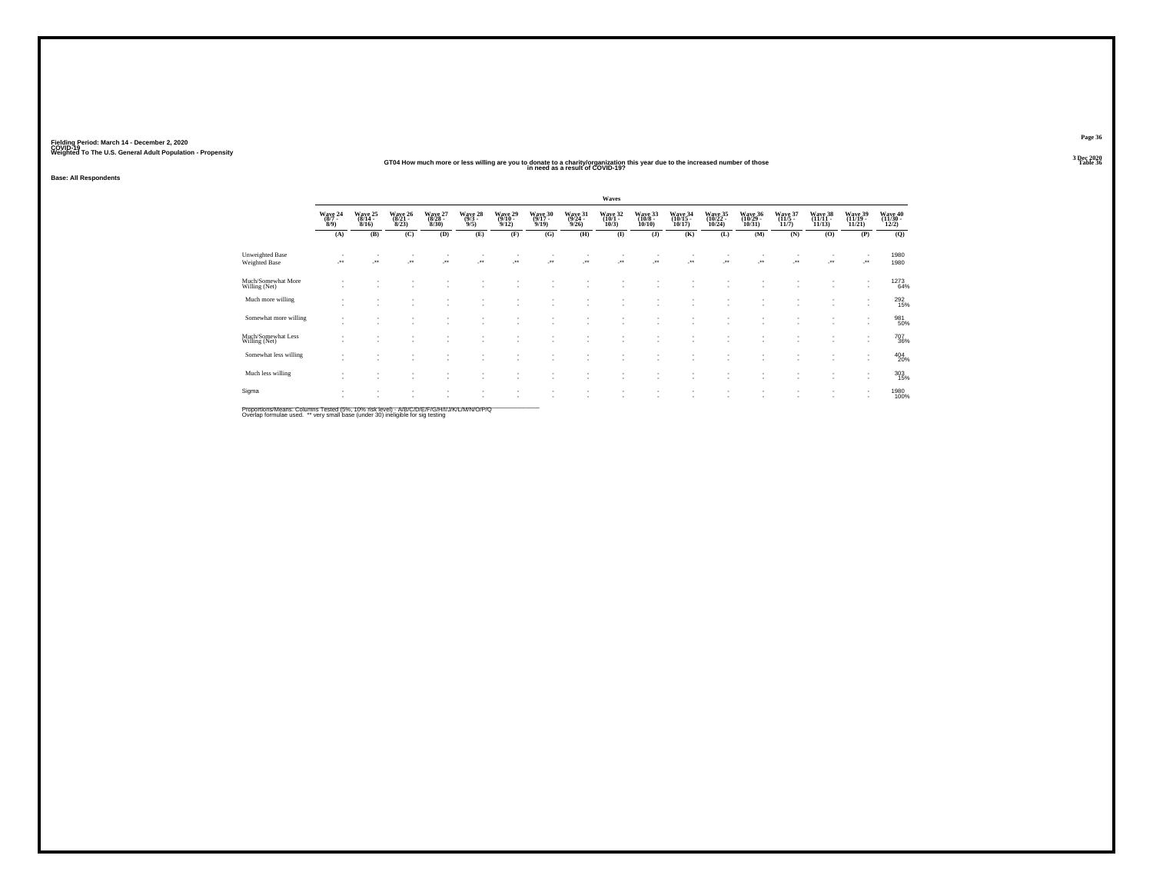#### **GT04 How much more or less willing are you to donate to a charity/organization this year due to the increased number of those Table 36 in need as a result of COVID-19?**

**Base: All Respondents**

|                                                |                               |                              |                              |                            |                            |                                         |                                |                             | Waves                      |                                |                                                      |                               |                              |                           |                            |                                                      |                              |
|------------------------------------------------|-------------------------------|------------------------------|------------------------------|----------------------------|----------------------------|-----------------------------------------|--------------------------------|-----------------------------|----------------------------|--------------------------------|------------------------------------------------------|-------------------------------|------------------------------|---------------------------|----------------------------|------------------------------------------------------|------------------------------|
|                                                | Wave 24<br>$(8/7 -$<br>8/9    | Wave 25<br>$(8/14 -$<br>8/16 | Wave 26<br>$(8/21 -$<br>8/23 | Wave 27<br>(8/28 -<br>8/30 | Wave 28<br>$(9/3 -$<br>9/5 | Wave 29<br>$\frac{(9/10 - 9/12)}{9/12}$ | Wave 30<br>$(9/17 -$<br>9/19   | Wave 31<br>(9/24 -<br>9/26) | Wave 32<br>(10/1 -<br>10/3 | Wave 33<br>(10/8 -<br>10/10)   | Wave 34<br>10/17                                     | Wave 35<br>(10/22<br>10/24    | Wave 36<br>(10/29<br>10/31   | Wave 37<br>(11/5<br>11/7) | Wave 38<br>(11/11<br>11/13 | Wave 39<br>(11/19 -<br>11/21                         | Wave 40<br>(11/30 -<br>12/2) |
|                                                | (A)                           | (B)                          | (C)                          | (D)                        | (E)                        | (F)                                     | (G)                            | (H)                         | $\bf(I)$                   | $($ $\bf{J}$ $)$               | (K)                                                  | (L)                           | (M)                          | (N)                       | (O)                        | (P)                                                  | (Q)                          |
| <b>Unweighted Base</b><br><b>Weighted Base</b> |                               | $\overline{\phantom{a}}$     | $\cdot$                      | $\cdot$                    | ur e                       | $\mathcal{C}^{\bullet}$                 | $\mathcal{L}^{\bullet\bullet}$ | -**                         | $\cdot$                    | $\mathcal{L}^{\bullet\bullet}$ | $\mathcal{L}^{\text{max}}$                           | J.                            | $\overline{\phantom{a}}$<br> | <b>A</b>                  | J.                         | ٠<br>                                                | 1980<br>1980                 |
| Much/Somewhat More<br>Willing (Net)            | ٠                             |                              |                              |                            |                            |                                         |                                |                             |                            |                                | $\overline{\phantom{a}}$                             |                               |                              |                           | $\sim$                     | ٠<br>$\overline{\phantom{a}}$                        | 1273<br>64%                  |
| Much more willing                              | ٠<br>$\sim$                   | $\overline{\phantom{a}}$     |                              | ٠                          | ٠<br>٠                     |                                         |                                | ٠                           | ٠<br>٠                     | $\sim$                         | $\overline{\phantom{a}}$<br>$\overline{\phantom{a}}$ | $\overline{\phantom{a}}$<br>٠ | $\mathbf{r}$<br>۰            | ٠                         | ٠                          | $\overline{\phantom{a}}$<br>$\overline{\phantom{a}}$ | 292<br>15%                   |
| Somewhat more willing                          | $\sim$                        |                              |                              |                            |                            |                                         |                                |                             | ٠                          |                                | $\overline{\phantom{a}}$                             |                               |                              |                           |                            | ٠<br>$\overline{\phantom{a}}$                        | 981<br>50%                   |
| Much/Somewhat Less<br>Willing (Net)            | $\sim$                        |                              |                              |                            |                            |                                         |                                | ٠                           | ٠<br>٠                     |                                | $\overline{\phantom{a}}$<br>$\sim$                   | ×<br>$\sim$                   | ۰<br>۰                       |                           | ٠                          | $\overline{\phantom{a}}$<br>$\sim$                   | 707<br>36%                   |
| Somewhat less willing                          | ٠<br>$\overline{\phantom{a}}$ | ٠                            |                              | ٠                          | ٠                          |                                         |                                |                             | ٠<br>٠                     | $\overline{\phantom{a}}$       | $\overline{\phantom{a}}$<br>٠                        | ٠<br>٠                        | ٠<br>۰                       |                           | ٠                          | ٠<br>$\overline{\phantom{a}}$                        | 404<br>20%                   |
| Much less willing                              | $\sim$                        |                              |                              |                            |                            |                                         |                                |                             |                            |                                | $\overline{\phantom{a}}$                             | ٠                             | $\sim$                       |                           | ٠                          | $\overline{\phantom{a}}$<br>$\overline{\phantom{a}}$ | 303<br>15%                   |
| Sigma                                          | ٠                             |                              |                              |                            |                            |                                         |                                |                             | ٠<br>$\sim$                | $\sim$                         | $\overline{\phantom{a}}$<br>٠                        | ٠<br>٠                        | $\sim$<br>۰                  |                           | ٠<br>٠                     | $\overline{\phantom{a}}$<br>$\sim$                   | 1980<br>100%                 |

Proportions/Means: Columns Tested (5%, 10% risk level) - A/B/C/D/E/F/G/H/I/J/K/L/M/N/O/P/Q<br>Overlap formulae used. \*\* very small base (under 30) ineligible for sig testing

**Page 363 Dec 2020<br>Table 36**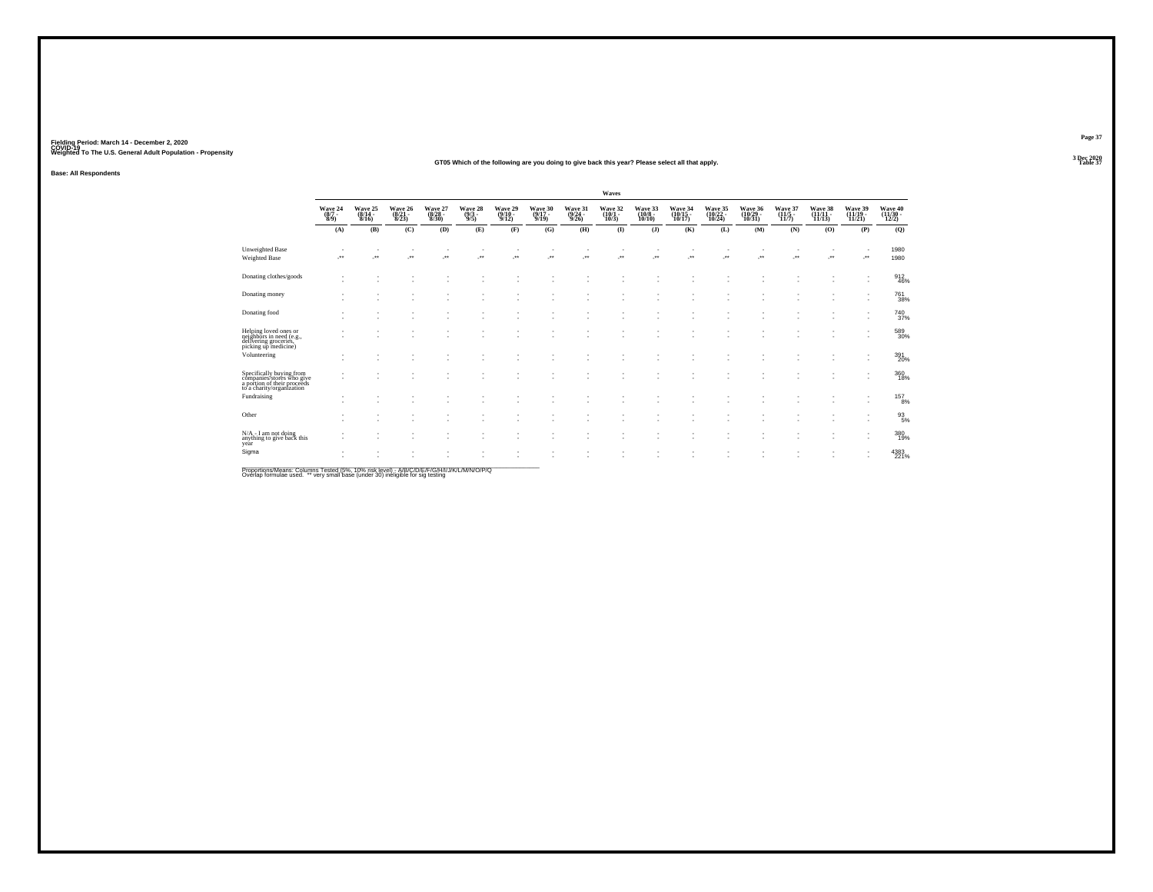#### **GT05 Which of the following are you doing to give back this year? Please select all that apply.Table 37 Table 37**

**Base: All Respondents**

|                                                                                                                   |                                |                               |                                    |                             |                                                  |                                       |                                  |                                  | Waves                       |                          |                                |                                                      |                               |                                    |                                |                               |                                          |
|-------------------------------------------------------------------------------------------------------------------|--------------------------------|-------------------------------|------------------------------------|-----------------------------|--------------------------------------------------|---------------------------------------|----------------------------------|----------------------------------|-----------------------------|--------------------------|--------------------------------|------------------------------------------------------|-------------------------------|------------------------------------|--------------------------------|-------------------------------|------------------------------------------|
|                                                                                                                   | Wave 24<br>$\frac{(8/7)}{8/9}$ | Wave 25<br>(8/14 -<br>8/16)   | Wave 26<br>(8/21 -<br>8/23)        | Wave 27<br>(8/28 -<br>8/30) | Wave 28<br>$\frac{(9/3)}{9/5}$                   | Wave 29<br>$\frac{(9/10-9/12)}{9/12}$ | Wave 30<br>$\frac{(9/17)}{9/19}$ | Wave 31<br>$\frac{(9/24)}{9/26}$ | Wave 32<br>(10/1 -<br>10/3) | Wave 33<br>$10/10$ )     | Wave 34<br>(10/15 -<br>10/17)  | Wave 35<br>(10/22 -<br>10/24)                        | Wave 36<br>(10/29 -<br>10/31) | Wave 37<br>(11/5 -<br>11/7)        | Wave 38<br>$(11/11 -$<br>11/13 | Wave 39<br>(11/19 -<br>11/21) | Wave 40<br>$\frac{(11/30 - 12/2)}{12/2}$ |
|                                                                                                                   | (A)                            | (B)                           | (C)                                | (D)                         | (E)                                              | (F)                                   | (G)                              | (H)                              | $\bf{I}$                    | $($ $)$                  | (K)                            | (L)                                                  | (M)                           | (N)                                | (O)                            | (P)                           | (Q)                                      |
| <b>Unweighted Base</b><br>Weighted Base                                                                           |                                | $\overline{\phantom{a}}$      | $\sim$<br>$\overline{\phantom{a}}$ | $\cdot$                     | $\overline{\phantom{a}}$<br>$\ddot{\phantom{1}}$ | J.                                    | ٠<br>÷.                          | $\overline{\phantom{a}}$         | ٠<br>÷.                     | $\cdot$                  | $\overline{\phantom{a}}$<br>J. | $\overline{\phantom{a}}$<br>$\overline{\phantom{a}}$ | ٠<br>Jes                      | $\sim$<br>$\overline{\phantom{a}}$ | $\cdot$                        |                               | 1980<br>1980                             |
| Donating clothes/goods                                                                                            |                                | $\sim$                        |                                    |                             |                                                  |                                       |                                  |                                  |                             |                          | ٠                              |                                                      |                               |                                    |                                | ٠                             | $\frac{912}{46\%}$                       |
| Donating money                                                                                                    |                                | ٠<br>$\overline{\phantom{a}}$ | ×.                                 | $\sim$                      | ٠<br>$\overline{\phantom{a}}$                    | $\overline{\phantom{a}}$              | ٠<br>٠                           |                                  | ٠<br>٠                      | $\overline{\phantom{a}}$ | $\overline{\phantom{a}}$<br>٠  | $\sim$<br>$\overline{\phantom{a}}$                   |                               |                                    | ٠                              | $\overline{\phantom{a}}$      | 761<br>38%                               |
| Donating food                                                                                                     |                                | ٠<br>٠                        | $\sim$<br>×.                       |                             | ٠                                                |                                       | $\sim$                           |                                  | ٠.                          |                          | ٠<br>٠                         | ٠<br>×.                                              |                               |                                    |                                | ٠<br>٠                        | 740<br>37%                               |
| Helping loved ones or<br>neighbors in need (e.g.,<br>delivering groceries,<br>picking up medicine)                |                                | ٠                             | ×.                                 |                             | ٠                                                | ٠                                     | ٠<br>٠                           |                                  | ٠<br>٠                      | $\overline{\phantom{a}}$ | ٠<br>٠                         | ×.                                                   |                               |                                    |                                | ٠                             | 589<br>30%                               |
| Volunteering                                                                                                      |                                | $\sim$                        |                                    |                             |                                                  |                                       |                                  |                                  |                             |                          |                                |                                                      |                               |                                    |                                | ٠                             | 391<br>20%                               |
| Specifically buying from<br>companies/stores who give<br>a portion of their proceeds<br>to a charity/organization |                                |                               |                                    |                             |                                                  |                                       |                                  |                                  | ٠                           |                          | ٠                              |                                                      |                               |                                    |                                | ٠                             | 360<br>18%                               |
| Fundraising                                                                                                       |                                | $\sim$                        |                                    |                             |                                                  |                                       |                                  |                                  |                             |                          |                                |                                                      |                               |                                    |                                | ٠<br>٠                        | $^{157}_{8\%}$                           |
| Other                                                                                                             | $\overline{\phantom{a}}$       | ٠<br>٠                        | ٠                                  |                             |                                                  |                                       |                                  |                                  |                             |                          | ٠<br>٠                         | ٠                                                    |                               |                                    |                                | ٠<br>٠                        | $^{93}_{5\%}$                            |
| N/A - I am not doing<br>$\frac{1}{2}$ and not doing<br>anything to give back this<br>year                         |                                | ٠<br>$\sim$                   |                                    |                             |                                                  |                                       | ٠<br>٠                           |                                  | ٠                           |                          | $\overline{\phantom{a}}$<br>٠  | ٠                                                    |                               |                                    |                                | ٠<br>٠                        | 380<br>19%                               |
| Sigma                                                                                                             |                                | ٠<br>$\sim$                   |                                    |                             |                                                  |                                       |                                  |                                  |                             |                          | ٠<br>٠                         |                                                      |                               |                                    |                                |                               | 4383<br>221%                             |

Proportions/Means: Columns Tested (5%, 10% risk level) - *NB/C/D/E/F/G/H/IJJ/K/L/M/N/O/P/Q*<br>Overlap formulae used. \*\* very small base (under 30) ineligible for sig testing

**Page 37**3 Dec 2020<br>Table 37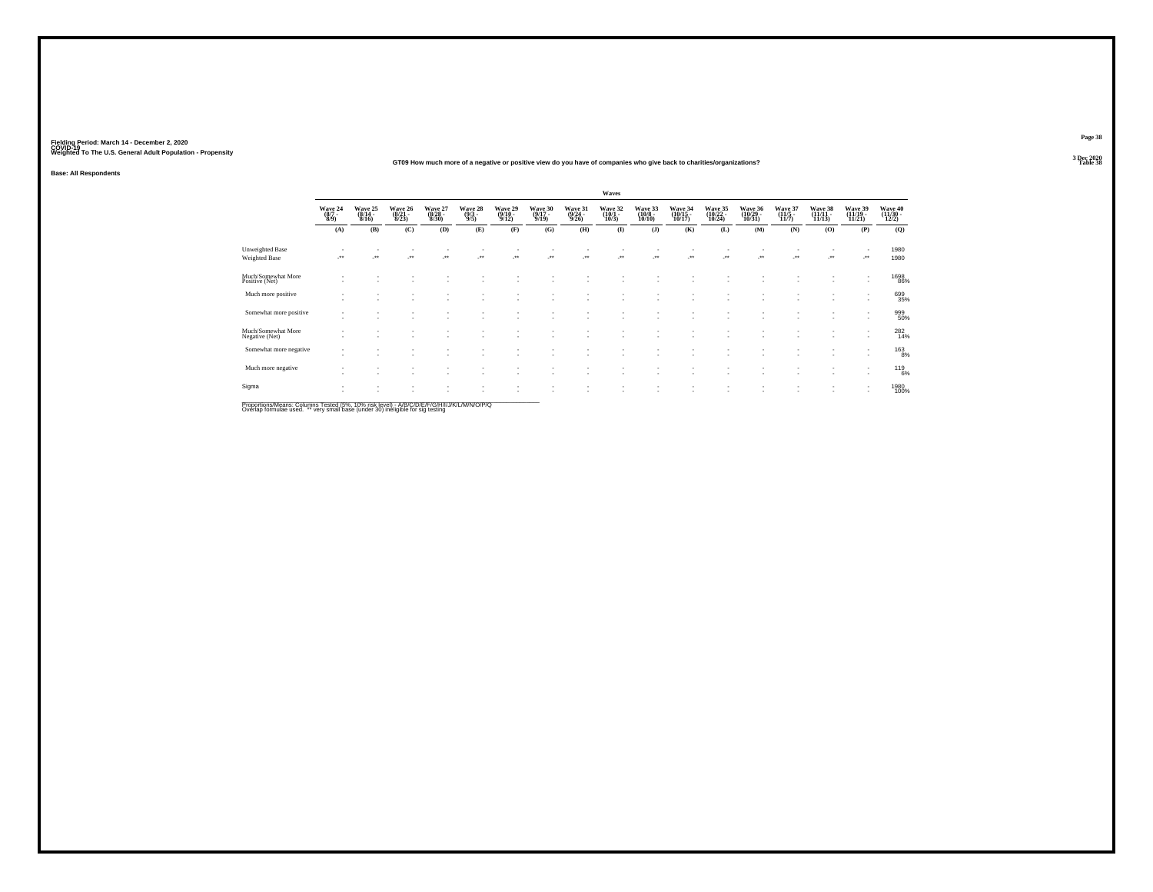#### **GT09 How much more of a negative or positive view do you have of companies who give back to charities/organizations?**

**Base: All Respondents**

|                                      |                                    |                                  |                                |                             |                                |                                       |                             |                                  | Waves                       |                              |                               |                                                      |                               |                             |                               |                                    |                            |
|--------------------------------------|------------------------------------|----------------------------------|--------------------------------|-----------------------------|--------------------------------|---------------------------------------|-----------------------------|----------------------------------|-----------------------------|------------------------------|-------------------------------|------------------------------------------------------|-------------------------------|-----------------------------|-------------------------------|------------------------------------|----------------------------|
|                                      | Wave 24<br>(8/7 -<br>8/9)          | Wave 25<br>$\frac{(8/14)}{8/16}$ | Wave 26<br>(8/21 -<br>8/23)    | Wave 27<br>(8/28 -<br>8/30) | Wave 28<br>$\frac{(9/3)}{9/5}$ | Wave 29<br>$\frac{(9/10-9/12)}{9/12}$ | Wave 30<br>(9/17 -<br>9/19) | Wave 31<br>$\frac{(9/24)}{9/26}$ | Wave 32<br>(10/1 -<br>10/3) | Wave 33<br>(10/8 -<br>10/10) | Wave 34<br>(10/15 -<br>10/17) | Wave 35<br>(10/22 -<br>10/24)                        | Wave 36<br>(10/29 -<br>10/31) | Wave 37<br>(11/5 -<br>11/7) | Wave 38<br>(11/11 -<br>11/13) | Wave 39<br>(11/19 -<br>11/21)      | Wave 40<br>(11/30<br>12/2) |
|                                      | (A)                                | (B)                              | (C)                            | (D)                         | (E)                            | (F)                                   | (G)                         | (H)                              | $\bf(I)$                    | $($ $)$                      | (K)                           | (L)                                                  | (M)                           | (N)                         | (0)                           | (P)                                | (Q)                        |
| Unweighted Base<br>Weighted Base     |                                    | $\overline{\phantom{a}}$         | $\sim$<br>$\ddot{\phantom{1}}$ | $\cdot$                     | $\overline{\phantom{a}}$       | $\mathcal{C}^{\bullet}$               | J.                          |                                  | J.                          | J.                           | $\cdot$                       | $\cdot$                                              | J.                            | ÷.                          | $\cdot$                       | ٠<br>J.                            | 1980<br>1980               |
| Much/Somewhat More<br>Positive (Net) | $\overline{\phantom{a}}$           |                                  |                                |                             |                                |                                       |                             |                                  |                             |                              |                               |                                                      |                               |                             | <b>1999</b>                   | ٠<br>٠                             | 1698<br>86%                |
| Much more positive                   | $\sim$<br>$\overline{\phantom{a}}$ | $\overline{\phantom{a}}$         | $\sim$                         | ٠                           | ٠                              |                                       |                             |                                  |                             | ٠                            | $\overline{\phantom{a}}$      | $\overline{\phantom{a}}$<br>$\overline{\phantom{a}}$ | ٠<br>٠                        | ٠<br>٠                      |                               | ٠<br>$\overline{\phantom{a}}$      | 699<br>35%                 |
| Somewhat more positive               | ٠<br>$\sim$                        |                                  |                                |                             |                                |                                       | ٠                           |                                  |                             | $\overline{\phantom{a}}$     | -                             | $\overline{\phantom{a}}$                             | ٠                             | ٠<br>٠                      | $\sim$                        | ٠<br>$\sim$                        | 999<br>50%                 |
| Much/Somewhat More<br>Negative (Net) | ٠<br>٠                             |                                  |                                | $\sim$                      | ٠                              |                                       |                             |                                  |                             | $\overline{\phantom{a}}$     |                               | $\overline{\phantom{a}}$                             | ٠<br>٠                        | ٠<br>٠                      | $\sim$                        | ٠<br>٠                             | 282<br>14%                 |
| Somewhat more negative               | ٠<br>$\overline{\phantom{a}}$      |                                  |                                |                             |                                |                                       |                             |                                  |                             | ٠                            |                               |                                                      | ٠                             | ٠                           |                               | ٠<br>$\sim$                        | 163<br>8%                  |
| Much more negative                   | ٠<br>٠                             | $\sim$                           | $\sim$                         | $\sim$                      | ٠                              |                                       | ٠                           | ٠                                |                             | ۰.                           | $\sim$                        | $\overline{\phantom{a}}$                             | ٠                             | ٠                           | <b>A</b>                      | ٠<br>$\sim$                        | 119 <sub>6%</sub>          |
| Sigma                                | $\sim$<br>٠                        | $\overline{\phantom{a}}$         | ٠                              | $\sim$                      |                                |                                       | ٠                           |                                  |                             | ٠                            |                               | $\overline{\phantom{a}}$                             | $\overline{\phantom{a}}$      | ٠                           | $\sim$                        | $\sim$<br>$\overline{\phantom{a}}$ | 1980<br>100%               |

Proportions/Means: Columns Tested (5%, 10% risk level) - A/B/C/D/E/F/G/H/I/J/K/L/M/N/O/P/Q<br>Overlap formulae used. \*\* very small base (under 30) ineligible for sig testing

**Page 38**3 Dec 2020<br>Table 38

**Table 38 Table 38**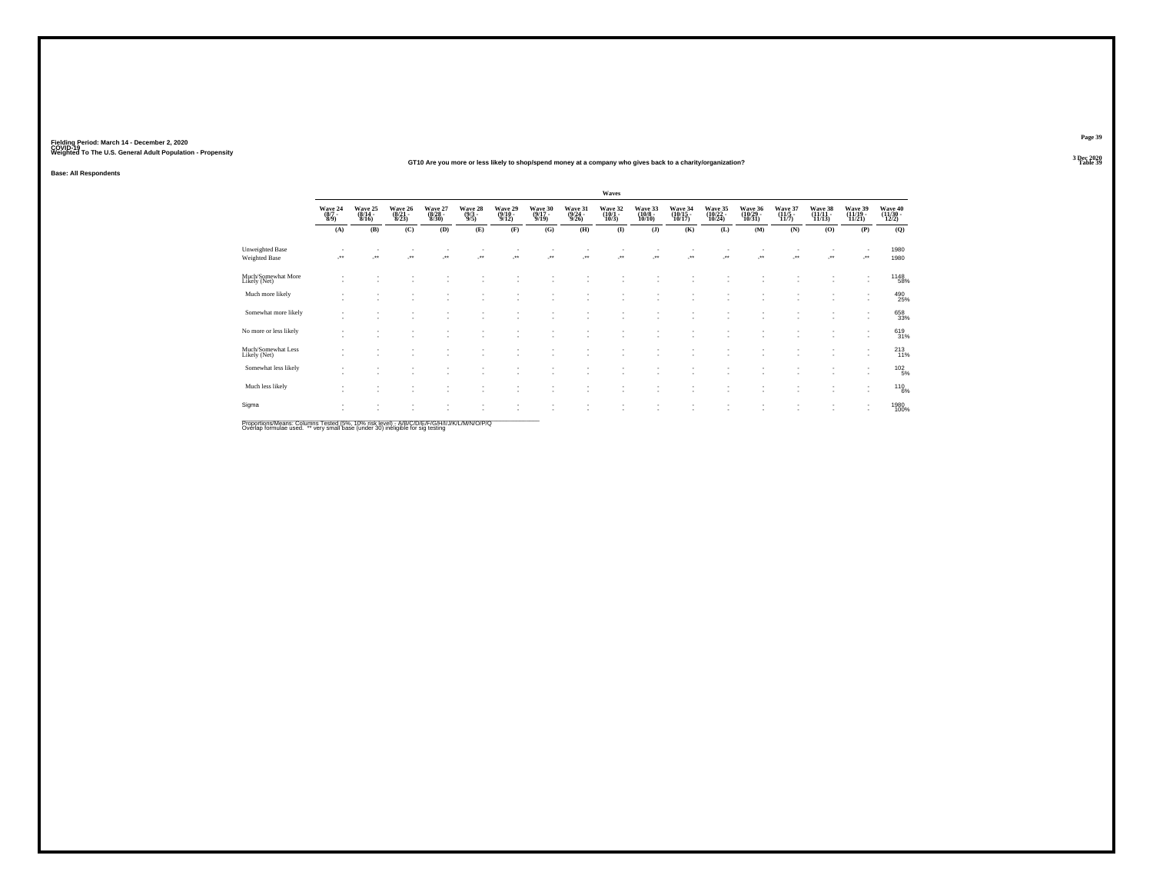#### **GT10 Are you more or less likely to shop/spend money at a company who gives back to a charity/organization?**

**Base: All Respondents**

|                                    |                                    |                             |                                  |                             |                                |                             |                             |                                  | Waves                                 |                                        |                               |                               |                                |                           |                               |                                                      |                              |
|------------------------------------|------------------------------------|-----------------------------|----------------------------------|-----------------------------|--------------------------------|-----------------------------|-----------------------------|----------------------------------|---------------------------------------|----------------------------------------|-------------------------------|-------------------------------|--------------------------------|---------------------------|-------------------------------|------------------------------------------------------|------------------------------|
|                                    | Wave 24<br>(8/7 -<br>8/9)          | Wave 25<br>(8/14 -<br>8/16) | Wave 26<br>$\frac{(8/21)}{8/23}$ | Wave 27<br>(8/28 -<br>8/30) | Wave 28<br>$\frac{(9/3)}{9/5}$ | Wave 29<br>(9/10 -<br>9/12) | Wave 30<br>(9/17 -<br>9/19) | Wave 31<br>$\frac{(9/24)}{9/26}$ | Wave 32<br>$\frac{(10/1 - 10)}{10/3}$ | Wave 33<br>$\frac{(10/8 - 10)}{10/10}$ | Wave 34<br>(10/15 -<br>10/17) | Wave 35<br>(10/22 -<br>10/24) | Wave 36<br>(10/29 -<br>10/31)  | Wave 37<br>(11/5<br>11/7) | Wave 38<br>(11/11 -<br>11/13) | Wave 39<br>(11/19 -<br>11/21)                        | Wave 40<br>(11/30 -<br>12/2) |
|                                    | (A)                                | (B)                         | (C)                              | (D)                         | (E)                            | (F)                         | (G)                         | (H)                              | $\bf(I)$                              | (J)                                    | (K)                           | (L)                           | (M)                            | (N)                       | (0)                           | (P)                                                  | (Q)                          |
| Unweighted Base<br>Weighted Base   | -**                                | $\overline{\phantom{a}}$    | $\mathcal{F}^{\bullet}$          | $\ddot{\phantom{1}}$        | $\bullet\,\bullet$             | $\bullet\bullet$            | $\overline{\phantom{a}}$    | $\overline{\phantom{a}}$         | ÷.                                    | $\cdot$                                | $\cdot$                       | J.                            | J.                             | ÷.                        | $\cdot$                       | ٠<br>$\cdot$                                         | 1980<br>1980                 |
| Much/Somewhat More<br>Likely (Net) | ٠                                  |                             |                                  |                             |                                |                             |                             |                                  |                                       |                                        |                               |                               |                                | ٠                         |                               | $\overline{\phantom{a}}$<br>$\overline{\phantom{a}}$ | 1148<br>58%                  |
| Much more likely                   | $\sim$                             | ٠                           | . п.                             | ٠<br>٠                      |                                |                             |                             |                                  |                                       |                                        |                               |                               |                                | ٠                         | ٠                             | ٠<br>$\overline{\phantom{a}}$                        | 490<br>25%                   |
| Somewhat more likely               | $\sim$                             | ٠<br>٠                      | . п.                             | ٠<br>٠                      |                                |                             | $\overline{\phantom{a}}$    |                                  |                                       |                                        |                               | ×                             | $\overline{\phantom{a}}$<br>и. | ٠<br>٠                    | ٠                             | ٠<br>$\overline{\phantom{a}}$                        | 658<br>33%                   |
| No more or less likely             | $\sim$                             | ٠<br>٠                      |                                  | ٠<br>٠                      |                                |                             |                             |                                  |                                       |                                        |                               | $\overline{\phantom{a}}$      | ٠<br>٠                         | $\sim$<br>٠               | ٠                             | ٠<br>$\overline{\phantom{a}}$                        | 619<br>31%                   |
| Much/Somewhat Less<br>Likely (Net) |                                    | $\overline{\phantom{a}}$    | <b>1999</b>                      | ٠                           | ٠                              |                             |                             |                                  |                                       |                                        |                               | $\overline{\phantom{a}}$      | $\sim$                         | ٠                         | ۰.                            | ٠<br>$\overline{\phantom{a}}$                        | 213<br>11%                   |
| Somewhat less likely               | $\sim$<br>$\overline{\phantom{a}}$ | ٠                           | <b>1999</b>                      | ٠                           |                                |                             |                             |                                  |                                       |                                        |                               |                               |                                | ٠                         |                               | ٠<br>$\sim$                                          | 102/5%                       |
| Much less likely                   | $\sim$                             |                             |                                  |                             |                                |                             |                             |                                  |                                       |                                        |                               |                               |                                |                           | ٠                             | $\sim$<br>$\overline{\phantom{a}}$                   | $^{110}_{6\%}$               |
| Sigma                              | $\mathbf{r}$<br>٠                  | ٠                           | $\sim$                           | ٠<br>٠                      |                                |                             |                             |                                  |                                       |                                        |                               |                               |                                | ٠<br>٠                    | $\sim$                        | ٠<br>$\overline{\phantom{a}}$                        | 1980<br>100%                 |

Proportions/Means: Columns Tested (5%, 10% risk level) - *NB/C/D/E/F/G/H/IJJ/K/L/M/N/O/P/Q*<br>Overlap formulae used. \*\* very small base (under 30) ineligible for sig testing

**Page 39**3 Dec 2020<br>Table 39

**Table 39 Table 39**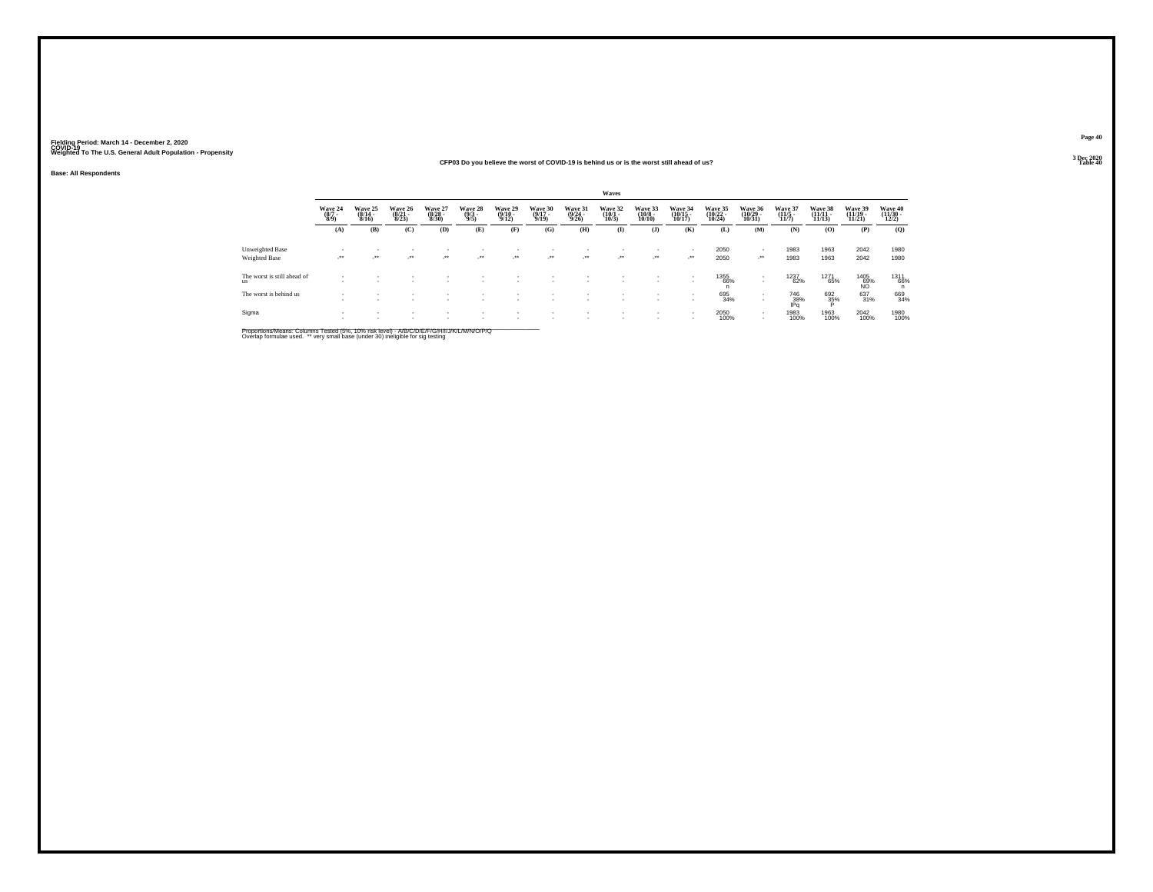#### **CFP03 Do you believe the worst of COVID-19 is behind us or is the worst still ahead of us?Table 40 Table 40**

**Base: All Respondents**

|                                          |                           |                                  |                             |                             |                         |                                  |                             |                             | Waves                           |                                        |                                  |                               |                                                        |                             |                               |                               |                              |
|------------------------------------------|---------------------------|----------------------------------|-----------------------------|-----------------------------|-------------------------|----------------------------------|-----------------------------|-----------------------------|---------------------------------|----------------------------------------|----------------------------------|-------------------------------|--------------------------------------------------------|-----------------------------|-------------------------------|-------------------------------|------------------------------|
|                                          | Wave 24<br>(8/7 -<br>8/9) | Wave 25<br>$\frac{(8/14)}{8/16}$ | Wave 26<br>(8/21 -<br>8/23) | Wave 27<br>(8/28 -<br>8/30) | Wave 28<br>(9/3<br>9/5) | Wave 29<br>$\frac{(9/10)}{9/12}$ | Wave 30<br>(9/17 -<br>9/19) | Wave 31<br>(9/24 -<br>9/26) | Wave 32<br>$\binom{10/1}{10/3}$ | Wave 33<br>$\frac{(10/8 - 10)}{10/10}$ | Wave 34<br>(10/15 -<br>10/17)    | Wave 35<br>(10/22 -<br>10/24) | Wave 36<br>(10/29 -<br>10/31)                          | Wave 37<br>(11/5 -<br>11/7) | Wave 38<br>(11/11 -<br>11/13) | Wave 39<br>(11/19 -<br>11/21) | Wave 40<br>(11/30 -<br>12/2) |
|                                          | (A)                       | (B)                              | (C)                         | (D)                         | (E)                     | (F)                              | (G)                         | (H)                         | $($ $\Gamma$                    | $($ $\bf{J}$ $)$                       | (K)                              | (L)                           | (M)                                                    | (N)                         | (0)                           | (P)                           | (Q)                          |
| Unweighted Base<br>Weighted Base         | $\cdot$                   | $\mathcal{L}^{\text{max}}$       | ur.                         | $\cdot$                     | $\cdot$                 | $\sim$                           |                             | $\cdot$                     | $\sim$                          | $\mathcal{L}^{\bullet\bullet}$         | $\overline{\phantom{a}}$<br>-**  | 2050<br>2050                  | $\overline{\phantom{a}}$<br>$\mathcal{L}^{\text{max}}$ | 1983<br>1983                | 1963<br>1963                  | 2042<br>2042                  | 1980<br>1980                 |
| The worst is still ahead of<br><b>us</b> | $\overline{\phantom{a}}$  |                                  |                             |                             |                         |                                  |                             |                             |                                 |                                        | $\,$<br>$\overline{\phantom{a}}$ | 1355<br>66%<br>'n             | $\sim$<br>$\sim$                                       | 1237<br>62%                 | 1271<br>65%                   | $^{1405}_{69\%}$              | $^{1311}_{66\%}$             |
| The worst is behind us                   | ٠<br>٠                    | $\overline{\phantom{a}}$         |                             |                             | ٠                       |                                  |                             |                             |                                 |                                        | $\,$<br>$\overline{\phantom{a}}$ | 695<br>34%                    | $\overline{\phantom{a}}$                               | 746<br>38%<br>IPq           | 692<br>35%                    | 637<br>31%                    | 669<br>34%                   |
| Sigma                                    | $\overline{\phantom{a}}$  |                                  |                             |                             |                         |                                  |                             |                             |                                 |                                        | $\,$<br>٠                        | 2050<br>100%                  | $\sim$<br>$\mathbf{r}$                                 | 1983<br>100%                | 1963<br>100%                  | 2042<br>100%                  | 1980<br>100%                 |

Proportions/Means: Columns Tested (5%, 10% risk level) - *NB/C/D/E/F/G/H/IJJ/K/L/M/N/O/P/Q*<br>Overlap formulae used. \*\* very small base (under 30) ineligible for sig testing

**Page 40**3 Dec 2020<br>Table 40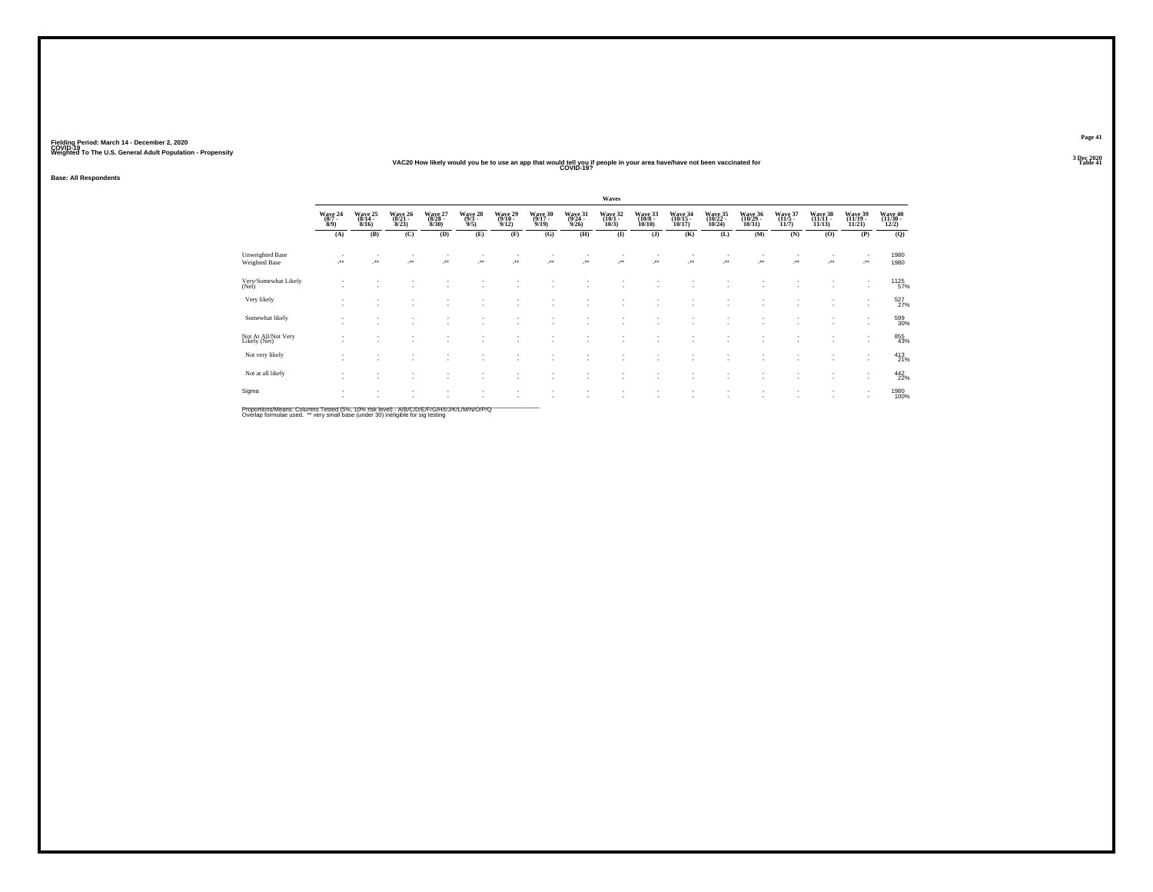#### **VAC20 How likely would you be to use an app that would tell you if people in your area have/have not been vaccinated for COVID-19?**

**Base: All Respondents**

|                                         |                                |                 |                              |                                |                                    |                                                      |                            |                            | Waves                          |                                   |                              |                                  |                              |                         |                              |                                                      |                              |
|-----------------------------------------|--------------------------------|-----------------|------------------------------|--------------------------------|------------------------------------|------------------------------------------------------|----------------------------|----------------------------|--------------------------------|-----------------------------------|------------------------------|----------------------------------|------------------------------|-------------------------|------------------------------|------------------------------------------------------|------------------------------|
|                                         | Wave 24<br>$\frac{(8/7)}{8/9}$ | Wave 25<br>8/16 | Wave 26<br>$(8/21 -$<br>8/23 | Wave 27<br>(8/28 -<br>$8/30$ ) | Wave 28<br>$\frac{(9/3 - 9)}{9/5}$ | Wave 29<br>9/12                                      | Wave 30<br>(9/17 -<br>9/19 | Wave 31<br>(9/24 -<br>9/26 | Wave 32<br>(10/1 -<br>$10/3$ ) | Wave 33<br>$(10/8 -$<br>$10/10$ ) | Wave 34<br>(10/15 -<br>10/17 | Wave 35<br>(10/22 -<br>$10/24$ ) | Wave 36<br>(10/29 -<br>10/31 | Wave 37<br>11/7         | Wave 38<br>(11/11 -<br>11/13 | Wave 39<br>(11/19 -<br>11/21                         | Wave 40<br>(11/30 -<br>12/2) |
|                                         | (A)                            | (B)             | (C)                          | (D)                            | (E)                                | (F)                                                  | (G)                        | (H)                        | $\mathbf{I}$                   | (J)                               | (K)                          | (L)                              | (M)                          | (N)                     | (O)                          | (P)                                                  | (Q)                          |
| <b>Unweighted Base</b><br>Weighted Base | $\mathcal{L}^{\text{max}}$     |                 | ÷.                           | ٠.                             |                                    | $\rightarrow$                                        | -**                        | J.                         | $\cdot$                        | $\cdot$                           | $\cdot$                      | $\cdot$                          | $\cdot$                      | $\mathcal{C}^{\bullet}$ | J.                           | $\cdot$                                              | 1980<br>1980                 |
| Very/Somewhat Likely<br>(Net)           |                                |                 |                              |                                | ٠                                  |                                                      | ٠                          |                            |                                | ٠                                 |                              |                                  |                              |                         | ٠                            | $\overline{\phantom{a}}$<br>$\sim$                   | 1125<br>57%                  |
| Very likely                             |                                |                 |                              |                                | ٠<br>٠                             | $\overline{\phantom{a}}$<br>$\overline{\phantom{a}}$ | $\sim$<br>٠                | ٠<br><b>A</b>              |                                | ٠<br>٠                            |                              |                                  |                              |                         | ٠.<br>۰.                     | $\mathbf{r}$                                         | $^{527}_{27\%}$              |
| Somewhat likely                         |                                |                 |                              |                                | ۰.                                 | $\overline{\phantom{a}}$                             | ٠                          |                            |                                | ٠                                 |                              |                                  |                              |                         | ۰.                           | $\overline{\phantom{a}}$<br>$\overline{\phantom{a}}$ | 599<br>30%                   |
| Not At All/Not Very<br>Likely (Net)     |                                |                 |                              | ٠                              | ٠<br>٠                             | $\overline{\phantom{a}}$                             | $\sim$<br>٠                | . п.                       | $\sim$                         | ٠<br>$\overline{\phantom{a}}$     | $\overline{\phantom{a}}$     | ٠                                |                              |                         | ٠                            | $\overline{\phantom{a}}$<br>$\sim$                   | 855<br>43%                   |
| Not very likely                         |                                | ٠               |                              |                                | $\overline{\phantom{a}}$<br>۰.     | $\overline{\phantom{a}}$<br>$\overline{\phantom{a}}$ | ٠<br>٠                     | $\sim$                     |                                | ٠<br>٠                            |                              |                                  |                              |                         | ۰.                           | $\sim$<br>$\sim$                                     | $^{413}_{21\%}$              |
| Not at all likely                       |                                |                 |                              |                                |                                    |                                                      | ٠                          |                            |                                |                                   |                              |                                  |                              |                         |                              | ٠<br>$\sim$                                          | 442<br>22%                   |
| Sigma                                   |                                |                 |                              |                                | ٠<br>$\overline{\phantom{a}}$      | $\overline{\phantom{a}}$                             | ٠<br>$\sim$                | $\sim$                     |                                | ٠                                 | $\overline{\phantom{a}}$     |                                  |                              |                         | ٠                            | $\overline{\phantom{a}}$<br>$\mathbf{r}$             | 1980<br>100%                 |

Proportions/Means: Columns Tested (5%, 10% risk level) - A/B/C/D/E/F/G/H/I/J/K/L/M/N/O/P/Q<br>Overlap formulae used. \*\* very small base (under 30) ineligible for sig testing

**Page 413 Dec 2020<br>Table 41** 

**Table 41 Table 41**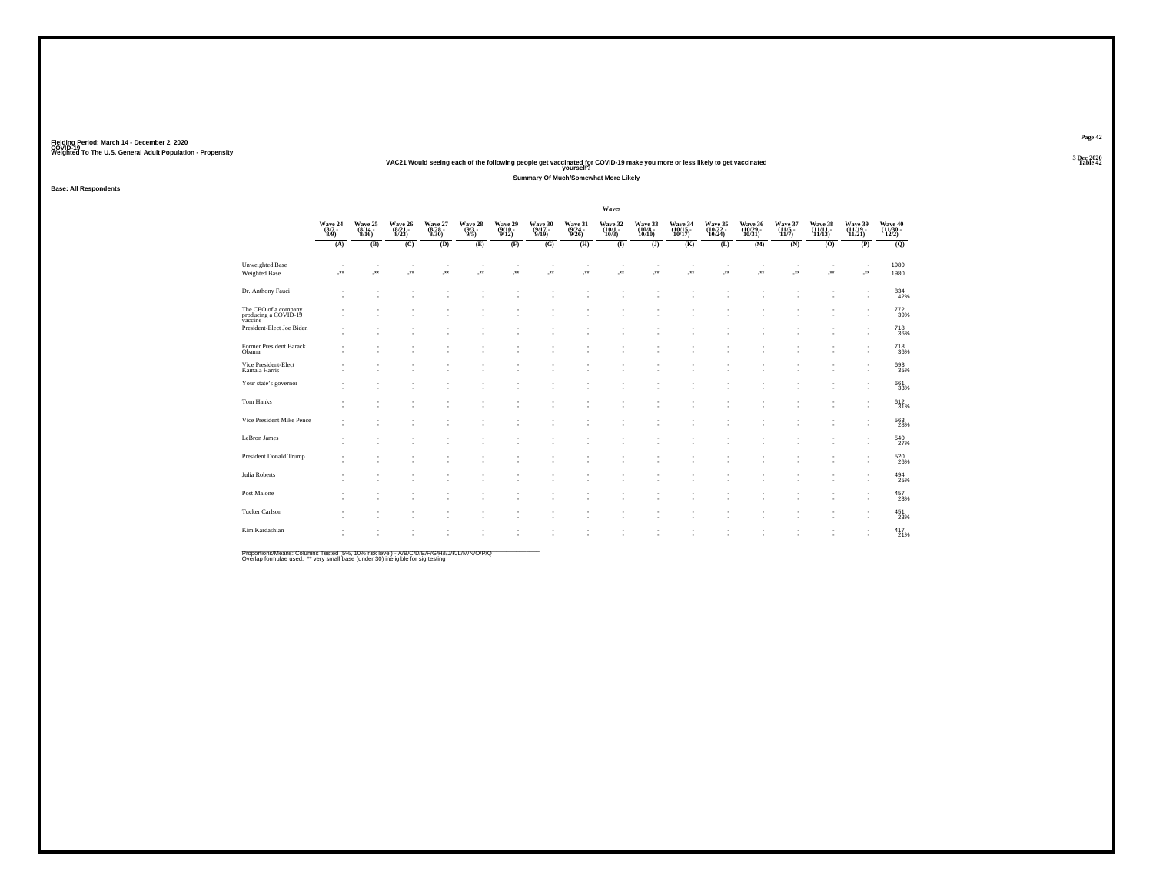|                                                         |                                                                |                                |                             |                             |                           |                             |                             |                             | Waves                           |                              |                               |                               |                               |                                        |                               |                              |                               |
|---------------------------------------------------------|----------------------------------------------------------------|--------------------------------|-----------------------------|-----------------------------|---------------------------|-----------------------------|-----------------------------|-----------------------------|---------------------------------|------------------------------|-------------------------------|-------------------------------|-------------------------------|----------------------------------------|-------------------------------|------------------------------|-------------------------------|
|                                                         | $\begin{array}{c} \text{Wave } 24 \\ (8/7 \\ 8/9) \end{array}$ | Wave 25<br>(8/14 -<br>8/16)    | Wave 26<br>(8/21 -<br>8/23) | Wave 27<br>(8/28 -<br>8/30) | Wave 28<br>(9/3 -<br>9/5) | Wave 29<br>(9/10 -<br>9/12) | Wave 30<br>(9/17 -<br>9/19) | Wave 31<br>(9/24 -<br>9/26) | Wave 32<br>$(10/1 -$<br>$10/3)$ | Wave 33<br>(10/8 -<br>10/10) | Wave 34<br>(10/15 -<br>10/17) | Wave 35<br>(10/22 -<br>10/24) | Wave 36<br>(10/29 -<br>10/31) | Wave 37<br>$\frac{(11/5 - 1)}{(11/7)}$ | Wave 38<br>(11/11 -<br>11/13) | Wave 39<br>(11/19 -<br>11/21 | Wave 40<br>(11/30 -<br>12/2)  |
|                                                         | (A)                                                            | (B)                            | (C)                         | (D)                         | (E)                       | (F)                         | (G)                         | (H)                         | $\mathbf{I}$                    | $($ $)$                      | (K)                           | (L)                           | (M)                           | (N)                                    | (0)                           | (P)                          | (Q)                           |
| <b>Unweighted Base</b><br><b>Weighted Base</b>          | ٠<br>$\cdot$                                                   | $\overline{\phantom{a}}$<br>J. | $\sim$<br>×                 | $\sim$<br>$\cdot$           | ×                         | $\cdot$                     | ×                           | J.                          | ÷.                              | ٠<br>$\cdot$                 | J.                            | ٠<br>J.                       | $\overline{\phantom{a}}$<br>× | ٠<br>$\cdot$                           | $\sim$<br>$\cdot$             | ٠<br>$\cdot$                 | 1980<br>1980                  |
| Dr. Anthony Fauci                                       |                                                                |                                |                             |                             | ٠<br>٠                    |                             |                             |                             |                                 |                              |                               | ٠<br>٠                        |                               |                                        |                               | ٠<br>٠                       | $\substack{834 \\ 42\%}$      |
| The CEO of a company<br>producing a COVID-19<br>vaccine |                                                                |                                |                             |                             |                           |                             |                             |                             |                                 |                              |                               |                               |                               |                                        |                               |                              | 772<br>39%                    |
| President-Elect Joe Biden                               |                                                                |                                |                             |                             | ä,                        |                             |                             |                             |                                 |                              |                               | ٠                             |                               |                                        |                               |                              | <sup>718</sup> <sub>36%</sub> |
| Former President Barack<br>Obama                        |                                                                |                                |                             |                             |                           |                             |                             |                             |                                 |                              |                               |                               |                               |                                        |                               |                              | <sup>718</sup> <sub>36%</sub> |
| Vice President-Elect<br>Kamala Harris                   |                                                                |                                |                             |                             |                           |                             |                             |                             |                                 |                              |                               |                               |                               |                                        |                               | ٠                            | 693<br>35%                    |
| Your state's governor                                   |                                                                |                                |                             |                             |                           |                             |                             |                             |                                 |                              |                               | ×                             |                               |                                        |                               | ٠                            | 66133%                        |
| Tom Hanks                                               |                                                                |                                |                             |                             |                           |                             |                             |                             |                                 |                              |                               |                               |                               |                                        |                               |                              | 612<br>31%                    |
| Vice President Mike Pence                               |                                                                |                                |                             |                             |                           |                             |                             |                             |                                 |                              |                               |                               |                               |                                        |                               | ٠                            | 563<br>28%                    |
| LeBron James                                            |                                                                |                                |                             |                             |                           |                             |                             |                             |                                 |                              |                               |                               |                               |                                        |                               |                              | 540<br>27%                    |
| President Donald Trump                                  |                                                                |                                |                             |                             |                           |                             |                             |                             |                                 |                              |                               |                               |                               |                                        |                               |                              | 520<br>26%                    |
| Julia Roberts                                           |                                                                |                                |                             |                             |                           |                             |                             |                             |                                 |                              |                               |                               |                               |                                        |                               |                              | $^{494}_{25\%}$               |
| Post Malone                                             |                                                                |                                |                             |                             |                           |                             |                             |                             |                                 |                              |                               |                               |                               |                                        |                               | ٠<br>٠                       | $^{457}_{23\%}$               |
| <b>Tucker Carlson</b>                                   |                                                                |                                |                             |                             |                           |                             |                             |                             |                                 |                              |                               |                               |                               |                                        |                               |                              | $^{451}_{23\%}$               |
| Kim Kardashian                                          |                                                                |                                |                             |                             |                           |                             |                             |                             |                                 |                              |                               |                               |                               |                                        |                               |                              | $^{417}_{21\%}$               |

Proportions/Means: Columns Tested (5%, 10% risk level) - *NB/C/D/E/F/G/H/IJJ/K/L/M/N/O/P/Q*<br>Overlap formulae used. \*\* very small base (under 30) ineligible for sig testing

**Fielding Period: March 14 - December 2, 2020 COVID-19 Weighted To The U.S. General Adult Population - Propensity 3 Dec 2020**

**Base: All Respondents**

**Page 42**

**3 Dec 2020<br>Table 42** 

#### **VAC21 Would seeing each of the following people get vaccinated for COVID-19 make you more or less likely to get vaccinated Table 42 yourself?**

**Summary Of Much/Somewhat More Likely**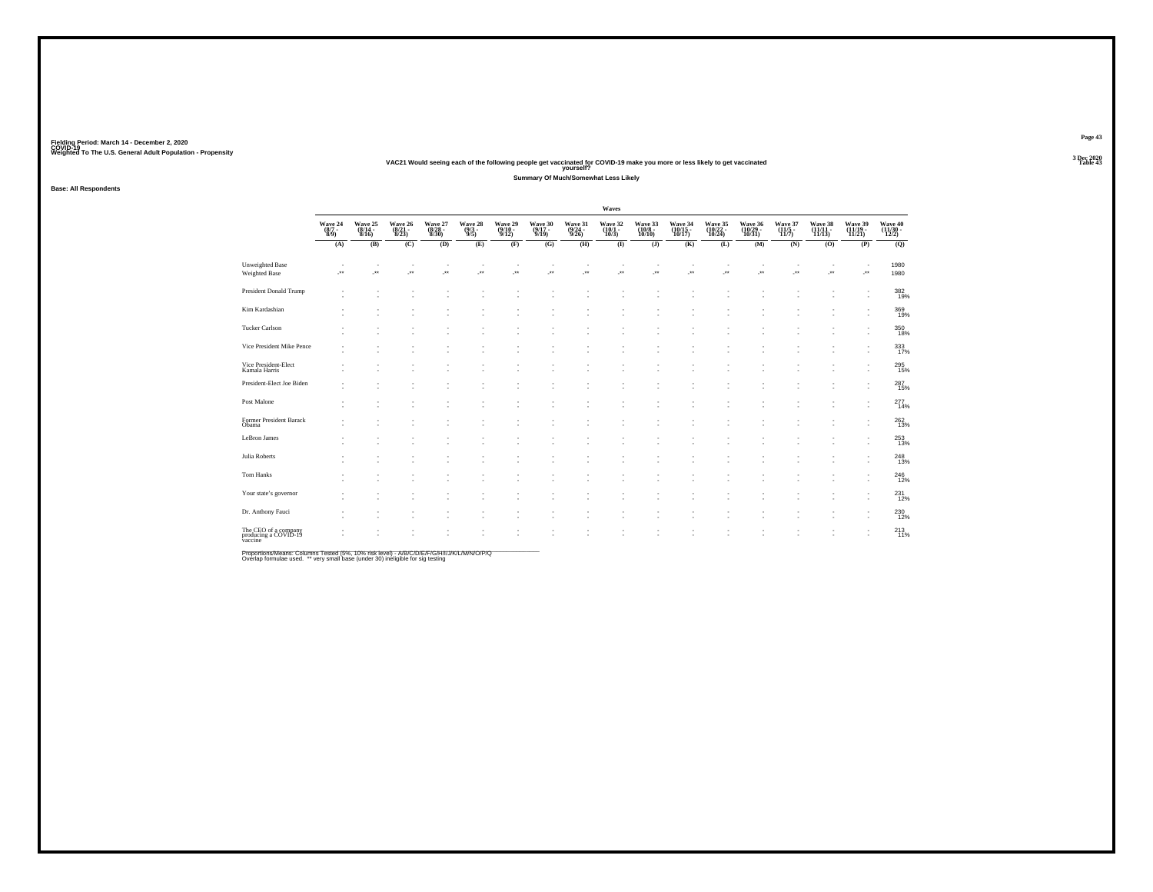Fielding Period: March 14 - December 2, 2020<br>Fielding Period: March 14 - December 2, 2020<br>Wolchind To The U.S. General Adulf Ponulation - Propensity Weighted To The U.S. General Adult Population - Propensity<br>VAC21 Would seeing each of the following people get vaccinated for COVID-19 make you more or less likely to get vaccinated<br>Table 43

**Base: All Respondents**

**Waves**Wave 24 Wave 25 Wave 26 Wave 27 Wave 29 Wave 30 Wave 31 Wave 32 Wave 33 Wave 34 Wave 35 Wave 36 Wave 37 Wave 39 Wave 40<br>(877 - (814 - 8821 - 8223 - 893 - 9910 - 9924 - 1001 - 1008 - (10013 - 10022 - 110129 - 11111) - (1111 Wave 40<br>(11/30 -<br>12/2)  $\overline{Q}$ **(A) (B) (C) (D) (E) (F) (G) (H) (I) (J) (K) (L) (M) (N) (O) (P) (Q)** Unweighted Basee a strait state of the state of the state of the state of the state of the state of the state of the state of 1980 Weighted Base -\*\* -\*\* -\*\* -\*\* -\*\* -\*\* -\*\* -\*\* -\*\* -\*\* -\*\* -\*\* -\*\* -\*\* -\*\* -\*\* <sup>1980</sup> - - - - - - - - - - - - - - - 382 $\frac{382}{19\%}$ - - - - - - - - - - - - - - - - 19% President Donald Trump - - - - - - - - - - - - - - - 369369<br>19% - - - - - - - - - - - - - - - - 19%Kim Kardashian - - - - - - - - - - - - - - - 350- - - - - - - - - - - - - - - - 18%Tucker Carlson - - - - - - - - - - - - - - - 333- - - - - - - - - - - - - - - - 17%Vice President Mike Pence - - - - - - - - - - - - - - - 295- - - - - - - - - - - - - - - - 15%Vice President-Elect Kamala Harris - - - - - - - - - - - - - - - 287- - - - - - - - - - - - - - - - 15%President-Elect Joe Biden - - - - - - - - - - - - - - - 277- - - - - - - - - - - - - - - - 14%Post Malone - - - - - - - - - - - - - - - 262 $^{262}_{13\%}$ - - - - - - - - - - - - - - - - 13%Former President Barack Obama - - - - - - - - - - - - - - - 253- - - - - - - - - - - - - - - - 13%LeBron James - - - - - - - - - - - - - - - 248- - - - - - - - - - - - - - - - 13%Julia Roberts - - - - - - - - - - - - - - - 246- - - - - - - - - - - - - - - - 12%Tom Hanks- - - - - - - - - - - - - - - - 231- - - - - - - - - - - - - - - - 12% Your state's governor - - - - - - - - - - - - - - - - 230230<br>12% - - - - - - - - - - - - - - - - 12%Dr. Anthony Fauci<br>Dr. Anthony Fauci<br>
Pr. Anthony Fauci - - - - - - - - - - - - - - - - 213 $^{213}_{11\%}$ - - - - - - - - - - - - - - - - 11%The CEO of a company producing a company producing a company product of a company product of a company product<br>Modeling a COVID-19 vaccine in the company product of a company product of a company product of a company prod<br>

**Summary Of Much/Somewhat Less Likely**

\_\_\_\_\_\_\_\_\_\_\_\_\_\_\_\_\_\_\_\_\_\_\_\_\_\_\_\_\_\_\_\_\_\_\_\_\_\_\_\_\_\_\_\_\_\_\_\_\_\_\_\_\_\_\_\_\_\_\_\_\_\_\_\_\_\_\_\_\_\_\_\_\_\_\_\_\_\_\_\_\_\_\_\_\_\_\_\_\_\_ Proportions/Means: Columns Tested (5%, 10% risk level) - A/B/C/D/E/F/G/H/I/J/K/L/M/N/O/P/Q Overlap formulae used. \*\* very small base (under 30) ineligible for sig testing

**Page 43**3 Dec 2020<br>Table 43

0<br>89

3<br>7

5<br>5

 $\frac{7}{5}$ 

 $\frac{7}{4}$ 

 $\frac{3}{3}$ 

 $\frac{8}{3}$ 

 $\frac{6}{2}$ 

 $\frac{1}{2}$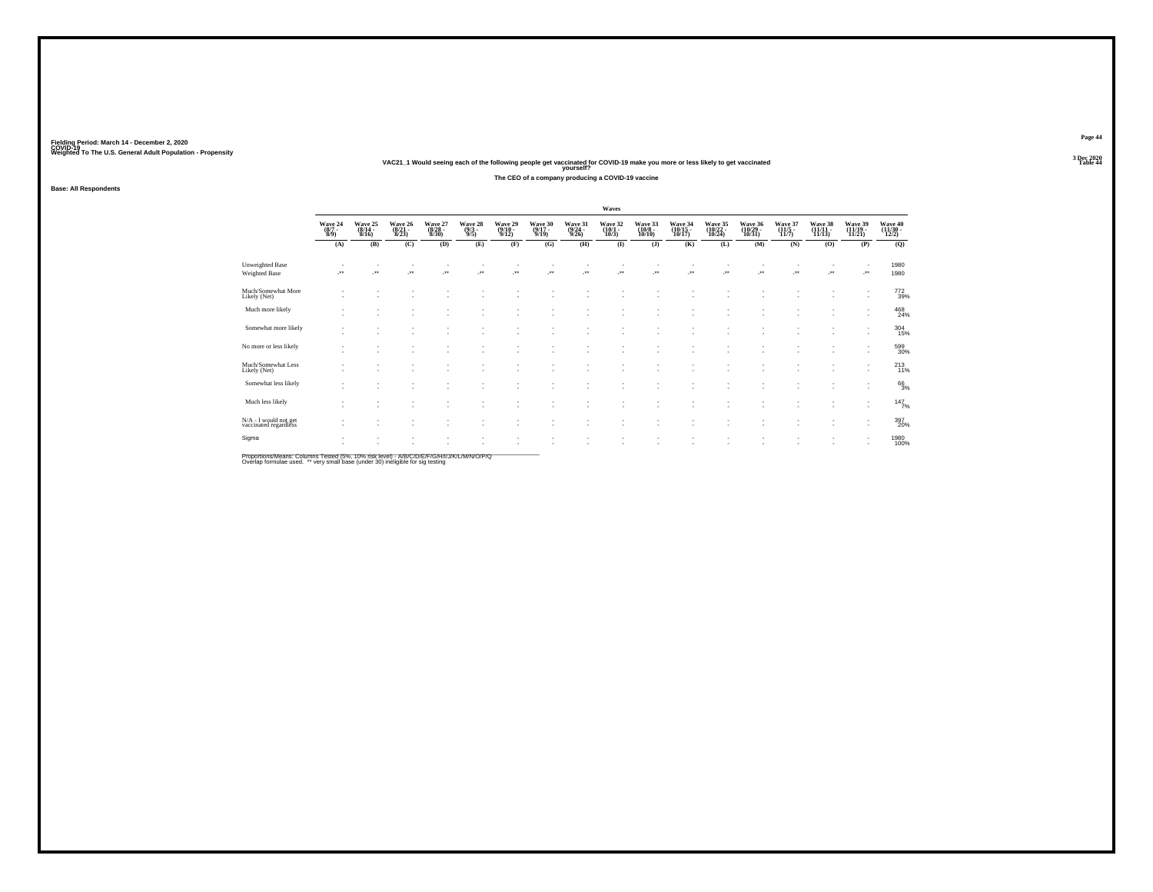### Fielding Period: March 14 - December 2, 2020<br>Fielding Period: March 14 - December 2, 2020<br>Wolchind To The U.S. General Adulf Ponulation - Propensity

# Weighted To The U.S. General Adult Population - Propensity<br>VAC21\_1 Would seeing each of the following people get vaccinated for COVID-19 make you more or less likely to get vaccinated<br>Table 44

**The CEO of a company producing a COVID-19 vaccine**

**Base: All Respondents**

|                                                      |                             |                             |                             |                                |                             |                             |                             | Waves                           |                                                      |                               |                               |                               |                             |                            |                               |                              |
|------------------------------------------------------|-----------------------------|-----------------------------|-----------------------------|--------------------------------|-----------------------------|-----------------------------|-----------------------------|---------------------------------|------------------------------------------------------|-------------------------------|-------------------------------|-------------------------------|-----------------------------|----------------------------|-------------------------------|------------------------------|
| Wave 24<br>(8/7 -<br>8/9)                            | Wave 25<br>(8/14 -<br>8/16) | Wave 26<br>(8/21 -<br>8/23) | Wave 27<br>(8/28 -<br>8/30) | Wave 28<br>$\frac{(9/3)}{9/5}$ | Wave 29<br>(9/10 -<br>9/12) | Wave 30<br>(9/17 -<br>9/19) | Wave 31<br>(9/24 -<br>9/26) | Wave 32<br>$(10/1 -$<br>$10/3)$ | Wave 33<br>(10/8 -<br>10/10)                         | Wave 34<br>(10/15 -<br>10/17) | Wave 35<br>(10/22 -<br>10/24) | Wave 36<br>(10/29 -<br>10/31) | Wave 37<br>(11/5 -<br>11/7) | Wave 38<br>(11/11<br>11/13 | Wave 39<br>(11/19 -<br>11/21) | Wave 40<br>(11/30 -<br>12/2) |
| (A)                                                  | (B)                         | (C)                         | (D)                         | (E)                            | (F)                         | (G)                         | (H)                         | $\bf(I)$                        | $($ $\bf{J}$ )                                       | (K)                           | (L)                           | (M)                           | (N)                         | (0)                        | (P)                           | (Q)                          |
| $\rightarrow$                                        | $\ddot{\phantom{1}}$        | $\ddot{\phantom{1}}$        | ٠<br>$\ddot{\phantom{1}}$   | $\bullet\,\bullet$             | ÷.                          | $\ddot{\phantom{1}}$        | ÷.                          | ₩.                              | J.                                                   | $\overline{\phantom{a}}$      | $\star\star$                  | $\overline{\phantom{a}}$      | $\overline{\phantom{a}}$    | J.                         | $\cdot$                       | 1980<br>1980                 |
| $\overline{\phantom{a}}$                             | ٠                           |                             |                             |                                |                             |                             |                             |                                 | ٠                                                    |                               |                               |                               |                             |                            | $\overline{\phantom{a}}$      | $^{772}_{39\%}$              |
| $\overline{\phantom{a}}$                             | ٠                           |                             |                             |                                |                             |                             |                             |                                 | ٠                                                    |                               |                               |                               |                             |                            | $\overline{\phantom{a}}$      | $^{468}_{24\%}$              |
| $\overline{\phantom{a}}$<br>$\sim$                   | ٠<br>٠                      | $\sim$                      | ٠<br>٠                      | ٠                              | ٠                           |                             | i.                          | ۰.                              | ٠<br>$\overline{\phantom{a}}$                        | ٠<br>٠                        |                               | ٠<br>٠                        |                             | ×.                         |                               | $^{304}_{15\%}$              |
| $\overline{\phantom{a}}$<br>$\overline{\phantom{a}}$ | ٠                           |                             | $\sim$                      | $\overline{\phantom{a}}$       | ٠                           |                             | ٠                           | ٠                               | ٠<br>$\overline{\phantom{a}}$                        | ٠                             |                               | ٠                             |                             | ٠                          | $\overline{\phantom{a}}$      | 599<br>30%                   |
| $\overline{\phantom{a}}$                             | ٠                           |                             | ٠                           |                                |                             |                             |                             |                                 | ٠                                                    |                               |                               |                               |                             | ٠                          | $\overline{\phantom{a}}$      | $^{213}_{11\%}$              |
| $\overline{\phantom{a}}$                             | ٠                           |                             |                             |                                |                             |                             |                             |                                 |                                                      |                               |                               |                               |                             |                            | $\overline{\phantom{a}}$      | $^{66}_{3\%}$                |
| $\overline{\phantom{a}}$                             | $\sim$<br>٠                 |                             | ٠                           |                                |                             |                             |                             |                                 | ٠                                                    | ٠                             |                               |                               |                             |                            | $\overline{\phantom{a}}$      | $\frac{147}{7\%}$            |
| $\overline{\phantom{a}}$                             | $\sim$                      |                             | ٠<br>$\sim$                 | $\overline{\phantom{a}}$       | ٠                           | $\overline{\phantom{a}}$    | ٠                           | ٠                               | $\overline{\phantom{a}}$<br>$\overline{\phantom{a}}$ | $\overline{\phantom{a}}$      | $\overline{\phantom{a}}$      | ٠                             |                             | ٠                          | $\overline{\phantom{a}}$      | 397<br>20%                   |
| $\sim$                                               | ٠                           |                             |                             |                                |                             |                             |                             | $\sim$                          | ٠                                                    | ۰                             |                               | ٠                             |                             | ٠                          |                               | 1980<br>100%                 |
|                                                      |                             |                             |                             |                                |                             |                             |                             |                                 |                                                      |                               |                               |                               |                             |                            |                               |                              |

Proportions/Means: Columns Tested (5%, 10% risk level) - A/B/C/D/E/F/G/H/I/J/K/L/M/N/O/P/Q<br>Overlap formulae used. \*\* very small base (under 30) ineligible for sig testing

**Page 44**3 Dec 2020<br>Table 44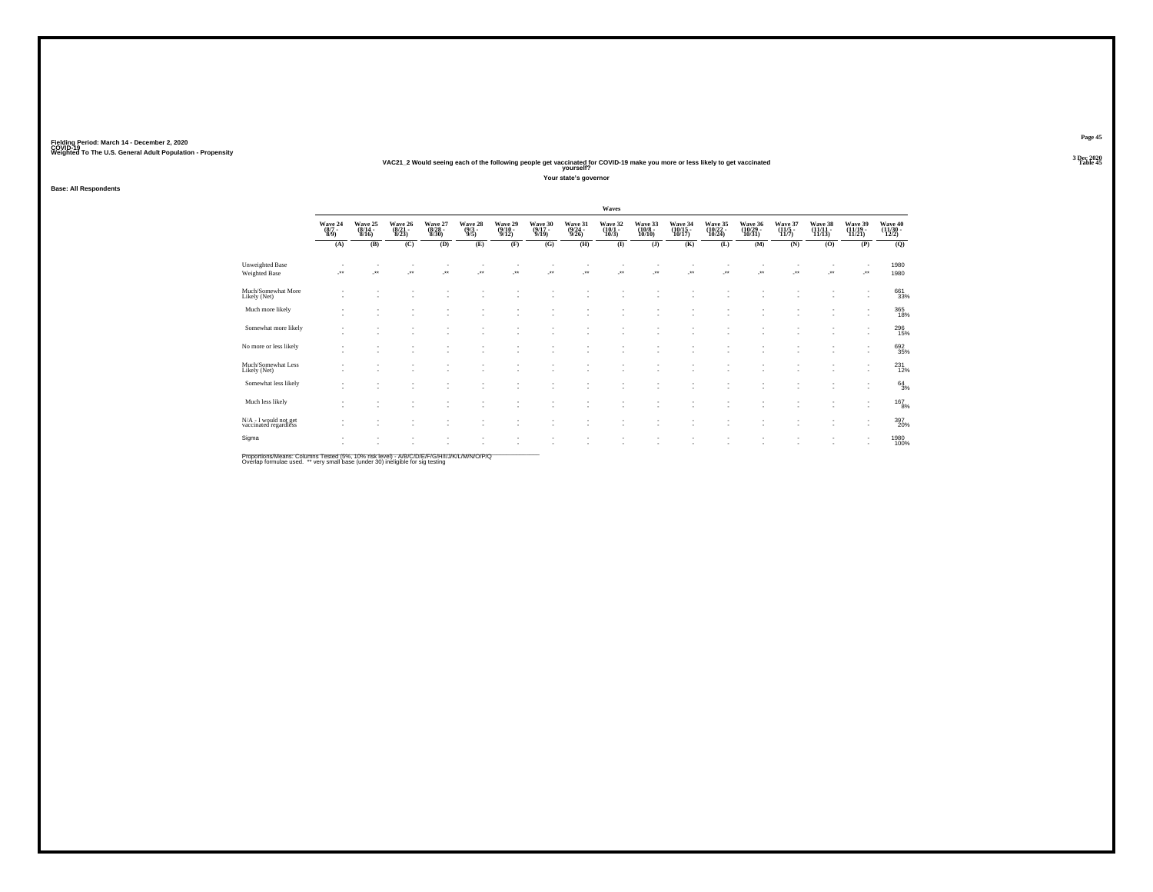#### **VAC21\_2 Would seeing each of the following people get vaccinated for COVID-19 make you more or less likely to get vaccinated Table 45 yourself?**

**Your state's governor**

**Base: All Respondents**

|                                                |                           |                             |                             |                             |                                                      |                             |                             |                             | Waves                           |                                                      |                               |                                                      |                               |                                        |                               |                               |                              |
|------------------------------------------------|---------------------------|-----------------------------|-----------------------------|-----------------------------|------------------------------------------------------|-----------------------------|-----------------------------|-----------------------------|---------------------------------|------------------------------------------------------|-------------------------------|------------------------------------------------------|-------------------------------|----------------------------------------|-------------------------------|-------------------------------|------------------------------|
|                                                | Wave 24<br>(8/7 -<br>8/9) | Wave 25<br>(8/14 -<br>8/16) | Wave 26<br>(8/21 -<br>8/23) | Wave 27<br>(8/28 -<br>8/30) | Wave 28 (9/3)                                        | Wave 29<br>(9/10 -<br>9/12) | Wave 30<br>(9/17 -<br>9/19) | Wave 31<br>(9/24 -<br>9/26) | Wave 32<br>$(10/1 -$<br>$10/3)$ | Wave 33<br>(10/8 -<br>10/10)                         | Wave 34<br>(10/15 -<br>10/17) | Wave 35<br>(10/22 -<br>10/24)                        | Wave 36<br>(10/29 -<br>10/31) | Wave 37<br>$\frac{(11/5 - 1)}{(11/7)}$ | Wave 38<br>(11/11 -<br>11/13) | Wave 39<br>(11/19 -<br>11/21) | Wave 40<br>(11/30 -<br>12/2) |
|                                                | (A)                       | (B)                         | (C)                         | (D)                         | (E)                                                  | (F)                         | (G)                         | (H)                         | $\bf(I)$                        | $($ $\bf{J}$ )                                       | (K)                           | (L)                                                  | (M)                           | (N)                                    | (0)                           | (P)                           | (Q)                          |
| <b>Unweighted Base</b><br>Weighted Base        | $\cdot$                   | J.                          | $\overline{\phantom{a}}$    | ٠<br>÷.                     | $\ddot{\phantom{1}}$                                 | J.                          | ÷.                          | J.                          | ÷.                              | $\overline{\phantom{a}}$<br>$\cdot$                  | ÷.                            | $\overline{\phantom{a}}$<br>$\overline{\phantom{a}}$ | ÷.                            | <b>A</b>                               | J.                            | $\cdot$                       | 1980<br>1980                 |
| Much/Somewhat More<br>Likely (Net)             |                           | ٠                           |                             |                             |                                                      |                             |                             |                             |                                 |                                                      |                               |                                                      |                               |                                        |                               | $\overline{\phantom{a}}$      | 661<br>33%                   |
| Much more likely                               | $\sim$                    | ٠<br>٠                      |                             |                             |                                                      |                             |                             |                             | ÷                               | $\overline{\phantom{a}}$<br>$\overline{\phantom{a}}$ | $\overline{\phantom{a}}$<br>٠ | $\overline{\phantom{a}}$                             | ٠<br>٠                        |                                        | ٠                             | $\overline{\phantom{a}}$      | $\underset{18\%}{365}$       |
| Somewhat more likely                           | $\overline{\phantom{a}}$  | ٠<br>٠                      | ٠                           | ٠<br>٠                      | ٠<br>$\sim$                                          | ٠<br>٠                      | ٠                           | ٠                           | ٠<br>÷.                         | ٠<br>$\overline{\phantom{a}}$                        | ٠<br>٠                        | $\overline{\phantom{a}}$<br>$\overline{\phantom{a}}$ | ٠<br>×.                       |                                        | ٠                             |                               | 296<br>15%                   |
| No more or less likely                         | $\overline{\phantom{a}}$  | ٠<br>٠                      | ٠                           | $\sim$                      | ٠                                                    | ٠                           | ٠                           | ٠                           | ×                               | ٠<br>$\sim$                                          | ٠                             | $\overline{\phantom{a}}$                             | ×.                            |                                        | ٠                             | $\sim$                        | $\substack{692\\35\%}$       |
| Much/Somewhat Less<br>Likely (Net)             | $\overline{\phantom{a}}$  | ٠<br>$\sim$                 |                             | ٠                           | $\overline{\phantom{a}}$                             | $\sim$                      |                             | ٠                           | ٠.                              | ٠<br>٠                                               | ٠                             |                                                      | ٠                             |                                        |                               | $\overline{\phantom{a}}$      | $^{231}_{\hphantom{1}12\%}$  |
| Somewhat less likely                           | $\overline{\phantom{a}}$  | ٠                           |                             |                             |                                                      |                             |                             |                             |                                 | ٠<br>$\overline{\phantom{a}}$                        | ٠<br>٠                        |                                                      | ٠<br>٠                        |                                        |                               | $\overline{\phantom{a}}$      | $64 \atop 3\%$               |
| Much less likely                               | $\overline{\phantom{a}}$  | $\sim$<br>٠                 | ٠                           | ٠<br>٠                      |                                                      | ٠                           |                             |                             | ٠.                              | $\overline{\phantom{a}}$                             | $\overline{\phantom{a}}$      |                                                      |                               |                                        |                               | $\sim$                        | $^{167}_{8\%}$               |
| N/A - I would not get<br>vaccinated regardless | $\overline{\phantom{a}}$  | ٠                           | ٠                           | ٠<br>$\sim$                 | $\overline{\phantom{a}}$<br>$\overline{\phantom{a}}$ | ٠                           | ٠                           | ٠                           | $\sim$                          | $\overline{\phantom{a}}$<br>$\overline{\phantom{a}}$ | ٠<br>$\overline{\phantom{a}}$ | $\overline{\phantom{a}}$                             | ٠                             | ٠                                      | ٠                             | $\sim$                        | 397<br>20%                   |
| Sigma                                          | $\overline{\phantom{a}}$  | ٠                           |                             |                             |                                                      |                             |                             |                             | ۰.                              | $\overline{\phantom{a}}$                             | $\sim$                        | $\overline{\phantom{a}}$                             | ٠                             |                                        | ٠                             |                               | 1980<br>100%                 |

Proportions/Means: Columns Tested (5%, 10% risk level) - A/B/C/D/E/F/G/H/I/J/K/L/M/N/O/P/Q<br>Overlap formulae used. \*\* very small base (under 30) ineligible for sig testing

**Page 453 Dec 2020<br>Table 45**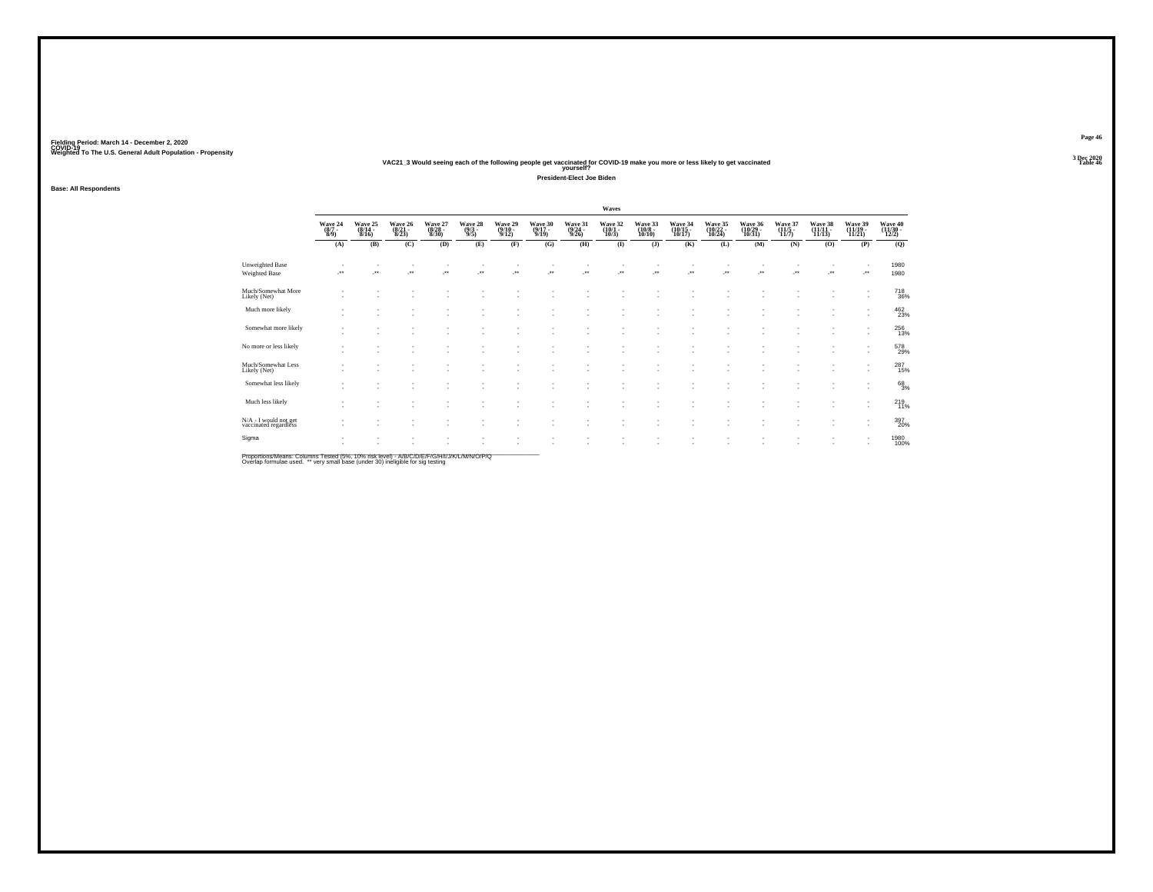### **VAC21\_3 Would seeing each of the following people get vaccinated for COVID-19 make you more or less likely to get vaccinated Table 46 yourself?**

**President-Elect Joe Biden**

**Base: All Respondents**

|                                                      |                             |                             |                             |                                |                             |                             |                             | Waves                           |                                                      |                               |                               |                               |                             |                            |                               |                              |
|------------------------------------------------------|-----------------------------|-----------------------------|-----------------------------|--------------------------------|-----------------------------|-----------------------------|-----------------------------|---------------------------------|------------------------------------------------------|-------------------------------|-------------------------------|-------------------------------|-----------------------------|----------------------------|-------------------------------|------------------------------|
| Wave 24<br>(8/7 -<br>8/9)                            | Wave 25<br>(8/14 -<br>8/16) | Wave 26<br>(8/21 -<br>8/23) | Wave 27<br>(8/28 -<br>8/30) | Wave 28<br>$\frac{(9/3)}{9/5}$ | Wave 29<br>(9/10 -<br>9/12) | Wave 30<br>(9/17 -<br>9/19) | Wave 31<br>(9/24 -<br>9/26) | Wave 32<br>$(10/1 -$<br>$10/3)$ | Wave 33<br>(10/8 -<br>10/10)                         | Wave 34<br>(10/15 -<br>10/17) | Wave 35<br>(10/22 -<br>10/24) | Wave 36<br>(10/29 -<br>10/31) | Wave 37<br>(11/5 -<br>11/7) | Wave 38<br>(11/11<br>11/13 | Wave 39<br>(11/19 -<br>11/21) | Wave 40<br>(11/30 -<br>12/2) |
| (A)                                                  | (B)                         | (C)                         | (D)                         | (E)                            | (F)                         | (G)                         | (H)                         | $\bf(I)$                        | $($ $)$                                              | (K)                           | (L)                           | (M)                           | (N)                         | (0)                        | (P)                           | (Q)                          |
| $\rightarrow$                                        | $\ddot{\phantom{1}}$        | $\ddot{\phantom{1}}$        | ٠<br>$\ddot{\phantom{1}}$   | $\bullet\,\bullet$             | ÷.                          | $\ddot{\phantom{1}}$        | ÷.                          | ₩.                              | J.                                                   | $\overline{\phantom{a}}$      | $\bullet\bullet$              | $\overline{\phantom{a}}$      | $\overline{\phantom{a}}$    | J.                         | $\cdot$                       | 1980<br>1980                 |
| $\overline{\phantom{a}}$                             | ٠                           |                             |                             |                                |                             |                             |                             |                                 | ٠                                                    |                               |                               |                               |                             |                            | $\overline{\phantom{a}}$      | $^{718}_{\ 36\%}$            |
| $\overline{\phantom{a}}$                             | ٠                           |                             |                             |                                |                             |                             |                             |                                 | ٠                                                    |                               |                               |                               |                             |                            | $\overline{\phantom{a}}$      | $\frac{462}{23\%}$           |
| $\overline{\phantom{a}}$<br>$\overline{\phantom{a}}$ | ٠<br>٠                      | $\sim$                      | ٠<br>٠                      | ٠                              | ٠                           |                             | i.                          | - 1                             | $\overline{\phantom{a}}$<br>$\overline{\phantom{a}}$ | ٠<br>٠                        | $\overline{\phantom{a}}$      | ٠<br>٠                        |                             | ٠                          |                               | $^{256}_{13\%}$              |
| $\overline{\phantom{a}}$<br>$\overline{\phantom{a}}$ | ٠                           |                             | $\sim$                      | $\overline{\phantom{a}}$       | ٠                           |                             | ٠                           | ٠                               | ٠<br>$\overline{\phantom{a}}$                        | ٠                             |                               | ٠                             |                             | ٠                          | $\sim$                        | 578<br>29%                   |
| $\overline{\phantom{a}}$                             | ٠                           |                             | ٠                           |                                |                             |                             |                             |                                 | ٠                                                    |                               |                               |                               |                             | ٠                          | $\sim$                        | $^{287}_{\phantom{1}15\%}$   |
| $\overline{\phantom{a}}$                             | ٠                           |                             |                             |                                |                             |                             |                             |                                 |                                                      |                               |                               |                               |                             |                            | $\overline{\phantom{a}}$      | $^{68}_{3\%}$                |
| $\overline{\phantom{a}}$                             | $\sim$<br>٠                 |                             | ٠                           |                                |                             |                             |                             |                                 | ٠                                                    | ٠                             |                               |                               |                             |                            | $\overline{\phantom{a}}$      | $^{219}_{11\%}$              |
| $\overline{\phantom{a}}$                             | $\sim$                      |                             | ٠<br>$\sim$                 | $\overline{\phantom{a}}$       | ٠                           | $\overline{\phantom{a}}$    | ٠                           | ٠                               | ٠<br>$\overline{\phantom{a}}$                        | ٠                             | $\overline{\phantom{a}}$      | ٠                             |                             | ٠                          | $\sim$                        | 397<br>20%                   |
| $\overline{\phantom{a}}$                             | ٠                           |                             |                             |                                |                             |                             |                             | $\sim$                          | ٠                                                    | ٠                             |                               | ٠                             |                             | ٠                          |                               | 1980<br>100%                 |
|                                                      |                             |                             |                             |                                |                             |                             |                             |                                 |                                                      |                               |                               |                               |                             |                            |                               |                              |

Proportions/Means: Columns Tested (5%, 10% risk level) - A/B/C/D/E/F/G/H/I/J/K/L/M/N/O/P/Q<br>Overlap formulae used. \*\* very small base (under 30) ineligible for sig testing

**Page 463 Dec 2020<br>Table 46**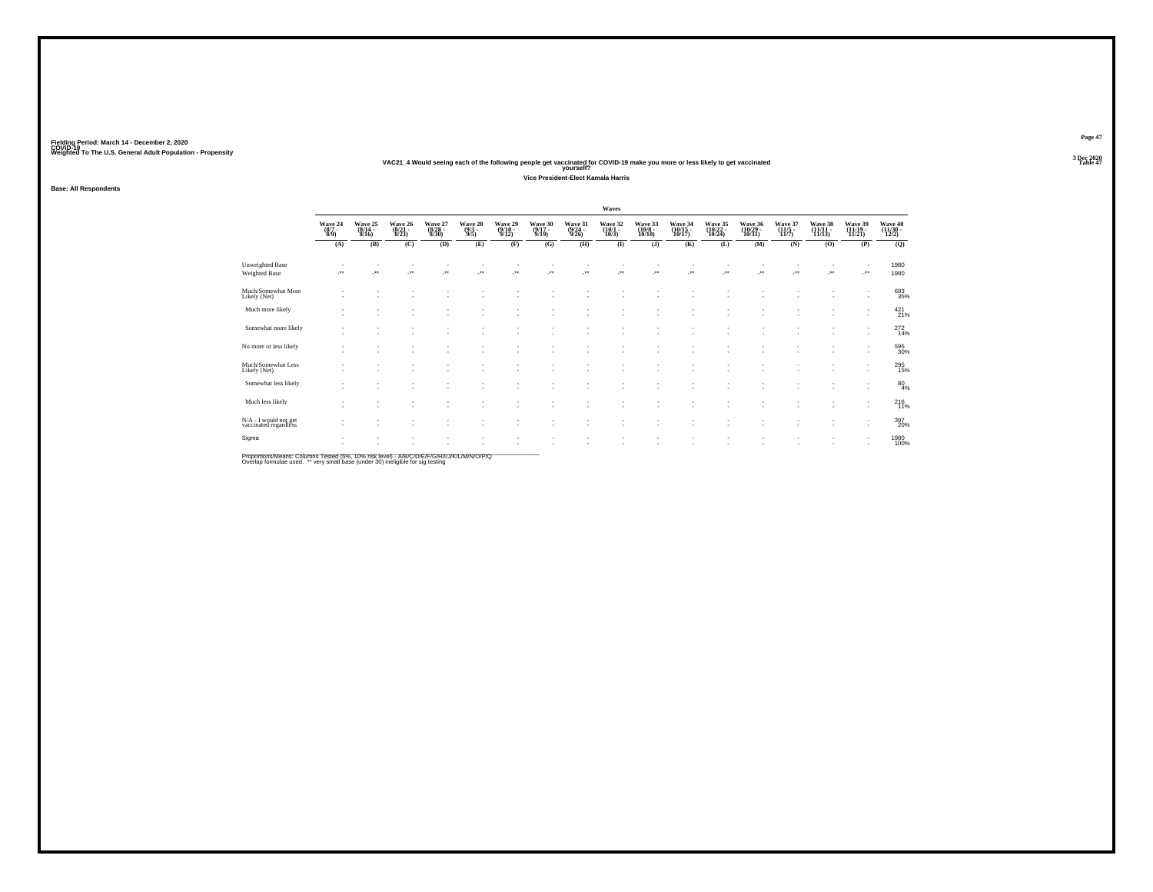### **VAC21\_4 Would seeing each of the following people get vaccinated for COVID-19 make you more or less likely to get vaccinated Table 47 yourself?**

**Vice President-Elect Kamala Harris**

### **Base: All Respondents**

|                                                |                                |                                  |                             |                             |                           |                             |                             |                                  | Waves                        |                                        |                               |                               |                               |                            |                            |                               |                              |
|------------------------------------------------|--------------------------------|----------------------------------|-----------------------------|-----------------------------|---------------------------|-----------------------------|-----------------------------|----------------------------------|------------------------------|----------------------------------------|-------------------------------|-------------------------------|-------------------------------|----------------------------|----------------------------|-------------------------------|------------------------------|
|                                                | Wave 24<br>$\frac{(8/7)}{8/9}$ | Wave 25<br>$(8/14 -$<br>$8/16$ ) | Wave 26<br>(8/21 -<br>8/23) | Wave 27<br>(8/28 -<br>8/30) | Wave 28<br>(9/3 -<br>9/5) | Wave 29<br>(9/10 -<br>9/12) | Wave 30<br>(9/17 -<br>9/19) | Wave 31<br>$\frac{(9/24)}{9/26}$ | Wave 32<br>(10/1<br>$10/3$ ) | Wave 33<br>$\frac{(10/8 - 10)}{10/10}$ | Wave 34<br>(10/15 -<br>10/17) | Wave 35<br>(10/22 -<br>10/24) | Wave 36<br>(10/29 -<br>10/31) | Wave 37<br>(11/5)<br>11/7) | Wave 38<br>(11/11<br>11/13 | Wave 39<br>(11/19 -<br>11/21  | Wave 40<br>(11/30 -<br>12/2) |
|                                                | (A)                            | (B)                              | (C)                         | (D)                         | (E)                       | (F)                         | (G)                         | (H)                              | $\bf(I)$                     | $($ $)$                                | (K)                           | (L)                           | (M)                           | (N)                        | (0)                        | (P)                           | (Q)                          |
| <b>Unweighted Base</b><br><b>Weighted Base</b> | ÷.                             | $\overline{\phantom{a}}$         | ×                           | $\cdot$                     | ×                         | $\ddot{\phantom{1}}$        | z.                          | J.                               | ÷.                           | $\ddotsc$                              | $\cdot$                       | J.                            | $\overline{\phantom{a}}$      | $\overline{\phantom{a}}$   | $\cdot$                    | J.                            | 1980<br>1980                 |
| Much/Somewhat More<br>Likely (Net)             |                                |                                  |                             |                             |                           |                             |                             |                                  | ٠                            |                                        |                               | ٠                             |                               |                            |                            | ٠                             | 693<br>35%                   |
| Much more likely                               |                                |                                  |                             |                             |                           |                             |                             |                                  |                              |                                        |                               |                               |                               |                            |                            | ٠                             | 421%                         |
| Somewhat more likely                           | $\overline{\phantom{a}}$       |                                  |                             |                             | ٠                         | ٠                           |                             |                                  | ٠<br>٠                       | $\sim$                                 | ٠<br>٠                        | ٠<br>٠                        | ٠<br>٠                        |                            | $\sim$                     | ٠<br>٠                        | $^{272}_{14\%}$              |
| No more or less likely                         | $\sim$                         |                                  |                             | ٠                           | ٠                         |                             |                             | ٠                                | ٠<br>٠                       | ٠                                      | ٠                             | ٠                             | $\sim$                        |                            |                            | $\overline{\phantom{a}}$      | 595<br>30%                   |
| Much/Somewhat Less<br>Likely (Net)             |                                |                                  |                             |                             |                           |                             |                             |                                  | ٠                            |                                        | $\overline{\phantom{a}}$      |                               |                               |                            |                            | ٠                             | 295<br>15%                   |
| Somewhat less likely                           | ٠                              |                                  |                             |                             |                           |                             |                             |                                  | ٠                            |                                        |                               |                               |                               |                            |                            | ٠<br>٠                        | $^{80}_{4\%}$                |
| Much less likely                               | ٠                              |                                  |                             |                             | ٠                         |                             |                             |                                  | ٠<br>٠                       | $\overline{\phantom{a}}$               | ٠<br>$\overline{\phantom{a}}$ | ٠<br>$\overline{\phantom{a}}$ | ٠                             |                            | ٠                          | ٠<br>٠                        | 216<br>11%                   |
| N/A - I would not get<br>vaccinated regardless | $\sim$                         |                                  |                             | ٠                           | ٠                         | ٠                           | $\overline{\phantom{a}}$    | ٠                                | ٠<br>٠                       | $\sim$                                 | ٠<br>$\overline{\phantom{a}}$ | ٠                             | ٠<br>$\overline{\phantom{a}}$ |                            | $\sim$                     | ٠                             | 397<br>20%                   |
| Sigma                                          | ٠                              |                                  |                             |                             |                           |                             |                             |                                  | ٠                            | $\sim$                                 | ٠                             | ٠                             | $\overline{\phantom{a}}$      |                            | ٠                          | ٠<br>$\overline{\phantom{a}}$ | 1980<br>100%                 |
|                                                |                                |                                  |                             |                             |                           |                             |                             |                                  |                              |                                        |                               |                               |                               |                            |                            |                               |                              |

Proportions/Means: Columns Tested (5%, 10% risk level) - A/B/C/D/E/F/G/H/I/J/K/L/M/N/O/P/Q<br>Overlap formulae used. \*\* very small base (under 30) ineligible for sig testing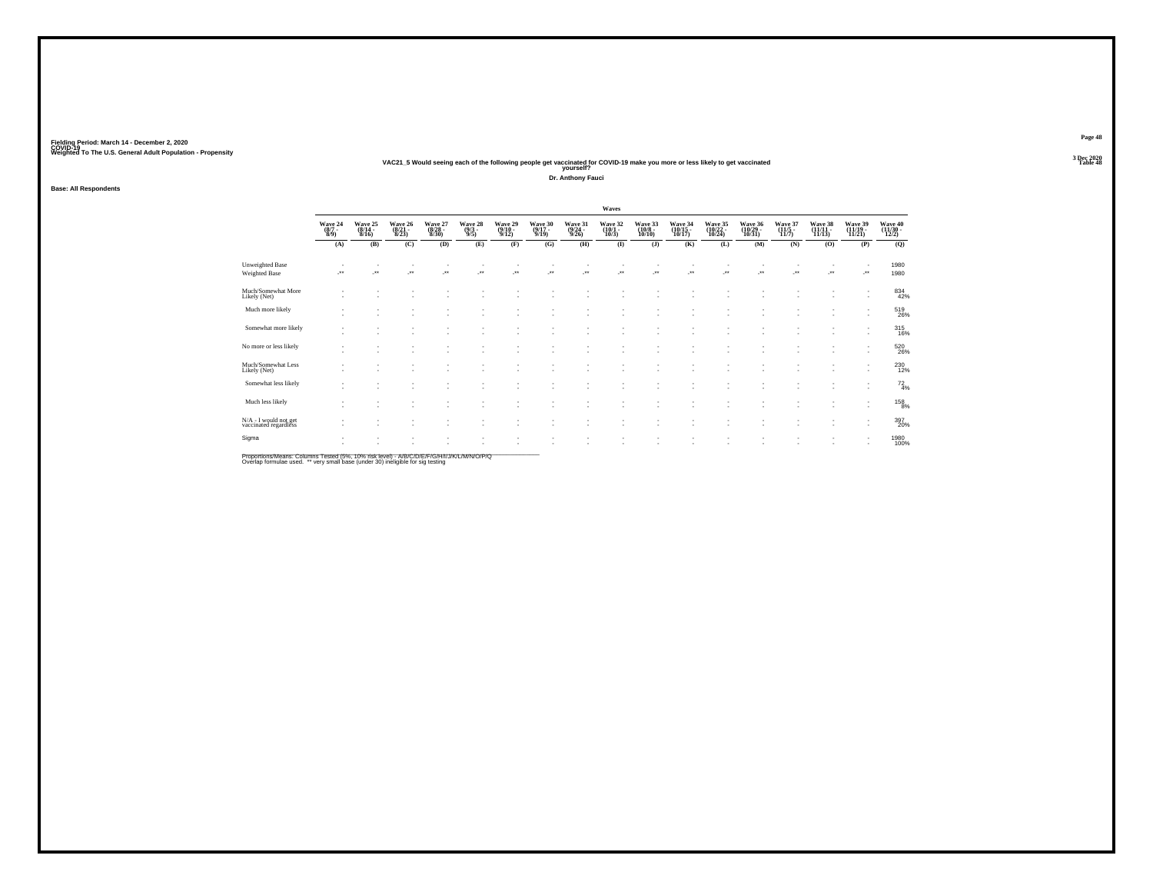### Fielding Period: March 14 - December 2, 2020<br>Fielding Period: March 14 - December 2, 2020<br>Wolchind To The U.S. General Adulf Ponulation - Propensity

# Weighted To The U.S. General Adult Population - Propensity<br>VAC21\_5 Would seeing each of the following people get vaccinated for COVID-19 make you more or less likely to get vaccinated<br>Table 48

**Dr. Anthony Fauci**

### **Base: All Respondents**

|                                                |                                                                |                             |                             |                             |                                                      |                             |                                    |                                  | Waves                           |                              |                               |                               |                                                      |                           |                            |                                                      |                              |
|------------------------------------------------|----------------------------------------------------------------|-----------------------------|-----------------------------|-----------------------------|------------------------------------------------------|-----------------------------|------------------------------------|----------------------------------|---------------------------------|------------------------------|-------------------------------|-------------------------------|------------------------------------------------------|---------------------------|----------------------------|------------------------------------------------------|------------------------------|
|                                                | $\begin{array}{c} \text{Wave } 24 \\ (8/7 \\ 8/9) \end{array}$ | Wave 25<br>(8/14 -<br>8/16) | Wave 26<br>(8/21 -<br>8/23) | Wave 27<br>(8/28 -<br>8/30) | Wave 28<br>$\frac{(9/3)}{9/5}$                       | Wave 29<br>(9/10 -<br>9/12) | Wave 30<br>(9/17 -<br>9/19)        | Wave 31<br>$\frac{(9/24)}{9/26}$ | Wave 32<br>$(10/1 -$<br>$10/3)$ | Wave 33<br>(10/8 -<br>10/10) | Wave 34<br>(10/15 -<br>10/17) | Wave 35<br>(10/22 -<br>10/24) | Wave 36<br>(10/29 -<br>10/31)                        | Wave 37<br>(11/5<br>11/7) | Wave 38<br>(11/11<br>11/13 | Wave 39<br>(11/19 -<br>11/21)                        | Wave 40<br>(11/30 -<br>12/2) |
|                                                | (A)                                                            | (B)                         | (C)                         | (D)                         | (E)                                                  | (F)                         | (G)                                | (H)                              | $\bf{I}$                        | (J)                          | (K)                           | (L)                           | (M)                                                  | (N)                       | (0)                        | (P)                                                  | (Q)                          |
| Unweighted Base<br>Weighted Base               | ÷.                                                             | $\overline{\phantom{a}}$    | $\overline{\phantom{a}}$    | $\cdot$                     | $\overline{\phantom{a}}$                             | $\cdot$                     | $\overline{\phantom{a}}$           | $\overline{\phantom{a}}$         | ÷.                              | $\ddot{\phantom{1}}$         | $\overline{\phantom{a}}$      | J.                            | J.                                                   | ٠<br>÷.                   | $\cdot$                    | $\cdot$                                              | 1980<br>1980                 |
| Much/Somewhat More<br>Likely (Net)             | $\sim$                                                         | $\sim$                      |                             |                             |                                                      |                             |                                    |                                  |                                 |                              |                               |                               |                                                      |                           |                            | $\overline{\phantom{a}}$<br>$\overline{\phantom{a}}$ | 834<br>42%                   |
| Much more likely                               | $\sim$<br>$\sim$                                               | ٠<br>٠                      |                             | ٠                           | ٠                                                    |                             | $\sim$                             |                                  |                                 |                              |                               | ٠                             | $\overline{\phantom{a}}$                             | ٠<br>٠                    | ٠                          | $\overline{\phantom{a}}$<br>$\overline{\phantom{a}}$ | 519<br>26%                   |
| Somewhat more likely                           | ٠                                                              | ٠<br>٠                      | $\sim$<br>$\sim$            | $\sim$<br>٠                 | $\overline{\phantom{a}}$<br>٠                        | ٠<br>$\sim$                 | ٠<br>٠                             |                                  | ٠<br>٠                          |                              | ٠<br>٠                        | ٠<br>٠                        | $\overline{\phantom{a}}$<br>$\overline{\phantom{a}}$ | ٠<br>٠                    | ×.                         | $\overline{\phantom{a}}$<br>$\overline{\phantom{a}}$ | 315                          |
| No more or less likely                         | $\sim$                                                         | ٠<br>٠                      | ×.                          | ٠<br>٠                      | ٠<br>$\overline{\phantom{a}}$                        | $\sim$<br>۰                 | $\sim$<br>٠                        | - 1                              | ٠<br>٠                          | ٠                            | ٠                             | ٠<br>٠                        | $\overline{\phantom{a}}$                             | ٠                         | ×.                         | $\overline{\phantom{a}}$                             | 520<br>26%                   |
| Much/Somewhat Less<br>Likely (Net)             | $\overline{\phantom{a}}$                                       | ٠<br>×.                     | . п.                        | ٠<br>٠                      |                                                      | $\sim$                      | $\sim$                             |                                  | ٠                               |                              |                               | ×                             | и.                                                   | ٠<br>٠                    | ٠<br>٠                     | ٠                                                    | 230<br>12%                   |
| Somewhat less likely                           | ٠                                                              | ٠<br>٠                      |                             | ٠<br>٠                      | $\overline{\phantom{a}}$<br>٠                        | ٠                           | ٠                                  |                                  | ٠                               |                              | ٠                             | ٠<br>×                        | $\overline{\phantom{a}}$<br>۰.                       | ٠<br>٠                    | ٠<br>۰.                    | $\overline{\phantom{a}}$<br>$\overline{\phantom{a}}$ | $^{72}_{4%}$                 |
| Much less likely                               | ٠                                                              | ٠                           | $\sim$                      | $\sim$<br>٠                 | $\overline{\phantom{a}}$<br>٠                        | ٠<br>$\sim$                 | ٠<br>٠                             |                                  | ٠<br>٠                          |                              | ٠                             | ٠                             | $\overline{\phantom{a}}$<br>٠                        | $\sim$<br>٠               | ٠                          | $\overline{\phantom{a}}$<br>٠                        | $^{158}_{\phantom{1}8\%}$    |
| N/A - I would not get<br>vaccinated regardless | $\overline{\phantom{a}}$                                       | ٠                           | ×.                          | $\sim$<br>٠                 | $\overline{\phantom{a}}$<br>$\overline{\phantom{a}}$ | ٠<br>$\mathbf{r}$           | $\sim$<br>$\overline{\phantom{a}}$ | $\sim$                           | $\sim$<br>٠                     | $\overline{\phantom{a}}$     | ٠<br>$\overline{\phantom{a}}$ | ٠<br>٠                        | $\overline{\phantom{a}}$                             | $\sim$<br>٠               | ٠<br>×.                    | $\overline{\phantom{a}}$<br>$\mathbf{r}$             | 397<br>20%                   |
| Sigma                                          | $\mathbf{r}$                                                   | ٠                           |                             | ٠<br>٠                      |                                                      |                             |                                    |                                  |                                 |                              |                               |                               |                                                      | ٠<br>٠                    |                            | $\overline{\phantom{a}}$<br>٠                        | 1980<br>100%                 |

Proportions/Means: Columns Tested (5%, 10% risk level) - A/B/C/D/E/F/G/H/I/J/K/L/M/N/O/P/Q<br>Overlap formulae used. \*\* very small base (under 30) ineligible for sig testing

**Page 48**3 Dec 2020<br>Table 48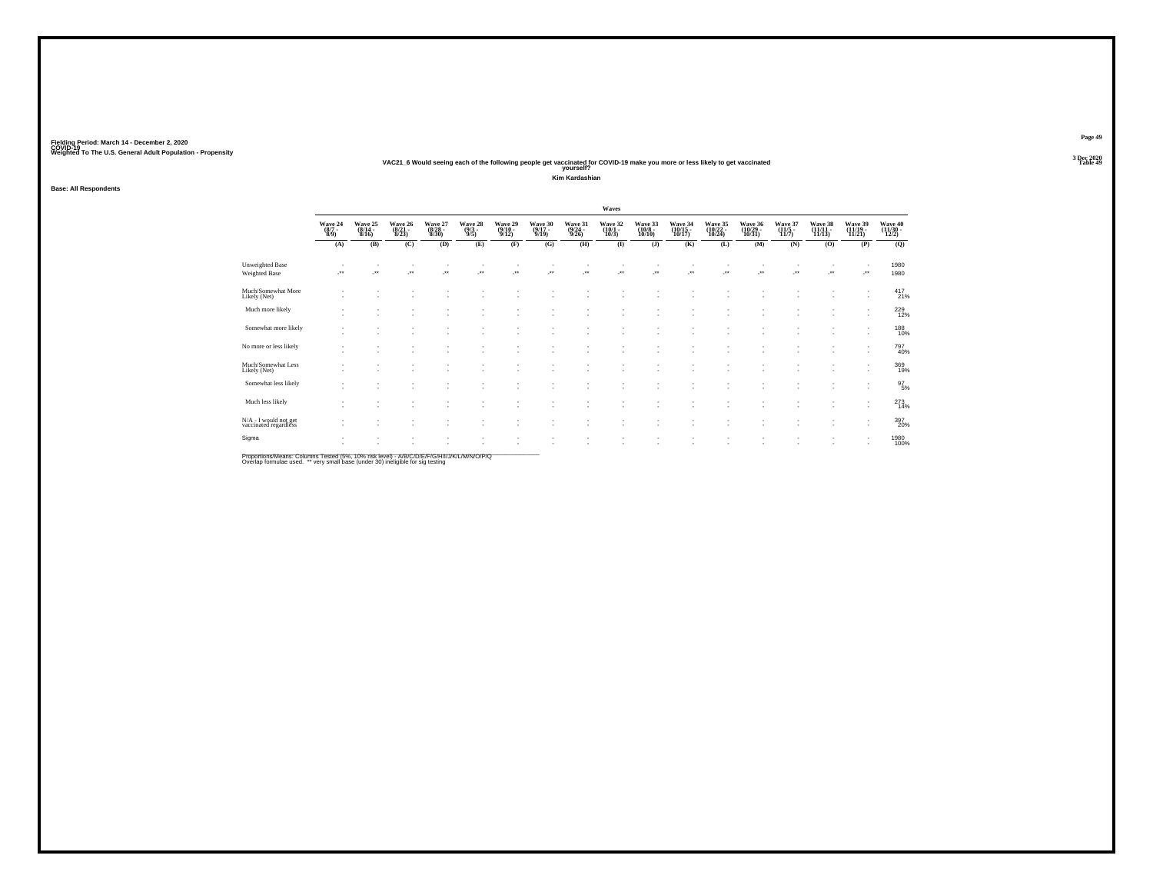#### **VAC21\_6 Would seeing each of the following people get vaccinated for COVID-19 make you more or less likely to get vaccinated Table 49 yourself?**

**Kim Kardashian**

**Base: All Respondents**

|                                                |                                                      |                             |                             |                             |                                |                             |                             |                             | Waves                           |                                                      |                               |                               |                               |                             |                            |                               |                              |
|------------------------------------------------|------------------------------------------------------|-----------------------------|-----------------------------|-----------------------------|--------------------------------|-----------------------------|-----------------------------|-----------------------------|---------------------------------|------------------------------------------------------|-------------------------------|-------------------------------|-------------------------------|-----------------------------|----------------------------|-------------------------------|------------------------------|
|                                                | Wave 24<br>(8/7 -<br>8/9)                            | Wave 25<br>(8/14 -<br>8/16) | Wave 26<br>(8/21 -<br>8/23) | Wave 27<br>(8/28 -<br>8/30) | Wave 28<br>$\frac{(9/3)}{9/5}$ | Wave 29<br>(9/10 -<br>9/12) | Wave 30<br>(9/17 -<br>9/19) | Wave 31<br>(9/24 -<br>9/26) | Wave 32<br>$(10/1 -$<br>$10/3)$ | Wave 33<br>(10/8 -<br>10/10)                         | Wave 34<br>(10/15 -<br>10/17) | Wave 35<br>(10/22 -<br>10/24) | Wave 36<br>(10/29 -<br>10/31) | Wave 37<br>(11/5 -<br>11/7) | Wave 38<br>(11/11<br>11/13 | Wave 39<br>(11/19 -<br>11/21) | Wave 40<br>(11/30 -<br>12/2) |
|                                                | (A)                                                  | (B)                         | (C)                         | (D)                         | (E)                            | (F)                         | (G)                         | (H)                         | $\bf(I)$                        | $($ $)$                                              | (K)                           | (L)                           | (M)                           | (N)                         | (0)                        | (P)                           | (Q)                          |
| <b>Unweighted Base</b><br>Weighted Base        | $\rightarrow$                                        | $\ddot{\phantom{1}}$        | $\ddot{\phantom{1}}$        | ٠<br>$\ddot{\phantom{1}}$   | $\bullet\,\bullet$             | ÷.                          | $\ddot{\phantom{1}}$        | ÷.                          | ÷.                              | J.                                                   | $\overline{\phantom{a}}$      | $\ddot{\phantom{1}}$          | $\overline{\phantom{a}}$      | $\overline{\phantom{a}}$    | J.                         | $\cdot$                       | 1980<br>1980                 |
| Much/Somewhat More<br>Likely (Net)             | $\overline{\phantom{a}}$                             | ٠                           |                             |                             |                                |                             |                             |                             |                                 | ٠                                                    |                               |                               |                               |                             |                            | $\overline{\phantom{a}}$      | 417 <sub>21%</sub>           |
| Much more likely                               | $\overline{\phantom{a}}$                             | ٠                           |                             |                             |                                |                             |                             |                             |                                 | ٠                                                    |                               |                               |                               |                             |                            | $\overline{\phantom{a}}$      | 229<br>12%                   |
| Somewhat more likely                           | $\overline{\phantom{a}}$<br>$\sim$                   | ٠<br>٠                      | $\sim$                      | ٠<br>٠                      | ٠                              | ٠                           |                             | i.                          | ۰.                              | $\overline{\phantom{a}}$<br>$\overline{\phantom{a}}$ | ٠<br>٠                        | $\overline{\phantom{a}}$      | ٠<br>٠                        |                             | ×.                         |                               | 188<br>10%                   |
| No more or less likely                         | $\overline{\phantom{a}}$<br>$\overline{\phantom{a}}$ | ٠                           |                             | $\sim$                      | $\overline{\phantom{a}}$       | ٠                           |                             | ٠                           | ٠                               | ٠<br>$\overline{\phantom{a}}$                        | ٠                             |                               | ٠                             |                             | ٠                          | $\overline{\phantom{a}}$      | 797<br>40%                   |
| Much/Somewhat Less<br>Likely (Net)             | $\overline{\phantom{a}}$                             | ٠                           |                             | ٠                           |                                |                             |                             |                             |                                 | ٠                                                    |                               |                               |                               |                             | ٠                          | $\overline{\phantom{a}}$      | 369<br>19%                   |
| Somewhat less likely                           | $\overline{\phantom{a}}$                             | ٠                           |                             |                             |                                |                             |                             |                             |                                 |                                                      |                               |                               |                               |                             |                            | $\overline{\phantom{a}}$      | $^{97}_{5\%}$                |
| Much less likely                               | $\overline{\phantom{a}}$                             | $\sim$<br>٠                 |                             | ٠                           |                                |                             |                             |                             |                                 | ٠                                                    | ٠                             |                               |                               |                             |                            | $\overline{\phantom{a}}$      | $^{273}_{14\%}$              |
| N/A - I would not get<br>vaccinated regardless | $\overline{\phantom{a}}$                             | $\sim$                      |                             | ٠<br>$\sim$                 | $\overline{\phantom{a}}$       | ٠                           | $\overline{\phantom{a}}$    | ٠                           | ٠                               | $\overline{\phantom{a}}$<br>$\overline{\phantom{a}}$ | ٠<br>$\overline{\phantom{a}}$ | $\overline{\phantom{a}}$      | ٠                             | ٠                           | ٠                          | $\overline{\phantom{a}}$      | 397<br>20%                   |
| Sigma                                          | $\sim$                                               | ٠                           |                             |                             |                                |                             |                             |                             | - 1                             | ٠                                                    | ٠                             |                               | ٠                             |                             | ٠                          |                               | 1980<br>100%                 |

Proportions/Means: Columns Tested (5%, 10% risk level) - A/B/C/D/E/F/G/H/I/J/K/L/M/N/O/P/Q<br>Overlap formulae used. \*\* very small base (under 30) ineligible for sig testing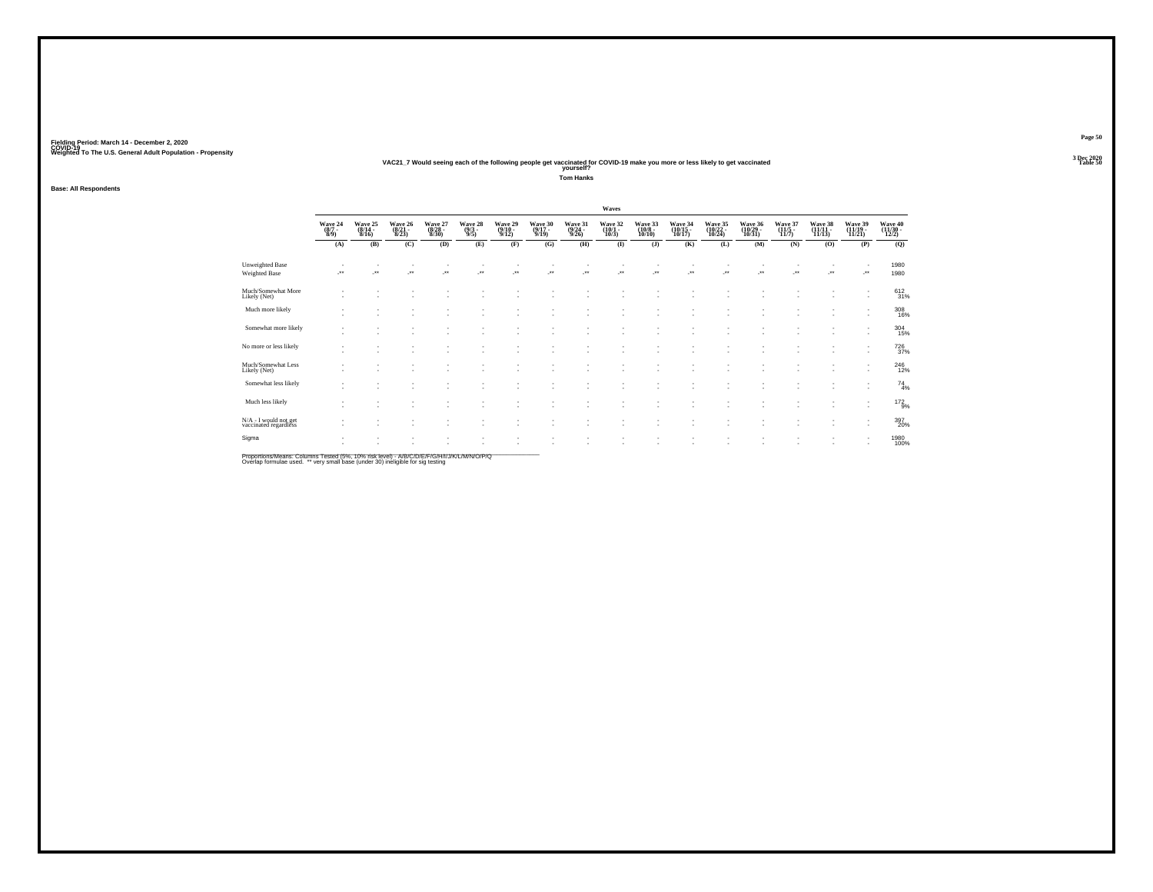#### **VAC21\_7 Would seeing each of the following people get vaccinated for COVID-19 make you more or less likely to get vaccinated Table 50 yourself?**

**Tom Hanks**

### **Base: All Respondents**

|                                                |                           |                             |                             |                             |                                |                             |                             |                             | Waves                           |                                                      |                                                      |                               |                                |                                         |                               |                                                      |                               |
|------------------------------------------------|---------------------------|-----------------------------|-----------------------------|-----------------------------|--------------------------------|-----------------------------|-----------------------------|-----------------------------|---------------------------------|------------------------------------------------------|------------------------------------------------------|-------------------------------|--------------------------------|-----------------------------------------|-------------------------------|------------------------------------------------------|-------------------------------|
|                                                | Wave 24<br>(8/7 -<br>8/9) | Wave 25<br>(8/14 -<br>8/16) | Wave 26<br>(8/21 -<br>8/23) | Wave 27<br>(8/28 -<br>8/30) | Wave 28<br>$\frac{(9/3)}{9/5}$ | Wave 29<br>(9/10 -<br>9/12) | Wave 30<br>(9/17 -<br>9/19) | Wave 31<br>(9/24 -<br>9/26) | Wave 32<br>$(10/1 -$<br>$10/3)$ | Wave 33<br>$\frac{(10/8 - 10)}{10/10}$               | Wave 34<br>(10/15 -<br>10/17)                        | Wave 35<br>(10/22 -<br>10/24) | Wave 36<br>(10/29 -<br>10/31)  | Wave 37<br>$\frac{(11/5 - 11)}{(11/7)}$ | Wave 38<br>(11/11 -<br>11/13) | Wave 39<br>(11/19 -<br>11/21)                        | Wave 40<br>(11/30 -<br>12/2)  |
|                                                | (A)                       | (B)                         | (C)                         | (D)                         | (E)                            | (F)                         | (G)                         | (H)                         | $\bf{I}$                        | $($ $)$                                              | (K)                                                  | (L)                           | (M)                            | (N)                                     | (0)                           | (P)                                                  | (Q)                           |
| Unweighted Base<br>Weighted Base               | ÷.                        | $\overline{\phantom{a}}$    | ×                           | $\overline{\phantom{a}}$    | $\mathcal{L}^{\bullet}$        | J.                          | ÷.                          | J.                          | ÷.                              | $\cdot$                                              | J.                                                   | ÷.                            | $\overline{\phantom{a}}$       | ÷.                                      | J.                            | $\mathcal{L}^{\bullet\bullet}$                       | 1980<br>1980                  |
| Much/Somewhat More<br>Likely (Net)             | ٠                         |                             |                             |                             |                                |                             |                             |                             |                                 |                                                      |                                                      |                               |                                |                                         | ٠                             | $\overline{\phantom{a}}$                             | 612/31%                       |
| Much more likely                               | $\sim$<br>$\sim$          |                             |                             |                             |                                |                             |                             |                             | ٠                               | ٠                                                    | ٠<br>٠                                               | $\sim$<br>٠                   |                                |                                         | $\sim$<br>٠                   | $\overline{\phantom{a}}$<br>$\overline{\phantom{a}}$ | 308<br>16%                    |
| Somewhat more likely                           | $\sim$<br>$\sim$          |                             |                             | ٠                           |                                | ٠<br>٠                      | ٠<br>٠                      |                             | ٠<br>٠                          | $\overline{\phantom{a}}$<br>$\overline{\phantom{a}}$ | $\overline{\phantom{a}}$<br>$\overline{\phantom{a}}$ | $\sim$<br>$\sim$              |                                |                                         | ٠<br>٠                        | $\overline{\phantom{a}}$                             | $^{304}_{15\%}$               |
| No more or less likely                         | $\sim$<br>$\sim$          | $\overline{\phantom{a}}$    | $\sim$                      | $\sim$                      |                                | ٠<br>٠                      | ٠<br>٠                      | $\sim$                      | ٠<br>٠                          | $\overline{\phantom{a}}$<br>$\sim$                   | $\overline{\phantom{a}}$<br>$\overline{\phantom{a}}$ | $\sim$<br>٠                   |                                |                                         | ٠<br>٠                        | $\sim$                                               | <sup>726</sup> <sub>37%</sub> |
| Much/Somewhat Less<br>Likely (Net)             | $\sim$                    |                             |                             |                             |                                | $\overline{\phantom{a}}$    |                             |                             | ٠                               |                                                      | $\overline{\phantom{a}}$                             | $\sim$                        |                                |                                         | ٠                             | $\overline{\phantom{a}}$                             | $^{246}_{12\%}$               |
| Somewhat less likely                           | ٠<br>$\sim$               | $\sim$                      |                             |                             |                                | ٠                           | ٠                           |                             | ٠<br>٠                          | ۰                                                    | $\overline{\phantom{a}}$<br>٠                        | $\sim$<br>$\sim$              | $\overline{\phantom{a}}$<br>÷. |                                         | ٠<br>٠                        | $\overline{\phantom{a}}$                             | $^{74}_{4\%}$                 |
| Much less likely                               | $\sim$<br>$\sim$          | $\overline{\phantom{a}}$    | $\sim$                      | ٠                           |                                | ٠<br>٠                      | ÷.                          |                             | ٠                               | $\sim$                                               | $\overline{\phantom{a}}$<br>$\overline{\phantom{a}}$ | $\sim$<br>٠                   | $\sim$                         |                                         | $\sim$                        | $\overline{\phantom{a}}$                             | 172<br>9%                     |
| N/A - I would not get<br>vaccinated regardless | ٠                         |                             | ٠                           | ÷                           | $\overline{\phantom{a}}$       | ٠                           | ٠                           | $\sim$                      | ٠<br>٠                          | $\overline{\phantom{a}}$                             | ٠<br>$\sim$                                          | ٠<br>٠                        | ٠                              |                                         | ٠<br>٠                        | $\overline{\phantom{a}}$                             | 397<br>20%                    |
| Sigma                                          | ٠<br>٠                    |                             |                             |                             |                                |                             |                             |                             |                                 |                                                      |                                                      |                               |                                |                                         |                               |                                                      | 1980<br>100%                  |

Proportions/Means: Columns Tested (5%, 10% risk level) - A/B/C/D/E/F/G/H/I/J/K/L/M/N/O/P/Q<br>Overlap formulae used. \*\* very small base (under 30) ineligible for sig testing

**Page 50**3 Dec 2020<br>Table 50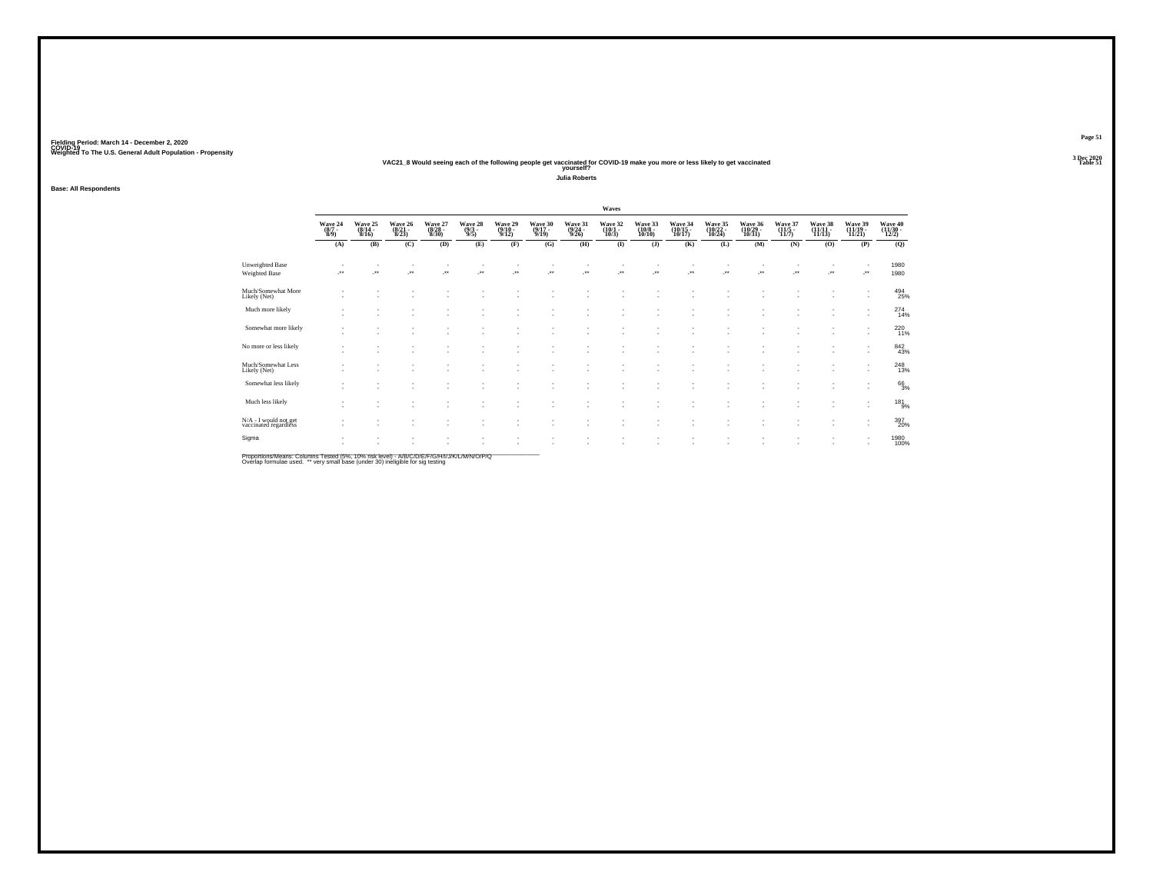#### **VAC21\_8 Would seeing each of the following people get vaccinated for COVID-19 make you more or less likely to get vaccinated Table 51 yourself?**

**Julia Roberts**

### **Base: All Respondents**

|                                                |                                                                |                             |                             |                             |                                                      |                                    |                                    |                                  | Waves                           |                              |                               |                               |                                                      |                           |                            |                                                      |                              |
|------------------------------------------------|----------------------------------------------------------------|-----------------------------|-----------------------------|-----------------------------|------------------------------------------------------|------------------------------------|------------------------------------|----------------------------------|---------------------------------|------------------------------|-------------------------------|-------------------------------|------------------------------------------------------|---------------------------|----------------------------|------------------------------------------------------|------------------------------|
|                                                | $\begin{array}{c} \text{Wave } 24 \\ (8/7 \\ 8/9) \end{array}$ | Wave 25<br>(8/14 -<br>8/16) | Wave 26<br>(8/21 -<br>8/23) | Wave 27<br>(8/28 -<br>8/30) | Wave 28<br>$\frac{(9/3)}{9/5}$                       | Wave 29<br>(9/10 -<br>9/12)        | Wave 30<br>(9/17 -<br>9/19)        | Wave 31<br>$\frac{(9/24)}{9/26}$ | Wave 32<br>$(10/1 -$<br>$10/3)$ | Wave 33<br>(10/8 -<br>10/10) | Wave 34<br>(10/15 -<br>10/17) | Wave 35<br>(10/22 -<br>10/24) | Wave 36<br>(10/29 -<br>10/31)                        | Wave 37<br>(11/5<br>11/7) | Wave 38<br>(11/11<br>11/13 | Wave 39<br>(11/19 -<br>11/21)                        | Wave 40<br>(11/30 -<br>12/2) |
|                                                | (A)                                                            | (B)                         | (C)                         | (D)                         | (E)                                                  | (F)                                | (G)                                | (H)                              | $\bf{I}$                        | (J)                          | (K)                           | (L)                           | (M)                                                  | (N)                       | (0)                        | (P)                                                  | (Q)                          |
| Unweighted Base<br>Weighted Base               | ÷.                                                             | $\overline{\phantom{a}}$    | $\overline{\phantom{a}}$    | $\cdot$                     | $\overline{\phantom{a}}$                             | $\cdot$                            | $\overline{\phantom{a}}$           | $\overline{\phantom{a}}$         | ÷.                              | $\overline{\phantom{a}}$     | $\overline{\phantom{a}}$      | J.                            | J.                                                   | ٠<br>÷.                   | $\cdot$                    | $\cdot$                                              | 1980<br>1980                 |
| Much/Somewhat More<br>Likely (Net)             | $\sim$                                                         | $\sim$                      |                             |                             |                                                      |                                    |                                    |                                  |                                 |                              |                               |                               |                                                      |                           |                            | $\overline{\phantom{a}}$<br>$\overline{\phantom{a}}$ | 494<br>25%                   |
| Much more likely                               | $\sim$<br>$\sim$                                               | ٠<br>٠                      |                             | ٠                           | ٠                                                    | ٠                                  | $\sim$                             |                                  |                                 |                              |                               | ٠                             | $\overline{\phantom{a}}$                             | ٠<br>٠                    | ٠                          | $\overline{\phantom{a}}$<br>$\overline{\phantom{a}}$ | 274<br>14%                   |
| Somewhat more likely                           | ٠                                                              | ٠<br>٠                      | $\sim$                      | $\sim$<br>٠                 | $\overline{\phantom{a}}$<br>٠                        | ٠<br>$\sim$                        | ٠<br>٠                             |                                  | ٠<br>٠                          |                              | ٠<br>٠                        | ٠<br>٠                        | $\overline{\phantom{a}}$<br>$\overline{\phantom{a}}$ | ٠<br>٠                    | ٠<br>×.                    | $\overline{\phantom{a}}$<br>٠                        | 220 <sub>11%</sub>           |
| No more or less likely                         | $\sim$                                                         | ٠<br>٠                      | ×.                          | ٠<br>٠                      | ٠<br>$\overline{\phantom{a}}$                        | $\sim$<br>$\overline{\phantom{a}}$ | ٠<br>٠                             | . п.                             | ٠<br>٠                          | ٠                            | ٠                             | ٠<br>٠                        | $\overline{\phantom{a}}$                             | ٠                         | ×.                         | ٠                                                    | 842<br>43%                   |
| Much/Somewhat Less<br>Likely (Net)             | $\overline{\phantom{a}}$                                       | ٠<br>×.                     | . п.                        | ٠<br>٠                      |                                                      | $\sim$                             | ×.                                 |                                  | ٠                               |                              |                               | ×                             | и.                                                   | ٠<br>٠                    | ٠<br>٠                     |                                                      | 248<br>13%                   |
| Somewhat less likely                           | ٠                                                              | ٠<br>٠                      | $\sim$                      | ٠<br>٠                      | $\overline{\phantom{a}}$<br>٠                        | ٠                                  | ٠                                  |                                  | ٠                               |                              | ٠                             | ٠<br>×                        | и.                                                   | ٠<br>٠                    | ٠<br>٠                     | $\overline{\phantom{a}}$<br>$\overline{\phantom{a}}$ | 66<br>3%                     |
| Much less likely                               | ٠                                                              | ٠                           | $\sim$<br>$\sim$            | $\sim$<br>٠                 | $\overline{\phantom{a}}$<br>٠                        | ٠<br>$\sim$                        | ٠<br>٠                             |                                  | ٠<br>٠                          |                              | ٠                             | ٠                             | ٠                                                    | $\sim$<br>٠               | $\sim$<br>٠                | $\overline{\phantom{a}}$<br>$\overline{\phantom{a}}$ | 181<br>9%                    |
| N/A - I would not get<br>vaccinated regardless | ٠                                                              | ٠                           | $\sim$<br>×.                | $\sim$<br>٠                 | $\overline{\phantom{a}}$<br>$\overline{\phantom{a}}$ | ٠<br>$\mathbf{r}$                  | $\sim$<br>$\overline{\phantom{a}}$ | $\sim$                           | $\sim$<br>٠                     | $\overline{\phantom{a}}$     | ٠<br>$\overline{\phantom{a}}$ | ٠<br>٠                        | $\overline{\phantom{a}}$                             | $\sim$<br>٠               | ٠<br>×.                    | $\overline{\phantom{a}}$<br>$\mathbf{r}$             | 397<br>20%                   |
| Sigma                                          | $\mathbf{r}$                                                   | ٠                           |                             | ٠<br>٠                      |                                                      |                                    |                                    |                                  |                                 |                              |                               |                               |                                                      | ٠<br>٠                    |                            | $\overline{\phantom{a}}$<br>٠                        | 1980<br>100%                 |

Proportions/Means: Columns Tested (5%, 10% risk level) - A/B/C/D/E/F/G/H/I/J/K/L/M/N/O/P/Q<br>Overlap formulae used. \*\* very small base (under 30) ineligible for sig testing

**Page 51**3 Dec 2020<br>Table 51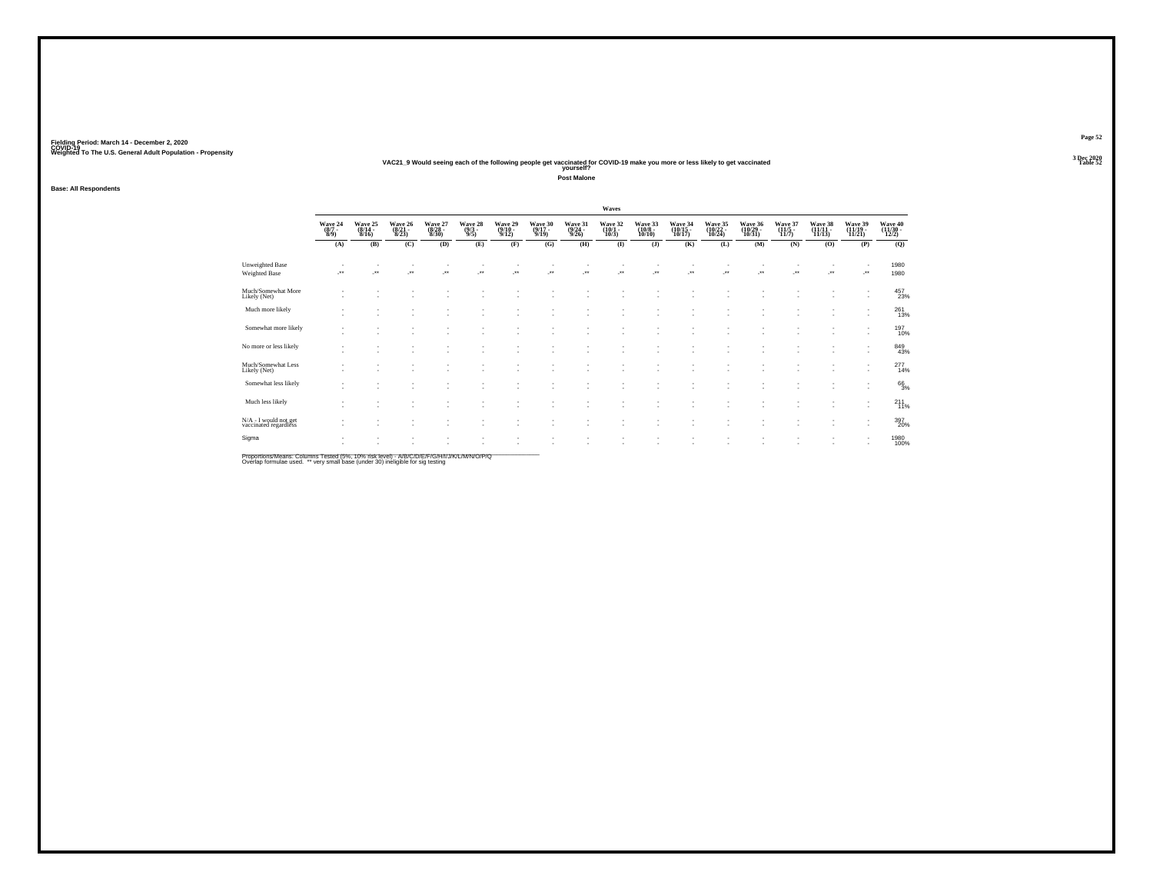#### **VAC21\_9 Would seeing each of the following people get vaccinated for COVID-19 make you more or less likely to get vaccinated Table 52 yourself?**

**Post Malone**

**Base: All Respondents**

|                                                |                                                      |                                                      |                             |                             |                                |                             |                             |                             | Waves                           |                              |                               |                               |                                                      |                           |                            |                                                      |                              |
|------------------------------------------------|------------------------------------------------------|------------------------------------------------------|-----------------------------|-----------------------------|--------------------------------|-----------------------------|-----------------------------|-----------------------------|---------------------------------|------------------------------|-------------------------------|-------------------------------|------------------------------------------------------|---------------------------|----------------------------|------------------------------------------------------|------------------------------|
|                                                | Wave 24<br>$\frac{(8/7)}{8/9}$                       | Wave 25<br>(8/14 -<br>8/16)                          | Wave 26<br>(8/21 -<br>8/23) | Wave 27<br>(8/28 -<br>8/30) | Wave 28 $(9/3 - 9/5)$          | Wave 29<br>(9/10 -<br>9/12) | Wave 30<br>(9/17 -<br>9/19) | Wave 31<br>(9/24 -<br>9/26) | Wave 32<br>$(10/1 -$<br>$10/3)$ | Wave 33<br>(10/8 -<br>10/10) | Wave 34<br>(10/15 -<br>10/17) | Wave 35<br>(10/22 -<br>10/24) | Wave 36<br>(10/29 -<br>10/31)                        | Wave 37<br>(11/5<br>11/7) | Wave 38<br>(11/11<br>11/13 | Wave 39<br>(11/19 -<br>11/21)                        | Wave 40<br>(11/30 -<br>12/2) |
|                                                | (A)                                                  | (B)                                                  | (C)                         | (D)                         | (E)                            | (F)                         | (G)                         | (H)                         | $\bf{I}$                        | $($ $)$                      | (K)                           | (L)                           | (M)                                                  | (N)                       | (0)                        | (P)                                                  | (Q)                          |
| Unweighted Base<br>Weighted Base               | ÷.                                                   | $\overline{\phantom{a}}$                             | ×                           | $\overline{\phantom{a}}$    | $\bullet\bullet$               | $\overline{\phantom{a}}$    | $\bullet\bullet$            | J.                          | ₩.                              | J.                           | J.                            | $\overline{\phantom{a}}$      | J.                                                   | ÷.                        | J.                         | J.                                                   | 1980<br>1980                 |
| Much/Somewhat More<br>Likely (Net)             | $\overline{\phantom{a}}$                             | $\overline{\phantom{a}}$                             | ٠                           |                             |                                | ٠                           |                             |                             |                                 |                              |                               | ٠                             |                                                      |                           |                            | ٠<br>$\overline{\phantom{a}}$                        | 457<br>23%                   |
| Much more likely                               | $\mathbf{r}$<br>$\overline{\phantom{a}}$             | $\overline{\phantom{a}}$                             | ٠<br>٠                      |                             |                                |                             |                             |                             |                                 |                              | ٠                             |                               | $\overline{\phantom{a}}$                             |                           |                            | ٠<br>$\overline{\phantom{a}}$                        | 261<br>13%                   |
| Somewhat more likely                           | $\overline{\phantom{a}}$<br>$\overline{\phantom{a}}$ | $\overline{\phantom{a}}$                             | ٠<br>٠                      | ٠                           | ٠<br>$\overline{\phantom{a}}$  | ٠<br>٠                      |                             |                             | ٠<br>٠                          |                              | ٠<br>٠                        | ٠<br>٠                        | $\overline{\phantom{a}}$                             | ٠                         | ٠                          | $\overline{\phantom{a}}$<br>$\overline{\phantom{a}}$ | 197<br>10%                   |
| No more or less likely                         | $\overline{\phantom{a}}$<br>$\overline{\phantom{a}}$ | $\overline{\phantom{a}}$                             | ٠<br>٠                      | <b>1979</b>                 | ٠<br>$\overline{\phantom{a}}$  | ٠<br>$\sim$                 | $\overline{\phantom{a}}$    | ٠                           | ٠                               |                              | $\overline{\phantom{a}}$      | ٠                             | $\overline{\phantom{a}}$                             | $\sim$                    |                            | ٠                                                    | 849<br>43%                   |
| Much/Somewhat Less<br>Likely (Net)             | $\overline{\phantom{a}}$                             | $\overline{\phantom{a}}$                             | ٠<br>٠                      |                             |                                | $\sim$                      |                             |                             | ٠                               |                              | ٠                             | $\overline{\phantom{a}}$      | $\sim$                                               | ٠                         | $\sim$                     |                                                      | $^{277}_{14\%}$              |
| Somewhat less likely                           | ٠<br>$\overline{\phantom{a}}$                        | $\sim$<br>$\sim$                                     | ٠<br>٠                      | ٠                           | ٠                              | $\sim$                      |                             | ٠                           | ٠                               |                              | ٠                             | $\sim$<br>٠                   | $\overline{\phantom{a}}$<br>и.                       | $\sim$<br>٠               | $\sim$<br>$\sim$           | $\overline{\phantom{a}}$<br>$\overline{\phantom{a}}$ | 663%                         |
| Much less likely                               | $\sim$<br>$\overline{\phantom{a}}$                   | $\overline{\phantom{a}}$                             | $\sim$<br>٠                 | ٠                           | $\overline{\phantom{a}}$<br>٠. | ٠<br>×.                     |                             |                             | ٠<br>٠                          |                              | ٠<br>٠                        | $\sim$<br>٠                   | $\overline{\phantom{a}}$<br>$\overline{\phantom{a}}$ | $\sim$<br>٠               | ٠<br>٠                     | $\overline{\phantom{a}}$<br>$\overline{\phantom{a}}$ | $^{211}_{11\%}$              |
| N/A - I would not get<br>vaccinated regardless | $\overline{\phantom{a}}$                             | $\overline{\phantom{a}}$                             | $\sim$<br>×.                | $\sim$<br>×.                | $\overline{\phantom{a}}$<br>٠  | $\sim$<br>٠                 | $\mathbf{r}$                | ٠<br>٠                      | ٠<br>٠                          | $\mathbf{r}$                 | $\overline{\phantom{a}}$<br>٠ | $\sim$<br>×                   | $\overline{\phantom{a}}$<br>×                        | $\sim$<br>٠               | ٠<br>×.                    | $\overline{\phantom{a}}$<br>$\mathbf{r}$             | 397<br>20%                   |
| Sigma                                          | $\overline{\phantom{a}}$<br>$\overline{\phantom{a}}$ | $\overline{\phantom{a}}$<br>$\overline{\phantom{a}}$ | ٠<br>٠                      |                             |                                |                             |                             |                             |                                 |                              |                               | ٠                             | $\overline{\phantom{a}}$<br>٠                        | ٠<br>٠                    |                            | $\overline{\phantom{a}}$<br>$\overline{\phantom{a}}$ | 1980<br>100%                 |

Proportions/Means: Columns Tested (5%, 10% risk level) - A/B/C/D/E/F/G/H/I/J/K/L/M/N/O/P/Q<br>Overlap formulae used. \*\* very small base (under 30) ineligible for sig testing

**Page 52**3 Dec 2020<br>Table 52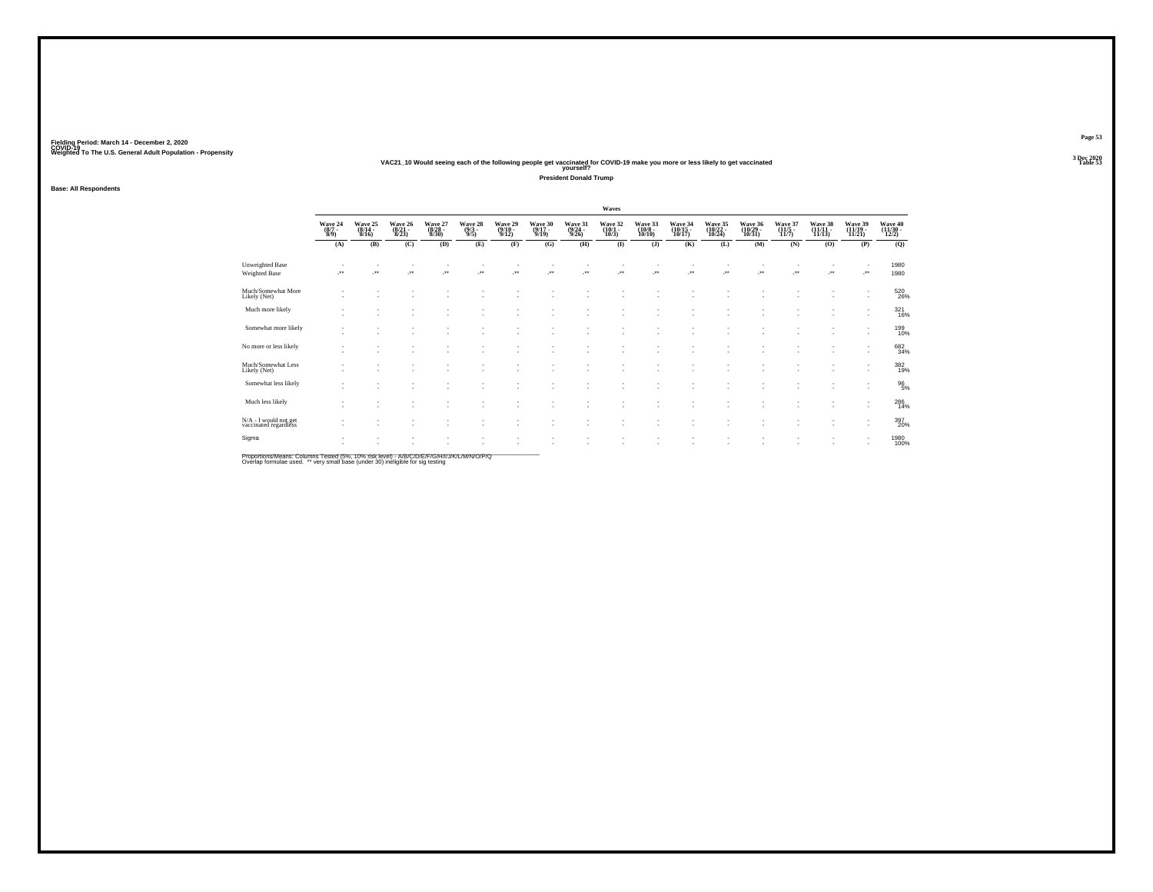### **VAC21\_10 Would seeing each of the following people get vaccinated for COVID-19 make you more or less likely to get vaccinated Table 53 yourself?**

**President Donald Trump**

**Base: All Respondents**

|                                                |                                |                                    |                             |                             |                                |                                       |                             |                             | Waves                       |                              |                                |                               |                               |                            |                               |                               |                              |
|------------------------------------------------|--------------------------------|------------------------------------|-----------------------------|-----------------------------|--------------------------------|---------------------------------------|-----------------------------|-----------------------------|-----------------------------|------------------------------|--------------------------------|-------------------------------|-------------------------------|----------------------------|-------------------------------|-------------------------------|------------------------------|
|                                                | Wave 24<br>$\frac{(8/7)}{8/9}$ | Wave 25<br>(8/14 -<br>8/16)        | Wave 26<br>(8/21 -<br>8/23) | Wave 27<br>(8/28 -<br>8/30) | Wave 28<br>$\frac{(9/3)}{9/5}$ | Wave 29<br>$\frac{(9/10-9/12)}{9/12}$ | Wave 30<br>(9/17 -<br>9/19) | Wave 31<br>(9/24 -<br>9/26) | Wave 32<br>(10/1 -<br>10/3) | Wave 33<br>(10/8 -<br>10/10) | Wave 34<br>(10/15 -<br>10/17)  | Wave 35<br>(10/22 -<br>10/24) | Wave 36<br>(10/29 -<br>10/31) | Wave 37<br>(11/5)<br>11/7) | Wave 38<br>(11/11 -<br>11/13) | Wave 39<br>(11/19 -<br>11/21) | Wave 40<br>(11/30 -<br>12/2) |
|                                                | (A)                            | (B)                                | (C)                         | (D)                         | (E)                            | (F)                                   | (G)                         | (H)                         | $($ $\blacksquare$          | $($ $)$                      | (K)                            | (L)                           | (M)                           | (N)                        | (0)                           | (P)                           | (Q)                          |
| <b>Unweighted Base</b><br>Weighted Base        | $\rightarrow$                  | $\overline{\phantom{a}}$           | $\overline{\phantom{a}}$    | $\cdot$                     | $\ddot{\phantom{1}}$           | J.                                    | ÷.                          | J.                          | ÷.                          | $\cdot$                      | $\overline{\phantom{a}}$<br>J. | $\overline{\phantom{a}}$      | Jes                           | $\overline{\phantom{a}}$   | J.                            |                               | 1980<br>1980                 |
| Much/Somewhat More<br>Likely (Net)             |                                | $\sim$                             |                             |                             |                                |                                       |                             |                             |                             |                              |                                |                               |                               |                            |                               | ٠                             | 520<br>26%                   |
| Much more likely                               |                                | $\sim$                             |                             |                             |                                |                                       |                             |                             | ٠                           |                              | ٠                              |                               |                               |                            | ٠                             | ٠                             | $\frac{321}{16\%}$           |
| Somewhat more likely                           | $\sim$                         | ٠<br>$\sim$                        | ٠                           |                             | ٠                              |                                       |                             |                             | ٠                           | $\sim$                       | ٠<br>٠                         | ٠                             | $\overline{\phantom{a}}$      |                            |                               | ٠<br>٠                        | 199<br>10%                   |
| No more or less likely                         | $\overline{\phantom{a}}$       | $\sim$<br>$\overline{\phantom{a}}$ | ٠                           | ٠                           | ٠                              | ٠                                     | ٠                           |                             | ٠<br>٠                      | $\overline{\phantom{a}}$     | ٠<br>٠                         | ٠                             |                               |                            | $\sim$                        | ٠                             | 682<br>34%                   |
| Much/Somewhat Less<br>Likely (Net)             |                                | $\sim$                             |                             | ٠                           | $\overline{\phantom{a}}$       |                                       | ٠                           |                             | ٠                           | $\overline{\phantom{a}}$     | ٠                              | $\sim$                        |                               |                            | $\sim$                        | ٠                             | 382<br>19%                   |
| Somewhat less likely                           | $\overline{\phantom{a}}$       | $\sim$                             |                             |                             |                                |                                       |                             |                             |                             |                              | ٠                              |                               |                               |                            |                               | ٠                             | $^{96}_{5\%}$                |
| Much less likely                               | $\overline{\phantom{a}}$       | $\sim$<br>$\sim$                   | ٠                           | ٠                           | ٠                              |                                       |                             |                             | ٠                           |                              | $\overline{\phantom{a}}$<br>٠  | $\sim$                        |                               |                            |                               | ٠<br>٠                        | $^{286}_{14\%}$              |
| N/A - I would not get<br>vaccinated regardless | . .                            | $\overline{\phantom{a}}$           | ×.                          | ٠                           | ٠<br>٠                         | $\overline{\phantom{a}}$              | ٠                           |                             | ٠                           | $\overline{\phantom{a}}$     | ٠<br>٠                         | ٠                             | ٠                             | ٠                          | ٠                             | ٠                             | 397<br>20%                   |
| Sigma                                          | $\overline{\phantom{a}}$       | $\sim$                             |                             |                             |                                |                                       |                             |                             | $\sim$                      |                              | ٠                              | $\overline{\phantom{a}}$      | ٠                             |                            |                               |                               | 1980<br>100%                 |
|                                                |                                |                                    |                             |                             |                                |                                       |                             |                             |                             |                              |                                |                               |                               |                            |                               |                               |                              |

Proportions/Means: Columns Tested (5%, 10% risk level) - A/B/C/D/E/F/G/H/I/J/K/L/M/N/O/P/Q<br>Overlap formulae used. \*\* very small base (under 30) ineligible for sig testing

**Page 53**3 Dec 2020<br>Table 53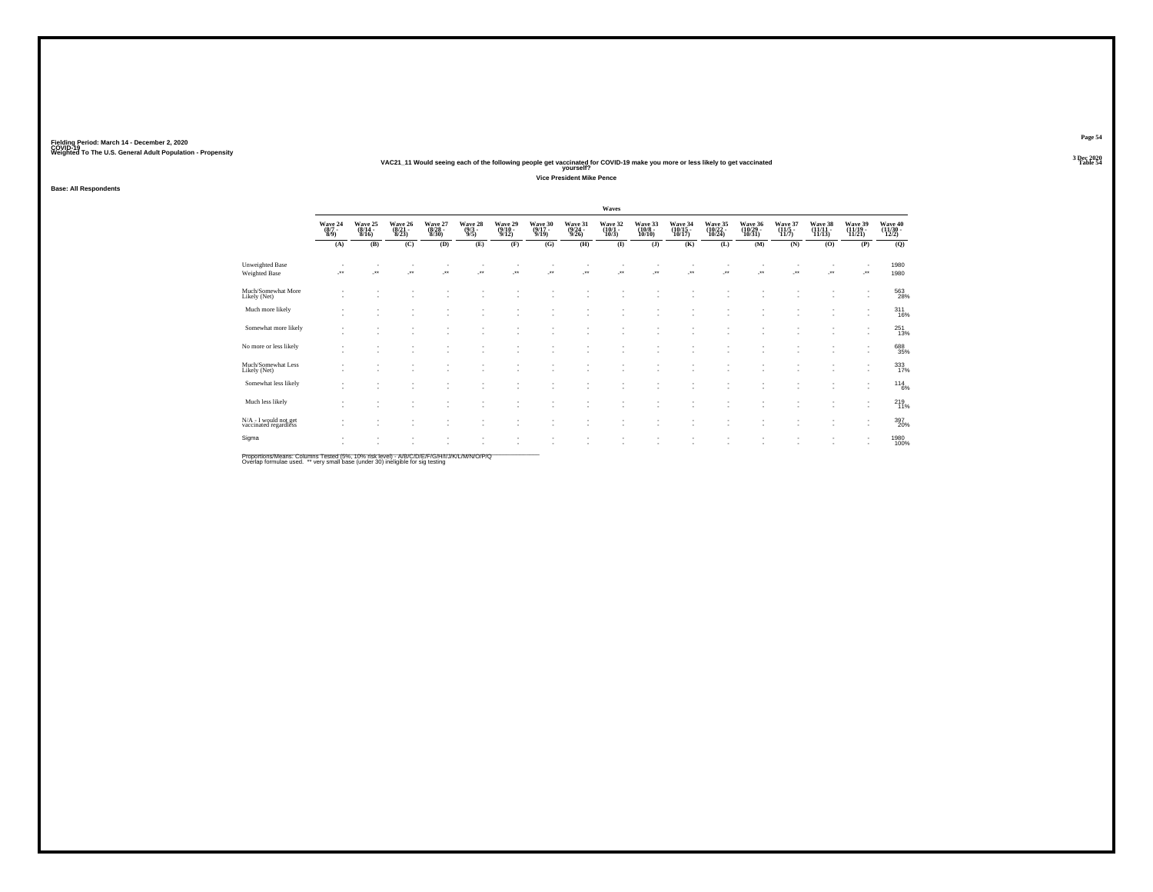### **VAC21\_11 Would seeing each of the following people get vaccinated for COVID-19 make you more or less likely to get vaccinated Table 54 yourself?**

**Vice President Mike Pence**

**Fielding Period: March 14 - December 2, 2020 COVID-19 Weighted To The U.S. General Adult Population - Propensity 3 Dec 2020**

**Page 54**3 Dec 2020<br>Table 54

|       |                |         |         | Waves   |         |         |  |
|-------|----------------|---------|---------|---------|---------|---------|--|
| ve 28 | <b>Wave 29</b> | Wave 30 | Wave 31 | Wave 32 | Wave 33 | Wave 34 |  |

| <b>Base: All Respondents</b> |
|------------------------------|
|------------------------------|

|                                                | Waves                          |                                  |                                  |                             |                                |                             |                              |                                  |                 |                               |                               |                               |                               |                             |                            |                              |                            |
|------------------------------------------------|--------------------------------|----------------------------------|----------------------------------|-----------------------------|--------------------------------|-----------------------------|------------------------------|----------------------------------|-----------------|-------------------------------|-------------------------------|-------------------------------|-------------------------------|-----------------------------|----------------------------|------------------------------|----------------------------|
|                                                | Wave 24<br>$\frac{(8/7)}{8/9}$ | Wave 25<br>$\frac{(8/14)}{8/16}$ | Wave 26<br>$\frac{(8/21)}{8/23}$ | Wave 27<br>(8/28 -<br>8/30) | Wave 28<br>$\frac{(9/3)}{9/5}$ | Wave 29<br>(9/10 -<br>9/12) | Wave 30<br>$(9/17 -$<br>9/19 | Wave 31<br>$\frac{(9/24)}{9/26}$ | Wave 32<br>10/3 | Wave 33<br>10/10              | Wave 34<br>(10/15 -<br>10/17) | Wave 35<br>(10/22 -<br>10/24) | Wave 36<br>(10/29 -<br>10/31) | Wave 37<br>(11/5 -<br>11/7) | Wave 38<br>(11/11<br>11/13 | Wave 39<br>(11/19 -<br>11/21 | Wave 40<br>(11/30<br>12/2) |
|                                                | (A)                            | (B)                              | (C)                              | (D)                         | (E)                            | (F)                         | (G)                          | (H)                              | $($ $\Gamma$    | (J)                           | (K)                           | (L)                           | (M)                           | (N)                         | (O)                        | (P)                          | (Q)                        |
| <b>Unweighted Base</b><br><b>Weighted Base</b> | $\ddot{\phantom{1}}$           | 59                               | ÷.                               | $\cdot$                     | $\ddot{\phantom{1}}$           | ÷.                          | $\ddot{\phantom{1}}$         | J.                               |                 | $\cdot$                       | $\bullet\bullet$              | $\ddot{\phantom{1}}$          | $\star$                       | $\cdot$                     |                            | $\overline{\phantom{a}}$     | 1980<br>1980               |
| Much/Somewhat More<br>Likely (Net)             |                                |                                  |                                  |                             |                                |                             | ×                            | $\sim$                           | ٠               | ٠                             |                               |                               |                               |                             | ٠                          | $\overline{\phantom{a}}$     | 563<br>28%                 |
| Much more likely                               |                                |                                  |                                  |                             |                                |                             |                              |                                  | ٠               |                               |                               |                               |                               |                             |                            |                              | $\frac{311}{16\%}$         |
| Somewhat more likely                           |                                |                                  |                                  |                             |                                |                             | ٠                            |                                  | ٠               |                               |                               |                               |                               |                             |                            |                              | 251<br>13%                 |
| No more or less likely                         |                                |                                  |                                  |                             |                                |                             | ٠                            | $\sim$                           | ٠<br>٠          | ٠                             |                               |                               |                               |                             | ٠                          | $\sim$                       | 688<br>35%                 |
| Much/Somewhat Less<br>Likely (Net)             |                                |                                  |                                  |                             |                                |                             |                              |                                  |                 |                               |                               |                               |                               |                             |                            |                              | 333<br>17%                 |
| Somewhat less likely                           |                                |                                  |                                  |                             |                                |                             |                              |                                  | $\sim$<br>٠     |                               |                               |                               |                               |                             |                            | $\sim$<br>٠                  | $^{114}_{6\%}$             |
| Much less likely                               |                                |                                  |                                  |                             |                                |                             | ٠                            | $\sim$                           | ٠               |                               |                               |                               |                               |                             |                            |                              | 219<br>11%                 |
| N/A - I would not get<br>vaccinated regardless |                                |                                  |                                  |                             |                                |                             |                              |                                  | ٠<br>٠          | $\overline{\phantom{a}}$<br>٠ | ٠                             | ٠                             |                               |                             | ٠                          | $\sim$<br>$\sim$             | 397<br>20%                 |
| Sigma                                          |                                |                                  |                                  |                             |                                |                             |                              |                                  |                 |                               |                               |                               |                               |                             |                            |                              | 1980<br>100%               |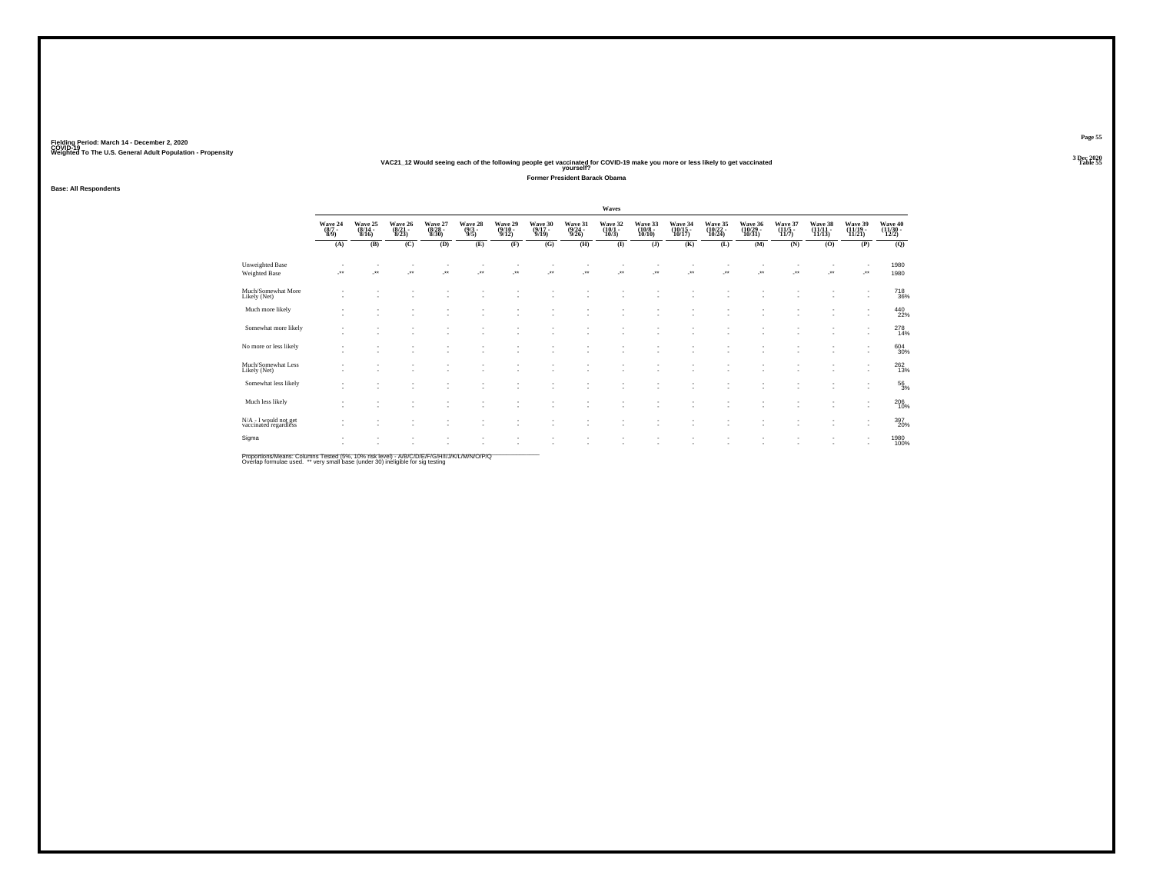### **VAC21\_12 Would seeing each of the following people get vaccinated for COVID-19 make you more or less likely to get vaccinated Table 55 yourself?**

**Former President Barack Obama**

**Base: All Respondents**

|                                                |                           |                             |                             |                             |                       |                             |                                  |                             | Waves                           |                              |                               |                               |                               |                                         |                               |                               |                              |
|------------------------------------------------|---------------------------|-----------------------------|-----------------------------|-----------------------------|-----------------------|-----------------------------|----------------------------------|-----------------------------|---------------------------------|------------------------------|-------------------------------|-------------------------------|-------------------------------|-----------------------------------------|-------------------------------|-------------------------------|------------------------------|
|                                                | Wave 24<br>(8/7 -<br>8/9) | Wave 25<br>(8/14 -<br>8/16) | Wave 26<br>(8/21 -<br>8/23) | Wave 27<br>(8/28 -<br>8/30) | Wave 28 $(9/3 - 9/5)$ | Wave 29<br>(9/10 -<br>9/12) | Wave 30<br>$\frac{(9/17)}{9/19}$ | Wave 31<br>(9/24 -<br>9/26) | Wave 32<br>$(10/1 -$<br>$10/3)$ | Wave 33<br>(10/8 -<br>10/10) | Wave 34<br>(10/15 -<br>10/17) | Wave 35<br>(10/22 -<br>10/24) | Wave 36<br>(10/29 -<br>10/31) | Wave 37<br>$\frac{(11/5 - 11)}{(11/7)}$ | Wave 38<br>(11/11 -<br>11/13) | Wave 39<br>(11/19 -<br>11/21) | Wave 40<br>(11/30 -<br>12/2) |
|                                                | (A)                       | (B)                         | (C)                         | (D)                         | (E)                   | (F)                         | (G)                              | (H)                         | $\bf(I)$                        | $($ $)$                      | (K)                           | (L)                           | (M)                           | (N)                                     | (0)                           | (P)                           | (Q)                          |
| <b>Unweighted Base</b><br><b>Weighted Base</b> | $\overline{\phantom{a}}$  | J.                          | ×                           | $\cdot$                     | $\cdot$               | ÷.                          | $\overline{\phantom{a}}$         | J.                          | $\ddot{\phantom{1}}$            | $\cdot$                      | $\overline{\phantom{a}}$      | $\ddot{\phantom{1}}$          | $\cdot$                       | ÷.                                      |                               | $\cdot$                       | 1980<br>1980                 |
| Much/Somewhat More<br>Likely (Net)             |                           |                             |                             |                             |                       |                             |                                  |                             |                                 |                              |                               |                               |                               |                                         |                               | $\overline{\phantom{a}}$      | $^{718}_{\ 36\%}$            |
| Much more likely                               |                           |                             |                             |                             |                       | ٠                           |                                  | $\sim$                      |                                 |                              |                               |                               |                               |                                         |                               | $\overline{\phantom{a}}$      | $^{440}_{22\%}$              |
| Somewhat more likely                           |                           |                             |                             |                             |                       | ٠<br>٠                      | $\overline{\phantom{a}}$         | ٠<br>٠                      | ٠<br>٠                          |                              | ٠                             |                               |                               |                                         |                               | ٠                             | 278<br>14%                   |
| No more or less likely                         |                           | ٠                           |                             |                             | ٠                     | ٠                           | $\overline{\phantom{a}}$         | ٠                           | ٠                               |                              | ٠                             |                               |                               |                                         |                               | $\sim$                        | $^{604}_{30\%}$              |
| Much/Somewhat Less<br>Likely (Net)             |                           |                             |                             |                             |                       | ٠                           |                                  | $\sim$                      |                                 |                              | ٠                             |                               |                               |                                         |                               | ٠<br>٠                        | $^{262}_{13\%}$              |
| Somewhat less likely                           |                           |                             |                             |                             |                       | $\overline{\phantom{a}}$    |                                  | ÷                           | ٠                               |                              | ٠<br>٠                        |                               |                               |                                         |                               | $\overline{\phantom{a}}$      | $^{56}_{3\%}$                |
| Much less likely                               |                           | ٠                           | ٠                           |                             | ٠                     | ٠<br>٠                      | $\overline{\phantom{a}}$         | ÷                           | $\sim$<br>٠                     |                              | ٠                             |                               |                               |                                         |                               | $\overline{\phantom{a}}$      | $^{206}_{10\%}$              |
| N/A - I would not get<br>vaccinated regardless |                           | ٠                           | ٠                           |                             | ٠                     | ٠<br>٠                      | $\overline{\phantom{a}}$         | ×                           | ٠                               | $\overline{\phantom{a}}$     | $\overline{\phantom{a}}$      | ٠                             | ٠                             | $\sim$                                  | ٠                             | $\overline{\phantom{a}}$      | 397<br>20%                   |
| Sigma                                          |                           |                             |                             |                             |                       | ٠                           | $\overline{\phantom{a}}$         | ٠                           | ٠                               |                              | $\overline{\phantom{a}}$      | ٠                             |                               |                                         |                               |                               | 1980<br>100%                 |
|                                                |                           |                             |                             |                             |                       |                             |                                  |                             |                                 |                              |                               |                               |                               |                                         |                               |                               |                              |

Proportions/Means: Columns Tested (5%, 10% risk level) - A/B/C/D/E/F/G/H/I/J/K/L/M/N/O/P/Q<br>Overlap formulae used. \*\* very small base (under 30) ineligible for sig testing

**Page 55**3 Dec 2020<br>Table 55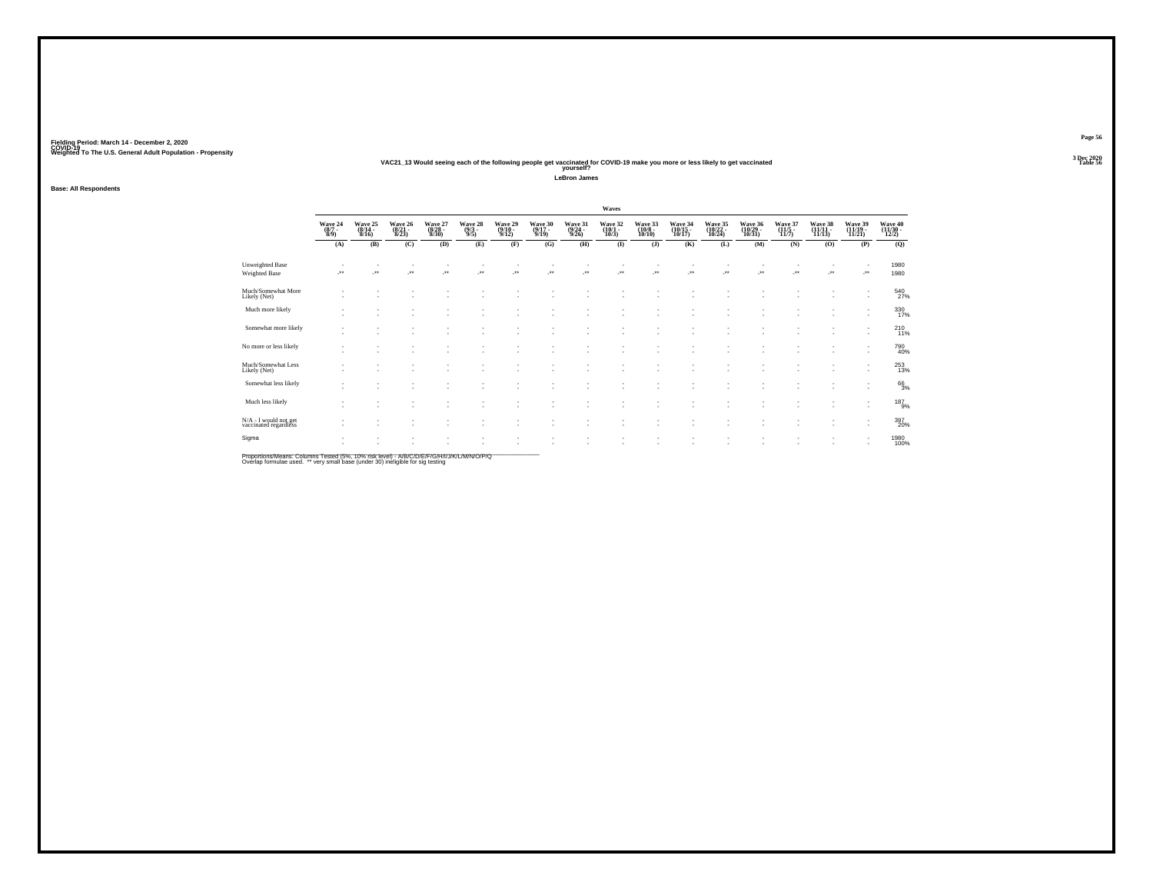### **VAC21\_13 Would seeing each of the following people get vaccinated for COVID-19 make you more or less likely to get vaccinated Table 56 yourself?**

**LeBron James**

**Base: All Respondents**

|                                                |                                                      |                                                      |                                  |                             |                                |                              |                            |                                  | Waves                    |                                        |                                                      |                               |                               |                                  |                                             |                               |                                                                     |
|------------------------------------------------|------------------------------------------------------|------------------------------------------------------|----------------------------------|-----------------------------|--------------------------------|------------------------------|----------------------------|----------------------------------|--------------------------|----------------------------------------|------------------------------------------------------|-------------------------------|-------------------------------|----------------------------------|---------------------------------------------|-------------------------------|---------------------------------------------------------------------|
|                                                | Wave 24<br>$\frac{(8/7)}{8/9}$                       | Wave 25<br>8/16                                      | Wave 26<br>$\frac{(8/21)}{8/23}$ | Wave 27<br>(8/28 -<br>8/30) | Wave 28<br>$\frac{(9/3)}{9/5}$ | Wave 29<br>$(9/10 -$<br>9/12 | Wave 30<br>(9/17 -<br>9/19 | Wave 31<br>$\frac{(9/24)}{9/26}$ | Wave 32<br>(10/1<br>10/3 | Wave 33<br>$\frac{(10/8 - 10)}{10/10}$ | Wave 34<br>(10/15 -<br>10/17)                        | Wave 35<br>(10/22 -<br>10/24) | Wave 36<br>(10/29 -<br>10/31) | Wave 37<br>$\frac{(11/5)}{11/7}$ | Wave 38<br>$\left(\frac{11}{11}{13}\right)$ | Wave 39<br>(11/19 -<br>11/21) | Wave 40<br>$\left(\frac{11}{30}\right)$ $\left(\frac{11}{2}\right)$ |
|                                                | (A)                                                  | (B)                                                  | (C)                              | (D)                         | (E)                            | (F)                          | (G)                        | (H)                              | $\bf{I}$                 | $($ $)$                                | (K)                                                  | (L)                           | (M)                           | (N)                              | (O)                                         | (P)                           | (Q)                                                                 |
| <b>Unweighted Base</b><br>Weighted Base        | $\cdot$                                              |                                                      | ×                                | ÷.                          | z.                             | 59                           | ÷.                         | $\mathcal{C}^{\bullet}$          | ٠<br>÷.                  | $\cdot$                                | $\overline{\phantom{a}}$<br>J.                       | J.                            | ÷.                            | $\sim$<br>÷.                     | $\cdot$                                     | J.                            | 1980<br>1980                                                        |
| Much/Somewhat More<br>Likely (Net)             |                                                      | $\overline{\phantom{a}}$                             | ٠                                |                             | ٠                              | ٠                            | ٠                          |                                  | $\sim$                   | $\overline{\phantom{a}}$               | ٠                                                    | $\sim$                        |                               |                                  | ٠                                           | ٠                             | $^{540}_{27\%}$                                                     |
| Much more likely                               |                                                      | $\sim$<br>$\overline{\phantom{a}}$                   |                                  |                             | ٠                              |                              | ٠                          |                                  | ٠.                       |                                        | ٠<br>$\overline{\phantom{a}}$                        | ٠                             |                               |                                  | $\sim$                                      | ٠<br>٠                        | 330<br>17%                                                          |
| Somewhat more likely                           |                                                      | $\sim$<br>۰                                          | ۰.                               |                             | ٠                              |                              | ٠<br>٠                     |                                  | ٠<br>٠                   |                                        | $\overline{\phantom{a}}$<br>٠                        | $\overline{\phantom{a}}$<br>٠ |                               | ٠<br>٠                           | ٠<br>٠                                      | ٠<br>٠                        | $^{210}_{11\%}$                                                     |
| No more or less likely                         |                                                      | $\overline{\phantom{a}}$<br>٠                        | ٠                                |                             | ٠<br>٠                         |                              | ٠                          |                                  | ٠<br>٠                   | -                                      | ٠<br>٠                                               | ٠<br>$\overline{\phantom{a}}$ | $\overline{\phantom{a}}$      | ٠                                | ٠                                           | ٠<br>٠                        | 790<br>40%                                                          |
| Much/Somewhat Less<br>Likely (Net)             | . .                                                  | $\sim$<br>$\overline{\phantom{a}}$                   | . п.                             | ٠.                          | ٠                              | $\overline{\phantom{a}}$     | ٠<br>$\sim$                | <b>1999</b>                      | ٠<br>٠                   | $\sim$                                 | $\overline{\phantom{a}}$<br>٠                        | и.                            | $\sim$                        | $\sim$                           | ٠                                           | ٠<br>$\overline{\phantom{a}}$ | $^{253}_{13\%}$                                                     |
| Somewhat less likely                           | $\overline{\phantom{a}}$                             | $\overline{\phantom{a}}$<br>۰                        | ۰.                               |                             |                                |                              | $\sim$                     |                                  | ٠                        | $\sim$                                 | $\overline{\phantom{a}}$<br>$\overline{\phantom{a}}$ | ٠<br>٠                        |                               |                                  | $\sim$                                      | ٠<br>٠                        | $^{66}_{3\%}$                                                       |
| Much less likely                               | $\overline{\phantom{a}}$                             | ٠<br>$\sim$                                          | ٠<br>٠                           |                             |                                |                              |                            |                                  | ٠                        |                                        | ٠<br>٠                                               | ٠<br>$\overline{\phantom{a}}$ |                               |                                  | $\sim$                                      | ٠<br>٠                        | $^{187}_{9\%}$                                                      |
| N/A - I would not get<br>vaccinated regardless | $\overline{\phantom{a}}$                             | $\overline{\phantom{a}}$<br>$\overline{\phantom{a}}$ |                                  |                             | ٠                              |                              | $\sim$<br>$\sim$           |                                  | $\sim$<br>٠              | $\sim$                                 | ٠<br>٠                                               | $\sim$<br>٠                   |                               |                                  | ٠                                           | ٠<br>٠                        | 397<br>20%                                                          |
| Sigma                                          | $\overline{\phantom{a}}$<br>$\overline{\phantom{a}}$ | $\sim$<br>$\overline{\phantom{a}}$                   | $\sim$<br>×.                     | ٠<br>٠                      | ٠<br>٠                         | $\overline{\phantom{a}}$     | ٠<br>٠                     | $\sim$                           | ٠<br>÷.                  | $\overline{\phantom{a}}$               | ٠<br>×                                               | $\overline{\phantom{a}}$<br>٠ | ٠<br>$\sim$                   | ٠                                | ٠                                           | ٠<br>$\overline{\phantom{a}}$ | 1980<br>100%                                                        |

Proportions/Means: Columns Tested (5%, 10% risk level) - A/B/C/D/E/F/G/H/I/J/K/L/M/N/O/P/Q<br>Overlap formulae used. \*\* very small base (under 30) ineligible for sig testing

**Page 563 Dec 2020<br>Table 56**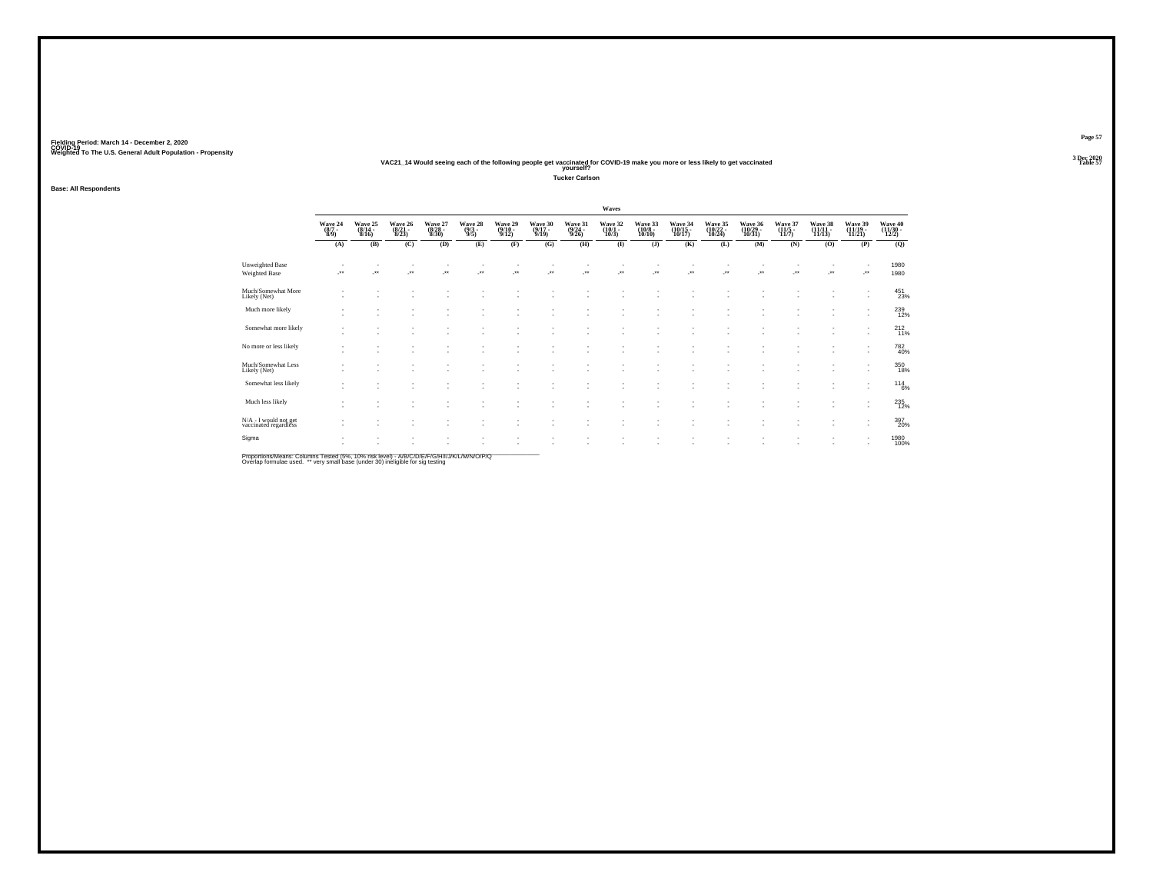### **VAC21\_14 Would seeing each of the following people get vaccinated for COVID-19 make you more or less likely to get vaccinated Table 57 yourself?**

**Tucker Carlson**

**Base: All Respondents**

|                                                |                                |                                    |                             |                             |                                |                                       |                             |                                  | Waves                            |                                        |                               |                                |                               |                             |                               |                               |                              |
|------------------------------------------------|--------------------------------|------------------------------------|-----------------------------|-----------------------------|--------------------------------|---------------------------------------|-----------------------------|----------------------------------|----------------------------------|----------------------------------------|-------------------------------|--------------------------------|-------------------------------|-----------------------------|-------------------------------|-------------------------------|------------------------------|
|                                                | Wave 24<br>$\frac{(8/7)}{8/9}$ | Wave 25<br>(8/14 -<br>8/16)        | Wave 26<br>(8/21 -<br>8/23) | Wave 27<br>(8/28 -<br>8/30) | Wave 28<br>$\frac{(9/3)}{9/5}$ | Wave 29<br>$\frac{(9/10-9/12)}{9/12}$ | Wave 30<br>(9/17 -<br>9/19) | Wave 31<br>$\frac{(9/24)}{9/26}$ | Wave 32<br>$\frac{(10/1)}{10/3}$ | Wave 33<br>$\frac{(10/8 - 10)}{10/10}$ | Wave 34<br>(10/15 -<br>10/17) | Wave 35<br>(10/22 -<br>10/24)  | Wave 36<br>(10/29 -<br>10/31) | Wave 37<br>(11/5 -<br>11/7) | Wave 38<br>(11/11 -<br>11/13) | Wave 39<br>(11/19 -<br>11/21) | Wave 40<br>(11/30 -<br>12/2) |
|                                                | (A)                            | (B)                                | (C)                         | (D)                         | (E)                            | (F)                                   | (G)                         | (H)                              | $($ $\Gamma$                     | $($ $)$                                | (K)                           | (L)                            | (M)                           | (N)                         | (O)                           | (P)                           | (Q)                          |
| <b>Unweighted Base</b><br>Weighted Base        | $\cdot$                        |                                    | $\overline{\phantom{a}}$    | ÷.                          | $\ddot{\phantom{1}}$           | 59                                    | ÷.                          | J.                               | ÷.                               | $\cdot$                                | ٠<br>J.                       | $\overline{\phantom{a}}$<br>÷. | ÷.                            | $\overline{\phantom{a}}$    | $\cdot$                       |                               | 1980<br>1980                 |
| Much/Somewhat More<br>Likely (Net)             | $\overline{\phantom{a}}$       | $\sim$                             | ٠                           |                             | ٠                              |                                       | ٠                           |                                  | $\sim$                           | $\overline{\phantom{a}}$               | $\overline{\phantom{a}}$      | $\sim$                         |                               |                             | ٠                             | $\overline{\phantom{a}}$      | $^{451}_{23\%}$              |
| Much more likely                               |                                | $\sim$<br>$\sim$                   |                             |                             |                                |                                       |                             |                                  | ٠                                |                                        | ٠<br>$\overline{\phantom{a}}$ |                                |                               |                             |                               | ٠<br>٠                        | $^{239}_{12\%}$              |
| Somewhat more likely                           | $\sim$                         | ٠<br>$\sim$                        |                             |                             | ٠                              |                                       | ٠                           |                                  | ٠<br>٠                           | $\overline{\phantom{a}}$               | ٠<br>٠                        | ٠<br>٠                         | ٠                             | ٠                           | ٠                             | ٠<br>٠                        | $^{212}_{11\%}$              |
| No more or less likely                         | $\overline{\phantom{a}}$       | ٠<br>٠                             | ٠                           |                             | ٠<br>٠                         |                                       |                             |                                  | $\sim$                           |                                        | ٠<br>٠                        | ٠                              | ٠                             |                             |                               | ٠<br>٠                        | 782<br>40%                   |
| Much/Somewhat Less<br>Likely (Net)             |                                | ٠                                  |                             | ٠                           | ٠<br>٠                         |                                       | ٠                           |                                  | ٠                                | $\overline{\phantom{a}}$               | ٠<br>٠                        | ٠                              | ٠                             |                             | ٠                             | ٠                             | 350<br>18%                   |
| Somewhat less likely                           | . .                            | $\sim$<br>$\overline{\phantom{a}}$ | $\sim$                      | ٠.                          | ۰                              | $\overline{\phantom{a}}$              | $\sim$                      |                                  | ٠<br>٠                           | $\overline{\phantom{a}}$               | ٠<br>٠                        | $\sim$                         | $\sim$                        | ٠                           | ٠                             | ٠<br>٠                        | $^{114}_{6\%}$               |
| Much less likely                               |                                | $\overline{\phantom{a}}$           |                             |                             |                                |                                       |                             |                                  |                                  |                                        | ٠<br>٠                        |                                |                               |                             |                               | ٠<br>٠                        | 235<br>12%                   |
| N/A - I would not get<br>vaccinated regardless | $\overline{\phantom{a}}$       | $\sim$<br>٠                        | $\sim$                      | ٠                           | ٠<br>٠                         |                                       |                             |                                  | ٠                                |                                        | $\overline{\phantom{a}}$<br>٠ | ٠                              | ٠<br>٠                        |                             |                               | ٠                             | 397<br>20%                   |
| Sigma                                          | $\overline{\phantom{a}}$       | ٠                                  |                             |                             |                                | ٠                                     | ٠                           |                                  | ٠                                | $\overline{\phantom{a}}$               | ٠<br>٠                        |                                |                               |                             | $\sim$                        | ٠                             | 1980<br>100%                 |

Proportions/Means: Columns Tested (5%, 10% risk level) - A/B/C/D/E/F/G/H/I/J/K/L/M/N/O/P/Q<br>Overlap formulae used. \*\* very small base (under 30) ineligible for sig testing

**Page 57**3 Dec 2020<br>Table 57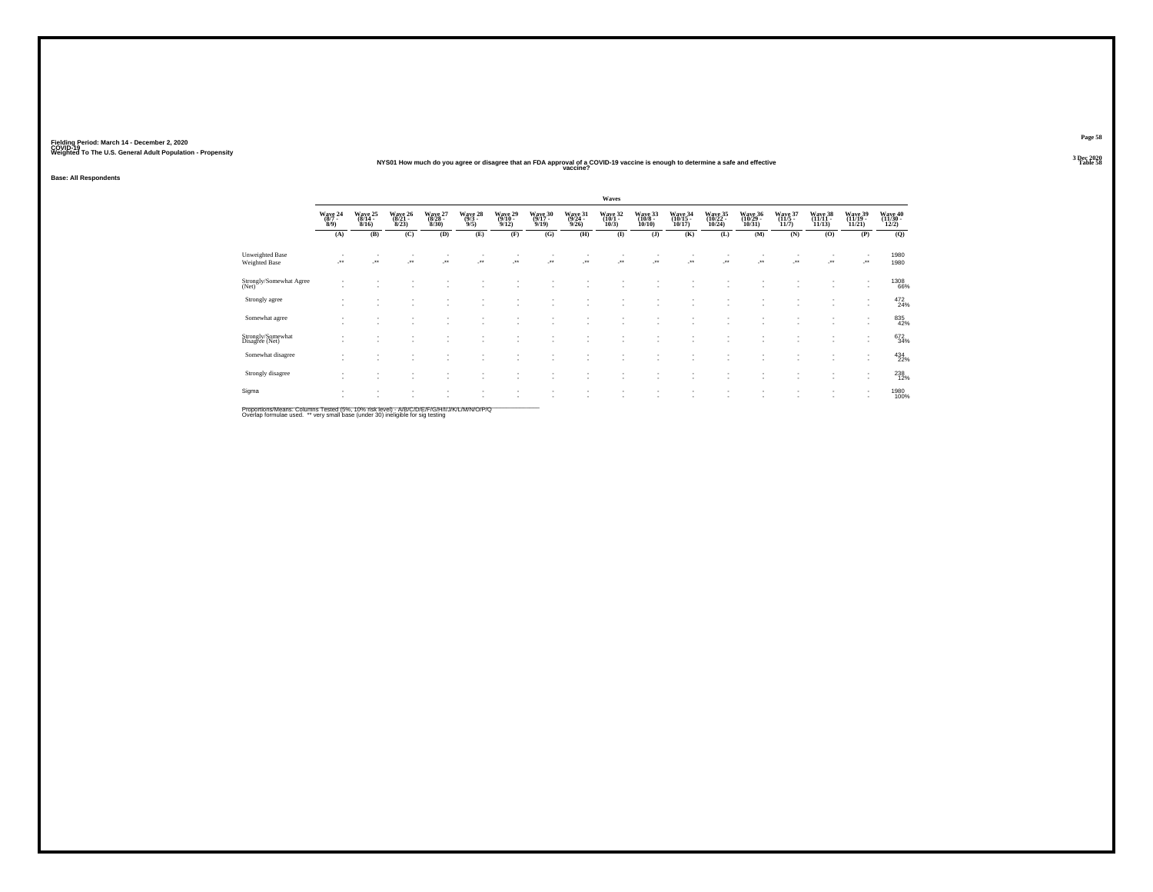### **NYS01 How much do you agree or disagree that an FDA approval of a COVID-19 vaccine is enough to determine a safe and effective Table 58 vaccine?**

**Base: All Respondents**

|                                                |                           |                         |                              |                             |                           |                             |                             |                             | Waves                       |                              |                                                      |                                |                                          |                                         |                               |                                                      |                              |
|------------------------------------------------|---------------------------|-------------------------|------------------------------|-----------------------------|---------------------------|-----------------------------|-----------------------------|-----------------------------|-----------------------------|------------------------------|------------------------------------------------------|--------------------------------|------------------------------------------|-----------------------------------------|-------------------------------|------------------------------------------------------|------------------------------|
|                                                | Wave 24<br>(8/7 -<br>8/9) | Wave 25<br>8/16         | Wave 26<br>$(8/21 -$<br>8/23 | Wave 27<br>(8/28 -<br>8/30) | Wave 28<br>(9/3 -<br>9/5) | Wave 29<br>(9/10 -<br>9/12) | Wave 30<br>(9/17 -<br>9/19) | Wave 31<br>(9/24 -<br>9/26) | Wave 32<br>(10/1 -<br>10/3) | Wave 33<br>(10/8 -<br>10/10) | Wave 34<br>(10/15 -<br>10/17)                        | Wave 35<br>(10/22<br>$10/24$ ) | Wave 36<br>(10/29<br>10/31               | Wave 37<br>$\frac{(11/5 - 11)}{(11/7)}$ | Wave 38<br>(11/11 -<br>11/13) | Wave 39<br>(11/19 -<br>11/21)                        | Wave 40<br>(11/30 -<br>12/2) |
|                                                | (A)                       | (B)                     | (C)                          | (D)                         | (E)                       | (F)                         | (G)                         | (H)                         | $\bf(I)$                    | $($ $\bf{J}$ $)$             | (K)                                                  | (L)                            | (M)                                      | (N)                                     | (O)                           | (P)                                                  | (Q)                          |
| <b>Unweighted Base</b><br><b>Weighted Base</b> | $\mathcal{C}^{\bullet}$   | $\mathcal{F}^{\bullet}$ | $\cdot$                      | $\cdot$                     |                           |                             | -**                         | -**                         | $\cdot$                     | J.                           | J.                                                   | J.                             | ÷.                                       | $\mathcal{F}^{\bullet}$                 | J.                            | ٠<br>                                                | 1980<br>1980                 |
| Strongly/Somewhat Agree<br>(Net)               |                           |                         |                              |                             |                           |                             |                             |                             |                             |                              |                                                      |                                |                                          |                                         | $\sim$                        | ٠<br>$\overline{\phantom{a}}$                        | 1308<br>66%                  |
| Strongly agree                                 | ٠<br>٠                    |                         |                              |                             |                           |                             |                             |                             | ٠<br>٠                      | $\sim$                       | $\overline{\phantom{a}}$<br>$\overline{\phantom{a}}$ | $\sim$                         | $\mathbf{r}$<br>$\overline{\phantom{a}}$ | $\sim$                                  | $\sim$<br>٠                   | $\overline{\phantom{a}}$<br>$\overline{\phantom{a}}$ | 472<br>24%                   |
| Somewhat agree                                 |                           |                         |                              |                             |                           |                             |                             |                             |                             |                              |                                                      |                                |                                          |                                         |                               | $\overline{\phantom{a}}$                             | 835<br>42%                   |
| Strongly/Somewhat<br>Disagree (Net)            |                           |                         |                              |                             |                           |                             |                             |                             | ٠                           | $\overline{\phantom{a}}$     | ٠<br>$\overline{\phantom{a}}$                        | ٠<br>$\sim$                    | ٠<br>$\sim$                              |                                         | ٠<br>$\sim$                   | ٠<br>$\overline{\phantom{a}}$                        | 672<br>34%                   |
| Somewhat disagree                              | ٠                         | ٠                       |                              | ٠                           | ٠                         |                             |                             |                             | ٠                           | $\overline{\phantom{a}}$     | $\overline{\phantom{a}}$<br>$\overline{\phantom{a}}$ | ٠<br>٠                         | ٠<br>$\sim$                              |                                         | $\sim$<br>٠                   | ٠<br>$\overline{\phantom{a}}$                        | 434<br>22%                   |
| Strongly disagree                              |                           |                         |                              |                             |                           |                             |                             |                             |                             |                              |                                                      |                                |                                          |                                         |                               | $\overline{\phantom{a}}$<br>$\overline{\phantom{a}}$ | 238<br>12%                   |
| Sigma                                          | ٠                         |                         |                              |                             |                           |                             |                             |                             | ٠<br>٠                      |                              | $\overline{\phantom{a}}$<br>$\overline{\phantom{a}}$ | ٠<br>$\sim$                    | ٠<br>$\sim$                              |                                         | ٠<br>٠                        | $\overline{\phantom{a}}$<br>$\overline{\phantom{a}}$ | 1980<br>100%                 |

Proportions/Means: Columns Tested (5%, 10% risk level) - A/B/C/D/E/F/G/H/I/J/K/L/M/N/O/P/Q<br>Overlap formulae used. \*\* very small base (under 30) ineligible for sig testing

**Page 58**3 Dec 2020<br>Table 58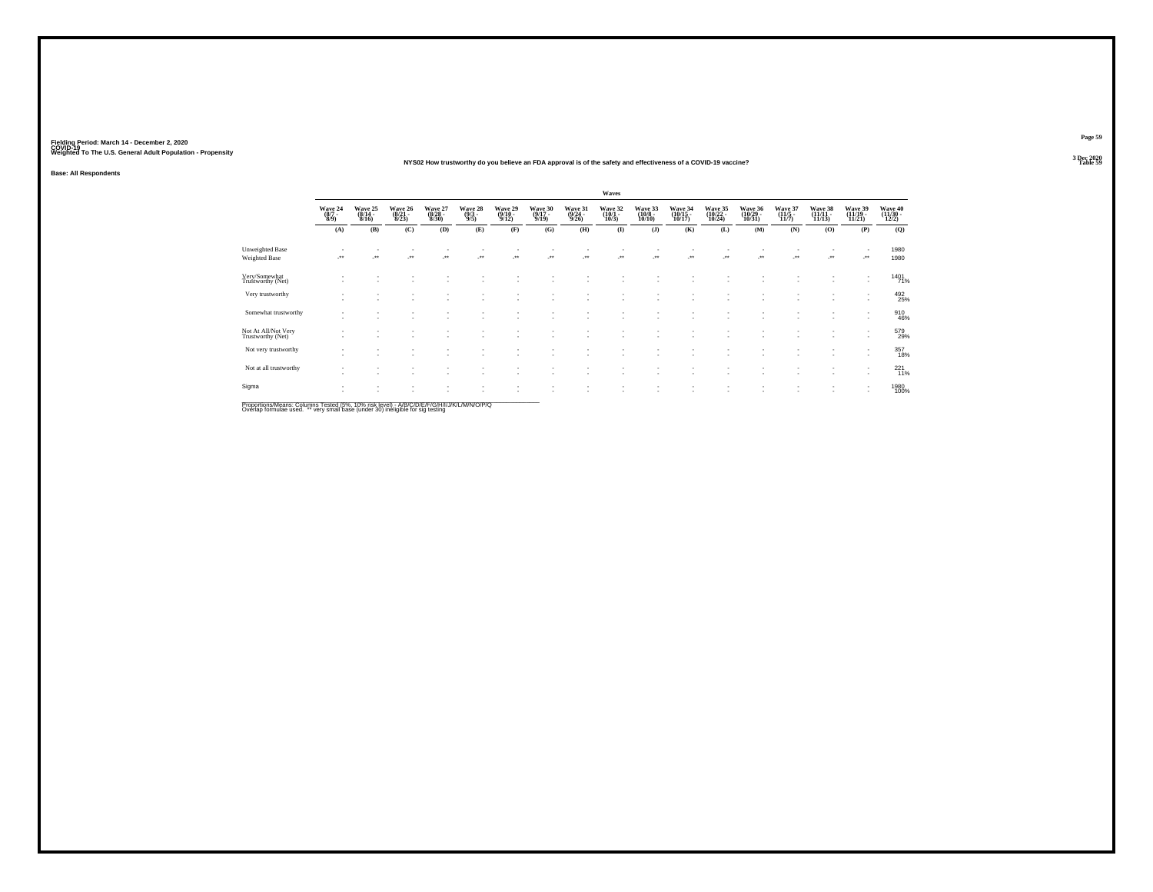#### **NYS02 How trustworthy do you believe an FDA approval is of the safety and effectiveness of a COVID-19 vaccine?Table 59 Table 59**

**Base: All Respondents**

|                                                |                           |                             |                             |                             |                       |                             |                             |                             | Waves                       |                              |                                                      |                               |                               |                                         |                               |                                                      |                              |
|------------------------------------------------|---------------------------|-----------------------------|-----------------------------|-----------------------------|-----------------------|-----------------------------|-----------------------------|-----------------------------|-----------------------------|------------------------------|------------------------------------------------------|-------------------------------|-------------------------------|-----------------------------------------|-------------------------------|------------------------------------------------------|------------------------------|
|                                                | Wave 24<br>(8/7 -<br>8/9) | Wave 25<br>(8/14 -<br>8/16) | Wave 26<br>(8/21 -<br>8/23) | Wave 27<br>(8/28 -<br>8/30) | Wave 28 (9/3)         | Wave 29<br>(9/10 -<br>9/12) | Wave 30<br>(9/17 -<br>9/19) | Wave 31<br>(9/24 -<br>9/26) | Wave 32<br>(10/1 -<br>10/3) | Wave 33<br>(10/8 -<br>10/10) | Wave 34<br>(10/15 -<br>10/17)                        | Wave 35<br>(10/22 -<br>10/24) | Wave 36<br>(10/29 -<br>10/31) | Wave 37<br>$\frac{(11/5 - 11)}{(11/7)}$ | Wave 38<br>(11/11 -<br>11/13) | Wave 39<br>(11/19 -<br>11/21)                        | Wave 40<br>(11/30 -<br>12/2) |
|                                                | (A)                       | (B)                         | (C)                         | (D)                         | (E)                   | (F)                         | (G)                         | (H)                         | $\bf(I)$                    | (J)                          | (K)                                                  | (L)                           | (M)                           | (N)                                     | (0)                           | (P)                                                  | (Q)                          |
| <b>Unweighted Base</b><br><b>Weighted Base</b> |                           | $\overline{\phantom{a}}$    | $\cdot$                     | $\cdot$                     | $\mathcal{C}^{\star}$ | $\cdot$                     | 59                          | $\mathcal{C}^{\bullet}$     | $\cdot$                     |                              | -**                                                  | -**                           | ÷.                            | Jean-                                   |                               |                                                      | 1980<br>1980                 |
| Very/Somewhat<br>Trustworthy (Net)             |                           |                             |                             |                             |                       |                             |                             |                             |                             |                              |                                                      |                               |                               |                                         |                               | $\overline{\phantom{a}}$                             | 1401%                        |
| Very trustworthy                               | ٠                         |                             |                             |                             |                       |                             |                             |                             | ٠                           |                              | $\overline{\phantom{a}}$<br>$\overline{\phantom{a}}$ | ٠<br>٠                        | ٠<br>$\sim$                   |                                         | $\sim$                        | ٠<br>$\overline{\phantom{a}}$                        | 492<br>25%                   |
| Somewhat trustworthy                           | $\overline{\phantom{a}}$  |                             |                             |                             |                       |                             |                             |                             | ٠                           |                              | $\overline{\phantom{a}}$                             | $\overline{\phantom{a}}$      | $\overline{\phantom{a}}$      |                                         | $\sim$                        | ٠<br>$\overline{\phantom{a}}$                        | 910<br>46%                   |
| Not At All/Not Very<br>Trustworthy (Net)       |                           |                             |                             |                             |                       |                             |                             |                             | ٠                           |                              | $\overline{\phantom{a}}$<br>$\overline{\phantom{a}}$ |                               | $\sim$                        |                                         | $\sim$                        | $\overline{\phantom{a}}$<br>$\overline{\phantom{a}}$ | 579<br>29%                   |
| Not very trustworthy                           |                           |                             |                             |                             |                       |                             |                             |                             |                             |                              | $\overline{\phantom{a}}$                             | ٠                             |                               |                                         | $\sim$                        | ٠<br>$\overline{\phantom{a}}$                        | 357<br>18%                   |
| Not at all trustworthy                         |                           |                             |                             |                             |                       |                             |                             |                             |                             |                              | ٠<br>$\overline{\phantom{a}}$                        | ٠                             | $\sim$                        |                                         | $\sim$                        | $\overline{\phantom{a}}$<br>$\overline{\phantom{a}}$ | 221%                         |
| Sigma                                          | ٠                         |                             |                             |                             |                       |                             |                             |                             | ٠                           | $\overline{\phantom{a}}$     | $\overline{\phantom{a}}$                             | ٠                             | $\sim$                        |                                         | $\sim$                        | ٠<br>$\overline{\phantom{a}}$                        | 1980<br>100%                 |

Proportions/Means: Columns Tested (5%, 10% risk level) - A/B/C/D/E/F/G/H/I/J/K/L/M/N/O/P/Q<br>Overlap formulae used. \*\* very small base (under 30) ineligible for sig testing

**Page 59**3 Dec 2020<br>Table 59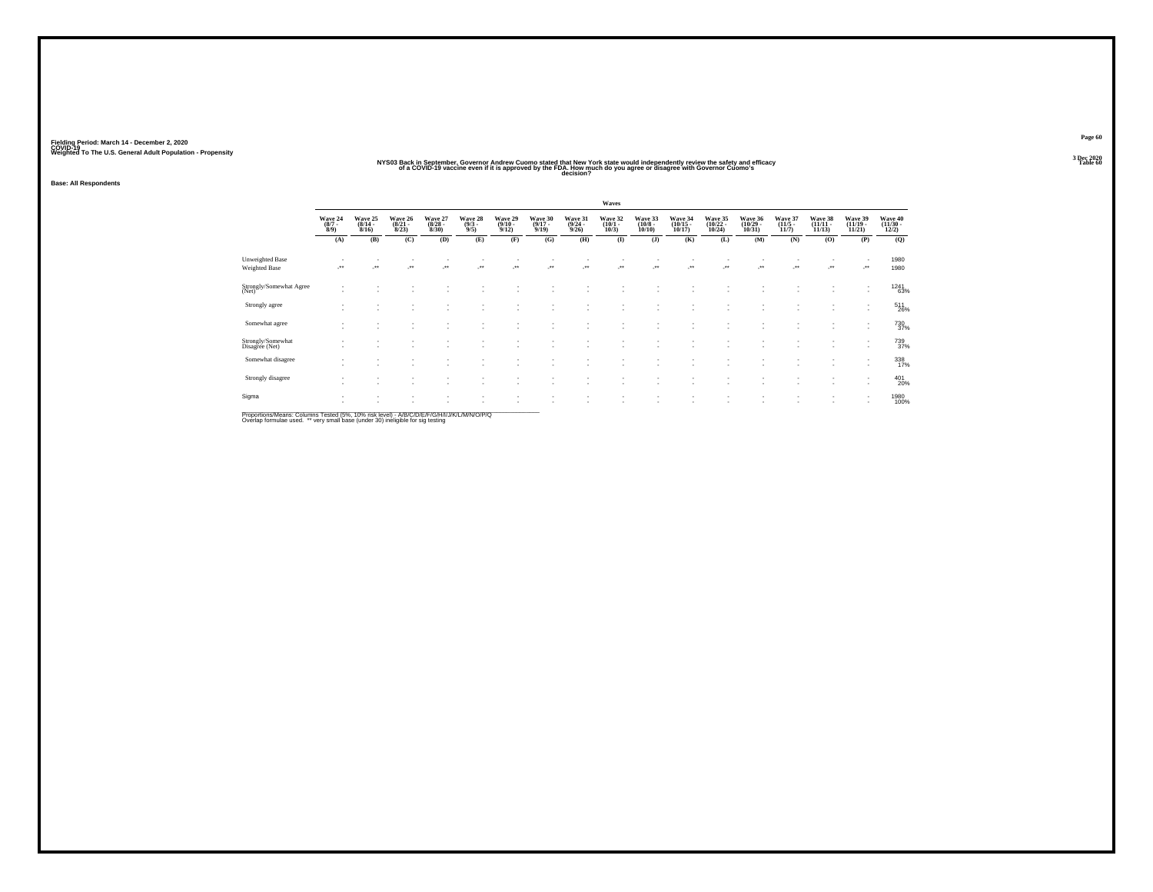### NYS03 Backin September, Governor Andrew Cuomo stated that New York state would independently review the safety and efficacy<br>Of a COVID-19 vaccine even if it is approved by the Flow right of you agree or disagree with Gov

**Base: All Respondents**

|                                     |                               |                                  |                                  |                                 |                                |                                  |                                  |                                  | Waves                           |                                  |                                    |                                    |                                    |                                  |                                    |                                                      |                                          |
|-------------------------------------|-------------------------------|----------------------------------|----------------------------------|---------------------------------|--------------------------------|----------------------------------|----------------------------------|----------------------------------|---------------------------------|----------------------------------|------------------------------------|------------------------------------|------------------------------------|----------------------------------|------------------------------------|------------------------------------------------------|------------------------------------------|
|                                     | Wave 24<br>$\binom{8/7}{8/9}$ | Wave 25<br>$\frac{(8/14)}{8/16}$ | Wave 26<br>$\frac{(8/21)}{8/23}$ | Wave 27<br>$\binom{8/28}{8/30}$ | Wave 28<br>$\frac{(9/3)}{9/5}$ | Wave 29<br>$\frac{(9/10)}{9/12}$ | Wave 30<br>$\frac{(9/17)}{9/19}$ | Wave 31<br>$\frac{(9/24)}{9/26}$ | Wave 32<br>$\binom{10/1}{10/3}$ | Wave 33<br>$\binom{10/8}{10/10}$ | Wave 34<br>$\frac{(10/15)}{10/17}$ | Wave 35<br>$\frac{(10/22)}{10/24}$ | Wave 36<br>$\frac{(10/29)}{10/31}$ | Wave 37<br>$\frac{(11/5)}{11/7}$ | Wave 38<br>$\frac{(11/11)}{11/13}$ | Wave 39<br>$\frac{(11/19 - 11/21)}{11/21}$           | Wave 40<br>$\frac{(11/30 - 12/2)}{12/2}$ |
|                                     | (A)                           | (B)                              | (C)                              | (D)                             | (E)                            | (F)                              | (G)                              | (H)                              | $\bf(I)$                        | (J)                              | (K)                                | (L)                                | (M)                                | (N)                              | (0)                                | (P)                                                  | (Q)                                      |
| <b>Unweighted Base</b>              |                               |                                  |                                  |                                 |                                |                                  |                                  |                                  |                                 |                                  |                                    |                                    |                                    |                                  |                                    |                                                      | 1980                                     |
| <b>Weighted Base</b>                | $\cdot$                       | $\cdot$                          | ÷.                               | $\cdot$                         | $\cdot$                        |                                  | $\cdot$                          |                                  | $\ddot{\phantom{1}}$            | $\bullet\bullet$                 | $^{\tiny{**}}$                     | $\star\star$                       | $\cdot$                            |                                  |                                    | -**                                                  | 1980                                     |
| Strongly/Somewhat Agree<br>(Net)    |                               |                                  |                                  |                                 |                                |                                  |                                  |                                  |                                 |                                  |                                    |                                    |                                    |                                  |                                    |                                                      | <sup>1241</sup> 63%                      |
| Strongly agree                      |                               |                                  |                                  |                                 |                                | ٠                                | $\overline{\phantom{a}}$         | $\sim$                           | ٠                               |                                  | $\overline{\phantom{a}}$           |                                    |                                    |                                  |                                    | $\sim$                                               | $^{511}_{26\%}$                          |
| Somewhat agree                      |                               |                                  |                                  |                                 |                                | ٠                                |                                  | ٠                                |                                 |                                  |                                    |                                    |                                    |                                  |                                    | $\overline{\phantom{a}}$<br>$\overline{\phantom{a}}$ | <sup>730</sup> <sub>37%</sub>            |
| Strongly/Somewhat<br>Disagree (Net) |                               | $\overline{\phantom{a}}$         |                                  |                                 |                                | $\overline{\phantom{a}}$         |                                  | $\sim$                           | ٠                               |                                  | $\overline{\phantom{a}}$           |                                    |                                    |                                  | ٠                                  | $\overline{\phantom{a}}$<br>$\overline{\phantom{a}}$ | 739<br>37%                               |
| Somewhat disagree                   |                               |                                  |                                  |                                 |                                | ٠                                | $\overline{\phantom{a}}$         | ٠<br>٠                           | ٠                               |                                  | $\overline{\phantom{a}}$           | ×.                                 |                                    |                                  |                                    | ٠<br>$\overline{\phantom{a}}$                        | 338<br>17%                               |
| Strongly disagree                   |                               |                                  |                                  |                                 |                                | ×                                | и.                               | ٠                                | ٠                               | $\overline{\phantom{a}}$         | $\overline{\phantom{a}}$           |                                    |                                    |                                  |                                    | $\overline{\phantom{a}}$                             | 401<br>20%                               |
| Sigma                               |                               | ٠                                |                                  |                                 | $\overline{\phantom{a}}$       | $\;$<br>÷                        | $\sim$<br>и.                     | ٠                                | ÷                               |                                  | ٠                                  | ٠                                  |                                    |                                  |                                    | $\overline{\phantom{a}}$                             | 1980<br>100%                             |
|                                     |                               |                                  |                                  |                                 |                                |                                  |                                  |                                  |                                 |                                  |                                    |                                    |                                    |                                  |                                    |                                                      |                                          |

Proportions/Means: Columns Tested (5%, 10% risk level) - *NB/C/D/E/F/G/H/IJJ/K/L/M/N/O/P/Q*<br>Overlap formulae used. \*\* very small base (under 30) ineligible for sig testing

**Page 603 Dec 2020<br>Table 60**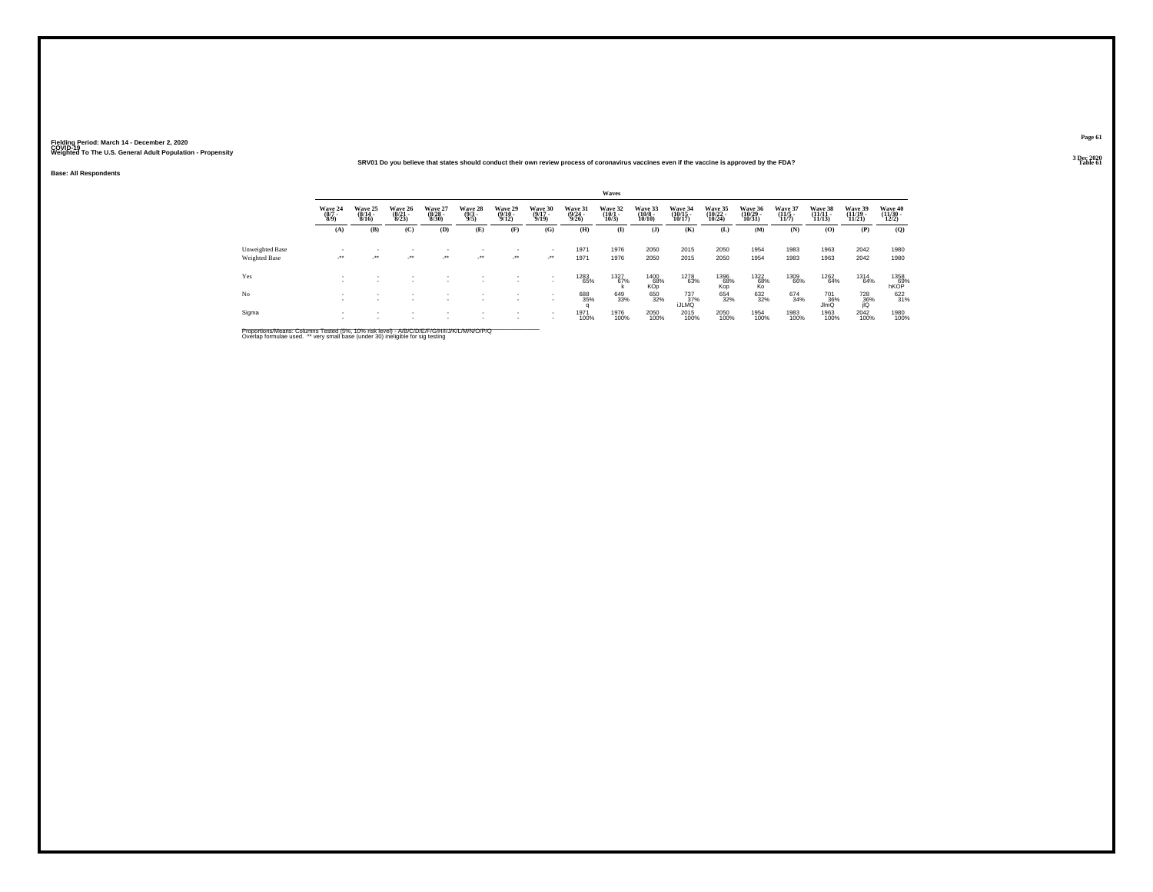### Fielding Period: March 14 - December 2, 2020<br>Fielding Period: March 14 - December 2, 2020<br>Wolchind To The U.S. General Adulf Ponulation - Propensity

#### Weighted To The U.S. General Adult Population - Propensity<br>SRV01 Do you believe that states should conduct their own review process of coronavirus vaccines even if the vaccine is approved by the FDA? Table 61 Table 61 **Table 61 Table 61 Table 61 Table 61**

**Base: All Respondents**

|                                  |                           |                             |                             |                             |                           |                                  |                             |                             | Waves                           |                                        |                               |                               |                               |                             |                               |                               |                              |
|----------------------------------|---------------------------|-----------------------------|-----------------------------|-----------------------------|---------------------------|----------------------------------|-----------------------------|-----------------------------|---------------------------------|----------------------------------------|-------------------------------|-------------------------------|-------------------------------|-----------------------------|-------------------------------|-------------------------------|------------------------------|
|                                  | Wave 24<br>(8/7 -<br>8/9) | Wave 25<br>(8/14 -<br>8/16) | Wave 26<br>(8/21 -<br>8/23) | Wave 27<br>(8/28 -<br>8/30) | Wave 28<br>(9/3 -<br>9/5) | Wave 29<br>$\frac{(9/10)}{9/12}$ | Wave 30<br>(9/17 -<br>9/19) | Wave 31<br>(9/24 -<br>9/26) | Wave 32<br>$\binom{10/1}{10/3}$ | Wave 33<br>$\frac{(10/8 - 10)}{10/10}$ | Wave 34<br>(10/15 -<br>10/17) | Wave 35<br>(10/22 -<br>10/24) | Wave 36<br>(10/29 -<br>10/31) | Wave 37<br>(11/5 -<br>11/7) | Wave 38<br>(11/11 -<br>11/13) | Wave 39<br>(11/19 -<br>11/21) | Wave 40<br>(11/30 -<br>12/2) |
|                                  | (A)                       | (B)                         | (C)                         | (D)                         | (E)                       | (F)                              | (G)                         | (H)                         | $\mathbf{I}$                    | $($ $\bf{J}$ $)$                       | (K)                           | (L)                           | (M)                           | (N)                         | (0)                           | (P)                           | (Q)                          |
| Unweighted Base<br>Weighted Base | $\cdot$                   | $\ddot{\phantom{1}}$        | $\bullet\bullet$            | $^{\tiny{**}}$              | ٠<br>$\cdot$              | $\mathcal{L}^{\bullet\bullet}$   | $\mathbf{r}$<br>$\cdot$     | 1971<br>1971                | 1976<br>1976                    | 2050<br>2050                           | 2015<br>2015                  | 2050<br>2050                  | 1954<br>1954                  | 1983<br>1983                | 1963<br>1963                  | 2042<br>2042                  | 1980<br>1980                 |
| Yes                              |                           |                             |                             |                             |                           |                                  | ٠                           | <sup>1283</sup> 65%         | $^{1327}_{67\%}$                | 1400<br>68%<br>KOp                     | 1278<br>63%                   | 1396<br>68%<br>Kop            | $^{1322}_{68\%}$ ko           | 1309<br>66%                 | 1262<br>64%                   | 1314<br>64%                   | 1358<br>69%<br>hKOP          |
| No                               |                           |                             |                             |                             |                           |                                  |                             | 688<br>35%                  | 649<br>33%                      | 650<br>32%                             | 737<br>37%<br>iJLMQ           | 654<br>32%                    | 632<br>32%                    | 674<br>34%                  | 701<br>36%<br>JimQ            | $\frac{728}{36\%}$            | 622<br>31%                   |
| Sigma                            |                           |                             |                             |                             |                           |                                  | $\mathbf{r}$                | 1971<br>100%                | 1976<br>100%                    | 2050<br>100%                           | 2015<br>100%                  | 2050<br>100%                  | 1954<br>100%                  | 1983<br>100%                | 1963<br>100%                  | 2042<br>100%                  | 1980<br>100%                 |

Proportions/Means: Columns Tested (5%, 10% risk level) - *NB/C/D/E/F/G/H/IJJ/K/L/M/N/O/P/Q*<br>Overlap formulae used. \*\* very small base (under 30) ineligible for sig testing

**Page 613 Dec 2020<br>Table 61**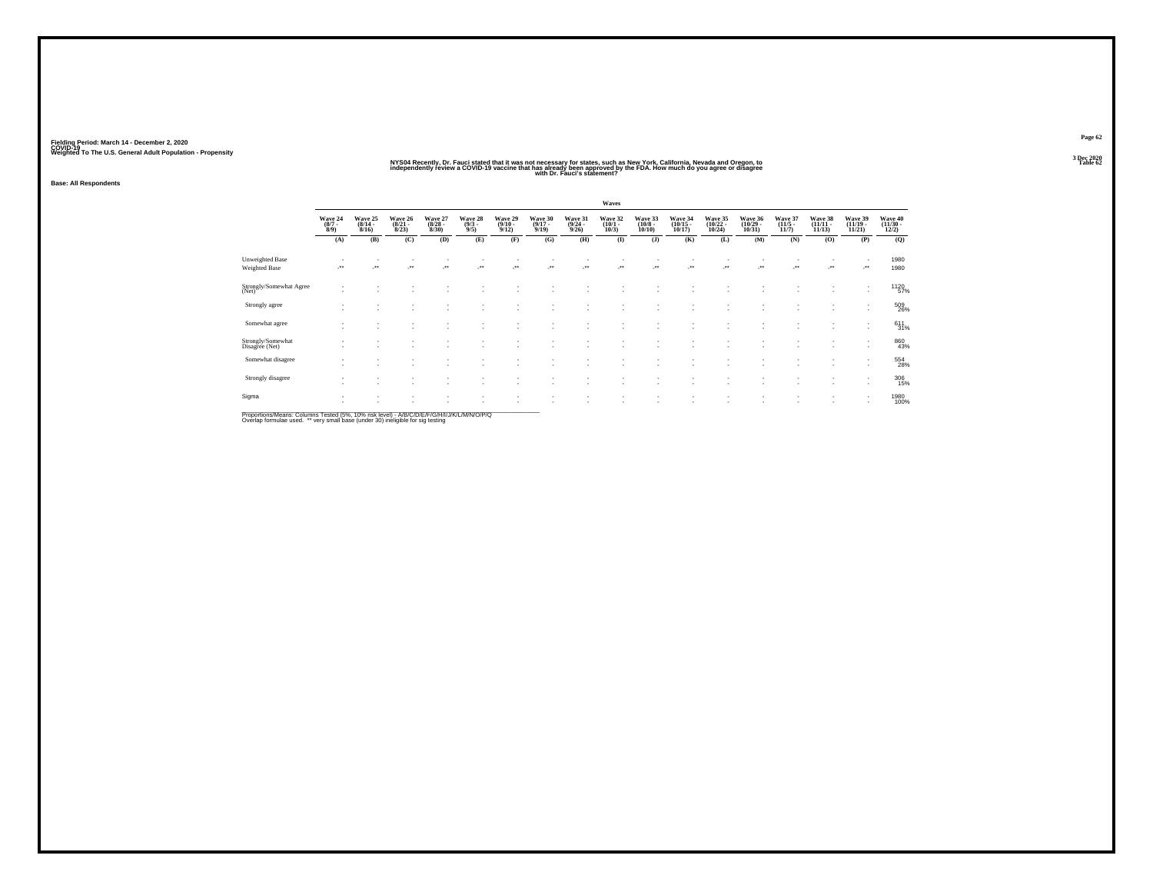### NYS94 Recently, Dr. Fauci stated that it was not necessary for states, such as New York, California. Nevada and Oregon, to<br>Independently review a COVID-19 vaccine that has a foregate to a success of the FDA. How much do y

**Base: All Respondents**

|                                                |                               |                                  |                                  |                                 |                                |                                  |                                  |                                  | Waves                           |                                  |                                    |                                    |                                    |                                  |                                    |                                                      |                                          |
|------------------------------------------------|-------------------------------|----------------------------------|----------------------------------|---------------------------------|--------------------------------|----------------------------------|----------------------------------|----------------------------------|---------------------------------|----------------------------------|------------------------------------|------------------------------------|------------------------------------|----------------------------------|------------------------------------|------------------------------------------------------|------------------------------------------|
|                                                | Wave 24<br>$\binom{8/7}{8/9}$ | Wave 25<br>$\frac{(8/14)}{8/16}$ | Wave 26<br>$\frac{(8/21)}{8/23}$ | Wave 27<br>$\binom{8/28}{8/30}$ | Wave 28<br>$\frac{(9/3)}{9/5}$ | Wave 29<br>$\frac{(9/10)}{9/12}$ | Wave 30<br>$\frac{(9/17)}{9/19}$ | Wave 31<br>$\frac{(9/24)}{9/26}$ | Wave 32<br>$\binom{10/1}{10/3}$ | Wave 33<br>$\binom{10/8}{10/10}$ | Wave 34<br>$\frac{(10/15)}{10/17}$ | Wave 35<br>$\frac{(10/22)}{10/24}$ | Wave 36<br>$\frac{(10/29)}{10/31}$ | Wave 37<br>$\frac{(11/5)}{11/7}$ | Wave 38<br>$\frac{(11/11)}{11/13}$ | Wave 39<br>$\frac{(11/19 - 11/21)}{11/21}$           | Wave 40<br>$\frac{(11/30 - 12/2)}{12/2}$ |
|                                                | (A)                           | (B)                              | (C)                              | (D)                             | (E)                            | (F)                              | (G)                              | (H)                              | $\bf(I)$                        | (J)                              | (K)                                | (L)                                | (M)                                | (N)                              | (0)                                | (P)                                                  | (Q)                                      |
| <b>Unweighted Base</b><br><b>Weighted Base</b> | $\cdot$                       | $\cdot$                          | ÷.                               | $\cdot$                         | $\cdot$                        |                                  | $\cdot$                          |                                  | $\ddot{\phantom{1}}$            | $\bullet\bullet$                 | $^{\tiny{**}}$                     | $\star\star$                       | $\cdot$                            |                                  |                                    | -**                                                  | 1980<br>1980                             |
| Strongly/Somewhat Agree<br>(Net)               |                               |                                  |                                  |                                 |                                |                                  |                                  |                                  |                                 |                                  |                                    |                                    |                                    |                                  |                                    | ٠                                                    | <sup>1120</sup> 57%                      |
| Strongly agree                                 |                               |                                  |                                  |                                 |                                | ٠                                | $\overline{\phantom{a}}$         | $\sim$                           | ٠                               |                                  | $\overline{\phantom{a}}$           |                                    |                                    |                                  |                                    | $\sim$                                               | 509<br>26%                               |
| Somewhat agree                                 |                               |                                  |                                  |                                 |                                | ٠                                |                                  | ٠                                |                                 |                                  |                                    |                                    |                                    |                                  |                                    | $\overline{\phantom{a}}$<br>$\overline{\phantom{a}}$ | $611 \over 31\%$                         |
| Strongly/Somewhat<br>Disagree (Net)            |                               | $\overline{\phantom{a}}$         |                                  |                                 |                                | $\overline{\phantom{a}}$         |                                  | $\sim$                           | ٠                               |                                  | $\overline{\phantom{a}}$           |                                    |                                    |                                  | ٠                                  | $\overline{\phantom{a}}$<br>$\overline{\phantom{a}}$ | 860<br>43%                               |
| Somewhat disagree                              |                               |                                  |                                  |                                 |                                | ٠                                | $\overline{\phantom{a}}$         | ٠<br>٠                           | ٠                               |                                  | $\overline{\phantom{a}}$           | ×.                                 |                                    |                                  |                                    | $\overline{\phantom{a}}$<br>$\overline{\phantom{a}}$ | 554<br>28%                               |
| Strongly disagree                              |                               |                                  |                                  |                                 |                                | ×                                | и.                               | ٠                                | ٠                               |                                  | ٠.                                 |                                    | $\sim$                             |                                  |                                    | $\overline{\phantom{a}}$                             | 306<br>15%                               |
| Sigma                                          |                               | ٠                                |                                  |                                 | $\overline{\phantom{a}}$       | $\;$<br>÷                        | $\sim$<br>и.                     | ٠                                | ÷                               |                                  | ٠                                  | ٠                                  |                                    |                                  |                                    | $\overline{\phantom{a}}$                             | 1980<br>100%                             |
|                                                |                               |                                  |                                  |                                 |                                |                                  |                                  |                                  |                                 |                                  |                                    |                                    |                                    |                                  |                                    |                                                      |                                          |

Proportions/Means: Columns Tested (5%, 10% risk level) - *NB/C/D/E/F/G/H/IJJ/K/L/M/N/O/P/Q*<br>Overlap formulae used. \*\* very small base (under 30) ineligible for sig testing

**Page 623 Dec 2020<br>Table 62**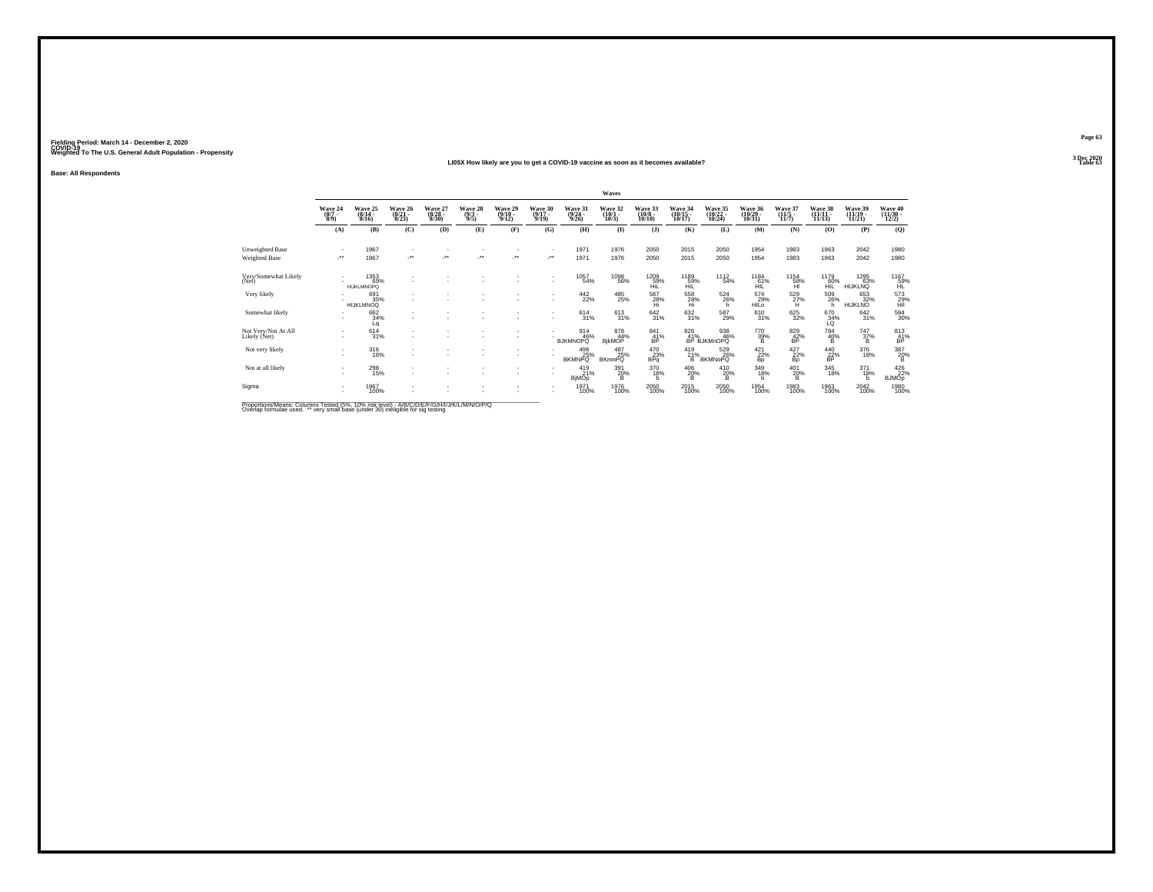#### **LI05X How likely are you to get a COVID-19 vaccine as soon as it becomes available?Table 63**

**Base: All Respondents**

|                                         |                               |                                  |                                  |                                  |                                |                                         |                                  |                                         | Waves                           |                                  |                               |                                                 |                               |                                |                                    |                               |                                      |
|-----------------------------------------|-------------------------------|----------------------------------|----------------------------------|----------------------------------|--------------------------------|-----------------------------------------|----------------------------------|-----------------------------------------|---------------------------------|----------------------------------|-------------------------------|-------------------------------------------------|-------------------------------|--------------------------------|------------------------------------|-------------------------------|--------------------------------------|
|                                         | Wave 24<br>$\binom{8/7}{8/9}$ | Wave 25<br>$(8/14 -$<br>8/16     | Wave 26<br>$\frac{(8/21)}{8/23}$ | Wave 27<br>$\frac{(8/28)}{8/30}$ | Wave 28<br>$\frac{(9/3)}{9/5}$ | Wave 29<br>$\frac{(9/10 - 9/12)}{9/12}$ | Wave 30<br>$\frac{(9/17)}{9/19}$ | Wave 31<br>$\frac{(9/24 - 9/26)}{9/26}$ | Wave 32<br>$\binom{10/1}{10/3}$ | Wave 33<br>$\binom{10/8}{10/10}$ | Wave 34<br>(10/15 -<br>10/17) | Wave 35<br>(10/22 -<br>10/24)                   | Wave 36<br>(10/29 -<br>10/31) | Wave 37<br>(11/5<br>11/7)      | Wave 38<br>$\frac{(11/11)}{11/13}$ | Wave 39<br>(11/19 -<br>11/21) | Wave 40<br>(11/30 -<br>12/2)         |
|                                         | (A)                           | (B)                              | (C)                              | (D)                              | (E)                            | (F)                                     | (G)                              | (H)                                     | $($ $\Gamma$                    | $($ $)$                          | (K)                           | (L)                                             | (M)                           | (N)                            | (O)                                | (P)                           | (Q)                                  |
| Unweighted Base<br><b>Weighted Base</b> | $\mathcal{L}^{\text{max}}$    | 1967<br>1967                     | ٠<br>÷.                          | $\overline{\phantom{a}}$         |                                | -**                                     | $\sim$<br>                       | 1971<br>1971                            | 1976<br>1976                    | 2050<br>2050                     | 2015<br>2015                  | 2050<br>2050                                    | 1954<br>1954                  | 1983<br>1983                   | 1963<br>1963                       | 2042<br>2042                  | 1980<br>1980                         |
| Very/Somewhat Likely<br>(Net)           |                               | 1353<br>69%<br><b>HIJKLMNOPO</b> | ٠                                |                                  |                                |                                         | ٠<br>٠                           | 1057<br>54%                             | 1098<br>56%                     | 1209<br>59%<br>HiL               | 1189<br>59%<br>HiL            | <sup>1112</sup> 54%                             | $^{1184}_{61\%}$<br>HĪĹ       | $^{1154}_{-58\%}$              | 1179<br>60%<br>HĨĔ                 | 1295<br>63%<br><b>HIJKLNQ</b> | 1167<br>59%<br>HL                    |
| Very likely                             |                               | 691<br>35%<br><b>HIJKLMNOQ</b>   | $\sim$<br>٠                      |                                  |                                |                                         | ٠                                | $\frac{442}{22\%}$                      | $^{485}_{25\%}$                 | 567<br>$\frac{28}{\text{Hi}}$    | 558<br>$\frac{28}{H}$         | $^{524}_{26\%}$<br>h.                           | 574<br>29%<br>HILO            | $^{529}_{27\%}$                | 509<br>26%<br>h                    | 653<br>HIJKLNO <sup>32%</sup> | 573<br>29%<br>HII                    |
| Somewhat likely                         |                               | 662<br>34%<br>Lq                 | ٠                                |                                  |                                |                                         | ٠<br>×.                          | $^{614}_{31\%}$                         | 613/31%                         | 642/31%                          | $\frac{632}{31\%}$            | 587<br>29%                                      | $\frac{610}{31\%}$            | $625 \over 32\%$               | 670<br>34%<br>ĽQ                   | 642/31%                       | 594<br>30%                           |
| Not Very/Not At All<br>Likely (Net)     | $\mathbf{r}$                  | $^{614}_{31\%}$                  | ٠<br>٠                           |                                  |                                | $\sim$                                  |                                  | 914<br>46%<br><b>BJKMNOPQ</b>           | 878<br>44%<br><b>BikMOP</b>     | $^{841}_{41\%}$<br>BP            |                               | 826 938<br>41% 46%<br>BP BJKMnOPQ<br>938<br>46% | $^{770}_{39\%}$               | $\underset{\text{BP}}{^{829}}$ | $\frac{784}{40\%}$                 | $\frac{747}{37\%}$            | $^{813}_{\substack{41\\ \text{BP}}}$ |
| Not very likely                         | $\mathbf{r}$<br>$\mathbf{r}$  | 316<br>16%                       | ٠<br>٠                           |                                  |                                | ٠                                       |                                  | 496<br>BKMNPQ <sup>25%</sup>            | 487<br>BKmnPQ                   | 470<br>$B_{pq}^{23\%}$           | 419<br>$^{21\%}_{\text{B}}$   | 529<br>26%<br><b>BKMNoPQ</b>                    | 421<br>$_{\rm BP}^{22\%}$     | 427<br>$\frac{22}{\text{Bp}}$  | 440<br>$\frac{22}{\text{BP}}$ %    | 376<br>18%                    | $\frac{387}{20\%}$                   |
| Not at all likely                       |                               | $^{298}_{15\%}$                  | ٠<br>$\sim$                      |                                  |                                | $\sim$                                  | ٠                                | 419<br>21%<br>BjMOp                     | 391<br>20%<br>B                 | 370<br>18%<br>h                  | 406<br>20%<br>в               | 410<br>20%<br>B                                 | 349/18%<br>h                  | $^{401}_{20\%}$<br>в           | 345<br>18%                         | $^{371}_{18\%}$<br>h          | 426<br><b>BJMOp</b>                  |
| Sigma                                   |                               | 1967<br>100%                     | ٠<br>$\sim$                      |                                  |                                |                                         | ٠                                | 1971<br>100%                            | 1976<br>100%                    | 2050<br>100%                     | 2015<br>100%                  | 2050<br>100%                                    | 1954<br>100%                  | 1983<br>100%                   | 1963<br>100%                       | 2042<br>100%                  | 1980<br>100%                         |

Proportions/Means: Columns Tested (5%, 10% risk level) - A/B/C/D/E/F/G/H/I/J/K/L/M/N/O/P/Q<br>Overlap formulae used. \*\* very small base (under 30) ineligible for sig testing

**Page 63**3 Dec 2020<br>Table 63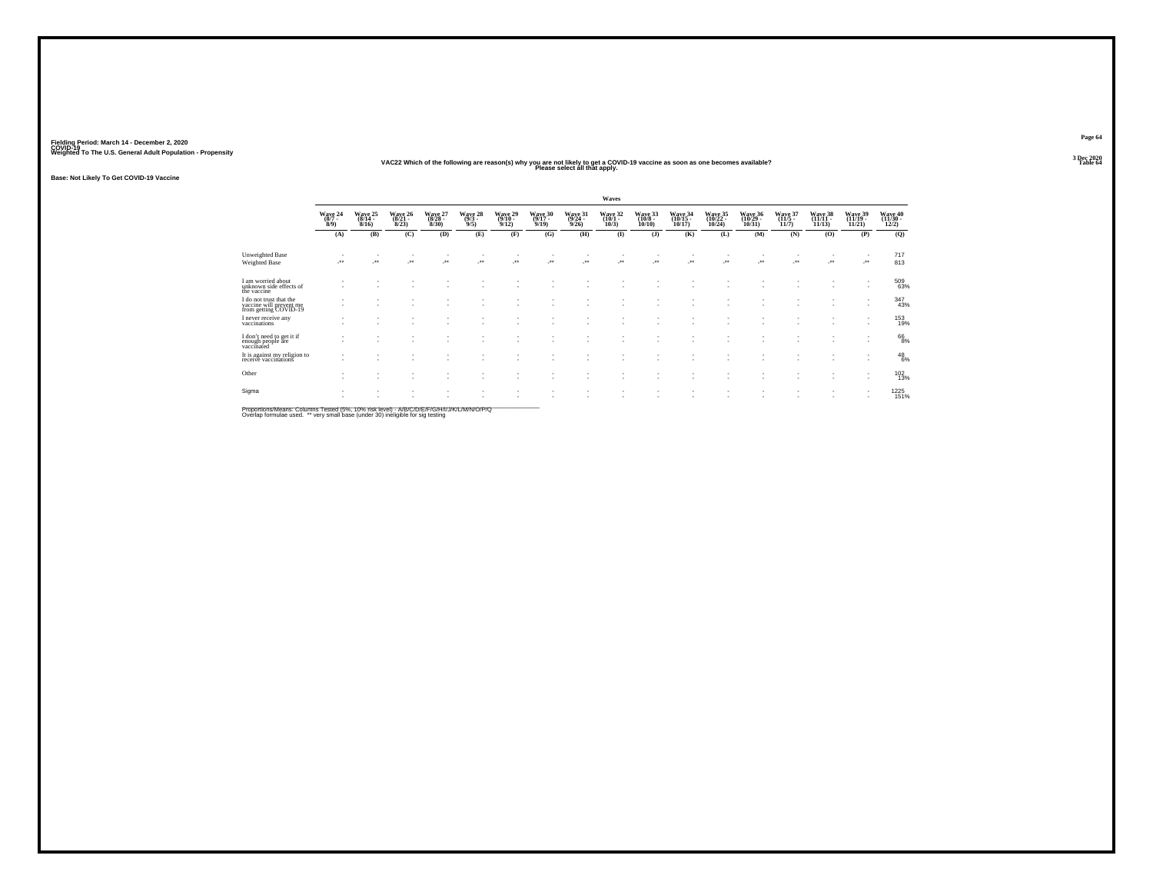### **VAC22 Which of the following are reason(s) why you are not likely to get a COVID-19 vaccine as soon as one becomes available? Table 64 Please select all that apply.**

**Base: Not Likely To Get COVID-19 Vaccine**

|                                                                             |                               |                                    |                              |                                  |                            |                              |                              |                                | Waves                        |                                     |                                |                                |                               |                              |                                |                                |                            |
|-----------------------------------------------------------------------------|-------------------------------|------------------------------------|------------------------------|----------------------------------|----------------------------|------------------------------|------------------------------|--------------------------------|------------------------------|-------------------------------------|--------------------------------|--------------------------------|-------------------------------|------------------------------|--------------------------------|--------------------------------|----------------------------|
|                                                                             | Wave 24<br>$(8/7 -$<br>8/9    | Wave 25<br>$(8/14 -$<br>8/16       | Wave 26<br>$(8/21 -$<br>8/23 | Wave 27<br>$(8/28 -$<br>$8/30$ ) | Wave 28<br>$(9/3 -$<br>9/5 | Wave 29<br>$(9/10 -$<br>9/12 | Wave 30<br>$(9/17 -$<br>9/19 | Wave 31<br>$(9/24 -$<br>9/26   | Wave 32<br>$(10/1 -$<br>10/3 | Wave 33<br>$(10/8 -$<br>10/10       | Wave 34<br>$(10/15 -$<br>10/17 | Wave 35<br>$(10/22 -$<br>10/24 | Wave 36<br>(10/29 -<br>10/31  | Wave 37<br>$(11/5 -$<br>11/7 | Wave 38<br>$(11/11 -$<br>11/13 | Wave 39<br>$(11/19 -$<br>11/21 | Wave 40<br>(11/30<br>12/2) |
|                                                                             | (A)                           | (B)                                | (C)                          | (D)                              | (E)                        | (F)                          | (G)                          | (H)                            | $($ $\Gamma$                 | $($ $\bf{J}$ $)$                    | (K)                            | (L)                            | (M)                           | (N)                          | (0)                            | (P)                            | (Q)                        |
| Unweighted Base<br>Weighted Base                                            | $\mathcal{C}^{\bullet}$       | -**                                | ÷.                           | $\cdot$                          |                            | $\mathcal{L}^{\text{max}}$   | -**                          | $\mathcal{L}^{\bullet\bullet}$ | $\cdot$                      | $\overline{\phantom{a}}$<br>$\cdot$ | ٠<br>-**                       | -**                            |                               | $\mathcal{F}^{\bullet}$      |                                | $\mathcal{C}^{\star}$          | 717<br>813                 |
| I am worried about<br>unknown side effects of<br>the vaccine                |                               | $\sim$                             | ٠                            |                                  | ٠                          |                              | $\overline{\phantom{a}}$     |                                | $\sim$                       |                                     | ٠                              |                                |                               |                              | $\sim$                         | $\sim$                         | 509<br>63%                 |
| I do not trust that the<br>vaccine will prevent me<br>from getting COVID-19 | $\overline{\phantom{a}}$      | $\sim$                             | ٠<br>$\sim$                  | $\sim$                           | ٠                          |                              | ٠                            |                                | ٠<br>$\sim$                  | $\overline{\phantom{a}}$            | ٠<br>۰                         |                                | ٠                             |                              | $\sim$                         | $\mathbf{r}$                   | 347<br>43%                 |
| I never receive any<br>vaccinations                                         | ٠                             |                                    |                              |                                  |                            |                              |                              |                                | $\sim$                       |                                     | ٠                              |                                | ٠                             |                              |                                |                                | 153<br>19%                 |
| I don't need to get it if<br>enough people are<br>vaccinated                | ٠                             | $\overline{\phantom{a}}$           | $\sim$                       |                                  | ٠                          |                              |                              |                                | ٠<br>٠                       | $\overline{\phantom{a}}$<br>$\sim$  | ٠<br>٠                         |                                | ٠                             |                              | ٠                              |                                | $^{66}_{8\%}$              |
| It is against my religion to<br>receive vaccinations                        | ٠<br>٠                        |                                    | ٠                            |                                  | ۰                          |                              |                              |                                | ٠                            | $\overline{\phantom{a}}$            | ٠<br>٠                         |                                |                               |                              |                                | $\sim$                         | $^{48}_{6\%}$              |
| Other                                                                       | -                             | $\overline{\phantom{a}}$           |                              |                                  | ۰                          |                              |                              |                                |                              |                                     | ٠                              |                                | -                             |                              | ٠                              |                                | $^{102}_{13\%}$            |
| Sigma                                                                       | ٠<br>$\overline{\phantom{a}}$ | $\overline{\phantom{a}}$<br>$\sim$ | ٠<br>$\sim$                  | $\sim$                           | ٠                          |                              | ٠                            |                                | ٠<br>$\sim$                  | $\overline{\phantom{a}}$<br>$\sim$  | ٠<br>٠                         |                                | ٠<br>$\overline{\phantom{a}}$ |                              | ٠                              |                                | 1225<br>151%               |

Proportions/Means: Columns Tested (5%, 10% risk level) - A/B/C/D/E/F/G/H/I/J/K/L/M/N/O/P/Q<br>Overlap formulae used. \*\* very small base (under 30) ineligible for sig testing

**Page 643 Dec 2020<br>Table 64**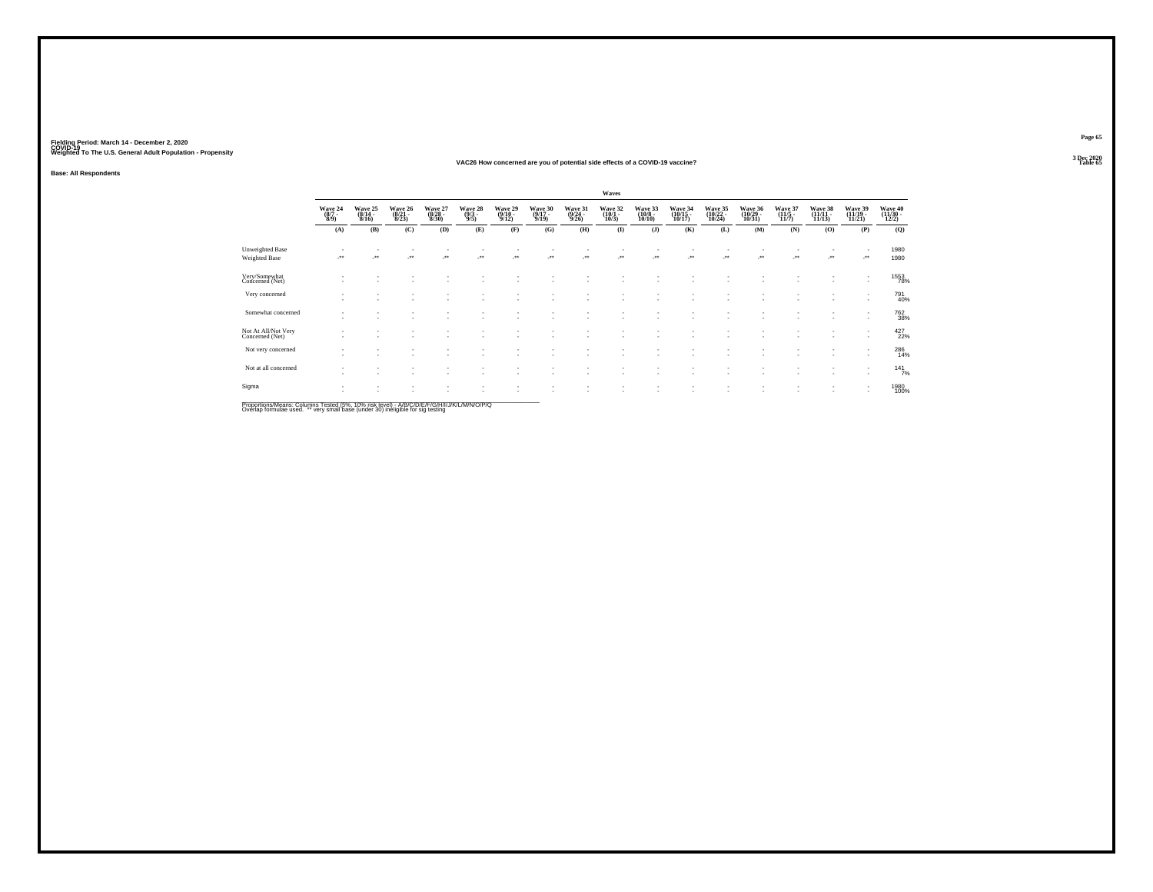#### **VAC26 How concerned are you of potential side effects of a COVID-19 vaccine?Table 65 Table 65 Table 65**

**Base: All Respondents**

|                                        |                                |                          |                             |                             |                                |                             |                             |                             | Waves                       |                              |                               |                               |                               |                             |                            |                                    |                              |
|----------------------------------------|--------------------------------|--------------------------|-----------------------------|-----------------------------|--------------------------------|-----------------------------|-----------------------------|-----------------------------|-----------------------------|------------------------------|-------------------------------|-------------------------------|-------------------------------|-----------------------------|----------------------------|------------------------------------|------------------------------|
|                                        | Wave 24<br>$\frac{(8/7)}{8/9}$ | Wave 25<br>$8/16$ )      | Wave 26<br>(8/21 -<br>8/23) | Wave 27<br>(8/28 -<br>8/30) | Wave 28<br>$\frac{(9/3)}{9/5}$ | Wave 29<br>(9/10 -<br>9/12) | Wave 30<br>(9/17 -<br>9/19) | Wave 31<br>(9/24 -<br>9/26) | Wave 32<br>(10/1 -<br>10/3) | Wave 33<br>(10/8 -<br>10/10) | Wave 34<br>(10/15 -<br>10/17) | Wave 35<br>(10/22 -<br>10/24) | Wave 36<br>(10/29 -<br>10/31) | Wave 37<br>(11/5 -<br>11/7) | Wave 38<br>(11/11<br>11/13 | Wave 39<br>(11/19 -<br>11/21       | Wave 40<br>(11/30 -<br>12/2) |
|                                        | (A)                            | (B)                      | (C)                         | (D)                         | (E)                            | (F)                         | (G)                         | (H)                         | $\mathbf{I}$                | (J)                          | (K)                           | (L)                           | (M)                           | (N)                         | (O)                        | (P)                                | (Q)                          |
| Unweighted Base<br>Weighted Base       | $\mathcal{C}^{\star\star}$     |                          | ÷.                          | $\overline{\phantom{a}}$    |                                | -**                         | $\cdot$                     | -**                         | ٠.                          | $\mathcal{L}^{\star\star}$   | ÷                             | $\cdot$                       |                               |                             | $\cdot$                    | ٠<br>                              | 1980<br>1980                 |
| Very/Somewhat<br>Concerned (Net)       |                                |                          |                             |                             |                                |                             |                             |                             |                             | ٠                            | $\sim$                        | $\overline{\phantom{a}}$      | ٠                             |                             | $\sim$                     | ٠<br>$\sim$                        | 1553<br>78%                  |
| Very concerned                         |                                |                          |                             |                             |                                |                             |                             |                             |                             |                              |                               |                               |                               |                             |                            | ٠<br>$\overline{\phantom{a}}$      | 791<br>40%                   |
| Somewhat concerned                     | $\sim$                         | $\overline{\phantom{a}}$ | ۰                           |                             |                                |                             |                             |                             |                             | ٠<br>٠                       |                               | $\overline{\phantom{a}}$      | $\sim$<br>$\sim$              | ٠<br>٠                      | $\sim$<br>$\sim$           | $\overline{\phantom{a}}$<br>$\sim$ | 762<br>38%                   |
| Not At All/Not Very<br>Concerned (Net) | $\sim$                         |                          |                             |                             |                                |                             | ٠                           |                             |                             | ٠                            | $\sim$                        | $\overline{\phantom{a}}$      | $\sim$                        | ٠                           | $\sim$                     | ٠<br>$\sim$                        | $427_{22\%}$                 |
| Not very concerned                     | $\mathbf{r}$                   |                          |                             |                             |                                |                             |                             |                             |                             |                              |                               | $\overline{\phantom{a}}$      | ٠                             |                             |                            | ٠<br>$\overline{\phantom{a}}$      | 286<br>14%                   |
| Not at all concerned                   |                                |                          | ٠                           |                             |                                | ٠                           |                             |                             |                             | ٠                            |                               | $\overline{\phantom{a}}$      | $\sim$                        |                             | $\sim$                     | ٠<br>$\sim$                        | $141$ <sub>7%</sub>          |
| Sigma                                  | $\overline{\phantom{a}}$       |                          | ٠                           |                             |                                |                             |                             |                             |                             | ٠                            |                               | $\overline{\phantom{a}}$      | ٠                             |                             | $\sim$                     | ٠<br>$\overline{\phantom{a}}$      | 1980<br>100%                 |

Proportions/Means: Columns Tested (5%, 10% risk level) - A/B/C/D/E/F/G/H/I/J/K/L/M/N/O/P/Q<br>Overlap formulae used. \*\* very small base (under 30) ineligible for sig testing

**Page 65**3 Dec 2020<br>Table 65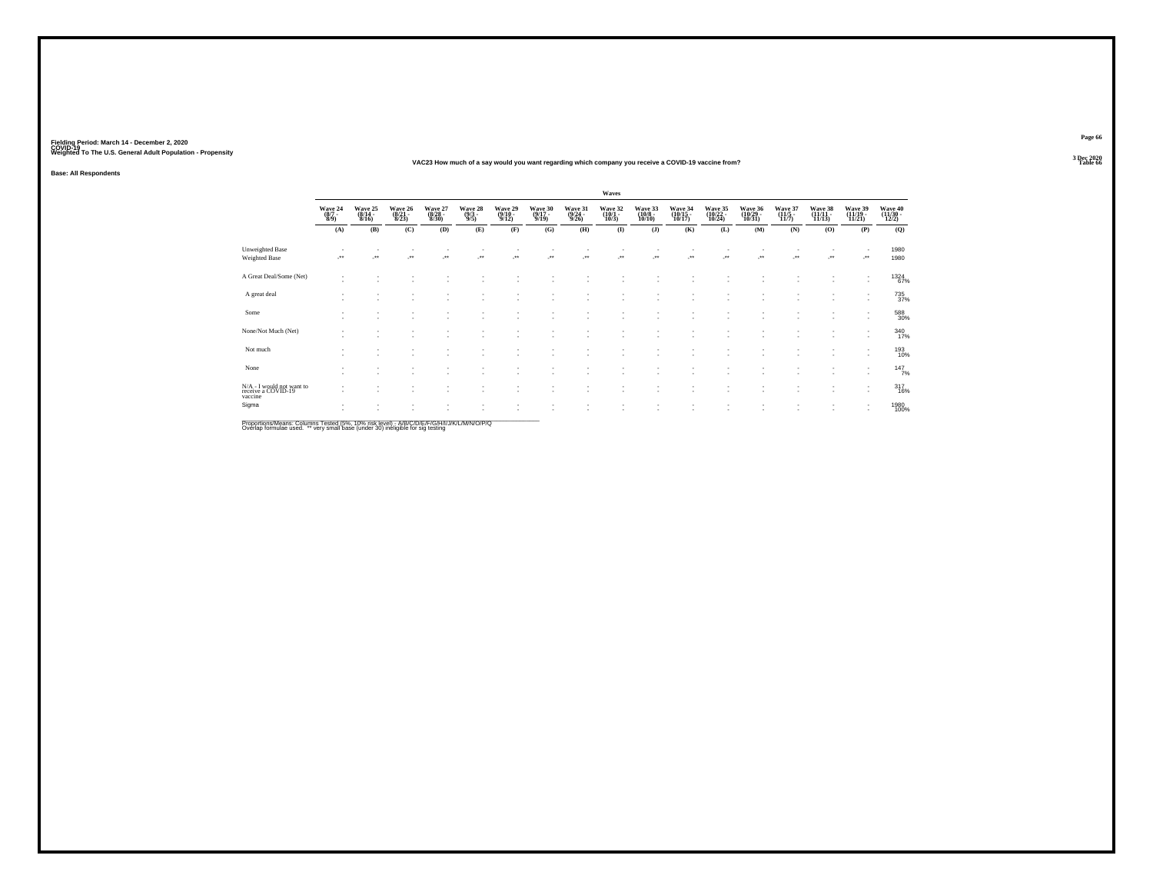#### **VAC23 How much of a say would you want regarding which company you receive a COVID-19 vaccine from?Table 66 Table 66 Table 66 Table 66 Table 66 Table 66 Table 66 Table 66 Table 66**

**Base: All Respondents**

|                                                            |                                    |                                  |                                  |                             |                                |                                       |                                  |                                  | Waves                       |                                        |                               |                               |                               |                                         |                               |                               |                          |
|------------------------------------------------------------|------------------------------------|----------------------------------|----------------------------------|-----------------------------|--------------------------------|---------------------------------------|----------------------------------|----------------------------------|-----------------------------|----------------------------------------|-------------------------------|-------------------------------|-------------------------------|-----------------------------------------|-------------------------------|-------------------------------|--------------------------|
|                                                            | Wave 24<br>(8/7 -<br>8/9)          | Wave 25<br>$\frac{(8/14)}{8/16}$ | Wave 26<br>$\frac{(8/21)}{8/23}$ | Wave 27<br>(8/28 -<br>8/30) | Wave 28<br>$\frac{(9/3)}{9/5}$ | Wave 29<br>$\frac{(9/10-9/12)}{9/12}$ | Wave 30<br>$\frac{(9/17)}{9/19}$ | Wave 31<br>$\frac{(9/24)}{9/26}$ | Wave 32<br>(10/1 -<br>10/3) | Wave 33<br>$\frac{(10/8 - 10)}{10/10}$ | Wave 34<br>(10/15 -<br>10/17) | Wave 35<br>(10/22 -<br>10/24) | Wave 36<br>(10/29 -<br>10/31) | Wave 37<br>$\frac{(11/5 - 11)}{(11/7)}$ | Wave 38<br>(11/11 -<br>11/13) | Wave 39<br>(11/19 -<br>11/21) | Wave 40 $(11/30 - 12/2)$ |
|                                                            | (A)                                | (B)                              | (C)                              | (D)                         | (E)                            | (F)                                   | (G)                              | (H)                              | $\bf(I)$                    | (J)                                    | (K)                           | (L)                           | (M)                           | (N)                                     | (0)                           | (P)                           | (Q)                      |
| <b>Unweighted Base</b><br><b>Weighted Base</b>             |                                    | $\ddot{\phantom{1}}$             | $\cdot$                          | $\cdot$                     | ÷                              | $\star\star$                          | $\cdot$                          | $\overline{\phantom{a}}$         | ÷.                          | $\overline{\phantom{a}}$               | $\cdot$                       | $\ddot{\phantom{1}}$          | $\star$                       | $\ddot{\phantom{1}}$                    | $\overline{\phantom{a}}$      |                               | 1980<br>1980             |
| A Great Deal/Some (Net)                                    |                                    |                                  |                                  |                             |                                |                                       |                                  |                                  |                             |                                        |                               |                               |                               |                                         |                               | ٠<br>٠                        | 1324<br>67%              |
| A great deal                                               | ٠                                  |                                  |                                  |                             |                                |                                       |                                  |                                  |                             |                                        |                               |                               |                               |                                         |                               | ٠                             | 735<br>37%               |
| Some                                                       | ٠                                  |                                  |                                  |                             |                                |                                       |                                  |                                  |                             |                                        | ٠<br>٠                        |                               | ٠                             |                                         |                               | ٠<br>٠                        | 588<br>30%               |
| None/Not Much (Net)                                        |                                    |                                  |                                  |                             |                                |                                       |                                  |                                  |                             |                                        |                               |                               | ٠                             |                                         |                               | ٠<br>٠                        | 340                      |
| Not much                                                   |                                    |                                  |                                  |                             |                                |                                       |                                  |                                  |                             |                                        |                               |                               |                               |                                         | $\sim$                        | $\overline{\phantom{a}}$      | 193<br>10%               |
| None                                                       | $\sim$<br>$\overline{\phantom{a}}$ |                                  |                                  |                             |                                |                                       |                                  |                                  |                             |                                        | ٠.                            |                               |                               |                                         |                               | ٠<br>$\overline{\phantom{a}}$ | 147/7                    |
| N/A - I would not want to<br>receive a COVID-19<br>vaccine |                                    |                                  |                                  |                             |                                |                                       |                                  |                                  |                             |                                        |                               |                               |                               |                                         |                               | $\overline{\phantom{a}}$<br>٠ | 317<br>16%               |
| Sigma                                                      | ٠                                  |                                  |                                  |                             |                                |                                       |                                  |                                  | ٠<br>٠                      |                                        | ٠<br>×                        | ٠                             | $\overline{\phantom{a}}$      |                                         | $\sim$                        | ٠<br>$\overline{\phantom{a}}$ | 1980<br>100%             |

Proportions/Means: Columns Tested (5%, 10% risk level) - *NB/C/D/E/F/G/H/IJJ/K/L/M/N/O/P/Q*<br>Overlap formulae used. \*\* very small base (under 30) ineligible for sig testing

**Page 663 Dec 2020<br>Table 66**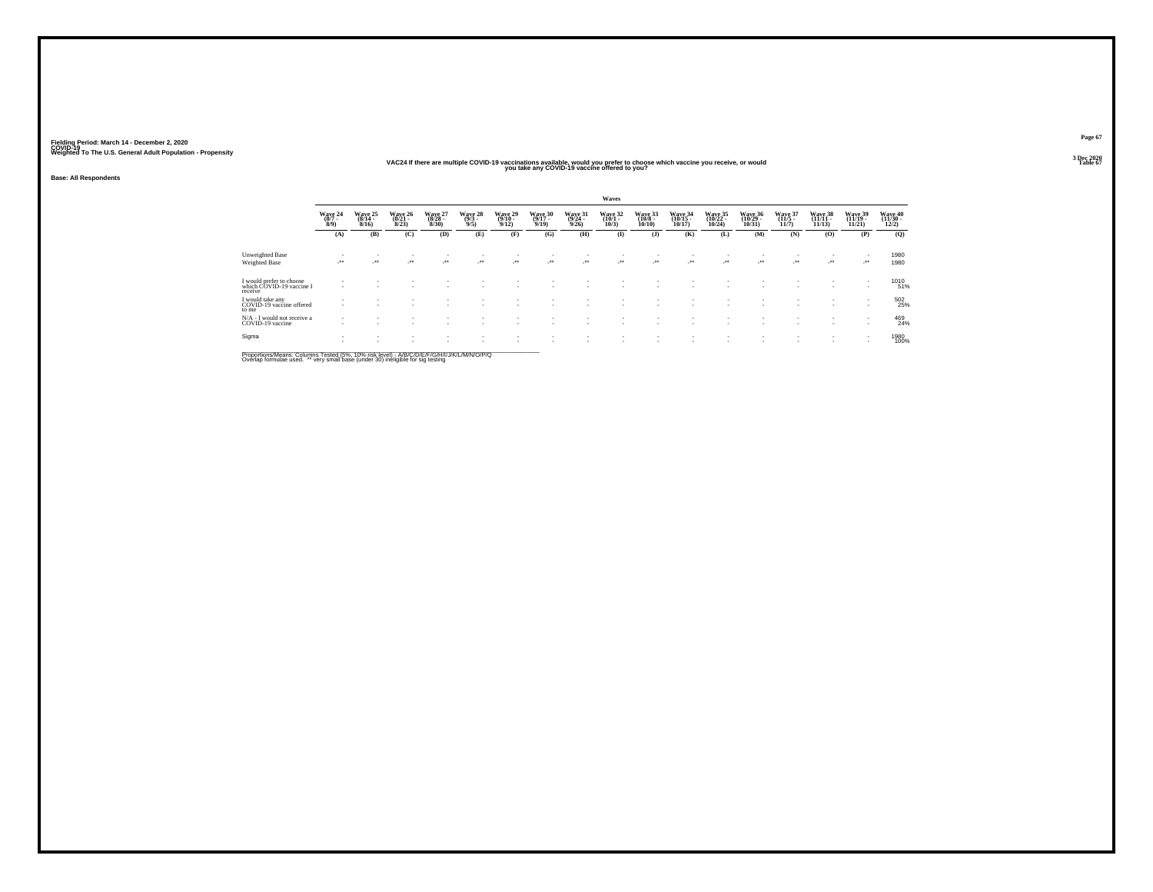### **VAC24 If there are multiple COVID-19 vaccinations available, would you prefer to choose which vaccine you receive, or would Table 67 you take any COVID-19 vaccine offered to you?**

**Base: All Respondents**

|                                                                 |                            |                              |                              |                              |                            |                              |                              |                              | <b>Waves</b>                 |                                |                  |                                |                                |                              |                                |                                |                                |
|-----------------------------------------------------------------|----------------------------|------------------------------|------------------------------|------------------------------|----------------------------|------------------------------|------------------------------|------------------------------|------------------------------|--------------------------------|------------------|--------------------------------|--------------------------------|------------------------------|--------------------------------|--------------------------------|--------------------------------|
|                                                                 | Wave 24<br>$(8/7 -$<br>8/9 | Wave 25<br>$(8/14 -$<br>8/16 | Wave 26<br>$(8/21 -$<br>8/23 | Wave 27<br>$(8/28 -$<br>8/30 | Wave 28<br>$(9/3 -$<br>9/5 | Wave 29<br>$(9/10 -$<br>9/12 | Wave 30<br>$(9/17 -$<br>9/19 | Wave 31<br>$(9/24 -$<br>9/26 | Wave 32<br>$(10/1 -$<br>10/3 | Wave 33<br>$(10/8 -$<br>10/10  | Wave 34<br>10/17 | Wave 35<br>$(10/22 -$<br>10/24 | Wave 36<br>$(10/29 -$<br>10/31 | Wave 37<br>$(11/5 -$<br>11/7 | Wave 38<br>$(11/11 -$<br>11/13 | Wave 39<br>$(11/19 -$<br>11/21 | Wave 40<br>$(11/30 -$<br>12/2) |
|                                                                 | (A)                        | (B)                          | (C)                          | (D)                          | (E)                        | (F)                          | (G)                          | (H)                          | $\mathbf{I}$                 | (J)                            | (K)              | (L)                            | (M)                            | (N)                          | (0)                            | (P)                            | (0)                            |
| Unweighted Base                                                 |                            | ٠                            |                              |                              |                            |                              | $\overline{\phantom{a}}$     |                              |                              |                                | ٠                |                                |                                |                              |                                | - 11                           | 1980                           |
| Weighted Base                                                   | -177                       | $\sim$                       | $\cdot$                      | $\cdot$                      | $\cdot$                    | $\mathcal{L}^{\text{max}}$   | $\mathcal{L}^{\text{max}}$   | $\cdot$                      | $\cdot$                      | $\mathcal{L}^{\bullet\bullet}$ | $\cdot$          | $\sim$                         | $\sim$                         |                              | $\cdot$                        | $\cdot$                        | 1980                           |
| I would prefer to choose<br>which COVID-19 vaccine I<br>receive |                            |                              |                              |                              |                            |                              |                              |                              |                              |                                |                  |                                |                                |                              |                                | - 11                           | 1010<br>51%                    |
| I would take any<br>COVID-19 vaccine offered<br>to me           |                            |                              |                              |                              |                            |                              |                              |                              |                              |                                | ۰.               |                                |                                |                              |                                | - 11                           | 502<br>25%                     |
| N/A - I would not receive a<br>COVID-19 vaccine                 | $\sim$                     |                              |                              |                              |                            |                              |                              |                              |                              |                                | ٠                | $\overline{\phantom{a}}$       |                                |                              |                                | $\sim$                         | 469<br>24%                     |
| Sigma                                                           |                            |                              |                              |                              |                            | ٠.                           | $\sim$<br>$\sim$             | $\sim$                       | ٠                            |                                |                  |                                |                                |                              |                                | $\overline{\phantom{a}}$       | 1980<br>100%                   |

Proportions/Means: Columns Tested (5%, 10% risk level) - *NB/C/D/E/F/G/H/IJJ/K/L/M/N/O/P/Q*<br>Overlap formulae used. \*\* very small base (under 30) ineligible for sig testing

**Page 673 Dec 2020<br>Table 67**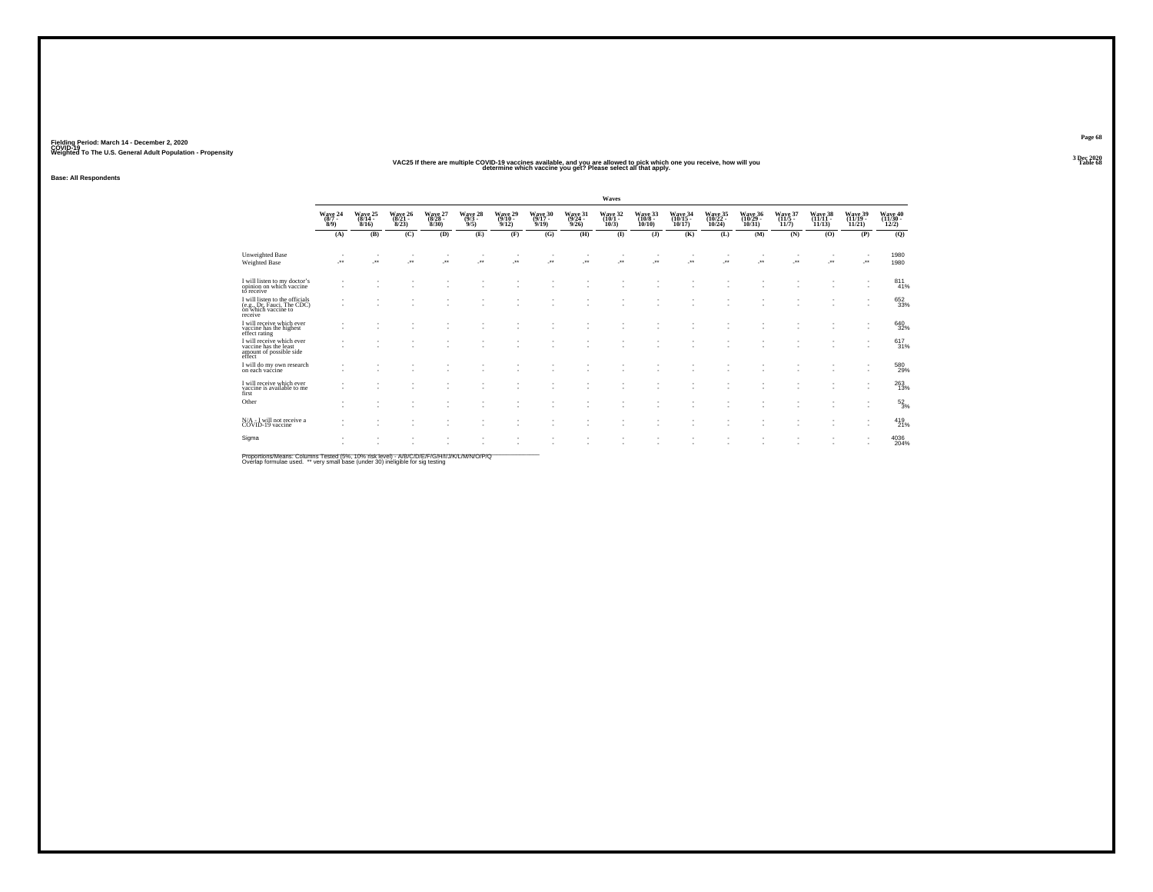### **VAC25 If there are multiple COVID-19 vaccines available, and you are allowed to pick which one you receive, how will you Table 68 determine which vaccine you get? Please select all that apply.**

**Base: All Respondents**

|                                                                                                |                                                      |                                |                              |                              |                                                      |                              |                              |                              | Waves                        |                               |                                       |                              |                                |                                |                                |                                |                            |
|------------------------------------------------------------------------------------------------|------------------------------------------------------|--------------------------------|------------------------------|------------------------------|------------------------------------------------------|------------------------------|------------------------------|------------------------------|------------------------------|-------------------------------|---------------------------------------|------------------------------|--------------------------------|--------------------------------|--------------------------------|--------------------------------|----------------------------|
|                                                                                                | Wave 24<br>$(8/7 -$<br>8/9                           | Wave 25<br>$(8/14 -$<br>8/16   | Wave 26<br>$(8/21 -$<br>8/23 | Wave 27<br>$(8/28 -$<br>8/30 | Wave 28<br>$(9/3 -$<br>9/5                           | Wave 29<br>$(9/10 -$<br>9/12 | Wave 30<br>$(9/17 -$<br>9/19 | Wave 31<br>$(9/24 -$<br>9/26 | Wave 32<br>$(10/1 -$<br>10/3 | Wave 33<br>$(10/8 -$<br>10/10 | Wave 34<br>10/17                      | Wave 35<br>(10/22 -<br>10/24 | Wave 36<br>$(10/29 -$<br>10/31 | Wave 37<br>$(11/5 -$<br>11/7   | Wave 38<br>$(11/11 -$<br>11/13 | Wave 39<br>$(11/19 -$<br>11/21 | Wave 40<br>(11/30<br>12/2) |
|                                                                                                | (A)                                                  | (B)                            | (C)                          | (D)                          | (E)                                                  | (F)                          | (G)                          | (H)                          | $\bf{I}$                     | $($ $)$                       | (K)                                   | (L)                          | (M)                            | (N)                            | (O)                            | (P)                            | (Q)                        |
| Unweighted Base<br><b>Weighted Base</b>                                                        | $\cdot$                                              | $\sim$<br>$\ddot{\phantom{1}}$ | ٠.<br>$\bullet\bullet$       | $\sim$<br>$\bullet\,\bullet$ | $\overline{\phantom{a}}$<br>$\overline{\phantom{a}}$ | $\sim$<br>$\bullet\bullet$   | $\cdot$                      |                              | $\bullet\bullet$             | $\bullet\,\bullet$            | $\overline{\phantom{a}}$<br>$\ddot{}$ | $\star\star$                 | $\sim$<br>$\cdot$              | $\sim$<br>$\ddot{\phantom{1}}$ | $\cdot$                        | ٠<br>$\cdot$                   | 1980<br>1980               |
| I will listen to my doctor's<br>opinion on which vaccine<br>to receive                         | $\overline{\phantom{a}}$                             |                                |                              |                              |                                                      |                              |                              |                              |                              |                               | ٠                                     |                              |                                |                                |                                | ٠                              | 811<br>41%                 |
| I will listen to the officials<br>(e.g., Dr. Fauci, The CDC)<br>on which vaccine to<br>receive | $\overline{\phantom{a}}$                             |                                |                              |                              |                                                      |                              |                              |                              |                              |                               |                                       |                              |                                |                                |                                |                                | 652<br>33%                 |
| I will receive which ever<br>vaccine has the highest<br>effect rating                          | $\sim$                                               | ٠<br>٠                         |                              |                              |                                                      |                              |                              |                              |                              |                               |                                       |                              |                                |                                |                                | ٠<br>٠                         | 640<br>32%                 |
| I will receive which ever<br>vaccine has the least<br>amount of possible side<br>effect        |                                                      | ٠                              |                              |                              |                                                      |                              |                              |                              |                              |                               |                                       |                              |                                |                                |                                |                                | 617<br>31%                 |
| I will do my own research<br>on each vaccine                                                   | $\overline{\phantom{a}}$<br>$\overline{\phantom{a}}$ | ٠                              |                              |                              | ٠                                                    |                              |                              |                              |                              |                               |                                       |                              | ٠                              |                                |                                | ٠                              | 580<br>29%                 |
| I will receive which ever<br>vaccine is available to me<br>first                               | $\overline{\phantom{a}}$                             | $\sim$                         | ٠                            |                              | ٠                                                    | $\overline{\phantom{a}}$     | $\overline{\phantom{a}}$     | ٠                            |                              |                               | ٠                                     |                              | ٠                              | ٠                              | $\sim$                         |                                | 263                        |
| Other                                                                                          | $\overline{\phantom{a}}$                             | ٠                              |                              |                              |                                                      |                              |                              |                              |                              |                               |                                       |                              |                                |                                |                                | ٠                              | $\frac{52}{3\%}$           |
| N/A - I will not receive a<br>COVID-19 vaccine                                                 | $\overline{\phantom{a}}$<br>$\overline{\phantom{a}}$ | $\sim$<br>٠                    | $\sim$<br>٠                  | ٠                            | ٠                                                    | ٠<br>٠                       |                              | ٠<br>٠                       |                              | ٠                             | ٠<br>٠                                | и.                           | $\sim$<br>٠                    | ٠<br>٠                         |                                | ٠<br>٠                         | 419<br>21%                 |
| Sigma                                                                                          | $\overline{\phantom{a}}$                             | ٠<br>٠                         | ٠                            | ٠                            | ٠<br>$\overline{\phantom{a}}$                        | ٠                            | $\overline{\phantom{a}}$     | ٠<br>٠                       |                              | ٠                             | ٠                                     | ٠                            | ٠<br>٠                         | ٠<br>٠                         | ٠                              | ٠                              | 4036<br>204%               |

Proportions/Means: Columns Tested (5%, 10% risk level) - A/B/C/D/E/F/G/H/I/J/K/L/M/N/O/P/Q<br>Overlap formulae used. \*\* very small base (under 30) ineligible for sig testing

**Page 683 Dec 2020<br>Table 68**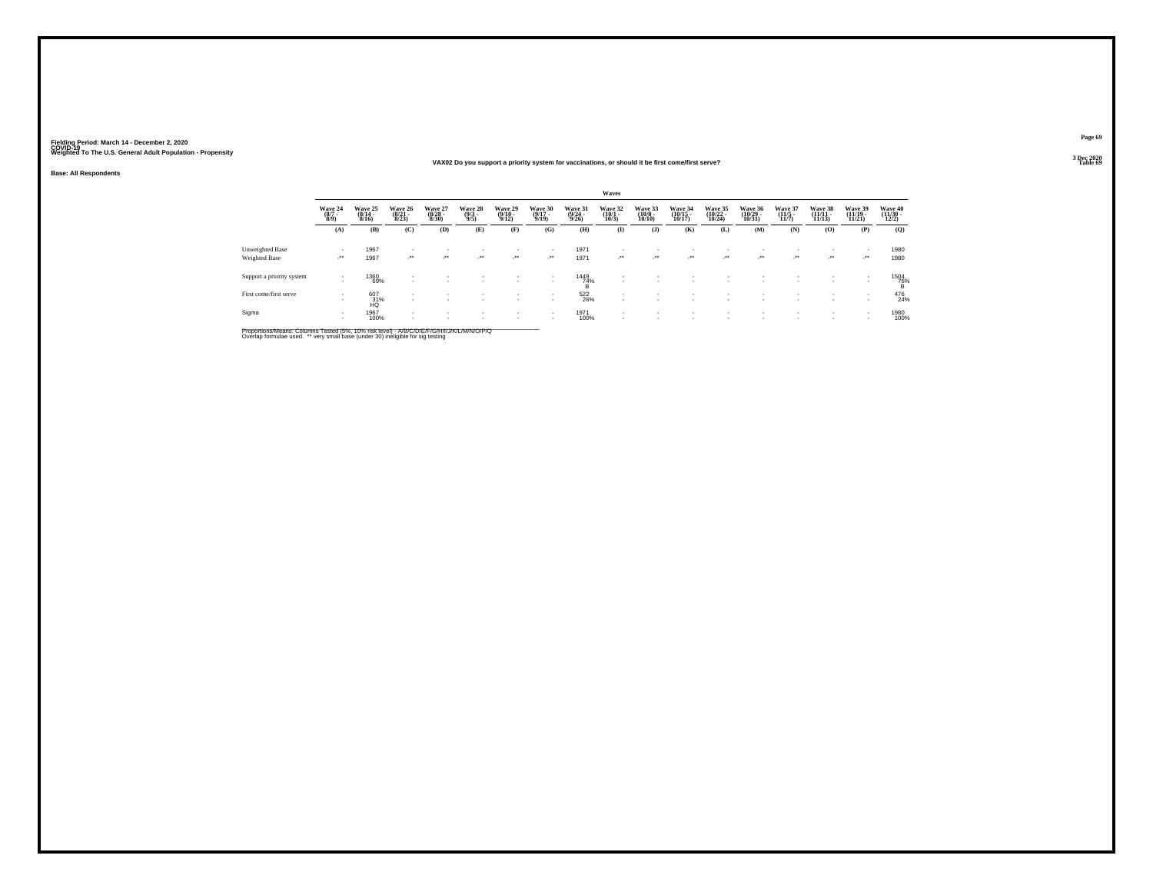#### **VAX02 Do you support a priority system for vaccinations, or should it be first come/first serve?Table 69 Table 69**

**Base: All Respondents**

|                           |                                    |                                  |                                  |                                  |                               |                                  |                                  |                                  | Waves                                 |                                   |                                          |                               |                                    |                                  |                                    |                                        |                                          |
|---------------------------|------------------------------------|----------------------------------|----------------------------------|----------------------------------|-------------------------------|----------------------------------|----------------------------------|----------------------------------|---------------------------------------|-----------------------------------|------------------------------------------|-------------------------------|------------------------------------|----------------------------------|------------------------------------|----------------------------------------|------------------------------------------|
|                           | Wave 24<br>(8/7 -<br>8/9)          | Wave 25<br>$\frac{(8/14)}{8/16}$ | Wave 26<br>$\frac{(8/21)}{8/23}$ | Wave 27<br>$\frac{(8/28)}{8/30}$ | Wave 28<br>$\binom{9/3}{9/5}$ | Wave 29<br>$\frac{(9/10)}{9/12}$ | Wave 30<br>$\frac{(9/17)}{9/19}$ | Wave 31<br>$\frac{(9/24)}{9/26}$ | Wave 32<br>$\frac{(10/1 - 10)}{10/3}$ | Wave 33<br>$\frac{(10/8)}{10/10}$ | Wave 34<br>$\frac{(10/15)}{10/17}$       | Wave 35<br>(10/22 -<br>10/24) | Wave 36<br>$\frac{(10/29)}{10/31}$ | Wave 37<br>$\frac{(11/5)}{11/7}$ | Wave 38<br>$\frac{(11/11)}{11/13}$ | Wave 39<br>$\frac{(11/19 - 1)}{11/21}$ | Wave 40<br>$\frac{(11/30 - 12/2)}{12/2}$ |
|                           | (A)                                | (B)                              | (C)                              | (D)                              | (E)                           | (F)                              | (G)                              | (H)                              | $\mathbf{I}$                          | (J)                               | (K)                                      | (L)                           | (M)                                | (N)                              | (O)                                | (P)                                    | $\mathbf{Q}$                             |
| Unweighted Base           |                                    | 1967                             |                                  |                                  | ٠                             |                                  | $\sim$                           | 1971                             |                                       |                                   | $\overline{\phantom{a}}$                 | ٠                             |                                    | ٠                                |                                    | $\sim$                                 | 1980                                     |
| <b>Weighted Base</b>      | -11                                | 1967                             | ur.                              | $\cdot$                          | $\overline{\phantom{a}}$      | $\sim$                           | $\cdot$                          | 1971                             | $\cdot$                               | $\cdot$                           | $\mathcal{L}^{\text{max}}$               | $\cdot$                       | $\cdot$                            | $\overline{\phantom{a}}$         | $\mathcal{L}^{\bullet\bullet}$     | $\cdot$                                | 1980                                     |
| Support a priority system | $\sim$<br>$\overline{\phantom{a}}$ | <sup>1360</sup> 69%              | $\sim$                           |                                  | ٠                             |                                  | $\sim$                           | $\frac{1449}{74\%}$              | <b>A</b>                              |                                   | $\mathbf{r}$                             | ٠                             | $\sim$                             | . .                              |                                    | $\sim$                                 | $^{1504}_{76\%}$                         |
| First come/first serve    | . .<br>$\sim$                      | 607<br>31%<br>HQ                 | $\sim$                           |                                  | ٠<br>۰                        | $\sim$                           | ٠<br>$\sim$                      | 522<br>26%                       | <b>A</b>                              |                                   |                                          | $\mathbf{r}$                  |                                    |                                  |                                    |                                        | 476<br>24%                               |
| Sigma                     |                                    | 1967<br>100%                     | $\sim$                           |                                  | ۰                             | $\sim$<br>. .                    | $\sim$<br>$\mathbf{r}$           | 1971<br>100%                     | $\sim$                                |                                   | $\overline{\phantom{a}}$<br>$\mathbf{r}$ | ٠                             | . .                                |                                  |                                    | $\sim$<br>$\overline{\phantom{a}}$     | 1980<br>100%                             |

Proportions/Means: Columns Tested (5%, 10% risk level) - *NB/C/D/E/F/G/H/IJJ/K/L/M/N/O/P/Q*<br>Overlap formulae used. \*\* very small base (under 30) ineligible for sig testing

**Page 693 Dec 2020<br>Table 69**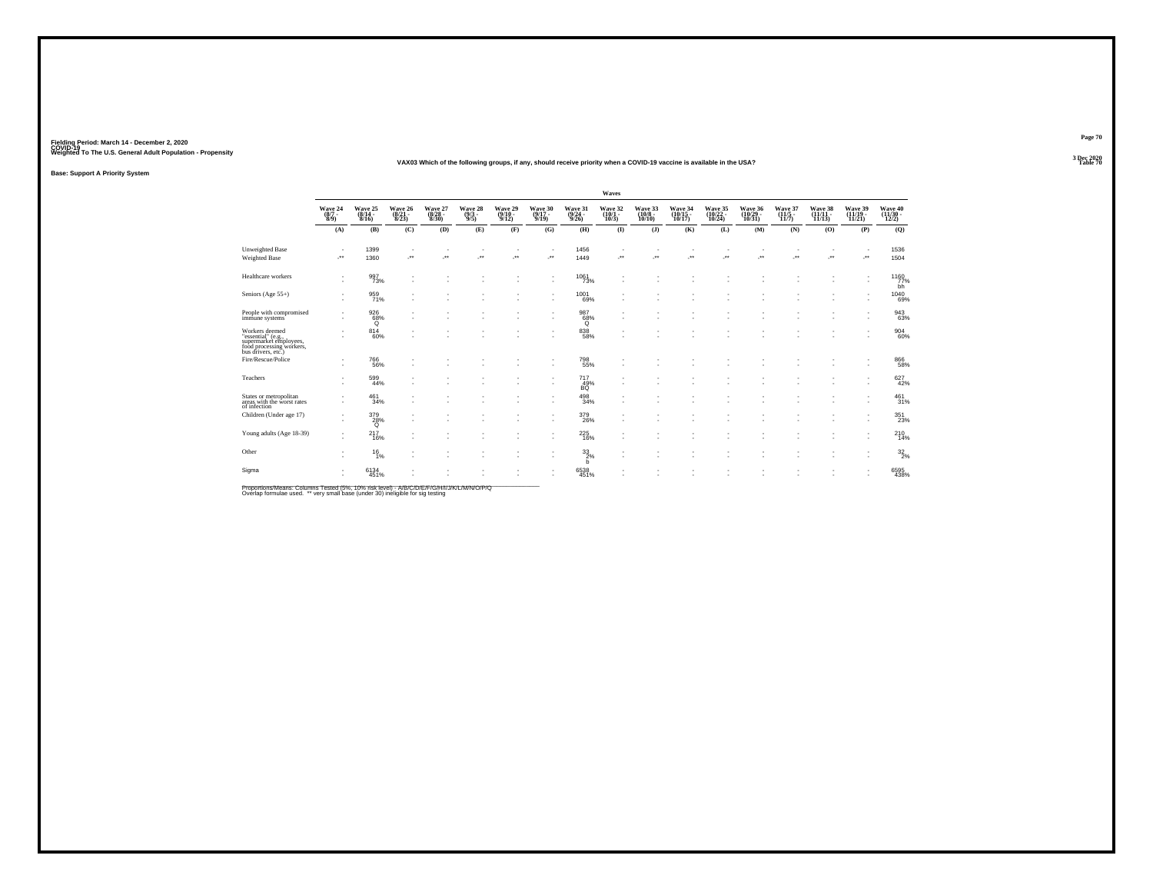#### **VAX03 Which of the following groups, if any, should receive priority when a COVID-19 vaccine is available in the USA?Table 70 Table 70 Table 70 Table 70 Table 70 Table 70**

**Base: Support A Priority System**

|                                                                                                                  |                                                                |                                |                                    |                                  |                                |                                       |                                  |                                  | Waves                                 |                                        |                                     |                               |                                                      |                             |                            |                                                      |                          |
|------------------------------------------------------------------------------------------------------------------|----------------------------------------------------------------|--------------------------------|------------------------------------|----------------------------------|--------------------------------|---------------------------------------|----------------------------------|----------------------------------|---------------------------------------|----------------------------------------|-------------------------------------|-------------------------------|------------------------------------------------------|-----------------------------|----------------------------|------------------------------------------------------|--------------------------|
|                                                                                                                  | $\begin{array}{c} \text{Wave } 24 \\ (8/7 \\ 8/9) \end{array}$ | Wave 25<br>(8/14 -<br>8/16)    | Wave 26<br>$\frac{(8/21)}{8/23}$   | Wave 27<br>$\frac{(8/28)}{8/30}$ | Wave 28<br>$\frac{(9/3)}{9/5}$ | Wave 29<br>$\frac{(9/10-9/12)}{9/12}$ | Wave 30<br>$\frac{(9/17)}{9/19}$ | Wave 31<br>$\frac{(9/24)}{9/26}$ | Wave 32<br>$\frac{(10/1 - 10)}{10/3}$ | Wave 33<br>$\frac{(10/8 - 10)}{10/10}$ | Wave 34<br>(10/15 -<br>10/17)       | Wave 35<br>(10/22 -<br>10/24) | Wave 36<br>(10/29 -<br>10/31)                        | Wave 37<br>(11/5 -<br>11/7) | Wave 38<br>(11/11<br>11/13 | Wave 39<br>(11/19 -<br>11/21                         | Wave 40 $(11/30 - 12/2)$ |
|                                                                                                                  | (A)                                                            | (B)                            | (C)                                | (D)                              | (E)                            | (F)                                   | (G)                              | (H)                              | $\bf{I}$                              | $($ $\bf{J}$ $)$                       | (K)                                 | (L)                           | (M)                                                  | (N)                         | (0)                        | (P)                                                  | (Q)                      |
| <b>Unweighted Base</b><br>Weighted Base                                                                          | -**                                                            | 1399<br>1360                   | $\sim$<br>$\overline{\phantom{a}}$ | ٠<br>÷.                          | $\ddot{\phantom{1}}$           | ٠<br>$\cdot$                          | $\overline{\phantom{a}}$<br>J.   | 1456<br>1449                     | ٠<br>                                 | $\overline{\phantom{a}}$               | $\overline{\phantom{a}}$<br>$\cdot$ | ×<br>$\overline{\phantom{a}}$ | $\overline{\phantom{a}}$<br>$\overline{\phantom{a}}$ | $\sim$<br>÷.                | $\sim$<br>J.               | $\cdot$                                              | 1536<br>1504             |
| Healthcare workers                                                                                               | $\sim$<br>٠                                                    | 997<br>73%                     | . п.                               | ٠                                |                                |                                       | ٠<br>٠                           | $\frac{1061}{73\%}$              | ٠                                     |                                        |                                     |                               | $\overline{\phantom{a}}$                             | ٠                           |                            | $\overline{\phantom{a}}$<br>$\overline{\phantom{a}}$ | 1160<br>bh               |
| Seniors (Age 55+)                                                                                                | $\mathbf{r}$                                                   | 959<br>71%                     |                                    |                                  |                                |                                       | ٠<br>$\overline{\phantom{a}}$    | $\frac{1001}{69\%}$              | ٠                                     |                                        |                                     |                               |                                                      |                             |                            | ٠                                                    | 1040<br>69%              |
| People with compromised<br>immune systems                                                                        | $\sim$                                                         | $\frac{926}{68\%}$<br>$\alpha$ | . п.                               | ٠                                |                                |                                       | ٠<br>٠                           | 987<br>68%<br>Q                  | ٠                                     |                                        |                                     | ×                             |                                                      | ٠<br>٠                      |                            | ٠<br>$\sim$                                          | 943<br>63%               |
| Workers deemed<br>"essential" (e.g.,<br>supermarket employees,<br>food processing workers,<br>bus drivers, etc.) |                                                                | $8^{14}_{60\%}$                |                                    |                                  |                                |                                       |                                  | $838\phantom{1}58\%$             |                                       |                                        |                                     |                               |                                                      | ٠                           |                            |                                                      | 904<br>60%               |
| Fire/Rescue/Police                                                                                               | $\sim$<br>٠                                                    | 766<br>56%                     |                                    |                                  |                                |                                       | $\sim$                           | $\substack{798 \\ 55\%}$         |                                       |                                        |                                     |                               |                                                      |                             |                            |                                                      | 866<br>58%               |
| Teachers                                                                                                         | $\sim$<br>٠                                                    | 599<br>44%                     | $\sim$                             | ٠                                |                                |                                       | ٠<br>٠                           | $^{717}_{~49\%}$ BQ              | ٠                                     |                                        |                                     |                               |                                                      | ٠                           |                            | ٠                                                    | 627<br>42%               |
| States or metropolitan<br>areas with the worst rates<br>of infection                                             | $\sim$                                                         | $^{461}_{34\%}$                |                                    |                                  |                                |                                       | ٠                                | $^{498}_{\ 34\%}$                |                                       |                                        |                                     |                               |                                                      |                             |                            |                                                      | 461 <sub>31%</sub>       |
| Children (Under age 17)                                                                                          | $\sim$                                                         | $\frac{379}{28\%}$             | $\sim$<br>$\sim$                   |                                  |                                |                                       | ٠<br>$\sim$                      | $^{379}_{26\%}$                  |                                       |                                        |                                     |                               |                                                      | ٠                           | ٠                          | $\overline{\phantom{a}}$                             | 351<br>23%               |
| Young adults (Age 18-39)                                                                                         | ٠<br>$\sim$                                                    | 217<br>16%                     |                                    |                                  |                                |                                       |                                  | $^{225}_{16\%}$                  | ٠                                     |                                        |                                     |                               |                                                      |                             |                            |                                                      | 210<br>14%               |
| Other                                                                                                            | ٠<br>٠                                                         | $^{16}_{1\%}$                  | <b>1999</b>                        | ٠                                |                                |                                       | $\sim$                           | $^{33}_{2\%}$<br>b               | ٠                                     |                                        |                                     | ٠                             |                                                      | ٠                           |                            | $\overline{\phantom{a}}$                             | 32/296                   |
| Sigma                                                                                                            | $\sim$                                                         | 6134<br>451%                   |                                    |                                  |                                |                                       |                                  | 6538<br>451%                     |                                       |                                        |                                     |                               |                                                      |                             |                            |                                                      | 6595<br>438%             |

Proportions/Means: Columns Tested (5%, 10% risk level) - A/B/C/D/E/F/G/H/I/J/K/L/M/N/O/P/Q<br>Overlap formulae used. \*\* very small base (under 30) ineligible for sig testing

**Page 70**3 Dec 2020<br>Table 70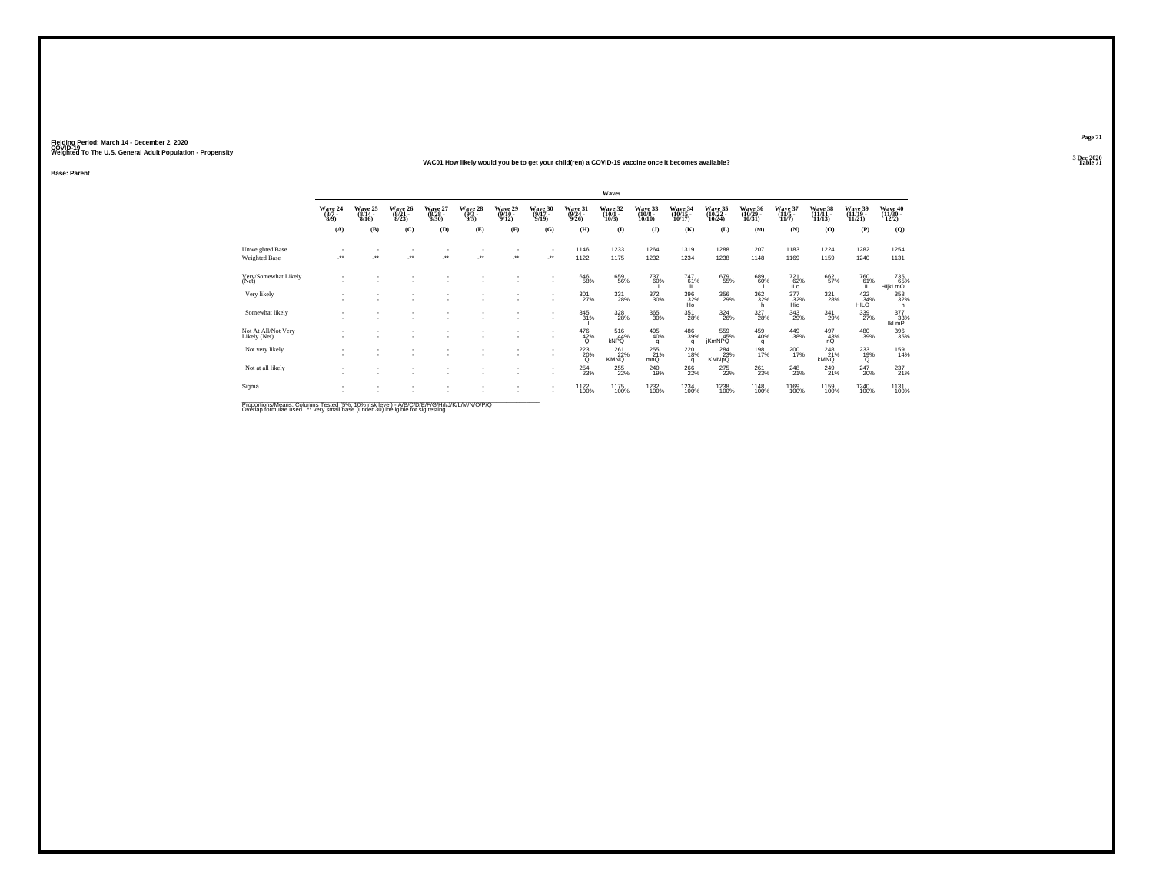#### **VAC01 How likely would you be to get your child(ren) a COVID-19 vaccine once it becomes available?Table 71 Table 71**

**Base: Parent**

|                                         |                                |                                  |                                  |                                              |                                                               |                                       |                                  |                                  | Waves                            |                                   |                               |                                       |                               |                           |                                  |                                                             |                                  |
|-----------------------------------------|--------------------------------|----------------------------------|----------------------------------|----------------------------------------------|---------------------------------------------------------------|---------------------------------------|----------------------------------|----------------------------------|----------------------------------|-----------------------------------|-------------------------------|---------------------------------------|-------------------------------|---------------------------|----------------------------------|-------------------------------------------------------------|----------------------------------|
|                                         | Wave 24<br>$\frac{(8/7)}{8/9}$ | Wave 25<br>$(8/14 -$<br>$8/16$ ) | Wave 26<br>$\frac{(8/21)}{8/23}$ | Wave 27<br>$\frac{(8/28)}{8/30}$             | Wave 28<br>$\frac{(9/3)}{9/5}$                                | Wave 29<br>$\frac{(9/10-9/12)}{9/12}$ | Wave 30<br>$\frac{(9/17)}{9/19}$ | Wave 31<br>$\frac{(9/24)}{9/26}$ | Wave 32<br>$\frac{(10/1)}{10/3}$ | Wave 33<br>$\frac{(10/8)}{10/10}$ | Wave 34<br>(10/15 -<br>10/17) | Wave 35<br>(10/22 -<br>10/24)         | Wave 36<br>(10/29 -<br>10/31) | Wave 37<br>(11/5<br>11/7) | Wave 38<br>(11/11 -<br>11/13)    | Wave 39<br>(11/19 -<br>11/21)                               | Wave 40<br>(11/30 -<br>12/2)     |
|                                         | (A)                            | (B)                              | (C)                              | (D)                                          | (E)                                                           | (F)                                   | (G)                              | (H)                              | $($ I                            | (J)                               | (K)                           | (L)                                   | (M)                           | (N)                       | (O)                              | (P)                                                         | (Q)                              |
| Unweighted Base<br><b>Weighted Base</b> | $\star\star$                   | $\bullet\,\bullet$               | $\bullet\bullet$                 | $\begin{array}{c} \bullet\bullet\end{array}$ | $^{\tiny{**}}$                                                |                                       | ٠<br>÷.                          | 1146<br>1122                     | 1233<br>1175                     | 1264<br>1232                      | 1319<br>1234                  | 1288<br>1238                          | 1207<br>1148                  | 1183<br>1169              | 1224<br>1159                     | 1282<br>1240                                                | 1254<br>1131                     |
| Very/Somewhat Likely<br>(Net)           |                                |                                  |                                  |                                              |                                                               |                                       | ٠<br>٠                           | 646<br>58%                       | 659<br>56%                       | 737<br>60%                        | $^{747}_{61\%}$<br>IL.        | 679<br>55%                            | 6896%                         | 72162%<br>ILo             | 662<br>57%                       | 76061%<br>IL.                                               | 735<br>65%<br>HljkLmO            |
| Very likely                             | $\overline{\phantom{a}}$       | ٠                                | ٠                                |                                              |                                                               |                                       | ٠<br>٠                           | $\frac{301}{27\%}$               | $^{331}_{\phantom{1}28\%}$       | 372<br>30%                        | $\frac{396}{32\%}$ Ho         | 356<br>29%                            | $\frac{362}{32\%}$<br>h       | 377<br>32%<br>Hio         | 321<br>28%                       | $\begin{array}{r} 422 \\ 34\% \\ \mathrm{HILO} \end{array}$ | 358<br>32%<br>h                  |
| Somewhat likely                         |                                |                                  |                                  |                                              |                                                               |                                       | ٠<br>٠                           | $\frac{345}{31\%}$               | 328<br>28%                       | 365<br>30%                        | 351<br>28%                    | $^{324}_{\phantom{1}\phantom{1}26\%}$ | $\frac{327}{28\%}$            | 343<br>29%                | 341<br>29%                       | $^{339}_{27\%}$                                             | $377 \over 33\%$<br><b>IkLmP</b> |
| Not At All/Not Very<br>Likely (Net)     |                                |                                  |                                  |                                              |                                                               |                                       | ٠<br>٠                           | $^{476}_{42\%}$                  | $^{516}_{44\%}$<br><b>kNPQ</b>   | 495<br>40%<br>q                   | 486<br>39%<br>q               | 559<br>45%<br><b>jKmNPQ</b>           | $^{459}_{40\%}$<br>q          | 449<br>38%                | $^{497}_{\substack{43\% \\ nQ}}$ | 480<br>39%                                                  | 396<br>35%                       |
| Not very likely                         |                                |                                  |                                  |                                              |                                                               |                                       | ٠<br>٠                           | $^{223}_{20\%}$                  | 261<br>22%<br><b>KMNO</b>        | 255<br>21%<br>mnQ                 | 220<br>18%<br>q               | 284<br>23%<br><b>KMNpQ</b>            | 198<br>17%                    | $^{200}_{17\%}$           | $^{248}_{21\%}$<br><b>kMNQ</b>   | $^{233}_{19\%}$<br>Q                                        | 159<br>14%                       |
| Not at all likely                       |                                |                                  |                                  |                                              |                                                               |                                       | ٠<br>٠                           | $^{254}_{23\%}$                  | $^{255}_{22\%}$                  | $^{240}_{19\%}$                   | 266<br>22%                    | 275<br>22%                            | $^{261}_{23\%}$               | $^{248}_{21\%}$           | 249<br>21%                       | $^{247}_{20\%}$                                             | 237%                             |
| Sigma<br>$-7.7$                         |                                |                                  |                                  |                                              | A 100 YO 100 YO 100 YO 100 YO 100 YO 100 YO 100 YO 100 YO 100 |                                       | ٠<br>٠                           | 1122<br>100%                     | 1175<br>100%                     | 1232<br>100%                      | 1234<br>100%                  | 1238<br>100%                          | 1148<br>100%                  | 1169<br>100%              | 1159<br>100%                     | 1240<br>100%                                                | 1131<br>100%                     |

Proportions/Means: Columns Tested (5%, 10% risk level) - A/B/C/D/E/F/G/H/I/J/K/L/M/N/O/P/Q<br>Overlap formulae used. \*\* very small base (under 30) ineligible for sig testing

**Page 71**3 Dec 2020<br>Table 71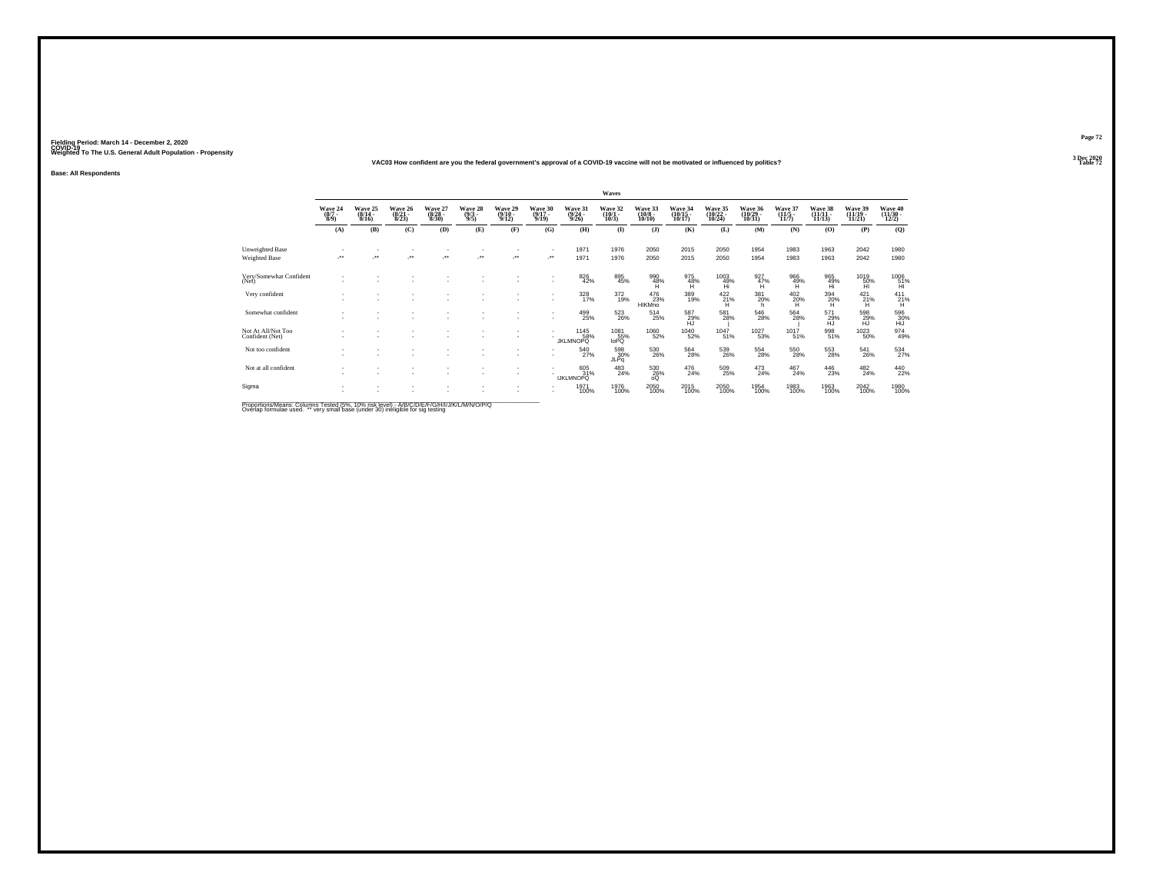### **VAC03 How confident are you the federal government's approval of a COVID-19 vaccine will not be motivated or influenced by politics?**

**Base: All Respondents**

|                                                |                                |                                  |                                  |                                  |                               |                                       |                                  |                                 | Waves                                 |                                  |                                       |                                         |                                       |                                  |                                |                              |                                         |
|------------------------------------------------|--------------------------------|----------------------------------|----------------------------------|----------------------------------|-------------------------------|---------------------------------------|----------------------------------|---------------------------------|---------------------------------------|----------------------------------|---------------------------------------|-----------------------------------------|---------------------------------------|----------------------------------|--------------------------------|------------------------------|-----------------------------------------|
|                                                | Wave 24<br>$\frac{(8/7)}{8/9}$ | Wave 25<br>$\frac{(8/14)}{8/16}$ | Wave 26<br>$\frac{(8/21)}{8/23}$ | Wave 27<br>$\frac{(8/28)}{8/30}$ | Wave 28<br>$\binom{9/3}{9/5}$ | Wave 29<br>$\frac{(9/10-9/12)}{9/12}$ | Wave 30<br>$\frac{(9/17)}{9/19}$ | Wave 31<br>$\binom{9/24}{9/26}$ | Wave 32<br>$\frac{(10/1 - 10)}{10/3}$ | Wave 33<br>$\binom{10/8}{10/10}$ | Wave 34<br>$\frac{(10/15)}{10/17}$    | Wave 35<br>(10/22 -<br>10/24)           | Wave 36<br>$\frac{(10/29)}{10/31}$    | Wave 37<br>$\frac{(11/5)}{11/7}$ | Wave 38<br>$(11/11 -$<br>11/13 | Wave 39<br>(11/19 -<br>11/21 | Wave 40<br>(11/30 -<br>12/2)            |
|                                                | (A)                            | (B)                              | (C)                              | (D)                              | (E)                           | (F)                                   | (G)                              | (H)                             | $($ I                                 | (J)                              | (K)                                   | (L)                                     | (M)                                   | (N)                              | (0)                            | (P)                          | (Q)                                     |
| <b>Unweighted Base</b><br><b>Weighted Base</b> | $\star\star$                   | $\ddot{\phantom{1}}$             | معر                              | $\bullet\,\bullet$               | $\cdot$                       |                                       | $\mathbf{r}$<br>÷.               | 1971<br>1971                    | 1976<br>1976                          | 2050<br>2050                     | 2015<br>2015                          | 2050<br>2050                            | 1954<br>1954                          | 1983<br>1983                     | 1963<br>1963                   | 2042<br>2042                 | 1980<br>1980                            |
| Very/Somewhat Confident<br>(Net)               |                                |                                  |                                  |                                  |                               |                                       | ٠                                | 826<br>42%                      | 895<br>45%                            | $^{990}_{48\%}$                  | 975<br>48%<br>H                       | $^{1003}_{\substack{49\%\\ \text{Hi}}}$ | $\frac{927}{47\%}$                    | $^{966}_{49\%}$                  | 965<br>49%<br>Hi               | $^{1019}_{-50\%}$            | $^{1006}_{\substack{51\%\\ \text{HI}}}$ |
| Very confident                                 | $\sim$                         |                                  |                                  |                                  |                               |                                       | ٠<br>٠                           | 328<br>17%                      | $\frac{372}{19\%}$                    | 476<br>23%<br><b>HIKMno</b>      | 389<br>19%                            | $^{422}_{21\%}$                         | 381<br>20%<br>h.                      | 402<br>$^{20\%}$                 | $\frac{394}{20\%}$             | 421<br>$\frac{21}{1}$        | 411<br>$^{21\%}$                        |
| Somewhat confident                             | $\sim$                         |                                  |                                  |                                  |                               | ٠                                     | ٠<br>٠                           | 499<br>25%                      | 523<br>26%                            | $^{514}_{25\%}$                  | 587<br>29%<br>ĤĴ.                     | 581<br>28%                              | $^{546}_{28\%}$                       | 564<br>28%                       | 571<br>29%<br>HJ               | 598<br>29%<br>HĴ             | 596<br>30%<br>HiJ                       |
| Not At All/Not Too<br>Confident (Net)          |                                | ٠                                | ٠<br>$\sim$                      |                                  |                               | $\sim$                                | ٠                                | 1145<br>58%<br>JKLMNOPQ         | 1081<br>55%<br>IoPQ                   | 1060<br>52%                      | $^{1040}_{52\%}$                      | 1047 <sub>51%</sub>                     | <sup>1027</sup> 53%                   | 1017 <sub>51%</sub>              | 998<br>51%                     | <sup>1023</sup> 50%          | 974<br>49%                              |
| Not too confident                              |                                |                                  | ٠                                |                                  |                               |                                       | ٠<br>٠                           | 540<br>27%                      | 598<br>30%<br>JLPq                    | 530<br>26%                       | $^{564}_{\phantom{1}\phantom{1}28\%}$ | 539<br>26%                              | $^{554}_{\phantom{1}\phantom{1}28\%}$ | 550<br>28%                       | 553<br>28%                     | 541<br>26%                   | $\frac{534}{27\%}$                      |
| Not at all confident                           |                                |                                  | ٠<br>٠                           |                                  |                               | $\sim$                                |                                  | 605<br>31%<br><b>IJKLMNOPQ</b>  | $^{483}_{24\%}$                       | 530<br>26%<br>oQ                 | $^{476}_{24\%}$                       | 509<br>25%                              | $^{473}_{24\%}$                       | $^{467}_{24\%}$                  | 446<br>23%                     | $^{482}_{24\%}$              | 440<br>22%                              |
| Sigma                                          |                                |                                  |                                  |                                  |                               |                                       | ٠                                | 1971<br>100%                    | 1976<br>100%                          | 2050<br>100%                     | 2015<br>100%                          | 2050<br>100%                            | 1954<br>100%                          | 1983<br>100%                     | 1963<br>100%                   | 2042<br>100%                 | 1980<br>100%                            |

Proportions/Means: Columns Tested (5%, 10% risk level) - A/B/C/D/E/F/G/H/I/J/K/L/M/N/O/P/Q<br>Overlap formulae used. \*\* very small base (under 30) ineligible for sig testing

**Page 72**3 Dec 2020<br>Table 72

**Table 72 Table 72**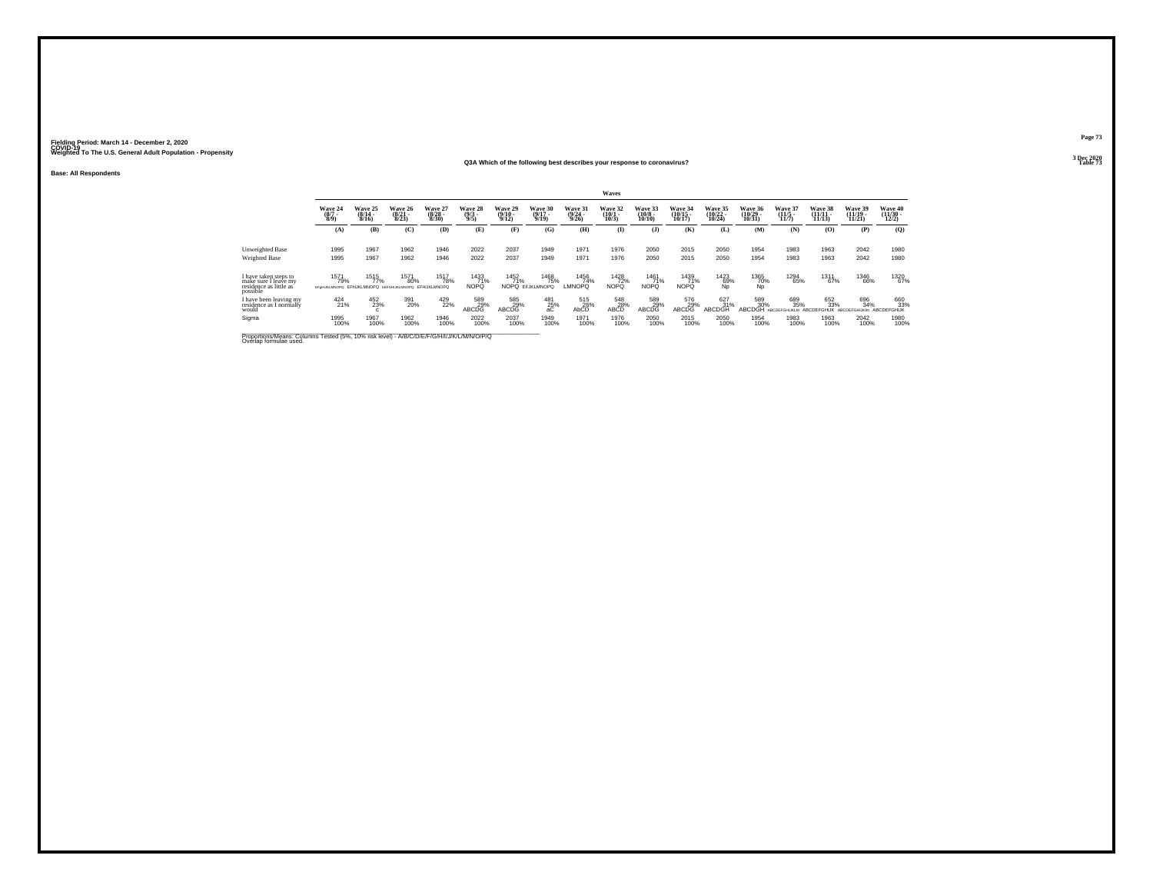### **Q3A Which of the following best describes your response to coronavirus?**

**Base: All Respondents**

|                                                                                                                      |                                                                   |                              |                                  |                                 |                                |                                  |                                  |                                  | Waves                        |                                  |                                |                                |                                 |                                  |                                           |                                    |                                          |
|----------------------------------------------------------------------------------------------------------------------|-------------------------------------------------------------------|------------------------------|----------------------------------|---------------------------------|--------------------------------|----------------------------------|----------------------------------|----------------------------------|------------------------------|----------------------------------|--------------------------------|--------------------------------|---------------------------------|----------------------------------|-------------------------------------------|------------------------------------|------------------------------------------|
|                                                                                                                      | Wave 24<br>$\binom{8}{3}$                                         | Wave 25<br>$(8/14 -$<br>8/16 | Wave 26<br>$\frac{(8/21)}{8/23}$ | Wave 27<br>$\binom{8/28}{8/30}$ | Wave 28<br>$\frac{(9/3)}{9/5}$ | Wave 29<br>$\frac{(9/10)}{9/12}$ | Wave 30<br>$\frac{(9/17)}{9/19}$ | Wave 31<br>$\frac{(9/24)}{9/26}$ | Wave 32<br>$(10/1 -$<br>10/3 | Wave 33<br>$\binom{10/8}{10/10}$ | Wave 34<br>$(10/15 -$<br>10/17 | Wave 35<br>$(10/22 -$<br>10/24 | Wave 36<br>$(10/29 -$<br>10/31  | Wave 37<br>$\frac{(11/5)}{11/7}$ | Wave 38<br>$\frac{11}{11}{\frac{11}{13}}$ | Wave 39<br>$(11/19 -$<br>11/21     | Wave 40<br>$\frac{(11/30 - 12/2)}{12/2}$ |
|                                                                                                                      | (A)                                                               | (B)                          | (C)                              | (D)                             | (E)                            | (F)                              | (G)                              | (H)                              | $($ $\Gamma$                 | $($ $\bf{J}$ )                   | (K)                            | (L)                            | (M)                             | (N)                              | (0)                                       | (P)                                | (0)                                      |
| Unweighted Base<br>Weighted Base                                                                                     | 1995<br>1995                                                      | 1967<br>1967                 | 1962<br>1962                     | 1946<br>1946                    | 2022<br>2022                   | 2037<br>2037                     | 1949<br>1949                     | 1971<br>1971                     | 1976<br>1976                 | 2050<br>2050                     | 2015<br>2015                   | 2050<br>2050                   | 1954<br>1954                    | 1983<br>1983                     | 1963<br>1963                              | 2042<br>2042                       | 1980<br>1980                             |
| I have taken steps to<br>make sure I leave my<br>residence as little as<br>possible                                  | 1571<br>79%<br>EFeHUKLMNOPO EFHUKLMNOPO BEFOHUKLMNOPO EFHUKLMNOPO | 1515<br>77%                  | 1571<br>80%                      | <sup>1517</sup> 78%             | 1433<br>71%<br><b>NOPO</b>     | 1452<br>71%                      | 1468<br>75%<br>NOPO EFJKLMNOPO   | 1456<br>74%<br>LMNOPQ            | 1428<br>72%<br>NOPQ          | 1461<br>71%<br><b>NOPQ</b>       | 1439<br>71%<br><b>NOPQ</b>     | 1423<br>69%<br>Ńp              | 1365<br>70%<br>ŃĎ               | 1294<br>65%                      | 1311<br>67%                               | <sup>1346</sup> 66%                | 1320<br>67%                              |
| I have been leaving my<br>residence as I normally<br>would                                                           | $^{424}_{21\%}$                                                   | 452<br>23%                   | 391<br>20%                       | 429<br>22%                      | 589<br>29%<br>ABCDG            | 585<br>29%<br>ABCDG              | $^{481}_{25\%}$<br>aC            | 515<br>26%<br>AbCD               | 548<br>28%<br>ABCD           | 589<br>29%<br>ABCDG              | 576<br>29%<br>ABCDG            | 627<br>31%<br>ABCDGH           | 589<br>30%<br>ABCDGH ARCDEFGHLI | 689<br>35%                       | 652<br>33%<br><b>ARCDEFGHLIK</b>          | 696<br>34%<br><b>ARCDEFGHLIKIm</b> | 660<br>33%<br>ABCDEFGHIJK                |
| Sigma                                                                                                                | 1995<br>100%                                                      | 1967<br>100%                 | 1962<br>100%                     | 1946<br>100%                    | 2022<br>100%                   | 2037<br>100%                     | 1949<br>100%                     | 1971<br>100%                     | 1976<br>100%                 | 2050<br>100%                     | 2015<br>100%                   | 2050<br>100%                   | 1954<br>100%                    | 1983<br>100%                     | 1963<br>100%                              | 2042<br>100%                       | 1980<br>100%                             |
| Proportions/Means: Columns Tested (5%, 10% risk level) - A/B/C/D/E/F/G/H/I/J/K/L/M/N/O/P/Q<br>Overlap formulae used. |                                                                   |                              |                                  |                                 |                                |                                  |                                  |                                  |                              |                                  |                                |                                |                                 |                                  |                                           |                                    |                                          |

**Page 73**3 Dec 2020<br>Table 73

**Table 73 Table 73**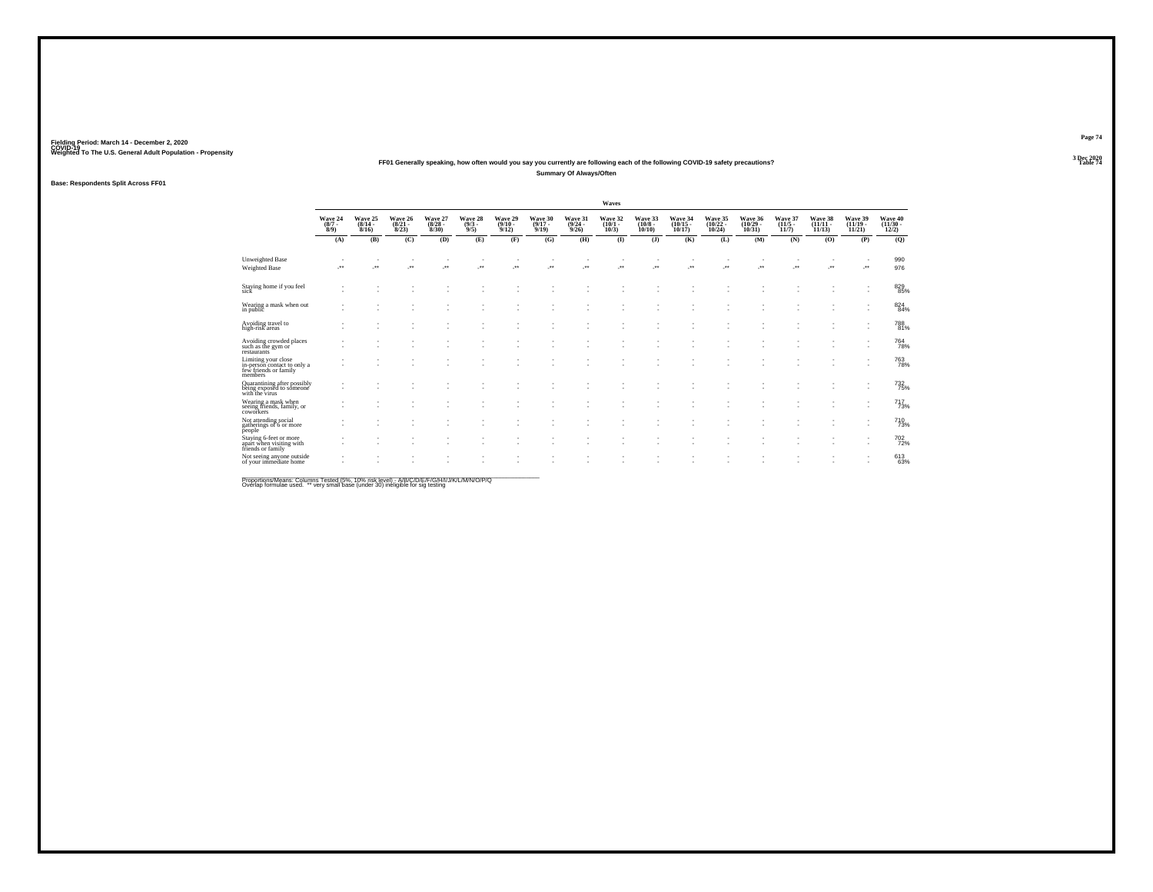### **FF01 Generally speaking, how often would you say you currently are following each of the following COVID-19 safety precautions?Summary Of Always/Often**

### **Base: Respondents Split Across FF01**

|                                                                                        |                            |                                  |                                  |                                 |                               |                              |                              |                                  | Waves                        |                               |                                |                                    |                                |                              |                                |                                |                                   |
|----------------------------------------------------------------------------------------|----------------------------|----------------------------------|----------------------------------|---------------------------------|-------------------------------|------------------------------|------------------------------|----------------------------------|------------------------------|-------------------------------|--------------------------------|------------------------------------|--------------------------------|------------------------------|--------------------------------|--------------------------------|-----------------------------------|
|                                                                                        | Wave 24<br>$(8/7 -$<br>8/9 | Wave 25<br>$\frac{(8/14)}{8/16}$ | Wave 26<br>$\frac{(8/21)}{8/23}$ | Wave 27<br>$\binom{8/28}{8/30}$ | Wave 28<br>$\binom{9/3}{9/5}$ | Wave 29<br>$(9/10 -$<br>9/12 | Wave 30<br>$(9/17 -$<br>9/19 | Wave 31<br>$\frac{(9/24)}{9/26}$ | Wave 32<br>$(10/1 -$<br>10/3 | Wave 33<br>$(10/8 -$<br>10/10 | Wave 34<br>$(10/15 -$<br>10/17 | Wave 35<br>$\frac{(10/22)}{10/24}$ | Wave 36<br>$(10/29 -$<br>10/31 | Wave 37<br>$(11/5 -$<br>11/7 | Wave 38<br>$(11/11 -$<br>11/13 | Wave 39<br>$(11/19 -$<br>11/21 | Wave 40<br>$\frac{(11/30)}{12/2}$ |
|                                                                                        | (A)                        | (B)                              | (C)                              | (D)                             | (E)                           | (F)                          | (G)                          | (H)                              | $\bf(I)$                     | (J)                           | (K)                            | (L)                                | (M)                            | (N)                          | (0)                            | (P)                            | (Q)                               |
| <b>Unweighted Base</b><br>Weighted Base                                                |                            |                                  | $\mathcal{F}^{\bullet}$          | $\cdot$                         |                               |                              | $\mathcal{L}^{\text{max}}$   | J.                               | ÷.                           | $\cdot$                       | J.                             | J.                                 |                                | $\cdot$                      | $\cdot$                        |                                | 990<br>976                        |
| Staying home if you feel<br>sick                                                       |                            |                                  |                                  |                                 |                               |                              |                              |                                  |                              |                               |                                |                                    |                                |                              |                                |                                | 829<br>85%                        |
| Wearing a mask when out<br>in public                                                   |                            |                                  |                                  | ٠                               | ٠                             | ٠                            |                              |                                  | ٠                            | $\overline{\phantom{a}}$      | $\overline{\phantom{a}}$       | $\sim$                             | ۰                              |                              |                                |                                | 824<br>84%                        |
| Avoiding travel to<br>high-risk areas                                                  |                            |                                  |                                  |                                 |                               |                              |                              |                                  |                              |                               |                                |                                    |                                |                              |                                |                                | 788<br>81%                        |
| Avoiding crowded places<br>such as the gym or<br>restaurants                           |                            |                                  |                                  |                                 | ٠                             |                              |                              |                                  | ٠                            |                               | $\overline{\phantom{a}}$       | ٠                                  |                                |                              |                                | $\overline{\phantom{a}}$       | 764<br>78%                        |
| Limiting your close<br>in-person contact to only a<br>few friends or family<br>members |                            |                                  |                                  |                                 |                               |                              |                              |                                  | ٠                            |                               |                                |                                    |                                |                              |                                |                                | 763<br>78%                        |
| Quarantining after possibly<br>being exposed to someone<br>with the virus              |                            |                                  |                                  |                                 |                               |                              |                              |                                  |                              |                               |                                |                                    |                                |                              |                                |                                | 732<br>75%                        |
| Wearing a mask when<br>seeing friends, family, or<br>coworkers                         |                            |                                  |                                  |                                 |                               |                              |                              |                                  |                              |                               |                                |                                    |                                |                              |                                | ٠                              | 717<br>73%                        |
| Not attending social<br>gatherings of 6 or more<br>people                              |                            |                                  |                                  |                                 |                               |                              |                              |                                  | ٠                            |                               | $\overline{\phantom{a}}$       | ٠                                  | $\sim$                         |                              |                                | ٠                              | 710 <sub>73%</sub>                |
| Staying 6-feet or more<br>apart when visiting with<br>friends or family                |                            |                                  |                                  |                                 |                               |                              |                              |                                  |                              |                               | ٠                              |                                    | ٠                              |                              |                                |                                | 702%                              |
| Not seeing anyone outside<br>of your immediate home                                    |                            |                                  |                                  |                                 |                               |                              |                              |                                  |                              |                               |                                |                                    |                                |                              |                                |                                | 613<br>63%                        |
|                                                                                        |                            |                                  |                                  |                                 |                               |                              |                              |                                  |                              |                               |                                |                                    |                                |                              |                                |                                |                                   |

Proportions/Means: Columns Tested (5%, 10% risk level) - A/B/C/D/E/F/G/H/I/J/K/L/M/N/O/P/Q<br>Overlap formulae used. \*\* very small base (under 30) ineligible for sig testing

**Page 74**3 Dec 2020<br>Table 74

**Table 74 Table 74 Table 74 Table 74 Table 74 Table 74 Table 74 Table 74**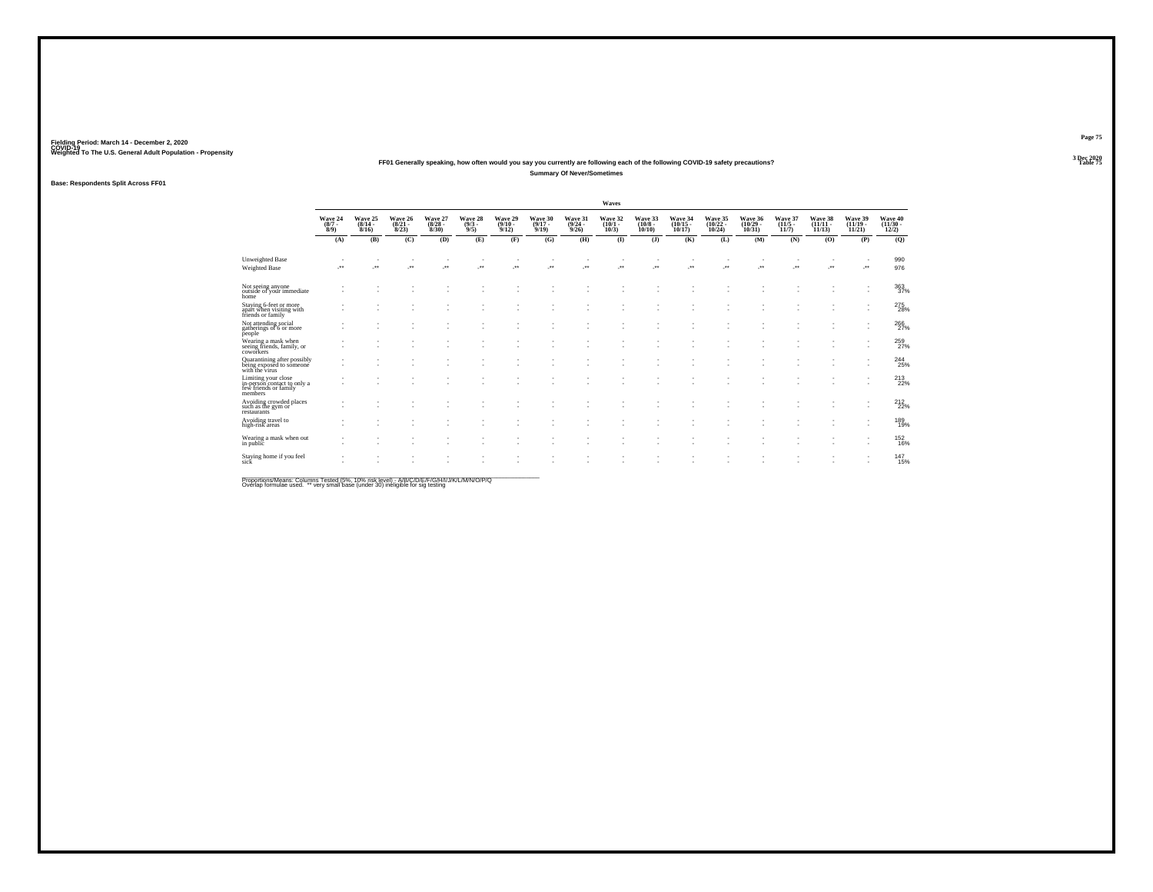#### **FF01 Generally speaking, how often would you say you currently are following each of the following COVID-19 safety precautions?Summary Of Never/Sometimes**

### **Base: Respondents Split Across FF01**

|                                                                                        |                            |                              |                                  |                                 |                               |                              |                              |                                         | Waves                        |                                   |                                |                                    |                                |                              |                                |                                |                                   |
|----------------------------------------------------------------------------------------|----------------------------|------------------------------|----------------------------------|---------------------------------|-------------------------------|------------------------------|------------------------------|-----------------------------------------|------------------------------|-----------------------------------|--------------------------------|------------------------------------|--------------------------------|------------------------------|--------------------------------|--------------------------------|-----------------------------------|
|                                                                                        | Wave 24<br>$(8/7 -$<br>8/9 | Wave 25<br>$(8/14 -$<br>8/16 | Wave 26<br>$\frac{(8/21)}{8/23}$ | Wave 27<br>$\binom{8/28}{8/30}$ | Wave 28<br>$\binom{9/3}{9/5}$ | Wave 29<br>$(9/10 -$<br>9/12 | Wave 30<br>$(9/17 -$<br>9/19 | Wave 31<br>$\frac{(9/24 - 9/26)}{9/26}$ | Wave 32<br>$(10/1 -$<br>10/3 | Wave 33<br>$(10/8 -$<br>$10/10$ ) | Wave 34<br>$(10/15 -$<br>10/17 | Wave 35<br>$\frac{(10/22)}{10/24}$ | Wave 36<br>$(10/29 -$<br>10/31 | Wave 37<br>$(11/5 -$<br>11/7 | Wave 38<br>$(11/11 -$<br>11/13 | Wave 39<br>$(11/19 -$<br>11/21 | Wave 40<br>$\frac{(11/30)}{12/2}$ |
|                                                                                        | (A)                        | (B)                          | (C)                              | (D)                             | (E)                           | (F)                          | (G)                          | (H)                                     | $\bf(I)$                     | (J)                               | (K)                            | (L)                                | (M)                            | (N)                          | (0)                            | (P)                            | (Q)                               |
| <b>Unweighted Base</b><br>Weighted Base                                                | ÷.                         | J.                           | $\mathcal{F}^{\bullet}$          | $\cdot$                         | ×                             | J.                           | ٠<br>J.                      | J.                                      | ٠<br>÷.                      | $\cdot$                           | ٠<br>$\cdot$                   | J.                                 | J.                             | $\cdot$                      | $\cdot$                        | J.                             | 990<br>976                        |
| Not seeing anyone<br>outside of your immediate<br>home                                 |                            |                              |                                  |                                 |                               |                              |                              |                                         |                              |                                   |                                |                                    |                                |                              |                                |                                | 363<br>37%                        |
| Staying 6-feet or more<br>apart when visiting with<br>friends or family                |                            |                              |                                  |                                 | ٠<br>٠                        | ٠                            |                              |                                         | ٠                            |                                   | ٠<br>$\overline{\phantom{a}}$  | ٠<br>٠                             | ٠<br>۰                         |                              |                                |                                | 275<br>28%                        |
| Not attending social<br>gatherings of 6 or more<br>people                              |                            |                              |                                  |                                 |                               |                              |                              |                                         |                              |                                   |                                |                                    |                                |                              |                                | ٠                              | 266                               |
| Wearing a mask when<br>seeing friends, family, or<br>coworkers                         |                            |                              |                                  |                                 | ٠<br>٠                        | ٠                            |                              |                                         | ٠<br>٠                       | $\overline{\phantom{a}}$          | $\overline{\phantom{a}}$       | ٠                                  | $\sim$                         |                              |                                | ٠                              | 259<br>27%                        |
| Quarantining after possibly<br>being exposed to someone<br>with the virus              |                            |                              |                                  |                                 |                               |                              |                              |                                         |                              |                                   | $\overline{\phantom{a}}$       |                                    | ٠                              |                              |                                |                                | 244                               |
| Limiting your close<br>in-person contact to only a<br>few friends or family<br>members |                            |                              |                                  |                                 | ٠                             |                              |                              |                                         | ٠<br>٠                       | $\overline{\phantom{a}}$          | $\overline{\phantom{a}}$       | ٠                                  | $\sim$                         |                              |                                | ٠                              | 213                               |
| Avoiding crowded places<br>such as the gym or<br>restaurants                           |                            |                              |                                  |                                 | ٠                             |                              |                              |                                         | ٠                            |                                   | ٠                              |                                    | ٠                              |                              |                                | ٠                              | 212<br>22%                        |
| Avoiding travel to<br>high-risk areas                                                  |                            |                              |                                  |                                 |                               |                              |                              |                                         |                              |                                   | $\overline{\phantom{a}}$       |                                    | $\sim$                         |                              |                                | ٠                              | 189<br>19%                        |
| Wearing a mask when out<br>in public                                                   | ٠                          |                              |                                  |                                 | ٠                             |                              |                              |                                         | ٠                            |                                   | ٠                              |                                    | ٠                              |                              |                                | $\overline{\phantom{a}}$<br>٠  | <sup>152</sup> <sub>16%</sub>     |
| Staying home if you feel<br>sick                                                       |                            |                              |                                  |                                 |                               |                              |                              |                                         |                              |                                   |                                |                                    |                                |                              |                                |                                | 147<br>15%                        |
|                                                                                        |                            |                              |                                  |                                 |                               |                              |                              |                                         |                              |                                   |                                |                                    |                                |                              |                                |                                |                                   |

Proportions/Means: Columns Tested (5%, 10% risk level) - A/B/C/D/E/F/G/H/I/J/K/L/M/N/O/P/Q<br>Overlap formulae used. \*\* very small base (under 30) ineligible for sig testing

**Page 75**3 Dec 2020<br>Table 75

**Table 75 Table 75 Table 75 Table 75**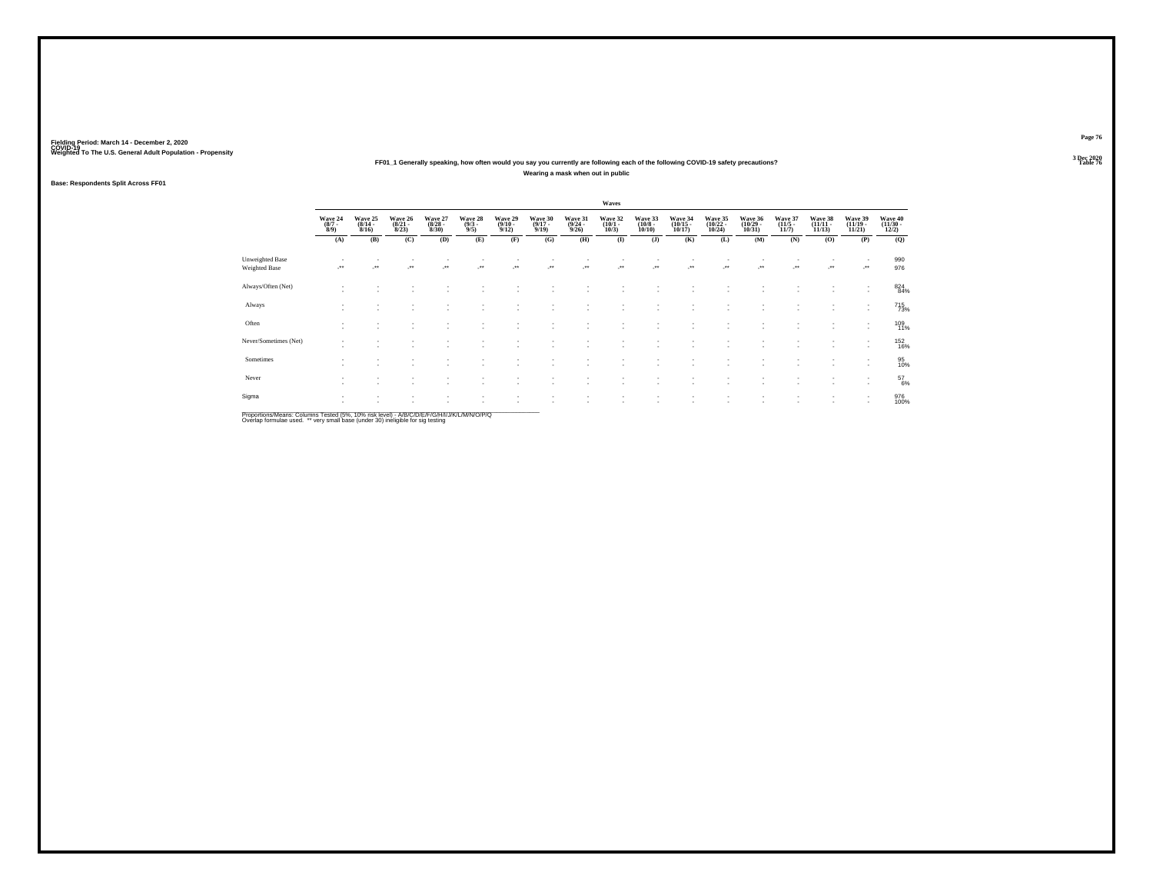### **FF01\_1 Generally speaking, how often would you say you currently are following each of the following COVID-19 safety precautions?Wearing a mask when out in public**

### **Base: Respondents Split Across FF01**

|                                         |                                      |                                                      |                                  |                                 |                                              |                                                      |                                  |                                         | Waves                           |                                  |                                   |                                                      |                                    |                                  |                                   |                                    |                                   |
|-----------------------------------------|--------------------------------------|------------------------------------------------------|----------------------------------|---------------------------------|----------------------------------------------|------------------------------------------------------|----------------------------------|-----------------------------------------|---------------------------------|----------------------------------|-----------------------------------|------------------------------------------------------|------------------------------------|----------------------------------|-----------------------------------|------------------------------------|-----------------------------------|
|                                         | Wave 24<br>$\frac{(8/7 - 8)}{(8/9)}$ | Wave 25<br>$\frac{(8/14)}{8/16}$                     | Wave 26<br>$\frac{(8/21)}{8/23}$ | Wave 27<br>$\binom{8/28}{8/30}$ | Wave 28<br>$\frac{(9/3)}{9/5}$               | Wave 29<br>$\frac{(9/10 - 9/12)}{9/12}$              | Wave 30<br>$\frac{(9/17)}{9/19}$ | Wave 31<br>$\frac{(9/24 - 9/26)}{9/26}$ | Wave 32<br>$\binom{10/1}{10/3}$ | Wave 33<br>$\binom{10/8}{10/10}$ | Wave 34<br>$\binom{10/15}{10/17}$ | Wave 35<br>$\binom{10/22}{10/24}$                    | Wave 36<br>$\frac{(10/29)}{10/31}$ | Wave 37<br>$\frac{(11/5)}{11/7}$ | Wave 38<br>$\binom{11/11}{11/13}$ | Wave 39<br>$\binom{11/19}{11/21}$  | Wave 40<br>$\frac{(11/30)}{12/2}$ |
|                                         | (A)                                  | (B)                                                  | (C)                              | (D)                             | (E)                                          | (F)                                                  | (G)                              | (H)                                     | $($ $\bf I$                     | (J)                              | (K)                               | (L)                                                  | (M)                                | (N)                              | (O)                               | (P)                                | (Q)                               |
| Unweighted Base<br><b>Weighted Base</b> |                                      | $\bullet\bullet$                                     | $\bullet\,\bullet$               | $^{\tiny{**}}$                  | $\begin{array}{c} \bullet\bullet\end{array}$ | $\cdot$                                              | $\cdot$                          | $\ddot{\phantom{1}}$                    | $\cdot$                         | $\cdot$                          | $\overline{\phantom{a}}$          | $\overline{\phantom{a}}$                             | $\cdot$                            | $\sim$<br>$\ddot{\phantom{1}}$   | $\mathcal{L}^{\bullet}$           | $\overline{\phantom{a}}$<br>J.     | 990<br>976                        |
| Always/Often (Net)                      | ٠<br>$\sim$                          |                                                      |                                  |                                 |                                              |                                                      |                                  |                                         |                                 |                                  |                                   |                                                      |                                    |                                  |                                   | $\overline{\phantom{a}}$           | 824<br>84%                        |
| Always                                  | ٠<br>$\sim$                          | $\overline{\phantom{a}}$                             | ٠                                | $\sim$                          |                                              | $\overline{\phantom{a}}$                             | ٠                                | ٠                                       | $\sim$                          | ٠                                | $\overline{\phantom{a}}$          | $\overline{\phantom{a}}$                             | ٠                                  | ٠                                | $\sim$                            | ٠<br>٠                             | 715<br>73%                        |
| Often                                   | ٠<br>٠                               | $\overline{\phantom{a}}$<br>$\overline{\phantom{a}}$ |                                  | ٠                               | ٠                                            |                                                      | ٠                                | ٠                                       |                                 | ٠<br>$\overline{\phantom{a}}$    | $\overline{\phantom{a}}$<br>-     | $\sim$<br>$\overline{\phantom{a}}$                   | ٠                                  | ٠<br>٠                           | $\sim$                            | $\sim$                             | 109<br>11%                        |
| Never/Sometimes (Net)                   | ٠<br>$\overline{\phantom{a}}$        | $\overline{\phantom{a}}$                             |                                  |                                 |                                              |                                                      |                                  |                                         |                                 | ٠                                | $\sim$                            |                                                      | ٠                                  | ٠                                | $\sim$                            | $\overline{\phantom{a}}$<br>$\sim$ | 152<br>16%                        |
| Sometimes                               | $\sim$<br>٠                          |                                                      |                                  |                                 |                                              |                                                      |                                  |                                         |                                 | ٠                                |                                   |                                                      | $\overline{\phantom{a}}$           | ٠                                |                                   | $\overline{\phantom{a}}$<br>$\sim$ | 95<br>10%                         |
| Never                                   | ٠<br>$\overline{\phantom{a}}$        | $\overline{\phantom{a}}$                             | $\sim$                           | $\sim$                          | ۰                                            | $\sim$                                               | ٠                                | ٠                                       | <b>1999</b>                     | ٠.                               | $\sim$                            | $\overline{\phantom{a}}$                             | $\overline{\phantom{a}}$           | ٠                                | $\sim$                            | ٠<br>$\sim$                        | $^{57}_{6\%}$                     |
| Sigma                                   | $\overline{\phantom{a}}$<br>×.       | $\overline{\phantom{a}}$<br>$\sim$                   | $\sim$                           | $\sim$                          | $\sim$                                       | $\overline{\phantom{a}}$<br>$\overline{\phantom{a}}$ | ٠<br>٠                           | ٠<br>×.                                 | $\sim$<br>$\sim$                | ٠<br>٠                           | ٠<br>$\overline{\phantom{a}}$     | $\overline{\phantom{a}}$<br>$\overline{\phantom{a}}$ | ٠<br>٠                             | ٠<br>٠                           | $\sim$<br>$\sim$                  | ٠<br>$\sim$                        | 976<br>100%                       |

Proportions/Means: Columns Tested (5%, 10% risk level) - *NB/C/D/E/F/G/H/IJJ/K/L/M/N/O/P/Q*<br>Overlap formulae used. \*\* very small base (under 30) ineligible for sig testing

**Page 76**3 Dec 2020<br>Table 76

**Table 76 Table 76 Table 76 Table 76 Table 76 Table 76 Table 76**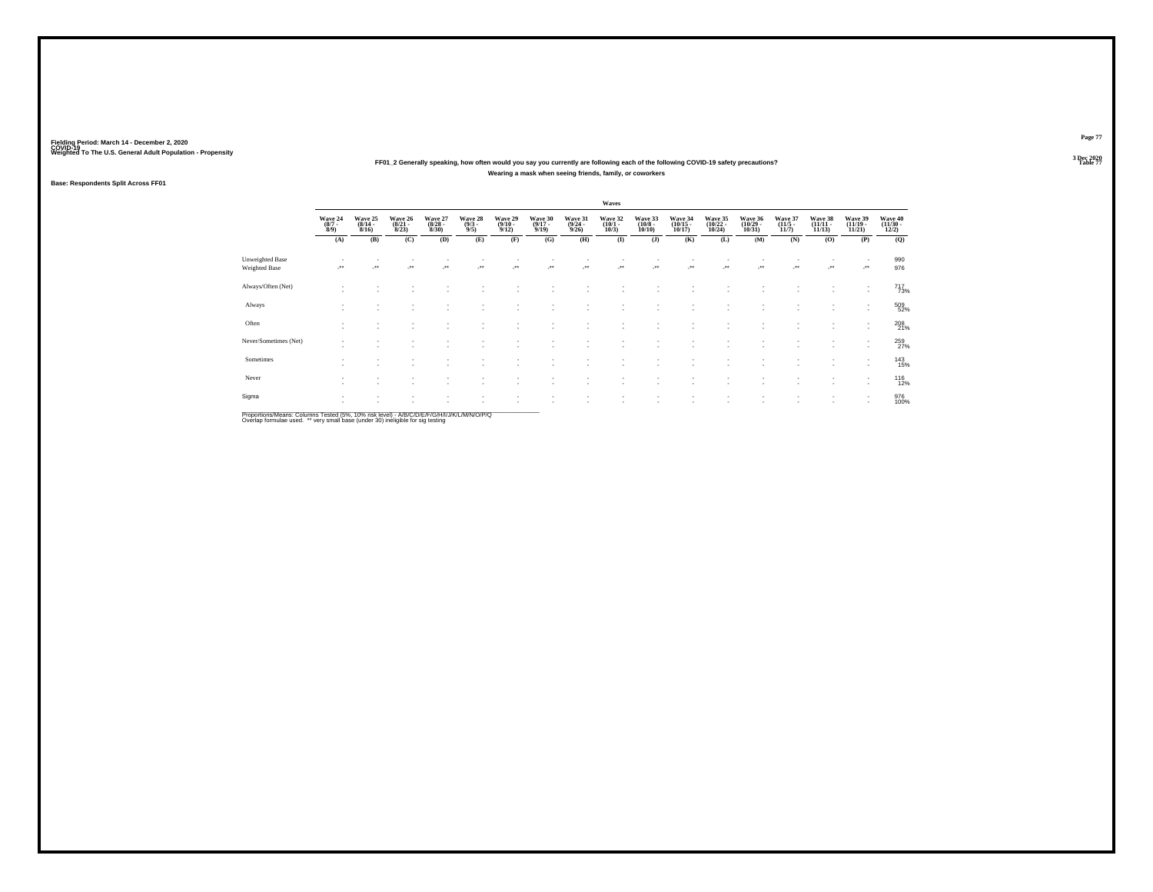### **FF01\_2 Generally speaking, how often would you say you currently are following each of the following COVID-19 safety precautions?Wearing a mask when seeing friends, family, or coworkers**

### **Base: Respondents Split Across FF01**

|                                  |                                    |                                  |                                  |                                              |                                |                                  |                                  |                                         | Waves                           |                                       |                                    |                                                      |                                            |                                  |                                    |                                                      |                                   |
|----------------------------------|------------------------------------|----------------------------------|----------------------------------|----------------------------------------------|--------------------------------|----------------------------------|----------------------------------|-----------------------------------------|---------------------------------|---------------------------------------|------------------------------------|------------------------------------------------------|--------------------------------------------|----------------------------------|------------------------------------|------------------------------------------------------|-----------------------------------|
|                                  | Wave 24<br>$\binom{8/7}{8/9}$      | Wave 25<br>$\frac{(8/14)}{8/16}$ | Wave 26<br>$\frac{(8/21)}{8/23}$ | Wave 27<br>$\binom{8/28}{8/30}$              | Wave 28<br>$\frac{(9/3)}{9/5}$ | Wave 29<br>$\frac{(9/10)}{9/12}$ | Wave 30<br>$\frac{(9/17)}{9/19}$ | Wave 31<br>$\frac{(9/24 - 9/26)}{9/26}$ | Wave 32<br>$\binom{10/1}{10/3}$ | Wave 33<br>$\binom{10/8 - 10}{10/10}$ | Wave 34<br>$\frac{(10/15)}{10/17}$ | Wave 35<br>$\frac{(10/22)}{10/24}$                   | Wave 36<br>$\frac{(10/29 - 10/31)}{10/31}$ | Wave 37<br>$\frac{(11/5)}{11/7}$ | Wave 38<br>$\frac{(11/11)}{11/13}$ | Wave 39<br>$\binom{11/19}{11/21}$                    | Wave 40<br>$\frac{(11/30)}{12/2}$ |
|                                  | (A)                                | (B)                              | (C)                              | (D)                                          | (E)                            | (F)                              | (G)                              | (H)                                     | $($ $\Gamma$                    | (J)                                   | (K)                                | (L)                                                  | (M)                                        | (N)                              | (O)                                | (P)                                                  | (Q)                               |
| Unweighted Base<br>Weighted Base | $\star\star$                       | $\bullet\,\bullet$               | معر                              | $\begin{array}{c} \bullet\bullet\end{array}$ | $^{\tiny{**}}$                 | $\cdot$                          | $\star$                          | J.                                      | $\cdot$                         | ٠<br>                                 | $\ddot{}$                          | $\overline{\phantom{a}}$<br>$\cdot$                  | $\cdot$                                    | J.                               | $\cdot$                            | ٠<br>J.                                              | 990<br>976                        |
| Always/Often (Net)               |                                    |                                  |                                  |                                              |                                |                                  |                                  |                                         |                                 |                                       |                                    |                                                      |                                            |                                  |                                    | ٠<br>$\sim$                                          | $^{717}_{73\%}$                   |
| Always                           |                                    |                                  | ٠                                |                                              |                                | ٠                                |                                  |                                         |                                 | ٠                                     |                                    | $\overline{\phantom{a}}$                             | $\sim$                                     |                                  | $\sim$                             | $\sim$                                               | 509<br>52%                        |
| Often                            | $\sim$<br>$\overline{\phantom{a}}$ | $\mathbf{r}$                     | ٠                                |                                              | $\overline{\phantom{a}}$       | $\overline{\phantom{a}}$         | ٠                                |                                         |                                 | ٠<br>٠                                |                                    | $\overline{\phantom{a}}$<br>$\overline{\phantom{a}}$ | ٠<br>٠                                     | $\sim$                           | $\sim$<br>$\sim$                   | $\overline{\phantom{a}}$<br>$\overline{\phantom{a}}$ | 208<br>21%                        |
| Never/Sometimes (Net)            | $\sim$                             | $\overline{\phantom{a}}$         |                                  |                                              |                                | $\overline{\phantom{a}}$         | ٠                                |                                         |                                 | ٠                                     |                                    | $\overline{\phantom{a}}$                             | $\sim$                                     | ٠                                | $\sim$                             | ٠<br>$\overline{\phantom{a}}$                        | 259<br>27%                        |
| Sometimes                        |                                    |                                  |                                  |                                              |                                |                                  |                                  |                                         |                                 | ٠                                     |                                    | $\overline{\phantom{a}}$<br>$\overline{\phantom{a}}$ | ٠<br>٠                                     |                                  |                                    | $\overline{\phantom{a}}$<br>$\overline{\phantom{a}}$ | 143<br>15%                        |
| Never                            | $\sim$                             | $\overline{\phantom{a}}$         | -                                |                                              |                                | $\overline{\phantom{a}}$         | ٠                                |                                         |                                 | ٠                                     |                                    | $\overline{\phantom{a}}$                             | $\sim$                                     | ٠                                | $\sim$                             | $\overline{\phantom{a}}$<br>$\mathbf{r}$             | 116<br>12%                        |
| Sigma                            | $\sim$<br>$\overline{\phantom{a}}$ | ۰                                | $\sim$                           |                                              | $\overline{\phantom{a}}$       | $\overline{\phantom{a}}$         | $\mathbf{r}$                     |                                         | ٠.                              | ٠<br>٠                                | $\sim$<br>-                        | $\overline{\phantom{a}}$<br>$\overline{\phantom{a}}$ | $\sim$<br>$\sim$                           | $\sim$<br>$\sim$                 | $\sim$<br>$\sim$                   | ٠<br>$\overline{\phantom{a}}$                        | 976<br>100%                       |

Proportions/Means: Columns Tested (5%, 10% risk level) - *NB/C/D/E/F/G/H/IJJ/K/L/M/N/O/P/Q*<br>Overlap formulae used. \*\* very small base (under 30) ineligible for sig testing

**Page 77**3 Dec 2020<br>Table 77

**Table 77 Table 77**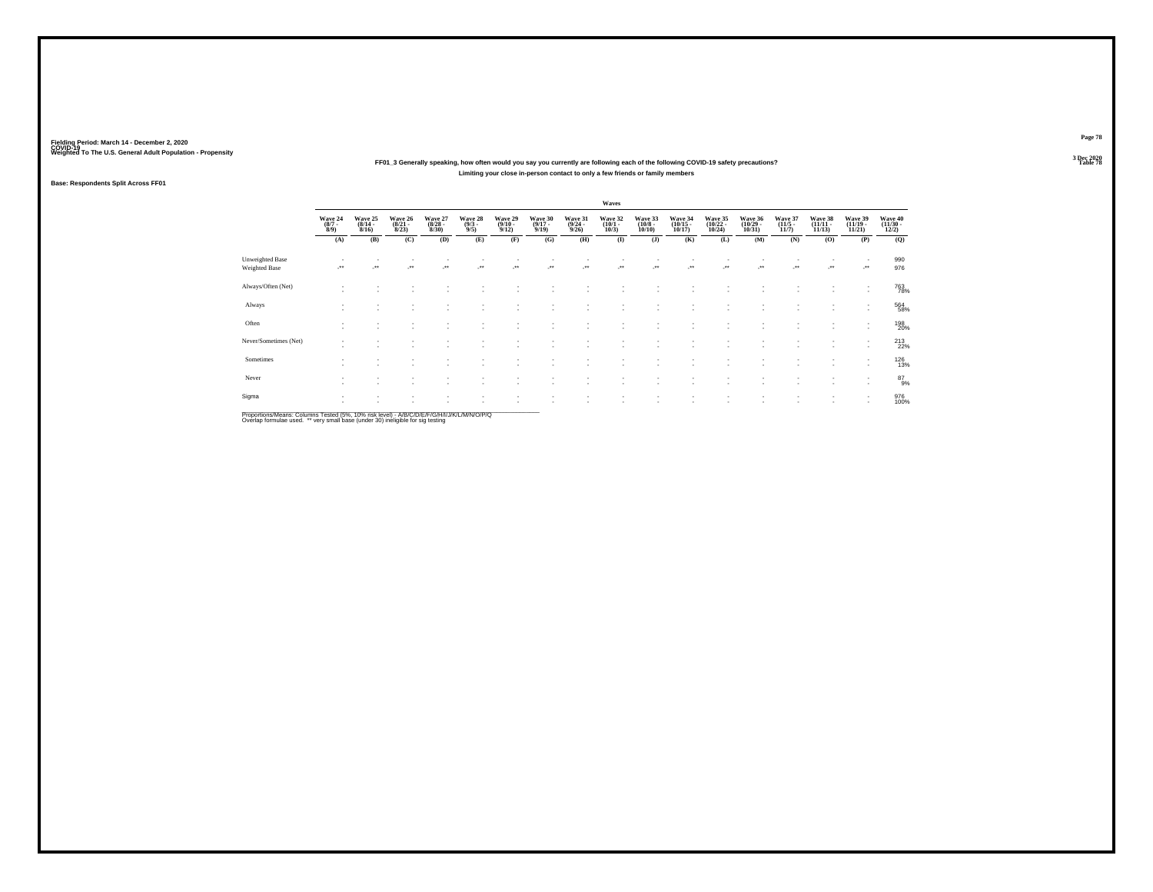### **FF01\_3 Generally speaking, how often would you say you currently are following each of the following COVID-19 safety precautions?Limiting your close in-person contact to only a few friends or family members**

### **Base: Respondents Split Across FF01**

|                                         |                                      |                                    |                                  |                                 |                                              |                                         |                                  |                                         | Waves                           |                                  |                                    |                                                      |                                    |                                  |                                   |                                    |                                   |
|-----------------------------------------|--------------------------------------|------------------------------------|----------------------------------|---------------------------------|----------------------------------------------|-----------------------------------------|----------------------------------|-----------------------------------------|---------------------------------|----------------------------------|------------------------------------|------------------------------------------------------|------------------------------------|----------------------------------|-----------------------------------|------------------------------------|-----------------------------------|
|                                         | Wave 24<br>$\frac{(8/7 - 8)}{(8/9)}$ | Wave 25<br>$\frac{(8/14)}{8/16}$   | Wave 26<br>$\frac{(8/21)}{8/23}$ | Wave 27<br>$\binom{8/28}{8/30}$ | Wave 28<br>$\frac{(9/3)}{9/5}$               | Wave 29<br>$\frac{(9/10 - 9/12)}{9/12}$ | Wave 30<br>$\frac{(9/17)}{9/19}$ | Wave 31<br>$\frac{(9/24 - 9/26)}{9/26}$ | Wave 32<br>$\binom{10/1}{10/3}$ | Wave 33<br>$\binom{10/8}{10/10}$ | Wave 34<br>$\binom{10/15}{10/17}$  | Wave 35<br>$\binom{10/22}{10/24}$                    | Wave 36<br>$\frac{(10/29)}{10/31}$ | Wave 37<br>$\frac{(11/5)}{11/7}$ | Wave 38<br>$\binom{11/11}{11/13}$ | Wave 39<br>$\binom{11/19}{11/21}$  | Wave 40<br>$\frac{(11/30)}{12/2}$ |
|                                         | (A)                                  | (B)                                | (C)                              | (D)                             | (E)                                          | (F)                                     | (G)                              | (H)                                     | $($ $\bf I$                     | (J)                              | (K)                                | (L)                                                  | (M)                                | (N)                              | (O)                               | (P)                                | (Q)                               |
| Unweighted Base<br><b>Weighted Base</b> |                                      | $\bullet\bullet$                   | $\bullet\,\bullet$               | $^{\tiny{**}}$                  | $\begin{array}{c} \bullet\bullet\end{array}$ | $\cdot$                                 | $\cdot$                          | $\ddot{\phantom{1}}$                    | $\cdot$                         | $\cdot$                          | $\overline{\phantom{a}}$           | $\overline{\phantom{a}}$                             | $\cdot$                            | $\sim$<br>$\ddot{\phantom{1}}$   | $\mathcal{L}^{\bullet}$           | $\overline{\phantom{a}}$<br>J.     | 990<br>976                        |
| Always/Often (Net)                      | ٠<br>$\sim$                          |                                    |                                  |                                 |                                              |                                         |                                  |                                         |                                 |                                  |                                    |                                                      |                                    |                                  |                                   | ٠<br>٠                             | 763<br>78%                        |
| Always                                  | ٠<br>$\sim$                          | $\overline{\phantom{a}}$           | $\sim$                           | ٠                               |                                              | $\overline{\phantom{a}}$                | ٠                                | ٠                                       | $\sim$                          | ٠                                | $\overline{\phantom{a}}$           | $\overline{\phantom{a}}$                             | ٠                                  | ٠                                | $\sim$                            | $\mathbf{r}$                       | 564<br>58%                        |
| Often                                   | ٠<br>٠                               | $\overline{\phantom{a}}$           | $\sim$                           | ٠                               | ٠                                            |                                         | ٠                                | ٠                                       |                                 | ٠<br>٠                           | $\overline{\phantom{a}}$<br>$\sim$ | $\overline{\phantom{a}}$<br>$\overline{\phantom{a}}$ | ٠                                  | ٠<br>٠                           | $\sim$                            |                                    | 198<br>20%                        |
| Never/Sometimes (Net)                   | ٠<br>$\overline{\phantom{a}}$        | $\overline{\phantom{a}}$           |                                  |                                 |                                              |                                         |                                  |                                         |                                 | ٠                                | $\sim$                             |                                                      | ٠                                  | ٠                                | $\sim$                            | $\overline{\phantom{a}}$<br>$\sim$ | 213<br>22%                        |
| Sometimes                               | $\sim$<br>٠                          |                                    |                                  |                                 |                                              |                                         |                                  |                                         |                                 | ٠                                |                                    |                                                      | $\overline{\phantom{a}}$           | ٠                                | $\sim$                            | $\overline{\phantom{a}}$<br>$\sim$ | <sup>126</sup> <sub>13%</sub>     |
| Never                                   | ٠<br>$\overline{\phantom{a}}$        | $\overline{\phantom{a}}$           | $\sim$                           | $\sim$                          | ۰                                            | $\sim$                                  | ٠                                | ٠                                       |                                 | ٠.                               | $\sim$                             | $\overline{\phantom{a}}$                             | $\overline{\phantom{a}}$           | ٠                                | $\sim$                            | ٠<br>$\sim$                        | 87<br>9%                          |
| Sigma                                   | $\overline{\phantom{a}}$<br>×.       | $\overline{\phantom{a}}$<br>$\sim$ | $\sim$                           | $\sim$                          | $\sim$                                       | $\overline{\phantom{a}}$                | ٠                                | $\sim$<br>×.                            | $\sim$<br>$\sim$                | ٠<br>٠                           | ٠<br>$\overline{\phantom{a}}$      | $\overline{\phantom{a}}$<br>$\overline{\phantom{a}}$ | ٠<br>٠                             | ٠<br>٠                           | $\sim$<br>$\sim$                  | ٠<br>$\sim$                        | 976<br>100%                       |

Proportions/Means: Columns Tested (5%, 10% risk level) - *NB/C/D/E/F/G/H/IJJ/K/L/M/N/O/P/Q*<br>Overlap formulae used. \*\* very small base (under 30) ineligible for sig testing

**Page 78**3 Dec 2020<br>Table 78

**Table 78 Table 78**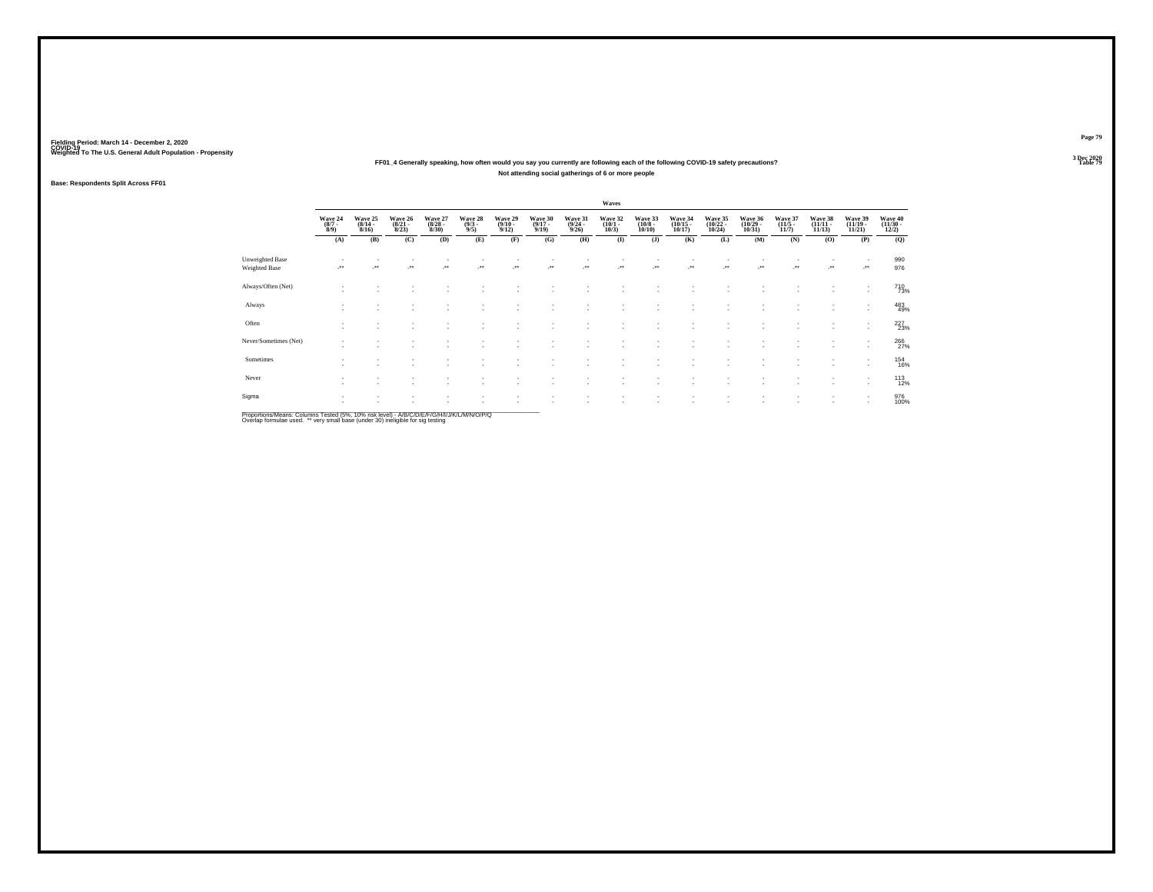### **FF01\_4 Generally speaking, how often would you say you currently are following each of the following COVID-19 safety precautions?Not attending social gatherings of 6 or more people**

### **Base: Respondents Split Across FF01**

|                                  |                               |                                  |                                  |                                  |                               |                                 |                                  |                                         | Waves                           |                                  |                                                      |                                                      |                                    |                                 |                                |                                                      |                                   |
|----------------------------------|-------------------------------|----------------------------------|----------------------------------|----------------------------------|-------------------------------|---------------------------------|----------------------------------|-----------------------------------------|---------------------------------|----------------------------------|------------------------------------------------------|------------------------------------------------------|------------------------------------|---------------------------------|--------------------------------|------------------------------------------------------|-----------------------------------|
|                                  | Wave 24<br>$\binom{8/7}{8/9}$ | Wave 25<br>$\frac{(8/14)}{8/16}$ | Wave 26<br>$\frac{(8/21)}{8/23}$ | Wave 27<br>$\frac{(8/28)}{8/30}$ | Wave 28<br>$\binom{9/3}{9/5}$ | Wave 29<br>$\binom{9/10}{9/12}$ | Wave 30<br>$\frac{(9/17)}{9/19}$ | Wave 31<br>$\frac{(9/24 - 9/26)}{9/26}$ | Wave 32<br>$\binom{10/1}{10/3}$ | Wave 33<br>$\binom{10/8}{10/10}$ | Wave 34<br>$\binom{10/15}{10/17}$                    | Wave 35<br>$\frac{(10/22)}{10/24}$                   | Wave 36<br>$\frac{(10/29)}{10/31}$ | Wave 37<br>$\binom{11/5}{11/7}$ | Wave 38<br>$(11/11 -$<br>11/13 | Wave 39<br>$\frac{(11/19 - 11/21)}{11/21}$           | Wave 40<br>$\frac{(11/30)}{12/2}$ |
|                                  | (A)                           | (B)                              | (C)                              | (D)                              | (E)                           | (F)                             | (G)                              | (H)                                     | $\bf(I)$                        | (J)                              | (K)                                                  | (L)                                                  | (M)                                | (N)                             | (0)                            | (P)                                                  | (Q)                               |
| Unweighted Base<br>Weighted Base |                               | $\ddot{\phantom{1}}$             | $\ddot{}$                        | $\cdot$                          | $\star\star$                  | -**                             |                                  |                                         | $\cdot$                         |                                  |                                                      | J.                                                   | -**                                | ٠<br>                           | $\cdot$                        | ٠<br>                                                | 990<br>976                        |
| Always/Often (Net)               | $\sim$                        |                                  |                                  |                                  |                               |                                 |                                  |                                         |                                 |                                  |                                                      |                                                      |                                    |                                 |                                | ٠<br>$\overline{\phantom{a}}$                        | 710<br>73%                        |
| Always                           | ٠<br>$\sim$                   | $\overline{\phantom{a}}$         | ٠                                | $\sim$                           | ۰                             |                                 | ٠                                | ×.                                      | $\sim$                          | ٠                                | $\overline{\phantom{a}}$                             | $\sim$                                               | ٠                                  | ٠                               | $\sim$                         | ٠<br>$\sim$                                          | 483                               |
| Often                            | $\sim$<br>٠                   | $\sim$                           | $\sim$<br>$\sim$                 | ٠<br>$\sim$                      | ٠<br>٠                        | $\overline{\phantom{a}}$        | ٠<br>٠                           | ×.                                      |                                 | ٠<br>$\overline{\phantom{a}}$    | $\overline{\phantom{a}}$<br>$\overline{\phantom{a}}$ | $\overline{\phantom{a}}$<br>$\overline{\phantom{a}}$ | ٠                                  | ٠<br>٠                          | $\sim$<br>$\sim$               | ٠<br>$\sim$                                          | 227<br>23%                        |
| Never/Sometimes (Net)            | $\overline{\phantom{a}}$      | $\sim$                           |                                  |                                  |                               |                                 | ٠                                |                                         |                                 | ٠                                | $\sim$                                               | $\overline{\phantom{a}}$                             | $\overline{\phantom{a}}$           | ٠                               | $\sim$                         | $\overline{\phantom{a}}$<br>$\sim$                   | 266<br>27%                        |
| Sometimes                        | $\sim$                        |                                  |                                  | ٠.                               |                               |                                 |                                  |                                         |                                 | ٠                                |                                                      | $\overline{\phantom{a}}$                             | ٠                                  | ٠                               | ٠.                             | $\overline{\phantom{a}}$<br>$\overline{\phantom{a}}$ | <sup>154</sup><br>16%             |
| Never                            | ٠<br>٠                        | $\overline{\phantom{a}}$         | ٠                                | $\sim$                           | ۰                             | $\sim$                          | ٠                                | ٠                                       | $\sim$                          | ٠                                | $\overline{\phantom{a}}$                             | $\overline{\phantom{a}}$                             | ٠                                  | ٠                               | $\sim$                         | $\overline{\phantom{a}}$<br>٠                        | $^{113}_{12\%}$                   |
| Sigma                            | $\mathbf{r}$<br>×.            | $\sim$<br>$\sim$                 | $\sim$                           | ٠<br>$\sim$                      | ٠                             | $\sim$<br>и.                    | ٠<br>٠                           | ٠<br>×.                                 | $\sim$                          | ٠<br>٠                           | $\sim$<br>$\mathbf{r}$                               | $\;$<br>$\overline{\phantom{a}}$                     | $\;$<br>٠                          | $\sim$<br>٠                     | $\sim$                         | $\sim$<br>$\overline{\phantom{a}}$                   | 976<br>100%                       |

Proportions/Means: Columns Tested (5%, 10% risk level) - *NB/C/D/E/F/G/H/IJJ/K/L/M/N/O/P/Q*<br>Overlap formulae used. \*\* very small base (under 30) ineligible for sig testing

**Page 79**3 Dec 2020<br>Table 79

**Table 79 Table 79**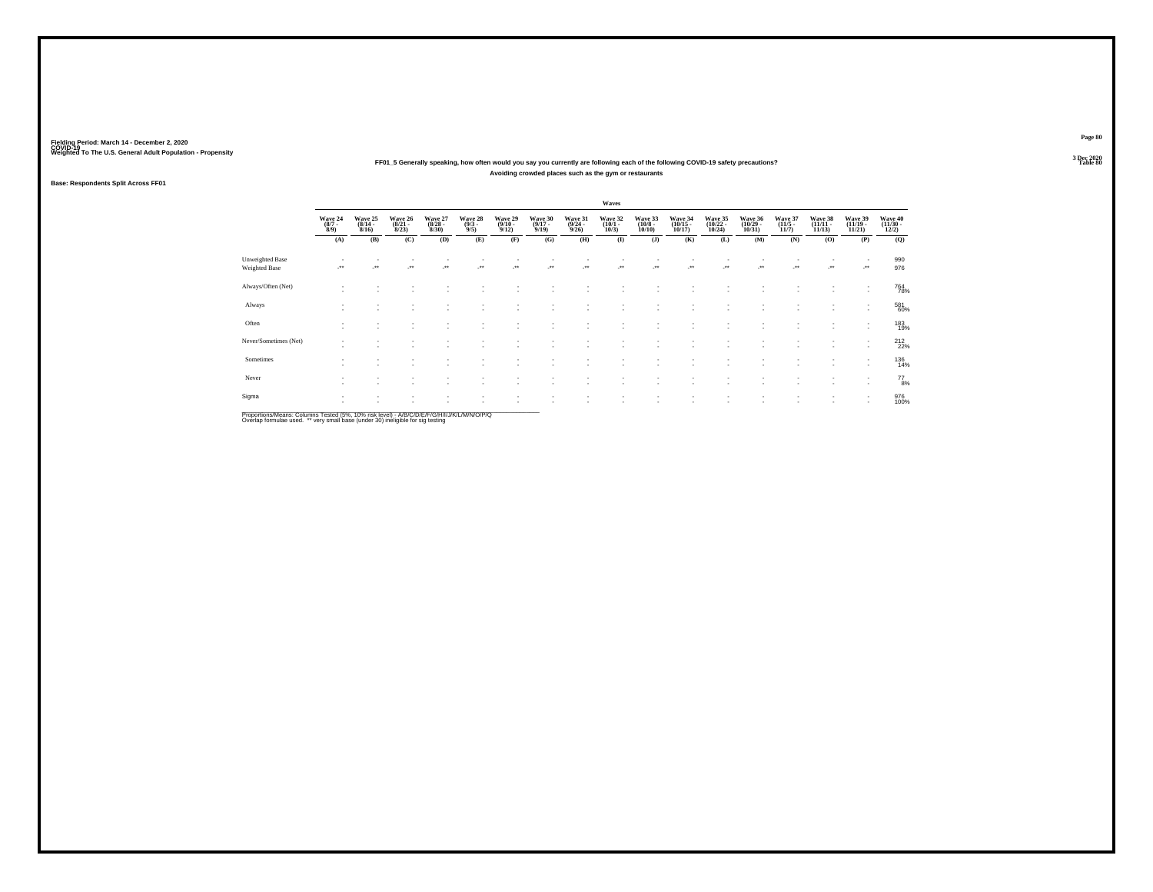### **FF01\_5 Generally speaking, how often would you say you currently are following each of the following COVID-19 safety precautions?Avoiding crowded places such as the gym or restaurants**

### **Base: Respondents Split Across FF01**

|                                  |                               |                                    |                                  |                                  |                               |                                 |                                  |                                         | Waves                           |                                  |                                                      |                                    |                                    |                                 |                                   |                                                      |                                   |
|----------------------------------|-------------------------------|------------------------------------|----------------------------------|----------------------------------|-------------------------------|---------------------------------|----------------------------------|-----------------------------------------|---------------------------------|----------------------------------|------------------------------------------------------|------------------------------------|------------------------------------|---------------------------------|-----------------------------------|------------------------------------------------------|-----------------------------------|
|                                  | Wave 24<br>$\binom{8/7}{8/9}$ | Wave 25<br>$\frac{(8/14)}{8/16}$   | Wave 26<br>$\frac{(8/21)}{8/23}$ | Wave 27<br>$\frac{(8/28)}{8/30}$ | Wave 28<br>$\binom{9/3}{9/5}$ | Wave 29<br>$\binom{9/10}{9/12}$ | Wave 30<br>$\frac{(9/17)}{9/19}$ | Wave 31<br>$\frac{(9/24 - 9/26)}{9/26}$ | Wave 32<br>$\binom{10/1}{10/3}$ | Wave 33<br>$\binom{10/8}{10/10}$ | Wave 34<br>$\binom{10/15}{10/17}$                    | Wave 35<br>$\frac{(10/22)}{10/24}$ | Wave 36<br>$\frac{(10/29)}{10/31}$ | Wave 37<br>$\binom{11/5}{11/7}$ | Wave 38<br>$\binom{11/11}{11/13}$ | Wave 39<br>$\frac{(11/19 - 11/21)}{11/21}$           | Wave 40<br>$\frac{(11/30)}{12/2}$ |
|                                  | (A)                           | (B)                                | (C)                              | (D)                              | (E)                           | (F)                             | (G)                              | (H)                                     | $\bf(I)$                        | (J)                              | (K)                                                  | (L)                                | (M)                                | (N)                             | (0)                               | (P)                                                  | (Q)                               |
| Unweighted Base<br>Weighted Base |                               | $\ddot{\phantom{1}}$               | $\ddot{}$                        | $\cdot$                          | $\star\star$                  | -**                             |                                  |                                         | $\cdot$                         |                                  |                                                      | J.                                 | -**                                | ٠<br>                           | $\cdot$                           |                                                      | 990<br>976                        |
| Always/Often (Net)               | $\sim$                        |                                    |                                  |                                  |                               |                                 |                                  |                                         |                                 |                                  |                                                      |                                    |                                    |                                 |                                   | ٠<br>$\overline{\phantom{a}}$                        | 764<br>78%                        |
| Always                           | ٠<br>$\sim$                   | $\overline{\phantom{a}}$           | ٠                                | $\sim$                           | ۰                             |                                 | ٠                                | ×.                                      | $\sim$                          | ٠                                | $\overline{\phantom{a}}$                             | $\sim$                             | ٠                                  | ٠                               | $\sim$                            | ٠<br>$\mathbf{r}$                                    | 581<br>60%                        |
| Often                            | $\sim$<br>٠                   | $\overline{\phantom{a}}$<br>$\sim$ | $\sim$                           | ٠<br>$\sim$                      | ٠<br>٠                        | $\overline{\phantom{a}}$        | ٠<br>٠                           | ×.                                      |                                 | ٠<br>$\overline{\phantom{a}}$    | $\overline{\phantom{a}}$<br>$\overline{\phantom{a}}$ | $\sim$<br>$\overline{\phantom{a}}$ | ٠                                  | ٠<br>٠                          | $\sim$                            | ٠                                                    | 183<br>19%                        |
| Never/Sometimes (Net)            | ۰                             | $\sim$                             |                                  |                                  |                               |                                 | ٠                                |                                         |                                 | ٠                                | $\sim$                                               | $\overline{\phantom{a}}$           | $\overline{\phantom{a}}$           | ٠                               | $\sim$                            | $\overline{\phantom{a}}$<br>$\overline{\phantom{a}}$ | $^{212}_{22\%}$                   |
| Sometimes                        | $\sim$                        |                                    |                                  | ٠.                               |                               |                                 |                                  |                                         |                                 | ٠.                               |                                                      | $\overline{\phantom{a}}$           | ٠<br>٠                             | ٠                               |                                   | $\overline{\phantom{a}}$<br>$\overline{\phantom{a}}$ | 136<br>14%                        |
| Never                            | ٠<br>٠                        | $\overline{\phantom{a}}$           | ٠                                | $\sim$                           | ۰                             | $\overline{\phantom{a}}$        | ٠                                | ٠                                       | $\sim$                          | ٠                                | $\overline{\phantom{a}}$                             | $\overline{\phantom{a}}$           | ٠                                  | ٠                               | $\sim$                            | $\overline{\phantom{a}}$<br>٠                        | $^{77}_{8\%}$                     |
| Sigma                            | $\mathbf{r}$<br>×.            | $\sim$<br>$\sim$                   | $\sim$                           | ٠<br>$\sim$                      | ٠                             | $\sim$<br>и.                    | ٠<br>٠                           | ٠<br>×.                                 | $\sim$                          | ٠<br>٠                           | $\sim$<br>$\mathbf{r}$                               | $\;$<br>$\overline{\phantom{a}}$   | $\;$<br>٠                          | $\sim$<br>٠                     | $\sim$                            | $\sim$<br>$\overline{\phantom{a}}$                   | 976<br>100%                       |

Proportions/Means: Columns Tested (5%, 10% risk level) - *NB/C/D/E/F/G/H/IJJ/K/L/M/N/O/P/Q*<br>Overlap formulae used. \*\* very small base (under 30) ineligible for sig testing

**Page 80**3 Dec 2020<br>Table 80

**Table 80 Table 80**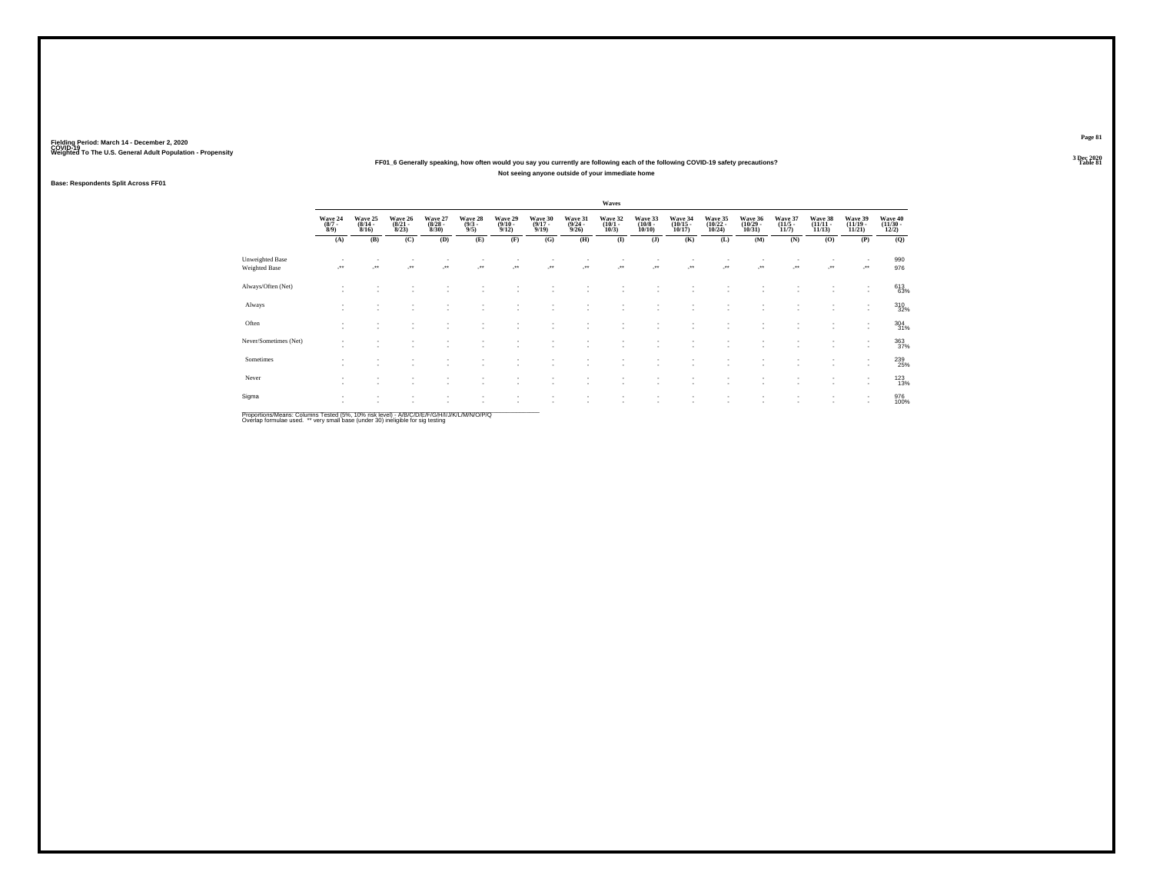### **FF01\_6 Generally speaking, how often would you say you currently are following each of the following COVID-19 safety precautions?Not seeing anyone outside of your immediate home**

### **Base: Respondents Split Across FF01**

|                                  |                               |                                  |                                  |                                  |                               |                                 |                                  |                                         | Waves                           |                                  |                                                      |                                    |                                    |                                 |                                |                                                      |                                   |
|----------------------------------|-------------------------------|----------------------------------|----------------------------------|----------------------------------|-------------------------------|---------------------------------|----------------------------------|-----------------------------------------|---------------------------------|----------------------------------|------------------------------------------------------|------------------------------------|------------------------------------|---------------------------------|--------------------------------|------------------------------------------------------|-----------------------------------|
|                                  | Wave 24<br>$\binom{8/7}{8/9}$ | Wave 25<br>$\frac{(8/14)}{8/16}$ | Wave 26<br>$\frac{(8/21)}{8/23}$ | Wave 27<br>$\frac{(8/28)}{8/30}$ | Wave 28<br>$\binom{9/3}{9/5}$ | Wave 29<br>$\binom{9/10}{9/12}$ | Wave 30<br>$\frac{(9/17)}{9/19}$ | Wave 31<br>$\frac{(9/24 - 9/26)}{9/26}$ | Wave 32<br>$\binom{10/1}{10/3}$ | Wave 33<br>$\binom{10/8}{10/10}$ | Wave 34<br>$\binom{10/15}{10/17}$                    | Wave 35<br>$\frac{(10/22)}{10/24}$ | Wave 36<br>$\frac{(10/29)}{10/31}$ | Wave 37<br>$\binom{11/5}{11/7}$ | Wave 38<br>$(11/11 -$<br>11/13 | Wave 39<br>$\frac{(11/19 - 11/21)}{11/21}$           | Wave 40<br>$\frac{(11/30)}{12/2}$ |
|                                  | (A)                           | (B)                              | (C)                              | (D)                              | (E)                           | (F)                             | (G)                              | (H)                                     | $\bf(I)$                        | (J)                              | (K)                                                  | (L)                                | (M)                                | (N)                             | (0)                            | (P)                                                  | (Q)                               |
| Unweighted Base<br>Weighted Base |                               | $\ddot{\phantom{1}}$             | $\ddot{}$                        | $\cdot$                          | $\star\star$                  | -**                             |                                  |                                         | $\cdot$                         |                                  |                                                      | J.                                 | -**                                | ٠<br>                           | $\cdot$                        | ٠<br>                                                | 990<br>976                        |
| Always/Often (Net)               | $\sim$                        |                                  |                                  |                                  |                               |                                 |                                  |                                         |                                 |                                  |                                                      |                                    |                                    |                                 |                                | ٠<br>$\overline{\phantom{a}}$                        | 613<br>63%                        |
| Always                           | ٠<br>$\sim$                   | $\sim$                           | ٠                                | $\sim$                           | ۰                             |                                 | ٠                                | ×.                                      | $\sim$                          | ٠                                | $\overline{\phantom{a}}$                             | $\sim$                             | ٠                                  | ٠                               | $\sim$                         | ٠<br>$\mathbf{r}$                                    | 310<br>32%                        |
| Often                            | $\sim$<br>٠                   | $\sim$                           | $\sim$<br>$\sim$                 | ٠<br>$\sim$                      | ٠<br>٠                        | $\sim$                          | ٠<br>٠                           | ×.                                      |                                 | ٠<br>$\overline{\phantom{a}}$    | $\overline{\phantom{a}}$<br>$\overline{\phantom{a}}$ | $\sim$<br>$\overline{\phantom{a}}$ | ٠                                  | ٠<br>٠                          | $\sim$                         | ٠<br>$\mathbf{r}$                                    | 304 31%                           |
| Never/Sometimes (Net)            | $\overline{\phantom{a}}$      | $\sim$                           |                                  |                                  |                               |                                 | ٠                                |                                         |                                 | ٠                                | $\sim$                                               | $\sim$                             | $\overline{\phantom{a}}$           | ٠                               | $\sim$                         | $\overline{\phantom{a}}$<br>$\overline{\phantom{a}}$ | 363<br>37%                        |
| Sometimes                        | $\sim$                        |                                  |                                  | ٠.                               |                               |                                 |                                  |                                         |                                 | ٠                                |                                                      | $\sim$                             | ٠<br>٠                             | ٠                               | ٠.                             | $\overline{\phantom{a}}$<br>$\overline{\phantom{a}}$ | 239<br>25%                        |
| Never                            | ٠<br>٠                        | $\overline{\phantom{a}}$         | ٠                                | $\sim$                           | ۰                             | $\overline{\phantom{a}}$        | ٠                                | ٠                                       | $\sim$                          | ٠                                | $\overline{\phantom{a}}$                             | $\overline{\phantom{a}}$           | ٠                                  | ٠                               | $\sim$                         | $\overline{\phantom{a}}$<br>٠                        | 123%                              |
| Sigma                            | $\mathbf{r}$<br>×.            | $\sim$<br>$\sim$                 | $\sim$                           | ٠<br>$\sim$                      | ٠                             | $\overline{\phantom{a}}$<br>и.  | ٠<br>٠                           | $\sim$<br>×.                            | $\sim$<br>$\sim$                | ٠<br>٠                           | $\sim$<br>$\mathbf{r}$                               | $\;$<br>$\overline{\phantom{a}}$   | $\;$<br>٠                          | $\sim$<br>٠                     | $\sim$<br>$\sim$               | $\sim$<br>$\sim$                                     | 976<br>100%                       |

Proportions/Means: Columns Tested (5%, 10% risk level) - *NB/C/D/E/F/G/H/IJJ/K/L/M/N/O/P/Q*<br>Overlap formulae used. \*\* very small base (under 30) ineligible for sig testing

**Page 81**3 Dec 2020<br>Table 81

**Table 81**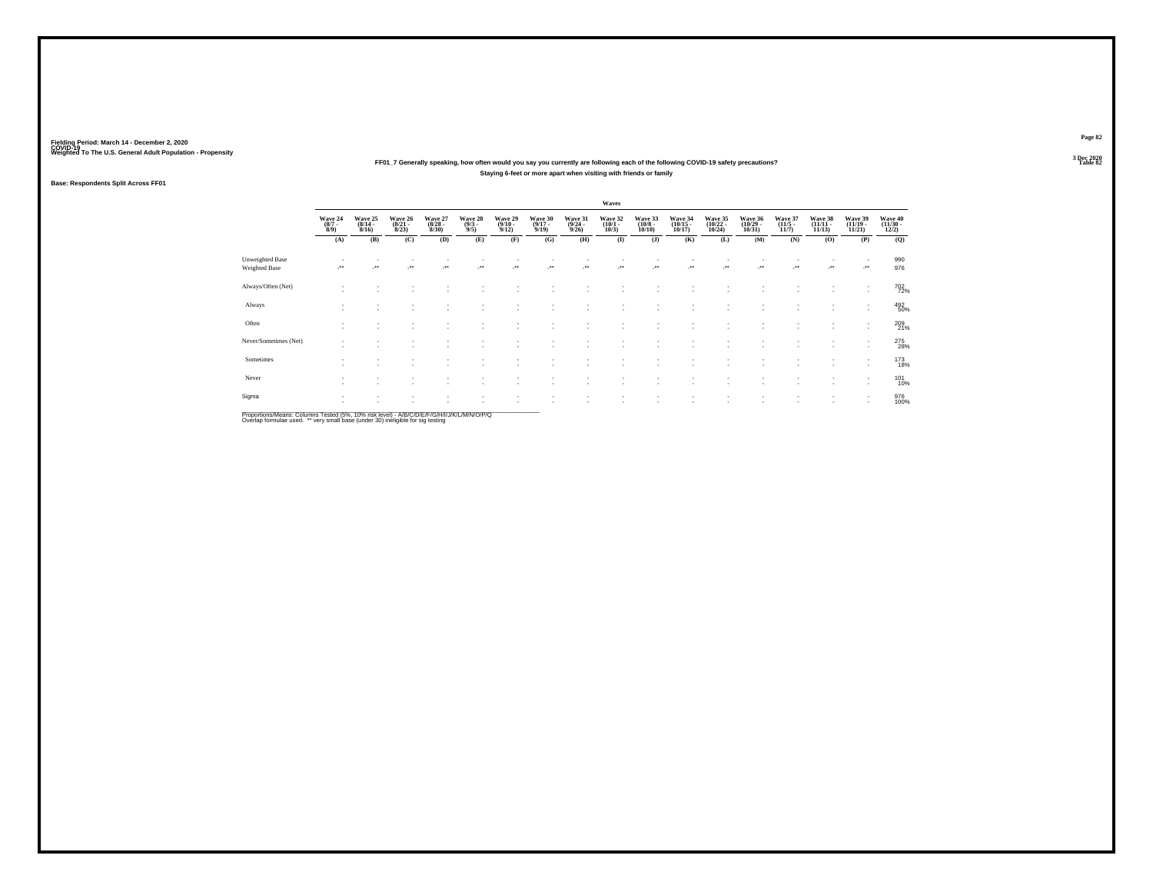### **FF01\_7 Generally speaking, how often would you say you currently are following each of the following COVID-19 safety precautions?Staying 6-feet or more apart when visiting with friends or family**

### **Base: Respondents Split Across FF01**

|                                  |                               |                                  |                                  |                                  |                               |                                 |                                  |                                         | Waves                           |                                  |                                                      |                                    |                                    |                                 |                                |                                                      |                                   |
|----------------------------------|-------------------------------|----------------------------------|----------------------------------|----------------------------------|-------------------------------|---------------------------------|----------------------------------|-----------------------------------------|---------------------------------|----------------------------------|------------------------------------------------------|------------------------------------|------------------------------------|---------------------------------|--------------------------------|------------------------------------------------------|-----------------------------------|
|                                  | Wave 24<br>$\binom{8/7}{8/9}$ | Wave 25<br>$\frac{(8/14)}{8/16}$ | Wave 26<br>$\frac{(8/21)}{8/23}$ | Wave 27<br>$\frac{(8/28)}{8/30}$ | Wave 28<br>$\binom{9/3}{9/5}$ | Wave 29<br>$\binom{9/10}{9/12}$ | Wave 30<br>$\frac{(9/17)}{9/19}$ | Wave 31<br>$\frac{(9/24 - 9/26)}{9/26}$ | Wave 32<br>$\binom{10/1}{10/3}$ | Wave 33<br>$\binom{10/8}{10/10}$ | Wave 34<br>$\binom{10/15}{10/17}$                    | Wave 35<br>$\frac{(10/22)}{10/24}$ | Wave 36<br>$\frac{(10/29)}{10/31}$ | Wave 37<br>$\binom{11/5}{11/7}$ | Wave 38<br>$(11/11 -$<br>11/13 | Wave 39<br>$\frac{(11/19 - 11/21)}{11/21}$           | Wave 40<br>$\frac{(11/30)}{12/2}$ |
|                                  | (A)                           | (B)                              | (C)                              | (D)                              | (E)                           | (F)                             | (G)                              | (H)                                     | $\bf(I)$                        | (J)                              | (K)                                                  | (L)                                | (M)                                | (N)                             | (0)                            | (P)                                                  | (Q)                               |
| Unweighted Base<br>Weighted Base |                               | $\ddot{\phantom{1}}$             | $\ddot{}$                        | $\cdot$                          | $\star\star$                  | -**                             |                                  |                                         | $\cdot$                         |                                  |                                                      | J.                                 | -**                                | ٠<br>                           | $\cdot$                        | ٠<br>                                                | 990<br>976                        |
| Always/Often (Net)               | $\sim$                        |                                  |                                  |                                  |                               |                                 |                                  |                                         |                                 |                                  |                                                      |                                    |                                    |                                 |                                | ٠<br>$\overline{\phantom{a}}$                        | 702<br>72%                        |
| Always                           | ٠<br>$\sim$                   | $\overline{\phantom{a}}$         | ٠                                | $\sim$                           | ۰                             |                                 | ٠                                | ×.                                      | $\sim$                          | ٠                                | $\overline{\phantom{a}}$                             | $\sim$                             | ٠                                  | ٠                               | $\sim$                         | ٠<br>$\sim$                                          | 492<br>50%                        |
| Often                            | $\sim$<br>٠                   | $\sim$                           | $\sim$<br>$\sim$                 | ٠<br>$\sim$                      | ٠<br>٠                        | $\overline{\phantom{a}}$        | ٠<br>٠                           | ×.                                      |                                 | ٠<br>$\overline{\phantom{a}}$    | $\overline{\phantom{a}}$<br>$\overline{\phantom{a}}$ | $\sim$<br>$\overline{\phantom{a}}$ | ٠                                  | ٠<br>٠                          | $\sim$                         | ٠<br>$\overline{\phantom{a}}$                        | 209<br>21%                        |
| Never/Sometimes (Net)            | ۰                             | $\sim$                           |                                  |                                  |                               |                                 | ٠                                |                                         |                                 | ٠                                | $\sim$                                               | $\overline{\phantom{a}}$           | $\overline{\phantom{a}}$           | ٠                               | $\sim$                         | $\overline{\phantom{a}}$<br>$\overline{\phantom{a}}$ | 275<br>28%                        |
| Sometimes                        | $\sim$                        |                                  |                                  | ٠.                               |                               |                                 |                                  |                                         |                                 | ٠                                |                                                      | $\overline{\phantom{a}}$           | ٠<br>٠                             | ٠                               |                                | $\overline{\phantom{a}}$<br>$\overline{\phantom{a}}$ | 173<br>18%                        |
| Never                            | ٠<br>٠                        | $\overline{\phantom{a}}$         | ٠                                | $\sim$                           | ۰                             | $\sim$                          | ٠                                | ٠                                       | $\sim$                          | ٠                                | $\overline{\phantom{a}}$                             | $\overline{\phantom{a}}$           | ٠                                  | ٠                               | $\sim$                         | $\overline{\phantom{a}}$<br>٠                        | 101<br>10%                        |
| Sigma                            | $\mathbf{r}$<br>×.            | $\sim$<br>$\sim$                 | $\sim$                           | ٠<br>$\sim$                      | ٠                             | $\sim$<br>и.                    | ٠<br>٠                           | ٠<br>×.                                 | $\sim$                          | ٠<br>٠                           | $\sim$<br>$\mathbf{r}$                               | $\;$<br>$\overline{\phantom{a}}$   | $\;$<br>٠                          | $\sim$<br>٠                     | $\sim$                         | $\sim$<br>$\overline{\phantom{a}}$                   | 976<br>100%                       |

Proportions/Means: Columns Tested (5%, 10% risk level) - *NB/C/D/E/F/G/H/IJJ/K/L/M/N/O/P/Q*<br>Overlap formulae used. \*\* very small base (under 30) ineligible for sig testing

**Page 823 Dec 2020<br>Table 82** 

**Table 82 Table 82**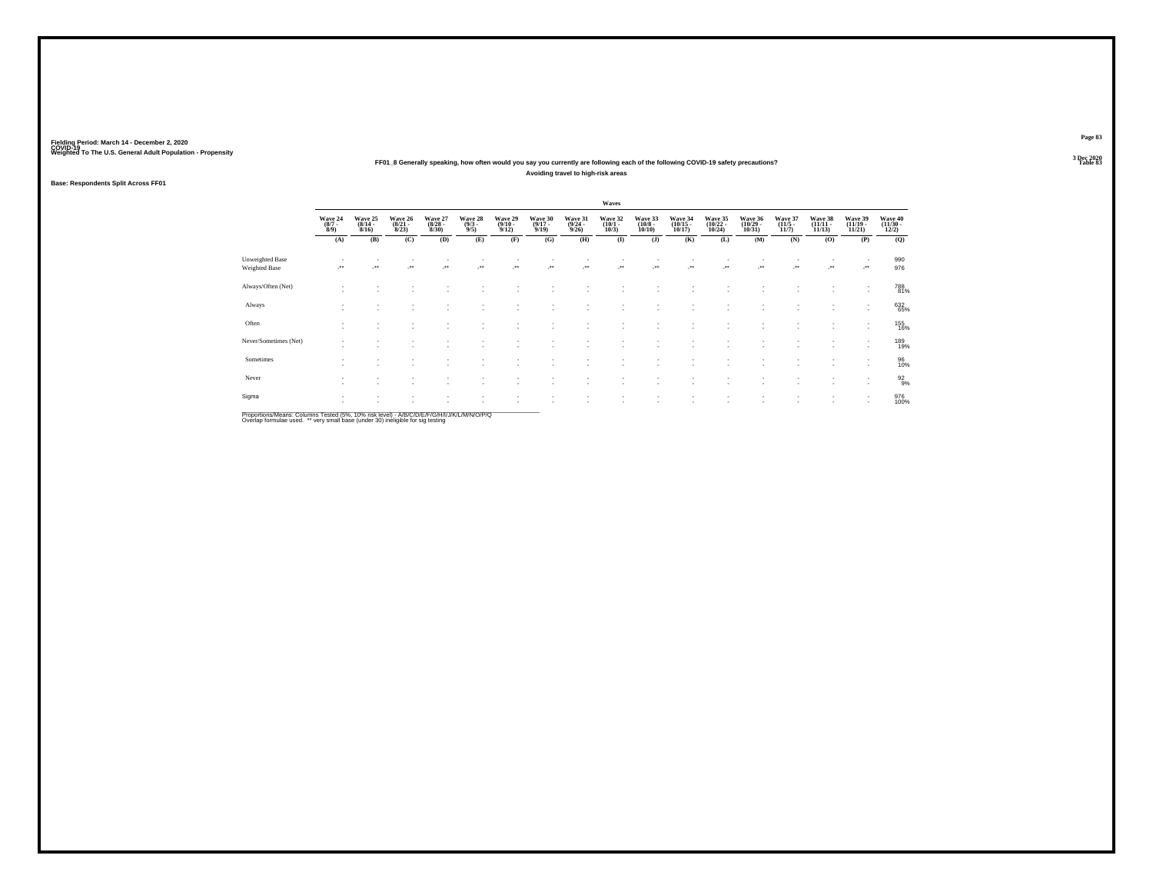### **FF01\_8 Generally speaking, how often would you say you currently are following each of the following COVID-19 safety precautions?Avoiding travel to high-risk areas**

### **Base: Respondents Split Across FF01**

|                                         |                                    |                                    |                                  |                                 |                                |                                         |                                  |                                         | Waves                           |                                  |                                    |                                    |                                    |                                 |                                |                                                      |                                   |
|-----------------------------------------|------------------------------------|------------------------------------|----------------------------------|---------------------------------|--------------------------------|-----------------------------------------|----------------------------------|-----------------------------------------|---------------------------------|----------------------------------|------------------------------------|------------------------------------|------------------------------------|---------------------------------|--------------------------------|------------------------------------------------------|-----------------------------------|
|                                         | Wave 24<br>$\binom{8/7}{8/9}$      | Wave 25<br>$\frac{(8/14)}{8/16}$   | Wave 26<br>$\frac{(8/21)}{8/23}$ | Wave 27<br>$\binom{8/28}{8/30}$ | Wave 28<br>$\frac{(9/3)}{9/5}$ | Wave 29<br>$\frac{(9/10 - 9/12)}{9/12}$ | Wave 30<br>$\frac{(9/17)}{9/19}$ | Wave 31<br>$\frac{(9/24 - 9/26)}{9/26}$ | Wave 32<br>$\binom{10/1}{10/3}$ | Wave 33<br>$\binom{10/8}{10/10}$ | Wave 34<br>$\binom{10/15}{10/17}$  | Wave 35<br>$\frac{(10/22)}{10/24}$ | Wave 36<br>$\frac{(10/29)}{10/31}$ | Wave 37<br>$\binom{11/5}{11/7}$ | Wave 38<br>$(11/11 -$<br>11/13 | Wave 39<br>$\binom{11/19}{11/21}$                    | Wave 40<br>$\frac{(11/30)}{12/2}$ |
|                                         | (A)                                | (B)                                | (C)                              | (D)                             | (E)                            | (F)                                     | (G)                              | (H)                                     | $\bf(I)$                        | (J)                              | (K)                                | (L)                                | (M)                                | (N)                             | (0)                            | (P)                                                  | (Q)                               |
| Unweighted Base<br><b>Weighted Base</b> |                                    | $\bullet\bullet$                   | $\bullet\,\bullet$               | $\ddot{\phantom{1}}$            | $\bullet\star$                 | J.                                      | J.                               | ÷.                                      | 59                              | J.                               | ÷.                                 | J.                                 | ÷.                                 | ٠<br>÷.                         | $\cdot$                        | ٠<br>J.                                              | 990<br>976                        |
| Always/Often (Net)                      | $\sim$                             |                                    |                                  |                                 |                                |                                         |                                  |                                         |                                 |                                  |                                    |                                    |                                    |                                 |                                | ٠<br>٠                                               | 788<br>81%                        |
| Always                                  | ٠<br>$\sim$                        | $\sim$                             | $\sim$                           | $\sim$                          | ۰                              |                                         | ٠                                | ٠                                       | <b>1999</b>                     | $\overline{\phantom{a}}$         | ۰.                                 | $\overline{\phantom{a}}$           | ٠                                  | ٠                               | $\sim$                         | ٠<br>$\mathbf{r}$                                    | 632<br>65%                        |
| Often                                   | $\sim$<br>$\overline{\phantom{a}}$ | $\overline{\phantom{a}}$<br>$\sim$ | ٠<br>$\sim$                      | $\sim$<br>$\sim$                | ٠                              | $\overline{\phantom{a}}$                | ٠<br>٠                           |                                         |                                 | ٠<br>۰.                          | $\overline{\phantom{a}}$           | $\overline{\phantom{a}}$           | ×<br>٠                             | ٠<br>٠                          | <b>1999</b>                    | $\overline{\phantom{a}}$<br>$\overline{\phantom{a}}$ | 155<br>16%                        |
| Never/Sometimes (Net)                   | ٠<br>$\sim$                        |                                    |                                  | ٠                               |                                |                                         | ٠                                |                                         |                                 | ٠                                | $\overline{\phantom{a}}$           |                                    | ٠                                  | ٠                               | $\sim$                         | ٠<br>$\overline{\phantom{a}}$                        | 189<br>19%                        |
| Sometimes                               | ٠<br>٠                             | $\overline{\phantom{a}}$           |                                  | ٠.                              |                                |                                         |                                  |                                         |                                 | $\overline{\phantom{a}}$         |                                    | $\overline{\phantom{a}}$           | ٠                                  |                                 |                                | ٠<br>$\overline{\phantom{a}}$                        | 96<br>10%                         |
| Never                                   | $\sim$<br>$\overline{\phantom{a}}$ | $\overline{\phantom{a}}$           | $\sim$                           | $\sim$                          | ٠                              |                                         | ٠                                |                                         |                                 | $\overline{\phantom{a}}$         | $\overline{\phantom{a}}$           | $\overline{\phantom{a}}$           | ٠                                  | ٠                               | $\sim$                         | ٠<br>$\sim$                                          | $\frac{92}{9%}$                   |
| Sigma                                   | ٠<br>٠                             | $\sim$                             | $\sim$<br>$\sim$                 | ٠<br>٠.                         | ٠<br>٠                         |                                         | ٠<br>٠                           | ×.                                      | <b>1999</b>                     | ٠<br>٠                           | $\sim$<br>$\overline{\phantom{a}}$ | $\;$<br>$\overline{\phantom{a}}$   | $\;$<br>٠                          | ٠<br>٠                          | $\sim$<br>$\sim$               | $\sim$<br>$\overline{\phantom{a}}$                   | 976<br>100%                       |

Proportions/Means: Columns Tested (5%, 10% risk level) - *NB/C/D/E/F/G/H/IJJ/K/L/M/N/O/P/Q*<br>Overlap formulae used. \*\* very small base (under 30) ineligible for sig testing

**Page 83**3 Dec 2020<br>Table 83

**Table 83**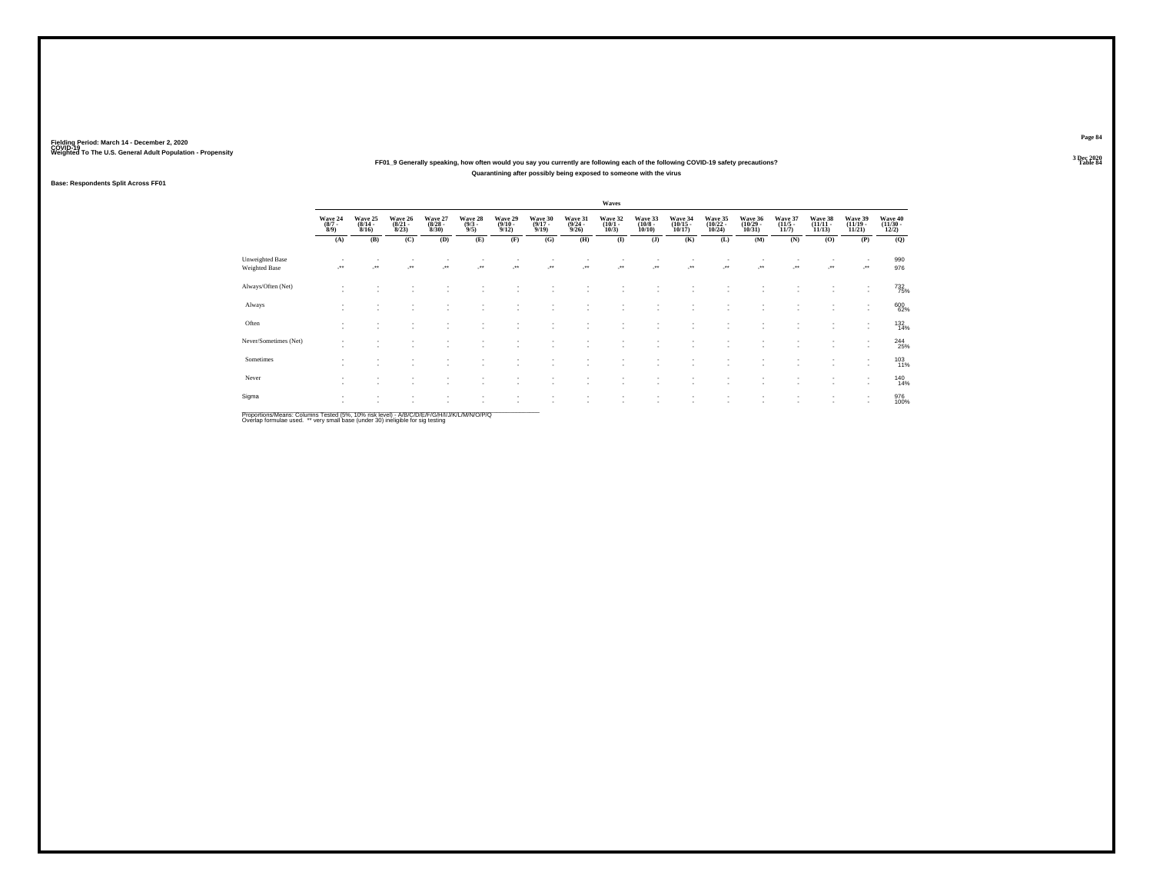### **FF01\_9 Generally speaking, how often would you say you currently are following each of the following COVID-19 safety precautions?Quarantining after possibly being exposed to someone with the virus**

### **Base: Respondents Split Across FF01**

|                                         |                                      |                                                      |                                  |                                 |                                |                                                      |                                  |                                         | Waves                           |                                  |                                    |                                                      |                                   |                                  |                                   |                                                      |                                   |
|-----------------------------------------|--------------------------------------|------------------------------------------------------|----------------------------------|---------------------------------|--------------------------------|------------------------------------------------------|----------------------------------|-----------------------------------------|---------------------------------|----------------------------------|------------------------------------|------------------------------------------------------|-----------------------------------|----------------------------------|-----------------------------------|------------------------------------------------------|-----------------------------------|
|                                         | Wave 24<br>$\frac{(8/7 - 8)}{(8/9)}$ | Wave 25<br>$\frac{(8/14)}{8/16}$                     | Wave 26<br>$\frac{(8/21)}{8/23}$ | Wave 27<br>$\binom{8/28}{8/30}$ | Wave 28<br>$\frac{(9/3)}{9/5}$ | Wave 29<br>$\frac{(9/10 - 9/12)}{9/12}$              | Wave 30<br>$\frac{(9/17)}{9/19}$ | Wave 31<br>$\frac{(9/24 - 9/26)}{9/26}$ | Wave 32<br>$\binom{10/1}{10/3}$ | Wave 33<br>$\binom{10/8}{10/10}$ | Wave 34<br>$\binom{10/15}{10/17}$  | Wave 35<br>$\binom{10/22}{10/24}$                    | Wave 36<br>$\binom{10/29}{10/31}$ | Wave 37<br>$\frac{(11/5)}{11/7}$ | Wave 38<br>$\binom{11/11}{11/13}$ | Wave 39<br>$\binom{11/19}{11/21}$                    | Wave 40<br>$\frac{(11/30)}{12/2}$ |
|                                         | (A)                                  | (B)                                                  | (C)                              | (D)                             | (E)                            | (F)                                                  | (G)                              | (H)                                     | $($ $\bf I$                     | (J)                              | (K)                                | (L)                                                  | (M)                               | (N)                              | (O)                               | (P)                                                  | (Q)                               |
| Unweighted Base<br><b>Weighted Base</b> |                                      | $\bullet\bullet$                                     | $\bullet\,\bullet$               | $\bullet\,\bullet$              | $\bullet\star$                 | $\cdot$                                              | $\overline{\phantom{a}}$         | $\ddot{\phantom{1}}$                    | $\cdot$                         | $\cdot$                          | $\overline{\phantom{a}}$           | $\overline{\phantom{a}}$                             | $\cdot$                           | $\sim$<br>$\ddot{\phantom{1}}$   | $\cdot$                           | $\overline{\phantom{a}}$<br>J.                       | 990<br>976                        |
| Always/Often (Net)                      | ٠<br>$\sim$                          |                                                      |                                  |                                 |                                |                                                      |                                  |                                         |                                 |                                  |                                    |                                                      |                                   |                                  |                                   | ٠<br>$\overline{\phantom{a}}$                        | 732<br>75%                        |
| Always                                  | ٠<br>$\sim$                          | $\overline{\phantom{a}}$                             | ٠                                | $\sim$                          |                                | $\overline{\phantom{a}}$                             | ٠                                | ٠                                       | $\sim$                          | ٠                                | $\overline{\phantom{a}}$           | $\overline{\phantom{a}}$                             | ٠                                 | ٠                                | $\sim$                            | ٠<br>$\sim$                                          | 600<br>62%                        |
| Often                                   | ٠<br>٠                               | $\overline{\phantom{a}}$<br>$\overline{\phantom{a}}$ |                                  | ٠                               | ٠                              |                                                      | ٠                                | ٠                                       |                                 | ٠<br>٠                           | $\overline{\phantom{a}}$<br>$\sim$ | $\sim$<br>$\overline{\phantom{a}}$                   | ٠                                 | ٠<br>٠                           |                                   | $\overline{\phantom{a}}$                             | 132<br>14%                        |
| Never/Sometimes (Net)                   | ٠<br>۰                               | $\overline{\phantom{a}}$                             |                                  |                                 |                                |                                                      |                                  |                                         |                                 | ٠                                | $\sim$                             |                                                      | ٠                                 | ٠                                | $\sim$                            | ٠<br>$\sim$                                          | $^{244}_{25\%}$                   |
| Sometimes                               | $\sim$<br>٠                          |                                                      |                                  |                                 |                                |                                                      |                                  |                                         |                                 | ٠<br>٠                           |                                    | $\overline{\phantom{a}}$                             | $\overline{\phantom{a}}$          | ٠                                |                                   | $\overline{\phantom{a}}$<br>$\overline{\phantom{a}}$ | 103<br>11%                        |
| Never                                   | ٠<br>٠                               | $\overline{\phantom{a}}$                             | $\sim$                           | $\sim$                          | ۰                              | $\sim$                                               | ٠                                | ٠                                       | <b>1999</b>                     | ٠.                               | $\sim$                             | $\overline{\phantom{a}}$                             | $\overline{\phantom{a}}$          | ٠                                | $\sim$                            | ٠<br>$\sim$                                          | 140<br>14%                        |
| Sigma                                   | $\overline{\phantom{a}}$<br>×.       | $\overline{\phantom{a}}$<br>$\sim$                   | $\sim$                           | $\sim$                          | $\overline{\phantom{a}}$       | $\overline{\phantom{a}}$<br>$\overline{\phantom{a}}$ | ٠<br>٠                           | ٠<br>×.                                 | $\sim$<br>$\sim$                | ٠<br>٠                           | ٠<br>$\overline{\phantom{a}}$      | $\overline{\phantom{a}}$<br>$\overline{\phantom{a}}$ | ٠<br>٠                            | ٠<br>٠                           | $\sim$<br>$\sim$                  | ٠<br>$\sim$                                          | 976<br>100%                       |

Proportions/Means: Columns Tested (5%, 10% risk level) - *NB/C/D/E/F/G/H/IJJ/K/L/M/N/O/P/Q*<br>Overlap formulae used. \*\* very small base (under 30) ineligible for sig testing

**Page 84**3 Dec 2020<br>Table 84

**Table 84**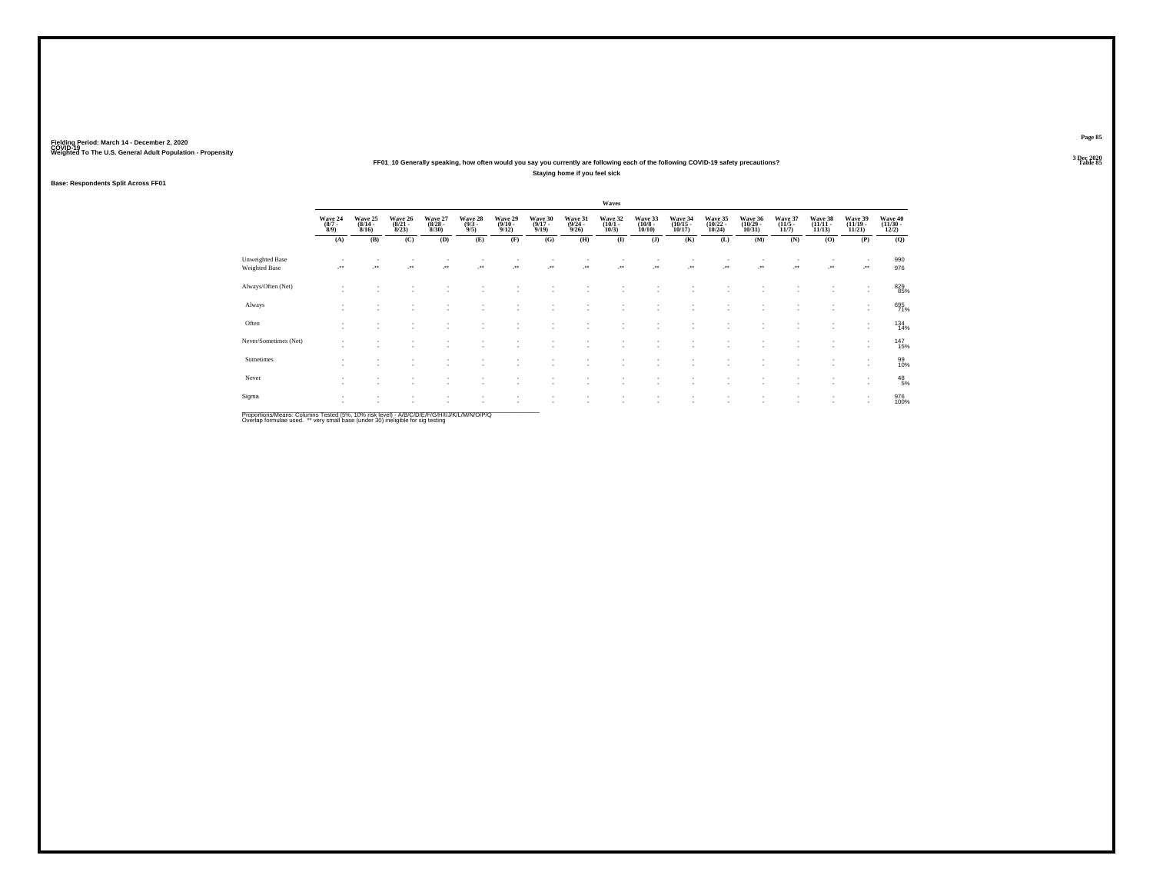### **FF01\_10 Generally speaking, how often would you say you currently are following each of the following COVID-19 safety precautions?Staying home if you feel sick**

### **Base: Respondents Split Across FF01**

|                                         |                                      |                                                      |                                  |                                 |                                              |                                         |                                  |                                         | Waves                           |                                  |                                   |                                                      |                                    |                                  |                                   |                                    |                                   |
|-----------------------------------------|--------------------------------------|------------------------------------------------------|----------------------------------|---------------------------------|----------------------------------------------|-----------------------------------------|----------------------------------|-----------------------------------------|---------------------------------|----------------------------------|-----------------------------------|------------------------------------------------------|------------------------------------|----------------------------------|-----------------------------------|------------------------------------|-----------------------------------|
|                                         | Wave 24<br>$\frac{(8/7 - 8)}{(8/9)}$ | Wave 25<br>$\frac{(8/14)}{8/16}$                     | Wave 26<br>$\frac{(8/21)}{8/23}$ | Wave 27<br>$\binom{8/28}{8/30}$ | Wave 28<br>$\frac{(9/3)}{9/5}$               | Wave 29<br>$\frac{(9/10 - 9/12)}{9/12}$ | Wave 30<br>$\frac{(9/17)}{9/19}$ | Wave 31<br>$\frac{(9/24 - 9/26)}{9/26}$ | Wave 32<br>$\binom{10/1}{10/3}$ | Wave 33<br>$\binom{10/8}{10/10}$ | Wave 34<br>$\binom{10/15}{10/17}$ | Wave 35<br>$\binom{10/22}{10/24}$                    | Wave 36<br>$\frac{(10/29)}{10/31}$ | Wave 37<br>$\frac{(11/5)}{11/7}$ | Wave 38<br>$\binom{11/11}{11/13}$ | Wave 39<br>$\binom{11/19}{11/21}$  | Wave 40<br>$\frac{(11/30)}{12/2}$ |
|                                         | (A)                                  | (B)                                                  | (C)                              | (D)                             | (E)                                          | (F)                                     | (G)                              | (H)                                     | $($ $\bf I$                     | (J)                              | (K)                               | (L)                                                  | (M)                                | (N)                              | (O)                               | (P)                                | (Q)                               |
| Unweighted Base<br><b>Weighted Base</b> |                                      | $\bullet\bullet$                                     | $\bullet\,\bullet$               | $\bullet\,\bullet$              | $\begin{array}{c} \bullet\bullet\end{array}$ | $\cdot$                                 | $\cdot$                          | $\ddot{\phantom{1}}$                    | $\cdot$                         | $\cdot$                          | $\overline{\phantom{a}}$          | $\overline{\phantom{a}}$                             | $\cdot$                            | $\sim$<br>$\ddot{\phantom{1}}$   | $\mathcal{L}^{\bullet}$           | $\overline{\phantom{a}}$<br>J.     | 990<br>976                        |
| Always/Often (Net)                      | ٠<br>$\sim$                          |                                                      |                                  |                                 |                                              |                                         |                                  |                                         |                                 |                                  |                                   |                                                      |                                    |                                  |                                   | $\sim$                             | 829<br>85%                        |
| Always                                  | ٠<br>$\sim$                          | $\overline{\phantom{a}}$                             | ٠                                | $\sim$                          |                                              | $\overline{\phantom{a}}$                | ٠                                | ٠                                       | $\sim$                          | ٠                                | $\overline{\phantom{a}}$          | $\overline{\phantom{a}}$                             | ٠                                  | ٠                                | $\sim$                            | ٠<br>$\sim$                        | 695<br>71%                        |
| Often                                   | ٠<br>٠                               | $\overline{\phantom{a}}$<br>$\overline{\phantom{a}}$ |                                  | ٠                               | ٠                                            |                                         | ٠                                | ٠                                       |                                 | ٠<br>$\overline{\phantom{a}}$    | $\overline{\phantom{a}}$<br>-     | $\overline{\phantom{a}}$<br>$\overline{\phantom{a}}$ | ٠                                  | ٠<br>٠                           | $\sim$                            |                                    | 134<br>14%                        |
| Never/Sometimes (Net)                   | ٠<br>۰                               | $\overline{\phantom{a}}$                             |                                  |                                 |                                              |                                         |                                  |                                         |                                 | ٠                                | $\sim$                            |                                                      | ٠                                  | ٠                                | $\sim$                            | $\overline{\phantom{a}}$<br>$\sim$ | 147<br>15%                        |
| Sometimes                               | $\sim$<br>٠                          |                                                      |                                  |                                 |                                              |                                         |                                  |                                         |                                 | ٠                                |                                   |                                                      | $\overline{\phantom{a}}$           | ٠                                |                                   | $\overline{\phantom{a}}$<br>$\sim$ | 99<br>10%                         |
| Never                                   | ٠<br>۰                               | $\overline{\phantom{a}}$                             | $\sim$                           | $\sim$                          | ۰                                            | $\sim$                                  | ٠                                | ٠                                       | <b>1999</b>                     | ٠.                               | -                                 | $\overline{\phantom{a}}$                             | $\overline{\phantom{a}}$           | ٠                                | $\sim$                            | ٠<br>$\sim$                        | $^{48}_{\ 5\%}$                   |
| Sigma                                   | ۰<br>×.                              | $\overline{\phantom{a}}$<br>$\sim$                   | $\sim$                           | $\sim$                          | $\overline{\phantom{a}}$                     | $\sim$<br>$\overline{\phantom{a}}$      | ٠<br>٠                           | ٠<br>×.                                 | $\sim$                          | ٠<br>٠                           | ٠<br>$\overline{\phantom{a}}$     | $\overline{\phantom{a}}$<br>$\overline{\phantom{a}}$ | ٠<br>٠                             | ٠<br>٠                           | $\sim$                            | ٠<br>$\overline{\phantom{a}}$      | 976<br>100%                       |

Proportions/Means: Columns Tested (5%, 10% risk level) - *NB/C/D/E/F/G/H/IJJ/K/L/M/N/O/P/Q*<br>Overlap formulae used. \*\* very small base (under 30) ineligible for sig testing

**Page 85**3 Dec 2020<br>Table 85

**P Table 85 Table 85**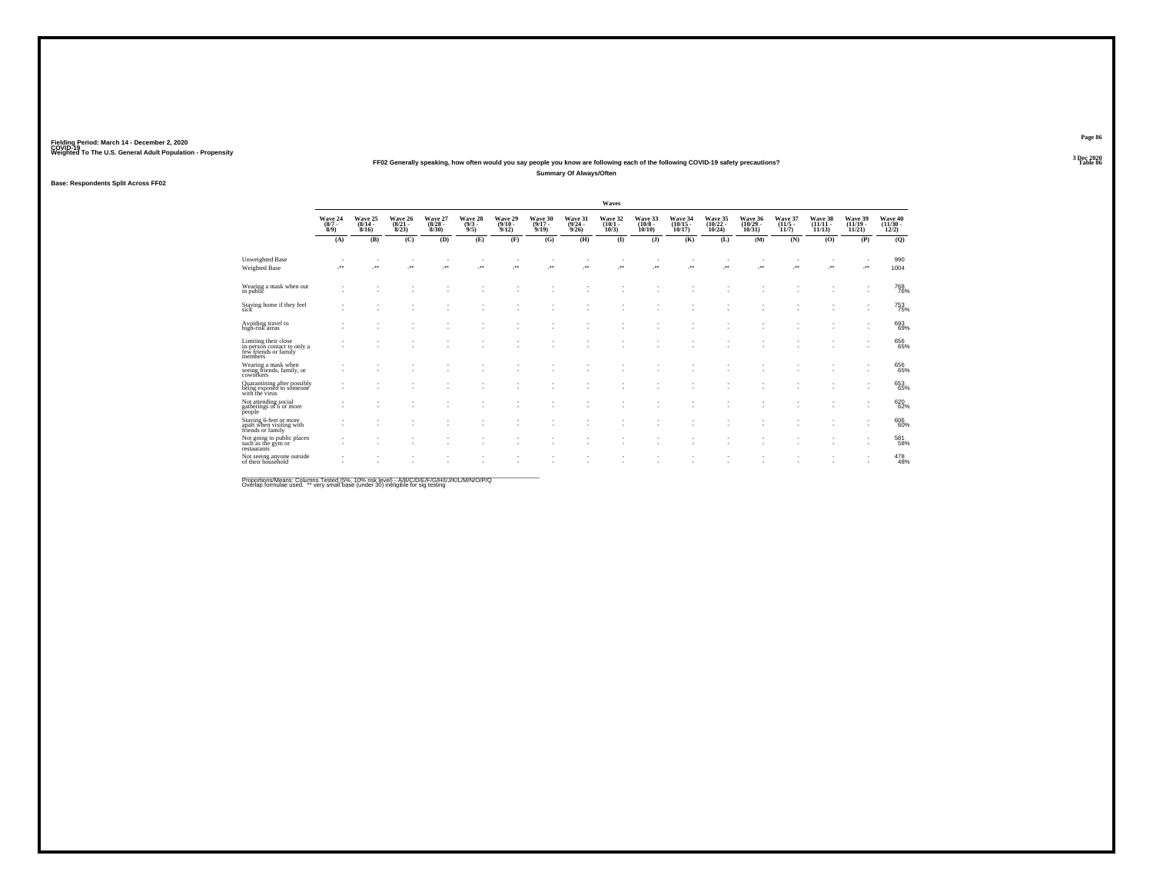### **FF02 Generally speaking, how often would you say people you know are following each of the following COVID-19 safety precautions?Summary Of Always/Often**

### **Base: Respondents Split Across FF02**

|                                                                                         |                               |                                  |                                  |                                 |                               |                                         |                                  |                                         | Waves                        |                                       |                                                      |                               |                                    |                                  |                                    |                                            |                              |
|-----------------------------------------------------------------------------------------|-------------------------------|----------------------------------|----------------------------------|---------------------------------|-------------------------------|-----------------------------------------|----------------------------------|-----------------------------------------|------------------------------|---------------------------------------|------------------------------------------------------|-------------------------------|------------------------------------|----------------------------------|------------------------------------|--------------------------------------------|------------------------------|
|                                                                                         | Wave 24<br>$\binom{8/7}{8/9}$ | Wave 25<br>$\frac{(8/14)}{8/16}$ | Wave 26<br>$\frac{(8/21)}{8/23}$ | Wave 27<br>$\binom{8/28}{8/30}$ | Wave 28<br>$\binom{9/3}{9/5}$ | Wave 29<br>$\frac{(9/10 - 9/12)}{9/12}$ | Wave 30<br>$\frac{(9/17)}{9/19}$ | Wave 31<br>$\frac{(9/24 - 9/26)}{9/26}$ | Wave 32<br>$(10/1 -$<br>10/3 | Wave 33<br>$\binom{10/8 - 10}{10/10}$ | Wave 34<br>$\frac{(10/15)}{10/17}$                   | Wave 35<br>(10/22 -<br>10/24) | Wave 36<br>$\frac{(10/29)}{10/31}$ | Wave 37<br>$\frac{(11/5)}{11/7}$ | Wave 38<br>$\frac{(11/11)}{11/13}$ | Wave 39<br>$\frac{(11/19 - 11/21)}{11/21}$ | Wave 40<br>(11/30 -<br>12/2) |
|                                                                                         | (A)                           | (B)                              | (C)                              | (D)                             | (E)                           | (F)                                     | (G)                              | (H)                                     | $\bf(I)$                     | (J)                                   | (K)                                                  | (L)                           | (M)                                | (N)                              | (0)                                | (P)                                        | (Q)                          |
| <b>Unweighted Base</b><br>Weighted Base                                                 |                               |                                  | $\mathcal{F}^{\bullet}$          | ÷                               | ×                             |                                         | -**                              | -**                                     | $\sim$<br>$\cdot$            | J.                                    | $\overline{\phantom{a}}$<br>J.                       | ÷                             | ÷                                  | $\mathcal{C}^{\bullet}$          | $\cdot$                            | z.                                         | 990<br>1004                  |
| Wearing a mask when out<br>in public                                                    |                               |                                  |                                  |                                 |                               |                                         |                                  |                                         |                              |                                       |                                                      |                               |                                    |                                  |                                    |                                            | <sup>768</sup> 76%           |
| Staying home if they feel<br>sick                                                       |                               |                                  |                                  |                                 |                               |                                         |                                  |                                         |                              |                                       |                                                      | ٠                             |                                    |                                  |                                    |                                            | <sup>753</sup> 75%           |
| Avoiding travel to<br>high-risk areas                                                   |                               |                                  |                                  |                                 |                               |                                         |                                  |                                         |                              |                                       |                                                      |                               | ٠<br>$\sim$                        |                                  |                                    |                                            | 693<br>69%                   |
| Limiting their close<br>in-person contact to only a<br>few friends or family<br>members |                               |                                  |                                  |                                 | ٠<br>٠                        |                                         |                                  |                                         | ٠<br>٠                       | ٠                                     | $\overline{\phantom{a}}$<br>$\overline{\phantom{a}}$ | ٠<br>٠                        | $\sim$<br>$\sim$                   |                                  |                                    | $\overline{\phantom{a}}$                   | 656<br>65%                   |
| Wearing a mask when<br>seeing friends, family, or<br>coworkers                          |                               |                                  |                                  |                                 | ٠<br>٠                        |                                         |                                  |                                         |                              |                                       | ٠                                                    | ٠                             | ٠<br>٠                             |                                  |                                    | ٠                                          | 656<br>65%                   |
| Quarantining after possibly<br>being exposed to someone<br>with the virus               |                               |                                  |                                  |                                 |                               |                                         |                                  |                                         |                              |                                       |                                                      |                               |                                    |                                  |                                    |                                            | 653<br>65%                   |
| Not attending social<br>gatherings of 6 or more<br>people                               |                               |                                  |                                  |                                 | ٠                             |                                         |                                  |                                         | ٠                            |                                       | ٠                                                    |                               | ٠                                  |                                  |                                    | ٠                                          | 620<br>62%                   |
| Staying 6-feet or more<br>apart when visiting with<br>friends or family                 |                               |                                  |                                  |                                 |                               |                                         |                                  |                                         |                              |                                       |                                                      |                               |                                    |                                  |                                    |                                            | 606<br>60%                   |
| Not going to public places<br>such as the gym or<br>restaurants                         |                               |                                  |                                  |                                 |                               |                                         |                                  |                                         |                              |                                       | ٠                                                    | ٠                             | ٠                                  |                                  |                                    | $\overline{\phantom{a}}$                   | 581<br>58%                   |
| Not seeing anyone outside<br>of their household                                         |                               |                                  |                                  |                                 |                               |                                         |                                  |                                         |                              |                                       |                                                      |                               |                                    |                                  |                                    |                                            | 478<br>48%                   |
|                                                                                         |                               |                                  |                                  |                                 |                               |                                         |                                  |                                         |                              |                                       |                                                      |                               |                                    |                                  |                                    |                                            |                              |

Proportions/Means: Columns Tested (5%, 10% risk level) - A/B/C/D/E/F/G/H/I/J/K/L/M/N/O/P/Q<br>Overlap formulae used. \*\* very small base (under 30) ineligible for sig testing

**Page 863 Dec 2020<br>Table 86** 

**Table 86 Table 86 Table 86 Table 86**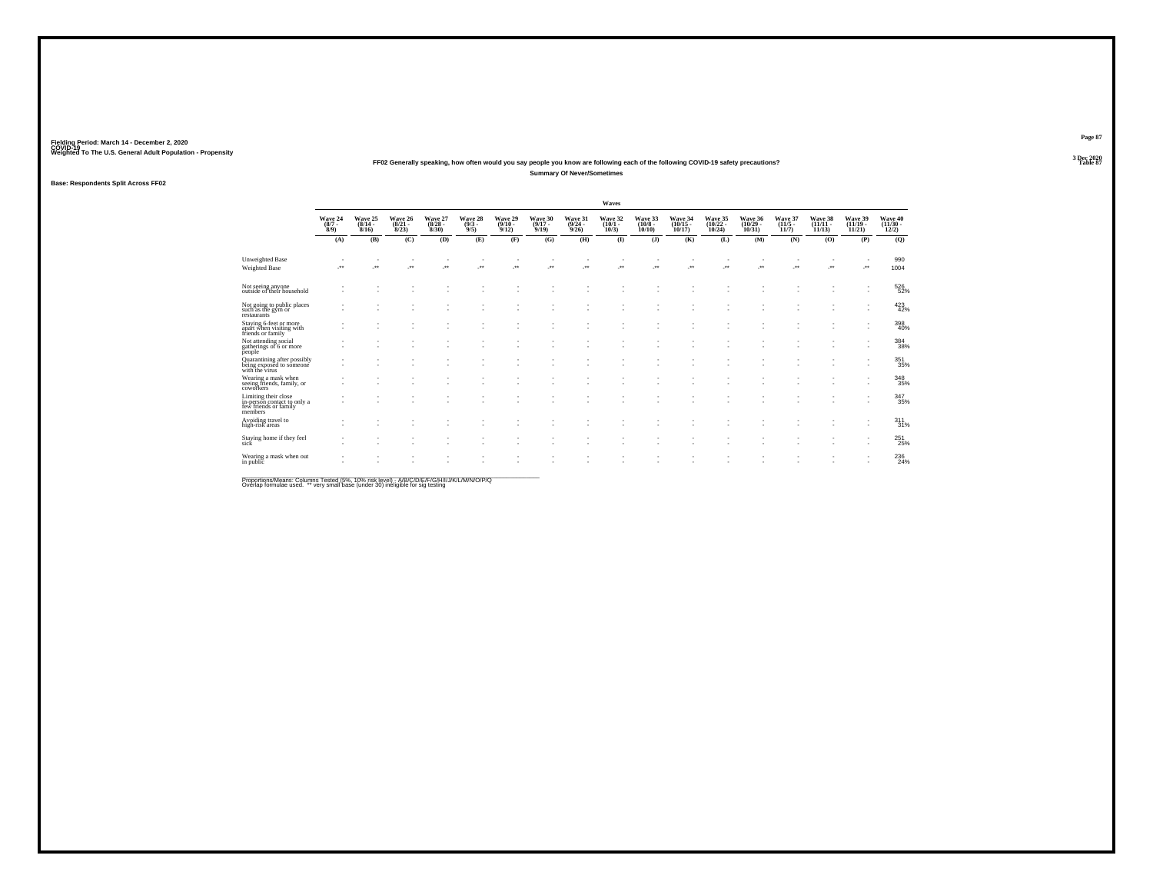### **FF02 Generally speaking, how often would you say people you know are following each of the following COVID-19 safety precautions?Summary Of Never/Sometimes**

### **Base: Respondents Split Across FF02**

|                                                                                         |                            |                              |                                  |                                 |                               |                              |                              |                                         | Waves                            |                                   |                               |                                |                                    |                                  |                                    |                                |                              |
|-----------------------------------------------------------------------------------------|----------------------------|------------------------------|----------------------------------|---------------------------------|-------------------------------|------------------------------|------------------------------|-----------------------------------------|----------------------------------|-----------------------------------|-------------------------------|--------------------------------|------------------------------------|----------------------------------|------------------------------------|--------------------------------|------------------------------|
|                                                                                         | Wave 24<br>$(8/7 -$<br>8/9 | Wave 25<br>$(8/14 -$<br>8/16 | Wave 26<br>$\frac{(8/21)}{8/23}$ | Wave 27<br>$\binom{8/28}{8/30}$ | Wave 28<br>$\binom{9/3}{9/5}$ | Wave 29<br>$(9/10 -$<br>9/12 | Wave 30<br>$(9/17 -$<br>9/19 | Wave 31<br>$\frac{(9/24 - 9/26)}{9/26}$ | Wave 32<br>$(10/1 -$<br>$10/3$ ) | Wave 33<br>$(10/8 -$<br>$10/10$ ) | Wave 34<br>(10/15 -<br>10/17) | Wave 35<br>(10/22 -<br>10/24)  | Wave 36<br>$\frac{(10/29)}{10/31}$ | Wave 37<br>$\frac{(11/5)}{11/7}$ | Wave 38<br>$\frac{(11/11)}{11/13}$ | Wave 39<br>$(11/19 -$<br>11/21 | Wave 40<br>(11/30 -<br>12/2) |
|                                                                                         | (A)                        | (B)                          | (C)                              | (D)                             | (E)                           | (F)                          | (G)                          | (H)                                     | $\bf(I)$                         | (J)                               | (K)                           | (L)                            | (M)                                | (N)                              | (0)                                | (P)                            | (Q)                          |
| Unweighted Base<br>Weighted Base                                                        |                            |                              | $\mathcal{P}^{\bullet}$          | $\cdot$                         | ×                             |                              | 59                           | z.                                      | $\sim$<br>÷.                     | J.                                | 59                            | $\overline{\phantom{a}}$<br>J. | $\overline{\phantom{a}}$<br>       | J.                               | $\mathcal{P}^{\star}$              | J.                             | 990<br>1004                  |
| Not seeing anyone<br>outside of their household                                         |                            |                              |                                  |                                 |                               |                              |                              |                                         |                                  |                                   |                               |                                |                                    |                                  |                                    |                                | 526<br>52%                   |
| Not going to public places<br>such as the gym or<br>restaurants                         |                            |                              |                                  |                                 |                               |                              |                              |                                         |                                  |                                   |                               |                                |                                    |                                  |                                    |                                | 423                          |
| Staying 6-feet or more<br>apart when visiting with<br>friends or family                 |                            |                              |                                  |                                 |                               |                              |                              |                                         |                                  |                                   |                               |                                |                                    |                                  |                                    |                                | 398<br>40%                   |
| Not attending social<br>gatherings of 6 or more<br>people                               |                            |                              |                                  |                                 |                               |                              |                              |                                         |                                  |                                   |                               |                                |                                    |                                  |                                    |                                | 384<br>38%                   |
| Quarantining after possibly<br>being exposed to someone<br>with the virus               |                            |                              |                                  |                                 |                               |                              |                              |                                         |                                  |                                   |                               |                                |                                    |                                  |                                    | ٠                              | 351                          |
| Wearing a mask when<br>seeing friends, family, or<br>coworkers                          |                            |                              |                                  |                                 |                               |                              |                              |                                         |                                  |                                   |                               |                                |                                    |                                  |                                    |                                | 348<br>35%                   |
| Limiting their close<br>in-person contact to only a<br>few friends or family<br>members |                            |                              |                                  |                                 |                               |                              |                              |                                         |                                  |                                   | ٠.                            |                                | $\overline{\phantom{a}}$           |                                  |                                    | ٠                              | 347<br>35%                   |
| Avoiding travel to<br>high-risk areas                                                   |                            |                              |                                  |                                 |                               |                              |                              |                                         |                                  |                                   |                               |                                |                                    |                                  |                                    |                                | $311$ $31%$                  |
| Staying home if they feel<br>sick                                                       |                            |                              |                                  | ٠                               | ٠                             | $\sim$                       | $\overline{\phantom{a}}$     |                                         | ٠                                | $\overline{\phantom{a}}$          | $\overline{\phantom{a}}$      | ٠                              | $\sim$                             |                                  |                                    | $\overline{\phantom{a}}$       | 251<br>25%                   |
| Wearing a mask when out<br>in public                                                    |                            |                              |                                  |                                 |                               |                              |                              |                                         |                                  |                                   |                               |                                |                                    |                                  |                                    |                                | 236<br>24%                   |
|                                                                                         |                            |                              |                                  |                                 |                               |                              |                              |                                         |                                  |                                   |                               |                                |                                    |                                  |                                    |                                |                              |

Proportions/Means: Columns Tested (5%, 10% risk level) - A/B/C/D/E/F/G/H/I/J/K/L/M/N/O/P/Q<br>Overlap formulae used. \*\* very small base (under 30) ineligible for sig testing

**Page 87**3 Dec 2020<br>Table 87

**Table 87 Table 87**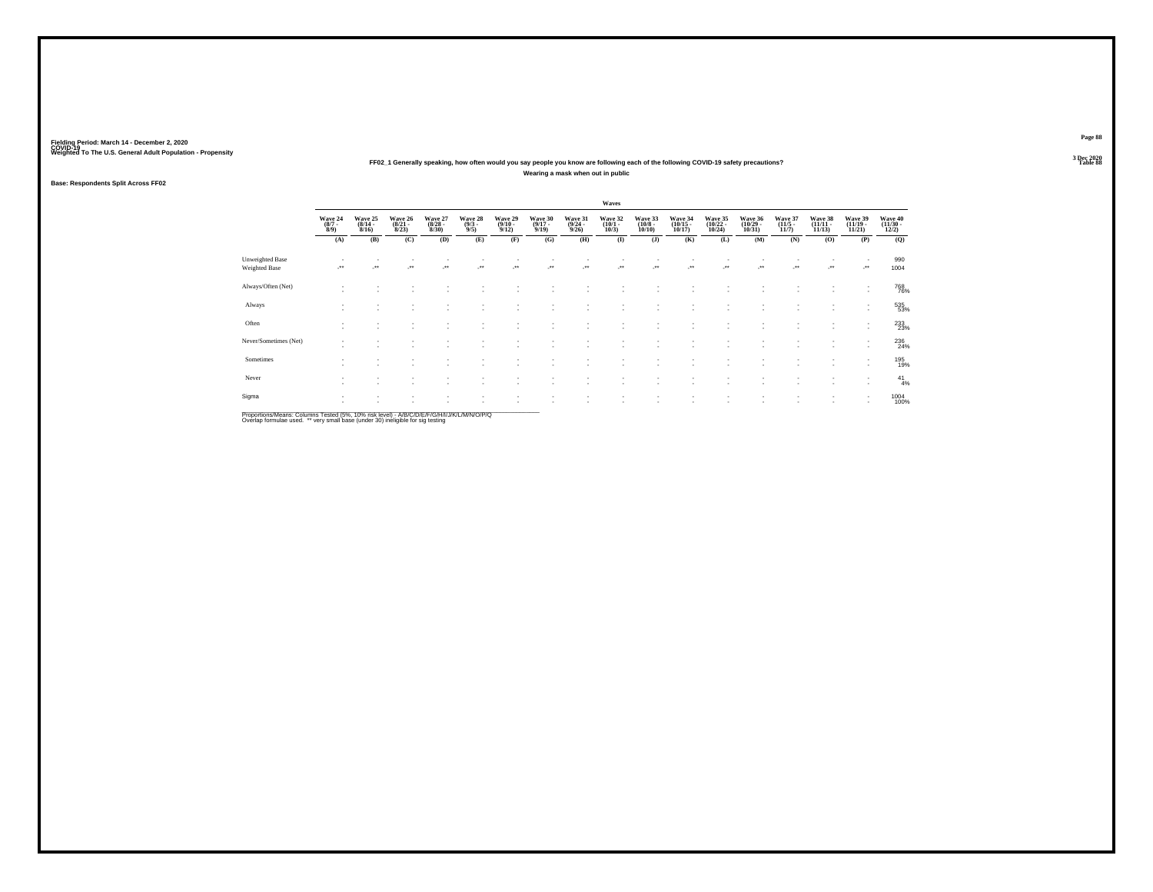### Fielding Period: March 14 - December 2, 2020<br>Fielding Period: March 14 - December 2, 2020<br>Wolchind To The U.S. General Adulf Ponulation - Propensity

### Weighted To The U.S. General Adult Population - Propensity<br>3 Dec 2020<br>Table 88 Table 88 FF02\_1 Generally speaking, how often would you say people you know are following each of the following COVID-19 safety precautions? **Wearing a mask when out in public**

### **Base: Respondents Split Across FF02**

|                                         |                                      | Waves                                                |                                  |                                 |                                              |                                         |                                  |                                         |                                 |                                  |                                    |                                                      |                                   |                                  |                                   |                                                      |                                   |
|-----------------------------------------|--------------------------------------|------------------------------------------------------|----------------------------------|---------------------------------|----------------------------------------------|-----------------------------------------|----------------------------------|-----------------------------------------|---------------------------------|----------------------------------|------------------------------------|------------------------------------------------------|-----------------------------------|----------------------------------|-----------------------------------|------------------------------------------------------|-----------------------------------|
|                                         | Wave 24<br>$\frac{(8/7 - 8)}{(8/9)}$ | Wave 25<br>$\frac{(8/14)}{8/16}$                     | Wave 26<br>$\frac{(8/21)}{8/23}$ | Wave 27<br>$\binom{8/28}{8/30}$ | Wave 28<br>$\frac{(9/3)}{9/5}$               | Wave 29<br>$\frac{(9/10 - 9/12)}{9/12}$ | Wave 30<br>$\frac{(9/17)}{9/19}$ | Wave 31<br>$\frac{(9/24 - 9/26)}{9/26}$ | Wave 32<br>$\binom{10/1}{10/3}$ | Wave 33<br>$\binom{10/8}{10/10}$ | Wave 34<br>$\binom{10/15}{10/17}$  | Wave 35<br>$\binom{10/22}{10/24}$                    | Wave 36<br>$\binom{10/29}{10/31}$ | Wave 37<br>$\frac{(11/5)}{11/7}$ | Wave 38<br>$\binom{11/11}{11/13}$ | Wave 39<br>$\binom{11/19}{11/21}$                    | Wave 40<br>$\frac{(11/30)}{12/2}$ |
|                                         | (A)                                  | (B)                                                  | (C)                              | (D)                             | (E)                                          | (F)                                     | (G)                              | (H)                                     | $($ $\bf I$                     | (J)                              | (K)                                | (L)                                                  | (M)                               | (N)                              | (O)                               | (P)                                                  | (Q)                               |
| Unweighted Base<br><b>Weighted Base</b> |                                      | $\bullet\bullet$                                     | $\bullet\,\bullet$               | $\bullet\,\bullet$              | $\begin{array}{c} \bullet\bullet\end{array}$ | $\cdot$                                 | $\cdot$                          | $\ddot{\phantom{1}}$                    | $\cdot$                         | $\cdot$                          | $\overline{\phantom{a}}$           | $\overline{\phantom{a}}$                             | $\cdot$                           | ٠<br>$\ddot{\phantom{1}}$        | $\mathcal{L}^{\bullet}$           | ٠<br>J.                                              | 990<br>1004                       |
| Always/Often (Net)                      | ٠<br>$\sim$                          |                                                      |                                  |                                 |                                              |                                         |                                  |                                         |                                 |                                  |                                    |                                                      |                                   |                                  |                                   | ٠<br>٠                                               | 768<br>76%                        |
| Always                                  | ٠<br>$\sim$                          | $\overline{\phantom{a}}$                             | $\sim$                           | ٠                               |                                              | $\overline{\phantom{a}}$                | ٠                                | ٠                                       | $\sim$                          | ٠                                | $\overline{\phantom{a}}$           | $\overline{\phantom{a}}$                             | ٠                                 | ٠                                | $\sim$                            | ٠<br>$\sim$                                          | 535<br>53%                        |
| Often                                   | ٠<br>٠                               | $\overline{\phantom{a}}$<br>$\overline{\phantom{a}}$ |                                  | ٠                               | ٠                                            |                                         | ٠                                | ٠                                       |                                 | ٠<br>٠                           | $\overline{\phantom{a}}$<br>$\sim$ | $\sim$<br>$\overline{\phantom{a}}$                   | ٠                                 | ٠<br>٠                           |                                   | $\overline{\phantom{a}}$<br>$\overline{\phantom{a}}$ | 233%                              |
| Never/Sometimes (Net)                   | ٠<br>۰                               | $\overline{\phantom{a}}$                             |                                  |                                 |                                              |                                         |                                  |                                         |                                 | ٠                                | $\sim$                             |                                                      | ٠                                 | ٠                                | $\sim$                            | ٠<br>٠                                               | 236<br>24%                        |
| Sometimes                               | $\sim$<br>٠                          |                                                      |                                  |                                 |                                              |                                         |                                  |                                         |                                 | ٠                                |                                    | $\overline{\phantom{a}}$                             | $\overline{\phantom{a}}$          | ٠                                |                                   | $\overline{\phantom{a}}$<br>$\overline{\phantom{a}}$ | 195<br>19%                        |
| Never                                   | ٠<br>۰                               | $\overline{\phantom{a}}$                             | $\sim$                           | $\sim$                          | ۰                                            | $\sim$                                  | ٠                                | ٠                                       |                                 | ٠.                               | $\sim$                             | $\overline{\phantom{a}}$                             | $\overline{\phantom{a}}$          | ٠                                | $\sim$                            | ٠<br>$\sim$                                          | $^{41}_{4\%}$                     |
| Sigma                                   | ۰<br>×.                              | $\overline{\phantom{a}}$<br>$\sim$                   | $\sim$                           | $\sim$                          | $\overline{\phantom{a}}$                     | $\sim$                                  | ٠                                | ×.                                      | $\sim$                          | ٠<br>$\overline{\phantom{a}}$    | ٠<br>$\overline{\phantom{a}}$      | $\overline{\phantom{a}}$<br>$\overline{\phantom{a}}$ | ٠<br>٠                            | ٠<br>٠                           | $\sim$                            | ٠<br>$\overline{\phantom{a}}$                        | 1004<br>100%                      |

Proportions/Means: Columns Tested (5%, 10% risk level) - *NB/C/D/E/F/G/H/IJJ/K/L/M/N/O/P/Q*<br>Overlap formulae used. \*\* very small base (under 30) ineligible for sig testing

**Page 883 Dec 2020<br>Table 88** 

**Table 88 Table 88**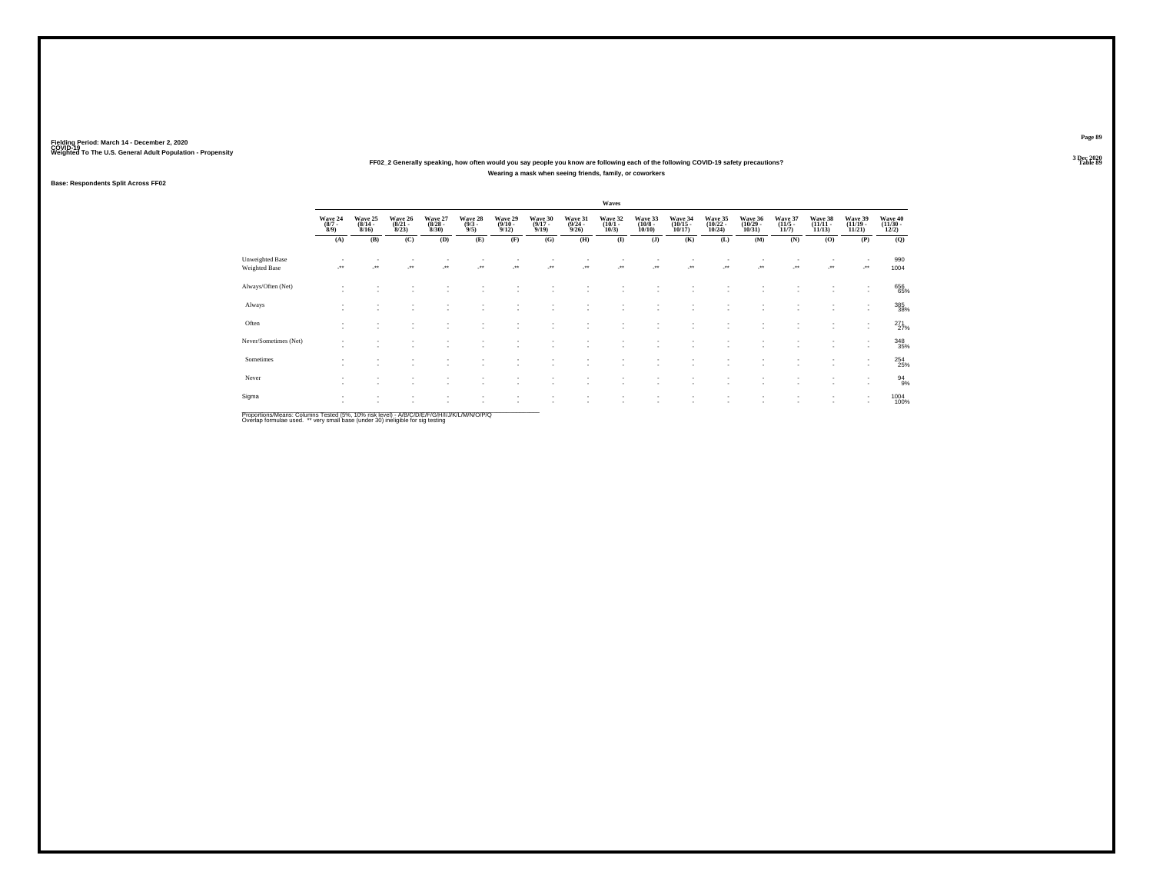### Fielding Period: March 14 - December 2, 2020<br>Fielding Period: March 14 - December 2, 2020<br>Wolchind To The U.S. General Adulf Ponulation - Propensity

### Weighted To The U.S. General Adult Population - Propensity<br>3 Dec 2020<br>Table 89 Table 89 FF02\_2 Generally speaking, how often would you say people you know are following each of the following COVID-19 safety precautions? **Wearing a mask when seeing friends, family, or coworkers**

### **Base: Respondents Split Across FF02**

|                                  |                                                      | Waves                                   |                                  |                                        |                                       |                                                |                                         |                                         |                                                 |                                         |                                           |                                                      |                                           |                                        |                                           |                                                      |                                     |
|----------------------------------|------------------------------------------------------|-----------------------------------------|----------------------------------|----------------------------------------|---------------------------------------|------------------------------------------------|-----------------------------------------|-----------------------------------------|-------------------------------------------------|-----------------------------------------|-------------------------------------------|------------------------------------------------------|-------------------------------------------|----------------------------------------|-------------------------------------------|------------------------------------------------------|-------------------------------------|
|                                  | Wave 24<br>$\binom{8/7}{8/9}$<br>(A)                 | Wave 25<br>$\frac{(8/14 - 8/16)}{8/16}$ | Wave 26<br>$\frac{(8/21)}{8/23}$ | Wave 27<br>$\binom{8/28}{8/30}$<br>(D) | Wave 28<br>$\frac{(9/3)}{9/5}$<br>(E) | Wave 29<br>$\frac{(9/10 - 9/12)}{9/12}$<br>(F) | Wave 30<br>$\frac{(9/17)}{9/19}$<br>(G) | Wave 31<br>$\frac{(9/24)}{9/26}$<br>(H) | Wave 32<br>$\binom{10/1}{10/3}$<br>$\mathbf{I}$ | Wave 33<br>$\binom{10/8}{10/10}$<br>(J) | Wave 34<br>$\frac{(10/15)}{10/17}$<br>(K) | Wave 35<br>$\frac{(10/22)}{10/24}$<br>(L)            | Wave 36<br>$\frac{(10/29)}{10/31}$<br>(M) | Wave 37<br>$\binom{11/5}{11/7}$<br>(N) | Wave 38<br>$\frac{(11/11)}{11/13}$<br>(0) | Wave 39<br>$\frac{(11/19 - 11/21)}{11/21}$<br>(P)    | Wave 40<br>(11/30 -<br>12/2)<br>(Q) |
|                                  |                                                      | (B)                                     | (C)                              |                                        |                                       |                                                |                                         |                                         |                                                 |                                         |                                           |                                                      |                                           |                                        |                                           |                                                      |                                     |
| Unweighted Base<br>Weighted Base | $\star\star$                                         | $\bullet\bullet$                        | $\overline{\phantom{a}}$         | $\cdot$                                | $\cdot$                               | -**                                            | ÷.                                      | $\overline{\phantom{a}}$                |                                                 |                                         |                                           |                                                      | ÷.                                        |                                        |                                           |                                                      | 990<br>1004                         |
| Always/Often (Net)               |                                                      |                                         |                                  |                                        |                                       |                                                |                                         |                                         |                                                 |                                         |                                           |                                                      |                                           |                                        |                                           | ٠                                                    | 656<br>65%                          |
| Always                           |                                                      |                                         |                                  |                                        |                                       |                                                |                                         |                                         |                                                 | ٠                                       | $\sim$                                    | $\overline{\phantom{a}}$                             | ٠                                         |                                        |                                           | ٠<br>$\mathbf{r}$                                    | 385<br>38%                          |
| Often                            | $\overline{\phantom{a}}$<br>$\overline{\phantom{a}}$ | $\sim$                                  | $\sim$<br>٠.                     |                                        | ٠                                     | $\overline{\phantom{a}}$                       | ٠                                       |                                         |                                                 | ٠<br>٠                                  | -                                         | $\overline{\phantom{a}}$<br>$\overline{\phantom{a}}$ | $\sim$<br>٠                               | $\sim$                                 | $\sim$<br>$\sim$                          | $\overline{\phantom{a}}$<br>$\overline{\phantom{a}}$ | $^{271}_{27\%}$                     |
| Never/Sometimes (Net)            | $\sim$                                               | $\sim$                                  | ٠                                |                                        |                                       | $\overline{\phantom{a}}$                       | ٠                                       |                                         |                                                 | ۰                                       |                                           | $\overline{\phantom{a}}$                             | ٠<br>٠                                    | $\sim$                                 | $\sim$                                    | $\overline{\phantom{a}}$<br>$\overline{\phantom{a}}$ | 348<br>35%                          |
| Sometimes                        |                                                      |                                         |                                  |                                        |                                       |                                                |                                         |                                         |                                                 | ٠                                       |                                           | $\overline{\phantom{a}}$                             | ٠                                         |                                        |                                           | $\overline{\phantom{a}}$<br>$\overline{\phantom{a}}$ | 254<br>25%                          |
| Never                            | $\mathbf{r}$                                         | $\overline{\phantom{a}}$                | ٠.                               |                                        | $\sim$                                | $\sim$                                         | ٠                                       |                                         |                                                 | ٠                                       | $\sim$                                    | $\overline{\phantom{a}}$                             | $\sim$                                    | ٠                                      | $\sim$                                    | ٠<br>$\overline{\phantom{a}}$                        | $\frac{94}{9\%}$                    |
| Sigma                            | $\overline{\phantom{a}}$                             | $\mathbf{r}$                            | ٠                                |                                        | $\overline{\phantom{a}}$              | $\overline{\phantom{a}}$                       | $\mathbf{r}$                            |                                         | ٠.                                              | ٠<br>٠                                  | $\sim$<br>-                               | $\sim$<br>$\overline{\phantom{a}}$                   | ٠<br>٠                                    | ÷                                      | $\sim$<br>$\sim$                          | $\overline{\phantom{a}}$                             | 1004<br>100%                        |

Proportions/Means: Columns Tested (5%, 10% risk level) - *NB/C/D/E/F/G/H/IJJ/K/L/M/N/O/P/Q*<br>Overlap formulae used. \*\* very small base (under 30) ineligible for sig testing

**Page 89**3 Dec 2020<br>Table 89

**Table 89 Table 89**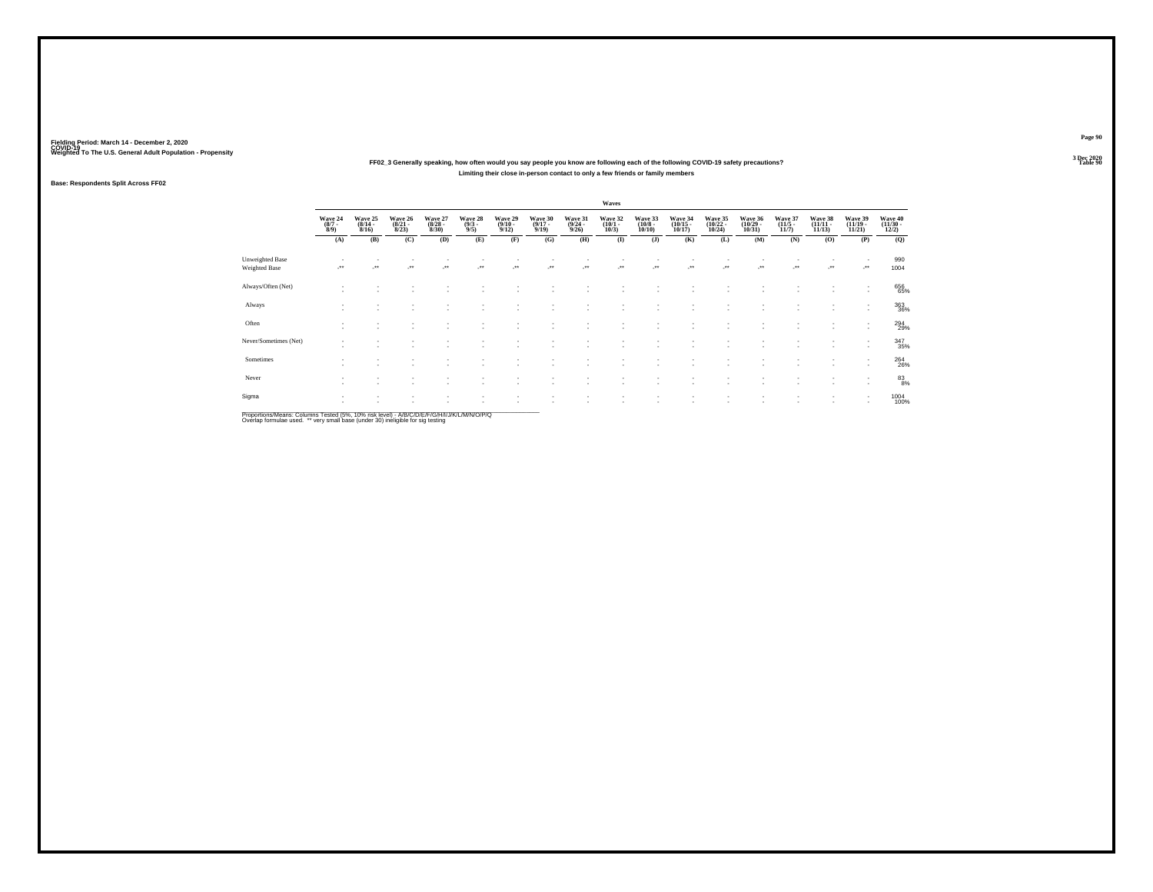### **Weighted To The U.S. General Adult Population - Propensity 3 Dec 2020FF02\_3 Generally speaking, how often would you say people you know are following each of the following COVID-19 safety precautions?Limiting their close in-person contact to only a few friends or family members**

### **Base: Respondents Split Across FF02**

|                                  |                                    |                                         |                                  |                                 |                                |                                         |                                  |                                  | Waves                           |                                  |                                    |                                                      |                                    |                                 |                                    |                                                      |                              |
|----------------------------------|------------------------------------|-----------------------------------------|----------------------------------|---------------------------------|--------------------------------|-----------------------------------------|----------------------------------|----------------------------------|---------------------------------|----------------------------------|------------------------------------|------------------------------------------------------|------------------------------------|---------------------------------|------------------------------------|------------------------------------------------------|------------------------------|
|                                  | Wave 24<br>$\binom{8/7}{8/9}$      | Wave 25<br>$\frac{(8/14 - 8/16)}{8/16}$ | Wave 26<br>$\frac{(8/21)}{8/23}$ | Wave 27<br>$\binom{8/28}{8/30}$ | Wave 28<br>$\frac{(9/3)}{9/5}$ | Wave 29<br>$\frac{(9/10 - 9/12)}{9/12}$ | Wave 30<br>$\frac{(9/17)}{9/19}$ | Wave 31<br>$\frac{(9/24)}{9/26}$ | Wave 32<br>$\binom{10/1}{10/3}$ | Wave 33<br>$\binom{10/8}{10/10}$ | Wave 34<br>$\frac{(10/15)}{10/17}$ | Wave 35<br>$\frac{(10/22)}{10/24}$                   | Wave 36<br>$\frac{(10/29)}{10/31}$ | Wave 37<br>$\binom{11/5}{11/7}$ | Wave 38<br>$\frac{(11/11)}{11/13}$ | Wave 39<br>$\frac{(11/19 - 11/21)}{11/21}$           | Wave 40<br>(11/30 -<br>12/2) |
|                                  | (A)                                | (B)                                     | (C)                              | (D)                             | (E)                            | (F)                                     | (G)                              | (H)                              | $\mathbf{I}$                    | (J)                              | (K)                                | (L)                                                  | (M)                                | (N)                             | (0)                                | (P)                                                  | (Q)                          |
| Unweighted Base<br>Weighted Base | $\ddot{\phantom{1}}$               | $\bullet\bullet$                        | $\overline{\phantom{a}}$         | $\cdot$                         | $\cdot$                        | -**                                     |                                  | $\overline{\phantom{a}}$         |                                 |                                  |                                    |                                                      |                                    |                                 |                                    |                                                      | 990<br>1004                  |
| Always/Often (Net)               |                                    |                                         |                                  |                                 |                                |                                         |                                  |                                  |                                 |                                  |                                    |                                                      |                                    |                                 |                                    | ٠                                                    | 656<br>65%                   |
| Always                           |                                    |                                         |                                  |                                 |                                |                                         |                                  |                                  |                                 | ٠                                | $\sim$                             | $\overline{\phantom{a}}$                             | ٠                                  |                                 |                                    | ٠<br>۰.                                              | 363<br>36%                   |
| Often                            | $\overline{\phantom{a}}$<br>$\sim$ | $\sim$                                  | $\sim$<br>٠.                     |                                 | ٠                              |                                         | ٠                                |                                  |                                 | ٠<br>٠                           | -                                  | $\overline{\phantom{a}}$<br>$\overline{\phantom{a}}$ | $\sim$<br>$\sim$                   | $\sim$                          | $\sim$<br>$\sim$                   | $\overline{\phantom{a}}$<br>$\overline{\phantom{a}}$ | 294<br>29%                   |
| Never/Sometimes (Net)            | $\sim$                             | $\sim$                                  | ٠                                |                                 |                                | $\overline{\phantom{a}}$                | ٠                                |                                  |                                 | ۰                                |                                    | $\overline{\phantom{a}}$                             | ٠                                  | $\sim$                          | $\sim$                             | $\overline{\phantom{a}}$<br>$\overline{\phantom{a}}$ | 347<br>35%                   |
| Sometimes                        |                                    |                                         |                                  |                                 |                                |                                         |                                  |                                  |                                 | ٠                                |                                    | $\overline{\phantom{a}}$                             | ٠                                  |                                 |                                    | $\overline{\phantom{a}}$<br>$\overline{\phantom{a}}$ | 264<br>26%                   |
| Never                            | $\mathbf{r}$                       | $\overline{\phantom{a}}$                | ٠.                               |                                 | $\sim$                         | $\sim$                                  | ٠                                |                                  |                                 | ٠                                |                                    | $\overline{\phantom{a}}$                             | $\sim$                             | ٠                               | $\sim$                             | ٠<br>$\overline{\phantom{a}}$                        | $^{83}_{8\%}$                |
| Sigma                            | $\sim$                             | $\mathbf{r}$                            | ٠                                |                                 | $\overline{\phantom{a}}$       | $\overline{\phantom{a}}$                | $\mathbf{r}$                     |                                  | ٠.                              | ٠<br>٠                           | $\sim$<br>-                        | $\sim$<br>$\overline{\phantom{a}}$                   | ٠<br>٠                             | ÷                               | $\sim$<br>$\sim$                   | $\sim$<br>$\overline{\phantom{a}}$                   | 1004<br>100%                 |

Proportions/Means: Columns Tested (5%, 10% risk level) - *NB/C/D/E/F/G/H/IJJ/K/L/M/N/O/P/Q*<br>Overlap formulae used. \*\* very small base (under 30) ineligible for sig testing

**Page 90**3 Dec 2020<br>Table 90

**Table 90 Table 90**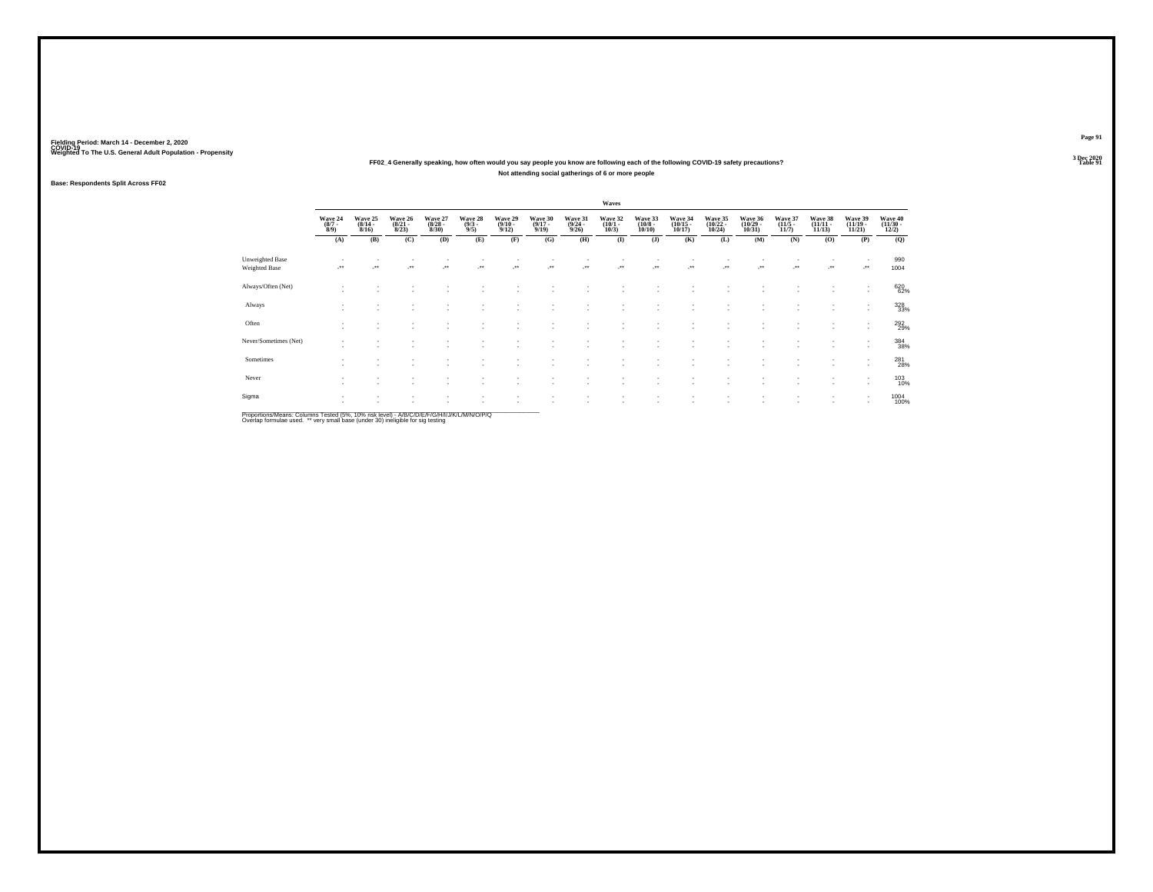### Weighted To The U.S. General Adult Population - Propensity<br>3 Dec 2020<br>Table 91 Table 91 **FF02\_4 Generally speaking, how often would you say people you know are following each of the following COVID-19 safety precautions? Not attending social gatherings of 6 or more people**

### **Base: Respondents Split Across FF02**

|                                  |                                |                                  |                                  |                                 |                               |                                         |                                      |                                         | Waves                                |                                  |                                    |                                    |                               |                                  |                                    |                                            |                              |
|----------------------------------|--------------------------------|----------------------------------|----------------------------------|---------------------------------|-------------------------------|-----------------------------------------|--------------------------------------|-----------------------------------------|--------------------------------------|----------------------------------|------------------------------------|------------------------------------|-------------------------------|----------------------------------|------------------------------------|--------------------------------------------|------------------------------|
|                                  | Wave 24<br>$\frac{(8/7)}{8/9}$ | Wave 25<br>$\frac{(8/14)}{8/16}$ | Wave 26<br>$\frac{(8/21)}{8/23}$ | Wave 27<br>$\binom{8/28}{8/30}$ | Wave 28<br>$\binom{9/3}{9/5}$ | Wave 29<br>$\frac{(9/10 - 9/12)}{9/12}$ | Wave 30<br>$\frac{(9/17 - 9)}{9/19}$ | Wave 31<br>$\frac{(9/24 - 9/26)}{9/26}$ | Wave 32<br>$\binom{10/1 - 10}{10/3}$ | Wave 33<br>$\binom{10/8}{10/10}$ | Wave 34<br>$\frac{(10/15)}{10/17}$ | Wave 35<br>$\frac{(10/22)}{10/24}$ | Wave 36<br>(10/29 -<br>10/31) | Wave 37<br>$\frac{(11/5)}{11/7}$ | Wave 38<br>$\frac{(11/11)}{11/13}$ | Wave 39<br>$\frac{(11/19 - 11/21)}{11/21}$ | Wave 40<br>(11/30 -<br>12/2) |
|                                  | (A)                            | (B)                              | (C)                              | (D)                             | (E)                           | (F)                                     | (G)                                  | (H)                                     | $\bf (I)$                            | (J)                              | (K)                                | (L)                                | (M)                           | (N)                              | (0)                                | (P)                                        | (Q)                          |
| Unweighted Base<br>Weighted Base |                                | $\ddot{\phantom{1}}$             | $\bullet\bullet$                 | $\cdot$                         | $\overline{\phantom{a}}$      | -**                                     | $\cdot$                              |                                         | $\cdot$                              | $\mathcal{L}^{\star\star}$       |                                    |                                    | -**                           | ٠<br>                            | $\mathcal{L}^{\star\star}$         |                                            | 990<br>1004                  |
| Always/Often (Net)               | ٠                              |                                  |                                  |                                 |                               |                                         |                                      |                                         |                                      |                                  |                                    |                                    |                               |                                  |                                    | ٠                                          | 620<br>62%                   |
| Always                           | ٠<br>٠                         | $\sim$                           | ٠                                | $\sim$                          | ۰                             |                                         | ٠                                    | ×.                                      | $\sim$                               | ٠                                | $\overline{\phantom{a}}$           | $\sim$                             | ٠                             | ٠                                | $\sim$                             | ٠<br>۰.                                    | 328<br>33%                   |
| Often                            | ٠<br>٠                         | $\overline{\phantom{a}}$         |                                  | ٠                               | ٠                             |                                         |                                      |                                         |                                      | ٠<br>$\overline{\phantom{a}}$    | $\overline{\phantom{a}}$<br>-      | $\sim$<br>и.                       | ٠                             | ٠<br>٠                           |                                    | $\sim$                                     | 292<br>29%                   |
| Never/Sometimes (Net)            | ٠                              | $\mathbf{r}$                     |                                  | ٠                               |                               |                                         |                                      |                                         |                                      | ٠                                | $\sim$                             |                                    | $\sim$                        | ٠                                | $\sim$                             | ٠<br>$\sim$                                | 384<br>38%                   |
| Sometimes                        | $\sim$<br>٠                    |                                  |                                  |                                 |                               |                                         |                                      |                                         |                                      | ٠                                | $\sim$                             |                                    | ٠                             |                                  |                                    | $\sim$<br>$\sim$                           | 281<br>28%                   |
| Never                            | ٠<br>٠                         | $\overline{\phantom{a}}$         | <b>A</b>                         | $\sim$                          | ۰                             |                                         | ٠                                    | ×.                                      |                                      | ×                                | -                                  | и.                                 | ٠                             | ٠                                | $\sim$                             | $\overline{\phantom{a}}$<br>$\sim$         | 103<br>10%                   |
| Sigma                            | ٠<br>×.                        | $\overline{\phantom{a}}$         |                                  | ٠                               | $\overline{\phantom{a}}$      |                                         | ٠                                    | ×.                                      | $\sim$                               | ٠<br>٠                           | $\sim$<br>-                        | $\overline{\phantom{a}}$<br>и.     | $\overline{\phantom{a}}$<br>٠ | ٠                                | $\sim$<br>$\sim$                   | $\sim$                                     | 1004<br>100%                 |
|                                  |                                |                                  |                                  |                                 |                               |                                         |                                      |                                         |                                      |                                  |                                    |                                    |                               |                                  |                                    |                                            |                              |

Proportions/Means: Columns Tested (5%, 10% risk level) - *NB/C/D/E/F/G/H/IJJ/K/L/M/N/O/P/Q*<br>Overlap formulae used. \*\* very small base (under 30) ineligible for sig testing

**Page 91**3 Dec 2020<br>Table 91

**Table 91 Table 91**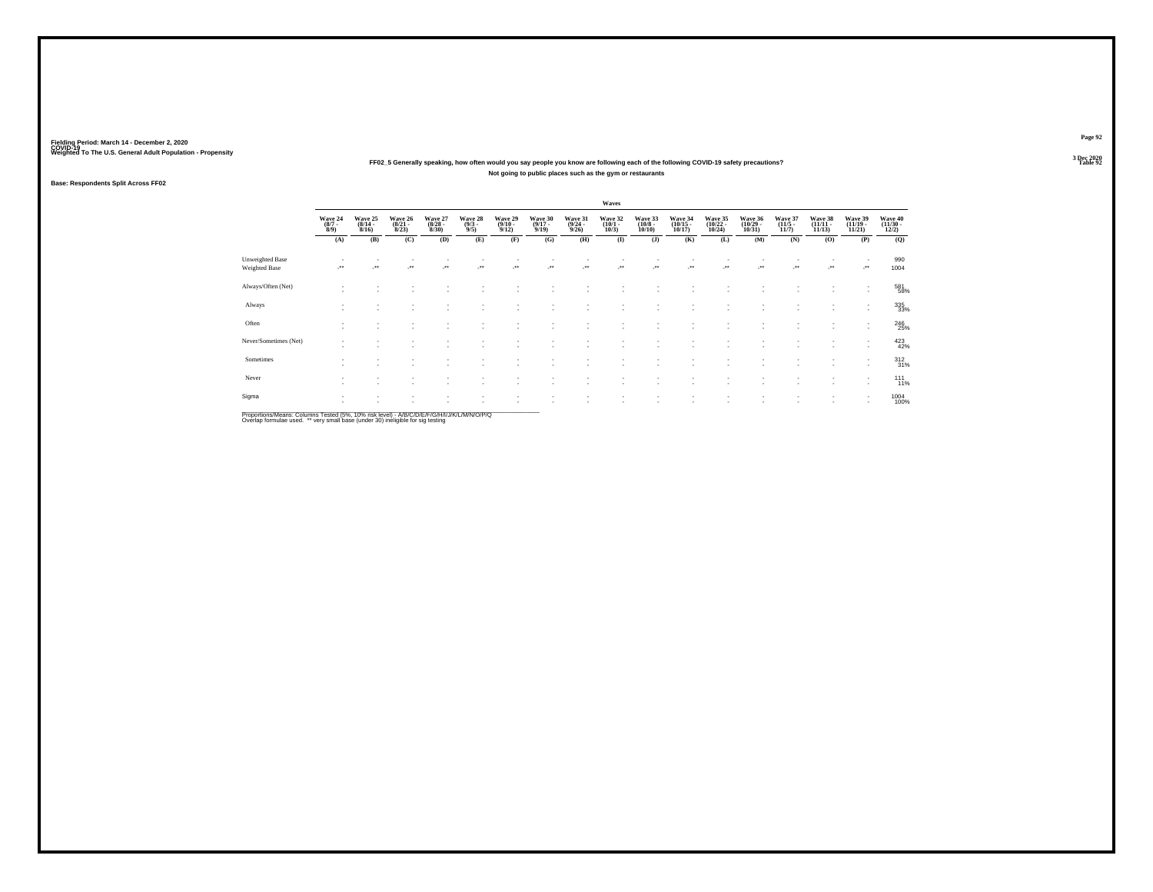### Weighted To The U.S. General Adult Population - Propensity<br>3 Dec 2020<br>Table 92 **Not going to public places such as the gym or restaurants**

### **Base: Respondents Split Across FF02**

|                                  |                                |                                  |                                  |                                 |                               |                                 |                                  |                                         | Waves                                |                                  |                                    |                                    |                               |                                  |                                    |                                                      |                              |
|----------------------------------|--------------------------------|----------------------------------|----------------------------------|---------------------------------|-------------------------------|---------------------------------|----------------------------------|-----------------------------------------|--------------------------------------|----------------------------------|------------------------------------|------------------------------------|-------------------------------|----------------------------------|------------------------------------|------------------------------------------------------|------------------------------|
|                                  | Wave 24<br>$\frac{(8/7)}{8/9}$ | Wave 25<br>$\frac{(8/14)}{8/16}$ | Wave 26<br>$\frac{(8/21)}{8/23}$ | Wave 27<br>$\binom{8/28}{8/30}$ | Wave 28<br>$\binom{9/3}{9/5}$ | Wave 29<br>$\binom{9/10}{9/12}$ | Wave 30<br>$\frac{(9/17)}{9/19}$ | Wave 31<br>$\frac{(9/24 - 9/26)}{9/26}$ | Wave 32<br>$\binom{10/1 - 10}{10/3}$ | Wave 33<br>$\binom{10/8}{10/10}$ | Wave 34<br>$\frac{(10/15)}{10/17}$ | Wave 35<br>$\frac{(10/22)}{10/24}$ | Wave 36<br>(10/29 -<br>10/31) | Wave 37<br>$\frac{(11/5)}{11/7}$ | Wave 38<br>$\frac{(11/11)}{11/13}$ | Wave 39<br>$\frac{(11/19 - 11/21)}{11/21}$           | Wave 40<br>(11/30 -<br>12/2) |
|                                  | (A)                            | (B)                              | (C)                              | (D)                             | (E)                           | (F)                             | (G)                              | (H)                                     | $\bf (I)$                            | (J)                              | (K)                                | (L)                                | (M)                           | (N)                              | (0)                                | (P)                                                  | (Q)                          |
| Unweighted Base<br>Weighted Base |                                | $\ddot{\phantom{1}}$             | معر                              | $\cdot$                         | $\overline{\phantom{a}}$      | -**                             | $\cdot$                          |                                         | $\cdot$                              |                                  |                                    |                                    | -**                           | $\sim$<br>                       | $\mathcal{C}^{\bullet}$            |                                                      | 990<br>1004                  |
| Always/Often (Net)               | ٠                              |                                  |                                  |                                 |                               |                                 |                                  |                                         |                                      |                                  |                                    |                                    |                               |                                  |                                    | ٠                                                    | 581<br>58%                   |
| Always                           | ٠<br>٠                         | $\sim$                           | ٠                                | $\sim$                          | ۰                             |                                 | ٠                                | ×.                                      | $\sim$                               | ٠                                | $\overline{\phantom{a}}$           | $\sim$                             | ٠                             | ٠                                | $\sim$                             | ٠<br>$\mathbf{r}$                                    | 335                          |
| Often                            | ٠<br>٠                         |                                  | $\sim$                           | ٠                               | ٠                             |                                 |                                  | ×.                                      |                                      | ٠<br>$\overline{\phantom{a}}$    | $\overline{\phantom{a}}$<br>-      | $\sim$<br>и.                       | ٠                             | ٠<br>٠                           |                                    | $\overline{\phantom{a}}$                             | 246<br>25%                   |
| Never/Sometimes (Net)            | $\overline{\phantom{a}}$       | $\mathbf{r}$                     |                                  | ٠                               |                               |                                 |                                  |                                         |                                      | ٠                                |                                    |                                    | $\overline{\phantom{a}}$      | ٠                                | <b>A</b>                           | $\overline{\phantom{a}}$<br>$\overline{\phantom{a}}$ | $423$<br>$42%$               |
| Sometimes                        | $\sim$<br>٠                    |                                  |                                  |                                 |                               |                                 |                                  |                                         |                                      | ٠                                | $\sim$                             |                                    | ٠<br>٠                        |                                  |                                    | $\overline{\phantom{a}}$<br>$\overline{\phantom{a}}$ | 312 31%                      |
| Never                            | ٠<br>$\overline{\phantom{a}}$  | $\overline{\phantom{a}}$         | <b>A</b>                         | $\sim$                          | ۰                             |                                 | ٠                                | ×.                                      |                                      | ×                                | -                                  | и.                                 | ٠                             | ٠                                | <b>A</b>                           | $\overline{\phantom{a}}$<br>$\sim$                   | $^{111}_{11\%}$              |
| Sigma                            | ٠<br>×.                        |                                  |                                  | ٠                               | $\overline{\phantom{a}}$      | $\overline{\phantom{a}}$        | ٠                                | ×.                                      | $\sim$                               | ٠<br>٠                           | $\sim$<br>-                        | $\sim$<br>$\overline{\phantom{a}}$ | ٠                             | $\sim$<br>٠                      | $\sim$                             | $\sim$                                               | 1004<br>100%                 |

Proportions/Means: Columns Tested (5%, 10% risk level) - *NB/C/D/E/F/G/H/IJJ/K/L/M/N/O/P/Q*<br>Overlap formulae used. \*\* very small base (under 30) ineligible for sig testing

**Page 92**3 Dec 2020<br>Table 92

**Particularly 2 Table 92**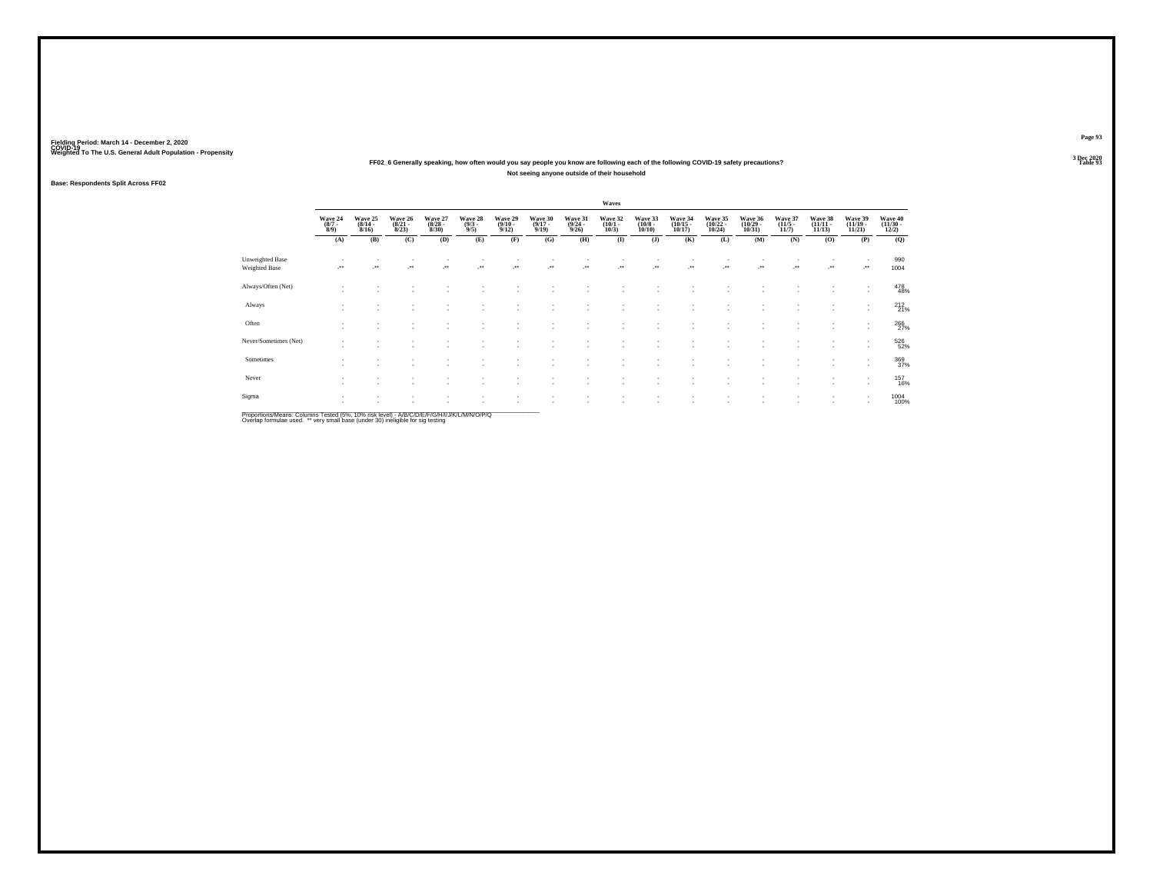### Weighted To The U.S. General Adult Population - Propensity<br>3 Dec 2020<br>Table 93 Table 93 **Not seeing anyone outside of their household**

### **Base: Respondents Split Across FF02**

|                                  |                               |                                  |                                  |                                  |                               |                                 |                                  |                                         | Waves                           |                                  |                                                      |                                                      |                                    |                                 |                                |                                                      |                                   |
|----------------------------------|-------------------------------|----------------------------------|----------------------------------|----------------------------------|-------------------------------|---------------------------------|----------------------------------|-----------------------------------------|---------------------------------|----------------------------------|------------------------------------------------------|------------------------------------------------------|------------------------------------|---------------------------------|--------------------------------|------------------------------------------------------|-----------------------------------|
|                                  | Wave 24<br>$\binom{8/7}{8/9}$ | Wave 25<br>$\frac{(8/14)}{8/16}$ | Wave 26<br>$\frac{(8/21)}{8/23}$ | Wave 27<br>$\frac{(8/28)}{8/30}$ | Wave 28<br>$\binom{9/3}{9/5}$ | Wave 29<br>$\binom{9/10}{9/12}$ | Wave 30<br>$\frac{(9/17)}{9/19}$ | Wave 31<br>$\frac{(9/24 - 9/26)}{9/26}$ | Wave 32<br>$\binom{10/1}{10/3}$ | Wave 33<br>$\binom{10/8}{10/10}$ | Wave 34<br>$\binom{10/15}{10/17}$                    | Wave 35<br>$\frac{(10/22)}{10/24}$                   | Wave 36<br>$\frac{(10/29)}{10/31}$ | Wave 37<br>$\binom{11/5}{11/7}$ | Wave 38<br>$(11/11 -$<br>11/13 | Wave 39<br>$\frac{(11/19 - 11/21)}{11/21}$           | Wave 40<br>$\frac{(11/30)}{12/2}$ |
|                                  | (A)                           | (B)                              | (C)                              | (D)                              | (E)                           | (F)                             | (G)                              | (H)                                     | $\bf(I)$                        | (J)                              | (K)                                                  | (L)                                                  | (M)                                | (N)                             | (0)                            | (P)                                                  | (Q)                               |
| Unweighted Base<br>Weighted Base |                               | $\ddot{\phantom{1}}$             | $\ddot{}$                        | $\cdot$                          | $\overline{\phantom{a}}$      | -**                             |                                  |                                         | $\cdot$                         |                                  |                                                      | J.                                                   | -**                                | ٠<br>                           | $\cdot$                        | ٠<br>                                                | 990<br>1004                       |
| Always/Often (Net)               | $\sim$                        |                                  |                                  |                                  |                               |                                 |                                  |                                         |                                 |                                  |                                                      |                                                      |                                    |                                 |                                | ٠                                                    | 478<br>48%                        |
| Always                           | ٠<br>$\sim$                   | $\sim$                           | ٠                                | $\sim$                           | ۰                             |                                 | ٠                                | ٠                                       | $\sim$                          | ٠                                | $\overline{\phantom{a}}$                             | $\sim$                                               | ٠                                  | ٠                               | $\sim$                         | ٠<br>$\mathbf{r}$                                    | 212 %                             |
| Often                            | $\sim$<br>٠                   | $\sim$                           | $\sim$                           | ٠<br>$\sim$                      | ٠<br>۰                        | $\overline{\phantom{a}}$        | ٠<br>٠                           | ×.                                      |                                 | ٠<br>$\overline{\phantom{a}}$    | $\overline{\phantom{a}}$<br>$\overline{\phantom{a}}$ | $\overline{\phantom{a}}$<br>$\overline{\phantom{a}}$ | ٠                                  | ٠<br>٠                          | $\sim$<br>$\sim$               | ٠<br>$\sim$                                          | 266                               |
| Never/Sometimes (Net)            | ٠                             | $\sim$                           |                                  |                                  |                               |                                 | ٠                                |                                         |                                 | ٠                                | $\sim$                                               |                                                      | $\overline{\phantom{a}}$           | ٠                               | $\sim$                         | ٠<br>$\overline{\phantom{a}}$                        | 526<br>52%                        |
| Sometimes                        | $\sim$                        |                                  |                                  | ٠.                               |                               |                                 |                                  |                                         |                                 | ٠                                |                                                      | $\overline{\phantom{a}}$                             | ٠<br>٠                             | ٠                               |                                | $\overline{\phantom{a}}$<br>$\overline{\phantom{a}}$ | 369<br>37%                        |
| Never                            | ٠<br>٠                        | $\overline{\phantom{a}}$         | ٠                                | $\sim$                           | ٠                             | $\sim$                          | ٠                                | ٠                                       | $\sim$                          | ٠                                | $\overline{\phantom{a}}$                             | $\overline{\phantom{a}}$                             | ٠                                  | ٠                               | $\sim$                         | $\overline{\phantom{a}}$<br>٠                        | <sup>157</sup><br>16%             |
| Sigma                            | $\mathbf{r}$<br>×.            | $\sim$<br>$\sim$                 | $\sim$                           | ٠<br>$\sim$                      | ٠                             | $\sim$<br>и.                    | ٠<br>٠                           | ×.                                      | $\sim$                          | ٠<br>٠                           | $\sim$<br>$\overline{\phantom{a}}$                   | $\;$<br>$\overline{\phantom{a}}$                     | $\;$<br>٠                          | ٠<br>٠                          | $\sim$                         | $\overline{\phantom{a}}$                             | 1004<br>100%                      |

Proportions/Means: Columns Tested (5%, 10% risk level) - *NB/C/D/E/F/G/H/IJJ/K/L/M/N/O/P/Q*<br>Overlap formulae used. \*\* very small base (under 30) ineligible for sig testing

**Page 93**3 Dec 2020<br>Table 93

**Table 93 Table 93**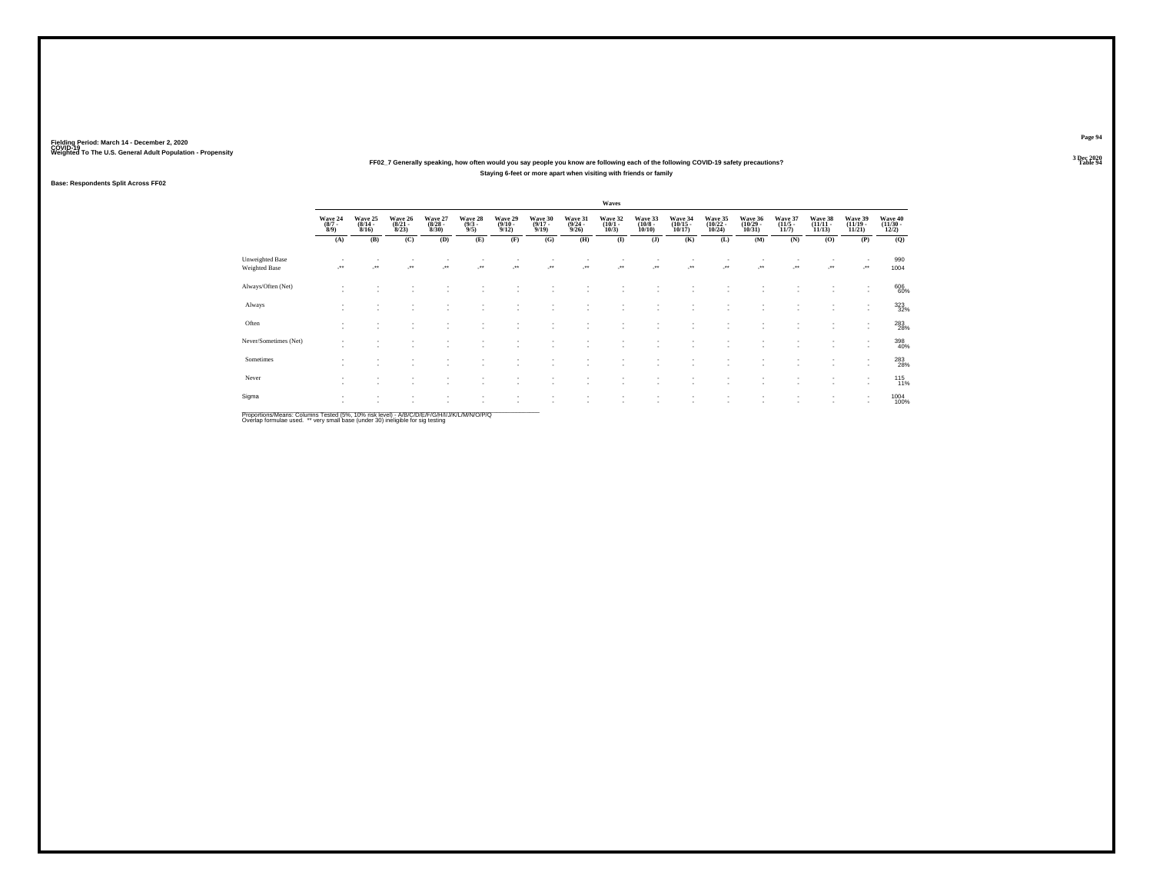### Weighted To The U.S. General Adult Population - Propensity<br>3 Dec 2020<br>Table 94 Table 94 **FF02\_7 Generally speaking, how often would you say people you know are following each of the following COVID-19 safety precautions? Staying 6-feet or more apart when visiting with friends or family**

### **Base: Respondents Split Across FF02**

|                                  |                               |                                    |                                  |                                  |                               |                                 |                                  |                                         | Waves                           |                                  |                                                      |                                    |                                    |                                 |                                |                                                      |                                   |
|----------------------------------|-------------------------------|------------------------------------|----------------------------------|----------------------------------|-------------------------------|---------------------------------|----------------------------------|-----------------------------------------|---------------------------------|----------------------------------|------------------------------------------------------|------------------------------------|------------------------------------|---------------------------------|--------------------------------|------------------------------------------------------|-----------------------------------|
|                                  | Wave 24<br>$\binom{8/7}{8/9}$ | Wave 25<br>$\frac{(8/14)}{8/16}$   | Wave 26<br>$\frac{(8/21)}{8/23}$ | Wave 27<br>$\frac{(8/28)}{8/30}$ | Wave 28<br>$\binom{9/3}{9/5}$ | Wave 29<br>$\binom{9/10}{9/12}$ | Wave 30<br>$\frac{(9/17)}{9/19}$ | Wave 31<br>$\frac{(9/24 - 9/26)}{9/26}$ | Wave 32<br>$\binom{10/1}{10/3}$ | Wave 33<br>$\binom{10/8}{10/10}$ | Wave 34<br>$\binom{10/15}{10/17}$                    | Wave 35<br>$\frac{(10/22)}{10/24}$ | Wave 36<br>$\frac{(10/29)}{10/31}$ | Wave 37<br>$\binom{11/5}{11/7}$ | Wave 38<br>$(11/11 -$<br>11/13 | Wave 39<br>$\frac{(11/19 - 11/21)}{11/21}$           | Wave 40<br>$\frac{(11/30)}{12/2}$ |
|                                  | (A)                           | (B)                                | (C)                              | (D)                              | (E)                           | (F)                             | (G)                              | (H)                                     | $\bf(I)$                        | (J)                              | (K)                                                  | (L)                                | (M)                                | (N)                             | (0)                            | (P)                                                  | (Q)                               |
| Unweighted Base<br>Weighted Base |                               | $\ddot{\phantom{1}}$               | $\ddot{}$                        | $\cdot$                          | $\star\star$                  | -**                             |                                  |                                         | $\cdot$                         |                                  |                                                      | J.                                 | -**                                | ٠<br>                           | $\cdot$                        |                                                      | 990<br>1004                       |
| Always/Often (Net)               | $\sim$                        |                                    |                                  |                                  |                               |                                 |                                  |                                         |                                 |                                  |                                                      |                                    |                                    |                                 |                                | ٠                                                    | 606<br>60%                        |
| Always                           | ٠<br>$\sim$                   | $\sim$                             | ٠                                | $\sim$                           | ٠                             |                                 | ٠                                | ×.                                      | $\sim$                          | ٠                                | $\overline{\phantom{a}}$                             | $\sim$                             | ٠                                  | ٠                               | $\sim$                         | ٠<br>$\mathbf{r}$                                    | 323                               |
| Often                            | $\sim$<br>٠                   |                                    | $\sim$<br>$\sim$                 | ٠<br>$\sim$                      | ٠<br>٠                        | $\overline{\phantom{a}}$        | ٠<br>٠                           | ×.                                      |                                 | ٠<br>$\overline{\phantom{a}}$    | $\overline{\phantom{a}}$<br>$\overline{\phantom{a}}$ | $\sim$<br>$\overline{\phantom{a}}$ | ٠                                  | ٠<br>٠                          | $\sim$                         | ٠<br>$\overline{\phantom{a}}$                        | 283<br>28%                        |
| Never/Sometimes (Net)            | $\overline{\phantom{a}}$      | $\sim$                             |                                  |                                  |                               |                                 | ٠                                |                                         |                                 | ٠                                | $\sim$                                               |                                    | $\overline{\phantom{a}}$           | ٠                               | $\sim$                         | ٠<br>$\overline{\phantom{a}}$                        | 398<br>40%                        |
| Sometimes                        | $\sim$                        |                                    |                                  | ٠.                               |                               |                                 |                                  |                                         |                                 | ٠                                |                                                      |                                    | ٠                                  | ٠                               | ٠.                             | $\overline{\phantom{a}}$<br>$\overline{\phantom{a}}$ | 283<br>28%                        |
| Never                            | ٠<br>٠                        | $\overline{\phantom{a}}$           | ٠                                | $\sim$                           | ٠                             | $\sim$                          | ٠                                | ٠                                       | $\sim$                          | ٠                                | $\overline{\phantom{a}}$                             | $\overline{\phantom{a}}$           | ٠                                  | ٠                               | $\sim$                         | $\sim$<br>٠                                          | 115 %                             |
| Sigma                            | $\mathbf{r}$<br>×.            | $\overline{\phantom{a}}$<br>$\sim$ | $\sim$                           | ٠<br>$\sim$                      |                               | $\overline{\phantom{a}}$<br>и.  | ٠<br>٠                           | ×.                                      | $\sim$<br>$\sim$                | ٠<br>٠                           | $\sim$<br>$\overline{\phantom{a}}$                   | $\;$<br>$\overline{\phantom{a}}$   | $\;$<br>٠                          | ٠<br>٠                          | $\sim$<br>$\sim$               | $\sim$                                               | 1004<br>100%                      |

Proportions/Means: Columns Tested (5%, 10% risk level) - *NB/C/D/E/F/G/H/IJJ/K/L/M/N/O/P/Q*<br>Overlap formulae used. \*\* very small base (under 30) ineligible for sig testing

**Page 94**3 Dec 2020<br>Table 94

**Table 94 Table 94**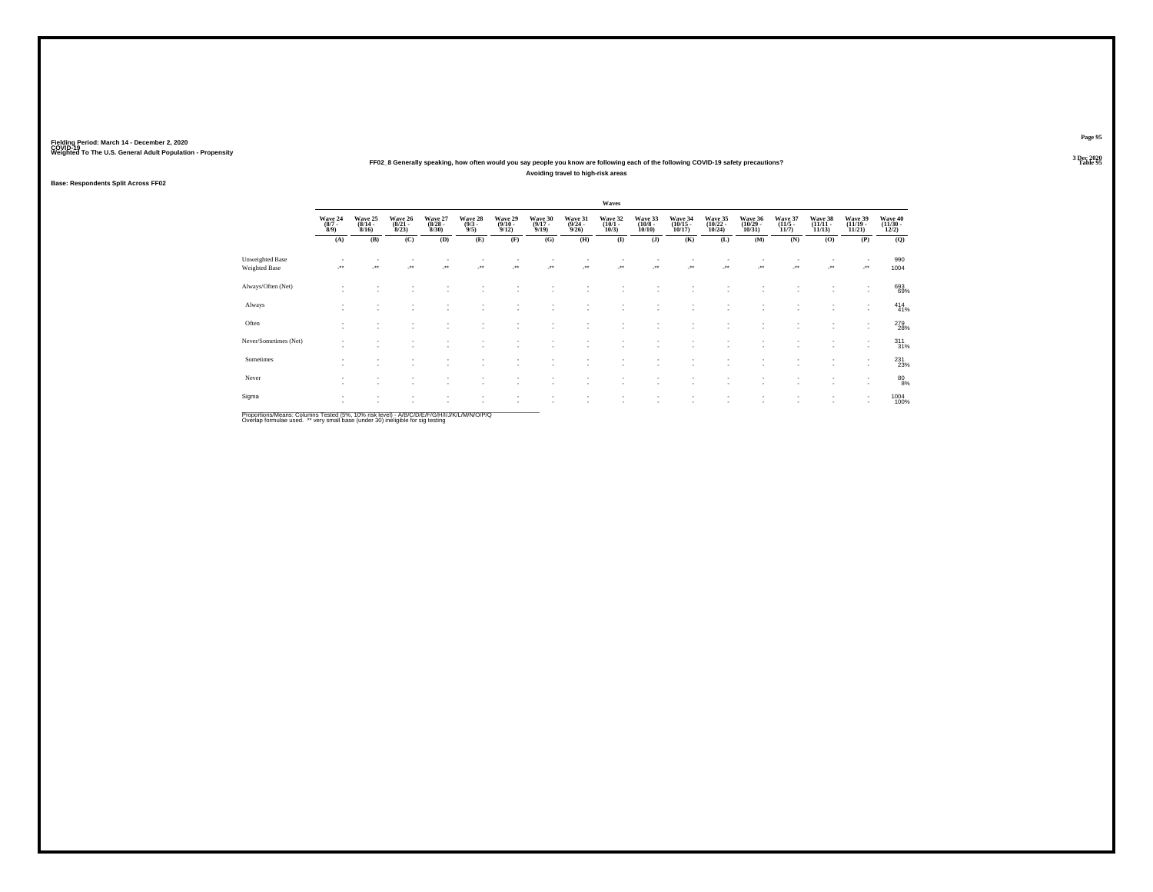### Weighted To The U.S. General Adult Population - Propensity<br>3 Dec 2020<br>Table 95 Table 95 Table 95 Table 95 Table 95 Table 95 Table 95 Table 95 Table 95 Table 95 Table 95 Table 95 Table 95 **Avoiding travel to high-risk areas**

### **Base: Respondents Split Across FF02**

|                                  |                               |                                    |                                  |                                  |                               |                                 |                                  |                                         | Waves                           |                                  |                                                      |                                    |                                    |                                 |                                |                                                      |                                   |
|----------------------------------|-------------------------------|------------------------------------|----------------------------------|----------------------------------|-------------------------------|---------------------------------|----------------------------------|-----------------------------------------|---------------------------------|----------------------------------|------------------------------------------------------|------------------------------------|------------------------------------|---------------------------------|--------------------------------|------------------------------------------------------|-----------------------------------|
|                                  | Wave 24<br>$\binom{8/7}{8/9}$ | Wave 25<br>$\frac{(8/14)}{8/16}$   | Wave 26<br>$\frac{(8/21)}{8/23}$ | Wave 27<br>$\frac{(8/28)}{8/30}$ | Wave 28<br>$\binom{9/3}{9/5}$ | Wave 29<br>$\binom{9/10}{9/12}$ | Wave 30<br>$\frac{(9/17)}{9/19}$ | Wave 31<br>$\frac{(9/24 - 9/26)}{9/26}$ | Wave 32<br>$\binom{10/1}{10/3}$ | Wave 33<br>$\binom{10/8}{10/10}$ | Wave 34<br>$\binom{10/15}{10/17}$                    | Wave 35<br>$\frac{(10/22)}{10/24}$ | Wave 36<br>$\frac{(10/29)}{10/31}$ | Wave 37<br>$\binom{11/5}{11/7}$ | Wave 38<br>$(11/11 -$<br>11/13 | Wave 39<br>$\frac{(11/19 - 11/21)}{11/21}$           | Wave 40<br>$\frac{(11/30)}{12/2}$ |
|                                  | (A)                           | (B)                                | (C)                              | (D)                              | (E)                           | (F)                             | (G)                              | (H)                                     | $\bf(I)$                        | (J)                              | (K)                                                  | (L)                                | (M)                                | (N)                             | (0)                            | (P)                                                  | (Q)                               |
| Unweighted Base<br>Weighted Base |                               | $\ddot{\phantom{1}}$               | $\ddot{}$                        | $\cdot$                          | $\star\star$                  | -**                             |                                  |                                         | $\cdot$                         |                                  |                                                      | J.                                 | -**                                | ٠<br>                           | $\cdot$                        |                                                      | 990<br>1004                       |
| Always/Often (Net)               | $\sim$                        |                                    |                                  |                                  |                               |                                 |                                  |                                         |                                 |                                  |                                                      |                                    |                                    |                                 |                                | ٠                                                    | 693<br>69%                        |
| Always                           | ٠<br>$\sim$                   | $\sim$                             | ٠                                | $\sim$                           | ۰                             |                                 | ٠                                | ×.                                      | $\sim$                          | ٠                                | $\overline{\phantom{a}}$                             | $\sim$                             | ٠                                  | ٠                               | $\sim$                         | ٠<br>$\sim$                                          | $^{414}_{41\%}$                   |
| Often                            | $\sim$<br>٠                   | $\overline{\phantom{a}}$<br>$\sim$ | $\sim$                           | ٠<br>$\sim$                      | ٠<br>٠                        | $\overline{\phantom{a}}$        | ٠<br>٠                           | ×.                                      |                                 | ٠<br>$\overline{\phantom{a}}$    | $\overline{\phantom{a}}$<br>$\overline{\phantom{a}}$ | $\sim$<br>$\overline{\phantom{a}}$ | ٠                                  | ٠<br>٠                          | $\sim$                         | ٠<br>$\overline{\phantom{a}}$                        | 279<br>28%                        |
| Never/Sometimes (Net)            | ٠                             | $\sim$                             |                                  |                                  |                               |                                 | ٠                                |                                         |                                 | ٠                                | $\sim$                                               | $\overline{\phantom{a}}$           | $\overline{\phantom{a}}$           | ٠                               | $\sim$                         | $\overline{\phantom{a}}$<br>$\overline{\phantom{a}}$ | $\frac{311}{31%}$                 |
| Sometimes                        | $\sim$                        |                                    |                                  | ٠.                               |                               |                                 |                                  |                                         |                                 | ٠                                |                                                      |                                    | ٠                                  | ٠                               |                                | $\overline{\phantom{a}}$<br>$\overline{\phantom{a}}$ | 231                               |
| Never                            | ٠<br>٠                        | $\overline{\phantom{a}}$           | ٠                                | $\sim$                           | ۰                             | $\sim$                          | ٠                                | ٠                                       | $\sim$                          | ٠                                | $\overline{\phantom{a}}$                             | $\overline{\phantom{a}}$           | ٠                                  | ٠                               | $\sim$                         | ٠<br>٠                                               | $^{80}_{8\%}$                     |
| Sigma                            | $\mathbf{r}$<br>×.            | $\sim$<br>$\sim$                   | $\sim$                           | ٠<br>$\sim$                      | ٠                             | $\sim$<br>и.                    | ٠<br>٠                           | ×.                                      | $\sim$                          | ٠<br>٠                           | $\sim$<br>$\overline{\phantom{a}}$                   | $\;$<br>$\overline{\phantom{a}}$   | $\;$<br>٠                          | ٠<br>٠                          | $\sim$                         | $\overline{\phantom{a}}$                             | 1004<br>100%                      |

Proportions/Means: Columns Tested (5%, 10% risk level) - *NB/C/D/E/F/G/H/IJJ/K/L/M/N/O/P/Q*<br>Overlap formulae used. \*\* very small base (under 30) ineligible for sig testing

**Page 95**3 Dec 2020<br>Table 95

**Table 95 Table 95**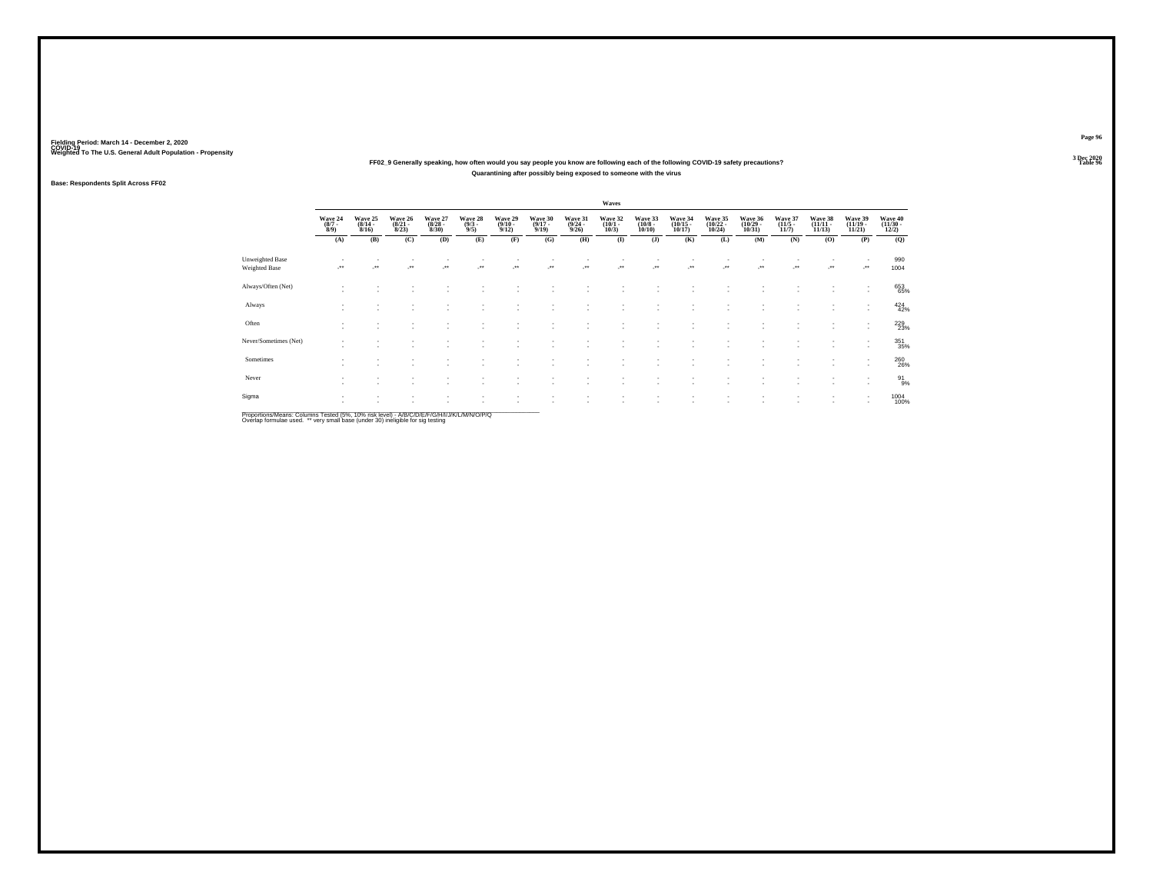### Weighted To The U.S. General Adult Population - Propensity<br>3 Dec 2020<br>Table 96 Table 96 FF02\_9 Generally speaking, how often would you say people you know are following each of the following COVID-19 safety precautions? **Quarantining after possibly being exposed to someone with the virus**

### **Base: Respondents Split Across FF02**

|                                  |                               |                                  |                                  |                                  |                               |                                 |                                  |                                         | Waves                           |                                  |                                                      |                                    |                                    |                                 |                                |                                                      |                                   |
|----------------------------------|-------------------------------|----------------------------------|----------------------------------|----------------------------------|-------------------------------|---------------------------------|----------------------------------|-----------------------------------------|---------------------------------|----------------------------------|------------------------------------------------------|------------------------------------|------------------------------------|---------------------------------|--------------------------------|------------------------------------------------------|-----------------------------------|
|                                  | Wave 24<br>$\binom{8/7}{8/9}$ | Wave 25<br>$\frac{(8/14)}{8/16}$ | Wave 26<br>$\frac{(8/21)}{8/23}$ | Wave 27<br>$\frac{(8/28)}{8/30}$ | Wave 28<br>$\binom{9/3}{9/5}$ | Wave 29<br>$\binom{9/10}{9/12}$ | Wave 30<br>$\frac{(9/17)}{9/19}$ | Wave 31<br>$\frac{(9/24 - 9/26)}{9/26}$ | Wave 32<br>$\binom{10/1}{10/3}$ | Wave 33<br>$\binom{10/8}{10/10}$ | Wave 34<br>$\binom{10/15}{10/17}$                    | Wave 35<br>$\frac{(10/22)}{10/24}$ | Wave 36<br>$\frac{(10/29)}{10/31}$ | Wave 37<br>$\binom{11/5}{11/7}$ | Wave 38<br>$(11/11 -$<br>11/13 | Wave 39<br>$\frac{(11/19 - 11/21)}{11/21}$           | Wave 40<br>$\frac{(11/30)}{12/2}$ |
|                                  | (A)                           | (B)                              | (C)                              | (D)                              | (E)                           | (F)                             | (G)                              | (H)                                     | $\bf(I)$                        | (J)                              | (K)                                                  | (L)                                | (M)                                | (N)                             | (0)                            | (P)                                                  | (Q)                               |
| Unweighted Base<br>Weighted Base |                               | $\ddot{\phantom{1}}$             | $\ddot{}$                        | $\cdot$                          | $\star\star$                  | -**                             |                                  |                                         | $\cdot$                         |                                  |                                                      | J.                                 | -**                                | ٠<br>                           | $\cdot$                        |                                                      | 990<br>1004                       |
| Always/Often (Net)               | $\sim$                        |                                  |                                  |                                  |                               |                                 |                                  |                                         |                                 |                                  |                                                      |                                    |                                    |                                 |                                | $\overline{\phantom{a}}$                             | 653<br>65%                        |
| Always                           | ٠<br>$\sim$                   | $\sim$                           | ٠                                | $\sim$                           | ٠                             |                                 | ٠                                | ×.                                      | $\sim$                          | ٠                                | $\overline{\phantom{a}}$                             | $\sim$                             | ٠                                  | ٠                               | $\sim$                         | ٠<br>$\sim$                                          | 424<br>42%                        |
| Often                            | $\sim$<br>٠                   |                                  | $\sim$                           | ٠<br>$\sim$                      | ٠<br>٠                        | $\overline{\phantom{a}}$        | ٠<br>٠                           | ×.                                      |                                 | ٠<br>$\overline{\phantom{a}}$    | $\overline{\phantom{a}}$<br>$\overline{\phantom{a}}$ | $\sim$<br>$\overline{\phantom{a}}$ | ٠                                  | ٠<br>٠                          | $\sim$                         | ٠<br>$\overline{\phantom{a}}$                        | 229<br>23%                        |
| Never/Sometimes (Net)            | ٠                             | $\sim$                           |                                  |                                  |                               |                                 | ٠                                |                                         |                                 | ٠                                | $\sim$                                               |                                    | $\overline{\phantom{a}}$           | ٠                               | $\sim$                         | $\overline{\phantom{a}}$<br>$\overline{\phantom{a}}$ | 351<br>35%                        |
| Sometimes                        | $\sim$                        |                                  |                                  | ٠.                               |                               |                                 |                                  |                                         |                                 | ٠                                |                                                      |                                    | ٠                                  | ٠                               |                                | $\overline{\phantom{a}}$<br>$\overline{\phantom{a}}$ | 260<br>26%                        |
| Never                            | ٠<br>٠                        | $\overline{\phantom{a}}$         | ٠                                | $\sim$                           | ٠                             | $\sim$                          | ٠                                | ٠                                       | $\sim$                          | ٠                                | $\overline{\phantom{a}}$                             | $\overline{\phantom{a}}$           | ٠                                  | ٠                               | $\sim$                         | ٠<br>٠                                               | $^{91}_{9\%}$                     |
| Sigma                            | $\mathbf{r}$<br>×.            | $\sim$<br>$\sim$                 | $\sim$                           | ٠<br>$\sim$                      |                               | $\sim$<br>и.                    | ٠<br>٠                           | ×.                                      | $\sim$                          | ٠<br>٠                           | $\sim$<br>$\overline{\phantom{a}}$                   | $\;$<br>$\overline{\phantom{a}}$   | $\;$<br>٠                          | ٠<br>٠                          | $\sim$                         | $\overline{\phantom{a}}$                             | 1004<br>100%                      |

Proportions/Means: Columns Tested (5%, 10% risk level) - *NB/C/D/E/F/G/H/IJJ/K/L/M/N/O/P/Q*<br>Overlap formulae used. \*\* very small base (under 30) ineligible for sig testing

**Page 96**3 Dec 2020<br>Table 96

**Table 96 Table 96 Table 96 Table 96 Table 96 Table 96**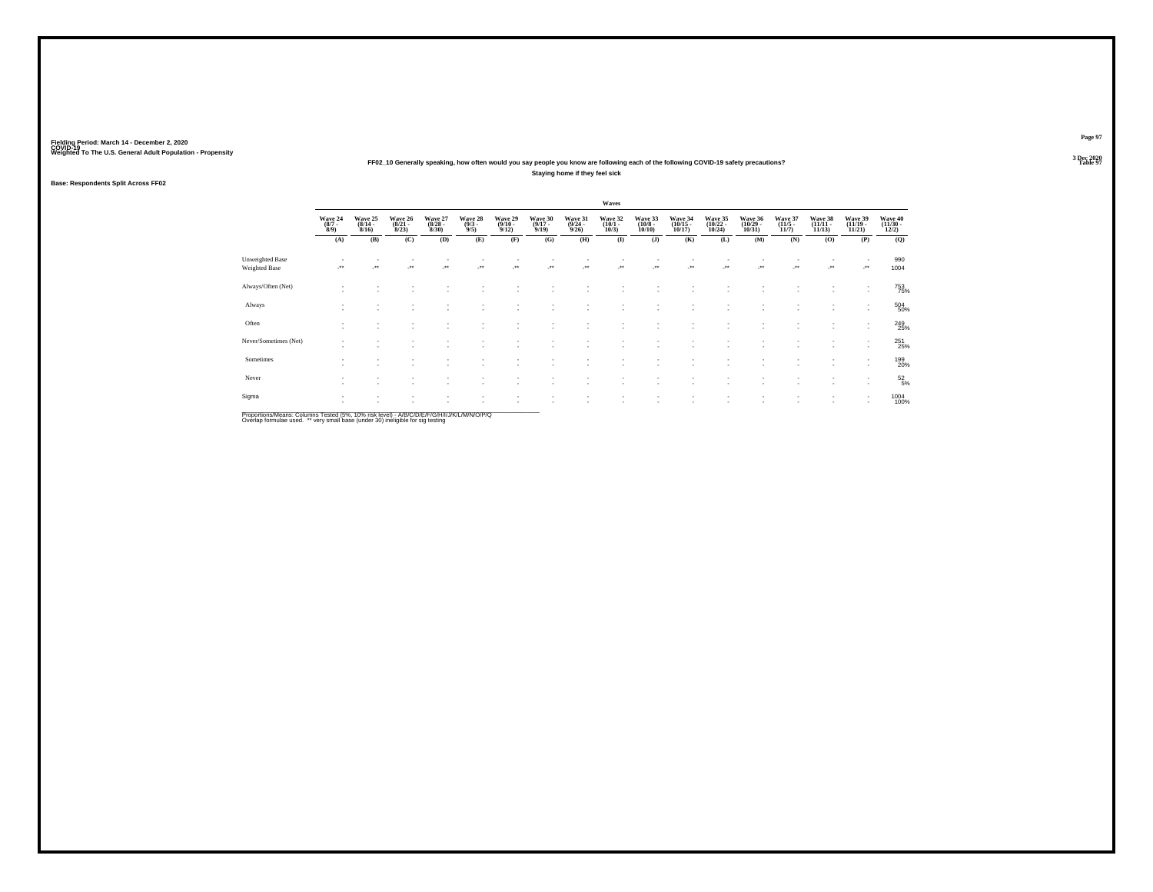### Weighted To The U.S. General Adult Population - Propensity<br>3 Dec 2020<br>Table 97 **Staying home if they feel sick**

### **Base: Respondents Split Across FF02**

|                                  |                               |                                  |                                  |                                  |                               |                                 |                                  |                                         | Waves                           |                                  |                                                      |                                    |                                    |                                 |                                |                                                      |                                   |
|----------------------------------|-------------------------------|----------------------------------|----------------------------------|----------------------------------|-------------------------------|---------------------------------|----------------------------------|-----------------------------------------|---------------------------------|----------------------------------|------------------------------------------------------|------------------------------------|------------------------------------|---------------------------------|--------------------------------|------------------------------------------------------|-----------------------------------|
|                                  | Wave 24<br>$\binom{8/7}{8/9}$ | Wave 25<br>$\frac{(8/14)}{8/16}$ | Wave 26<br>$\frac{(8/21)}{8/23}$ | Wave 27<br>$\frac{(8/28)}{8/30}$ | Wave 28<br>$\binom{9/3}{9/5}$ | Wave 29<br>$\binom{9/10}{9/12}$ | Wave 30<br>$\frac{(9/17)}{9/19}$ | Wave 31<br>$\frac{(9/24 - 9/26)}{9/26}$ | Wave 32<br>$\binom{10/1}{10/3}$ | Wave 33<br>$\binom{10/8}{10/10}$ | Wave 34<br>$\binom{10/15}{10/17}$                    | Wave 35<br>$\frac{(10/22)}{10/24}$ | Wave 36<br>$\frac{(10/29)}{10/31}$ | Wave 37<br>$\binom{11/5}{11/7}$ | Wave 38<br>$(11/11 -$<br>11/13 | Wave 39<br>$\frac{(11/19 - 11/21)}{11/21}$           | Wave 40<br>$\frac{(11/30)}{12/2}$ |
|                                  | (A)                           | (B)                              | (C)                              | (D)                              | (E)                           | (F)                             | (G)                              | (H)                                     | $\bf(I)$                        | (J)                              | (K)                                                  | (L)                                | (M)                                | (N)                             | (0)                            | (P)                                                  | (Q)                               |
| Unweighted Base<br>Weighted Base |                               | $\ddot{\phantom{1}}$             | $\ddot{}$                        | $\cdot$                          | $\star\star$                  | -**                             |                                  |                                         | $\cdot$                         |                                  |                                                      | J.                                 | -**                                | ٠<br>                           | $\cdot$                        | ٠<br>                                                | 990<br>1004                       |
| Always/Often (Net)               | $\sim$                        |                                  |                                  |                                  |                               |                                 |                                  |                                         |                                 |                                  |                                                      |                                    |                                    |                                 |                                | ٠<br>$\overline{\phantom{a}}$                        | 753<br>75%                        |
| Always                           | ٠<br>$\sim$                   | $\sim$                           | ٠                                | $\sim$                           | ٠                             |                                 | ٠                                | ×.                                      | $\sim$                          | ٠                                | $\overline{\phantom{a}}$                             | $\sim$                             | ٠                                  | ٠                               | $\sim$                         | ٠<br>$\mathbf{r}$                                    | 504 50%                           |
| Often                            | $\sim$<br>٠                   | $\sim$                           | $\sim$<br>$\sim$                 | ٠<br>$\sim$                      | ٠<br>٠                        | $\sim$                          | ٠<br>٠                           | ×.                                      |                                 | ٠<br>$\overline{\phantom{a}}$    | $\overline{\phantom{a}}$<br>$\overline{\phantom{a}}$ | $\sim$<br>$\overline{\phantom{a}}$ | ٠                                  | ٠<br>٠                          | $\sim$                         | ٠<br>$\overline{\phantom{a}}$                        | 249<br>25%                        |
| Never/Sometimes (Net)            | $\overline{\phantom{a}}$      | $\sim$                           |                                  |                                  |                               |                                 | ٠                                |                                         |                                 | ٠                                | $\sim$                                               | $\sim$                             | $\overline{\phantom{a}}$           | ٠                               | $\sim$                         | $\overline{\phantom{a}}$<br>$\overline{\phantom{a}}$ | 251<br>25%                        |
| Sometimes                        | $\sim$                        |                                  |                                  | ٠.                               |                               |                                 |                                  |                                         |                                 | ٠                                |                                                      | $\overline{\phantom{a}}$           | ٠                                  | ٠                               | ٠.                             | $\overline{\phantom{a}}$<br>$\overline{\phantom{a}}$ | 199<br>20%                        |
| Never                            | ٠<br>٠                        | $\overline{\phantom{a}}$         | ٠                                | $\sim$                           | ۰                             | $\sim$                          | ٠                                | ٠                                       | $\sim$                          | ٠                                | $\overline{\phantom{a}}$                             | $\overline{\phantom{a}}$           | ٠                                  | ٠                               | $\sim$                         | ٠<br>٠                                               | $^{52}_{5\%}$                     |
| Sigma                            | $\mathbf{r}$<br>×.            | $\sim$<br>$\sim$                 | $\sim$                           | ٠<br>$\sim$                      | ٠                             | $\sim$<br>и.                    | ٠<br>٠                           | $\sim$<br>×.                            | $\sim$                          | ٠<br>٠                           | $\sim$<br>$\overline{\phantom{a}}$                   | $\;$<br>$\overline{\phantom{a}}$   | $\;$<br>٠                          | ٠<br>٠                          | $\sim$                         | $\overline{\phantom{a}}$                             | 1004<br>100%                      |

Proportions/Means: Columns Tested (5%, 10% risk level) - *NB/C/D/E/F/G/H/IJJ/K/L/M/N/O/P/Q*<br>Overlap formulae used. \*\* very small base (under 30) ineligible for sig testing

**Page 97**3 Dec 2020<br>Table 97

**Table 97 Table 97**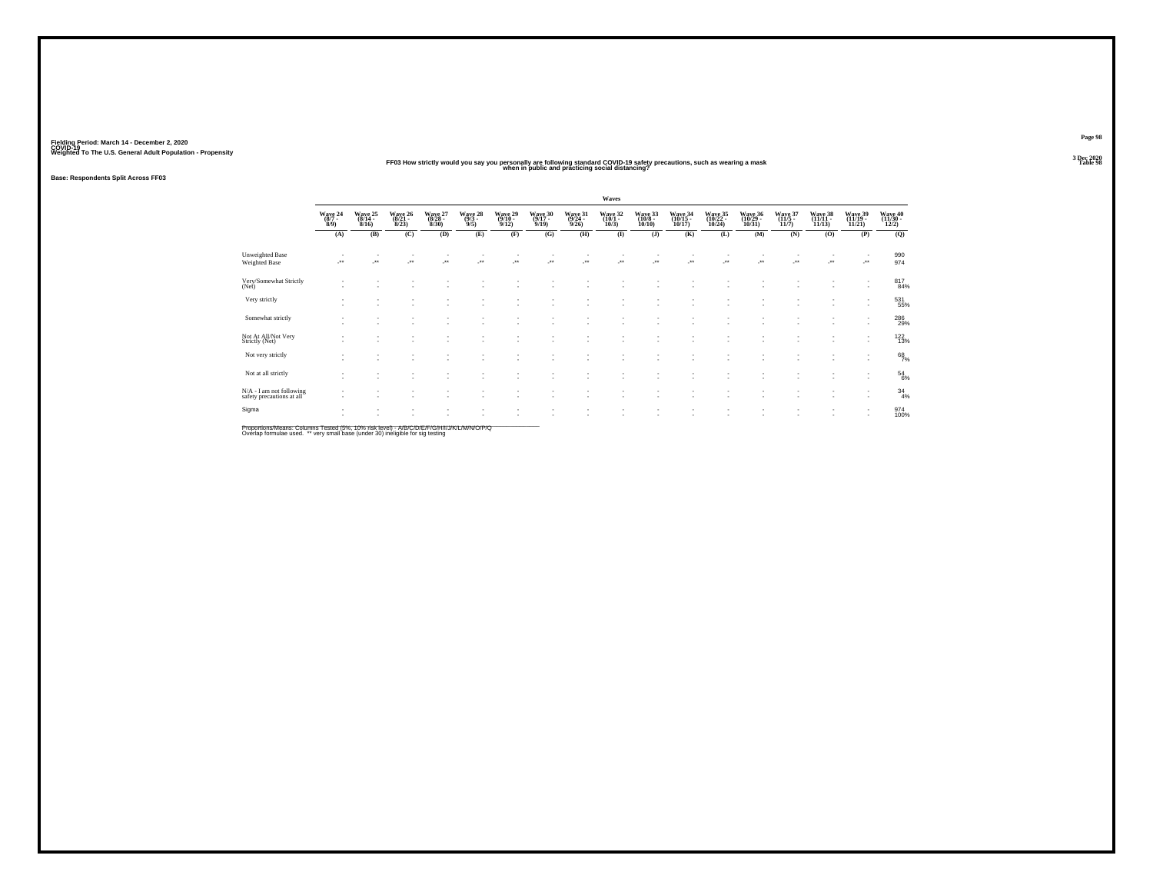**Base: Respondents Split Across FF03**

Not At ALL/Not Very Strictly (Net)<br>Strictly (Net)<br>Strictly (Net)

Not very strictly  $\vdots$   $\vdots$   $\vdots$   $\vdots$   $\vdots$   $\vdots$   $\vdots$   $\vdots$   $\vdots$   $\vdots$   $\vdots$   $\vdots$   $\vdots$   $\vdots$   $\vdots$   $\vdots$   $\vdots$   $\vdots$   $\vdots$   $\vdots$   $\vdots$   $\vdots$   $\vdots$ 

- Not at all strictly  $\begin{bmatrix} 1 & 1 & 1 \end{bmatrix}$  ,  $\begin{bmatrix} 1 & 1 & 1 \end{bmatrix}$  ,  $\begin{bmatrix} 1 & 1 & 1 \end{bmatrix}$  ,  $\begin{bmatrix} 1 & 1 & 1 \end{bmatrix}$  ,  $\begin{bmatrix} 1 & 1 & 1 \end{bmatrix}$  ,  $\begin{bmatrix} 1 & 1 & 1 \end{bmatrix}$  ,  $\begin{bmatrix} 1 & 1 & 1 \end{bmatrix}$  ,  $\begin{bmatrix} 1 & 1 & 1 \end{bmatrix}$  ,

N/A - I am not following safety precautions at all the same safety precautions at all the same safety precautions at all the same safety precautions at all the same safety precautions at all the same safety  $\frac{1}{2}$ 

Sigma

**Page 983 Dec 2020<br>Table 98** 

Wave 40<br>(11/30 -<br>12/2)  $\overline{Q}$ 

974

 $\substack{817 \\ 84\%}$ 

531<br>55%

286<br>29%

 $122/13%$ 

 $68/7%$ 

 $^{54}_{6\%}$ 

 $^{34}_{4\%}$ 

974<br>100%

# Weighted To The U.S. General Adult Population - Propensity<br>FF03 How strictly would you say you personally are following standard COVID-19 safety precautions, such as wearing a mask<br>Table 98

- - - - - - - - - - - - - - - 122

- - - - - - - - - - - - - - - 68

- - - - - - - - - - - - - - - 54

- - - - - - - - - - - - - - - 34

- - - - - - - - - - - - - - - 974

- - - - - - - - - - - - - - - - 13%

- - - - - - - - - - - - - - - - 4%

- - - - - - - - - - - - - - - - 100%

**Waves**Wave 24 Wave 25 Wave 26 Wave 27 Wave 29 Wave 30 Wave 31 Wave 32 Wave 33 Wave 34 Wave 35 Wave 36 Wave 37 Wave 39 Wave 40<br>(877 - (814 - (821 - (822 - (913 - (912 - (101 - (1001 - (1013 - (10122 - (10129 - (1115 - (11111 - (1 **(A) (B) (C) (D) (E) (F) (G) (H) (I) (J) (K) (L) (M) (N) (O) (P) (Q)** Unweighted Base - - - - - - - - - - - - - - - - <sup>990</sup>Weighted Base -\*\* -\*\* -\*\* -\*\* -\*\* -\*\* -\*\* -\*\* -\*\* -\*\* -\*\* -\*\* -\*\* -\*\* -\*\* -\*\* <sup>974</sup> - - - - - - - - - - - - - - - 817- - - - - - - - - - - - - - - - 84%Very/Somewhat Strictly (Net)<br>(Net)<br>Control (Net) - - - - - - - - - - - - - - - 531- - - - - - - - - - - - - - - - 55% Very strictly - - - - - - - - - - - - - - - 286- - - - - - - - - - - - - - - - 29% Somewhat strictly

Proportions/Means: Columns Tested (5%, 10% risk level) - A/B/C/D/E/F/G/H/I/J/K/L/M/N/O/P/Q<br>Overlap formulae used. \*\* very small base (under 30) ineligible for sig testing

-

-

-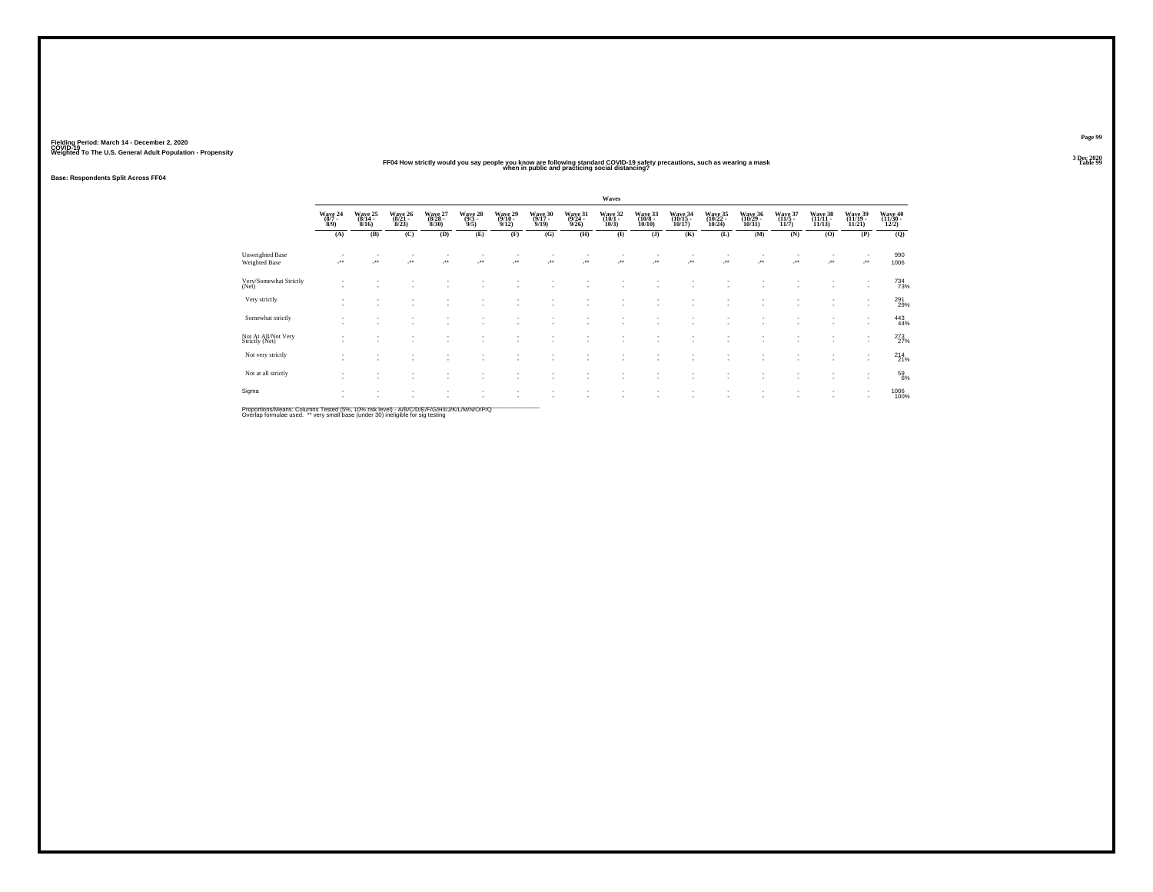### **FF04 How strictly would you say people you know are following standard COVID-19 safety precautions, such as wearing a mask Table 99 when in public and practicing social distancing?**

**Base: Respondents Split Across FF04**

|                                                |                                |                 |                              |                                |                                    |                                    |                            |                            | Waves                          |                                   |                              |                                  |                              |                 |                              |                                                      |                              |
|------------------------------------------------|--------------------------------|-----------------|------------------------------|--------------------------------|------------------------------------|------------------------------------|----------------------------|----------------------------|--------------------------------|-----------------------------------|------------------------------|----------------------------------|------------------------------|-----------------|------------------------------|------------------------------------------------------|------------------------------|
|                                                | Wave 24<br>$\frac{(8/7)}{8/9}$ | Wave 25<br>8/16 | Wave 26<br>$(8/21 -$<br>8/23 | Wave 27<br>(8/28 -<br>$8/30$ ) | Wave 28<br>$\frac{(9/3 - 9)}{9/5}$ | Wave 29<br>$(9/10 -$<br>9/12       | Wave 30<br>(9/17 -<br>9/19 | Wave 31<br>(9/24 -<br>9/26 | Wave 32<br>(10/1 -<br>$10/3$ ) | Wave 33<br>$(10/8 -$<br>$10/10$ ) | Wave 34<br>(10/15 -<br>10/17 | Wave 35<br>(10/22 -<br>$10/24$ ) | Wave 36<br>(10/29 -<br>10/31 | Wave 37<br>11/7 | Wave 38<br>(11/11 -<br>11/13 | Wave 39<br>(11/19 -<br>11/21                         | Wave 40<br>(11/30 -<br>12/2) |
|                                                | (A)                            | (B)             | (C)                          | (D)                            | (E)                                | (F)                                | (G)                        | (H)                        | $\mathbf{I}$                   | (J)                               | (K)                          | (L)                              | (M)                          | (N)             | (O)                          | (P)                                                  | (Q)                          |
| <b>Unweighted Base</b><br><b>Weighted Base</b> | - * *                          |                 | ÷.                           | ٠.                             |                                    | $\rightarrow$                      | $\cdot$                    | J.                         | $\cdot$                        | $\cdot$                           | $\cdot$                      | $\cdot$                          | $\cdot$                      | -**             |                              | $\cdot$                                              | 990<br>1006                  |
| Very/Somewhat Strictly<br>(Net)                |                                |                 |                              |                                | ٠                                  |                                    | ٠                          |                            |                                |                                   |                              |                                  |                              |                 | ٠                            | $\mathbf{r}$                                         | 734<br>73%                   |
| Very strictly                                  |                                |                 |                              |                                | ٠                                  | $\sim$                             | $\sim$<br>٠                | $\sim$                     |                                | ٠                                 |                              |                                  |                              |                 | ۰.                           | $\mathbf{r}$                                         | 291<br>29%                   |
| Somewhat strictly                              |                                |                 |                              |                                | ٠.                                 |                                    | ٠                          |                            |                                | ٠                                 |                              |                                  |                              |                 |                              | $\overline{\phantom{a}}$<br>$\overline{\phantom{a}}$ | 443<br>44%                   |
| Not At All/Not Very<br>Strictly (Net)          |                                |                 |                              | ٠                              | ٠                                  | $\overline{\phantom{a}}$           | ٠<br>٠                     | . п.                       | $\sim$                         | ٠<br>$\overline{\phantom{a}}$     | $\overline{\phantom{a}}$     | ٠                                |                              |                 | ٠                            | $\overline{\phantom{a}}$<br>$\overline{\phantom{a}}$ | 273                          |
| Not very strictly                              |                                | ٠               |                              |                                | $\overline{\phantom{a}}$<br>٠.     | $\sim$<br>$\overline{\phantom{a}}$ | ٠<br>٠                     |                            |                                | ٠<br>٠                            |                              |                                  |                              |                 | ۰.                           | $\,$<br>$\overline{\phantom{a}}$                     | 214 21%                      |
| Not at all strictly                            |                                |                 |                              |                                |                                    |                                    | ٠                          |                            |                                |                                   |                              |                                  |                              |                 |                              | $\overline{\phantom{a}}$<br>$\sim$                   | $^{59}_{6\%}$                |
| Sigma                                          |                                |                 |                              |                                | $\overline{\phantom{a}}$           | $\overline{\phantom{a}}$           | ٠<br>$\sim$                | <b>1999</b>                |                                | ٠                                 |                              |                                  |                              |                 | ٠                            | $\overline{\phantom{a}}$<br>$\mathbf{r}$             | 1006<br>100%                 |

Proportions/Means: Columns Tested (5%, 10% risk level) - A/B/C/D/E/F/G/H/I/J/K/L/M/N/O/P/Q<br>Overlap formulae used. \*\* very small base (under 30) ineligible for sig testing

**Page 993 Dec 2020<br>Table 99**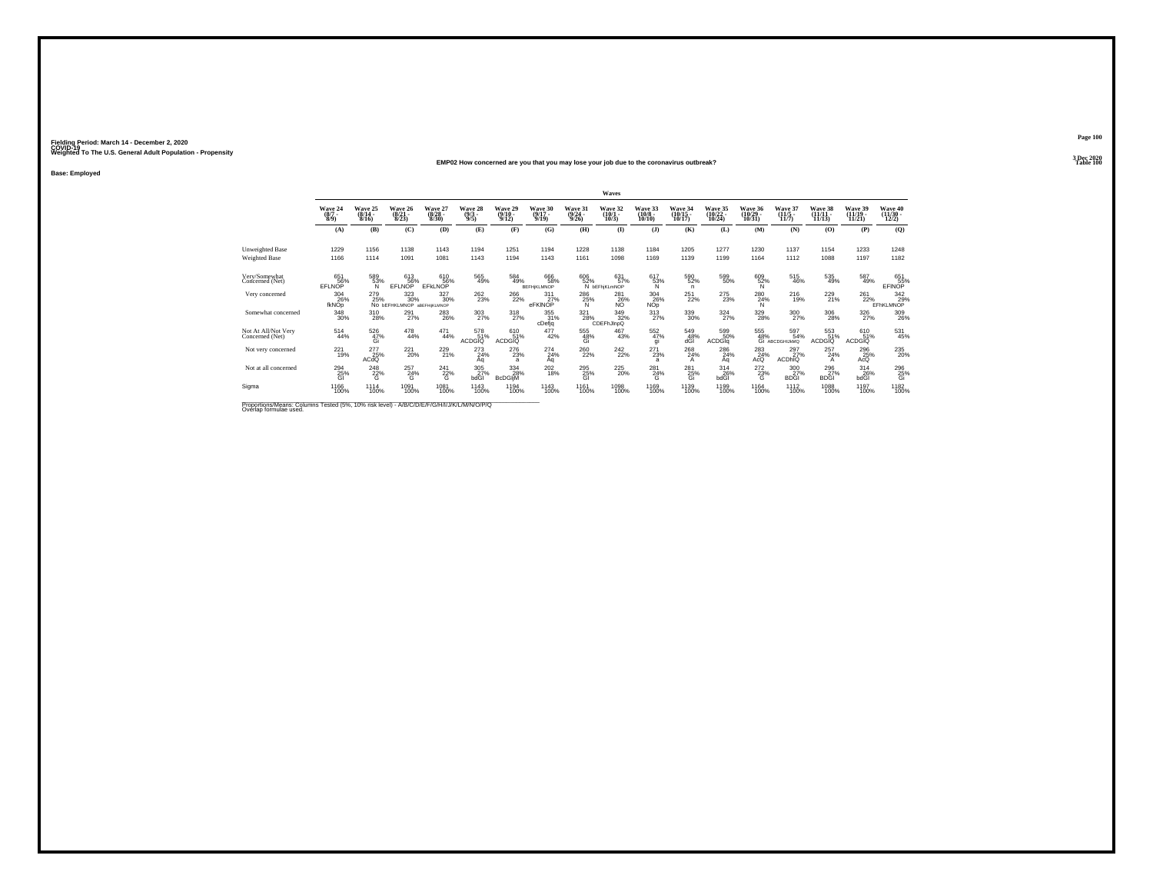#### **EMP02 How concerned are you that you may lose your job due to the coronavirus outbreak?Table 100 Table 100**

**Base: Employed**

|                                                                                                                     |                            |                              |                                          |                                  |                                |                              |                                  |                              | Waves                              |                                   |                   |                                |                                |                                                 |                                |                                |                                                             |
|---------------------------------------------------------------------------------------------------------------------|----------------------------|------------------------------|------------------------------------------|----------------------------------|--------------------------------|------------------------------|----------------------------------|------------------------------|------------------------------------|-----------------------------------|-------------------|--------------------------------|--------------------------------|-------------------------------------------------|--------------------------------|--------------------------------|-------------------------------------------------------------|
|                                                                                                                     | Wave 24<br>$(8/7 -$<br>8/9 | Wave 25<br>$(8/14 -$<br>8/16 | Wave 26<br>$(8/21 -$<br>8/23             | Wave 27<br>$\frac{(8/28)}{8/30}$ | Wave 28<br>$\frac{(9/3)}{9/5}$ | Wave 29<br>$(9/10 -$<br>9/12 | Wave 30<br>$(9/17 -$<br>9/19     | Wave 31<br>$(9/24 -$<br>9/26 | Wave 32<br>$(10/1 -$<br>10/3       | Wave 33<br>$(10/8 -$<br>10/10     | Wave 34<br>10/17  | Wave 35<br>$(10/22 -$<br>10/24 | Wave 36<br>$(10/29 -$<br>10/31 | Wave 37<br>$(11/5 -$<br>11/7                    | Wave 38<br>$(11/11 -$<br>11/13 | Wave 39<br>$(11/19 -$<br>11/21 | Wave 40<br>$\frac{(11/30 - 12)}{12/2}$                      |
|                                                                                                                     | (A)                        | (B)                          | (C)                                      | (D)                              | (E)                            | (F)                          | (G)                              | (H)                          | $\bf{I}$                           | $($ $)$                           | (K)               | (L)                            | (M)                            | (N)                                             | (0)                            | (P)                            | (Q)                                                         |
| Unweighted Base<br><b>Weighted Base</b>                                                                             | 1229<br>1166               | 1156<br>1114                 | 1138<br>1091                             | 1143<br>1081                     | 1194<br>1143                   | 1251<br>1194                 | 1194<br>1143                     | 1228<br>1161                 | 1138<br>1098                       | 1184<br>1169                      | 1205<br>1139      | 1277<br>1199                   | 1230<br>1164                   | 1137<br>1112                                    | 1154<br>1088                   | 1233<br>1197                   | 1248<br>1182                                                |
| Very/Somewhat<br>Concerned (Net)                                                                                    | 651<br>56%<br>EFLNOP       | 589<br>53%<br>N              | 613<br>56%<br>EFLNOP                     | 610<br>56%<br>EFKLNOP            | 565<br>49%                     | 584<br>49%                   | 666<br>58%<br><b>BEFHIKLMNOP</b> | 606<br>52%                   | 631<br>57%<br>N <b>bEFhiKLmNOP</b> | 617<br>53%<br>Ñ                   | 590<br>52%<br>n   | 599<br>50%                     | 609<br>52%<br>N                | 515<br>46%                                      | 535<br>49%                     | 587<br>49%                     | $\begin{array}{c} 651 \\ 55\% \\ \text{EFINOP} \end{array}$ |
| Very concerned                                                                                                      | 304<br>26%<br>fkNOp        | 279<br>25%                   | 323<br>30%<br>NO DEFHKLMNOP ABEFHIKLMNOP | 327<br>30%                       | 262<br>23%                     | 266<br>22%                   | 311<br>27%<br>eFKINOP            | 286<br>$\frac{25}{N}$        | 281<br>26%                         | 304<br>$N^{26}_{\text{op}}$       | 251<br>22%        | 275<br>23%                     | $\frac{280}{24\%}$             | 216<br>19%                                      | 229<br>21%                     | 261<br>22%                     | 342<br>%29%<br>EFhKLMNOP                                    |
| Somewhat concerned                                                                                                  | 348<br>30%                 | 310<br>28%                   | $^{291}_{27\%}$                          | <sup>283</sup> <sub>26%</sub>    | 303<br>27%                     | $^{318}_{27\%}$              | 355<br>31%<br>cDefjq             | $\frac{321}{28\%}$           | 349<br>32%<br>CDEFhJInpQ           | $^{313}_{27\%}$                   | 339<br>30%        | $\frac{324}{27\%}$             | $^{329}_{\phantom{2}28\%}$     | $\frac{300}{27\%}$                              | 306<br>28%                     | $\frac{326}{27\%}$             | 309<br>26%                                                  |
| Not At All/Not Very<br>Concerned (Net)                                                                              | 514<br>44%                 | 526<br>47%<br>Gi             | $^{478}_{44\%}$                          | $^{471}_{44\%}$                  | 578<br>51%<br><b>ACDGIO</b>    | 61051%<br><b>ACDGIO</b>      | 477<br>42%                       | 555<br>48%<br>Gi             | 467<br>43%                         | 552 %<br>gi                       | 549<br>48%<br>dĜĪ | 599<br>50%<br><b>ACDGIa</b>    |                                | 555 597<br>48% 54% 6i ABCDGHIJKMQ<br>597<br>54% | 553<br>51%<br>ACDGIO           | 610<br>51%<br>ACDGIO           | 531<br>45%                                                  |
| Not very concerned                                                                                                  | 221<br>19%                 | 277<br>25%<br>ACdQ           | $^{221}_{20\%}$                          | $^{229}_{21\%}$                  | 273<br>24%<br>Αa               | 276<br>23%<br>$\overline{a}$ | $^{274}_{24\%}$<br>Aq            | 260<br>22%                   | 242<br>22%                         | $^{271}_{23\%}$<br>$\overline{a}$ | 268<br>24%<br>A   | 286<br>24%<br>Aq               | $^{283}_{24\%}$<br>AcQ         | 297<br>27%<br><b>ACDHIQ</b>                     | 257<br>24%<br>$\mathsf{A}$     | 296<br>A <sub>25%</sub>        | 235<br>20%                                                  |
| Not at all concerned                                                                                                | 294<br>25%<br>GI           | 248<br>22%<br>G              | $^{257}_{24\%}$<br>G                     | $^{241}_{22\%}$<br>G             | 305<br>27%<br>bdGI             | 334<br>28%<br><b>BcDGIM</b>  | $^{202}_{18\%}$                  | 295<br>25%<br>GI             | 225<br>20%                         | 281<br>24%<br>G                   | 281<br>25%<br>Gi  | $\frac{314}{26\%}$<br>bdGl     | $^{272}_{23\%}$<br>G           | 300<br>27%<br><b>BDGI</b>                       | 296<br>27%<br><b>BDGI</b>      | $^{314}_{26\%}$<br>bdGI        | $^{296}_{\substack{25\%\\6i}}$                              |
| Sigma                                                                                                               | 1166<br>100%               | 1114<br>100%                 | 1091<br>100%                             | 1081<br>100%                     | 1143<br>100%                   | 1194<br>100%                 | 1143<br>100%                     | 1161<br>100%                 | 1098<br>100%                       | 1169<br>100%                      | 1139<br>100%      | 1199<br>100%                   | 1164<br>100%                   | 1112<br>100%                                    | 1088<br>100%                   | 1197<br>100%                   | 1182<br>100%                                                |
| Proportions/Means: Columns Tested (5%, 10% risk level) - A/B/C/D/E/F/G/H/I/J/K/L/M/N/O/P/Q<br>Overlap formulae used |                            |                              |                                          |                                  |                                |                              |                                  |                              |                                    |                                   |                   |                                |                                |                                                 |                                |                                |                                                             |

**Page 1003 Dec 2020<br>Table 100**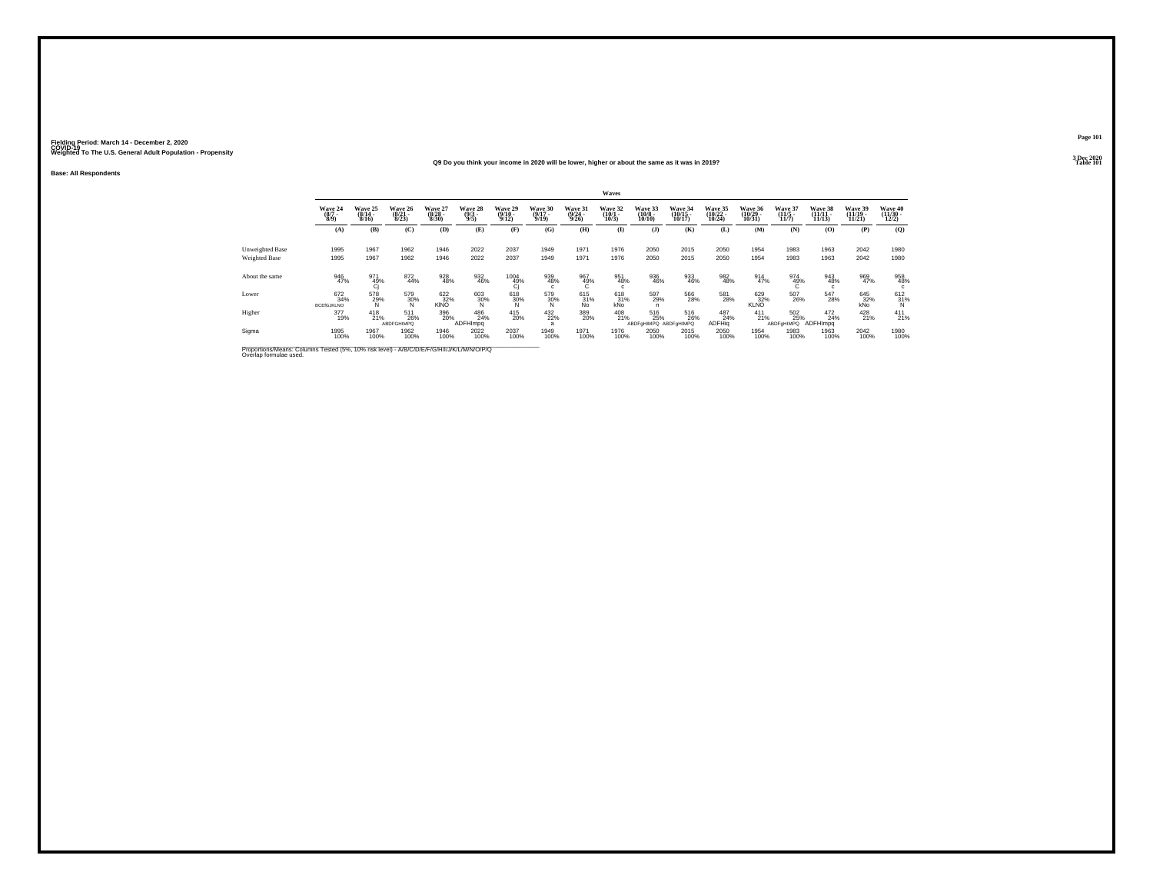#### **Q9 Do you think your income in 2020 will be lower, higher or about the same as it was in 2019?Table 101 Table 101**

**Base: All Respondents**

|                                                                                                                      |                                 |                              |                                  |                                  |                                |                                       |                                     |                                         | Waves                           |                                     |                                    |                               |                               |                                  |                                |                                |                              |
|----------------------------------------------------------------------------------------------------------------------|---------------------------------|------------------------------|----------------------------------|----------------------------------|--------------------------------|---------------------------------------|-------------------------------------|-----------------------------------------|---------------------------------|-------------------------------------|------------------------------------|-------------------------------|-------------------------------|----------------------------------|--------------------------------|--------------------------------|------------------------------|
|                                                                                                                      | Wave 24<br>$\frac{(8/7)}{8/9}$  | Wave 25<br>$(8/14 -$<br>8/16 | Wave 26<br>$\frac{(8/21)}{8/23}$ | Wave 27<br>$\frac{(8/28)}{8/30}$ | Wave 28<br>$\frac{(9/3)}{9/5}$ | Wave 29<br>$\frac{(9/10)}{9/12}$      | <b>Wave 30</b><br>$(9/17 -$<br>9/19 | <b>Wave 31</b><br>$\frac{(9/24)}{9/26}$ | Wave 32<br>$\binom{10/1}{10/3}$ | Wave 33<br>$\binom{10/8}{10/10}$    | Wave 34<br>$\frac{(10/15)}{10/17}$ | Wave 35<br>(10/22 -<br>10/24) | Wave 36<br>(10/29 -<br>10/31) | Wave 37<br>$\frac{(11/5)}{11/7}$ | Wave 38<br>$(11/11 -$<br>11/13 | Wave 39<br>$(11/19 -$<br>11/21 | Wave 40<br>(11/30 -<br>12/2) |
|                                                                                                                      | (A)                             | (B)                          | (C)                              | (D)                              | (E)                            | (F)                                   | (G)                                 | (H)                                     | $\mathbf{I}$                    | $($ $)$                             | (K)                                | (L)                           | <b>(M)</b>                    | (N)                              | (0)                            | (P)                            | (Q)                          |
| Unweighted Base<br><b>Weighted Base</b>                                                                              | 1995<br>1995                    | 1967<br>1967                 | 1962<br>1962                     | 1946<br>1946                     | 2022<br>2022                   | 2037<br>2037                          | 1949<br>1949                        | 1971<br>1971                            | 1976<br>1976                    | 2050<br>2050                        | 2015<br>2015                       | 2050<br>2050                  | 1954<br>1954                  | 1983<br>1983                     | 1963<br>1963                   | 2042<br>2042                   | 1980<br>1980                 |
| About the same                                                                                                       | 946<br>47%                      | 971<br>49%<br>Ci             | 872<br>44%                       | 928<br>48%                       | 932<br>46%                     | $^{1004}_{\substack{49\\ \text{Cj}}}$ | 939<br>48%<br>c                     | 967<br>49%                              | 951<br>48%<br>c                 | 936<br>46%                          | 933<br>46%                         | 982<br>48%                    | 914<br>47%                    | 974<br>49%                       | 943<br>48%<br>c                | 969<br>47%                     | 958<br>48%<br>c              |
| Lower                                                                                                                | 672<br>34%<br><b>BCEIGJKLNO</b> | 578<br>29%                   | 579<br>30%                       | 622<br>32%<br>KINO               | 603<br>30%                     | 618<br>30%                            | 579<br>30%                          | 615<br>31%<br><b>No</b>                 | 618<br>31%<br>kÑo               | 597<br>29%<br>n                     | 566<br>28%                         | 581<br>28%                    | 629<br>32%<br><b>KLNO</b>     | 507<br>26%                       | 547<br>28%                     | 645<br>32%<br>kÑo              | $^{612}_{31\%}$              |
| Higher                                                                                                               | 377<br>19%                      | $^{418}_{21\%}$              | 511<br>26%<br><b>ABDFGHIMPQ</b>  | 396<br>20%                       | 486<br>24%<br>ADFHImpg         | 415<br>20%                            | $^{432}_{22\%}$<br>ă                | 389<br>20%                              | 408<br>21%                      | 516<br>25%<br>ABDFoHIMPQ ABDFoHIMPQ | 516<br>26%                         | 487<br>24%<br><b>ADFHig</b>   | 411<br>21%                    | 502<br>25%<br>ABDFaHIMPQ         | 472<br>24%<br>ADFHImpg         | 428<br>21%                     | $^{411}_{21\%}$              |
| Sigma                                                                                                                | 1995<br>100%                    | 1967<br>100%                 | 1962<br>100%                     | 1946<br>100%                     | 2022<br>100%                   | 2037<br>100%                          | 1949<br>100%                        | 1971<br>100%                            | 1976<br>100%                    | 2050<br>100%                        | 2015<br>100%                       | 2050<br>100%                  | 1954<br>100%                  | 1983<br>100%                     | 1963<br>100%                   | 2042<br>100%                   | 1980<br>100%                 |
| Proportions/Means: Columns Tested (5%, 10% risk level) - A/B/C/D/E/F/G/H/I/J/K/L/M/N/O/P/Q<br>Overlap formulae used. |                                 |                              |                                  |                                  |                                |                                       |                                     |                                         |                                 |                                     |                                    |                               |                               |                                  |                                |                                |                              |

**Page 1013 Dec 2020<br>Table 101**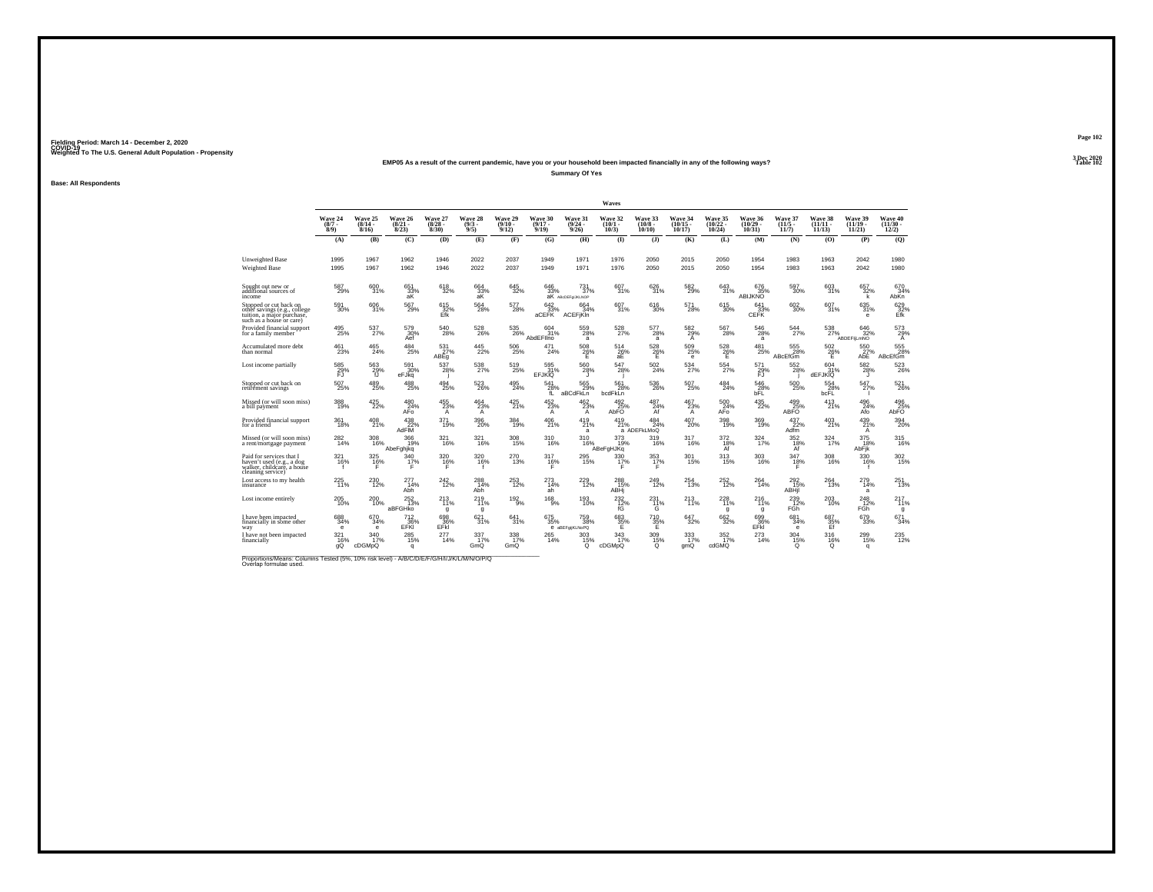### **EMP05 As a result of the current pandemic, have you or your household been impacted financially in any of the following ways?**

**Summary Of Yes**

**Base: All Respondents**

|                                                                                                                  |                               |                                         |                                  |                                    |                               |                            |                                  |                                        | Waves                            |                                        |                                   |                                     |                                    |                                           |                                       |                                |                                                          |
|------------------------------------------------------------------------------------------------------------------|-------------------------------|-----------------------------------------|----------------------------------|------------------------------------|-------------------------------|----------------------------|----------------------------------|----------------------------------------|----------------------------------|----------------------------------------|-----------------------------------|-------------------------------------|------------------------------------|-------------------------------------------|---------------------------------------|--------------------------------|----------------------------------------------------------|
|                                                                                                                  | Wave 24<br>$\binom{8/7}{8/9}$ | Wave 25<br>$\frac{(8/14 - 8/16)}{8/16}$ | Wave 26<br>$\frac{(8/21)}{8/23}$ | Wave 27<br>$\binom{8/28}{8/30}$    | Wave 28<br>$\binom{9/3}{9/5}$ | Wave 29<br>$\binom{9}{12}$ | Wave 30<br>$\frac{(9/17)}{9/19}$ | <b>Wave 31</b><br>$\binom{9/24}{9/26}$ | Wave 32<br>$(10/1 -$<br>$10/3$ ) | Wave 33<br>$\frac{(10/8 - 10)}{10/10}$ | Wave 34<br>$\binom{10/15}{10/17}$ | Wave 35<br>$\binom{10/22}{10/24}$   | Wave 36<br>$\frac{(10/29)}{10/31}$ | Wave 37<br>$\binom{11/5}{11/7}$           | <b>Wave 38</b><br>$(11/11 -$<br>11/13 | Wave 39<br>$(11/19 -$<br>11/21 | Wave 40<br>$(11/30 -$<br>12/2)                           |
|                                                                                                                  | (A)                           | (B)                                     | (C)                              | (D)                                | (E)                           | (F)                        | (G)                              | (H)                                    | $($ $\Gamma$                     | $($ $\bf{J}$ )                         | (K)                               | (L)                                 | (M)                                | (N)                                       | (0)                                   | (P)                            | (Q)                                                      |
| <b>Unweighted Base</b><br><b>Weighted Base</b>                                                                   | 1995<br>1995                  | 1967<br>1967                            | 1962<br>1962                     | 1946<br>1946                       | 2022<br>2022                  | 2037<br>2037               | 1949<br>1949                     | 1971<br>1971                           | 1976<br>1976                     | 2050<br>2050                           | 2015<br>2015                      | 2050<br>2050                        | 1954<br>1954                       | 1983<br>1983                              | 1963<br>1963                          | 2042<br>2042                   | 1980<br>1980                                             |
| Sought out new or<br>additional sources of<br>income                                                             | 587<br>29%                    | 600<br>31%                              | 651<br>$\frac{33\%}{\text{aK}}$  | 618<br>32%                         | 664<br>$\frac{33}{4}$         | 645<br>32%                 | 646<br>33%                       | 731<br>37%<br><b>aK</b> ABCDEFOLIKLNOP | 607<br>31%                       | 626<br>31%                             | 582<br>29%                        | 643<br>31%                          | 676<br>35%<br>ABIJKNO              | 597<br>30%                                | 603<br>31%                            | 657<br>32%<br>k                | 670<br>34%<br>AbKn                                       |
| Stopped or cut back on<br>othèr savings (e.g., college<br>tuition, a major purchase.<br>such as a house or care) | $^{591}_{30\%}$               | 606<br>31%                              | 567<br>29%                       | $^{615}_{32\%}$ Efk                | $^{564}_{28\%}$               | 577<br>28%                 | 642<br>33%<br>aCEFK              | 664<br>34%<br><b>ACEFIKIn</b>          | 607<br>31%                       | 616<br>30%                             | 571<br>28%                        | 615<br>30%                          | 641<br>33%<br>CEFK                 | $^{602}_{30\%}$                           | 607 <sub>31%</sub>                    | $^{635}_{31\%}$<br>е           | $\begin{array}{c} 629 \\ 32\% \\ \text{Efk} \end{array}$ |
| Provided financial support<br>for a family member                                                                | 495<br>25%                    | $^{537}_{27\%}$                         | 579<br>30%<br>Aef                | $^{540}_{28\%}$                    | 528<br>26%                    | 535<br>26%                 | 604<br>31%<br>AbdEFIIno          | $^{559}_{28\%}$<br>a                   | 528<br>27%                       | 577<br>28%<br>a                        | 582<br>29%<br>Α                   | $^{567}_{28\%}$                     | $^{546}_{28\%}$<br>a               | 544                                       | 538<br>27%                            | 646<br>32%<br>ABDEFILMNO       | 573<br>29%<br>$\mathsf{A}$                               |
| Accumulated more debt<br>than normal                                                                             | $^{461}_{23\%}$               | $^{465}_{24\%}$                         | $^{484}_{\ 25\%}$                | $^{531}_{27\%}$ ABEg               | 445<br>22%                    | $^{506}_{25\%}$            | 471<br>24%                       | $^{508}_{\  \  \, 26\%}$               | 514<br>$\frac{26}{aE}$           | $^{528}_{\  \  \, 26\%}$               | 509<br>25%<br>e                   | $^{528}_{\  \  \, 26\%}$            | $^{481}_{25\%}$                    | 555<br>28%<br><b>ABcEfGm</b>              | $^{502}_{\  \  \, \rm{Z}6\%}$         | $^{550}_{27\%}$<br>AbE         | 555<br><b>ABcEfGm</b>                                    |
| Lost income partially                                                                                            | 585<br>29%                    | 563<br>29%                              | 591<br>30%<br>eFJka              | 537<br>28%                         | 538<br>27%                    | 519<br>25%                 | 595<br>31%<br><b>EFJKIQ</b>      | 560<br>28%<br>л                        | 547<br>28%                       | 502<br>24%                             | 534<br>27%                        | $^{554}_{27\%}$                     | 571<br>29%                         | 552<br>28%                                | 604<br>31%<br>dEFJKIQ                 | 582<br>28%<br>u                | 523<br>26%                                               |
| Stopped or cut back on<br>retirement savings                                                                     | $^{507}_{25\%}$               | 489<br>25%                              | $^{488}_{25\%}$                  | 494<br>25%                         | 523<br>26%                    | 495<br>24%                 | 541<br>28%<br>fL                 | $\frac{565}{29\%}$<br>aBCdFkLn         | 561<br>28%<br>bcdFkLn            | 536<br>26%                             | 507<br>25%                        | $^{484}_{\  \, 24\%}$               | 546<br>28%<br>bFL                  | $500 \\ 25\%$                             | 554<br>28%<br>bcFL                    | 547<br>27%                     | 521<br>26%                                               |
| Missed (or will soon miss)<br>a bill payment                                                                     | 388<br>19%                    | 425<br>22%                              | 480<br>24%<br>AFo                | $^{455}_{23\%}$<br>$\mathsf{A}$    | 464<br>23%<br>A               | 425<br>21%                 | 452<br>23%<br>Α                  | 462<br>$^{23\%}_{A}$                   | 492<br>25%<br>AbFO               | 487<br>24%<br>Āf                       | 467<br>23%<br>A                   | 500<br>24%<br>AFo                   | 435<br>22%                         | 499<br>25%<br><b>ABFO</b>                 | 413<br>21%                            | 496<br>24%<br>Afo              | $\frac{496}{25\%}$ AbFO                                  |
| Provided financial support<br>for a friend                                                                       | 361<br>18%                    | 408<br>21%                              | $^{438}_{22\%}$<br>AdFIM         | 371<br>19%                         | $^{396}_{20\%}$               | 384<br>19%                 | $^{406}_{21\%}$                  | $^{419}_{21\%}$<br>a                   | 419<br>21%                       | $^{484}_{24\%}$<br>a ADEFKLMoQ         | 407<br>20%                        | 398<br>19%                          | 369<br>19%                         | $^{437}_{22\%}$<br>Adfm                   | 403<br>21%                            | 439/21%<br>$\mathsf{A}$        | 394<br>20%                                               |
| Missed (or will soon miss)<br>a rent/mortgage payment                                                            | 282<br>14%                    | 308<br>16%                              | 366<br>19%<br>AbeFghjkq          | $\frac{321}{16\%}$                 | 321<br>16%                    | 308<br>15%                 | 310<br>16%                       | 310<br>16%                             | 373<br>19%<br><b>ABeFgHJKg</b>   | 319<br>16%                             | 317<br>16%                        | $^{372}_{\substack{18\% \ \rm Af}}$ | 324<br>17%                         | $\underset{\mathsf{A}\mathsf{f}}{^{352}}$ | 324<br>17%                            | 375<br>18%<br>AbFik            | 315<br>16%                                               |
| Paid for services that I<br>haven't used (e.g., a dog<br>walker, childcare, a house<br>cleaning service)         | 321<br>16%                    | 325<br>16%                              | 340<br>17%                       | 320<br>$\frac{16}{5}$              | 320<br>16%                    | 270<br>13%                 | 317<br>16%                       | 295<br>15%                             | 330<br>$\frac{17}{5}$            | 353<br>17%<br>F                        | 301<br>15%                        | 313<br>15%                          | 303<br>16%                         | 347<br>18%                                | 308<br>16%                            | 330<br>16%                     | $\frac{302}{15\%}$                                       |
| Lost access to my health<br>insurance                                                                            | 225<br>11%                    | 230<br>12%                              | 277<br>14%<br>Abh                | 242<br>12%                         | 288<br>14%<br>Abh             | 253<br>12%                 | 273<br>14%<br>ah                 | 229<br>12%                             | 288<br>15%<br>ABH                | 249<br>12%                             | 254<br>13%                        | 252<br>12%                          | 264<br>14%                         | 292<br>$\frac{492}{15\%}$ ABHjl           | 264<br>13%                            | 279<br>14%<br>a                | 251<br>13%                                               |
| Lost income entirely                                                                                             | 205<br>10%                    | $^{200}_{10\%}$                         | $^{252}_{13\%}$<br>aBFGHko       | <sup>213</sup> <sub>11%</sub><br>g | 219<br>11%<br>g               | 192/9%                     | $^{168}_{9%}$                    | 193<br>10%                             | $^{232}_{12\%}$                  | $^{231}_{11\%}$                        | 213<br>11%                        | 228<br>11%<br>g                     | 216<br>11%<br>g                    | $^{239}_{12\%}$<br>FĠĥ                    | 203<br>10%                            | $^{248}_{12\%}$<br>FĠĥ         | 217%<br>g                                                |
| I have been impacted<br>financially in some other<br>way                                                         | 688<br>34%<br>е               | 670<br>34%<br>$\mathbf e$               | 712<br><b>EFKI</b>               | 698<br>EFK                         | 621<br>31%                    | 641<br>31%                 | 675<br>35%                       | 759<br>38%<br>e aBEFgijKLNoPQ          | 683<br>$\frac{35}{5}$ %          | 710<br>$\frac{35}{5}$ %                | 647<br>32%                        | 662<br>32%                          | 699<br>$E$ FKI                     | 681<br>34%<br>e                           | 687<br>$\frac{35}{5}$                 | 679<br>33%                     | 671<br>34%                                               |
| I have not been impacted<br>financially                                                                          | 321<br>16%<br>qQ              | 340<br>17%<br>cDGMpQ                    | $^{285}_{15\%}$<br>q             | $^{277}_{14\%}$                    | $\frac{337}{17\%}$<br>GmQ     | 338<br>17%<br>GmQ          | 265<br>14%                       | 303<br>15%<br>Q                        | 343<br>17%<br>cDGMpQ             | $^{309}_{15\%}$<br>Q                   | $\frac{333}{17\%}$<br>gmQ         | $\frac{352}{17}\%$<br>cdGMQ         | $^{273}_{14\%}$                    | $\frac{304}{15\%}$<br>Q                   | 316<br>16%<br>Q                       | 299<br>15%<br>q                | 235<br>12%                                               |

Proportions/Means: Columns Tested (5%, 10% risk level) - *N\B/C/D/E/F/G/H/I/J/K/L/M/N/O/P/Q*<br>Overlap formulae used.

**Page 1023 Dec 2020<br>Table 102** 

**Properties and the contract of the contract of the contract of the contract of the contract of the contract of the contract of the contract of the contract of the contract of the contract of the contract of the contract o**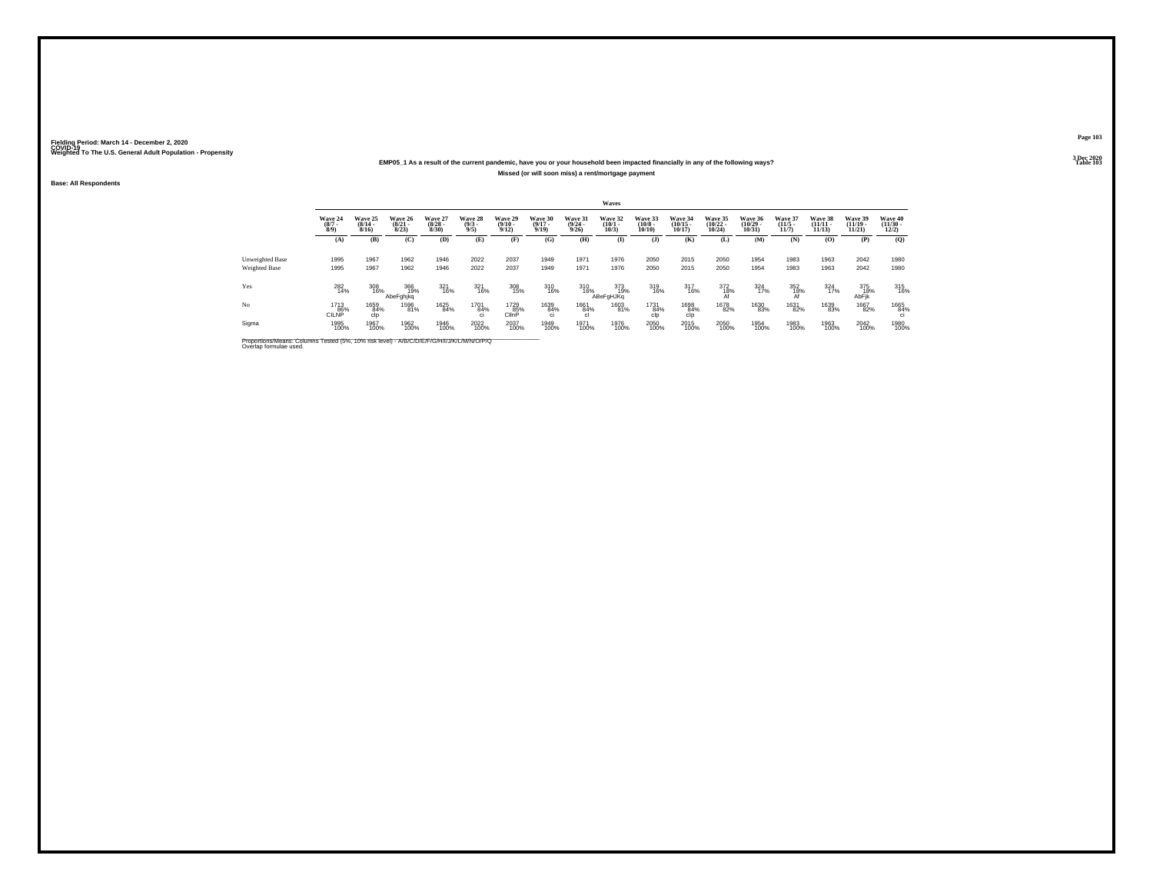### **EMP05\_1 As a result of the current pandemic, have you or your household been impacted financially in any of the following ways?Missed (or will soon miss) a rent/mortgage payment**

**Base: All Respondents**

|                                  |                               |                              |                              |                                 |                               |                            |                                         |                                         | Waves                        |                                  |                                |                                   |                                   |                                 |                                |                                |                                          |
|----------------------------------|-------------------------------|------------------------------|------------------------------|---------------------------------|-------------------------------|----------------------------|-----------------------------------------|-----------------------------------------|------------------------------|----------------------------------|--------------------------------|-----------------------------------|-----------------------------------|---------------------------------|--------------------------------|--------------------------------|------------------------------------------|
|                                  | Wave 24<br>$\binom{8/7}{8/9}$ | Wave 25<br>$(8/14 -$<br>8/16 | Wave 26<br>$(8/21 -$<br>8/23 | Wave 27<br>$\binom{8/28}{8/30}$ | Wave 28<br>$\binom{9/3}{9/5}$ | Wave 29<br>$\binom{9}{12}$ | Wave 30<br>$\frac{(9/17 - 9/19)}{9/19}$ | Wave 31<br>$\frac{(9/24 - 9/26)}{9/26}$ | Wave 32<br>$(10/1 -$<br>10/3 | Wave 33<br>$\binom{10/8}{10/10}$ | Wave 34<br>$(10/15 -$<br>10/17 | Wave 35<br>$\binom{10/22}{10/24}$ | Wave 36<br>$\binom{10/29}{10/31}$ | Wave 37<br>$\binom{11/5}{11/7}$ | Wave 38<br>$(11/11 -$<br>11/13 | Wave 39<br>$(11/19 -$<br>11/21 | Wave 40<br>$\frac{(11/30 - 12/2)}{12/2}$ |
|                                  | (A)                           | (B)                          | (C)                          | (D)                             | (E)                           | (F)                        | (G)                                     | (H)                                     | $\bf{I}$                     | (J)                              | (K)                            | (L)                               | (M)                               | (N)                             | (0)                            | (P)                            | (0)                                      |
| Unweighted Base<br>Weighted Base | 1995<br>1995                  | 1967<br>1967                 | 1962<br>1962                 | 1946<br>1946                    | 2022<br>2022                  | 2037<br>2037               | 1949<br>1949                            | 1971<br>1971                            | 1976<br>1976                 | 2050<br>2050                     | 2015<br>2015                   | 2050<br>2050                      | 1954<br>1954                      | 1983<br>1983                    | 1963<br>1963                   | 2042<br>2042                   | 1980<br>1980                             |
| Yes                              | $^{282}_{14\%}$               | 308<br>16%                   | 366<br>19%<br>AbeFghjkq      | 321<br>16%                      | 321<br>16%                    | 308<br>15%                 | 310<br>16%                              |                                         | 310<br>16%<br>ABeFgHJKq      | 319<br>16%                       | $\frac{317}{16\%}$             | $\underset{\mathsf{Af}}{^{372}}$  | $\frac{324}{17\%}$                | 352<br>18%                      | 324<br>17%                     | 375<br>18%<br>AbFjk            | $\frac{315}{16\%}$                       |
| No                               | 1713<br>86%<br><b>CILNP</b>   | 1659<br>84%<br>clp           | 1596<br>81%                  | 1625<br>84%                     | 1701<br>84%<br>ci             | 1729<br>85%<br>ClinP       | 1639<br>84%<br>ci                       | 1661<br>84%<br>c.                       | 1603<br>81%                  | 1731<br>84%<br>clo               | 1698<br>84%<br>clp             | 1678<br>82%                       | 1630<br>83%                       | 1631<br>82%                     | 1639<br>83%                    | 1667<br>82%                    | 1665<br>84%                              |
| Sigma                            | 1995<br>100%                  | 1967<br>100%                 | 1962<br>100%                 | 1946<br>100%                    | 2022<br>100%                  | 2037<br>100%               | 1949<br>100%                            | 1971<br>100%                            | 1976<br>100%                 | 2050<br>100%                     | 2015<br>100%                   | 2050<br>100%                      | 1954<br>100%                      | 1983<br>100%                    | 1963<br>100%                   | 2042<br>100%                   | 1980<br>100%                             |

Proportions/Means: Columns Tested (5%, 10% risk level) - *N'B/C/D/E/F/G/H/I/J/K/L/M/N/O/P/Q*<br>Overlap formulae used.

**Page 103**

**3 Dec 2020<br>Table 103 Table 103 Table 103**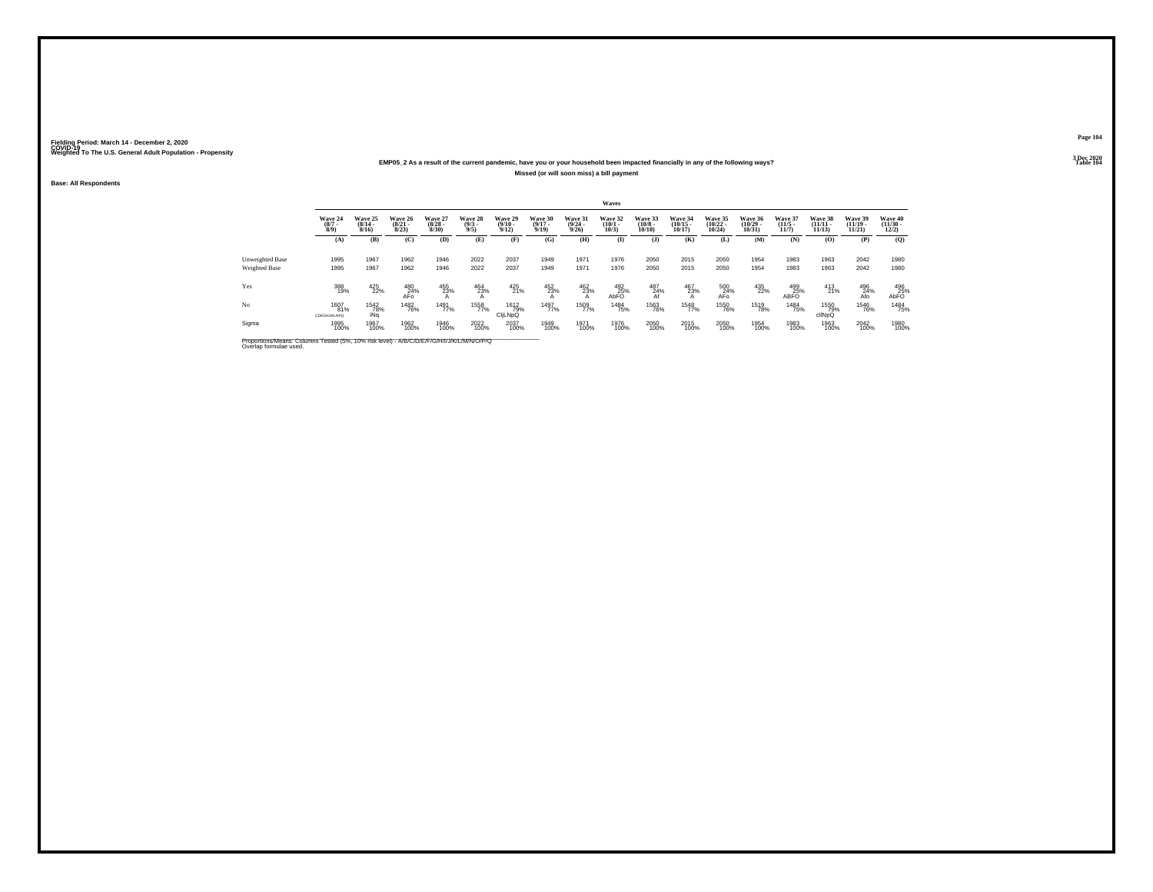### **EMP05\_2 As a result of the current pandemic, have you or your household been impacted financially in any of the following ways?Missed (or will soon miss) a bill payment**

**Base: All Respondents**

|                 |                               |                              |                                  |                                 |                               |                                         |                                  |                                  | Waves                           |                                       |                                    |                                   |                                   |                                                                               |                                |                                |                                  |
|-----------------|-------------------------------|------------------------------|----------------------------------|---------------------------------|-------------------------------|-----------------------------------------|----------------------------------|----------------------------------|---------------------------------|---------------------------------------|------------------------------------|-----------------------------------|-----------------------------------|-------------------------------------------------------------------------------|--------------------------------|--------------------------------|----------------------------------|
|                 | Wave 24<br>$\binom{8/7}{8/9}$ | Wave 25<br>$(8/14 -$<br>8/16 | Wave 26<br>$\frac{(8/21)}{8/23}$ | Wave 27<br>$\binom{8/28}{8/30}$ | Wave 28<br>$\binom{9/3}{9/5}$ | Wave 29<br>$\frac{(9/10 - 9/12)}{9/12}$ | Wave 30<br>$\frac{(9/17)}{9/19}$ | Wave 31<br>$\frac{(9/24)}{9/26}$ | Wave 32<br>$\binom{10/1}{10/3}$ | Wave 33<br>$\binom{10/8 - 10}{10/10}$ | Wave 34<br>$\frac{(10/15)}{10/17}$ | Wave 35<br>$\binom{10/22}{10/24}$ | Wave 36<br>$\binom{10/29}{10/31}$ | Wave 37<br>$\binom{11/5}{11/7}$                                               | Wave 38<br>$(11/11 -$<br>11/13 | Wave 39<br>$(11/19 -$<br>11/21 | Wave 40<br>$\binom{11/30}{12/2}$ |
|                 | (A)                           | (B)                          | (C)                              | (D)                             | (E)                           | (F)                                     | (G)                              | (H)                              | $\mathbf{I}$                    | $($ $\bf{J}$ )                        | (K)                                | (L)                               | (M)                               | (N)                                                                           | (0)                            | (P)                            | (Q)                              |
| Unweighted Base | 1995                          | 1967                         | 1962                             | 1946                            | 2022                          | 2037                                    | 1949                             | 1971                             | 1976                            | 2050                                  | 2015                               | 2050                              | 1954                              | 1983                                                                          | 1963                           | 2042                           | 1980                             |
| Weighted Base   | 1995                          | 1967                         | 1962                             | 1946                            | 2022                          | 2037                                    | 1949                             | 1971                             | 1976                            | 2050                                  | 2015                               | 2050                              | 1954                              | 1983                                                                          | 1963                           | 2042                           | 1980                             |
| Yes             | 388<br>19%                    | 425<br>22%                   | 480<br>24%<br>AFO                | 455<br>23%                      | 464<br>23%                    | 425<br>21%                              | 452<br>23%                       | $\frac{462}{23\%}$               | $^{492}_{25\%}$ AbFO            | $\frac{487}{24\%}$                    | 467<br>23%                         | 500<br>24%<br>AFo                 | 435<br>22%                        | $\begin{array}{r} \textbf{499} \\ \textbf{25\%} \\ \textbf{ABFO} \end{array}$ | 413<br>21%                     | $^{496}_{24\%}$<br>Afo         | 496<br>25%<br>AbFO               |
| No              | 1607<br>81%<br>CDEGHLIKLNPQ   | <sup>1542</sup> 78%<br>iNa   | <sup>1482</sup> 76%              | 1491<br>77%                     | 1558<br>77%                   | 1612<br>79%<br>CILNpQ                   | 1497<br>77%                      | 1509<br>77%                      | 1484<br>75%                     | 1563<br>76%                           | 1548<br>77%                        | <sup>1550</sup> 76%               | 1519<br>78%                       | <sup>1484</sup> 75%                                                           | 1550<br>79%<br>cllNpQ          | <sup>1546</sup> 76%            | <sup>1484</sup> 75%              |
| Sigma           | 1995<br>100%                  | 1967<br>100%                 | 1962<br>100%                     | 1946<br>100%                    | 2022<br>100%                  | 2037<br>100%                            | 1949<br>100%                     | 1971<br>100%                     | 1976<br>100%                    | 2050<br>100%                          | 2015<br>100%                       | 2050<br>100%                      | 1954<br>100%                      | 1983<br>100%                                                                  | 1963<br>100%                   | 2042<br>100%                   | 1980<br>100%                     |

Proportions/Means: Columns Tested (5%, 10% risk level) - *N'B/C/D/E/F/G/H/I/J/K/L/M/N/O/P/Q*<br>Overlap formulae used.

**Page 1043 Dec 2020<br>Table 104** 

**Table 104 Table 104**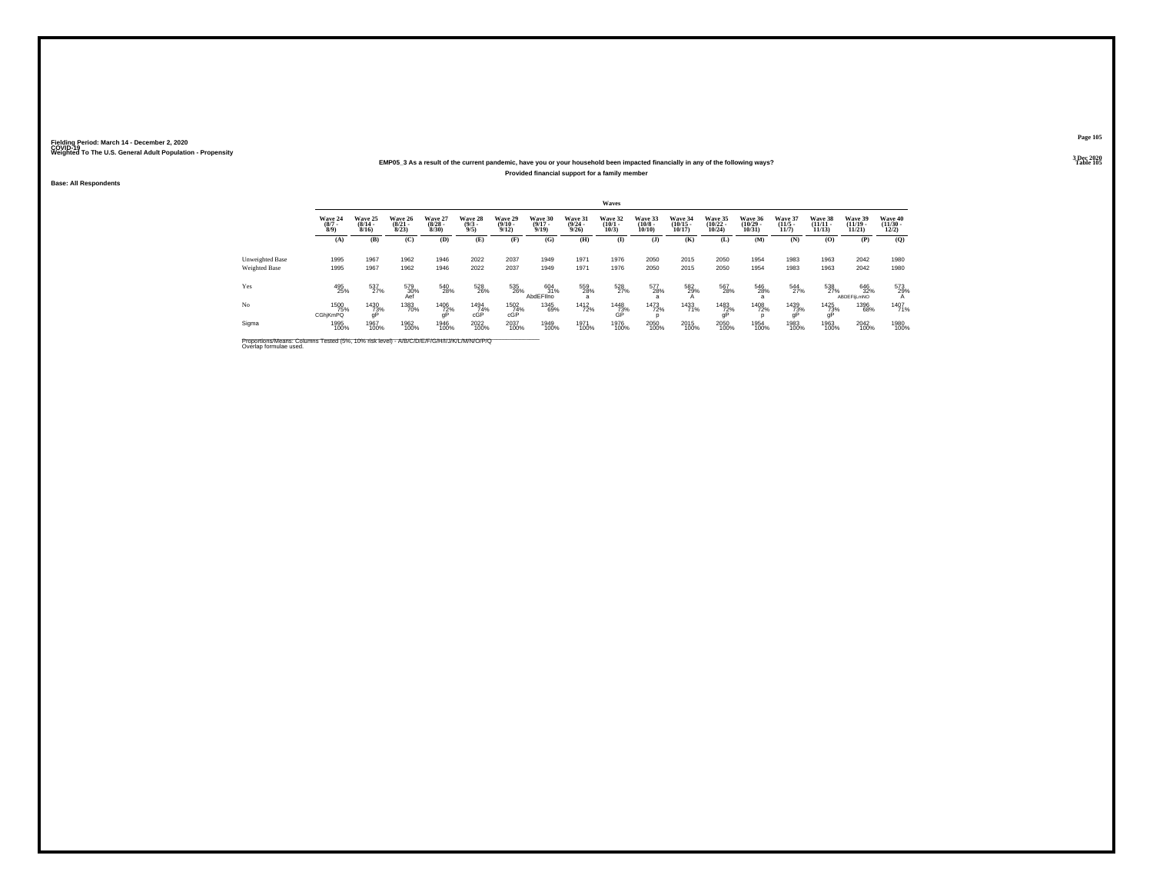### **EMP05\_3 As a result of the current pandemic, have you or your household been impacted financially in any of the following ways?Provided financial support for a family member**

**Base: All Respondents**

|                                         |                               |                                  |                                  |                                 |                               |                                  |                                  |                                  | Waves                           |                                  |                                   |                                   |                                   |                                  |                                    |                                    |                                        |
|-----------------------------------------|-------------------------------|----------------------------------|----------------------------------|---------------------------------|-------------------------------|----------------------------------|----------------------------------|----------------------------------|---------------------------------|----------------------------------|-----------------------------------|-----------------------------------|-----------------------------------|----------------------------------|------------------------------------|------------------------------------|----------------------------------------|
|                                         | Wave 24<br>$\binom{8/7}{8/9}$ | Wave 25<br>$\frac{(8/14)}{8/16}$ | Wave 26<br>$\frac{(8/21)}{8/23}$ | Wave 27<br>$\binom{8/28}{8/30}$ | Wave 28<br>$\binom{9/3}{9/5}$ | Wave 29<br>$\frac{(9/10)}{9/12}$ | Wave 30<br>$\frac{(9/17)}{9/19}$ | Wave 31<br>$\frac{(9/24)}{9/26}$ | Wave 32<br>$\binom{10/1}{10/3}$ | Wave 33<br>$\binom{10/8}{10/10}$ | Wave 34<br>$\binom{10/15}{10/17}$ | Wave 35<br>$\binom{10/22}{10/24}$ | Wave 36<br>$\binom{10/29}{10/31}$ | Wave 37<br>$\frac{(11/5)}{11/7}$ | Wave 38<br>$\frac{(11/11)}{11/13}$ | Wave 39<br>$\frac{(11/19)}{11/21}$ | Wave 40<br>$\frac{(11/30 - 12)}{12/2}$ |
|                                         | (A)                           | (B)                              | (C)                              | (D)                             | (E)                           | (F)                              | (G)                              | (H)                              | $\bf (I)$                       | $(\mathbf{J})$                   | (K)                               | (L)                               | (M)                               | (N)                              | (O)                                | (P)                                | $\mathbf{Q}$                           |
| Unweighted Base<br><b>Weighted Base</b> | 1995<br>1995                  | 1967<br>1967                     | 1962<br>1962                     | 1946<br>1946                    | 2022<br>2022                  | 2037<br>2037                     | 1949<br>1949                     | 1971<br>1971                     | 1976<br>1976                    | 2050<br>2050                     | 2015<br>2015                      | 2050<br>2050                      | 1954<br>1954                      | 1983<br>1983                     | 1963<br>1963                       | 2042<br>2042                       | 1980<br>1980                           |
| Yes                                     | 495<br>25%                    | 537<br>27%                       | 579<br>30%<br>Aef                | 540<br>28%                      | 528<br>26%                    | 535<br>26%                       | 604<br>31%<br>AbdEFIIno          | 559<br>28%                       | 528<br>27%                      | 577<br>28%<br>ä                  | 582<br>29%                        | 567<br>28%                        | 546<br>28%                        | 544<br>27%                       | 538<br>27%                         | 646<br>32%<br>ABDEFIJLMNO          | 573<br>29%                             |
| No                                      | 1500<br>75%<br>CGhiKmPQ       | 1430<br>73%                      | 1383<br>70%                      | 1406<br>72%                     | 1494<br>74%<br>cGP            | 1502<br>74%<br>cGP               | 1345<br>69%                      | <sup>1412</sup> 72%              | $^{1448}_{73\%}$ GP             | 1473<br>72%                      | 1433<br>71%                       | $^{1483}_{72\%}$                  | 1408<br>72%                       | 1439<br>73%                      | 1425<br>73%                        | 1396<br>68%                        | 1407<br>71%                            |
| Sigma                                   | 1995<br>100%                  | 1967<br>100%                     | 1962<br>100%                     | 1946<br>100%                    | 2022<br>100%                  | 2037<br>100%                     | 1949<br>100%                     | 1971<br>100%                     | 1976<br>100%                    | 2050<br>100%                     | 2015<br>100%                      | 2050<br>100%                      | 1954<br>100%                      | 1983<br>100%                     | 1963<br>100%                       | 2042<br>100%                       | 1980<br>100%                           |

Proportions/Means: Columns Tested (5%, 10% risk level) - *N'B/C/D/E/F/G/H/I/J/K/L/M/N/O/P/Q*<br>Overlap formulae used.

**Page 105**

**3 Dec 2020<br>Table 105 Table 105 Table 105**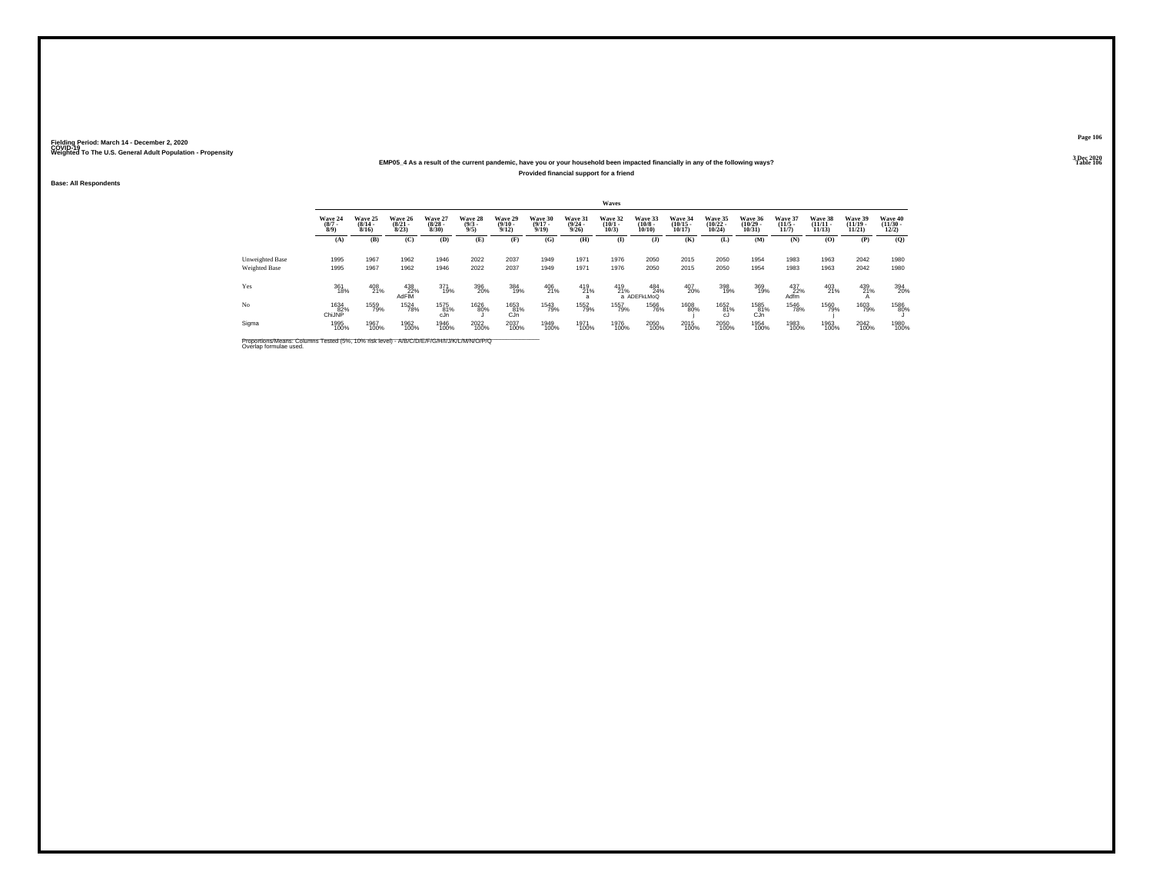### **EMP05\_4 As a result of the current pandemic, have you or your household been impacted financially in any of the following ways?Provided financial support for a friend**

**Base: All Respondents**

|                        |                           |                                     |                                                              |                                 |                               |                                 |                              |                                  | <b>Waves</b>                 |                                  |                                   |                                |                             |                              |                                |                                    |                                  |
|------------------------|---------------------------|-------------------------------------|--------------------------------------------------------------|---------------------------------|-------------------------------|---------------------------------|------------------------------|----------------------------------|------------------------------|----------------------------------|-----------------------------------|--------------------------------|-----------------------------|------------------------------|--------------------------------|------------------------------------|----------------------------------|
|                        | Wave 24<br>$\binom{8}{3}$ | <b>Wave 25</b><br>$(8/14 -$<br>8/16 | Wave 26<br>$(8/21 -$<br>8/23                                 | Wave 27<br>$\binom{8/28}{8/30}$ | Wave 28<br>$\binom{9/3}{9/5}$ | Wave 29<br>$\binom{9/10}{9/12}$ | Wave 30<br>$(9/17 -$<br>9/19 | Wave 31<br>$\frac{(9/24)}{9/26}$ | Wave 32<br>$(10/1 -$<br>10/3 | Wave 33<br>$\binom{10/8}{10/10}$ | Wave 34<br>$\binom{10/15}{10/17}$ | Wave 35<br>$(10/22 -$<br>10/24 | Wave 36<br>(10/29.<br>10/31 | Wave 37<br>$(11/5 -$<br>11/7 | Wave 38<br>$(11/11 -$<br>11/13 | Wave 39<br>$(11/19 -$<br>$11/21$ ) | Wave 40<br>$\binom{11/30}{12/2}$ |
|                        | (A)                       | (B)                                 | (C)                                                          | (D)                             | (E)                           | (F)                             | (G)                          | (H)                              | $\bf{I}$                     | $($ $\bf{J}$ )                   | (K)                               | (L)                            | (M)                         | (N)                          | (O)                            | (P)                                | (Q)                              |
| <b>Unweighted Base</b> | 1995                      | 1967                                | 1962                                                         | 1946                            | 2022                          | 2037                            | 1949                         | 1971                             | 1976                         | 2050                             | 2015                              | 2050                           | 1954                        | 1983                         | 1963                           | 2042                               | 1980                             |
| Weighted Base          | 1995                      | 1967                                | 1962                                                         | 1946                            | 2022                          | 2037                            | 1949                         | 1971                             | 1976                         | 2050                             | 2015                              | 2050                           | 1954                        | 1983                         | 1963                           | 2042                               | 1980                             |
| Yes                    | 361<br>18%                | 408<br>21%                          | $\begin{array}{r} 438 \\ 22\% \\ \mathsf{AdFIM} \end{array}$ | 371<br>19%                      | 396<br>20%                    | 384<br>19%                      | 406<br>21%                   | 419<br>21%                       | 419<br>21%                   | 484<br>24%<br>a ADEFKLMoQ        | 407<br>20%                        | 398<br>19%                     | 369<br>19%                  | 437<br>22%<br>Adfm           | 403<br>21%                     | 439<br>21%                         | 394<br>20%                       |
| No                     | 1634<br>82%<br>ChiJNP     | 1559<br>79%                         | <sup>1524</sup> 78%                                          | 1575<br>81%<br>cJn              | <sup>1626</sup> 80%           | 1653<br>81%<br>CJn              | 1543<br>79%                  | <sup>1552</sup> 79%              | 1557<br>79%                  | <sup>1566</sup> 76%              | 1608<br>80%                       | 1652<br>81%<br>cJ              | 1585<br>81%<br>CJn          | <sup>1546</sup> 78%          | 1560<br>79%                    | 1603<br>79%                        | 1586<br>80%                      |
| Sigma                  | 1995<br>100%              | 1967<br>100%                        | 1962<br>100%                                                 | 1946<br>100%                    | 2022<br>100%                  | 2037<br>100%                    | 1949<br>100%                 | 1971<br>100%                     | 1976<br>100%                 | 2050<br>100%                     | 2015<br>100%                      | 2050<br>100%                   | 1954<br>100%                | 1983<br>100%                 | 1963<br>100%                   | 2042<br>100%                       | 1980<br>100%                     |

**Page 106**

**3 Dec 2020<br>Table 106 Table 106 Table 106**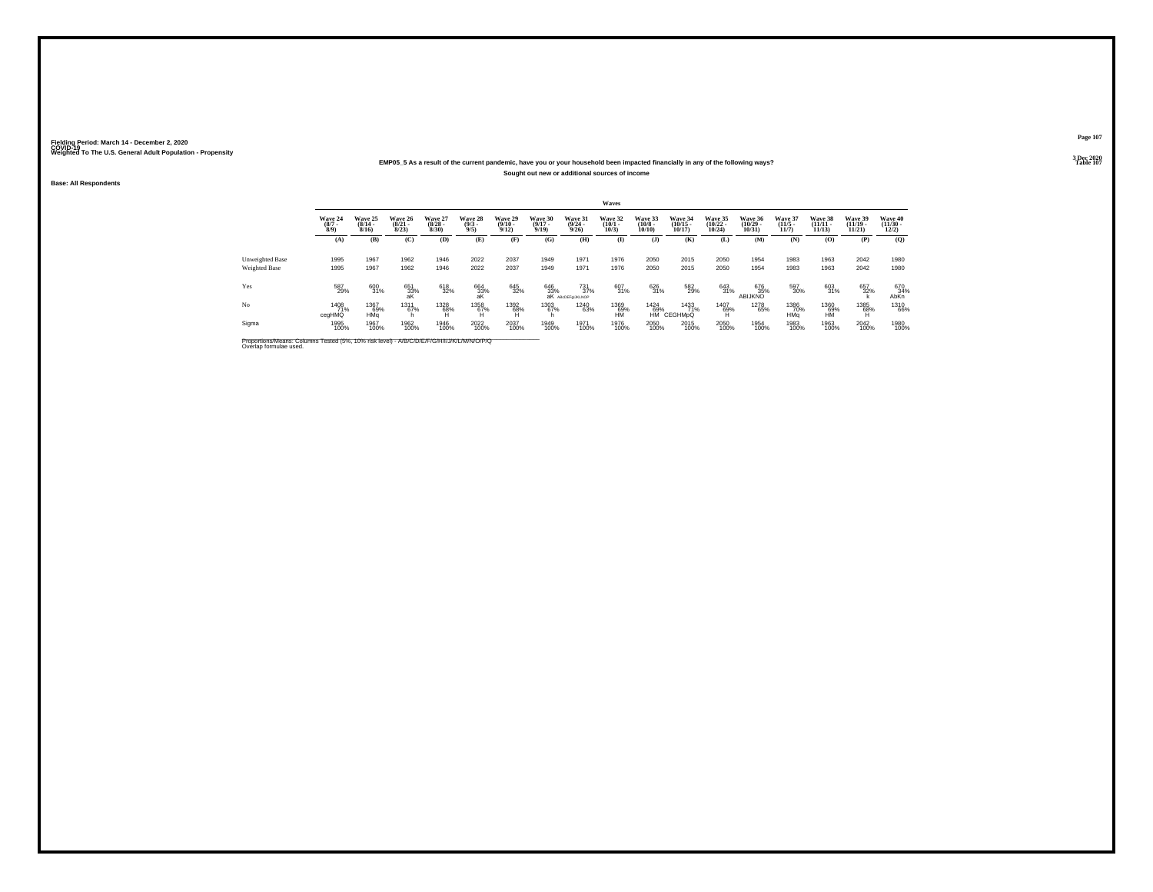### **EMP05\_5 As a result of the current pandemic, have you or your household been impacted financially in any of the following ways?Sought out new or additional sources of income**

**Base: All Respondents**

|                 |                               |                                      |                                  |                                 |                               |                            |                                  |                                                             | Waves                           |                                  |                                   |                                    |                                   |                                 |                                |                                |                                  |
|-----------------|-------------------------------|--------------------------------------|----------------------------------|---------------------------------|-------------------------------|----------------------------|----------------------------------|-------------------------------------------------------------|---------------------------------|----------------------------------|-----------------------------------|------------------------------------|-----------------------------------|---------------------------------|--------------------------------|--------------------------------|----------------------------------|
|                 | Wave 24<br>$\binom{8/7}{8/9}$ | Wave 25<br>$\frac{(8/14 - 8)}{8/16}$ | Wave 26<br>$\frac{(8/21)}{8/23}$ | Wave 27<br>$\binom{8/28}{8/30}$ | Wave 28<br>$\binom{9/3}{9/5}$ | Wave 29<br>$\binom{9}{12}$ | Wave 30<br>$\frac{(9/17)}{9/19}$ | Wave 31<br>$\frac{(9/24 - 9/26)}{9/26}$                     | Wave 32<br>$\binom{10/1}{10/3}$ | Wave 33<br>$\binom{10/8}{10/10}$ | Wave 34<br>$\binom{10/15}{10/17}$ | Wave 35<br>$(10/22 -$<br>$10/24$ ) | Wave 36<br>$\binom{10/29}{10/31}$ | Wave 37<br>$\binom{11/5}{11/7}$ | Wave 38<br>$(11/11 -$<br>11/13 | Wave 39<br>$(11/19 -$<br>11/21 | Wave 40<br>$\binom{11/30}{12/2}$ |
|                 | (A)                           | (B)                                  | (C)                              | (D)                             | (E)                           | (F)                        | (G)                              | (H)                                                         | $\mathbf{I}$                    | $($ $\bf{J}$ $)$                 | (K)                               | (L)                                | (M)                               | (N)                             | (0)                            | (P)                            | (Q)                              |
| Unweighted Base | 1995                          | 1967                                 | 1962                             | 1946                            | 2022                          | 2037                       | 1949                             | 1971                                                        | 1976                            | 2050                             | 2015                              | 2050                               | 1954                              | 1983                            | 1963                           | 2042                           | 1980                             |
| Weighted Base   | 1995                          | 1967                                 | 1962                             | 1946                            | 2022                          | 2037                       | 1949                             | 1971                                                        | 1976                            | 2050                             | 2015                              | 2050                               | 1954                              | 1983                            | 1963                           | 2042                           | 1980                             |
| Yes             | 587<br>29%                    | 600<br>31%                           | 651<br>33%<br>aK                 | 618<br>32%                      | 664<br>33%<br>aK              | 645<br>32%                 |                                  | $\frac{731}{37\%}$<br>646 731<br>33% 37<br>aK ABcDEFgLKLNOP | 607<br>31%                      | 626<br>31%                       | 582<br>29%                        | 643<br>31%                         | 676<br>35%<br>ABIJKNO             | 597<br>30%                      | 603<br>31%                     | 657<br>32%                     | 670<br>34%<br>AbKn               |
| N <sub>o</sub>  | 1408<br>71%<br>cegHMQ         | 1367<br>69%<br>HMa                   | <sup>1311</sup><br>67%<br>h      | 1328<br>68%                     | 1358<br>67%                   | 1392<br>68%                | 1303<br>67%                      | <sup>1240</sup> 63%                                         | 1369<br>69%<br>НM               | <sup>1424</sup> 69%              | 1433<br>71%<br>HM CEGHMpQ         | 1407<br>69%                        | 1278<br>65%                       | 1386<br>70%<br>HMa              | 1360<br>69%<br>HM              | 1385<br>68%                    | <sup>1310</sup> 66%              |
| Sigma           | 1995<br>100%                  | 1967<br>100%                         | 1962<br>100%                     | 1946<br>100%                    | 2022<br>100%                  | 2037<br>100%               | 1949<br>100%                     | 1971<br>100%                                                | 1976<br>100%                    | 2050<br>100%                     | 2015<br>100%                      | 2050<br>100%                       | 1954<br>100%                      | 1983<br>100%                    | 1963<br>100%                   | 2042<br>100%                   | 1980<br>100%                     |

Proportions/Means: Columns Tested (5%, 10% risk level) - *N'B/C/D/E/F/G/H/I/J/K/L/M/N/O/P/Q*<br>Overlap formulae used.

**Page 1073 Dec 2020<br>Table 107** 

**Properties and the contract of the contract of the contract of the contract of the contract of the contract of the contract of the contract of the contract of the contract of the contract of the contract of the contract o**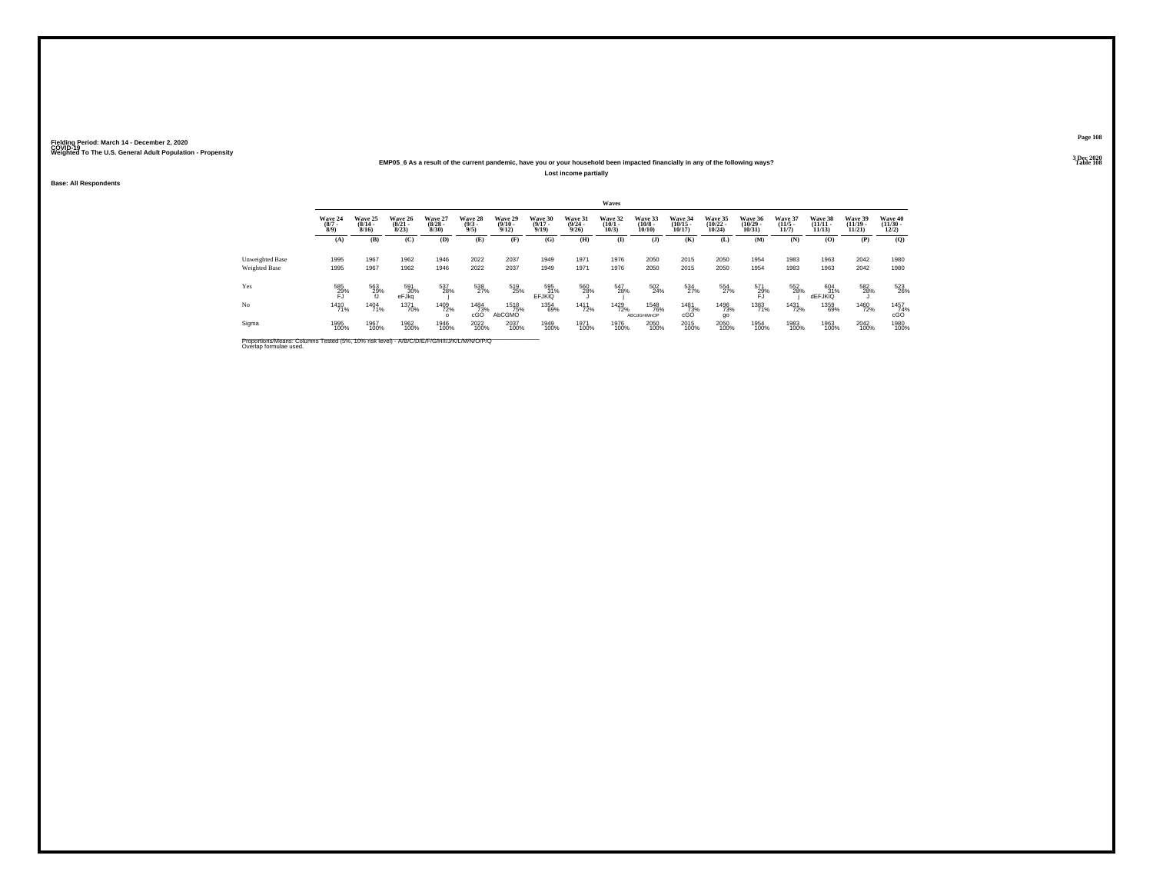#### **EMP05\_6 As a result of the current pandemic, have you or your household been impacted financially in any of the following ways?Lost income partially**

**Base: All Respondents**

|                                  |                               |                              |                                  |                                 |                               |                                  |                                  |                                         | Waves                           |                                    |                                   |                                   |                                   |                                  |                              |                                    |                                  |
|----------------------------------|-------------------------------|------------------------------|----------------------------------|---------------------------------|-------------------------------|----------------------------------|----------------------------------|-----------------------------------------|---------------------------------|------------------------------------|-----------------------------------|-----------------------------------|-----------------------------------|----------------------------------|------------------------------|------------------------------------|----------------------------------|
|                                  | Wave 24<br>$\binom{8/7}{8/9}$ | Wave 25<br>$(8/14 -$<br>8/16 | Wave 26<br>$\frac{(8/21)}{8/23}$ | Wave 27<br>$\binom{8/28}{8/30}$ | Wave 28<br>$\binom{9/3}{9/5}$ | Wave 29<br>$\frac{(9/10)}{9/12}$ | Wave 30<br>$\frac{(9/17)}{9/19}$ | Wave 31<br>$\frac{(9/24 - 9/26)}{9/26}$ | Wave 32<br>$\binom{10/1}{10/3}$ | Wave 33<br>$\binom{10/8}{10/10}$   | Wave 34<br>$\binom{10/15}{10/17}$ | Wave 35<br>$\binom{10/22}{10/24}$ | Wave 36<br>$\binom{10/29}{10/31}$ | Wave 37<br>$\frac{(11/5)}{11/7}$ | Wave 38<br>$\frac{11}{11}$   | Wave 39<br>$(11/19 -$<br>$11/21$ ) | Wave 40<br>$\binom{11/30}{12/2}$ |
|                                  | (A)                           | (B)                          | (C)                              | (D)                             | (E)                           | (F)                              | (G)                              | (H)                                     | $\mathbf{I}$                    | $($ $\bf{J}$ )                     | (K)                               | (L)                               | (M)                               | (N)                              | (0)                          | (P)                                | $\mathbf{Q}$                     |
| Unweighted Base<br>Weighted Base | 1995<br>1995                  | 1967<br>1967                 | 1962<br>1962                     | 1946<br>1946                    | 2022<br>2022                  | 2037<br>2037                     | 1949<br>1949                     | 1971<br>1971                            | 1976<br>1976                    | 2050<br>2050                       | 2015<br>2015                      | 2050<br>2050                      | 1954<br>1954                      | 1983<br>1983                     | 1963<br>1963                 | 2042<br>2042                       | 1980<br>1980                     |
| Yes                              | 585<br>29%<br>FJ              | 563<br>29%                   | 591<br>30%<br>eFJkg              | 537<br>28%                      | 538<br>27%                    | 519<br>25%                       | 595<br>31%<br>EFJKIQ             | 560<br>28%                              | 547<br>28%                      | 502<br>24%                         | 534<br>27%                        | 554<br>27%                        | 571<br>29%<br>FJ                  | 552<br>28%                       | 604<br>31%<br><b>dEFJKIQ</b> | 582<br>28%                         | 523<br>26%                       |
| No                               | 1410<br>71%                   | 1404<br>71%                  | <sup>1371</sup> 70%              | 1409<br>72%                     | 1484<br>73%<br>cGO            | 1518<br>75%<br>AbCGMO            | 1354<br>69%                      | <sup>1411</sup> 72%                     | 1429<br>72%                     | <sup>1548</sup> 76%<br>ABCdGHiMnOP | 1481<br>73%<br>cGO                | 1496<br>73%<br>go                 | 1383<br>71%                       | <sup>1431</sup> 72%              | 1359<br>69%                  | 1460<br>72%                        | 1457<br>74%<br>cGO               |
| Sigma                            | 1995<br>100%                  | 1967<br>100%                 | 1962<br>100%                     | 1946<br>100%                    | 2022<br>100%                  | 2037<br>100%                     | 1949<br>100%                     | 1971<br>100%                            | 1976<br>100%                    | 2050<br>100%                       | 2015<br>100%                      | 2050<br>100%                      | 1954<br>100%                      | 1983<br>100%                     | 1963<br>100%                 | 2042<br>100%                       | 1980<br>100%                     |

Proportions/Means: Columns Tested (5%, 10% risk level) - *N\B/C/D/E/F/G/H/I/J/K/L/M/N/O/P/Q*<br>Overlap formulae used.

**Page 108**

**3 Dec 2020<br>Table 108 Table 108 Table 108**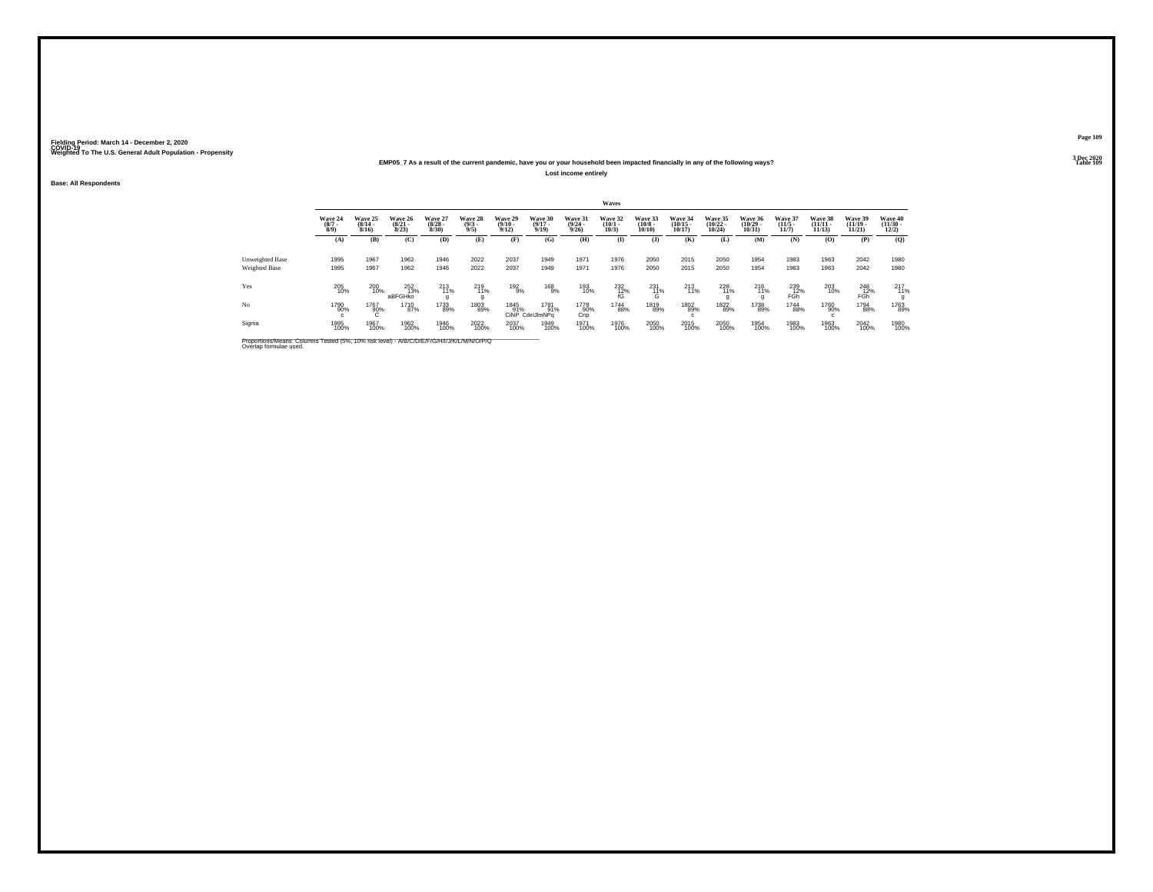#### **EMP05\_7 As a result of the current pandemic, have you or your household been impacted financially in any of the following ways?Lost income entirely**

**Base: All Respondents**

|                                  |                               |                              |                                  |                                 |                               |                                 |                                  |                                  | Waves                           |                                  |                                   |                                   |                                   |                                  |                                    |                                    |                                  |
|----------------------------------|-------------------------------|------------------------------|----------------------------------|---------------------------------|-------------------------------|---------------------------------|----------------------------------|----------------------------------|---------------------------------|----------------------------------|-----------------------------------|-----------------------------------|-----------------------------------|----------------------------------|------------------------------------|------------------------------------|----------------------------------|
|                                  | Wave 24<br>$\binom{8/7}{8/9}$ | Wave 25<br>$(8/14 -$<br>8/16 | Wave 26<br>$\frac{(8/21)}{8/23}$ | Wave 27<br>$\binom{8/28}{8/30}$ | Wave 28<br>$\binom{9/3}{9/5}$ | Wave 29<br>$\binom{9/10}{9/12}$ | Wave 30<br>$\frac{(9/17)}{9/19}$ | Wave 31<br>$\frac{(9/24)}{9/26}$ | Wave 32<br>$\binom{10/1}{10/3}$ | Wave 33<br>$\binom{10/8}{10/10}$ | Wave 34<br>$\binom{10/15}{10/17}$ | Wave 35<br>$\binom{10/22}{10/24}$ | Wave 36<br>$\binom{10/29}{10/31}$ | Wave 37<br>$\frac{(11/5)}{11/7}$ | Wave 38<br>$\frac{(11/11)}{11/13}$ | Wave 39<br>$(11/19 -$<br>$11/21$ ) | Wave 40<br>$\binom{11/30}{12/2}$ |
|                                  | (A)                           | (B)                          | (C)                              | (D)                             | (E)                           | (F)                             | (G)                              | (H)                              | (I)                             | $($ $)$                          | (K)                               | (L)                               | <b>(M)</b>                        | (N)                              | (0)                                | (P)                                | $\mathbf{Q}$                     |
| Unweighted Base<br>Weighted Base | 1995<br>1995                  | 1967<br>1967                 | 1962<br>1962                     | 1946<br>1946                    | 2022<br>2022                  | 2037<br>2037                    | 1949<br>1949                     | 1971<br>1971                     | 1976<br>1976                    | 2050<br>2050                     | 2015<br>2015                      | 2050<br>2050                      | 1954<br>1954                      | 1983<br>1983                     | 1963<br>1963                       | 2042<br>2042                       | 1980<br>1980                     |
| Yes                              | 205<br>10%                    | 200<br>10%                   | 252<br>13%<br>aBFGHko            | 213<br>11%                      | 219<br>11%                    | 192<br>9%                       | $^{168}_{9\%}$                   | 193<br>10%                       | $^{232}_{12\%}$                 | $^{231}_{11\%}$<br>$\sim$        | 213<br>11%                        | 228<br>11%                        | 216<br>11%                        | 239<br>12%<br>FGh                | 203<br>10%                         | 248<br>12%<br>FGR                  | 217<br>11%                       |
| No                               | 1790<br>90%                   | 1767<br>90%                  | 1710<br>87%                      | 1733<br>89%                     | 1803<br>89%                   | 1845<br>91%                     | 1781<br>91%<br>CINP CdelJImNPa   | 1778<br>90%<br>Cnp               | 1744<br>88%                     | 1819<br>89%                      | 1802<br>89%                       | 1822<br>89%                       | 1738<br>89%                       | 1744<br>88%                      | 1760<br>90%                        | 1794<br>88%                        | 1763<br>89%                      |
| Sigma                            | 1995<br>100%                  | 1967<br>100%                 | 1962<br>100%                     | 1946<br>100%                    | 2022<br>100%                  | 2037<br>100%                    | 1949<br>100%                     | 1971<br>100%                     | 1976<br>100%                    | 2050<br>100%                     | 2015<br>100%                      | 2050<br>100%                      | 1954<br>100%                      | 1983<br>100%                     | 1963<br>100%                       | 2042<br>100%                       | 1980<br>100%                     |

Proportions/Means: Columns Tested (5%, 10% risk level) - *N\B/C/D/E/F/G/H/I/J/K/L/M/N/O/P/Q*<br>Overlap formulae used.

**Page 1093 Dec 2020<br>Table 109** 

**Table 109 Table 109**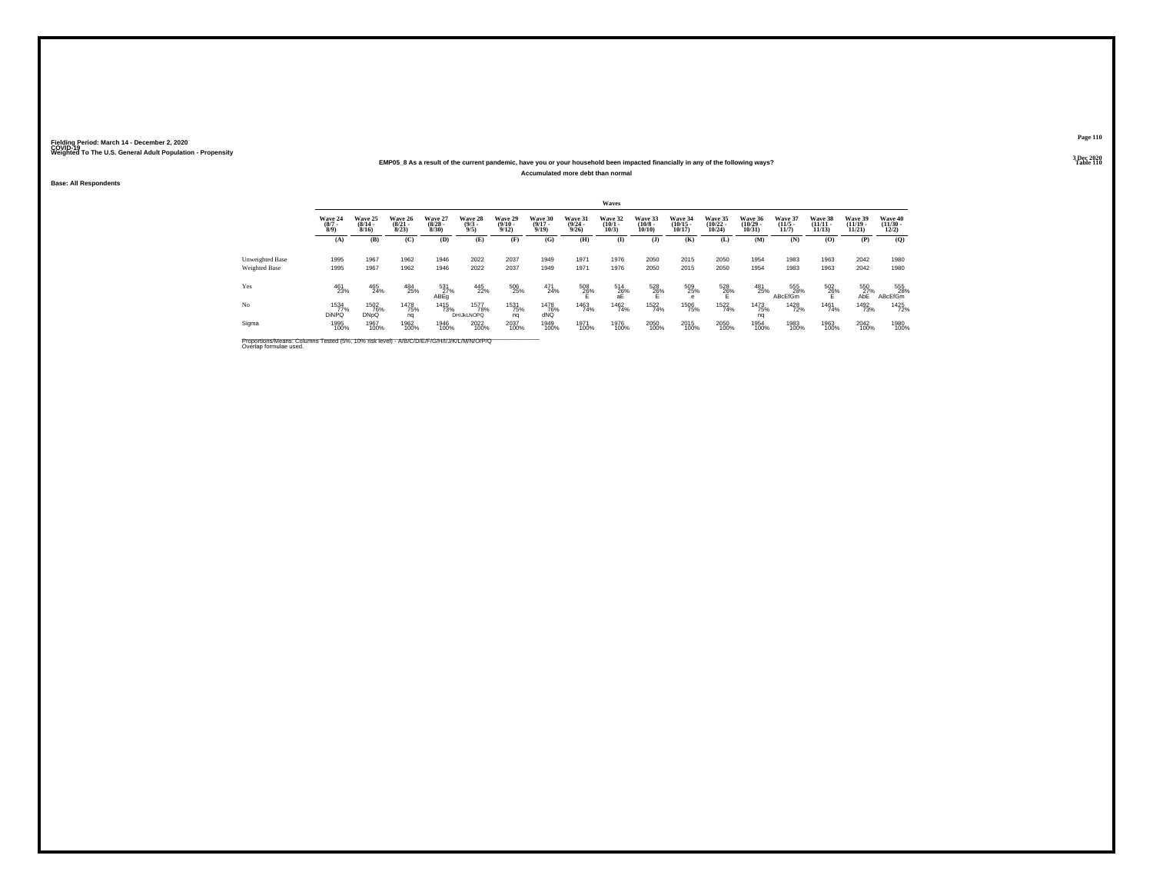#### **EMP05\_8 As a result of the current pandemic, have you or your household been impacted financially in any of the following ways?Accumulated more debt than normal**

**Base: All Respondents**

|                                         |                               |                                    |                                  |                                 |                                             |                                  |                                  |                                  | Waves                           |                                  |                                   |                                   |                                   |                                  |                                    |                                    |                                  |
|-----------------------------------------|-------------------------------|------------------------------------|----------------------------------|---------------------------------|---------------------------------------------|----------------------------------|----------------------------------|----------------------------------|---------------------------------|----------------------------------|-----------------------------------|-----------------------------------|-----------------------------------|----------------------------------|------------------------------------|------------------------------------|----------------------------------|
|                                         | Wave 24<br>$\binom{8/7}{8/9}$ | Wave 25<br>$\frac{(8/14)}{8/16}$   | Wave 26<br>$\frac{(8/21)}{8/23}$ | Wave 27<br>$\binom{8/28}{8/30}$ | Wave 28<br>$\binom{9/3}{9/5}$               | Wave 29<br>$\frac{(9/10)}{9/12}$ | Wave 30<br>$\frac{(9/17)}{9/19}$ | Wave 31<br>$\frac{(9/24)}{9/26}$ | Wave 32<br>$\binom{10/1}{10/3}$ | Wave 33<br>$\binom{10/8}{10/10}$ | Wave 34<br>$\binom{10/15}{10/17}$ | Wave 35<br>$\binom{10/22}{10/24}$ | Wave 36<br>$\binom{10/29}{10/31}$ | Wave 37<br>$\frac{(11/5)}{11/7}$ | Wave 38<br>$\frac{(11/11)}{11/13}$ | Wave 39<br>$(11/19 -$<br>$11/21$ ) | Wave 40<br>$\binom{11/30}{12/2}$ |
|                                         | (A)                           | (B)                                | (C)                              | (D)                             | (E)                                         | (F)                              | (G)                              | (H)                              | (I)                             | $($ $)$                          | (K)                               | (L)                               | <b>(M)</b>                        | (N)                              | (0)                                | (P)                                | $\mathbf{Q}$                     |
| Unweighted Base<br><b>Weighted Base</b> | 1995<br>1995                  | 1967<br>1967                       | 1962<br>1962                     | 1946<br>1946                    | 2022<br>2022                                | 2037<br>2037                     | 1949<br>1949                     | 1971<br>1971                     | 1976<br>1976                    | 2050<br>2050                     | 2015<br>2015                      | 2050<br>2050                      | 1954<br>1954                      | 1983<br>1983                     | 1963<br>1963                       | 2042<br>2042                       | 1980<br>1980                     |
| Yes                                     | 461<br>23%                    | 465<br>24%                         | 484<br>25%                       | 531<br>27%<br>ABEq              | 445<br>22%                                  | 506<br>25%                       | 471<br>24%                       | $^{508}_{26\%}$                  | $^{514}_{26\%}$<br>aE           | 528<br>26%                       | 509<br>25%                        | 528<br>26%                        | 481<br>25%                        | 555<br>28%<br>ABcEfGm            | 502<br>26%                         | 550<br>27%<br>АБË                  | 555<br>28%<br><b>ABcEfGm</b>     |
| No                                      | 1534<br>77%<br><b>DiNPQ</b>   | <sup>1502</sup> 76%<br><b>DNpQ</b> | <sup>1478</sup> 75%<br>na        | 1415<br>73%                     | <sup>1577</sup><br>78%<br><b>DHIJKLNOPQ</b> | 1531<br>75%<br>nq                | <sup>1478</sup> 76%<br>dNQ       | 1463<br>74%                      | 1462<br>74%                     | 1522<br>74%                      | <sup>1506</sup> 75%               | 1522<br>74%                       | 1473<br>75%<br>nq                 | <sup>1428</sup> 72%              | 1461<br>74%                        | 1492<br>73%                        | <sup>1425</sup> 72%              |
| Sigma                                   | 1995<br>100%                  | 1967<br>100%                       | 1962<br>100%                     | 1946<br>100%                    | 2022<br>100%                                | 2037<br>100%                     | 1949<br>100%                     | 1971<br>100%                     | 1976<br>100%                    | 2050<br>100%                     | 2015<br>100%                      | 2050<br>100%                      | 1954<br>100%                      | 1983<br>100%                     | 1963<br>100%                       | 2042<br>100%                       | 1980<br>100%                     |

Proportions/Means: Columns Tested (5%, 10% risk level) - *N\B/C/D/E/F/G/H/I/J/K/L/M/N/O/P/Q*<br>Overlap formulae used.

**Page 1103 Dec 2020<br>Table 110** 

**Table 110 Table 110**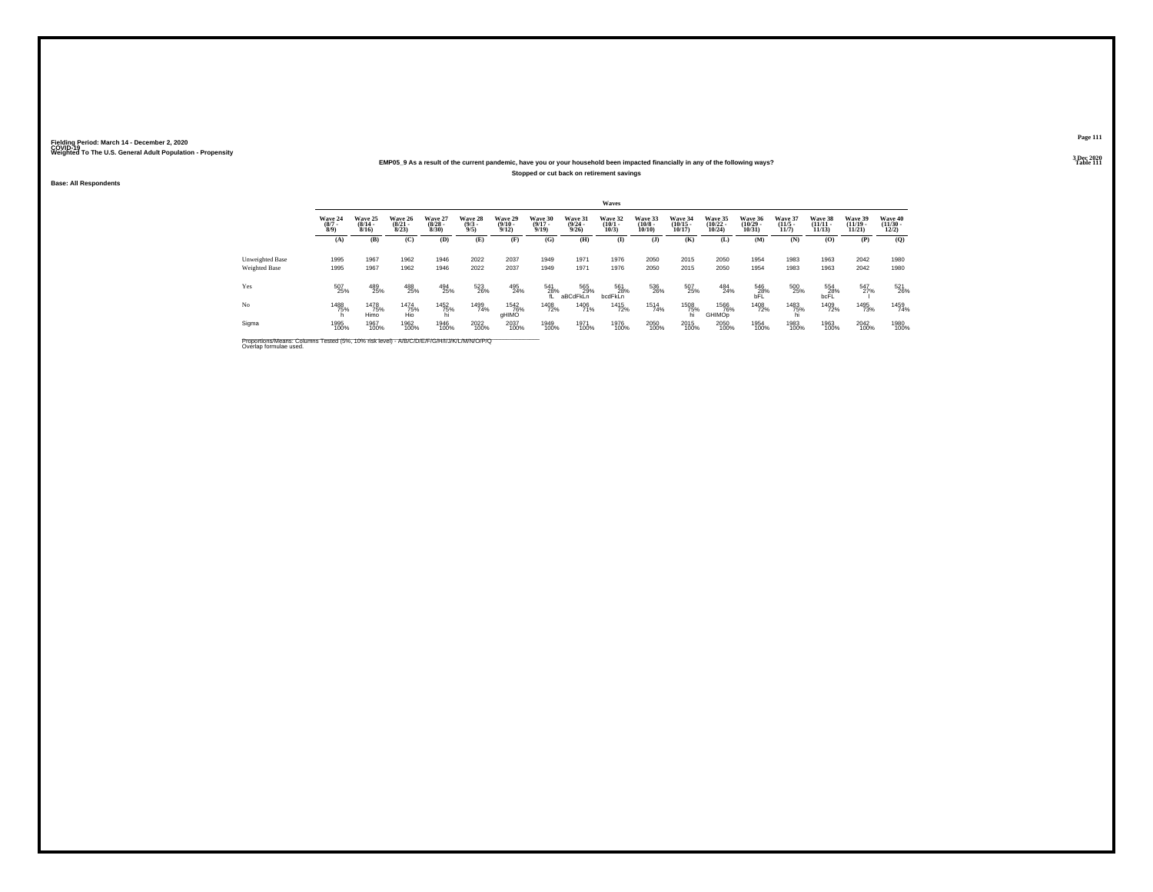### **EMP05\_9 As a result of the current pandemic, have you or your household been impacted financially in any of the following ways?Stopped or cut back on retirement savings**

**Base: All Respondents**

|                                         |                               |                                  |                                  |                                 |                               |                                  |                                  |                                         | Waves                           |                                   |                                   |                                   |                                   |                                  |                                    |                                   |                                          |
|-----------------------------------------|-------------------------------|----------------------------------|----------------------------------|---------------------------------|-------------------------------|----------------------------------|----------------------------------|-----------------------------------------|---------------------------------|-----------------------------------|-----------------------------------|-----------------------------------|-----------------------------------|----------------------------------|------------------------------------|-----------------------------------|------------------------------------------|
|                                         | Wave 24<br>$\binom{8/7}{8/9}$ | Wave 25<br>$\frac{(8/14)}{8/16}$ | Wave 26<br>$\frac{(8/21)}{8/23}$ | Wave 27<br>$\binom{8/28}{8/30}$ | Wave 28<br>$\binom{9/3}{9/5}$ | Wave 29<br>$\frac{(9/10)}{9/12}$ | Wave 30<br>$\frac{(9/17)}{9/19}$ | Wave 31<br>$\frac{(9/24 - 9/26)}{9/26}$ | Wave 32<br>$\binom{10/1}{10/3}$ | Wave 33<br>$\frac{(10/8)}{10/10}$ | Wave 34<br>$\binom{10/15}{10/17}$ | Wave 35<br>$\binom{10/22}{10/24}$ | Wave 36<br>$\binom{10/29}{10/31}$ | Wave 37<br>$\frac{(11/5)}{11/7}$ | Wave 38<br>$\frac{(11/11)}{11/13}$ | Wave 39<br>$\binom{11/19}{11/21}$ | Wave 40<br>$\frac{(11/30 - 12/2)}{12/2}$ |
|                                         | (A)                           | (B)                              | (C)                              | (D)                             | (E)                           | (F)                              | (G)                              | (H)                                     | $\mathbf{I}$                    | $($ $)$                           | (K)                               | (L)                               | (M)                               | (N)                              | (0)                                | (P)                               | (0)                                      |
| Unweighted Base<br><b>Weighted Base</b> | 1995<br>1995                  | 1967<br>1967                     | 1962<br>1962                     | 1946<br>1946                    | 2022<br>2022                  | 2037<br>2037                     | 1949<br>1949                     | 1971<br>1971                            | 1976<br>1976                    | 2050<br>2050                      | 2015<br>2015                      | 2050<br>2050                      | 1954<br>1954                      | 1983<br>1983                     | 1963<br>1963                       | 2042<br>2042                      | 1980<br>1980                             |
| Yes                                     | 507<br>25%                    | 489<br>25%                       | 488<br>25%                       | 494<br>25%                      | 523<br>26%                    | 495<br>24%                       | 541<br>28%                       | 565<br>29%<br>aBCdFkLn                  | 561<br>28%<br>bcdFkLn           | 536<br>26%                        | 507<br>25%                        | 484<br>24%                        | 546<br>28%<br>bFĽ                 | 500<br>25%                       | 554<br>28%<br>bcFL                 | 547<br>27%                        | 521<br>26%                               |
| No                                      | 1488<br>75%                   | 1478<br>75%<br>Himo              | <sup>1474</sup> 75%<br>Hio       | <sup>1452</sup> 75%             | 1499<br>74%                   | <sup>1542</sup> 76%<br>aHIMO     | <sup>1408</sup> 72%              | 1406<br>71%                             | <sup>1415</sup> 72%             | <sup>1514</sup> 74%               | 1508<br>75%                       | <sup>1566</sup> 76%<br>GHIMOp     | <sup>1408</sup> 72%               | 1483<br>75%                      | 1409<br>72%                        | 1495<br>73%                       | 1459<br>74%                              |
| Sigma                                   | 1995<br>100%                  | 1967<br>100%                     | 1962<br>100%                     | 1946<br>100%                    | 2022<br>100%                  | 2037<br>100%                     | 1949<br>100%                     | 1971<br>100%                            | 1976<br>100%                    | 2050<br>100%                      | 2015<br>100%                      | 2050<br>100%                      | 1954<br>100%                      | 1983<br>100%                     | 1963<br>100%                       | 2042<br>100%                      | 1980<br>100%                             |

Proportions/Means: Columns Tested (5%, 10% risk level) - *N\B/C/D/E/F/G/H/I/J/K/L/M/N/O/P/Q*<br>Overlap formulae used.

**Page 1113 Dec 2020<br>Table 111** 

**Properties and the contract of the contract of the contract of the contract of the contract of the contract of the contract of the contract of the contract of the contract of the contract of the contract of the contract o**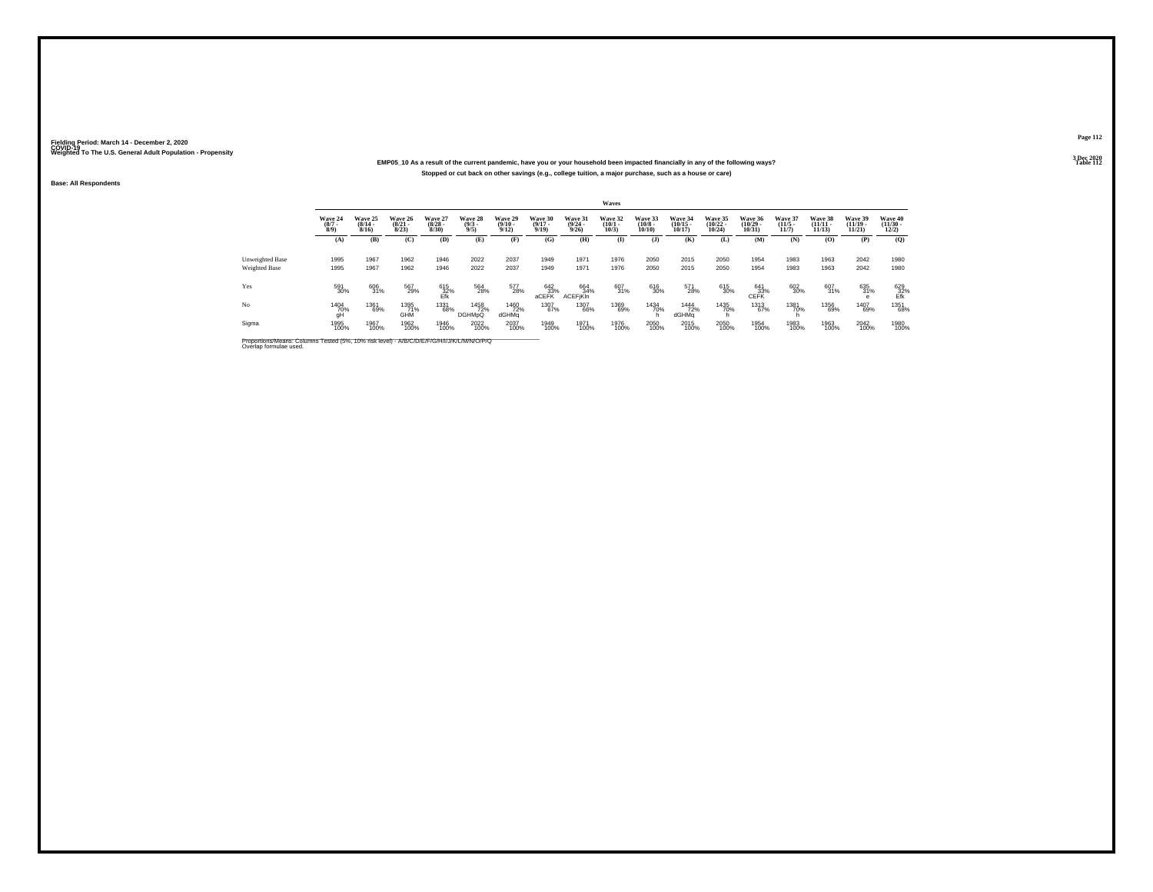### **EMP05\_10 As a result of the current pandemic, have you or your household been impacted financially in any of the following ways?Stopped or cut back on other savings (e.g., college tuition, a major purchase, such as a house or care)**

**Base: All Respondents**

|                                  |                               |                                  |                                  |                                 |                               |                                 |                                  |                                  | Waves                           |                                  |                                   |                                   |                                   |                                  |                                    |                                   |                                          |
|----------------------------------|-------------------------------|----------------------------------|----------------------------------|---------------------------------|-------------------------------|---------------------------------|----------------------------------|----------------------------------|---------------------------------|----------------------------------|-----------------------------------|-----------------------------------|-----------------------------------|----------------------------------|------------------------------------|-----------------------------------|------------------------------------------|
|                                  | Wave 24<br>$\binom{8/7}{8/9}$ | Wave 25<br>$\frac{(8/14)}{8/16}$ | Wave 26<br>$\frac{(8/21)}{8/23}$ | Wave 27<br>$\binom{8/28}{8/30}$ | Wave 28<br>$\binom{9/3}{9/5}$ | Wave 29<br>$\binom{9/10}{9/12}$ | Wave 30<br>$\frac{(9/17)}{9/19}$ | Wave 31<br>$\frac{(9/24)}{9/26}$ | Wave 32<br>$\binom{10/1}{10/3}$ | Wave 33<br>$\binom{10/8}{10/10}$ | Wave 34<br>$\binom{10/15}{10/17}$ | Wave 35<br>$\binom{10/22}{10/24}$ | Wave 36<br>$\binom{10/29}{10/31}$ | Wave 37<br>$\frac{(11/5)}{11/7}$ | Wave 38<br>$\frac{(11/11)}{11/13}$ | Wave 39<br>$\binom{11/19}{11/21}$ | Wave 40<br>$\frac{(11/30 - 12/2)}{12/2}$ |
|                                  | (A)                           | (B)                              | (C)                              | (D)                             | (E)                           | (F)                             | (G)                              | (H)                              | $\mathbf{I}$                    | $($ $)$                          | (K)                               | (L)                               | (M)                               | (N)                              | (0)                                | (P)                               | (0)                                      |
| Unweighted Base<br>Weighted Base | 1995<br>1995                  | 1967<br>1967                     | 1962<br>1962                     | 1946<br>1946                    | 2022<br>2022                  | 2037<br>2037                    | 1949<br>1949                     | 1971<br>1971                     | 1976<br>1976                    | 2050<br>2050                     | 2015<br>2015                      | 2050<br>2050                      | 1954<br>1954                      | 1983<br>1983                     | 1963<br>1963                       | 2042<br>2042                      | 1980<br>1980                             |
| Yes                              | 591<br>30%                    | 606<br>31%                       | 567<br>29%                       | 615<br>32%<br>Efk               | 564<br>28%                    | 577<br>28%                      | $642\n33%$ aCEFK                 | 664<br>34%<br><b>ACEFIKIn</b>    | 607<br>31%                      | 616<br>30%                       | 571<br>28%                        | 615<br>30%                        | $641 \over 33\%$ CEFK             | 602<br>30%                       | 607<br>31%                         | 635<br>31%                        | 629<br>32%<br>Efk                        |
| No                               | 1404<br>70%<br>qH             | 1361<br>69%                      | 1395<br>71%<br>GHM               | 1331<br>68%                     | 1458<br>72%<br><b>DGHMpQ</b>  | <sup>1460</sup> 72%<br>dGHMa    | 1307<br>67%                      | 1307<br>66%                      | 1369<br>69%                     | 1434<br>70%                      | <sup>1444</sup> 72%<br>dGHMa      | 1435<br>70%                       | 1313<br>67%                       | 1381<br>70%                      | 1356<br>69%                        | 1407<br>69%                       | 1351<br>68%                              |
| Sigma                            | 1995<br>100%                  | 1967<br>100%                     | 1962<br>100%                     | 1946<br>100%                    | 2022<br>100%                  | 2037<br>100%                    | 1949<br>100%                     | 1971<br>100%                     | 1976<br>100%                    | 2050<br>100%                     | 2015<br>100%                      | 2050<br>100%                      | 1954<br>100%                      | 1983<br>100%                     | 1963<br>100%                       | 2042<br>100%                      | 1980<br>100%                             |

Proportions/Means: Columns Tested (5%, 10% risk level) - *N'B/C/D/E/F/G/H/I/J/K/L/M/N/O/P/Q*<br>Overlap formulae used.

**Page 1123 Dec 2020<br>Table 112** 

**Table 112**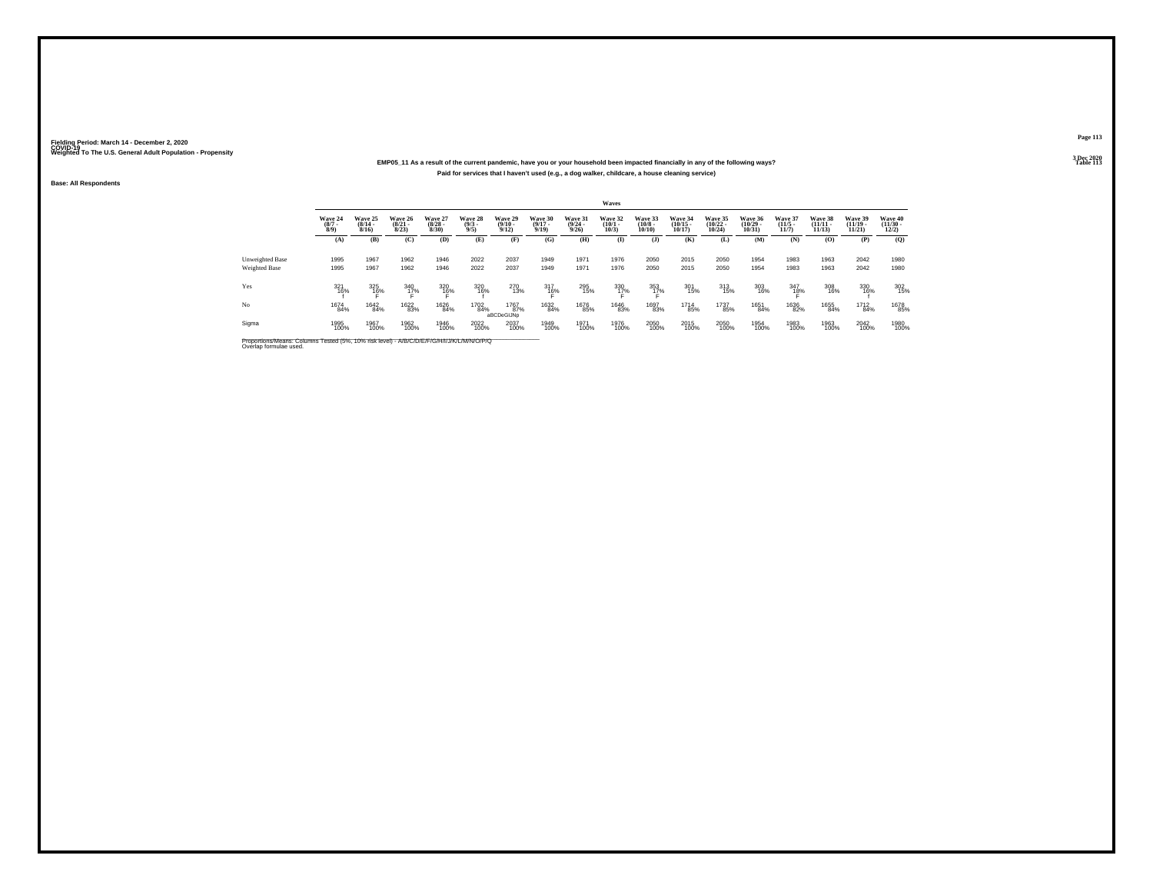### **EMP05\_11 As a result of the current pandemic, have you or your household been impacted financially in any of the following ways?Paid for services that I haven't used (e.g., a dog walker, childcare, a house cleaning service)**

**Base: All Respondents**

|                        |                               |                                         |                                  |                                 |                               |                                 |                                  |                                         | Waves                           |                                  |                                   |                                   |                                   |                                  |                                    |                                   |                                          |
|------------------------|-------------------------------|-----------------------------------------|----------------------------------|---------------------------------|-------------------------------|---------------------------------|----------------------------------|-----------------------------------------|---------------------------------|----------------------------------|-----------------------------------|-----------------------------------|-----------------------------------|----------------------------------|------------------------------------|-----------------------------------|------------------------------------------|
|                        | Wave 24<br>$\binom{8/7}{8/9}$ | Wave 25<br>$\frac{(8/14 - 8/16)}{8/16}$ | Wave 26<br>$\frac{(8/21)}{8/23}$ | Wave 27<br>$\binom{8/28}{8/30}$ | Wave 28<br>$\binom{9/3}{9/5}$ | Wave 29<br>$\binom{9/10}{9/12}$ | Wave 30<br>$\frac{(9/17)}{9/19}$ | Wave 31<br>$\frac{(9/24 - 9/26)}{9/26}$ | Wave 32<br>$\binom{10/1}{10/3}$ | Wave 33<br>$\binom{10/8}{10/10}$ | Wave 34<br>$\binom{10/15}{10/17}$ | Wave 35<br>$\binom{10/22}{10/24}$ | Wave 36<br>$\binom{10/29}{10/31}$ | Wave 37<br>$\frac{(11/5)}{11/7}$ | Wave 38<br>$\frac{(11/11)}{11/13}$ | Wave 39<br>$\binom{11/19}{11/21}$ | Wave 40<br>$\frac{(11/30 - 12/2)}{12/2}$ |
|                        | (A)                           | (B)                                     | (C)                              | (D)                             | (E)                           | (F)                             | (G)                              | (H)                                     | $\mathbf{I}$                    | $($ $\bf{J}$ )                   | (K)                               | (L)                               | (M)                               | (N)                              | (O)                                | (P)                               | (Q)                                      |
| <b>Unweighted Base</b> | 1995                          | 1967                                    | 1962                             | 1946                            | 2022                          | 2037                            | 1949                             | 1971                                    | 1976                            | 2050                             | 2015                              | 2050                              | 1954                              | 1983                             | 1963                               | 2042                              | 1980                                     |
| <b>Weighted Base</b>   | 1995                          | 1967                                    | 1962                             | 1946                            | 2022                          | 2037                            | 1949                             | 1971                                    | 1976                            | 2050                             | 2015                              | 2050                              | 1954                              | 1983                             | 1963                               | 2042                              | 1980                                     |
| Yes                    | 321<br>16%                    | 325<br>16%                              | 340<br>1 <u>7</u> %              | 320<br>16%                      | 320<br>16%                    | 270<br>13%                      | 317<br>16%                       | 295<br>15%                              | 330<br>1 <u>7</u> %             | 353<br>1 <u>7</u> %              | 301<br>15%                        | 313<br>15%                        | 303<br>16%                        | 347<br>1 <u>8</u> %              | 308<br>16%                         | 330<br>16%                        | 302<br>15%                               |
| No                     | 1674<br>84%                   | 1642<br>84%                             | <sup>1622</sup> 83%              | 1626<br>84%                     | 1702<br>84%                   | 1767<br>87%<br>aBCDeGIJNp       | 1632<br>84%                      | <sup>1676</sup> 85%                     | 1646<br>83%                     | 1697<br>83%                      | 1714<br>85%                       | 1737<br>85%                       | 1651<br>84%                       | 1636<br>82%                      | 1655<br>84%                        | 1712<br>84%                       | 1678<br>85%                              |
| Sigma                  | 1995<br>100%                  | 1967<br>100%                            | 1962<br>100%                     | 1946<br>100%                    | 2022<br>100%                  | 2037<br>100%                    | 1949<br>100%                     | 1971<br>100%                            | 1976<br>100%                    | 2050<br>100%                     | 2015<br>100%                      | 2050<br>100%                      | 1954<br>100%                      | 1983<br>100%                     | 1963<br>100%                       | 2042<br>100%                      | 1980<br>100%                             |

Proportions/Means: Columns Tested (5%, 10% risk level) - *N'B/C/D/E/F/G/H/I/J/K/L/M/N/O/P/Q*<br>Overlap formulae used.

**Page 113**3 Dec 2020<br>Table 113

**Table 113 Table 113**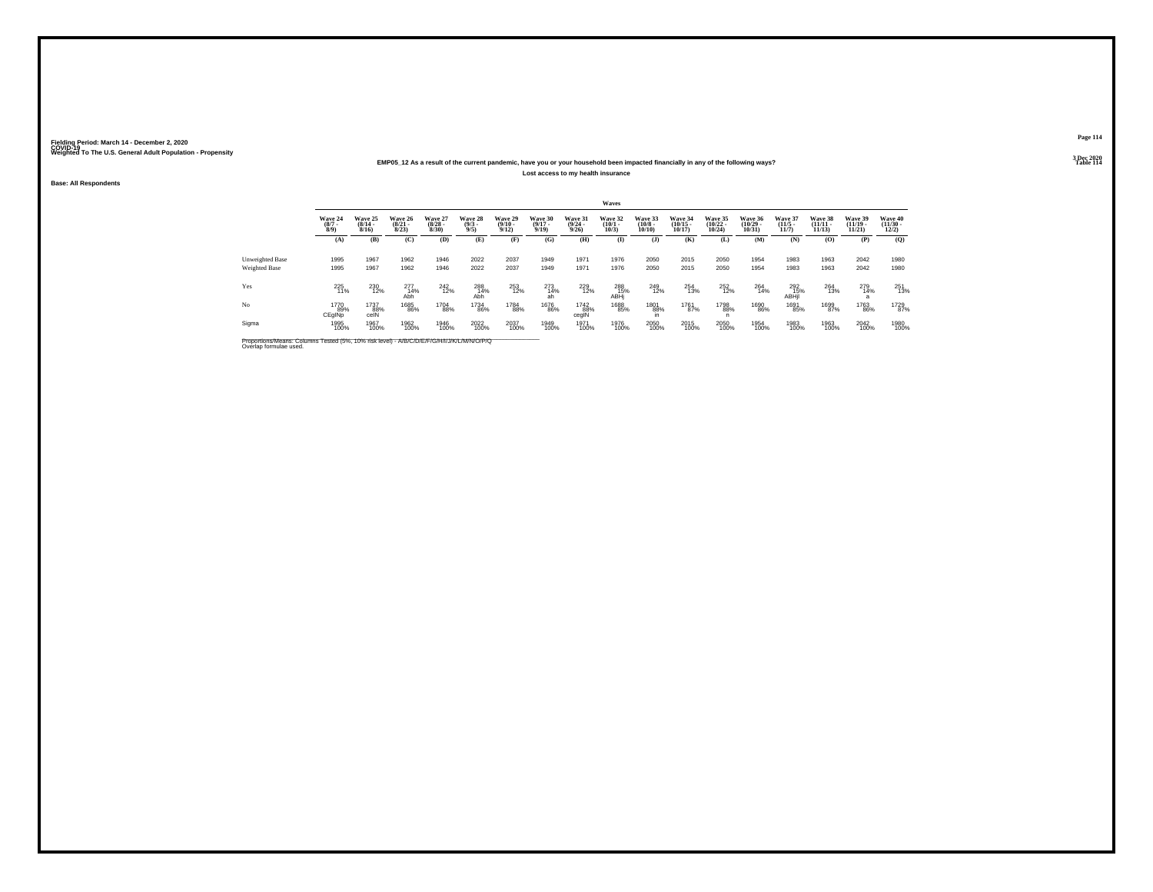### **EMP05\_12 As a result of the current pandemic, have you or your household been impacted financially in any of the following ways?Lost access to my health insurance**

**Base: All Respondents**

|                                  |                               |                                  |                                 |                                 |                               |                                  |                                  |                                  | Waves                           |                                  |                                   |                                   |                                   |                                 |                                    |                                    |                                  |
|----------------------------------|-------------------------------|----------------------------------|---------------------------------|---------------------------------|-------------------------------|----------------------------------|----------------------------------|----------------------------------|---------------------------------|----------------------------------|-----------------------------------|-----------------------------------|-----------------------------------|---------------------------------|------------------------------------|------------------------------------|----------------------------------|
|                                  | Wave 24<br>$\binom{8/7}{8/9}$ | Wave 25<br>$\frac{(8/14)}{8/16}$ | Wave 26<br>$\binom{8/21}{8/23}$ | Wave 27<br>$\binom{8/28}{8/30}$ | Wave 28<br>$\binom{9/3}{9/5}$ | Wave 29<br>$\frac{(9/10)}{9/12}$ | Wave 30<br>$\frac{(9/17)}{9/19}$ | Wave 31<br>$\frac{(9/24)}{9/26}$ | Wave 32<br>$\binom{10/1}{10/3}$ | Wave 33<br>$\binom{10/8}{10/10}$ | Wave 34<br>$\binom{10/15}{10/17}$ | Wave 35<br>$\binom{10/22}{10/24}$ | Wave 36<br>$\binom{10/29}{10/31}$ | Wave 37<br>$\binom{11/5}{11/7}$ | Wave 38<br>$\frac{(11/11)}{11/13}$ | Wave 39<br>$(11/19 -$<br>$11/21$ ) | Wave 40<br>$\binom{11/30}{12/2}$ |
|                                  | (A)                           | (B)                              | (C)                             | (D)                             | (E)                           | (F)                              | (G)                              | (H)                              | (I)                             | $($ $\bf{J}$ )                   | (K)                               | (L)                               | <b>(M)</b>                        | (N)                             | (O)                                | (P)                                | $\mathbf{Q}$                     |
| Unweighted Base<br>Weighted Base | 1995<br>1995                  | 1967<br>1967                     | 1962<br>1962                    | 1946<br>1946                    | 2022<br>2022                  | 2037<br>2037                     | 1949<br>1949                     | 1971<br>1971                     | 1976<br>1976                    | 2050<br>2050                     | 2015<br>2015                      | 2050<br>2050                      | 1954<br>1954                      | 1983<br>1983                    | 1963<br>1963                       | 2042<br>2042                       | 1980<br>1980                     |
| Yes                              | 225<br>11%                    | 230<br>12%                       | 277<br>14%<br>Abh               | 242<br>12%                      | 288<br>14%<br>Abh             | 253<br>12%                       | $\underset{\text{ah}}{^{273}}$   | 229<br>12%                       | 288<br>15%<br>ABHi              | 249<br>12%                       | 254<br>13%                        | 252<br>12%                        | 264<br>14%                        | 292<br>15%<br>ABHil             | 264<br>13%                         | 279<br>14%                         | $^{251}_{13\%}$                  |
| No                               | 1770<br>89%<br>CEgINp         | 1737<br>88%<br>celN              | 1685<br>86%                     | 1704<br>88%                     | 1734<br>86%                   | 1784<br>88%                      | <sup>1676</sup> 86%              | 1742<br>88%<br>cegIN             | 1688<br>85%                     | 1801<br>88%                      | 1761<br>87%                       | 1798<br>88%                       | 1690<br>86%                       | 1691<br>85%                     | 1699<br>87%                        | 1763<br>86%                        | 1729<br>87%                      |
| Sigma                            | 1995<br>100%                  | 1967<br>100%                     | 1962<br>100%                    | 1946<br>100%                    | 2022<br>100%                  | 2037<br>100%                     | 1949<br>100%                     | 1971<br>100%                     | 1976<br>100%                    | 2050<br>100%                     | 2015<br>100%                      | 2050<br>100%                      | 1954<br>100%                      | 1983<br>100%                    | 1963<br>100%                       | 2042<br>100%                       | 1980<br>100%                     |

Proportions/Means: Columns Tested (5%, 10% risk level) - *N\B/C/D/E/F/G/H/I/J/K/L/M/N/O/P/Q*<br>Overlap formulae used.

**Page 1143 Dec 2020<br>Table 114** 

**Table 114 Table 114**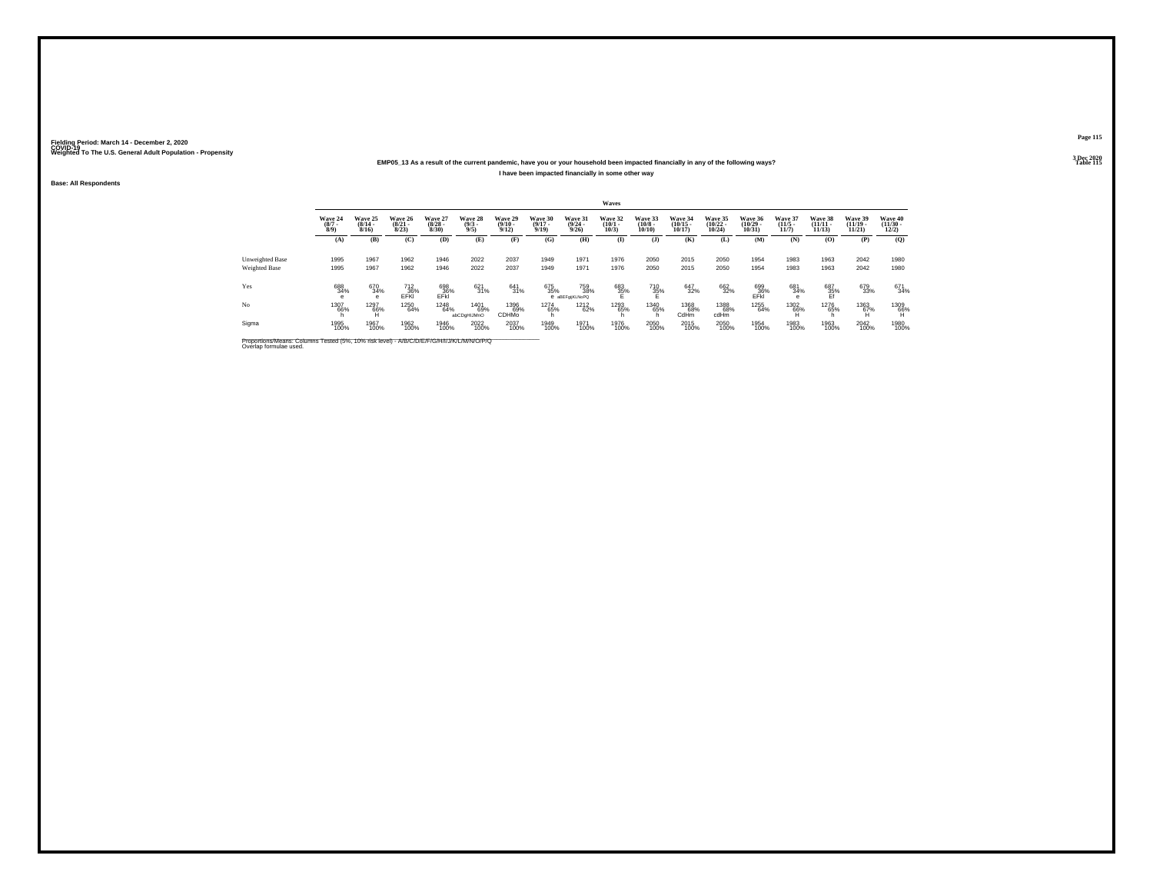### **EMP05\_13 As a result of the current pandemic, have you or your household been impacted financially in any of the following ways?I have been impacted financially in some other way**

**Base: All Respondents**

|                        |                               |                                  |                                  |                                 |                               |                                         |                                  |                                         | Waves                           |                                       |                                   |                                   |                                   |                                  |                                    |                                    |                                          |
|------------------------|-------------------------------|----------------------------------|----------------------------------|---------------------------------|-------------------------------|-----------------------------------------|----------------------------------|-----------------------------------------|---------------------------------|---------------------------------------|-----------------------------------|-----------------------------------|-----------------------------------|----------------------------------|------------------------------------|------------------------------------|------------------------------------------|
|                        | Wave 24<br>$\binom{8/7}{8/9}$ | Wave 25<br>$\frac{(8/14)}{8/16}$ | Wave 26<br>$\frac{(8/21)}{8/23}$ | Wave 27<br>$\binom{8/28}{8/30}$ | Wave 28<br>$\binom{9/3}{9/5}$ | Wave 29<br>$\frac{(9/10 - 9/12)}{9/12}$ | Wave 30<br>$\frac{(9/17)}{9/19}$ | Wave 31<br>$\frac{(9/24 - 9/26)}{9/26}$ | Wave 32<br>$\binom{10/1}{10/3}$ | Wave 33<br>$\binom{10/8 - 10}{10/10}$ | Wave 34<br>$\binom{10/15}{10/17}$ | Wave 35<br>$\binom{10/22}{10/24}$ | Wave 36<br>$\binom{10/29}{10/31}$ | Wave 37<br>$\frac{(11/5)}{11/7}$ | Wave 38<br>$\frac{(11/11)}{11/13}$ | Wave 39<br>$\frac{(11/19)}{11/21}$ | Wave 40<br>$\frac{(11/30 - 12/2)}{12/2}$ |
|                        | (A)                           | (B)                              | (C)                              | (D)                             | (E)                           | (F)                                     | (G)                              | (H)                                     | $\mathbf{I}$                    | $($ $)$                               | (K)                               | (L)                               | (M)                               | (N)                              | (0)                                | (P)                                | (Q)                                      |
| <b>Unweighted Base</b> | 1995                          | 1967                             | 1962                             | 1946                            | 2022                          | 2037                                    | 1949                             | 1971                                    | 1976                            | 2050                                  | 2015                              | 2050                              | 1954                              | 1983                             | 1963                               | 2042                               | 1980                                     |
| Weighted Base          | 1995                          | 1967                             | 1962                             | 1946                            | 2022                          | 2037                                    | 1949                             | 1971                                    | 1976                            | 2050                                  | 2015                              | 2050                              | 1954                              | 1983                             | 1963                               | 2042                               | 1980                                     |
| Yes                    | 688<br>34%                    | 670<br>34%<br>e                  | 712<br>36%<br>EFKI               | 698<br>36%<br>EFkl              | 621<br>31%                    | 641<br>31%                              | 675<br>35%                       | 759<br>38%<br>e aBEFgijKLNoPQ           | 683<br>35%                      | 710<br>35%                            | 647<br>32%                        | 662<br>32%                        | 699<br>36%<br>EFkl                | 681<br>34%                       | 687<br>35%                         | 679<br>33%                         | 671<br>34%                               |
| No                     | 1307<br>66%                   | $^{1297}_{66\%}$                 | 1250<br>64%                      | 1248<br>64%                     | 1401<br>69%<br>abCDgHIJMnO    | 1396<br>69%<br>CDHMo                    | <sup>1274</sup> 65%              | <sup>1212</sup><br>62%                  | 1293<br>65%                     | 1340<br>65%                           | 1368<br>68%<br>CdHm               | 1388<br>68%<br>cdHm               | 1255<br>64%                       | <sup>1302</sup> 66%              | 1276<br>65%                        | 1363<br>67%                        | 1309<br>66%<br>H                         |
| Sigma                  | 1995<br>100%                  | 1967<br>100%                     | 1962<br>100%                     | 1946<br>100%                    | 2022<br>100%                  | 2037<br>100%                            | 1949<br>100%                     | 1971<br>100%                            | 1976<br>100%                    | 2050<br>100%                          | 2015<br>100%                      | 2050<br>100%                      | 1954<br>100%                      | 1983<br>100%                     | 1963<br>100%                       | 2042<br>100%                       | 1980<br>100%                             |

Proportions/Means: Columns Tested (5%, 10% risk level) - *N\B/C/D/E/F/G/H/I/J/K/L/M/N/O/P/Q*<br>Overlap formulae used.

**Page 115**3 Dec 2020<br>Table 115

**Table 115 Table 115**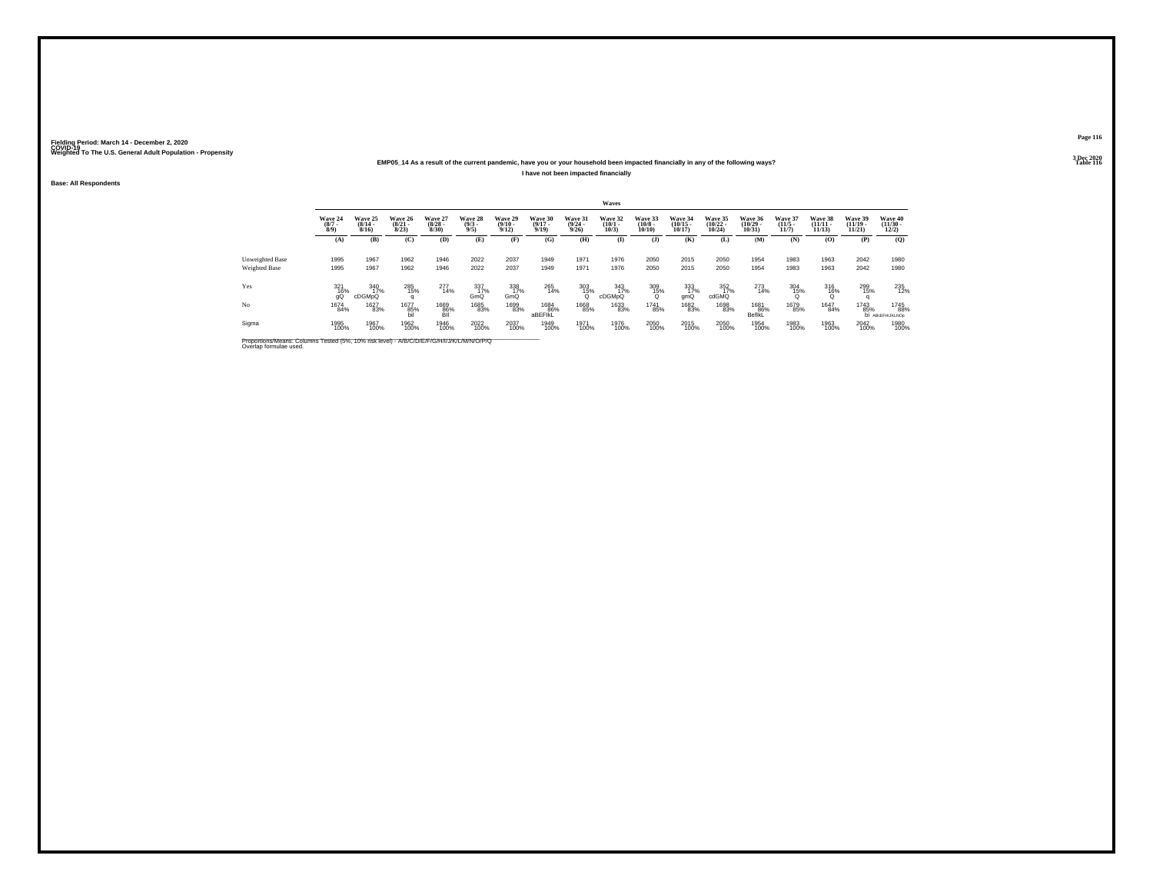### **EMP05\_14 As a result of the current pandemic, have you or your household been impacted financially in any of the following ways?I have not been impacted financially**

**Base: All Respondents**

|                 |                               |                                  |                                  |                                 |                                |                                         |                                  |                                 | Waves                           |                                  |                                                   |                                   |                                   |                                  |                                    |                                    |                                          |
|-----------------|-------------------------------|----------------------------------|----------------------------------|---------------------------------|--------------------------------|-----------------------------------------|----------------------------------|---------------------------------|---------------------------------|----------------------------------|---------------------------------------------------|-----------------------------------|-----------------------------------|----------------------------------|------------------------------------|------------------------------------|------------------------------------------|
|                 | Wave 24<br>$\binom{8/7}{8/9}$ | Wave 25<br>$\frac{(8/14)}{8/16}$ | Wave 26<br>$\frac{(8/21)}{8/23}$ | Wave 27<br>$\binom{8/28}{8/30}$ | Wave 28<br>$\frac{(9/3)}{9/5}$ | Wave 29<br>$\frac{(9/10 - 9/12)}{9/12}$ | Wave 30<br>$\frac{(9/17)}{9/19}$ | Wave 31<br>$\binom{9/24}{9/26}$ | Wave 32<br>$\binom{10/1}{10/3}$ | Wave 33<br>$\binom{10/8}{10/10}$ | Wave 34<br>$\binom{10/15}{10/17}$                 | Wave 35<br>$\binom{10/22}{10/24}$ | Wave 36<br>$\binom{10/29}{10/31}$ | Wave 37<br>$\frac{(11/5)}{11/7}$ | Wave 38<br>$\frac{(11/11)}{11/13}$ | Wave 39<br>$\frac{(11/19)}{11/21}$ | Wave 40<br>$\frac{(11/30 - 12/2)}{12/2}$ |
|                 | (A)                           | (B)                              | (C)                              | (D)                             | (E)                            | (F)                                     | (G)                              | (H)                             | $\mathbf{I}$                    | $($ $)$                          | (K)                                               | (L)                               | (M)                               | (N)                              | (0)                                | (P)                                | (Q)                                      |
| Unweighted Base | 1995                          | 1967                             | 1962                             | 1946                            | 2022                           | 2037                                    | 1949                             | 1971                            | 1976                            | 2050                             | 2015                                              | 2050                              | 1954                              | 1983                             | 1963                               | 2042                               | 1980                                     |
| Weighted Base   | 1995                          | 1967                             | 1962                             | 1946                            | 2022                           | 2037                                    | 1949                             | 1971                            | 1976                            | 2050                             | 2015                                              | 2050                              | 1954                              | 1983                             | 1963                               | 2042                               | 1980                                     |
| Yes             | 321<br>16%<br>qQ              | 340<br>17%<br>cDGMpQ             | 285<br>15%                       | 277<br>14%                      | 337<br>1 <u>7</u> %<br>GmQ     | 338<br>17%<br>GmQ                       | 265<br>14%                       | $\frac{303}{15\%}$              | 343<br>1 <u>7</u> %<br>cDGMpQ   | $\frac{309}{15\%}$               | $\begin{array}{c} 333 \\ 17\% \\ gmQ \end{array}$ | 352<br>17%<br>cdGMQ               | 273<br>14%                        | 304<br>15%                       | 316<br>16%                         | 299<br>15%                         | 235<br>12%                               |
| No              | 1674<br>84%                   | <sup>1627</sup> 83%              | 1677<br>85%<br>Бil               | 1669<br>86%<br>ВII              | 1685<br>83%                    | 1699<br>83%                             | 1684<br>86%<br>aBEFIKL           | 1668<br>85%                     | 1633<br>83%                     | 1741<br>85%                      | 1682<br>83%                                       | 1698<br>83%                       | 1681<br>86%<br>BeflkL             | 1679<br>85%                      | 1647<br>84%                        | <sup>1743</sup> 85%                | 1745<br>88%<br><b>DI ABCEFHIJKLNOp</b>   |
| Sigma           | 1995<br>100%                  | 1967<br>100%                     | 1962<br>100%                     | 1946<br>100%                    | 2022<br>100%                   | 2037<br>100%                            | 1949<br>100%                     | 1971<br>100%                    | 1976<br>100%                    | 2050<br>100%                     | 2015<br>100%                                      | 2050<br>100%                      | 1954<br>100%                      | 1983<br>100%                     | 1963<br>100%                       | 2042<br>100%                       | 1980<br>100%                             |

Proportions/Means: Columns Tested (5%, 10% risk level) - *N\B/C/D/E/F/G/H/I/J/K/L/M/N/O/P/Q*<br>Overlap formulae used.

**Page 1163 Dec 2020<br>Table 116** 

**Table 116 Table 116**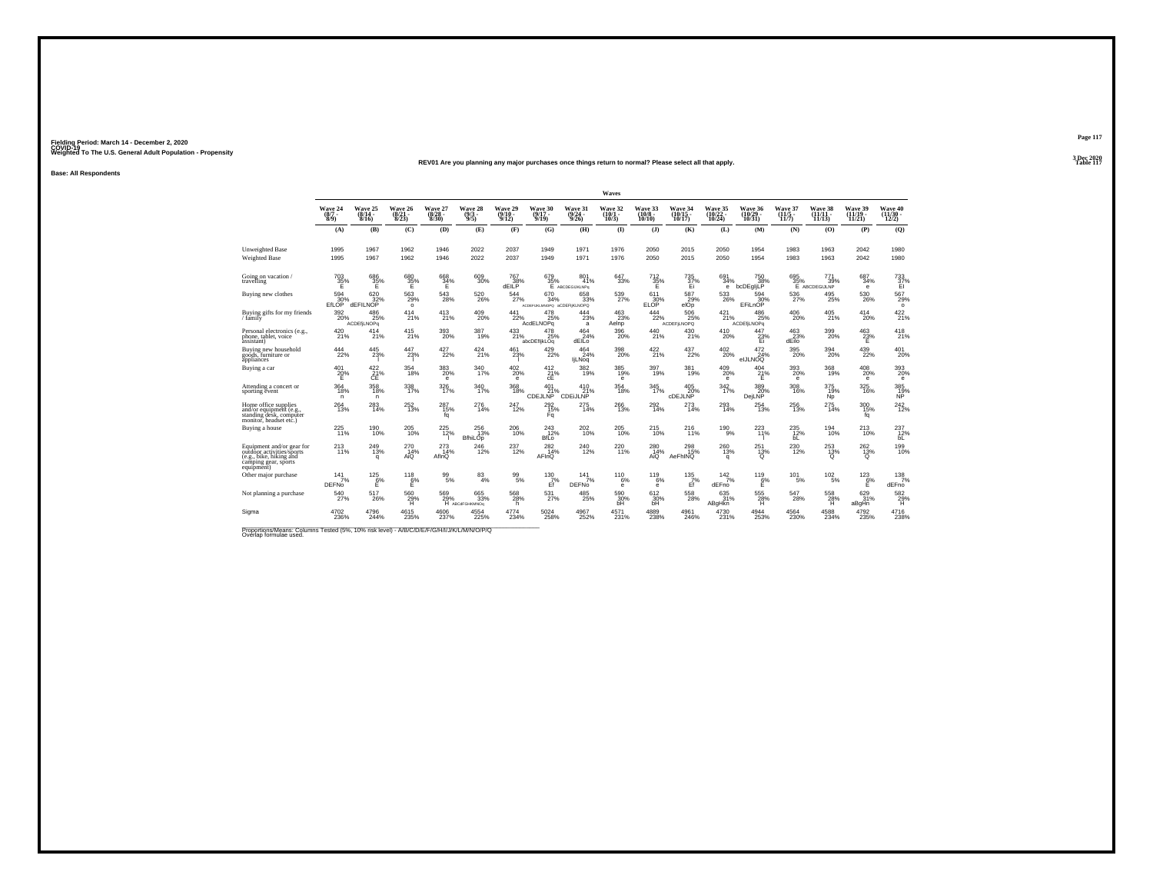#### **REV01 Are you planning any major purchases once things return to normal? Please select all that apply.Table 117**

**Base: All Respondents**

|                                                                                                                         |                                     |                                  |                                  |                                 |                                   |                                                              |                                              |                                           | Waves                        |                               |                                  |                               |                                  |                             |                                         |                                 |                              |
|-------------------------------------------------------------------------------------------------------------------------|-------------------------------------|----------------------------------|----------------------------------|---------------------------------|-----------------------------------|--------------------------------------------------------------|----------------------------------------------|-------------------------------------------|------------------------------|-------------------------------|----------------------------------|-------------------------------|----------------------------------|-----------------------------|-----------------------------------------|---------------------------------|------------------------------|
|                                                                                                                         | Wave 24<br>(8/7 -<br>8/9)           | Wave 25<br>$(8/14 -$<br>8/16     | Wave 26<br>$\frac{(8/21)}{8/23}$ | Wave 27<br>$\binom{8/28}{8/30}$ | Wave 28<br>$(9/3 -$<br>9/5        | Wave 29<br>$(9/10 -$<br>9/12                                 | Wave 30<br>(9/17<br>9/19                     | Wave 31<br>$\frac{(9/24 - 9/26)}{9/26}$   | Wave 32<br>$(10/1 -$<br>10/3 | Wave 33<br>$(10/8 -$<br>10/10 | Wave 34<br>10/17                 | Wave 35<br>(10/22 -<br>10/24) | Wave 36<br>(10/29 -<br>10/31)    | Wave 37<br>(11/5<br>11/7)   | Wave 38<br>$(11/11 -$<br>11/13          | Wave 39<br>(11/19 -<br>11/21    | Wave 40<br>(11/30 -<br>12/2) |
|                                                                                                                         | (A)                                 | (B)                              | (C)                              | (D)                             | (E)                               | (F)                                                          | (G)                                          | (H)                                       | $\bf{I}$                     | $($ $)$                       | (K)                              | (L)                           | (M)                              | (N)                         | (0)                                     | (P)                             | (Q)                          |
| <b>Unweighted Base</b><br><b>Weighted Base</b>                                                                          | 1995<br>1995                        | 1967<br>1967                     | 1962<br>1962                     | 1946<br>1946                    | 2022<br>2022                      | 2037<br>2037                                                 | 1949<br>1949                                 | 1971<br>1971                              | 1976<br>1976                 | 2050<br>2050                  | 2015<br>2015                     | 2050<br>2050                  | 1954<br>1954                     | 1983<br>1983                | 1963<br>1963                            | 2042<br>2042                    | 1980<br>1980                 |
| Going on vacation/<br>travelling                                                                                        | $^{703}_{35\%}$                     | 686<br>$\frac{35}{5}$ %          | $^{680}_{35\%}$                  | $^{668}_{34\%}$                 | 609<br>30%                        | $\begin{array}{c} 767 \\ 38\% \\ \mathrm{dEILP} \end{array}$ |                                              | 679 801<br>35% 41% E ABCDEGIJKLNPg<br>41% | 647<br>33%                   | $\frac{712}{35\%}$            | <sup>735</sup><br>37%<br>Ei      | 691<br>34%<br>е               | 750<br>38%<br>bcDEgljLP          |                             | 695 771<br>35% 39% E ABCDEGIJLNP<br>39% | 687<br>34%<br>e                 | $\frac{733}{37\%}$           |
| Buying new clothes                                                                                                      | 594<br>EfLOP                        | 620<br>dEFILNOP                  | 563<br>29%<br>$\circ$            | 543<br>28%                      | 520<br>26%                        | 544<br>27%                                                   | 670<br>34%<br>ACDEFUKLMNOPO aCDEFIKLNOPO     | 658<br>33%                                | 539<br>27%                   | 611<br>ELOP                   | 587<br>$^{29}_{e}$               | 533<br>26%                    | 594<br>80% EFiLnOP               | 536<br>27%                  | 495<br>25%                              | 530<br>26%                      | 567<br>29%<br>$\circ$        |
| Buying gifts for my friends $\!/\,{\rm family}$                                                                         | $\frac{392}{20\%}$                  | 486<br>25%<br><b>ACDEfiLNOPa</b> | 414<br>21%                       | 413<br>21%                      | $^{409}_{20\%}$                   | $^{441}_{22\%}$                                              | 478<br>25%<br><b>AcdELNOPg</b>               | 444<br>23%<br>a                           | $\frac{463}{23\%}$<br>Aelnp  | 444<br>22%                    | 506<br>25%<br><b>ACDEFILNOPQ</b> | $^{421}_{21\%}$               | 486<br>25%<br><b>ACDEfiLNOPa</b> | $^{406}_{20\%}$             | 405<br>21%                              | 414<br>20%                      | 422 %                        |
| Personal electronics (e.g.,<br>phone, tablet, voice<br>assistant)                                                       | 420 <sub>21%</sub>                  | 414<br>21%                       | 415<br>21%                       | 393<br>20%                      | 387<br>19%                        | 433<br>21%                                                   | 478<br>25%<br>abcDEfljkLOq                   | $^{464}_{24\%}$<br>dEILo                  | 396<br>20%                   | 440<br>21%                    | 430<br>21%                       | $^{410}_{20\%}$               | 447<br>$\frac{23}{1}$            | $463$<br>$23%$<br>dEilo     | $\frac{399}{20\%}$                      | $^{463}_{-23\%}$                | 418                          |
| Buying new household<br>goods, furniture or<br>appliances                                                               | 444<br>22%                          | 445<br>23%                       | 447<br>23%                       | 427<br>22%                      | 424<br>21%                        | 461<br>23%                                                   | 429<br>22%                                   | 464<br>24%<br><b>liLNoq</b>               | 398<br>20%                   | 422<br>21%                    | 437<br>22%                       | 402<br>20%                    | 472<br>24%<br>eIJLNOQ            | 395<br>20%                  | 394<br>20%                              | 439<br>22%                      | 401<br>20%                   |
| Buying a car                                                                                                            | 401<br>20%<br>Е                     | $\frac{422}{21}\%$<br>CE         | $^{354}_{18\%}$                  | 383<br>20%<br>$\mathbf e$       | 340<br>17%                        | $^{402}_{\,20\%}$<br>e                                       | 412 %<br>сE                                  | 382<br>19%                                | 385<br>19%<br>е              | 397<br>19%                    | 381<br>19%                       | 409 %<br>е                    | $^{404}_{21\%}$<br>Е             | 393<br>20%<br>$\mathbf e$   | 368<br>19%                              | $^{408}_{20\%}$<br>$\mathbf{e}$ | 393<br>20%<br>$\bullet$      |
| Attending a concert or<br>sporting event                                                                                | 364<br>18%<br>n                     | 358<br>18%<br>n.                 | 338<br>17%                       | 326<br>17%                      | 340<br>17%                        | 368<br>18%                                                   | 401<br>21%<br>CDEJLNP                        | 410<br>21%<br><u>CDEIJLNP</u>             | 354<br>18%                   | 345<br>17%                    | 405<br>20%<br>CDEJLNP            | 342<br>17%                    | 389<br>20%<br>DeiLNP             | 308<br>16%                  | 375<br>19%<br><b>Np</b>                 | 325<br>16%                      | 385<br>$\frac{19}{N}$        |
| Home office supplies<br>and/or equipment (e.g.<br>standing desk, computer<br>monitor, headset etc.)                     | 264<br>13%                          | 283<br>14%                       | $^{252}_{13\%}$                  | 287<br>15%<br>fq                | 276<br>14%                        | 247<br>12%                                                   | 292<br>15%<br>Fq                             | 275<br>14%                                | 266<br>13%                   | 292 14%                       | $^{273}_{14\%}$                  | 293<br>14%                    | $^{254}_{13\%}$                  | 256<br>13%                  | $^{275}_{14\%}$                         | $\frac{300}{15\%}$<br>fq        | 242<br>12%                   |
| Buying a house                                                                                                          | 225<br>11%                          | <sup>190</sup> 10%               | 205<br>10%                       | <sup>225</sup> <sub>12%</sub>   | $^{256}_{13\%}$<br><b>BfhiLOp</b> | 206<br>10%                                                   | <sup>243</sup> <sub>12%</sub><br><b>BfLo</b> | 202<br>10%                                | 205<br>10%                   | 215<br>10%                    | 216                              | $^{190}_{9\%}$                | 223                              | 235<br>bL                   | $^{194}_{10\%}$                         | 213%                            | 237<br>12%<br>bL             |
| Equipment and/or gear for<br>outdoor activities/sports<br>(e.g., bike, hiking and<br>camping gear, sports<br>equipment) | <sup>213</sup> <sub>11%</sub>       | 249<br>13%<br>q                  | $^{270}_{14\%}$<br>AÍO           | 273<br>14%<br>AflnQ             | $\frac{246}{12\%}$                | 237<br>12%                                                   | $^{282}_{14\%}$<br>AFInQ                     | 240<br>12%                                | 220<br>11%                   | 280<br>14%<br>Aio             | 298<br>15%<br>AeFhINQ            | 260<br>13%<br>q               | $^{251}_{13\%}$                  | $^{230}_{\hphantom{1}12\%}$ | $^{253}_{13\%}$                         | $^{262}_{13\%}$                 | 199<br>10%                   |
| Other major purchase                                                                                                    | $141$ <sub>7%</sub><br><b>DEFNo</b> | $\frac{125}{6}\%$<br>E           | $^{118}_{6\%}$<br>E              | $^{99}_{5\%}$                   | $\frac{83}{4\%}$                  | $\frac{99}{5%}$                                              | $^{130}_{7\%}$<br>Ef                         | $141$ <sub>7%</sub><br><b>DEFNo</b>       | $^{110}_{6\%}$<br>е          | $^{119}_{6\%}$<br>е           | $^{135}_{7\%}$<br>Ef             | 142/7%<br>dEFno               | $^{119}_{6\%}$<br>Е              | $101 \atop 5\%$             | $102 \atop 5\%$                         | $^{123}_{6\%}$<br>Ε             | $138$ <sub>7%</sub><br>dEFno |
| Not planning a purchase                                                                                                 | 540<br>27%                          | 517<br>26%                       | 560<br>29%                       | 569                             | 665<br>29% 33°<br>33%             | 568<br>28%<br>h.                                             | 531<br>27%                                   | 485<br>25%                                | 590<br>30%<br>bH             | 612<br>30%                    | 558<br>28%                       | 635<br>31%<br><b>ABaHkn</b>   | 555<br>28%<br>н                  | 547<br>28%                  | 558<br>$^{28\%}$                        | 629<br>31%<br>aBgHn             | 582<br>$^{29}_{H}$           |
| Sigma                                                                                                                   | 4702<br>236%                        | 4796<br>244%                     | 4615<br>235%                     | 4606<br>237%                    | 4554<br>225%                      | 4774<br>234%                                                 | 5024<br>258%                                 | 4967<br>252%                              | 4571%                        | 4889<br>238%                  | 4961<br>246%                     | 4730<br>231%                  | $^{4944}_{\  \, 253\%}$          | 4564<br>230%                | 4588<br>234%                            | 4792<br>235%                    | 4716<br>238%                 |

Proportions/Means: Columns Tested (5%, 10% risk level) - *N'B/C/D/E/F/G/H/I/J/K/L/M/N/O/P/Q*<br>Overlap formulae used.

**Page 117**3 Dec 2020<br>Table 117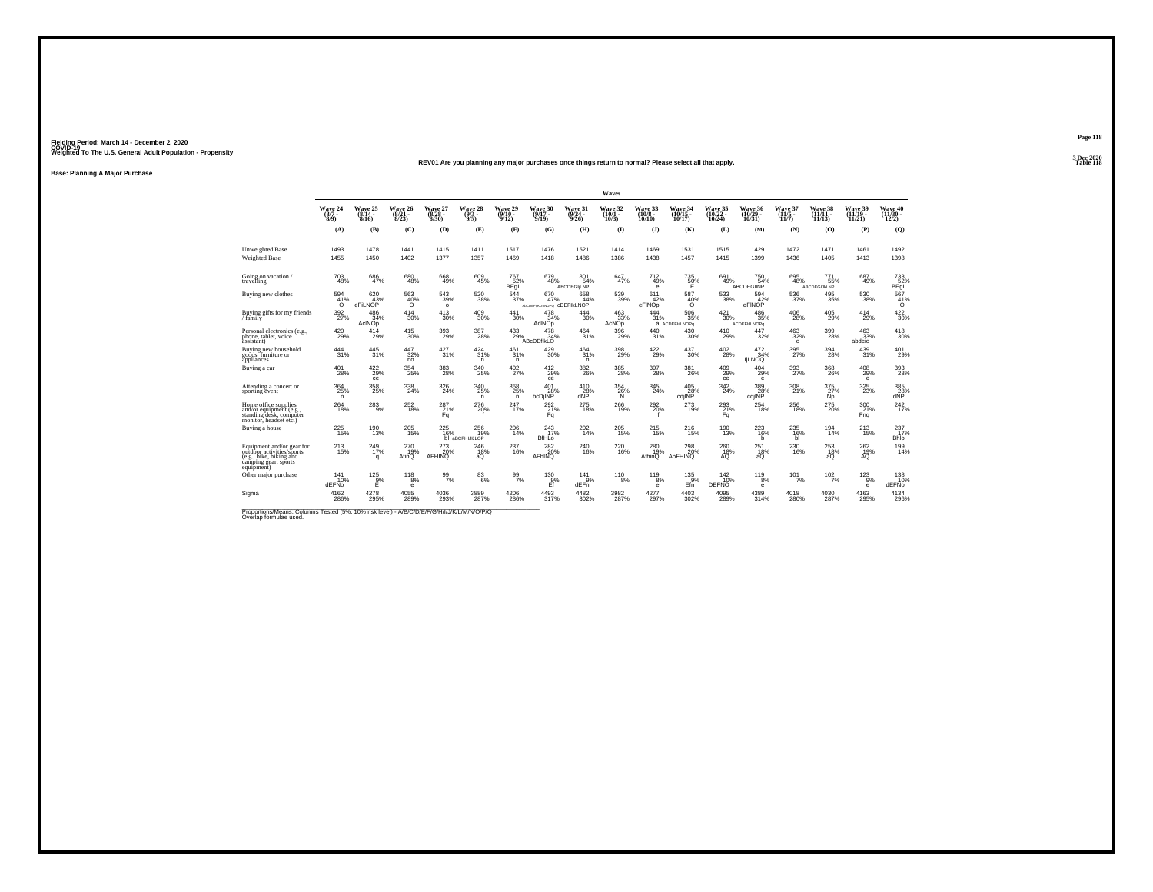#### **REV01 Are you planning any major purchases once things return to normal? Please select all that apply.Table 118**

**Base: Planning A Major Purchase**

|                                                                                                                         |                            |                              |                                  |                                  |                                |                              |                                         |                                       | Waves                        |                                |                                  |                                 |                                            |                             |                                |                                       |                                   |
|-------------------------------------------------------------------------------------------------------------------------|----------------------------|------------------------------|----------------------------------|----------------------------------|--------------------------------|------------------------------|-----------------------------------------|---------------------------------------|------------------------------|--------------------------------|----------------------------------|---------------------------------|--------------------------------------------|-----------------------------|--------------------------------|---------------------------------------|-----------------------------------|
|                                                                                                                         | Wave 24<br>$(8/7 -$<br>8/9 | Wave 25<br>$(8/14 -$<br>8/16 | Wave 26<br>$\frac{(8/21)}{8/23}$ | Wave 27<br>$\frac{(8/28)}{8/30}$ | Wave 28<br>$\frac{(9/3)}{9/5}$ | Wave 29<br>$(9/10 -$<br>9/12 | Wave 30<br>$(9/17 -$<br>9/19            | Wave 31<br>$\frac{(9/24)}{9/26}$      | Wave 32<br>$(10/1 -$<br>10/3 | Wave 33<br>$(10/8 -$<br>10/10  | Wave 34<br>(10/15<br>10/17       | Wave 35<br>(10/22 -<br>10/24)   | Wave 36<br>$\frac{(10/29 - 10/31)}{10/31}$ | Wave 37<br>(11/5 -<br>11/7) | Wave 38<br>$(11/11 -$<br>11/13 | Wave 39<br>$(11/19 -$<br>11/21        | Wave 40<br>$\frac{(11/30)}{12/2}$ |
|                                                                                                                         | (A)                        | (B)                          | (C)                              | (D)                              | (E)                            | (F)                          | (G)                                     | (H)                                   | $($ $\blacksquare$           | $($ $)$                        | (K)                              | (L)                             | (M)                                        | (N)                         | (0)                            | (P)                                   | (Q)                               |
| Unweighted Base<br>Weighted Base                                                                                        | 1493<br>1455               | 1478<br>1450                 | 1441<br>1402                     | 1415<br>1377                     | 1411<br>1357                   | 1517<br>1469                 | 1476<br>1418                            | 1521<br>1486                          | 1414<br>1386                 | 1469<br>1438                   | 1531<br>1457                     | 1515<br>1415                    | 1429<br>1399                               | 1472<br>1436                | 1471<br>1405                   | 1461<br>1413                          | 1492<br>1398                      |
| Going on vacation<br>travelling                                                                                         | 703<br>48%                 | $^{686}_{\ 47\%}$            | 680<br>48%                       | 668<br>49%                       | $609 \atop 45\%$               | <sup>767</sup> 52%<br>BEgi   | 679<br>48%                              | 801<br>54%<br><b>ABCDEGILNP</b>       | $647}_{47\%$                 | $^{712}_{49\%}$<br>$\mathbf e$ | $^{735}_{~50\%}$                 | 691<br>49%                      | 750 54%<br><b>ABCDEGIINP</b>               | $^{695}_{48\%}$             | 771<br>55%<br>ABCDEGIJKLNP     | $^{687}_{49\%}$                       | 733<br>52%<br>BEgi                |
| Buying new clothes                                                                                                      | 594<br>41%<br>$\Omega$     | 620<br>43%<br>eFiLNOP        | 563<br>$^{40\%}_{0}$             | 543<br>39%<br>$\circ$            | 520<br>38%                     | 544<br>37%                   | 670<br>47%<br>AbCDEFIKLmNOPO CDEFIKLNOP | 658<br>44%                            | 539<br>39%                   | 611<br>42%<br>eFINOD           | 587<br>$^{40\%}_{0}$             | 533<br>38%                      | 594<br>eFINOP                              | 536<br>37%                  | 495<br>35%                     | 530<br>38%                            | 567<br>$^{41%}_{0}$               |
| Buying gifts for my friends<br>/ family                                                                                 | $\frac{392}{27\%}$         | 486<br>34%<br>AcINOp         | $^{414}_{30\%}$                  | $\substack{413 \\ 30\%}$         | $^{409}_{30\%}$                | $\substack{441 \\ 30\%}$     | 478<br>34%<br>AcINOp                    | $^{444}_{\phantom{1}\phantom{1}30\%}$ | $\frac{463}{33\%}$<br>AcNOp  | 444<br>31%                     | $^{506}_{35\%}$<br>a ACDEFHLNOPa | $^{421}_{30\%}$                 | 486<br>35%<br><b>ACDEFHLNOPa</b>           | $^{406}_{28\%}$             | $^{405}_{29\%}$                | $^{414}_{29\%}$                       | 422 30%                           |
| Personal electronics (e.g.,<br>phone, tablet, voice<br>àssistant)                                                       | $^{420}_{29\%}$            | 414<br>29%                   | 415<br>30%                       | 393<br>29%                       | 387<br>28%                     | $^{433}_{\,\,29\%}$          | 478<br>34%<br><b>ABcDEfIKLO</b>         | 464<br>31%                            | 396<br>29%                   | $\frac{440}{31\%}$             | 430 <sub>30%</sub>               | $^{410}_{29\%}$                 | $^{447}_{32\%}$                            | $463 \over 32\%$<br>$\circ$ | 399<br>28%                     | 463<br>33%<br>abdeio                  | $^{418}_{30\%}$                   |
| Buying new household<br>goods, furniture or<br>appliances                                                               | 444<br>31%                 | 445<br>31%                   | 447<br>32%<br>no                 | 427<br>31%                       | 424<br>31%<br>n                | 461<br>31%<br>n.             | 429<br>30%                              | 464<br>31%<br>n                       | 398<br>29%                   | 422<br>29%                     | 437<br>30%                       | 402<br>28%                      | 472<br>34%<br><b>ILNOQ</b>                 | 395<br>27%                  | 394<br>28%                     | 439<br>31%                            | 401<br>29%                        |
| Buying a car                                                                                                            | 401<br>28%                 | 422/29%<br>ce                | $^{354}_{25\%}$                  | $\frac{383}{28\%}$               | 340<br>25%                     | $^{402}_{27\%}$              | $^{412}_{29\%}$<br>ce                   | 382<br>26%                            | 385<br>28%                   | 397<br>28%                     | 381<br>26%                       | 409 %<br>ce                     | $^{404}_{29\%}$<br>$\bullet$               | 393<br>27%                  | 368<br>26%                     | $^{408}_{29\%}$<br>$\mathbf e$        | 393<br>28%                        |
| Attending a concert or<br>sporting event                                                                                | 364<br>25%<br>n.           | 358<br>25%                   | 338<br>24%                       | 326<br>24%                       | 340<br>25%<br>n.               | 368<br>25%<br>$\mathsf{n}$   | 401<br>28%<br>bcDilNP                   | 410<br>28%<br>dNP                     | 354<br>26%<br>N              | 345<br>24%                     | 405<br>28%<br>cdilNP             | 342<br>24%                      | 389<br>28%<br>cdilNP                       | 308<br>21%                  | 375<br>27%<br>N <sub>p</sub>   | 325<br>23%                            | 385<br>28%<br>dNP                 |
| Home office supplies<br>and/or equipment (e.g.<br>standing desk, computer<br>monitor. headset etc.)                     | $^{264}_{\bf 18\%}$        | $^{283}_{19\%}$              | 252<br>18%                       | 287%<br>Fa                       | 276<br>20%                     | $^{247}_{17\%}$              | $^{292}_{21\%}$<br>Fa                   | 275<br>18%                            | <sup>266</sup><br>19%        | $^{292}_{20\%}$                | $^{273}_{19\%}$                  | $^{293}_{21\%}$<br>Fa           | $^{254}_{\ 18\%}$                          | $^{256}_{18\%}$             | $275 \atop 20\%$               | 300 21%<br>Fng                        | 242                               |
| Buying a house                                                                                                          | 225<br>15%                 | $^{190}_{13\%}$              | 205<br>15%                       | 225<br>16%                       | 256<br>19%<br>bl aBCFHIJKLOP   | 206<br>14%                   | $^{243}_{17\%}$<br><b>BfHLo</b>         | 202<br>14%                            | 205<br>15%                   | <sup>215</sup> <sub>15%</sub>  | <sup>216</sup> <sub>15%</sub>    | $^{190}_{13\%}$                 | $^{223}_{16\%}$<br>b                       | 235<br>16%<br>ы             | $^{194}_{14\%}$                | $^{213}_{15\%}$                       | 237<br>Bhlo                       |
| Equipment and/or gear for<br>outdoor activities/sports<br>(e.g., bike, hiking and<br>camping gear, sports<br>equipment) | 213<br>15%                 | $^{249}_{17\%}$<br>q         | 270<br>19%<br>AfinQ              | 273<br>AFHINQ <sup>%</sup>       | $^{246}_{18\%}$ aQ             | 237<br>16%                   | $^{282}_{20\%}$<br>AFhINQ               | $^{240}_{\,16\%}$                     | $^{220}_{16\%}$              | 280<br>19%<br>AfhinQ           | 298<br>20%<br>AbFHINQ            | $^{260}_{18\%}$                 | $^{251}_{18\%}$ aQ                         | $^{230}_{16\%}$             | $^{253}_{18\%}$ aQ             | $^{262}_{\substack{19 \\ \text{AQ}}}$ | 199<br>14%                        |
| Other major purchase                                                                                                    | 141<br>10%<br>dEENo        | $^{125}_{9%}$<br>E           | 118<br>8%<br>e                   | $\frac{99}{7\%}$                 | $\frac{83}{6\%}$               | $\frac{99}{7\%}$             | $^{130}_{-9\%}$<br>Ff                   | $^{141}_{9\%}$<br>dEFn                | $^{110}_{8\%}$               | $^{119}_{8\%}$<br>$\mathbf e$  | $^{135}_{.9\%}$<br>Efn           | $^{142}_{10\%}$<br><b>DEFNO</b> | $^{119}_{8\%}$<br>е                        | $101$ <sub>7%</sub>         | 102/7%                         | $^{123}_{9\%}$<br>$\mathbf{e}$        | 138<br>10%<br>dEFNo               |
| Sigma                                                                                                                   | 4162<br>286%               | 4278<br>295%                 | 4055<br>289%                     | 4036<br>293%                     | 3889<br>287%                   | 4206<br>286%                 | 4493<br>317%                            | 4482<br>302%                          | 3982<br>287%                 | 4277<br>297%                   | 4403<br>302%                     | 4095<br>289%                    | 4389<br>314%                               | 4018<br>280%                | 4030<br>287%                   | 4163<br>295%                          | 4134<br>296%                      |

Proportions/Means: Columns Tested (5%, 10% risk level) - *N\B/C/D/E/F/G/H/I/J/K/L/M/N/O/P/Q*<br>Overlap formulae used.

**Page 1183 Dec 2020<br>Table 118**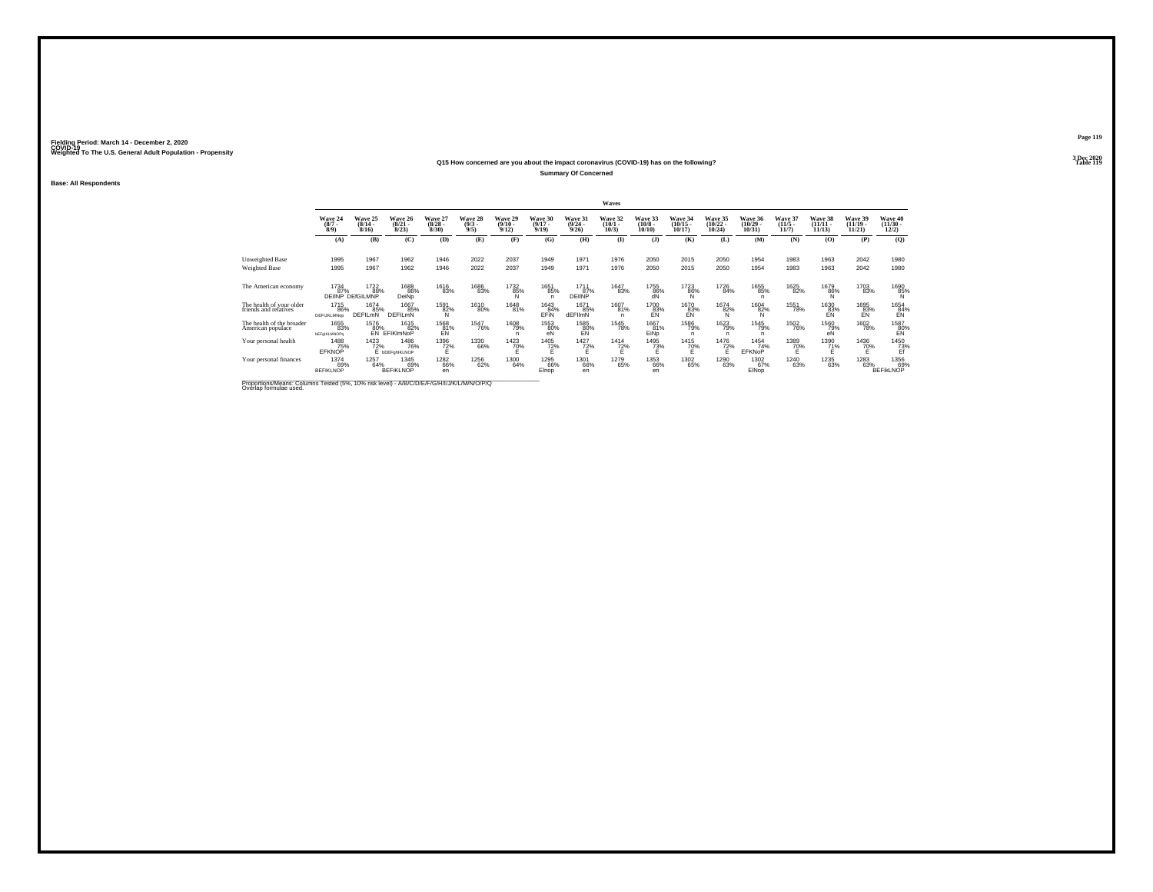#### **Q15 How concerned are you about the impact coronavirus (COVID-19) has on the following?Summary Of Concerned**

**Base: All Respondents**

|                                                   |                                 |                                         |                                       |                                                                      |                               |                                  |                                  |                                  | Waves                           |                                  |                                            |                                   |                                   |                                  |                                    |                                   |                                                 |
|---------------------------------------------------|---------------------------------|-----------------------------------------|---------------------------------------|----------------------------------------------------------------------|-------------------------------|----------------------------------|----------------------------------|----------------------------------|---------------------------------|----------------------------------|--------------------------------------------|-----------------------------------|-----------------------------------|----------------------------------|------------------------------------|-----------------------------------|-------------------------------------------------|
|                                                   | Wave 24<br>$\binom{8/7}{8/9}$   | Wave 25<br>$\frac{(8/14 - 8/16)}{8/16}$ | Wave 26<br>$\frac{(8/21)}{8/23}$      | Wave 27<br>$\binom{8/28}{8/30}$                                      | Wave 28<br>$\binom{9/3}{9/5}$ | Wave 29<br>$\frac{(9/10)}{9/12}$ | Wave 30<br>$\frac{(9/17)}{9/19}$ | Wave 31<br>$\frac{(9/24)}{9/26}$ | Wave 32<br>$\binom{10/1}{10/3}$ | Wave 33<br>$\binom{10/8}{10/10}$ | Wave 34<br>$\frac{(10/15 - 10/17)}{10/17}$ | Wave 35<br>$\binom{10/22}{10/24}$ | Wave 36<br>$\binom{10/29}{10/31}$ | Wave 37<br>$\frac{(11/5)}{11/7}$ | Wave 38<br>$\frac{(11/11)}{11/13}$ | Wave 39<br>$\binom{11/19}{11/21}$ | Wave 40<br>$\frac{(11/30 - 12/2)}{12/2}$        |
|                                                   | (A)                             | (B)                                     | (C)                                   | (D)                                                                  | (E)                           | (F)                              | (G)                              | (H)                              | $\mathbf{I}$                    | $($ $)$                          | (K)                                        | (L)                               | (M)                               | (N)                              | (0)                                | (P)                               | (Q)                                             |
| Unweighted Base                                   | 1995                            | 1967                                    | 1962                                  | 1946                                                                 | 2022                          | 2037                             | 1949                             | 1971                             | 1976                            | 2050                             | 2015                                       | 2050                              | 1954                              | 1983                             | 1963                               | 2042                              | 1980                                            |
| Weighted Base                                     | 1995                            | 1967                                    | 1962                                  | 1946                                                                 | 2022                          | 2037                             | 1949                             | 1971                             | 1976                            | 2050                             | 2015                                       | 2050                              | 1954                              | 1983                             | 1963                               | 2042                              | 1980                                            |
| The American economy                              | 1734<br>87%                     | 1722<br>88%<br>DEIINP DEfGILMNP         | 1688<br>86%<br>DeiNo                  | 1616<br>83%                                                          | 1686<br>83%                   | 1732<br>85%                      | 1651<br>85%<br>n                 | 1711<br>87%<br>DEIINP            | 1647<br>83%                     | 1755<br>86%<br>dÑ                | 1723<br>86%<br>Ñ                           | 1726<br>84%                       | 1655<br>85%<br>n                  | 1625<br>82%                      | 1679<br>86%                        | 1703<br>83%                       | 1690<br>85%                                     |
| The health of your older<br>friends and relatives | 1715<br>86%<br>DEFIJKLMNop      | 1674<br>85%<br><b>DEFILMN</b>           | 1667<br>85%<br><b>DEFILMN</b>         | 1591<br>82%<br>N                                                     | 1610<br>80%                   | 1648<br>81%                      | 1643<br>84%<br>EFIN              | 1671<br>85%<br>dEFIlmN           | 1607<br>81%                     | 1700<br>83%<br>EN                | 1670<br>83%<br>EN                          | <sup>1674</sup> 82%<br>N          | <sup>1604</sup> 82%               | 1551<br>78%                      | 1630<br>83%<br>EN                  | 1695<br>83%<br>EN                 | 1654<br>84%<br>EN                               |
| The health of the broader<br>American populace    | 1655<br>83%<br>bEFgIKLMNOPq     | 1576<br>80%<br>FÑ                       | 1615<br>82%<br>EFIKImNoP              | $\overset{1568}{\substack{81\%}}\overset{~}{\underset{\mathsf{EN}}}$ | <sup>1547</sup> 76%           | <sup>1608</sup> 79%              | 1553<br>80%<br>eN                | 1585<br>80%<br>EN                | 1545<br>78%                     | 1667<br>81%<br>EiÑo              | 1586<br>79%                                | <sup>1623</sup> 79%               | <sup>1545</sup> 79%<br>n          | <sup>1502</sup> 76%              | 1560<br>79%<br>еŇ                  | <sup>1602</sup> 78%               | $\underset{\substack{80\%\\ \text{EN}}}^{1587}$ |
| Your personal health                              | 1488<br>75%<br>EFKNOP           | 1423<br>72%                             | 1486<br>76%<br>E <b>bDEF</b> chlKLNOP | 1396<br>72%                                                          | 1330<br>66%                   | 1423<br>70%                      | 1405<br>72%                      | 1427<br>72%                      | 1414<br>72%                     | 1495<br>73%                      | 1415<br>70%                                | 1476<br>72%                       | 1454<br>74%<br><b>EFKNoP</b>      | 1389<br>70%                      | 1390<br>71%                        | 1436<br>70%                       | 1450<br>73%                                     |
| Your personal finances                            | 1374<br>69%<br><b>BEFIKLNOP</b> | 1257<br>64%                             | 1345<br>69%<br><b>BEFIKLNOP</b>       | <sup>1282</sup> 66%<br>en                                            | <sup>1256</sup> 62%           | 1300<br>64%                      | 1295<br>66%<br>Elnop             | 1301<br>66%<br>en                | 1279<br>65%                     | 1353<br>66%<br>en                | 1302<br>65%                                | 1290<br>63%                       | 1302<br>67%<br>EINop              | <sup>1240</sup> 63%              | 1235<br>63%                        | 1283<br>63%                       | 1356<br>69%<br><b>BEFIKLNOP</b>                 |

Proportions/Means: Columns Tested (5%, 10% risk level) - *N\B/C/D/E/F/G/H/I/J/K/L/M/N/O/P/Q*<br>Overlap formulae used.

**Page 119**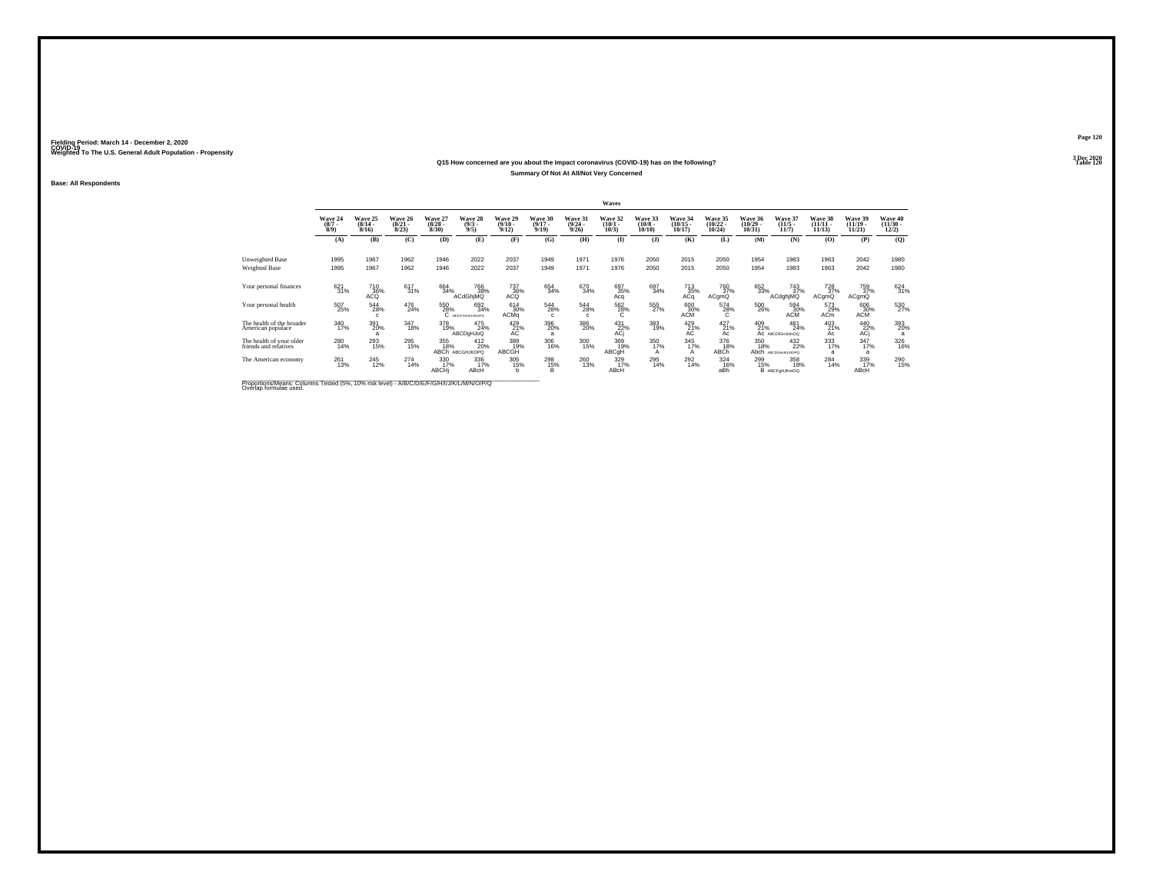### **Q15 How concerned are you about the impact coronavirus (COVID-19) has on the following?Summary Of Not At All/Not Very Concerned**

**Base: All Respondents**

|                                                   |                           |                              |                                 |                                 |                                 |                                 |                                  |                                  | <b>Waves</b>                    |                               |                                |                                |                                |                                  |                                    |                             |                                |
|---------------------------------------------------|---------------------------|------------------------------|---------------------------------|---------------------------------|---------------------------------|---------------------------------|----------------------------------|----------------------------------|---------------------------------|-------------------------------|--------------------------------|--------------------------------|--------------------------------|----------------------------------|------------------------------------|-----------------------------|--------------------------------|
|                                                   | Wave 24<br>$\binom{8}{7}$ | Wave 25<br>$(8/14 -$<br>8/16 | Wave 26<br>$\binom{8/21}{8/23}$ | Wave 27<br>$\binom{8/28}{8/30}$ | Wave 28<br>$\binom{9/3}{9/5}$   | Wave 29<br>$\binom{9/10}{9/12}$ | Wave 30<br>$\frac{(9/17)}{9/19}$ | Wave 31<br>$\frac{(9/24)}{9/26}$ | Wave 32<br>$(10/1 -$<br>10/3    | Wave 33<br>$(10/8 -$<br>10/10 | Wave 34<br>$(10/15 -$<br>10/17 | Wave 35<br>$(10/22 -$<br>10/24 | Wave 36<br>$(10/29 -$<br>10/31 | Wave 37<br>$\frac{(11/5)}{11/7}$ | Wave 38<br>$\frac{(11/11)}{11/13}$ | Wave 39<br>(11/19.<br>11/21 | Wave 40<br>$(11/30 -$<br>12/2) |
|                                                   | (A)                       | (B)                          | (C)                             | (D)                             | (E)                             | (F)                             | (G)                              | (H)                              | $\bf(I)$                        | $($ $\Gamma$                  | (K)                            | (L)                            | (M)                            | (N)                              | (0)                                | (P)                         | (Q)                            |
| Unweighted Base                                   | 1995                      | 1967                         | 1962                            | 1946                            | 2022                            | 2037                            | 1949                             | 1971                             | 1976                            | 2050                          | 2015                           | 2050                           | 1954                           | 1983                             | 1963                               | 2042                        | 1980                           |
| Weighted Base                                     | 1995                      | 1967                         | 1962                            | 1946                            | 2022                            | 2037                            | 1949                             | 1971                             | 1976                            | 2050                          | 2015                           | 2050                           | 1954                           | 1983                             | 1963                               | 2042                        | 1980                           |
| Your personal finances                            | 621<br>31%                | 710<br>36%<br>ACQ            | 617<br>31%                      | 664<br>34%                      | 766<br>38%<br>ACdGhiMQ          | 737<br>36%<br>ACQ               | 654<br>34%                       | 670<br>34%                       | 697<br>35%<br>Acq               | 697<br>34%                    | 713<br>35%<br>ACq              | 760<br>37%<br>ACgmQ            | 652<br>33%                     | 743<br>37%<br>ACdghjMQ           | 728<br>37%<br>ACgmQ                | 759<br>37%<br>ACqmQ         | 624<br>31%                     |
| Your personal health                              | 507<br>25%                | 544<br>28%                   | 476<br>24%                      | 550<br>28%                      | 692<br>34%<br>C ASCOFGHUKLMOPO  | $^{614}_{30\%}$<br>ACMa         | $^{544}_{28\%}$<br>$\mathbf{c}$  | $^{544}_{28\%}$<br>c             | 562<br>28%<br>Ċ                 | 555<br>27%                    | 60030%<br><b>ACM</b>           | 574<br>28%<br>C.               | 500<br>26%                     | 594<br>30%<br><b>ACM</b>         | 573<br>29%<br><b>ACm</b>           | 606<br>30%<br><b>ACM</b>    | 530<br>27%                     |
| The health of the broader<br>American populace    | 340<br>17%                | 391<br>20%                   | 347<br>18%                      | 378<br>19%                      | 475<br>24%<br><b>ABCDgHJoQ</b>  | $^{429}_{21\%}$                 | 396<br>20%<br>a                  | 386<br>20%                       | $^{431}_{\substack{22 \\ ACj}}$ | 383<br>19%                    | $^{429}_{21\%}$                | $^{427}_{21\%}$<br>Ac          | $^{409}_{21\%}$                | 481<br>24%<br>AC ABCDIGHJkImOQ   | 403<br>21%<br>Ac                   | 440<br>22%<br>ACi           | 393<br>20%                     |
| The health of your older<br>friends and relatives | 280<br>14%                | 293<br>15%                   | 295<br>15%                      | 355<br>18%<br>ABCh <sup>1</sup> | 412<br>20%<br><b>ABCGHJKOPO</b> | 389<br>19%<br>ABCGH             | 306<br>16%                       | $\frac{300}{15\%}$               | 369<br>19%<br>ABCqH             | 350<br>17%                    | 345<br>17%<br>А                | 376<br>18%<br>ABCh             | 350<br>18%<br>Abch             | 432<br>22%<br>АВСОБНЫКІМОРО      | 333<br>17%<br>a                    | 347<br>17%<br>a             | 326<br>16%                     |
| The American economy                              | 261<br>13%                | 245<br>12%                   | $^{274}_{14\%}$                 | 330<br>17%<br>ABCHi             | 336<br>17%<br>ABcH              | 305<br>15%                      | 298<br>15%<br>B                  | 260<br>13%                       | 329<br>17%<br>ABcH              | 295<br>14%                    | 292<br>14%                     | 324<br>16%<br>aBh              | 299<br>15%                     | 358<br>18%<br>B ABCFgHJKmOQ      | 284<br>14%                         | 339<br>17%<br>ABcH          | <sup>290</sup> <sub>15%</sub>  |

Proportions/Means: Columns Tested (5%, 10% risk level) - *N\B/C/D/E/F/G/H/I/J/K/L/M/N/O/P/Q*<br>Overlap formulae used.

**Page 1203 Dec 2020<br>Table 120** 

**Table 120**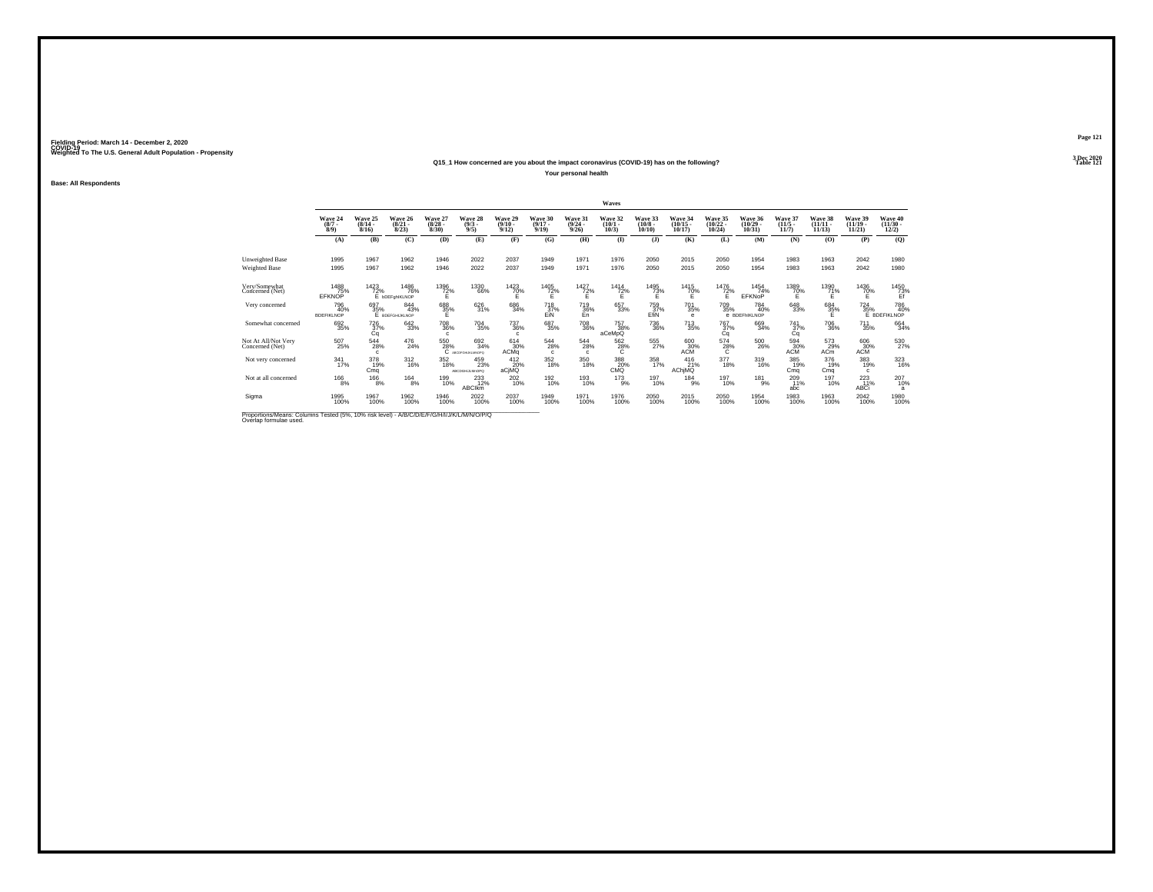**Base: All Respondents**

#### **Q15\_1 How concerned are you about the impact coronavirus (COVID-19) has on the following?Your personal health**

|                                                                                         |                                 |                                  |                                    |                                  |                                 |                                    |                                  |                                     | Waves                                   |                                                                      |                                   |                                |                                    |                              |                                |                                |                                          |
|-----------------------------------------------------------------------------------------|---------------------------------|----------------------------------|------------------------------------|----------------------------------|---------------------------------|------------------------------------|----------------------------------|-------------------------------------|-----------------------------------------|----------------------------------------------------------------------|-----------------------------------|--------------------------------|------------------------------------|------------------------------|--------------------------------|--------------------------------|------------------------------------------|
|                                                                                         | Wave 24<br>(8/7)<br>8/9         | Wave 25<br>$\frac{(8/14)}{8/16}$ | Wave 26<br>$\binom{8/21}{8/23}$    | Wave 27<br>$\binom{8/28}{8/30}$  | Wave 28<br>$\binom{9/3}{9/5}$   | Wave 29<br>$(9/10 -$<br>9/12       | Wave 30<br>$\frac{(9/17)}{9/19}$ | Wave 31<br>$\frac{(9/24)}{9/26}$    | Wave 32<br>$\binom{10/1}{10/3}$         | Wave 33<br>$\begin{smallmatrix} (10/8 & 10/10 & 0 \end{smallmatrix}$ | Wave 34<br>$\binom{10/15}{10/17}$ | Wave 35<br>$(10/22 -$<br>10/24 | Wave 36<br>$\binom{10/29}{10/31}$  | Wave 37<br>$(11/5 -$<br>11/7 | Wave 38<br>$(11/11 -$<br>11/13 | Wave 39<br>$(11/19 -$<br>11/21 | Wave 40<br>$\frac{(11/30 - 12/2)}{12/2}$ |
|                                                                                         | (A)                             | (B)                              | (C)                                | (D)                              | (E)                             | (F)                                | (G)                              | (H)                                 | $\bf{I}$                                | $($ $)$                                                              | (K)                               | (L)                            | (M)                                | (N)                          | (0)                            | (P)                            | (Q)                                      |
| Unweighted Base<br>Weighted Base                                                        | 1995<br>1995                    | 1967<br>1967                     | 1962<br>1962                       | 1946<br>1946                     | 2022<br>2022                    | 2037<br>2037                       | 1949<br>1949                     | 1971<br>1971                        | 1976<br>1976                            | 2050<br>2050                                                         | 2015<br>2015                      | 2050<br>2050                   | 1954<br>1954                       | 1983<br>1983                 | 1963<br>1963                   | 2042<br>2042                   | 1980<br>1980                             |
| Very/Somewhat<br>Concerned (Net)                                                        | 1488<br>75%<br>EFKNOP           | 1423<br>72%                      | 1486<br>76%<br>E bDEFghIKLNOP      | 1396<br>72%                      | 1330<br>66%                     | 1423<br>70%                        | 1405<br>72%                      | 1427<br>$^{72\%}_{E}$               | 1414<br>72%                             | 1495<br>$7^{3}_{E}$ %                                                | 1415<br>70%                       | $^{1476}_{72\%}$               | 1454<br>74%<br>EFKNoP              | 1389<br>70%                  | 1390<br>71%<br>É               | 1436<br>70%                    | 1450<br>73%                              |
| Very concerned                                                                          | 796<br>40%<br><b>BDEFIKLNOP</b> | 697<br>35%                       | $844 \over 43\%$<br>Е врегоникимор | 688<br>35%                       | 626<br>31%                      | 686<br>34%                         | 718<br>37%<br>EiN                | <sup>719</sup> <sub>36%</sub><br>En | 657<br>33%                              | 759<br>37%<br>EfiN                                                   | <sup>701</sup> 35%<br>$\bullet$   | 709<br>35%                     | 784<br>40%<br><b>e</b> BDEFHIKLNOP | $\substack{648\\33\%}$       | 684<br>35%<br>Е                | 724<br>35%                     | 786<br>40%<br>E BDEFIKLNOP               |
| Somewhat concerned                                                                      | 692<br>35%                      | 726<br>37%<br>Cq                 | $\substack{642\\33\%}$             | <sup>708</sup> 36%<br>$\epsilon$ | <sup>704</sup> 35%              | <sup>737</sup> 36%<br>$\mathbf{c}$ | 687<br>35%                       | <sup>708</sup> 36%                  | <sup>757</sup> <sub>38%</sub><br>aCeMpQ | <sup>736</sup> 36%                                                   | <sup>713</sup> <sub>35%</sub>     | 767<br>37%<br>Cq               | 669<br>34%                         | 741<br>37%<br>Cа             | <sup>706</sup> 36%             | $^{711}_{35\%}$                | 664<br>34%                               |
| Not At All/Not Very<br>Concerned (Net)                                                  | $^{507}_{25\%}$                 | 544<br>28%<br>c                  | 476<br>24%                         | 550<br>28%                       | 692<br>34%<br>C ABCDFGHLHQANOPO | 614<br>30%<br>ACMa                 | 544<br>28%<br>c.                 | 544<br>28%<br>$\Omega$              | 562<br>$^{28\%}$                        | 555<br>27%                                                           | 600<br>30%<br>ACM                 | 574<br>28%<br>с                | $^{500}_{\phantom{1}26\%}$         | 594<br>30%<br>ACM            | 573<br>29%<br>AC <sub>m</sub>  | 606<br>30%<br><b>ACM</b>       | 530<br>27%                               |
| Not very concerned                                                                      | $\frac{341}{17\%}$              | 378<br>19%<br>Cmq                | $^{312}_{16\%}$                    | 352<br>18%                       | 459<br>23%<br>ABCDGHLLMnOPO     | 412<br>20%<br>aCjMQ                | 352<br>18%                       | 350<br>18%                          | 388<br>20%<br>CMQ                       | 358<br>17%                                                           | 416<br>21%<br>AChjMQ              | $\frac{377}{18\%}$             | 319<br>16%                         | 385<br>19%<br>Cma            | 376<br>19%<br>Cma              | 383<br>19%<br>$\mathbf{c}$     | 323<br>16%                               |
| Not at all concerned                                                                    | $^{166}_{8\%}$                  | $^{166}_{8\%}$                   | $^{164}_{8\%}$                     | 199<br>10%                       | 233<br><b>ABCIkm</b>            | 202<br>10%                         | 192<br>10%                       | 193<br>10%                          | $^{173}_{9\%}$                          | 197<br>10%                                                           | 184<br>9%                         | 197<br>10%                     | $^{181}_{9\%}$                     | 2091%<br>abc                 | 197<br>10%                     | $^{223}_{11\%}$<br>ABCi        | 207<br>10%<br>a                          |
| Sigma                                                                                   | 1995<br>100%                    | 1967<br>100%                     | 1962<br>100%                       | 1946<br>100%                     | 2022<br>100%                    | 2037<br>100%                       | 1949<br>100%                     | 1971<br>100%                        | 1976<br>100%                            | 2050<br>100%                                                         | 2015<br>100%                      | 2050<br>100%                   | 1954<br>100%                       | 1983<br>100%                 | 1963<br>100%                   | 2042<br>100%                   | 1980<br>100%                             |
| Proportions Means: Columns Tested (5%, 10% risk level) - MR/C/D/E/E/C/H/U/W/M/M/N/O/P/O |                                 |                                  |                                    |                                  |                                 |                                    |                                  |                                     |                                         |                                                                      |                                   |                                |                                    |                              |                                |                                |                                          |

Proportions/Means: Columns Tested (5%, 10% risk level) - *N'B/C/D/E/F/G/H/I/J/K/L/M/N/O/P/Q*<br>Overlap formulae used.

**Page 1213 Dec 2020<br>Table 121** 

**Particular Table 121**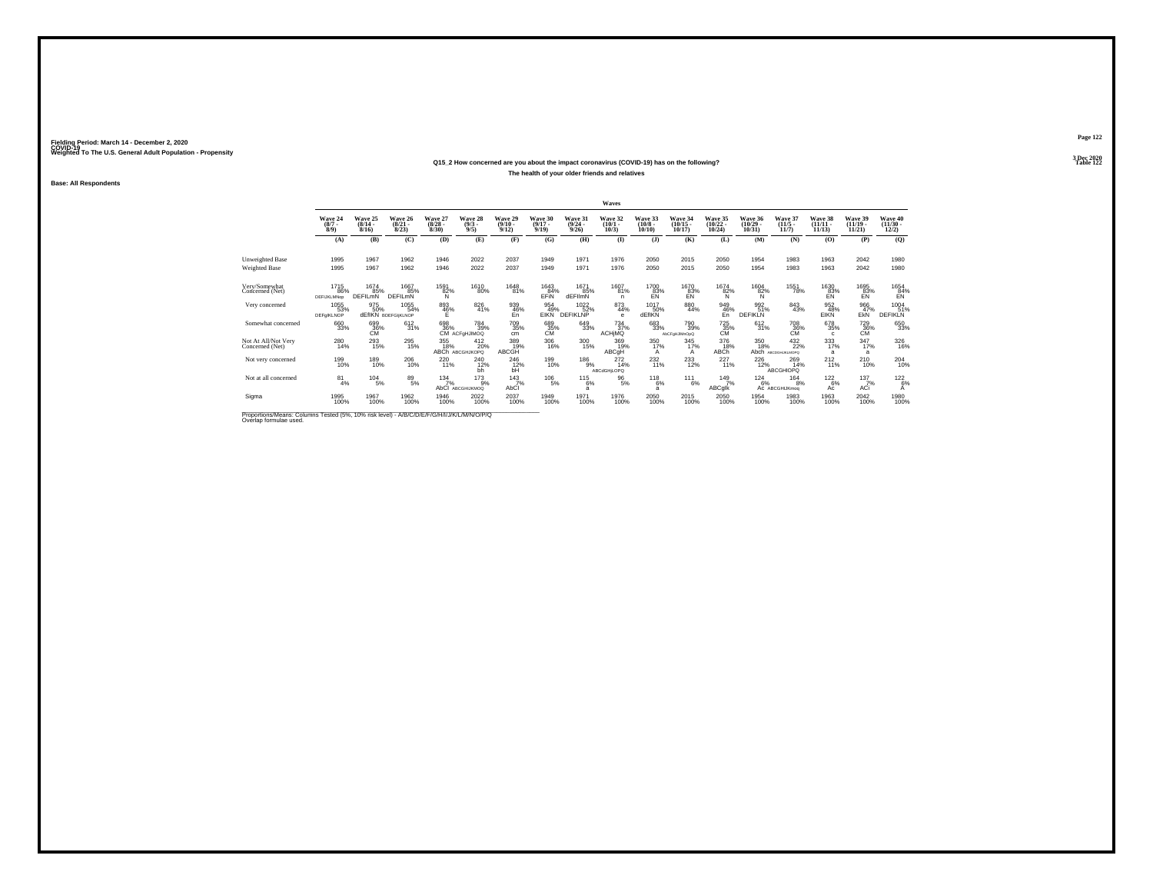#### **Q15\_2 How concerned are you about the impact coronavirus (COVID-19) has on the following?The health of your older friends and relatives**

**Base: All Respondents**

|                                                                                                                             |                                   |                               |                                          |                                 |                                     |                                 |                                  |                                         | Waves                                 |                                  |                                   |                                   |                                |                                     |                                |                                |                                              |
|-----------------------------------------------------------------------------------------------------------------------------|-----------------------------------|-------------------------------|------------------------------------------|---------------------------------|-------------------------------------|---------------------------------|----------------------------------|-----------------------------------------|---------------------------------------|----------------------------------|-----------------------------------|-----------------------------------|--------------------------------|-------------------------------------|--------------------------------|--------------------------------|----------------------------------------------|
|                                                                                                                             | Wave 24<br>$\binom{8}{7}$         | Wave 25<br>$(8/14 -$<br>8/16  | Wave 26<br>$\frac{(8/21)}{8/23}$         | Wave 27<br>$\binom{8/28}{8/30}$ | Wave 28<br>$\binom{9/3}{9/5}$       | Wave 29<br>$\binom{9/10}{9/12}$ | Wave 30<br>$\frac{(9/17)}{9/19}$ | <b>Wave 31</b><br>$\frac{(9/24)}{9/26}$ | Wave 32<br>$\binom{10/1}{10/3}$       | Wave 33<br>$\binom{10/8}{10/10}$ | Wave 34<br>$\binom{10/15}{10/17}$ | Wave 35<br>$\binom{10/22}{10/24}$ | Wave 36<br>$(10/29 -$<br>10/31 | Wave 37<br>$\frac{(11/5)}{11/7}$    | Wave 38<br>$(11/11 -$<br>11/13 | Wave 39<br>$(11/19 -$<br>11/21 | Wave 40<br>$\frac{(11/30 - 12/2)}{12/2}$     |
|                                                                                                                             | (A)                               | (B)                           | (C)                                      | (D)                             | (E)                                 | (F)                             | (G)                              | (H)                                     | $($ $\blacksquare$                    | $($ $)$                          | (K)                               | (L)                               | (M)                            | (N)                                 | (O)                            | (P)                            | (Q)                                          |
| <b>Unweighted Base</b>                                                                                                      | 1995                              | 1967                          | 1962                                     | 1946                            | 2022                                | 2037                            | 1949                             | 1971                                    | 1976                                  | 2050                             | 2015                              | 2050                              | 1954                           | 1983                                | 1963                           | 2042                           | 1980                                         |
| Weighted Base                                                                                                               | 1995                              | 1967                          | 1962                                     | 1946                            | 2022                                | 2037                            | 1949                             | 1971                                    | 1976                                  | 2050                             | 2015                              | 2050                              | 1954                           | 1983                                | 1963                           | 2042                           | 1980                                         |
| Very/Somewhat<br>Concerned (Net)                                                                                            | 1715<br>86%<br><b>DEFIJKLMNop</b> | 1674<br>85%<br><b>DEFILMN</b> | 1667<br>85%<br>DEFILMN                   | 1591<br>82%<br>N                | 1610<br>80%                         | 1648<br>81%                     | 1643<br>84%<br>EFIN              | 1671<br>85%<br>dEFIlmN                  | 1607<br>81%<br>n                      | 1700<br>83%<br>ΕÑ                | 1670<br>83%<br>EÑ                 | 1674<br>82%<br>N                  | 1604<br>82%<br>Ν               | 1551<br>78%                         | 1630<br>$E$ <sup>83%</sup>     | 1695<br>$E$ <sup>83%</sup>     | $\overset{1654}{\underset{\text{EN}}{84\%}}$ |
| Very concerned                                                                                                              | 1055<br>53%<br>DEFalKLNOP         | 975<br>50%                    | 1055<br>54%<br><b>dEfIKN BDEFGIKLNOP</b> | $\frac{893}{46\%}$              | 826<br>41%                          | 939<br>46%<br>En                | 954<br>49%<br><b>EIKN</b>        | 1022 %<br><b>DEFIKLNP</b>               | 873<br>44%<br>e                       | 1017<br>50%<br>dEfIKN            | 880<br>44%                        | 949<br>46%<br>En                  | 992<br>51%<br><b>DEFIKLN</b>   | 843<br>43%                          | 952<br>48%<br>EIKN             | 966<br>47%<br>EkN              | 1004<br>51%<br><b>DEFIKLN</b>                |
| Somewhat concerned                                                                                                          | 660<br>33%                        | 699<br>36%<br>CM              | 612/31%                                  | 698<br>36%                      | <sup>784</sup> 39%<br>CM ACFgHJIMOQ | 709<br>35%<br>cm                | 689<br>35%<br>CM                 | 649<br>33%                              | $^{734}_{37\%}$<br><b>ACHIMQ</b>      | 683<br>33%                       | 790<br>39%<br>AbCFaHJIMnOpQ       | 725<br>35%<br>CM                  | 612/31%                        | $^{708}_{36\%}$ CM                  | 678<br>35%<br>$\mathbf{C}$     | 729 36%<br>СM                  | 650<br>33%                                   |
| Not At All/Not Very<br>Concerned (Net)                                                                                      | 280<br>14%                        | $^{293}_{15\%}$               | $^{295}_{15\%}$                          | 355<br>18%<br><b>ABCh</b>       | 412<br>20%<br>ABCGHJKOPQ            | 389<br>19%<br>ABCGH             | $\frac{306}{16\%}$               | $^{300}_{\phantom{1}15\%}$              | 369<br>19%<br>ABCqH                   | 350<br>17%<br>А                  | 345<br>17%<br>А                   | 376<br>18%<br>ABCh                | 350<br>18%<br>Abch             | $^{432}_{22\%}$<br>ARCDOHLIKLMORO   | $333$<br>$17%$<br>a            | 347<br>17%<br>a                | 326<br>16%                                   |
| Not very concerned                                                                                                          | 199<br>10%                        | 189<br>10%                    | $^{206}_{10\%}$                          | $^{220}_{11\%}$                 | $^{240}_{12\%}$<br>bh               | 246<br>12%<br>bН                | 199<br>10%                       | $^{186}_{-9\%}$                         | $^{272}_{14\%}$<br><b>ABCdGHiLOPQ</b> | $^{232}_{11\%}$                  | $^{233}_{12\%}$                   | $^{227}_{11\%}$                   | $^{226}_{12\%}$                | $^{269}_{14\%}$<br><b>ABCGHIOPQ</b> | $^{212}_{11\%}$                | $^{210}_{10\%}$                | 204<br>10%                                   |
| Not at all concerned                                                                                                        | $^{81}_{4\%}$                     | $^{104}_{-5\%}$               | 89<br>5%                                 | $^{134}_{7\%}$<br>AbCI          | $^{173}_{9\%}$<br>ABCGHIJKMOQ       | $^{143}_{7\%}$<br>AbCl          | $^{106}_{-5\%}$                  | $^{115}_{6\%}$<br>a                     | $^{96}_{5\%}$                         | 118<br>6%<br>a                   | $^{111}_{6\%}$                    | $^{149}$ <sub>7%</sub><br>ABCglk  | $^{124}_{6\%}$                 | 164<br>8%<br>AC ABCGHIJKmog         | $^{122}_{6\%}$<br>Ac           | $^{137}_{7\%}$<br>AĆi          | 1226%<br>А                                   |
| Sigma                                                                                                                       | 1995<br>100%                      | 1967<br>100%                  | 1962<br>100%                             | 1946<br>100%                    | 2022<br>100%                        | 2037<br>100%                    | 1949<br>100%                     | 1971<br>100%                            | 1976<br>100%                          | 2050<br>100%                     | 2015<br>100%                      | 2050<br>100%                      | 1954<br>100%                   | 1983<br>100%                        | 1963<br>100%                   | 2042<br>100%                   | 1980<br>100%                                 |
| Descriptions # frames: Columnic エージョン d (FA/ - 4 OA/ - 2 ali local) A / D (C / D / E / D / D / A 14/ 14/ 8 4 4 1/ D / D / O |                                   |                               |                                          |                                 |                                     |                                 |                                  |                                         |                                       |                                  |                                   |                                   |                                |                                     |                                |                                |                                              |

Proportions/Means: Columns Tested (5%, 10% risk level) - *N'B/C/D/E/F/G/H/I/J/K/L/M/N/O/P/Q*<br>Overlap formulae used.

**Page 1223 Dec 2020<br>Table 122** 

**Particular Table 122 Table 122**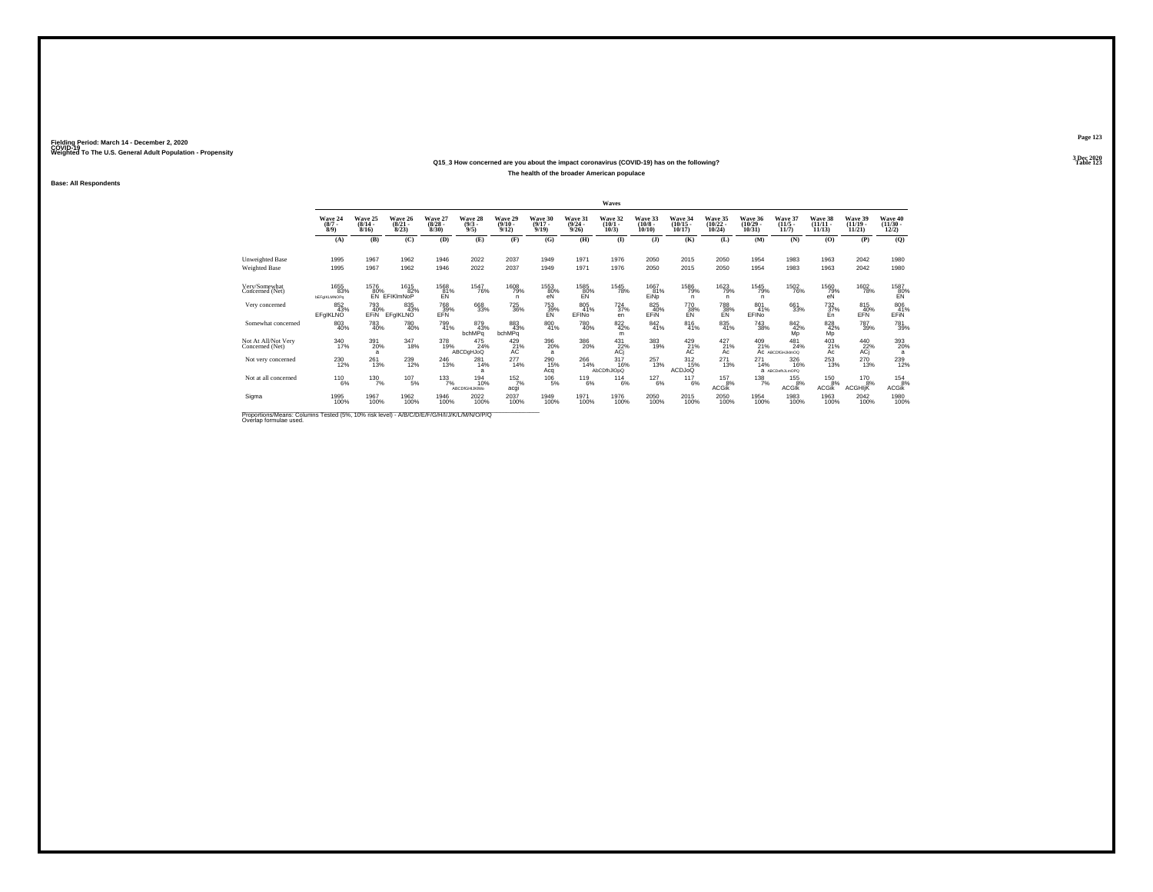### **Q15\_3 How concerned are you about the impact coronavirus (COVID-19) has on the following?The health of the broader American populace**

**Base: All Respondents**

|                                                                                          |                             |                                  |                                  |                                 |                               |                               |                               |                                  | Waves                        |                               |                                |                                |                                   |                                  |                                |                                |                                          |
|------------------------------------------------------------------------------------------|-----------------------------|----------------------------------|----------------------------------|---------------------------------|-------------------------------|-------------------------------|-------------------------------|----------------------------------|------------------------------|-------------------------------|--------------------------------|--------------------------------|-----------------------------------|----------------------------------|--------------------------------|--------------------------------|------------------------------------------|
|                                                                                          | Wave 24<br>$(8/7 -$<br>8/9) | Wave 25<br>$(8/14 -$<br>$8/16$ ) | Wave 26<br>$\frac{(8/21)}{8/23}$ | Wave 27<br>$\binom{8/28}{8/30}$ | Wave 28<br>$\binom{9/3}{9/5}$ | Wave 29<br>$(9/10 -$<br>9/12) | Wave 30<br>$(9/17 -$<br>9/19  | Wave 31<br>$\frac{(9/24)}{9/26}$ | Wave 32<br>$(10/1 -$<br>10/3 | Wave 33<br>$(10/8 -$<br>10/10 | Wave 34<br>$(10/15 -$<br>10/17 | Wave 35<br>$(10/22 -$<br>10/24 | Wave 36<br>$\binom{10/29}{10/31}$ | Wave 37<br>$\frac{(11/5)}{11/7}$ | Wave 38<br>$(11/11 -$<br>11/13 | Wave 39<br>$(11/19 -$<br>11/21 | Wave 40<br>$\frac{(11/30 - 12/2)}{12/2}$ |
|                                                                                          | (A)                         | (B)                              | (C)                              | (D)                             | (E)                           | (F)                           | (G)                           | (H)                              | $($ I                        | $($ $)$                       | (K)                            | (L)                            | (M)                               | (N)                              | (0)                            | (P)                            | (Q)                                      |
|                                                                                          |                             |                                  |                                  |                                 |                               |                               |                               |                                  |                              |                               |                                |                                |                                   |                                  |                                |                                |                                          |
| Unweighted Base                                                                          | 1995                        | 1967                             | 1962                             | 1946                            | 2022                          | 2037                          | 1949                          | 1971                             | 1976                         | 2050                          | 2015                           | 2050                           | 1954                              | 1983                             | 1963                           | 2042                           | 1980                                     |
| Weighted Base                                                                            | 1995                        | 1967                             | 1962                             | 1946                            | 2022                          | 2037                          | 1949                          | 1971                             | 1976                         | 2050                          | 2015                           | 2050                           | 1954                              | 1983                             | 1963                           | 2042                           | 1980                                     |
|                                                                                          |                             |                                  |                                  |                                 |                               |                               |                               |                                  |                              |                               |                                |                                |                                   |                                  |                                |                                |                                          |
| Very/Somewhat<br>Concerned (Net)                                                         | 1655<br>83%                 | 1576<br>80%                      | 1615<br>82%                      | 1568<br>81%                     | 1547<br>76%                   | 1608<br>79%                   | 1553<br>80%                   | 1585                             | 1545<br>78%                  | 1667<br>81%                   | 1586<br>79%                    | 1623<br>79%                    | 1545<br>79%                       | 1502<br>76%                      | 1560<br>79%                    | 1602<br>78%                    | 1587                                     |
|                                                                                          | <b>bEFaIKLMNOPa</b>         |                                  | EN EFIKIMNOP                     | EŃ.                             |                               |                               | eN                            | $E_{\text{EN}}^{80\%}$           |                              | EiNp                          | n                              | n.                             | n                                 |                                  | eÑ                             |                                | 80%                                      |
| Very concerned                                                                           | 852<br>43%                  | 793<br>40%                       | 835<br>43%                       | <sup>768</sup> 39%              | 668<br>33%                    | <sup>725</sup> 36%            | <sup>753</sup> <sub>39%</sub> | 805<br>41%                       | $^{724}_{37\%}$              | 825<br>40%                    | 770<br>38%                     | 788<br>38%                     | 801 41%                           | 661<br>33%                       | $^{732}_{37\%}$                | 815<br>40%                     | 806<br>41%                               |
|                                                                                          | EFgIKLNO                    | EFIN                             | EFGIKLNO                         | <b>FFN</b>                      |                               |                               | <b>FN</b>                     | EFINO                            | en                           | EFIN                          | EN                             | EN                             | FFIN <sub>0</sub>                 |                                  | En                             | EFN                            | EFIN                                     |
| Somewhat concerned                                                                       | 803<br>40%                  | 783<br>40%                       | 780<br>40%                       | 799<br>41%                      | 879<br>43%                    | 883<br>43%                    | 800<br>41%                    | 780<br>40%                       | 822/42%                      | 842 41%                       | 816<br>41%                     | $\substack{835 \\ 41\%}$       | $\substack{743 \\ 38\%}$          | $\frac{842}{42\%}$               | 828<br>42%                     | 787<br>39%                     | 781<br>39%                               |
|                                                                                          |                             |                                  |                                  |                                 | bchMPq                        | bchMPq                        |                               |                                  | m                            |                               |                                |                                |                                   | <b>MD</b>                        | Mp                             |                                |                                          |
| Not At All/Not Very                                                                      | 340<br>17%                  | 391                              | 347<br>18%                       | 378<br>19%                      | 475<br>24%                    | 429                           | 396                           | 386<br>20%                       | 431                          | 383<br>19%                    | 429                            | 427<br>21%                     | 409<br>21%                        | 481<br>24%                       | 403<br>21%                     | 440                            | 393<br>20%                               |
| Concerned (Net)                                                                          |                             | 20%<br>a                         |                                  |                                 | <b>ABCDgHJoQ</b>              | $AC^{21\%}$                   | 20%<br>$\overline{a}$         |                                  | $ACj$ <sup>22%</sup>         |                               | $A21$ %                        | Ac                             |                                   | AC ABCDIGHJkImOQ                 | Ac                             | $22\%$<br>ACj                  | a                                        |
| Not very concerned                                                                       | 230<br>12%                  | 261<br>13%                       | 239<br>12%                       | 246<br>13%                      | 281<br>14%                    | 277<br>14%                    | 290<br>15%                    | 266<br>14%                       | 317/16%                      | 257<br>13%                    | $^{312}_{15\%}$                | $^{271}_{13\%}$                | $^{271}_{14\%}$                   | 326<br>16%                       | $^{253}_{13\%}$                | 270<br>13%                     | 239<br>12%                               |
|                                                                                          |                             |                                  |                                  |                                 |                               |                               | Acq                           |                                  | AbCDfhJIOpQ                  |                               | <b>ACDJoQ</b>                  |                                |                                   | a ABCDefhJLmOPQ                  |                                |                                |                                          |
| Not at all concerned                                                                     | $^{110}_{6\%}$              | $^{130}_{7\%}$                   | $^{107}_{-5\%}$                  | 133/7%                          | 194<br>10%                    | 152/7%                        | $^{106}_{-5\%}$               | 119<br>6%                        | 114<br>6%                    | $^{127}_{6\%}$                | $^{117}_{6\%}$                 | 157                            | $^{138}_{7\%}$                    | $^{155}_{.8\%}$                  | 150 8%                         | 170 8%                         | $^{154}_{8\%}$                           |
|                                                                                          |                             |                                  |                                  |                                 | <b>ABCDfGHIJKIMo</b>          | acgi                          |                               |                                  |                              |                               |                                | 8%<br><b>ACGIK</b>             |                                   | <b>ACGIK</b>                     | <b>ACGik</b>                   | <b>ACGHIK</b>                  | <b>ACGik</b>                             |
| Sigma                                                                                    | 1995<br>100%                | 1967<br>100%                     | 1962<br>100%                     | 1946<br>100%                    | 2022<br>100%                  | 2037                          | 1949<br>100%                  | 1971<br>100%                     | 1976<br>100%                 | 2050<br>100%                  | 2015<br>100%                   | 2050<br>100%                   | 1954<br>100%                      | 1983<br>100%                     | 1963<br>100%                   | 2042<br>100%                   | 1980<br>100%                             |
|                                                                                          |                             |                                  |                                  |                                 |                               | 100%                          |                               |                                  |                              |                               |                                |                                |                                   |                                  |                                |                                |                                          |
| Proportions Means: Columns Tested (5%, 10% risk level) - A/B/C/D/E/E/C/H/I/T/M/L/M/D/D/O |                             |                                  |                                  |                                 |                               |                               |                               |                                  |                              |                               |                                |                                |                                   |                                  |                                |                                |                                          |

Proportions/Means: Columns Tested (5%, 10% risk level) - *N'B/C/D/E/F/G/H/I/J/K/L/M/N/O/P/Q*<br>Overlap formulae used.

**Page 123**3 Dec 2020<br>Table 123

**Table 123**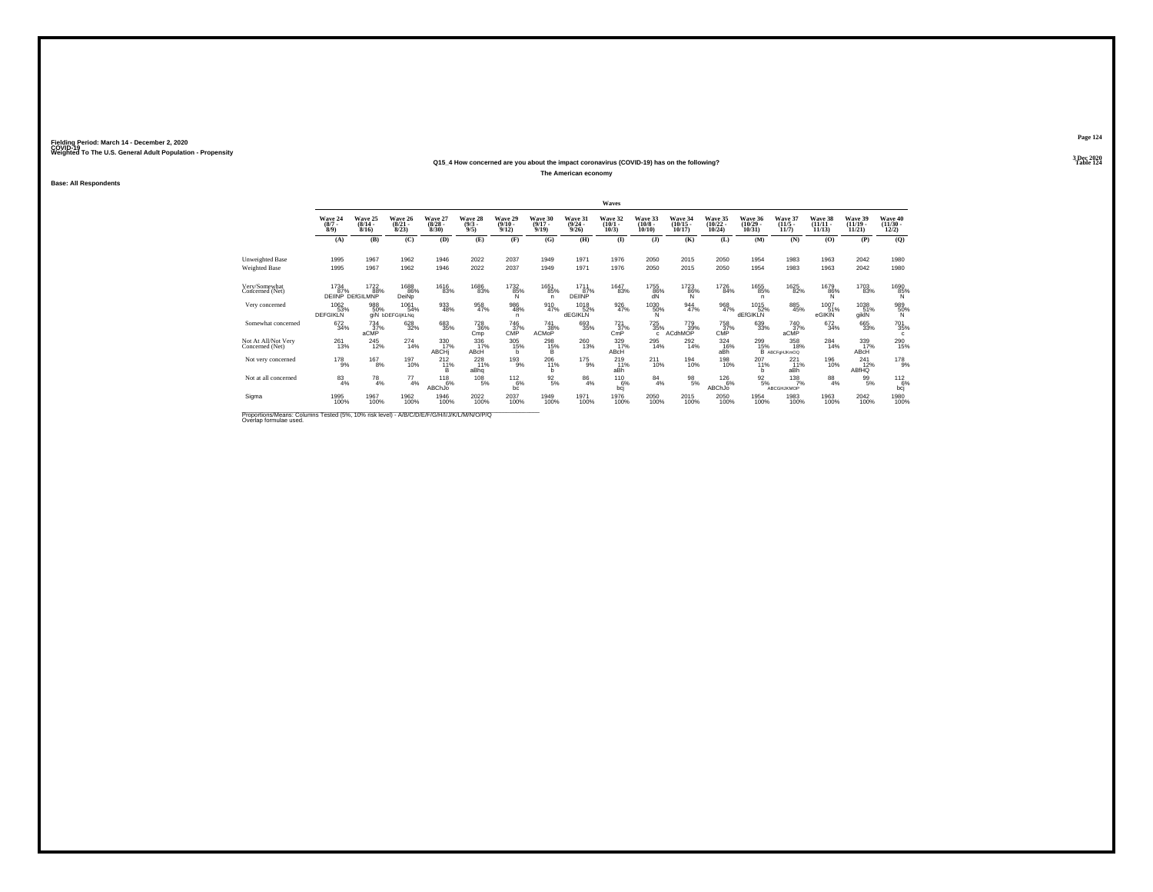### **Q15\_4 How concerned are you about the impact coronavirus (COVID-19) has on the following?**

**The American economy**

**Base: All Respondents**

|                                                                                                                     |                                |                                 |                                       |                                 |                               |                                  |                                    |                                  | Waves                        |                               |                                   |                                |                                   |                                        |                                    |                                   |                                          |
|---------------------------------------------------------------------------------------------------------------------|--------------------------------|---------------------------------|---------------------------------------|---------------------------------|-------------------------------|----------------------------------|------------------------------------|----------------------------------|------------------------------|-------------------------------|-----------------------------------|--------------------------------|-----------------------------------|----------------------------------------|------------------------------------|-----------------------------------|------------------------------------------|
|                                                                                                                     | Wave 24<br>$(8/7 -$<br>8/9     | Wave 25<br>$(8/14 -$<br>8/16    | Wave 26<br>$\frac{(8/21)}{8/23}$      | Wave 27<br>$\binom{8/28}{8/30}$ | Wave 28<br>$\binom{9/3}{9/5}$ | Wave 29<br>$\frac{(9/10)}{9/12}$ | Wave 30<br>$(9/17 -$<br>9/19       | Wave 31<br>$\frac{(9/24)}{9/26}$ | Wave 32<br>$(10/1 -$<br>10/3 | Wave 33<br>$(10/8 -$<br>10/10 | Wave 34<br>$\binom{10/15}{10/17}$ | Wave 35<br>$(10/22 -$<br>10/24 | Wave 36<br>$\binom{10/29}{10/31}$ | Wave 37<br>$\frac{(11/5)}{11/7}$       | Wave 38<br>$\frac{(11/11)}{11/13}$ | Wave 39<br>$\binom{11/19}{11/21}$ | Wave 40<br>$\frac{(11/30 - 12/2)}{12/2}$ |
|                                                                                                                     | (A)                            | (B)                             | (C)                                   | (D)                             | (E)                           | (F)                              | (G)                                | (H)                              | $($ $\blacksquare$           | $($ $\bf{J}$ )                | (K)                               | (L)                            | (M)                               | (N)                                    | (0)                                | (P)                               | (Q)                                      |
| Unweighted Base<br>Weighted Base                                                                                    | 1995<br>1995                   | 1967<br>1967                    | 1962<br>1962                          | 1946<br>1946                    | 2022<br>2022                  | 2037<br>2037                     | 1949<br>1949                       | 1971<br>1971                     | 1976<br>1976                 | 2050<br>2050                  | 2015<br>2015                      | 2050<br>2050                   | 1954<br>1954                      | 1983<br>1983                           | 1963<br>1963                       | 2042<br>2042                      | 1980<br>1980                             |
| Very/Somewhat<br>Concerned (Net)                                                                                    | 1734<br>87%                    | 1722<br>88%<br>DEIINP DEfGILMNP | 1688<br>86%<br>DeiNo                  | 1616<br>83%                     | 1686<br>83%                   | 1732<br>85%                      | 1651<br>85%<br>n                   | 1711<br>87%<br><b>DEINP</b>      | 1647<br>83%                  | 1755<br>86%<br>dÑ             | 1723<br>86%<br>N                  | 1726<br>84%                    | 1655<br>85%<br>n                  | 1625<br>82%                            | 1679<br>86%                        | 1703<br>83%                       | 1690<br>85%                              |
| Very concerned                                                                                                      | 1062<br>53%<br><b>DEFGIKLN</b> | 988<br>50%                      | 1061<br>54%<br>aiN <b>bDEFGIIKLNa</b> | $\frac{933}{48\%}$              | 958<br>47%                    | 986<br>48%<br>n.                 | 910<br>47%                         | 1018<br>52%<br><b>dEGIKLN</b>    | $\frac{926}{47\%}$           | 1030%<br>N                    | $\frac{944}{47\%}$                | 968<br>47%                     | 1015<br>52%<br><b>dEfGIKLN</b>    | 885<br>45%                             | 1007<br>51%<br>eGIKIN              | 1038<br>51%<br>giklN              | 989<br>50%<br>N                          |
| Somewhat concerned                                                                                                  | 672<br>34%                     | $^{734}_{37\%}$<br>aCMP         | 628<br>32%                            | 683<br>35%                      | <sup>728</sup> 36%<br>Cmp     | 746<br>37%<br>CMP                | <sup>741</sup> 38%<br><b>ACMOP</b> | $^{693}_{35\%}$                  | 721 <sub>37%</sub><br>CmP    | $^{725}_{35\%}$<br>c          | 779<br>39%<br>ACdhMOP             | 758 37%<br>CMP                 | 639<br>33%                        | 740<br>37%<br>aCMP                     | $\substack{672 \\ 34\%}$           | 665<br>33%                        | 701<br>35%<br>c                          |
| Not At All/Not Very<br>Concerned (Net)                                                                              | 261<br>13%                     | 245<br>12%                      | 274<br>14%                            | 330<br>17%<br>ABCH              | 336<br>17%<br>ABCH            | 305<br>15%<br>h                  | 298<br>$^{15\%}_{\sub{B}}$         | 260<br>13%                       | 329<br>17%<br>ABCH           | 295<br>14%                    | 292<br>14%                        | 324<br>16%<br>aBh              | 299                               | 358<br>15% 18%<br>B ABCFgHJKmOQ<br>18% | $^{284}_{14\%}$                    | 339<br>17%<br>ABCH                | 290<br>15%                               |
| Not very concerned                                                                                                  | $^{178}_{9\%}$                 | $^{167}_{8\%}$                  | 197<br>10%                            | $^{212}_{11\%}$<br>в            | $^{228}_{11\%}$<br>aBha       | $^{193}_{9\%}$                   | $^{206}_{11\%}$<br><b>b</b>        | $^{175}_{9\%}$                   | 219 <sub>0</sub><br>aBh      | $^{211}_{10\%}$               | 194<br>10%                        | 198<br>10%                     | $^{207}_{11\%}$<br>h              | $^{221}_{11\%}$<br>aBh                 | 196<br>10%                         | $^{241}_{12\%}$<br>ABfHQ          | 178<br>9%                                |
| Not at all concerned                                                                                                | $^{83}_{4\%}$                  | $^{78}_{4\%}$                   | $^{77}_{4\%}$                         | $^{118}_{6\%}$<br>ABChJo        | 108<br>5%                     | $^{112}_{-6\%}$<br>bc            | $\frac{92}{5\%}$                   | $\frac{86}{4%}$                  | 1106%<br>bcj                 | $^{84}_{4\%}$                 | $\frac{98}{5\%}$                  | $^{126}_{6\%}$<br>ABChJo       | $\frac{92}{5\%}$                  | $^{138}_{7\%}$<br>ABCGHJKMOP           | $^{88}_{4\%}$                      | 99%                               | $112_{6\%}$<br>bcj                       |
| Sigma                                                                                                               | 1995<br>100%                   | 1967<br>100%                    | 1962<br>100%                          | 1946<br>100%                    | 2022<br>100%                  | 2037<br>100%                     | 1949<br>100%                       | 1971<br>100%                     | 1976<br>100%                 | 2050<br>100%                  | 2015<br>100%                      | 2050<br>100%                   | 1954<br>100%                      | 1983<br>100%                           | 1963<br>100%                       | 2042<br>100%                      | 1980<br>100%                             |
| Proportions/Means: Columns Tested (5%, 10% risk level) - A/B/C/D/E/F/G/H/I/J/K/L/M/N/O/P/Q<br>Overlap formulae used |                                |                                 |                                       |                                 |                               |                                  |                                    |                                  |                              |                               |                                   |                                |                                   |                                        |                                    |                                   |                                          |

**Page 1243 Dec 2020<br>Table 124** 

**Table 124 Table 124**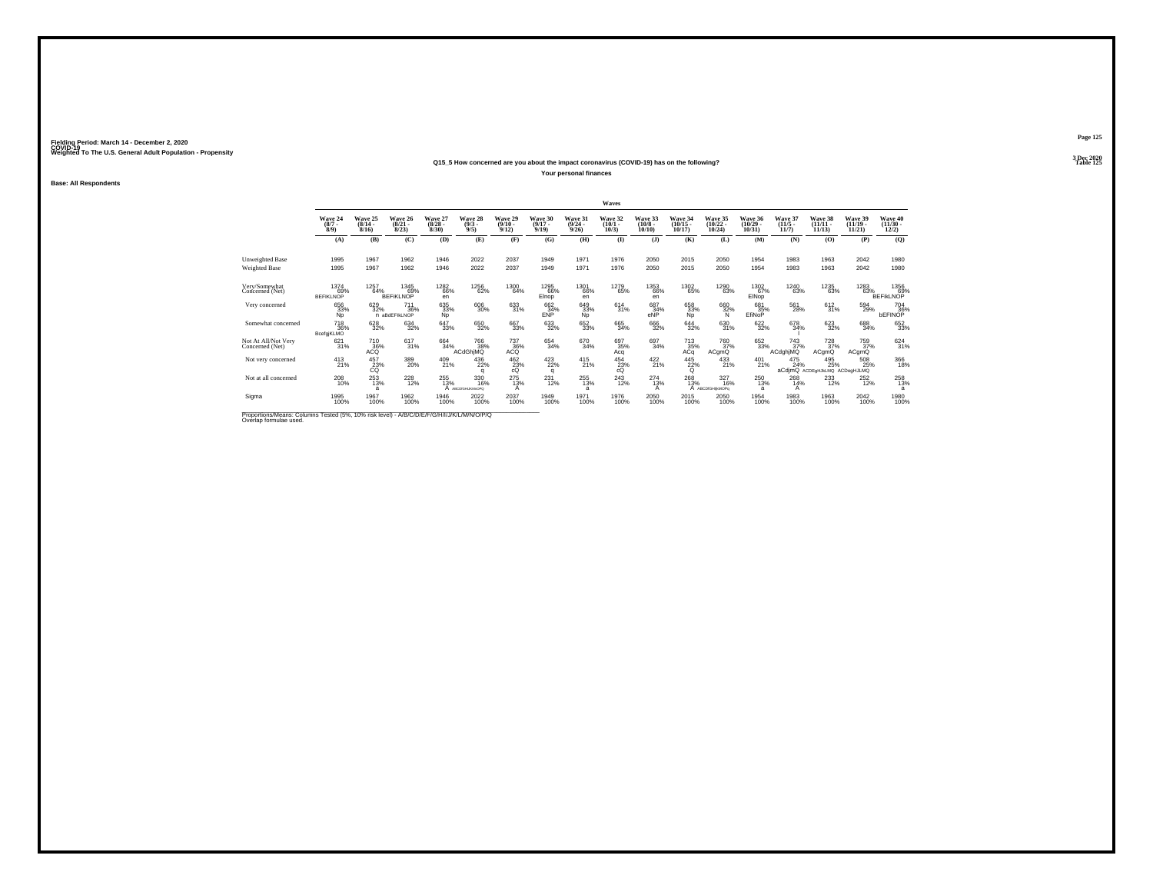### **Q15\_5 How concerned are you about the impact coronavirus (COVID-19) has on the following?**

**Your personal finances**

**Base: All Respondents**

|                                                                                                                     |                                             |                           |                                                |                                  |                               |                                         |                              |                                              | Waves                        |                                       |                                |                                     |                                |                               |                                   |                                |                                      |
|---------------------------------------------------------------------------------------------------------------------|---------------------------------------------|---------------------------|------------------------------------------------|----------------------------------|-------------------------------|-----------------------------------------|------------------------------|----------------------------------------------|------------------------------|---------------------------------------|--------------------------------|-------------------------------------|--------------------------------|-------------------------------|-----------------------------------|--------------------------------|--------------------------------------|
|                                                                                                                     | Wave 24<br>(8/7)<br>8/9                     | Wave 25<br>(8/14.<br>8/16 | Wave 26<br>$(8/21 -$<br>8/23                   | Wave 27<br>$\frac{(8/28)}{8/30}$ | Wave 28<br>$\binom{9/3}{9/5}$ | Wave 29<br>$\frac{(9/10 - 9/12)}{9/12}$ | Wave 30<br>$(9/17 -$<br>9/19 | Wave 31<br>$\frac{(9/24)}{9/26}$             | Wave 32<br>$(10/1 -$<br>10/3 | Wave 33<br>$\binom{10/8 - 10}{10/10}$ | Wave 34<br>$(10/15 -$<br>10/17 | Wave 35<br>$(10/22 -$<br>10/24      | Wave 36<br>$(10/29 -$<br>10/31 | Wave 37<br>$(11/5 -$<br>11/7  | Wave 38<br>$(11/11 -$<br>11/13    | Wave 39<br>$(11/19 -$<br>11/21 | Wave 40<br>$(11/30 -$<br>12/2)       |
|                                                                                                                     | (A)                                         | (B)                       | (C)                                            | (D)                              | (E)                           | (F)                                     | (G)                          | (H)                                          | $\bf{I}$                     | $($ $)$                               | (K)                            | (L)                                 | (M)                            | (N)                           | (O)                               | (P)                            | (Q)                                  |
| Unweighted Base<br>Weighted Base                                                                                    | 1995<br>1995                                | 1967<br>1967              | 1962<br>1962                                   | 1946<br>1946                     | 2022<br>2022                  | 2037<br>2037                            | 1949<br>1949                 | 1971<br>1971                                 | 1976<br>1976                 | 2050<br>2050                          | 2015<br>2015                   | 2050<br>2050                        | 1954<br>1954                   | 1983<br>1983                  | 1963<br>1963                      | 2042<br>2042                   | 1980<br>1980                         |
| Very/Somewhat<br>Concerned (Net)                                                                                    | 1374<br>69%<br><b>BEFIKLNOP</b>             | 1257<br>64%               | 1345<br>69%<br><b>BEFIKLNOP</b>                | 1282<br>66%<br>en                | 1256<br>62%                   | 1300<br>64%                             | 1295<br>66%<br>Elnop         | 1301<br>66%<br>en                            | 1279<br>65%                  | 1353<br>66%<br>en                     | 1302<br>65%                    | 1290<br>63%                         | 1302<br>67%<br>EINop           | 1240<br>63%                   | 1235<br>63%                       | 1283<br>63%                    | 1356<br>& 69%<br>BEFIKLNOP           |
| Very concerned                                                                                                      | 656<br>33%<br>Np                            | 629<br>32%                | <sup>711</sup> <sub>36%</sub><br>n aBdEFIkLNOP | 635<br>33%<br>Np                 | 606<br>30%                    | $\substack{633 \\ 31\%}$                | 662<br>34%<br>ENP            | 649<br>33%<br>Np                             | $614 \over 31\%$             | 687<br>34%<br>eNP                     | 658<br>33%<br>Np               | 66032%<br>N                         | 681<br>35%<br>EfiNoP           | 561<br>28%                    | 612/31%                           | 594<br>29%                     | <sup>704</sup> 36%<br><b>bEFINOP</b> |
| Somewhat concerned                                                                                                  | <sup>718</sup> <sub>36%</sub><br>BcefgjKLMO | 628<br>32%                | 634<br>32%                                     | 647<br>33%                       | 650<br>32%                    | 667<br>33%                              | $\substack{633 \\ 32\%}$     | 652<br>33%                                   | 665<br>34%                   | 666<br>32%                            | $\substack{644 \\ 32\%}$       | $\substack{630 \\ 31\%}$            | 622 %                          | 678<br>34%                    | 623<br>32%                        | 688<br>34%                     | 652<br>33%                           |
| Not At All/Not Very<br>Concerned (Net)                                                                              | 621<br>31%                                  | 710<br>ACQ                | 617<br>31%                                     | 664<br>34%                       | 766<br>38%<br>ACdGhiMQ        | $\frac{737}{36\%}$                      | 654<br>34%                   | 670<br>34%                                   | 697<br>35%<br>Acq            | 697<br>34%                            | $\frac{713}{35\%}$ ACq         | 760<br>37%<br>ACgmQ                 | 652<br>33%                     | $\frac{743}{37%}$<br>ACdghjMQ | 728<br>37%<br>ACgmQ               | 759<br>37%<br>ACgmQ            | $\frac{624}{31\%}$                   |
| Not very concerned                                                                                                  | $^{413}_{21\%}$                             | 457<br>23%<br>CQ          | 389<br>20%                                     | 409<br>21%                       | $^{436}_{22\%}$<br>$\alpha$   | $^{462}_{23\%}$<br>cQ                   | 423/22%<br>a                 | $^{415}_{21\%}$                              | 454<br>23%<br>cÓ             | $^{422}_{21\%}$                       | 445<br>22%<br>Q                | $^{433}_{21\%}$                     | $^{401}_{21\%}$                | $^{475}_{24\%}$               | 495<br>25%<br>aCdimQ ACDE gHJkLMQ | 508<br>25%<br>ACDegHJLMQ       | 366<br>18%                           |
| Not at all concerned                                                                                                | $^{208}_{10\%}$                             | $^{253}_{13\%}$           | $^{228}_{12\%}$                                | $^{255}_{13\%}$                  | 330<br>16%<br>ARCDIGHLIKM-ORO | $^{275}_{13\%}$<br>А                    | $^{231}_{12\%}$              | $^{255}_{\phantom{1}13\%}$<br>$\overline{a}$ | $^{243}_{12\%}$              | 274<br>13%<br>А                       | $^{268}_{13\%}$                | $\frac{327}{16\%}$<br>ABCDIGHIKMOPo | $^{250}_{13\%}$<br>а           | $^{268}_{14\%}$<br>A          | 233                               | $^{252}_{12\%}$                | 258<br>13%<br>a                      |
| Sigma                                                                                                               | 1995<br>100%                                | 1967<br>100%              | 1962<br>100%                                   | 1946<br>100%                     | 2022<br>100%                  | 2037<br>100%                            | 1949<br>100%                 | 1971<br>100%                                 | 1976<br>100%                 | 2050<br>100%                          | 2015<br>100%                   | 2050<br>100%                        | 1954<br>100%                   | 1983<br>100%                  | 1963<br>100%                      | 2042<br>100%                   | 1980<br>100%                         |
| Proportions/Means: Columns Tested (5%, 10% risk level) - A/B/C/D/E/F/G/H/I/J/K/L/M/N/O/P/Q<br>Overlap formulae used |                                             |                           |                                                |                                  |                               |                                         |                              |                                              |                              |                                       |                                |                                     |                                |                               |                                   |                                |                                      |

**Page 1253 Dec 2020<br>Table 125** 

**Particular Table 125 Table 125**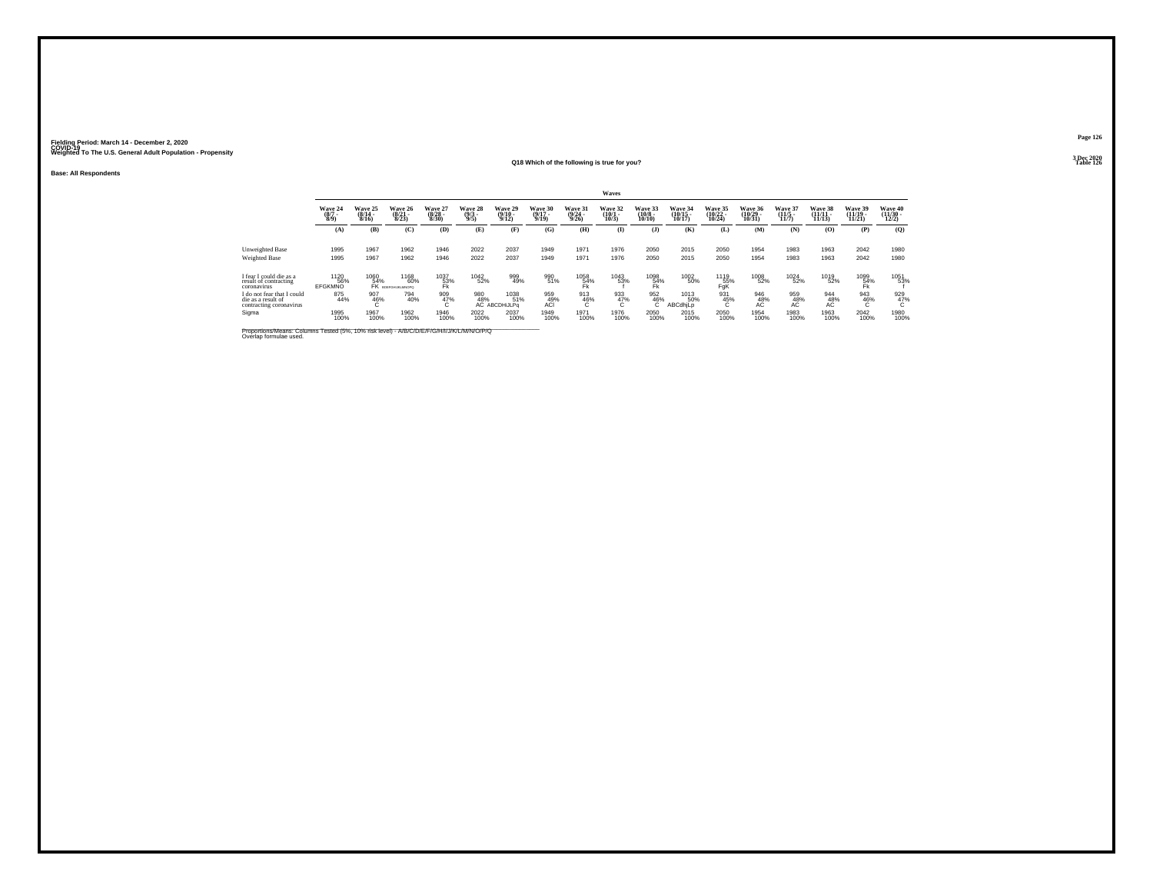**Base: All Respondents**

#### **Q18 Which of the following is true for you?Table 126**

|                                                                                                                      |                                       |                           |                                     |                                         |                                |                                         |                                  |                                         | Waves                        |                                        |                                |                                       |                                |                              |                                |                                         |                                |
|----------------------------------------------------------------------------------------------------------------------|---------------------------------------|---------------------------|-------------------------------------|-----------------------------------------|--------------------------------|-----------------------------------------|----------------------------------|-----------------------------------------|------------------------------|----------------------------------------|--------------------------------|---------------------------------------|--------------------------------|------------------------------|--------------------------------|-----------------------------------------|--------------------------------|
|                                                                                                                      | Wave 24<br>$\frac{(8/7)}{8/9}$        | Wave 25<br>(8/14)<br>8/16 | <b>Wave 26</b><br>$(8/21 -$<br>8/23 | Wave 27<br>$(8/28 -$<br>8/30            | Wave 28<br>$\frac{(9/3)}{9/5}$ | Wave 29<br>$\frac{(9/10)}{9/12}$        | Wave 30<br>$\frac{(9/17)}{9/19}$ | Wave 31<br>$(9/24 -$<br>9/26            | Wave 32<br>$(10/1 -$<br>10/3 | Wave 33<br>$(10/8 -$<br>(0/10)         | Wave 34<br>$(10/15 -$<br>10/17 | Wave 35<br>$(10/22 -$<br>10/24        | Wave 36<br>$(10/29 -$<br>10/31 | Wave 37<br>$(11/5 -$<br>11/7 | Wave 38<br>$(11/11 -$<br>11/13 | Wave 39<br>$(11/19 -$<br>11/21          | Wave 40<br>$(11/30 -$<br>12/2) |
|                                                                                                                      | (A)                                   | (B)                       | (C)                                 | (D)                                     | (E)                            | (F)                                     | (G)                              | (H)                                     | $($ $\Gamma$                 | (J)                                    | (K)                            | (L)                                   | (M)                            | (N)                          | (0)                            | (P)                                     | (Q)                            |
| Unweighted Base<br>Weighted Base                                                                                     | 1995<br>1995                          | 1967<br>1967              | 1962<br>1962                        | 1946<br>1946                            | 2022<br>2022                   | 2037<br>2037                            | 1949<br>1949                     | 1971<br>1971                            | 1976<br>1976                 | 2050<br>2050                           | 2015<br>2015                   | 2050<br>2050                          | 1954<br>1954                   | 1983<br>1983                 | 1963<br>1963                   | 2042<br>2042                            | 1980<br>1980                   |
| I fear I could die as a<br>result of contracting<br>coronavirus                                                      | <sup>1120</sup> 56%<br><b>EFGKMNO</b> | 1060<br>54%               | 1168<br>60%<br>FK BOEFGHUKLMNOPG    | $^{1037}_{\substack{53\%\\ \text{Fk}}}$ | 1042<br>52%                    | 999<br>49%                              | 990<br>51%                       | $^{1058}_{\substack{54\%\\ \text{Fk}}}$ | 1043<br>53%                  | $^{1098}_{\substack{54\%\\\text{Fr}}}$ | 1002<br>50%                    | $\substack{1119\\-55\%\\ \text{FgK}}$ | 1008<br>52%                    | <sup>1024</sup> 52%          | 1019<br>52%                    | $^{1099}_{\substack{54\%\\ \text{Fk}}}$ | 1051<br>53%                    |
| I do not fear that I could<br>die as a result of<br>contracting coronavirus                                          | 875<br>44%                            | 907<br>46%                | 794<br>40%                          | 909<br>47%                              | 980                            | 1038<br>51%<br>48% 51°<br>AC ABCDHiJLPg | 959<br>ACI                       | 913<br>46%<br>c.                        | $\frac{933}{47\%}$<br>U      | 952<br>46%                             | 1013<br>50%<br>ABCdhjLp        | 931<br>45%<br>υ.                      | 946<br>48%                     | 959<br>$AC^{48%}$            | 944<br>48%                     | 943<br>46%<br>U                         | $^{929}_{47\%}$                |
| Sigma                                                                                                                | 1995<br>100%                          | 1967<br>100%              | 1962<br>100%                        | 1946<br>100%                            | 2022<br>100%                   | 2037<br>100%                            | 1949<br>100%                     | 1971<br>100%                            | 1976<br>100%                 | 2050<br>100%                           | 2015<br>100%                   | 2050<br>100%                          | 1954<br>100%                   | 1983<br>100%                 | 1963<br>100%                   | 2042<br>100%                            | 1980<br>100%                   |
| Proportions/Means: Columns Tested (5%, 10% risk level) - A/B/C/D/E/F/G/H/I/J/K/L/M/N/O/P/Q<br>Overlap formulae used. |                                       |                           |                                     |                                         |                                |                                         |                                  |                                         |                              |                                        |                                |                                       |                                |                              |                                |                                         |                                |

**Page 1263 Dec 2020<br>Table 126**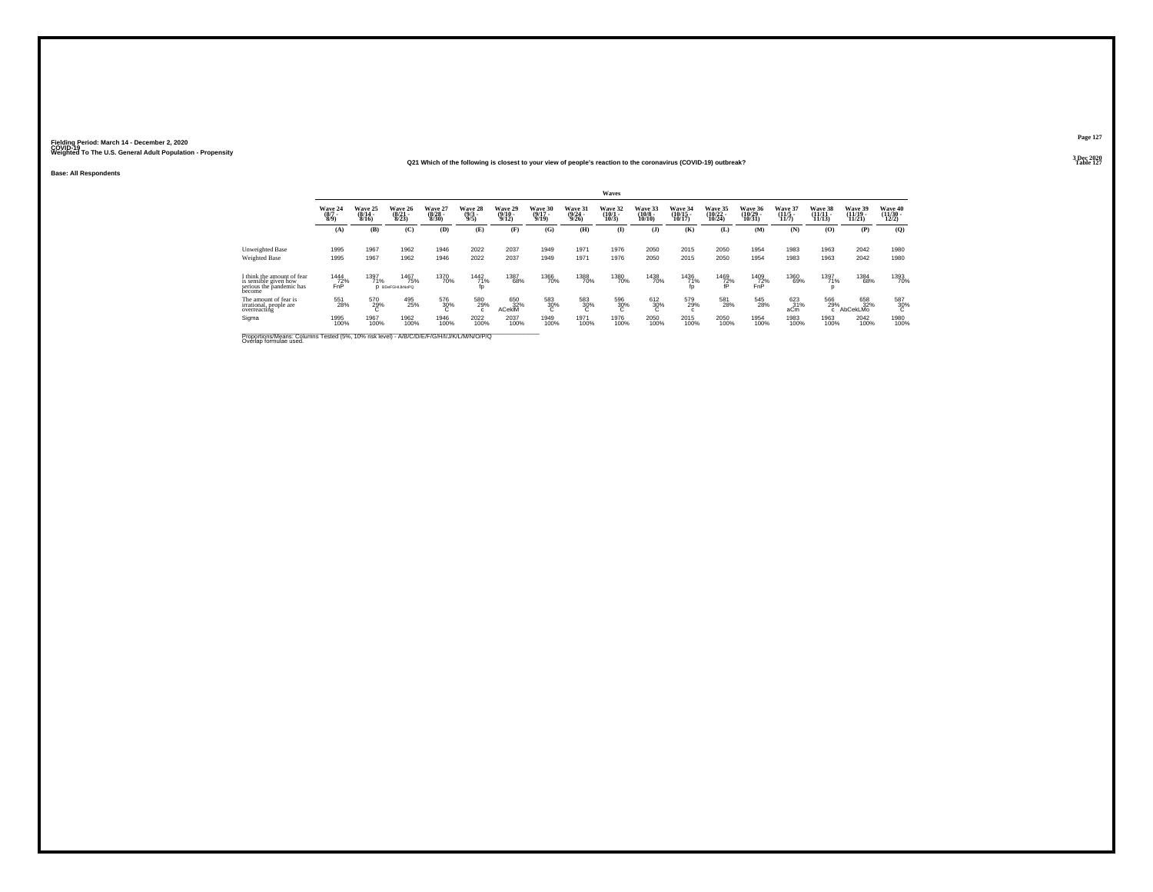#### **Q21 Which of the following is closest to your view of people's reaction to the coronavirus (COVID-19) outbreak?Properties and the contract of the contract of the contract of the contract of the contract of the contract of the contract of the contract of the contract of the contract of the contract of the contract of the contract o**

**Base: All Respondents**

|                                                                                                                      |                                |                              |                                        |                                         |                                |                                     |                                  |                                         | Waves                         |                                        |                                    |                                |                      |                           |                                |                                |                               |
|----------------------------------------------------------------------------------------------------------------------|--------------------------------|------------------------------|----------------------------------------|-----------------------------------------|--------------------------------|-------------------------------------|----------------------------------|-----------------------------------------|-------------------------------|----------------------------------------|------------------------------------|--------------------------------|----------------------|---------------------------|--------------------------------|--------------------------------|-------------------------------|
|                                                                                                                      | Wave 24<br>$\frac{(8/7)}{8/9}$ | Wave 25<br>$(8/14 -$<br>8/16 | Wave 26<br>$(8/21 -$<br>8/23           | <b>Wave 27</b><br>$\frac{(8/28)}{8/30}$ | Wave 28<br>$\frac{(9/3)}{9/5}$ | <b>Wave 29</b><br>$(9/10 -$<br>9/12 | Wave 30<br>$\frac{(9/17)}{9/19}$ | <b>Wave 31</b><br>$\frac{(9/24)}{9/26}$ | Wave 32<br>$\binom{10}{10/3}$ | Wave 33<br>$\frac{(10/8 - 10)}{10/10}$ | Wave 34<br>$\frac{(10/15)}{10/17}$ | Wave 35<br>$(10/22 -$<br>10/24 | Wave 36<br>10/31     | Wave 37<br>$\frac{11}{5}$ | Wave 38<br>$(11/11 -$<br>11/13 | Wave 39<br>$(11/19 -$<br>11/21 | Wave 40<br>$(11/30 -$<br>12/2 |
|                                                                                                                      | (A)                            | (B)                          | (C)                                    | (D)                                     | (E)                            | (F)                                 | (G)                              | (H)                                     | $\mathbf{I}$                  | $($ $)$                                | (K)                                | (L)                            | (M)                  | (N)                       | (O)                            | (P)                            | (Q)                           |
| Unweighted Base<br>Weighted Base                                                                                     | 1995<br>1995                   | 1967<br>1967                 | 1962<br>1962                           | 1946<br>1946                            | 2022<br>2022                   | 2037<br>2037                        | 1949<br>1949                     | 1971<br>1971                            | 1976<br>1976                  | 2050<br>2050                           | 2015<br>2015                       | 2050<br>2050                   | 1954<br>1954         | 1983<br>1983              | 1963<br>1963                   | 2042<br>2042                   | 1980<br>1980                  |
| I think the amount of fear<br>is sensible given how<br>serious the pandemic has<br>become                            | 1444<br>72%<br>FnP             | 1397<br>71%                  | <sup>1467</sup> 75%<br>D BDeFGHIJkNoPQ | 1370<br>70%                             | $\frac{1442}{71\%}$            | 1387<br>68%                         | 1366<br>70%                      | 1388<br>70%                             | 1380<br>70%                   | 1438<br>70%                            | $\frac{1436}{71\%}$ fp             | $\frac{1469}{72\%}$            | $^{1409}_{72\%}$ FnP | 1360<br>69%               | 1397<br>71%<br>D               | 1384<br>68%                    | 1393<br>70%                   |
| The amount of fear is<br>irrational, people are<br>overreacting                                                      | 551<br>28%                     | 570<br>29%                   | 495 25%                                | 576<br>30%                              | 580<br>29%                     | 650<br>32%<br>ACekiM                | 583<br>30%                       | $\frac{583}{30}\%$                      | 596<br>30%<br>ι.              | 612<br>30%<br>c                        | 579<br>29%<br>c                    | 581<br>28%                     | 545<br>28%           | 623<br>aCm                | 566<br>29%<br>$\mathbf{c}$     | 658<br>32%<br>AbCekLMo         | 587<br>30%                    |
| Sigma                                                                                                                | 1995<br>100%                   | 1967<br>100%                 | 1962<br>100%                           | 1946<br>100%                            | 2022<br>100%                   | 2037<br>100%                        | 1949<br>100%                     | 1971<br>100%                            | 1976<br>100%                  | 2050<br>100%                           | 2015<br>100%                       | 2050<br>100%                   | 1954<br>100%         | 1983<br>100%              | 1963<br>100%                   | 2042<br>100%                   | 1980<br>100%                  |
| Proportions/Means: Columns Tested (5%, 10% risk level) - A/B/C/D/E/F/G/H/I/J/K/L/M/N/O/P/Q<br>Overlap formulae used. |                                |                              |                                        |                                         |                                |                                     |                                  |                                         |                               |                                        |                                    |                                |                      |                           |                                |                                |                               |

**Page 1273 Dec 2020<br>Table 127**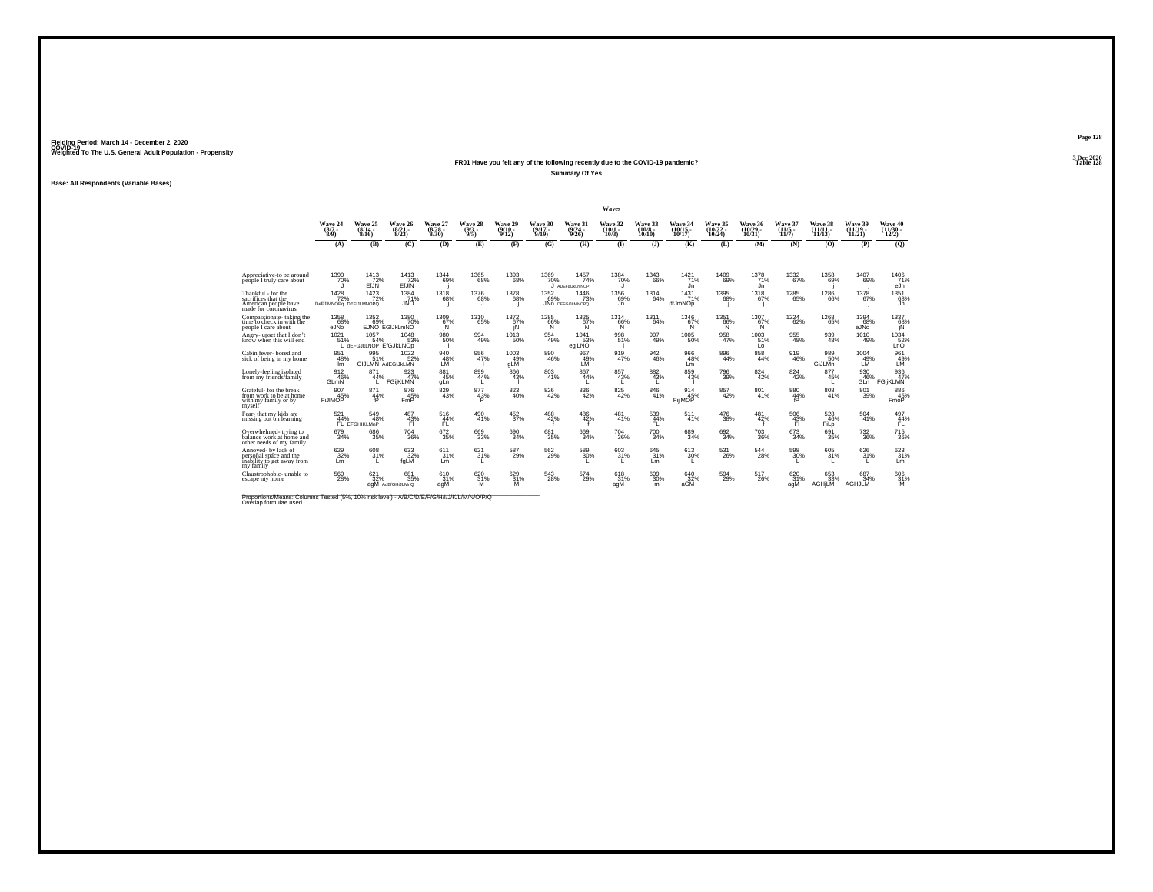#### **FR01 Have you felt any of the following recently due to the COVID-19 pandemic? Table 128 Summary Of Yes**

**Base: All Respondents (Variable Bases)**

|                                                                                           |                                           |                                     |                                  |                                  |                           |                              |                                  |                                         | Waves                                 |                               |                                |                                   |                                |                              |                                |                                                                                       |                                          |
|-------------------------------------------------------------------------------------------|-------------------------------------------|-------------------------------------|----------------------------------|----------------------------------|---------------------------|------------------------------|----------------------------------|-----------------------------------------|---------------------------------------|-------------------------------|--------------------------------|-----------------------------------|--------------------------------|------------------------------|--------------------------------|---------------------------------------------------------------------------------------|------------------------------------------|
|                                                                                           | Wave 24<br>$\frac{(8/7)}{8/9}$            | Wave 25<br>$(8/14 -$<br>8/16        | Wave 26<br>$\frac{(8/21)}{8/23}$ | Wave 27<br>$\frac{(8/28)}{8/30}$ | Wave 28<br>$\binom{9}{3}$ | Wave 29<br>$(9/10 -$<br>9/12 | Wave 30<br>$\frac{(9/17)}{9/19}$ | Wave 31<br>$\frac{(9/24 - 9/26)}{9/26}$ | Wave 32<br>$\frac{(10/1 - 10)}{10/3}$ | Wave 33<br>$(10/8 -$<br>10/10 | Wave 34<br>(10/15 -<br>10/17)  | Wave 35<br>$\binom{10/22}{10/24}$ | Wave 36<br>$(10/29 -$<br>10/31 | Wave 37<br>$(11/5 -$<br>11/7 | Wave 38<br>$(11/11 -$<br>11/13 | Wave 39<br>$(11/19 -$<br>11/21                                                        | Wave 40<br>$\frac{(11/30 - 12/2)}{12/2}$ |
|                                                                                           | (A)                                       | (B)                                 | (C)                              | (D)                              | (E)                       | (F)                          | (G)                              | (H)                                     | $\mathbf{D}$                          | $($ $)$                       | (K)                            | (L)                               | (M)                            | (N)                          | (0)                            | (P)                                                                                   | (Q)                                      |
|                                                                                           |                                           |                                     |                                  |                                  |                           |                              |                                  |                                         |                                       |                               |                                |                                   |                                |                              |                                |                                                                                       |                                          |
| Appreciative-to be around<br>people I truly care about                                    | 1390<br>70%                               | $^{1413}_{72\%}$<br>EfJN            | $1413$<br>$72\%$<br>EfJIN        | 1344<br>69%                      | $^{1365}_{68\%}$          | $^{1393}_{68\%}$             | 1369<br>70%                      | 1457<br>74%<br>ADEFolJkLmNOP            | 1384<br>70%                           | $^{1343}_{66\%}$              | $1421$ <sub>71%</sub><br>Jn    | <sup>1409</sup> 69%               | $1378$<br>$71\%$<br>Jn         | $^{1332}_{67\%}$             | 1358<br>69%                    | 1407<br>69%                                                                           | 1406<br>71%<br>eJn                       |
| Thankful - for the<br>sacrifices that the<br>American people have<br>made for coronavirus | $1428$<br>$72%$<br>DeFJIMNOPq_DEFIJLMNOPQ | $\frac{1423}{72\%}$                 | $^{1384}_{71\%}$<br>JNO          | 1318<br>68%                      | $^{1376}_{68\%}$          | $^{1378}_{68\%}$             | 1352<br>69%                      | 1446<br>73%<br><b>JNO</b> DEFGIJLMNOPO  | 1356<br>69%<br>Jn.                    | 1314<br>64%                   | $\frac{1431}{71\%}$<br>dfJmNOp | $^{1395}_{68\%}$                  | $^{1318}_{67\%}$               | $^{1285}_{65\%}$             | 1286<br>66%                    | 1378<br>67%                                                                           | 1351<br>68%<br>J'n                       |
| Compassionate-taking the<br>time to check in with the<br>people I care about              | 1358<br>68%<br>eJÑo                       | 1352<br>69%                         | 1380<br>70%<br>EJNO EGIJKLmNO    | 1309<br>67%<br>iΝ                | 1310<br>65%               | 1372<br>67%<br>ΪŃ            | 1285<br>66%<br>Ñ                 | 1325<br>67%<br>'N.                      | 1314<br>66%<br>Ñ                      | 1311<br>64%                   | 1346<br>67%<br>'N.             | 1351<br>66%<br>Ñ                  | 1307<br>67%<br>'N.             | 1224<br>62%                  | 1268<br>65%                    | 1394<br>68%<br>eJÑo                                                                   | 1337<br>$^{689}_{\text{IN}}$             |
| Angry- upset that I don'<br>know when this will end                                       | 1021<br>51%                               | 1057<br>54%<br>dEFGJKLNOP EfGJKLNOp | 1048<br>53%                      | 980<br>50%                       | 994<br>49%                | $^{1013}_{-50\%}$            | $^{954}_{49\%}$                  | $^{1041}_{53\%}$<br>egjLNO              | 998<br>51%                            | 997<br>49%                    | $^{1005}_{-50\%}$              | $\frac{958}{47\%}$                | $1003$ <sub>51%</sub><br>Lo    | $\underset{48\%}{^{955}}$    | 939<br>48%                     | $^{1010}_{49\%}$                                                                      | 1034<br>LnO                              |
| Cabin fever-bored and<br>sick of being in my home                                         | 951<br>48%<br>Im                          | 995<br>51%<br>GIJLMN AdEGIJKLMN     | 1022<br>52%                      | $^{940}_{48\%}$                  | 956<br>47%                | 1003<br>49%<br>gLM           | $\underset{46\%}{^{890}}$        | 967<br>49%<br>LM                        | $\frac{919}{47\%}$                    | $\frac{942}{46\%}$            | $\substack{966 \\ 48\%}$<br>Lm | $\substack{896 \\ 44\%}$          | $\underset{44\%}{^{858}}$      | $\frac{919}{46\%}$           | 989<br>50%<br>GiJLMn           | $^{1004}_{\phantom{1}49\%}_{\phantom{1}\phantom{1}\phantom{1}\phantom{1}\mathsf{LM}}$ | 961<br>49%<br>LM                         |
| Lonely-feeling isolated<br>from my friends/family                                         | 912<br>46%<br>GLmN                        | 871<br>44%                          | 923<br>47%<br><b>FGijKLMN</b>    | 881<br>45%<br>gLn                | 899<br>44%                | 866<br>43%                   | 803<br>41%                       | 867<br>44%                              | 857<br>43%                            | 882<br>43%                    | 859<br>43%                     | 796<br>39%                        | 824<br>42%                     | 824<br>42%                   | 877<br>45%                     | 930<br>46%<br>GLn                                                                     | 936<br>47%<br><b>FGijKLMN</b>            |
| Grateful- for the break<br>from work to be at home<br>with my family or by<br>myself      | 907<br>45%<br><b>FLIMOP</b>               | 871<br>44%<br>fP                    | 876<br>45%<br><b>FmP</b>         | $\frac{829}{43\%}$               | 877<br>43%<br>D           | $\substack{823 \\ 40\%}$     | $\underset{42\%}{^{826}}$        | $\underset{42\%}{^{836}}$               | $825\over 42\%$                       | $\substack{846 \\ 41\%}$      | 914<br>45%<br>FijlMOP          | 857<br>42%                        | $\substack{801 \\ 41\%}$       | $\frac{880}{44\%}$<br>fP     | $\substack{808 \\ 41\%}$       | $\underset{39\%}{^{801}}$                                                             | 886<br>45%<br>FmoP                       |
| Fear-that my kids are<br>missing out on learning                                          | $\frac{521}{44\%}$                        | 549%<br>FL EFGHIKLMnP               | 487<br>43%<br>FI                 | $^{516}_{44\%}$<br>FL.           | $^{490}_{41\%}$           | $\frac{452}{37\%}$           | 488<br>42%                       | $^{486}_{42\%}$                         | $^{481}_{41\%}$                       | 539<br>44%<br>FL.             | 511%                           | $^{476}_{\phantom{1}38\%}$        | 481<br>42%                     | $^{506}_{43\%}$<br>FI        | 528<br>46%<br>FiLo             | $^{504}_{\ 41\%}$                                                                     | $497\n44%$<br>FL.                        |
| Overwhelmed-trying to<br>balance work at home and<br>other needs of my family             | 679<br>34%                                | 686<br>35%                          | 704<br>36%                       | $\substack{672 \\ 35\%}$         | 669<br>33%                | 690<br>34%                   | 681<br>35%                       | 669<br>34%                              | 704<br>36%                            | 700<br>34%                    | 689<br>34%                     | 692<br>34%                        | $^{703}_{\ 36\%}$              | 673<br>34%                   | 691<br>35%                     | 732<br>36%                                                                            | 715<br>36%                               |
| Annoved- by lack of<br>personal space and the<br>inability to get away from<br>my family  | $\substack{629\\32\%}$<br>Lm              | 608<br>31%                          | 633<br>32%<br>faLM               | 611<br>31%<br>Lm                 | 621/31%                   | 587<br>29%                   | $^{562}_{29\%}$                  | $\frac{589}{30\%}$                      | $603 \over 31\%$                      | $645 \over 31\%$<br>Lm        | $613 \atop 30\%$<br>L.         | $^{531}_{\ 26\%}$                 | $\substack{544 \\ 28\%}$       | 598<br>30%                   | 605<br>31%                     | 626/31%<br>L.                                                                         | 623<br>Lm                                |
| Claustrophobic- unable to<br>escape my home                                               | $^{560}_{\  \, 28\%}$                     | $621 \over 32\%$                    | 681<br>35%<br>agM AdEfGHiJLMnQ   | 610<br>31%<br>agM                | 62031%<br>м               | 629 31%<br>M                 | $\substack{543 \\ 28\%}$         | $^{574}_{29\%}$                         | 618<br>31%<br>agM                     | $^{609}_{30\%}$<br>m          | 640<br>32%<br>aGM              | $^{594}_{29\%}$                   | $^{517}_{26\%}$                | 620 31%<br>agM               | 653<br>33%<br><b>AGHILM</b>    | 687<br>34%<br><b>AGHJLM</b>                                                           | 606<br>31%<br>M                          |

Proportions/Means: Columns Tested (5%, 10% risk level) - *N\B/C/D/E/F/G/H/I/J/K/L/M/N/O/P/Q*<br>Overlap formulae used.

**Page 128**3 Dec 2020<br>Table 128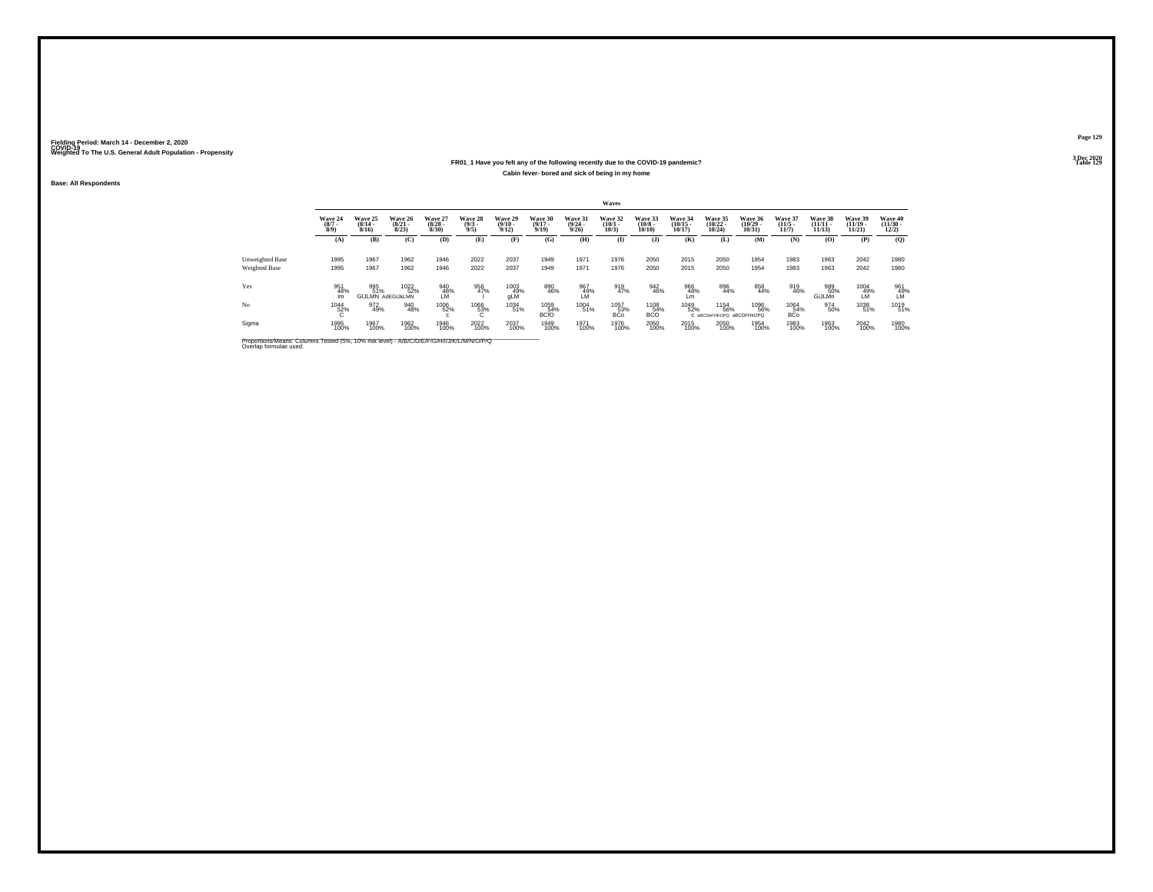### **FR01\_1 Have you felt any of the following recently due to the COVID-19 pandemic?Cabin fever- bored and sick of being in my home**

**Base: All Respondents**

|                                         |                               |                                         |                                  |                                 |                               |                                 |                              |                                  | Waves                           |                                   |                                   |                                         |                                   |                                 |                                |                                |                                  |
|-----------------------------------------|-------------------------------|-----------------------------------------|----------------------------------|---------------------------------|-------------------------------|---------------------------------|------------------------------|----------------------------------|---------------------------------|-----------------------------------|-----------------------------------|-----------------------------------------|-----------------------------------|---------------------------------|--------------------------------|--------------------------------|----------------------------------|
|                                         | Wave 24<br>$\binom{8/7}{8/9}$ | <b>Wave 25</b><br>$\frac{(8/14)}{8/16}$ | Wave 26<br>$\frac{(8/21)}{8/23}$ | Wave 27<br>$\binom{8/28}{8/30}$ | Wave 28<br>$\binom{9/3}{9/5}$ | Wave 29<br>$\binom{9/10}{9/12}$ | Wave 30<br>$(9/17 -$<br>9/19 | Wave 31<br>$\frac{(9/24)}{9/26}$ | Wave 32<br>$\binom{10/1}{10/3}$ | Wave 33<br>$\frac{(10/8)}{10/10}$ | Wave 34<br>$\binom{10/15}{10/17}$ | Wave 35<br>$\binom{10/22}{10/24}$       | Wave 36<br>$\binom{10/29}{10/31}$ | Wave 37<br>$\binom{11/5}{11/7}$ | Wave 38<br>$(11/11 -$<br>11/13 | Wave 39<br>$(11/19 -$<br>11/21 | Wave 40<br>$\binom{11/30}{12/2}$ |
|                                         | (A)                           | (B)                                     | (C)                              | (D)                             | (E)                           | (F)                             | (G)                          | (H)                              | $\mathbf{I}$                    | $($ $)$                           | (K)                               | (L)                                     | (M)                               | (N)                             | (0)                            | (P)                            | (Q)                              |
| Unweighted Base<br><b>Weighted Base</b> | 1995<br>1995                  | 1967<br>1967                            | 1962<br>1962                     | 1946<br>1946                    | 2022<br>2022                  | 2037<br>2037                    | 1949<br>1949                 | 1971<br>1971                     | 1976<br>1976                    | 2050<br>2050                      | 2015<br>2015                      | 2050<br>2050                            | 1954<br>1954                      | 1983<br>1983                    | 1963<br>1963                   | 2042<br>2042                   | 1980<br>1980                     |
| Yes                                     | 951<br>48%<br>Im              | 995<br>51%                              | 1022<br>52%<br>GIJLMN AdEGIJKLMN | 940<br>48%<br>LM                | 956<br>47%                    | 1003<br>49%<br>gLM              | 890<br>46%                   | 967<br>49%<br>LM                 | 919<br>47%                      | 942<br>46%                        | 966<br>48%<br>Lm                  | 896<br>44%                              | 858<br>44%                        | 919<br>46%                      | 989<br>50%<br>GiJLMn           | 1004<br>49%<br>LÑ              | 961<br>49%<br>LM                 |
| No                                      | <sup>1044</sup> 52%           | 972<br>49%                              | 940<br>48%                       | 1006<br>52%                     | $^{1066}_{\,~~63\%}$          | 1034<br>51%                     | 1059<br>54%<br><b>BCfO</b>   | 1004<br>51%                      | 1057<br>53%<br><b>BCo</b>       | 1108<br>54%<br><b>BCO</b>         | 1049<br>52%                       | 1154<br>56%<br>C aBCDeFHKOPQ aBCDFHkOPQ | 1096<br>56%                       | 1064<br>54%<br><b>BCo</b>       | 974<br>50%                     | 1038<br>51%                    | 1019<br>51%                      |
| Sigma                                   | 1995<br>100%                  | 1967<br>100%                            | 1962<br>100%                     | 1946<br>100%                    | 2022<br>100%                  | 2037<br>100%                    | 1949<br>100%                 | 1971<br>100%                     | 1976<br>100%                    | 2050<br>100%                      | 2015<br>100%                      | 2050<br>100%                            | 1954<br>100%                      | 1983<br>100%                    | 1963<br>100%                   | 2042<br>100%                   | 1980<br>100%                     |

Proportions/Means: Columns Tested (5%, 10% risk level) - *N'B/C/D/E/F/G/H/I/J/K/L/M/N/O/P/Q*<br>Overlap formulae used.

**Page 129**

**3 Dec 2020<br>Table 129 Table 129**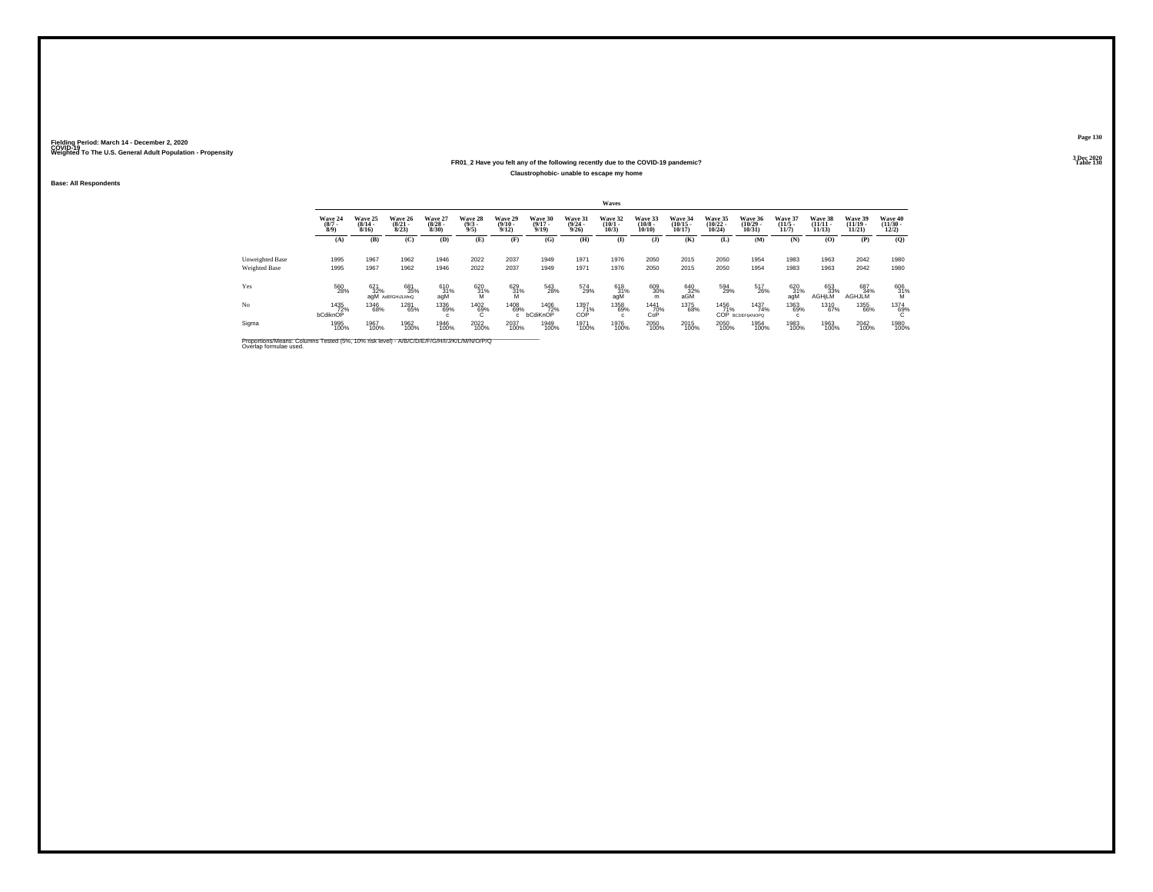### **FR01\_2 Have you felt any of the following recently due to the COVID-19 pandemic?Claustrophobic- unable to escape my home**

**Base: All Respondents**

|                      |                               |                                  |                                 |                                 |                                |                                         |                                  |                                  | <b>Waves</b>                    |                                  |                                   |                                   |                                   |                                  |                                    |                                   |                                  |
|----------------------|-------------------------------|----------------------------------|---------------------------------|---------------------------------|--------------------------------|-----------------------------------------|----------------------------------|----------------------------------|---------------------------------|----------------------------------|-----------------------------------|-----------------------------------|-----------------------------------|----------------------------------|------------------------------------|-----------------------------------|----------------------------------|
|                      | Wave 24<br>$\binom{8/7}{8/9}$ | Wave 25<br>$\frac{(8/14)}{8/16}$ | Wave 26<br>$\binom{8/21}{8/23}$ | Wave 27<br>$\binom{8/28}{8/30}$ | Wave 28<br>$\binom{9/3}{9/5}$  | Wave 29<br>$\frac{(9/10 - 9/12)}{9/12}$ | Wave 30<br>$\frac{(9/17)}{9/19}$ | Wave 31<br>$\frac{(9/24)}{9/26}$ | Wave 32<br>$\binom{10/1}{10/3}$ | Wave 33<br>$\binom{10/8}{10/10}$ | Wave 34<br>$\binom{10/15}{10/17}$ | Wave 35<br>$\binom{10/22}{10/24}$ | Wave 36<br>$\binom{10/29}{10/31}$ | Wave 37<br>$\frac{(11/5)}{11/7}$ | Wave 38<br>$\frac{(11/11)}{11/13}$ | Wave 39<br>$\binom{11/19}{11/21}$ | Wave 40<br>$\binom{11/30}{12/2}$ |
|                      | (A)                           | (B)                              | (C)                             | (D)                             | (E)                            | (F)                                     | (G)                              | (H)                              | (I)                             | $($ $\bf{J}$ )                   | (K)                               | (L)                               | <b>(M)</b>                        | (N)                              | (0)                                | (P)                               | $\mathbf{Q}$                     |
| Unweighted Base      | 1995                          | 1967                             | 1962                            | 1946                            | 2022                           | 2037                                    | 1949                             | 1971                             | 1976                            | 2050                             | 2015                              | 2050                              | 1954                              | 1983                             | 1963                               | 2042                              | 1980                             |
| <b>Weighted Base</b> | 1995                          | 1967                             | 1962                            | 1946                            | 2022                           | 2037                                    | 1949                             | 1971                             | 1976                            | 2050                             | 2015                              | 2050                              | 1954                              | 1983                             | 1963                               | 2042                              | 1980                             |
| Yes                  | 560<br>28%                    | 621<br>32%                       | 681<br>35%<br>agM AdEfGHiJLMnQ  | 610<br>31%<br>agM               | $^{620}_{\substack{31\% \ M}}$ | $^{629}_{\substack{31\% \ M}}$          | 543<br>28%                       | 574<br>29%                       | 618<br>31%<br>agM               | 609<br>30%<br>m                  | $^{640}_{32\%}$ aGM               | 594<br>29%                        | 517<br>26%                        | 620<br>31%<br>aqM                | 653<br>33%<br><b>AGHILM</b>        | 687<br>34%<br><b>AGHJLM</b>       | 606<br>31%                       |
| No                   | 1435<br>72%<br>bCdiknOP       | 1346<br>68%                      | 1281<br>65%                     | 1336<br>69%                     | 1402<br>69%<br>c               | 1408<br>69%<br>c.                       | 1406<br>72%<br>bCdiKnOP          | 1397<br>71%<br>COP               | 1358<br>69%                     | 1441<br>70%<br>CoP               | 1375<br>68%                       | 1456<br>71%                       | 1437<br>74%<br>COP BCDEFIJKNOPQ   | 1363<br>69%                      | 1310<br>67%                        | 1355<br>66%                       | 1374<br>69%                      |
| Sigma                | 1995<br>100%                  | 1967<br>100%                     | 1962<br>100%                    | 1946<br>100%                    | 2022<br>100%                   | 2037<br>100%                            | 1949<br>100%                     | 1971<br>100%                     | 1976<br>100%                    | 2050<br>100%                     | 2015<br>100%                      | 2050<br>100%                      | 1954<br>100%                      | 1983<br>100%                     | 1963<br>100%                       | 2042<br>100%                      | 1980<br>100%                     |

Proportions/Means: Columns Tested (5%, 10% risk level) - *N\B/C/D/E/F/G/H/I/J/K/L/M/N/O/P/Q*<br>Overlap formulae used.

**Page 130**

**3 Dec 2020<br>Table 130 Table 130**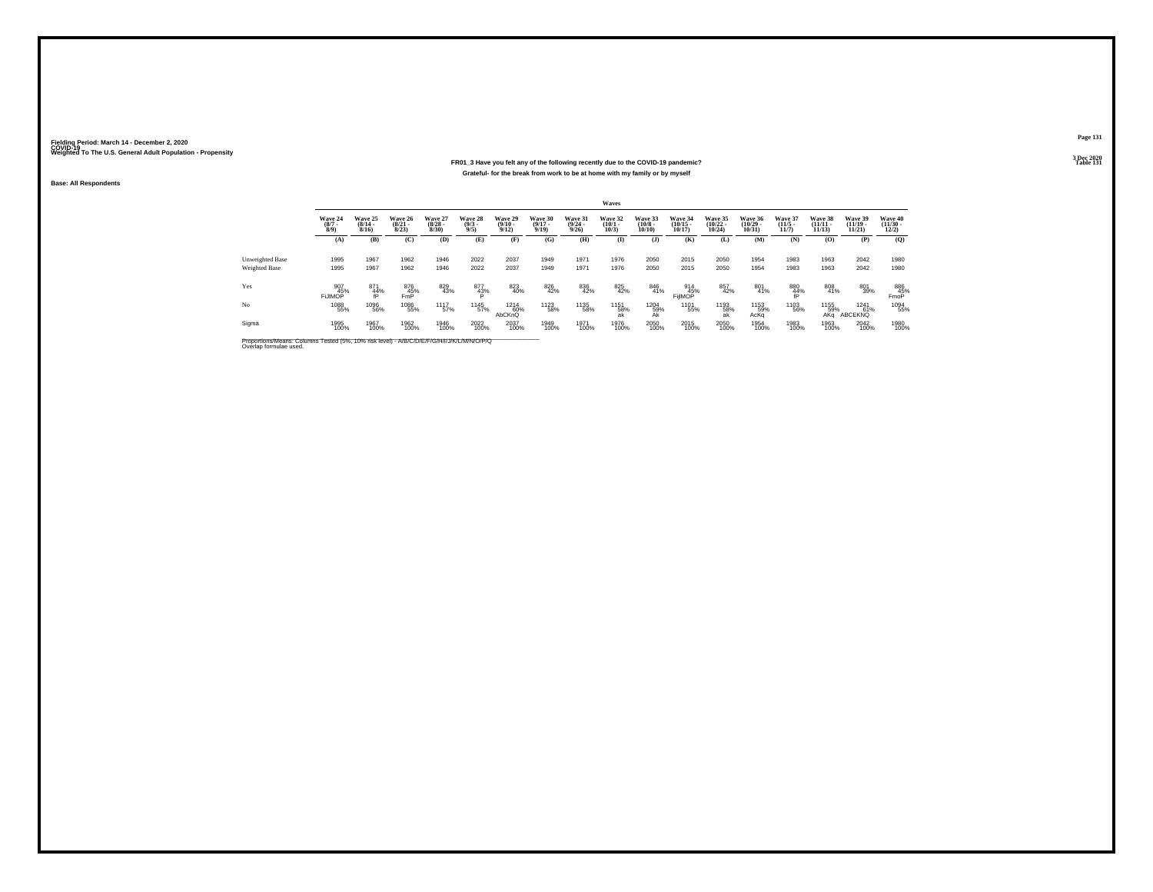#### **FR01\_3 Have you felt any of the following recently due to the COVID-19 pandemic?Particular Table 131 Table 131 Table 131 Grateful- for the break from work to be at home with my family or by myself**

**Base: All Respondents**

|                 |                               |                                  |                                       |                                 |                               |                                         |                                  |                                         | Waves                           |                                  |                                   |                                   |                                   |                                  |                                   |                                       |                                  |
|-----------------|-------------------------------|----------------------------------|---------------------------------------|---------------------------------|-------------------------------|-----------------------------------------|----------------------------------|-----------------------------------------|---------------------------------|----------------------------------|-----------------------------------|-----------------------------------|-----------------------------------|----------------------------------|-----------------------------------|---------------------------------------|----------------------------------|
|                 | Wave 24<br>$\binom{8/7}{8/9}$ | Wave 25<br>$\frac{(8/14)}{8/16}$ | Wave 26<br>$\frac{(8/21)}{8/23}$      | Wave 27<br>$\binom{8/28}{8/30}$ | Wave 28<br>$\binom{9/3}{9/5}$ | Wave 29<br>$\frac{(9/10 - 9/12)}{9/12}$ | Wave 30<br>$\frac{(9/17)}{9/19}$ | Wave 31<br>$\frac{(9/24 - 9/26)}{9/26}$ | Wave 32<br>$\binom{10/1}{10/3}$ | Wave 33<br>$\binom{10/8}{10/10}$ | Wave 34<br>$\binom{10/15}{10/17}$ | Wave 35<br>$\binom{10/22}{10/24}$ | Wave 36<br>$\binom{10/29}{10/31}$ | Wave 37<br>$\frac{(11/5)}{11/7}$ | Wave 38<br>$\binom{11/11}{11/13}$ | Wave 39<br>$\binom{11/19}{11/21}$     | Wave 40<br>$\binom{11/30}{12/2}$ |
|                 | (A)                           | (B)                              | (C)                                   | (D)                             | (E)                           | (F)                                     | (G)                              | (H)                                     | $\bf (I)$                       | (J)                              | (K)                               | (L)                               | (M)                               | (N)                              | (0)                               | (P)                                   | (Q)                              |
| Unweighted Base | 1995                          | 1967                             | 1962                                  | 1946                            | 2022                          | 2037                                    | 1949                             | 1971                                    | 1976                            | 2050                             | 2015                              | 2050                              | 1954                              | 1983                             | 1963                              | 2042                                  | 1980                             |
| Weighted Base   | 1995                          | 1967                             | 1962                                  | 1946                            | 2022                          | 2037                                    | 1949                             | 1971                                    | 1976                            | 2050                             | 2015                              | 2050                              | 1954                              | 1983                             | 1963                              | 2042                                  | 1980                             |
| Yes             | 907<br>FiJIMOP <sup>45%</sup> | 871<br>$\frac{44}{1}$            | 876<br>F <sub>mp</sub> <sup>45%</sup> | 829<br>43%                      | 877<br>43%                    | 823<br>40%                              | 826<br>42%                       | 836<br>42%                              | 825<br>42%                      | 846<br>41%                       | 914<br>45%<br>FijlMOP             | 857<br>42%                        | 801<br>41%                        | $\underset{\text{fP}}{^{880}}$   | 808<br>41%                        | 801<br>39%                            | 886<br>45%<br>FmoP               |
| No              | 1088<br>55%                   | 1096<br>56%                      | 1086<br>55%                           | <sup>11</sup> 17 <sub>57%</sub> | 1145<br>57%                   | <sup>1214</sup> 60%<br>AbCKnQ           | <sup>1123</sup> 58%              | 1135<br>58%                             | 1151<br>58%<br>ak               | 1204<br>59%<br>Ak                | 1101<br>55%                       | 1193<br>58%                       | 1153<br>59%<br>AcKq               | 1103<br>56%                      | 1155<br>59%<br>AKa                | <sup>1241</sup> 61%<br><b>ABCEKNQ</b> | 1094<br>55%                      |
| Sigma           | 1995<br>100%                  | 1967<br>100%                     | 1962<br>100%                          | 1946<br>100%                    | 2022<br>100%                  | 2037<br>100%                            | 1949<br>100%                     | 1971<br>100%                            | 1976<br>100%                    | 2050<br>100%                     | 2015<br>100%                      | 2050<br>100%                      | 1954<br>100%                      | 1983<br>100%                     | 1963<br>100%                      | 2042<br>100%                          | 1980<br>100%                     |

Proportions/Means: Columns Tested (5%, 10% risk level) - *N\B/C/D/E/F/G/H/I/J/K/L/M/N/O/P/Q*<br>Overlap formulae used.

**Page 1313 Dec 2020<br>Table 131**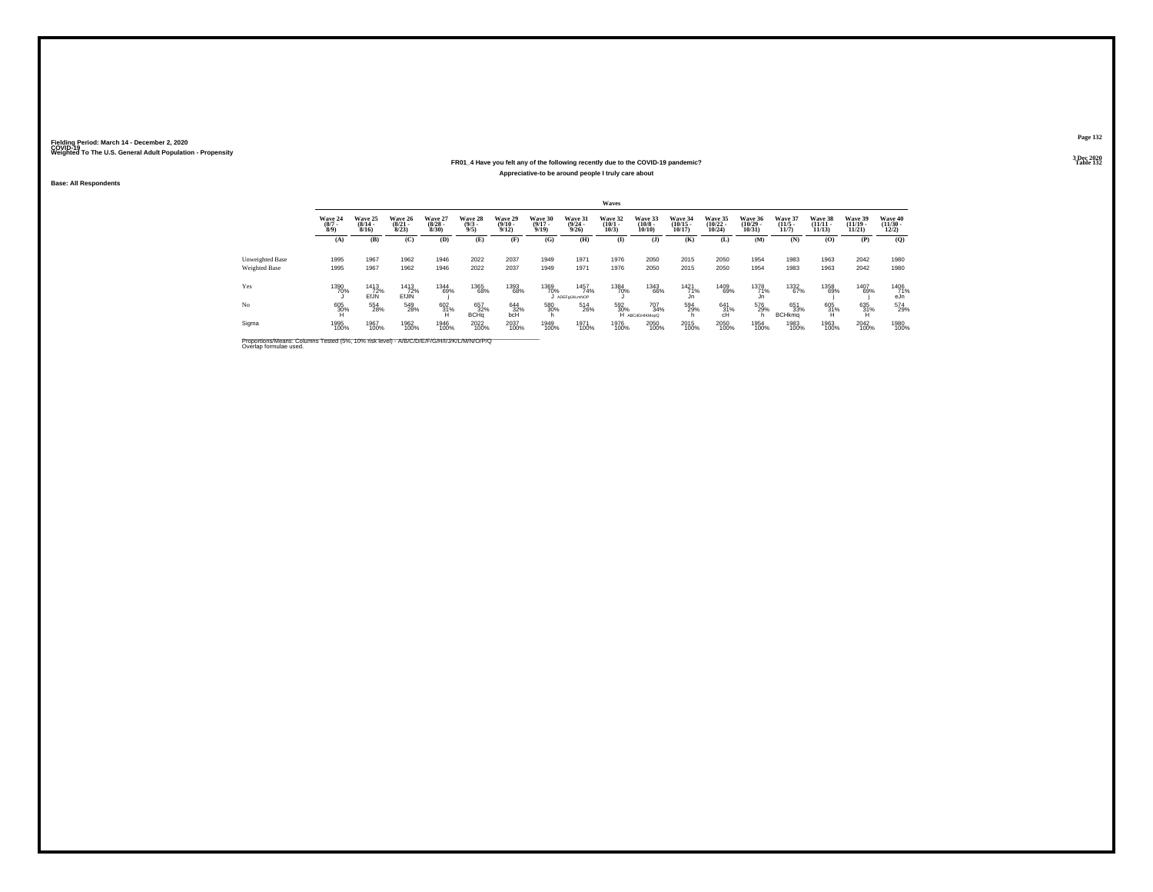### **FR01\_4 Have you felt any of the following recently due to the COVID-19 pandemic?Appreciative-to be around people I truly care about**

**Base: All Respondents**

|                 |                               |                              |                                  |                                 |                               |                                 |                                  |                                  | Waves                           |                                  |                                   |                                   |                                   |                                 |                                |                                |                                  |
|-----------------|-------------------------------|------------------------------|----------------------------------|---------------------------------|-------------------------------|---------------------------------|----------------------------------|----------------------------------|---------------------------------|----------------------------------|-----------------------------------|-----------------------------------|-----------------------------------|---------------------------------|--------------------------------|--------------------------------|----------------------------------|
|                 | Wave 24<br>$\binom{8/7}{8/9}$ | Wave 25<br>$(8/14 -$<br>8/16 | Wave 26<br>$\frac{(8/21)}{8/23}$ | Wave 27<br>$\binom{8/28}{8/30}$ | Wave 28<br>$\binom{9/3}{9/5}$ | Wave 29<br>$\binom{9/10}{9/12}$ | Wave 30<br>$\frac{(9/17)}{9/19}$ | Wave 31<br>$\frac{(9/24)}{9/26}$ | Wave 32<br>$\binom{10/1}{10/3}$ | Wave 33<br>$\binom{10/8}{10/10}$ | Wave 34<br>$\binom{10/15}{10/17}$ | Wave 35<br>$\binom{10/22}{10/24}$ | Wave 36<br>$\binom{10/29}{10/31}$ | Wave 37<br>$\binom{11/5}{11/7}$ | Wave 38<br>$(11/11 -$<br>11/13 | Wave 39<br>$(11/19 -$<br>11/21 | Wave 40<br>$\binom{11/30}{12/2}$ |
|                 | (A)                           | (B)                          | (C)                              | (D)                             | (E)                           | (F)                             | (G)                              | (H)                              | $\mathbf{I}$                    | $($ $)$                          | (K)                               | (L)                               | (M)                               | (N)                             | (0)                            | (P)                            | (Q)                              |
| Unweighted Base | 1995                          | 1967                         | 1962                             | 1946                            | 2022                          | 2037                            | 1949                             | 1971                             | 1976                            | 2050                             | 2015                              | 2050                              | 1954                              | 1983                            | 1963                           | 2042                           | 1980                             |
| Weighted Base   | 1995                          | 1967                         | 1962                             | 1946                            | 2022                          | 2037                            | 1949                             | 1971                             | 1976                            | 2050                             | 2015                              | 2050                              | 1954                              | 1983                            | 1963                           | 2042                           | 1980                             |
| Yes             | 1390<br>70%                   | 1413<br>EfJN                 | 1413<br>72%<br>EfJIN             | 1344<br>69%                     | 1365<br>68%                   | 1393<br>68%                     | 1369<br>70%                      | 1457<br>74%<br>J ADEFOLIKLMNOP   | 1384<br>70%                     | 1343<br>66%                      | 1421<br>71%                       | 1409<br>69%                       | 1378<br>71%<br>Jn                 | 1332<br>67%                     | 1358<br>69%                    | 1407<br>69%                    | 1406<br>71%<br>eJn               |
| No              | 605<br>30%                    | 554<br>28%                   | 549<br>28%                       | $^{602}_{31\%}$                 | 657<br>32%<br><b>BCHq</b>     | 644<br>32%<br>bcH               | 580<br>30%<br>'n                 | 514<br>26%                       | 592<br>30%                      | 707<br>34%<br>H ABCdGHIKMopQ     | 594<br>29%                        | $^{641}_{31\%}$<br>cH             | 576<br>29%                        | 651<br>33%<br><b>BCHkmg</b>     | 605<br>31%                     | 635<br>31%                     | 574<br>29%                       |
| Sigma           | 1995<br>100%                  | 1967<br>100%                 | 1962<br>100%                     | 1946<br>100%                    | 2022<br>100%                  | 2037<br>100%                    | 1949<br>100%                     | 1971<br>100%                     | 1976<br>100%                    | 2050<br>100%                     | 2015<br>100%                      | 2050<br>100%                      | 1954<br>100%                      | 1983<br>100%                    | 1963<br>100%                   | 2042<br>100%                   | 1980<br>100%                     |

Proportions/Means: Columns Tested (5%, 10% risk level) - *N'B/C/D/E/F/G/H/I/J/K/L/M/N/O/P/Q*<br>Overlap formulae used.

**Page 132**

**3 Dec 2020<br>Table 132 Particular Table 132 Table 132**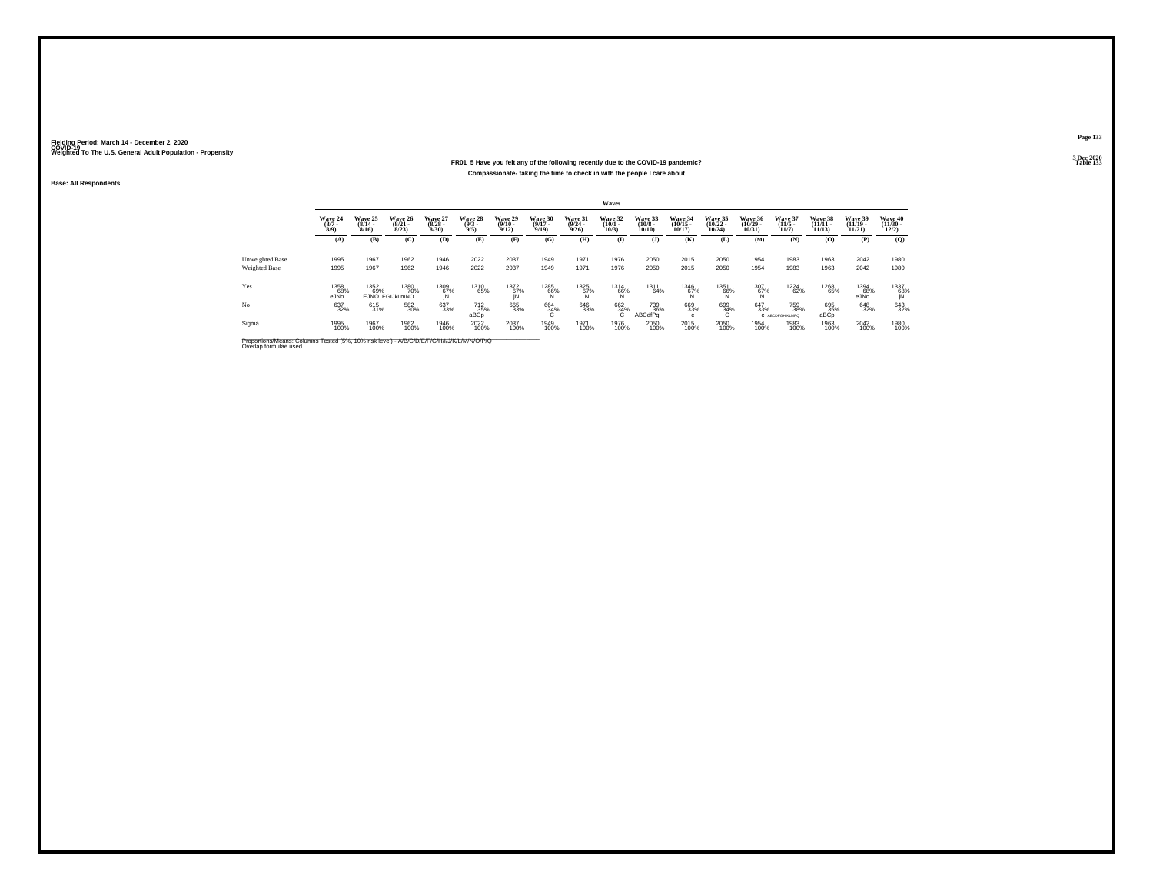### **FR01\_5 Have you felt any of the following recently due to the COVID-19 pandemic?Compassionate- taking the time to check in with the people I care about**

**Base: All Respondents**

|                 |                               |                                  |                                  |                                 |                                       |                                  |                                  |                                  | Waves                           |                                  |                                   |                                   |                                |                                  |                                    |                                   |                                          |
|-----------------|-------------------------------|----------------------------------|----------------------------------|---------------------------------|---------------------------------------|----------------------------------|----------------------------------|----------------------------------|---------------------------------|----------------------------------|-----------------------------------|-----------------------------------|--------------------------------|----------------------------------|------------------------------------|-----------------------------------|------------------------------------------|
|                 | Wave 24<br>$\binom{8/7}{8/9}$ | Wave 25<br>$\frac{(8/14)}{8/16}$ | Wave 26<br>$\frac{(8/21)}{8/23}$ | Wave 27<br>$\binom{8/28}{8/30}$ | Wave 28<br>$\binom{9/3}{9/5}$         | Wave 29<br>$\frac{(9/10)}{9/12}$ | Wave 30<br>$\frac{(9/17)}{9/19}$ | Wave 31<br>$\frac{(9/24)}{9/26}$ | Wave 32<br>$\binom{10/1}{10/3}$ | Wave 33<br>$\binom{10/8}{10/10}$ | Wave 34<br>$\binom{10/15}{10/17}$ | Wave 35<br>$\binom{10/22}{10/24}$ | Wave 36<br>$(10/29 -$<br>10/31 | Wave 37<br>$\frac{(11/5)}{11/7}$ | Wave 38<br>$\frac{(11/11)}{11/13}$ | Wave 39<br>$\binom{11/19}{11/21}$ | Wave 40<br>$\frac{(11/30 - 12/2)}{12/2}$ |
|                 | (A)                           | (B)                              | (C)                              | (D)                             | (E)                                   | (F)                              | (G)                              | (H)                              | (I)                             | $($ $\bf{J}$ )                   | (K)                               | (L)                               | (M)                            | (N)                              | (O)                                | (P)                               | (Q)                                      |
| Unweighted Base | 1995                          | 1967                             | 1962                             | 1946                            | 2022                                  | 2037                             | 1949                             | 1971                             | 1976                            | 2050                             | 2015                              | 2050                              | 1954                           | 1983                             | 1963                               | 2042                              | 1980                                     |
| Weighted Base   | 1995                          | 1967                             | 1962                             | 1946                            | 2022                                  | 2037                             | 1949                             | 1971                             | 1976                            | 2050                             | 2015                              | 2050                              | 1954                           | 1983                             | 1963                               | 2042                              | 1980                                     |
| Yes             | 1358<br>68%<br>eJÑo           | 1352<br>69%                      | 1380<br>70%<br>EJNO EGIJKLmNO    | $^{1309}_{67\%}$ in             | 1310<br>65%                           | 1372<br>67%<br>IN                | $^{1285}_{66\%}$                 | $^{1325}_{67\%}$                 | 1314<br>66%                     | 1311<br>64%                      | $^{1346}_{67\%}$                  | $^{1351}_{66\%}_{N}$              | 1307<br>67%                    | 1224<br>62%                      | 1268<br>65%                        | 1394<br>68%<br>eJNo               | 1337<br>68%<br>IN                        |
| No              | 637<br>32%                    | 615<br>31%                       | 582<br>30%                       | 637<br>33%                      | <sup>712</sup> <sub>35%</sub><br>aBCp | 665<br>33%                       | 664<br>34%                       | 646<br>33%                       | 662<br>34%                      | 739<br>36%<br>ABCdfPa            | 669<br>33%<br>c                   | 699<br>34%<br>c                   | 647<br>33%                     | 759<br>38%<br>C ABCDFGHIKLMPQ    | 695<br>35%<br>aBCp                 | 648<br>32%                        | 643<br>32%                               |
| Sigma           | 1995<br>100%                  | 1967<br>100%                     | 1962<br>100%                     | 1946<br>100%                    | 2022<br>100%                          | 2037<br>100%                     | 1949<br>100%                     | 1971<br>100%                     | 1976<br>100%                    | 2050<br>100%                     | 2015<br>100%                      | 2050<br>100%                      | 1954<br>100%                   | 1983<br>100%                     | 1963<br>100%                       | 2042<br>100%                      | 1980<br>100%                             |

Proportions/Means: Columns Tested (5%, 10% risk level) - *N\B/C/D/E/F/G/H/I/J/K/L/M/N/O/P/Q*<br>Overlap formulae used.

**Page 133**

3 Dec 2020<br>Table 133 **Table 133**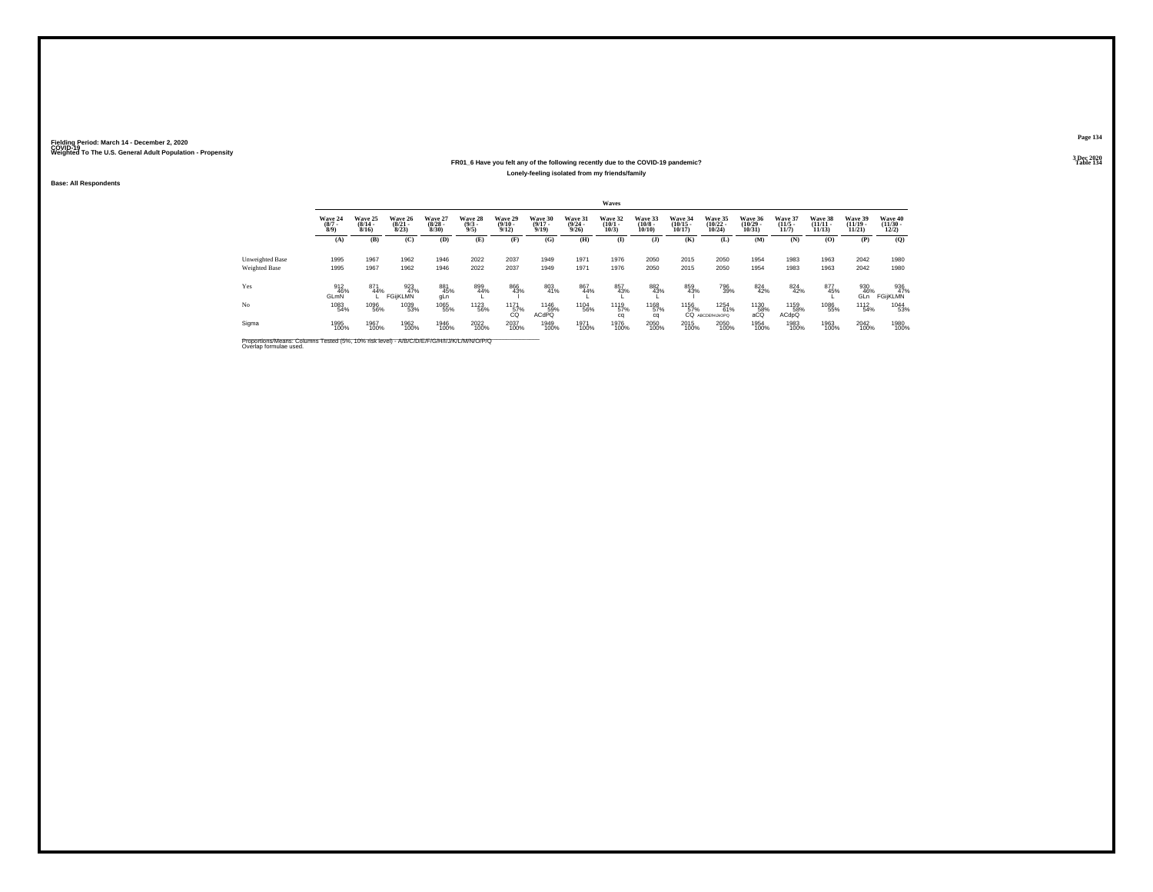#### **FR01\_6 Have you felt any of the following recently due to the COVID-19 pandemic?Table 134 Lonely-feeling isolated from my friends/family**

**Base: All Respondents**

|                                         |                               |                              |                              |                                 |                               |                            |                                     |                                         | Waves                           |                                  |                                   |                                                                 |                                   |                                 |                                |                                |                                  |
|-----------------------------------------|-------------------------------|------------------------------|------------------------------|---------------------------------|-------------------------------|----------------------------|-------------------------------------|-----------------------------------------|---------------------------------|----------------------------------|-----------------------------------|-----------------------------------------------------------------|-----------------------------------|---------------------------------|--------------------------------|--------------------------------|----------------------------------|
|                                         | Wave 24<br>$\binom{8/7}{8/9}$ | Wave 25<br>$(8/14 -$<br>8/16 | Wave 26<br>$(8/21 -$<br>8/23 | Wave 27<br>$\binom{8/28}{8/30}$ | Wave 28<br>$\binom{9/3}{9/5}$ | Wave 29<br>$\binom{9}{12}$ | Wave 30<br>$(9/17 -$<br>9/19        | Wave 31<br>$\frac{(9/24 - 9/26)}{9/26}$ | Wave 32<br>$\binom{10/1}{10/3}$ | Wave 33<br>$\binom{10/8}{10/10}$ | Wave 34<br>$\binom{10/15}{10/17}$ | Wave 35<br>$(10/22 -$<br>$10/24$ )                              | Wave 36<br>$\binom{10/29}{10/31}$ | Wave 37<br>$\binom{11/5}{11/7}$ | Wave 38<br>$(11/11 -$<br>11/13 | Wave 39<br>$(11/19 -$<br>11/21 | Wave 40<br>$\binom{11/30}{12/2}$ |
|                                         | (A)                           | (B)                          | (C)                          | (D)                             | (E)                           | (F)                        | (G)                                 | (H)                                     | $\mathbf{I}$                    | $($ $)$                          | (K)                               | (L)                                                             | (M)                               | (N)                             | (0)                            | (P)                            | (O)                              |
| Unweighted Base<br><b>Weighted Base</b> | 1995<br>1995                  | 1967<br>1967                 | 1962<br>1962                 | 1946<br>1946                    | 2022<br>2022                  | 2037<br>2037               | 1949<br>1949                        | 1971<br>1971                            | 1976<br>1976                    | 2050<br>2050                     | 2015<br>2015                      | 2050<br>2050                                                    | 1954<br>1954                      | 1983<br>1983                    | 1963<br>1963                   | 2042<br>2042                   | 1980<br>1980                     |
| Yes                                     | 912<br>46%<br><b>GLmN</b>     | 871<br>44%                   | 923<br>47%<br>FGijKLMN       | 881<br>45%<br>gLn               | 899<br>44%                    | 866<br>43%                 | 803<br>41%                          | 867<br>44%                              | 857<br>43%                      | 882<br>43%                       | 859<br>43%                        | 796<br>39%                                                      | $\frac{824}{42\%}$                | 824<br>42%                      | 877<br>45%                     | 930<br>46%<br>GLn              | 936<br>47%<br>FGijKLMN           |
| No                                      | 1083<br>54%                   | 1096<br>56%                  | 1039<br>53%                  | 1065<br>55%                     | <sup>1123</sup> 56%           |                            | <sup>1146</sup> 59%<br><b>ACdPQ</b> | 1104<br>56%                             | 1119<br>57%<br>cq               | 1168<br>57%<br>ca                | 1156<br>57%                       | $\begin{array}{c} 1254 \\ 61\% \end{array}$<br>CQ ABCDEFHIJKOPO | 1130<br>58%<br>aCQ                | 1159<br>58%<br><b>ACdpQ</b>     | 1086<br>55%                    | 1112<br>54%                    | 1044<br>53%                      |
| Sigma                                   | 1995<br>100%                  | 1967<br>100%                 | 1962<br>100%                 | 1946<br>100%                    | 2022<br>100%                  | 2037<br>100%               | 1949<br>100%                        | 1971<br>100%                            | 1976<br>100%                    | 2050<br>100%                     | 2015<br>100%                      | 2050<br>100%                                                    | 1954<br>100%                      | 1983<br>100%                    | 1963<br>100%                   | 2042<br>100%                   | 1980<br>100%                     |

Proportions/Means: Columns Tested (5%, 10% risk level) - *N\B/C/D/E/F/G/H/I/J/K/L/M/N/O/P/Q*<br>Overlap formulae used.

**Page 134**3 Dec 2020<br>Table 134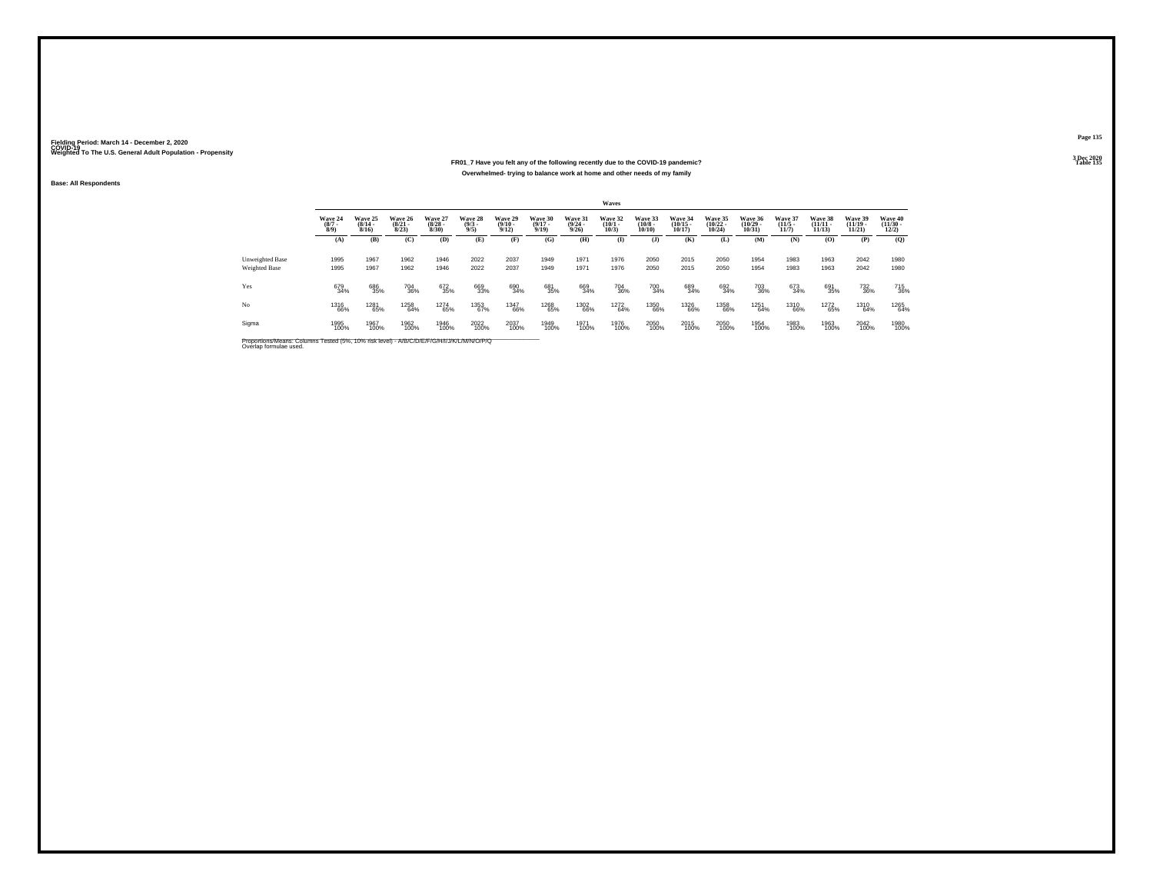#### **FR01\_7 Have you felt any of the following recently due to the COVID-19 pandemic?Table 135 Table 135 Overwhelmed- trying to balance work at home and other needs of my family**

**Base: All Respondents**

|                                  |                               |                                  |                                  |                                 |                                |                                         |                                  |                                  | Waves                           |                                  |                                   |                                   |                                   |                                  |                                   |                                   |                                          |
|----------------------------------|-------------------------------|----------------------------------|----------------------------------|---------------------------------|--------------------------------|-----------------------------------------|----------------------------------|----------------------------------|---------------------------------|----------------------------------|-----------------------------------|-----------------------------------|-----------------------------------|----------------------------------|-----------------------------------|-----------------------------------|------------------------------------------|
|                                  | Wave 24<br>$\binom{8/7}{8/9}$ | Wave 25<br>$\frac{(8/14)}{8/16}$ | Wave 26<br>$\frac{(8/21)}{8/23}$ | Wave 27<br>$\binom{8/28}{8/30}$ | Wave 28<br>$\frac{(9/3)}{9/5}$ | Wave 29<br>$\frac{(9/10 - 9/12)}{9/12}$ | Wave 30<br>$\frac{(9/17)}{9/19}$ | Wave 31<br>$\frac{(9/24)}{9/26}$ | Wave 32<br>$\binom{10/1}{10/3}$ | Wave 33<br>$\binom{10/8}{10/10}$ | Wave 34<br>$\binom{10/15}{10/17}$ | Wave 35<br>$\binom{10/22}{10/24}$ | Wave 36<br>$\binom{10/29}{10/31}$ | Wave 37<br>$\frac{(11/5)}{11/7}$ | Wave 38<br>$\binom{11/11}{11/13}$ | Wave 39<br>$\binom{11/19}{11/21}$ | Wave 40<br>$\frac{(11/30 - 12/2)}{12/2}$ |
|                                  | (A)                           | (B)                              | (C)                              | (D)                             | (E)                            | (F)                                     | (G)                              | (H)                              | (I)                             | $($ $)$                          | (K)                               | (L)                               | (M)                               | (N)                              | (0)                               | (P)                               | (Q)                                      |
| Unweighted Base<br>Weighted Base | 1995<br>1995                  | 1967<br>1967                     | 1962<br>1962                     | 1946<br>1946                    | 2022<br>2022                   | 2037<br>2037                            | 1949<br>1949                     | 1971<br>1971                     | 1976<br>1976                    | 2050<br>2050                     | 2015<br>2015                      | 2050<br>2050                      | 1954<br>1954                      | 1983<br>1983                     | 1963<br>1963                      | 2042<br>2042                      | 1980<br>1980                             |
| Yes                              | 679<br>34%                    | 686<br>35%                       | 704<br>36%                       | 672<br>35%                      | 669<br>33%                     | 690<br>34%                              | 681<br>35%                       | 669<br>34%                       | 704<br>36%                      | 700<br>34%                       | 689<br>34%                        | 692<br>34%                        | 703<br>36%                        | 673<br>34%                       | 691<br>35%                        | 732<br>36%                        | 715<br>36%                               |
| No                               | <sup>1316</sup><br>66%        | 1281<br>65%                      | 1258<br>64%                      | <sup>1274</sup> 65%             | 1353<br>67%                    | 1347<br>66%                             | 1268<br>65%                      | 1302<br>66%                      | 1272<br>64%                     | 1350<br>66%                      | 1326<br>66%                       | 1358<br>66%                       | 1251<br>64%                       | 1310<br>66%                      | 1272<br>65%                       | 1310<br>64%                       | 1265<br>64%                              |
| Sigma                            | 1995<br>100%                  | 1967<br>100%                     | 1962<br>100%                     | 1946<br>100%                    | 2022<br>100%                   | 2037<br>100%                            | 1949<br>100%                     | 1971<br>100%                     | 1976<br>100%                    | 2050<br>100%                     | 2015<br>100%                      | 2050<br>100%                      | 1954<br>100%                      | 1983<br>100%                     | 1963<br>100%                      | 2042<br>100%                      | 1980<br>100%                             |
|                                  |                               |                                  |                                  |                                 |                                |                                         |                                  |                                  |                                 |                                  |                                   |                                   |                                   |                                  |                                   |                                   |                                          |

Proportions/Means: Columns Tested (5%, 10% risk level) - *N\B/C/D/E/F/G/H/I/J/K/L/M/N/O/P/Q*<br>Overlap formulae used.

**Page 135**3 Dec 2020<br>Table 135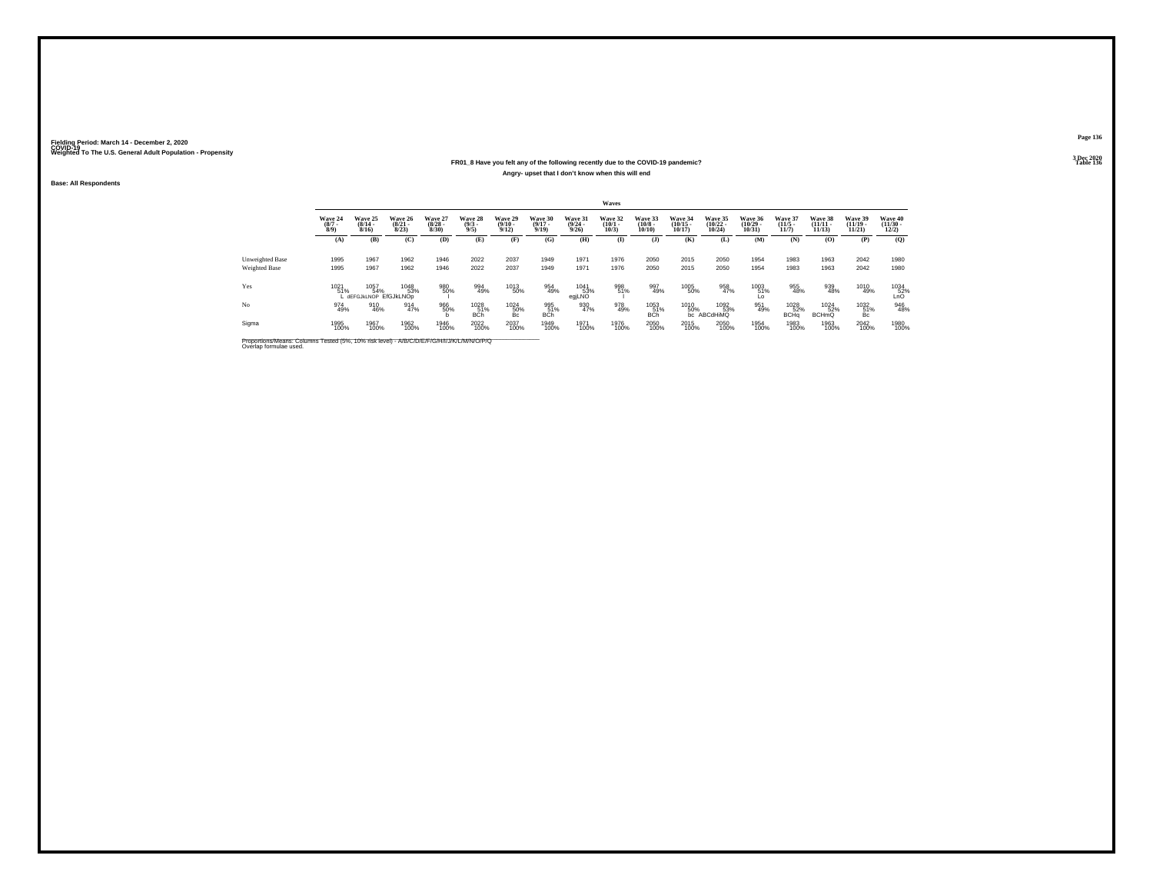### **FR01\_8 Have you felt any of the following recently due to the COVID-19 pandemic?Angry- upset that I don't know when this will end**

**Base: All Respondents**

|                                         |                               |                                                    |                              |                                 |                               |                            |                              |                                         | Waves                           |                                  |                                   |                                    |                                   |                                 |                                |                                |                                  |
|-----------------------------------------|-------------------------------|----------------------------------------------------|------------------------------|---------------------------------|-------------------------------|----------------------------|------------------------------|-----------------------------------------|---------------------------------|----------------------------------|-----------------------------------|------------------------------------|-----------------------------------|---------------------------------|--------------------------------|--------------------------------|----------------------------------|
|                                         | Wave 24<br>$\binom{8/7}{8/9}$ | Wave 25<br>$(8/14 -$<br>8/16                       | Wave 26<br>$(8/21 -$<br>8/23 | Wave 27<br>$\binom{8/28}{8/30}$ | Wave 28<br>$\binom{9/3}{9/5}$ | Wave 29<br>$\binom{9}{12}$ | Wave 30<br>$(9/17 -$<br>9/19 | Wave 31<br>$\frac{(9/24 - 9/26)}{9/26}$ | Wave 32<br>$\binom{10/1}{10/3}$ | Wave 33<br>$\binom{10/8}{10/10}$ | Wave 34<br>$\binom{10/15}{10/17}$ | Wave 35<br>$(10/22 -$<br>$10/24$ ) | Wave 36<br>$\binom{10/29}{10/31}$ | Wave 37<br>$\binom{11/5}{11/7}$ | Wave 38<br>$(11/11 -$<br>11/13 | Wave 39<br>$(11/19 -$<br>11/21 | Wave 40<br>$\binom{11/30}{12/2}$ |
|                                         | (A)                           | (B)                                                | (C)                          | (D)                             | (E)                           | (F)                        | (G)                          | (H)                                     | $\mathbf{I}$                    | $($ $)$                          | (K)                               | (L)                                | (M)                               | (N)                             | (0)                            | (P)                            | (O)                              |
| Unweighted Base<br><b>Weighted Base</b> | 1995<br>1995                  | 1967<br>1967                                       | 1962<br>1962                 | 1946<br>1946                    | 2022<br>2022                  | 2037<br>2037               | 1949<br>1949                 | 1971<br>1971                            | 1976<br>1976                    | 2050<br>2050                     | 2015<br>2015                      | 2050<br>2050                       | 1954<br>1954                      | 1983<br>1983                    | 1963<br>1963                   | 2042<br>2042                   | 1980<br>1980                     |
|                                         |                               |                                                    |                              |                                 |                               |                            |                              |                                         |                                 |                                  |                                   |                                    |                                   |                                 |                                |                                |                                  |
| Yes                                     | 1021<br>51%                   | 1 1057 1048<br>1% 54% 53%<br>LaEFGJkLNOP EfGJkLNOp | 1048<br>53%                  | 980<br>50%                      | 994<br>49%                    | 1013<br>50%                | 954<br>49%                   | 1041<br>egjLNO                          | 998<br>51%                      | 997<br>49%                       | 1005<br>50%                       | 958<br>47%                         | 1003<br>51%<br>Ĺ٥                 | 955<br>48%                      | 939<br>48%                     | 1010<br>49%                    | 1034<br>52%<br>LnO               |
| No                                      | 974<br>49%                    | 910<br>46%                                         | 914<br>47%                   | 966<br>50%                      | 1028<br>51%<br><b>BCh</b>     | 1024<br>50%<br>Bc          | 995<br>51%<br><b>BCh</b>     | 930<br>47%                              | 978<br>49%                      | 1053<br>51%<br><b>BCh</b>        | 1010<br>50%                       | 1092<br>53%<br>bc ABCdHiMQ         | 951<br>49%                        | 1028<br>52%<br>BCHq             | 1024<br>52%<br><b>BCHmQ</b>    | 1032<br>51%<br>Bc.             | 946<br>48%                       |
| Sigma                                   | 1995<br>100%                  | 1967<br>100%                                       | 1962<br>100%                 | 1946<br>100%                    | 2022<br>100%                  | 2037<br>100%               | 1949<br>100%                 | 1971<br>100%                            | 1976<br>100%                    | 2050<br>100%                     | 2015<br>100%                      | 2050<br>100%                       | 1954<br>100%                      | 1983<br>100%                    | 1963<br>100%                   | 2042<br>100%                   | 1980<br>100%                     |

Proportions/Means: Columns Tested (5%, 10% risk level) - *N'B/C/D/E/F/G/H/I/J/K/L/M/N/O/P/Q*<br>Overlap formulae used.

**Page 136**

**3 Dec 2020<br>Table 136 Table 136 Table 136**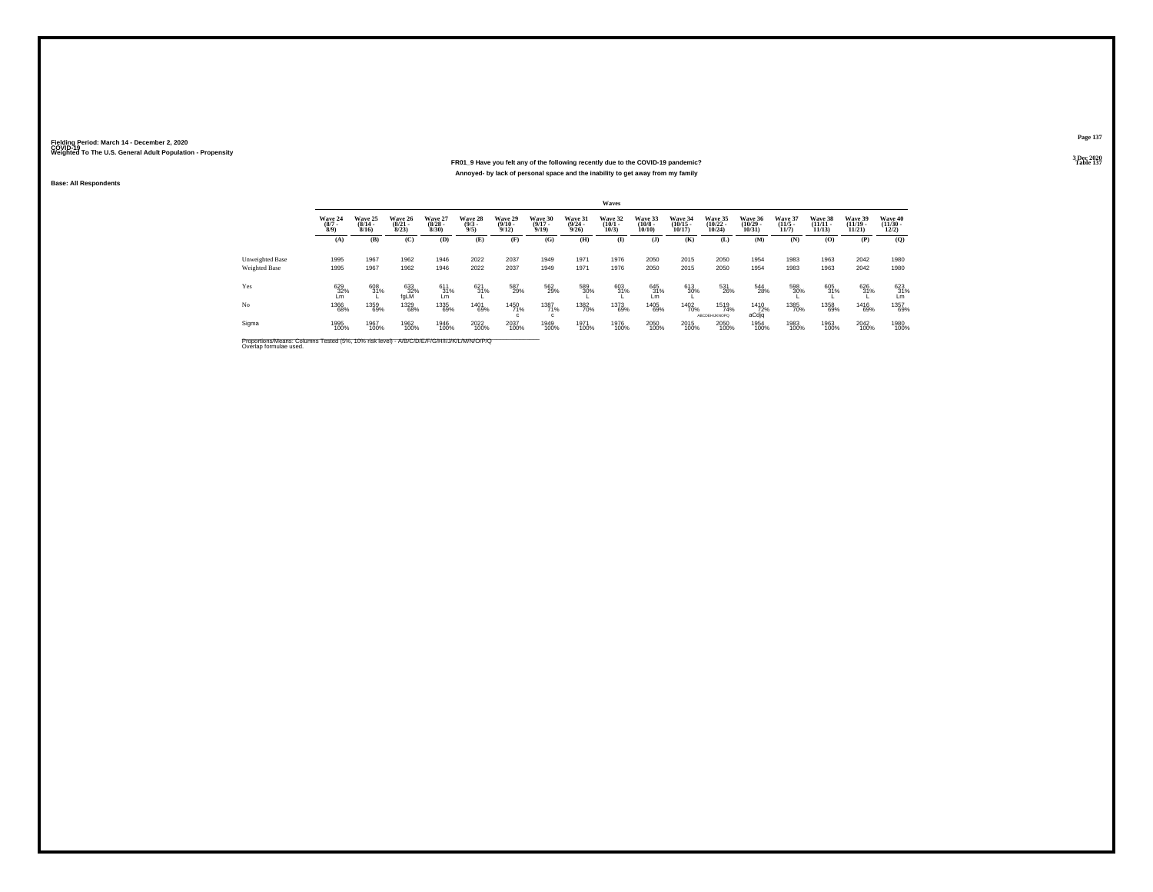#### **FR01\_9 Have you felt any of the following recently due to the COVID-19 pandemic?Particular Table 137 Table 137 Table 137 Annoyed- by lack of personal space and the inability to get away from my family**

**Base: All Respondents**

|                 |                               |                                  |                                  |                                 |                                |                                  |                                  |                                         | Waves                           |                                  |                                            |                                            |                                   |                                  |                                |                                   |                                          |
|-----------------|-------------------------------|----------------------------------|----------------------------------|---------------------------------|--------------------------------|----------------------------------|----------------------------------|-----------------------------------------|---------------------------------|----------------------------------|--------------------------------------------|--------------------------------------------|-----------------------------------|----------------------------------|--------------------------------|-----------------------------------|------------------------------------------|
|                 | Wave 24<br>$\binom{8/7}{8/9}$ | Wave 25<br>$\frac{(8/14)}{8/16}$ | Wave 26<br>$\frac{(8/21)}{8/23}$ | Wave 27<br>$\binom{8/28}{8/30}$ | Wave 28<br>$\frac{(9/3)}{9/5}$ | Wave 29<br>$\frac{(9/10)}{9/12}$ | Wave 30<br>$\frac{(9/17)}{9/19}$ | Wave 31<br>$\frac{(9/24 - 9/26)}{9/26}$ | Wave 32<br>$\binom{10/1}{10/3}$ | Wave 33<br>$\binom{10/8}{10/10}$ | Wave 34<br>$\frac{(10/15 - 10/17)}{10/17}$ | Wave 35<br>$\frac{(10/22 - 10/24)}{10/24}$ | Wave 36<br>$\binom{10/29}{10/31}$ | Wave 37<br>$\frac{(11/5)}{11/7}$ | Wave 38<br>$(11/11 -$<br>11/13 | Wave 39<br>$\binom{11/19}{11/21}$ | Wave 40<br>$\frac{(11/30 - 12/2)}{12/2}$ |
|                 | (A)                           | (B)                              | (C)                              | (D)                             | (E)                            | (F)                              | (G)                              | (H)                                     | $\bf(I)$                        | (I)                              | (K)                                        | (L)                                        | (M)                               | (N)                              | (0)                            | (P)                               | (0)                                      |
| Unweighted Base | 1995                          | 1967                             | 1962                             | 1946                            | 2022                           | 2037                             | 1949                             | 1971                                    | 1976                            | 2050                             | 2015                                       | 2050                                       | 1954                              | 1983                             | 1963                           | 2042                              | 1980                                     |
| Weighted Base   | 1995                          | 1967                             | 1962                             | 1946                            | 2022                           | 2037                             | 1949                             | 1971                                    | 1976                            | 2050                             | 2015                                       | 2050                                       | 1954                              | 1983                             | 1963                           | 2042                              | 1980                                     |
| Yes             | 629<br>32%<br>Lm              | 608<br>31%                       | $^{633}_{32\%}$ fgLM             | 611<br>$\frac{31}{2}$           | 621<br>31%                     | 587<br>29%                       | 562<br>29%                       | 589<br>30%                              | 603<br>31%                      | 645<br>31%<br>Lm                 | 613<br>30%                                 | 531<br>26%                                 | 544<br>28%                        | 598<br>30%                       | 605<br>31%                     | 626<br>31%                        | $^{623}_{31\%}$ Lm                       |
| No              | 1366<br>68%                   | 1359<br>69%                      | 1329<br>68%                      | 1335<br>69%                     | 1401<br>69%                    | <sup>1450</sup> 71%              | 1387<br>71%<br>$\mathfrak{c}$    | 1382<br>70%                             | 1373<br>69%                     | 1405<br>69%                      | 1402<br>70%                                | 1519<br>74%<br><b>ABCDEHIJKNOPO</b>        | 1410<br>72%<br>aCdjq              | 1385<br>70%                      | 1358<br>69%                    | 1416<br>69%                       | 1357<br>69%                              |
| Sigma           | 1995<br>100%                  | 1967<br>100%                     | 1962<br>100%                     | 1946<br>100%                    | 2022<br>100%                   | 2037<br>100%                     | 1949<br>100%                     | 1971<br>100%                            | 1976<br>100%                    | 2050<br>100%                     | 2015<br>100%                               | 2050<br>100%                               | 1954<br>100%                      | 1983<br>100%                     | 1963<br>100%                   | 2042<br>100%                      | 1980<br>100%                             |

Proportions/Means: Columns Tested (5%, 10% risk level) - *N\B/C/D/E/F/G/H/I/J/K/L/M/N/O/P/Q*<br>Overlap formulae used.

**Page 1373 Dec 2020<br>Table 137**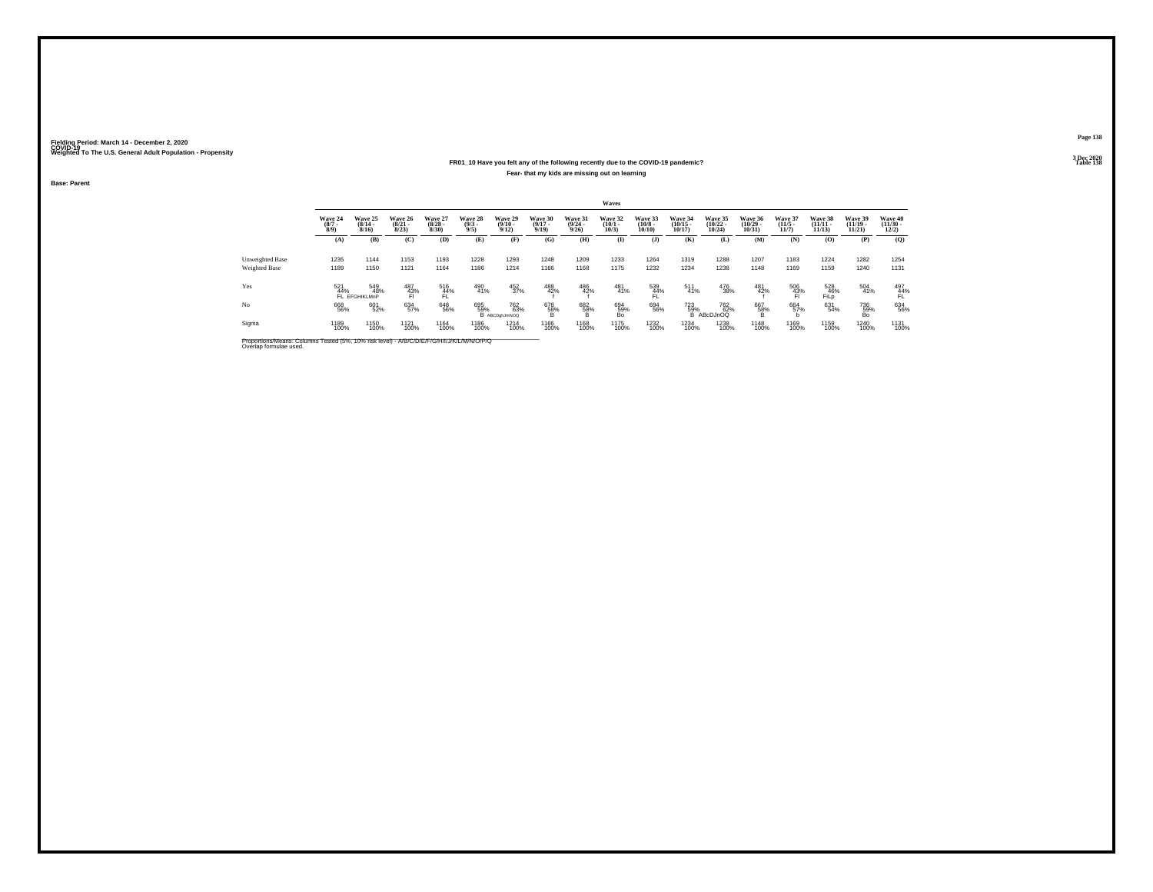### **FR01\_10 Have you felt any of the following recently due to the COVID-19 pandemic?Fear- that my kids are missing out on learning**

**Base: Parent**

|                                                                                                                      |                           |                              |                                  |                                 |                               |                                 |                                  |                                         | <b>Waves</b>                    |                                  |                                   |                                   |                                   |                                  |                                    |                                    |                                                 |
|----------------------------------------------------------------------------------------------------------------------|---------------------------|------------------------------|----------------------------------|---------------------------------|-------------------------------|---------------------------------|----------------------------------|-----------------------------------------|---------------------------------|----------------------------------|-----------------------------------|-----------------------------------|-----------------------------------|----------------------------------|------------------------------------|------------------------------------|-------------------------------------------------|
|                                                                                                                      | Wave 24<br>$\binom{8}{7}$ | Wave 25<br>$(8/14 -$<br>8/16 | Wave 26<br>$\frac{(8/21)}{8/23}$ | Wave 27<br>$\binom{8/28}{8/30}$ | Wave 28<br>$\binom{9/3}{9/5}$ | Wave 29<br>$\binom{9/10}{9/12}$ | Wave 30<br>$\frac{(9/17)}{9/19}$ | Wave 31<br>$\frac{(9/24 - 9/26)}{9/26}$ | Wave 32<br>$\binom{10/1}{10/3}$ | Wave 33<br>$\binom{10/8}{10/10}$ | Wave 34<br>$\binom{10/15}{10/17}$ | Wave 35<br>$\binom{10/22}{10/24}$ | Wave 36<br>$\binom{10/29}{10/31}$ | Wave 37<br>$\frac{(11/5)}{11/7}$ | Wave 38<br>$\frac{(11/11)}{11/13}$ | Wave 39<br>$\frac{(11/19)}{11/21}$ | <b>Wave 40</b><br>$\frac{(11/30 - 12/2)}{12/2}$ |
|                                                                                                                      | (A)                       | (B)                          | (C)                              | (D)                             | (E)                           | (F)                             | (G)                              | (H)                                     | $\bf{I}$                        | $($ $)$                          | (K)                               | (L)                               | (M)                               | (N)                              | (0)                                | (P)                                | (Q)                                             |
| Unweighted Base                                                                                                      | 1235                      | 1144                         | 1153                             | 1193                            | 1228                          | 1293                            | 1248                             | 1209                                    | 1233                            | 1264                             | 1319                              | 1288                              | 1207                              | 1183                             | 1224                               | 1282                               | 1254                                            |
| Weighted Base                                                                                                        | 1189                      | 1150                         | 1121                             | 1164                            | 1186                          | 1214                            | 1166                             | 1168                                    | 1175                            | 1232                             | 1234                              | 1238                              | 1148                              | 1169                             | 1159                               | 1240                               | 1131                                            |
| Yes                                                                                                                  | 521<br>44%                | 549<br>48%<br>FL EFGHIKLMnP  | 487<br>$^{43%}_{F1}$             | 516<br>44%                      | 490<br>41%                    | 452<br>37%                      | 488<br>42%                       | 486<br>42%                              | 481<br>41%                      | 539<br>44%                       | 511<br>41%                        | 476<br>38%                        | 481<br>42%                        | 506<br>43%                       | 528<br>46%<br>FiLD                 | 504<br>41%                         | 497<br>44%<br>FĹ.                               |
| No                                                                                                                   | 668<br>56%                | 601<br>52%                   | 634<br>57%                       | 648<br>56%                      | 695<br>59%                    | 762<br>63%<br>B ABCDghJmNOQ     | 678<br>58%                       | 682<br>58%<br>в                         | 694<br>59%<br>Bo.               | 694<br>56%                       | 723<br>59%<br>B                   | 762<br>62%<br>ABcDJnOQ            | 667<br>58%                        | 664<br>57%                       | 631<br>54%                         | 736<br>59%<br>Bo                   | 634<br>56%                                      |
| Sigma                                                                                                                | 1189<br>100%              | 1150<br>100%                 | 1121<br>100%                     | 1164<br>100%                    | 1186<br>100%                  | 1214<br>100%                    | 1166<br>100%                     | 1168<br>100%                            | 1175<br>100%                    | 1232<br>100%                     | 1234<br>100%                      | 1238<br>100%                      | 1148<br>100%                      | 1169<br>100%                     | 1159<br>100%                       | 1240<br>100%                       | 1131<br>100%                                    |
| Proportions/Means: Columns Tested (5%, 10% risk level) - A/B/C/D/E/F/G/H/I/J/K/L/M/N/O/P/Q<br>Overlap formulae used. |                           |                              |                                  |                                 |                               |                                 |                                  |                                         |                                 |                                  |                                   |                                   |                                   |                                  |                                    |                                    |                                                 |

**Page 138**

**3 Dec 2020<br>Table 138 Table 138**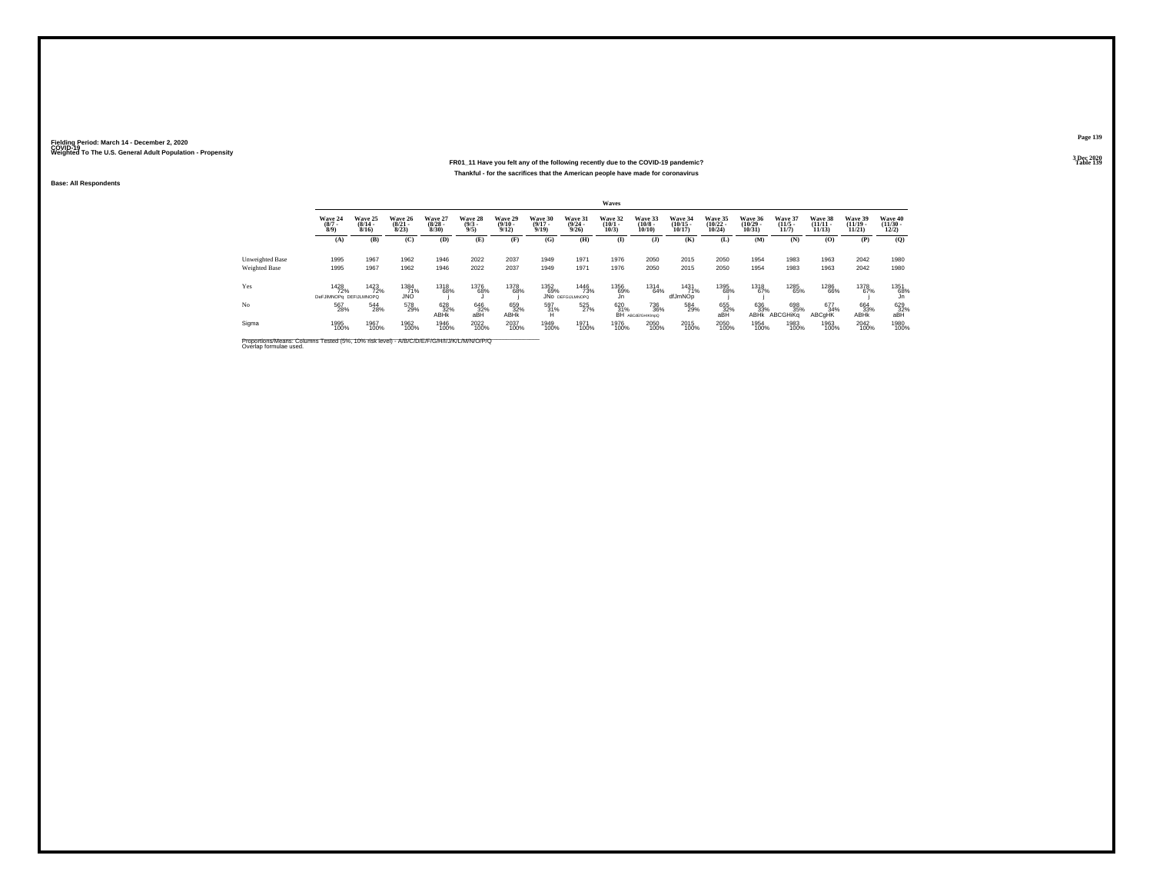#### **FR01\_11 Have you felt any of the following recently due to the COVID-19 pandemic? Table 139 Thankful - for the sacrifices that the American people have made for coronavirus**

**Base: All Respondents**

|                 |                                       |                                  |                                  |                                 |                               |                                  |                                  |                                        | Waves                        |                                  |                                   |                                |                                   |                                 |                                |                                |                                  |
|-----------------|---------------------------------------|----------------------------------|----------------------------------|---------------------------------|-------------------------------|----------------------------------|----------------------------------|----------------------------------------|------------------------------|----------------------------------|-----------------------------------|--------------------------------|-----------------------------------|---------------------------------|--------------------------------|--------------------------------|----------------------------------|
|                 | Wave 24<br>$\binom{8/7}{8/9}$         | Wave 25<br>$\frac{(8/14)}{8/16}$ | Wave 26<br>$\frac{(8/21)}{8/23}$ | Wave 27<br>$\binom{8/28}{8/30}$ | Wave 28<br>$\binom{9/3}{9/5}$ | Wave 29<br>$\frac{(9/10)}{9/12}$ | Wave 30<br>$\frac{(9/17)}{9/19}$ | Wave 31<br>$\binom{9/24}{9/26}$        | Wave 32<br>$(10/1 -$<br>10/3 | Wave 33<br>$\binom{10/8}{10/10}$ | Wave 34<br>$\binom{10/15}{10/17}$ | Wave 35<br>$(10/22 -$<br>10/24 | Wave 36<br>$\binom{10/29}{10/31}$ | Wave 37<br>$\binom{11/5}{11/7}$ | Wave 38<br>$(11/11 -$<br>11/13 | Wave 39<br>$(11/19 -$<br>11/21 | Wave 40<br>$\binom{11/30}{12/2}$ |
|                 | (A)                                   | (B)                              | (C)                              | (D)                             | (E)                           | (F)                              | (G)                              | (H)                                    | $\mathbf{I}$                 | $($ $)$                          | (K)                               | (L)                            | (M)                               | (N)                             | (0)                            | (P)                            | (0)                              |
| Unweighted Base | 1995                                  | 1967                             | 1962                             | 1946                            | 2022                          | 2037                             | 1949                             | 1971                                   | 1976                         | 2050                             | 2015                              | 2050                           | 1954                              | 1983                            | 1963                           | 2042                           | 1980                             |
| Weighted Base   | 1995                                  | 1967                             | 1962                             | 1946                            | 2022                          | 2037                             | 1949                             | 1971                                   | 1976                         | 2050                             | 2015                              | 2050                           | 1954                              | 1983                            | 1963                           | 2042                           | 1980                             |
| Yes             | 1428<br>72%<br>DeFJIMNOPa DEFIJLMNOPQ | 1423<br>72%                      | 1384<br>71%<br>JNO               | 1318<br>68%                     | 1376<br>68%                   | 1378<br>68%                      | 1352<br>69%                      | 1446<br>73%<br><b>JNO DEFGIJLMNOPO</b> | 1356<br>69%<br>Jn.           | 1314<br>64%                      | 1431<br>71%<br>dfJmNOp            | 1395<br>68%                    | 1318<br>67%                       | 1285<br>65%                     | <sup>1286</sup><br>66%         | 1378<br>67%                    | 1351<br>68%<br>Jn                |
| N <sub>o</sub>  | 567<br>28%                            | 544<br>28%                       | 578<br>29%                       | 628<br><b>ABHK</b>              | 646<br>32%<br>aBH             | 659<br>32%<br><b>ABHK</b>        | 597<br>31%<br>н                  | 525<br>27%                             | 620<br>31%<br>BH             | 736<br>36%<br>ABCdEfGHIKImpO     | 584<br>29%                        | 655<br>32%<br>aBH              | 636<br>33%<br><b>ABHK</b>         | 698<br>35%<br>ABCGHiKa          | 677<br>34%<br>ABCqHK           | 664<br>33%<br>ABHK             | 629<br>32%<br>aBH                |
| Sigma           | 1995<br>100%                          | 1967<br>100%                     | 1962<br>100%                     | 1946<br>100%                    | 2022<br>100%                  | 2037<br>100%                     | 1949<br>100%                     | 1971<br>100%                           | 1976<br>100%                 | 2050<br>100%                     | 2015<br>100%                      | 2050<br>100%                   | 1954<br>100%                      | 1983<br>100%                    | 1963<br>100%                   | 2042<br>100%                   | 1980<br>100%                     |

Proportions/Means: Columns Tested (5%, 10% risk level) - *N'B/C/D/E/F/G/H/I/J/K/L/M/N/O/P/Q*<br>Overlap formulae used.

**Page 139**3 Dec 2020<br>Table 139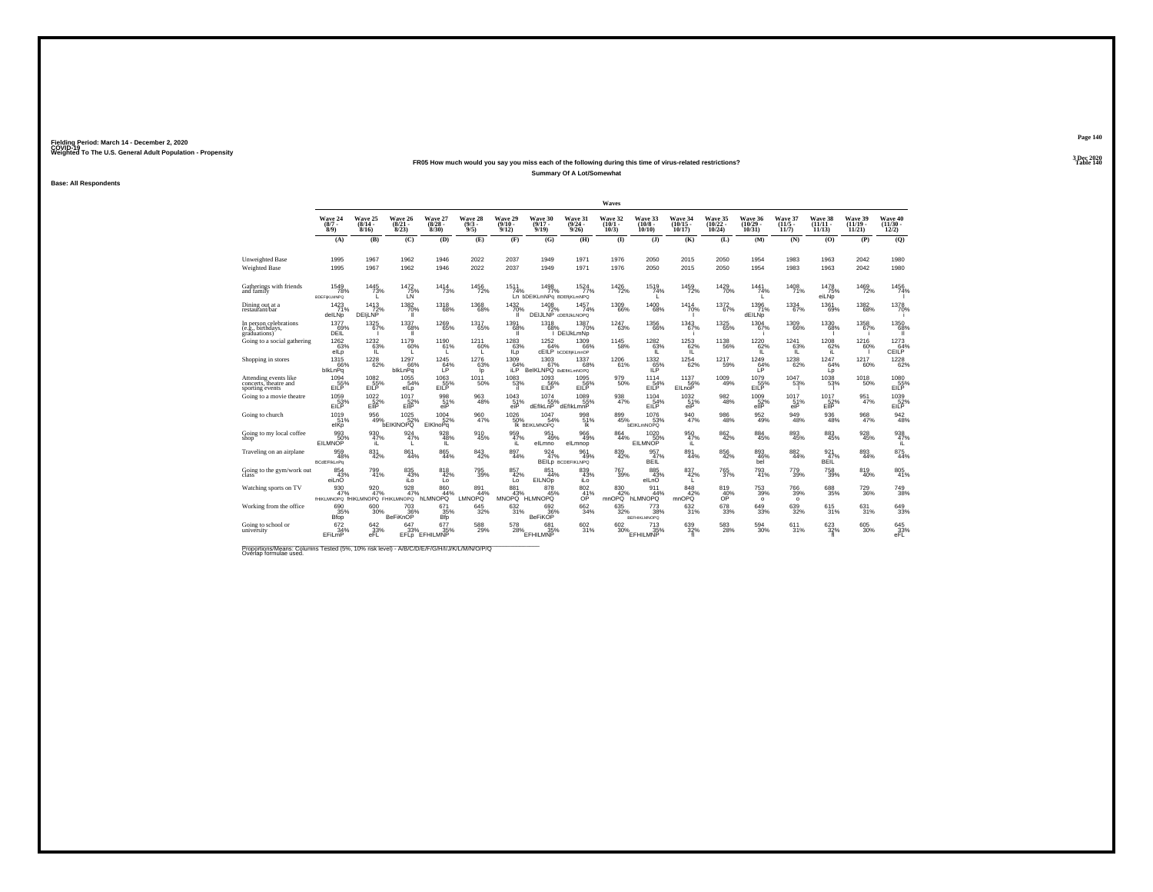#### **FR05 How much would you say you miss each of the following during this time of virus-related restrictions?Summary Of A Lot/Somewhat**

**Base: All Respondents**

|                                                                   |                                                |                                    |                                       |                                 |                               |                                         |                                                   |                                           | Waves                        |                                   |                                   |                                   |                                                  |                                  |                                |                                   |                                                        |
|-------------------------------------------------------------------|------------------------------------------------|------------------------------------|---------------------------------------|---------------------------------|-------------------------------|-----------------------------------------|---------------------------------------------------|-------------------------------------------|------------------------------|-----------------------------------|-----------------------------------|-----------------------------------|--------------------------------------------------|----------------------------------|--------------------------------|-----------------------------------|--------------------------------------------------------|
|                                                                   | Wave 24<br>$\binom{8/7}{8/9}$                  | Wave 25<br>$(8/14 -$<br>8/16       | Wave 26<br>$\frac{(8/21)}{8/23}$      | Wave 27<br>$\binom{8/28}{8/30}$ | Wave 28<br>$\binom{9/3}{9/5}$ | Wave 29<br>$\binom{9}{12}$              | Wave 30<br>$(9/17 -$<br>9/19                      | Wave 31<br>$\frac{(9/24 - 9/26)}{9/26}$   | Wave 32<br>$(10/1 -$<br>10/3 | Wave 33<br>$(10/8 -$<br>$10/10$ ) | Wave 34<br>$\binom{10/15}{10/17}$ | Wave 35<br>$\binom{10/22}{10/24}$ | Wave 36<br>$\binom{10/29}{10/31}$                | Wave 37<br>$\frac{(11/5)}{11/7}$ | Wave 38<br>$(11/11 -$<br>11/13 | Wave 39<br>$\binom{11/19}{11/21}$ | Wave 40<br>$\frac{(11/30 - 12/2)}{12/2}$               |
|                                                                   | (A)                                            | (B)                                | (C)                                   | (D)                             | (E)                           | (F)                                     | (G)                                               | (H)                                       | $\bf{I}$                     | $($ $)$                           | (K)                               | (L)                               | (M)                                              | (N)                              | (O)                            | (P)                               | (Q)                                                    |
| Unweighted Base<br>Weighted Base                                  | 1995<br>1995                                   | 1967<br>1967                       | 1962<br>1962                          | 1946<br>1946                    | 2022<br>2022                  | 2037<br>2037                            | 1949<br>1949                                      | 1971<br>1971                              | 1976<br>1976                 | 2050<br>2050                      | 2015<br>2015                      | 2050<br>2050                      | 1954<br>1954                                     | 1983<br>1983                     | 1963<br>1963                   | 2042<br>2042                      | 1980<br>1980                                           |
| Gatherings with friends<br>and family                             | 1549<br>78%<br><b>BDEFIKLMNPQ</b>              | 1445<br>73%                        | 1472<br>75%                           | 1414<br>73%                     | 1456<br>72%                   | 1511<br>74%                             | 1498<br>77%<br>Ln bDEIKLmNPq BDEfljKLmNPQ         | 1524<br>77%                               | 1426<br>72%                  | 1519<br>74%                       | 1459<br>72%                       | 1429<br>70%                       | 1441<br>74%                                      | 1408<br>71%                      | 1478<br>75%<br>eiLNo           | 1469<br>72%                       | 1456<br>74%                                            |
| Dining out at a<br>restaurant/bar                                 | $1423$<br>$71%$<br>delLNp                      | $^{1413}_{72\%}$<br><b>DEIjLNP</b> | 1382<br>70%<br>ш                      | 1318<br>68%                     | $^{1368}_{68\%}$              | $^{1432}_{70\%}$<br>ш                   | $\frac{1408}{72\%}$<br><b>DEIJLNP</b> CDEIJKLNOPQ | $1457 \atop 74\%$                         | 1309<br>66%                  | $^{1400}_{68\%}$                  | 1414<br>70%                       | $\substack{1372 \\ 67\%}$         | $1396$<br>$71\%$<br>dEILNp                       | $^{1334}_{\  \  \, 67\%}$        | 1361<br>69%                    | 1382<br>68%                       | 1378<br>70%                                            |
| In person celebrations<br>(e.g., birthdays,<br>graduations)       | 1377<br>69%<br>DEIL                            | $^{1325}_{67\%}$                   | $^{1337}_{68\%}$                      | 1269<br>65%                     | 1317<br>65%                   | $^{1391}_{68\%}$                        | 1318                                              | $^{1387}_{70\%}$<br>68% 70%<br>DEIJkLmNp  | $^{1247}_{63\%}$             | <sup>1356</sup><br>66%            | $^{1343}_{67\%}$                  | $^{1325}_{65\%}$                  | 1304<br>67%                                      | $^{1309}_{66\%}$                 | 1330<br>68%                    | 1358<br>67%                       | $\underset{\genfrac{}{}{0pt}{}{1350}{\text{68\%}}}{1}$ |
| Going to a social gathering                                       | 1262<br>63%<br>elLp                            | 1232<br>63%                        | 1179<br>60%                           | 1190<br>61%                     | 1211<br>60%                   | 1283<br>63%<br>ILp                      | 1252<br>64%                                       | 1309<br>66%<br>CEILP <b>bCDEfliKLmnOP</b> | 1145<br>58%                  | 1282<br>63%                       | 1253<br>62%<br>IL.                | 1138<br>56%                       | 1220<br>62%<br>IL.                               | 1241<br>63%                      | 1208<br>62%                    | 1216<br>60%                       | 1273<br>CEILP <sup>64%</sup>                           |
| Shopping in stores                                                | 1315<br>66%<br>blkLnPq                         | $^{1228}_{62\%}$                   | 1297<br>66%<br>blkLnPa                | $1245$<br>$64%$<br>ĽP           | 1276<br>63%<br>Ip             | 1309<br>64%<br>iLP                      | 1303<br>67%<br>BeIKLNPQ BdEfiKLmNOPQ              | 1337<br>68%                               | $^{1206}_{61\%}$             | $^{1332}_{65\%}$<br>ILP           | $^{1254}_{62\%}$                  | 1217<br>59%                       | 1249<br>64%<br>LP.                               | $^{1238}_{62\%}$                 | 1247<br>64%<br>Lp              | 1217<br>60%                       | 1228<br>62%                                            |
| Attending events like<br>concerts, theatre and<br>sporting events | 1094<br>55%<br>EILP <sup>®</sup>               | 1082<br>EILP%                      | 1055<br>54%<br>elLp                   | 1063<br>55%<br>EILP             | 1011<br>50%                   | $^{1083}_{\substack{53\%\\ \text{il}}}$ | $^{1093}_{-56\%}$<br>EILP                         | 1095<br>56%<br>EILP                       | 979<br>50%                   | 1114<br>EILP                      | 1137<br>56%<br>EILnoP             | $\substack{1009 \\ 49\%}$         | 1079<br>EILP                                     | 1047<br>53%                      | 1038<br>53%                    | 1018<br>50%                       | 1080<br>EILP                                           |
| Going to a movie theatre                                          | 1059<br>53%<br><b>EILP</b>                     | $^{1022}_{-52\%}$<br>EIIP          | $1017$<br>52%<br>EIIP                 | 998<br>51%<br>eiP               | 963<br>48%                    | $^{1043}_{51\%}$<br>eiP                 | 1074<br>55%<br>dEfikLnP                           | 1089<br>55%<br>dEfikLmnP                  | 938<br>47%                   | $^{1104}_{54\%}$<br><b>EILP</b>   | $^{1032}_{51\%}$<br>eiP           | 982<br>48%                        | $^{1009}_{\substack{52\%\\ \text{lin}}}$<br>ellP | 1017<br>51%<br>eiP               | $^{1017}_{-52\%}$<br>EIIP      | 951%                              | 1039<br>52%<br><b>EILP</b>                             |
| Going to church                                                   | 1019<br>51%<br>elKp                            | 956<br>49%                         | $^{1025}_{-52\%}$<br><b>DEIKINOPO</b> | $^{1004}_{52\%}$<br>EIKInoPq    | $\frac{960}{47\%}$            | $^{1026}_{\,50\%}$                      | $^{1047}_{\substack{54\%\\n0}}$<br>IK BEIKLMNOPQ  | $\frac{998}{51\%}$<br>TK.                 | $\substack{899 \\ 45\%}$     | 1076<br>53%<br><b>bEIKLmNOPQ</b>  | $\frac{940}{47\%}$                | 986<br>48%                        | $\substack{952\\49\%}$                           | $\substack{949 \\ 48\%}$         | $\substack{936 \\ 48\%}$       | 968<br>47%                        | $\frac{942}{48\%}$                                     |
| Going to my local coffee<br>shop                                  | 993<br>50%<br>EILMNOP                          | 930<br>47%                         | 924<br>47%<br>Ι.                      | 928<br>48%<br>ΪĽ                | 910<br>45%                    | 959<br>47%<br>ïL                        | 951<br>49%<br>elLmno                              | 966<br>49%<br>elLmnop                     | 864<br>44%                   | 1020<br>50%<br><b>EILMNOP</b>     | 950<br>$47\%$                     | $\underset{42\%}{^{862}}$         | 884<br>45%                                       | 893<br>45%                       | 883<br>45%                     | 928<br>45%                        | $^{938}_{47\%}$                                        |
| Traveling on an airplane                                          | 959<br>48%<br><b>BCdEFIkLnPq</b>               | ${}^{831}_{42\%}$                  | 861<br>44%                            | $\substack{865 \\ 44\%}$        | $\substack{843 \\ 42\%}$      | 897<br>44%                              | $\frac{924}{47\%}$                                | 961<br>49%<br><b>BEILD BCDEFIKLNPQ</b>    | 839<br>42%                   | 957<br>47%<br><b>BEIL</b>         | $\substack{891 \\ 44\%}$          | 856<br>42%                        | 893<br>46%<br>bel                                | 882<br>44%                       | 921%<br>BEIL                   | 893<br>44%                        | 875<br>44%                                             |
| Going to the gym/work out<br>class'                               | 854<br>43%<br>eiLnO                            | 799<br>41%                         | 835<br>43%<br>iLo                     | 818<br>42%<br>Lo                | 795<br>39%                    | 857<br>42%<br>Lo                        | 851<br>44%<br>EILNOp                              | 839<br>43%<br>iLo                         | 767<br>39%                   | 885<br>43%<br>elLnO               | $\frac{837}{42\%}$<br>L.          | 765<br>37%                        | 793<br>41%                                       | 779 39%                          | 758<br>39%                     | 819<br>40%                        | 805<br>41%                                             |
| Watching sports on TV                                             | 930<br>47%<br>IHIKLMNOPQ fHIKLMNOPQ FHIKLMNOPQ | 920<br>47%                         | $\frac{928}{47\%}$                    | 860<br>44%<br>hLMNOPQ           | 891<br>44%<br><b>LMNOPQ</b>   | 881<br>43%<br>MNOPQ HLMNOPQ             | 878<br>45%                                        | $\substack{802 \\ 41\%}$<br>OP            | 830<br>42%<br>mnOPQ hLMNOPQ  | 911<br>44%                        | 848<br>42%<br>mnOPQ               | 819<br>40%<br>OP                  | $^{753}_{39\%}$<br>$\circ$                       | $^{766}_{39\%}$<br>$\circ$       | 688<br>35%                     | <sup>729</sup> <sub>36%</sub>     | 749<br>38%                                             |
| Working from the office                                           | 690<br>35%<br><b>Bfop</b>                      | 600<br>30%                         | 703<br>36%<br>BeFiKnOP                | 671<br>35%<br>Bfp               | $^{645}_{32\%}$               | 632%                                    | 692<br>36%<br>BeFiKOP                             | $\substack{662\\34\%}$                    | $\substack{635 \\ 32\%}$     | 773<br>38%<br><b>BEFHIKLMNOPQ</b> | 632%                              | $^{678}_{33\%}$                   | $^{649}_{33\%}$                                  | $\substack{639\\32\%}$           | 615<br>31%                     | 631%                              | 649<br>33%                                             |
| Going to school or<br>university                                  | 672<br>EFiLmP                                  | 642<br>$e$ FL $e$                  | 647<br>33%<br>EFLD                    | 677<br>35%<br>EFHILMNP          | 588<br>29%                    | 578<br>28%                              | 681<br>35%<br>EFHILMNP                            | $\substack{602\\31\%}$                    | 602<br>30%                   | 713<br>EFHILMNP                   | 639<br>$\frac{32}{1}$             | 583<br>28%                        | 594<br>30%                                       | 611<br>31%                       | $\frac{623}{32\%}$             | 605<br>30%                        | 645<br>33%<br>eFL                                      |

Proportions/Means: Columns Tested (5%, 10% risk level) - *N'B/C/D/E/F/G/H/I/J/K/L/M/N/O/P/Q*<br>Overlap formulae used.

**Page 1403 Dec 2020<br>Table 140** 

**Table 140**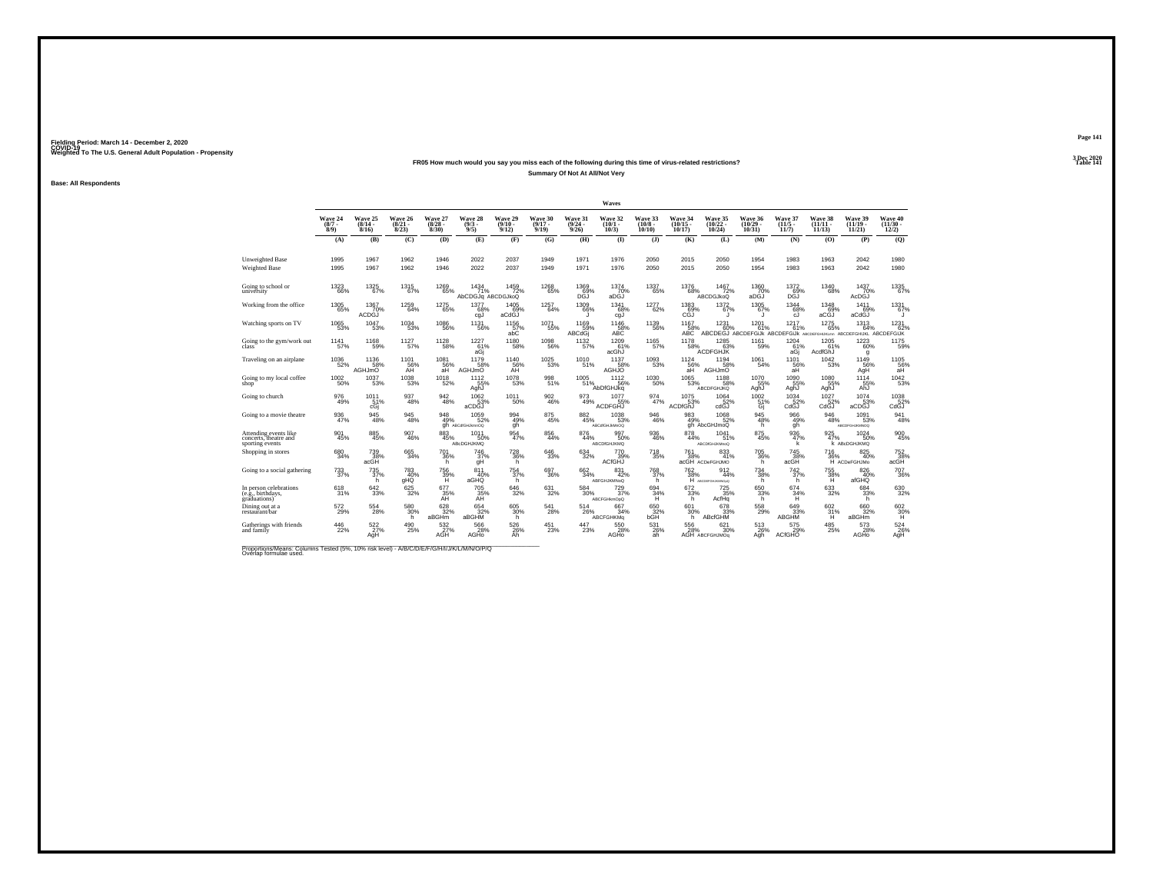### **FR05 How much would you say you miss each of the following during this time of virus-related restrictions?Summary Of Not At All/Not Very**

**Base: All Respondents**

|                                                                                                                     |                               |                                                                      |                                 |                                 |                                  |                                 |                                 |                                       | <b>Waves</b>                     |                                  |                                   |                                         |                                     |                                  |                                   |                                    |                                   |
|---------------------------------------------------------------------------------------------------------------------|-------------------------------|----------------------------------------------------------------------|---------------------------------|---------------------------------|----------------------------------|---------------------------------|---------------------------------|---------------------------------------|----------------------------------|----------------------------------|-----------------------------------|-----------------------------------------|-------------------------------------|----------------------------------|-----------------------------------|------------------------------------|-----------------------------------|
|                                                                                                                     | Wave 24<br>$\binom{8/7}{8/9}$ | Wave 25<br>$\frac{(8/14)}{8/16}$                                     | Wave 26<br>$\binom{8/21}{8/23}$ | Wave 27<br>$\binom{8/28}{8/30}$ | Wave 28<br>$\binom{9/3}{9/5}$    | Wave 29<br>$\binom{9/10}{9/12}$ | Wave 30<br>$\binom{9/17}{9/19}$ | Wave 31<br>$\binom{9/24}{9/26}$       | Wave 32<br>$\binom{10/1}{10/3}$  | Wave 33<br>$\binom{10/8}{10/10}$ | Wave 34<br>$\binom{10/15}{10/17}$ | Wave 35<br>$\frac{(10/22)}{10/24}$      | Wave 36<br>$\binom{10/29}{10/31}$   | Wave 37<br>$\frac{(11/5)}{11/7}$ | Wave 38<br>$\binom{11/11}{11/13}$ | Wave 39<br>$\binom{11/19}{11/21}$  | Wave 40<br>$\binom{11/30}{12/2}$  |
|                                                                                                                     | (A)                           | (B)                                                                  | (C)                             | (D)                             | (E)                              | (F)                             | (G)                             | (H)                                   | $\bf(I)$                         | $($ $)$                          | (K)                               | (L)                                     | (M)                                 | (N)                              | (0)                               | (P)                                | (Q)                               |
| Unweighted Base<br>Weighted Base                                                                                    | 1995<br>1995                  | 1967<br>1967                                                         | 1962<br>1962                    | 1946<br>1946                    | 2022<br>2022                     | 2037<br>2037                    | 1949<br>1949                    | 1971<br>1971                          | 1976<br>1976                     | 2050<br>2050                     | 2015<br>2015                      | 2050<br>2050                            | 1954<br>1954                        | 1983<br>1983                     | 1963<br>1963                      | 2042<br>2042                       | 1980<br>1980                      |
| Going to school or<br>university                                                                                    | 1323<br>66%                   | 1325<br>67%                                                          | 1315<br>67%                     | 1269<br>65%                     | 1434<br>71%<br>AbCDGJq ABCDGJkoQ | 1459<br>72%                     | 1268<br>65%                     | 1369                                  | 1374<br>70%<br>aDGJ              | 1337<br>65%                      | 1376<br>68%                       | 1467<br>72%<br><b>ABCDGJkoQ</b>         | 1360<br>70%<br>aDĠJ                 | 1372<br><b>69%</b>               | 1340<br>68%                       | 1437<br>70%<br>AcDGJ               | 1335<br>67%                       |
| Working from the office                                                                                             | 1305<br>65%                   | 1367<br>70%<br>ACDGJ                                                 | 1259<br>64%                     | <sup>1275</sup> 65%             | 1377<br>68%<br>cgJ               | 1405<br>69%<br>aCdGJ            | 1257<br>64%                     | $\frac{1309}{66\%}$<br>IJ             | 1341<br>68%<br>cgJ               | 1277<br>62%                      | $^{1383}_{69\%}$<br>CĞĴ           | $1372 \atop 67\%$<br>J                  | 1305<br>67%<br>J.                   | $1344\n68%$<br>cJ.               | 1348<br>69%<br>aCGJ               | 1411<br>69%<br>aCdGJ               | 1331<br>67%<br>u                  |
| Watching sports on TV                                                                                               | 1065<br>53%                   | 1047<br>53%                                                          | $\substack{1034 \\ 53\%}$       | <sup>1086</sup> 56%             | 1131<br>56%                      | $^{1156}_{\, 57\%}$ abC         | $1071 \atop 55\%$               | 1169<br>-59%<br>ABCdGj                | 1146<br>$ABC$<br>$ABC$           | 1139<br>56%                      | 1167<br>58%<br>ABC                | 1231                                    | 1201                                | 1217<br>61%                      | $\frac{1275}{65\%}$               | 1313                               | 1231                              |
| Going to the gym/work out<br>class                                                                                  | 1141<br>57%                   | 1168<br>59%                                                          | 1127<br>57%                     | 1128<br>58%                     | 1227<br>61%<br>aGi               | 1180<br>58%                     | 1098<br>56%                     | 1132<br>57%                           | 1209<br>61%<br>acGhJ             | 1165<br>57%                      | 1178<br>58%                       | 1285<br>ACDFGHJK                        | 1161<br>59%                         | 1204<br>61%<br>aGj               | 1205<br>61%<br>AcdfGhJ            | 1223<br>60%<br>g                   | 1175<br>59%                       |
| Traveling on an airplane                                                                                            | $^{1036}_{52\%}$              | 1136<br>58%<br><b>AGHJmO</b>                                         | $^{1101}_{56\%}$<br>AH          | $^{1081}_{-56\%}$<br>aH         | 1179<br>58%<br><b>AGHJmO</b>     | 1140<br>56%<br>AH               | $^{1025}_{\qquad53\%}$          | $\frac{1010}{51\%}$                   | 1137<br>58%<br><b>AGHJO</b>      | 1093<br>53%                      | $^{1124}_{56\%}$<br>aH            | $^{1194}_{58\%}$<br><b>AGHJmO</b>       | 1061<br>54%                         | $1101$<br>56%<br>aH              | 1042<br>53%                       | $^{1149}_{56\%}$<br>AgH            | 1105<br>56%<br>aH                 |
| Going to my local coffee<br>shop                                                                                    | $^{1002}_{-50\%}$             | 1037<br>53%                                                          | $^{1038}_{\qquad53\%}$          | $^{1018}_{52\%}$                | 1112<br>55%<br>AghJ              | 1078<br>53%                     | 998<br>51%                      | $\frac{1005}{51\%}$                   | 1112<br>56%<br>AbDfGHJKg         | 1030<br>50%                      | $^{1065}_{-53\%}$                 | 1188<br>58%<br>ABCDFGHJKQ               | 1070<br>55%<br>AghJ                 | 1090<br>yu<br>55%<br>AghJ        | 1080<br>55%<br>AghJ               | 1114<br>55%<br>AhJ                 | 1042<br>53%                       |
| Going to church                                                                                                     | 976<br>49%                    | 1011 <sub>%</sub><br>cGi                                             | 937<br>48%                      | $\substack{942 \\ 48\%}$        | 1062<br>53%<br>aCDGJ             | 1011<br>50%                     | 902<br>46%                      | 973<br>49%                            | 1077<br>55%<br><b>ACDFGHJ</b>    | 974<br>47%                       | $1075$<br>$53%$<br>ACDfGhJ        | $^{1064}_{52\%}$<br>cdGJ                | $^{1002}_{51\%}$<br>Gi              | $1034$ <sub>52%</sub><br>CdGJ    | 1027<br>52%<br>CdGJ               | 1074<br>53%<br>aCDGJ               | 1038<br>CdGJ                      |
| Going to a movie theatre                                                                                            | 936<br>47%                    | 945<br>48%                                                           | $\frac{945}{48\%}$              | 948<br>49%                      | 1059<br>52%<br>gh ABCdfGHJkmnOQ  | 994<br>49%<br>gh                | 875<br>45%                      | $\underset{45\%}{^{882}}$             | 1038<br>53%<br>ABCdfGHJkMnOQ     | $\substack{946 \\ 46\%}$         | 983<br>49%                        | $^{1068}_{52\%}$<br>gh AbcGHJmoQ        | $\underset{h}{\overset{945}{48\%}}$ | 966<br>49%<br>gh                 | 946<br>48%                        | 1091<br>53%<br>ABCDFGHJKMNOQ       | 941<br>48%                        |
| Attending events like<br>concerts, theatre and<br>sporting events                                                   | 901<br>45%                    | 885<br>45%                                                           | 907<br>46%                      | 883<br>45%                      | 1011<br>50%<br>ABcDGHJKMQ        | 954<br>47%                      | 856<br>44%                      | 876<br>44%                            | 997<br>50%<br><b>ABCDIGHJKMQ</b> | 936<br>46%                       | 878<br>44%                        | 1041<br>51%<br><b>ABCDIGHJKMnoQ</b>     | 875<br>45%                          | 936<br>47%<br>k                  | 925<br>47%                        | 1024<br>50%<br><b>K ABCDGHJKMQ</b> | 900<br>45%                        |
| Shopping in stores                                                                                                  | 680<br>34%                    | 739<br>38%<br>acGH                                                   | $\substack{665 \\ 34\%}$        | <sup>701</sup> 36%<br>h         | 746<br>37%<br>gH                 | $^{728}_{36\%}$<br>h            | 646<br>33%                      | 634<br>32%                            | 770<br>39%<br>ACfGHJ             | <sup>718</sup> <sub>35%</sub>    | 761<br>38%                        | 833<br>41%<br>acGH ACDeFGHJMO           | $^{705}_{36\%}$<br>h                | $^{745}_{38\%}$<br>acGH          | <sup>716</sup> <sub>36%</sub>     | 825<br>40%<br>H ACDeFGHJMo         | 752<br>38%<br>acGH                |
| Going to a social gathering                                                                                         | 733<br>37%                    | 735<br>37%<br>h                                                      | 783<br>40%<br>gHQ               | 756<br>39%<br>H                 | 811<br>40%<br>aGHQ               | $^{754}_{37\%}$<br>h.           | $^{697}_{36\%}$                 | 662 34%                               | 831<br>42%<br>ABFGHJKMNoQ        | 768<br>37%<br>h                  | <sup>762</sup> <sub>38%</sub>     | $\frac{912}{44\%}$<br>H ABCDEFGHUKINOpO | $^{734}_{38\%}$<br>h                | $^{742}_{37\%}$<br>h             | $\frac{755}{36\%}$                | 826<br>40%<br>afGHQ                | 707<br>36%                        |
| In person celebrations<br>(e.g., birthdays,<br>graduations)                                                         | $^{618}_{31\%}$               | $\substack{642\\33\%}$                                               | 625/32%                         | 677<br>35%<br>AH                | 705 35%<br>AH                    | $\substack{646 \\ 32\%}$        | 631<br>32%                      | 584<br>30%                            | 729 737%<br>ABCFGHkmOpQ          | $^{694}_{34\%}$<br>Ή             | $672 \over 33\%$<br>h             | $\frac{725}{35\%}$<br>AcfHq             | $^{650}_{33\%}$<br>h                | $^{674}_{34\%}$<br>Ή             | 633<br>32%                        | 684<br>33%<br>h                    | 630<br>32%                        |
| Dining out at a<br>restaurant/bar                                                                                   | 572<br>29%                    | 554<br>28%                                                           | 580<br>30%<br>h                 | $\frac{628}{32\%}$<br>aBGHm     | $654$<br>$32\%$<br>aBGHM         | 605<br>30%<br>'n                | 541<br>28%                      | $^{514}_{\phantom{1}\phantom{1}26\%}$ | 667<br>34%<br><b>ABCFGHKMg</b>   | $^{650}_{32\%}$ bGH              | $^{601}_{30\%}$<br>h.             | $678 \atop 33\%$<br>ABcfGHM             | $^{558}_{29\%}$                     | 649<br>33%<br><b>ABGHM</b>       | $^{602}_{\substack{31\%\\H}}$     | 660<br>32%<br>aBGHm                | $^{602}_{30\%}$                   |
| Gatherings with friends<br>and family                                                                               | 446<br>22%                    | $^{522}_{\phantom{27}{\phantom{1}}\phantom{27}\!\!\!\!\!\times}$ AgH | 490<br>25%                      | 532<br>AGH <sup>27%</sup>       | 566<br>28%<br>AGHO               | 526<br>26%<br>Ah                | 451<br>23%                      | 447<br>23%                            | 550<br>28%<br>AGHO               | 531<br>26%<br>ah                 | 556<br>28%                        | 621<br>30%<br>AGH ABCFGHJMOg            | 513<br>26%<br>Agh                   | 575<br>ACfGHO <sup>29%</sup>     | 485<br>25%                        | 573<br>28%<br>AGHO                 | $\underset{\mathsf{AgH}}{^{524}}$ |
| Proportions/Means: Columns Tested (5%, 10% risk level) - A/B/C/D/E/F/G/H/I/J/K/L/M/N/O/P/Q<br>Overlap formulae used |                               |                                                                      |                                 |                                 |                                  |                                 |                                 |                                       |                                  |                                  |                                   |                                         |                                     |                                  |                                   |                                    |                                   |

**Page 1413 Dec 2020<br>Table 141** 

**Table 141 Table 141**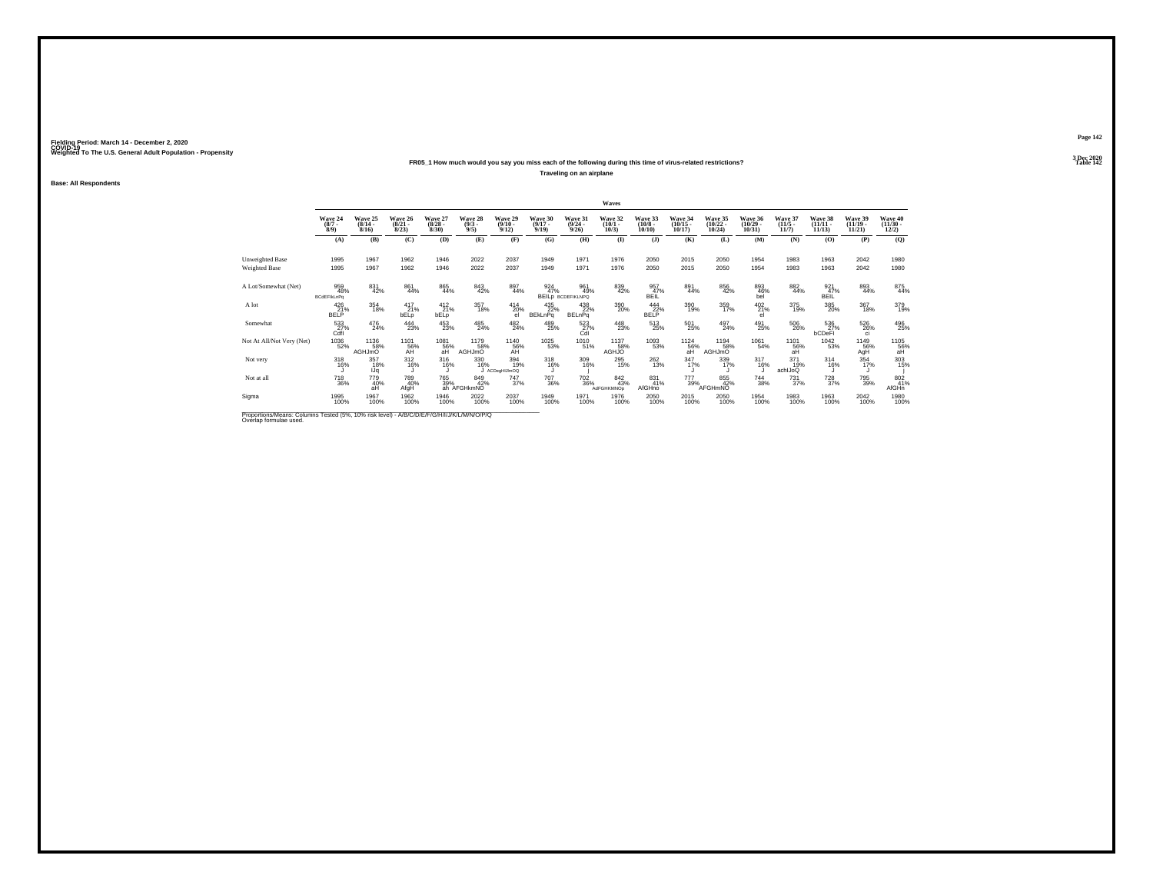### **FR05\_1 How much would you say you miss each of the following during this time of virus-related restrictions?**

**Traveling on an airplane**

**Base: All Respondents**

|                                                                                                  |                                  |                                  |                                  |                                         |                               |                                         |                                  |                                        | Waves                           |                                   |                                   |                                   |                                   |                                         |                                |                                   |                                          |
|--------------------------------------------------------------------------------------------------|----------------------------------|----------------------------------|----------------------------------|-----------------------------------------|-------------------------------|-----------------------------------------|----------------------------------|----------------------------------------|---------------------------------|-----------------------------------|-----------------------------------|-----------------------------------|-----------------------------------|-----------------------------------------|--------------------------------|-----------------------------------|------------------------------------------|
|                                                                                                  | Wave 24<br>$\binom{8/7}{8/9}$    | Wave 25<br>$(8/14 -$<br>$8/16$ ) | Wave 26<br>$\frac{(8/21)}{8/23}$ | Wave 27<br>$\binom{8/28}{8/30}$         | Wave 28<br>$\binom{9/3}{9/5}$ | Wave 29<br>$\frac{(9/10 - 9/12)}{9/12}$ | Wave 30<br>$\frac{(9/17)}{9/19}$ | Wave 31<br>$\frac{(9/24)}{9/26}$       | Wave 32<br>$\binom{10/1}{10/3}$ | Wave 33<br>$\frac{(10/8)}{10/10}$ | Wave 34<br>$\binom{10/15}{10/17}$ | Wave 35<br>$\binom{10/22}{10/24}$ | Wave 36<br>$\binom{10/29}{10/31}$ | Wave 37<br>$\frac{(11/5)}{11/7}$        | Wave 38<br>$(11/11 -$<br>11/13 | Wave 39<br>$\binom{11/19}{11/21}$ | Wave 40<br>$\frac{(11/30 - 12/2)}{12/2}$ |
|                                                                                                  | (A)                              | (B)                              | (C)                              | (D)                                     | (E)                           | (F)                                     | (G)                              | (H)                                    | $($ $\Gamma$                    | $($ $)$                           | (K)                               | (L)                               | (M)                               | (N)                                     | (0)                            | (P)                               | (Q)                                      |
| Unweighted Base                                                                                  | 1995                             | 1967                             | 1962                             | 1946                                    | 2022                          | 2037                                    | 1949                             | 1971                                   | 1976                            | 2050                              | 2015                              | 2050                              | 1954                              | 1983                                    | 1963                           | 2042                              | 1980                                     |
| <b>Weighted Base</b>                                                                             | 1995                             | 1967                             | 1962                             | 1946                                    | 2022                          | 2037                                    | 1949                             | 1971                                   | 1976                            | 2050                              | 2015                              | 2050                              | 1954                              | 1983                                    | 1963                           | 2042                              | 1980                                     |
|                                                                                                  |                                  |                                  |                                  |                                         |                               |                                         |                                  |                                        |                                 |                                   |                                   |                                   |                                   |                                         |                                |                                   |                                          |
| A Lot/Somewhat (Net)                                                                             | 959<br>48%<br><b>BCdEFIkLnPg</b> | 831<br>42%                       | 861<br>44%                       | 865<br>44%                              | 843<br>42%                    | 897<br>44%                              | 924<br>47%                       | 961<br>49%<br><b>BEILD BCDEFIKLNPQ</b> | 839<br>42%                      | 957<br>47%<br>BEIL                | 891<br>44%                        | 856<br>42%                        | 893<br>46%<br>bel                 | 882<br>44%                              | 921<br>47%<br>BEIL             | 893<br>44%                        | 875<br>44%                               |
| A lot                                                                                            | 426<br>21%<br><b>BELP</b>        | 354<br>18%                       | $^{417}_{21\%}$<br>bELp          | $^{412}_{21\%}$<br><b>bELp</b>          | 357<br>18%                    | $^{414}_{20\%}$<br>el                   | 435<br>22%<br><b>BEkLnPg</b>     | $^{438}_{22\%}$<br><b>BELnPq</b>       | 390<br>20%                      | 444<br>22%<br><b>BELP</b>         | 390<br>19%                        | 359<br>17%                        | $^{402}_{21\%}$<br>el             | 375<br>19%                              | 385<br>20%                     | 367<br>18%                        | 379<br>19%                               |
| Somewhat                                                                                         | 533<br>Cafi                      | $^{476}_{24\%}$                  | $^{444}_{23\%}$                  | 453<br>23%                              | 485<br>24%                    | 482<br>24%                              | 489<br>25%                       | 523<br>Čdl                             | 448<br>23%                      | 513<br>25%                        | 501<br>25%                        | 497<br>24%                        | 491<br>25%                        | 506<br>26%                              | 536<br>27%<br><b>bCDeFI</b>    | 526<br>26%<br>ci                  | 496<br>25%                               |
| Not At All/Not Very (Net)                                                                        | 1036<br>52%                      | 1136<br>58%<br>AGHJmO            | 1101<br>56%<br>AH                | $^{1081}_{\substack{56\%\\ \text{aH}}}$ | 1179<br>58%<br><b>AGHJmO</b>  | 1140<br>56%<br>AH                       | $\frac{1025}{53\%}$              | 1010<br>51%                            | 1137<br>AGHJO                   | 1093<br>53%                       | 1124<br>56%<br>aH                 | 1194<br>58%<br>AGHJmO             | 1061<br>54%                       | $^{1101}_{\substack{56\%\\ \text{aH}}}$ | 1042<br>53%                    | 1149<br>56%<br>AgH                | $^{1105}_{\substack{56}{\text{aH}}}$     |
| Not very                                                                                         | 318<br>16%                       | 357<br>18%<br>IJq                | $^{312}_{16\%}$                  | 316<br>16%                              | 330<br>16%                    | 394<br>19%<br>J ACDegHIJImOQ            | 318<br>16%                       | $^{309}_{16\%}$                        | 295<br>15%                      | $^{262}_{13\%}$                   | 347/17%                           | 339<br>17%                        | $\frac{317}{16\%}$                | $^{371}_{19\%}$<br>achIJoQ              | $314$<br>$16\%$                | $354 \over 17\%$<br>u             | 303<br>15%                               |
| Not at all                                                                                       | <sup>718</sup> 36%               | 779<br>40%<br>аĤ                 | 789<br>40%<br>AfgH               | 765<br>39%                              | 849<br>42%<br>ah AFGHkmNO     | <sup>747</sup> 37%                      | <sup>707</sup> 36%               | $^{702}_{\ 36\%}$                      | 842<br>43%<br><b>AdFGHKMNOp</b> | 831<br>41%<br>AfGHno              | 777<br>39%                        | 855<br>42%<br>AFGHmNO             | $\substack{744 \\ 38\%}$          | $^{731}_{37\%}$                         | <sup>728</sup> 37%             | 795<br>39%                        | 802<br>41%<br>AfGHn                      |
| Sigma                                                                                            | 1995<br>100%                     | 1967<br>100%                     | 1962<br>100%                     | 1946<br>100%                            | 2022<br>100%                  | 2037<br>100%                            | 1949<br>100%                     | 1971<br>100%                           | 1976<br>100%                    | 2050<br>100%                      | 2015<br>100%                      | 2050<br>100%                      | 1954<br>100%                      | 1983<br>100%                            | 1963<br>100%                   | 2042<br>100%                      | 1980<br>100%                             |
| <b>Draportiona Moone: Columna Teeted (59/1409) right love) A/D/C/D/C/D/L/C/N/H/V/L/M/N/O/D/O</b> |                                  |                                  |                                  |                                         |                               |                                         |                                  |                                        |                                 |                                   |                                   |                                   |                                   |                                         |                                |                                   |                                          |

Proportions/Means: Columns Tested (5%, 10% risk level) - *N'B/C/D/E/F/G/H/I/J/K/L/M/N/O/P/Q*<br>Overlap formulae used.

**Page 1423 Dec 2020<br>Table 142** 

**Particular Table 142 Table 142**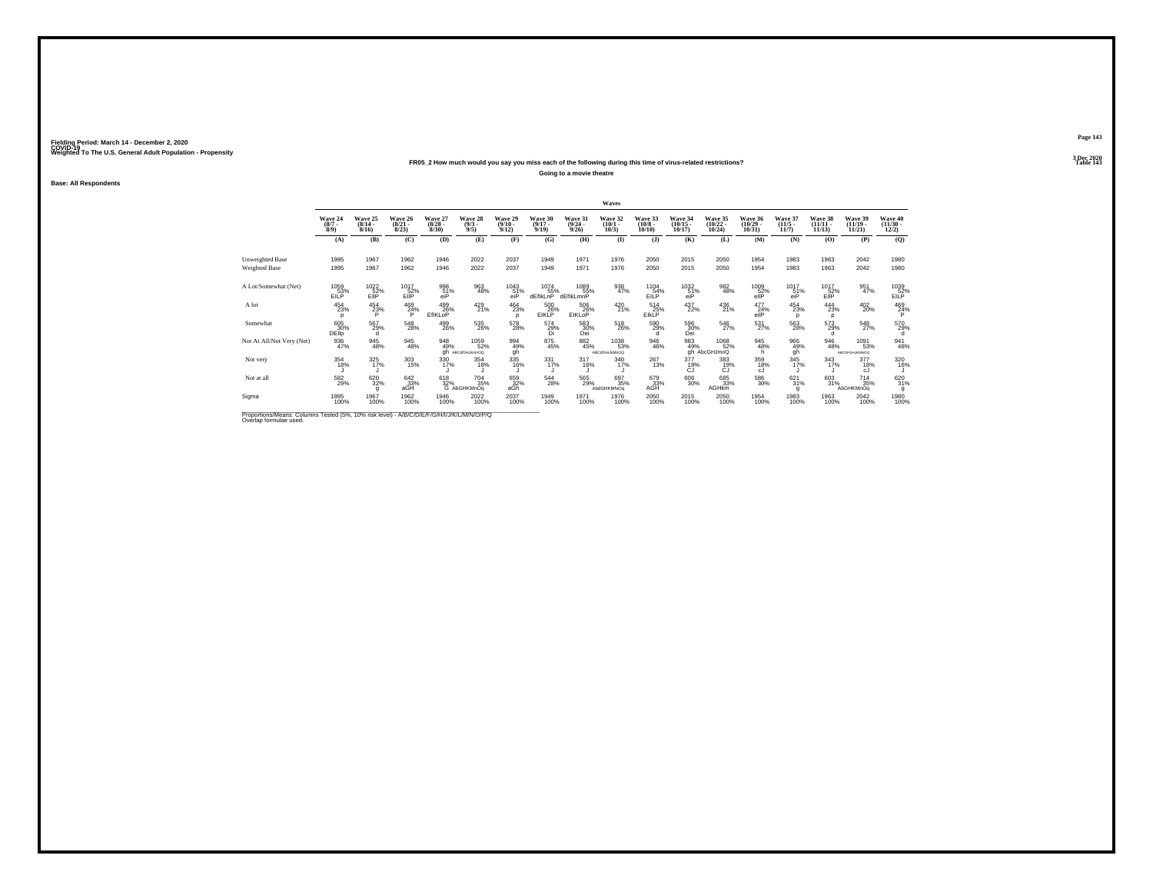### **FR05\_2 How much would you say you miss each of the following during this time of virus-related restrictions?**

**Going to a movie theatre**

**Base: All Respondents**

|                                                                                          |                               |                                  |                                 |                                 |                                                      |                                         |                                  |                                  | Waves                           |                                        |                                         |                                   |                                   |                                  |                                    |                                     |                                          |
|------------------------------------------------------------------------------------------|-------------------------------|----------------------------------|---------------------------------|---------------------------------|------------------------------------------------------|-----------------------------------------|----------------------------------|----------------------------------|---------------------------------|----------------------------------------|-----------------------------------------|-----------------------------------|-----------------------------------|----------------------------------|------------------------------------|-------------------------------------|------------------------------------------|
|                                                                                          | Wave 24<br>$\binom{8/7}{8/9}$ | Wave 25<br>$\frac{(8/14)}{8/16}$ | Wave 26<br>$\binom{8/21}{8/23}$ | Wave 27<br>$\binom{8/28}{8/30}$ | Wave 28<br>$\binom{9/3}{9/5}$                        | Wave 29<br>$\binom{9/10}{9/12}$         | Wave 30<br>$\frac{(9/17)}{9/19}$ | Wave 31<br>$\frac{(9/24)}{9/26}$ | Wave 32<br>$\binom{10/1}{10/3}$ | Wave 33<br>$\frac{(10/8 - 10)}{10/10}$ | Wave 34<br>$\binom{10/15}{10/17}$       | Wave 35<br>$\binom{10/22}{10/24}$ | Wave 36<br>$\binom{10/29}{10/31}$ | Wave 37<br>$\frac{(11/5)}{11/7}$ | Wave 38<br>$\frac{(11/11)}{11/13}$ | Wave 39<br>$\binom{11/19}{11/21}$   | Wave 40<br>$\frac{(11/30 - 12/2)}{12/2}$ |
|                                                                                          | (A)                           | (B)                              | (C)                             | (D)                             | (E)                                                  | (F)                                     | (G)                              | (H)                              | $\bf{(\mathbf{I})}$             | $($ $)$                                | (K)                                     | (L)                               | (M)                               | (N)                              | (0)                                | (P)                                 | (Q)                                      |
| Unweighted Base                                                                          | 1995                          | 1967                             | 1962                            | 1946                            | 2022                                                 | 2037                                    | 1949                             | 1971                             | 1976                            | 2050                                   | 2015                                    | 2050                              | 1954                              | 1983                             | 1963                               | 2042                                | 1980                                     |
| <b>Weighted Base</b>                                                                     | 1995                          | 1967                             | 1962                            | 1946                            | 2022                                                 | 2037                                    | 1949                             | 1971                             | 1976                            | 2050                                   | 2015                                    | 2050                              | 1954                              | 1983                             | 1963                               | 2042                                | 1980                                     |
| A Lot/Somewhat (Net)                                                                     | 1059<br>EILP                  | 1022<br>52%<br>EIIP <sup>®</sup> | 1017<br>$E$ <sub>IIP</sub> %    | 998<br>51%<br>eiP               | 963<br>48%                                           | $^{1043}_{\substack{51\%\\\text{eiP}}}$ | 1074<br>55%<br>dEfikLnP          | 1089<br>55%<br>dEfikLmnP         | 938<br>47%                      | 1104<br>54%<br>EILP                    | $^{1032}_{\substack{51\%\\\text{eiP}}}$ | 982<br>48%                        | 1009<br>$\frac{52}{10}$ %         | 1017<br>51%<br>eiP               | 1017<br>$E^{52\%}_{\text{EIP}}$    | 951<br>47%                          | 1039<br>52%<br>EILP                      |
| A lot                                                                                    | $^{454}_{23\%}$<br>D          | $^{454}_{23\%}$                  | 469<br>24%                      | 499<br>26%<br>EfIKLoP           | 429<br>21%                                           | 464<br>23%<br>n                         | 500<br>26%<br><b>EIKLP</b>       | 506<br>26%<br>EIKLoP             | 420<br>21%                      | $^{514}_{25\%}$<br>EIKLP               | 437<br>22%                              | 436<br>21%                        | 477<br>24%<br>eilP                | $^{454}_{\  \, 23\%}$<br>D       | $\frac{444}{23\%}$<br>D            | 402<br>20%                          | 469<br>24%                               |
| Somewhat                                                                                 | 605<br>30%<br><b>DEllp</b>    | 567<br>29%                       | 548<br>28%                      | 499<br>26%                      | 535<br>26%                                           | 578<br>28%                              | $^{574}_{\substack{29\%\\Di}}$   | 583<br>30%<br>Dei                | 518<br>26%                      | 590<br>29%<br>d                        | 596<br>30%<br>Dei                       | 546<br>27%                        | $\frac{531}{27\%}$                | $\substack{563 \\ 28\%}$         | 573<br>29%<br>d                    | 548<br>27%                          | 570<br>29%                               |
| Not At All/Not Very (Net)                                                                | 936<br>47%                    | 945<br>48%                       | 945<br>48%                      | 948<br>49%<br>ah                | 1059<br>52%<br>ABCdfGHJkmnOQ                         | 994<br>49%<br>gh                        | 875<br>45%                       | $\underset{45\%}{^{882}}$        | 1038<br>53%<br>ABCdfGHJkMnOQ    | 946<br>46%                             | 983<br>49%                              | 1068<br>52%<br>gh AbcGHJmoQ       | 945<br>48%<br>h.                  | 966<br>49%<br>qĥ                 | 946<br>48%                         | 1091<br>53%<br><b>ABCDFGHJKMNOQ</b> | 941<br>48%                               |
| Not very                                                                                 | 354<br>18%                    | $325$<br>$17\%$                  | 303<br>15%                      | 330<br>17%                      | 354<br>18%                                           | 335<br>16%                              | 331<br>17%                       | $317_{16\%}$                     | 340<br>17%                      | 267<br>13%                             | 377<br>19%<br>CJ                        | $383 \over 19\%$<br>CJ            | 359<br>18%<br>cJ.                 | $345$<br>17%                     | 343<br>17%                         | 377<br>18%<br>cJ.                   | 320<br>16%                               |
| Not at all                                                                               | 582<br>29%                    | 620<br>32%                       | 642<br>33%<br>aGH               |                                 | <sup>704</sup> 35%<br>618 704<br>32% 35% 6 AbGHKMnOq | 659<br>32%<br>aGh                       | 544<br>28%                       | 565<br>29%                       | 697<br>35%<br>AbdGHKMNOg        | 679<br>33%<br>AĞH                      | 606<br>30%                              | 685<br>33%<br><b>AGHkm</b>        | 586<br>30%                        | 621/31%<br>g                     | 603<br>31%                         | $^{714}_{35\%}$<br>AbGHKMnOq        | 620<br>31%                               |
| Sigma                                                                                    | 1995<br>100%                  | 1967<br>100%                     | 1962<br>100%                    | 1946<br>100%                    | 2022<br>100%                                         | 2037<br>100%                            | 1949<br>100%                     | 1971<br>100%                     | 1976<br>100%                    | 2050<br>100%                           | 2015<br>100%                            | 2050<br>100%                      | 1954<br>100%                      | 1983<br>100%                     | 1963<br>100%                       | 2042<br>100%                        | 1980<br>100%                             |
| Proportions Means: Columns Tested (5%, 10% risk level) - A/B/C/D/E/E/C/H/I/J/M/J/M/D/D/O |                               |                                  |                                 |                                 |                                                      |                                         |                                  |                                  |                                 |                                        |                                         |                                   |                                   |                                  |                                    |                                     |                                          |

Proportions/Means: Columns Tested (5%, 10% risk level) - *N'B/C/D/E/F/G/H/I/J/K/L/M/N/O/P/Q*<br>Overlap formulae used.

**Page 143**3 Dec 2020<br>Table 143

**Particular Table 143**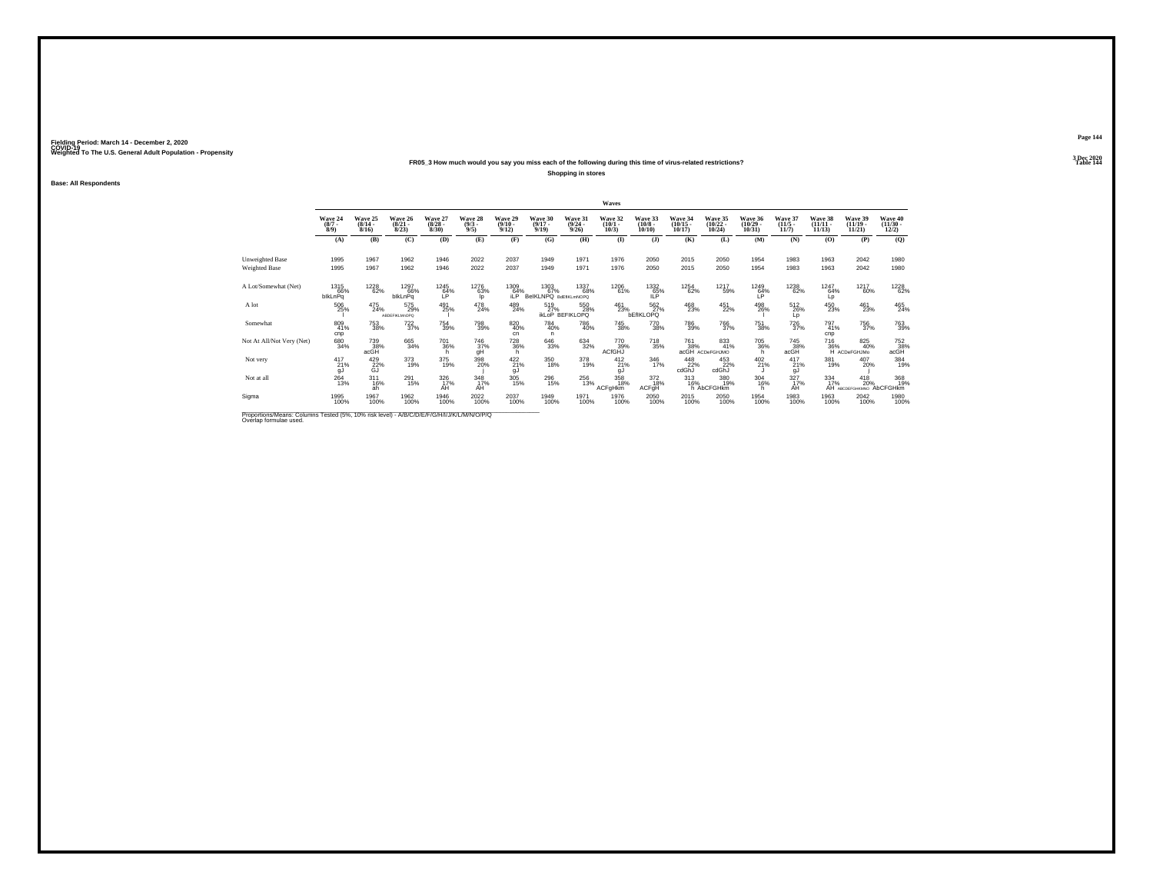### **FR05\_3 How much would you say you miss each of the following during this time of virus-related restrictions?**

**Shopping in stores**

**Base: All Respondents**

|                                                                                          |                               |                                  |                                  |                                 |                                |                                 |                                      |                                      | Waves                           |                                         |                                   |                                   |                                   |                                  |                                    |                                             |                                   |
|------------------------------------------------------------------------------------------|-------------------------------|----------------------------------|----------------------------------|---------------------------------|--------------------------------|---------------------------------|--------------------------------------|--------------------------------------|---------------------------------|-----------------------------------------|-----------------------------------|-----------------------------------|-----------------------------------|----------------------------------|------------------------------------|---------------------------------------------|-----------------------------------|
|                                                                                          | Wave 24<br>$\binom{8/7}{8/9}$ | Wave 25<br>$\frac{(8/14)}{8/16}$ | Wave 26<br>$\frac{(8/21)}{8/23}$ | Wave 27<br>$\binom{8/28}{8/30}$ | Wave 28<br>$\frac{(9/3)}{9/5}$ | Wave 29<br>$\binom{9/10}{9/12}$ | Wave 30<br>$\frac{(9/17)}{9/19}$     | Wave 31<br>$\frac{(9/24)}{9/26}$     | Wave 32<br>$\binom{10/1}{10/3}$ | Wave 33<br>$\binom{10/8}{10/10}$        | Wave 34<br>$\binom{10/15}{10/17}$ | Wave 35<br>$\binom{10/22}{10/24}$ | Wave 36<br>$\binom{10/29}{10/31}$ | Wave 37<br>$\frac{(11/5)}{11/7}$ | Wave 38<br>$\frac{(11/11)}{11/13}$ | Wave 39<br>$\binom{11/19}{11/21}$           | Wave 40<br>$\frac{(11/30)}{12/2}$ |
|                                                                                          | (A)                           | (B)                              | (C)                              | (D)                             | (E)                            | (F)                             | (G)                                  | (H)                                  | $\mathbf{I}$                    | (I)                                     | (K)                               | (L)                               | (M)                               | (N)                              | (0)                                | (P)                                         | (Q)                               |
| Unweighted Base                                                                          | 1995                          | 1967                             | 1962                             | 1946                            | 2022                           | 2037                            | 1949                                 | 1971                                 | 1976                            | 2050                                    | 2015                              | 2050                              | 1954                              | 1983                             | 1963                               | 2042                                        | 1980                              |
| <b>Weighted Base</b>                                                                     | 1995                          | 1967                             | 1962                             | 1946                            | 2022                           | 2037                            | 1949                                 | 1971                                 | 1976                            | 2050                                    | 2015                              | 2050                              | 1954                              | 1983                             | 1963                               | 2042                                        | 1980                              |
| A Lot/Somewhat (Net)                                                                     | 1315<br>66%<br>blkLnPq        | 1228<br>62%                      | 1297<br>66%<br>blkLnPq           | 1245<br>64%                     | 1276<br>63%<br>lo.             | 1309<br>$n^{64\%}$              | 1303<br>67%<br>BelKLNPQ BdEfiKLmNOPQ | 1337<br>68%                          | 1206<br>61%                     | 1332<br>$\overline{15}$ <sup>65</sup> % | 1254<br>62%                       | 1217<br>59%                       | 1249<br>64%                       | 1238<br>62%                      | 1247<br>64%<br>Lp                  | 1217<br>60%                                 | 1228<br>62%                       |
| A lot                                                                                    | 506<br>25%                    | $^{475}_{24\%}$                  | 575<br>29%<br>ARDEEIKI M:OPO     | 491<br>25%                      | 478<br>24%                     | 489<br>24%                      | 519<br>27%                           | 550<br>28%<br><b>IKLOP BEFIKLOPQ</b> | 461<br>23%                      | 562%<br><b>bEfIKLOPQ</b>                | 468<br>23%                        | 451<br>22%                        | 498<br>26%                        | 512<br>26%<br>Lp                 | $^{450}_{23\%}$                    | 461<br>23%                                  | $^{465}_{24\%}$                   |
| Somewhat                                                                                 | 809<br>41%<br>cnp             | <sup>753</sup> 38%               | $^{722}_{37\%}$                  | 754<br>39%                      | 798<br>39%                     | $\substack{820 \\ 40\%}$<br>cn  | 784<br>40%<br>n                      | <sup>786</sup> 40%                   | <sup>745</sup> 38%              | 770<br>38%                              | 786<br>39%                        | 766<br>37%                        | $\substack{751 \\ 38\%}$          | $^{726}_{37\%}$                  | 797<br>41%<br>cnp                  | 756<br>37%                                  | 763<br>39%                        |
| Not At All/Not Very (Net)                                                                | 680<br>34%                    | 739<br>38%<br>acGH               | 665<br>34%                       | 701<br>36%                      | 746<br>37%<br>ğĤ               | 728<br>36%                      | $\substack{646 \\ 33\%}$             | $\substack{634 \\ 32\%}$             | 770<br>39%<br>ACfGHJ            | 718<br>35%                              | 761<br>38%                        | 833<br>41%<br>acGH ACDeFGHJMO     | 705<br>36%<br>h.                  | 745<br>38%<br>acGH               | 716                                | 825<br>40%<br>36% 40°                       | 752<br>38%<br>acGH                |
| Not very                                                                                 | $^{417}_{21\%}$<br>gJ         | 429<br>22%<br>GJ                 | 373<br>19%                       | 375<br>19%                      | 398<br>20%                     | $^{422}_{21\%}$<br>gJ           | 350<br>18%                           | 378<br>19%                           | $^{412}_{21\%}$<br>gJ           | 346<br>17%                              | 448<br>22%<br>cdGhJ               | 453<br>22%<br>cdGhJ               | $^{402}_{21\%}$                   | $^{417}_{21\%}$<br>gJ            | 381<br>19%                         | 407<br>20%                                  | 384<br>19%                        |
| Not at all                                                                               | $^{264}_{13\%}$               | $^{311}_{16\%}$<br>ah            | 291<br>15%                       | $\frac{326}{17}\%$<br>AH        | $348$ <sub>17%</sub><br>ÁĤ     | 305<br>15%                      | <sup>296</sup> 15%                   | 256<br>13%                           | 358<br>18%<br>ACFgHkm           | 372<br>18%<br>ACFgH                     | 313<br>16%                        | 380<br>19%<br>h AbCFGHkm          | $\frac{304}{16\%}$<br>h.          | $\frac{327}{17\%}$<br>ΑĤ         | $\frac{334}{17\%}$                 | $^{418}_{20\%}$<br>AH ABCDEFGHKMNO AbCFGHkm | 368<br>19%                        |
| Sigma                                                                                    | 1995<br>100%                  | 1967<br>100%                     | 1962<br>100%                     | 1946<br>100%                    | 2022<br>100%                   | 2037<br>100%                    | 1949<br>100%                         | 1971<br>100%                         | 1976<br>100%                    | 2050<br>100%                            | 2015<br>100%                      | 2050<br>100%                      | 1954<br>100%                      | 1983<br>100%                     | 1963<br>100%                       | 2042<br>100%                                | 1980<br>100%                      |
| Proportions/Means: Columns Tested (5%, 10% risk level) - A/R/C/D/F/F/G/H/U/W/L/M/N/O/P/O |                               |                                  |                                  |                                 |                                |                                 |                                      |                                      |                                 |                                         |                                   |                                   |                                   |                                  |                                    |                                             |                                   |

Proportions/Means: Columns Tested (5%, 10% risk level) - *N'B/C/D/E/F/G/H/I/J/K/L/M/N/O/P/Q*<br>Overlap formulae used.

**Page 1443 Dec 2020<br>Table 144** 

**Particular Table 144**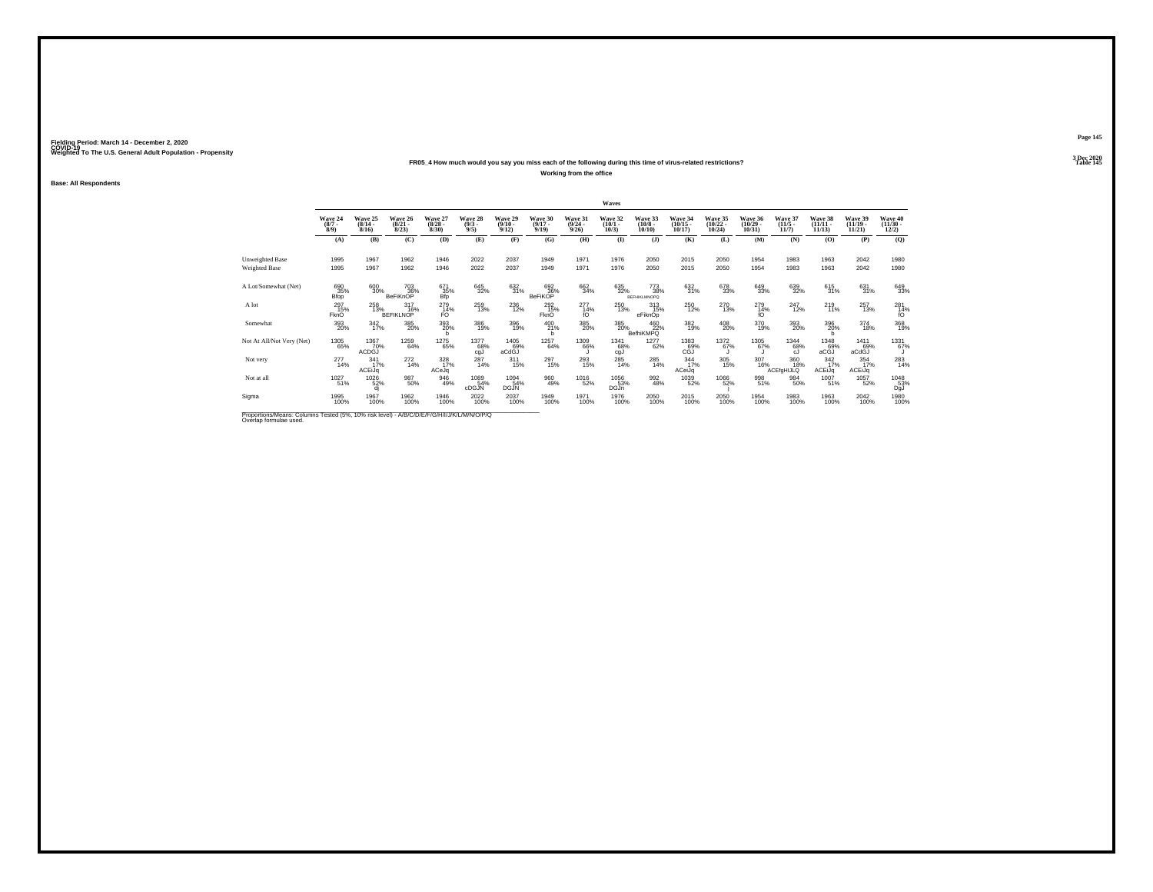### **FR05\_4 How much would you say you miss each of the following during this time of virus-related restrictions?**

**Working from the office**

**Base: All Respondents**

|                                                                                          |                               |                                  |                                  |                                 |                                |                                  |                                  |                                  | Waves                           |                                   |                                   |                                   |                                   |                                  |                                |                                   |                                          |
|------------------------------------------------------------------------------------------|-------------------------------|----------------------------------|----------------------------------|---------------------------------|--------------------------------|----------------------------------|----------------------------------|----------------------------------|---------------------------------|-----------------------------------|-----------------------------------|-----------------------------------|-----------------------------------|----------------------------------|--------------------------------|-----------------------------------|------------------------------------------|
|                                                                                          | Wave 24<br>$\binom{8/7}{8/9}$ | Wave 25<br>$\frac{(8/14)}{8/16}$ | Wave 26<br>$\frac{(8/21)}{8/23}$ | Wave 27<br>$\binom{8/28}{8/30}$ | Wave 28<br>$\frac{(9/3)}{9/5}$ | Wave 29<br>$\frac{(9/10)}{9/12}$ | Wave 30<br>$\frac{(9/17)}{9/19}$ | Wave 31<br>$\frac{(9/24)}{9/26}$ | Wave 32<br>$\binom{10/1}{10/3}$ | Wave 33<br>$\frac{(10/8)}{10/10}$ | Wave 34<br>$\binom{10/15}{10/17}$ | Wave 35<br>$\binom{10/22}{10/24}$ | Wave 36<br>$\binom{10/29}{10/31}$ | Wave 37<br>$(11/5 -$<br>11/7     | Wave 38<br>$(11/11 -$<br>11/13 | Wave 39<br>$\binom{11/19}{11/21}$ | Wave 40<br>$\frac{(11/30 - 12/2)}{12/2}$ |
|                                                                                          | (A)                           | (B)                              | (C)                              | (D)                             | (E)                            | (F)                              | (G)                              | (H)                              | $\bf(I)$                        | (J)                               | (K)                               | (L)                               | (M)                               | (N)                              | (0)                            | (P)                               | (Q)                                      |
| Unweighted Base                                                                          | 1995                          | 1967                             | 1962                             | 1946                            | 2022                           | 2037                             | 1949                             | 1971                             | 1976                            | 2050                              | 2015                              | 2050                              | 1954                              | 1983                             | 1963                           | 2042                              | 1980                                     |
| <b>Weighted Base</b>                                                                     | 1995                          | 1967                             | 1962                             | 1946                            | 2022                           | 2037                             | 1949                             | 1971                             | 1976                            | 2050                              | 2015                              | 2050                              | 1954                              | 1983                             | 1963                           | 2042                              | 1980                                     |
| A Lot/Somewhat (Net)                                                                     | 690<br>35%<br>Bfop            | 600<br>30%                       | 703<br>36%<br>BeFiKnOP           | 671<br>35%<br>Bfp               | 645<br>32%                     | 632<br>31%                       | 692<br>36%<br>BeFiKOP            | $\frac{662}{34\%}$               | 635<br>32%                      | 773<br>38%<br><b>BEFHIKLMNOPO</b> | 632<br>31%                        | 678<br>33%                        | 649<br>33%                        | 639<br>32%                       | 615<br>31%                     | $^{631}_{31\%}$                   | 649<br>33%                               |
| A lot                                                                                    | $^{297}_{15\%}$<br>FknO       | 258                              | $317_{16\%}$<br><b>BEFIKLNOP</b> | 279<br>14%<br>FO                | 259<br>13%                     | $^{236}_{12\%}$                  | 292<br>15%<br>FknO               | $^{277}_{14\%}$<br>fO            | $^{250}_{13\%}$                 | $^{313}_{15\%}$<br>eFiknOp        | 250<br>12%                        | $^{270}_{13\%}$                   | $^{279}_{14\%}$<br>fO             | $^{247}_{12\%}$                  | $^{219}_{11\%}$                | $^{257}_{13\%}$                   | 281<br>14%<br>fO                         |
| Somewhat                                                                                 | 393<br>20%                    | $\frac{342}{17\%}$               | 385<br>20%                       | 393<br>20%                      | 386<br>19%                     | 396<br>19%                       | $^{400}_{21\%}$<br>b.            | $^{385}_{\,20\%}$                |                                 | 385 460<br>20% BefhiKMPQ          | $\frac{382}{19\%}$                | $^{408}_{20\%}$                   | 370<br>19%                        | 393<br>20%                       | 396<br>20%                     | $^{374}_{18\%}$                   | 368<br>19%                               |
| Not At All/Not Very (Net)                                                                | $\underset{65\%}{^{1305}}$    | 1367<br>70%<br>ACDĞJ             | 1259<br>64%                      | 1275<br>65%                     | 1377<br>68%<br>cgJ             | 1405<br>69%<br>aCdGJ             | 1257<br>64%                      | 1309<br>66%                      | 1341<br>68%<br>cgJ              | 1277<br>62%                       | 1383<br>69%<br>сĞĭ                | 1372<br>67%                       | 1305<br>67%                       | 1344<br>68%<br>cJ.               | 1348<br>69%<br>aCĞJ            | 1411<br>69%<br>aCdGJ              | 1331<br>67%                              |
| Not very                                                                                 | $^{277}_{14\%}$               | $\frac{341}{17\%}$<br>ACEiJq     | $^{272}_{14\%}$                  | 328<br>17%<br>ACeJq             | $^{287}_{14\%}$                | $^{311}_{15\%}$                  | $^{297}_{15\%}$                  | $^{293}_{15\%}$                  | $^{285}_{14\%}$                 | 285<br>14%                        | $\frac{344}{17\%}$<br>ACeiJq      | $\frac{305}{15\%}$                | $\frac{307}{16\%}$                | $\frac{360}{18\%}$<br>ACEfgHIJLQ | $\frac{342}{17\%}$<br>ACEiJq   | $\frac{354}{17\%}$<br>ACEiJq      | 283<br>14%                               |
| Not at all                                                                               | 1027<br>51%                   | 1026<br>52%                      | 987<br>50%                       | 946<br>49%                      | 1089<br>54%<br>cDGJN           | 1094<br>54%<br>DGJN              | 960<br>49%                       | 1016<br>52%                      | 1056<br>53%<br>DGJn             | 992<br>48%                        | 1039<br>52%                       | 1066<br>52%                       | 998<br>51%                        | 984<br>50%                       | 1007<br>51%                    | 1057<br>52%                       | 1048<br>53%<br>DgJ                       |
| Sigma                                                                                    | 1995<br>100%                  | 1967<br>100%                     | 1962<br>100%                     | 1946<br>100%                    | 2022<br>100%                   | 2037<br>100%                     | 1949<br>100%                     | 1971<br>100%                     | 1976<br>100%                    | 2050<br>100%                      | 2015<br>100%                      | 2050<br>100%                      | 1954<br>100%                      | 1983<br>100%                     | 1963<br>100%                   | 2042<br>100%                      | 1980<br>100%                             |
| Proportions Means: Columns Tested (5%, 10% risk level) - A/B/C/D/E/E/C/H/U/M/ /M/N/O/P/O |                               |                                  |                                  |                                 |                                |                                  |                                  |                                  |                                 |                                   |                                   |                                   |                                   |                                  |                                |                                   |                                          |

Proportions/Means: Columns Tested (5%, 10% risk level) - *N'B/C/D/E/F/G/H/I/J/K/L/M/N/O/P/Q*<br>Overlap formulae used.

**Page 1453 Dec 2020<br>Table 145** 

**Particular Table 145 Table 145**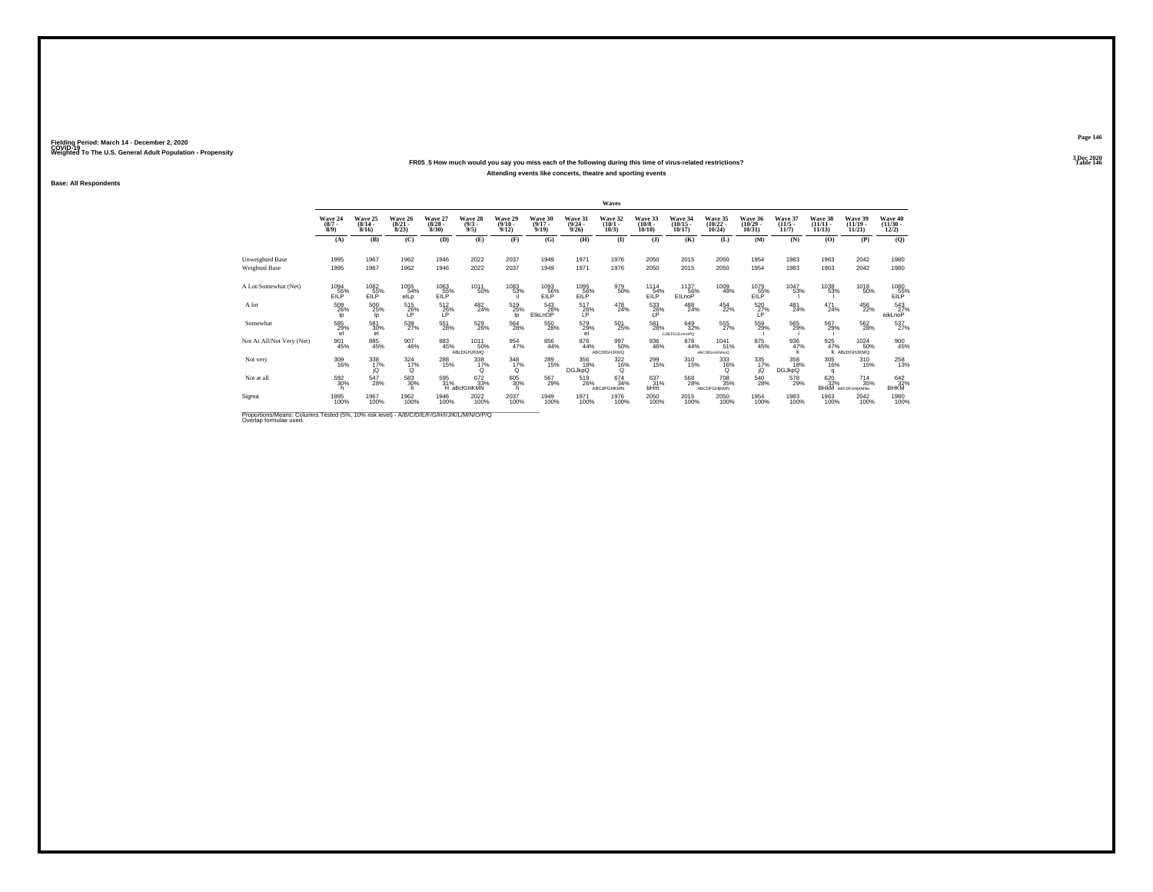### **FR05\_5 How much would you say you miss each of the following during this time of virus-related restrictions?Attending events like concerts, theatre and sporting events**

**Base: All Respondents**

|                                                                                                                                                                                                                                                                                                                                   |                             |                                  |                                  |                                 |                               |                                  |                                  |                                  | Waves                            |                                  |                                   |                                     |                                   |                                  |                                    |                                            |                                |
|-----------------------------------------------------------------------------------------------------------------------------------------------------------------------------------------------------------------------------------------------------------------------------------------------------------------------------------|-----------------------------|----------------------------------|----------------------------------|---------------------------------|-------------------------------|----------------------------------|----------------------------------|----------------------------------|----------------------------------|----------------------------------|-----------------------------------|-------------------------------------|-----------------------------------|----------------------------------|------------------------------------|--------------------------------------------|--------------------------------|
|                                                                                                                                                                                                                                                                                                                                   | Wave 24<br>$\binom{8}{3/9}$ | Wave 25<br>$\frac{(8/14)}{8/16}$ | Wave 26<br>$\frac{(8/21)}{8/23}$ | Wave 27<br>$\binom{8/28}{8/30}$ | Wave 28<br>$\binom{9/3}{9/5}$ | Wave 29<br>$\frac{(9/10)}{9/12}$ | Wave 30<br>$\frac{(9/17)}{9/19}$ | Wave 31<br>$\frac{(9/24)}{9/26}$ | Wave 32<br>$\binom{10/1}{10/3}$  | Wave 33<br>$\binom{10/8}{10/10}$ | Wave 34<br>$\binom{10/15}{10/17}$ | Wave 35<br>$\binom{10/22}{10/24}$   | Wave 36<br>$\binom{10/29}{10/31}$ | Wave 37<br>$\frac{(11/5)}{11/7}$ | Wave 38<br>$\frac{(11/11)}{11/13}$ | Wave 39<br>$\binom{11/19}{11/21}$          | Wave 40<br>$(11/30 -$<br>12/2) |
|                                                                                                                                                                                                                                                                                                                                   | (A)                         | (B)                              | (C)                              | (D)                             | (E)                           | (F)                              | (G)                              | (H)                              | $\mathbf{I}$                     | (I)                              | (K)                               | (L)                                 | (M)                               | (N)                              | (O)                                | (P)                                        | $\mathbf{Q}$                   |
| Unweighted Base                                                                                                                                                                                                                                                                                                                   | 1995                        | 1967                             | 1962                             | 1946                            | 2022                          | 2037                             | 1949                             | 1971                             | 1976                             | 2050                             | 2015                              | 2050                                | 1954                              | 1983                             | 1963                               | 2042                                       | 1980                           |
| <b>Weighted Base</b>                                                                                                                                                                                                                                                                                                              | 1995                        | 1967                             | 1962                             | 1946                            | 2022                          | 2037                             | 1949                             | 1971                             | 1976                             | 2050                             | 2015                              | 2050                                | 1954                              | 1983                             | 1963                               | 2042                                       | 1980                           |
| A Lot/Somewhat (Net)                                                                                                                                                                                                                                                                                                              | 1094<br>EILP                | 1082<br>EILP                     | 1055<br>54%<br>elLp              | 1063<br>EILP                    | 1011<br>50%                   | 1083<br>53%                      | 1093<br>EILP                     | 1095<br>EILP                     | 979<br>50%                       | 1114<br>EILP <sup>54%</sup>      | 1137<br>EILnoP <sup>56%</sup>     | 1009<br>49%                         | 1079<br>EILP                      | 1047<br>53%                      | 1038<br>53%                        | $^\mathrm{1018}_\mathrm{50\%}$             | 1080<br>55%<br>EILP            |
| A lot                                                                                                                                                                                                                                                                                                                             | 509<br>26%<br>lo            | 500 25%<br>lo.                   | $^{515}_{26\%}$<br>ΙP            | 512<br>26%<br>ΙP                | 482<br>24%                    | 519<br>25%<br>lo                 | 543<br>28%<br>EIkLnOP            | 517<br>26%<br>LP                 | 478<br>24%                       | 533<br>26%<br>LP                 | 488<br>24%                        | 454<br>22%                          | 520<br>27%<br>LP                  | $^{481}_{24\%}$                  | $^{471}_{24\%}$                    | 456<br>22%                                 | 543<br>27%<br>eikLnoP          |
| Somewhat                                                                                                                                                                                                                                                                                                                          | 585<br>29%<br>el            | 581<br>30%<br>el                 | 539<br>27%                       | 551<br>28%                      | 529<br>26%                    | 564<br>28%                       | 550<br>28%                       | 579%<br>el                       | 501<br>25%                       | 581<br>28%                       | 649<br>32%<br><b>CDEFGULmnoPQ</b> | 555<br>27%                          | 559%                              | 565<br>29%                       | 567<br>29%                         | 562<br>28%                                 | $^{537}_{27\%}$                |
| Not At All/Not Very (Net)                                                                                                                                                                                                                                                                                                         | 901<br>45%                  | 885<br>45%                       | $\frac{907}{46\%}$               | 883<br>45%                      | 1011<br>50%<br>ABcDGHJKMQ     | $\frac{954}{47\%}$               | 856<br>44%                       | $\underset{44\%}{\text{876}}$    | 997<br>50%<br><b>ABCDIGHJKMQ</b> | 936<br>46%                       | 878<br>44%                        | 1041<br>51%<br><b>ABCDIGHJKMnoQ</b> | 875<br>45%                        | $\frac{936}{47\%}$               | 925<br>47%                         | 1024<br>50%<br>K ABcDGHJKMQ                | 900<br>45%                     |
| Not very                                                                                                                                                                                                                                                                                                                          | 309<br>16%                  | 338<br>17%                       | $\frac{324}{17\%}$<br>Q          | 288<br>15%                      | 338<br>17%<br>O               | 348<br>17%<br>$^{\circ}$         | 289<br>15%                       | 356<br>18%<br><b>DGJkpQ</b>      | $\frac{322}{16\%}$<br>Q          | 299<br>15%                       | 310<br>15%                        | 333<br>16%<br>O                     | 335<br>17%<br>jQ                  | 358<br>18%<br><b>DGJkpQ</b>      | 305<br>16%<br>q                    | 310<br>15%                                 | 258<br>13%                     |
| Not at all                                                                                                                                                                                                                                                                                                                        | 592<br>30%                  | $^{547}_{28\%}$                  | 583<br>30%                       | 595<br>31%                      | 672<br>33%<br>H aBcfGHKMN     | 605<br>30%                       | 567<br>29%                       | 519<br>26%                       | 674<br>34%<br><b>ABCdFGHKMN</b>  | 637<br>31%<br>bHm                | 568<br>28%                        | 708<br>35%<br>ABCDFGHjKMN           | 540<br>28%                        | 578<br>29%                       | 620<br>32%                         | $^{714}_{35\%}$<br><b>BHKM</b> ABCDFGHKMNo | 642<br>32%<br>BHKM             |
| Sigma                                                                                                                                                                                                                                                                                                                             | 1995<br>100%                | 1967<br>100%                     | 1962<br>100%                     | 1946<br>100%                    | 2022<br>100%                  | 2037<br>100%                     | 1949<br>100%                     | 1971<br>100%                     | 1976<br>100%                     | 2050<br>100%                     | 2015<br>100%                      | 2050<br>100%                        | 1954<br>100%                      | 1983<br>100%                     | 1963<br>100%                       | 2042<br>100%                               | 1980<br>100%                   |
| $\mathcal{D}$ , and $\mathcal{D}$ , $\mathcal{D}$ , $\mathcal{D}$ , $\mathcal{D}$ , $\mathcal{D}$ , $\mathcal{D}$ , $\mathcal{D}$ , $\mathcal{D}$ , $\mathcal{D}$ , $\mathcal{D}$ , $\mathcal{D}$ , $\mathcal{D}$ , $\mathcal{D}$ , $\mathcal{D}$ , $\mathcal{D}$ , $\mathcal{D}$ , $\mathcal{D}$ , $\mathcal{D}$ , $\mathcal{D}$ |                             |                                  |                                  |                                 |                               |                                  |                                  |                                  |                                  |                                  |                                   |                                     |                                   |                                  |                                    |                                            |                                |

Proportions/Means: Columns Tested (5%, 10% risk level) - *N'B/C/D/E/F/G/H/I/J/K/L/M/N/O/P/Q*<br>Overlap formulae used.

**Page 1463 Dec 2020<br>Table 146** 

**Particular Table 146 Particular Table 146 Particular Table 146**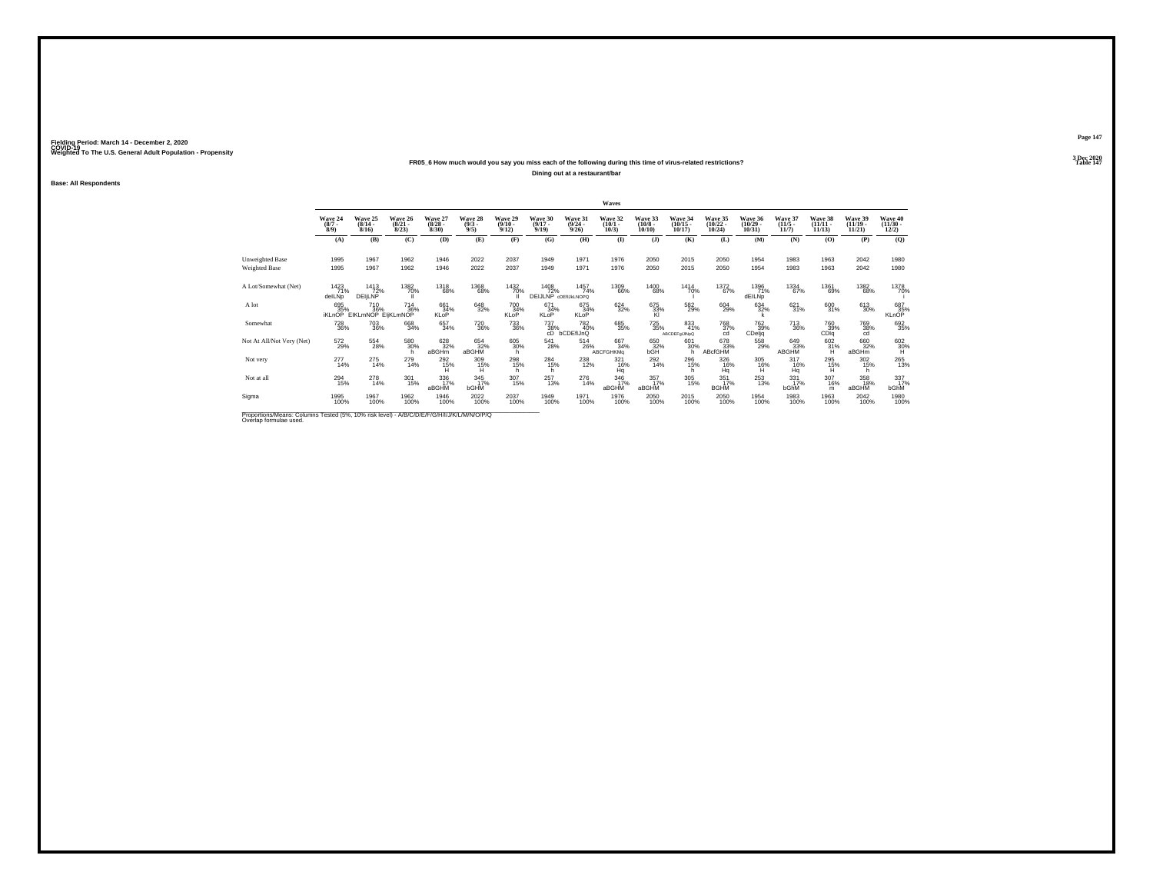### **FR05\_6 How much would you say you miss each of the following during this time of virus-related restrictions?**

**Dining out at a restaurant/bar**

**Base: All Respondents**

|                                                                                             |                               |                                                 |                                  |                                 |                                |                                 |                                     |                                  | Waves                           |                                  |                                     |                                     |                                   |                                  |                                    |                                   |                                          |
|---------------------------------------------------------------------------------------------|-------------------------------|-------------------------------------------------|----------------------------------|---------------------------------|--------------------------------|---------------------------------|-------------------------------------|----------------------------------|---------------------------------|----------------------------------|-------------------------------------|-------------------------------------|-----------------------------------|----------------------------------|------------------------------------|-----------------------------------|------------------------------------------|
|                                                                                             | Wave 24<br>$\binom{8/7}{8/9}$ | Wave 25<br>$\frac{(8/14)}{8/16}$                | Wave 26<br>$\frac{(8/21)}{8/23}$ | Wave 27<br>$\binom{8/28}{8/30}$ | Wave 28<br>$\frac{(9/3)}{9/5}$ | Wave 29<br>$\binom{9/10}{9/12}$ | Wave 30<br>$\frac{(9/17)}{9/19}$    | Wave 31<br>$\frac{(9/24)}{9/26}$ | Wave 32<br>$\binom{10/1}{10/3}$ | Wave 33<br>$\binom{10/8}{10/10}$ | Wave 34<br>$\binom{10/15}{10/17}$ . | Wave 35<br>$\binom{10/22}{10/24}$   | Wave 36<br>$\binom{10/29}{10/31}$ | Wave 37<br>$\frac{(11/5)}{11/7}$ | Wave 38<br>$\frac{(11/11)}{11/13}$ | Wave 39<br>$\binom{11/19}{11/21}$ | Wave 40<br>$\frac{(11/30 - 12/2)}{12/2}$ |
|                                                                                             | (A)                           | (B)                                             | (C)                              | (D)                             | (E)                            | (F)                             | (G)                                 | (H)                              | $\mathbf{I}$                    | $($ $)$                          | (K)                                 | (L)                                 | (M)                               | (N)                              | (O)                                | (P)                               | (Q)                                      |
| Unweighted Base                                                                             | 1995                          | 1967                                            | 1962                             | 1946                            | 2022                           | 2037                            | 1949                                | 1971                             | 1976                            | 2050                             | 2015                                | 2050                                | 1954                              | 1983                             | 1963                               | 2042                              | 1980                                     |
| Weighted Base                                                                               | 1995                          | 1967                                            | 1962                             | 1946                            | 2022                           | 2037                            | 1949                                | 1971                             | 1976                            | 2050                             | 2015                                | 2050                                | 1954                              | 1983                             | 1963                               | 2042                              | 1980                                     |
| A Lot/Somewhat (Net)                                                                        | 1423<br>71%<br>delLNp         | 1413<br>72%<br>DEIJLNP                          | 1382<br>70%                      | 1318<br>68%                     | 1368<br>68%                    | 1432<br>70%                     | 1408<br>72%<br>DEIJLNP CDEIIJKLNOPQ | 1457<br>74%                      | 1309<br>66%                     | 1400<br>68%                      | 1414<br>70%                         | 1372<br>67%                         | 1396<br>71%<br>dEILNp             | 1334<br>67%                      | 1361<br>69%                        | 1382<br>68%                       | 1378<br>70%                              |
| A lot                                                                                       | 695<br>35%                    | <sup>710</sup> 36%<br>iKLnOP EIKLmNOP EIjKLmNOP | <sup>714</sup> <sub>36%</sub>    | 661<br>34%<br>KLoP              | 648<br>32%                     | 700<br>34%<br>KLoP              | 671<br>34%<br>KLoP                  | 675<br>34%<br>KLoP               | 624<br>32%                      | 675<br>33%<br>KI                 | 582<br>29%                          | 604<br>29%                          | $\substack{634 \\ 32\%}$          | $\frac{621}{31\%}$               | 60031%                             | 613<br>30%                        | 687<br>35%<br><b>KLnOP</b>               |
| Somewhat                                                                                    | <sup>728</sup> <sub>36%</sub> | $\substack{703 \\ 36\%}$                        | 668<br>34%                       | 657<br>34%                      | <sup>720</sup> <sub>36%</sub>  | 733<br>36%                      | $\frac{737}{38\%}_{\text{cD}}$      | 782<br>40%<br><b>bCDEfIJnQ</b>   | 685<br>35%                      | $\substack{725 \\ 35\%}$         | $\frac{833}{41\%}$<br>ABCDEFgIJINpQ | <sup>768</sup> <sub>37%</sub><br>cd | 762<br>39%<br>CDeljq              | <sup>713</sup> <sub>36%</sub>    | 760<br>39%<br>CD <sub>Iq</sub>     | 769<br>38%<br>cd                  | 692<br>35%                               |
| Not At All/Not Very (Net)                                                                   | 572<br>29%                    | 554<br>28%                                      | 580<br>30%<br>h                  | 628<br>32%<br>aBGHm             | 654<br>32%<br>aBGHM            | 605<br>30%<br>h                 | 541<br>28%                          | 514<br>26%                       | 667<br>34%<br><b>ABCFGHKMg</b>  | 650<br>$b\widetilde{32}\%$       | 601<br>30%                          | 678<br>33%<br>ABcfGHM               | 558<br>29%                        | 649<br>33%<br><b>ABGHM</b>       | 602<br>31%<br>Ή                    | 660<br>32%<br>aBGHm               | $\frac{602}{30\%}$                       |
| Not very                                                                                    | $^{277}_{14\%}$               | $^{275}_{14\%}$                                 | $^{279}_{14\%}$                  | $^{292}_{15\%}$                 | 309<br>15%<br>Ĥ.               | 298<br>15%<br>h                 | 284<br>15%<br>h                     | 238                              | $\frac{321}{16\%}$<br>Hq        | $^{292}_{14\%}$                  | 296<br>15%                          | 326<br>16%<br>Hq                    | $^{305}_{~16\%}$                  | $^{317}_{16\%}$<br>Hq            | 295<br>15%<br>н                    | 302<br>15%                        | 265<br>13%                               |
| Not at all                                                                                  | <sup>294</sup> 15%            | $^{278}_{14\%}$                                 | 301<br>15%                       | 336<br>17%<br>aBGHM             | $345$<br>$17\%$<br><b>bGHM</b> | $^{307}_{15\%}$                 | 257<br>13%                          | $^{276}_{14\%}$                  | 346<br>aBGHM                    | 357<br>17%<br>aBGHM              | 305<br>15%                          | $351$ $17%$<br><b>BGHM</b>          | 253<br>13%                        | $331$<br>$17%$<br><b>bGhM</b>    | 307<br>16%<br>m                    | 358<br>18%<br>aBGHM               | 337<br>17%<br><b>bGhM</b>                |
| Sigma                                                                                       | 1995<br>100%                  | 1967<br>100%                                    | 1962<br>100%                     | 1946<br>100%                    | 2022<br>100%                   | 2037<br>100%                    | 1949<br>100%                        | 1971<br>100%                     | 1976<br>100%                    | 2050<br>100%                     | 2015<br>100%                        | 2050<br>100%                        | 1954<br>100%                      | 1983<br>100%                     | 1963<br>100%                       | 2042<br>100%                      | 1980<br>100%                             |
| Proportions/Means: Columns Tested (5%, 10% risk level) - A/R/C/D/F/F/G/H/I/ I/K/L/M/N/O/P/O |                               |                                                 |                                  |                                 |                                |                                 |                                     |                                  |                                 |                                  |                                     |                                     |                                   |                                  |                                    |                                   |                                          |

Proportions/Means: Columns Tested (5%, 10% risk level) - *N'B/C/D/E/F/G/H/I/J/K/L/M/N/O/P/Q*<br>Overlap formulae used.

**Page 1473 Dec 2020<br>Table 147** 

**Properties and the contract of the contract of the contract of the contract of the contract of the contract of the contract of the contract of the contract of the contract of the contract of the contract of the contract o**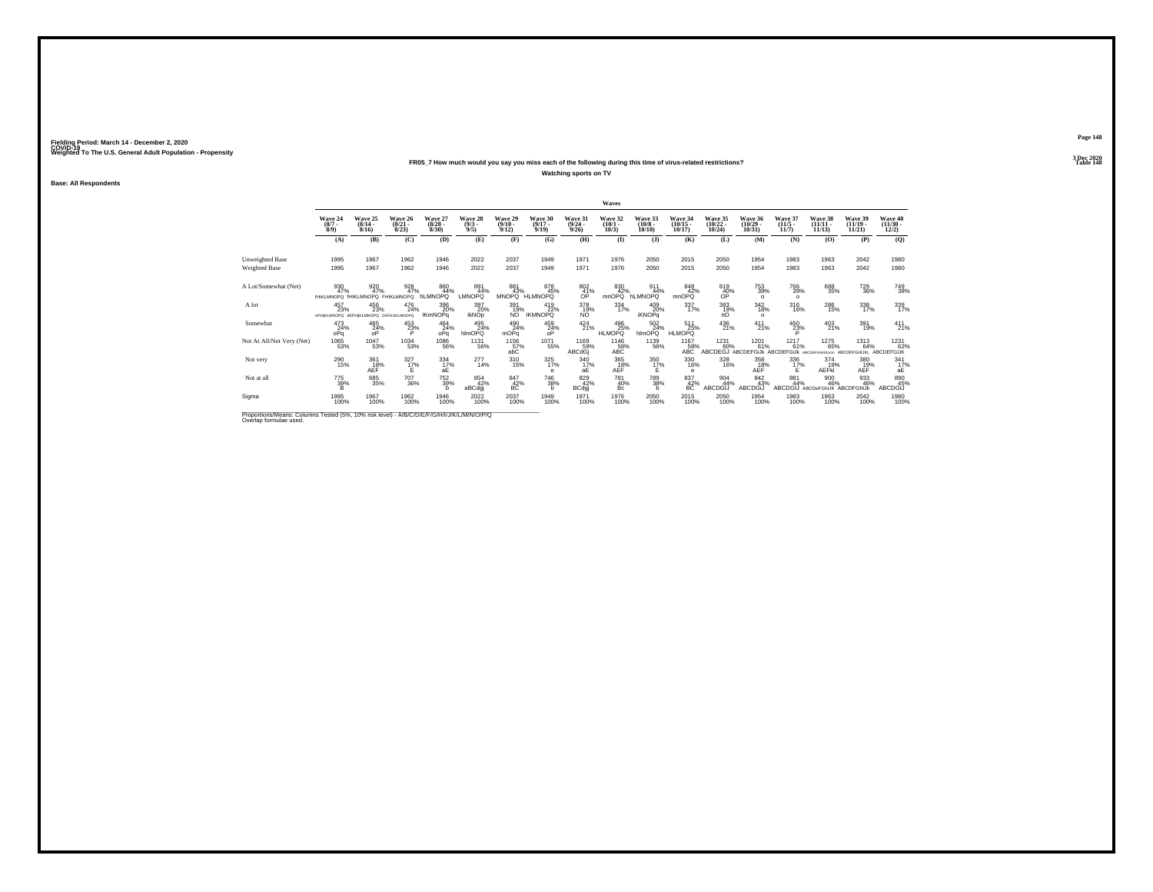### **FR05\_7 How much would you say you miss each of the following during this time of virus-related restrictions?Watching sports on TV**

**Base: All Respondents**

|                           |                                                      |                                  |                                  |                                 |                                |                                 |                                  |                                         | Waves                           |                                   |                                       |                                   |                                   |                                  |                                              |                                        |                                          |
|---------------------------|------------------------------------------------------|----------------------------------|----------------------------------|---------------------------------|--------------------------------|---------------------------------|----------------------------------|-----------------------------------------|---------------------------------|-----------------------------------|---------------------------------------|-----------------------------------|-----------------------------------|----------------------------------|----------------------------------------------|----------------------------------------|------------------------------------------|
|                           | Wave 24<br>$\binom{8/7}{8/9}$                        | Wave 25<br>$\frac{(8/14)}{8/16}$ | Wave 26<br>$\frac{(8/21)}{8/23}$ | Wave 27<br>$\binom{8/28}{8/30}$ | Wave 28<br>$\frac{(9/3)}{9/5}$ | Wave 29<br>$\binom{9/10}{9/12}$ | Wave 30<br>$\frac{(9/17)}{9/19}$ | Wave 31<br>$\frac{(9/24 - 9/26)}{9/26}$ | Wave 32<br>$\binom{10/1}{10/3}$ | Wave 33<br>$\frac{(10/8)}{10/10}$ | Wave 34<br>$\binom{10/15}{10/17}$     | Wave 35<br>$\binom{10/22}{10/24}$ | Wave 36<br>$\binom{10/29}{10/31}$ | Wave 37<br>$\frac{(11/5)}{11/7}$ | Wave 38<br>$(11/11 -$<br>11/13               | Wave 39<br>$\frac{(11/19)}{11/21}$     | Wave 40<br>$\frac{(11/30 - 12/2)}{12/2}$ |
|                           | (A)                                                  | (B)                              | (C)                              | (D)                             | (E)                            | (F)                             | (G)                              | (H)                                     | $($ $\Gamma$                    | $($ $)$                           | (K)                                   | (L)                               | (M)                               | (N)                              | (0)                                          | (P)                                    | (Q)                                      |
| Unweighted Base           | 1995                                                 | 1967                             | 1962                             | 1946                            | 2022                           | 2037                            | 1949                             | 1971                                    | 1976                            | 2050                              | 2015                                  | 2050                              | 1954                              | 1983                             | 1963                                         | 2042                                   | 1980                                     |
| Weighted Base             | 1995                                                 | 1967                             | 1962                             | 1946                            | 2022                           | 2037                            | 1949                             | 1971                                    | 1976                            | 2050                              | 2015                                  | 2050                              | 1954                              | 1983                             | 1963                                         | 2042                                   | 1980                                     |
| A Lot/Somewhat (Net)      | 930<br>47%<br>IHIKLMNOPQ IHIKLMNOPQ FHIKLMNOPQ       | 920<br>47%                       | 928<br>47%                       | 860<br>44%<br>hLMNOPQ           | 891<br>44%<br><b>LMNOPQ</b>    | 881<br>43%<br>MNOPQ             | 878<br>45%<br><b>HLMNOPQ</b>     | $\frac{802}{41\%}$<br>ОP                | 830<br>42%<br>mnOPQ             | 911<br>44%<br><b>hLMNOPQ</b>      | 848<br>42%<br>mnOPQ                   | 819<br>40%<br>OP                  | 753<br>39%<br>$\Omega$            | 766<br>39%<br>$\Omega$           | 688<br>35%                                   | 729<br>36%                             | 749<br>38%                               |
| A lot                     | 457<br>23%<br>@FHIKLMNOPQ dEFHIKLMNOPQ DEFHIJKLMNOPQ | 456<br>23%                       | 476<br>24%                       | 396<br>20%<br><b>IKmNOPq</b>    | 397<br>20%<br><b>ikNOp</b>     | 391<br>19%<br>NO.               | 419<br>22%<br><b>IKMNOPQ</b>     | 378<br>19%<br>NO.                       | 334<br>17%                      | 409<br>20%<br><b>iKNOPq</b>       | 337%                                  | 383<br>19%<br>nO                  | $\frac{342}{18%}$<br>$\Omega$     | 316<br>16%                       | 286<br>15%                                   | 338<br>17%                             | 339<br>17%                               |
| Somewhat                  | $^{473}_{24\%}$<br>oPq                               | $^{465}_{24\%}$                  | $^{453}_{23\%}$                  | $^{464}_{24\%}$<br>oPa          | 495<br>24%<br>hlmOPQ           | 490<br>24%<br>mOPq              | 459<br>24%<br>ōΡ                 | $^{424}_{21\%}$                         | 496<br>25%<br><b>HLMOPQ</b>     | $^{502}_{24\%}$<br>hlmOPO         | 511<br>25%<br>HLMOPO <sup>"</sup>     | $^{436}_{21\%}$                   | $^{411}_{21\%}$                   | $^{450}_{23\%}$                  | $^{403}_{21\%}$                              | 391<br>19%                             | $^{411}_{21\%}$                          |
| Not At All/Not Very (Net) | 1065<br>53%                                          | 1047<br>53%                      | $\underset{53\%}{^{1034}}$       | 1086<br>56%                     | 1131<br>56%                    | $^{1156}_{\,\,\,57\%}$ abC      | 1071<br>55%                      | 1169<br>59%<br>ABCdGi                   | 1146<br>58%<br>ABC              | 1139<br>56%                       | 1167<br>58%<br>ABC                    | 1231<br>60%<br>ABCDEĞJ            | 1201<br>61%<br><b>ABCDEFGLIK</b>  | 1217<br>61%<br>ABCDEFGiJk        | 1275<br>65%<br>ARCOFFOHUKUmn                 | 1313<br>64%<br>ABCDEFGHIJKL ABCDEFGIJK | 1231<br>62%                              |
| Not very                  | 290<br>15%                                           | $\frac{361}{18%}$<br><b>AEF</b>  | $\frac{327}{17}\%$<br>F          | 334<br>17%<br>аE                | $^{277}_{14\%}$                | $^{310}_{15\%}$                 | 325<br>17%<br>e                  | $\frac{340}{17}\%$<br>аF                | 365<br>18%<br>AEF               | 350<br>17%<br>F                   | 330<br>16%<br>e                       | 328<br>16%                        | 358<br>AEF                        | $\frac{336}{17\%}$               | 374<br>19%<br>AEFKI                          | 380<br>19%<br>AEF                      | $\frac{341}{17}\%$<br>aЕ                 |
| Not at all                | $^{775}_{39\%}$                                      | $\substack{685 \\ 35\%}$         | <sup>707</sup> 36%               | 752<br>39%<br>h                 | 854<br>42%<br>aBCdgj           | 847<br>42%<br>BC                | <sup>746</sup> 38%<br>h          | 829<br>42%<br><b>BCdgj</b>              | 781<br>40%<br>Bc                | 789<br>38%<br>h                   | $^{837}_{\substack{42\%\\\text{BC}}}$ | 904<br>44%<br>ABCDGIJ             | 842<br>43%<br>ABCDGiJ             | 881<br>44%                       | 900<br>46%<br>ABCDGIJ ABCDeFGhIJK ABCDFGhIJK | 933<br>46%                             | 890<br>45%<br>ABCDGIJ                    |
| Sigma                     | 1995<br>100%                                         | 1967<br>100%                     | 1962<br>100%                     | 1946<br>100%                    | 2022<br>100%                   | 2037<br>100%                    | 1949<br>100%                     | 1971<br>100%                            | 1976<br>100%                    | 2050<br>100%                      | 2015<br>100%                          | 2050<br>100%                      | 1954<br>100%                      | 1983<br>100%                     | 1963<br>100%                                 | 2042<br>100%                           | 1980<br>100%                             |
|                           |                                                      |                                  |                                  |                                 |                                |                                 |                                  |                                         |                                 |                                   |                                       |                                   |                                   |                                  |                                              |                                        |                                          |

Proportions/Means: Columns Tested (5%, 10% risk level) - *N'B/C/D/E/F/G/H/I/J/K/L/M/N/O/P/Q*<br>Overlap formulae used.

**Page 1483 Dec 2020<br>Table 148** 

**Particular Table 148 Table 148**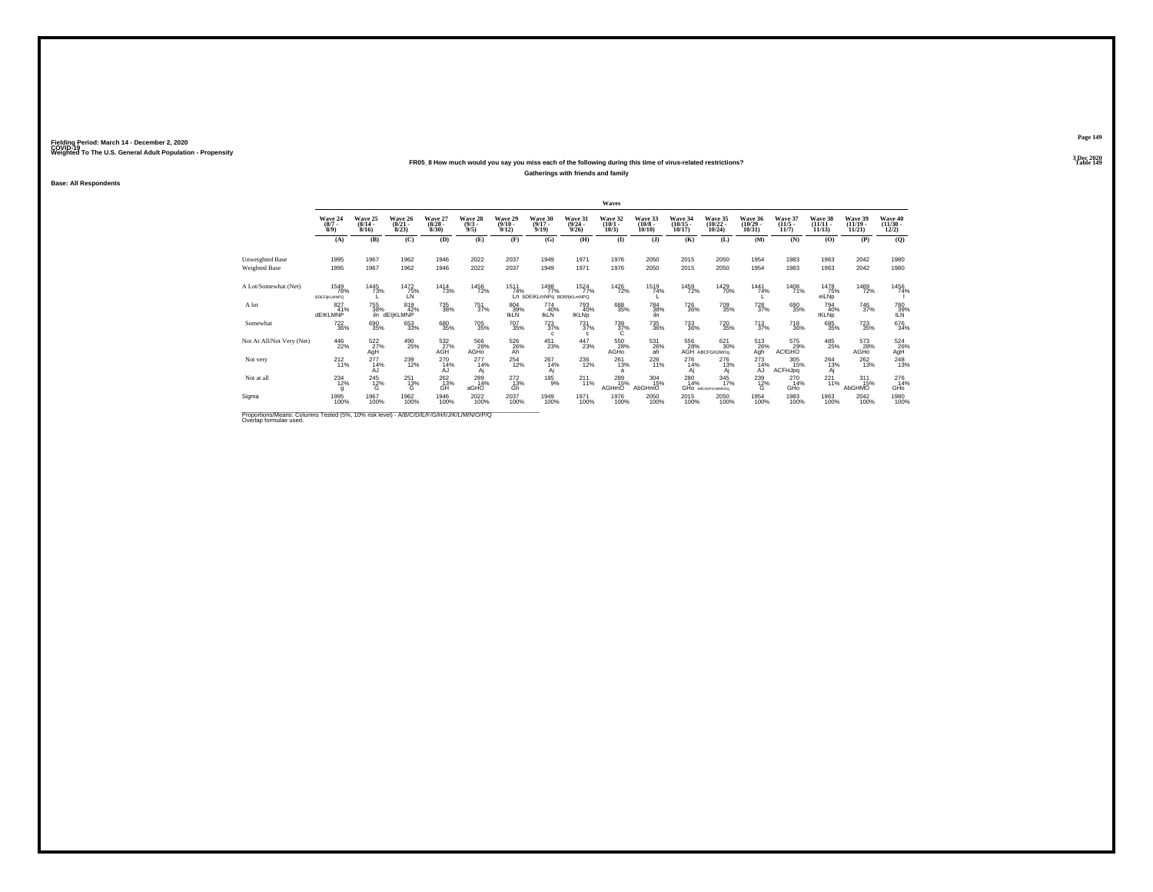### **FR05\_8 How much would you say you miss each of the following during this time of virus-related restrictions?**

**Gatherings with friends and family**

**Base: All Respondents**

|                                                                                         |                                   |                                  |                                  |                                 |                               |                                  |                                           |                                      | Waves                           |                                  |                                    |                                         |                                   |                                  |                                    |                                   |                                   |
|-----------------------------------------------------------------------------------------|-----------------------------------|----------------------------------|----------------------------------|---------------------------------|-------------------------------|----------------------------------|-------------------------------------------|--------------------------------------|---------------------------------|----------------------------------|------------------------------------|-----------------------------------------|-----------------------------------|----------------------------------|------------------------------------|-----------------------------------|-----------------------------------|
|                                                                                         | Wave 24<br>$\binom{8/7}{8/9}$     | Wave 25<br>$\frac{(8/14)}{8/16}$ | Wave 26<br>$\frac{(8/21)}{8/23}$ | Wave 27<br>$\binom{8/28}{8/30}$ | Wave 28<br>$\binom{9/3}{9/5}$ | Wave 29<br>$\frac{(9/10)}{9/12}$ | Wave 30<br>$\frac{(9/17)}{9/19}$          | Wave 31<br>$\frac{(9/24)}{9/26}$     | Wave 32<br>$\binom{10/1}{10/3}$ | Wave 33<br>$\binom{10/8}{10/10}$ | Wave 34<br>$\frac{(10/15)}{10/17}$ | Wave 35<br>$\binom{10/22}{10/24}$       | Wave 36<br>$\binom{10/29}{10/31}$ | Wave 37<br>$\frac{(11/5)}{11/7}$ | Wave 38<br>$\frac{(11/11)}{11/13}$ | Wave 39<br>$\binom{11/19}{11/21}$ | Wave 40<br>$\frac{(11/30)}{12/2}$ |
|                                                                                         | (A)                               | (B)                              | (C)                              | (D)                             | (E)                           | (F)                              | (G)                                       | (H)                                  | $($ $\blacksquare$              | $($ $)$                          | (K)                                | (L)                                     | (M)                               | (N)                              | (O)                                | (P)                               | (Q)                               |
| Unweighted Base                                                                         | 1995                              | 1967                             | 1962                             | 1946                            | 2022                          | 2037                             | 1949                                      | 1971                                 | 1976                            | 2050                             | 2015                               | 2050                                    | 1954                              | 1983                             | 1963                               | 2042                              | 1980                              |
| Weighted Base                                                                           | 1995                              | 1967                             | 1962                             | 1946                            | 2022                          | 2037                             | 1949                                      | 1971                                 | 1976                            | 2050                             | 2015                               | 2050                                    | 1954                              | 1983                             | 1963                               | 2042                              | 1980                              |
| A Lot/Somewhat (Net)                                                                    | 1549<br>78%<br><b>BDEFIKLMNPQ</b> | 1445<br>73%                      | 1472<br>75%<br>LN                | 1414<br>73%                     | 1456<br>72%                   | 1511<br>74%                      | 1498<br>77%<br>Ln bDEIKLmNPg BDEfliKLmNPQ | 1524<br>77%                          | 1426<br>72%                     | 1519<br>74%                      | 1459<br>72%                        | 1429<br>70%                             | 1441<br>74%                       | 1408<br>71%                      | 1478<br>75%<br>eiLNp               | 1469<br>72%                       | 1456<br>74%                       |
| A lot                                                                                   | 827<br>41%<br><b>dEIKLMNP</b>     | 755<br>38%                       | 819<br>42%<br>iln dEljKLMNP      | 735<br>38%                      | <sup>751</sup> <sub>37%</sub> | 804<br>39%<br><b>IKLN</b>        | 774<br>40%<br><b>IKLN</b>                 | 793<br>40%<br><b>IKLNp</b>           | 688<br>35%                      | <sup>784</sup> 38%<br>iln        | <sup>726</sup> 36%                 | 709<br>35%                              | $^{728}_{37\%}$                   | 690<br>35%                       | 794<br>40%<br><b>IKLNp</b>         | <sup>746</sup> 37%                | 780<br>39%<br><b>ILN</b>          |
| Somewhat                                                                                | <sup>722</sup> <sub>36%</sub>     | 690<br>35%                       | 653<br>33%                       | 680<br>35%                      | <sup>705</sup> 35%            | <sup>707</sup> 35%               | $^{723}_{37\%}$<br>$\mathbf{c}$           | $\substack{731 \\ 37\%}$<br>$\Omega$ | $\frac{739}{37\%}$              | 735<br>36%                       | <sup>733</sup> <sub>36%</sub>      | <sup>720</sup> <sub>35%</sub>           | $^{713}_{37\%}$                   | <sup>718</sup> 36%               | 685<br>35%                         | <sup>723</sup> 35%                | 676<br>34%                        |
| Not At All/Not Very (Net)                                                               | 446<br>22%                        | 522<br>27%<br>AgH                | 490<br>25%                       | 532<br>27%<br>AGH               | 566<br>28%<br>AGHO            | 526<br>26%<br>Āĥ                 | $^{451}_{23\%}$                           | $\frac{447}{23\%}$                   | 550<br>28%<br>AGHO              | 531<br>26%<br>aĥ                 | 556                                | 621<br>30%<br>28% 30%<br>AGH ABCFGHJMOq | 513<br>26%<br>Agh                 | 575<br>29%<br><b>ACfGHO</b>      | 485<br>25%                         | 573<br>28%<br>AGHO                | 524<br>26%<br>AgH                 |
| Not very                                                                                | $^{212}_{11\%}$                   | $^{277}_{14\%}$<br>AJ            | 239<br>12%                       | 270<br>14%<br>AJ                | $^{277}_{14\%}$<br>Aj         | $^{254}_{12\%}$                  | $^{267}_{14\%}$<br>Aį                     | $^{236}_{12\%}$                      | $^{261}_{13\%}$<br>a            | $^{226}_{11\%}$                  | 276<br>14%<br>Aj                   | 276<br>13%<br>Ai                        | $^{273}_{14\%}$<br>AJ             | 305<br>15%<br>ACFHJpq            | 264<br>13%<br>Aj                   | 262<br>13%                        | $^{248}_{13\%}$                   |
| Not at all                                                                              | $^{234}_{12\%}$                   | $^{245}_{12\%}$                  | $^{251}_{13\%}$<br>G             | $^{262}_{\rm{GH}}$              | 289<br>14%<br>aGHO            | 272<br>13%<br>Ġĥ                 | $^{185}_{9%}$                             | $^{211}_{11\%}$                      | 289<br>15%<br>AGHmO             | 304<br>15%<br>AbGHmO             | 280<br>14%                         | 345<br>17%<br>GHO ABCDeFGHMMOs          | $^{239}_{12\%}$                   | 270<br>14%<br>GHo                | $^{221}_{11\%}$                    | $^{311}_{15\%}$<br>AbGHMO         | 276<br>14%<br>GHO                 |
| Sigma                                                                                   | 1995<br>100%                      | 1967<br>100%                     | 1962<br>100%                     | 1946<br>100%                    | 2022<br>100%                  | 2037<br>100%                     | 1949<br>100%                              | 1971<br>100%                         | 1976<br>100%                    | 2050<br>100%                     | 2015<br>100%                       | 2050<br>100%                            | 1954<br>100%                      | 1983<br>100%                     | 1963<br>100%                       | $^{2042}_{100\%}$                 | 1980<br>100%                      |
| Proportions/Means: Columns Tested (5%, 10% risk level) - A/R/C/D/F/F/G/H/U/ I/M/M/O/P/O |                                   |                                  |                                  |                                 |                               |                                  |                                           |                                      |                                 |                                  |                                    |                                         |                                   |                                  |                                    |                                   |                                   |

Proportions/Means: Columns Tested (5%, 10% risk level) - *N'B/C/D/E/F/G/H/I/J/K/L/M/N/O/P/Q*<br>Overlap formulae used.

**Page 1493 Dec 2020<br>Table 149** 

**Particular Table 149**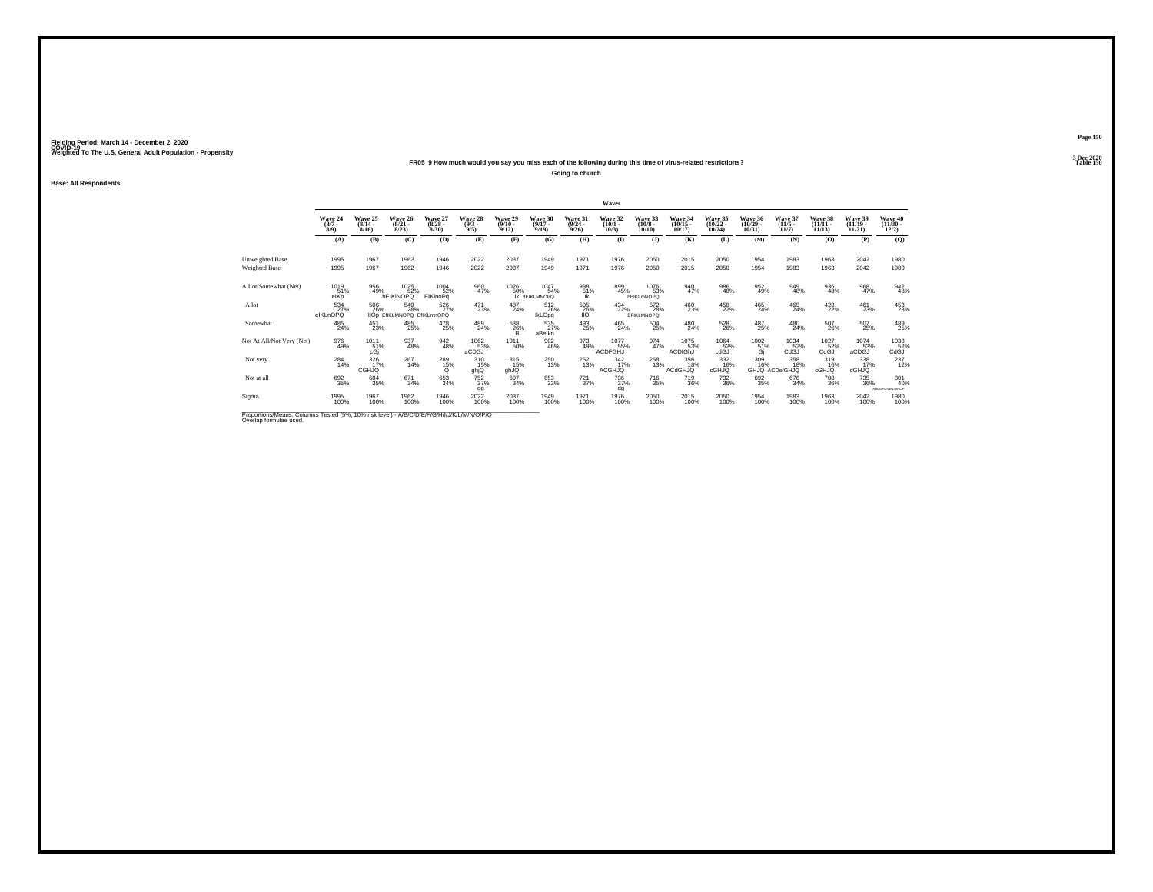### **FR05\_9 How much would you say you miss each of the following during this time of virus-related restrictions?**

**Going to church**

**Base: All Respondents**

|                                                                                        |                               |                                  |                                          |                                 |                               |                                  |                                  |                                         | Waves                               |                                  |                                   |                                   |                                   |                                  |                                    |                                    |                                                     |
|----------------------------------------------------------------------------------------|-------------------------------|----------------------------------|------------------------------------------|---------------------------------|-------------------------------|----------------------------------|----------------------------------|-----------------------------------------|-------------------------------------|----------------------------------|-----------------------------------|-----------------------------------|-----------------------------------|----------------------------------|------------------------------------|------------------------------------|-----------------------------------------------------|
|                                                                                        | Wave 24<br>$\binom{8/7}{8/9}$ | Wave 25<br>$\frac{(8/14)}{8/16}$ | Wave 26<br>$\frac{(8/21)}{8/23}$         | Wave 27<br>$\binom{8/28}{8/30}$ | Wave 28<br>$\binom{9/3}{9/5}$ | Wave 29<br>$\frac{(9/10)}{9/12}$ | Wave 30<br>$\frac{(9/17)}{9/19}$ | Wave 31<br>$\frac{(9/24 - 9/26)}{9/26}$ | Wave 32<br>$\binom{10/1}{10/3}$     | Wave 33<br>$\binom{10/8}{10/10}$ | Wave 34<br>$\binom{10/15}{10/17}$ | Wave 35<br>$\binom{10/22}{10/24}$ | Wave 36<br>$\binom{10/29}{10/31}$ | Wave 37<br>$\frac{(11/5)}{11/7}$ | Wave 38<br>$\frac{(11/11)}{11/13}$ | Wave 39<br>$\frac{(11/19)}{11/21}$ | Wave 40<br>$\frac{(11/30 - 12/2)}{12/2}$            |
|                                                                                        | (A)                           | (B)                              | (C)                                      | (D)                             | (E)                           | (F)                              | (G)                              | (H)                                     | $($ $\Gamma$                        | $($ $)$                          | (K)                               | (L)                               | (M)                               | (N)                              | (0)                                | (P)                                | (Q)                                                 |
| Unweighted Base                                                                        | 1995                          | 1967                             | 1962                                     | 1946                            | 2022                          | 2037                             | 1949                             | 1971                                    | 1976                                | 2050                             | 2015                              | 2050                              | 1954                              | 1983                             | 1963                               | 2042                               | 1980                                                |
| <b>Weighted Base</b>                                                                   | 1995                          | 1967                             | 1962                                     | 1946                            | 2022                          | 2037                             | 1949                             | 1971                                    | 1976                                | 2050                             | 2015                              | 2050                              | 1954                              | 1983                             | 1963                               | 2042                               | 1980                                                |
| A Lot/Somewhat (Net)                                                                   | 1019<br>51%<br>elKp           | 956<br>49%                       | 1025<br>52%<br><b>bEIKINOPQ</b>          | 1004<br>52%<br>EIKInoPq         | 960<br>47%                    | 1026<br>50%                      | 1047<br>54%<br>IK BEIKLMNOPO     | 998<br>51%<br>Ιk                        | 899<br>45%                          | 1076<br>53%<br><b>bEIKLmNOPQ</b> | 940<br>47%                        | 986<br>48%                        | $\frac{952}{49\%}$                | 949<br>48%                       | 936<br>48%                         | 968<br>47%                         | 942<br>48%                                          |
| A lot                                                                                  | 534<br>27%<br>elKLnOPQ        | 506<br>26%                       | 540<br>28%<br>IIOp EfIKLMNOPQ EfIKLmnOPQ | 526<br>27%                      | 471<br>23%                    | 487<br>24%                       | $^{512}_{26\%}$<br>IkLOpq        | $^{505}_{\,26\%}$<br><b>IIO</b>         | 434<br>22%                          | 572<br>28%<br><b>EFIKLMNOPQ</b>  | 460<br>23%                        | 458<br>22%                        | $^{465}_{24\%}$                   | 469<br>24%                       | 428<br>22%                         | 461<br>23%                         | 453                                                 |
| Somewhat                                                                               | 485<br>24%                    | $^{451}_{23\%}$                  | 485<br>25%                               | 478<br>25%                      | 489<br>24%                    | 538<br>26%<br>B.                 | 535<br>27%<br>aBelkn             | 493<br>25%                              | 465<br>24%                          | $^{504}_{25\%}$                  | 480<br>24%                        | 528<br>26%                        | 487<br>25%                        | 480<br>24%                       | 507<br>26%                         | 507<br>25%                         | 489<br>25%                                          |
| Not At All/Not Very (Net)                                                              | 976<br>49%                    | 1011<br>51%<br>cGi               | 937<br>48%                               | $\frac{942}{48\%}$              | 1062<br>53%<br>aCDGJ          | 1011<br>50%                      | $\substack{902\\46\%}$           | 973<br>49%                              | 1077<br>55%<br>ACDFGHJ              | 974<br>47%                       | 1075<br>53%<br>ACDfGhJ            | 1064<br>52%<br>cdGJ               |                                   | 1034<br>52%<br>CdGJ              | 1027<br>52%<br>CdGJ                | 1074<br>aCDGJ <sup>%</sup>         | $\overset{1038}{\underset{\text{CdGJ}}{\text{52}}}$ |
| Not very                                                                               | $^{284}_{14\%}$               | 326<br><b>CGHJQ</b>              | 267<br>14%                               | 289<br>15%<br>$\Omega$          | 310<br>15%<br>ghjQ            | 315<br>15%<br>ghJQ               | $^{250}_{13\%}$                  | $^{252}_{13\%}$                         | $\frac{342}{17\%}$<br><b>ACGHJQ</b> | 258<br>13%                       | 356<br>18%<br><b>ACdGHJQ</b>      | $\frac{332}{16\%}$<br>cGHJQ       | 309<br>16%                        | 358<br>18%<br>GHJQ ACDefGHJQ     | 319<br>16%<br>cGHJQ                | 338<br>17%<br><b>CGHJQ</b>         | 237<br>12%                                          |
| Not at all                                                                             | 692<br>35%                    | 684<br>35%                       | $671 \over 34\%$                         | 653<br>34%                      | $^{752}_{37\%}$<br>dq         | 697<br>34%                       | 653<br>33%                       | $^{721}_{37\%}$                         | <sup>736</sup> <sub>37%</sub><br>dg | <sup>716</sup> 35%               | 719<br>36%                        | $^{732}_{36\%}$                   | 692<br>35%                        | $\substack{676 \\ 34\%}$         | <sup>708</sup> 36%                 | 735<br>36%                         | 801<br>40%<br>ABCDFG/NKLMNOP                        |
| Sigma                                                                                  | 1995<br>100%                  | 1967<br>100%                     | 1962<br>100%                             | 1946<br>100%                    | 2022<br>100%                  | 2037<br>100%                     | 1949<br>100%                     | 1971<br>100%                            | 1976<br>100%                        | 2050<br>100%                     | 2015<br>100%                      | 2050<br>100%                      | 1954<br>100%                      | 1983<br>100%                     | 1963<br>100%                       | 2042<br>100%                       | 1980<br>100%                                        |
| Proportions Means: Columns Tested (5%, 10% risk love) - A/B/C/D/E/E/C/H/U/M/ M/N/O/D/O |                               |                                  |                                          |                                 |                               |                                  |                                  |                                         |                                     |                                  |                                   |                                   |                                   |                                  |                                    |                                    |                                                     |

Proportions/Means: Columns Tested (5%, 10% risk level) - *N'B/C/D/E/F/G/H/I/J/K/L/M/N/O/P/Q*<br>Overlap formulae used.

**Page 1503 Dec 2020<br>Table 150** 

**Table 150 Table 150**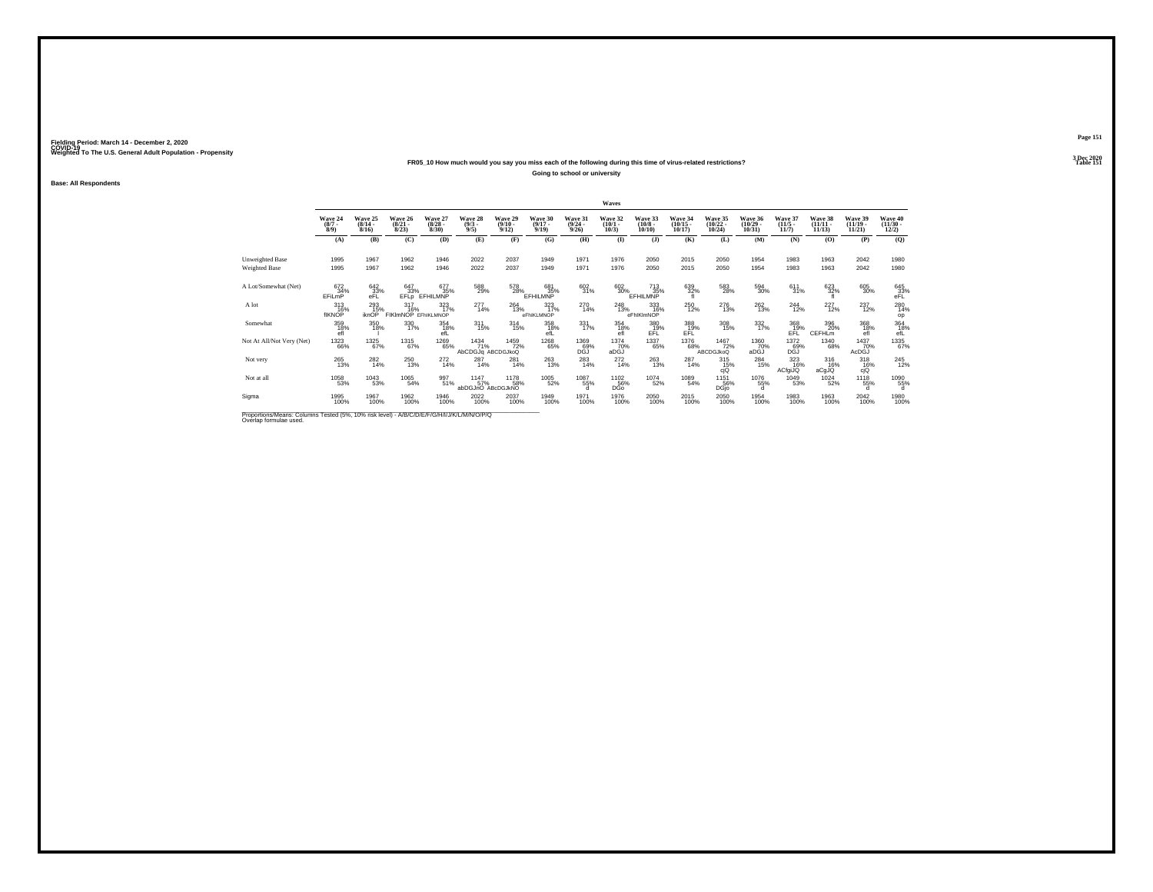### **FR05\_10 How much would you say you miss each of the following during this time of virus-related restrictions?**

**Going to school or university**

**Base: All Respondents**

|                                                                                          |                               |                              |                                     |                                 |                                       |                                         |                              |                                  | Waves                           |                                                          |                                                          |                                   |                                   |                              |                                |                                |                                         |
|------------------------------------------------------------------------------------------|-------------------------------|------------------------------|-------------------------------------|---------------------------------|---------------------------------------|-----------------------------------------|------------------------------|----------------------------------|---------------------------------|----------------------------------------------------------|----------------------------------------------------------|-----------------------------------|-----------------------------------|------------------------------|--------------------------------|--------------------------------|-----------------------------------------|
|                                                                                          | Wave 24<br>$\binom{8/7}{8/9}$ | Wave 25<br>$(8/14 -$<br>8/16 | Wave 26<br>$\frac{(8/21)}{8/23}$    | Wave 27<br>$\binom{8/28}{8/30}$ | Wave 28<br>$\frac{(9/3)}{9/5}$        | Wave 29<br>$\frac{(9/10 - 9/12)}{9/12}$ | Wave 30<br>$(9/17 -$<br>9/19 | Wave 31<br>$\frac{(9/24)}{9/26}$ | Wave 32<br>$\binom{10/1}{10/3}$ | Wave 33<br>$\binom{10/8}{10/10}$                         | Wave 34<br>$(10/15 -$<br>10/17                           | Wave 35<br>$\binom{10/22}{10/24}$ | Wave 36<br>$\binom{10/29}{10/31}$ | Wave 37<br>$(11/5 -$<br>11/7 | Wave 38<br>$(11/11 -$<br>11/13 | Wave 39<br>$(11/19 -$<br>11/21 | Wave 40<br>$(11/30 -$<br>12/2)          |
|                                                                                          | (A)                           | (B)                          | (C)                                 | (D)                             | (E)                                   | (F)                                     | (G)                          | (H)                              | $\bf(I)$                        | $($ $)$                                                  | (K)                                                      | (L)                               | (M)                               | (N)                          | (O)                            | (P)                            | $\mathbf{Q}$                            |
| Unweighted Base                                                                          | 1995                          | 1967                         | 1962                                | 1946                            | 2022                                  | 2037                                    | 1949                         | 1971                             | 1976                            | 2050                                                     | 2015                                                     | 2050                              | 1954                              | 1983                         | 1963                           | 2042                           | 1980                                    |
| Weighted Base                                                                            | 1995                          | 1967                         | 1962                                | 1946                            | 2022                                  | 2037                                    | 1949                         | 1971                             | 1976                            | 2050                                                     | 2015                                                     | 2050                              | 1954                              | 1983                         | 1963                           | 2042                           | 1980                                    |
| A Lot/Somewhat (Net)                                                                     | 672<br>34%<br>EFiLmP          | 642<br>33%<br>eFL            | 647<br>33%<br>EFLp                  | 677<br>35%<br><b>EFHILMNP</b>   | 588<br>29%                            | 578<br>28%_                             | 681<br>35%<br>EFHILMNP       | 602<br>31%                       | 602<br>30%                      | 713<br>35%<br>EFHILMNP                                   | 639<br>32%<br>fl                                         | 583<br>28%                        | $^{594}_{\ 30\%}$                 | 611<br>31%                   | 623<br>32%                     | 605<br>30%                     | $^{645}_{\substack{33\%\\ \text{eFL}}}$ |
| A lot                                                                                    | 313<br>16%<br>fIKNOP          | 293<br>15%<br>iknOP          | $317_{16\%}$<br>FIKIMNOP EFHIKLMNOP | $\frac{323}{17\%}$              | $^{277}_{14\%}$                       | 264<br>13%                              | 323/17%<br>eFhIKLMNOP        | $^{270}_{14\%}$                  | $^{248}_{13\%}$                 | 333<br>16%<br>eFhlKlmNOP                                 | $^{250}_{12\%}$                                          | $^{276}_{13\%}$                   | $^{262}_{13\%}$                   | $^{244}_{12\%}$              | $^{227}_{12\%}$                | 237<br>12%                     | $^{280}_{14\%}$<br>op                   |
| Somewhat                                                                                 | 359<br>18%<br>efl             | 350<br>18%                   | 330<br>17%                          | 354<br>18%                      | $^{311}_{15\%}$                       | 314<br>15%                              | 358<br>18%<br>efL            | $\frac{331}{17\%}$               | 354<br>18%<br>efi               | $\begin{array}{c} 380 \\ 19\% \\ \text{EFL} \end{array}$ | $\begin{array}{c} 388 \\ 19\% \\ \text{EFL} \end{array}$ | $\frac{308}{15\%}$                | $\frac{332}{17\%}$                | $\frac{368}{EFL}$ %          | 396<br>20%<br><b>CEFHLm</b>    | 368<br>18%<br>efl              | $^{364}_{\rm -18\%}$ efL                |
| Not At All/Not Very (Net)                                                                | $\substack{1323 \\ 66\%}$     | $^{1325}_{67\%}$             | 1315<br>67%                         | 1269<br>65%                     | 1434<br>71%<br>AbCDGJq ABCDGJkoQ      | 1459<br>72%                             | $^{1268}_{65\%}$             | 1369<br>69%<br>DĞĴ               | 1374<br>70%<br>aDĠĴ             | 1337<br>65%                                              | 1376<br>68%                                              | 1467<br>72%<br><b>ABCDGJkoQ</b>   | 1360<br>70%<br>aDGJ               | 1372<br>69%<br>DĞĴ           | 1340<br>68%                    | 1437<br>70%<br>AcDGJ           | 1335<br>67%                             |
| Not very                                                                                 | $^{265}_{13\%}$               | $^{282}_{14\%}$              | 250<br>13%                          | $^{272}_{14\%}$                 | 287<br>14%                            | 281<br>14%                              | $^{263}_{13\%}$              | $^{283}_{14\%}$                  | $^{272}_{14\%}$                 | 263<br>13%                                               | 287<br>14%                                               | 315/15%<br>cjQ                    | <sup>284</sup> <sub>15%</sub>     | 323<br>16%<br>ACfgiJQ        | 316<br>16%<br>aCqJQ            | 318 16%<br>cjQ                 | <sup>245</sup> 12%                      |
| Not at all                                                                               | 1058<br>53%                   | <sup>1043</sup> 53%          | 1065<br>54%                         | 997<br>51%                      | $^{1147}_{57\%}$<br>abDGJnO ABcDGJkNO | <sup>1178</sup> 58%                     | 1005<br>52%                  | 1087<br>55%<br>d.                | 1102<br>56%<br>DGo              | <sup>1074</sup> 52%                                      | 1089<br>54%                                              | 1151<br>56%<br>DGjo               | 1076<br>55%<br>d                  | 1049<br>53%                  | <sup>1024</sup> <sub>52%</sub> | <sup>1118</sup> 55%            | 1090<br>55%                             |
| Sigma                                                                                    | 1995<br>100%                  | 1967<br>100%                 | 1962<br>100%                        | 1946<br>100%                    | 2022<br>100%                          | 2037<br>100%                            | 1949<br>100%                 | 1971<br>100%                     | 1976<br>100%                    | 2050<br>100%                                             | 2015<br>100%                                             | 2050<br>100%                      | 1954<br>100%                      | 1983<br>100%                 | 1963<br>100%                   | <sup>2042</sup> 100%           | 1980<br>100%                            |
| Proportions Means: Columns Tested (5%, 10% risk level) - A/R/C/D/E/E/C/H/U/I/A/M/N/O/P/O |                               |                              |                                     |                                 |                                       |                                         |                              |                                  |                                 |                                                          |                                                          |                                   |                                   |                              |                                |                                |                                         |

Proportions/Means: Columns Tested (5%, 10% risk level) - *N'B/C/D/E/F/G/H/I/J/K/L/M/N/O/P/Q*<br>Overlap formulae used.

**Page 1513 Dec 2020<br>Table 151** 

**Table 151 Table 151**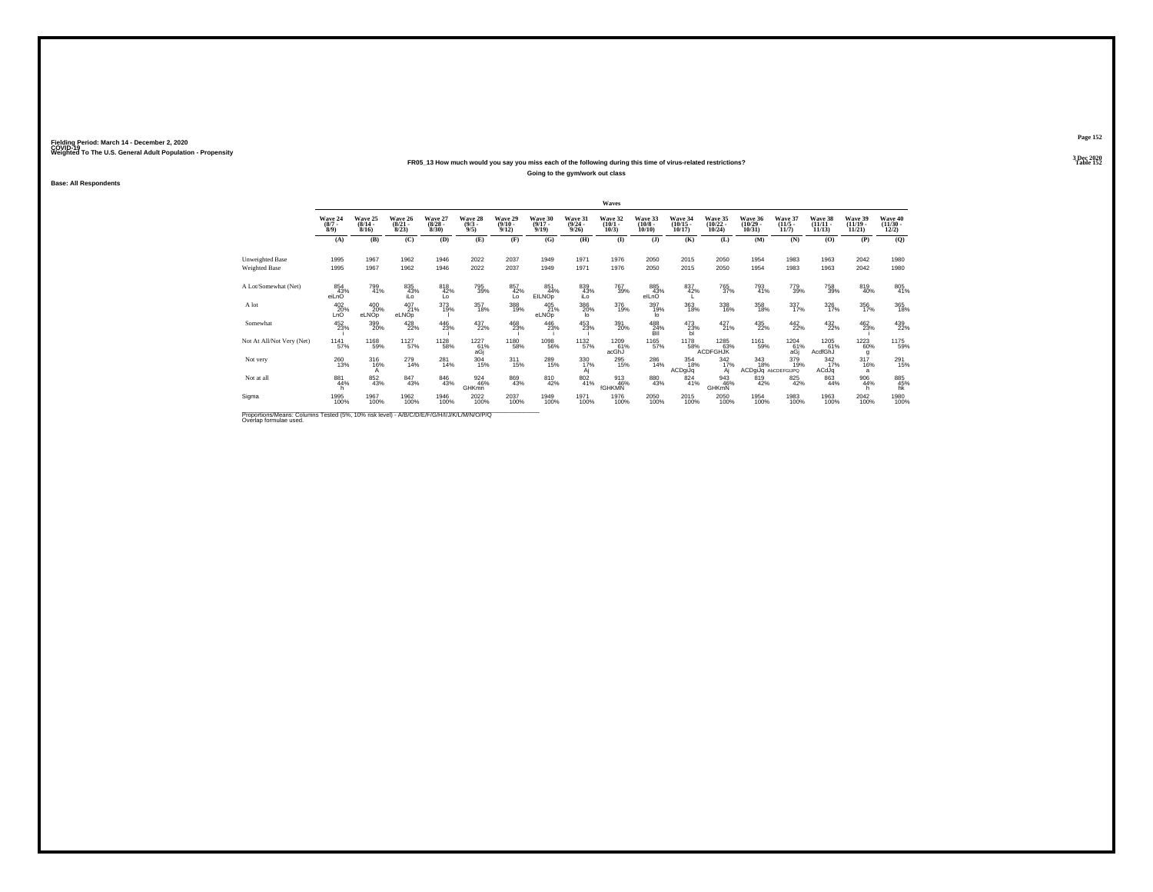### **FR05\_13 How much would you say you miss each of the following during this time of virus-related restrictions?Going to the gym/work out class**

**Base: All Respondents**

|                                                                                                                                                                                                                                   |                               |                                  |                                 |                                 |                                         |                                 |                                  |                                  | Waves                           |                                            |                                   |                                   |                                   |                                  |                                    |                                      |                                          |
|-----------------------------------------------------------------------------------------------------------------------------------------------------------------------------------------------------------------------------------|-------------------------------|----------------------------------|---------------------------------|---------------------------------|-----------------------------------------|---------------------------------|----------------------------------|----------------------------------|---------------------------------|--------------------------------------------|-----------------------------------|-----------------------------------|-----------------------------------|----------------------------------|------------------------------------|--------------------------------------|------------------------------------------|
|                                                                                                                                                                                                                                   | Wave 24<br>$\binom{8/7}{8/9}$ | Wave 25<br>$\frac{(8/14)}{8/16}$ | Wave 26<br>$\binom{8/21}{8/23}$ | Wave 27<br>$\binom{8/28}{8/30}$ | Wave 28<br>$\binom{9/3}{9/5}$           | Wave 29<br>$\binom{9/10}{9/12}$ | Wave 30<br>$\frac{(9/17)}{9/19}$ | Wave 31<br>$\frac{(9/24)}{9/26}$ | Wave 32<br>$\binom{10/1}{10/3}$ | Wave 33<br>$\frac{(10/8)}{10/10}$          | Wave 34<br>$\binom{10/15}{10/17}$ | Wave 35<br>$\binom{10/22}{10/24}$ | Wave 36<br>$\binom{10/29}{10/31}$ | Wave 37<br>$\frac{(11/5)}{11/7}$ | Wave 38<br>$\frac{(11/11)}{11/13}$ | Wave 39<br>$\binom{11/19}{11/21}$    | Wave 40<br>$\frac{(11/30 - 12/2)}{12/2}$ |
|                                                                                                                                                                                                                                   | (A)                           | (B)                              | (C)                             | (D)                             | (E)                                     | (F)                             | (G)                              | (H)                              | $\mathbf{I}$                    | $($ $)$                                    | (K)                               | (L)                               | (M)                               | (N)                              | (O)                                | (P)                                  | (Q)                                      |
| Unweighted Base                                                                                                                                                                                                                   | 1995                          | 1967                             | 1962                            | 1946                            | 2022                                    | 2037                            | 1949                             | 1971                             | 1976                            | 2050                                       | 2015                              | 2050                              | 1954                              | 1983                             | 1963                               | 2042                                 | 1980                                     |
| Weighted Base                                                                                                                                                                                                                     | 1995                          | 1967                             | 1962                            | 1946                            | 2022                                    | 2037                            | 1949                             | 1971                             | 1976                            | 2050                                       | 2015                              | 2050                              | 1954                              | 1983                             | 1963                               | 2042                                 | 1980                                     |
| A Lot/Somewhat (Net)                                                                                                                                                                                                              | 854<br>43%<br>eiLnO           | 799<br>41%                       | 835<br>43%<br>iLo               | 818<br>42%<br>Lo                | 795<br>39%                              | 857<br>42%<br>Lo                | 851<br>44%<br><b>EILNOp</b>      | 839<br>43%<br>iLo                | 767<br>39%                      | 885<br>43%<br>elLnO                        | 837<br>42%                        | 765<br>37%                        | 793<br>41%                        | 779<br>39%                       | 758<br>39%                         | 819<br>40%                           | $\substack{805 \\ 41\%}$                 |
| A lot                                                                                                                                                                                                                             | 402<br>20%<br>LnO             | 400<br>20%<br>eLNOp              | 407<br>21%<br>eLNOp             | 373<br>19%                      | 357<br>18%                              | 388<br>19%                      | 405<br>21%<br>eLNOp              | 386<br>20%<br>lo                 | 376<br>19%                      | 397<br>19%<br>lo                           | $\frac{363}{18\%}$                | 338<br>16%                        | $^{358}_{18\%}$                   | 337/17%                          | $\frac{326}{17%}$                  | 356<br>17%                           | $\frac{365}{18\%}$                       |
| Somewhat                                                                                                                                                                                                                          | $^{452}_{23\%}$               | 399<br>20%                       | 428<br>22%                      | 446<br>23%                      | 437<br>22%                              | 468<br>23%                      | 446<br>23%                       | 453 23%                          | 391<br>20%                      | $^{488}_{\phantom{1}24\%}_{\phantom{1}BH}$ | $^{473}_{23\%}$                   | $^{427}_{21\%}$                   | $^{435}_{22\%}$                   | $^{442}_{22\%}$                  | 432<br>22%                         | 462<br>23%                           | 439<br>22%                               |
| Not At All/Not Very (Net)                                                                                                                                                                                                         | 1141<br>57%                   | 1168<br>59%                      | 1127<br>57%                     | 1128<br>58%                     | 1227<br>$\frac{61}{6}$ a $\frac{61}{6}$ | 1180<br>58%                     | $\frac{1098}{56\%}$              | 1132<br>57%                      | 1209<br>61%<br>acGhJ            | 1165<br>57%                                | 1178<br>58%                       | 1285<br>& 63%<br>ACDFGHJK         | 1161<br>59%                       | 1204<br>$^{61\%}_{aGj}$          | 1205<br>61%<br>AcdfGhJ             | 1223<br>60%<br>g                     | 1175<br>59%                              |
| Not very                                                                                                                                                                                                                          | 260<br>13%                    | 316%                             | 279<br>14%                      | 281<br>14%                      | 304<br>15%                              | $^{311}_{15\%}$                 | 289<br>15%                       | 330 17%<br>Aj                    | 295<br>15%                      | 286<br>14%                                 | 354<br>18%<br>ACDgiJq             | $\frac{342}{17\%}$                | 343<br>18%<br>ACDgiJq AbCDEFGIJPQ | 379 <sub>19%</sub>               | $\frac{342}{17\%}$<br>ACdJq        | $\frac{317}{16\%}$<br>$\overline{a}$ | 291<br>15%                               |
| Not at all                                                                                                                                                                                                                        | 881<br>44%                    | 852<br>43%                       | 847<br>43%                      | 846<br>43%                      | 924<br>46%<br>GHK <sub>mn</sub>         | 869<br>43%                      | 810<br>42%                       | $\frac{802}{41\%}$               | 913<br>46%<br>fGHKMN            | 880<br>43%                                 | 824<br>41%                        | 943<br>46%<br>GHKmN               | 819<br>42%                        | 825<br>42%                       | 863<br>44%                         | 906<br>44%                           | 885<br>45%<br>hk                         |
| Sigma                                                                                                                                                                                                                             | 1995<br>100%                  | 1967<br>100%                     | 1962<br>100%                    | 1946<br>100%                    | 2022<br>100%                            | 2037<br>100%                    | 1949<br>100%                     | 1971<br>100%                     | 1976<br>100%                    | 2050<br>100%                               | 2015<br>100%                      | 2050<br>100%                      | 1954<br>100%                      | 1983<br>100%                     | 1963<br>100%                       | 2042<br>100%                         | 1980<br>100%                             |
| $\mathbb{R}$ . The contract of the contract of the contract of the contract of the contract of the contract of the contract of the contract of the contract of the contract of the contract of the contract of the contract of th |                               |                                  |                                 |                                 |                                         |                                 |                                  |                                  |                                 |                                            |                                   |                                   |                                   |                                  |                                    |                                      |                                          |

Proportions/Means: Columns Tested (5%, 10% risk level) - *N'B/C/D/E/F/G/H/I/J/K/L/M/N/O/P/Q*<br>Overlap formulae used.

**Page 152**3 Dec 2020<br>Table 152

**Table 152**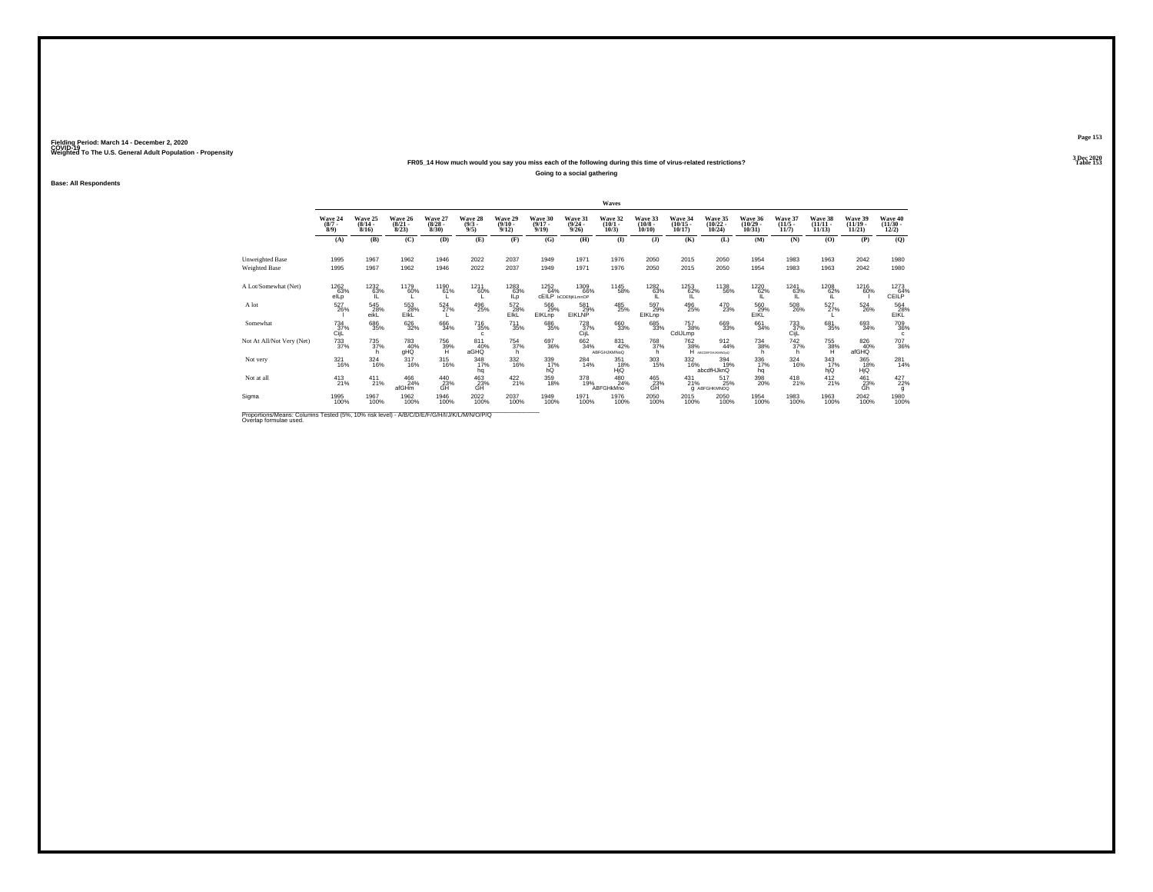### **FR05\_14 How much would you say you miss each of the following during this time of virus-related restrictions?**

**Going to a social gathering**

**Base: All Respondents**

|                                                                                             |                                |                                  |                                  |                                 |                               |                                         |                                  |                                           | Waves                            |                                   |                                   |                                        |                                   |                                  |                                    |                                   |                                                                   |
|---------------------------------------------------------------------------------------------|--------------------------------|----------------------------------|----------------------------------|---------------------------------|-------------------------------|-----------------------------------------|----------------------------------|-------------------------------------------|----------------------------------|-----------------------------------|-----------------------------------|----------------------------------------|-----------------------------------|----------------------------------|------------------------------------|-----------------------------------|-------------------------------------------------------------------|
|                                                                                             | Wave 24<br>$\frac{(8/7)}{8/9}$ | Wave 25<br>$\frac{(8/14)}{8/16}$ | Wave 26<br>$\frac{(8/21)}{8/23}$ | Wave 27<br>$\binom{8/28}{8/30}$ | Wave 28<br>$\binom{9/3}{9/5}$ | Wave 29<br>$\frac{(9/10 - 9/12)}{9/12}$ | Wave 30<br>$\frac{(9/17)}{9/19}$ | Wave 31<br>$\frac{(9/24)}{9/26}$          | Wave 32<br>$\binom{10/1}{10/3}$  | Wave 33<br>$\frac{(10/8)}{10/10}$ | Wave 34<br>$\binom{10/15}{10/17}$ | Wave 35<br>$\binom{10/22}{10/24}$      | Wave 36<br>$\binom{10/29}{10/31}$ | Wave 37<br>$\frac{(11/5)}{11/7}$ | Wave 38<br>$\frac{(11/11)}{11/13}$ | Wave 39<br>$\binom{11/19}{11/21}$ | Wave 40<br>$\frac{(11/30)}{12/2}$                                 |
|                                                                                             | (A)                            | (B)                              | (C)                              | (D)                             | (E)                           | (F)                                     | (G)                              | (H)                                       | $\bf(I)$                         | (J)                               | (K)                               | (L)                                    | (M)                               | (N)                              | (O)                                | (P)                               | (Q)                                                               |
| <b>Unweighted Base</b>                                                                      | 1995                           | 1967                             | 1962                             | 1946                            | 2022                          | 2037                                    | 1949                             | 1971                                      | 1976                             | 2050                              | 2015                              | 2050                                   | 1954                              | 1983                             | 1963                               | 2042                              | 1980                                                              |
| Weighted Base                                                                               | 1995                           | 1967                             | 1962                             | 1946                            | 2022                          | 2037                                    | 1949                             | 1971                                      | 1976                             | 2050                              | 2015                              | 2050                                   | 1954                              | 1983                             | 1963                               | 2042                              | 1980                                                              |
| A Lot/Somewhat (Net)                                                                        | 1262<br>63%<br>elLp            | 1232<br>63%                      | 1179<br>60%                      | 1190<br>61%                     | 1211<br>60%                   | 1283<br>63%<br>ILp                      | 1252<br>64%                      | 1309<br>66%<br>CEILP <b>bCDEfliKLmnOP</b> | 1145<br>58%                      | 1282<br>63%                       | 1253<br>62%<br>IL.                | 1138<br>56%                            | 1220<br>62%<br>IL.                | 1241<br>63%<br>ΊL                | 1208<br>62%<br>iL                  | 1216<br>60%                       | $\begin{array}{c}\n 1273 \\  64\% \\  \text{CEILP}\n \end{array}$ |
| A lot                                                                                       | 527<br>26%                     | 545<br>28%<br>eikL               | 553<br>28%<br>EIKL               | $\frac{524}{27\%}$              | 496<br>25%                    | 572<br>28%<br>EIKL                      | 566<br>29%<br>EIKLnp             | 581<br>29%<br><b>EIKLNP</b>               | 485<br>25%                       | 597<br>29%<br>EIKLnp              | 496<br>25%                        | 470<br>23%                             | 560<br>29%<br>EIKL                | 508<br>26%                       | 527%                               | $^{524}_{26\%}$                   | 564<br>28%<br>EIKL                                                |
| Somewhat                                                                                    | $^{734}_{37\%}$<br>CijL        | 686<br>35%                       | 626<br>32%                       | 666<br>34%                      | $^{716}_{35\%}$<br>c.         | $^{711}_{35\%}$                         | 686<br>35%                       | 728 37%<br>CijL                           | 660<br>33%                       | 685<br>33%                        | 757<br>38%<br>CdIJLmp             | 669<br>33%                             | 661<br>34%                        | $^{733}_{37\%}$<br>CijL          | 681<br>35%                         | 693<br>34%                        | 709<br>36%<br>c                                                   |
| Not At All/Not Very (Net)                                                                   | $\substack{733 \\ 37\%}$       | 735<br>37%                       | 783<br>40%<br>gHQ                | 756<br>39%<br>H                 | 811<br>40%<br>aGHQ            | 754<br>37%<br>h.                        | 697<br>36%                       | $\substack{662\\34\%}$                    | 831<br>42%<br><b>ABFGHJKMNoQ</b> | 768<br>37%<br>h                   | 762<br>38%                        | $\frac{912}{44\%}$<br>H ABCDEFGHUKWOOD | $^{734}_{38\%}$<br>h              | $\frac{742}{37%}$<br>h           | 755<br>38%<br>H                    | 826<br>40%<br>afGHQ               | 707<br>36%                                                        |
| Not very                                                                                    | $\frac{321}{16\%}$             | $\frac{324}{16\%}$               | $^{317}_{16\%}$                  | $\frac{315}{16\%}$              | 348<br>17%<br>hq              | $\frac{332}{16\%}$                      | 339 17%<br>hQ                    | $^{284}_{14\%}$                           | 351<br>18%<br>HjQ                | 303<br>15%                        | $\frac{332}{16\%}$                | 394<br>19%<br>abcdfHJknQ               | 336<br>17%<br>hq                  | $\frac{324}{16\%}$               | $\frac{343}{17\%}$<br>hjQ          | 365<br>18%<br>HjQ                 | 281<br>14%                                                        |
| Not at all                                                                                  | $^{413}_{21\%}$                | $^{411}_{21\%}$                  | 466<br>24%<br>afGHm              | $^{440}_{23\%}$                 | $^{463}_{23\%}$               | $^{422}_{21\%}$                         | 359<br>18%                       | 378<br>19%                                | 480<br>24%<br><b>ABFGHkMno</b>   | 465<br>23%<br>GĤ                  | $^{431}_{21\%}$                   | 517<br>25%<br><b>G</b> ABFGHKMNOQ      | 398<br>20%                        | $^{418}_{21\%}$                  | $^{412}_{21\%}$                    | $^{461}_{23\%}$                   | 427<br>22%<br>g                                                   |
| Sigma                                                                                       | 1995<br>100%                   | 1967<br>100%                     | 1962<br>100%                     | 1946<br>100%                    | 2022<br>100%                  | 2037<br>100%                            | 1949<br>100%                     | 1971<br>100%                              | 1976<br>100%                     | 2050<br>100%                      | 2015<br>100%                      | 2050<br>100%                           | 1954<br>100%                      | 1983<br>100%                     | 1963<br>100%                       | 2042<br>100%                      | 1980<br>100%                                                      |
| Proportions/Means: Columns Tested (5%, 10% risk level) - A/R/C/D/F/F/G/H/I/ I/K/L/M/N/O/P/O |                                |                                  |                                  |                                 |                               |                                         |                                  |                                           |                                  |                                   |                                   |                                        |                                   |                                  |                                    |                                   |                                                                   |

Proportions/Means: Columns Tested (5%, 10% risk level) - *N'B/C/D/E/F/G/H/I/J/K/L/M/N/O/P/Q*<br>Overlap formulae used.

**Page 153**3 Dec 2020<br>Table 153

**Table 153**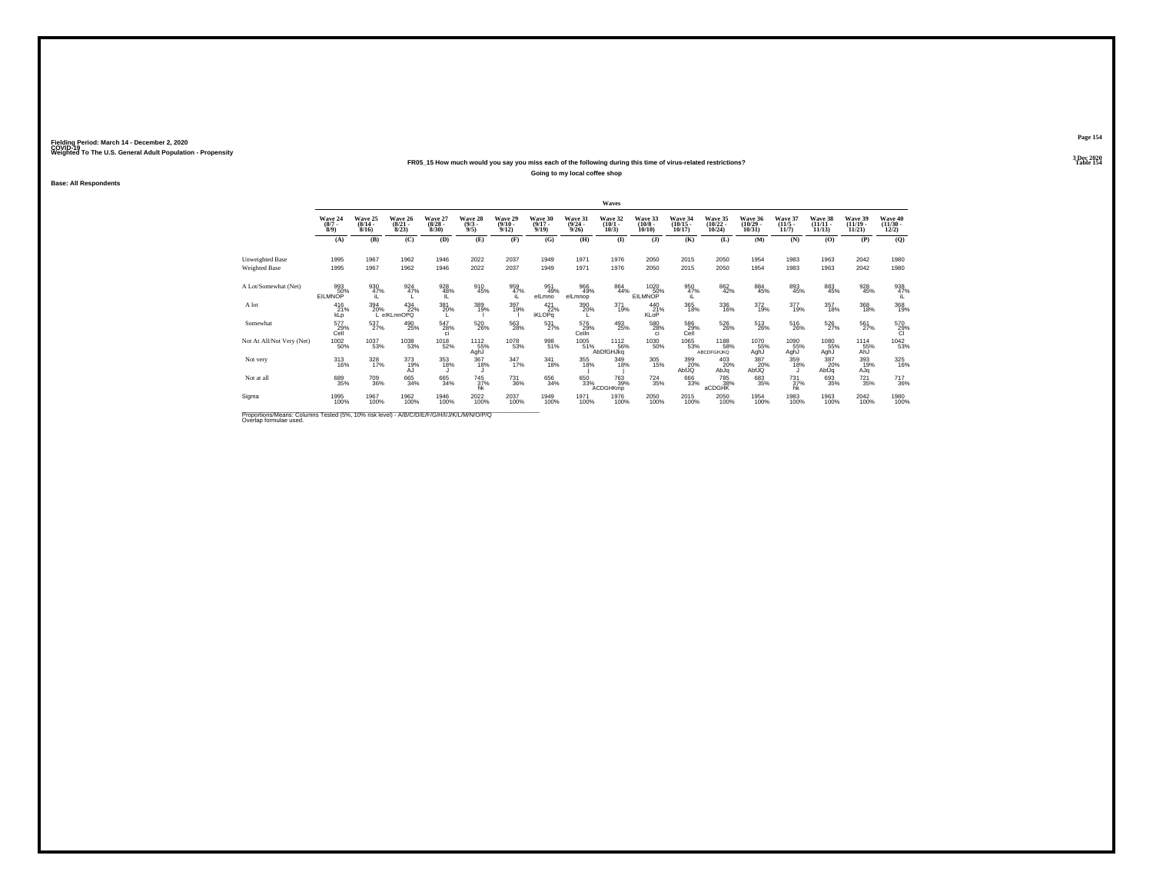### **FR05\_15 How much would you say you miss each of the following during this time of virus-related restrictions?**

**Going to my local coffee shop**

**Base: All Respondents**

|                                                                                          |                            |                              |                                  |                                 |                               |                              |                                 |                                 | Waves                           |                                  |                                    |                                    |                                   |                                  |                                |                                |                                  |
|------------------------------------------------------------------------------------------|----------------------------|------------------------------|----------------------------------|---------------------------------|-------------------------------|------------------------------|---------------------------------|---------------------------------|---------------------------------|----------------------------------|------------------------------------|------------------------------------|-----------------------------------|----------------------------------|--------------------------------|--------------------------------|----------------------------------|
|                                                                                          | Wave 24<br>$(8/7 -$<br>8/9 | Wave 25<br>$(8/14 -$<br>8/16 | Wave 26<br>$\frac{(8/21)}{8/23}$ | Wave 27<br>$\binom{8/28}{8/30}$ | Wave 28<br>$\binom{9/3}{9/5}$ | Wave 29<br>$(9/10 -$<br>9/12 | Wave 30<br>$(9/17 -$<br>9/19    | Wave 31<br>$\binom{9/24}{9/26}$ | Wave 32<br>$\binom{10/1}{10/3}$ | Wave 33<br>$\binom{10/8}{10/10}$ | Wave 34<br>$\frac{(10/15)}{10/17}$ | Wave 35<br>$(10/22 -$<br>$10/24$ ) | Wave 36<br>$\binom{10/29}{10/31}$ | Wave 37<br>$\frac{(11/5)}{11/7}$ | Wave 38<br>$(11/11 -$<br>11/13 | Wave 39<br>$(11/19 -$<br>11/21 | Wave 40<br>$\binom{11/30}{12/2}$ |
|                                                                                          | (A)                        | (B)                          | (C)                              | (D)                             | (E)                           | (F)                          | (G)                             | (H)                             | $($ $\Gamma$                    | $($ $)$                          | (K)                                | (L)                                | (M)                               | (N)                              | (0)                            | (P)                            | (Q)                              |
| Unweighted Base<br>Weighted Base                                                         | 1995<br>1995               | 1967<br>1967                 | 1962<br>1962                     | 1946<br>1946                    | 2022<br>2022                  | 2037<br>2037                 | 1949<br>1949                    | 1971<br>1971                    | 1976<br>1976                    | 2050<br>2050                     | 2015<br>2015                       | 2050<br>2050                       | 1954<br>1954                      | 1983<br>1983                     | 1963<br>1963                   | 2042<br>2042                   | 1980<br>1980                     |
| A Lot/Somewhat (Net)                                                                     | 993<br>50%<br>EILMNOP      | 930<br>47%                   | 924<br>47%                       | 928<br>48%                      | 910<br>45%                    | 959<br>47%                   | 951<br>49%<br>elLmno            | 966<br>49%<br>elLmnop           | 864<br>44%                      | 1020<br>50%<br>EILMNOP           | 950<br>47%                         | 862<br>42%                         | $\underset{45\%}{^{884}}$         | $\substack{893 \\ 45\%}$         | 883<br>45%                     | $\frac{928}{45\%}$             | 938<br>47%                       |
| A lot                                                                                    | 416<br>21%<br>kLp          | 394<br>20%                   | $^{434}_{22\%}$<br>elKLmnOPQ     | 381<br>20%                      | 389<br>19%                    | 397<br>19%                   | $421$<br>$22%$<br><b>iKLOPq</b> | $\frac{390}{20\%}$              | 371<br>19%                      | 440<br>21%<br>KLoP               | 365<br>18%                         | 336<br>16%                         | $\frac{372}{19\%}$                | 377<br>19%                       | 357<br>18%                     | 368<br>18%                     | 368<br>19%                       |
| Somewhat                                                                                 | 577<br>29%<br>Cell         | 537<br>27%                   | 490<br>25%                       | 547<br>28%<br>ci                | 520<br>26%                    | 563<br>28%                   | 531<br>27%                      | 576<br>29%<br>Celln             | 493<br>25%                      | 580<br>28%<br><sub>ci</sub>      | 586<br>29%<br>Cell                 | 526<br>26%                         | $^{513}_{26\%}$                   | 516<br>26%                       | 526<br>27%                     | 561<br>27%                     | 570<br>29%<br>Cl                 |
| Not At All/Not Very (Net)                                                                | $\frac{1002}{50\%}$        | 1037<br>53%                  | 1038<br>53%                      | 1018<br>52%                     | 1112<br>55%<br>AghJ           | 1078<br>53%                  | 998<br>51%                      | 1005<br>51%                     | 1112<br>56%<br>AbDfGHJkg        | 1030<br>50%                      | 1065<br>53%                        | 1188<br>58%<br><b>ABCDFGHJKQ</b>   | 1070<br>55%<br>AghJ               | 1090<br>55%<br>AghJ              | 1080<br>55%<br>AghJ            | 1114<br>55%<br>AhJ             | 1042<br>53%                      |
| Not very                                                                                 | $313 \atop 16\%$           | $\frac{328}{17\%}$           | 373<br>19%<br>AJ                 | 353<br>18%                      | 367<br>18%                    | $\frac{347}{17\%}$           | $341_{18\%}$                    | $355$<br>18%                    | 349<br>18%                      | $^{305}_{15\%}$                  | 399<br>20%<br>AbfJQ                | 403<br>20%<br>pldA                 | 387<br>20%<br>AbfJQ               | 359<br>18%                       | 387<br>20%<br>AbfJq            | 393<br>19%<br>AJq              | 325<br>16%                       |
| Not at all                                                                               | 689<br>35%                 | 709<br>36%                   | 665<br>34%                       | 665<br>34%                      | 745<br>37%<br>hk              | <sup>731</sup> 36%           | 656<br>34%                      | 650 33%                         | <sup>763</sup> 39%<br>ACDGHKmp  | $^{724}_{35\%}$                  | 666<br>33%                         | 785<br>38%<br>aCDGHK               | $\substack{683 \\ 35\%}$          | $^{731}_{37\%}$<br>hk            | 693<br>35%                     | $^{721}_{35\%}$                | 717<br>36%                       |
| Sigma                                                                                    | 1995<br>100%               | 1967<br>100%                 | 1962<br>100%                     | 1946<br>100%                    | 2022<br>100%                  | 2037<br>100%                 | 1949<br>100%                    | 1971<br>100%                    | 1976<br>100%                    | 2050<br>100%                     | 2015<br>100%                       | 2050<br>100%                       | 1954<br>100%                      | 1983<br>100%                     | 1963<br>100%                   | 2042<br>100%                   | 1980<br>100%                     |
| Proportions/Means: Columns Tested (5%, 10% risk level) - A/R/C/D/F/F/G/H/U/K/L/M/N/O/P/O |                            |                              |                                  |                                 |                               |                              |                                 |                                 |                                 |                                  |                                    |                                    |                                   |                                  |                                |                                |                                  |

Proportions/Means: Columns Tested (5%, 10% risk level) - *N'B/C/D/E/F/G/H/I/J/K/L/M/N/O/P/Q*<br>Overlap formulae used.

**Page 1543 Dec 2020<br>Table 154** 

**Table 154 Table 154**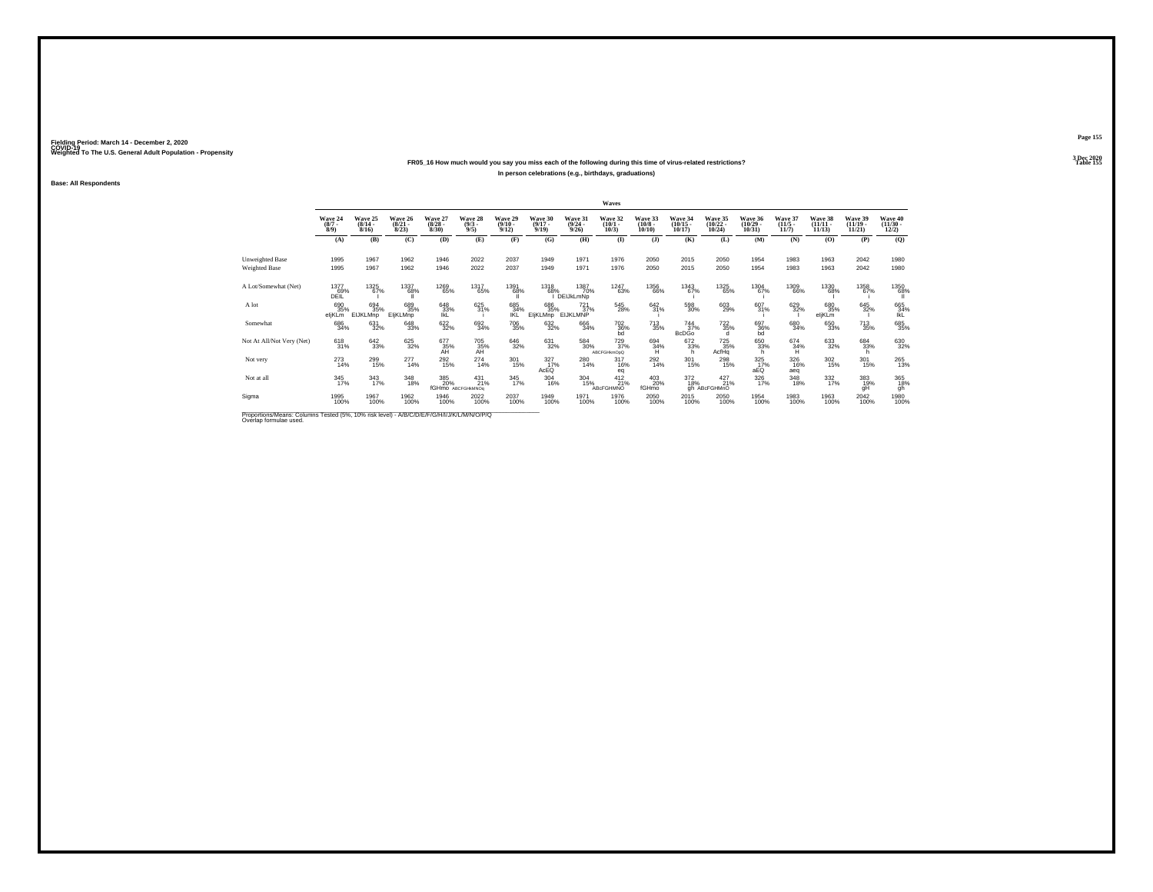### **FR05\_16 How much would you say you miss each of the following during this time of virus-related restrictions?In person celebrations (e.g., birthdays, graduations)**

**Base: All Respondents**

|                           |                               |                               |                                  |                                 |                                      |                                         |                                 |                                         | Waves                               |                                  |                                |                                |                                |                              |                                |                                |                                |
|---------------------------|-------------------------------|-------------------------------|----------------------------------|---------------------------------|--------------------------------------|-----------------------------------------|---------------------------------|-----------------------------------------|-------------------------------------|----------------------------------|--------------------------------|--------------------------------|--------------------------------|------------------------------|--------------------------------|--------------------------------|--------------------------------|
|                           | Wave 24<br>$\binom{8/7}{8/9}$ | Wave 25<br>$(8/14 -$<br>8/16  | Wave 26<br>$\frac{(8/21)}{8/23}$ | Wave 27<br>$\binom{8/28}{8/30}$ | Wave 28<br>$\binom{9/3}{9/5}$        | Wave 29<br>$\frac{(9/10 - 9/12)}{9/12}$ | Wave 30<br>$(9/17 -$<br>9/19    | Wave 31<br>$\frac{(9/24 - 9/26)}{9/26}$ | Wave 32<br>$\binom{10/1}{10/3}$     | Wave 33<br>$\binom{10/8}{10/10}$ | Wave 34<br>$(10/15 -$<br>10/17 | Wave 35<br>$(10/22 -$<br>10/24 | Wave 36<br>$(10/29 -$<br>10/31 | Wave 37<br>$(11/5 -$<br>11/7 | Wave 38<br>$(11/11 -$<br>11/13 | Wave 39<br>$(11/19 -$<br>11/21 | Wave 40<br>$(11/30 -$<br>12/2) |
|                           | (A)                           | (B)                           | (C)                              | (D)                             | (E)                                  | (F)                                     | (G)                             | (H)                                     | $\bf(I)$                            | $($ $)$                          | (K)                            | (L)                            | (M)                            | (N)                          | (O)                            | (P)                            | $\mathbf{Q}$                   |
| Unweighted Base           | 1995                          | 1967                          | 1962                             | 1946                            | 2022                                 | 2037                                    | 1949                            | 1971                                    | 1976                                | 2050                             | 2015                           | 2050                           | 1954                           | 1983                         | 1963                           | 2042                           | 1980                           |
| Weighted Base             | 1995                          | 1967                          | 1962                             | 1946                            | 2022                                 | 2037                                    | 1949                            | 1971                                    | 1976                                | 2050                             | 2015                           | 2050                           | 1954                           | 1983                         | 1963                           | 2042                           | 1980                           |
| A Lot/Somewhat (Net)      | 1377<br>69%<br>DEIL           | 1325<br>67%                   | 1337<br>68%                      | 1269<br>65%                     | 1317<br>65%                          | 1391<br>68%                             | 1318<br>68%                     | 1387<br>70%<br>DEIJkLmNp                | 1247<br>63%                         | 1356<br>66%                      | 1343<br>67%                    | 1325<br>65%                    | 1304<br>67%                    | 1309<br>66%                  | 1330<br>68%                    | 1358<br>67%                    | 1350<br>68%                    |
| A lot                     | 690<br>35%<br>eljKLm          | 694<br>35%<br><b>EIJKLMnp</b> | 689<br>35%<br><b>EliKLMnp</b>    | 648<br>33%<br>Ikl               | 625<br>31%                           | 685<br>34%<br><b>IKL</b>                | 686<br>35%<br>EljKLMnp EIJKLMNP | $^{721}_{37\%}$                         | 545<br>28%                          | 642 31%                          | 598<br>30%                     | $^{603}_{29\%}$                | $\frac{607}{31\%}$             | 629<br>32%                   | 680<br>35%<br>eljKLm           | 645<br>32%                     | 665<br>34%<br>IkL              |
| Somewhat                  | 686<br>34%                    | 631<br>32%                    | 648<br>33%                       | 622%                            | 692<br>34%                           | <sup>706</sup> 35%                      | 632%                            | 666<br>34%                              | $\substack{702\\36\%\\5d}$          | $\substack{713 \\ 35\%}$         | $^{744}_{37\%}$<br>BcDGo       | 722 35%<br>d                   | $^{697}_{36\%}$ bd             | 680<br>34%                   | 650<br>33%                     | <sup>713</sup> 35%             | 685<br>35%                     |
| Not At All/Not Very (Net) | 618<br>31%                    | $\substack{642\\33\%}$        | $\substack{625 \\ 32\%}$         | 677<br>35%<br>AH                | 705<br>35%                           | 646<br>32%                              | 631<br>32%                      | $^{584}_{\phantom{1}\phantom{1}30\%}$   | 729<br>37%<br>ABCFGHkmOpQ           | 694<br>34%<br>H                  | 672<br>33%<br>h                | 725<br>35%<br>AcfHq            | 650<br>33%<br>h.               | $^{674}_{34\%}$              | 633<br>32%                     | 684<br>33%                     | 630<br>32%                     |
| Not very                  | $^{273}_{14\%}$               | 299<br>15%                    | $^{277}_{14\%}$                  | $^{292}_{15\%}$                 | $^{274}_{14\%}$                      | 301<br>15%                              | $\frac{327}{17\%}$<br>AcEQ      | $^{280}_{14\%}$                         | $^{317}_{16\%}$<br>eq               | $^{292}_{14\%}$                  | $^{301}_{15\%}$                | 298<br>15%                     | $325$<br>17%<br>aEQ            | 326<br>16%<br>aeq            | $\frac{302}{15\%}$             | $^{301}_{15\%}$                | $^{265}_{13\%}$                |
| Not at all                | 345<br>17%                    | 343<br>17%                    | 348<br>18%                       | 385<br>20%                      | $^{431}_{21\%}$<br>fGHmo ABCFGHKMNOg | 345<br>17%                              | 304<br>16%                      | $\frac{304}{15\%}$                      | $^{412}_{21\%}$<br><b>ABcFGHMNO</b> | 403<br>20%<br>fGHmo              | 372<br>18%<br>ah               | $^{427}_{21\%}$<br>ABcFGHMnO   | 326<br>17%                     | 348                          | 332/17%                        | 383<br>19%<br>qH               | 365<br>18%<br>gh               |
| Sigma                     | 1995<br>100%                  | 1967<br>100%                  | 1962<br>100%                     | 1946<br>100%                    | 2022<br>100%                         | 2037<br>100%                            | 1949<br>100%                    | 1971<br>100%                            | 1976<br>100%                        | 2050<br>100%                     | 2015<br>100%                   | 2050<br>100%                   | 1954<br>100%                   | 1983<br>100%                 | 1963<br>100%                   | 2042<br>100%                   | 1980<br>100%                   |
|                           |                               |                               |                                  |                                 |                                      |                                         |                                 |                                         |                                     |                                  |                                |                                |                                |                              |                                |                                |                                |

Proportions/Means: Columns Tested (5%, 10% risk level) - *N'B/C/D/E/F/G/H/I/J/K/L/M/N/O/P/Q*<br>Overlap formulae used.

**Page 155**3 Dec 2020<br>Table 155

**Table 155 Table 155**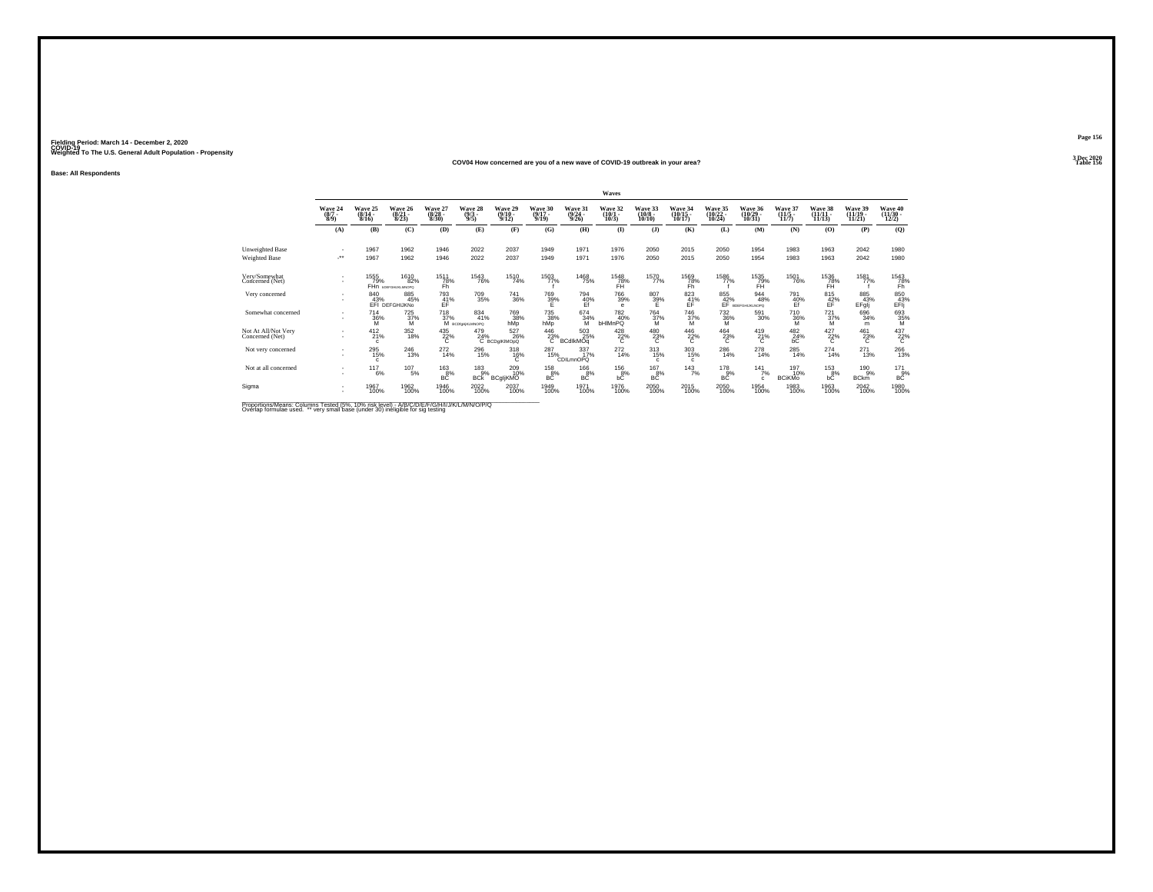#### **COV04 How concerned are you of a new wave of COVID-19 outbreak in your area?Table 156 Table 156**

**Base: All Respondents**

|                                         |                               |                              |                                                  |                                  |                                            |                                  |                              |                                         | Waves                                    |                                    |                                |                      |                                     |                                    |                                |                                |                                   |
|-----------------------------------------|-------------------------------|------------------------------|--------------------------------------------------|----------------------------------|--------------------------------------------|----------------------------------|------------------------------|-----------------------------------------|------------------------------------------|------------------------------------|--------------------------------|----------------------|-------------------------------------|------------------------------------|--------------------------------|--------------------------------|-----------------------------------|
|                                         | Wave 24<br>$(8/7 -$<br>8/9    | Wave 25<br>$(8/14 -$<br>8/16 | Wave 26<br>$(8/21 -$<br>8/23                     | Wave 27<br>$\frac{(8/28)}{8/30}$ | Wave 28<br>$\binom{9/3}{9/5}$              | Wave 29<br>$\frac{(9/10)}{9/12}$ | Wave 30<br>$(9/17 -$<br>9/19 | <b>Wave 31</b><br>$\frac{(9/24)}{9/26}$ | Wave 32<br>$(10/1 -$<br>10/3             | Wave 33<br>$(10/8 -$<br>10/10      | Wave 34<br>$(10/15 -$<br>10/17 | Wave 35<br>10/24     | Wave 36<br>$(10/29 -$<br>10/31      | Wave 37<br>$\frac{(11/5)}{11/7}$   | Wave 38<br>$(11/11 -$<br>11/13 | Wave 39<br>$(11/19 -$<br>11/21 | Wave 40<br>$\frac{(11/30)}{12/2}$ |
|                                         | (A)                           | (B)                          | (C)                                              | (D)                              | (E)                                        | (F)                              | (G)                          | (H)                                     | $($ $\Gamma$                             | $($ $\bf{J}$ $)$                   | (K)                            | (L)                  | (M)                                 | (N)                                | (O)                            | (P)                            | (Q)                               |
| Unweighted Base<br><b>Weighted Base</b> | $\overline{\phantom{a}}$<br>÷ | 1967<br>1967                 | 1962<br>1962                                     | 1946<br>1946                     | 2022<br>2022                               | 2037<br>2037                     | 1949<br>1949                 | 1971<br>1971                            | 1976<br>1976                             | 2050<br>2050                       | 2015<br>2015                   | 2050<br>2050         | 1954<br>1954                        | 1983<br>1983                       | 1963<br>1963                   | 2042<br>2042                   | 1980<br>1980                      |
| Very/Somewhat<br>Concerned (Net)        | ٠<br>$\sim$                   | 1555<br>79%                  | <sup>1610</sup> 82%<br>FHn <b>Infrastruation</b> | 1511<br>78%<br>Fh                | <sup>1543</sup> 76%                        | 1510<br>74%                      | 1503<br>77%                  | <sup>1468</sup> 75%                     | $^{1548}_{78\%}$ FH                      | 1570<br>77%                        | 1569<br>Z8%<br>Fh              | 1586<br>77%          | 1535<br>79%<br>FH                   | <sup>1501</sup> 76%                | $^{1536}_{78\%}$               | 1581<br>77%                    | $\frac{1543}{78\%}$               |
| Very concerned                          | $\sim$<br>$\sim$              | 840<br>43%                   | 885<br>45%<br>EFI DEFGHIJKNO                     | 793<br>41%                       | 709<br>35%                                 | 741<br>36%                       | 769<br>39%                   | 794<br>$\frac{40\%}{E}$                 | 766<br>39%<br>$\theta$                   | 807<br>39%                         | 823<br>$E$ F <sup>%</sup>      | 855<br>42%           | 944<br>48%<br>BDEFGHIJKLNOPO        | 791<br>$\frac{40}{5}$              | 815<br>$\frac{42}{5}$          | 885<br>43%<br>EFglj            | 850<br>$E$ <sup>43%</sup>         |
| Somewhat concerned                      | $\sim$<br>$\sim$              | $^{714}_{36\%}$<br>M         | $^{725}_{37\%}$<br>М                             | <sup>718</sup> <sub>37%</sub>    | $\substack{834 \\ 41\%}$<br>М всрынкциморо | <sup>769</sup> 38%<br>hMp        | 735<br>38%<br>hMp            | $674}_{34\%$<br>M                       | <sup>782</sup> <sub>40%</sub><br>bHIMnPQ | <sup>764</sup> <sub>37%</sub><br>м | <sup>746</sup> 37%<br>M        | $^{732}_{36\%}$<br>M | 591<br>30%                          | <sup>710</sup> <sub>36%</sub><br>M | $^{721}_{37\%}$<br>м           | 696<br>34%<br>m                | 693<br>M                          |
| Not At All/Not Very<br>Concerned (Net)  | ٠<br>$\sim$                   | $^{412}_{21\%}$<br>c         | 352<br>18%                                       | 435<br>22%<br>c                  | 479<br>24%                                 | 527<br>26%<br>C BCDgIKIMOpQ      | $^{446}_{23\%}$ B            | 503<br>25%<br>BCdlkMOq                  | $^{428}_{22\%}$<br>с                     | 480<br>23%<br>с                    | $^{446}_{22\%}$                | $^{464}_{23\%}$      | $^{419}_{21\%}$<br>C                | $^{482}_{24\%}$                    | $\frac{427}{22\%}$             | $^{461}_{23\%}$                | $^{437}_{22\%}$                   |
| Not very concerned                      | $\sim$<br>$\sim$              | 295<br>15%<br>$\mathbf{c}$   | $^{246}_{13\%}$                                  | $^{272}_{14\%}$                  | 296<br>15%                                 | 318<br>$^{16\%}_{C}$             | 287<br>15%                   | 337<br>17%<br><b>CDILmnOPQ</b>          | $^{272}_{14\%}$                          | 313<br>15%<br>c                    | $\frac{303}{15\%}$<br>c.       | $^{286}_{14\%}$      | $^{278}_{14\%}$                     | $^{285}_{14\%}$                    | 274<br>14%                     | 271<br>13%                     | 266<br>13%                        |
| Not at all concerned                    |                               | $^{117}_{6\%}$               | $107_{5\%}$                                      | $^{163}_{8\%}$<br><b>BC</b>      | $^{183}_{9\%}$<br><b>BCK</b>               | 209 10%<br><b>BCgljKMO</b>       | $^{158}_{8\%}$<br>BĊ         | $^{166}_{8\%}$<br><b>BC</b>             | <sup>156</sup> 8%<br>bĊ                  | $^{167}_{8\%}$<br>BC               | $143$ <sub>7%</sub>            | $^{178}_{9\%}$<br>BC | $141$ <sub>7%</sub><br>$\mathbf{c}$ | 197<br>10%<br><b>BCiKMo</b>        | $^{153}_{8\%}$<br>bĊ           | 190%<br><b>BCkm</b>            | $^{171}_{9\%}$<br><b>BC</b>       |
| Sigma                                   | ٠<br>$\sim$                   | 1967<br>100%                 | 1962<br>100%                                     | 1946<br>100%                     | 2022<br>100%                               | 2037<br>100%                     | 1949<br>100%                 | 1971<br>100%                            | 1976<br>100%                             | 2050<br>100%                       | 2015<br>100%                   | 2050<br>100%         | 1954<br>100%                        | 1983<br>100%                       | 1963<br>100%                   | 2042<br>100%                   | 1980<br>100%                      |

Proportions/Means: Columns Tested (5%, 10% risk level) - A/B/C/D/E/F/G/H/I/J/K/L/M/N/O/P/Q<br>Overlap formulae used. \*\* very small base (under 30) ineligible for sig testing

**Page 1563 Dec 2020<br>Table 156**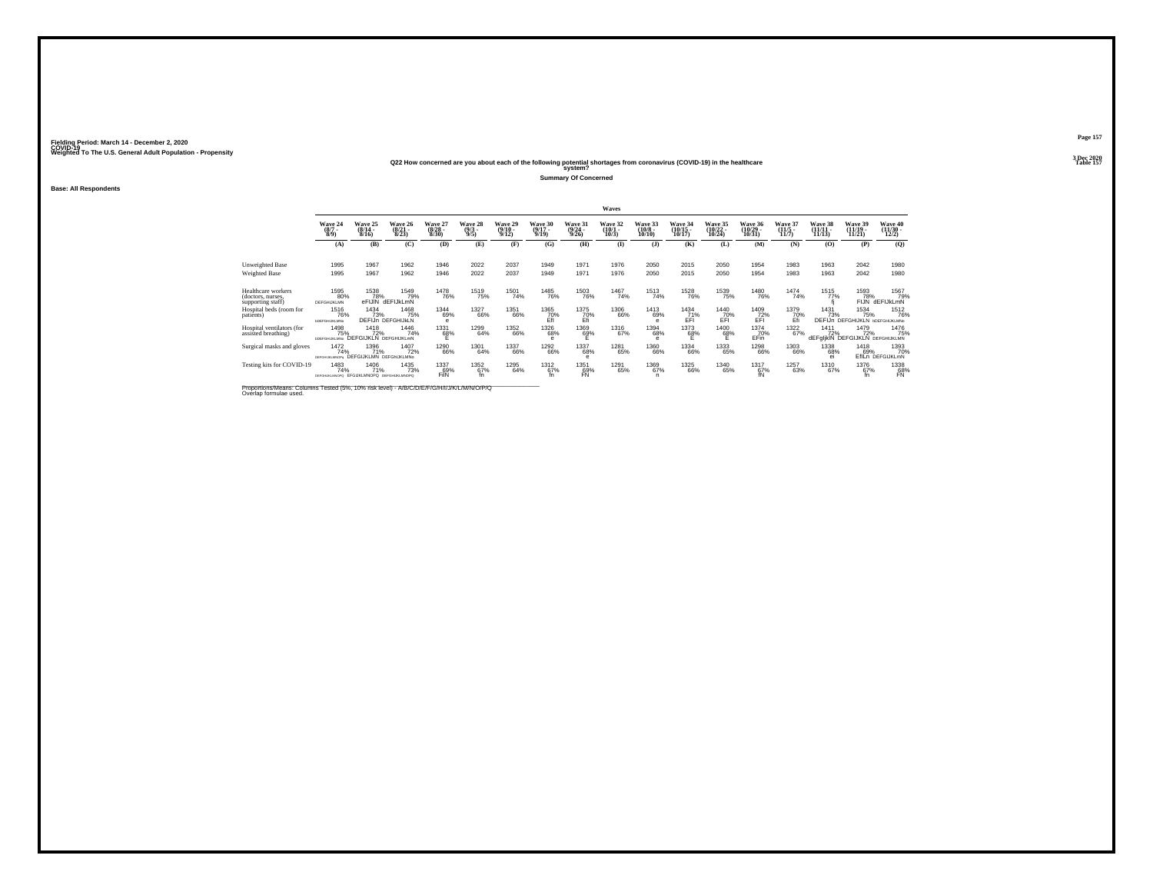Fielding Period: March 14 - December 2, 2020<br>Fielding Period: March 14 - December 2, 2020<br>Wolchind To The U.S. General Adulf Ponulation - Propensity

# Weighted To The U.S. General Adult Population - Propensity<br>Q22 How concerned are you about each of the following potential shortages from coronavirus (COVID-19) in the healthcare<br>Table 157

**Summary Of Concerned**

**Base: All Respondents**

|                                                              |                                                        |                                              |                                  |                                  |                                |                              |                          |                             | <b>Waves</b>                  |                                   |                                    |                                           |                               |                                  |                   |                                                       |                                 |
|--------------------------------------------------------------|--------------------------------------------------------|----------------------------------------------|----------------------------------|----------------------------------|--------------------------------|------------------------------|--------------------------|-----------------------------|-------------------------------|-----------------------------------|------------------------------------|-------------------------------------------|-------------------------------|----------------------------------|-------------------|-------------------------------------------------------|---------------------------------|
|                                                              | Wave 24<br>$\frac{(8/7)}{8/9}$                         | Wave 25<br>$(8/14 -$<br>8/16                 | Wave 26<br>$\frac{(8/21)}{8/23}$ | Wave 27<br>$\frac{(8/28)}{8/30}$ | Wave 28<br>$\frac{(9/3)}{9/5}$ | Wave 29<br>$(9/10 -$<br>9/12 | Wave 30<br>9/19          | Wave 31<br>(9/24 -<br>9/26) | Wave 32<br>$\binom{10}{10/3}$ | Wave 33<br>$\frac{(10/8)}{10/10}$ | Wave 34<br>$\frac{(10/15)}{10/17}$ | <b>Wave 35</b><br>$\frac{(10/22)}{10/24}$ | Wave 36<br>(10/29 -<br>10/31) | Wave 37<br>$\frac{(11/5)}{11/7}$ | Wave 38<br>11/13  | Wave 39<br>$(11/19 -$<br>11/21                        | Wave 40<br>(11/30 -<br>12/2)    |
|                                                              | (A)                                                    | (B)                                          | (C)                              | (D)                              | (E)                            | (F)                          | (G)                      | (H)                         | $\bf{I}$                      | $($ $)$                           | (K)                                | (L)                                       | (M)                           | (N)                              | (O)               | (P)                                                   | (Q)                             |
| Unweighted Base<br><b>Weighted Base</b>                      | 1995<br>1995                                           | 1967<br>1967                                 | 1962<br>1962                     | 1946<br>1946                     | 2022<br>2022                   | 2037<br>2037                 | 1949<br>1949             | 1971<br>1971                | 1976<br>1976                  | 2050<br>2050                      | 2015<br>2015                       | 2050<br>2050                              | 1954<br>1954                  | 1983<br>1983                     | 1963<br>1963      | 2042<br>2042                                          | 1980<br>1980                    |
| Healthcare workers<br>(doctors, nurses,<br>supporting staff) | 1595<br>80%<br>DEFGHIJKLMN                             | 1538<br>78%<br>eFIJIN                        | 1549<br>79%<br>dEFIJkLmN         | <sup>1478</sup> 76%              | <sup>1519</sup> 75%            | 1501<br>74%                  | <sup>1485</sup> 76%      | <sup>1503</sup> 76%         | 1467<br>74%                   | <sup>1513</sup> 74%               | <sup>1528</sup> 76%                | 1539<br>75%                               | <sup>1480</sup> 76%           | 1474<br>74%                      | 1515<br>77%       | 1593<br>78%<br>FIJN                                   | 1567<br>79%<br>dEFIJkLmN        |
| Hospital beds (room for<br>patients)                         | 1516<br>76%<br><b><i>LOEFGHLIKLMNo</i></b>             | 1434<br>73%                                  | 1468<br>75%<br>DEFIJn DEFGHIJKLN | 1344<br>69%<br>е                 | 1327<br>66%                    | 1351<br>66%                  | 1365<br>70%              | 1375<br>70%<br>Efi          | 1306<br>66%                   | 1413<br>69%<br>$\circ$            | 1434<br>71%<br>EFI                 | 1440<br>$E$ FI <sup>O</sup> <sup>%</sup>  | 1409<br>EFT                   | 1379<br>70%<br>Ėñ                | 1431<br>73%       | 1534<br>75%<br><b>DEFIJn DEFGHIJKLN DDEFGHIJKLMNO</b> | 1512<br>76%                     |
| Hospital ventilators (for<br>assisted breathing)             | 1498<br>75%<br><b><i>bDEFGHLIKLMNo</i></b>             | 1418<br>72%<br><b>DEFGIJKLN DEFGHIJKLmN</b>  | 1446<br>74%                      | 1331<br>68%                      | 1299<br>64%                    | 1352<br>66%                  | <sup>1326</sup> 68%<br>e | 1369<br>69%                 | 1316<br>67%                   | 1394<br>68%                       | 1373<br>68%<br>E                   | <sup>1400</sup> 68%<br>F                  | <sup>1374</sup> 70%<br>EFin   | 1322<br>67%                      | 1411<br>72%       | 1479<br>72%<br><b>dEFglikIN DEFGIJKLN DEFGHIJKLMN</b> | 1476<br>75%                     |
| Surgical masks and gloves                                    | 1472<br>74%<br>DEECH BO MADEN                          | 1396<br>71%<br><b>DEFGIJKLMN DEFGHJKLMNo</b> | 1407<br>72%                      | 1290<br>66%                      | 1301<br>64%                    | 1337<br>66%                  | <sup>1292</sup> 66%      | 1337<br>68%                 | 1281<br>65%                   | 1360<br>66%                       | 1334<br>66%                        | 1333<br>65%                               | 1298<br>66%                   | 1303<br>66%                      | 1338<br>68%<br>ei | 1418<br>69%                                           | 1393<br>70%<br>EfILn DEFGIJKLmN |
| Testing kits for COVID-19                                    | 1483<br>74%<br>DEFGHUKLMNOPO EFGUKLMNOPO DEFGHUKLMNOPO | 1406<br>71%                                  | 1435<br>73%                      | 1337<br>69%<br>FilN              | 1352<br>67%                    | 1295<br>64%                  | 1312<br>67%              | 1351<br>69%                 | 1291<br>65%                   | 1369<br>67%                       | 1325<br>66%                        | 1340<br>65%                               | 1317<br>67%<br>fN             | 1257<br>63%                      | 1310<br>67%       | 1376<br>67%                                           | 1338<br>$E_{\text{N}}^{89}$     |

Proportions/Means: Columns Tested (5%, 10% risk level) - *N\B/C/D/E/F/G/H/I/J/K/L/M/N/O/P/Q*<br>Overlap formulae used.

**Page 1573 Dec 2020<br>Table 157**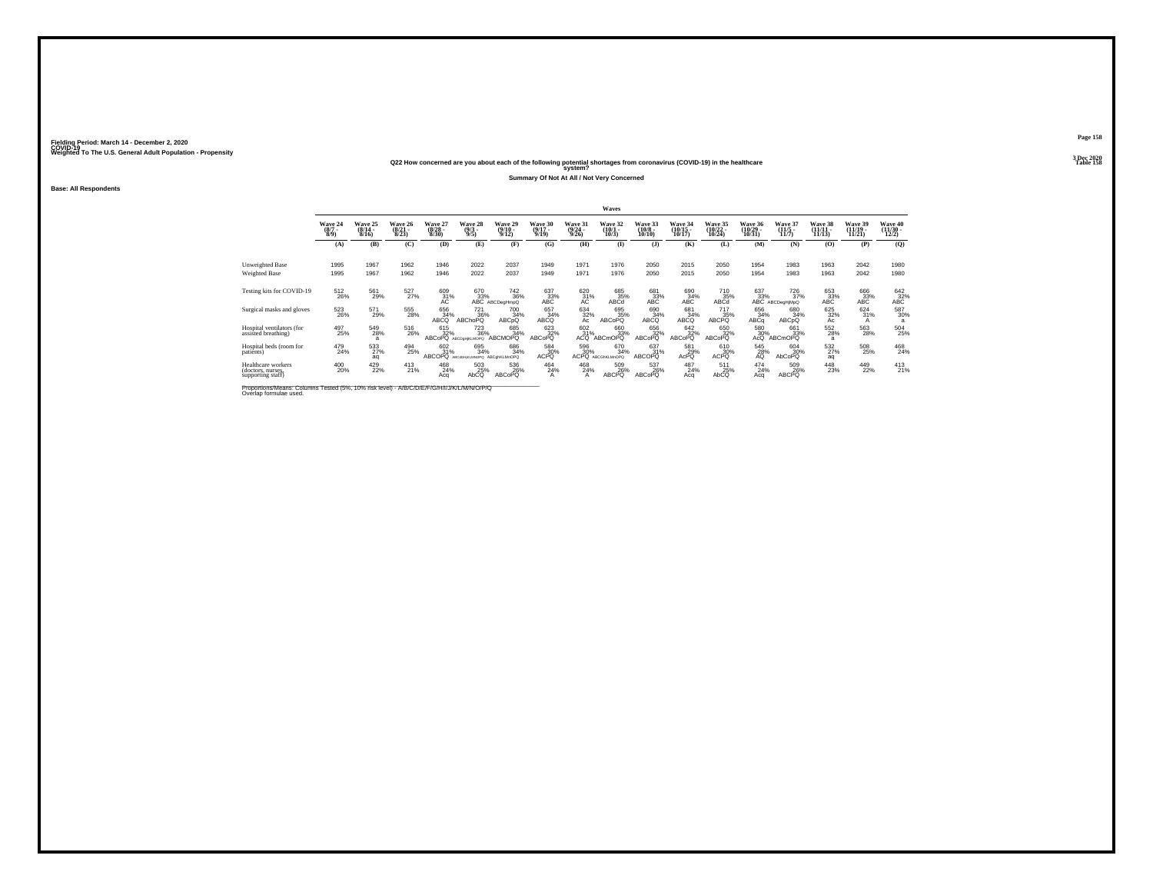### **Q22 How concerned are you about each of the following potential shortages from coronavirus (COVID-19) in the healthcare Table 158 system?**

**Summary Of Not At All / Not Very Concerned**

**Base: All Respondents**

|                                                              |                               |                              |                                  |                              |                                                       |                                                                       |                                  |                                         | Waves                           |                                  |                                    |                                 |                                       |                                                  |                                |                                |                                       |
|--------------------------------------------------------------|-------------------------------|------------------------------|----------------------------------|------------------------------|-------------------------------------------------------|-----------------------------------------------------------------------|----------------------------------|-----------------------------------------|---------------------------------|----------------------------------|------------------------------------|---------------------------------|---------------------------------------|--------------------------------------------------|--------------------------------|--------------------------------|---------------------------------------|
|                                                              | Wave 24<br>$\binom{8/7}{8/9}$ | Wave 25<br>$(8/14 -$<br>8/16 | Wave 26<br>$\frac{(8/21)}{8/23}$ | Wave 27<br>$(8/28 -$<br>8/30 | Wave 28<br>$\frac{(9/3)}{9/5}$                        | Wave 29<br>$\frac{(9/10)}{9/12}$                                      | Wave 30<br>$\frac{(9/17)}{9/19}$ | <b>Wave 31</b><br>$\frac{(9/24)}{9/26}$ | Wave 32<br>$\binom{10/1}{10/3}$ | Wave 33<br>$\binom{10/8}{10/10}$ | Wave 34<br>$\frac{(10/15)}{10/17}$ | Wave 35<br>(10/22 -<br>10/24)   | Wave 36<br>$(10/29 -$<br>10/31        | Wave 37<br>$\frac{(11/5)}{11/7}$                 | Wave 38<br>$(11/11 -$<br>11/13 | Wave 39<br>$(11/19 -$<br>11/21 | <b>Wave 40</b><br>$(11/30 -$<br>12/2) |
|                                                              | (A)                           | (B)                          | (C)                              | (D)                          | (E)                                                   | (F)                                                                   | (G)                              | (H)                                     | $\bf(I)$                        | $($ $)$                          | (K)                                | (L)                             | (M)                                   | (N)                                              | (O)                            | (P)                            | (Q)                                   |
| Unweighted Base<br><b>Weighted Base</b>                      | 1995<br>1995                  | 1967<br>1967                 | 1962<br>1962                     | 1946<br>1946                 | 2022<br>2022                                          | 2037<br>2037                                                          | 1949<br>1949                     | 1971<br>1971                            | 1976<br>1976                    | 2050<br>2050                     | 2015<br>2015                       | 2050<br>2050                    | 1954<br>1954                          | 1983<br>1983                                     | 1963<br>1963                   | 2042<br>2042                   | 1980<br>1980                          |
| Testing kits for COVID-19                                    | 512<br>26%                    | 561<br>29%                   | 527%                             | $^{609}_{31\%}$              |                                                       | 670 742<br>33% 36%<br>ABC ABCDegHmpQ<br><sup>742</sup> <sub>36%</sub> | $^{637}_{33\%}$ ABC              | $^{620}_{31\%}$                         | 685%<br>ABCd                    | 681<br>33%<br>ABC                | 690<br>34%<br>ABC                  | 710<br>35%<br>ABCd              | 637<br>33%                            | <sup>726</sup> <sub>37%</sub><br>ABC ABCDegHjMpQ | 653<br>33%<br>ABC              | 666<br>33%<br>ABC              | $^{642}_{32\%}$ ABC                   |
| Surgical masks and gloves                                    | 523<br>26%                    | 571<br>29%                   | 555<br>28%                       | 656<br>34%<br>ABCO           | 721<br>36%<br><b>ABChoPQ</b>                          | 700<br>34%<br>ABCpQ                                                   | 657<br>34%<br>ABCQ               | $\frac{634}{32\%}$                      | 695<br>35%<br><b>ABCoPO</b>     | 690<br>34%<br>ABCQ               | 681<br>34%<br>ABCQ                 | 717<br>35%<br>ABCPQ             | 656<br>34%<br>ABCq                    | 680<br>34%<br>ABCpQ                              | 625<br>32%<br>Ac               | 624<br>31%<br>A                | 587<br>30%<br>a                       |
| Hospital ventilators (for<br>assisted breathing)             | 497<br>25%                    | 549<br>28%<br>$\overline{a}$ | 516<br>26%                       | 615<br>32%                   | <sup>723</sup> <sub>36%</sub><br>ABCoPQ ABCDgHjKLMOPQ | 685<br>34%<br><b>ABCMOPQ</b>                                          | 623<br>32%<br>ABCoPQ             | 602 31%<br>ACQ                          | 660<br>33%<br><b>ABCmOPQ</b>    | 656<br>32%<br><b>ABCoPQ</b>      | 642<br>32%<br>ABCoPQ               | 650<br>32%<br>ABCoPQ            | 580<br>30%<br>AcQ                     | 661<br>33%<br>ABCmOPQ                            | 552<br>28%<br>a                | 563<br>28%                     | 504<br>25%                            |
| Hospital beds (room for<br>patients)                         | 479<br>24%                    | 533<br>aq                    | 494<br>25%                       | 602<br>31%                   | 695<br>34%<br>ABCOPQ ABCdGHKLMNOPQ ABCghKLMnOPQ       | 686<br>34%                                                            | 584<br>30%<br><b>ACPO</b>        | 596<br>30%<br><b>ACPO</b>               | 670<br>34%<br>ABCGhKLMnOPQ      | 637%<br>ABCOPO                   | 581<br>29%<br>AcPO                 | 610<br>30%<br>ACPO <sup>1</sup> | $^{545}_{28\%}$                       | 604<br>30%<br>AbCoPQ                             | 532%<br>aq                     | 508<br>25%                     | 468<br>24%                            |
| Healthcare workers<br>(doctors, nurses,<br>supporting staff) | 400<br>20%                    | 429<br>22%                   | 413<br>21%                       | 468<br>24%<br>Aca            | 503<br>$25%$<br>AbCQ                                  | 536<br>26%<br>ABCoPQ                                                  | 464<br>24%<br>A                  | 468<br>24%                              | 509<br>26%<br><b>ABCPO</b>      | 537<br>26%<br>ABCoPO             | 487<br>24%<br>Aca                  | 511<br>25%<br>AbCO              | 474<br>A <sub>cq</sub> <sup>24%</sup> | 509<br>26%<br><b>ABCPQ</b>                       | 448<br>23%                     | 449<br>22%                     | $^{413}_{21\%}$                       |

Proportions/Means: Columns Tested (5%, 10% risk level) - *N\B/C/D/E/F/G/H/I/J/K/L/M/N/O/P/Q*<br>Overlap formulae used.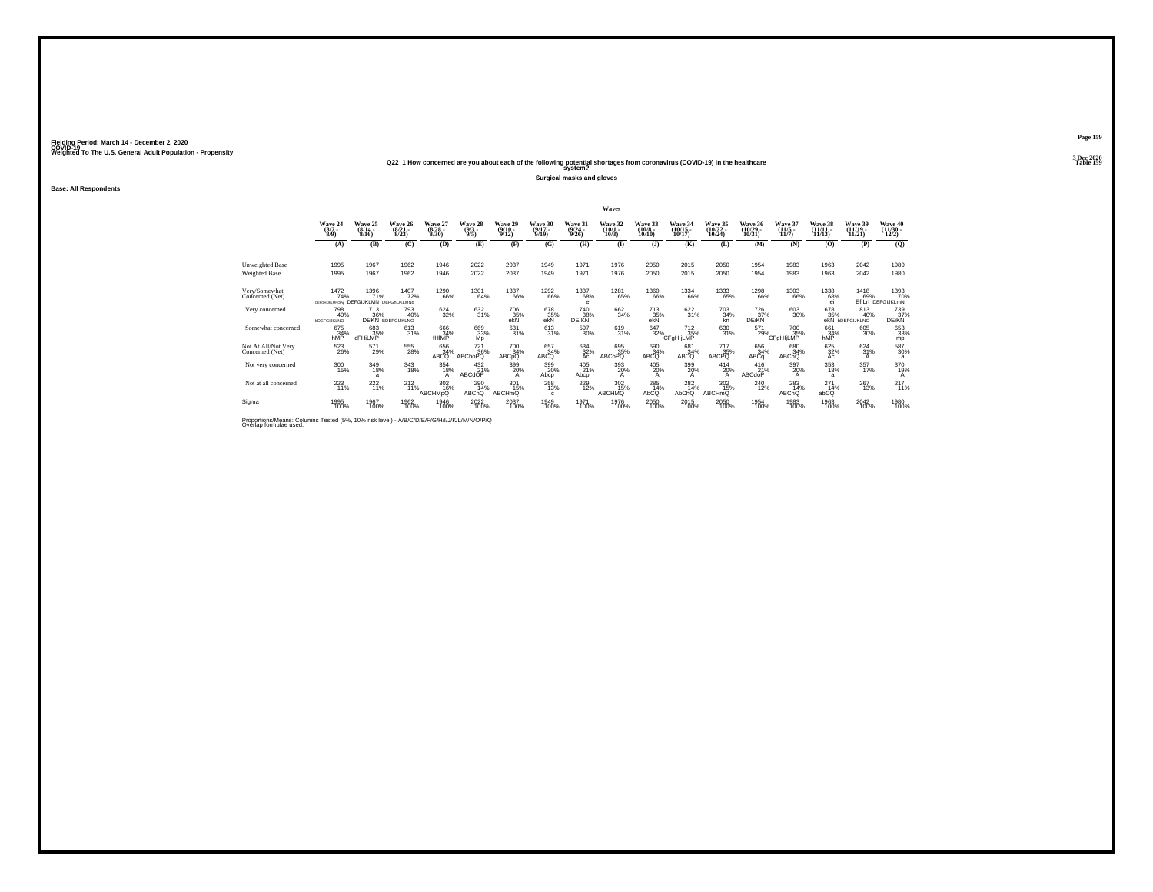### **Q22\_1 How concerned are you about each of the following potential shortages from coronavirus (COVID-19) in the healthcare Table 159 system?**

**Surgical masks and gloves**

**Base: All Respondents**

|                                                                                          |                                        |                                                      |                                      |                                 |                                |                                         |                                  |                                  | Waves                           |                                  |                                    |                                     |                                    |                                 |                                |                                          |                                 |
|------------------------------------------------------------------------------------------|----------------------------------------|------------------------------------------------------|--------------------------------------|---------------------------------|--------------------------------|-----------------------------------------|----------------------------------|----------------------------------|---------------------------------|----------------------------------|------------------------------------|-------------------------------------|------------------------------------|---------------------------------|--------------------------------|------------------------------------------|---------------------------------|
|                                                                                          | Wave 24<br>$\frac{(8/7)}{8/9}$         | Wave 25<br>$(8/14 -$<br>8/16                         | Wave 26<br>$\frac{(8/21)}{8/23}$     | Wave 27<br>$\binom{8/28}{8/30}$ | Wave 28<br>$\frac{(9/3)}{9/5}$ | Wave 29<br>$\frac{(9/10 - 9/12)}{9/12}$ | Wave 30<br>$\frac{(9/17)}{9/19}$ | Wave 31<br>$\frac{(9/24)}{9/26}$ | Wave 32<br>$\binom{10/1}{10/3}$ | Wave 33<br>$\binom{10/8}{10/10}$ | Wave 34<br>$\frac{(10/15)}{10/17}$ | Wave 35<br>$(10/22 -$<br>10/24      | Wave 36<br>$\frac{(10/29)}{10/31}$ | Wave 37<br>$(11/5 -$<br>11/7    | Wave 38<br>$(11/11 -$<br>11/13 | Wave 39<br>$(11/19 -$<br>11/21           | Wave 40<br>$(11/30 -$<br>12/2)  |
|                                                                                          | (A)                                    | (B)                                                  | (C)                                  | (D)                             | (E)                            | (F)                                     | (G)                              | (H)                              | $($ $\Gamma$                    | $($ $\bf{J}$ )                   | (K)                                | (L)                                 | (M)                                | (N)                             | (0)                            | (P)                                      | (Q)                             |
| Unweighted Base<br>Weighted Base                                                         | 1995<br>1995                           | 1967<br>1967                                         | 1962<br>1962                         | 1946<br>1946                    | 2022<br>2022                   | 2037<br>2037                            | 1949<br>1949                     | 1971<br>1971                     | 1976<br>1976                    | 2050<br>2050                     | 2015<br>2015                       | 2050<br>2050                        | 1954<br>1954                       | 1983<br>1983                    | 1963<br>1963                   | 2042<br>2042                             | 1980<br>1980                    |
| Very/Somewhat<br>Concerned (Net)                                                         | 1472<br>74%<br>DEFGHLKLMNOPs           | <sup>1396</sup> 71%<br><b>DEFGIJKLMN DEFGHJKLMNo</b> | <sup>1407</sup> 72%                  | <sup>1290</sup> 66%             | 1301<br>64%                    | <sup>1337</sup> 66%                     | <sup>1292</sup> 66%              | <sup>1337</sup> 68%<br>$\theta$  | 1281<br>65%                     | <sup>1360</sup> 66%              | 1334<br>66%                        | 1333<br>65%                         | <sup>1298</sup> 66%                | <sup>1303</sup> 66%             | 1338<br>68%<br>ei              | 1418<br>69%                              | 1393<br>70%<br>EfILn DEFGIJKLmN |
| Very concerned                                                                           | 798<br>40%<br><b><i>bDEFGUKLNO</i></b> | 713<br>36%                                           | 793<br>40%<br><b>DEKN BDEFGUKLNO</b> | 624<br>32%                      | 632<br>31%                     | 706<br>35%<br>ekÑ                       | 678<br>$35%$ ekN                 | 740<br>38%<br><b>DEIKN</b>       | 662<br>34%                      | 713<br>35%<br>ekN                | 622<br>31%                         | 703<br>34%<br>kn                    | 726<br>37%<br><b>DEIKN</b>         | $\frac{603}{30\%}$              | 678                            | 813<br>35% 40%<br>ekN bDEFGIJKLNO<br>40% | $\frac{739}{37\%}$ DEIKN        |
| Somewhat concerned                                                                       | 675<br>34%<br>hMP                      | 683<br>35%<br>cFHiLMP                                | 613<br>31%                           | 666<br>34%<br>fHIMP             | 669<br>33%<br>Mp               | $^{631}_{31\%}$                         | $613/31\%$                       | $^{597}_{30\%}$                  | 619<br>31%                      | 647<br>32%                       | $^{712}_{35\%}$<br>CFgHIjLMP       | 630<br>31%                          | 571<br>29%                         | <sup>700</sup> 35%<br>CFgHIJLMP | 661<br>34%<br>hMP              | 605<br>30%                               | 653<br>33%<br>mp                |
| Not At All/Not Very<br>Concerned (Net)                                                   | 523<br>26%                             | 571<br>29%                                           | 555<br>28%                           | 656<br>34%<br>ABCQ              | 721<br>36%<br>ABChoPQ          | 700<br>34%<br>ABCpQ                     | 657<br>34%<br>ABCQ               | 634<br>32%<br>Ac                 | 695%<br>ABCoPQ                  | 690<br>34%<br>ABCQ               | 681<br>34%<br>ABCQ                 | 717<br>35%<br>ABCPQ                 | 656<br>34%<br>ABCq                 | 680<br>34%<br>ABCpQ             | 625<br>32%<br>Ac               | 624/31%<br>A                             | 587<br>30%<br>a                 |
| Not very concerned                                                                       | $\frac{300}{15\%}$                     | 349<br>18%<br>a                                      | 343<br>18%                           | 354<br>18%                      | 432<br>21%<br>ABCdOP           | 399<br>20%<br>А                         | 399<br>20%<br>Abcp               | $^{405}_{21\%}$<br>Abco          | 393<br>20%<br>A                 | 405<br>20%<br>A                  | 399<br>20%<br>А                    | 414<br>20%<br>А                     | 416<br>21%<br>ABCdoP               | 397<br>20%<br>A                 | $\underset{18\%}{353}$<br>a    | 357<br>17%                               | 370<br>19%                      |
| Not at all concerned                                                                     | $^{223}_{11\%}$                        | $^{222}_{11\%}$                                      | $^{212}_{11\%}$                      | $\frac{302}{16\%}$<br>ABCHMpQ   | 290<br>14%<br>ABChQ            | $\frac{301}{15\%}$<br>ABCHmQ            | 258<br>c                         | $^{229}_{12\%}$                  | 302<br>15%<br>ABCHMQ            | 285<br>14%<br>AbCQ               | $^{282}_{14\%}$<br>AbChQ           | $\frac{302}{15\%}$<br><b>ABCHmQ</b> | 240<br>12%                         | $^{283}_{14\%}$<br>ABChQ        | $^{271}_{14\%}$<br>abCQ        | $^{267}_{13\%}$                          | $^{217}_{11\%}$                 |
| Sigma                                                                                    | 1995<br>100%                           | 1967<br>100%                                         | 1962<br>100%                         | 1946<br>100%                    | 2022<br>100%                   | 2037<br>100%                            | 1949<br>100%                     | 1971<br>100%                     | 1976<br>100%                    | 2050<br>100%                     | 2015<br>100%                       | 2050<br>100%                        | 1954<br>100%                       | 1983<br>100%                    | 1963<br>100%                   | 2042<br>100%                             | 1980<br>100%                    |
| Proportions/Means: Columns Tested (5%, 10% risk level) - A/B/C/D/E/E/C/H/U/M/ /M/N/O/D/O |                                        |                                                      |                                      |                                 |                                |                                         |                                  |                                  |                                 |                                  |                                    |                                     |                                    |                                 |                                |                                          |                                 |

Proportions/Means: Columns Tested (5%, 10% risk level) - *N\B/C/D/E/F/G/H/I/J/K/L/M/N/O/P/Q*<br>Overlap formulae used.

**Page 1593 Dec 2020<br>Table 159**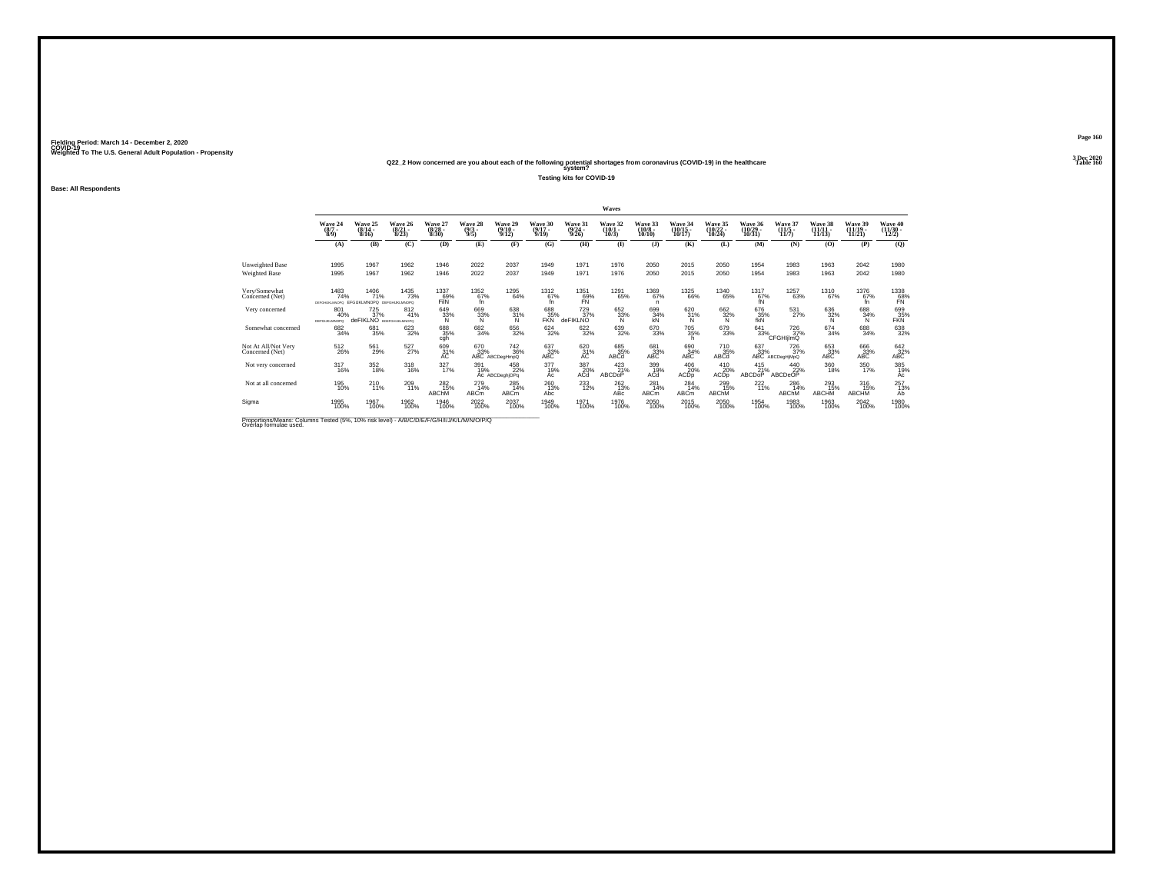### Fielding Period: March 14 - December 2, 2020<br>Fielding Period: March 14 - December 2, 2020<br>Wolchind To The U.S. General Adulf Ponulation - Propensity

# Weighted To The U.S. General Adult Population - Propensity<br>Q22\_2 How concerned are you about each of the following potential shortages from coronavirus (COVID-19) in the healthcare<br>Table 160

**Testing kits for COVID-19**

**Base: All Respondents**

|                                                                                                                     |                                                        |                              |                                     |                             |                                     |                                                 |                              |                                         | Waves                           |                               |                                |                                    |                              |                                                         |                                 |                                 |                                                                                   |
|---------------------------------------------------------------------------------------------------------------------|--------------------------------------------------------|------------------------------|-------------------------------------|-----------------------------|-------------------------------------|-------------------------------------------------|------------------------------|-----------------------------------------|---------------------------------|-------------------------------|--------------------------------|------------------------------------|------------------------------|---------------------------------------------------------|---------------------------------|---------------------------------|-----------------------------------------------------------------------------------|
|                                                                                                                     | Wave 24<br>$(8/7 -$<br>8/9                             | Wave 25<br>$(8/14 -$<br>8/16 | Wave 26<br>$\frac{(8/21)}{8/23}$    | Wave 27<br>(8/28 -<br>8/30) | Wave 28<br>$\frac{(9/3)}{9/5}$      | Wave 29<br>$\frac{(9/10)}{9/12}$                | Wave 30<br>$(9/17 -$<br>9/19 | Wave 31<br>$\frac{(9/24 - 9/26)}{9/26}$ | Wave 32<br>$\binom{10/1}{10/3}$ | Wave 33<br>$(10/8 -$<br>10/10 | Wave 34<br>(10/15<br>10/17     | Wave 35<br>$\frac{(10/22)}{10/24}$ | Wave 36<br>(10/29 -<br>10/31 | Wave 37<br>$(11/5 -$<br>11/7                            | Wave 38<br>$(11/11 -$<br>11/13  | Wave 39<br>$(11/19 -$<br>11/21  | Wave 40<br>$\frac{(11/30)}{12/2}$                                                 |
|                                                                                                                     | (A)                                                    | (B)                          | (C)                                 | (D)                         | (E)                                 | (F)                                             | (G)                          | (H)                                     | $($ $\Gamma$                    | $($ $)$                       | (K)                            | (L)                                | (M)                          | (N)                                                     | (0)                             | (P)                             | $\mathbf{Q}$                                                                      |
| <b>Unweighted Base</b>                                                                                              | 1995                                                   | 1967                         | 1962                                | 1946                        | 2022                                | 2037                                            | 1949                         | 1971                                    | 1976                            | 2050                          | 2015                           | 2050                               | 1954                         | 1983                                                    | 1963                            | 2042                            | 1980                                                                              |
| <b>Weighted Base</b>                                                                                                | 1995                                                   | 1967                         | 1962                                | 1946                        | 2022                                | 2037                                            | 1949                         | 1971                                    | 1976                            | 2050                          | 2015                           | 2050                               | 1954                         | 1983                                                    | 1963                            | 2042                            | 1980                                                                              |
| Very/Somewhat<br>Concerned (Net)                                                                                    | 1483<br>74%<br>DEFOHUKLMNOPO EFGUKLMNOPO DEFGHUKLMNOPO | 1406<br>71%                  | <sup>1435</sup> 73%                 | 1337<br>69%<br>FilN         | 1352<br>67%<br>fn.                  | 1295<br>64%                                     | 1312<br>67%<br>fn.           | 1351<br>69%<br>FN                       | 1291<br>65%                     | 1369<br>67%<br>n              | 1325<br>66%                    | <sup>1340</sup> 65%                | $^{1317}_{67\%}$ fN          | 1257<br>63%                                             | <sup>1310</sup> 67%             | 1376<br>67%<br>fn.              | $\underset{\substack{\mathbf{58}\times\mathbf{8}\\ \mathbf{FN} }}{\mathbf{1338}}$ |
| Very concerned                                                                                                      | 801<br>40%<br><b>DEFGUIGMNOPO</b>                      | 725<br>37%<br>deFIKI NO      | 812<br>41%<br><b>BDEFOHLKLMNOPO</b> | 649<br>33%                  | 669<br>33%<br>N                     | 638<br>31%<br>'N                                | 688<br>FKN                   | 729<br>37%<br>deFIKLNO                  | 652<br>33%                      | 699<br>34%<br>ΚŃ              | 620<br>31%<br>'N               | 662<br>32%<br>'N                   | 676<br>35%<br>fkN            | 531<br>27%                                              | 636<br>$\frac{32}{N}$           | 688<br>34%<br>N                 | 699<br><b>35%</b>                                                                 |
| Somewhat concerned                                                                                                  | 682<br>34%                                             | 681<br>35%                   | 623<br>32%                          | 688<br>35%<br>cgh           | 682<br>34%                          | 656<br>32%                                      | 624<br>32%                   | 622/32%                                 | 639<br>32%                      | 670<br>33%                    | 705<br>35%<br>h                | 679<br>33%                         | $641 \over 33\%$             | 726<br>37%<br>CFGHIjlmQ                                 | $674 \atop 34\%$                | 688<br>34%                      | 638<br>32%                                                                        |
| Not At All/Not Very<br>Concerned (Net)                                                                              | $^{512}_{26\%}$                                        | 561<br>29%                   | 527%                                | 609<br>31%<br>АC            | 670<br>33%                          | <sup>742</sup> <sub>36%</sub><br>ABC ABCDegHmpQ | $^{637}_{33\%}$ ABC          | $^{620}_{31\%}$                         | 685<br>35%<br>ABCd              | 681<br>33%<br>ABC             | 690<br>34%<br>ABC              | 710<br>35%<br>ABČď                 |                              | 637 726<br>33% 37% 37%<br>ABC ABCDegHjMpQ<br>726<br>37% | $^{653}_{33\%}$ ABC             | 666<br>33%<br>ABC               | $^{642}_{32\%}$ ABC                                                               |
| Not very concerned                                                                                                  | 317<br>16%                                             | 352<br>18%                   | 318<br>16%                          | 327<br>17%                  | 391<br>19%                          | 458<br>22%<br>Ac ABCDeghjOPq                    | 377<br>19%<br>Ac             | 387<br>20%<br>ACd                       | 423<br>21%<br>ABCDOP            | 399<br>19%<br>AĆď             | 406<br>20%<br>ACDD             | 410<br>20%<br>ACD <sub>p</sub>     | 415<br>21%<br>ABCDoP         | 440<br>22%<br>ABCDeOP                                   | 360<br>18%                      | 350<br>17%                      | 385<br>19%<br>Ac                                                                  |
| Not at all concerned                                                                                                | 195<br>10%                                             | $^{210}_{11\%}$              | $^{209}_{11\%}$                     | 282<br>15%<br>ABChM         | $^{279}_{14\%}$<br>ABC <sub>m</sub> | $^{285}_{14\%}$<br><b>ABCm</b>                  | 260<br>13%<br>Abc            | $^{233}_{12\%}$                         | $\frac{262}{13\%}$<br>ABc       | $^{281}_{14\%}$<br>ABCm       | $^{284}_{14\%}$<br><b>ABCm</b> | 299<br>15%<br>ABChM                | $^{222}_{11\%}$              | 286<br>14%<br>ABChM                                     | $^{293}_{15\%}$<br><b>ABCHM</b> | $^{316}_{15\%}$<br><b>ABCHM</b> | 257<br>13%<br>Ab                                                                  |
| Sigma                                                                                                               | 1995<br>100%                                           | 1967<br>100%                 | 1962<br>100%                        | 1946<br>100%                | 2022<br>100%                        | 2037<br>100%                                    | 1949<br>100%                 | 1971<br>100%                            | 1976<br>100%                    | 2050<br>100%                  | 2015<br>100%                   | 2050<br>100%                       | 1954<br>100%                 | 1983<br>100%                                            | 1963<br>100%                    | 2042<br>100%                    | 1980<br>100%                                                                      |
| Proportions/Means: Columns Tested (5%, 10% risk level) - A/B/C/D/E/F/G/H/I/J/K/L/M/N/O/P/Q<br>Overlap formulae used |                                                        |                              |                                     |                             |                                     |                                                 |                              |                                         |                                 |                               |                                |                                    |                              |                                                         |                                 |                                 |                                                                                   |

**Page 1603 Dec 2020<br>Table 160**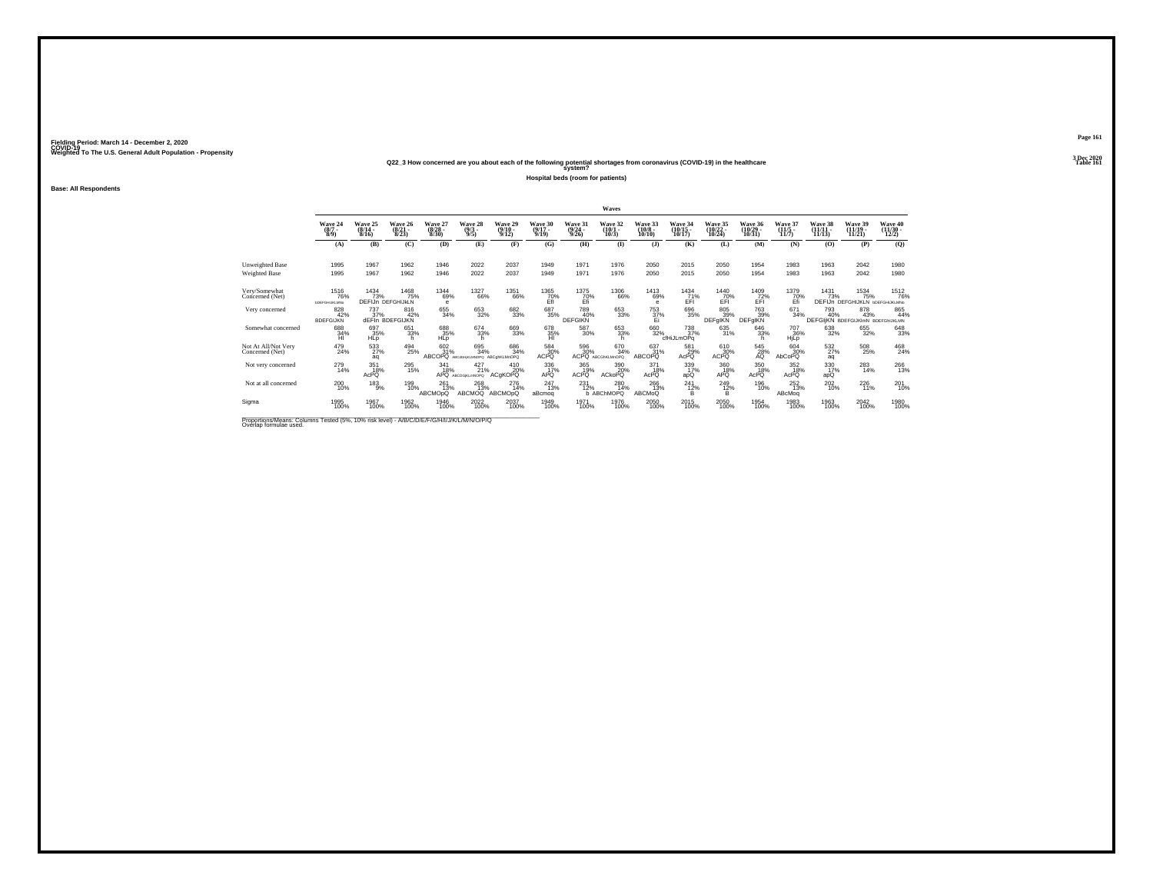### Fielding Period: March 14 - December 2, 2020<br>Fielding Period: March 14 - December 2, 2020<br>Wolchind To The U.S. General Adulf Ponulation - Propensity

# Weighted To The U.S. General Adult Population - Propensity<br>Q22\_3 How concerned are you about each of the following potential shortages from coronavirus (COVID-19) in the healthcare<br>Table 161

**Hospital beds (room for patients)**

### **Base: All Respondents**

|                                                                                         |                                                           |                                         |                                         |                                 |                                                |                                   |                                                                |                                  | Waves                           |                                        |                                             |                                    |                                    |                                  |                                                |                                                |                                   |
|-----------------------------------------------------------------------------------------|-----------------------------------------------------------|-----------------------------------------|-----------------------------------------|---------------------------------|------------------------------------------------|-----------------------------------|----------------------------------------------------------------|----------------------------------|---------------------------------|----------------------------------------|---------------------------------------------|------------------------------------|------------------------------------|----------------------------------|------------------------------------------------|------------------------------------------------|-----------------------------------|
|                                                                                         | Wave 24<br>$\frac{(8/7)}{8/9}$                            | Wave 25<br>$\frac{(8/14 - 8/16)}{8/16}$ | Wave 26<br>$\frac{(8/21)}{8/23}$        | Wave 27<br>$\binom{8/28}{8/30}$ | Wave 28<br>$\frac{(9/3)}{9/5}$                 | Wave 29<br>$\frac{(9/10)}{9/12}$  | Wave 30<br>$\frac{(9/17)}{9/19}$                               | Wave 31<br>$\frac{(9/24)}{9/26}$ | Wave 32<br>$\binom{10/1}{10/3}$ | Wave 33<br>$\frac{(10/8 - 10)}{10/10}$ | Wave 34<br>$\frac{(10/15)}{10/17}$          | Wave 35<br>$\frac{(10/22)}{10/24}$ | Wave 36<br>$\frac{(10/29)}{10/31}$ | Wave 37<br>$\frac{(11/5)}{11/7}$ | Wave 38<br>$\frac{11}{11}{\frac{11}{13}}$      | Wave 39<br>$\frac{(11/19)}{11/21}$             | Wave 40<br>$\frac{(11/30)}{12/2}$ |
|                                                                                         | (A)                                                       | (B)                                     | (C)                                     | (D)                             | (E)                                            | (F)                               | (G)                                                            | (H)                              | $\bf{I}$                        | (I)                                    | (K)                                         | (L)                                | (M)                                | (N)                              | (0)                                            | (P)                                            | (O)                               |
| Unweighted Base<br>Weighted Base                                                        | 1995<br>1995                                              | 1967<br>1967                            | 1962<br>1962                            | 1946<br>1946                    | 2022<br>2022                                   | 2037<br>2037                      | 1949<br>1949                                                   | 1971<br>1971                     | 1976<br>1976                    | 2050<br>2050                           | 2015<br>2015                                | 2050<br>2050                       | 1954<br>1954                       | 1983<br>1983                     | 1963<br>1963                                   | 2042<br>2042                                   | 1980<br>1980                      |
| Very/Somewhat<br>Concerned (Net)                                                        | <sup>1516</sup> 76%<br><b><i><u>INDEFGHUKLMNo</u></i></b> | 1434<br>73%                             | 1468<br>75%<br><b>DEFIJn DEFGHIJKLN</b> | <sup>1344</sup> 69%<br>e        | 1327<br>66%                                    | <sup>1351</sup> 66%               | $\underset{\substack{\text{70}\%\\ \text{Eff}}}^{\text{1365}}$ | 1375<br>70%<br>Efi               | 1306<br>66%                     | 1413<br>69%<br>е                       | $\frac{1434}{71\%}$<br>EFI                  | 1440<br>70%<br>EFI                 | $^{1409}_{72\%}$                   | 1379<br>70%<br>Ėñ                | 1431                                           | 1534<br>75%<br>DEFIJN DEFGHIJKLN BDEFGHIJKLMNO | <sup>1512</sup> 76%               |
| Very concerned                                                                          | 828<br>42%<br><b>BDEFGIJKN</b>                            | 737<br>37%                              | 816<br>42%<br>dEFIn BDEFGIJKN           | 655<br>34%                      | 653<br>32%                                     | 682<br>33%                        | 687<br>35%                                                     | 789<br>40%<br><b>DEFGIKN</b>     | 653<br>33%                      | 753<br>37%                             | 696<br>35%                                  | 805<br>39%<br>DEFgIKN              | 763<br>39%<br><b>DEFgIKN</b>       | 671<br>34%                       | 793<br>40%<br>DEFGIJKN BDEFGIJKIMN BDEFGHJKLMN | 878<br>43%                                     | 865<br>44%                        |
| Somewhat concerned                                                                      | 688<br>34%<br>HI                                          | 697<br>35%<br><b>HLD</b>                | 651<br>33%<br>h                         | 688<br>35%<br><b>HLD</b>        | 674<br>33%<br>h                                | 669<br>33%                        | 678<br>35%<br>HI                                               | $^{587}_{30\%}$                  | 653<br>33%<br>h                 | 660<br>32%                             | <sup>738</sup> <sub>37%</sub><br>cfHiJLmOPq | 635<br>31%                         | 646<br>33%<br>h.                   | <sup>707</sup> 36%<br>HiLp       | 638<br>32%                                     | 655<br>32%                                     | 648<br>33%                        |
| Not At All/Not Very<br>Concerned (Net)                                                  | 479<br>24%                                                | 533<br>aq                               | 494<br>25%                              | 602<br>31%<br>ABCOPQ            | 695<br>34%<br>ABCdGHiKLMNOPQ ABCahKLMnOPQ      | 686<br>34%                        | 584<br>30%<br>ACPQ                                             | 596<br>30%                       | 670<br>34%<br>ACPQ ABCGINLMnOPQ | $\frac{637}{31}\%$<br>ABCOPQ           | 581<br>29%<br>AcPQ                          | 610<br>30%<br><b>ACPO</b>          | 545<br>28%<br>AQ                   | 604<br>30%<br>AbCoPQ             | 532<br>27%<br>aq                               | 508<br>25%                                     | $^{468}_{24\%}$                   |
| Not very concerned                                                                      | 279<br>14%                                                | 351<br>18%<br>AcPO                      | 295<br>15%                              | 341<br>18%<br>APQ               | $^{427}_{21\%}$<br>ABCDGiKLmNOPO               | 410<br>20%<br>ACqKOPQ             | 336<br>17%<br>APQ                                              | 365<br>19%<br><b>ACPO</b>        | 390<br>20%<br><b>ACkoPQ</b>     | 371<br>18%<br>AcPO                     | 339<br>17%<br>apQ                           | 360<br>18%<br>APQ                  | 350<br>18%<br>AcPO                 | 352<br>18%<br>AcPO               | 330<br>17%<br>apQ                              | 283<br>14%                                     | $^{266}_{13\%}$                   |
| Not at all concerned                                                                    | 200<br>10%                                                | $^{183}_{9\%}$                          | 199<br>10%                              | 261<br>13%<br>ABCMOpQ           | <sup>268</sup> <sub>13%</sub><br><b>ABCMOQ</b> | $^{276}_{14\%}$<br><b>ABCMOpQ</b> | $^{247}_{13\%}$<br>aBcmog                                      | $^{231}_{12\%}$                  | $^{280}_{14\%}$<br>b ABChMOPQ   | 266<br>13%<br>ABCMoQ                   | $^{241}_{12\%}$<br>в                        | 249 12%<br>B                       | 196<br>10%                         | $^{252}_{13\%}$<br>ABcMoq        | $^{202}_{10\%}$                                | $^{226}_{11\%}$                                | $^{201}_{10\%}$                   |
| Sigma                                                                                   | 1995<br>100%                                              | 1967<br>100%                            | 1962<br>100%                            | 1946<br>100%                    | 2022<br>100%                                   | 2037<br>100%                      | 1949<br>100%                                                   | 1971<br>100%                     | 1976<br>100%                    | 2050<br>100%                           | 2015<br>100%                                | 2050<br>100%                       | 1954<br>100%                       | 1983<br>100%                     | 1963<br>100%                                   | 2042<br>100%                                   | 1980<br>100%                      |
| Proportions/Means: Columns Tested (5%, 10% risk level) - MR/C/D/E/E/C/H/U/M/ /M/N/O/D/O |                                                           |                                         |                                         |                                 |                                                |                                   |                                                                |                                  |                                 |                                        |                                             |                                    |                                    |                                  |                                                |                                                |                                   |

Proportions/Means: Columns Tested (5%, 10% risk level) - *N\B/C/D/E/F/G/H/I/J/K/L/M/N/O/P/Q*<br>Overlap formulae used.

**Page 1613 Dec 2020<br>Table 161**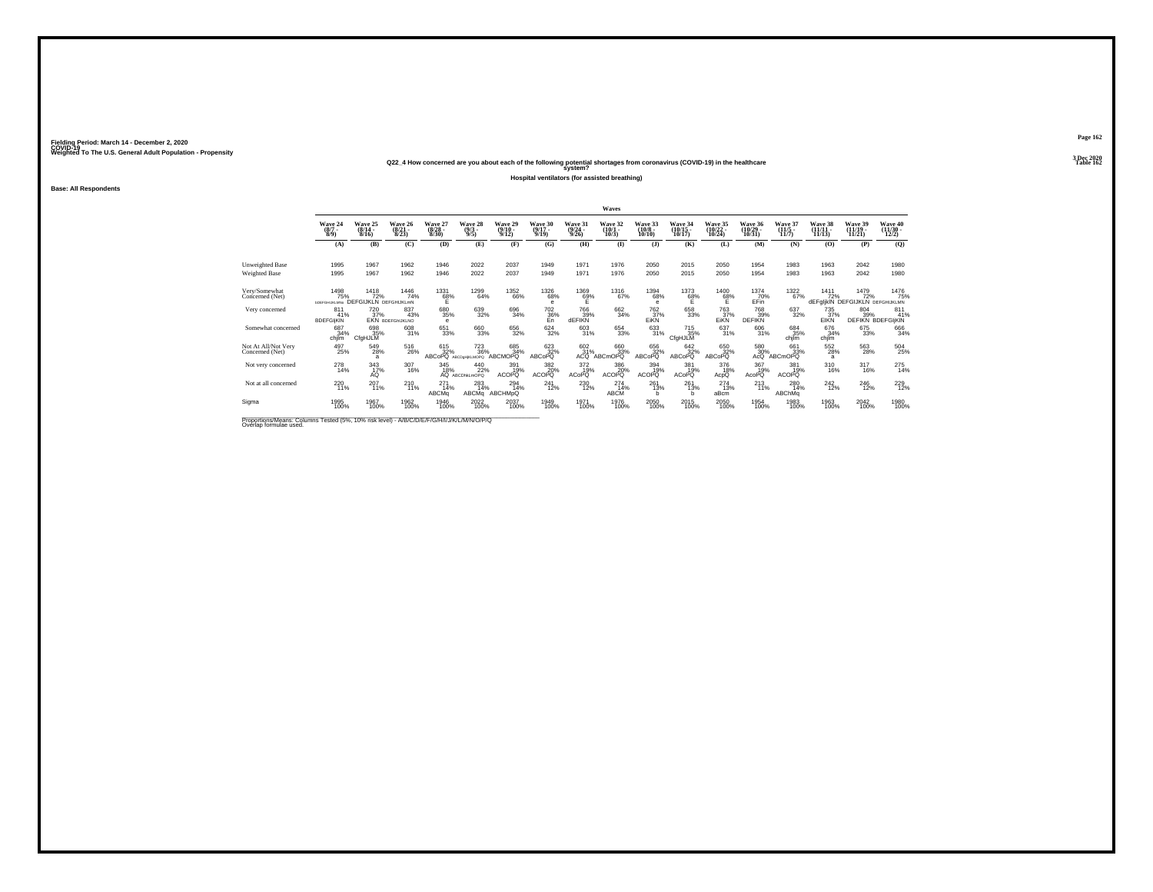## Weighted To The U.S. General Adult Population - Propensity<br>Q22\_4 How concerned are you about each of the following potential shortages from coronavirus (COVID-19) in the healthcare<br>Table 162

**Hospital ventilators (for assisted breathing)**

#### **Base: All Respondents**

|                                                                                                                      |                                |                                                  |                                  |                                  |                                                |                              |                                |                              | <b>Waves</b>                 |                               |                            |                              |                             |                                  |                                |                                                |                                       |
|----------------------------------------------------------------------------------------------------------------------|--------------------------------|--------------------------------------------------|----------------------------------|----------------------------------|------------------------------------------------|------------------------------|--------------------------------|------------------------------|------------------------------|-------------------------------|----------------------------|------------------------------|-----------------------------|----------------------------------|--------------------------------|------------------------------------------------|---------------------------------------|
|                                                                                                                      | Wave 24<br>$(8/7 -$<br>8/9     | Wave 25<br>$(8/14 -$<br>8/16                     | Wave 26<br>$\frac{(8/21)}{8/23}$ | Wave 27<br>$\frac{(8/28)}{8/30}$ | Wave 28<br>$\frac{(9/3)}{9/5}$                 | Wave 29<br>$(9/10 -$<br>9/12 | Wave 30<br>$(9/17 -$<br>9/19   | Wave 31<br>$(9/24 -$<br>9/26 | Wave 32<br>$(10/1 -$<br>10/3 | Wave 33<br>$(10/8 -$<br>10/10 | Wave 34<br>10/17           | Wave 35<br>(10/22 -<br>10/24 | Wave 36<br>(10/29<br>10/31  | Wave 37<br>$\frac{(11/5)}{11/7}$ | Wave 38<br>$(11/11 -$<br>11/13 | Wave 39<br>$(11/19 -$<br>11/21                 | Wave 40<br>12/2)                      |
|                                                                                                                      | (A)                            | (B)                                              | (C)                              | (D)                              | (E)                                            | (F)                          | (G)                            | (H)                          | $\bf{I}$                     | $($ $\bf{J}$ )                | (K)                        | (L)                          | (M)                         | (N)                              | (O)                            | (P)                                            | (Q)                                   |
| <b>Unweighted Base</b>                                                                                               | 1995                           | 1967                                             | 1962                             | 1946                             | 2022                                           | 2037                         | 1949                           | 1971                         | 1976                         | 2050                          | 2015                       | 2050                         | 1954                        | 1983                             | 1963                           | 2042                                           | 1980                                  |
| Weighted Base                                                                                                        | 1995                           | 1967                                             | 1962                             | 1946                             | 2022                                           | 2037                         | 1949                           | 1971                         | 1976                         | 2050                          | 2015                       | 2050                         | 1954                        | 1983                             | 1963                           | 2042                                           | 1980                                  |
| Very/Somewhat<br>Concerned (Net)                                                                                     | 1498<br>75%<br>bDEFGHIJKLMNo   | $^{1418}_{72\%}$<br><b>DEFGIJKLN DEFGHIJKLmN</b> | <sup>1446</sup> 74%              | $^{1331}_{68\%}$                 | 1299<br>64%                                    | <sup>1352</sup> 66%          | <sup>1326</sup> 68%<br>e       | $^{1369}_{62\%}$             | $^{1316}_{67\%}$             | 1394<br>68%<br>$\mathbf e$    | $^{1373}_{68\%}$           | $^{1400}_{68\%}$             | 1374<br>70%<br>EFin         | $^{1322}_{67\%}$                 | $1411$<br>$72\%$               | 1479<br>72%<br>dEFgljkIN DEFGIJKLN DEFGHIJKLMN | 1476<br>75%                           |
| Very concerned                                                                                                       | 811<br>41%<br><b>BDEFGIKIN</b> | 720<br>37%                                       | 837<br>43%<br>EKN BDEFGHUKLNO    | 680<br>35%<br>$\epsilon$         | 639<br>32%                                     | 696<br>34%                   | $^{702}_{\substack{36\%\\En}}$ | 766<br>39%<br><b>dEFIKN</b>  | 662<br>34%                   | 762<br>37%<br>EiKN            | 658<br>33%                 | 763<br>37%<br>EIKN           | 768<br>39%<br><b>DEFIKN</b> | 637<br>32%                       | 735<br>37%<br>EIKN             | 804<br>39%                                     | 811<br>41%<br><b>DEFIKN BDEFGIKIN</b> |
| Somewhat concerned                                                                                                   | 687<br>34%<br>chjim            | 698<br>35%<br>CfgHJLM                            | 608<br>31%                       | 651<br>33%                       | 660<br>33%                                     | 656<br>32%                   | $\substack{624 \\ 32\%}$       | $\frac{603}{31\%}$           | $\substack{654 \\ 33\%}$     | $\frac{633}{31\%}$            | 715<br>35%<br>CfgHJLM      | 637/31%                      | 606<br>31%                  | 684<br>35%<br>chilm              | 676<br>34%<br>chjim            | 675<br>33%                                     | 666<br>34%                            |
| Not At All/Not Very<br>Concerned (Net)                                                                               | 497<br>25%                     | 549<br>28%<br>$\overline{a}$                     | 516<br>26%                       | 615<br>32%<br>ABCoPQ             | <sup>723</sup> <sub>36%</sub><br>ABCDaHIKLMOPQ | 685<br>34%<br>ABCMOPO        | 623<br>32%<br>ABCoPQ           | $\frac{602}{31}\%$<br>ACO    | 660<br>33%<br><b>ABCmOPQ</b> | 656<br>32%<br>ABCoPQ          | 642<br>32%<br>ABCoPQ       | 650<br>32%<br>ABCoPQ         | 580 30%                     | 661<br>33%<br>AcQ ABCmOPQ        | 552<br>28%<br>a                | 563<br>28%                                     | 504<br>25%                            |
| Not very concerned                                                                                                   | 278<br>14%                     | 343<br>17%<br>AÓ                                 | 307<br>16%                       | 345<br>$A^{18\%}_{AQ}$           | 440<br>22%<br>ABCDhkLmOPQ                      | 391<br>19%<br>ACOPO          | 382<br>20%<br><b>ACOPO</b>     | 372<br>19%<br><b>ACoPQ</b>   | 386<br>20%<br>ACOPO          | 394<br>19%<br><b>ACOPO</b>    | 381<br>19%<br><b>ACoPQ</b> | 376<br>18%<br>AcpQ           | 367<br>19%<br><b>AcoPQ</b>  | 381<br>19%<br><b>ACOPQ</b>       | 310<br>16%                     | 317<br>16%                                     | 275<br>14%                            |
| Not at all concerned                                                                                                 | $^{220}_{11\%}$                | 207<br>11%                                       | 210<br>11%                       | 271<br>14%<br>ABCMa              | 283<br>14%<br>ABCMa                            | 294<br>14%<br>ABCHMpQ        | $^{241}_{12\%}$                | 230 12%                      | 274<br>14%<br>ABCM           | $^{261}_{13\%}$<br>b          | $^{261}_{13\%}$<br>h       | 274<br>13%<br>aBcm           | $^{213}_{11\%}$             | 280<br>14%<br>ABChMq             | $^{242}_{12\%}$                | 246<br>12%                                     | 229<br>12%                            |
| Sigma                                                                                                                | 1995<br>100%                   | 1967<br>100%                                     | 1962<br>100%                     | 1946<br>100%                     | 2022<br>100%                                   | 2037<br>100%                 | 1949<br>100%                   | 1971<br>100%                 | 1976<br>100%                 | 2050<br>100%                  | 2015<br>100%               | 2050<br>100%                 | 1954<br>100%                | 1983<br>100%                     | 1963<br>100%                   | 2042<br>100%                                   | 1980<br>100%                          |
| Proportions/Means: Columns Tested (5%, 10% risk level) - A/B/C/D/E/F/G/H/I/J/K/L/M/N/O/P/Q<br>Overlap formulae used. |                                |                                                  |                                  |                                  |                                                |                              |                                |                              |                              |                               |                            |                              |                             |                                  |                                |                                                |                                       |

**Page 1623 Dec 2020<br>Table 162**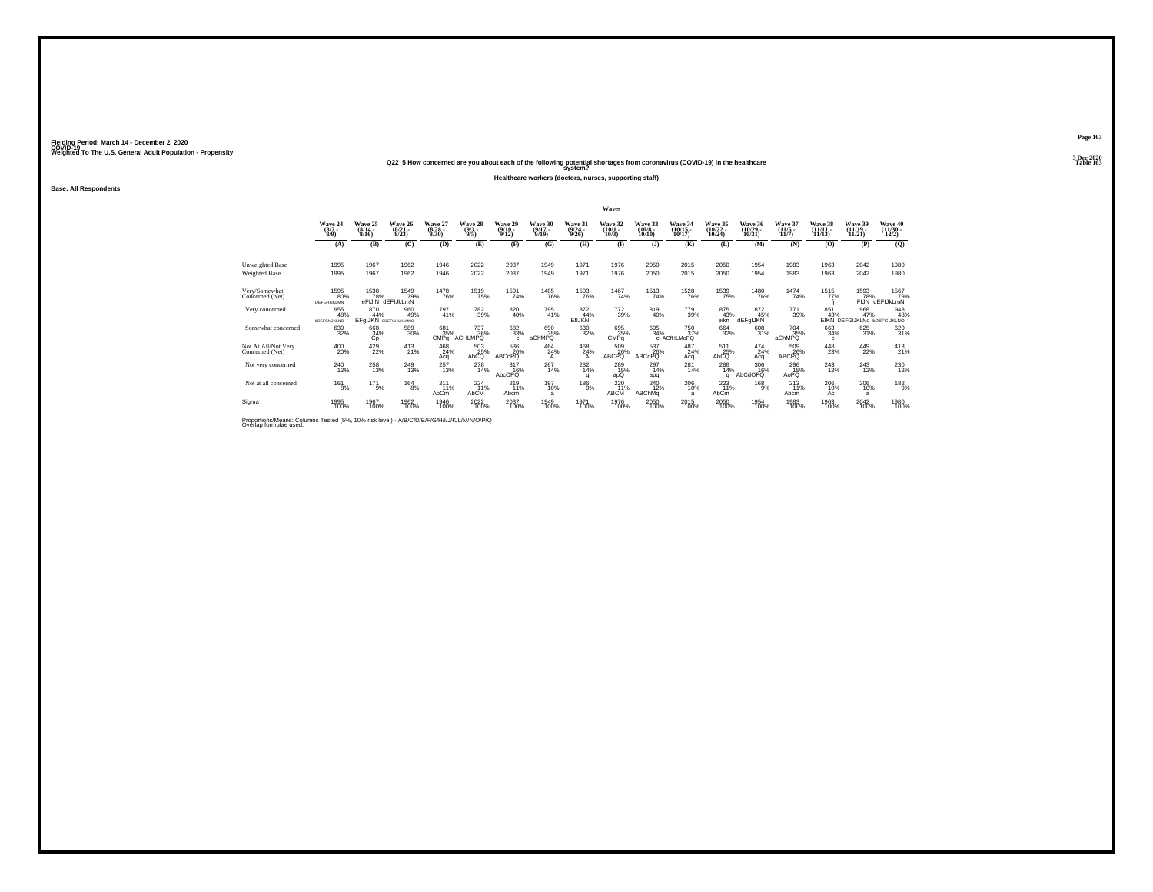### **Q22\_5 How concerned are you about each of the following potential shortages from coronavirus (COVID-19) in the healthcare Table 163 system?**

**Healthcare workers (doctors, nurses, supporting staff)**

**Base: All Respondents**

|                                                                                           |                                                |                              |                                    |                                  |                                                 |                                  |                              |                                             | Waves                           |                                         |                                    |                                    |                               |                                  |                                |                                           |                              |
|-------------------------------------------------------------------------------------------|------------------------------------------------|------------------------------|------------------------------------|----------------------------------|-------------------------------------------------|----------------------------------|------------------------------|---------------------------------------------|---------------------------------|-----------------------------------------|------------------------------------|------------------------------------|-------------------------------|----------------------------------|--------------------------------|-------------------------------------------|------------------------------|
|                                                                                           | Wave 24<br>$(8/7 -$<br>$8/9$ )                 | Wave 25<br>$(8/14 -$<br>8/16 | Wave 26<br>$\frac{(8/21)}{8/23}$   | Wave 27<br>$\frac{(8/28)}{8/30}$ | Wave 28<br>$\frac{(9/3)}{9/5}$                  | Wave 29<br>$\frac{(9/10)}{9/12}$ | Wave 30<br>$(9/17 -$<br>9/19 | Wave 31<br>$\frac{(9/24)}{9/26}$            | Wave 32<br>$\binom{10/1}{10/3}$ | Wave 33<br>$\frac{(10/8)}{10/10}$       | Wave 34<br>$\frac{(10/15)}{10/17}$ | Wave 35<br>$\frac{(10/22)}{10/24}$ | Wave 36<br>(10/29 -<br>10/31) | Wave 37<br>$\frac{(11/5)}{11/7}$ | Wave 38<br>$(11/11 -$<br>11/13 | Wave 39<br>$(11/19 -$<br>11/21            | Wave 40<br>(11/30 -<br>12/2) |
|                                                                                           | (A)                                            | (B)                          | (C)                                | (D)                              | (E)                                             | (F)                              | (G)                          | (H)                                         | $($ $\Gamma$                    | $($ $\bf{J}$ $)$                        | (K)                                | (L)                                | (M)                           | (N)                              | (0)                            | (P)                                       | (Q)                          |
| Unweighted Base<br>Weighted Base                                                          | 1995<br>1995                                   | 1967<br>1967                 | 1962<br>1962                       | 1946<br>1946                     | 2022<br>2022                                    | 2037<br>2037                     | 1949<br>1949                 | 1971<br>1971                                | 1976<br>1976                    | 2050<br>2050                            | 2015<br>2015                       | 2050<br>2050                       | 1954<br>1954                  | 1983<br>1983                     | 1963<br>1963                   | 2042<br>2042                              | 1980<br>1980                 |
| Very/Somewhat<br>Concerned (Net)                                                          | 1595<br>80%<br>DEFGHIJKLMN                     | 1538                         | 1549<br>79%<br>eFIJIN dEFIJkLmN    | <sup>1478</sup> 76%              | <sup>1519</sup> 75%                             | <sup>1501</sup> 74%              | <sup>1485</sup> 76%          | <sup>1503</sup> 76%                         | 1467<br>74%                     | <sup>1513</sup> 74%                     | <sup>1528</sup> 76%                | <sup>1539</sup> 75%                | <sup>1480</sup> 76%           | 1474<br>74%                      | 1515<br>77%                    | 1593<br>FIJN                              |                              |
| Very concerned                                                                            | 955<br>48%<br><b><i><u>DDEFGNJKLNO</u></i></b> | 870<br>44%                   | 960<br>49%<br>EFGIJKN BDEFGHUKLMNO | 797<br>41%                       | 782<br>39%                                      | 820<br>40%                       | 795<br>41%                   | 872<br>44%<br><b>EfIJKN</b>                 | 772<br>39%                      | 819<br>40%                              | 779<br>39%                         | 875<br>43%<br>eikn                 | 872<br>45%<br>dEFgIJKN        | 771<br>39%                       | 851<br>43%                     | 968<br>47%<br>EIKN DEFGIJKLNo bDEFGIJKLNO | 948<br>48%                   |
| Somewhat concerned                                                                        | 639<br>32%                                     | 668<br>34%<br>Cр             | 589<br>30%                         | 681<br>35%<br>CMPa               | <sup>737</sup> <sub>36%</sub><br><b>ACHLMPQ</b> | 682<br>33%<br>$\mathfrak{c}$     | 690<br>35%<br>aChMPQ         | 630<br>32%                                  | 695 35%<br>CMPq                 | 695<br>34%                              | 750<br>37%<br>c ACfHLMoPQ          | 664<br>32%                         | 608<br>31%                    | <sup>704</sup> 35%<br>aChMPQ     | 663<br>34%<br>c                | 625<br>31%                                | 620<br>31%                   |
| Not At All/Not Very<br>Concerned (Net)                                                    | 400<br>20%                                     | $^{429}_{22\%}$              | $^{413}_{21\%}$                    | 468<br>24%<br>Aca                | 503<br>25%<br>AbCQ                              | 536<br>26%<br>ABCoPQ             | $^{464}_{24\%}$              | $^{468}_{\  \  \, 24\%}_{\  \  \, {\rm A}}$ | 509<br>26%<br>ABCPQ             | 537<br>26%<br>ABCoPQ                    | $^{487}_{24\%}$<br>Acq             | $511$<br>$25\%$<br>AbCQ            | $^{474}_{24\%}$<br>Aca        | 509<br>26%<br>ABCPQ              | $^{448}_{23\%}$                | 449<br>22%                                | $^{413}_{21\%}$              |
| Not very concerned                                                                        | 240<br>12%                                     | 258<br>13%                   | 249<br>13%                         | 257<br>13%                       | 278<br>14%                                      | 317<br>16%<br>AbcOPQ             | 267<br>14%                   | 282<br>14%<br>q                             | 289<br>15%<br>apQ               | 297<br>14%<br>apq                       | 281<br>14%                         | 288<br>14%<br>a                    | 306<br>16%<br>AbCdOPQ         | 296<br>15%<br>AoPQ               | 243<br>12%                     | 243<br>12%                                | 230<br>12%                   |
| Not at all concerned                                                                      | $^{161}_{8\%}$                                 | $^{17}$ $^{1}_{9\%}$         | $^{164}_{8\%}$                     | 211<br>11%<br>AbCm               | $^{224}_{11\%}$<br>AbCM                         | 219<br>11%<br>Abcm               | 197<br>10%<br>a              | $^{186}_{9%}$                               | $^{220}_{11\%}$<br>ABCM         | <sup>240</sup> <sub>12%</sub><br>ABChMq | 206<br>10%<br>a                    | $^{223}_{11\%}$<br>AbCm            | $^{168}_{9%}$                 | $^{213}_{11\%}$<br>Abcm          | 206<br>10%<br>Ac               | $^{206}_{10\%}$<br>a                      | 182 <sub>9%</sub>            |
| Sigma                                                                                     | 1995<br>100%                                   | 1967<br>100%                 | 1962<br>100%                       | 1946<br>100%                     | 2022<br>100%                                    | 2037<br>100%                     | 1949<br>100%                 | 1971<br>100%                                | 1976<br>100%                    | 2050<br>100%                            | 2015<br>100%                       | 2050<br>100%                       | 1954<br>100%                  | 1983<br>100%                     | 1963<br>100%                   | 2042<br>100%                              | 1980<br>100%                 |
| Bronoriona Magno: Columna Toptod (59/ - 409/ - 65) Joyal - AIBIC INICIDIALITINA MANIOIDIO |                                                |                              |                                    |                                  |                                                 |                                  |                              |                                             |                                 |                                         |                                    |                                    |                               |                                  |                                |                                           |                              |

Proportions/Means: Columns Tested (5%, 10% risk level) - *N'B/C/D/E/F/G/H/I/J/K/L/M/N/O/P/Q*<br>Overlap formulae used.

**Page 1633 Dec 2020<br>Table 163**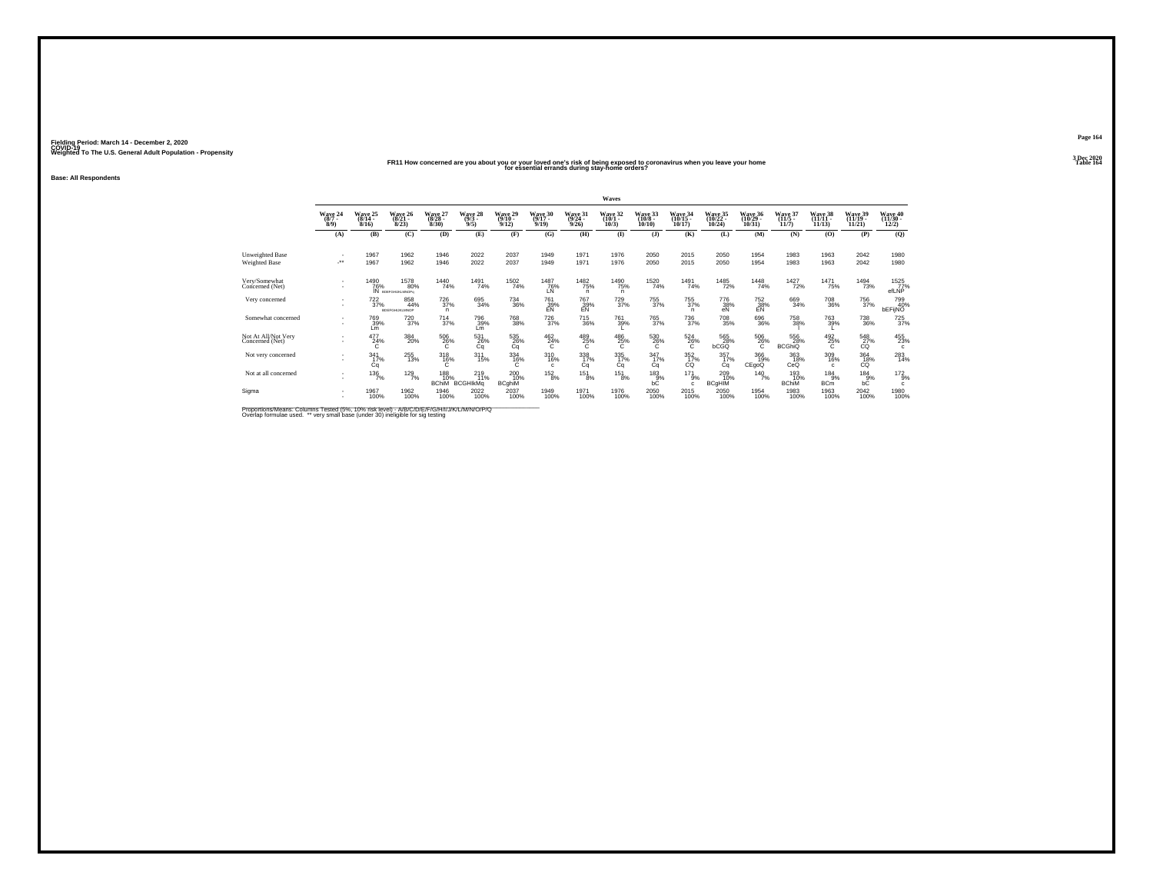### **FR11 How concerned are you about you or your loved one's risk of being exposed to coronavirus when you leave your home Table 164 for essential errands during stay-home orders?**

**Base: All Respondents**

|                                        |                               |                              |                                          |                                    |                                |                             |                              |                              | Waves                         |                               |                  |                              |                              |                              |                            |                              |                            |
|----------------------------------------|-------------------------------|------------------------------|------------------------------------------|------------------------------------|--------------------------------|-----------------------------|------------------------------|------------------------------|-------------------------------|-------------------------------|------------------|------------------------------|------------------------------|------------------------------|----------------------------|------------------------------|----------------------------|
|                                        | Wave 24<br>$(8/7 -$<br>8/9    | Wave 25<br>$(8/14 -$<br>8/16 | Wave 26<br>$(8/21 -$<br>8/23             | Wave 27<br>$(8/28 -$<br>8/30       | Wave 28<br>$\frac{(9/3)}{9/5}$ | Wave 29<br>(9/10 -<br>9/12) | Wave 30<br>$(9/17 -$<br>9/19 | Wave 31<br>$(9/24 -$<br>9/26 | Wave 32<br>$(10/1 -$<br>10/3  | Wave 33<br>$(10/8 -$<br>10/10 | Wave 34<br>10/17 | Wave 35<br>(10/22 -<br>10/24 | Wave 36<br>(10/29 -<br>10/31 | Wave 37<br>$(11/5 -$<br>11/7 | Wave 38<br>(11/11<br>11/13 | Wave 39<br>(11/19 -<br>11/21 | Wave 40<br>(11/30<br>12/2) |
|                                        | (A)                           | (B)                          | (C)                                      | (D)                                | (E)                            | (F)                         | (G)                          | (H)                          | $\bf{I}$                      | $($ $)$                       | (K)              | (L)                          | (M)                          | (N)                          | (0)                        | (P)                          | $\mathbf{Q}$               |
| Unweighted Base<br>Weighted Base       | ٠<br>-**                      | 1967<br>1967                 | 1962<br>1962                             | 1946<br>1946                       | 2022<br>2022                   | 2037<br>2037                | 1949<br>1949                 | 1971<br>1971                 | 1976<br>1976                  | 2050<br>2050                  | 2015<br>2015     | 2050<br>2050                 | 1954<br>1954                 | 1983<br>1983                 | 1963<br>1963               | 2042<br>2042                 | 1980<br>1980               |
| Very/Somewhat<br>Concerned (Net)       | ٠<br>$\overline{\phantom{a}}$ | <sup>1490</sup> 76%          | <sup>1578</sup> 80%<br>IN BOEFGHUKLMNOP4 | 1440<br>74%                        | 1491<br>74%                    | <sup>1502</sup> 74%         | <sup>1487</sup> 76%<br>LŃ    | 1482<br>75%<br>n.            | <sup>1490</sup> 75%<br>n.     | <sup>1520</sup> 74%           | 1491<br>74%      | <sup>1485</sup> 72%          | <sup>1448</sup> 74%          | <sup>1427</sup> 72%          | <sup>1471</sup> 75%        | <sup>1494</sup> 73%          | 1525<br>efLNP              |
| Very concerned                         |                               | $^{722}_{37\%}$              | 858<br>44%<br>RDEEGHLIKI MAOP            | <sup>726</sup> <sub>37%</sub><br>n | 695<br>34%                     | $^{734}_{\ 36\%}$           | 761<br>39%<br>EN             | $\frac{767}{29\%}$           | <sup>729</sup> <sub>37%</sub> | <sup>755</sup> <sub>37%</sub> | 755<br>37%<br>n  | 776<br>38%<br>eN             | $^{752}_{38\%}$              | 669<br>34%                   | 708<br>36%                 | <sup>756</sup> 37%           | 799<br>40%<br>bEFijNO      |
| Somewhat concerned                     | $\sim$<br>$\sim$              | 769<br>39%<br>Lm             | 720<br>37%                               | $\frac{714}{37\%}$                 | 796<br>39%<br>Lm               | 768<br>38%                  | <sup>726</sup> 37%           | $\substack{715 \\ 36\%}$     | 761<br>39%                    | 765<br>37%                    | 736<br>37%       | 708<br>35%                   | 696<br>36%                   | 758<br>38%                   | 763<br>39%                 | 738<br>36%                   | 725<br>37%                 |
| Not At All/Not Very<br>Concerned (Net) | $\sim$                        | 477<br>24%<br>C.             | 384<br>20%                               | 506<br>26%<br>C                    | 531<br>26%<br>Cq               | 535<br>26%<br>Cq            | $^{462}_{24\%}$<br>C         | 489<br>25%<br>Ċ              | 486<br>25%<br>C               | 530<br>26%<br>Ċ               | 524<br>26%<br>Ċ  | 565<br>28%<br>bCGQ           | 506<br>26%<br>C.             | 556<br>28%<br><b>BCGhiQ</b>  | 492<br>25%                 | 548<br>27%<br>CQ             | 455<br>23%<br>c            |
| Not very concerned                     |                               | $\frac{341}{17\%}$<br>Cq     | 255<br>13%                               | 318<br>16%                         | 311/15%                        | $\frac{334}{16\%}$          | 310<br>16%<br>$\mathbf{c}$   | 338<br>17%<br>Cq             | 335<br>17%<br>Ca              | $\frac{347}{17\%}$<br>Cа      | $^{352}_{17\%}$  | 357<br>17%<br>Сa             | 366<br>19%<br>CEgoQ          | 363<br>18%<br>CeQ            | 309<br>16%<br>$\mathbf{C}$ | 364<br>18%<br>СŐ             | $^{283}_{14\%}$            |
| Not at all concerned                   |                               | 136<br>7%                    | $^{129}_{7\%}$                           | 188<br>10%<br><b>BChiM</b>         | 219<br>11%<br><b>BCGHIKMa</b>  | 200<br>10%<br><b>BCghiM</b> | 152<br>8%                    | 151<br>8%                    | 151<br>8%                     | 183<br>bC                     | 171<br>9%<br>c   | 209<br>10%<br><b>BCgHIM</b>  | $^{140}_{7\%}$               | 193<br>10%<br><b>BChiM</b>   | 184<br>9%<br><b>BCm</b>    | 184<br>$bC$ <sup>9%</sup>    | $^{172}_{9\%}$<br>c        |
| Sigma                                  |                               | 1967<br>100%                 | 1962<br>100%                             | 1946<br>100%                       | 2022<br>100%                   | 2037<br>100%                | 1949<br>100%                 | 1971<br>100%                 | 1976<br>100%                  | 2050<br>100%                  | 2015<br>100%     | 2050<br>100%                 | 1954<br>100%                 | 1983<br>100%                 | 1963<br>100%               | 2042<br>100%                 | 1980<br>100%               |

Proportions/Means: Columns Tested (5%, 10% risk level) - A/B/C/D/E/F/G/H/I/J/K/L/M/N/O/P/Q<br>Overlap formulae used. \*\* very small base (under 30) ineligible for sig testing

**Page 1643 Dec 2020<br>Table 164**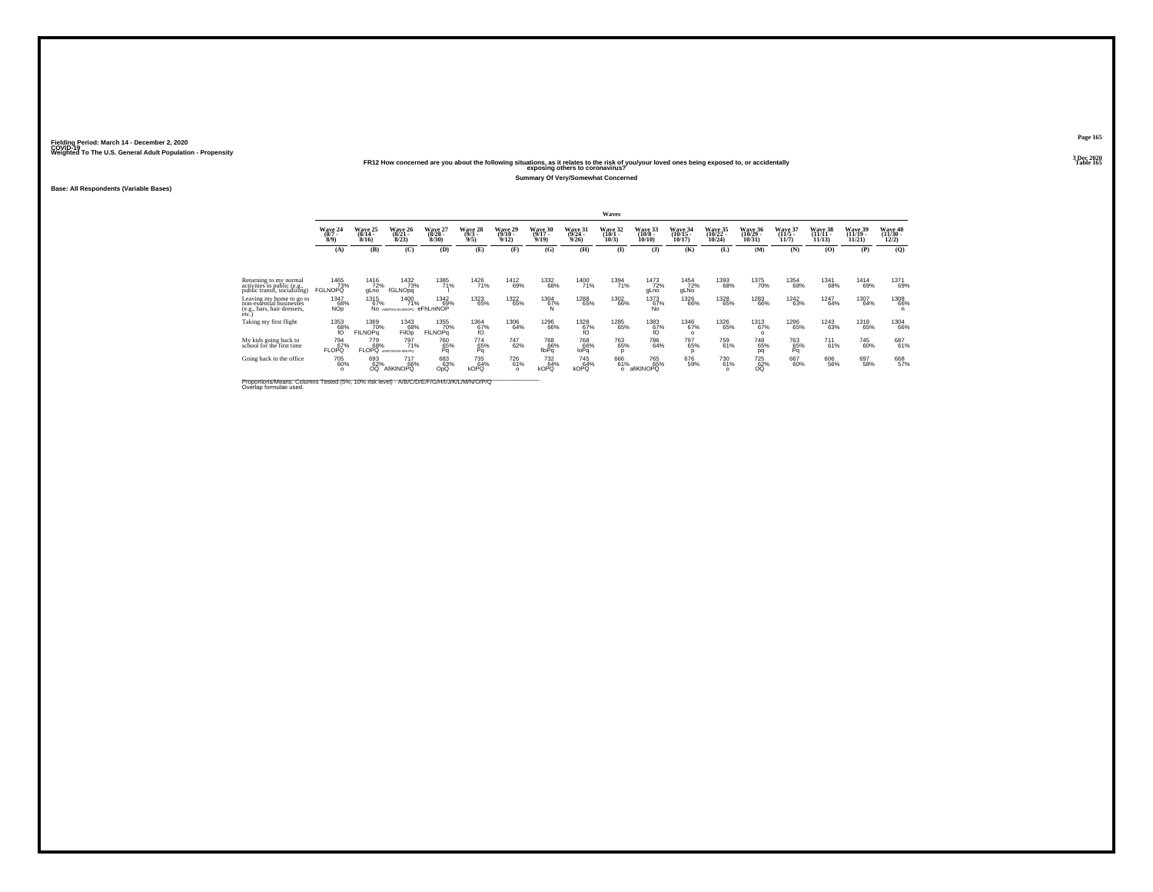## Weighted To The U.S. General Adult Population - Propensity<br>Table 165 Pape 1221 Propensity<br>Table 165 Pape 1672 Propensity Propensity Propensity Propensity Propensity Propensity Propensity Propensity Propensity Propensity P

**Summary Of Very/Somewhat Concerned**

**Base: All Respondents (Variable Bases)**

|                                                                                                                      |                                |                               |                                                 |                                 |                            |                                |                              |                           | Waves                        |                               |                                 |                            |                                |                     |                                |                                |                                |
|----------------------------------------------------------------------------------------------------------------------|--------------------------------|-------------------------------|-------------------------------------------------|---------------------------------|----------------------------|--------------------------------|------------------------------|---------------------------|------------------------------|-------------------------------|---------------------------------|----------------------------|--------------------------------|---------------------|--------------------------------|--------------------------------|--------------------------------|
|                                                                                                                      | Wave 24<br>$\frac{(8/7)}{8/9}$ | Wave 25<br>$(8/14 -$<br>8/16  | Wave 26<br>8/23                                 | Wave 27<br>$(8/28 -$<br>8/30    | Wave 28<br>$(9/3 -$<br>9/5 | Wave 29<br>$(9/10 -$<br>9/12   | Wave 30<br>$(9/17 -$<br>9/19 | Wave 31<br>(9/24)<br>9/26 | Wave 32<br>$(10/1 -$<br>10/3 | Wave 33<br>$(10/8 -$<br>10/10 | Wave 34<br>10/17                | Wave 35<br>(10/22<br>10/24 | Wave 36<br>(10/29 -<br>10/31   | Wave 37<br>11/7     | Wave 38<br>$(11/11 -$<br>11/13 | Wave 39<br>$(11/19 -$<br>11/21 | Wave 40<br>$(11/30 -$<br>12/2) |
|                                                                                                                      | (A)                            | (B)                           | $\mathbf C$                                     | (D)                             | (E)                        | $(\mathbf{F})$                 | (G)                          | (H)                       | $($ $\Gamma$                 | $($ $)$                       | (K)                             | (L)                        | (M)                            | (N)                 | (O)                            | (P)                            | (Q)                            |
|                                                                                                                      |                                |                               |                                                 |                                 |                            |                                |                              |                           |                              |                               |                                 |                            |                                |                     |                                |                                |                                |
| Returning to my normal<br>activities in public (e.g.,<br>public transit, socializing)                                | 1465<br>73%<br><b>FGLNOPQ</b>  | <sup>1416</sup> 72%<br>gLno   | 1432<br>73%<br>fGLNOpa                          | 1385<br>71%                     | 1426<br>71%                | 1412<br>69%                    | 1332<br>68%                  | 1400<br>71%               | 1394<br>71%                  | 1473<br>72%<br>gLno           | 1454<br>72%<br>gLNo             | 1393<br>68%                | 1375<br>70%                    | 1354<br>68%         | 1341<br>68%                    | 1414<br>69%                    | 1371<br>69%                    |
| Leaving my home to go to<br>non-essential businesses<br>(e.g., bars, hair dressers,<br>etc.                          | 1347<br>68%<br><b>NOp</b>      | 1315<br>67%                   | <sup>1400</sup> 71%<br><b>NO</b> АВЕРСНІЖІМКОРО | <sup>1342</sup> 69%<br>eFhLmNOP | 1323<br>65%                | 1322<br>65%                    | 1304<br>67%                  | <sup>1288</sup> 65%       | 1302<br>66%                  | 1373<br>67%<br><b>No</b>      | <sup>1326</sup> 66%             | 1328<br>65%                | <sup>1283</sup> 66%            | <sup>1242</sup> 63% | 1247<br>64%                    | 1307<br>64%                    | 1308<br>66%<br>n               |
| Taking my first flight                                                                                               | $^{1353}_{68\%}$               | 1369<br>70%<br><b>FILNOPG</b> | 1343<br>68%<br><b>FilOp</b>                     | 1355<br>70%<br><b>FILNOPa</b>   | 1364<br>67%<br>fÓ          | 1306<br>64%                    | 1296<br>66%                  | $^{1328}_{67\%}$          | 1285<br>65%                  | $^{1383}_{67\%}$              | <sup>1346</sup> 67%<br>$\Omega$ | 1326<br>65%                | <sup>1313</sup> 67%<br>$\circ$ | 1296<br>65%         | 1243<br>63%                    | 1318<br>65%                    | <sup>1304</sup> 66%            |
| My kids going back to<br>school for the first time                                                                   | 794<br>FLOPO <sup>67%</sup>    | 779<br>68%<br><b>FLOPO</b>    | 797<br>71%<br>«DEFOHLIKI MACIPO                 | 760<br>65%<br>Pa                | 774<br>65%                 | 747<br>62%                     | 768<br>66%<br>floPa          | 768<br>66%<br>loPa        | 763<br>65%<br><sup>n</sup>   | 786<br>64%                    | 797<br>65%<br>D                 | 759<br>61%                 | 748<br>65%<br>pq               | 763<br>65%<br>Pq    | 711<br>61%                     | 745<br>60%                     | 687<br>61%                     |
| Going back to the office                                                                                             | 705<br>60%<br>$\Omega$         | 693<br>62%<br>OQ.             | <sup>717</sup> 66%<br>AfiKINOPQ                 | 683<br>63%<br>OpQ               | 735<br>64%<br><b>kOPQ</b>  | <sup>726</sup> 61%<br>$\Omega$ | 732<br>64%<br><b>kOPQ</b>    | 745<br>64%<br>kOPQ        | 666<br>61%<br>$\circ$        | 765<br>65%<br>afiKINOPQ       | 676<br>59%                      | 730<br>61%<br>$\circ$      | <sup>725</sup> 62%<br>OQ.      | 667<br>60%          | 606<br>56%                     | 697<br>58%                     | 668<br>57%                     |
| Proportions/Means: Columns Tested (5%, 10% risk level) - A/B/C/D/E/F/G/H/I/J/K/L/M/N/O/P/Q<br>Overlap formulae used. |                                |                               |                                                 |                                 |                            |                                |                              |                           |                              |                               |                                 |                            |                                |                     |                                |                                |                                |

**Page 1653 Dec 2020<br>Table 165**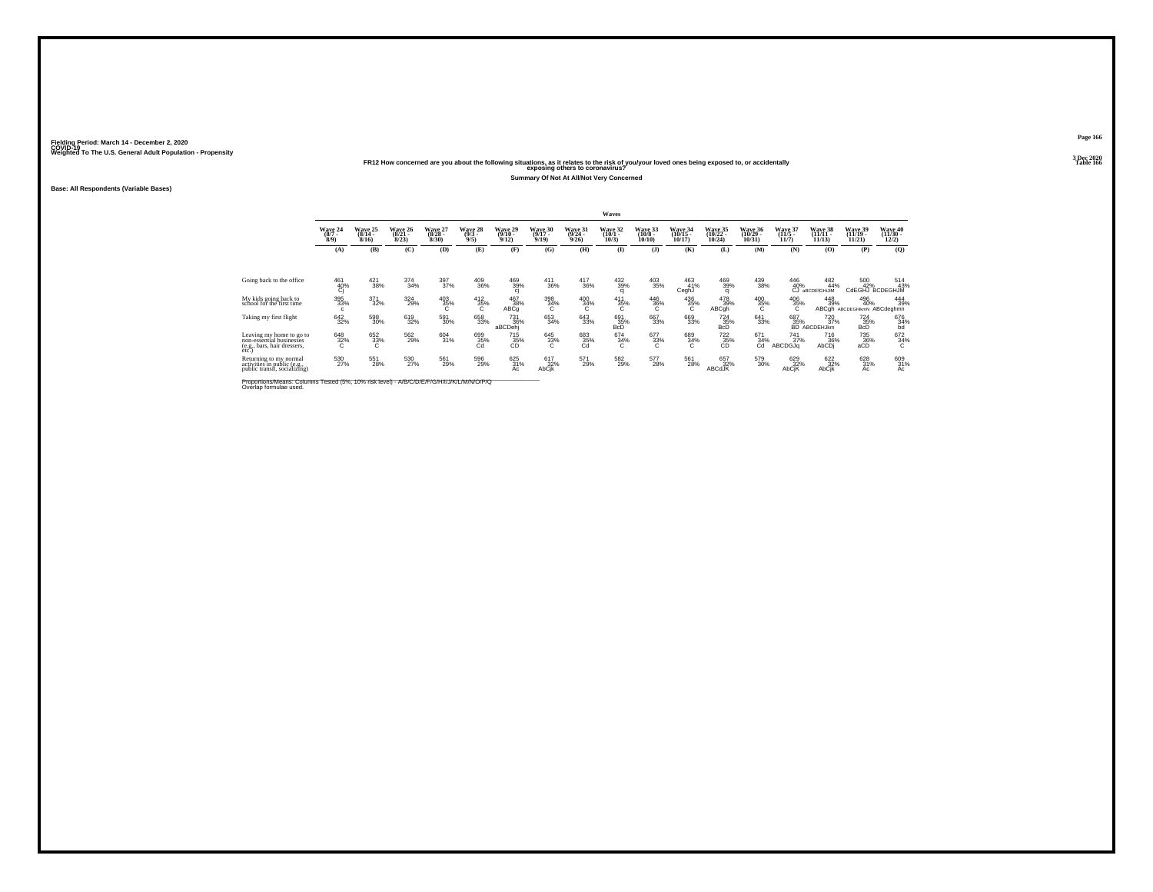# Weighted To The U.S. General Adult Population - Propensity<br>Table 166<br>Table 166 and the following situations, as it relates to the risk of you/your loved ones being exposed to, or accidentally<br>Table 166

**Summary Of Not At All/Not Very Concerned**

**Base: All Respondents (Variable Bases)**

|                                                                                              |                            |                              |                              |                              |                            |                              |                                   |                                     | Waves                                |                               |                                |                                |                                |                              |                                    |                                       |                                |
|----------------------------------------------------------------------------------------------|----------------------------|------------------------------|------------------------------|------------------------------|----------------------------|------------------------------|-----------------------------------|-------------------------------------|--------------------------------------|-------------------------------|--------------------------------|--------------------------------|--------------------------------|------------------------------|------------------------------------|---------------------------------------|--------------------------------|
|                                                                                              | Wave 24<br>(8/7)<br>8/9    | Wave 25<br>$(8/14 -$<br>8/16 | Wave 26<br>$(8/21 -$<br>8/23 | Wave 27<br>$(8/28 -$<br>8/30 | Wave 28<br>$(9/3 -$<br>9/5 | Wave 29<br>$(9/10 -$<br>9/12 | Wave 30<br>$(9/17 -$<br>9/19      | <b>Wave 31</b><br>$(9/24 -$<br>9/26 | Wave 32<br>$(10/1 -$<br>10/3         | Wave 33<br>$(10/8 -$<br>10/10 | Wave 34<br>$(10/15 -$<br>10/17 | Wave 35<br>$(10/22 -$<br>10/24 | Wave 36<br>$(10/29 -$<br>10/31 | Wave 37<br>$(11/5 -$<br>11/7 | Wave 38<br>$(11/11 -$<br>11/13     | Wave 39<br>$(11/19 -$<br>11/21        | Wave 40<br>$(11/30 -$<br>12/2) |
|                                                                                              | (A)                        | (B)                          | (C)                          | (D)                          | (E)                        | (F)                          | (G)                               | (H)                                 | $($ $\blacksquare$                   | $($ $)$                       | (K)                            | (L)                            | (M)                            | (N)                          | (0)                                | (P)                                   | (0)                            |
|                                                                                              |                            |                              |                              |                              |                            |                              |                                   |                                     |                                      |                               |                                |                                |                                |                              |                                    |                                       |                                |
| Going back to the office                                                                     | 461<br>$^{40%}_{Cj}$       | $\frac{421}{38\%}$           | 374<br>34%                   | 397<br>37%                   | 409<br>36%                 | $\frac{469}{39\%}$           | 411<br>36%                        | $\frac{417}{36\%}$                  | $\frac{432}{39\%}$ cj                | $^{403}_{\phantom{1}35\%}$    | 463<br>41%<br>CeghJ            | $\frac{469}{39\%}$ cj          | $^{439}_{38\%}$                | 446<br>40%<br>ĆĴ             | $\frac{482}{44\%}$<br>aBCDEfGHiJIM | 500<br>42%                            | 514<br>43%<br>CdEGHJ BCDEGHJM  |
| My kids going back to<br>school for the first time                                           | 395<br>33%<br>c.           | $\frac{371}{32\%}$           | 324<br>29%                   | $^{403}_{35\%}$              | $^{412}_{35\%}$<br>$\sim$  | 467<br>38%<br>ABCq           | $\frac{398}{34\%}$                | $^{400}_{34\%}$<br>Ō.               | $\frac{411}{35\%}$<br>c              | 446<br>36%<br>c               | 436<br>35%<br>c                | 478<br>39%<br>ABCqh            | 400<br>35%<br>$\sim$<br>u      | 406<br>35%<br>ĉ.             | 448<br>39%<br>ABCah                | 496<br>40%<br>ABCDEGHRmN ABCdeghmn    | 444<br>39%                     |
| Taking my first flight                                                                       | $\frac{642}{32\%}$         | 598<br>30%                   | 619<br>32%                   | 591<br>30%                   | 658<br>33%                 | 731<br>36%<br>aBCDehi        | 653<br>34%                        | $\frac{643}{33\%}$                  | 691<br>35%<br><b>B</b> <sub>cD</sub> | 667<br>33%                    | 669<br>33%                     | 724<br>BCD                     | 641<br>33%                     | 687<br>35%                   | 720<br>37%<br>BD ABCDEHJkm         | 724<br>35%<br><b>B</b> <sub>C</sub> D | 676<br>349<br>bd               |
| Leaving my home to go to<br>non-essential businesses<br>(e.g., bars, hair dressers,<br>etc.) | 648<br>32%<br>$\sim$<br>ι. | 652<br>33%<br>C              | 562<br>29%                   | 604<br>31%                   | 699<br>35%<br>Ćd           | 715<br>35%<br>ĆĎ             | $\overset{645}{\phantom{1}33\%}}$ | 683<br>35%<br>Cd                    | 674 34%<br>$\sim$<br>c.              | 677<br>33%<br>c               | 689<br>34%<br>c                | $^{722}_{35\%}$<br>ĆĎ          | 671<br>34%<br>Ćd               | $^{741}_{37\%}$<br>ABCDGJa   | <sup>716</sup> 36%<br>AbCDj        | <sup>735</sup> <sub>36%</sub><br>aCD  | 672<br>34%<br>Ċ                |
| Returning to my normal<br>activities in public (e.g.,<br>public transit, socializing)        | 530<br>27%                 | 551<br>28%                   | 530<br>27%                   | 561<br>29%                   | 596<br>29%                 | 625<br>31%<br>Ac             | 617<br>32%<br>AbCik               | 571<br>29%                          | 582<br>29%                           | 577<br>28%                    | 561<br>28%                     | 657<br>32%<br>ABCdJK           | 579<br>30%                     | 629<br>32%<br>AbCjK          | 622%<br>AbCjk                      | 628<br>31%<br>Ac                      | 609<br>31%<br>Ac               |

Proportions/Means: Columns Tested (5%, 10% risk level) - *N'B/C/D/E/F/G/H/I/J/K/L/M/N/O/P/Q*<br>Overlap formulae used.

**Page 1663 Dec 2020<br>Table 166**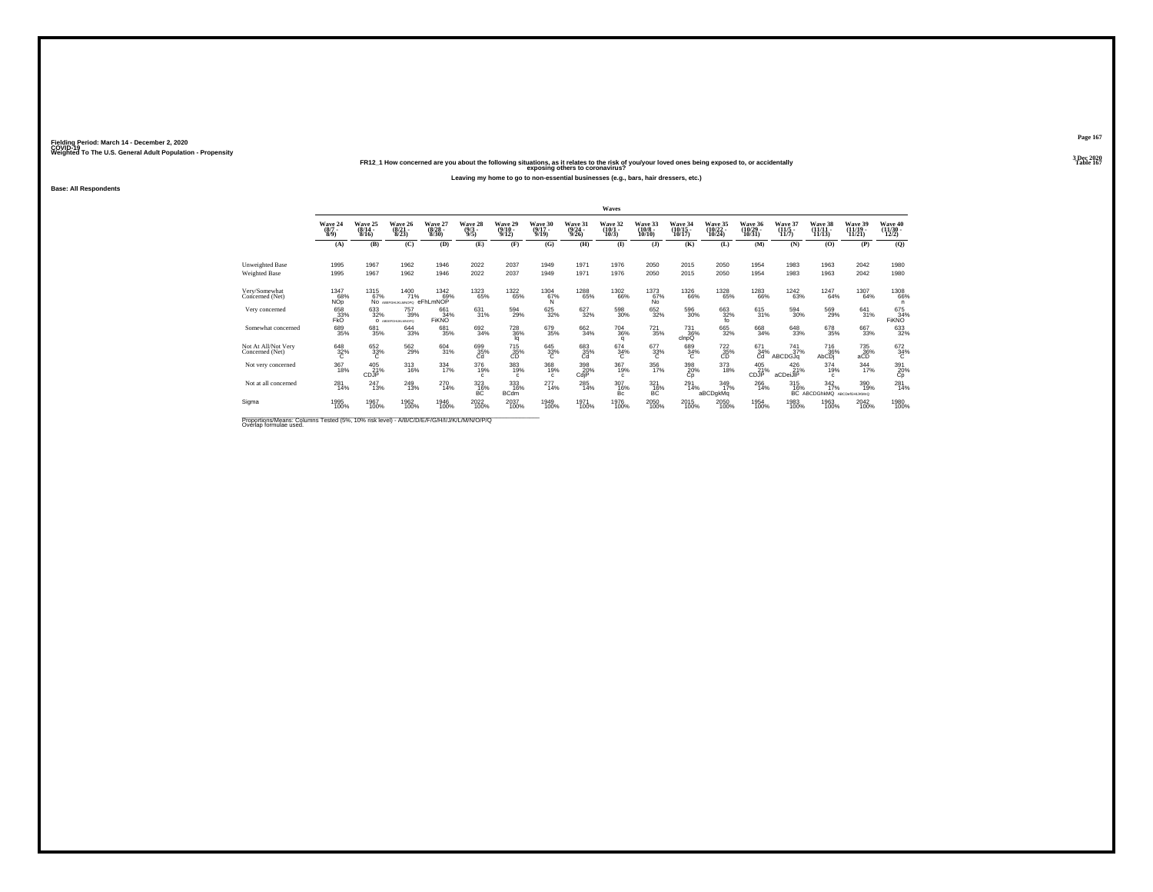## Weighted To The U.S. General Adult Population - Propensity<br>Table 1673 - PR12\_1 How concerned are you about the following situations, as it relates to the risk of you/your loved ones being exposed to, or accidentally<br>Table

**Leaving my home to go to non-essential businesses (e.g., bars, hair dressers, etc.)**

**Base: All Respondents**

|                                                            |                           |                           |                                  |                                 |                                           |                                     |                                     |                                  | Waves                           |                                   |                             |                                |                                |                              |                                         |                                |                                |
|------------------------------------------------------------|---------------------------|---------------------------|----------------------------------|---------------------------------|-------------------------------------------|-------------------------------------|-------------------------------------|----------------------------------|---------------------------------|-----------------------------------|-----------------------------|--------------------------------|--------------------------------|------------------------------|-----------------------------------------|--------------------------------|--------------------------------|
|                                                            | Wave 24<br>(8/7)<br>8/9   | Wave 25<br>(8/14)<br>8/16 | Wave 26<br>$\frac{(8/21)}{8/23}$ | Wave 27<br>$\binom{8/28}{8/30}$ | Wave 28<br>$\binom{9}{3}$                 | Wave 29<br>$\frac{(9/10)}{9/12}$    | Wave 30<br>$\frac{(9/17)}{9/19}$    | Wave 31<br>$\frac{(9/24)}{9/26}$ | Wave 32<br>$\binom{10/1}{10/3}$ | Wave 33<br>$(10/8 -$<br>10/10     | Wave 34<br>10/17            | Wave 35<br>$(10/22 -$<br>10/24 | Wave 36<br>$(10/29 -$<br>10/31 | Wave 37<br>$(11/5 -$<br>11/7 | Wave 38<br>$(11/11 -$<br>11/13          | Wave 39<br>$(11/19 -$<br>11/21 | Wave 40<br>$(11/30 -$<br>12/2) |
|                                                            | (A)                       | (B)                       | (C)                              | (D)                             | (E)                                       | (F)                                 | (G)                                 | (H)                              | $($ $\Gamma$                    | $($ $\bf{J}$ )                    | (K)                         | (L)                            | (M)                            | (N)                          | (0)                                     | (P)                            | (Q)                            |
| Unweighted Base<br>Weighted Base                           | 1995<br>1995              | 1967<br>1967              | 1962<br>1962                     | 1946<br>1946                    | 2022<br>2022                              | 2037<br>2037                        | 1949<br>1949                        | 1971<br>1971                     | 1976<br>1976                    | 2050<br>2050                      | 2015<br>2015                | 2050<br>2050                   | 1954<br>1954                   | 1983<br>1983                 | 1963<br>1963                            | 2042<br>2042                   | 1980<br>1980                   |
| Very/Somewhat<br>Concerned (Net)                           | 1347<br>68%<br><b>NOp</b> | 1315<br>67%               | 1400<br>71%<br>NO ARFORDIO MADRO | 1342<br>69%<br>eFhLmNOP         | 1323<br>65%                               | <sup>1322</sup> 65%                 | 1304<br>67%<br>'N                   | <sup>1288</sup> 65%              | <sup>1302</sup> 66%             | 1373<br>67%<br>No.                | <sup>1326</sup> 66%         | 1328<br>65%                    | <sup>1283</sup> 66%            | <sup>1242</sup> 63%          | 1247<br>64%                             | 1307<br>64%                    | <sup>1308</sup> 66%            |
| Very concerned                                             | 658<br>33%<br><b>FKO</b>  | 633<br>32%                | 757<br>39%<br>O ABDEFGHUKLMNOPO  | 661<br>34%<br><b>FIKNO</b>      | 631<br>31%                                | 594<br>29%                          | 625<br>32%                          | 627<br>32%                       | 598<br>30%                      | 652<br>32%                        | 596<br>30%                  | 663<br>32%<br>fo               | 615<br>31%                     | 594<br>30%                   | 569<br>29%                              | 641<br>31%                     | 675<br>34%<br><b>FIKNO</b>     |
| Somewhat concerned                                         | 689<br>35%                | 681<br>35%                | 644<br>33%                       | 681<br>35%                      | 692<br>34%                                | <sup>728</sup> <sub>36%</sub><br>la | 679<br>35%                          | $\frac{662}{34\%}$               | $^{704}_{\ 36\%}$<br>q          | $^{721}_{35\%}$                   | <sup>731</sup> 36%<br>clnpQ | 665<br>32%                     | 668<br>34%                     | $\substack{648\\33\%}$       | 678<br>35%                              | 667<br>33%                     | 633<br>32%                     |
| Not At All/Not Very<br>Concerned (Net)                     | $\frac{648}{32\%}$        | 652<br>33%                | 562<br>29%                       | 604<br>31%                      | 699<br>35%<br>Ĉď                          | $^{715}_{\substack{35\\\text{CD}}}$ | $\overset{645}{\underset{C}{33\%}}$ | 683<br>35%<br>Cd                 | $^{674}_{34\%}$                 | $\overset{677}{\phantom{0}33\%}}$ | 689<br>34%<br>c.            | 722<br>35%<br>CD               | $^{671}_{34\%}$                | $^{741}_{37\%}$<br>ABCDGJa   | <sup>716</sup> <sub>36</sub> %<br>AbCDi | 735<br>36%<br>aČĎ              | $^{672}_{34\%}$                |
| Not very concerned                                         | 367<br>18%                | 405<br>21%<br>CDJP        | 313<br>16%                       | 334<br>17%                      | 376<br>19%                                | 383<br>19%<br>c                     | 368<br>19%<br>c                     | 398<br>20%<br>CdjP               | 367<br>19%<br>$\mathbf{c}$      | 356<br>17%                        | 398<br>20%<br>Сp            | 373<br>18%                     | $^{405}_{21\%}$<br>CDJP        | 426<br>21%<br>aCDeiJIP       | 374<br>19%<br>$\mathbf{c}$              | $\frac{344}{17\%}$             | 391<br>20%<br>Сp               |
| Not at all concerned                                       | $^{281}_{14\%}$           | 247<br>13%                | 249<br>13%                       | $^{270}_{14\%}$                 | 323<br>16%<br>BC                          | 333<br>16%<br><b>BCdm</b>           | 277<br>14%                          | $^{285}_{14\%}$                  | 307<br>16%<br>Bc                | 321<br>16%<br>BC                  | $^{291}_{14\%}$             | $\frac{349}{17\%}$<br>aBCDgkMq | $^{266}_{14\%}$                | $315$<br>$16\%$              | $\frac{342}{17\%}$<br>BC ABCDGhkMQ      | 390<br>19%<br>ABCDefGHIJKMnQ   | $^{281}_{14\%}$                |
| Sigma                                                      | 1995<br>100%              | 1967<br>100%              | 1962<br>100%                     | 1946<br>100%                    | 2022<br>100%                              | 2037<br>100%                        | 1949<br>100%                        | 1971<br>100%                     | 1976<br>100%                    | 2050<br>100%                      | 2015<br>100%                | 2050<br>100%                   | 1954<br>100%                   | 1983<br>100%                 | 1963<br>100%                            | 2042<br>100%                   | 1980<br>100%                   |
| Departing the case Calvesar Tested (FBI, 400) data locally |                           |                           |                                  |                                 | A IDIO IDIE IE IO ILIULIUZI IN INTIO IDIO |                                     |                                     |                                  |                                 |                                   |                             |                                |                                |                              |                                         |                                |                                |

Proportions/Means: Columns Tested (5%, 10% risk level) - *N\B/C/D/E/F/G/H/I/J/K/L/M/N/O/P/Q*<br>Overlap formulae used.

**Page 1673 Dec 2020<br>Table 167**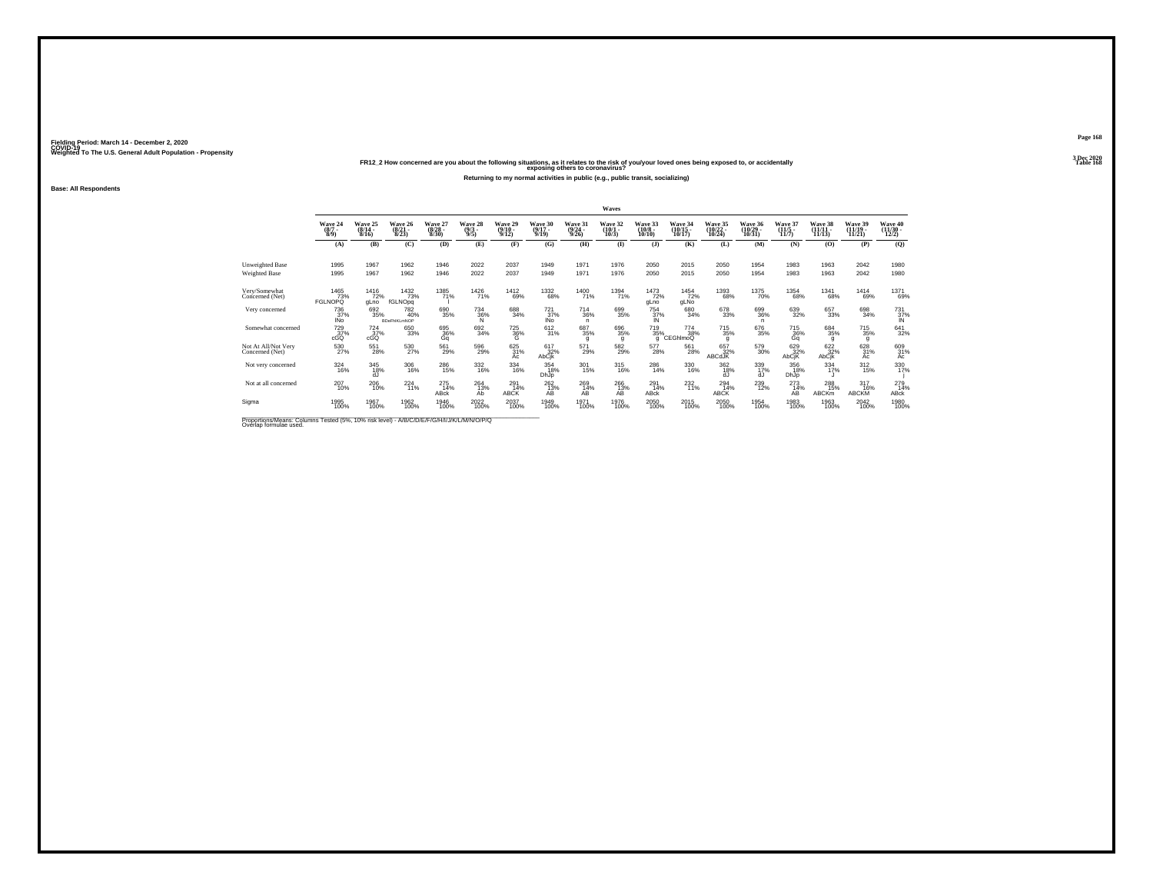## Weighted To The U.S. General Adult Population - Propensity<br>FR12\_2 How concerned are you about the following situations, as it relates to the risk of you/your loved ones being exposed to, or accidentally<br>Table 168

**Returning to my normal activities in public (e.g., public transit, socializing)**

**Base: All Respondents**

|                                                                                          |                                      |                              |                                   |                                  |                                |                                  |                              |                                  | Waves                        |                                   |                                |                                |                            |                              |                                |                                |                                                                |
|------------------------------------------------------------------------------------------|--------------------------------------|------------------------------|-----------------------------------|----------------------------------|--------------------------------|----------------------------------|------------------------------|----------------------------------|------------------------------|-----------------------------------|--------------------------------|--------------------------------|----------------------------|------------------------------|--------------------------------|--------------------------------|----------------------------------------------------------------|
|                                                                                          | Wave 24<br>$\frac{(8/7)}{8/9}$       | Wave 25<br>$(8/14 -$<br>8/16 | Wave 26<br>$(8/21 -$<br>8/23      | Wave 27<br>$\frac{(8/28)}{8/30}$ | Wave 28<br>$\frac{(9/3)}{9/5}$ | Wave 29<br>$\frac{(9/10)}{9/12}$ | Wave 30<br>$(9/17 -$<br>9/19 | Wave 31<br>$\frac{(9/24)}{9/26}$ | Wave 32<br>$(10/1 -$<br>10/3 | Wave 33<br>$\frac{(10/8)}{10/10}$ | Wave 34<br>$(10/15 -$<br>10/17 | Wave 35<br>(10/22<br>$10/24$ ) | Wave 36<br>(10/29<br>10/31 | Wave 37<br>$(11/5 -$<br>11/7 | Wave 38<br>$(11/11 -$<br>11/13 | Wave 39<br>$(11/19 -$<br>11/21 | Wave 40<br>(11/30 -<br>12/2)                                   |
|                                                                                          | (A)                                  | (B)                          | (C)                               | (D)                              | (E)                            | (F)                              | (G)                          | (H)                              | $($ $\blacksquare$           | $($ $)$                           | (K)                            | (L)                            | (M)                        | (N)                          | (O)                            | (P)                            | (Q)                                                            |
| Unweighted Base                                                                          | 1995                                 | 1967                         | 1962                              | 1946                             | 2022                           | 2037                             | 1949                         | 1971                             | 1976                         | 2050                              | 2015                           | 2050                           | 1954                       | 1983                         | 1963                           | 2042                           | 1980                                                           |
| Weighted Base                                                                            | 1995                                 | 1967                         | 1962                              | 1946                             | 2022                           | 2037                             | 1949                         | 1971                             | 1976                         | 2050                              | 2015                           | 2050                           | 1954                       | 1983                         | 1963                           | 2042                           | 1980                                                           |
| Very/Somewhat<br>Concerned (Net)                                                         | 1465<br>73%<br><b>FGLNOPQ</b>        | <sup>1416</sup> 72%<br>gLno  | 1432<br>73%<br>fGLNOpg            | 1385<br>71%                      | 1426                           | <sup>1412</sup> 69%              | <sup>1332</sup> 68%          | 1400<br>71%                      | <sup>1394</sup> 71%          | 1473<br>72%<br>gLno               | $1454$<br>$72%$<br>gLNo        | 1393<br>68%                    | <sup>1375</sup> 70%        | <sup>1354</sup> 68%          | 1341<br>68%                    | <sup>1414</sup> 69%            | 1371<br>69%                                                    |
| Very concerned                                                                           | 736<br>37%<br><b>INo</b>             | 692<br>35%                   | 782<br>40%<br><b>BDeFhIKLmNOP</b> | 690<br>35%                       | $\frac{734}{36\%}$             | 688<br>34%                       | 721<br>37%<br>IÑo            | 714<br>36%<br>$\mathsf{n}$       | 699<br>35%                   | 754<br>37%<br>IN                  | 680<br>34%                     | 678<br>33%                     | 699<br>36%<br>n.           | 639<br>32%                   | 657<br>33%                     | 698<br>34%                     | $\begin{array}{r} 731 \\ 37\% \\ \hline \text{IN} \end{array}$ |
| Somewhat concerned                                                                       | <sup>729</sup> <sub>37%</sub><br>cGQ | $^{724}_{37\%}$<br>cGQ       | 650<br>33%                        | 695<br>36%<br>Gq                 | 692<br>34%                     | <sup>725</sup> 36%<br>G          | 612/31%                      | $^{687}_{35\%}$<br>g             | 696<br>35%<br>g              | 719<br>35%<br>q                   | 774<br>38%<br>CEGhlmoQ         | $\substack{715 \\ 35\%}$<br>g  | 676<br>35%                 | $^{715}_{36\%}$<br>Gq        | 684<br>35%<br>g                | $^{715}_{35\%}$<br>g           | 641<br>32%                                                     |
| Not At All/Not Very<br>Concerned (Net)                                                   | 530<br>27%                           | 551<br>28%                   | 530<br>27%                        | 561<br>29%                       | 596<br>29%                     | 625<br>31%<br>Ac                 | 617<br>32%<br>AbCik          | 571<br>29%                       | 582 <sub>29%</sub>           | 577<br>28%                        | 561<br>28%                     | 657<br>32%<br>ABCdJK           | 579<br>30%                 | 629<br>32%<br>AbCjK          | 622 %<br>AbCik                 | 628<br>31%<br>Ac               | 609<br>31%<br>Ac                                               |
| Not very concerned                                                                       | $\underset{16\%}{324}$               | 345<br>18%<br>dJ             | 306<br>16%                        | $^{286}_{\phantom{1}15\%}$       | 332<br>16%                     | 334<br>16%                       | 354<br>18%<br>DhJp           | 301<br>15%                       | 315<br>16%                   | 286<br>14%                        | 330<br>16%                     | 362<br>18%<br>dJ               | 339<br>17%<br>ďJ           | 356<br>18%<br>DhJp           | 334<br>17%                     | $\frac{312}{15\%}$             | 330<br>17%                                                     |
| Not at all concerned                                                                     | $^{207}_{10\%}$                      | $^{206}_{10\%}$              | $^{224}_{11\%}$                   | $^{275}_{14\%}$<br>ABck          | $^{264}_{13\%}$<br>Ab          | 291<br>14%<br>ABCK               | $^{262}_{13\%}$<br>AВ        | $^{269}_{14\%}$<br>AB            | $^{266}_{13\%}$<br>AB        | $^{291}_{14\%}$<br>ABck           | $^{232}_{11\%}$                | $^{294}_{14\%}$<br>ABCK        | $^{239}_{12\%}$            | $^{273}_{14\%}$<br>AB        | 288<br>15%<br>ABCKm            | 317<br>16%<br>ABCKM            | 279<br>14%<br>ABck                                             |
| Sigma                                                                                    | 1995<br>100%                         | 1967<br>100%                 | 1962<br>100%                      | 1946<br>100%                     | 2022<br>100%                   | 2037<br>100%                     | 1949<br>100%                 | 1971<br>100%                     | 1976<br>100%                 | 2050<br>100%                      | 2015<br>100%                   | 2050<br>100%                   | 1954<br>100%               | 1983<br>100%                 | 1963<br>100%                   | 2042<br>100%                   | 1980<br>100%                                                   |
| Proportions Means: Columns Tested (5%, 10% risk level) - A/B/C/D/E/E/C/H/U/K/L/M/M/O/D/O |                                      |                              |                                   |                                  |                                |                                  |                              |                                  |                              |                                   |                                |                                |                            |                              |                                |                                |                                                                |

Proportions/Means: Columns Tested (5%, 10% risk level) - *N'B/C/D/E/F/G/H/I/J/K/L/M/N/O/P/Q*<br>Overlap formulae used.

**Page 1683 Dec 2020<br>Table 168**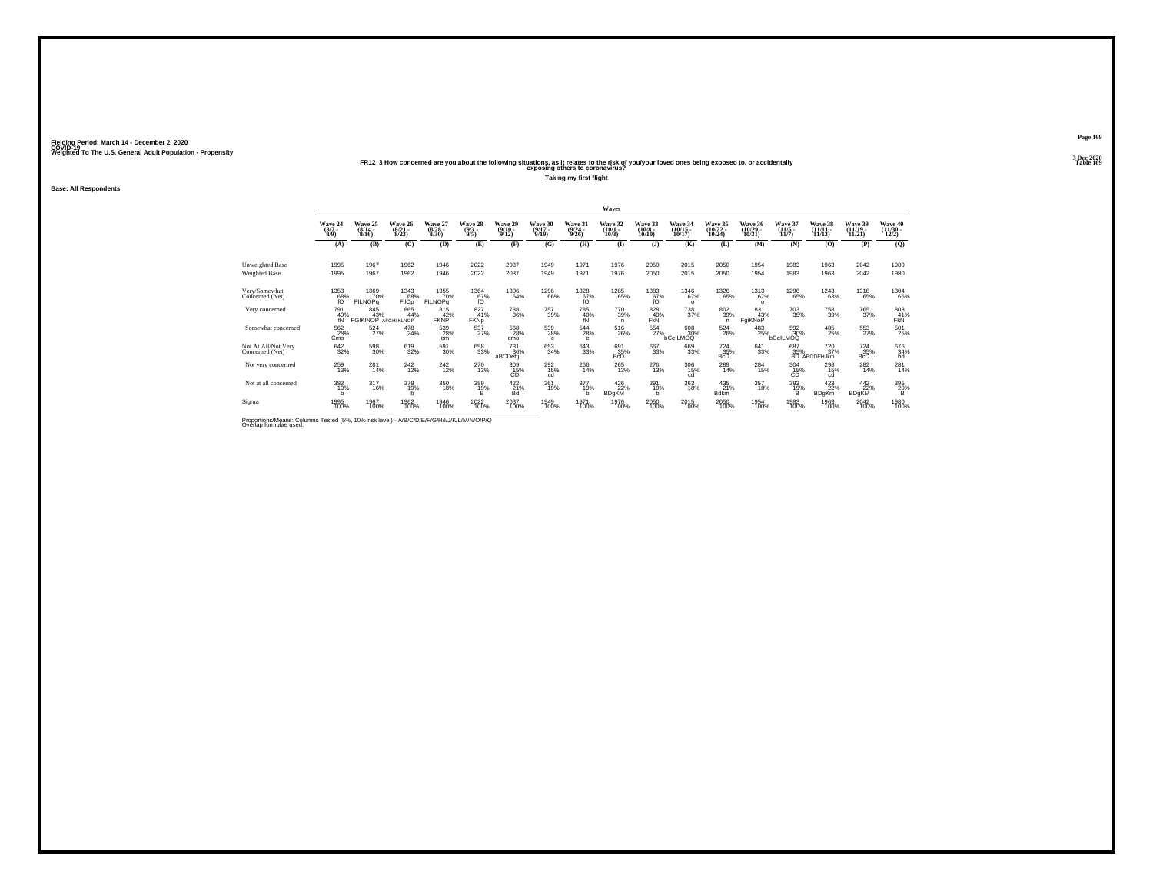## Weighted To The U.S. General Adult Population - Propensity<br>FR12\_3 How concerned are you about the following situations, as it relates to the risk of you/your loved ones being exposed to, or accidentally<br>Table 169

**Taking my first flight**

**Base: All Respondents**

|                                                                                              |                               |                                |                                  |                                 |                                |                                          |                              |                                                        | Waves                        |                                   |                                    |                                                  |                                    |                                    |                                               |                               |                              |
|----------------------------------------------------------------------------------------------|-------------------------------|--------------------------------|----------------------------------|---------------------------------|--------------------------------|------------------------------------------|------------------------------|--------------------------------------------------------|------------------------------|-----------------------------------|------------------------------------|--------------------------------------------------|------------------------------------|------------------------------------|-----------------------------------------------|-------------------------------|------------------------------|
|                                                                                              | Wave 24<br>$\binom{8/7}{8/9}$ | Wave 25<br>$(8/14 -$<br>8/16   | Wave 26<br>$\frac{(8/21)}{8/23}$ | Wave 27<br>$\binom{8/28}{8/30}$ | Wave 28<br>$\frac{(9/3)}{9/5}$ | Wave 29<br>$\frac{(9/10)}{9/12}$         | Wave 30<br>$(9/17 -$<br>9/19 | Wave 31<br>$\frac{(9/24 - 9/26)}{9/26}$                | Wave 32<br>$(10/1 -$<br>10/3 | Wave 33<br>$\frac{(10/8)}{10/10}$ | Wave 34<br>$\frac{(10/15)}{10/17}$ | Wave 35<br>(10/22 -<br>10/24                     | Wave 36<br>$\frac{(10/29)}{10/31}$ | Wave 37<br>$\frac{(11/5)}{11/7}$   | Wave 38<br>11/13                              | Wave 39<br>(11/19 -<br>11/21  | Wave 40<br>(11/30 -<br>12/2) |
|                                                                                              | (A)                           | (B)                            | (C)                              | (D)                             | (E)                            | (F)                                      | (G)                          | (H)                                                    | $($ $\Gamma$                 | $($ $)$                           | (K)                                | (L)                                              | (M)                                | (N)                                | (0)                                           | (P)                           | (Q)                          |
| Unweighted Base<br><b>Weighted Base</b>                                                      | 1995<br>1995                  | 1967<br>1967                   | 1962<br>1962                     | 1946<br>1946                    | 2022<br>2022                   | 2037<br>2037                             | 1949<br>1949                 | 1971<br>1971                                           | 1976<br>1976                 | 2050<br>2050                      | 2015<br>2015                       | 2050<br>2050                                     | 1954<br>1954                       | 1983<br>1983                       | 1963<br>1963                                  | 2042<br>2042                  | 1980<br>1980                 |
| Very/Somewhat<br>Concerned (Net)                                                             | $^{1353}_{68\%}_{f0}$         | 1369<br>70%<br><b>FILNOPg</b>  | 1343<br>68%<br>FilOp             | 1355<br>70%<br><b>FILNOPG</b>   | 1364<br>67%<br>f()             | 1306<br>64%                              | <sup>1296</sup> 66%          | $^{1328}_{67\%}$                                       | 1285<br>65%                  | 1383<br>67%<br>fO                 | 1346<br>67%<br>$\Omega$            | 1326<br>65%                                      | 1313<br>67%<br>$\circ$             | 1296<br>65%                        | <sup>1243</sup> 63%                           | <sup>1318</sup> 65%           | 1304<br>66%                  |
| Very concerned                                                                               | 791<br>40%<br>fÑ              | 845<br>44% FGIKINOP AFGHIKLNOP | 865<br>44%                       | 815<br>42%<br><b>FKNP</b>       | 827<br>41%<br><b>FKNp</b>      | 738<br>36%                               | 757<br>39%                   | 785<br>40%<br>fN                                       | 770<br>39%<br>n              | 828<br>40%<br><b>FKN</b>          | 738<br>37%                         | 802<br>39%<br>n                                  | 831<br>43%<br>FgiKNoP              | 703<br>35%                         | 758<br>39%                                    | 765<br>37%                    | 803<br>$F_{KN}^{41%}$        |
| Somewhat concerned                                                                           | 562<br>28%<br>Cmo             | $^{524}_{27\%}$                | 478<br>24%                       | 539<br>28%<br>cm                | $^{537}_{27\%}$                | 568<br>28%<br>cmo                        | 539 28%<br>$\mathfrak{c}$    | $^{544}_{\phantom{1}\phantom{1}\phantom{1}28\%}$<br>c. | $^{516}_{26\%}$              | 554<br>27%                        | 608<br>30%<br>bCelLMOQ             | $^{524}_{\phantom{1}\phantom{1}\phantom{1}26\%}$ | 483<br>25%                         | $^{592}_{30\%}$<br><b>bCelLMOQ</b> | 485<br>25%                                    | $^{553}_{27\%}$               | 501<br>25%                   |
| Not At All/Not Very<br>Concerned (Net)                                                       | $642_{32\%}$                  | 598<br>30%                     | 619<br>32%                       | 591<br>30%                      | 658<br>33%                     | <sup>731</sup> <sub>36%</sub><br>aBCDehj | 653<br>34%                   | $\substack{643 \\ 33\%}$                               | 691<br>35%<br><b>BcD</b>     | 667<br>33%                        | 669<br>33%                         | $^{724}_{35\%}$<br><b>B</b> <sub>C</sub> D       | $^{641}_{33\%}$                    | 687<br>35%                         | <sup>720</sup> <sub>37%</sub><br>BD ABCDEHJkm | $^{724}_{35\%}$<br><b>BcD</b> | $^{676}_{34\%}$ bd           |
| Not very concerned                                                                           | 259<br>13%                    | 281<br>14%                     | 242<br>12%                       | 242<br>12%                      | 270<br>13%                     | 309<br>$\overset{15}{\text{CD}}{}^{\%}$  | 292<br>15%<br>cd             | 266<br>14%                                             | 265<br>13%                   | 276<br>13%                        | 306<br>15%<br>cd                   | 289<br>14%                                       | 284<br>15%                         | 304<br>$\overline{CD}^{15\%}$      | 298<br>15%<br>cd                              | $^{282}_{14\%}$               | $^{281}_{14\%}$              |
| Not at all concerned                                                                         | 383<br>19%<br>h               | $\frac{317}{16\%}$             | 378<br>19%<br>h                  | $^{350}_{18\%}$                 | 389<br>19%<br>в                | $^{422}_{21\%}$<br>Bd                    | 361<br>19%                   | 377<br>19%<br>h                                        | 426<br>22%<br><b>BDgKM</b>   | 391<br>19%<br>h.                  | $\frac{363}{18\%}$                 | $^{435}_{21\%}$<br><b>Bdkm</b>                   | $\frac{357}{18\%}$                 | 383/19%<br>в                       | 423<br>22%<br><b>BDgKm</b>                    | 442<br>22%<br><b>BDgKM</b>    | 395<br>20%<br>в              |
| Sigma                                                                                        | 1995<br>100%                  | 1967<br>100%                   | 1962<br>100%                     | 1946<br>100%                    | 2022<br>100%                   | 2037<br>100%                             | 1949<br>100%                 | 1971<br>100%                                           | 1976<br>100%                 | 2050<br>100%                      | 2015<br>100%                       | 2050<br>100%                                     | 1954<br>100%                       | 1983<br>100%                       | 1963<br>100%                                  | 2042<br>100%                  | 1980<br>100%                 |
| <b>Dreportions Means: Columns Tested (59/ 109/ del Javel) A/DIC/DIC/DIC/MILLIN/LANUO/DIO</b> |                               |                                |                                  |                                 |                                |                                          |                              |                                                        |                              |                                   |                                    |                                                  |                                    |                                    |                                               |                               |                              |

Proportions/Means: Columns Tested (5%, 10% risk level) - *N\B/C/D/E/F/G/H/I/J/K/L/M/N/O/P/Q*<br>Overlap formulae used.

**Page 1693 Dec 2020<br>Table 169**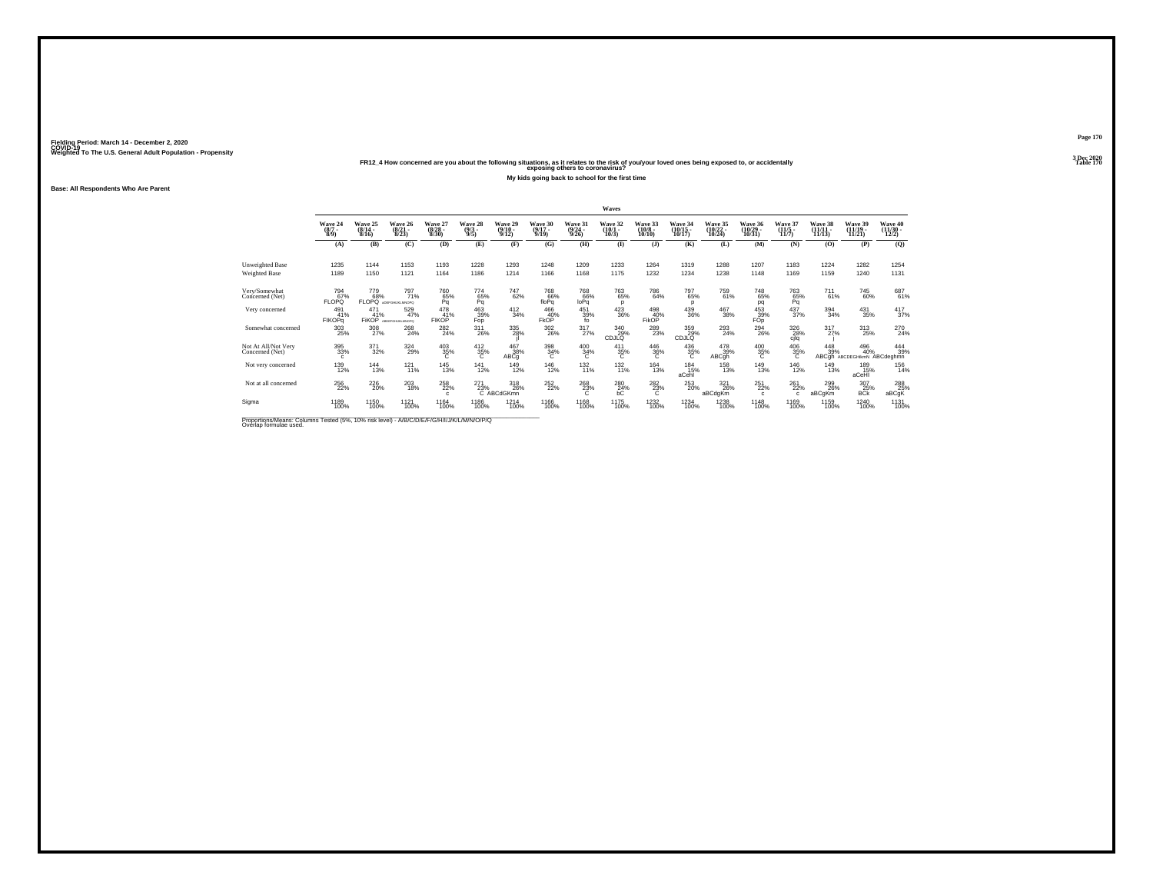## Weighted To The U.S. General Adult Population - Propensity<br>Table 170<br>Table 170 FR12\_4 How concerned are you about the following situations, as it relates to the risk of you/your loved ones being exposed to, or accidentall

**My kids going back to school for the first time**

**Base: All Respondents Who Are Parent**

|                                        |                                |                                  |                                  |                                  |                                |                                  |                              |                                  | Waves                        |                               |                                |                                |                                 |                                  |                                |                                     |                                |
|----------------------------------------|--------------------------------|----------------------------------|----------------------------------|----------------------------------|--------------------------------|----------------------------------|------------------------------|----------------------------------|------------------------------|-------------------------------|--------------------------------|--------------------------------|---------------------------------|----------------------------------|--------------------------------|-------------------------------------|--------------------------------|
|                                        | Wave 24<br>$\binom{8/7}{8/9}$  | Wave 25<br>$\frac{(8/14)}{8/16}$ | Wave 26<br>$\frac{(8/21)}{8/23}$ | Wave 27<br>$\frac{(8/28)}{8/30}$ | Wave 28<br>$\frac{(9/3)}{9/5}$ | Wave 29<br>$\frac{(9/10)}{9/12}$ | Wave 30<br>$(9/17 -$<br>9/19 | Wave 31<br>$\frac{(9/24)}{9/26}$ | Wave 32<br>$(10/1 -$<br>10/3 | Wave 33<br>$(10/8 -$<br>10/10 | Wave 34<br>$(10/15 -$<br>10/17 | Wave 35<br>$(10/22 -$<br>10/24 | Wave 36<br>$(10/29 -$<br>10/31  | Wave 37<br>$\frac{(11/5)}{11/7}$ | Wave 38<br>$(11/11 -$<br>11/13 | Wave 39<br>$(11/19 -$<br>11/21      | Wave 40<br>$(11/30 -$<br>12/2) |
|                                        | (A)                            | (B)                              | (C)                              | (D)                              | (E)                            | (F)                              | (G)                          | (H)                              | $\bf{I}$                     | $($ $)$                       | (K)                            | (L)                            | (M)                             | (N)                              | (0)                            | (P)                                 | (0)                            |
| Unweighted Base<br>Weighted Base       | 1235<br>1189                   | 1144<br>1150                     | 1153<br>1121                     | 1193<br>1164                     | 1228<br>1186                   | 1293<br>1214                     | 1248<br>1166                 | 1209<br>1168                     | 1233<br>1175                 | 1264<br>1232                  | 1319<br>1234                   | 1288<br>1238                   | 1207<br>1148                    | 1183<br>1169                     | 1224<br>1159                   | 1282<br>1240                        | 1254<br>1131                   |
| Very/Somewhat<br>Concerned (Net)       | 794<br>67%<br><b>FLOPO</b>     | 779<br>68%<br><b>FLOPQ</b>       | 797<br>71%<br>ADEFGHUKLMNOPO     | 760<br>65%<br>Pq                 | $^{774}_{65\%}$                | <sup>747</sup> 62%               | 768<br>66%<br>floPq          | 768<br>66%<br>loPq               | 763<br>65%<br>D              | 786<br>64%                    | 797<br>65%<br>p                | 759<br>61%                     | <sup>748</sup> 65%<br>pq        | 763<br>65%<br>Pq                 | $^{711}_{61\%}$                | 745<br>60%                          | 687<br>61%                     |
| Very concerned                         | 491<br>41%<br><b>FIKOPa</b>    | 471<br>41%<br><b>FIKOP</b>       | 529<br>47%<br>ARDEECH BO MADED   | 478<br>41%<br><b>FIKOP</b>       | 463<br>39%<br>Fop              | $\frac{412}{34\%}$               | 466<br>40%<br><b>FkOP</b>    | 451<br>39%                       | 423<br>36%                   | 498<br>40%<br>FikOP           | 439<br>36%                     | 467<br>38%                     | 453<br>39%<br>FÖp               | $\frac{437}{37\%}$               | 394<br>34%                     | 431<br>35%                          | $\frac{417}{37\%}$             |
| Somewhat concerned                     | $^{303}_{\phantom{1}25\%}$     | 308<br>27%                       | 268<br>24%                       | $^{282}_{24\%}$                  | $^{311}_{\,26\%}$              | 335<br>28%                       | $^{302}_{\,26\%}$            | $^{317}_{27\%}$                  | 340<br>29%<br>CDJLQ          | 289<br>23%                    | 359<br>29%<br>CDJLQ            | $^{293}_{24\%}$                | $^{294}_{\ 26\%}$               | 326<br>28%<br>cjiq               | $\frac{317}{27\%}$             | 313<br>25%                          | 270<br>24%                     |
| Not At All/Not Very<br>Concerned (Net) | $\substack{395 \\ 33\%}$<br>c. | $\substack{371 \\ 32\%}$         | 324<br>29%                       | $\frac{403}{35\%}$               | $^{412}_{35\%}$                | 467<br>38%<br>ABCq               | 398<br>34%<br>C              | $^{400}_{34\%}$                  | $^{411}_{35\%}$              | $^{446}_{36\%}$               | $^{436}_{35\%}$                | 478<br>39%<br>ABCgh            | $^{400}_{35\%}$                 | $^{406}_{35\%}$                  | 448<br>39%<br><b>ABC</b> gh    | 496<br>40%<br>ABCDEGHikmN ABCdeghmn | 444<br>39%                     |
| Not very concerned                     | 139<br>12%                     | 144<br>13%                       | $^{121}_{11\%}$                  | 145<br>13%                       | 141<br>12%                     | 149<br>12%                       | <sup>146</sup><br>12%        | $^{132}_{11\%}$                  | $^{132}_{11\%}$              | 164<br>13%                    | 184<br>15%<br>aCehl            | 158<br>13%                     | 149<br>13%                      | <sup>146</sup><br>12%            | 149<br>13%                     | 189<br>15%<br>aCeHI                 | 156<br>14%                     |
| Not at all concerned                   | 256<br>22%                     | 226<br>20%                       | <sup>203</sup> 18%               | 258<br>22%<br>$\mathbf{c}$       | $^{271}_{23\%}$                | 318<br>26%<br>C ABCdGKmn         | $^{252}_{22\%}$              | 268<br>23%<br>Ċ                  | 280<br>24%<br>bС             | 282%<br>Ċ                     | 253<br>20%                     | $\frac{321}{26\%}$<br>aBCdgKm  | $^{251}_{22\%}$<br>$\mathbf{c}$ | 261<br>22%<br>$\mathfrak{c}$     | 299<br>26%<br>aBCgKm           | 307<br>25%<br><b>BCK</b>            | 288<br>25%<br>aBCgK            |
| Sigma<br>.                             | 1189<br>100%                   | 1150<br>100%                     | 1121<br>100%                     | 1164<br>100%                     | 1186<br>100%                   | 1214<br>100%                     | 1166<br>100%                 | 1168<br>100%                     | 1175<br>100%                 | 1232<br>100%                  | 1234<br>100%                   | 1238<br>100%                   | 1148<br>100%                    | 1169<br>100%                     | 1159<br>100%                   | 1240<br>100%                        | 1131<br>100%                   |

Proportions/Means: Columns Tested (5%, 10% risk level) - *N\B/C/D/E/F/G/H/I/J/K/L/M/N/O/P/Q*<br>Overlap formulae used.

**Page 1703 Dec 2020<br>Table 170**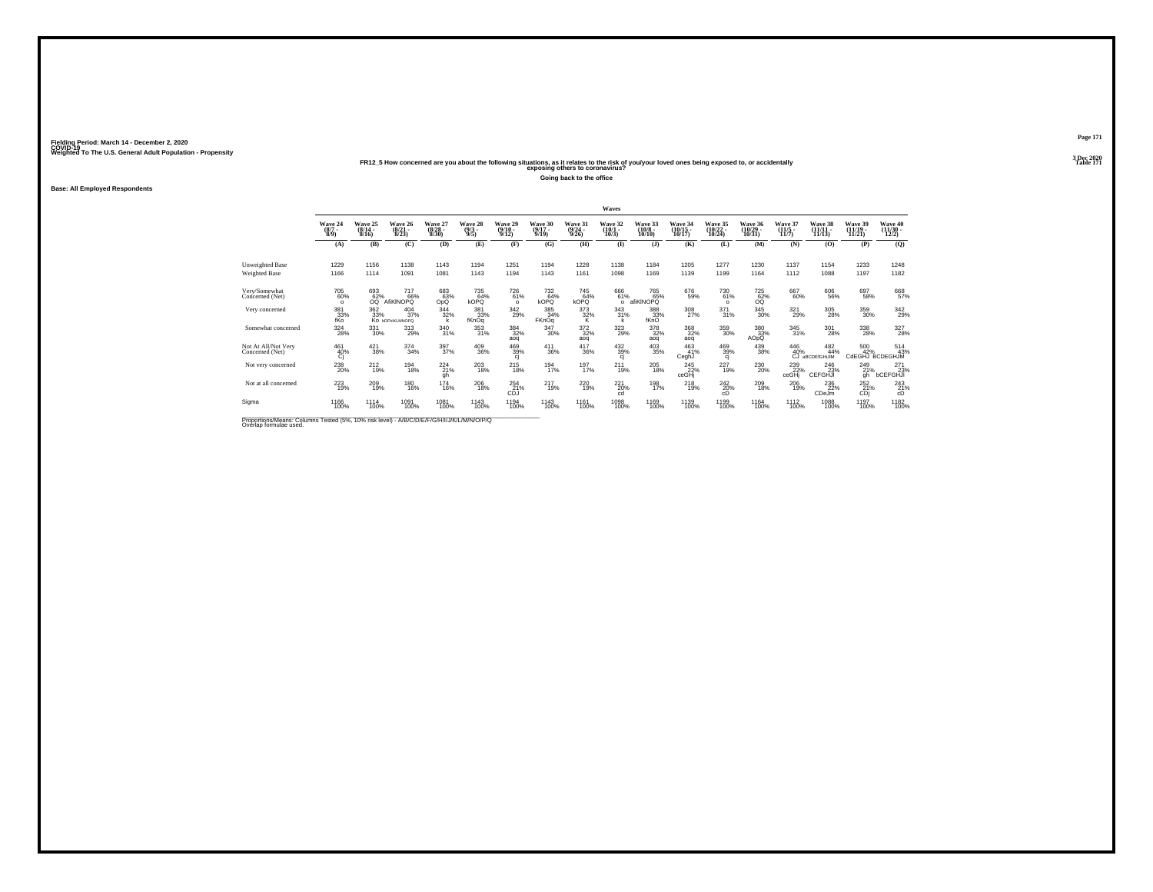## Weighted To The U.S. General Adult Population - Propensity<br>Table 171 PR12\_5 How concerned are you about the following situations, as it relates to the risk of you/your loved ones being exposed to, or accidentally<br>Table 17

**Going back to the office**

### **Base: All Employed Respondents**

|                                                                                            |                                              |                              |                                  |                                  |                               |                                |                              |                                         | Waves                           |                                        |                                    |                                |                               |                                  |                            |                                                  |                                          |
|--------------------------------------------------------------------------------------------|----------------------------------------------|------------------------------|----------------------------------|----------------------------------|-------------------------------|--------------------------------|------------------------------|-----------------------------------------|---------------------------------|----------------------------------------|------------------------------------|--------------------------------|-------------------------------|----------------------------------|----------------------------|--------------------------------------------------|------------------------------------------|
|                                                                                            | Wave 24<br>$(8/7 -$<br>8/9                   | Wave 25<br>$(8/14 -$<br>8/16 | Wave 26<br>$\frac{(8/21)}{8/23}$ | Wave 27<br>$\frac{(8/28)}{8/30}$ | Wave 28<br>$\binom{9/3}{9/5}$ | Wave 29<br>$(9/10 -$<br>9/12   | Wave 30<br>$(9/17 -$<br>9/19 | Wave 31<br>$\frac{(9/24 - 9/26)}{9/26}$ | Wave 32<br>$\binom{10/1}{10/3}$ | Wave 33<br>$\frac{(10/8 - 10)}{10/10}$ | Wave 34<br>$\frac{(10/15)}{10/17}$ | Wave 35<br>$(10/22 -$<br>10/24 | Wave 36<br>(10/29 -<br>10/31) | Wave 37<br>$\frac{(11/5)}{11/7}$ | Wave 38<br>11/13           | Wave 39<br>$(11/19 -$<br>11/21                   | Wave 40<br>$\frac{(11/30 - 12/2)}{12/2}$ |
|                                                                                            | (A)                                          | (B)                          | (C)                              | (D)                              | (E)                           | (F)                            | (G)                          | (H)                                     | $($ $\Gamma$                    | $($ $)$                                | (K)                                | (L)                            | (M)                           | (N)                              | (0)                        | (P)                                              | (Q)                                      |
| Unweighted Base<br>Weighted Base                                                           | 1229<br>1166                                 | 1156<br>1114                 | 1138<br>1091                     | 1143<br>1081                     | 1194<br>1143                  | 1251<br>1194                   | 1194<br>1143                 | 1228<br>1161                            | 1138<br>1098                    | 1184<br>1169                           | 1205<br>1139                       | 1277<br>1199                   | 1230<br>1164                  | 1137<br>1112                     | 1154<br>1088               | 1233<br>1197                                     | 1248<br>1182                             |
| Very/Somewhat<br>Concerned (Net)                                                           | 705<br>60%<br>$\Omega$                       | 693<br>62%<br>OO.            | 717<br>66%<br>AfiKINOPO          | 683<br>63%<br>OpQ                | 735<br>64%<br>kOPQ            | <sup>726</sup> 61%<br>$\Omega$ | 732<br>64%<br>kOPQ           | 745<br>64%<br>kOPQ                      | 666<br>61%<br>$\Omega$          | 765<br>65%<br>afiKINOPQ                | 676<br>59%                         | 730<br>61%<br>$\Omega$         | 725<br>62%<br>OQ              | 667<br>60%                       | 606<br>56%                 | 697<br>58%                                       | 668<br>57%                               |
| Very concerned                                                                             | 381<br>33%<br>fKo                            | 362<br>33%                   | 404<br>37%<br>Ко ырғыкі мноро    | 344<br>32%                       | 381<br>33%<br>fKnOq           | 342<br>29%                     | 385<br>34%<br>FKnOq          | 373<br>$\frac{32}{K}$                   | 343<br>31%<br>k                 | 388<br>33%<br>fKnO                     | 308<br>27%                         | 371<br>31%                     | $\substack{345 \\ 30\%}$      | 321<br>29%                       | 305<br>28%                 | 359<br>30%                                       | 342<br>29%                               |
| Somewhat concerned                                                                         | $^{324}_{28\%}$                              | $\substack{331 \\ 30\%}$     | $\frac{313}{29\%}$               | 340<br>31%                       | 353<br>31%                    | 384<br>32%<br>aog              | $\frac{347}{30\%}$           | $\frac{372}{32\%}$<br>aog               | 323<br>29%                      | 378<br>32%<br>aog                      | 368<br>32%<br>aog                  | 359<br>30%                     | 380<br>33%<br>AOpQ            | $\frac{345}{31\%}$               | 301<br>28%                 | $^{338}_{\phantom{1}\phantom{1}\phantom{1}28\%}$ | 327<br>28%                               |
| Not At All/Not Very<br>Concerned (Net)                                                     | $^{461}_{\hphantom{1}40\%}_{\hphantom{1}Cj}$ | $^{421}_{38\%}$              | $\frac{374}{34\%}$               | 397<br>37%                       | 409<br>36%                    | 469<br>39%<br>ci               | $^{411}_{36\%}$              | 417<br>36%                              | 432<br>39%<br>ci                | 403<br>35%                             | 463<br>41%<br>CeghJ                | 469<br>39%<br>ci               | 439<br>38%                    | $^{446}_{40\%}$<br>ĆĴ.           | 482<br>44%<br>aBCDEIGHiJIM | 500<br>42%<br>CdEGHJ BCDEGHJM                    | $^{514}_{43\%}$                          |
| Not very concerned                                                                         | 238<br>20%                                   | 212<br>19%                   | 194<br>18%                       | 224<br>21%<br>gh                 | 203<br>18%                    | 215<br>18%                     | 194<br>17%                   | 197<br>17%                              | 211<br>19%                      | 205<br>18%                             | 245<br>22%<br>ceGHj                | 227<br>19%                     | 230<br>20%                    | 239<br>22%<br>ceGHj              | 246<br>23%<br>CEFGHJI      | 249<br>21%<br>qh                                 | 271<br>bCEFGHJI                          |
| Not at all concerned                                                                       | $^{223}_{19\%}$                              | 209<br>19%                   | 180<br>16%                       | <sup>174</sup><br>16%            | $^{206}_{18\%}$               | $^{254}_{21\%}$<br><b>CDJ</b>  | $^{217}_{19\%}$              | 220 19%                                 | $^{221}_{20\%}$<br>cd           | 198<br>17%                             | $^{218}_{19\%}$                    | 2420%<br>cD                    | $^{209}_{18\%}$               | 206<br>19%                       | 236<br>22%<br>CDeJm        | $^{252}_{21\%}$<br>CD                            | $^{243}_{21\%}$<br>cD                    |
| Sigma                                                                                      | 1166<br>100%                                 | 1114<br>100%                 | 1091<br>100%                     | 1081<br>100%                     | 1143<br>100%                  | 1194<br>100%                   | 1143<br>100%                 | 1161<br>100%                            | 1098<br>100%                    | 1169<br>100%                           | 1139<br>100%                       | 1199<br>100%                   | 1164<br>100%                  | 1112<br>100%                     | 1088<br>100%               | 1197<br>100%                                     | 1182<br>100%                             |
| Proportions/Means: Columns Tested (5%, 10% risk level) - A/B/C/D/E/E/C/H/I/J/M/L/M/N/O/P/O |                                              |                              |                                  |                                  |                               |                                |                              |                                         |                                 |                                        |                                    |                                |                               |                                  |                            |                                                  |                                          |

Proportions/Means: Columns Tested (5%, 10% risk level) - *N'B/C/D/E/F/G/H/I/J/K/L/M/N/O/P/Q*<br>Overlap formulae used.

**Page 1713 Dec 2020<br>Table 171**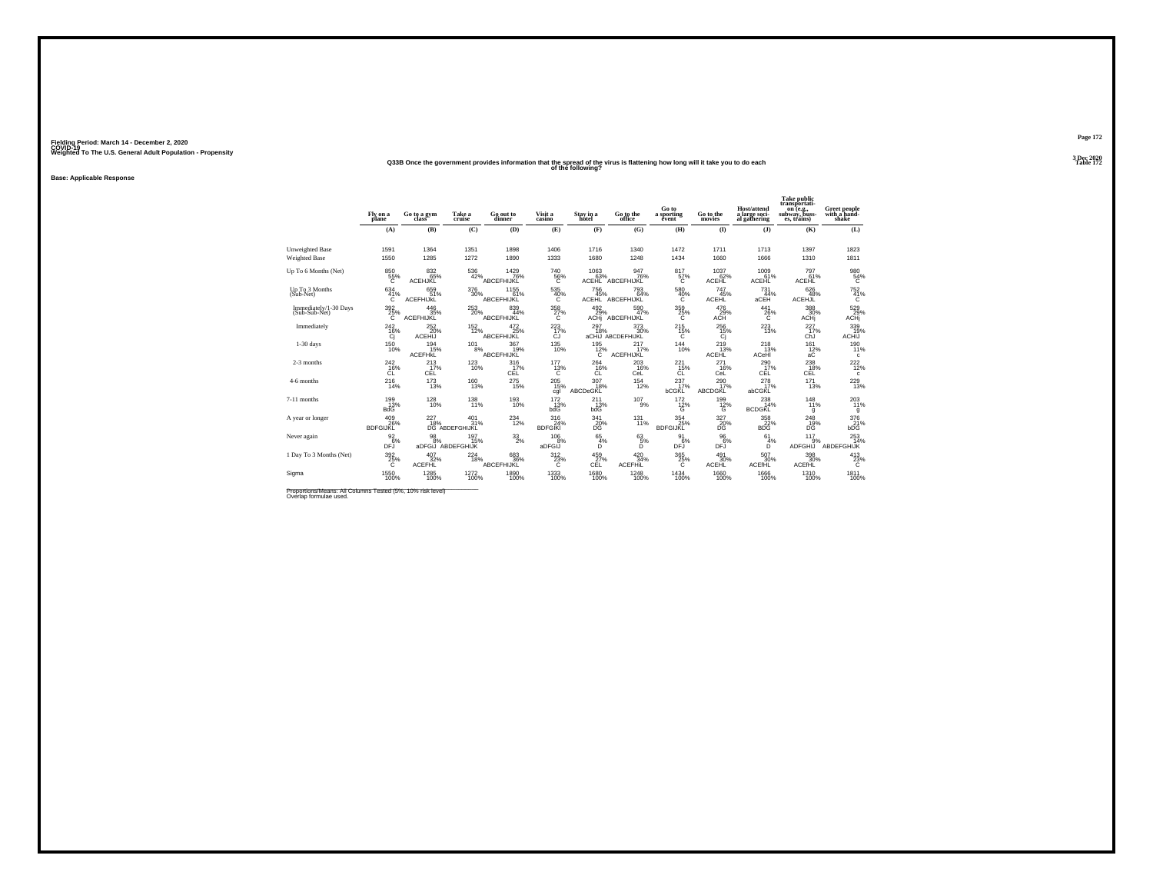### **Q33B Once the government provides information that the spread of the virus is flattening how long will it take you to do each Table 172 of the following?**

**Base: Applicable Response**

|                                         | Fly on a<br>plane             | Go to a gym                          | Take a<br>cruise                      | Go out to<br>dinner       | Visit a<br>casino            | Stay in a<br>hotel          | Go to the<br>office       | Go to<br>a sporting<br>event    | Go to the<br>movies             | <b>Host/attend</b><br>a large soci-<br>al gathering | <b>Take public</b><br>transportati-<br>on (e.g.,<br>subway, buss-<br>es, trains) | Greet people<br>with a hand-<br>shake |
|-----------------------------------------|-------------------------------|--------------------------------------|---------------------------------------|---------------------------|------------------------------|-----------------------------|---------------------------|---------------------------------|---------------------------------|-----------------------------------------------------|----------------------------------------------------------------------------------|---------------------------------------|
|                                         | (A)                           | (B)                                  | (C)                                   | (D)                       | (E)                          | (F)                         | (G)                       | (H)                             | (I)                             | $($ $)$                                             | (K)                                                                              | (L)                                   |
| Unweighted Base<br><b>Weighted Base</b> | 1591<br>1550                  | 1364<br>1285                         | 1351<br>1272                          | 1898<br>1890              | 1406<br>1333                 | 1716<br>1680                | 1340<br>1248              | 1472<br>1434                    | 1711<br>1660                    | 1713<br>1666                                        | 1397<br>1310                                                                     | 1823<br>1811                          |
| Up To 6 Months (Net)                    | 850<br>$^{55\%}_{C}$          | 832<br>65%<br>ACEHJKL                | 536<br>42%                            | 1429<br>76%<br>ABCEFHIJKL | 740<br>$^{56}_{C}$           | 1063<br>63%<br><b>ACEHL</b> | 947<br>76%<br>ABCEFHIJKL  | 817<br>57%<br>Ć                 | 1037<br>62%<br><b>ACEHL</b>     | 1009<br>61%<br>ACEHL                                | 797<br>61%<br><b>ACEHL</b>                                                       | $^{980}_{\  \  \, 54\%}$              |
| Up To 3 Months<br>(Sub-Net)             | 634<br>41%<br>C               | 659<br>51%<br><b>ACEFHIJKL</b>       | $^{376}_{\phantom{1}\phantom{1}30\%}$ | 1155<br>61%<br>ABCEFHIJKL | 535<br>40%<br>c              | <sup>756</sup> 45%<br>ACEHL | 793<br>64%<br>ABCEFHIJKL  | 580 40%<br>Ċ                    | 747<br>45%<br><b>ACEHL</b>      | $^{731}_{44\%}$<br>aCEH                             | 626<br>48%<br><b>ACEHJL</b>                                                      | $^{752}_{41\%}$<br>C                  |
| Immediately/1-30 Days<br>(Sub-Sub-Net)  | $^{392}_{\phantom{1}25\%}$    | 446<br>35%<br>ACEFHIJKL              | $^{253}_{20\%}$                       | 839<br>44%<br>ABCEFHIJKL  | $^{358}_{27\%}$              | 492 %<br>ACHi               | 590<br>47%<br>ABCEFHIJKL  | $^{359}_{\phantom{3}25\%}$      | 476<br>29%<br>ACH <sup>®</sup>  | $^{441}_{26\%}$                                     | 388<br>30%<br>ACHi                                                               | 529<br>29%<br>ACHj                    |
| Immediately                             | 242<br>$^{16\%}_{Cj}$         | 252<br>20%<br>ACEHIJ                 | 152<br>12%                            | 472<br>ABCEFHIJKL         | 223<br>17%<br>CJ             | 297<br>18%<br>aCHiJ         | 373<br>30%<br>ABCDEFHIJKL | 215<br>$^{15\%}_{C}$            | 256<br>$\frac{15}{10}$          | 223<br>13%                                          | 227<br>17%<br>ChJ                                                                | 339<br>19%<br>ACHIJ                   |
| $1-30$ days                             | <sup>150</sup> 10%            | <sup>194</sup> 15%<br><b>ACEFHKL</b> | $^{101}_{8\%}$                        | 367<br>19%<br>ABCEFHIJKL  | $^{135}_{10\%}$              | 195<br>12%<br>C             | 217<br>17%<br>ACEFHIJKL   | $^{144}_{10\%}$                 | $^{219}_{13\%}$<br><b>ACEHL</b> | $^{218}_{13\%}$<br>ACeHI                            | 161<br>12%<br>aC                                                                 | 190<br>11%<br>c                       |
| 2-3 months                              | $^{242}_{16\%}$<br>ĊĽ         | 213<br>CÉL                           | $^{123}_{10\%}$                       | 316<br>17%<br>CÉL         | $^{177}_{13\%}$              | 264<br>16%<br>ĆĹ            | 203<br>16%<br>CeL         | $^{221}_{15\%}$<br>ĊĽ           | 271<br>16%<br>CeL               | $^{290}_{17\%}$<br>CÉL                              | 238<br>18%<br>CÉL                                                                | $^{222}_{12\%}$<br>c                  |
| 4-6 months                              | $^{216}_{14\%}$               | $^{173}_{13\%}$                      | $^{160}_{13\%}$                       | $^{275}_{15\%}$           | $^{205}_{15\%}$<br>cgl       | 307<br>18%<br>ABCDeGKL      | $^{154}_{12\%}$           | $^{237}_{17\%}$<br><b>bCGKL</b> | 290 <sub>17%</sub><br>ABCDGKL   | $^{278}_{17\%}$<br>abCGKL                           | $^{171}_{13\%}$                                                                  | 229<br>13%                            |
| 7-11 months                             | 199%<br>BdG                   | $^{128}_{10\%}$                      | $^{138}_{11\%}$                       | $^{193}_{10\%}$           | $^{172}_{\ 13\%}$ bdG        | 211 <sub>3%</sub><br>bdG    | $^{107}_{9\%}$            | $^{172}_{12\%}$                 | $^{199}_{12\%}$                 | $^{238}_{14\%}$<br><b>BCDGKL</b>                    | $^{148}_{11\%}$<br>q                                                             | 203<br>11%<br>g                       |
| A year or longer                        | 409<br>26%<br><b>BDFGIJKL</b> | 227                                  | 401<br>18%<br>DG ABDEFGHIJKL<br>31%   | 234<br>12%                | 316<br>24%<br><b>BDFGIKI</b> | 341<br>$^{20}_{DG}$         | 131<br>11%                | 354<br>BDFGIJKL                 | 327<br>$\frac{20}{DG}$          | 358<br>$\frac{22}{22}$ %                            | 248<br>$\frac{19}{10}$                                                           | 376<br>$^{21}_{\text{bDG}}$           |
| Never again                             | $\frac{92}{6}\%$<br>DFJ       | $^{98}_{\ 8\%}$<br>aDFGiJ            | 197<br>15%<br>ABDEFGHIJK              | $^{33}_{2\%}$             | 106<br>8%<br>aDFGIJ          | $^{65}_{4\%}$<br>D          | $^{63}_{5\%}$<br>Ď        | $\frac{91}{6%}$<br><b>DFJ</b>   | 96<br>6%<br>DFJ                 | 61<br>4%<br>D                                       | 117<br>9%<br><b>ADFGHIJ</b>                                                      | $^{253}_{14\%}$<br>ABDEFGHIJK         |
| 1 Day To 3 Months (Net)                 | $^{392}_{\  \  \, 25\%}$      | 407<br>32%<br><b>ACEFHL</b>          | 224<br>18%                            | 683<br>36%<br>ABCEFHIJKL  | 312<br>$^{23\%}_{C}$         | $^{459}_{27\%}$ cEL         | 420 34%<br><b>ACEFHIL</b> | $^{365}_{\  \, 25\%}$           | 491<br>30%<br><b>ACEHL</b>      | 507<br>30%<br><b>ACEfHL</b>                         | 398<br>30%<br>ACEfHL                                                             | $^{413}_{23\%}$                       |
| Sigma                                   | 1550<br>100%                  | 1285<br>100%                         | $^{1272}_{100\%}$                     | 1890<br>100%              | 1333<br>100%                 | 1680<br>100%                | 1248<br>100%              | $\frac{1434}{100\%}$            | 1660<br>100%                    | 1666<br>100%                                        | 1310<br>100%                                                                     | 1811<br>100%                          |

Proportions/Means: All Columns Tested (5%, 10% risk level)<br>Overlap formulae used.

**Page 1723 Dec 2020<br>Table 172**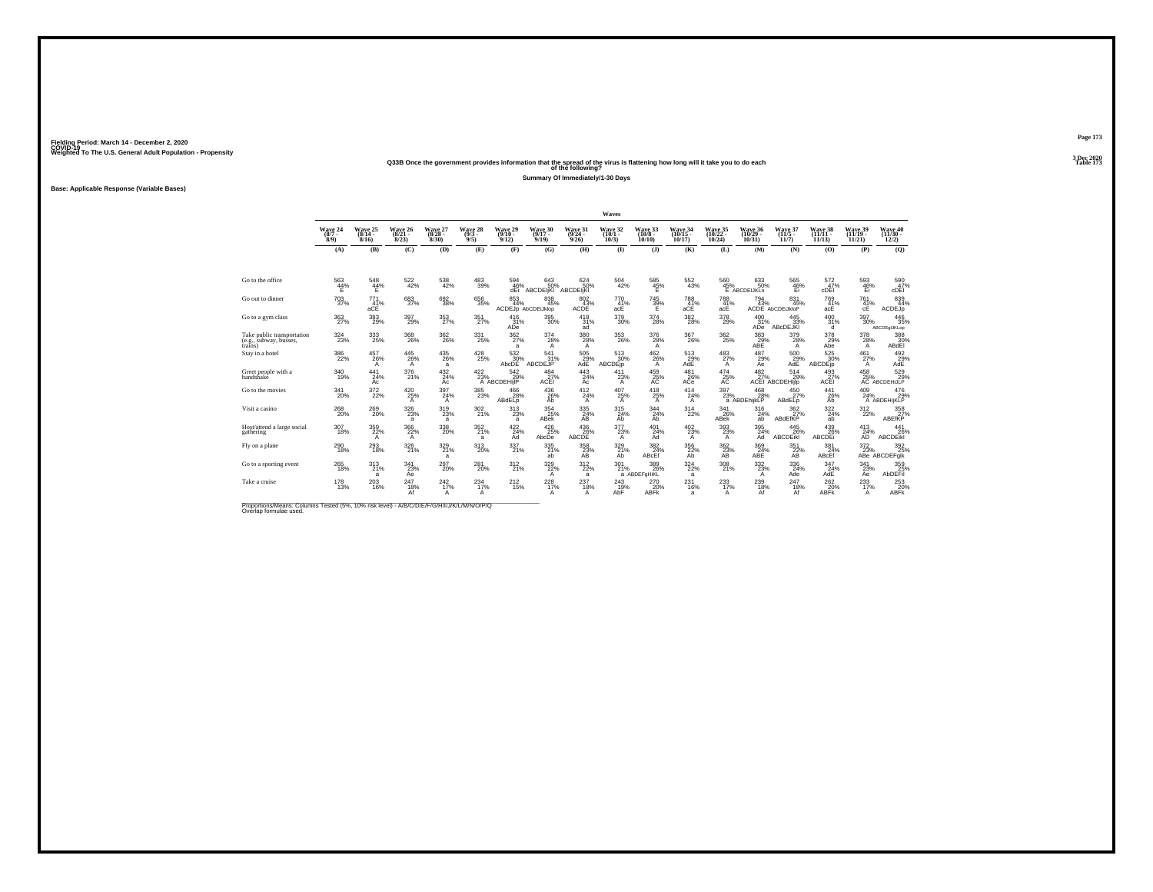### **Q33B Once the government provides information that the spread of the virus is flattening how long will it take you to do each Table 173 of the following?**

**Summary Of Immediately/1-30 Days**

**Base: Applicable Response (Variable Bases)**

|                                                                 |                                       |                              |                                  |                                        |                                       |                                      |                                                 |                                       | Waves                         |                               |                                       |                                |                                                                          |                                        |                               |                                 |                                                           |
|-----------------------------------------------------------------|---------------------------------------|------------------------------|----------------------------------|----------------------------------------|---------------------------------------|--------------------------------------|-------------------------------------------------|---------------------------------------|-------------------------------|-------------------------------|---------------------------------------|--------------------------------|--------------------------------------------------------------------------|----------------------------------------|-------------------------------|---------------------------------|-----------------------------------------------------------|
|                                                                 | Wave 24<br>$(8/7 -$<br>8/9            | Wave 25<br>$(8/14 -$<br>8/16 | Wave 26<br>$\frac{(8/21)}{8/23}$ | Wave 27<br>$\frac{(8/28 - 8)}{(8/30)}$ | Wave 28<br>$\frac{(9/3 - 9)}{9/5}$    | Wave 29<br>$(9/10 -$<br>9/12         | Wave 30<br>$(9/17 -$<br>9/19                    | Wave 31<br>$(9/24 -$<br>9/26          | Wave 32<br>$(10/1 -$<br>10/3  | Wave 33<br>$(10/8 -$<br>10/10 | Wave 34<br>$(10/15 -$<br>10/17        | Wave 35<br>$(10/22 -$<br>10/24 | Wave 36<br>$(10/29 -$<br>10/31                                           | Wave 37<br>$(11/5 -$<br>11/7           | Wave 38<br>(11/11 -<br>11/13  | Wave 39<br>$(11/19 -$<br>11/21  | Wave 40<br>$(11/30 -$<br>12/2)                            |
|                                                                 | (A)                                   | (B)                          | (C)                              | (D)                                    | (E)                                   | (F)                                  | (G)                                             | (H)                                   | $\bf{I}$                      | $($ $)$                       | (K)                                   | (L)                            | (M)                                                                      | (N)                                    | (0)                           | (P)                             | (O)                                                       |
| Go to the office                                                | 563<br>$\frac{44}{5}$                 | 548<br>44%<br>F              | 522<br>42%                       | 538<br>42%                             | 483<br>39%                            | 594<br>46%<br>dEi                    | 643<br>50%<br><b>ABCDEIjKI</b>                  | 624<br>50%<br>ABCDEIKI                | 504<br>42%                    | 585<br>$\frac{45}{5}$ %       | 552<br>43%                            | 560                            | 633<br>50%<br>$\begin{array}{r} 45\% \\ \text{E} \end{array}$ ABCDEIJKLn | 565<br>$\frac{46}{5}$                  | 572<br>47%<br>cDËI            | 593<br>$\frac{46}{E}$           | $^{590}_{60}$ $^{47\%}_{\rm cDEI}$                        |
| Go out to dinner                                                | $^{703}_{37\%}$                       | $^{771}_{41\%}$<br>aCE       | 683<br>37%                       | $^{692}_{38\%}$                        | 656<br>35%                            | $\substack{853 \\ 44\%}$             | $\underset{45\%}{^{838}}$<br>ACDEJp AbCDEiJklop | $\frac{802}{43}\%$<br>ACDE            | 770<br>41%<br>acE             | 745<br>39%<br>Έ               | 788<br>41%<br>aCE                     | $^{788}_{41\%}$<br>acE         | $^{794}_{43\%}$                                                          | $\frac{831}{45\%}$<br>ACDE AbCDEiJkloP | 769<br>41%<br>acE             | $^{761}_{41\%}$<br>cE           | 839<br>44%<br>ACDEJp                                      |
| Go to a gym class                                               | 363<br>27%                            | 383<br>29%                   | 397<br>29%                       | 353<br>27%                             | 351<br>27%                            | 416<br>31%<br>ADe                    | 395<br>30%                                      | 418<br>31%<br>ad                      | 379<br>30%                    | 374<br>28%                    | 382<br>28%                            | 378<br>29%                     | 400<br>31%<br>ADe <sup>1</sup>                                           | 445<br>33%<br>ABcDEJKI                 | 400<br>31%<br>d.              | 397<br>30%                      | 446<br>35%<br>ABCDEgIJKLop                                |
| Take public transportation<br>(e.g., subway, busses,<br>trains) | $^{324}_{\phantom{1}\phantom{1}23\%}$ | 333<br>25%                   | $^{368}_{26\%}$                  | 362<br>26%                             | $^{331}_{\,\,25\%}$                   | $\frac{362}{27\%}$<br>$\overline{a}$ | $^{374}_{28\%}$<br>A                            | $^{380}_{\,\,28\%}$<br>$\mathsf{A}$   | $^{353}_{26\%}$               | 376<br>28%<br>A               | $^{367}_{\ 26\%}$                     | 362 <sub>25%</sub>             | 383%<br>ABE                                                              | 379<br>28%<br>A                        | 378<br>29%<br>Abe             | 378 28%<br>A                    | 388<br>30%<br>ABdEI                                       |
| Stay in a hotel                                                 | $^{386}_{\phantom{1}\phantom{1}22\%}$ | $^{457}_{26\%}$<br>A         | $^{445}_{26\%}$<br>A             | $^{435}_{\  \, 26\%}$<br>a             | $^{428}_{25\%}$                       | $\underset{\text{AbcDE}}{532}$       | $^{541}_{31\%}$<br>ABCDEJP                      | $^{505}_{\substack{29\\ \text{AdE}}}$ | $\frac{513}{30\%}$<br>ABCDFin | $^{462}_{26\%}$<br>A          | $^{513}_{\substack{29\\ \text{AdE}}}$ | $^{483}_{27\%}$<br>A           | $^{487}_{29\%}$<br>Āē                                                    | 500<br>29%<br>AdE                      | 525<br>30%<br><b>ABCDE</b> jp | $^{461}_{27\%}$<br>$\mathsf{A}$ | $\underset{\mathsf{AdE}}{^{492}}$                         |
| Greet people with a<br>handshake                                | 340<br>19%                            | 441<br>24%<br>Ac             | 376<br>21%                       | 432<br>24%<br>Ac                       | $^{422}_{23\%}$                       | 542<br>29%<br>A ABCDEHIIP            | 484<br>$rac{27}{27}$ %                          | 443<br>24%<br>Ac                      | 411<br>23%<br>A               | 459<br>$25%$<br>AC            | 481<br>26%<br>ACe                     | 474<br>$A25$ %                 | 482                                                                      | 514<br>27%<br>ACEI ABCDEHIJIP<br>29%   | 493<br>$27%$<br>ACEI          | 458                             | 529<br>29%<br>25% 29%<br>AC ABCDEHIJLP                    |
| Go to the movies                                                | $\frac{341}{20\%}$                    | 372 <sub>2%</sub>            | $^{420}_{25\%}$<br>A             | 397<br>24%<br>A                        | $^{385}_{\phantom{1}\phantom{1}23\%}$ | $^{466}_{28\%}$<br>ABdELp            | 436 26%<br>Ah                                   | $^{412}_{24\%}$<br>$\mathsf{A}$       | $^{407}_{25\%}$<br>A          | 418<br>25%<br>A               | 414<br>24%<br>A                       | $^{397}_{23\%}$                | $^{468}_{28\%}$<br>a ABDEhiikLP                                          | $^{450}_{27\%}$<br><b>ABdELp</b>       | $^{441}_{26\%}$<br>Ab         | $^{409}_{24\%}$                 | 476<br>29%<br>A ABDEHIjKLP                                |
| Visit a casino                                                  | $^{268}_{\,20\%}$                     | $^{269}_{20\%}$              | $^{326}_{23\%}$<br>a             | $^{319}_{23\%}$<br>$\mathbf{a}$        | 302 %                                 | $313 \atop 23\%$<br>a                | $\frac{354}{25\%}$<br><b>ABek</b>               | $\frac{335}{24\%}$<br>ĀŔ              | 315<br>24%<br>Ab              | $\underset{\text{Ab}}{344}$   | $^{314}_{22\%}$                       | $\frac{341}{26\%}$<br>ABek     | 316<br>24%<br>āb                                                         | $\frac{362}{27}\%$<br>ABdEfKP          | $\frac{322}{24\%}$<br>ab      | $^{312}_{22\%}$                 | $\begin{array}{r}358\\27\%\\ \mathrm{ABEffKP}\end{array}$ |
| Host/attend a large social<br>gathering                         | 307<br>18%                            | 359<br>22%<br>$\mathsf{A}$   | 366<br>22%<br>A                  | 338<br>20%                             | 352%<br>a                             | 422/24%<br>Ad                        | $^{426}_{25\%}$<br>AbcDe                        | $^{436}_{26\%}$<br><b>ABCDE</b>       | $\frac{377}{23\%}$<br>A       | $^{401}_{24\%}$<br>Ad         | $^{402}_{23\%}$<br>$\mathsf{A}$       | 393 <sub>%</sub><br>A          | $\frac{395}{24\%}$<br>Ad                                                 | 445<br>26%<br><b>ABCDEIKI</b>          | 439<br>26%<br><b>ABCDE</b>    | $^{413}_{24\%}$<br>ĀD           | $^{441}_{26\%}$<br>ABCDEIKI                               |
| Fly on a plane                                                  | $^{290}_{18\%}$                       | 293<br>18%                   | $326 \atop 21\%$                 | 329<br>21%<br>a                        | 313<br>20%                            | $^{337}_{21\%}$                      | 335<br>21%<br>ab                                | $\underset{\mathsf{AB}}{^{358}}$      | 329 21%<br>Ab                 | 382<br>24%<br>ABcEf           | 356<br>22%<br>Ab                      | $\frac{362}{23}\%$             | 369<br>24%<br>ABE                                                        | $\underset{\mathsf{AB}}{351}$          | $381 \atop 24\%$<br>ABcEf     |                                 | 372 392<br>23% 25%<br>ABe ABCDEFgik                       |
| Go to a sporting event                                          | 265<br>18%                            | 313<br>21%<br>a              | 341<br>23%<br>Ae                 | 297<br>20%                             | 281<br>20%                            | 312<br>21%                           | 329<br>22%<br>A                                 | 312<br>22%<br>a                       | 301<br>21%                    | 389<br>26%<br>a ABDEFOHIKL    | 324<br>22%<br>a                       | 308<br>21%                     | 332<br>23%<br>A                                                          | 336<br>24%<br>Ade                      | 347<br>24%<br>AdE             | 341<br>23%<br>Aė                | 359<br>25%<br>AbDEFil                                     |
| Take a cruise                                                   | $^{178}_{13\%}$                       | $^{203}_{16\%}$              | 247<br>18%<br>Af                 | $^{242}_{17\%}$<br>A                   | 234<br>А                              | $^{212}_{15\%}$                      | $^{228}_{17\%}$                                 | 237<br>18%<br>А                       | 243<br>19%<br>AbF             | 270<br>20%<br><b>ABFK</b>     | 231<br>16%<br>$\overline{a}$          | 233<br>17%<br>A                | $^{239}_{18\%}$<br>Af                                                    | 247<br>18%<br>Af                       | 262<br>20%<br>ABFK            | $^{233}_{17\%}$<br>$\mathsf{A}$ | 253<br>20%<br><b>ABFK</b>                                 |

Proportions/Means: Columns Tested (5%, 10% risk level) - *N\B/C/D/E/F/G/H/I/J/K/L/M/N/O/P/Q*<br>Overlap formulae used.

**Page 173**3 Dec 2020<br>Table 173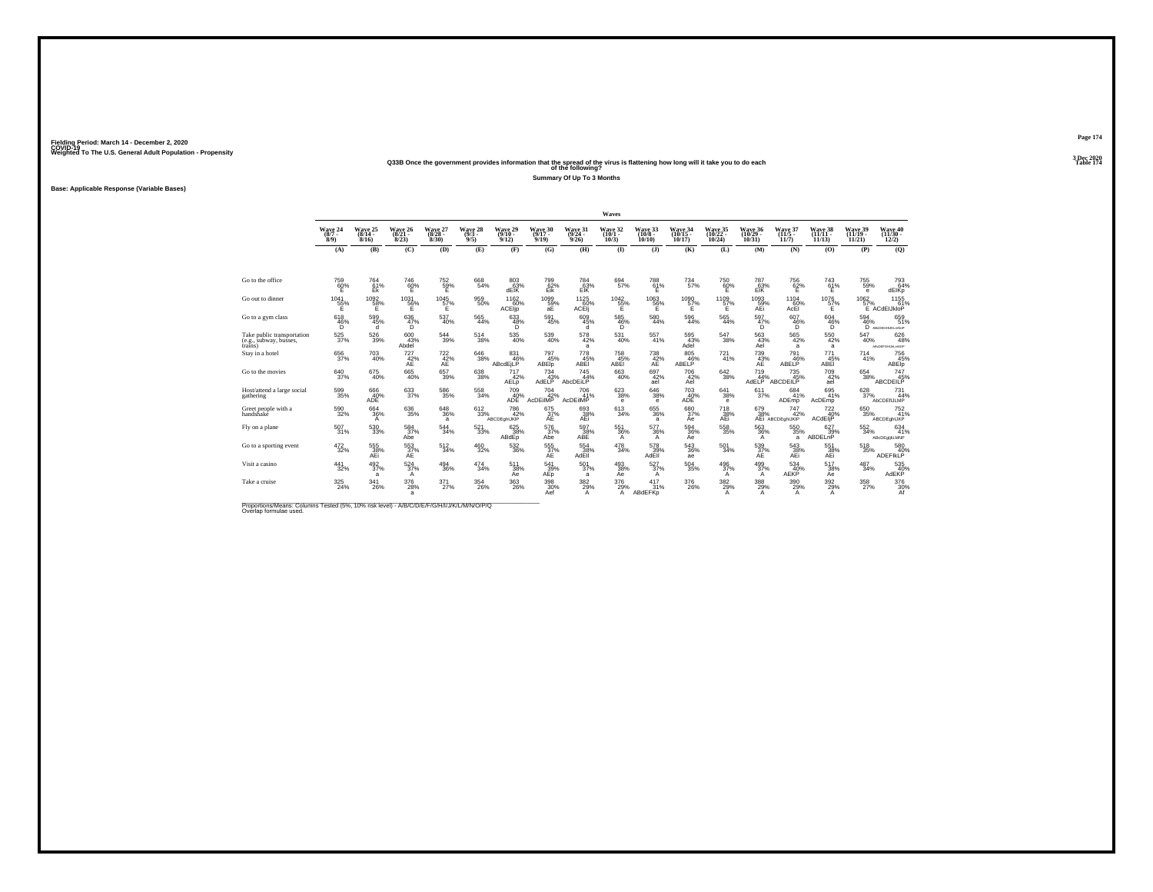### **Q33B Once the government provides information that the spread of the virus is flattening how long will it take you to do each Table 174 of the following?**

**Summary Of Up To 3 Months**

**Base: Applicable Response (Variable Bases)**

|                                                                 |                                |                              |                                                                                                                                                                                                                                                                                                                                                          |                              |                                |                                    |                               |                              | Waves                                   |                               |                                |                               |                                       |                                                           |                                |                                |                                    |
|-----------------------------------------------------------------|--------------------------------|------------------------------|----------------------------------------------------------------------------------------------------------------------------------------------------------------------------------------------------------------------------------------------------------------------------------------------------------------------------------------------------------|------------------------------|--------------------------------|------------------------------------|-------------------------------|------------------------------|-----------------------------------------|-------------------------------|--------------------------------|-------------------------------|---------------------------------------|-----------------------------------------------------------|--------------------------------|--------------------------------|------------------------------------|
|                                                                 | Wave 24<br>$(8/7 -$<br>8/9     | Wave 25<br>$(8/14 -$<br>8/16 | Wave 26<br>$(8/21 -$<br>8/23                                                                                                                                                                                                                                                                                                                             | Wave 27<br>$(8/28 -$<br>8/30 | Wave 28<br>$\frac{(9/3)}{9/5}$ | Wave 29<br>$(9/10 -$<br>9/12       | Wave 30<br>$(9/17 -$<br>9/19  | Wave 31<br>$(9/24 -$<br>9/26 | Wave 32<br>$(10/1 -$<br>10/3            | Wave 33<br>$(10/8 -$<br>10/10 | Wave 34<br>(10/15 -<br>10/17   | Wave 35<br>(10/22 -<br>10/24  | Wave 36<br>$(10/29 -$<br>10/31        | Wave 37<br>$(11/5 -$<br>11/7                              | Wave 38<br>$(11/11 -$<br>11/13 | Wave 39<br>$(11/19 -$<br>11/21 | Wave 40<br>$(11/30 -$<br>12/2)     |
|                                                                 | (A)                            | (B)                          | (C)                                                                                                                                                                                                                                                                                                                                                      | (D)                          | (E)                            | (F)                                | (G)                           | (H)                          | $\mathbf{D}$                            | $($ $)$                       | (K)                            | (L)                           | (M)                                   | (N)                                                       | (0)                            | (P)                            | (Q)                                |
| Go to the office                                                | 759<br>60%                     | 764<br>61%<br>Ek             | 746<br>60%<br>Έ                                                                                                                                                                                                                                                                                                                                          | 752<br>$\frac{50}{5}$ %      | 668<br>54%                     | 803<br>63%<br>dEIK                 | 799<br>62%<br>Eik             | 784<br>$E$ <sup>63%</sup>    | 694<br>57%                              | 788<br>61%<br>Ë.              | 734<br>57%                     | 750<br>60%                    | 787<br>63%<br>EÏŘ                     | 756<br>62%                                                | 743<br>61%<br>Έ                | 755<br>59%<br>$\mathbf{e}$     | 793<br>64%<br>dEIKp                |
| Go out to dinner                                                | 1041<br>55%<br>Е               | $^{1092}_{58\%}$<br>Е        | 1031<br>56%<br>Е                                                                                                                                                                                                                                                                                                                                         | $^{1045}_{57\%}$<br>Ε        | 959<br>50%                     | $^{1162}_{-0.0\%}$<br>ACEIp        | 1099%<br>аE                   | $^{1125}_{60\%}$<br>ACEIj    | 1042<br>55%<br>Е                        | 1063<br>56%<br>Ε              | 1090<br>57%<br>Е               | 1109<br>57%<br>Е              | 1093<br>59%<br>AEi                    | 110460%<br>AcEI                                           | $^{1076}_{57\%}$<br>Е          | 1062<br>57%                    | 1155<br>61%<br>E ACdEIJkloP        |
| Go to a gym class                                               | 618<br>$^{46}_{\substack{6}}%$ | 599<br>45%<br>d.             | 636<br>47%<br>D.                                                                                                                                                                                                                                                                                                                                         | 537<br>40%                   | 565<br>44%                     | 633<br>$^{48\%}_{D}$               | 591<br>45%                    | 609<br>45%<br>d              | 585<br>46%<br>'n.                       | 580<br>44%                    | 596<br>44%                     | 565<br>44%                    | 597<br>47%<br>Ö,                      | 607<br>46%<br>'n.                                         | 604<br>46%                     | 594                            | 659<br>$\overline{46\%}$ 51<br>51% |
| Take public transportation<br>(e.g., subway, busses,<br>trains) | $^{525}_{37\%}$                | $^{526}_{39\%}$              | $600\!\!\!\!\!\!\!43\!\!\!\!\!\!7\!\!\!\!\!3\!\!\!\!\!7\!\!\!\!\!3\!\!\!\!\!7\!\!\!\!3\!\!\!\!\!7\!\!\!\!3\!\!\!\!7\!\!\!\!7\!\!\!\!3\!\!\!\!7\!\!\!\!7\!\!\!\!7\!\!\!\!7\!\!\!\!7\!\!\!\!7\!\!\!\!7\!\!\!\!7\!\!\!\!7\!\!\!\!7\!\!\!\!7\!\!\!\!7\!\!\!\!7\!\!\!\!7\!\!\!\!7\!\!\!\!7\!\!\!\!7\!\!\!\!7\!\!\!\!7\!\!\!\!7\!\!\!\!7\!\!\!\!7\!\$<br>Abdel | $\substack{544 \\ 39\%}$     | 514<br>38%                     | $^{535}_{\ 40\%}$                  | 539<br>40%                    | $^{578}_{\ 42\%}$<br>a       | 531<br>40%                              | 557<br>41%                    | 595<br>43%<br>Adel             | $^{547}_{38\%}$               | $\frac{563}{43\%}$<br>Ael             | $^{565}_{\ 42\%}$<br>a                                    | $^{550}_{\ 42\%}$<br>a         | 547<br>40%                     | 626<br>48%<br>AB:DEFGHJALmNOP      |
| Stay in a hotel                                                 | $\substack{656\\37\%}$         | 703<br>40%                   | $727 \atop 42\%$<br>AE                                                                                                                                                                                                                                                                                                                                   | $\frac{722}{42}\%$           | $^{646}_{38\%}$                | 831<br>46%<br>ABcdEjLP             | 797<br>45%<br><b>ABEID</b>    | 778 45%<br>ABEI              | 758<br>45%<br>ABEI                      | $^{738}_{\,\,\,42\%}$         | 805<br>46%<br>ABELP            | 721%                          | $^{739}_{\substack{43\%\\\text{AE}}}$ | 791<br>46%<br>ABELP                                       | 771<br>45%<br><b>ABEI</b>      | 714<br>41%                     | 756<br>45%<br>ABEIp                |
| Go to the movies                                                | 640<br>37%                     | 675<br>40%                   | 665<br>40%                                                                                                                                                                                                                                                                                                                                               | 657<br>39%                   | 638<br>38%                     | 717<br>42%<br>AELD                 | 734<br>AdELP <sup>43%</sup>   | 745<br>44%<br>AbcDEiLP       | 663<br>40%                              | 697<br>42%<br>ael             | 706<br>42%<br>Ael              | 642<br>38%                    | 719<br>44%<br>AdELP                   | 735<br>45%<br>ABCDEILP                                    | 709<br>42%<br>ael              | 654<br>38%                     | 747<br>ABCDEILP                    |
| Host/attend a large social<br>gathering                         | $^{599}_{35\%}$                | 666<br>40%<br><b>ADE</b>     | 633                                                                                                                                                                                                                                                                                                                                                      | 586<br>35%                   | 558<br>34%                     | 709 40%<br>ADE                     | $^{704}_{42\%}$<br>AcDEIMP    | 706<br>41%<br>AcDEIIMP       | $\substack{623 \\ 38\%}$<br>$\mathbf e$ | 646<br>38%<br>е.              | 703<br>40%<br>ADE              | $\substack{641 \\ 38\%}$<br>е | 611 <sub>37%</sub>                    | 684<br>41%<br>ADEmp                                       | 695<br>41%<br>AcDEmp           | $\frac{628}{37\%}$             | 731<br>44%<br>AbCDEfIJLMP          |
| Greet people with a<br>handshake                                | $^{590}_{32\%}$                | $^{664}_{36\%}$<br>А         | $^{636}_{35\%}$                                                                                                                                                                                                                                                                                                                                          | $\substack{648\\36\%}$<br>a  | 612<br>33%                     | <sup>786</sup> 42%<br>ABCDEghlJKIP | 675<br>37%<br>AE              | 693<br>38%<br>AEi            | 613<br>34%                              | 655<br>36%<br>a               | 680<br>37%<br>Ae               | 718<br>38%<br>AEi             |                                       | 679 747<br>38% 42%<br>AEi ABCDEghIJKIP<br>$^{747}_{42\%}$ | $^{722}_{40\%}$<br>ACdEljP     | 650<br>35%                     | 752<br>41%<br>ABCDEghIJKP          |
| Fly on a plane                                                  | $^{507}_{31\%}$                | 530<br>33%                   | 584 37%<br>Abe                                                                                                                                                                                                                                                                                                                                           | 544<br>34%                   | $^{521}_{33\%}$                | 625<br>38%<br>ABdEp                | 576<br>37%<br>Abe             | $\frac{597}{38}\%$<br>ABE    | 551<br>36%<br>A                         | $^{577}_{36\%}$<br>A          | 594<br>36%<br>Ae               | $^{558}_{35\%}$               | $\substack{563 \\ 36\%}$<br>A         | $^{550}_{35\%}$<br>a                                      | $627 \atop 39\%$<br>ABDELnP    | $^{552}_{34\%}$                | 634<br>41%<br>ABcDEgljkLMNP        |
| Go to a sporting event                                          | $^{472}_{\ 32\%}$              | 555<br>38%<br>AEi            | $^{553}_{\substack{37\%\\ \sf AE}}$                                                                                                                                                                                                                                                                                                                      | $^{512}_{34\%}$              | $^{460}_{32\%}$                | 532 36%                            | 555<br>37%<br>AE              | 554<br>38%<br>AdEll          | $^{478}_{\phantom{1}34\%}$              | 578<br>39%<br>AdĒĪI           | $\substack{543 \\ 36\%}$<br>ae | 501<br>34%                    | $^{539}_{37\%}$                       | 543<br>38%<br>AEi                                         | 551<br>38%<br>AEi              | $^{518}_{35\%}$                | 580<br>40%<br>ADEFIKLP             |
| Visit a casino                                                  | 441<br>32%                     | 492<br>37%<br>a              | 524<br>37%<br>A                                                                                                                                                                                                                                                                                                                                          | 494<br>36%                   | 474<br>34%                     | 511<br>38%<br>Aė                   | 541<br>$A_{\text{Ep}}^{39\%}$ | 501<br>37%<br>a              | 493<br>38%<br>Aė                        | 527<br>37%<br>A               | 504<br>35%                     | 496<br>37%<br>A               | 499<br>37%<br>A                       | 534<br>40%<br><b>AEKP</b>                                 | 517<br>38%<br>Aė               | 487<br>34%                     | 535<br>AdEKP                       |
| Take a cruise                                                   | $^{325}_{\,24\%}$              | $\frac{341}{26\%}$           | 376<br>28%<br>a                                                                                                                                                                                                                                                                                                                                          | $\frac{371}{27\%}$           | $^{354}_{26\%}$                | $^{363}_{26\%}$                    | 398<br>30%<br>Aef             | $\frac{382}{29}\%$<br>A      | 376<br>29%<br>A                         | 417<br>31%<br>ABdEFKp         | 376<br>26%                     | $\frac{382}{29}\%$<br>А       | $\frac{388}{29\%}$<br>A               | 390 29%<br>A                                              | 392/29%<br>A                   | $^{358}_{27\%}$                | 376<br>30%<br>Af                   |

Proportions/Means: Columns Tested (5%, 10% risk level) - *N\B/C/D/E/F/G/H/I/J/K/L/M/N/O/P/Q*<br>Overlap formulae used.

**Page 174**3 Dec 2020<br>Table 174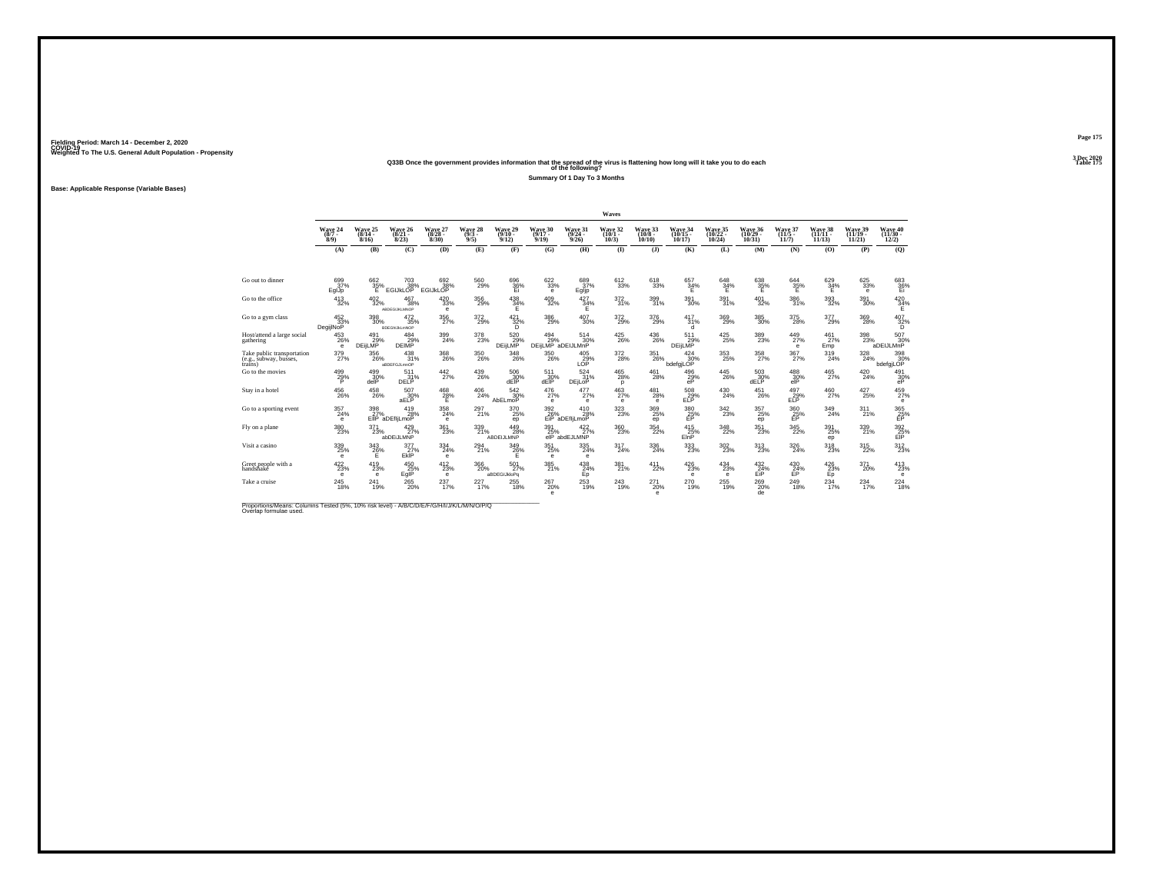### **Q33B Once the government provides information that the spread of the virus is flattening how long will it take you to do each Table 175 of the following?**

**Summary Of 1 Day To 3 Months**

**Base: Applicable Response (Variable Bases)**

|                                                                 |                                     |                                  |                                          |                                 |                                |                               |                                      |                               | Waves                      |                                       |                             |                            |                            |                             |                                  |                              |                                     |
|-----------------------------------------------------------------|-------------------------------------|----------------------------------|------------------------------------------|---------------------------------|--------------------------------|-------------------------------|--------------------------------------|-------------------------------|----------------------------|---------------------------------------|-----------------------------|----------------------------|----------------------------|-----------------------------|----------------------------------|------------------------------|-------------------------------------|
|                                                                 | Wave 24<br>$(8/7 -$<br>8/9          | Wave 25<br>8/16                  | Wave 26<br>$(8/21 -$<br>8/23             | Wave 27<br>$(8/28 -$<br>8/30    | Wave 28<br>$\frac{(9/3)}{9/5}$ | Wave 29<br>$(9/10 -$<br>9/12  | Wave 30<br>$(9/17 -$<br>9/19         | Wave 31<br>9/26               | Wave 32<br>(10/1<br>10/3   | Wave 33<br>$(10/8 -$<br>10/10         | Wave 34<br>10/17            | Wave 35<br>(10/22<br>10/24 | Wave 36<br>(10/29<br>10/31 | Wave 37<br>(11/5<br>11/7    | Wave 38<br>(11/11 -<br>11/13     | Wave 39<br>(11/19 -<br>11/21 | Wave 40<br>(11/30 -<br>12/2)        |
|                                                                 | (A)                                 | (B)                              | (C)                                      | (D)                             | (E)                            | (F)                           | (G)                                  | (H)                           | $($ $\blacksquare$         | $($ $\bf{J}$ )                        | (K)                         | (L)                        | (M)                        | (N)                         | (0)                              | (P)                          | (Q)                                 |
|                                                                 |                                     |                                  |                                          |                                 |                                |                               |                                      |                               |                            |                                       |                             |                            |                            |                             |                                  |                              |                                     |
| Go out to dinner                                                | 699<br>37%<br>EglJp                 | 662<br>35%                       | 703<br>$E$ GIJKLOP $\approx$             | 692<br>38%<br>EGIJKLOP          | 560<br>29%                     | 696<br>36%<br>Ei              | $\substack{622 \\ 33\%}$<br>е        | 689<br>37%<br>Egljp           | 612<br>33%                 | 618<br>33%                            | 657<br>34%                  | 648<br>$34\%$              | 638<br>35%                 | $\frac{644}{35\%}$          | 629<br>$\frac{34}{5}$            | 625<br>33%<br>е              | $683 \atop 36\%$                    |
| Go to the office                                                | $^{413}_{\ 32\%}$                   | $^{402}_{\phantom{1}32\%}$       | $^{467}_{38\%}$<br>ABDEGIJKLMNOP         | $^{420}_{\phantom{1}33\%}$<br>е | $^{356}_{\ 29\%}$              | $^{438}_{34\%}$<br>Ε          | $^{409}_{\phantom{1}32\%}$           | $\frac{427}{34}\%$<br>Е       | 372 %                      | $^{399}_{31\%}$                       | $^{391}_{\ 30\%}$           | $^{391}_{31\%}$            | $^{401}_{\phantom{1}32\%}$ | $\substack{386 \\ 31\%}$    | $\substack{393 \\ 32\%}$         | $^{391}_{\ 30\%}$            | $^{420}_{34\%}$                     |
| Go to a gym class                                               | 452<br>33%<br>DegijlNoP             | 398<br>30%                       | 472<br>35%<br><b>BDEGhIJKLmNOP</b>       | 356<br>27%                      | 372<br>29%                     | 421<br>$\frac{32\%}{D}$       | 386<br>29%                           | 407<br>30%                    | 372<br>29%                 | 376<br>29%                            | 417<br>31%<br>d             | 369<br>29%                 | 385<br>30%                 | 375<br>28%                  | 377<br>29%                       | 369<br>28%                   | $^{407}_{\substack{32\%\\D}}$       |
| Host/attend a large social<br>gathering                         | $^{453}_{26\%}$<br>$\theta$         | $^{491}_{29\%}$<br><b>DEILMP</b> | 484<br>29%<br><b>DEIMP</b>               | 399<br>24%                      | $^{378}_{23\%}$                | 520<br>29%<br><b>DEILMP</b>   | $^{494}_{29\%}$<br>DEIILMP aDEIJLMnP | 514<br>30%                    | $^{425}_{\,26\%}$          | $^{436}_{26\%}$                       | 511<br>29%<br><b>DEILMP</b> | $^{425}_{25\%}$            | $^{389}_{23\%}$            | $^{449}_{27\%}$<br>$\theta$ | $^{461}_{27\%}$<br>Emp           | $^{398}_{23\%}$              | 507<br>30%<br>aDEIJLMnP             |
| Take public transportation<br>(e.g., subway, busses,<br>trains) | $^{379}_{27\%}$                     | 356<br>26%                       | 438<br>31%<br>aBDEFGJLmnOP               | 368<br>26%                      | $^{350}_{\,26\%}$              | $\frac{348}{26\%}$            | $^{350}_{\,26\%}$                    | $^{405}_{29\%}$ LOP           | $\frac{372}{28\%}$         | $^{351}_{\ 26\%}$                     | 424<br>30%<br>bdefaiLOP     | $^{353}_{25\%}$            | $^{358}_{27\%}$            | 367 <sub>27%</sub>          | 319<br>24%                       | 328<br>24%                   | 398<br>30%<br>bdefgjLOP             |
| Go to the movies                                                | 499<br>29%                          | 499<br>30%<br>delP               | 511<br>31%<br><b>DELP</b>                | 442<br>27%                      | 439<br>26%                     | 506<br>$\frac{30}{30}$ %      | 511<br>$30\%$ dEIP                   | 524<br>31%<br>DEILOP          | 465<br>28%<br>p            | 461<br>28%                            | 496<br>$_{\rm eP}^{29\%}$   | 445<br>26%                 | 503<br>$\frac{30\%}{30\%}$ | 488<br>$\frac{30}{10}$      | 465<br>27%                       | 420<br>24%                   | 491<br>30%                          |
| Stav in a hotel                                                 | $^{456}_{\ 26\%}$                   | $^{458}_{\phantom{4}26\%}$       | 507<br>30%<br>aELP                       | $^{468}_{28\%}$<br>F            | $^{406}_{\  \, 24\%}$          | $\frac{542}{30}\%$<br>AbELmoP | $^{476}_{27\%}$<br>e                 | $^{477}_{27\%}$<br>е          | $^{463}_{27\%}$<br>e       | $^{481}_{28\%}$<br>е                  | 508<br>29%<br>ELP           | $^{430}_{\,\,24\%}$        | $^{451}_{26\%}$            | $^{497}_{29\%}$<br>ELP      | $^{460}_{27\%}$                  | 427 25%                      | 459<br>27%<br>е                     |
| Go to a sporting event                                          | $^{357}_{24\%}$<br>$\mathbf e$      | 398                              | 419<br>27% 28<br>28%                     | 358<br>24%<br>е                 | 297 <sub>21%</sub>             | 370<br>25%<br>ep              | $\frac{392}{26\%}$                   | 410<br>28%<br>aDEfliLmoP      | $^{323}_{\phantom{1}23\%}$ | 369<br>25%<br>ep                      | $\frac{380}{25}\%$          | $^{342}_{23\%}$            | $^{357}_{25\%}$<br>ep      | $\frac{360}{25}\%$          | $\frac{349}{24\%}$               | 311%                         | $^{365}_{\substack{25\\\text{EP}}}$ |
| Fly on a plane                                                  | $^{380}_{\color{red}23\%}$          | $^{371}_{23\%}$                  | 429/27%<br>abDEiJLMNP                    | $^{361}_{23\%}$                 | 339<br>21%                     | 449<br>28%<br>ABDEIJLMNP      | $^{391}_{25\%}$                      | $422/27$ %<br>elP abdEJLMNP   | $^{360}_{23\%}$            | $\frac{354}{22\%}$                    | $^{415}_{25\%}$<br>EinP     | $\frac{348}{22\%}$         | 351<br>23%                 | $\substack{345 \\ 22\%}$    | $^{391}_{\phantom{1}25\%}$<br>ep | 339<br>21%                   | 392<br>25%<br>EIP                   |
| Visit a casino                                                  | 339%<br>$\theta$                    | $\frac{343}{26}\%$               | 377<br>$E$ <sub>KIP</sub> <sup>27%</sup> | 334<br>24%<br>е                 | 294 <sub>21%</sub>             | 349<br>$^{26}_{F}$            | $^{351}_{25\%}$<br>е                 | $\substack{335 \\ 24\%}$<br>е | 317<br>24%                 | $^{336}_{\phantom{1}\phantom{1}24\%}$ | 333<br>23%                  | $^{302}_{\phantom{1}23\%}$ | 313<br>23%                 | 326<br>24%                  | $^{318}_{23\%}$                  | 315<br>22%                   | $312_{23\%}$                        |
| Greet people with a<br>handshake                                | 422<br>23%<br>e                     | 419<br>23%<br>е                  | 450<br>$E_{\text{glP}}^{25\%}$           | 412<br>23%<br>е                 | 366<br>20%                     | 501<br>27%<br>aBDEGIJkloPg    | 385<br>21%                           | 438<br>24%<br>Ep              | 381<br>21%                 | 411<br>22%                            | 426<br>23%<br>е             | 434<br>23%<br>e            | 432<br>$EIP^2$             | 430<br>24%                  | 426<br>23%<br>Ep                 | 371<br>20%                   | $\frac{413}{23\%}$<br>е             |
| Take a cruise                                                   | $^{245}_{\color{red}\textbf{18\%}}$ | $^{241}_{19\%}$                  | $^{265}_{20\%}$                          | $^{237}_{17\%}$                 | 227 <sub>17%</sub>             | $^{255}_{\ 18\%}$             | $^{267}_{20\%}$<br>e                 | $^{253}_{19\%}$               | $^{243}_{19\%}$            | $^{271}_{20\%}$<br>$\mathbf e$        | $^{270}_{19\%}$             | $^{255}_{19\%}$            | $^{269}_{20\%}$<br>de      | $^{249}_{18\%}$             | $^{234}_{17\%}$                  | 234                          | $^{224}_{18\%}$                     |

Proportions/Means: Columns Tested (5%, 10% risk level) - *N\B/C/D/E/F/G/H/I/J/K/L/M/N/O/P/Q*<br>Overlap formulae used.

**Page 175**3 Dec 2020<br>Table 175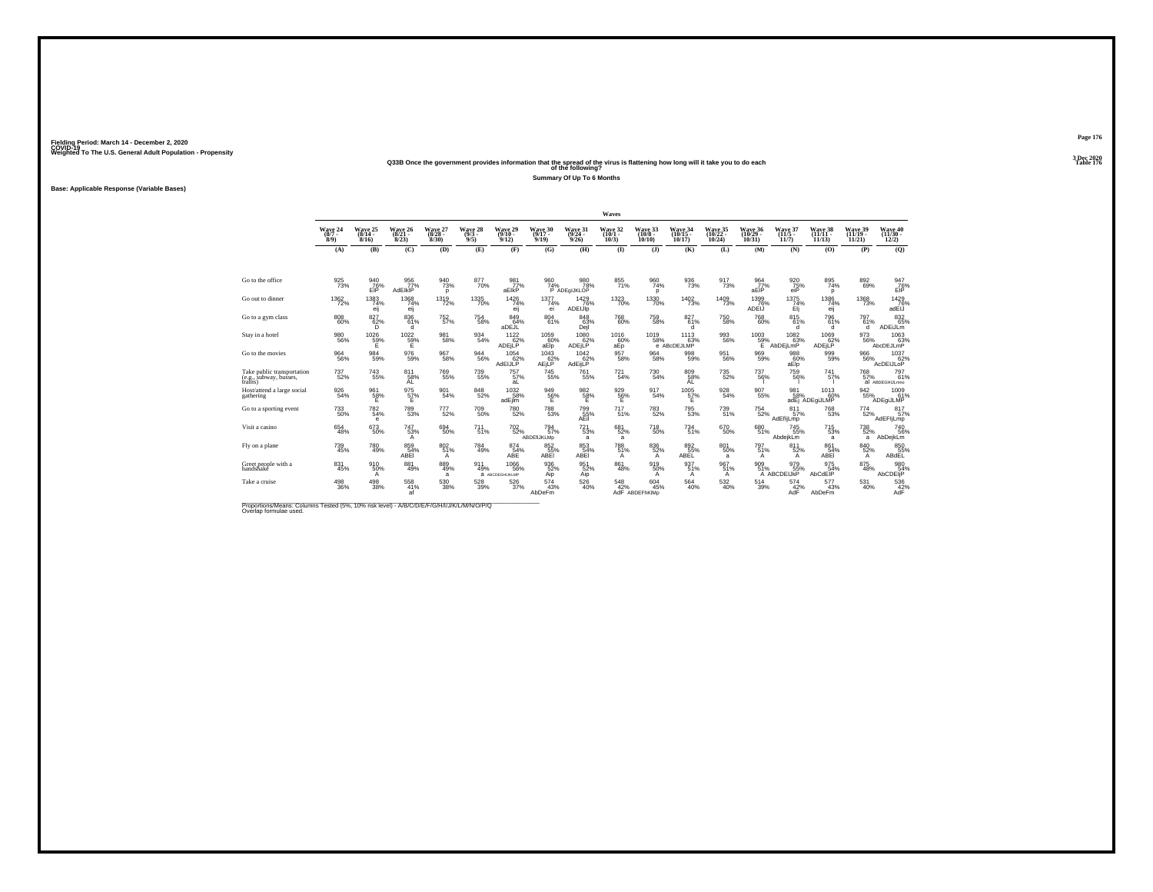### **Q33B Once the government provides information that the spread of the virus is flattening how long will it take you to do each Table 176 of the following?**

**Summary Of Up To 6 Months**

**Base: Applicable Response (Variable Bases)**

|                                                                 |                            |                              |                                    |                              |                                |                                               |                                   |                              | Waves                        |                               |                            |                              |                                |                                |                                |                                      |                                 |
|-----------------------------------------------------------------|----------------------------|------------------------------|------------------------------------|------------------------------|--------------------------------|-----------------------------------------------|-----------------------------------|------------------------------|------------------------------|-------------------------------|----------------------------|------------------------------|--------------------------------|--------------------------------|--------------------------------|--------------------------------------|---------------------------------|
|                                                                 | Wave 24<br>$(8/7 -$<br>8/9 | Wave 25<br>$(8/14 -$<br>8/16 | Wave 26<br>$(8/21 -$<br>8/23       | Wave 27<br>$(8/28 -$<br>8/30 | Wave 28<br>$\frac{(9/3)}{9/5}$ | Wave 29<br>$(9/10 -$<br>9/12                  | Wave 30<br>$(9/17 -$<br>9/19      | Wave 31<br>$(9/24 -$<br>9/26 | Wave 32<br>$(10/1 -$<br>10/3 | Wave 33<br>$(10/8 -$<br>10/10 | Wave 34<br>10/17           | Wave 35<br>(10/22 -<br>10/24 | Wave 36<br>$(10/29 -$<br>10/31 | Wave 37<br>$(11/5 -$<br>11/7   | Wave 38<br>$(11/11 -$<br>11/13 | Wave 39<br>$(11/19 -$<br>11/21       | Wave 40<br>$(11/30 -$<br>12/2)  |
|                                                                 | (A)                        | (B)                          | (C)                                | (D)                          | (E)                            | (F)                                           | (G)                               | (H)                          | $($ $\Gamma$                 | $($ $)$                       | (K)                        | (L)                          | (M)                            | (N)                            | (O)                            | (P)                                  | (Q)                             |
|                                                                 |                            |                              |                                    |                              |                                |                                               |                                   |                              |                              |                               |                            |                              |                                |                                |                                |                                      |                                 |
| Go to the office                                                | 925<br>73%                 | 940<br>EIP                   | 956<br>77%<br><b>AdEIKIP</b>       | 940<br>73%<br>D              | 877<br>70%                     | 981<br>77%<br>aElkP                           | 960<br>74%                        | 980<br>78%<br>P ADEqIJKLOP   | 855<br>71%                   | 960<br>74%<br>D               | 936<br>73%                 | 917<br>73%                   | 964<br>77%<br>aEIP             | 920<br>$75%$ eiP               | 895<br>74%<br>p                | 892<br>69%                           | 947<br>76%<br>EIP               |
| Go out to dinner                                                | $^{1362}_{\  \, 72\%}$     | $^{1383}_{74\%}$<br>eij      | 1368<br>74%<br>eij                 | 1319<br>72%                  | 1335<br>70%                    | $\frac{1426}{74\%}$<br>eii                    | $1377 \atop 74\%$<br>ei           | 1429<br>76%<br>ADEIJIp       | 1323<br>70%                  | 1330<br>70%                   | $\frac{1402}{73\%}$        | $\frac{1409}{73\%}$          | 1399<br>76%<br><b>ADEIJ</b>    | $^{1375}_{74\%}$<br>Elj        | 1386<br>74%<br>eii             | <sup>1368</sup> 73%                  | 1429<br>adEIJ                   |
| Go to a gym class                                               | $\underset{60\%}{^{808}}$  | 827<br>62%<br>D.             | 836<br>61%<br>d.                   | 752<br>57%                   | $\substack{754 \\ 58\%}$       | 849<br>64%<br>aDEJL                           | 804<br>61%                        | 848<br>63%<br>Dejl           | 768<br>60%                   | 759<br>58%                    | 827<br>61%<br>d            | 750<br>58%                   | 768<br>60%                     | 815<br>61%<br>d                | 796<br>61%<br>d.               | 797<br>61%<br><b>d</b>               | 832<br>65%<br>ADEiJLm           |
| Stav in a hotel                                                 | $^{980}_{56\%}$            | 1026<br>59%<br>F             | $^{1022}_{59\%}$<br>Е              | 981<br>58%                   | 934<br>54%                     | $^{1122}_{62\%}$<br>ADEjLP                    | $^{1059}_{60\%}$<br>aElp          | $^{1080}_{62\%}$<br>ADEjLP   | 1016<br>60%<br>aEp           | $^{1019}_{-58\%}$             | 1113<br>63%<br>e ABcDEJLMP | 993<br>56%                   | $^{1003}_{-59\%}$<br>Ε         | $^{1082}_{63\%}$<br>AbDEiLmP   | 1069<br>62%<br><b>ADEJLP</b>   | 973<br>56%                           | 1063<br>AbcDEJLmP               |
| Go to the movies                                                | $\substack{964 \\ 56\%}$   | $\substack{984 \\ 59\%}$     | 976<br>59%                         | 967<br>58%                   | 944<br>56%                     | 1054<br>62%<br>AdEIJLP                        | $^{1043}_{62\%}$<br>AEjLP         | $^{1042}_{62\%}$<br>AdEiiLP  | 957<br>58%                   | 964<br>58%                    | 998<br>59%                 | 951<br>56%                   | $^{969}_{59\%}$                | 988<br>60%<br>aElp             | 999<br>59%                     | 966<br>56%                           | 1037<br>62%<br>AcDEIJLoP        |
| Take public transportation<br>(e.g., subway, busses,<br>trains) | 737<br>52%                 | 743<br>55%                   | 811<br>58%<br>AL                   | 769<br>55%                   | 739<br>55%                     | 757<br>57%<br>aL                              | 745<br>55%                        | 761<br>55%                   | 721<br>54%                   | 730<br>54%                    | 809<br>58%<br>ĀĽ           | 735<br>52%                   | 737<br>56%                     | 759<br>56%                     | 741<br>57%                     | 768<br>57%                           | 797<br>61%<br>al ABDEGHIJLmno   |
| Host/attend a large social<br>gathering                         | $^{926}_{54\%}$            | $\frac{961}{58\%}$<br>Е      | $^{975}_{57\%}$<br>Е               | $^{901}_{54\%}$              | $848 \atop 52\%$               | 1032<br>58%<br>adEjlm                         | 949<br>56%<br>F                   | $\substack{982\\58\%}$<br>E  | 929%<br>Ε                    | 917<br>54%                    | $^{1005}_{57\%}$<br>Έ      | $^{928}_{54\%}$              | $\substack{907\\55\%}$         | 981<br>58%                     | 1013<br>60%<br>adEj ADEgiJLMP  | $\substack{942 \\ 55\%}$             | 1009<br>61%<br>ADEgiJLMP        |
| Go to a sporting event                                          | $^{733}_{50\%}$            | 782 <sub>54%</sub><br>е      | 789<br>53%                         | $^{777}_{52\%}$              | 709<br>50%                     | 780<br>52%                                    | 788<br>53%                        | 799<br>55%<br>AEil           | $^{717}_{51\%}$              | <sup>783</sup> 52%            | 795<br>53%                 | 739<br>51%                   | 754<br>52%                     | 811/57%<br>AdEfljLmp           | 768<br>53%                     | $\substack{774 \\ 52\%}$             | 817 <sub>57%</sub><br>AdEFIJLmp |
| Visit a casino                                                  | $^{654}_{48\%}$            | $^{673}_{50\%}$              | <sup>747</sup> <sub>53%</sub><br>A | 694<br>50%                   | 711%                           | 702 <sub>%</sub>                              | <sup>794</sup> 57%<br>ABDEfiJKLMp | $^{721}_{\ 53\%}$<br>a       | 681<br>52%<br>a              | $^{718}_{50\%}$               | 734<br>51%                 | 670<br>50%                   | 680<br>51%                     | <sup>745</sup> 55%<br>AbdejkLm | $715 \atop 53\%$<br>a          | <sup>738</sup> 52%<br>$\overline{a}$ | 740<br>56%<br>AbDejkLm          |
| Fly on a plane                                                  | $^{739}_{\ 45\%}$          | 780<br>49%                   | 859<br>54%<br><b>ABEI</b>          | $^{802}_{51\%}$<br>A         | 784<br>49%                     | 874<br>54%<br>ABE                             | $\underset{\mathsf{ABE}}{^{852}}$ | 853<br>54%<br>ABEI           | 788<br>51%<br>A              | 836<br>52%<br>A               | 892<br>55%<br>ABEL         | 801 50%<br>a                 | 797<br>51%<br>A                | $811$ <sub>52%</sub><br>A      | 861<br>54%<br>ABEI             | 84052%<br>$\mathsf{A}$               | 850<br>65%<br>ABdEL             |
| Greet people with a<br>handshake                                | 831<br>45%                 | 910<br>50%<br>$\mathsf{A}$   | 881<br>49%                         | 889<br>49%<br>a              | 911<br>49%                     | 1066<br>56%<br><b>а</b> <i>АВСОЕ</i> GHIJKLMP | 936<br>52%<br>Aip                 | 951<br>52%<br>Aip            | 861<br>48%                   | 919<br>50%<br>А               | 937<br>51%<br>A            | 967<br>51%<br>A              | 909                            | 979<br>51% 55%<br>A ABCDEIJKP  | 975<br>54%<br>AbCdEIP          | 875<br>48%                           | 980<br>54%<br>AbCDEIjP          |
| Take a cruise                                                   | 498<br>36%                 | $^{498}_{\phantom{1}38\%}$   | 558<br>41%<br>аf                   | 530<br>38%                   | $^{528}_{39\%}$                | $^{526}_{37\%}$                               | 574<br>43%<br>AbDeFm              | 526<br>40%                   | $^{548}_{42\%}$              | 604<br>45%<br>AdF ABDEFhKIMp  | $^{564}_{\ 40\%}$          | $^{532}_{\ 40\%}$            | $^{514}_{39\%}$                | $^{574}_{42\%}$<br>AdF         | 577<br>43%<br>AbDeFm           | $^{531}_{40\%}$                      | $\frac{536}{42%}$<br>AdF        |

Proportions/Means: Columns Tested (5%, 10% risk level) - *N\B/C/D/E/F/G/H/I/J/K/L/M/N/O/P/Q*<br>Overlap formulae used.

**Page 1763 Dec 2020<br>Table 176**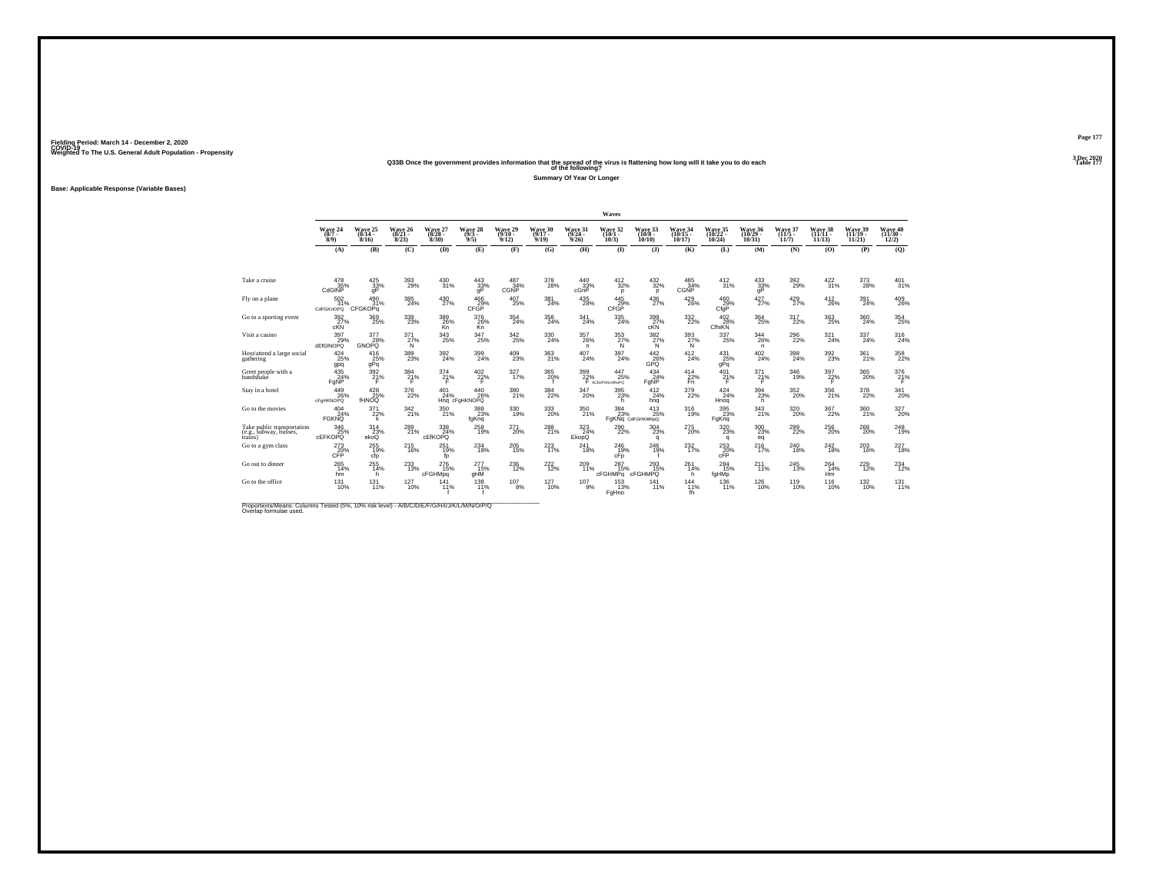### **Q33B Once the government provides information that the spread of the virus is flattening how long will it take you to do each Table 177 of the following?**

**Summary Of Year Or Longer**

**Base: Applicable Response (Variable Bases)**

|                                                                 |                              |                                 |                                       |                               |                                    |                              |                              |                              | Waves                        |                                            |                              |                                |                                             |                                       |                                |                                |                                |
|-----------------------------------------------------------------|------------------------------|---------------------------------|---------------------------------------|-------------------------------|------------------------------------|------------------------------|------------------------------|------------------------------|------------------------------|--------------------------------------------|------------------------------|--------------------------------|---------------------------------------------|---------------------------------------|--------------------------------|--------------------------------|--------------------------------|
|                                                                 | Wave 24<br>$(8/7 -$<br>8/9   | Wave 25<br>$(8/14 -$<br>8/16    | Wave 26<br>$(8/21 -$<br>8/23          | Wave 27<br>$(8/28 -$<br>8/30  | Wave 28<br>$\frac{(9/3 - 9)}{9/5}$ | Wave 29<br>$(9/10 -$<br>9/12 | Wave 30<br>$(9/17 -$<br>9/19 | Wave 31<br>$(9/24 -$<br>9/26 | Wave 32<br>$(10/1 -$<br>10/3 | Wave 33<br>$(10/8 -$<br>10/10              | Wave 34<br>(10/15 -<br>10/17 | Wave 35<br>(10/22 -<br>10/24   | Wave 36<br>$(10/29 -$<br>10/31              | Wave 37<br>$(11/5 -$<br>11/7          | Wave 38<br>$(11/11 -$<br>11/13 | Wave 39<br>$(11/19 -$<br>11/21 | Wave 40<br>$(11/30 -$<br>12/2) |
|                                                                 | (A)                          | (B)                             | (C)                                   | (D)                           | (E)                                | (F)                          | (G)                          | (H)                          | $\mathbf{D}$                 | $($ $)$                                    | (K)                          | (L)                            | (M)                                         | (N)                                   | (0)                            | (P)                            | (Q)                            |
| Take a cruise                                                   | 478<br>35%<br>CdGINP         | 425<br>33%<br>qP                | 393<br>29%                            | 430<br>31%                    | 443<br>$\frac{33}{9}$              | 487<br>34%<br><b>CGNP</b>    | 378<br>28%                   | 440<br>33%<br>cGnP           | 412<br>32%<br>p              | $\frac{432}{32\%}$<br>p                    | 485<br>34%<br>CGNP           | 412<br>31%                     | 433<br>33%<br>ğP                            | 392<br>29%                            | $\frac{422}{31\%}$             | 373<br>28%                     | $^{401}_{31\%}$                |
| Fly on a plane                                                  | $^{502}_{31\%}$<br>CdFGKnOPQ | 490<br>31%<br><b>CFGKOPq</b>    | 385<br>24%                            | $^{430}_{27\%}$               | 466<br>29%<br>CFGP                 | $^{407}_{25\%}$              | 381<br>24%                   | $^{435}_{\phantom{2}28\%}$   | $^{445}_{29\%}$<br>CFGP      | $^{436}_{27\%}$                            | $^{429}_{26\%}$              | $^{460}_{29\%}$<br>CfgP        | $427/27$ %                                  | $^{429}_{27\%}$                       | $^{412}_{26\%}$                | 391<br>24%                     | 409<br>26%                     |
| Go to a sporting event                                          | 392<br>$27%$ cKN             | 369<br>25%                      | 339<br>23%                            | 389<br>26%<br>Kn <sup>-</sup> | 376<br>26%<br>Kn                   | 354<br>24%                   | 358<br>24%                   | 341<br>24%                   | 335<br>24%                   | 399<br>27%                                 | $\frac{332}{22\%}$           | 402<br>28%<br>CfhiKN           | 364<br>25%                                  | 317<br>22%                            | 363<br>25%                     | 360<br>24%                     | 354<br>25%                     |
| Visit a casino                                                  | 397<br>29%<br>dEfGINOPQ      | 377<br>28%<br><b>GNOPQ</b>      | 371<br>27%<br>N                       | $\frac{343}{25\%}$            | 347<br>25%                         | $^{342}_{25\%}$              | 330<br>24%                   | $^{357}_{26\%}$<br>n.        | 353<br>27%<br>N              | $\frac{382}{27}\%$<br>N                    | 393/27%<br>N                 | 337<br>25%                     | 344<br>26%<br>n.                            | $^{296}_{22\%}$                       | 321/24%                        | $^{337}_{24\%}$                | 316<br>24%                     |
| Host/attend a large social<br>gathering                         | $^{424}_{25\%}$<br>gpq       | $\frac{416}{25\%}$<br>gPq       | $^{389}_{\phantom{1}\phantom{1}23\%}$ | $^{392}_{\ 24\%}$             | 399<br>24%                         | $^{409}_{23\%}$              | 363<br>21%                   | $^{407}_{\ 24\%}$            | 397<br>24%                   | $^{442}_{26\%}$<br>GPO                     | $^{412}_{24\%}$              | $^{431}_{25\%}$<br>gPq         | $^{402}_{24\%}$                             | $^{398}_{\phantom{1}\phantom{1}24\%}$ | $^{392}_{23\%}$                | 361 <sub>%</sub>               | 358<br>22%                     |
| Greet people with a<br>handshake                                | 435<br>24%<br>FgNP           | 392<br>21%                      | 384<br>21%                            | 374<br>21%                    | 402<br>22%                         | 327<br>17%                   | 365<br>20%                   | 399                          | 447<br>25%<br>$22\%$ $25\%$  | 434<br>24%<br>FgNP                         | 414<br>22%                   | 401<br>21%<br>F                | 371<br>21%                                  | 346<br>19%                            | 397<br>$^{22\%}$               | 365<br>20%                     | 376<br>$^{21%}$                |
| Stay in a hotel                                                 | 449<br>26%<br>cFaHKNOPQ      | $^{428}_{25\%}$<br><b>fHNOQ</b> | $\frac{376}{22\%}$                    | 401<br>24%                    | 440<br>26%<br>Hng cFaHKNOPQ        | $\frac{380}{21\%}$           | $\frac{384}{22\%}$           | $^{347}_{20\%}$              | $395$<br>$23%$<br>h          | $^{412}_{24\%}$<br>hna                     | 379<br>22%                   | $^{424}_{24\%}$<br>Hnog        | $^{394}_{\phantom{1}\phantom{1}23\%}$<br>h. | $^{352}_{\ 20\%}$                     | $^{356}_{21\%}$                | 378<br>22%                     | 341<br>20%                     |
| Go to the movies                                                | 404<br>24%<br><b>FGKNO</b>   | $\frac{371}{22\%}$<br>k         | 342 21%                               | $^{350}_{21\%}$               | 388<br>23%<br>fgKnq                | 330<br>19%                   | 333<br>20%                   | 350<br>21%                   | $\frac{384}{23\%}$           | $^{413}_{25\%}$<br>FgKNq CdFGHKMNpQ        | $^{316}_{19\%}$              | $395$ <sub>23</sub> %<br>FaKng | $\frac{343}{21\%}$                          | $^{320}_{20\%}$                       | $\frac{367}{22\%}$             | 360<br>21%                     | 327<br>20%                     |
| Take public transportation<br>(e.g., subway, busses,<br>trains) | 346<br>25%<br><b>CEFKOPO</b> | $\frac{314}{23\%}$<br>ekoQ      | $^{289}_{21\%}$                       | $\frac{338}{24\%}$<br>cEfKOPQ | 258<br>19%                         | $^{271}_{20\%}$              | 288                          | 323<br>24%<br>EkopQ          | 290<br>22%                   | $^{304}_{\phantom{1}\phantom{1}23\%}$<br>q | $^{275}_{20\%}$              | 320 23%<br>q                   | $^{300}_{\phantom{1}23\%}$<br>eq            | $^{299}_{22\%}$                       | $^{256}_{20\%}$                | $^{268}_{20\%}$                | 248<br>19%                     |
| Go to a gym class                                               | $^{273}_{20\%}$ CFP          | $^{255}_{19\%}$<br>cfp          | $^{215}_{16\%}$                       | $^{251}_{19\%}$<br>fo         | $^{234}_{18\%}$                    | $^{205}_{\,15\%}$            | 223<br>17%                   | $^{241}_{\ 18\%}$            | $^{246}_{19\%}$<br>cFp       | 246<br>19%                                 | $^{232}_{17\%}$              | $^{253}_{20\%}$ cFP            | $^{216}_{17\%}$                             | $^{240}_{18\%}$                       | $^{242}_{18\%}$                | $^{203}_{16\%}$                | 227<br>18%                     |
| Go out to dinner                                                | 265<br>14%<br>hm             | 255<br>14%<br>h.                | 233<br>13%                            | 276<br>15%<br>cFGHMpq         | 277<br>15%<br>aHM                  | 236<br>12%                   | 222<br>12%                   | 209<br>11%                   | 287<br>15%<br>cFGHMPa        | 293<br>15%<br>cFGHMPQ                      | 261<br>14%<br>h              | 284<br>15%<br>fgHMp            | 211<br>11%                                  | 245<br>13%                            | 264<br>14%<br>Hm               | 229<br>12%                     | 234<br>12%                     |
| Go to the office                                                | $^{131}_{10\%}$              | $^{131}_{11\%}$                 | 127<br>10%                            | 141<br>11%                    | 138<br>11%                         | $^{107}_{8\%}$               | $127 \atop 10\%$             | $^{107}_{9\%}$               | <sup>153</sup> 13%<br>FgHno  | $^{141}_{11\%}$                            | $^{144}_{11\%}$<br>fh        | $^{136}_{11\%}$                | $^{126}_{10\%}$                             | <sup>119</sup> <sub>10%</sub>         | $^{116}_{10\%}$                | $^{132}_{10\%}$                | 131 <sub>1%</sub>              |

Proportions/Means: Columns Tested (5%, 10% risk level) - *N\B/C/D/E/F/G/H/I/J/K/L/M/N/O/P/Q*<br>Overlap formulae used.

**Page 1773 Dec 2020<br>Table 177**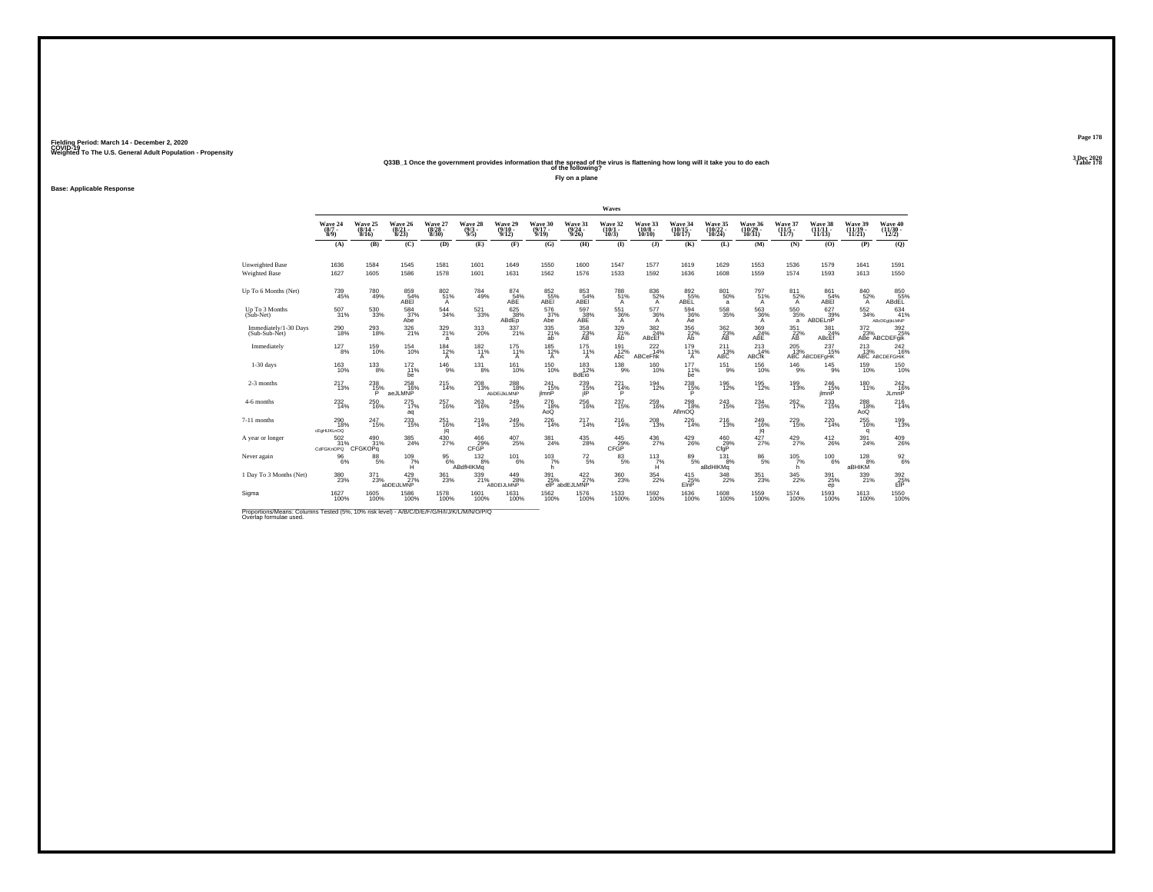## Weighted To The U.S. General Adult Population - Propensity<br>233B\_1 Once the government provides information that the spread of the virus is flattening how long will it take you to do each<br>Table 178

**Fly on a plane**

**Base: Applicable Response**

|                                         |                                       |                                  |                                  |                                  |                                |                                  |                              |                                       | Waves                            |                                        |                               |                                    |                                    |                                    |                                  |                                |                                                        |
|-----------------------------------------|---------------------------------------|----------------------------------|----------------------------------|----------------------------------|--------------------------------|----------------------------------|------------------------------|---------------------------------------|----------------------------------|----------------------------------------|-------------------------------|------------------------------------|------------------------------------|------------------------------------|----------------------------------|--------------------------------|--------------------------------------------------------|
|                                         | Wave 24<br>$\frac{(8/7)}{8/9}$        | Wave 25<br>$\frac{(8/14)}{8/16}$ | Wave 26<br>$\frac{(8/21)}{8/23}$ | Wave 27<br>$\frac{(8/28)}{8/30}$ | Wave 28<br>$\frac{(9/3)}{9/5}$ | Wave 29<br>$\frac{(9/10)}{9/12}$ | Wave 30<br>$(9/17 -$<br>9/19 | Wave 31<br>$\frac{(9/24)}{9/26}$      | Wave 32<br>$\frac{(10/1)}{10/3}$ | Wave 33<br>$\frac{(10/8 - 10)}{10/10}$ | Wave 34<br>(10/15 -<br>10/17) | Wave 35<br>$\frac{(10/22)}{10/24}$ | Wave 36<br>(10/29 -<br>10/31       | Wave 37<br>$\frac{(11/5)}{11/7}$   | Wave 38<br>(11/11 -<br>11/13)    | Wave 39<br>$(11/19 -$<br>11/21 | Wave 40<br>$\frac{(11/30 - 12)}{12/2}$                 |
|                                         | (A)                                   | (B)                              | (C)                              | (D)                              | (E)                            | (F)                              | (G)                          | (H)                                   | $($ $\blacksquare$               | $($ $)$                                | (K)                           | (L)                                | (M)                                | (N)                                | (0)                              | (P)                            | (Q)                                                    |
| Unweighted Base<br><b>Weighted Base</b> | 1636<br>1627                          | 1584<br>1605                     | 1545<br>1586                     | 1581<br>1578                     | 1601<br>1601                   | 1649<br>1631                     | 1550<br>1562                 | 1600<br>1576                          | 1547<br>1533                     | 1577<br>1592                           | 1619<br>1636                  | 1629<br>1608                       | 1553<br>1559                       | 1536<br>1574                       | 1579<br>1593                     | 1641<br>1613                   | 1591<br>1550                                           |
| Up To 6 Months (Net)                    | $^{739}_{\ 45\%}$                     | 780<br>49%                       | 859 54%<br>ABEI                  | 802<br>51%<br>A                  | 784<br>49%                     | $^{874}_{-54\%}$ ABE             | 852<br>55%<br>ABEI           | 853<br>54%<br>ABEI                    | 788<br>51%<br>$\mathsf{A}$       | 836<br>52%<br>$\mathsf{A}$             | 892<br>55%<br>ABEL            | 801 <sub>50%</sub><br>a            | $^{797}_{51\%}$<br>A               | $811 \over 52\%$<br>$\overline{A}$ | 861<br>54%<br>ABEI               | 840/52%<br>$\mathsf{A}$        | 850<br>55%<br>ABdEL                                    |
| Up To 3 Months<br>$(Sub-Net)$           | 507<br>31%                            | $^{530}_{\ 33\%}$                | 584<br>37%<br>Abe                | $^{544}_{\phantom{1}34\%}$       | $^{521}_{33\%}$                | 625<br>38%<br>ABdEp              | 576<br>37%<br>Abe            | 597<br>38%<br>ABE                     | 551<br>36%<br>$\overline{A}$     | 577<br>36%<br>$\mathsf{A}$             | 594<br>36%<br>Aė              | $^{558}_{35\%}$                    | $\frac{563}{36\%}$<br>$\mathsf{A}$ | 550<br>35%<br>a                    | 627<br>39%<br>ABDELnP            | $^{552}_{34\%}$                | 634<br>41%<br>ABcDEgljkLMNP                            |
| Immediately/1-30 Days<br>(Sub-Sub-Net)  | $^{290}_{18\%}$                       | $^{293}_{\ 18\%}$                | $326 \atop 21\%$                 | 329<br>21%<br>a                  | 313<br>20%                     | 337 <sub>21%</sub>               | 335<br>21%<br>ab             | $^{358}_{23\%}$<br>AB                 | 329<br>21%<br>Ab                 | 382<br>24%<br>ABcEf                    | 356<br>22%<br>Ab              | $\frac{362}{23}\%$<br>AB           | 369<br>24%<br>ABE                  | $\frac{351}{22}\%$<br>AB           | $\frac{381}{24\%}$<br>ABcEf      | $\frac{372}{23\%}$             | 392<br>25%<br>ABe ABCDEFgik                            |
| Immediately                             | $^{127}_{8\%}$                        | 159<br>10%                       | $^{154}_{10\%}$                  | $\frac{184}{12%}$<br>A           | $^{182}_{11\%}$<br>A           | 175<br>11%<br>A                  | $185$ <sub>12%</sub><br>A    | $^{175}_{11\%}$<br>A                  | $^{191}_{12\%}$<br>Abc           | $^{222}_{14\%}$<br><b>ABCeFhk</b>      | $^{179}_{11\%}$<br>Α          | $^{211}_{13\%}$ ABC                | $^{213}_{14\%}$<br><b>ABCfk</b>    | $^{205}_{13\%}$                    | $^{237}_{15\%}$<br>ABC ABCDEFGHK |                                | 213 242<br>13% 16% 16%<br>ABC ABCDEFGHIK<br>242<br>16% |
| $1-30$ days                             | 163<br>10%                            | $^{133}_{8\%}$                   | $^{172}_{11\%}$<br>be            | $^{146}_{9\%}$                   | 131<br>8%                      | 161<br>10%                       | $\frac{150}{10\%}$           | $\frac{183}{12\%}$<br><b>BdEio</b>    | $^{138}_{9\%}$                   | 160<br>10%                             | 177<br>11%<br>be              | $^{151}_{-9\%}$                    | $\frac{156}{10\%}$                 | $^{146}_{9\%}$                     | $^{145}_{-9\%}$                  | 159<br>10%                     | 150<br>10%                                             |
| 2-3 months                              | <sup>217</sup> <sub>13%</sub>         | $^{238}_{15\%}$<br>P             | $^{258}_{16\%}$<br>aeJLMNP       | 215                              | 208<br>13%                     | 288<br>18%<br>AbDEUKLMNP         | 241<br>15%<br>ilmnP          | $^{239}_{15\%}$<br>jIP                | $^{221}_{14\%}$<br>P             | $^{194}_{12\%}$                        | $^{238}_{15\%}$<br>P          | 196<br>12%                         | 195<br>12%                         | 199<br>13%                         | $^{246}_{15\%}$<br>ilmnP         | 180<br>11%                     | $^{242}_{16\%}$<br><b>JLmnP</b>                        |
| 4-6 months                              | $^{232}_{14\%}$                       | $^{250}_{\phantom{1}16\%}$       | 275<br>17%<br>aq                 | 257<br>16%                       | 263<br>16%                     | 249<br>15%                       | 276<br>18%<br>AoQ            | $\substack{256 \\ 16\%}$              | 237<br>15%                       | 259<br>16%                             | 298<br>18%<br>AflmOQ          | $\substack{243 \\ 15\%}$           | $^{234}_{\phantom{1}15\%}$         | $^{262}_{17\%}$                    | $\substack{233 \\ 15\%}$         | 288<br>18%<br>AoQ              | $^{216}_{14\%}$                                        |
| 7-11 months                             | $^{290}_{18\%}$<br>cEaHIJKLnOQ        | $^{247}_{15\%}$                  | 233<br>15%                       | $^{251}_{16\%}$<br>jq            | 219<br>14%                     | 249<br>15%                       | 226<br>14%                   | 217<br>14%                            | <sup>216</sup> <sub>14%</sub>    | $^{208}_{13\%}$                        | 226<br>14%                    | <sup>216</sup> <sub>13%</sub>      | 249<br>16%<br>jq                   | 229<br>15%                         | 220<br>14%                       | $^{255}_{16\%}$<br>q           | 199<br>13%                                             |
| A year or longer                        | 502<br>31%<br>CdFGKnOPQ               | $^{490}_{31\%}$<br>CFGKOPq       | $^{385}_{\  \, 24\%}$            | 430<br>27%                       | $\frac{466}{29\%}$ CFGP        | 407<br>25%                       | 381<br>24%                   | $^{435}_{\phantom{1}\phantom{1}28\%}$ | $^{445}_{29\%}$<br>CFĞP          | $^{436}_{\,\,27\%}$                    | $^{429}_{26\%}$               | 460<br>29%<br>CfgP                 | $427/27$ %                         | $^{429}_{27\%}$                    | $^{412}_{26\%}$                  | 391<br>24%                     | 409<br>26%                                             |
| Never again                             | $\frac{96}{6\%}$                      | 88<br>5%                         | $^{109}_{7\%}$                   |                                  | 95<br>6%<br>ABdfHIKMg<br>8%    | $^{101}_{6\%}$                   | $\frac{103}{7%}$<br>h        | $^{72}_{\ 5\%}$                       | $\frac{83}{5\%}$                 | 113<br>$H^{\frac{7}{6}}$               | $\underset{5\%}{^{89}}$       | 131<br>8%<br>aBdHIKMg              | $\substack{86 \\ 5\%}$             | $\frac{105}{7%}$<br>h.             | $^{100}_{6\%}$                   | 128<br>8%<br>авнікм            | $\frac{92}{6\%}$                                       |
| 1 Day To 3 Months (Net)                 | $^{380}_{\phantom{1}\phantom{1}23\%}$ | $^{371}_{23\%}$                  | 429/27%<br>abDEiJLMNP            | 361<br>23%                       | 339<br>21%                     | 449<br>28%<br>ABDEIJLMNP         | 391<br>25%                   | $\frac{422}{27\%}$<br>elP abdEJLMNP   | $^{360}_{23\%}$                  | $\frac{354}{22\%}$                     | $^{415}_{25\%}$<br>ElnP       | $\frac{348}{22\%}$                 | $^{351}_{23\%}$                    | $\frac{345}{22\%}$                 | $^{391}_{\phantom{1}25\%}$<br>ep | 339<br>21%                     | 392<br>25%<br>EIP                                      |
| Sigma                                   | 1627<br>100%                          | 1605<br>100%                     | 1586<br>100%                     | 1578<br>100%                     | 1601<br>100%                   | 1631<br>100%                     | 1562<br>100%                 | 1576<br>100%                          | 1533<br>100%                     | 1592<br>100%                           | 1636<br>100%                  | 1608<br>100%                       | 1559<br>100%                       | 1574<br>100%                       | 1593<br>100%                     | 1613<br>100%                   | 1550<br>100%                                           |

Proportions/Means: Columns Tested (5%, 10% risk level) - *N\B/C/D/E/F/G/H/I/J/K/L/M/N/O/P/Q*<br>Overlap formulae used.

**Page 1783 Dec 2020<br>Table 178**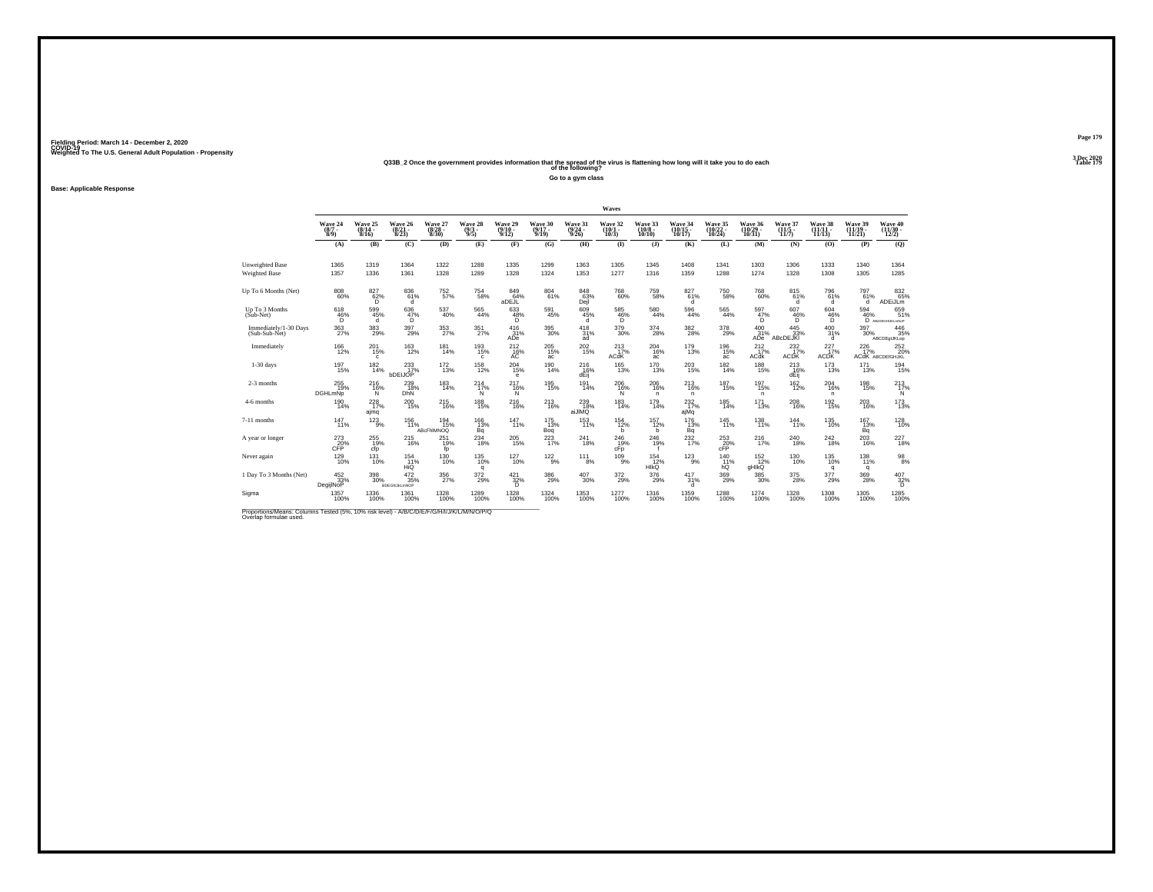## Weighted To The U.S. General Adult Population - Propensity<br>2013 - Q33B\_2 Once the government provides information that the spread of the virus is flattening how long will it take you to do each<br>Table 179

**Go to a gym class**

**Base: Applicable Response**

|                                                                                                                      |                                |                              |                                           |                                  |                               |                             |                              |                                         | Waves                           |                               |                                               |                               |                                       |                                       |                         |                              |                                |
|----------------------------------------------------------------------------------------------------------------------|--------------------------------|------------------------------|-------------------------------------------|----------------------------------|-------------------------------|-----------------------------|------------------------------|-----------------------------------------|---------------------------------|-------------------------------|-----------------------------------------------|-------------------------------|---------------------------------------|---------------------------------------|-------------------------|------------------------------|--------------------------------|
|                                                                                                                      | Wave 24<br>$\binom{8/7}{8/9}$  | Wave 25<br>$(8/14 -$<br>8/16 | Wave 26<br>$\frac{(8/21)}{8/23}$          | Wave 27<br>$\frac{(8/28)}{8/30}$ | Wave 28<br>$\binom{9/3}{9/5}$ | Wave 29<br>(9/10 -<br>9/12) | Wave 30<br>$(9/17 -$<br>9/19 | Wave 31<br>$\frac{(9/24 - 9/26)}{9/26}$ | Wave 32<br>$\binom{10/1}{10/3}$ | Wave 33<br>$(10/8 -$<br>10/10 | Wave 34<br>(10/15 -<br>10/17)                 | Wave 35<br>(10/22 -<br>10/24) | Wave 36<br>(10/29 -<br>10/31)         | Wave 37<br>$\frac{(11/5)}{11/7}$      | Wave 38<br>11/13        | Wave 39<br>(11/19 -<br>11/21 | Wave 40<br>(11/30 -<br>12/2)   |
|                                                                                                                      | (A)                            | (B)                          | (C)                                       | (D)                              | (E)                           | (F)                         | (G)                          | (H)                                     | $\bf{I}$                        | $($ $)$                       | (K)                                           | (L)                           | (M)                                   | (N)                                   | (0)                     | (P)                          | (Q)                            |
| Unweighted Base<br><b>Weighted Base</b>                                                                              | 1365<br>1357                   | 1319<br>1336                 | 1364<br>1361                              | 1322<br>1328                     | 1288<br>1289                  | 1335<br>1328                | 1299<br>1324                 | 1363<br>1353                            | 1305<br>1277                    | 1345<br>1316                  | 1408<br>1359                                  | 1341<br>1288                  | 1303<br>1274                          | 1306<br>1328                          | 1333<br>1308            | 1340<br>1305                 | 1364<br>1285                   |
| Up To 6 Months (Net)                                                                                                 | $\substack{808 \\ 60\%}$       | $\frac{827}{62\%}$<br>D      | 836<br>61%<br>d                           | 752 <sub>%</sub>                 | $^{754}_{58\%}$               | 84964%<br>aDEJL             | 804<br>61%                   | $848$<br>$63%$<br>Dejl                  | <sup>768</sup> 60%              | 759<br>58%                    | $^{827}_{61\%}$<br>d                          | 750<br>58%                    | $^{768}_{60\%}$                       | 815<br>61%<br>d                       | 796<br>61%<br>d.        | $^{797}_{61\%}$<br>d         | 832<br>65%<br>ADEiJLm          |
| Up To 3 Months<br>(Sub-Net)                                                                                          | 618<br>$^{46}_{\substack{6}}%$ | 599<br>45%<br>d              | 636<br>47%<br>D.                          | 537<br>40%                       | 565<br>44%                    | 633<br>48%                  | 591<br>45%                   | 609<br>45%<br>d                         | 585<br>$^{46%}_{D}$             | 580<br>44%                    | 596<br>44%                                    | 565<br>44%                    | 597<br>47%<br>Ď.                      | 607<br>$^{46\%}_{D}$                  | 604<br>$^{46\%}_{D}$    | 594                          | 659<br>46% 51%<br>51%          |
| Immediately/1-30 Days<br>(Sub-Sub-Net)                                                                               | $^{363}_{\ 27\%}$              | $\substack{383 \\ 29\%}$     | 397<br>29%                                | 353<br>27%                       | 351<br>27%                    | $^{416}_{31\%}$<br>ADe      | 395<br>30%                   | $^{418}_{31\%}$<br>ad                   | 379<br>30%                      | 374<br>28%                    | $^{382}_{28\%}$                               | $^{378}_{29\%}$               | 400<br>31%<br>ADe <sup>1</sup>        | $445$ <sub>33%</sub><br>ABcDEJKI      | $^{400}_{31\%}$<br>d    | $^{397}_{30\%}$              | 446<br>35%<br>ABCDEgIJKLop     |
| Immediately                                                                                                          | $^{166}_{12\%}$                | 201<br>15%<br>$\mathfrak{c}$ | <sup>163</sup><br>12%                     | $^{181}_{14\%}$                  | 193%<br>$\epsilon$            | $^{212}_{16\%}$             | 205<br>15%<br>ac             | $^{202}_{15\%}$                         | $^{213}_{17\%}$<br>ACdK         | 204<br>16%<br>ac              | $^{179}_{13\%}$                               | 196<br>15%<br>ac              | $^{212}_{17\%}$<br>ACdk               | $^{232}_{17\%}$<br>ACDK               | $^{227}_{17\%}$<br>ACDK | $^{226}_{17\%}$              | 252<br>20%<br>ACdK ABCDEIGHJKL |
| $1-30$ days                                                                                                          | 197<br>15%                     | 182<br>14%                   | 233<br>17%<br>bDEIJOP                     | $^{172}_{13\%}$                  | 158<br>12%                    | 204<br>15%<br>e             | 190<br>14%                   | 216<br>16%<br>dĖiį̃                     | 165<br>13%                      | 170<br>13%                    | 203<br>15%                                    | 182<br>14%                    | 188<br>15%                            | 213<br>16%<br>dĖĭj                    | 173<br>13%              | 171<br>13%                   | 194<br>15%                     |
| 2-3 months                                                                                                           | 255<br>19%<br><b>DGHLmNp</b>   | <sup>216</sup> %<br>N        | $^{239}_{18\%}$<br><b>DhN</b>             | $^{183}_{14\%}$                  | $^{214}_{17\%}$<br>N          | 217<br>16%<br>N             | 195<br>15%                   | $^{191}_{14\%}$                         | 206<br>16%<br>N                 | 206<br>16%<br>n.              | <sup>213</sup> <sub>16%</sub><br>$\mathsf{n}$ | $^{187}_{15\%}$               | $^{197}_{15\%}$<br>n.                 | $\frac{162}{12\%}$                    | $^{204}_{16\%}$<br>n.   | 198<br>15%                   | $^{213}_{17\%}$<br>N           |
| 4-6 months                                                                                                           | 190<br>14%                     | 228<br>17%<br>ajmq           | 200<br>15%                                | 215<br>16%                       | 188<br>15%                    | 216<br>16%                  | 213<br>16%                   | 239<br>18%<br>aiJIMQ                    | 183<br>14%                      | 179<br>14%                    | 232<br>17%<br>ajMq                            | 185<br>14%                    | 171<br>13%                            | 208<br>16%                            | $\frac{192}{15\%}$      | 203<br>16%                   | 173<br>13%                     |
| 7-11 months                                                                                                          | $^{147}_{11\%}$                | $123_{9\%}$                  | 156<br>11%                                | 194<br>15%<br><b>ABcFhIMNOQ</b>  | $^{166}_{13\%}$<br>Bq         | $^{147}_{11\%}$             | $\frac{175}{13\%}$<br>Bog    | $153$ <sub>11%</sub>                    | 154<br>12%<br>b                 | $157 \atop 12\%$<br>h         | $\frac{176}{13\%}$<br>Bq                      | $\frac{145}{11\%}$            | $^{138}_{11\%}$                       | $\frac{144}{11\%}$                    | $^{135}_{10\%}$         | $^{167}_{13\%}$<br>Bq        | 128<br>10%                     |
| A year or longer                                                                                                     | $^{273}_{20\%}$ CFP            | $^{255}_{19\%}$<br>cfp       | <sup>215</sup> %                          | $^{251}_{19\%}$<br>fp            | $^{234}_{18\%}$               | 205<br>15%                  | 223<br>17%                   | 241<br>18%                              | 246<br>19%<br>cFp               | 246<br>19%                    | 232 <sub>%</sub>                              | $^{253}_{20\%}$ cFP           | <sup>216</sup> <sub>17%</sub>         | $^{240}_{\color{red}\textbf{18\%}}$   | $^{242}_{18\%}$         | $^{203}_{16\%}$              | 227<br>18%                     |
| Never again                                                                                                          | 129<br>10%                     | 131<br>10%                   | 154<br>11%<br>HiQ <sup>1</sup>            | 130<br>10%                       | 135<br>10%<br>q               | 127<br>10%                  | 122<br>9%                    | 111<br>8%                               | 109<br>9%                       | 154<br>12%<br>HIKQ            | 123<br>9%                                     | 140<br>11%<br>hQ              | 152<br>12%<br>gHIkQ                   | 130<br>10%                            | 135<br>10%<br>q         | 138<br>11%<br>q              | $\frac{98}{8\%}$               |
| 1 Day To 3 Months (Net)                                                                                              | $452/33\%$<br>DegijlNoP        | $^{398}_{\ 30\%}$            | $\substack{472 \\ 35\%}$<br>BDEGhIJkLmNOP | 356                              | 372<br>29%                    | $\frac{421}{32\%}$<br>D.    | 386<br>29%                   | $^{407}_{\phantom{1}30\%}$              | $\frac{372}{29\%}$              | 376<br>29%                    | 417<br>31%<br>d                               | 369%                          | $^{385}_{\phantom{1}\phantom{1}30\%}$ | $^{375}_{\phantom{1}\phantom{1}28\%}$ | 377<br>29%              | 369<br>28%                   | $^{407}_{32\%}$<br>D           |
| Sigma                                                                                                                | 1357<br>100%                   | 1336<br>100%                 | 1361<br>100%                              | 1328<br>100%                     | 1289<br>100%                  | 1328<br>100%                | 1324<br>100%                 | 1353<br>100%                            | 1277<br>100%                    | 1316<br>100%                  | 1359<br>100%                                  | 1288<br>100%                  | 1274<br>100%                          | 1328<br>100%                          | 1308<br>100%            | 1305<br>100%                 | 1285<br>100%                   |
| Proportions/Means: Columns Tested (5%, 10% risk level) - A/B/C/D/E/F/G/H/I/J/K/L/M/N/O/P/Q<br>Overlap formulae used. |                                |                              |                                           |                                  |                               |                             |                              |                                         |                                 |                               |                                               |                               |                                       |                                       |                         |                              |                                |

**Page 1793 Dec 2020<br>Table 179**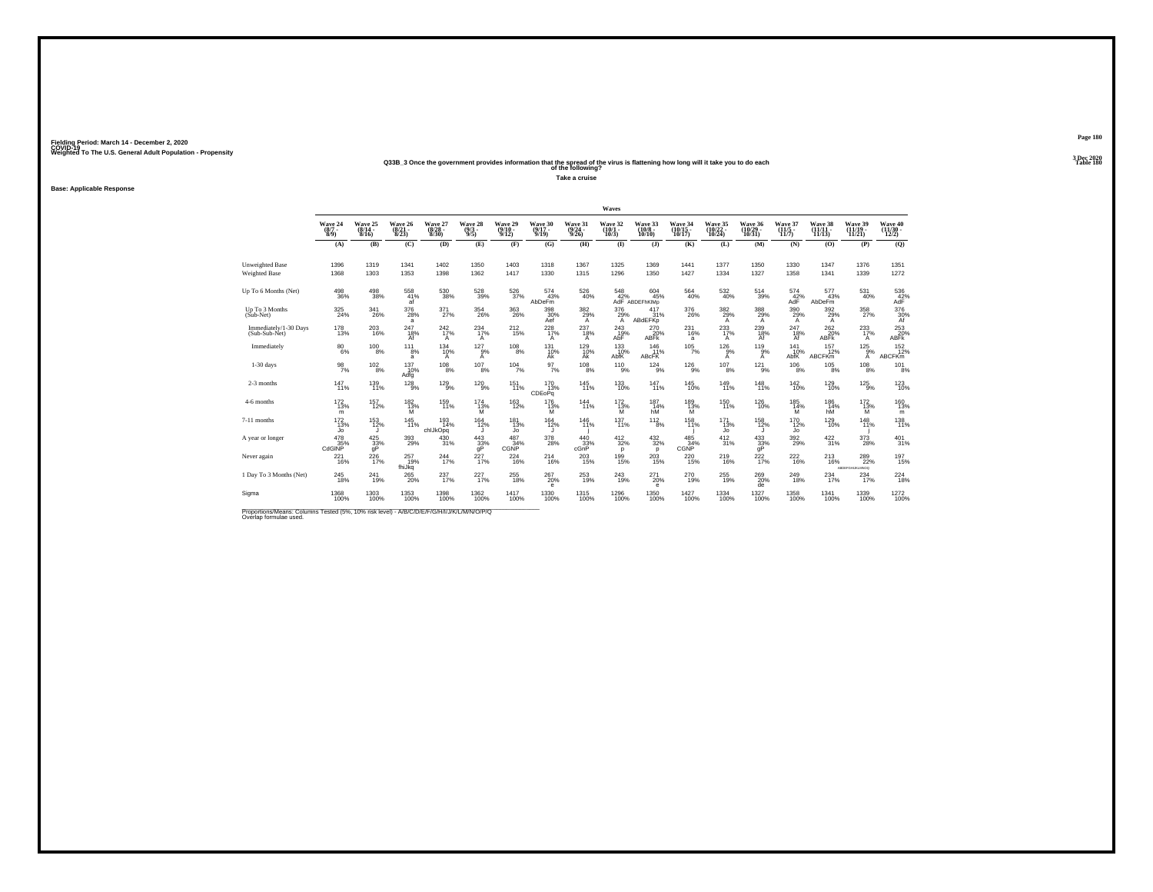## Weighted To The U.S. General Adult Population - Propensity<br>Q33B\_3 Once the government provides information that the spread of the virus is flattening how long will it take you to do each<br>Table 180

**Take a cruise**

#### **Base: Applicable Response**

|                                                                                                                      |                               |                                  |                                  |                                  |                                |                                         |                                  |                                         | Waves                                 |                                                              |                         |                                    |                                    |                                      |                                |                                            |                                                    |
|----------------------------------------------------------------------------------------------------------------------|-------------------------------|----------------------------------|----------------------------------|----------------------------------|--------------------------------|-----------------------------------------|----------------------------------|-----------------------------------------|---------------------------------------|--------------------------------------------------------------|-------------------------|------------------------------------|------------------------------------|--------------------------------------|--------------------------------|--------------------------------------------|----------------------------------------------------|
|                                                                                                                      | Wave 24<br>$\binom{8/7}{8/9}$ | Wave 25<br>$\frac{(8/14)}{8/16}$ | Wave 26<br>$\frac{(8/21)}{8/23}$ | Wave 27<br>$\frac{(8/28)}{8/30}$ | Wave 28<br>$\frac{(9/3)}{9/5}$ | Wave 29<br>$\frac{(9/10 - 9/12)}{9/12}$ | Wave 30<br>$\frac{(9/17)}{9/19}$ | Wave 31<br>$\frac{(9/24 - 9/26)}{9/26}$ | Wave 32<br>$(10/1 -$<br>10/3          | Wave 33<br>$\binom{10/8}{10/10}$                             | Wave 34<br>10/17        | Wave 35<br>$\frac{(10/22)}{10/24}$ | Wave 36<br>$\frac{(10/29)}{10/31}$ | Wave 37<br>$\frac{(11/5)}{11/7}$     | Wave 38<br>$(11/11 -$<br>11/13 | Wave 39<br>$\frac{(11/19 - 11/21)}{11/21}$ | Wave 40<br>$\frac{(11/30)}{12/2}$                  |
|                                                                                                                      | (A)                           | (B)                              | (C)                              | (D)                              | (E)                            | (F)                                     | (G)                              | (H)                                     | $\bf{I}$                              | $($ $)$                                                      | (K)                     | (L)                                | (M)                                | (N)                                  | (0)                            | (P)                                        | (Q)                                                |
| <b>Unweighted Base</b><br>Weighted Base                                                                              | 1396<br>1368                  | 1319<br>1303                     | 1341<br>1353                     | 1402<br>1398                     | 1350<br>1362                   | 1403<br>1417                            | 1318<br>1330                     | 1367<br>1315                            | 1325<br>1296                          | 1369<br>1350                                                 | 1441<br>1427            | 1377<br>1334                       | 1350<br>1327                       | 1330<br>1358                         | 1347<br>1341                   | 1376<br>1339                               | 1351<br>1272                                       |
| Up To 6 Months (Net)                                                                                                 | $^{498}_{36\%}$               | $^{498}_{\ 38\%}$                | 558<br>41%<br>af                 | $^{530}_{38\%}$                  | 528<br>39%                     | 526<br>37%                              | $\frac{574}{43\%}$<br>AbDeFm     | 526<br>40%                              |                                       | 548 604<br>42% 45% 45%<br>AdF ABDEFhKlMp<br>$604 \atop 45\%$ | $^{564}_{\ 40\%}$       | $^{532}_{\ 40\%}$                  | $^{514}_{39\%}$                    | $^{574}_{\Lambda{\rm d}\bar{\rm F}}$ | $\frac{577}{43\%}$<br>AbDeFm   | 531<br>40%                                 | $^{536}_{42\%}$ AdF                                |
| Up To 3 Months<br>(Sub-Net)                                                                                          | 325<br>24%                    | 341<br>26%                       | 376<br>28%<br>a                  | 371<br>27%                       | 354<br>26%                     | 363<br>26%                              | 398<br>30%<br>Aef                | 382<br>29%<br>A                         | 376<br>$^{29\%}_{A}$                  | 417<br>31%<br><b>ABdEFKp</b>                                 | 376<br>26%              | 382<br>29%<br>A                    | $\frac{388}{28\%}$                 | 390<br>29%<br>A                      | 392<br>29%<br>A                | 358<br>27%                                 | $\underset{\substack{30}{\scriptstyle 6}}{^{376}}$ |
| Immediately/1-30 Days<br>(Sub-Sub-Net)                                                                               | 178<br>13%                    | 203<br>16%                       | 247<br>18%<br>Af                 | 242%<br>$\mathsf{A}$             | 234<br>17%<br>Α                | $^{212}_{15\%}$                         | 228<br>17%<br>A                  | $^{237}_{18\%}$<br>A                    | 243<br>19%<br>AbF                     | $^{270}_{20\%}$<br><b>ABFK</b>                               | 231<br>16%<br>a         | 233<br>A                           | $^{239}_{18\%}$<br>Af              | 247<br>18%<br>Af                     | $^{262}_{20\%}$<br><b>ABFK</b> | 233<br>17%<br>A                            | 253<br>20%<br>ABFk                                 |
| Immediately                                                                                                          | $\substack{80\\6\%}$          | $^{100}_{8\%}$                   | 111<br>8%<br>a                   | 134<br>10%<br>A                  | $127_{9%}$<br>А                | $^{108}_{8\%}$                          | 131<br>10%<br>Ak                 | $^{129}_{10\%}$<br>Ak                   | 133<br>AbfK                           | 146<br>11%<br><b>ABcFK</b>                                   | $105/7\%$               | $^{126}_{9\%}$<br>A                | 119 <sub>9%</sub><br>A             | 141<br>10%<br>AbfK                   | $\frac{157}{12\%}$<br>ABCFKm   | $^{125}_{9\%}$<br>А                        | $\frac{152}{12\%}$<br><b>ABCFKm</b>                |
| $1-30$ days                                                                                                          | 98<br>7%                      | $^{102}_{\phantom{1}8\%}$        | 137<br>10%<br>Adfg               | 108<br>8%                        | 107<br>8%                      | 104<br>7%                               | 97<br>7%                         | 108<br>8%                               | 110<br>9%                             | 124<br>9%                                                    | 126<br>9%               | 107<br>8%                          | 121<br>9%                          | $^{106}_{\phantom{1}8\%}$            | 105<br>8%                      | $^{108}_{\phantom{1}8\%}$                  | 101<br>8%                                          |
| 2-3 months                                                                                                           | 147%                          | $^{139}_{11\%}$                  | $\frac{128}{9\%}$                | $^{129}_{9\%}$                   | $^{120}_{9\%}$                 | 151<br>11%                              | $^{170}_{13\%}$<br>CDEoPq        | $145$ <sub>11%</sub>                    | $^{133}_{10\%}$                       | $^{147}_{11\%}$                                              | $^{145}_{10\%}$         | 149 <sub>11%</sub>                 | $^{148}_{11\%}$                    | $^{142}_{10\%}$                      | <sup>129</sup> <sub>10%</sub>  | $^{125}_{9\%}$                             | $^{123}_{10\%}$                                    |
| 4-6 months                                                                                                           | $\frac{172}{13\%}$<br>m       | 157<br>12%                       | 182<br>$\frac{13}{M}$            | 159<br>11%                       | 174<br>13%<br>M                | 163<br>12%                              | 176<br>$^{13\%}_{M}$             | 144<br>11%                              | $^{172}_{\substack{13\% \ \text{M}}}$ | 187<br>14%<br>hM                                             | 189<br>$\frac{13\%}{M}$ | $^{150}_{11\%}$                    | $^{126}_{10\%}$                    | 185<br>$\frac{14\%}{M}$              | 186<br>14%<br>hM               | $^{172}_{\substack{13\% \ \text{M}}}$      | 160<br>13%<br>m                                    |
| 7-11 months                                                                                                          | $^{172}_{13\%}$<br>Jo         | $^{153}_{12\%}$                  | $^{145}_{11\%}$                  | $^{193}_{14\%}$<br>chlJkOpq      | $164$<br>$12%$<br>u            | <sup>181</sup><br>13%<br>Jo             | $164 \atop 12\%$                 | $^{146}_{11\%}$                         | $^{137}_{11\%}$                       | $^{112}_{8\%}$                                               | 158<br>11%              | $^{171}_{13\%}$<br>Jo              | <sup>158</sup><br>12%<br>J         | 170<br>12%<br>Jo                     | $^{129}_{10\%}$                | $^{148}_{11\%}$                            | $^{138}_{11\%}$                                    |
| A year or longer                                                                                                     | $^{478}_{35\%}$<br>CdGINP     | $\frac{425}{33}\%$               | 393<br>29%                       | 430<br>31%                       | $^{443}_{33\%}$                | $^{487}_{34\%}$<br>CGNP                 | 378<br>28%                       | $\frac{440}{33}\%$<br>cGnP              | $^{412}_{32\%}$<br>p                  | $^{432}_{32\%}$<br>p                                         | 485<br>34%<br>CGNP      | $\frac{412}{31\%}$                 | $\frac{433}{33}\%$                 | 392 <sub>0%</sub>                    | $\frac{422}{31\%}$             | 373<br>28%                                 | $^{401}_{31\%}$                                    |
| Never again                                                                                                          | 221<br>16%                    | $^{226}_{17\%}$                  | 257<br>19%<br>fhiJkq             | 244<br>17%                       | 227<br>17%                     | 224<br>16%                              | 214<br>16%                       | 203<br>15%                              | 199<br>15%                            | 203<br>15%                                                   | 220<br>15%              | 219<br>16%                         | $\frac{222}{17\%}$                 | 222<br>16%                           | 213<br>16%                     | 289<br>22%<br>ABDEFGHLKLMNOG               | 197<br>15%                                         |
| 1 Day To 3 Months (Net)                                                                                              | 245<br>18%                    | $^{241}_{19\%}$                  | <sup>265</sup> <sub>20%</sub>    | 237<br>17%                       | 227                            | $^{255}_{\ 18\%}$                       | $^{267}_{20\%}$<br>e             | 253<br>19%                              | $^{243}_{19\%}$                       | 271<br>20%<br>$\mathbf e$                                    | $^{270}_{19\%}$         | $^{255}_{19\%}$                    | $^{269}_{20\%}$<br>de              | 249<br>18%                           | $^{234}_{17\%}$                | $^{234}_{17\%}$                            | $^{224}_{18\%}$                                    |
| Sigma                                                                                                                | 1368<br>100%                  | 1303<br>100%                     | 1353<br>100%                     | 1398<br>100%                     | 1362<br>100%                   | 1417<br>100%                            | 1330<br>100%                     | 1315<br>100%                            | 1296<br>100%                          | 1350<br>100%                                                 | 1427<br>100%            | 1334<br>100%                       | 1327<br>100%                       | 1358<br>100%                         | 1341<br>100%                   | 1339<br>100%                               | 1272<br>100%                                       |
| Proportions/Means: Columns Tested (5%, 10% risk level) - A/B/C/D/E/F/G/H/I/J/K/L/M/N/O/P/Q<br>Overlap formulae used. |                               |                                  |                                  |                                  |                                |                                         |                                  |                                         |                                       |                                                              |                         |                                    |                                    |                                      |                                |                                            |                                                    |

**Page 1803 Dec 2020<br>Table 180**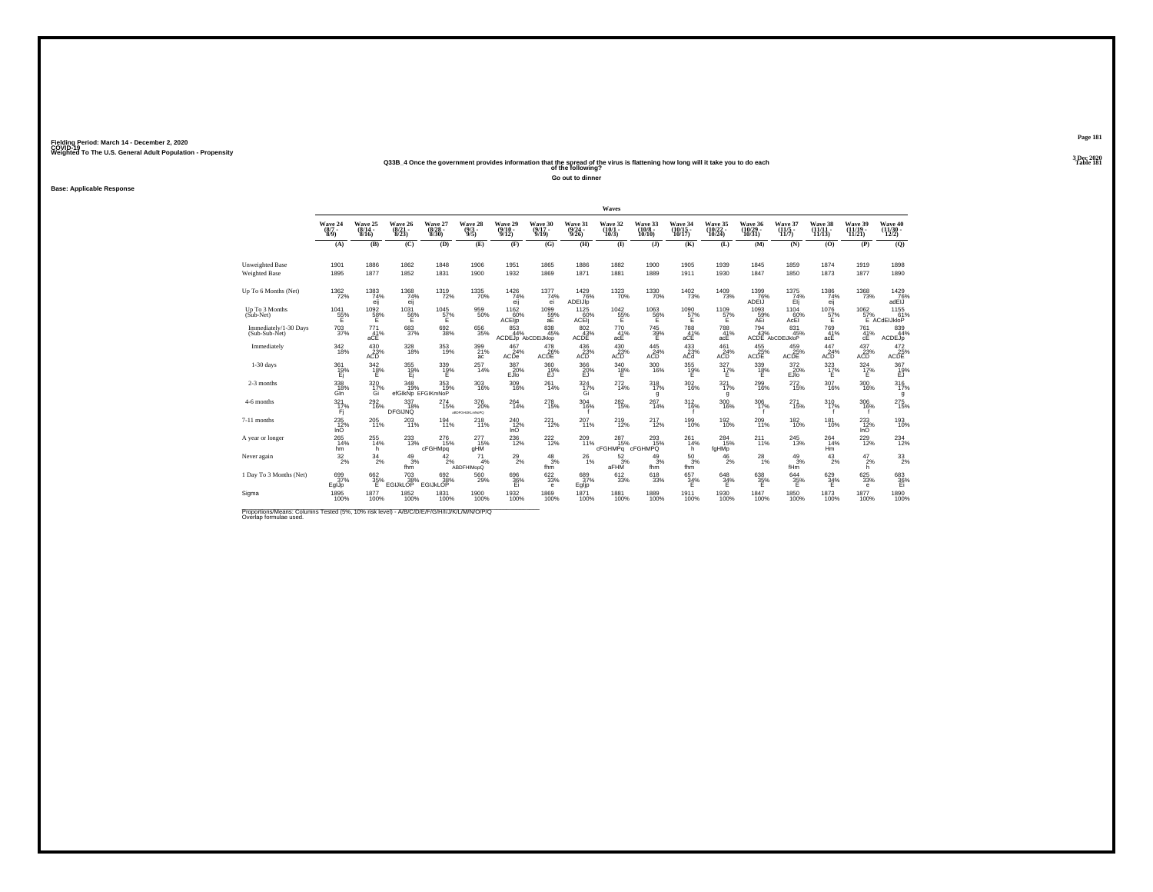### **Q33B\_4 Once the government provides information that the spread of the virus is flattening how long will it take you to do each Table 181 of the following?**

**Go out to dinner**

**Base: Applicable Response**

|                                        |                                          |                                  |                                    |                                  |                               |                                       |                                                      |                                                            | Waves                                                        |                                 |                                    |                                                               |                                                      |                                                      |                                                       |                                                            |                                                         |
|----------------------------------------|------------------------------------------|----------------------------------|------------------------------------|----------------------------------|-------------------------------|---------------------------------------|------------------------------------------------------|------------------------------------------------------------|--------------------------------------------------------------|---------------------------------|------------------------------------|---------------------------------------------------------------|------------------------------------------------------|------------------------------------------------------|-------------------------------------------------------|------------------------------------------------------------|---------------------------------------------------------|
|                                        | Wave 24<br>$(8/7 -$<br>$\widetilde{8}/9$ | Wave 25<br>$\frac{(8/14)}{8/16}$ | Wave 26<br>$\frac{(8/21)}{8/23}$   | Wave 27<br>$\frac{(8/28)}{8/30}$ | Wave 28<br>$\binom{9/3}{9/5}$ | Wave 29<br>$\frac{(9/10-9/12)}{9/12}$ | Wave 30<br>$\frac{(9/17)}{9/19}$                     | Wave 31<br>$\frac{(9/24)}{9/26}$                           | Wave 32<br>$\binom{10/1}{10/3}$                              | Wave 33<br>$(10/8 -$<br>10/10   | Wave 34<br>$\frac{(10/15)}{10/17}$ | Wave 35<br>$(10/22 - 10/24)$                                  | Wave 36<br>$\left(\frac{10}{29}\right)^{29}$         | Wave 37<br>$\frac{(11/5)}{11/7}$                     | Wave 38<br>11/13                                      | Wave 39<br>$(11/19 -$<br>11/21                             | Wave 40<br>$\frac{(11/30 - 12/2)}{12/2}$                |
|                                        | (A)                                      | (B)                              | (C)                                | (D)                              | (E)                           | (F)                                   | (G)                                                  | (H)                                                        | $\bf{I}$                                                     | (J)                             | (K)                                | (L)                                                           | (M)                                                  | (N)                                                  | (0)                                                   | (P)                                                        | (Q)                                                     |
| Unweighted Base                        | 1901                                     | 1886                             | 1862                               | 1848                             | 1906                          | 1951                                  | 1865                                                 | 1886                                                       | 1882                                                         | 1900                            | 1905                               | 1939                                                          | 1845                                                 | 1859                                                 | 1874                                                  | 1919                                                       | 1898                                                    |
| <b>Weighted Base</b>                   | 1895                                     | 1877                             | 1852                               | 1831                             | 1900                          | 1932                                  | 1869                                                 | 1871                                                       | 1881                                                         | 1889                            | 1911                               | 1930                                                          | 1847                                                 | 1850                                                 | 1873                                                  | 1877                                                       | 1890                                                    |
| Up To 6 Months (Net)                   | $^{1362}_{\phantom{1}72\%}$              | 1383<br>74%<br>eij               | 1368<br>74%<br>eij                 | 1319<br>72%                      | 1335<br>70%                   | $^{1426}_{74\%}$<br>eij               | 1377<br>74%<br>ei                                    | $^{1429}_{76\%}$<br>ADEIJIp                                | 1323<br>70%                                                  | 1330<br>70%                     | $\frac{1402}{73\%}$                | 1409<br>73%                                                   | $^{1399}_{76\%}$<br>ADEIJ                            | $^{1375}_{74\%}$<br>Ėij                              | 1386<br>74%<br>eij                                    | 1368<br>73%                                                | 1429 76%<br>adEIJ                                       |
| Up To 3 Months<br>(Sub-Net)            | 1041<br>55%                              | 1092<br>58%                      | 1031<br>56%                        | 1045<br>$57\%$                   | 959<br>50%                    | 1162<br>60%<br>ACEIjp                 | 1099<br>$rac{59}{aE}$                                | 1125<br>ACEIJ                                              | $^{1042}_{\,\,\,55\%}$                                       | 1063<br>56%                     | 1090<br>$\frac{57}{5}$             | 1109<br>57%                                                   | 1093<br>AEi                                          | 1104<br>$\overset{60}{_{\sf AcEl}}$                  | 1076<br>$^{57\%}_{E}$                                 | 1062                                                       | 1155<br>57% 61%<br>E ACdEIJkloP                         |
| Immediately/1-30 Days<br>(Sub-Sub-Net) | $^{703}_{37\%}$                          | 771<br>41%<br>aCE                | 683<br>37%                         | $^{692}_{38\%}$                  | 656<br>35%                    | 853<br>44%<br>ACDEJp AbCDEiJklop      | $838\!\!\!\!\!\!\!845\!\!\!\!\! \%$                  | $\frac{802}{43}\%$<br>ACDE                                 | 770<br>41%<br>acE                                            | 745<br>39%<br>Ε                 | 788<br>41%<br>aCE                  | 788<br>41%<br>acE                                             | $^{794}_{43\%}$                                      | 831<br>45%<br>ACDE AbCDEIJkloP                       | 769<br>41%<br>acE                                     | $^{761}_{41\%}$<br>cE                                      | 839<br>44%<br>ACDEJp                                    |
| Immediately                            | $^{342}_{18\%}$                          | $^{430}_{23\%}$<br>ACD           | 328<br>18%                         | 353<br>19%                       | 399<br>21%<br>ac              | $\frac{467}{24\%}$<br>ACDe            | $\overset{478}{\underset{\text{ACDE}}{\text{26\%}}}$ | $^{436}_{\phantom{1}\phantom{1}\phantom{1}23\%}_{\rm ACD}$ | $^{430}_{\vphantom{1}\vphantom{1}\smash{\sum}}_{\text{ACD}}$ | $^{445}_{\phantom{47}24\%}$ ACD | $^{433}_{23\%}$<br>ACd             | $^{461}_{\vphantom{1}\smash{\substack{24\%}}\phantom{.}}$ ACD | $\overset{455}{\underset{\text{ACDE}}{\text{25\%}}}$ | $\overset{459}{\underset{\text{ACDE}}{\text{25\%}}}$ | $\overset{447}{\underset{\mathsf{ACD}}{\text{24\%}}}$ | $^{437}_{\phantom{1}\phantom{1}\phantom{1}23\%}_{\rm ACD}$ | $\begin{array}{r} 472 \\ 25 \\ \text{ACDE} \end{array}$ |
| $1-30$ days                            | 361<br>$E_1^{19\%}$                      | 342<br>18%<br>Ε                  | 355<br>19%<br>Ei                   | 339<br>19%<br>Ε                  | 257<br>14%                    | 387<br>20%<br>EJIo                    | 360<br>19%<br>EJ                                     | 366<br>20%                                                 | 340<br>$^{18\%}_{E}$                                         | 300<br>16%                      | 355<br>$^{19\%}$                   | 327<br>17%<br>Е                                               | 339<br>$^{18\%}_{E}$                                 | 372<br>20%<br>EJIO                                   | 323<br>17%<br>Е                                       | $\frac{324}{17\%}$                                         | $\frac{367}{19\%}$                                      |
| 2-3 months                             | 338/18%<br>Gln                           | $\frac{320}{17\%}$<br>Gi         | $348$ 19%<br>efGIkNp EFGIKmNoP     | 353/19%                          | 303<br>16%                    | $^{309}_{16\%}$                       | $^{261}_{14\%}$                                      | $\frac{324}{17\%}$<br>Gi                                   | 272<br>14%                                                   | 318<br>17%<br>g                 | $\frac{302}{16\%}$                 | 321 <sub>7%</sub><br>g                                        | $^{299}_{16\%}$                                      | $^{272}_{15\%}$                                      | $^{307}_{16\%}$                                       | $^{300}_{16\%}$                                            | 316<br>g                                                |
| 4-6 months                             | 321<br>17%<br>Fi                         | $\substack{292 \\ 16\%}$         | 337<br>18%<br><b>DFGIJNQ</b>       | 274<br>15%                       | 376<br>20%<br>ABDFGHUKLmNoPQ  | $^{264}_{\ 14\%}$                     | $^{278}_{\ 15\%}$                                    | 304<br>16%                                                 | 282<br>15%                                                   | 267<br>14%                      | 312<br>16%                         | 300<br>16%                                                    | 306<br>17%                                           | 271<br>15%                                           | 310<br>17%                                            | 306<br>16%                                                 | 275<br>15%                                              |
| 7-11 months                            | $^{235}_{12\%}$<br>InO                   | 205<br>11%                       | 203<br>11%                         | 194<br>11%                       | 218<br>11%                    | $^{240}_{12\%}$<br>InO                | 221<br>12%                                           | 207 11%                                                    | $^{219}_{12\%}$                                              | $^{217}_{12\%}$                 | 199<br>10%                         | 192 <sub>0%</sub>                                             | 209<br>11%                                           | $^{182}_{10\%}$                                      | $^{181}_{10\%}$                                       | $^{233}_{12\%}$<br>InO                                     | 193<br>10%                                              |
| A year or longer                       | 265<br>14%<br>hm                         | $^{255}_{14\%}$<br>h             | 233<br>13%                         | 276<br>15%<br>cFGHMpq            | 277<br>15%<br>gHM             | $^{236}_{\ 12\%}$                     | <sup>222</sup> <sub>12%</sub>                        | 209<br>11%                                                 | $^{287}_{15\%}$<br>cFGHMPq                                   | 293<br>15%<br>cFGHMPQ           | 261<br>14%<br>h                    | 284<br>15%<br>fgHMp                                           | $^{211}_{11\%}$                                      | $^{245}_{13\%}$                                      | 264<br>14%<br>Hm                                      | 229<br>12%                                                 | 234<br>12%                                              |
| Never again                            | $\frac{32}{2\%}$                         | $^{34}_{\phantom{1}2\%}$         | $\frac{49}{3%}$<br>fhm             | $^{42}_{2\%}$                    | 71<br>4%<br><b>ABDFHIMopQ</b> | $^{29}_{2\%}$                         | $\frac{48}{3\%}$<br>fhm                              | $^{26}_{1\%}$                                              | $\frac{52}{3}\%$<br>aFHM                                     | 49<br>3%<br>fhm                 | $^{50}_{3\%}$<br>fhm               | 46<br>2%                                                      | $^{28}_{1\%}$                                        | $^{49}_{3\%}$<br>fHm                                 | 43<br>2%                                              | $\frac{47}{2}\%$<br>h.                                     | $^{33}_{2\%}$                                           |
| 1 Day To 3 Months (Net)                | 699<br>37%<br>EglJp                      | $\frac{662}{35}\%$<br>Ε          | $^{703}_{38\%}$<br><b>EGIJKLOP</b> | 692<br>38%<br><b>EGIJKLOP</b>    | 560<br>29%                    | 696<br>36%<br>Ei                      | 622/33%<br>е                                         | 689<br>37%<br>Egljp                                        | 612/33%                                                      | $^{618}_{33\%}$                 | $\frac{657}{34\%}$<br>F            | $^{648}_{34\%}$<br>Ε                                          | $\substack{638 \\ 35\%}$<br>Ε                        | $\frac{644}{35\%}$<br>Ε                              | 629/34%<br>Ε                                          | $\substack{625 \\ 33\%}$<br>$\mathbf{e}$                   | $^{683}_{36\%}$                                         |
| Sigma                                  | 1895<br>100%                             | 1877<br>100%                     | 1852<br>100%                       | 1831<br>100%                     | 1900<br>100%                  | 1932<br>100%                          | 1869<br>100%                                         | 1871<br>100%                                               | 1881<br>100%                                                 | 1889<br>100%                    | 1911<br>100%                       | 1930<br>100%                                                  | 1847<br>100%                                         | 1850<br>100%                                         | 1873<br>100%                                          | 1877<br>100%                                               | 1890<br>100%                                            |

Proportions/Means: Columns Tested (5%, 10% risk level) - *N'B/C/D/E/F/G/H/I/J/K/L/M/N/O/P/Q*<br>Overlap formulae used.

**Page 1813 Dec 2020<br>Table 181**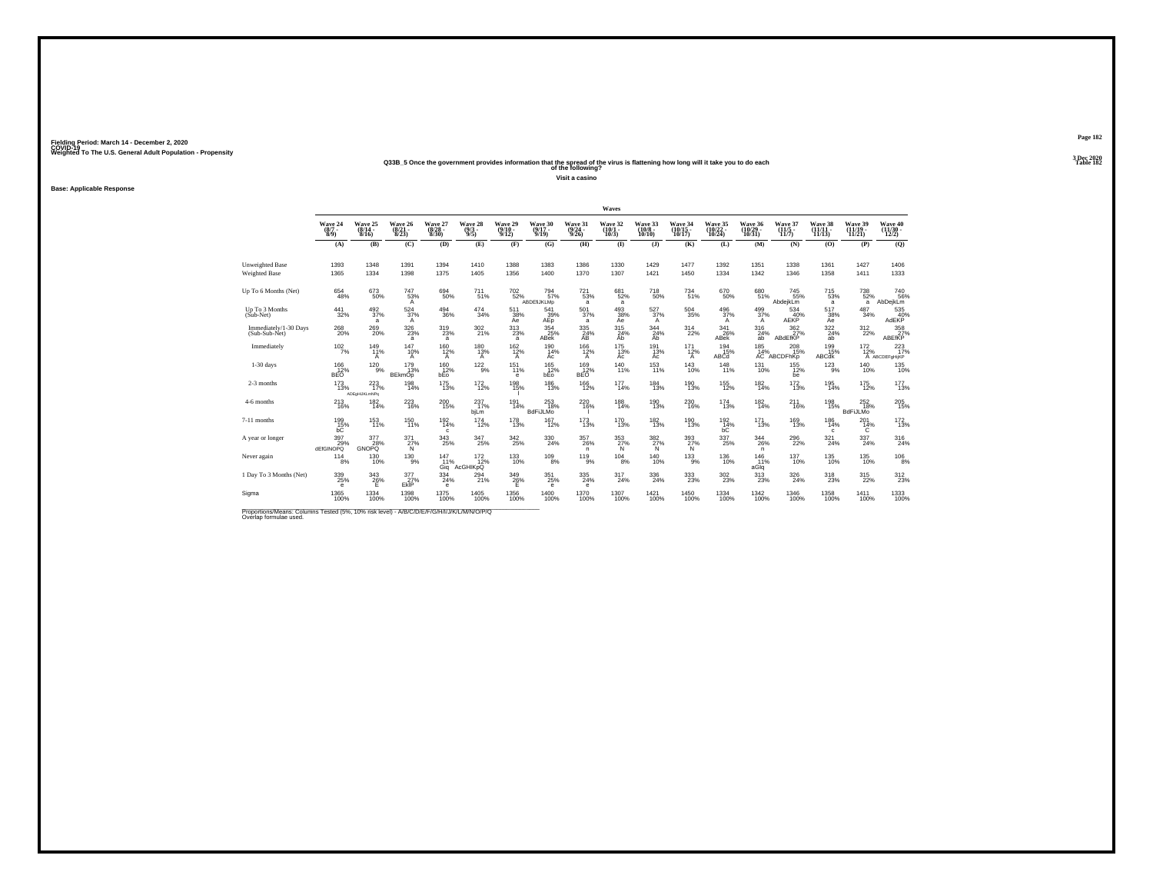## Weighted To The U.S. General Adult Population - Propensity<br>238B\_5 Once the government provides information that the spread of the virus is flattening how long will it take you to do each<br>Table 182

**Visit a casino**

**Base: Applicable Response**

|                                                                                                                      |                                |                                 |                                            |                                  |                                |                                    |                                   |                                  | Waves                        |                                        |                                 |                               |                                    |                                         |                                    |                                |                                          |
|----------------------------------------------------------------------------------------------------------------------|--------------------------------|---------------------------------|--------------------------------------------|----------------------------------|--------------------------------|------------------------------------|-----------------------------------|----------------------------------|------------------------------|----------------------------------------|---------------------------------|-------------------------------|------------------------------------|-----------------------------------------|------------------------------------|--------------------------------|------------------------------------------|
|                                                                                                                      | Wave 24<br>$\frac{(8/7)}{8/9}$ | Wave 25<br>$(8/14 -$<br>8/16    | Wave 26<br>$\frac{(8/21)}{8/23}$           | Wave 27<br>$\frac{(8/28)}{8/30}$ | Wave 28<br>$\frac{(9/3)}{9/5}$ | Wave 29<br>$(9/10 -$<br>9/12       | Wave 30<br>$(9/17 -$<br>9/19      | Wave 31<br>$\frac{(9/24)}{9/26}$ | Wave 32<br>$(10/1 -$<br>10/3 | Wave 33<br>$\frac{(10/8 - 10)}{10/10}$ | Wave 34<br>(10/15 -<br>10/17)   | Wave 35<br>(10/22 -<br>10/24) | Wave 36<br>$\frac{(10/29)}{10/31}$ | Wave 37<br>$\frac{(11/5 - 11)}{(11/7)}$ | Wave 38<br>(11/11<br>11/13         | Wave 39<br>$(11/19 -$<br>11/21 | Wave 40<br>$\frac{(11/30 - 12/2)}{12/2}$ |
|                                                                                                                      | (A)                            | (B)                             | (C)                                        | (D)                              | (E)                            | (F)                                | (G)                               | (H)                              | $($ $\Gamma$                 | $($ $)$                                | (K)                             | (L)                           | (M)                                | (N)                                     | (O)                                | (P)                            | (Q)                                      |
| <b>Unweighted Base</b><br>Weighted Base                                                                              | 1393<br>1365                   | 1348<br>1334                    | 1391<br>1398                               | 1394<br>1375                     | 1410<br>1405                   | 1388<br>1356                       | 1383<br>1400                      | 1386<br>1370                     | 1330<br>1307                 | 1429<br>1421                           | 1477<br>1450                    | 1392<br>1334                  | 1351<br>1342                       | 1338<br>1346                            | 1361<br>1358                       | 1427<br>1411                   | 1406<br>1333                             |
| Up To 6 Months (Net)                                                                                                 | $^{654}_{48\%}$                | $673\phantom{}50\%$             | $^{747}_{53\%}$<br>A                       | 694<br>50%                       | $^{711}_{51\%}$                | <sup>702</sup> <sub>52%</sub>      | 794 <sub>57%</sub><br>ABDEfiJKLMp | $^{721}_{53\%}$<br>a             | 681<br>52%<br>a              | <sup>718</sup> 50%                     | 734<br>51%                      | 670<br>50%                    | 68051%                             | $\substack{745 \\ 55\%}$<br>AbdejkLm    | <sup>715</sup> <sub>53%</sub><br>a | <sup>738</sup> 52%<br>a        | <sup>740</sup> 56%<br>AbDejkLm           |
| Up To 3 Months<br>$(Sub-Net)$                                                                                        | 441<br>32%                     | 492<br>37%<br>a                 | 524<br>37%<br>A                            | 494<br>36%                       | 474<br>34%                     | 511<br>38%<br>Aė                   | 541<br>$A_{\text{EP}}^{39\%}$     | 501<br>37%<br>a                  | 493<br>38%<br>Ae             | 527<br>37%<br>A                        | 504<br>35%                      | 496<br>37%<br>A               | 499<br>37%<br>A                    | 534<br>40%<br>AEKP                      | 517<br>38%<br>Āē                   | 487<br>34%                     | 535<br>AdEKP <sup>40%</sup>              |
| Immediately/1-30 Days<br>(Sub-Sub-Net)                                                                               | 268<br>20%                     | $^{269}_{20\%}$                 | $^{326}_{\phantom{1}\phantom{1}23\%}$<br>a | $^{319}_{23\%}$<br>a             | 302 <sub>2%</sub>              | $^{313}_{\phantom{1}23\%}$<br>a    | 354<br>25%<br>ABek                | 335<br>24%<br>AB                 | 315<br>24%<br>Ab             | 344 <sub>24%</sub><br>Ab               | 314<br>22%                      | 341<br>26%<br>ABek            | $\frac{316}{24\%}$<br>ab           | $\frac{362}{27\%}$<br>ABdEfKP           | $\frac{322}{24\%}$<br>ab           | 312%                           | 358<br>ABEfKP                            |
| Immediately                                                                                                          | 102/7%                         | $^{149}_{11\%}$<br>$\mathsf{A}$ | 147<br>10%<br>A                            | $^{160}_{12\%}$<br>A             | $^{180}_{13\%}$<br>Α           | $\frac{162}{12\%}$<br>$\mathsf{A}$ | 190<br>14%<br>Ac                  | $\frac{166}{12%}$<br>A           | $\frac{175}{13\%}$<br>Ac     | 191<br>13%<br>Ac                       | $^{171}_{12\%}$<br>$\mathsf{A}$ | 194<br>15%<br>ABCd            | $^{185}_{14\%}$                    | $^{208}_{15\%}$<br>AC ABCDFhKp          | $^{199}_{15\%}$<br><b>ABCdk</b>    | $^{172}_{12\%}$                | $^{223}_{17\%}$<br>A ABCDEFgHiKP         |
| $1-30$ days                                                                                                          | 166<br><b>BEO</b> <sup>%</sup> | $^{120}_{9\%}$                  | 179<br>13%<br><b>BEkmOp</b>                | 160<br>12%<br>bÉo <sup>-</sup>   | $^{122}_{9\%}$                 | 151<br>11%<br>е                    | 165<br>12%<br>bÉo <sup>1</sup>    | 169<br>BEC                       | 140<br>11%                   | 153<br>11%                             | 143<br>10%                      | 148<br>11%                    | $\frac{131}{10\%}$                 | 155<br>12%<br>be                        | $^{123}_{9\%}$                     | 140<br>10%                     | 135<br>10%                               |
| 2-3 months                                                                                                           | $^{173}_{13\%}$                | 223<br>17%<br>ADEgHiJKLmNPq     | 198<br>14%                                 | $^{175}_{13\%}$                  | $^{172}_{12\%}$                | <sup>198</sup> 15%                 | $\frac{186}{13\%}$                | $^{166}_{12\%}$                  | $^{177}_{14\%}$              | $^{184}_{13\%}$                        | <sup>190</sup> <sub>13%</sub>   | $^{155}_{12\%}$               | $^{182}_{14\%}$                    | $^{172}_{13\%}$                         | 195<br>14%                         | $^{175}_{12\%}$                | 177<br>13%                               |
| 4-6 months                                                                                                           | 213<br>16%                     | 182<br>14%                      | $^{223}_{16\%}$                            | 200<br>15%                       | 237<br>17%<br>bjLm             | 191<br>14%                         | 253<br>18%<br>BdFiJLMo            | 220<br>16%                       | 188<br>14%                   | 190<br>13%                             | 230<br>16%                      | 174<br>13%                    | $\frac{182}{14\%}$                 | 211<br>16%                              | 198<br>15%                         | 252<br>18%<br><b>BdFiJLMo</b>  | 205<br>15%                               |
| 7-11 months                                                                                                          | 199%<br>bС                     | $^{153}_{11\%}$                 | 150<br>11%                                 | $^{192}_{14\%}$<br>c             | <sup>174</sup> <sub>12%</sub>  | 178<br>13%                         | $167 \atop 12\%$                  | 173 <sub>%</sub>                 | 170<br>13%                   | $^{182}_{13\%}$                        | 190<br>13%                      | $\frac{192}{14\%}$<br>bC      | 171<br>13%                         | $^{169}_{13\%}$                         | $^{186}_{14\%}$<br>$\mathbf{c}$    | $^{201}_{14\%}$<br>C           | $^{172}_{13\%}$                          |
| A year or longer                                                                                                     | 397<br>29%<br>dEfGINOPQ        | 377<br>28%<br>GNOPO             | 371<br>27%<br>N                            | $\frac{343}{25\%}$               | $^{347}_{25\%}$                | $\frac{342}{25\%}$                 | 330<br>24%                        | 357<br>26%<br>n.                 | 353<br>27%<br>N              | $\frac{382}{27}\%$<br>Ñ.               | 393<br>27%<br>Ñ.                | 337 <sub>25%</sub>            | $\substack{344 \\ 26\%}$<br>n      | $^{296}_{22\%}$                         | 321 <sub>24%</sub>                 | 337<br>24%                     | 316<br>24%                               |
| Never again                                                                                                          | 114<br>8%                      | 130<br>10%                      | 130<br>9%                                  | 147<br>11%<br>Gia                | 172<br>12%<br>AcGHIKpQ         | 133<br>10%                         | $^{109}_{\phantom{1}8\%}$         | 119<br>9%                        | 104<br>8%                    | 140<br>10%                             | 133<br>9%                       | $^{136}_{10\%}$               | 146<br>11%<br>aGla                 | 137<br>10%                              | 135<br>10%                         | 135<br>10%                     | $^{106}_{\phantom{1}8\%}$                |
| 1 Day To 3 Months (Net)                                                                                              | $^{339}_{25\%}$<br>e           | $\frac{343}{26}\%$<br>Ε         | $\frac{377}{27\%}$<br>EkIP                 | 334%<br>е                        | $^{294}_{21\%}$                | 349<br>26%<br>Ε                    | $^{351}_{25\%}$<br>e              | $\substack{335 \\ 24\%}$<br>e    | 317<br>24%                   | 336<br>24%                             | 333%                            | 302 %                         | $313 \atop 23\%$                   | $^{326}_{\phantom{1}\phantom{1}24\%}$   | $^{318}_{\phantom{1}23\%}$         | $^{315}_{22\%}$                | 312<br>23%                               |
| Sigma                                                                                                                | 1365<br>100%                   | 1334<br>100%                    | 1398<br>100%                               | 1375<br>100%                     | 1405<br>100%                   | 1356<br>100%                       | 1400<br>100%                      | 1370<br>100%                     | 1307<br>100%                 | 1421<br>100%                           | 1450<br>100%                    | 1334<br>100%                  | 1342<br>100%                       | 1346<br>100%                            | 1358<br>100%                       | 1411<br>100%                   | 1333<br>100%                             |
| Proportions/Means: Columns Tested (5%, 10% risk level) - A/B/C/D/E/F/G/H/I/J/K/L/M/N/O/P/Q<br>Overlap formulae used. |                                |                                 |                                            |                                  |                                |                                    |                                   |                                  |                              |                                        |                                 |                               |                                    |                                         |                                    |                                |                                          |

**Page 1823 Dec 2020<br>Table 182**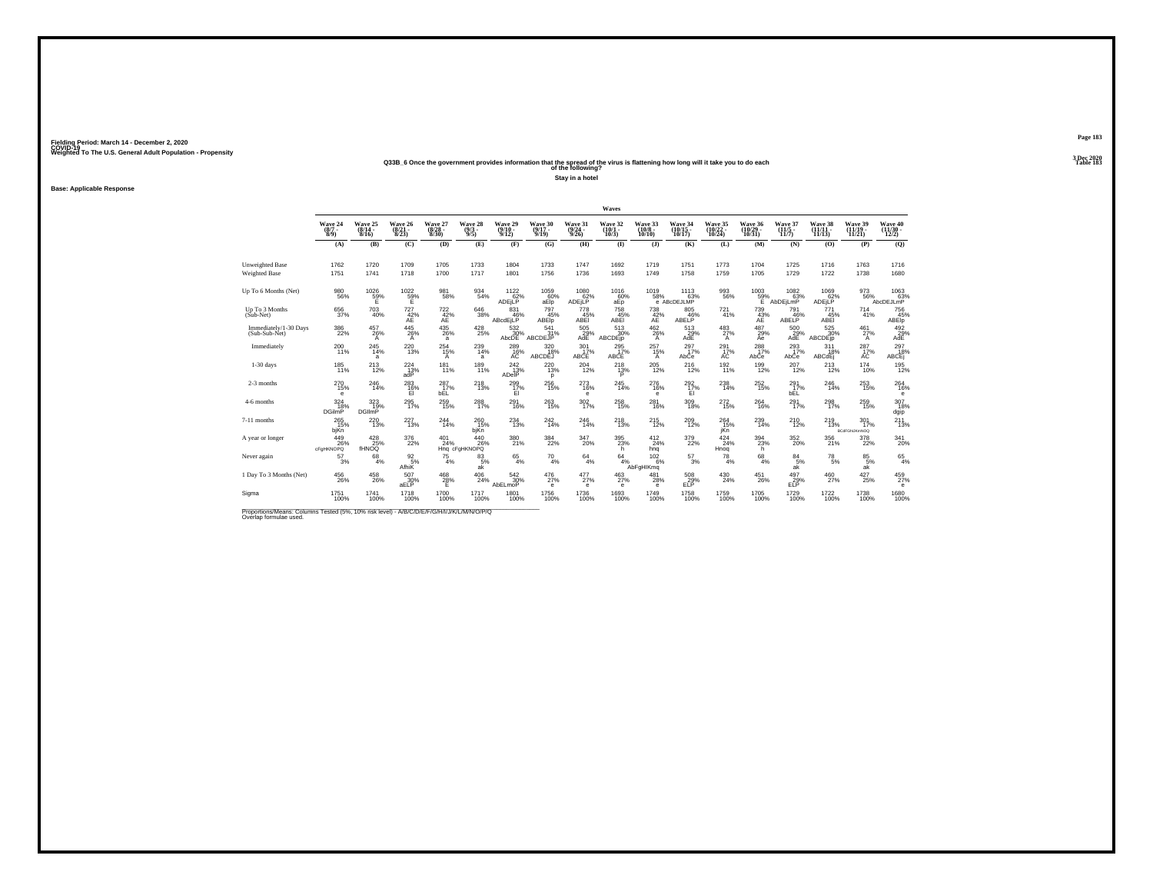## Weighted To The U.S. General Adult Population - Propensity<br>Q33B\_6 Once the government provides information that the spread of the virus is flattening how long will it take you to do each<br>Table 183

**Stay in a hotel**

**Base: Applicable Response**

|                                                                                                                      |                            |                                         |                                      |                                  |                               |                                 |                                        |                                 | Waves                           |                               |                                 |                              |                                                                                 |                                         |                       |                                        |                                                              |
|----------------------------------------------------------------------------------------------------------------------|----------------------------|-----------------------------------------|--------------------------------------|----------------------------------|-------------------------------|---------------------------------|----------------------------------------|---------------------------------|---------------------------------|-------------------------------|---------------------------------|------------------------------|---------------------------------------------------------------------------------|-----------------------------------------|-----------------------|----------------------------------------|--------------------------------------------------------------|
|                                                                                                                      | Wave 24<br>$(8/7 -$<br>8/9 | Wave 25<br>$\frac{(8/14 - 8/16)}{8/16}$ | Wave 26<br>$\frac{(8/21)}{8/23}$     | Wave 27<br>$\binom{8/28}{8/30}$  | Wave 28<br>$\binom{9/3}{9/5}$ | Wave 29<br>$\binom{9/10}{9/12}$ | Wave 30<br>$(9/17 -$<br>9/19           | Wave 31<br>$\binom{9/24}{9/26}$ | Wave 32<br>$\binom{10/1}{10/3}$ | Wave 33<br>$(10/8 -$<br>10/10 | Wave 34<br>$(10/15 -$<br>10/17  | Wave 35<br>(10/22 -<br>10/24 | Wave 36<br>(10/29 -<br>10/31)                                                   | Wave 37<br>$\frac{(11/5 - 11)}{(11/7)}$ | Wave 38<br>11/13      | Wave 39<br>$(11/19 -$<br>11/21         | Wave 40<br>$(11/30 -$<br>12/2)                               |
|                                                                                                                      | (A)                        | (B)                                     | (C)                                  | (D)                              | (E)                           | (F)                             | (G)                                    | (H)                             | $($ $\Gamma$                    | $($ $)$                       | (K)                             | (L)                          | (M)                                                                             | (N)                                     | (0)                   | (P)                                    | (Q)                                                          |
| Unweighted Base<br><b>Weighted Base</b>                                                                              | 1762<br>1751               | 1720<br>1741                            | 1709<br>1718                         | 1705<br>1700                     | 1733<br>1717                  | 1804<br>1801                    | 1733<br>1756                           | 1747<br>1736                    | 1692<br>1693                    | 1719<br>1749                  | 1751<br>1758                    | 1773<br>1759                 | 1704<br>1705                                                                    | 1725<br>1729                            | 1716<br>1722          | 1763<br>1738                           | 1716<br>1680                                                 |
| Up To 6 Months (Net)                                                                                                 | $\substack{980 \\ 56\%}$   | 1026<br>59%<br>Ŧ.                       | $^{1022}_{\substack{59\%\\ \sf{E}}}$ | 981<br>58%                       | 934<br>54%                    | $^{1122}_{62\%}$<br>ADEILP      | $^{1059}_{60\%}$<br>aElp               | $^{1080}_{62\%}$<br>ADEjLP      | 1016<br>60%<br>aEp              | $^{1019}_{-58\%}$             | $^{1113}_{63\%}$<br>e ABcDEJLMP | 993<br>56%                   | $\begin{array}{r} 1003 \\ 59\% \\ \hline 6 \end{array}_{\mbox{\scriptsize A1}}$ | $^{1082}_{63\%}$<br>AbDEjLmP            | 1069<br>62%<br>ADEjLP | 973<br>56%                             | 1063<br>AbcDEJLmP                                            |
| Up To 3 Months<br>$(Sub-Net)$                                                                                        | 656<br>37%                 | 703<br>40%                              | $727 \atop 42\%$<br>AE               | $\frac{722}{42}\%$               | 646<br>38%                    | 831<br>46%<br>ABcdEjLP          | 797<br>45%<br><b>ABEID</b>             | 778<br>45%<br>ABEI              | 758<br>45%<br>ABEI              | 738<br>42%<br>AE              | 805<br>ABELP <sup>46%</sup>     | 721 <sub>96</sub>            | $^{739}_{43\%}$                                                                 | 791<br>ABELP <sup>46%</sup>             | 771<br>45%<br>ABEI    | $^{714}_{41\%}$                        | $\overset{756}{_{\tiny\textbf{ABEP}}}$                       |
| Immediately/1-30 Days<br>(Sub-Sub-Net)                                                                               | $\frac{386}{22\%}$         | $^{457}_{26\%}$<br>A                    | $^{445}_{26\%}$<br>$\mathsf{A}$      | $^{435}_{\,26\%}$<br>a           | $^{428}_{25\%}$               | 532%<br>AbcDE                   | $\frac{541}{31\%}$<br>ABCDEJP          | $^{505}_{29\%}$<br>AdE          | 513<br>30%<br>ABCDEjp           | 462 %<br>A                    | $^{513}_{29\%}$<br>AdE          | 483<br>A                     | 487<br>29%<br>Ae                                                                | $^{500}_{29\%}$<br>AdE                  | 525<br>30%<br>ABCDEjp | 461%<br>$\mathsf{A}$                   | $492$<br>$29%$<br>AdE                                        |
| Immediately                                                                                                          | 200<br>11%                 | 245<br>14%<br>a                         | 220<br>13%                           | $^{254}_{15\%}$<br>A             | 239<br>14%<br>a               | $^{289}_{16\%}$                 | 320/18%<br><b>ABCDÉJ</b>               | 301<br>17%<br>ABCE              | 295<br>17%<br>ABCE              | $^{257}_{15\%}$<br>A          | $^{297}_{17\%}$<br>AbCe         | 291 <sub>7%</sub><br>AC      | $^{288}_{17\%}$<br>AbCe                                                         | $^{293}_{17\%}$<br>AbCe                 | 311<br>18%<br>ABCdEj  | $^{287}_{17\%}$                        | $\begin{array}{c} 297 \\ 18\% \\ \mathrm{ABCEj} \end{array}$ |
| $1-30$ days                                                                                                          | 185<br>11%                 | 213<br>12%                              | 224<br>$^{13\%}_{\rm adP}$           | 181<br>11%                       | 189<br>11%                    | 242<br>ADelP <sup>13%</sup>     | 220<br>13%<br>p                        | 204<br>12%                      | 218<br>$13\%$                   | 205<br>12%                    | 216<br>12%                      | 192<br>11%                   | 199<br>12%                                                                      | 207<br>12%                              | 213<br>12%            | 174<br>10%                             | 195<br>12%                                                   |
| 2-3 months                                                                                                           | <sup>270</sup><br>15%<br>е | 246<br>14%                              | $^{283}_{16\%}$<br>EI                | 287 <sub>17%</sub><br><b>bEL</b> | <sup>218</sup> <sub>13%</sub> | 299<br>17%<br>EI                | $^{256}_{\phantom{1}15\%}$             | 273<br>16%<br>е                 | 245<br>14%                      | 276<br>16%<br>е               | $^{292}_{17\%}$<br>EI           | 238<br>14%                   | $^{252}_{15\%}$                                                                 | $^{291}_{17\%}$<br><b>bEL</b>           | 246<br>14%            | $^{253}_{15\%}$                        | $^{264}_{16\%}$<br>e                                         |
| 4-6 months                                                                                                           | 324<br>18%<br>DGilmP       | 323<br>19%<br><b>DGIImP</b>             | 295<br>17%                           | 259<br>15%                       | 288<br>17%                    | 291<br>16%                      | $^{263}_{15\%}$                        | 302<br>17%                      | 258<br>15%                      | 281<br>16%                    | 309<br>18%                      | $^{272}_{15\%}$              | 264<br>16%                                                                      | 291<br>17%                              | 298<br>17%            | $^{259}_{15\%}$                        | 307<br>18%<br>dgip                                           |
| 7-11 months                                                                                                          | $^{265}_{15\%}$<br>bjKn    | 220<br>13%                              | 227<br>13%                           | 244<br>14%                       | 260<br>15%<br>bjKn            | 234<br>13%                      | 242 <sub>14%</sub>                     | 246<br>14%                      | $^{218}_{13\%}$                 | 215%                          | $^{209}_{12\%}$                 | 264<br>15%<br>jKn            | 239<br>14%                                                                      | $^{210}_{12\%}$                         | 219 13%               | $^{301}_{17\%}$<br><b>BCdFGhUKmNOQ</b> | 211<br>13%                                                   |
| A year or longer                                                                                                     | 449<br>26%<br>cFaHKNOPQ    | $^{428}_{25\%}$<br><b>fHNOQ</b>         | $^{376}_{22\%}$                      | $^{401}_{24\%}$                  | 440<br>26%<br>Hng cFgHKNOPQ   | 380<br>21%                      | 384<br>22%                             | $^{347}_{20\%}$                 | $^{395}_{23\%}$<br>h            | $^{412}_{24\%}$<br>hng        | 379<br>22%                      | 424%<br>Hnog                 | $394 \atop 23\%$<br>h.                                                          | 352<br>20%                              | 356<br>21%            | $^{378}_{22\%}$                        | 341<br>20%                                                   |
| Never again                                                                                                          | 57<br>3%                   | 68<br>4%                                | 92<br>5%<br>AfhiK                    | 75<br>4%                         | 83<br>5%<br>ak                | 65<br>4%                        | 70<br>4%                               | 64<br>4%                        | 64                              | 102<br>4%<br>AbFgHlKmq<br>6%  | 57<br>3%                        | 78<br>4%                     | 68<br>4%                                                                        | 84<br>5%<br>ak                          | 78<br>5%              | 85<br>5%<br>ak                         | $^{65}_{4\%}$                                                |
| 1 Day To 3 Months (Net)                                                                                              | $^{456}_{\  \, 26\%}$      | $^{458}_{\phantom{4}26\%}$              | 507<br>30%<br>aELP                   | 468<br>28%<br>Ε                  | $^{406}_{24\%}$               | 542 %<br>AbELmoP                | $^{476}_{27\%}$<br>$\ddot{\textbf{e}}$ | $^{477}_{27\%}$<br>е            | $^{463}_{27\%}$<br>$\epsilon$   | $^{481}_{28\%}$<br>е          | 508<br>29%<br>ELP               | 430<br>24%                   | $^{451}_{\phantom{1}\phantom{1}26\%}$                                           | 497<br>29%<br>ELP                       | $^{460}_{27\%}$       | 427/25%                                | 459<br>$\epsilon$                                            |
| Sigma                                                                                                                | 1751<br>100%               | 1741<br>100%                            | 1718<br>100%                         | 1700<br>100%                     | 1717<br>100%                  | 1801<br>100%                    | 1756<br>100%                           | 1736<br>100%                    | 1693<br>100%                    | 1749<br>100%                  | 1758<br>100%                    | 1759<br>100%                 | 1705<br>100%                                                                    | 1729<br>100%                            | 1722<br>100%          | 1738<br>100%                           | 1680<br>100%                                                 |
| Proportions/Means: Columns Tested (5%, 10% risk level) - A/B/C/D/E/F/G/H/I/J/K/L/M/N/O/P/Q<br>Overlap formulae used. |                            |                                         |                                      |                                  |                               |                                 |                                        |                                 |                                 |                               |                                 |                              |                                                                                 |                                         |                       |                                        |                                                              |

**Page 183**3 Dec 2020<br>Table 183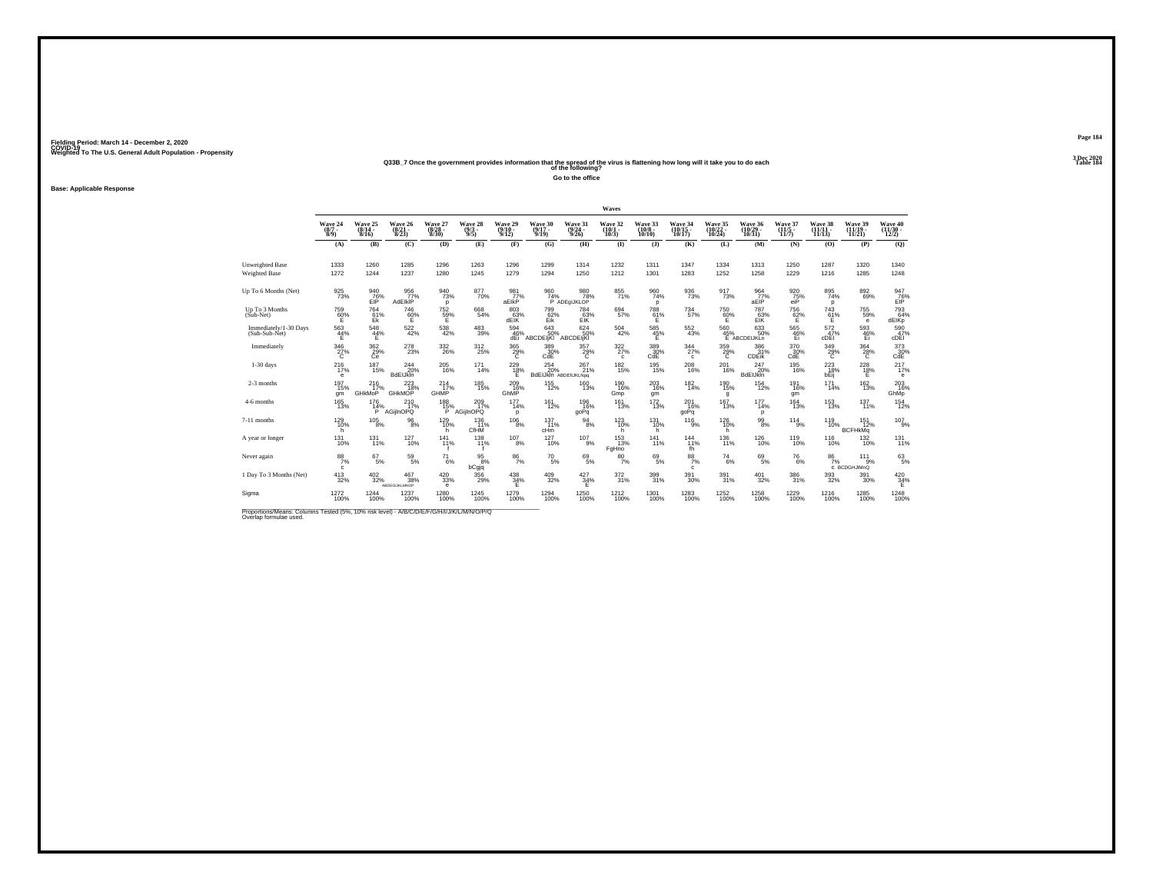## Weighted To The U.S. General Adult Population - Propensity<br>233B\_7 Once the government provides information that the spread of the virus is flattening how long will it take you to do each<br>Table 154

**Go to the office**

**Base: Applicable Response**

|                                                |                                      |                                  |                                  |                                |                                |                                         |                                         |                                         | Waves                                   |                                                                                  |                                    |                               |                               |                                                            |                               |                                   |                              |
|------------------------------------------------|--------------------------------------|----------------------------------|----------------------------------|--------------------------------|--------------------------------|-----------------------------------------|-----------------------------------------|-----------------------------------------|-----------------------------------------|----------------------------------------------------------------------------------|------------------------------------|-------------------------------|-------------------------------|------------------------------------------------------------|-------------------------------|-----------------------------------|------------------------------|
|                                                | Wave 24<br>$(8/7 -$<br>$\tilde{8}/9$ | Wave 25<br>8/16                  | Wave 26<br>$\frac{(8/21)}{8/23}$ | Wave 27<br>(8/28 -<br>8/30)    | Wave 28<br>$\frac{(9/3)}{9/5}$ | Wave 29<br>$\frac{(9/10 - 9/12)}{9/12}$ | Wave 30<br>$(9/17 -$<br>9/19            | Wave 31<br>$\frac{(9/24 - 9/26)}{9/26}$ | Wave 32<br>$\binom{10/1}{10/3}$         | Wave 33<br>$\binom{10/8}{10/10}$                                                 | Wave 34<br>(10/15 -<br>10/17)      | Wave 35<br>(10/22 -<br>10/24) | Wave 36<br>(10/29 -<br>10/31) | Wave 37<br>(11/5<br>11/7)                                  | Wave 38<br>(11/11<br>11/13    | Wave 39<br>$(11/19 -$<br>11/21    | Wave 40<br>(11/30 -<br>12/2) |
|                                                | (A)                                  | (B)                              | (C)                              | (D)                            | (E)                            | (F)                                     | (G)                                     | (H)                                     | $\bf{I}$                                | $($ $)$                                                                          | (K)                                | (L)                           | (M)                           | (N)                                                        | (0)                           | (P)                               | (Q)                          |
| <b>Unweighted Base</b><br><b>Weighted Base</b> | 1333<br>1272                         | 1260<br>1244                     | 1285<br>1237                     | 1296<br>1280                   | 1263<br>1245                   | 1296<br>1279                            | 1299<br>1294                            | 1314<br>1250                            | 1232<br>1212                            | 1311<br>1301                                                                     | 1347<br>1283                       | 1334<br>1252                  | 1313<br>1258                  | 1250<br>1229                                               | 1287<br>1216                  | 1320<br>1285                      | 1340<br>1248                 |
| Up To 6 Months (Net)                           | $\frac{925}{73\%}$                   | 940<br>76%<br>ElP                | 956<br>77%<br><b>AdEIKIP</b>     | $\frac{940}{73\%}$<br><b>p</b> | 877<br>70%                     | 981 77%<br>aElkP                        | 960<br>74%                              | 980<br>78%<br>P ADEGIJKLOP              | 855<br>71%                              | $\frac{960}{74\%}$<br>p                                                          | 936<br>73%                         | 917<br>73%                    | $\frac{964}{77}\%$<br>aEIP    | $\frac{920}{75\%}$ eiP                                     | 895<br>74%<br>p               | $892 \69%$                        | 947<br>76%<br>EIP            |
| Up To 3 Months<br>(Sub-Net)                    | 759<br>60%                           | 764<br>$E_k^{1%}$                | 746<br>60%                       | 752<br>59%                     | 668<br>54%                     | 803<br>63%<br>dElK                      | 799<br>Eik                              | 784<br>63%<br>ElK                       | 694<br>57%                              | 788<br>$^{61}_{E}$ %                                                             | 734<br>57%                         | 750<br>60%                    | 787<br>63%<br>ElK             | 756<br>62%                                                 | 743<br>$^{61}_{E}$ %          | 755<br>59%<br>e                   | 793<br>64%<br>dEIKp          |
| Immediately/1-30 Days<br>(Sub-Sub-Net)         | $\frac{563}{44\%}$<br>E              | $^{548}_{44\%}$<br>Е             | $^{522}_{42\%}$                  | $^{538}_{\ 42\%}$              | $^{483}_{39\%}$                | 594<br>46%<br>dEi                       | $643$ <sub>50%</sub><br><b>ABCDEIKI</b> | 624 50%<br>ABCDEIKI                     | $^{504}_{\ 42\%}$                       | 585<br>45%<br>Ε                                                                  | $^{552}_{43\%}$                    | 560<br>45%                    | 633<br>50%<br>E ABCDEIJKLn    | $\frac{565}{46\%}$<br>Ei                                   | $\frac{572}{47}\%$<br>cDEI    | 593<br>46%<br>Ei                  | 590<br>47%<br>cDEI           |
| Immediately                                    | $^{346}_{\  \  \, 27\%}$             | $\frac{362}{29\%}$               | 278<br>23%                       | 332<br>26%                     | 312<br>25%                     | $^{365}_{\phantom{3}29\%}$              | 389<br>30%<br>CdE                       | 357<br>$^{29\%}$                        | $\frac{322}{27\%}$<br>$\mathbf{c}$      | $\overset{389}{\underset{\text{CdE}}{\hspace{-0.2em} \text{Cd}}}\hspace{0.25em}$ | $\frac{344}{27\%}$<br>$\mathbf{c}$ | $\frac{359}{29\%}$            | 386<br>31%<br>CDEIK           | $^{370}_{\phantom{1}\phantom{1}\phantom{1}30\%}_{\rm CdE}$ | $\frac{349}{29\%}$            | $^{364}_{28\%}$                   | 373<br>30%<br>CdE            |
| $1-30$ days                                    | 216<br>17%<br>е                      | 187<br>15%                       | 244<br>20%<br><b>BdEIJkin</b>    | 205<br>16%                     | 171<br>14%                     | 229<br>$\frac{18}{5}$                   | 254<br>20%<br>BdEIJkin ABDEIIJKLNpg     | 267<br>21%                              | 182<br>15%                              | 195<br>15%                                                                       | 208<br>16%                         | 201<br>16%                    | 247<br>20%<br>BdEIJkin        | 195<br>16%                                                 | 223<br>18%<br>bËĭj            | 228<br>$\frac{18}{5}$             | 217<br>17%<br>$\epsilon$     |
| 2-3 months                                     | 197<br>15%<br>qm                     | $^{216}_{17\%}$<br><b>GHKMoP</b> | $^{223}_{18\%}$<br>GHKMOP        | $^{214}_{17\%}$<br>GHMP        | <sup>185</sup> 15%             | $^{209}_{16\%}$<br>GhMP                 | $^{155}_{12\%}$                         | $^{160}_{13\%}$                         | <sup>190</sup><br><sup>16%</sup><br>Gmp | 203<br>16%<br>qm                                                                 | $^{182}_{14\%}$                    | <sup>190</sup><br>15%<br>g    | $^{154}_{12\%}$               | 191<br>16%<br>gm                                           | $^{171}_{14\%}$               | $\frac{162}{13\%}$                | 203<br>16%<br>GhMp           |
| 4-6 months                                     | 165<br>13%                           | 176<br>14%<br>`P`                | 210<br>17%<br>AGijInOPQ          | 188<br>15%                     | 209<br>17%<br>AGiilnOPQ        | 177<br>14%<br>p                         | 161<br>12%                              | 196<br>16%<br>goPq                      | 161<br>13%                              | 172<br>13%                                                                       | 201<br>16%<br>goPq                 | 167<br>13%                    | 177<br>14%<br>p               | 164<br>13%                                                 | 153<br>13%                    | 137<br>11%                        | 154<br>12%                   |
| 7-11 months                                    | 129 10%<br>h                         | $^{105}_{\phantom{1}8\%}$        | $^{96}_{8\%}$                    | 129<br>10%<br>h                | $^{136}_{11\%}$<br>CfHM        | $^{106}_{8\%}$                          | $137 \atop 11\%$<br>cHm                 | $\frac{94}{8%}$                         | $^{123}_{10\%}$<br>h                    | $^{131}_{10\%}$<br>h                                                             | $^{116}_{9%}$                      | 126<br>10%<br>h               | $^{99}_{\ 8\%}$               | $^{114}_{9\%}$                                             | <sup>119</sup> <sub>10%</sub> | $^{151}_{12\%}$<br><b>BCFHkMq</b> | $107_{9%}$                   |
| A year or longer                               | $^{131}_{10\%}$                      | $^{131}_{11\%}$                  | $^{127}_{10\%}$                  | 141<br>11%                     | $^{138}_{11\%}$                | $^{107}_{8\%}$                          | $127 \atop 10\%$                        | $^{107}_{-9\%}$                         | <sup>153</sup> 13%<br>FgHno             | $^{141}_{11\%}$                                                                  | $^{144}_{11\%}$<br>fh              | 136<br>11%                    | $^{126}_{10\%}$               | <sup>119</sup> <sub>10%</sub>                              | $^{116}_{10\%}$               | 132<br>10%                        | 131<br>11%                   |
| Never again                                    | $\frac{88}{7\%}$<br>c                | $^{67}_{\ 5\%}$                  | $^{59}_{\ 5\%}$                  | $^{71}_{6\%}$                  | 95<br>8%<br>bCgjq              | $\frac{86}{7\%}$                        | $^{70}_{\ 5\%}$                         | $^{69}_{\ 5\%}$                         | $^{80}_{7\%}$                           | $^{69}_{5\%}$                                                                    | $\frac{88}{7\%}$<br>c              | $^{74}_{\ 6\%}$               | $^{69}_{5\%}$                 | $^{76}_{6\%}$                                              | $\frac{86}{7\%}$              | $^{111}_{9\%}$<br>C_BCDGHJIMnQ    | $^{63}_{\ 5\%}$              |
| 1 Day To 3 Months (Net)                        | $^{413}_{32\%}$                      | $^{402}_{\phantom{1}32\%}$       | $^{467}_{38\%}$<br>ABDEGIJKLMNOP | $^{420}_{\ 33\%}$<br>е         | 356<br>29%                     | $^{438}_{34\%}$<br>Е                    | $^{409}_{32\%}$                         | 427<br>34%<br>Ε                         | 372<br>31%                              | 399<br>31%                                                                       | $^{391}_{30\%}$                    | 391 <sub>%</sub>              | $^{401}_{32\%}$               | $^{386}_{\phantom{1}31\%}$                                 | $^{393}_{\ 32\%}$             | $^{391}_{\ 30\%}$                 | $^{420}_{34\%}$              |
| Sigma                                          | 1272<br>100%                         | 1244<br>100%                     | 1237<br>100%                     | 1280<br>100%                   | 1245<br>100%                   | 1279<br>100%                            | 1294<br>100%                            | 1250<br>100%                            | $^{1212}_{100\%}$                       | 1301<br>100%                                                                     | 1283<br>100%                       | 1252<br>100%                  | 1258<br>100%                  | 1229<br>100%                                               | 1216<br>100%                  | 1285<br>100%                      | 1248<br>100%                 |

Proportions/Means: Columns Tested (5%, 10% risk level) - *N\B/C/D/E/F/G/H/I/J/K/L/M/N/O/P/Q*<br>Overlap formulae used.

**Page 1843 Dec 2020<br>Table 184**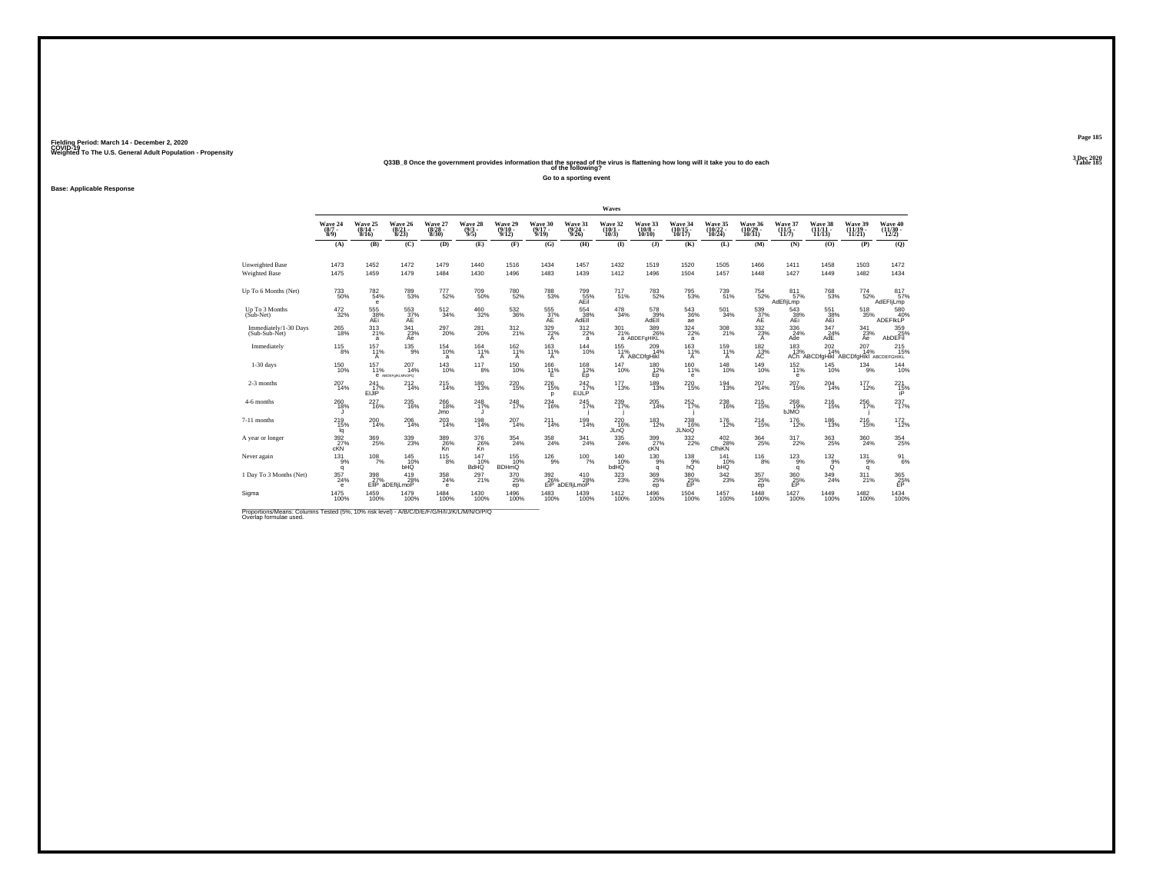## Weighted To The U.S. General Adult Population - Propensity<br>Q33B\_8 Once the government provides information that the spread of the virus is flattening how long will it take you to do each<br>Table 185

**Go to a sporting event**

**Base: Applicable Response**

|                                                                                                                      |                            |                                  |                                       |                                 |                               |                                         |                                              |                                 | Waves                                 |                               |                                               |                               |                                            |                                         |                                                                             |                                |                                                              |
|----------------------------------------------------------------------------------------------------------------------|----------------------------|----------------------------------|---------------------------------------|---------------------------------|-------------------------------|-----------------------------------------|----------------------------------------------|---------------------------------|---------------------------------------|-------------------------------|-----------------------------------------------|-------------------------------|--------------------------------------------|-----------------------------------------|-----------------------------------------------------------------------------|--------------------------------|--------------------------------------------------------------|
|                                                                                                                      | Wave 24<br>$(8/7 -$<br>8/9 | Wave 25<br>$\frac{(8/14)}{8/16}$ | Wave 26<br>$\frac{(8/21)}{8/23}$      | Wave 27<br>$\binom{8/28}{8/30}$ | Wave 28<br>$\binom{9/3}{9/5}$ | Wave 29<br>$\frac{(9/10 - 9/12)}{9/12}$ | Wave 30<br>$(9/17 -$<br>9/19                 | Wave 31<br>$\binom{9/24}{9/26}$ | Wave 32<br>$\binom{10/1}{10/3}$       | Wave 33<br>$(10/8 -$<br>10/10 | Wave 34<br>(10/15<br>10/17                    | Wave 35<br>(10/22 -<br>10/24) | Wave 36<br>(10/29 -<br>10/31)              | Wave 37<br>$\frac{(11/5 - 11)}{(11/7)}$ | Wave 38<br>11/13                                                            | Wave 39<br>$(11/19 -$<br>11/21 | Wave 40<br>(11/30<br>12/2)                                   |
|                                                                                                                      | (A)                        | (B)                              | (C)                                   | (D)                             | (E)                           | (F)                                     | (G)                                          | (H)                             | $\bf{I}$                              | $($ $)$                       | (K)                                           | (L)                           | (M)                                        | (N)                                     | (0)                                                                         | (P)                            | (Q)                                                          |
| Unweighted Base<br><b>Weighted Base</b>                                                                              | 1473<br>1475               | 1452<br>1459                     | 1472<br>1479                          | 1479<br>1484                    | 1440<br>1430                  | 1516<br>1496                            | 1434<br>1483                                 | 1457<br>1439                    | 1432<br>1412                          | 1519<br>1496                  | 1520<br>1504                                  | 1505<br>1457                  | 1466<br>1448                               | 1411<br>1427                            | 1458<br>1449                                                                | 1503<br>1482                   | 1472<br>1434                                                 |
| Up To 6 Months (Net)                                                                                                 | 733<br>50%                 | 782<br>54%<br>$\mathbf e$        | 789<br>53%                            | 777<br>52%                      | 709<br>50%                    | 780<br>52%                              | 788<br>53%                                   | 799<br>55%<br>AEil              | $^{717}_{51\%}$                       | <sup>783</sup> <sub>52%</sub> | 795<br>53%                                    | 739<br>51%                    | 754<br>52%                                 | 811 <sub>57%</sub><br>AdEfljLmp         | 768<br>53%                                                                  | $^{774}_{\ 52\%}$              | 817 <sub>57%</sub><br>AdEFIjLmp                              |
| Up To 3 Months<br>$(Sub-Net)$                                                                                        | $\frac{472}{32\%}$         | 555<br>38%<br>AEi                | $^{553}_{\substack{37\%\\\text{AE}}}$ | $^{512}_{\phantom{1}34\%}$      | $^{460}_{32\%}$               | $^{532}_{\ 36\%}$                       | $^{555}_{\phantom{50}37\%}_{\phantom{50}AE}$ | 554<br>$\frac{38}{38}$ %        | $\frac{478}{34\%}$                    | 578<br>AdEII                  | 543<br>36%<br>ae                              | 501<br>34%                    | $^{539}_{\phantom{5}37\%}_{\phantom{5}AB}$ | 543<br>38%<br>AEi                       | 551<br>38%<br>AEi                                                           | $^{518}_{35\%}$                | 580<br>40%<br>ADEFIKLP                                       |
| Immediately/1-30 Days<br>(Sub-Sub-Net)                                                                               | $^{265}_{18\%}$            | 313<br>a                         | $\frac{341}{23\%}$<br>Ae              | 297<br>20%                      | 281<br>20%                    | 312 %                                   | 329 22%<br>A                                 | 312/22%<br>a                    | 301<br>21%                            | 389<br>26%<br>a ABDEFgHIKL    | $324 \over 22\%$<br>a                         | 308<br>21%                    | 332/23%<br>$\mathsf{A}$                    | 336<br>24%<br>Ade                       | $\frac{347}{24\%}$<br>AdE                                                   | 341/23%<br>Ae                  | 359<br>25%<br>AbDEFil                                        |
| Immediately                                                                                                          | $^{115}_{8\%}$             | 157<br>11%<br>A                  | $^{135}_{9\%}$                        | $^{154}_{10\%}$<br>a            | 164<br>11%<br>A               | $\frac{162}{11\%}$<br>A                 | 163<br>11%<br>A                              | $\frac{144}{10\%}$              | $155$ <sub>11%</sub>                  | 209<br>14%<br>A ABCDfgHiki    | 163<br>11%<br>A                               | 159<br>11%<br>A               | $^{182}_{\substack{13 \% \ \text{AC}}}$    | $^{183}_{13\%}$                         | 183 202 207 215<br>13% 14% 14% 15%<br>ACh ABCDfgHikl ABCDfgHikl ABCDEFGHIKL |                                | $^{215}_{15\%}$                                              |
| $1-30$ days                                                                                                          | 150<br>10%                 | 157<br>11%                       | 207<br>14%<br><b>6 ABDEFoIKLMNOPQ</b> | 143<br>10%                      | 117<br>8%                     | 150<br>10%                              | 166<br>11%                                   | 168<br>12%<br>Ep                | 147<br>10%                            | 180<br>$E_{\rm p}^{12\%}$     | 160<br>11%<br>e                               | 148<br>10%                    | 149<br>10%                                 | $\frac{152}{11\%}$<br>е                 | 145<br>10%                                                                  | $^{134}_{9\%}$                 | $\frac{144}{10\%}$                                           |
| 2-3 months                                                                                                           | 207<br>14%                 | 241<br>17%<br>EIJIP              | 212<br>14%                            | 215<br>14%                      | $^{180}_{13\%}$               | 220<br>15%                              | $^{226}_{15\%}$<br>p                         | 242<br>17%<br>EIJLP             | $^{177}_{13\%}$                       | 189<br>13%                    | $^{220}_{15\%}$                               | 194<br>13%                    | $^{207}_{14\%}$                            | 207<br>15%                              | $^{204}_{14\%}$                                                             | $^{177}_{12\%}$                | $\underset{\mathsf{IP}}{^{221}}$                             |
| 4-6 months                                                                                                           | 260<br>18%                 | 227<br>16%                       | 235<br>16%                            | 266<br>18%<br>Jmo               | 248<br>17%                    | 248<br>17%                              | 234<br>16%                                   | 245<br>17%                      | 239<br>17%                            | 205<br>14%                    | $^{252}_{17\%}$                               | $^{238}_{\phantom{1}16\%}$    | $^{215}_{15\%}$                            | 268<br>19%<br><b>DJMO</b>               | 216<br>15%                                                                  | $^{256}_{17\%}$                | 237<br>17%                                                   |
| 7-11 months                                                                                                          | $^{219}_{15\%}$<br>lq      | 200<br>14%                       | 206<br>14%                            | 203<br>14%                      | 198<br>14%                    | 207<br>14%                              | 211<br>14%                                   | $^{199}_{14\%}$                 | 220<br>16%<br>JLnQ                    | 183<br>12%                    | $^{238}_{16\%}$<br><b>JLNoQ</b>               | 176<br>12%                    | $^{214}_{15\%}$                            | $^{176}_{12\%}$                         | <sup>186</sup><br>13%                                                       | $^{216}_{15\%}$                | $\frac{172}{12\%}$                                           |
| A year or longer                                                                                                     | $\frac{392}{27}\%$<br>cKN  | 369<br>25%                       | 339 23%                               | 389<br>26%<br>Kn                | $^{376}_{26\%}$<br>Kn         | 354<br>24%                              | 358<br>24%                                   | 341<br>24%                      | 335<br>24%                            | $\frac{399}{27\%}$<br>cKN     | $332\atop22\%$                                | $^{402}_{28\%}$<br>CfhiKN     | $^{364}_{\phantom{1}\phantom{1}25\%}$      | $^{317}_{22\%}$                         | $^{363}_{\phantom{1}25\%}$                                                  | 360<br>24%                     | 354<br>25%                                                   |
| Never again                                                                                                          | 131<br>9%<br>q             | 108<br>7%                        | 145<br>10%<br><b>bHQ</b>              | 115<br>8%                       | 147<br>10%<br>BdHQ            | 155<br>10%<br><b>BDHmQ</b>              | 126<br>9%                                    | 100<br>7%                       | 140<br>10%<br>bdHQ                    | 130<br>9%<br>q                | 138<br>$h_Q^{9%}$                             | 141<br>10%<br>bHQ             | 116<br>8%                                  | 123<br>9%<br>q                          | 132<br>8%                                                                   | 131<br>9%<br>q                 | 91<br>6%                                                     |
| 1 Day To 3 Months (Net)                                                                                              | $\frac{357}{24\%}$<br>e    | 398<br>27%                       | $^{419}_{28\%}$<br>EllP aDEfliLmoP    | 358<br>24%<br>$\mathbf e$       | 297 <sub>21%</sub>            | $^{370}_{25\%}$<br>ep                   | 392<br>26%                                   | 410<br>28%<br>EiP aDEfljLmoP    | $^{323}_{\phantom{1}\phantom{1}23\%}$ | 369 %<br>ep                   | $\underset{\mathsf{EP}}^{380}\!\!\!{}^{25\%}$ | $^{342}_{23\%}$               | $^{357}_{25\%}$<br>ep                      | 360 25%<br>EP                           | $\frac{349}{24\%}$                                                          | $\frac{311}{21\%}$             | $\begin{array}{c} 365 \\ 25 \\ \hline \text{FP} \end{array}$ |
| Sigma                                                                                                                | 1475<br>100%               | 1459<br>100%                     | 1479<br>100%                          | 1484<br>100%                    | 1430<br>100%                  | 1496<br>100%                            | 1483<br>100%                                 | 1439<br>100%                    | 1412<br>100%                          | 1496<br>100%                  | 1504<br>100%                                  | 1457<br>100%                  | 1448<br>100%                               | 1427<br>100%                            | 1449<br>100%                                                                | 1482<br>100%                   | 1434<br>100%                                                 |
| Proportions/Means: Columns Tested (5%, 10% risk level) - A/B/C/D/E/F/G/H/I/J/K/L/M/N/O/P/Q<br>Overlap formulae used. |                            |                                  |                                       |                                 |                               |                                         |                                              |                                 |                                       |                               |                                               |                               |                                            |                                         |                                                                             |                                |                                                              |

**Page 1853 Dec 2020<br>Table 185**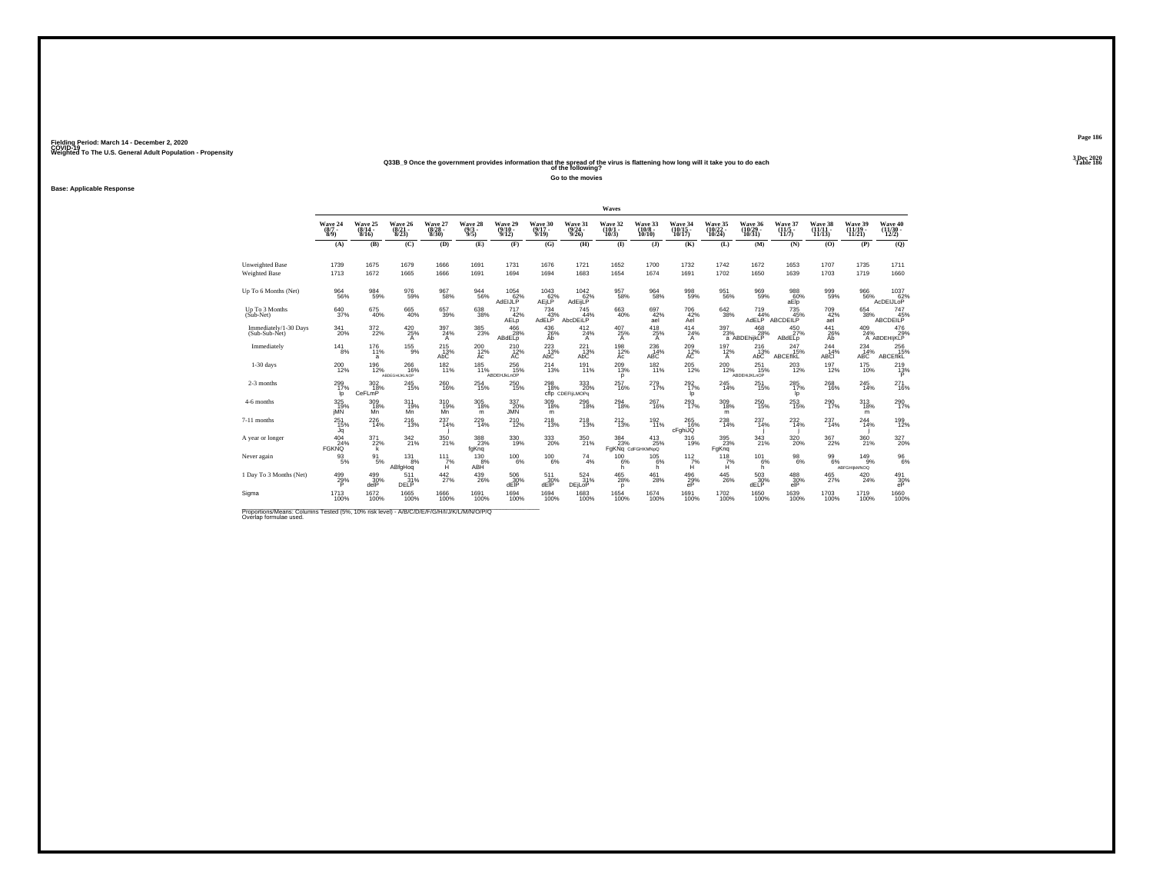## Weighted To The U.S. General Adult Population - Propensity<br>233B\_9 Once the government provides information that the spread of the virus is flattening how long will it take you to do each<br>Table 186

**Go to the movies**

**Base: Applicable Response**

|                                                                                                                      |                                 |                              |                               |                                  |                                |                                |                              |                                         | Waves                        |                                     |                               |                               |                                 |                                  |                            |                                 |                              |
|----------------------------------------------------------------------------------------------------------------------|---------------------------------|------------------------------|-------------------------------|----------------------------------|--------------------------------|--------------------------------|------------------------------|-----------------------------------------|------------------------------|-------------------------------------|-------------------------------|-------------------------------|---------------------------------|----------------------------------|----------------------------|---------------------------------|------------------------------|
|                                                                                                                      | Wave 24<br>$(8/7 -$<br>8/9      | Wave 25<br>$(8/14 -$<br>8/16 | Wave 26<br>(8/21 -<br>8/23)   | Wave 27<br>$\frac{(8/28)}{8/30}$ | Wave 28<br>$\frac{(9/3)}{9/5}$ | Wave 29<br>$(9/10 -$<br>9/12   | Wave 30<br>$(9/17 -$<br>9/19 | Wave 31<br>$\frac{(9/24 - 9/26)}{9/26}$ | Wave 32<br>$(10/1 -$<br>10/3 | Wave 33<br>$\binom{10/8}{10/10}$    | Wave 34<br>(10/15 -<br>10/17) | Wave 35<br>(10/22 -<br>10/24) | Wave 36<br>(10/29 -<br>10/31)   | Wave 37<br>$\frac{(11/5)}{11/7}$ | Wave 38<br>(11/11<br>11/13 | Wave 39<br>$(11/19 -$<br>11/21  | Wave 40<br>(11/30 -<br>12(2) |
|                                                                                                                      | (A)                             | (B)                          | (C)                           | (D)                              | (E)                            | (F)                            | (G)                          | (H)                                     | $($ $\Gamma$                 | $($ $)$                             | (K)                           | (L)                           | (M)                             | (N)                              | (O)                        | (P)                             | (Q)                          |
| <b>Unweighted Base</b><br><b>Weighted Base</b>                                                                       | 1739<br>1713                    | 1675<br>1672                 | 1679<br>1665                  | 1666<br>1666                     | 1691<br>1691                   | 1731<br>1694                   | 1676<br>1694                 | 1721<br>1683                            | 1652<br>1654                 | 1700<br>1674                        | 1732<br>1691                  | 1742<br>1702                  | 1672<br>1650                    | 1653<br>1639                     | 1707<br>1703               | 1735<br>1719                    | 1711<br>1660                 |
| Up To 6 Months (Net)                                                                                                 | 964<br>56%                      | $\substack{984 \\ 59\%}$     | 976<br>59%                    | 967<br>58%                       | $\substack{944 \\ 56\%}$       | $^{1054}_{62\%}$<br>AdEIJLP    | $^{1043}_{62\%}$<br>AEjLP    | $^{1042}_{62\%}$<br>AdEijLP             | 957<br>58%                   | 964<br>58%                          | 998<br>59%                    | $\substack{951 \\ 56\%}$      | 969<br>59%                      | 988<br>aElp                      | 999<br>59%                 | 966<br>56%                      | 1037<br>62%<br>AcDEIJLOP     |
| Up To 3 Months<br>$(Sub-Net)$                                                                                        | 640<br>37%                      | 675<br>40%                   | 665<br>40%                    | 657<br>39%                       | 638<br>38%                     | 717<br>42%<br>AEL <sub>p</sub> | 734<br>AdELP <sup>43%</sup>  | 745<br>44%<br>AbcDEiLP                  | 663<br>40%                   | 697<br>42%<br>ael                   | 706<br>42%<br>Ael             | $\substack{642\\38\%}$        | 719<br>44%<br>AdELP             | 735<br>ABCDEILP                  | $^{709}_{42\%}$<br>ael     | 654<br>38%                      | 747<br>45%<br>ABCDEILP       |
| Immediately/1-30 Days<br>(Sub-Sub-Net)                                                                               | 341<br>20%                      | $^{372}_{22\%}$              | 420<br>25%<br>A               | $\frac{397}{24\%}$<br>A          | 385<br>23%                     | 466<br>28%<br>ABdELp           | 436 %<br>Ab                  | $^{412}_{24\%}$<br>Α                    | $^{407}_{25\%}$<br>A         | $^{418}_{25\%}$<br>A                | 414<br>24%<br>A               | $\frac{397}{23\%}$            | $^{468}_{28\%}$<br>a ABDEhijkLP | 450 27%<br>ABdELp                | $^{441}_{26\%}$<br>Ab      | 409<br>24%                      | 476<br>29%<br>A ABDEHIJKLP   |
| Immediately                                                                                                          | $^{14}$ $^{1}_{8\%}$            | $^{176}_{11\%}$<br>a         | $^{155}_{9\%}$                | $^{215}_{\hbox{13}\%}$ AbC       | 200<br>12%<br>Ac               | $^{210}_{12\%}$                | $^{223}_{\hbox{13}\%}$ AbC   | $^{221}_{13\%}$<br>AbC                  | 198<br>12%<br>Ac             | 236<br>14%<br><b>ABC</b>            | $^{209}_{12\%}$               | 197<br>12%<br>A               | 216<br>13%<br>AbC               | 247<br>15%<br>ABCEfIKL           | $^{244}_{14\%}$<br>ABCI    | $^{234}_{14\%}$ ABC             | 256<br><b>ABCEfIKL</b>       |
| $1-30$ days                                                                                                          | 200<br>12%                      | 196<br>12%                   | 266<br>16%<br>ABDEGHIJKLNOP   | 182<br>11%                       | 185<br>11%                     | 256<br>15%<br>ABDEHJkLnOP      | 214<br>13%                   | 191<br>11%                              | 209<br>13%<br>p              | 182<br>11%                          | 205<br>12%                    | 200<br>12%                    | 251<br>15%<br>ABDEHIJKLnOP      | 203<br>12%                       | 197<br>12%                 | 175<br>10%                      | 219<br>$^{13}_{P}$           |
| 2-3 months                                                                                                           | $^{299}_{17\%}$<br>Ip           | $^{302}_{18\%}$<br>CeFLmP    | 245<br>15%                    | 260<br>16%                       | $^{254}_{\ 15\%}$              | 250<br>15%                     | $^{298}_{18\%}$              | 333<br>20%<br>cflp CDEFILMOPo           | 257<br>16%                   | 279 <sub>0%</sub>                   | $^{292}_{17\%}$<br>Ip         | $^{245}_{14\%}$               | $^{251}_{\ 15\%}$               | $^{285}_{17\%}$<br>Ip            | $^{268}_{16\%}$            | 245<br>14%                      | 271<br>16%                   |
| 4-6 months                                                                                                           | 325<br>19%<br>iMN               | 309<br>18%<br>Mn             | 311<br>19%<br>Mň              | 310<br>19%<br>Mn                 | 305<br>18%<br>m                | 337<br>20%<br><b>JMN</b>       | 309<br>18%<br>m              | 296<br>18%                              | 294<br>18%                   | 267<br>16%                          | 293<br>17%                    | 309<br>18%<br>m               | 250<br>15%                      | 253<br>15%                       | $^{290}_{17\%}$            | 313<br>18%<br>m                 | 290<br>17%                   |
| 7-11 months                                                                                                          | $^{251}_{15\%}$<br>Jq           | 226<br>14%                   | <sup>216</sup> <sub>13%</sub> | $^{237}_{14\%}$                  | 229<br>14%                     | <sup>210</sup> <sub>12%</sub>  | $^{218}_{13\%}$              | <sup>218</sup> <sub>13%</sub>           | $^{212}_{13\%}$              | 192 <sub>0</sub>                    | 265<br>16%<br>cFghiJQ         | 238<br>14%                    | 237<br>14%                      | $^{232}_{14\%}$                  | 237<br>14%                 | $^{244}_{14\%}$                 | 199<br>12%                   |
| A year or longer                                                                                                     | $^{404}_{24\%}$<br><b>FGKNO</b> | $^{371}_{22\%}$<br>k         | 342 <sub>21%</sub>            | $^{350}_{21\%}$                  | 388<br>23%<br>fgKnq            | 330<br>19%                     | 333<br>20%                   | 350<br>21%                              | 384<br>23%                   | $^{413}_{25\%}$<br>FgKNq CdFGHKMNpQ | 316<br>19%                    | 395<br>23%<br>FaKng           | $\frac{343}{21\%}$              | 320%                             | 367<br>22%                 | 360                             | 327<br>20%                   |
| Never again                                                                                                          | 93<br>5%                        | 91<br>5%                     | 131<br>8%<br>ABfgHog          | 111<br>$H^{\%}$                  | 130<br>8%<br>ABH               | 100<br>6%                      | 100<br>$-6%$                 | 74<br>4%                                | 100<br>6%<br>h               | 105<br>6%<br>h                      | 112<br>$\frac{7}{1}$          | 118<br>7%<br>н                | 101<br>6%<br>h                  | 98<br>6%                         | 99<br>6%                   | 149<br>9%<br><b>ABFGHIKMNOQ</b> | $\frac{96}{6\%}$             |
| 1 Day To 3 Months (Net)                                                                                              | 499%<br>P                       | $^{499}_{30\%}$<br>delP      | 511<br>31%<br>DELP            | $^{442}_{27\%}$                  | 439<br>26%                     | 506<br>30%<br>dEIP             | 511<br>30%<br>dEIP           | 524 %<br>DEjLoP                         | $^{465}_{28\%}$<br>p         | $^{461}_{28\%}$                     | 496<br>29%<br>eP              | $^{445}_{26\%}$               | $\frac{503}{30\%}$<br>dELP      | 488<br>30%<br>elP                | $^{465}_{27\%}$            | $^{420}_{24\%}$                 | 491<br>30%<br>eP             |
| Sigma                                                                                                                | 1713<br>100%                    | 1672<br>100%                 | 1665<br>100%                  | 1666<br>100%                     | 1691<br>100%                   | 1694<br>100%                   | 1694<br>100%                 | 1683<br>100%                            | 1654<br>100%                 | 1674<br>100%                        | 1691<br>100%                  | 1702<br>100%                  | 1650<br>100%                    | 1639<br>100%                     | 1703<br>100%               | 1719<br>100%                    | 1660<br>100%                 |
| Proportions/Means: Columns Tested (5%, 10% risk level) - A/B/C/D/E/F/G/H/I/J/K/L/M/N/O/P/Q<br>Overlap formulae used. |                                 |                              |                               |                                  |                                |                                |                              |                                         |                              |                                     |                               |                               |                                 |                                  |                            |                                 |                              |

**Page 1863 Dec 2020<br>Table 186**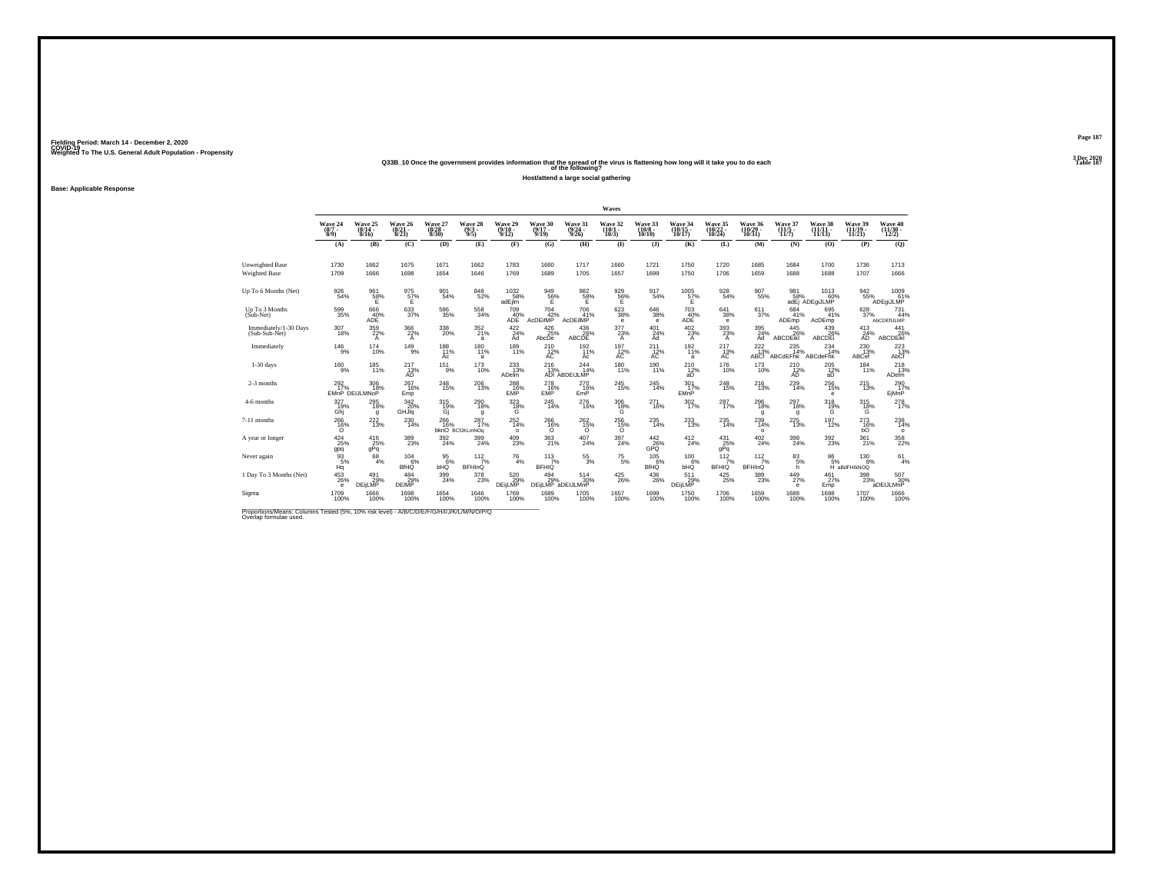### **Q33B\_10 Once the government provides information that the spread of the virus is flattening how long will it take you to do each Table 187 of the following?**

**Host/attend a large social gathering**

**Base: Applicable Response**

|                                                                                                                      |                                          |                                   |                                       |                                  |                                |                              |                                      |                                         | Waves                              |                                        |                                 |                               |                                         |                                             |                                           |                               |                              |
|----------------------------------------------------------------------------------------------------------------------|------------------------------------------|-----------------------------------|---------------------------------------|----------------------------------|--------------------------------|------------------------------|--------------------------------------|-----------------------------------------|------------------------------------|----------------------------------------|---------------------------------|-------------------------------|-----------------------------------------|---------------------------------------------|-------------------------------------------|-------------------------------|------------------------------|
|                                                                                                                      | Wave 24<br>$(8/7 -$<br>$\widetilde{8}/9$ | Wave 25<br>$(8/14 -$<br>8/16      | Wave 26<br>$\frac{(8/21)}{8/23}$      | Wave 27<br>$\frac{(8/28)}{8/30}$ | Wave 28<br>$\frac{(9/3)}{9/5}$ | Wave 29<br>$(9/10 -$<br>9/12 | Wave 30<br>$\frac{(9/17)}{9/19}$     | Wave 31<br>$\frac{(9/24 - 9/26)}{9/26}$ | Wave 32<br>$\frac{(10/1)}{10/3}$   | Wave 33<br>$\frac{(10/8 - 10)}{10/10}$ | Wave 34<br>(10/15 -<br>10/17)   | Wave 35<br>(10/22 -<br>10/24) | Wave 36<br>$\left(\frac{10}{29}\right)$ | Wave 37<br>$\frac{(11/5)}{11/7}$            | Wave 38<br>(11/11 -<br>11/13)             | Wave 39<br>(11/19 -<br>11/21) | Wave 40<br>(11/30 -<br>12/2) |
|                                                                                                                      | (A)                                      | (B)                               | (C)                                   | (D)                              | (E)                            | (F)                          | (G)                                  | (H)                                     | $($ $\Gamma$                       | $($ $)$                                | (K)                             | (L)                           | (M)                                     | (N)                                         | (0)                                       | (P)                           | (Q)                          |
| Unweighted Base<br><b>Weighted Base</b>                                                                              | 1730<br>1709                             | 1662<br>1666                      | 1675<br>1698                          | 1671<br>1654                     | 1662<br>1646                   | 1783<br>1769                 | 1660<br>1689                         | 1717<br>1705                            | 1660<br>1657                       | 1721<br>1699                           | 1750<br>1750                    | 1720<br>1706                  | 1685<br>1659                            | 1684<br>1688                                | 1700<br>1688                              | 1736<br>1707                  | 1713<br>1666                 |
| Up To 6 Months (Net)                                                                                                 | 926<br>54%                               | $^{961}_{58\%}$                   | 975<br>57%<br>Ë.                      | 901<br>54%                       | 848<br>52%                     | 1032<br>58%<br>adEjim        | $^{949}_{~56\%}$                     | $^{982}_{-58\%}$                        | $\frac{929}{56\%}$                 | 917<br>54%                             | $^{1005}_{~\,57\%}$             | $\substack{928 \\ 54\%}$      | $^{907}_{55\%}$                         | 981<br>58%                                  | 1013<br>60%<br>adEj ADEgiJLMP             | 942<br>55%                    | 1009<br>61%<br>ADEqiJLMP     |
| Up To 3 Months<br>(Sub-Net)                                                                                          | 599<br>35%                               | 666<br>ADE <sup>40%</sup>         | 633<br>37%                            | 586<br>35%                       | 558<br>34%                     | 709<br>$ADE$ <sup>40%</sup>  | 704<br>AcDEilMP <sup>42%</sup>       | 706<br>41%<br>AcDEIMP                   | 623<br>38%<br>е                    | 646<br>38%<br>$\epsilon$               | 703<br>ADE <sup>40%</sup>       | 641<br>38%<br>е               | 611<br>37%                              | 684<br>41%<br>ADEmp                         | 695<br>41%<br>AcDEmp                      | 628<br>37%                    | 731<br>44%<br>AbCDEfIJLMP    |
| Immediately/1-30 Days<br>(Sub-Sub-Net)                                                                               | $^{307}_{18\%}$                          | 359<br>22%<br>$\mathsf{A}$        | $\frac{366}{22\%}$<br>A               | $^{338}_{\color{red}20\%}$       | 352/21%<br>a                   | 422/24%<br>Ad                | $^{426}_{25\%}$<br>AbcDe             | 436 %<br>ABCDE                          | $\frac{377}{23\%}$<br>$\mathsf{A}$ | $^{401}_{24\%}$<br>Ad                  | $^{402}_{23\%}$<br>$\mathsf{A}$ | 393 <sub>%</sub><br>A         | 395<br>24%<br>Ad                        | $^{445}_{26\%}$<br><b>ABCDEIKI</b>          | 439<br>26%<br><b>ABCDE</b>                | $^{413}_{24\%}$<br>ĀD         | $^{441}_{26\%}$<br>ABCDEIKI  |
| Immediately                                                                                                          | $^{146}_{9\%}$                           | $^{174}_{10\%}$                   | $^{149}_{9\%}$                        | 188<br>11%<br>Ac                 | $180$ <sub>11%</sub><br>a      | 189<br>11%                   | $^{210}_{12\%}$                      | 192<br>11%<br>Ac                        | $^{197}_{\  \  \, \rm AC}$         | 211<br>AC                              | 192/11%<br>a                    | 217<br>13%<br>AC              | $\mathcal{Z}^{222}_{13\%}$ ABCf         | 235<br>14%<br>ABCdEFhk                      | $^{234}_{14\%}$<br>ABCdeFhk               | 230<br>13%<br>ABCef           | $^{223}_{\rm 13\%}$          |
| $1-30$ days                                                                                                          | $^{160}_{-9\%}$                          | 185<br>11%                        | 217<br>$AD^{13\%}$                    | 151<br>9%                        | 173<br>10%                     | 233<br>13%<br><b>ADelm</b>   | 216                                  | 244<br>14%<br>13%<br>ADI ABDEIJLMP      | 180<br>11%                         | 190<br>11%                             | 210<br>$^{12\%}_{\text{ab}}$    | 176<br>10%                    | 173<br>10%                              | 210<br>$\overrightarrow{AD}^{\prime\prime}$ | 205<br>$\frac{12}{a}$                     | 184<br>11%                    | 218<br>13%<br><b>ADelm</b>   |
| 2-3 months                                                                                                           | $^{292}_{17\%}$                          | $^{306}_{18\%}$<br>EMnP DEIJLMNoP | 267<br>16%<br>Emp                     | 248<br>15%                       | $^{206}_{13\%}$                | 288<br>EMP                   | $^{278}_{16\%}$<br>EMP               | 270<br>16%<br>EmP                       | $^{245}_{\,15\%}$                  | 245<br>14%                             | $^{301}_{17\%}$<br>EMnP         | 248<br>15%                    | $^{216}_{13\%}$                         | $^{239}_{14\%}$                             | $^{256}_{\phantom{1}15\%}$<br>$\mathbf e$ | $^{215}_{13\%}$               | 290<br>EjMnP                 |
| 4-6 months                                                                                                           | 327<br>19%<br>Ghi                        | 295<br>18%<br>g                   | 342<br>20%<br>GHJ <sub>Iq</sub>       | 315<br>$\frac{19}{9}$            | 290<br>18%<br>g                | 323<br>$^{18\%}_{\text{G}}$  | 245<br>14%                           | 276<br>16%                              | 306<br>${}^{18\%}_{\text{G}}$      | 271<br>16%                             | 302<br>17%                      | 287<br>17%                    | 296<br>18%<br>g                         | 297<br>18%<br>q                             | 318<br>$^{19\%}$                          | 315<br>$\frac{18}{6}$         | 278<br>17%                   |
| 7-11 months                                                                                                          | $^{266}_{16\%}$                          | $^{222}_{13\%}$                   | $^{230}_{14\%}$                       | 266 16%                          | 287<br>17%<br>bknO BCfJKLmNOg  | $^{252}_{14\%}$<br>$\circ$   | 266%<br>$\circ$                      | 262 <sub>15%</sub><br>$\circ$           | 256 15%<br>$\Omega$                | 235<br>14%                             | $^{233}_{13\%}$                 | 235<br>14%                    | $^{239}_{14\%}$<br>$\circ$              | $^{225}_{13\%}$                             | 197<br>12%                                | $^{273}_{16\%}$<br>bÓ         | 238<br>14%<br>$\circ$        |
| A year or longer                                                                                                     | $^{424}_{25\%}$<br>gpq                   | $\frac{416}{25\%}$<br>gPq         | $^{389}_{\phantom{1}\phantom{1}23\%}$ | 392<br>24%                       | 399<br>24%                     | $^{409}_{23\%}$              | 363                                  | $^{407}_{24\%}$                         | 397<br>24%                         | $\frac{442}{26}\%$<br>GPO              | $^{412}_{24\%}$                 | $^{431}_{25\%}$<br>qPq        | $^{402}_{24\%}$                         | $^{398}_{\phantom{1}\phantom{1}24\%}$       | $^{392}_{\phantom{1}23\%}$                | $^{361}_{21\%}$               | 358<br>22%                   |
| Never again                                                                                                          | 93<br>5%<br>Ηğ                           | $68 \over 4%$                     | 104<br>6%<br><b>BfHQ</b>              | 95<br>6%<br>bHQ                  | 112<br>7%<br>BFHInQ            | $^{76}_{4\%}$                | 113<br>7%<br><b>BFHIQ</b>            | $^{55}_{\ 3\%}$                         | $^{75}_{\ 5\%}$                    | 105<br>6%<br><b>BfHQ</b>               | 100<br>6%<br>ынă                | 112<br>7%<br><b>BFHIQ</b>     | 112<br>7%<br><b>BFHInQ</b>              | 83<br>5%<br>h                               | 86<br>5%                                  | 130<br>8%<br>H aBdFHIkNOQ     | 61<br>4%                     |
| 1 Day To 3 Months (Net)                                                                                              | 453<br>26%<br>$\ddot{\textbf{e}}$        | 491<br>29%<br><b>DEiLMP</b>       | $^{484}_{29\%}$<br><b>DEIMP</b>       | $\frac{399}{24\%}$               | 378<br>23%                     | 520 %<br>DEijLMP             | $^{494}_{29\%}$<br>DEIJLMP aDEIJLMnP | $^{514}_{30\%}$                         | $^{425}_{26\%}$                    | $^{436}_{26\%}$                        | 511<br>29%<br>DEijLMP           | $^{425}_{25\%}$               | $\frac{389}{23\%}$                      | $^{449}_{27\%}$<br>$\mathbf e$              | $^{461}_{27\%}$<br>Emp                    | 398<br>23%                    | 507<br>30%<br>aDEIJLMnP      |
| Sigma                                                                                                                | 1709<br>100%                             | 1666<br>100%                      | 1698<br>100%                          | 1654<br>100%                     | 1646<br>100%                   | 1769<br>100%                 | 1689<br>100%                         | 1705<br>100%                            | 1657<br>100%                       | 1699<br>100%                           | 1750<br>100%                    | 1706<br>100%                  | 1659<br>100%                            | 1688<br>100%                                | 1688<br>100%                              | 1707<br>100%                  | 1666<br>100%                 |
| Proportions/Means: Columns Tested (5%, 10% risk level) - A/B/C/D/E/F/G/H/I/J/K/L/M/N/O/P/Q<br>Overlap formulae used. |                                          |                                   |                                       |                                  |                                |                              |                                      |                                         |                                    |                                        |                                 |                               |                                         |                                             |                                           |                               |                              |

**Page 187**3 Dec 2020<br>Table 187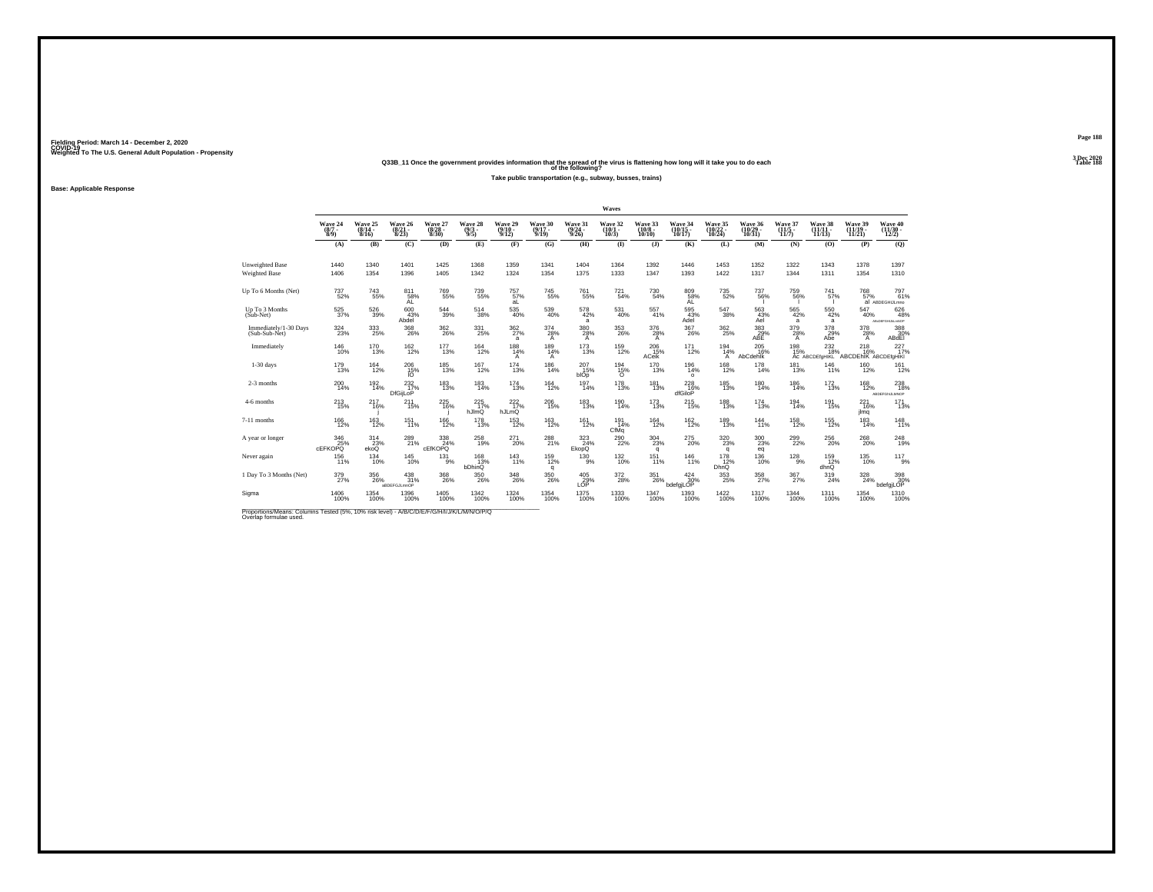### **Q33B\_11 Once the government provides information that the spread of the virus is flattening how long will it take you to do each Table 188 of the following?**

**Take public transportation (e.g., subway, busses, trains)**

**Base: Applicable Response**

|                                                                                                                      |                               |                              |                                       |                                  |                                |                              |                              |                                  | Waves                           |                                   |                                       |                                  |                                    |                            |                                   |                                  |                                       |
|----------------------------------------------------------------------------------------------------------------------|-------------------------------|------------------------------|---------------------------------------|----------------------------------|--------------------------------|------------------------------|------------------------------|----------------------------------|---------------------------------|-----------------------------------|---------------------------------------|----------------------------------|------------------------------------|----------------------------|-----------------------------------|----------------------------------|---------------------------------------|
|                                                                                                                      | Wave 24<br>$(8/7 -$<br>8/9    | Wave 25<br>$(8/14 -$<br>8/16 | Wave 26<br>$\frac{(8/21)}{8/23}$      | Wave 27<br>$\frac{(8/28)}{8/30}$ | Wave 28<br>$\frac{(9/3)}{9/5}$ | Wave 29<br>$(9/10 -$<br>9/12 | Wave 30<br>$(9/17 -$<br>9/19 | Wave 31<br>$\frac{(9/24)}{9/26}$ | Wave 32<br>$\binom{10/1}{10/3}$ | Wave 33<br>$(10/8 -$<br>$10/10$ ) | Wave 34<br>10/17                      | Wave 35<br>(10/22 -<br>10/24)    | Wave 36<br>$\frac{(10/29)}{10/31}$ | Wave 37<br>(11/5<br>11/7)  | Wave 38<br>$(11/11 -$<br>11/13    | Wave 39<br>$(11/19 -$<br>11/21   | Wave 40<br>$(11/30 -$<br>12/2)        |
|                                                                                                                      | (A)                           | (B)                          | (C)                                   | (D)                              | (E)                            | (F)                          | (G)                          | (H)                              | $($ $\Gamma$                    | $($ $\bf{J}$ )                    | (K)                                   | (L)                              | (M)                                | (N)                        | (0)                               | (P)                              | (Q)                                   |
| Unweighted Base<br>Weighted Base                                                                                     | 1440<br>1406                  | 1340<br>1354                 | 1401<br>1396                          | 1425<br>1405                     | 1368<br>1342                   | 1359<br>1324                 | 1341<br>1354                 | 1404<br>1375                     | 1364<br>1333                    | 1392<br>1347                      | 1446<br>1393                          | 1453<br>1422                     | 1352<br>1317                       | 1322<br>1344               | 1343<br>1311                      | 1378<br>1354                     | 1397<br>1310                          |
| Up To 6 Months (Net)                                                                                                 | 737<br>52%                    | $^{743}_{55\%}$              | $^{811}_{\substack{58\%\\\text{AL}}}$ | <sup>769</sup> 55%               | 739<br>55%                     | 757%<br>aL                   | $745_{55\%}$                 | $\substack{761 \\ 55\%}$         | 721 <sub>54%</sub>              | 730<br>54%                        | $^{809}_{\substack{58\%\\\text{AL}}}$ | 735<br>52%                       | $^{737}_{56\%}$                    | 759<br>56%                 | 741<br>57%                        | 768<br>57%                       | 797 <sub>61%</sub><br>al ABDEGHIJLmno |
| Up To 3 Months<br>(Sub-Net)                                                                                          | 525<br>37%                    | 526<br>39%                   | 600<br>43%<br>Abdel                   | 544<br>39%                       | 514<br>38%                     | 535<br>40%                   | 539<br>40%                   | 578<br>42%<br>a                  | 531<br>40%                      | 557<br>41%                        | 595<br>43%<br>Adel                    | 547<br>38%                       | 563<br>43%<br>Ael                  | 565<br>42%<br>a            | 550<br>42%<br>a                   | 547<br>40%                       | 626<br>48%<br>ABCDEFGHLALmNOP         |
| Immediately/1-30 Days<br>(Sub-Sub-Net)                                                                               | 324<br>23%                    | 333<br>25%                   | $^{368}_{\ 26\%}$                     | $^{362}_{26\%}$                  | 331<br>25%                     | $^{362}_{27\%}$<br>a         | $\frac{374}{28\%}$<br>A      | $\frac{380}{28\%}$<br>A          | $^{353}_{26\%}$                 | 376<br>28%<br>Α                   | $^{367}_{26\%}$                       | $^{362}_{25\%}$                  | $\frac{383}{29}\%$<br>ABE          | 379<br>28%<br>$\mathsf{A}$ | 378<br>29%<br>Abe                 | 378<br>28%<br>$\mathsf{A}$       | 388<br>30%<br>ABdEI                   |
| Immediately                                                                                                          | 146<br>10%                    | 170<br>13%                   | $^{162}_{12\%}$                       | $^{177}_{13\%}$                  | $^{164}_{12\%}$                | $^{188}_{14\%}$<br>Α         | $^{189}_{14\%}$<br>A         | $^{173}_{13\%}$                  | <sup>159</sup><br>12%           | 206<br>15%<br>ACeik               | $^{171}_{12\%}$                       | $^{194}_{14\%}$<br>A             | 205<br>16%<br><b>AbCdehlk</b>      | 198<br>15%                 | $^{232}_{18\%}$<br>AC ABCDEfaHIKL | 218<br>S<br>ABCDENIK ABCDEfgHIKI | 227%                                  |
| $1-30$ days                                                                                                          | 179<br>13%                    | $\frac{164}{12\%}$           | 206<br>$^{15\%}_{10}$                 | 185<br>13%                       | 167<br>12%                     | $\frac{174}{13\%}$           | 186<br>14%                   | 207<br>$\frac{15}{15}$ %         | $\frac{194}{15\%}$              | 170<br>13%                        | 196<br>14%<br>$\circ$                 | $^{168}_{12\%}$                  | 178<br>14%                         | 181<br>13%                 | 146<br>11%                        | 160<br>12%                       | $^{161}_{12\%}$                       |
| 2-3 months                                                                                                           | 200<br>14%                    | $^{192}_{14\%}$              | 232 <sub>0%</sub><br>DfGijLoP         | $^{183}_{13\%}$                  | $^{183}_{14\%}$                | $^{174}_{13\%}$              | $^{164}_{12\%}$              | 197<br>14%                       | $^{178}_{13\%}$                 | $^{181}_{13\%}$                   | $^{228}_{16\%}$<br>dfGiloP            | $^{185}_{13\%}$                  | $^{180}_{14\%}$                    | 186<br>14%                 | $^{172}_{13\%}$                   | <sup>168</sup><br>12%            | $^{238}_{18\%}$<br>ABDEFGNULMNOP      |
| 4-6 months                                                                                                           | 213<br>15%                    | 217<br>16%                   | 211<br>15%                            | $^{225}_{16\%}$                  | $^{225}_{17\%}$<br>hJImQ       | $\frac{222}{17\%}$<br>hJLmQ  | 206<br>15%                   | 183<br>13%                       | 190<br>14%                      | $\frac{173}{13\%}$                | 215<br>15%                            | $\frac{188}{13\%}$               | 174<br>13%                         | 194<br>14%                 | 191<br>15%                        | 221<br>16%<br>jima               | $^{171}_{13\%}$                       |
| 7-11 months                                                                                                          | 166<br>12%                    | $^{163}_{12\%}$              | 151 <sub>%</sub>                      | $^{166}_{12\%}$                  | $^{178}_{13\%}$                | $^{153}_{12\%}$              | $^{163}_{12\%}$              | $^{161}_{12\%}$                  | 191<br>14%<br>CfMq              | $^{164}_{12\%}$                   | $^{162}_{12\%}$                       | $^{189}_{13\%}$                  | 144<br>11%                         | $^{158}_{12\%}$            | $^{155}_{12\%}$                   | 183<br>14%                       | $^{148}_{11\%}$                       |
| A year or longer                                                                                                     | $\frac{346}{25}\%$<br>cEFKOPQ | 314<br>23%<br>ekoQ           | 289<br>21%                            | 338<br>24%<br>cEfKOPQ            | 258<br>19%                     | $^{271}_{20\%}$              | 288<br>21%                   | 323<br>24%<br>EkopQ              | 290<br>22%                      | $^{304}_{23\%}$<br>q              | $^{275}_{20\%}$                       | $\frac{320}{23\%}$<br>q          | $\frac{300}{23\%}$<br>eq           | 299<br>22%                 | $^{256}_{20\%}$                   | 268<br>20%                       | $^{248}_{19\%}$                       |
| Never again                                                                                                          | 156<br>11%                    | 134<br>10%                   | 145<br>10%                            | 131<br>9%                        | 168<br>13%<br>bDhinQ           | 143<br>11%                   | 159<br>12%<br>q              | 130<br>9%                        | $^{132}_{10\%}$                 | 151<br>11%                        | $^{146}_{11\%}$                       | 178<br>$Dhn\overset{12}{\Omega}$ | 136<br>10%                         | 128<br>9%                  | 159<br>12%<br>dhnQ                | 135<br>10%                       | $^{117}_{9\%}$                        |
| 1 Day To 3 Months (Net)                                                                                              | 379 <sub>27%</sub>            | 356<br>26%                   | $^{438}_{31\%}$<br>aBDEFGJLmnOP       | $^{368}_{26\%}$                  | $^{350}_{\  \, 26\%}$          | $^{348}_{26\%}$              | $\frac{350}{26\%}$           | $^{405}_{29\%}$<br>LÕP           | $\frac{372}{28\%}$              | $^{351}_{26\%}$                   | $\frac{424}{30\%}$<br>bdefgjLOP       | 353<br>25%                       | $^{358}_{\ 27\%}$                  | 367%                       | $^{319}_{24\%}$                   | $^{328}_{24\%}$                  | 398<br>30%<br>bdefgiLOP               |
| Sigma                                                                                                                | 1406<br>100%                  | 1354<br>100%                 | 1396<br>100%                          | 1405<br>100%                     | 1342<br>100%                   | 1324<br>100%                 | 1354<br>100%                 | 1375<br>100%                     | 1333<br>100%                    | 1347<br>100%                      | 1393<br>100%                          | $\substack{1422 \\ 100\%}$       | 1317<br>100%                       | 1344<br>100%               | 1311<br>100%                      | 1354<br>100%                     | 1310<br>100%                          |
| Proportions/Means: Columns Tested (5%, 10% risk level) - A/B/C/D/E/F/G/H/I/J/K/L/M/N/O/P/Q<br>Overlap formulae used. |                               |                              |                                       |                                  |                                |                              |                              |                                  |                                 |                                   |                                       |                                  |                                    |                            |                                   |                                  |                                       |

**Page 1883 Dec 2020<br>Table 188**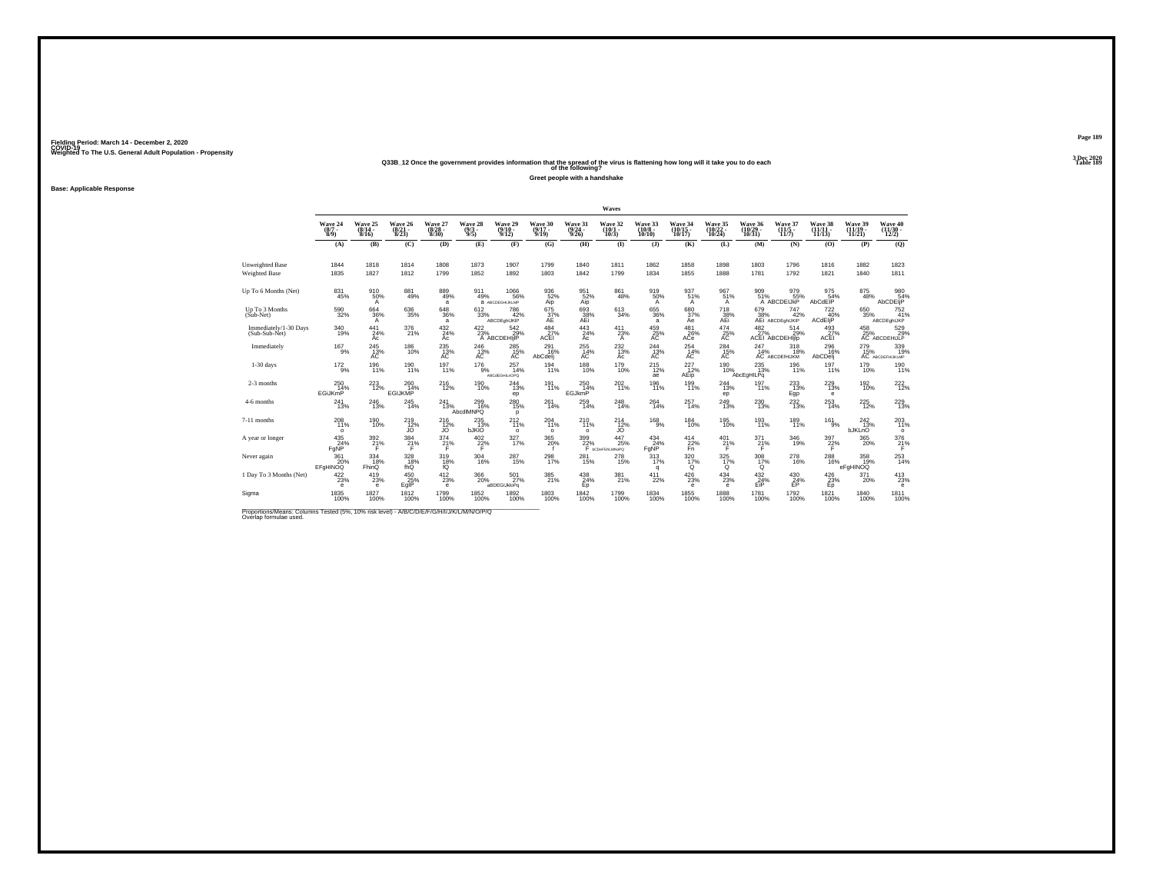## Weighted To The U.S. General Adult Population - Propensity<br>Q33B\_12 Once the government provides information that the spread of the virus is flattening how long will it take you to do each<br>Table 189

**Greet people with a handshake**

### **Base: Applicable Response**

|                                                                                                                      |                                |                                  |                                      |                                  |                                |                                    |                                   |                                          | Waves                                |                               |                               |                                  |                                    |                                           |                                |                                         |                                                     |
|----------------------------------------------------------------------------------------------------------------------|--------------------------------|----------------------------------|--------------------------------------|----------------------------------|--------------------------------|------------------------------------|-----------------------------------|------------------------------------------|--------------------------------------|-------------------------------|-------------------------------|----------------------------------|------------------------------------|-------------------------------------------|--------------------------------|-----------------------------------------|-----------------------------------------------------|
|                                                                                                                      | Wave 24<br>$(8/7 -$<br>8/9     | Wave 25<br>$\frac{(8/14)}{8/16}$ | Wave 26<br>$\frac{(8/21)}{8/23}$     | Wave 27<br>$\frac{(8/28)}{8/30}$ | Wave 28<br>$\frac{(9/3)}{9/5}$ | Wave 29<br>$\frac{(9/10)}{9/12}$   | Wave 30<br>$\frac{(9/17)}{9/19}$  | Wave 31<br>$\frac{(9/24)}{9/26}$         | Wave 32<br>$(10/1 -$<br>10/3         | Wave 33<br>$(10/8 -$<br>10/10 | Wave 34<br>(10/15 -<br>10/17) | Wave 35<br>(10/22 -<br>10/24)    | Wave 36<br>$\frac{(10/29)}{10/31}$ | Wave 37<br>(11/5)<br>11/7)                | Wave 38<br>$(11/11 -$<br>11/13 | Wave 39<br>(11/19<br>11/21              | Wave 40<br>$(11/30 -$<br>12/2)                      |
|                                                                                                                      | (A)                            | (B)                              | (C)                                  | (D)                              | (E)                            | (F)                                | (G)                               | (H)                                      | $($ $\blacksquare$                   | $($ $\bf{J}$ )                | (K)                           | (L)                              | (M)                                | (N)                                       | (0)                            | (P)                                     | (Q)                                                 |
| <b>Unweighted Base</b><br><b>Weighted Base</b>                                                                       | 1844<br>1835                   | 1818<br>1827                     | 1814<br>1812                         | 1808<br>1799                     | 1873<br>1852                   | 1907<br>1892                       | 1799<br>1803                      | 1840<br>1842                             | 1811<br>1799                         | 1862<br>1834                  | 1858<br>1855                  | 1898<br>1888                     | 1803<br>1781                       | 1796<br>1792                              | 1816<br>1821                   | 1882<br>1840                            | 1823<br>1811                                        |
| Up To 6 Months (Net)                                                                                                 | $\substack{831 \\ 45\%}$       | 910<br>50%<br>A                  | $\substack{881 \\ 49\%}$             | 889<br>49%<br>a                  | 911<br>49%                     | 1066%<br>А АВСОЕСНЫКЫМР            | $^{936}_{52\%}$<br>Aip            | 951 62%<br>Aip                           | 861<br>48%                           | 919<br>50%<br>$\mathsf{A}$    | 937 <sub>51%</sub><br>A       | $^{967}_{51\%}$<br>$\mathsf{A}$  | 909<br>51%                         | 09 979<br>51% 55%<br>A ABCDEIJkP          | 975<br>54%<br>AbCdEIP          | 875<br>48%                              | 980<br>54%<br>AbCDEIjP                              |
| Up To 3 Months<br>$(Sub-Net)$                                                                                        | 590<br>32%                     | 664<br>36%<br>А                  | 636<br>35%                           | 648<br>36%<br>a                  | 612<br>33%                     | 786<br>42%<br>ABCDEahUKIP          | 675<br>37%<br>AE                  | 693<br>$\frac{38}{\text{AEi}}\%$         | 613<br>34%                           | 655<br>36%<br>a               | 680<br>37%<br>Ae              | 718<br>38%<br>AEi                | 679                                | 747<br>38% 42%<br>AEi ABCDEghIJKIP<br>42% | 722<br>40%<br>ACdEliP          | 650<br>35%                              | 752<br>41%<br>ABCDEghlJKP                           |
| Immediately/1-30 Days<br>(Sub-Sub-Net)                                                                               | $^{340}_{19\%}$                | 441<br>24%<br>Ac                 | 376<br>21%                           | 432/24%<br>Ac                    | 422/23%                        | $\frac{542}{29\%}$<br>A ABCDEHIJIP | $\frac{484}{27\%}$<br><b>ACEI</b> | $443$ <sub>24%</sub><br>Ac               | $^{411}_{23\%}$<br>$\overline{A}$    | 459%<br>AC                    | $^{481}_{26\%}$<br>ACe        | $^{474}_{25\%}$<br>AС            | $\frac{482}{27\%}$                 | 514<br>29%<br>ACEI ABCDEHIjlp             | 493<br>27%<br>ACEI             | $^{458}_{25\%}$                         | 529%<br>AC ABCDEHIJLP                               |
| Immediately                                                                                                          | $^{167}_{9\%}$                 | $^{245}_{\hbox{13}\%}$           | <sup>186</sup> 10%                   | $^{235}_{\hbox{A\hbox{C}}}$      | $^{246}_{13\%}$                | 285<br>15%<br>AC                   | 291<br>16%<br>AbCdelj             | $^{255}_{14\%}$<br>АC                    | $^{232}_{13\%}$<br>Ac                | $^{244}_{13\%}$               | $^{254}_{14\%}$<br>AC.        | $^{284}_{15\%}$                  | 247                                | 318<br>18%<br>1896 14%<br>AC ABCDEIHIJKM  | 296<br>- 16%<br>AbCDelj        |                                         | 279 339<br>15% 19%<br>AC ABCDEFHIKLMP<br>339<br>19% |
| $1-30$ days                                                                                                          | $^{172}_{9\%}$                 | 196<br>11%                       | 190<br>11%                           | 197<br>11%                       | 176<br>9%                      | 257<br>14%<br>ABCdEGHILnOPO        | 194<br>11%                        | 188<br>10%                               | 179<br>10%                           | 215<br>12%<br>ae              | 227<br>12%<br>AEip            | 190<br>10%                       | 235<br>13%<br>AbcEgHILPq           | 196<br>11%                                | 197<br>11%                     | 179<br>10%                              | 190<br>11%                                          |
| 2-3 months                                                                                                           | $^{250}_{14\%}$<br>EGiJKmP     | $^{223}_{12\%}$                  | $^{260}_{14\%}$<br><b>EGIJKMP</b>    | <sup>216</sup> <sub>12%</sub>    | 190 <sub>%</sub>               | 244<br>13%<br>ep                   | 191 <sub>1%</sub>                 | 250<br>14%<br>EGJkmP                     | $^{202}_{11\%}$                      | 196<br>11%                    | 199<br>11%                    | 244<br>13%<br>ep                 | 197 <sub>%</sub>                   | 233<br>13%<br>Egp                         | $^{229}_{13\%}$<br>$\epsilon$  | 192<br>10%                              | $^{222}_{12\%}$                                     |
| 4-6 months                                                                                                           | 241<br>13%                     | 246<br>13%                       | 245<br>14%                           | 241<br>13%                       | 299<br>16%<br>AbcdlMNPQ        | 280<br>15%<br>p                    | 261<br>14%                        | 259<br>14%                               | 248<br>14%                           | 264<br>14%                    | 257<br>14%                    | 249<br>13%                       | 230<br>13%                         | $\frac{232}{13%}$                         | 253<br>14%                     | 225<br>12%                              | $^{229}_{13\%}$                                     |
| 7-11 months                                                                                                          | 208<br>11%<br>$\circ$          | <sup>190</sup> 10%               | <sup>219</sup> <sub>12%</sub><br>JO. | $^{216}_{12\%}$<br>JO.           | 235<br>13%<br><b>bJKIO</b>     | $^{212}_{11\%}$<br>$\circ$         | 204<br>11%<br>$\circ$             | <sup>210</sup> <sub>11%</sub><br>$\circ$ | $^{214}_{12\%}$<br>JO.               | $^{168}_{-9\%}$               | $^{184}_{10\%}$               | $^{195}_{10\%}$                  | 193<br>11%                         | 189<br>11%                                | $^{161}_{9\%}$                 | <sup>242</sup> <sub>13%</sub><br>bJKLnO | 203<br>11%<br>$\circ$                               |
| A year or longer                                                                                                     | $^{435}_{24\%}$<br>FgNP        | $^{392}_{21\%}$<br>F             | $^{384}_{21\%}$                      | $^{374}_{21\%}$                  | $^{402}_{22\%}$                | 327 <sub>9%</sub>                  | $^{365}_{20\%}$                   | 399<br>22%                               | 447<br>25%<br>F <b>bCDeFGhLMNoPQ</b> | $^{434}_{24\%}$<br>FgNP       | $^{414}_{22\%}$<br>Fn'        | $^{401}_{21\%}$<br>F             | 371%                               | $\frac{346}{19\%}$                        | $\frac{397}{22}\%$             | $^{365}_{\,20\%}$                       | $\frac{376}{21}\%$                                  |
| Never again                                                                                                          | 361<br>20%<br>EFGHINOQ         | 334<br>18%<br>FhinQ              | 328<br>18%<br>fhQ                    | 319<br>18%<br>fŐ                 | 304<br>16%                     | 287<br>15%                         | 298<br>17%                        | 281<br>15%                               | 278<br>15%                           | 313<br>17%<br>q               | 320<br>17%<br>$^{\circ}$      | $\frac{325}{17\%}$<br>$^{\circ}$ | 308<br>17%<br>ö                    | $^{278}_{16\%}$                           | 288<br>16%                     | 358<br>19%<br>eFgHINOQ                  | $^{253}_{14\%}$                                     |
| 1 Day To 3 Months (Net)                                                                                              | 422/23%<br>$\ddot{\textbf{e}}$ | $^{419}_{23\%}$<br>e             | 450 25%<br>EgIP                      | $^{412}_{23\%}$<br>$\mathbf e$   | 366<br>20%                     | 501 <sub>27%</sub><br>aBDEGIJkloPg | 385<br>21%                        | $^{438}_{24\%}$<br>Ep                    | 381%                                 | 411<br>22%                    | $^{426}_{23\%}$<br>e          | $^{434}_{23\%}$<br>e             | $\frac{432}{24\%}$<br>EiP          | $^{430}_{24\%}$<br>EP                     | 426/23%<br>Ep                  | $^{371}_{20\%}$                         | $^{413}_{23\%}$<br>e                                |
| Sigma                                                                                                                | 1835<br>100%                   | 1827<br>100%                     | 1812<br>100%                         | 1799<br>100%                     | 1852<br>100%                   | 1892<br>100%                       | 1803<br>100%                      | 1842<br>100%                             | 1799<br>100%                         | 1834<br>100%                  | 1855<br>100%                  | 1888<br>100%                     | 1781<br>100%                       | 1792<br>100%                              | 1821<br>100%                   | 1840<br>100%                            | 1811<br>100%                                        |
| Proportions/Means: Columns Tested (5%, 10% risk level) - A/B/C/D/E/F/G/H/I/J/K/L/M/N/O/P/Q<br>Overlap formulae used. |                                |                                  |                                      |                                  |                                |                                    |                                   |                                          |                                      |                               |                               |                                  |                                    |                                           |                                |                                         |                                                     |

**Page 1893 Dec 2020<br>Table 189**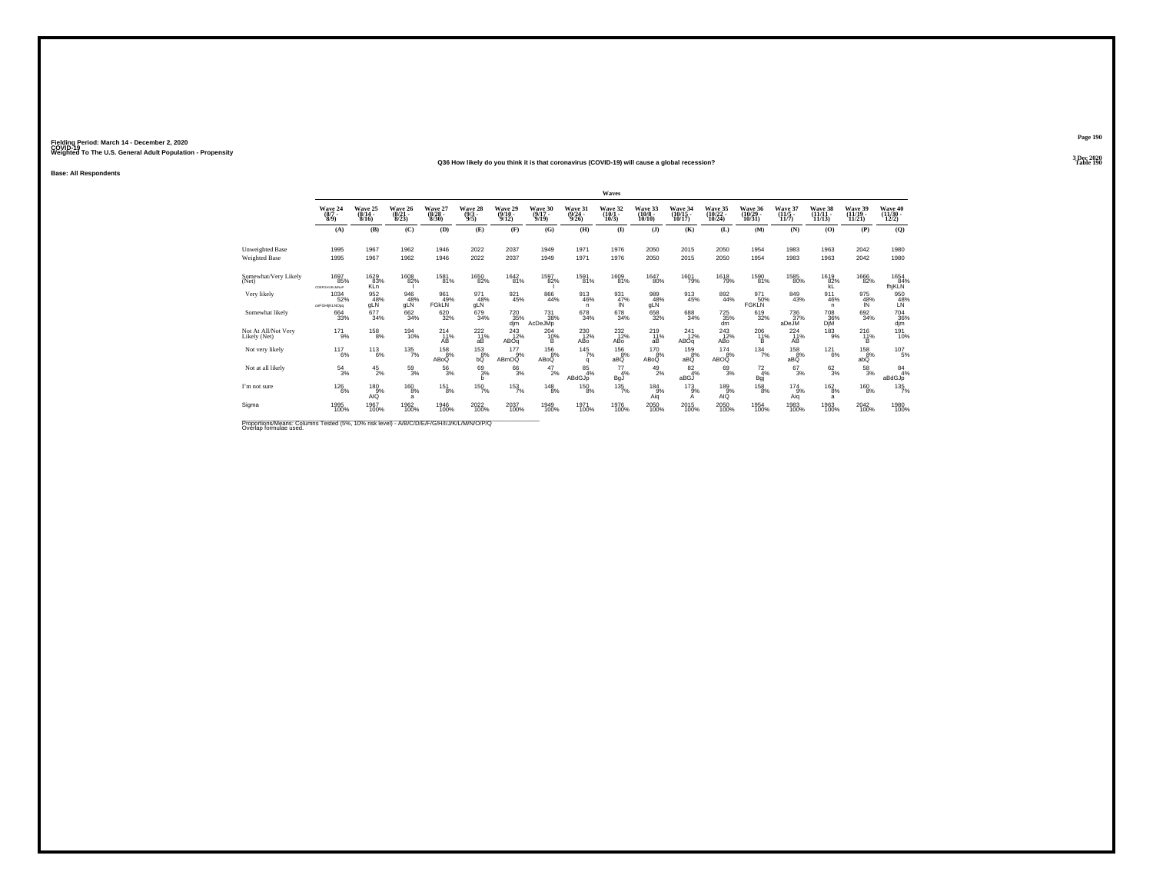#### **Q36 How likely do you think it is that coronavirus (COVID-19) will cause a global recession?Table 190**

**Base: All Respondents**

|                                                                                                                      |                                      |                                      |                                  |                                  |                                |                                       |                              |                                         | Waves                              |                                        |                                    |                                   |                                   |                                  |                                   |                                |                                          |
|----------------------------------------------------------------------------------------------------------------------|--------------------------------------|--------------------------------------|----------------------------------|----------------------------------|--------------------------------|---------------------------------------|------------------------------|-----------------------------------------|------------------------------------|----------------------------------------|------------------------------------|-----------------------------------|-----------------------------------|----------------------------------|-----------------------------------|--------------------------------|------------------------------------------|
|                                                                                                                      | Wave 24<br>$(8/7 -$<br>8/9           | Wave 25<br>$\frac{(8/14 - 8)}{8/16}$ | Wave 26<br>$\frac{(8/21)}{8/23}$ | Wave 27<br>$\frac{(8/28)}{8/30}$ | Wave 28<br>$\frac{(9/3)}{9/5}$ | Wave 29<br>$\frac{(9/10-9/12)}{9/12}$ | Wave 30<br>$(9/17 -$<br>9/19 | Wave 31<br>$\frac{(9/24 - 9/26)}{9/26}$ | Wave 32<br>$\binom{10/1}{10/3}$    | Wave 33<br>$\frac{(10/8 - 10)}{10/10}$ | Wave 34<br>$\frac{(10/15)}{10/17}$ | Wave 35<br>$\binom{10/22}{10/24}$ | Wave 36<br>$\binom{10/29}{10/31}$ | Wave 37<br>$\frac{(11/5)}{11/7}$ | Wave 38<br>$(11/11 -$<br>11/13    | Wave 39<br>$(11/19 -$<br>11/21 | Wave 40<br>$\frac{(11/30 - 12/2)}{12/2}$ |
|                                                                                                                      | (A)                                  | (B)                                  | (C)                              | (D)                              | (E)                            | (F)                                   | (G)                          | (H)                                     | $($ $\Gamma$                       | $($ $)$                                | (K)                                | (L)                               | (M)                               | (N)                              | (0)                               | (P)                            | (Q)                                      |
| Unweighted Base<br><b>Weighted Base</b>                                                                              | 1995<br>1995                         | 1967<br>1967                         | 1962<br>1962                     | 1946<br>1946                     | 2022<br>2022                   | 2037<br>2037                          | 1949<br>1949                 | 1971<br>1971                            | 1976<br>1976                       | 2050<br>2050                           | 2015<br>2015                       | 2050<br>2050                      | 1954<br>1954                      | 1983<br>1983                     | 1963<br>1963                      | 2042<br>2042                   | 1980<br>1980                             |
| Somewhat/Very Likely<br>(Net)                                                                                        | <sup>1697</sup> 85%<br>CDEFGHUKLMNoP | 1629<br>83%<br><b>KLn</b>            | <sup>1608</sup> 82%              | <sup>1581</sup> 81%              | 1650<br>82%                    | $^{1642}_{81\%}$                      | 1597<br>82%                  | <sup>1591</sup> 81%                     | 1609<br>81%                        | <sup>1647</sup> 80%                    | 1601<br>79%                        | <sup>1618</sup> 79%               | $^{1590}_{81\%}$                  | $^{1585}_{\,\,80\%}$             | $\overset{1619}{\substack{82\%}}$ | <sup>1666</sup> 82%            | 1654<br>fhjKLN                           |
| Very likely                                                                                                          | 1034<br>52%<br>ceFGHI/KLNOpq         | 952<br>48%<br>gLN                    | 946<br>48%<br>gLN                | 961<br>49%<br><b>FGKLN</b>       | 971<br>48%<br>gLÑ              | 921<br>45%                            | 866<br>44%                   | 913<br>46%<br>n                         | 931<br>47%<br>ΙŃ                   | 989<br>48%<br>gLÑ                      | 913<br>45%                         | 892<br>44%                        | 971<br>50%<br><b>FGKLN</b>        | 849<br>43%                       | 911<br>46%<br>n.                  | 975<br>48%                     | 950<br>48%                               |
| Somewhat likely                                                                                                      | 664 33%                              | $677 \atop 34\%$                     | 662<br>34%                       | 620<br>32%                       | 679<br>34%                     | 720<br>35%<br>djm                     | $^{731}_{38\%}$<br>AcDeJMp   | 678<br>34%                              | 678<br>34%                         | 658<br>32%                             | 688<br>34%                         | $^{725}_{35\%}$<br>dm             | $619 \atop 32\%$                  | 736<br>37%<br>aDeJM              | <sup>708</sup> 36%<br>DjM         | 692<br>34%                     | 704<br>36%<br>djm                        |
| Not At All/Not Very<br>Likely (Net)                                                                                  | $^{17}$ 1%                           | $^{158}_{8\%}$                       | 194<br>10%                       | 214<br>11%<br>AВ                 | $^{222}_{11\%}$<br>aВ          | $^{243}_{12\%}$<br>ABOq               | $^{204}_{10\%}$<br>в         | $^{230}_{12\%}$<br>AB <sub>O</sub>      | $^{232}_{12\%}$<br>AB <sub>o</sub> | $^{219}_{11\%}$<br>aВ                  | 241<br>12%<br>ABOq                 | $^{243}_{12\%}$<br>ABo            | $^{206}_{\substack{11\% \\ B}}$   | $^{224}_{11\%}$<br>ÁB            | $^{183}_{-9\%}$                   | $^{216}_{11\%}$<br>B.          | 191<br>10%                               |
| Not very likely                                                                                                      | 117<br>6%                            | 113<br>6%                            | $\frac{135}{7\%}$                | 158<br>8%<br>ABoQ                | 153<br>8%<br>bŐ                | 177<br>9%<br>ABmOQ                    | 156<br>8%<br>ABoQ            | 145<br>7%<br>q                          | 156<br>8%<br>aBQ                   | 170<br>8%<br>ABoQ                      | 159<br>8%<br>aBQ                   | 174<br>8%<br>ABOQ                 | $134 \atop 7\%$                   | 158<br>8%<br>aBQ                 | $^{121}_{6\%}$                    | 158<br>8%<br>abQ               | 107<br>5%                                |
| Not at all likely                                                                                                    | $^{54}_{3\%}$                        | $^{45}_{2\%}$                        | $^{59}_{3\%}$                    | $^{56}_{\ 3\%}$                  | 693%<br>h                      | 663%                                  | $^{47}_{2\%}$                | $\frac{85}{4%}$<br>ABdGJp               | 77<br>4%<br>BgJ                    | $^{49}_{2\%}$                          | $^{82}_{4\%}$<br>aBGJ              | $^{69}_{3\%}$                     | $^{72}_{4\%}$<br>Bgj              | $^{67}_{3\%}$                    | $\frac{62}{3}\%$                  | $^{58}_{3\%}$                  | $^{84}_{4\%}$<br>aBdGJp                  |
| I'm not sure                                                                                                         | $^{126}_{\phantom{1}6\%}$            | 180<br>$-9%$<br>AIQ                  | 160<br>8%<br>a                   | 151<br>8%                        | 150<br>7%                      | $\frac{153}{7\%}$                     | $^{148}_{\phantom{1}8\%}$    | 150<br>8%                               | 135<br>7%                          | 184<br>9%<br>Aiq                       | 173<br>9%<br>А                     | 189<br>9%<br>AIQ                  | 158<br>8%                         | 174<br>9%<br>Aiq                 | $^{162}_{8\%}$<br>a               | $^{160}_{8\%}$                 | $\frac{135}{7\%}$                        |
| Sigma                                                                                                                | 1995<br>100%                         | 1967<br>100%                         | 1962<br>100%                     | 1946<br>100%                     | $^{2022}_{100\%}$              | 2037<br>100%                          | 1949<br>100%                 | 1971<br>100%                            | 1976<br>100%                       | 2050<br>100%                           | 2015<br>100%                       | $^{2050}_{100\%}$                 | 1954<br>100%                      | 1983<br>100%                     | 1963<br>100%                      | 2042<br>100%                   | 1980<br>100%                             |
| Proportions/Means: Columns Tested (5%, 10% risk level) - A/B/C/D/E/F/G/H/I/J/K/L/M/N/O/P/Q<br>Overlap formulae used. |                                      |                                      |                                  |                                  |                                |                                       |                              |                                         |                                    |                                        |                                    |                                   |                                   |                                  |                                   |                                |                                          |

**Page 1903 Dec 2020<br>Table 190**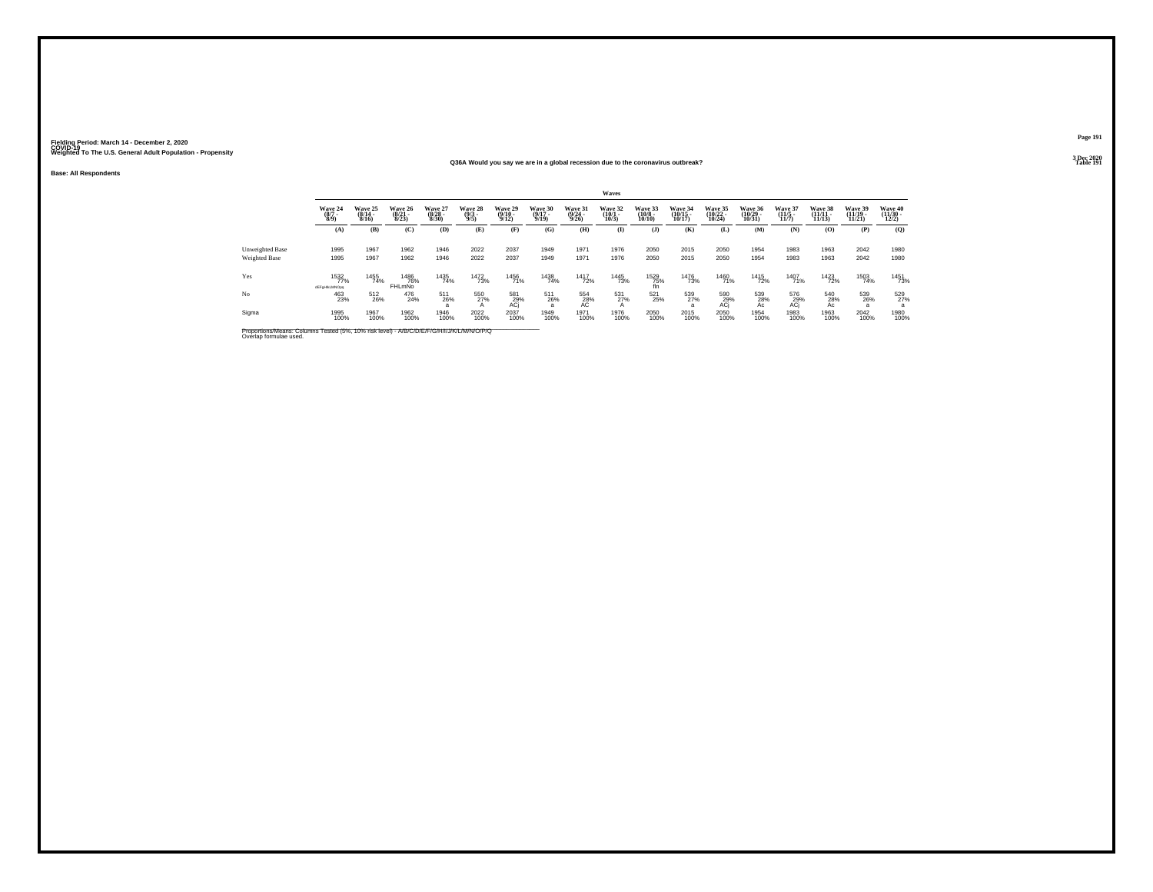**Q36A Would you say we are in a global recession due to the coronavirus outbreak?Table 191 Table 191** 

**Base: All Respondents**

|                                                                                                                      |                                |                              |                                      |                                  |                                |                                  |                                  |                                  | Waves                        |                                   |                                |                                |                                            |                              |                                |                                |                                          |
|----------------------------------------------------------------------------------------------------------------------|--------------------------------|------------------------------|--------------------------------------|----------------------------------|--------------------------------|----------------------------------|----------------------------------|----------------------------------|------------------------------|-----------------------------------|--------------------------------|--------------------------------|--------------------------------------------|------------------------------|--------------------------------|--------------------------------|------------------------------------------|
|                                                                                                                      | Wave 24<br>$\frac{(8/7)}{8/9}$ | Wave 25<br>$(8/14 -$<br>8/16 | Wave 26<br>$(8/21 -$<br>8/23         | Wave 27<br>$\frac{(8/28)}{8/30}$ | Wave 28<br>$\frac{(9/3)}{9/5}$ | Wave 29<br>$\frac{(9/10)}{9/12}$ | Wave 30<br>$\frac{(9/17)}{9/19}$ | Wave 31<br>$\frac{(9/24)}{9/26}$ | Wave 32<br>$(10/1 -$<br>10/3 | Wave 33<br>$\frac{(10/8)}{10/10}$ | Wave 34<br>$(10/15 -$<br>10/17 | Wave 35<br>$(10/22 -$<br>10/24 | Wave 36<br>$(10/29 -$<br>10/31             | Wave 37<br>$(11/5 -$<br>11/7 | Wave 38<br>$(11/11 -$<br>11/13 | Wave 39<br>$(11/19 -$<br>11/21 | Wave 40<br>$\frac{(11/30 - 12/2)}{12/2}$ |
|                                                                                                                      | (A)                            | (B)                          | (C)                                  | (D)                              | (E)                            | (F)                              | (G)                              | (H)                              | $($ $\Gamma$                 | $($ $\bf{J}$ )                    | (K)                            | (L)                            | (M)                                        | (N)                          | (0)                            | (P)                            | (Q)                                      |
| Unweighted Base                                                                                                      | 1995                           | 1967                         | 1962                                 | 1946                             | 2022                           | 2037                             | 1949                             | 1971                             | 1976                         | 2050                              | 2015                           | 2050                           | 1954                                       | 1983                         | 1963                           | 2042                           | 1980                                     |
| Weighted Base                                                                                                        | 1995                           | 1967                         | 1962                                 | 1946                             | 2022                           | 2037                             | 1949                             | 1971                             | 1976                         | 2050                              | 2015                           | 2050                           | 1954                                       | 1983                         | 1963                           | 2042                           | 1980                                     |
| Yes                                                                                                                  | 1532<br>77%<br>dEFgHikLMNOpq   | 1455<br>74%                  | <sup>1486</sup> 76%<br><b>FHLmNo</b> | 1435<br>74%                      | <sup>1472</sup> 73%            | <sup>1456</sup> 71%              | 1438<br>74%                      | <sup>1417</sup> 72%              | 1445<br>73%                  | 1529<br>75%<br>fin                | <sup>1476</sup> 73%            | 1460<br>71%                    | <sup>1415</sup> 72%                        | 1407<br>71%                  | <sup>1423</sup> 72%            | 1503<br>74%                    | 1451<br>73%                              |
| No                                                                                                                   | 463<br>23%                     | 512<br>26%                   | 476<br>24%                           | 511<br>26%                       | 550<br>27%<br>A                | 581<br>29%<br>ACj                | 511<br>26%<br>$\overline{a}$     | $^{554}_{28\%}$                  | 531<br>27%<br>$\mathsf{A}$   | 521<br>25%                        | 539<br>27%<br>a                | 590<br>29%<br>ACj              | $^{539}_{\phantom{5}28\%}_{\phantom{5}AC}$ | 576<br>29%<br>ACj            | 540<br>28%<br>Ac               | 539<br>26%                     | 529<br>27%                               |
| Sigma                                                                                                                | 1995<br>100%                   | 1967<br>100%                 | 1962<br>100%                         | 1946<br>100%                     | 2022<br>100%                   | 2037<br>100%                     | 1949<br>100%                     | 1971<br>100%                     | 1976<br>100%                 | 2050<br>100%                      | 2015<br>100%                   | 2050<br>100%                   | 1954<br>100%                               | 1983<br>100%                 | 1963<br>100%                   | 2042<br>100%                   | 1980<br>100%                             |
| Proportions/Means: Columns Tested (5%, 10% risk level) - A/B/C/D/E/F/G/H/I/J/K/L/M/N/O/P/Q<br>Overlap formulae used. |                                |                              |                                      |                                  |                                |                                  |                                  |                                  |                              |                                   |                                |                                |                                            |                              |                                |                                |                                          |

**Page 1913 Dec 2020<br>Table 191**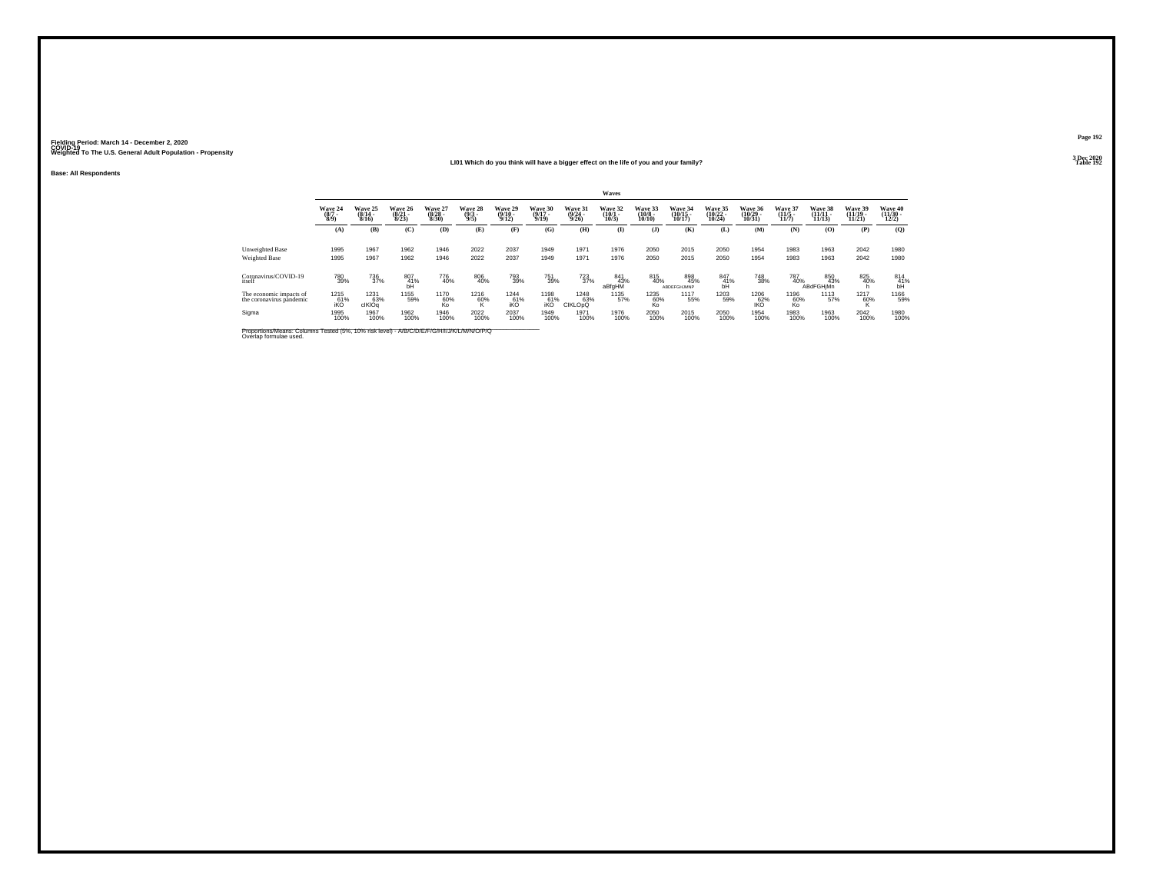**LI01 Which do you think will have a bigger effect on the life of you and your family?**

**Base: All Respondents**

|                                                                                                                      |                                |                                         |                                  |                                 |                                |                                      |                                  |                                  | Waves                            |                                   |                                    |                                |                                |                                  |                                |                                |                                      |
|----------------------------------------------------------------------------------------------------------------------|--------------------------------|-----------------------------------------|----------------------------------|---------------------------------|--------------------------------|--------------------------------------|----------------------------------|----------------------------------|----------------------------------|-----------------------------------|------------------------------------|--------------------------------|--------------------------------|----------------------------------|--------------------------------|--------------------------------|--------------------------------------|
|                                                                                                                      | Wave 24<br>$\frac{(8/7)}{8/9}$ | <b>Wave 25</b><br>$\frac{(8/14)}{8/16}$ | Wave 26<br>$\frac{(8/21)}{8/23}$ | Wave 27<br>$\binom{8/28}{8/30}$ | Wave 28<br>$\frac{(9/3)}{9/5}$ | Wave 29<br>$\frac{(9/10 - 9)}{9/12}$ | Wave 30<br>$\frac{(9/17)}{9/19}$ | Wave 31<br>$\frac{(9/24)}{9/26}$ | Wave 32<br>$\frac{(10/1)}{10/3}$ | Wave 33<br>$\frac{(10/8)}{10/10}$ | Wave 34<br>$\frac{(10/15)}{10/17}$ | Wave 35<br>$(10/22 -$<br>10/24 | Wave 36<br>$(10/29 -$<br>10/31 | Wave 37<br>$\frac{(11/5)}{11/7}$ | Wave 38<br>$(11/11 -$<br>11/13 | Wave 39<br>$(11/19 -$<br>11/21 | Wave 40<br>$\frac{(11/30)}{12/2}$    |
|                                                                                                                      | (A)                            | (B)                                     | (C)                              | (D)                             | (E)                            | (F)                                  | (G)                              | (H)                              | $\mathbf{I}$                     | $($ $\bf{J}$ )                    | (K)                                | (L)                            | (M)                            | (N)                              | (O)                            | (P)                            | (O)                                  |
| Unweighted Base<br>Weighted Base                                                                                     | 1995<br>1995                   | 1967<br>1967                            | 1962<br>1962                     | 1946<br>1946                    | 2022<br>2022                   | 2037<br>2037                         | 1949<br>1949                     | 1971<br>1971                     | 1976<br>1976                     | 2050<br>2050                      | 2015<br>2015                       | 2050<br>2050                   | 1954<br>1954                   | 1983<br>1983                     | 1963<br>1963                   | 2042<br>2042                   | 1980<br>1980                         |
| Coronavirus/COVID-19<br>itself                                                                                       | 780<br>39%                     | <sup>736</sup> <sub>37%</sub>           | 807<br>41%<br>bĤ                 | 776<br>40%                      | 806<br>40%                     | 793<br>39%                           | <sup>751</sup> <sub>39%</sub>    | $^{723}_{37\%}$                  | 841<br>43%<br>aBfgHM             | 815<br>40%                        | 898<br>45%<br>ABDEFGHJMNP          | 847<br>41%<br>bĤ               | 748<br>38%                     | <sup>787</sup> <sub>40%</sub>    | 850<br>43%<br><b>ABdFGHjMn</b> | 825<br>40%                     | $^{814}_{\substack{41\% \text{bh}}}$ |
| The economic impacts of<br>the coronavirus pândemic                                                                  | 1215<br>$\frac{61}{6}$         | 1231<br>63%<br>clKIOq                   | 1155<br>59%                      | 1170<br>60%<br>Ko               | 1216<br>60%<br>ĸ               | 1244<br>61%<br>iKÖ                   | 1198<br>61%<br>iKO               | 1248<br>63%<br><b>CIKLOpQ</b>    | 1135<br>57%                      | 1235<br>60%<br>Ko                 | 1117<br>55%                        | 1203<br>59%                    | 1206<br>100 <sup>62%</sup>     | 1196<br>60%<br>Ko                | 1113<br>57%                    | 1217<br>60%                    | 1166<br>59%                          |
| Sigma                                                                                                                | 1995<br>100%                   | 1967<br>100%                            | 1962<br>100%                     | 1946<br>100%                    | 2022<br>100%                   | 2037<br>100%                         | 1949<br>100%                     | 1971<br>100%                     | 1976<br>100%                     | 2050<br>100%                      | 2015<br>100%                       | 2050<br>100%                   | 1954<br>100%                   | 1983<br>100%                     | 1963<br>100%                   | 2042<br>100%                   | 1980<br>100%                         |
| Proportions/Means: Columns Tested (5%, 10% risk level) - A/B/C/D/E/F/G/H/I/J/K/L/M/N/O/P/Q<br>Overlap formulae used. |                                |                                         |                                  |                                 |                                |                                      |                                  |                                  |                                  |                                   |                                    |                                |                                |                                  |                                |                                |                                      |

**Page 1923 Dec 2020<br>Table 192** 

**Table 192**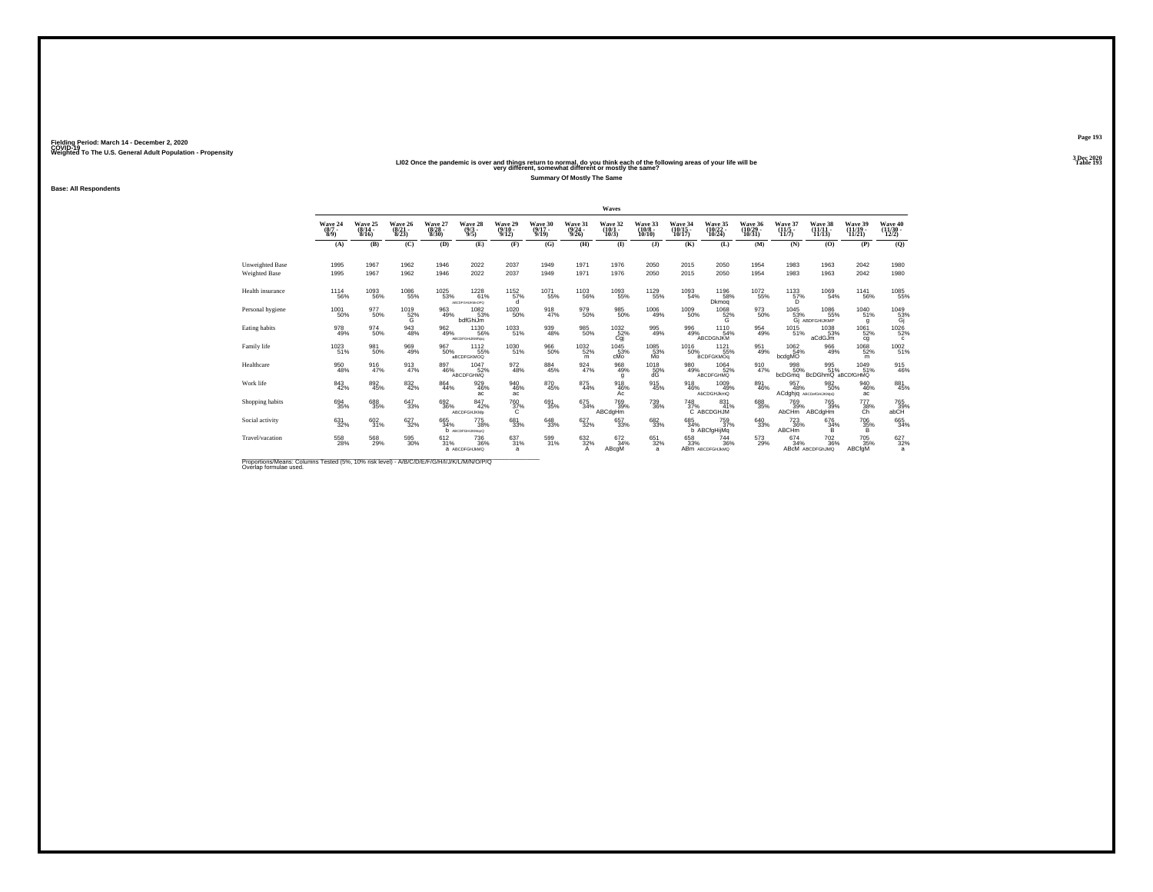# Weighted To The U.S. General Adult Population - Propensity<br>LIO2 Once the pandemic is over and things return to normal, do you think each of the following areas of your life will be<br>Table 193

**Summary Of Mostly The Same**

Fielding Period: March 14 - December 2, 2020<br>Fielding Period: March 14 - December 2, 2020<br>Wolchind To The U.S. General Adulf Ponulation - Propensity

**Base: All Respondents**

|                                  |                                |                              |                             |                                  |                                               |                                  |                              |                                  | Waves                                 |                                        |                               |                                      |                                |                                                 |                                          |                                |                                          |
|----------------------------------|--------------------------------|------------------------------|-----------------------------|----------------------------------|-----------------------------------------------|----------------------------------|------------------------------|----------------------------------|---------------------------------------|----------------------------------------|-------------------------------|--------------------------------------|--------------------------------|-------------------------------------------------|------------------------------------------|--------------------------------|------------------------------------------|
|                                  | Wave 24<br>$(8/7 -$<br>$8/9$ ) | Wave 25<br>$(8/14 -$<br>8/16 | Wave 26<br>(8/21 -<br>8/23) | Wave 27<br>$\frac{(8/28)}{8/30}$ | Wave 28<br>$\frac{(9/3)}{9/5}$                | Wave 29<br>$\frac{(9/10)}{9/12}$ | Wave 30<br>$(9/17 -$<br>9/19 | Wave 31<br>$\frac{(9/24)}{9/26}$ | Wave 32<br>$\frac{(10/1 - 10)}{10/3}$ | Wave 33<br>$\frac{(10/8 - 10)}{10/10}$ | Wave 34<br>(10/15 -<br>10/17) | Wave 35<br>(10/22<br>10/24           | Wave 36<br>$(10/29 -$<br>10/31 | Wave 37<br>$(11/5 -$<br>11/7                    | Wave 38<br>$(11/11 -$<br>11/13           | Wave 39<br>$(11/19 -$<br>11/21 | Wave 40<br>$\frac{(11/30 - 12/2)}{12/2}$ |
|                                  | (A)                            | (B)                          | (C)                         | (D)                              | (E)                                           | (F)                              | (G)                          | (H)                              | $\bf{I}$                              | $($ $)$                                | (K)                           | (L)                                  | (M)                            | (N)                                             | (0)                                      | (P)                            | (Q)                                      |
| Unweighted Base<br>Weighted Base | 1995<br>1995                   | 1967<br>1967                 | 1962<br>1962                | 1946<br>1946                     | 2022<br>2022                                  | 2037<br>2037                     | 1949<br>1949                 | 1971<br>1971                     | 1976<br>1976                          | 2050<br>2050                           | 2015<br>2015                  | 2050<br>2050                         | 1954<br>1954                   | 1983<br>1983                                    | 1963<br>1963                             | 2042<br>2042                   | 1980<br>1980                             |
| Health insurance                 | <sup>1114</sup> 56%            | $^{1093}_{-56\%}$            | 1086<br>55%                 | <sup>1025</sup> 53%              | $^{1228}_{61\%}$<br>АВСОГОНЦКАНОРО            | 1152<br>57%                      | <sup>1071</sup> 55%          | <sup>1103</sup> 56%              | 1093<br>55%                           | 1129<br>55%                            | 1093<br>54%                   | <sup>1196</sup> 58%<br>Dkmog         | <sup>1072</sup> 55%            | $^{1133}_{\hphantom{1}57\%}_{\hphantom{1}57\%}$ | 1069<br>54%                              | <sup>1141</sup> 56%            | 1085<br>55%                              |
| Personal hygiene                 | 1001<br>50%                    | 977<br>50%                   | 1019<br>$\frac{52}{9}$      | 963<br>49%                       | 1082<br>53%<br>bdfGhiJm                       | 1020<br>50%                      | 918<br>47%                   | 979<br>50%                       | 985<br>50%                            | 1006<br>49%                            | 1009<br>50%                   | 1068<br>52%                          | 973<br>50%                     | 1045                                            | 1086<br>55% 55%<br>Gj ABDFGHIJKMP<br>55% | 1040<br>51%<br>$\mathbf{q}$    | 1049<br>53%<br>Gj                        |
| Eating habits                    | 978<br>49%                     | 974<br>50%                   | $\frac{943}{48\%}$          | 962<br>49%                       | 1130<br>56%<br>ABCDFGHUKMNpg                  | 1033<br>51%                      | 939<br>48%                   | $\substack{985 \\ 50\%}$         | 1032%<br>Cgj                          | 995<br>49%                             | 996<br>49%                    | 1110<br>54%<br>ABCDGhJKM             | $^{954}_{49\%}$                | $1015$ <sub>51%</sub>                           | 1038<br>53%<br>aCdGJm                    | 1061<br>52%<br>cg              | 1026<br>52%<br>c                         |
| Family life                      | 1023<br>51%                    | 981<br>50%                   | 969<br>49%                  | 967<br>50%                       | 1112<br>55%<br>aBCDFGKMOQ                     | 1030<br>51%                      | 966<br>50%                   | $^{1032}_{52\%}$<br>m            | 1045<br>53%<br>cMo                    | 1085<br>53%<br>Mo                      | 1016<br>50%                   | $1121$<br>$55\%$<br><b>BCDFGKMOq</b> | $\frac{951}{49\%}$             | 1062<br>54%<br>bcdgMO                           | 966<br>49%                               | 1068<br>52%<br>m               | 1002<br>51%                              |
| Healthcare                       | 950<br>48%                     | 916<br>47%                   | $\frac{913}{47\%}$          | 897<br>46%                       | 1047<br>52%<br>ABCDFGHMQ                      | 972<br>48%                       | 884<br>45%                   | $\frac{924}{47\%}$               | 968<br>49%<br>q                       | 1018<br>$^{50\%}_{dG}$                 | 980<br>49%                    | 1064<br>52%<br><b>ABCDFGHMQ</b>      | 910<br>47%                     | 998<br>50%<br>bcDGmg                            | 995<br>51%<br>BcDGhmQ aBCDfGHMQ          | 1049<br>51%                    | 915<br>46%                               |
| Work life                        | $\substack{843 \\ 42\%}$       | $\substack{892 \\ 45\%}$     | $\substack{832 \\ 42\%}$    | 864<br>44%                       | 929<br>46%<br>ac                              | 940<br>46%<br>ac                 | 870<br>45%                   | $\substack{875 \\ 44\%}$         | 918<br>46%<br>Ac                      | 915<br>45%                             | $\frac{918}{46\%}$            | 1009<br>49%<br>AbCDGHJkmQ            | 891<br>46%                     | 957<br>48%                                      | 982<br>50%<br>ACdghjq ABCDefGHJKMpQ      | $\substack{940 \\ 46\%}$<br>ac | 881<br>45%                               |
| Shopping habits                  | 694<br>35%                     | 688<br>35%                   | 647<br>33%                  | 692<br>36%                       | 847<br>42%<br>ABCDFGHJKMp                     | 760<br>37%                       | 691<br>35%                   | $\frac{675}{34\%}$               | 769<br>39%<br>ABCdgHm                 | 739<br>36%                             | 748                           | 831<br>37% 41°<br>41%                | 688<br>35%                     | 769<br>39%<br>AbCHm                             | 765<br>39%<br>ABCdgHm                    | 777<br>38%<br>Ch               | $765 \atop 39\%$                         |
| Social activity                  | $\substack{631 \\ 32\%}$       | $\substack{602\\31\%}$       | $\substack{627\\32\%}$      | 665<br>34%                       | <sup>775</sup> 38%<br><b>b</b> ABCDFGHIJKMopQ | 681<br>33%                       | $\substack{648\\33\%}$       | $\substack{627\\32\%}$           | 657<br>33%                            | 6823%                                  | $685 \over 34\%$              | 759<br>37%<br>b ABCfgHijMq           | $\substack{640\\33\%}$         | $^{723}_{36\%}$<br><b>ABCHm</b>                 | 676<br>34%<br>B.                         | <sup>706</sup> 35%<br>B        | 665<br>34%                               |
| Travel/vacation                  | 558<br>28%                     | 568<br>29%                   | $^{595}_{\ 30\%}$           | 612/31%                          | <sup>736</sup> 36%<br>а АВСОГСНЈИМО           | $\frac{637}{31\%}$<br>a          | 599<br>31%                   | $\frac{632}{32}\%$               | 672<br>34%<br>ABcgM                   | 651<br>32%<br>a.                       | 658<br>33%                    | 744<br>36%<br>ABM ABCDFGHJkMQ        | $^{573}_{29\%}$                | 674<br>34%                                      | <sup>702</sup> 36%<br>ABCM ABCDFGhJMQ    | 705 35%<br>ABCfgM              | $627 \over 32\%$<br>a                    |

Proportions/Means: Columns Tested (5%, 10% risk level) - *N'B/C/D/E/F/G/H/I/J/K/L/M/N/O/P/Q*<br>Overlap formulae used.

**Page 193**3 Dec 2020<br>Table 193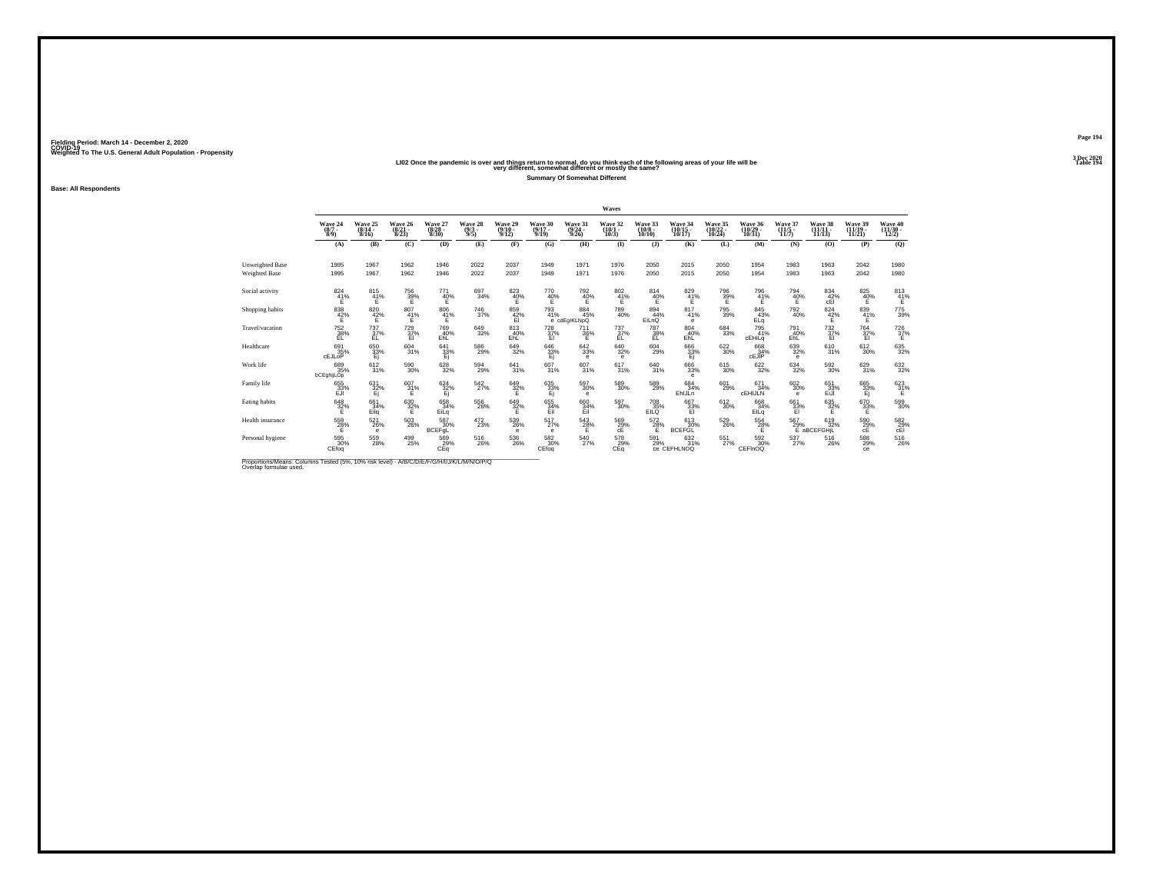## Weighted To The U.S. General Adult Population - Propensity<br>LIO2 Once the pandemic is over and things return to normal, do you think each of the following areas of your life will be<br>Table 194

**Summary Of Somewhat Different**

Fielding Period: March 14 - December 2, 2020<br>Fielding Period: March 14 - December 2, 2020<br>Wolchind To The U.S. General Adulf Ponulation - Propensity

**Base: All Respondents**

|                        |                                    |                                       |                                  |                                      |                                       |                                        |                              |                                 | Waves                           |                                     |                                   |                                   |                                         |                                       |                                |                                |                                |
|------------------------|------------------------------------|---------------------------------------|----------------------------------|--------------------------------------|---------------------------------------|----------------------------------------|------------------------------|---------------------------------|---------------------------------|-------------------------------------|-----------------------------------|-----------------------------------|-----------------------------------------|---------------------------------------|--------------------------------|--------------------------------|--------------------------------|
|                        | Wave 24<br>$(8/7 -$<br>$8/9$ )     | Wave 25<br>$\frac{(8/14 - 8)}{8/16}$  | Wave 26<br>$\frac{(8/21)}{8/23}$ | Wave 27<br>$\binom{8/28}{8/30}$      | Wave 28<br>$\frac{(9/3)}{9/5}$        | Wave 29<br>$\binom{9/10}{9/12}$        | Wave 30<br>$(9/17 -$<br>9/19 | Wave 31<br>$\binom{9/24}{9/26}$ | Wave 32<br>$\binom{10/1}{10/3}$ | Wave 33<br>$\binom{10/8}{10/10}$    | Wave 34<br>$\binom{10/15}{10/17}$ | Wave 35<br>$\binom{10/22}{10/24}$ | Wave 36<br>$\left(\frac{10}{29}\right)$ | Wave 37<br>$\frac{(11/5)}{11/7}$      | Wave 38<br>$(11/11 -$<br>11/13 | Wave 39<br>$(11/19 -$<br>11/21 | Wave 40<br>$(11/30 -$<br>12/2) |
|                        | (A)                                | (B)                                   | (C)                              | (D)                                  | (E)                                   | (F)                                    | (G)                          | (H)                             | $\bf{I}$                        | $($ $)$                             | (K)                               | (L)                               | (M)                                     | (N)                                   | (0)                            | (P)                            | (Q)                            |
| <b>Unweighted Base</b> | 1995                               | 1967                                  | 1962                             | 1946                                 | 2022                                  | 2037                                   | 1949                         | 1971                            | 1976                            | 2050                                | 2015                              | 2050                              | 1954                                    | 1983                                  | 1963                           | 2042                           | 1980                           |
| Weighted Base          | 1995                               | 1967                                  | 1962                             | 1946                                 | 2022                                  | 2037                                   | 1949                         | 1971                            | 1976                            | 2050                                | 2015                              | 2050                              | 1954                                    | 1983                                  | 1963                           | 2042                           | 1980                           |
| Social activity        | $\overset{824}{\phantom{1}41}\!\%$ | $^{815}_{\  \  \, 41\%}_{\  \  \, E}$ | 756<br>39%                       | 771<br>40%                           | 697<br>34%                            | 823<br>40%                             | $^{770}_{~40\%}$             | 792 <sub>40</sub> %             | $^{802}_{41\%}$                 | $^{814}_{40\%}$                     | $\frac{829}{41\%}$                | 796<br>39%<br>E                   | $^{796}_{41\%}$<br>Е                    | $^{794}_{~40\%}$                      | $^{834}_{\rm -42\%}$ cEl       | $\underset{\mathsf{E}}^{825}$  | $813 \atop 41\%$               |
| Shopping habits        | 838<br>42%                         | 820<br>42%                            | 807<br>41%                       | 806<br>41%                           | 746<br>37%                            | 859<br>42%<br>Εī                       | 793<br>41%                   | 884<br>45%<br>e cdEgIKLNpQ      | 789<br>40%                      | 894<br>44%<br>EiLnQ                 | 817<br>41%<br>е                   | 795<br>39%                        | 845<br>43%<br>ELq                       | 792<br>40%                            | 824<br>$\frac{42}{E}$          | 839<br>41%                     | 775<br>39%                     |
| Travel/vacation        | $^{752}_{38\%}$<br>EL.             | $^{737}_{37\%}$<br>EL                 | $^{729}_{37\%}$<br>EI            | <sup>769</sup> <sub>40%</sub><br>EhL | 649<br>32%                            | $\substack{813 \\ 40\%}$<br><b>EhL</b> | $^{728}_{37\%}$<br>EI        | $^{711}_{36\%}$<br>Ε            | $^{737}_{37\%}$<br>EL           | <sup>787</sup> <sub>38%</sub><br>EL | $\substack{804 \\ 40\%}$<br>EhL   | 684<br>33%                        | 795<br>41%<br>cEHiLq                    | 791<br>40%<br>EhL                     | $^{732}_{37\%}$<br>EI          | 764 37%<br>EI                  | 726<br>37%<br>Е                |
| Healthcare             | 691<br>35%<br>cEJLOP               | $\frac{650}{33}\%$                    | $604 \over 31\%$                 | 641<br>$\frac{33\%}{E}$              | 586<br>29%                            | $649 \over 32\%$                       | 646<br>33%<br>Ej             | $\substack{642\\33\%}$<br>е     | 640<br>32%<br>е                 | $^{604}_{29\%}$                     | 666<br>33%<br>Ej                  | $\substack{622 \\ 30\%}$          | 668<br>cEJIP                            | $\substack{639\\32\%}$<br>е           | 610<br>31%                     | $\substack{612 \\ 30\%}$       | $635 \over 32\%$               |
| Work life              | 689<br>35%<br>bCEghijLOp           | 612<br>31%                            | 590<br>30%                       | 628<br>32%                           | 594<br>29%                            | 641<br>31%                             | 607<br>31%                   | 607<br>31%                      | 617<br>31%                      | 640<br>31%                          | 666<br>33%<br>e                   | 615<br>30%                        | $\substack{622\\32\%}$                  | $^{634}_{32\%}$                       | 592<br>30%                     | 629<br>31%                     | 632<br>32%                     |
| Family life            | 655<br>33%<br>EJI                  | 631<br>32%<br>Ei                      | $^{607}_{31\%}$<br>Е             | $624 \over 32\%$<br>Ei               | $^{542}_{27\%}$                       | 649<br>32%<br>E                        | 635<br>33%<br>Ei             | $^{597}_{30\%}$<br>е            | 589<br>30%                      | 589<br>29%                          | 684<br>34%<br>EhlJLn              | 601<br>29%                        | $671 \atop 34\%$<br>CEHIJLN             | $\substack{602\\30\%}$<br>$\mathbf e$ | 651<br>33%<br>EiJI             | 665<br>33%<br>Ej               | $\frac{623}{31}\%$             |
| Eating habits          | 648<br>32%                         | 661<br>34%<br>Eilg                    | 630<br>32%                       | 658<br>34%<br>EiLg                   | 556<br>28%                            | 649<br>32%                             | 655<br>34%<br>Eil            | 660<br>34%<br>Eil               | 597<br>30%                      | 708<br>EILQ                         | 667<br>33%<br>El                  | 612<br>30%                        | 668<br>34%<br>EILq                      | 661<br>33%                            | 635<br>32%                     | 670<br>33%                     | 599<br>30%                     |
| Health insurance       | 559<br>28%<br>F.                   | 521<br>26%<br>e                       | $^{503}_{\ 26\%}$                | 587<br>30%<br>BCEFgL                 | $^{472}_{23\%}$                       | 539<br>26%<br>e                        | 517<br>27%<br>е              | $^{543}_{28\%}$                 | 569<br>29%<br>сÉ                | $^{572}_{28\%}$                     | 613<br>30%<br><b>BCEFGL</b>       | $^{529}_{26\%}$                   | $^{554}_{28\%}$                         | $^{567}_{29\%}$                       | 619<br>32%<br>E aBCEFGHIL      | 590<br>29%<br>cE               | $^{582}_{29\%}$ cEl            |
| Personal hygiene       | 595<br>30%<br>CEfoq                | $^{559}_{28\%}$                       | $^{499}_{25\%}$                  | 569<br>29%<br>CEq                    | $^{516}_{\phantom{1}\phantom{1}26\%}$ | 536<br>26%                             | $^{582}_{30\%}$<br>CEfoq     | $^{540}_{27\%}$                 | 578<br>29%<br>CEq               | 591<br>29%                          | 632<br>31%<br>Ce CEFHLNOQ         | $^{551}_{\ 27\%}$                 | 592 30%<br>CEFInOQ                      | $^{537}_{27\%}$                       | 516<br>26%                     | 588<br>29%<br>ce               | $^{516}_{26\%}$                |

Proportions/Means: Columns Tested (5%, 10% risk level) - *N'B/C/D/E/F/G/H/I/J/K/L/M/N/O/P/Q*<br>Overlap formulae used.

**Page 194**3 Dec 2020<br>Table 194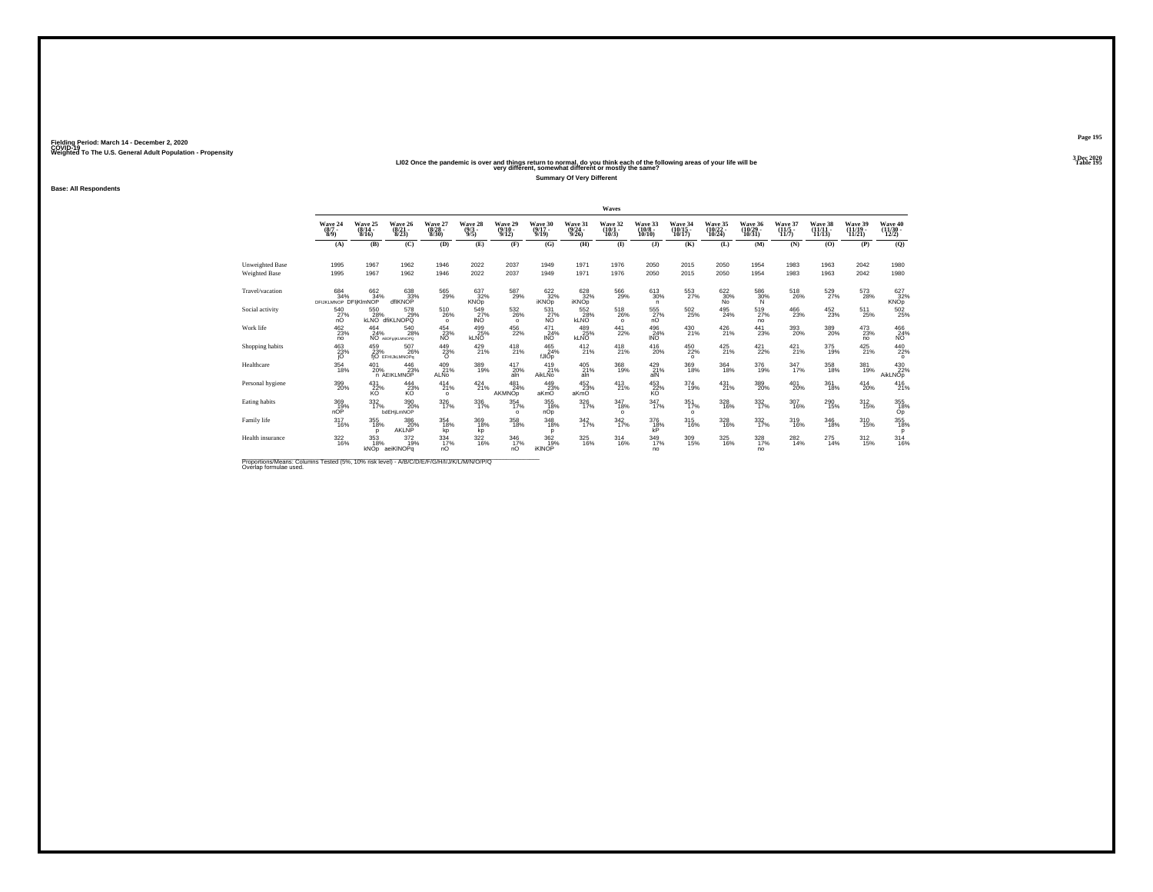# Weighted To The U.S. General Adult Population - Propensity<br>LIO2 Once the pandemic is over and things return to normal, do you think each of the following areas of your life will be<br>Table 195

**Summary Of Very Different**

**Base: All Respondents**

|                                                                                                                     |                                  |                             |                                                               |                                    |                                |                                  |                                  |                                         | Waves                                 |                                        |                               |                                    |                               |                                       |                                    |                               |                                      |
|---------------------------------------------------------------------------------------------------------------------|----------------------------------|-----------------------------|---------------------------------------------------------------|------------------------------------|--------------------------------|----------------------------------|----------------------------------|-----------------------------------------|---------------------------------------|----------------------------------------|-------------------------------|------------------------------------|-------------------------------|---------------------------------------|------------------------------------|-------------------------------|--------------------------------------|
|                                                                                                                     | Wave 24<br>$\binom{8/7}{8/9}$    | Wave 25<br>(8/14 -<br>8/16) | Wave 26<br>$\frac{(8/21)}{8/23}$                              | Wave 27<br>$\frac{(8/28)}{8/30}$   | Wave 28<br>$\frac{(9/3)}{9/5}$ | Wave 29<br>$\frac{(9/10)}{9/12}$ | Wave 30<br>$\frac{(9/17)}{9/19}$ | Wave 31<br>$\frac{(9/24 - 9/26)}{9/26}$ | Wave 32<br>$\frac{(10/1 - 10)}{10/3}$ | Wave 33<br>$\frac{(10/8 - 10)}{10/10}$ | Wave 34<br>(10/15 -<br>10/17) | Wave 35<br>$\frac{(10/22)}{10/24}$ | Wave 36<br>(10/29 -<br>10/31) | Wave 37<br>$\frac{(11/5)}{11/7}$      | Wave 38<br>$\frac{(11/11)}{11/13}$ | Wave 39<br>(11/19 -<br>11/21) | Wave 40<br>$\frac{(11/30)}{12/2}$    |
|                                                                                                                     | (A)                              | (B)                         | (C)                                                           | (D)                                | (E)                            | (F)                              | (G)                              | (H)                                     | $($ $\Gamma$                          | $($ $)$                                | (K)                           | (L)                                | (M)                           | (N)                                   | (O)                                | (P)                           | (Q)                                  |
| <b>Unweighted Base</b><br><b>Weighted Base</b>                                                                      | 1995<br>1995                     | 1967<br>1967                | 1962<br>1962                                                  | 1946<br>1946                       | 2022<br>2022                   | 2037<br>2037                     | 1949<br>1949                     | 1971<br>1971                            | 1976<br>1976                          | 2050<br>2050                           | 2015<br>2015                  | 2050<br>2050                       | 1954<br>1954                  | 1983<br>1983                          | 1963<br>1963                       | 2042<br>2042                  | 1980<br>1980                         |
| Travel/vacation                                                                                                     | 684 34%<br>DFIJKLMNOP DFIIKIMNOP | 662<br>34%                  | 638<br>33%<br>dflKNOP                                         | 565<br>29%                         | 637<br>32%<br>KNOp             | 587<br>29%                       | 622/32%<br><b>iKNOp</b>          | $628 \atop 32\%$<br>iKNOp               | 566<br>29%                            | $^{613}_{30\%}$<br>n                   | $^{553}_{27\%}$               | 622 30%<br>Ñō                      | $^{586}_{\  \  \, 30\%}$      | $^{518}_{26\%}$                       | $\frac{529}{27\%}$                 | 573<br>28%                    | $627 \atop 32\%$<br>KNO <sub>p</sub> |
| Social activity                                                                                                     | 540<br>27% <sub>nO</sub>         | 550                         | 578<br>28% 29%<br>kLNO dfiKLNOPQ                              | 510<br>26%<br>$\Omega$             | 549<br>$\frac{27}{100}$        | $^{532}_{26\%}$<br>$\circ$       | 531<br>$\frac{27}{10}$           | 552<br>kLNO                             | 518<br>26%<br>$\circ$                 | 555<br>27%                             | $^{502}_{\phantom{1}25\%}$    | $^{495}_{24\%}$                    | $\frac{519}{27\%}$<br>no      | $^{466}_{23\%}$                       | $\frac{452}{23\%}$                 | 511<br>25%                    | 502<br>25%                           |
| Work life                                                                                                           | $^{462}_{23\%}$<br>no            | $^{464}_{24\%}$             | 540<br>28%<br>NO ABDF@UKLMNOPQ                                | $^{454}_{23\%}$<br>NO <sub>1</sub> | 499<br>25%<br><b>KLNO</b>      | 456<br>22%                       | $^{471}_{24\%}$<br><b>INO</b>    | 489 25%<br><b>KLNO</b>                  | $^{441}_{22\%}$                       | $^{496}_{24\%}$<br><b>INO</b>          | $^{430}_{21\%}$               | $^{426}_{21\%}$                    | $^{441}_{23\%}$               | $^{393}_{\phantom{1}\phantom{1}20\%}$ | 389<br>20%                         | $^{473}_{23\%}$<br>no         | 466<br>24%<br><b>NO</b>              |
| Shopping habits                                                                                                     | $^{463}_{23\%}$                  |                             | 459 507<br>23% 26% 26%<br>fjO EFHIJKLMNOPq<br>$^{507}_{26\%}$ | $^{449}_{23\%}$                    | $^{429}_{21\%}$                | $^{418}_{21\%}$                  | 465<br>24%<br>fJIOp              | $^{412}_{21\%}$                         | $^{418}_{21\%}$                       | $^{416}_{20\%}$                        | $^{450}_{22\%}$<br>$\circ$    | $^{425}_{21\%}$                    | $^{421}_{22\%}$               | $421$ %                               | $^{375}_{19\%}$                    | $^{425}_{21\%}$               | 440<br>22%<br>$\circ$                |
| Healthcare                                                                                                          | $\underset{18\%}{354}$           | 401<br>20%                  | 446<br>23%<br>n AEIKLMNOP                                     | 409<br>21%<br>ALNo                 | 389<br>19%                     | 417<br>20%<br>aln                | 419<br>21%<br>AikLNo             | 405<br>21%<br>aln                       | 368<br>19%                            | $^{429}_{21\%}$<br>alN                 | $\frac{369}{18\%}$            | $\underset{18\%}{^{364}}$          | 376<br>19%                    | 347<br>17%                            | 358<br>18%                         | 381<br>19%                    | 430<br>22%<br>AikLNOp                |
| Personal hygiene                                                                                                    | 399<br>20%                       | $^{431}_{22\%}$<br>KO       | $^{444}_{23\%}$<br>KO                                         | $^{414}_{21\%}$<br>$\circ$         | $^{424}_{21\%}$                | $^{481}_{24\%}$<br>AKMNOp        | 449<br>23%<br>aKmO               | $^{452}_{23\%}$<br>aKmO                 | $^{413}_{21\%}$                       | 453<br>KO                              | $^{374}_{19\%}$               | $^{431}_{21\%}$                    | $\frac{389}{20\%}$            | $^{401}_{20\%}$                       | $^{361}_{18\%}$                    | $^{414}_{20\%}$               | $^{416}_{21\%}$                      |
| Eating habits                                                                                                       | 369<br>nOP                       | 332<br>17%                  | 390<br>20%<br>bdEHiLmNOP                                      | 326<br>17%                         | 336<br>17%                     | 354<br>17%<br>$\Omega$           | 355<br>18%<br>nOp                | 326<br>17%                              | 347<br>18%<br>$\Omega$                | 347<br>17%                             | 351<br>17%<br>$\circ$         | 328<br>16%                         | $\frac{332}{17\%}$            | 307<br>16%                            | 290<br>15%                         | 312<br>15%                    | 355<br>18%<br>Op                     |
| Family life                                                                                                         | $^{317}_{16\%}$                  | $\underset{18\%}{355}$<br>D | 386<br>20%<br>AKLNP                                           | $354 \over 18\%$<br>kp             | 369<br>18%<br>kp               | $\frac{358}{18\%}$               | 348<br>18%<br>D                  | $\frac{342}{17\%}$                      | 342/17%                               | 376<br>18%<br>kP                       | $^{315}_{16\%}$               | $^{328}_{16\%}$                    | 332/17%                       | 319<br>16%                            | $\frac{346}{18\%}$                 | $^{310}_{15\%}$               | 355<br>p                             |
| Health insurance                                                                                                    | $\frac{322}{16\%}$               | $353 \over 18\%$<br>kNOp    | 372 19%<br>aeiKINOPa                                          | $^{334}_{17\%}$<br>nO              | 322/16%                        | $\frac{346}{17\%}$<br>nÓ         | 362%<br><b><i>IKINOP</i></b>     | $^{325}_{16\%}$                         | $^{314}_{16\%}$                       | $349$<br>$17\%$<br>no                  | $^{309}_{15\%}$               | 325/16%                            | 328/17%<br>no                 | 282<br>14%                            | $^{275}_{14\%}$                    | $^{312}_{15\%}$               | $^{314}_{16\%}$                      |
| Proportions/Means: Columns Tested (5%, 10% risk level) - A/B/C/D/E/F/G/H/I/J/K/L/M/N/O/P/Q<br>Overlap formulae used |                                  |                             |                                                               |                                    |                                |                                  |                                  |                                         |                                       |                                        |                               |                                    |                               |                                       |                                    |                               |                                      |

**Page 195**3 Dec 2020<br>Table 195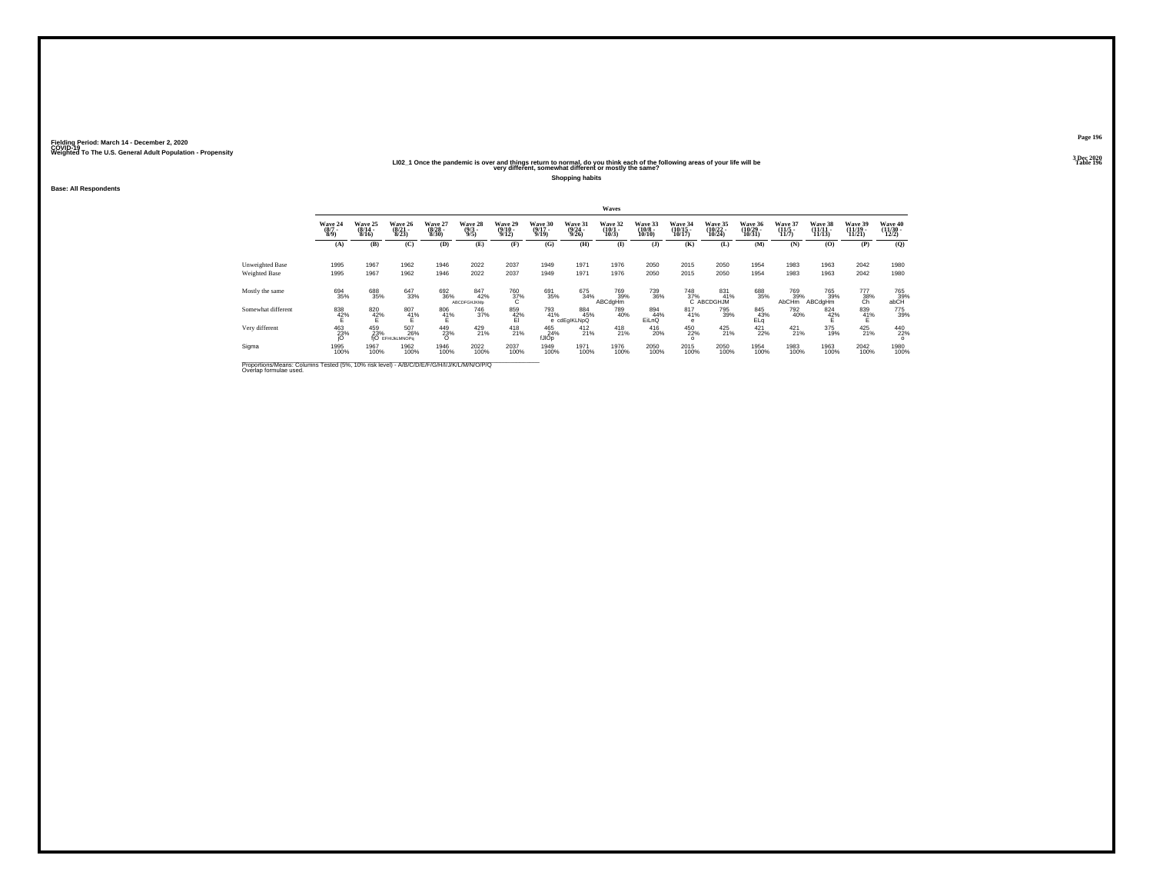#### **LI02\_1 Once the pandemic is over and things return to normal, do you think each of the following areas of your life will be Table 196 very different, somewhat different or mostly the same?**

**Shopping habits**

**Base: All Respondents**

|                                                                                                                      |                                   |                              |                                       |                                       |                                  |                                  |                                  |                                  | Waves                        |                               |                                |                                |                                |                              |                                |                                     |                                   |
|----------------------------------------------------------------------------------------------------------------------|-----------------------------------|------------------------------|---------------------------------------|---------------------------------------|----------------------------------|----------------------------------|----------------------------------|----------------------------------|------------------------------|-------------------------------|--------------------------------|--------------------------------|--------------------------------|------------------------------|--------------------------------|-------------------------------------|-----------------------------------|
|                                                                                                                      | Wave 24<br>$\frac{(8/7)}{8/9}$    | Wave 25<br>$(8/14 -$<br>8/16 | Wave 26<br>$(8/21 -$<br>8/23          | Wave 27<br>$(8/28 -$<br>8/30          | Wave 28<br>$\frac{(9/3)}{9/5}$   | Wave 29<br>$\frac{(9/10)}{9/12}$ | Wave 30<br>$\frac{(9/17)}{9/19}$ | Wave 31<br>$\frac{(9/24)}{9/26}$ | Wave 32<br>$(10/1 -$<br>10/3 | Wave 33<br>$(10/8 -$<br>10/10 | Wave 34<br>$(10/15 -$<br>10/17 | Wave 35<br>$(10/22 -$<br>10/24 | Wave 36<br>$(10/29 -$<br>10/31 | Wave 37<br>$(11/5 -$<br>11/7 | Wave 38<br>$(11/11 -$<br>11/13 | Wave 39<br>$(11/19 -$<br>11/21      | Wave 40<br>$\frac{(11/30)}{12/2}$ |
|                                                                                                                      | (A)                               | (B)                          | (C)                                   | (D)                                   | (E)                              | (F)                              | (G)                              | (H)                              | $($ $\Gamma$                 | (I)                           | (K)                            | (L)                            | (M)                            | (N)                          | (0)                            | (P)                                 | (0)                               |
| Unweighted Base<br>Weighted Base                                                                                     | 1995<br>1995                      | 1967<br>1967                 | 1962<br>1962                          | 1946<br>1946                          | 2022<br>2022                     | 2037<br>2037                     | 1949<br>1949                     | 1971<br>1971                     | 1976<br>1976                 | 2050<br>2050                  | 2015<br>2015                   | 2050<br>2050                   | 1954<br>1954                   | 1983<br>1983                 | 1963<br>1963                   | 2042<br>2042                        | 1980<br>1980                      |
| Mostly the same                                                                                                      | 694<br>35%                        | 688<br>35%                   | 647<br>33%                            | 692<br>36%                            | 847<br>42%<br><b>ABCDFGHJKMp</b> | $\frac{760}{37}\%$               | 691<br>35%                       | 675<br>34%                       | 769<br>39%<br>ABCdgHm        | 739<br>36%                    | $^{748}_{37\%}$                | 831 %<br>C ABCDGHJM            | 688<br>35%                     | 769<br>39%<br>AbCHm          | <sup>765</sup> 39%<br>ABCdgHm  | $\overset{777}{\substack{38\%}}$ Ch | 765<br>39%<br>abCH                |
| Somewhat different                                                                                                   | $\overset{838}{\phantom{1}42\%}}$ | $\frac{820}{42\%}$           | $^{807}_{41\%}$                       | $^{806}_{\  \  \, 41\%}_{\  \  \, E}$ | 746<br>37%                       | 859<br>42%<br>El                 | 793<br>41%                       | 884<br>45%<br>e cdEgIKLNpQ       | 789<br>40%                   | 894<br>44%<br>EiLnQ           | 817<br>41%<br>e                | 795<br>39%                     | 845<br>43%<br>ELa              | 792<br>40%                   | 824<br>42%                     | $^{839}_{41\%}$                     | 775<br>39%                        |
| Very different                                                                                                       | 463<br>23%                        | 459<br>23%                   | 507<br>26%<br><b>fiO</b> EFHIJKLMNOPa | 449<br>23%<br>$\Omega$                | 429 21%                          | 418<br>21%                       | 465<br>24%<br>fJIOp              | $^{412}_{21\%}$                  | $^{418}_{21\%}$              | $^{416}_{20\%}$               | 450<br>22%<br>$\Omega$         | 425<br>21%                     | $421$ <sub>22%</sub>           | $^{421}_{21\%}$              | 375<br>19%                     | 425<br>21%                          | 440<br>22%<br>$\circ$             |
| Sigma                                                                                                                | 1995<br>100%                      | 1967<br>100%                 | 1962<br>100%                          | 1946<br>100%                          | 2022<br>100%                     | 2037<br>100%                     | 1949<br>100%                     | 1971<br>100%                     | 1976<br>100%                 | 2050<br>100%                  | 2015<br>100%                   | 2050<br>100%                   | 1954<br>100%                   | 1983<br>100%                 | 1963<br>100%                   | 2042<br>100%                        | 1980<br>100%                      |
| Proportions/Means: Columns Tested (5%, 10% risk level) - A/B/C/D/E/F/G/H/I/J/K/L/M/N/O/P/Q<br>Overlap formulae used. |                                   |                              |                                       |                                       |                                  |                                  |                                  |                                  |                              |                               |                                |                                |                                |                              |                                |                                     |                                   |

**Page 1963 Dec 2020<br>Table 196**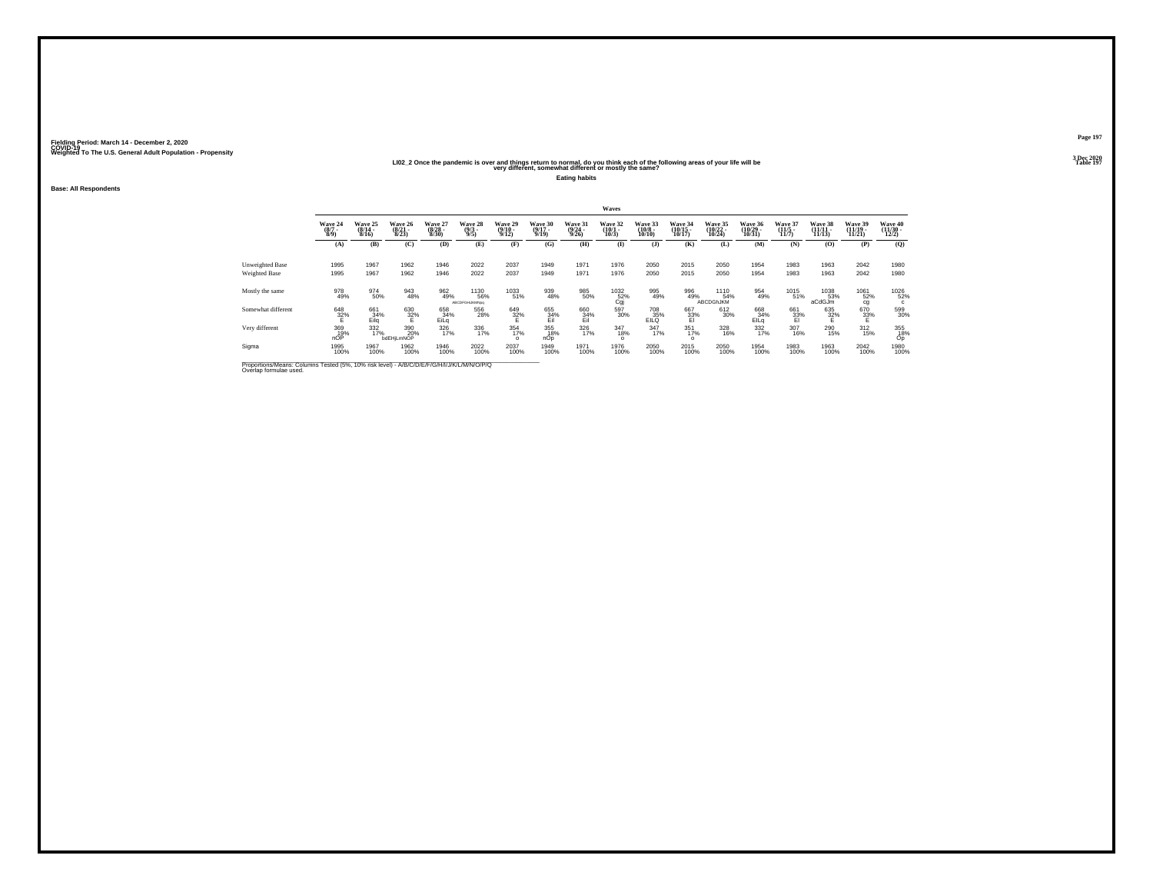#### **LI02\_2 Once the pandemic is over and things return to normal, do you think each of the following areas of your life will be Table 197 very different, somewhat different or mostly the same?**

**Eating habits**

**Base: All Respondents**

|                                                                                                                      |                                |                              |                                  |                                  |                                |                             |                                  |                                  | Waves                                              |                                   |                                    |                                 |                                |                                  |                               |                                |                                          |
|----------------------------------------------------------------------------------------------------------------------|--------------------------------|------------------------------|----------------------------------|----------------------------------|--------------------------------|-----------------------------|----------------------------------|----------------------------------|----------------------------------------------------|-----------------------------------|------------------------------------|---------------------------------|--------------------------------|----------------------------------|-------------------------------|--------------------------------|------------------------------------------|
|                                                                                                                      | Wave 24<br>$\frac{(8/7)}{8/9}$ | Wave 25<br>$(8/14 -$<br>8/16 | Wave 26<br>$\frac{(8/21)}{8/23}$ | Wave 27<br>$\frac{(8/28)}{8/30}$ | Wave 28<br>$\frac{(9/3)}{9/5}$ | Wave 29<br>(9/10 -<br>9/12) | Wave 30<br>$\frac{(9/17)}{9/19}$ | Wave 31<br>$\frac{(9/24)}{9/26}$ | Wave 32<br>$(10/1 -$<br>10/3                       | Wave 33<br>$\frac{(10/8)}{10/10}$ | Wave 34<br>$\frac{(10/15)}{10/17}$ | Wave 35<br>$(10/22 -$<br>10/24  | Wave 36<br>$(10/29 -$<br>10/31 | Wave 37<br>$\frac{(11/5)}{11/7}$ | Wave 38<br>$\frac{11}{11/13}$ | Wave 39<br>$(11/19 -$<br>11/21 | Wave 40<br>$\frac{(11/30 - 12/2)}{12/2}$ |
|                                                                                                                      | (A)                            | (B)                          | (C)                              | (D)                              | (E)                            | (F)                         | (G)                              | (H)                              | $\bf{I}$                                           | (J)                               | (K)                                | (L)                             | (M)                            | (N)                              | (0)                           | (P)                            | (O)                                      |
| Unweighted Base<br>Weighted Base                                                                                     | 1995<br>1995                   | 1967<br>1967                 | 1962<br>1962                     | 1946<br>1946                     | 2022<br>2022                   | 2037<br>2037                | 1949<br>1949                     | 1971<br>1971                     | 1976<br>1976                                       | 2050<br>2050                      | 2015<br>2015                       | 2050<br>2050                    | 1954<br>1954                   | 1983<br>1983                     | 1963<br>1963                  | 2042<br>2042                   | 1980<br>1980                             |
| Mostly the same                                                                                                      | 978<br>49%                     | 974<br>50%                   | 943<br>48%                       | 962<br>49%                       | 1130<br>56%<br>ABCDFGHUKMNog   | 1033<br>51%                 | 939<br>48%                       | 985<br>50%                       | $\overset{1032}{\underset{\text{Cgi}}{\text{52}}}$ | 995<br>49%                        | 996<br>49%                         | 1110<br>54%<br><b>ABCDGhJKM</b> | 954<br>49%                     | 1015<br>51%                      | 1038<br>53%<br>aCdGJm         | 1061<br>52%<br>cg              | 1026<br>52%<br>$\mathbf{c}$              |
| Somewhat different                                                                                                   | $\frac{648}{32\%}$             | 661<br>34%<br>Eila           | $\frac{630}{32\%}$               | 658<br>34%<br>EiLg               | 556<br>28%                     | 649<br>32%<br>E             | 655<br>34%<br>Eil                | $^{660}_{34\%}$ $^{34\%}_{Eil}$  | 597<br>30%                                         | 708<br>EILQ                       | 667<br>33%<br>El                   | 612<br>30%                      | 668<br>34%<br>EILq             | 661<br>33%<br>El                 | 635<br>32%<br>E               | 670<br>$32\%$                  | 599<br>30%                               |
| Very different                                                                                                       | 369<br>19%<br>nOP              | 332<br>17%                   | 390<br>20%<br>bdEHjLmNOP         | 326<br>17%                       | 336<br>17%                     | 354<br>17%<br>$\Omega$      | 355<br>18%<br>nOp                | 326<br>17%                       | 347<br>18%<br>$\Omega$                             | 347<br>17%                        | $351$<br>$17%$<br>$\circ$          | 328<br>16%                      | 332<br>17%                     | 307<br>16%                       | 290<br>15%                    | $^{312}_{15\%}$                | 355<br>18%<br>Op                         |
| Sigma                                                                                                                | 1995<br>100%                   | 1967<br>100%                 | 1962<br>100%                     | 1946<br>100%                     | 2022<br>100%                   | 2037<br>100%                | 1949<br>100%                     | 1971<br>100%                     | 1976<br>100%                                       | 2050<br>100%                      | 2015<br>100%                       | 2050<br>100%                    | 1954<br>100%                   | 1983<br>100%                     | 1963<br>100%                  | 2042<br>100%                   | 1980<br>100%                             |
| Proportions/Means: Columns Tested (5%, 10% risk level) - A/B/C/D/E/F/G/H/I/J/K/L/M/N/O/P/Q<br>Overlap formulae used. |                                |                              |                                  |                                  |                                |                             |                                  |                                  |                                                    |                                   |                                    |                                 |                                |                                  |                               |                                |                                          |

**Page 1973 Dec 2020<br>Table 197**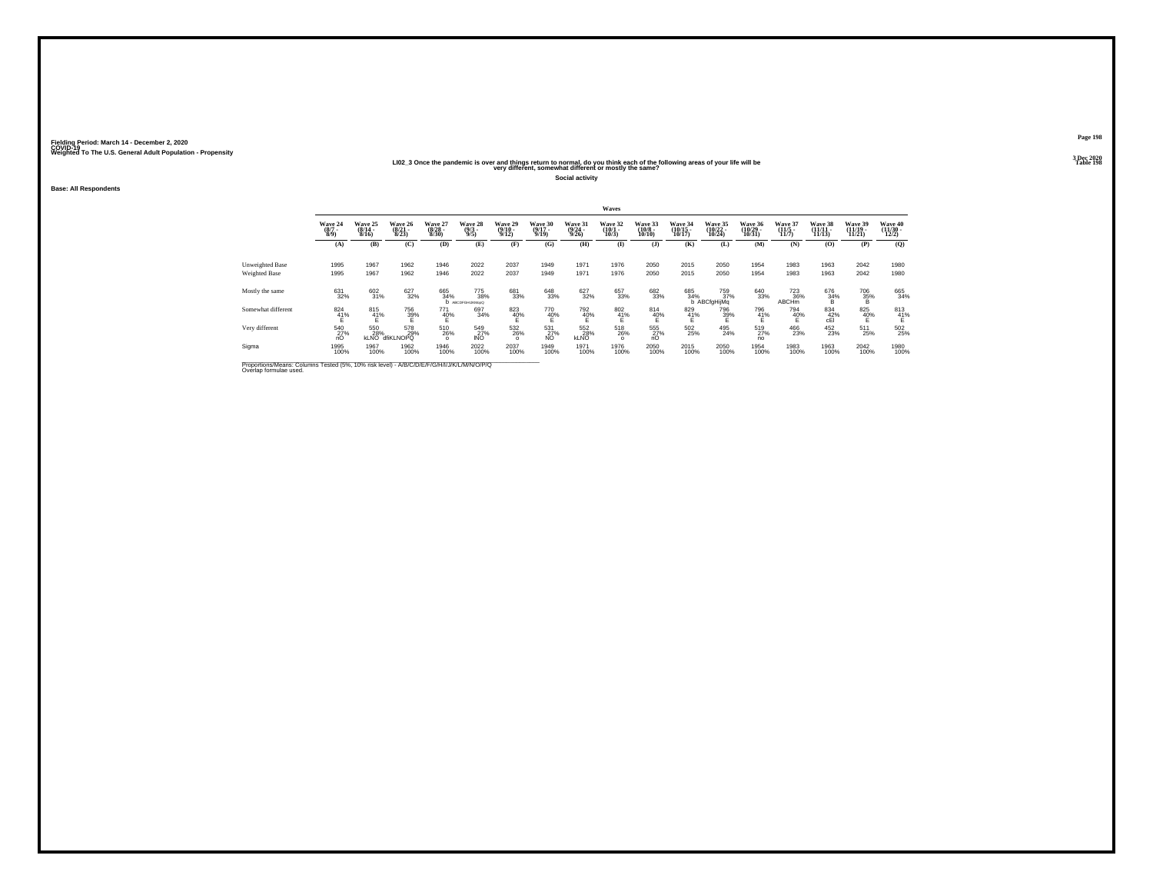#### **LI02\_3 Once the pandemic is over and things return to normal, do you think each of the following areas of your life will be Table 198 very different, somewhat different or mostly the same?**

**Social activity**

**Base: All Respondents**

|                                                                                                                      |                                |                           |                              |                              |                                |                              |                                  |                             | Waves                        |                                   |                  |                              |                                |                              |                                |                                    |                              |
|----------------------------------------------------------------------------------------------------------------------|--------------------------------|---------------------------|------------------------------|------------------------------|--------------------------------|------------------------------|----------------------------------|-----------------------------|------------------------------|-----------------------------------|------------------|------------------------------|--------------------------------|------------------------------|--------------------------------|------------------------------------|------------------------------|
|                                                                                                                      | Wave 24<br>$(8/7 -$<br>$8/9$ ) | Wave 25<br>(8/14)<br>8/16 | Wave 26<br>$(8/21 -$<br>8/23 | Wave 27<br>$(8/28 -$<br>8/30 | Wave 28<br>$\frac{(9/3)}{9/5}$ | Wave 29<br>$(9/10 -$<br>9/12 | Wave 30<br>$\frac{(9/17)}{9/19}$ | Wave 31<br>(9/24 -<br>9/26) | Wave 32<br>$(10/1 -$<br>10/3 | Wave 33<br>$\frac{(10/8)}{10/10}$ | Wave 34<br>10/17 | Wave 35<br>(10/22 -<br>10/24 | Wave 36<br>$(10/29 -$<br>10/31 | Wave 37<br>$(11/5 -$<br>11/7 | Wave 38<br>$(11/11 -$<br>11/13 | Wave 39<br>$\frac{(11/19)}{11/21}$ | Wave 40<br>(11/30 -<br>12/2) |
|                                                                                                                      | (A)                            | (B)                       | (C)                          | (D)                          | (E)                            | (F)                          | (G)                              | (H)                         | $($ $\blacksquare$           | $($ $)$                           | (K)              | (L)                          | (M)                            | (N)                          | (0)                            | (P)                                | (0)                          |
| Unweighted Base<br>Weighted Base                                                                                     | 1995<br>1995                   | 1967<br>1967              | 1962<br>1962                 | 1946<br>1946                 | 2022<br>2022                   | 2037<br>2037                 | 1949<br>1949                     | 1971<br>1971                | 1976<br>1976                 | 2050<br>2050                      | 2015<br>2015     | 2050<br>2050                 | 1954<br>1954                   | 1983<br>1983                 | 1963<br>1963                   | 2042<br>2042                       | 1980<br>1980                 |
| Mostly the same                                                                                                      | 631<br>32%                     | 602<br>31%                | 627<br>32%                   | 665<br>34%                   | 775<br>38%<br>ABCDFGHLKMcoQ    | 681<br>33%                   | 648<br>33%                       | 627<br>32%                  | 657<br>33%                   | 682<br>33%                        | 685<br>34%       | 759<br>37%<br>b ABCfgHijMq   | 640<br>33%                     | 723<br>36%<br><b>ABCHm</b>   | 676<br>34%<br>B                | $^{706}_{35\%}$                    | 665<br>34%                   |
| Somewhat different                                                                                                   | $\frac{824}{41\%}$             | 815<br>41%                | 756<br>39%                   | 771<br>40%                   | 697<br>34%                     | 823<br>40%                   | 770<br>40%                       | 792<br>40%                  | $^{802}_{41\%}$              | 814<br>40%                        | 829<br>41%       | 796<br>39%                   | 796<br>$\frac{41}{5}$ %        | 794<br>40%                   | 834<br>42%                     | 825<br>40%                         | $\frac{813}{41\%}$           |
| Very different                                                                                                       | 540<br>27%<br>nO               | 550<br>28%<br><b>KLNO</b> | 578<br>29%<br>dfiKLNOPQ      | 510<br>26%<br>$\Omega$       | 549<br>27%<br><b>INO</b>       | 532<br>26%<br>$\Omega$       | 531<br>27%<br>N <sub>O</sub>     | 552<br>28%<br><b>KLNO</b>   | 518<br>26%<br>$\circ$        | 555<br>27%<br>nO                  | 502<br>25%       | 495<br>24%                   | 519<br>27%<br>no               | 466<br>23%                   | 452<br>23%                     | 511<br>25%                         | 502<br>25%                   |
| Sigma                                                                                                                | 1995<br>100%                   | 1967<br>100%              | 1962<br>100%                 | 1946<br>100%                 | 2022<br>100%                   | 2037<br>100%                 | 1949<br>100%                     | 1971<br>100%                | 1976<br>100%                 | 2050<br>100%                      | 2015<br>100%     | 2050<br>100%                 | 1954<br>100%                   | 1983<br>100%                 | 1963<br>100%                   | 2042<br>100%                       | 1980<br>100%                 |
| Proportions/Means: Columns Tested (5%, 10% risk level) - A/B/C/D/E/F/G/H/I/J/K/L/M/N/O/P/Q<br>Overlap formulae used. |                                |                           |                              |                              |                                |                              |                                  |                             |                              |                                   |                  |                              |                                |                              |                                |                                    |                              |

**Page 1983 Dec 2020<br>Table 198**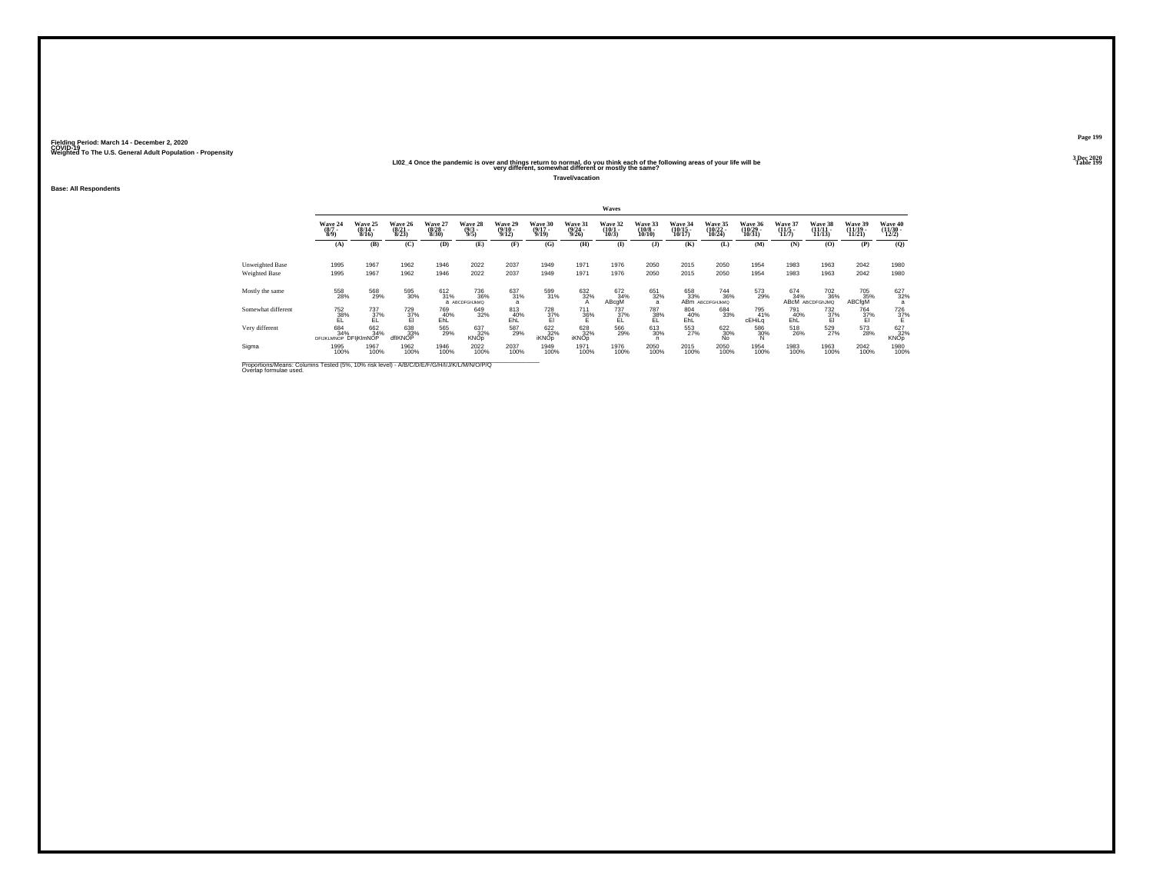#### **LI02\_4 Once the pandemic is over and things return to normal, do you think each of the following areas of your life will be Table 199 very different, somewhat different or mostly the same?**

**Travel/vacation**

**Base: All Respondents**

|                                                                                                                      |                                     |                              |                                  |                                  |                                     |                                  |                                  |                             | Waves                       |                                   |                   |                                                  |                              |                                     |                                       |                               |                              |
|----------------------------------------------------------------------------------------------------------------------|-------------------------------------|------------------------------|----------------------------------|----------------------------------|-------------------------------------|----------------------------------|----------------------------------|-----------------------------|-----------------------------|-----------------------------------|-------------------|--------------------------------------------------|------------------------------|-------------------------------------|---------------------------------------|-------------------------------|------------------------------|
|                                                                                                                      | Wave 24<br>$\frac{(8/7)}{8/9}$      | Wave 25<br>$(8/14 -$<br>8/16 | Wave 26<br>$\frac{(8/21)}{8/23}$ | Wave 27<br>$\frac{(8/28)}{8/30}$ | Wave 28<br>$\frac{(9/3)}{9/5}$      | Wave 29<br>$\frac{(9/10)}{9/12}$ | Wave 30<br>$\frac{(9/17)}{9/19}$ | Wave 31<br>(9/24 -<br>9/26) | Wave 32<br>(10/1 -<br>10/3) | Wave 33<br>$\frac{(10/8)}{10/10}$ | Wave 34<br>10/17  | Wave 35<br>(10/22 -<br>10/24)                    | Wave 36<br>(10/29 -<br>10/31 | <b>Wave 37</b><br>$(11/5 -$<br>11/7 | Wave 38<br>11/13                      | Wave 39<br>(11/19 -<br>11/21) | Wave 40<br>(11/30 -<br>12/2) |
|                                                                                                                      | (A)                                 | (B)                          | (C)                              | (D)                              | (E)                                 | (F)                              | (G)                              | (H)                         | $($ $\blacksquare$          | $($ $)$                           | (K)               | (L)                                              | (M)                          | (N)                                 | (O)                                   | (P)                           | (0)                          |
| Unweighted Base<br>Weighted Base                                                                                     | 1995<br>1995                        | 1967<br>1967                 | 1962<br>1962                     | 1946<br>1946                     | 2022<br>2022                        | 2037<br>2037                     | 1949<br>1949                     | 1971<br>1971                | 1976<br>1976                | 2050<br>2050                      | 2015<br>2015      | 2050<br>2050                                     | 1954<br>1954                 | 1983<br>1983                        | 1963<br>1963                          | 2042<br>2042                  | 1980<br>1980                 |
| Mostly the same                                                                                                      | 558<br>28%                          | 568<br>29%                   | 595<br>30%                       | $^{612}_{31\%}$                  | <sup>736</sup> 36%<br>а АВСОГСНЈИМО | 637<br>31%<br>$\overline{a}$     | 599<br>31%                       | 632%<br>$\mathsf{A}$        | 672<br>34%<br>ABcgM         | 651<br>32%<br>a                   | 658<br>33%        | <sup>744</sup> <sub>36%</sub><br>ABM ABCDFGHJkMQ | 573<br>29%                   | 674<br>34%                          | <sup>702</sup> 36%<br>ABCM ABCDFGhJMQ | 705<br>35%<br>ABCfgM          | 627<br>32%                   |
| Somewhat different                                                                                                   | 752<br>38%<br>EL                    | 737<br>37%                   | 729<br>$\frac{37}{21}$           | 769<br>40%<br>EhL                | 649<br>32%                          | 813<br>40%<br>EhL                | $\frac{728}{37\%}$               | 711<br>36%                  | 737<br>$\frac{37}{5}$       | 787<br>38%                        | 804<br>40%<br>EhL | 684<br>33%                                       | 795<br>41%<br>cEHiLa         | 791<br>40%<br>EhL                   | 732<br>37%                            | 764<br>$\frac{37}{5}$         | $\frac{726}{37\%}$           |
| Very different                                                                                                       | 684<br>34%<br>DFIJKLMNOP DFIIKIMNOP | 662<br>34%                   | 638<br>33%<br>dflKNOP            | 565<br>29%                       | 637<br>32%<br><b>KNOp</b>           | 587<br>29%                       | 622%<br><b>iKNOp</b>             | 628<br>32%<br><b>iKNOp</b>  | 566<br>29%                  | 613<br>30%<br>n                   | 553<br>27%        | 622 30%<br>No.                                   | 586<br>30%<br>N              | 518<br>26%                          | 529<br>27%                            | 573<br>28%                    | 627<br>32%<br><b>KNOp</b>    |
| Sigma                                                                                                                | 1995<br>100%                        | 1967<br>100%                 | 1962<br>100%                     | 1946<br>100%                     | 2022<br>100%                        | 2037<br>100%                     | 1949<br>100%                     | 1971<br>100%                | 1976<br>100%                | 2050<br>100%                      | 2015<br>100%      | 2050<br>100%                                     | 1954<br>100%                 | 1983<br>100%                        | 1963<br>100%                          | 2042<br>100%                  | 1980<br>100%                 |
| Proportions/Means: Columns Tested (5%, 10% risk level) - A/B/C/D/E/F/G/H/I/J/K/L/M/N/O/P/Q<br>Overlap formulae used. |                                     |                              |                                  |                                  |                                     |                                  |                                  |                             |                             |                                   |                   |                                                  |                              |                                     |                                       |                               |                              |

**Page 1993 Dec 2020<br>Table 199**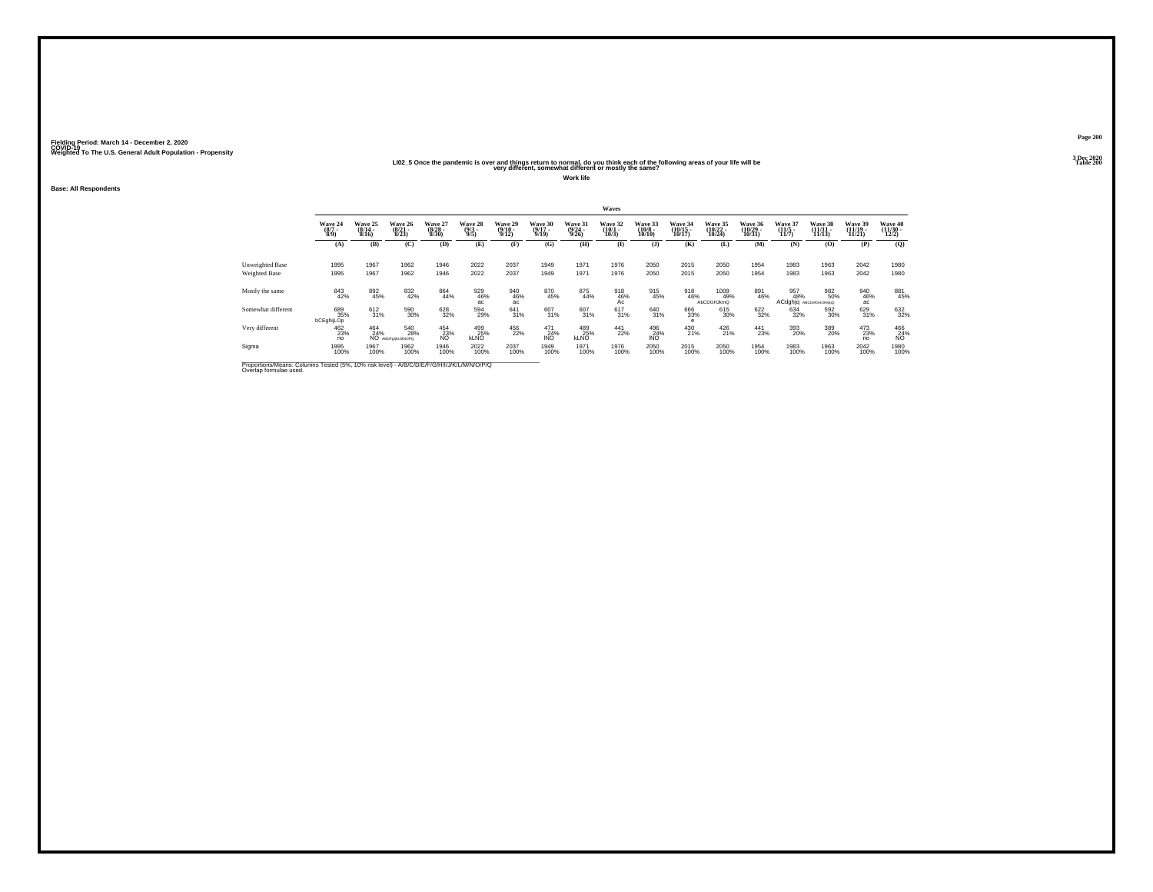#### **LI02\_5 Once the pandemic is over and things return to normal, do you think each of the following areas of your life will be Table 200 very different, somewhat different or mostly the same?**

**Work life**

**Base: All Respondents**

|                                                                                                                      |                                |                           |                                  |                                  |                                |                                  |                                  |                                  | Waves                       |                                  |                               |                               |                               |                             |                                     |                                    |                              |
|----------------------------------------------------------------------------------------------------------------------|--------------------------------|---------------------------|----------------------------------|----------------------------------|--------------------------------|----------------------------------|----------------------------------|----------------------------------|-----------------------------|----------------------------------|-------------------------------|-------------------------------|-------------------------------|-----------------------------|-------------------------------------|------------------------------------|------------------------------|
|                                                                                                                      | Wave 24<br>$\frac{(8/7)}{8/9}$ | Wave 25<br>(8/14)<br>8/16 | Wave 26<br>$\frac{(8/21)}{8/23}$ | Wave 27<br>$\frac{(8/28)}{8/30}$ | Wave 28<br>$\frac{(9/3)}{9/5}$ | Wave 29<br>$\frac{(9/10)}{9/12}$ | Wave 30<br>$\frac{(9/17)}{9/19}$ | Wave 31<br>$\frac{(9/24)}{9/26}$ | Wave 32<br>(10/1 -<br>10/3) | Wave 33<br>$\binom{10/8}{10/10}$ | Wave 34<br>(10/15 -<br>10/17) | Wave 35<br>(10/22 -<br>10/24) | Wave 36<br>(10/29 -<br>10/31) | Wave 37<br>(11/5 -<br>11/7) | Wave 38<br>$(11/11 -$<br>11/13      | Wave 39<br>$\frac{(11/19)}{11/21}$ | Wave 40<br>(11/30 -<br>12/2) |
|                                                                                                                      | (A)                            | (B)                       | (C)                              | (D)                              | (E)                            | (F)                              | (G)                              | (H)                              | $\mathbf{I}$                | $($ $\bf{J}$ $)$                 | (K)                           | (L)                           | (M)                           | (N)                         | (0)                                 | (P)                                | (Q)                          |
| Unweighted Base<br>Weighted Base                                                                                     | 1995<br>1995                   | 1967<br>1967              | 1962<br>1962                     | 1946<br>1946                     | 2022<br>2022                   | 2037<br>2037                     | 1949<br>1949                     | 1971<br>1971                     | 1976<br>1976                | 2050<br>2050                     | 2015<br>2015                  | 2050<br>2050                  | 1954<br>1954                  | 1983<br>1983                | 1963<br>1963                        | 2042<br>2042                       | 1980<br>1980                 |
| Mostly the same                                                                                                      | 843<br>42%                     | 892<br>45%                | 832<br>42%                       | 864<br>44%                       | 929<br>46%<br>ac               | 940<br>46%<br>ac                 | 870<br>45%                       | 875<br>44%                       | 918<br>46%<br>Aċ            | 915<br>45%                       | 918<br>46%                    | 1009<br>49%<br>AbCDGHJkmQ     | 891<br>46%                    | 957<br>48%                  | 982<br>50%<br>ACdghjq ABCDefGHJKMpQ | 940<br>46%<br>ac                   | 881<br>45%                   |
| Somewhat different                                                                                                   | 689<br>35%<br>bCEghijLOp       | $\frac{612}{31\%}$        | 590<br>30%                       | 628<br>32%                       | 594<br>29%                     | $^{641}_{31\%}$                  | 607<br>31%                       | 607<br>31%                       | 617<br>31%                  | 640<br>31%                       | 666<br>33%<br>$\epsilon$      | 615<br>30%                    | $\frac{622}{32\%}$            | 634<br>32%                  | 592<br>30%                          | 629<br>31%                         | 632<br>32%                   |
| Very different                                                                                                       | 462<br>23%<br>no               | 464<br>24%                | 540<br>28%<br>NO ABDF@UKLMNOPQ   | 454<br>23%<br>NO                 | 499<br>25%<br><b>KLNO</b>      | 456<br>22%                       | 471<br>24%<br><b>INO</b>         | 489<br>25%<br><b>KLNO</b>        | $^{441}_{22\%}$             | 496<br>24%<br><b>INO</b>         | 430<br>21%                    | 426<br>21%                    | $^{441}_{23\%}$               | 393<br>20%                  | 389<br>20%                          | 473<br>23%<br>no                   | 466<br>24%<br>N <sub>O</sub> |
| Sigma                                                                                                                | 1995<br>100%                   | 1967<br>100%              | 1962<br>100%                     | 1946<br>100%                     | 2022<br>100%                   | 2037<br>100%                     | 1949<br>100%                     | 1971<br>100%                     | 1976<br>100%                | 2050<br>100%                     | 2015<br>100%                  | 2050<br>100%                  | 1954<br>100%                  | 1983<br>100%                | 1963<br>100%                        | 2042<br>100%                       | 1980<br>100%                 |
| Proportions/Means: Columns Tested (5%, 10% risk level) - A/B/C/D/E/F/G/H/I/J/K/L/M/N/O/P/Q<br>Overlap formulae used. |                                |                           |                                  |                                  |                                |                                  |                                  |                                  |                             |                                  |                               |                               |                               |                             |                                     |                                    |                              |

**Page 2003 Dec 2020<br>Table 200**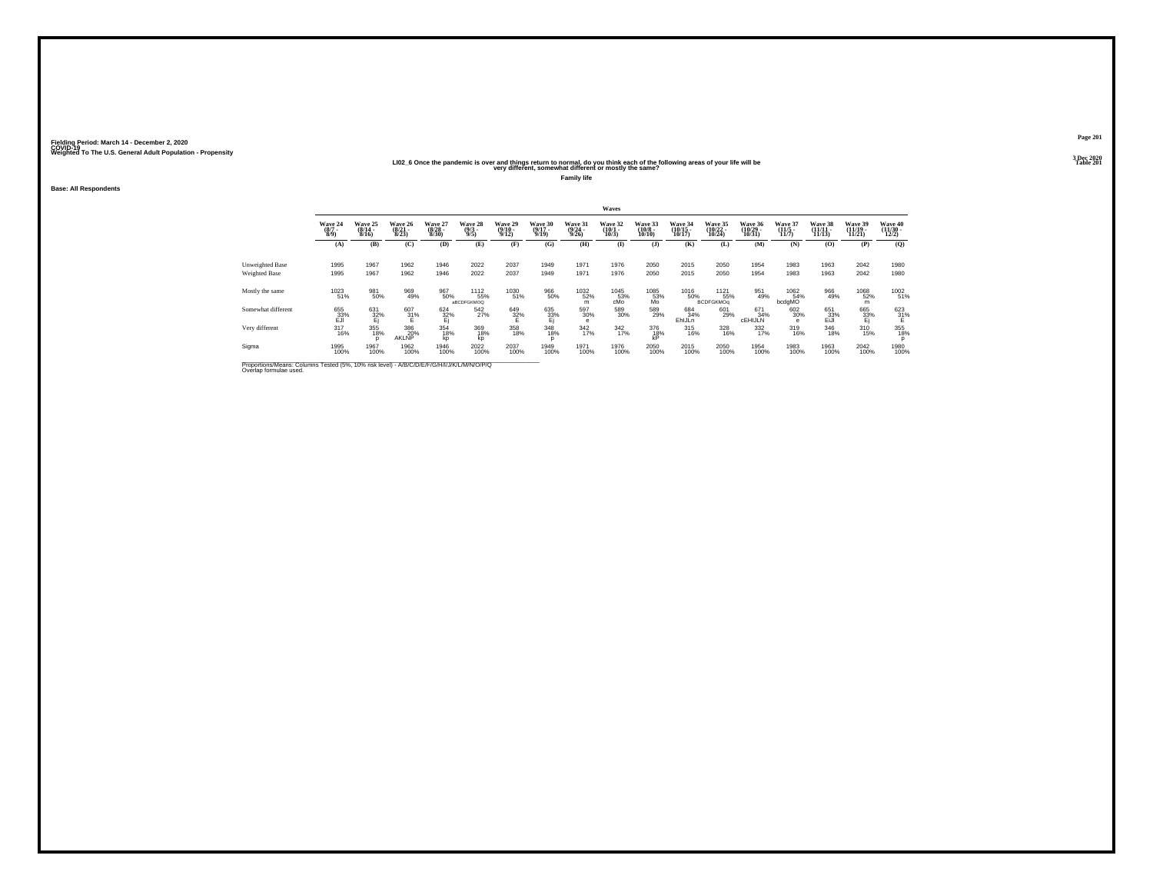#### **LI02\_6 Once the pandemic is over and things return to normal, do you think each of the following areas of your life will be Table 201 very different, somewhat different or mostly the same?**

**Family life**

**Base: All Respondents**

|                                                                                                                      |                               |                                     |                                  |                                  |                                              |                             |                                  |                             | Waves                       |                                   |                               |                                         |                                    |                                  |                               |                                    |                              |
|----------------------------------------------------------------------------------------------------------------------|-------------------------------|-------------------------------------|----------------------------------|----------------------------------|----------------------------------------------|-----------------------------|----------------------------------|-----------------------------|-----------------------------|-----------------------------------|-------------------------------|-----------------------------------------|------------------------------------|----------------------------------|-------------------------------|------------------------------------|------------------------------|
|                                                                                                                      | Wave 24<br>$\frac{(87)}{8/9}$ | <b>Wave 25</b><br>$(8/14 -$<br>8/16 | Wave 26<br>$\frac{(8/21)}{8/23}$ | Wave 27<br>$\frac{(8/28)}{8/30}$ | Wave 28<br>$\frac{(9/3)}{9/5}$               | Wave 29<br>(9/10 -<br>9/12) | Wave 30<br>$\frac{(9/17)}{9/19}$ | Wave 31<br>(9/24 -<br>9/26) | Wave 32<br>(10/1 -<br>10/3) | Wave 33<br>$\frac{(10/8)}{10/10}$ | Wave 34<br>(10/15 -<br>10/17) | Wave 35<br>(10/22 -<br>10/24)           | Wave 36<br>$\frac{(10/29)}{10/31}$ | Wave 37<br>$\frac{(11/5)}{11/7}$ | Wave 38<br>(11/11 -<br>11/13) | Wave 39<br>$\frac{(11/19)}{11/21}$ | Wave 40<br>(11/30 -<br>12/2) |
|                                                                                                                      | (A)                           | (B)                                 | (C)                              | (D)                              | (E)                                          | (F)                         | (G)                              | (H)                         | $\bf{I}$                    | $($ $\bf{J}$ )                    | (K)                           | (L)                                     | (M)                                | (N)                              | (0)                           | (P)                                | (O)                          |
| Unweighted Base<br>Weighted Base                                                                                     | 1995<br>1995                  | 1967<br>1967                        | 1962<br>1962                     | 1946<br>1946                     | 2022<br>2022                                 | 2037<br>2037                | 1949<br>1949                     | 1971<br>1971                | 1976<br>1976                | 2050<br>2050                      | 2015<br>2015                  | 2050<br>2050                            | 1954<br>1954                       | 1983<br>1983                     | 1963<br>1963                  | 2042<br>2042                       | 1980<br>1980                 |
| Mostly the same                                                                                                      | 1023<br>51%                   | 981<br>50%                          | 969<br>49%                       | 967<br>50%                       | <sup>11</sup> 12<br>55%<br><b>aBCDFGKMOQ</b> | 1030<br>51%                 | 966<br>50%                       | <sup>1032</sup> 52%<br>m    | $^{1045}_{53\%}$ cMo        | 1085<br>53%<br>Mo                 | <sup>1016</sup> 50%           | <sup>1121</sup> 55%<br><b>BCDFGKMOg</b> | 951<br>49%                         | 1062<br>54%<br>bcdgMO            | 966<br>49%                    | 1068<br>52%<br>m                   | 1002<br>51%                  |
| Somewhat different                                                                                                   | 655<br>33%<br>EJI             | 631<br>32%<br>Ej                    | $^{607}_{31\%}$                  | $\frac{624}{32\%}$               | $\frac{542}{27\%}$                           | 649<br>32%<br>E             | 635<br>33%<br>Ej                 | $^{597}_{\ 30\%}$<br>е      | 589<br>30%                  | 589<br>29%                        | 684<br>34%<br>EhlJLn          | 601<br>29%                              | 671<br>34%<br><b>CEHIJLIN</b>      | 602<br>30%<br>e                  | 651<br>33%<br>EiJl            | 665<br>33%<br>Ej                   | $\frac{623}{31}\%$           |
| Very different                                                                                                       | $^{317}_{16\%}$               | 355<br>18%                          | 386<br>20%<br>AKLNP              | 354<br>18%<br>kp                 | 369<br>18%<br>kp                             | 358<br>18%                  | 348<br>18%<br>D                  | $\frac{342}{17\%}$          | $\frac{342}{17\%}$          | 376<br>18%<br>kP                  | $^{315}_{16\%}$               | 328<br>16%                              | $\frac{332}{17\%}$                 | 319<br>16%                       | 346<br>18%                    | 310<br>15%                         | 355<br>18%<br>D              |
| Sigma                                                                                                                | 1995<br>100%                  | 1967<br>100%                        | 1962<br>100%                     | 1946<br>100%                     | 2022<br>100%                                 | 2037<br>100%                | 1949<br>100%                     | 1971<br>100%                | 1976<br>100%                | 2050<br>100%                      | 2015<br>100%                  | 2050<br>100%                            | 1954<br>100%                       | 1983<br>100%                     | 1963<br>100%                  | 2042<br>100%                       | 1980<br>100%                 |
| Proportions/Means: Columns Tested (5%, 10% risk level) - A/B/C/D/E/F/G/H/I/J/K/L/M/N/O/P/Q<br>Overlap formulae used. |                               |                                     |                                  |                                  |                                              |                             |                                  |                             |                             |                                   |                               |                                         |                                    |                                  |                               |                                    |                              |

**Page 2013 Dec 2020<br>Table 201**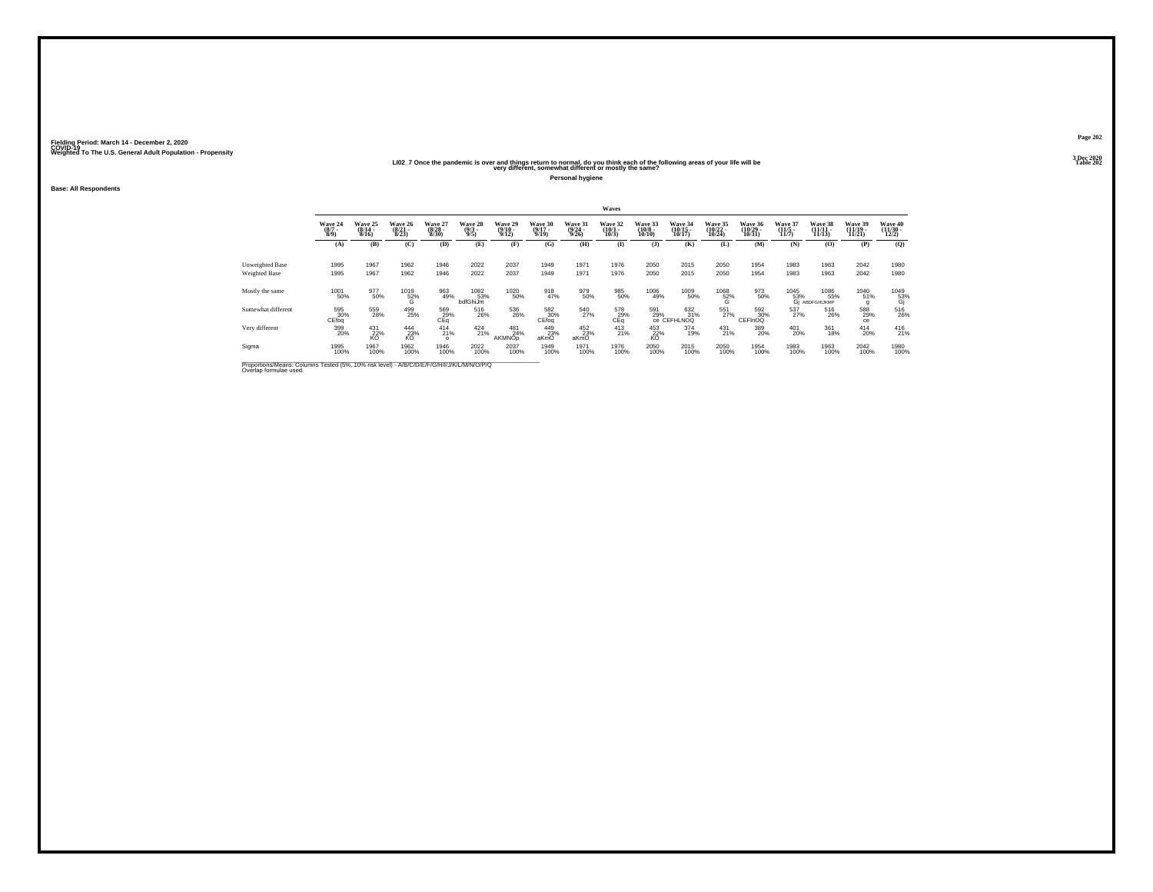#### **LI02\_7 Once the pandemic is over and things return to normal, do you think each of the following areas of your life will be Table 202 very different, somewhat different or mostly the same?**

**Personal hygiene**

**Base: All Respondents**

|                                                                                                                      |                                |                                       |                                  |                                 |                                |                                  |                              |                                  | Waves                        |                                   |                                    |                                |                                |                                               |                                |                                |                                          |
|----------------------------------------------------------------------------------------------------------------------|--------------------------------|---------------------------------------|----------------------------------|---------------------------------|--------------------------------|----------------------------------|------------------------------|----------------------------------|------------------------------|-----------------------------------|------------------------------------|--------------------------------|--------------------------------|-----------------------------------------------|--------------------------------|--------------------------------|------------------------------------------|
|                                                                                                                      | Wave 24<br>$\frac{(8/7)}{8/9}$ | Wave 25<br>$(8/14 -$<br>8/16          | Wave 26<br>$\frac{(8/21)}{8/23}$ | Wave 27<br>$\binom{8/28}{8/30}$ | Wave 28<br>$\frac{(9/3)}{9/5}$ | Wave 29<br>$\frac{(9/10)}{9/12}$ | Wave 30<br>$(9/17 -$<br>9/19 | Wave 31<br>$\frac{(9/24)}{9/26}$ | Wave 32<br>$(10/1 -$<br>10/3 | Wave 33<br>$\frac{(10/8)}{10/10}$ | Wave 34<br>$\frac{(10/15)}{10/17}$ | Wave 35<br>$(10/22 -$<br>10/24 | Wave 36<br>$(10/29 -$<br>10/31 | Wave 37<br>$(11/5 -$<br>11/7                  | Wave 38<br>$(11/11 -$<br>11/13 | Wave 39<br>$(11/19 -$<br>11/21 | Wave 40<br>$\frac{(11/30 - 12/2)}{12/2}$ |
|                                                                                                                      | (A)                            | (B)                                   | (C)                              | (D)                             | (E)                            | (F)                              | (G)                          | (H)                              | (I)                          | $($ $)$                           | (K)                                | (L)                            | (M)                            | (N)                                           | (0)                            | (P)                            | (0)                                      |
| Unweighted Base<br>Weighted Base                                                                                     | 1995<br>1995                   | 1967<br>1967                          | 1962<br>1962                     | 1946<br>1946                    | 2022<br>2022                   | 2037<br>2037                     | 1949<br>1949                 | 1971<br>1971                     | 1976<br>1976                 | 2050<br>2050                      | 2015<br>2015                       | 2050<br>2050                   | 1954<br>1954                   | 1983<br>1983                                  | 1963<br>1963                   | 2042<br>2042                   | 1980<br>1980                             |
| Mostly the same                                                                                                      | 1001<br>50%                    | 977<br>50%                            | $^{1019}_{52\%}$                 | 963<br>49%                      | 1082<br>53%<br>bdfGhiJm        | <sup>1020</sup> 50%              | 918<br>47%                   | 979<br>50%                       | 985<br>50%                   | 1006<br>49%                       | 1009<br>50%                        | $^{1068}_{-52\%}$              | 973<br>50%                     | $^{1045}_{\substack{53\%\\6j\ \mathrm{AB}.}}$ | 1086<br>55%<br>ABDFGHIJKMP     | 1040<br>51%                    | $^{1049}_{\substack{53\%\\6j}}$          |
| Somewhat different                                                                                                   | 595<br>30%<br>CEfoq            | $^{559}_{\phantom{1}\phantom{1}28\%}$ | 499<br>25%                       | 569<br>$c_{Eq}^{29\%}$          | 516<br>26%                     | 536<br>26%                       | 582<br>30%<br>CEfoq          | 540<br>27%                       | 578<br>29%<br>CEq            | 591<br>29%                        | 632<br>31%<br>Ce CEFHLNOQ          | 551<br>27%                     | 592<br>CEFINOQ                 | 537<br>27%                                    | 516<br>26%                     | 588<br>29%<br>ce               | 516<br>26%                               |
| Very different                                                                                                       | 399<br>20%                     | $^{431}_{22\%}$<br>KO                 | 444<br>23%<br>KO                 | $^{414}_{21\%}$<br>$\Omega$     | $^{424}_{21\%}$                | 481<br>24%<br>AKMNOp             | 449<br>23%<br>aKmO           | $^{452}_{23\%}$<br>aKmO          | $^{413}_{21\%}$              | 453<br>22%<br>KO                  | 374<br>19%                         | $^{431}_{21\%}$                | 389<br>20%                     | 401<br>20%                                    | 361<br>18%                     | $^{414}_{20\%}$                | $^{416}_{21\%}$                          |
| Sigma                                                                                                                | 1995<br>100%                   | 1967<br>100%                          | 1962<br>100%                     | 1946<br>100%                    | 2022<br>100%                   | 2037<br>100%                     | 1949<br>100%                 | 1971<br>100%                     | 1976<br>100%                 | 2050<br>100%                      | 2015<br>100%                       | 2050<br>100%                   | 1954<br>100%                   | 1983<br>100%                                  | 1963<br>100%                   | 2042<br>100%                   | 1980<br>100%                             |
| Proportions/Means: Columns Tested (5%, 10% risk level) - A/B/C/D/E/F/G/H/I/J/K/L/M/N/O/P/Q<br>Overlap formulae used. |                                |                                       |                                  |                                 |                                |                                  |                              |                                  |                              |                                   |                                    |                                |                                |                                               |                                |                                |                                          |

**Page 2023 Dec 2020<br>Table 202**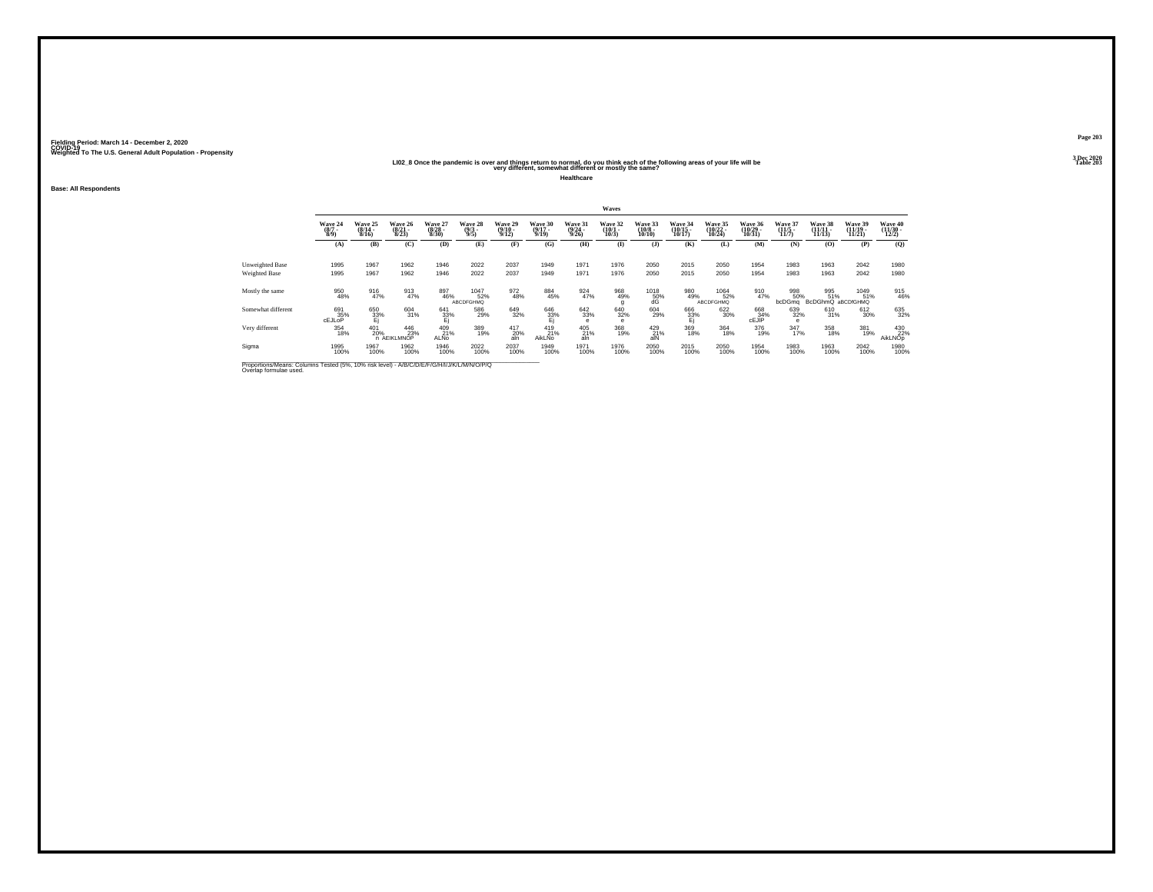#### **LI02\_8 Once the pandemic is over and things return to normal, do you think each of the following areas of your life will be Table 203 very different, somewhat different or mostly the same?**

**Healthcare**

**Base: All Respondents**

|                                                                                                                      |                                |                              |                                  |                                  |                                |                                  |                                  |                                  | Waves                           |                                   |                                    |                                 |                               |                              |                                 |                                |                                          |
|----------------------------------------------------------------------------------------------------------------------|--------------------------------|------------------------------|----------------------------------|----------------------------------|--------------------------------|----------------------------------|----------------------------------|----------------------------------|---------------------------------|-----------------------------------|------------------------------------|---------------------------------|-------------------------------|------------------------------|---------------------------------|--------------------------------|------------------------------------------|
|                                                                                                                      | Wave 24<br>$\frac{(8/7)}{8/9}$ | Wave 25<br>$(8/14 -$<br>8/16 | Wave 26<br>$\frac{(8/21)}{8/23}$ | Wave 27<br>$\frac{(8/28)}{8/30}$ | Wave 28<br>$\frac{(9/3)}{9/5}$ | Wave 29<br>$\frac{(9/10)}{9/12}$ | Wave 30<br>$\frac{(9/17)}{9/19}$ | Wave 31<br>$\frac{(9/24)}{9/26}$ | Wave 32<br>$\binom{10/1}{10/3}$ | Wave 33<br>$\frac{(10/8)}{10/10}$ | Wave 34<br>$\frac{(10/15)}{10/17}$ | Wave 35<br>$(10/22 -$<br>10/24  | Wave 36<br>(10/29 -<br>10/31) | Wave 37<br>$(11/5 -$<br>11/7 | Wave 38<br>$(11/11 -$<br>11/13  | Wave 39<br>$(11/19 -$<br>11/21 | Wave 40<br>$\frac{(11/30 - 12/2)}{12/2}$ |
|                                                                                                                      | (A)                            | (B)                          | (C)                              | (D)                              | (E)                            | (F)                              | (G)                              | (H)                              | $($ $\Gamma$                    | (J)                               | (K)                                | (L)                             | (M)                           | (N)                          | (0)                             | (P)                            | (0)                                      |
| Unweighted Base<br>Weighted Base                                                                                     | 1995<br>1995                   | 1967<br>1967                 | 1962<br>1962                     | 1946<br>1946                     | 2022<br>2022                   | 2037<br>2037                     | 1949<br>1949                     | 1971<br>1971                     | 1976<br>1976                    | 2050<br>2050                      | 2015<br>2015                       | 2050<br>2050                    | 1954<br>1954                  | 1983<br>1983                 | 1963<br>1963                    | 2042<br>2042                   | 1980<br>1980                             |
| Mostly the same                                                                                                      | 950<br>48%                     | 916<br>47%                   | 913<br>47%                       | 897<br>46%                       | 1047<br>52%<br>ABCDFGHMQ       | 972<br>48%                       | 884<br>45%                       | 924<br>47%                       | 968<br>49%<br>g                 |                                   | 980<br>49%                         | 1064<br>52%<br><b>ABCDFGHMQ</b> | 910<br>47%                    | 998<br>50%<br>bcDGma         | 995<br>51%<br>BcDGhmQ aBCDfGHMQ | 1049<br>51%                    | 915<br>46%                               |
| Somewhat different                                                                                                   | 691<br>35%<br><b>CEJLOP</b>    | 650<br>33%<br>Ej             | 604<br>31%                       | 641<br>33%<br>Ej                 | 586<br>29%                     | 649<br>32%                       | $\frac{646}{33\%}$               | $^{642}_{33\%}$<br>е             | 640<br>32%<br>$\mathbf e$       | 604<br>29%                        | 666<br>33%<br>Ej                   | 622<br>30%                      | 668<br>CEJIP                  | 639<br>32%<br>е              | 610<br>31%                      | 612<br>30%                     | 635<br>32%                               |
| Very different                                                                                                       | 354<br>18%                     | 401<br>20%                   | 446<br>23%<br>n AEIKLMNOP        | 409<br>21%<br>ALNo               | 389<br>19%                     | 417<br>20%<br>aln                | 419<br>21%<br><b>AikLNo</b>      | 405<br>21%<br>aln                | 368<br>19%                      | 429<br>21%<br>alN                 | 369<br>18%                         | 364<br>18%                      | 376<br>19%                    | $\frac{347}{17\%}$           | 358<br>18%                      | 381<br>19%                     | 430<br>22%<br>AikLNOp                    |
| Sigma                                                                                                                | 1995<br>100%                   | 1967<br>100%                 | 1962<br>100%                     | 1946<br>100%                     | 2022<br>100%                   | 2037<br>100%                     | 1949<br>100%                     | 1971<br>100%                     | 1976<br>100%                    | 2050<br>100%                      | 2015<br>100%                       | 2050<br>100%                    | 1954<br>100%                  | 1983<br>100%                 | 1963<br>100%                    | 2042<br>100%                   | 1980<br>100%                             |
| Proportions/Means: Columns Tested (5%, 10% risk level) - A/B/C/D/E/F/G/H/I/J/K/L/M/N/O/P/Q<br>Overlap formulae used. |                                |                              |                                  |                                  |                                |                                  |                                  |                                  |                                 |                                   |                                    |                                 |                               |                              |                                 |                                |                                          |

**Page 2033 Dec 2020<br>Table 203**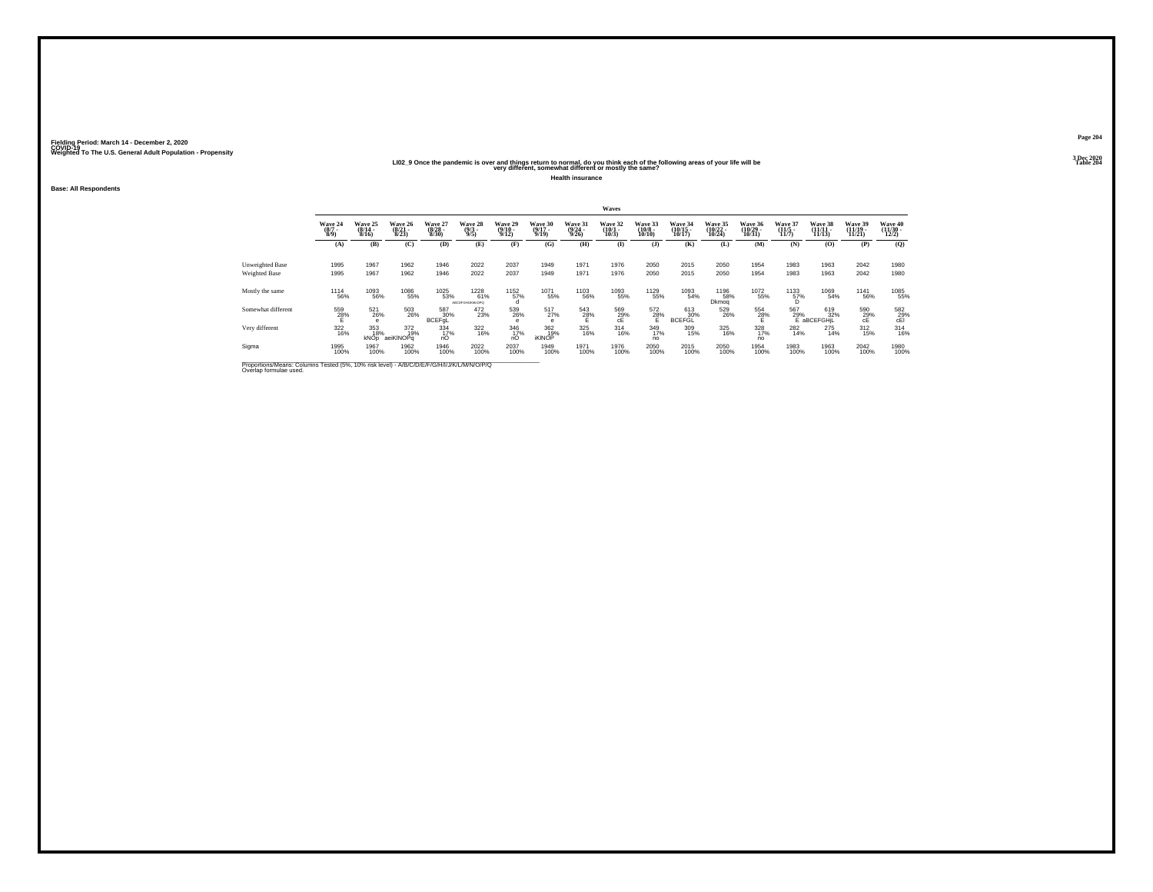#### **LI02\_9 Once the pandemic is over and things return to normal, do you think each of the following areas of your life will be Table 204 very different, somewhat different or mostly the same?**

**Health insurance**

**Base: All Respondents**

|                                                                                                                      |                                |                              |                                  |                                  |                                |                             |                              |                                  | Waves                        |                                   |                                |                                |                                |                                      |                                  |                                |                                          |
|----------------------------------------------------------------------------------------------------------------------|--------------------------------|------------------------------|----------------------------------|----------------------------------|--------------------------------|-----------------------------|------------------------------|----------------------------------|------------------------------|-----------------------------------|--------------------------------|--------------------------------|--------------------------------|--------------------------------------|----------------------------------|--------------------------------|------------------------------------------|
|                                                                                                                      | Wave 24<br>$\frac{(8/7)}{8/9}$ | Wave 25<br>$(8/14 -$<br>8/16 | Wave 26<br>$\frac{(8/21)}{8/23}$ | Wave 27<br>$\frac{(8/28)}{8/30}$ | Wave 28<br>$\frac{(9/3)}{9/5}$ | Wave 29<br>(9/10 -<br>9/12) | Wave 30<br>$(9/17 -$<br>9/19 | Wave 31<br>$\frac{(9/24)}{9/26}$ | Wave 32<br>$(10/1 -$<br>10/3 | Wave 33<br>$\frac{(10/8)}{10/10}$ | Wave 34<br>$(10/15 -$<br>10/17 | Wave 35<br>$(10/22 -$<br>10/24 | Wave 36<br>$(10/29 -$<br>10/31 | Wave 37<br>$\frac{(11/5)}{11/7}$     | Wave 38<br>$(11/11 -$<br>11/13   | Wave 39<br>$(11/19 -$<br>11/21 | Wave 40<br>$\frac{(11/30 - 12/2)}{12/2}$ |
|                                                                                                                      | (A)                            | (B)                          | (C)                              | (D)                              | (E)                            | (F)                         | (G)                          | (H)                              | $\bf{I}$                     | (J)                               | (K)                            | (L)                            | (M)                            | (N)                                  | (0)                              | (P)                            | (O)                                      |
| Unweighted Base<br>Weighted Base                                                                                     | 1995<br>1995                   | 1967<br>1967                 | 1962<br>1962                     | 1946<br>1946                     | 2022<br>2022                   | 2037<br>2037                | 1949<br>1949                 | 1971<br>1971                     | 1976<br>1976                 | 2050<br>2050                      | 2015<br>2015                   | 2050<br>2050                   | 1954<br>1954                   | 1983<br>1983                         | 1963<br>1963                     | 2042<br>2042                   | 1980<br>1980                             |
| Mostly the same                                                                                                      | <sup>1114</sup> 56%            | 1093<br>56%                  | 1086<br>55%                      | 1025<br>53%                      | 1228<br>61%<br>АВСОГОНЦКМ-ОРО  | 1152<br>57%                 | 1071<br>55%                  | <sup>1103</sup> 56%              | 1093<br>55%                  | 1129<br>55%                       | 1093<br>54%                    | <sup>1196</sup> 58%<br>Dkmog   | 1072<br>55%                    | $^{1133}_{\substack{57\%\\ \rm{D}}}$ | 1069<br>54%                      | <sup>1141</sup> 56%            | 1085<br>55%                              |
| Somewhat different                                                                                                   | $^{559}_{28\%}$                | 521<br>26%<br>e              | 503<br>26%                       | 587<br>30%<br>BCEFgL             | 472<br>23%                     | 539<br>26%<br>e             | $^{517}_{27\%}$<br>е         | $\frac{543}{28\%}$               | 569<br>29%<br>cE             | 572<br>$28\%$                     | 613<br>30%<br><b>BCEFGL</b>    | 529<br>26%                     | $^{554}_{28\%}$                | 567                                  | 619<br>29%<br>E aBCEFGHIL<br>32% | 590<br>29%                     | 582<br>29%<br>cEl                        |
| Very different                                                                                                       | 322<br>16%                     | 353<br>18%<br>kNOp           | 372<br>19%<br>aeiKINOPq          | 334<br>17%<br>nO                 | 322<br>16%                     | 346<br>17%<br>nO            | 362<br>19%<br><b>IKINOP</b>  | 325<br>16%                       | $\frac{314}{16\%}$           | 349<br>17%<br>no                  | 309<br>15%                     | 325<br>16%                     | 328<br>no                      | 282<br>14%                           | 275<br>14%                       | $^{312}_{15\%}$                | $314 \atop 16\%$                         |
| Sigma                                                                                                                | 1995<br>100%                   | 1967<br>100%                 | 1962<br>100%                     | 1946<br>100%                     | 2022<br>100%                   | 2037<br>100%                | 1949<br>100%                 | 1971<br>100%                     | 1976<br>100%                 | 2050<br>100%                      | 2015<br>100%                   | 2050<br>100%                   | 1954<br>100%                   | 1983<br>100%                         | 1963<br>100%                     | 2042<br>100%                   | 1980<br>100%                             |
| Proportions/Means: Columns Tested (5%, 10% risk level) - A/B/C/D/E/F/G/H/I/J/K/L/M/N/O/P/Q<br>Overlap formulae used. |                                |                              |                                  |                                  |                                |                             |                              |                                  |                              |                                   |                                |                                |                                |                                      |                                  |                                |                                          |

**Page 2043 Dec 2020<br>Table 204**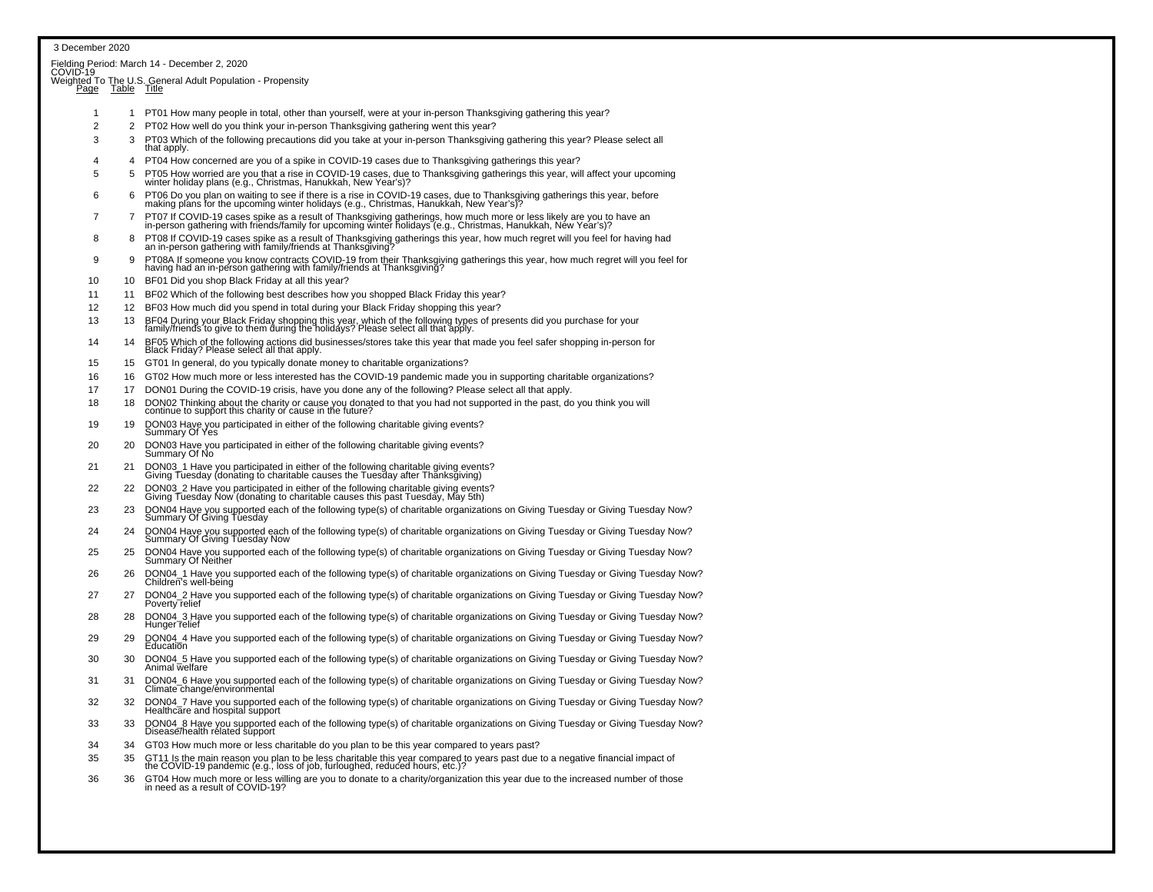| 3 December 2020 |                 |                                                                                                                                                                                                                                   |
|-----------------|-----------------|-----------------------------------------------------------------------------------------------------------------------------------------------------------------------------------------------------------------------------------|
|                 |                 | Fielding Period: March 14 - December 2, 2020                                                                                                                                                                                      |
| COVID-19        |                 |                                                                                                                                                                                                                                   |
|                 |                 | Weighted To The U.S. General Adult Population - Propensity<br>Page Table Title                                                                                                                                                    |
|                 |                 |                                                                                                                                                                                                                                   |
| $\mathbf{1}$    |                 | 1 PT01 How many people in total, other than yourself, were at your in-person Thanksgiving gathering this year?                                                                                                                    |
| $\overline{2}$  |                 | 2 PT02 How well do you think your in-person Thanksgiving gathering went this year?                                                                                                                                                |
| 3               | 3               | PT03 Which of the following precautions did you take at your in-person Thanksgiving gathering this year? Please select all<br>that apply.                                                                                         |
| 4               |                 | 4 PT04 How concerned are you of a spike in COVID-19 cases due to Thanksgiving gatherings this year?                                                                                                                               |
| 5               | 5               | PT05 How worried are you that a rise in COVID-19 cases, due to Thanksgiving gatherings this year, will affect your upcoming winter holiday plans (e.g., Christmas, Hanukkah, New Year's)?                                         |
|                 |                 |                                                                                                                                                                                                                                   |
| 6               | 6               | PT06 Do you plan on waiting to see if there is a rise in COVID-19 cases, due to Thanksgiving gatherings this year, before making plans for the upcoming winter holidays (e.g., Christmas, Hanukkah, New Year's)?                  |
| 7               | $\overline{7}$  | PT07 If COVID-19 cases spike as a result of Thanksgiving gatherings, how much more or less likely are you to have an<br>in-person gathering with friends/family for upcoming winter holidays (e.g., Christmas, Hanukkah, New Year |
| 8               | 8               | PT08 If COVID-19 cases spike as a result of Thanksgiving gatherings this year, how much regret will you feel for having had<br>an in-person gathering with family/friends at Thanksgiving?                                        |
| 9               | 9               | PT08A If someone you know contracts COVID-19 from their Thanksgiving gatherings this year, how much regret will you feel for<br>having had an in-person gathering with family/friends at Thanksgiving?                            |
| 10              | 10 <sup>1</sup> | BF01 Did you shop Black Friday at all this year?                                                                                                                                                                                  |
| 11              | 11              | BF02 Which of the following best describes how you shopped Black Friday this year?                                                                                                                                                |
| 12              |                 | 12 BF03 How much did you spend in total during your Black Friday shopping this year?                                                                                                                                              |
| 13              | 13              | BF04 During your Black Friday shopping this year, which of the following types of presents did you purchase for your<br>family/friends to give to them during the holidays? Please select all that apply.                         |
| 14              | 14              | BF05 Which of the following actions did businesses/stores take this year that made you feel safer shopping in-person for<br>Black Friday? Please select all that apply.                                                           |
| 15              |                 | 15 GT01 In general, do you typically donate money to charitable organizations?                                                                                                                                                    |
| 16              |                 | 16 GT02 How much more or less interested has the COVID-19 pandemic made you in supporting charitable organizations?                                                                                                               |
| 17              | 17 <sup>2</sup> | DON01 During the COVID-19 crisis, have you done any of the following? Please select all that apply.                                                                                                                               |
| 18              | 18              | DON02 Thinking about the charity or cause you donated to that you had not supported in the past, do you think you will continue to support this charity or cause in the future?                                                   |
| 19              | 19              | DON03 Have you participated in either of the following charitable giving events?<br>Summary Of Yes                                                                                                                                |
| 20              | 20              | DON03 Have you participated in either of the following charitable giving events?<br>Summary Of No                                                                                                                                 |
| 21              | 21              | DON03_1 Have you participated in either of the following charitable giving events?<br>Giving Tuesday (donating to charitable causes the Tuesday after Thanksgiving)                                                               |
| 22              | 22              | DON03_2 Have you participated in either of the following charitable giving events?<br>Giving Tuesday Now (donating to charitable causes this past Tuesday, May 5th)                                                               |
| 23              | 23              |                                                                                                                                                                                                                                   |
|                 |                 | DON04 Have you supported each of the following type(s) of charitable organizations on Giving Tuesday or Giving Tuesday Now?<br>Summary Of Giving Tuesday                                                                          |
| 24              | 24              | DON04 Have you supported each of the following type(s) of charitable organizations on Giving Tuesday or Giving Tuesday Now?<br>Summary Of Giving Tuesday Now                                                                      |
| 25              | 25              | DON04 Have you supported each of the following type(s) of charitable organizations on Giving Tuesday or Giving Tuesday Now?<br><b>Summary Of Neither</b>                                                                          |
| 26              | 26              | DON04_1 Have you supported each of the following type(s) of charitable organizations on Giving Tuesday or Giving Tuesday Now?<br>Children's well-being                                                                            |
| 27              | 27              | DON04_2 Have you supported each of the following type(s) of charitable organizations on Giving Tuesday or Giving Tuesday Now?<br>Poverty relief                                                                                   |
| 28              | 28              | DON04 3 Have you supported each of the following type(s) of charitable organizations on Giving Tuesday or Giving Tuesday Now?<br>Hunger relief                                                                                    |
| 29              | 29              | DON04_4 Have you supported each of the following type(s) of charitable organizations on Giving Tuesday or Giving Tuesday Now?<br>Education                                                                                        |
| 30              | 30              | DON04_5 Have you supported each of the following type(s) of charitable organizations on Giving Tuesday or Giving Tuesday Now?<br>Animal welfare                                                                                   |
| 31              | 31              | DON04_6 Have you supported each of the following type(s) of charitable organizations on Giving Tuesday or Giving Tuesday Now?<br>Climate change/environmental                                                                     |
| 32              | 32              | DON04_7 Have you supported each of the following type(s) of charitable organizations on Giving Tuesday or Giving Tuesday Now?<br>Healthcare and hospital support                                                                  |
| 33              | 33              | DON04_8 Have you supported each of the following type(s) of charitable organizations on Giving Tuesday or Giving Tuesday Now?<br>Disease/health related support                                                                   |
| 34              | 34              | GT03 How much more or less charitable do you plan to be this year compared to years past?                                                                                                                                         |
| 35              | 35              | GT11 Is the main reason you plan to be less charitable this year compared to years past due to a negative financial impact of<br>the COVID-19 pandemic (e.g., loss of job, furloughed, reduced hours, etc.)?                      |
| 36              | 36              | GT04 How much more or less willing are you to donate to a charity/organization this year due to the increased number of those<br>in need as a result of COVID-19?                                                                 |
|                 |                 |                                                                                                                                                                                                                                   |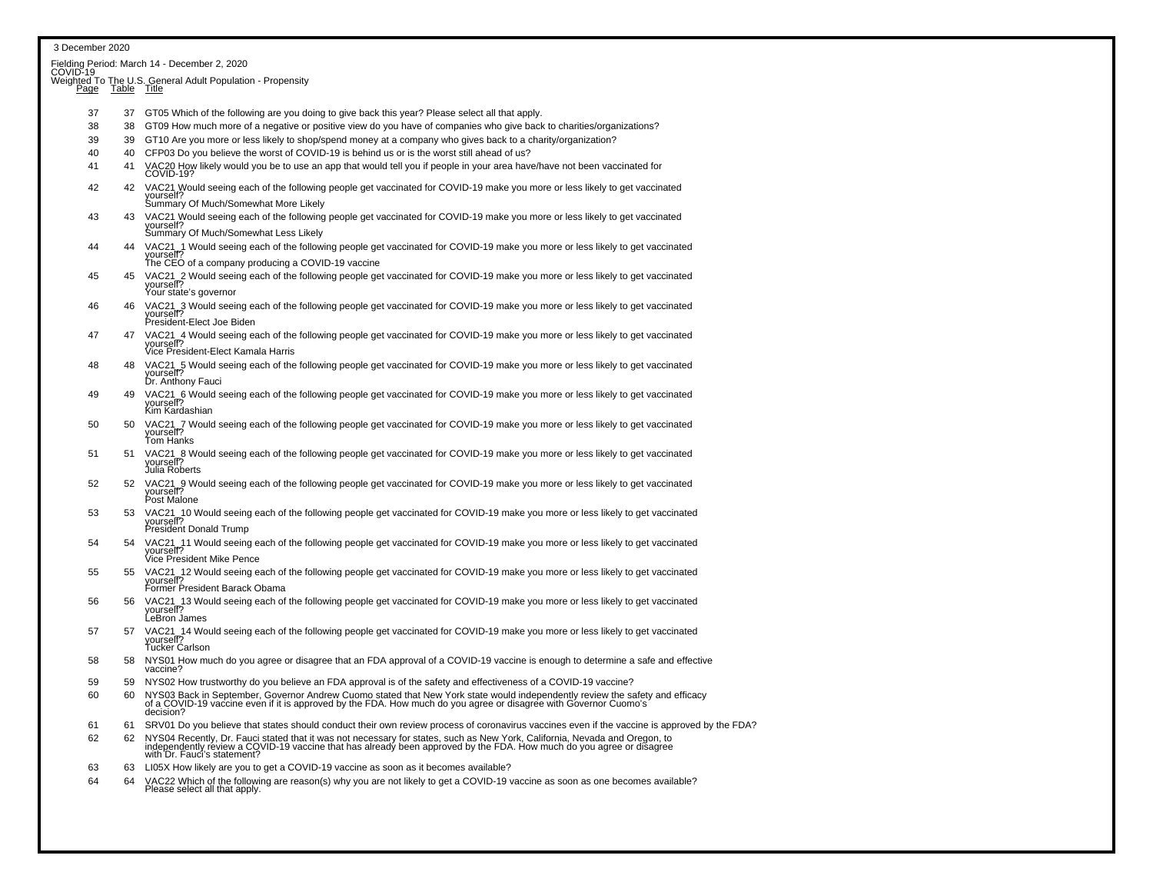| 3 December 2020                                          |             |                                                                                                                                                                                                                                                               |  |  |  |  |  |  |
|----------------------------------------------------------|-------------|---------------------------------------------------------------------------------------------------------------------------------------------------------------------------------------------------------------------------------------------------------------|--|--|--|--|--|--|
| Fielding Period: March 14 - December 2, 2020<br>COVID-19 |             |                                                                                                                                                                                                                                                               |  |  |  |  |  |  |
|                                                          |             | Weighted To The U.S. General Adult Population - Propensity                                                                                                                                                                                                    |  |  |  |  |  |  |
| <u>Page</u>                                              | Table Title |                                                                                                                                                                                                                                                               |  |  |  |  |  |  |
| 37                                                       |             | 37 GT05 Which of the following are you doing to give back this year? Please select all that apply.                                                                                                                                                            |  |  |  |  |  |  |
| 38                                                       | 38          | GT09 How much more of a negative or positive view do you have of companies who give back to charities/organizations?                                                                                                                                          |  |  |  |  |  |  |
| 39                                                       | 39          | GT10 Are you more or less likely to shop/spend money at a company who gives back to a charity/organization?                                                                                                                                                   |  |  |  |  |  |  |
| 40                                                       | 40          | CFP03 Do you believe the worst of COVID-19 is behind us or is the worst still ahead of us?                                                                                                                                                                    |  |  |  |  |  |  |
| 41                                                       | 41          | VAC20 How likely would you be to use an app that would tell you if people in your area have/have not been vaccinated for<br>COVID-19?                                                                                                                         |  |  |  |  |  |  |
| 42                                                       | 42          | VAC21 Would seeing each of the following people get vaccinated for COVID-19 make you more or less likely to get vaccinated<br>yourself?<br>Summary Of Much/Somewhat More Likely                                                                               |  |  |  |  |  |  |
| 43                                                       |             | 43 VAC21 Would seeing each of the following people get vaccinated for COVID-19 make you more or less likely to get vaccinated                                                                                                                                 |  |  |  |  |  |  |
|                                                          |             | yourself?<br>Summary Of Much/Somewhat Less Likely                                                                                                                                                                                                             |  |  |  |  |  |  |
| 44                                                       | 44          | VAC21_1 Would seeing each of the following people get vaccinated for COVID-19 make you more or less likely to get vaccinated yourself?                                                                                                                        |  |  |  |  |  |  |
|                                                          |             | The CEO of a company producing a COVID-19 vaccine                                                                                                                                                                                                             |  |  |  |  |  |  |
| 45                                                       | 45          | VAC21_2 Would seeing each of the following people get vaccinated for COVID-19 make you more or less likely to get vaccinated<br>yourself?                                                                                                                     |  |  |  |  |  |  |
|                                                          | 46          | Your state's governor                                                                                                                                                                                                                                         |  |  |  |  |  |  |
| 46                                                       |             | VAC21_3 Would seeing each of the following people get vaccinated for COVID-19 make you more or less likely to get vaccinated<br>yourself?<br>President-Elect Joe Biden                                                                                        |  |  |  |  |  |  |
| 47                                                       |             | 47 VAC21_4 Would seeing each of the following people get vaccinated for COVID-19 make you more or less likely to get vaccinated<br>vourself?                                                                                                                  |  |  |  |  |  |  |
| 48                                                       | 48          | Vice President-Elect Kamala Harris                                                                                                                                                                                                                            |  |  |  |  |  |  |
|                                                          |             | VAC21_5 Would seeing each of the following people get vaccinated for COVID-19 make you more or less likely to get vaccinated<br>vourself?<br>Dr. Anthony Fauci                                                                                                |  |  |  |  |  |  |
| 49                                                       | 49          | VAC21 6 Would seeing each of the following people get vaccinated for COVID-19 make you more or less likely to get vaccinated<br>yourself?<br>Kim Kardashian                                                                                                   |  |  |  |  |  |  |
| 50                                                       | 50          | VAC21_7 Would seeing each of the following people get vaccinated for COVID-19 make you more or less likely to get vaccinated yourself?                                                                                                                        |  |  |  |  |  |  |
| 51                                                       | 51          | Tom Hanks                                                                                                                                                                                                                                                     |  |  |  |  |  |  |
|                                                          |             | VAC21_8 Would seeing each of the following people get vaccinated for COVID-19 make you more or less likely to get vaccinated yourself?<br>Julia Roberts                                                                                                       |  |  |  |  |  |  |
| 52                                                       | 52          | VAC21_9 Would seeing each of the following people get vaccinated for COVID-19 make you more or less likely to get vaccinated yourself?<br>Post Malone                                                                                                         |  |  |  |  |  |  |
| 53                                                       | 53          | VAC21_10 Would seeing each of the following people get vaccinated for COVID-19 make you more or less likely to get vaccinated<br>yourself?                                                                                                                    |  |  |  |  |  |  |
|                                                          |             | <b>President Donald Trump</b>                                                                                                                                                                                                                                 |  |  |  |  |  |  |
| 54                                                       | 54          | VAC21_11 Would seeing each of the following people get vaccinated for COVID-19 make you more or less likely to get vaccinated<br>yourself?                                                                                                                    |  |  |  |  |  |  |
|                                                          |             | Vice President Mike Pence                                                                                                                                                                                                                                     |  |  |  |  |  |  |
| 55                                                       | 55          | VAC21_12 Would seeing each of the following people get vaccinated for COVID-19 make you more or less likely to get vaccinated<br>yourself?                                                                                                                    |  |  |  |  |  |  |
|                                                          |             | Former President Barack Obama                                                                                                                                                                                                                                 |  |  |  |  |  |  |
| 56                                                       | 56          | VAC21_13 Would seeing each of the following people get vaccinated for COVID-19 make you more or less likely to get vaccinated<br>yourself?<br>LeBron James                                                                                                    |  |  |  |  |  |  |
| 57                                                       | 57          | VAC21_14 Would seeing each of the following people get vaccinated for COVID-19 make you more or less likely to get vaccinated<br>yourself?<br><b>Tucker Carlson</b>                                                                                           |  |  |  |  |  |  |
| 58                                                       |             | 58 NYS01 How much do you agree or disagree that an FDA approval of a COVID-19 vaccine is enough to determine a safe and effective<br>vaccine?                                                                                                                 |  |  |  |  |  |  |
| 59                                                       | 59          | NYS02 How trustworthy do you believe an FDA approval is of the safety and effectiveness of a COVID-19 vaccine?                                                                                                                                                |  |  |  |  |  |  |
| 60                                                       | 60          | NYS03 Back in September, Governor Andrew Cuomo stated that New York state would independently review the safety and efficacy<br>of a COVID-19 vaccine even if it is approved by the FDA. How much do you agree or disagree with Governor Cuomo's<br>decision? |  |  |  |  |  |  |
| 61                                                       | 61          | SRV01 Do you believe that states should conduct their own review process of coronavirus vaccines even if the vaccine is approved by the FDA?                                                                                                                  |  |  |  |  |  |  |
| 62                                                       | 62          | NYS04 Recently, Dr. Fauci stated that it was not necessary for states, such as New York, California, Nevada and Oregon, to independently review a COVID-19 vaccine that has already been approved by the FDA. How much do you<br>with Dr. Fauci's statement?  |  |  |  |  |  |  |
| 63                                                       | 63          | LI05X How likely are you to get a COVID-19 vaccine as soon as it becomes available?                                                                                                                                                                           |  |  |  |  |  |  |
| 64                                                       | 64          | VAC22 Which of the following are reason(s) why you are not likely to get a COVID-19 vaccine as soon as one becomes available?                                                                                                                                 |  |  |  |  |  |  |
|                                                          |             | Please select all that apply.                                                                                                                                                                                                                                 |  |  |  |  |  |  |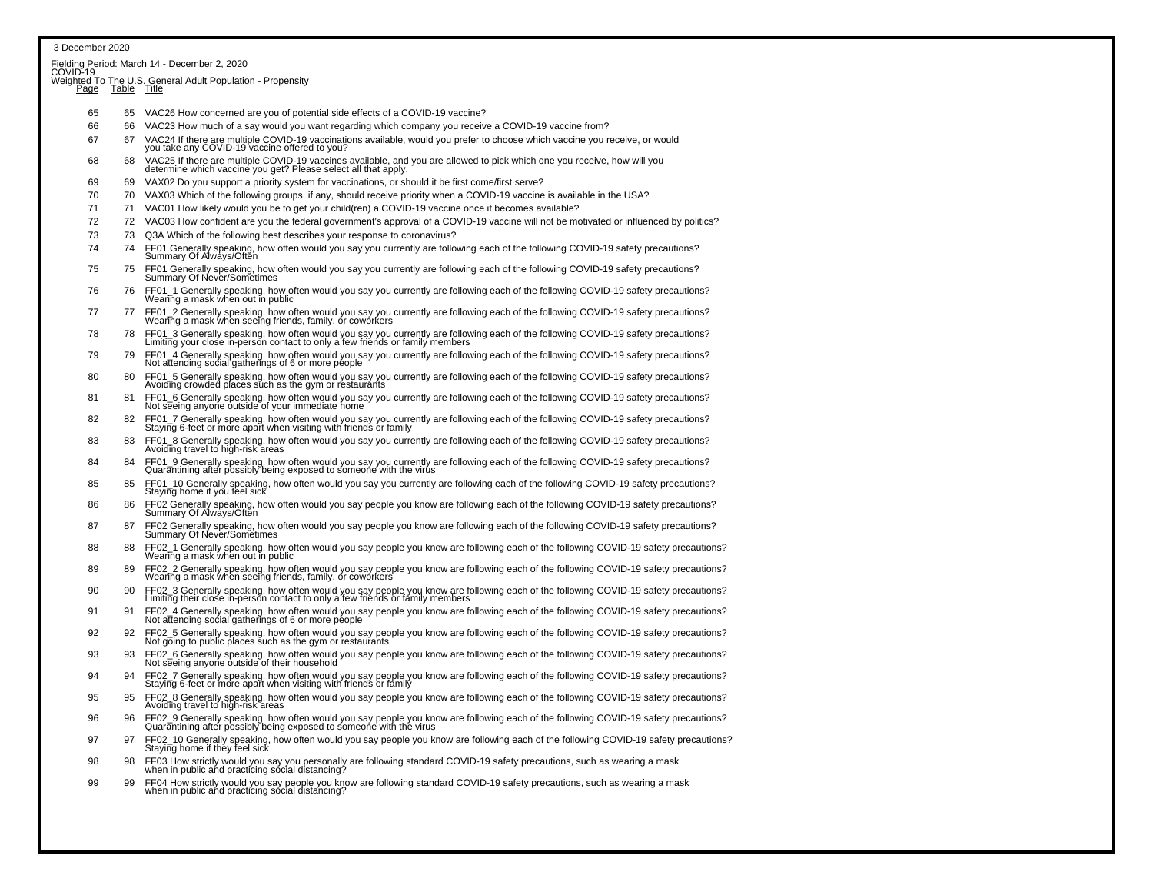| 3 December 2020 |                  |                                                                                                                                                                                                                                                                                               |
|-----------------|------------------|-----------------------------------------------------------------------------------------------------------------------------------------------------------------------------------------------------------------------------------------------------------------------------------------------|
|                 |                  | Fielding Period: March 14 - December 2, 2020<br>COVID-19                                                                                                                                                                                                                                      |
|                 |                  | Weighted To The U.S. General Adult Population - Propensity                                                                                                                                                                                                                                    |
|                 | Page Table Title |                                                                                                                                                                                                                                                                                               |
| 65              | 65               | VAC26 How concerned are you of potential side effects of a COVID-19 vaccine?                                                                                                                                                                                                                  |
| 66              | 66               | VAC23 How much of a say would you want regarding which company you receive a COVID-19 vaccine from?                                                                                                                                                                                           |
| 67              | 67               | VAC24 If there are multiple COVID-19 vaccinations available, would you prefer to choose which vaccine you receive, or would<br>you take any COVID-19 vaccine offered to you?                                                                                                                  |
| 68              | 68               | VAC25 If there are multiple COVID-19 vaccines available, and you are allowed to pick which one you receive, how will you<br>determine which vaccine you get? Please select all that apply.                                                                                                    |
| 69              | 69               | VAX02 Do you support a priority system for vaccinations, or should it be first come/first serve?                                                                                                                                                                                              |
| 70              | 70               | VAX03 Which of the following groups, if any, should receive priority when a COVID-19 vaccine is available in the USA?                                                                                                                                                                         |
| 71              | 71               | VAC01 How likely would you be to get your child(ren) a COVID-19 vaccine once it becomes available?                                                                                                                                                                                            |
| 72              |                  | 72 VAC03 How confident are you the federal government's approval of a COVID-19 vaccine will not be motivated or influenced by politics?                                                                                                                                                       |
| 73<br>74        | 73<br>74         | Q3A Which of the following best describes your response to coronavirus?                                                                                                                                                                                                                       |
| 75              | 75               | FF01 Generally speaking, how often would you say you currently are following each of the following COVID-19 safety precautions?<br>Summary Of Always/Often<br>FF01 Generally speaking, how often would you say you currently are following each of the following COVID-19 safety precautions? |
|                 |                  | Summary Of Never/Sometimes                                                                                                                                                                                                                                                                    |
| 76              | 76               | FF01_1 Generally speaking, how often would you say you currently are following each of the following COVID-19 safety precautions?<br>Wearing a mask when out in public                                                                                                                        |
| 77              | 77               | FF01_2 Generally speaking, how often would you say you currently are following each of the following COVID-19 safety precautions?<br>Wearing a mask when seeing friends, family, or coworkers                                                                                                 |
| 78              | 78               | FF01_3 Generally speaking, how often would you say you currently are following each of the following COVID-19 safety precautions?<br>Limiting your close in-person contact to only a few friends or family members                                                                            |
| 79              | 79               | FF01_4 Generally speaking, how often would you say you currently are following each of the following COVID-19 safety precautions?<br>Not attending social gatherings of 6 or more people                                                                                                      |
| 80              | 80               | FF01_5 Generally speaking, how often would you say you currently are following each of the following COVID-19 safety precautions?<br>Avoiding crowded places such as the gym or restaurants                                                                                                   |
| 81              | 81               | FF01_6 Generally speaking, how often would you say you currently are following each of the following COVID-19 safety precautions?<br>Not seeing anyone outside of your immediate home                                                                                                         |
| 82              | 82               | FF01_7 Generally speaking, how often would you say you currently are following each of the following COVID-19 safety precautions?<br>Staying 6-feet or more apart when visiting with friends or family                                                                                        |
| 83              | 83               | FF01_8 Generally speaking, how often would you say you currently are following each of the following COVID-19 safety precautions?<br>Avoiding travel to high-risk areas                                                                                                                       |
| 84              | 84               | FF01_9 Generally speaking, how often would you say you currently are following each of the following COVID-19 safety precautions?<br>Quarantining after possibly being exposed to someone with the virus                                                                                      |
| 85              | 85               | FF01_10 Generally speaking, how often would you say you currently are following each of the following COVID-19 safety precautions?<br>Staying home if you feel sick                                                                                                                           |
| 86              | 86               | FF02 Generally speaking, how often would you say people you know are following each of the following COVID-19 safety precautions?<br>Summary Of Always/Often                                                                                                                                  |
| 87              | 87               | FF02 Generally speaking, how often would you say people you know are following each of the following COVID-19 safety precautions?<br>Summary Of Never/Sometimes                                                                                                                               |
| 88              | 88               | FF02 1 Generally speaking, how often would you say people you know are following each of the following COVID-19 safety precautions?<br>Wearing a mask when out in public                                                                                                                      |
| 89              | 89               | FF02_2 Generally speaking, how often would you say people you know are following each of the following COVID-19 safety precautions?<br>Wearing a mask when seeing friends, family, or coworkers                                                                                               |
| 90              | 90               | FF02_3 Generally speaking, how often would you say people you know are following each of the following COVID-19 safety precautions?<br>Limiting their close in-person contact to only a few friends or family members                                                                         |
| 91              | 91               | FF02_4 Generally speaking, how often would you say people you know are following each of the following COVID-19 safety precautions?<br>Not attending social gatherings of 6 or more people                                                                                                    |
| 92              | 92               | FF02_5 Generally speaking, how often would you say people you know are following each of the following COVID-19 safety precautions?<br>Not going to public places such as the gym or restaurants                                                                                              |
| 93              | 93               | FF02_6 Generally speaking, how often would you say people you know are following each of the following COVID-19 safety precautions?<br>Not seeing anyone outside of their household                                                                                                           |
| 94              | 94               | FF02_7 Generally speaking, how often would you say people you know are following each of the following COVID-19 safety precautions?<br>Staying 6-feet or more apart when visiting with friends or family                                                                                      |
| 95              | 95               | FF02_8 Generally speaking, how often would you say people you know are following each of the following COVID-19 safety precautions?<br>Avoiding travel to high-risk areas                                                                                                                     |
| 96              | 96               | FF02_9 Generally speaking, how often would you say people you know are following each of the following COVID-19 safety precautions?<br>Quarantining after possibly being exposed to someone with the virus                                                                                    |
| 97              | 97               | FF02_10 Generally speaking, how often would you say people you know are following each of the following COVID-19 safety precautions?<br>Staying home if they feel sick                                                                                                                        |
| 98              | 98               | FF03 How strictly would you say you personally are following standard COVID-19 safety precautions, such as wearing a mask<br>when in public and practicing social distancing?                                                                                                                 |
| 99              | 99               | FF04 How strictly would you say people you know are following standard COVID-19 safety precautions, such as wearing a mask<br>when in public and practicing social distancing?                                                                                                                |
|                 |                  |                                                                                                                                                                                                                                                                                               |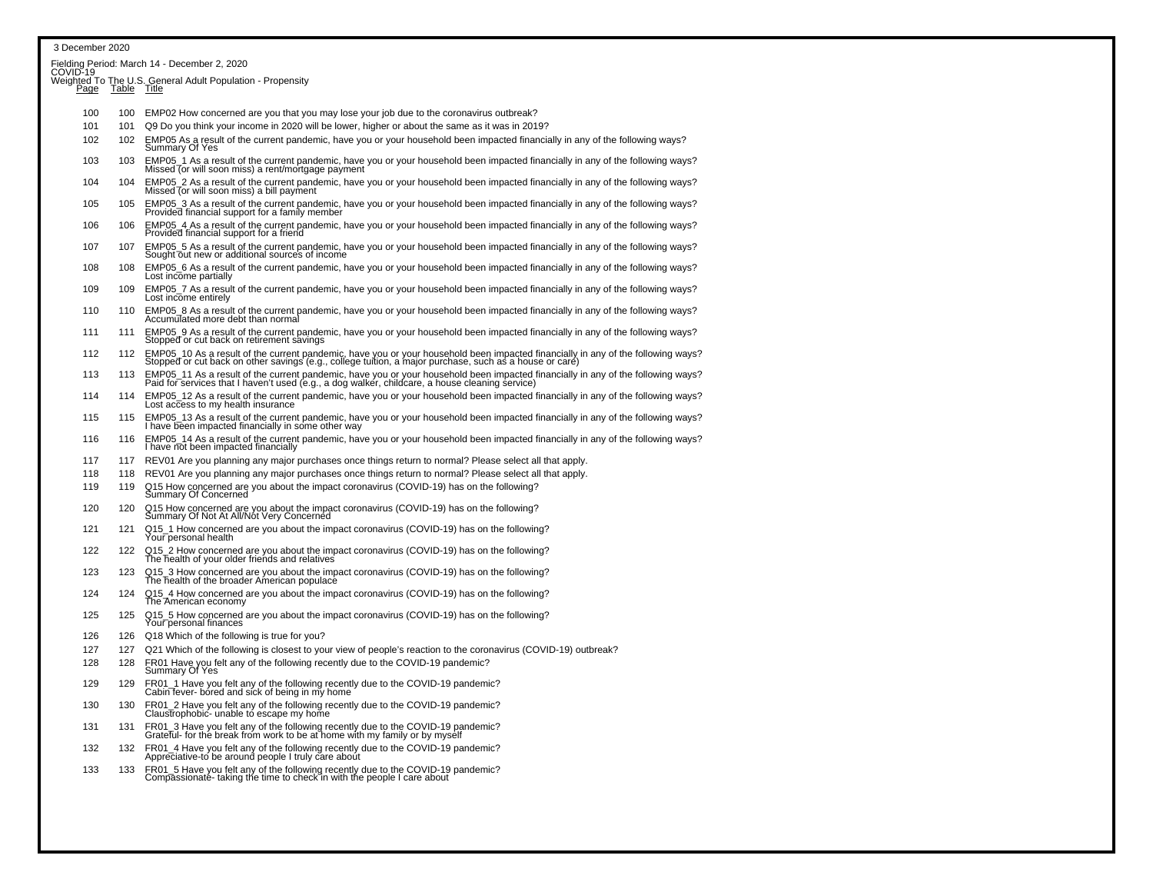| 3 December 2020 |            |                                                                                                                                                                                                                                             |
|-----------------|------------|---------------------------------------------------------------------------------------------------------------------------------------------------------------------------------------------------------------------------------------------|
|                 |            | Fielding Period: March 14 - December 2, 2020<br>COVID-19                                                                                                                                                                                    |
| Page            |            | Weighted To The U.S. General Adult Population - Propensity<br>Page Table Title                                                                                                                                                              |
|                 |            |                                                                                                                                                                                                                                             |
| 100<br>101      | 100<br>101 | EMP02 How concerned are you that you may lose your job due to the coronavirus outbreak?<br>Q9 Do you think your income in 2020 will be lower, higher or about the same as it was in 2019?                                                   |
| 102             | 102        | EMP05 As a result of the current pandemic, have you or your household been impacted financially in any of the following ways?<br>Summary Of Yes                                                                                             |
| 103             | 103        | EMP05_1 As a result of the current pandemic, have you or your household been impacted financially in any of the following ways?<br>Missed (or will soon miss) a rent/mortgage payment                                                       |
| 104             | 104        | EMP05_2 As a result of the current pandemic, have you or your household been impacted financially in any of the following ways?<br>Missed (or will soon miss) a bill payment                                                                |
| 105             | 105        | EMP05_3 As a result of the current pandemic, have you or your household been impacted financially in any of the following ways?<br>Provided financial support for a family member                                                           |
| 106             | 106        | EMP05_4 As a result of the current pandemic, have you or your household been impacted financially in any of the following ways?<br>Provided financial support for a friend                                                                  |
| 107             | 107        | EMP05_5 As a result of the current pandemic, have you or your household been impacted financially in any of the following ways?<br>Sought out new or additional sources of income                                                           |
| 108             | 108        | EMP05_6 As a result of the current pandemic, have you or your household been impacted financially in any of the following ways?<br>Lost income partially                                                                                    |
| 109             | 109        | EMP05 7 As a result of the current pandemic, have you or your household been impacted financially in any of the following ways?<br>Lost income entirely                                                                                     |
| 110             | 110        | EMP05_8 As a result of the current pandemic, have you or your household been impacted financially in any of the following ways?<br>Accumulated more debt than normal                                                                        |
| 111             | 111        | EMP05_9 As a result of the current pandemic, have you or your household been impacted financially in any of the following ways?<br>Stopped or cut back on retirement savings                                                                |
| 112             | 112        | EMP05_10 As a result of the current pandemic, have you or your household been impacted financially in any of the following ways?<br>Stopped or cut back on other savings (e.g., college tuition, a major purchase, such as a house or care) |
| 113             | 113        | EMP05_11 As a result of the current pandemic, have you or your household been impacted financially in any of the following ways?<br>Paid for services that I haven't used (e.g., a dog walker, childcare, a house cleaning service)         |
| 114             | 114        | EMP05_12 As a result of the current pandemic, have you or your household been impacted financially in any of the following ways?<br>Lost access to my health insurance                                                                      |
| 115             | 115        | EMP05_13 As a result of the current pandemic, have you or your household been impacted financially in any of the following ways?<br>I have been impacted financially in some other way                                                      |
| 116             | 116        | EMP05_14 As a result of the current pandemic, have you or your household been impacted financially in any of the following ways?<br>I have not been impacted financially                                                                    |
| 117             | 117        | REV01 Are you planning any major purchases once things return to normal? Please select all that apply.                                                                                                                                      |
| 118             | 118        | REV01 Are you planning any major purchases once things return to normal? Please select all that apply.                                                                                                                                      |
| 119             | 119        | Q15 How concerned are you about the impact coronavirus (COVID-19) has on the following?<br>Summary Of Concerned                                                                                                                             |
| 120             | 120        | Q15 How concerned are you about the impact coronavirus (COVID-19) has on the following?<br>Summary Of Not At All/Not Very Concerned                                                                                                         |
| 121             | 121        | Q15_1 How concerned are you about the impact coronavirus (COVID-19) has on the following?<br>Your personal health                                                                                                                           |
| 122             | 122        | Q15 2 How concerned are you about the impact coronavirus (COVID-19) has on the following?<br>The health of your older friends and relatives                                                                                                 |
| 123             | 123        | Q15_3 How concerned are you about the impact coronavirus (COVID-19) has on the following?<br>The health of the broader American populace                                                                                                    |
| 124             | 124        | Q15_4 How concerned are you about the impact coronavirus (COVID-19) has on the following?<br>The American economy                                                                                                                           |
| 125             | 125        | Q15_5 How concerned are you about the impact coronavirus (COVID-19) has on the following?<br>Your personal finances                                                                                                                         |
| 126             | 126        | Q18 Which of the following is true for you?                                                                                                                                                                                                 |
| 127             | 127        | Q21 Which of the following is closest to your view of people's reaction to the coronavirus (COVID-19) outbreak?                                                                                                                             |
| 128             | 128        | FR01 Have you felt any of the following recently due to the COVID-19 pandemic?<br>Summary Of Yes                                                                                                                                            |
| 129             | 129        | FR01_1 Have you felt any of the following recently due to the COVID-19 pandemic?<br>Cabin fever- bored and sick of being in my home                                                                                                         |
| 130             | 130        | FR01_2 Have you felt any of the following recently due to the COVID-19 pandemic?<br>Claustrophobic- unable to escape my home                                                                                                                |
| 131             | 131        | FR01_3 Have you felt any of the following recently due to the COVID-19 pandemic?<br>Grateful- for the break from work to be at home with my family or by myself                                                                             |
| 132             | 132        | FR01_4 Have you felt any of the following recently due to the COVID-19 pandemic?<br>Appreciative-to be around people I truly care about                                                                                                     |
| 133             | 133        | FR01_5 Have you felt any of the following recently due to the COVID-19 pandemic?<br>Compassionaté-taking the time to check in with the people I care about                                                                                  |
|                 |            |                                                                                                                                                                                                                                             |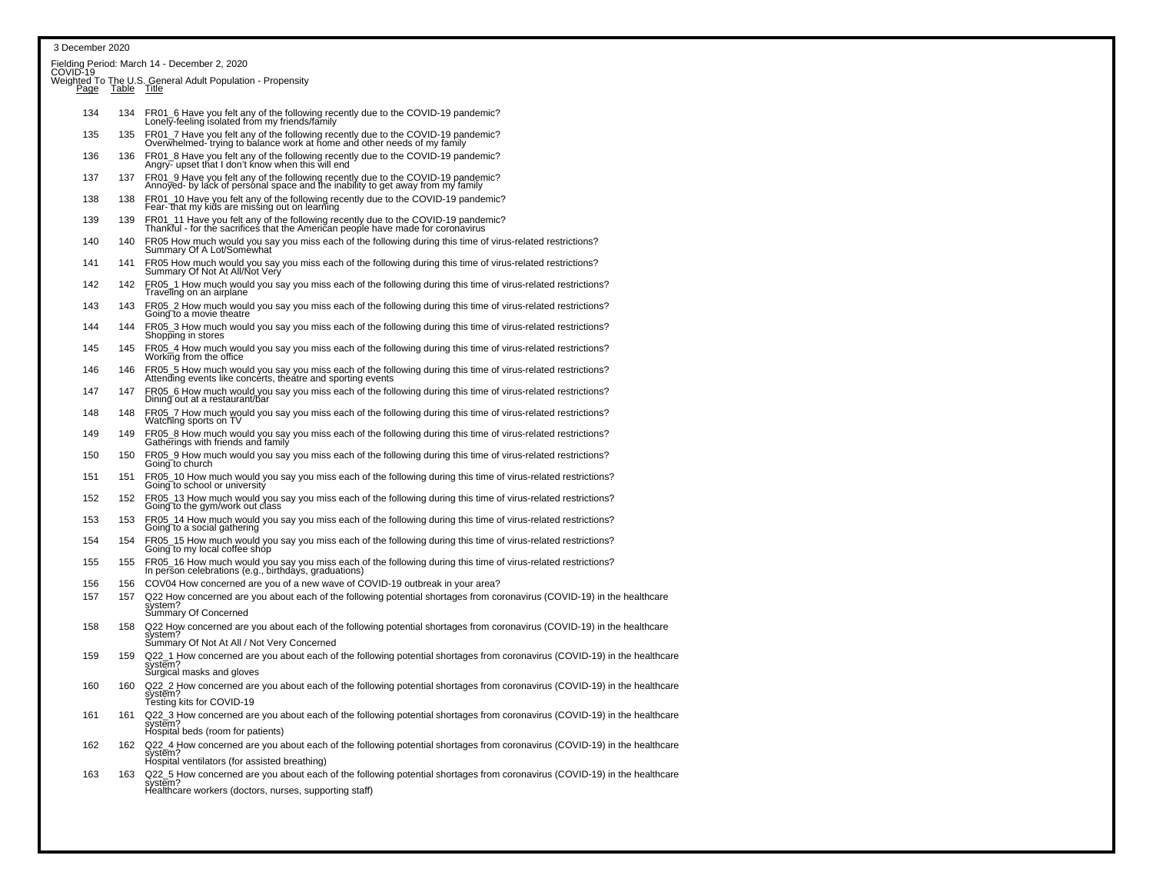### 3 December 2020

|     |     | Fielding Period: March 14 - December 2, 2020<br>COVID-19                                                                                                                                       |
|-----|-----|------------------------------------------------------------------------------------------------------------------------------------------------------------------------------------------------|
|     |     | Weighted To The U.S. General Adult Population - Propensity<br>Page Table Title                                                                                                                 |
| 134 | 134 | FR01_6 Have you felt any of the following recently due to the COVID-19 pandemic?<br>Lonely-feeling isolated from my friends/family                                                             |
| 135 | 135 | FR01_7 Have you felt any of the following recently due to the COVID-19 pandemic?<br>Overwhelmed-trying to balance work at home and other needs of my family                                    |
| 136 | 136 | FR01_8 Have you felt any of the following recently due to the COVID-19 pandemic?<br>Angry- upset that I don't know when this will end                                                          |
| 137 | 137 | FR01_9 Have you felt any of the following recently due to the COVID-19 pandemic?<br>Annoyed- by lack of personal space and the inability to get away from my family                            |
| 138 | 138 | FR01_10 Have you felt any of the following recently due to the COVID-19 pandemic?<br>Fear- that my kids are missing out on learning                                                            |
| 139 | 139 | FR01_11 Have you felt any of the following recently due to the COVID-19 pandemic?<br>Thankful - for the sacrifices that the American people have made for coronavirus                          |
| 140 | 140 | FR05 How much would you say you miss each of the following during this time of virus-related restrictions?<br>Summary Of A Lot/Soméwhat                                                        |
| 141 | 141 | FR05 How much would you say you miss each of the following during this time of virus-related restrictions?<br>Summary Of Not At All/Not Very                                                   |
| 142 | 142 | FR05_1 How much would you say you miss each of the following during this time of virus-related restrictions?<br>Traveling on an airplane                                                       |
| 143 | 143 | FR05_2 How much would you say you miss each of the following during this time of virus-related restrictions?<br>Going to a movie theatre                                                       |
| 144 | 144 | FR05_3 How much would you say you miss each of the following during this time of virus-related restrictions?<br>Shopping in stores                                                             |
| 145 | 145 | FR05_4 How much would you say you miss each of the following during this time of virus-related restrictions?<br>Working from the office                                                        |
| 146 | 146 | FR05_5 How much would you say you miss each of the following during this time of virus-related restrictions?<br>Attending events like concerts, theatre and sporting events                    |
| 147 | 147 | FR05_6 How much would you say you miss each of the following during this time of virus-related restrictions?<br>Dining out at a restaurant/bar                                                 |
| 148 | 148 | FR05_7 How much would you say you miss each of the following during this time of virus-related restrictions?<br>Watching sports on TV                                                          |
| 149 | 149 | FR05_8 How much would you say you miss each of the following during this time of virus-related restrictions?<br>Gatherings with friends and family                                             |
| 150 | 150 | FR05_9 How much would you say you miss each of the following during this time of virus-related restrictions?<br>Going to church                                                                |
| 151 | 151 | FR05_10 How much would you say you miss each of the following during this time of virus-related restrictions?<br>Going to school or university                                                 |
| 152 | 152 | FR05_13 How much would you say you miss each of the following during this time of virus-related restrictions?<br>Going to the gym/work out class                                               |
| 153 | 153 | FR05_14 How much would you say you miss each of the following during this time of virus-related restrictions?<br>Going to a social gathering                                                   |
| 154 | 154 | FR05_15 How much would you say you miss each of the following during this time of virus-related restrictions?<br>Going to my local coffee shóp                                                 |
| 155 | 155 | FR05_16 How much would you say you miss each of the following during this time of virus-related restrictions?<br>In person celebrations (e.g., birthdays, graduations)                         |
| 156 | 156 | COV04 How concerned are you of a new wave of COVID-19 outbreak in your area?                                                                                                                   |
| 157 | 157 | Q22 How concerned are you about each of the following potential shortages from coronavirus (COVID-19) in the healthcare<br>system?<br>Summary Of Concerned                                     |
| 158 | 158 | Q22 How concerned are you about each of the following potential shortages from coronavirus (COVID-19) in the healthcare                                                                        |
| 159 | 159 | system?<br>Summary Of Not At All / Not Very Concerned<br>Q22_1 How concerned are you about each of the following potential shortages from coronavirus (COVID-19) in the healthcare             |
|     |     | system?<br>Surgical masks and gloves                                                                                                                                                           |
| 160 | 160 | Q22_2 How concerned are you about each of the following potential shortages from coronavirus (COVID-19) in the healthcare<br>system?<br>Testing kits for COVID-19                              |
| 161 | 161 | Q22_3 How concerned are you about each of the following potential shortages from coronavirus (COVID-19) in the healthcare<br>system?<br>Hospital beds (room for patients)                      |
| 162 | 162 | Q22_4 How concerned are you about each of the following potential shortages from coronavirus (COVID-19) in the healthcare<br>system?<br>Hospital ventilators (for assisted breathing)          |
| 163 | 163 | Q22_5 How concerned are you about each of the following potential shortages from coronavirus (COVID-19) in the healthcare<br>system?<br>Healthcare workers (doctors, nurses, supporting staff) |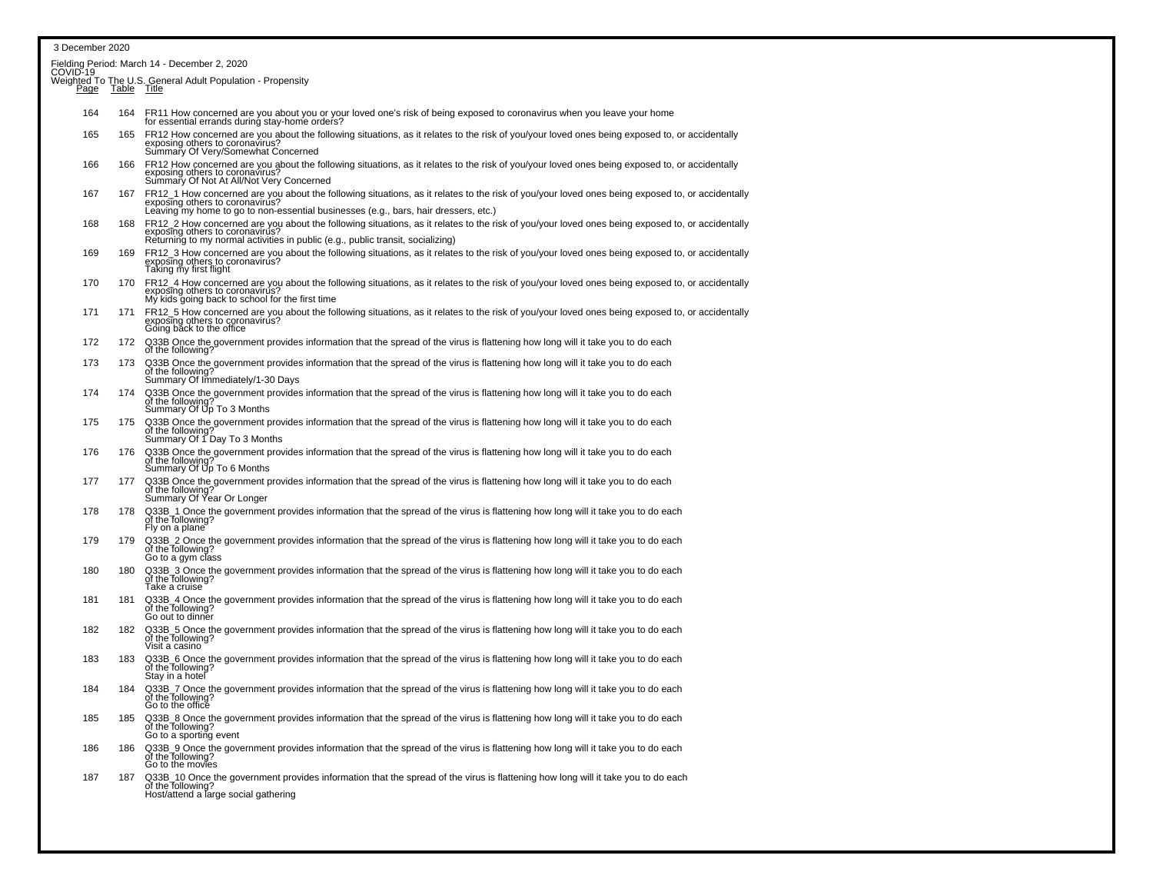### 3 December 2020Fielding Period: March 14 - December 2, 2020<br>COVID-19 Weighted To The U.S. General Adult Population - Propensity<br>Page Table Title 164 164 FR11 How concerned are you about you or your loved one's risk of being exposed to coronavirus when you leave your home for essential errands during stay-home orders? 165 165 FR12 How concerned are you about the following situations, as it relates to the risk of you/your loved ones being exposed to, or accidentallyexposing others to coronavirus?<br>Summary Of Very/Somewhat Concerned 166 FR12 How concerned are you about the following situations, as it relates to the risk of you/your loved ones being exposed to, or accidentally<br>exposing others to coronavirus?<br>Summary Of Not At All/Not Very Concerned 167 167 FR12\_1 How concerned are you about the following situations, as it relates to the risk of you/your loved ones being exposed to, or accidentally exposing others to coronavirus? Leaving my home to go to non-essential businesses (e.g., bars, hair dressers, etc.) 168 168 FR12\_2 How concerned are you about the following situations, as it relates to the risk of you/your loved ones being exposed to, or accidentally exposing others to coronavirus? Returning to my normal activities in public (e.g., public transit, socializing) 169 169 FR12\_3 How concerned are you about the following situations, as it relates to the risk of you/your loved ones being exposed to, or accidentallyexposing others to coronavirus? Taking my first flight170 170 FR12\_4 How concerned are you about the following situations, as it relates to the risk of you/your loved ones being exposed to, or accidentallyexposing others to coronavirus My kids going back to school for the first time <sup>171</sup> <sup>171</sup> FR12\_5 How concerned are you about the following situations, as it relates to the risk of you/your loved ones being exposed to, or accidentallyexposing others to coronavirus? Going back to the office of the original part of the office of the office of the office of the office of the office of the office of the office of the original part of the office of the offi <sup>172</sup> <sup>172</sup> Q33B Once the government provides information that the spread of the virus is flattening how long will it take you to do each of the following? 173 173 Q33B Once the government provides information that the spread of the virus is flattening how long will it take you to do each of the following? Summary Of Immediately/1-30 Days174 Q33B Once the government provides information that the spread of the virus is flattening how long will it take you to do each of the following?<br>of the following? Summary Of Up To 3 Months175 Q33B Once the government provides information that the spread of the virus is flattening how long will it take you to do each of the following?<br>of the following? Summary Of 1 Day To 3 Months 176 176 Q33B Once the government provides information that the spread of the virus is flattening how long will it take you to do eachof the following? Summary Of Up To 6 Months<br>Summary Of Up To 6 Months <sup>177</sup> <sup>177</sup> Q33B Once the government provides information that the spread of the virus is flattening how long will it take you to do eachof the following? Summary Of Year Or Longer<br>Summary Of Year Or Longer 178 178 Q33B\_1 Once the government provides information that the spread of the virus is flattening how long will it take you to do eachof the following? Figure 1. The following?<br>Fly on a plane 179 179 Q33B\_2 Once the government provides information that the spread of the virus is flattening how long will it take you to do each of the following? Go to a gym class 180 180 Q33B\_3 Once the government provides information that the spread of the virus is flattening how long will it take you to do eachof the following? Take a cruise the following? The following? The following? The following? The following? The following? The following? The following? The following? The following? The following? The following? The follow 181 181 Q33B\_4 Once the government provides information that the spread of the virus is flattening how long will it take you to do each of the following?Go out to dinner 182 182 Q33B\_5 Once the government provides information that the spread of the virus is flattening how long will it take you to do each of the following? Visit a casino 183 183 Q33B\_6 Once the government provides information that the spread of the virus is flattening how long will it take you to do each of the following?Stay in a hotel 184 184 Q33B\_7 Once the government provides information that the spread of the virus is flattening how long will it take you to do each of the following?Go to the office 185 185 Q33B\_8 Once the government provides information that the spread of the virus is flattening how long will it take you to do each of the following?Go to a sporting event 186 186 Q33B\_9 Once the government provides information that the spread of the virus is flattening how long will it take you to do each of the following? Go to the movies 187 187 Q33B\_10 Once the government provides information that the spread of the virus is flattening how long will it take you to do eachof the following? Notice the following? Host at the following? Host/attend a large social gathering the following control of the following of the following of the following control of the following control of the following